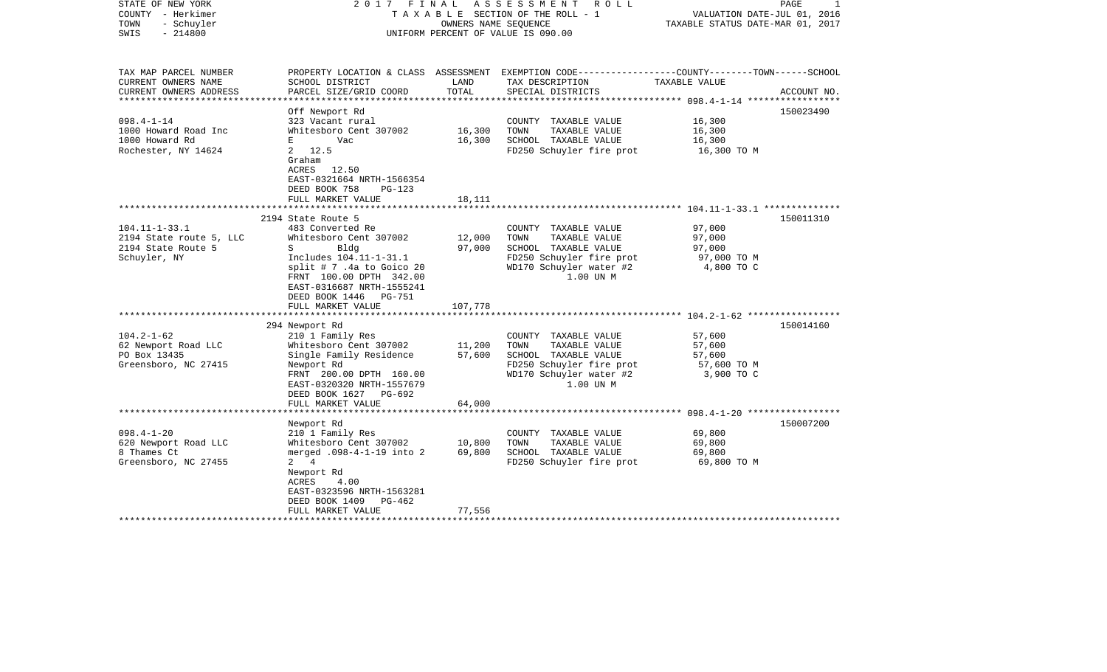| STATE OF NEW YORK<br>COUNTY - Herkimer<br>TOWN<br>- Schuyler<br>SWIS<br>$-214800$               | 2017                                                                                                                                                                                                                                                                         | FINAL<br>OWNERS NAME SEQUENCE | A S S E S S M E N T<br>R O L L<br>TAXABLE SECTION OF THE ROLL - 1<br>UNIFORM PERCENT OF VALUE IS 090.00                                   | VALUATION DATE-JUL 01, 2016<br>TAXABLE STATUS DATE-MAR 01, 2017 | PAGE        |
|-------------------------------------------------------------------------------------------------|------------------------------------------------------------------------------------------------------------------------------------------------------------------------------------------------------------------------------------------------------------------------------|-------------------------------|-------------------------------------------------------------------------------------------------------------------------------------------|-----------------------------------------------------------------|-------------|
| TAX MAP PARCEL NUMBER<br>CURRENT OWNERS NAME<br>CURRENT OWNERS ADDRESS<br>********************* | SCHOOL DISTRICT<br>PARCEL SIZE/GRID COORD                                                                                                                                                                                                                                    | LAND<br>TOTAL                 | PROPERTY LOCATION & CLASS ASSESSMENT EXEMPTION CODE---------------COUNTY-------TOWN-----SCHOOL<br>TAX DESCRIPTION<br>SPECIAL DISTRICTS    | TAXABLE VALUE                                                   | ACCOUNT NO. |
| $098.4 - 1 - 14$<br>1000 Howard Road Inc<br>1000 Howard Rd<br>Rochester, NY 14624               | Off Newport Rd<br>323 Vacant rural<br>Whitesboro Cent 307002<br>$E = 1$<br>Vac<br>2, 12.5<br>Graham<br>ACRES 12.50<br>EAST-0321664 NRTH-1566354<br>DEED BOOK 758<br>$PG-123$<br>FULL MARKET VALUE                                                                            | 16,300<br>16,300<br>18,111    | COUNTY TAXABLE VALUE<br>TOWN<br>TAXABLE VALUE<br>SCHOOL TAXABLE VALUE<br>FD250 Schuyler fire prot                                         | 16,300<br>16,300<br>16,300<br>16,300 TO M                       | 150023490   |
|                                                                                                 |                                                                                                                                                                                                                                                                              |                               |                                                                                                                                           |                                                                 |             |
| $104.11 - 1 - 33.1$<br>2194 State route 5, LLC<br>2194 State Route 5<br>Schuyler, NY            | 2194 State Route 5<br>483 Converted Re<br>Whitesboro Cent 307002<br>Bldg<br>S<br>Includes 104.11-1-31.1<br>split $# 7$ .4a to Goico 20<br>FRNT 100.00 DPTH 342.00<br>EAST-0316687 NRTH-1555241<br>DEED BOOK 1446 PG-751<br>FULL MARKET VALUE<br>**************************** | 12,000<br>97,000<br>107,778   | COUNTY TAXABLE VALUE<br>TOWN<br>TAXABLE VALUE<br>SCHOOL TAXABLE VALUE<br>FD250 Schuyler fire prot<br>WD170 Schuyler water #2<br>1.00 UN M | 97,000<br>97,000<br>97,000<br>97,000 TO M<br>4,800 TO C         | 150011310   |
|                                                                                                 | 294 Newport Rd                                                                                                                                                                                                                                                               |                               |                                                                                                                                           |                                                                 | 150014160   |
| $104.2 - 1 - 62$<br>62 Newport Road LLC<br>PO Box 13435<br>Greensboro, NC 27415                 | 210 1 Family Res<br>Whitesboro Cent 307002<br>Single Family Residence<br>Newport Rd<br>FRNT 200.00 DPTH 160.00<br>EAST-0320320 NRTH-1557679<br>DEED BOOK 1627 PG-692<br>FULL MARKET VALUE                                                                                    | 11,200<br>57,600<br>64,000    | COUNTY TAXABLE VALUE<br>TAXABLE VALUE<br>TOWN<br>SCHOOL TAXABLE VALUE<br>FD250 Schuyler fire prot<br>WD170 Schuyler water #2<br>1.00 UN M | 57,600<br>57,600<br>57,600<br>57,600 TO M<br>3,900 TO C         |             |
|                                                                                                 | *************************                                                                                                                                                                                                                                                    |                               |                                                                                                                                           |                                                                 |             |
| $098.4 - 1 - 20$<br>620 Newport Road LLC<br>8 Thames Ct<br>Greensboro, NC 27455                 | Newport Rd<br>210 1 Family Res<br>Whitesboro Cent 307002<br>merged .098-4-1-19 into 2<br>$2 \quad 4$<br>Newport Rd<br>ACRES<br>4.00<br>EAST-0323596 NRTH-1563281<br>DEED BOOK 1409<br>PG-462<br>FULL MARKET VALUE                                                            | 10,800<br>69,800<br>77,556    | COUNTY TAXABLE VALUE<br>TOWN<br>TAXABLE VALUE<br>SCHOOL TAXABLE VALUE<br>FD250 Schuyler fire prot                                         | 69,800<br>69,800<br>69,800<br>69,800 TO M                       | 150007200   |
| ********************                                                                            | ***********************                                                                                                                                                                                                                                                      |                               |                                                                                                                                           |                                                                 |             |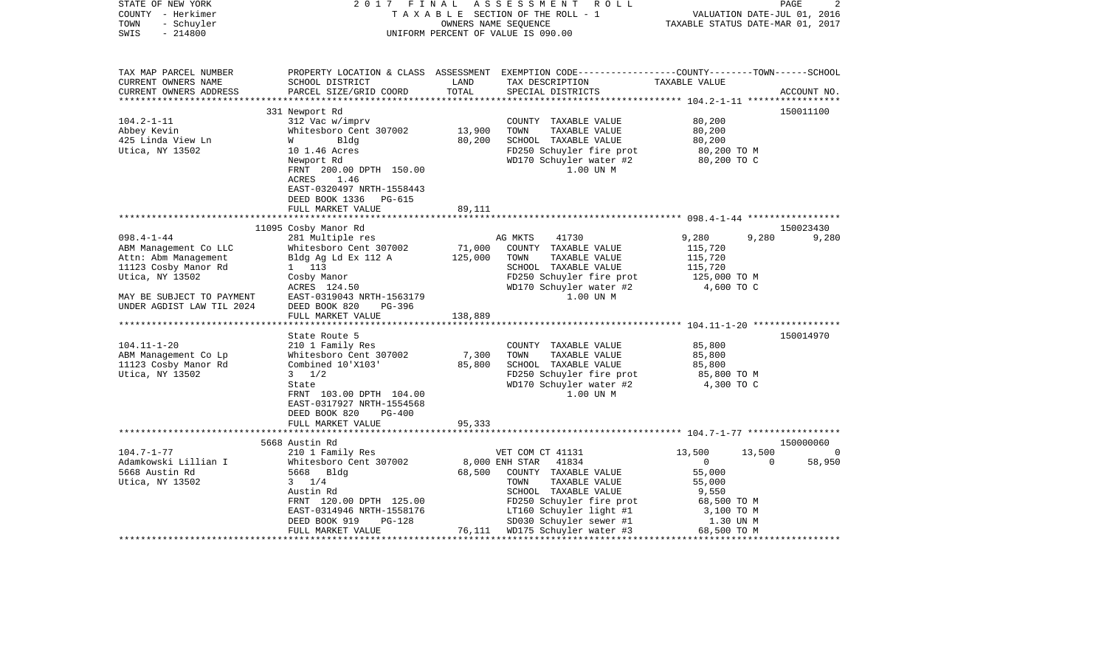| PROPERTY LOCATION & CLASS ASSESSMENT EXEMPTION CODE----------------COUNTY-------TOWN------SCHOOL<br>TAX MAP PARCEL NUMBER<br>TAX DESCRIPTION TAXABLE VALUE<br>CURRENT OWNERS NAME<br>SCHOOL DISTRICT<br>LAND<br>LAND<br>TOTAL<br>PARCEL SIZE/GRID COORD<br>CURRENT OWNERS ADDRESS<br>SPECIAL DISTRICTS<br>ACCOUNT NO.<br>150011100<br>331 Newport Rd<br>$104.2 - 1 - 11$<br>312 Vac w/imprv<br>COUNTY TAXABLE VALUE<br>80,200<br>13,900<br>Abbey Kevin<br>Whitesboro Cent 307002<br>TOWN<br>TAXABLE VALUE<br>80,200<br>SCHOOL TAXABLE VALUE<br>80,200<br>425 Linda View Ln<br>80,200<br>Bldg<br><b>W</b><br>Utica, NY 13502<br>FD250 Schuyler fire prot<br>WD170 Schuyler water #2 80,200 TO C<br>10 1.46 Acres<br>Newport Rd<br>1.00 UN M<br>FRNT 200.00 DPTH 150.00<br>ACRES 1.46<br>EAST-0320497 NRTH-1558443<br>DEED BOOK 1336 PG-615<br>FULL MARKET VALUE<br>89,111<br>11095 Cosby Manor Rd<br>150023430<br>281 Multiple res<br>$098.4 - 1 - 44$<br>AG MKTS<br>41730<br>9,280<br>9,280<br>9,280<br>Whitesboro Cent 307002 71,000<br>Bldg Ag Ld Ex 112 A 125,000<br>ABM Management Co LLC<br>COUNTY TAXABLE VALUE<br>115,720<br>Attn: Abm Management<br>TAXABLE VALUE<br>115,720<br>TOWN<br>11123 Cosby Manor Rd<br>1 113<br>SCHOOL TAXABLE VALUE<br>115,720<br>FD250 Schuyler fire prot<br>WD170 Schuyler water #2 4,600 TO C<br>Utica, NY 13502<br>Cosby Manor<br>ACRES 124.50<br>1.00 UN M<br>MAY BE SUBJECT TO PAYMENT<br>EAST-0319043 NRTH-1563179<br>UNDER AGDIST LAW TIL 2024<br>DEED BOOK 820<br>PG-396<br>FULL MARKET VALUE<br>138,889<br>150014970<br>State Route 5<br>85,800<br>$104.11 - 1 - 20$<br>210 1 Family Res<br>COUNTY TAXABLE VALUE<br>7,300<br>ABM Management Co Lp<br>Whitesboro Cent 307002<br>TOWN<br>TAXABLE VALUE<br>85,800<br>Combined 10'X103' 85,800<br>SCHOOL TAXABLE VALUE<br>85,800<br>11123 Cosby Manor Rd<br>Utica, NY 13502<br>$3 \frac{1}{2}$<br>FD250 Schuyler fire prot 85,800 TO M<br>WD170 Schuyler water #2 4,300 TO C<br>State<br>1.00 UN M<br>FRNT 103.00 DPTH 104.00<br>EAST-0317927 NRTH-1554568<br>DEED BOOK 820<br>PG-400<br>FULL MARKET VALUE<br>95,333<br>5668 Austin Rd<br>150000060<br>210 1 Family Res<br>VET COM CT 41131<br>8,000 ENH STAR 41834<br>$104.7 - 1 - 77$<br>VET COM CT 41131 13,500<br>13,500<br>0<br>Adamkowski Lillian I<br>5668 Austin Rd<br>Whitesboro Cent 307002<br>$\overline{0}$<br>58,950<br>$\overline{0}$<br>68,500 COUNTY TAXABLE VALUE<br>5668 Austin Rd<br>5668 Bldg<br>55,000<br>55,000<br>$3 \t1/4$<br>Utica, NY 13502<br>TOWN<br>TAXABLE VALUE<br>SCHOOL TAXABLE VALUE<br>Austin Rd<br>9,550<br>FD250 Schuyler fire prot<br>LT160 Schuyler light #1 3,100 TO M<br>SD030 Schuyler sewer #1 1 30 IIN M<br>FRNT 120.00 DPTH 125.00<br>EAST-0314946 NRTH-1558176<br>SD030 Schuyler sewer #1<br>DEED BOOK 919<br>PG-128<br>1.30 UN M<br>76,111 WD175 Schuyler water #3 68,500 TO M<br>FULL MARKET VALUE | STATE OF NEW YORK<br>COUNTY - Herkimer<br>- Schuyler<br>TOWN<br>$-214800$<br>SWIS | 2017 FINAL | A S S E S S M E N T R O L L<br>TAXABLE SECTION OF THE ROLL - 1<br>OWNERS NAME SEQUENCE<br>UNIFORM PERCENT OF VALUE IS 090.00 | VALUATION DATE-JUL 01, 2016<br>TAXABLE STATUS DATE-MAR 01, 2017 | PAGE<br>2 |
|--------------------------------------------------------------------------------------------------------------------------------------------------------------------------------------------------------------------------------------------------------------------------------------------------------------------------------------------------------------------------------------------------------------------------------------------------------------------------------------------------------------------------------------------------------------------------------------------------------------------------------------------------------------------------------------------------------------------------------------------------------------------------------------------------------------------------------------------------------------------------------------------------------------------------------------------------------------------------------------------------------------------------------------------------------------------------------------------------------------------------------------------------------------------------------------------------------------------------------------------------------------------------------------------------------------------------------------------------------------------------------------------------------------------------------------------------------------------------------------------------------------------------------------------------------------------------------------------------------------------------------------------------------------------------------------------------------------------------------------------------------------------------------------------------------------------------------------------------------------------------------------------------------------------------------------------------------------------------------------------------------------------------------------------------------------------------------------------------------------------------------------------------------------------------------------------------------------------------------------------------------------------------------------------------------------------------------------------------------------------------------------------------------------------------------------------------------------------------------------------------------------------------------------------------------------------------------------------------------------------------------------------------------------------------------------------------------------------------------------------------------------------------------------------------------------------------------------------------------------------------------------------|-----------------------------------------------------------------------------------|------------|------------------------------------------------------------------------------------------------------------------------------|-----------------------------------------------------------------|-----------|
|                                                                                                                                                                                                                                                                                                                                                                                                                                                                                                                                                                                                                                                                                                                                                                                                                                                                                                                                                                                                                                                                                                                                                                                                                                                                                                                                                                                                                                                                                                                                                                                                                                                                                                                                                                                                                                                                                                                                                                                                                                                                                                                                                                                                                                                                                                                                                                                                                                                                                                                                                                                                                                                                                                                                                                                                                                                                                            |                                                                                   |            |                                                                                                                              |                                                                 |           |
|                                                                                                                                                                                                                                                                                                                                                                                                                                                                                                                                                                                                                                                                                                                                                                                                                                                                                                                                                                                                                                                                                                                                                                                                                                                                                                                                                                                                                                                                                                                                                                                                                                                                                                                                                                                                                                                                                                                                                                                                                                                                                                                                                                                                                                                                                                                                                                                                                                                                                                                                                                                                                                                                                                                                                                                                                                                                                            |                                                                                   |            |                                                                                                                              |                                                                 |           |
|                                                                                                                                                                                                                                                                                                                                                                                                                                                                                                                                                                                                                                                                                                                                                                                                                                                                                                                                                                                                                                                                                                                                                                                                                                                                                                                                                                                                                                                                                                                                                                                                                                                                                                                                                                                                                                                                                                                                                                                                                                                                                                                                                                                                                                                                                                                                                                                                                                                                                                                                                                                                                                                                                                                                                                                                                                                                                            |                                                                                   |            |                                                                                                                              |                                                                 |           |
|                                                                                                                                                                                                                                                                                                                                                                                                                                                                                                                                                                                                                                                                                                                                                                                                                                                                                                                                                                                                                                                                                                                                                                                                                                                                                                                                                                                                                                                                                                                                                                                                                                                                                                                                                                                                                                                                                                                                                                                                                                                                                                                                                                                                                                                                                                                                                                                                                                                                                                                                                                                                                                                                                                                                                                                                                                                                                            |                                                                                   |            |                                                                                                                              |                                                                 |           |
|                                                                                                                                                                                                                                                                                                                                                                                                                                                                                                                                                                                                                                                                                                                                                                                                                                                                                                                                                                                                                                                                                                                                                                                                                                                                                                                                                                                                                                                                                                                                                                                                                                                                                                                                                                                                                                                                                                                                                                                                                                                                                                                                                                                                                                                                                                                                                                                                                                                                                                                                                                                                                                                                                                                                                                                                                                                                                            |                                                                                   |            |                                                                                                                              |                                                                 |           |
|                                                                                                                                                                                                                                                                                                                                                                                                                                                                                                                                                                                                                                                                                                                                                                                                                                                                                                                                                                                                                                                                                                                                                                                                                                                                                                                                                                                                                                                                                                                                                                                                                                                                                                                                                                                                                                                                                                                                                                                                                                                                                                                                                                                                                                                                                                                                                                                                                                                                                                                                                                                                                                                                                                                                                                                                                                                                                            |                                                                                   |            |                                                                                                                              |                                                                 |           |
|                                                                                                                                                                                                                                                                                                                                                                                                                                                                                                                                                                                                                                                                                                                                                                                                                                                                                                                                                                                                                                                                                                                                                                                                                                                                                                                                                                                                                                                                                                                                                                                                                                                                                                                                                                                                                                                                                                                                                                                                                                                                                                                                                                                                                                                                                                                                                                                                                                                                                                                                                                                                                                                                                                                                                                                                                                                                                            |                                                                                   |            |                                                                                                                              |                                                                 |           |
|                                                                                                                                                                                                                                                                                                                                                                                                                                                                                                                                                                                                                                                                                                                                                                                                                                                                                                                                                                                                                                                                                                                                                                                                                                                                                                                                                                                                                                                                                                                                                                                                                                                                                                                                                                                                                                                                                                                                                                                                                                                                                                                                                                                                                                                                                                                                                                                                                                                                                                                                                                                                                                                                                                                                                                                                                                                                                            |                                                                                   |            |                                                                                                                              |                                                                 |           |
|                                                                                                                                                                                                                                                                                                                                                                                                                                                                                                                                                                                                                                                                                                                                                                                                                                                                                                                                                                                                                                                                                                                                                                                                                                                                                                                                                                                                                                                                                                                                                                                                                                                                                                                                                                                                                                                                                                                                                                                                                                                                                                                                                                                                                                                                                                                                                                                                                                                                                                                                                                                                                                                                                                                                                                                                                                                                                            |                                                                                   |            |                                                                                                                              |                                                                 |           |
|                                                                                                                                                                                                                                                                                                                                                                                                                                                                                                                                                                                                                                                                                                                                                                                                                                                                                                                                                                                                                                                                                                                                                                                                                                                                                                                                                                                                                                                                                                                                                                                                                                                                                                                                                                                                                                                                                                                                                                                                                                                                                                                                                                                                                                                                                                                                                                                                                                                                                                                                                                                                                                                                                                                                                                                                                                                                                            |                                                                                   |            |                                                                                                                              |                                                                 |           |
|                                                                                                                                                                                                                                                                                                                                                                                                                                                                                                                                                                                                                                                                                                                                                                                                                                                                                                                                                                                                                                                                                                                                                                                                                                                                                                                                                                                                                                                                                                                                                                                                                                                                                                                                                                                                                                                                                                                                                                                                                                                                                                                                                                                                                                                                                                                                                                                                                                                                                                                                                                                                                                                                                                                                                                                                                                                                                            |                                                                                   |            |                                                                                                                              |                                                                 |           |
|                                                                                                                                                                                                                                                                                                                                                                                                                                                                                                                                                                                                                                                                                                                                                                                                                                                                                                                                                                                                                                                                                                                                                                                                                                                                                                                                                                                                                                                                                                                                                                                                                                                                                                                                                                                                                                                                                                                                                                                                                                                                                                                                                                                                                                                                                                                                                                                                                                                                                                                                                                                                                                                                                                                                                                                                                                                                                            |                                                                                   |            |                                                                                                                              |                                                                 |           |
|                                                                                                                                                                                                                                                                                                                                                                                                                                                                                                                                                                                                                                                                                                                                                                                                                                                                                                                                                                                                                                                                                                                                                                                                                                                                                                                                                                                                                                                                                                                                                                                                                                                                                                                                                                                                                                                                                                                                                                                                                                                                                                                                                                                                                                                                                                                                                                                                                                                                                                                                                                                                                                                                                                                                                                                                                                                                                            |                                                                                   |            |                                                                                                                              |                                                                 |           |
|                                                                                                                                                                                                                                                                                                                                                                                                                                                                                                                                                                                                                                                                                                                                                                                                                                                                                                                                                                                                                                                                                                                                                                                                                                                                                                                                                                                                                                                                                                                                                                                                                                                                                                                                                                                                                                                                                                                                                                                                                                                                                                                                                                                                                                                                                                                                                                                                                                                                                                                                                                                                                                                                                                                                                                                                                                                                                            |                                                                                   |            |                                                                                                                              |                                                                 |           |
|                                                                                                                                                                                                                                                                                                                                                                                                                                                                                                                                                                                                                                                                                                                                                                                                                                                                                                                                                                                                                                                                                                                                                                                                                                                                                                                                                                                                                                                                                                                                                                                                                                                                                                                                                                                                                                                                                                                                                                                                                                                                                                                                                                                                                                                                                                                                                                                                                                                                                                                                                                                                                                                                                                                                                                                                                                                                                            |                                                                                   |            |                                                                                                                              |                                                                 |           |
|                                                                                                                                                                                                                                                                                                                                                                                                                                                                                                                                                                                                                                                                                                                                                                                                                                                                                                                                                                                                                                                                                                                                                                                                                                                                                                                                                                                                                                                                                                                                                                                                                                                                                                                                                                                                                                                                                                                                                                                                                                                                                                                                                                                                                                                                                                                                                                                                                                                                                                                                                                                                                                                                                                                                                                                                                                                                                            |                                                                                   |            |                                                                                                                              |                                                                 |           |
|                                                                                                                                                                                                                                                                                                                                                                                                                                                                                                                                                                                                                                                                                                                                                                                                                                                                                                                                                                                                                                                                                                                                                                                                                                                                                                                                                                                                                                                                                                                                                                                                                                                                                                                                                                                                                                                                                                                                                                                                                                                                                                                                                                                                                                                                                                                                                                                                                                                                                                                                                                                                                                                                                                                                                                                                                                                                                            |                                                                                   |            |                                                                                                                              |                                                                 |           |
|                                                                                                                                                                                                                                                                                                                                                                                                                                                                                                                                                                                                                                                                                                                                                                                                                                                                                                                                                                                                                                                                                                                                                                                                                                                                                                                                                                                                                                                                                                                                                                                                                                                                                                                                                                                                                                                                                                                                                                                                                                                                                                                                                                                                                                                                                                                                                                                                                                                                                                                                                                                                                                                                                                                                                                                                                                                                                            |                                                                                   |            |                                                                                                                              |                                                                 |           |
|                                                                                                                                                                                                                                                                                                                                                                                                                                                                                                                                                                                                                                                                                                                                                                                                                                                                                                                                                                                                                                                                                                                                                                                                                                                                                                                                                                                                                                                                                                                                                                                                                                                                                                                                                                                                                                                                                                                                                                                                                                                                                                                                                                                                                                                                                                                                                                                                                                                                                                                                                                                                                                                                                                                                                                                                                                                                                            |                                                                                   |            |                                                                                                                              |                                                                 |           |
|                                                                                                                                                                                                                                                                                                                                                                                                                                                                                                                                                                                                                                                                                                                                                                                                                                                                                                                                                                                                                                                                                                                                                                                                                                                                                                                                                                                                                                                                                                                                                                                                                                                                                                                                                                                                                                                                                                                                                                                                                                                                                                                                                                                                                                                                                                                                                                                                                                                                                                                                                                                                                                                                                                                                                                                                                                                                                            |                                                                                   |            |                                                                                                                              |                                                                 |           |
|                                                                                                                                                                                                                                                                                                                                                                                                                                                                                                                                                                                                                                                                                                                                                                                                                                                                                                                                                                                                                                                                                                                                                                                                                                                                                                                                                                                                                                                                                                                                                                                                                                                                                                                                                                                                                                                                                                                                                                                                                                                                                                                                                                                                                                                                                                                                                                                                                                                                                                                                                                                                                                                                                                                                                                                                                                                                                            |                                                                                   |            |                                                                                                                              |                                                                 |           |
|                                                                                                                                                                                                                                                                                                                                                                                                                                                                                                                                                                                                                                                                                                                                                                                                                                                                                                                                                                                                                                                                                                                                                                                                                                                                                                                                                                                                                                                                                                                                                                                                                                                                                                                                                                                                                                                                                                                                                                                                                                                                                                                                                                                                                                                                                                                                                                                                                                                                                                                                                                                                                                                                                                                                                                                                                                                                                            |                                                                                   |            |                                                                                                                              |                                                                 |           |
|                                                                                                                                                                                                                                                                                                                                                                                                                                                                                                                                                                                                                                                                                                                                                                                                                                                                                                                                                                                                                                                                                                                                                                                                                                                                                                                                                                                                                                                                                                                                                                                                                                                                                                                                                                                                                                                                                                                                                                                                                                                                                                                                                                                                                                                                                                                                                                                                                                                                                                                                                                                                                                                                                                                                                                                                                                                                                            |                                                                                   |            |                                                                                                                              |                                                                 |           |
|                                                                                                                                                                                                                                                                                                                                                                                                                                                                                                                                                                                                                                                                                                                                                                                                                                                                                                                                                                                                                                                                                                                                                                                                                                                                                                                                                                                                                                                                                                                                                                                                                                                                                                                                                                                                                                                                                                                                                                                                                                                                                                                                                                                                                                                                                                                                                                                                                                                                                                                                                                                                                                                                                                                                                                                                                                                                                            |                                                                                   |            |                                                                                                                              |                                                                 |           |
|                                                                                                                                                                                                                                                                                                                                                                                                                                                                                                                                                                                                                                                                                                                                                                                                                                                                                                                                                                                                                                                                                                                                                                                                                                                                                                                                                                                                                                                                                                                                                                                                                                                                                                                                                                                                                                                                                                                                                                                                                                                                                                                                                                                                                                                                                                                                                                                                                                                                                                                                                                                                                                                                                                                                                                                                                                                                                            |                                                                                   |            |                                                                                                                              |                                                                 |           |
|                                                                                                                                                                                                                                                                                                                                                                                                                                                                                                                                                                                                                                                                                                                                                                                                                                                                                                                                                                                                                                                                                                                                                                                                                                                                                                                                                                                                                                                                                                                                                                                                                                                                                                                                                                                                                                                                                                                                                                                                                                                                                                                                                                                                                                                                                                                                                                                                                                                                                                                                                                                                                                                                                                                                                                                                                                                                                            |                                                                                   |            |                                                                                                                              |                                                                 |           |
|                                                                                                                                                                                                                                                                                                                                                                                                                                                                                                                                                                                                                                                                                                                                                                                                                                                                                                                                                                                                                                                                                                                                                                                                                                                                                                                                                                                                                                                                                                                                                                                                                                                                                                                                                                                                                                                                                                                                                                                                                                                                                                                                                                                                                                                                                                                                                                                                                                                                                                                                                                                                                                                                                                                                                                                                                                                                                            |                                                                                   |            |                                                                                                                              |                                                                 |           |
|                                                                                                                                                                                                                                                                                                                                                                                                                                                                                                                                                                                                                                                                                                                                                                                                                                                                                                                                                                                                                                                                                                                                                                                                                                                                                                                                                                                                                                                                                                                                                                                                                                                                                                                                                                                                                                                                                                                                                                                                                                                                                                                                                                                                                                                                                                                                                                                                                                                                                                                                                                                                                                                                                                                                                                                                                                                                                            |                                                                                   |            |                                                                                                                              |                                                                 |           |
|                                                                                                                                                                                                                                                                                                                                                                                                                                                                                                                                                                                                                                                                                                                                                                                                                                                                                                                                                                                                                                                                                                                                                                                                                                                                                                                                                                                                                                                                                                                                                                                                                                                                                                                                                                                                                                                                                                                                                                                                                                                                                                                                                                                                                                                                                                                                                                                                                                                                                                                                                                                                                                                                                                                                                                                                                                                                                            |                                                                                   |            |                                                                                                                              |                                                                 |           |
|                                                                                                                                                                                                                                                                                                                                                                                                                                                                                                                                                                                                                                                                                                                                                                                                                                                                                                                                                                                                                                                                                                                                                                                                                                                                                                                                                                                                                                                                                                                                                                                                                                                                                                                                                                                                                                                                                                                                                                                                                                                                                                                                                                                                                                                                                                                                                                                                                                                                                                                                                                                                                                                                                                                                                                                                                                                                                            |                                                                                   |            |                                                                                                                              |                                                                 |           |
|                                                                                                                                                                                                                                                                                                                                                                                                                                                                                                                                                                                                                                                                                                                                                                                                                                                                                                                                                                                                                                                                                                                                                                                                                                                                                                                                                                                                                                                                                                                                                                                                                                                                                                                                                                                                                                                                                                                                                                                                                                                                                                                                                                                                                                                                                                                                                                                                                                                                                                                                                                                                                                                                                                                                                                                                                                                                                            |                                                                                   |            |                                                                                                                              |                                                                 |           |
|                                                                                                                                                                                                                                                                                                                                                                                                                                                                                                                                                                                                                                                                                                                                                                                                                                                                                                                                                                                                                                                                                                                                                                                                                                                                                                                                                                                                                                                                                                                                                                                                                                                                                                                                                                                                                                                                                                                                                                                                                                                                                                                                                                                                                                                                                                                                                                                                                                                                                                                                                                                                                                                                                                                                                                                                                                                                                            |                                                                                   |            |                                                                                                                              |                                                                 |           |
|                                                                                                                                                                                                                                                                                                                                                                                                                                                                                                                                                                                                                                                                                                                                                                                                                                                                                                                                                                                                                                                                                                                                                                                                                                                                                                                                                                                                                                                                                                                                                                                                                                                                                                                                                                                                                                                                                                                                                                                                                                                                                                                                                                                                                                                                                                                                                                                                                                                                                                                                                                                                                                                                                                                                                                                                                                                                                            |                                                                                   |            |                                                                                                                              |                                                                 |           |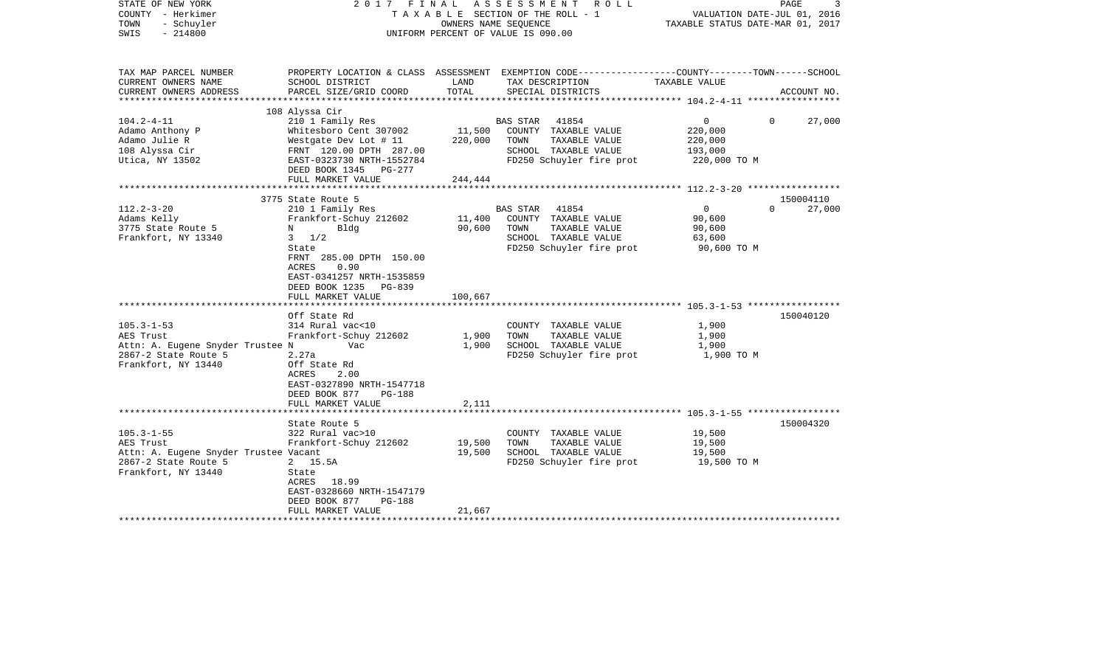| STATE OF NEW YORK<br>COUNTY - Herkimer<br>- Schuyler<br>TOWN<br>$-214800$<br>SWIS |                                                                                                       | TAXABLE SECTION OF THE ROLL - 1<br>OWNERS NAME SEQUENCE<br>UNIFORM PERCENT OF VALUE IS 090.00 |                | 2017 FINAL ASSESSMENT ROLL           | VALUATION DATE-JUL 01, 2016<br>TAXABLE STATUS DATE-MAR 01, 2017 | PAGE         | 3           |
|-----------------------------------------------------------------------------------|-------------------------------------------------------------------------------------------------------|-----------------------------------------------------------------------------------------------|----------------|--------------------------------------|-----------------------------------------------------------------|--------------|-------------|
| TAX MAP PARCEL NUMBER                                                             | PROPERTY LOCATION & CLASS ASSESSMENT EXEMPTION CODE---------------COUNTY-------TOWN------SCHOOL       |                                                                                               |                |                                      |                                                                 |              |             |
| CURRENT OWNERS NAME<br>CURRENT OWNERS ADDRESS                                     | SCHOOL DISTRICT<br>PARCEL SIZE/GRID COORD                                                             | LAND<br>TOTAL                                                                                 |                | TAX DESCRIPTION<br>SPECIAL DISTRICTS | TAXABLE VALUE                                                   |              | ACCOUNT NO. |
| ************************                                                          |                                                                                                       |                                                                                               |                |                                      |                                                                 |              |             |
|                                                                                   | 108 Alyssa Cir                                                                                        |                                                                                               |                |                                      |                                                                 |              |             |
| $104.2 - 4 - 11$                                                                  | 210 1 Family Res                                                                                      |                                                                                               | BAS STAR       | 41854                                | 0                                                               | $\mathbf{0}$ | 27,000      |
| Adamo Anthony P                                                                   | Whitesboro Cent 307002                                                                                | 11,500                                                                                        |                | COUNTY TAXABLE VALUE                 | 220,000                                                         |              |             |
| Adamo Julie R                                                                     | Westgate Dev Lot # 11                                                                                 | 220,000                                                                                       | TOWN           | TAXABLE VALUE                        | 220,000                                                         |              |             |
| 108 Alyssa Cir                                                                    | FRNT 120.00 DPTH 287.00                                                                               |                                                                                               |                | SCHOOL TAXABLE VALUE                 | 193,000                                                         |              |             |
| Utica, NY 13502                                                                   | EAST-0323730 NRTH-1552784<br>DEED BOOK 1345 PG-277                                                    |                                                                                               |                | FD250 Schuyler fire prot             | 220,000 TO M                                                    |              |             |
|                                                                                   | FULL MARKET VALUE                                                                                     | 244,444                                                                                       |                |                                      |                                                                 |              |             |
|                                                                                   |                                                                                                       |                                                                                               |                |                                      |                                                                 |              |             |
|                                                                                   | 3775 State Route 5                                                                                    |                                                                                               |                |                                      |                                                                 |              | 150004110   |
| $112.2 - 3 - 20$                                                                  | 210 1 Family Res                                                                                      |                                                                                               | BAS STAR 41854 |                                      | $\mathsf{O}$                                                    | $\Omega$     | 27,000      |
| Adams Kelly                                                                       | Frankfort-Schuy 212602                                                                                | 11,400                                                                                        |                | COUNTY TAXABLE VALUE                 | 90,600                                                          |              |             |
| 3775 State Route 5                                                                | $N$ and $N$<br>Bldg                                                                                   | 90,600                                                                                        | TOWN           | TAXABLE VALUE                        | 90,600                                                          |              |             |
| Frankfort, NY 13340                                                               | $3 \frac{1}{2}$                                                                                       |                                                                                               |                | SCHOOL TAXABLE VALUE                 | 63,600                                                          |              |             |
|                                                                                   | State                                                                                                 |                                                                                               |                | FD250 Schuyler fire prot             | 90,600 TO M                                                     |              |             |
|                                                                                   | FRNT 285.00 DPTH 150.00<br>0.90<br>ACRES<br>EAST-0341257 NRTH-1535859<br>DEED BOOK 1235 PG-839        |                                                                                               |                |                                      |                                                                 |              |             |
|                                                                                   | FULL MARKET VALUE                                                                                     | 100,667                                                                                       |                |                                      |                                                                 |              |             |
|                                                                                   |                                                                                                       |                                                                                               |                |                                      |                                                                 |              |             |
|                                                                                   | Off State Rd                                                                                          |                                                                                               |                |                                      |                                                                 |              | 150040120   |
| $105.3 - 1 - 53$                                                                  | 314 Rural vac<10                                                                                      |                                                                                               |                | COUNTY TAXABLE VALUE                 | 1,900                                                           |              |             |
| AES Trust                                                                         | Frankfort-Schuy 212602                                                                                | 1,900                                                                                         | TOWN           | TAXABLE VALUE                        | 1,900                                                           |              |             |
| Attn: A. Eugene Snyder Trustee N                                                  | Vac                                                                                                   | 1,900                                                                                         |                | SCHOOL TAXABLE VALUE                 | 1,900                                                           |              |             |
| 2867-2 State Route 5<br>Frankfort, NY 13440                                       | 2.27a<br>Off State Rd<br>ACRES<br>2.00<br>EAST-0327890 NRTH-1547718<br>DEED BOOK 877<br><b>PG-188</b> |                                                                                               |                | FD250 Schuyler fire prot             | 1,900 TO M                                                      |              |             |
|                                                                                   | FULL MARKET VALUE                                                                                     | 2,111                                                                                         |                |                                      |                                                                 |              |             |
|                                                                                   | State Route 5                                                                                         |                                                                                               |                |                                      |                                                                 |              | 150004320   |
| $105.3 - 1 - 55$                                                                  | 322 Rural vac>10                                                                                      |                                                                                               |                | COUNTY TAXABLE VALUE                 | 19,500                                                          |              |             |
| AES Trust                                                                         | Frankfort-Schuy 212602                                                                                | 19,500                                                                                        | TOWN           | TAXABLE VALUE                        | 19,500                                                          |              |             |
| Attn: A. Eugene Snyder Trustee Vacant                                             |                                                                                                       | 19,500                                                                                        |                | SCHOOL TAXABLE VALUE                 | 19,500                                                          |              |             |
| 2867-2 State Route 5                                                              | 2 15.5A                                                                                               |                                                                                               |                | FD250 Schuyler fire prot             | 19,500 TO M                                                     |              |             |
| Frankfort, NY 13440                                                               | State                                                                                                 |                                                                                               |                |                                      |                                                                 |              |             |
|                                                                                   | ACRES 18.99                                                                                           |                                                                                               |                |                                      |                                                                 |              |             |
|                                                                                   | EAST-0328660 NRTH-1547179                                                                             |                                                                                               |                |                                      |                                                                 |              |             |
|                                                                                   | DEED BOOK 877<br>PG-188                                                                               |                                                                                               |                |                                      |                                                                 |              |             |
|                                                                                   | FULL MARKET VALUE                                                                                     | 21,667                                                                                        |                |                                      |                                                                 |              |             |
| ********************                                                              | ***********************                                                                               |                                                                                               |                |                                      |                                                                 |              |             |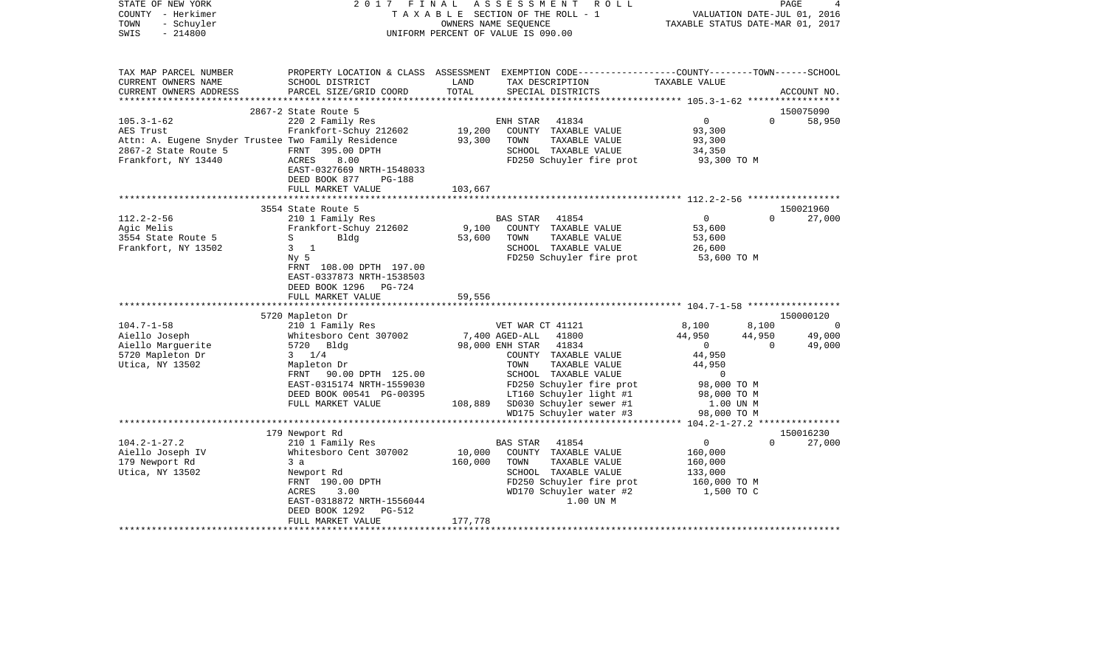| COUNTY<br>– Herkimer<br>TOWN<br>- Schuyler<br>SWIS<br>$-214800$ |                                            |                   | TAXABLE SECTION OF THE ROLL - 1<br>OWNERS NAME SEQUENCE<br>UNIFORM PERCENT OF VALUE IS 090.00  | TAXABLE STATUS DATE-MAR 01, 2017 | VALUATION DATE-JUL 01, 2016 |             |
|-----------------------------------------------------------------|--------------------------------------------|-------------------|------------------------------------------------------------------------------------------------|----------------------------------|-----------------------------|-------------|
|                                                                 |                                            |                   |                                                                                                |                                  |                             |             |
| TAX MAP PARCEL NUMBER                                           |                                            |                   | PROPERTY LOCATION & CLASS ASSESSMENT EXEMPTION CODE---------------COUNTY-------TOWN-----SCHOOL |                                  |                             |             |
| CURRENT OWNERS NAME                                             | SCHOOL DISTRICT                            | LAND              | TAX DESCRIPTION                                                                                | TAXABLE VALUE                    |                             |             |
| CURRENT OWNERS ADDRESS                                          | PARCEL SIZE/GRID COORD                     | TOTAL             | SPECIAL DISTRICTS                                                                              |                                  |                             | ACCOUNT NO. |
|                                                                 |                                            |                   |                                                                                                |                                  |                             |             |
|                                                                 | 2867-2 State Route 5                       |                   |                                                                                                | $\mathbf 0$                      | $\Omega$                    | 150075090   |
| $105.3 - 1 - 62$<br>AES Trust                                   | 220 2 Family Res<br>Frankfort-Schuy 212602 | 19,200            | ENH STAR<br>41834<br>COUNTY TAXABLE VALUE                                                      | 93,300                           |                             | 58,950      |
| Attn: A. Eugene Snyder Trustee Two Family Residence             |                                            | 93,300            | TOWN<br>TAXABLE VALUE                                                                          | 93,300                           |                             |             |
| 2867-2 State Route 5                                            | FRNT 395.00 DPTH                           |                   | SCHOOL TAXABLE VALUE                                                                           | 34,350                           |                             |             |
| Frankfort, NY 13440                                             | 8.00<br>ACRES                              |                   | FD250 Schuyler fire prot                                                                       | 93,300 TO M                      |                             |             |
|                                                                 | EAST-0327669 NRTH-1548033                  |                   |                                                                                                |                                  |                             |             |
|                                                                 | DEED BOOK 877<br><b>PG-188</b>             |                   |                                                                                                |                                  |                             |             |
|                                                                 | FULL MARKET VALUE                          | 103,667           |                                                                                                |                                  |                             |             |
|                                                                 |                                            |                   |                                                                                                |                                  |                             |             |
|                                                                 | 3554 State Route 5                         |                   |                                                                                                |                                  |                             | 150021960   |
| $112.2 - 2 - 56$                                                | 210 1 Family Res                           |                   | BAS STAR<br>41854                                                                              | $\mathbf{0}$                     | $\Omega$                    | 27,000      |
| Agic Melis                                                      | Frankfort-Schuy 212602                     | 9,100             | COUNTY TAXABLE VALUE                                                                           | 53,600                           |                             |             |
| 3554 State Route 5                                              | S<br>Bldg                                  | 53,600            | TOWN<br>TAXABLE VALUE                                                                          | 53,600                           |                             |             |
| Frankfort, NY 13502                                             | $3 \quad 1$                                |                   | SCHOOL TAXABLE VALUE                                                                           | 26,600                           |                             |             |
|                                                                 | $Ny$ 5                                     |                   | FD250 Schuyler fire prot                                                                       | 53,600 TO M                      |                             |             |
|                                                                 | FRNT 108.00 DPTH 197.00                    |                   |                                                                                                |                                  |                             |             |
|                                                                 | EAST-0337873 NRTH-1538503                  |                   |                                                                                                |                                  |                             |             |
|                                                                 | DEED BOOK 1296 PG-724<br>FULL MARKET VALUE | 59,556            |                                                                                                |                                  |                             |             |
|                                                                 |                                            |                   |                                                                                                |                                  |                             |             |
|                                                                 | 5720 Mapleton Dr                           |                   |                                                                                                |                                  |                             | 150000120   |
| $104.7 - 1 - 58$                                                | 210 1 Family Res                           |                   | VET WAR CT 41121                                                                               | 8,100                            | 8,100                       | $\bigcirc$  |
| Aiello Joseph                                                   | Whitesboro Cent 307002                     |                   | 7,400 AGED-ALL<br>41800                                                                        | 44,950                           | 44,950                      | 49,000      |
| Aiello Marguerite                                               | 5720 Bldg                                  |                   | 98,000 ENH STAR<br>41834                                                                       | $\Omega$                         | $\Omega$                    | 49,000      |
| 5720 Mapleton Dr                                                | $3 \t1/4$                                  |                   | COUNTY TAXABLE VALUE                                                                           | 44,950                           |                             |             |
| Utica, NY 13502                                                 | Mapleton Dr                                |                   | TAXABLE VALUE<br>TOWN                                                                          | 44,950                           |                             |             |
|                                                                 | FRNT 90.00 DPTH 125.00                     |                   | SCHOOL TAXABLE VALUE                                                                           | $\circ$                          |                             |             |
|                                                                 | EAST-0315174 NRTH-1559030                  |                   | FD250 Schuyler fire prot                                                                       | 98,000 TO M                      |                             |             |
|                                                                 | DEED BOOK 00541 PG-00395                   |                   | LT160 Schuyler light #1                                                                        | 98,000 TO M                      |                             |             |
|                                                                 | FULL MARKET VALUE                          | 108,889           | SD030 Schuyler sewer #1                                                                        | 1.00 UN M                        |                             |             |
|                                                                 |                                            |                   | WD175 Schuyler water #3                                                                        | 98,000 TO M                      |                             |             |
|                                                                 |                                            |                   |                                                                                                |                                  |                             |             |
|                                                                 | 179 Newport Rd                             |                   |                                                                                                |                                  |                             | 150016230   |
| $104.2 - 1 - 27.2$                                              | 210 1 Family Res                           |                   | BAS STAR<br>41854                                                                              | $\mathbf{0}$                     | $\Omega$                    | 27,000      |
| Aiello Joseph IV<br>179 Newport Rd                              | Whitesboro Cent 307002                     | 10,000<br>160,000 | COUNTY TAXABLE VALUE<br>TOWN<br>TAXABLE VALUE                                                  | 160,000<br>160,000               |                             |             |
| Utica, NY 13502                                                 | 3a<br>Newport Rd                           |                   | SCHOOL TAXABLE VALUE                                                                           | 133,000                          |                             |             |
|                                                                 | FRNT 190.00 DPTH                           |                   | FD250 Schuyler fire prot                                                                       | 160,000 TO M                     |                             |             |
|                                                                 | ACRES<br>3.00                              |                   | WD170 Schuyler water #2                                                                        | 1,500 TO C                       |                             |             |
|                                                                 | EAST-0318872 NRTH-1556044                  |                   | 1.00 UN M                                                                                      |                                  |                             |             |
|                                                                 | DEED BOOK 1292<br>PG-512                   |                   |                                                                                                |                                  |                             |             |
|                                                                 | FULL MARKET VALUE                          | 177,778           |                                                                                                |                                  |                             |             |
|                                                                 |                                            |                   |                                                                                                |                                  |                             |             |

PAGE 4

STATE OF NEW YORK 2017 FINAL ASSESSMENT ROLL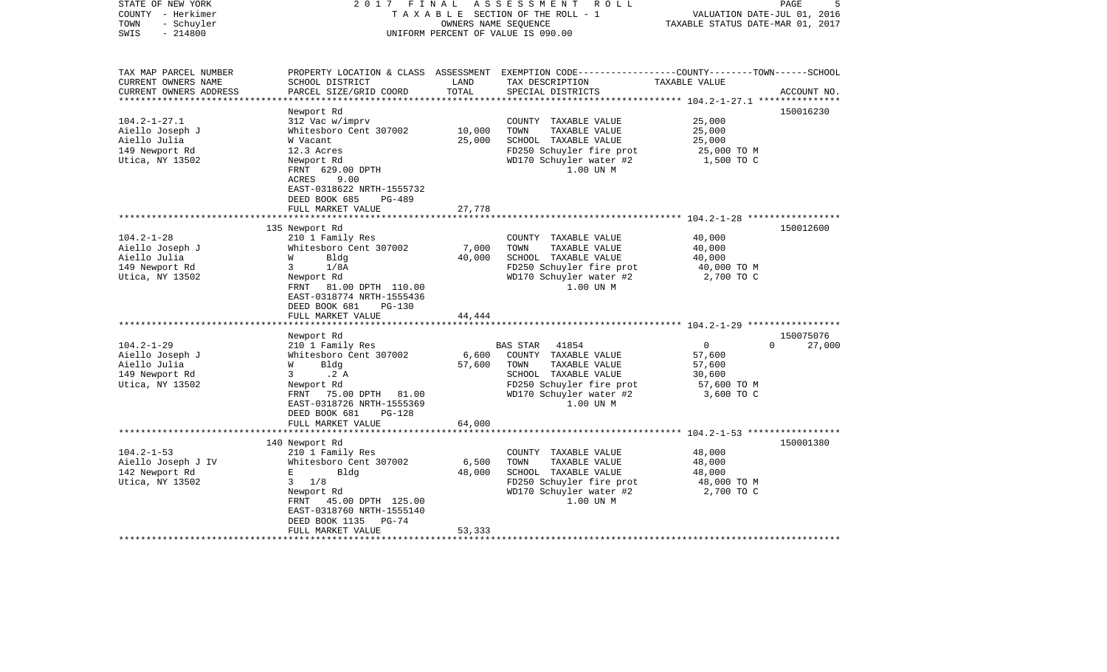| STATE OF NEW YORK<br>COUNTY - Herkimer<br>- Schuyler<br>TOWN<br>$-214800$<br>SWIS | 2017<br>FINAL                                                                                             | OWNERS NAME SEQUENCE | ASSESSMENT ROLL<br>TAXABLE SECTION OF THE ROLL - 1<br>UNIFORM PERCENT OF VALUE IS 090.00                                                 | VALUATION DATE-JUL 01, 2016<br>TAXABLE STATUS DATE-MAR 01, 2017 | PAGE<br>5          |
|-----------------------------------------------------------------------------------|-----------------------------------------------------------------------------------------------------------|----------------------|------------------------------------------------------------------------------------------------------------------------------------------|-----------------------------------------------------------------|--------------------|
| TAX MAP PARCEL NUMBER<br>CURRENT OWNERS NAME<br>CURRENT OWNERS ADDRESS            | SCHOOL DISTRICT<br>PARCEL SIZE/GRID COORD                                                                 | LAND<br>TOTAL        | PROPERTY LOCATION & CLASS ASSESSMENT EXEMPTION CODE----------------COUNTY-------TOWN------SCHOOL<br>TAX DESCRIPTION<br>SPECIAL DISTRICTS | TAXABLE VALUE                                                   | ACCOUNT NO.        |
| ************************                                                          |                                                                                                           |                      |                                                                                                                                          |                                                                 |                    |
|                                                                                   | Newport Rd                                                                                                |                      |                                                                                                                                          |                                                                 | 150016230          |
| $104.2 - 1 - 27.1$<br>Aiello Joseph J                                             | 312 Vac w/imprv<br>Whitesboro Cent 307002                                                                 | 10,000               | COUNTY TAXABLE VALUE<br>TAXABLE VALUE<br>TOWN                                                                                            | 25,000<br>25,000                                                |                    |
| Aiello Julia                                                                      | W Vacant                                                                                                  | 25,000               | SCHOOL TAXABLE VALUE                                                                                                                     | 25,000                                                          |                    |
| 149 Newport Rd                                                                    | 12.3 Acres                                                                                                |                      | FD250 Schuyler fire prot                                                                                                                 | 25,000 TO M                                                     |                    |
| Utica, NY 13502                                                                   | Newport Rd<br>FRNT 629.00 DPTH<br>ACRES<br>9.00<br>EAST-0318622 NRTH-1555732<br>DEED BOOK 685<br>$PG-489$ |                      | WD170 Schuyler water #2<br>1.00 UN M                                                                                                     | 1,500 TO C                                                      |                    |
|                                                                                   | FULL MARKET VALUE                                                                                         | 27,778               |                                                                                                                                          |                                                                 |                    |
|                                                                                   |                                                                                                           |                      |                                                                                                                                          |                                                                 |                    |
|                                                                                   | 135 Newport Rd                                                                                            |                      |                                                                                                                                          |                                                                 | 150012600          |
| $104.2 - 1 - 28$                                                                  | 210 1 Family Res                                                                                          |                      | COUNTY TAXABLE VALUE                                                                                                                     | 40,000                                                          |                    |
| Aiello Joseph J                                                                   | Whitesboro Cent 307002                                                                                    | 7,000                | TOWN<br>TAXABLE VALUE                                                                                                                    | 40,000                                                          |                    |
| Aiello Julia                                                                      | W<br>Bldg                                                                                                 | 40,000               | SCHOOL TAXABLE VALUE                                                                                                                     | 40,000                                                          |                    |
| 149 Newport Rd                                                                    | $\mathbf{3}$<br>1/8A                                                                                      |                      | FD250 Schuyler fire prot                                                                                                                 | 40,000 TO M                                                     |                    |
| Utica, NY 13502                                                                   | Newport Rd<br>FRNT 81.00 DPTH 110.00<br>EAST-0318774 NRTH-1555436<br>DEED BOOK 681<br><b>PG-130</b>       |                      | WD170 Schuyler water #2<br>1.00 UN M                                                                                                     | 2,700 TO C                                                      |                    |
|                                                                                   | FULL MARKET VALUE                                                                                         | 44,444               |                                                                                                                                          |                                                                 |                    |
|                                                                                   | Newport Rd                                                                                                |                      |                                                                                                                                          |                                                                 | 150075076          |
| $104.2 - 1 - 29$                                                                  | 210 1 Family Res                                                                                          |                      | 41854<br>BAS STAR                                                                                                                        | $\overline{0}$                                                  | $\Omega$<br>27,000 |
| Aiello Joseph J                                                                   | Whitesboro Cent 307002                                                                                    | 6,600                | COUNTY TAXABLE VALUE                                                                                                                     | 57,600                                                          |                    |
| Aiello Julia                                                                      | Bldg<br>W                                                                                                 | 57,600               | TOWN<br>TAXABLE VALUE                                                                                                                    | 57,600                                                          |                    |
| 149 Newport Rd                                                                    | .2 A<br>3                                                                                                 |                      | SCHOOL TAXABLE VALUE                                                                                                                     | 30,600                                                          |                    |
| Utica, NY 13502                                                                   | Newport Rd                                                                                                |                      | FD250 Schuyler fire prot                                                                                                                 | 57,600 TO M                                                     |                    |
|                                                                                   | FRNT<br>75.00 DPTH 81.00<br>EAST-0318726 NRTH-1555369<br>DEED BOOK 681<br><b>PG-128</b>                   |                      | WD170 Schuyler water #2<br>1.00 UN M                                                                                                     | 3,600 TO C                                                      |                    |
|                                                                                   | FULL MARKET VALUE                                                                                         | 64,000               |                                                                                                                                          |                                                                 |                    |
|                                                                                   |                                                                                                           |                      |                                                                                                                                          | ****** 104.2-1-53 ******************                            |                    |
| $104.2 - 1 - 53$                                                                  | 140 Newport Rd<br>210 1 Family Res                                                                        |                      | COUNTY TAXABLE VALUE                                                                                                                     | 48,000                                                          | 150001380          |
| Aiello Joseph J IV                                                                | Whitesboro Cent 307002                                                                                    | 6,500                | TOWN<br>TAXABLE VALUE                                                                                                                    | 48,000                                                          |                    |
| 142 Newport Rd                                                                    | Е<br>Bldg                                                                                                 | 48,000               | SCHOOL TAXABLE VALUE                                                                                                                     | 48,000                                                          |                    |
| Utica, NY 13502                                                                   | 1/8<br>3                                                                                                  |                      | FD250 Schuyler fire prot                                                                                                                 | 48,000 TO M                                                     |                    |
|                                                                                   | Newport Rd<br>45.00 DPTH 125.00<br>FRNT<br>EAST-0318760 NRTH-1555140<br>DEED BOOK 1135<br>$PG-74$         |                      | WD170 Schuyler water #2<br>1.00 UN M                                                                                                     | 2,700 TO C                                                      |                    |
|                                                                                   | FULL MARKET VALUE                                                                                         | 53,333               |                                                                                                                                          |                                                                 |                    |
|                                                                                   |                                                                                                           |                      |                                                                                                                                          |                                                                 |                    |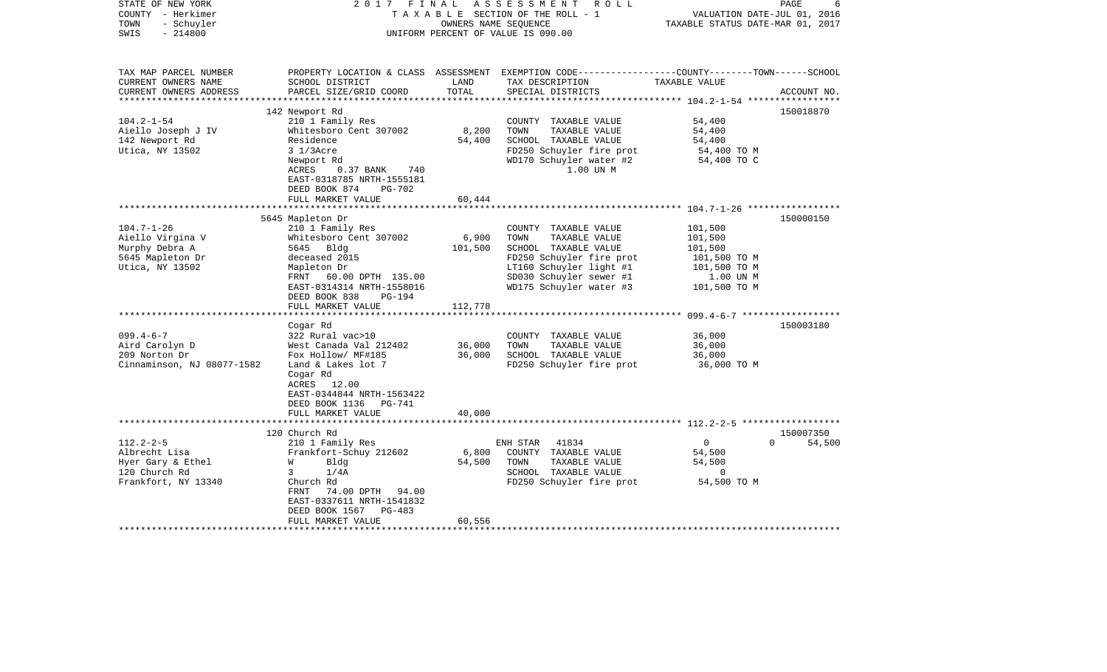| STATE OF NEW YORK<br>COUNTY - Herkimer<br>TOWN<br>- Schuyler<br>SWIS<br>$-214800$ | 2017                                                                   | FINAL         | A S S E S S M E N T<br>R O L L<br>TAXABLE SECTION OF THE ROLL - 1<br>OWNERS NAME SEQUENCE<br>UNIFORM PERCENT OF VALUE IS 090.00         | VALUATION DATE-JUL 01, 2016<br>TAXABLE STATUS DATE-MAR 01, 2017 | PAGE                  |
|-----------------------------------------------------------------------------------|------------------------------------------------------------------------|---------------|-----------------------------------------------------------------------------------------------------------------------------------------|-----------------------------------------------------------------|-----------------------|
| TAX MAP PARCEL NUMBER<br>CURRENT OWNERS NAME<br>CURRENT OWNERS ADDRESS            | SCHOOL DISTRICT<br>PARCEL SIZE/GRID COORD                              | LAND<br>TOTAL | PROPERTY LOCATION & CLASS ASSESSMENT EXEMPTION CODE---------------COUNTY-------TOWN------SCHOOL<br>TAX DESCRIPTION<br>SPECIAL DISTRICTS | TAXABLE VALUE                                                   | ACCOUNT NO.           |
| ***********************                                                           |                                                                        |               |                                                                                                                                         |                                                                 |                       |
|                                                                                   | 142 Newport Rd                                                         |               |                                                                                                                                         |                                                                 | 150018870             |
| $104.2 - 1 - 54$                                                                  | 210 1 Family Res<br>Whitesboro Cent 307002                             | 8,200         | COUNTY TAXABLE VALUE<br>TOWN                                                                                                            | 54,400<br>54,400                                                |                       |
| Aiello Joseph J IV<br>142 Newport Rd                                              | Residence                                                              | 54,400        | TAXABLE VALUE<br>SCHOOL TAXABLE VALUE                                                                                                   | 54,400                                                          |                       |
| Utica, NY 13502                                                                   | $31/3$ Acre                                                            |               | FD250 Schuyler fire prot                                                                                                                | 54,400 TO M                                                     |                       |
|                                                                                   | Newport Rd<br>ACRES<br>$0.37$ BANK<br>740<br>EAST-0318785 NRTH-1555181 |               | WD170 Schuyler water #2<br>1.00 UN M                                                                                                    | 54,400 TO C                                                     |                       |
|                                                                                   | DEED BOOK 874<br><b>PG-702</b>                                         |               |                                                                                                                                         |                                                                 |                       |
|                                                                                   | FULL MARKET VALUE                                                      | 60,444        |                                                                                                                                         |                                                                 |                       |
|                                                                                   |                                                                        |               |                                                                                                                                         |                                                                 |                       |
| $104.7 - 1 - 26$                                                                  | 5645 Mapleton Dr                                                       |               | COUNTY TAXABLE VALUE                                                                                                                    | 101,500                                                         | 150000150             |
| Aiello Virgina V                                                                  | 210 1 Family Res<br>Whitesboro Cent 307002                             | 6,900         | TAXABLE VALUE<br>TOWN                                                                                                                   | 101,500                                                         |                       |
| Murphy Debra A                                                                    | 5645 Bldg                                                              | 101,500       | SCHOOL TAXABLE VALUE                                                                                                                    | 101,500                                                         |                       |
| 5645 Mapleton Dr                                                                  | deceased 2015                                                          |               | FD250 Schuyler fire prot                                                                                                                | 101,500 TO M                                                    |                       |
| Utica, NY 13502                                                                   | Mapleton Dr                                                            |               | LT160 Schuyler light #1                                                                                                                 | 101,500 TO M                                                    |                       |
|                                                                                   | FRNT 60.00 DPTH 135.00                                                 |               | SD030 Schuyler sewer #1                                                                                                                 | 1.00 UN M                                                       |                       |
|                                                                                   | EAST-0314314 NRTH-1558016                                              |               | WD175 Schuyler water #3                                                                                                                 | 101,500 TO M                                                    |                       |
|                                                                                   | DEED BOOK 838<br>$PG-194$                                              |               |                                                                                                                                         |                                                                 |                       |
|                                                                                   | FULL MARKET VALUE                                                      | 112,778       |                                                                                                                                         |                                                                 |                       |
|                                                                                   |                                                                        |               |                                                                                                                                         | ********************* 099.4-6-7 ******                          |                       |
| $099.4 - 6 - 7$                                                                   | Cogar Rd<br>322 Rural vac>10                                           |               |                                                                                                                                         | 36,000                                                          | 150003180             |
| Aird Carolyn D                                                                    | West Canada Val 212402                                                 | 36,000        | COUNTY TAXABLE VALUE<br>TOWN<br>TAXABLE VALUE                                                                                           | 36,000                                                          |                       |
| 209 Norton Dr                                                                     | Fox Hollow/ MF#185                                                     | 36,000        | SCHOOL TAXABLE VALUE                                                                                                                    | 36,000                                                          |                       |
| Cinnaminson, NJ 08077-1582                                                        | Land & Lakes lot 7                                                     |               | FD250 Schuyler fire prot                                                                                                                | 36,000 TO M                                                     |                       |
|                                                                                   | Cogar Rd<br>ACRES 12.00<br>EAST-0344844 NRTH-1563422                   |               |                                                                                                                                         |                                                                 |                       |
|                                                                                   | DEED BOOK 1136<br>PG-741                                               |               |                                                                                                                                         |                                                                 |                       |
|                                                                                   | FULL MARKET VALUE                                                      | 40,000        |                                                                                                                                         |                                                                 |                       |
|                                                                                   |                                                                        |               |                                                                                                                                         |                                                                 |                       |
|                                                                                   | 120 Church Rd                                                          |               |                                                                                                                                         |                                                                 | 150007350<br>$\Omega$ |
| $112.2 - 2 - 5$<br>Albrecht Lisa                                                  | 210 1 Family Res<br>Frankfort-Schuy 212602                             | 6,800         | ENH STAR<br>41834<br>COUNTY TAXABLE VALUE                                                                                               | $\mathbf{0}$<br>54,500                                          | 54,500                |
| Hyer Gary & Ethel                                                                 | W<br>Bldg                                                              | 54,500        | TAXABLE VALUE<br>TOWN                                                                                                                   | 54,500                                                          |                       |
| 120 Church Rd                                                                     | 3<br>1/4A                                                              |               | SCHOOL TAXABLE VALUE                                                                                                                    | $\mathbf 0$                                                     |                       |
| Frankfort, NY 13340                                                               | Church Rd                                                              |               | FD250 Schuyler fire prot                                                                                                                | 54,500 TO M                                                     |                       |
|                                                                                   | 74.00 DPTH 94.00<br>FRNT                                               |               |                                                                                                                                         |                                                                 |                       |
|                                                                                   | EAST-0337611 NRTH-1541832                                              |               |                                                                                                                                         |                                                                 |                       |
|                                                                                   | DEED BOOK 1567<br>$PG-483$                                             |               |                                                                                                                                         |                                                                 |                       |
|                                                                                   | FULL MARKET VALUE                                                      | 60,556        |                                                                                                                                         |                                                                 |                       |
|                                                                                   |                                                                        |               |                                                                                                                                         |                                                                 |                       |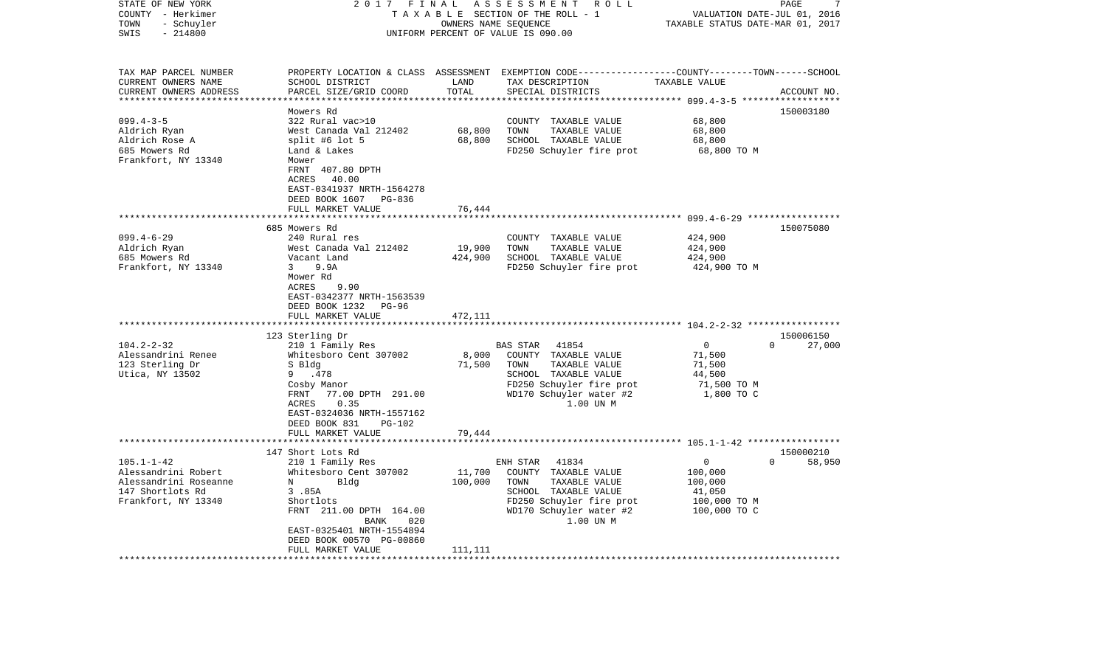| STATE OF NEW YORK<br>COUNTY - Herkimer<br>- Schuyler<br>TOWN<br>$-214800$<br>SWIS | 2017<br>FINAL                                        |               | ASSESSMENT ROLL<br>TAXABLE SECTION OF THE ROLL - 1<br>OWNERS NAME SEQUENCE<br>UNIFORM PERCENT OF VALUE IS 090.00 | VALUATION DATE-JUL 01, 2016<br>TAXABLE STATUS DATE-MAR 01, 2017 | PAGE<br>7          |
|-----------------------------------------------------------------------------------|------------------------------------------------------|---------------|------------------------------------------------------------------------------------------------------------------|-----------------------------------------------------------------|--------------------|
|                                                                                   |                                                      |               |                                                                                                                  |                                                                 |                    |
| TAX MAP PARCEL NUMBER                                                             |                                                      |               | PROPERTY LOCATION & CLASS ASSESSMENT EXEMPTION CODE----------------COUNTY-------TOWN------SCHOOL                 |                                                                 |                    |
| CURRENT OWNERS NAME<br>CURRENT OWNERS ADDRESS<br>**********************           | SCHOOL DISTRICT<br>PARCEL SIZE/GRID COORD            | LAND<br>TOTAL | TAX DESCRIPTION<br>SPECIAL DISTRICTS                                                                             | TAXABLE VALUE                                                   | ACCOUNT NO.        |
|                                                                                   | Mowers Rd                                            |               |                                                                                                                  |                                                                 | 150003180          |
| $099.4 - 3 - 5$                                                                   | 322 Rural vac>10                                     |               | COUNTY TAXABLE VALUE                                                                                             | 68,800                                                          |                    |
| Aldrich Ryan                                                                      | West Canada Val 212402                               | 68,800        | TAXABLE VALUE<br>TOWN                                                                                            | 68,800                                                          |                    |
| Aldrich Rose A                                                                    | split #6 lot $5$                                     | 68,800        | SCHOOL TAXABLE VALUE                                                                                             | 68,800                                                          |                    |
| 685 Mowers Rd<br>Frankfort, NY 13340                                              | Land & Lakes<br>Mower                                |               | FD250 Schuyler fire prot                                                                                         | 68,800 TO M                                                     |                    |
|                                                                                   | FRNT 407.80 DPTH                                     |               |                                                                                                                  |                                                                 |                    |
|                                                                                   | 40.00<br>ACRES                                       |               |                                                                                                                  |                                                                 |                    |
|                                                                                   | EAST-0341937 NRTH-1564278                            |               |                                                                                                                  |                                                                 |                    |
|                                                                                   | DEED BOOK 1607 PG-836                                |               |                                                                                                                  |                                                                 |                    |
|                                                                                   | FULL MARKET VALUE<br>***********************         | 76,444        |                                                                                                                  |                                                                 |                    |
|                                                                                   | 685 Mowers Rd                                        | *********     |                                                                                                                  |                                                                 |                    |
| $099.4 - 6 - 29$                                                                  | 240 Rural res                                        |               | COUNTY TAXABLE VALUE                                                                                             | 424,900                                                         | 150075080          |
| Aldrich Ryan                                                                      | West Canada Val 212402                               | 19,900        | TAXABLE VALUE<br>TOWN                                                                                            | 424,900                                                         |                    |
| 685 Mowers Rd                                                                     | Vacant Land                                          | 424,900       | SCHOOL TAXABLE VALUE                                                                                             | 424,900                                                         |                    |
| Frankfort, NY 13340                                                               | 9.9A<br>$\mathbf{3}$                                 |               | FD250 Schuyler fire prot                                                                                         | 424,900 TO M                                                    |                    |
|                                                                                   | Mower Rd                                             |               |                                                                                                                  |                                                                 |                    |
|                                                                                   | 9.90<br>ACRES                                        |               |                                                                                                                  |                                                                 |                    |
|                                                                                   | EAST-0342377 NRTH-1563539<br>DEED BOOK 1232<br>PG-96 |               |                                                                                                                  |                                                                 |                    |
|                                                                                   | FULL MARKET VALUE                                    | 472,111       |                                                                                                                  |                                                                 |                    |
|                                                                                   |                                                      | *******       |                                                                                                                  | ******************** 104.2-2-32 ******************              |                    |
|                                                                                   | 123 Sterling Dr                                      |               |                                                                                                                  |                                                                 | 150006150          |
| $104.2 - 2 - 32$                                                                  | 210 1 Family Res                                     |               | BAS STAR<br>41854                                                                                                | $\mathbf 0$                                                     | $\Omega$<br>27,000 |
| Alessandrini Renee                                                                | Whitesboro Cent 307002                               | 8,000         | COUNTY TAXABLE VALUE                                                                                             | 71,500                                                          |                    |
| 123 Sterling Dr<br>Utica, NY 13502                                                | S Bldg<br>.478<br>9                                  | 71,500        | TOWN<br>TAXABLE VALUE<br>SCHOOL TAXABLE VALUE                                                                    | 71,500<br>44,500                                                |                    |
|                                                                                   | Cosby Manor                                          |               | FD250 Schuyler fire prot                                                                                         | 71,500 TO M                                                     |                    |
|                                                                                   | 77.00 DPTH 291.00<br>FRNT                            |               | WD170 Schuyler water #2                                                                                          | 1,800 TO C                                                      |                    |
|                                                                                   | ACRES<br>0.35                                        |               | 1.00 UN M                                                                                                        |                                                                 |                    |
|                                                                                   | EAST-0324036 NRTH-1557162                            |               |                                                                                                                  |                                                                 |                    |
|                                                                                   | DEED BOOK 831<br><b>PG-102</b>                       |               |                                                                                                                  |                                                                 |                    |
|                                                                                   | FULL MARKET VALUE                                    | 79,444        |                                                                                                                  |                                                                 |                    |
|                                                                                   | 147 Short Lots Rd                                    |               | **************************** 105.1-1-42 *****************                                                        |                                                                 | 150000210          |
| $105.1 - 1 - 42$                                                                  | 210 1 Family Res                                     |               | ENH STAR<br>41834                                                                                                | 0                                                               | $\Omega$<br>58,950 |
| Alessandrini Robert                                                               | Whitesboro Cent 307002                               | 11,700        | COUNTY TAXABLE VALUE                                                                                             | 100,000                                                         |                    |
| Alessandrini Roseanne                                                             | N<br>Bldg                                            | 100,000       | TAXABLE VALUE<br>TOWN                                                                                            | 100,000                                                         |                    |
| 147 Shortlots Rd                                                                  | 3.85A                                                |               | SCHOOL TAXABLE VALUE                                                                                             | 41,050                                                          |                    |
| Frankfort, NY 13340                                                               | Shortlots                                            |               | FD250 Schuyler fire prot                                                                                         | 100,000 то м                                                    |                    |
|                                                                                   | FRNT 211.00 DPTH 164.00                              |               | WD170 Schuyler water #2                                                                                          | 100,000 TO C                                                    |                    |
|                                                                                   | BANK<br>020<br>EAST-0325401 NRTH-1554894             |               | 1.00 UN M                                                                                                        |                                                                 |                    |
|                                                                                   | DEED BOOK 00570 PG-00860                             |               |                                                                                                                  |                                                                 |                    |
|                                                                                   | FULL MARKET VALUE                                    | 111,111       |                                                                                                                  |                                                                 |                    |
|                                                                                   |                                                      |               |                                                                                                                  |                                                                 |                    |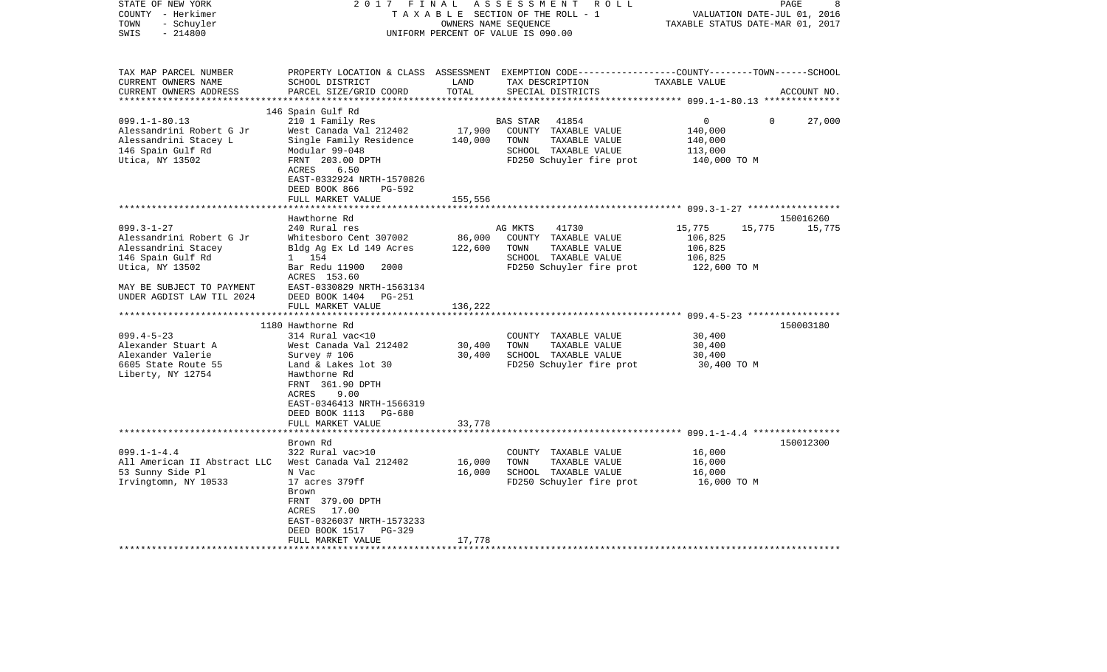| STATE OF NEW YORK<br>COUNTY - Herkimer<br>TOWN<br>- Schuyler                                        | 2017                                                   | FINAL<br>OWNERS NAME SEQUENCE | ASSESSMENT<br>R O L L<br>TAXABLE SECTION OF THE ROLL - 1                                                                                 | TAXABLE STATUS DATE-MAR 01, 2017                        | PAGE<br>8<br>VALUATION DATE-JUL 01, 2016 |
|-----------------------------------------------------------------------------------------------------|--------------------------------------------------------|-------------------------------|------------------------------------------------------------------------------------------------------------------------------------------|---------------------------------------------------------|------------------------------------------|
| $-214800$<br>SWIS                                                                                   |                                                        |                               | UNIFORM PERCENT OF VALUE IS 090.00                                                                                                       |                                                         |                                          |
| TAX MAP PARCEL NUMBER<br>CURRENT OWNERS NAME<br>CURRENT OWNERS ADDRESS<br>************************* | SCHOOL DISTRICT<br>PARCEL SIZE/GRID COORD              | LAND<br>TOTAL                 | PROPERTY LOCATION & CLASS ASSESSMENT EXEMPTION CODE----------------COUNTY-------TOWN------SCHOOL<br>TAX DESCRIPTION<br>SPECIAL DISTRICTS | TAXABLE VALUE                                           | ACCOUNT NO.                              |
|                                                                                                     | 146 Spain Gulf Rd                                      |                               |                                                                                                                                          |                                                         |                                          |
| $099.1 - 1 - 80.13$                                                                                 | 210 1 Family Res                                       |                               | <b>BAS STAR</b><br>41854                                                                                                                 | 0                                                       | 27,000<br>$\mathbf 0$                    |
| Alessandrini Robert G Jr                                                                            | West Canada Val 212402                                 | 17,900                        | COUNTY TAXABLE VALUE                                                                                                                     | 140,000                                                 |                                          |
| Alessandrini Stacey L                                                                               | Single Family Residence                                | 140,000                       | TOWN<br>TAXABLE VALUE                                                                                                                    | 140,000                                                 |                                          |
| 146 Spain Gulf Rd<br>Utica, NY 13502                                                                | Modular 99-048<br>FRNT 203.00 DPTH                     |                               | SCHOOL TAXABLE VALUE<br>FD250 Schuyler fire prot                                                                                         | 113,000<br>140,000 TO M                                 |                                          |
|                                                                                                     | ACRES<br>6.50                                          |                               |                                                                                                                                          |                                                         |                                          |
|                                                                                                     | EAST-0332924 NRTH-1570826<br>DEED BOOK 866<br>$PG-592$ |                               |                                                                                                                                          |                                                         |                                          |
|                                                                                                     | FULL MARKET VALUE                                      | 155,556                       |                                                                                                                                          |                                                         |                                          |
|                                                                                                     |                                                        |                               |                                                                                                                                          |                                                         |                                          |
|                                                                                                     | Hawthorne Rd                                           |                               |                                                                                                                                          |                                                         | 150016260                                |
| $099.3 - 1 - 27$                                                                                    | 240 Rural res                                          |                               | 41730<br>AG MKTS                                                                                                                         | 15,775<br>15,775                                        | 15,775                                   |
| Alessandrini Robert G Jr                                                                            | Whitesboro Cent 307002                                 | 86,000                        | COUNTY TAXABLE VALUE                                                                                                                     | 106,825                                                 |                                          |
| Alessandrini Stacey                                                                                 | Bldg Ag Ex Ld 149 Acres                                | 122,600                       | TOWN<br>TAXABLE VALUE                                                                                                                    | 106,825                                                 |                                          |
| 146 Spain Gulf Rd                                                                                   | 1 154                                                  |                               | SCHOOL TAXABLE VALUE                                                                                                                     | 106,825                                                 |                                          |
| Utica, NY 13502                                                                                     | 2000<br>Bar Redu 11900<br>ACRES 153.60                 |                               | FD250 Schuyler fire prot                                                                                                                 | 122,600 TO M                                            |                                          |
| MAY BE SUBJECT TO PAYMENT                                                                           | EAST-0330829 NRTH-1563134                              |                               |                                                                                                                                          |                                                         |                                          |
| UNDER AGDIST LAW TIL 2024                                                                           | DEED BOOK 1404<br><b>PG-251</b>                        |                               |                                                                                                                                          |                                                         |                                          |
|                                                                                                     | FULL MARKET VALUE                                      | 136,222                       |                                                                                                                                          |                                                         |                                          |
|                                                                                                     |                                                        |                               |                                                                                                                                          |                                                         |                                          |
|                                                                                                     | 1180 Hawthorne Rd                                      |                               |                                                                                                                                          |                                                         | 150003180                                |
| $099.4 - 5 - 23$                                                                                    | 314 Rural vac<10                                       |                               | COUNTY<br>TAXABLE VALUE                                                                                                                  | 30,400                                                  |                                          |
| Alexander Stuart A                                                                                  | West Canada Val 212402                                 | 30,400                        | TAXABLE VALUE<br>TOWN                                                                                                                    | 30,400                                                  |                                          |
| Alexander Valerie                                                                                   | Survey # 106                                           | 30,400                        | SCHOOL TAXABLE VALUE                                                                                                                     | 30,400                                                  |                                          |
| 6605 State Route 55                                                                                 | Land & Lakes lot 30                                    |                               | FD250 Schuyler fire prot                                                                                                                 | 30,400 TO M                                             |                                          |
| Liberty, NY 12754                                                                                   | Hawthorne Rd<br>FRNT 361.90 DPTH                       |                               |                                                                                                                                          |                                                         |                                          |
|                                                                                                     | ACRES<br>9.00                                          |                               |                                                                                                                                          |                                                         |                                          |
|                                                                                                     | EAST-0346413 NRTH-1566319                              |                               |                                                                                                                                          |                                                         |                                          |
|                                                                                                     | DEED BOOK 1113<br>PG-680                               |                               |                                                                                                                                          |                                                         |                                          |
|                                                                                                     | FULL MARKET VALUE                                      | 33,778                        |                                                                                                                                          |                                                         |                                          |
|                                                                                                     |                                                        |                               |                                                                                                                                          | ************************* 099.1-1-4.4 ***************** |                                          |
|                                                                                                     | Brown Rd                                               |                               |                                                                                                                                          |                                                         | 150012300                                |
| $099.1 - 1 - 4.4$                                                                                   | 322 Rural vac>10                                       |                               | COUNTY TAXABLE VALUE                                                                                                                     | 16,000                                                  |                                          |
| All American II Abstract LLC                                                                        | West Canada Val 212402                                 | 16,000                        | TOWN<br>TAXABLE VALUE                                                                                                                    | 16,000                                                  |                                          |
| 53 Sunny Side Pl                                                                                    | N Vac                                                  | 16,000                        | SCHOOL TAXABLE VALUE                                                                                                                     | 16,000                                                  |                                          |
| Irvingtomn, NY 10533                                                                                | 17 acres 379ff<br>Brown                                |                               | FD250 Schuyler fire prot                                                                                                                 | 16,000 TO M                                             |                                          |
|                                                                                                     | FRNT 379.00 DPTH                                       |                               |                                                                                                                                          |                                                         |                                          |
|                                                                                                     | 17.00<br>ACRES                                         |                               |                                                                                                                                          |                                                         |                                          |
|                                                                                                     | EAST-0326037 NRTH-1573233                              |                               |                                                                                                                                          |                                                         |                                          |
|                                                                                                     | DEED BOOK 1517<br>PG-329                               |                               |                                                                                                                                          |                                                         |                                          |
|                                                                                                     | FULL MARKET VALUE                                      | 17,778                        |                                                                                                                                          |                                                         |                                          |
|                                                                                                     |                                                        |                               |                                                                                                                                          |                                                         |                                          |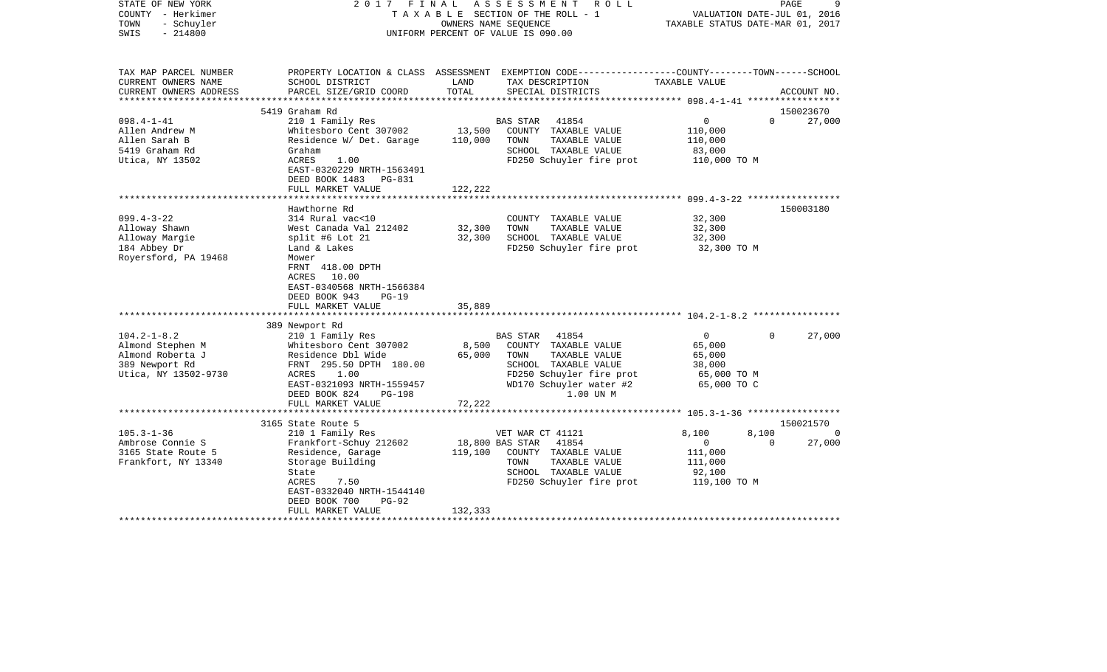| STATE OF NEW YORK<br>COUNTY - Herkimer<br>- Schuyler<br>TOWN<br>$-214800$<br>SWIS                   | 2017 FINAL                                                                                                                                                                                       |                           | ASSESSMENT<br>R O L L<br>TAXABLE SECTION OF THE ROLL - 1<br>OWNERS NAME SEQUENCE<br>UNIFORM PERCENT OF VALUE IS 090.00                                                | VALUATION DATE-JUL 01, 2016<br>TAXABLE STATUS DATE-MAR 01, 2017            | PAGE     | 9           |
|-----------------------------------------------------------------------------------------------------|--------------------------------------------------------------------------------------------------------------------------------------------------------------------------------------------------|---------------------------|-----------------------------------------------------------------------------------------------------------------------------------------------------------------------|----------------------------------------------------------------------------|----------|-------------|
| TAX MAP PARCEL NUMBER<br>CURRENT OWNERS NAME                                                        | SCHOOL DISTRICT                                                                                                                                                                                  | LAND                      | PROPERTY LOCATION & CLASS ASSESSMENT EXEMPTION CODE---------------COUNTY-------TOWN------SCHOOL<br>TAX DESCRIPTION                                                    | TAXABLE VALUE                                                              |          |             |
| CURRENT OWNERS ADDRESS<br>**********************                                                    | PARCEL SIZE/GRID COORD                                                                                                                                                                           | TOTAL                     | SPECIAL DISTRICTS                                                                                                                                                     |                                                                            |          | ACCOUNT NO. |
|                                                                                                     | 5419 Graham Rd                                                                                                                                                                                   |                           |                                                                                                                                                                       |                                                                            |          | 150023670   |
| $098.4 - 1 - 41$                                                                                    | 210 1 Family Res                                                                                                                                                                                 |                           | 41854<br><b>BAS STAR</b>                                                                                                                                              | $\overline{0}$                                                             | $\Omega$ | 27,000      |
| Allen Andrew M                                                                                      | Whitesboro Cent 307002                                                                                                                                                                           | 13,500                    | COUNTY TAXABLE VALUE                                                                                                                                                  | 110,000                                                                    |          |             |
| Allen Sarah B                                                                                       | Residence W/ Det. Garage                                                                                                                                                                         | 110,000                   | TOWN<br>TAXABLE VALUE                                                                                                                                                 | 110,000                                                                    |          |             |
| 5419 Graham Rd                                                                                      | Graham                                                                                                                                                                                           |                           | SCHOOL TAXABLE VALUE                                                                                                                                                  | 83,000                                                                     |          |             |
| Utica, NY 13502                                                                                     | ACRES<br>1.00<br>EAST-0320229 NRTH-1563491<br>DEED BOOK 1483 PG-831                                                                                                                              |                           | FD250 Schuyler fire prot                                                                                                                                              | 110,000 TO M                                                               |          |             |
|                                                                                                     | FULL MARKET VALUE                                                                                                                                                                                | 122,222                   |                                                                                                                                                                       |                                                                            |          |             |
|                                                                                                     |                                                                                                                                                                                                  |                           |                                                                                                                                                                       |                                                                            |          |             |
| $099.4 - 3 - 22$                                                                                    | Hawthorne Rd<br>314 Rural vac<10                                                                                                                                                                 |                           |                                                                                                                                                                       | 32,300                                                                     |          | 150003180   |
| Alloway Shawn                                                                                       | West Canada Val 212402                                                                                                                                                                           | 32,300                    | COUNTY TAXABLE VALUE<br>TAXABLE VALUE<br>TOWN                                                                                                                         | 32,300                                                                     |          |             |
| Alloway Margie                                                                                      | split #6 Lot $21$                                                                                                                                                                                | 32,300                    | SCHOOL TAXABLE VALUE                                                                                                                                                  | 32,300                                                                     |          |             |
| 184 Abbey Dr                                                                                        | Land & Lakes                                                                                                                                                                                     |                           | FD250 Schuyler fire prot                                                                                                                                              | 32,300 TO M                                                                |          |             |
| Royersford, PA 19468                                                                                | Mower<br>FRNT 418.00 DPTH<br>ACRES 10.00<br>EAST-0340568 NRTH-1566384<br>DEED BOOK 943<br>$PG-19$<br>FULL MARKET VALUE                                                                           | 35,889                    |                                                                                                                                                                       |                                                                            |          |             |
|                                                                                                     |                                                                                                                                                                                                  |                           |                                                                                                                                                                       |                                                                            |          |             |
|                                                                                                     | 389 Newport Rd                                                                                                                                                                                   |                           |                                                                                                                                                                       |                                                                            |          |             |
| $104.2 - 1 - 8.2$<br>Almond Stephen M<br>Almond Roberta J<br>389 Newport Rd<br>Utica, NY 13502-9730 | 210 1 Family Res<br>Whitesboro Cent 307002<br>Residence Dbl Wide<br>FRNT 295.50 DPTH 180.00<br>1.00<br>ACRES<br>EAST-0321093 NRTH-1559457<br>DEED BOOK 824<br><b>PG-198</b><br>FULL MARKET VALUE | 8,500<br>65,000<br>72,222 | 41854<br><b>BAS STAR</b><br>COUNTY TAXABLE VALUE<br>TOWN<br>TAXABLE VALUE<br>SCHOOL TAXABLE VALUE<br>FD250 Schuyler fire prot<br>WD170 Schuyler water #2<br>1.00 UN M | $\overline{0}$<br>65,000<br>65,000<br>38,000<br>65,000 TO M<br>65,000 TO C | $\Omega$ | 27,000      |
|                                                                                                     |                                                                                                                                                                                                  |                           |                                                                                                                                                                       |                                                                            |          |             |
|                                                                                                     | 3165 State Route 5                                                                                                                                                                               |                           |                                                                                                                                                                       |                                                                            |          | 150021570   |
| $105.3 - 1 - 36$                                                                                    | 210 1 Family Res                                                                                                                                                                                 |                           | VET WAR CT 41121                                                                                                                                                      | 8,100                                                                      | 8,100    | 0           |
| Ambrose Connie S                                                                                    | Frankfort-Schuy 212602                                                                                                                                                                           |                           | 41854<br>18,800 BAS STAR                                                                                                                                              | $\mathbf{0}$                                                               | $\Omega$ | 27,000      |
| 3165 State Route 5                                                                                  | Residence, Garage                                                                                                                                                                                | 119,100                   | COUNTY TAXABLE VALUE                                                                                                                                                  | 111,000                                                                    |          |             |
| Frankfort, NY 13340                                                                                 | Storage Building                                                                                                                                                                                 |                           | TOWN<br>TAXABLE VALUE                                                                                                                                                 | 111,000                                                                    |          |             |
|                                                                                                     | State                                                                                                                                                                                            |                           | SCHOOL TAXABLE VALUE                                                                                                                                                  | 92,100                                                                     |          |             |
|                                                                                                     | ACRES<br>7.50                                                                                                                                                                                    |                           | FD250 Schuyler fire prot                                                                                                                                              | 119,100 TO M                                                               |          |             |
|                                                                                                     | EAST-0332040 NRTH-1544140<br>DEED BOOK 700<br>PG-92                                                                                                                                              |                           |                                                                                                                                                                       |                                                                            |          |             |
|                                                                                                     | FULL MARKET VALUE                                                                                                                                                                                | 132,333                   |                                                                                                                                                                       |                                                                            |          |             |
|                                                                                                     |                                                                                                                                                                                                  |                           |                                                                                                                                                                       |                                                                            |          |             |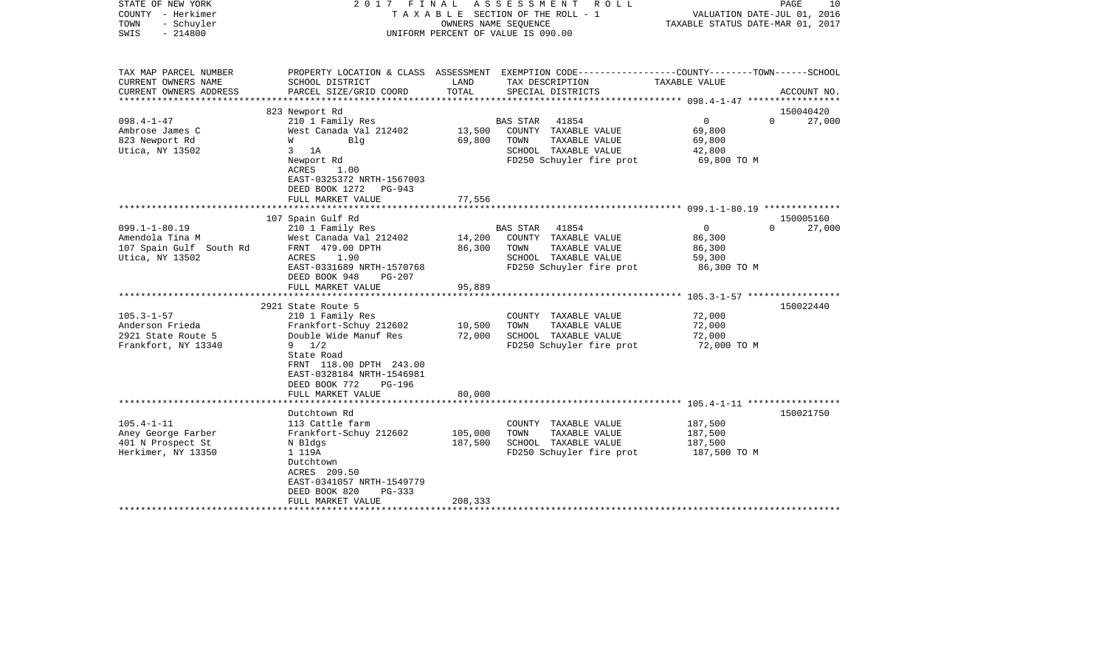| STATE OF NEW YORK<br>COUNTY - Herkimer<br>TOWN<br>- Schuyler<br>$-214800$<br>SWIS    |                                                                                                                                                                                                                              | OWNERS NAME SEQUENCE          | 2017 FINAL ASSESSMENT<br>ROLL<br>T A X A B L E SECTION OF THE ROLL - 1<br>UNIFORM PERCENT OF VALUE IS 090.00           | VALUATION DATE-JUL 01, 2016<br>TAXABLE STATUS DATE-MAR 01, 2017 | PAGE<br>10         |
|--------------------------------------------------------------------------------------|------------------------------------------------------------------------------------------------------------------------------------------------------------------------------------------------------------------------------|-------------------------------|------------------------------------------------------------------------------------------------------------------------|-----------------------------------------------------------------|--------------------|
| TAX MAP PARCEL NUMBER<br>CURRENT OWNERS NAME                                         | SCHOOL DISTRICT                                                                                                                                                                                                              | LAND                          | PROPERTY LOCATION & CLASS ASSESSMENT EXEMPTION CODE---------------COUNTY-------TOWN-----SCHOOL<br>TAX DESCRIPTION      | TAXABLE VALUE                                                   |                    |
| CURRENT OWNERS ADDRESS                                                               | PARCEL SIZE/GRID COORD                                                                                                                                                                                                       | TOTAL                         | SPECIAL DISTRICTS                                                                                                      |                                                                 | ACCOUNT NO.        |
|                                                                                      | 823 Newport Rd                                                                                                                                                                                                               |                               |                                                                                                                        |                                                                 | 150040420          |
| $098.4 - 1 - 47$<br>Ambrose James C<br>823 Newport Rd<br>Utica, NY 13502             | 210 1 Family Res<br>West Canada Val 212402<br><b>M</b><br>Blg<br>$3$ 1A<br>Newport Rd<br>ACRES<br>1.00<br>EAST-0325372 NRTH-1567003<br>DEED BOOK 1272 PG-943                                                                 | 13,500<br>69,800              | BAS STAR 41854<br>COUNTY TAXABLE VALUE<br>TOWN<br>TAXABLE VALUE<br>SCHOOL TAXABLE VALUE<br>FD250 Schuyler fire prot    | $\overline{0}$<br>69,800<br>69,800<br>42,800<br>69,800 TO M     | $\Omega$<br>27,000 |
|                                                                                      | FULL MARKET VALUE                                                                                                                                                                                                            | 77,556                        |                                                                                                                        |                                                                 |                    |
|                                                                                      |                                                                                                                                                                                                                              |                               |                                                                                                                        |                                                                 | 150005160          |
| $099.1 - 1 - 80.19$<br>Amendola Tina M<br>107 Spain Gulf South Rd<br>Utica, NY 13502 | 107 Spain Gulf Rd<br>210 1 Family Res<br>West Canada Val 212402<br>FRNT 479.00 DPTH<br>ACRES<br>1.90<br>EAST-0331689 NRTH-1570768<br>DEED BOOK 948<br>$PG-207$<br>FULL MARKET VALUE                                          | 14,200<br>86,300<br>95,889    | BAS STAR<br>41854<br>COUNTY TAXABLE VALUE<br>TOWN<br>TAXABLE VALUE<br>SCHOOL TAXABLE VALUE<br>FD250 Schuyler fire prot | $\overline{0}$<br>86,300<br>86,300<br>59,300<br>86,300 TO M     | $\Omega$<br>27,000 |
|                                                                                      |                                                                                                                                                                                                                              |                               |                                                                                                                        |                                                                 |                    |
| $105.3 - 1 - 57$<br>Anderson Frieda<br>2921 State Route 5<br>Frankfort, NY 13340     | 2921 State Route 5<br>210 1 Family Res<br>Frankfort-Schuy 212602<br>Double Wide Manuf Res<br>$9 \t1/2$<br>State Road<br>FRNT 118.00 DPTH 243.00<br>EAST-0328184 NRTH-1546981<br>DEED BOOK 772<br>PG-196<br>FULL MARKET VALUE | 10,500<br>72,000<br>80,000    | COUNTY TAXABLE VALUE<br>TOWN<br>TAXABLE VALUE<br>SCHOOL TAXABLE VALUE<br>FD250 Schuyler fire prot                      | 72,000<br>72,000<br>72,000<br>72,000 TO M                       | 150022440          |
|                                                                                      | **********************                                                                                                                                                                                                       |                               |                                                                                                                        |                                                                 |                    |
| $105.4 - 1 - 11$<br>Aney George Farber<br>401 N Prospect St<br>Herkimer, NY 13350    | Dutchtown Rd<br>113 Cattle farm<br>Frankfort-Schuy 212602<br>N Bldgs<br>1 119A<br>Dutchtown<br>ACRES 209.50<br>EAST-0341057 NRTH-1549779<br>DEED BOOK 820<br>PG-333<br>FULL MARKET VALUE                                     | 105,000<br>187,500<br>208,333 | COUNTY TAXABLE VALUE<br>TOWN<br>TAXABLE VALUE<br>SCHOOL TAXABLE VALUE<br>FD250 Schuyler fire prot                      | 187,500<br>187,500<br>187,500<br>187,500 TO M                   | 150021750          |
|                                                                                      |                                                                                                                                                                                                                              |                               |                                                                                                                        |                                                                 |                    |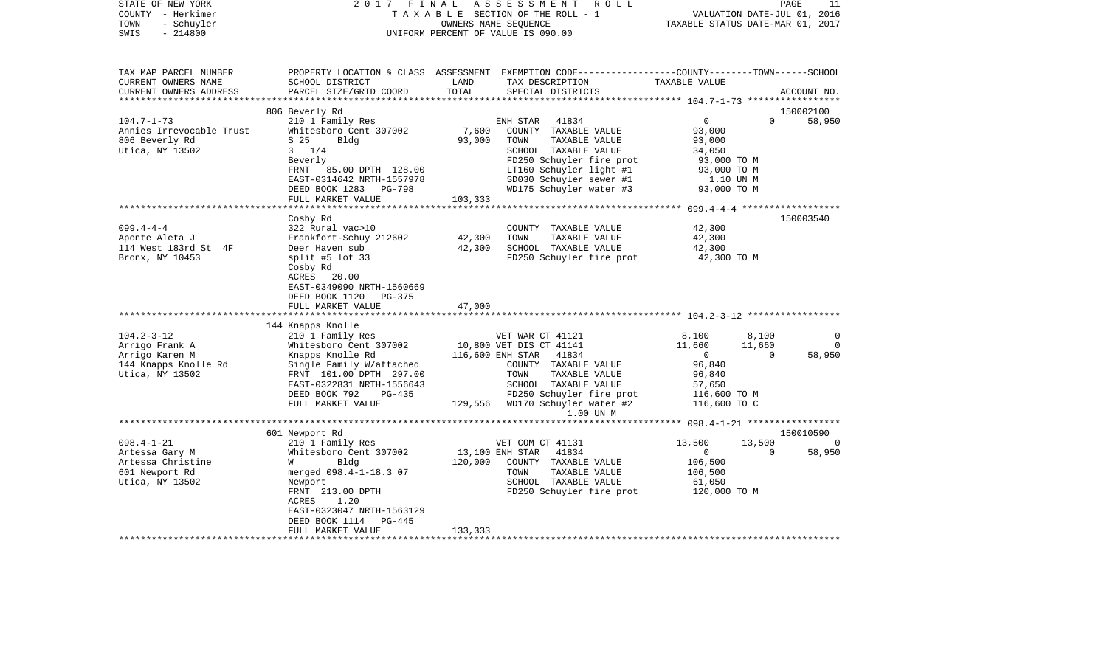| STATE OF NEW YORK<br>COUNTY - Herkimer<br>- Schuyler<br>TOWN<br>$-214800$<br>SWIS | 2017<br>FINAL                                                                                      | OWNERS NAME SEQUENCE | ASSESSMENT<br>R O L L<br>TAXABLE SECTION OF THE ROLL - 1<br>UNIFORM PERCENT OF VALUE IS 090.00                                           | VALUATION DATE-JUL 01, 2016<br>TAXABLE STATUS DATE-MAR 01, 2017 |          | PAGE<br>11  |
|-----------------------------------------------------------------------------------|----------------------------------------------------------------------------------------------------|----------------------|------------------------------------------------------------------------------------------------------------------------------------------|-----------------------------------------------------------------|----------|-------------|
| TAX MAP PARCEL NUMBER<br>CURRENT OWNERS NAME<br>CURRENT OWNERS ADDRESS            | SCHOOL DISTRICT<br>PARCEL SIZE/GRID COORD                                                          | LAND<br>TOTAL        | PROPERTY LOCATION & CLASS ASSESSMENT EXEMPTION CODE----------------COUNTY-------TOWN------SCHOOL<br>TAX DESCRIPTION<br>SPECIAL DISTRICTS | TAXABLE VALUE                                                   |          | ACCOUNT NO. |
|                                                                                   |                                                                                                    |                      |                                                                                                                                          |                                                                 |          |             |
|                                                                                   | 806 Beverly Rd                                                                                     |                      |                                                                                                                                          |                                                                 |          | 150002100   |
| $104.7 - 1 - 73$                                                                  | 210 1 Family Res<br>Whitesboro Cent 307002                                                         | 7,600                | ENH STAR 41834<br>COUNTY TAXABLE VALUE                                                                                                   | $\overline{0}$<br>93,000                                        | $\Omega$ | 58,950      |
| Annies Irrevocable Trust<br>806 Beverly Rd                                        | S <sub>25</sub><br>Bldg                                                                            | 93,000               | TOWN<br>TAXABLE VALUE                                                                                                                    | 93,000                                                          |          |             |
| Utica, NY 13502                                                                   | $3 \frac{1}{4}$                                                                                    |                      | SCHOOL TAXABLE VALUE                                                                                                                     | 34,050                                                          |          |             |
|                                                                                   | Beverly                                                                                            |                      | FD250 Schuyler fire prot                                                                                                                 | 93,000 TO M                                                     |          |             |
|                                                                                   | FRNT<br>85.00 DPTH 128.00                                                                          |                      | LT160 Schuyler light #1                                                                                                                  | 93,000 TO M                                                     |          |             |
|                                                                                   | EAST-0314642 NRTH-1557978                                                                          |                      | SD030 Schuyler sewer #1                                                                                                                  | 1.10 UN M                                                       |          |             |
|                                                                                   | DEED BOOK 1283 PG-798<br>FULL MARKET VALUE                                                         | 103,333              | WD175 Schuyler water #3                                                                                                                  | 93,000 TO M                                                     |          |             |
|                                                                                   |                                                                                                    |                      |                                                                                                                                          |                                                                 |          |             |
|                                                                                   | Cosby Rd                                                                                           |                      |                                                                                                                                          |                                                                 |          | 150003540   |
| $099.4 - 4 - 4$                                                                   | 322 Rural vac>10                                                                                   |                      | COUNTY TAXABLE VALUE<br>TOWN<br>TAXABLE VALUE                                                                                            | 42,300                                                          |          |             |
| Aponte Aleta J<br>114 West 183rd St 4F                                            | Frankfort-Schuy 212602<br>Deer Haven sub                                                           | 42,300<br>42,300     | SCHOOL TAXABLE VALUE                                                                                                                     | 42,300<br>42,300                                                |          |             |
| Bronx, NY 10453                                                                   | split #5 lot $33$                                                                                  |                      | FD250 Schuyler fire prot                                                                                                                 | 42,300 TO M                                                     |          |             |
|                                                                                   | Cosby Rd<br>ACRES 20.00<br>EAST-0349090 NRTH-1560669<br>DEED BOOK 1120 PG-375<br>FULL MARKET VALUE | 47,000               |                                                                                                                                          |                                                                 |          |             |
|                                                                                   |                                                                                                    |                      |                                                                                                                                          |                                                                 |          |             |
|                                                                                   | 144 Knapps Knolle                                                                                  |                      |                                                                                                                                          |                                                                 |          |             |
| $104.2 - 3 - 12$                                                                  | 210 1 Family Res                                                                                   |                      | VET WAR CT 41121                                                                                                                         | 8,100                                                           | 8,100    | $\circ$     |
| Arrigo Frank A                                                                    | Whitesboro Cent 307002                                                                             |                      | 10,800 VET DIS CT 41141                                                                                                                  | 11,660                                                          | 11,660   | $\Omega$    |
| Arrigo Karen M                                                                    | Knapps Knolle Rd                                                                                   |                      | 116,600 ENH STAR 41834                                                                                                                   | $\overline{0}$                                                  | $\Omega$ | 58,950      |
| 144 Knapps Knolle Rd                                                              | Single Family W/attached                                                                           |                      | COUNTY TAXABLE VALUE                                                                                                                     | 96,840                                                          |          |             |
| Utica, NY 13502                                                                   | FRNT 101.00 DPTH 297.00                                                                            |                      | TOWN<br>TAXABLE VALUE                                                                                                                    | 96,840                                                          |          |             |
|                                                                                   | EAST-0322831 NRTH-1556643<br>DEED BOOK 792<br>PG-435                                               |                      | SCHOOL TAXABLE VALUE<br>FD250 Schuyler fire prot                                                                                         | 57,650<br>116,600 TO M                                          |          |             |
|                                                                                   | FULL MARKET VALUE                                                                                  |                      | 129,556 WD170 Schuyler water #2<br>1.00 UN M                                                                                             | 116,600 TO C                                                    |          |             |
|                                                                                   |                                                                                                    |                      |                                                                                                                                          |                                                                 |          |             |
|                                                                                   | 601 Newport Rd                                                                                     |                      |                                                                                                                                          |                                                                 |          | 150010590   |
| $098.4 - 1 - 21$                                                                  | 210 1 Family Res                                                                                   |                      | VET COM CT 41131                                                                                                                         | 13,500                                                          | 13,500   | $\bigcap$   |
| Artessa Gary M                                                                    | Whitesboro Cent 307002                                                                             | 13,100 ENH STAR      | 41834                                                                                                                                    | $\overline{0}$                                                  | $\Omega$ | 58,950      |
| Artessa Christine                                                                 | Bldg<br><b>W</b>                                                                                   | 120,000              | COUNTY TAXABLE VALUE                                                                                                                     | 106,500                                                         |          |             |
| 601 Newport Rd<br>Utica, NY 13502                                                 | merged 098.4-1-18.3 07                                                                             |                      | TOWN<br>TAXABLE VALUE<br>SCHOOL TAXABLE VALUE                                                                                            | 106,500<br>61,050                                               |          |             |
|                                                                                   | Newport<br>FRNT 213.00 DPTH                                                                        |                      | FD250 Schuyler fire prot                                                                                                                 | 120,000 TO M                                                    |          |             |
|                                                                                   | ACRES<br>1.20                                                                                      |                      |                                                                                                                                          |                                                                 |          |             |
|                                                                                   | EAST-0323047 NRTH-1563129                                                                          |                      |                                                                                                                                          |                                                                 |          |             |
|                                                                                   | DEED BOOK 1114<br>PG-445                                                                           |                      |                                                                                                                                          |                                                                 |          |             |
|                                                                                   | FULL MARKET VALUE                                                                                  | 133,333              |                                                                                                                                          |                                                                 |          |             |
|                                                                                   |                                                                                                    |                      |                                                                                                                                          |                                                                 |          |             |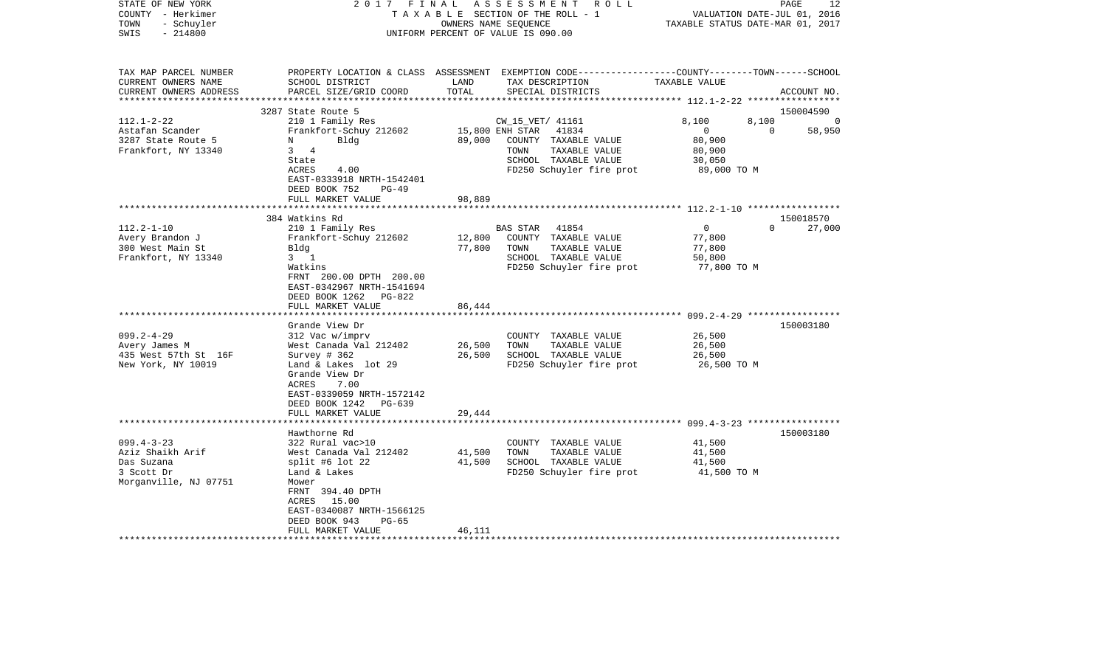| STATE OF NEW YORK<br>COUNTY - Herkimer<br>- Schuyler<br>TOWN<br>$-214800$<br>SWIS | 2017 FINAL                                                                    |                 | ASSESSMENT ROLL<br>TAXABLE SECTION OF THE ROLL - 1<br>OWNERS NAME SEQUENCE<br>UNIFORM PERCENT OF VALUE IS 090.00                        | VALUATION DATE-JUL 01, 2016<br>TAXABLE STATUS DATE-MAR 01, 2017 | 12<br>PAGE         |
|-----------------------------------------------------------------------------------|-------------------------------------------------------------------------------|-----------------|-----------------------------------------------------------------------------------------------------------------------------------------|-----------------------------------------------------------------|--------------------|
| TAX MAP PARCEL NUMBER<br>CURRENT OWNERS NAME<br>CURRENT OWNERS ADDRESS            | SCHOOL DISTRICT<br>PARCEL SIZE/GRID COORD                                     | LAND<br>TOTAL   | PROPERTY LOCATION & CLASS ASSESSMENT EXEMPTION CODE---------------COUNTY-------TOWN------SCHOOL<br>TAX DESCRIPTION<br>SPECIAL DISTRICTS | TAXABLE VALUE                                                   | ACCOUNT NO.        |
|                                                                                   | 3287 State Route 5                                                            |                 |                                                                                                                                         |                                                                 | 150004590          |
| $112.1 - 2 - 22$                                                                  | 210 1 Family Res                                                              |                 | CW_15_VET/ 41161                                                                                                                        | 8,100<br>8,100                                                  | - 0                |
| Astafan Scander                                                                   | Frankfort-Schuy 212602                                                        | 15,800 ENH STAR | 41834                                                                                                                                   | $\Omega$<br>$\bigcap$                                           | 58,950             |
| 3287 State Route 5                                                                | Bldg<br>N                                                                     | 89,000          | COUNTY TAXABLE VALUE                                                                                                                    | 80,900                                                          |                    |
| Frankfort, NY 13340                                                               | 3 4                                                                           |                 | TOWN<br>TAXABLE VALUE                                                                                                                   | 80,900                                                          |                    |
|                                                                                   | State                                                                         |                 | SCHOOL TAXABLE VALUE                                                                                                                    | 30,050                                                          |                    |
|                                                                                   | <b>ACRES</b><br>4.00                                                          |                 | FD250 Schuyler fire prot                                                                                                                | 89,000 TO M                                                     |                    |
|                                                                                   | EAST-0333918 NRTH-1542401<br>DEED BOOK 752<br>$PG-49$                         |                 |                                                                                                                                         |                                                                 |                    |
|                                                                                   | FULL MARKET VALUE                                                             | 98,889          |                                                                                                                                         |                                                                 |                    |
|                                                                                   | ********************                                                          |                 |                                                                                                                                         |                                                                 |                    |
|                                                                                   | 384 Watkins Rd                                                                |                 |                                                                                                                                         |                                                                 | 150018570          |
| $112.2 - 1 - 10$                                                                  | 210 1 Family Res                                                              |                 | BAS STAR 41854                                                                                                                          | $\overline{0}$                                                  | $\Omega$<br>27,000 |
| Avery Brandon J                                                                   | Frankfort-Schuy 212602                                                        | 12,800          | COUNTY TAXABLE VALUE                                                                                                                    | 77,800                                                          |                    |
| 300 West Main St                                                                  | Bldg                                                                          | 77,800          | TOWN<br>TAXABLE VALUE                                                                                                                   | 77,800                                                          |                    |
| Frankfort, NY 13340                                                               | $3 \quad 1$<br>Watkins                                                        |                 | SCHOOL TAXABLE VALUE<br>FD250 Schuyler fire prot                                                                                        | 50,800<br>77,800 TO M                                           |                    |
|                                                                                   | FRNT 200.00 DPTH 200.00<br>EAST-0342967 NRTH-1541694<br>DEED BOOK 1262 PG-822 |                 |                                                                                                                                         |                                                                 |                    |
|                                                                                   | FULL MARKET VALUE                                                             | 86,444          |                                                                                                                                         |                                                                 |                    |
|                                                                                   | *******************                                                           |                 |                                                                                                                                         |                                                                 |                    |
| $099.2 - 4 - 29$                                                                  | Grande View Dr<br>312 Vac w/imprv                                             |                 | COUNTY TAXABLE VALUE                                                                                                                    | 26,500                                                          | 150003180          |
| Avery James M                                                                     | West Canada Val 212402                                                        | 26,500          | TOWN<br>TAXABLE VALUE                                                                                                                   | 26,500                                                          |                    |
| 435 West 57th St 16F                                                              | Survey $# 362$                                                                | 26,500          | SCHOOL TAXABLE VALUE                                                                                                                    | 26,500                                                          |                    |
| New York, NY 10019                                                                | Land & Lakes lot 29                                                           |                 | FD250 Schuyler fire prot                                                                                                                | 26,500 TO M                                                     |                    |
|                                                                                   | Grande View Dr                                                                |                 |                                                                                                                                         |                                                                 |                    |
|                                                                                   | 7.00<br>ACRES                                                                 |                 |                                                                                                                                         |                                                                 |                    |
|                                                                                   | EAST-0339059 NRTH-1572142                                                     |                 |                                                                                                                                         |                                                                 |                    |
|                                                                                   | DEED BOOK 1242<br>$PG-639$<br>FULL MARKET VALUE                               |                 |                                                                                                                                         |                                                                 |                    |
|                                                                                   |                                                                               | 29,444          |                                                                                                                                         |                                                                 |                    |
|                                                                                   | Hawthorne Rd                                                                  |                 |                                                                                                                                         |                                                                 | 150003180          |
| $099.4 - 3 - 23$                                                                  | 322 Rural vac>10                                                              |                 | COUNTY TAXABLE VALUE                                                                                                                    | 41,500                                                          |                    |
| Aziz Shaikh Arif                                                                  | West Canada Val 212402                                                        | 41,500          | TOWN<br>TAXABLE VALUE                                                                                                                   | 41,500                                                          |                    |
| Das Suzana                                                                        | split #6 lot $22$                                                             | 41,500          | SCHOOL TAXABLE VALUE                                                                                                                    | 41,500                                                          |                    |
| 3 Scott Dr                                                                        | Land & Lakes                                                                  |                 | FD250 Schuyler fire prot                                                                                                                | 41,500 TO M                                                     |                    |
| Morganville, NJ 07751                                                             | Mower                                                                         |                 |                                                                                                                                         |                                                                 |                    |
|                                                                                   | FRNT 394.40 DPTH<br>ACRES 15.00                                               |                 |                                                                                                                                         |                                                                 |                    |
|                                                                                   | EAST-0340087 NRTH-1566125                                                     |                 |                                                                                                                                         |                                                                 |                    |
|                                                                                   | DEED BOOK 943<br>$PG-65$                                                      |                 |                                                                                                                                         |                                                                 |                    |
|                                                                                   | FULL MARKET VALUE                                                             | 46,111          |                                                                                                                                         |                                                                 |                    |
|                                                                                   |                                                                               |                 |                                                                                                                                         |                                                                 |                    |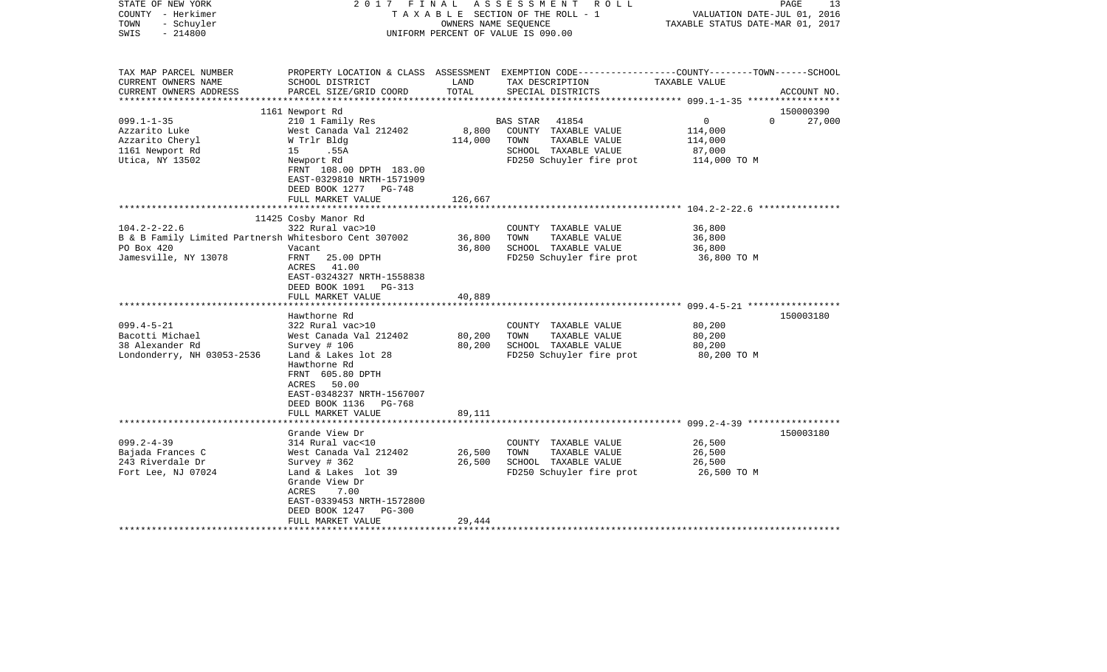| TAX MAP PARCEL NUMBER<br>PROPERTY LOCATION & CLASS ASSESSMENT EXEMPTION CODE----------------COUNTY-------TOWN------SCHOOL<br>CURRENT OWNERS NAME<br>SCHOOL DISTRICT<br>LAND<br>TAX DESCRIPTION<br>TAXABLE VALUE<br>TOTAL<br>CURRENT OWNERS ADDRESS<br>PARCEL SIZE/GRID COORD<br>SPECIAL DISTRICTS<br>ACCOUNT NO.<br>************************<br>150000390<br>1161 Newport Rd<br>$099.1 - 1 - 35$<br>210 1 Family Res<br>41854<br>$\overline{0}$<br>$\Omega$<br>27,000<br><b>BAS STAR</b><br>8,800<br>COUNTY TAXABLE VALUE<br>Azzarito Luke<br>West Canada Val 212402<br>114,000<br>Azzarito Cheryl<br>W Trlr Bldg<br>114,000<br>TOWN<br>TAXABLE VALUE<br>114,000<br>1161 Newport Rd<br>15 .55A<br>SCHOOL TAXABLE VALUE<br>87,000<br>FD250 Schuyler fire prot<br>Utica, NY 13502<br>Newport Rd<br>114,000 TO M<br>FRNT 108.00 DPTH 183.00<br>EAST-0329810 NRTH-1571909<br>DEED BOOK 1277<br>PG-748<br>FULL MARKET VALUE<br>126,667<br>**********<br>************************* 104.2-2-22.6 ****************<br>11425 Cosby Manor Rd<br>$104.2 - 2 - 22.6$<br>322 Rural vac>10<br>36,800<br>COUNTY TAXABLE VALUE<br>B & B Family Limited Partnersh Whitesboro Cent 307002<br>36,800<br>TAXABLE VALUE<br>36,800<br>TOWN<br>PO Box 420<br>36,800<br>SCHOOL TAXABLE VALUE<br>36,800<br>Vacant<br>Jamesville, NY 13078<br>FRNT<br>25.00 DPTH<br>FD250 Schuyler fire prot<br>36,800 TO M<br>ACRES<br>41.00<br>EAST-0324327 NRTH-1558838<br>DEED BOOK 1091 PG-313<br>FULL MARKET VALUE<br>40,889<br>***********************<br>150003180<br>Hawthorne Rd<br>$099.4 - 5 - 21$<br>80,200<br>322 Rural vac>10<br>COUNTY TAXABLE VALUE<br>Bacotti Michael<br>80,200<br>80,200<br>West Canada Val 212402<br>TOWN<br>TAXABLE VALUE<br>80,200<br>38 Alexander Rd<br>Survey # 106<br>SCHOOL TAXABLE VALUE<br>80,200<br>Londonderry, NH 03053-2536<br>Land & Lakes lot 28<br>FD250 Schuyler fire prot<br>80,200 TO M<br>Hawthorne Rd<br>FRNT 605.80 DPTH<br>ACRES 50.00<br>EAST-0348237 NRTH-1567007<br>DEED BOOK 1136<br>PG-768<br>89,111<br>FULL MARKET VALUE<br>150003180<br>Grande View Dr<br>$099.2 - 4 - 39$<br>26,500<br>314 Rural vac<10<br>COUNTY TAXABLE VALUE<br>Bajada Frances C<br>West Canada Val 212402<br>26,500<br>TOWN<br>TAXABLE VALUE<br>26,500<br>243 Riverdale Dr<br>Survey # 362<br>26,500<br>SCHOOL TAXABLE VALUE<br>26,500<br>FD250 Schuyler fire prot<br>Fort Lee, NJ 07024<br>Land & Lakes lot 39<br>26,500 TO M<br>Grande View Dr<br>ACRES<br>7.00<br>EAST-0339453 NRTH-1572800<br>DEED BOOK 1247<br><b>PG-300</b><br>29,444<br>FULL MARKET VALUE<br>******************** | STATE OF NEW YORK<br>COUNTY - Herkimer<br>- Schuyler<br>TOWN<br>$-214800$<br>SWIS | 2017 FINAL | OWNERS NAME SEQUENCE | ASSESSMENT ROLL<br>TAXABLE SECTION OF THE ROLL - 1<br>UNIFORM PERCENT OF VALUE IS 090.00 | PAGE<br>VALUATION DATE-JUL 01, 2016<br>TAXABLE STATUS DATE-MAR 01, 2017 | 13 |
|--------------------------------------------------------------------------------------------------------------------------------------------------------------------------------------------------------------------------------------------------------------------------------------------------------------------------------------------------------------------------------------------------------------------------------------------------------------------------------------------------------------------------------------------------------------------------------------------------------------------------------------------------------------------------------------------------------------------------------------------------------------------------------------------------------------------------------------------------------------------------------------------------------------------------------------------------------------------------------------------------------------------------------------------------------------------------------------------------------------------------------------------------------------------------------------------------------------------------------------------------------------------------------------------------------------------------------------------------------------------------------------------------------------------------------------------------------------------------------------------------------------------------------------------------------------------------------------------------------------------------------------------------------------------------------------------------------------------------------------------------------------------------------------------------------------------------------------------------------------------------------------------------------------------------------------------------------------------------------------------------------------------------------------------------------------------------------------------------------------------------------------------------------------------------------------------------------------------------------------------------------------------------------------------------------------------------------------------------------------------------------------------------------------------------------------------------------------------------------------------------------------------------------------------------------------------------------------|-----------------------------------------------------------------------------------|------------|----------------------|------------------------------------------------------------------------------------------|-------------------------------------------------------------------------|----|
|                                                                                                                                                                                                                                                                                                                                                                                                                                                                                                                                                                                                                                                                                                                                                                                                                                                                                                                                                                                                                                                                                                                                                                                                                                                                                                                                                                                                                                                                                                                                                                                                                                                                                                                                                                                                                                                                                                                                                                                                                                                                                                                                                                                                                                                                                                                                                                                                                                                                                                                                                                                      |                                                                                   |            |                      |                                                                                          |                                                                         |    |
|                                                                                                                                                                                                                                                                                                                                                                                                                                                                                                                                                                                                                                                                                                                                                                                                                                                                                                                                                                                                                                                                                                                                                                                                                                                                                                                                                                                                                                                                                                                                                                                                                                                                                                                                                                                                                                                                                                                                                                                                                                                                                                                                                                                                                                                                                                                                                                                                                                                                                                                                                                                      |                                                                                   |            |                      |                                                                                          |                                                                         |    |
|                                                                                                                                                                                                                                                                                                                                                                                                                                                                                                                                                                                                                                                                                                                                                                                                                                                                                                                                                                                                                                                                                                                                                                                                                                                                                                                                                                                                                                                                                                                                                                                                                                                                                                                                                                                                                                                                                                                                                                                                                                                                                                                                                                                                                                                                                                                                                                                                                                                                                                                                                                                      |                                                                                   |            |                      |                                                                                          |                                                                         |    |
|                                                                                                                                                                                                                                                                                                                                                                                                                                                                                                                                                                                                                                                                                                                                                                                                                                                                                                                                                                                                                                                                                                                                                                                                                                                                                                                                                                                                                                                                                                                                                                                                                                                                                                                                                                                                                                                                                                                                                                                                                                                                                                                                                                                                                                                                                                                                                                                                                                                                                                                                                                                      |                                                                                   |            |                      |                                                                                          |                                                                         |    |
|                                                                                                                                                                                                                                                                                                                                                                                                                                                                                                                                                                                                                                                                                                                                                                                                                                                                                                                                                                                                                                                                                                                                                                                                                                                                                                                                                                                                                                                                                                                                                                                                                                                                                                                                                                                                                                                                                                                                                                                                                                                                                                                                                                                                                                                                                                                                                                                                                                                                                                                                                                                      |                                                                                   |            |                      |                                                                                          |                                                                         |    |
|                                                                                                                                                                                                                                                                                                                                                                                                                                                                                                                                                                                                                                                                                                                                                                                                                                                                                                                                                                                                                                                                                                                                                                                                                                                                                                                                                                                                                                                                                                                                                                                                                                                                                                                                                                                                                                                                                                                                                                                                                                                                                                                                                                                                                                                                                                                                                                                                                                                                                                                                                                                      |                                                                                   |            |                      |                                                                                          |                                                                         |    |
|                                                                                                                                                                                                                                                                                                                                                                                                                                                                                                                                                                                                                                                                                                                                                                                                                                                                                                                                                                                                                                                                                                                                                                                                                                                                                                                                                                                                                                                                                                                                                                                                                                                                                                                                                                                                                                                                                                                                                                                                                                                                                                                                                                                                                                                                                                                                                                                                                                                                                                                                                                                      |                                                                                   |            |                      |                                                                                          |                                                                         |    |
|                                                                                                                                                                                                                                                                                                                                                                                                                                                                                                                                                                                                                                                                                                                                                                                                                                                                                                                                                                                                                                                                                                                                                                                                                                                                                                                                                                                                                                                                                                                                                                                                                                                                                                                                                                                                                                                                                                                                                                                                                                                                                                                                                                                                                                                                                                                                                                                                                                                                                                                                                                                      |                                                                                   |            |                      |                                                                                          |                                                                         |    |
|                                                                                                                                                                                                                                                                                                                                                                                                                                                                                                                                                                                                                                                                                                                                                                                                                                                                                                                                                                                                                                                                                                                                                                                                                                                                                                                                                                                                                                                                                                                                                                                                                                                                                                                                                                                                                                                                                                                                                                                                                                                                                                                                                                                                                                                                                                                                                                                                                                                                                                                                                                                      |                                                                                   |            |                      |                                                                                          |                                                                         |    |
|                                                                                                                                                                                                                                                                                                                                                                                                                                                                                                                                                                                                                                                                                                                                                                                                                                                                                                                                                                                                                                                                                                                                                                                                                                                                                                                                                                                                                                                                                                                                                                                                                                                                                                                                                                                                                                                                                                                                                                                                                                                                                                                                                                                                                                                                                                                                                                                                                                                                                                                                                                                      |                                                                                   |            |                      |                                                                                          |                                                                         |    |
|                                                                                                                                                                                                                                                                                                                                                                                                                                                                                                                                                                                                                                                                                                                                                                                                                                                                                                                                                                                                                                                                                                                                                                                                                                                                                                                                                                                                                                                                                                                                                                                                                                                                                                                                                                                                                                                                                                                                                                                                                                                                                                                                                                                                                                                                                                                                                                                                                                                                                                                                                                                      |                                                                                   |            |                      |                                                                                          |                                                                         |    |
|                                                                                                                                                                                                                                                                                                                                                                                                                                                                                                                                                                                                                                                                                                                                                                                                                                                                                                                                                                                                                                                                                                                                                                                                                                                                                                                                                                                                                                                                                                                                                                                                                                                                                                                                                                                                                                                                                                                                                                                                                                                                                                                                                                                                                                                                                                                                                                                                                                                                                                                                                                                      |                                                                                   |            |                      |                                                                                          |                                                                         |    |
|                                                                                                                                                                                                                                                                                                                                                                                                                                                                                                                                                                                                                                                                                                                                                                                                                                                                                                                                                                                                                                                                                                                                                                                                                                                                                                                                                                                                                                                                                                                                                                                                                                                                                                                                                                                                                                                                                                                                                                                                                                                                                                                                                                                                                                                                                                                                                                                                                                                                                                                                                                                      |                                                                                   |            |                      |                                                                                          |                                                                         |    |
|                                                                                                                                                                                                                                                                                                                                                                                                                                                                                                                                                                                                                                                                                                                                                                                                                                                                                                                                                                                                                                                                                                                                                                                                                                                                                                                                                                                                                                                                                                                                                                                                                                                                                                                                                                                                                                                                                                                                                                                                                                                                                                                                                                                                                                                                                                                                                                                                                                                                                                                                                                                      |                                                                                   |            |                      |                                                                                          |                                                                         |    |
|                                                                                                                                                                                                                                                                                                                                                                                                                                                                                                                                                                                                                                                                                                                                                                                                                                                                                                                                                                                                                                                                                                                                                                                                                                                                                                                                                                                                                                                                                                                                                                                                                                                                                                                                                                                                                                                                                                                                                                                                                                                                                                                                                                                                                                                                                                                                                                                                                                                                                                                                                                                      |                                                                                   |            |                      |                                                                                          |                                                                         |    |
|                                                                                                                                                                                                                                                                                                                                                                                                                                                                                                                                                                                                                                                                                                                                                                                                                                                                                                                                                                                                                                                                                                                                                                                                                                                                                                                                                                                                                                                                                                                                                                                                                                                                                                                                                                                                                                                                                                                                                                                                                                                                                                                                                                                                                                                                                                                                                                                                                                                                                                                                                                                      |                                                                                   |            |                      |                                                                                          |                                                                         |    |
|                                                                                                                                                                                                                                                                                                                                                                                                                                                                                                                                                                                                                                                                                                                                                                                                                                                                                                                                                                                                                                                                                                                                                                                                                                                                                                                                                                                                                                                                                                                                                                                                                                                                                                                                                                                                                                                                                                                                                                                                                                                                                                                                                                                                                                                                                                                                                                                                                                                                                                                                                                                      |                                                                                   |            |                      |                                                                                          |                                                                         |    |
|                                                                                                                                                                                                                                                                                                                                                                                                                                                                                                                                                                                                                                                                                                                                                                                                                                                                                                                                                                                                                                                                                                                                                                                                                                                                                                                                                                                                                                                                                                                                                                                                                                                                                                                                                                                                                                                                                                                                                                                                                                                                                                                                                                                                                                                                                                                                                                                                                                                                                                                                                                                      |                                                                                   |            |                      |                                                                                          |                                                                         |    |
|                                                                                                                                                                                                                                                                                                                                                                                                                                                                                                                                                                                                                                                                                                                                                                                                                                                                                                                                                                                                                                                                                                                                                                                                                                                                                                                                                                                                                                                                                                                                                                                                                                                                                                                                                                                                                                                                                                                                                                                                                                                                                                                                                                                                                                                                                                                                                                                                                                                                                                                                                                                      |                                                                                   |            |                      |                                                                                          |                                                                         |    |
|                                                                                                                                                                                                                                                                                                                                                                                                                                                                                                                                                                                                                                                                                                                                                                                                                                                                                                                                                                                                                                                                                                                                                                                                                                                                                                                                                                                                                                                                                                                                                                                                                                                                                                                                                                                                                                                                                                                                                                                                                                                                                                                                                                                                                                                                                                                                                                                                                                                                                                                                                                                      |                                                                                   |            |                      |                                                                                          |                                                                         |    |
|                                                                                                                                                                                                                                                                                                                                                                                                                                                                                                                                                                                                                                                                                                                                                                                                                                                                                                                                                                                                                                                                                                                                                                                                                                                                                                                                                                                                                                                                                                                                                                                                                                                                                                                                                                                                                                                                                                                                                                                                                                                                                                                                                                                                                                                                                                                                                                                                                                                                                                                                                                                      |                                                                                   |            |                      |                                                                                          |                                                                         |    |
|                                                                                                                                                                                                                                                                                                                                                                                                                                                                                                                                                                                                                                                                                                                                                                                                                                                                                                                                                                                                                                                                                                                                                                                                                                                                                                                                                                                                                                                                                                                                                                                                                                                                                                                                                                                                                                                                                                                                                                                                                                                                                                                                                                                                                                                                                                                                                                                                                                                                                                                                                                                      |                                                                                   |            |                      |                                                                                          |                                                                         |    |
|                                                                                                                                                                                                                                                                                                                                                                                                                                                                                                                                                                                                                                                                                                                                                                                                                                                                                                                                                                                                                                                                                                                                                                                                                                                                                                                                                                                                                                                                                                                                                                                                                                                                                                                                                                                                                                                                                                                                                                                                                                                                                                                                                                                                                                                                                                                                                                                                                                                                                                                                                                                      |                                                                                   |            |                      |                                                                                          |                                                                         |    |
|                                                                                                                                                                                                                                                                                                                                                                                                                                                                                                                                                                                                                                                                                                                                                                                                                                                                                                                                                                                                                                                                                                                                                                                                                                                                                                                                                                                                                                                                                                                                                                                                                                                                                                                                                                                                                                                                                                                                                                                                                                                                                                                                                                                                                                                                                                                                                                                                                                                                                                                                                                                      |                                                                                   |            |                      |                                                                                          |                                                                         |    |
|                                                                                                                                                                                                                                                                                                                                                                                                                                                                                                                                                                                                                                                                                                                                                                                                                                                                                                                                                                                                                                                                                                                                                                                                                                                                                                                                                                                                                                                                                                                                                                                                                                                                                                                                                                                                                                                                                                                                                                                                                                                                                                                                                                                                                                                                                                                                                                                                                                                                                                                                                                                      |                                                                                   |            |                      |                                                                                          |                                                                         |    |
|                                                                                                                                                                                                                                                                                                                                                                                                                                                                                                                                                                                                                                                                                                                                                                                                                                                                                                                                                                                                                                                                                                                                                                                                                                                                                                                                                                                                                                                                                                                                                                                                                                                                                                                                                                                                                                                                                                                                                                                                                                                                                                                                                                                                                                                                                                                                                                                                                                                                                                                                                                                      |                                                                                   |            |                      |                                                                                          |                                                                         |    |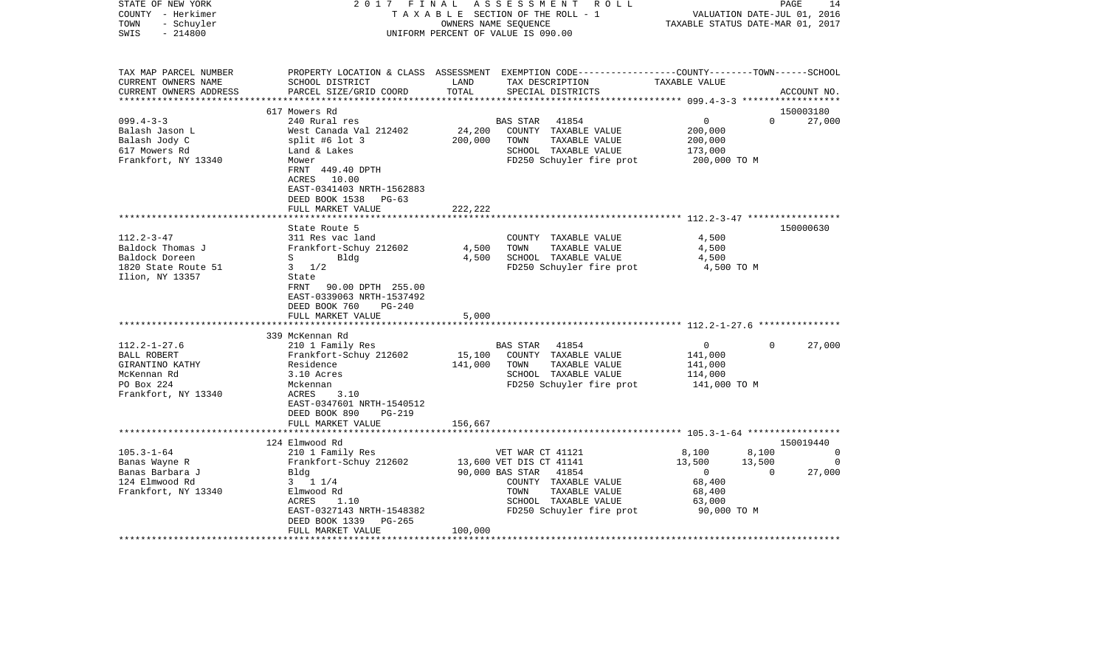| STATE OF NEW YORK<br>COUNTY - Herkimer<br>- Schuyler<br>TOWN<br>$-214800$<br>SWIS | 2017 FINAL                                   | OWNERS NAME SEQUENCE | A S S E S S M E N T<br>R O L L<br>TAXABLE SECTION OF THE ROLL - 1<br>UNIFORM PERCENT OF VALUE IS 090.00                                  | VALUATION DATE-JUL 01, 2016<br>TAXABLE STATUS DATE-MAR 01, 2017 | PAGE               | 14          |
|-----------------------------------------------------------------------------------|----------------------------------------------|----------------------|------------------------------------------------------------------------------------------------------------------------------------------|-----------------------------------------------------------------|--------------------|-------------|
| TAX MAP PARCEL NUMBER<br>CURRENT OWNERS NAME<br>CURRENT OWNERS ADDRESS            | SCHOOL DISTRICT<br>PARCEL SIZE/GRID COORD    | LAND<br>TOTAL        | PROPERTY LOCATION & CLASS ASSESSMENT EXEMPTION CODE----------------COUNTY-------TOWN------SCHOOL<br>TAX DESCRIPTION<br>SPECIAL DISTRICTS | TAXABLE VALUE                                                   |                    | ACCOUNT NO. |
|                                                                                   | 617 Mowers Rd                                |                      |                                                                                                                                          |                                                                 |                    | 150003180   |
| $099.4 - 3 - 3$                                                                   | 240 Rural res                                |                      | 41854<br>BAS STAR                                                                                                                        | $\overline{0}$                                                  | $\Omega$           | 27,000      |
| Balash Jason L                                                                    | West Canada Val 212402                       | 24,200               | COUNTY TAXABLE VALUE                                                                                                                     | 200,000                                                         |                    |             |
| Balash Jody C                                                                     | split #6 lot 3                               | 200,000              | TOWN<br>TAXABLE VALUE                                                                                                                    | 200,000                                                         |                    |             |
| 617 Mowers Rd                                                                     | Land & Lakes                                 |                      | SCHOOL TAXABLE VALUE                                                                                                                     | 173,000                                                         |                    |             |
| Frankfort, NY 13340                                                               | Mower<br>FRNT 449.40 DPTH                    |                      | FD250 Schuyler fire prot                                                                                                                 | 200,000 TO M                                                    |                    |             |
|                                                                                   | ACRES 10.00                                  |                      |                                                                                                                                          |                                                                 |                    |             |
|                                                                                   | EAST-0341403 NRTH-1562883                    |                      |                                                                                                                                          |                                                                 |                    |             |
|                                                                                   | DEED BOOK 1538 PG-63                         |                      |                                                                                                                                          |                                                                 |                    |             |
|                                                                                   | FULL MARKET VALUE                            | 222, 222             |                                                                                                                                          |                                                                 |                    |             |
|                                                                                   |                                              |                      |                                                                                                                                          |                                                                 |                    |             |
|                                                                                   | State Route 5                                |                      |                                                                                                                                          |                                                                 |                    | 150000630   |
| $112.2 - 3 - 47$                                                                  | 311 Res vac land                             |                      | COUNTY TAXABLE VALUE                                                                                                                     | 4,500                                                           |                    |             |
| Baldock Thomas J                                                                  | Frankfort-Schuy 212602                       | 4,500                | TAXABLE VALUE<br>TOWN                                                                                                                    | 4,500                                                           |                    |             |
| Baldock Doreen<br>1820 State Route 51                                             | $S \qquad \qquad$<br>Bldg<br>$3 \frac{1}{2}$ | 4,500                | SCHOOL TAXABLE VALUE<br>FD250 Schuyler fire prot                                                                                         | 4,500<br>4,500 TO M                                             |                    |             |
| Ilion, NY 13357                                                                   | State                                        |                      |                                                                                                                                          |                                                                 |                    |             |
|                                                                                   | FRNT 90.00 DPTH 255.00                       |                      |                                                                                                                                          |                                                                 |                    |             |
|                                                                                   | EAST-0339063 NRTH-1537492                    |                      |                                                                                                                                          |                                                                 |                    |             |
|                                                                                   | DEED BOOK 760<br>PG-240                      |                      |                                                                                                                                          |                                                                 |                    |             |
|                                                                                   | FULL MARKET VALUE                            | 5,000                |                                                                                                                                          |                                                                 |                    |             |
|                                                                                   |                                              |                      |                                                                                                                                          |                                                                 |                    |             |
|                                                                                   | 339 McKennan Rd                              |                      |                                                                                                                                          |                                                                 |                    |             |
| $112.2 - 1 - 27.6$                                                                | 210 1 Family Res                             |                      | 41854<br>BAS STAR                                                                                                                        | $\overline{0}$                                                  | $\Omega$           | 27,000      |
| BALL ROBERT<br>GIRANTINO KATHY                                                    | Frankfort-Schuy 212602<br>Residence          | 15,100<br>141,000    | COUNTY TAXABLE VALUE<br>TOWN<br>TAXABLE VALUE                                                                                            | 141,000<br>141,000                                              |                    |             |
| McKennan Rd                                                                       | 3.10 Acres                                   |                      | SCHOOL TAXABLE VALUE                                                                                                                     | 114,000                                                         |                    |             |
| PO Box 224                                                                        | Mckennan                                     |                      | FD250 Schuyler fire prot                                                                                                                 | 141,000 TO M                                                    |                    |             |
| Frankfort, NY 13340                                                               | ACRES<br>3.10                                |                      |                                                                                                                                          |                                                                 |                    |             |
|                                                                                   | EAST-0347601 NRTH-1540512                    |                      |                                                                                                                                          |                                                                 |                    |             |
|                                                                                   | DEED BOOK 890<br><b>PG-219</b>               |                      |                                                                                                                                          |                                                                 |                    |             |
|                                                                                   | FULL MARKET VALUE                            | 156,667              |                                                                                                                                          |                                                                 |                    |             |
|                                                                                   |                                              |                      |                                                                                                                                          |                                                                 |                    |             |
|                                                                                   | 124 Elmwood Rd                               |                      |                                                                                                                                          |                                                                 |                    | 150019440   |
| $105.3 - 1 - 64$                                                                  | 210 1 Family Res                             |                      | VET WAR CT 41121                                                                                                                         | 8,100                                                           | 8,100              | 0           |
| Banas Wayne R<br>Banas Barbara J                                                  | Frankfort-Schuy 212602<br>Bldg               |                      | 13,600 VET DIS CT 41141<br>90,000 BAS STAR<br>41854                                                                                      | 13,500<br>$\overline{0}$                                        | 13,500<br>$\Omega$ | 0<br>27,000 |
| 124 Elmwood Rd                                                                    | $3 \t1 \t1/4$                                |                      | COUNTY TAXABLE VALUE                                                                                                                     | 68,400                                                          |                    |             |
| Frankfort, NY 13340                                                               | Elmwood Rd                                   |                      | TOWN<br>TAXABLE VALUE                                                                                                                    | 68,400                                                          |                    |             |
|                                                                                   | 1.10<br>ACRES                                |                      | SCHOOL TAXABLE VALUE                                                                                                                     | 63,000                                                          |                    |             |
|                                                                                   | EAST-0327143 NRTH-1548382                    |                      | FD250 Schuyler fire prot                                                                                                                 | 90,000 TO M                                                     |                    |             |
|                                                                                   | DEED BOOK 1339<br>PG-265                     |                      |                                                                                                                                          |                                                                 |                    |             |
|                                                                                   | FULL MARKET VALUE                            | 100,000              |                                                                                                                                          |                                                                 |                    |             |
|                                                                                   |                                              |                      |                                                                                                                                          |                                                                 |                    |             |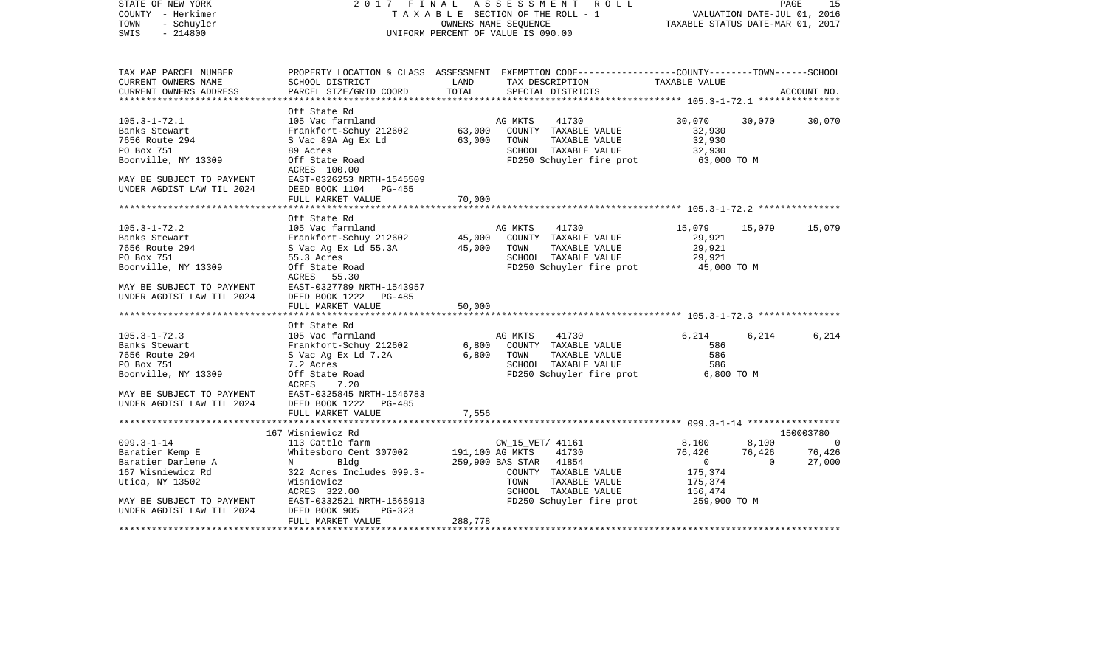| STATE OF NEW YORK<br>COUNTY - Herkimer<br>- Schuyler<br>TOWN<br>$-214800$<br>SWIS | 2017 FINAL                                                        |         | ASSESSMENT ROLL<br>TAXABLE SECTION OF THE ROLL - 1<br>OWNERS NAME SEQUENCE<br>UNIFORM PERCENT OF VALUE IS 090.00                 | VALUATION DATE-JUL 01, 2016<br>TAXABLE STATUS DATE-MAR 01, 2017 |                | 15<br>PAGE  |
|-----------------------------------------------------------------------------------|-------------------------------------------------------------------|---------|----------------------------------------------------------------------------------------------------------------------------------|-----------------------------------------------------------------|----------------|-------------|
| TAX MAP PARCEL NUMBER<br>CURRENT OWNERS NAME                                      | SCHOOL DISTRICT                                                   | LAND    | PROPERTY LOCATION & CLASS ASSESSMENT EXEMPTION CODE----------------COUNTY-------TOWN-----SCHOOL<br>TAX DESCRIPTION TAXABLE VALUE |                                                                 |                |             |
| CURRENT OWNERS ADDRESS<br>************************                                | PARCEL SIZE/GRID COORD                                            | TOTAL   | SPECIAL DISTRICTS                                                                                                                |                                                                 |                | ACCOUNT NO. |
|                                                                                   | Off State Rd                                                      |         |                                                                                                                                  |                                                                 |                |             |
| $105.3 - 1 - 72.1$                                                                | 105 Vac farmland                                                  |         | AG MKTS<br>41730                                                                                                                 | 30,070                                                          | 30,070         | 30,070      |
| Banks Stewart                                                                     | Frankfort-Schuy 212602                                            | 63,000  | COUNTY TAXABLE VALUE                                                                                                             | 32,930                                                          |                |             |
| 7656 Route 294                                                                    | S Vac 89A Ag Ex Ld                                                | 63,000  | TOWN<br>TAXABLE VALUE                                                                                                            | 32,930                                                          |                |             |
| PO Box 751                                                                        | 89 Acres                                                          |         | SCHOOL TAXABLE VALUE                                                                                                             | 32,930                                                          |                |             |
| Boonville, NY 13309                                                               | Off State Road<br>ACRES 100.00                                    |         | FD250 Schuyler fire prot                                                                                                         | $63,000$ TO M                                                   |                |             |
| MAY BE SUBJECT TO PAYMENT                                                         | EAST-0326253 NRTH-1545509                                         |         |                                                                                                                                  |                                                                 |                |             |
| UNDER AGDIST LAW TIL 2024                                                         | DEED BOOK 1104 PG-455                                             |         |                                                                                                                                  |                                                                 |                |             |
|                                                                                   | FULL MARKET VALUE                                                 | 70,000  |                                                                                                                                  |                                                                 |                |             |
|                                                                                   |                                                                   |         |                                                                                                                                  |                                                                 |                |             |
|                                                                                   | Off State Rd                                                      |         |                                                                                                                                  |                                                                 |                |             |
| $105.3 - 1 - 72.2$                                                                | 105 Vac farmland                                                  |         | AG MKTS<br>41730                                                                                                                 | 15,079                                                          | 15,079         | 15,079      |
| Banks Stewart                                                                     | Frankfort-Schuy 212602                                            |         | 45,000 COUNTY TAXABLE VALUE                                                                                                      | 29,921                                                          |                |             |
| 7656 Route 294                                                                    | S Vac Ag Ex Ld 55.3A                                              | 45,000  | TAXABLE VALUE<br>TOWN                                                                                                            | 29,921                                                          |                |             |
| PO Box 751                                                                        | 55.3 Acres                                                        |         | SCHOOL TAXABLE VALUE                                                                                                             | 29,921                                                          |                |             |
| Boonville, NY 13309                                                               | Off State Road                                                    |         | FD250 Schuyler fire prot                                                                                                         | 45,000 TO M                                                     |                |             |
| MAY BE SUBJECT TO PAYMENT                                                         | ACRES 55.30<br>EAST-0327789 NRTH-1543957                          |         |                                                                                                                                  |                                                                 |                |             |
| UNDER AGDIST LAW TIL 2024                                                         | DEED BOOK 1222 PG-485                                             |         |                                                                                                                                  |                                                                 |                |             |
|                                                                                   | FULL MARKET VALUE                                                 | 50,000  |                                                                                                                                  |                                                                 |                |             |
|                                                                                   |                                                                   |         |                                                                                                                                  |                                                                 |                |             |
|                                                                                   | Off State Rd                                                      |         |                                                                                                                                  |                                                                 |                |             |
| $105.3 - 1 - 72.3$                                                                | 105 Vac farmland                                                  |         | 41730<br>AG MKTS                                                                                                                 | 6,214                                                           | 6,214          | 6,214       |
| Banks Stewart                                                                     | 105 vac rarmiand<br>Frankfort-Schuy 212602<br>S Vac Ag Ex Ld 7.2A | 6,800   | COUNTY TAXABLE VALUE                                                                                                             | 586                                                             |                |             |
| 7656 Route 294                                                                    |                                                                   | 6,800   | TOWN<br>TAXABLE VALUE                                                                                                            | 586                                                             |                |             |
| PO Box 751                                                                        | 7.2 Acres                                                         |         | SCHOOL TAXABLE VALUE                                                                                                             | 586                                                             |                |             |
| Boonville, NY 13309                                                               | Off State Road                                                    |         | FD250 Schuyler fire prot                                                                                                         | 6,800 TO M                                                      |                |             |
|                                                                                   | ACRES<br>7.20                                                     |         |                                                                                                                                  |                                                                 |                |             |
| MAY BE SUBJECT TO PAYMENT EAST-0325845 NRTH-1546783                               |                                                                   |         |                                                                                                                                  |                                                                 |                |             |
| UNDER AGDIST LAW TIL 2024                                                         | DEED BOOK 1222 PG-485                                             |         |                                                                                                                                  |                                                                 |                |             |
|                                                                                   | FULL MARKET VALUE                                                 | 7,556   |                                                                                                                                  |                                                                 |                |             |
|                                                                                   |                                                                   |         |                                                                                                                                  |                                                                 |                |             |
|                                                                                   | 167 Wisniewicz Rd                                                 |         |                                                                                                                                  |                                                                 |                | 150003780   |
| $099.3 - 1 - 14$                                                                  | 113 Cattle farm                                                   |         | CW_15_VET/ 41161                                                                                                                 | 8,100                                                           | 8,100          | $\sim$ 0    |
| Baratier Kemp E                                                                   | Whitesboro Cent 307002                                            |         | 191,100 AG MKTS 41730                                                                                                            | 76,426                                                          | 76,426         | 76,426      |
| Baratier Darlene A                                                                | $N$ and $N$<br>Bldg                                               |         | 259,900 BAS STAR 41854                                                                                                           | $\overline{0}$                                                  | $\overline{0}$ | 27,000      |
| 167 Wisniewicz Rd                                                                 | 322 Acres Includes 099.3-                                         |         | COUNTY TAXABLE VALUE                                                                                                             | 175,374                                                         |                |             |
| Utica, NY 13502                                                                   | Wisniewicz                                                        |         | TAXABLE VALUE<br>TOWN                                                                                                            | 175,374                                                         |                |             |
|                                                                                   | ACRES 322.00                                                      |         | SCHOOL TAXABLE VALUE<br>FD250 Schuyler fire prot                                                                                 | 156,474<br>259,900 TO M                                         |                |             |
| MAY BE SUBJECT TO PAYMENT<br>UNDER AGDIST LAW TIL 2024                            | EAST-0332521 NRTH-1565913<br>DEED BOOK 905<br>$PG-323$            |         |                                                                                                                                  |                                                                 |                |             |
|                                                                                   | FULL MARKET VALUE                                                 | 288,778 |                                                                                                                                  |                                                                 |                |             |
|                                                                                   |                                                                   |         |                                                                                                                                  |                                                                 |                |             |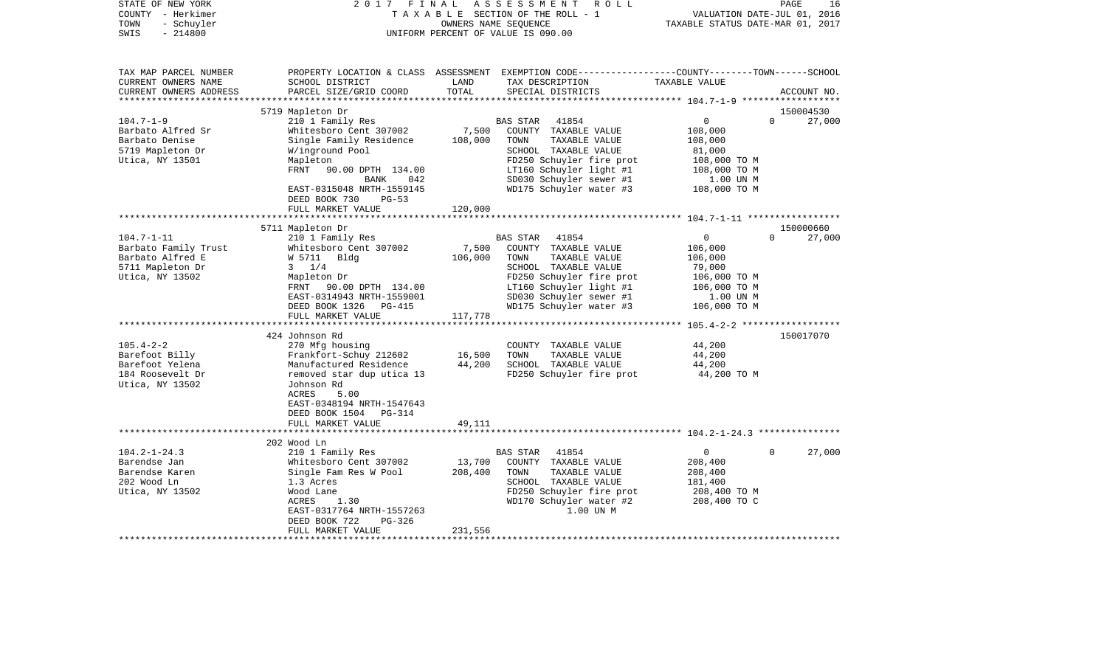| STATE OF NEW YORK<br>COUNTY - Herkimer<br>- Schuyler<br>TOWN<br>SWIS<br>$-214800$ | 2017                                                  | FINAL         | ASSESSMENT ROLL<br>T A X A B L E SECTION OF THE ROLL - 1<br>OWNERS NAME SEQUENCE<br>UNIFORM PERCENT OF VALUE IS 090.00                   | VALUATION DATE-JUL 01, 2016<br>TAXABLE STATUS DATE-MAR 01, 2017 | PAGE<br>16         |
|-----------------------------------------------------------------------------------|-------------------------------------------------------|---------------|------------------------------------------------------------------------------------------------------------------------------------------|-----------------------------------------------------------------|--------------------|
| TAX MAP PARCEL NUMBER<br>CURRENT OWNERS NAME<br>CURRENT OWNERS ADDRESS            | SCHOOL DISTRICT<br>PARCEL SIZE/GRID COORD             | LAND<br>TOTAL | PROPERTY LOCATION & CLASS ASSESSMENT EXEMPTION CODE----------------COUNTY-------TOWN------SCHOOL<br>TAX DESCRIPTION<br>SPECIAL DISTRICTS | TAXABLE VALUE                                                   | ACCOUNT NO.        |
| ***********************                                                           | 5719 Mapleton Dr                                      |               |                                                                                                                                          |                                                                 | 150004530          |
| $104.7 - 1 - 9$                                                                   | 210 1 Family Res                                      |               | <b>BAS STAR</b><br>41854                                                                                                                 | 0                                                               | $\Omega$<br>27,000 |
| Barbato Alfred Sr                                                                 | Whitesboro Cent 307002                                | 7,500         | COUNTY TAXABLE VALUE                                                                                                                     | 108,000                                                         |                    |
| Barbato Denise                                                                    | Single Family Residence                               | 108,000       | TOWN<br>TAXABLE VALUE                                                                                                                    | 108,000                                                         |                    |
| 5719 Mapleton Dr                                                                  | W/inground Pool                                       |               | SCHOOL TAXABLE VALUE                                                                                                                     | 81,000                                                          |                    |
| Utica, NY 13501                                                                   | Mapleton                                              |               | FD250 Schuyler fire prot                                                                                                                 | 108,000 TO M                                                    |                    |
|                                                                                   | FRNT<br>90.00 DPTH 134.00                             |               | LT160 Schuyler light #1                                                                                                                  | 108,000 TO M                                                    |                    |
|                                                                                   | BANK<br>042                                           |               | SD030 Schuyler sewer #1                                                                                                                  | 1.00 UN M                                                       |                    |
|                                                                                   | EAST-0315048 NRTH-1559145<br>DEED BOOK 730<br>$PG-53$ |               | WD175 Schuyler water #3                                                                                                                  | 108,000 TO M                                                    |                    |
|                                                                                   | FULL MARKET VALUE                                     | 120,000       |                                                                                                                                          |                                                                 |                    |
|                                                                                   | 5711 Mapleton Dr                                      |               |                                                                                                                                          |                                                                 | 150000660          |
| $104.7 - 1 - 11$                                                                  | 210 1 Family Res                                      |               | <b>BAS STAR</b><br>41854                                                                                                                 | $\mathbf 0$                                                     | $\Omega$<br>27,000 |
| Barbato Family Trust                                                              | Whitesboro Cent 307002                                | 7,500         | COUNTY TAXABLE VALUE                                                                                                                     | 106,000                                                         |                    |
| Barbato Alfred E                                                                  | W 5711 Bldg                                           | 106,000       | TOWN<br>TAXABLE VALUE                                                                                                                    | 106,000                                                         |                    |
| 5711 Mapleton Dr                                                                  | $3 \frac{1}{4}$                                       |               | SCHOOL TAXABLE VALUE                                                                                                                     | 79,000                                                          |                    |
| Utica, NY 13502                                                                   | Mapleton Dr                                           |               | FD250 Schuyler fire prot                                                                                                                 | 106,000 TO M                                                    |                    |
|                                                                                   | FRNT 90.00 DPTH 134.00                                |               | LT160 Schuyler light #1                                                                                                                  | 106,000 TO M                                                    |                    |
|                                                                                   | EAST-0314943 NRTH-1559001                             |               | SD030 Schuyler sewer #1                                                                                                                  | 1.00 UN M                                                       |                    |
|                                                                                   | DEED BOOK 1326<br>PG-415<br>FULL MARKET VALUE         | 117,778       | WD175 Schuyler water #3                                                                                                                  | 106,000 TO M                                                    |                    |
|                                                                                   |                                                       |               |                                                                                                                                          |                                                                 |                    |
|                                                                                   | 424 Johnson Rd                                        |               |                                                                                                                                          |                                                                 | 150017070          |
| $105.4 - 2 - 2$<br>Barefoot Billy                                                 | 270 Mfg housing<br>Frankfort-Schuy 212602             | 16,500        | COUNTY TAXABLE VALUE<br>TOWN<br>TAXABLE VALUE                                                                                            | 44,200<br>44,200                                                |                    |
| Barefoot Yelena                                                                   | Manufactured Residence                                | 44,200        | SCHOOL TAXABLE VALUE                                                                                                                     | 44,200                                                          |                    |
| 184 Roosevelt Dr                                                                  | removed star dup utica 13                             |               | FD250 Schuyler fire prot                                                                                                                 | 44,200 TO M                                                     |                    |
| Utica, NY 13502                                                                   | Johnson Rd                                            |               |                                                                                                                                          |                                                                 |                    |
|                                                                                   | ACRES<br>5.00                                         |               |                                                                                                                                          |                                                                 |                    |
|                                                                                   | EAST-0348194 NRTH-1547643                             |               |                                                                                                                                          |                                                                 |                    |
|                                                                                   | DEED BOOK 1504<br>PG-314                              |               |                                                                                                                                          |                                                                 |                    |
|                                                                                   | FULL MARKET VALUE                                     | 49,111        |                                                                                                                                          |                                                                 |                    |
|                                                                                   |                                                       |               |                                                                                                                                          |                                                                 |                    |
|                                                                                   | 202 Wood Ln                                           |               |                                                                                                                                          |                                                                 |                    |
| $104.2 - 1 - 24.3$<br>Barendse Jan                                                | 210 1 Family Res<br>Whitesboro Cent 307002            | 13,700        | <b>BAS STAR</b><br>41854<br>COUNTY TAXABLE VALUE                                                                                         | $\mathbf 0$<br>208,400                                          | 27,000<br>$\Omega$ |
| Barendse Karen                                                                    | Single Fam Res W Pool                                 | 208,400       | TOWN<br>TAXABLE VALUE                                                                                                                    | 208,400                                                         |                    |
| 202 Wood Ln                                                                       | 1.3 Acres                                             |               | SCHOOL TAXABLE VALUE                                                                                                                     | 181,400                                                         |                    |
| Utica, NY 13502                                                                   | Wood Lane                                             |               | FD250 Schuyler fire prot                                                                                                                 | 208,400 TO M                                                    |                    |
|                                                                                   | ACRES<br>1.30                                         |               | WD170 Schuyler water #2                                                                                                                  | 208,400 TO C                                                    |                    |
|                                                                                   | EAST-0317764 NRTH-1557263                             |               | 1.00 UN M                                                                                                                                |                                                                 |                    |
|                                                                                   | DEED BOOK 722<br>$PG-326$                             |               |                                                                                                                                          |                                                                 |                    |
|                                                                                   | FULL MARKET VALUE                                     | 231,556       |                                                                                                                                          |                                                                 |                    |
|                                                                                   |                                                       |               |                                                                                                                                          |                                                                 |                    |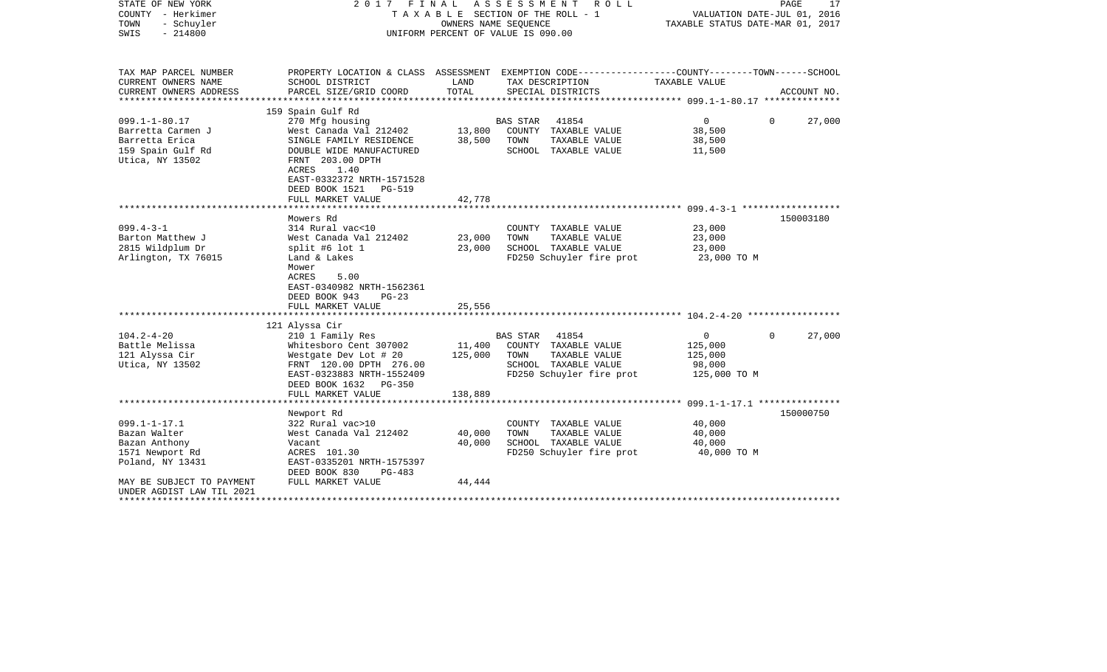| STATE OF NEW YORK<br>COUNTY - Herkimer<br>TOWN<br>- Schuyler | 2017<br>FINAL<br>TAXABLE SECTION OF THE ROLL - 1 | 17<br>PAGE<br>VALUATION DATE-JUL 01, 2016<br>TAXABLE STATUS DATE-MAR 01, 2017 |                                                                                                 |                                        |                        |
|--------------------------------------------------------------|--------------------------------------------------|-------------------------------------------------------------------------------|-------------------------------------------------------------------------------------------------|----------------------------------------|------------------------|
| SWIS<br>$-214800$                                            | UNIFORM PERCENT OF VALUE IS 090.00               |                                                                               |                                                                                                 |                                        |                        |
| TAX MAP PARCEL NUMBER                                        |                                                  |                                                                               | PROPERTY LOCATION & CLASS ASSESSMENT EXEMPTION CODE---------------COUNTY-------TOWN------SCHOOL |                                        |                        |
| CURRENT OWNERS NAME<br>CURRENT OWNERS ADDRESS                | SCHOOL DISTRICT<br>PARCEL SIZE/GRID COORD        | LAND<br>TOTAL                                                                 | TAX DESCRIPTION<br>SPECIAL DISTRICTS                                                            | TAXABLE VALUE                          | ACCOUNT NO.            |
|                                                              |                                                  |                                                                               |                                                                                                 |                                        |                        |
|                                                              | 159 Spain Gulf Rd                                |                                                                               |                                                                                                 |                                        |                        |
| $099.1 - 1 - 80.17$                                          | 270 Mfg housing                                  |                                                                               | BAS STAR<br>41854                                                                               | $\overline{0}$                         | 27,000<br>0            |
| Barretta Carmen J                                            | West Canada Val 212402                           | 13,800                                                                        | COUNTY TAXABLE VALUE                                                                            | 38,500                                 |                        |
| Barretta Erica                                               | SINGLE FAMILY RESIDENCE                          | 38,500                                                                        | TOWN<br>TAXABLE VALUE                                                                           | 38,500                                 |                        |
| 159 Spain Gulf Rd                                            | DOUBLE WIDE MANUFACTURED                         |                                                                               | SCHOOL TAXABLE VALUE                                                                            | 11,500                                 |                        |
| Utica, NY 13502                                              | FRNT 203.00 DPTH<br>ACRES<br>1.40                |                                                                               |                                                                                                 |                                        |                        |
|                                                              | EAST-0332372 NRTH-1571528                        |                                                                               |                                                                                                 |                                        |                        |
|                                                              | DEED BOOK 1521<br>PG-519                         |                                                                               |                                                                                                 |                                        |                        |
|                                                              | FULL MARKET VALUE                                | 42,778                                                                        |                                                                                                 |                                        |                        |
|                                                              | *******************                              | * * * * * * * * * * * * * *                                                   |                                                                                                 |                                        |                        |
|                                                              | Mowers Rd                                        |                                                                               |                                                                                                 |                                        | 150003180              |
| $099.4 - 3 - 1$                                              | 314 Rural vac<10                                 |                                                                               | COUNTY TAXABLE VALUE                                                                            | 23,000                                 |                        |
| Barton Matthew J<br>2815 Wildplum Dr                         | West Canada Val 212402<br>split #6 lot $1$       | 23,000<br>23,000                                                              | TAXABLE VALUE<br>TOWN<br>SCHOOL TAXABLE VALUE                                                   | 23,000<br>23,000                       |                        |
| Arlington, TX 76015                                          | Land & Lakes                                     |                                                                               | FD250 Schuyler fire prot                                                                        | 23,000 TO M                            |                        |
|                                                              | Mower                                            |                                                                               |                                                                                                 |                                        |                        |
|                                                              | ACRES<br>5.00                                    |                                                                               |                                                                                                 |                                        |                        |
|                                                              | EAST-0340982 NRTH-1562361                        |                                                                               |                                                                                                 |                                        |                        |
|                                                              | DEED BOOK 943<br>$PG-23$                         |                                                                               |                                                                                                 |                                        |                        |
|                                                              | FULL MARKET VALUE                                | 25,556                                                                        |                                                                                                 |                                        |                        |
|                                                              | 121 Alyssa Cir                                   |                                                                               |                                                                                                 |                                        |                        |
| $104.2 - 4 - 20$                                             | 210 1 Family Res                                 |                                                                               | 41854<br>BAS STAR                                                                               | $\overline{0}$                         | 27,000<br>$\mathbf{0}$ |
| Battle Melissa                                               | Whitesboro Cent 307002                           | 11,400                                                                        | COUNTY TAXABLE VALUE                                                                            | 125,000                                |                        |
| 121 Alyssa Cir                                               | Westgate Dev Lot # 20                            | 125,000                                                                       | TOWN<br>TAXABLE VALUE                                                                           | 125,000                                |                        |
| Utica, NY 13502                                              | FRNT 120.00 DPTH 276.00                          |                                                                               | SCHOOL TAXABLE VALUE                                                                            | 98,000                                 |                        |
|                                                              | EAST-0323883 NRTH-1552409                        |                                                                               | FD250 Schuyler fire prot                                                                        | 125,000 TO M                           |                        |
|                                                              | DEED BOOK 1632 PG-350                            |                                                                               |                                                                                                 |                                        |                        |
|                                                              | FULL MARKET VALUE<br>*******************         | 138,889                                                                       |                                                                                                 | ********* 099.1-1-17.1 *************** |                        |
|                                                              | Newport Rd                                       |                                                                               |                                                                                                 |                                        | 150000750              |
| $099.1 - 1 - 17.1$                                           | 322 Rural vac>10                                 |                                                                               | COUNTY TAXABLE VALUE                                                                            | 40,000                                 |                        |
| Bazan Walter                                                 | West Canada Val 212402                           | 40,000                                                                        | TOWN<br>TAXABLE VALUE                                                                           | 40,000                                 |                        |
| Bazan Anthony                                                | Vacant                                           | 40,000                                                                        | SCHOOL TAXABLE VALUE                                                                            | 40,000                                 |                        |
| 1571 Newport Rd                                              | ACRES 101.30                                     |                                                                               | FD250 Schuyler fire prot                                                                        | 40,000 TO M                            |                        |
| Poland, NY 13431                                             | EAST-0335201 NRTH-1575397                        |                                                                               |                                                                                                 |                                        |                        |
| MAY BE SUBJECT TO PAYMENT                                    | DEED BOOK 830<br>PG-483<br>FULL MARKET VALUE     | 44,444                                                                        |                                                                                                 |                                        |                        |
| UNDER AGDIST LAW TIL 2021                                    |                                                  |                                                                               |                                                                                                 |                                        |                        |
| **********************                                       |                                                  |                                                                               |                                                                                                 |                                        |                        |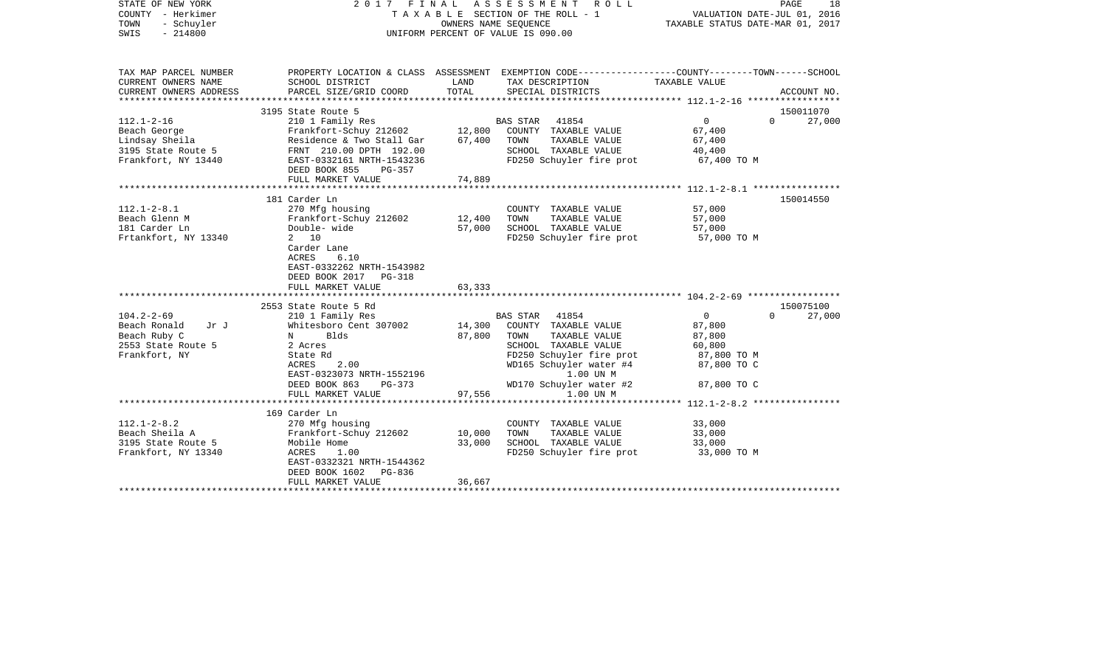| STATE OF NEW YORK<br>COUNTY - Herkimer<br>- Schuyler<br>TOWN<br>$-214800$<br>SWIS               | 2017 FINAL ASSESSMENT ROLL<br>TAXABLE SECTION OF THE ROLL - 1<br>UNIFORM PERCENT OF VALUE IS 090.00                                                                                           | VALUATION DATE-JUL 01, 2016<br>TAXABLE STATUS DATE-MAR 01, 2017 | PAGE<br>18                                                                                                                                                                                          |                                                                                           |                    |
|-------------------------------------------------------------------------------------------------|-----------------------------------------------------------------------------------------------------------------------------------------------------------------------------------------------|-----------------------------------------------------------------|-----------------------------------------------------------------------------------------------------------------------------------------------------------------------------------------------------|-------------------------------------------------------------------------------------------|--------------------|
| TAX MAP PARCEL NUMBER<br>CURRENT OWNERS NAME<br>CURRENT OWNERS ADDRESS                          | SCHOOL DISTRICT<br>PARCEL SIZE/GRID COORD                                                                                                                                                     | LAND<br>TOTAL                                                   | PROPERTY LOCATION & CLASS ASSESSMENT EXEMPTION CODE---------------COUNTY-------TOWN-----SCHOOL<br>TAX DESCRIPTION<br>SPECIAL DISTRICTS                                                              | TAXABLE VALUE                                                                             | ACCOUNT NO.        |
|                                                                                                 |                                                                                                                                                                                               |                                                                 |                                                                                                                                                                                                     |                                                                                           |                    |
|                                                                                                 | 3195 State Route 5                                                                                                                                                                            |                                                                 |                                                                                                                                                                                                     |                                                                                           | 150011070          |
| $112.1 - 2 - 16$<br>Beach George<br>Lindsay Sheila<br>3195 State Route 5<br>Frankfort, NY 13440 | 210 1 Family Res<br>Frankfort-Schuy 212602 12,800 COUNTY TAXABLE VALUE<br>Residence & Two Stall Gar 67,400<br>FRNT 210.00 DPTH 192.00<br>EAST-0332161 NRTH-1543236                            |                                                                 | BAS STAR 41854<br>TAXABLE VALUE<br>TOWN<br>SCHOOL TAXABLE VALUE<br>FD250 Schuyler fire prot 67,400 TO M                                                                                             | $\overline{0}$<br>67,400<br>67,400<br>40,400                                              | $\Omega$<br>27,000 |
|                                                                                                 | DEED BOOK 855 PG-357                                                                                                                                                                          |                                                                 |                                                                                                                                                                                                     |                                                                                           |                    |
|                                                                                                 | FULL MARKET VALUE                                                                                                                                                                             | 74,889                                                          |                                                                                                                                                                                                     |                                                                                           |                    |
| $112.1 - 2 - 8.1$<br>Beach Glenn M<br>181 Carder Ln<br>Frtankfort, NY 13340                     | 181 Carder Ln<br>270 Mfg housing<br>Frankfort-Schuy 212602<br>Double- wide<br>2 10<br>Carder Lane<br>ACRES<br>6.10<br>EAST-0332262 NRTH-1543982<br>DEED BOOK 2017 PG-318<br>FULL MARKET VALUE | 12,400<br>57,000<br>63,333                                      | COUNTY TAXABLE VALUE<br>TAXABLE VALUE<br>TOWN<br>SCHOOL TAXABLE VALUE<br>FD250 Schuyler fire prot 57,000 TO M                                                                                       | 57,000<br>57,000<br>57,000                                                                | 150014550          |
|                                                                                                 | 2553 State Route 5 Rd                                                                                                                                                                         |                                                                 |                                                                                                                                                                                                     |                                                                                           | 150075100          |
| $104.2 - 2 - 69$<br>Beach Ronald<br>Jr J<br>Beach Ruby C<br>2553 State Route 5<br>Frankfort, NY | 210 1 Family Res<br>Whitesboro Cent 307002<br>N<br>Blds<br>2 Acres<br>State Rd<br>2.00<br>ACRES<br>EAST-0323073 NRTH-1552196<br>DEED BOOK 863<br>PG-373<br>FULL MARKET VALUE                  | 14,300<br>87,800<br>97,556                                      | BAS STAR 41854<br>COUNTY TAXABLE VALUE<br>TAXABLE VALUE<br>TOWN<br>SCHOOL TAXABLE VALUE<br>FD250 Schuyler fire prot<br>WD165 Schuyler water #4<br>1.00 UN M<br>WD170 Schuyler water #2<br>1.00 UN M | $\overline{0}$<br>87,800<br>87,800<br>60,800<br>87,800 TO M<br>87,800 TO C<br>87,800 TO C | 27,000<br>$\Omega$ |
|                                                                                                 |                                                                                                                                                                                               |                                                                 |                                                                                                                                                                                                     |                                                                                           |                    |
| $112.1 - 2 - 8.2$<br>Beach Sheila A<br>3195 State Route 5<br>Frankfort, NY 13340                | 169 Carder Ln<br>270 Mfg housing<br>Frankfort-Schuy 212602<br>Mobile Home<br>ACRES<br>1.00<br>EAST-0332321 NRTH-1544362<br>DEED BOOK 1602 PG-836<br>FULL MARKET VALUE                         | 10,000<br>33,000<br>36,667                                      | COUNTY TAXABLE VALUE<br>TOWN<br>TAXABLE VALUE<br>SCHOOL TAXABLE VALUE<br>FD250 Schuyler fire prot                                                                                                   | 33,000<br>33,000<br>33,000<br>33,000 TO M                                                 |                    |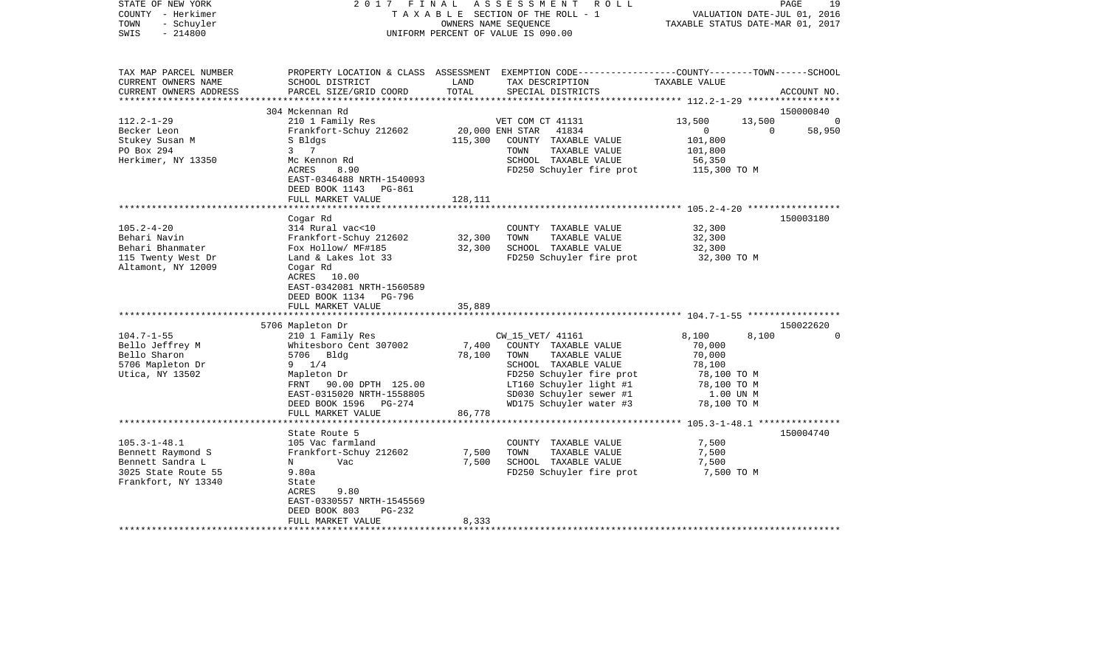| STATE OF NEW YORK<br>COUNTY - Herkimer<br>TOWN<br>- Schuyler<br>$-214800$<br>SWIS               | 2017                                                                   | FINAL           | ASSESSMENT<br>R O L L<br>T A X A B L E SECTION OF THE ROLL - 1<br>OWNERS NAME SEOUENCE<br>UNIFORM PERCENT OF VALUE IS 090.00             | TAXABLE STATUS DATE-MAR 01, 2017                       | 19<br>PAGE<br>VALUATION DATE-JUL 01, 2016 |
|-------------------------------------------------------------------------------------------------|------------------------------------------------------------------------|-----------------|------------------------------------------------------------------------------------------------------------------------------------------|--------------------------------------------------------|-------------------------------------------|
| TAX MAP PARCEL NUMBER<br>CURRENT OWNERS NAME<br>CURRENT OWNERS ADDRESS<br>********************* | SCHOOL DISTRICT<br>PARCEL SIZE/GRID COORD                              | LAND<br>TOTAL   | PROPERTY LOCATION & CLASS ASSESSMENT EXEMPTION CODE----------------COUNTY-------TOWN------SCHOOL<br>TAX DESCRIPTION<br>SPECIAL DISTRICTS | TAXABLE VALUE                                          | ACCOUNT NO.                               |
|                                                                                                 | 304 Mckennan Rd                                                        |                 |                                                                                                                                          |                                                        | 150000840                                 |
| $112.2 - 1 - 29$                                                                                | 210 1 Family Res                                                       |                 | VET COM CT 41131                                                                                                                         | 13,500                                                 | 13,500<br>$\Omega$                        |
| Becker Leon                                                                                     | Frankfort-Schuy 212602                                                 | 20,000 ENH STAR | 41834                                                                                                                                    | $\overline{0}$                                         | 0<br>58,950                               |
| Stukey Susan M                                                                                  | S Bldgs                                                                | 115,300         | COUNTY TAXABLE VALUE                                                                                                                     | 101,800                                                |                                           |
| PO Box 294                                                                                      | 3 7                                                                    |                 | TOWN<br>TAXABLE VALUE                                                                                                                    | 101,800                                                |                                           |
| Herkimer, NY 13350                                                                              | Mc Kennon Rd                                                           |                 | SCHOOL TAXABLE VALUE                                                                                                                     | 56,350                                                 |                                           |
|                                                                                                 | ACRES<br>8.90<br>EAST-0346488 NRTH-1540093<br>DEED BOOK 1143<br>PG-861 |                 | FD250 Schuyler fire prot                                                                                                                 | 115,300 TO M                                           |                                           |
|                                                                                                 | FULL MARKET VALUE                                                      | 128,111         |                                                                                                                                          |                                                        |                                           |
|                                                                                                 | Cogar Rd                                                               |                 |                                                                                                                                          | ************************ 105.2-4-20 ****************** | 150003180                                 |
| $105.2 - 4 - 20$                                                                                | 314 Rural vac<10                                                       |                 | COUNTY TAXABLE VALUE                                                                                                                     | 32,300                                                 |                                           |
| Behari Navin                                                                                    | Frankfort-Schuy 212602                                                 | 32,300          | TAXABLE VALUE<br>TOWN                                                                                                                    | 32,300                                                 |                                           |
| Behari Bhanmater                                                                                | Fox Hollow/ MF#185                                                     | 32,300          | SCHOOL TAXABLE VALUE                                                                                                                     | 32,300                                                 |                                           |
| 115 Twenty West Dr<br>Altamont, NY 12009                                                        | Land & Lakes lot 33<br>Cogar Rd                                        |                 | FD250 Schuyler fire prot                                                                                                                 | 32,300 TO M                                            |                                           |
|                                                                                                 | ACRES 10.00<br>EAST-0342081 NRTH-1560589<br>DEED BOOK 1134<br>PG-796   |                 |                                                                                                                                          |                                                        |                                           |
|                                                                                                 | FULL MARKET VALUE                                                      | 35,889          |                                                                                                                                          |                                                        |                                           |
|                                                                                                 |                                                                        |                 |                                                                                                                                          |                                                        |                                           |
|                                                                                                 | 5706 Mapleton Dr                                                       |                 |                                                                                                                                          |                                                        | 150022620                                 |
| $104.7 - 1 - 55$                                                                                | 210 1 Family Res                                                       |                 | CW_15_VET/ 41161                                                                                                                         | 8,100                                                  | $\Omega$<br>8,100                         |
| Bello Jeffrey M                                                                                 | Whitesboro Cent 307002                                                 | 7,400           | COUNTY TAXABLE VALUE                                                                                                                     | 70,000                                                 |                                           |
| Bello Sharon                                                                                    | 5706 Bldg                                                              | 78,100          | TOWN<br>TAXABLE VALUE                                                                                                                    | 70,000                                                 |                                           |
| 5706 Mapleton Dr                                                                                | $9 \t1/4$                                                              |                 | SCHOOL TAXABLE VALUE                                                                                                                     | 78,100                                                 |                                           |
| Utica, NY 13502                                                                                 | Mapleton Dr                                                            |                 | FD250 Schuyler fire prot                                                                                                                 | 78,100 TO M                                            |                                           |
|                                                                                                 | FRNT 90.00 DPTH 125.00<br>EAST-0315020 NRTH-1558805                    |                 | LT160 Schuyler light #1<br>SD030 Schuyler sewer #1                                                                                       | 78,100 TO M<br>1.00 UN M                               |                                           |
|                                                                                                 | DEED BOOK 1596 PG-274                                                  |                 | WD175 Schuyler water #3                                                                                                                  | 78,100 TO M                                            |                                           |
|                                                                                                 | FULL MARKET VALUE                                                      | 86,778          |                                                                                                                                          |                                                        |                                           |
|                                                                                                 | ********************                                                   |                 |                                                                                                                                          | ************************* 105.3-1-48.1 *************** |                                           |
|                                                                                                 | State Route 5                                                          |                 |                                                                                                                                          |                                                        | 150004740                                 |
| $105.3 - 1 - 48.1$                                                                              | 105 Vac farmland                                                       |                 | COUNTY TAXABLE VALUE                                                                                                                     | 7,500                                                  |                                           |
| Bennett Raymond S                                                                               | Frankfort-Schuy 212602                                                 | 7,500           | TOWN<br>TAXABLE VALUE                                                                                                                    | 7,500                                                  |                                           |
| Bennett Sandra L                                                                                | Vac<br>N                                                               | 7,500           | SCHOOL TAXABLE VALUE                                                                                                                     | 7,500                                                  |                                           |
| 3025 State Route 55                                                                             | 9.80a                                                                  |                 | FD250 Schuyler fire prot                                                                                                                 | 7,500 TO M                                             |                                           |
| Frankfort, NY 13340                                                                             | State                                                                  |                 |                                                                                                                                          |                                                        |                                           |
|                                                                                                 | 9.80<br>ACRES                                                          |                 |                                                                                                                                          |                                                        |                                           |
|                                                                                                 | EAST-0330557 NRTH-1545569                                              |                 |                                                                                                                                          |                                                        |                                           |
|                                                                                                 | DEED BOOK 803<br>$PG-232$                                              |                 |                                                                                                                                          |                                                        |                                           |
|                                                                                                 | FULL MARKET VALUE                                                      | 8,333           |                                                                                                                                          |                                                        |                                           |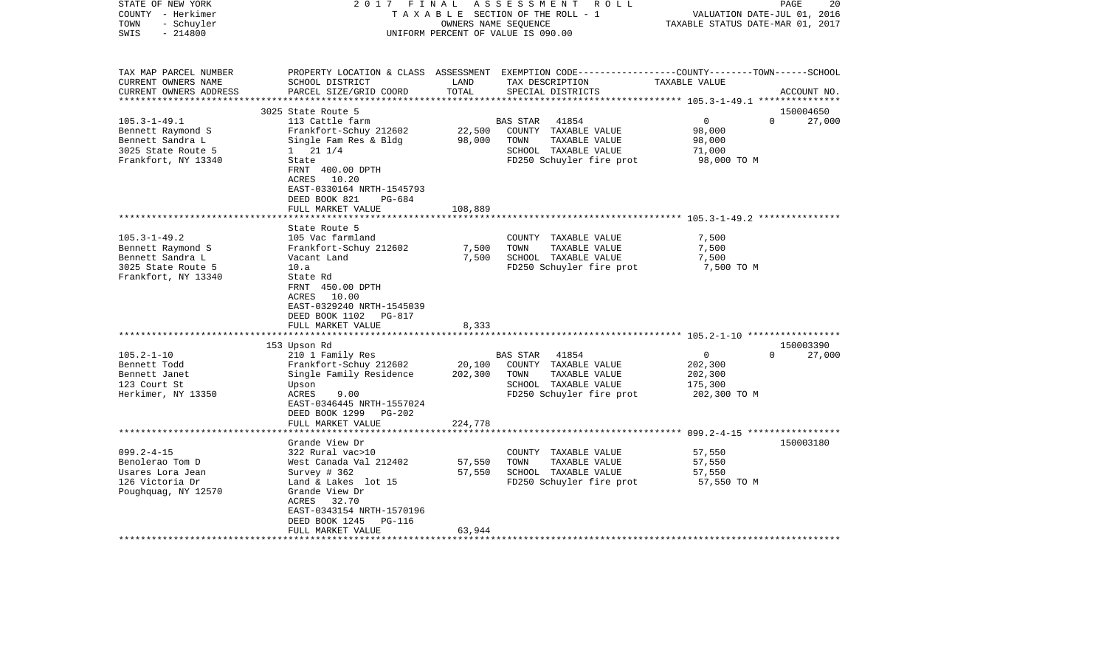| STATE OF NEW YORK<br>COUNTY - Herkimer<br>- Schuyler<br>TOWN<br>$-214800$<br>SWIS | 2017 FINAL                                                                                        | OWNERS NAME SEQUENCE | ASSESSMENT ROLL<br>TAXABLE SECTION OF THE ROLL - 1<br>UNIFORM PERCENT OF VALUE IS 090.00                                                | VALUATION DATE-JUL 01, 2016<br>TAXABLE STATUS DATE-MAR 01, 2017 | 20<br>PAGE         |
|-----------------------------------------------------------------------------------|---------------------------------------------------------------------------------------------------|----------------------|-----------------------------------------------------------------------------------------------------------------------------------------|-----------------------------------------------------------------|--------------------|
| TAX MAP PARCEL NUMBER<br>CURRENT OWNERS NAME<br>CURRENT OWNERS ADDRESS            | SCHOOL DISTRICT<br>PARCEL SIZE/GRID COORD                                                         | LAND<br>TOTAL        | PROPERTY LOCATION & CLASS ASSESSMENT EXEMPTION CODE---------------COUNTY-------TOWN------SCHOOL<br>TAX DESCRIPTION<br>SPECIAL DISTRICTS | TAXABLE VALUE                                                   | ACCOUNT NO.        |
|                                                                                   | 3025 State Route 5                                                                                |                      |                                                                                                                                         |                                                                 | 150004650          |
| $105.3 - 1 - 49.1$                                                                | 113 Cattle farm                                                                                   |                      | 41854<br><b>BAS STAR</b>                                                                                                                | $\overline{0}$                                                  | $\Omega$<br>27,000 |
| Bennett Raymond S                                                                 | Frankfort-Schuy 212602                                                                            | 22,500               | COUNTY TAXABLE VALUE                                                                                                                    | 98,000                                                          |                    |
| Bennett Sandra L                                                                  | Single Fam Res & Bldg                                                                             | 98,000               | TAXABLE VALUE<br>TOWN                                                                                                                   | 98,000                                                          |                    |
| 3025 State Route 5                                                                | $1 \t21 \t1/4$                                                                                    |                      | SCHOOL TAXABLE VALUE                                                                                                                    | 71,000                                                          |                    |
| Frankfort, NY 13340                                                               | State                                                                                             |                      | FD250 Schuyler fire prot                                                                                                                | 98,000 TO M                                                     |                    |
|                                                                                   | FRNT 400.00 DPTH                                                                                  |                      |                                                                                                                                         |                                                                 |                    |
|                                                                                   | ACRES 10.20                                                                                       |                      |                                                                                                                                         |                                                                 |                    |
|                                                                                   | EAST-0330164 NRTH-1545793                                                                         |                      |                                                                                                                                         |                                                                 |                    |
|                                                                                   | DEED BOOK 821<br>PG-684                                                                           |                      |                                                                                                                                         |                                                                 |                    |
|                                                                                   | FULL MARKET VALUE                                                                                 | 108,889              |                                                                                                                                         |                                                                 |                    |
|                                                                                   | State Route 5                                                                                     |                      |                                                                                                                                         |                                                                 |                    |
| $105.3 - 1 - 49.2$                                                                | 105 Vac farmland                                                                                  |                      | COUNTY TAXABLE VALUE                                                                                                                    | 7,500                                                           |                    |
| Bennett Raymond S                                                                 | Frankfort-Schuy 212602                                                                            | 7,500                | TOWN<br>TAXABLE VALUE                                                                                                                   | 7,500                                                           |                    |
| Bennett Sandra L                                                                  | Vacant Land                                                                                       | 7,500                | SCHOOL TAXABLE VALUE                                                                                                                    | 7,500                                                           |                    |
| 3025 State Route 5                                                                | 10.a                                                                                              |                      | FD250 Schuyler fire prot                                                                                                                | 7,500 TO M                                                      |                    |
| Frankfort, NY 13340                                                               | State Rd<br>FRNT 450.00 DPTH<br>ACRES 10.00<br>EAST-0329240 NRTH-1545039<br>DEED BOOK 1102 PG-817 |                      |                                                                                                                                         |                                                                 |                    |
|                                                                                   | FULL MARKET VALUE                                                                                 | 8,333                |                                                                                                                                         |                                                                 |                    |
|                                                                                   | **********************                                                                            |                      |                                                                                                                                         |                                                                 |                    |
|                                                                                   | 153 Upson Rd                                                                                      |                      |                                                                                                                                         |                                                                 | 150003390          |
| $105.2 - 1 - 10$                                                                  | 210 1 Family Res                                                                                  |                      | <b>BAS STAR</b><br>41854                                                                                                                | $\mathbf 0$                                                     | 27,000<br>$\Omega$ |
| Bennett Todd                                                                      | Frankfort-Schuy 212602                                                                            | 20,100               | COUNTY TAXABLE VALUE                                                                                                                    | 202,300                                                         |                    |
| Bennett Janet                                                                     | Single Family Residence                                                                           | 202,300              | TAXABLE VALUE<br>TOWN                                                                                                                   | 202,300                                                         |                    |
| 123 Court St                                                                      | Upson                                                                                             |                      | SCHOOL TAXABLE VALUE                                                                                                                    | 175,300                                                         |                    |
| Herkimer, NY 13350                                                                | ACRES<br>9.00<br>EAST-0346445 NRTH-1557024<br>DEED BOOK 1299 PG-202                               |                      | FD250 Schuyler fire prot                                                                                                                | 202,300 TO M                                                    |                    |
|                                                                                   | FULL MARKET VALUE                                                                                 | 224,778              |                                                                                                                                         |                                                                 |                    |
|                                                                                   | Grande View Dr                                                                                    |                      |                                                                                                                                         |                                                                 | 150003180          |
| $099.2 - 4 - 15$                                                                  | 322 Rural vac>10                                                                                  |                      | COUNTY TAXABLE VALUE                                                                                                                    | 57,550                                                          |                    |
| Benolerao Tom D                                                                   | West Canada Val 212402                                                                            | 57,550               | TOWN<br>TAXABLE VALUE                                                                                                                   | 57,550                                                          |                    |
| Usares Lora Jean                                                                  | Survey $#362$                                                                                     | 57,550               | SCHOOL TAXABLE VALUE                                                                                                                    | 57,550                                                          |                    |
| 126 Victoria Dr                                                                   | Land & Lakes lot 15                                                                               |                      | FD250 Schuyler fire prot                                                                                                                | 57,550 TO M                                                     |                    |
| Poughquag, NY 12570                                                               | Grande View Dr<br>ACRES 32.70                                                                     |                      |                                                                                                                                         |                                                                 |                    |
|                                                                                   | EAST-0343154 NRTH-1570196                                                                         |                      |                                                                                                                                         |                                                                 |                    |
|                                                                                   | DEED BOOK 1245<br>PG-116                                                                          |                      |                                                                                                                                         |                                                                 |                    |
|                                                                                   | FULL MARKET VALUE                                                                                 | 63,944               |                                                                                                                                         |                                                                 |                    |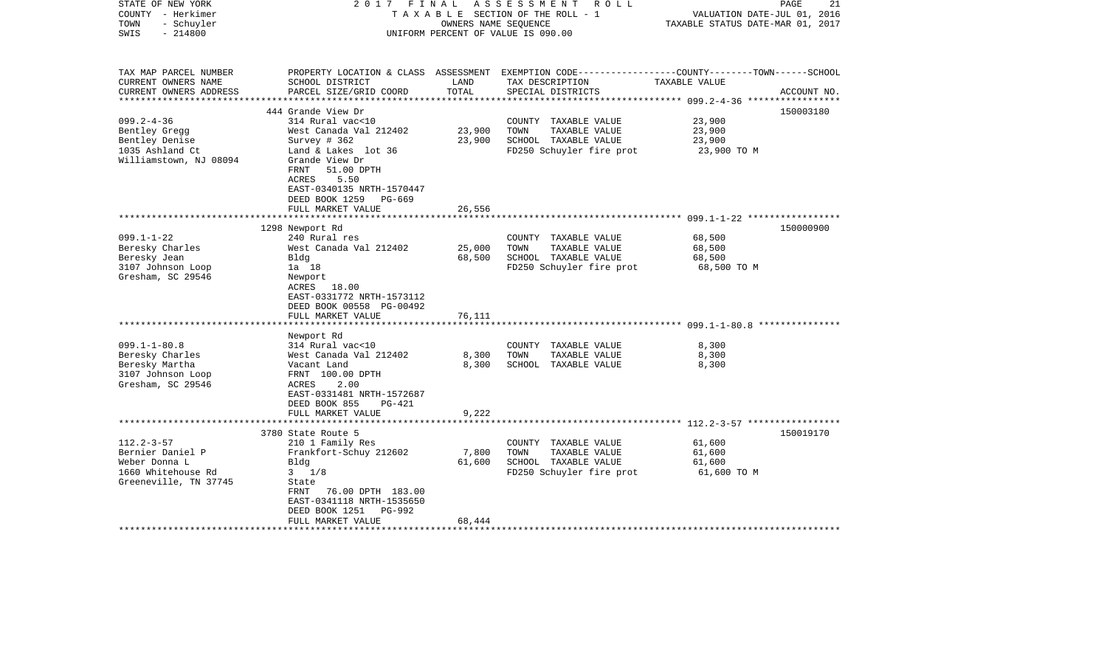| STATE OF NEW YORK<br>COUNTY - Herkimer<br>- Schuyler<br>TOWN<br>$-214800$<br>SWIS                                                                                                                  | 2017 FINAL                                                                                                                                                                                                                                                                                                                                                    | OWNERS NAME SEQUENCE                         | ASSESSMENT<br>R O L L<br>TAXABLE SECTION OF THE ROLL - 1<br>UNIFORM PERCENT OF VALUE IS 090.00                                                                             | PAGE<br>VALUATION DATE-JUL 01, 2016<br>TAXABLE STATUS DATE-MAR 01, 2017                                          | 21          |
|----------------------------------------------------------------------------------------------------------------------------------------------------------------------------------------------------|---------------------------------------------------------------------------------------------------------------------------------------------------------------------------------------------------------------------------------------------------------------------------------------------------------------------------------------------------------------|----------------------------------------------|----------------------------------------------------------------------------------------------------------------------------------------------------------------------------|------------------------------------------------------------------------------------------------------------------|-------------|
| TAX MAP PARCEL NUMBER<br>CURRENT OWNERS NAME<br>CURRENT OWNERS ADDRESS                                                                                                                             | SCHOOL DISTRICT<br>PARCEL SIZE/GRID COORD                                                                                                                                                                                                                                                                                                                     | LAND<br>TOTAL                                | TAX DESCRIPTION<br>SPECIAL DISTRICTS                                                                                                                                       | PROPERTY LOCATION & CLASS ASSESSMENT EXEMPTION CODE---------------COUNTY-------TOWN------SCHOOL<br>TAXABLE VALUE | ACCOUNT NO. |
|                                                                                                                                                                                                    |                                                                                                                                                                                                                                                                                                                                                               |                                              |                                                                                                                                                                            |                                                                                                                  |             |
| $099.2 - 4 - 36$<br>Bentley Gregg<br>Bentley Denise<br>1035 Ashland Ct<br>Williamstown, NJ 08094                                                                                                   | 444 Grande View Dr<br>314 Rural vac<10<br>West Canada Val 212402<br>Survey # 362<br>Land & Lakes lot 36<br>Grande View Dr<br>FRNT<br>51.00 DPTH                                                                                                                                                                                                               | 23,900<br>23,900                             | COUNTY TAXABLE VALUE<br>TOWN<br>TAXABLE VALUE<br>SCHOOL TAXABLE VALUE<br>FD250 Schuyler fire prot                                                                          | 23,900<br>23,900<br>23,900<br>23,900 TO M                                                                        | 150003180   |
|                                                                                                                                                                                                    | ACRES<br>5.50<br>EAST-0340135 NRTH-1570447<br>DEED BOOK 1259<br>PG-669<br>FULL MARKET VALUE                                                                                                                                                                                                                                                                   | 26,556                                       |                                                                                                                                                                            |                                                                                                                  |             |
|                                                                                                                                                                                                    |                                                                                                                                                                                                                                                                                                                                                               |                                              |                                                                                                                                                                            |                                                                                                                  |             |
| $099.1 - 1 - 22$<br>Beresky Charles<br>Beresky Jean<br>3107 Johnson Loop<br>Gresham, SC 29546<br>$099.1 - 1 - 80.8$<br>Beresky Charles<br>Beresky Martha<br>3107 Johnson Loop<br>Gresham, SC 29546 | 1298 Newport Rd<br>240 Rural res<br>West Canada Val 212402<br>Bldg<br>1a 18<br>Newport<br>ACRES 18.00<br>EAST-0331772 NRTH-1573112<br>DEED BOOK 00558 PG-00492<br>FULL MARKET VALUE<br>Newport Rd<br>314 Rural vac<10<br>West Canada Val 212402<br>Vacant Land<br>FRNT 100.00 DPTH<br>ACRES<br>2.00<br>EAST-0331481 NRTH-1572687<br>DEED BOOK 855<br>$PG-421$ | 25,000<br>68,500<br>76,111<br>8,300<br>8,300 | COUNTY TAXABLE VALUE<br>TOWN<br>TAXABLE VALUE<br>SCHOOL TAXABLE VALUE<br>FD250 Schuyler fire prot<br>COUNTY TAXABLE VALUE<br>TOWN<br>TAXABLE VALUE<br>SCHOOL TAXABLE VALUE | 68,500<br>68,500<br>68,500<br>68,500 TO M<br>8,300<br>8,300<br>8,300                                             | 150000900   |
|                                                                                                                                                                                                    | FULL MARKET VALUE                                                                                                                                                                                                                                                                                                                                             | 9,222                                        |                                                                                                                                                                            |                                                                                                                  |             |
|                                                                                                                                                                                                    |                                                                                                                                                                                                                                                                                                                                                               |                                              |                                                                                                                                                                            | ******************** 112.2-3-57 ******************                                                               |             |
| $112.2 - 3 - 57$<br>Bernier Daniel P<br>Weber Donna L<br>1660 Whitehouse Rd<br>Greeneville, TN 37745                                                                                               | 3780 State Route 5<br>210 1 Family Res<br>Frankfort-Schuy 212602<br>Bldg<br>$3 \frac{1}{8}$<br>State<br>FRNT<br>76.00 DPTH 183.00<br>EAST-0341118 NRTH-1535650<br>DEED BOOK 1251<br>PG-992<br>FULL MARKET VALUE                                                                                                                                               | 7,800<br>61,600<br>68,444                    | COUNTY TAXABLE VALUE<br>TOWN<br>TAXABLE VALUE<br>SCHOOL TAXABLE VALUE<br>FD250 Schuyler fire prot                                                                          | 61,600<br>61,600<br>61,600<br>61,600 TO M                                                                        | 150019170   |
|                                                                                                                                                                                                    |                                                                                                                                                                                                                                                                                                                                                               |                                              |                                                                                                                                                                            |                                                                                                                  |             |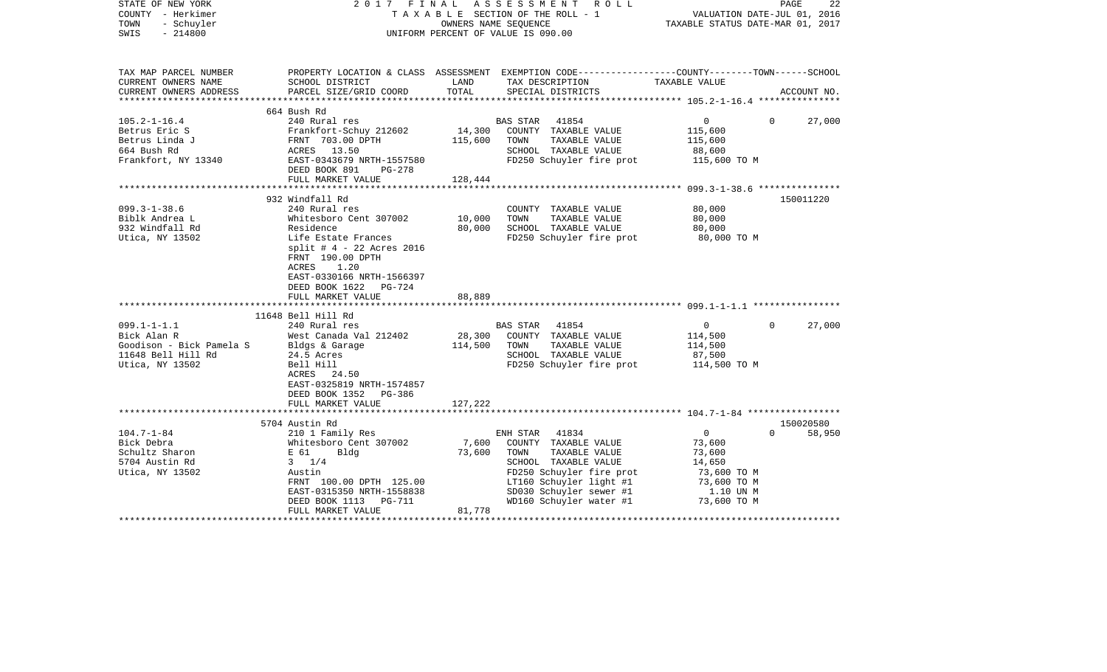| STATE OF NEW YORK<br>COUNTY - Herkimer<br>TOWN<br>- Schuyler<br>$-214800$<br>SWIS |                                                                  |                                    | 2017 FINAL ASSESSMENT ROLL<br>TAXABLE SECTION OF THE ROLL - 1<br>OWNERS NAME SEQUENCE<br>UNIFORM PERCENT OF VALUE IS 090.00 | VALUATION DATE-JUL 01, 2016<br>TAXABLE STATUS DATE-MAR 01, 2017 | 22<br>PAGE             |
|-----------------------------------------------------------------------------------|------------------------------------------------------------------|------------------------------------|-----------------------------------------------------------------------------------------------------------------------------|-----------------------------------------------------------------|------------------------|
| TAX MAP PARCEL NUMBER                                                             |                                                                  |                                    | PROPERTY LOCATION & CLASS ASSESSMENT EXEMPTION CODE----------------COUNTY-------TOWN-----SCHOOL                             |                                                                 |                        |
| CURRENT OWNERS NAME<br>CURRENT OWNERS ADDRESS                                     | SCHOOL DISTRICT<br>PARCEL SIZE/GRID COORD                        | LAND<br>TOTAL                      | TAX DESCRIPTION<br>SPECIAL DISTRICTS                                                                                        | TAXABLE VALUE                                                   | ACCOUNT NO.            |
|                                                                                   |                                                                  |                                    |                                                                                                                             |                                                                 |                        |
|                                                                                   | 664 Bush Rd                                                      |                                    |                                                                                                                             |                                                                 |                        |
| $105.2 - 1 - 16.4$                                                                | 240 Rural res                                                    |                                    | BAS STAR 41854                                                                                                              | $\overline{0}$                                                  | $\Omega$<br>27,000     |
| Betrus Eric S                                                                     | Frankfort-Schuy 212602                                           | 14,300                             | COUNTY TAXABLE VALUE                                                                                                        | 115,600                                                         |                        |
| Betrus Linda J                                                                    | FRNT 703.00 DPTH                                                 | 115,600                            | TOWN<br>TAXABLE VALUE                                                                                                       | 115,600                                                         |                        |
| 664 Bush Rd                                                                       | ACRES 13.50                                                      |                                    | SCHOOL TAXABLE VALUE                                                                                                        | 88,600                                                          |                        |
| Frankfort, NY 13340                                                               | EAST-0343679 NRTH-1557580<br>DEED BOOK 891<br>PG-278             |                                    | FD250 Schuyler fire prot                                                                                                    | 115,600 TO M                                                    |                        |
|                                                                                   | FULL MARKET VALUE                                                | 128,444                            |                                                                                                                             |                                                                 |                        |
|                                                                                   |                                                                  |                                    |                                                                                                                             |                                                                 |                        |
|                                                                                   | 932 Windfall Rd                                                  |                                    |                                                                                                                             |                                                                 | 150011220              |
| $099.3 - 1 - 38.6$                                                                | 240 Rural res                                                    |                                    | COUNTY TAXABLE VALUE                                                                                                        | 80,000                                                          |                        |
| Biblk Andrea L                                                                    | Whitesboro Cent 307002                                           | 10,000                             | TAXABLE VALUE<br>TOWN                                                                                                       | 80,000                                                          |                        |
| 932 Windfall Rd<br>Utica, NY 13502                                                | Residence<br>Life Estate Frances                                 | 80,000                             | SCHOOL TAXABLE VALUE<br>FD250 Schuyler fire prot                                                                            | 80,000<br>80,000 TO M                                           |                        |
|                                                                                   | $split$ # 4 - 22 Acres 2016<br>FRNT 190.00 DPTH<br>ACRES<br>1.20 |                                    |                                                                                                                             |                                                                 |                        |
|                                                                                   | EAST-0330166 NRTH-1566397<br>DEED BOOK 1622 PG-724               |                                    |                                                                                                                             |                                                                 |                        |
|                                                                                   | FULL MARKET VALUE                                                | 88,889                             |                                                                                                                             |                                                                 |                        |
|                                                                                   |                                                                  |                                    |                                                                                                                             |                                                                 |                        |
|                                                                                   | 11648 Bell Hill Rd                                               |                                    |                                                                                                                             |                                                                 |                        |
| $099.1 - 1 - 1.1$                                                                 | 240 Rural res                                                    |                                    | BAS STAR 41854                                                                                                              | $\overline{0}$                                                  | 27,000<br>$\mathbf{0}$ |
| Bick Alan R<br>Goodison - Bick Pamela S                                           | West Canada Val 212402<br>Bldgs & Garage                         | 28,300<br>114,500                  | COUNTY TAXABLE VALUE<br>TOWN<br>TAXABLE VALUE                                                                               | 114,500<br>114,500                                              |                        |
| 11648 Bell Hill Rd                                                                | 24.5 Acres                                                       |                                    | SCHOOL TAXABLE VALUE                                                                                                        | 87,500                                                          |                        |
| Utica, NY 13502                                                                   | Bell Hill                                                        |                                    | FD250 Schuyler fire prot                                                                                                    | 114,500 TO M                                                    |                        |
|                                                                                   | ACRES 24.50                                                      |                                    |                                                                                                                             |                                                                 |                        |
|                                                                                   | EAST-0325819 NRTH-1574857                                        |                                    |                                                                                                                             |                                                                 |                        |
|                                                                                   | DEED BOOK 1352 PG-386<br>FULL MARKET VALUE                       |                                    |                                                                                                                             |                                                                 |                        |
|                                                                                   |                                                                  | 127,222<br>* * * * * * * * * * * * |                                                                                                                             |                                                                 |                        |
|                                                                                   | 5704 Austin Rd                                                   |                                    |                                                                                                                             |                                                                 | 150020580              |
| $104.7 - 1 - 84$                                                                  | 210 1 Family Res                                                 |                                    | 41834<br>ENH STAR                                                                                                           | $\overline{0}$                                                  | $\Omega$<br>58,950     |
| Bick Debra                                                                        | Whitesboro Cent 307002                                           | 7,600                              | COUNTY TAXABLE VALUE                                                                                                        | 73,600                                                          |                        |
| Schultz Sharon                                                                    | E 61<br>Bldg                                                     | 73,600                             | TAXABLE VALUE<br>TOWN                                                                                                       | 73,600                                                          |                        |
| 5704 Austin Rd                                                                    | $3 \frac{1}{4}$                                                  |                                    | SCHOOL TAXABLE VALUE                                                                                                        | 14,650                                                          |                        |
| Utica, NY 13502                                                                   | Austin                                                           |                                    | FD250 Schuyler fire prot                                                                                                    | 73,600 TO M                                                     |                        |
|                                                                                   | FRNT 100.00 DPTH 125.00                                          |                                    | LT160 Schuyler light #1                                                                                                     | 73,600 TO M                                                     |                        |
|                                                                                   | EAST-0315350 NRTH-1558838                                        |                                    | SD030 Schuyler sewer #1                                                                                                     | 1.10 UN M                                                       |                        |
|                                                                                   | DEED BOOK 1113 PG-711                                            |                                    | WD160 Schuyler water #1                                                                                                     | 73,600 TO M                                                     |                        |
|                                                                                   | FULL MARKET VALUE                                                | 81,778                             |                                                                                                                             |                                                                 |                        |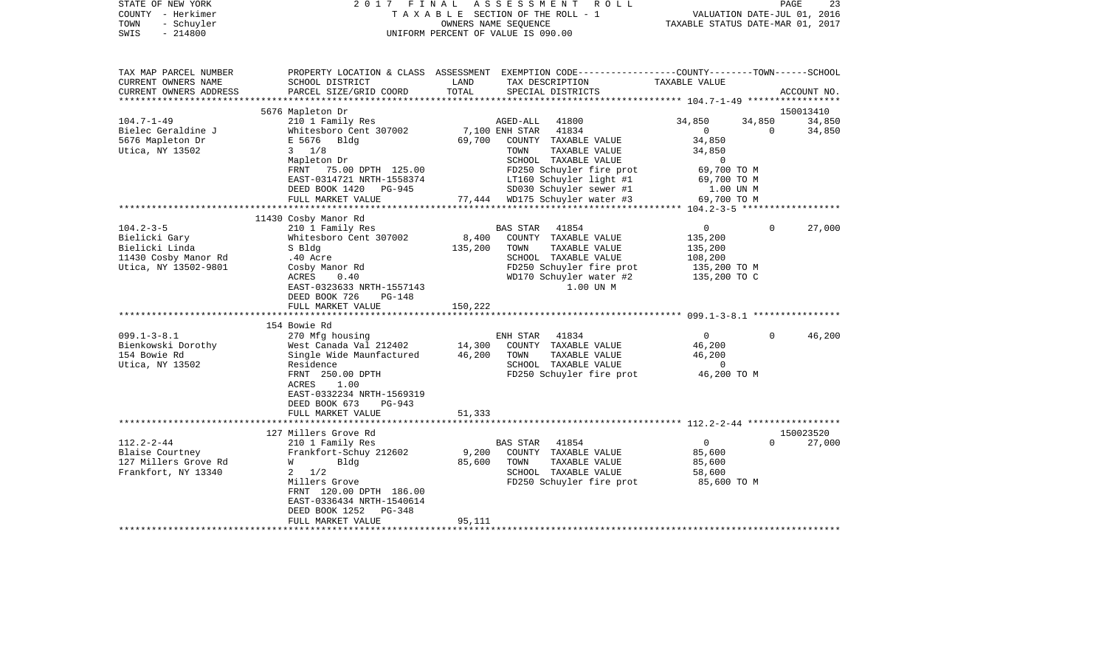| STATE OF NEW YORK<br>COUNTY - Herkimer<br>- Schuyler<br>TOWN<br>$-214800$<br>SWIS | 2017 FINAL                                    |               | ASSESSMENT<br>R O L L<br>TAXABLE SECTION OF THE ROLL - 1<br>OWNERS NAME SEQUENCE<br>UNIFORM PERCENT OF VALUE IS 090.00                  | VALUATION DATE-JUL 01, 2016<br>TAXABLE STATUS DATE-MAR 01, 2017 | PAGE               | 23          |
|-----------------------------------------------------------------------------------|-----------------------------------------------|---------------|-----------------------------------------------------------------------------------------------------------------------------------------|-----------------------------------------------------------------|--------------------|-------------|
| TAX MAP PARCEL NUMBER<br>CURRENT OWNERS NAME<br>CURRENT OWNERS ADDRESS            | SCHOOL DISTRICT<br>PARCEL SIZE/GRID COORD     | LAND<br>TOTAL | PROPERTY LOCATION & CLASS ASSESSMENT EXEMPTION CODE----------------COUNTY-------TOWN-----SCHOOL<br>TAX DESCRIPTION<br>SPECIAL DISTRICTS | TAXABLE VALUE                                                   |                    | ACCOUNT NO. |
| ********************                                                              |                                               |               |                                                                                                                                         |                                                                 |                    |             |
|                                                                                   | 5676 Mapleton Dr                              |               |                                                                                                                                         |                                                                 |                    | 150013410   |
| $104.7 - 1 - 49$<br>Bielec Geraldine J                                            | 210 1 Family Res                              |               | AGED-ALL<br>41800<br>7,100 ENH STAR 41834                                                                                               | 34,850<br>$\overline{0}$                                        | 34,850<br>$\Omega$ | 34,850      |
| 5676 Mapleton Dr                                                                  | Whitesboro Cent 307002<br>E 5676 Bldg         |               | 69,700 COUNTY TAXABLE VALUE                                                                                                             | 34,850                                                          |                    | 34,850      |
| Utica, NY 13502                                                                   | $3 \frac{1}{8}$                               |               | TAXABLE VALUE<br>TOWN                                                                                                                   | 34,850                                                          |                    |             |
|                                                                                   | Mapleton Dr                                   |               | SCHOOL TAXABLE VALUE                                                                                                                    | $\mathbf{0}$                                                    |                    |             |
|                                                                                   | FRNT 75.00 DPTH 125.00                        |               | FD250 Schuyler fire prot                                                                                                                | 69,700 TO M                                                     |                    |             |
|                                                                                   | EAST-0314721 NRTH-1558374                     |               | LT160 Schuyler light #1                                                                                                                 | 69,700 TO M                                                     |                    |             |
|                                                                                   | DEED BOOK 1420 PG-945<br>FULL MARKET VALUE    |               | SD030 Schuyler sewer #1<br>77,444 WD175 Schuyler water #3                                                                               | 1.00 UN M<br>69,700 TO M                                        |                    |             |
|                                                                                   |                                               |               |                                                                                                                                         |                                                                 |                    |             |
|                                                                                   | 11430 Cosby Manor Rd                          |               |                                                                                                                                         |                                                                 |                    |             |
| $104.2 - 3 - 5$                                                                   | 210 1 Family Res                              |               | BAS STAR<br>41854                                                                                                                       | $\mathbf{0}$                                                    | $\Omega$           | 27,000      |
| Bielicki Gary                                                                     | Whitesboro Cent 307002                        | 8,400         | COUNTY TAXABLE VALUE                                                                                                                    | 135,200                                                         |                    |             |
| Bielicki Linda                                                                    | S Bldg                                        | 135,200       | TOWN<br>TAXABLE VALUE                                                                                                                   | 135,200                                                         |                    |             |
| 11430 Cosby Manor Rd                                                              | .40 Acre                                      |               | SCHOOL TAXABLE VALUE                                                                                                                    | 108,200                                                         |                    |             |
| Utica, NY 13502-9801                                                              | Cosby Manor Rd<br>ACRES<br>0.40               |               | FD250 Schuyler fire prot<br>WD170 Schuyler water #2                                                                                     | 135,200 TO M<br>135,200 TO C                                    |                    |             |
|                                                                                   | EAST-0323633 NRTH-1557143                     |               | 1.00 UN M                                                                                                                               |                                                                 |                    |             |
|                                                                                   | DEED BOOK 726<br>PG-148                       |               |                                                                                                                                         |                                                                 |                    |             |
|                                                                                   | FULL MARKET VALUE                             | 150,222       |                                                                                                                                         |                                                                 |                    |             |
|                                                                                   | ***********************                       |               |                                                                                                                                         |                                                                 |                    |             |
|                                                                                   | 154 Bowie Rd                                  |               |                                                                                                                                         |                                                                 |                    |             |
| $099.1 - 3 - 8.1$<br>Bienkowski Dorothy                                           | 270 Mfg housing<br>West Canada Val 212402     | 14,300        | ENH STAR<br>41834<br>COUNTY TAXABLE VALUE                                                                                               | $\overline{0}$<br>46,200                                        | $\Omega$           | 46,200      |
| 154 Bowie Rd                                                                      | Single Wide Maunfactured                      | 46,200        | TOWN<br>TAXABLE VALUE                                                                                                                   | 46,200                                                          |                    |             |
| Utica, NY 13502                                                                   | Residence                                     |               | SCHOOL TAXABLE VALUE                                                                                                                    | $\overline{0}$                                                  |                    |             |
|                                                                                   | FRNT 250.00 DPTH                              |               | FD250 Schuyler fire prot                                                                                                                | 46,200 TO M                                                     |                    |             |
|                                                                                   | ACRES<br>1.00                                 |               |                                                                                                                                         |                                                                 |                    |             |
|                                                                                   | EAST-0332234 NRTH-1569319                     |               |                                                                                                                                         |                                                                 |                    |             |
|                                                                                   | DEED BOOK 673<br>PG-943                       |               |                                                                                                                                         |                                                                 |                    |             |
|                                                                                   | FULL MARKET VALUE                             | 51,333        |                                                                                                                                         |                                                                 |                    |             |
|                                                                                   | 127 Millers Grove Rd                          |               |                                                                                                                                         |                                                                 |                    | 150023520   |
| $112.2 - 2 - 44$                                                                  | 210 1 Family Res                              |               | BAS STAR<br>41854                                                                                                                       | $\overline{0}$                                                  | $\Omega$           | 27,000      |
| Blaise Courtney                                                                   | Frankfort-Schuy 212602                        | 9,200         | COUNTY TAXABLE VALUE                                                                                                                    | 85,600                                                          |                    |             |
| 127 Millers Grove Rd                                                              | Bldg<br>W                                     | 85,600        | TAXABLE VALUE<br>TOWN                                                                                                                   | 85,600                                                          |                    |             |
| Frankfort, NY 13340                                                               | 1/2<br>2                                      |               | SCHOOL TAXABLE VALUE                                                                                                                    | 58,600                                                          |                    |             |
|                                                                                   | Millers Grove                                 |               | FD250 Schuyler fire prot                                                                                                                | 85,600 TO M                                                     |                    |             |
|                                                                                   | FRNT 120.00 DPTH 186.00                       |               |                                                                                                                                         |                                                                 |                    |             |
|                                                                                   | EAST-0336434 NRTH-1540614                     |               |                                                                                                                                         |                                                                 |                    |             |
|                                                                                   | DEED BOOK 1252<br>PG-348<br>FULL MARKET VALUE | 95,111        |                                                                                                                                         |                                                                 |                    |             |
|                                                                                   |                                               |               |                                                                                                                                         |                                                                 |                    |             |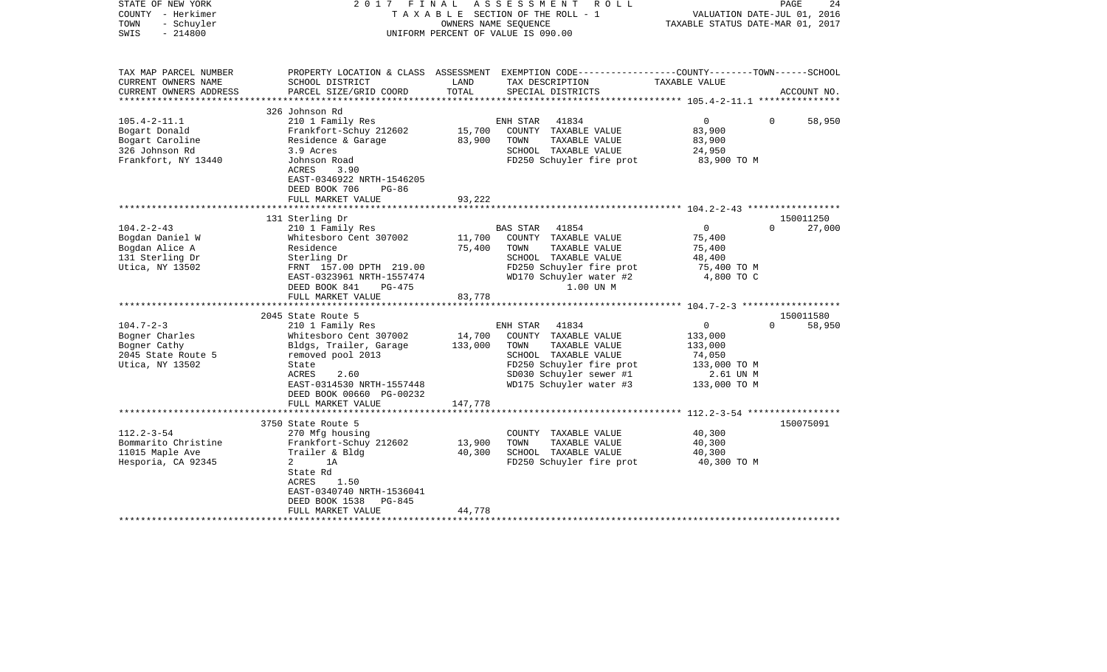| STATE OF NEW YORK<br>COUNTY - Herkimer<br>TOWN<br>- Schuyler<br>$-214800$<br>SWIS | 2017                                                                                        | FINAL   | ASSESSMENT<br>R O L L<br>TAXABLE SECTION OF THE ROLL - 1<br>OWNERS NAME SEOUENCE<br>UNIFORM PERCENT OF VALUE IS 090.00 | TAXABLE STATUS DATE-MAR 01, 2017 | PAGE<br>24<br>VALUATION DATE-JUL 01, 2016 |
|-----------------------------------------------------------------------------------|---------------------------------------------------------------------------------------------|---------|------------------------------------------------------------------------------------------------------------------------|----------------------------------|-------------------------------------------|
| TAX MAP PARCEL NUMBER<br>CURRENT OWNERS NAME                                      | SCHOOL DISTRICT                                                                             | LAND    | PROPERTY LOCATION & CLASS ASSESSMENT EXEMPTION CODE---------------COUNTY-------TOWN------SCHOOL<br>TAX DESCRIPTION     | TAXABLE VALUE                    |                                           |
| CURRENT OWNERS ADDRESS<br>******************                                      | PARCEL SIZE/GRID COORD                                                                      | TOTAL   | SPECIAL DISTRICTS                                                                                                      |                                  | ACCOUNT NO.                               |
|                                                                                   | 326 Johnson Rd                                                                              |         |                                                                                                                        |                                  |                                           |
| $105.4 - 2 - 11.1$                                                                | 210 1 Family Res                                                                            |         | 41834<br>ENH STAR                                                                                                      | $0 \qquad \qquad$                | 58,950<br>$\Omega$                        |
| Bogart Donald                                                                     | Frankfort-Schuy 212602                                                                      | 15,700  | COUNTY TAXABLE VALUE                                                                                                   | 83,900                           |                                           |
| Bogart Caroline<br>326 Johnson Rd                                                 | Residence & Garage<br>3.9 Acres                                                             | 83,900  | TOWN<br>TAXABLE VALUE<br>SCHOOL TAXABLE VALUE                                                                          | 83,900<br>24,950                 |                                           |
| Frankfort, NY 13440                                                               | Johnson Road                                                                                |         | FD250 Schuyler fire prot                                                                                               | 83,900 TO M                      |                                           |
|                                                                                   | ACRES<br>3.90<br>EAST-0346922 NRTH-1546205<br>DEED BOOK 706<br>$PG-86$<br>FULL MARKET VALUE | 93,222  |                                                                                                                        |                                  |                                           |
|                                                                                   |                                                                                             |         |                                                                                                                        |                                  |                                           |
|                                                                                   | 131 Sterling Dr                                                                             |         |                                                                                                                        |                                  | 150011250                                 |
| $104.2 - 2 - 43$                                                                  | 210 1 Family Res                                                                            |         | 41854<br>BAS STAR                                                                                                      | $\overline{0}$                   | $\Omega$<br>27,000                        |
| Bogdan Daniel W                                                                   | Whitesboro Cent 307002                                                                      | 11,700  | COUNTY TAXABLE VALUE                                                                                                   | 75,400                           |                                           |
| Bogdan Alice A                                                                    | Residence                                                                                   | 75,400  | TAXABLE VALUE<br>TOWN                                                                                                  | 75,400                           |                                           |
| 131 Sterling Dr                                                                   | Sterling Dr                                                                                 |         | SCHOOL TAXABLE VALUE                                                                                                   | 48,400                           |                                           |
| Utica, NY 13502                                                                   | FRNT 157.00 DPTH 219.00                                                                     |         | FD250 Schuyler fire prot                                                                                               | 75,400 TO M                      |                                           |
|                                                                                   | EAST-0323961 NRTH-1557474<br>DEED BOOK 841<br>PG-475                                        |         | WD170 Schuyler water #2<br>1.00 UN M                                                                                   | 4,800 TO C                       |                                           |
|                                                                                   | FULL MARKET VALUE                                                                           | 83,778  |                                                                                                                        |                                  |                                           |
|                                                                                   | ***********************                                                                     |         |                                                                                                                        |                                  |                                           |
|                                                                                   | 2045 State Route 5                                                                          |         |                                                                                                                        |                                  | 150011580                                 |
| $104.7 - 2 - 3$                                                                   | 210 1 Family Res                                                                            |         | 41834<br>ENH STAR                                                                                                      | $\overline{0}$                   | 58,950<br>$\Omega$                        |
| Bogner Charles                                                                    | Whitesboro Cent 307002                                                                      | 14,700  | COUNTY TAXABLE VALUE                                                                                                   | 133,000                          |                                           |
| Bogner Cathy                                                                      | Bldgs, Trailer, Garage<br>removed pool 2013                                                 | 133,000 | TOWN<br>TAXABLE VALUE<br>SCHOOL TAXABLE VALUE                                                                          | 133,000<br>74,050                |                                           |
| 2045 State Route 5<br>Utica, NY 13502                                             | State                                                                                       |         | FD250 Schuyler fire prot                                                                                               | 133,000 TO M                     |                                           |
|                                                                                   | ACRES<br>2.60                                                                               |         | SD030 Schuyler sewer #1                                                                                                | 2.61 UN M                        |                                           |
|                                                                                   | EAST-0314530 NRTH-1557448                                                                   |         | WD175 Schuyler water #3                                                                                                | 133,000 TO M                     |                                           |
|                                                                                   | DEED BOOK 00660 PG-00232                                                                    |         |                                                                                                                        |                                  |                                           |
|                                                                                   | FULL MARKET VALUE                                                                           | 147,778 |                                                                                                                        |                                  |                                           |
|                                                                                   |                                                                                             |         |                                                                                                                        |                                  |                                           |
|                                                                                   | 3750 State Route 5                                                                          |         |                                                                                                                        |                                  | 150075091                                 |
| $112.2 - 3 - 54$                                                                  | 270 Mfg housing                                                                             |         | COUNTY TAXABLE VALUE                                                                                                   | 40,300                           |                                           |
| Bommarito Christine                                                               | Frankfort-Schuy 212602                                                                      | 13,900  | TOWN<br>TAXABLE VALUE                                                                                                  | 40,300                           |                                           |
| 11015 Maple Ave                                                                   | Trailer & Bldg                                                                              | 40,300  | SCHOOL TAXABLE VALUE                                                                                                   | 40,300                           |                                           |
| Hesporia, CA 92345                                                                | 1A<br>2<br>State Rd<br>ACRES<br>1.50<br>EAST-0340740 NRTH-1536041                           |         | FD250 Schuyler fire prot                                                                                               | 40,300 TO M                      |                                           |
|                                                                                   | DEED BOOK 1538<br>PG-845                                                                    |         |                                                                                                                        |                                  |                                           |
|                                                                                   | FULL MARKET VALUE                                                                           | 44,778  |                                                                                                                        |                                  |                                           |
|                                                                                   | **********************                                                                      |         |                                                                                                                        |                                  |                                           |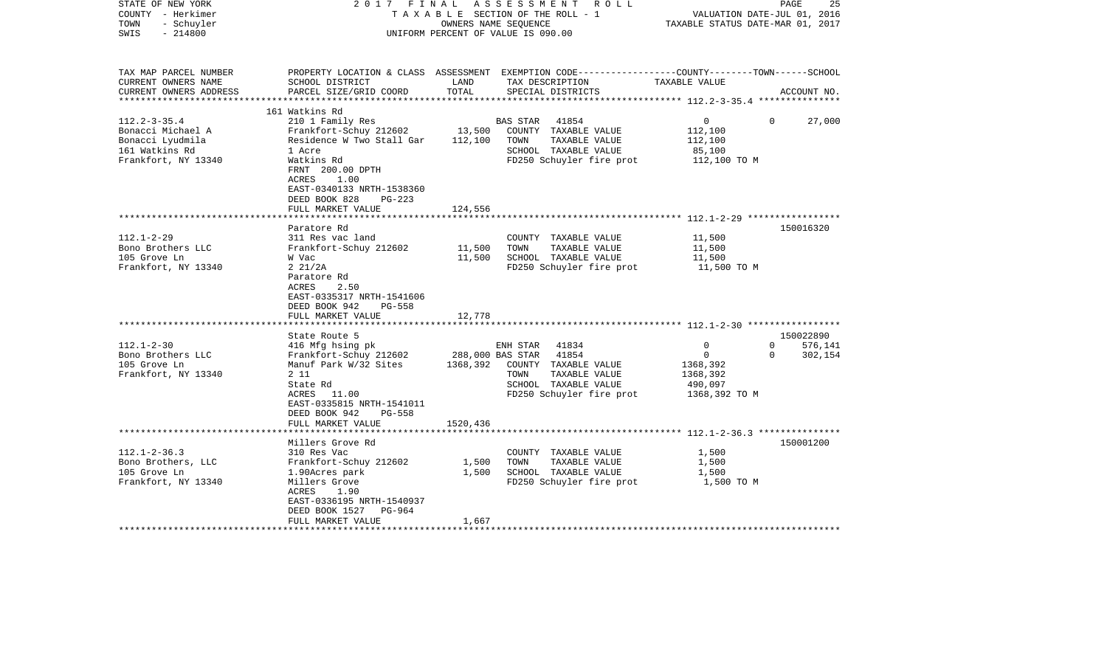| STATE OF NEW YORK<br>COUNTY - Herkimer<br>- Schuyler<br>TOWN<br>$-214800$<br>SWIS                    | 2017 FINAL                                                                                                                                                                                                       |                            | A S S E S S M E N T<br>T A X A B L E SECTION OF THE ROLL - 1<br>OWNERS NAME SEQUENCE<br>UNIFORM PERCENT OF VALUE IS 090.00 | R O L L                                                                                            | VALUATION DATE-JUL 01, 2016<br>TAXABLE STATUS DATE-MAR 01, 2017         | PAGE                 | 25                 |
|------------------------------------------------------------------------------------------------------|------------------------------------------------------------------------------------------------------------------------------------------------------------------------------------------------------------------|----------------------------|----------------------------------------------------------------------------------------------------------------------------|----------------------------------------------------------------------------------------------------|-------------------------------------------------------------------------|----------------------|--------------------|
| TAX MAP PARCEL NUMBER<br>CURRENT OWNERS NAME<br>CURRENT OWNERS ADDRESS<br>***********************    | PROPERTY LOCATION & CLASS ASSESSMENT EXEMPTION CODE---------------COUNTY-------TOWN------SCHOOL<br>SCHOOL DISTRICT<br>PARCEL SIZE/GRID COORD                                                                     | LAND<br>TOTAL              | TAX DESCRIPTION<br>SPECIAL DISTRICTS                                                                                       |                                                                                                    | TAXABLE VALUE                                                           |                      | ACCOUNT NO.        |
| $112.2 - 3 - 35.4$<br>Bonacci Michael A<br>Bonacci Lyudmila<br>161 Watkins Rd<br>Frankfort, NY 13340 | 161 Watkins Rd<br>210 1 Family Res<br>Frankfort-Schuy 212602<br>Residence W Two Stall Gar<br>1 Acre<br>Watkins Rd<br>FRNT 200.00 DPTH<br>ACRES<br>1.00<br>EAST-0340133 NRTH-1538360<br>DEED BOOK 828<br>$PG-223$ | 13,500<br>112,100          | <b>BAS STAR</b><br>TOWN                                                                                                    | 41854<br>COUNTY TAXABLE VALUE<br>TAXABLE VALUE<br>SCHOOL TAXABLE VALUE<br>FD250 Schuyler fire prot | $\overline{0}$<br>112,100<br>112,100<br>85,100<br>112,100 TO M          | $\Omega$             | 27,000             |
|                                                                                                      | FULL MARKET VALUE                                                                                                                                                                                                | 124,556                    |                                                                                                                            |                                                                                                    |                                                                         |                      |                    |
| $112.1 - 2 - 29$<br>Bono Brothers LLC<br>105 Grove Ln<br>Frankfort, NY 13340                         | Paratore Rd<br>311 Res vac land<br>Frankfort-Schuy 212602<br>W Vac<br>$2 \frac{21}{2A}$<br>Paratore Rd<br>ACRES<br>2.50<br>EAST-0335317 NRTH-1541606<br>DEED BOOK 942<br>$PG-558$<br>FULL MARKET VALUE           | 11,500<br>11,500<br>12,778 | TOWN                                                                                                                       | COUNTY TAXABLE VALUE<br>TAXABLE VALUE<br>SCHOOL TAXABLE VALUE<br>FD250 Schuyler fire prot          | 11,500<br>11,500<br>11,500<br>11,500 TO M                               |                      | 150016320          |
|                                                                                                      | State Route 5                                                                                                                                                                                                    |                            |                                                                                                                            |                                                                                                    |                                                                         |                      | 150022890          |
| $112.1 - 2 - 30$<br>Bono Brothers LLC<br>105 Grove Ln<br>Frankfort, NY 13340                         | 416 Mfg hsing pk<br>Frankfort-Schuy 212602<br>Manuf Park W/32 Sites<br>2 1 1<br>State Rd<br>ACRES 11.00<br>EAST-0335815 NRTH-1541011<br>DEED BOOK 942<br>PG-558                                                  | 1368,392                   | ENH STAR<br>288,000 BAS STAR 41854<br>TOWN                                                                                 | 41834<br>COUNTY TAXABLE VALUE<br>TAXABLE VALUE<br>SCHOOL TAXABLE VALUE<br>FD250 Schuyler fire prot | 0<br>$\overline{0}$<br>1368,392<br>1368,392<br>490,097<br>1368,392 TO M | $\Omega$<br>$\Omega$ | 576,141<br>302,154 |
|                                                                                                      | FULL MARKET VALUE                                                                                                                                                                                                | 1520,436                   |                                                                                                                            |                                                                                                    |                                                                         |                      |                    |
| $112.1 - 2 - 36.3$<br>Bono Brothers, LLC<br>105 Grove Ln<br>Frankfort, NY 13340                      | Millers Grove Rd<br>310 Res Vac<br>Frankfort-Schuy 212602<br>1.90Acres park<br>Millers Grove<br>ACRES<br>1.90<br>EAST-0336195 NRTH-1540937<br>DEED BOOK 1527<br>PG-964<br>FULL MARKET VALUE                      | 1,500<br>1,500<br>1,667    | TOWN                                                                                                                       | COUNTY TAXABLE VALUE<br>TAXABLE VALUE<br>SCHOOL TAXABLE VALUE<br>FD250 Schuyler fire prot          | 1,500<br>1,500<br>1,500<br>1,500 TO M                                   |                      | 150001200          |
|                                                                                                      |                                                                                                                                                                                                                  |                            |                                                                                                                            |                                                                                                    |                                                                         |                      |                    |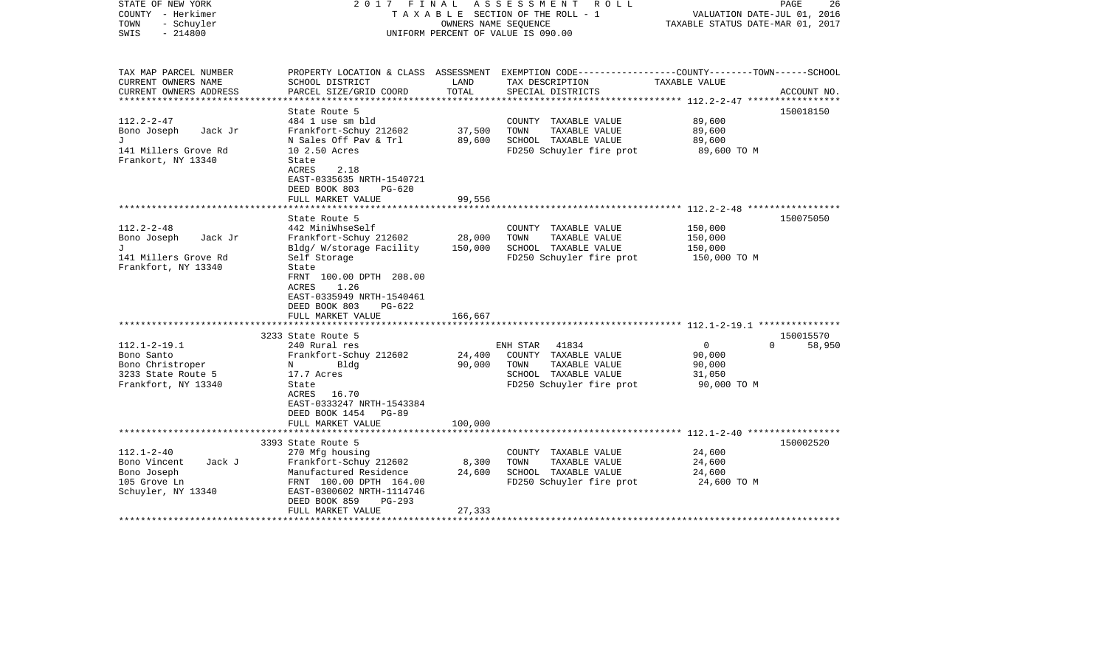| STATE OF NEW YORK<br>COUNTY - Herkimer<br>- Schuyler<br>TOWN<br>$-214800$<br>SWIS                 | 2017 FINAL                                                                                                                                                                                                                                       | OWNERS NAME SEQUENCE         | ASSESSMENT<br>R O L L<br>TAXABLE SECTION OF THE ROLL - 1<br>UNIFORM PERCENT OF VALUE IS 090.00                                           | VALUATION DATE-JUL 01, 2016<br>TAXABLE STATUS DATE-MAR 01, 2017         | PAGE<br>26  |
|---------------------------------------------------------------------------------------------------|--------------------------------------------------------------------------------------------------------------------------------------------------------------------------------------------------------------------------------------------------|------------------------------|------------------------------------------------------------------------------------------------------------------------------------------|-------------------------------------------------------------------------|-------------|
| TAX MAP PARCEL NUMBER<br>CURRENT OWNERS NAME<br>CURRENT OWNERS ADDRESS<br>**********************  | SCHOOL DISTRICT<br>PARCEL SIZE/GRID COORD                                                                                                                                                                                                        | LAND<br>TOTAL                | PROPERTY LOCATION & CLASS ASSESSMENT EXEMPTION CODE----------------COUNTY-------TOWN------SCHOOL<br>TAX DESCRIPTION<br>SPECIAL DISTRICTS | TAXABLE VALUE                                                           | ACCOUNT NO. |
| $112.2 - 2 - 47$<br>Bono Joseph<br>Jack Jr<br>J<br>141 Millers Grove Rd<br>Frankort, NY 13340     | State Route 5<br>484 1 use sm bld<br>Frankfort-Schuy 212602<br>N Sales Off Pav & Trl<br>10 2.50 Acres<br>State<br>ACRES<br>2.18<br>EAST-0335635 NRTH-1540721<br>DEED BOOK 803<br>$PG-620$<br>FULL MARKET VALUE                                   | 37,500<br>89,600<br>99,556   | COUNTY TAXABLE VALUE<br>TAXABLE VALUE<br>TOWN<br>SCHOOL TAXABLE VALUE<br>FD250 Schuyler fire prot                                        | 89,600<br>89,600<br>89,600<br>89,600 TO M                               | 150018150   |
|                                                                                                   |                                                                                                                                                                                                                                                  |                              |                                                                                                                                          | $112.2 - 2 - 48$ ******************                                     |             |
| $112.2 - 2 - 48$<br>Bono Joseph<br>Jack Jr<br>T.<br>141 Millers Grove Rd<br>Frankfort, NY 13340   | State Route 5<br>442 MiniWhseSelf<br>Frankfort-Schuy 212602<br>Bldg/ W/storage Facility<br>Self Storage<br>State<br>FRNT 100.00 DPTH 208.00<br><b>ACRES</b><br>1.26<br>EAST-0335949 NRTH-1540461<br>DEED BOOK 803<br>PG-622<br>FULL MARKET VALUE | 28,000<br>150,000<br>166,667 | COUNTY TAXABLE VALUE<br>TOWN<br>TAXABLE VALUE<br>SCHOOL TAXABLE VALUE<br>FD250 Schuyler fire prot                                        | 150,000<br>150,000<br>150,000<br>150,000 TO M                           | 150075050   |
|                                                                                                   | 3233 State Route 5                                                                                                                                                                                                                               |                              |                                                                                                                                          |                                                                         | 150015570   |
| $112.1 - 2 - 19.1$<br>Bono Santo<br>Bono Christroper<br>3233 State Route 5<br>Frankfort, NY 13340 | 240 Rural res<br>Frankfort-Schuy 212602<br>Bldg<br>N<br>17.7 Acres<br>State<br>ACRES<br>16.70<br>EAST-0333247 NRTH-1543384<br>DEED BOOK 1454 PG-89<br>FULL MARKET VALUE                                                                          | 24,400<br>90,000<br>100,000  | ENH STAR<br>41834<br>COUNTY TAXABLE VALUE<br>TAXABLE VALUE<br>TOWN<br>SCHOOL TAXABLE VALUE<br>FD250 Schuyler fire prot                   | $\overline{0}$<br>$\Omega$<br>90,000<br>90,000<br>31,050<br>90,000 TO M | 58,950      |
|                                                                                                   | *******************                                                                                                                                                                                                                              |                              |                                                                                                                                          |                                                                         |             |
| $112.1 - 2 - 40$<br>Bono Vincent<br>Jack J<br>Bono Joseph<br>105 Grove Ln<br>Schuyler, NY 13340   | 3393 State Route 5<br>270 Mfg housing<br>Frankfort-Schuy 212602<br>Manufactured Residence<br>FRNT 100.00 DPTH 164.00<br>EAST-0300602 NRTH-1114746<br>DEED BOOK 859<br>$PG-293$<br>FULL MARKET VALUE                                              | 8,300<br>24,600<br>27,333    | COUNTY TAXABLE VALUE<br>TOWN<br>TAXABLE VALUE<br>SCHOOL TAXABLE VALUE<br>FD250 Schuyler fire prot                                        | 24,600<br>24,600<br>24,600<br>24,600 TO M                               | 150002520   |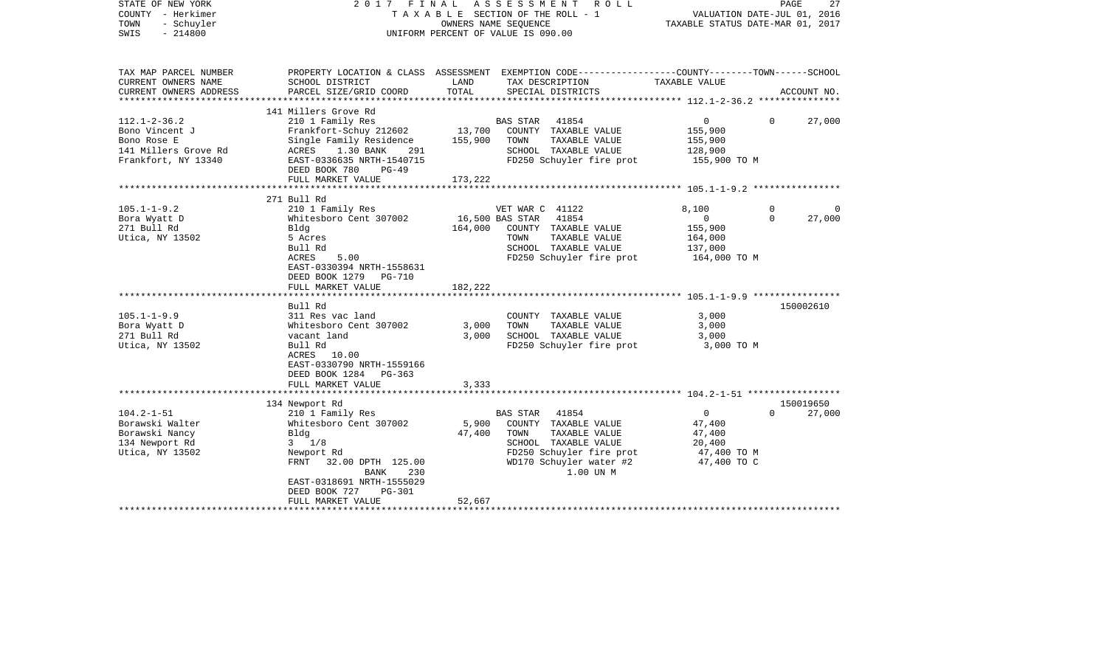| STATE OF NEW YORK<br>COUNTY - Herkimer<br>TOWN<br>- Schuyler<br>$-214800$<br>SWIS | 2017 FINAL                            | OWNERS NAME SEQUENCE       | A S S E S S M E N T<br>R O L L<br>TAXABLE SECTION OF THE ROLL - 1<br>UNIFORM PERCENT OF VALUE IS 090.00            | TAXABLE STATUS DATE-MAR 01, 2017 | PAGE<br>27<br>VALUATION DATE-JUL 01, 2016 |
|-----------------------------------------------------------------------------------|---------------------------------------|----------------------------|--------------------------------------------------------------------------------------------------------------------|----------------------------------|-------------------------------------------|
| TAX MAP PARCEL NUMBER<br>CURRENT OWNERS NAME                                      | SCHOOL DISTRICT                       | LAND                       | PROPERTY LOCATION & CLASS ASSESSMENT EXEMPTION CODE---------------COUNTY-------TOWN------SCHOOL<br>TAX DESCRIPTION | TAXABLE VALUE                    |                                           |
| CURRENT OWNERS ADDRESS<br>***********************                                 | PARCEL SIZE/GRID COORD                | TOTAL                      | SPECIAL DISTRICTS                                                                                                  |                                  | ACCOUNT NO.                               |
|                                                                                   | 141 Millers Grove Rd                  |                            |                                                                                                                    |                                  |                                           |
| $112.1 - 2 - 36.2$                                                                | 210 1 Family Res                      |                            | 41854<br>BAS STAR                                                                                                  | $\overline{0}$                   | 27,000<br>$\Omega$                        |
| Bono Vincent J                                                                    | Frankfort-Schuy 212602                | 13,700                     | COUNTY TAXABLE VALUE                                                                                               | 155,900                          |                                           |
| Bono Rose E                                                                       | Single Family Residence               | 155,900                    | TOWN<br>TAXABLE VALUE                                                                                              | 155,900                          |                                           |
| 141 Millers Grove Rd                                                              | 1.30 BANK<br>ACRES<br>291             |                            | SCHOOL TAXABLE VALUE                                                                                               | 128,900                          |                                           |
| Frankfort, NY 13340                                                               | EAST-0336635 NRTH-1540715             |                            | FD250 Schuyler fire prot                                                                                           | 155,900 TO M                     |                                           |
|                                                                                   | DEED BOOK 780<br>$PG-49$              |                            |                                                                                                                    |                                  |                                           |
|                                                                                   | FULL MARKET VALUE                     | 173,222                    |                                                                                                                    |                                  |                                           |
|                                                                                   |                                       |                            |                                                                                                                    |                                  |                                           |
|                                                                                   | 271 Bull Rd                           |                            |                                                                                                                    |                                  |                                           |
| $105.1 - 1 - 9.2$                                                                 | 210 1 Family Res                      |                            | VET WAR C 41122                                                                                                    | 8,100                            | $\Omega$<br>0                             |
| Bora Wyatt D<br>271 Bull Rd                                                       | Whitesboro Cent 307002                | 16,500 BAS STAR<br>164,000 | 41854<br>COUNTY TAXABLE VALUE                                                                                      | $\mathbf{0}$<br>155,900          | $\Omega$<br>27,000                        |
| Utica, NY 13502                                                                   | Bldg<br>5 Acres                       |                            | TAXABLE VALUE<br>TOWN                                                                                              | 164,000                          |                                           |
|                                                                                   | Bull Rd                               |                            | SCHOOL TAXABLE VALUE                                                                                               | 137,000                          |                                           |
|                                                                                   | 5.00<br>ACRES                         |                            | FD250 Schuyler fire prot                                                                                           | 164,000 TO M                     |                                           |
|                                                                                   | EAST-0330394 NRTH-1558631             |                            |                                                                                                                    |                                  |                                           |
|                                                                                   | DEED BOOK 1279 PG-710                 |                            |                                                                                                                    |                                  |                                           |
|                                                                                   | FULL MARKET VALUE                     | 182,222                    |                                                                                                                    |                                  |                                           |
|                                                                                   | ******************                    | *********                  |                                                                                                                    |                                  |                                           |
|                                                                                   | Bull Rd                               |                            |                                                                                                                    |                                  | 150002610                                 |
| $105.1 - 1 - 9.9$                                                                 | 311 Res vac land                      |                            | COUNTY TAXABLE VALUE                                                                                               | 3,000                            |                                           |
| Bora Wyatt D                                                                      | Whitesboro Cent 307002                | 3,000                      | TAXABLE VALUE<br>TOWN                                                                                              | 3,000                            |                                           |
| 271 Bull Rd                                                                       | vacant land                           | 3,000                      | SCHOOL TAXABLE VALUE                                                                                               | 3,000                            |                                           |
| Utica, NY 13502                                                                   | Bull Rd                               |                            | FD250 Schuyler fire prot                                                                                           | 3,000 TO M                       |                                           |
|                                                                                   | ACRES 10.00                           |                            |                                                                                                                    |                                  |                                           |
|                                                                                   | EAST-0330790 NRTH-1559166             |                            |                                                                                                                    |                                  |                                           |
|                                                                                   | DEED BOOK 1284 PG-363                 |                            |                                                                                                                    |                                  |                                           |
|                                                                                   | FULL MARKET VALUE                     | 3,333                      |                                                                                                                    |                                  |                                           |
|                                                                                   | 134 Newport Rd                        |                            |                                                                                                                    |                                  | 150019650                                 |
| $104.2 - 1 - 51$                                                                  | 210 1 Family Res                      |                            | <b>BAS STAR</b><br>41854                                                                                           | $\mathbf{0}$                     | 27,000<br>$\Omega$                        |
| Borawski Walter                                                                   | Whitesboro Cent 307002                | 5,900                      | COUNTY TAXABLE VALUE                                                                                               | 47,400                           |                                           |
| Borawski Nancy                                                                    | Bldg                                  | 47,400                     | TOWN<br>TAXABLE VALUE                                                                                              | 47,400                           |                                           |
| 134 Newport Rd                                                                    | $3 \t1/8$                             |                            | SCHOOL TAXABLE VALUE                                                                                               | 20,400                           |                                           |
| Utica, NY 13502                                                                   | Newport Rd                            |                            | FD250 Schuyler fire prot                                                                                           | 47,400 TO M                      |                                           |
|                                                                                   | FRNT 32.00 DPTH 125.00<br>BANK<br>230 |                            | WD170 Schuyler water #2<br>1.00 UN M                                                                               | 47,400 TO C                      |                                           |
|                                                                                   | EAST-0318691 NRTH-1555029             |                            |                                                                                                                    |                                  |                                           |
|                                                                                   | DEED BOOK 727<br>$PG-301$             |                            |                                                                                                                    |                                  |                                           |
|                                                                                   | FULL MARKET VALUE                     | 52,667                     |                                                                                                                    |                                  |                                           |
|                                                                                   |                                       |                            |                                                                                                                    |                                  |                                           |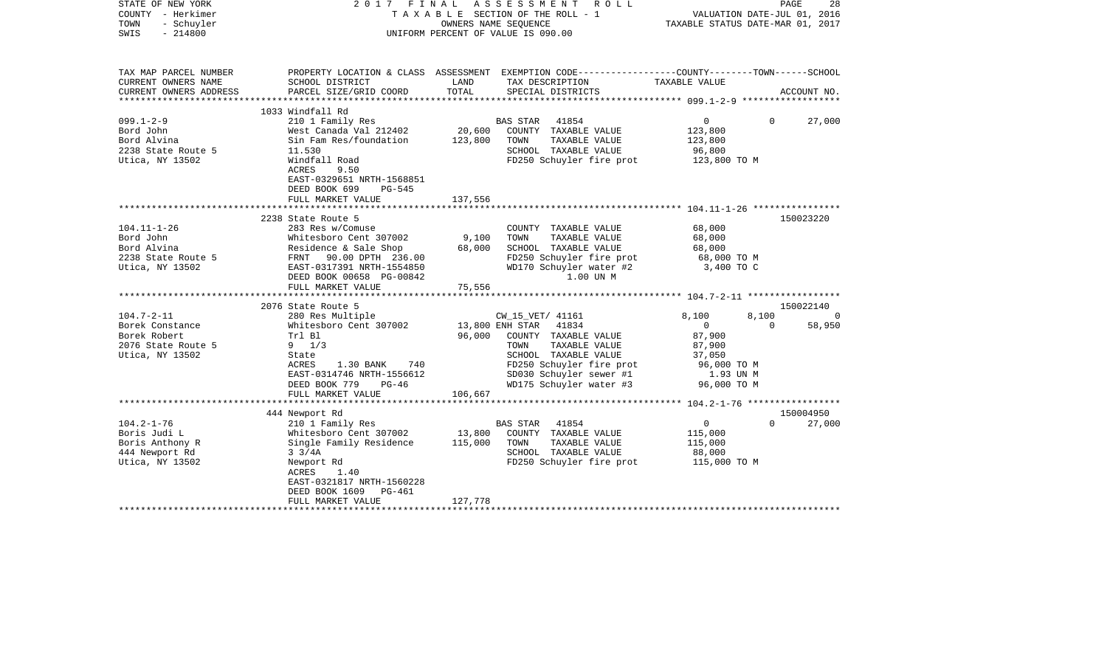| STATE OF NEW YORK<br>COUNTY - Herkimer<br>TOWN<br>- Schuyler<br>$-214800$<br>SWIS                                                                                                      | 2017                                                                                                                                                                                                                                                                                                                                                         | OWNERS NAME SEQUENCE<br>UNIFORM PERCENT OF VALUE IS 090.00 | FINAL ASSESSMENT ROLL<br>T A X A B L E SECTION OF THE ROLL - 1                                                                                                                                                                                                                                         | VALUATION DATE-JUL 01, 2016<br>TAXABLE STATUS DATE-MAR 01, 2017                                                                              | PAGE              | 28                               |
|----------------------------------------------------------------------------------------------------------------------------------------------------------------------------------------|--------------------------------------------------------------------------------------------------------------------------------------------------------------------------------------------------------------------------------------------------------------------------------------------------------------------------------------------------------------|------------------------------------------------------------|--------------------------------------------------------------------------------------------------------------------------------------------------------------------------------------------------------------------------------------------------------------------------------------------------------|----------------------------------------------------------------------------------------------------------------------------------------------|-------------------|----------------------------------|
| TAX MAP PARCEL NUMBER<br>CURRENT OWNERS NAME<br>CURRENT OWNERS ADDRESS                                                                                                                 | PROPERTY LOCATION & CLASS ASSESSMENT EXEMPTION CODE---------------COUNTY-------TOWN------SCHOOL<br>SCHOOL DISTRICT<br>PARCEL SIZE/GRID COORD                                                                                                                                                                                                                 | LAND<br>TOTAL                                              | TAX DESCRIPTION<br>SPECIAL DISTRICTS                                                                                                                                                                                                                                                                   | TAXABLE VALUE                                                                                                                                |                   | ACCOUNT NO.                      |
|                                                                                                                                                                                        |                                                                                                                                                                                                                                                                                                                                                              |                                                            |                                                                                                                                                                                                                                                                                                        |                                                                                                                                              |                   |                                  |
| $099.1 - 2 - 9$<br>Bord John<br>Bord Alvina<br>2238 State Route 5<br>Utica, NY 13502                                                                                                   | 1033 Windfall Rd<br>210 1 Family Res<br>West Canada Val 212402<br>Sin Fam Res/foundation<br>11.530<br>Windfall Road<br>9.50<br>ACRES<br>EAST-0329651 NRTH-1568851<br>DEED BOOK 699<br>$PG-545$                                                                                                                                                               | 20,600<br>123,800                                          | <b>BAS STAR</b><br>41854<br>COUNTY TAXABLE VALUE<br>TOWN<br>TAXABLE VALUE<br>SCHOOL TAXABLE VALUE<br>FD250 Schuyler fire prot                                                                                                                                                                          | $\overline{0}$<br>123,800<br>123,800<br>96,800<br>123,800 TO M                                                                               | $\Omega$          | 27,000                           |
|                                                                                                                                                                                        | FULL MARKET VALUE                                                                                                                                                                                                                                                                                                                                            | 137,556                                                    |                                                                                                                                                                                                                                                                                                        |                                                                                                                                              |                   |                                  |
| $104.11 - 1 - 26$<br>Bord John<br>Bord Alvina<br>2238 State Route 5<br>Utica, NY 13502<br>$104.7 - 2 - 11$<br>Borek Constance<br>Borek Robert<br>2076 State Route 5<br>Utica, NY 13502 | 2238 State Route 5<br>283 Res w/Comuse<br>Whitesboro Cent 307002<br>Residence & Sale Shop<br>FRNT 90.00 DPTH 236.00<br>EAST-0317391 NRTH-1554850<br>DEED BOOK 00658 PG-00842<br>FULL MARKET VALUE<br>2076 State Route 5<br>280 Res Multiple<br>Whitesboro Cent 307002<br>Trl Bl<br>$9 \t1/3$<br>State<br>1.30 BANK 740<br>ACRES<br>EAST-0314746 NRTH-1556612 | 9,100<br>68,000<br>75,556<br>13,800 ENH STAR<br>96,000     | COUNTY TAXABLE VALUE<br>TAXABLE VALUE<br>TOWN<br>SCHOOL TAXABLE VALUE<br>FD250 Schuyler fire prot<br>WD170 Schuyler water #2<br>1.00 UN M<br>CW_15_VET/ 41161<br>41834<br>COUNTY TAXABLE VALUE<br>TOWN<br>TAXABLE VALUE<br>SCHOOL TAXABLE VALUE<br>FD250 Schuyler fire prot<br>SD030 Schuyler sewer #1 | 68,000<br>68,000<br>68,000<br>68,000 TO M<br>3,400 TO C<br>8,100<br>$\overline{0}$<br>87,900<br>87,900<br>37,050<br>96,000 TO M<br>1.93 UN M | 8,100<br>$\Omega$ | 150023220<br>150022140<br>58,950 |
|                                                                                                                                                                                        | DEED BOOK 779<br>PG-46<br>FULL MARKET VALUE                                                                                                                                                                                                                                                                                                                  | 106,667                                                    | WD175 Schuyler water #3                                                                                                                                                                                                                                                                                | 96,000 TO M                                                                                                                                  |                   |                                  |
|                                                                                                                                                                                        | 444 Newport Rd                                                                                                                                                                                                                                                                                                                                               |                                                            |                                                                                                                                                                                                                                                                                                        |                                                                                                                                              |                   | 150004950                        |
| $104.2 - 1 - 76$<br>Boris Judi L<br>Boris Anthony R<br>444 Newport Rd<br>Utica, NY 13502                                                                                               | 210 1 Family Res<br>Whitesboro Cent 307002<br>Single Family Residence<br>$3 \frac{3}{4A}$<br>Newport Rd<br>1.40<br>ACRES<br>EAST-0321817 NRTH-1560228<br>DEED BOOK 1609<br>PG-461<br>FULL MARKET VALUE                                                                                                                                                       | 13,800<br>115,000<br>127,778                               | 41854<br>BAS STAR<br>COUNTY TAXABLE VALUE<br>TOWN<br>TAXABLE VALUE<br>SCHOOL TAXABLE VALUE<br>FD250 Schuyler fire prot 115,000 TO M                                                                                                                                                                    | $\overline{0}$<br>115,000<br>115,000<br>88,000                                                                                               | $\Omega$          | 27,000                           |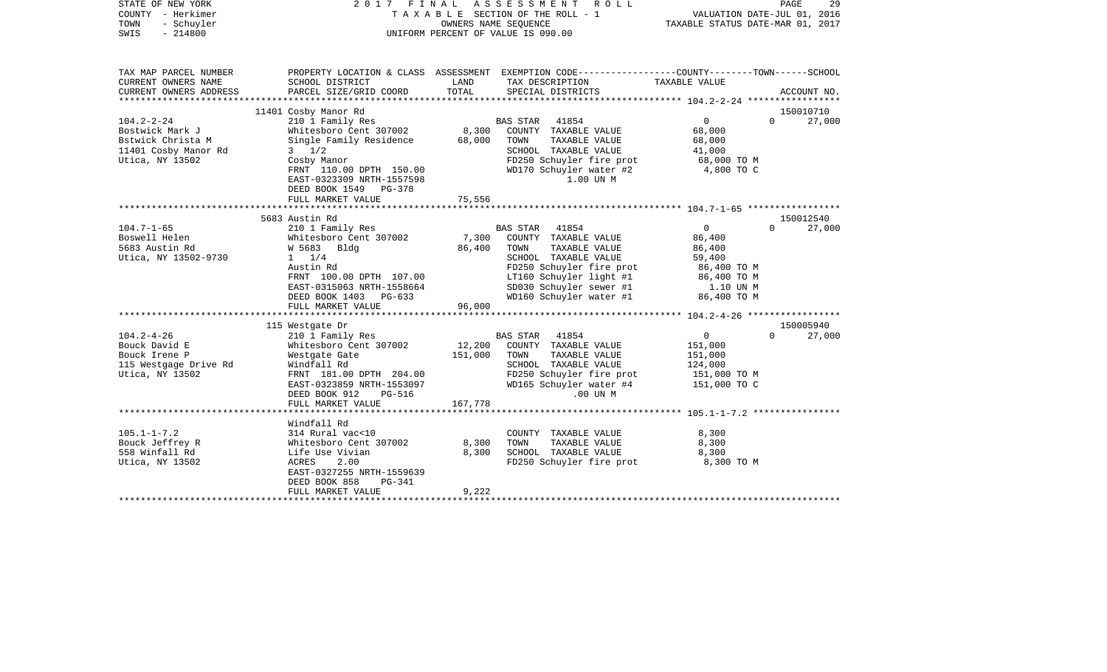| STATE OF NEW YORK<br>COUNTY - Herkimer<br>- Schuyler<br>TOWN<br>$-214800$<br>SWIS                                                                                             |                                                                                                                                                                                                                                                                                                                                         | OWNERS NAME SEQUENCE                           | 2017 FINAL ASSESSMENT<br>R O L L<br>T A X A B L E SECTION OF THE ROLL - 1<br>UNIFORM PERCENT OF VALUE IS 090.00                                                                                                                                                                                                             | VALUATION DATE-JUL 01, 2016<br>TAXABLE STATUS DATE-MAR 01, 2017                                                                                                         | PAGE<br>29                                                         |
|-------------------------------------------------------------------------------------------------------------------------------------------------------------------------------|-----------------------------------------------------------------------------------------------------------------------------------------------------------------------------------------------------------------------------------------------------------------------------------------------------------------------------------------|------------------------------------------------|-----------------------------------------------------------------------------------------------------------------------------------------------------------------------------------------------------------------------------------------------------------------------------------------------------------------------------|-------------------------------------------------------------------------------------------------------------------------------------------------------------------------|--------------------------------------------------------------------|
| TAX MAP PARCEL NUMBER<br>CURRENT OWNERS NAME<br>CURRENT OWNERS ADDRESS                                                                                                        | SCHOOL DISTRICT<br>PARCEL SIZE/GRID COORD                                                                                                                                                                                                                                                                                               | LAND<br>TOTAL                                  | PROPERTY LOCATION & CLASS ASSESSMENT EXEMPTION CODE---------------COUNTY-------TOWN-----SCHOOL<br>TAX DESCRIPTION<br>SPECIAL DISTRICTS                                                                                                                                                                                      | TAXABLE VALUE                                                                                                                                                           | ACCOUNT NO.                                                        |
|                                                                                                                                                                               |                                                                                                                                                                                                                                                                                                                                         |                                                |                                                                                                                                                                                                                                                                                                                             |                                                                                                                                                                         |                                                                    |
| $104.2 - 2 - 24$                                                                                                                                                              | 11401 Cosby Manor Rd<br>210 1 Family Res                                                                                                                                                                                                                                                                                                |                                                | BAS STAR 41854                                                                                                                                                                                                                                                                                                              | $\Omega$                                                                                                                                                                | 150010710<br>$\Omega$<br>27,000                                    |
| Bostwick Mark J<br>Bstwick Christa M<br>11401 Cosby Manor Rd<br>Utica, NY 13502                                                                                               | Whitesboro Cent 307002<br>Single Family Residence<br>$3 \frac{1}{2}$<br>Cosby Manor<br>FRNT 110.00 DPTH 150.00<br>EAST-0323309 NRTH-1557598<br>DEED BOOK 1549 PG-378                                                                                                                                                                    | 8,300<br>68,000                                | COUNTY TAXABLE VALUE<br>TOWN<br>TAXABLE VALUE<br>SCHOOL TAXABLE VALUE<br>FD250 Schuyler fire prot<br>WD170 Schuyler water #2<br>1.00 UN M                                                                                                                                                                                   | 68,000<br>68,000<br>41,000<br>68,000 TO M<br>4,800 TO C                                                                                                                 |                                                                    |
|                                                                                                                                                                               | FULL MARKET VALUE                                                                                                                                                                                                                                                                                                                       | 75,556                                         |                                                                                                                                                                                                                                                                                                                             |                                                                                                                                                                         |                                                                    |
|                                                                                                                                                                               |                                                                                                                                                                                                                                                                                                                                         |                                                |                                                                                                                                                                                                                                                                                                                             |                                                                                                                                                                         |                                                                    |
| $104.7 - 1 - 65$<br>Boswell Helen<br>5683 Austin Rd<br>Utica, NY 13502-9730<br>$104.2 - 4 - 26$<br>Bouck David E<br>Bouck Irene P<br>115 Westgage Drive Rd<br>Utica, NY 13502 | 5683 Austin Rd<br>210 1 Family Res<br>Whitesboro Cent 307002<br>W 5683 Bldg<br>$1 \t1/4$<br>Austin Rd<br>FRNT 100.00 DPTH 107.00<br>EAST-0315063 NRTH-1558664<br>DEED BOOK 1403 PG-633<br>FULL MARKET VALUE<br>115 Westgate Dr<br>210 1 Family Res<br>Whitesboro Cent 307002<br>Westgate Gate<br>Windfall Rd<br>FRNT 181.00 DPTH 204.00 | 7,300<br>86,400<br>96,000<br>12,200<br>151,000 | BAS STAR 41854<br>COUNTY TAXABLE VALUE<br>TOWN<br>TAXABLE VALUE<br>SCHOOL TAXABLE VALUE<br>FD250 Schuyler fire prot<br>LT160 Schuyler light #1<br>SD030 Schuyler sewer #1<br>WD160 Schuyler water #1<br>BAS STAR 41854<br>COUNTY TAXABLE VALUE<br>TAXABLE VALUE<br>TOWN<br>SCHOOL TAXABLE VALUE<br>FD250 Schuyler fire prot | $\mathbf{0}$<br>86,400<br>86,400<br>59,400<br>86,400 ТО М<br>86,400 TO M<br>1.10 UN M<br>86,400 TO M<br>$\overline{0}$<br>151,000<br>151,000<br>124,000<br>151,000 TO M | 150012540<br>$\Omega$<br>27,000<br>150005940<br>$\Omega$<br>27,000 |
|                                                                                                                                                                               | EAST-0323859 NRTH-1553097<br>DEED BOOK 912<br><b>PG-516</b><br>FULL MARKET VALUE<br>*******************                                                                                                                                                                                                                                 | 167,778                                        | WD165 Schuyler water #4<br>.00 UN M                                                                                                                                                                                                                                                                                         | 151,000 TO C                                                                                                                                                            |                                                                    |
|                                                                                                                                                                               | Windfall Rd                                                                                                                                                                                                                                                                                                                             |                                                |                                                                                                                                                                                                                                                                                                                             |                                                                                                                                                                         |                                                                    |
| $105.1 - 1 - 7.2$<br>Bouck Jeffrey R<br>558 Winfall Rd<br>Utica, NY 13502                                                                                                     | 314 Rural vac<10<br>Whitesboro Cent 307002<br>Life Use Vivian<br>2.00<br>ACRES<br>EAST-0327255 NRTH-1559639<br>DEED BOOK 858<br>PG-341                                                                                                                                                                                                  | 8,300<br>8,300                                 | COUNTY TAXABLE VALUE<br>TAXABLE VALUE<br>TOWN<br>SCHOOL TAXABLE VALUE<br>FD250 Schuyler fire prot                                                                                                                                                                                                                           | 8,300<br>8,300<br>8,300<br>8,300 TO M                                                                                                                                   |                                                                    |
|                                                                                                                                                                               | FULL MARKET VALUE<br>**********************                                                                                                                                                                                                                                                                                             | 9,222                                          |                                                                                                                                                                                                                                                                                                                             |                                                                                                                                                                         |                                                                    |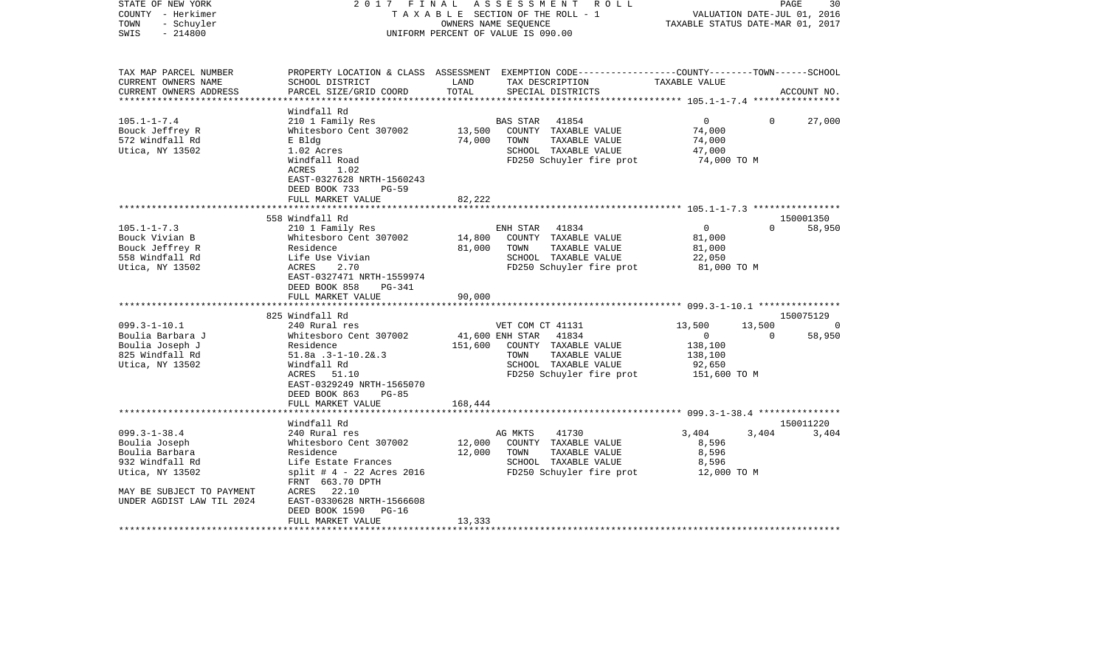| STATE OF NEW YORK<br>COUNTY - Herkimer<br>- Schuyler<br>TOWN<br>$-214800$<br>SWIS                                                                     | 2017 FINAL                                                                                                                                                                                  |                            | ASSESSMENT ROLL<br>TAXABLE SECTION OF THE ROLL - 1<br>OWNERS NAME SEOUENCE<br>UNIFORM PERCENT OF VALUE IS 090.00                         | VALUATION DATE-JUL 01, 2016<br>TAXABLE STATUS DATE-MAR 01, 2017 | PAGE           | 30                  |
|-------------------------------------------------------------------------------------------------------------------------------------------------------|---------------------------------------------------------------------------------------------------------------------------------------------------------------------------------------------|----------------------------|------------------------------------------------------------------------------------------------------------------------------------------|-----------------------------------------------------------------|----------------|---------------------|
| TAX MAP PARCEL NUMBER<br>CURRENT OWNERS NAME<br>CURRENT OWNERS ADDRESS                                                                                | SCHOOL DISTRICT<br>PARCEL SIZE/GRID COORD                                                                                                                                                   | LAND<br>TOTAL              | PROPERTY LOCATION & CLASS ASSESSMENT EXEMPTION CODE----------------COUNTY-------TOWN------SCHOOL<br>TAX DESCRIPTION<br>SPECIAL DISTRICTS | TAXABLE VALUE                                                   |                | ACCOUNT NO.         |
| ***********************                                                                                                                               |                                                                                                                                                                                             |                            |                                                                                                                                          |                                                                 |                |                     |
| $105.1 - 1 - 7.4$<br>Bouck Jeffrey R<br>572 Windfall Rd<br>Utica, NY 13502                                                                            | Windfall Rd<br>210 1 Family Res<br>Whitesboro Cent 307002<br>E Bldg<br>1.02 Acres<br>Windfall Road<br>ACRES<br>1.02<br>EAST-0327628 NRTH-1560243                                            | 13,500<br>74,000           | BAS STAR<br>41854<br>COUNTY TAXABLE VALUE<br>TOWN<br>TAXABLE VALUE<br>SCHOOL TAXABLE VALUE<br>FD250 Schuyler fire prot                   | $\overline{0}$<br>74,000<br>74,000<br>47,000<br>74,000 TO M     | $\Omega$       | 27,000              |
|                                                                                                                                                       | DEED BOOK 733<br>$PG-59$                                                                                                                                                                    |                            |                                                                                                                                          |                                                                 |                |                     |
|                                                                                                                                                       | FULL MARKET VALUE                                                                                                                                                                           | 82,222                     |                                                                                                                                          |                                                                 |                |                     |
|                                                                                                                                                       | 558 Windfall Rd                                                                                                                                                                             |                            |                                                                                                                                          |                                                                 |                | 150001350           |
| $105.1 - 1 - 7.3$<br>Bouck Vivian B<br>Bouck Jeffrey R<br>558 Windfall Rd<br>Utica, NY 13502                                                          | 210 1 Family Res<br>Whitesboro Cent 307002<br>Residence<br>Life Use Vivian<br>ACRES<br>2.70<br>EAST-0327471 NRTH-1559974<br>DEED BOOK 858<br>PG-341<br>FULL MARKET VALUE<br>825 Windfall Rd | 14,800<br>81,000<br>90,000 | ENH STAR<br>41834<br>COUNTY TAXABLE VALUE<br>TOWN<br>TAXABLE VALUE<br>SCHOOL TAXABLE VALUE<br>FD250 Schuyler fire prot                   | $\overline{0}$<br>81,000<br>81,000<br>22,050<br>81,000 TO M     | $\Omega$       | 58,950<br>150075129 |
| $099.3 - 1 - 10.1$                                                                                                                                    | 240 Rural res                                                                                                                                                                               |                            | VET COM CT 41131                                                                                                                         | 13,500                                                          | 13,500         | 0                   |
| Boulia Barbara J<br>Boulia Joseph J<br>825 Windfall Rd<br>Utica, NY 13502                                                                             | Whitesboro Cent 307002<br>Residence<br>$51.8a$ .3-1-10.2&.3<br>Windfall Rd<br>ACRES 51.10<br>EAST-0329249 NRTH-1565070<br>DEED BOOK 863<br>$PG-85$<br>FULL MARKET VALUE                     | 151,600<br>168,444         | 41,600 ENH STAR 41834<br>COUNTY TAXABLE VALUE<br>TAXABLE VALUE<br>TOWN<br>SCHOOL TAXABLE VALUE<br>FD250 Schuyler fire prot               | $\overline{0}$<br>138,100<br>138,100<br>92,650<br>151,600 TO M  | $\overline{0}$ | 58,950              |
|                                                                                                                                                       |                                                                                                                                                                                             |                            |                                                                                                                                          |                                                                 |                |                     |
| $099.3 - 1 - 38.4$<br>Boulia Joseph<br>Boulia Barbara<br>932 Windfall Rd<br>Utica, NY 13502<br>MAY BE SUBJECT TO PAYMENT<br>UNDER AGDIST LAW TIL 2024 | Windfall Rd<br>240 Rural res<br>Whitesboro Cent 307002<br>Residence<br>Life Estate Frances<br>split # $4 - 22$ Acres 2016<br>FRNT 663.70 DPTH<br>ACRES 22.10<br>EAST-0330628 NRTH-1566608   | 12,000<br>12,000           | AG MKTS<br>41730<br>COUNTY TAXABLE VALUE<br>TAXABLE VALUE<br>TOWN<br>SCHOOL TAXABLE VALUE<br>FD250 Schuyler fire prot                    | 3,404<br>8,596<br>8,596<br>8,596<br>12,000 TO M                 | 3,404          | 150011220<br>3,404  |
|                                                                                                                                                       | DEED BOOK 1590 PG-16<br>FULL MARKET VALUE                                                                                                                                                   | 13,333                     |                                                                                                                                          |                                                                 |                |                     |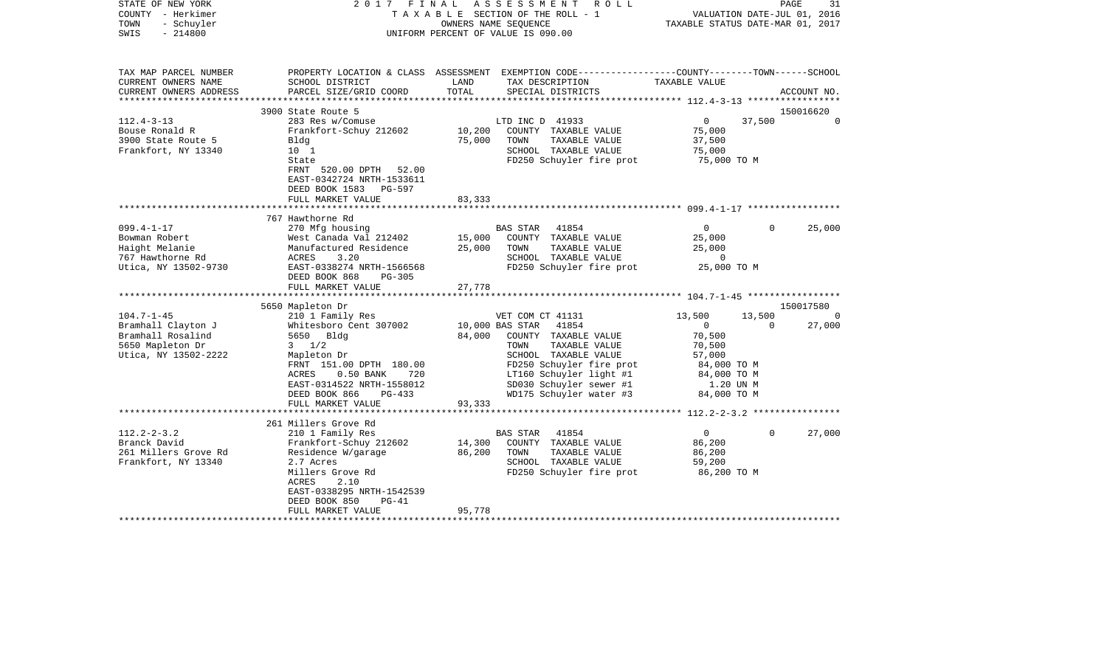| STATE OF NEW YORK<br>COUNTY - Herkimer<br>- Schuyler<br>TOWN<br>$-214800$<br>SWIS | 2017 FINAL                                             |        | ASSESSMENT<br>R O L L<br>TAXABLE SECTION OF THE ROLL - 1<br>OWNERS NAME SEQUENCE<br>UNIFORM PERCENT OF VALUE IS 090.00 | TAXABLE STATUS DATE-MAR 01, 2017 | PAGE<br>VALUATION DATE-JUL 01, 2016 | 31             |
|-----------------------------------------------------------------------------------|--------------------------------------------------------|--------|------------------------------------------------------------------------------------------------------------------------|----------------------------------|-------------------------------------|----------------|
| TAX MAP PARCEL NUMBER<br>CURRENT OWNERS NAME                                      | SCHOOL DISTRICT                                        | LAND   | PROPERTY LOCATION & CLASS ASSESSMENT EXEMPTION CODE---------------COUNTY-------TOWN------SCHOOL<br>TAX DESCRIPTION     | TAXABLE VALUE                    |                                     |                |
| CURRENT OWNERS ADDRESS<br>**********************                                  | PARCEL SIZE/GRID COORD                                 | TOTAL  | SPECIAL DISTRICTS                                                                                                      |                                  |                                     | ACCOUNT NO.    |
|                                                                                   | 3900 State Route 5                                     |        |                                                                                                                        |                                  |                                     | 150016620      |
| $112.4 - 3 - 13$                                                                  | 283 Res w/Comuse                                       |        | LTD INC D 41933                                                                                                        | $\overline{0}$                   | 37,500                              | $\overline{0}$ |
| Bouse Ronald R                                                                    | Frankfort-Schuy 212602                                 | 10,200 | COUNTY TAXABLE VALUE                                                                                                   | 75,000                           |                                     |                |
| 3900 State Route 5                                                                | Bldg                                                   | 75,000 | TOWN<br>TAXABLE VALUE                                                                                                  | 37,500                           |                                     |                |
| Frankfort, NY 13340                                                               | 10 <sub>1</sub>                                        |        | SCHOOL TAXABLE VALUE                                                                                                   | 75,000                           |                                     |                |
|                                                                                   | State                                                  |        | FD250 Schuyler fire prot                                                                                               | 75,000 TO M                      |                                     |                |
|                                                                                   | FRNT 520.00 DPTH 52.00<br>EAST-0342724 NRTH-1533611    |        |                                                                                                                        |                                  |                                     |                |
|                                                                                   | DEED BOOK 1583<br>PG-597                               |        |                                                                                                                        |                                  |                                     |                |
|                                                                                   | FULL MARKET VALUE                                      | 83,333 |                                                                                                                        |                                  |                                     |                |
|                                                                                   |                                                        |        |                                                                                                                        |                                  |                                     |                |
|                                                                                   | 767 Hawthorne Rd                                       |        |                                                                                                                        |                                  |                                     |                |
| $099.4 - 1 - 17$                                                                  | 270 Mfg housing                                        |        | 41854<br>BAS STAR                                                                                                      | $\overline{0}$                   | $\Omega$                            | 25,000         |
| Bowman Robert                                                                     | West Canada Val 212402                                 | 15,000 | COUNTY TAXABLE VALUE                                                                                                   | 25,000                           |                                     |                |
| Haight Melanie                                                                    | Manufactured Residence                                 | 25,000 | TAXABLE VALUE<br>TOWN                                                                                                  | 25,000                           |                                     |                |
| 767 Hawthorne Rd                                                                  | ACRES<br>3.20                                          |        | SCHOOL TAXABLE VALUE                                                                                                   | $\overline{0}$                   |                                     |                |
| Utica, NY 13502-9730                                                              | EAST-0338274 NRTH-1566568<br>DEED BOOK 868<br>PG-305   |        | FD250 Schuyler fire prot                                                                                               | 25,000 TO M                      |                                     |                |
|                                                                                   | FULL MARKET VALUE                                      | 27,778 |                                                                                                                        |                                  |                                     |                |
|                                                                                   | 5650 Mapleton Dr                                       |        |                                                                                                                        |                                  |                                     | 150017580      |
| $104.7 - 1 - 45$                                                                  | 210 1 Family Res                                       |        | VET COM CT 41131                                                                                                       | 13,500                           | 13,500                              | $\Omega$       |
| Bramhall Clayton J                                                                | Whitesboro Cent 307002                                 |        | 41854<br>10,000 BAS STAR                                                                                               | $\overline{0}$                   | $\Omega$                            | 27,000         |
| Bramhall Rosalind                                                                 | 5650 Bldg                                              | 84,000 | COUNTY TAXABLE VALUE                                                                                                   | 70,500                           |                                     |                |
| 5650 Mapleton Dr                                                                  | $3 \frac{1}{2}$                                        |        | TAXABLE VALUE<br>TOWN                                                                                                  | 70,500                           |                                     |                |
| Utica, NY 13502-2222                                                              | Mapleton Dr                                            |        | SCHOOL TAXABLE VALUE                                                                                                   | 57,000                           |                                     |                |
|                                                                                   | FRNT 151.00 DPTH 180.00                                |        | FD250 Schuyler fire prot                                                                                               | 84,000 TO M                      |                                     |                |
|                                                                                   | $0.50$ BANK<br>ACRES<br>720                            |        | LT160 Schuyler light #1                                                                                                | 84,000 TO M                      |                                     |                |
|                                                                                   | EAST-0314522 NRTH-1558012<br>DEED BOOK 866<br>$PG-433$ |        | SD030 Schuyler sewer #1<br>WD175 Schuyler water #3                                                                     | 1.20 UN M<br>84,000 TO M         |                                     |                |
|                                                                                   | FULL MARKET VALUE                                      | 93,333 |                                                                                                                        |                                  |                                     |                |
|                                                                                   |                                                        |        |                                                                                                                        |                                  |                                     |                |
|                                                                                   | 261 Millers Grove Rd                                   |        |                                                                                                                        |                                  |                                     |                |
| $112.2 - 2 - 3.2$                                                                 | 210 1 Family Res                                       |        | 41854<br>BAS STAR                                                                                                      | $\overline{0}$                   | $\Omega$                            | 27,000         |
| Branck David                                                                      | Frankfort-Schuy 212602                                 | 14,300 | COUNTY TAXABLE VALUE                                                                                                   | 86,200                           |                                     |                |
| 261 Millers Grove Rd                                                              | Residence W/garage                                     | 86,200 | TOWN<br>TAXABLE VALUE                                                                                                  | 86,200                           |                                     |                |
| Frankfort, NY 13340                                                               | 2.7 Acres                                              |        | SCHOOL TAXABLE VALUE                                                                                                   | 59,200                           |                                     |                |
|                                                                                   | Millers Grove Rd                                       |        | FD250 Schuyler fire prot                                                                                               | 86,200 то м                      |                                     |                |
|                                                                                   | 2.10<br>ACRES                                          |        |                                                                                                                        |                                  |                                     |                |
|                                                                                   | EAST-0338295 NRTH-1542539<br>DEED BOOK 850<br>$PG-41$  |        |                                                                                                                        |                                  |                                     |                |
|                                                                                   | FULL MARKET VALUE                                      | 95,778 |                                                                                                                        |                                  |                                     |                |
|                                                                                   |                                                        |        |                                                                                                                        |                                  |                                     |                |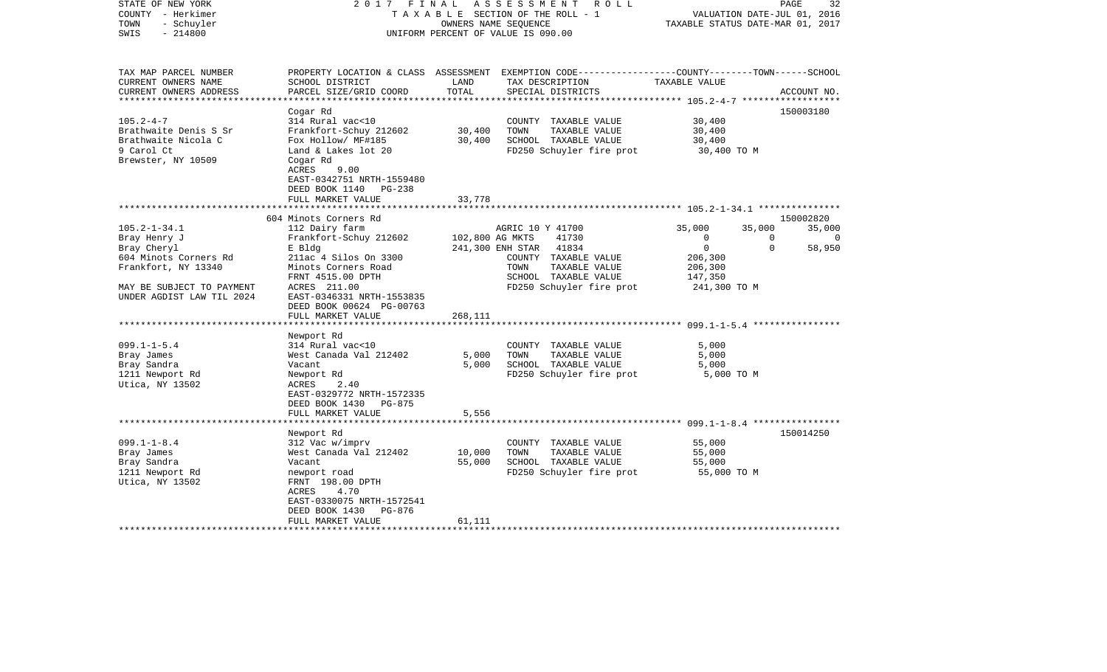| STATE OF NEW YORK<br>COUNTY - Herkimer<br>- Schuyler<br>TOWN<br>$-214800$<br>SWIS                   | 2 0 1 7<br>FINAL                                                                                                                                              | OWNERS NAME SEOUENCE | ASSESSMENT<br>R O L L<br>TAXABLE SECTION OF THE ROLL - 1<br>UNIFORM PERCENT OF VALUE IS 090.00                                           | VALUATION DATE-JUL 01, 2016<br>TAXABLE STATUS DATE-MAR 01, 2017 | PAGE        | 32          |
|-----------------------------------------------------------------------------------------------------|---------------------------------------------------------------------------------------------------------------------------------------------------------------|----------------------|------------------------------------------------------------------------------------------------------------------------------------------|-----------------------------------------------------------------|-------------|-------------|
| TAX MAP PARCEL NUMBER<br>CURRENT OWNERS NAME<br>CURRENT OWNERS ADDRESS                              | SCHOOL DISTRICT<br>PARCEL SIZE/GRID COORD                                                                                                                     | LAND<br>TOTAL        | PROPERTY LOCATION & CLASS ASSESSMENT EXEMPTION CODE----------------COUNTY-------TOWN------SCHOOL<br>TAX DESCRIPTION<br>SPECIAL DISTRICTS | TAXABLE VALUE                                                   |             | ACCOUNT NO. |
| *********************                                                                               |                                                                                                                                                               | *************        |                                                                                                                                          |                                                                 |             |             |
| $105.2 - 4 - 7$<br>Brathwaite Denis S Sr<br>Brathwaite Nicola C<br>9 Carol Ct<br>Brewster, NY 10509 | Cogar Rd<br>314 Rural vac<10<br>Frankfort-Schuy 212602<br>Fox Hollow/ MF#185<br>Land & Lakes lot 20<br>Cogar Rd<br>ACRES<br>9.00<br>EAST-0342751 NRTH-1559480 | 30,400<br>30,400     | COUNTY TAXABLE VALUE<br>TOWN<br>TAXABLE VALUE<br>SCHOOL TAXABLE VALUE<br>FD250 Schuyler fire prot                                        | 30,400<br>30,400<br>30,400<br>30,400 TO M                       |             | 150003180   |
|                                                                                                     | DEED BOOK 1140<br>$PG-238$<br>FULL MARKET VALUE                                                                                                               | 33,778               |                                                                                                                                          |                                                                 |             |             |
|                                                                                                     | 604 Minots Corners Rd                                                                                                                                         |                      |                                                                                                                                          | ********************* 105.2-1-34.1 ****************             |             | 150002820   |
| $105.2 - 1 - 34.1$                                                                                  | 112 Dairy farm                                                                                                                                                |                      | AGRIC 10 Y 41700                                                                                                                         | 35,000                                                          | 35,000      | 35,000      |
| Bray Henry J                                                                                        | Frankfort-Schuy 212602                                                                                                                                        | 102,800 AG MKTS      | 41730                                                                                                                                    | $\mathbf 0$                                                     | $\Omega$    | $\Omega$    |
| Bray Cheryl                                                                                         | E Bldg                                                                                                                                                        |                      | 241,300 ENH STAR<br>41834                                                                                                                | $\mathbf 0$                                                     | $\mathbf 0$ | 58,950      |
| 604 Minots Corners Rd                                                                               | 211ac 4 Silos On 3300                                                                                                                                         |                      | COUNTY TAXABLE VALUE                                                                                                                     | 206,300                                                         |             |             |
| Frankfort, NY 13340                                                                                 | Minots Corners Road                                                                                                                                           |                      | TAXABLE VALUE<br>TOWN                                                                                                                    | 206,300                                                         |             |             |
|                                                                                                     | FRNT 4515.00 DPTH                                                                                                                                             |                      | SCHOOL TAXABLE VALUE                                                                                                                     | 147,350                                                         |             |             |
| MAY BE SUBJECT TO PAYMENT<br>UNDER AGDIST LAW TIL 2024                                              | ACRES 211.00<br>EAST-0346331 NRTH-1553835<br>DEED BOOK 00624 PG-00763<br>FULL MARKET VALUE                                                                    | 268,111              | FD250 Schuyler fire prot                                                                                                                 | 241,300 TO M                                                    |             |             |
|                                                                                                     |                                                                                                                                                               |                      |                                                                                                                                          | ************************ 099.1-1-5.4 ********                   |             |             |
|                                                                                                     | Newport Rd                                                                                                                                                    |                      |                                                                                                                                          |                                                                 |             |             |
| $099.1 - 1 - 5.4$                                                                                   | 314 Rural vac<10                                                                                                                                              |                      | COUNTY TAXABLE VALUE                                                                                                                     | 5,000                                                           |             |             |
| Bray James                                                                                          | West Canada Val 212402                                                                                                                                        | 5,000                | TOWN<br>TAXABLE VALUE                                                                                                                    | 5,000                                                           |             |             |
| Bray Sandra                                                                                         | Vacant                                                                                                                                                        | 5,000                | SCHOOL TAXABLE VALUE                                                                                                                     | 5,000                                                           |             |             |
| 1211 Newport Rd<br>Utica, NY 13502                                                                  | Newport Rd<br>ACRES<br>2.40<br>EAST-0329772 NRTH-1572335<br>DEED BOOK 1430<br>PG-875                                                                          |                      | FD250 Schuyler fire prot                                                                                                                 | 5,000 TO M                                                      |             |             |
|                                                                                                     | FULL MARKET VALUE                                                                                                                                             | 5,556                |                                                                                                                                          |                                                                 |             |             |
|                                                                                                     |                                                                                                                                                               |                      |                                                                                                                                          | **************** 099.1-1-8.4 *****************                  |             |             |
|                                                                                                     | Newport Rd                                                                                                                                                    |                      |                                                                                                                                          |                                                                 |             | 150014250   |
| $099.1 - 1 - 8.4$                                                                                   | 312 Vac w/imprv<br>West Canada Val 212402                                                                                                                     |                      | COUNTY TAXABLE VALUE<br>TOWN                                                                                                             | 55,000                                                          |             |             |
| Bray James<br>Bray Sandra                                                                           | Vacant                                                                                                                                                        | 10,000<br>55,000     | TAXABLE VALUE<br>SCHOOL TAXABLE VALUE                                                                                                    | 55,000<br>55,000                                                |             |             |
| 1211 Newport Rd                                                                                     | newport road                                                                                                                                                  |                      | FD250 Schuyler fire prot                                                                                                                 | 55,000 TO M                                                     |             |             |
| Utica, NY 13502                                                                                     | FRNT 198.00 DPTH<br>4.70<br>ACRES<br>EAST-0330075 NRTH-1572541                                                                                                |                      |                                                                                                                                          |                                                                 |             |             |
|                                                                                                     | DEED BOOK 1430<br>PG-876                                                                                                                                      |                      |                                                                                                                                          |                                                                 |             |             |
|                                                                                                     | FULL MARKET VALUE                                                                                                                                             | 61,111               |                                                                                                                                          |                                                                 |             |             |
|                                                                                                     |                                                                                                                                                               |                      |                                                                                                                                          |                                                                 |             |             |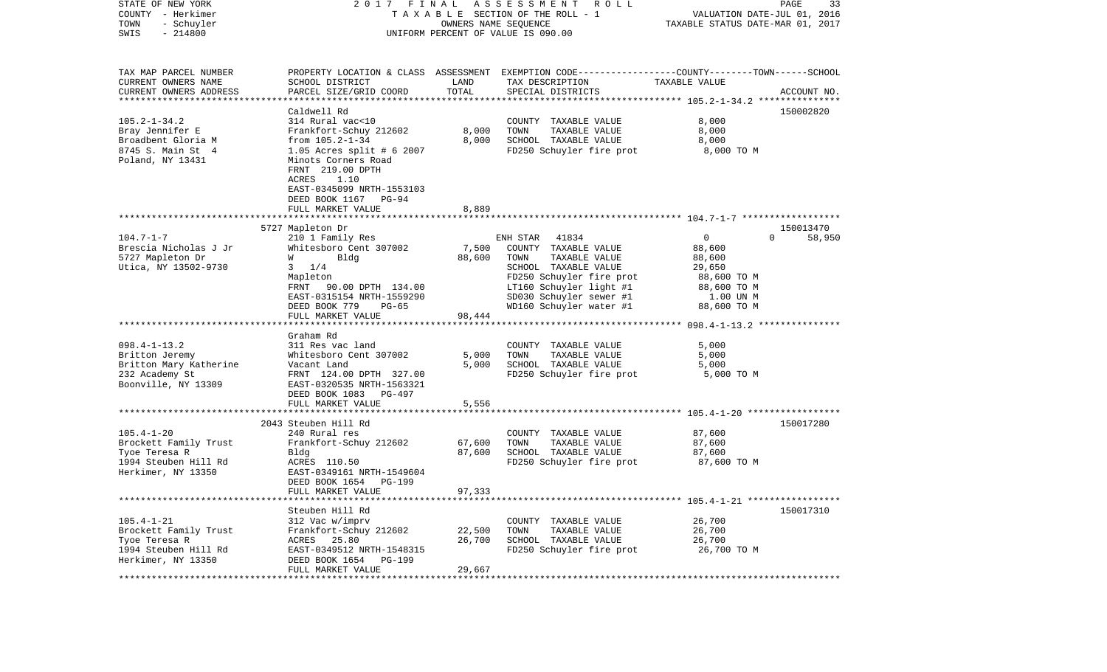| STATE OF NEW YORK<br>COUNTY - Herkimer<br>TOWN<br>- Schuyler<br>$-214800$<br>SWIS | 2017 FINAL                                                             | OWNERS NAME SEQUENCE | A S S E S S M E N T<br>R O L L<br>TAXABLE SECTION OF THE ROLL - 1<br>UNIFORM PERCENT OF VALUE IS 090.00 | VALUATION DATE-JUL 01, 2016<br>TAXABLE STATUS DATE-MAR 01, 2017 | 33<br>PAGE         |
|-----------------------------------------------------------------------------------|------------------------------------------------------------------------|----------------------|---------------------------------------------------------------------------------------------------------|-----------------------------------------------------------------|--------------------|
| TAX MAP PARCEL NUMBER                                                             |                                                                        |                      | PROPERTY LOCATION & CLASS ASSESSMENT EXEMPTION CODE---------------COUNTY-------TOWN------SCHOOL         |                                                                 |                    |
| CURRENT OWNERS NAME<br>CURRENT OWNERS ADDRESS                                     | SCHOOL DISTRICT<br>PARCEL SIZE/GRID COORD                              | LAND<br>TOTAL        | TAX DESCRIPTION<br>SPECIAL DISTRICTS                                                                    | TAXABLE VALUE                                                   | ACCOUNT NO.        |
| **********************                                                            |                                                                        |                      |                                                                                                         |                                                                 |                    |
|                                                                                   | Caldwell Rd                                                            |                      |                                                                                                         |                                                                 | 150002820          |
| $105.2 - 1 - 34.2$                                                                | 314 Rural vac<10                                                       |                      | COUNTY TAXABLE VALUE                                                                                    | 8,000                                                           |                    |
| Bray Jennifer E                                                                   | Frankfort-Schuy 212602                                                 | 8,000                | TOWN<br>TAXABLE VALUE                                                                                   | 8,000                                                           |                    |
| Broadbent Gloria M                                                                | from $105.2 - 1 - 34$                                                  | 8,000                | SCHOOL TAXABLE VALUE                                                                                    | 8,000                                                           |                    |
| 8745 S. Main St 4<br>Poland, NY 13431                                             | 1.05 Acres split # 6 2007<br>Minots Corners Road                       |                      | FD250 Schuyler fire prot                                                                                | 8,000 TO M                                                      |                    |
|                                                                                   | FRNT 219.00 DPTH<br>ACRES<br>1.10                                      |                      |                                                                                                         |                                                                 |                    |
|                                                                                   | EAST-0345099 NRTH-1553103<br>DEED BOOK 1167 PG-94<br>FULL MARKET VALUE | 8,889                |                                                                                                         |                                                                 |                    |
|                                                                                   |                                                                        |                      |                                                                                                         |                                                                 |                    |
|                                                                                   | 5727 Mapleton Dr                                                       |                      |                                                                                                         |                                                                 | 150013470          |
| $104.7 - 1 - 7$                                                                   | 210 1 Family Res                                                       |                      | 41834<br>ENH STAR                                                                                       | $\mathbf{0}$                                                    | $\Omega$<br>58,950 |
| Brescia Nicholas J Jr                                                             | Whitesboro Cent 307002                                                 | 7,500                | COUNTY TAXABLE VALUE                                                                                    | 88,600                                                          |                    |
| 5727 Mapleton Dr                                                                  | Bldg<br>W                                                              | 88,600               | TOWN<br>TAXABLE VALUE                                                                                   | 88,600                                                          |                    |
| Utica, NY 13502-9730                                                              | 1/4<br>3                                                               |                      | SCHOOL TAXABLE VALUE<br>FD250 Schuyler fire prot                                                        | 29,650<br>88,600 TO M                                           |                    |
|                                                                                   | Mapleton<br>FRNT 90.00 DPTH 134.00                                     |                      | LT160 Schuyler light #1                                                                                 | 88,600 TO M                                                     |                    |
|                                                                                   | EAST-0315154 NRTH-1559290                                              |                      | SD030 Schuyler sewer #1                                                                                 | 1.00 UN M                                                       |                    |
|                                                                                   | DEED BOOK 779<br>$PG-65$                                               |                      | WD160 Schuyler water #1                                                                                 | 88,600 TO M                                                     |                    |
|                                                                                   | FULL MARKET VALUE                                                      | 98,444               |                                                                                                         |                                                                 |                    |
|                                                                                   |                                                                        |                      |                                                                                                         |                                                                 |                    |
| $098.4 - 1 - 13.2$                                                                | Graham Rd<br>311 Res vac land                                          |                      | COUNTY TAXABLE VALUE                                                                                    | 5,000                                                           |                    |
| Britton Jeremy                                                                    | Whitesboro Cent 307002                                                 | 5,000                | TAXABLE VALUE<br>TOWN                                                                                   | 5,000                                                           |                    |
| Britton Mary Katherine                                                            | Vacant Land                                                            | 5,000                | SCHOOL TAXABLE VALUE                                                                                    | 5,000                                                           |                    |
| 232 Academy St                                                                    | FRNT 124.00 DPTH 327.00                                                |                      | FD250 Schuyler fire prot                                                                                | 5,000 TO M                                                      |                    |
| Boonville, NY 13309                                                               | EAST-0320535 NRTH-1563321<br>DEED BOOK 1083<br>PG-497                  |                      |                                                                                                         |                                                                 |                    |
|                                                                                   | FULL MARKET VALUE                                                      | 5,556                |                                                                                                         |                                                                 |                    |
|                                                                                   |                                                                        |                      |                                                                                                         |                                                                 |                    |
|                                                                                   | 2043 Steuben Hill Rd                                                   |                      |                                                                                                         |                                                                 | 150017280          |
| $105.4 - 1 - 20$                                                                  | 240 Rural res                                                          |                      | COUNTY TAXABLE VALUE                                                                                    | 87,600                                                          |                    |
| Brockett Family Trust<br>Tyoe Teresa R                                            | Frankfort-Schuy 212602<br>Bldg                                         | 67,600<br>87,600     | TAXABLE VALUE<br>TOWN<br>SCHOOL TAXABLE VALUE                                                           | 87,600<br>87,600                                                |                    |
| 1994 Steuben Hill Rd                                                              | ACRES 110.50                                                           |                      | FD250 Schuyler fire prot                                                                                | 87,600 TO M                                                     |                    |
| Herkimer, NY 13350                                                                | EAST-0349161 NRTH-1549604                                              |                      |                                                                                                         |                                                                 |                    |
|                                                                                   | DEED BOOK 1654<br>PG-199                                               |                      |                                                                                                         |                                                                 |                    |
|                                                                                   | FULL MARKET VALUE                                                      | 97,333               |                                                                                                         |                                                                 |                    |
|                                                                                   |                                                                        |                      |                                                                                                         |                                                                 |                    |
|                                                                                   | Steuben Hill Rd                                                        |                      |                                                                                                         |                                                                 | 150017310          |
| $105.4 - 1 - 21$                                                                  | 312 Vac w/imprv                                                        | 22,500               | COUNTY TAXABLE VALUE<br>TAXABLE VALUE                                                                   | 26,700<br>26,700                                                |                    |
| Brockett Family Trust<br>Tyoe Teresa R                                            | Frankfort-Schuy 212602<br>ACRES 25.80                                  | 26,700               | TOWN<br>SCHOOL TAXABLE VALUE                                                                            | 26,700                                                          |                    |
| 1994 Steuben Hill Rd                                                              | EAST-0349512 NRTH-1548315                                              |                      | FD250 Schuyler fire prot                                                                                | 26,700 TO M                                                     |                    |
| Herkimer, NY 13350                                                                | DEED BOOK 1654 PG-199<br>FULL MARKET VALUE                             | 29,667               |                                                                                                         |                                                                 |                    |
|                                                                                   |                                                                        |                      |                                                                                                         |                                                                 |                    |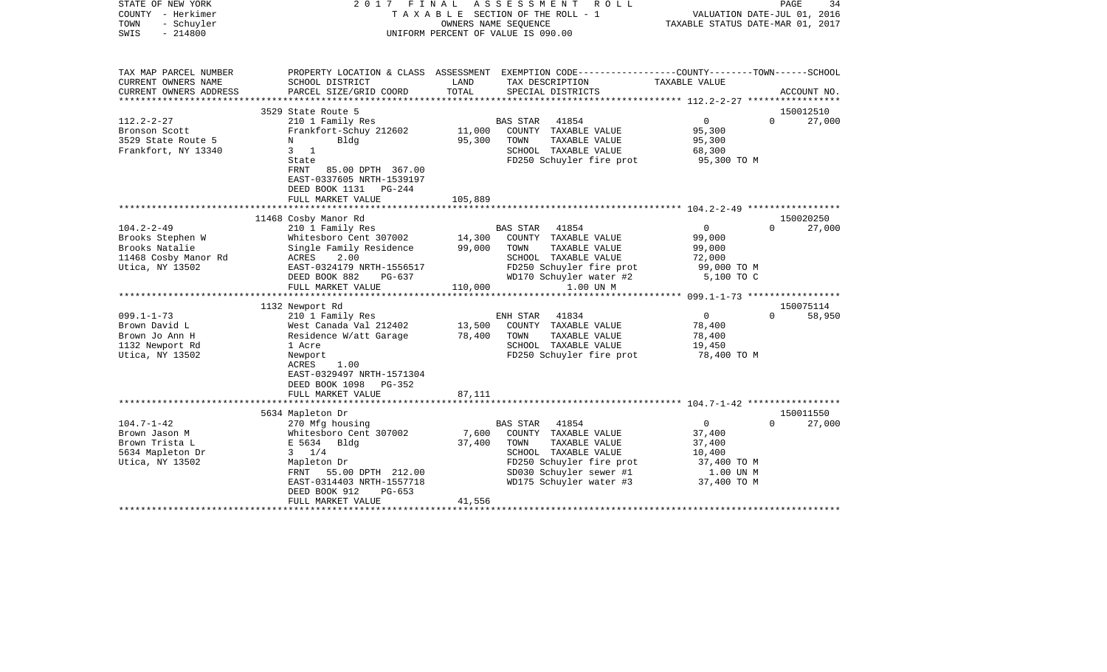| STATE OF NEW YORK<br>COUNTY - Herkimer<br>TOWN<br>- Schuyler<br>SWIS<br>$-214800$                                                                                                              | 2017                                                                                                                                                                                                                                                                                                                                                                                                       | FINAL ASSESSMENT<br>R O L L<br>T A X A B L E SECTION OF THE ROLL - 1<br>OWNERS NAME SEQUENCE<br>UNIFORM PERCENT OF VALUE IS 090.00                                                                                                                                                                                                                    | PAGE<br>34<br>VALUATION DATE-JUL 01, 2016<br>TAXABLE STATUS DATE-MAR 01, 2017                                                                                                                                  |
|------------------------------------------------------------------------------------------------------------------------------------------------------------------------------------------------|------------------------------------------------------------------------------------------------------------------------------------------------------------------------------------------------------------------------------------------------------------------------------------------------------------------------------------------------------------------------------------------------------------|-------------------------------------------------------------------------------------------------------------------------------------------------------------------------------------------------------------------------------------------------------------------------------------------------------------------------------------------------------|----------------------------------------------------------------------------------------------------------------------------------------------------------------------------------------------------------------|
| TAX MAP PARCEL NUMBER<br>CURRENT OWNERS NAME<br>CURRENT OWNERS ADDRESS                                                                                                                         | SCHOOL DISTRICT<br>PARCEL SIZE/GRID COORD                                                                                                                                                                                                                                                                                                                                                                  | PROPERTY LOCATION & CLASS ASSESSMENT EXEMPTION CODE---------------COUNTY-------TOWN------SCHOOL<br>LAND<br>TAX DESCRIPTION<br>TOTAL<br>SPECIAL DISTRICTS                                                                                                                                                                                              | TAXABLE VALUE<br>ACCOUNT NO.                                                                                                                                                                                   |
|                                                                                                                                                                                                |                                                                                                                                                                                                                                                                                                                                                                                                            |                                                                                                                                                                                                                                                                                                                                                       |                                                                                                                                                                                                                |
| $112.2 - 2 - 27$<br>Bronson Scott<br>3529 State Route 5<br>Frankfort, NY 13340                                                                                                                 | 3529 State Route 5<br>210 1 Family Res<br>Frankfort-Schuy 212602<br>Bldg<br>N<br>$3 \quad 1$<br>State<br>85.00 DPTH 367.00<br>FRNT<br>EAST-0337605 NRTH-1539197<br>DEED BOOK 1131 PG-244<br>FULL MARKET VALUE                                                                                                                                                                                              | 41854<br>BAS STAR<br>11,000<br>COUNTY TAXABLE VALUE<br>95,300<br>TOWN<br>TAXABLE VALUE<br>SCHOOL TAXABLE VALUE<br>FD250 Schuyler fire prot<br>105,889                                                                                                                                                                                                 | 150012510<br>$\overline{0}$<br>$\Omega$<br>27,000<br>95,300<br>95,300<br>68,300<br>95,300 TO M                                                                                                                 |
|                                                                                                                                                                                                |                                                                                                                                                                                                                                                                                                                                                                                                            |                                                                                                                                                                                                                                                                                                                                                       |                                                                                                                                                                                                                |
| $104.2 - 2 - 49$<br>Brooks Stephen W<br>Brooks Natalie<br>11468 Cosby Manor Rd<br>Utica, NY 13502<br>$099.1 - 1 - 73$<br>Brown David L<br>Brown Jo Ann H<br>1132 Newport Rd<br>Utica, NY 13502 | 11468 Cosby Manor Rd<br>210 1 Family Res<br>Whitesboro Cent 307002<br>Single Family Residence<br>ACRES<br>2.00<br>EAST-0324179 NRTH-1556517<br>DEED BOOK 882<br>PG-637<br>FULL MARKET VALUE<br>1132 Newport Rd<br>210 1 Family Res<br>West Canada Val 212402<br>Residence W/att Garage<br>1 Acre<br>Newport<br>1.00<br>ACRES<br>EAST-0329497 NRTH-1571304<br>DEED BOOK 1098<br>PG-352<br>FULL MARKET VALUE | 41854<br>BAS STAR<br>14,300<br>COUNTY TAXABLE VALUE<br>99,000<br>TOWN<br>TAXABLE VALUE<br>SCHOOL TAXABLE VALUE<br>FD250 Schuyler fire prot<br>WD170 Schuyler water #2<br>110,000<br>1.00 UN M<br>ENH STAR<br>41834<br>13,500<br>COUNTY TAXABLE VALUE<br>78,400<br>TOWN<br>TAXABLE VALUE<br>SCHOOL TAXABLE VALUE<br>FD250 Schuyler fire prot<br>87,111 | 150020250<br>$\overline{0}$<br>27,000<br>$\Omega$<br>99,000<br>99,000<br>72,000<br>99,000 TO M<br>5,100 TO C<br>150075114<br>$\overline{0}$<br>$\Omega$<br>58,950<br>78,400<br>78,400<br>19,450<br>78,400 TO M |
|                                                                                                                                                                                                | 5634 Mapleton Dr                                                                                                                                                                                                                                                                                                                                                                                           |                                                                                                                                                                                                                                                                                                                                                       | 150011550                                                                                                                                                                                                      |
| $104.7 - 1 - 42$<br>Brown Jason M<br>Brown Trista L<br>5634 Mapleton Dr<br>Utica, NY 13502                                                                                                     | 270 Mfg housing<br>Whitesboro Cent 307002<br>E 5634 Bldg<br>$3 \t1/4$<br>Mapleton Dr<br>FRNT 55.00 DPTH 212.00<br>EAST-0314403 NRTH-1557718<br>DEED BOOK 912<br>$PG-653$<br>FULL MARKET VALUE                                                                                                                                                                                                              | 41854<br>BAS STAR<br>7,600<br>COUNTY TAXABLE VALUE<br>37,400<br>TOWN<br>TAXABLE VALUE<br>SCHOOL TAXABLE VALUE<br>FD250 Schuyler fire prot<br>SD030 Schuyler sewer #1<br>WD175 Schuyler water #3<br>41,556                                                                                                                                             | $\overline{0}$<br>27,000<br>$\Omega$<br>37,400<br>37,400<br>10,400<br>37,400 TO M<br>1.00 UN M<br>37,400 TO M                                                                                                  |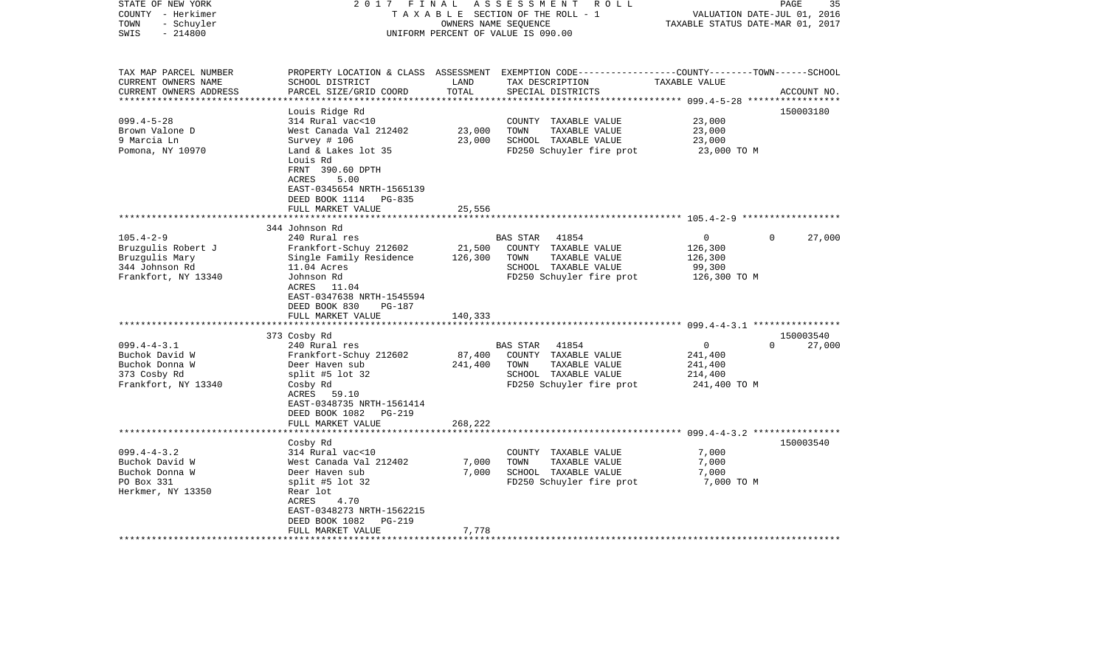| STATE OF NEW YORK<br>COUNTY - Herkimer<br>- Schuyler<br>TOWN<br>SWIS<br>$-214800$ | 2017<br>FINAL                                                                                                                                   | OWNERS NAME SEQUENCE | ASSESSMENT ROLL<br>TAXABLE SECTION OF THE ROLL - 1<br>UNIFORM PERCENT OF VALUE IS 090.00                                                | VALUATION DATE-JUL 01, 2016<br>TAXABLE STATUS DATE-MAR 01, 2017 | PAGE<br>35  |
|-----------------------------------------------------------------------------------|-------------------------------------------------------------------------------------------------------------------------------------------------|----------------------|-----------------------------------------------------------------------------------------------------------------------------------------|-----------------------------------------------------------------|-------------|
| TAX MAP PARCEL NUMBER<br>CURRENT OWNERS NAME<br>CURRENT OWNERS ADDRESS            | SCHOOL DISTRICT<br>PARCEL SIZE/GRID COORD                                                                                                       | LAND<br>TOTAL        | PROPERTY LOCATION & CLASS ASSESSMENT EXEMPTION CODE---------------COUNTY-------TOWN------SCHOOL<br>TAX DESCRIPTION<br>SPECIAL DISTRICTS | TAXABLE VALUE                                                   | ACCOUNT NO. |
|                                                                                   |                                                                                                                                                 |                      |                                                                                                                                         |                                                                 |             |
| $099.4 - 5 - 28$                                                                  | Louis Ridge Rd<br>314 Rural vac<10                                                                                                              |                      | COUNTY TAXABLE VALUE                                                                                                                    | 23,000                                                          | 150003180   |
| Brown Valone D                                                                    | West Canada Val 212402                                                                                                                          | 23,000               | TOWN<br>TAXABLE VALUE                                                                                                                   | 23,000                                                          |             |
| 9 Marcia Ln                                                                       | Survey # 106                                                                                                                                    | 23,000               | SCHOOL TAXABLE VALUE                                                                                                                    | 23,000                                                          |             |
| Pomona, NY 10970                                                                  | Land & Lakes lot 35<br>Louis Rd<br>FRNT 390.60 DPTH<br>ACRES<br>5.00<br>EAST-0345654 NRTH-1565139<br>DEED BOOK 1114 PG-835<br>FULL MARKET VALUE | 25,556               | FD250 Schuyler fire prot                                                                                                                | 23,000 TO M                                                     |             |
|                                                                                   |                                                                                                                                                 |                      |                                                                                                                                         |                                                                 |             |
|                                                                                   | 344 Johnson Rd                                                                                                                                  |                      |                                                                                                                                         |                                                                 |             |
| $105.4 - 2 - 9$                                                                   | 240 Rural res                                                                                                                                   |                      | 41854<br>BAS STAR                                                                                                                       | $\overline{0}$<br>$\Omega$                                      | 27,000      |
| Bruzgulis Robert J<br>Bruzgulis Mary                                              | Frankfort-Schuy 212602<br>Single Family Residence                                                                                               | 21,500<br>126,300    | COUNTY TAXABLE VALUE<br>TAXABLE VALUE<br>TOWN                                                                                           | 126,300<br>126,300                                              |             |
| 344 Johnson Rd                                                                    | 11.04 Acres                                                                                                                                     |                      | SCHOOL TAXABLE VALUE                                                                                                                    | 99,300                                                          |             |
| Frankfort, NY 13340                                                               | Johnson Rd                                                                                                                                      |                      | FD250 Schuyler fire prot                                                                                                                | 126,300 ТО М                                                    |             |
|                                                                                   | ACRES 11.04<br>EAST-0347638 NRTH-1545594<br>DEED BOOK 830<br>PG-187<br>FULL MARKET VALUE                                                        | 140,333              |                                                                                                                                         |                                                                 |             |
|                                                                                   | ************************                                                                                                                        |                      |                                                                                                                                         |                                                                 |             |
|                                                                                   | 373 Cosby Rd                                                                                                                                    |                      |                                                                                                                                         |                                                                 | 150003540   |
| $099.4 - 4 - 3.1$                                                                 | 240 Rural res                                                                                                                                   |                      | <b>BAS STAR</b><br>41854                                                                                                                | $\mathbf 0$<br>$\Omega$                                         | 27,000      |
| Buchok David W                                                                    | Frankfort-Schuy 212602                                                                                                                          | 87,400               | COUNTY TAXABLE VALUE                                                                                                                    | 241,400                                                         |             |
| Buchok Donna W                                                                    | Deer Haven sub                                                                                                                                  | 241,400              | TOWN<br>TAXABLE VALUE                                                                                                                   | 241,400                                                         |             |
| 373 Cosby Rd<br>Frankfort, NY 13340                                               | split #5 lot $32$<br>Cosby Rd                                                                                                                   |                      | SCHOOL TAXABLE VALUE<br>FD250 Schuyler fire prot                                                                                        | 214,400<br>241,400 TO M                                         |             |
|                                                                                   | ACRES 59.10<br>EAST-0348735 NRTH-1561414<br>DEED BOOK 1082    PG-219                                                                            | 268,222              |                                                                                                                                         |                                                                 |             |
|                                                                                   | FULL MARKET VALUE                                                                                                                               |                      |                                                                                                                                         |                                                                 |             |
|                                                                                   | Cosby Rd                                                                                                                                        |                      |                                                                                                                                         |                                                                 | 150003540   |
| $099.4 - 4 - 3.2$                                                                 | 314 Rural vac<10                                                                                                                                |                      | COUNTY TAXABLE VALUE                                                                                                                    | 7,000                                                           |             |
| Buchok David W                                                                    | West Canada Val 212402                                                                                                                          | 7,000                | TOWN<br>TAXABLE VALUE                                                                                                                   | 7,000                                                           |             |
| Buchok Donna W                                                                    | Deer Haven sub                                                                                                                                  | 7,000                | SCHOOL TAXABLE VALUE                                                                                                                    | 7,000                                                           |             |
| PO Box 331                                                                        | split #5 lot $32$                                                                                                                               |                      | FD250 Schuyler fire prot                                                                                                                | 7,000 TO M                                                      |             |
| Herkmer, NY 13350                                                                 | Rear lot                                                                                                                                        |                      |                                                                                                                                         |                                                                 |             |
|                                                                                   | 4.70<br>ACRES<br>EAST-0348273 NRTH-1562215                                                                                                      |                      |                                                                                                                                         |                                                                 |             |
|                                                                                   | DEED BOOK 1082<br>PG-219                                                                                                                        |                      |                                                                                                                                         |                                                                 |             |
|                                                                                   | FULL MARKET VALUE                                                                                                                               | 7,778                |                                                                                                                                         |                                                                 |             |
|                                                                                   |                                                                                                                                                 |                      |                                                                                                                                         |                                                                 |             |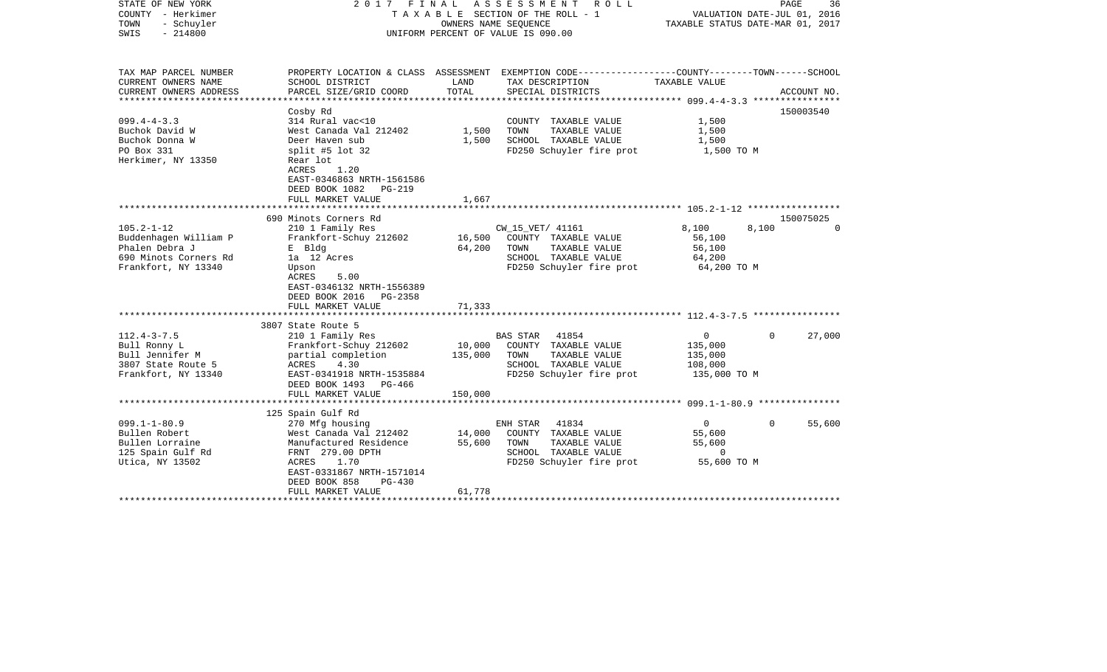| STATE OF NEW YORK<br>COUNTY - Herkimer<br>TOWN<br>- Schuyler<br>$-214800$<br>SWIS                           |                                                                                                                                                                                                               | OWNERS NAME SEQUENCE       | 2017 FINAL ASSESSMENT<br>R O L L<br>T A X A B L E SECTION OF THE ROLL - 1<br>UNIFORM PERCENT OF VALUE IS 090.00                          | VALUATION DATE-JUL 01, 2016<br>TAXABLE STATUS DATE-MAR 01, 2017 | PAGE<br>36            |
|-------------------------------------------------------------------------------------------------------------|---------------------------------------------------------------------------------------------------------------------------------------------------------------------------------------------------------------|----------------------------|------------------------------------------------------------------------------------------------------------------------------------------|-----------------------------------------------------------------|-----------------------|
| TAX MAP PARCEL NUMBER<br>CURRENT OWNERS NAME<br>CURRENT OWNERS ADDRESS<br>***********************           | SCHOOL DISTRICT<br>PARCEL SIZE/GRID COORD                                                                                                                                                                     | LAND<br>TOTAL              | PROPERTY LOCATION & CLASS ASSESSMENT EXEMPTION CODE----------------COUNTY-------TOWN------SCHOOL<br>TAX DESCRIPTION<br>SPECIAL DISTRICTS | TAXABLE VALUE                                                   | ACCOUNT NO.           |
| $099.4 - 4 - 3.3$<br>Buchok David W<br>Buchok Donna W<br>PO Box 331<br>Herkimer, NY 13350                   | Cosby Rd<br>314 Rural vac<10<br>West Canada Val 212402<br>Deer Haven sub<br>split #5 lot 32<br>Rear lot<br>ACRES<br>1.20<br>EAST-0346863 NRTH-1561586<br>DEED BOOK 1082<br><b>PG-219</b><br>FULL MARKET VALUE | 1,500<br>1,500<br>1,667    | COUNTY TAXABLE VALUE<br>TAXABLE VALUE<br>TOWN<br>SCHOOL TAXABLE VALUE<br>FD250 Schuyler fire prot                                        | 1,500<br>1,500<br>1,500<br>1,500 TO M                           | 150003540             |
|                                                                                                             |                                                                                                                                                                                                               |                            |                                                                                                                                          |                                                                 |                       |
| $105.2 - 1 - 12$<br>Buddenhagen William P<br>Phalen Debra J<br>690 Minots Corners Rd<br>Frankfort, NY 13340 | 690 Minots Corners Rd<br>210 1 Family Res<br>Frankfort-Schuy 212602<br>E Bldg<br>la 12 Acres<br>Upson<br>5.00<br>ACRES<br>EAST-0346132 NRTH-1556389<br>DEED BOOK 2016 PG-2358<br>FULL MARKET VALUE            | 16,500<br>64,200<br>71,333 | CW_15_VET/ 41161<br>COUNTY TAXABLE VALUE<br>TAXABLE VALUE<br>TOWN<br>SCHOOL TAXABLE VALUE<br>FD250 Schuyler fire prot                    | 8,100<br>8,100<br>56,100<br>56,100<br>64,200<br>64,200 TO M     | 150075025<br>$\Omega$ |
|                                                                                                             |                                                                                                                                                                                                               |                            |                                                                                                                                          |                                                                 |                       |
| $112.4 - 3 - 7.5$<br>Bull Ronny L<br>Bull Jennifer M<br>3807 State Route 5<br>Frankfort, NY 13340           | 3807 State Route 5<br>210 1 Family Res<br>Frankfort-Schuy 212602<br>partial completion<br>4.30<br>ACRES<br>EAST-0341918 NRTH-1535884<br>DEED BOOK 1493 PG-466                                                 | 10,000<br>135,000          | 41854<br><b>BAS STAR</b><br>COUNTY TAXABLE VALUE<br>TAXABLE VALUE<br>TOWN<br>SCHOOL TAXABLE VALUE<br>FD250 Schuyler fire prot            | $\mathbf 0$<br>135,000<br>135,000<br>108,000<br>135,000 TO M    | $\Omega$<br>27,000    |
|                                                                                                             | FULL MARKET VALUE                                                                                                                                                                                             | 150,000                    |                                                                                                                                          |                                                                 |                       |
|                                                                                                             | 125 Spain Gulf Rd                                                                                                                                                                                             |                            |                                                                                                                                          |                                                                 |                       |
| $099.1 - 1 - 80.9$<br>Bullen Robert<br>Bullen Lorraine<br>125 Spain Gulf Rd<br>Utica, NY 13502              | 270 Mfg housing<br>West Canada Val 212402<br>Manufactured Residence<br>FRNT 279.00 DPTH<br>1.70<br>ACRES<br>EAST-0331867 NRTH-1571014<br>DEED BOOK 858<br>$PG-430$<br>FULL MARKET VALUE                       | 14,000<br>55,600<br>61,778 | ENH STAR<br>41834<br>COUNTY TAXABLE VALUE<br>TOWN<br>TAXABLE VALUE<br>SCHOOL TAXABLE VALUE<br>FD250 Schuyler fire prot                   | $\overline{0}$<br>55,600<br>55,600<br>$\Omega$<br>55,600 TO M   | 55,600<br>$\Omega$    |
|                                                                                                             |                                                                                                                                                                                                               |                            |                                                                                                                                          |                                                                 |                       |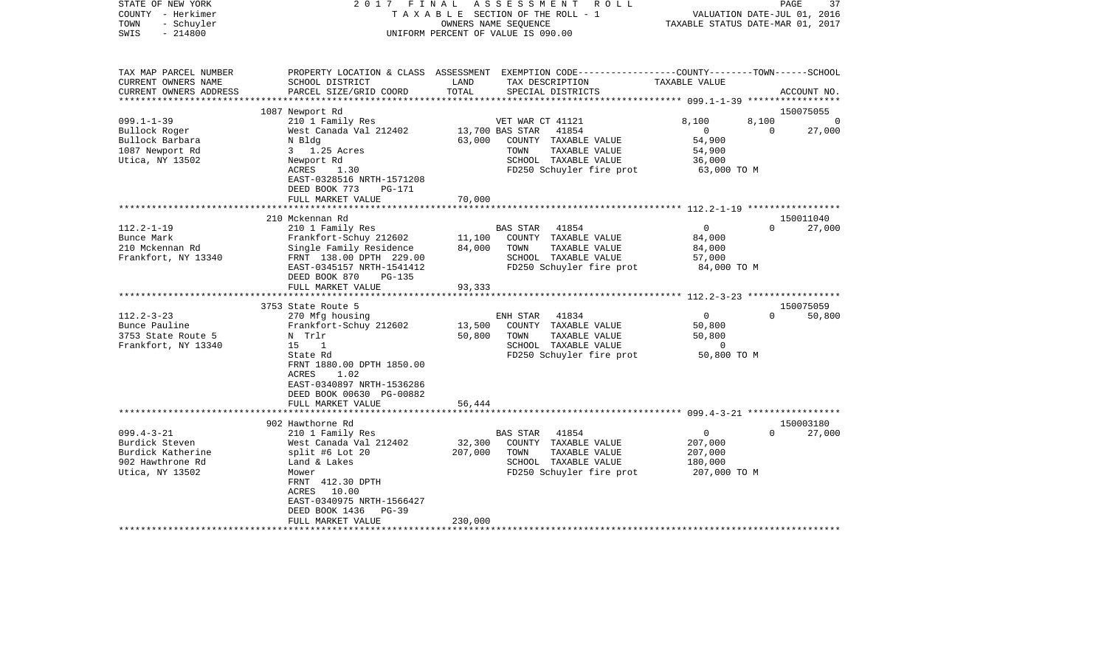| STATE OF NEW YORK<br>COUNTY - Herkimer<br>- Schuyler<br>TOWN<br>$-214800$<br>SWIS | FINAL<br>2017                                      |                 | ASSESSMENT<br>ROLL<br>TAXABLE SECTION OF THE ROLL - 1<br>OWNERS NAME SEQUENCE<br>UNIFORM PERCENT OF VALUE IS 090.00                      | VALUATION DATE-JUL 01, 2016<br>TAXABLE STATUS DATE-MAR 01, 2017 | PAGE     | 37          |
|-----------------------------------------------------------------------------------|----------------------------------------------------|-----------------|------------------------------------------------------------------------------------------------------------------------------------------|-----------------------------------------------------------------|----------|-------------|
| TAX MAP PARCEL NUMBER<br>CURRENT OWNERS NAME<br>CURRENT OWNERS ADDRESS            | SCHOOL DISTRICT<br>PARCEL SIZE/GRID COORD          | LAND<br>TOTAL   | PROPERTY LOCATION & CLASS ASSESSMENT EXEMPTION CODE----------------COUNTY-------TOWN------SCHOOL<br>TAX DESCRIPTION<br>SPECIAL DISTRICTS | TAXABLE VALUE                                                   |          | ACCOUNT NO. |
| ******************                                                                |                                                    |                 | ***************************                                                                                                              |                                                                 |          | 150075055   |
| $099.1 - 1 - 39$                                                                  | 1087 Newport Rd<br>210 1 Family Res                |                 | VET WAR CT 41121                                                                                                                         | 8,100                                                           | 8,100    | $\Omega$    |
| Bullock Roger                                                                     | West Canada Val 212402                             |                 | 13,700 BAS STAR<br>41854                                                                                                                 | $\overline{0}$                                                  | $\Omega$ | 27,000      |
| Bullock Barbara                                                                   | N Bldg                                             | 63,000          | COUNTY TAXABLE VALUE                                                                                                                     | 54,900                                                          |          |             |
| 1087 Newport Rd                                                                   | 3 1.25 Acres                                       |                 | TAXABLE VALUE<br>TOWN                                                                                                                    | 54,900                                                          |          |             |
| Utica, NY 13502                                                                   | Newport Rd                                         |                 | SCHOOL TAXABLE VALUE                                                                                                                     | 36,000                                                          |          |             |
|                                                                                   | ACRES<br>1.30                                      |                 | FD250 Schuyler fire prot                                                                                                                 | 63,000 TO M                                                     |          |             |
|                                                                                   | EAST-0328516 NRTH-1571208                          |                 |                                                                                                                                          |                                                                 |          |             |
|                                                                                   | DEED BOOK 773<br>PG-171                            |                 |                                                                                                                                          |                                                                 |          |             |
|                                                                                   | FULL MARKET VALUE                                  | 70,000          |                                                                                                                                          |                                                                 |          |             |
|                                                                                   |                                                    | * * * * * * * * |                                                                                                                                          |                                                                 |          |             |
|                                                                                   | 210 Mckennan Rd                                    |                 |                                                                                                                                          |                                                                 |          | 150011040   |
| $112.2 - 1 - 19$                                                                  | 210 1 Family Res                                   |                 | <b>BAS STAR</b><br>41854                                                                                                                 | $\mathbf 0$                                                     | $\Omega$ | 27,000      |
| Bunce Mark                                                                        | Frankfort-Schuy 212602                             | 11,100          | COUNTY TAXABLE VALUE                                                                                                                     | 84,000                                                          |          |             |
| 210 Mckennan Rd<br>Frankfort, NY 13340                                            | Single Family Residence<br>FRNT 138.00 DPTH 229.00 | 84,000          | TOWN<br>TAXABLE VALUE<br>SCHOOL TAXABLE VALUE                                                                                            | 84,000<br>57,000                                                |          |             |
|                                                                                   | EAST-0345157 NRTH-1541412                          |                 | FD250 Schuyler fire prot                                                                                                                 | 84,000 TO M                                                     |          |             |
|                                                                                   | DEED BOOK 870<br><b>PG-135</b>                     |                 |                                                                                                                                          |                                                                 |          |             |
|                                                                                   | FULL MARKET VALUE                                  | 93,333          |                                                                                                                                          |                                                                 |          |             |
|                                                                                   | *************************                          |                 |                                                                                                                                          |                                                                 |          |             |
|                                                                                   | 3753 State Route 5                                 |                 |                                                                                                                                          |                                                                 |          | 150075059   |
| $112.2 - 3 - 23$                                                                  | 270 Mfg housing                                    |                 | ENH STAR<br>41834                                                                                                                        | $\mathbf{0}$                                                    | $\Omega$ | 50,800      |
| Bunce Pauline                                                                     | Frankfort-Schuy 212602                             | 13,500          | COUNTY TAXABLE VALUE                                                                                                                     | 50,800                                                          |          |             |
| 3753 State Route 5                                                                | N Trlr                                             | 50,800          | TOWN<br>TAXABLE VALUE                                                                                                                    | 50,800                                                          |          |             |
| Frankfort, NY 13340                                                               | 15<br>1                                            |                 | SCHOOL TAXABLE VALUE                                                                                                                     | 0                                                               |          |             |
|                                                                                   | State Rd                                           |                 | FD250 Schuyler fire prot                                                                                                                 | 50,800 TO M                                                     |          |             |
|                                                                                   | FRNT 1880.00 DPTH 1850.00                          |                 |                                                                                                                                          |                                                                 |          |             |
|                                                                                   | ACRES<br>1.02                                      |                 |                                                                                                                                          |                                                                 |          |             |
|                                                                                   | EAST-0340897 NRTH-1536286                          |                 |                                                                                                                                          |                                                                 |          |             |
|                                                                                   | DEED BOOK 00630 PG-00882                           |                 |                                                                                                                                          |                                                                 |          |             |
|                                                                                   | FULL MARKET VALUE                                  | 56,444          |                                                                                                                                          |                                                                 |          |             |
|                                                                                   | 902 Hawthorne Rd                                   |                 |                                                                                                                                          |                                                                 |          | 150003180   |
| $099.4 - 3 - 21$                                                                  | 210 1 Family Res                                   |                 | BAS STAR<br>41854                                                                                                                        | $\overline{0}$                                                  | $\cap$   | 27,000      |
| Burdick Steven                                                                    | West Canada Val 212402                             | 32,300          | COUNTY TAXABLE VALUE                                                                                                                     | 207,000                                                         |          |             |
| Burdick Katherine                                                                 | split #6 Lot 20                                    | 207,000         | TOWN<br>TAXABLE VALUE                                                                                                                    | 207,000                                                         |          |             |
| 902 Hawthrone Rd                                                                  | Land & Lakes                                       |                 | SCHOOL TAXABLE VALUE                                                                                                                     | 180,000                                                         |          |             |
| Utica, NY 13502                                                                   | Mower                                              |                 | FD250 Schuyler fire prot                                                                                                                 | 207,000 TO M                                                    |          |             |
|                                                                                   | FRNT 412.30 DPTH                                   |                 |                                                                                                                                          |                                                                 |          |             |
|                                                                                   | ACRES 10.00                                        |                 |                                                                                                                                          |                                                                 |          |             |
|                                                                                   | EAST-0340975 NRTH-1566427                          |                 |                                                                                                                                          |                                                                 |          |             |
|                                                                                   | DEED BOOK 1436<br>$PG-39$                          |                 |                                                                                                                                          |                                                                 |          |             |
|                                                                                   | FULL MARKET VALUE                                  | 230,000         |                                                                                                                                          |                                                                 |          |             |
| **********************                                                            |                                                    |                 |                                                                                                                                          |                                                                 |          |             |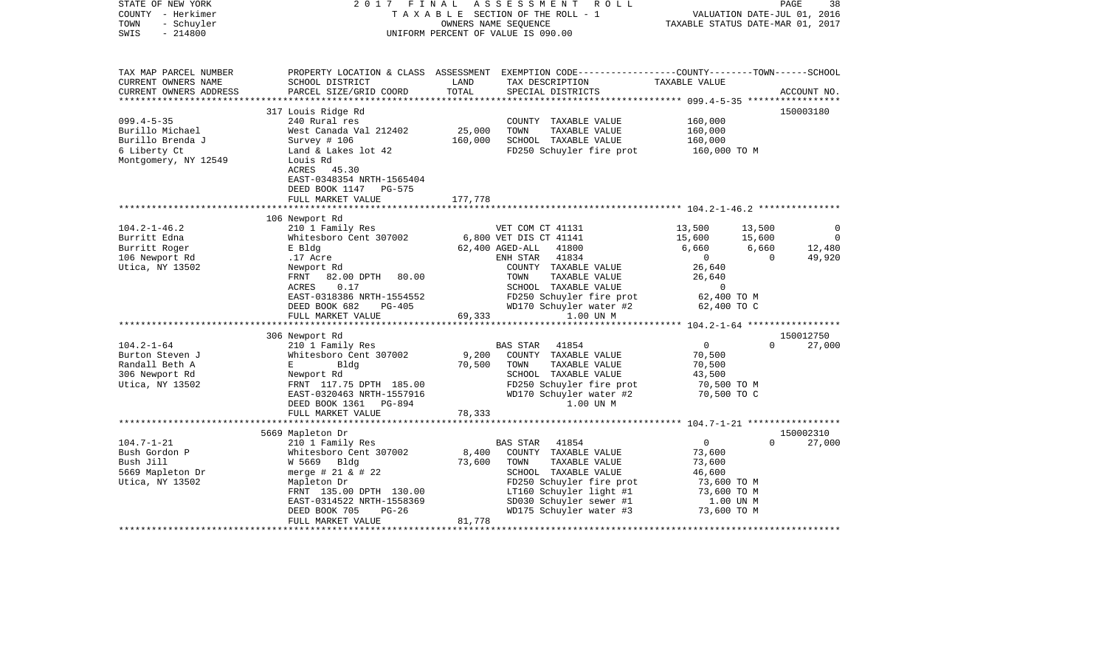| STATE OF NEW YORK<br>COUNTY - Herkimer<br>- Schuyler<br>TOWN<br>$-214800$<br>SWIS                | 2017<br>FINAL                                                                                                                                                |                      | ASSESSMENT<br>ROLL<br>TAXABLE SECTION OF THE ROLL - 1<br>OWNERS NAME SEOUENCE<br>UNIFORM PERCENT OF VALUE IS 090.00                                                   | TAXABLE STATUS DATE-MAR 01, 2017                                           | PAGE<br>VALUATION DATE-JUL 01, 2016 | 38                  |
|--------------------------------------------------------------------------------------------------|--------------------------------------------------------------------------------------------------------------------------------------------------------------|----------------------|-----------------------------------------------------------------------------------------------------------------------------------------------------------------------|----------------------------------------------------------------------------|-------------------------------------|---------------------|
| TAX MAP PARCEL NUMBER<br>CURRENT OWNERS NAME<br>CURRENT OWNERS ADDRESS<br>********************** | SCHOOL DISTRICT<br>PARCEL SIZE/GRID COORD                                                                                                                    | LAND<br>TOTAL        | PROPERTY LOCATION & CLASS ASSESSMENT EXEMPTION CODE---------------COUNTY-------TOWN------SCHOOL<br>TAX DESCRIPTION<br>SPECIAL DISTRICTS                               | TAXABLE VALUE                                                              |                                     | ACCOUNT NO.         |
|                                                                                                  |                                                                                                                                                              |                      |                                                                                                                                                                       |                                                                            |                                     |                     |
| $099.4 - 5 - 35$<br>Burillo Michael<br>Burillo Brenda J<br>6 Liberty Ct<br>Montgomery, NY 12549  | 317 Louis Ridge Rd<br>240 Rural res<br>West Canada Val 212402<br>Survey # 106<br>Land & Lakes lot 42<br>Louis Rd<br>ACRES 45.30<br>EAST-0348354 NRTH-1565404 | 25,000<br>160,000    | COUNTY TAXABLE VALUE<br>TOWN<br>TAXABLE VALUE<br>SCHOOL TAXABLE VALUE<br>FD250 Schuyler fire prot                                                                     | 160,000<br>160,000<br>160,000<br>160,000 TO M                              |                                     | 150003180           |
|                                                                                                  | DEED BOOK 1147<br><b>PG-575</b>                                                                                                                              |                      |                                                                                                                                                                       |                                                                            |                                     |                     |
|                                                                                                  | FULL MARKET VALUE                                                                                                                                            | 177,778<br>********* |                                                                                                                                                                       |                                                                            |                                     |                     |
|                                                                                                  |                                                                                                                                                              |                      | ************************** 104.2-1-46.2 ***************                                                                                                               |                                                                            |                                     |                     |
| $104.2 - 1 - 46.2$                                                                               | 106 Newport Rd<br>210 1 Family Res                                                                                                                           |                      | VET COM CT 41131                                                                                                                                                      | 13,500                                                                     | 13,500                              | 0                   |
| Burritt Edna<br>Burritt Roger                                                                    | Whitesboro Cent 307002<br>E Bldg                                                                                                                             |                      | 6,800 VET DIS CT 41141<br>62,400 AGED-ALL<br>41800                                                                                                                    | 15,600<br>6,660                                                            | 15,600<br>6,660                     | $\Omega$<br>12,480  |
| 106 Newport Rd                                                                                   | .17 Acre                                                                                                                                                     |                      | 41834<br>ENH STAR                                                                                                                                                     | $\overline{0}$                                                             | $\Omega$                            | 49,920              |
| Utica, NY 13502                                                                                  | Newport Rd<br>FRNT<br>82.00 DPTH 80.00<br>ACRES<br>0.17<br>EAST-0318386 NRTH-1554552<br>DEED BOOK 682<br>PG-405<br>FULL MARKET VALUE                         | 69,333               | COUNTY TAXABLE VALUE<br>TAXABLE VALUE<br>TOWN<br>SCHOOL TAXABLE VALUE<br>FD250 Schuyler fire prot<br>WD170 Schuyler water #2<br>1.00 UN M                             | 26,640<br>26,640<br>$\overline{0}$<br>62,400 TO M<br>62,400 TO C           |                                     |                     |
|                                                                                                  |                                                                                                                                                              |                      |                                                                                                                                                                       | **************** 104.2-1-64 ******************                             |                                     |                     |
|                                                                                                  | 306 Newport Rd                                                                                                                                               |                      |                                                                                                                                                                       |                                                                            |                                     | 150012750           |
| $104.2 - 1 - 64$<br>Burton Steven J<br>Randall Beth A<br>306 Newport Rd<br>Utica, NY 13502       | 210 1 Family Res<br>Whitesboro Cent 307002<br>E<br>Bldg<br>Newport Rd<br>FRNT 117.75 DPTH 185.00<br>EAST-0320463 NRTH-1557916<br>DEED BOOK 1361 PG-894       | 9,200<br>70,500      | <b>BAS STAR</b><br>41854<br>COUNTY TAXABLE VALUE<br>TOWN<br>TAXABLE VALUE<br>SCHOOL TAXABLE VALUE<br>FD250 Schuyler fire prot<br>WD170 Schuyler water #2<br>1.00 UN M | $\overline{0}$<br>70,500<br>70,500<br>43,500<br>70,500 TO M<br>70,500 TO C | $\Omega$                            | 27,000              |
|                                                                                                  | FULL MARKET VALUE                                                                                                                                            | 78,333               |                                                                                                                                                                       |                                                                            |                                     |                     |
|                                                                                                  | ***********************                                                                                                                                      | *****************    | ************************    104.7-1-21    *****************                                                                                                           |                                                                            |                                     |                     |
| $104.7 - 1 - 21$                                                                                 | 5669 Mapleton Dr<br>210 1 Family Res                                                                                                                         |                      | BAS STAR<br>41854                                                                                                                                                     | $\mathbf{0}$                                                               | $\Omega$                            | 150002310<br>27,000 |
| Bush Gordon P                                                                                    | Whitesboro Cent 307002                                                                                                                                       | 8,400                | COUNTY TAXABLE VALUE                                                                                                                                                  | 73,600                                                                     |                                     |                     |
| Bush Jill                                                                                        | W 5669 Bldg                                                                                                                                                  | 73,600               | TAXABLE VALUE<br>TOWN                                                                                                                                                 | 73,600                                                                     |                                     |                     |
| 5669 Mapleton Dr                                                                                 | merge # $21$ & # $22$                                                                                                                                        |                      | SCHOOL TAXABLE VALUE                                                                                                                                                  | 46,600                                                                     |                                     |                     |
| Utica, NY 13502                                                                                  | Mapleton Dr                                                                                                                                                  |                      | FD250 Schuyler fire prot                                                                                                                                              | 73,600 TO M                                                                |                                     |                     |
|                                                                                                  | FRNT 135.00 DPTH 130.00                                                                                                                                      |                      | LT160 Schuyler light #1                                                                                                                                               | 73,600 TO M                                                                |                                     |                     |
|                                                                                                  | EAST-0314522 NRTH-1558369                                                                                                                                    |                      | SD030 Schuyler sewer #1                                                                                                                                               | 1.00 UN M                                                                  |                                     |                     |
|                                                                                                  | DEED BOOK 705<br>$PG-26$                                                                                                                                     |                      | WD175 Schuyler water #3                                                                                                                                               | 73,600 TO M                                                                |                                     |                     |
|                                                                                                  | FULL MARKET VALUE                                                                                                                                            | 81,778               |                                                                                                                                                                       |                                                                            |                                     |                     |
|                                                                                                  |                                                                                                                                                              |                      |                                                                                                                                                                       |                                                                            |                                     |                     |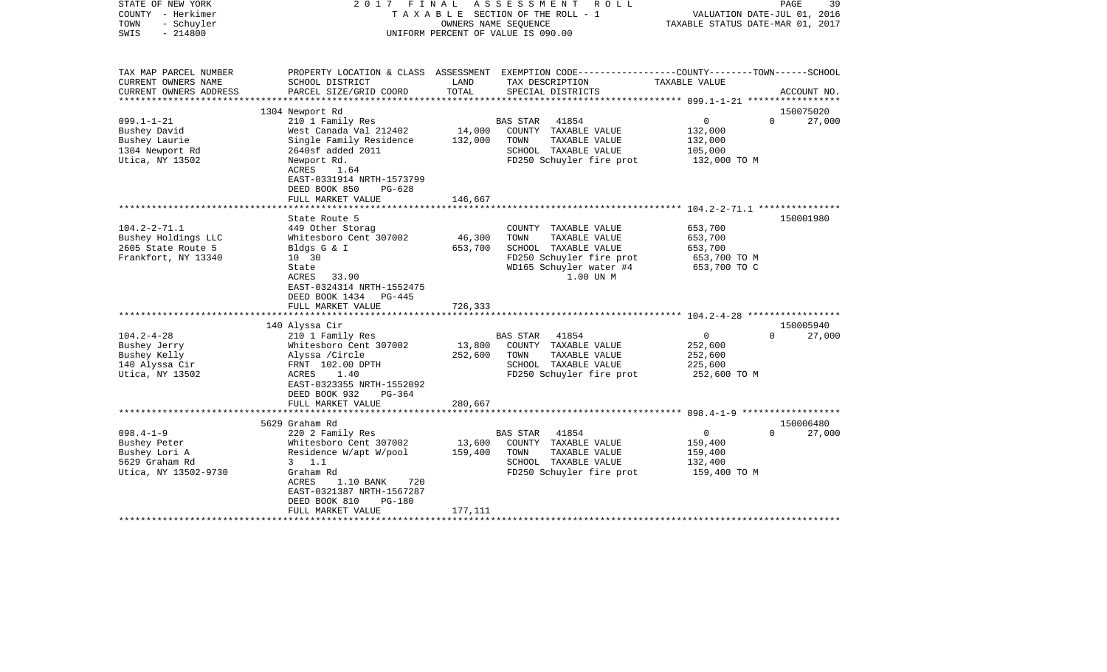| STATE OF NEW YORK<br>COUNTY - Herkimer<br>TOWN<br>- Schuyler<br>$-214800$<br>SWIS |                                            |         | 2017 FINAL ASSESSMENT ROLL<br>TAXABLE SECTION OF THE ROLL - 1<br>OWNERS NAME SEOUENCE<br>UNIFORM PERCENT OF VALUE IS 090.00 | VALUATION DATE-JUL 01, 2016<br>TAXABLE STATUS DATE-MAR 01, 2017 | PAGE<br>39                      |
|-----------------------------------------------------------------------------------|--------------------------------------------|---------|-----------------------------------------------------------------------------------------------------------------------------|-----------------------------------------------------------------|---------------------------------|
| TAX MAP PARCEL NUMBER<br>CURRENT OWNERS NAME                                      | SCHOOL DISTRICT                            | LAND    | PROPERTY LOCATION & CLASS ASSESSMENT EXEMPTION CODE----------------COUNTY-------TOWN------SCHOOL<br>TAX DESCRIPTION         | TAXABLE VALUE                                                   |                                 |
| CURRENT OWNERS ADDRESS<br>************************                                | PARCEL SIZE/GRID COORD                     | TOTAL   | SPECIAL DISTRICTS                                                                                                           |                                                                 | ACCOUNT NO.                     |
|                                                                                   | 1304 Newport Rd                            |         |                                                                                                                             |                                                                 | 150075020                       |
| $099.1 - 1 - 21$                                                                  | 210 1 Family Res                           |         | <b>BAS STAR</b><br>41854                                                                                                    | $\overline{0}$                                                  | $\Omega$<br>27,000              |
| Bushey David                                                                      | West Canada Val 212402                     | 14,000  | COUNTY TAXABLE VALUE                                                                                                        | 132,000                                                         |                                 |
| Bushey Laurie                                                                     | Single Family Residence                    | 132,000 | TOWN<br>TAXABLE VALUE                                                                                                       | 132,000                                                         |                                 |
| 1304 Newport Rd                                                                   | 2640sf added 2011                          |         | SCHOOL TAXABLE VALUE                                                                                                        | 105,000                                                         |                                 |
| Utica, NY 13502                                                                   | Newport Rd.                                |         | FD250 Schuyler fire prot                                                                                                    | 132,000 TO M                                                    |                                 |
|                                                                                   | ACRES<br>1.64<br>EAST-0331914 NRTH-1573799 |         |                                                                                                                             |                                                                 |                                 |
|                                                                                   | DEED BOOK 850<br>$PG-628$                  |         |                                                                                                                             |                                                                 |                                 |
|                                                                                   | FULL MARKET VALUE                          | 146,667 |                                                                                                                             |                                                                 |                                 |
|                                                                                   | ************************                   |         |                                                                                                                             |                                                                 |                                 |
|                                                                                   | State Route 5                              |         |                                                                                                                             |                                                                 | 150001980                       |
| $104.2 - 2 - 71.1$                                                                | 449 Other Storag                           |         | COUNTY TAXABLE VALUE                                                                                                        | 653,700                                                         |                                 |
| Bushey Holdings LLC                                                               | Whitesboro Cent 307002                     | 46,300  | TOWN<br>TAXABLE VALUE                                                                                                       | 653,700                                                         |                                 |
| 2605 State Route 5                                                                | Bldgs G & I                                | 653,700 | SCHOOL TAXABLE VALUE                                                                                                        | 653,700                                                         |                                 |
| Frankfort, NY 13340                                                               | 10 30                                      |         | FD250 Schuyler fire prot                                                                                                    | 653,700 TO M                                                    |                                 |
|                                                                                   | State                                      |         | WD165 Schuyler water #4                                                                                                     | 653,700 TO C                                                    |                                 |
|                                                                                   | 33.90<br>ACRES                             |         | 1.00 UN M                                                                                                                   |                                                                 |                                 |
|                                                                                   | EAST-0324314 NRTH-1552475                  |         |                                                                                                                             |                                                                 |                                 |
|                                                                                   | DEED BOOK 1434 PG-445                      |         |                                                                                                                             |                                                                 |                                 |
|                                                                                   | FULL MARKET VALUE                          | 726,333 |                                                                                                                             |                                                                 |                                 |
|                                                                                   |                                            |         |                                                                                                                             |                                                                 |                                 |
|                                                                                   | 140 Alyssa Cir                             |         |                                                                                                                             |                                                                 | 150005940                       |
| $104.2 - 4 - 28$                                                                  | 210 1 Family Res                           |         | <b>BAS STAR</b><br>41854                                                                                                    | $\overline{0}$                                                  | $\Omega$<br>27,000              |
| Bushey Jerry                                                                      | Whitesboro Cent 307002                     | 13,800  | COUNTY TAXABLE VALUE                                                                                                        | 252,600                                                         |                                 |
| Bushey Kelly                                                                      | Alyssa /Circle                             | 252,600 | TAXABLE VALUE<br>TOWN                                                                                                       | 252,600                                                         |                                 |
| 140 Alyssa Cir                                                                    | FRNT 102.00 DPTH                           |         | SCHOOL TAXABLE VALUE                                                                                                        | 225,600                                                         |                                 |
| Utica, NY 13502                                                                   | ACRES<br>1.40                              |         | FD250 Schuyler fire prot                                                                                                    | 252,600 TO M                                                    |                                 |
|                                                                                   | EAST-0323355 NRTH-1552092                  |         |                                                                                                                             |                                                                 |                                 |
|                                                                                   | DEED BOOK 932<br>$PG-364$                  |         |                                                                                                                             |                                                                 |                                 |
|                                                                                   | FULL MARKET VALUE                          | 280,667 |                                                                                                                             |                                                                 |                                 |
|                                                                                   |                                            |         |                                                                                                                             |                                                                 |                                 |
| $098.4 - 1 - 9$                                                                   | 5629 Graham Rd<br>220 2 Family Res         |         | BAS STAR<br>41854                                                                                                           | $\overline{0}$                                                  | 150006480<br>$\Omega$<br>27,000 |
| Bushey Peter                                                                      | Whitesboro Cent 307002                     | 13,600  | COUNTY TAXABLE VALUE                                                                                                        |                                                                 |                                 |
| Bushey Lori A                                                                     | Residence W/apt W/pool                     | 159,400 | TOWN<br>TAXABLE VALUE                                                                                                       | 159,400<br>159,400                                              |                                 |
| 5629 Graham Rd                                                                    | $3 \t1.1$                                  |         | SCHOOL TAXABLE VALUE                                                                                                        | 132,400                                                         |                                 |
| Utica, NY 13502-9730                                                              | Graham Rd                                  |         | FD250 Schuyler fire prot                                                                                                    | 159,400 TO M                                                    |                                 |
|                                                                                   | ACRES<br>1.10 BANK<br>720                  |         |                                                                                                                             |                                                                 |                                 |
|                                                                                   | EAST-0321387 NRTH-1567287                  |         |                                                                                                                             |                                                                 |                                 |
|                                                                                   | DEED BOOK 810<br><b>PG-180</b>             |         |                                                                                                                             |                                                                 |                                 |
|                                                                                   | FULL MARKET VALUE                          | 177,111 |                                                                                                                             |                                                                 |                                 |
|                                                                                   |                                            |         |                                                                                                                             |                                                                 |                                 |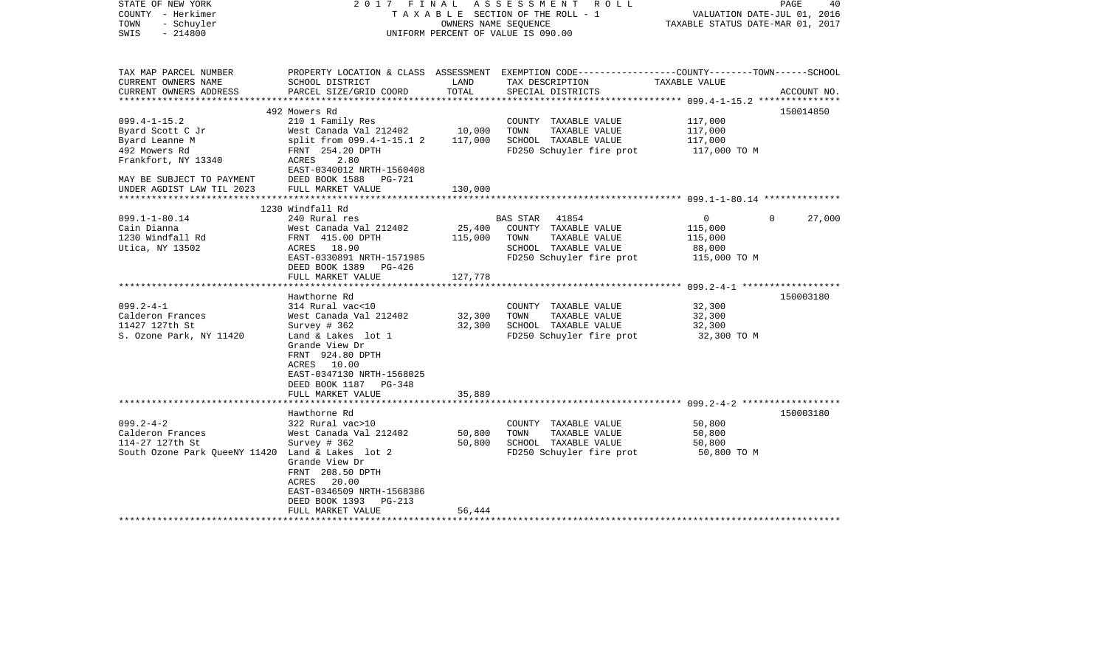| STATE OF NEW YORK<br>COUNTY - Herkimer<br>- Schuyler<br>TOWN<br>$-214800$<br>SWIS |                                            |               | 2017 FINAL ASSESSMENT ROLL<br>TAXABLE SECTION OF THE ROLL - 1<br>OWNERS NAME SEQUENCE<br>UNIFORM PERCENT OF VALUE IS 090.00 | VALUATION DATE-JUL 01, 2016<br>TAXABLE STATUS DATE-MAR 01, 2017 | PAGE<br>40  |
|-----------------------------------------------------------------------------------|--------------------------------------------|---------------|-----------------------------------------------------------------------------------------------------------------------------|-----------------------------------------------------------------|-------------|
| TAX MAP PARCEL NUMBER                                                             |                                            |               | PROPERTY LOCATION & CLASS ASSESSMENT EXEMPTION CODE----------------COUNTY-------TOWN------SCHOOL                            |                                                                 |             |
| CURRENT OWNERS NAME<br>CURRENT OWNERS ADDRESS                                     | SCHOOL DISTRICT<br>PARCEL SIZE/GRID COORD  | LAND<br>TOTAL | TAX DESCRIPTION<br>SPECIAL DISTRICTS                                                                                        | TAXABLE VALUE                                                   | ACCOUNT NO. |
|                                                                                   |                                            |               |                                                                                                                             |                                                                 |             |
|                                                                                   | 492 Mowers Rd                              |               |                                                                                                                             |                                                                 | 150014850   |
| $099.4 - 1 - 15.2$                                                                | 210 1 Family Res                           |               | COUNTY TAXABLE VALUE                                                                                                        | 117,000                                                         |             |
| Byard Scott C Jr                                                                  | West Canada Val 212402                     | 10,000        | TOWN<br>TAXABLE VALUE                                                                                                       | 117,000                                                         |             |
| Byard Leanne M                                                                    | split from 099.4-1-15.1 2                  | 117,000       | SCHOOL TAXABLE VALUE                                                                                                        | 117,000                                                         |             |
| 492 Mowers Rd                                                                     | FRNT 254.20 DPTH                           |               | FD250 Schuyler fire prot                                                                                                    | 117,000 TO M                                                    |             |
| Frankfort, NY 13340                                                               | ACRES<br>2.80<br>EAST-0340012 NRTH-1560408 |               |                                                                                                                             |                                                                 |             |
| MAY BE SUBJECT TO PAYMENT                                                         | DEED BOOK 1588 PG-721                      |               |                                                                                                                             |                                                                 |             |
| UNDER AGDIST LAW TIL 2023<br>**********************                               | FULL MARKET VALUE                          | 130,000       |                                                                                                                             |                                                                 |             |
|                                                                                   |                                            |               |                                                                                                                             |                                                                 |             |
| $099.1 - 1 - 80.14$                                                               | 1230 Windfall Rd<br>240 Rural res          |               | BAS STAR 41854                                                                                                              | $\overline{0}$<br>$\Omega$                                      | 27,000      |
| Cain Dianna                                                                       | West Canada Val 212402                     | 25,400        | COUNTY TAXABLE VALUE                                                                                                        | 115,000                                                         |             |
| 1230 Windfall Rd                                                                  | FRNT 415.00 DPTH                           | 115,000       | TOWN TAXABLE VALUE                                                                                                          | 115,000                                                         |             |
| Utica, NY 13502                                                                   | ACRES 18.90                                |               | SCHOOL TAXABLE VALUE                                                                                                        | 88,000                                                          |             |
|                                                                                   | EAST-0330891 NRTH-1571985                  |               | FD250 Schuyler fire prot                                                                                                    | 115,000 TO M                                                    |             |
|                                                                                   | DEED BOOK 1389 PG-426                      |               |                                                                                                                             |                                                                 |             |
|                                                                                   | FULL MARKET VALUE                          | 127,778       |                                                                                                                             |                                                                 |             |
|                                                                                   |                                            |               |                                                                                                                             |                                                                 |             |
|                                                                                   | Hawthorne Rd                               |               |                                                                                                                             |                                                                 | 150003180   |
| $099.2 - 4 - 1$                                                                   | 314 Rural vac<10                           |               | COUNTY TAXABLE VALUE                                                                                                        | 32,300                                                          |             |
| Calderon Frances                                                                  | West Canada Val 212402                     | 32,300        | TOWN<br>TAXABLE VALUE                                                                                                       | 32,300                                                          |             |
| 11427 127th St<br>S. Ozone Park, NY 11420                                         | Survey # 362                               | 32,300        | SCHOOL TAXABLE VALUE<br>FD250 Schuyler fire prot                                                                            | 32,300                                                          |             |
|                                                                                   | Land & Lakes lot 1<br>Grande View Dr       |               |                                                                                                                             | 32,300 TO M                                                     |             |
|                                                                                   | FRNT 924.80 DPTH                           |               |                                                                                                                             |                                                                 |             |
|                                                                                   | ACRES 10.00                                |               |                                                                                                                             |                                                                 |             |
|                                                                                   | EAST-0347130 NRTH-1568025                  |               |                                                                                                                             |                                                                 |             |
|                                                                                   | DEED BOOK 1187 PG-348                      |               |                                                                                                                             |                                                                 |             |
|                                                                                   | FULL MARKET VALUE                          | 35,889        |                                                                                                                             |                                                                 |             |
|                                                                                   |                                            |               |                                                                                                                             |                                                                 |             |
|                                                                                   | Hawthorne Rd                               |               |                                                                                                                             |                                                                 | 150003180   |
| $099.2 - 4 - 2$                                                                   | 322 Rural vac>10                           |               | COUNTY TAXABLE VALUE                                                                                                        | 50,800                                                          |             |
| Calderon Frances                                                                  | West Canada Val 212402                     | 50,800        | TOWN<br>TAXABLE VALUE                                                                                                       | 50,800                                                          |             |
| 114-27 127th St                                                                   | Survey # 362                               | 50,800        | SCHOOL TAXABLE VALUE                                                                                                        | 50,800                                                          |             |
| South Ozone Park QueeNY 11420 Land & Lakes lot 2                                  | Grande View Dr                             |               | FD250 Schuyler fire prot                                                                                                    | 50,800 TO M                                                     |             |
|                                                                                   | FRNT 208.50 DPTH                           |               |                                                                                                                             |                                                                 |             |
|                                                                                   | ACRES 20.00                                |               |                                                                                                                             |                                                                 |             |
|                                                                                   | EAST-0346509 NRTH-1568386                  |               |                                                                                                                             |                                                                 |             |
|                                                                                   | DEED BOOK 1393 PG-213                      |               |                                                                                                                             |                                                                 |             |
|                                                                                   | FULL MARKET VALUE                          | 56,444        |                                                                                                                             |                                                                 |             |
|                                                                                   |                                            |               |                                                                                                                             |                                                                 |             |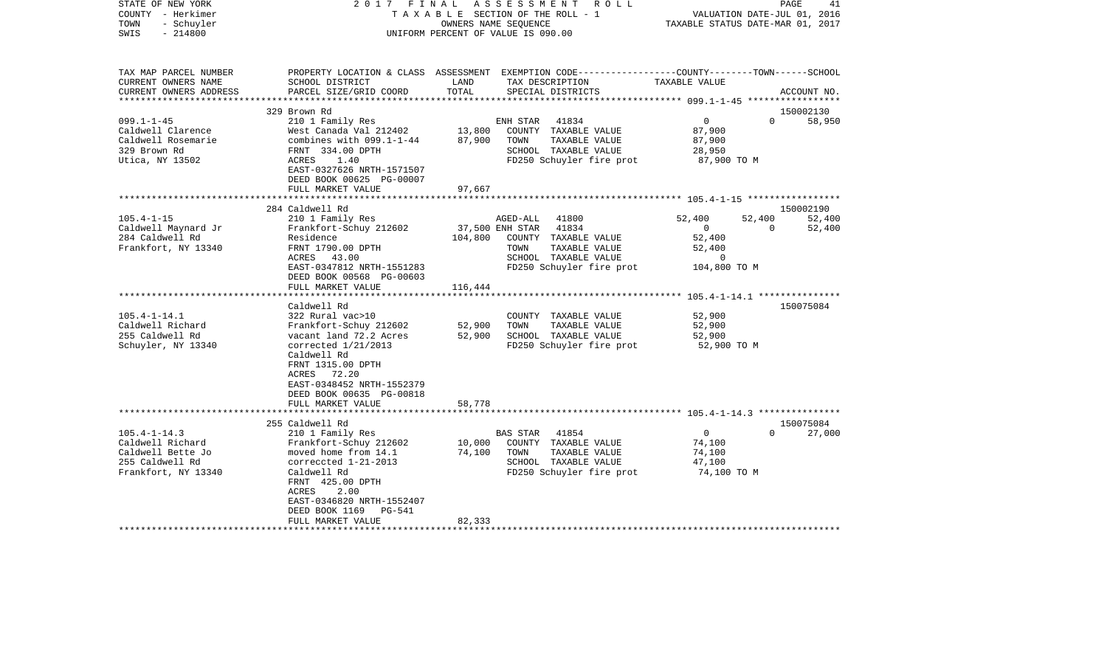| COUNTY<br>- Herkimer   | TAXABLE SECTION OF THE ROLL - 1<br>OWNERS NAME SEQUENCE |                 |                                                                                                 |                                                     | VALUATION DATE-JUL 01, 2016<br>TAXABLE STATUS DATE-MAR 01, 2017 |             |  |
|------------------------|---------------------------------------------------------|-----------------|-------------------------------------------------------------------------------------------------|-----------------------------------------------------|-----------------------------------------------------------------|-------------|--|
| TOWN<br>- Schuyler     |                                                         |                 |                                                                                                 |                                                     |                                                                 |             |  |
| SWIS<br>$-214800$      |                                                         |                 | UNIFORM PERCENT OF VALUE IS 090.00                                                              |                                                     |                                                                 |             |  |
|                        |                                                         |                 |                                                                                                 |                                                     |                                                                 |             |  |
| TAX MAP PARCEL NUMBER  |                                                         |                 | PROPERTY LOCATION & CLASS ASSESSMENT EXEMPTION CODE---------------COUNTY-------TOWN------SCHOOL |                                                     |                                                                 |             |  |
| CURRENT OWNERS NAME    | SCHOOL DISTRICT                                         | LAND            | TAX DESCRIPTION                                                                                 | TAXABLE VALUE                                       |                                                                 |             |  |
| CURRENT OWNERS ADDRESS | PARCEL SIZE/GRID COORD                                  | TOTAL           | SPECIAL DISTRICTS                                                                               |                                                     |                                                                 | ACCOUNT NO. |  |
| *********************  | ****************************                            | *************** |                                                                                                 |                                                     |                                                                 |             |  |
|                        | 329 Brown Rd                                            |                 |                                                                                                 |                                                     |                                                                 | 150002130   |  |
| $099.1 - 1 - 45$       | 210 1 Family Res                                        |                 | 41834<br>ENH STAR                                                                               | $\mathbf 0$                                         | $\Omega$                                                        | 58,950      |  |
| Caldwell Clarence      | West Canada Val 212402                                  | 13,800          | COUNTY TAXABLE VALUE                                                                            | 87,900                                              |                                                                 |             |  |
| Caldwell Rosemarie     | combines with $099.1 - 1 - 44$                          | 87,900          | TOWN<br>TAXABLE VALUE                                                                           | 87,900                                              |                                                                 |             |  |
| 329 Brown Rd           | FRNT 334.00 DPTH                                        |                 | SCHOOL TAXABLE VALUE                                                                            | 28,950                                              |                                                                 |             |  |
| Utica, NY 13502        | ACRES<br>1.40                                           |                 | FD250 Schuyler fire prot                                                                        | 87,900 TO M                                         |                                                                 |             |  |
|                        | EAST-0327626 NRTH-1571507                               |                 |                                                                                                 |                                                     |                                                                 |             |  |
|                        | DEED BOOK 00625 PG-00007<br>FULL MARKET VALUE           | 97,667          |                                                                                                 |                                                     |                                                                 |             |  |
|                        | **********************                                  | *********       |                                                                                                 |                                                     |                                                                 |             |  |
|                        | 284 Caldwell Rd                                         |                 |                                                                                                 |                                                     |                                                                 | 150002190   |  |
| $105.4 - 1 - 15$       | 210 1 Family Res                                        |                 | AGED-ALL<br>41800                                                                               | 52,400                                              | 52,400                                                          | 52,400      |  |
| Caldwell Maynard Jr    | Frankfort-Schuy 212602                                  |                 | 37,500 ENH STAR<br>41834                                                                        | 0                                                   | $\Omega$                                                        | 52,400      |  |
| 284 Caldwell Rd        | Residence                                               | 104,800         | COUNTY TAXABLE VALUE                                                                            | 52,400                                              |                                                                 |             |  |
| Frankfort, NY 13340    | FRNT 1790.00 DPTH                                       |                 | TAXABLE VALUE<br>TOWN                                                                           | 52,400                                              |                                                                 |             |  |
|                        | 43.00<br>ACRES                                          |                 | SCHOOL TAXABLE VALUE                                                                            | $\Omega$                                            |                                                                 |             |  |
|                        | EAST-0347812 NRTH-1551283                               |                 | FD250 Schuyler fire prot                                                                        | 104,800 TO M                                        |                                                                 |             |  |
|                        | DEED BOOK 00568 PG-00603                                |                 |                                                                                                 |                                                     |                                                                 |             |  |
|                        | FULL MARKET VALUE                                       | 116,444         |                                                                                                 |                                                     |                                                                 |             |  |
|                        | *******************                                     | *************   |                                                                                                 | ********************* 105.4-1-14.1 **************** |                                                                 |             |  |
|                        | Caldwell Rd                                             |                 |                                                                                                 |                                                     |                                                                 | 150075084   |  |
| $105.4 - 1 - 14.1$     | 322 Rural vac>10                                        |                 | COUNTY TAXABLE VALUE                                                                            | 52,900                                              |                                                                 |             |  |
| Caldwell Richard       | Frankfort-Schuy 212602                                  | 52,900          | TOWN<br>TAXABLE VALUE                                                                           | 52,900                                              |                                                                 |             |  |
| 255 Caldwell Rd        | vacant land 72.2 Acres                                  | 52,900          | SCHOOL TAXABLE VALUE                                                                            | 52,900                                              |                                                                 |             |  |
| Schuyler, NY 13340     | corrected $1/21/2013$                                   |                 | FD250 Schuyler fire prot                                                                        | 52,900 TO M                                         |                                                                 |             |  |
|                        | Caldwell Rd                                             |                 |                                                                                                 |                                                     |                                                                 |             |  |
|                        | FRNT 1315.00 DPTH                                       |                 |                                                                                                 |                                                     |                                                                 |             |  |
|                        | ACRES<br>72.20                                          |                 |                                                                                                 |                                                     |                                                                 |             |  |
|                        | EAST-0348452 NRTH-1552379<br>DEED BOOK 00635 PG-00818   |                 |                                                                                                 |                                                     |                                                                 |             |  |
|                        | FULL MARKET VALUE                                       | 58,778          |                                                                                                 |                                                     |                                                                 |             |  |
|                        |                                                         |                 | ********************************** 105.4-1-14.3 ******                                          |                                                     |                                                                 |             |  |
|                        | 255 Caldwell Rd                                         |                 |                                                                                                 |                                                     |                                                                 | 150075084   |  |
| $105.4 - 1 - 14.3$     | 210 1 Family Res                                        |                 | 41854<br>BAS STAR                                                                               | $\mathbf 0$                                         | $\Omega$                                                        | 27,000      |  |
| Caldwell Richard       | Frankfort-Schuy 212602                                  | 10,000          | COUNTY TAXABLE VALUE                                                                            | 74,100                                              |                                                                 |             |  |
| Caldwell Bette Jo      | moved home from 14.1                                    | 74,100          | TAXABLE VALUE<br>TOWN                                                                           | 74,100                                              |                                                                 |             |  |
| 255 Caldwell Rd        | correccted 1-21-2013                                    |                 | SCHOOL TAXABLE VALUE                                                                            | 47,100                                              |                                                                 |             |  |
| Frankfort, NY 13340    | Caldwell Rd                                             |                 | FD250 Schuyler fire prot                                                                        | 74,100 TO M                                         |                                                                 |             |  |
|                        | FRNT 425.00 DPTH                                        |                 |                                                                                                 |                                                     |                                                                 |             |  |
|                        | <b>ACRES</b><br>2.00                                    |                 |                                                                                                 |                                                     |                                                                 |             |  |
|                        | EAST-0346820 NRTH-1552407                               |                 |                                                                                                 |                                                     |                                                                 |             |  |
|                        | DEED BOOK 1169<br>PG-541                                |                 |                                                                                                 |                                                     |                                                                 |             |  |
|                        | FULL MARKET VALUE                                       | 82,333          |                                                                                                 |                                                     |                                                                 |             |  |
|                        |                                                         |                 |                                                                                                 |                                                     |                                                                 |             |  |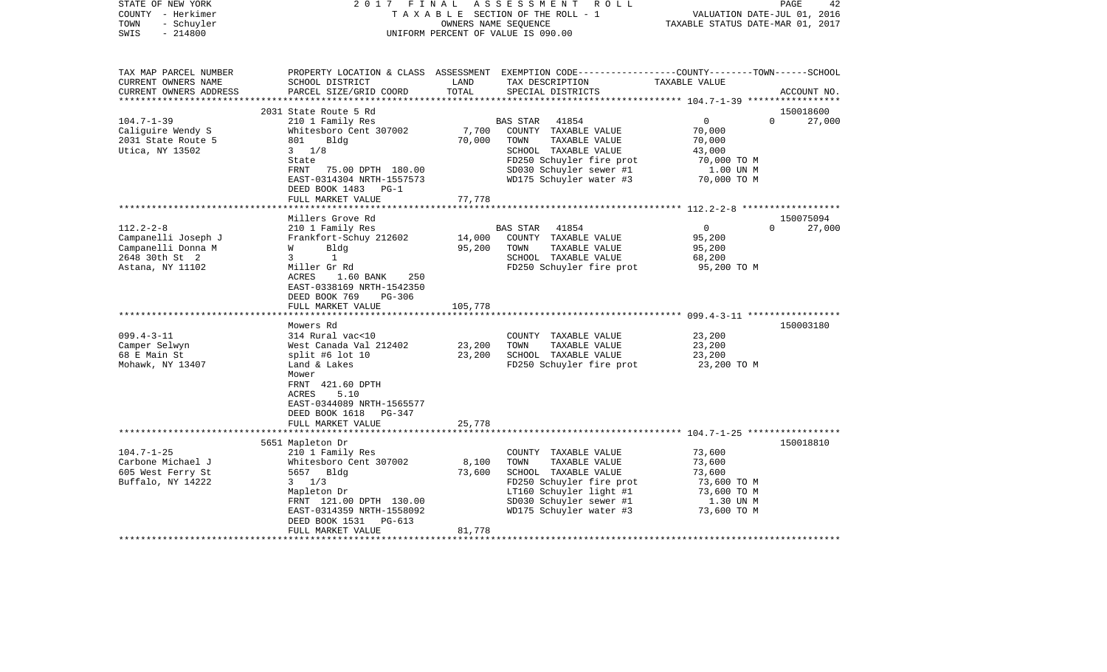| STATE OF NEW YORK<br>COUNTY - Herkimer<br>- Schuyler<br>TOWN<br>SWIS<br>$-214800$                                                                                           | FINAL<br>2017                                                                                                                                                                                                                                                                                                                                                                                                         | OWNERS NAME SEQUENCE                  | A S S E S S M E N T R O L L<br>TAXABLE SECTION OF THE ROLL - 1<br>UNIFORM PERCENT OF VALUE IS 090.00                                                                                                                               | VALUATION DATE-JUL 01, 2016<br>TAXABLE STATUS DATE-MAR 01, 2017                                          | 42<br>PAGE                              |
|-----------------------------------------------------------------------------------------------------------------------------------------------------------------------------|-----------------------------------------------------------------------------------------------------------------------------------------------------------------------------------------------------------------------------------------------------------------------------------------------------------------------------------------------------------------------------------------------------------------------|---------------------------------------|------------------------------------------------------------------------------------------------------------------------------------------------------------------------------------------------------------------------------------|----------------------------------------------------------------------------------------------------------|-----------------------------------------|
| TAX MAP PARCEL NUMBER<br>CURRENT OWNERS NAME<br>CURRENT OWNERS ADDRESS                                                                                                      | SCHOOL DISTRICT<br>PARCEL SIZE/GRID COORD                                                                                                                                                                                                                                                                                                                                                                             | LAND<br>TOTAL                         | PROPERTY LOCATION & CLASS ASSESSMENT EXEMPTION CODE---------------COUNTY-------TOWN------SCHOOL<br>TAX DESCRIPTION TAXABLE VALUE<br>SPECIAL DISTRICTS                                                                              |                                                                                                          | ACCOUNT NO.                             |
|                                                                                                                                                                             |                                                                                                                                                                                                                                                                                                                                                                                                                       |                                       |                                                                                                                                                                                                                                    |                                                                                                          |                                         |
|                                                                                                                                                                             | 2031 State Route 5 Rd                                                                                                                                                                                                                                                                                                                                                                                                 |                                       |                                                                                                                                                                                                                                    |                                                                                                          | 150018600                               |
| $104.7 - 1 - 39$                                                                                                                                                            | 210 1 Family Res                                                                                                                                                                                                                                                                                                                                                                                                      |                                       | BAS STAR<br>41854                                                                                                                                                                                                                  | $\overline{0}$                                                                                           | $\Omega$<br>27,000                      |
| Caliguire Wendy S<br>2031 State Route 5<br>Utica, NY 13502                                                                                                                  | Whitesboro Cent 307002<br>801 Bldg<br>$3 \t1/8$                                                                                                                                                                                                                                                                                                                                                                       | 70,000                                | 7,700 COUNTY TAXABLE VALUE<br>TOWN<br>TAXABLE VALUE<br>SCHOOL TAXABLE VALUE                                                                                                                                                        | 70,000<br>70,000<br>43,000                                                                               |                                         |
|                                                                                                                                                                             | State<br>FRNT<br>75.00 DPTH 180.00<br>EAST-0314304 NRTH-1557573<br>DEED BOOK 1483 PG-1                                                                                                                                                                                                                                                                                                                                |                                       | FD250 Schuyler fire prot<br>SD030 Schuyler sewer #1<br>WD175 Schuyler water #3                                                                                                                                                     | 70,000 TO M<br>1.00 UN M<br>70,000 TO M                                                                  |                                         |
|                                                                                                                                                                             | FULL MARKET VALUE                                                                                                                                                                                                                                                                                                                                                                                                     | 77,778                                |                                                                                                                                                                                                                                    |                                                                                                          |                                         |
|                                                                                                                                                                             |                                                                                                                                                                                                                                                                                                                                                                                                                       |                                       |                                                                                                                                                                                                                                    |                                                                                                          |                                         |
| $112.2 - 2 - 8$<br>Campanelli Joseph J<br>Campanelli Donna M<br>2648 30th St 2<br>Astana, NY 11102<br>$099.4 - 3 - 11$<br>Camper Selwyn<br>68 E Main St<br>Mohawk, NY 13407 | Millers Grove Rd<br>210 1 Family Res<br>Frankfort-Schuy 212602<br>Bldg<br><b>W</b><br>$\overline{3}$<br>$\sim$ 1<br>Miller Gr Rd<br>ACRES<br>$1.60$ BANK<br>250<br>EAST-0338169 NRTH-1542350<br>DEED BOOK 769<br>PG-306<br>FULL MARKET VALUE<br>Mowers Rd<br>314 Rural vac<10<br>West Canada Val 212402<br>split #6 lot 10<br>Land & Lakes<br>Mower<br>FRNT 421.60 DPTH<br>ACRES<br>5.10<br>EAST-0344089 NRTH-1565577 | 95,200<br>105,778<br>23,200<br>23,200 | BAS STAR<br>41854<br>14,000 COUNTY TAXABLE VALUE<br>TOWN<br>TAXABLE VALUE<br>SCHOOL TAXABLE VALUE<br>FD250 Schuyler fire prot<br>COUNTY TAXABLE VALUE<br>TOWN<br>TAXABLE VALUE<br>SCHOOL TAXABLE VALUE<br>FD250 Schuyler fire prot | $\overline{0}$<br>95,200<br>95,200<br>68,200<br>95,200 TO M<br>23,200<br>23,200<br>23,200<br>23,200 TO M | 150075094<br>$0 \t 27,000$<br>150003180 |
|                                                                                                                                                                             | DEED BOOK 1618 PG-347<br>FULL MARKET VALUE                                                                                                                                                                                                                                                                                                                                                                            | 25,778                                |                                                                                                                                                                                                                                    |                                                                                                          |                                         |
| $104.7 - 1 - 25$<br>Carbone Michael J<br>605 West Ferry St<br>Buffalo, NY 14222                                                                                             | 5651 Mapleton Dr<br>210 1 Family Res<br>Whitesboro Cent 307002<br>5657 Bldg<br>$3 \frac{1}{3}$<br>Mapleton Dr<br>FRNT 121.00 DPTH 130.00<br>EAST-0314359 NRTH-1558092<br>DEED BOOK 1531<br>PG-613<br>FULL MARKET VALUE                                                                                                                                                                                                | 8,100<br>73,600<br>81,778             | COUNTY TAXABLE VALUE<br>TOWN<br>TAXABLE VALUE<br>SCHOOL TAXABLE VALUE<br>FD250 Schuyler fire prot<br>LT160 Schuyler light #1<br>SD030 Schuyler sewer #1<br>WD175 Schuyler water #3                                                 | 73,600<br>73,600<br>73,600<br>73,600 TO M<br>73,600 TO M<br>1.30 UN M<br>73,600 TO M                     | 150018810                               |
|                                                                                                                                                                             |                                                                                                                                                                                                                                                                                                                                                                                                                       |                                       |                                                                                                                                                                                                                                    |                                                                                                          |                                         |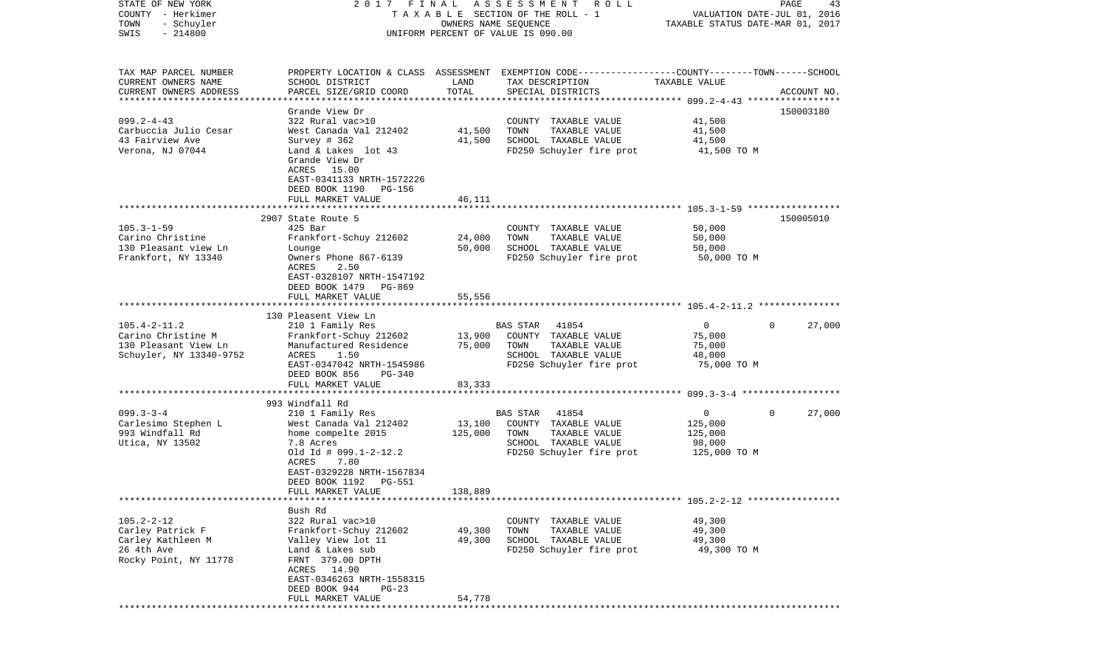| STATE OF NEW YORK<br>COUNTY - Herkimer<br>TOWN<br>- Schuyler<br>$-214800$<br>SWIS                 | FINAL<br>2017                                                                                                                                                                                                                  | OWNERS NAME SEQUENCE         | A S S E S S M E N T<br>R O L L<br>T A X A B L E SECTION OF THE ROLL - 1<br>UNIFORM PERCENT OF VALUE IS 090.00                            | VALUATION DATE-JUL 01, 2016<br>TAXABLE STATUS DATE-MAR 01, 2017 | PAGE<br>43         |
|---------------------------------------------------------------------------------------------------|--------------------------------------------------------------------------------------------------------------------------------------------------------------------------------------------------------------------------------|------------------------------|------------------------------------------------------------------------------------------------------------------------------------------|-----------------------------------------------------------------|--------------------|
| TAX MAP PARCEL NUMBER<br>CURRENT OWNERS NAME<br>CURRENT OWNERS ADDRESS<br>*********************** | SCHOOL DISTRICT<br>PARCEL SIZE/GRID COORD                                                                                                                                                                                      | LAND<br>TOTAL                | PROPERTY LOCATION & CLASS ASSESSMENT EXEMPTION CODE----------------COUNTY-------TOWN------SCHOOL<br>TAX DESCRIPTION<br>SPECIAL DISTRICTS | TAXABLE VALUE                                                   | ACCOUNT NO.        |
| $099.2 - 4 - 43$<br>Carbuccia Julio Cesar<br>43 Fairview Ave<br>Verona, NJ 07044                  | Grande View Dr<br>322 Rural vac>10<br>West Canada Val 212402<br>Survey $#362$<br>Land & Lakes lot 43<br>Grande View Dr<br>ACRES 15.00<br>EAST-0341133 NRTH-1572226<br>DEED BOOK 1190<br>PG-156                                 | 41,500<br>41,500             | COUNTY TAXABLE VALUE<br>TOWN<br>TAXABLE VALUE<br>SCHOOL TAXABLE VALUE<br>FD250 Schuyler fire prot                                        | 41,500<br>41,500<br>41,500<br>41,500 TO M                       | 150003180          |
|                                                                                                   | FULL MARKET VALUE                                                                                                                                                                                                              | 46,111                       |                                                                                                                                          |                                                                 |                    |
| $105.3 - 1 - 59$<br>Carino Christine<br>130 Pleasant view Ln<br>Frankfort, NY 13340               | 2907 State Route 5<br>$425$ Bar<br>Frankfort-Schuy 212602<br>Lounge<br>Owners Phone 867-6139<br>2.50<br>ACRES<br>EAST-0328107 NRTH-1547192                                                                                     | 24,000<br>50,000             | COUNTY TAXABLE VALUE<br>TOWN<br>TAXABLE VALUE<br>SCHOOL TAXABLE VALUE<br>FD250 Schuyler fire prot                                        | 50,000<br>50,000<br>50,000<br>50,000 TO M                       | 150005010          |
|                                                                                                   | DEED BOOK 1479 PG-869<br>FULL MARKET VALUE                                                                                                                                                                                     | 55,556                       |                                                                                                                                          |                                                                 |                    |
| $105.4 - 2 - 11.2$<br>Carino Christine M<br>130 Pleasant View Ln<br>Schuyler, NY 13340-9752       | 130 Pleasent View Ln<br>210 1 Family Res<br>Frankfort-Schuy 212602<br>Manufactured Residence<br>ACRES<br>1.50<br>EAST-0347042 NRTH-1545986<br>DEED BOOK 856<br>PG-340<br>FULL MARKET VALUE                                     | 13,900<br>75,000<br>83,333   | <b>BAS STAR</b><br>41854<br>COUNTY TAXABLE VALUE<br>TOWN<br>TAXABLE VALUE<br>SCHOOL TAXABLE VALUE<br>FD250 Schuyler fire prot            | $\overline{0}$<br>75,000<br>75,000<br>48,000<br>75,000 TO M     | 27,000<br>$\Omega$ |
|                                                                                                   | ***************************                                                                                                                                                                                                    |                              |                                                                                                                                          |                                                                 |                    |
| $099.3 - 3 - 4$<br>Carlesimo Stephen L<br>993 Windfall Rd<br>Utica, NY 13502                      | 993 Windfall Rd<br>210 1 Family Res<br>West Canada Val 212402<br>home compelte 2015<br>7.8 Acres<br>Old Id # $099.1 - 2 - 12.2$<br>ACRES<br>7.80<br>EAST-0329228 NRTH-1567834<br>DEED BOOK 1192<br>PG-551<br>FULL MARKET VALUE | 13,100<br>125,000<br>138,889 | BAS STAR<br>41854<br>COUNTY TAXABLE VALUE<br>TOWN<br>TAXABLE VALUE<br>SCHOOL TAXABLE VALUE<br>FD250 Schuyler fire prot                   | $\overline{0}$<br>125,000<br>125,000<br>98,000<br>125,000 TO M  | 0<br>27,000        |
|                                                                                                   |                                                                                                                                                                                                                                |                              |                                                                                                                                          |                                                                 |                    |
| $105.2 - 2 - 12$<br>Carley Patrick F<br>Carley Kathleen M<br>26 4th Ave<br>Rocky Point, NY 11778  | Bush Rd<br>322 Rural vac>10<br>Frankfort-Schuy 212602<br>Valley View lot 11<br>Land & Lakes sub<br>FRNT 379.00 DPTH<br>ACRES 14.90<br>EAST-0346263 NRTH-1558315<br>DEED BOOK 944<br>$PG-23$                                    | 49,300<br>49,300             | COUNTY TAXABLE VALUE<br>TOWN<br>TAXABLE VALUE<br>SCHOOL TAXABLE VALUE<br>FD250 Schuyler fire prot                                        | 49,300<br>49,300<br>49,300<br>49,300 TO M                       |                    |
|                                                                                                   | FULL MARKET VALUE                                                                                                                                                                                                              | 54,778                       |                                                                                                                                          |                                                                 |                    |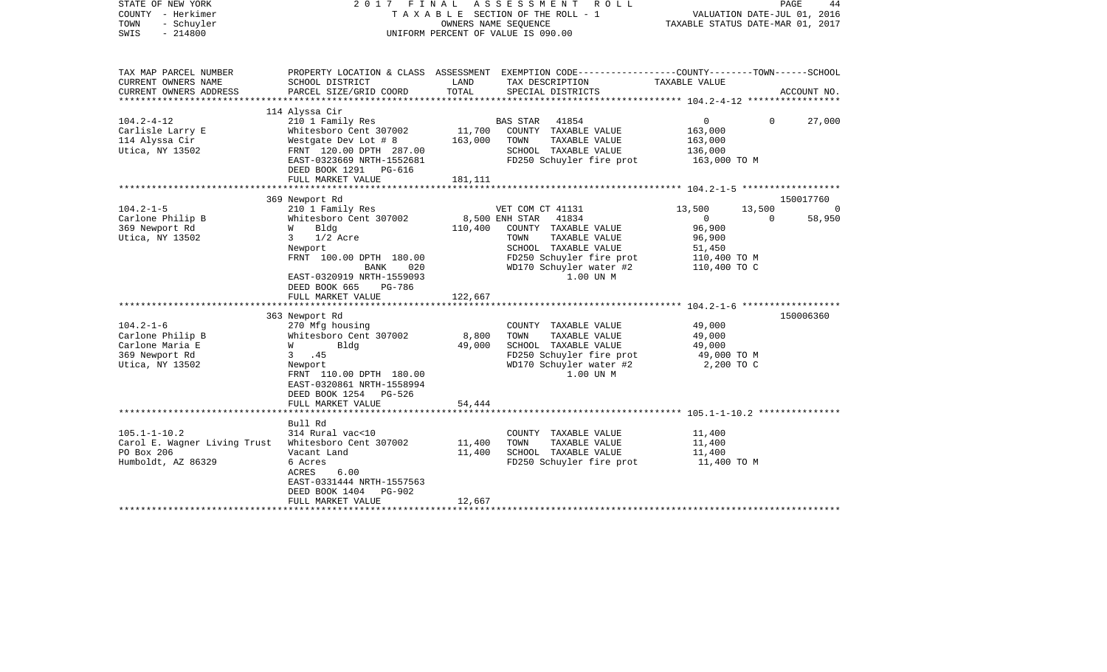|                                                                                                                                                                                                                                                                                                                                                                            |                                                                                          | ROLL                                                                                                                                                                                                                           | VALUATION DATE-JUL 01, 2016<br>TAXABLE STATUS DATE-MAR 01, 2017                                                                                                                                                     | PAGE<br>44                                                                                                                                                                                             |
|----------------------------------------------------------------------------------------------------------------------------------------------------------------------------------------------------------------------------------------------------------------------------------------------------------------------------------------------------------------------------|------------------------------------------------------------------------------------------|--------------------------------------------------------------------------------------------------------------------------------------------------------------------------------------------------------------------------------|---------------------------------------------------------------------------------------------------------------------------------------------------------------------------------------------------------------------|--------------------------------------------------------------------------------------------------------------------------------------------------------------------------------------------------------|
| SCHOOL DISTRICT                                                                                                                                                                                                                                                                                                                                                            | LAND                                                                                     | TAX DESCRIPTION                                                                                                                                                                                                                | TAXABLE VALUE                                                                                                                                                                                                       |                                                                                                                                                                                                        |
|                                                                                                                                                                                                                                                                                                                                                                            |                                                                                          |                                                                                                                                                                                                                                |                                                                                                                                                                                                                     | ACCOUNT NO.                                                                                                                                                                                            |
| 114 Alyssa Cir                                                                                                                                                                                                                                                                                                                                                             |                                                                                          |                                                                                                                                                                                                                                |                                                                                                                                                                                                                     |                                                                                                                                                                                                        |
| Whitesboro Cent 307002<br>Westgate Dev Lot # 8<br>FRNT 120.00 DPTH 287.00<br>EAST-0323669 NRTH-1552681<br>DEED BOOK 1291 PG-616                                                                                                                                                                                                                                            | 163,000                                                                                  | COUNTY TAXABLE VALUE<br>TAXABLE VALUE<br>TOWN<br>SCHOOL TAXABLE VALUE<br>FD250 Schuyler fire prot                                                                                                                              | $\mathbf{0}$<br>163,000<br>163,000<br>136,000<br>163,000 TO M                                                                                                                                                       | 27,000                                                                                                                                                                                                 |
|                                                                                                                                                                                                                                                                                                                                                                            |                                                                                          |                                                                                                                                                                                                                                |                                                                                                                                                                                                                     |                                                                                                                                                                                                        |
| 369 Newport Rd                                                                                                                                                                                                                                                                                                                                                             |                                                                                          |                                                                                                                                                                                                                                |                                                                                                                                                                                                                     | 150017760                                                                                                                                                                                              |
| 210 1 Family Res<br>Whitesboro Cent 307002<br>W<br>Bldg<br>$3 \t1/2$ Acre<br>Newport<br>FRNT 100.00 DPTH 180.00<br>BANK<br>020<br>EAST-0320919 NRTH-1559093<br>DEED BOOK 665<br>PG-786<br>FULL MARKET VALUE<br>363 Newport Rd<br>270 Mfg housing<br>Whitesboro Cent 307002<br>Bldg<br><b>W</b><br>3, 45<br>Newport<br>FRNT 110.00 DPTH 180.00<br>EAST-0320861 NRTH-1558994 | 110,400<br>122,667<br>8,800<br>49,000                                                    | COUNTY TAXABLE VALUE<br>TAXABLE VALUE<br>TOWN<br>SCHOOL TAXABLE VALUE<br>WD170 Schuyler water #2<br>1.00 UN M<br>COUNTY TAXABLE VALUE<br>TAXABLE VALUE<br>TOWN<br>SCHOOL TAXABLE VALUE<br>WD170 Schuyler water #2<br>1.00 UN M | 13,500<br>13,500<br>$\Omega$<br>$\overline{0}$<br>96,900<br>96,900<br>51,450<br>110,400 TO M<br>110,400 TO C<br>49,000<br>49,000<br>49,000<br>49,000 TO M<br>2,200 TO C                                             | 58,950<br>150006360                                                                                                                                                                                    |
| FULL MARKET VALUE                                                                                                                                                                                                                                                                                                                                                          | 54,444                                                                                   |                                                                                                                                                                                                                                |                                                                                                                                                                                                                     |                                                                                                                                                                                                        |
| Bull Rd<br>314 Rural vac<10<br>Carol E. Wagner Living Trust<br>Whitesboro Cent 307002<br>Vacant Land<br>6 Acres<br>6.00<br>ACRES<br>EAST-0331444 NRTH-1557563<br>PG-902<br>DEED BOOK 1404<br>FULL MARKET VALUE                                                                                                                                                             | 11,400<br>11,400<br>12,667                                                               | COUNTY TAXABLE VALUE<br>TOWN<br>TAXABLE VALUE<br>SCHOOL TAXABLE VALUE                                                                                                                                                          | 11,400<br>11,400<br>11,400<br>11,400 TO M                                                                                                                                                                           |                                                                                                                                                                                                        |
|                                                                                                                                                                                                                                                                                                                                                                            | PARCEL SIZE/GRID COORD<br>210 1 Family Res<br>FULL MARKET VALUE<br>DEED BOOK 1254 PG-526 | TOTAL<br>181,111                                                                                                                                                                                                               | 2017 FINAL ASSESSMENT<br>TAXABLE SECTION OF THE ROLL - 1<br>OWNERS NAME SEQUENCE<br>UNIFORM PERCENT OF VALUE IS 090.00<br>SPECIAL DISTRICTS<br>BAS STAR 41854<br>11,700<br>VET COM CT 41131<br>8,500 ENH STAR 41834 | PROPERTY LOCATION & CLASS ASSESSMENT EXEMPTION CODE----------------COUNTY-------TOWN------SCHOOL<br>$\overline{0}$<br>FD250 Schuyler fire prot<br>FD250 Schuyler fire prot<br>FD250 Schuyler fire prot |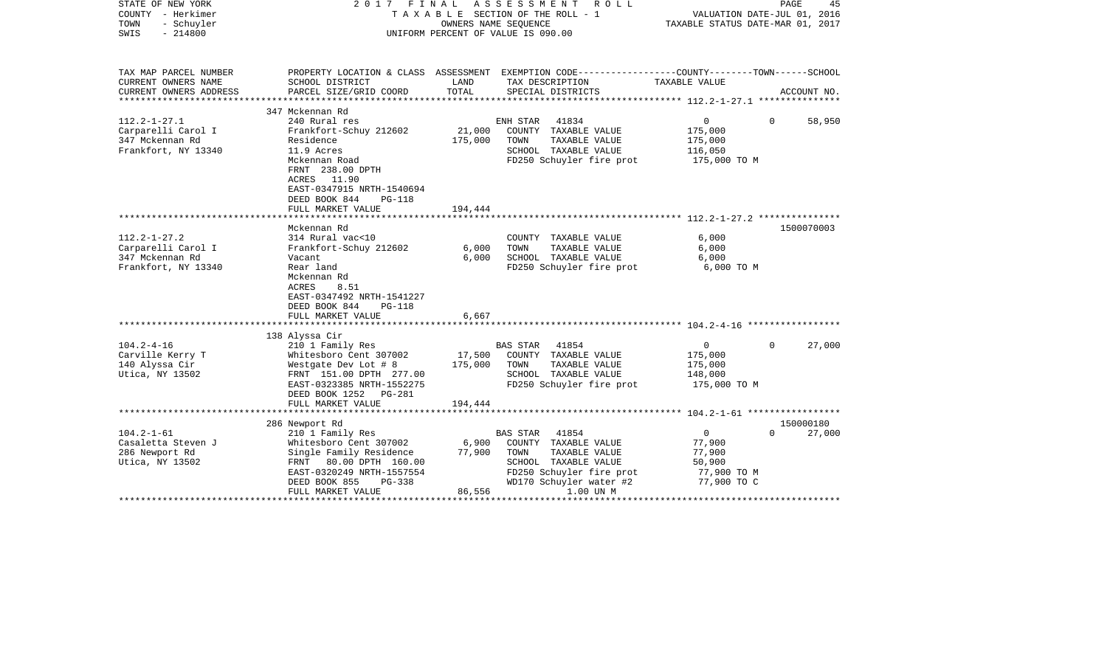| STATE OF NEW YORK<br>COUNTY - Herkimer<br>TOWN<br>- Schuyler<br>$-214800$<br>SWIS | 2017 FINAL                                                                                                                           | OWNERS NAME SEQUENCE | A S S E S S M E N T<br>R O L L<br>T A X A B L E SECTION OF THE ROLL - 1<br>UNIFORM PERCENT OF VALUE IS 090.00      | TAXABLE STATUS DATE-MAR 01, 2017       | PAGE<br>45<br>VALUATION DATE-JUL 01, 2016 |
|-----------------------------------------------------------------------------------|--------------------------------------------------------------------------------------------------------------------------------------|----------------------|--------------------------------------------------------------------------------------------------------------------|----------------------------------------|-------------------------------------------|
| TAX MAP PARCEL NUMBER<br>CURRENT OWNERS NAME                                      | SCHOOL DISTRICT                                                                                                                      | LAND                 | PROPERTY LOCATION & CLASS ASSESSMENT EXEMPTION CODE---------------COUNTY-------TOWN------SCHOOL<br>TAX DESCRIPTION | TAXABLE VALUE                          |                                           |
| CURRENT OWNERS ADDRESS<br>***********************                                 | PARCEL SIZE/GRID COORD                                                                                                               | TOTAL                | SPECIAL DISTRICTS                                                                                                  |                                        | ACCOUNT NO.                               |
|                                                                                   | 347 Mckennan Rd                                                                                                                      |                      |                                                                                                                    |                                        |                                           |
| $112.2 - 1 - 27.1$                                                                | 240 Rural res                                                                                                                        |                      | 41834<br>ENH STAR                                                                                                  | $\mathbf{0}$                           | $\Omega$<br>58,950                        |
| Carparelli Carol I                                                                | Frankfort-Schuy 212602                                                                                                               | 21,000               | COUNTY TAXABLE VALUE                                                                                               | 175,000                                |                                           |
| 347 Mckennan Rd                                                                   | Residence                                                                                                                            | 175,000              | TAXABLE VALUE<br>TOWN                                                                                              | 175,000                                |                                           |
| Frankfort, NY 13340                                                               | 11.9 Acres                                                                                                                           |                      | SCHOOL TAXABLE VALUE                                                                                               | 116,050                                |                                           |
|                                                                                   | Mckennan Road<br>FRNT 238.00 DPTH<br>ACRES 11.90<br>EAST-0347915 NRTH-1540694<br>DEED BOOK 844<br><b>PG-118</b><br>FULL MARKET VALUE | 194,444              | FD250 Schuyler fire prot                                                                                           | 175,000 TO M                           |                                           |
|                                                                                   |                                                                                                                                      |                      |                                                                                                                    |                                        |                                           |
|                                                                                   | Mckennan Rd                                                                                                                          |                      |                                                                                                                    |                                        | 1500070003                                |
| $112.2 - 1 - 27.2$                                                                | 314 Rural vac<10                                                                                                                     |                      | COUNTY TAXABLE VALUE                                                                                               | 6,000                                  |                                           |
| Carparelli Carol I                                                                | Frankfort-Schuy 212602                                                                                                               | 6,000                | TAXABLE VALUE<br>TOWN                                                                                              | 6,000                                  |                                           |
| 347 Mckennan Rd                                                                   | Vacant                                                                                                                               | 6,000                | SCHOOL TAXABLE VALUE                                                                                               | 6,000                                  |                                           |
| Frankfort, NY 13340                                                               | Rear land<br>Mckennan Rd<br>8.51<br>ACRES<br>EAST-0347492 NRTH-1541227<br>DEED BOOK 844<br>$PG-118$                                  |                      | FD250 Schuyler fire prot                                                                                           | 6,000 TO M                             |                                           |
|                                                                                   | FULL MARKET VALUE                                                                                                                    | 6,667                |                                                                                                                    |                                        |                                           |
|                                                                                   | 138 Alyssa Cir                                                                                                                       |                      |                                                                                                                    |                                        |                                           |
| $104.2 - 4 - 16$                                                                  | 210 1 Family Res                                                                                                                     |                      | <b>BAS STAR</b><br>41854                                                                                           | $\overline{0}$                         | 27,000<br>$\Omega$                        |
| Carville Kerry T                                                                  | Whitesboro Cent 307002                                                                                                               | 17,500               | COUNTY TAXABLE VALUE                                                                                               | 175,000                                |                                           |
| 140 Alyssa Cir                                                                    | Westgate Dev Lot # 8                                                                                                                 | 175,000              | TOWN<br>TAXABLE VALUE                                                                                              | 175,000                                |                                           |
| Utica, NY 13502                                                                   | FRNT 151.00 DPTH 277.00                                                                                                              |                      | SCHOOL TAXABLE VALUE                                                                                               | 148,000                                |                                           |
|                                                                                   | EAST-0323385 NRTH-1552275<br>DEED BOOK 1252 PG-281                                                                                   |                      | FD250 Schuyler fire prot                                                                                           | 175,000 TO M                           |                                           |
|                                                                                   | FULL MARKET VALUE                                                                                                                    | 194,444              |                                                                                                                    |                                        |                                           |
|                                                                                   | 286 Newport Rd                                                                                                                       |                      |                                                                                                                    |                                        | 150000180                                 |
| $104.2 - 1 - 61$                                                                  | 210 1 Family Res                                                                                                                     |                      | 41854<br>BAS STAR                                                                                                  | $\mathbf 0$                            | 27,000<br>$\Omega$                        |
| Casaletta Steven J                                                                | Whitesboro Cent 307002                                                                                                               | 6,900                | COUNTY TAXABLE VALUE                                                                                               | 77,900                                 |                                           |
| 286 Newport Rd                                                                    | Single Family Residence                                                                                                              | 77,900               | TOWN<br>TAXABLE VALUE                                                                                              | 77,900                                 |                                           |
| Utica, NY 13502                                                                   | FRNT 80.00 DPTH 160.00                                                                                                               |                      | SCHOOL TAXABLE VALUE                                                                                               | 50,900                                 |                                           |
|                                                                                   | EAST-0320249 NRTH-1557554                                                                                                            |                      | FD250 Schuyler fire prot                                                                                           | 77,900 TO M                            |                                           |
|                                                                                   | DEED BOOK 855<br>PG-338                                                                                                              |                      | WD170 Schuyler water #2                                                                                            | 77,900 TO C                            |                                           |
|                                                                                   | FULL MARKET VALUE                                                                                                                    | 86,556               | 1.00 UN M                                                                                                          |                                        |                                           |
|                                                                                   |                                                                                                                                      | ******************** |                                                                                                                    | ************************************** |                                           |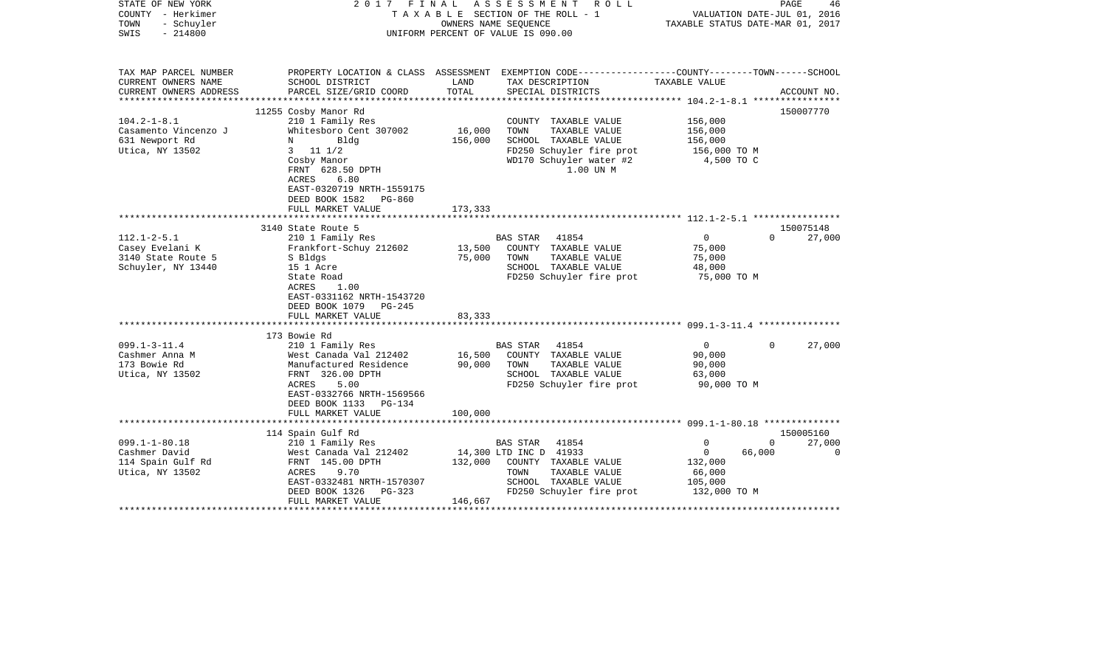| STATE OF NEW YORK<br>COUNTY - Herkimer<br>- Schuyler<br>TOWN<br>$-214800$<br>SWIS | FINAL<br>ASSESSMENT<br>2017<br>R O L L<br>TAXABLE SECTION OF THE ROLL - 1<br>OWNERS NAME SEQUENCE<br>UNIFORM PERCENT OF VALUE IS 090.00                                                                                              |                              |                                                                                                                                                  | VALUATION DATE-JUL 01, 2016<br>TAXABLE STATUS DATE-MAR 01, 2017   | PAGE               | 46                  |
|-----------------------------------------------------------------------------------|--------------------------------------------------------------------------------------------------------------------------------------------------------------------------------------------------------------------------------------|------------------------------|--------------------------------------------------------------------------------------------------------------------------------------------------|-------------------------------------------------------------------|--------------------|---------------------|
| TAX MAP PARCEL NUMBER<br>CURRENT OWNERS NAME<br>CURRENT OWNERS ADDRESS            | SCHOOL DISTRICT<br>PARCEL SIZE/GRID COORD                                                                                                                                                                                            | LAND<br>TOTAL                | PROPERTY LOCATION & CLASS ASSESSMENT EXEMPTION CODE---------------COUNTY-------TOWN-----SCHOOL<br>TAX DESCRIPTION<br>SPECIAL DISTRICTS           | TAXABLE VALUE                                                     |                    | ACCOUNT NO.         |
| ***************                                                                   | ***************************                                                                                                                                                                                                          | **************               |                                                                                                                                                  | ************** 104.2-1-8.1 *****************                      |                    |                     |
| $104.2 - 1 - 8.1$<br>Casamento Vincenzo J<br>631 Newport Rd<br>Utica, NY 13502    | 11255 Cosby Manor Rd<br>210 1 Family Res<br>Whitesboro Cent 307002<br>Bldg<br>N<br>$11 \t1/2$<br>3<br>Cosby Manor<br>FRNT 628.50 DPTH<br>ACRES<br>6.80<br>EAST-0320719 NRTH-1559175<br>DEED BOOK 1582<br>PG-860<br>FULL MARKET VALUE | 16,000<br>156,000<br>173,333 | COUNTY TAXABLE VALUE<br>TOWN<br>TAXABLE VALUE<br>SCHOOL TAXABLE VALUE<br>FD250 Schuyler fire prot<br>WD170 Schuyler water #2<br>1.00 UN M        | 156,000<br>156,000<br>156,000<br>156,000 TO M<br>4,500 TO C       |                    | 150007770           |
|                                                                                   |                                                                                                                                                                                                                                      |                              |                                                                                                                                                  |                                                                   |                    |                     |
| $112.1 - 2 - 5.1$<br>Casey Evelani K<br>3140 State Route 5<br>Schuyler, NY 13440  | 3140 State Route 5<br>210 1 Family Res<br>Frankfort-Schuy 212602<br>S Bldgs<br>15 1 Acre<br>State Road<br><b>ACRES</b><br>1.00<br>EAST-0331162 NRTH-1543720<br>DEED BOOK 1079<br>$PG-245$<br>FULL MARKET VALUE                       | 13,500<br>75,000<br>83,333   | 41854<br>BAS STAR<br>COUNTY TAXABLE VALUE<br>TOWN<br>TAXABLE VALUE<br>SCHOOL TAXABLE VALUE<br>FD250 Schuyler fire prot                           | $\overline{0}$<br>75,000<br>75,000<br>48,000<br>75,000 TO M       | $\Omega$           | 150075148<br>27,000 |
|                                                                                   | *************************                                                                                                                                                                                                            |                              |                                                                                                                                                  |                                                                   |                    |                     |
| $099.1 - 3 - 11.4$<br>Cashmer Anna M<br>173 Bowie Rd<br>Utica, NY 13502           | 173 Bowie Rd<br>210 1 Family Res<br>West Canada Val 212402<br>Manufactured Residence<br>FRNT 326.00 DPTH<br>ACRES<br>5.00<br>EAST-0332766 NRTH-1569566<br>DEED BOOK 1133<br>PG-134                                                   | 16,500<br>90,000             | BAS STAR<br>41854<br>COUNTY TAXABLE VALUE<br>TOWN<br>TAXABLE VALUE<br>SCHOOL TAXABLE VALUE<br>FD250 Schuyler fire prot                           | $\mathbf 0$<br>90,000<br>90,000<br>63,000<br>90,000 TO M          | $\Omega$           | 27,000              |
|                                                                                   | FULL MARKET VALUE                                                                                                                                                                                                                    | 100,000                      |                                                                                                                                                  |                                                                   |                    |                     |
|                                                                                   | 114 Spain Gulf Rd                                                                                                                                                                                                                    |                              |                                                                                                                                                  |                                                                   |                    | 150005160           |
| $099.1 - 1 - 80.18$<br>Cashmer David<br>114 Spain Gulf Rd<br>Utica, NY 13502      | 210 1 Family Res<br>West Canada Val 212402<br>FRNT 145.00 DPTH<br><b>ACRES</b><br>9.70<br>EAST-0332481 NRTH-1570307<br>DEED BOOK 1326<br>PG-323<br>FULL MARKET VALUE                                                                 | 132,000<br>146,667           | 41854<br>BAS STAR<br>14,300 LTD INC D 41933<br>COUNTY TAXABLE VALUE<br>TOWN<br>TAXABLE VALUE<br>SCHOOL TAXABLE VALUE<br>FD250 Schuyler fire prot | 0<br>$\mathbf{0}$<br>132,000<br>66,000<br>105,000<br>132,000 TO M | $\Omega$<br>66,000 | 27,000<br>0         |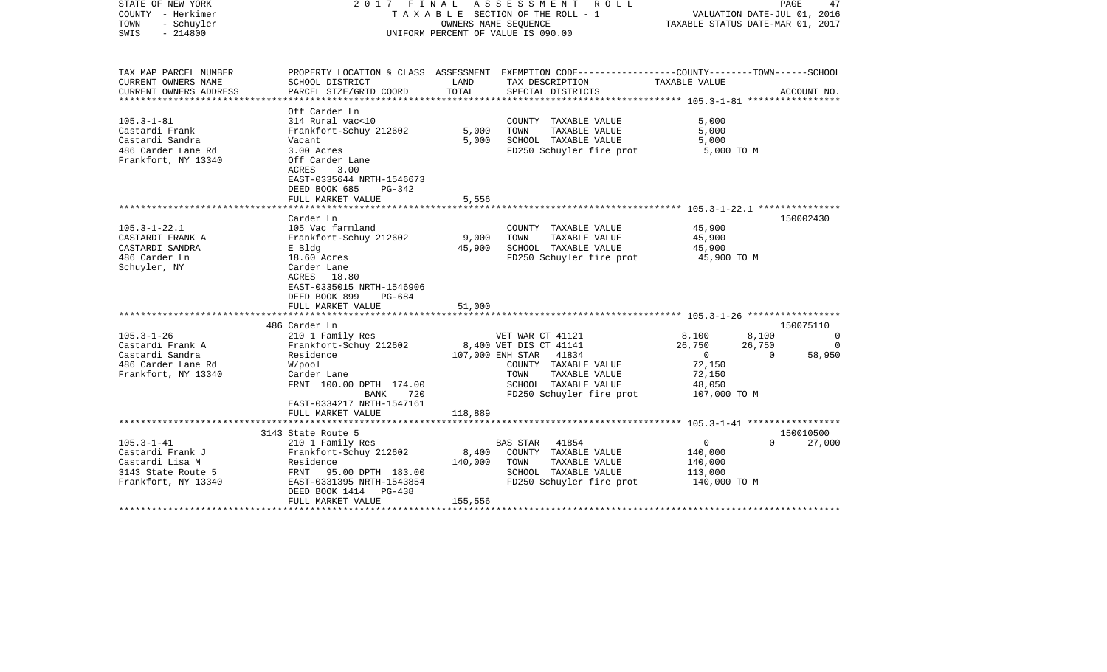| STATE OF NEW YORK<br>COUNTY - Herkimer<br>TOWN<br>- Schuyler<br>SWIS<br>$-214800$ |                                            | 2017 FINAL ASSESSMENT<br>ROLL<br>TAXABLE SECTION OF THE ROLL - 1<br>OWNERS NAME SEOUENCE<br>UNIFORM PERCENT OF VALUE IS 090.00 |                                                                                                 |                            | PAGE<br>47<br>VALUATION DATE-JUL 01, 2016<br>TAXABLE STATUS DATE-MAR 01, 2017 |
|-----------------------------------------------------------------------------------|--------------------------------------------|--------------------------------------------------------------------------------------------------------------------------------|-------------------------------------------------------------------------------------------------|----------------------------|-------------------------------------------------------------------------------|
| TAX MAP PARCEL NUMBER                                                             |                                            |                                                                                                                                | PROPERTY LOCATION & CLASS ASSESSMENT EXEMPTION CODE---------------COUNTY-------TOWN------SCHOOL |                            |                                                                               |
| CURRENT OWNERS NAME<br>CURRENT OWNERS ADDRESS                                     | SCHOOL DISTRICT<br>PARCEL SIZE/GRID COORD  | LAND<br>TOTAL                                                                                                                  | TAX DESCRIPTION<br>SPECIAL DISTRICTS                                                            | TAXABLE VALUE              | ACCOUNT NO.                                                                   |
|                                                                                   |                                            |                                                                                                                                |                                                                                                 |                            |                                                                               |
|                                                                                   | Off Carder Ln                              |                                                                                                                                |                                                                                                 |                            |                                                                               |
| $105.3 - 1 - 81$                                                                  | 314 Rural vac<10                           |                                                                                                                                | COUNTY TAXABLE VALUE                                                                            | 5,000                      |                                                                               |
| Castardi Frank                                                                    | Frankfort-Schuy 212602                     | 5,000                                                                                                                          | TOWN<br>TAXABLE VALUE                                                                           | 5,000                      |                                                                               |
| Castardi Sandra                                                                   | Vacant                                     | 5,000                                                                                                                          | SCHOOL TAXABLE VALUE                                                                            | 5,000                      |                                                                               |
| 486 Carder Lane Rd                                                                | 3.00 Acres                                 |                                                                                                                                | FD250 Schuyler fire prot                                                                        | 5,000 TO M                 |                                                                               |
| Frankfort, NY 13340                                                               | Off Carder Lane                            |                                                                                                                                |                                                                                                 |                            |                                                                               |
|                                                                                   | 3.00<br>ACRES<br>EAST-0335644 NRTH-1546673 |                                                                                                                                |                                                                                                 |                            |                                                                               |
|                                                                                   | DEED BOOK 685<br>PG-342                    |                                                                                                                                |                                                                                                 |                            |                                                                               |
|                                                                                   | FULL MARKET VALUE                          | 5,556                                                                                                                          |                                                                                                 |                            |                                                                               |
|                                                                                   | *******************                        |                                                                                                                                |                                                                                                 |                            |                                                                               |
|                                                                                   | Carder Ln                                  |                                                                                                                                |                                                                                                 |                            | 150002430                                                                     |
| $105.3 - 1 - 22.1$                                                                | 105 Vac farmland                           |                                                                                                                                | COUNTY TAXABLE VALUE                                                                            | 45,900                     |                                                                               |
| CASTARDI FRANK A                                                                  | Frankfort-Schuy 212602                     | 9,000                                                                                                                          | TOWN<br>TAXABLE VALUE                                                                           | 45,900                     |                                                                               |
| CASTARDI SANDRA                                                                   | E Bldg                                     | 45,900                                                                                                                         | SCHOOL TAXABLE VALUE                                                                            | 45,900                     |                                                                               |
| 486 Carder Ln                                                                     | 18.60 Acres                                |                                                                                                                                | FD250 Schuyler fire prot                                                                        | 45,900 TO M                |                                                                               |
| Schuyler, NY                                                                      | Carder Lane                                |                                                                                                                                |                                                                                                 |                            |                                                                               |
|                                                                                   | ACRES 18.80<br>EAST-0335015 NRTH-1546906   |                                                                                                                                |                                                                                                 |                            |                                                                               |
|                                                                                   | DEED BOOK 899<br>PG-684                    |                                                                                                                                |                                                                                                 |                            |                                                                               |
|                                                                                   | FULL MARKET VALUE                          | 51,000                                                                                                                         |                                                                                                 |                            |                                                                               |
|                                                                                   |                                            |                                                                                                                                |                                                                                                 |                            |                                                                               |
|                                                                                   | 486 Carder Ln                              |                                                                                                                                |                                                                                                 |                            | 150075110                                                                     |
| $105.3 - 1 - 26$                                                                  | 210 1 Family Res                           |                                                                                                                                | VET WAR CT 41121                                                                                | 8,100<br>8,100             | $\circ$                                                                       |
| Castardi Frank A                                                                  | Frankfort-Schuy 212602                     |                                                                                                                                | 8,400 VET DIS CT 41141                                                                          | 26,750<br>26,750           | $\Omega$                                                                      |
| Castardi Sandra                                                                   | Residence                                  |                                                                                                                                | 107,000 ENH STAR 41834                                                                          | $\overline{0}$<br>$\Omega$ | 58,950                                                                        |
| 486 Carder Lane Rd                                                                | W/pool                                     |                                                                                                                                | COUNTY TAXABLE VALUE                                                                            | 72,150                     |                                                                               |
| Frankfort, NY 13340                                                               | Carder Lane                                |                                                                                                                                | TOWN<br>TAXABLE VALUE                                                                           | 72,150                     |                                                                               |
|                                                                                   | FRNT 100.00 DPTH 174.00<br>720<br>BANK     |                                                                                                                                | SCHOOL TAXABLE VALUE<br>FD250 Schuyler fire prot                                                | 48,050<br>107,000 TO M     |                                                                               |
|                                                                                   | EAST-0334217 NRTH-1547161                  |                                                                                                                                |                                                                                                 |                            |                                                                               |
|                                                                                   | FULL MARKET VALUE                          | 118,889                                                                                                                        |                                                                                                 |                            |                                                                               |
|                                                                                   |                                            |                                                                                                                                |                                                                                                 |                            |                                                                               |
|                                                                                   | 3143 State Route 5                         |                                                                                                                                |                                                                                                 |                            | 150010500                                                                     |
| $105.3 - 1 - 41$                                                                  | 210 1 Family Res                           |                                                                                                                                | <b>BAS STAR</b><br>41854                                                                        | $\overline{0}$<br>$\Omega$ | 27,000                                                                        |
| Castardi Frank J                                                                  | Frankfort-Schuy 212602                     | 8,400                                                                                                                          | COUNTY TAXABLE VALUE                                                                            | 140,000                    |                                                                               |
| Castardi Lisa M                                                                   | Residence                                  | 140,000                                                                                                                        | TAXABLE VALUE<br>TOWN                                                                           | 140,000                    |                                                                               |
| 3143 State Route 5                                                                | FRNT<br>95.00 DPTH 183.00                  |                                                                                                                                | SCHOOL TAXABLE VALUE                                                                            | 113,000                    |                                                                               |
| Frankfort, NY 13340                                                               | EAST-0331395 NRTH-1543854                  |                                                                                                                                | FD250 Schuyler fire prot                                                                        | 140,000 TO M               |                                                                               |
|                                                                                   | DEED BOOK 1414 PG-438<br>FULL MARKET VALUE | 155,556                                                                                                                        |                                                                                                 |                            |                                                                               |
|                                                                                   |                                            |                                                                                                                                |                                                                                                 |                            |                                                                               |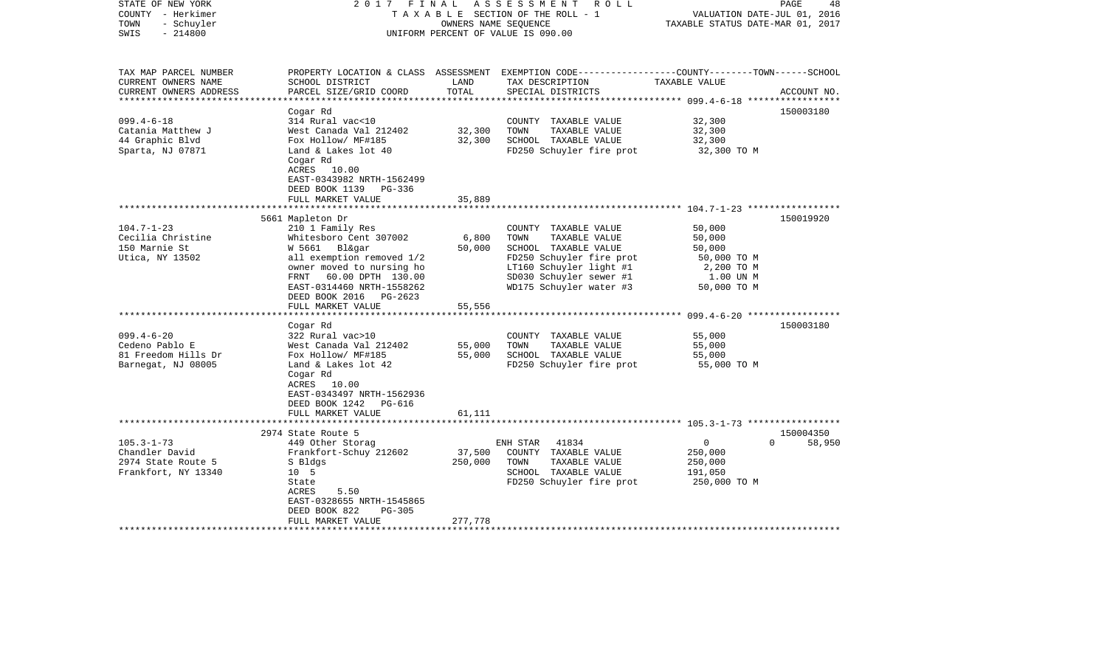| STATE OF NEW YORK       | 2017                                              | FINAL   | A S S E S S M E N T<br>R O L L                                                                   |                                                | PAGE<br>48         |
|-------------------------|---------------------------------------------------|---------|--------------------------------------------------------------------------------------------------|------------------------------------------------|--------------------|
| COUNTY - Herkimer       |                                                   |         | TAXABLE SECTION OF THE ROLL - 1                                                                  | VALUATION DATE-JUL 01, 2016                    |                    |
| TOWN<br>- Schuyler      |                                                   |         | OWNERS NAME SEQUENCE                                                                             | TAXABLE STATUS DATE-MAR 01, 2017               |                    |
| SWIS<br>$-214800$       |                                                   |         | UNIFORM PERCENT OF VALUE IS 090.00                                                               |                                                |                    |
| TAX MAP PARCEL NUMBER   |                                                   |         | PROPERTY LOCATION & CLASS ASSESSMENT EXEMPTION CODE----------------COUNTY-------TOWN------SCHOOL |                                                |                    |
| CURRENT OWNERS NAME     | SCHOOL DISTRICT                                   | LAND    | TAX DESCRIPTION                                                                                  | TAXABLE VALUE                                  |                    |
| CURRENT OWNERS ADDRESS  | PARCEL SIZE/GRID COORD                            | TOTAL   | SPECIAL DISTRICTS                                                                                |                                                | ACCOUNT NO.        |
| *********************** |                                                   |         |                                                                                                  |                                                |                    |
|                         | Cogar Rd                                          |         |                                                                                                  |                                                | 150003180          |
| $099.4 - 6 - 18$        | 314 Rural vac<10                                  |         | COUNTY TAXABLE VALUE                                                                             | 32,300                                         |                    |
| Catania Matthew J       | West Canada Val 212402                            | 32,300  | TOWN<br>TAXABLE VALUE                                                                            | 32,300                                         |                    |
| 44 Graphic Blvd         | Fox Hollow/ MF#185                                | 32,300  | SCHOOL TAXABLE VALUE                                                                             | 32,300                                         |                    |
| Sparta, NJ 07871        | Land & Lakes lot 40<br>Cogar Rd<br>ACRES<br>10.00 |         | FD250 Schuyler fire prot                                                                         | 32,300 TO M                                    |                    |
|                         | EAST-0343982 NRTH-1562499                         |         |                                                                                                  |                                                |                    |
|                         | DEED BOOK 1139<br>PG-336                          |         |                                                                                                  |                                                |                    |
|                         | FULL MARKET VALUE<br>***************************  | 35,889  |                                                                                                  |                                                |                    |
|                         | 5661 Mapleton Dr                                  |         |                                                                                                  |                                                | 150019920          |
| $104.7 - 1 - 23$        | 210 1 Family Res                                  |         | COUNTY TAXABLE VALUE                                                                             | 50,000                                         |                    |
| Cecilia Christine       | Whitesboro Cent 307002                            | 6,800   | TOWN<br>TAXABLE VALUE                                                                            | 50,000                                         |                    |
| 150 Marnie St           | W 5661 Bl&gar                                     | 50,000  | SCHOOL TAXABLE VALUE                                                                             | 50,000                                         |                    |
| Utica, NY 13502         | all exemption removed 1/2                         |         | FD250 Schuyler fire prot                                                                         | 50,000 TO M                                    |                    |
|                         | owner moved to nursing ho                         |         | LT160 Schuyler light #1                                                                          | 2,200 TO M                                     |                    |
|                         | 60.00 DPTH 130.00<br>FRNT                         |         | SD030 Schuyler sewer #1                                                                          | 1.00 UN M                                      |                    |
|                         | EAST-0314460 NRTH-1558262                         |         | WD175 Schuyler water #3                                                                          | 50,000 TO M                                    |                    |
|                         | DEED BOOK 2016 PG-2623                            |         |                                                                                                  |                                                |                    |
|                         | FULL MARKET VALUE                                 | 55,556  |                                                                                                  |                                                |                    |
|                         |                                                   |         |                                                                                                  | ********************* 099.4-6-20 ************* |                    |
|                         | Cogar Rd                                          |         |                                                                                                  |                                                | 150003180          |
| $099.4 - 6 - 20$        | 322 Rural vac>10                                  |         | COUNTY TAXABLE VALUE                                                                             | 55,000                                         |                    |
| Cedeno Pablo E          | West Canada Val 212402                            | 55,000  | TOWN<br>TAXABLE VALUE                                                                            | 55,000                                         |                    |
| 81 Freedom Hills Dr     | Fox Hollow/ MF#185                                | 55,000  | SCHOOL TAXABLE VALUE                                                                             | 55,000                                         |                    |
| Barnegat, NJ 08005      | Land & Lakes lot 42<br>Cogar Rd<br>ACRES 10.00    |         | FD250 Schuyler fire prot                                                                         | 55,000 TO M                                    |                    |
|                         | EAST-0343497 NRTH-1562936                         |         |                                                                                                  |                                                |                    |
|                         | DEED BOOK 1242<br>PG-616                          |         |                                                                                                  |                                                |                    |
|                         | FULL MARKET VALUE                                 | 61,111  |                                                                                                  |                                                |                    |
|                         | ***********************                           |         |                                                                                                  |                                                |                    |
|                         | 2974 State Route 5                                |         |                                                                                                  |                                                | 150004350          |
| $105.3 - 1 - 73$        | 449 Other Storag                                  |         | 41834<br>ENH STAR                                                                                | 0                                              | 58,950<br>$\Omega$ |
| Chandler David          | Frankfort-Schuy 212602                            | 37,500  | COUNTY TAXABLE VALUE                                                                             | 250,000                                        |                    |
| 2974 State Route 5      | S Bldgs                                           | 250,000 | TAXABLE VALUE<br>TOWN                                                                            | 250,000                                        |                    |
| Frankfort, NY 13340     | 10 5                                              |         | SCHOOL TAXABLE VALUE                                                                             | 191,050                                        |                    |
|                         | State                                             |         | FD250 Schuyler fire prot                                                                         | 250,000 TO M                                   |                    |
|                         | 5.50<br>ACRES                                     |         |                                                                                                  |                                                |                    |
|                         | EAST-0328655 NRTH-1545865                         |         |                                                                                                  |                                                |                    |
|                         | DEED BOOK 822<br>$PG-305$                         |         |                                                                                                  |                                                |                    |
|                         | FULL MARKET VALUE                                 | 277,778 |                                                                                                  |                                                |                    |
|                         |                                                   |         |                                                                                                  |                                                |                    |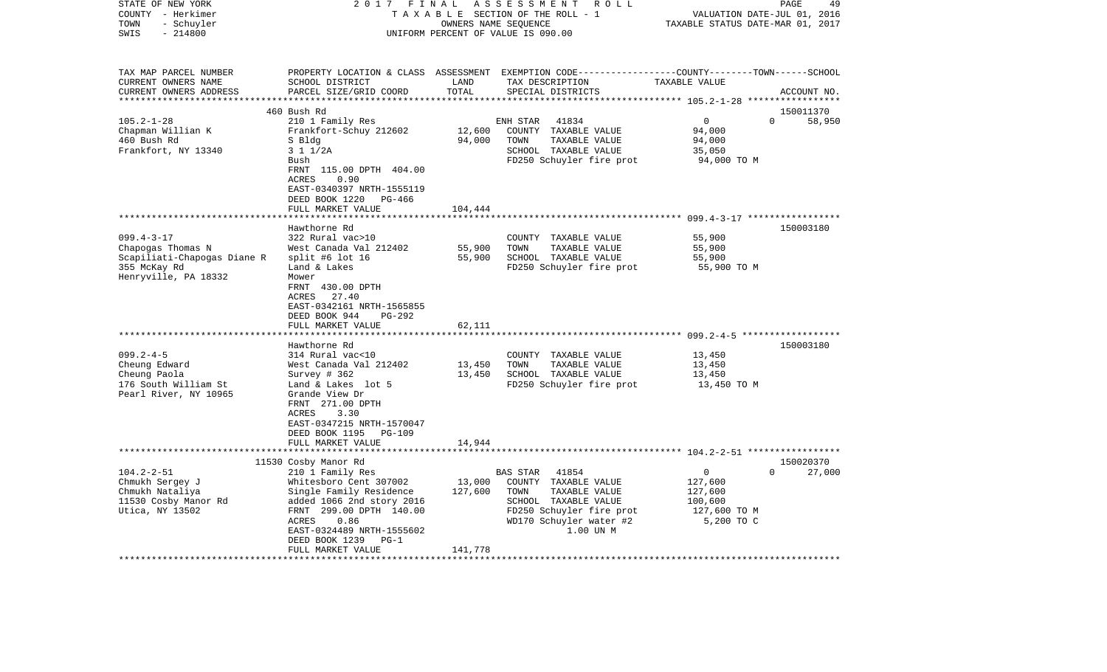| STATE OF NEW YORK<br>COUNTY - Herkimer<br>- Schuyler<br>TOWN | 2017                                                         | FINAL             | A S S E S S M E N T<br>R O L L<br>TAXABLE SECTION OF THE ROLL - 1<br>OWNERS NAME SEQUENCE                          | TAXABLE STATUS DATE-MAR 01, 2017 | 49<br>PAGE<br>VALUATION DATE-JUL 01, 2016 |
|--------------------------------------------------------------|--------------------------------------------------------------|-------------------|--------------------------------------------------------------------------------------------------------------------|----------------------------------|-------------------------------------------|
| $-214800$<br>SWIS                                            |                                                              |                   | UNIFORM PERCENT OF VALUE IS 090.00                                                                                 |                                  |                                           |
| TAX MAP PARCEL NUMBER<br>CURRENT OWNERS NAME                 | SCHOOL DISTRICT                                              | LAND              | PROPERTY LOCATION & CLASS ASSESSMENT EXEMPTION CODE---------------COUNTY-------TOWN------SCHOOL<br>TAX DESCRIPTION | TAXABLE VALUE                    |                                           |
| CURRENT OWNERS ADDRESS<br>***********************            | PARCEL SIZE/GRID COORD                                       | TOTAL             | SPECIAL DISTRICTS                                                                                                  |                                  | ACCOUNT NO.                               |
|                                                              | 460 Bush Rd                                                  |                   |                                                                                                                    |                                  | 150011370                                 |
| $105.2 - 1 - 28$                                             | 210 1 Family Res                                             |                   | ENH STAR<br>41834                                                                                                  | $\mathbf 0$                      | $\Omega$<br>58,950                        |
| Chapman Willian K                                            | Frankfort-Schuy 212602                                       | 12,600            | COUNTY TAXABLE VALUE                                                                                               | 94,000                           |                                           |
| 460 Bush Rd<br>Frankfort, NY 13340                           | S Bldg<br>3 1 1/2A                                           | 94,000            | TOWN<br>TAXABLE VALUE<br>SCHOOL TAXABLE VALUE                                                                      | 94,000<br>35,050                 |                                           |
|                                                              | Bush                                                         |                   | FD250 Schuyler fire prot                                                                                           | 94,000 TO M                      |                                           |
|                                                              | FRNT 115.00 DPTH 404.00                                      |                   |                                                                                                                    |                                  |                                           |
|                                                              | <b>ACRES</b><br>0.90                                         |                   |                                                                                                                    |                                  |                                           |
|                                                              | EAST-0340397 NRTH-1555119                                    |                   |                                                                                                                    |                                  |                                           |
|                                                              | DEED BOOK 1220<br>PG-466<br>FULL MARKET VALUE                | 104,444           |                                                                                                                    |                                  |                                           |
|                                                              | ************************                                     |                   |                                                                                                                    |                                  |                                           |
|                                                              | Hawthorne Rd                                                 |                   |                                                                                                                    |                                  | 150003180                                 |
| $099.4 - 3 - 17$                                             | 322 Rural vac>10                                             |                   | COUNTY TAXABLE VALUE                                                                                               | 55,900                           |                                           |
| Chapogas Thomas N                                            | West Canada Val 212402                                       | 55,900            | TAXABLE VALUE<br>TOWN                                                                                              | 55,900                           |                                           |
| Scapiliati-Chapogas Diane R<br>355 McKay Rd                  | split #6 lot 16<br>Land & Lakes                              | 55,900            | SCHOOL TAXABLE VALUE<br>FD250 Schuyler fire prot                                                                   | 55,900<br>55,900 TO M            |                                           |
| Henryville, PA 18332                                         | Mower                                                        |                   |                                                                                                                    |                                  |                                           |
|                                                              | FRNT 430.00 DPTH                                             |                   |                                                                                                                    |                                  |                                           |
|                                                              | ACRES<br>27.40                                               |                   |                                                                                                                    |                                  |                                           |
|                                                              | EAST-0342161 NRTH-1565855                                    |                   |                                                                                                                    |                                  |                                           |
|                                                              | DEED BOOK 944<br>PG-292<br>FULL MARKET VALUE                 | 62,111            |                                                                                                                    |                                  |                                           |
|                                                              |                                                              |                   |                                                                                                                    |                                  |                                           |
|                                                              | Hawthorne Rd                                                 |                   |                                                                                                                    |                                  | 150003180                                 |
| $099.2 - 4 - 5$                                              | 314 Rural vac<10                                             |                   | COUNTY TAXABLE VALUE                                                                                               | 13,450                           |                                           |
| Cheung Edward<br>Cheung Paola                                | West Canada Val 212402<br>Survey $# 362$                     | 13,450<br>13,450  | TOWN<br>TAXABLE VALUE<br>SCHOOL TAXABLE VALUE                                                                      | 13,450<br>13,450                 |                                           |
| 176 South William St                                         | Land & Lakes lot 5                                           |                   | FD250 Schuyler fire prot                                                                                           | 13,450 TO M                      |                                           |
| Pearl River, NY 10965                                        | Grande View Dr                                               |                   |                                                                                                                    |                                  |                                           |
|                                                              | FRNT 271.00 DPTH                                             |                   |                                                                                                                    |                                  |                                           |
|                                                              | ACRES<br>3.30                                                |                   |                                                                                                                    |                                  |                                           |
|                                                              | EAST-0347215 NRTH-1570047<br>DEED BOOK 1195<br><b>PG-109</b> |                   |                                                                                                                    |                                  |                                           |
|                                                              | FULL MARKET VALUE                                            | 14,944            |                                                                                                                    |                                  |                                           |
|                                                              |                                                              |                   |                                                                                                                    |                                  |                                           |
|                                                              | 11530 Cosby Manor Rd                                         |                   |                                                                                                                    |                                  | 150020370                                 |
| $104.2 - 2 - 51$                                             | 210 1 Family Res                                             |                   | BAS STAR<br>41854                                                                                                  | 0                                | $\Omega$<br>27,000                        |
| Chmukh Sergey J<br>Chmukh Nataliya                           | Whitesboro Cent 307002<br>Single Family Residence            | 13,000<br>127,600 | COUNTY TAXABLE VALUE<br>TAXABLE VALUE<br>TOWN                                                                      | 127,600<br>127,600               |                                           |
| 11530 Cosby Manor Rd                                         | added 1066 2nd story 2016                                    |                   | SCHOOL TAXABLE VALUE                                                                                               | 100,600                          |                                           |
| Utica, NY 13502                                              | FRNT 299.00 DPTH 140.00                                      |                   | FD250 Schuyler fire prot                                                                                           | 127,600 TO M                     |                                           |
|                                                              | ACRES<br>0.86                                                |                   | WD170 Schuyler water #2                                                                                            | 5,200 TO C                       |                                           |
|                                                              | EAST-0324489 NRTH-1555602                                    |                   | 1.00 UN M                                                                                                          |                                  |                                           |
|                                                              | DEED BOOK 1239<br>$PG-1$<br>FULL MARKET VALUE                | 141,778           |                                                                                                                    |                                  |                                           |
|                                                              |                                                              |                   |                                                                                                                    |                                  |                                           |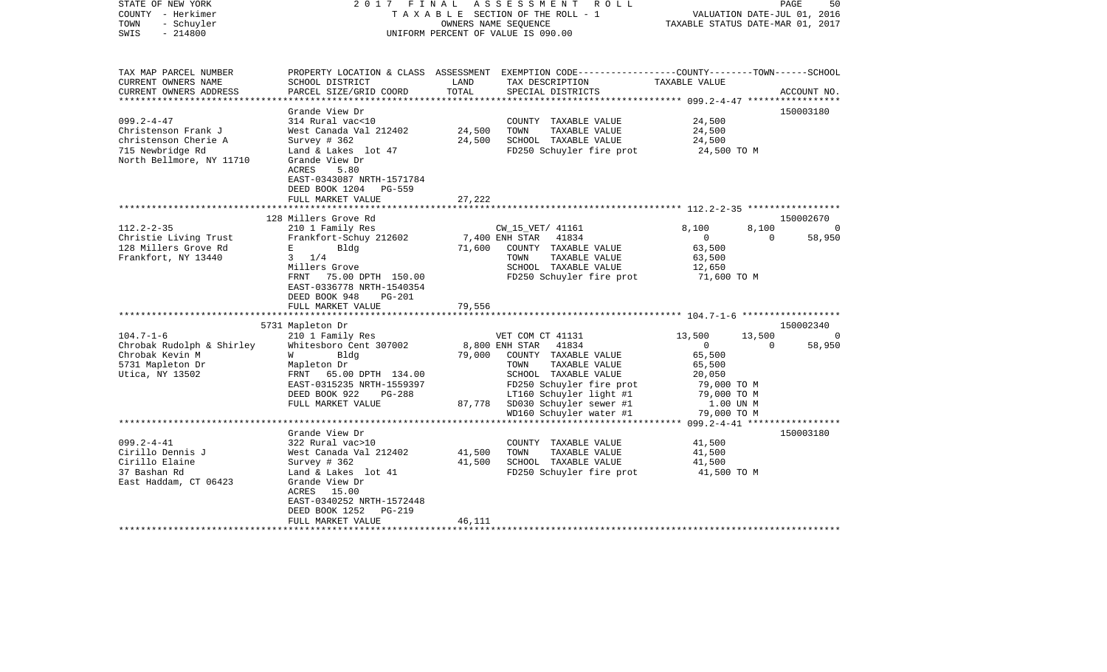| STATE OF NEW YORK<br>COUNTY - Herkimer<br>- Schuyler<br>TOWN<br>$-214800$<br>SWIS | 2017<br>FINAL                                                                                                                               | OWNERS NAME SEQUENCE | ASSESSMENT ROLL<br>TAXABLE SECTION OF THE ROLL - 1<br>UNIFORM PERCENT OF VALUE IS 090.00                           | TAXABLE STATUS DATE-MAR 01, 2017 | PAGE<br>VALUATION DATE-JUL 01, 2016 | 50          |
|-----------------------------------------------------------------------------------|---------------------------------------------------------------------------------------------------------------------------------------------|----------------------|--------------------------------------------------------------------------------------------------------------------|----------------------------------|-------------------------------------|-------------|
| TAX MAP PARCEL NUMBER<br>CURRENT OWNERS NAME                                      | SCHOOL DISTRICT                                                                                                                             | LAND                 | PROPERTY LOCATION & CLASS ASSESSMENT EXEMPTION CODE---------------COUNTY-------TOWN------SCHOOL<br>TAX DESCRIPTION | TAXABLE VALUE                    |                                     |             |
| CURRENT OWNERS ADDRESS<br>*************************                               | PARCEL SIZE/GRID COORD                                                                                                                      | TOTAL                | SPECIAL DISTRICTS                                                                                                  |                                  |                                     | ACCOUNT NO. |
|                                                                                   | Grande View Dr                                                                                                                              |                      |                                                                                                                    |                                  |                                     | 150003180   |
| $099.2 - 4 - 47$                                                                  | 314 Rural vac<10                                                                                                                            |                      | COUNTY TAXABLE VALUE                                                                                               | 24,500                           |                                     |             |
| Christenson Frank J                                                               | West Canada Val 212402                                                                                                                      | 24,500               | TOWN<br>TAXABLE VALUE                                                                                              | 24,500                           |                                     |             |
| christenson Cherie A                                                              | Survey $# 362$                                                                                                                              | 24,500               | SCHOOL TAXABLE VALUE                                                                                               | 24,500                           |                                     |             |
| 715 Newbridge Rd<br>North Bellmore, NY 11710                                      | Land & Lakes lot 47<br>Grande View Dr<br>ACRES<br>5.80<br>EAST-0343087 NRTH-1571784<br>DEED BOOK 1204<br><b>PG-559</b><br>FULL MARKET VALUE | 27,222               | FD250 Schuyler fire prot                                                                                           | 24,500 TO M                      |                                     |             |
|                                                                                   | ********************                                                                                                                        | **********           | ***************************** 112.2-2-35 *****************                                                         |                                  |                                     |             |
|                                                                                   | 128 Millers Grove Rd                                                                                                                        |                      |                                                                                                                    |                                  |                                     | 150002670   |
| $112.2 - 2 - 35$                                                                  | 210 1 Family Res                                                                                                                            |                      | CW_15_VET/ 41161                                                                                                   | 8,100                            | 8,100                               | 0           |
| Christie Living Trust                                                             | Frankfort-Schuy 212602                                                                                                                      |                      | 41834<br>7,400 ENH STAR                                                                                            | $\overline{0}$                   | $\mathbf{0}$                        | 58,950      |
| 128 Millers Grove Rd                                                              | $\mathbf{E}$ and $\mathbf{E}$ and $\mathbf{E}$<br>Bldg                                                                                      | 71,600               | COUNTY TAXABLE VALUE                                                                                               | 63,500                           |                                     |             |
| Frankfort, NY 13440                                                               | $3 \t1/4$                                                                                                                                   |                      | TAXABLE VALUE<br>TOWN<br>SCHOOL TAXABLE VALUE                                                                      | 63,500                           |                                     |             |
|                                                                                   | Millers Grove<br>FRNT 75.00 DPTH 150.00<br>EAST-0336778 NRTH-1540354<br>DEED BOOK 948<br><b>PG-201</b>                                      |                      | FD250 Schuyler fire prot                                                                                           | 12,650<br>71,600 TO M            |                                     |             |
|                                                                                   | FULL MARKET VALUE<br>******************                                                                                                     | 79,556               |                                                                                                                    |                                  |                                     |             |
|                                                                                   | 5731 Mapleton Dr                                                                                                                            |                      |                                                                                                                    |                                  |                                     | 150002340   |
| $104.7 - 1 - 6$                                                                   | 210 1 Family Res                                                                                                                            |                      | VET COM CT 41131                                                                                                   | 13,500                           | 13,500                              | $\circ$     |
| Chrobak Rudolph & Shirley                                                         | Whitesboro Cent 307002                                                                                                                      |                      | 8,800 ENH STAR<br>41834                                                                                            | $\mathbf 0$                      | $\Omega$                            | 58,950      |
| Chrobak Kevin M                                                                   | Bldg<br>W                                                                                                                                   | 79,000               | COUNTY TAXABLE VALUE                                                                                               | 65,500                           |                                     |             |
| 5731 Mapleton Dr                                                                  | Mapleton Dr                                                                                                                                 |                      | TAXABLE VALUE<br>TOWN                                                                                              | 65,500                           |                                     |             |
| Utica, NY 13502                                                                   | FRNT<br>65.00 DPTH 134.00                                                                                                                   |                      | SCHOOL TAXABLE VALUE                                                                                               | 20,050                           |                                     |             |
|                                                                                   | EAST-0315235 NRTH-1559397                                                                                                                   |                      | FD250 Schuyler fire prot                                                                                           | 79,000 TO M                      |                                     |             |
|                                                                                   | DEED BOOK 922<br>PG-288<br>FULL MARKET VALUE                                                                                                | 87,778               | LT160 Schuyler light #1<br>SD030 Schuyler sewer #1                                                                 | 79,000 TO M<br>1.00 UN M         |                                     |             |
|                                                                                   |                                                                                                                                             |                      | WD160 Schuyler water #1                                                                                            | 79,000 TO M                      |                                     |             |
|                                                                                   |                                                                                                                                             |                      |                                                                                                                    | $099.2 - 4 - 41$ *****           |                                     |             |
|                                                                                   | Grande View Dr                                                                                                                              |                      |                                                                                                                    |                                  |                                     | 150003180   |
| $099.2 - 4 - 41$                                                                  | 322 Rural vac>10                                                                                                                            |                      | COUNTY TAXABLE VALUE                                                                                               | 41,500                           |                                     |             |
| Cirillo Dennis J                                                                  | West Canada Val 212402                                                                                                                      | 41,500               | TAXABLE VALUE<br>TOWN                                                                                              | 41,500                           |                                     |             |
| Cirillo Elaine<br>37 Bashan Rd                                                    | Survey # 362                                                                                                                                | 41,500               | SCHOOL TAXABLE VALUE                                                                                               | 41,500                           |                                     |             |
| East Haddam, CT 06423                                                             | Land & Lakes lot 41<br>Grande View Dr<br>ACRES 15.00<br>EAST-0340252 NRTH-1572448<br>DEED BOOK 1252<br><b>PG-219</b><br>FULL MARKET VALUE   | 46,111               | FD250 Schuyler fire prot                                                                                           | 41,500 TO M                      |                                     |             |
|                                                                                   |                                                                                                                                             |                      |                                                                                                                    |                                  |                                     |             |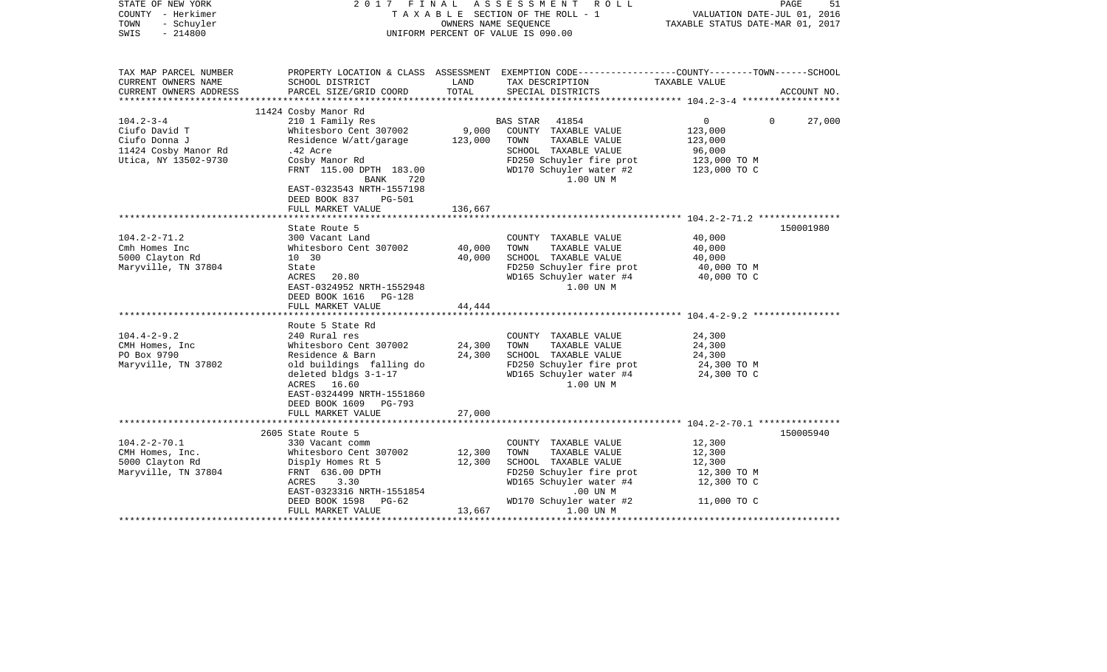| STATE OF NEW YORK<br>COUNTY - Herkimer<br>TOWN<br>- Schuyler<br>$-214800$<br>SWIS                 |                                                                                                                                                                                                          | OWNERS NAME SEQUENCE       | 2017 FINAL ASSESSMENT ROLL<br>TAXABLE SECTION OF THE ROLL - 1<br>UNIFORM PERCENT OF VALUE IS 090.00                                                                                  | VALUATION DATE-JUL 01, 2016<br>TAXABLE STATUS DATE-MAR 01, 2017                               | PAGE<br>51  |
|---------------------------------------------------------------------------------------------------|----------------------------------------------------------------------------------------------------------------------------------------------------------------------------------------------------------|----------------------------|--------------------------------------------------------------------------------------------------------------------------------------------------------------------------------------|-----------------------------------------------------------------------------------------------|-------------|
| TAX MAP PARCEL NUMBER<br>CURRENT OWNERS NAME<br>CURRENT OWNERS ADDRESS                            | SCHOOL DISTRICT<br>PARCEL SIZE/GRID COORD                                                                                                                                                                | LAND<br>TOTAL              | PROPERTY LOCATION & CLASS ASSESSMENT EXEMPTION CODE----------------COUNTY-------TOWN------SCHOOL<br>TAX DESCRIPTION<br>SPECIAL DISTRICTS                                             | TAXABLE VALUE                                                                                 | ACCOUNT NO. |
|                                                                                                   | 11424 Cosby Manor Rd                                                                                                                                                                                     |                            |                                                                                                                                                                                      |                                                                                               |             |
| $104.2 - 3 - 4$<br>Ciufo David T<br>Ciufo Donna J<br>11424 Cosby Manor Rd<br>Utica, NY 13502-9730 | 210 1 Family Res<br>Whitesboro Cent 307002<br>Residence W/att/garage<br>.42 Acre<br>Cosby Manor Rd<br>FRNT 115.00 DPTH 183.00<br>BANK 720<br>EAST-0323543 NRTH-1557198<br>DEED BOOK 837<br><b>PG-501</b> | 9,000<br>123,000           | BAS STAR 41854<br>COUNTY TAXABLE VALUE<br>TOWN<br>TAXABLE VALUE<br>SCHOOL TAXABLE VALUE<br>FD250 Schuyler fire prot<br>WD170 Schuyler water #2<br>1.00 UN M                          | $0 \qquad \qquad$<br>$\Omega$<br>123,000<br>123,000<br>96,000<br>123,000 TO M<br>123,000 TO C | 27,000      |
|                                                                                                   | FULL MARKET VALUE                                                                                                                                                                                        | 136,667                    |                                                                                                                                                                                      |                                                                                               |             |
|                                                                                                   |                                                                                                                                                                                                          |                            |                                                                                                                                                                                      |                                                                                               |             |
| $104.2 - 2 - 71.2$<br>Cmh Homes Inc<br>5000 Clayton Rd<br>Maryville, TN 37804                     | State Route 5<br>300 Vacant Land<br>Whitesboro Cent 307002<br>10 30<br>State<br>ACRES 20.80<br>EAST-0324952 NRTH-1552948<br>DEED BOOK 1616 PG-128<br>FULL MARKET VALUE<br>*******************            | 40,000<br>40,000<br>44,444 | COUNTY TAXABLE VALUE<br>TOWN<br>TAXABLE VALUE<br>SCHOOL TAXABLE VALUE<br>FD250 Schuyler fire prot<br>WD165 Schuyler water #4<br>1.00 UN M                                            | 40,000<br>40,000<br>40,000<br>40,000 TO M<br>40,000 TO C                                      | 150001980   |
|                                                                                                   | Route 5 State Rd                                                                                                                                                                                         |                            |                                                                                                                                                                                      |                                                                                               |             |
| $104.4 - 2 - 9.2$<br>CMH Homes, Inc<br>PO Box 9790<br>Maryville, TN 37802                         | 240 Rural res<br>Whitesboro Cent 307002<br>Residence & Barn<br>old buildings falling do<br>deleted bldgs 3-1-17<br>ACRES 16.60<br>EAST-0324499 NRTH-1551860<br>DEED BOOK 1609 PG-793                     | 24,300<br>24,300           | COUNTY TAXABLE VALUE<br>TAXABLE VALUE<br>TOWN<br>SCHOOL TAXABLE VALUE<br>FD250 Schuyler fire prot<br>WD165 Schuyler water #4<br>1.00 UN M                                            | 24,300<br>24,300<br>24,300<br>24,300 TO M<br>24,300 TO C                                      |             |
|                                                                                                   | FULL MARKET VALUE                                                                                                                                                                                        | 27,000                     |                                                                                                                                                                                      |                                                                                               |             |
| $104.2 - 2 - 70.1$<br>CMH Homes, Inc.<br>5000 Clayton Rd<br>Maryville, TN 37804                   | 2605 State Route 5<br>330 Vacant comm<br>Whitesboro Cent 307002<br>Disply Homes Rt 5<br>FRNT 636.00 DPTH<br>ACRES<br>3.30<br>EAST-0323316 NRTH-1551854<br>DEED BOOK 1598 PG-62<br>FULL MARKET VALUE      | 12,300<br>12,300<br>13,667 | COUNTY TAXABLE VALUE<br>TOWN<br>TAXABLE VALUE<br>SCHOOL TAXABLE VALUE<br>FD250 Schuyler fire prot<br>WD165 Schuyler water #4<br>$.00$ UN $M$<br>WD170 Schuyler water #2<br>1.00 UN M | 12,300<br>12,300<br>12,300<br>12,300 TO M<br>12,300 TO C<br>11,000 TO C                       | 150005940   |
|                                                                                                   |                                                                                                                                                                                                          |                            |                                                                                                                                                                                      |                                                                                               |             |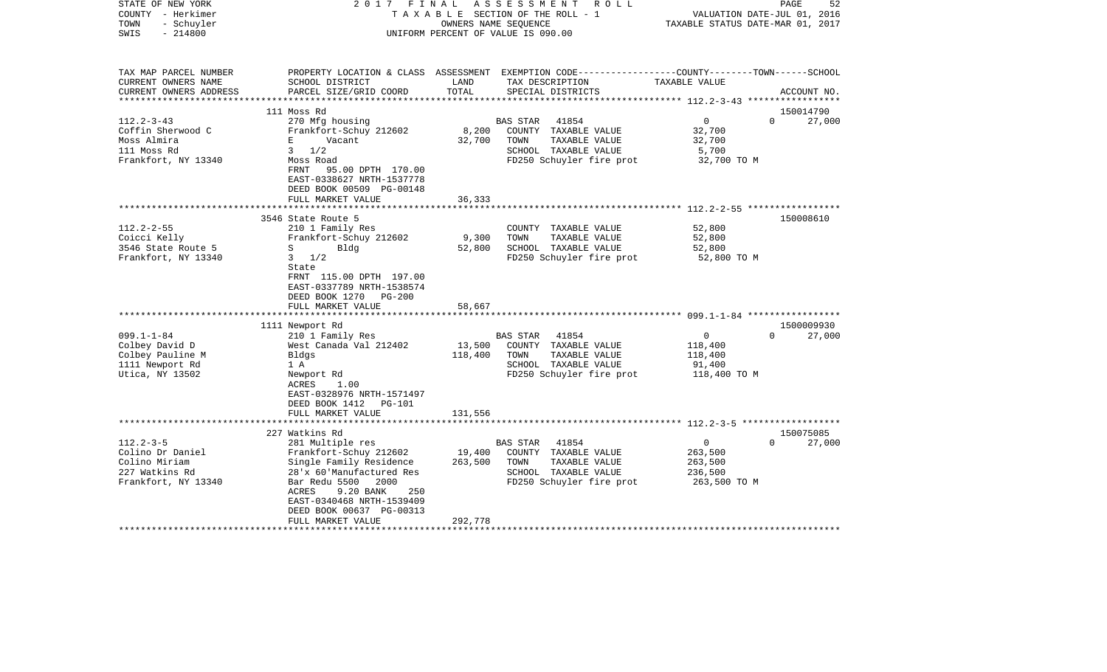| STATE OF NEW YORK<br>COUNTY - Herkimer<br>- Schuyler<br>TOWN<br>$-214800$<br>SWIS | 2017 FINAL                                                                                                                                                                                   | TAXABLE SECTION OF THE ROLL - 1<br>OWNERS NAME SEQUENCE<br>UNIFORM PERCENT OF VALUE IS 090.00 | ASSESSMENT      | R O L L                                                                                   | VALUATION DATE-JUL 01, 2016<br>TAXABLE STATUS DATE-MAR 01, 2017 | PAGE     | 52          |
|-----------------------------------------------------------------------------------|----------------------------------------------------------------------------------------------------------------------------------------------------------------------------------------------|-----------------------------------------------------------------------------------------------|-----------------|-------------------------------------------------------------------------------------------|-----------------------------------------------------------------|----------|-------------|
| TAX MAP PARCEL NUMBER<br>CURRENT OWNERS NAME                                      | PROPERTY LOCATION & CLASS ASSESSMENT EXEMPTION CODE----------------COUNTY-------TOWN------SCHOOL<br>SCHOOL DISTRICT                                                                          | LAND<br>TOTAL                                                                                 |                 | TAX DESCRIPTION                                                                           | TAXABLE VALUE                                                   |          |             |
| CURRENT OWNERS ADDRESS<br>***********************                                 | PARCEL SIZE/GRID COORD                                                                                                                                                                       |                                                                                               |                 | SPECIAL DISTRICTS                                                                         |                                                                 |          | ACCOUNT NO. |
|                                                                                   | 111 Moss Rd                                                                                                                                                                                  |                                                                                               |                 |                                                                                           |                                                                 |          | 150014790   |
| $112.2 - 3 - 43$                                                                  | 270 Mfg housing                                                                                                                                                                              |                                                                                               | <b>BAS STAR</b> | 41854                                                                                     | $\overline{0}$                                                  | $\Omega$ | 27,000      |
| Coffin Sherwood C                                                                 | Frankfort-Schuy 212602                                                                                                                                                                       | 8,200                                                                                         |                 | COUNTY TAXABLE VALUE                                                                      | 32,700                                                          |          |             |
| Moss Almira                                                                       | E<br>Vacant                                                                                                                                                                                  | 32,700                                                                                        | TOWN            | TAXABLE VALUE                                                                             | 32,700                                                          |          |             |
| 111 Moss Rd                                                                       | $3 \frac{1}{2}$                                                                                                                                                                              |                                                                                               |                 | SCHOOL TAXABLE VALUE                                                                      | 5,700                                                           |          |             |
| Frankfort, NY 13340                                                               | Moss Road<br>FRNT<br>95.00 DPTH 170.00<br>EAST-0338627 NRTH-1537778<br>DEED BOOK 00509 PG-00148                                                                                              |                                                                                               |                 | FD250 Schuyler fire prot                                                                  | 32,700 TO M                                                     |          |             |
|                                                                                   | FULL MARKET VALUE<br>******************                                                                                                                                                      | 36,333<br>********                                                                            |                 |                                                                                           |                                                                 |          |             |
|                                                                                   | 3546 State Route 5                                                                                                                                                                           |                                                                                               |                 |                                                                                           | ********************** 112.2-2-55 ******************            |          | 150008610   |
| $112.2 - 2 - 55$                                                                  | 210 1 Family Res                                                                                                                                                                             |                                                                                               |                 | COUNTY TAXABLE VALUE                                                                      | 52,800                                                          |          |             |
| Coicci Kelly                                                                      | Frankfort-Schuy 212602                                                                                                                                                                       | 9,300                                                                                         | TOWN            | TAXABLE VALUE                                                                             | 52,800                                                          |          |             |
| 3546 State Route 5                                                                | $S \sim$<br>Bldg                                                                                                                                                                             | 52,800                                                                                        |                 | SCHOOL TAXABLE VALUE                                                                      | 52,800                                                          |          |             |
| Frankfort, NY 13340                                                               | $3 \frac{1}{2}$                                                                                                                                                                              |                                                                                               |                 | FD250 Schuyler fire prot                                                                  | 52,800 TO M                                                     |          |             |
|                                                                                   | State<br>FRNT 115.00 DPTH 197.00<br>EAST-0337789 NRTH-1538574<br>DEED BOOK 1270 PG-200<br>FULL MARKET VALUE                                                                                  | 58,667                                                                                        |                 |                                                                                           |                                                                 |          |             |
|                                                                                   | 1111 Newport Rd                                                                                                                                                                              |                                                                                               |                 |                                                                                           |                                                                 |          | 1500009930  |
| $099.1 - 1 - 84$                                                                  | 210 1 Family Res                                                                                                                                                                             |                                                                                               | <b>BAS STAR</b> | 41854                                                                                     | $\overline{0}$                                                  | $\Omega$ | 27,000      |
| Colbey David D                                                                    | West Canada Val 212402                                                                                                                                                                       | 13,500                                                                                        |                 | COUNTY TAXABLE VALUE                                                                      | 118,400                                                         |          |             |
| Colbey Pauline M                                                                  | Bldgs                                                                                                                                                                                        | 118,400                                                                                       | TOWN            | TAXABLE VALUE                                                                             | 118,400                                                         |          |             |
| 1111 Newport Rd                                                                   | 1 A                                                                                                                                                                                          |                                                                                               |                 | SCHOOL TAXABLE VALUE                                                                      | 91,400                                                          |          |             |
| Utica, NY 13502                                                                   | Newport Rd<br>ACRES<br>1.00<br>EAST-0328976 NRTH-1571497<br>DEED BOOK 1412 PG-101<br>FULL MARKET VALUE                                                                                       | 131,556                                                                                       |                 | FD250 Schuyler fire prot                                                                  | 118,400 TO M                                                    |          |             |
|                                                                                   |                                                                                                                                                                                              |                                                                                               |                 |                                                                                           | ********************* 112.2-3-5 *******************             |          |             |
|                                                                                   | 227 Watkins Rd                                                                                                                                                                               |                                                                                               |                 |                                                                                           |                                                                 |          | 150075085   |
| $112.2 - 3 - 5$                                                                   | 281 Multiple res                                                                                                                                                                             |                                                                                               | BAS STAR        | 41854                                                                                     | $\circ$                                                         | $\Omega$ | 27,000      |
| Colino Dr Daniel<br>Colino Miriam<br>227 Watkins Rd<br>Frankfort, NY 13340        | Frankfort-Schuy 212602<br>Single Family Residence<br>28'x 60'Manufactured Res<br>Bar Redu 5500<br>2000<br>ACRES<br>9.20 BANK<br>250<br>EAST-0340468 NRTH-1539409<br>DEED BOOK 00637 PG-00313 | 19,400<br>263,500                                                                             | TOWN            | COUNTY TAXABLE VALUE<br>TAXABLE VALUE<br>SCHOOL TAXABLE VALUE<br>FD250 Schuyler fire prot | 263,500<br>263,500<br>236,500<br>263,500 TO M                   |          |             |
|                                                                                   | FULL MARKET VALUE                                                                                                                                                                            | 292,778                                                                                       |                 |                                                                                           |                                                                 |          |             |
|                                                                                   |                                                                                                                                                                                              |                                                                                               |                 |                                                                                           |                                                                 |          |             |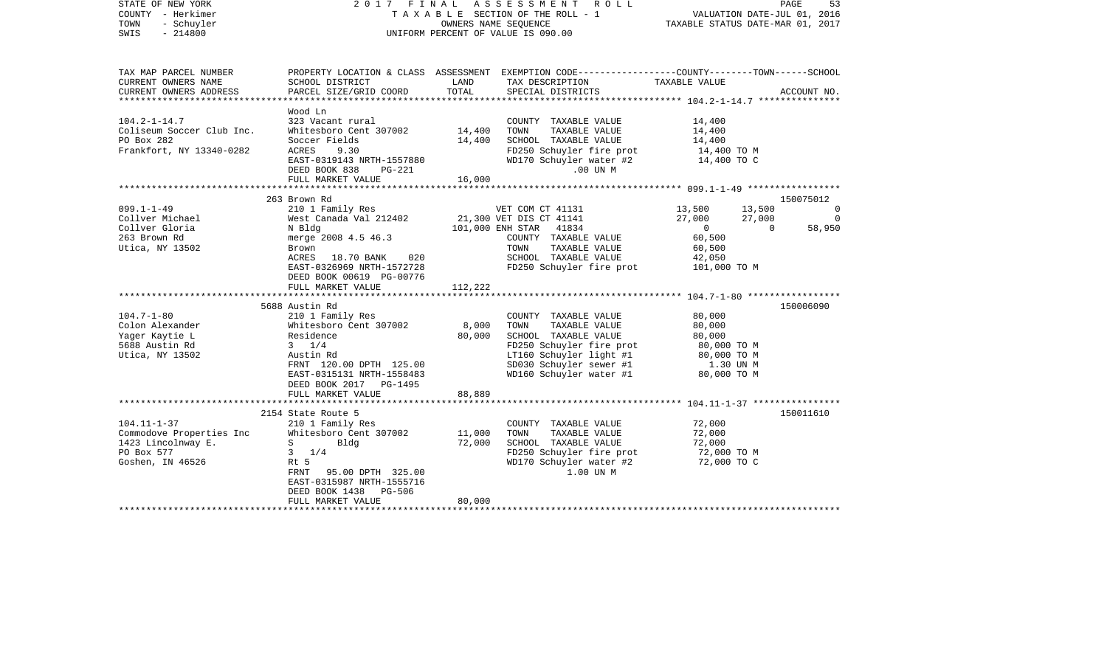| STATE OF NEW YORK<br>COUNTY - Herkimer<br>- Schuyler<br>TOWN<br>$-214800$<br>SWIS                                                                                                      |                                                                                                                                                                                                                                                                                                                                                                                                                 |                            | 2017 FINAL ASSESSMENT<br>ROLL<br>TAXABLE SECTION OF THE ROLL - 1<br>OWNERS NAME SEOUENCE<br>UNIFORM PERCENT OF VALUE IS 090.00                                                                                                                                                                                                                                   | VALUATION DATE-JUL 01, 2016<br>TAXABLE STATUS DATE-MAR 01, 2017                                                                                                                                          | PAGE<br>53                                       |
|----------------------------------------------------------------------------------------------------------------------------------------------------------------------------------------|-----------------------------------------------------------------------------------------------------------------------------------------------------------------------------------------------------------------------------------------------------------------------------------------------------------------------------------------------------------------------------------------------------------------|----------------------------|------------------------------------------------------------------------------------------------------------------------------------------------------------------------------------------------------------------------------------------------------------------------------------------------------------------------------------------------------------------|----------------------------------------------------------------------------------------------------------------------------------------------------------------------------------------------------------|--------------------------------------------------|
| TAX MAP PARCEL NUMBER<br>CURRENT OWNERS NAME                                                                                                                                           | SCHOOL DISTRICT                                                                                                                                                                                                                                                                                                                                                                                                 | LAND                       | PROPERTY LOCATION & CLASS ASSESSMENT EXEMPTION CODE---------------COUNTY-------TOWN------SCHOOL<br>TAX DESCRIPTION                                                                                                                                                                                                                                               | TAXABLE VALUE                                                                                                                                                                                            |                                                  |
| CURRENT OWNERS ADDRESS                                                                                                                                                                 | PARCEL SIZE/GRID COORD                                                                                                                                                                                                                                                                                                                                                                                          | TOTAL                      | SPECIAL DISTRICTS                                                                                                                                                                                                                                                                                                                                                |                                                                                                                                                                                                          | ACCOUNT NO.                                      |
| $104.2 - 1 - 14.7$<br>Coliseum Soccer Club Inc.<br>PO Box 282<br>Frankfort, NY 13340-0282                                                                                              | Wood Ln<br>323 Vacant rural<br>Whitesboro Cent 307002<br>Soccer Fields<br>ACRES<br>9.30<br>EAST-0319143 NRTH-1557880<br>DEED BOOK 838<br>PG-221<br>FULL MARKET VALUE                                                                                                                                                                                                                                            | 14,400<br>14,400<br>16,000 | COUNTY TAXABLE VALUE<br>TOWN<br>TAXABLE VALUE<br>SCHOOL TAXABLE VALUE<br>FD250 Schuyler fire prot<br>WD170 Schuyler water #2<br>.00 UN M                                                                                                                                                                                                                         | 14,400<br>14,400<br>14,400<br>14,400 TO M<br>14,400 TO C                                                                                                                                                 |                                                  |
|                                                                                                                                                                                        |                                                                                                                                                                                                                                                                                                                                                                                                                 |                            |                                                                                                                                                                                                                                                                                                                                                                  |                                                                                                                                                                                                          |                                                  |
| $099.1 - 1 - 49$<br>Collver Michael<br>Collver Gloria<br>263 Brown Rd<br>Utica, NY 13502<br>$104.7 - 1 - 80$<br>Colon Alexander<br>Yager Kaytie L<br>5688 Austin Rd<br>Utica, NY 13502 | 263 Brown Rd<br>210 1 Family Res<br>West Canada Val 212402<br>N Bldg<br>merge 2008 4.5 46.3<br>Brown<br>ACRES<br>18.70 BANK<br>020<br>EAST-0326969 NRTH-1572728<br>DEED BOOK 00619 PG-00776<br>FULL MARKET VALUE<br>5688 Austin Rd<br>210 1 Family Res<br>Whitesboro Cent 307002<br>Residence<br>$3 \frac{1}{4}$<br>Austin Rd<br>FRNT 120.00 DPTH 125.00<br>EAST-0315131 NRTH-1558483<br>DEED BOOK 2017 PG-1495 | 112,222<br>8,000<br>80,000 | VET COM CT 41131<br>21,300 VET DIS CT 41141<br>101,000 ENH STAR 41834<br>COUNTY TAXABLE VALUE<br>TAXABLE VALUE<br>TOWN<br>SCHOOL TAXABLE VALUE<br>FD250 Schuyler fire prot<br>COUNTY TAXABLE VALUE<br>TAXABLE VALUE<br>TOWN<br>SCHOOL TAXABLE VALUE<br>FD250 Schuyler fire prot<br>LT160 Schuyler light #1<br>SD030 Schuyler sewer #1<br>WD160 Schuyler water #1 | 13,500<br>13,500<br>27,000<br>27,000<br>$\overline{0}$<br>$\Omega$<br>60,500<br>60,500<br>42,050<br>101,000 TO M<br>80,000<br>80,000<br>80,000<br>80,000 TO M<br>80,000 TO M<br>1.30 UN M<br>80,000 TO M | 150075012<br>0<br>$\circ$<br>58,950<br>150006090 |
|                                                                                                                                                                                        | FULL MARKET VALUE                                                                                                                                                                                                                                                                                                                                                                                               | 88,889                     |                                                                                                                                                                                                                                                                                                                                                                  |                                                                                                                                                                                                          |                                                  |
| $104.11 - 1 - 37$<br>Commodove Properties Inc<br>1423 Lincolnway E.<br>PO Box 577<br>Goshen, IN 46526                                                                                  | 2154 State Route 5<br>210 1 Family Res<br>Whitesboro Cent 307002<br>$S \sim$<br>Bldg<br>$3 \t1/4$<br>Rt 5<br>FRNT<br>95.00 DPTH 325.00<br>EAST-0315987 NRTH-1555716<br>DEED BOOK 1438 PG-506<br>FULL MARKET VALUE                                                                                                                                                                                               | 11,000<br>72,000<br>80,000 | COUNTY TAXABLE VALUE<br>TOWN<br>TAXABLE VALUE<br>SCHOOL TAXABLE VALUE<br>FD250 Schuyler fire prot<br>WD170 Schuyler water #2<br>1.00 UN M                                                                                                                                                                                                                        | 72,000<br>72,000<br>72,000<br>72,000 TO M<br>72,000 TO C                                                                                                                                                 | 150011610                                        |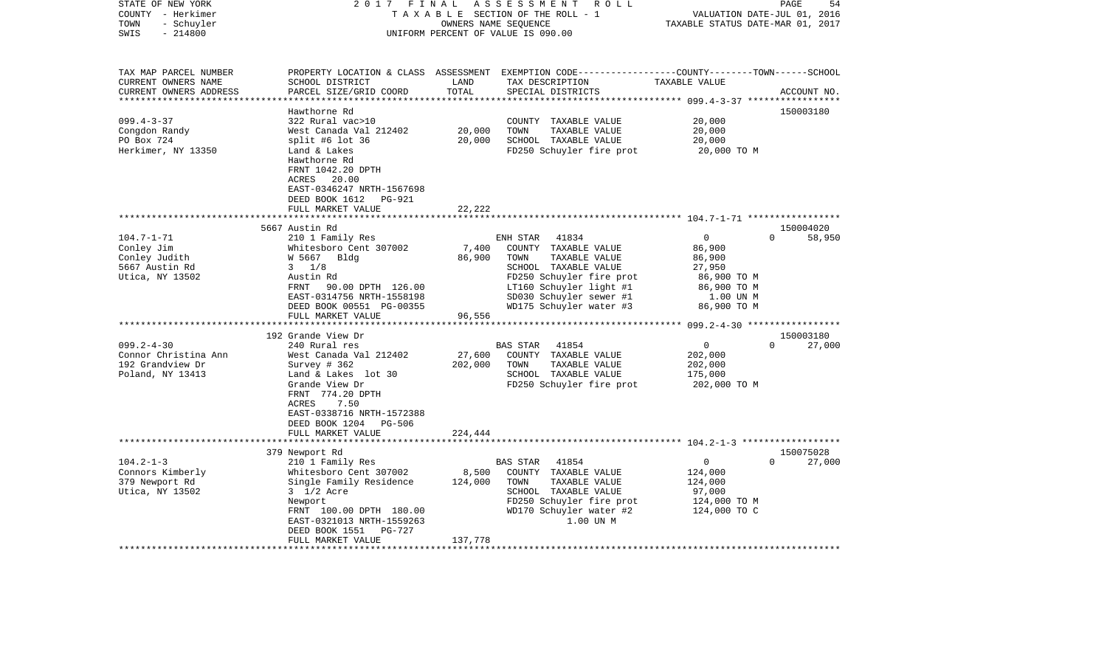| STATE OF NEW YORK<br>COUNTY - Herkimer<br>TOWN<br>- Schuyler                                                                                                             | 2017                                                                                                                                                                                                                                                                                                                                                                                                                                                                       | FINAL                                                     | ASSESSMENT<br>R O L L<br>TAXABLE SECTION OF THE ROLL - 1<br>OWNERS NAME SEQUENCE                                                                                                                                                                                                                                                  | VALUATION DATE-JUL 01, 2016<br>TAXABLE STATUS DATE-MAR 01, 2017                                                                                                     | PAGE<br>54                                            |
|--------------------------------------------------------------------------------------------------------------------------------------------------------------------------|----------------------------------------------------------------------------------------------------------------------------------------------------------------------------------------------------------------------------------------------------------------------------------------------------------------------------------------------------------------------------------------------------------------------------------------------------------------------------|-----------------------------------------------------------|-----------------------------------------------------------------------------------------------------------------------------------------------------------------------------------------------------------------------------------------------------------------------------------------------------------------------------------|---------------------------------------------------------------------------------------------------------------------------------------------------------------------|-------------------------------------------------------|
| $-214800$<br>SWIS                                                                                                                                                        |                                                                                                                                                                                                                                                                                                                                                                                                                                                                            |                                                           | UNIFORM PERCENT OF VALUE IS 090.00                                                                                                                                                                                                                                                                                                |                                                                                                                                                                     |                                                       |
| TAX MAP PARCEL NUMBER<br>CURRENT OWNERS NAME<br>CURRENT OWNERS ADDRESS<br>************************                                                                       | SCHOOL DISTRICT<br>PARCEL SIZE/GRID COORD                                                                                                                                                                                                                                                                                                                                                                                                                                  | LAND<br>TOTAL                                             | PROPERTY LOCATION & CLASS ASSESSMENT EXEMPTION CODE----------------COUNTY-------TOWN------SCHOOL<br>TAX DESCRIPTION<br>SPECIAL DISTRICTS                                                                                                                                                                                          | TAXABLE VALUE                                                                                                                                                       | ACCOUNT NO.                                           |
| $099.4 - 3 - 37$<br>Congdon Randy<br>PO Box 724<br>Herkimer, NY 13350                                                                                                    | Hawthorne Rd<br>322 Rural vac>10<br>West Canada Val 212402<br>split #6 lot 36<br>Land & Lakes<br>Hawthorne Rd<br>FRNT 1042.20 DPTH<br>ACRES<br>20.00<br>EAST-0346247 NRTH-1567698<br>DEED BOOK 1612<br>PG-921                                                                                                                                                                                                                                                              | 20,000<br>20,000                                          | COUNTY<br>TAXABLE VALUE<br>TOWN<br>TAXABLE VALUE<br>SCHOOL TAXABLE VALUE<br>FD250 Schuyler fire prot                                                                                                                                                                                                                              | 20,000<br>20,000<br>20,000<br>20,000 TO M                                                                                                                           | 150003180                                             |
|                                                                                                                                                                          | FULL MARKET VALUE                                                                                                                                                                                                                                                                                                                                                                                                                                                          | 22,222                                                    |                                                                                                                                                                                                                                                                                                                                   |                                                                                                                                                                     |                                                       |
|                                                                                                                                                                          | 5667 Austin Rd                                                                                                                                                                                                                                                                                                                                                                                                                                                             |                                                           |                                                                                                                                                                                                                                                                                                                                   |                                                                                                                                                                     | 150004020                                             |
| $104.7 - 1 - 71$<br>Conley Jim<br>Conley Judith<br>5667 Austin Rd<br>Utica, NY 13502<br>$099.2 - 4 - 30$<br>Connor Christina Ann<br>192 Grandview Dr<br>Poland, NY 13413 | 210 1 Family Res<br>Whitesboro Cent 307002<br>W 5667<br>Bldg<br>$3 \frac{1}{8}$<br>Austin Rd<br>90.00 DPTH 126.00<br>FRNT<br>EAST-0314756 NRTH-1558198<br>DEED BOOK 00551 PG-00355<br>FULL MARKET VALUE<br>******************<br>192 Grande View Dr<br>240 Rural res<br>West Canada Val 212402<br>Survey # 362<br>Land & Lakes lot 30<br>Grande View Dr<br>FRNT 774.20 DPTH<br>ACRES<br>7.50<br>EAST-0338716 NRTH-1572388<br>DEED BOOK 1204<br>PG-506<br>FULL MARKET VALUE | 7,400<br>86,900<br>96,556<br>27,600<br>202,000<br>224,444 | ENH STAR<br>41834<br>COUNTY TAXABLE VALUE<br>TOWN<br>TAXABLE VALUE<br>SCHOOL TAXABLE VALUE<br>FD250 Schuyler fire prot<br>LT160 Schuyler light #1<br>SD030 Schuyler sewer #1<br>WD175 Schuyler water #3<br>41854<br>BAS STAR<br>COUNTY TAXABLE VALUE<br>TOWN<br>TAXABLE VALUE<br>SCHOOL TAXABLE VALUE<br>FD250 Schuyler fire prot | $\mathbf 0$<br>86,900<br>86,900<br>27,950<br>86,900 TO M<br>86,900 TO M<br>1.00 UN M<br>86,900 TO M<br>$\mathbf 0$<br>202,000<br>202,000<br>175,000<br>202,000 TO M | $\Omega$<br>58,950<br>150003180<br>$\Omega$<br>27,000 |
|                                                                                                                                                                          |                                                                                                                                                                                                                                                                                                                                                                                                                                                                            |                                                           |                                                                                                                                                                                                                                                                                                                                   |                                                                                                                                                                     |                                                       |
| $104.2 - 1 - 3$<br>Connors Kimberly<br>379 Newport Rd<br>Utica, NY 13502                                                                                                 | 379 Newport Rd<br>210 1 Family Res<br>Whitesboro Cent 307002<br>Single Family Residence<br>3 1/2 Acre<br>Newport<br>FRNT 100.00 DPTH 180.00<br>EAST-0321013 NRTH-1559263<br>DEED BOOK 1551<br>PG-727<br>FULL MARKET VALUE                                                                                                                                                                                                                                                  | 8,500<br>124,000<br>137,778                               | 41854<br>BAS STAR<br>COUNTY TAXABLE VALUE<br>TAXABLE VALUE<br>TOWN<br>SCHOOL TAXABLE VALUE<br>FD250 Schuyler fire prot<br>WD170 Schuyler water #2<br>1.00 UN M                                                                                                                                                                    | 0<br>124,000<br>124,000<br>97,000<br>124,000 TO M<br>124,000 TO C                                                                                                   | 150075028<br>27,000<br>$\Omega$                       |
|                                                                                                                                                                          |                                                                                                                                                                                                                                                                                                                                                                                                                                                                            |                                                           |                                                                                                                                                                                                                                                                                                                                   |                                                                                                                                                                     |                                                       |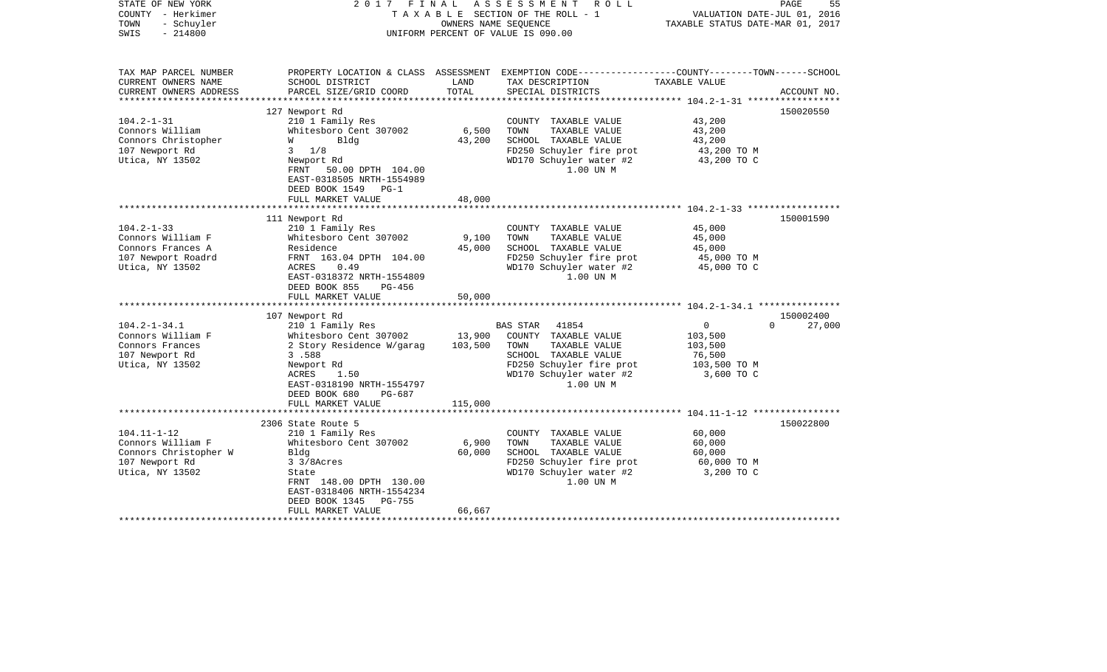| STATE OF NEW YORK<br>COUNTY - Herkimer  | 2017                                                  | FINAL   | A S S E S S M E N T<br>R O L L<br>T A X A B L E SECTION OF THE ROLL - 1 | VALUATION DATE-JUL 01, 2016                      | PAGE<br>55         |
|-----------------------------------------|-------------------------------------------------------|---------|-------------------------------------------------------------------------|--------------------------------------------------|--------------------|
| TOWN<br>- Schuyler<br>SWIS<br>$-214800$ |                                                       |         | OWNERS NAME SEQUENCE<br>UNIFORM PERCENT OF VALUE IS 090.00              | TAXABLE STATUS DATE-MAR 01, 2017                 |                    |
| TAX MAP PARCEL NUMBER                   | PROPERTY LOCATION & CLASS ASSESSMENT                  |         | EXEMPTION CODE-----------------COUNTY-------TOWN------SCHOOL            |                                                  |                    |
| CURRENT OWNERS NAME                     | SCHOOL DISTRICT                                       | LAND    | TAX DESCRIPTION                                                         | TAXABLE VALUE                                    |                    |
| CURRENT OWNERS ADDRESS                  | PARCEL SIZE/GRID COORD                                | TOTAL   | SPECIAL DISTRICTS                                                       | ****************** 104.2-1-31 ****************** | ACCOUNT NO.        |
|                                         | 127 Newport Rd                                        |         |                                                                         |                                                  | 150020550          |
| $104.2 - 1 - 31$                        | 210 1 Family Res                                      |         | COUNTY TAXABLE VALUE                                                    | 43,200                                           |                    |
| Connors William                         | Whitesboro Cent 307002                                | 6,500   | TAXABLE VALUE<br>TOWN                                                   | 43,200                                           |                    |
| Connors Christopher                     | Bldg<br>W                                             | 43,200  | SCHOOL TAXABLE VALUE                                                    | 43,200                                           |                    |
| 107 Newport Rd                          | 1/8<br>3                                              |         | FD250 Schuyler fire prot                                                | 43,200 TO M                                      |                    |
| Utica, NY 13502                         | Newport Rd                                            |         | WD170 Schuyler water #2                                                 | 43,200 TO C                                      |                    |
|                                         | FRNT 50.00 DPTH 104.00                                |         | 1.00 UN M                                                               |                                                  |                    |
|                                         | EAST-0318505 NRTH-1554989<br>DEED BOOK 1549<br>$PG-1$ |         |                                                                         |                                                  |                    |
|                                         | FULL MARKET VALUE                                     | 48,000  |                                                                         |                                                  |                    |
|                                         |                                                       |         |                                                                         |                                                  |                    |
|                                         | 111 Newport Rd                                        |         |                                                                         |                                                  | 150001590          |
| $104.2 - 1 - 33$                        | 210 1 Family Res                                      |         | COUNTY TAXABLE VALUE                                                    | 45,000                                           |                    |
| Connors William F                       | Whitesboro Cent 307002                                | 9,100   | TOWN<br>TAXABLE VALUE                                                   | 45,000                                           |                    |
| Connors Frances A                       | Residence                                             | 45,000  | SCHOOL TAXABLE VALUE                                                    | 45,000                                           |                    |
| 107 Newport Roadrd                      | FRNT 163.04 DPTH 104.00                               |         | FD250 Schuyler fire prot                                                | 45,000 TO M                                      |                    |
| Utica, NY 13502                         | ACRES<br>0.49                                         |         | WD170 Schuyler water #2                                                 | 45,000 TO C                                      |                    |
|                                         | EAST-0318372 NRTH-1554809                             |         | 1.00 UN M                                                               |                                                  |                    |
|                                         | DEED BOOK 855<br>PG-456                               |         |                                                                         |                                                  |                    |
|                                         | FULL MARKET VALUE                                     | 50,000  |                                                                         |                                                  |                    |
|                                         |                                                       |         |                                                                         |                                                  |                    |
|                                         | 107 Newport Rd                                        |         |                                                                         |                                                  | 150002400          |
| $104.2 - 1 - 34.1$                      | 210 1 Family Res                                      |         | 41854<br>BAS STAR                                                       | 0                                                | 27,000<br>$\Omega$ |
| Connors William F                       | Whitesboro Cent 307002                                | 13,900  | COUNTY TAXABLE VALUE                                                    | 103,500                                          |                    |
| Connors Frances                         | 2 Story Residence W/garag                             | 103,500 | TOWN<br>TAXABLE VALUE                                                   | 103,500                                          |                    |
| 107 Newport Rd                          | 3.588                                                 |         | SCHOOL TAXABLE VALUE                                                    | 76,500                                           |                    |
| Utica, NY 13502                         | Newport Rd                                            |         | FD250 Schuyler fire prot                                                | 103,500 TO M                                     |                    |
|                                         | ACRES<br>1.50                                         |         | WD170 Schuyler water #2                                                 | 3,600 TO C                                       |                    |
|                                         | EAST-0318190 NRTH-1554797                             |         | 1.00 UN M                                                               |                                                  |                    |
|                                         | DEED BOOK 680<br>PG-687                               |         |                                                                         |                                                  |                    |
|                                         | FULL MARKET VALUE<br>****************************     | 115,000 |                                                                         |                                                  |                    |
|                                         | 2306 State Route 5                                    |         |                                                                         |                                                  | 150022800          |
| $104.11 - 1 - 12$                       | 210 1 Family Res                                      |         | COUNTY TAXABLE VALUE                                                    | 60,000                                           |                    |
| Connors William F                       | Whitesboro Cent 307002                                | 6,900   | TOWN<br>TAXABLE VALUE                                                   | 60,000                                           |                    |
| Connors Christopher W                   | Bldg                                                  | 60,000  | SCHOOL TAXABLE VALUE                                                    | 60,000                                           |                    |
| 107 Newport Rd                          | 3 3/8Acres                                            |         | FD250 Schuyler fire prot                                                | 60,000 TO M                                      |                    |
| Utica, NY 13502                         | State                                                 |         | WD170 Schuyler water #2                                                 | 3,200 TO C                                       |                    |
|                                         | FRNT 148.00 DPTH 130.00                               |         | 1.00 UN M                                                               |                                                  |                    |
|                                         | EAST-0318406 NRTH-1554234                             |         |                                                                         |                                                  |                    |
|                                         | DEED BOOK 1345<br><b>PG-755</b>                       |         |                                                                         |                                                  |                    |
|                                         | FULL MARKET VALUE                                     | 66,667  |                                                                         |                                                  |                    |
|                                         |                                                       |         |                                                                         |                                                  |                    |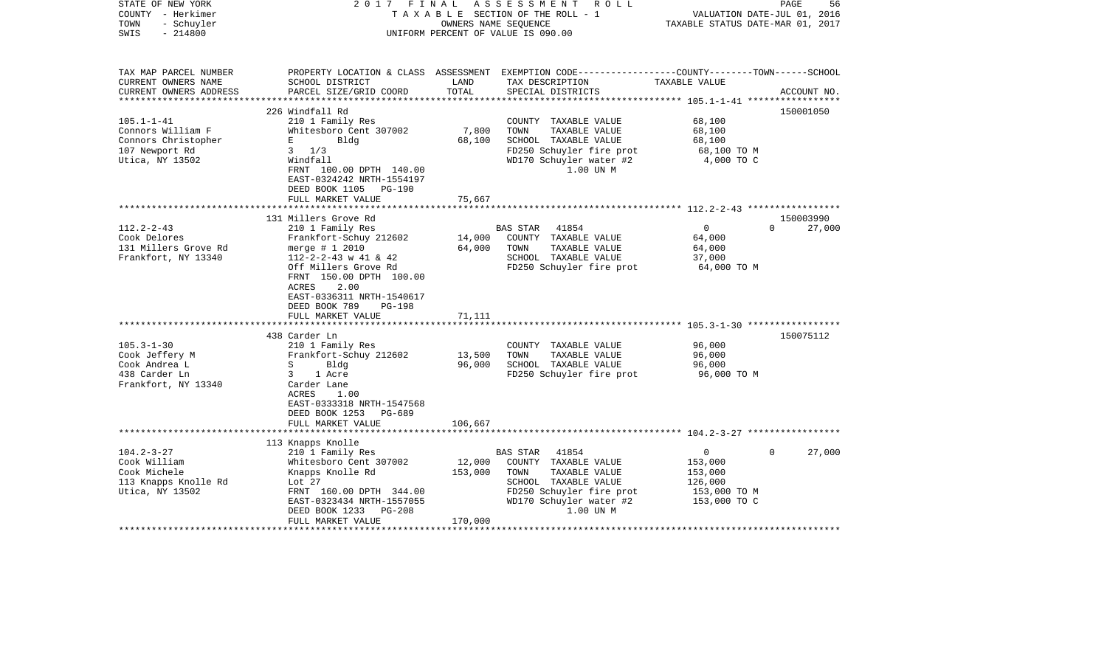| $-214800$<br>UNIFORM PERCENT OF VALUE IS 090.00<br>PROPERTY LOCATION & CLASS ASSESSMENT EXEMPTION CODE---------------COUNTY-------TOWN-----SCHOOL<br>LAND<br>TAX DESCRIPTION<br>TAXABLE VALUE<br>SCHOOL DISTRICT<br>PARCEL SIZE/GRID COORD<br>TOTAL<br>SPECIAL DISTRICTS<br>ACCOUNT NO.<br>***************<br>150001050<br>226 Windfall Rd<br>$105.1 - 1 - 41$<br>210 1 Family Res<br>COUNTY TAXABLE VALUE<br>68,100<br>7,800<br>Whitesboro Cent 307002<br>68,100<br>TOWN<br>TAXABLE VALUE<br>Bldg<br>68,100<br>SCHOOL TAXABLE VALUE<br>68,100<br>Е<br>$3 \frac{1}{3}$<br>FD250 Schuyler fire prot<br>68,100 TO M<br>4,000 TO C<br>Windfall<br>WD170 Schuyler water #2<br>FRNT 100.00 DPTH 140.00<br>1.00 UN M<br>EAST-0324242 NRTH-1554197<br>DEED BOOK 1105 PG-190<br>FULL MARKET VALUE<br>75,667<br>*********************************<br>131 Millers Grove Rd<br>150003990<br>$112.2 - 2 - 43$<br>$\mathbf 0$<br>210 1 Family Res<br><b>BAS STAR</b><br>41854<br>$\Omega$<br>27,000<br>Cook Delores<br>Frankfort-Schuy 212602<br>14,000<br>COUNTY TAXABLE VALUE<br>64,000<br>131 Millers Grove Rd<br>64,000<br>merge $# 1 2010$<br>TOWN<br>TAXABLE VALUE<br>64,000<br>Frankfort, NY 13340<br>$112 - 2 - 2 - 43$ w 41 & 42<br>SCHOOL TAXABLE VALUE<br>37,000<br>FD250 Schuyler fire prot<br>Off Millers Grove Rd<br>64,000 TO M<br>FRNT 150.00 DPTH 100.00<br>2.00<br>ACRES<br>EAST-0336311 NRTH-1540617<br>DEED BOOK 789<br>PG-198<br>71,111<br>FULL MARKET VALUE<br>438 Carder Ln<br>150075112<br>96,000<br>210 1 Family Res<br>COUNTY TAXABLE VALUE<br>Cook Jeffery M<br>Frankfort-Schuy 212602<br>13,500<br>TAXABLE VALUE<br>96,000<br>TOWN<br>96,000<br>Bldg<br>SCHOOL TAXABLE VALUE<br>96,000<br>S<br>1 Acre<br>FD250 Schuyler fire prot<br>96,000 TO M<br>3<br>Carder Lane<br>ACRES<br>1.00<br>EAST-0333318 NRTH-1547568<br>DEED BOOK 1253<br>PG-689<br>FULL MARKET VALUE<br>106,667<br>113 Knapps Knolle<br>210 1 Family Res<br>0<br>$\mathbf 0$<br>27,000<br>BAS STAR<br>41854<br>Whitesboro Cent 307002<br>12,000<br>153,000<br>COUNTY TAXABLE VALUE<br>Cook Michele<br>Knapps Knolle Rd<br>153,000<br>TOWN<br>TAXABLE VALUE<br>153,000<br>SCHOOL TAXABLE VALUE<br>113 Knapps Knolle Rd<br>Lot 27<br>126,000<br>Utica, NY 13502<br>FRNT 160.00 DPTH 344.00<br>FD250 Schuyler fire prot<br>153,000 TO M<br>WD170 Schuyler water #2<br>EAST-0323434 NRTH-1557055<br>153,000 TO C<br>1.00 UN M<br><b>PG-208</b><br>DEED BOOK 1233<br>FULL MARKET VALUE<br>170,000 | STATE OF NEW YORK<br>COUNTY - Herkimer<br>- Schuyler<br>TOWN | 2017<br>FINAL | ASSESSMENT ROLL<br>TAXABLE SECTION OF THE ROLL - 1<br>OWNERS NAME SEQUENCE | TAXABLE STATUS DATE-MAR 01, 2017 | PAGE<br>56<br>VALUATION DATE-JUL 01, 2016 |
|----------------------------------------------------------------------------------------------------------------------------------------------------------------------------------------------------------------------------------------------------------------------------------------------------------------------------------------------------------------------------------------------------------------------------------------------------------------------------------------------------------------------------------------------------------------------------------------------------------------------------------------------------------------------------------------------------------------------------------------------------------------------------------------------------------------------------------------------------------------------------------------------------------------------------------------------------------------------------------------------------------------------------------------------------------------------------------------------------------------------------------------------------------------------------------------------------------------------------------------------------------------------------------------------------------------------------------------------------------------------------------------------------------------------------------------------------------------------------------------------------------------------------------------------------------------------------------------------------------------------------------------------------------------------------------------------------------------------------------------------------------------------------------------------------------------------------------------------------------------------------------------------------------------------------------------------------------------------------------------------------------------------------------------------------------------------------------------------------------------------------------------------------------------------------------------------------------------------------------------------------------------------------------------------------------------------------------------------------------------------------------------------------------------------------------------------------------------------------|--------------------------------------------------------------|---------------|----------------------------------------------------------------------------|----------------------------------|-------------------------------------------|
|                                                                                                                                                                                                                                                                                                                                                                                                                                                                                                                                                                                                                                                                                                                                                                                                                                                                                                                                                                                                                                                                                                                                                                                                                                                                                                                                                                                                                                                                                                                                                                                                                                                                                                                                                                                                                                                                                                                                                                                                                                                                                                                                                                                                                                                                                                                                                                                                                                                                            | SWIS                                                         |               |                                                                            |                                  |                                           |
|                                                                                                                                                                                                                                                                                                                                                                                                                                                                                                                                                                                                                                                                                                                                                                                                                                                                                                                                                                                                                                                                                                                                                                                                                                                                                                                                                                                                                                                                                                                                                                                                                                                                                                                                                                                                                                                                                                                                                                                                                                                                                                                                                                                                                                                                                                                                                                                                                                                                            | TAX MAP PARCEL NUMBER                                        |               |                                                                            |                                  |                                           |
|                                                                                                                                                                                                                                                                                                                                                                                                                                                                                                                                                                                                                                                                                                                                                                                                                                                                                                                                                                                                                                                                                                                                                                                                                                                                                                                                                                                                                                                                                                                                                                                                                                                                                                                                                                                                                                                                                                                                                                                                                                                                                                                                                                                                                                                                                                                                                                                                                                                                            | CURRENT OWNERS NAME                                          |               |                                                                            |                                  |                                           |
|                                                                                                                                                                                                                                                                                                                                                                                                                                                                                                                                                                                                                                                                                                                                                                                                                                                                                                                                                                                                                                                                                                                                                                                                                                                                                                                                                                                                                                                                                                                                                                                                                                                                                                                                                                                                                                                                                                                                                                                                                                                                                                                                                                                                                                                                                                                                                                                                                                                                            | CURRENT OWNERS ADDRESS                                       |               |                                                                            |                                  |                                           |
|                                                                                                                                                                                                                                                                                                                                                                                                                                                                                                                                                                                                                                                                                                                                                                                                                                                                                                                                                                                                                                                                                                                                                                                                                                                                                                                                                                                                                                                                                                                                                                                                                                                                                                                                                                                                                                                                                                                                                                                                                                                                                                                                                                                                                                                                                                                                                                                                                                                                            |                                                              |               |                                                                            |                                  |                                           |
|                                                                                                                                                                                                                                                                                                                                                                                                                                                                                                                                                                                                                                                                                                                                                                                                                                                                                                                                                                                                                                                                                                                                                                                                                                                                                                                                                                                                                                                                                                                                                                                                                                                                                                                                                                                                                                                                                                                                                                                                                                                                                                                                                                                                                                                                                                                                                                                                                                                                            |                                                              |               |                                                                            |                                  |                                           |
|                                                                                                                                                                                                                                                                                                                                                                                                                                                                                                                                                                                                                                                                                                                                                                                                                                                                                                                                                                                                                                                                                                                                                                                                                                                                                                                                                                                                                                                                                                                                                                                                                                                                                                                                                                                                                                                                                                                                                                                                                                                                                                                                                                                                                                                                                                                                                                                                                                                                            | Connors William F                                            |               |                                                                            |                                  |                                           |
|                                                                                                                                                                                                                                                                                                                                                                                                                                                                                                                                                                                                                                                                                                                                                                                                                                                                                                                                                                                                                                                                                                                                                                                                                                                                                                                                                                                                                                                                                                                                                                                                                                                                                                                                                                                                                                                                                                                                                                                                                                                                                                                                                                                                                                                                                                                                                                                                                                                                            | Connors Christopher                                          |               |                                                                            |                                  |                                           |
|                                                                                                                                                                                                                                                                                                                                                                                                                                                                                                                                                                                                                                                                                                                                                                                                                                                                                                                                                                                                                                                                                                                                                                                                                                                                                                                                                                                                                                                                                                                                                                                                                                                                                                                                                                                                                                                                                                                                                                                                                                                                                                                                                                                                                                                                                                                                                                                                                                                                            | 107 Newport Rd                                               |               |                                                                            |                                  |                                           |
|                                                                                                                                                                                                                                                                                                                                                                                                                                                                                                                                                                                                                                                                                                                                                                                                                                                                                                                                                                                                                                                                                                                                                                                                                                                                                                                                                                                                                                                                                                                                                                                                                                                                                                                                                                                                                                                                                                                                                                                                                                                                                                                                                                                                                                                                                                                                                                                                                                                                            | Utica, NY 13502                                              |               |                                                                            |                                  |                                           |
|                                                                                                                                                                                                                                                                                                                                                                                                                                                                                                                                                                                                                                                                                                                                                                                                                                                                                                                                                                                                                                                                                                                                                                                                                                                                                                                                                                                                                                                                                                                                                                                                                                                                                                                                                                                                                                                                                                                                                                                                                                                                                                                                                                                                                                                                                                                                                                                                                                                                            |                                                              |               |                                                                            |                                  |                                           |
|                                                                                                                                                                                                                                                                                                                                                                                                                                                                                                                                                                                                                                                                                                                                                                                                                                                                                                                                                                                                                                                                                                                                                                                                                                                                                                                                                                                                                                                                                                                                                                                                                                                                                                                                                                                                                                                                                                                                                                                                                                                                                                                                                                                                                                                                                                                                                                                                                                                                            |                                                              |               |                                                                            |                                  |                                           |
|                                                                                                                                                                                                                                                                                                                                                                                                                                                                                                                                                                                                                                                                                                                                                                                                                                                                                                                                                                                                                                                                                                                                                                                                                                                                                                                                                                                                                                                                                                                                                                                                                                                                                                                                                                                                                                                                                                                                                                                                                                                                                                                                                                                                                                                                                                                                                                                                                                                                            |                                                              |               |                                                                            |                                  |                                           |
|                                                                                                                                                                                                                                                                                                                                                                                                                                                                                                                                                                                                                                                                                                                                                                                                                                                                                                                                                                                                                                                                                                                                                                                                                                                                                                                                                                                                                                                                                                                                                                                                                                                                                                                                                                                                                                                                                                                                                                                                                                                                                                                                                                                                                                                                                                                                                                                                                                                                            |                                                              |               |                                                                            |                                  |                                           |
|                                                                                                                                                                                                                                                                                                                                                                                                                                                                                                                                                                                                                                                                                                                                                                                                                                                                                                                                                                                                                                                                                                                                                                                                                                                                                                                                                                                                                                                                                                                                                                                                                                                                                                                                                                                                                                                                                                                                                                                                                                                                                                                                                                                                                                                                                                                                                                                                                                                                            |                                                              |               |                                                                            |                                  |                                           |
|                                                                                                                                                                                                                                                                                                                                                                                                                                                                                                                                                                                                                                                                                                                                                                                                                                                                                                                                                                                                                                                                                                                                                                                                                                                                                                                                                                                                                                                                                                                                                                                                                                                                                                                                                                                                                                                                                                                                                                                                                                                                                                                                                                                                                                                                                                                                                                                                                                                                            |                                                              |               |                                                                            |                                  |                                           |
|                                                                                                                                                                                                                                                                                                                                                                                                                                                                                                                                                                                                                                                                                                                                                                                                                                                                                                                                                                                                                                                                                                                                                                                                                                                                                                                                                                                                                                                                                                                                                                                                                                                                                                                                                                                                                                                                                                                                                                                                                                                                                                                                                                                                                                                                                                                                                                                                                                                                            |                                                              |               |                                                                            |                                  |                                           |
|                                                                                                                                                                                                                                                                                                                                                                                                                                                                                                                                                                                                                                                                                                                                                                                                                                                                                                                                                                                                                                                                                                                                                                                                                                                                                                                                                                                                                                                                                                                                                                                                                                                                                                                                                                                                                                                                                                                                                                                                                                                                                                                                                                                                                                                                                                                                                                                                                                                                            |                                                              |               |                                                                            |                                  |                                           |
|                                                                                                                                                                                                                                                                                                                                                                                                                                                                                                                                                                                                                                                                                                                                                                                                                                                                                                                                                                                                                                                                                                                                                                                                                                                                                                                                                                                                                                                                                                                                                                                                                                                                                                                                                                                                                                                                                                                                                                                                                                                                                                                                                                                                                                                                                                                                                                                                                                                                            |                                                              |               |                                                                            |                                  |                                           |
|                                                                                                                                                                                                                                                                                                                                                                                                                                                                                                                                                                                                                                                                                                                                                                                                                                                                                                                                                                                                                                                                                                                                                                                                                                                                                                                                                                                                                                                                                                                                                                                                                                                                                                                                                                                                                                                                                                                                                                                                                                                                                                                                                                                                                                                                                                                                                                                                                                                                            |                                                              |               |                                                                            |                                  |                                           |
|                                                                                                                                                                                                                                                                                                                                                                                                                                                                                                                                                                                                                                                                                                                                                                                                                                                                                                                                                                                                                                                                                                                                                                                                                                                                                                                                                                                                                                                                                                                                                                                                                                                                                                                                                                                                                                                                                                                                                                                                                                                                                                                                                                                                                                                                                                                                                                                                                                                                            |                                                              |               |                                                                            |                                  |                                           |
|                                                                                                                                                                                                                                                                                                                                                                                                                                                                                                                                                                                                                                                                                                                                                                                                                                                                                                                                                                                                                                                                                                                                                                                                                                                                                                                                                                                                                                                                                                                                                                                                                                                                                                                                                                                                                                                                                                                                                                                                                                                                                                                                                                                                                                                                                                                                                                                                                                                                            |                                                              |               |                                                                            |                                  |                                           |
|                                                                                                                                                                                                                                                                                                                                                                                                                                                                                                                                                                                                                                                                                                                                                                                                                                                                                                                                                                                                                                                                                                                                                                                                                                                                                                                                                                                                                                                                                                                                                                                                                                                                                                                                                                                                                                                                                                                                                                                                                                                                                                                                                                                                                                                                                                                                                                                                                                                                            |                                                              |               |                                                                            |                                  |                                           |
|                                                                                                                                                                                                                                                                                                                                                                                                                                                                                                                                                                                                                                                                                                                                                                                                                                                                                                                                                                                                                                                                                                                                                                                                                                                                                                                                                                                                                                                                                                                                                                                                                                                                                                                                                                                                                                                                                                                                                                                                                                                                                                                                                                                                                                                                                                                                                                                                                                                                            |                                                              |               |                                                                            |                                  |                                           |
|                                                                                                                                                                                                                                                                                                                                                                                                                                                                                                                                                                                                                                                                                                                                                                                                                                                                                                                                                                                                                                                                                                                                                                                                                                                                                                                                                                                                                                                                                                                                                                                                                                                                                                                                                                                                                                                                                                                                                                                                                                                                                                                                                                                                                                                                                                                                                                                                                                                                            |                                                              |               |                                                                            |                                  |                                           |
|                                                                                                                                                                                                                                                                                                                                                                                                                                                                                                                                                                                                                                                                                                                                                                                                                                                                                                                                                                                                                                                                                                                                                                                                                                                                                                                                                                                                                                                                                                                                                                                                                                                                                                                                                                                                                                                                                                                                                                                                                                                                                                                                                                                                                                                                                                                                                                                                                                                                            |                                                              |               |                                                                            |                                  |                                           |
|                                                                                                                                                                                                                                                                                                                                                                                                                                                                                                                                                                                                                                                                                                                                                                                                                                                                                                                                                                                                                                                                                                                                                                                                                                                                                                                                                                                                                                                                                                                                                                                                                                                                                                                                                                                                                                                                                                                                                                                                                                                                                                                                                                                                                                                                                                                                                                                                                                                                            |                                                              |               |                                                                            |                                  |                                           |
|                                                                                                                                                                                                                                                                                                                                                                                                                                                                                                                                                                                                                                                                                                                                                                                                                                                                                                                                                                                                                                                                                                                                                                                                                                                                                                                                                                                                                                                                                                                                                                                                                                                                                                                                                                                                                                                                                                                                                                                                                                                                                                                                                                                                                                                                                                                                                                                                                                                                            | $105.3 - 1 - 30$                                             |               |                                                                            |                                  |                                           |
|                                                                                                                                                                                                                                                                                                                                                                                                                                                                                                                                                                                                                                                                                                                                                                                                                                                                                                                                                                                                                                                                                                                                                                                                                                                                                                                                                                                                                                                                                                                                                                                                                                                                                                                                                                                                                                                                                                                                                                                                                                                                                                                                                                                                                                                                                                                                                                                                                                                                            |                                                              |               |                                                                            |                                  |                                           |
|                                                                                                                                                                                                                                                                                                                                                                                                                                                                                                                                                                                                                                                                                                                                                                                                                                                                                                                                                                                                                                                                                                                                                                                                                                                                                                                                                                                                                                                                                                                                                                                                                                                                                                                                                                                                                                                                                                                                                                                                                                                                                                                                                                                                                                                                                                                                                                                                                                                                            | Cook Andrea L                                                |               |                                                                            |                                  |                                           |
|                                                                                                                                                                                                                                                                                                                                                                                                                                                                                                                                                                                                                                                                                                                                                                                                                                                                                                                                                                                                                                                                                                                                                                                                                                                                                                                                                                                                                                                                                                                                                                                                                                                                                                                                                                                                                                                                                                                                                                                                                                                                                                                                                                                                                                                                                                                                                                                                                                                                            | 438 Carder Ln                                                |               |                                                                            |                                  |                                           |
|                                                                                                                                                                                                                                                                                                                                                                                                                                                                                                                                                                                                                                                                                                                                                                                                                                                                                                                                                                                                                                                                                                                                                                                                                                                                                                                                                                                                                                                                                                                                                                                                                                                                                                                                                                                                                                                                                                                                                                                                                                                                                                                                                                                                                                                                                                                                                                                                                                                                            | Frankfort, NY 13340                                          |               |                                                                            |                                  |                                           |
|                                                                                                                                                                                                                                                                                                                                                                                                                                                                                                                                                                                                                                                                                                                                                                                                                                                                                                                                                                                                                                                                                                                                                                                                                                                                                                                                                                                                                                                                                                                                                                                                                                                                                                                                                                                                                                                                                                                                                                                                                                                                                                                                                                                                                                                                                                                                                                                                                                                                            |                                                              |               |                                                                            |                                  |                                           |
|                                                                                                                                                                                                                                                                                                                                                                                                                                                                                                                                                                                                                                                                                                                                                                                                                                                                                                                                                                                                                                                                                                                                                                                                                                                                                                                                                                                                                                                                                                                                                                                                                                                                                                                                                                                                                                                                                                                                                                                                                                                                                                                                                                                                                                                                                                                                                                                                                                                                            |                                                              |               |                                                                            |                                  |                                           |
|                                                                                                                                                                                                                                                                                                                                                                                                                                                                                                                                                                                                                                                                                                                                                                                                                                                                                                                                                                                                                                                                                                                                                                                                                                                                                                                                                                                                                                                                                                                                                                                                                                                                                                                                                                                                                                                                                                                                                                                                                                                                                                                                                                                                                                                                                                                                                                                                                                                                            |                                                              |               |                                                                            |                                  |                                           |
|                                                                                                                                                                                                                                                                                                                                                                                                                                                                                                                                                                                                                                                                                                                                                                                                                                                                                                                                                                                                                                                                                                                                                                                                                                                                                                                                                                                                                                                                                                                                                                                                                                                                                                                                                                                                                                                                                                                                                                                                                                                                                                                                                                                                                                                                                                                                                                                                                                                                            |                                                              |               |                                                                            |                                  |                                           |
|                                                                                                                                                                                                                                                                                                                                                                                                                                                                                                                                                                                                                                                                                                                                                                                                                                                                                                                                                                                                                                                                                                                                                                                                                                                                                                                                                                                                                                                                                                                                                                                                                                                                                                                                                                                                                                                                                                                                                                                                                                                                                                                                                                                                                                                                                                                                                                                                                                                                            |                                                              |               |                                                                            |                                  |                                           |
|                                                                                                                                                                                                                                                                                                                                                                                                                                                                                                                                                                                                                                                                                                                                                                                                                                                                                                                                                                                                                                                                                                                                                                                                                                                                                                                                                                                                                                                                                                                                                                                                                                                                                                                                                                                                                                                                                                                                                                                                                                                                                                                                                                                                                                                                                                                                                                                                                                                                            |                                                              |               |                                                                            |                                  |                                           |
|                                                                                                                                                                                                                                                                                                                                                                                                                                                                                                                                                                                                                                                                                                                                                                                                                                                                                                                                                                                                                                                                                                                                                                                                                                                                                                                                                                                                                                                                                                                                                                                                                                                                                                                                                                                                                                                                                                                                                                                                                                                                                                                                                                                                                                                                                                                                                                                                                                                                            | $104.2 - 3 - 27$                                             |               |                                                                            |                                  |                                           |
|                                                                                                                                                                                                                                                                                                                                                                                                                                                                                                                                                                                                                                                                                                                                                                                                                                                                                                                                                                                                                                                                                                                                                                                                                                                                                                                                                                                                                                                                                                                                                                                                                                                                                                                                                                                                                                                                                                                                                                                                                                                                                                                                                                                                                                                                                                                                                                                                                                                                            | Cook William                                                 |               |                                                                            |                                  |                                           |
|                                                                                                                                                                                                                                                                                                                                                                                                                                                                                                                                                                                                                                                                                                                                                                                                                                                                                                                                                                                                                                                                                                                                                                                                                                                                                                                                                                                                                                                                                                                                                                                                                                                                                                                                                                                                                                                                                                                                                                                                                                                                                                                                                                                                                                                                                                                                                                                                                                                                            |                                                              |               |                                                                            |                                  |                                           |
|                                                                                                                                                                                                                                                                                                                                                                                                                                                                                                                                                                                                                                                                                                                                                                                                                                                                                                                                                                                                                                                                                                                                                                                                                                                                                                                                                                                                                                                                                                                                                                                                                                                                                                                                                                                                                                                                                                                                                                                                                                                                                                                                                                                                                                                                                                                                                                                                                                                                            |                                                              |               |                                                                            |                                  |                                           |
|                                                                                                                                                                                                                                                                                                                                                                                                                                                                                                                                                                                                                                                                                                                                                                                                                                                                                                                                                                                                                                                                                                                                                                                                                                                                                                                                                                                                                                                                                                                                                                                                                                                                                                                                                                                                                                                                                                                                                                                                                                                                                                                                                                                                                                                                                                                                                                                                                                                                            |                                                              |               |                                                                            |                                  |                                           |
|                                                                                                                                                                                                                                                                                                                                                                                                                                                                                                                                                                                                                                                                                                                                                                                                                                                                                                                                                                                                                                                                                                                                                                                                                                                                                                                                                                                                                                                                                                                                                                                                                                                                                                                                                                                                                                                                                                                                                                                                                                                                                                                                                                                                                                                                                                                                                                                                                                                                            |                                                              |               |                                                                            |                                  |                                           |
|                                                                                                                                                                                                                                                                                                                                                                                                                                                                                                                                                                                                                                                                                                                                                                                                                                                                                                                                                                                                                                                                                                                                                                                                                                                                                                                                                                                                                                                                                                                                                                                                                                                                                                                                                                                                                                                                                                                                                                                                                                                                                                                                                                                                                                                                                                                                                                                                                                                                            |                                                              |               |                                                                            |                                  |                                           |
|                                                                                                                                                                                                                                                                                                                                                                                                                                                                                                                                                                                                                                                                                                                                                                                                                                                                                                                                                                                                                                                                                                                                                                                                                                                                                                                                                                                                                                                                                                                                                                                                                                                                                                                                                                                                                                                                                                                                                                                                                                                                                                                                                                                                                                                                                                                                                                                                                                                                            |                                                              |               |                                                                            |                                  |                                           |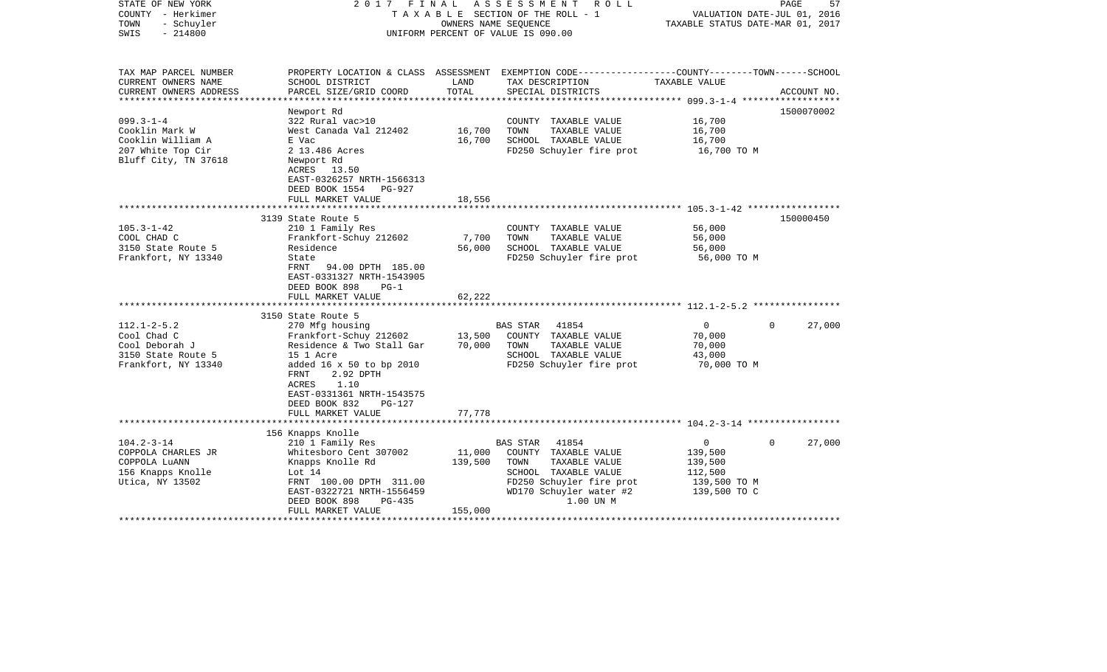| STATE OF NEW YORK      | 2017                            | FINAL   | A S S E S S M E N T<br>R O L L                                                                  |                                  | PAGE                        | 57          |  |  |
|------------------------|---------------------------------|---------|-------------------------------------------------------------------------------------------------|----------------------------------|-----------------------------|-------------|--|--|
| COUNTY - Herkimer      | TAXABLE SECTION OF THE ROLL - 1 |         |                                                                                                 |                                  | VALUATION DATE-JUL 01, 2016 |             |  |  |
| TOWN<br>- Schuyler     |                                 |         | OWNERS NAME SEQUENCE                                                                            | TAXABLE STATUS DATE-MAR 01, 2017 |                             |             |  |  |
| SWIS<br>$-214800$      |                                 |         | UNIFORM PERCENT OF VALUE IS 090.00                                                              |                                  |                             |             |  |  |
|                        |                                 |         |                                                                                                 |                                  |                             |             |  |  |
| TAX MAP PARCEL NUMBER  |                                 |         | PROPERTY LOCATION & CLASS ASSESSMENT EXEMPTION CODE---------------COUNTY-------TOWN------SCHOOL |                                  |                             |             |  |  |
| CURRENT OWNERS NAME    | SCHOOL DISTRICT                 | LAND    | TAX DESCRIPTION                                                                                 | TAXABLE VALUE                    |                             |             |  |  |
| CURRENT OWNERS ADDRESS | PARCEL SIZE/GRID COORD          | TOTAL   | SPECIAL DISTRICTS                                                                               |                                  |                             | ACCOUNT NO. |  |  |
| ****************       |                                 |         |                                                                                                 |                                  |                             | 1500070002  |  |  |
|                        | Newport Rd                      |         |                                                                                                 |                                  |                             |             |  |  |
| $099.3 - 1 - 4$        | 322 Rural vac>10                |         | COUNTY TAXABLE VALUE                                                                            | 16,700                           |                             |             |  |  |
| Cooklin Mark W         | West Canada Val 212402          | 16,700  | TOWN<br>TAXABLE VALUE                                                                           | 16,700                           |                             |             |  |  |
| Cooklin William A      | E Vac                           | 16,700  | SCHOOL TAXABLE VALUE                                                                            | 16,700                           |                             |             |  |  |
| 207 White Top Cir      | 2 13.486 Acres                  |         | FD250 Schuyler fire prot                                                                        | 16,700 TO M                      |                             |             |  |  |
| Bluff City, TN 37618   | Newport Rd                      |         |                                                                                                 |                                  |                             |             |  |  |
|                        | ACRES 13.50                     |         |                                                                                                 |                                  |                             |             |  |  |
|                        | EAST-0326257 NRTH-1566313       |         |                                                                                                 |                                  |                             |             |  |  |
|                        | DEED BOOK 1554<br>PG-927        |         |                                                                                                 |                                  |                             |             |  |  |
|                        | FULL MARKET VALUE               | 18,556  |                                                                                                 |                                  |                             |             |  |  |
|                        |                                 |         |                                                                                                 |                                  |                             |             |  |  |
|                        | 3139 State Route 5              |         |                                                                                                 |                                  |                             | 150000450   |  |  |
| $105.3 - 1 - 42$       | 210 1 Family Res                |         | COUNTY TAXABLE VALUE                                                                            | 56,000                           |                             |             |  |  |
| COOL CHAD C            | Frankfort-Schuy 212602          | 7,700   | TOWN<br>TAXABLE VALUE                                                                           | 56,000                           |                             |             |  |  |
| 3150 State Route 5     | Residence                       | 56,000  | SCHOOL TAXABLE VALUE                                                                            | 56,000                           |                             |             |  |  |
| Frankfort, NY 13340    | State                           |         | FD250 Schuyler fire prot                                                                        | 56,000 TO M                      |                             |             |  |  |
|                        | FRNT<br>94.00 DPTH 185.00       |         |                                                                                                 |                                  |                             |             |  |  |
|                        | EAST-0331327 NRTH-1543905       |         |                                                                                                 |                                  |                             |             |  |  |
|                        | DEED BOOK 898<br>$PG-1$         |         |                                                                                                 |                                  |                             |             |  |  |
|                        | FULL MARKET VALUE               | 62,222  |                                                                                                 |                                  |                             |             |  |  |
|                        |                                 |         |                                                                                                 |                                  |                             |             |  |  |
|                        | 3150 State Route 5              |         |                                                                                                 |                                  |                             |             |  |  |
| $112.1 - 2 - 5.2$      | 270 Mfg housing                 |         | BAS STAR<br>41854                                                                               | $\overline{0}$                   | $\Omega$                    | 27,000      |  |  |
| Cool Chad C            | Frankfort-Schuy 212602          | 13,500  | COUNTY TAXABLE VALUE                                                                            | 70,000                           |                             |             |  |  |
| Cool Deborah J         | Residence & Two Stall Gar       | 70,000  | TOWN<br>TAXABLE VALUE                                                                           | 70,000                           |                             |             |  |  |
| 3150 State Route 5     | 15 1 Acre                       |         | SCHOOL TAXABLE VALUE                                                                            | 43,000                           |                             |             |  |  |
|                        |                                 |         |                                                                                                 |                                  |                             |             |  |  |
| Frankfort, NY 13340    | added 16 x 50 to bp 2010        |         | FD250 Schuyler fire prot                                                                        | 70,000 TO M                      |                             |             |  |  |
|                        | 2.92 DPTH<br>FRNT               |         |                                                                                                 |                                  |                             |             |  |  |
|                        | ACRES<br>1.10                   |         |                                                                                                 |                                  |                             |             |  |  |
|                        | EAST-0331361 NRTH-1543575       |         |                                                                                                 |                                  |                             |             |  |  |
|                        | DEED BOOK 832<br>PG-127         |         |                                                                                                 |                                  |                             |             |  |  |
|                        | FULL MARKET VALUE               | 77,778  |                                                                                                 |                                  |                             |             |  |  |
|                        |                                 |         |                                                                                                 |                                  |                             |             |  |  |
|                        | 156 Knapps Knolle               |         |                                                                                                 |                                  |                             |             |  |  |
| $104.2 - 3 - 14$       | 210 1 Family Res                |         | <b>BAS STAR</b><br>41854                                                                        | $\mathbf{0}$                     | $\Omega$                    | 27,000      |  |  |
| COPPOLA CHARLES JR     | Whitesboro Cent 307002          | 11,000  | COUNTY TAXABLE VALUE                                                                            | 139,500                          |                             |             |  |  |
| COPPOLA LUANN          | Knapps Knolle Rd                | 139,500 | TOWN<br>TAXABLE VALUE                                                                           | 139,500                          |                             |             |  |  |
| 156 Knapps Knolle      | Lot 14                          |         | SCHOOL TAXABLE VALUE                                                                            | 112,500                          |                             |             |  |  |
| Utica, NY 13502        | FRNT 100.00 DPTH 311.00         |         | FD250 Schuyler fire prot                                                                        | 139,500 TO M                     |                             |             |  |  |
|                        | EAST-0322721 NRTH-1556459       |         | WD170 Schuyler water #2                                                                         | 139,500 TO C                     |                             |             |  |  |
|                        | DEED BOOK 898<br>PG-435         |         | 1.00 UN M                                                                                       |                                  |                             |             |  |  |
|                        | FULL MARKET VALUE               | 155,000 |                                                                                                 |                                  |                             |             |  |  |
|                        |                                 |         |                                                                                                 |                                  |                             |             |  |  |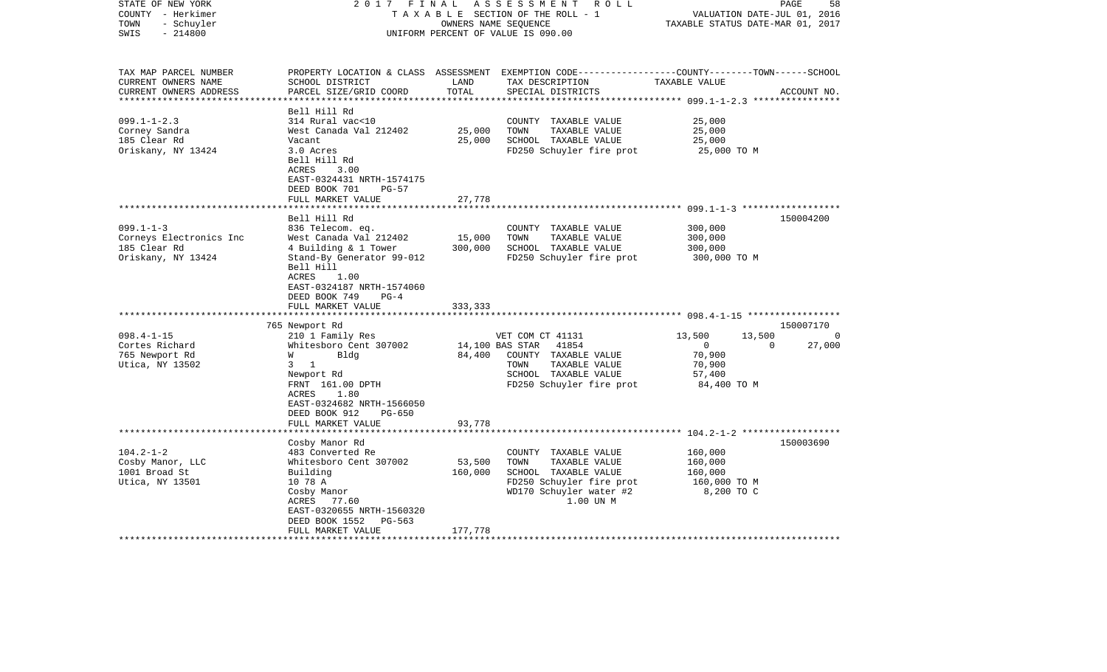| STATE OF NEW YORK<br>COUNTY - Herkimer<br>- Schuyler<br>TOWN<br>$-214800$<br>SWIS | 2017 FINAL                                                                                                               | OWNERS NAME SEQUENCE | A S S E S S M E N T R O L L<br>TAXABLE SECTION OF THE ROLL - 1<br>UNIFORM PERCENT OF VALUE IS 090.00                                    | VALUATION DATE-JUL 01, 2016<br>TAXABLE STATUS DATE-MAR 01, 2017 | 58<br>PAGE  |
|-----------------------------------------------------------------------------------|--------------------------------------------------------------------------------------------------------------------------|----------------------|-----------------------------------------------------------------------------------------------------------------------------------------|-----------------------------------------------------------------|-------------|
| TAX MAP PARCEL NUMBER<br>CURRENT OWNERS NAME<br>CURRENT OWNERS ADDRESS            | SCHOOL DISTRICT<br>PARCEL SIZE/GRID COORD                                                                                | LAND<br>TOTAL        | PROPERTY LOCATION & CLASS ASSESSMENT EXEMPTION CODE----------------COUNTY-------TOWN-----SCHOOL<br>TAX DESCRIPTION<br>SPECIAL DISTRICTS | TAXABLE VALUE                                                   | ACCOUNT NO. |
|                                                                                   | Bell Hill Rd                                                                                                             |                      |                                                                                                                                         |                                                                 |             |
| $099.1 - 1 - 2.3$                                                                 | 314 Rural vac<10                                                                                                         |                      | COUNTY TAXABLE VALUE                                                                                                                    | 25,000                                                          |             |
| Corney Sandra                                                                     | West Canada Val 212402                                                                                                   | 25,000               | TOWN<br>TAXABLE VALUE                                                                                                                   | 25,000                                                          |             |
| 185 Clear Rd                                                                      | Vacant                                                                                                                   | 25,000               | SCHOOL TAXABLE VALUE                                                                                                                    | 25,000                                                          |             |
| Oriskany, NY 13424                                                                | 3.0 Acres<br>Bell Hill Rd<br>3.00<br>ACRES<br>EAST-0324431 NRTH-1574175<br>DEED BOOK 701<br>$PG-57$<br>FULL MARKET VALUE | 27,778               | FD250 Schuyler fire prot                                                                                                                | 25,000 TO M                                                     |             |
|                                                                                   | ****************                                                                                                         |                      |                                                                                                                                         |                                                                 |             |
|                                                                                   | Bell Hill Rd                                                                                                             |                      |                                                                                                                                         |                                                                 | 150004200   |
| $099.1 - 1 - 3$                                                                   | 836 Telecom. eq.                                                                                                         |                      | COUNTY TAXABLE VALUE                                                                                                                    | 300,000                                                         |             |
| Corneys Electronics Inc                                                           | West Canada Val 212402                                                                                                   | 15,000               | TOWN<br>TAXABLE VALUE                                                                                                                   | 300,000                                                         |             |
| 185 Clear Rd                                                                      | 4 Building & 1 Tower                                                                                                     | 300,000              | SCHOOL TAXABLE VALUE                                                                                                                    | 300,000                                                         |             |
| Oriskany, NY 13424                                                                | Stand-By Generator 99-012<br>Bell Hill<br>ACRES<br>1.00<br>EAST-0324187 NRTH-1574060<br>DEED BOOK 749<br>$PG-4$          |                      | FD250 Schuyler fire prot                                                                                                                | 300,000 TO M                                                    |             |
|                                                                                   | FULL MARKET VALUE                                                                                                        | 333,333              |                                                                                                                                         |                                                                 |             |
|                                                                                   | ************************                                                                                                 |                      |                                                                                                                                         |                                                                 | 150007170   |
| $098.4 - 1 - 15$                                                                  | 765 Newport Rd<br>210 1 Family Res                                                                                       |                      | VET COM CT 41131                                                                                                                        | 13,500<br>13,500                                                | 0           |
| Cortes Richard                                                                    | Whitesboro Cent 307002                                                                                                   |                      | 14,100 BAS STAR 41854                                                                                                                   | $\overline{0}$<br>$\Omega$                                      | 27,000      |
| 765 Newport Rd                                                                    | Bldg<br><b>W</b>                                                                                                         | 84,400               | COUNTY TAXABLE VALUE                                                                                                                    | 70,900                                                          |             |
| Utica, NY 13502                                                                   | $3 \quad 1$                                                                                                              |                      | TOWN<br>TAXABLE VALUE                                                                                                                   | 70,900                                                          |             |
|                                                                                   | Newport Rd                                                                                                               |                      | SCHOOL TAXABLE VALUE                                                                                                                    | 57,400                                                          |             |
|                                                                                   | FRNT 161.00 DPTH                                                                                                         |                      | FD250 Schuyler fire prot                                                                                                                | 84,400 TO M                                                     |             |
|                                                                                   | ACRES<br>1.80<br>EAST-0324682 NRTH-1566050<br>DEED BOOK 912<br>PG-650                                                    |                      |                                                                                                                                         |                                                                 |             |
|                                                                                   | FULL MARKET VALUE<br>***************************                                                                         | 93,778               |                                                                                                                                         |                                                                 |             |
|                                                                                   | Cosby Manor Rd                                                                                                           |                      |                                                                                                                                         |                                                                 | 150003690   |
| $104.2 - 1 - 2$                                                                   | 483 Converted Re                                                                                                         |                      | COUNTY TAXABLE VALUE                                                                                                                    | 160,000                                                         |             |
| Cosby Manor, LLC                                                                  | Whitesboro Cent 307002                                                                                                   | 53,500               | TOWN<br>TAXABLE VALUE                                                                                                                   | 160,000                                                         |             |
| 1001 Broad St                                                                     | Building                                                                                                                 | 160,000              | SCHOOL TAXABLE VALUE                                                                                                                    | 160,000                                                         |             |
| Utica, NY 13501                                                                   | 10 78 A                                                                                                                  |                      | FD250 Schuyler fire prot                                                                                                                | 160,000 TO M                                                    |             |
|                                                                                   | Cosby Manor                                                                                                              |                      | WD170 Schuyler water #2                                                                                                                 | 8,200 TO C                                                      |             |
|                                                                                   | ACRES 77.60                                                                                                              |                      | 1.00 UN M                                                                                                                               |                                                                 |             |
|                                                                                   | EAST-0320655 NRTH-1560320                                                                                                |                      |                                                                                                                                         |                                                                 |             |
|                                                                                   | DEED BOOK 1552<br>PG-563                                                                                                 |                      |                                                                                                                                         |                                                                 |             |
|                                                                                   | FULL MARKET VALUE                                                                                                        | 177,778              |                                                                                                                                         |                                                                 |             |
|                                                                                   |                                                                                                                          |                      |                                                                                                                                         |                                                                 |             |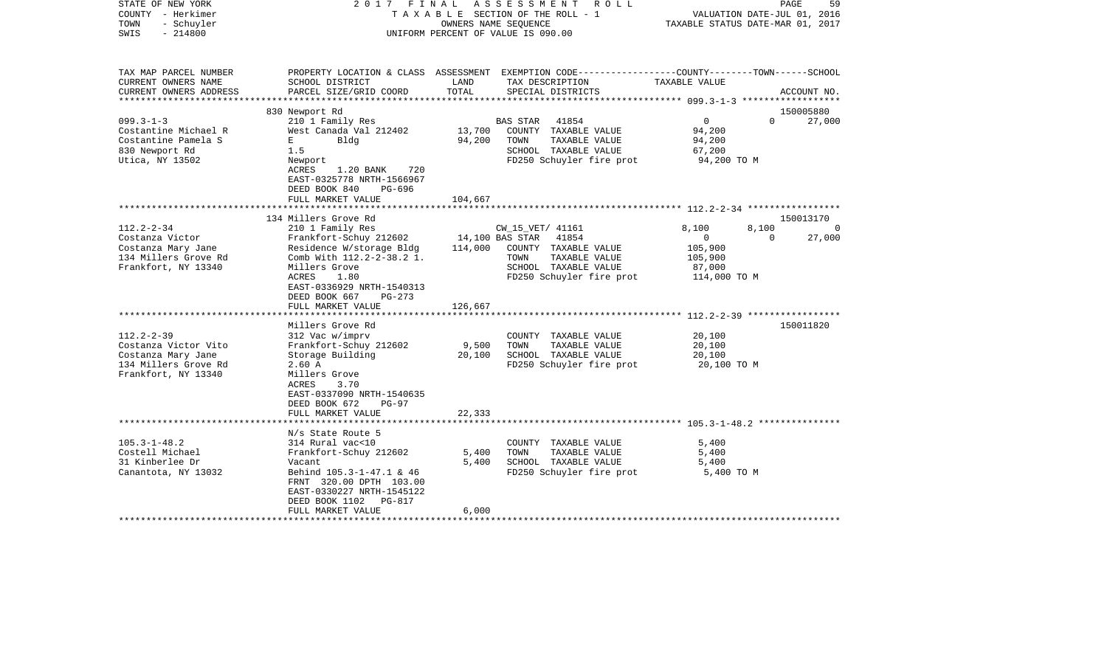| COUNTY<br>– Herkimer<br>TOWN<br>- Schuyler<br>SWIS<br>$-214800$ | T A X A B L E SECTION OF THE ROLL - 1<br>OWNERS NAME SEQUENCE<br>UNIFORM PERCENT OF VALUE IS 090.00                 |                 | VALUATION DATE-JUL 01, 2016<br>TAXABLE STATUS DATE-MAR 01, 2017 |                                                  |                                                           |                   |                    |
|-----------------------------------------------------------------|---------------------------------------------------------------------------------------------------------------------|-----------------|-----------------------------------------------------------------|--------------------------------------------------|-----------------------------------------------------------|-------------------|--------------------|
| TAX MAP PARCEL NUMBER                                           | PROPERTY LOCATION & CLASS ASSESSMENT EXEMPTION CODE---------------COUNTY-------TOWN-----SCHOOL                      |                 |                                                                 |                                                  |                                                           |                   |                    |
| CURRENT OWNERS NAME<br>CURRENT OWNERS ADDRESS                   | SCHOOL DISTRICT<br>PARCEL SIZE/GRID COORD                                                                           | LAND<br>TOTAL   | TAX DESCRIPTION                                                 | SPECIAL DISTRICTS                                | TAXABLE VALUE                                             |                   | ACCOUNT NO.        |
|                                                                 |                                                                                                                     | *************   |                                                                 |                                                  |                                                           |                   |                    |
| 830 Newport Rd                                                  |                                                                                                                     |                 |                                                                 |                                                  |                                                           |                   | 150005880          |
| $099.3 - 1 - 3$                                                 | 210 1 Family Res                                                                                                    |                 | BAS STAR                                                        | 41854                                            | $\mathbf 0$                                               | $\Omega$          | 27,000             |
| Costantine Michael R                                            | West Canada Val 212402                                                                                              | 13,700          |                                                                 | COUNTY TAXABLE VALUE                             | 94,200                                                    |                   |                    |
| Costantine Pamela S<br>Е                                        | Bldg                                                                                                                | 94,200          | TOWN                                                            | TAXABLE VALUE                                    | 94,200                                                    |                   |                    |
| 830 Newport Rd<br>1.5<br>Utica, NY 13502<br>Newport             |                                                                                                                     |                 |                                                                 | SCHOOL TAXABLE VALUE<br>FD250 Schuyler fire prot | 67,200<br>94,200 TO M                                     |                   |                    |
| ACRES                                                           | 1.20 BANK<br>720<br>EAST-0325778 NRTH-1566967<br>DEED BOOK 840<br>PG-696<br>FULL MARKET VALUE                       | 104,667         |                                                                 |                                                  |                                                           |                   |                    |
|                                                                 |                                                                                                                     |                 |                                                                 |                                                  |                                                           |                   |                    |
|                                                                 | 134 Millers Grove Rd                                                                                                |                 |                                                                 |                                                  |                                                           |                   | 150013170          |
| $112.2 - 2 - 34$<br>Costanza Victor                             | 210 1 Family Res<br>Frankfort-Schuy 212602                                                                          | 14,100 BAS STAR | CW_15_VET/ 41161                                                | 41854                                            | 8,100<br>0                                                | 8,100<br>$\Omega$ | $\Omega$<br>27,000 |
| Costanza Mary Jane                                              | Residence W/storage Bldg                                                                                            | 114,000         |                                                                 | COUNTY TAXABLE VALUE                             | 105,900                                                   |                   |                    |
| 134 Millers Grove Rd                                            | Comb With 112.2-2-38.2 1.                                                                                           |                 | TOWN                                                            | TAXABLE VALUE                                    | 105,900                                                   |                   |                    |
| Frankfort, NY 13340                                             | Millers Grove                                                                                                       |                 |                                                                 | SCHOOL TAXABLE VALUE                             | 87,000                                                    |                   |                    |
| ACRES                                                           | 1.80<br>EAST-0336929 NRTH-1540313<br>DEED BOOK 667<br>PG-273<br>FULL MARKET VALUE                                   | 126,667         |                                                                 | FD250 Schuyler fire prot                         | 114,000 TO M                                              |                   |                    |
|                                                                 |                                                                                                                     |                 |                                                                 |                                                  |                                                           |                   |                    |
|                                                                 | Millers Grove Rd                                                                                                    |                 |                                                                 |                                                  |                                                           |                   | 150011820          |
| $112.2 - 2 - 39$<br>Costanza Victor Vito                        | 312 Vac w/imprv<br>Frankfort-Schuy 212602                                                                           | 9,500           | TOWN                                                            | COUNTY TAXABLE VALUE<br>TAXABLE VALUE            | 20,100<br>20,100                                          |                   |                    |
| Costanza Mary Jane                                              | Storage Building                                                                                                    | 20,100          |                                                                 | SCHOOL TAXABLE VALUE                             | 20,100                                                    |                   |                    |
| 134 Millers Grove Rd<br>2.60 A<br>Frankfort, NY 13340<br>ACRES  | Millers Grove<br>3.70<br>EAST-0337090 NRTH-1540635<br>DEED BOOK 672<br>$PG-97$                                      |                 |                                                                 | FD250 Schuyler fire prot                         | 20,100 TO M                                               |                   |                    |
|                                                                 | FULL MARKET VALUE                                                                                                   | 22,333          |                                                                 |                                                  |                                                           |                   |                    |
|                                                                 |                                                                                                                     |                 |                                                                 |                                                  | **************************** 105.3-1-48.2 *************** |                   |                    |
|                                                                 | N/s State Route 5                                                                                                   |                 |                                                                 |                                                  |                                                           |                   |                    |
| $105.3 - 1 - 48.2$                                              | 314 Rural vac<10                                                                                                    |                 |                                                                 | COUNTY TAXABLE VALUE                             | 5,400                                                     |                   |                    |
| Costell Michael<br>31 Kinberlee Dr<br>Vacant                    | Frankfort-Schuy 212602                                                                                              | 5,400<br>5,400  | TOWN                                                            | TAXABLE VALUE<br>SCHOOL TAXABLE VALUE            | 5,400<br>5,400                                            |                   |                    |
| Canantota, NY 13032                                             | Behind 105.3-1-47.1 & 46<br>FRNT 320.00 DPTH 103.00<br>EAST-0330227 NRTH-1545122<br>DEED BOOK 1102<br><b>PG-817</b> |                 |                                                                 | FD250 Schuyler fire prot                         | 5,400 TO M                                                |                   |                    |
|                                                                 | FULL MARKET VALUE                                                                                                   | 6,000           |                                                                 |                                                  |                                                           |                   |                    |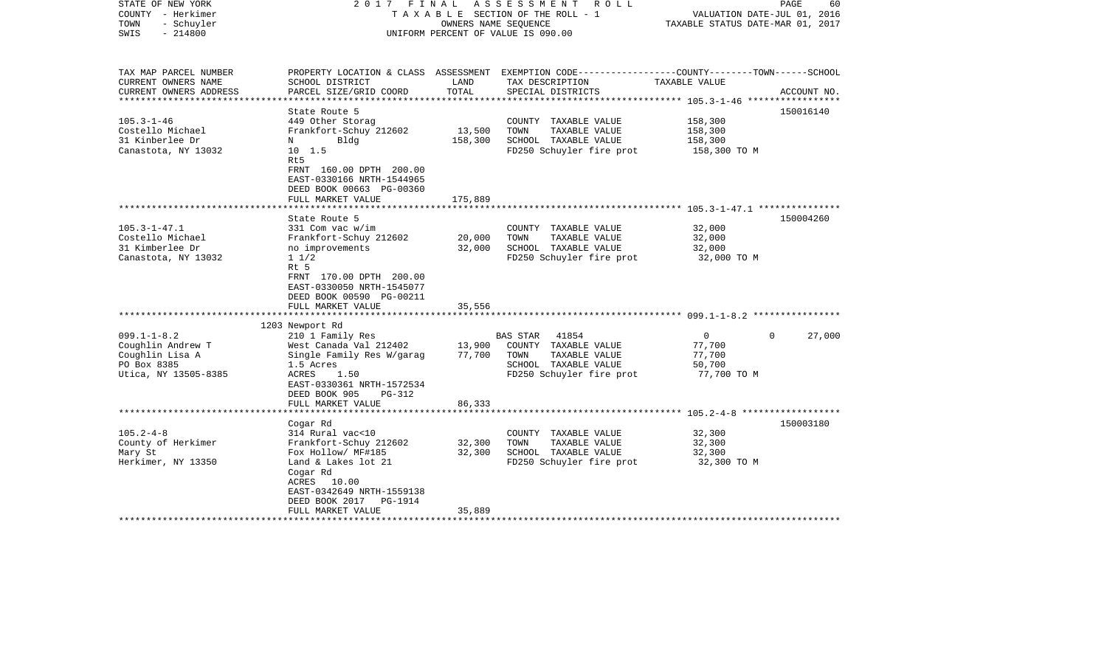| STATE OF NEW YORK<br>COUNTY - Herkimer<br>- Schuyler<br>TOWN<br>$-214800$<br>SWIS                |                                                                                                                                                                                                | OWNERS NAME SEOUENCE       | 2017 FINAL ASSESSMENT ROLL<br>TAXABLE SECTION OF THE ROLL - 1<br>UNIFORM PERCENT OF VALUE IS 090.00                           | VALUATION DATE-JUL 01, 2016<br>TAXABLE STATUS DATE-MAR 01, 2017 | PAGE<br>60         |
|--------------------------------------------------------------------------------------------------|------------------------------------------------------------------------------------------------------------------------------------------------------------------------------------------------|----------------------------|-------------------------------------------------------------------------------------------------------------------------------|-----------------------------------------------------------------|--------------------|
| TAX MAP PARCEL NUMBER<br>CURRENT OWNERS NAME                                                     | SCHOOL DISTRICT                                                                                                                                                                                | LAND                       | PROPERTY LOCATION & CLASS ASSESSMENT EXEMPTION CODE---------------COUNTY-------TOWN------SCHOOL<br>TAX DESCRIPTION            | TAXABLE VALUE                                                   |                    |
| CURRENT OWNERS ADDRESS<br>***********************                                                | PARCEL SIZE/GRID COORD                                                                                                                                                                         | TOTAL                      | SPECIAL DISTRICTS                                                                                                             |                                                                 | ACCOUNT NO.        |
|                                                                                                  | State Route 5                                                                                                                                                                                  |                            |                                                                                                                               |                                                                 | 150016140          |
| $105.3 - 1 - 46$<br>Costello Michael<br>31 Kinberlee Dr<br>Canastota, NY 13032                   | 449 Other Storag<br>Frankfort-Schuy 212602<br>Bldg<br>N<br>$10 \quad 1.5$<br>Rt5<br>FRNT 160.00 DPTH 200.00                                                                                    | 13,500<br>158,300          | COUNTY TAXABLE VALUE<br>TOWN<br>TAXABLE VALUE<br>SCHOOL TAXABLE VALUE<br>FD250 Schuyler fire prot                             | 158,300<br>158,300<br>158,300<br>158,300 TO M                   |                    |
|                                                                                                  | EAST-0330166 NRTH-1544965<br>DEED BOOK 00663 PG-00360<br>FULL MARKET VALUE                                                                                                                     | 175,889                    |                                                                                                                               |                                                                 |                    |
|                                                                                                  |                                                                                                                                                                                                |                            |                                                                                                                               |                                                                 |                    |
| $105.3 - 1 - 47.1$<br>Costello Michael<br>31 Kimberlee Dr<br>Canastota, NY 13032                 | State Route 5<br>331 Com vac w/im<br>Frankfort-Schuy 212602<br>no improvements<br>$1 \t1/2$<br>Rt 5<br>FRNT 170.00 DPTH 200.00<br>EAST-0330050 NRTH-1545077<br>DEED BOOK 00590 PG-00211        | 20,000<br>32,000           | COUNTY TAXABLE VALUE<br>TOWN<br>TAXABLE VALUE<br>SCHOOL TAXABLE VALUE<br>FD250 Schuyler fire prot                             | 32,000<br>32,000<br>32,000<br>32,000 TO M                       | 150004260          |
|                                                                                                  | FULL MARKET VALUE                                                                                                                                                                              | 35,556                     |                                                                                                                               |                                                                 |                    |
|                                                                                                  | 1203 Newport Rd                                                                                                                                                                                |                            |                                                                                                                               |                                                                 |                    |
| $099.1 - 1 - 8.2$<br>Coughlin Andrew T<br>Coughlin Lisa A<br>PO Box 8385<br>Utica, NY 13505-8385 | 210 1 Family Res<br>West Canada Val 212402<br>Single Family Res W/garag<br>1.5 Acres<br>ACRES<br>1.50<br>EAST-0330361 NRTH-1572534<br>DEED BOOK 905<br>$PG-312$                                | 13,900<br>77,700           | <b>BAS STAR</b><br>41854<br>COUNTY TAXABLE VALUE<br>TOWN<br>TAXABLE VALUE<br>SCHOOL TAXABLE VALUE<br>FD250 Schuyler fire prot | $\overline{0}$<br>77,700<br>77,700<br>50,700<br>77,700 TO M     | $\Omega$<br>27,000 |
| *************************                                                                        | FULL MARKET VALUE<br>************************                                                                                                                                                  | 86,333                     |                                                                                                                               |                                                                 |                    |
|                                                                                                  | Cogar Rd                                                                                                                                                                                       |                            |                                                                                                                               |                                                                 | 150003180          |
| $105.2 - 4 - 8$<br>County of Herkimer<br>Mary St<br>Herkimer, NY 13350                           | 314 Rural vac<10<br>Frankfort-Schuy 212602<br>Fox Hollow/ MF#185<br>Land & Lakes lot 21<br>Cogar Rd<br>ACRES 10.00<br>EAST-0342649 NRTH-1559138<br>DEED BOOK 2017 PG-1914<br>FULL MARKET VALUE | 32,300<br>32,300<br>35,889 | COUNTY TAXABLE VALUE<br>TOWN<br>TAXABLE VALUE<br>SCHOOL TAXABLE VALUE<br>FD250 Schuyler fire prot                             | 32,300<br>32,300<br>32,300<br>32,300 TO M                       |                    |
|                                                                                                  |                                                                                                                                                                                                |                            |                                                                                                                               |                                                                 |                    |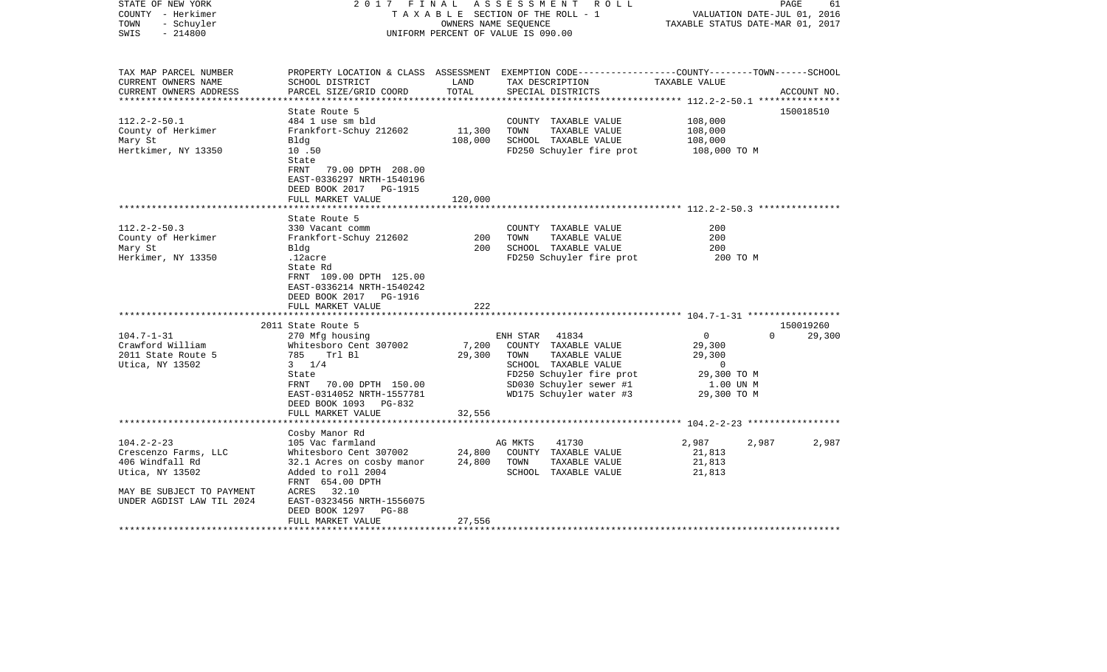| STATE OF NEW YORK<br>COUNTY - Herkimer<br>- Schuyler<br>TOWN<br>$-214800$<br>SWIS                                                                          | 2017<br>FINAL                                                                                                                                                                                                                                                                                                                                                              |                                      | ASSESSMENT ROLL<br>TAXABLE SECTION OF THE ROLL - 1<br>OWNERS NAME SEQUENCE<br>UNIFORM PERCENT OF VALUE IS 090.00                                                                                                                                                                  | TAXABLE STATUS DATE-MAR 01, 2017                                                                                  | PAGE<br>61<br>VALUATION DATE-JUL 01, 2016 |
|------------------------------------------------------------------------------------------------------------------------------------------------------------|----------------------------------------------------------------------------------------------------------------------------------------------------------------------------------------------------------------------------------------------------------------------------------------------------------------------------------------------------------------------------|--------------------------------------|-----------------------------------------------------------------------------------------------------------------------------------------------------------------------------------------------------------------------------------------------------------------------------------|-------------------------------------------------------------------------------------------------------------------|-------------------------------------------|
| TAX MAP PARCEL NUMBER<br>CURRENT OWNERS NAME<br>CURRENT OWNERS ADDRESS                                                                                     | SCHOOL DISTRICT<br>PARCEL SIZE/GRID COORD                                                                                                                                                                                                                                                                                                                                  | LAND<br>TOTAL                        | PROPERTY LOCATION & CLASS ASSESSMENT EXEMPTION CODE----------------COUNTY-------TOWN------SCHOOL<br>TAX DESCRIPTION<br>SPECIAL DISTRICTS                                                                                                                                          | TAXABLE VALUE                                                                                                     | ACCOUNT NO.                               |
|                                                                                                                                                            |                                                                                                                                                                                                                                                                                                                                                                            | * * * * * * * * * * * * * *          |                                                                                                                                                                                                                                                                                   | **************************** 112.2-2-50.1 ***************                                                         |                                           |
|                                                                                                                                                            | State Route 5                                                                                                                                                                                                                                                                                                                                                              |                                      |                                                                                                                                                                                                                                                                                   |                                                                                                                   | 150018510                                 |
| $112.2 - 2 - 50.1$<br>County of Herkimer<br>Mary St<br>Hertkimer, NY 13350                                                                                 | 484 1 use sm bld<br>Frankfort-Schuy 212602<br>Bldg<br>10.50<br>State                                                                                                                                                                                                                                                                                                       | 11,300<br>108,000                    | COUNTY TAXABLE VALUE<br>TOWN<br>TAXABLE VALUE<br>SCHOOL TAXABLE VALUE<br>FD250 Schuyler fire prot                                                                                                                                                                                 | 108,000<br>108,000<br>108,000<br>108,000 TO M                                                                     |                                           |
|                                                                                                                                                            | FRNT<br>79.00 DPTH 208.00<br>EAST-0336297 NRTH-1540196<br>DEED BOOK 2017<br>PG-1915<br>FULL MARKET VALUE                                                                                                                                                                                                                                                                   | 120,000                              |                                                                                                                                                                                                                                                                                   |                                                                                                                   |                                           |
|                                                                                                                                                            |                                                                                                                                                                                                                                                                                                                                                                            |                                      |                                                                                                                                                                                                                                                                                   | **************************** 112.2-2-50.3 ***************                                                         |                                           |
| $112.2 - 2 - 50.3$<br>County of Herkimer<br>Mary St<br>Herkimer, NY 13350<br>$104.7 - 1 - 31$<br>Crawford William<br>2011 State Route 5<br>Utica, NY 13502 | State Route 5<br>330 Vacant comm<br>Frankfort-Schuy 212602<br>Bldg<br>.12acre<br>State Rd<br>FRNT 109.00 DPTH 125.00<br>EAST-0336214 NRTH-1540242<br>DEED BOOK 2017<br>PG-1916<br>FULL MARKET VALUE<br>2011 State Route 5<br>270 Mfg housing<br>Whitesboro Cent 307002<br>785 Trl Bl<br>$3 \frac{1}{4}$<br>State<br>70.00 DPTH 150.00<br>FRNT<br>EAST-0314052 NRTH-1557781 | 200<br>200<br>222<br>7,200<br>29,300 | COUNTY TAXABLE VALUE<br>TOWN<br>TAXABLE VALUE<br>SCHOOL TAXABLE VALUE<br>FD250 Schuyler fire prot<br>ENH STAR<br>41834<br>COUNTY TAXABLE VALUE<br>TAXABLE VALUE<br>TOWN<br>SCHOOL TAXABLE VALUE<br>FD250 Schuyler fire prot<br>SD030 Schuyler sewer #1<br>WD175 Schuyler water #3 | 200<br>200<br>200<br>200 TO M<br>$\mathbf{0}$<br>29,300<br>29,300<br>0<br>29,300 TO M<br>1.00 UN M<br>29,300 TO M | 150019260<br>$\Omega$<br>29,300           |
|                                                                                                                                                            | DEED BOOK 1093 PG-832<br>FULL MARKET VALUE                                                                                                                                                                                                                                                                                                                                 | 32,556                               |                                                                                                                                                                                                                                                                                   | ************************ 104.2-2-23 ******************                                                            |                                           |
| $104.2 - 2 - 23$<br>Crescenzo Farms, LLC<br>406 Windfall Rd<br>Utica, NY 13502<br>MAY BE SUBJECT TO PAYMENT                                                | Cosby Manor Rd<br>105 Vac farmland<br>Whitesboro Cent 307002<br>32.1 Acres on cosby manor<br>Added to roll 2004<br>FRNT 654.00 DPTH<br>ACRES 32.10                                                                                                                                                                                                                         | 24,800<br>24,800                     | AG MKTS<br>41730<br>COUNTY TAXABLE VALUE<br>TAXABLE VALUE<br>TOWN<br>SCHOOL TAXABLE VALUE                                                                                                                                                                                         | 2,987<br>2,987<br>21,813<br>21,813<br>21,813                                                                      | 2,987                                     |
| UNDER AGDIST LAW TIL 2024                                                                                                                                  | EAST-0323456 NRTH-1556075<br>DEED BOOK 1297<br>PG-88<br>FULL MARKET VALUE                                                                                                                                                                                                                                                                                                  | 27,556                               |                                                                                                                                                                                                                                                                                   |                                                                                                                   |                                           |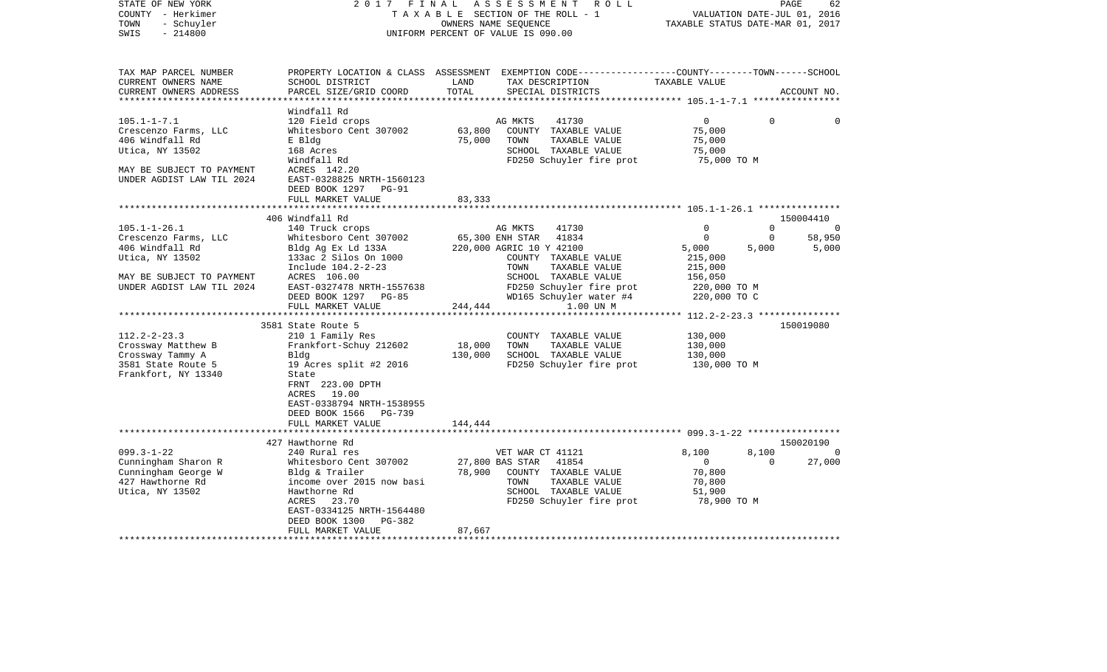| COUNTY<br>- Herkimer      |                           |         | T A X A B L E SECTION OF THE ROLL - 1                                                           |                                  | VALUATION DATE-JUL 01, 2016 |             |
|---------------------------|---------------------------|---------|-------------------------------------------------------------------------------------------------|----------------------------------|-----------------------------|-------------|
| - Schuyler<br>TOWN        |                           |         | OWNERS NAME SEQUENCE                                                                            | TAXABLE STATUS DATE-MAR 01, 2017 |                             |             |
| $-214800$<br>SWIS         |                           |         | UNIFORM PERCENT OF VALUE IS 090.00                                                              |                                  |                             |             |
|                           |                           |         |                                                                                                 |                                  |                             |             |
| TAX MAP PARCEL NUMBER     |                           |         | PROPERTY LOCATION & CLASS ASSESSMENT EXEMPTION CODE---------------COUNTY-------TOWN------SCHOOL |                                  |                             |             |
| CURRENT OWNERS NAME       | SCHOOL DISTRICT           | LAND    | TAX DESCRIPTION                                                                                 | TAXABLE VALUE                    |                             |             |
| CURRENT OWNERS ADDRESS    | PARCEL SIZE/GRID COORD    | TOTAL   | SPECIAL DISTRICTS                                                                               |                                  |                             | ACCOUNT NO. |
|                           | Windfall Rd               |         |                                                                                                 |                                  |                             |             |
| $105.1 - 1 - 7.1$         | 120 Field crops           |         | AG MKTS<br>41730                                                                                | $\mathbf 0$                      | $\Omega$                    | $\Omega$    |
| Crescenzo Farms, LLC      | Whitesboro Cent 307002    | 63,800  | COUNTY TAXABLE VALUE                                                                            | 75,000                           |                             |             |
| 406 Windfall Rd           | E Bldg                    | 75,000  | TOWN<br>TAXABLE VALUE                                                                           | 75,000                           |                             |             |
| Utica, NY 13502           | 168 Acres                 |         | SCHOOL TAXABLE VALUE                                                                            | 75,000                           |                             |             |
|                           | Windfall Rd               |         | FD250 Schuyler fire prot                                                                        | 75,000 TO M                      |                             |             |
| MAY BE SUBJECT TO PAYMENT | ACRES 142.20              |         |                                                                                                 |                                  |                             |             |
| UNDER AGDIST LAW TIL 2024 | EAST-0328825 NRTH-1560123 |         |                                                                                                 |                                  |                             |             |
|                           | DEED BOOK 1297<br>$PG-91$ |         |                                                                                                 |                                  |                             |             |
|                           | FULL MARKET VALUE         | 83,333  |                                                                                                 |                                  |                             |             |
|                           |                           |         |                                                                                                 |                                  |                             |             |
|                           | 406 Windfall Rd           |         |                                                                                                 |                                  |                             | 150004410   |
| $105.1 - 1 - 26.1$        | 140 Truck crops           |         | 41730<br>AG MKTS                                                                                | $\mathbf 0$                      | 0                           | 0           |
| Crescenzo Farms, LLC      | Whitesboro Cent 307002    |         | 65,300 ENH STAR<br>41834                                                                        | $\Omega$                         | $\mathbf 0$                 | 58,950      |
| 406 Windfall Rd           | Bldg Ag Ex Ld 133A        |         | 220,000 AGRIC 10 Y 42100                                                                        | 5,000                            | 5,000                       | 5,000       |
| Utica, NY 13502           | 133ac 2 Silos On 1000     |         | COUNTY TAXABLE VALUE                                                                            | 215,000                          |                             |             |
|                           | Include 104.2-2-23        |         | TOWN<br>TAXABLE VALUE                                                                           | 215,000                          |                             |             |
| MAY BE SUBJECT TO PAYMENT | ACRES 106.00              |         | SCHOOL TAXABLE VALUE                                                                            | 156,050                          |                             |             |
| UNDER AGDIST LAW TIL 2024 | EAST-0327478 NRTH-1557638 |         | FD250 Schuyler fire prot                                                                        | 220,000 TO M                     |                             |             |
|                           | DEED BOOK 1297<br>$PG-85$ |         | WD165 Schuyler water #4                                                                         | 220,000 TO C                     |                             |             |
|                           | FULL MARKET VALUE         | 244,444 | 1.00 UN M                                                                                       |                                  |                             |             |
|                           | 3581 State Route 5        |         |                                                                                                 |                                  |                             | 150019080   |
| $112.2 - 2 - 23.3$        | 210 1 Family Res          |         | COUNTY TAXABLE VALUE                                                                            | 130,000                          |                             |             |
| Crossway Matthew B        | Frankfort-Schuy 212602    | 18,000  | TOWN<br>TAXABLE VALUE                                                                           | 130,000                          |                             |             |
| Crossway Tammy A          | Bldg                      | 130,000 | SCHOOL TAXABLE VALUE                                                                            | 130,000                          |                             |             |
| 3581 State Route 5        | 19 Acres split #2 2016    |         | FD250 Schuyler fire prot                                                                        | 130,000 TO M                     |                             |             |
| Frankfort, NY 13340       | State                     |         |                                                                                                 |                                  |                             |             |
|                           | FRNT 223.00 DPTH          |         |                                                                                                 |                                  |                             |             |
|                           | ACRES<br>19.00            |         |                                                                                                 |                                  |                             |             |
|                           | EAST-0338794 NRTH-1538955 |         |                                                                                                 |                                  |                             |             |
|                           | DEED BOOK 1566<br>PG-739  |         |                                                                                                 |                                  |                             |             |
|                           | FULL MARKET VALUE         | 144,444 |                                                                                                 |                                  |                             |             |
|                           |                           |         |                                                                                                 |                                  |                             |             |
|                           | 427 Hawthorne Rd          |         |                                                                                                 |                                  |                             | 150020190   |
| $099.3 - 1 - 22$          | 240 Rural res             |         | VET WAR CT 41121                                                                                | 8,100                            | 8,100                       | $\Omega$    |
| Cunningham Sharon R       | Whitesboro Cent 307002    |         | 27,800 BAS STAR<br>41854                                                                        | $\mathbf{0}$                     | $\Omega$                    | 27,000      |
| Cunningham George W       | Bldg & Trailer            | 78,900  | COUNTY TAXABLE VALUE                                                                            | 70,800                           |                             |             |
| 427 Hawthorne Rd          | income over 2015 now basi |         | TAXABLE VALUE<br>TOWN                                                                           | 70,800                           |                             |             |
| Utica, NY 13502           | Hawthorne Rd              |         | SCHOOL TAXABLE VALUE                                                                            | 51,900                           |                             |             |
|                           | ACRES<br>23.70            |         | FD250 Schuyler fire prot                                                                        | 78,900 TO M                      |                             |             |
|                           | EAST-0334125 NRTH-1564480 |         |                                                                                                 |                                  |                             |             |
|                           | DEED BOOK 1300<br>PG-382  |         |                                                                                                 |                                  |                             |             |
|                           | FULL MARKET VALUE         | 87,667  |                                                                                                 |                                  |                             |             |
|                           |                           |         |                                                                                                 |                                  |                             |             |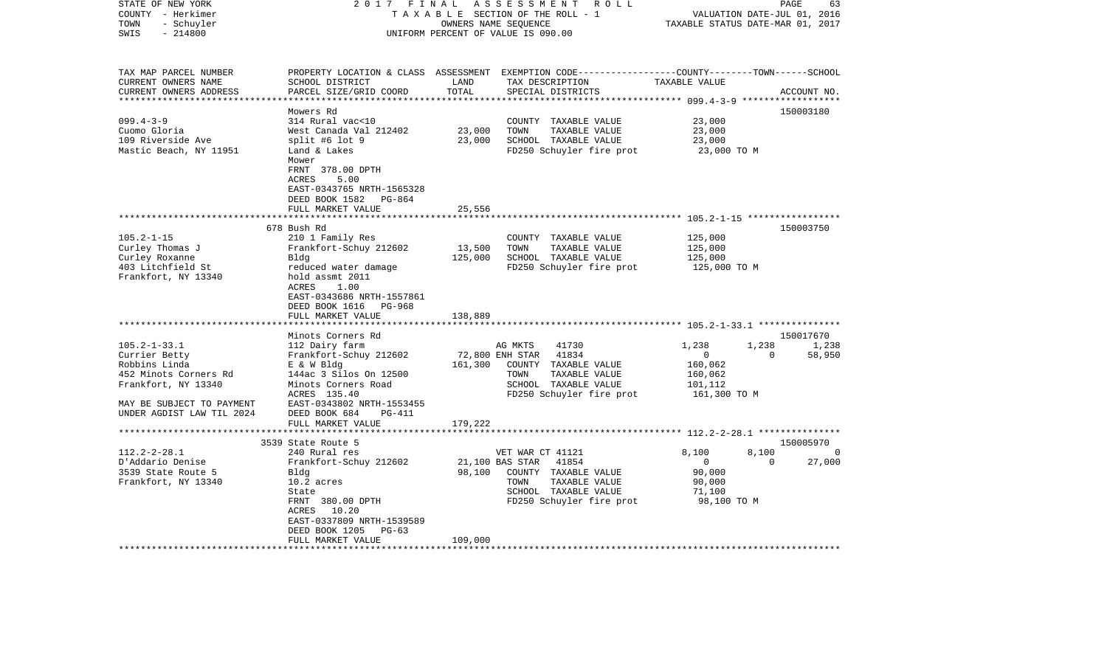| STATE OF NEW YORK<br>COUNTY - Herkimer<br>- Schuyler<br>TOWN<br>$-214800$<br>SWIS                                                                                                  | 2017<br>FINAL                                                                                                                                                                                                                                                                                                |                                         | ASSESSMENT<br>R O L L<br>TAXABLE SECTION OF THE ROLL - 1<br>OWNERS NAME SEQUENCE<br>UNIFORM PERCENT OF VALUE IS 090.00                                                                                | VALUATION DATE-JUL 01, 2016<br>TAXABLE STATUS DATE-MAR 01, 2017                                      | PAGE<br>63                                  |
|------------------------------------------------------------------------------------------------------------------------------------------------------------------------------------|--------------------------------------------------------------------------------------------------------------------------------------------------------------------------------------------------------------------------------------------------------------------------------------------------------------|-----------------------------------------|-------------------------------------------------------------------------------------------------------------------------------------------------------------------------------------------------------|------------------------------------------------------------------------------------------------------|---------------------------------------------|
| TAX MAP PARCEL NUMBER<br>CURRENT OWNERS NAME<br>CURRENT OWNERS ADDRESS<br>**********************                                                                                   | SCHOOL DISTRICT<br>PARCEL SIZE/GRID COORD                                                                                                                                                                                                                                                                    | LAND<br>TOTAL                           | PROPERTY LOCATION & CLASS ASSESSMENT EXEMPTION CODE---------------COUNTY-------TOWN------SCHOOL<br>TAX DESCRIPTION<br>SPECIAL DISTRICTS                                                               | TAXABLE VALUE                                                                                        | ACCOUNT NO.                                 |
|                                                                                                                                                                                    | Mowers Rd                                                                                                                                                                                                                                                                                                    |                                         |                                                                                                                                                                                                       |                                                                                                      | 150003180                                   |
| $099.4 - 3 - 9$<br>Cuomo Gloria<br>109 Riverside Ave<br>Mastic Beach, NY 11951                                                                                                     | 314 Rural vac<10<br>West Canada Val 212402<br>split #6 lot 9<br>Land & Lakes<br>Mower                                                                                                                                                                                                                        | 23,000<br>23,000                        | COUNTY TAXABLE VALUE<br>TOWN<br>TAXABLE VALUE<br>SCHOOL TAXABLE VALUE<br>FD250 Schuyler fire prot                                                                                                     | 23,000<br>23,000<br>23,000<br>23,000 TO M                                                            |                                             |
|                                                                                                                                                                                    | FRNT 378.00 DPTH<br>ACRES<br>5.00<br>EAST-0343765 NRTH-1565328<br>DEED BOOK 1582<br>PG-864<br>FULL MARKET VALUE                                                                                                                                                                                              | 25,556                                  |                                                                                                                                                                                                       |                                                                                                      |                                             |
|                                                                                                                                                                                    | 678 Bush Rd                                                                                                                                                                                                                                                                                                  |                                         |                                                                                                                                                                                                       |                                                                                                      | 150003750                                   |
| $105.2 - 1 - 15$<br>Curley Thomas J<br>Curley Roxanne<br>403 Litchfield St<br>Frankfort, NY 13340<br>$105.2 - 1 - 33.1$<br>Currier Betty<br>Robbins Linda<br>452 Minots Corners Rd | 210 1 Family Res<br>Frankfort-Schuy 212602<br>Bldg<br>reduced water damage<br>hold assmt 2011<br><b>ACRES</b><br>1.00<br>EAST-0343686 NRTH-1557861<br>DEED BOOK 1616<br>PG-968<br>FULL MARKET VALUE<br>Minots Corners Rd<br>112 Dairy farm<br>Frankfort-Schuy 212602<br>E & W Bldg<br>144ac 3 Silos On 12500 | 13,500<br>125,000<br>138,889<br>161,300 | COUNTY TAXABLE VALUE<br>TOWN<br>TAXABLE VALUE<br>SCHOOL TAXABLE VALUE<br>FD250 Schuyler fire prot<br>41730<br>AG MKTS<br>72,800 ENH STAR<br>41834<br>COUNTY<br>TAXABLE VALUE<br>TOWN<br>TAXABLE VALUE | 125,000<br>125,000<br>125,000<br>125,000 TO M<br>1,238<br>1,238<br>$\mathbf 0$<br>160,062<br>160,062 | 150017670<br>1,238<br>$\mathbf 0$<br>58,950 |
| Frankfort, NY 13340<br>MAY BE SUBJECT TO PAYMENT<br>UNDER AGDIST LAW TIL 2024                                                                                                      | Minots Corners Road<br>ACRES 135.40<br>EAST-0343802 NRTH-1553455<br>DEED BOOK 684<br>PG-411<br>FULL MARKET VALUE                                                                                                                                                                                             | 179,222                                 | SCHOOL TAXABLE VALUE<br>FD250 Schuyler fire prot                                                                                                                                                      | 101,112<br>161,300 TO M                                                                              |                                             |
|                                                                                                                                                                                    |                                                                                                                                                                                                                                                                                                              |                                         |                                                                                                                                                                                                       |                                                                                                      |                                             |
| $112.2 - 2 - 28.1$                                                                                                                                                                 | 3539 State Route 5<br>240 Rural res                                                                                                                                                                                                                                                                          |                                         | VET WAR CT 41121                                                                                                                                                                                      | 8,100<br>8,100                                                                                       | 150005970<br>0                              |
| D'Addario Denise<br>3539 State Route 5<br>Frankfort, NY 13340                                                                                                                      | Frankfort-Schuy 212602<br>Bldg<br>$10.2$ acres<br>State<br>FRNT 380.00 DPTH<br>ACRES<br>10.20<br>EAST-0337809 NRTH-1539589<br>DEED BOOK 1205<br>$PG-63$                                                                                                                                                      | 98,100<br>109,000                       | 41854<br>21,100 BAS STAR<br>COUNTY TAXABLE VALUE<br>TAXABLE VALUE<br>TOWN<br>SCHOOL TAXABLE VALUE<br>FD250 Schuyler fire prot                                                                         | $\mathbf 0$<br>90,000<br>90,000<br>71,100<br>98,100 TO M                                             | 27,000<br>$\Omega$                          |
|                                                                                                                                                                                    | FULL MARKET VALUE                                                                                                                                                                                                                                                                                            |                                         |                                                                                                                                                                                                       |                                                                                                      |                                             |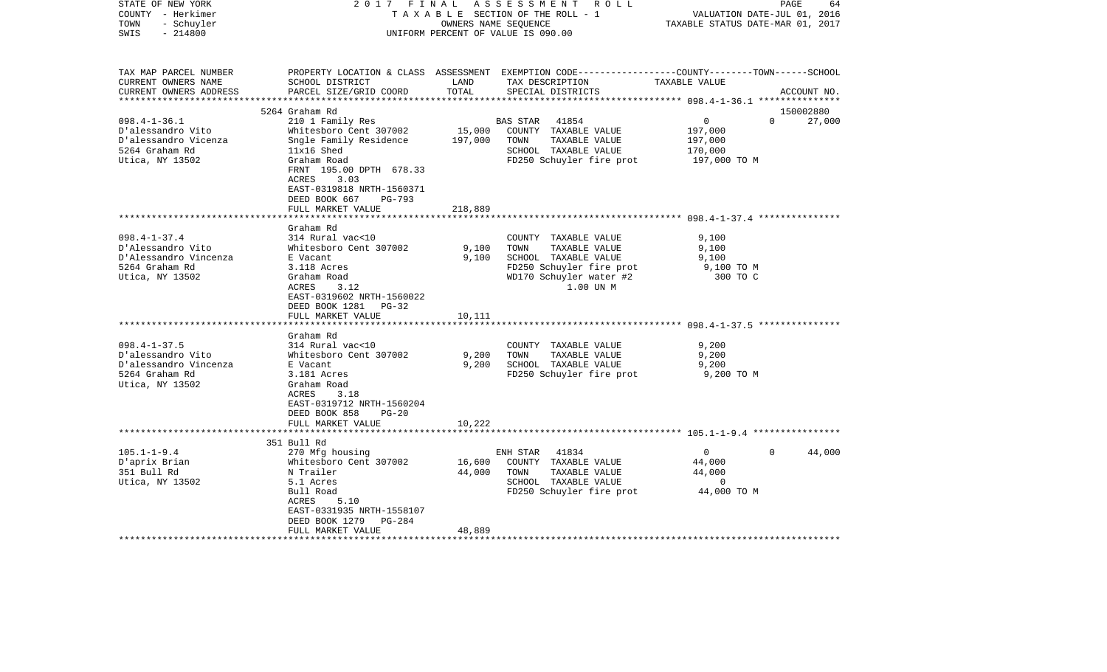| STATE OF NEW YORK<br>COUNTY - Herkimer<br>- Schuyler<br>TOWN<br>SWIS<br>$-214800$ | 2017<br>FINAL                                                                                                                               | OWNERS NAME SEQUENCE | ASSESSMENT ROLL<br>TAXABLE SECTION OF THE ROLL - 1<br>UNIFORM PERCENT OF VALUE IS 090.00                                                 | VALUATION DATE-JUL 01, 2016<br>TAXABLE STATUS DATE-MAR 01, 2017 | PAGE<br>64  |
|-----------------------------------------------------------------------------------|---------------------------------------------------------------------------------------------------------------------------------------------|----------------------|------------------------------------------------------------------------------------------------------------------------------------------|-----------------------------------------------------------------|-------------|
| TAX MAP PARCEL NUMBER<br>CURRENT OWNERS NAME<br>CURRENT OWNERS ADDRESS            | SCHOOL DISTRICT<br>PARCEL SIZE/GRID COORD                                                                                                   | LAND<br>TOTAL        | PROPERTY LOCATION & CLASS ASSESSMENT EXEMPTION CODE----------------COUNTY-------TOWN------SCHOOL<br>TAX DESCRIPTION<br>SPECIAL DISTRICTS | TAXABLE VALUE                                                   | ACCOUNT NO. |
|                                                                                   | 5264 Graham Rd                                                                                                                              |                      |                                                                                                                                          |                                                                 | 150002880   |
| $098.4 - 1 - 36.1$                                                                | 210 1 Family Res                                                                                                                            |                      | 41854<br>BAS STAR                                                                                                                        | $\overline{0}$<br>$\Omega$                                      | 27,000      |
| D'alessandro Vito                                                                 | Whitesboro Cent 307002                                                                                                                      | 15,000               | COUNTY TAXABLE VALUE                                                                                                                     | 197,000                                                         |             |
| D'alessandro Vicenza                                                              | Sngle Family Residence                                                                                                                      | 197,000              | TAXABLE VALUE<br>TOWN                                                                                                                    | 197,000                                                         |             |
| 5264 Graham Rd                                                                    | $11x16$ Shed                                                                                                                                |                      | SCHOOL TAXABLE VALUE                                                                                                                     | 170,000                                                         |             |
| Utica, NY 13502                                                                   | Graham Road<br>FRNT 195.00 DPTH 678.33<br>3.03<br>ACRES<br>EAST-0319818 NRTH-1560371<br>DEED BOOK 667<br><b>PG-793</b><br>FULL MARKET VALUE | 218,889              | FD250 Schuyler fire prot                                                                                                                 | 197,000 TO M                                                    |             |
|                                                                                   |                                                                                                                                             |                      |                                                                                                                                          |                                                                 |             |
|                                                                                   | Graham Rd                                                                                                                                   |                      |                                                                                                                                          |                                                                 |             |
| $098.4 - 1 - 37.4$                                                                | 314 Rural vac<10                                                                                                                            |                      | COUNTY TAXABLE VALUE                                                                                                                     | 9,100                                                           |             |
| D'Alessandro Vito                                                                 | Whitesboro Cent 307002                                                                                                                      | 9,100                | TOWN<br>TAXABLE VALUE                                                                                                                    | 9,100                                                           |             |
| D'Alessandro Vincenza                                                             | E Vacant                                                                                                                                    | 9,100                | SCHOOL TAXABLE VALUE                                                                                                                     | 9,100                                                           |             |
| 5264 Graham Rd<br>Utica, NY 13502                                                 | 3.118 Acres<br>Graham Road<br>ACRES<br>3.12<br>EAST-0319602 NRTH-1560022<br>DEED BOOK 1281<br>$PG-32$                                       |                      | FD250 Schuyler fire prot<br>WD170 Schuyler water #2<br>1.00 UN M                                                                         | 9,100 TO M<br>300 TO C                                          |             |
|                                                                                   | FULL MARKET VALUE<br>***********************                                                                                                | 10,111               |                                                                                                                                          |                                                                 |             |
|                                                                                   | Graham Rd                                                                                                                                   |                      |                                                                                                                                          |                                                                 |             |
| $098.4 - 1 - 37.5$                                                                | 314 Rural vac<10                                                                                                                            |                      | COUNTY TAXABLE VALUE                                                                                                                     | 9,200                                                           |             |
| D'alessandro Vito                                                                 | Whitesboro Cent 307002                                                                                                                      | 9,200                | TOWN<br>TAXABLE VALUE                                                                                                                    | 9,200                                                           |             |
| D'alessandro Vincenza                                                             | E Vacant                                                                                                                                    | 9,200                | SCHOOL TAXABLE VALUE                                                                                                                     | 9,200                                                           |             |
| 5264 Graham Rd<br>Utica, NY 13502                                                 | 3.181 Acres<br>Graham Road<br>ACRES<br>3.18<br>EAST-0319712 NRTH-1560204                                                                    |                      | FD250 Schuyler fire prot                                                                                                                 | 9,200 TO M                                                      |             |
|                                                                                   | DEED BOOK 858<br>$PG-20$                                                                                                                    |                      |                                                                                                                                          |                                                                 |             |
|                                                                                   | FULL MARKET VALUE                                                                                                                           | 10,222               |                                                                                                                                          |                                                                 |             |
|                                                                                   |                                                                                                                                             |                      |                                                                                                                                          |                                                                 |             |
|                                                                                   | 351 Bull Rd                                                                                                                                 |                      |                                                                                                                                          |                                                                 |             |
| $105.1 - 1 - 9.4$                                                                 | 270 Mfg housing                                                                                                                             |                      | 41834<br>ENH STAR                                                                                                                        | $\mathbf 0$<br>$\Omega$                                         | 44,000      |
| D'aprix Brian                                                                     | Whitesboro Cent 307002                                                                                                                      | 16,600               | COUNTY TAXABLE VALUE                                                                                                                     | 44,000                                                          |             |
| 351 Bull Rd                                                                       | N Trailer<br>5.1 Acres                                                                                                                      | 44,000               | TOWN<br>TAXABLE VALUE<br>SCHOOL TAXABLE VALUE                                                                                            | 44,000<br>0                                                     |             |
| Utica, NY 13502                                                                   | Bull Road<br>5.10<br>ACRES                                                                                                                  |                      | FD250 Schuyler fire prot                                                                                                                 | 44,000 TO M                                                     |             |
|                                                                                   | EAST-0331935 NRTH-1558107<br>DEED BOOK 1279<br>PG-284                                                                                       |                      |                                                                                                                                          |                                                                 |             |
|                                                                                   | FULL MARKET VALUE                                                                                                                           | 48,889               |                                                                                                                                          |                                                                 |             |
|                                                                                   |                                                                                                                                             |                      |                                                                                                                                          |                                                                 |             |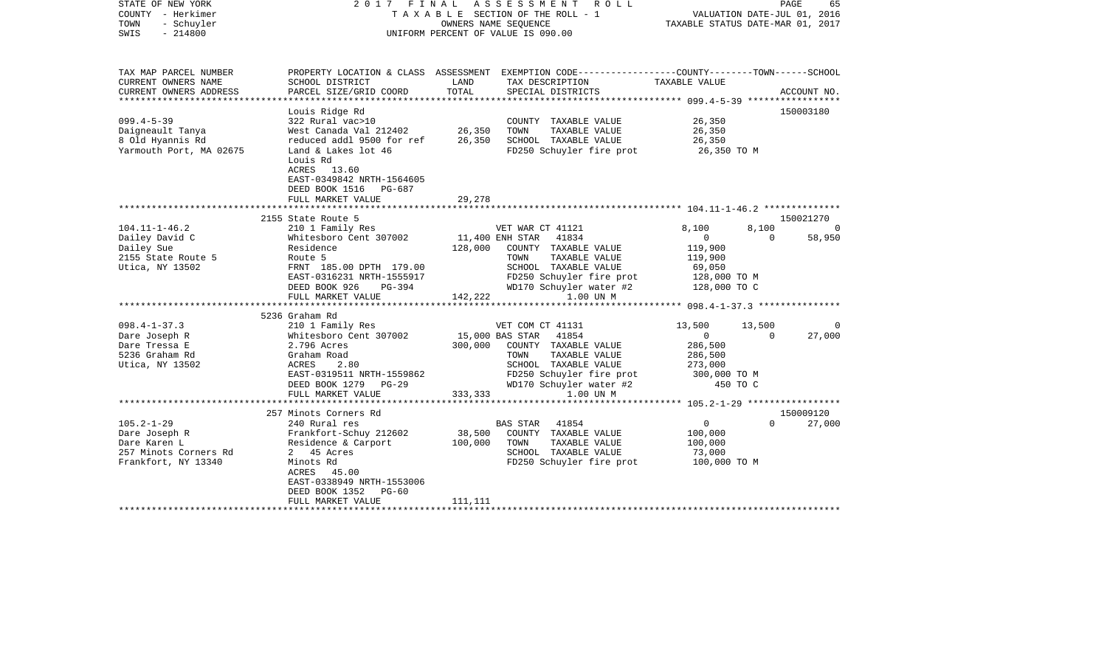| STATE OF NEW YORK<br>COUNTY - Herkimer<br>TOWN<br>- Schuyler<br>$-214800$<br>SWIS                                                   |                                                                                                                                                                                                                                            |                                       | 2017 FINAL ASSESSMENT ROLL<br>TAXABLE SECTION OF THE ROLL - 1<br>OWNERS NAME SEQUENCE<br>UNIFORM PERCENT OF VALUE IS 090.00                                                                                         | PAGE<br>65<br>VALUATION DATE-JUL 01, 2016<br>TAXABLE STATUS DATE-MAR 01, 2017                                     |                                               |                                    |
|-------------------------------------------------------------------------------------------------------------------------------------|--------------------------------------------------------------------------------------------------------------------------------------------------------------------------------------------------------------------------------------------|---------------------------------------|---------------------------------------------------------------------------------------------------------------------------------------------------------------------------------------------------------------------|-------------------------------------------------------------------------------------------------------------------|-----------------------------------------------|------------------------------------|
| TAX MAP PARCEL NUMBER<br>CURRENT OWNERS NAME<br>CURRENT OWNERS ADDRESS                                                              | SCHOOL DISTRICT<br>PARCEL SIZE/GRID COORD                                                                                                                                                                                                  | LAND<br>TOTAL                         | PROPERTY LOCATION & CLASS ASSESSMENT EXEMPTION CODE----------------COUNTY-------TOWN------SCHOOL<br>TAX DESCRIPTION<br>SPECIAL DISTRICTS                                                                            | TAXABLE VALUE                                                                                                     |                                               | ACCOUNT NO.                        |
|                                                                                                                                     |                                                                                                                                                                                                                                            |                                       |                                                                                                                                                                                                                     |                                                                                                                   |                                               |                                    |
| $099.4 - 5 - 39$<br>Daigneault Tanya<br>8 Old Hyannis Rd<br>Yarmouth Port, MA 02675                                                 | Louis Ridge Rd<br>322 Rural vac>10<br>West Canada Val 212402<br>reduced addl 9500 for ref<br>Land & Lakes lot 46<br>Louis Rd<br>ACRES 13.60<br>EAST-0349842 NRTH-1564605                                                                   | 26,350<br>26,350                      | COUNTY TAXABLE VALUE<br>TOWN<br>TAXABLE VALUE<br>SCHOOL TAXABLE VALUE<br>FD250 Schuyler fire prot                                                                                                                   | 26,350<br>26,350<br>26,350<br>26,350 TO M                                                                         |                                               | 150003180                          |
|                                                                                                                                     | DEED BOOK 1516 PG-687<br>FULL MARKET VALUE                                                                                                                                                                                                 | 29,278                                |                                                                                                                                                                                                                     |                                                                                                                   |                                               |                                    |
|                                                                                                                                     |                                                                                                                                                                                                                                            |                                       |                                                                                                                                                                                                                     |                                                                                                                   |                                               |                                    |
|                                                                                                                                     | 2155 State Route 5                                                                                                                                                                                                                         |                                       |                                                                                                                                                                                                                     |                                                                                                                   |                                               | 150021270                          |
| $104.11 - 1 - 46.2$<br>Dailey David C<br>Dailey Sue<br>2155 State Route 5<br>Utica, NY 13502<br>$098.4 - 1 - 37.3$<br>Dare Joseph R | 210 1 Family Res<br>Whitesboro Cent 307002<br>Residence<br>Route 5<br>FRNT 185.00 DPTH 179.00<br>EAST-0316231 NRTH-1555917<br>DEED BOOK 926<br>PG-394<br>FULL MARKET VALUE<br>5236 Graham Rd<br>210 1 Family Res<br>Whitesboro Cent 307002 | 128,000<br>142,222<br>15,000 BAS STAR | VET WAR CT 41121<br>11,400 ENH STAR 41834<br>COUNTY TAXABLE VALUE<br>TAXABLE VALUE<br>TOWN<br>SCHOOL TAXABLE VALUE<br>FD250 Schuyler fire prot<br>WD170 Schuyler water #2<br>1.00 UN M<br>VET COM CT 41131<br>41854 | 8,100<br>$\mathbf{0}$<br>119,900<br>119,900<br>69,050<br>128,000 TO M<br>128,000 TO C<br>13,500<br>$\overline{0}$ | 8,100<br>$\Omega$<br>13,500<br>$\overline{0}$ | $\overline{0}$<br>58,950<br>27,000 |
| Dare Tressa E<br>5236 Graham Rd<br>Utica, NY 13502                                                                                  | 2.796 Acres<br>Graham Road<br>ACRES<br>2.80<br>EAST-0319511 NRTH-1559862<br>DEED BOOK 1279 PG-29<br>FULL MARKET VALUE                                                                                                                      | 300,000<br>333,333                    | COUNTY TAXABLE VALUE<br>TOWN<br>TAXABLE VALUE<br>SCHOOL TAXABLE VALUE<br>FD250 Schuyler fire prot<br>WD170 Schuyler water #2<br>1.00 UN M                                                                           | 286,500<br>286,500<br>273,000<br>300,000 TO M<br>450 TO C                                                         |                                               |                                    |
|                                                                                                                                     | 257 Minots Corners Rd                                                                                                                                                                                                                      |                                       |                                                                                                                                                                                                                     |                                                                                                                   |                                               | 150009120                          |
| $105.2 - 1 - 29$<br>Dare Joseph R<br>Dare Karen L<br>257 Minots Corners Rd<br>Frankfort, NY 13340                                   | 240 Rural res<br>Frankfort-Schuy 212602<br>Residence & Carport<br>2 45 Acres<br>Minots Rd<br>ACRES 45.00<br>EAST-0338949 NRTH-1553006<br>DEED BOOK 1352<br>$PG-60$<br>FULL MARKET VALUE                                                    | 38,500<br>100,000<br>111,111          | 41854<br>BAS STAR<br>COUNTY TAXABLE VALUE<br>TOWN<br>TAXABLE VALUE<br>SCHOOL TAXABLE VALUE<br>FD250 Schuyler fire prot                                                                                              | $\overline{0}$<br>100,000<br>100,000<br>73,000<br>100,000 TO M                                                    | $\Omega$                                      | 27,000                             |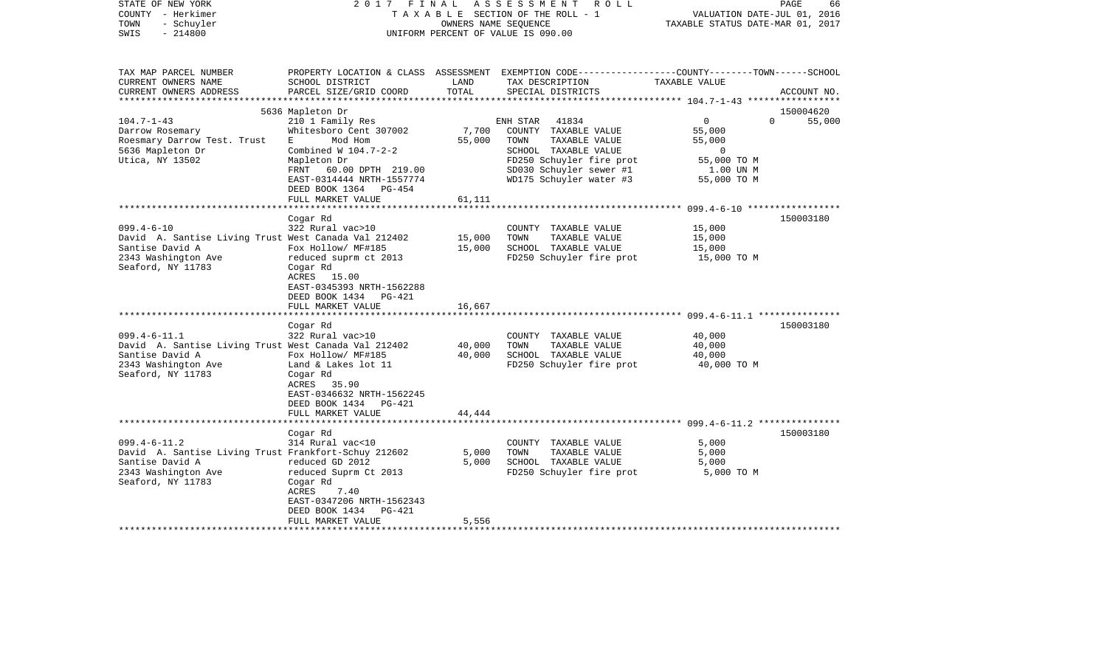| - Schuyler<br>OWNERS NAME SEQUENCE<br>TAXABLE STATUS DATE-MAR 01, 2017<br>$-214800$<br>UNIFORM PERCENT OF VALUE IS 090.00<br>PROPERTY LOCATION & CLASS ASSESSMENT EXEMPTION CODE---------------COUNTY-------TOWN------SCHOOL<br>SCHOOL DISTRICT<br>LAND<br>TAX DESCRIPTION<br>TAXABLE VALUE<br>PARCEL SIZE/GRID COORD<br>TOTAL<br>SPECIAL DISTRICTS<br>ACCOUNT NO.<br>5636 Mapleton Dr<br>150004620<br>$\mathbf 0$<br>$\Omega$<br>210 1 Family Res<br>41834<br>55,000<br>ENH STAR<br>Whitesboro Cent 307002<br>7,700<br>COUNTY TAXABLE VALUE<br>55,000<br>Roesmary Darrow Test. Trust<br>Mod Hom<br>55,000<br>TOWN<br>TAXABLE VALUE<br>55,000<br>E<br>5636 Mapleton Dr<br>Combined W $104.7 - 2 - 2$<br>SCHOOL TAXABLE VALUE<br>$\Omega$<br>Utica, NY 13502<br>FD250 Schuyler fire prot<br>Mapleton Dr<br>55,000 TO M<br>SD030 Schuyler sewer #1<br>FRNT 60.00 DPTH 219.00<br>1.00 UN M<br>WD175 Schuyler water #3<br>EAST-0314444 NRTH-1557774<br>55,000 TO M<br>DEED BOOK 1364 PG-454<br>FULL MARKET VALUE<br>61,111<br>Cogar Rd<br>150003180<br>$099.4 - 6 - 10$<br>322 Rural vac>10<br>COUNTY TAXABLE VALUE<br>15,000<br>David A. Santise Living Trust West Canada Val 212402<br>15,000<br>TOWN<br>TAXABLE VALUE<br>15,000<br>Santise David A<br>Fox Hollow/ MF#185<br>15,000<br>SCHOOL TAXABLE VALUE<br>15,000<br>2343 Washington Ave<br>FD250 Schuyler fire prot<br>reduced suprm ct 2013<br>15,000 TO M<br>Seaford, NY 11783<br>Cogar Rd<br>ACRES 15.00<br>EAST-0345393 NRTH-1562288<br>DEED BOOK 1434<br><b>PG-421</b><br>16,667<br>FULL MARKET VALUE<br>150003180<br>Cogar Rd<br>$099.4 - 6 - 11.1$<br>322 Rural vac>10<br>40,000<br>COUNTY TAXABLE VALUE<br>40,000<br>David A. Santise Living Trust West Canada Val 212402<br>TAXABLE VALUE<br>TOWN<br>40,000<br>Santise David A<br>40,000<br>SCHOOL TAXABLE VALUE<br>Fox Hollow/ MF#185<br>40,000<br>2343 Washington Ave<br>FD250 Schuyler fire prot<br>Land & Lakes lot 11<br>40,000 TO M<br>Seaford, NY 11783<br>Cogar Rd<br>ACRES<br>35.90<br>EAST-0346632 NRTH-1562245<br>DEED BOOK 1434<br>PG-421<br>44,444<br>FULL MARKET VALUE<br>150003180<br>Cogar Rd<br>314 Rural vac<10<br>5,000<br>COUNTY TAXABLE VALUE<br>David A. Santise Living Trust Frankfort-Schuy 212602<br>5,000<br>TAXABLE VALUE<br>TOWN<br>5,000<br>reduced GD 2012<br>5,000<br>SCHOOL TAXABLE VALUE<br>5,000<br>reduced Suprm Ct 2013<br>FD250 Schuyler fire prot<br>5,000 TO M<br>Cogar Rd<br>ACRES<br>7.40<br>EAST-0347206 NRTH-1562343<br>DEED BOOK 1434<br>PG-421<br>FULL MARKET VALUE<br>5,556 | COUNTY<br>– Herkimer   |  |  | T A X A B L E SECTION OF THE ROLL - 1 | VALUATION DATE-JUL 01, 2016 |  |
|---------------------------------------------------------------------------------------------------------------------------------------------------------------------------------------------------------------------------------------------------------------------------------------------------------------------------------------------------------------------------------------------------------------------------------------------------------------------------------------------------------------------------------------------------------------------------------------------------------------------------------------------------------------------------------------------------------------------------------------------------------------------------------------------------------------------------------------------------------------------------------------------------------------------------------------------------------------------------------------------------------------------------------------------------------------------------------------------------------------------------------------------------------------------------------------------------------------------------------------------------------------------------------------------------------------------------------------------------------------------------------------------------------------------------------------------------------------------------------------------------------------------------------------------------------------------------------------------------------------------------------------------------------------------------------------------------------------------------------------------------------------------------------------------------------------------------------------------------------------------------------------------------------------------------------------------------------------------------------------------------------------------------------------------------------------------------------------------------------------------------------------------------------------------------------------------------------------------------------------------------------------------------------------------------------------------------------------------------------------------------------------------------------------------------------------------------------------------------------------------------------------------------------------|------------------------|--|--|---------------------------------------|-----------------------------|--|
|                                                                                                                                                                                                                                                                                                                                                                                                                                                                                                                                                                                                                                                                                                                                                                                                                                                                                                                                                                                                                                                                                                                                                                                                                                                                                                                                                                                                                                                                                                                                                                                                                                                                                                                                                                                                                                                                                                                                                                                                                                                                                                                                                                                                                                                                                                                                                                                                                                                                                                                                       | TOWN                   |  |  |                                       |                             |  |
|                                                                                                                                                                                                                                                                                                                                                                                                                                                                                                                                                                                                                                                                                                                                                                                                                                                                                                                                                                                                                                                                                                                                                                                                                                                                                                                                                                                                                                                                                                                                                                                                                                                                                                                                                                                                                                                                                                                                                                                                                                                                                                                                                                                                                                                                                                                                                                                                                                                                                                                                       | SWIS                   |  |  |                                       |                             |  |
|                                                                                                                                                                                                                                                                                                                                                                                                                                                                                                                                                                                                                                                                                                                                                                                                                                                                                                                                                                                                                                                                                                                                                                                                                                                                                                                                                                                                                                                                                                                                                                                                                                                                                                                                                                                                                                                                                                                                                                                                                                                                                                                                                                                                                                                                                                                                                                                                                                                                                                                                       |                        |  |  |                                       |                             |  |
|                                                                                                                                                                                                                                                                                                                                                                                                                                                                                                                                                                                                                                                                                                                                                                                                                                                                                                                                                                                                                                                                                                                                                                                                                                                                                                                                                                                                                                                                                                                                                                                                                                                                                                                                                                                                                                                                                                                                                                                                                                                                                                                                                                                                                                                                                                                                                                                                                                                                                                                                       | TAX MAP PARCEL NUMBER  |  |  |                                       |                             |  |
|                                                                                                                                                                                                                                                                                                                                                                                                                                                                                                                                                                                                                                                                                                                                                                                                                                                                                                                                                                                                                                                                                                                                                                                                                                                                                                                                                                                                                                                                                                                                                                                                                                                                                                                                                                                                                                                                                                                                                                                                                                                                                                                                                                                                                                                                                                                                                                                                                                                                                                                                       | CURRENT OWNERS NAME    |  |  |                                       |                             |  |
|                                                                                                                                                                                                                                                                                                                                                                                                                                                                                                                                                                                                                                                                                                                                                                                                                                                                                                                                                                                                                                                                                                                                                                                                                                                                                                                                                                                                                                                                                                                                                                                                                                                                                                                                                                                                                                                                                                                                                                                                                                                                                                                                                                                                                                                                                                                                                                                                                                                                                                                                       | CURRENT OWNERS ADDRESS |  |  |                                       |                             |  |
|                                                                                                                                                                                                                                                                                                                                                                                                                                                                                                                                                                                                                                                                                                                                                                                                                                                                                                                                                                                                                                                                                                                                                                                                                                                                                                                                                                                                                                                                                                                                                                                                                                                                                                                                                                                                                                                                                                                                                                                                                                                                                                                                                                                                                                                                                                                                                                                                                                                                                                                                       | ********************** |  |  |                                       |                             |  |
|                                                                                                                                                                                                                                                                                                                                                                                                                                                                                                                                                                                                                                                                                                                                                                                                                                                                                                                                                                                                                                                                                                                                                                                                                                                                                                                                                                                                                                                                                                                                                                                                                                                                                                                                                                                                                                                                                                                                                                                                                                                                                                                                                                                                                                                                                                                                                                                                                                                                                                                                       |                        |  |  |                                       |                             |  |
|                                                                                                                                                                                                                                                                                                                                                                                                                                                                                                                                                                                                                                                                                                                                                                                                                                                                                                                                                                                                                                                                                                                                                                                                                                                                                                                                                                                                                                                                                                                                                                                                                                                                                                                                                                                                                                                                                                                                                                                                                                                                                                                                                                                                                                                                                                                                                                                                                                                                                                                                       | $104.7 - 1 - 43$       |  |  |                                       |                             |  |
|                                                                                                                                                                                                                                                                                                                                                                                                                                                                                                                                                                                                                                                                                                                                                                                                                                                                                                                                                                                                                                                                                                                                                                                                                                                                                                                                                                                                                                                                                                                                                                                                                                                                                                                                                                                                                                                                                                                                                                                                                                                                                                                                                                                                                                                                                                                                                                                                                                                                                                                                       | Darrow Rosemary        |  |  |                                       |                             |  |
|                                                                                                                                                                                                                                                                                                                                                                                                                                                                                                                                                                                                                                                                                                                                                                                                                                                                                                                                                                                                                                                                                                                                                                                                                                                                                                                                                                                                                                                                                                                                                                                                                                                                                                                                                                                                                                                                                                                                                                                                                                                                                                                                                                                                                                                                                                                                                                                                                                                                                                                                       |                        |  |  |                                       |                             |  |
|                                                                                                                                                                                                                                                                                                                                                                                                                                                                                                                                                                                                                                                                                                                                                                                                                                                                                                                                                                                                                                                                                                                                                                                                                                                                                                                                                                                                                                                                                                                                                                                                                                                                                                                                                                                                                                                                                                                                                                                                                                                                                                                                                                                                                                                                                                                                                                                                                                                                                                                                       |                        |  |  |                                       |                             |  |
|                                                                                                                                                                                                                                                                                                                                                                                                                                                                                                                                                                                                                                                                                                                                                                                                                                                                                                                                                                                                                                                                                                                                                                                                                                                                                                                                                                                                                                                                                                                                                                                                                                                                                                                                                                                                                                                                                                                                                                                                                                                                                                                                                                                                                                                                                                                                                                                                                                                                                                                                       |                        |  |  |                                       |                             |  |
|                                                                                                                                                                                                                                                                                                                                                                                                                                                                                                                                                                                                                                                                                                                                                                                                                                                                                                                                                                                                                                                                                                                                                                                                                                                                                                                                                                                                                                                                                                                                                                                                                                                                                                                                                                                                                                                                                                                                                                                                                                                                                                                                                                                                                                                                                                                                                                                                                                                                                                                                       |                        |  |  |                                       |                             |  |
|                                                                                                                                                                                                                                                                                                                                                                                                                                                                                                                                                                                                                                                                                                                                                                                                                                                                                                                                                                                                                                                                                                                                                                                                                                                                                                                                                                                                                                                                                                                                                                                                                                                                                                                                                                                                                                                                                                                                                                                                                                                                                                                                                                                                                                                                                                                                                                                                                                                                                                                                       |                        |  |  |                                       |                             |  |
|                                                                                                                                                                                                                                                                                                                                                                                                                                                                                                                                                                                                                                                                                                                                                                                                                                                                                                                                                                                                                                                                                                                                                                                                                                                                                                                                                                                                                                                                                                                                                                                                                                                                                                                                                                                                                                                                                                                                                                                                                                                                                                                                                                                                                                                                                                                                                                                                                                                                                                                                       |                        |  |  |                                       |                             |  |
|                                                                                                                                                                                                                                                                                                                                                                                                                                                                                                                                                                                                                                                                                                                                                                                                                                                                                                                                                                                                                                                                                                                                                                                                                                                                                                                                                                                                                                                                                                                                                                                                                                                                                                                                                                                                                                                                                                                                                                                                                                                                                                                                                                                                                                                                                                                                                                                                                                                                                                                                       |                        |  |  |                                       |                             |  |
|                                                                                                                                                                                                                                                                                                                                                                                                                                                                                                                                                                                                                                                                                                                                                                                                                                                                                                                                                                                                                                                                                                                                                                                                                                                                                                                                                                                                                                                                                                                                                                                                                                                                                                                                                                                                                                                                                                                                                                                                                                                                                                                                                                                                                                                                                                                                                                                                                                                                                                                                       |                        |  |  |                                       |                             |  |
|                                                                                                                                                                                                                                                                                                                                                                                                                                                                                                                                                                                                                                                                                                                                                                                                                                                                                                                                                                                                                                                                                                                                                                                                                                                                                                                                                                                                                                                                                                                                                                                                                                                                                                                                                                                                                                                                                                                                                                                                                                                                                                                                                                                                                                                                                                                                                                                                                                                                                                                                       |                        |  |  |                                       |                             |  |
|                                                                                                                                                                                                                                                                                                                                                                                                                                                                                                                                                                                                                                                                                                                                                                                                                                                                                                                                                                                                                                                                                                                                                                                                                                                                                                                                                                                                                                                                                                                                                                                                                                                                                                                                                                                                                                                                                                                                                                                                                                                                                                                                                                                                                                                                                                                                                                                                                                                                                                                                       |                        |  |  |                                       |                             |  |
|                                                                                                                                                                                                                                                                                                                                                                                                                                                                                                                                                                                                                                                                                                                                                                                                                                                                                                                                                                                                                                                                                                                                                                                                                                                                                                                                                                                                                                                                                                                                                                                                                                                                                                                                                                                                                                                                                                                                                                                                                                                                                                                                                                                                                                                                                                                                                                                                                                                                                                                                       |                        |  |  |                                       |                             |  |
|                                                                                                                                                                                                                                                                                                                                                                                                                                                                                                                                                                                                                                                                                                                                                                                                                                                                                                                                                                                                                                                                                                                                                                                                                                                                                                                                                                                                                                                                                                                                                                                                                                                                                                                                                                                                                                                                                                                                                                                                                                                                                                                                                                                                                                                                                                                                                                                                                                                                                                                                       |                        |  |  |                                       |                             |  |
|                                                                                                                                                                                                                                                                                                                                                                                                                                                                                                                                                                                                                                                                                                                                                                                                                                                                                                                                                                                                                                                                                                                                                                                                                                                                                                                                                                                                                                                                                                                                                                                                                                                                                                                                                                                                                                                                                                                                                                                                                                                                                                                                                                                                                                                                                                                                                                                                                                                                                                                                       |                        |  |  |                                       |                             |  |
|                                                                                                                                                                                                                                                                                                                                                                                                                                                                                                                                                                                                                                                                                                                                                                                                                                                                                                                                                                                                                                                                                                                                                                                                                                                                                                                                                                                                                                                                                                                                                                                                                                                                                                                                                                                                                                                                                                                                                                                                                                                                                                                                                                                                                                                                                                                                                                                                                                                                                                                                       |                        |  |  |                                       |                             |  |
|                                                                                                                                                                                                                                                                                                                                                                                                                                                                                                                                                                                                                                                                                                                                                                                                                                                                                                                                                                                                                                                                                                                                                                                                                                                                                                                                                                                                                                                                                                                                                                                                                                                                                                                                                                                                                                                                                                                                                                                                                                                                                                                                                                                                                                                                                                                                                                                                                                                                                                                                       |                        |  |  |                                       |                             |  |
|                                                                                                                                                                                                                                                                                                                                                                                                                                                                                                                                                                                                                                                                                                                                                                                                                                                                                                                                                                                                                                                                                                                                                                                                                                                                                                                                                                                                                                                                                                                                                                                                                                                                                                                                                                                                                                                                                                                                                                                                                                                                                                                                                                                                                                                                                                                                                                                                                                                                                                                                       |                        |  |  |                                       |                             |  |
|                                                                                                                                                                                                                                                                                                                                                                                                                                                                                                                                                                                                                                                                                                                                                                                                                                                                                                                                                                                                                                                                                                                                                                                                                                                                                                                                                                                                                                                                                                                                                                                                                                                                                                                                                                                                                                                                                                                                                                                                                                                                                                                                                                                                                                                                                                                                                                                                                                                                                                                                       |                        |  |  |                                       |                             |  |
|                                                                                                                                                                                                                                                                                                                                                                                                                                                                                                                                                                                                                                                                                                                                                                                                                                                                                                                                                                                                                                                                                                                                                                                                                                                                                                                                                                                                                                                                                                                                                                                                                                                                                                                                                                                                                                                                                                                                                                                                                                                                                                                                                                                                                                                                                                                                                                                                                                                                                                                                       |                        |  |  |                                       |                             |  |
|                                                                                                                                                                                                                                                                                                                                                                                                                                                                                                                                                                                                                                                                                                                                                                                                                                                                                                                                                                                                                                                                                                                                                                                                                                                                                                                                                                                                                                                                                                                                                                                                                                                                                                                                                                                                                                                                                                                                                                                                                                                                                                                                                                                                                                                                                                                                                                                                                                                                                                                                       |                        |  |  |                                       |                             |  |
|                                                                                                                                                                                                                                                                                                                                                                                                                                                                                                                                                                                                                                                                                                                                                                                                                                                                                                                                                                                                                                                                                                                                                                                                                                                                                                                                                                                                                                                                                                                                                                                                                                                                                                                                                                                                                                                                                                                                                                                                                                                                                                                                                                                                                                                                                                                                                                                                                                                                                                                                       |                        |  |  |                                       |                             |  |
|                                                                                                                                                                                                                                                                                                                                                                                                                                                                                                                                                                                                                                                                                                                                                                                                                                                                                                                                                                                                                                                                                                                                                                                                                                                                                                                                                                                                                                                                                                                                                                                                                                                                                                                                                                                                                                                                                                                                                                                                                                                                                                                                                                                                                                                                                                                                                                                                                                                                                                                                       |                        |  |  |                                       |                             |  |
|                                                                                                                                                                                                                                                                                                                                                                                                                                                                                                                                                                                                                                                                                                                                                                                                                                                                                                                                                                                                                                                                                                                                                                                                                                                                                                                                                                                                                                                                                                                                                                                                                                                                                                                                                                                                                                                                                                                                                                                                                                                                                                                                                                                                                                                                                                                                                                                                                                                                                                                                       |                        |  |  |                                       |                             |  |
|                                                                                                                                                                                                                                                                                                                                                                                                                                                                                                                                                                                                                                                                                                                                                                                                                                                                                                                                                                                                                                                                                                                                                                                                                                                                                                                                                                                                                                                                                                                                                                                                                                                                                                                                                                                                                                                                                                                                                                                                                                                                                                                                                                                                                                                                                                                                                                                                                                                                                                                                       |                        |  |  |                                       |                             |  |
|                                                                                                                                                                                                                                                                                                                                                                                                                                                                                                                                                                                                                                                                                                                                                                                                                                                                                                                                                                                                                                                                                                                                                                                                                                                                                                                                                                                                                                                                                                                                                                                                                                                                                                                                                                                                                                                                                                                                                                                                                                                                                                                                                                                                                                                                                                                                                                                                                                                                                                                                       |                        |  |  |                                       |                             |  |
|                                                                                                                                                                                                                                                                                                                                                                                                                                                                                                                                                                                                                                                                                                                                                                                                                                                                                                                                                                                                                                                                                                                                                                                                                                                                                                                                                                                                                                                                                                                                                                                                                                                                                                                                                                                                                                                                                                                                                                                                                                                                                                                                                                                                                                                                                                                                                                                                                                                                                                                                       |                        |  |  |                                       |                             |  |
|                                                                                                                                                                                                                                                                                                                                                                                                                                                                                                                                                                                                                                                                                                                                                                                                                                                                                                                                                                                                                                                                                                                                                                                                                                                                                                                                                                                                                                                                                                                                                                                                                                                                                                                                                                                                                                                                                                                                                                                                                                                                                                                                                                                                                                                                                                                                                                                                                                                                                                                                       |                        |  |  |                                       |                             |  |
|                                                                                                                                                                                                                                                                                                                                                                                                                                                                                                                                                                                                                                                                                                                                                                                                                                                                                                                                                                                                                                                                                                                                                                                                                                                                                                                                                                                                                                                                                                                                                                                                                                                                                                                                                                                                                                                                                                                                                                                                                                                                                                                                                                                                                                                                                                                                                                                                                                                                                                                                       |                        |  |  |                                       |                             |  |
|                                                                                                                                                                                                                                                                                                                                                                                                                                                                                                                                                                                                                                                                                                                                                                                                                                                                                                                                                                                                                                                                                                                                                                                                                                                                                                                                                                                                                                                                                                                                                                                                                                                                                                                                                                                                                                                                                                                                                                                                                                                                                                                                                                                                                                                                                                                                                                                                                                                                                                                                       |                        |  |  |                                       |                             |  |
|                                                                                                                                                                                                                                                                                                                                                                                                                                                                                                                                                                                                                                                                                                                                                                                                                                                                                                                                                                                                                                                                                                                                                                                                                                                                                                                                                                                                                                                                                                                                                                                                                                                                                                                                                                                                                                                                                                                                                                                                                                                                                                                                                                                                                                                                                                                                                                                                                                                                                                                                       |                        |  |  |                                       |                             |  |
|                                                                                                                                                                                                                                                                                                                                                                                                                                                                                                                                                                                                                                                                                                                                                                                                                                                                                                                                                                                                                                                                                                                                                                                                                                                                                                                                                                                                                                                                                                                                                                                                                                                                                                                                                                                                                                                                                                                                                                                                                                                                                                                                                                                                                                                                                                                                                                                                                                                                                                                                       |                        |  |  |                                       |                             |  |
|                                                                                                                                                                                                                                                                                                                                                                                                                                                                                                                                                                                                                                                                                                                                                                                                                                                                                                                                                                                                                                                                                                                                                                                                                                                                                                                                                                                                                                                                                                                                                                                                                                                                                                                                                                                                                                                                                                                                                                                                                                                                                                                                                                                                                                                                                                                                                                                                                                                                                                                                       | $099.4 - 6 - 11.2$     |  |  |                                       |                             |  |
|                                                                                                                                                                                                                                                                                                                                                                                                                                                                                                                                                                                                                                                                                                                                                                                                                                                                                                                                                                                                                                                                                                                                                                                                                                                                                                                                                                                                                                                                                                                                                                                                                                                                                                                                                                                                                                                                                                                                                                                                                                                                                                                                                                                                                                                                                                                                                                                                                                                                                                                                       |                        |  |  |                                       |                             |  |
|                                                                                                                                                                                                                                                                                                                                                                                                                                                                                                                                                                                                                                                                                                                                                                                                                                                                                                                                                                                                                                                                                                                                                                                                                                                                                                                                                                                                                                                                                                                                                                                                                                                                                                                                                                                                                                                                                                                                                                                                                                                                                                                                                                                                                                                                                                                                                                                                                                                                                                                                       | Santise David A        |  |  |                                       |                             |  |
|                                                                                                                                                                                                                                                                                                                                                                                                                                                                                                                                                                                                                                                                                                                                                                                                                                                                                                                                                                                                                                                                                                                                                                                                                                                                                                                                                                                                                                                                                                                                                                                                                                                                                                                                                                                                                                                                                                                                                                                                                                                                                                                                                                                                                                                                                                                                                                                                                                                                                                                                       | 2343 Washington Ave    |  |  |                                       |                             |  |
|                                                                                                                                                                                                                                                                                                                                                                                                                                                                                                                                                                                                                                                                                                                                                                                                                                                                                                                                                                                                                                                                                                                                                                                                                                                                                                                                                                                                                                                                                                                                                                                                                                                                                                                                                                                                                                                                                                                                                                                                                                                                                                                                                                                                                                                                                                                                                                                                                                                                                                                                       | Seaford, NY 11783      |  |  |                                       |                             |  |
|                                                                                                                                                                                                                                                                                                                                                                                                                                                                                                                                                                                                                                                                                                                                                                                                                                                                                                                                                                                                                                                                                                                                                                                                                                                                                                                                                                                                                                                                                                                                                                                                                                                                                                                                                                                                                                                                                                                                                                                                                                                                                                                                                                                                                                                                                                                                                                                                                                                                                                                                       |                        |  |  |                                       |                             |  |
|                                                                                                                                                                                                                                                                                                                                                                                                                                                                                                                                                                                                                                                                                                                                                                                                                                                                                                                                                                                                                                                                                                                                                                                                                                                                                                                                                                                                                                                                                                                                                                                                                                                                                                                                                                                                                                                                                                                                                                                                                                                                                                                                                                                                                                                                                                                                                                                                                                                                                                                                       |                        |  |  |                                       |                             |  |
|                                                                                                                                                                                                                                                                                                                                                                                                                                                                                                                                                                                                                                                                                                                                                                                                                                                                                                                                                                                                                                                                                                                                                                                                                                                                                                                                                                                                                                                                                                                                                                                                                                                                                                                                                                                                                                                                                                                                                                                                                                                                                                                                                                                                                                                                                                                                                                                                                                                                                                                                       |                        |  |  |                                       |                             |  |
|                                                                                                                                                                                                                                                                                                                                                                                                                                                                                                                                                                                                                                                                                                                                                                                                                                                                                                                                                                                                                                                                                                                                                                                                                                                                                                                                                                                                                                                                                                                                                                                                                                                                                                                                                                                                                                                                                                                                                                                                                                                                                                                                                                                                                                                                                                                                                                                                                                                                                                                                       |                        |  |  |                                       |                             |  |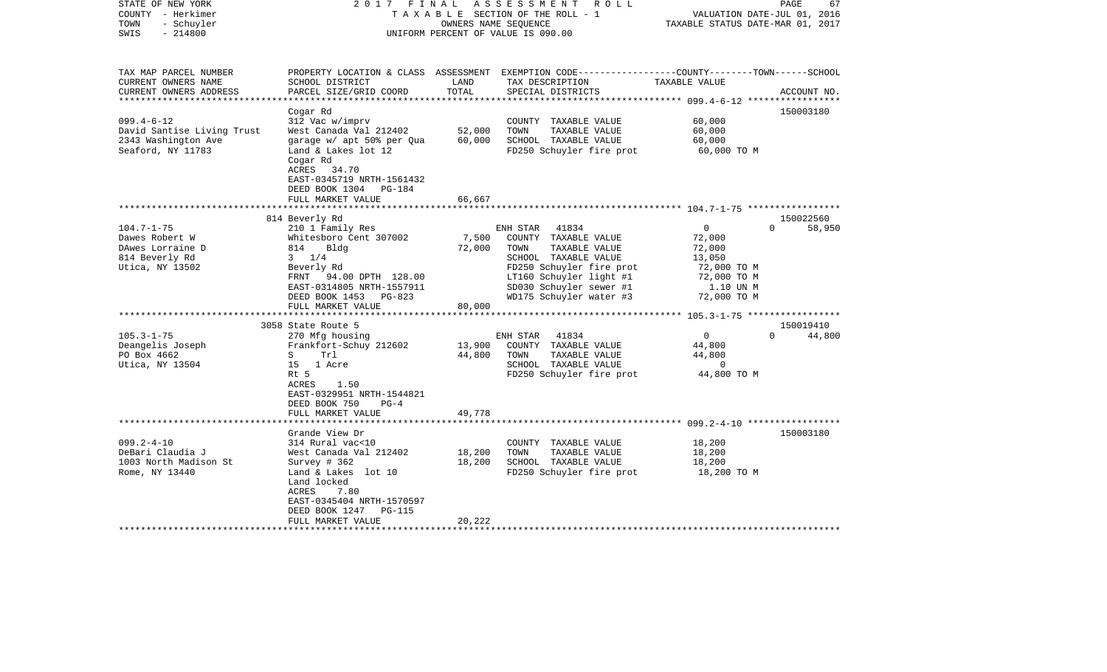| STATE OF NEW YORK<br>COUNTY - Herkimer<br>- Schuyler<br>TOWN<br>$-214800$<br>SWIS                                                                                     | 2017 FINAL                                                                                                                                                                                                                                                                                                                                                                                                          | OWNERS NAME SEQUENCE                          | ASSESSMENT<br>R O L L<br>TAXABLE SECTION OF THE ROLL - 1<br>UNIFORM PERCENT OF VALUE IS 090.00                                                                                                                                                                                                                                    | VALUATION DATE-JUL 01, 2016<br>TAXABLE STATUS DATE-MAR 01, 2017                                                                                                               | PAGE<br>67                                                         |
|-----------------------------------------------------------------------------------------------------------------------------------------------------------------------|---------------------------------------------------------------------------------------------------------------------------------------------------------------------------------------------------------------------------------------------------------------------------------------------------------------------------------------------------------------------------------------------------------------------|-----------------------------------------------|-----------------------------------------------------------------------------------------------------------------------------------------------------------------------------------------------------------------------------------------------------------------------------------------------------------------------------------|-------------------------------------------------------------------------------------------------------------------------------------------------------------------------------|--------------------------------------------------------------------|
| TAX MAP PARCEL NUMBER<br>CURRENT OWNERS NAME<br>CURRENT OWNERS ADDRESS                                                                                                | SCHOOL DISTRICT<br>PARCEL SIZE/GRID COORD                                                                                                                                                                                                                                                                                                                                                                           | LAND<br>TOTAL                                 | PROPERTY LOCATION & CLASS ASSESSMENT EXEMPTION CODE----------------COUNTY-------TOWN------SCHOOL<br>TAX DESCRIPTION<br>SPECIAL DISTRICTS                                                                                                                                                                                          | TAXABLE VALUE                                                                                                                                                                 | ACCOUNT NO.                                                        |
| *********************                                                                                                                                                 |                                                                                                                                                                                                                                                                                                                                                                                                                     |                                               |                                                                                                                                                                                                                                                                                                                                   |                                                                                                                                                                               |                                                                    |
| $099.4 - 6 - 12$<br>David Santise Living Trust<br>2343 Washington Ave<br>Seaford, NY 11783                                                                            | Cogar Rd<br>312 Vac w/imprv<br>West Canada Val 212402<br>garage w/ apt 50% per Qua<br>Land & Lakes lot 12<br>Cogar Rd<br>ACRES 34.70<br>EAST-0345719 NRTH-1561432<br>DEED BOOK 1304 PG-184                                                                                                                                                                                                                          | 52,000<br>60,000                              | COUNTY TAXABLE VALUE<br>TOWN<br>TAXABLE VALUE<br>SCHOOL TAXABLE VALUE<br>FD250 Schuyler fire prot                                                                                                                                                                                                                                 | 60,000<br>60,000<br>60,000<br>60,000 TO M                                                                                                                                     | 150003180                                                          |
|                                                                                                                                                                       | FULL MARKET VALUE                                                                                                                                                                                                                                                                                                                                                                                                   | 66,667                                        |                                                                                                                                                                                                                                                                                                                                   |                                                                                                                                                                               |                                                                    |
|                                                                                                                                                                       |                                                                                                                                                                                                                                                                                                                                                                                                                     |                                               |                                                                                                                                                                                                                                                                                                                                   |                                                                                                                                                                               |                                                                    |
| $104.7 - 1 - 75$<br>Dawes Robert W<br>DAwes Lorraine D<br>814 Beverly Rd<br>Utica, NY 13502<br>$105.3 - 1 - 75$<br>Deangelis Joseph<br>PO Box 4662<br>Utica, NY 13504 | 814 Beverly Rd<br>210 1 Family Res<br>Whitesboro Cent 307002<br>814<br>Bldg<br>$3 \t1/4$<br>Beverly Rd<br>FRNT 94.00 DPTH 128.00<br>EAST-0314805 NRTH-1557911<br>DEED BOOK 1453 PG-823<br>FULL MARKET VALUE<br>***********************<br>3058 State Route 5<br>270 Mfg housing<br>Frankfort-Schuy 212602<br>S<br>Trl<br>15 1 Acre<br>Rt 5<br>ACRES<br>1.50<br>EAST-0329951 NRTH-1544821<br>DEED BOOK 750<br>$PG-4$ | 7,500<br>72,000<br>80,000<br>13,900<br>44,800 | ENH STAR<br>41834<br>COUNTY TAXABLE VALUE<br>TAXABLE VALUE<br>TOWN<br>SCHOOL TAXABLE VALUE<br>FD250 Schuyler fire prot<br>LT160 Schuyler light #1<br>SD030 Schuyler sewer #1<br>WD175 Schuyler water #3<br>ENH STAR<br>41834<br>COUNTY TAXABLE VALUE<br>TOWN<br>TAXABLE VALUE<br>SCHOOL TAXABLE VALUE<br>FD250 Schuyler fire prot | $\overline{0}$<br>72,000<br>72,000<br>13,050<br>72,000 TO M<br>72,000 TO M<br>1.10 UN M<br>72,000 TO M<br>$\overline{0}$<br>44,800<br>44,800<br>$\overline{0}$<br>44,800 TO M | 150022560<br>$\Omega$<br>58,950<br>150019410<br>44,800<br>$\Omega$ |
|                                                                                                                                                                       | FULL MARKET VALUE                                                                                                                                                                                                                                                                                                                                                                                                   | 49,778                                        |                                                                                                                                                                                                                                                                                                                                   |                                                                                                                                                                               |                                                                    |
| $099.2 - 4 - 10$<br>DeBari Claudia J<br>1003 North Madison St<br>Rome, NY 13440                                                                                       | Grande View Dr<br>314 Rural vac<10<br>West Canada Val 212402<br>Survey $# 362$<br>Land & Lakes lot 10<br>Land locked<br>ACRES<br>7.80<br>EAST-0345404 NRTH-1570597<br>DEED BOOK 1247<br><b>PG-115</b><br>FULL MARKET VALUE                                                                                                                                                                                          | 18,200<br>18,200<br>20,222                    | COUNTY TAXABLE VALUE<br>TOWN<br>TAXABLE VALUE<br>SCHOOL TAXABLE VALUE<br>FD250 Schuyler fire prot                                                                                                                                                                                                                                 | 18,200<br>18,200<br>18,200<br>18,200 TO M                                                                                                                                     | 150003180                                                          |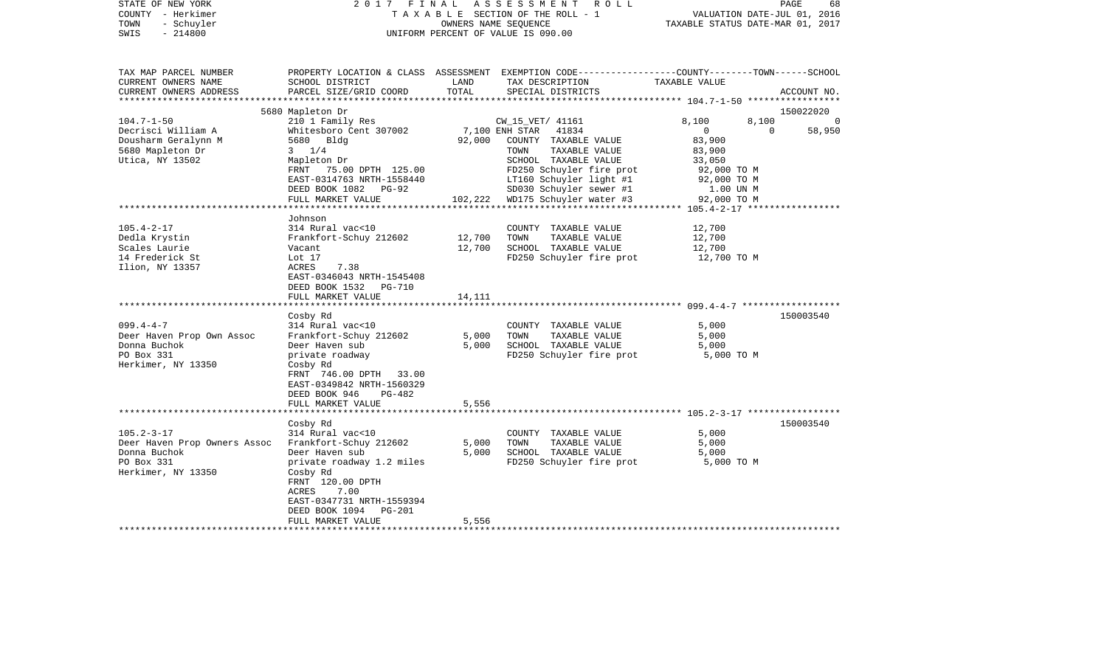| STATE OF NEW YORK<br>COUNTY - Herkimer<br>- Schuyler<br>TOWN<br>SWIS<br>$-214800$ | 2017 FINAL                                                                                                    |                       | ASSESSMENT<br>R O L L<br>TAXABLE SECTION OF THE ROLL - 1<br>OWNERS NAME SEOUENCE<br>UNIFORM PERCENT OF VALUE IS 090.00                  | VALUATION DATE-JUL 01, 2016<br>TAXABLE STATUS DATE-MAR 01, 2017 | PAGE<br>68         |
|-----------------------------------------------------------------------------------|---------------------------------------------------------------------------------------------------------------|-----------------------|-----------------------------------------------------------------------------------------------------------------------------------------|-----------------------------------------------------------------|--------------------|
| TAX MAP PARCEL NUMBER<br>CURRENT OWNERS NAME<br>CURRENT OWNERS ADDRESS            | SCHOOL DISTRICT<br>PARCEL SIZE/GRID COORD                                                                     | LAND<br>TOTAL         | PROPERTY LOCATION & CLASS ASSESSMENT EXEMPTION CODE---------------COUNTY-------TOWN------SCHOOL<br>TAX DESCRIPTION<br>SPECIAL DISTRICTS | TAXABLE VALUE                                                   | ACCOUNT NO.        |
| *******************                                                               | 5680 Mapleton Dr                                                                                              |                       |                                                                                                                                         |                                                                 | 150022020          |
| $104.7 - 1 - 50$                                                                  | 210 1 Family Res                                                                                              |                       | CW_15_VET/ 41161                                                                                                                        | 8,100<br>8,100                                                  | $\Omega$           |
| Decrisci William A                                                                | Whitesboro Cent 307002                                                                                        |                       | 7,100 ENH STAR<br>41834                                                                                                                 | $\mathbf{0}$                                                    | 58,950<br>$\Omega$ |
| Dousharm Geralynn M                                                               | 5680 Bldg                                                                                                     | 92,000                | COUNTY TAXABLE VALUE                                                                                                                    | 83,900                                                          |                    |
| 5680 Mapleton Dr<br>Utica, NY 13502                                               | $3 \frac{1}{4}$<br>Mapleton Dr                                                                                |                       | TAXABLE VALUE<br>TOWN<br>SCHOOL TAXABLE VALUE                                                                                           | 83,900<br>33,050                                                |                    |
|                                                                                   | FRNT 75.00 DPTH 125.00                                                                                        |                       | FD250 Schuyler fire prot                                                                                                                | 92,000 TO M                                                     |                    |
|                                                                                   | EAST-0314763 NRTH-1558440                                                                                     |                       | LT160 Schuyler light #1                                                                                                                 | 92,000 TO M                                                     |                    |
|                                                                                   | DEED BOOK 1082 PG-92                                                                                          |                       | SD030 Schuyler sewer #1                                                                                                                 | 1.00 UN M                                                       |                    |
|                                                                                   | FULL MARKET VALUE                                                                                             | 102,222<br>********** | WD175 Schuyler water #3                                                                                                                 | 92,000 TO M                                                     |                    |
|                                                                                   | Johnson                                                                                                       |                       |                                                                                                                                         |                                                                 |                    |
| $105.4 - 2 - 17$                                                                  | 314 Rural vac<10                                                                                              |                       | COUNTY TAXABLE VALUE                                                                                                                    | 12,700                                                          |                    |
| Dedla Krystin                                                                     | Frankfort-Schuy 212602                                                                                        | 12,700                | TOWN<br>TAXABLE VALUE                                                                                                                   | 12,700                                                          |                    |
| Scales Laurie                                                                     | Vacant                                                                                                        | 12,700                | SCHOOL TAXABLE VALUE                                                                                                                    | 12,700                                                          |                    |
| 14 Frederick St                                                                   | Lot 17                                                                                                        |                       | FD250 Schuyler fire prot                                                                                                                | 12,700 TO M                                                     |                    |
| Ilion, NY 13357                                                                   | ACRES<br>7.38<br>EAST-0346043 NRTH-1545408<br>DEED BOOK 1532<br>PG-710                                        |                       |                                                                                                                                         |                                                                 |                    |
|                                                                                   | FULL MARKET VALUE                                                                                             | 14,111                |                                                                                                                                         |                                                                 |                    |
|                                                                                   | Cosby Rd                                                                                                      |                       |                                                                                                                                         |                                                                 | 150003540          |
| $099.4 - 4 - 7$                                                                   | 314 Rural vac<10                                                                                              |                       | COUNTY TAXABLE VALUE                                                                                                                    | 5,000                                                           |                    |
| Deer Haven Prop Own Assoc                                                         | Frankfort-Schuy 212602                                                                                        | 5,000                 | TOWN<br>TAXABLE VALUE                                                                                                                   | 5,000                                                           |                    |
| Donna Buchok                                                                      | Deer Haven sub                                                                                                | 5,000                 | SCHOOL TAXABLE VALUE                                                                                                                    | 5,000                                                           |                    |
| PO Box 331<br>Herkimer, NY 13350                                                  | private roadway<br>Cosby Rd<br>FRNT 746.00 DPTH 33.00<br>EAST-0349842 NRTH-1560329<br>DEED BOOK 946<br>PG-482 |                       | FD250 Schuyler fire prot                                                                                                                | 5,000 TO M                                                      |                    |
|                                                                                   | FULL MARKET VALUE                                                                                             | 5,556                 |                                                                                                                                         |                                                                 |                    |
|                                                                                   | *****************                                                                                             | *************         | ******************************** 105.2-3-17 *************                                                                               |                                                                 |                    |
|                                                                                   | Cosby Rd                                                                                                      |                       |                                                                                                                                         |                                                                 | 150003540          |
| $105.2 - 3 - 17$<br>Deer Haven Prop Owners Assoc                                  | 314 Rural vac<10<br>Frankfort-Schuy 212602                                                                    | 5,000                 | COUNTY TAXABLE VALUE<br>TOWN<br>TAXABLE VALUE                                                                                           | 5,000<br>5,000                                                  |                    |
| Donna Buchok                                                                      | Deer Haven sub                                                                                                | 5,000                 | SCHOOL TAXABLE VALUE                                                                                                                    | 5,000                                                           |                    |
| PO Box 331                                                                        | private roadway 1.2 miles                                                                                     |                       | FD250 Schuyler fire prot                                                                                                                | 5,000 TO M                                                      |                    |
| Herkimer, NY 13350                                                                | Cosby Rd<br>FRNT 120.00 DPTH<br>ACRES<br>7.00<br>EAST-0347731 NRTH-1559394                                    |                       |                                                                                                                                         |                                                                 |                    |
|                                                                                   | DEED BOOK 1094 PG-201<br>FULL MARKET VALUE                                                                    | 5,556                 |                                                                                                                                         |                                                                 |                    |
|                                                                                   |                                                                                                               |                       |                                                                                                                                         |                                                                 |                    |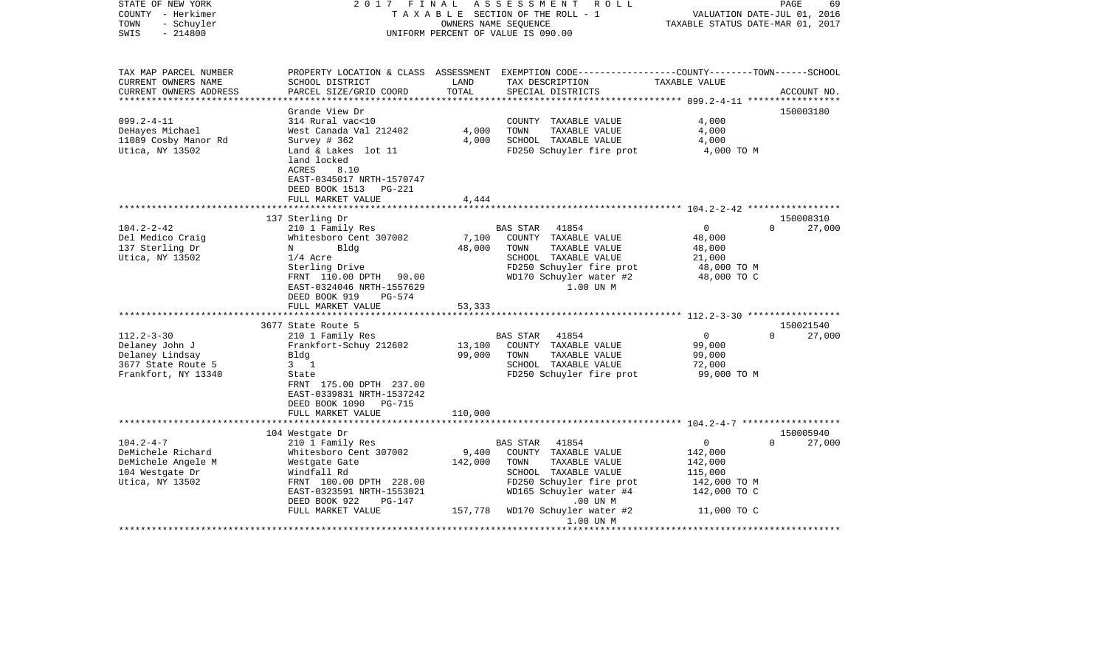| STATE OF NEW YORK<br>COUNTY - Herkimer<br>- Schuyler<br>TOWN<br>$-214800$<br>SWIS                                                                                                | 2017 FINAL                                                                                                                                                                                                                                                                                                                                       |                                               | A S S E S S M E N T<br>R O L L<br>TAXABLE SECTION OF THE ROLL - 1<br>OWNERS NAME SEOUENCE<br>UNIFORM PERCENT OF VALUE IS 090.00                                                                                                                                                          | VALUATION DATE-JUL 01, 2016<br>TAXABLE STATUS DATE-MAR 01, 2017                                                                           | PAGE<br>69                                                         |
|----------------------------------------------------------------------------------------------------------------------------------------------------------------------------------|--------------------------------------------------------------------------------------------------------------------------------------------------------------------------------------------------------------------------------------------------------------------------------------------------------------------------------------------------|-----------------------------------------------|------------------------------------------------------------------------------------------------------------------------------------------------------------------------------------------------------------------------------------------------------------------------------------------|-------------------------------------------------------------------------------------------------------------------------------------------|--------------------------------------------------------------------|
| TAX MAP PARCEL NUMBER<br>CURRENT OWNERS NAME<br>CURRENT OWNERS ADDRESS                                                                                                           | SCHOOL DISTRICT<br>PARCEL SIZE/GRID COORD                                                                                                                                                                                                                                                                                                        | LAND<br>TOTAL                                 | PROPERTY LOCATION & CLASS ASSESSMENT EXEMPTION CODE----------------COUNTY-------TOWN-----SCHOOL<br>TAX DESCRIPTION<br>SPECIAL DISTRICTS                                                                                                                                                  | TAXABLE VALUE                                                                                                                             | ACCOUNT NO.                                                        |
| **********************                                                                                                                                                           |                                                                                                                                                                                                                                                                                                                                                  |                                               |                                                                                                                                                                                                                                                                                          |                                                                                                                                           |                                                                    |
| $099.2 - 4 - 11$<br>DeHayes Michael<br>11089 Cosby Manor Rd<br>Utica, NY 13502                                                                                                   | Grande View Dr<br>314 Rural vac<10<br>West Canada Val 212402<br>Survey # 362<br>Land & Lakes lot 11<br>land locked<br>8.10<br>ACRES<br>EAST-0345017 NRTH-1570747<br>DEED BOOK 1513 PG-221                                                                                                                                                        | 4,000<br>4,000                                | COUNTY TAXABLE VALUE<br>TOWN<br>TAXABLE VALUE<br>SCHOOL TAXABLE VALUE<br>FD250 Schuyler fire prot                                                                                                                                                                                        | 4,000<br>4,000<br>4,000<br>4,000 TO M                                                                                                     | 150003180                                                          |
|                                                                                                                                                                                  | FULL MARKET VALUE                                                                                                                                                                                                                                                                                                                                | 4,444                                         |                                                                                                                                                                                                                                                                                          |                                                                                                                                           |                                                                    |
|                                                                                                                                                                                  |                                                                                                                                                                                                                                                                                                                                                  |                                               |                                                                                                                                                                                                                                                                                          |                                                                                                                                           |                                                                    |
| $104.2 - 2 - 42$<br>Del Medico Craig<br>137 Sterling Dr<br>Utica, NY 13502<br>$112.2 - 3 - 30$<br>Delaney John J<br>Delaney Lindsay<br>3677 State Route 5<br>Frankfort, NY 13340 | 137 Sterling Dr<br>210 1 Family Res<br>Whitesboro Cent 307002<br>N<br>Blda<br>$1/4$ Acre<br>Sterling Drive<br>FRNT 110.00 DPTH 90.00<br>EAST-0324046 NRTH-1557629<br>DEED BOOK 919<br>PG-574<br>FULL MARKET VALUE<br>***********************<br>3677 State Route 5<br>210 1 Family Res<br>Frankfort-Schuy 212602<br>Bldg<br>$3 \quad 1$<br>State | 7,100<br>48,000<br>53,333<br>13,100<br>99,000 | BAS STAR<br>41854<br>COUNTY TAXABLE VALUE<br>TOWN<br>TAXABLE VALUE<br>SCHOOL TAXABLE VALUE<br>FD250 Schuyler fire prot<br>WD170 Schuyler water #2<br>1.00 UN M<br>BAS STAR<br>41854<br>COUNTY TAXABLE VALUE<br>TOWN<br>TAXABLE VALUE<br>SCHOOL TAXABLE VALUE<br>FD250 Schuyler fire prot | $\overline{0}$<br>48,000<br>48,000<br>21,000<br>48,000 TO M<br>48,000 TO C<br>$\overline{0}$<br>99,000<br>99,000<br>72,000<br>99,000 TO M | 150008310<br>$\Omega$<br>27,000<br>150021540<br>$\Omega$<br>27,000 |
| $104.2 - 4 - 7$<br>DeMichele Richard<br>DeMichele Angele M<br>104 Westgate Dr<br>Utica, NY 13502                                                                                 | FRNT 175.00 DPTH 237.00<br>EAST-0339831 NRTH-1537242<br>DEED BOOK 1090 PG-715<br>FULL MARKET VALUE<br>104 Westgate Dr<br>210 1 Family Res<br>Whitesboro Cent 307002<br>Westgate Gate<br>Windfall Rd<br>FRNT 100.00 DPTH 228.00                                                                                                                   | 110,000<br>9,400<br>142,000                   | BAS STAR<br>41854<br>COUNTY TAXABLE VALUE<br>TAXABLE VALUE<br>TOWN<br>SCHOOL TAXABLE VALUE<br>FD250 Schuyler fire prot                                                                                                                                                                   | $\circ$<br>142,000<br>142,000<br>115,000<br>142,000 TO M                                                                                  | 150005940<br>$\Omega$<br>27,000                                    |
|                                                                                                                                                                                  | EAST-0323591 NRTH-1553021<br>DEED BOOK 922<br>PG-147<br>FULL MARKET VALUE                                                                                                                                                                                                                                                                        |                                               | WD165 Schuyler water #4<br>$.00$ UN $M$<br>157,778 WD170 Schuyler water #2<br>1.00 UN M                                                                                                                                                                                                  | 142,000 TO C<br>11,000 TO C                                                                                                               |                                                                    |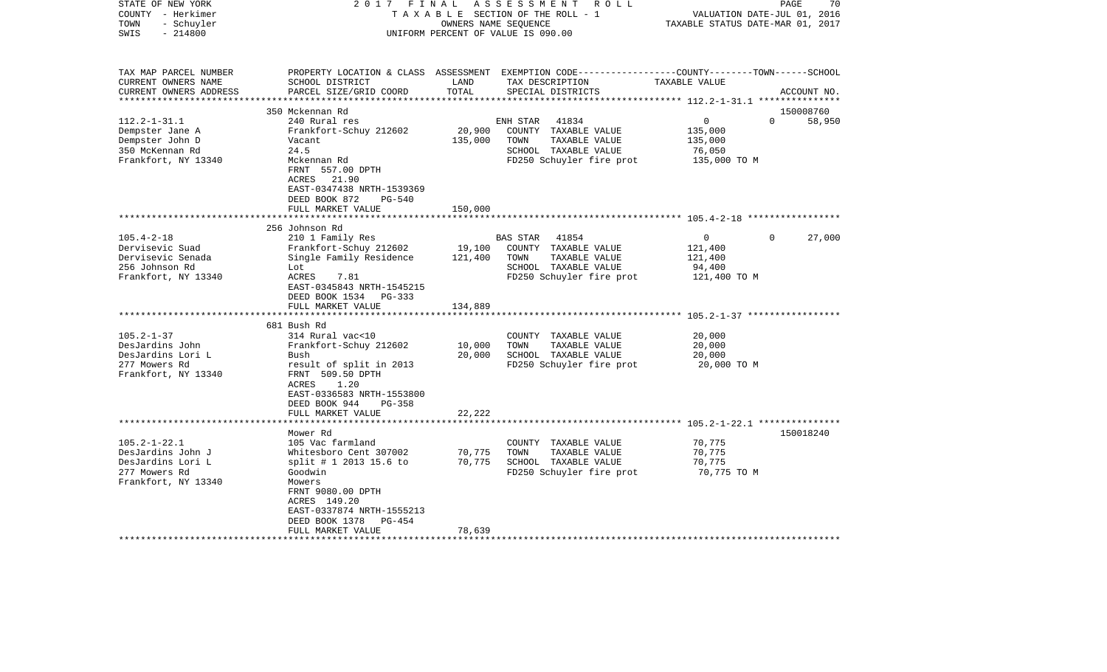| STATE OF NEW YORK<br>COUNTY - Herkimer<br>- Schuyler<br>TOWN<br>$-214800$<br>SWIS | 2017                                                                                                                                        | FINAL<br>OWNERS NAME SEQUENCE | ASSESSMENT ROLL<br>TAXABLE SECTION OF THE ROLL - 1<br>UNIFORM PERCENT OF VALUE IS 090.00                                                | VALUATION DATE-JUL 01, 2016<br>TAXABLE STATUS DATE-MAR 01, 2017 | PAGE<br>70         |
|-----------------------------------------------------------------------------------|---------------------------------------------------------------------------------------------------------------------------------------------|-------------------------------|-----------------------------------------------------------------------------------------------------------------------------------------|-----------------------------------------------------------------|--------------------|
| TAX MAP PARCEL NUMBER<br>CURRENT OWNERS NAME<br>CURRENT OWNERS ADDRESS            | SCHOOL DISTRICT<br>PARCEL SIZE/GRID COORD                                                                                                   | LAND<br>TOTAL                 | PROPERTY LOCATION & CLASS ASSESSMENT EXEMPTION CODE---------------COUNTY-------TOWN------SCHOOL<br>TAX DESCRIPTION<br>SPECIAL DISTRICTS | TAXABLE VALUE                                                   | ACCOUNT NO.        |
| ***********************                                                           | 350 Mckennan Rd                                                                                                                             |                               |                                                                                                                                         |                                                                 | 150008760          |
| $112.2 - 1 - 31.1$                                                                | 240 Rural res                                                                                                                               |                               | 41834<br>ENH STAR                                                                                                                       | $\mathbf 0$                                                     | $\Omega$<br>58,950 |
| Dempster Jane A                                                                   | Frankfort-Schuy 212602                                                                                                                      | 20,900                        | COUNTY TAXABLE VALUE                                                                                                                    | 135,000                                                         |                    |
| Dempster John D                                                                   | Vacant                                                                                                                                      | 135,000                       | TOWN<br>TAXABLE VALUE                                                                                                                   | 135,000                                                         |                    |
| 350 McKennan Rd                                                                   | 24.5                                                                                                                                        |                               | SCHOOL TAXABLE VALUE                                                                                                                    | 76,050                                                          |                    |
| Frankfort, NY 13340                                                               | Mckennan Rd<br>FRNT 557.00 DPTH<br>ACRES<br>21.90<br>EAST-0347438 NRTH-1539369<br>DEED BOOK 872<br><b>PG-540</b><br>FULL MARKET VALUE       | 150,000                       | FD250 Schuyler fire prot                                                                                                                | 135,000 TO M                                                    |                    |
|                                                                                   |                                                                                                                                             |                               |                                                                                                                                         |                                                                 |                    |
|                                                                                   | 256 Johnson Rd                                                                                                                              |                               |                                                                                                                                         |                                                                 |                    |
| $105.4 - 2 - 18$                                                                  | 210 1 Family Res                                                                                                                            |                               | 41854<br>BAS STAR                                                                                                                       | $\mathbf 0$                                                     | 27,000<br>$\Omega$ |
| Dervisevic Suad                                                                   | Frankfort-Schuy 212602                                                                                                                      | 19,100                        | COUNTY TAXABLE VALUE                                                                                                                    | 121,400                                                         |                    |
| Dervisevic Senada                                                                 | Single Family Residence                                                                                                                     | 121,400                       | TOWN<br>TAXABLE VALUE                                                                                                                   | 121,400                                                         |                    |
| 256 Johnson Rd                                                                    | Lot                                                                                                                                         |                               | SCHOOL TAXABLE VALUE                                                                                                                    | 94,400                                                          |                    |
| Frankfort, NY 13340                                                               | ACRES<br>7.81<br>EAST-0345843 NRTH-1545215<br>DEED BOOK 1534 PG-333<br>FULL MARKET VALUE                                                    | 134,889                       | FD250 Schuyler fire prot                                                                                                                | 121,400 TO M                                                    |                    |
|                                                                                   |                                                                                                                                             |                               |                                                                                                                                         |                                                                 |                    |
|                                                                                   | 681 Bush Rd                                                                                                                                 |                               |                                                                                                                                         |                                                                 |                    |
| $105.2 - 1 - 37$                                                                  | 314 Rural vac<10                                                                                                                            |                               | COUNTY TAXABLE VALUE                                                                                                                    | 20,000                                                          |                    |
| DesJardins John                                                                   | Frankfort-Schuy 212602                                                                                                                      | 10,000                        | TOWN<br>TAXABLE VALUE                                                                                                                   | 20,000                                                          |                    |
| DesJardins Lori L                                                                 | Bush                                                                                                                                        | 20,000                        | SCHOOL TAXABLE VALUE                                                                                                                    | 20,000                                                          |                    |
| 277 Mowers Rd<br>Frankfort, NY 13340                                              | result of split in 2013<br>FRNT 509.50 DPTH<br>1.20<br>ACRES<br>EAST-0336583 NRTH-1553800<br>DEED BOOK 944<br>$PG-358$<br>FULL MARKET VALUE | 22,222                        | FD250 Schuyler fire prot                                                                                                                | 20,000 TO M                                                     |                    |
|                                                                                   |                                                                                                                                             |                               |                                                                                                                                         | **************************** 105.2-1-22.1 ***************       |                    |
|                                                                                   | Mower Rd                                                                                                                                    |                               |                                                                                                                                         |                                                                 | 150018240          |
| $105.2 - 1 - 22.1$                                                                | 105 Vac farmland                                                                                                                            |                               | COUNTY TAXABLE VALUE                                                                                                                    | 70,775                                                          |                    |
| DesJardins John J                                                                 | Whitesboro Cent 307002                                                                                                                      | 70,775                        | TOWN<br>TAXABLE VALUE                                                                                                                   | 70,775                                                          |                    |
| DesJardins Lori L                                                                 | split # 1 2013 15.6 to                                                                                                                      | 70,775                        | SCHOOL TAXABLE VALUE                                                                                                                    | 70,775                                                          |                    |
| 277 Mowers Rd                                                                     | Goodwin                                                                                                                                     |                               | FD250 Schuyler fire prot                                                                                                                | 70,775 TO M                                                     |                    |
| Frankfort, NY 13340                                                               | Mowers<br>FRNT 9080.00 DPTH<br>ACRES 149.20<br>EAST-0337874 NRTH-1555213<br>DEED BOOK 1378<br>PG-454                                        |                               |                                                                                                                                         |                                                                 |                    |
|                                                                                   | FULL MARKET VALUE                                                                                                                           | 78,639                        |                                                                                                                                         |                                                                 |                    |
|                                                                                   |                                                                                                                                             |                               |                                                                                                                                         |                                                                 |                    |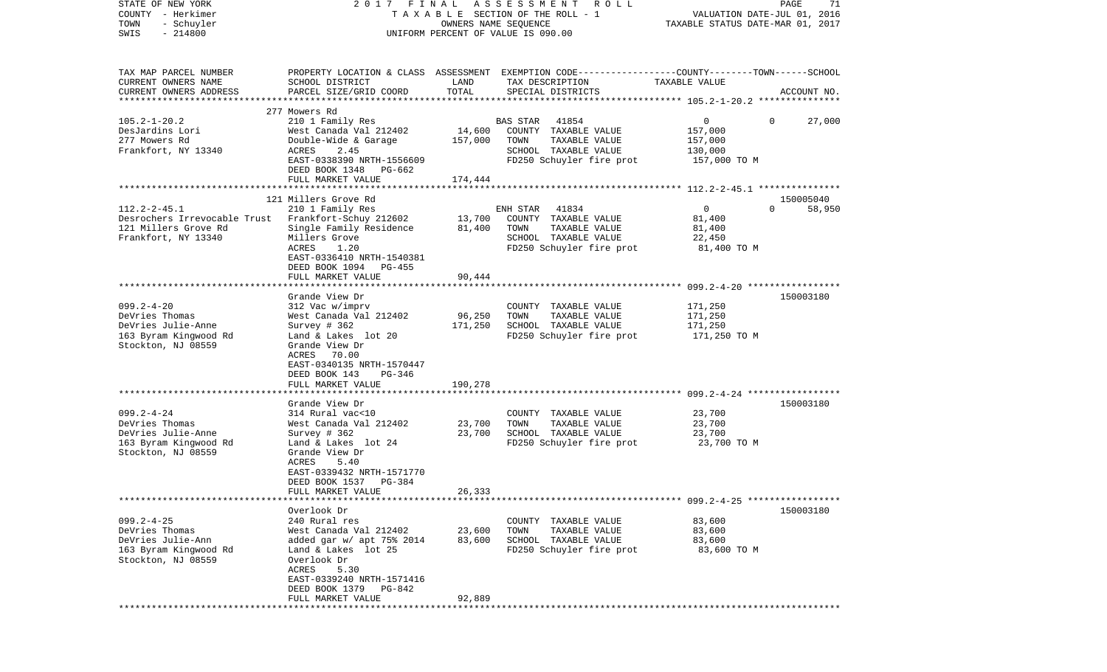| STATE OF NEW YORK<br>COUNTY - Herkimer                                                                  | 2017 FINAL                                                                                                                                                                                        |                              | ASSESSMENT<br>R O L L<br>TAXABLE SECTION OF THE ROLL - 1                                                                                |                                                           | PAGE<br>71<br>VALUATION DATE-JUL 01, 2016 |
|---------------------------------------------------------------------------------------------------------|---------------------------------------------------------------------------------------------------------------------------------------------------------------------------------------------------|------------------------------|-----------------------------------------------------------------------------------------------------------------------------------------|-----------------------------------------------------------|-------------------------------------------|
| TOWN<br>- Schuyler<br>$-214800$<br>SWIS                                                                 |                                                                                                                                                                                                   | OWNERS NAME SEQUENCE         | UNIFORM PERCENT OF VALUE IS 090.00                                                                                                      | TAXABLE STATUS DATE-MAR 01, 2017                          |                                           |
| TAX MAP PARCEL NUMBER<br>CURRENT OWNERS NAME<br>CURRENT OWNERS ADDRESS<br>**********************        | SCHOOL DISTRICT<br>PARCEL SIZE/GRID COORD                                                                                                                                                         | LAND<br>TOTAL                | PROPERTY LOCATION & CLASS ASSESSMENT EXEMPTION CODE---------------COUNTY-------TOWN------SCHOOL<br>TAX DESCRIPTION<br>SPECIAL DISTRICTS | TAXABLE VALUE                                             | ACCOUNT NO.                               |
|                                                                                                         | 277 Mowers Rd                                                                                                                                                                                     |                              |                                                                                                                                         |                                                           |                                           |
| $105.2 - 1 - 20.2$<br>DesJardins Lori<br>277 Mowers Rd<br>Frankfort, NY 13340                           | 210 1 Family Res<br>West Canada Val 212402<br>Double-Wide & Garage<br>ACRES<br>2.45<br>EAST-0338390 NRTH-1556609<br>DEED BOOK 1348 PG-662<br>FULL MARKET VALUE                                    | 14,600<br>157,000<br>174,444 | 41854<br>BAS STAR<br>COUNTY TAXABLE VALUE<br>TOWN<br>TAXABLE VALUE<br>SCHOOL TAXABLE VALUE<br>FD250 Schuyler fire prot                  | 0<br>157,000<br>157,000<br>130,000<br>157,000 TO M        | 27,000<br>$\overline{0}$                  |
|                                                                                                         |                                                                                                                                                                                                   |                              |                                                                                                                                         |                                                           |                                           |
| $112.2 - 2 - 45.1$<br>Desrochers Irrevocable Trust<br>121 Millers Grove Rd<br>Frankfort, NY 13340       | 121 Millers Grove Rd<br>210 1 Family Res<br>Frankfort-Schuy 212602<br>Single Family Residence<br>Millers Grove<br>1.20<br>ACRES<br>EAST-0336410 NRTH-1540381<br>DEED BOOK 1094 PG-455             | 13,700<br>81,400             | 41834<br>ENH STAR<br>COUNTY TAXABLE VALUE<br>TAXABLE VALUE<br>TOWN<br>SCHOOL TAXABLE VALUE<br>FD250 Schuyler fire prot                  | $\mathsf{O}$<br>81,400<br>81,400<br>22,450<br>81,400 TO M | 150005040<br>$\Omega$<br>58,950           |
|                                                                                                         | FULL MARKET VALUE                                                                                                                                                                                 | 90,444                       |                                                                                                                                         |                                                           |                                           |
| $099.2 - 4 - 20$<br>DeVries Thomas<br>DeVries Julie-Anne<br>163 Byram Kingwood Rd<br>Stockton, NJ 08559 | Grande View Dr<br>312 Vac w/imprv<br>West Canada Val 212402<br>Survey $#362$<br>Land & Lakes lot 20<br>Grande View Dr<br>ACRES<br>70.00<br>EAST-0340135 NRTH-1570447                              | 96,250<br>171,250            | COUNTY TAXABLE VALUE<br>TOWN<br>TAXABLE VALUE<br>SCHOOL TAXABLE VALUE<br>FD250 Schuyler fire prot                                       | 171,250<br>171,250<br>171,250<br>171,250 TO M             | 150003180                                 |
|                                                                                                         | DEED BOOK 143<br>PG-346                                                                                                                                                                           |                              |                                                                                                                                         |                                                           |                                           |
|                                                                                                         | FULL MARKET VALUE                                                                                                                                                                                 | 190,278                      |                                                                                                                                         |                                                           |                                           |
| $099.2 - 4 - 24$<br>DeVries Thomas<br>DeVries Julie-Anne<br>163 Byram Kingwood Rd<br>Stockton, NJ 08559 | Grande View Dr<br>314 Rural vac<10<br>West Canada Val 212402<br>Survey $# 362$<br>Land & Lakes lot 24<br>Grande View Dr<br>ACRES<br>5.40<br>EAST-0339432 NRTH-1571770<br>DEED BOOK 1537<br>PG-384 | 23,700<br>23,700             | COUNTY TAXABLE VALUE<br>TOWN<br>TAXABLE VALUE<br>SCHOOL TAXABLE VALUE<br>FD250 Schuyler fire prot                                       | 23,700<br>23,700<br>23,700<br>23,700 TO M                 | 150003180                                 |
|                                                                                                         | FULL MARKET VALUE                                                                                                                                                                                 | 26,333                       |                                                                                                                                         |                                                           |                                           |
| $099.2 - 4 - 25$<br>DeVries Thomas<br>DeVries Julie-Ann<br>163 Byram Kingwood Rd<br>Stockton, NJ 08559  | Overlook Dr<br>240 Rural res<br>West Canada Val 212402<br>added gar w/ apt 75% 2014<br>Land & Lakes lot 25<br>Overlook Dr<br>5.30<br>ACRES<br>EAST-0339240 NRTH-1571416                           | 23,600<br>83,600             | COUNTY TAXABLE VALUE<br>TOWN<br>TAXABLE VALUE<br>SCHOOL TAXABLE VALUE<br>FD250 Schuyler fire prot                                       | 83,600<br>83,600<br>83,600<br>83,600 TO M                 | 150003180                                 |
|                                                                                                         | DEED BOOK 1379<br>PG-842<br>FULL MARKET VALUE                                                                                                                                                     | 92,889                       |                                                                                                                                         |                                                           |                                           |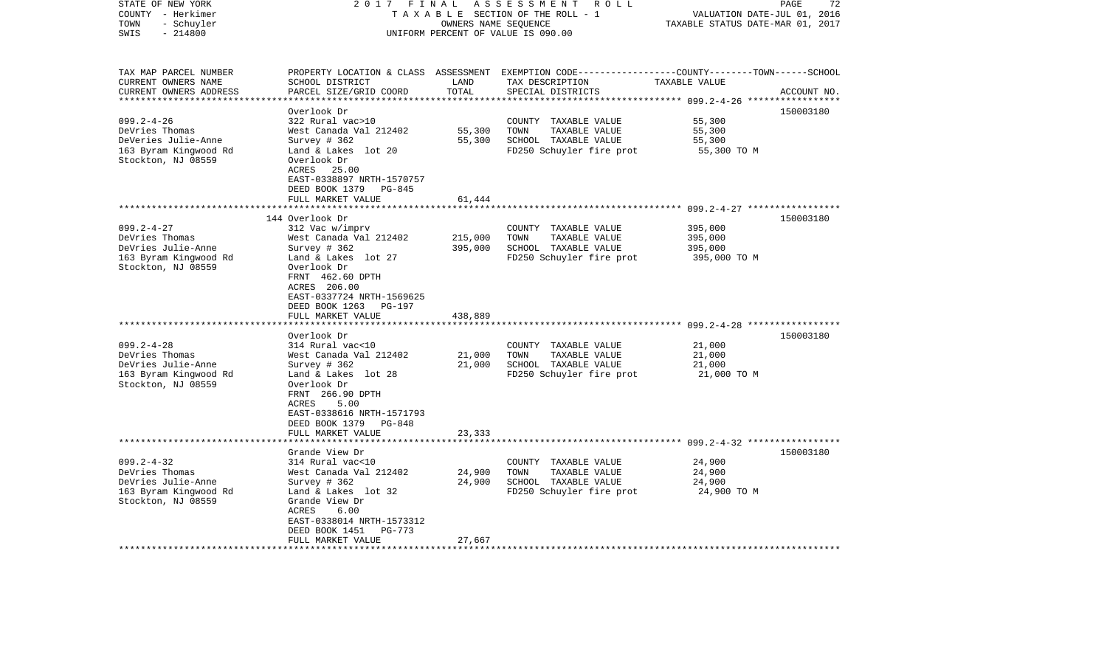| STATE OF NEW YORK<br>COUNTY - Herkimer<br>TOWN<br>- Schuyler<br>$-214800$<br>SWIS                        | 2017 FINAL                                                                                                                                                                                                                                  | OWNERS NAME SEQUENCE          | ASSESSMENT ROLL<br>TAXABLE SECTION OF THE ROLL - 1<br>UNIFORM PERCENT OF VALUE IS 090.00                                                | VALUATION DATE-JUL 01, 2016<br>TAXABLE STATUS DATE-MAR 01, 2017 | PAGE<br>72  |
|----------------------------------------------------------------------------------------------------------|---------------------------------------------------------------------------------------------------------------------------------------------------------------------------------------------------------------------------------------------|-------------------------------|-----------------------------------------------------------------------------------------------------------------------------------------|-----------------------------------------------------------------|-------------|
| TAX MAP PARCEL NUMBER<br>CURRENT OWNERS NAME<br>CURRENT OWNERS ADDRESS<br>*************************      | SCHOOL DISTRICT<br>PARCEL SIZE/GRID COORD                                                                                                                                                                                                   | LAND<br>TOTAL                 | PROPERTY LOCATION & CLASS ASSESSMENT EXEMPTION CODE---------------COUNTY-------TOWN------SCHOOL<br>TAX DESCRIPTION<br>SPECIAL DISTRICTS | TAXABLE VALUE                                                   | ACCOUNT NO. |
| $099.2 - 4 - 26$<br>DeVries Thomas<br>DeVeries Julie-Anne<br>163 Byram Kingwood Rd<br>Stockton, NJ 08559 | Overlook Dr<br>322 Rural vac>10<br>West Canada Val 212402<br>Survey $# 362$<br>Land & Lakes lot 20<br>Overlook Dr<br>ACRES 25.00<br>EAST-0338897 NRTH-1570757                                                                               | 55,300<br>55,300              | COUNTY TAXABLE VALUE<br>TOWN<br>TAXABLE VALUE<br>SCHOOL TAXABLE VALUE<br>FD250 Schuyler fire prot                                       | 55,300<br>55,300<br>55,300<br>55,300 TO M                       | 150003180   |
|                                                                                                          | DEED BOOK 1379<br>PG-845<br>FULL MARKET VALUE                                                                                                                                                                                               | 61,444                        |                                                                                                                                         | ***************************** 099.2-4-27 *****************      |             |
| $099.2 - 4 - 27$<br>DeVries Thomas<br>DeVries Julie-Anne<br>163 Byram Kingwood Rd<br>Stockton, NJ 08559  | 144 Overlook Dr<br>312 Vac w/imprv<br>West Canada Val 212402<br>Survey # 362<br>Land & Lakes lot 27<br>Overlook Dr<br>FRNT 462.60 DPTH<br>ACRES 206.00<br>EAST-0337724 NRTH-1569625<br>DEED BOOK 1263<br><b>PG-197</b><br>FULL MARKET VALUE | 215,000<br>395,000<br>438,889 | COUNTY TAXABLE VALUE<br>TOWN<br>TAXABLE VALUE<br>SCHOOL TAXABLE VALUE<br>FD250 Schuyler fire prot                                       | 395,000<br>395,000<br>395,000<br>395,000 TO M                   | 150003180   |
| $099.2 - 4 - 28$<br>DeVries Thomas<br>DeVries Julie-Anne<br>163 Byram Kingwood Rd<br>Stockton, NJ 08559  | Overlook Dr<br>314 Rural vac<10<br>West Canada Val 212402<br>Survey # 362<br>Land & Lakes lot 28<br>Overlook Dr<br>FRNT 266.90 DPTH<br>ACRES<br>5.00<br>EAST-0338616 NRTH-1571793<br>DEED BOOK 1379<br>PG-848<br>FULL MARKET VALUE          | 21,000<br>21,000<br>23,333    | COUNTY TAXABLE VALUE<br>TOWN<br>TAXABLE VALUE<br>SCHOOL TAXABLE VALUE<br>FD250 Schuyler fire prot                                       | 21,000<br>21,000<br>21,000<br>21,000 TO M                       | 150003180   |
|                                                                                                          |                                                                                                                                                                                                                                             |                               |                                                                                                                                         |                                                                 |             |
| $099.2 - 4 - 32$<br>DeVries Thomas<br>DeVries Julie-Anne<br>163 Byram Kingwood Rd<br>Stockton, NJ 08559  | Grande View Dr<br>314 Rural vac<10<br>West Canada Val 212402<br>Survey # 362<br>Land & Lakes lot 32<br>Grande View Dr<br>ACRES<br>6.00<br>EAST-0338014 NRTH-1573312<br>DEED BOOK 1451<br>PG-773<br>FULL MARKET VALUE                        | 24,900<br>24,900<br>27,667    | COUNTY TAXABLE VALUE<br>TOWN<br>TAXABLE VALUE<br>SCHOOL TAXABLE VALUE<br>FD250 Schuyler fire prot                                       | 24,900<br>24,900<br>24,900<br>24,900 TO M                       | 150003180   |
|                                                                                                          |                                                                                                                                                                                                                                             |                               |                                                                                                                                         |                                                                 |             |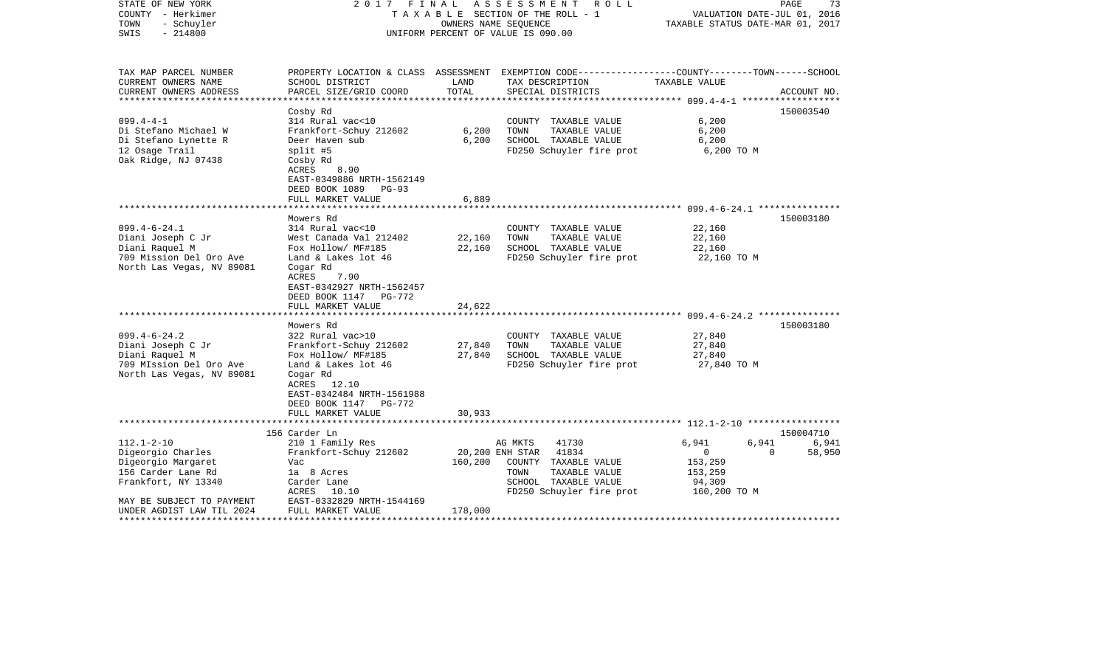| STATE OF NEW YORK<br>COUNTY - Herkimer<br>- Schuyler<br>TOWN<br>$-214800$<br>SWIS                                                                                                           | 2017 FINAL                                                                                                                                                                                                 |                            | ASSESSMENT<br>R O L L<br>TAXABLE SECTION OF THE ROLL - 1<br>OWNERS NAME SEQUENCE<br>UNIFORM PERCENT OF VALUE IS 090.00                            | VALUATION DATE-JUL 01, 2016<br>TAXABLE STATUS DATE-MAR 01, 2017                  | PAGE<br>73                               |
|---------------------------------------------------------------------------------------------------------------------------------------------------------------------------------------------|------------------------------------------------------------------------------------------------------------------------------------------------------------------------------------------------------------|----------------------------|---------------------------------------------------------------------------------------------------------------------------------------------------|----------------------------------------------------------------------------------|------------------------------------------|
| TAX MAP PARCEL NUMBER<br>CURRENT OWNERS NAME<br>CURRENT OWNERS ADDRESS                                                                                                                      | SCHOOL DISTRICT<br>PARCEL SIZE/GRID COORD                                                                                                                                                                  | LAND<br>TOTAL              | PROPERTY LOCATION & CLASS ASSESSMENT EXEMPTION CODE---------------COUNTY-------TOWN------SCHOOL<br>TAX DESCRIPTION<br>SPECIAL DISTRICTS           | TAXABLE VALUE                                                                    | ACCOUNT NO.                              |
| *********************<br>$099.4 - 4 - 1$<br>Di Stefano Michael W<br>Di Stefano Lynette R<br>12 Osage Trail<br>Oak Ridge, NJ 07438                                                           | Cosby Rd<br>314 Rural vac<10<br>Frankfort-Schuy 212602<br>Deer Haven sub<br>split #5<br>Cosby Rd<br>ACRES<br>8.90<br>EAST-0349886 NRTH-1562149<br>DEED BOOK 1089 PG-93                                     | 6,200<br>6,200             | COUNTY TAXABLE VALUE<br>TOWN<br>TAXABLE VALUE<br>SCHOOL TAXABLE VALUE<br>FD250 Schuyler fire prot                                                 | 6,200<br>6,200<br>6,200<br>6,200 TO M                                            | 150003540                                |
|                                                                                                                                                                                             | FULL MARKET VALUE                                                                                                                                                                                          | 6,889                      |                                                                                                                                                   |                                                                                  |                                          |
| $099.4 - 6 - 24.1$<br>Diani Joseph C Jr<br>Diani Raquel M<br>709 Mission Del Oro Ave<br>North Las Vegas, NV 89081                                                                           | Mowers Rd<br>314 Rural vac<10<br>West Canada Val 212402<br>Fox Hollow/ MF#185<br>Land & Lakes lot 46<br>Cogar Rd<br>7.90<br>ACRES<br>EAST-0342927 NRTH-1562457<br>DEED BOOK 1147 PG-772                    | 22,160<br>22,160           | COUNTY TAXABLE VALUE<br>TOWN<br>TAXABLE VALUE<br>SCHOOL TAXABLE VALUE<br>FD250 Schuyler fire prot                                                 | 22,160<br>22,160<br>22,160<br>22,160 TO M                                        | 150003180                                |
|                                                                                                                                                                                             | FULL MARKET VALUE                                                                                                                                                                                          | 24,622                     |                                                                                                                                                   |                                                                                  |                                          |
| $099.4 - 6 - 24.2$<br>Diani Joseph C Jr<br>Diani Raquel M<br>709 MIssion Del Oro Ave<br>North Las Vegas, NV 89081                                                                           | Mowers Rd<br>322 Rural vac>10<br>Frankfort-Schuy 212602<br>Fox Hollow/ MF#185<br>Land & Lakes lot 46<br>Cogar Rd<br>ACRES 12.10<br>EAST-0342484 NRTH-1561988<br>DEED BOOK 1147 PG-772<br>FULL MARKET VALUE | 27,840<br>27,840<br>30,933 | COUNTY TAXABLE VALUE<br>TOWN<br>TAXABLE VALUE<br>SCHOOL TAXABLE VALUE<br>FD250 Schuyler fire prot                                                 | 27,840<br>27,840<br>27,840<br>27,840 TO M                                        | 150003180                                |
|                                                                                                                                                                                             |                                                                                                                                                                                                            |                            |                                                                                                                                                   |                                                                                  |                                          |
| $112.1 - 2 - 10$<br>Digeorgio Charles<br>Digeorgio Margaret<br>156 Carder Lane Rd<br>Frankfort, NY 13340<br>MAY BE SUBJECT TO PAYMENT<br>UNDER AGDIST LAW TIL 2024<br>********************* | 156 Carder Ln<br>210 1 Family Res<br>Frankfort-Schuy 212602<br>Vac<br>la 8 Acres<br>Carder Lane<br>ACRES 10.10<br>EAST-0332829 NRTH-1544169<br>FULL MARKET VALUE<br>***************************            | 160,200<br>178,000         | AG MKTS<br>41730<br>20,200 ENH STAR<br>41834<br>COUNTY TAXABLE VALUE<br>TOWN<br>TAXABLE VALUE<br>SCHOOL TAXABLE VALUE<br>FD250 Schuyler fire prot | 6,941<br>6,941<br>$\overline{0}$<br>153,259<br>153,259<br>94,309<br>160,200 TO M | 150004710<br>6,941<br>58,950<br>$\Omega$ |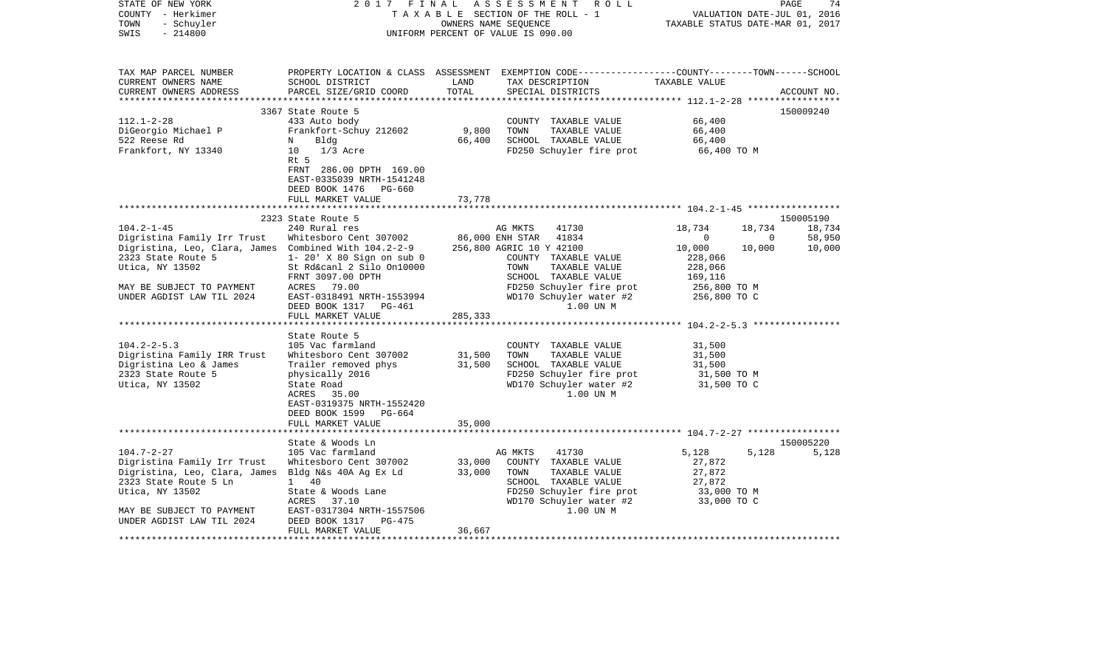| STATE OF NEW YORK<br>COUNTY - Herkimer<br>- Schuyler<br>TOWN<br>$-214800$<br>SWIS | 2017<br>FINAL                                                                                            |               | ASSESSMENT ROLL<br>TAXABLE SECTION OF THE ROLL - 1<br>OWNERS NAME SEQUENCE<br>UNIFORM PERCENT OF VALUE IS 090.00                        | VALUATION DATE-JUL 01, 2016<br>TAXABLE STATUS DATE-MAR 01, 2017 | PAGE<br>74  |
|-----------------------------------------------------------------------------------|----------------------------------------------------------------------------------------------------------|---------------|-----------------------------------------------------------------------------------------------------------------------------------------|-----------------------------------------------------------------|-------------|
| TAX MAP PARCEL NUMBER<br>CURRENT OWNERS NAME<br>CURRENT OWNERS ADDRESS            | SCHOOL DISTRICT<br>PARCEL SIZE/GRID COORD                                                                | LAND<br>TOTAL | PROPERTY LOCATION & CLASS ASSESSMENT EXEMPTION CODE---------------COUNTY-------TOWN------SCHOOL<br>TAX DESCRIPTION<br>SPECIAL DISTRICTS | TAXABLE VALUE                                                   | ACCOUNT NO. |
|                                                                                   | 3367 State Route 5                                                                                       |               |                                                                                                                                         |                                                                 | 150009240   |
| $112.1 - 2 - 28$                                                                  | 433 Auto body                                                                                            |               | COUNTY TAXABLE VALUE                                                                                                                    | 66,400                                                          |             |
| DiGeorgio Michael P                                                               | Frankfort-Schuy 212602                                                                                   | 9,800         | TOWN<br>TAXABLE VALUE                                                                                                                   | 66,400                                                          |             |
| 522 Reese Rd                                                                      | Bldg<br>N                                                                                                | 66,400        | SCHOOL TAXABLE VALUE                                                                                                                    | 66,400                                                          |             |
| Frankfort, NY 13340                                                               | 10<br>$1/3$ Acre<br>Rt 5<br>FRNT 286.00 DPTH 169.00<br>EAST-0335039 NRTH-1541248                         |               | FD250 Schuyler fire prot                                                                                                                | 66,400 TO M                                                     |             |
|                                                                                   | DEED BOOK 1476<br>PG-660<br>FULL MARKET VALUE                                                            | 73,778        |                                                                                                                                         |                                                                 |             |
|                                                                                   |                                                                                                          |               |                                                                                                                                         |                                                                 |             |
|                                                                                   | 2323 State Route 5                                                                                       |               |                                                                                                                                         |                                                                 | 150005190   |
| $104.2 - 1 - 45$                                                                  | 240 Rural res                                                                                            |               | AG MKTS<br>41730                                                                                                                        | 18,734<br>18,734                                                | 18,734      |
| Digristina Family Irr Trust                                                       | Whitesboro Cent 307002                                                                                   |               | 86,000 ENH STAR<br>41834                                                                                                                | $\overline{0}$<br>$\mathbf 0$                                   | 58,950      |
| Digristina, Leo, Clara, James Combined With 104.2-2-9                             |                                                                                                          |               | 256,800 AGRIC 10 Y 42100                                                                                                                | 10,000<br>10,000                                                | 10,000      |
| 2323 State Route 5<br>Utica, NY 13502                                             | 1- 20' X 80 Sign on sub 0<br>St Rd&canl 2 Silo On10000                                                   |               | COUNTY TAXABLE VALUE<br>TOWN<br>TAXABLE VALUE                                                                                           | 228,066<br>228,066                                              |             |
|                                                                                   | FRNT 3097.00 DPTH                                                                                        |               | SCHOOL TAXABLE VALUE                                                                                                                    | 169,116                                                         |             |
| MAY BE SUBJECT TO PAYMENT                                                         | ACRES 79.00                                                                                              |               | FD250 Schuyler fire prot                                                                                                                | 256,800 ТО М                                                    |             |
| UNDER AGDIST LAW TIL 2024                                                         | EAST-0318491 NRTH-1553994<br>DEED BOOK 1317 PG-461<br>FULL MARKET VALUE                                  | 285,333       | WD170 Schuyler water #2<br>1.00 UN M                                                                                                    | 256,800 TO C                                                    |             |
|                                                                                   |                                                                                                          |               |                                                                                                                                         |                                                                 |             |
|                                                                                   | State Route 5                                                                                            |               |                                                                                                                                         |                                                                 |             |
| $104.2 - 2 - 5.3$                                                                 | 105 Vac farmland                                                                                         |               | COUNTY TAXABLE VALUE                                                                                                                    | 31,500                                                          |             |
| Digristina Family IRR Trust                                                       | Whitesboro Cent 307002                                                                                   | 31,500        | TAXABLE VALUE<br>TOWN                                                                                                                   | 31,500                                                          |             |
| Digristina Leo & James<br>2323 State Route 5                                      | Trailer removed phys                                                                                     | 31,500        | SCHOOL TAXABLE VALUE<br>FD250 Schuyler fire prot                                                                                        | 31,500                                                          |             |
| Utica, NY 13502                                                                   | physically 2016<br>State Road<br>35.00<br>ACRES<br>EAST-0319375 NRTH-1552420<br>DEED BOOK 1599<br>PG-664 |               | WD170 Schuyler water #2<br>1.00 UN M                                                                                                    | 31,500 TO M<br>31,500 TO C                                      |             |
|                                                                                   | FULL MARKET VALUE                                                                                        | 35,000        |                                                                                                                                         |                                                                 |             |
|                                                                                   | State & Woods Ln                                                                                         |               |                                                                                                                                         |                                                                 | 150005220   |
| $104.7 - 2 - 27$                                                                  | 105 Vac farmland                                                                                         |               | AG MKTS<br>41730                                                                                                                        | 5,128<br>5,128                                                  | 5,128       |
| Digristina Family Irr Trust                                                       | Whitesboro Cent 307002                                                                                   | 33,000        | COUNTY TAXABLE VALUE                                                                                                                    | 27,872                                                          |             |
| Digristina, Leo, Clara, James Bldg N&s 40A Ag Ex Ld                               |                                                                                                          | 33,000        | TOWN<br>TAXABLE VALUE                                                                                                                   | 27,872                                                          |             |
| 2323 State Route 5 Ln                                                             | 1 40                                                                                                     |               | SCHOOL TAXABLE VALUE                                                                                                                    | 27,872                                                          |             |
| Utica, NY 13502                                                                   | State & Woods Lane<br>ACRES                                                                              |               | FD250 Schuyler fire prot<br>WD170 Schuyler water #2                                                                                     | 33,000 TO M<br>33,000 TO C                                      |             |
| MAY BE SUBJECT TO PAYMENT                                                         | 37.10<br>EAST-0317304 NRTH-1557506                                                                       |               | 1.00 UN M                                                                                                                               |                                                                 |             |
| UNDER AGDIST LAW TIL 2024                                                         | DEED BOOK 1317<br>PG-475<br>FULL MARKET VALUE                                                            | 36,667        |                                                                                                                                         |                                                                 |             |
| ****************                                                                  |                                                                                                          |               |                                                                                                                                         |                                                                 |             |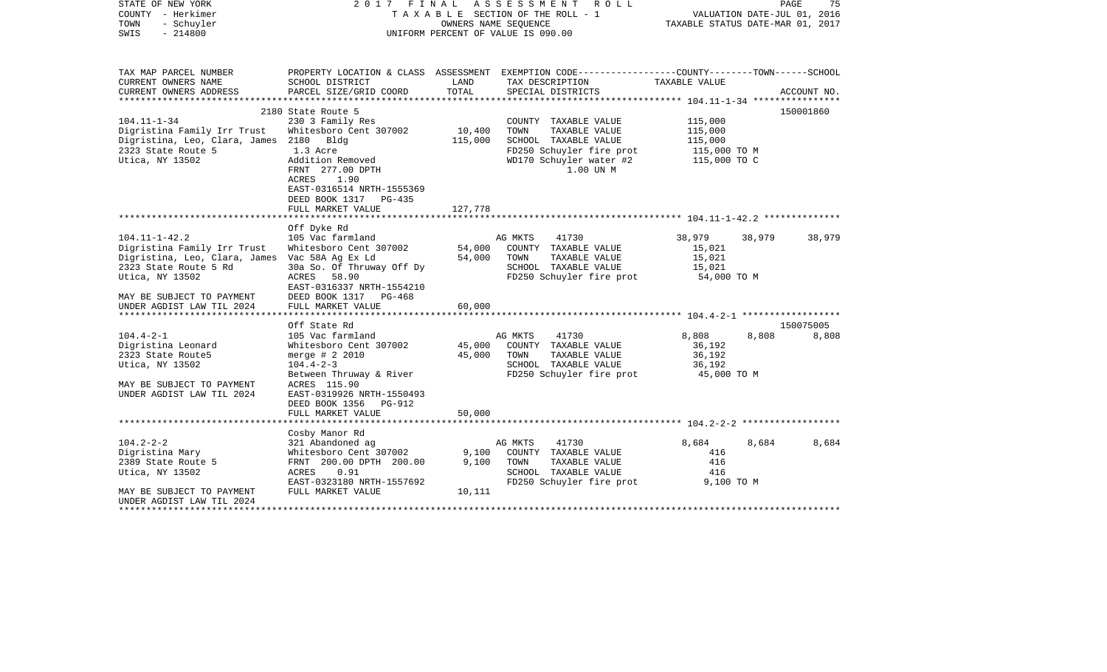| STATE OF NEW YORK<br>COUNTY - Herkimer<br>- Schuyler<br>TOWN<br>$-214800$<br>SWIS                                                                                                                          | 2017 FINAL                                                                                                                                                                                                            |                            | ASSESSMENT ROLL<br>TAXABLE SECTION OF THE ROLL - 1<br>OWNERS NAME SEQUENCE<br>UNIFORM PERCENT OF VALUE IS 090.00                          | TAXABLE STATUS DATE-MAR 01, 2017                              |        | PAGE<br>75<br>VALUATION DATE-JUL 01, 2016 |
|------------------------------------------------------------------------------------------------------------------------------------------------------------------------------------------------------------|-----------------------------------------------------------------------------------------------------------------------------------------------------------------------------------------------------------------------|----------------------------|-------------------------------------------------------------------------------------------------------------------------------------------|---------------------------------------------------------------|--------|-------------------------------------------|
| TAX MAP PARCEL NUMBER<br>CURRENT OWNERS NAME                                                                                                                                                               | SCHOOL DISTRICT                                                                                                                                                                                                       | LAND                       | PROPERTY LOCATION & CLASS ASSESSMENT EXEMPTION CODE---------------COUNTY-------TOWN------SCHOOL<br>TAX DESCRIPTION                        | TAXABLE VALUE                                                 |        |                                           |
| CURRENT OWNERS ADDRESS                                                                                                                                                                                     | PARCEL SIZE/GRID COORD                                                                                                                                                                                                | TOTAL                      | SPECIAL DISTRICTS                                                                                                                         |                                                               |        | ACCOUNT NO.                               |
|                                                                                                                                                                                                            | 2180 State Route 5                                                                                                                                                                                                    |                            |                                                                                                                                           |                                                               |        | 150001860                                 |
| $104.11 - 1 - 34$<br>Digristina Family Irr Trust<br>Digristina, Leo, Clara, James 2180 Bldg<br>2323 State Route 5<br>Utica, NY 13502                                                                       | 230 3 Family Res<br>Whitesboro Cent 307002<br>1.3 Acre<br>Addition Removed<br>FRNT 277.00 DPTH<br>ACRES<br>1.90<br>EAST-0316514 NRTH-1555369<br>DEED BOOK 1317 PG-435                                                 | 10,400<br>115,000          | COUNTY TAXABLE VALUE<br>TOWN<br>TAXABLE VALUE<br>SCHOOL TAXABLE VALUE<br>FD250 Schuyler fire prot<br>WD170 Schuyler water #2<br>1.00 UN M | 115,000<br>115,000<br>115,000<br>115,000 TO M<br>115,000 TO C |        |                                           |
|                                                                                                                                                                                                            | FULL MARKET VALUE                                                                                                                                                                                                     | 127,778                    |                                                                                                                                           |                                                               |        |                                           |
|                                                                                                                                                                                                            |                                                                                                                                                                                                                       |                            |                                                                                                                                           |                                                               |        |                                           |
| $104.11 - 1 - 42.2$<br>Digristina Family Irr Trust<br>Digristina, Leo, Clara, James Vac 58A Ag Ex Ld<br>2323 State Route 5 Rd<br>Utica, NY 13502<br>MAY BE SUBJECT TO PAYMENT<br>UNDER AGDIST LAW TIL 2024 | Off Dyke Rd<br>105 Vac farmland<br>Whitesboro Cent 307002<br>30a So. Of Thruway Off Dy<br>ACRES 58.90<br>EAST-0316337 NRTH-1554210<br>DEED BOOK 1317 PG-468<br>FULL MARKET VALUE                                      | 54,000<br>54,000<br>60,000 | 41730<br>AG MKTS<br>COUNTY TAXABLE VALUE<br>TOWN<br>TAXABLE VALUE<br>SCHOOL TAXABLE VALUE<br>FD250 Schuyler fire prot                     | 38,979<br>15,021<br>15,021<br>15,021<br>54,000 TO M           | 38,979 | 38,979                                    |
|                                                                                                                                                                                                            |                                                                                                                                                                                                                       |                            |                                                                                                                                           |                                                               |        |                                           |
| $104.4 - 2 - 1$<br>Digristina Leonard<br>2323 State Route5<br>Utica, NY 13502<br>MAY BE SUBJECT TO PAYMENT<br>UNDER AGDIST LAW TIL 2024                                                                    | Off State Rd<br>105 Vac farmland<br>Whitesboro Cent 307002<br>merge # 2 2010<br>$104.4 - 2 - 3$<br>Between Thruway & River<br>ACRES 115.90<br>EAST-0319926 NRTH-1550493<br>DEED BOOK 1356 PG-912<br>FULL MARKET VALUE | 45,000<br>45,000<br>50,000 | AG MKTS<br>41730<br>COUNTY TAXABLE VALUE<br>TAXABLE VALUE<br>TOWN<br>SCHOOL TAXABLE VALUE<br>FD250 Schuyler fire prot                     | 8,808<br>36,192<br>36,192<br>36,192<br>45,000 TO M            | 8,808  | 150075005<br>8,808                        |
|                                                                                                                                                                                                            |                                                                                                                                                                                                                       |                            |                                                                                                                                           |                                                               |        |                                           |
| $104.2 - 2 - 2$<br>Digristina Mary<br>2389 State Route 5<br>Utica, NY 13502<br>MAY BE SUBJECT TO PAYMENT                                                                                                   | Cosby Manor Rd<br>321 Abandoned ag<br>Whitesboro Cent 307002<br>FRNT 200.00 DPTH 200.00<br>ACRES<br>0.91<br>EAST-0323180 NRTH-1557692<br>FULL MARKET VALUE                                                            | 9,100<br>9,100<br>10,111   | 41730<br>AG MKTS<br>COUNTY TAXABLE VALUE<br>TOWN<br>TAXABLE VALUE<br>SCHOOL TAXABLE VALUE<br>FD250 Schuyler fire prot                     | 8,684<br>416<br>416<br>416<br>9,100 TO M                      | 8,684  | 8,684                                     |
| UNDER AGDIST LAW TIL 2024                                                                                                                                                                                  |                                                                                                                                                                                                                       |                            |                                                                                                                                           |                                                               |        |                                           |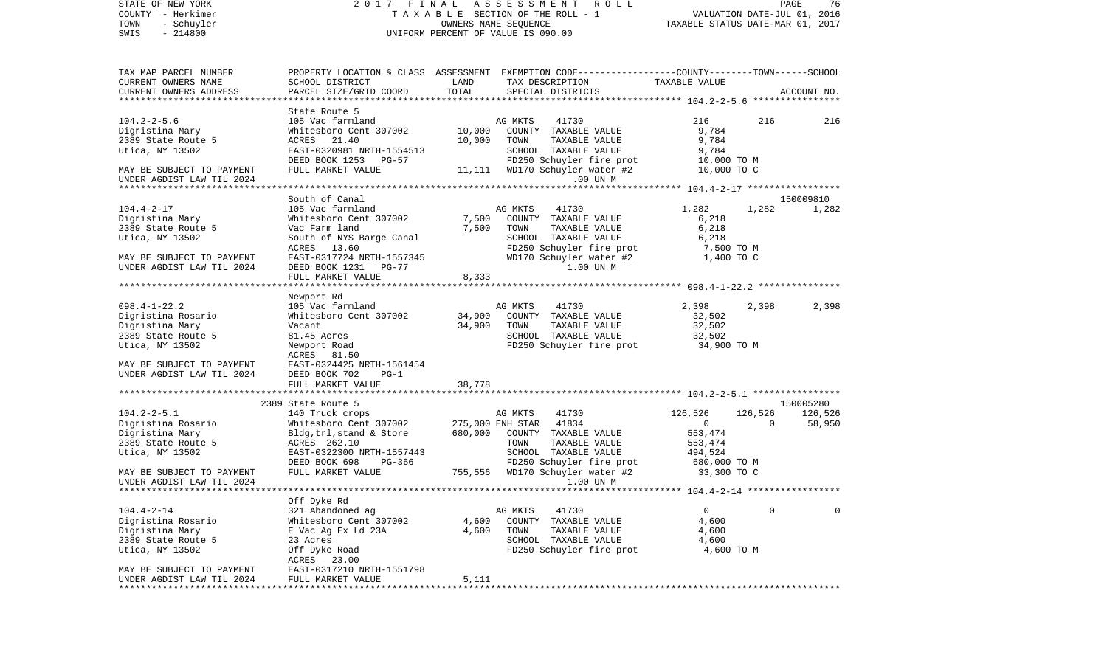| STATE OF NEW YORK                                      |                                                                                                  |         | 2017 FINAL ASSESSMENT<br>R O L L                                                                                |                                  |                | PAGE<br>76  |
|--------------------------------------------------------|--------------------------------------------------------------------------------------------------|---------|-----------------------------------------------------------------------------------------------------------------|----------------------------------|----------------|-------------|
| COUNTY - Herkimer                                      |                                                                                                  |         | T A X A B L E SECTION OF THE ROLL - 1                                                                           | VALUATION DATE-JUL 01, 2016      |                |             |
| - Schuyler<br>TOWN                                     |                                                                                                  |         |                                                                                                                 | TAXABLE STATUS DATE-MAR 01, 2017 |                |             |
| $-214800$<br>SWIS                                      |                                                                                                  |         | UNIFORM PERCENT OF VALUE IS 090.00                                                                              |                                  |                |             |
| TAX MAP PARCEL NUMBER                                  |                                                                                                  |         | PROPERTY LOCATION & CLASS ASSESSMENT EXEMPTION CODE---------------COUNTY-------TOWN-----SCHOOL                  |                                  |                |             |
| CURRENT OWNERS NAME                                    | SCHOOL DISTRICT                                                                                  | LAND    | TAX DESCRIPTION                                                                                                 | TAXABLE VALUE                    |                |             |
| CURRENT OWNERS ADDRESS                                 | PARCEL SIZE/GRID COORD                                                                           | TOTAL   | SPECIAL DISTRICTS                                                                                               |                                  |                | ACCOUNT NO. |
|                                                        |                                                                                                  |         |                                                                                                                 |                                  |                |             |
| $104.2 - 2 - 5.6$                                      | State Route 5<br>105 Vac farmland                                                                |         | 41730<br>AG MKTS                                                                                                | 216                              | 216            | 216         |
| Digristina Mary                                        | Whitesboro Cent 307002                                                                           | 10,000  | COUNTY TAXABLE VALUE                                                                                            | 9,784                            |                |             |
| 2389 State Route 5                                     | ACRES 21.40                                                                                      | 10,000  | TOWN<br>TAXABLE VALUE                                                                                           | 9,784                            |                |             |
| Utica, NY 13502                                        | EAST-0320981 NRTH-1554513                                                                        |         | SCHOOL TAXABLE VALUE                                                                                            | 9,784                            |                |             |
|                                                        | DEED BOOK 1253 PG-57                                                                             |         | FD250 Schuyler fire prot 10,000 TO M<br>WD170 Schuyler water #2 10,000 TO C                                     |                                  |                |             |
| MAY BE SUBJECT TO PAYMENT                              | FULL MARKET VALUE                                                                                |         | 11,111 WD170 Schuyler water #2                                                                                  | 10,000 TO C                      |                |             |
| UNDER AGDIST LAW TIL 2024                              |                                                                                                  |         | .00 UN M                                                                                                        |                                  |                |             |
|                                                        |                                                                                                  |         |                                                                                                                 |                                  |                |             |
|                                                        | South of Canal                                                                                   |         |                                                                                                                 |                                  |                | 150009810   |
| $104.4 - 2 - 17$                                       | 105 Vac farmland                                                                                 |         | AG MKTS<br>41730                                                                                                | 1,282                            | 1,282          | 1,282       |
| Digristina Mary                                        | Whitesboro Cent 307002                                                                           | 7,500   | COUNTY TAXABLE VALUE                                                                                            | 6,218                            |                |             |
| 2389 State Route 5                                     | Vac Farm land<br>South of NYS Barge Canal                                                        | 7,500   | TOWN<br>TAXABLE VALUE<br>SCHOOL TAXABLE VALUE                                                                   | 6,218<br>6,218                   |                |             |
| Utica, NY 13502                                        | ACRES 13.60                                                                                      |         |                                                                                                                 | 7,500 TO M                       |                |             |
| MAY BE SUBJECT TO PAYMENT                              | EAST-0317724 NRTH-1557345                                                                        |         | FD250 Schuyler fire prot<br>WD170 Schuyler water #2                                                             | 1,400 TO C                       |                |             |
| UNDER AGDIST LAW TIL 2024                              | DEED BOOK 1231 PG-77                                                                             |         | 1.00 UN M                                                                                                       |                                  |                |             |
|                                                        | FULL MARKET VALUE                                                                                | 8,333   |                                                                                                                 |                                  |                |             |
|                                                        |                                                                                                  |         |                                                                                                                 |                                  |                |             |
|                                                        | Newport Rd                                                                                       |         |                                                                                                                 |                                  |                |             |
| $098.4 - 1 - 22.2$                                     | 105 Vac farmland                                                                                 |         | AG MKTS<br>41730                                                                                                | 2,398                            | 2,398          | 2,398       |
| Digristina Rosario                                     | Whitesboro Cent 307002                                                                           |         | 34,900 COUNTY TAXABLE VALUE                                                                                     | 32,502                           |                |             |
| Digristina Mary                                        | Vacant                                                                                           | 34,900  | TOWN<br>TAXABLE VALUE                                                                                           | 32,502                           |                |             |
| 2389 State Route 5                                     | 81.45 Acres                                                                                      |         | SCHOOL TAXABLE VALUE                                                                                            | 32,502                           |                |             |
| Utica, NY 13502                                        | Newport Road<br>ACRES 81.50                                                                      |         | FD250 Schuyler fire prot 34,900 TO M                                                                            |                                  |                |             |
| MAY BE SUBJECT TO PAYMENT                              | EAST-0324425 NRTH-1561454                                                                        |         |                                                                                                                 |                                  |                |             |
| UNDER AGDIST LAW TIL 2024                              | DEED BOOK 702<br>$PG-1$                                                                          |         |                                                                                                                 |                                  |                |             |
|                                                        | FULL MARKET VALUE                                                                                | 38,778  |                                                                                                                 |                                  |                |             |
|                                                        |                                                                                                  |         |                                                                                                                 |                                  |                |             |
|                                                        | 2389 State Route 5                                                                               |         |                                                                                                                 |                                  |                | 150005280   |
| $104.2 - 2 - 5.1$                                      | 140 Truck crops                                                                                  |         | AG MKTS<br>41730                                                                                                | 126,526                          | 126,526        | 126,526     |
| Digristina Rosario                                     | Whitesboro Cent $307002$ 275,000 ENH STAR 41834<br>Bldg,trl,stand & Store 680,000 COUNTY TAXABLE |         |                                                                                                                 | $\overline{0}$                   | $\overline{0}$ | 58,950      |
| Digristina Mary                                        | Bldg,trl,stand & Store                                                                           | 680,000 | COUNTY TAXABLE VALUE                                                                                            | 553,474                          |                |             |
| 2389 State Route 5                                     | ACRES 262.10                                                                                     |         | TOWN<br>TAXABLE VALUE                                                                                           | 553,474                          |                |             |
| Utica, NY 13502                                        | EAST-0322300 NRTH-1557443                                                                        |         | SCHOOL TAXABLE VALUE                                                                                            | 494,524                          |                |             |
| MAY BE SUBJECT TO PAYMENT                              | DEED BOOK 698<br>PG-366<br>FULL MARKET VALUE                                                     |         | FD250 Schuyler fire prot 680,000 TO M<br>WD170 Schuyler water #2 33,300 TO C<br>755,556 WD170 Schuyler water #2 |                                  |                |             |
| UNDER AGDIST LAW TIL 2024                              |                                                                                                  |         | 1.00 UN M                                                                                                       |                                  |                |             |
|                                                        |                                                                                                  |         |                                                                                                                 |                                  |                |             |
|                                                        | Off Dyke Rd                                                                                      |         |                                                                                                                 |                                  |                |             |
| $104.4 - 2 - 14$                                       | 321 Abandoned ag                                                                                 |         | AG MKTS<br>41730                                                                                                | 0                                | 0              | $\mathbf 0$ |
| Digristina Rosario                                     | Whitesboro Cent 307002                                                                           | 4,600   | COUNTY TAXABLE VALUE                                                                                            | 4,600                            |                |             |
| Digristina Mary                                        | E Vac Ag Ex Ld 23A                                                                               | 4,600   | TOWN<br>TAXABLE VALUE                                                                                           | 4,600                            |                |             |
| 2389 State Route 5                                     | 23 Acres                                                                                         |         | SCHOOL TAXABLE VALUE                                                                                            | 4,600                            |                |             |
| Utica, NY 13502                                        | Off Dyke Road                                                                                    |         | FD250 Schuyler fire prot                                                                                        | 4,600 TO M                       |                |             |
|                                                        | ACRES 23.00                                                                                      |         |                                                                                                                 |                                  |                |             |
| MAY BE SUBJECT TO PAYMENT<br>UNDER AGDIST LAW TIL 2024 | EAST-0317210 NRTH-1551798<br>FULL MARKET VALUE                                                   | 5,111   |                                                                                                                 |                                  |                |             |
| ****************************                           |                                                                                                  |         |                                                                                                                 |                                  |                |             |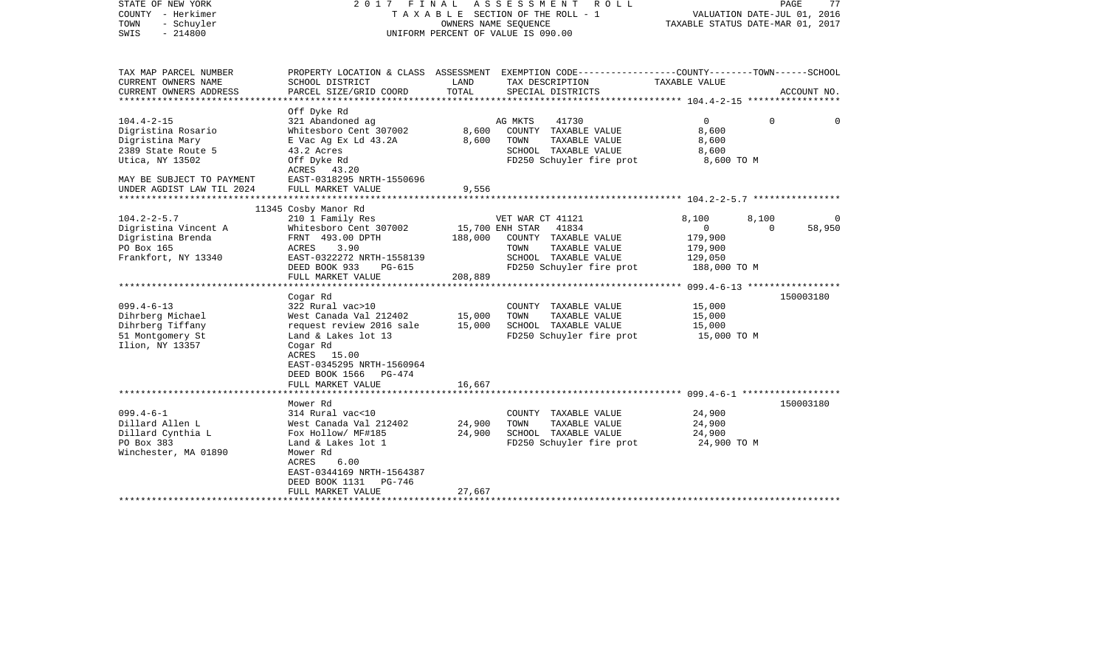| STATE OF NEW YORK<br>COUNTY - Herkimer<br>- Schuyler<br>TOWN<br>$-214800$<br>SWIS | 2017 FINAL                               |         | ASSESSMENT<br>R O L L<br>TAXABLE SECTION OF THE ROLL - 1<br>OWNERS NAME SEQUENCE<br>UNIFORM PERCENT OF VALUE IS 090.00 | VALUATION DATE-JUL 01, 2016<br>TAXABLE STATUS DATE-MAR 01, 2017 | PAGE     | 77          |
|-----------------------------------------------------------------------------------|------------------------------------------|---------|------------------------------------------------------------------------------------------------------------------------|-----------------------------------------------------------------|----------|-------------|
| TAX MAP PARCEL NUMBER<br>CURRENT OWNERS NAME                                      | SCHOOL DISTRICT                          | LAND    | PROPERTY LOCATION & CLASS ASSESSMENT EXEMPTION CODE---------------COUNTY-------TOWN------SCHOOL<br>TAX DESCRIPTION     | TAXABLE VALUE                                                   |          |             |
| CURRENT OWNERS ADDRESS<br>***********************                                 | PARCEL SIZE/GRID COORD                   | TOTAL   | SPECIAL DISTRICTS                                                                                                      |                                                                 |          | ACCOUNT NO. |
|                                                                                   | Off Dyke Rd                              |         |                                                                                                                        |                                                                 |          |             |
| $104.4 - 2 - 15$                                                                  | 321 Abandoned ag                         |         | AG MKTS<br>41730                                                                                                       | $\Omega$                                                        | $\Omega$ | $\Omega$    |
| Digristina Rosario                                                                | Whitesboro Cent 307002                   | 8,600   | COUNTY TAXABLE VALUE                                                                                                   | 8,600                                                           |          |             |
| Digristina Mary                                                                   | E Vac Ag Ex Ld 43.2A                     | 8,600   | TOWN<br>TAXABLE VALUE                                                                                                  | 8,600                                                           |          |             |
| 2389 State Route 5                                                                | 43.2 Acres                               |         | SCHOOL TAXABLE VALUE                                                                                                   | 8,600                                                           |          |             |
| Utica, NY 13502                                                                   | Off Dyke Rd<br>ACRES 43.20               |         | FD250 Schuyler fire prot                                                                                               | 8,600 TO M                                                      |          |             |
| MAY BE SUBJECT TO PAYMENT                                                         | EAST-0318295 NRTH-1550696                |         |                                                                                                                        |                                                                 |          |             |
| UNDER AGDIST LAW TIL 2024                                                         | FULL MARKET VALUE                        | 9,556   |                                                                                                                        |                                                                 |          |             |
|                                                                                   |                                          |         |                                                                                                                        |                                                                 |          |             |
|                                                                                   | 11345 Cosby Manor Rd                     |         |                                                                                                                        |                                                                 |          |             |
| $104.2 - 2 - 5.7$                                                                 | 210 1 Family Res                         |         | VET WAR CT 41121                                                                                                       | 8,100                                                           | 8,100    | $\Omega$    |
| Digristina Vincent A                                                              | Whitesboro Cent 307002                   |         | 15,700 ENH STAR<br>41834                                                                                               | $\mathbf 0$                                                     | $\Omega$ | 58,950      |
| Digristina Brenda                                                                 | FRNT 493.00 DPTH                         | 188,000 | COUNTY TAXABLE VALUE                                                                                                   | 179,900                                                         |          |             |
| PO Box 165                                                                        | ACRES<br>3.90                            |         | TAXABLE VALUE<br>TOWN                                                                                                  | 179,900                                                         |          |             |
| Frankfort, NY 13340                                                               | EAST-0322272 NRTH-1558139                |         | SCHOOL TAXABLE VALUE                                                                                                   | 129,050                                                         |          |             |
|                                                                                   | DEED BOOK 933<br>PG-615                  |         | FD250 Schuyler fire prot                                                                                               | 188,000 TO M                                                    |          |             |
|                                                                                   | FULL MARKET VALUE                        | 208,889 |                                                                                                                        |                                                                 |          |             |
|                                                                                   | Cogar Rd                                 |         |                                                                                                                        |                                                                 |          | 150003180   |
| $099.4 - 6 - 13$                                                                  | 322 Rural vac>10                         |         | COUNTY TAXABLE VALUE                                                                                                   | 15,000                                                          |          |             |
| Dihrberg Michael                                                                  | West Canada Val 212402                   | 15,000  | TOWN<br>TAXABLE VALUE                                                                                                  | 15,000                                                          |          |             |
| Dihrberg Tiffany                                                                  | request review 2016 sale                 | 15,000  | SCHOOL TAXABLE VALUE                                                                                                   | 15,000                                                          |          |             |
| 51 Montgomery St                                                                  | Land & Lakes lot 13                      |         | FD250 Schuyler fire prot                                                                                               | 15,000 TO M                                                     |          |             |
| Ilion, NY 13357                                                                   | Cogar Rd                                 |         |                                                                                                                        |                                                                 |          |             |
|                                                                                   | ACRES 15.00                              |         |                                                                                                                        |                                                                 |          |             |
|                                                                                   | EAST-0345295 NRTH-1560964                |         |                                                                                                                        |                                                                 |          |             |
|                                                                                   | DEED BOOK 1566 PG-474                    |         |                                                                                                                        |                                                                 |          |             |
|                                                                                   | FULL MARKET VALUE                        | 16,667  |                                                                                                                        |                                                                 |          |             |
|                                                                                   |                                          |         |                                                                                                                        |                                                                 |          |             |
|                                                                                   | Mower Rd                                 |         |                                                                                                                        |                                                                 |          | 150003180   |
| $099.4 - 6 - 1$                                                                   | 314 Rural vac<10                         |         | COUNTY TAXABLE VALUE                                                                                                   | 24,900                                                          |          |             |
| Dillard Allen L                                                                   | West Canada Val 212402                   | 24,900  | TOWN<br>TAXABLE VALUE                                                                                                  | 24,900                                                          |          |             |
| Dillard Cynthia L<br>PO Box 383                                                   | Fox Hollow/ MF#185<br>Land & Lakes lot 1 | 24,900  | SCHOOL TAXABLE VALUE                                                                                                   | 24,900                                                          |          |             |
| Winchester, MA 01890                                                              | Mower Rd                                 |         | FD250 Schuyler fire prot                                                                                               | 24,900 TO M                                                     |          |             |
|                                                                                   | ACRES<br>6.00                            |         |                                                                                                                        |                                                                 |          |             |
|                                                                                   | EAST-0344169 NRTH-1564387                |         |                                                                                                                        |                                                                 |          |             |
|                                                                                   | DEED BOOK 1131<br>PG-746                 |         |                                                                                                                        |                                                                 |          |             |
|                                                                                   | FULL MARKET VALUE                        | 27,667  |                                                                                                                        |                                                                 |          |             |
|                                                                                   |                                          |         |                                                                                                                        |                                                                 |          |             |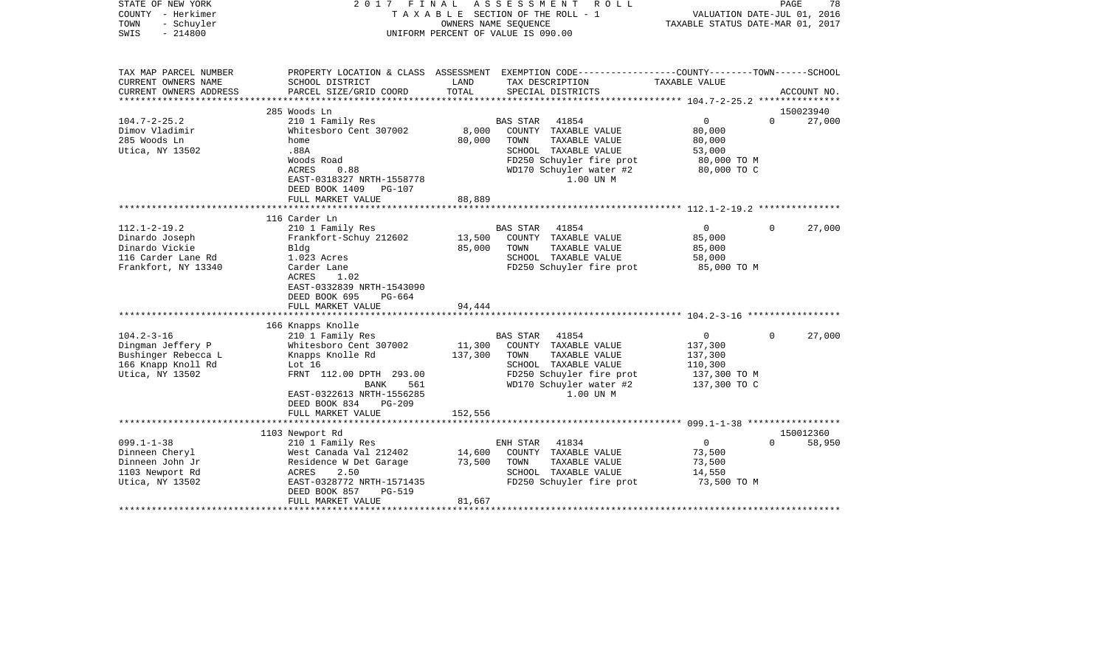| STATE OF NEW YORK<br>COUNTY - Herkimer<br>TOWN<br>- Schuyler<br>SWIS<br>$-214800$                     | 2017                                                                                                                                                                                              | FINAL                        | ASSESSMENT<br>R O L L<br>TAXABLE SECTION OF THE ROLL - 1<br>OWNERS NAME SEQUENCE<br>UNIFORM PERCENT OF VALUE IS 090.00                                                | VALUATION DATE-JUL 01, 2016<br>TAXABLE STATUS DATE-MAR 01, 2017                 | PAGE     | 78                  |
|-------------------------------------------------------------------------------------------------------|---------------------------------------------------------------------------------------------------------------------------------------------------------------------------------------------------|------------------------------|-----------------------------------------------------------------------------------------------------------------------------------------------------------------------|---------------------------------------------------------------------------------|----------|---------------------|
| TAX MAP PARCEL NUMBER<br>CURRENT OWNERS NAME<br>CURRENT OWNERS ADDRESS                                | SCHOOL DISTRICT<br>PARCEL SIZE/GRID COORD                                                                                                                                                         | LAND<br>TOTAL                | PROPERTY LOCATION & CLASS ASSESSMENT EXEMPTION CODE---------------COUNTY-------TOWN------SCHOOL<br>TAX DESCRIPTION<br>SPECIAL DISTRICTS                               | TAXABLE VALUE                                                                   |          | ACCOUNT NO.         |
|                                                                                                       |                                                                                                                                                                                                   |                              |                                                                                                                                                                       | ******************* 104.7-2-25.2 ***************                                |          |                     |
| $104.7 - 2 - 25.2$<br>Dimov Vladimir<br>285 Woods Ln<br>Utica, NY 13502                               | 285 Woods Ln<br>210 1 Family Res<br>Whitesboro Cent 307002<br>home<br>.88A<br>Woods Road<br>ACRES<br>0.88<br>EAST-0318327 NRTH-1558778<br>DEED BOOK 1409<br>PG-107                                | 8,000<br>80,000              | 41854<br>BAS STAR<br>COUNTY TAXABLE VALUE<br>TAXABLE VALUE<br>TOWN<br>SCHOOL TAXABLE VALUE<br>FD250 Schuyler fire prot<br>WD170 Schuyler water #2<br>1.00 UN M        | $\overline{0}$<br>80,000<br>80,000<br>53,000<br>80,000 TO M<br>80,000 TO C      | $\Omega$ | 150023940<br>27,000 |
|                                                                                                       | FULL MARKET VALUE                                                                                                                                                                                 | 88,889                       |                                                                                                                                                                       |                                                                                 |          |                     |
|                                                                                                       |                                                                                                                                                                                                   |                              |                                                                                                                                                                       |                                                                                 |          |                     |
| $112.1 - 2 - 19.2$<br>Dinardo Joseph<br>Dinardo Vickie<br>116 Carder Lane Rd<br>Frankfort, NY 13340   | 116 Carder Ln<br>210 1 Family Res<br>Frankfort-Schuy 212602<br>Bldg<br>1.023 Acres<br>Carder Lane<br>ACRES<br>1.02<br>EAST-0332839 NRTH-1543090<br>DEED BOOK 695<br>PG-664<br>FULL MARKET VALUE   | 13,500<br>85,000<br>94,444   | <b>BAS STAR</b><br>41854<br>COUNTY TAXABLE VALUE<br>TOWN<br>TAXABLE VALUE<br>SCHOOL TAXABLE VALUE<br>FD250 Schuyler fire prot                                         | $\overline{0}$<br>85,000<br>85,000<br>58,000<br>85,000 TO M                     | $\Omega$ | 27,000              |
|                                                                                                       |                                                                                                                                                                                                   |                              |                                                                                                                                                                       |                                                                                 |          |                     |
| $104.2 - 3 - 16$<br>Dingman Jeffery P<br>Bushinger Rebecca L<br>166 Knapp Knoll Rd<br>Utica, NY 13502 | 166 Knapps Knolle<br>210 1 Family Res<br>Whitesboro Cent 307002<br>Knapps Knolle Rd<br>Lot 16<br>FRNT 112.00 DPTH 293.00<br>561<br>BANK<br>EAST-0322613 NRTH-1556285<br>DEED BOOK 834<br>$PG-209$ | 11,300<br>137,300<br>152,556 | <b>BAS STAR</b><br>41854<br>COUNTY TAXABLE VALUE<br>TAXABLE VALUE<br>TOWN<br>SCHOOL TAXABLE VALUE<br>FD250 Schuyler fire prot<br>WD170 Schuyler water #2<br>1.00 UN M | $\overline{0}$<br>137,300<br>137,300<br>110,300<br>137,300 TO M<br>137,300 TO C | $\Omega$ | 27,000              |
|                                                                                                       | FULL MARKET VALUE                                                                                                                                                                                 |                              |                                                                                                                                                                       |                                                                                 |          |                     |
|                                                                                                       | 1103 Newport Rd                                                                                                                                                                                   |                              |                                                                                                                                                                       |                                                                                 |          | 150012360           |
| $099.1 - 1 - 38$<br>Dinneen Cheryl<br>Dinneen John Jr<br>1103 Newport Rd<br>Utica, NY 13502           | 210 1 Family Res<br>West Canada Val 212402<br>Residence W Det Garage<br>ACRES<br>2.50<br>EAST-0328772 NRTH-1571435<br>DEED BOOK 857<br><b>PG-519</b><br>FULL MARKET VALUE                         | 14,600<br>73,500<br>81,667   | 41834<br>ENH STAR<br>COUNTY TAXABLE VALUE<br>TOWN<br>TAXABLE VALUE<br>SCHOOL TAXABLE VALUE<br>FD250 Schuyler fire prot                                                | $\overline{0}$<br>73,500<br>73,500<br>14,550<br>73,500 TO M                     | $\Omega$ | 58,950              |
|                                                                                                       |                                                                                                                                                                                                   |                              |                                                                                                                                                                       |                                                                                 |          |                     |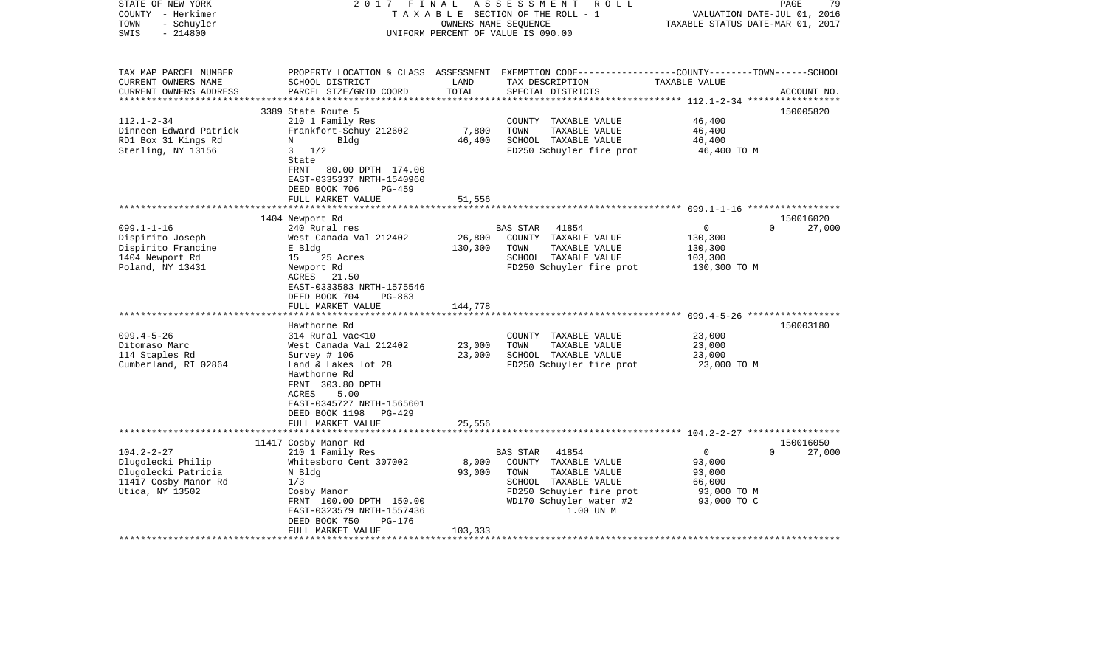| STATE OF NEW YORK<br>COUNTY - Herkimer<br>- Schuyler<br>TOWN<br>$-214800$<br>SWIS | 2017 FINAL                                                                                                                        | OWNERS NAME SEQUENCE | ASSESSMENT ROLL<br>TAXABLE SECTION OF THE ROLL - 1<br>UNIFORM PERCENT OF VALUE IS 090.00                                                | VALUATION DATE-JUL 01, 2016<br>TAXABLE STATUS DATE-MAR 01, 2017 | PAGE<br>79         |
|-----------------------------------------------------------------------------------|-----------------------------------------------------------------------------------------------------------------------------------|----------------------|-----------------------------------------------------------------------------------------------------------------------------------------|-----------------------------------------------------------------|--------------------|
| TAX MAP PARCEL NUMBER<br>CURRENT OWNERS NAME<br>CURRENT OWNERS ADDRESS            | SCHOOL DISTRICT<br>PARCEL SIZE/GRID COORD                                                                                         | LAND<br>TOTAL        | PROPERTY LOCATION & CLASS ASSESSMENT EXEMPTION CODE---------------COUNTY-------TOWN------SCHOOL<br>TAX DESCRIPTION<br>SPECIAL DISTRICTS | TAXABLE VALUE                                                   | ACCOUNT NO.        |
|                                                                                   |                                                                                                                                   |                      |                                                                                                                                         |                                                                 |                    |
|                                                                                   | 3389 State Route 5                                                                                                                |                      |                                                                                                                                         |                                                                 | 150005820          |
| $112.1 - 2 - 34$<br>Dinneen Edward Patrick                                        | 210 1 Family Res<br>Frankfort-Schuy 212602                                                                                        | 7,800                | COUNTY TAXABLE VALUE<br>TOWN<br>TAXABLE VALUE                                                                                           | 46,400<br>46,400                                                |                    |
| RD1 Box 31 Kings Rd                                                               | Bldg<br>N                                                                                                                         | 46,400               | SCHOOL TAXABLE VALUE                                                                                                                    | 46,400                                                          |                    |
| Sterling, NY 13156                                                                | $3 \frac{1}{2}$<br>State<br>FRNT<br>80.00 DPTH 174.00                                                                             |                      | FD250 Schuyler fire prot                                                                                                                | 46,400 TO M                                                     |                    |
|                                                                                   | EAST-0335337 NRTH-1540960                                                                                                         |                      |                                                                                                                                         |                                                                 |                    |
|                                                                                   | DEED BOOK 706<br>$PG-459$                                                                                                         |                      |                                                                                                                                         |                                                                 |                    |
|                                                                                   | FULL MARKET VALUE                                                                                                                 | 51,556               |                                                                                                                                         |                                                                 |                    |
|                                                                                   | **********************                                                                                                            |                      |                                                                                                                                         |                                                                 |                    |
|                                                                                   | 1404 Newport Rd                                                                                                                   |                      |                                                                                                                                         |                                                                 | 150016020          |
| $099.1 - 1 - 16$<br>Dispirito Joseph                                              | 240 Rural res<br>West Canada Val 212402                                                                                           | 26,800               | BAS STAR<br>41854<br>COUNTY TAXABLE VALUE                                                                                               | $\mathbf 0$<br>130,300                                          | $\Omega$<br>27,000 |
| Dispirito Francine                                                                | E Bldg                                                                                                                            | 130,300              | TOWN<br>TAXABLE VALUE                                                                                                                   | 130,300                                                         |                    |
| 1404 Newport Rd                                                                   | 25 Acres<br>15                                                                                                                    |                      | SCHOOL TAXABLE VALUE                                                                                                                    | 103,300                                                         |                    |
| Poland, NY 13431                                                                  | Newport Rd<br>ACRES<br>21.50<br>EAST-0333583 NRTH-1575546<br>DEED BOOK 704<br>$PG-863$                                            |                      | FD250 Schuyler fire prot                                                                                                                | 130,300 TO M                                                    |                    |
|                                                                                   | FULL MARKET VALUE                                                                                                                 | 144,778              |                                                                                                                                         |                                                                 |                    |
|                                                                                   | ********************                                                                                                              | *************        |                                                                                                                                         |                                                                 |                    |
|                                                                                   | Hawthorne Rd                                                                                                                      |                      |                                                                                                                                         |                                                                 | 150003180          |
| $099.4 - 5 - 26$                                                                  | 314 Rural vac<10                                                                                                                  |                      | COUNTY TAXABLE VALUE                                                                                                                    | 23,000                                                          |                    |
| Ditomaso Marc<br>114 Staples Rd                                                   | West Canada Val 212402<br>Survey # 106                                                                                            | 23,000<br>23,000     | TAXABLE VALUE<br>TOWN<br>SCHOOL TAXABLE VALUE                                                                                           | 23,000<br>23,000                                                |                    |
| Cumberland, RI 02864                                                              | Land & Lakes lot 28                                                                                                               |                      | FD250 Schuyler fire prot                                                                                                                | 23,000 TO M                                                     |                    |
|                                                                                   | Hawthorne Rd<br>FRNT 303.80 DPTH<br>ACRES<br>5.00<br>EAST-0345727 NRTH-1565601<br>DEED BOOK 1198<br>$PG-429$<br>FULL MARKET VALUE | 25,556               |                                                                                                                                         |                                                                 |                    |
|                                                                                   |                                                                                                                                   |                      |                                                                                                                                         |                                                                 |                    |
|                                                                                   | 11417 Cosby Manor Rd                                                                                                              |                      |                                                                                                                                         |                                                                 | 150016050          |
| $104.2 - 2 - 27$                                                                  | 210 1 Family Res                                                                                                                  |                      | 41854<br>BAS STAR                                                                                                                       | $\mathbf 0$                                                     | $\Omega$<br>27,000 |
| Dlugolecki Philip                                                                 | Whitesboro Cent 307002                                                                                                            | 8,000                | COUNTY TAXABLE VALUE                                                                                                                    | 93,000                                                          |                    |
| Dlugolecki Patricia                                                               | N Bldg<br>1/3                                                                                                                     | 93,000               | TAXABLE VALUE<br>TOWN<br>SCHOOL TAXABLE VALUE                                                                                           | 93,000<br>66,000                                                |                    |
| 11417 Cosby Manor Rd<br>Utica, NY 13502                                           | Cosby Manor                                                                                                                       |                      | FD250 Schuyler fire prot                                                                                                                | 93,000 TO M                                                     |                    |
|                                                                                   | FRNT 100.00 DPTH 150.00<br>EAST-0323579 NRTH-1557436<br>DEED BOOK 750<br>PG-176                                                   |                      | WD170 Schuyler water #2<br>1.00 UN M                                                                                                    | 93,000 TO C                                                     |                    |
|                                                                                   | FULL MARKET VALUE                                                                                                                 | 103,333              |                                                                                                                                         |                                                                 |                    |
|                                                                                   |                                                                                                                                   |                      |                                                                                                                                         |                                                                 |                    |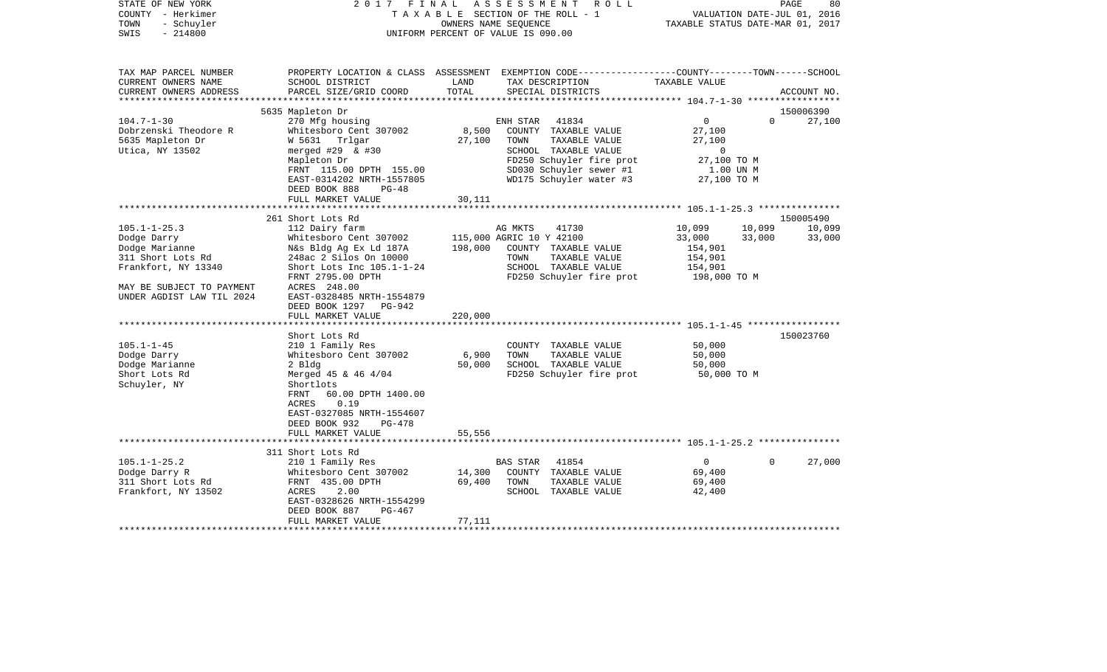| STATE OF NEW YORK<br>COUNTY - Herkimer<br>- Schuyler<br>TOWN<br>$-214800$<br>SWIS                                                                                                                                                               | FINAL<br>2017                                                                                                                                                                                                                                                                                                                                                                                                                                                             |                                       | ASSESSMENT ROLL<br>TAXABLE SECTION OF THE ROLL - 1<br>OWNERS NAME SEQUENCE<br>UNIFORM PERCENT OF VALUE IS 090.00                                                                                                                                       | TAXABLE STATUS DATE-MAR 01, 2017                                                                               | VALUATION DATE-JUL 01, 2016 | PAGE<br>80                    |
|-------------------------------------------------------------------------------------------------------------------------------------------------------------------------------------------------------------------------------------------------|---------------------------------------------------------------------------------------------------------------------------------------------------------------------------------------------------------------------------------------------------------------------------------------------------------------------------------------------------------------------------------------------------------------------------------------------------------------------------|---------------------------------------|--------------------------------------------------------------------------------------------------------------------------------------------------------------------------------------------------------------------------------------------------------|----------------------------------------------------------------------------------------------------------------|-----------------------------|-------------------------------|
| TAX MAP PARCEL NUMBER<br>CURRENT OWNERS NAME<br>CURRENT OWNERS ADDRESS                                                                                                                                                                          | SCHOOL DISTRICT<br>PARCEL SIZE/GRID COORD                                                                                                                                                                                                                                                                                                                                                                                                                                 | LAND<br>TOTAL                         | PROPERTY LOCATION & CLASS ASSESSMENT EXEMPTION CODE---------------COUNTY-------TOWN------SCHOOL<br>TAX DESCRIPTION<br>SPECIAL DISTRICTS                                                                                                                | TAXABLE VALUE                                                                                                  |                             | ACCOUNT NO.                   |
| *********************                                                                                                                                                                                                                           |                                                                                                                                                                                                                                                                                                                                                                                                                                                                           |                                       |                                                                                                                                                                                                                                                        |                                                                                                                |                             |                               |
| $104.7 - 1 - 30$<br>Dobrzenski Theodore R<br>5635 Mapleton Dr<br>Utica, NY 13502                                                                                                                                                                | 5635 Mapleton Dr<br>270 Mfg housing<br>Whitesboro Cent 307002<br>W 5631 Trlgar<br>merged $#29$ & $#30$<br>Mapleton Dr<br>FRNT 115.00 DPTH 155.00<br>EAST-0314202 NRTH-1557805                                                                                                                                                                                                                                                                                             | 8,500<br>27,100                       | 41834<br>ENH STAR<br>COUNTY TAXABLE VALUE<br>TOWN<br>TAXABLE VALUE<br>SCHOOL TAXABLE VALUE<br>FD250 Schuyler fire prot<br>SD030 Schuyler sewer #1<br>WD175 Schuyler water #3                                                                           | $\overline{0}$<br>27,100<br>27,100<br>$\overline{0}$<br>27,100 TO M<br>1.00 UN M<br>27,100 TO M                | $\Omega$                    | 150006390<br>27,100           |
|                                                                                                                                                                                                                                                 | DEED BOOK 888<br>$PG-48$<br>FULL MARKET VALUE                                                                                                                                                                                                                                                                                                                                                                                                                             | 30,111                                |                                                                                                                                                                                                                                                        |                                                                                                                |                             |                               |
|                                                                                                                                                                                                                                                 | 261 Short Lots Rd                                                                                                                                                                                                                                                                                                                                                                                                                                                         |                                       |                                                                                                                                                                                                                                                        |                                                                                                                |                             | 150005490                     |
| $105.1 - 1 - 25.3$<br>Dodge Darry<br>Dodge Marianne<br>311 Short Lots Rd<br>Frankfort, NY 13340<br>MAY BE SUBJECT TO PAYMENT<br>UNDER AGDIST LAW TIL 2024<br>$105.1 - 1 - 45$<br>Dodge Darry<br>Dodge Marianne<br>Short Lots Rd<br>Schuyler, NY | 112 Dairy farm<br>Whitesboro Cent 307002<br>N&s Bldg Ag Ex Ld 187A<br>248ac 2 Silos On 10000<br>Short Lots Inc $105.1 - 1 - 24$<br>FRNT 2795.00 DPTH<br>ACRES 248.00<br>EAST-0328485 NRTH-1554879<br>DEED BOOK 1297 PG-942<br>FULL MARKET VALUE<br>Short Lots Rd<br>210 1 Family Res<br>Whitesboro Cent 307002<br>2 Bldg<br>Merged $45$ & $46$ $4/04$<br>Shortlots<br>60.00 DPTH 1400.00<br>FRNT<br>0.19<br>ACRES<br>EAST-0327085 NRTH-1554607<br>DEED BOOK 932<br>PG-478 | 198,000<br>220,000<br>6,900<br>50,000 | AG MKTS<br>41730<br>115,000 AGRIC 10 Y 42100<br>COUNTY TAXABLE VALUE<br>TOWN<br>TAXABLE VALUE<br>SCHOOL TAXABLE VALUE<br>FD250 Schuyler fire prot<br>COUNTY TAXABLE VALUE<br>TOWN<br>TAXABLE VALUE<br>SCHOOL TAXABLE VALUE<br>FD250 Schuyler fire prot | 10,099<br>33,000<br>154,901<br>154,901<br>154,901<br>198,000 ТО М<br>50,000<br>50,000<br>50,000<br>50,000 TO M | 10,099<br>33,000            | 10,099<br>33,000<br>150023760 |
|                                                                                                                                                                                                                                                 | FULL MARKET VALUE                                                                                                                                                                                                                                                                                                                                                                                                                                                         | 55,556                                |                                                                                                                                                                                                                                                        |                                                                                                                |                             |                               |
|                                                                                                                                                                                                                                                 |                                                                                                                                                                                                                                                                                                                                                                                                                                                                           |                                       |                                                                                                                                                                                                                                                        |                                                                                                                |                             |                               |
| $105.1 - 1 - 25.2$<br>Dodge Darry R<br>311 Short Lots Rd<br>Frankfort, NY 13502                                                                                                                                                                 | 311 Short Lots Rd<br>210 1 Family Res<br>Whitesboro Cent 307002<br>FRNT 435.00 DPTH<br>2.00<br>ACRES<br>EAST-0328626 NRTH-1554299<br>DEED BOOK 887<br>PG-467<br>FULL MARKET VALUE                                                                                                                                                                                                                                                                                         | 14,300<br>69,400<br>77,111            | 41854<br><b>BAS STAR</b><br>COUNTY TAXABLE VALUE<br>TOWN<br>TAXABLE VALUE<br>SCHOOL TAXABLE VALUE                                                                                                                                                      | $\Omega$<br>69,400<br>69,400<br>42,400                                                                         | $\Omega$                    | 27,000                        |
|                                                                                                                                                                                                                                                 |                                                                                                                                                                                                                                                                                                                                                                                                                                                                           |                                       |                                                                                                                                                                                                                                                        |                                                                                                                |                             |                               |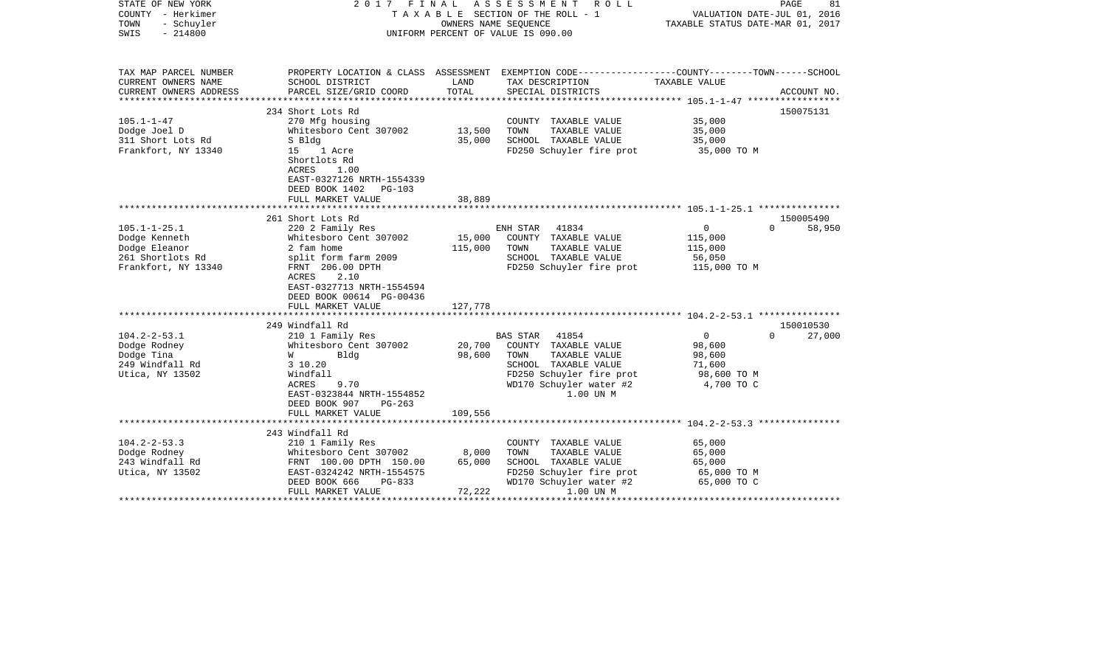| STATE OF NEW YORK<br>COUNTY - Herkimer | 2017                                                                     | FINAL   | A S S E S S M E N T<br>R O L L<br>TAXABLE SECTION OF THE ROLL - 1                               | VALUATION DATE-JUL 01, 2016      | 81<br>PAGE                      |
|----------------------------------------|--------------------------------------------------------------------------|---------|-------------------------------------------------------------------------------------------------|----------------------------------|---------------------------------|
| - Schuyler<br>TOWN                     |                                                                          |         | OWNERS NAME SEOUENCE                                                                            | TAXABLE STATUS DATE-MAR 01, 2017 |                                 |
| SWIS<br>$-214800$                      |                                                                          |         | UNIFORM PERCENT OF VALUE IS 090.00                                                              |                                  |                                 |
| TAX MAP PARCEL NUMBER                  |                                                                          |         | PROPERTY LOCATION & CLASS ASSESSMENT EXEMPTION CODE---------------COUNTY-------TOWN------SCHOOL |                                  |                                 |
| CURRENT OWNERS NAME                    | SCHOOL DISTRICT                                                          | LAND    | TAX DESCRIPTION                                                                                 | TAXABLE VALUE                    |                                 |
| CURRENT OWNERS ADDRESS                 | PARCEL SIZE/GRID COORD                                                   | TOTAL   | SPECIAL DISTRICTS                                                                               |                                  | ACCOUNT NO.                     |
|                                        | 234 Short Lots Rd                                                        |         |                                                                                                 |                                  | 150075131                       |
| $105.1 - 1 - 47$                       | 270 Mfg housing                                                          |         | COUNTY TAXABLE VALUE                                                                            | 35,000                           |                                 |
| Dodge Joel D                           | Whitesboro Cent 307002                                                   | 13,500  | TOWN<br>TAXABLE VALUE                                                                           | 35,000                           |                                 |
| 311 Short Lots Rd                      | S Bldg                                                                   | 35,000  | SCHOOL TAXABLE VALUE                                                                            | 35,000                           |                                 |
| Frankfort, NY 13340                    | 1 Acre<br>15<br>Shortlots Rd                                             |         | FD250 Schuyler fire prot                                                                        | 35,000 TO M                      |                                 |
|                                        | ACRES<br>1.00<br>EAST-0327126 NRTH-1554339<br>DEED BOOK 1402<br>$PG-103$ |         |                                                                                                 |                                  |                                 |
|                                        | FULL MARKET VALUE                                                        | 38,889  |                                                                                                 |                                  |                                 |
|                                        |                                                                          |         |                                                                                                 |                                  |                                 |
|                                        | 261 Short Lots Rd                                                        |         |                                                                                                 |                                  | 150005490<br>$\Omega$           |
| $105.1 - 1 - 25.1$<br>Dodge Kenneth    | 220 2 Family Res<br>Whitesboro Cent 307002                               | 15,000  | 41834<br>ENH STAR<br>COUNTY TAXABLE VALUE                                                       | 0<br>115,000                     | 58,950                          |
| Dodge Eleanor                          | 2 fam home                                                               | 115,000 | TOWN<br>TAXABLE VALUE                                                                           | 115,000                          |                                 |
| 261 Shortlots Rd                       | split form farm 2009                                                     |         | SCHOOL TAXABLE VALUE                                                                            | 56,050                           |                                 |
| Frankfort, NY 13340                    | FRNT 206.00 DPTH                                                         |         | FD250 Schuyler fire prot                                                                        | 115,000 TO M                     |                                 |
|                                        | 2.10<br>ACRES                                                            |         |                                                                                                 |                                  |                                 |
|                                        | EAST-0327713 NRTH-1554594                                                |         |                                                                                                 |                                  |                                 |
|                                        | DEED BOOK 00614 PG-00436                                                 |         |                                                                                                 |                                  |                                 |
|                                        | FULL MARKET VALUE                                                        | 127,778 |                                                                                                 |                                  |                                 |
|                                        |                                                                          |         |                                                                                                 |                                  |                                 |
| $104.2 - 2 - 53.1$                     | 249 Windfall Rd<br>210 1 Family Res                                      |         | 41854<br>BAS STAR                                                                               | $\overline{0}$                   | 150010530<br>$\Omega$<br>27,000 |
| Dodge Rodney                           | Whitesboro Cent 307002                                                   | 20,700  | COUNTY TAXABLE VALUE                                                                            | 98,600                           |                                 |
| Dodge Tina                             | W<br>Blda                                                                | 98,600  | TOWN<br>TAXABLE VALUE                                                                           | 98,600                           |                                 |
| 249 Windfall Rd                        | 3 10.20                                                                  |         | SCHOOL TAXABLE VALUE                                                                            | 71,600                           |                                 |
| Utica, NY 13502                        | Windfall                                                                 |         | FD250 Schuyler fire prot                                                                        | 98,600 TO M                      |                                 |
|                                        | 9.70<br>ACRES                                                            |         | WD170 Schuyler water #2                                                                         | 4,700 TO C                       |                                 |
|                                        | EAST-0323844 NRTH-1554852                                                |         | 1.00 UN M                                                                                       |                                  |                                 |
|                                        | DEED BOOK 907<br>PG-263                                                  |         |                                                                                                 |                                  |                                 |
|                                        | FULL MARKET VALUE                                                        | 109,556 |                                                                                                 |                                  |                                 |
|                                        |                                                                          |         |                                                                                                 |                                  |                                 |
|                                        | 243 Windfall Rd                                                          |         |                                                                                                 |                                  |                                 |
| $104.2 - 2 - 53.3$<br>Dodge Rodney     | 210 1 Family Res<br>Whitesboro Cent 307002                               | 8,000   | COUNTY TAXABLE VALUE<br>TOWN<br>TAXABLE VALUE                                                   | 65,000<br>65,000                 |                                 |
| 243 Windfall Rd                        | FRNT 100.00 DPTH 150.00                                                  | 65,000  | SCHOOL TAXABLE VALUE                                                                            | 65,000                           |                                 |
| Utica, NY 13502                        | EAST-0324242 NRTH-1554575                                                |         | FD250 Schuyler fire prot                                                                        | 65,000 TO M                      |                                 |
|                                        | DEED BOOK 666<br>PG-833                                                  |         | WD170 Schuyler water #2                                                                         | 65,000 TO C                      |                                 |
|                                        | FULL MARKET VALUE                                                        | 72,222  | 1.00 UN M                                                                                       |                                  |                                 |
|                                        |                                                                          |         |                                                                                                 |                                  |                                 |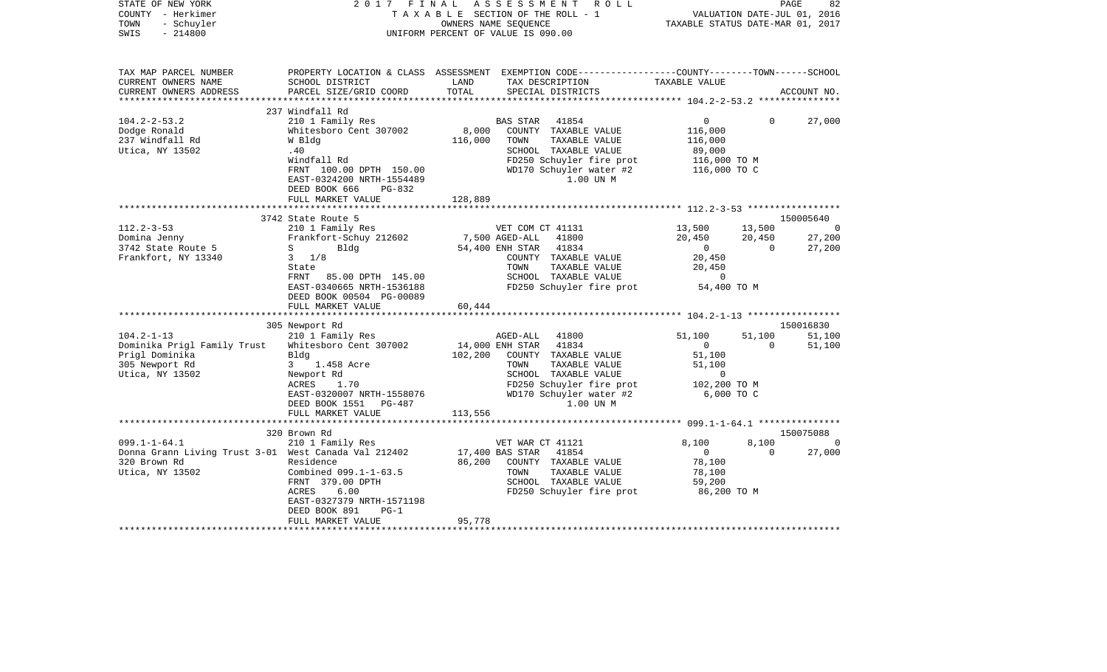| STATE OF NEW YORK<br>COUNTY - Herkimer<br>TOWN<br>- Schuyler<br>$-214800$<br>SWIS                                                                                                       |                                                                                                                                                                                                                                                                                                                                                                                                | UNIFORM PERCENT OF VALUE IS 090.00 | OWNERS NAME SEQUENCE                                                                                                   | 2017 FINAL ASSESSMENT ROLL<br>TAXABLE SECTION OF THE ROLL - 1                                                                                                                                                                          | VALUATION DATE-JUL 01, 2016<br>TAXABLE STATUS DATE-MAR 01, 2017                                                                                                    |                                                          | PAGE<br>82                                                          |
|-----------------------------------------------------------------------------------------------------------------------------------------------------------------------------------------|------------------------------------------------------------------------------------------------------------------------------------------------------------------------------------------------------------------------------------------------------------------------------------------------------------------------------------------------------------------------------------------------|------------------------------------|------------------------------------------------------------------------------------------------------------------------|----------------------------------------------------------------------------------------------------------------------------------------------------------------------------------------------------------------------------------------|--------------------------------------------------------------------------------------------------------------------------------------------------------------------|----------------------------------------------------------|---------------------------------------------------------------------|
| TAX MAP PARCEL NUMBER<br>CURRENT OWNERS NAME<br>CURRENT OWNERS ADDRESS                                                                                                                  | PROPERTY LOCATION & CLASS ASSESSMENT EXEMPTION CODE---------------COUNTY-------TOWN------SCHOOL<br>SCHOOL DISTRICT<br>PARCEL SIZE/GRID COORD                                                                                                                                                                                                                                                   | LAND<br>TOTAL                      |                                                                                                                        | TAX DESCRIPTION TAXABLE VALUE<br>SPECIAL DISTRICTS                                                                                                                                                                                     |                                                                                                                                                                    |                                                          | ACCOUNT NO.                                                         |
|                                                                                                                                                                                         |                                                                                                                                                                                                                                                                                                                                                                                                |                                    |                                                                                                                        |                                                                                                                                                                                                                                        |                                                                                                                                                                    |                                                          |                                                                     |
| $104.2 - 2 - 53.2$<br>Dodge Ronald<br>237 Windfall Rd<br>Utica, NY 13502                                                                                                                | 237 Windfall Rd<br>210 1 Family Res<br>Whitesboro Cent 307002<br>W Bldg<br>.40<br>Windfall Rd<br>FRNT 100.00 DPTH 150.00<br>EAST-0324200 NRTH-1554489<br>DEED BOOK 666<br>PG-832                                                                                                                                                                                                               | 8,000<br>116,000                   | BAS STAR<br>TOWN                                                                                                       | 41854<br>COUNTY TAXABLE VALUE<br>TAXABLE VALUE<br>SCHOOL TAXABLE VALUE<br>FD250 Schuyler fire prot<br>WD170 Schuyler water #2<br>1.00 UN M                                                                                             | $\overline{0}$<br>116,000<br>116,000<br>89,000<br>116,000 TO M<br>116,000 TO C                                                                                     | $\Omega$                                                 | 27,000                                                              |
|                                                                                                                                                                                         | FULL MARKET VALUE                                                                                                                                                                                                                                                                                                                                                                              | 128,889                            |                                                                                                                        |                                                                                                                                                                                                                                        |                                                                                                                                                                    |                                                          |                                                                     |
|                                                                                                                                                                                         |                                                                                                                                                                                                                                                                                                                                                                                                | ************                       |                                                                                                                        |                                                                                                                                                                                                                                        | ************* 112.2-3-53 ******************                                                                                                                        |                                                          |                                                                     |
| $112.2 - 3 - 53$<br>Domina Jenny<br>3742 State Route 5<br>Frankfort, NY 13340<br>$104.2 - 1 - 13$<br>Dominika Prigl Family Trust<br>Prigl Dominika<br>305 Newport Rd<br>Utica, NY 13502 | 3742 State Route 5<br>210 1 Family Res<br>Frankfort-Schuy 212602<br>$S \sim$<br>Bldg<br>$3 \t1/8$<br>State<br>FRNT 85.00 DPTH 145.00<br>EAST-0340665 NRTH-1536188<br>DEED BOOK 00504 PG-00089<br>FULL MARKET VALUE<br>********************<br>305 Newport Rd<br>210 1 Family Res<br>Whitesboro Cent 307002<br>Bldg<br>3 1.458 Acre<br>Newport Rd<br>ACRES<br>1.70<br>EAST-0320007 NRTH-1558076 | 60,444<br>************<br>102,200  | VET COM CT 41131<br>7,500 AGED-ALL<br>54,400 ENH STAR 41834<br>TOWN<br>AGED-ALL 41800<br>14,000 ENH STAR 41834<br>TOWN | 41800<br>COUNTY TAXABLE VALUE<br>TAXABLE VALUE<br>SCHOOL TAXABLE VALUE<br>FD250 Schuyler fire prot 54,400 TO M<br>COUNTY TAXABLE VALUE<br>TAXABLE VALUE<br>SCHOOL TAXABLE VALUE<br>FD250 Schuyler fire prot<br>WD170 Schuyler water #2 | 13,500<br>20,450<br>$\overline{0}$<br>20,450<br>20,450<br>$\Omega$<br>51,100<br>$\overline{0}$<br>51,100<br>51,100<br>$\overline{0}$<br>102,200 TO M<br>6,000 TO C | 13,500<br>20,450<br>$\overline{0}$<br>51,100<br>$\Omega$ | 150005640<br>0<br>27,200<br>27,200<br>150016830<br>51,100<br>51,100 |
|                                                                                                                                                                                         | DEED BOOK 1551 PG-487<br>FULL MARKET VALUE                                                                                                                                                                                                                                                                                                                                                     | 113,556                            |                                                                                                                        | 1.00 UN M                                                                                                                                                                                                                              |                                                                                                                                                                    |                                                          |                                                                     |
|                                                                                                                                                                                         |                                                                                                                                                                                                                                                                                                                                                                                                |                                    |                                                                                                                        |                                                                                                                                                                                                                                        |                                                                                                                                                                    |                                                          |                                                                     |
|                                                                                                                                                                                         | 320 Brown Rd                                                                                                                                                                                                                                                                                                                                                                                   |                                    |                                                                                                                        |                                                                                                                                                                                                                                        |                                                                                                                                                                    |                                                          | 150075088                                                           |
| $099.1 - 1 - 64.1$<br>Donna Grann Living Trust 3-01 West Canada Val 212402<br>320 Brown Rd<br>Utica, NY 13502                                                                           | 210 1 Family Res<br>Residence<br>Combined 099.1-1-63.5<br>FRNT 379.00 DPTH<br>ACRES<br>6.00<br>EAST-0327379 NRTH-1571198<br>DEED BOOK 891<br>$PG-1$                                                                                                                                                                                                                                            | 86,200                             | VET WAR CT 41121<br>17,400 BAS STAR 41854<br>TOWN                                                                      | COUNTY TAXABLE VALUE<br>TAXABLE VALUE<br>SCHOOL TAXABLE VALUE<br>FD250 Schuyler fire prot                                                                                                                                              | 8,100<br>$\overline{0}$<br>78,100<br>78,100<br>59,200<br>86,200 TO M                                                                                               | 8,100<br>$\Omega$                                        | $\Omega$<br>27,000                                                  |
|                                                                                                                                                                                         | FULL MARKET VALUE                                                                                                                                                                                                                                                                                                                                                                              | 95,778                             |                                                                                                                        |                                                                                                                                                                                                                                        |                                                                                                                                                                    |                                                          |                                                                     |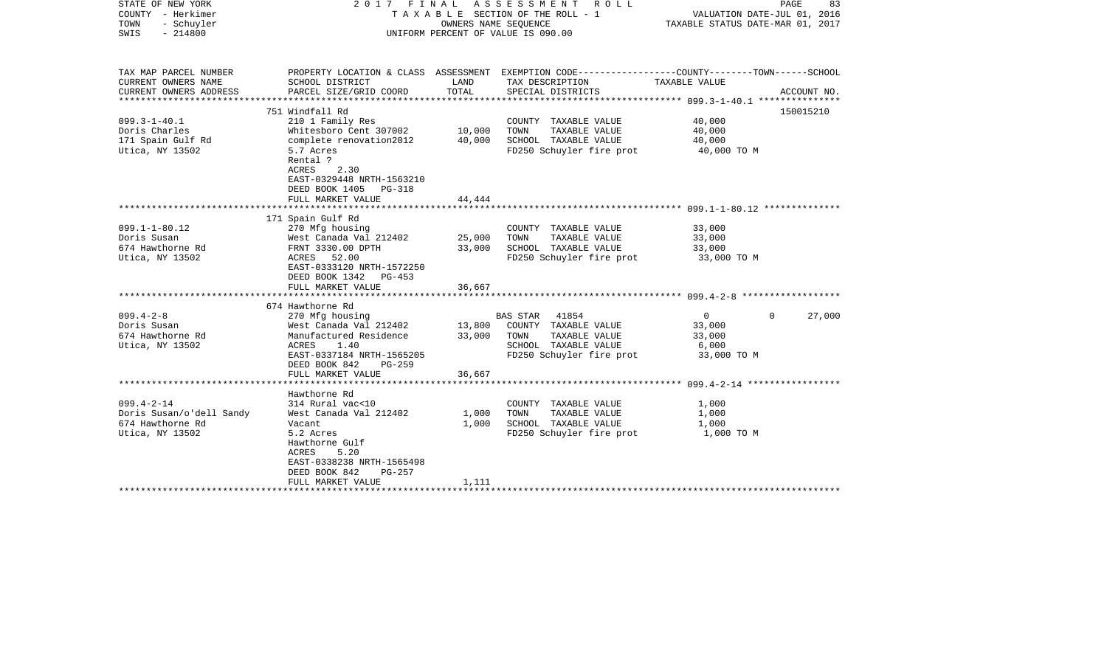| STATE OF NEW YORK<br>COUNTY - Herkimer<br>TOWN<br>- Schuyler<br>$-214800$<br>SWIS   | 2017 FINAL                                                                                                                                                                              | OWNERS NAME SEQUENCE                         | ASSESSMENT ROLL<br>TAXABLE SECTION OF THE ROLL - 1<br>UNIFORM PERCENT OF VALUE IS 090.00                                                | VALUATION DATE-JUL 01, 2016<br>TAXABLE STATUS DATE-MAR 01, 2017     | PAGE<br>83         |
|-------------------------------------------------------------------------------------|-----------------------------------------------------------------------------------------------------------------------------------------------------------------------------------------|----------------------------------------------|-----------------------------------------------------------------------------------------------------------------------------------------|---------------------------------------------------------------------|--------------------|
| TAX MAP PARCEL NUMBER<br>CURRENT OWNERS NAME<br>CURRENT OWNERS ADDRESS              | SCHOOL DISTRICT<br>PARCEL SIZE/GRID COORD                                                                                                                                               | LAND<br>TOTAL<br>* * * * * * * * * * * * * * | PROPERTY LOCATION & CLASS ASSESSMENT EXEMPTION CODE---------------COUNTY-------TOWN------SCHOOL<br>TAX DESCRIPTION<br>SPECIAL DISTRICTS | TAXABLE VALUE                                                       | ACCOUNT NO.        |
|                                                                                     | 751 Windfall Rd                                                                                                                                                                         |                                              |                                                                                                                                         |                                                                     | 150015210          |
| $099.3 - 1 - 40.1$<br>Doris Charles<br>171 Spain Gulf Rd<br>Utica, NY 13502         | 210 1 Family Res<br>Whitesboro Cent 307002<br>complete renovation2012<br>5.7 Acres<br>Rental ?<br>2.30<br>ACRES<br>EAST-0329448 NRTH-1563210<br>DEED BOOK 1405<br>PG-318                | 10,000<br>40,000                             | COUNTY TAXABLE VALUE<br>TOWN<br>TAXABLE VALUE<br>SCHOOL TAXABLE VALUE<br>FD250 Schuyler fire prot                                       | 40,000<br>40,000<br>40,000<br>40,000 TO M                           |                    |
|                                                                                     | FULL MARKET VALUE                                                                                                                                                                       | 44,444                                       |                                                                                                                                         |                                                                     |                    |
|                                                                                     | ********************************                                                                                                                                                        |                                              |                                                                                                                                         |                                                                     |                    |
| $099.1 - 1 - 80.12$<br>Doris Susan<br>674 Hawthorne Rd<br>Utica, NY 13502           | 171 Spain Gulf Rd<br>270 Mfg housing<br>West Canada Val 212402<br>FRNT 3330.00 DPTH<br>ACRES 52.00<br>EAST-0333120 NRTH-1572250<br>DEED BOOK 1342<br>PG-453<br>FULL MARKET VALUE        | 25,000<br>33,000<br>36,667                   | COUNTY TAXABLE VALUE<br>TOWN<br>TAXABLE VALUE<br>SCHOOL TAXABLE VALUE<br>FD250 Schuyler fire prot                                       | 33,000<br>33,000<br>33,000<br>33,000 TO M                           |                    |
|                                                                                     |                                                                                                                                                                                         |                                              |                                                                                                                                         |                                                                     |                    |
| $099.4 - 2 - 8$<br>Doris Susan<br>674 Hawthorne Rd<br>Utica, NY 13502               | 674 Hawthorne Rd<br>270 Mfg housing<br>West Canada Val 212402<br>Manufactured Residence<br>ACRES<br>1.40<br>EAST-0337184 NRTH-1565205<br>DEED BOOK 842<br>$PG-259$<br>FULL MARKET VALUE | 13,800<br>33,000<br>36,667                   | BAS STAR<br>41854<br>COUNTY TAXABLE VALUE<br>TOWN<br>TAXABLE VALUE<br>SCHOOL TAXABLE VALUE<br>FD250 Schuyler fire prot                  | $\overline{\mathbf{0}}$<br>33,000<br>33,000<br>6,000<br>33,000 TO M | $\Omega$<br>27,000 |
|                                                                                     | ********************                                                                                                                                                                    |                                              |                                                                                                                                         |                                                                     |                    |
| $099.4 - 2 - 14$<br>Doris Susan/o'dell Sandy<br>674 Hawthorne Rd<br>Utica, NY 13502 | Hawthorne Rd<br>314 Rural vac<10<br>West Canada Val 212402<br>Vacant<br>5.2 Acres<br>Hawthorne Gulf<br>5.20<br>ACRES<br>EAST-0338238 NRTH-1565498<br>DEED BOOK 842<br>$PG-257$          | 1,000<br>1,000                               | COUNTY TAXABLE VALUE<br>TOWN<br>TAXABLE VALUE<br>SCHOOL TAXABLE VALUE<br>FD250 Schuyler fire prot                                       | 1,000<br>1,000<br>1,000<br>1,000 TO M                               |                    |
|                                                                                     | FULL MARKET VALUE                                                                                                                                                                       | 1,111                                        |                                                                                                                                         |                                                                     |                    |
|                                                                                     |                                                                                                                                                                                         |                                              |                                                                                                                                         |                                                                     |                    |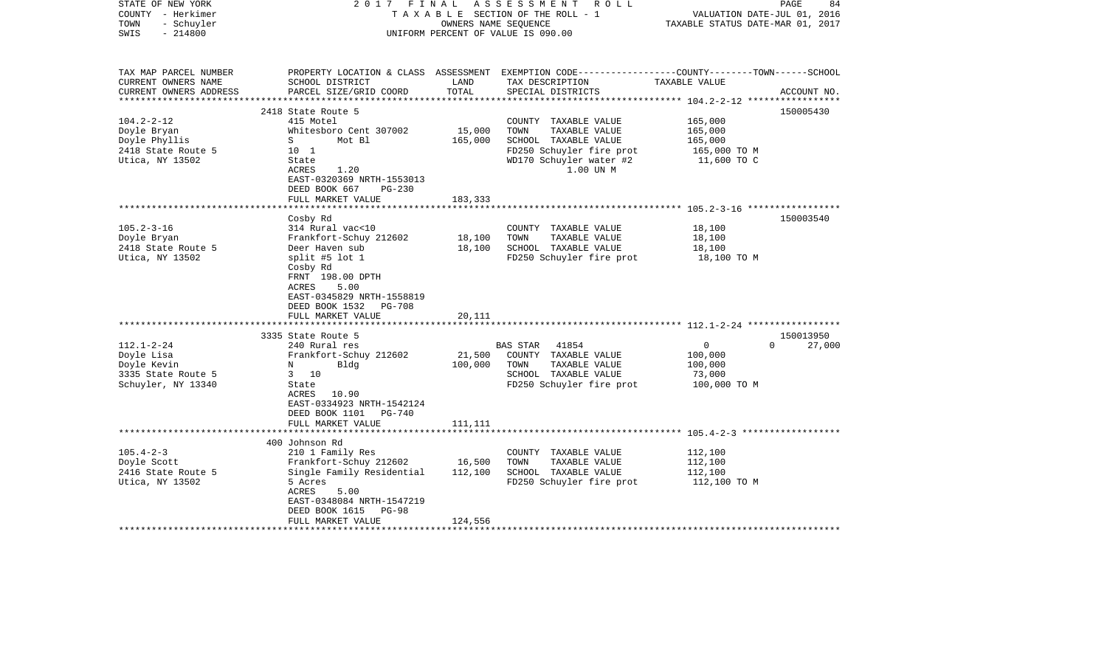| STATE OF NEW YORK<br>COUNTY - Herkimer<br>- Schuyler<br>TOWN<br>$-214800$<br>SWIS                | 2017<br>FINAL                                                                                                                                                                                                                                                                                        | OWNERS NAME SEQUENCE                                        | ASSESSMENT ROLL<br>TAXABLE SECTION OF THE ROLL - 1<br>UNIFORM PERCENT OF VALUE IS 090.00                                                  | VALUATION DATE-JUL 01, 2016<br>TAXABLE STATUS DATE-MAR 01, 2017 | 84<br>PAGE                                   |
|--------------------------------------------------------------------------------------------------|------------------------------------------------------------------------------------------------------------------------------------------------------------------------------------------------------------------------------------------------------------------------------------------------------|-------------------------------------------------------------|-------------------------------------------------------------------------------------------------------------------------------------------|-----------------------------------------------------------------|----------------------------------------------|
| TAX MAP PARCEL NUMBER<br>CURRENT OWNERS NAME<br>CURRENT OWNERS ADDRESS<br>********************** | SCHOOL DISTRICT<br>PARCEL SIZE/GRID COORD                                                                                                                                                                                                                                                            | LAND<br>TOTAL                                               | PROPERTY LOCATION & CLASS ASSESSMENT EXEMPTION CODE---------------COUNTY-------TOWN------SCHOOL<br>TAX DESCRIPTION<br>SPECIAL DISTRICTS   | TAXABLE VALUE                                                   | ACCOUNT NO.                                  |
| $104.2 - 2 - 12$<br>Doyle Bryan<br>Doyle Phyllis<br>2418 State Route 5<br>Utica, NY 13502        | 2418 State Route 5<br>415 Motel<br>Whitesboro Cent 307002<br>Mot Bl<br>S<br>10 <sub>1</sub><br>State<br>1.20<br>ACRES<br>EAST-0320369 NRTH-1553013<br>DEED BOOK 667<br>$PG-230$<br>FULL MARKET VALUE                                                                                                 | 15,000<br>165,000<br>183,333                                | COUNTY TAXABLE VALUE<br>TOWN<br>TAXABLE VALUE<br>SCHOOL TAXABLE VALUE<br>FD250 Schuyler fire prot<br>WD170 Schuyler water #2<br>1.00 UN M | 165,000<br>165,000<br>165,000<br>165,000 TO M<br>11,600 TO C    | 150005430                                    |
|                                                                                                  |                                                                                                                                                                                                                                                                                                      | * * * * * * * *                                             |                                                                                                                                           | ***************************** 105.2-3-16 *****************      |                                              |
| $105.2 - 3 - 16$<br>Doyle Bryan<br>2418 State Route 5<br>Utica, NY 13502<br>$112.1 - 2 - 24$     | Cosby Rd<br>314 Rural vac<10<br>Frankfort-Schuy 212602<br>Deer Haven sub<br>split #5 lot 1<br>Cosby Rd<br>FRNT 198.00 DPTH<br>ACRES<br>5.00<br>EAST-0345829 NRTH-1558819<br>DEED BOOK 1532<br><b>PG-708</b><br>FULL MARKET VALUE<br>*************************<br>3335 State Route 5<br>240 Rural res | 18,100<br>18,100<br>20,111                                  | COUNTY TAXABLE VALUE<br>TOWN<br>TAXABLE VALUE<br>SCHOOL TAXABLE VALUE<br>FD250 Schuyler fire prot<br><b>BAS STAR</b><br>41854             | 18,100<br>18,100<br>18,100<br>18,100 TO M<br>0                  | 150003540<br>150013950<br>$\Omega$<br>27,000 |
| Doyle Lisa<br>Doyle Kevin<br>3335 State Route 5<br>Schuyler, NY 13340                            | Frankfort-Schuy 212602<br>Bldg<br>N<br>10<br>$\mathbf{3}$<br>State<br>ACRES<br>10.90<br>EAST-0334923 NRTH-1542124<br>DEED BOOK 1101<br>PG-740<br>FULL MARKET VALUE                                                                                                                                   | 21,500<br>100,000<br>111,111                                | COUNTY TAXABLE VALUE<br>TOWN<br>TAXABLE VALUE<br>SCHOOL TAXABLE VALUE<br>FD250 Schuyler fire prot                                         | 100,000<br>100,000<br>73,000<br>100,000 TO M                    |                                              |
| $105.4 - 2 - 3$<br>Doyle Scott<br>2416 State Route 5<br>Utica, NY 13502                          | 400 Johnson Rd<br>210 1 Family Res<br>Frankfort-Schuy 212602<br>Single Family Residential<br>5 Acres<br>ACRES<br>5.00<br>EAST-0348084 NRTH-1547219<br>DEED BOOK 1615<br>PG-98<br>FULL MARKET VALUE                                                                                                   | * * * * * * * * * * * * * *<br>16,500<br>112,100<br>124,556 | COUNTY TAXABLE VALUE<br>TAXABLE VALUE<br>TOWN<br>SCHOOL TAXABLE VALUE<br>FD250 Schuyler fire prot                                         | 112,100<br>112,100<br>112,100<br>112,100 TO M                   |                                              |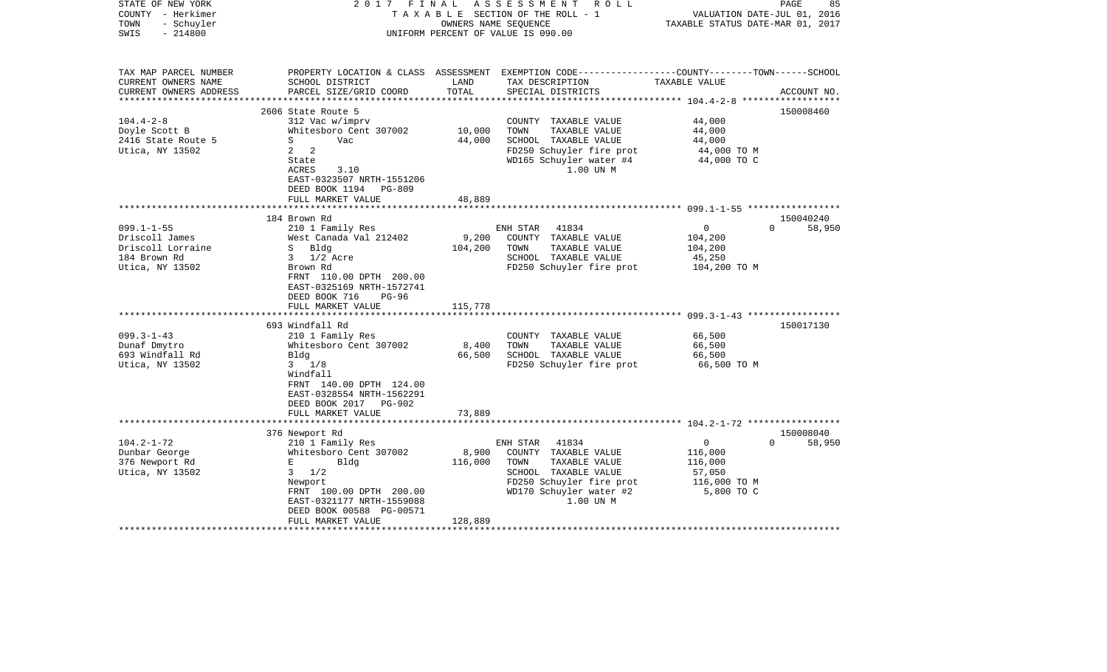| STATE OF NEW YORK<br>COUNTY - Herkimer<br>- Schuyler<br>TOWN<br>$-214800$<br>SWIS          | FINAL<br>2017                                                                                                                                                                                  |                                 | ASSESSMENT ROLL<br>TAXABLE SECTION OF THE ROLL - 1<br>OWNERS NAME SEOUENCE<br>UNIFORM PERCENT OF VALUE IS 090.00                                               | VALUATION DATE-JUL 01, 2016<br>TAXABLE STATUS DATE-MAR 01, 2017           | PAGE<br>85         |
|--------------------------------------------------------------------------------------------|------------------------------------------------------------------------------------------------------------------------------------------------------------------------------------------------|---------------------------------|----------------------------------------------------------------------------------------------------------------------------------------------------------------|---------------------------------------------------------------------------|--------------------|
| TAX MAP PARCEL NUMBER<br>CURRENT OWNERS NAME<br>CURRENT OWNERS ADDRESS                     | SCHOOL DISTRICT<br>PARCEL SIZE/GRID COORD                                                                                                                                                      | LAND<br>TOTAL                   | PROPERTY LOCATION & CLASS ASSESSMENT EXEMPTION CODE----------------COUNTY-------TOWN------SCHOOL<br>TAX DESCRIPTION<br>SPECIAL DISTRICTS                       | TAXABLE VALUE                                                             | ACCOUNT NO.        |
| *******************                                                                        |                                                                                                                                                                                                | ***************                 |                                                                                                                                                                |                                                                           |                    |
| $104.4 - 2 - 8$<br>Doyle Scott B<br>2416 State Route 5<br>Utica, NY 13502                  | 2606 State Route 5<br>312 Vac w/imprv<br>Whitesboro Cent 307002<br>S<br>Vac<br>$\mathbf{2}$<br>2<br>State<br>ACRES<br>3.10<br>EAST-0323507 NRTH-1551206<br>DEED BOOK 1194 PG-809               | 10,000<br>44,000                | COUNTY TAXABLE VALUE<br>TOWN<br>TAXABLE VALUE<br>SCHOOL TAXABLE VALUE<br>FD250 Schuyler fire prot<br>WD165 Schuyler water #4<br>1.00 UN M                      | 44,000<br>44,000<br>44,000<br>44,000 TO M<br>44,000 TO C                  | 150008460          |
|                                                                                            | FULL MARKET VALUE                                                                                                                                                                              | 48,889<br>* * * * * * * * * * * |                                                                                                                                                                |                                                                           |                    |
|                                                                                            | 184 Brown Rd                                                                                                                                                                                   |                                 |                                                                                                                                                                |                                                                           | 150040240          |
| $099.1 - 1 - 55$<br>Driscoll James<br>Driscoll Lorraine<br>184 Brown Rd<br>Utica, NY 13502 | 210 1 Family Res<br>West Canada Val 212402<br>S Bldg<br>$3 \frac{1}{2}$ Acre<br>Brown Rd<br>FRNT 110.00 DPTH 200.00<br>EAST-0325169 NRTH-1572741<br>DEED BOOK 716<br>PG-96                     | 9,200<br>104,200                | ENH STAR<br>41834<br>COUNTY TAXABLE VALUE<br>TOWN<br>TAXABLE VALUE<br>SCHOOL TAXABLE VALUE<br>FD250 Schuyler fire prot                                         | $\mathbf 0$<br>104,200<br>104,200<br>45,250<br>104,200 TO M               | $\Omega$<br>58,950 |
|                                                                                            | FULL MARKET VALUE                                                                                                                                                                              | 115,778                         |                                                                                                                                                                |                                                                           |                    |
| $099.3 - 1 - 43$<br>Dunaf Dmytro<br>693 Windfall Rd<br>Utica, NY 13502                     | 693 Windfall Rd<br>210 1 Family Res<br>Whitesboro Cent 307002<br>Bldg<br>$3 \frac{1}{8}$<br>Windfall<br>FRNT 140.00 DPTH 124.00<br>EAST-0328554 NRTH-1562291<br>DEED BOOK 2017 PG-902          | 8,400<br>66,500                 | COUNTY TAXABLE VALUE<br>TAXABLE VALUE<br>TOWN<br>SCHOOL TAXABLE VALUE<br>FD250 Schuyler fire prot                                                              | 66,500<br>66,500<br>66,500<br>66,500 TO M                                 | 150017130          |
|                                                                                            | FULL MARKET VALUE<br>******************************                                                                                                                                            | 73,889                          |                                                                                                                                                                |                                                                           |                    |
|                                                                                            | 376 Newport Rd                                                                                                                                                                                 |                                 |                                                                                                                                                                |                                                                           | 150008040          |
| $104.2 - 1 - 72$<br>Dunbar George<br>376 Newport Rd<br>Utica, NY 13502                     | 210 1 Family Res<br>Whitesboro Cent 307002<br>Е<br>Bldg<br>$3 \frac{1}{2}$<br>Newport<br>FRNT 100.00 DPTH 200.00<br>EAST-0321177 NRTH-1559088<br>DEED BOOK 00588 PG-00571<br>FULL MARKET VALUE | 8,900<br>116,000<br>128,889     | 41834<br>ENH STAR<br>COUNTY TAXABLE VALUE<br>TAXABLE VALUE<br>TOWN<br>SCHOOL TAXABLE VALUE<br>FD250 Schuyler fire prot<br>WD170 Schuyler water #2<br>1.00 UN M | $\mathbf 0$<br>116,000<br>116,000<br>57,050<br>116,000 TO M<br>5,800 TO C | $\Omega$<br>58,950 |
|                                                                                            |                                                                                                                                                                                                |                                 |                                                                                                                                                                |                                                                           |                    |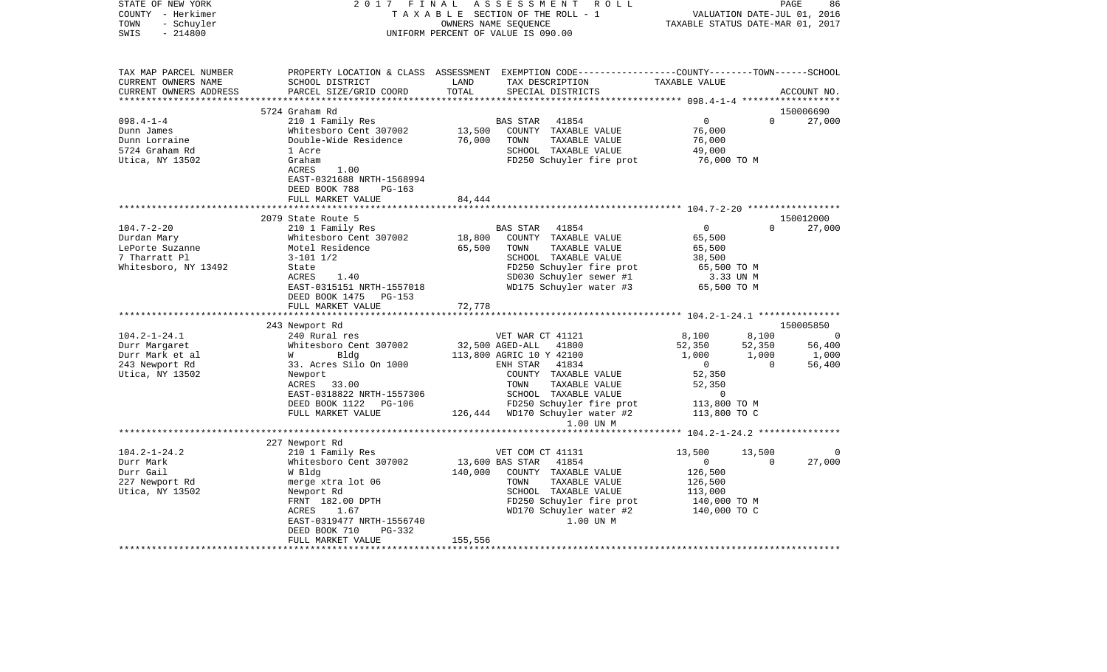| STATE OF NEW YORK<br>COUNTY - Herkimer | 2017 FINAL                         |                                  | ASSESSMENT<br>ROLL<br>TAXABLE SECTION OF THE ROLL - 1                                           |                                                | PAGE<br>VALUATION DATE-JUL 01, 2016 | 86                  |
|----------------------------------------|------------------------------------|----------------------------------|-------------------------------------------------------------------------------------------------|------------------------------------------------|-------------------------------------|---------------------|
| - Schuyler<br>TOWN                     |                                    | TAXABLE STATUS DATE-MAR 01, 2017 |                                                                                                 |                                                |                                     |                     |
| SWIS<br>$-214800$                      |                                    |                                  | UNIFORM PERCENT OF VALUE IS 090.00                                                              |                                                |                                     |                     |
|                                        |                                    |                                  |                                                                                                 |                                                |                                     |                     |
| TAX MAP PARCEL NUMBER                  |                                    |                                  | PROPERTY LOCATION & CLASS ASSESSMENT EXEMPTION CODE---------------COUNTY-------TOWN------SCHOOL |                                                |                                     |                     |
| CURRENT OWNERS NAME                    | SCHOOL DISTRICT                    | LAND                             | TAX DESCRIPTION                                                                                 | TAXABLE VALUE                                  |                                     |                     |
| CURRENT OWNERS ADDRESS                 | PARCEL SIZE/GRID COORD             | TOTAL                            | SPECIAL DISTRICTS                                                                               |                                                |                                     | ACCOUNT NO.         |
|                                        |                                    |                                  |                                                                                                 |                                                |                                     |                     |
| $098.4 - 1 - 4$                        | 5724 Graham Rd<br>210 1 Family Res |                                  | 41854<br><b>BAS STAR</b>                                                                        | $\overline{0}$                                 | $\mathbf{0}$                        | 150006690<br>27,000 |
| Dunn James                             | Whitesboro Cent 307002             | 13,500                           | COUNTY TAXABLE VALUE                                                                            | 76,000                                         |                                     |                     |
| Dunn Lorraine                          | Double-Wide Residence              | 76,000                           | TOWN<br>TAXABLE VALUE                                                                           | 76,000                                         |                                     |                     |
| 5724 Graham Rd                         | 1 Acre                             |                                  | SCHOOL TAXABLE VALUE                                                                            | 49,000                                         |                                     |                     |
| Utica, NY 13502                        | Graham                             |                                  | FD250 Schuyler fire prot                                                                        | 76,000 TO M                                    |                                     |                     |
|                                        | ACRES<br>1.00                      |                                  |                                                                                                 |                                                |                                     |                     |
|                                        | EAST-0321688 NRTH-1568994          |                                  |                                                                                                 |                                                |                                     |                     |
|                                        | DEED BOOK 788<br>$PG-163$          |                                  |                                                                                                 |                                                |                                     |                     |
|                                        | FULL MARKET VALUE                  | 84,444                           |                                                                                                 |                                                |                                     |                     |
|                                        |                                    |                                  |                                                                                                 |                                                |                                     |                     |
|                                        | 2079 State Route 5                 |                                  |                                                                                                 |                                                |                                     | 150012000           |
| $104.7 - 2 - 20$                       | 210 1 Family Res                   |                                  | <b>BAS STAR</b><br>41854                                                                        | $\overline{0}$                                 | $\Omega$                            | 27,000              |
| Durdan Mary                            | Whitesboro Cent 307002             | 18,800                           | COUNTY TAXABLE VALUE                                                                            | 65,500                                         |                                     |                     |
| LePorte Suzanne                        | Motel Residence                    | 65,500                           | TOWN<br>TAXABLE VALUE                                                                           | 65,500                                         |                                     |                     |
| 7 Tharratt Pl                          | $3 - 101$ $1/2$                    |                                  | SCHOOL TAXABLE VALUE                                                                            | 38,500                                         |                                     |                     |
| Whitesboro, NY 13492                   | State                              |                                  | FD250 Schuyler fire prot                                                                        | 65,500 TO M                                    |                                     |                     |
|                                        | ACRES<br>1.40                      |                                  | SD030 Schuyler sewer #1                                                                         | 3.33 UN M                                      |                                     |                     |
|                                        | EAST-0315151 NRTH-1557018          |                                  | WD175 Schuyler water #3                                                                         | 65,500 TO M                                    |                                     |                     |
|                                        | DEED BOOK 1475 PG-153              |                                  |                                                                                                 |                                                |                                     |                     |
|                                        | FULL MARKET VALUE                  | 72,778                           |                                                                                                 |                                                |                                     |                     |
|                                        |                                    |                                  |                                                                                                 |                                                |                                     |                     |
|                                        | 243 Newport Rd                     |                                  |                                                                                                 |                                                |                                     | 150005850           |
| $104.2 - 1 - 24.1$                     | 240 Rural res                      |                                  | VET WAR CT 41121                                                                                | 8,100                                          | 8,100                               | $\overline{0}$      |
| Durr Margaret                          | Whitesboro Cent 307002             |                                  | 32,500 AGED-ALL<br>41800                                                                        | 52,350                                         | 52,350                              | 56,400              |
| Durr Mark et al                        | Bldg<br><b>W</b>                   |                                  | 113,800 AGRIC 10 Y 42100                                                                        | 1,000                                          | 1,000                               | 1,000               |
| 243 Newport Rd                         | 33. Acres Silo On 1000             |                                  | ENH STAR<br>41834                                                                               | $\overline{0}$                                 | $\Omega$                            | 56,400              |
| Utica, NY 13502                        | Newport<br>ACRES 33.00             |                                  | COUNTY TAXABLE VALUE<br>TOWN<br>TAXABLE VALUE                                                   | 52,350<br>52,350                               |                                     |                     |
|                                        | EAST-0318822 NRTH-1557306          |                                  | SCHOOL TAXABLE VALUE                                                                            | $\Omega$                                       |                                     |                     |
|                                        | DEED BOOK 1122 PG-106              |                                  | FD250 Schuyler fire prot                                                                        | 113,800 TO M                                   |                                     |                     |
|                                        | FULL MARKET VALUE                  |                                  | 126,444 WD170 Schuyler water #2                                                                 | 113,800 TO C                                   |                                     |                     |
|                                        |                                    |                                  | 1.00 UN M                                                                                       |                                                |                                     |                     |
|                                        | **************************         |                                  |                                                                                                 | **************** 104.2-1-24.2 **************** |                                     |                     |
|                                        | 227 Newport Rd                     |                                  |                                                                                                 |                                                |                                     |                     |
| $104.2 - 1 - 24.2$                     | 210 1 Family Res                   |                                  | VET COM CT 41131                                                                                | 13,500                                         | 13,500                              |                     |
| Durr Mark                              | Whitesboro Cent 307002             |                                  | 13,600 BAS STAR<br>41854                                                                        | $\overline{0}$                                 | $\Omega$                            | 27,000              |
| Durr Gail                              | W Bldg                             | 140,000                          | COUNTY TAXABLE VALUE                                                                            | 126,500                                        |                                     |                     |
| 227 Newport Rd                         | merge xtra lot 06                  |                                  | TAXABLE VALUE<br>TOWN                                                                           | 126,500                                        |                                     |                     |
| Utica, NY 13502                        | Newport Rd                         |                                  | SCHOOL TAXABLE VALUE                                                                            | 113,000                                        |                                     |                     |
|                                        | FRNT 182.00 DPTH                   |                                  | FD250 Schuyler fire prot                                                                        | 140,000 TO M                                   |                                     |                     |
|                                        | ACRES<br>1.67                      |                                  | WD170 Schuyler water #2                                                                         | 140,000 TO C                                   |                                     |                     |
|                                        | EAST-0319477 NRTH-1556740          |                                  | 1.00 UN M                                                                                       |                                                |                                     |                     |
|                                        | DEED BOOK 710<br>PG-332            |                                  |                                                                                                 |                                                |                                     |                     |
|                                        | FULL MARKET VALUE                  | 155,556                          |                                                                                                 |                                                |                                     |                     |
|                                        |                                    |                                  |                                                                                                 |                                                |                                     |                     |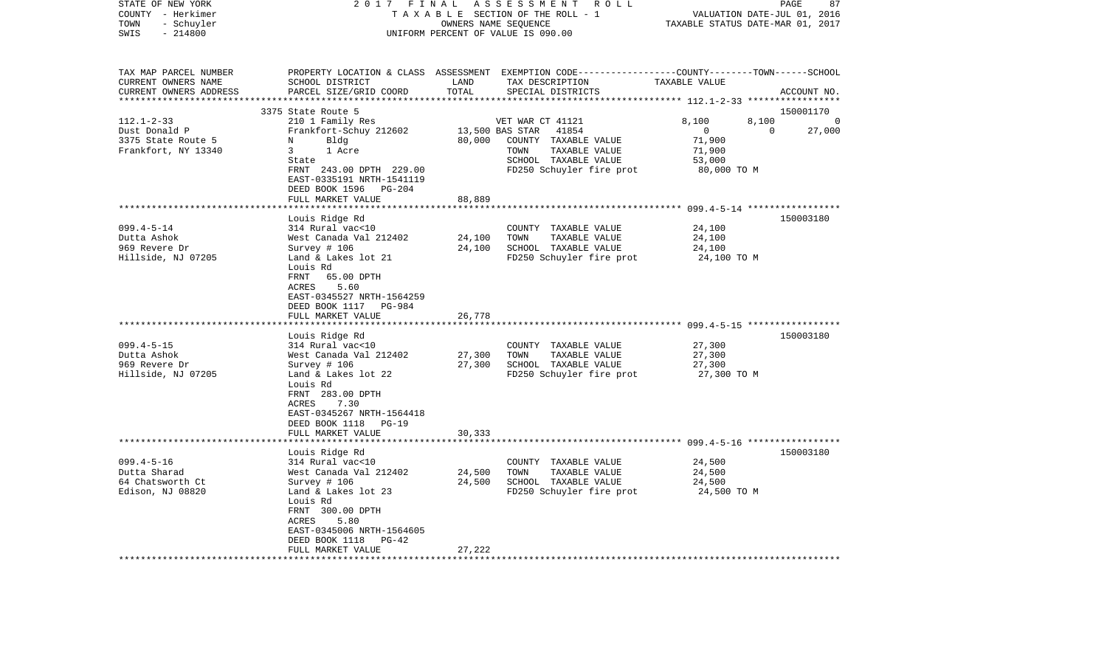| STATE OF NEW YORK<br>COUNTY - Herkimer<br>TOWN<br>- Schuyler<br>SWIS<br>$-214800$                | 2017<br>FINAL<br>ASSESSMENT ROLL<br>T A X A B L E SECTION OF THE ROLL - 1<br>OWNERS NAME SEQUENCE<br>UNIFORM PERCENT OF VALUE IS 090.00                                                                                                                                      |                            |                                                                                                                                                   | PAGE<br>87<br>VALUATION DATE-JUL 01, 2016<br>TAXABLE STATUS DATE-MAR 01, 2017                                |                                |  |
|--------------------------------------------------------------------------------------------------|------------------------------------------------------------------------------------------------------------------------------------------------------------------------------------------------------------------------------------------------------------------------------|----------------------------|---------------------------------------------------------------------------------------------------------------------------------------------------|--------------------------------------------------------------------------------------------------------------|--------------------------------|--|
| TAX MAP PARCEL NUMBER<br>CURRENT OWNERS NAME<br>CURRENT OWNERS ADDRESS<br>********************** | SCHOOL DISTRICT<br>PARCEL SIZE/GRID COORD                                                                                                                                                                                                                                    | LAND<br>TOTAL              | PROPERTY LOCATION & CLASS ASSESSMENT EXEMPTION CODE---------------COUNTY-------TOWN------SCHOOL<br>TAX DESCRIPTION<br>SPECIAL DISTRICTS           | TAXABLE VALUE                                                                                                | ACCOUNT NO.                    |  |
|                                                                                                  | 3375 State Route 5                                                                                                                                                                                                                                                           |                            |                                                                                                                                                   |                                                                                                              | 150001170                      |  |
| $112.1 - 2 - 33$<br>Dust Donald P<br>3375 State Route 5<br>Frankfort, NY 13340                   | 210 1 Family Res<br>Frankfort-Schuy 212602<br>N<br>Bldg<br>3<br>1 Acre<br>State<br>FRNT 243.00 DPTH 229.00<br>EAST-0335191 NRTH-1541119<br>DEED BOOK 1596<br>PG-204                                                                                                          | 80,000                     | VET WAR CT 41121<br>13,500 BAS STAR<br>41854<br>COUNTY TAXABLE VALUE<br>TAXABLE VALUE<br>TOWN<br>SCHOOL TAXABLE VALUE<br>FD250 Schuyler fire prot | 8,100<br>8,100<br>$\mathbf{0}$<br>71,900<br>71,900<br>53,000<br>80,000 TO M                                  | $\Omega$<br>27,000<br>$\Omega$ |  |
|                                                                                                  | FULL MARKET VALUE                                                                                                                                                                                                                                                            | 88,889                     |                                                                                                                                                   |                                                                                                              |                                |  |
| $099.4 - 5 - 14$<br>Dutta Ashok<br>969 Revere Dr<br>Hillside, NJ 07205<br>$099.4 - 5 - 15$       | Louis Ridge Rd<br>314 Rural vac<10<br>West Canada Val 212402<br>Survey $# 106$<br>Land & Lakes lot 21<br>Louis Rd<br>FRNT<br>65.00 DPTH<br>5.60<br>ACRES<br>EAST-0345527 NRTH-1564259<br>DEED BOOK 1117<br>PG-984<br>FULL MARKET VALUE<br>Louis Ridge Rd<br>314 Rural vac<10 | 24,100<br>24,100<br>26,778 | COUNTY TAXABLE VALUE<br>TOWN<br>TAXABLE VALUE<br>SCHOOL TAXABLE VALUE<br>FD250 Schuyler fire prot<br>COUNTY TAXABLE VALUE                         | *********************** 099.4-5-14 ******************<br>24,100<br>24,100<br>24,100<br>24,100 TO M<br>27,300 | 150003180<br>150003180         |  |
| Dutta Ashok<br>969 Revere Dr<br>Hillside, NJ 07205                                               | West Canada Val 212402<br>Survey $# 106$<br>Land & Lakes lot 22<br>Louis Rd<br>FRNT 283.00 DPTH<br>ACRES<br>7.30<br>EAST-0345267 NRTH-1564418<br>DEED BOOK 1118<br><b>PG-19</b><br>FULL MARKET VALUE                                                                         | 27,300<br>27,300<br>30,333 | TAXABLE VALUE<br>TOWN<br>SCHOOL TAXABLE VALUE<br>FD250 Schuyler fire prot                                                                         | 27,300<br>27,300<br>27,300 TO M                                                                              |                                |  |
|                                                                                                  | ********************                                                                                                                                                                                                                                                         | * * * * * * * * * * * * *  |                                                                                                                                                   |                                                                                                              |                                |  |
| $099.4 - 5 - 16$<br>Dutta Sharad<br>64 Chatsworth Ct<br>Edison, NJ 08820                         | Louis Ridge Rd<br>314 Rural vac<10<br>West Canada Val 212402<br>Survey # 106<br>Land & Lakes lot 23<br>Louis Rd<br>FRNT 300.00 DPTH<br>ACRES<br>5.80<br>EAST-0345006 NRTH-1564605<br>DEED BOOK 1118<br>$PG-42$<br>FULL MARKET VALUE                                          | 24,500<br>24,500<br>27,222 | COUNTY<br>TAXABLE VALUE<br>TOWN<br>TAXABLE VALUE<br>SCHOOL TAXABLE VALUE<br>FD250 Schuyler fire prot                                              | 24,500<br>24,500<br>24,500<br>24,500 TO M                                                                    | 150003180                      |  |
|                                                                                                  |                                                                                                                                                                                                                                                                              |                            |                                                                                                                                                   |                                                                                                              |                                |  |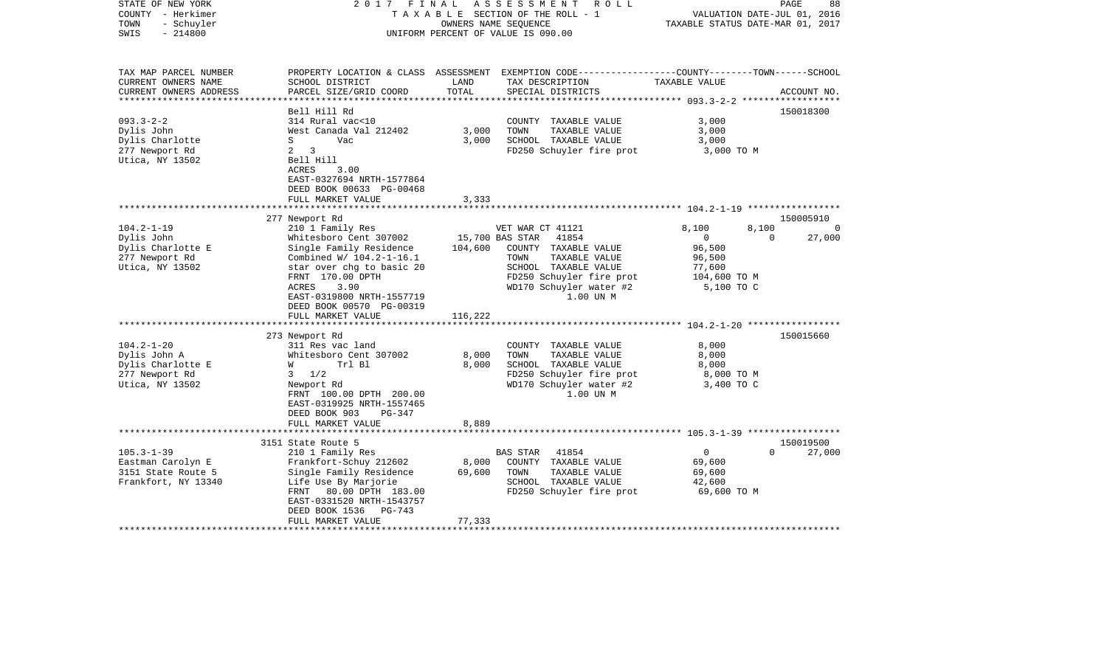| STATE OF NEW YORK<br>COUNTY - Herkimer<br>- Schuyler<br>TOWN<br>$-214800$<br>SWIS                                            | 2017<br>FINAL                                                                                                                                                                                                                                                                                                                                      | OWNERS NAME SEQUENCE                                    | ASSESSMENT ROLL<br>T A X A B L E SECTION OF THE ROLL - 1<br>UNIFORM PERCENT OF VALUE IS 090.00                                                                                                                                                  | VALUATION DATE-JUL 01, 2016<br>TAXABLE STATUS DATE-MAR 01, 2017                                          | PAGE              | 88                                    |
|------------------------------------------------------------------------------------------------------------------------------|----------------------------------------------------------------------------------------------------------------------------------------------------------------------------------------------------------------------------------------------------------------------------------------------------------------------------------------------------|---------------------------------------------------------|-------------------------------------------------------------------------------------------------------------------------------------------------------------------------------------------------------------------------------------------------|----------------------------------------------------------------------------------------------------------|-------------------|---------------------------------------|
| TAX MAP PARCEL NUMBER<br>CURRENT OWNERS NAME<br>CURRENT OWNERS ADDRESS<br>*************************                          | SCHOOL DISTRICT<br>PARCEL SIZE/GRID COORD                                                                                                                                                                                                                                                                                                          | LAND<br>TOTAL                                           | PROPERTY LOCATION & CLASS ASSESSMENT EXEMPTION CODE---------------COUNTY-------TOWN------SCHOOL<br>TAX DESCRIPTION<br>SPECIAL DISTRICTS                                                                                                         | TAXABLE VALUE                                                                                            |                   | ACCOUNT NO.                           |
| $093.3 - 2 - 2$<br>Dylis John<br>Dylis Charlotte<br>277 Newport Rd<br>Utica, NY 13502                                        | Bell Hill Rd<br>314 Rural vac<10<br>West Canada Val 212402<br>S<br>Vac<br>$2 \quad 3$<br>Bell Hill<br>ACRES<br>3.00<br>EAST-0327694 NRTH-1577864<br>DEED BOOK 00633 PG-00468<br>FULL MARKET VALUE                                                                                                                                                  | 3,000<br>3,000<br>3,333                                 | COUNTY TAXABLE VALUE<br>TAXABLE VALUE<br>TOWN<br>SCHOOL TAXABLE VALUE<br>FD250 Schuyler fire prot                                                                                                                                               | 3,000<br>3,000<br>3,000<br>3,000 TO M                                                                    |                   | 150018300                             |
|                                                                                                                              |                                                                                                                                                                                                                                                                                                                                                    | * * * * * * * * *                                       |                                                                                                                                                                                                                                                 | ************************    104.2-1-19    *****************                                              |                   |                                       |
| $104.2 - 1 - 19$<br>Dylis John<br>Dylis Charlotte E<br>277 Newport Rd<br>Utica, NY 13502<br>$104.2 - 1 - 20$<br>Dylis John A | 277 Newport Rd<br>210 1 Family Res<br>Whitesboro Cent 307002<br>Single Family Residence<br>Combined W/ 104.2-1-16.1<br>star over chg to basic 20<br>FRNT 170.00 DPTH<br>ACRES<br>3.90<br>EAST-0319800 NRTH-1557719<br>DEED BOOK 00570 PG-00319<br>FULL MARKET VALUE<br>273 Newport Rd<br>311 Res vac land<br>Whitesboro Cent 307002<br>Trl Bl<br>W | 15,700 BAS STAR<br>104,600<br>116,222<br>8,000<br>8,000 | VET WAR CT 41121<br>41854<br>COUNTY TAXABLE VALUE<br>TOWN<br>TAXABLE VALUE<br>SCHOOL TAXABLE VALUE<br>FD250 Schuyler fire prot<br>WD170 Schuyler water #2<br>1.00 UN M<br>COUNTY TAXABLE VALUE<br>TOWN<br>TAXABLE VALUE<br>SCHOOL TAXABLE VALUE | 8,100<br>$\Omega$<br>96,500<br>96,500<br>77,600<br>104,600 TO M<br>5,100 TO C<br>8,000<br>8,000<br>8,000 | 8,100<br>$\Omega$ | 150005910<br>0<br>27,000<br>150015660 |
| Dylis Charlotte E<br>277 Newport Rd<br>Utica, NY 13502                                                                       | $3 \frac{1}{2}$<br>Newport Rd<br>FRNT 100.00 DPTH 200.00<br>EAST-0319925 NRTH-1557465<br>DEED BOOK 903<br>PG-347<br>FULL MARKET VALUE<br>************************                                                                                                                                                                                  | 8,889                                                   | FD250 Schuyler fire prot<br>WD170 Schuyler water #2<br>1.00 UN M                                                                                                                                                                                | 8,000 TO M<br>3,400 TO C                                                                                 |                   |                                       |
|                                                                                                                              | 3151 State Route 5                                                                                                                                                                                                                                                                                                                                 |                                                         |                                                                                                                                                                                                                                                 |                                                                                                          |                   | 150019500                             |
| $105.3 - 1 - 39$<br>Eastman Carolyn E<br>3151 State Route 5<br>Frankfort, NY 13340                                           | 210 1 Family Res<br>Frankfort-Schuy 212602<br>Single Family Residence<br>Life Use By Marjorie<br>FRNT 80.00 DPTH 183.00<br>EAST-0331520 NRTH-1543757<br>DEED BOOK 1536<br>PG-743                                                                                                                                                                   | 8,000<br>69,600                                         | 41854<br><b>BAS STAR</b><br>COUNTY TAXABLE VALUE<br>TOWN<br>TAXABLE VALUE<br>SCHOOL TAXABLE VALUE<br>FD250 Schuyler fire prot                                                                                                                   | $\overline{0}$<br>69,600<br>69,600<br>42,600<br>69,600 TO M                                              | $\Omega$          | 27,000                                |
|                                                                                                                              | FULL MARKET VALUE                                                                                                                                                                                                                                                                                                                                  | 77,333                                                  |                                                                                                                                                                                                                                                 |                                                                                                          |                   |                                       |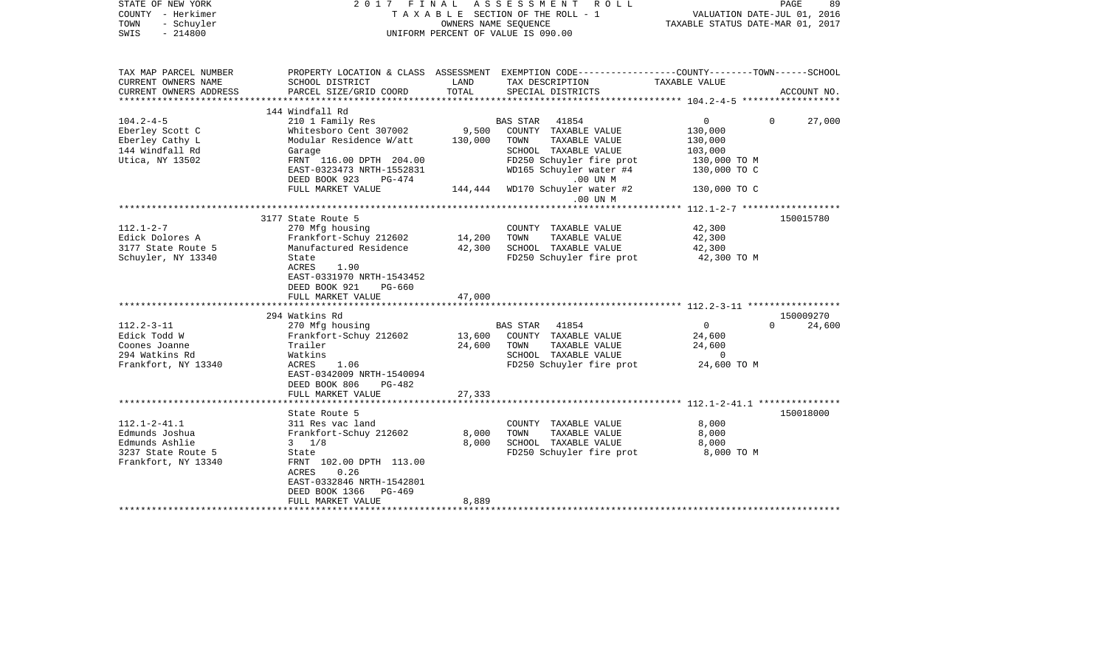| STATE OF NEW YORK<br>COUNTY - Herkimer<br>TOWN<br>- Schuyler<br>$-214800$<br>SWIS                   | 2017 FINAL                                                                                                                                                                                                    | OWNERS NAME SEQUENCE       | ASSESSMENT<br>ROLL<br>T A X A B L E SECTION OF THE ROLL - 1<br>UNIFORM PERCENT OF VALUE IS 090.00                                                          | VALUATION DATE-JUL 01, 2016<br>TAXABLE STATUS DATE-MAR 01, 2017    | PAGE<br>89                      |
|-----------------------------------------------------------------------------------------------------|---------------------------------------------------------------------------------------------------------------------------------------------------------------------------------------------------------------|----------------------------|------------------------------------------------------------------------------------------------------------------------------------------------------------|--------------------------------------------------------------------|---------------------------------|
| TAX MAP PARCEL NUMBER<br>CURRENT OWNERS NAME                                                        | SCHOOL DISTRICT                                                                                                                                                                                               | LAND                       | PROPERTY LOCATION & CLASS ASSESSMENT EXEMPTION CODE----------------COUNTY-------TOWN------SCHOOL<br>TAX DESCRIPTION                                        | TAXABLE VALUE                                                      |                                 |
| CURRENT OWNERS ADDRESS                                                                              | PARCEL SIZE/GRID COORD                                                                                                                                                                                        | TOTAL                      | SPECIAL DISTRICTS                                                                                                                                          |                                                                    | ACCOUNT NO.                     |
|                                                                                                     | 144 Windfall Rd                                                                                                                                                                                               |                            |                                                                                                                                                            |                                                                    |                                 |
| $104.2 - 4 - 5$<br>Eberley Scott C<br>Eberley Cathy L<br>144 Windfall Rd<br>Utica, NY 13502         | 210 1 Family Res<br>Whitesboro Cent 307002<br>Modular Residence W/att<br>Garage<br>FRNT 116.00 DPTH 204.00<br>EAST-0323473 NRTH-1552831<br>DEED BOOK 923<br>PG-474                                            | 9,500<br>130,000           | BAS STAR 41854<br>COUNTY TAXABLE VALUE<br>TAXABLE VALUE<br>TOWN<br>SCHOOL TAXABLE VALUE<br>FD250 Schuyler fire prot<br>WD165 Schuyler water #4<br>.00 UN M | 0<br>130,000<br>130,000<br>103,000<br>130,000 TO M<br>130,000 TO C | 27,000<br>$\Omega$              |
|                                                                                                     | FULL MARKET VALUE                                                                                                                                                                                             | 144,444                    | WD170 Schuyler water #2                                                                                                                                    | 130,000 TO C                                                       |                                 |
|                                                                                                     |                                                                                                                                                                                                               |                            | $.00$ UN $M$                                                                                                                                               |                                                                    |                                 |
| $112.1 - 2 - 7$<br>Edick Dolores A<br>3177 State Route 5<br>Schuyler, NY 13340                      | 3177 State Route 5<br>270 Mfg housing<br>Frankfort-Schuy 212602<br>Manufactured Residence<br>State<br>ACRES<br>1.90<br>EAST-0331970 NRTH-1543452<br>DEED BOOK 921<br>PG-660                                   | 14,200<br>42,300           | COUNTY TAXABLE VALUE<br>TAXABLE VALUE<br>TOWN<br>SCHOOL TAXABLE VALUE<br>FD250 Schuyler fire prot                                                          | 42,300<br>42,300<br>42,300<br>42,300 TO M                          | 150015780                       |
|                                                                                                     | FULL MARKET VALUE                                                                                                                                                                                             | 47,000                     |                                                                                                                                                            |                                                                    |                                 |
| $112.2 - 3 - 11$<br>Edick Todd W<br>Coones Joanne<br>294 Watkins Rd<br>Frankfort, NY 13340          | 294 Watkins Rd<br>270 Mfg housing<br>Frankfort-Schuy 212602<br>Trailer<br>Watkins<br>ACRES<br>1.06<br>EAST-0342009 NRTH-1540094<br>DEED BOOK 806<br>PG-482<br>FULL MARKET VALUE                               | 13,600<br>24,600<br>27,333 | BAS STAR<br>41854<br>COUNTY TAXABLE VALUE<br>TOWN<br>TAXABLE VALUE<br>SCHOOL TAXABLE VALUE<br>FD250 Schuyler fire prot                                     | $\overline{0}$<br>24,600<br>24,600<br>$\mathbf 0$<br>24,600 TO M   | 150009270<br>$\Omega$<br>24,600 |
|                                                                                                     | ***********************                                                                                                                                                                                       |                            |                                                                                                                                                            |                                                                    |                                 |
| $112.1 - 2 - 41.1$<br>Edmunds Joshua<br>Edmunds Ashlie<br>3237 State Route 5<br>Frankfort, NY 13340 | State Route 5<br>311 Res vac land<br>Frankfort-Schuy 212602<br>$3 \t1/8$<br>State<br>FRNT 102.00 DPTH 113.00<br>ACRES<br>0.26<br>EAST-0332846 NRTH-1542801<br>DEED BOOK 1366<br>$PG-469$<br>FULL MARKET VALUE | 8,000<br>8,000<br>8,889    | COUNTY TAXABLE VALUE<br>TAXABLE VALUE<br>TOWN<br>SCHOOL TAXABLE VALUE<br>FD250 Schuyler fire prot                                                          | 8,000<br>8,000<br>8,000<br>8,000 TO M                              | 150018000                       |
|                                                                                                     |                                                                                                                                                                                                               |                            |                                                                                                                                                            |                                                                    |                                 |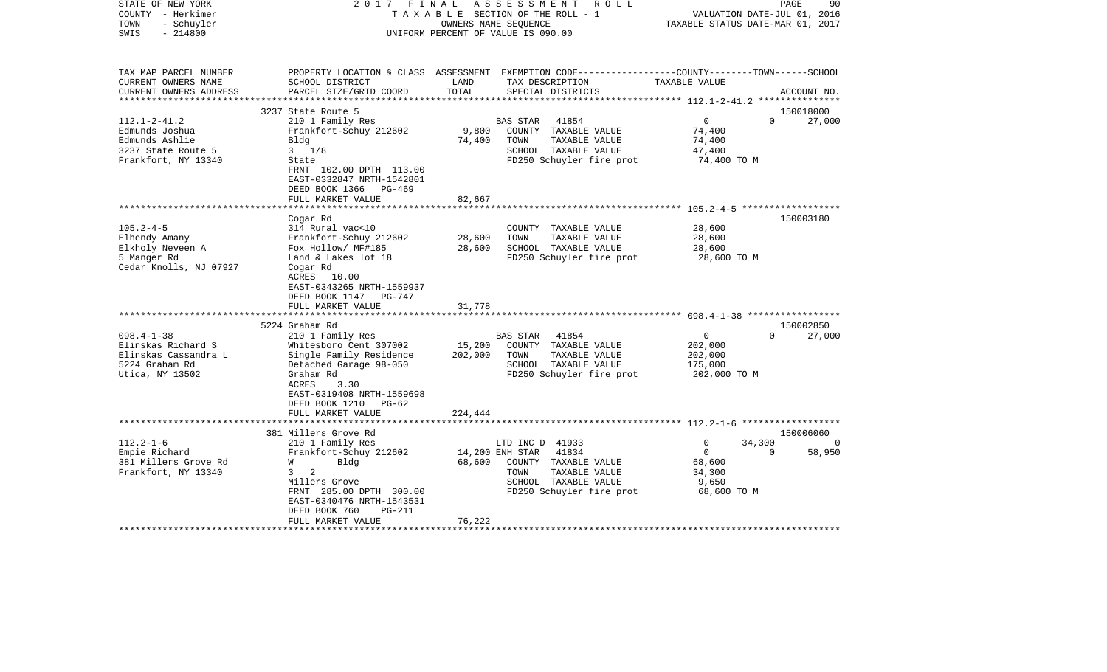| 2017                                                                                                                                                                                                                                                                                                                                                                                                  | FINAL                                                                                                                                    | ASSESSMENT        | R O L L                                               |                                                                                                                                                                                                                                                                                                                                                                                                                                              |                          | PAGE<br>90                                                                                                                                                                                                                                                                                         |
|-------------------------------------------------------------------------------------------------------------------------------------------------------------------------------------------------------------------------------------------------------------------------------------------------------------------------------------------------------------------------------------------------------|------------------------------------------------------------------------------------------------------------------------------------------|-------------------|-------------------------------------------------------|----------------------------------------------------------------------------------------------------------------------------------------------------------------------------------------------------------------------------------------------------------------------------------------------------------------------------------------------------------------------------------------------------------------------------------------------|--------------------------|----------------------------------------------------------------------------------------------------------------------------------------------------------------------------------------------------------------------------------------------------------------------------------------------------|
| SCHOOL DISTRICT<br>PARCEL SIZE/GRID COORD                                                                                                                                                                                                                                                                                                                                                             | LAND<br>TOTAL                                                                                                                            |                   |                                                       | TAXABLE VALUE                                                                                                                                                                                                                                                                                                                                                                                                                                |                          | ACCOUNT NO.                                                                                                                                                                                                                                                                                        |
| 3237 State Route 5                                                                                                                                                                                                                                                                                                                                                                                    |                                                                                                                                          |                   |                                                       |                                                                                                                                                                                                                                                                                                                                                                                                                                              |                          | 150018000                                                                                                                                                                                                                                                                                          |
| 210 1 Family Res<br>Frankfort-Schuy 212602<br>Bldg<br>$3 \frac{1}{8}$<br>State<br>FRNT 102.00 DPTH 113.00<br>EAST-0332847 NRTH-1542801                                                                                                                                                                                                                                                                | 9,800<br>74,400                                                                                                                          | TOWN              | 41854<br>TAXABLE VALUE                                | $\overline{0}$<br>74,400<br>74,400<br>47,400                                                                                                                                                                                                                                                                                                                                                                                                 | $\Omega$                 | 27,000                                                                                                                                                                                                                                                                                             |
|                                                                                                                                                                                                                                                                                                                                                                                                       |                                                                                                                                          |                   |                                                       |                                                                                                                                                                                                                                                                                                                                                                                                                                              |                          |                                                                                                                                                                                                                                                                                                    |
|                                                                                                                                                                                                                                                                                                                                                                                                       | * * * * * * * *                                                                                                                          |                   |                                                       |                                                                                                                                                                                                                                                                                                                                                                                                                                              |                          |                                                                                                                                                                                                                                                                                                    |
| 314 Rural vac<10<br>Frankfort-Schuy 212602<br>Fox Hollow/ MF#185<br>Land & Lakes lot 18<br>Cogar Rd<br>ACRES 10.00<br>EAST-0343265 NRTH-1559937<br>DEED BOOK 1147 PG-747<br>FULL MARKET VALUE<br>5224 Graham Rd<br>210 1 Family Res<br>Whitesboro Cent 307002<br>Single Family Residence<br>Detached Garage 98-050<br>Graham Rd<br>ACRES<br>3.30<br>EAST-0319408 NRTH-1559698<br>DEED BOOK 1210 PG-62 | 28,600<br>28,600<br>31,778<br>15,200<br>202,000                                                                                          | TOWN<br>TOWN      | TAXABLE VALUE<br>41854<br>TAXABLE VALUE               | 28,600<br>28,600<br>28,600<br>$\overline{0}$<br>202,000<br>202,000<br>175,000                                                                                                                                                                                                                                                                                                                                                                | $\Omega$                 | 150003180<br>150002850<br>27,000                                                                                                                                                                                                                                                                   |
|                                                                                                                                                                                                                                                                                                                                                                                                       |                                                                                                                                          |                   |                                                       |                                                                                                                                                                                                                                                                                                                                                                                                                                              |                          |                                                                                                                                                                                                                                                                                                    |
|                                                                                                                                                                                                                                                                                                                                                                                                       |                                                                                                                                          |                   |                                                       |                                                                                                                                                                                                                                                                                                                                                                                                                                              |                          | 150006060                                                                                                                                                                                                                                                                                          |
| 210 1 Family Res<br>Frankfort-Schuy 212602<br>W<br>Bldg<br>2<br>$3^{\circ}$<br>Millers Grove<br>FRNT 285.00 DPTH 300.00<br>EAST-0340476 NRTH-1543531<br>DEED BOOK 760<br><b>PG-211</b><br>FULL MARKET VALUE                                                                                                                                                                                           | 68,600<br>76,222                                                                                                                         | TOWN              | 41834<br>TAXABLE VALUE                                | $\Omega$<br>$\overline{0}$<br>68,600<br>34,300<br>9,650                                                                                                                                                                                                                                                                                                                                                                                      | $\Omega$                 | 58,950                                                                                                                                                                                                                                                                                             |
|                                                                                                                                                                                                                                                                                                                                                                                                       | DEED BOOK 1366<br>PG-469<br>FULL MARKET VALUE<br>Cogar Rd<br>FULL MARKET VALUE<br>******************************<br>381 Millers Grove Rd | 82,667<br>224,444 | <b>BAS STAR</b><br><b>BAS STAR</b><br>14,200 ENH STAR | TAXABLE SECTION OF THE ROLL - 1<br>OWNERS NAME SEQUENCE<br>UNIFORM PERCENT OF VALUE IS 090.00<br>TAX DESCRIPTION<br>SPECIAL DISTRICTS<br>COUNTY TAXABLE VALUE<br>SCHOOL TAXABLE VALUE<br>FD250 Schuyler fire prot<br>COUNTY TAXABLE VALUE<br>SCHOOL TAXABLE VALUE<br>COUNTY TAXABLE VALUE<br>SCHOOL TAXABLE VALUE<br>FD250 Schuyler fire prot<br>LTD INC D 41933<br>COUNTY TAXABLE VALUE<br>SCHOOL TAXABLE VALUE<br>FD250 Schuyler fire prot | FD250 Schuyler fire prot | VALUATION DATE-JUL 01, 2016<br>TAXABLE STATUS DATE-MAR 01, 2017<br>PROPERTY LOCATION & CLASS ASSESSMENT EXEMPTION CODE---------------COUNTY-------TOWN-----SCHOOL<br>74,400 TO M<br>************************ 105.2-4-5 *******************<br>28,600 TO M<br>202,000 TO M<br>34,300<br>68,600 TO M |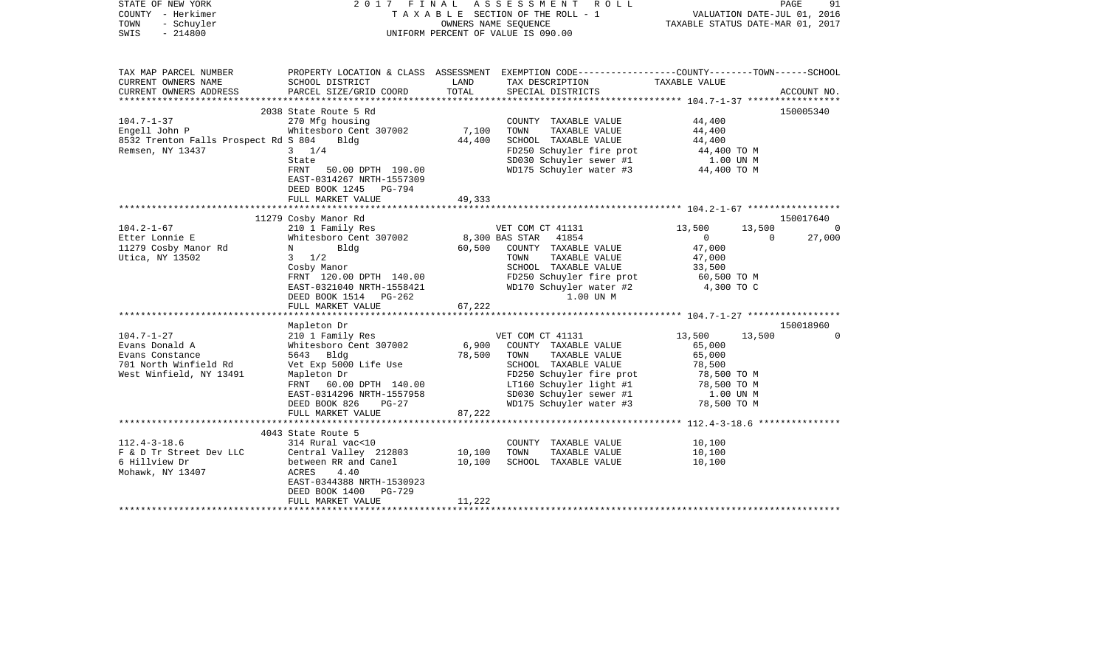| STATE OF NEW YORK<br>COUNTY - Herkimer<br>TOWN<br>- Schuyler<br>SWIS<br>$-214800$                                                                                                          | 2017 FINAL ASSESSMENT ROLL<br>TAXABLE SECTION OF THE ROLL - 1<br>UNIFORM PERCENT OF VALUE IS 090.00                                                                                                                                                                                                                                                                           | TAXABLE STATUS DATE-MAR 01, 2017 | PAGE<br>91<br>VALUATION DATE-JUL 01, 2016                                                                                                                                                                                                                                                                                                                                    |                                                                                                                                                           |                                                                                          |
|--------------------------------------------------------------------------------------------------------------------------------------------------------------------------------------------|-------------------------------------------------------------------------------------------------------------------------------------------------------------------------------------------------------------------------------------------------------------------------------------------------------------------------------------------------------------------------------|----------------------------------|------------------------------------------------------------------------------------------------------------------------------------------------------------------------------------------------------------------------------------------------------------------------------------------------------------------------------------------------------------------------------|-----------------------------------------------------------------------------------------------------------------------------------------------------------|------------------------------------------------------------------------------------------|
| TAX MAP PARCEL NUMBER<br>CURRENT OWNERS NAME                                                                                                                                               | SCHOOL DISTRICT                                                                                                                                                                                                                                                                                                                                                               | LAND                             | PROPERTY LOCATION & CLASS ASSESSMENT EXEMPTION CODE----------------COUNTY-------TOWN------SCHOOL<br>TAX DESCRIPTION                                                                                                                                                                                                                                                          | TAXABLE VALUE                                                                                                                                             |                                                                                          |
| CURRENT OWNERS ADDRESS                                                                                                                                                                     | PARCEL SIZE/GRID COORD                                                                                                                                                                                                                                                                                                                                                        | TOTAL                            | SPECIAL DISTRICTS                                                                                                                                                                                                                                                                                                                                                            |                                                                                                                                                           | ACCOUNT NO.                                                                              |
|                                                                                                                                                                                            | 2038 State Route 5 Rd                                                                                                                                                                                                                                                                                                                                                         |                                  |                                                                                                                                                                                                                                                                                                                                                                              |                                                                                                                                                           | 150005340                                                                                |
| $104.7 - 1 - 37$<br>Engell John P<br>8532 Trenton Falls Prospect Rd S 804 Bldg<br>Remsen, NY 13437                                                                                         | 270 Mfg housing<br>Whitesboro Cent 307002<br>$3 \frac{1}{4}$<br>State<br>FRNT 50.00 DPTH 190.00<br>EAST-0314267 NRTH-1557309<br>DEED BOOK 1245 PG-794                                                                                                                                                                                                                         | 7,100<br>44,400                  | COUNTY TAXABLE VALUE<br>TAXABLE VALUE<br>TOWN<br>SCHOOL TAXABLE VALUE<br>FD250 Schuyler fire prot<br>SD030 Schuyler sewer #1<br>WD175 Schuyler water #3                                                                                                                                                                                                                      | 44,400<br>44,400<br>44,400<br>44,400 TO M<br>1.00 UN M<br>44,400 TO M                                                                                     |                                                                                          |
|                                                                                                                                                                                            | FULL MARKET VALUE                                                                                                                                                                                                                                                                                                                                                             | 49,333                           |                                                                                                                                                                                                                                                                                                                                                                              |                                                                                                                                                           |                                                                                          |
|                                                                                                                                                                                            |                                                                                                                                                                                                                                                                                                                                                                               |                                  |                                                                                                                                                                                                                                                                                                                                                                              |                                                                                                                                                           |                                                                                          |
| $104.2 - 1 - 67$<br>Etter Lonnie E<br>11279 Cosby Manor Rd<br>Utica, NY 13502<br>$104.7 - 1 - 27$<br>Evans Donald A<br>Evans Constance<br>701 North Winfield Rd<br>West Winfield, NY 13491 | 11279 Cosby Manor Rd<br>210 1 Family Res<br>Whitesboro Cent 307002<br>Bldg<br>$N$ and $N$<br>$3 \frac{1}{2}$<br>Cosby Manor<br>FRNT 120.00 DPTH 140.00<br>EAST-0321040 NRTH-1558421<br>DEED BOOK 1514 PG-262<br>FULL MARKET VALUE<br>Mapleton Dr<br>210 1 Family Res<br>Whitesboro Cent 307002<br>5643 Bldg<br>Vet Exp 5000 Life Use<br>Mapleton Dr<br>FRNT 60.00 DPTH 140.00 | 67,222<br>6,900<br>78,500        | VET COM CT 41131<br>$8,300$ BAS STAR $41854$<br>60,500 COUNTY TAXABLE VALUE<br>TOWN<br>TAXABLE VALUE<br>SCHOOL TAXABLE VALUE<br>FD250 Schuyler fire prot<br>WD170 Schuyler water #2<br>1.00 UN M<br>VET COM CT 41131<br>COUNTY TAXABLE VALUE<br>TOWN TAXABLE VALUE<br>SCHOOL TAXABLE VALUE<br>FD250 Schuyler fire prot<br>LT160 Schuyler light #1<br>SD030 Schuyler sewer #1 | 13,500<br>$\overline{0}$<br>47,000<br>47,000<br>33,500<br>60,500 TO M<br>4,300 TO C<br>13,500<br>65,000<br>65,000<br>78,500<br>78,500 TO M<br>78,500 TO M | 150017640<br>13,500<br>$\overline{0}$<br>$\overline{0}$<br>27,000<br>150018960<br>13,500 |
|                                                                                                                                                                                            | EAST-0314296 NRTH-1557958<br>DEED BOOK 826<br>$PG-27$<br>FULL MARKET VALUE                                                                                                                                                                                                                                                                                                    | 87,222                           | WD175 Schuyler water #3                                                                                                                                                                                                                                                                                                                                                      | 1.00 UN M<br>78,500 TO M                                                                                                                                  |                                                                                          |
|                                                                                                                                                                                            | ***************************                                                                                                                                                                                                                                                                                                                                                   |                                  |                                                                                                                                                                                                                                                                                                                                                                              |                                                                                                                                                           |                                                                                          |
| $112.4 - 3 - 18.6$<br>F & D Tr Street Dev LLC<br>6 Hillview Dr<br>Mohawk, NY 13407                                                                                                         | 4043 State Route 5<br>314 Rural vac<10<br>Central Valley 212803<br>between RR and Canel<br>ACRES<br>4.40<br>EAST-0344388 NRTH-1530923<br>DEED BOOK 1400<br>PG-729<br>FULL MARKET VALUE                                                                                                                                                                                        | 10,100<br>10,100<br>11,222       | COUNTY TAXABLE VALUE<br>TOWN<br>TAXABLE VALUE<br>SCHOOL TAXABLE VALUE                                                                                                                                                                                                                                                                                                        | 10,100<br>10,100<br>10,100                                                                                                                                |                                                                                          |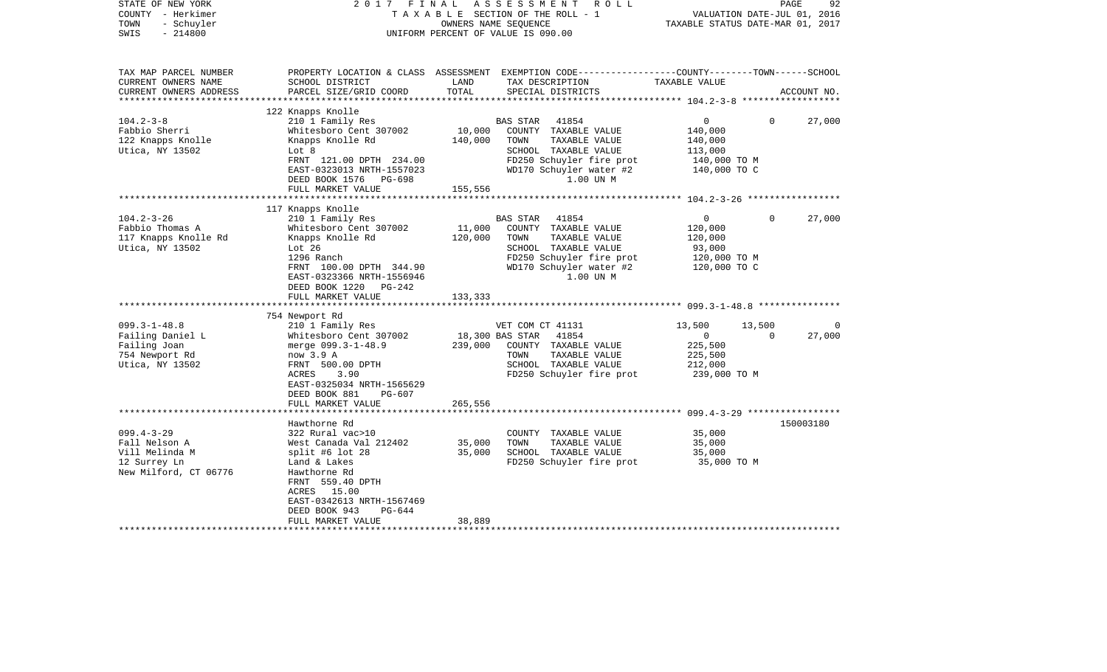| STATE OF NEW YORK<br>COUNTY - Herkimer<br>- Schuyler<br>TOWN<br>$-214800$<br>SWIS               | 2017 FINAL                                                                                                                                                                                                                      |                              | ASSESSMENT<br>R O L L<br>TAXABLE SECTION OF THE ROLL - 1<br>OWNERS NAME SEQUENCE<br>UNIFORM PERCENT OF VALUE IS 090.00                                         | VALUATION DATE-JUL 01, 2016<br>TAXABLE STATUS DATE-MAR 01, 2017                 | PAGE               | 92          |
|-------------------------------------------------------------------------------------------------|---------------------------------------------------------------------------------------------------------------------------------------------------------------------------------------------------------------------------------|------------------------------|----------------------------------------------------------------------------------------------------------------------------------------------------------------|---------------------------------------------------------------------------------|--------------------|-------------|
| TAX MAP PARCEL NUMBER<br>CURRENT OWNERS NAME<br>CURRENT OWNERS ADDRESS<br>********************* | SCHOOL DISTRICT<br>PARCEL SIZE/GRID COORD                                                                                                                                                                                       | LAND<br>TOTAL                | PROPERTY LOCATION & CLASS ASSESSMENT EXEMPTION CODE----------------COUNTY-------TOWN------SCHOOL<br>TAX DESCRIPTION<br>SPECIAL DISTRICTS                       | TAXABLE VALUE                                                                   |                    | ACCOUNT NO. |
| $104.2 - 3 - 8$<br>Fabbio Sherri<br>122 Knapps Knolle<br>Utica, NY 13502                        | 122 Knapps Knolle<br>210 1 Family Res<br>Whitesboro Cent 307002<br>Knapps Knolle Rd<br>Lot 8<br>FRNT 121.00 DPTH 234.00<br>EAST-0323013 NRTH-1557023<br>DEED BOOK 1576 PG-698                                                   | 10,000<br>140,000            | BAS STAR<br>41854<br>COUNTY TAXABLE VALUE<br>TOWN<br>TAXABLE VALUE<br>SCHOOL TAXABLE VALUE<br>FD250 Schuyler fire prot<br>WD170 Schuyler water #2<br>1.00 UN M | $\overline{0}$<br>140,000<br>140,000<br>113,000<br>140,000 TO M<br>140,000 TO C | $\Omega$           | 27,000      |
|                                                                                                 | FULL MARKET VALUE                                                                                                                                                                                                               | 155,556                      |                                                                                                                                                                |                                                                                 |                    |             |
| $104.2 - 3 - 26$<br>Fabbio Thomas A<br>117 Knapps Knolle Rd<br>Utica, NY 13502                  | 117 Knapps Knolle<br>210 1 Family Res<br>Whitesboro Cent 307002<br>Knapps Knolle Rd<br>Lot 26<br>1296 Ranch<br>FRNT 100.00 DPTH 344.90<br>EAST-0323366 NRTH-1556946<br>DEED BOOK 1220 PG-242<br>FULL MARKET VALUE               | 11,000<br>120,000<br>133,333 | BAS STAR 41854<br>COUNTY TAXABLE VALUE<br>TOWN<br>TAXABLE VALUE<br>SCHOOL TAXABLE VALUE<br>FD250 Schuyler fire prot<br>WD170 Schuyler water #2<br>1.00 UN M    | $\overline{0}$<br>120,000<br>120,000<br>93,000<br>120,000 TO M<br>120,000 TO C  | $\overline{0}$     | 27,000      |
|                                                                                                 | 754 Newport Rd                                                                                                                                                                                                                  |                              |                                                                                                                                                                |                                                                                 |                    |             |
| $099.3 - 1 - 48.8$<br>Failing Daniel L<br>Failing Joan<br>754 Newport Rd<br>Utica, NY 13502     | 210 1 Family Res<br>Whitesboro Cent 307002<br>merge 099.3-1-48.9<br>now 3.9 A<br>FRNT 500.00 DPTH<br>ACRES<br>3.90<br>EAST-0325034 NRTH-1565629<br>DEED BOOK 881<br>PG-607<br>FULL MARKET VALUE                                 | 239,000<br>265,556           | VET COM CT 41131<br>18,300 BAS STAR<br>41854<br>COUNTY TAXABLE VALUE<br>TAXABLE VALUE<br>TOWN<br>SCHOOL TAXABLE VALUE<br>FD250 Schuyler fire prot              | 13,500<br>$\overline{0}$<br>225,500<br>225,500<br>212,000<br>239,000 TO M       | 13,500<br>$\Omega$ | 0<br>27,000 |
|                                                                                                 |                                                                                                                                                                                                                                 |                              |                                                                                                                                                                |                                                                                 |                    |             |
| $099.4 - 3 - 29$<br>Fall Nelson A<br>Vill Melinda M<br>12 Surrey Ln<br>New Milford, CT 06776    | Hawthorne Rd<br>322 Rural vac>10<br>West Canada Val 212402<br>split #6 lot $28$<br>Land & Lakes<br>Hawthorne Rd<br>FRNT 559.40 DPTH<br>ACRES 15.00<br>EAST-0342613 NRTH-1567469<br>DEED BOOK 943<br>PG-644<br>FULL MARKET VALUE | 35,000<br>35,000<br>38,889   | COUNTY TAXABLE VALUE<br>TOWN<br>TAXABLE VALUE<br>SCHOOL TAXABLE VALUE<br>FD250 Schuyler fire prot                                                              | 35,000<br>35,000<br>35,000<br>35,000 TO M                                       |                    | 150003180   |
|                                                                                                 |                                                                                                                                                                                                                                 |                              |                                                                                                                                                                |                                                                                 |                    |             |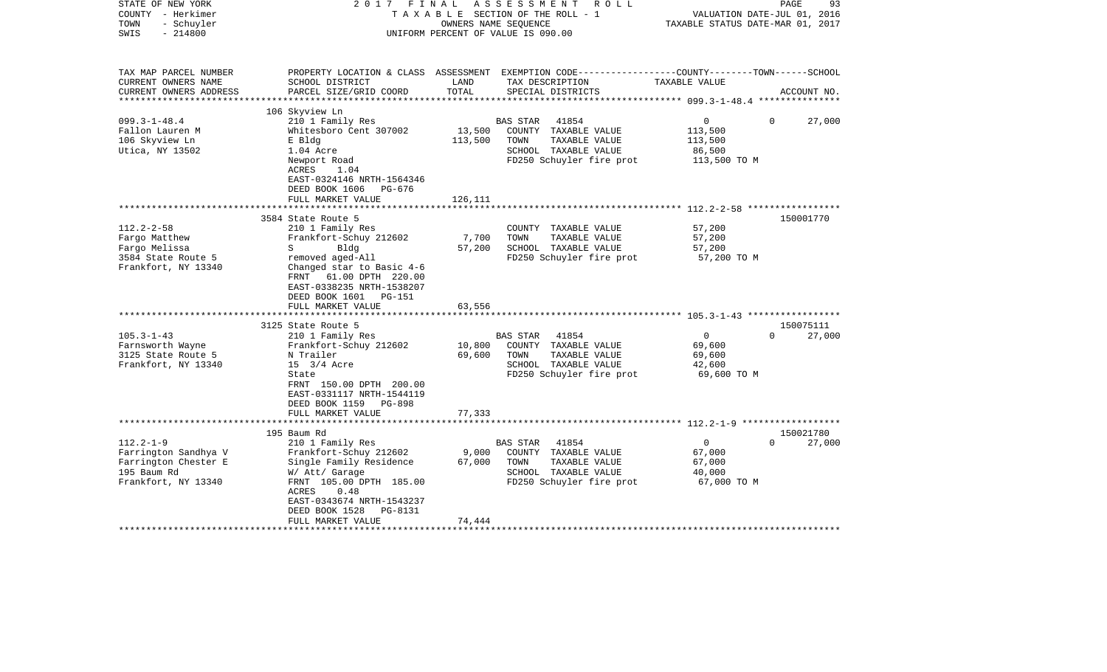| STATE OF NEW YORK<br>COUNTY - Herkimer<br>TOWN<br>- Schuyler<br>$-214800$<br>SWIS                | FINAL<br>2017                                                                                                                                | OWNERS NAME SEQUENCE | ASSESSMENT<br>R O L L<br>TAXABLE SECTION OF THE ROLL - 1<br>UNIFORM PERCENT OF VALUE IS 090.00 | VALUATION DATE-JUL 01, 2016<br>TAXABLE STATUS DATE-MAR 01, 2017 | 93<br>PAGE         |
|--------------------------------------------------------------------------------------------------|----------------------------------------------------------------------------------------------------------------------------------------------|----------------------|------------------------------------------------------------------------------------------------|-----------------------------------------------------------------|--------------------|
| TAX MAP PARCEL NUMBER<br>CURRENT OWNERS NAME<br>CURRENT OWNERS ADDRESS<br>********************** | PROPERTY LOCATION & CLASS ASSESSMENT EXEMPTION CODE---------------COUNTY-------TOWN------SCHOOL<br>SCHOOL DISTRICT<br>PARCEL SIZE/GRID COORD | LAND<br>TOTAL        | TAX DESCRIPTION<br>SPECIAL DISTRICTS                                                           | TAXABLE VALUE                                                   | ACCOUNT NO.        |
|                                                                                                  | 106 Skyview Ln                                                                                                                               |                      |                                                                                                |                                                                 |                    |
| $099.3 - 1 - 48.4$                                                                               | 210 1 Family Res                                                                                                                             |                      | <b>BAS STAR</b><br>41854                                                                       | $\overline{0}$                                                  | $\Omega$<br>27,000 |
| Fallon Lauren M                                                                                  | Whitesboro Cent 307002                                                                                                                       | 13,500               | COUNTY TAXABLE VALUE                                                                           | 113,500                                                         |                    |
| 106 Skyview Ln                                                                                   | E Bldg                                                                                                                                       | 113,500              | TOWN<br>TAXABLE VALUE                                                                          | 113,500                                                         |                    |
| Utica, NY 13502                                                                                  | 1.04 Acre                                                                                                                                    |                      | SCHOOL TAXABLE VALUE                                                                           | 86,500                                                          |                    |
|                                                                                                  | Newport Road<br>ACRES<br>1.04<br>EAST-0324146 NRTH-1564346<br>DEED BOOK 1606<br>PG-676<br>FULL MARKET VALUE                                  | 126,111              | FD250 Schuyler fire prot                                                                       | 113,500 TO M                                                    |                    |
|                                                                                                  |                                                                                                                                              | *******              |                                                                                                | ********************* 112.2-2-58 ******************             |                    |
|                                                                                                  | 3584 State Route 5                                                                                                                           |                      |                                                                                                |                                                                 | 150001770          |
| $112.2 - 2 - 58$                                                                                 | 210 1 Family Res                                                                                                                             |                      | COUNTY TAXABLE VALUE                                                                           | 57,200                                                          |                    |
| Fargo Matthew                                                                                    | Frankfort-Schuy 212602                                                                                                                       | 7,700                | TOWN<br>TAXABLE VALUE                                                                          | 57,200                                                          |                    |
| Fargo Melissa                                                                                    | S<br>Bldg                                                                                                                                    | 57,200               | SCHOOL TAXABLE VALUE                                                                           | 57,200                                                          |                    |
| 3584 State Route 5<br>Frankfort, NY 13340                                                        | removed aged-All<br>Changed star to Basic $4-6$<br>61.00 DPTH 220.00<br>FRNT<br>EAST-0338235 NRTH-1538207<br>DEED BOOK 1601<br><b>PG-151</b> |                      | FD250 Schuyler fire prot                                                                       | 57,200 TO M                                                     |                    |
|                                                                                                  | FULL MARKET VALUE                                                                                                                            | 63,556               |                                                                                                |                                                                 |                    |
|                                                                                                  |                                                                                                                                              |                      |                                                                                                |                                                                 |                    |
|                                                                                                  | 3125 State Route 5                                                                                                                           |                      |                                                                                                |                                                                 | 150075111          |
| $105.3 - 1 - 43$                                                                                 | 210 1 Family Res                                                                                                                             |                      | BAS STAR<br>41854                                                                              | $\overline{0}$                                                  | 27,000<br>$\Omega$ |
| Farnsworth Wayne<br>3125 State Route 5                                                           | Frankfort-Schuy 212602<br>N Trailer                                                                                                          | 10,800<br>69,600     | COUNTY TAXABLE VALUE<br>TOWN<br>TAXABLE VALUE                                                  | 69,600<br>69,600                                                |                    |
| Frankfort, NY 13340                                                                              | 15 3/4 Acre                                                                                                                                  |                      | SCHOOL TAXABLE VALUE                                                                           | 42,600                                                          |                    |
|                                                                                                  | State<br>FRNT 150.00 DPTH 200.00<br>EAST-0331117 NRTH-1544119<br>DEED BOOK 1159<br><b>PG-898</b>                                             |                      | FD250 Schuyler fire prot                                                                       | 69,600 TO M                                                     |                    |
|                                                                                                  | FULL MARKET VALUE<br>*******************************                                                                                         | 77,333               |                                                                                                |                                                                 |                    |
|                                                                                                  | 195 Baum Rd                                                                                                                                  |                      |                                                                                                |                                                                 | 150021780          |
| $112.2 - 1 - 9$                                                                                  | 210 1 Family Res                                                                                                                             |                      | <b>BAS STAR</b><br>41854                                                                       | $\overline{0}$                                                  | 27,000<br>0        |
| Farrington Sandhya V                                                                             | Frankfort-Schuy 212602                                                                                                                       | 9,000                | COUNTY TAXABLE VALUE                                                                           | 67,000                                                          |                    |
| Farrington Chester E                                                                             | Single Family Residence                                                                                                                      | 67,000               | TOWN<br>TAXABLE VALUE                                                                          | 67,000                                                          |                    |
| 195 Baum Rd                                                                                      | W/ Att/ Garage                                                                                                                               |                      | SCHOOL TAXABLE VALUE                                                                           | 40,000                                                          |                    |
| Frankfort, NY 13340                                                                              | FRNT 105.00 DPTH 185.00<br>ACRES<br>0.48<br>EAST-0343674 NRTH-1543237<br>DEED BOOK 1528<br>PG-8131                                           |                      | FD250 Schuyler fire prot                                                                       | 67,000 TO M                                                     |                    |
|                                                                                                  | FULL MARKET VALUE                                                                                                                            | 74,444               |                                                                                                |                                                                 |                    |
|                                                                                                  |                                                                                                                                              |                      |                                                                                                |                                                                 |                    |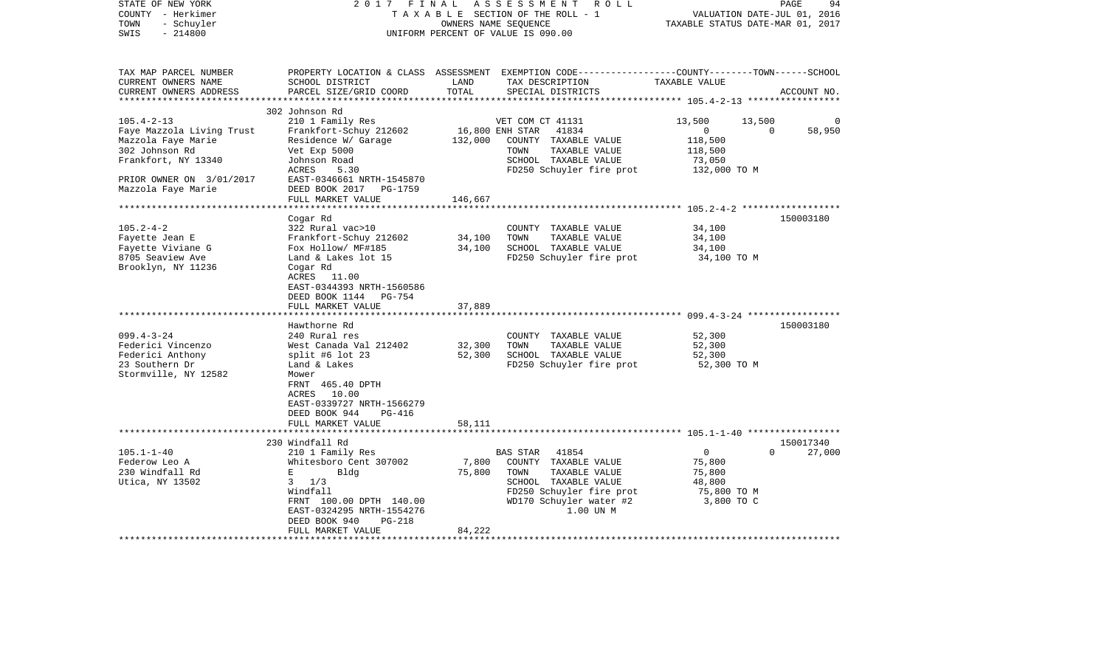| STATE OF NEW YORK<br>COUNTY - Herkimer<br>- Schuyler<br>TOWN<br>$-214800$<br>SWIS | 2017 FINAL                                             | OWNERS NAME SEQUENCE | ASSESSMENT<br>ROLL<br>TAXABLE SECTION OF THE ROLL - 1<br>UNIFORM PERCENT OF VALUE IS 090.00                                              | TAXABLE STATUS DATE-MAR 01, 2017 | PAGE<br>94<br>VALUATION DATE-JUL 01, 2016 |
|-----------------------------------------------------------------------------------|--------------------------------------------------------|----------------------|------------------------------------------------------------------------------------------------------------------------------------------|----------------------------------|-------------------------------------------|
| TAX MAP PARCEL NUMBER<br>CURRENT OWNERS NAME<br>CURRENT OWNERS ADDRESS            | SCHOOL DISTRICT<br>PARCEL SIZE/GRID COORD              | LAND<br>TOTAL        | PROPERTY LOCATION & CLASS ASSESSMENT EXEMPTION CODE----------------COUNTY-------TOWN------SCHOOL<br>TAX DESCRIPTION<br>SPECIAL DISTRICTS | TAXABLE VALUE                    | ACCOUNT NO.                               |
|                                                                                   | 302 Johnson Rd                                         |                      |                                                                                                                                          |                                  |                                           |
| $105.4 - 2 - 13$                                                                  | 210 1 Family Res                                       |                      | VET COM CT 41131                                                                                                                         | 13,500<br>13,500                 | $\Omega$                                  |
| Faye Mazzola Living Trust                                                         | Frankfort-Schuy 212602                                 | 16,800 ENH STAR      | 41834                                                                                                                                    | $\mathbf{0}$                     | $\Omega$<br>58,950                        |
| Mazzola Faye Marie                                                                | Residence W/ Garage                                    | 132,000              | COUNTY TAXABLE VALUE                                                                                                                     | 118,500                          |                                           |
| 302 Johnson Rd<br>Frankfort, NY 13340                                             | Vet Exp 5000<br>Johnson Road                           |                      | TOWN<br>TAXABLE VALUE<br>SCHOOL TAXABLE VALUE                                                                                            | 118,500<br>73,050                |                                           |
|                                                                                   | ACRES<br>5.30                                          |                      | FD250 Schuyler fire prot                                                                                                                 | 132,000 TO M                     |                                           |
| PRIOR OWNER ON 3/01/2017                                                          | EAST-0346661 NRTH-1545870                              |                      |                                                                                                                                          |                                  |                                           |
| Mazzola Faye Marie                                                                | DEED BOOK 2017<br>PG-1759                              |                      |                                                                                                                                          |                                  |                                           |
|                                                                                   | FULL MARKET VALUE                                      | 146,667              |                                                                                                                                          |                                  |                                           |
|                                                                                   | ********************                                   |                      |                                                                                                                                          |                                  |                                           |
|                                                                                   | Cogar Rd                                               |                      |                                                                                                                                          |                                  | 150003180                                 |
| $105.2 - 4 - 2$                                                                   | 322 Rural vac>10                                       |                      | COUNTY TAXABLE VALUE                                                                                                                     | 34,100                           |                                           |
| Fayette Jean E                                                                    | Frankfort-Schuy 212602                                 | 34,100               | TOWN<br>TAXABLE VALUE                                                                                                                    | 34,100                           |                                           |
| Fayette Viviane G<br>8705 Seaview Ave                                             | Fox Hollow/ MF#185<br>Land & Lakes lot 15              | 34,100               | SCHOOL TAXABLE VALUE<br>FD250 Schuyler fire prot                                                                                         | 34,100<br>34,100 TO M            |                                           |
| Brooklyn, NY 11236                                                                | Cogar Rd                                               |                      |                                                                                                                                          |                                  |                                           |
|                                                                                   | ACRES 11.00                                            |                      |                                                                                                                                          |                                  |                                           |
|                                                                                   | EAST-0344393 NRTH-1560586                              |                      |                                                                                                                                          |                                  |                                           |
|                                                                                   | DEED BOOK 1144 PG-754                                  |                      |                                                                                                                                          |                                  |                                           |
|                                                                                   | FULL MARKET VALUE                                      | 37,889               |                                                                                                                                          |                                  |                                           |
|                                                                                   | ********************                                   |                      |                                                                                                                                          |                                  |                                           |
|                                                                                   | Hawthorne Rd                                           |                      |                                                                                                                                          |                                  | 150003180                                 |
| $099.4 - 3 - 24$<br>Federici Vincenzo                                             | 240 Rural res<br>West Canada Val 212402                | 32,300               | COUNTY TAXABLE VALUE<br>TOWN<br>TAXABLE VALUE                                                                                            | 52,300<br>52,300                 |                                           |
| Federici Anthony                                                                  | split #6 lot $23$                                      | 52,300               | SCHOOL TAXABLE VALUE                                                                                                                     | 52,300                           |                                           |
| 23 Southern Dr                                                                    | Land & Lakes                                           |                      | FD250 Schuyler fire prot                                                                                                                 | 52,300 TO M                      |                                           |
| Stormville, NY 12582                                                              | Mower                                                  |                      |                                                                                                                                          |                                  |                                           |
|                                                                                   | FRNT 465.40 DPTH                                       |                      |                                                                                                                                          |                                  |                                           |
|                                                                                   | ACRES<br>10.00                                         |                      |                                                                                                                                          |                                  |                                           |
|                                                                                   | EAST-0339727 NRTH-1566279                              |                      |                                                                                                                                          |                                  |                                           |
|                                                                                   | DEED BOOK 944<br>PG-416                                |                      |                                                                                                                                          |                                  |                                           |
|                                                                                   | FULL MARKET VALUE                                      | 58,111               |                                                                                                                                          |                                  |                                           |
|                                                                                   | 230 Windfall Rd                                        |                      |                                                                                                                                          |                                  | 150017340                                 |
| $105.1 - 1 - 40$                                                                  | 210 1 Family Res                                       |                      | <b>BAS STAR</b><br>41854                                                                                                                 | $\mathbf{0}$                     | 27,000<br>$\Omega$                        |
| Federow Leo A                                                                     | Whitesboro Cent 307002                                 | 7,800                | COUNTY TAXABLE VALUE                                                                                                                     | 75,800                           |                                           |
| 230 Windfall Rd                                                                   | E<br>Bldg                                              | 75,800               | TAXABLE VALUE<br>TOWN                                                                                                                    | 75,800                           |                                           |
| Utica, NY 13502                                                                   | $3 \t1/3$                                              |                      | SCHOOL TAXABLE VALUE                                                                                                                     | 48,800                           |                                           |
|                                                                                   | Windfall                                               |                      | FD250 Schuyler fire prot                                                                                                                 | 75,800 TO M                      |                                           |
|                                                                                   | FRNT 100.00 DPTH 140.00                                |                      | WD170 Schuyler water #2                                                                                                                  | 3,800 TO C                       |                                           |
|                                                                                   | EAST-0324295 NRTH-1554276<br>DEED BOOK 940<br>$PG-218$ |                      | 1.00 UN M                                                                                                                                |                                  |                                           |
|                                                                                   | FULL MARKET VALUE                                      | 84,222               |                                                                                                                                          |                                  |                                           |
|                                                                                   |                                                        |                      |                                                                                                                                          |                                  |                                           |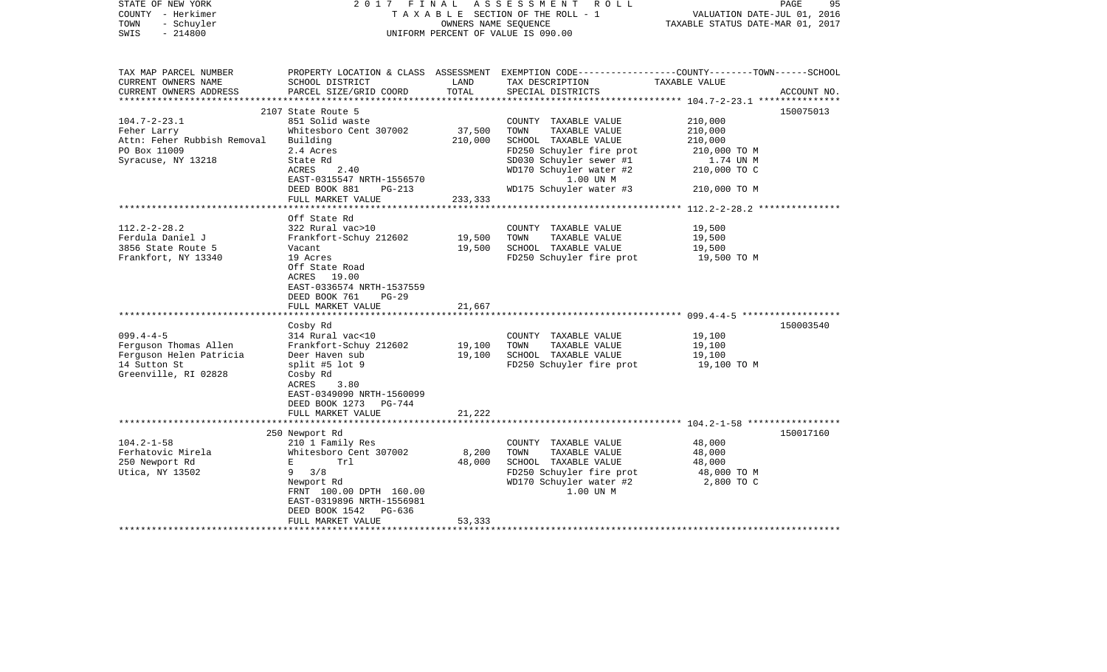|                                                                                                                                                                                                                                                                                                                                                                                    |                                                                                      |                                                                                                                                                                                                 |                                                                                                                                  | 95<br>PAGE                                                                                                                                                                                                                                                                                                           |
|------------------------------------------------------------------------------------------------------------------------------------------------------------------------------------------------------------------------------------------------------------------------------------------------------------------------------------------------------------------------------------|--------------------------------------------------------------------------------------|-------------------------------------------------------------------------------------------------------------------------------------------------------------------------------------------------|----------------------------------------------------------------------------------------------------------------------------------|----------------------------------------------------------------------------------------------------------------------------------------------------------------------------------------------------------------------------------------------------------------------------------------------------------------------|
| SCHOOL DISTRICT<br>PARCEL SIZE/GRID COORD                                                                                                                                                                                                                                                                                                                                          | LAND<br>TOTAL                                                                        | TAX DESCRIPTION<br>SPECIAL DISTRICTS                                                                                                                                                            | TAXABLE VALUE                                                                                                                    | ACCOUNT NO.                                                                                                                                                                                                                                                                                                          |
| 851 Solid waste<br>Whitesboro Cent 307002<br>Building<br>2.4 Acres<br>State Rd<br>ACRES<br>2.40<br>EAST-0315547 NRTH-1556570<br>DEED BOOK 881<br>$PG-213$                                                                                                                                                                                                                          | 37,500<br>210,000                                                                    | COUNTY TAXABLE VALUE<br>TOWN<br>TAXABLE VALUE<br>SCHOOL TAXABLE VALUE<br>FD250 Schuyler fire prot<br>SD030 Schuyler sewer #1<br>WD170 Schuyler water #2<br>1.00 UN M<br>WD175 Schuyler water #3 | 210,000<br>210,000<br>210,000<br>210,000 TO M<br>1.74 UN M<br>210,000 TO C<br>210,000 TO M                                       | 150075013                                                                                                                                                                                                                                                                                                            |
| FULL MARKET VALUE                                                                                                                                                                                                                                                                                                                                                                  | 233,333                                                                              |                                                                                                                                                                                                 |                                                                                                                                  |                                                                                                                                                                                                                                                                                                                      |
| Off State Rd<br>322 Rural vac>10<br>Frankfort-Schuy 212602<br>Vacant<br>19 Acres<br>Off State Road<br>ACRES 19.00<br>EAST-0336574 NRTH-1537559<br>DEED BOOK 761<br>$PG-29$<br>FULL MARKET VALUE<br>Cosby Rd<br>314 Rural vac<10<br>Frankfort-Schuy 212602<br>Deer Haven sub<br>split #5 lot $9$<br>Cosby Rd<br>ACRES<br>3.80<br>EAST-0349090 NRTH-1560099<br>DEED BOOK 1273 PG-744 | ********<br>19,500<br>19,500<br>21,667<br>19,100<br>19,100                           | COUNTY TAXABLE VALUE<br>TAXABLE VALUE<br>TOWN<br>SCHOOL TAXABLE VALUE<br>COUNTY TAXABLE VALUE<br>TOWN<br>TAXABLE VALUE<br>SCHOOL TAXABLE VALUE<br>FD250 Schuyler fire prot                      | 19,500<br>19,500<br>19,500<br>19,500 TO M<br>19,100<br>19,100<br>19,100<br>19,100 TO M                                           | 150003540                                                                                                                                                                                                                                                                                                            |
|                                                                                                                                                                                                                                                                                                                                                                                    |                                                                                      |                                                                                                                                                                                                 |                                                                                                                                  |                                                                                                                                                                                                                                                                                                                      |
|                                                                                                                                                                                                                                                                                                                                                                                    |                                                                                      |                                                                                                                                                                                                 |                                                                                                                                  | 150017160                                                                                                                                                                                                                                                                                                            |
| 210 1 Family Res<br>Whitesboro Cent 307002<br>$\mathbf{E}$ and $\mathbf{E}$<br>Trl<br>$9 \frac{3}{8}$<br>Newport Rd<br>FRNT 100.00 DPTH 160.00<br>EAST-0319896 NRTH-1556981<br>DEED BOOK 1542<br>PG-636<br>FULL MARKET VALUE                                                                                                                                                       | 8,200<br>48,000<br>53,333                                                            | COUNTY TAXABLE VALUE<br>TOWN<br>TAXABLE VALUE<br>SCHOOL TAXABLE VALUE<br>FD250 Schuyler fire prot<br>WD170 Schuyler water #2<br>1.00 UN M                                                       | 48,000<br>48,000<br>48,000<br>48,000 TO M<br>2,800 TO C                                                                          |                                                                                                                                                                                                                                                                                                                      |
|                                                                                                                                                                                                                                                                                                                                                                                    | 2107 State Route 5<br>FULL MARKET VALUE<br>***********************<br>250 Newport Rd | 2017 FINAL<br>21,222                                                                                                                                                                            | ASSESSMENT ROLL<br>TAXABLE SECTION OF THE ROLL - 1<br>OWNERS NAME SEOUENCE<br>UNIFORM PERCENT OF VALUE IS 090.00<br>************ | VALUATION DATE-JUL 01, 2016<br>TAXABLE STATUS DATE-MAR 01, 2017<br>PROPERTY LOCATION & CLASS ASSESSMENT EXEMPTION CODE---------------COUNTY-------TOWN------SCHOOL<br>********************** 112.2-2-28.2 ***************<br>FD250 Schuyler fire prot<br>****************************** 104.2-1-58 ***************** |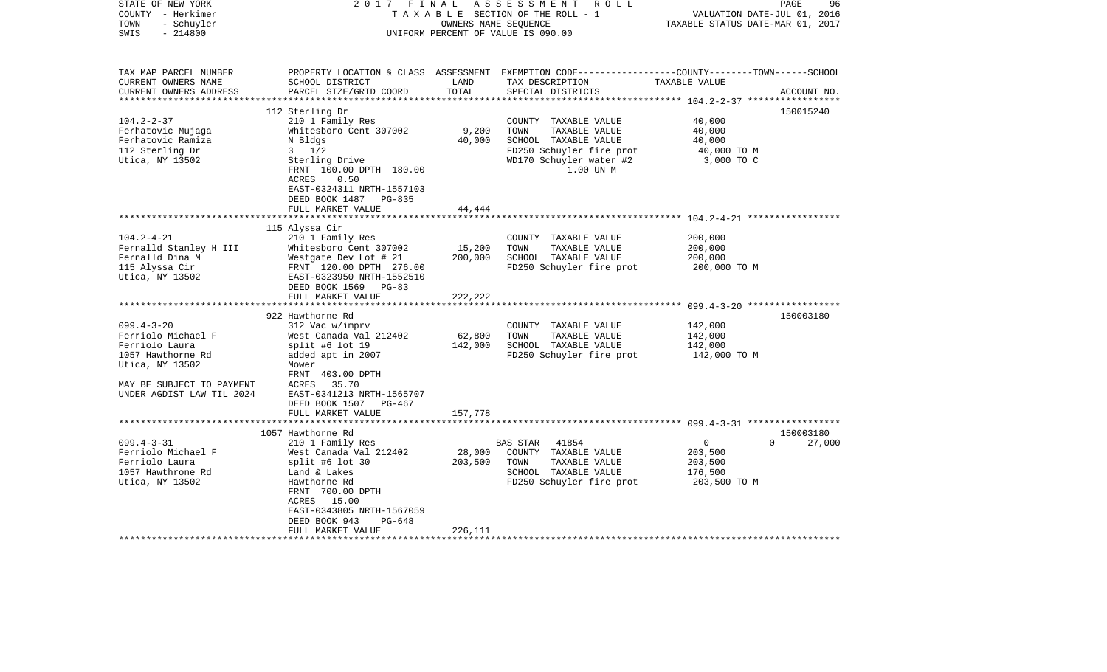| STATE OF NEW YORK<br>COUNTY - Herkimer<br>- Schuyler<br>TOWN<br>$-214800$<br>SWIS | 2017<br>FINAL                                     | OWNERS NAME SEQUENCE | ASSESSMENT ROLL<br>TAXABLE SECTION OF THE ROLL - 1<br>UNIFORM PERCENT OF VALUE IS 090.00                                                 | VALUATION DATE-JUL 01, 2016<br>TAXABLE STATUS DATE-MAR 01, 2017 | PAGE<br>96  |
|-----------------------------------------------------------------------------------|---------------------------------------------------|----------------------|------------------------------------------------------------------------------------------------------------------------------------------|-----------------------------------------------------------------|-------------|
| TAX MAP PARCEL NUMBER<br>CURRENT OWNERS NAME<br>CURRENT OWNERS ADDRESS            | SCHOOL DISTRICT<br>PARCEL SIZE/GRID COORD         | LAND<br>TOTAL        | PROPERTY LOCATION & CLASS ASSESSMENT EXEMPTION CODE----------------COUNTY-------TOWN------SCHOOL<br>TAX DESCRIPTION<br>SPECIAL DISTRICTS | TAXABLE VALUE                                                   | ACCOUNT NO. |
|                                                                                   |                                                   |                      |                                                                                                                                          |                                                                 |             |
|                                                                                   | 112 Sterling Dr                                   |                      |                                                                                                                                          |                                                                 | 150015240   |
| $104.2 - 2 - 37$                                                                  | 210 1 Family Res<br>Whitesboro Cent 307002        | 9,200                | COUNTY TAXABLE VALUE<br>TOWN<br>TAXABLE VALUE                                                                                            | 40,000<br>40,000                                                |             |
| Ferhatovic Mujaga<br>Ferhatovic Ramiza                                            | N Bldgs                                           | 40,000               | SCHOOL TAXABLE VALUE                                                                                                                     | 40,000                                                          |             |
| 112 Sterling Dr                                                                   | $3 \frac{1}{2}$                                   |                      | FD250 Schuyler fire prot                                                                                                                 | 40,000 TO M                                                     |             |
| Utica, NY 13502                                                                   | Sterling Drive                                    |                      | WD170 Schuyler water #2                                                                                                                  | 3,000 TO C                                                      |             |
|                                                                                   | FRNT 100.00 DPTH 180.00                           |                      | 1.00 UN M                                                                                                                                |                                                                 |             |
|                                                                                   | ACRES<br>0.50                                     |                      |                                                                                                                                          |                                                                 |             |
|                                                                                   | EAST-0324311 NRTH-1557103                         |                      |                                                                                                                                          |                                                                 |             |
|                                                                                   | DEED BOOK 1487 PG-835                             |                      |                                                                                                                                          |                                                                 |             |
|                                                                                   | FULL MARKET VALUE                                 | 44,444               |                                                                                                                                          |                                                                 |             |
|                                                                                   |                                                   |                      |                                                                                                                                          |                                                                 |             |
|                                                                                   | 115 Alyssa Cir                                    |                      |                                                                                                                                          |                                                                 |             |
| $104.2 - 4 - 21$                                                                  | 210 1 Family Res                                  |                      | COUNTY TAXABLE VALUE                                                                                                                     | 200,000                                                         |             |
| Fernalld Stanley H III                                                            | Whitesboro Cent 307002                            | 15,200               | TAXABLE VALUE<br>TOWN                                                                                                                    | 200,000                                                         |             |
| Fernalld Dina M                                                                   | Westgate Dev Lot # 21                             | 200,000              | SCHOOL TAXABLE VALUE                                                                                                                     | 200,000                                                         |             |
| 115 Alyssa Cir                                                                    | FRNT 120.00 DPTH 276.00                           |                      | FD250 Schuyler fire prot                                                                                                                 | 200,000 TO M                                                    |             |
| Utica, NY 13502                                                                   | EAST-0323950 NRTH-1552510<br>DEED BOOK 1569 PG-83 |                      |                                                                                                                                          |                                                                 |             |
|                                                                                   | FULL MARKET VALUE                                 | 222,222              |                                                                                                                                          |                                                                 |             |
|                                                                                   |                                                   |                      |                                                                                                                                          |                                                                 |             |
|                                                                                   | 922 Hawthorne Rd                                  |                      |                                                                                                                                          |                                                                 | 150003180   |
| $099.4 - 3 - 20$                                                                  | 312 Vac w/imprv                                   |                      | COUNTY TAXABLE VALUE                                                                                                                     | 142,000                                                         |             |
| Ferriolo Michael F                                                                | West Canada Val 212402                            | 62,800               | TOWN<br>TAXABLE VALUE                                                                                                                    | 142,000                                                         |             |
| Ferriolo Laura                                                                    | split #6 lot 19                                   | 142,000              | SCHOOL TAXABLE VALUE                                                                                                                     | 142,000                                                         |             |
| 1057 Hawthorne Rd                                                                 | added apt in 2007                                 |                      | FD250 Schuyler fire prot                                                                                                                 | 142,000 TO M                                                    |             |
| Utica, NY 13502                                                                   | Mower                                             |                      |                                                                                                                                          |                                                                 |             |
|                                                                                   | FRNT 403.00 DPTH                                  |                      |                                                                                                                                          |                                                                 |             |
| MAY BE SUBJECT TO PAYMENT                                                         | ACRES<br>35.70                                    |                      |                                                                                                                                          |                                                                 |             |
| UNDER AGDIST LAW TIL 2024                                                         | EAST-0341213 NRTH-1565707                         |                      |                                                                                                                                          |                                                                 |             |
|                                                                                   | DEED BOOK 1507<br>PG-467                          |                      |                                                                                                                                          |                                                                 |             |
|                                                                                   | FULL MARKET VALUE                                 | 157,778              |                                                                                                                                          |                                                                 |             |
|                                                                                   | 1057 Hawthorne Rd                                 |                      |                                                                                                                                          |                                                                 | 150003180   |
| $099.4 - 3 - 31$                                                                  | 210 1 Family Res                                  |                      | BAS STAR<br>41854                                                                                                                        | $\overline{0}$<br>$\Omega$                                      | 27,000      |
| Ferriolo Michael F                                                                | West Canada Val 212402                            | 28,000               | COUNTY TAXABLE VALUE                                                                                                                     | 203,500                                                         |             |
| Ferriolo Laura                                                                    | split #6 lot $30$                                 | 203,500              | TOWN<br>TAXABLE VALUE                                                                                                                    | 203,500                                                         |             |
| 1057 Hawthrone Rd                                                                 | Land & Lakes                                      |                      | SCHOOL TAXABLE VALUE                                                                                                                     | 176,500                                                         |             |
| Utica, NY 13502                                                                   | Hawthorne Rd                                      |                      | FD250 Schuyler fire prot                                                                                                                 | 203,500 TO M                                                    |             |
|                                                                                   | FRNT 700.00 DPTH                                  |                      |                                                                                                                                          |                                                                 |             |
|                                                                                   | ACRES 15.00                                       |                      |                                                                                                                                          |                                                                 |             |
|                                                                                   | EAST-0343805 NRTH-1567059                         |                      |                                                                                                                                          |                                                                 |             |
|                                                                                   | DEED BOOK 943<br>PG-648                           |                      |                                                                                                                                          |                                                                 |             |
|                                                                                   | FULL MARKET VALUE                                 | 226,111              |                                                                                                                                          |                                                                 |             |
|                                                                                   | *********************                             |                      |                                                                                                                                          |                                                                 |             |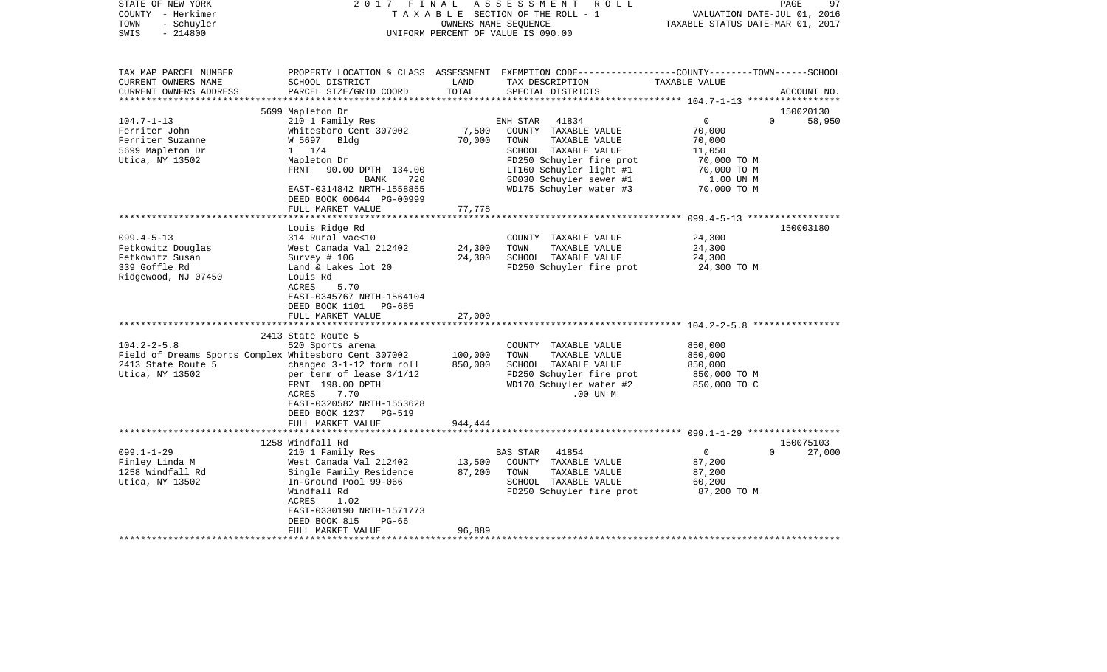| STATE OF NEW YORK<br>COUNTY - Herkimer<br>- Schuyler<br>TOWN<br>$-214800$<br>SWIS                 | 2017<br>FINAL                                                              | OWNERS NAME SEQUENCE | ASSESSMENT ROLL<br>TAXABLE SECTION OF THE ROLL - 1<br>UNIFORM PERCENT OF VALUE IS 090.00                                                 | VALUATION DATE-JUL 01, 2016<br>TAXABLE STATUS DATE-MAR 01, 2017 | PAGE<br>97            |
|---------------------------------------------------------------------------------------------------|----------------------------------------------------------------------------|----------------------|------------------------------------------------------------------------------------------------------------------------------------------|-----------------------------------------------------------------|-----------------------|
| TAX MAP PARCEL NUMBER<br>CURRENT OWNERS NAME<br>CURRENT OWNERS ADDRESS<br>*********************** | SCHOOL DISTRICT<br>PARCEL SIZE/GRID COORD                                  | LAND<br>TOTAL        | PROPERTY LOCATION & CLASS ASSESSMENT EXEMPTION CODE----------------COUNTY-------TOWN------SCHOOL<br>TAX DESCRIPTION<br>SPECIAL DISTRICTS | TAXABLE VALUE                                                   | ACCOUNT NO.           |
|                                                                                                   |                                                                            |                      |                                                                                                                                          |                                                                 |                       |
| $104.7 - 1 - 13$                                                                                  | 5699 Mapleton Dr                                                           |                      | ENH STAR<br>41834                                                                                                                        | $\overline{0}$                                                  | 150020130<br>$\Omega$ |
| Ferriter John                                                                                     | 210 1 Family Res<br>Whitesboro Cent 307002                                 | 7,500                | COUNTY TAXABLE VALUE                                                                                                                     | 70,000                                                          | 58,950                |
| Ferriter Suzanne                                                                                  | W 5697 Bldg                                                                | 70,000               | TAXABLE VALUE<br>TOWN                                                                                                                    | 70,000                                                          |                       |
| 5699 Mapleton Dr                                                                                  | $1 \t1/4$                                                                  |                      | SCHOOL TAXABLE VALUE                                                                                                                     | 11,050                                                          |                       |
| Utica, NY 13502                                                                                   | Mapleton Dr                                                                |                      | FD250 Schuyler fire prot                                                                                                                 | 70,000 TO M                                                     |                       |
|                                                                                                   | FRNT 90.00 DPTH 134.00                                                     |                      | LT160 Schuyler light #1                                                                                                                  | 70,000 TO M                                                     |                       |
|                                                                                                   | BANK<br>720                                                                |                      | SD030 Schuyler sewer #1                                                                                                                  | 1.00 UN M                                                       |                       |
|                                                                                                   | EAST-0314842 NRTH-1558855<br>DEED BOOK 00644 PG-00999                      |                      | WD175 Schuyler water #3                                                                                                                  | 70,000 TO M                                                     |                       |
|                                                                                                   | FULL MARKET VALUE                                                          | 77,778               |                                                                                                                                          |                                                                 |                       |
|                                                                                                   |                                                                            |                      |                                                                                                                                          |                                                                 |                       |
|                                                                                                   | Louis Ridge Rd                                                             |                      |                                                                                                                                          |                                                                 | 150003180             |
| $099.4 - 5 - 13$                                                                                  | 314 Rural vac<10                                                           |                      | COUNTY TAXABLE VALUE                                                                                                                     | 24,300                                                          |                       |
| Fetkowitz Douglas<br>Fetkowitz Susan                                                              | West Canada Val 212402<br>Survey # 106                                     | 24,300<br>24,300     | TOWN<br>TAXABLE VALUE<br>SCHOOL TAXABLE VALUE                                                                                            | 24,300<br>24,300                                                |                       |
| 339 Goffle Rd                                                                                     | Land & Lakes lot 20                                                        |                      | FD250 Schuyler fire prot                                                                                                                 | 24,300 TO M                                                     |                       |
| Ridgewood, NJ 07450                                                                               | Louis Rd<br>5.70<br>ACRES<br>EAST-0345767 NRTH-1564104                     |                      |                                                                                                                                          |                                                                 |                       |
|                                                                                                   | DEED BOOK 1101<br>PG-685                                                   |                      |                                                                                                                                          |                                                                 |                       |
|                                                                                                   | FULL MARKET VALUE                                                          | 27,000               |                                                                                                                                          |                                                                 |                       |
|                                                                                                   | 2413 State Route 5                                                         |                      |                                                                                                                                          |                                                                 |                       |
| $104.2 - 2 - 5.8$                                                                                 | 520 Sports arena                                                           |                      | COUNTY TAXABLE VALUE                                                                                                                     | 850,000                                                         |                       |
| Field of Dreams Sports Complex Whitesboro Cent 307002                                             |                                                                            | 100,000              | TOWN<br>TAXABLE VALUE                                                                                                                    | 850,000                                                         |                       |
| 2413 State Route 5                                                                                | changed 3-1-12 form roll                                                   | 850,000              | SCHOOL TAXABLE VALUE                                                                                                                     | 850,000                                                         |                       |
| Utica, NY 13502                                                                                   | per term of lease $3/1/12$                                                 |                      | FD250 Schuyler fire prot                                                                                                                 | 850,000 TO M                                                    |                       |
|                                                                                                   | FRNT 198.00 DPTH<br>7.70<br>ACRES                                          |                      | WD170 Schuyler water #2<br>$.00$ UN $M$                                                                                                  | 850,000 TO C                                                    |                       |
|                                                                                                   | EAST-0320582 NRTH-1553628<br>DEED BOOK 1237<br>PG-519<br>FULL MARKET VALUE | 944,444              |                                                                                                                                          |                                                                 |                       |
|                                                                                                   |                                                                            |                      |                                                                                                                                          |                                                                 |                       |
|                                                                                                   | 1258 Windfall Rd                                                           |                      |                                                                                                                                          |                                                                 | 150075103             |
| $099.1 - 1 - 29$                                                                                  | 210 1 Family Res                                                           |                      | 41854<br><b>BAS STAR</b>                                                                                                                 | $\mathbf 0$                                                     | 27,000<br>$\Omega$    |
| Finley Linda M                                                                                    | West Canada Val 212402                                                     | 13,500               | COUNTY TAXABLE VALUE                                                                                                                     | 87,200                                                          |                       |
| 1258 Windfall Rd                                                                                  | Single Family Residence                                                    | 87,200               | TOWN<br>TAXABLE VALUE                                                                                                                    | 87,200                                                          |                       |
| Utica, NY 13502                                                                                   | In-Ground Pool 99-066                                                      |                      | SCHOOL TAXABLE VALUE                                                                                                                     | 60,200                                                          |                       |
|                                                                                                   | Windfall Rd<br>1.02<br>ACRES                                               |                      | FD250 Schuyler fire prot                                                                                                                 | 87,200 TO M                                                     |                       |
|                                                                                                   | EAST-0330190 NRTH-1571773                                                  |                      |                                                                                                                                          |                                                                 |                       |
|                                                                                                   | DEED BOOK 815<br>$PG-66$                                                   |                      |                                                                                                                                          |                                                                 |                       |
|                                                                                                   | FULL MARKET VALUE                                                          | 96,889               |                                                                                                                                          |                                                                 |                       |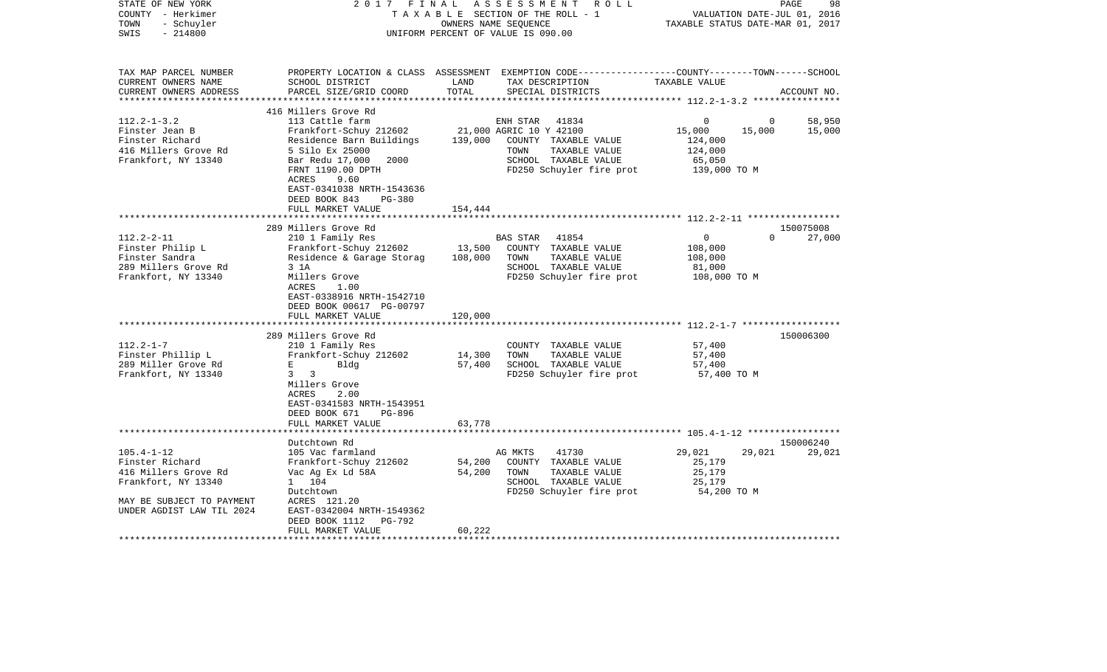| STATE OF NEW YORK<br>COUNTY - Herkimer<br>- Schuyler<br>TOWN<br>$-214800$<br>SWIS | 2017 FINAL                                                                                                                             | OWNERS NAME SEQUENCE | ASSESSMENT ROLL<br>TAXABLE SECTION OF THE ROLL - 1<br>UNIFORM PERCENT OF VALUE IS 090.00                                                | VALUATION DATE-JUL 01, 2016<br>TAXABLE STATUS DATE-MAR 01, 2017  | PAGE<br>98                      |
|-----------------------------------------------------------------------------------|----------------------------------------------------------------------------------------------------------------------------------------|----------------------|-----------------------------------------------------------------------------------------------------------------------------------------|------------------------------------------------------------------|---------------------------------|
| TAX MAP PARCEL NUMBER<br>CURRENT OWNERS NAME<br>CURRENT OWNERS ADDRESS            | SCHOOL DISTRICT<br>PARCEL SIZE/GRID COORD                                                                                              | LAND<br>TOTAL        | PROPERTY LOCATION & CLASS ASSESSMENT EXEMPTION CODE---------------COUNTY-------TOWN------SCHOOL<br>TAX DESCRIPTION<br>SPECIAL DISTRICTS | TAXABLE VALUE                                                    | ACCOUNT NO.                     |
|                                                                                   | 416 Millers Grove Rd                                                                                                                   |                      |                                                                                                                                         |                                                                  |                                 |
| $112.2 - 1 - 3.2$                                                                 | 113 Cattle farm                                                                                                                        |                      | ENH STAR<br>41834                                                                                                                       | $\Omega$                                                         | 58,950<br>$\Omega$              |
| Finster Jean B<br>Finster Richard<br>416 Millers Grove Rd<br>Frankfort, NY 13340  | Frankfort-Schuy 212602<br>Residence Barn Buildings<br>5 Silo Ex 25000<br>Bar Redu 17,000<br>2000<br>FRNT 1190.00 DPTH<br>ACRES<br>9.60 | 139,000              | 21,000 AGRIC 10 Y 42100<br>COUNTY TAXABLE VALUE<br>TOWN<br>TAXABLE VALUE<br>SCHOOL TAXABLE VALUE<br>FD250 Schuyler fire prot            | 15,000<br>15,000<br>124,000<br>124,000<br>65,050<br>139,000 TO M | 15,000                          |
|                                                                                   | EAST-0341038 NRTH-1543636<br>DEED BOOK 843<br><b>PG-380</b><br>FULL MARKET VALUE                                                       | 154,444              |                                                                                                                                         |                                                                  |                                 |
|                                                                                   |                                                                                                                                        |                      |                                                                                                                                         |                                                                  |                                 |
| $112.2 - 2 - 11$                                                                  | 289 Millers Grove Rd<br>210 1 Family Res                                                                                               |                      | 41854<br>BAS STAR                                                                                                                       | $\mathbf{0}$                                                     | 150075008<br>$\Omega$<br>27,000 |
| Finster Philip L<br>Finster Sandra                                                | Frankfort-Schuy 212602<br>Residence & Garage Storag                                                                                    | 13,500<br>108,000    | COUNTY TAXABLE VALUE<br>TOWN<br>TAXABLE VALUE                                                                                           | 108,000<br>108,000                                               |                                 |
| 289 Millers Grove Rd                                                              | 3 1A                                                                                                                                   |                      | SCHOOL TAXABLE VALUE                                                                                                                    | 81,000                                                           |                                 |
| Frankfort, NY 13340                                                               | Millers Grove<br>ACRES<br>1.00<br>EAST-0338916 NRTH-1542710<br>DEED BOOK 00617 PG-00797<br>FULL MARKET VALUE                           | 120,000              | FD250 Schuyler fire prot                                                                                                                | 108,000 TO M                                                     |                                 |
|                                                                                   |                                                                                                                                        |                      |                                                                                                                                         |                                                                  |                                 |
|                                                                                   | 289 Millers Grove Rd                                                                                                                   |                      |                                                                                                                                         |                                                                  | 150006300                       |
| $112.2 - 1 - 7$                                                                   | 210 1 Family Res                                                                                                                       |                      | COUNTY TAXABLE VALUE                                                                                                                    | 57,400                                                           |                                 |
| Finster Phillip L<br>289 Miller Grove Rd                                          | Frankfort-Schuy 212602<br>E<br>Bldg                                                                                                    | 14,300<br>57,400     | TAXABLE VALUE<br>TOWN<br>SCHOOL TAXABLE VALUE                                                                                           | 57,400<br>57,400                                                 |                                 |
| Frankfort, NY 13340                                                               | $\overline{\mathbf{3}}$<br>3<br>Millers Grove<br>ACRES<br>2.00<br>EAST-0341583 NRTH-1543951<br>DEED BOOK 671<br>PG-896                 |                      | FD250 Schuyler fire prot                                                                                                                | 57,400 TO M                                                      |                                 |
|                                                                                   | FULL MARKET VALUE                                                                                                                      | 63,778               |                                                                                                                                         |                                                                  |                                 |
|                                                                                   |                                                                                                                                        |                      |                                                                                                                                         |                                                                  |                                 |
| $105.4 - 1 - 12$<br>Finster Richard                                               | Dutchtown Rd<br>105 Vac farmland<br>Frankfort-Schuy 212602                                                                             | 54,200               | 41730<br>AG MKTS<br>COUNTY TAXABLE VALUE                                                                                                | 29,021<br>29,021<br>25,179                                       | 150006240<br>29,021             |
| 416 Millers Grove Rd                                                              | Vac Ag Ex Ld 58A                                                                                                                       | 54,200               | TAXABLE VALUE<br>TOWN                                                                                                                   | 25,179                                                           |                                 |
| Frankfort, NY 13340                                                               | 1 104<br>Dutchtown                                                                                                                     |                      | SCHOOL TAXABLE VALUE<br>FD250 Schuyler fire prot                                                                                        | 25,179<br>54,200 TO M                                            |                                 |
| MAY BE SUBJECT TO PAYMENT<br>UNDER AGDIST LAW TIL 2024                            | ACRES 121.20<br>EAST-0342004 NRTH-1549362<br>DEED BOOK 1112<br>PG-792<br>FULL MARKET VALUE                                             | 60,222               |                                                                                                                                         |                                                                  |                                 |
| *****************                                                                 |                                                                                                                                        |                      |                                                                                                                                         |                                                                  |                                 |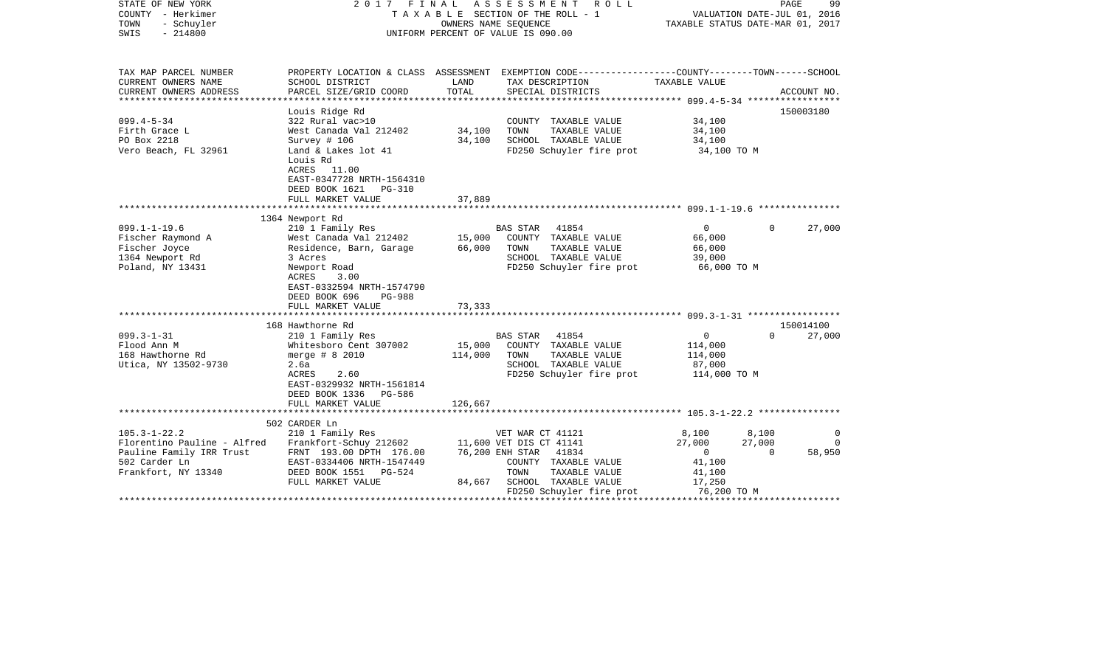| STATE OF NEW YORK<br>COUNTY - Herkimer<br>TOWN<br>- Schuyler<br>SWIS<br>$-214800$ | F I N A L<br>2017                                                                                                    | OWNERS NAME SEQUENCE | A S S E S S M E N T<br>R O L L<br>T A X A B L E SECTION OF THE ROLL - 1<br>UNIFORM PERCENT OF VALUE IS 090.00          | VALUATION DATE-JUL 01, 2016<br>TAXABLE STATUS DATE-MAR 01, 2017 | PAGE     | 99          |
|-----------------------------------------------------------------------------------|----------------------------------------------------------------------------------------------------------------------|----------------------|------------------------------------------------------------------------------------------------------------------------|-----------------------------------------------------------------|----------|-------------|
| TAX MAP PARCEL NUMBER<br>CURRENT OWNERS NAME                                      | SCHOOL DISTRICT                                                                                                      | LAND                 | PROPERTY LOCATION & CLASS ASSESSMENT EXEMPTION CODE---------------COUNTY-------TOWN-----SCHOOL<br>TAX DESCRIPTION      | TAXABLE VALUE                                                   |          |             |
| CURRENT OWNERS ADDRESS<br>***********************                                 | PARCEL SIZE/GRID COORD<br>************************                                                                   | TOTAL                | SPECIAL DISTRICTS                                                                                                      |                                                                 |          | ACCOUNT NO. |
|                                                                                   | Louis Ridge Rd                                                                                                       |                      |                                                                                                                        |                                                                 |          | 150003180   |
| $099.4 - 5 - 34$                                                                  | 322 Rural vac>10                                                                                                     |                      | COUNTY TAXABLE VALUE                                                                                                   | 34,100                                                          |          |             |
| Firth Grace L                                                                     | West Canada Val 212402                                                                                               | 34,100               | TOWN<br>TAXABLE VALUE                                                                                                  | 34,100                                                          |          |             |
| PO Box 2218                                                                       | Survey # 106                                                                                                         | 34,100               | SCHOOL TAXABLE VALUE                                                                                                   | 34,100                                                          |          |             |
| Vero Beach, FL 32961                                                              | Land & Lakes lot 41<br>Louis Rd<br>ACRES<br>11.00<br>EAST-0347728 NRTH-1564310<br>DEED BOOK 1621<br><b>PG-310</b>    |                      | FD250 Schuyler fire prot                                                                                               | 34,100 TO M                                                     |          |             |
|                                                                                   | FULL MARKET VALUE                                                                                                    | 37,889               |                                                                                                                        |                                                                 |          |             |
|                                                                                   | 1364 Newport Rd                                                                                                      |                      |                                                                                                                        |                                                                 |          |             |
| $099.1 - 1 - 19.6$                                                                | 210 1 Family Res                                                                                                     |                      | BAS STAR<br>41854                                                                                                      | $\mathbf{0}$                                                    | $\Omega$ | 27,000      |
| Fischer Raymond A                                                                 | West Canada Val 212402                                                                                               | 15,000               | COUNTY TAXABLE VALUE                                                                                                   | 66,000                                                          |          |             |
| Fischer Joyce                                                                     | Residence, Barn, Garage                                                                                              | 66,000               | TOWN<br>TAXABLE VALUE                                                                                                  | 66,000                                                          |          |             |
| 1364 Newport Rd                                                                   | 3 Acres                                                                                                              |                      | SCHOOL TAXABLE VALUE                                                                                                   | 39,000                                                          |          |             |
| Poland, NY 13431                                                                  | Newport Road<br>ACRES<br>3.00<br>EAST-0332594 NRTH-1574790<br>DEED BOOK 696<br><b>PG-988</b><br>FULL MARKET VALUE    | 73,333               | FD250 Schuyler fire prot                                                                                               | 66,000 TO M                                                     |          |             |
|                                                                                   |                                                                                                                      |                      |                                                                                                                        |                                                                 |          |             |
|                                                                                   | 168 Hawthorne Rd                                                                                                     |                      |                                                                                                                        |                                                                 |          | 150014100   |
| $099.3 - 1 - 31$<br>Flood Ann M<br>168 Hawthorne Rd<br>Utica, NY 13502-9730       | 210 1 Family Res<br>Whitesboro Cent 307002<br>merge $# 8 2010$<br>2.6a<br>ACRES<br>2.60<br>EAST-0329932 NRTH-1561814 | 15,000<br>114,000    | BAS STAR<br>41854<br>COUNTY TAXABLE VALUE<br>TOWN<br>TAXABLE VALUE<br>SCHOOL TAXABLE VALUE<br>FD250 Schuyler fire prot | $\mathbf 0$<br>114,000<br>114,000<br>87,000<br>114,000 TO M     | $\Omega$ | 27,000      |
|                                                                                   | DEED BOOK 1336<br>PG-586                                                                                             |                      |                                                                                                                        |                                                                 |          |             |
|                                                                                   | FULL MARKET VALUE                                                                                                    | 126,667              |                                                                                                                        |                                                                 |          |             |
|                                                                                   | 502 CARDER Ln                                                                                                        |                      |                                                                                                                        |                                                                 |          |             |
| $105.3 - 1 - 22.2$                                                                | 210 1 Family Res                                                                                                     |                      | VET WAR CT 41121                                                                                                       | 8,100                                                           | 8,100    | 0           |
| Florentino Pauline - Alfred                                                       | Frankfort-Schuy 212602                                                                                               |                      | 11,600 VET DIS CT 41141                                                                                                | 27,000                                                          | 27,000   | $\Omega$    |
| Pauline Family IRR Trust                                                          | FRNT 193.00 DPTH 176.00                                                                                              |                      | 76,200 ENH STAR<br>41834                                                                                               | $\overline{0}$                                                  | $\Omega$ | 58,950      |
| 502 Carder Ln                                                                     | EAST-0334406 NRTH-1547449                                                                                            |                      | COUNTY TAXABLE VALUE                                                                                                   | 41,100                                                          |          |             |
| Frankfort, NY 13340                                                               | DEED BOOK 1551 PG-524                                                                                                |                      | TOWN<br>TAXABLE VALUE                                                                                                  | 41,100                                                          |          |             |
|                                                                                   | FULL MARKET VALUE                                                                                                    | 84,667               | SCHOOL TAXABLE VALUE<br>FD250 Schuyler fire prot                                                                       | 17,250<br>76,200 TO M                                           |          |             |
|                                                                                   |                                                                                                                      |                      |                                                                                                                        |                                                                 |          |             |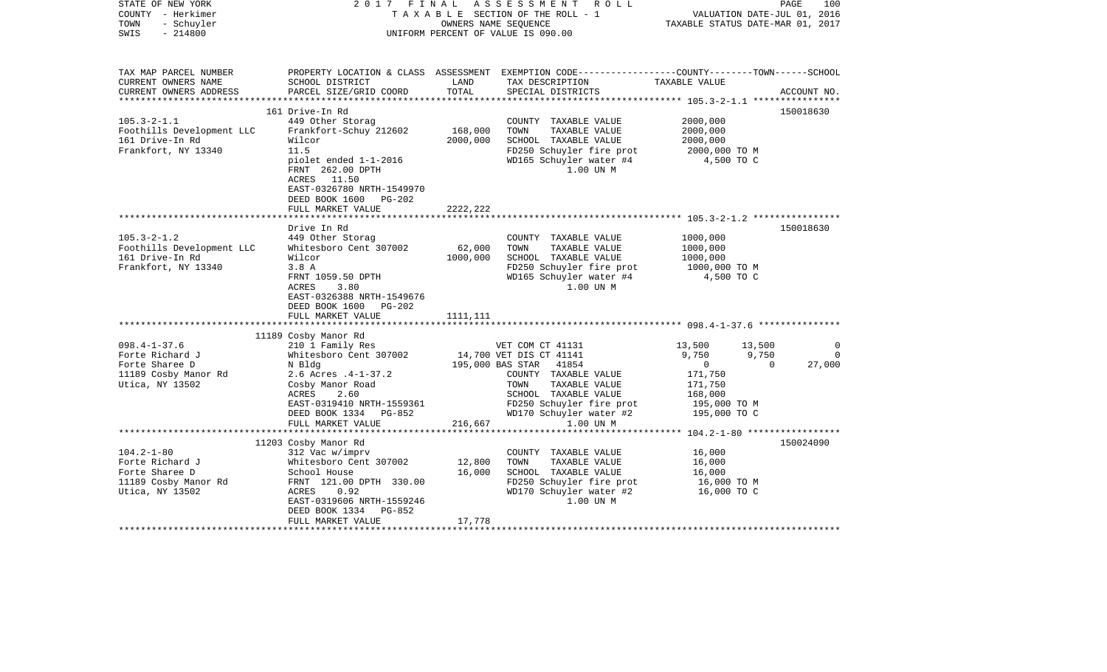| STATE OF NEW YORK<br>COUNTY - Herkimer<br>TOWN<br>- Schuyler<br>$-214800$<br>SWIS                  |                                                                                                                                                                                                                        | OWNERS NAME SEOUENCE            | 2017 FINAL ASSESSMENT ROLL<br>TAXABLE SECTION OF THE ROLL - 1<br>UNIFORM PERCENT OF VALUE IS 090.00                                                                                                   | VALUATION DATE-JUL 01, 2016<br>TAXABLE STATUS DATE-MAR 01, 2017                                                                         | PAGE<br>100                       |
|----------------------------------------------------------------------------------------------------|------------------------------------------------------------------------------------------------------------------------------------------------------------------------------------------------------------------------|---------------------------------|-------------------------------------------------------------------------------------------------------------------------------------------------------------------------------------------------------|-----------------------------------------------------------------------------------------------------------------------------------------|-----------------------------------|
| TAX MAP PARCEL NUMBER<br>CURRENT OWNERS NAME<br>CURRENT OWNERS ADDRESS                             | SCHOOL DISTRICT<br>PARCEL SIZE/GRID COORD                                                                                                                                                                              | LAND<br>TOTAL                   | PROPERTY LOCATION & CLASS ASSESSMENT EXEMPTION CODE---------------COUNTY-------TOWN------SCHOOL<br>TAX DESCRIPTION TAXABLE VALUE<br>SPECIAL DISTRICTS                                                 |                                                                                                                                         | ACCOUNT NO.                       |
| $105.3 - 2 - 1.1$<br>Foothills Development LLC<br>161 Drive-In Rd<br>Frankfort, NY 13340           | 161 Drive-In Rd<br>449 Other Storag<br>Frankfort-Schuy 212602<br>Wilcor<br>11.5<br>piolet ended 1-1-2016<br>FRNT 262.00 DPTH<br>ACRES 11.50<br>EAST-0326780 NRTH-1549970<br>DEED BOOK 1600 PG-202<br>FULL MARKET VALUE | 168,000<br>2000,000<br>2222,222 | COUNTY TAXABLE VALUE<br>TOWN<br>TAXABLE VALUE<br>SCHOOL TAXABLE VALUE<br>FD250 Schuyler fire prot<br>WD165 Schuyler water #4<br>1.00 UN M                                                             | 2000,000<br>2000,000<br>2000,000<br>2000,000 TO M<br>4,500 TO C                                                                         | 150018630                         |
|                                                                                                    |                                                                                                                                                                                                                        |                                 |                                                                                                                                                                                                       |                                                                                                                                         |                                   |
| $105.3 - 2 - 1.2$<br>Foothills Development LLC<br>161 Drive-In Rd<br>Frankfort, NY 13340           | Drive In Rd<br>449 Other Storag<br>Whitesboro Cent 307002<br>Wilcor<br>3.8A<br>FRNT 1059.50 DPTH<br>ACRES<br>3.80<br>EAST-0326388 NRTH-1549676<br>DEED BOOK 1600 PG-202<br>FULL MARKET VALUE                           | 62,000<br>1000,000<br>1111,111  | COUNTY TAXABLE VALUE<br>TOWN<br>TAXABLE VALUE<br>SCHOOL TAXABLE VALUE<br>FD250 Schuyler fire prot<br>WD165 Schuyler water #4<br>1.00 UN M                                                             | 1000,000<br>1000,000<br>1000,000<br>1000,000 то м<br>4,500 TO C                                                                         | 150018630                         |
|                                                                                                    | 11189 Cosby Manor Rd                                                                                                                                                                                                   |                                 |                                                                                                                                                                                                       |                                                                                                                                         |                                   |
| $098.4 - 1 - 37.6$<br>Forte Richard J<br>Forte Sharee D<br>11189 Cosby Manor Rd<br>Utica, NY 13502 | 210 1 Family Res<br>Whitesboro Cent 307002<br>N Bldg<br>2.6 Acres .4-1-37.2<br>Cosby Manor Road<br>ACRES<br>2.60<br>EAST-0319410 NRTH-1559361<br>DEED BOOK 1334 PG-852                                                 |                                 | VET COM CT 41131<br>14,700 VET DIS CT 41141<br>195,000 BAS STAR 41854<br>COUNTY TAXABLE VALUE<br>TAXABLE VALUE<br>TOWN<br>SCHOOL TAXABLE VALUE<br>FD250 Schuyler fire prot<br>WD170 Schuyler water #2 | 13,500<br>13,500<br>9,750<br>9,750<br>$\overline{0}$<br>$\overline{0}$<br>171,750<br>171,750<br>168,000<br>195,000 TO M<br>195,000 TO C | $\Omega$<br>$\mathbf 0$<br>27,000 |
|                                                                                                    | FULL MARKET VALUE                                                                                                                                                                                                      | 216,667                         | 1.00 UN M                                                                                                                                                                                             |                                                                                                                                         |                                   |
|                                                                                                    | 11203 Cosby Manor Rd                                                                                                                                                                                                   |                                 |                                                                                                                                                                                                       |                                                                                                                                         | 150024090                         |
| $104.2 - 1 - 80$<br>Forte Richard J<br>Forte Sharee D<br>11189 Cosby Manor Rd<br>Utica, NY 13502   | 312 Vac w/imprv<br>Whitesboro Cent 307002<br>School House<br>FRNT 121.00 DPTH 330.00<br>ACRES<br>0.92<br>EAST-0319606 NRTH-1559246<br>DEED BOOK 1334 PG-852<br>FULL MARKET VALUE                                       | 12,800<br>16,000<br>17,778      | COUNTY TAXABLE VALUE<br>TAXABLE VALUE<br>TOWN<br>SCHOOL TAXABLE VALUE<br>FD250 Schuyler fire prot<br>WD170 Schuyler water #2<br>1.00 UN M                                                             | 16,000<br>16,000<br>16,000<br>16,000 TO M<br>16,000 TO C                                                                                |                                   |
| ***********************                                                                            |                                                                                                                                                                                                                        |                                 |                                                                                                                                                                                                       |                                                                                                                                         |                                   |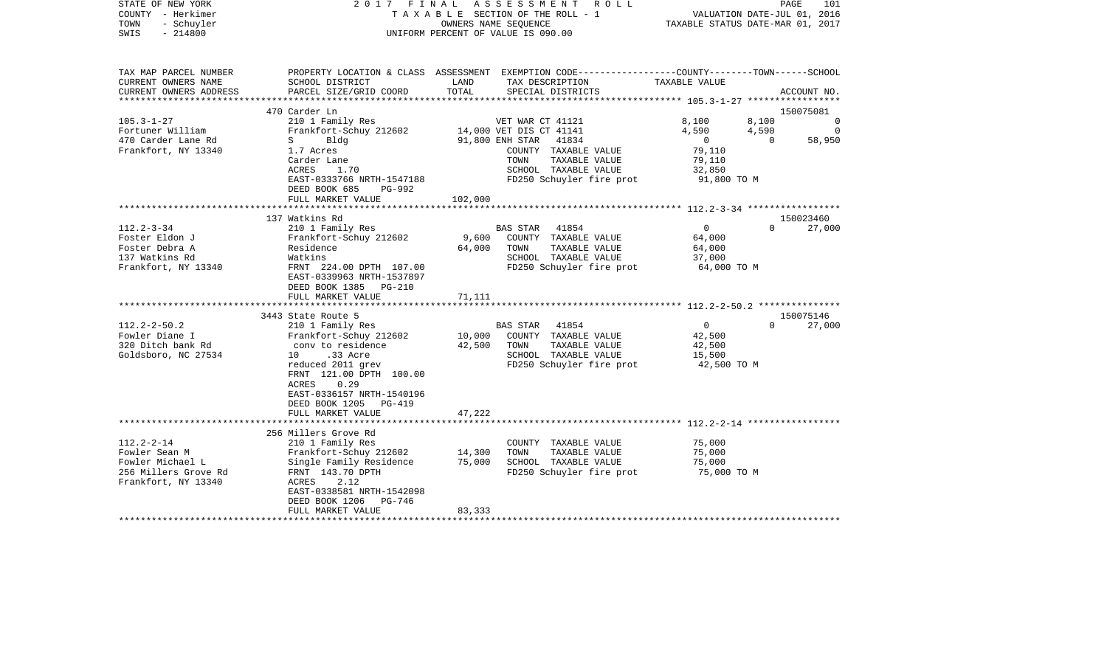| STATE OF NEW YORK<br>COUNTY - Herkimer<br>- Schuyler<br>TOWN<br>$-214800$<br>SWIS |                                                                               |               | 2017 FINAL ASSESSMENT<br>R O L L<br>TAXABLE SECTION OF THE ROLL - 1<br>OWNERS NAME SEOUENCE<br>UNIFORM PERCENT OF VALUE IS 090.00 |                          | PAGE<br>101<br>VALUATION DATE-JUL 01, 2016<br>TAXABLE STATUS DATE-MAR 01, 2017 |
|-----------------------------------------------------------------------------------|-------------------------------------------------------------------------------|---------------|-----------------------------------------------------------------------------------------------------------------------------------|--------------------------|--------------------------------------------------------------------------------|
| TAX MAP PARCEL NUMBER                                                             |                                                                               |               | PROPERTY LOCATION & CLASS ASSESSMENT EXEMPTION CODE---------------COUNTY-------TOWN------SCHOOL                                   |                          |                                                                                |
| CURRENT OWNERS NAME<br>CURRENT OWNERS ADDRESS                                     | SCHOOL DISTRICT<br>PARCEL SIZE/GRID COORD                                     | LAND<br>TOTAL | TAX DESCRIPTION<br>SPECIAL DISTRICTS                                                                                              | TAXABLE VALUE            | ACCOUNT NO.                                                                    |
|                                                                                   |                                                                               |               |                                                                                                                                   |                          |                                                                                |
|                                                                                   | 470 Carder Ln                                                                 |               |                                                                                                                                   |                          | 150075081                                                                      |
| $105.3 - 1 - 27$                                                                  | 210 1 Family Res                                                              |               | VET WAR CT 41121                                                                                                                  | 8,100                    | 8,100<br>$\Omega$                                                              |
| Fortuner William                                                                  | Frankfort-Schuy 212602                                                        |               | 14,000 VET DIS CT 41141                                                                                                           | 4,590                    | 4,590<br>$\overline{\phantom{0}}$                                              |
| 470 Carder Lane Rd                                                                | $S \qquad \qquad$<br>Bldg                                                     |               | 91,800 ENH STAR 41834                                                                                                             | $\overline{0}$           | 58,950<br>$\overline{0}$                                                       |
| Frankfort, NY 13340                                                               | 1.7 Acres<br>Carder Lane                                                      |               | COUNTY TAXABLE VALUE<br>TOWN<br>TAXABLE VALUE                                                                                     | 79,110<br>79,110         |                                                                                |
|                                                                                   | ACRES<br>1.70                                                                 |               | SCHOOL TAXABLE VALUE                                                                                                              | 32,850                   |                                                                                |
|                                                                                   | EAST-0333766 NRTH-1547188                                                     |               | FD250 Schuyler fire prot                                                                                                          | 91,800 TO M              |                                                                                |
|                                                                                   | DEED BOOK 685<br>PG-992                                                       |               |                                                                                                                                   |                          |                                                                                |
|                                                                                   | FULL MARKET VALUE                                                             | 102,000       |                                                                                                                                   |                          |                                                                                |
|                                                                                   |                                                                               |               |                                                                                                                                   |                          | 150023460                                                                      |
| $112.2 - 3 - 34$                                                                  | 137 Watkins Rd<br>210 1 Family Res                                            |               | BAS STAR 41854                                                                                                                    | $\overline{0}$           | 27,000<br>$\Omega$                                                             |
| Foster Eldon J                                                                    | Frankfort-Schuy 212602                                                        |               | 9,600 COUNTY TAXABLE VALUE                                                                                                        | 64,000                   |                                                                                |
| Foster Debra A                                                                    | Residence                                                                     | 64,000        | TOWN<br>TAXABLE VALUE                                                                                                             | 64,000                   |                                                                                |
| 137 Watkins Rd                                                                    | Watkins                                                                       |               | SCHOOL TAXABLE VALUE                                                                                                              | 37,000                   |                                                                                |
| Frankfort, NY 13340                                                               | FRNT 224.00 DPTH 107.00<br>EAST-0339963 NRTH-1537897<br>DEED BOOK 1385 PG-210 |               | FD250 Schuyler fire prot 64,000 TO M                                                                                              |                          |                                                                                |
|                                                                                   | FULL MARKET VALUE                                                             | 71,111        |                                                                                                                                   |                          |                                                                                |
|                                                                                   |                                                                               |               |                                                                                                                                   |                          |                                                                                |
|                                                                                   | 3443 State Route 5                                                            |               |                                                                                                                                   |                          | 150075146                                                                      |
| $112.2 - 2 - 50.2$<br>Fowler Diane I                                              | 210 1 Family Res<br>Frankfort-Schuy 212602                                    |               | BAS STAR 41854<br>10,000 COUNTY TAXABLE VALUE                                                                                     | $\overline{0}$<br>42,500 | 27,000<br>$\Omega$                                                             |
| 320 Ditch bank Rd                                                                 | conv to residence                                                             | 42,500        | TAXABLE VALUE<br>TOWN                                                                                                             | 42,500                   |                                                                                |
| Goldsboro, NC 27534                                                               | 10 .33 Acre                                                                   |               | SCHOOL TAXABLE VALUE                                                                                                              | 15,500                   |                                                                                |
|                                                                                   | reduced 2011 grev                                                             |               | FD250 Schuyler fire prot                                                                                                          | 42,500 TO M              |                                                                                |
|                                                                                   | FRNT 121.00 DPTH 100.00                                                       |               |                                                                                                                                   |                          |                                                                                |
|                                                                                   | ACRES<br>0.29                                                                 |               |                                                                                                                                   |                          |                                                                                |
|                                                                                   | EAST-0336157 NRTH-1540196                                                     |               |                                                                                                                                   |                          |                                                                                |
|                                                                                   | DEED BOOK 1205 PG-419<br>FULL MARKET VALUE                                    | 47,222        |                                                                                                                                   |                          |                                                                                |
|                                                                                   |                                                                               |               |                                                                                                                                   |                          |                                                                                |
|                                                                                   | 256 Millers Grove Rd                                                          |               |                                                                                                                                   |                          |                                                                                |
| $112.2 - 2 - 14$                                                                  | 210 1 Family Res                                                              |               | COUNTY TAXABLE VALUE                                                                                                              | 75,000                   |                                                                                |
| Fowler Sean M                                                                     | Frankfort-Schuy 212602                                                        | 14,300        | TAXABLE VALUE<br>TOWN                                                                                                             | 75,000                   |                                                                                |
| Fowler Michael L<br>256 Millers Grove Rd                                          | Single Family Residence<br>FRNT 143.70 DPTH                                   | 75,000        | SCHOOL TAXABLE VALUE                                                                                                              | 75,000<br>75,000 TO M    |                                                                                |
| Frankfort, NY 13340                                                               | ACRES<br>2.12                                                                 |               | FD250 Schuyler fire prot                                                                                                          |                          |                                                                                |
|                                                                                   | EAST-0338581 NRTH-1542098                                                     |               |                                                                                                                                   |                          |                                                                                |
|                                                                                   | DEED BOOK 1206<br>PG-746                                                      |               |                                                                                                                                   |                          |                                                                                |
|                                                                                   | FULL MARKET VALUE                                                             | 83,333        |                                                                                                                                   |                          |                                                                                |
|                                                                                   |                                                                               |               |                                                                                                                                   |                          |                                                                                |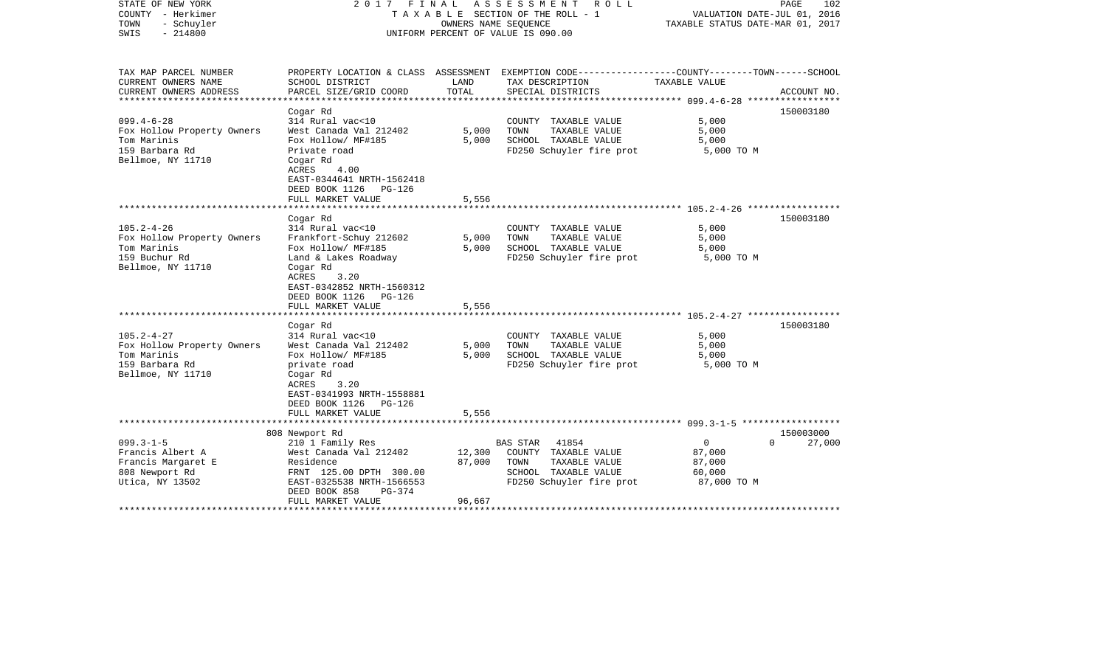| STATE OF NEW YORK<br>COUNTY - Herkimer<br>TOWN<br>- Schuyler<br>SWIS<br>$-214800$                    | FINAL<br>A S S E S S M E N T<br>R O L L<br>2017<br>TAXABLE SECTION OF THE ROLL - 1<br>OWNERS NAME SEQUENCE<br>UNIFORM PERCENT OF VALUE IS 090.00                                                                    |                            |                                                                                                                        | PAGE<br>102<br>VALUATION DATE-JUL 01, 2016<br>TAXABLE STATUS DATE-MAR 01, 2017 |                                 |  |
|------------------------------------------------------------------------------------------------------|---------------------------------------------------------------------------------------------------------------------------------------------------------------------------------------------------------------------|----------------------------|------------------------------------------------------------------------------------------------------------------------|--------------------------------------------------------------------------------|---------------------------------|--|
| TAX MAP PARCEL NUMBER<br>CURRENT OWNERS NAME                                                         | SCHOOL DISTRICT                                                                                                                                                                                                     | LAND                       | PROPERTY LOCATION & CLASS ASSESSMENT EXEMPTION CODE---------------COUNTY-------TOWN------SCHOOL<br>TAX DESCRIPTION     | TAXABLE VALUE                                                                  |                                 |  |
| CURRENT OWNERS ADDRESS<br>*****************                                                          | PARCEL SIZE/GRID COORD                                                                                                                                                                                              | TOTAL                      | SPECIAL DISTRICTS                                                                                                      |                                                                                | ACCOUNT NO.                     |  |
| $099.4 - 6 - 28$<br>Fox Hollow Property Owners<br>Tom Marinis<br>159 Barbara Rd<br>Bellmoe, NY 11710 | Cogar Rd<br>314 Rural vac<10<br>West Canada Val 212402<br>Fox Hollow/ MF#185<br>Private road<br>Cogar Rd<br>ACRES<br>4.00<br>EAST-0344641 NRTH-1562418                                                              | 5,000<br>5,000             | COUNTY TAXABLE VALUE<br>TAXABLE VALUE<br>TOWN<br>SCHOOL TAXABLE VALUE<br>FD250 Schuyler fire prot                      | 5,000<br>5,000<br>5,000<br>5,000 TO M                                          | 150003180                       |  |
|                                                                                                      | DEED BOOK 1126 PG-126<br>FULL MARKET VALUE                                                                                                                                                                          | 5,556                      |                                                                                                                        |                                                                                |                                 |  |
|                                                                                                      |                                                                                                                                                                                                                     |                            |                                                                                                                        |                                                                                |                                 |  |
| $105.2 - 4 - 26$<br>Fox Hollow Property Owners<br>Tom Marinis<br>159 Buchur Rd<br>Bellmoe, NY 11710  | Cogar Rd<br>314 Rural vac<10<br>Frankfort-Schuy 212602<br>Fox Hollow/ MF#185<br>Land & Lakes Roadway<br>Cogar Rd<br><b>ACRES</b><br>3.20<br>EAST-0342852 NRTH-1560312<br>DEED BOOK 1126 PG-126<br>FULL MARKET VALUE | 5,000<br>5,000<br>5,556    | COUNTY TAXABLE VALUE<br>TAXABLE VALUE<br>TOWN<br>SCHOOL TAXABLE VALUE<br>FD250 Schuyler fire prot                      | 5,000<br>5,000<br>5,000<br>5,000 TO M                                          | 150003180                       |  |
|                                                                                                      | Cogar Rd                                                                                                                                                                                                            |                            |                                                                                                                        |                                                                                | 150003180                       |  |
| $105.2 - 4 - 27$<br>Fox Hollow Property Owners<br>Tom Marinis<br>159 Barbara Rd<br>Bellmoe, NY 11710 | 314 Rural vac<10<br>West Canada Val 212402<br>Fox Hollow/ MF#185<br>private road<br>Cogar Rd<br>ACRES<br>3.20<br>EAST-0341993 NRTH-1558881<br>DEED BOOK 1126 PG-126                                                 | 5,000<br>5,000             | COUNTY TAXABLE VALUE<br>TAXABLE VALUE<br>TOWN<br>SCHOOL TAXABLE VALUE<br>FD250 Schuyler fire prot                      | 5,000<br>5,000<br>5,000<br>5,000 TO M                                          |                                 |  |
|                                                                                                      | FULL MARKET VALUE                                                                                                                                                                                                   | 5,556                      |                                                                                                                        |                                                                                |                                 |  |
|                                                                                                      |                                                                                                                                                                                                                     |                            |                                                                                                                        |                                                                                |                                 |  |
| $099.3 - 1 - 5$<br>Francis Albert A<br>Francis Margaret E<br>808 Newport Rd<br>Utica, NY 13502       | 808 Newport Rd<br>210 1 Family Res<br>West Canada Val 212402<br>Residence<br>FRNT 125.00 DPTH 300.00<br>EAST-0325538 NRTH-1566553<br>DEED BOOK 858<br>PG-374<br>FULL MARKET VALUE                                   | 12,300<br>87,000<br>96,667 | 41854<br>BAS STAR<br>COUNTY TAXABLE VALUE<br>TOWN<br>TAXABLE VALUE<br>SCHOOL TAXABLE VALUE<br>FD250 Schuyler fire prot | $\overline{0}$<br>87,000<br>87,000<br>60,000<br>87,000 TO M                    | 150003000<br>27,000<br>$\Omega$ |  |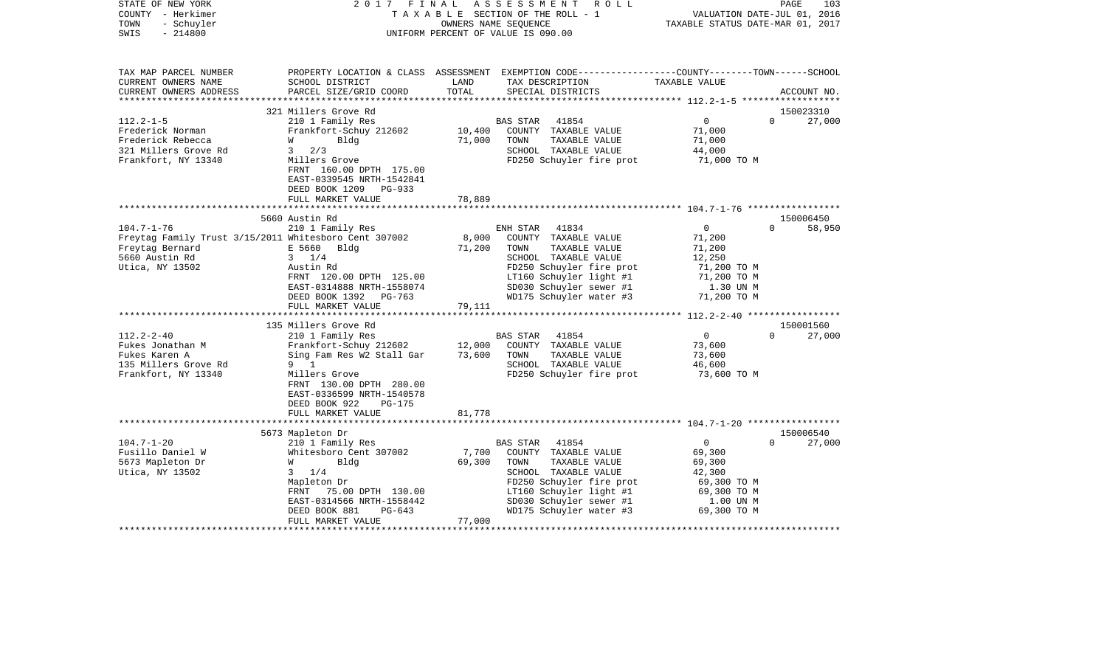| STATE OF NEW YORK<br>COUNTY - Herkimer<br>- Schuyler<br>TOWN<br>$-214800$<br>SWIS | 2017<br>FINAL                                                         |               | ASSESSMENT<br>R O L L<br>TAXABLE SECTION OF THE ROLL - 1<br>OWNERS NAME SEQUENCE<br>UNIFORM PERCENT OF VALUE IS 090.00                   | TAXABLE STATUS DATE-MAR 01, 2017 | PAGE<br>103<br>VALUATION DATE-JUL 01, 2016 |
|-----------------------------------------------------------------------------------|-----------------------------------------------------------------------|---------------|------------------------------------------------------------------------------------------------------------------------------------------|----------------------------------|--------------------------------------------|
| TAX MAP PARCEL NUMBER<br>CURRENT OWNERS NAME<br>CURRENT OWNERS ADDRESS            | SCHOOL DISTRICT<br>PARCEL SIZE/GRID COORD                             | LAND<br>TOTAL | PROPERTY LOCATION & CLASS ASSESSMENT EXEMPTION CODE----------------COUNTY-------TOWN------SCHOOL<br>TAX DESCRIPTION<br>SPECIAL DISTRICTS | TAXABLE VALUE                    | ACCOUNT NO.                                |
| **********************                                                            |                                                                       |               |                                                                                                                                          |                                  |                                            |
|                                                                                   | 321 Millers Grove Rd                                                  |               |                                                                                                                                          |                                  | 150023310                                  |
| $112.2 - 1 - 5$<br>Frederick Norman                                               | 210 1 Family Res<br>Frankfort-Schuy 212602                            | 10,400        | BAS STAR<br>41854<br>COUNTY TAXABLE VALUE                                                                                                | $\overline{0}$<br>71,000         | $\Omega$<br>27,000                         |
| Frederick Rebecca                                                                 | Bldg<br>W                                                             | 71,000        | TOWN<br>TAXABLE VALUE                                                                                                                    | 71,000                           |                                            |
| 321 Millers Grove Rd                                                              | $3^{\circ}$<br>2/3                                                    |               | SCHOOL TAXABLE VALUE                                                                                                                     | 44,000                           |                                            |
| Frankfort, NY 13340                                                               | Millers Grove<br>FRNT 160.00 DPTH 175.00<br>EAST-0339545 NRTH-1542841 |               | FD250 Schuyler fire prot                                                                                                                 | 71,000 TO M                      |                                            |
|                                                                                   | DEED BOOK 1209<br>PG-933<br>FULL MARKET VALUE                         | 78,889        |                                                                                                                                          |                                  |                                            |
|                                                                                   |                                                                       | ********      |                                                                                                                                          |                                  |                                            |
|                                                                                   | 5660 Austin Rd                                                        |               |                                                                                                                                          |                                  | 150006450                                  |
| $104.7 - 1 - 76$                                                                  | 210 1 Family Res                                                      |               | ENH STAR<br>41834                                                                                                                        | $\overline{0}$                   | 58,950<br>$\Omega$                         |
| Freytag Family Trust 3/15/2011 Whitesboro Cent 307002                             |                                                                       | 8,000         | COUNTY TAXABLE VALUE                                                                                                                     | 71,200                           |                                            |
| Freytag Bernard                                                                   | E 5660 Bldg                                                           | 71,200        | TAXABLE VALUE<br>TOWN                                                                                                                    | 71,200                           |                                            |
| 5660 Austin Rd                                                                    | $3 \t1/4$                                                             |               | SCHOOL TAXABLE VALUE                                                                                                                     | 12,250                           |                                            |
| Utica, NY 13502                                                                   | Austin Rd<br>FRNT 120.00 DPTH 125.00                                  |               | FD250 Schuyler fire prot<br>LT160 Schuyler light #1                                                                                      | 71,200 TO M<br>71,200 TO M       |                                            |
|                                                                                   | EAST-0314888 NRTH-1558074                                             |               | SD030 Schuyler sewer #1                                                                                                                  | 1.30 UN M                        |                                            |
|                                                                                   | DEED BOOK 1392 PG-763                                                 |               | WD175 Schuyler water #3                                                                                                                  | 71,200 TO M                      |                                            |
|                                                                                   | FULL MARKET VALUE                                                     | 79,111        |                                                                                                                                          |                                  |                                            |
|                                                                                   |                                                                       |               |                                                                                                                                          |                                  |                                            |
|                                                                                   | 135 Millers Grove Rd                                                  |               |                                                                                                                                          |                                  | 150001560                                  |
| $112.2 - 2 - 40$                                                                  | 210 1 Family Res                                                      |               | BAS STAR<br>41854                                                                                                                        | $\overline{0}$                   | 27,000<br>$\Omega$                         |
| Fukes Jonathan M                                                                  | Frankfort-Schuy 212602                                                | 12,000        | COUNTY TAXABLE VALUE                                                                                                                     | 73,600                           |                                            |
| Fukes Karen A                                                                     | Sing Fam Res W2 Stall Gar                                             | 73,600        | TOWN<br>TAXABLE VALUE                                                                                                                    | 73,600                           |                                            |
| 135 Millers Grove Rd                                                              | 9 1                                                                   |               | SCHOOL TAXABLE VALUE                                                                                                                     | 46,600                           |                                            |
| Frankfort, NY 13340                                                               | Millers Grove<br>FRNT 130.00 DPTH 280.00                              |               | FD250 Schuyler fire prot                                                                                                                 | 73,600 ТО М                      |                                            |
|                                                                                   | EAST-0336599 NRTH-1540578                                             |               |                                                                                                                                          |                                  |                                            |
|                                                                                   | DEED BOOK 922<br>PG-175                                               |               |                                                                                                                                          |                                  |                                            |
|                                                                                   | FULL MARKET VALUE                                                     | 81,778        |                                                                                                                                          |                                  |                                            |
|                                                                                   |                                                                       |               |                                                                                                                                          |                                  |                                            |
|                                                                                   | 5673 Mapleton Dr                                                      |               |                                                                                                                                          |                                  | 150006540                                  |
| $104.7 - 1 - 20$                                                                  | 210 1 Family Res                                                      |               | BAS STAR<br>41854                                                                                                                        | $\overline{0}$                   | 27,000<br>$\Omega$                         |
| Fusillo Daniel W                                                                  | Whitesboro Cent 307002                                                | 7,700         | COUNTY TAXABLE VALUE                                                                                                                     | 69,300                           |                                            |
| 5673 Mapleton Dr                                                                  | W<br>Bldg                                                             | 69,300        | TAXABLE VALUE<br>TOWN                                                                                                                    | 69,300                           |                                            |
| Utica, NY 13502                                                                   | $3 \frac{1}{4}$                                                       |               | SCHOOL TAXABLE VALUE                                                                                                                     | 42,300                           |                                            |
|                                                                                   | Mapleton Dr                                                           |               | FD250 Schuyler fire prot                                                                                                                 | 69,300 TO M                      |                                            |
|                                                                                   | FRNT 75.00 DPTH 130.00<br>EAST-0314566 NRTH-1558442                   |               | LT160 Schuyler light #1<br>SD030 Schuyler sewer #1                                                                                       | 69,300 TO M<br>1.00 UN M         |                                            |
|                                                                                   | DEED BOOK 881<br>$PG-643$                                             |               | WD175 Schuyler water #3                                                                                                                  | 69,300 TO M                      |                                            |
|                                                                                   | FULL MARKET VALUE                                                     | 77,000        |                                                                                                                                          |                                  |                                            |
|                                                                                   |                                                                       |               |                                                                                                                                          |                                  |                                            |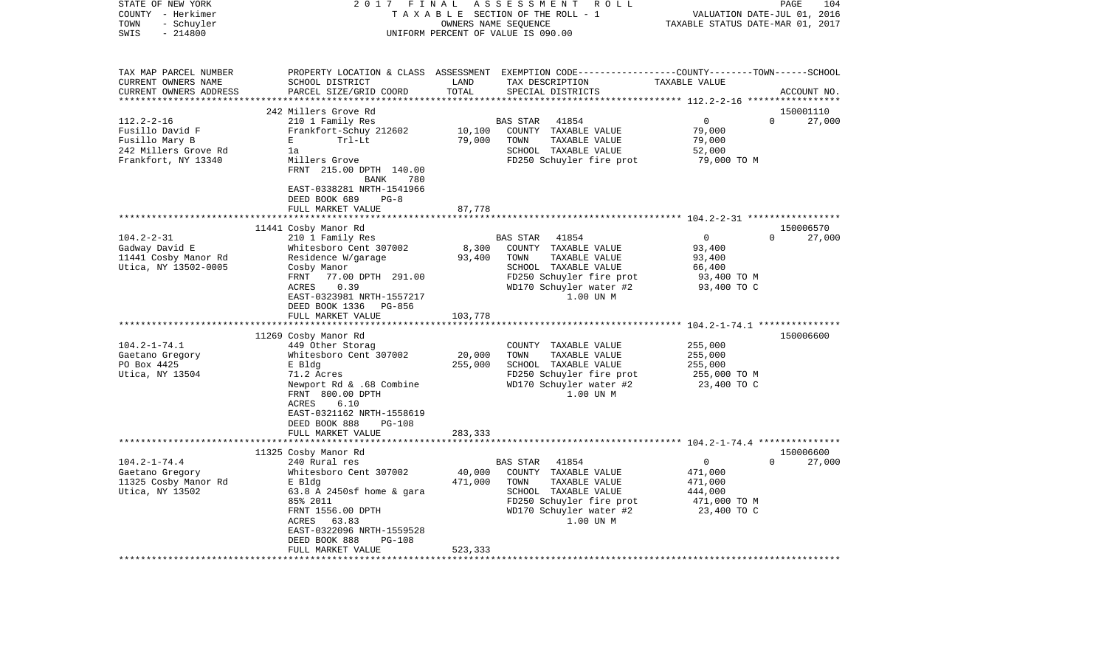| STATE OF NEW YORK<br>COUNTY - Herkimer            | 2017<br>FINAL                                        |                      | ASSESSMENT<br>R O L L<br>TAXABLE SECTION OF THE ROLL - 1                                        |                                  | PAGE<br>104<br>VALUATION DATE-JUL 01, 2016 |
|---------------------------------------------------|------------------------------------------------------|----------------------|-------------------------------------------------------------------------------------------------|----------------------------------|--------------------------------------------|
| TOWN<br>- Schuyler<br>$-214800$<br>SWIS           |                                                      | OWNERS NAME SEQUENCE | UNIFORM PERCENT OF VALUE IS 090.00                                                              | TAXABLE STATUS DATE-MAR 01, 2017 |                                            |
|                                                   |                                                      |                      |                                                                                                 |                                  |                                            |
| TAX MAP PARCEL NUMBER                             |                                                      |                      | PROPERTY LOCATION & CLASS ASSESSMENT EXEMPTION CODE----------------COUNTY-------TOWN-----SCHOOL |                                  |                                            |
| CURRENT OWNERS NAME                               | SCHOOL DISTRICT                                      | LAND                 | TAX DESCRIPTION                                                                                 | TAXABLE VALUE                    |                                            |
| CURRENT OWNERS ADDRESS<br>*********************** | PARCEL SIZE/GRID COORD                               | TOTAL                | SPECIAL DISTRICTS                                                                               |                                  | ACCOUNT NO.                                |
|                                                   | 242 Millers Grove Rd                                 |                      |                                                                                                 |                                  | 150001110                                  |
| $112.2 - 2 - 16$                                  | 210 1 Family Res                                     |                      | <b>BAS STAR</b><br>41854                                                                        | $\mathbf 0$                      | $\Omega$<br>27,000                         |
| Fusillo David F                                   | Frankfort-Schuy 212602                               | 10,100               | COUNTY TAXABLE VALUE                                                                            | 79,000                           |                                            |
| Fusillo Mary B                                    | $\mathbf E$<br>Trl-Lt                                | 79,000               | TOWN<br>TAXABLE VALUE                                                                           | 79,000                           |                                            |
| 242 Millers Grove Rd                              | 1a                                                   |                      | SCHOOL TAXABLE VALUE                                                                            | 52,000                           |                                            |
| Frankfort, NY 13340                               | Millers Grove<br>FRNT 215.00 DPTH 140.00             |                      | FD250 Schuyler fire prot                                                                        | 79,000 TO M                      |                                            |
|                                                   | BANK<br>780                                          |                      |                                                                                                 |                                  |                                            |
|                                                   | EAST-0338281 NRTH-1541966<br>DEED BOOK 689<br>$PG-8$ |                      |                                                                                                 |                                  |                                            |
|                                                   | FULL MARKET VALUE                                    | 87,778               |                                                                                                 |                                  |                                            |
|                                                   |                                                      |                      |                                                                                                 |                                  |                                            |
|                                                   | 11441 Cosby Manor Rd                                 |                      |                                                                                                 |                                  | 150006570                                  |
| $104.2 - 2 - 31$                                  | 210 1 Family Res                                     |                      | 41854<br><b>BAS STAR</b>                                                                        | $\Omega$                         | $\Omega$<br>27,000                         |
| Gadway David E                                    | Whitesboro Cent 307002                               | 8,300                | COUNTY TAXABLE VALUE                                                                            | 93,400                           |                                            |
| 11441 Cosby Manor Rd                              | Residence W/garage                                   | 93,400               | TOWN<br>TAXABLE VALUE                                                                           | 93,400                           |                                            |
| Utica, NY 13502-0005                              | Cosby Manor<br>FRNT<br>77.00 DPTH 291.00             |                      | SCHOOL TAXABLE VALUE<br>FD250 Schuyler fire prot                                                | 66,400                           |                                            |
|                                                   | ACRES<br>0.39                                        |                      | WD170 Schuyler water #2                                                                         | 93,400 TO M<br>93,400 TO C       |                                            |
|                                                   | EAST-0323981 NRTH-1557217                            |                      | 1.00 UN M                                                                                       |                                  |                                            |
|                                                   | DEED BOOK 1336<br>PG-856                             |                      |                                                                                                 |                                  |                                            |
|                                                   | FULL MARKET VALUE                                    | 103,778              |                                                                                                 |                                  |                                            |
|                                                   |                                                      |                      |                                                                                                 |                                  |                                            |
|                                                   | 11269 Cosby Manor Rd                                 |                      |                                                                                                 |                                  | 150006600                                  |
| $104.2 - 1 - 74.1$<br>Gaetano Gregory             | 449 Other Storag<br>Whitesboro Cent 307002           | 20,000               | COUNTY TAXABLE VALUE<br>TOWN<br>TAXABLE VALUE                                                   | 255,000<br>255,000               |                                            |
| PO Box 4425                                       | E Bldg                                               | 255,000              | SCHOOL TAXABLE VALUE                                                                            | 255,000                          |                                            |
| Utica, NY 13504                                   | 71.2 Acres                                           |                      | FD250 Schuyler fire prot                                                                        | 255,000 ТО М                     |                                            |
|                                                   | Newport Rd & .68 Combine<br>FRNT 800.00 DPTH         |                      | WD170 Schuyler water #2<br>1.00 UN M                                                            | 23,400 TO C                      |                                            |
|                                                   | ACRES<br>6.10                                        |                      |                                                                                                 |                                  |                                            |
|                                                   | EAST-0321162 NRTH-1558619                            |                      |                                                                                                 |                                  |                                            |
|                                                   | DEED BOOK 888<br>$PG-108$                            |                      |                                                                                                 |                                  |                                            |
|                                                   | FULL MARKET VALUE                                    | 283,333              |                                                                                                 |                                  |                                            |
|                                                   | 11325 Cosby Manor Rd                                 |                      |                                                                                                 |                                  | 150006600                                  |
| $104.2 - 1 - 74.4$                                | 240 Rural res                                        |                      | BAS STAR<br>41854                                                                               | $\Omega$                         | $\Omega$<br>27,000                         |
| Gaetano Gregory                                   | Whitesboro Cent 307002                               | 40,000               | COUNTY TAXABLE VALUE                                                                            | 471,000                          |                                            |
| 11325 Cosby Manor Rd                              | E Bldg                                               | 471,000              | TAXABLE VALUE<br>TOWN                                                                           | 471,000                          |                                            |
| Utica, NY 13502                                   | $63.8$ A 2450sf home & gara                          |                      | SCHOOL TAXABLE VALUE                                                                            | 444,000                          |                                            |
|                                                   | 85% 2011                                             |                      | FD250 Schuyler fire prot                                                                        | 471,000 TO M                     |                                            |
|                                                   | FRNT 1556.00 DPTH                                    |                      | WD170 Schuyler water #2                                                                         | 23,400 TO C                      |                                            |
|                                                   | ACRES 63.83<br>EAST-0322096 NRTH-1559528             |                      | 1.00 UN M                                                                                       |                                  |                                            |
|                                                   | DEED BOOK 888<br><b>PG-108</b>                       |                      |                                                                                                 |                                  |                                            |
|                                                   | FULL MARKET VALUE                                    | 523,333              |                                                                                                 |                                  |                                            |
|                                                   | ************************                             |                      |                                                                                                 |                                  |                                            |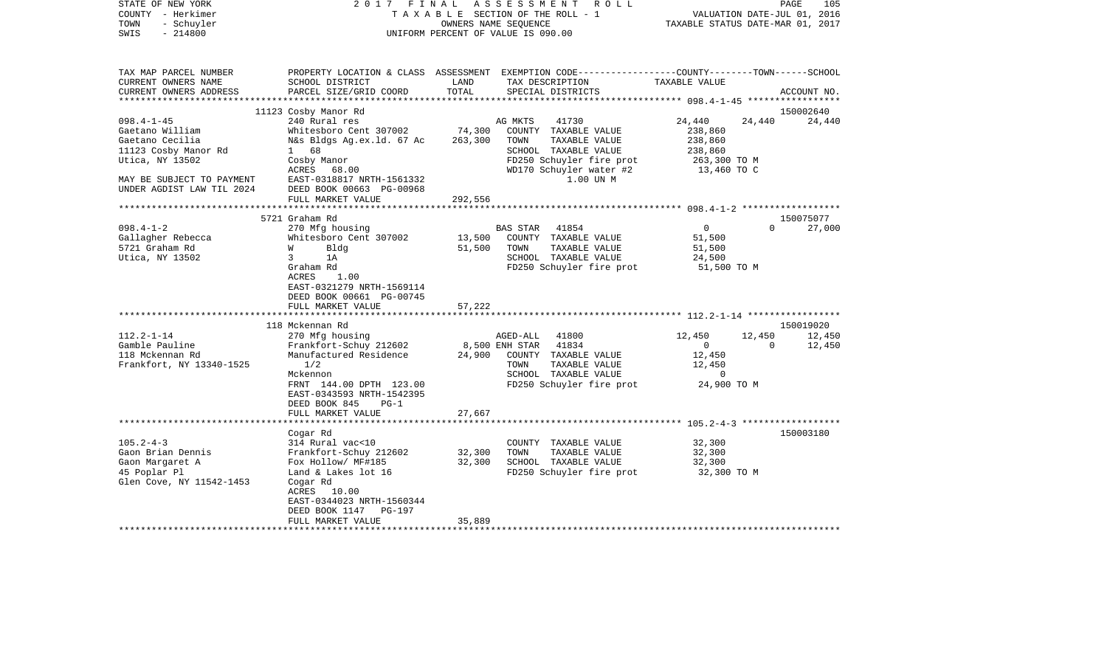| STATE OF NEW YORK<br>COUNTY - Herkimer<br>- Schuyler<br>TOWN<br>$-214800$<br>SWIS                                                                              | 2017 FINAL                                                                                                                                                                                                                                                                                                            |                                      | ASSESSMENT<br>R O L L<br>TAXABLE SECTION OF THE ROLL - 1<br>OWNERS NAME SEQUENCE<br>UNIFORM PERCENT OF VALUE IS 090.00                                                                                                  | VALUATION DATE-JUL 01, 2016<br>TAXABLE STATUS DATE-MAR 01, 2017                                                       | PAGE<br>105                                                     |
|----------------------------------------------------------------------------------------------------------------------------------------------------------------|-----------------------------------------------------------------------------------------------------------------------------------------------------------------------------------------------------------------------------------------------------------------------------------------------------------------------|--------------------------------------|-------------------------------------------------------------------------------------------------------------------------------------------------------------------------------------------------------------------------|-----------------------------------------------------------------------------------------------------------------------|-----------------------------------------------------------------|
| TAX MAP PARCEL NUMBER<br>CURRENT OWNERS NAME<br>CURRENT OWNERS ADDRESS                                                                                         | SCHOOL DISTRICT<br>PARCEL SIZE/GRID COORD                                                                                                                                                                                                                                                                             | LAND<br>TOTAL                        | PROPERTY LOCATION & CLASS ASSESSMENT EXEMPTION CODE---------------COUNTY-------TOWN-----SCHOOL<br>TAX DESCRIPTION<br>SPECIAL DISTRICTS                                                                                  | TAXABLE VALUE                                                                                                         | ACCOUNT NO.                                                     |
|                                                                                                                                                                |                                                                                                                                                                                                                                                                                                                       |                                      |                                                                                                                                                                                                                         |                                                                                                                       |                                                                 |
|                                                                                                                                                                | 11123 Cosby Manor Rd                                                                                                                                                                                                                                                                                                  |                                      |                                                                                                                                                                                                                         |                                                                                                                       | 150002640                                                       |
| $098.4 - 1 - 45$<br>Gaetano William<br>Gaetano Cecilia<br>11123 Cosby Manor Rd<br>Utica, NY 13502                                                              | 240 Rural res<br>Whitesboro Cent 307002<br>N&s Bldgs Ag.ex.ld. 67 Ac<br>1 68<br>Cosby Manor                                                                                                                                                                                                                           | 74,300<br>263,300                    | 41730<br>AG MKTS<br>COUNTY TAXABLE VALUE<br>TOWN<br>TAXABLE VALUE<br>SCHOOL TAXABLE VALUE<br>FD250 Schuyler fire prot                                                                                                   | 24,440<br>24,440<br>238,860<br>238,860<br>238,860<br>263,300 ТО М                                                     | 24,440                                                          |
| MAY BE SUBJECT TO PAYMENT<br>UNDER AGDIST LAW TIL 2024                                                                                                         | ACRES 68.00<br>EAST-0318817 NRTH-1561332<br>DEED BOOK 00663 PG-00968<br>FULL MARKET VALUE                                                                                                                                                                                                                             | 292,556                              | WD170 Schuyler water #2<br>1.00 UN M                                                                                                                                                                                    | 13,460 TO C                                                                                                           |                                                                 |
|                                                                                                                                                                |                                                                                                                                                                                                                                                                                                                       |                                      |                                                                                                                                                                                                                         |                                                                                                                       |                                                                 |
|                                                                                                                                                                | 5721 Graham Rd                                                                                                                                                                                                                                                                                                        |                                      |                                                                                                                                                                                                                         |                                                                                                                       | 150075077                                                       |
| $098.4 - 1 - 2$<br>Gallagher Rebecca<br>5721 Graham Rd<br>Utica, NY 13502<br>$112.2 - 1 - 14$<br>Gamble Pauline<br>118 Mckennan Rd<br>Frankfort, NY 13340-1525 | 270 Mfg housing<br>Whitesboro Cent 307002<br>W<br>Bldg<br>$\overline{3}$<br>1A<br>Graham Rd<br>ACRES<br>1.00<br>EAST-0321279 NRTH-1569114<br>DEED BOOK 00661 PG-00745<br>FULL MARKET VALUE<br>**********************<br>118 Mckennan Rd<br>270 Mfg housing<br>Frankfort-Schuy 212602<br>Manufactured Residence<br>1/2 | 13,500<br>51,500<br>57,222<br>24,900 | BAS STAR<br>41854<br>COUNTY TAXABLE VALUE<br>TAXABLE VALUE<br>TOWN<br>SCHOOL TAXABLE VALUE<br>FD250 Schuyler fire prot<br>AGED-ALL<br>41800<br>8,500 ENH STAR<br>41834<br>COUNTY TAXABLE VALUE<br>TOWN<br>TAXABLE VALUE | $\overline{0}$<br>51,500<br>51,500<br>24,500<br>51,500 TO M<br>12,450<br>12,450<br>$\overline{0}$<br>12,450<br>12,450 | 27,000<br>$\Omega$<br>150019020<br>12,450<br>$\Omega$<br>12,450 |
|                                                                                                                                                                | Mckennon<br>FRNT 144.00 DPTH 123.00<br>EAST-0343593 NRTH-1542395<br>DEED BOOK 845<br>$PG-1$<br>FULL MARKET VALUE                                                                                                                                                                                                      | 27,667                               | SCHOOL TAXABLE VALUE<br>FD250 Schuyler fire prot                                                                                                                                                                        | $\mathbf 0$<br>24,900 TO M                                                                                            |                                                                 |
|                                                                                                                                                                | Cogar Rd                                                                                                                                                                                                                                                                                                              |                                      |                                                                                                                                                                                                                         |                                                                                                                       | 150003180                                                       |
| $105.2 - 4 - 3$<br>Gaon Brian Dennis<br>Gaon Margaret A<br>45 Poplar Pl<br>Glen Cove, NY 11542-1453                                                            | 314 Rural vac<10<br>Frankfort-Schuy 212602<br>Fox Hollow/ MF#185<br>Land & Lakes lot 16<br>Cogar Rd<br>ACRES 10.00<br>EAST-0344023 NRTH-1560344<br>PG-197<br>DEED BOOK 1147                                                                                                                                           | 32,300<br>32,300                     | COUNTY TAXABLE VALUE<br>TOWN<br>TAXABLE VALUE<br>SCHOOL TAXABLE VALUE<br>FD250 Schuyler fire prot                                                                                                                       | 32,300<br>32,300<br>32,300<br>32,300 TO M                                                                             |                                                                 |
| **********************                                                                                                                                         | FULL MARKET VALUE                                                                                                                                                                                                                                                                                                     | 35,889                               |                                                                                                                                                                                                                         |                                                                                                                       |                                                                 |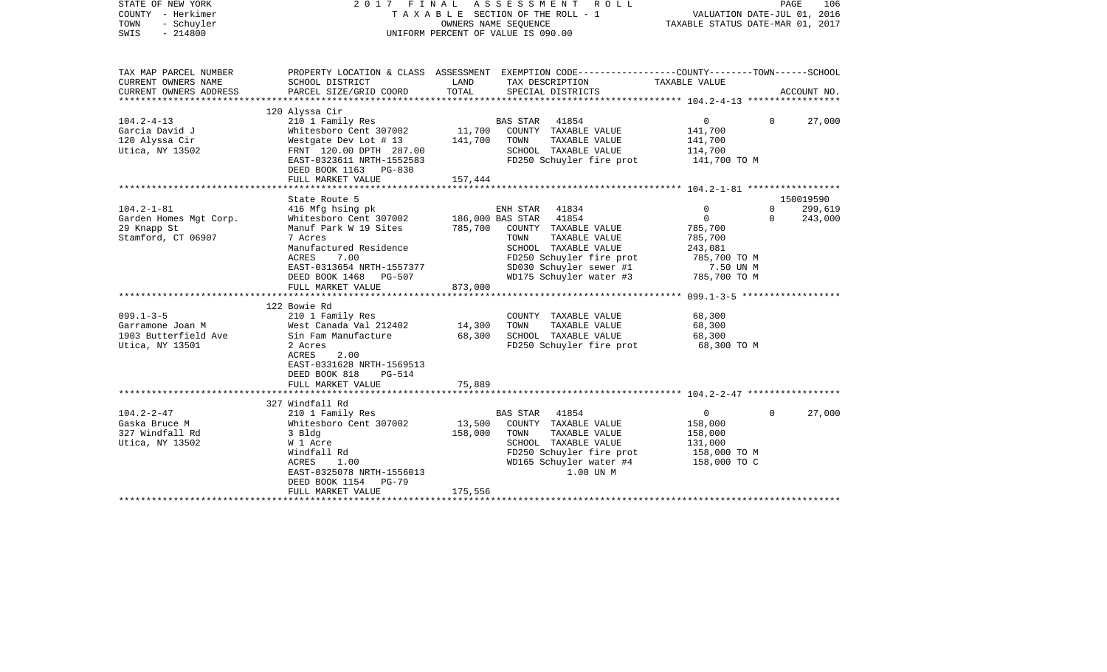| STATE OF NEW YORK<br>COUNTY - Herkimer<br>TOWN<br>- Schuyler<br>SWIS<br>$-214800$ |                                                                                                                                                                                                         | OWNERS NAME SEQUENCE         | 2017 FINAL ASSESSMENT ROLL<br>T A X A B L E SECTION OF THE ROLL - 1<br>UNIFORM PERCENT OF VALUE IS 090.00                                                   | VALUATION DATE-JUL 01, 2016<br>TAXABLE STATUS DATE-MAR 01, 2017                 | PAGE                     | 106                             |
|-----------------------------------------------------------------------------------|---------------------------------------------------------------------------------------------------------------------------------------------------------------------------------------------------------|------------------------------|-------------------------------------------------------------------------------------------------------------------------------------------------------------|---------------------------------------------------------------------------------|--------------------------|---------------------------------|
| TAX MAP PARCEL NUMBER<br>CURRENT OWNERS NAME                                      | SCHOOL DISTRICT                                                                                                                                                                                         | LAND                         | PROPERTY LOCATION & CLASS ASSESSMENT EXEMPTION CODE---------------COUNTY-------TOWN------SCHOOL<br>TAX DESCRIPTION                                          | TAXABLE VALUE                                                                   |                          |                                 |
| CURRENT OWNERS ADDRESS                                                            | PARCEL SIZE/GRID COORD                                                                                                                                                                                  | TOTAL                        | SPECIAL DISTRICTS                                                                                                                                           |                                                                                 |                          | ACCOUNT NO.                     |
|                                                                                   | 120 Alyssa Cir                                                                                                                                                                                          |                              |                                                                                                                                                             |                                                                                 |                          |                                 |
| $104.2 - 4 - 13$<br>Garcia David J<br>120 Alyssa Cir<br>Utica, NY 13502           | 210 1 Family Res<br>Whitesboro Cent 307002<br>Westgate Dev Lot # 13<br>FRNT 120.00 DPTH 287.00<br>EAST-0323611 NRTH-1552583<br>DEED BOOK 1163 PG-830                                                    | 11,700<br>141,700            | BAS STAR 41854<br>COUNTY TAXABLE VALUE<br>TAXABLE VALUE<br>TOWN<br>SCHOOL TAXABLE VALUE<br>FD250 Schuyler fire prot                                         | $\circ$<br>141,700<br>141,700<br>114,700<br>141,700 TO M                        | $\Omega$                 | 27,000                          |
|                                                                                   | FULL MARKET VALUE                                                                                                                                                                                       | 157,444                      |                                                                                                                                                             |                                                                                 |                          |                                 |
| $104.2 - 1 - 81$<br>Garden Homes Mgt Corp.<br>29 Knapp St<br>Stamford, CT 06907   | State Route 5<br>416 Mfg hsing pk<br>Whitesboro Cent 307002<br>Manuf Park W 19 Sites<br>7 Acres                                                                                                         | 785,700                      | ENH STAR 41834<br>186,000 BAS STAR 41854<br>COUNTY TAXABLE VALUE<br>TAXABLE VALUE<br>TOWN                                                                   | $\mathbf 0$<br>$\overline{0}$<br>785,700<br>785,700                             | $\mathbf{0}$<br>$\Omega$ | 150019590<br>299,619<br>243,000 |
|                                                                                   | Manufactured Residence<br>ACRES<br>7.00<br>EAST-0313654 NRTH-1557377<br>DEED BOOK 1468 PG-507<br>FULL MARKET VALUE                                                                                      | 873,000                      | SCHOOL TAXABLE VALUE<br>FD250 Schuyler fire prot<br>SD030 Schuyler sewer #1<br>WD175 Schuyler water #3                                                      | 243,081<br>785,700 TO M<br>7.50 UN M<br>785,700 TO M                            |                          |                                 |
|                                                                                   | 122 Bowie Rd                                                                                                                                                                                            |                              |                                                                                                                                                             |                                                                                 |                          |                                 |
| $099.1 - 3 - 5$<br>Garramone Joan M<br>1903 Butterfield Ave<br>Utica, NY 13501    | 210 1 Family Res<br>West Canada Val 212402<br>Sin Fam Manufacture<br>2 Acres<br>ACRES<br>2.00<br>EAST-0331628 NRTH-1569513<br>DEED BOOK 818<br>PG-514<br>FULL MARKET VALUE                              | 14,300<br>68,300<br>75,889   | COUNTY TAXABLE VALUE<br>TAXABLE VALUE<br>TOWN<br>SCHOOL TAXABLE VALUE<br>FD250 Schuyler fire prot                                                           | 68,300<br>68,300<br>68,300<br>68,300 TO M                                       |                          |                                 |
|                                                                                   |                                                                                                                                                                                                         |                              |                                                                                                                                                             |                                                                                 |                          |                                 |
| $104.2 - 2 - 47$<br>Gaska Bruce M<br>327 Windfall Rd<br>Utica, NY 13502           | 327 Windfall Rd<br>210 1 Family Res<br>Whitesboro Cent 307002<br>3 Bldg<br>W 1 Acre<br>Windfall Rd<br>ACRES<br>1.00<br>EAST-0325078 NRTH-1556013<br>DEED BOOK 1154<br><b>PG-79</b><br>FULL MARKET VALUE | 13,500<br>158,000<br>175,556 | BAS STAR 41854<br>COUNTY TAXABLE VALUE<br>TOWN<br>TAXABLE VALUE<br>SCHOOL TAXABLE VALUE<br>FD250 Schuyler fire prot<br>WD165 Schuyler water #4<br>1.00 UN M | $\overline{0}$<br>158,000<br>158,000<br>131,000<br>158,000 TO M<br>158,000 TO C | $\Omega$                 | 27,000                          |
|                                                                                   |                                                                                                                                                                                                         |                              |                                                                                                                                                             |                                                                                 |                          |                                 |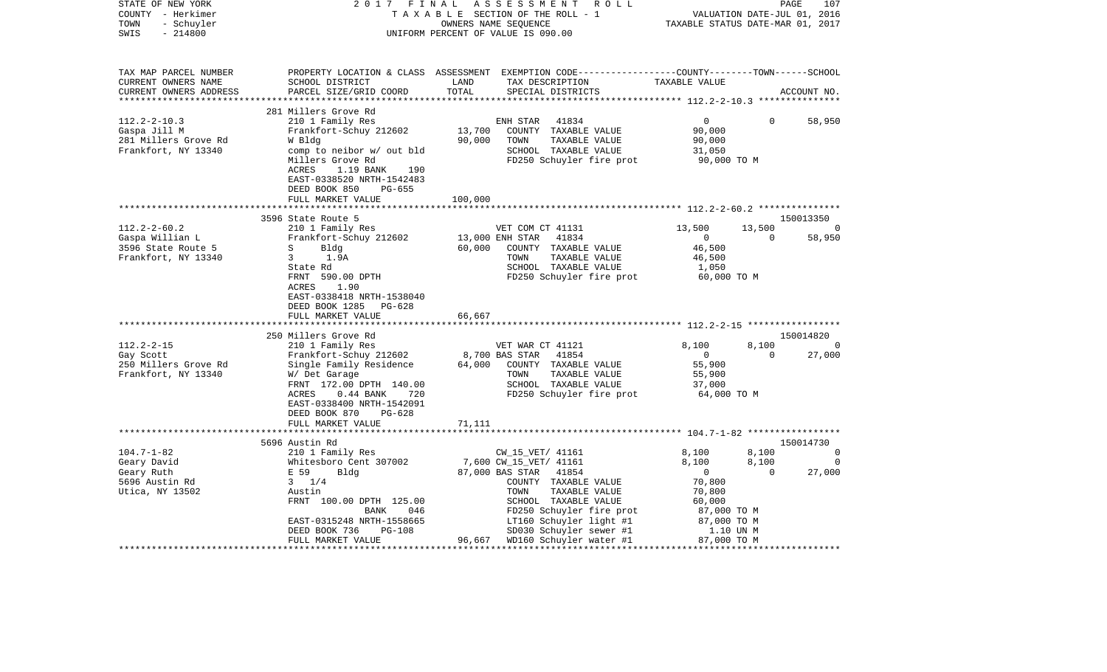| COUNTY - Herkimer<br>TOWN<br>- Schuyler |                                                                                                       | TAXABLE SECTION OF THE ROLL - 1<br>OWNERS NAME SEOUENCE |                                                                                                |                          | VALUATION DATE-JUL 01, 2016<br>TAXABLE STATUS DATE-MAR 01, 2017 |                             |  |
|-----------------------------------------|-------------------------------------------------------------------------------------------------------|---------------------------------------------------------|------------------------------------------------------------------------------------------------|--------------------------|-----------------------------------------------------------------|-----------------------------|--|
| SWIS<br>$-214800$                       |                                                                                                       | UNIFORM PERCENT OF VALUE IS 090.00                      |                                                                                                |                          |                                                                 |                             |  |
| TAX MAP PARCEL NUMBER                   |                                                                                                       |                                                         | PROPERTY LOCATION & CLASS ASSESSMENT EXEMPTION CODE---------------COUNTY-------TOWN-----SCHOOL |                          |                                                                 |                             |  |
| CURRENT OWNERS NAME                     | SCHOOL DISTRICT                                                                                       | LAND                                                    | TAX DESCRIPTION                                                                                | TAXABLE VALUE            |                                                                 |                             |  |
| CURRENT OWNERS ADDRESS                  | PARCEL SIZE/GRID COORD                                                                                | TOTAL                                                   | SPECIAL DISTRICTS                                                                              |                          |                                                                 | ACCOUNT NO.                 |  |
|                                         |                                                                                                       |                                                         |                                                                                                |                          |                                                                 |                             |  |
|                                         | 281 Millers Grove Rd                                                                                  |                                                         |                                                                                                |                          |                                                                 |                             |  |
| $112.2 - 2 - 10.3$                      | 210 1 Family Res                                                                                      |                                                         | ENH STAR<br>41834                                                                              | $\overline{0}$           | $\Omega$                                                        | 58,950                      |  |
| Gaspa Jill M                            | Frankfort-Schuy 212602                                                                                | 13,700                                                  | COUNTY TAXABLE VALUE                                                                           | 90,000                   |                                                                 |                             |  |
| 281 Millers Grove Rd                    | W Bldg                                                                                                | 90,000                                                  | TAXABLE VALUE<br>TOWN                                                                          | 90,000                   |                                                                 |                             |  |
| Frankfort, NY 13340                     | comp to neibor w/ out bld                                                                             |                                                         | SCHOOL TAXABLE VALUE                                                                           | 31,050                   |                                                                 |                             |  |
|                                         | Millers Grove Rd<br>ACRES<br>1.19 BANK<br>190<br>EAST-0338520 NRTH-1542483<br>DEED BOOK 850<br>PG-655 |                                                         | FD250 Schuyler fire prot                                                                       | 90,000 TO M              |                                                                 |                             |  |
|                                         | FULL MARKET VALUE                                                                                     | 100,000                                                 |                                                                                                |                          |                                                                 |                             |  |
|                                         |                                                                                                       |                                                         |                                                                                                |                          |                                                                 |                             |  |
|                                         | 3596 State Route 5                                                                                    |                                                         |                                                                                                |                          | 13,500                                                          | 150013350<br>$\overline{0}$ |  |
| $112.2 - 2 - 60.2$<br>Gaspa Willian L   | 210 1 Family Res<br>Frankfort-Schuy 212602                                                            | 13,000 ENH STAR                                         | VET COM CT 41131<br>41834                                                                      | 13,500<br>$\overline{0}$ | $\Omega$                                                        | 58,950                      |  |
| 3596 State Route 5                      | S<br>Bldg                                                                                             | 60,000                                                  | COUNTY TAXABLE VALUE                                                                           | 46,500                   |                                                                 |                             |  |
| Frankfort, NY 13340                     | $3^{\circ}$<br>1.9A                                                                                   |                                                         | TOWN<br>TAXABLE VALUE                                                                          | 46,500                   |                                                                 |                             |  |
|                                         | State Rd                                                                                              |                                                         | SCHOOL TAXABLE VALUE                                                                           | 1,050                    |                                                                 |                             |  |
|                                         | FRNT 590.00 DPTH                                                                                      |                                                         | FD250 Schuyler fire prot                                                                       | 60,000 TO M              |                                                                 |                             |  |
|                                         | 1.90<br>ACRES                                                                                         |                                                         |                                                                                                |                          |                                                                 |                             |  |
|                                         | EAST-0338418 NRTH-1538040                                                                             |                                                         |                                                                                                |                          |                                                                 |                             |  |
|                                         | DEED BOOK 1285 PG-628                                                                                 |                                                         |                                                                                                |                          |                                                                 |                             |  |
|                                         | FULL MARKET VALUE                                                                                     | 66,667                                                  |                                                                                                |                          |                                                                 |                             |  |
|                                         | ******************************                                                                        |                                                         |                                                                                                |                          |                                                                 |                             |  |
|                                         | 250 Millers Grove Rd                                                                                  |                                                         |                                                                                                |                          |                                                                 | 150014820                   |  |
| $112.2 - 2 - 15$<br>Gay Scott           | 210 1 Family Res                                                                                      |                                                         | VET WAR CT 41121<br>8,700 BAS STAR<br>41854                                                    | 8,100<br>$\overline{0}$  | 8,100<br>$\Omega$                                               | 0<br>27,000                 |  |
| 250 Millers Grove Rd                    | Frankfort-Schuy 212602<br>Single Family Residence                                                     | 64,000                                                  | COUNTY TAXABLE VALUE                                                                           | 55,900                   |                                                                 |                             |  |
| Frankfort, NY 13340                     | W/ Det Garage                                                                                         |                                                         | TOWN<br>TAXABLE VALUE                                                                          | 55,900                   |                                                                 |                             |  |
|                                         | FRNT 172.00 DPTH 140.00                                                                               |                                                         | SCHOOL TAXABLE VALUE                                                                           | 37,000                   |                                                                 |                             |  |
|                                         | ACRES<br>$0.44$ BANK<br>720                                                                           |                                                         | FD250 Schuyler fire prot                                                                       | 64,000 TO M              |                                                                 |                             |  |
|                                         | EAST-0338400 NRTH-1542091                                                                             |                                                         |                                                                                                |                          |                                                                 |                             |  |
|                                         | DEED BOOK 870<br>PG-628                                                                               |                                                         |                                                                                                |                          |                                                                 |                             |  |
|                                         | FULL MARKET VALUE                                                                                     | 71,111                                                  |                                                                                                |                          |                                                                 |                             |  |
|                                         | *********************                                                                                 |                                                         |                                                                                                |                          |                                                                 |                             |  |
|                                         | 5696 Austin Rd                                                                                        |                                                         |                                                                                                |                          |                                                                 | 150014730                   |  |
| $104.7 - 1 - 82$                        | 210 1 Family Res                                                                                      |                                                         | CW_15_VET/ 41161                                                                               | 8,100                    | 8,100                                                           | $\overline{0}$              |  |
| Geary David                             | Whitesboro Cent 307002<br>Whites<br>E 59                                                              |                                                         | 7,600 CW_15_VET/ 41161                                                                         | 8,100                    | 8,100                                                           | 0                           |  |
| Geary Ruth                              | Bldg                                                                                                  |                                                         | 87,000 BAS STAR<br>41854                                                                       | $\overline{0}$           | $\overline{0}$                                                  | 27,000                      |  |
| 5696 Austin Rd                          | $3 \t1/4$<br>Austin                                                                                   |                                                         | COUNTY TAXABLE VALUE<br>TOWN<br>TAXABLE VALUE                                                  | 70,800<br>70,800         |                                                                 |                             |  |
| Utica, NY 13502                         | FRNT 100.00 DPTH 125.00                                                                               |                                                         | SCHOOL TAXABLE VALUE                                                                           | 60,000                   |                                                                 |                             |  |
|                                         | 046<br>BANK                                                                                           |                                                         | FD250 Schuyler fire prot                                                                       | 87,000 TO M              |                                                                 |                             |  |
|                                         | EAST-0315248 NRTH-1558665                                                                             |                                                         | LT160 Schuyler light #1                                                                        | 87,000 TO M              |                                                                 |                             |  |
|                                         | DEED BOOK 736<br>PG-108                                                                               |                                                         | SD030 Schuyler sewer #1                                                                        | 1.10 UN M                |                                                                 |                             |  |
|                                         | FULL MARKET VALUE                                                                                     |                                                         | 96,667 WD160 Schuyler water #1                                                                 | 87,000 TO M              |                                                                 |                             |  |
|                                         |                                                                                                       |                                                         |                                                                                                |                          |                                                                 |                             |  |

STATE OF NEW YORK 2 0 1 7 F I N A L A S S E S S M E N T R O L L PAGE 107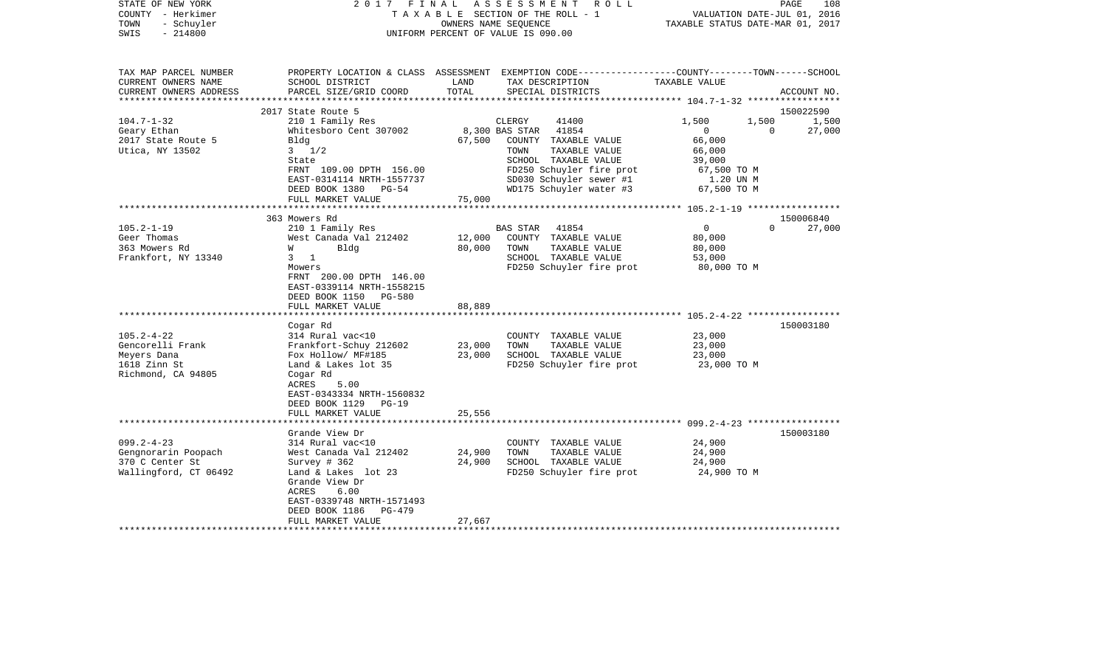| STATE OF NEW YORK<br>COUNTY - Herkimer<br>- Schuyler<br>TOWN<br>$-214800$<br>SWIS | 2017 FINAL                                                                                                        |        | ASSESSMENT<br>R O L L<br>TAXABLE SECTION OF THE ROLL - 1<br>OWNERS NAME SEQUENCE<br>UNIFORM PERCENT OF VALUE IS 090.00 | TAXABLE STATUS DATE-MAR 01, 2017 | PAGE<br>108<br>VALUATION DATE-JUL 01, 2016 |
|-----------------------------------------------------------------------------------|-------------------------------------------------------------------------------------------------------------------|--------|------------------------------------------------------------------------------------------------------------------------|----------------------------------|--------------------------------------------|
| TAX MAP PARCEL NUMBER<br>CURRENT OWNERS NAME                                      | SCHOOL DISTRICT                                                                                                   | LAND   | PROPERTY LOCATION & CLASS ASSESSMENT EXEMPTION CODE---------------COUNTY-------TOWN------SCHOOL<br>TAX DESCRIPTION     | TAXABLE VALUE                    |                                            |
| CURRENT OWNERS ADDRESS<br>*******************                                     | PARCEL SIZE/GRID COORD                                                                                            | TOTAL  | SPECIAL DISTRICTS                                                                                                      |                                  | ACCOUNT NO.                                |
|                                                                                   | 2017 State Route 5                                                                                                |        |                                                                                                                        |                                  | 150022590                                  |
| $104.7 - 1 - 32$                                                                  | 210 1 Family Res                                                                                                  |        | 41400<br>CLERGY                                                                                                        | 1,500                            | 1,500<br>1,500                             |
| Geary Ethan                                                                       | Whitesboro Cent 307002                                                                                            |        | 8,300 BAS STAR<br>41854                                                                                                | $\mathbf{0}$                     | 27,000<br>$\Omega$                         |
| 2017 State Route 5                                                                | Bldg                                                                                                              | 67,500 | COUNTY TAXABLE VALUE                                                                                                   | 66,000                           |                                            |
| Utica, NY 13502                                                                   | $3 \frac{1}{2}$                                                                                                   |        | TAXABLE VALUE<br>TOWN                                                                                                  | 66,000                           |                                            |
|                                                                                   | State                                                                                                             |        | SCHOOL TAXABLE VALUE                                                                                                   | 39,000                           |                                            |
|                                                                                   | FRNT 109.00 DPTH 156.00<br>EAST-0314114 NRTH-1557737                                                              |        | FD250 Schuyler fire prot<br>SD030 Schuyler sewer #1                                                                    | 67,500 TO M<br>1.20 UN M         |                                            |
|                                                                                   | DEED BOOK 1380<br>$PG-54$                                                                                         |        | WD175 Schuyler water #3                                                                                                | 67,500 TO M                      |                                            |
|                                                                                   | FULL MARKET VALUE                                                                                                 | 75,000 |                                                                                                                        |                                  |                                            |
|                                                                                   |                                                                                                                   |        |                                                                                                                        |                                  |                                            |
|                                                                                   | 363 Mowers Rd                                                                                                     |        |                                                                                                                        |                                  | 150006840                                  |
| $105.2 - 1 - 19$                                                                  | 210 1 Family Res                                                                                                  |        | 41854<br>BAS STAR                                                                                                      | $\mathbf{0}$                     | $\Omega$<br>27,000                         |
| Geer Thomas                                                                       | West Canada Val 212402                                                                                            | 12,000 | COUNTY TAXABLE VALUE<br>TAXABLE VALUE                                                                                  | 80,000                           |                                            |
| 363 Mowers Rd<br>Frankfort, NY 13340                                              | Bldg<br>W<br>$3 \quad 1$                                                                                          | 80,000 | TOWN<br>SCHOOL TAXABLE VALUE                                                                                           | 80,000<br>53,000                 |                                            |
|                                                                                   | Mowers                                                                                                            |        | FD250 Schuyler fire prot                                                                                               | 80,000 TO M                      |                                            |
|                                                                                   | FRNT 200.00 DPTH 146.00<br>EAST-0339114 NRTH-1558215<br>DEED BOOK 1150 PG-580<br>FULL MARKET VALUE                | 88,889 |                                                                                                                        |                                  |                                            |
|                                                                                   |                                                                                                                   |        |                                                                                                                        |                                  |                                            |
|                                                                                   | Cogar Rd                                                                                                          |        |                                                                                                                        |                                  | 150003180                                  |
| $105.2 - 4 - 22$                                                                  | 314 Rural vac<10                                                                                                  |        | COUNTY TAXABLE VALUE                                                                                                   | 23,000                           |                                            |
| Gencorelli Frank                                                                  | Frankfort-Schuy 212602                                                                                            | 23,000 | TAXABLE VALUE<br>TOWN                                                                                                  | 23,000                           |                                            |
| Meyers Dana                                                                       | Fox Hollow/ MF#185                                                                                                | 23,000 | SCHOOL TAXABLE VALUE                                                                                                   | 23,000                           |                                            |
| 1618 Zinn St<br>Richmond, CA 94805                                                | Land & Lakes lot 35<br>Cogar Rd<br>ACRES<br>5.00<br>EAST-0343334 NRTH-1560832<br>DEED BOOK 1129<br>PG-19          |        | FD250 Schuyler fire prot                                                                                               | 23,000 TO M                      |                                            |
|                                                                                   | FULL MARKET VALUE                                                                                                 | 25,556 |                                                                                                                        |                                  |                                            |
|                                                                                   |                                                                                                                   |        |                                                                                                                        |                                  |                                            |
| $099.2 - 4 - 23$                                                                  | Grande View Dr<br>314 Rural vac<10                                                                                |        | COUNTY TAXABLE VALUE                                                                                                   | 24,900                           | 150003180                                  |
| Gengnorarin Poopach                                                               | West Canada Val 212402                                                                                            | 24,900 | TOWN<br>TAXABLE VALUE                                                                                                  | 24,900                           |                                            |
| 370 C Center St                                                                   | Survey $# 362$                                                                                                    | 24,900 | SCHOOL TAXABLE VALUE                                                                                                   | 24,900                           |                                            |
| Wallingford, CT 06492                                                             | Land & Lakes lot 23<br>Grande View Dr<br>ACRES<br>6.00<br>EAST-0339748 NRTH-1571493<br>DEED BOOK 1186<br>$PG-479$ |        | FD250 Schuyler fire prot                                                                                               | 24,900 TO M                      |                                            |
|                                                                                   | FULL MARKET VALUE                                                                                                 | 27,667 |                                                                                                                        |                                  |                                            |
| **********************                                                            |                                                                                                                   |        |                                                                                                                        |                                  |                                            |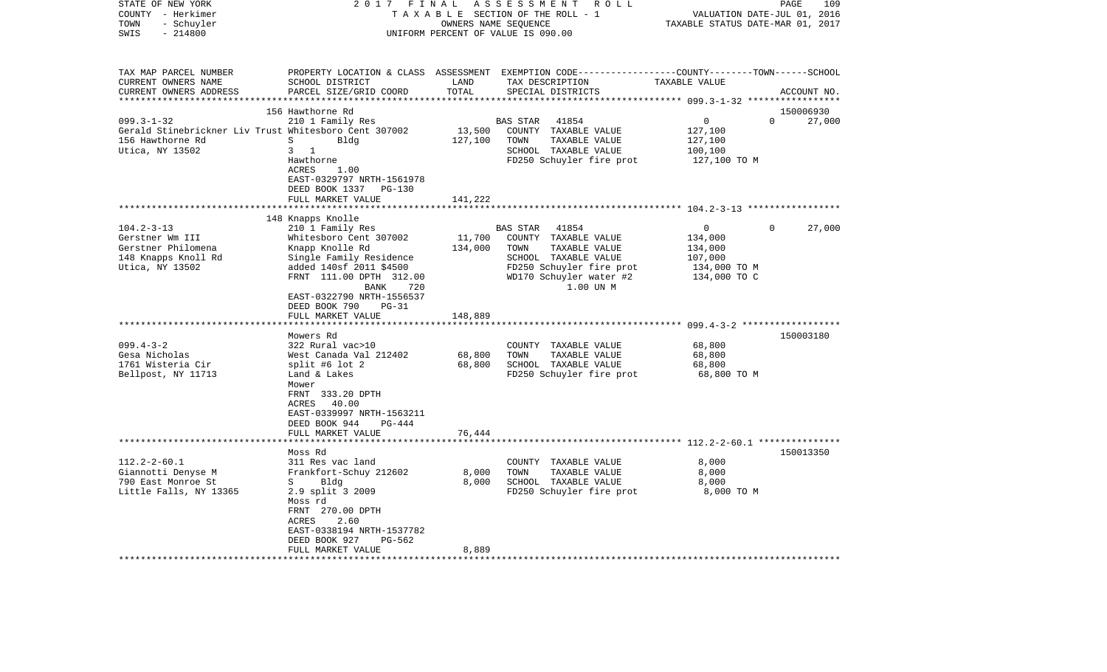| STATE OF NEW YORK<br>COUNTY - Herkimer<br>- Schuyler<br>TOWN<br>SWIS<br>$-214800$                                      | 2017<br>FINAL<br>TAXABLE SECTION OF THE ROLL - 1<br>UNIFORM PERCENT OF VALUE IS 090.00                                                                                                                                                                                     | 109<br>PAGE<br>VALUATION DATE-JUL 01, 2016<br>TAXABLE STATUS DATE-MAR 01, 2017 |                                                                                                                                                                                        |                                                                                                                                    |                          |
|------------------------------------------------------------------------------------------------------------------------|----------------------------------------------------------------------------------------------------------------------------------------------------------------------------------------------------------------------------------------------------------------------------|--------------------------------------------------------------------------------|----------------------------------------------------------------------------------------------------------------------------------------------------------------------------------------|------------------------------------------------------------------------------------------------------------------------------------|--------------------------|
| TAX MAP PARCEL NUMBER<br>CURRENT OWNERS NAME<br>CURRENT OWNERS ADDRESS<br>********************                         | PROPERTY LOCATION & CLASS<br>SCHOOL DISTRICT<br>PARCEL SIZE/GRID COORD                                                                                                                                                                                                     | LAND<br>TOTAL                                                                  | ASSESSMENT EXEMPTION CODE----------------COUNTY-------TOWN------SCHOOL<br>TAX DESCRIPTION<br>SPECIAL DISTRICTS                                                                         | TAXABLE VALUE                                                                                                                      | ACCOUNT NO.              |
|                                                                                                                        | 156 Hawthorne Rd                                                                                                                                                                                                                                                           |                                                                                |                                                                                                                                                                                        |                                                                                                                                    | 150006930                |
| $099.3 - 1 - 32$<br>Gerald Stinebrickner Liv Trust Whitesboro Cent 307002<br>156 Hawthorne Rd<br>Utica, NY 13502       | 210 1 Family Res<br>S<br>Bldg<br>3<br>$\overline{1}$<br>Hawthorne<br>ACRES<br>1.00<br>EAST-0329797 NRTH-1561978<br>DEED BOOK 1337<br>PG-130                                                                                                                                | 13,500<br>127,100                                                              | BAS STAR<br>41854<br>COUNTY TAXABLE VALUE<br>TOWN<br>TAXABLE VALUE<br>SCHOOL TAXABLE VALUE<br>FD250 Schuyler fire prot                                                                 | 0<br>127,100<br>127,100<br>100,100<br>127,100 TO M                                                                                 | $\Omega$<br>27,000       |
|                                                                                                                        | FULL MARKET VALUE                                                                                                                                                                                                                                                          | 141,222                                                                        | *********************************** 104.2-3-13 ******************                                                                                                                      |                                                                                                                                    |                          |
|                                                                                                                        | 148 Knapps Knolle                                                                                                                                                                                                                                                          |                                                                                |                                                                                                                                                                                        |                                                                                                                                    |                          |
| $104.2 - 3 - 13$<br>Gerstner Wm III<br>Gerstner Philomena<br>148 Knapps Knoll Rd<br>Utica, NY 13502<br>$099.4 - 3 - 2$ | 210 1 Family Res<br>Whitesboro Cent 307002<br>Knapp Knolle Rd<br>Single Family Residence<br>added 140sf 2011 \$4500<br>FRNT 111.00 DPTH 312.00<br>BANK<br>720<br>EAST-0322790 NRTH-1556537<br>DEED BOOK 790<br>PG-31<br>FULL MARKET VALUE<br>Mowers Rd<br>322 Rural vac>10 | 11,700<br>134,000<br>148,889                                                   | BAS STAR<br>41854<br>COUNTY TAXABLE VALUE<br>TAXABLE VALUE<br>TOWN<br>SCHOOL TAXABLE VALUE<br>FD250 Schuyler fire prot<br>WD170 Schuyler water #2<br>1.00 UN M<br>COUNTY TAXABLE VALUE | 0<br>134,000<br>134,000<br>107,000<br>134,000 TO M<br>134,000 TO C<br>$099.4 - 3 - 2$ *******************<br>***********<br>68,800 | 27,000<br>0<br>150003180 |
| Gesa Nicholas<br>1761 Wisteria Cir<br>Bellpost, NY 11713                                                               | West Canada Val 212402<br>split #6 lot 2<br>Land & Lakes<br>Mower<br>FRNT 333.20 DPTH<br>ACRES<br>40.00<br>EAST-0339997 NRTH-1563211<br>DEED BOOK 944<br>PG-444<br>FULL MARKET VALUE                                                                                       | 68,800<br>68,800<br>76,444                                                     | TOWN<br>TAXABLE VALUE<br>SCHOOL TAXABLE VALUE<br>FD250 Schuyler fire prot                                                                                                              | 68,800<br>68,800<br>68,800 TO M                                                                                                    |                          |
|                                                                                                                        | *******************<br>Moss Rd                                                                                                                                                                                                                                             | * * * * * * * * * * * * * * * *                                                | ****************************** 112.2-2-60.1 ***************                                                                                                                            |                                                                                                                                    | 150013350                |
| $112.2 - 2 - 60.1$<br>Giannotti Denyse M<br>790 East Monroe St<br>Little Falls, NY 13365                               | 311 Res vac land<br>Frankfort-Schuy 212602<br>S<br>Bldg<br>2.9 split 3 2009<br>Moss rd<br>FRNT 270.00 DPTH<br>ACRES<br>2.60<br>EAST-0338194 NRTH-1537782<br>DEED BOOK 927<br>PG-562                                                                                        | 8,000<br>8,000                                                                 | COUNTY TAXABLE VALUE<br>TOWN<br>TAXABLE VALUE<br>SCHOOL TAXABLE VALUE<br>FD250 Schuyler fire prot                                                                                      | 8,000<br>8,000<br>8,000<br>8,000 TO M                                                                                              |                          |
|                                                                                                                        | FULL MARKET VALUE                                                                                                                                                                                                                                                          | 8,889                                                                          |                                                                                                                                                                                        |                                                                                                                                    |                          |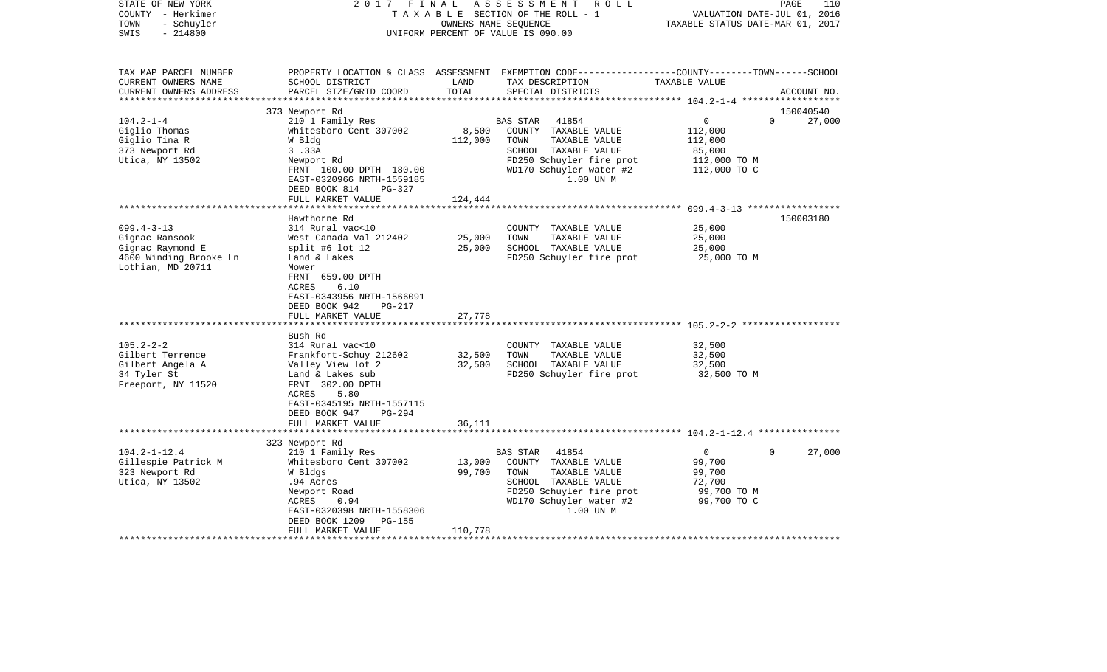| STATE OF NEW YORK<br>COUNTY - Herkimer<br>- Schuyler<br>TOWN<br>$-214800$<br>SWIS |                                                    | OWNERS NAME SEQUENCE | 2017 FINAL ASSESSMENT ROLL<br>TAXABLE SECTION OF THE ROLL - 1<br>UNIFORM PERCENT OF VALUE IS 090.00                                                    | VALUATION DATE-JUL 01, 2016<br>TAXABLE STATUS DATE-MAR 01, 2017 | PAGE<br>110            |
|-----------------------------------------------------------------------------------|----------------------------------------------------|----------------------|--------------------------------------------------------------------------------------------------------------------------------------------------------|-----------------------------------------------------------------|------------------------|
| TAX MAP PARCEL NUMBER<br>CURRENT OWNERS NAME<br>CURRENT OWNERS ADDRESS            | SCHOOL DISTRICT<br>PARCEL SIZE/GRID COORD          | LAND<br>TOTAL        | PROPERTY LOCATION & CLASS ASSESSMENT EXEMPTION CODE----------------COUNTY-------TOWN------SCHOOL<br>TAX DESCRIPTION TAXABLE VALUE<br>SPECIAL DISTRICTS |                                                                 | ACCOUNT NO.            |
|                                                                                   |                                                    |                      |                                                                                                                                                        |                                                                 |                        |
|                                                                                   | 373 Newport Rd                                     |                      |                                                                                                                                                        |                                                                 | 150040540<br>$\Omega$  |
| $104.2 - 1 - 4$<br>Giglio Thomas                                                  | 210 1 Family Res<br>Whitesboro Cent 307002         |                      | BAS STAR 41854<br>8,500 COUNTY TAXABLE VALUE                                                                                                           | $\overline{0}$<br>112,000                                       | 27,000                 |
| Giglio Tina R                                                                     | W Bldg                                             | 112,000              | TOWN<br>TAXABLE VALUE                                                                                                                                  | 112,000                                                         |                        |
| 373 Newport Rd                                                                    | 3.33A                                              |                      | SCHOOL TAXABLE VALUE                                                                                                                                   | 85,000                                                          |                        |
| Utica, NY 13502                                                                   | Newport Rd                                         |                      | FD250 Schuyler fire prot                                                                                                                               |                                                                 |                        |
|                                                                                   | FRNT 100.00 DPTH 180.00                            |                      | WD170 Schuyler water #2                                                                                                                                | 112,000 TO M<br>112,000 TO C                                    |                        |
|                                                                                   | EAST-0320966 NRTH-1559185                          |                      | 1.00 UN M                                                                                                                                              |                                                                 |                        |
|                                                                                   | DEED BOOK 814<br>PG-327                            |                      |                                                                                                                                                        |                                                                 |                        |
|                                                                                   | FULL MARKET VALUE                                  | 124,444              |                                                                                                                                                        |                                                                 |                        |
|                                                                                   |                                                    |                      |                                                                                                                                                        |                                                                 |                        |
|                                                                                   | Hawthorne Rd                                       |                      |                                                                                                                                                        |                                                                 | 150003180              |
| $099.4 - 3 - 13$                                                                  | 314 Rural vac<10                                   |                      | COUNTY TAXABLE VALUE                                                                                                                                   | 25,000                                                          |                        |
| Gignac Ransook                                                                    | West Canada Val 212402                             | 25,000               | TOWN<br>TAXABLE VALUE                                                                                                                                  | 25,000                                                          |                        |
| Gignac Raymond E                                                                  | split #6 lot 12                                    | 25,000               | SCHOOL TAXABLE VALUE                                                                                                                                   | 25,000                                                          |                        |
| 4600 Winding Brooke Ln                                                            | Land & Lakes                                       |                      | FD250 Schuyler fire prot                                                                                                                               | 25,000 TO M                                                     |                        |
| Lothian, MD 20711                                                                 | Mower                                              |                      |                                                                                                                                                        |                                                                 |                        |
|                                                                                   | FRNT 659.00 DPTH                                   |                      |                                                                                                                                                        |                                                                 |                        |
|                                                                                   | ACRES<br>6.10                                      |                      |                                                                                                                                                        |                                                                 |                        |
|                                                                                   | EAST-0343956 NRTH-1566091                          |                      |                                                                                                                                                        |                                                                 |                        |
|                                                                                   | DEED BOOK 942<br>PG-217<br>FULL MARKET VALUE       | 27,778               |                                                                                                                                                        |                                                                 |                        |
|                                                                                   |                                                    |                      |                                                                                                                                                        |                                                                 |                        |
|                                                                                   | Bush Rd                                            |                      |                                                                                                                                                        |                                                                 |                        |
| $105.2 - 2 - 2$                                                                   | 314 Rural vac<10                                   |                      | COUNTY TAXABLE VALUE                                                                                                                                   | 32,500                                                          |                        |
| Gilbert Terrence                                                                  | Frankfort-Schuy 212602                             | 32,500               | TOWN<br>TAXABLE VALUE                                                                                                                                  | 32,500                                                          |                        |
| Gilbert Angela A                                                                  | Valley View lot 2                                  | 32,500               | SCHOOL TAXABLE VALUE                                                                                                                                   | 32,500                                                          |                        |
| 34 Tyler St                                                                       | Land & Lakes sub                                   |                      | FD250 Schuyler fire prot                                                                                                                               | 32,500 TO M                                                     |                        |
| Freeport, NY 11520                                                                | FRNT 302.00 DPTH                                   |                      |                                                                                                                                                        |                                                                 |                        |
|                                                                                   | ACRES<br>5.80                                      |                      |                                                                                                                                                        |                                                                 |                        |
|                                                                                   | EAST-0345195 NRTH-1557115                          |                      |                                                                                                                                                        |                                                                 |                        |
|                                                                                   | DEED BOOK 947 PG-294                               |                      |                                                                                                                                                        |                                                                 |                        |
|                                                                                   | FULL MARKET VALUE                                  | 36,111               |                                                                                                                                                        |                                                                 |                        |
|                                                                                   |                                                    |                      |                                                                                                                                                        |                                                                 |                        |
|                                                                                   | 323 Newport Rd                                     |                      |                                                                                                                                                        |                                                                 |                        |
| $104.2 - 1 - 12.4$                                                                | 210 1 Family Res                                   |                      | BAS STAR<br>41854                                                                                                                                      | $\overline{0}$                                                  | 27,000<br>$\mathbf{0}$ |
| Gillespie Patrick M                                                               | Whitesboro Cent 307002                             | 13,000               | COUNTY TAXABLE VALUE                                                                                                                                   | 99,700                                                          |                        |
| 323 Newport Rd                                                                    | W Bldgs                                            | 99,700               | TOWN<br>TAXABLE VALUE                                                                                                                                  | 99,700                                                          |                        |
| Utica, NY 13502                                                                   | .94 Acres                                          |                      | SCHOOL TAXABLE VALUE                                                                                                                                   | 72,700                                                          |                        |
|                                                                                   | Newport Road                                       |                      | FD250 Schuyler fire prot                                                                                                                               | 99,700 TO M                                                     |                        |
|                                                                                   | ACRES<br>0.94                                      |                      | WD170 Schuyler water #2<br>1.00 UN M                                                                                                                   | 99,700 TO C                                                     |                        |
|                                                                                   | EAST-0320398 NRTH-1558306<br>DEED BOOK 1209 PG-155 |                      |                                                                                                                                                        |                                                                 |                        |
|                                                                                   | FULL MARKET VALUE                                  | 110,778              |                                                                                                                                                        |                                                                 |                        |
|                                                                                   |                                                    |                      |                                                                                                                                                        |                                                                 |                        |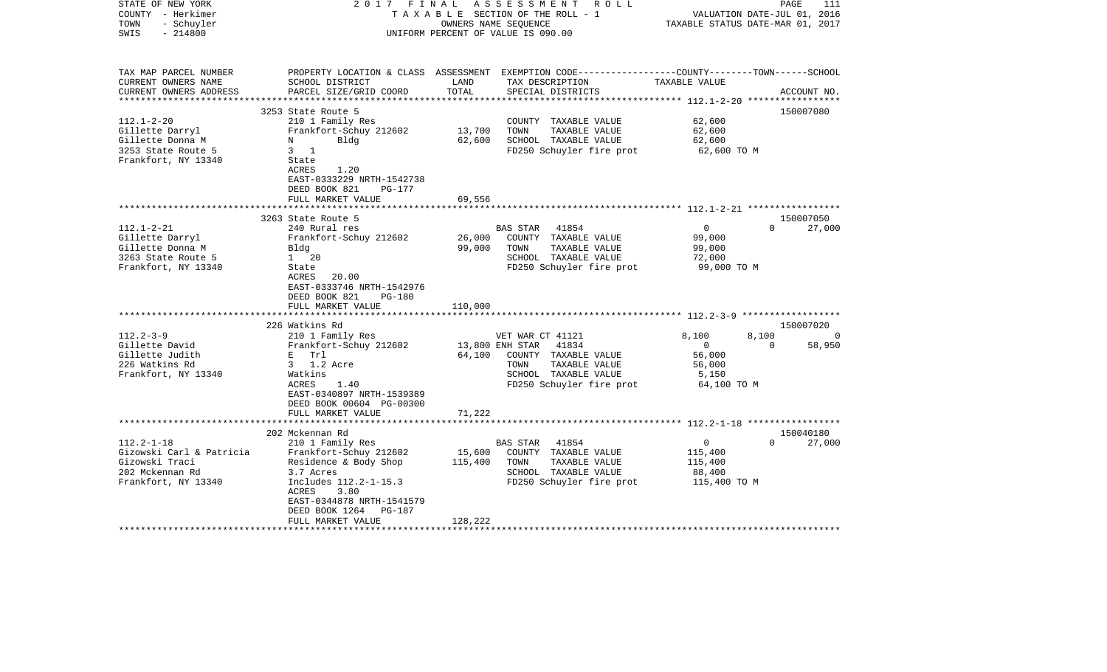| STATE OF NEW YORK<br>COUNTY - Herkimer<br>TOWN<br>- Schuyler<br>$-214800$<br>SWIS                                                                                                                     | 2017<br>FINAL                                                                                                                                                                                                                                                                                                   |                                       | ASSESSMENT<br>R O L L<br>T A X A B L E SECTION OF THE ROLL - 1<br>OWNERS NAME SEQUENCE<br>UNIFORM PERCENT OF VALUE IS 090.00                                                                                                                                                |                                                                                                                           | 111<br>PAGE<br>VALUATION DATE-JUL 01, 2016<br>TAXABLE STATUS DATE-MAR 01, 2017          |
|-------------------------------------------------------------------------------------------------------------------------------------------------------------------------------------------------------|-----------------------------------------------------------------------------------------------------------------------------------------------------------------------------------------------------------------------------------------------------------------------------------------------------------------|---------------------------------------|-----------------------------------------------------------------------------------------------------------------------------------------------------------------------------------------------------------------------------------------------------------------------------|---------------------------------------------------------------------------------------------------------------------------|-----------------------------------------------------------------------------------------|
| TAX MAP PARCEL NUMBER<br>CURRENT OWNERS NAME<br>CURRENT OWNERS ADDRESS<br>*******************                                                                                                         | SCHOOL DISTRICT<br>PARCEL SIZE/GRID COORD<br>****************************                                                                                                                                                                                                                                       | LAND<br>TOTAL                         | PROPERTY LOCATION & CLASS ASSESSMENT EXEMPTION CODE---------------COUNTY-------TOWN------SCHOOL<br>TAX DESCRIPTION<br>SPECIAL DISTRICTS                                                                                                                                     | TAXABLE VALUE                                                                                                             | ACCOUNT NO.                                                                             |
| $112.1 - 2 - 20$<br>Gillette Darryl<br>Gillette Donna M<br>3253 State Route 5<br>Frankfort, NY 13340                                                                                                  | 3253 State Route 5<br>210 1 Family Res<br>Frankfort-Schuy 212602<br>Bldg<br>N<br>$3 \quad 1$<br>State<br>1.20<br>ACRES<br>EAST-0333229 NRTH-1542738<br>DEED BOOK 821<br>PG-177                                                                                                                                  | 13,700<br>62,600                      | COUNTY TAXABLE VALUE<br>TOWN<br>TAXABLE VALUE<br>SCHOOL TAXABLE VALUE<br>FD250 Schuyler fire prot                                                                                                                                                                           | 62,600<br>62,600<br>62,600<br>62,600 TO M                                                                                 | 150007080                                                                               |
|                                                                                                                                                                                                       | FULL MARKET VALUE                                                                                                                                                                                                                                                                                               | 69,556<br>* * * * * * *               |                                                                                                                                                                                                                                                                             |                                                                                                                           |                                                                                         |
| $112.1 - 2 - 21$<br>Gillette Darryl<br>Gillette Donna M<br>3263 State Route 5<br>Frankfort, NY 13340<br>$112.2 - 3 - 9$<br>Gillette David<br>Gillette Judith<br>226 Watkins Rd<br>Frankfort, NY 13340 | 3263 State Route 5<br>240 Rural res<br>Frankfort-Schuy 212602<br>Bldg<br>1 20<br>State<br>ACRES<br>20.00<br>EAST-0333746 NRTH-1542976<br>DEED BOOK 821<br><b>PG-180</b><br>FULL MARKET VALUE<br>226 Watkins Rd<br>210 1 Family Res<br>Frankfort-Schuy 212602<br>E Trl<br>3 1.2 Acre<br>Watkins<br>ACRES<br>1.40 | 26,000<br>99,000<br>110,000<br>64,100 | BAS STAR<br>41854<br>COUNTY TAXABLE VALUE<br>TOWN<br>TAXABLE VALUE<br>SCHOOL TAXABLE VALUE<br>FD250 Schuyler fire prot<br>VET WAR CT 41121<br>13,800 ENH STAR<br>41834<br>COUNTY TAXABLE VALUE<br>TOWN<br>TAXABLE VALUE<br>SCHOOL TAXABLE VALUE<br>FD250 Schuyler fire prot | $\mathbf 0$<br>99,000<br>99,000<br>72,000<br>99,000 TO M<br>8,100<br>$\Omega$<br>56,000<br>56,000<br>5,150<br>64,100 TO M | 150007050<br>$\Omega$<br>27,000<br>150007020<br>8,100<br>$\Omega$<br>$\Omega$<br>58,950 |
| $112.2 - 1 - 18$<br>Gizowski Carl & Patricia<br>Gizowski Traci                                                                                                                                        | EAST-0340897 NRTH-1539389<br>DEED BOOK 00604 PG-00300<br>FULL MARKET VALUE<br>****************************<br>202 Mckennan Rd<br>210 1 Family Res<br>Frankfort-Schuy 212602<br>Residence & Body Shop                                                                                                            | 71,222<br>15,600<br>115,400           | BAS STAR<br>41854<br>COUNTY TAXABLE VALUE<br>TAXABLE VALUE<br>TOWN                                                                                                                                                                                                          | 0<br>115,400<br>115,400                                                                                                   | 150040180<br>$\Omega$<br>27,000                                                         |
| 202 Mckennan Rd<br>Frankfort, NY 13340                                                                                                                                                                | 3.7 Acres<br>Includes 112.2-1-15.3<br>ACRES<br>3.80<br>EAST-0344878 NRTH-1541579<br>DEED BOOK 1264<br>PG-187<br>FULL MARKET VALUE                                                                                                                                                                               | 128,222                               | SCHOOL TAXABLE VALUE<br>FD250 Schuyler fire prot                                                                                                                                                                                                                            | 88,400<br>115,400 TO M                                                                                                    |                                                                                         |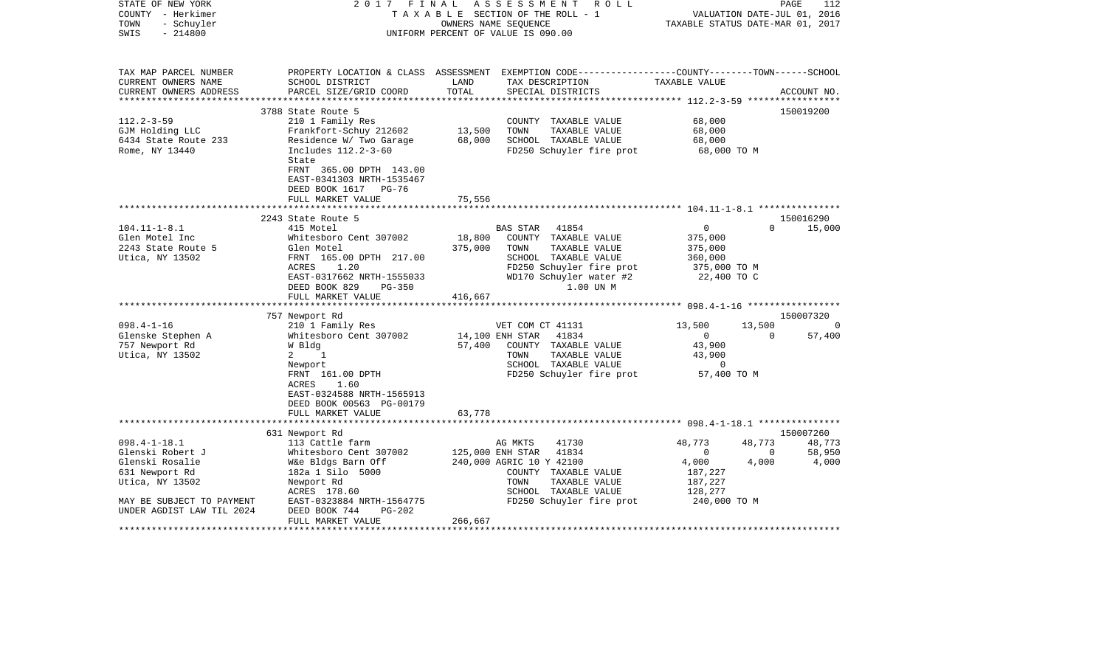| STATE OF NEW YORK<br>COUNTY - Herkimer<br>- Schuyler<br>TOWN<br>$-214800$<br>SWIS | 2017 FINAL                                                                                                                                                                          |                              | A S S E S S M E N T<br>R O L L<br>TAXABLE SECTION OF THE ROLL - 1<br>OWNERS NAME SEOUENCE<br>UNIFORM PERCENT OF VALUE IS 090.00                                | VALUATION DATE-JUL 01, 2016<br>TAXABLE STATUS DATE-MAR 01, 2017              |                         | PAGE<br>112     |
|-----------------------------------------------------------------------------------|-------------------------------------------------------------------------------------------------------------------------------------------------------------------------------------|------------------------------|----------------------------------------------------------------------------------------------------------------------------------------------------------------|------------------------------------------------------------------------------|-------------------------|-----------------|
| TAX MAP PARCEL NUMBER<br>CURRENT OWNERS NAME<br>CURRENT OWNERS ADDRESS            | SCHOOL DISTRICT<br>PARCEL SIZE/GRID COORD                                                                                                                                           | LAND<br>TOTAL                | PROPERTY LOCATION & CLASS ASSESSMENT EXEMPTION CODE----------------COUNTY-------TOWN------SCHOOL<br>TAX DESCRIPTION<br>SPECIAL DISTRICTS                       | TAXABLE VALUE                                                                |                         | ACCOUNT NO.     |
| *********************                                                             |                                                                                                                                                                                     |                              |                                                                                                                                                                |                                                                              |                         |                 |
|                                                                                   | 3788 State Route 5                                                                                                                                                                  |                              |                                                                                                                                                                |                                                                              |                         | 150019200       |
| $112.2 - 3 - 59$<br>GJM Holding LLC<br>6434 State Route 233<br>Rome, NY 13440     | 210 1 Family Res<br>Frankfort-Schuy 212602<br>Residence W/ Two Garage<br>Includes 112.2-3-60<br>State<br>FRNT 365.00 DPTH 143.00<br>EAST-0341303 NRTH-1535467                       | 13,500<br>68,000             | COUNTY TAXABLE VALUE<br>TOWN<br>TAXABLE VALUE<br>SCHOOL TAXABLE VALUE<br>FD250 Schuyler fire prot                                                              | 68,000<br>68,000<br>68,000<br>68,000 TO M                                    |                         |                 |
|                                                                                   | DEED BOOK 1617 PG-76                                                                                                                                                                |                              |                                                                                                                                                                |                                                                              |                         |                 |
|                                                                                   | FULL MARKET VALUE                                                                                                                                                                   | 75,556                       |                                                                                                                                                                |                                                                              |                         |                 |
|                                                                                   | 2243 State Route 5                                                                                                                                                                  |                              |                                                                                                                                                                |                                                                              |                         | 150016290       |
| $104.11 - 1 - 8.1$<br>Glen Motel Inc<br>2243 State Route 5<br>Utica, NY 13502     | 415 Motel<br>Whitesboro Cent 307002<br>Glen Motel<br>FRNT 165.00 DPTH 217.00<br>ACRES<br>1.20<br>EAST-0317662 NRTH-1555033<br>DEED BOOK 829<br>PG-350<br>FULL MARKET VALUE          | 18,800<br>375,000<br>416,667 | BAS STAR<br>41854<br>COUNTY TAXABLE VALUE<br>TOWN<br>TAXABLE VALUE<br>SCHOOL TAXABLE VALUE<br>FD250 Schuyler fire prot<br>WD170 Schuyler water #2<br>1.00 UN M | $\mathbf{0}$<br>375,000<br>375,000<br>360,000<br>375,000 TO M<br>22,400 TO C | $\Omega$                | 15,000          |
|                                                                                   |                                                                                                                                                                                     |                              |                                                                                                                                                                |                                                                              |                         | 150007320       |
| $098.4 - 1 - 16$                                                                  | 757 Newport Rd<br>210 1 Family Res                                                                                                                                                  |                              | VET COM CT 41131                                                                                                                                               | 13,500                                                                       | 13,500                  | 0               |
| Glenske Stephen A<br>757 Newport Rd<br>Utica, NY 13502                            | Whitesboro Cent 307002<br>W Bldg<br>1<br>$\mathbf{2}$<br>Newport<br>FRNT 161.00 DPTH<br>ACRES<br>1.60<br>EAST-0324588 NRTH-1565913<br>DEED BOOK 00563 PG-00179<br>FULL MARKET VALUE | 57,400<br>63,778             | 14,100 ENH STAR<br>41834<br>COUNTY TAXABLE VALUE<br>TAXABLE VALUE<br>TOWN<br>SCHOOL TAXABLE VALUE<br>FD250 Schuyler fire prot                                  | $\overline{0}$<br>43,900<br>43,900<br>$\overline{0}$<br>57,400 TO M          | $\overline{0}$          | 57,400          |
|                                                                                   |                                                                                                                                                                                     |                              |                                                                                                                                                                |                                                                              |                         |                 |
|                                                                                   | 631 Newport Rd                                                                                                                                                                      |                              |                                                                                                                                                                |                                                                              |                         | 150007260       |
| $098.4 - 1 - 18.1$                                                                | 113 Cattle farm                                                                                                                                                                     |                              | AG MKTS<br>41730                                                                                                                                               | 48,773                                                                       | 48,773                  | 48,773          |
| Glenski Robert J<br>Glenski Rosalie<br>631 Newport Rd<br>Utica, NY 13502          | Whitesboro Cent 307002<br>W&e Bldgs Barn Off<br>182a 1 Silo 5000<br>Newport Rd<br>ACRES 178.60                                                                                      |                              | 125,000 ENH STAR<br>41834<br>240,000 AGRIC 10 Y 42100<br>COUNTY TAXABLE VALUE<br>TOWN<br>TAXABLE VALUE<br>SCHOOL TAXABLE VALUE                                 | $\overline{0}$<br>4,000<br>187,227<br>187,227<br>128,277                     | $\overline{0}$<br>4,000 | 58,950<br>4,000 |
| MAY BE SUBJECT TO PAYMENT                                                         | EAST-0323884 NRTH-1564775                                                                                                                                                           |                              | FD250 Schuyler fire prot                                                                                                                                       | 240,000 TO M                                                                 |                         |                 |
| UNDER AGDIST LAW TIL 2024                                                         | DEED BOOK 744<br>PG-202<br>FULL MARKET VALUE                                                                                                                                        | 266,667                      |                                                                                                                                                                |                                                                              |                         |                 |
|                                                                                   |                                                                                                                                                                                     |                              |                                                                                                                                                                |                                                                              |                         |                 |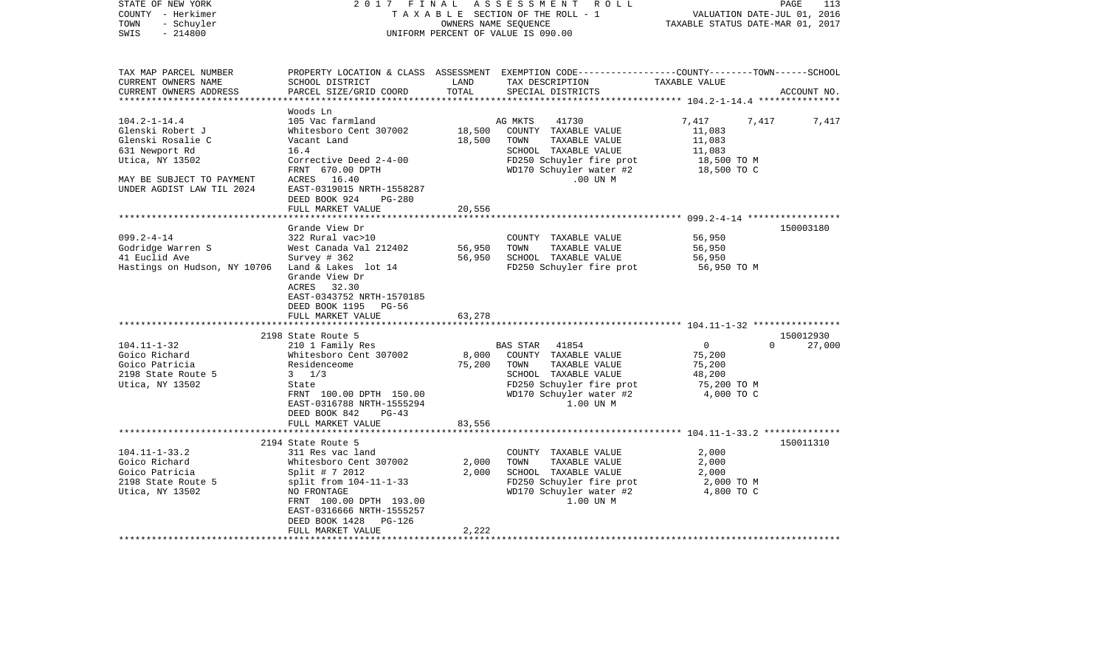| STATE OF NEW YORK<br>COUNTY - Herkimer<br>- Schuyler<br>TOWN<br>$-214800$<br>SWIS                | 2017 FINAL                                                                                                                                                                                | OWNERS NAME SEQUENCE | A S S E S S M E N T A O L L<br>TAXABLE SECTION OF THE ROLL - 1<br>UNIFORM PERCENT OF VALUE IS 090.00                                                              | VALUATION DATE-JUL 01, 2016<br>TAXABLE STATUS DATE-MAR 01, 2017           | PAGE<br>113        |
|--------------------------------------------------------------------------------------------------|-------------------------------------------------------------------------------------------------------------------------------------------------------------------------------------------|----------------------|-------------------------------------------------------------------------------------------------------------------------------------------------------------------|---------------------------------------------------------------------------|--------------------|
| TAX MAP PARCEL NUMBER<br>CURRENT OWNERS NAME<br>CURRENT OWNERS ADDRESS                           | SCHOOL DISTRICT<br>PARCEL SIZE/GRID COORD                                                                                                                                                 | LAND<br>TOTAL        | PROPERTY LOCATION & CLASS ASSESSMENT EXEMPTION CODE----------------COUNTY-------TOWN------SCHOOL<br>TAX DESCRIPTION<br>SPECIAL DISTRICTS                          | TAXABLE VALUE                                                             | ACCOUNT NO.        |
|                                                                                                  | Woods Ln                                                                                                                                                                                  |                      |                                                                                                                                                                   |                                                                           |                    |
| $104.2 - 1 - 14.4$<br>Glenski Robert J<br>Glenski Rosalie C<br>631 Newport Rd<br>Utica, NY 13502 | 105 Vac farmland<br>Whitesboro Cent 307002<br>Vacant Land<br>16.4<br>Corrective Deed 2-4-00<br>FRNT 670.00 DPTH                                                                           | 18,500               | 41730<br>AG MKTS<br>18,500 COUNTY TAXABLE VALUE<br>TOWN<br>TAXABLE VALUE<br>SCHOOL TAXABLE VALUE<br>FD250 Schuyler fire prot<br>WD170 Schuyler water #2           | 7,417<br>11,083<br>11,083<br>11,083<br>18,500 TO M<br>18,500 TO C         | 7,417 7,417        |
| MAY BE SUBJECT TO PAYMENT<br>UNDER AGDIST LAW TIL 2024                                           | ACRES 16.40<br>EAST-0319015 NRTH-1558287<br>DEED BOOK 924<br>PG-280<br>FULL MARKET VALUE                                                                                                  | 20,556               | $.00$ UN M                                                                                                                                                        |                                                                           |                    |
|                                                                                                  |                                                                                                                                                                                           |                      |                                                                                                                                                                   |                                                                           |                    |
| $099.2 - 4 - 14$<br>Godridge Warren S<br>41 Euclid Ave<br>Hastings on Hudson, NY 10706           | Grande View Dr<br>322 Rural vac>10<br>West Canada Val 212402<br>Survey # 362<br>Land & Lakes lot 14<br>Grande View Dr<br>ACRES 32.30<br>EAST-0343752 NRTH-1570185<br>DEED BOOK 1195 PG-56 | 56,950<br>56,950     | COUNTY TAXABLE VALUE<br>TOWN<br>TAXABLE VALUE<br>SCHOOL TAXABLE VALUE<br>FD250 Schuyler fire prot                                                                 | 56,950<br>56,950<br>56,950<br>56,950 TO M                                 | 150003180          |
|                                                                                                  | FULL MARKET VALUE                                                                                                                                                                         | 63,278               |                                                                                                                                                                   |                                                                           |                    |
|                                                                                                  | 2198 State Route 5                                                                                                                                                                        |                      |                                                                                                                                                                   |                                                                           | 150012930          |
| $104.11 - 1 - 32$<br>Goico Richard<br>Goico Patricia<br>2198 State Route 5<br>Utica, NY 13502    | 210 1 Family Res<br>Whitesboro Cent 307002<br>Residenceome<br>$3 \frac{1}{3}$<br>State<br>FRNT 100.00 DPTH 150.00<br>EAST-0316788 NRTH-1555294<br>DEED BOOK 842<br>$PG-43$                | 75,200               | BAS STAR 41854<br>8,000 COUNTY TAXABLE VALUE<br>TOWN<br>TAXABLE VALUE<br>SCHOOL TAXABLE VALUE<br>FD250 Schuyler fire prot<br>WD170 Schuyler water #2<br>1.00 UN M | $\overline{0}$<br>75,200<br>75,200<br>48,200<br>75,200 TO M<br>4,000 TO C | $\Omega$<br>27,000 |
|                                                                                                  | FULL MARKET VALUE                                                                                                                                                                         | 83,556               |                                                                                                                                                                   |                                                                           |                    |
| $104.11 - 1 - 33.2$<br>Goico Richard<br>Goico Patricia<br>2198 State Route 5<br>Utica, NY 13502  | 2194 State Route 5<br>311 Res vac land<br>Whitesboro Cent 307002<br>Split # 7 2012<br>split from 104-11-1-33<br>NO FRONTAGE<br>FRNT 100.00 DPTH 193.00<br>EAST-0316666 NRTH-1555257       | 2,000<br>2,000       | COUNTY TAXABLE VALUE<br>TOWN<br>TAXABLE VALUE<br>SCHOOL TAXABLE VALUE<br>FD250 Schuyler fire prot<br>WD170 Schuyler water #2<br>1.00 UN M                         | 2,000<br>2,000<br>2,000<br>2,000 TO M<br>4,800 TO C                       | 150011310          |
|                                                                                                  | DEED BOOK 1428<br>PG-126<br>FULL MARKET VALUE                                                                                                                                             | 2,222                |                                                                                                                                                                   |                                                                           |                    |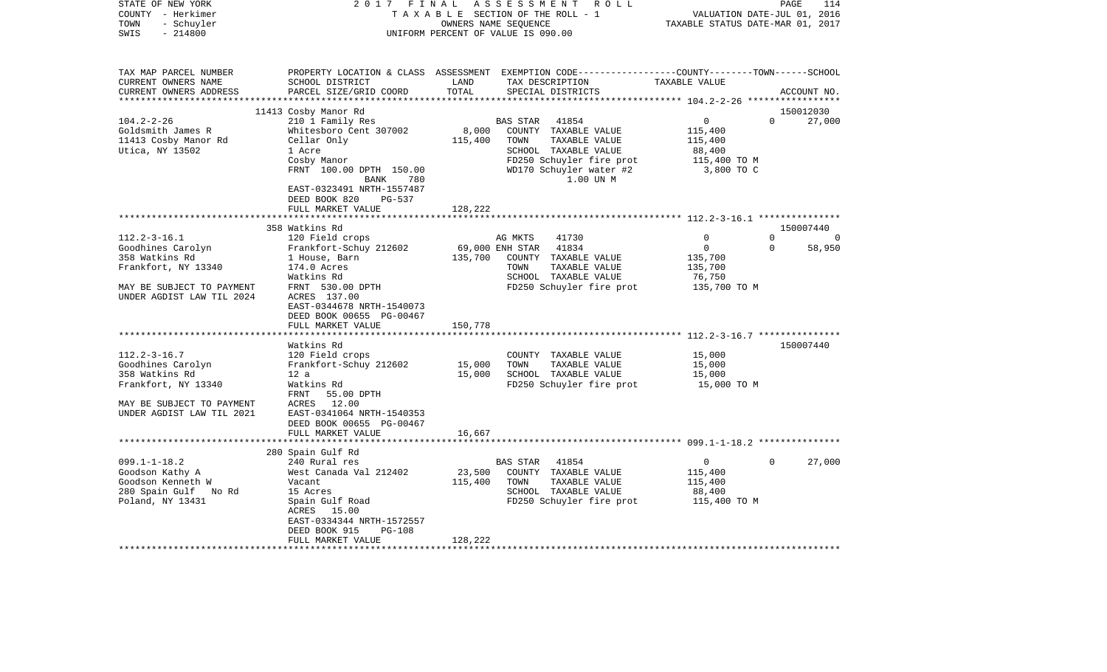| STATE OF NEW YORK<br>COUNTY - Herkimer<br>TOWN<br>- Schuyler<br>$-214800$<br>SWIS                         | 2 0 1 7<br>FINAL<br>TAXABLE SECTION OF THE ROLL - 1<br>UNIFORM PERCENT OF VALUE IS 090.00                                                                         | R O L L<br>114<br>PAGE<br>2016<br>VALUATION DATE-JUL 01,<br>TAXABLE STATUS DATE-MAR 01, 2017 |                                                                                                                                           |                                                             |             |                     |
|-----------------------------------------------------------------------------------------------------------|-------------------------------------------------------------------------------------------------------------------------------------------------------------------|----------------------------------------------------------------------------------------------|-------------------------------------------------------------------------------------------------------------------------------------------|-------------------------------------------------------------|-------------|---------------------|
| TAX MAP PARCEL NUMBER<br>CURRENT OWNERS NAME<br>CURRENT OWNERS ADDRESS                                    | SCHOOL DISTRICT<br>PARCEL SIZE/GRID COORD                                                                                                                         | LAND<br>TOTAL                                                                                | PROPERTY LOCATION & CLASS ASSESSMENT EXEMPTION CODE---------------COUNTY-------TOWN------SCHOOL<br>TAX DESCRIPTION<br>SPECIAL DISTRICTS   | TAXABLE VALUE                                               |             | ACCOUNT NO.         |
|                                                                                                           | 11413 Cosby Manor Rd                                                                                                                                              |                                                                                              |                                                                                                                                           |                                                             |             |                     |
| $104.2 - 2 - 26$                                                                                          | 210 1 Family Res                                                                                                                                                  |                                                                                              | <b>BAS STAR</b><br>41854                                                                                                                  | $\mathbf 0$                                                 | $\Omega$    | 150012030<br>27,000 |
| Goldsmith James R<br>11413 Cosby Manor Rd<br>Utica, NY 13502                                              | Whitesboro Cent 307002<br>Cellar Only<br>1 Acre<br>Cosby Manor<br>FRNT 100.00 DPTH 150.00<br>780<br>BANK                                                          | 8,000<br>115,400                                                                             | COUNTY TAXABLE VALUE<br>TAXABLE VALUE<br>TOWN<br>SCHOOL TAXABLE VALUE<br>FD250 Schuyler fire prot<br>WD170 Schuyler water #2<br>1.00 UN M | 115,400<br>115,400<br>88,400<br>115,400 TO M<br>3,800 TO C  |             |                     |
|                                                                                                           | EAST-0323491 NRTH-1557487<br>DEED BOOK 820<br>PG-537                                                                                                              |                                                                                              |                                                                                                                                           |                                                             |             |                     |
|                                                                                                           | FULL MARKET VALUE                                                                                                                                                 | 128,222                                                                                      |                                                                                                                                           |                                                             |             |                     |
|                                                                                                           |                                                                                                                                                                   |                                                                                              |                                                                                                                                           |                                                             |             |                     |
|                                                                                                           | 358 Watkins Rd                                                                                                                                                    |                                                                                              |                                                                                                                                           |                                                             |             | 150007440           |
| $112.2 - 3 - 16.1$                                                                                        | 120 Field crops                                                                                                                                                   |                                                                                              | AG MKTS<br>41730                                                                                                                          | $\mathbf 0$                                                 | $\Omega$    | 0                   |
| Goodhines Carolyn                                                                                         | Frankfort-Schuy 212602                                                                                                                                            |                                                                                              | 69,000 ENH STAR<br>41834                                                                                                                  | $\mathbf 0$                                                 | $\mathbf 0$ | 58,950              |
| 358 Watkins Rd<br>Frankfort, NY 13340                                                                     | 1 House, Barn<br>174.0 Acres<br>Watkins Rd                                                                                                                        | 135,700                                                                                      | COUNTY TAXABLE VALUE<br>TOWN<br>TAXABLE VALUE<br>SCHOOL TAXABLE VALUE                                                                     | 135,700<br>135,700<br>76,750                                |             |                     |
| MAY BE SUBJECT TO PAYMENT<br>UNDER AGDIST LAW TIL 2024                                                    | FRNT 530.00 DPTH<br>ACRES 137.00<br>EAST-0344678 NRTH-1540073<br>DEED BOOK 00655 PG-00467<br>FULL MARKET VALUE                                                    | 150,778                                                                                      | FD250 Schuyler fire prot                                                                                                                  | 135,700 TO M                                                |             |                     |
|                                                                                                           | ********************                                                                                                                                              | ************                                                                                 |                                                                                                                                           | **************************** 112.2-3-16.7 ***************   |             |                     |
|                                                                                                           | Watkins Rd                                                                                                                                                        |                                                                                              |                                                                                                                                           |                                                             |             | 150007440           |
| $112.2 - 3 - 16.7$                                                                                        | 120 Field crops                                                                                                                                                   | 15,000                                                                                       | COUNTY TAXABLE VALUE<br>TOWN<br>TAXABLE VALUE                                                                                             | 15,000<br>15,000                                            |             |                     |
| Goodhines Carolyn<br>358 Watkins Rd                                                                       | Frankfort-Schuy 212602<br>12a                                                                                                                                     | 15,000                                                                                       | SCHOOL TAXABLE VALUE                                                                                                                      | 15,000                                                      |             |                     |
| Frankfort, NY 13340                                                                                       | Watkins Rd<br>FRNT<br>55.00 DPTH                                                                                                                                  |                                                                                              | FD250 Schuyler fire prot                                                                                                                  | 15,000 TO M                                                 |             |                     |
| MAY BE SUBJECT TO PAYMENT<br>UNDER AGDIST LAW TIL 2021                                                    | 12.00<br>ACRES<br>EAST-0341064 NRTH-1540353<br>DEED BOOK 00655 PG-00467<br>FULL MARKET VALUE                                                                      | 16,667                                                                                       |                                                                                                                                           |                                                             |             |                     |
|                                                                                                           | **********************                                                                                                                                            |                                                                                              |                                                                                                                                           |                                                             |             |                     |
|                                                                                                           | 280 Spain Gulf Rd                                                                                                                                                 |                                                                                              |                                                                                                                                           |                                                             |             |                     |
| $099.1 - 1 - 18.2$<br>Goodson Kathy A<br>Goodson Kenneth W<br>280 Spain Gulf<br>No Rd<br>Poland, NY 13431 | 240 Rural res<br>West Canada Val 212402<br>Vacant<br>15 Acres<br>Spain Gulf Road<br>ACRES<br>15.00<br>EAST-0334344 NRTH-1572557<br>DEED BOOK 915<br><b>PG-108</b> | 23,500<br>115,400                                                                            | 41854<br><b>BAS STAR</b><br>COUNTY TAXABLE VALUE<br>TOWN<br>TAXABLE VALUE<br>SCHOOL TAXABLE VALUE<br>FD250 Schuyler fire prot             | $\mathbf 0$<br>115,400<br>115,400<br>88,400<br>115,400 TO M | $\mathbf 0$ | 27,000              |
|                                                                                                           | FULL MARKET VALUE                                                                                                                                                 | 128,222                                                                                      |                                                                                                                                           |                                                             |             |                     |
| *******************                                                                                       | ********************                                                                                                                                              |                                                                                              |                                                                                                                                           |                                                             |             |                     |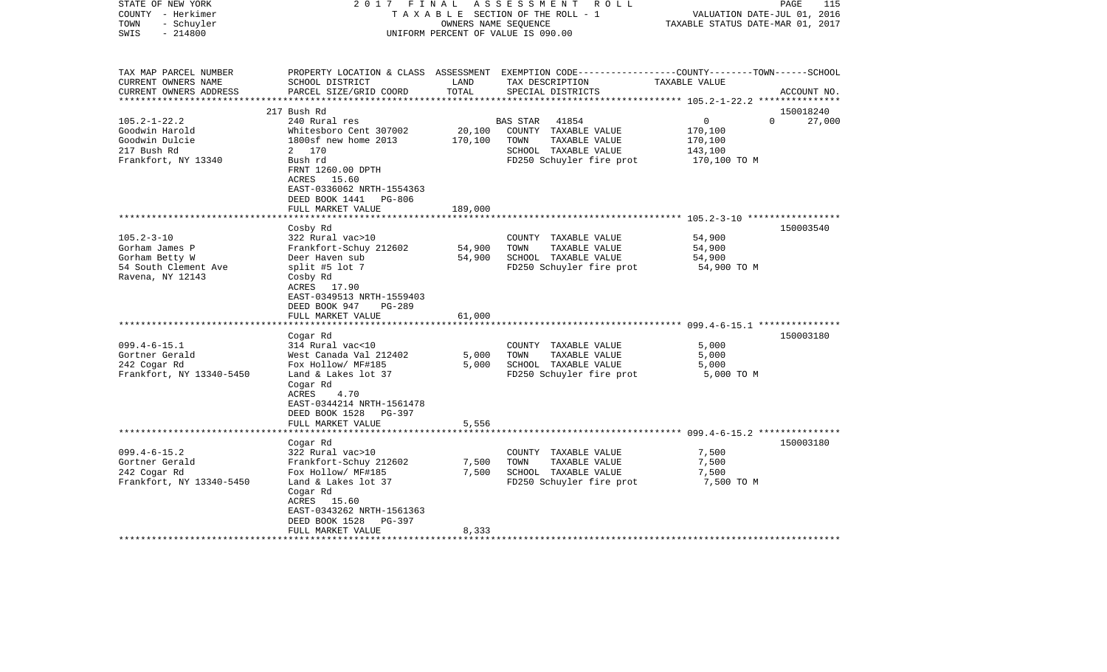| STATE OF NEW YORK<br>COUNTY - Herkimer<br>- Schuyler<br>TOWN<br>$-214800$<br>SWIS |                                                                                                                        | OWNERS NAME SEQUENCE | 2017 FINAL ASSESSMENT<br>ROLL<br>TAXABLE SECTION OF THE ROLL - 1<br>UNIFORM PERCENT OF VALUE IS 090.00                                  | VALUATION DATE-JUL 01, 2016<br>TAXABLE STATUS DATE-MAR 01, 2017 | PAGE<br>115        |
|-----------------------------------------------------------------------------------|------------------------------------------------------------------------------------------------------------------------|----------------------|-----------------------------------------------------------------------------------------------------------------------------------------|-----------------------------------------------------------------|--------------------|
| TAX MAP PARCEL NUMBER<br>CURRENT OWNERS NAME<br>CURRENT OWNERS ADDRESS            | SCHOOL DISTRICT<br>PARCEL SIZE/GRID COORD                                                                              | LAND<br>TOTAL        | PROPERTY LOCATION & CLASS ASSESSMENT EXEMPTION CODE---------------COUNTY-------TOWN------SCHOOL<br>TAX DESCRIPTION<br>SPECIAL DISTRICTS | TAXABLE VALUE                                                   | ACCOUNT NO.        |
|                                                                                   | 217 Bush Rd                                                                                                            |                      |                                                                                                                                         |                                                                 | 150018240          |
| $105.2 - 1 - 22.2$                                                                | 240 Rural res                                                                                                          |                      | 41854<br>BAS STAR                                                                                                                       | $\overline{0}$                                                  | $\Omega$<br>27,000 |
| Goodwin Harold                                                                    | Whitesboro Cent 307002                                                                                                 | 20,100               | COUNTY TAXABLE VALUE                                                                                                                    | 170,100                                                         |                    |
| Goodwin Dulcie                                                                    | 1800sf new home 2013                                                                                                   | 170,100              | TOWN<br>TAXABLE VALUE                                                                                                                   | 170,100                                                         |                    |
| 217 Bush Rd                                                                       | 2 170                                                                                                                  |                      | SCHOOL TAXABLE VALUE                                                                                                                    | 143,100                                                         |                    |
| Frankfort, NY 13340                                                               | Bush rd<br>FRNT 1260.00 DPTH<br>ACRES 15.60<br>EAST-0336062 NRTH-1554363                                               |                      | FD250 Schuyler fire prot                                                                                                                | 170,100 TO M                                                    |                    |
|                                                                                   | DEED BOOK 1441 PG-806                                                                                                  |                      |                                                                                                                                         |                                                                 |                    |
|                                                                                   | FULL MARKET VALUE                                                                                                      | 189,000              |                                                                                                                                         |                                                                 |                    |
|                                                                                   | Cosby Rd                                                                                                               |                      |                                                                                                                                         |                                                                 | 150003540          |
| $105.2 - 3 - 10$                                                                  | 322 Rural vac>10                                                                                                       |                      | COUNTY TAXABLE VALUE                                                                                                                    | 54,900                                                          |                    |
| Gorham James P                                                                    | Frankfort-Schuy 212602                                                                                                 | 54,900               | TOWN<br>TAXABLE VALUE                                                                                                                   | 54,900                                                          |                    |
| Gorham Betty W                                                                    | Deer Haven sub                                                                                                         | 54,900               | SCHOOL TAXABLE VALUE                                                                                                                    | 54,900                                                          |                    |
| 54 South Clement Ave<br>Ravena, NY 12143                                          | split #5 lot 7<br>Cosby Rd<br>ACRES 17.90<br>EAST-0349513 NRTH-1559403<br>DEED BOOK 947<br>PG-289<br>FULL MARKET VALUE | 61,000               | FD250 Schuyler fire prot                                                                                                                | 54,900 TO M                                                     |                    |
|                                                                                   | *************************                                                                                              |                      |                                                                                                                                         |                                                                 |                    |
|                                                                                   | Cogar Rd                                                                                                               |                      |                                                                                                                                         |                                                                 | 150003180          |
| $099.4 - 6 - 15.1$                                                                | 314 Rural vac<10                                                                                                       |                      | COUNTY TAXABLE VALUE                                                                                                                    | 5,000                                                           |                    |
| Gortner Gerald                                                                    | West Canada Val 212402                                                                                                 | 5,000                | TOWN<br>TAXABLE VALUE                                                                                                                   | 5,000                                                           |                    |
| 242 Cogar Rd                                                                      | Fox Hollow/ MF#185                                                                                                     | 5,000                | SCHOOL TAXABLE VALUE                                                                                                                    | 5,000                                                           |                    |
| Frankfort, NY 13340-5450                                                          | Land & Lakes lot 37<br>Cogar Rd<br>ACRES<br>4.70<br>EAST-0344214 NRTH-1561478<br>DEED BOOK 1528 PG-397                 |                      | FD250 Schuyler fire prot                                                                                                                | 5,000 TO M                                                      |                    |
|                                                                                   | FULL MARKET VALUE                                                                                                      | 5,556                |                                                                                                                                         |                                                                 |                    |
|                                                                                   |                                                                                                                        |                      |                                                                                                                                         |                                                                 |                    |
|                                                                                   | Cogar Rd                                                                                                               |                      |                                                                                                                                         |                                                                 | 150003180          |
| $099.4 - 6 - 15.2$<br>Gortner Gerald                                              | 322 Rural vac>10<br>Frankfort-Schuy 212602                                                                             | 7,500                | COUNTY TAXABLE VALUE<br>TOWN<br>TAXABLE VALUE                                                                                           | 7,500<br>7,500                                                  |                    |
| 242 Cogar Rd                                                                      | Fox Hollow/ MF#185                                                                                                     | 7,500                | SCHOOL TAXABLE VALUE                                                                                                                    | 7,500                                                           |                    |
| Frankfort, NY 13340-5450                                                          | Land & Lakes lot 37<br>Cogar Rd<br>ACRES 15.60<br>EAST-0343262 NRTH-1561363<br>DEED BOOK 1528 PG-397                   |                      | FD250 Schuyler fire prot                                                                                                                | 7,500 TO M                                                      |                    |
|                                                                                   | FULL MARKET VALUE                                                                                                      | 8,333                |                                                                                                                                         |                                                                 |                    |
|                                                                                   |                                                                                                                        |                      |                                                                                                                                         |                                                                 |                    |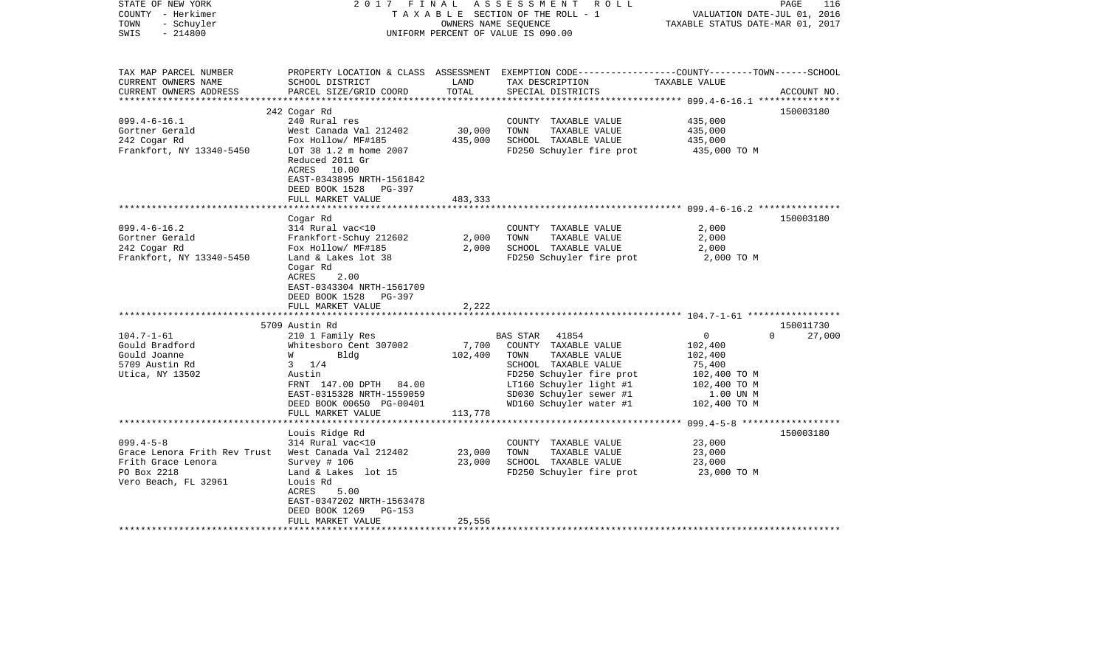| STATE OF NEW YORK<br>COUNTY - Herkimer<br>- Schuyler<br>TOWN<br>$-214800$<br>SWIS                                                                        | 2017 FINAL                                                                                                                                                                                                                                                                                          | OWNERS NAME SEQUENCE                        | ASSESSMENT ROLL<br>TAXABLE SECTION OF THE ROLL - 1<br>UNIFORM PERCENT OF VALUE IS 090.00                                                                                                     | VALUATION DATE-JUL 01, 2016<br>TAXABLE STATUS DATE-MAR 01, 2017                         | PAGE<br>116                     |
|----------------------------------------------------------------------------------------------------------------------------------------------------------|-----------------------------------------------------------------------------------------------------------------------------------------------------------------------------------------------------------------------------------------------------------------------------------------------------|---------------------------------------------|----------------------------------------------------------------------------------------------------------------------------------------------------------------------------------------------|-----------------------------------------------------------------------------------------|---------------------------------|
| TAX MAP PARCEL NUMBER<br>CURRENT OWNERS NAME<br>CURRENT OWNERS ADDRESS                                                                                   | SCHOOL DISTRICT<br>PARCEL SIZE/GRID COORD                                                                                                                                                                                                                                                           | LAND<br>TOTAL                               | PROPERTY LOCATION & CLASS ASSESSMENT EXEMPTION CODE---------------COUNTY-------TOWN------SCHOOL<br>TAX DESCRIPTION<br>SPECIAL DISTRICTS                                                      | TAXABLE VALUE                                                                           | ACCOUNT NO.                     |
| ***********************                                                                                                                                  |                                                                                                                                                                                                                                                                                                     |                                             |                                                                                                                                                                                              |                                                                                         |                                 |
| $099.4 - 6 - 16.1$<br>Gortner Gerald<br>242 Cogar Rd<br>Frankfort, NY 13340-5450                                                                         | 242 Cogar Rd<br>240 Rural res<br>West Canada Val 212402<br>Fox Hollow/ MF#185<br>LOT 38 1.2 m home 2007<br>Reduced 2011 Gr<br>ACRES 10.00<br>EAST-0343895 NRTH-1561842                                                                                                                              | 30,000<br>435,000                           | COUNTY TAXABLE VALUE<br>TOWN<br>TAXABLE VALUE<br>SCHOOL TAXABLE VALUE<br>FD250 Schuyler fire prot                                                                                            | 435,000<br>435,000<br>435,000<br>435,000 TO M                                           | 150003180                       |
|                                                                                                                                                          | DEED BOOK 1528 PG-397<br>FULL MARKET VALUE                                                                                                                                                                                                                                                          | 483,333                                     |                                                                                                                                                                                              |                                                                                         |                                 |
|                                                                                                                                                          | Cogar Rd                                                                                                                                                                                                                                                                                            | *********                                   |                                                                                                                                                                                              | ********************************699.4-6-16.2****************                            | 150003180                       |
| $099.4 - 6 - 16.2$<br>Gortner Gerald<br>242 Cogar Rd<br>Frankfort, NY 13340-5450<br>$104.7 - 1 - 61$<br>Gould Bradford<br>Gould Joanne<br>5709 Austin Rd | 314 Rural vac<10<br>Frankfort-Schuy 212602<br>Fox Hollow/ MF#185<br>Land & Lakes lot 38<br>Cogar Rd<br>ACRES<br>2.00<br>EAST-0343304 NRTH-1561709<br>DEED BOOK 1528<br>PG-397<br>FULL MARKET VALUE<br>5709 Austin Rd<br>210 1 Family Res<br>Whitesboro Cent 307002<br><b>W</b><br>Bldg<br>$3 \t1/4$ | 2,000<br>2,000<br>2,222<br>7,700<br>102,400 | COUNTY TAXABLE VALUE<br>TOWN<br>TAXABLE VALUE<br>SCHOOL TAXABLE VALUE<br>FD250 Schuyler fire prot<br>BAS STAR 41854<br>COUNTY TAXABLE VALUE<br>TAXABLE VALUE<br>TOWN<br>SCHOOL TAXABLE VALUE | 2,000<br>2,000<br>2,000<br>2,000 TO M<br>$\overline{0}$<br>102,400<br>102,400<br>75,400 | 150011730<br>$\Omega$<br>27,000 |
| Utica, NY 13502                                                                                                                                          | Austin<br>FRNT 147.00 DPTH 84.00<br>EAST-0315328 NRTH-1559059<br>DEED BOOK 00650 PG-00401<br>FULL MARKET VALUE                                                                                                                                                                                      | 113,778                                     | FD250 Schuyler fire prot<br>LT160 Schuyler light #1<br>SD030 Schuyler sewer #1<br>WD160 Schuyler water #1                                                                                    | 102,400 TO M<br>102,400 TO M<br>1.00 UN M<br>102,400 TO M                               |                                 |
|                                                                                                                                                          | ***********************                                                                                                                                                                                                                                                                             |                                             |                                                                                                                                                                                              |                                                                                         |                                 |
| $099.4 - 5 - 8$<br>Grace Lenora Frith Rev Trust<br>Frith Grace Lenora<br>PO Box 2218<br>Vero Beach, FL 32961                                             | Louis Ridge Rd<br>314 Rural vac<10<br>West Canada Val 212402<br>Survey # 106<br>Land & Lakes lot 15<br>Louis Rd<br>ACRES<br>5.00<br>EAST-0347202 NRTH-1563478<br>DEED BOOK 1269<br>PG-153                                                                                                           | 23,000<br>23,000                            | COUNTY TAXABLE VALUE<br>TOWN<br>TAXABLE VALUE<br>SCHOOL TAXABLE VALUE<br>FD250 Schuyler fire prot                                                                                            | 23,000<br>23,000<br>23,000<br>23,000 TO M                                               | 150003180                       |
|                                                                                                                                                          | FULL MARKET VALUE<br>**********************                                                                                                                                                                                                                                                         | 25,556                                      |                                                                                                                                                                                              |                                                                                         |                                 |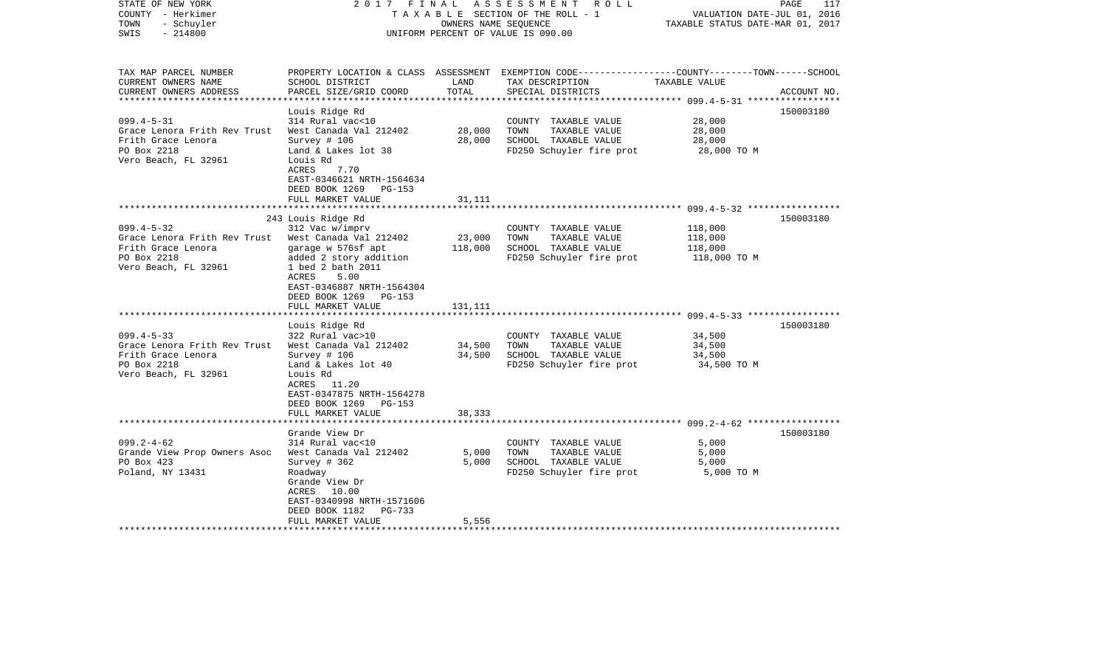| STATE OF NEW YORK<br>COUNTY - Herkimer<br>- Schuyler<br>TOWN<br>$-214800$<br>SWIS                                                                                                                                              | 2017 FINAL                                                                                                                                                                                                                                                                                                                                                                                                   | OWNERS NAME SEOUENCE                             | A S S E S S M E N T<br>R O L L<br>TAXABLE SECTION OF THE ROLL - 1<br>UNIFORM PERCENT OF VALUE IS 090.00                                                                                                | VALUATION DATE-JUL 01, 2016<br>TAXABLE STATUS DATE-MAR 01, 2017                            | PAGE<br>117 |
|--------------------------------------------------------------------------------------------------------------------------------------------------------------------------------------------------------------------------------|--------------------------------------------------------------------------------------------------------------------------------------------------------------------------------------------------------------------------------------------------------------------------------------------------------------------------------------------------------------------------------------------------------------|--------------------------------------------------|--------------------------------------------------------------------------------------------------------------------------------------------------------------------------------------------------------|--------------------------------------------------------------------------------------------|-------------|
| TAX MAP PARCEL NUMBER<br>CURRENT OWNERS NAME<br>CURRENT OWNERS ADDRESS                                                                                                                                                         | SCHOOL DISTRICT<br>PARCEL SIZE/GRID COORD                                                                                                                                                                                                                                                                                                                                                                    | LAND<br>TOTAL                                    | PROPERTY LOCATION & CLASS ASSESSMENT EXEMPTION CODE---------------COUNTY-------TOWN------SCHOOL<br>TAX DESCRIPTION<br>SPECIAL DISTRICTS                                                                | TAXABLE VALUE                                                                              | ACCOUNT NO. |
| ***********************                                                                                                                                                                                                        |                                                                                                                                                                                                                                                                                                                                                                                                              |                                                  |                                                                                                                                                                                                        |                                                                                            |             |
| $099.4 - 5 - 31$<br>Grace Lenora Frith Rev Trust<br>Frith Grace Lenora<br>PO Box 2218<br>Vero Beach, FL 32961                                                                                                                  | Louis Ridge Rd<br>314 Rural vac<10<br>West Canada Val 212402<br>Survey $# 106$<br>Land & Lakes lot 38<br>Louis Rd<br>7.70<br>ACRES<br>EAST-0346621 NRTH-1564634                                                                                                                                                                                                                                              | 28,000<br>28,000                                 | COUNTY TAXABLE VALUE<br>TOWN<br>TAXABLE VALUE<br>SCHOOL TAXABLE VALUE<br>FD250 Schuyler fire prot                                                                                                      | 28,000<br>28,000<br>28,000<br>28,000 TO M                                                  | 150003180   |
|                                                                                                                                                                                                                                | DEED BOOK 1269<br>$PG-153$<br>FULL MARKET VALUE                                                                                                                                                                                                                                                                                                                                                              | 31,111                                           |                                                                                                                                                                                                        |                                                                                            |             |
|                                                                                                                                                                                                                                |                                                                                                                                                                                                                                                                                                                                                                                                              | ********                                         |                                                                                                                                                                                                        | ************************** 099.4-5-32 ******************                                   |             |
|                                                                                                                                                                                                                                | 243 Louis Ridge Rd                                                                                                                                                                                                                                                                                                                                                                                           |                                                  |                                                                                                                                                                                                        |                                                                                            | 150003180   |
| $099.4 - 5 - 32$<br>Grace Lenora Frith Rev Trust<br>Frith Grace Lenora<br>PO Box 2218<br>Vero Beach, FL 32961<br>$099.4 - 5 - 33$<br>Grace Lenora Frith Rev Trust<br>Frith Grace Lenora<br>PO Box 2218<br>Vero Beach, FL 32961 | 312 Vac w/imprv<br>West Canada Val 212402<br>garage w 576sf apt<br>added 2 story addition<br>1 bed 2 bath 2011<br>5.00<br>ACRES<br>EAST-0346887 NRTH-1564304<br>DEED BOOK 1269<br><b>PG-153</b><br>FULL MARKET VALUE<br>Louis Ridge Rd<br>322 Rural vac>10<br>West Canada Val 212402<br>Survey # 106<br>Land & Lakes lot 40<br>Louis Rd<br>ACRES 11.20<br>EAST-0347875 NRTH-1564278<br>DEED BOOK 1269 PG-153 | 23,000<br>118,000<br>131,111<br>34,500<br>34,500 | COUNTY TAXABLE VALUE<br>TOWN<br>TAXABLE VALUE<br>SCHOOL TAXABLE VALUE<br>FD250 Schuyler fire prot<br>COUNTY TAXABLE VALUE<br>TOWN<br>TAXABLE VALUE<br>SCHOOL TAXABLE VALUE<br>FD250 Schuyler fire prot | 118,000<br>118,000<br>118,000<br>118,000 TO M<br>34,500<br>34,500<br>34,500<br>34,500 TO M | 150003180   |
|                                                                                                                                                                                                                                | FULL MARKET VALUE                                                                                                                                                                                                                                                                                                                                                                                            | 38,333                                           |                                                                                                                                                                                                        |                                                                                            |             |
|                                                                                                                                                                                                                                | Grande View Dr                                                                                                                                                                                                                                                                                                                                                                                               |                                                  |                                                                                                                                                                                                        |                                                                                            | 150003180   |
| $099.2 - 4 - 62$<br>Grande View Prop Owners Asoc<br>PO Box 423<br>Poland, NY 13431                                                                                                                                             | 314 Rural vac<10<br>West Canada Val 212402<br>Survey $#362$<br>Roadway<br>Grande View Dr<br>ACRES 10.00<br>EAST-0340998 NRTH-1571606<br>DEED BOOK 1182<br>PG-733                                                                                                                                                                                                                                             | 5,000<br>5,000                                   | COUNTY TAXABLE VALUE<br>TAXABLE VALUE<br>TOWN<br>SCHOOL TAXABLE VALUE<br>FD250 Schuyler fire prot                                                                                                      | 5,000<br>5,000<br>5,000<br>5,000 TO M                                                      |             |
|                                                                                                                                                                                                                                | FULL MARKET VALUE                                                                                                                                                                                                                                                                                                                                                                                            | 5,556                                            |                                                                                                                                                                                                        |                                                                                            |             |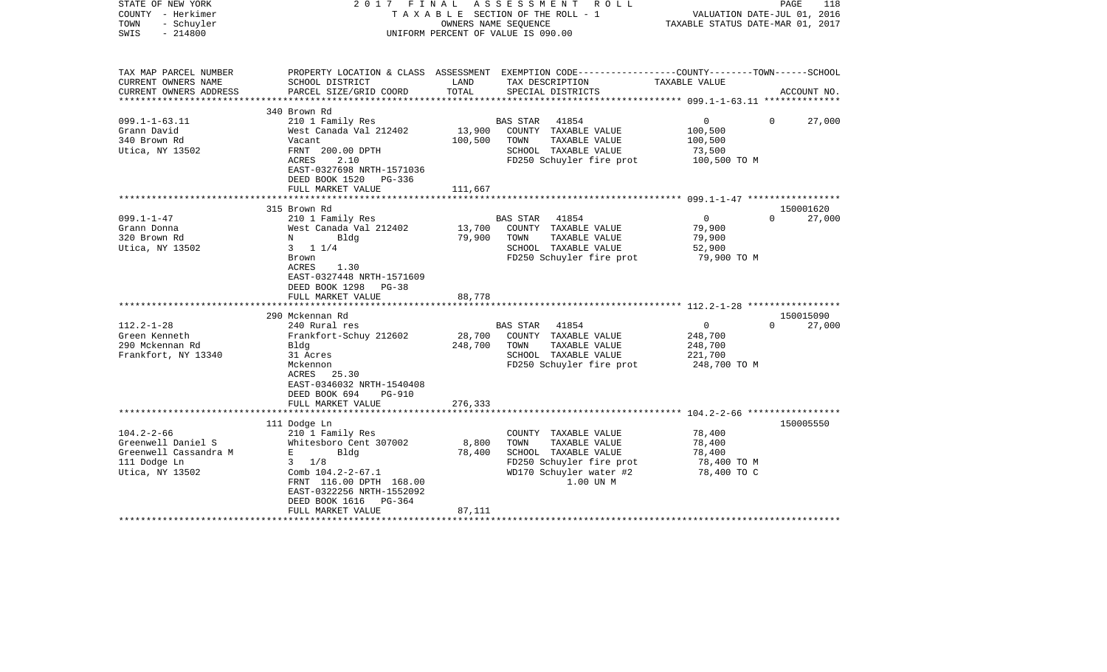| STATE OF NEW YORK<br>COUNTY - Herkimer<br>TOWN<br>- Schuyler<br>$-214800$<br>SWIS |                                                                             |         | 2017 FINAL ASSESSMENT ROLL<br>T A X A B L E SECTION OF THE ROLL - 1<br>OWNERS NAME SEOUENCE<br>UNIFORM PERCENT OF VALUE IS 090.00 | VALUATION DATE-JUL 01, 2016<br>TAXABLE STATUS DATE-MAR 01, 2017 | PAGE<br>118 |
|-----------------------------------------------------------------------------------|-----------------------------------------------------------------------------|---------|-----------------------------------------------------------------------------------------------------------------------------------|-----------------------------------------------------------------|-------------|
| TAX MAP PARCEL NUMBER<br>CURRENT OWNERS NAME                                      | SCHOOL DISTRICT                                                             | LAND    | PROPERTY LOCATION & CLASS ASSESSMENT EXEMPTION CODE---------------COUNTY-------TOWN-----SCHOOL<br>TAX DESCRIPTION                 | TAXABLE VALUE                                                   |             |
| CURRENT OWNERS ADDRESS<br>***********************                                 | PARCEL SIZE/GRID COORD                                                      | TOTAL   | SPECIAL DISTRICTS                                                                                                                 |                                                                 | ACCOUNT NO. |
|                                                                                   | 340 Brown Rd                                                                |         |                                                                                                                                   |                                                                 |             |
| $099.1 - 1 - 63.11$                                                               | 210 1 Family Res                                                            |         | BAS STAR<br>41854                                                                                                                 | 0<br>0                                                          | 27,000      |
| Grann David                                                                       | West Canada Val 212402                                                      | 13,900  | COUNTY TAXABLE VALUE                                                                                                              | 100,500                                                         |             |
| 340 Brown Rd                                                                      | Vacant                                                                      | 100,500 | TAXABLE VALUE<br>TOWN                                                                                                             | 100,500                                                         |             |
| Utica, NY 13502                                                                   | FRNT 200.00 DPTH                                                            |         | SCHOOL TAXABLE VALUE                                                                                                              | 73,500                                                          |             |
|                                                                                   | ACRES<br>2.10                                                               |         | FD250 Schuyler fire prot                                                                                                          | 100,500 TO M                                                    |             |
|                                                                                   | EAST-0327698 NRTH-1571036                                                   |         |                                                                                                                                   |                                                                 |             |
|                                                                                   | DEED BOOK 1520 PG-336                                                       |         |                                                                                                                                   |                                                                 |             |
|                                                                                   | FULL MARKET VALUE                                                           | 111,667 |                                                                                                                                   |                                                                 |             |
|                                                                                   |                                                                             |         |                                                                                                                                   |                                                                 |             |
|                                                                                   | 315 Brown Rd                                                                |         |                                                                                                                                   |                                                                 | 150001620   |
| $099.1 - 1 - 47$                                                                  | 210 1 Family Res                                                            |         | BAS STAR 41854                                                                                                                    | $\overline{0}$<br>$\Omega$                                      | 27,000      |
| Grann Donna                                                                       | West Canada Val 212402                                                      | 13,700  | COUNTY TAXABLE VALUE                                                                                                              | 79,900                                                          |             |
| 320 Brown Rd                                                                      | $N$ and $N$<br>Bldg                                                         | 79,900  | TOWN<br>TAXABLE VALUE                                                                                                             | 79,900                                                          |             |
| Utica, NY 13502                                                                   | $3 \t1 \t1/4$                                                               |         | SCHOOL TAXABLE VALUE                                                                                                              | 52,900                                                          |             |
|                                                                                   | Brown<br>ACRES<br>1.30<br>EAST-0327448 NRTH-1571609<br>DEED BOOK 1298 PG-38 |         | FD250 Schuyler fire prot                                                                                                          | 79,900 TO M                                                     |             |
|                                                                                   | FULL MARKET VALUE                                                           | 88,778  |                                                                                                                                   |                                                                 |             |
|                                                                                   |                                                                             |         |                                                                                                                                   |                                                                 |             |
|                                                                                   | 290 Mckennan Rd                                                             |         |                                                                                                                                   |                                                                 | 150015090   |
| $112.2 - 1 - 28$                                                                  | 240 Rural res                                                               |         | BAS STAR 41854                                                                                                                    | $\overline{0}$<br>$\Omega$                                      | 27,000      |
| Green Kenneth                                                                     | Frankfort-Schuy 212602                                                      | 28,700  | COUNTY TAXABLE VALUE                                                                                                              | 248,700                                                         |             |
| 290 Mckennan Rd                                                                   | Bldg                                                                        | 248,700 | TOWN<br>TAXABLE VALUE                                                                                                             | 248,700                                                         |             |
| Frankfort, NY 13340                                                               | 31 Acres                                                                    |         | SCHOOL TAXABLE VALUE                                                                                                              | 221,700                                                         |             |
|                                                                                   | Mckennon                                                                    |         | FD250 Schuyler fire prot                                                                                                          | 248,700 TO M                                                    |             |
|                                                                                   | ACRES 25.30                                                                 |         |                                                                                                                                   |                                                                 |             |
|                                                                                   | EAST-0346032 NRTH-1540408                                                   |         |                                                                                                                                   |                                                                 |             |
|                                                                                   | DEED BOOK 694<br><b>PG-910</b>                                              |         |                                                                                                                                   |                                                                 |             |
|                                                                                   | FULL MARKET VALUE                                                           | 276,333 |                                                                                                                                   |                                                                 |             |
|                                                                                   |                                                                             |         |                                                                                                                                   |                                                                 |             |
|                                                                                   | 111 Dodge Ln                                                                |         |                                                                                                                                   |                                                                 | 150005550   |
| $104.2 - 2 - 66$<br>Greenwell Daniel S                                            | 210 1 Family Res<br>Whitesboro Cent 307002                                  | 8,800   | COUNTY TAXABLE VALUE<br>TAXABLE VALUE<br>TOWN                                                                                     | 78,400<br>78,400                                                |             |
| Greenwell Cassandra M                                                             | $\bf E$ and the state $\bf E$<br>Bldg                                       | 78,400  | SCHOOL TAXABLE VALUE                                                                                                              | 78,400                                                          |             |
| 111 Dodge Ln                                                                      | $3 \frac{1}{8}$                                                             |         | FD250 Schuyler fire prot                                                                                                          | 78,400 TO M                                                     |             |
| Utica, NY 13502                                                                   | Comb 104.2-2-67.1                                                           |         | WD170 Schuyler water #2                                                                                                           | 78,400 TO C                                                     |             |
|                                                                                   | FRNT 116.00 DPTH 168.00                                                     |         | 1.00 UN M                                                                                                                         |                                                                 |             |
|                                                                                   | EAST-0322256 NRTH-1552092                                                   |         |                                                                                                                                   |                                                                 |             |
|                                                                                   | DEED BOOK 1616<br>PG-364                                                    |         |                                                                                                                                   |                                                                 |             |
|                                                                                   | FULL MARKET VALUE                                                           | 87,111  |                                                                                                                                   |                                                                 |             |
|                                                                                   |                                                                             |         |                                                                                                                                   |                                                                 |             |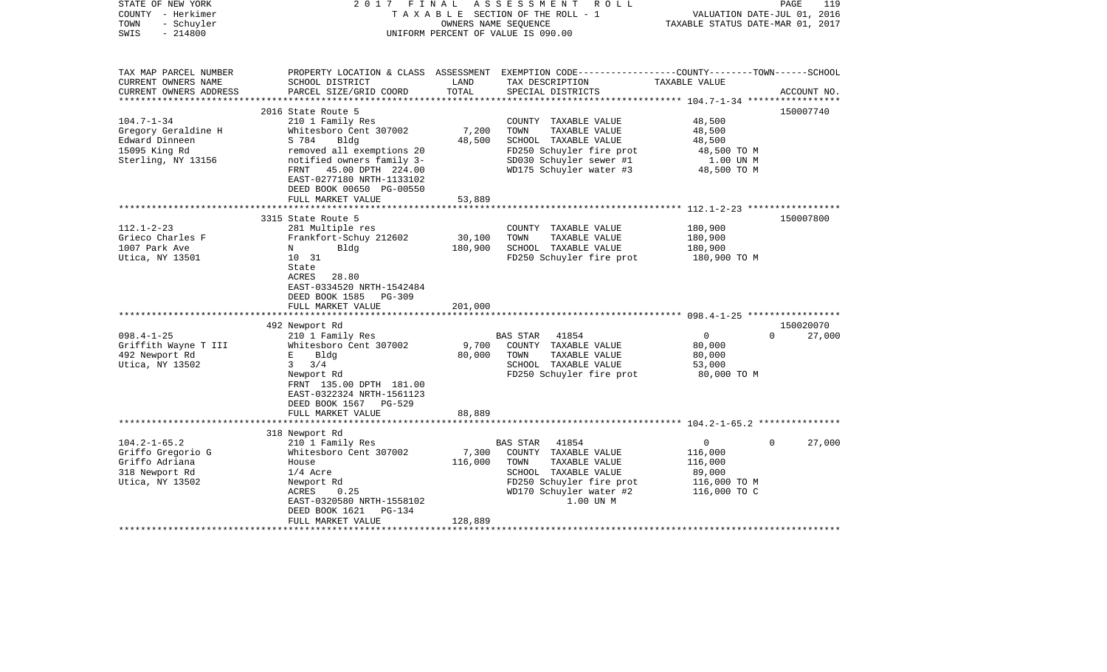| STATE OF NEW YORK<br>COUNTY - Herkimer<br>TOWN<br>- Schuyler<br>$-214800$<br>SWIS                                                                         | FINAL<br>2017                                                                                                                                                                                                                                                                                                                                                               | OWNERS NAME SEOUENCE                            | A S S E S S M E N T<br>R O L L<br>TAXABLE SECTION OF THE ROLL - 1<br>UNIFORM PERCENT OF VALUE IS 090.00                                                                                                                     | VALUATION DATE-JUL 01, 2016<br>TAXABLE STATUS DATE-MAR 01, 2017                                        | PAGE<br>119                                  |
|-----------------------------------------------------------------------------------------------------------------------------------------------------------|-----------------------------------------------------------------------------------------------------------------------------------------------------------------------------------------------------------------------------------------------------------------------------------------------------------------------------------------------------------------------------|-------------------------------------------------|-----------------------------------------------------------------------------------------------------------------------------------------------------------------------------------------------------------------------------|--------------------------------------------------------------------------------------------------------|----------------------------------------------|
| TAX MAP PARCEL NUMBER<br>CURRENT OWNERS NAME<br>CURRENT OWNERS ADDRESS<br>*********************                                                           | SCHOOL DISTRICT<br>PARCEL SIZE/GRID COORD                                                                                                                                                                                                                                                                                                                                   | LAND<br>TOTAL<br>***************                | PROPERTY LOCATION & CLASS ASSESSMENT EXEMPTION CODE---------------COUNTY-------TOWN------SCHOOL<br>TAX DESCRIPTION<br>SPECIAL DISTRICTS                                                                                     | TAXABLE VALUE                                                                                          | ACCOUNT NO.                                  |
| $104.7 - 1 - 34$<br>Gregory Geraldine H<br>Edward Dinneen<br>15095 King Rd<br>Sterling, NY 13156                                                          | 2016 State Route 5<br>210 1 Family Res<br>Whitesboro Cent 307002<br>S 784<br>Bldg<br>removed all exemptions 20<br>notified owners family 3-<br>FRNT 45.00 DPTH 224.00<br>EAST-0277180 NRTH-1133102<br>DEED BOOK 00650 PG-00550                                                                                                                                              | 7,200<br>48,500                                 | COUNTY TAXABLE VALUE<br>TOWN<br>TAXABLE VALUE<br>SCHOOL TAXABLE VALUE<br>FD250 Schuyler fire prot<br>SD030 Schuyler sewer #1<br>WD175 Schuyler water #3                                                                     | 48,500<br>48,500<br>48,500<br>48,500 TO M<br>1.00 UN M<br>48,500 TO M                                  | 150007740                                    |
|                                                                                                                                                           | FULL MARKET VALUE                                                                                                                                                                                                                                                                                                                                                           | 53,889                                          |                                                                                                                                                                                                                             | **************** 112.1-2-23 ******************                                                         |                                              |
| $112.1 - 2 - 23$<br>Grieco Charles F<br>1007 Park Ave<br>Utica, NY 13501<br>$098.4 - 1 - 25$<br>Griffith Wayne T III<br>492 Newport Rd<br>Utica, NY 13502 | 3315 State Route 5<br>281 Multiple res<br>Frankfort-Schuy 212602<br>Bldg<br>N<br>10 31<br>State<br>ACRES<br>28.80<br>EAST-0334520 NRTH-1542484<br>DEED BOOK 1585<br>$PG-309$<br>FULL MARKET VALUE<br>492 Newport Rd<br>210 1 Family Res<br>Whitesboro Cent 307002<br>Е<br>Bldg<br>3/4<br>$\mathbf{3}$<br>Newport Rd<br>FRNT 135.00 DPTH 181.00<br>EAST-0322324 NRTH-1561123 | 30,100<br>180,900<br>201,000<br>9,700<br>80,000 | COUNTY TAXABLE VALUE<br>TAXABLE VALUE<br>TOWN<br>SCHOOL TAXABLE VALUE<br>FD250 Schuyler fire prot<br>41854<br>BAS STAR<br>COUNTY TAXABLE VALUE<br>TOWN<br>TAXABLE VALUE<br>SCHOOL TAXABLE VALUE<br>FD250 Schuyler fire prot | 180,900<br>180,900<br>180,900<br>180,900 ТО М<br>$\Omega$<br>80,000<br>80,000<br>53,000<br>80,000 TO M | 150007800<br>150020070<br>27,000<br>$\Omega$ |
|                                                                                                                                                           | DEED BOOK 1567<br>PG-529<br>FULL MARKET VALUE                                                                                                                                                                                                                                                                                                                               | 88,889                                          |                                                                                                                                                                                                                             | ***************************** 104.2-1-65.2 ***************                                             |                                              |
| $104.2 - 1 - 65.2$<br>Griffo Gregorio G<br>Griffo Adriana<br>318 Newport Rd<br>Utica, NY 13502                                                            | 318 Newport Rd<br>210 1 Family Res<br>Whitesboro Cent 307002<br>House<br>$1/4$ Acre<br>Newport Rd<br>0.25<br>ACRES<br>EAST-0320580 NRTH-1558102<br>DEED BOOK 1621<br>PG-134<br>FULL MARKET VALUE                                                                                                                                                                            | 7,300<br>116,000<br>128,889                     | BAS STAR<br>41854<br>COUNTY TAXABLE VALUE<br>TOWN<br>TAXABLE VALUE<br>SCHOOL TAXABLE VALUE<br>FD250 Schuyler fire prot<br>WD170 Schuyler water #2<br>1.00 UN M                                                              | $\overline{0}$<br>116,000<br>116,000<br>89,000<br>116,000 TO M<br>116,000 TO C                         | 27,000<br>$\Omega$                           |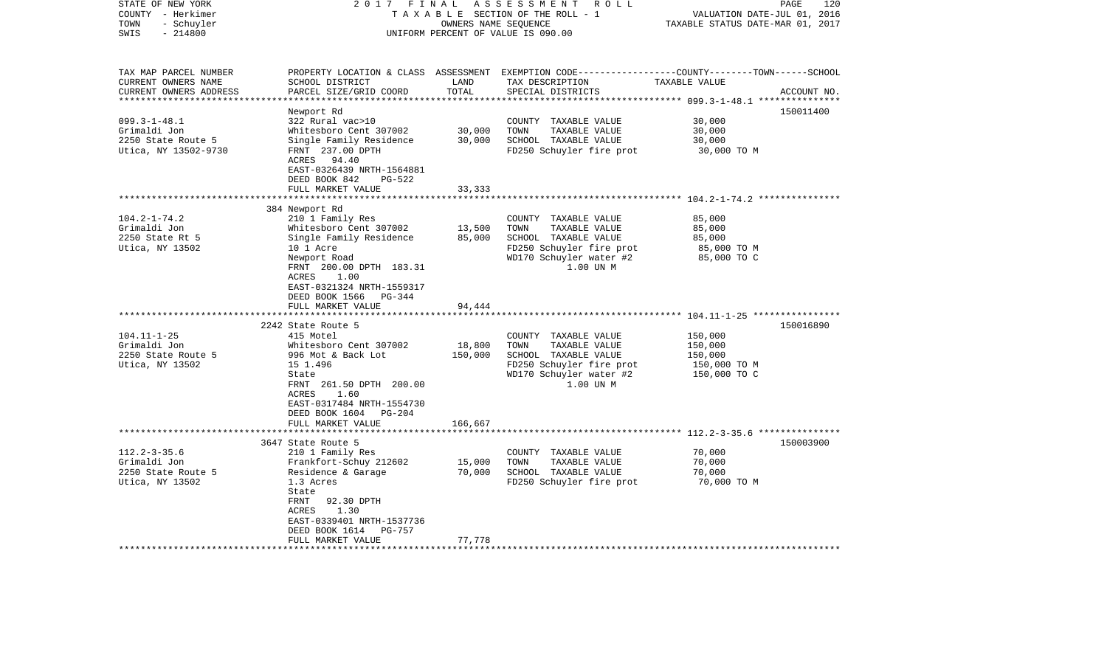| STATE OF NEW YORK<br>COUNTY - Herkimer<br>TOWN<br>- Schuyler<br>$-214800$<br>SWIS                   | 2017 FINAL                                                                                                                                                                                                                | OWNERS NAME SEQUENCE | ASSESSMENT<br>R O L L<br>TAXABLE SECTION OF THE ROLL - 1<br>UNIFORM PERCENT OF VALUE IS 090.00                                            | VALUATION DATE-JUL 01, 2016<br>TAXABLE STATUS DATE-MAR 01, 2017 | PAGE<br>120 |
|-----------------------------------------------------------------------------------------------------|---------------------------------------------------------------------------------------------------------------------------------------------------------------------------------------------------------------------------|----------------------|-------------------------------------------------------------------------------------------------------------------------------------------|-----------------------------------------------------------------|-------------|
| TAX MAP PARCEL NUMBER<br>CURRENT OWNERS NAME<br>CURRENT OWNERS ADDRESS<br>************************* | SCHOOL DISTRICT<br>PARCEL SIZE/GRID COORD                                                                                                                                                                                 | LAND<br>TOTAL        | PROPERTY LOCATION & CLASS ASSESSMENT EXEMPTION CODE----------------COUNTY-------TOWN------SCHOOL<br>TAX DESCRIPTION<br>SPECIAL DISTRICTS  | TAXABLE VALUE                                                   | ACCOUNT NO. |
| $099.3 - 1 - 48.1$<br>Grimaldi Jon<br>2250 State Route 5<br>Utica, NY 13502-9730                    | Newport Rd<br>322 Rural vac>10<br>Whitesboro Cent 307002<br>Single Family Residence<br>FRNT 237.00 DPTH<br>ACRES 94.40<br>EAST-0326439 NRTH-1564881<br>DEED BOOK 842<br><b>PG-522</b>                                     | 30,000<br>30,000     | COUNTY TAXABLE VALUE<br>TOWN<br>TAXABLE VALUE<br>SCHOOL TAXABLE VALUE<br>FD250 Schuyler fire prot                                         | 30,000<br>30,000<br>30,000<br>30,000 TO M                       | 150011400   |
|                                                                                                     | FULL MARKET VALUE<br>**************************************                                                                                                                                                               | 33,333               |                                                                                                                                           |                                                                 |             |
| $104.2 - 1 - 74.2$<br>Grimaldi Jon<br>2250 State Rt 5<br>Utica, NY 13502                            | 384 Newport Rd<br>210 1 Family Res<br>Whitesboro Cent 307002<br>Single Family Residence<br>10 1 Acre<br>Newport Road<br>FRNT 200.00 DPTH 183.31<br>1.00<br>ACRES<br>EAST-0321324 NRTH-1559317<br>DEED BOOK 1566<br>PG-344 | 13,500<br>85,000     | COUNTY TAXABLE VALUE<br>TOWN<br>TAXABLE VALUE<br>SCHOOL TAXABLE VALUE<br>FD250 Schuyler fire prot<br>WD170 Schuyler water #2<br>1.00 UN M | 85,000<br>85,000<br>85,000<br>85,000 TO M<br>85,000 TO C        |             |
|                                                                                                     | FULL MARKET VALUE<br>***********************                                                                                                                                                                              | 94,444               |                                                                                                                                           |                                                                 |             |
| $104.11 - 1 - 25$<br>Grimaldi Jon<br>2250 State Route 5<br>Utica, NY 13502                          | 2242 State Route 5<br>415 Motel<br>Whitesboro Cent 307002<br>996 Mot & Back Lot<br>15 1.496<br>State<br>FRNT 261.50 DPTH 200.00<br>ACRES<br>1.60<br>EAST-0317484 NRTH-1554730<br>DEED BOOK 1604 PG-204                    | 18,800<br>150,000    | COUNTY TAXABLE VALUE<br>TOWN<br>TAXABLE VALUE<br>SCHOOL TAXABLE VALUE<br>FD250 Schuyler fire prot<br>WD170 Schuyler water #2<br>1.00 UN M | 150,000<br>150,000<br>150,000<br>150,000 TO M<br>150,000 TO C   | 150016890   |
|                                                                                                     | FULL MARKET VALUE                                                                                                                                                                                                         | 166,667              |                                                                                                                                           |                                                                 |             |
| $112.2 - 3 - 35.6$<br>Grimaldi Jon<br>2250 State Route 5<br>Utica, NY 13502                         | 3647 State Route 5<br>210 1 Family Res<br>Frankfort-Schuy 212602<br>Residence & Garage<br>1.3 Acres<br>State<br>FRNT<br>92.30 DPTH<br>ACRES<br>1.30<br>EAST-0339401 NRTH-1537736<br>DEED BOOK 1614<br>PG-757              | 15,000<br>70,000     | COUNTY TAXABLE VALUE<br>TAXABLE VALUE<br>TOWN<br>SCHOOL TAXABLE VALUE<br>FD250 Schuyler fire prot                                         | 70,000<br>70,000<br>70,000<br>70,000 TO M                       | 150003900   |
|                                                                                                     | FULL MARKET VALUE                                                                                                                                                                                                         | 77,778               |                                                                                                                                           |                                                                 |             |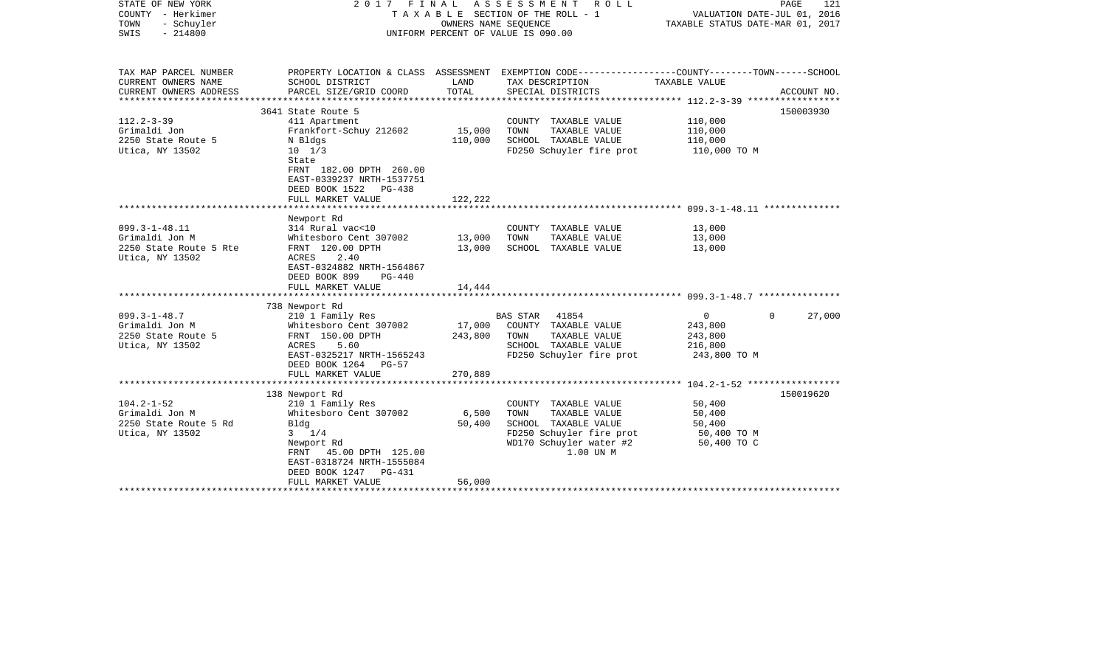| STATE OF NEW YORK<br>COUNTY - Herkimer<br>- Schuyler<br>TOWN<br>$-214800$<br>SWIS | 2017 FINAL                                                                                                                                                          | OWNERS NAME SEQUENCE | ASSESSMENT<br>R O L L<br>TAXABLE SECTION OF THE ROLL - 1<br>UNIFORM PERCENT OF VALUE IS 090.00                                            | VALUATION DATE-JUL 01, 2016<br>TAXABLE STATUS DATE-MAR 01, 2017 | PAGE<br>121        |
|-----------------------------------------------------------------------------------|---------------------------------------------------------------------------------------------------------------------------------------------------------------------|----------------------|-------------------------------------------------------------------------------------------------------------------------------------------|-----------------------------------------------------------------|--------------------|
| TAX MAP PARCEL NUMBER<br>CURRENT OWNERS NAME                                      | SCHOOL DISTRICT                                                                                                                                                     | LAND                 | PROPERTY LOCATION & CLASS ASSESSMENT EXEMPTION CODE---------------COUNTY-------TOWN------SCHOOL<br>TAX DESCRIPTION                        | TAXABLE VALUE                                                   |                    |
| CURRENT OWNERS ADDRESS<br>********************                                    | PARCEL SIZE/GRID COORD<br>************************                                                                                                                  | TOTAL                | SPECIAL DISTRICTS                                                                                                                         |                                                                 | ACCOUNT NO.        |
|                                                                                   | 3641 State Route 5                                                                                                                                                  |                      |                                                                                                                                           |                                                                 | 150003930          |
| $112.2 - 3 - 39$                                                                  | 411 Apartment                                                                                                                                                       |                      | COUNTY TAXABLE VALUE                                                                                                                      | 110,000                                                         |                    |
| Grimaldi Jon                                                                      | Frankfort-Schuy 212602                                                                                                                                              | 15,000               | TOWN<br>TAXABLE VALUE                                                                                                                     | 110,000                                                         |                    |
| 2250 State Route 5                                                                | N Bldgs                                                                                                                                                             | 110,000              | SCHOOL TAXABLE VALUE                                                                                                                      | 110,000                                                         |                    |
| Utica, NY 13502                                                                   | $10 \t 1/3$<br>State<br>FRNT 182.00 DPTH 260.00<br>EAST-0339237 NRTH-1537751<br>DEED BOOK 1522<br>$PG-438$                                                          |                      | FD250 Schuyler fire prot                                                                                                                  | 110,000 TO M                                                    |                    |
|                                                                                   | FULL MARKET VALUE                                                                                                                                                   | 122,222              |                                                                                                                                           |                                                                 |                    |
|                                                                                   | *************************<br>Newport Rd                                                                                                                             |                      |                                                                                                                                           |                                                                 |                    |
| $099.3 - 1 - 48.11$                                                               | 314 Rural vac<10                                                                                                                                                    |                      | COUNTY TAXABLE VALUE                                                                                                                      | 13,000                                                          |                    |
| Grimaldi Jon M                                                                    | Whitesboro Cent 307002                                                                                                                                              | 13,000               | TOWN<br>TAXABLE VALUE                                                                                                                     | 13,000                                                          |                    |
| 2250 State Route 5 Rte<br>Utica, NY 13502                                         | FRNT 120.00 DPTH<br>ACRES<br>2.40<br>EAST-0324882 NRTH-1564867<br>DEED BOOK 899<br>$PG-440$                                                                         | 13,000               | SCHOOL TAXABLE VALUE                                                                                                                      | 13,000                                                          |                    |
|                                                                                   | FULL MARKET VALUE<br>***********************                                                                                                                        | 14,444               |                                                                                                                                           |                                                                 |                    |
|                                                                                   | 738 Newport Rd                                                                                                                                                      |                      |                                                                                                                                           |                                                                 |                    |
| $099.3 - 1 - 48.7$                                                                | 210 1 Family Res                                                                                                                                                    |                      | 41854<br>BAS STAR                                                                                                                         | $\mathbf{0}$                                                    | $\Omega$<br>27,000 |
| Grimaldi Jon M                                                                    | Whitesboro Cent 307002                                                                                                                                              | 17,000               | COUNTY TAXABLE VALUE                                                                                                                      | 243,800                                                         |                    |
| 2250 State Route 5                                                                | FRNT 150.00 DPTH                                                                                                                                                    | 243,800              | TOWN<br>TAXABLE VALUE                                                                                                                     | 243,800                                                         |                    |
| Utica, NY 13502                                                                   | ACRES<br>5.60                                                                                                                                                       |                      | SCHOOL TAXABLE VALUE                                                                                                                      | 216,800                                                         |                    |
|                                                                                   | EAST-0325217 NRTH-1565243<br>DEED BOOK 1264<br>$PG-57$<br>FULL MARKET VALUE                                                                                         | 270,889              | FD250 Schuyler fire prot                                                                                                                  | 243,800 TO M                                                    |                    |
|                                                                                   |                                                                                                                                                                     |                      |                                                                                                                                           |                                                                 |                    |
|                                                                                   | 138 Newport Rd                                                                                                                                                      |                      |                                                                                                                                           |                                                                 | 150019620          |
| $104.2 - 1 - 52$<br>Grimaldi Jon M<br>2250 State Route 5 Rd<br>Utica, NY 13502    | 210 1 Family Res<br>Whitesboro Cent 307002<br>Bldg<br>$3 \t1/4$<br>Newport Rd<br>45.00 DPTH 125.00<br>FRNT<br>EAST-0318724 NRTH-1555084<br>DEED BOOK 1247<br>PG-431 | 6,500<br>50,400      | COUNTY TAXABLE VALUE<br>TOWN<br>TAXABLE VALUE<br>SCHOOL TAXABLE VALUE<br>FD250 Schuyler fire prot<br>WD170 Schuyler water #2<br>1.00 UN M | 50,400<br>50,400<br>50,400<br>50,400 TO M<br>50,400 TO C        |                    |
|                                                                                   | FULL MARKET VALUE                                                                                                                                                   | 56,000               |                                                                                                                                           |                                                                 |                    |
|                                                                                   |                                                                                                                                                                     |                      |                                                                                                                                           |                                                                 |                    |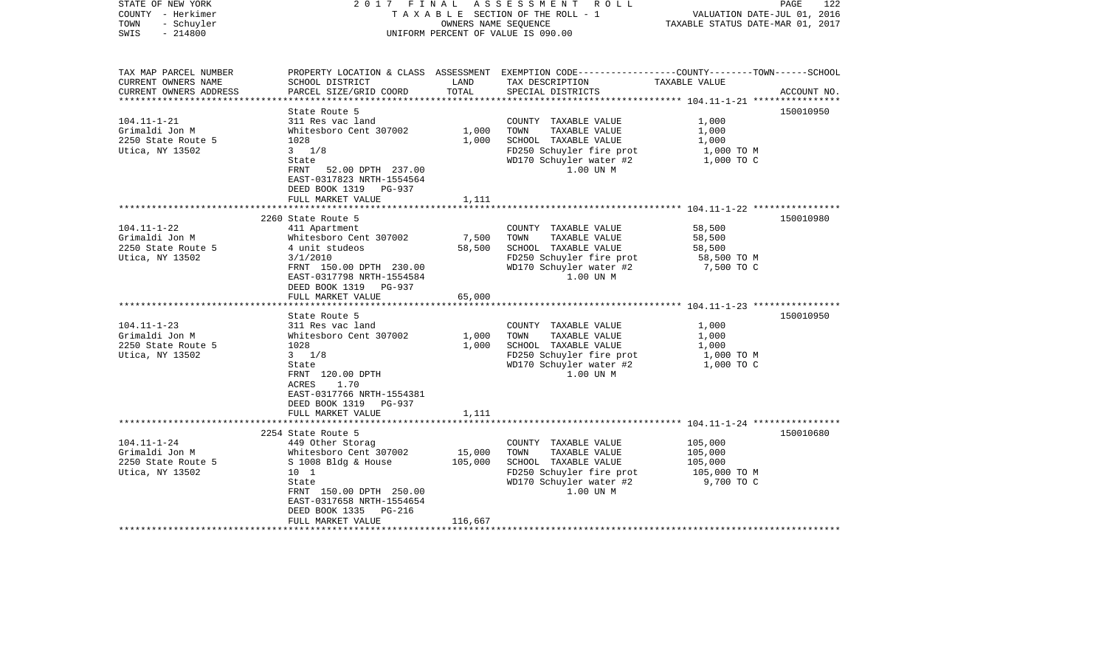| STATE OF NEW YORK<br>COUNTY - Herkimer<br>TOWN<br>- Schuyler<br>SWIS<br>$-214800$                 | 2017                                                                                                                                                                                                                                      | OWNERS NAME SEOUENCE      | FINAL ASSESSMENT ROLL<br>TAXABLE SECTION OF THE ROLL - 1<br>UNIFORM PERCENT OF VALUE IS 090.00                                                                    | VALUATION DATE-JUL 01, 2016<br>TAXABLE STATUS DATE-MAR 01, 2017  | PAGE<br>122            |
|---------------------------------------------------------------------------------------------------|-------------------------------------------------------------------------------------------------------------------------------------------------------------------------------------------------------------------------------------------|---------------------------|-------------------------------------------------------------------------------------------------------------------------------------------------------------------|------------------------------------------------------------------|------------------------|
| TAX MAP PARCEL NUMBER<br>CURRENT OWNERS NAME<br>CURRENT OWNERS ADDRESS                            | SCHOOL DISTRICT<br>PARCEL SIZE/GRID COORD                                                                                                                                                                                                 | LAND<br>TOTAL             | PROPERTY LOCATION & CLASS ASSESSMENT EXEMPTION CODE---------------COUNTY-------TOWN------SCHOOL<br>TAX DESCRIPTION<br>SPECIAL DISTRICTS                           | TAXABLE VALUE                                                    | ACCOUNT NO.            |
| ************************                                                                          | State Route 5                                                                                                                                                                                                                             |                           |                                                                                                                                                                   |                                                                  | 150010950              |
| $104.11 - 1 - 21$<br>Grimaldi Jon M<br>2250 State Route 5<br>Utica, NY 13502                      | 311 Res vac land<br>Whitesboro Cent 307002<br>1028<br>$3 \t1/8$<br>State<br>FRNT<br>52.00 DPTH 237.00<br>EAST-0317823 NRTH-1554564                                                                                                        | 1,000<br>1,000            | COUNTY TAXABLE VALUE<br>TOWN<br>TAXABLE VALUE<br>SCHOOL TAXABLE VALUE<br>FD250 Schuyler fire prot<br>WD170 Schuyler water #2<br>1.00 UN M                         | 1,000<br>1,000<br>1,000<br>1,000 TO M<br>1,000 TO C              |                        |
|                                                                                                   | DEED BOOK 1319<br>PG-937<br>FULL MARKET VALUE                                                                                                                                                                                             | 1,111                     |                                                                                                                                                                   |                                                                  |                        |
| $104.11 - 1 - 22$<br>Grimaldi Jon M<br>2250 State Route 5<br>Utica, NY 13502<br>$104.11 - 1 - 23$ | 2260 State Route 5<br>411 Apartment<br>Whitesboro Cent 307002<br>4 unit studeos<br>3/1/2010<br>FRNT 150.00 DPTH 230.00<br>EAST-0317798 NRTH-1554584<br>DEED BOOK 1319<br>PG-937<br>FULL MARKET VALUE<br>State Route 5<br>311 Res vac land | 7,500<br>58,500<br>65,000 | COUNTY TAXABLE VALUE<br>TAXABLE VALUE<br>TOWN<br>SCHOOL TAXABLE VALUE<br>FD250 Schuyler fire prot<br>WD170 Schuyler water #2<br>1.00 UN M<br>COUNTY TAXABLE VALUE | 58,500<br>58,500<br>58,500<br>58,500 TO M<br>7,500 TO C<br>1,000 | 150010980<br>150010950 |
| Grimaldi Jon M<br>2250 State Route 5<br>Utica, NY 13502                                           | Whitesboro Cent 307002<br>1028<br>$3 \frac{1}{8}$<br>State<br>FRNT 120.00 DPTH<br>1.70<br>ACRES<br>EAST-0317766 NRTH-1554381<br>DEED BOOK 1319 PG-937<br>FULL MARKET VALUE                                                                | 1,000<br>1,000<br>1,111   | TAXABLE VALUE<br>TOWN<br>SCHOOL TAXABLE VALUE<br>FD250 Schuyler fire prot<br>WD170 Schuyler water #2<br>1.00 UN M                                                 | 1,000<br>1,000<br>1,000 TO M<br>1,000 TO C                       |                        |
|                                                                                                   | *******************************                                                                                                                                                                                                           |                           |                                                                                                                                                                   |                                                                  |                        |
| $104.11 - 1 - 24$<br>Grimaldi Jon M<br>2250 State Route 5<br>Utica, NY 13502                      | 2254 State Route 5<br>449 Other Storag<br>Whitesboro Cent 307002<br>S 1008 Bldg & House<br>10 1<br>State<br>FRNT 150.00 DPTH 250.00<br>EAST-0317658 NRTH-1554654<br>DEED BOOK 1335<br>PG-216                                              | 15,000<br>105,000         | COUNTY TAXABLE VALUE<br>TAXABLE VALUE<br>TOWN<br>SCHOOL TAXABLE VALUE<br>FD250 Schuyler fire prot<br>WD170 Schuyler water #2<br>1.00 UN M                         | 105,000<br>105,000<br>105,000<br>105,000 TO M<br>9,700 TO C      | 150010680              |
|                                                                                                   | FULL MARKET VALUE                                                                                                                                                                                                                         | 116,667                   |                                                                                                                                                                   |                                                                  |                        |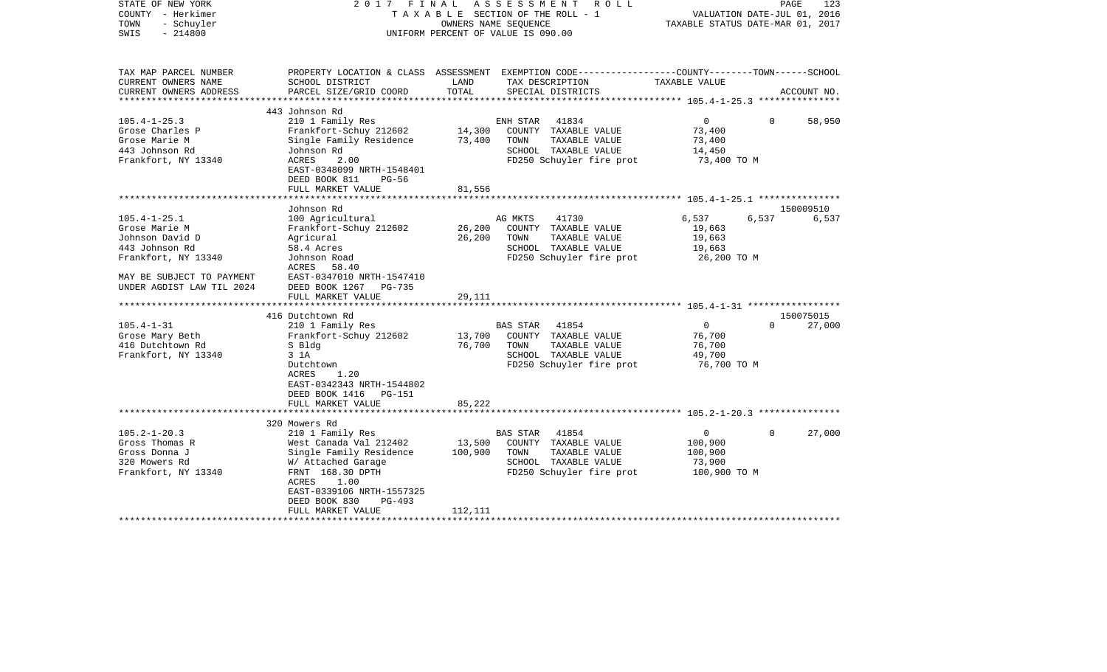| STATE OF NEW YORK<br>COUNTY - Herkimer<br>TOWN<br>- Schuyler<br>$-214800$<br>SWIS |                                                                      |                  | 2017 FINAL ASSESSMENT<br>R O L L<br>TAXABLE SECTION OF THE ROLL - 1<br>OWNERS NAME SEOUENCE<br>UNIFORM PERCENT OF VALUE IS 090.00 |                  | PAGE<br>123<br>VALUATION DATE-JUL 01, 2016<br>TAXABLE STATUS DATE-MAR 01, 2017 |
|-----------------------------------------------------------------------------------|----------------------------------------------------------------------|------------------|-----------------------------------------------------------------------------------------------------------------------------------|------------------|--------------------------------------------------------------------------------|
| TAX MAP PARCEL NUMBER                                                             |                                                                      |                  | PROPERTY LOCATION & CLASS ASSESSMENT EXEMPTION CODE---------------COUNTY-------TOWN------SCHOOL                                   |                  |                                                                                |
| CURRENT OWNERS NAME                                                               | SCHOOL DISTRICT                                                      | LAND             | TAX DESCRIPTION                                                                                                                   | TAXABLE VALUE    |                                                                                |
| CURRENT OWNERS ADDRESS<br>**********************                                  | PARCEL SIZE/GRID COORD                                               | TOTAL            | SPECIAL DISTRICTS                                                                                                                 |                  | ACCOUNT NO.                                                                    |
|                                                                                   | 443 Johnson Rd                                                       |                  |                                                                                                                                   |                  |                                                                                |
| $105.4 - 1 - 25.3$                                                                | 210 1 Family Res                                                     |                  | ENH STAR<br>41834                                                                                                                 | $\overline{0}$   | $\Omega$<br>58,950                                                             |
| Grose Charles P                                                                   | Frankfort-Schuy 212602                                               | 14,300           | COUNTY TAXABLE VALUE                                                                                                              | 73,400           |                                                                                |
| Grose Marie M                                                                     | Single Family Residence                                              | 73,400           | TOWN<br>TAXABLE VALUE                                                                                                             | 73,400           |                                                                                |
| 443 Johnson Rd                                                                    | Johnson Rd                                                           |                  | SCHOOL TAXABLE VALUE                                                                                                              | 14,450           |                                                                                |
| Frankfort, NY 13340                                                               | ACRES<br>2.00<br>EAST-0348099 NRTH-1548401<br>DEED BOOK 811<br>PG-56 |                  | FD250 Schuyler fire prot                                                                                                          | 73,400 TO M      |                                                                                |
|                                                                                   | FULL MARKET VALUE                                                    | 81,556           |                                                                                                                                   |                  |                                                                                |
|                                                                                   |                                                                      |                  |                                                                                                                                   |                  |                                                                                |
|                                                                                   | Johnson Rd                                                           |                  |                                                                                                                                   |                  | 150009510                                                                      |
| $105.4 - 1 - 25.1$                                                                | 100 Agricultural                                                     |                  | AG MKTS<br>41730                                                                                                                  | 6,537            | 6,537<br>6,537                                                                 |
| Grose Marie M<br>Johnson David D                                                  | Frankfort-Schuy 212602<br>Agricural                                  | 26,200<br>26,200 | COUNTY TAXABLE VALUE<br>TOWN<br>TAXABLE VALUE                                                                                     | 19,663<br>19,663 |                                                                                |
| 443 Johnson Rd                                                                    | 58.4 Acres                                                           |                  | SCHOOL TAXABLE VALUE                                                                                                              | 19,663           |                                                                                |
| Frankfort, NY 13340                                                               | Johnson Road                                                         |                  | FD250 Schuyler fire prot                                                                                                          | 26,200 TO M      |                                                                                |
|                                                                                   | 58.40<br>ACRES                                                       |                  |                                                                                                                                   |                  |                                                                                |
| MAY BE SUBJECT TO PAYMENT                                                         | EAST-0347010 NRTH-1547410                                            |                  |                                                                                                                                   |                  |                                                                                |
| UNDER AGDIST LAW TIL 2024                                                         | DEED BOOK 1267 PG-735                                                |                  |                                                                                                                                   |                  |                                                                                |
|                                                                                   | FULL MARKET VALUE                                                    | 29,111           |                                                                                                                                   |                  |                                                                                |
|                                                                                   |                                                                      |                  |                                                                                                                                   |                  |                                                                                |
| $105.4 - 1 - 31$                                                                  | 416 Dutchtown Rd                                                     |                  |                                                                                                                                   | $\overline{0}$   | 150075015<br>$\Omega$                                                          |
| Grose Mary Beth                                                                   | 210 1 Family Res<br>Frankfort-Schuy 212602                           | 13,700           | BAS STAR 41854<br>COUNTY TAXABLE VALUE                                                                                            | 76,700           | 27,000                                                                         |
| 416 Dutchtown Rd                                                                  | S Bldg                                                               | 76,700           | TOWN<br>TAXABLE VALUE                                                                                                             | 76,700           |                                                                                |
| Frankfort, NY 13340                                                               | 3 1A                                                                 |                  | SCHOOL TAXABLE VALUE                                                                                                              | 49,700           |                                                                                |
|                                                                                   | Dutchtown                                                            |                  | FD250 Schuyler fire prot                                                                                                          | 76,700 TO M      |                                                                                |
|                                                                                   | ACRES<br>1.20                                                        |                  |                                                                                                                                   |                  |                                                                                |
|                                                                                   | EAST-0342343 NRTH-1544802                                            |                  |                                                                                                                                   |                  |                                                                                |
|                                                                                   | DEED BOOK 1416 PG-151                                                |                  |                                                                                                                                   |                  |                                                                                |
|                                                                                   | FULL MARKET VALUE                                                    | 85,222           |                                                                                                                                   |                  |                                                                                |
|                                                                                   |                                                                      |                  |                                                                                                                                   |                  |                                                                                |
| $105.2 - 1 - 20.3$                                                                | 320 Mowers Rd<br>210 1 Family Res                                    |                  | BAS STAR 41854                                                                                                                    | $\mathbf 0$      | $\Omega$<br>27,000                                                             |
| Gross Thomas R                                                                    | West Canada Val 212402                                               | 13,500           | COUNTY TAXABLE VALUE                                                                                                              | 100,900          |                                                                                |
| Gross Donna J                                                                     | Single Family Residence                                              | 100,900          | TOWN<br>TAXABLE VALUE                                                                                                             | 100,900          |                                                                                |
| 320 Mowers Rd                                                                     | W/ Attached Garage                                                   |                  | SCHOOL TAXABLE VALUE                                                                                                              | 73,900           |                                                                                |
| Frankfort, NY 13340                                                               | FRNT 168.30 DPTH                                                     |                  | FD250 Schuyler fire prot                                                                                                          | 100,900 TO M     |                                                                                |
|                                                                                   | ACRES<br>1.00                                                        |                  |                                                                                                                                   |                  |                                                                                |
|                                                                                   | EAST-0339106 NRTH-1557325                                            |                  |                                                                                                                                   |                  |                                                                                |
|                                                                                   | DEED BOOK 830<br>PG-493                                              |                  |                                                                                                                                   |                  |                                                                                |
|                                                                                   | FULL MARKET VALUE                                                    | 112,111          | ******************************                                                                                                    |                  |                                                                                |
|                                                                                   |                                                                      |                  |                                                                                                                                   |                  |                                                                                |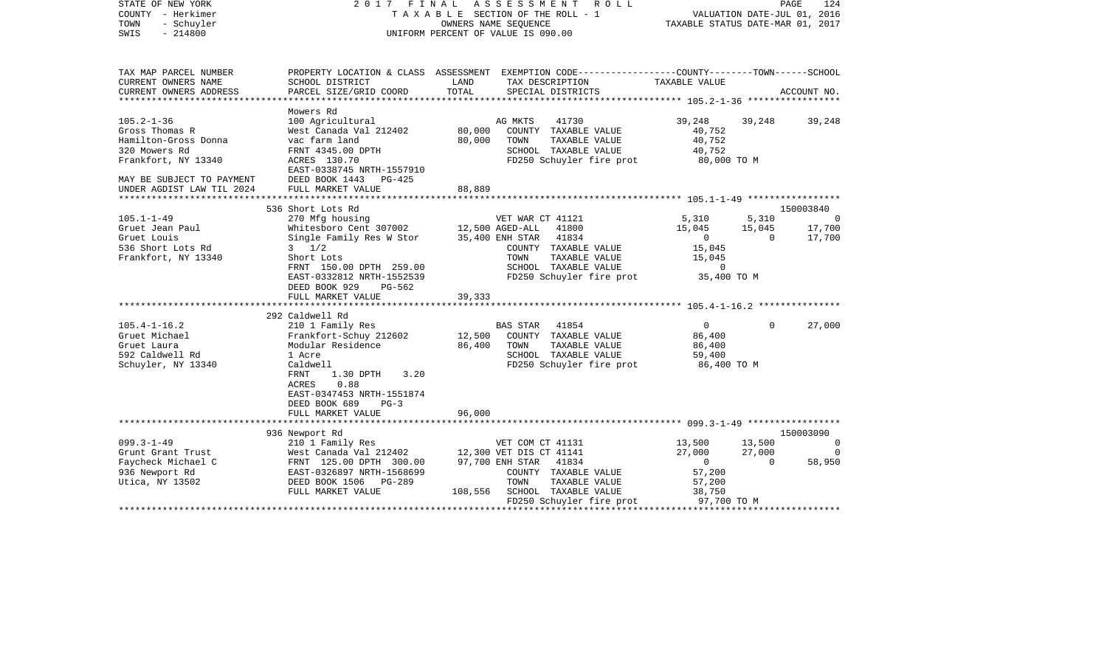|                                                                                                    |                                                                                                                                                                                                                              |                                                     |                                                                           |                                                                                                                                                                                                                                                                                                                                                                                                                                                                                                                                                                                                                                                                                     |                                                                                               | PAGE<br>124                                                                                                                                                                                                                                                         |
|----------------------------------------------------------------------------------------------------|------------------------------------------------------------------------------------------------------------------------------------------------------------------------------------------------------------------------------|-----------------------------------------------------|---------------------------------------------------------------------------|-------------------------------------------------------------------------------------------------------------------------------------------------------------------------------------------------------------------------------------------------------------------------------------------------------------------------------------------------------------------------------------------------------------------------------------------------------------------------------------------------------------------------------------------------------------------------------------------------------------------------------------------------------------------------------------|-----------------------------------------------------------------------------------------------|---------------------------------------------------------------------------------------------------------------------------------------------------------------------------------------------------------------------------------------------------------------------|
| SCHOOL DISTRICT                                                                                    | LAND                                                                                                                                                                                                                         |                                                     |                                                                           | TAXABLE VALUE                                                                                                                                                                                                                                                                                                                                                                                                                                                                                                                                                                                                                                                                       |                                                                                               |                                                                                                                                                                                                                                                                     |
| PARCEL SIZE/GRID COORD                                                                             |                                                                                                                                                                                                                              |                                                     |                                                                           |                                                                                                                                                                                                                                                                                                                                                                                                                                                                                                                                                                                                                                                                                     |                                                                                               | ACCOUNT NO.                                                                                                                                                                                                                                                         |
|                                                                                                    |                                                                                                                                                                                                                              |                                                     |                                                                           |                                                                                                                                                                                                                                                                                                                                                                                                                                                                                                                                                                                                                                                                                     |                                                                                               |                                                                                                                                                                                                                                                                     |
| 100 Agricultural<br>West Canada Val 212402                                                         | 80,000                                                                                                                                                                                                                       |                                                     | 41730                                                                     | 39,248<br>40,752                                                                                                                                                                                                                                                                                                                                                                                                                                                                                                                                                                                                                                                                    | 39,248                                                                                        | 39,248                                                                                                                                                                                                                                                              |
| FRNT 4345.00 DPTH<br>ACRES 130.70                                                                  |                                                                                                                                                                                                                              |                                                     |                                                                           | 40,752                                                                                                                                                                                                                                                                                                                                                                                                                                                                                                                                                                                                                                                                              |                                                                                               |                                                                                                                                                                                                                                                                     |
| DEED BOOK 1443 PG-425<br>FULL MARKET VALUE                                                         | 88,889                                                                                                                                                                                                                       |                                                     |                                                                           |                                                                                                                                                                                                                                                                                                                                                                                                                                                                                                                                                                                                                                                                                     |                                                                                               |                                                                                                                                                                                                                                                                     |
| 536 Short Lots Rd                                                                                  |                                                                                                                                                                                                                              |                                                     |                                                                           |                                                                                                                                                                                                                                                                                                                                                                                                                                                                                                                                                                                                                                                                                     |                                                                                               | 150003840                                                                                                                                                                                                                                                           |
| 270 Mfg housing                                                                                    |                                                                                                                                                                                                                              |                                                     |                                                                           | 5,310                                                                                                                                                                                                                                                                                                                                                                                                                                                                                                                                                                                                                                                                               | 5,310                                                                                         | 17,700                                                                                                                                                                                                                                                              |
| Single Family Res W Stor<br>$3 \frac{1}{2}$                                                        |                                                                                                                                                                                                                              |                                                     |                                                                           | $\overline{0}$<br>15,045                                                                                                                                                                                                                                                                                                                                                                                                                                                                                                                                                                                                                                                            | $\overline{0}$                                                                                | 17,700                                                                                                                                                                                                                                                              |
| FRNT 150.00 DPTH 259.00<br>EAST-0332812 NRTH-1552539                                               |                                                                                                                                                                                                                              |                                                     |                                                                           | $\mathbf 0$                                                                                                                                                                                                                                                                                                                                                                                                                                                                                                                                                                                                                                                                         |                                                                                               |                                                                                                                                                                                                                                                                     |
| FULL MARKET VALUE                                                                                  | 39,333                                                                                                                                                                                                                       |                                                     |                                                                           |                                                                                                                                                                                                                                                                                                                                                                                                                                                                                                                                                                                                                                                                                     |                                                                                               |                                                                                                                                                                                                                                                                     |
|                                                                                                    |                                                                                                                                                                                                                              |                                                     |                                                                           |                                                                                                                                                                                                                                                                                                                                                                                                                                                                                                                                                                                                                                                                                     |                                                                                               |                                                                                                                                                                                                                                                                     |
|                                                                                                    |                                                                                                                                                                                                                              |                                                     |                                                                           |                                                                                                                                                                                                                                                                                                                                                                                                                                                                                                                                                                                                                                                                                     |                                                                                               | 27,000                                                                                                                                                                                                                                                              |
| Frankfort-Schuy 212602<br>Modular Residence<br>1 Acre                                              | 12,500<br>86,400                                                                                                                                                                                                             | TOWN                                                |                                                                           | 86,400<br>86,400<br>59,400                                                                                                                                                                                                                                                                                                                                                                                                                                                                                                                                                                                                                                                          |                                                                                               |                                                                                                                                                                                                                                                                     |
| 3.20<br>FRNT<br>1.30 DPTH<br>0.88<br>ACRES<br>EAST-0347453 NRTH-1551874<br>DEED BOOK 689<br>$PG-3$ |                                                                                                                                                                                                                              |                                                     |                                                                           |                                                                                                                                                                                                                                                                                                                                                                                                                                                                                                                                                                                                                                                                                     |                                                                                               |                                                                                                                                                                                                                                                                     |
|                                                                                                    |                                                                                                                                                                                                                              |                                                     |                                                                           |                                                                                                                                                                                                                                                                                                                                                                                                                                                                                                                                                                                                                                                                                     |                                                                                               |                                                                                                                                                                                                                                                                     |
| 936 Newport Rd                                                                                     |                                                                                                                                                                                                                              |                                                     |                                                                           |                                                                                                                                                                                                                                                                                                                                                                                                                                                                                                                                                                                                                                                                                     |                                                                                               | 150003090                                                                                                                                                                                                                                                           |
| 210 1 Family Res                                                                                   |                                                                                                                                                                                                                              |                                                     |                                                                           | 13,500                                                                                                                                                                                                                                                                                                                                                                                                                                                                                                                                                                                                                                                                              | 13,500                                                                                        | $\Omega$                                                                                                                                                                                                                                                            |
|                                                                                                    |                                                                                                                                                                                                                              |                                                     |                                                                           | 27,000                                                                                                                                                                                                                                                                                                                                                                                                                                                                                                                                                                                                                                                                              | 27,000                                                                                        | $\Omega$                                                                                                                                                                                                                                                            |
| EAST-0326897 NRTH-1568699                                                                          |                                                                                                                                                                                                                              |                                                     |                                                                           | 57,200                                                                                                                                                                                                                                                                                                                                                                                                                                                                                                                                                                                                                                                                              |                                                                                               | 58,950                                                                                                                                                                                                                                                              |
| FULL MARKET VALUE                                                                                  |                                                                                                                                                                                                                              |                                                     |                                                                           | 38,750                                                                                                                                                                                                                                                                                                                                                                                                                                                                                                                                                                                                                                                                              |                                                                                               |                                                                                                                                                                                                                                                                     |
|                                                                                                    | Mowers Rd<br>vac farm land<br>EAST-0338745 NRTH-1557910<br>Short Lots<br>DEED BOOK 929<br>PG-562<br>292 Caldwell Rd<br>210 1 Family Res<br>Caldwell<br>FULL MARKET VALUE<br>FRNT 125.00 DPTH 300.00<br>DEED BOOK 1506 PG-289 | TOTAL<br>80,000<br>96,000<br>West Canada Val 212402 | AG MKTS<br>TOWN<br>Whitesboro Cent 307002 12,500 AGED-ALL<br>TOWN<br>TOWN | 2017 FINAL ASSESSMENT ROLL<br>TAXABLE SECTION OF THE ROLL - 1<br>OWNERS NAME SEQUENCE<br>UNIFORM PERCENT OF VALUE IS 090.00<br>TAX DESCRIPTION<br>SPECIAL DISTRICTS<br>COUNTY TAXABLE VALUE<br>TAXABLE VALUE<br>SCHOOL TAXABLE VALUE<br>FD250 Schuyler fire prot<br>VET WAR CT 41121<br>41800<br>35,400 ENH STAR 41834<br>COUNTY TAXABLE VALUE<br>TAXABLE VALUE<br>SCHOOL TAXABLE VALUE<br>BAS STAR 41854<br>COUNTY TAXABLE VALUE<br>TAXABLE VALUE<br>SCHOOL TAXABLE VALUE<br>FD250 Schuyler fire prot<br>VET COM CT 41131<br>12,300 VET DIS CT 41141<br>97,700 ENH STAR 41834<br>COUNTY TAXABLE VALUE<br>TAXABLE VALUE<br>108,556 SCHOOL TAXABLE VALUE<br>FD250 Schuyler fire prot | 40,752<br>15,045<br>15,045<br>FD250 Schuyler fire prot<br>$\overline{0}$<br>$\circ$<br>57,200 | VALUATION DATE-JUL 01, 2016<br>TAXABLE STATUS DATE-MAR 01, 2017<br>PROPERTY LOCATION & CLASS ASSESSMENT EXEMPTION CODE----------------COUNTY-------TOWN------SCHOOL<br>80,000 TO M<br>15,045<br>35,400 TO M<br>$\Omega$<br>86,400 TO M<br>$\bigcirc$<br>97,700 TO M |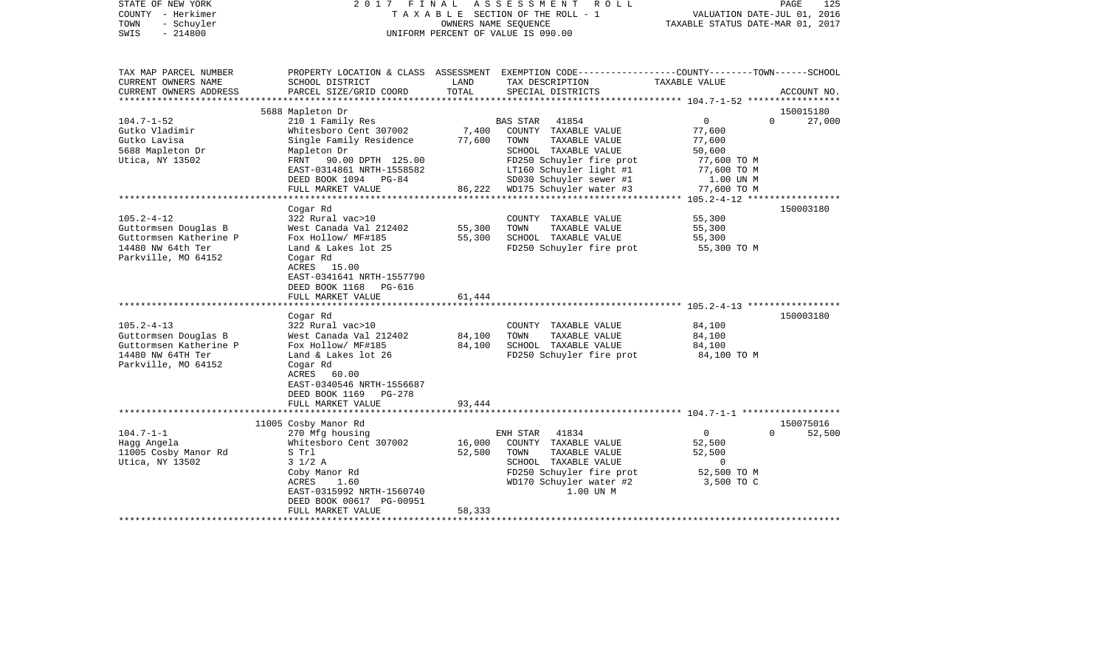| STATE OF NEW YORK<br>COUNTY - Herkimer<br>- Schuyler<br>TOWN<br>$-214800$<br>SWIS |                                               |               | 2017 FINAL ASSESSMENT<br>R O L L<br>TAXABLE SECTION OF THE ROLL - 1<br>OWNERS NAME SEQUENCE<br>UNIFORM PERCENT OF VALUE IS 090.00 | VALUATION DATE-JUL 01, 2016<br>TAXABLE STATUS DATE-MAR 01, 2017 | PAGE<br>125        |
|-----------------------------------------------------------------------------------|-----------------------------------------------|---------------|-----------------------------------------------------------------------------------------------------------------------------------|-----------------------------------------------------------------|--------------------|
| TAX MAP PARCEL NUMBER                                                             |                                               |               | PROPERTY LOCATION & CLASS ASSESSMENT EXEMPTION CODE---------------COUNTY-------TOWN------SCHOOL                                   |                                                                 |                    |
| CURRENT OWNERS NAME<br>CURRENT OWNERS ADDRESS                                     | SCHOOL DISTRICT<br>PARCEL SIZE/GRID COORD     | LAND<br>TOTAL | TAX DESCRIPTION<br>SPECIAL DISTRICTS                                                                                              | TAXABLE VALUE                                                   | ACCOUNT NO.        |
| *****************                                                                 |                                               |               |                                                                                                                                   | ********************* 104.7-1-52 ******************             |                    |
|                                                                                   | 5688 Mapleton Dr                              |               |                                                                                                                                   |                                                                 | 150015180          |
| $104.7 - 1 - 52$                                                                  | 210 1 Family Res                              |               | <b>BAS STAR</b><br>41854                                                                                                          | $\Omega$                                                        | $\Omega$<br>27,000 |
| Gutko Vladimir                                                                    | Whitesboro Cent 307002                        | 7,400         | COUNTY TAXABLE VALUE                                                                                                              | 77,600                                                          |                    |
| Gutko Lavisa                                                                      | Single Family Residence                       | 77,600        | TOWN<br>TAXABLE VALUE                                                                                                             | 77,600                                                          |                    |
| 5688 Mapleton Dr                                                                  | Mapleton Dr                                   |               | SCHOOL TAXABLE VALUE                                                                                                              | 50,600                                                          |                    |
| Utica, NY 13502                                                                   | FRNT 90.00 DPTH 125.00                        |               | FD250 Schuyler fire prot                                                                                                          | 77,600 TO M                                                     |                    |
|                                                                                   | EAST-0314861 NRTH-1558582                     |               | LT160 Schuyler light #1                                                                                                           | 77,600 TO M                                                     |                    |
|                                                                                   | DEED BOOK 1094 PG-84                          |               | SD030 Schuyler sewer #1                                                                                                           | 1.00 UN M                                                       |                    |
|                                                                                   | FULL MARKET VALUE<br>************************ | 86,222        | WD175 Schuyler water #3                                                                                                           | 77,600 TO M                                                     |                    |
|                                                                                   | Cogar Rd                                      |               |                                                                                                                                   |                                                                 | 150003180          |
| $105.2 - 4 - 12$                                                                  | 322 Rural vac>10                              |               | COUNTY TAXABLE VALUE                                                                                                              | 55,300                                                          |                    |
| Guttormsen Douglas B                                                              | West Canada Val 212402                        | 55,300        | TOWN<br>TAXABLE VALUE                                                                                                             | 55,300                                                          |                    |
| Guttormsen Katherine P                                                            | Fox Hollow/ MF#185                            | 55,300        | SCHOOL TAXABLE VALUE                                                                                                              | 55,300                                                          |                    |
| 14480 NW 64th Ter                                                                 | Land & Lakes lot 25                           |               | FD250 Schuyler fire prot                                                                                                          | 55,300 TO M                                                     |                    |
| Parkville, MO 64152                                                               | Cogar Rd                                      |               |                                                                                                                                   |                                                                 |                    |
|                                                                                   | ACRES 15.00                                   |               |                                                                                                                                   |                                                                 |                    |
|                                                                                   | EAST-0341641 NRTH-1557790                     |               |                                                                                                                                   |                                                                 |                    |
|                                                                                   | DEED BOOK 1168 PG-616                         |               |                                                                                                                                   |                                                                 |                    |
|                                                                                   | FULL MARKET VALUE                             | 61,444        |                                                                                                                                   |                                                                 |                    |
|                                                                                   |                                               |               |                                                                                                                                   |                                                                 |                    |
|                                                                                   | Cogar Rd                                      |               |                                                                                                                                   |                                                                 | 150003180          |
| $105.2 - 4 - 13$                                                                  | 322 Rural vac>10                              |               | COUNTY TAXABLE VALUE                                                                                                              | 84,100                                                          |                    |
| Guttormsen Douglas B                                                              | West Canada Val 212402                        | 84,100        | TOWN<br>TAXABLE VALUE                                                                                                             | 84,100                                                          |                    |
| Guttormsen Katherine P                                                            | Fox Hollow/ MF#185                            | 84,100        | SCHOOL TAXABLE VALUE                                                                                                              | 84,100                                                          |                    |
| 14480 NW 64TH Ter                                                                 | Land & Lakes lot 26                           |               | FD250 Schuyler fire prot                                                                                                          | 84,100 TO M                                                     |                    |
| Parkville, MO 64152                                                               | Cogar Rd                                      |               |                                                                                                                                   |                                                                 |                    |
|                                                                                   | ACRES 60.00                                   |               |                                                                                                                                   |                                                                 |                    |
|                                                                                   | EAST-0340546 NRTH-1556687                     |               |                                                                                                                                   |                                                                 |                    |
|                                                                                   | DEED BOOK 1169<br><b>PG-278</b>               |               |                                                                                                                                   |                                                                 |                    |
|                                                                                   | FULL MARKET VALUE                             | 93,444        |                                                                                                                                   |                                                                 |                    |
|                                                                                   |                                               |               |                                                                                                                                   |                                                                 |                    |
|                                                                                   | 11005 Cosby Manor Rd                          |               |                                                                                                                                   |                                                                 | 150075016          |
| $104.7 - 1 - 1$                                                                   | 270 Mfg housing                               |               | 41834<br>ENH STAR                                                                                                                 | $\circ$                                                         | 52,500<br>$\Omega$ |
| Hagg Angela                                                                       | Whitesboro Cent 307002                        | 16,000        | COUNTY TAXABLE VALUE<br>TAXABLE VALUE                                                                                             | 52,500                                                          |                    |
| 11005 Cosby Manor Rd                                                              | S Trl                                         | 52,500        | TOWN                                                                                                                              | 52,500                                                          |                    |
| Utica, NY 13502                                                                   | $3 \frac{1}{2}$ A<br>Coby Manor Rd            |               | SCHOOL TAXABLE VALUE<br>FD250 Schuyler fire prot                                                                                  | $\overline{0}$<br>52,500 TO M                                   |                    |
|                                                                                   | ACRES<br>1.60                                 |               | WD170 Schuyler water #2                                                                                                           | 3,500 TO C                                                      |                    |
|                                                                                   | EAST-0315992 NRTH-1560740                     |               | 1.00 UN M                                                                                                                         |                                                                 |                    |
|                                                                                   | DEED BOOK 00617 PG-00951                      |               |                                                                                                                                   |                                                                 |                    |
|                                                                                   | FULL MARKET VALUE                             | 58,333        |                                                                                                                                   |                                                                 |                    |
| *********************                                                             | **************************                    | ************* |                                                                                                                                   |                                                                 |                    |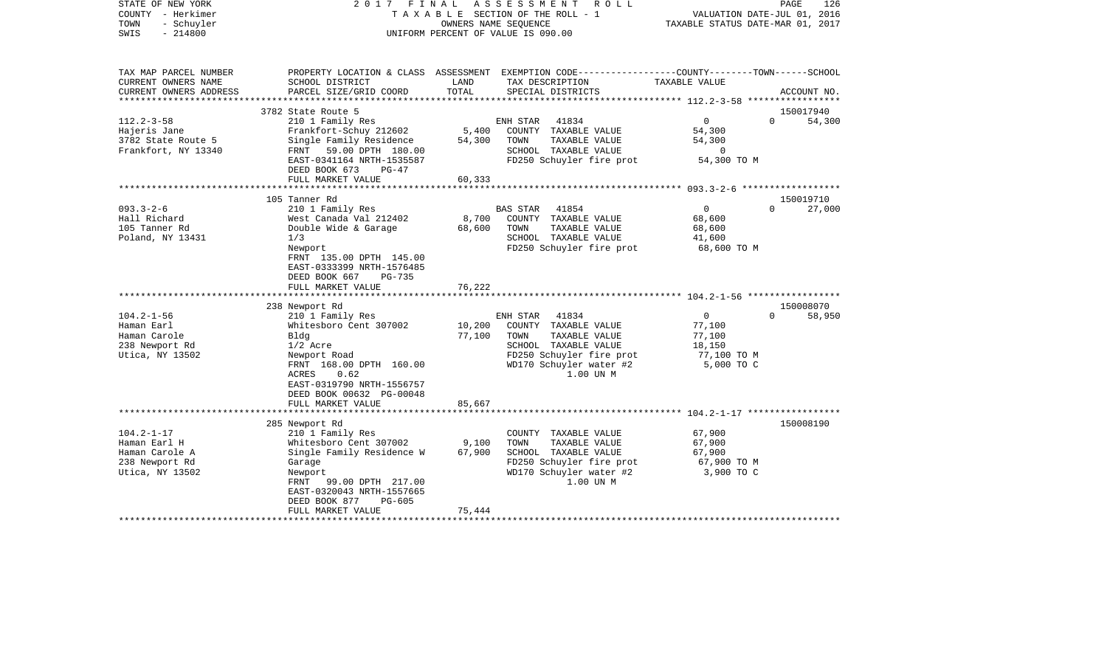| STATE OF NEW YORK<br>COUNTY - Herkimer<br>TOWN<br>- Schuyler<br>$-214800$<br>SWIS | 2017 FINAL<br>TAXABLE SECTION OF THE ROLL - 1<br>UNIFORM PERCENT OF VALUE IS 090.00                                          | OWNERS NAME SEOUENCE | A S S E S S M E N T | R O L L                               | VALUATION DATE-JUL 01, 2016<br>TAXABLE STATUS DATE-MAR 01, 2017 | PAGE     | 126         |
|-----------------------------------------------------------------------------------|------------------------------------------------------------------------------------------------------------------------------|----------------------|---------------------|---------------------------------------|-----------------------------------------------------------------|----------|-------------|
| TAX MAP PARCEL NUMBER<br>CURRENT OWNERS NAME                                      | PROPERTY LOCATION & CLASS ASSESSMENT EXEMPTION CODE---------------COUNTY-------TOWN------SCHOOL                              | LAND                 |                     |                                       | TAXABLE VALUE                                                   |          |             |
| CURRENT OWNERS ADDRESS<br>****************                                        | SCHOOL DISTRICT<br>PARCEL SIZE/GRID COORD                                                                                    | TOTAL                |                     | TAX DESCRIPTION<br>SPECIAL DISTRICTS  |                                                                 |          | ACCOUNT NO. |
| 3782 State Route 5                                                                |                                                                                                                              |                      |                     |                                       |                                                                 |          | 150017940   |
| $112.2 - 3 - 58$                                                                  | 210 1 Family Res                                                                                                             |                      | ENH STAR            | 41834                                 | $\mathbf{0}$                                                    | $\Omega$ | 54,300      |
| Hajeris Jane                                                                      | Frankfort-Schuy 212602                                                                                                       | 5,400                |                     | COUNTY TAXABLE VALUE                  | 54,300                                                          |          |             |
| 3782 State Route 5                                                                | Single Family Residence                                                                                                      | 54,300               | TOWN                | TAXABLE VALUE                         | 54,300                                                          |          |             |
| Frankfort, NY 13340                                                               | FRNT 59.00 DPTH 180.00                                                                                                       |                      |                     | SCHOOL TAXABLE VALUE                  | $\circ$                                                         |          |             |
|                                                                                   | EAST-0341164 NRTH-1535587<br>DEED BOOK 673<br>$PG-47$                                                                        |                      |                     | FD250 Schuyler fire prot              | 54,300 TO M                                                     |          |             |
|                                                                                   | FULL MARKET VALUE                                                                                                            | 60,333               |                     |                                       |                                                                 |          |             |
|                                                                                   |                                                                                                                              |                      |                     |                                       |                                                                 |          |             |
| 105 Tanner Rd                                                                     |                                                                                                                              |                      |                     |                                       |                                                                 |          | 150019710   |
| $093.3 - 2 - 6$<br>Hall Richard                                                   | 210 1 Family Res                                                                                                             | 8,700                | <b>BAS STAR</b>     | 41854                                 | $\mathbf 0$<br>68,600                                           | $\Omega$ | 27,000      |
| 105 Tanner Rd                                                                     | West Canada Val 212402<br>Double Wide & Garage                                                                               | 68,600               | TOWN                | COUNTY TAXABLE VALUE<br>TAXABLE VALUE | 68,600                                                          |          |             |
| Poland, NY 13431<br>1/3                                                           |                                                                                                                              |                      |                     | SCHOOL TAXABLE VALUE                  | 41,600                                                          |          |             |
| Newport                                                                           |                                                                                                                              |                      |                     | FD250 Schuyler fire prot              | 68,600 TO M                                                     |          |             |
|                                                                                   | FRNT 135.00 DPTH 145.00<br>EAST-0333399 NRTH-1576485<br>DEED BOOK 667<br>PG-735<br>FULL MARKET VALUE<br>******************** | 76,222               |                     |                                       |                                                                 |          |             |
|                                                                                   |                                                                                                                              |                      |                     |                                       |                                                                 |          |             |
| 238 Newport Rd<br>$104.2 - 1 - 56$                                                |                                                                                                                              |                      |                     |                                       | $\mathbf{0}$                                                    | $\Omega$ | 150008070   |
|                                                                                   | 210 1 Family Res                                                                                                             |                      | ENH STAR            | 41834                                 |                                                                 |          | 58,950      |
| Haman Earl<br>Haman Carole<br>Bldg                                                | Whitesboro Cent 307002                                                                                                       | 10,200<br>77,100     | TOWN                | COUNTY TAXABLE VALUE<br>TAXABLE VALUE | 77,100<br>77,100                                                |          |             |
| 238 Newport Rd<br>$1/2$ Acre                                                      |                                                                                                                              |                      |                     | SCHOOL TAXABLE VALUE                  | 18,150                                                          |          |             |
| Utica, NY 13502                                                                   | Newport Road                                                                                                                 |                      |                     | FD250 Schuyler fire prot              | 77,100 TO M                                                     |          |             |
| ACRES                                                                             | FRNT 168.00 DPTH 160.00<br>0.62<br>EAST-0319790 NRTH-1556757<br>DEED BOOK 00632 PG-00048                                     |                      |                     | WD170 Schuyler water #2<br>1.00 UN M  | 5,000 TO C                                                      |          |             |
|                                                                                   | FULL MARKET VALUE                                                                                                            | 85,667<br>********   |                     |                                       | ******************* 104.2-1-17 *****************                |          |             |
| 285 Newport Rd                                                                    |                                                                                                                              |                      |                     |                                       |                                                                 |          | 150008190   |
| $104.2 - 1 - 17$                                                                  | 210 1 Family Res                                                                                                             |                      |                     | COUNTY TAXABLE VALUE                  | 67,900                                                          |          |             |
| Haman Earl H                                                                      | Whitesboro Cent 307002                                                                                                       | 9,100                | TOWN                | TAXABLE VALUE                         | 67,900                                                          |          |             |
| Haman Carole A                                                                    | Single Family Residence W                                                                                                    | 67,900               |                     | SCHOOL TAXABLE VALUE                  | 67,900                                                          |          |             |
| 238 Newport Rd<br>Garage                                                          |                                                                                                                              |                      |                     | FD250 Schuyler fire prot              | 67,900 TO M                                                     |          |             |
| Utica, NY 13502<br>Newport                                                        |                                                                                                                              |                      |                     | WD170 Schuyler water #2               | 3,900 TO C                                                      |          |             |
| FRNT                                                                              | 99.00 DPTH 217.00                                                                                                            |                      |                     | 1.00 UN M                             |                                                                 |          |             |
|                                                                                   | EAST-0320043 NRTH-1557665                                                                                                    |                      |                     |                                       |                                                                 |          |             |
|                                                                                   | DEED BOOK 877<br>$PG-605$                                                                                                    |                      |                     |                                       |                                                                 |          |             |
| **********************                                                            | FULL MARKET VALUE                                                                                                            | 75,444               |                     |                                       |                                                                 |          |             |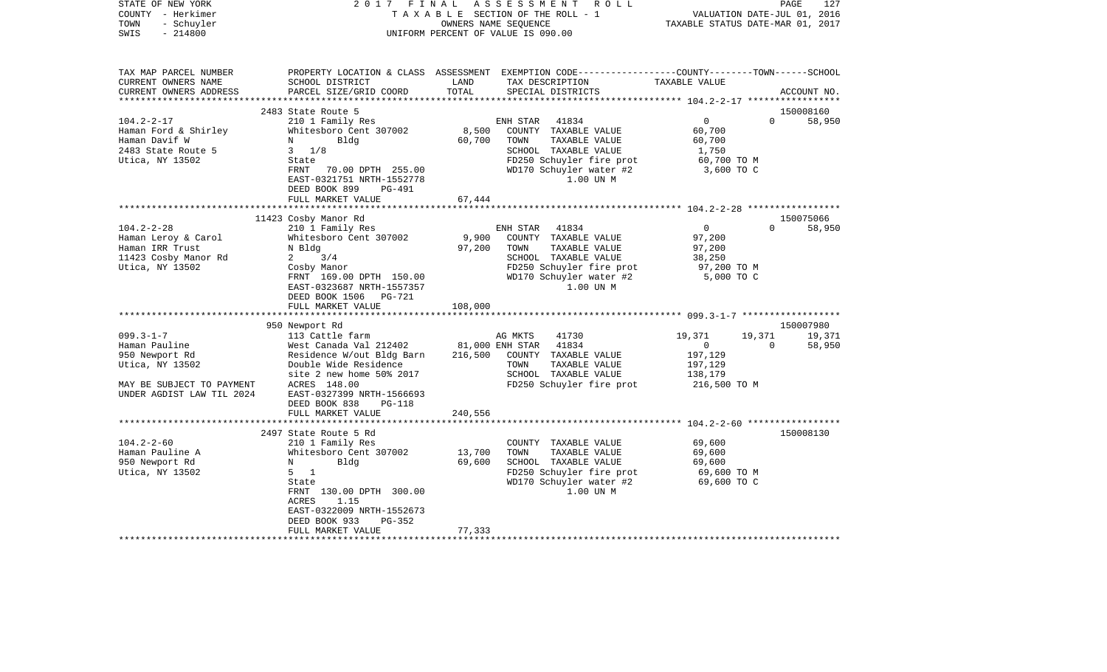| STATE OF NEW YORK<br>COUNTY - Herkimer<br>- Schuyler<br>TOWN<br>$-214800$<br>SWIS | 2017<br>FINAL                                |               | ASSESSMENT<br>R O L L<br>TAXABLE SECTION OF THE ROLL - 1<br>OWNERS NAME SEQUENCE<br>UNIFORM PERCENT OF VALUE IS 090.00                 | VALUATION DATE-JUL 01, 2016<br>TAXABLE STATUS DATE-MAR 01, 2017 | PAGE     | 127         |
|-----------------------------------------------------------------------------------|----------------------------------------------|---------------|----------------------------------------------------------------------------------------------------------------------------------------|-----------------------------------------------------------------|----------|-------------|
| TAX MAP PARCEL NUMBER<br>CURRENT OWNERS NAME<br>CURRENT OWNERS ADDRESS            | SCHOOL DISTRICT<br>PARCEL SIZE/GRID COORD    | LAND<br>TOTAL | PROPERTY LOCATION & CLASS ASSESSMENT EXEMPTION CODE---------------COUNTY-------TOWN-----SCHOOL<br>TAX DESCRIPTION<br>SPECIAL DISTRICTS | TAXABLE VALUE                                                   |          | ACCOUNT NO. |
|                                                                                   | 2483 State Route 5                           |               |                                                                                                                                        |                                                                 |          | 150008160   |
| $104.2 - 2 - 17$                                                                  | 210 1 Family Res                             |               | 41834<br>ENH STAR                                                                                                                      | $\overline{0}$                                                  | $\Omega$ | 58,950      |
| Haman Ford & Shirley                                                              | Whitesboro Cent 307002                       | 8,500         | COUNTY TAXABLE VALUE                                                                                                                   | 60,700                                                          |          |             |
| Haman Davif W                                                                     | Bldg<br>N                                    | 60,700        | TOWN<br>TAXABLE VALUE                                                                                                                  | 60,700                                                          |          |             |
| 2483 State Route 5                                                                | $3 \frac{1}{8}$                              |               | SCHOOL TAXABLE VALUE                                                                                                                   | 1,750                                                           |          |             |
| Utica, NY 13502                                                                   | State                                        |               | FD250 Schuyler fire prot                                                                                                               | 60,700 TO M                                                     |          |             |
|                                                                                   | FRNT<br>70.00 DPTH 255.00                    |               | WD170 Schuyler water #2                                                                                                                | 3,600 TO C                                                      |          |             |
|                                                                                   | EAST-0321751 NRTH-1552778                    |               | 1.00 UN M                                                                                                                              |                                                                 |          |             |
|                                                                                   | DEED BOOK 899<br>PG-491<br>FULL MARKET VALUE | 67,444        |                                                                                                                                        |                                                                 |          |             |
|                                                                                   |                                              |               |                                                                                                                                        |                                                                 |          |             |
|                                                                                   | 11423 Cosby Manor Rd                         |               |                                                                                                                                        |                                                                 |          | 150075066   |
| $104.2 - 2 - 28$                                                                  | 210 1 Family Res                             |               | ENH STAR<br>41834                                                                                                                      | $\overline{0}$                                                  | $\Omega$ | 58,950      |
| Haman Leroy & Carol                                                               | Whitesboro Cent 307002                       | 9,900         | COUNTY TAXABLE VALUE                                                                                                                   | 97,200                                                          |          |             |
| Haman IRR Trust                                                                   | N Bldg                                       | 97,200        | TAXABLE VALUE<br>TOWN                                                                                                                  | 97,200                                                          |          |             |
| 11423 Cosby Manor Rd                                                              | 3/4<br>2                                     |               | SCHOOL TAXABLE VALUE                                                                                                                   | 38,250                                                          |          |             |
| Utica, NY 13502                                                                   | Cosby Manor                                  |               | FD250 Schuyler fire prot                                                                                                               | 97,200 TO M                                                     |          |             |
|                                                                                   | FRNT 169.00 DPTH 150.00                      |               | WD170 Schuyler water #2                                                                                                                | 5,000 TO C                                                      |          |             |
|                                                                                   | EAST-0323687 NRTH-1557357                    |               | 1.00 UN M                                                                                                                              |                                                                 |          |             |
|                                                                                   | DEED BOOK 1506 PG-721                        |               |                                                                                                                                        |                                                                 |          |             |
|                                                                                   | FULL MARKET VALUE                            | 108,000       |                                                                                                                                        |                                                                 |          |             |
|                                                                                   | 950 Newport Rd                               |               |                                                                                                                                        |                                                                 |          | 150007980   |
| $099.3 - 1 - 7$                                                                   | 113 Cattle farm                              |               | AG MKTS<br>41730                                                                                                                       | 19,371                                                          | 19,371   | 19,371      |
| Haman Pauline                                                                     | West Canada Val 212402                       |               | 81,000 ENH STAR<br>41834                                                                                                               | $\overline{0}$                                                  | $\Omega$ | 58,950      |
| 950 Newport Rd                                                                    | Residence W/out Bldg Barn                    | 216,500       | COUNTY TAXABLE VALUE                                                                                                                   | 197,129                                                         |          |             |
| Utica, NY 13502                                                                   | Double Wide Residence                        |               | TOWN<br>TAXABLE VALUE                                                                                                                  | 197,129                                                         |          |             |
|                                                                                   | site 2 new home 50% 2017                     |               | SCHOOL TAXABLE VALUE                                                                                                                   | 138,179                                                         |          |             |
| MAY BE SUBJECT TO PAYMENT                                                         | ACRES 148.00                                 |               | FD250 Schuyler fire prot                                                                                                               | 216,500 TO M                                                    |          |             |
| UNDER AGDIST LAW TIL 2024                                                         | EAST-0327399 NRTH-1566693                    |               |                                                                                                                                        |                                                                 |          |             |
|                                                                                   | DEED BOOK 838<br><b>PG-118</b>               |               |                                                                                                                                        |                                                                 |          |             |
|                                                                                   | FULL MARKET VALUE                            | 240,556       |                                                                                                                                        |                                                                 |          |             |
|                                                                                   | 2497 State Route 5 Rd                        |               |                                                                                                                                        |                                                                 |          | 150008130   |
| $104.2 - 2 - 60$                                                                  | 210 1 Family Res                             |               | COUNTY TAXABLE VALUE                                                                                                                   | 69,600                                                          |          |             |
| Haman Pauline A                                                                   | Whitesboro Cent 307002                       | 13,700        | TOWN<br>TAXABLE VALUE                                                                                                                  | 69,600                                                          |          |             |
| 950 Newport Rd                                                                    | Bldg<br>N                                    | 69,600        | SCHOOL TAXABLE VALUE                                                                                                                   | 69,600                                                          |          |             |
| Utica, NY 13502                                                                   | $\overline{1}$<br>5                          |               | FD250 Schuyler fire prot                                                                                                               | 69,600 TO M                                                     |          |             |
|                                                                                   | State                                        |               | WD170 Schuyler water #2                                                                                                                | 69,600 TO C                                                     |          |             |
|                                                                                   | FRNT 130.00 DPTH 300.00                      |               | 1.00 UN M                                                                                                                              |                                                                 |          |             |
|                                                                                   | 1.15<br>ACRES                                |               |                                                                                                                                        |                                                                 |          |             |
|                                                                                   | EAST-0322009 NRTH-1552673                    |               |                                                                                                                                        |                                                                 |          |             |
|                                                                                   | DEED BOOK 933<br>PG-352                      |               |                                                                                                                                        |                                                                 |          |             |
|                                                                                   | FULL MARKET VALUE                            | 77,333        |                                                                                                                                        |                                                                 |          |             |
|                                                                                   |                                              |               |                                                                                                                                        |                                                                 |          |             |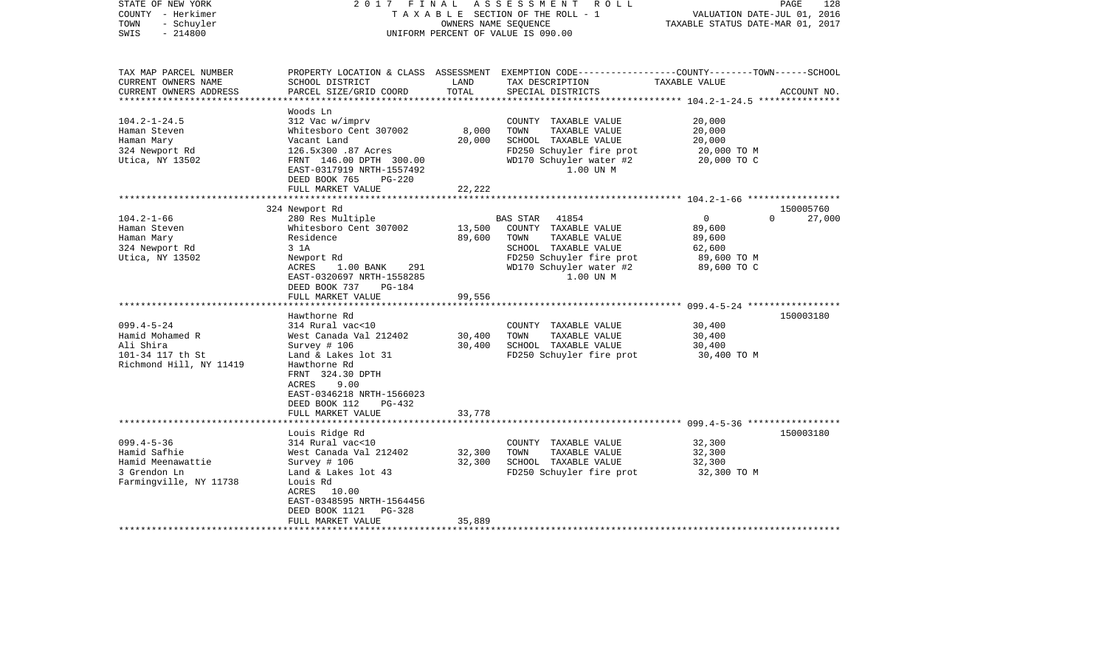| STATE OF NEW YORK<br>COUNTY - Herkimer<br>- Schuyler<br>TOWN<br>$-214800$<br>SWIS                                                                                                      | FINAL<br>2017                                                                                                                                                                                                                                                                                                                                                                                                                                                                | OWNERS NAME SEQUENCE                                     | ASSESSMENT<br>R O L L<br>T A X A B L E SECTION OF THE ROLL - 1<br>UNIFORM PERCENT OF VALUE IS 090.00                                                                                                                                                                | VALUATION DATE-JUL 01, 2016<br>TAXABLE STATUS DATE-MAR 01, 2017                                                         | PAGE<br>128                                  |
|----------------------------------------------------------------------------------------------------------------------------------------------------------------------------------------|------------------------------------------------------------------------------------------------------------------------------------------------------------------------------------------------------------------------------------------------------------------------------------------------------------------------------------------------------------------------------------------------------------------------------------------------------------------------------|----------------------------------------------------------|---------------------------------------------------------------------------------------------------------------------------------------------------------------------------------------------------------------------------------------------------------------------|-------------------------------------------------------------------------------------------------------------------------|----------------------------------------------|
| TAX MAP PARCEL NUMBER<br>CURRENT OWNERS NAME<br>CURRENT OWNERS ADDRESS                                                                                                                 | SCHOOL DISTRICT<br>PARCEL SIZE/GRID COORD                                                                                                                                                                                                                                                                                                                                                                                                                                    | LAND<br>TOTAL                                            | PROPERTY LOCATION & CLASS ASSESSMENT EXEMPTION CODE---------------COUNTY-------TOWN------SCHOOL<br>TAX DESCRIPTION<br>SPECIAL DISTRICTS                                                                                                                             | TAXABLE VALUE                                                                                                           | ACCOUNT NO.                                  |
| **********************                                                                                                                                                                 |                                                                                                                                                                                                                                                                                                                                                                                                                                                                              |                                                          |                                                                                                                                                                                                                                                                     |                                                                                                                         |                                              |
| $104.2 - 1 - 24.5$<br>Haman Steven<br>Haman Mary<br>324 Newport Rd<br>Utica, NY 13502                                                                                                  | Woods Ln<br>312 Vac w/imprv<br>Whitesboro Cent 307002<br>Vacant Land<br>126.5x300 .87 Acres<br>FRNT 146.00 DPTH 300.00<br>EAST-0317919 NRTH-1557492<br>DEED BOOK 765<br><b>PG-220</b>                                                                                                                                                                                                                                                                                        | 8,000<br>20,000                                          | COUNTY TAXABLE VALUE<br>TOWN<br>TAXABLE VALUE<br>SCHOOL TAXABLE VALUE<br>FD250 Schuyler fire prot<br>WD170 Schuyler water #2<br>1.00 UN M                                                                                                                           | 20,000<br>20,000<br>20,000<br>20,000 TO M<br>20,000 TO C                                                                |                                              |
|                                                                                                                                                                                        | FULL MARKET VALUE                                                                                                                                                                                                                                                                                                                                                                                                                                                            | 22,222                                                   |                                                                                                                                                                                                                                                                     |                                                                                                                         |                                              |
|                                                                                                                                                                                        |                                                                                                                                                                                                                                                                                                                                                                                                                                                                              |                                                          |                                                                                                                                                                                                                                                                     |                                                                                                                         |                                              |
| $104.2 - 1 - 66$<br>Haman Steven<br>Haman Mary<br>324 Newport Rd<br>Utica, NY 13502<br>$099.4 - 5 - 24$<br>Hamid Mohamed R<br>Ali Shira<br>101-34 117 th St<br>Richmond Hill, NY 11419 | 324 Newport Rd<br>280 Res Multiple<br>Whitesboro Cent 307002<br>Residence<br>3 1A<br>Newport Rd<br>ACRES<br>$1.00$ BANK<br>291<br>EAST-0320697 NRTH-1558285<br>DEED BOOK 737<br>PG-184<br>FULL MARKET VALUE<br>**********************<br>Hawthorne Rd<br>314 Rural vac<10<br>West Canada Val 212402<br>Survey # 106<br>Land & Lakes lot 31<br>Hawthorne Rd<br>FRNT 324.30 DPTH<br>ACRES<br>9.00<br>EAST-0346218 NRTH-1566023<br>DEED BOOK 112<br>PG-432<br>FULL MARKET VALUE | 13,500<br>89,600<br>99,556<br>30,400<br>30,400<br>33,778 | BAS STAR<br>41854<br>COUNTY TAXABLE VALUE<br>TAXABLE VALUE<br>TOWN<br>SCHOOL TAXABLE VALUE<br>FD250 Schuyler fire prot<br>WD170 Schuyler water #2<br>1.00 UN M<br>COUNTY TAXABLE VALUE<br>TAXABLE VALUE<br>TOWN<br>SCHOOL TAXABLE VALUE<br>FD250 Schuyler fire prot | $\overline{0}$<br>89,600<br>89,600<br>62,600<br>89,600 TO M<br>89,600 TO C<br>30,400<br>30,400<br>30,400<br>30,400 TO M | 150005760<br>$\Omega$<br>27,000<br>150003180 |
|                                                                                                                                                                                        |                                                                                                                                                                                                                                                                                                                                                                                                                                                                              |                                                          |                                                                                                                                                                                                                                                                     |                                                                                                                         |                                              |
| $099.4 - 5 - 36$<br>Hamid Safhie<br>Hamid Meenawattie<br>3 Grendon Ln<br>Farmingville, NY 11738                                                                                        | Louis Ridge Rd<br>314 Rural vac<10<br>West Canada Val 212402<br>Survey # 106<br>Land & Lakes lot 43<br>Louis Rd<br>ACRES<br>10.00<br>EAST-0348595 NRTH-1564456<br>DEED BOOK 1121<br><b>PG-328</b>                                                                                                                                                                                                                                                                            | 32,300<br>32,300                                         | COUNTY TAXABLE VALUE<br>TOWN<br>TAXABLE VALUE<br>SCHOOL TAXABLE VALUE<br>FD250 Schuyler fire prot                                                                                                                                                                   | 32,300<br>32,300<br>32,300<br>32,300 TO M                                                                               | 150003180                                    |
|                                                                                                                                                                                        | FULL MARKET VALUE<br>********************                                                                                                                                                                                                                                                                                                                                                                                                                                    | 35,889                                                   |                                                                                                                                                                                                                                                                     |                                                                                                                         |                                              |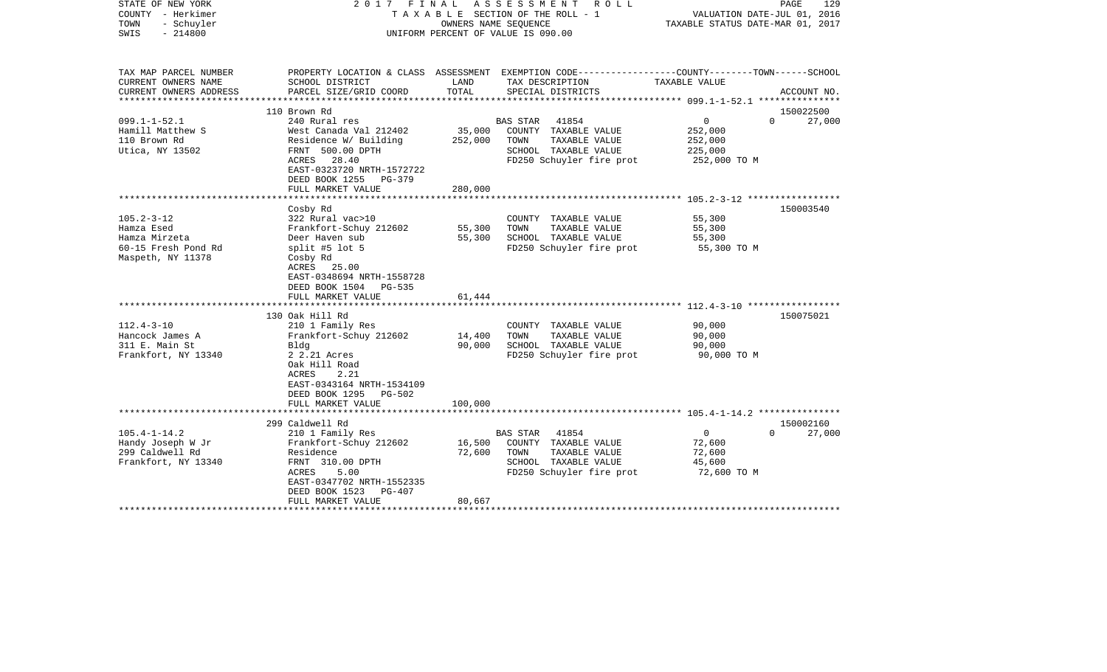| STATE OF NEW YORK<br>COUNTY - Herkimer<br>TOWN<br>- Schuyler<br>$-214800$<br>SWIS |                                                       | OWNERS NAME SEQUENCE | 2017 FINAL ASSESSMENT<br>R O L L<br>TAXABLE SECTION OF THE ROLL - 1<br>UNIFORM PERCENT OF VALUE IS 090.00          | VALUATION DATE-JUL 01, 2016<br>TAXABLE STATUS DATE-MAR 01, 2017 | PAGE<br>129        |
|-----------------------------------------------------------------------------------|-------------------------------------------------------|----------------------|--------------------------------------------------------------------------------------------------------------------|-----------------------------------------------------------------|--------------------|
| TAX MAP PARCEL NUMBER<br>CURRENT OWNERS NAME                                      | SCHOOL DISTRICT                                       | LAND                 | PROPERTY LOCATION & CLASS ASSESSMENT EXEMPTION CODE---------------COUNTY-------TOWN------SCHOOL<br>TAX DESCRIPTION | TAXABLE VALUE                                                   |                    |
| CURRENT OWNERS ADDRESS                                                            | PARCEL SIZE/GRID COORD                                | TOTAL                | SPECIAL DISTRICTS                                                                                                  |                                                                 | ACCOUNT NO.        |
| *********************                                                             |                                                       |                      |                                                                                                                    |                                                                 |                    |
|                                                                                   | 110 Brown Rd                                          |                      |                                                                                                                    |                                                                 | 150022500          |
| $099.1 - 1 - 52.1$                                                                | 240 Rural res                                         |                      | <b>BAS STAR</b><br>41854                                                                                           | $\overline{0}$                                                  | $\Omega$<br>27,000 |
| Hamill Matthew S<br>110 Brown Rd                                                  | West Canada Val 212402                                | 35,000               | COUNTY TAXABLE VALUE<br>TOWN<br>TAXABLE VALUE                                                                      | 252,000                                                         |                    |
| Utica, NY 13502                                                                   | Residence W/ Building<br>FRNT 500.00 DPTH             | 252,000              | SCHOOL TAXABLE VALUE                                                                                               | 252,000<br>225,000                                              |                    |
|                                                                                   | ACRES<br>28.40                                        |                      | FD250 Schuyler fire prot                                                                                           | 252,000 TO M                                                    |                    |
|                                                                                   | EAST-0323720 NRTH-1572722<br>DEED BOOK 1255<br>PG-379 |                      |                                                                                                                    |                                                                 |                    |
|                                                                                   | FULL MARKET VALUE                                     | 280,000              |                                                                                                                    |                                                                 |                    |
|                                                                                   | Cosby Rd                                              |                      |                                                                                                                    |                                                                 | 150003540          |
| $105.2 - 3 - 12$                                                                  | 322 Rural vac>10                                      |                      | COUNTY TAXABLE VALUE                                                                                               | 55,300                                                          |                    |
| Hamza Esed                                                                        | Frankfort-Schuy 212602                                | 55,300               | TOWN<br>TAXABLE VALUE                                                                                              | 55,300                                                          |                    |
| Hamza Mirzeta                                                                     | Deer Haven sub                                        | 55,300               | SCHOOL TAXABLE VALUE                                                                                               | 55,300                                                          |                    |
| 60-15 Fresh Pond Rd                                                               | split #5 lot $5$                                      |                      | FD250 Schuyler fire prot                                                                                           | 55,300 TO M                                                     |                    |
| Maspeth, NY 11378                                                                 | Cosby Rd                                              |                      |                                                                                                                    |                                                                 |                    |
|                                                                                   | ACRES 25.00                                           |                      |                                                                                                                    |                                                                 |                    |
|                                                                                   | EAST-0348694 NRTH-1558728                             |                      |                                                                                                                    |                                                                 |                    |
|                                                                                   | DEED BOOK 1504<br>PG-535<br>FULL MARKET VALUE         |                      |                                                                                                                    |                                                                 |                    |
|                                                                                   |                                                       | 61,444               |                                                                                                                    |                                                                 |                    |
|                                                                                   | 130 Oak Hill Rd                                       |                      |                                                                                                                    |                                                                 | 150075021          |
| $112.4 - 3 - 10$                                                                  | 210 1 Family Res                                      |                      | COUNTY TAXABLE VALUE                                                                                               | 90,000                                                          |                    |
| Hancock James A                                                                   | Frankfort-Schuy 212602                                | 14,400               | TOWN<br>TAXABLE VALUE                                                                                              | 90,000                                                          |                    |
| 311 E. Main St                                                                    | Bldg                                                  | 90,000               | SCHOOL TAXABLE VALUE                                                                                               | 90,000                                                          |                    |
| Frankfort, NY 13340                                                               | 2 2.21 Acres                                          |                      | FD250 Schuyler fire prot                                                                                           | 90,000 TO M                                                     |                    |
|                                                                                   | Oak Hill Road                                         |                      |                                                                                                                    |                                                                 |                    |
|                                                                                   | ACRES<br>2.21                                         |                      |                                                                                                                    |                                                                 |                    |
|                                                                                   | EAST-0343164 NRTH-1534109                             |                      |                                                                                                                    |                                                                 |                    |
|                                                                                   | DEED BOOK 1295<br>PG-502<br>FULL MARKET VALUE         | 100,000              |                                                                                                                    |                                                                 |                    |
|                                                                                   |                                                       |                      |                                                                                                                    |                                                                 |                    |
|                                                                                   | 299 Caldwell Rd                                       |                      |                                                                                                                    |                                                                 | 150002160          |
| $105.4 - 1 - 14.2$                                                                | 210 1 Family Res                                      |                      | <b>BAS STAR</b><br>41854                                                                                           | $\mathbf{0}$                                                    | $\Omega$<br>27,000 |
| Handy Joseph W Jr                                                                 | Frankfort-Schuy 212602                                | 16,500               | COUNTY TAXABLE VALUE                                                                                               | 72,600                                                          |                    |
| 299 Caldwell Rd                                                                   | Residence                                             | 72,600               | TOWN<br>TAXABLE VALUE                                                                                              | 72,600                                                          |                    |
| Frankfort, NY 13340                                                               | FRNT 310.00 DPTH                                      |                      | SCHOOL TAXABLE VALUE                                                                                               | 45,600                                                          |                    |
|                                                                                   | ACRES<br>5.00                                         |                      | FD250 Schuyler fire prot                                                                                           | 72,600 TO M                                                     |                    |
|                                                                                   | EAST-0347702 NRTH-1552335<br>DEED BOOK 1523<br>PG-407 |                      |                                                                                                                    |                                                                 |                    |
|                                                                                   | FULL MARKET VALUE                                     | 80,667               |                                                                                                                    |                                                                 |                    |
|                                                                                   |                                                       |                      |                                                                                                                    |                                                                 |                    |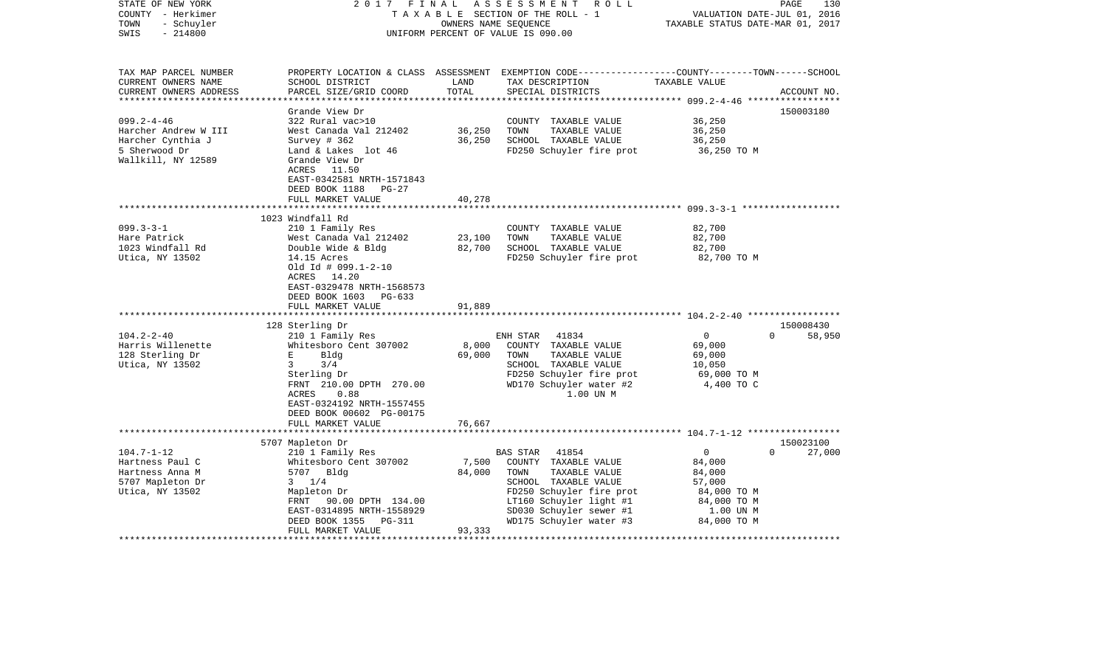| STATE OF NEW YORK<br>COUNTY - Herkimer<br>- Schuyler<br>TOWN<br>SWIS<br>$-214800$                               | 2017<br>FINAL                                                                                                                                                                                                                                                                            | OWNERS NAME SEQUENCE                | ASSESSMENT ROLL<br>TAXABLE SECTION OF THE ROLL - 1<br>UNIFORM PERCENT OF VALUE IS 090.00                                                                                                                | VALUATION DATE-JUL 01, 2016<br>TAXABLE STATUS DATE-MAR 01, 2017                           | 130<br>PAGE                     |
|-----------------------------------------------------------------------------------------------------------------|------------------------------------------------------------------------------------------------------------------------------------------------------------------------------------------------------------------------------------------------------------------------------------------|-------------------------------------|---------------------------------------------------------------------------------------------------------------------------------------------------------------------------------------------------------|-------------------------------------------------------------------------------------------|---------------------------------|
| TAX MAP PARCEL NUMBER<br>CURRENT OWNERS NAME<br>CURRENT OWNERS ADDRESS                                          | SCHOOL DISTRICT<br>PARCEL SIZE/GRID COORD                                                                                                                                                                                                                                                | LAND<br>TOTAL                       | PROPERTY LOCATION & CLASS ASSESSMENT EXEMPTION CODE---------------COUNTY-------TOWN------SCHOOL<br>TAX DESCRIPTION<br>SPECIAL DISTRICTS                                                                 | TAXABLE VALUE                                                                             | ACCOUNT NO.                     |
| ***********************                                                                                         |                                                                                                                                                                                                                                                                                          |                                     |                                                                                                                                                                                                         |                                                                                           |                                 |
| $099.2 - 4 - 46$                                                                                                | Grande View Dr<br>322 Rural vac>10                                                                                                                                                                                                                                                       |                                     | COUNTY TAXABLE VALUE                                                                                                                                                                                    | 36,250                                                                                    | 150003180                       |
| Harcher Andrew W III                                                                                            | West Canada Val 212402                                                                                                                                                                                                                                                                   | 36,250                              | TOWN<br>TAXABLE VALUE                                                                                                                                                                                   | 36,250                                                                                    |                                 |
| Harcher Cynthia J                                                                                               | Survey $# 362$                                                                                                                                                                                                                                                                           | 36,250                              | SCHOOL TAXABLE VALUE                                                                                                                                                                                    | 36,250                                                                                    |                                 |
| 5 Sherwood Dr<br>Wallkill, NY 12589                                                                             | Land & Lakes lot 46<br>Grande View Dr<br>ACRES 11.50<br>EAST-0342581 NRTH-1571843<br>DEED BOOK 1188<br>$PG-27$                                                                                                                                                                           |                                     | FD250 Schuyler fire prot                                                                                                                                                                                | 36,250 TO M                                                                               |                                 |
|                                                                                                                 | FULL MARKET VALUE                                                                                                                                                                                                                                                                        | 40,278                              |                                                                                                                                                                                                         |                                                                                           |                                 |
|                                                                                                                 |                                                                                                                                                                                                                                                                                          | ************                        |                                                                                                                                                                                                         |                                                                                           |                                 |
| $099.3 - 3 - 1$<br>Hare Patrick<br>1023 Windfall Rd<br>Utica, NY 13502<br>$104.2 - 2 - 40$<br>Harris Willenette | 1023 Windfall Rd<br>210 1 Family Res<br>West Canada Val 212402<br>Double Wide & Bldg<br>14.15 Acres<br>Old Id # 099.1-2-10<br>ACRES 14.20<br>EAST-0329478 NRTH-1568573<br>DEED BOOK 1603<br>PG-633<br>FULL MARKET VALUE<br>128 Sterling Dr<br>210 1 Family Res<br>Whitesboro Cent 307002 | 23,100<br>82,700<br>91,889<br>8,000 | COUNTY TAXABLE VALUE<br>TOWN<br>TAXABLE VALUE<br>SCHOOL TAXABLE VALUE<br>FD250 Schuyler fire prot<br>ENH STAR<br>41834<br>COUNTY TAXABLE VALUE                                                          | 82,700<br>82,700<br>82,700<br>82,700 TO M<br>$\mathbf{0}$<br>69,000                       | 150008430<br>$\Omega$<br>58,950 |
| 128 Sterling Dr<br>Utica, NY 13502                                                                              | E<br>Bldg<br>$\mathbf{3}$<br>3/4<br>Sterling Dr<br>FRNT 210.00 DPTH 270.00<br>0.88<br>ACRES<br>EAST-0324192 NRTH-1557455<br>DEED BOOK 00602 PG-00175<br>FULL MARKET VALUE                                                                                                                | 69,000<br>76,667                    | TAXABLE VALUE<br>TOWN<br>SCHOOL TAXABLE VALUE<br>FD250 Schuyler fire prot<br>WD170 Schuyler water #2<br>1.00 UN M                                                                                       | 69,000<br>10,050<br>69,000 TO M<br>4,400 TO C                                             |                                 |
|                                                                                                                 | *************************                                                                                                                                                                                                                                                                |                                     |                                                                                                                                                                                                         |                                                                                           |                                 |
| $104.7 - 1 - 12$<br>Hartness Paul C<br>Hartness Anna M<br>5707 Mapleton Dr<br>Utica, NY 13502                   | 5707 Mapleton Dr<br>210 1 Family Res<br>Whitesboro Cent 307002<br>5707 Bldg<br>$3 \t1/4$<br>Mapleton Dr<br>FRNT 90.00 DPTH 134.00<br>EAST-0314895 NRTH-1558929<br>DEED BOOK 1355<br>PG-311<br>FULL MARKET VALUE                                                                          | 7,500<br>84,000<br>93,333           | BAS STAR<br>41854<br>COUNTY TAXABLE VALUE<br>TOWN<br>TAXABLE VALUE<br>SCHOOL TAXABLE VALUE<br>FD250 Schuyler fire prot<br>LT160 Schuyler light #1<br>SD030 Schuyler sewer #1<br>WD175 Schuyler water #3 | 0<br>84,000<br>84,000<br>57,000<br>84,000 TO M<br>84,000 TO M<br>1.00 UN M<br>84,000 TO M | 150023100<br>$\Omega$<br>27,000 |
|                                                                                                                 |                                                                                                                                                                                                                                                                                          |                                     |                                                                                                                                                                                                         |                                                                                           |                                 |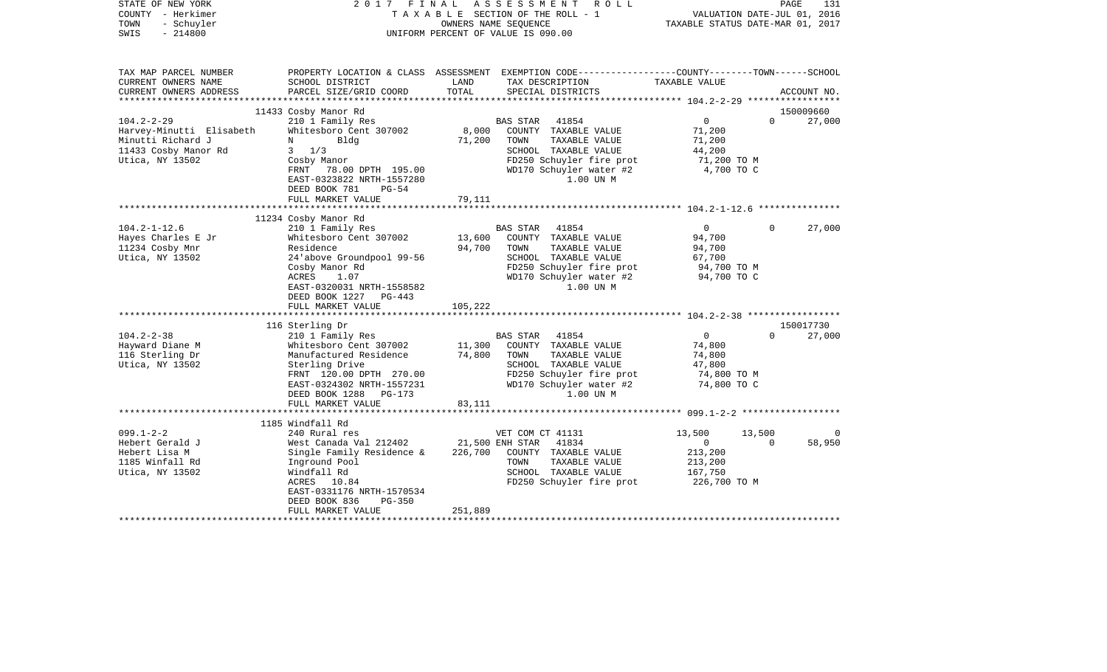| STATE OF NEW YORK<br>COUNTY - Herkimer<br>TOWN<br>- Schuyler<br>$-214800$<br>SWIS                                                                           | 2017 FINAL                                                                                                                                                                                                                                                                                                                                                         |                                                 | ASSESSMENT<br>R O L L<br>TAXABLE SECTION OF THE ROLL - 1<br>OWNERS NAME SEQUENCE<br>UNIFORM PERCENT OF VALUE IS 090.00                                                                                                                                                                   | VALUATION DATE-JUL 01, 2016<br>TAXABLE STATUS DATE-MAR 01, 2017                                                                         | PAGE                 | 131                           |
|-------------------------------------------------------------------------------------------------------------------------------------------------------------|--------------------------------------------------------------------------------------------------------------------------------------------------------------------------------------------------------------------------------------------------------------------------------------------------------------------------------------------------------------------|-------------------------------------------------|------------------------------------------------------------------------------------------------------------------------------------------------------------------------------------------------------------------------------------------------------------------------------------------|-----------------------------------------------------------------------------------------------------------------------------------------|----------------------|-------------------------------|
| TAX MAP PARCEL NUMBER<br>CURRENT OWNERS NAME<br>CURRENT OWNERS ADDRESS                                                                                      | SCHOOL DISTRICT<br>PARCEL SIZE/GRID COORD                                                                                                                                                                                                                                                                                                                          | LAND<br>TOTAL                                   | PROPERTY LOCATION & CLASS ASSESSMENT EXEMPTION CODE----------------COUNTY-------TOWN------SCHOOL<br>TAX DESCRIPTION<br>SPECIAL DISTRICTS                                                                                                                                                 | TAXABLE VALUE                                                                                                                           |                      | ACCOUNT NO.                   |
|                                                                                                                                                             |                                                                                                                                                                                                                                                                                                                                                                    |                                                 |                                                                                                                                                                                                                                                                                          |                                                                                                                                         |                      |                               |
| $104.2 - 2 - 29$<br>Harvey-Minutti Elisabeth<br>Minutti Richard J<br>11433 Cosby Manor Rd<br>Utica, NY 13502                                                | 11433 Cosby Manor Rd<br>210 1 Family Res<br>Whitesboro Cent 307002<br>Bldg<br>N<br>$3 \t1/3$<br>Cosby Manor<br>FRNT 78.00 DPTH 195.00<br>EAST-0323822 NRTH-1557280<br>DEED BOOK 781<br>$PG-54$                                                                                                                                                                     | 8,000<br>71,200                                 | <b>BAS STAR</b><br>41854<br>COUNTY TAXABLE VALUE<br>TOWN<br>TAXABLE VALUE<br>SCHOOL TAXABLE VALUE<br>FD250 Schuyler fire prot<br>WD170 Schuyler water #2<br>1.00 UN M                                                                                                                    | $\overline{0}$<br>71,200<br>71,200<br>44,200<br>71,200 TO M<br>4,700 TO C                                                               | $\Omega$             | 150009660<br>27,000           |
|                                                                                                                                                             | FULL MARKET VALUE                                                                                                                                                                                                                                                                                                                                                  | 79,111                                          |                                                                                                                                                                                                                                                                                          |                                                                                                                                         |                      |                               |
|                                                                                                                                                             | ***************************                                                                                                                                                                                                                                                                                                                                        |                                                 |                                                                                                                                                                                                                                                                                          |                                                                                                                                         |                      |                               |
| $104.2 - 1 - 12.6$<br>Hayes Charles E Jr<br>11234 Cosby Mnr<br>Utica, NY 13502<br>$104.2 - 2 - 38$<br>Hayward Diane M<br>116 Sterling Dr<br>Utica, NY 13502 | 11234 Cosby Manor Rd<br>210 1 Family Res<br>Whitesboro Cent 307002<br>Residence<br>24 above Groundpool 99-56<br>Cosby Manor Rd<br>ACRES<br>1.07<br>EAST-0320031 NRTH-1558582<br>DEED BOOK 1227 PG-443<br>FULL MARKET VALUE<br>116 Sterling Dr<br>210 1 Family Res<br>Whitesboro Cent 307002<br>Manufactured Residence<br>Sterling Drive<br>FRNT 120.00 DPTH 270.00 | 13,600<br>94,700<br>105,222<br>11,300<br>74,800 | 41854<br>BAS STAR<br>COUNTY TAXABLE VALUE<br>TOWN<br>TAXABLE VALUE<br>SCHOOL TAXABLE VALUE<br>FD250 Schuyler fire prot<br>WD170 Schuyler water #2<br>1.00 UN M<br>BAS STAR<br>41854<br>COUNTY TAXABLE VALUE<br>TOWN<br>TAXABLE VALUE<br>SCHOOL TAXABLE VALUE<br>FD250 Schuyler fire prot | $\overline{0}$<br>94,700<br>94,700<br>67,700<br>94,700 TO M<br>94,700 TO C<br>$\mathsf{O}$<br>74,800<br>74,800<br>47,800<br>74,800 TO M | $\Omega$<br>$\Omega$ | 27,000<br>150017730<br>27,000 |
|                                                                                                                                                             | EAST-0324302 NRTH-1557231<br>DEED BOOK 1288<br>PG-173<br>FULL MARKET VALUE                                                                                                                                                                                                                                                                                         | 83,111                                          | WD170 Schuyler water #2<br>1.00 UN M                                                                                                                                                                                                                                                     | 74,800 TO C                                                                                                                             |                      |                               |
|                                                                                                                                                             |                                                                                                                                                                                                                                                                                                                                                                    |                                                 |                                                                                                                                                                                                                                                                                          |                                                                                                                                         |                      |                               |
| $099.1 - 2 - 2$<br>Hebert Gerald J<br>Hebert Lisa M<br>1185 Winfall Rd<br>Utica, NY 13502                                                                   | 1185 Windfall Rd<br>240 Rural res<br>West Canada Val 212402<br>Single Family Residence &<br>Inground Pool<br>Windfall Rd<br>10.84<br>ACRES<br>EAST-0331176 NRTH-1570534<br>DEED BOOK 836<br>$PG-350$<br>FULL MARKET VALUE                                                                                                                                          | 226,700<br>251,889                              | VET COM CT 41131<br>21,500 ENH STAR<br>41834<br>COUNTY TAXABLE VALUE<br>TAXABLE VALUE<br>TOWN<br>SCHOOL TAXABLE VALUE<br>FD250 Schuyler fire prot                                                                                                                                        | 13,500<br>$\mathbf{0}$<br>213,200<br>213,200<br>167,750<br>226,700 ТО М                                                                 | 13,500<br>$\Omega$   | $\Omega$<br>58,950            |
|                                                                                                                                                             |                                                                                                                                                                                                                                                                                                                                                                    |                                                 |                                                                                                                                                                                                                                                                                          |                                                                                                                                         |                      |                               |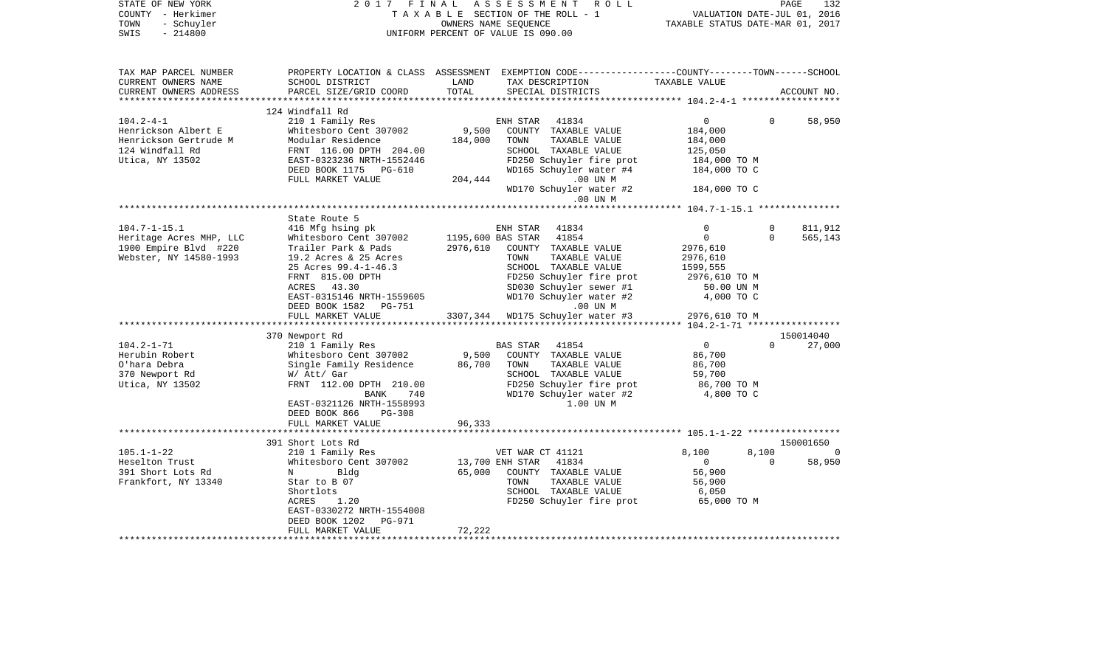| PROPERTY LOCATION & CLASS ASSESSMENT EXEMPTION CODE----------------COUNTY-------TOWN------SCHOOL<br>TAX MAP PARCEL NUMBER<br>TAX DESCRIPTION<br>CURRENT OWNERS NAME<br>SCHOOL DISTRICT<br>LAND<br>TAXABLE VALUE<br>TOTAL<br>CURRENT OWNERS ADDRESS<br>PARCEL SIZE/GRID COORD<br>SPECIAL DISTRICTS<br>ACCOUNT NO.<br>124 Windfall Rd<br>$104.2 - 4 - 1$<br>ENH STAR 41834<br>58,950<br>210 1 Family Res<br>$\overline{0}$<br>$\Omega$<br>Henrickson Albert E<br>Whitesboro Cent 307002<br>9,500<br>COUNTY TAXABLE VALUE<br>184,000<br>Henrickson Gertrude M<br>Modular Residence<br>184,000<br>TOWN<br>TAXABLE VALUE<br>184,000<br>124 Windfall Rd<br>FRNT 116.00 DPTH 204.00<br>SCHOOL TAXABLE VALUE<br>125,050<br>Utica, NY 13502<br>EAST-0323236 NRTH-1552446<br>FD250 Schuyler fire prot<br>184,000 TO M<br>WD165 Schuyler water #4<br>DEED BOOK 1175 PG-610<br>184,000 TO C<br>FULL MARKET VALUE<br>204,444<br>.00 UN M<br>WD170 Schuyler water #2<br>184,000 TO C<br>.00 UN M<br>********* 104.7-1-15.1 ****************<br>State Route 5<br>$104.7 - 1 - 15.1$<br>416 Mfg hsing pk<br>ENH STAR 41834<br>$\Omega$<br>$\mathbf{0}$<br>811,912<br>Heritage Acres MHP, LLC<br>Whitesboro Cent 307002<br>1195,600 BAS STAR 41854<br>$\mathsf{O}$<br>$\Omega$<br>565,143<br>1900 Empire Blvd #220<br>Trailer Park & Pads<br>2976,610<br>COUNTY TAXABLE VALUE<br>2976,610<br>Webster, NY 14580-1993<br>19.2 Acres & 25 Acres<br>TOWN<br>TAXABLE VALUE<br>2976,610<br>SCHOOL TAXABLE VALUE<br>25 Acres 99.4-1-46.3<br>1599,555<br>FRNT 815.00 DPTH<br>FD250 Schuyler fire prot<br>2976,610 ТО М<br>ACRES 43.30<br>SD030 Schuyler sewer #1<br>50.00 UN M<br>WD170 Schuyler water #2<br>4,000 TO C<br>EAST-0315146 NRTH-1559605<br>DEED BOOK 1582 PG-751<br>.00 UN M<br>2976,610 TO M<br>3307,344 WD175 Schuyler water #3<br>FULL MARKET VALUE<br>370 Newport Rd<br>150014040<br>$104.2 - 1 - 71$<br>41854<br>$\overline{0}$<br>$\Omega$<br>27,000<br>210 1 Family Res<br>BAS STAR<br>Herubin Robert<br>9,500<br>COUNTY TAXABLE VALUE<br>Whitesboro Cent 307002<br>86,700<br>O'hara Debra<br>Single Family Residence<br>86,700<br>TOWN<br>TAXABLE VALUE<br>86,700<br>370 Newport Rd<br>SCHOOL TAXABLE VALUE<br>W/ Att/ Gar<br>59,700<br>FD250 Schuyler fire prot<br>Utica, NY 13502<br>FRNT 112.00 DPTH 210.00<br>86,700 TO M<br>WD170 Schuyler water #2<br>4,800 TO C<br>740<br>BANK<br>EAST-0321126 NRTH-1558993<br>1.00 UN M<br>DEED BOOK 866<br>$PG-308$<br>96,333<br>FULL MARKET VALUE<br>391 Short Lots Rd<br>150001650<br>210 1 Family Res<br>$105.1 - 1 - 22$<br>8,100<br>VET WAR CT 41121<br>8,100<br>$\overline{0}$<br>Heselton Trust<br>Whitesboro Cent 307002<br>13,700 ENH STAR 41834<br>$\overline{0}$<br>$\Omega$<br>58,950<br>391 Short Lots Rd<br>65,000<br>COUNTY TAXABLE VALUE<br>56,900<br>$N$ and $N$<br>Bldg<br>Frankfort, NY 13340<br>TAXABLE VALUE<br>Star to B 07<br>TOWN<br>56,900<br>Shortlots<br>SCHOOL TAXABLE VALUE<br>6,050<br>1.20<br>FD250 Schuyler fire prot<br>65,000 TO M<br>ACRES<br>EAST-0330272 NRTH-1554008<br>DEED BOOK 1202<br>PG-971<br>72,222<br>FULL MARKET VALUE | STATE OF NEW YORK<br>COUNTY - Herkimer<br>TOWN<br>- Schuyler<br>$-214800$<br>SWIS | 2017 FINAL | ASSESSMENT ROLL<br>TAXABLE SECTION OF THE ROLL - 1<br>OWNERS NAME SEQUENCE<br>UNIFORM PERCENT OF VALUE IS 090.00 | VALUATION DATE-JUL 01, 2016<br>TAXABLE STATUS DATE-MAR 01, 2017 | PAGE<br>132 |
|------------------------------------------------------------------------------------------------------------------------------------------------------------------------------------------------------------------------------------------------------------------------------------------------------------------------------------------------------------------------------------------------------------------------------------------------------------------------------------------------------------------------------------------------------------------------------------------------------------------------------------------------------------------------------------------------------------------------------------------------------------------------------------------------------------------------------------------------------------------------------------------------------------------------------------------------------------------------------------------------------------------------------------------------------------------------------------------------------------------------------------------------------------------------------------------------------------------------------------------------------------------------------------------------------------------------------------------------------------------------------------------------------------------------------------------------------------------------------------------------------------------------------------------------------------------------------------------------------------------------------------------------------------------------------------------------------------------------------------------------------------------------------------------------------------------------------------------------------------------------------------------------------------------------------------------------------------------------------------------------------------------------------------------------------------------------------------------------------------------------------------------------------------------------------------------------------------------------------------------------------------------------------------------------------------------------------------------------------------------------------------------------------------------------------------------------------------------------------------------------------------------------------------------------------------------------------------------------------------------------------------------------------------------------------------------------------------------------------------------------------------------------------------------------------------------------------------------------------------------------------------------------------------------------------------------------------------------------------------------------------------------------------------------------------------------------------------------------------------|-----------------------------------------------------------------------------------|------------|------------------------------------------------------------------------------------------------------------------|-----------------------------------------------------------------|-------------|
|                                                                                                                                                                                                                                                                                                                                                                                                                                                                                                                                                                                                                                                                                                                                                                                                                                                                                                                                                                                                                                                                                                                                                                                                                                                                                                                                                                                                                                                                                                                                                                                                                                                                                                                                                                                                                                                                                                                                                                                                                                                                                                                                                                                                                                                                                                                                                                                                                                                                                                                                                                                                                                                                                                                                                                                                                                                                                                                                                                                                                                                                                                            |                                                                                   |            |                                                                                                                  |                                                                 |             |
|                                                                                                                                                                                                                                                                                                                                                                                                                                                                                                                                                                                                                                                                                                                                                                                                                                                                                                                                                                                                                                                                                                                                                                                                                                                                                                                                                                                                                                                                                                                                                                                                                                                                                                                                                                                                                                                                                                                                                                                                                                                                                                                                                                                                                                                                                                                                                                                                                                                                                                                                                                                                                                                                                                                                                                                                                                                                                                                                                                                                                                                                                                            |                                                                                   |            |                                                                                                                  |                                                                 |             |
|                                                                                                                                                                                                                                                                                                                                                                                                                                                                                                                                                                                                                                                                                                                                                                                                                                                                                                                                                                                                                                                                                                                                                                                                                                                                                                                                                                                                                                                                                                                                                                                                                                                                                                                                                                                                                                                                                                                                                                                                                                                                                                                                                                                                                                                                                                                                                                                                                                                                                                                                                                                                                                                                                                                                                                                                                                                                                                                                                                                                                                                                                                            |                                                                                   |            |                                                                                                                  |                                                                 |             |
|                                                                                                                                                                                                                                                                                                                                                                                                                                                                                                                                                                                                                                                                                                                                                                                                                                                                                                                                                                                                                                                                                                                                                                                                                                                                                                                                                                                                                                                                                                                                                                                                                                                                                                                                                                                                                                                                                                                                                                                                                                                                                                                                                                                                                                                                                                                                                                                                                                                                                                                                                                                                                                                                                                                                                                                                                                                                                                                                                                                                                                                                                                            |                                                                                   |            |                                                                                                                  |                                                                 |             |
|                                                                                                                                                                                                                                                                                                                                                                                                                                                                                                                                                                                                                                                                                                                                                                                                                                                                                                                                                                                                                                                                                                                                                                                                                                                                                                                                                                                                                                                                                                                                                                                                                                                                                                                                                                                                                                                                                                                                                                                                                                                                                                                                                                                                                                                                                                                                                                                                                                                                                                                                                                                                                                                                                                                                                                                                                                                                                                                                                                                                                                                                                                            |                                                                                   |            |                                                                                                                  |                                                                 |             |
|                                                                                                                                                                                                                                                                                                                                                                                                                                                                                                                                                                                                                                                                                                                                                                                                                                                                                                                                                                                                                                                                                                                                                                                                                                                                                                                                                                                                                                                                                                                                                                                                                                                                                                                                                                                                                                                                                                                                                                                                                                                                                                                                                                                                                                                                                                                                                                                                                                                                                                                                                                                                                                                                                                                                                                                                                                                                                                                                                                                                                                                                                                            |                                                                                   |            |                                                                                                                  |                                                                 |             |
|                                                                                                                                                                                                                                                                                                                                                                                                                                                                                                                                                                                                                                                                                                                                                                                                                                                                                                                                                                                                                                                                                                                                                                                                                                                                                                                                                                                                                                                                                                                                                                                                                                                                                                                                                                                                                                                                                                                                                                                                                                                                                                                                                                                                                                                                                                                                                                                                                                                                                                                                                                                                                                                                                                                                                                                                                                                                                                                                                                                                                                                                                                            |                                                                                   |            |                                                                                                                  |                                                                 |             |
|                                                                                                                                                                                                                                                                                                                                                                                                                                                                                                                                                                                                                                                                                                                                                                                                                                                                                                                                                                                                                                                                                                                                                                                                                                                                                                                                                                                                                                                                                                                                                                                                                                                                                                                                                                                                                                                                                                                                                                                                                                                                                                                                                                                                                                                                                                                                                                                                                                                                                                                                                                                                                                                                                                                                                                                                                                                                                                                                                                                                                                                                                                            |                                                                                   |            |                                                                                                                  |                                                                 |             |
|                                                                                                                                                                                                                                                                                                                                                                                                                                                                                                                                                                                                                                                                                                                                                                                                                                                                                                                                                                                                                                                                                                                                                                                                                                                                                                                                                                                                                                                                                                                                                                                                                                                                                                                                                                                                                                                                                                                                                                                                                                                                                                                                                                                                                                                                                                                                                                                                                                                                                                                                                                                                                                                                                                                                                                                                                                                                                                                                                                                                                                                                                                            |                                                                                   |            |                                                                                                                  |                                                                 |             |
|                                                                                                                                                                                                                                                                                                                                                                                                                                                                                                                                                                                                                                                                                                                                                                                                                                                                                                                                                                                                                                                                                                                                                                                                                                                                                                                                                                                                                                                                                                                                                                                                                                                                                                                                                                                                                                                                                                                                                                                                                                                                                                                                                                                                                                                                                                                                                                                                                                                                                                                                                                                                                                                                                                                                                                                                                                                                                                                                                                                                                                                                                                            |                                                                                   |            |                                                                                                                  |                                                                 |             |
|                                                                                                                                                                                                                                                                                                                                                                                                                                                                                                                                                                                                                                                                                                                                                                                                                                                                                                                                                                                                                                                                                                                                                                                                                                                                                                                                                                                                                                                                                                                                                                                                                                                                                                                                                                                                                                                                                                                                                                                                                                                                                                                                                                                                                                                                                                                                                                                                                                                                                                                                                                                                                                                                                                                                                                                                                                                                                                                                                                                                                                                                                                            |                                                                                   |            |                                                                                                                  |                                                                 |             |
|                                                                                                                                                                                                                                                                                                                                                                                                                                                                                                                                                                                                                                                                                                                                                                                                                                                                                                                                                                                                                                                                                                                                                                                                                                                                                                                                                                                                                                                                                                                                                                                                                                                                                                                                                                                                                                                                                                                                                                                                                                                                                                                                                                                                                                                                                                                                                                                                                                                                                                                                                                                                                                                                                                                                                                                                                                                                                                                                                                                                                                                                                                            |                                                                                   |            |                                                                                                                  |                                                                 |             |
|                                                                                                                                                                                                                                                                                                                                                                                                                                                                                                                                                                                                                                                                                                                                                                                                                                                                                                                                                                                                                                                                                                                                                                                                                                                                                                                                                                                                                                                                                                                                                                                                                                                                                                                                                                                                                                                                                                                                                                                                                                                                                                                                                                                                                                                                                                                                                                                                                                                                                                                                                                                                                                                                                                                                                                                                                                                                                                                                                                                                                                                                                                            |                                                                                   |            |                                                                                                                  |                                                                 |             |
|                                                                                                                                                                                                                                                                                                                                                                                                                                                                                                                                                                                                                                                                                                                                                                                                                                                                                                                                                                                                                                                                                                                                                                                                                                                                                                                                                                                                                                                                                                                                                                                                                                                                                                                                                                                                                                                                                                                                                                                                                                                                                                                                                                                                                                                                                                                                                                                                                                                                                                                                                                                                                                                                                                                                                                                                                                                                                                                                                                                                                                                                                                            |                                                                                   |            |                                                                                                                  |                                                                 |             |
|                                                                                                                                                                                                                                                                                                                                                                                                                                                                                                                                                                                                                                                                                                                                                                                                                                                                                                                                                                                                                                                                                                                                                                                                                                                                                                                                                                                                                                                                                                                                                                                                                                                                                                                                                                                                                                                                                                                                                                                                                                                                                                                                                                                                                                                                                                                                                                                                                                                                                                                                                                                                                                                                                                                                                                                                                                                                                                                                                                                                                                                                                                            |                                                                                   |            |                                                                                                                  |                                                                 |             |
|                                                                                                                                                                                                                                                                                                                                                                                                                                                                                                                                                                                                                                                                                                                                                                                                                                                                                                                                                                                                                                                                                                                                                                                                                                                                                                                                                                                                                                                                                                                                                                                                                                                                                                                                                                                                                                                                                                                                                                                                                                                                                                                                                                                                                                                                                                                                                                                                                                                                                                                                                                                                                                                                                                                                                                                                                                                                                                                                                                                                                                                                                                            |                                                                                   |            |                                                                                                                  |                                                                 |             |
|                                                                                                                                                                                                                                                                                                                                                                                                                                                                                                                                                                                                                                                                                                                                                                                                                                                                                                                                                                                                                                                                                                                                                                                                                                                                                                                                                                                                                                                                                                                                                                                                                                                                                                                                                                                                                                                                                                                                                                                                                                                                                                                                                                                                                                                                                                                                                                                                                                                                                                                                                                                                                                                                                                                                                                                                                                                                                                                                                                                                                                                                                                            |                                                                                   |            |                                                                                                                  |                                                                 |             |
|                                                                                                                                                                                                                                                                                                                                                                                                                                                                                                                                                                                                                                                                                                                                                                                                                                                                                                                                                                                                                                                                                                                                                                                                                                                                                                                                                                                                                                                                                                                                                                                                                                                                                                                                                                                                                                                                                                                                                                                                                                                                                                                                                                                                                                                                                                                                                                                                                                                                                                                                                                                                                                                                                                                                                                                                                                                                                                                                                                                                                                                                                                            |                                                                                   |            |                                                                                                                  |                                                                 |             |
|                                                                                                                                                                                                                                                                                                                                                                                                                                                                                                                                                                                                                                                                                                                                                                                                                                                                                                                                                                                                                                                                                                                                                                                                                                                                                                                                                                                                                                                                                                                                                                                                                                                                                                                                                                                                                                                                                                                                                                                                                                                                                                                                                                                                                                                                                                                                                                                                                                                                                                                                                                                                                                                                                                                                                                                                                                                                                                                                                                                                                                                                                                            |                                                                                   |            |                                                                                                                  |                                                                 |             |
|                                                                                                                                                                                                                                                                                                                                                                                                                                                                                                                                                                                                                                                                                                                                                                                                                                                                                                                                                                                                                                                                                                                                                                                                                                                                                                                                                                                                                                                                                                                                                                                                                                                                                                                                                                                                                                                                                                                                                                                                                                                                                                                                                                                                                                                                                                                                                                                                                                                                                                                                                                                                                                                                                                                                                                                                                                                                                                                                                                                                                                                                                                            |                                                                                   |            |                                                                                                                  |                                                                 |             |
|                                                                                                                                                                                                                                                                                                                                                                                                                                                                                                                                                                                                                                                                                                                                                                                                                                                                                                                                                                                                                                                                                                                                                                                                                                                                                                                                                                                                                                                                                                                                                                                                                                                                                                                                                                                                                                                                                                                                                                                                                                                                                                                                                                                                                                                                                                                                                                                                                                                                                                                                                                                                                                                                                                                                                                                                                                                                                                                                                                                                                                                                                                            |                                                                                   |            |                                                                                                                  |                                                                 |             |
|                                                                                                                                                                                                                                                                                                                                                                                                                                                                                                                                                                                                                                                                                                                                                                                                                                                                                                                                                                                                                                                                                                                                                                                                                                                                                                                                                                                                                                                                                                                                                                                                                                                                                                                                                                                                                                                                                                                                                                                                                                                                                                                                                                                                                                                                                                                                                                                                                                                                                                                                                                                                                                                                                                                                                                                                                                                                                                                                                                                                                                                                                                            |                                                                                   |            |                                                                                                                  |                                                                 |             |
|                                                                                                                                                                                                                                                                                                                                                                                                                                                                                                                                                                                                                                                                                                                                                                                                                                                                                                                                                                                                                                                                                                                                                                                                                                                                                                                                                                                                                                                                                                                                                                                                                                                                                                                                                                                                                                                                                                                                                                                                                                                                                                                                                                                                                                                                                                                                                                                                                                                                                                                                                                                                                                                                                                                                                                                                                                                                                                                                                                                                                                                                                                            |                                                                                   |            |                                                                                                                  |                                                                 |             |
|                                                                                                                                                                                                                                                                                                                                                                                                                                                                                                                                                                                                                                                                                                                                                                                                                                                                                                                                                                                                                                                                                                                                                                                                                                                                                                                                                                                                                                                                                                                                                                                                                                                                                                                                                                                                                                                                                                                                                                                                                                                                                                                                                                                                                                                                                                                                                                                                                                                                                                                                                                                                                                                                                                                                                                                                                                                                                                                                                                                                                                                                                                            |                                                                                   |            |                                                                                                                  |                                                                 |             |
|                                                                                                                                                                                                                                                                                                                                                                                                                                                                                                                                                                                                                                                                                                                                                                                                                                                                                                                                                                                                                                                                                                                                                                                                                                                                                                                                                                                                                                                                                                                                                                                                                                                                                                                                                                                                                                                                                                                                                                                                                                                                                                                                                                                                                                                                                                                                                                                                                                                                                                                                                                                                                                                                                                                                                                                                                                                                                                                                                                                                                                                                                                            |                                                                                   |            |                                                                                                                  |                                                                 |             |
|                                                                                                                                                                                                                                                                                                                                                                                                                                                                                                                                                                                                                                                                                                                                                                                                                                                                                                                                                                                                                                                                                                                                                                                                                                                                                                                                                                                                                                                                                                                                                                                                                                                                                                                                                                                                                                                                                                                                                                                                                                                                                                                                                                                                                                                                                                                                                                                                                                                                                                                                                                                                                                                                                                                                                                                                                                                                                                                                                                                                                                                                                                            |                                                                                   |            |                                                                                                                  |                                                                 |             |
|                                                                                                                                                                                                                                                                                                                                                                                                                                                                                                                                                                                                                                                                                                                                                                                                                                                                                                                                                                                                                                                                                                                                                                                                                                                                                                                                                                                                                                                                                                                                                                                                                                                                                                                                                                                                                                                                                                                                                                                                                                                                                                                                                                                                                                                                                                                                                                                                                                                                                                                                                                                                                                                                                                                                                                                                                                                                                                                                                                                                                                                                                                            |                                                                                   |            |                                                                                                                  |                                                                 |             |
|                                                                                                                                                                                                                                                                                                                                                                                                                                                                                                                                                                                                                                                                                                                                                                                                                                                                                                                                                                                                                                                                                                                                                                                                                                                                                                                                                                                                                                                                                                                                                                                                                                                                                                                                                                                                                                                                                                                                                                                                                                                                                                                                                                                                                                                                                                                                                                                                                                                                                                                                                                                                                                                                                                                                                                                                                                                                                                                                                                                                                                                                                                            |                                                                                   |            |                                                                                                                  |                                                                 |             |
|                                                                                                                                                                                                                                                                                                                                                                                                                                                                                                                                                                                                                                                                                                                                                                                                                                                                                                                                                                                                                                                                                                                                                                                                                                                                                                                                                                                                                                                                                                                                                                                                                                                                                                                                                                                                                                                                                                                                                                                                                                                                                                                                                                                                                                                                                                                                                                                                                                                                                                                                                                                                                                                                                                                                                                                                                                                                                                                                                                                                                                                                                                            |                                                                                   |            |                                                                                                                  |                                                                 |             |
|                                                                                                                                                                                                                                                                                                                                                                                                                                                                                                                                                                                                                                                                                                                                                                                                                                                                                                                                                                                                                                                                                                                                                                                                                                                                                                                                                                                                                                                                                                                                                                                                                                                                                                                                                                                                                                                                                                                                                                                                                                                                                                                                                                                                                                                                                                                                                                                                                                                                                                                                                                                                                                                                                                                                                                                                                                                                                                                                                                                                                                                                                                            |                                                                                   |            |                                                                                                                  |                                                                 |             |
|                                                                                                                                                                                                                                                                                                                                                                                                                                                                                                                                                                                                                                                                                                                                                                                                                                                                                                                                                                                                                                                                                                                                                                                                                                                                                                                                                                                                                                                                                                                                                                                                                                                                                                                                                                                                                                                                                                                                                                                                                                                                                                                                                                                                                                                                                                                                                                                                                                                                                                                                                                                                                                                                                                                                                                                                                                                                                                                                                                                                                                                                                                            |                                                                                   |            |                                                                                                                  |                                                                 |             |
|                                                                                                                                                                                                                                                                                                                                                                                                                                                                                                                                                                                                                                                                                                                                                                                                                                                                                                                                                                                                                                                                                                                                                                                                                                                                                                                                                                                                                                                                                                                                                                                                                                                                                                                                                                                                                                                                                                                                                                                                                                                                                                                                                                                                                                                                                                                                                                                                                                                                                                                                                                                                                                                                                                                                                                                                                                                                                                                                                                                                                                                                                                            |                                                                                   |            |                                                                                                                  |                                                                 |             |
|                                                                                                                                                                                                                                                                                                                                                                                                                                                                                                                                                                                                                                                                                                                                                                                                                                                                                                                                                                                                                                                                                                                                                                                                                                                                                                                                                                                                                                                                                                                                                                                                                                                                                                                                                                                                                                                                                                                                                                                                                                                                                                                                                                                                                                                                                                                                                                                                                                                                                                                                                                                                                                                                                                                                                                                                                                                                                                                                                                                                                                                                                                            |                                                                                   |            |                                                                                                                  |                                                                 |             |
|                                                                                                                                                                                                                                                                                                                                                                                                                                                                                                                                                                                                                                                                                                                                                                                                                                                                                                                                                                                                                                                                                                                                                                                                                                                                                                                                                                                                                                                                                                                                                                                                                                                                                                                                                                                                                                                                                                                                                                                                                                                                                                                                                                                                                                                                                                                                                                                                                                                                                                                                                                                                                                                                                                                                                                                                                                                                                                                                                                                                                                                                                                            |                                                                                   |            |                                                                                                                  |                                                                 |             |
|                                                                                                                                                                                                                                                                                                                                                                                                                                                                                                                                                                                                                                                                                                                                                                                                                                                                                                                                                                                                                                                                                                                                                                                                                                                                                                                                                                                                                                                                                                                                                                                                                                                                                                                                                                                                                                                                                                                                                                                                                                                                                                                                                                                                                                                                                                                                                                                                                                                                                                                                                                                                                                                                                                                                                                                                                                                                                                                                                                                                                                                                                                            |                                                                                   |            |                                                                                                                  |                                                                 |             |
|                                                                                                                                                                                                                                                                                                                                                                                                                                                                                                                                                                                                                                                                                                                                                                                                                                                                                                                                                                                                                                                                                                                                                                                                                                                                                                                                                                                                                                                                                                                                                                                                                                                                                                                                                                                                                                                                                                                                                                                                                                                                                                                                                                                                                                                                                                                                                                                                                                                                                                                                                                                                                                                                                                                                                                                                                                                                                                                                                                                                                                                                                                            |                                                                                   |            |                                                                                                                  |                                                                 |             |
|                                                                                                                                                                                                                                                                                                                                                                                                                                                                                                                                                                                                                                                                                                                                                                                                                                                                                                                                                                                                                                                                                                                                                                                                                                                                                                                                                                                                                                                                                                                                                                                                                                                                                                                                                                                                                                                                                                                                                                                                                                                                                                                                                                                                                                                                                                                                                                                                                                                                                                                                                                                                                                                                                                                                                                                                                                                                                                                                                                                                                                                                                                            |                                                                                   |            |                                                                                                                  |                                                                 |             |
|                                                                                                                                                                                                                                                                                                                                                                                                                                                                                                                                                                                                                                                                                                                                                                                                                                                                                                                                                                                                                                                                                                                                                                                                                                                                                                                                                                                                                                                                                                                                                                                                                                                                                                                                                                                                                                                                                                                                                                                                                                                                                                                                                                                                                                                                                                                                                                                                                                                                                                                                                                                                                                                                                                                                                                                                                                                                                                                                                                                                                                                                                                            |                                                                                   |            |                                                                                                                  |                                                                 |             |
|                                                                                                                                                                                                                                                                                                                                                                                                                                                                                                                                                                                                                                                                                                                                                                                                                                                                                                                                                                                                                                                                                                                                                                                                                                                                                                                                                                                                                                                                                                                                                                                                                                                                                                                                                                                                                                                                                                                                                                                                                                                                                                                                                                                                                                                                                                                                                                                                                                                                                                                                                                                                                                                                                                                                                                                                                                                                                                                                                                                                                                                                                                            |                                                                                   |            |                                                                                                                  |                                                                 |             |
|                                                                                                                                                                                                                                                                                                                                                                                                                                                                                                                                                                                                                                                                                                                                                                                                                                                                                                                                                                                                                                                                                                                                                                                                                                                                                                                                                                                                                                                                                                                                                                                                                                                                                                                                                                                                                                                                                                                                                                                                                                                                                                                                                                                                                                                                                                                                                                                                                                                                                                                                                                                                                                                                                                                                                                                                                                                                                                                                                                                                                                                                                                            |                                                                                   |            |                                                                                                                  |                                                                 |             |
|                                                                                                                                                                                                                                                                                                                                                                                                                                                                                                                                                                                                                                                                                                                                                                                                                                                                                                                                                                                                                                                                                                                                                                                                                                                                                                                                                                                                                                                                                                                                                                                                                                                                                                                                                                                                                                                                                                                                                                                                                                                                                                                                                                                                                                                                                                                                                                                                                                                                                                                                                                                                                                                                                                                                                                                                                                                                                                                                                                                                                                                                                                            |                                                                                   |            |                                                                                                                  |                                                                 |             |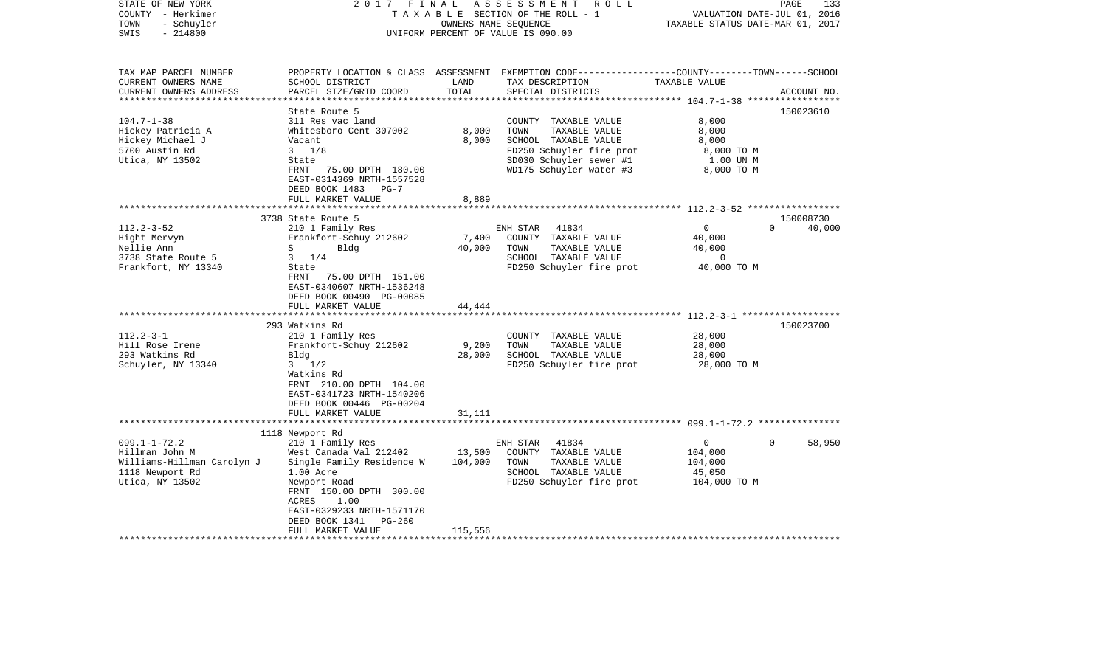| STATE OF NEW YORK<br>COUNTY - Herkimer<br>- Schuyler<br>TOWN<br>$-214800$<br>SWIS | 2017<br>FINAL                                 | OWNERS NAME SEQUENCE | ASSESSMENT<br>R O L L<br>TAXABLE SECTION OF THE ROLL - 1<br>UNIFORM PERCENT OF VALUE IS 090.00                                           | VALUATION DATE-JUL 01, 2016<br>TAXABLE STATUS DATE-MAR 01, 2017 | PAGE<br>133                     |
|-----------------------------------------------------------------------------------|-----------------------------------------------|----------------------|------------------------------------------------------------------------------------------------------------------------------------------|-----------------------------------------------------------------|---------------------------------|
| TAX MAP PARCEL NUMBER<br>CURRENT OWNERS NAME<br>CURRENT OWNERS ADDRESS            | SCHOOL DISTRICT<br>PARCEL SIZE/GRID COORD     | LAND<br>TOTAL        | PROPERTY LOCATION & CLASS ASSESSMENT EXEMPTION CODE----------------COUNTY-------TOWN------SCHOOL<br>TAX DESCRIPTION<br>SPECIAL DISTRICTS | TAXABLE VALUE                                                   | ACCOUNT NO.                     |
|                                                                                   |                                               |                      |                                                                                                                                          |                                                                 |                                 |
|                                                                                   | State Route 5                                 |                      |                                                                                                                                          |                                                                 | 150023610                       |
| $104.7 - 1 - 38$<br>Hickey Patricia A                                             | 311 Res vac land<br>Whitesboro Cent 307002    | 8,000                | COUNTY TAXABLE VALUE<br>TOWN<br>TAXABLE VALUE                                                                                            | 8,000<br>8,000                                                  |                                 |
| Hickey Michael J                                                                  | Vacant                                        | 8,000                | SCHOOL TAXABLE VALUE                                                                                                                     | 8,000                                                           |                                 |
| 5700 Austin Rd                                                                    | $3 \frac{1}{8}$                               |                      | FD250 Schuyler fire prot                                                                                                                 | 8,000 TO M                                                      |                                 |
| Utica, NY 13502                                                                   | State                                         |                      | SD030 Schuyler sewer #1                                                                                                                  | 1.00 UN M                                                       |                                 |
|                                                                                   | FRNT<br>75.00 DPTH 180.00                     |                      | WD175 Schuyler water #3                                                                                                                  | 8,000 TO M                                                      |                                 |
|                                                                                   | EAST-0314369 NRTH-1557528                     |                      |                                                                                                                                          |                                                                 |                                 |
|                                                                                   | DEED BOOK 1483<br>$PG-7$                      |                      |                                                                                                                                          |                                                                 |                                 |
|                                                                                   | FULL MARKET VALUE                             | 8,889                |                                                                                                                                          |                                                                 |                                 |
|                                                                                   |                                               |                      |                                                                                                                                          | ********************* 112.2-3-52 ******************             |                                 |
| $112.2 - 3 - 52$                                                                  | 3738 State Route 5<br>210 1 Family Res        |                      | 41834<br>ENH STAR                                                                                                                        | $\overline{0}$                                                  | 150008730<br>$\Omega$<br>40,000 |
| Hight Mervyn                                                                      | Frankfort-Schuy 212602                        | 7,400                | COUNTY TAXABLE VALUE                                                                                                                     | 40,000                                                          |                                 |
| Nellie Ann                                                                        | S<br>Bldg                                     | 40,000               | TOWN<br>TAXABLE VALUE                                                                                                                    | 40,000                                                          |                                 |
| 3738 State Route 5                                                                | $3 \frac{1}{4}$                               |                      | SCHOOL TAXABLE VALUE                                                                                                                     | 0                                                               |                                 |
| Frankfort, NY 13340                                                               | State                                         |                      | FD250 Schuyler fire prot                                                                                                                 | 40,000 TO M                                                     |                                 |
|                                                                                   | 75.00 DPTH 151.00<br>FRNT                     |                      |                                                                                                                                          |                                                                 |                                 |
|                                                                                   | EAST-0340607 NRTH-1536248                     |                      |                                                                                                                                          |                                                                 |                                 |
|                                                                                   | DEED BOOK 00490 PG-00085                      |                      |                                                                                                                                          |                                                                 |                                 |
|                                                                                   | FULL MARKET VALUE                             | 44,444               |                                                                                                                                          |                                                                 |                                 |
|                                                                                   | 293 Watkins Rd                                |                      |                                                                                                                                          |                                                                 | 150023700                       |
| $112.2 - 3 - 1$                                                                   | 210 1 Family Res                              |                      | COUNTY TAXABLE VALUE                                                                                                                     | 28,000                                                          |                                 |
| Hill Rose Irene                                                                   | Frankfort-Schuy 212602                        | 9,200                | TAXABLE VALUE<br>TOWN                                                                                                                    | 28,000                                                          |                                 |
| 293 Watkins Rd                                                                    | Bldg                                          | 28,000               | SCHOOL TAXABLE VALUE                                                                                                                     | 28,000                                                          |                                 |
| Schuyler, NY 13340                                                                | $3 \frac{1}{2}$                               |                      | FD250 Schuyler fire prot                                                                                                                 | 28,000 TO M                                                     |                                 |
|                                                                                   | Watkins Rd                                    |                      |                                                                                                                                          |                                                                 |                                 |
|                                                                                   | FRNT 210.00 DPTH 104.00                       |                      |                                                                                                                                          |                                                                 |                                 |
|                                                                                   | EAST-0341723 NRTH-1540206                     |                      |                                                                                                                                          |                                                                 |                                 |
|                                                                                   | DEED BOOK 00446 PG-00204<br>FULL MARKET VALUE | 31,111               |                                                                                                                                          |                                                                 |                                 |
|                                                                                   |                                               |                      |                                                                                                                                          |                                                                 |                                 |
|                                                                                   | 1118 Newport Rd                               |                      |                                                                                                                                          |                                                                 |                                 |
| $099.1 - 1 - 72.2$                                                                | 210 1 Family Res                              |                      | ENH STAR<br>41834                                                                                                                        | $\overline{0}$                                                  | 58,950<br>$\Omega$              |
| Hillman John M                                                                    | West Canada Val 212402                        | 13,500               | COUNTY TAXABLE VALUE                                                                                                                     | 104,000                                                         |                                 |
| Williams-Hillman Carolyn J                                                        | Single Family Residence W                     | 104,000              | TOWN<br>TAXABLE VALUE                                                                                                                    | 104,000                                                         |                                 |
| 1118 Newport Rd                                                                   | 1.00 Acre                                     |                      | SCHOOL TAXABLE VALUE                                                                                                                     | 45,050                                                          |                                 |
| Utica, NY 13502                                                                   | Newport Road                                  |                      | FD250 Schuyler fire prot                                                                                                                 | 104,000 TO M                                                    |                                 |
|                                                                                   | FRNT 150.00 DPTH 300.00<br>ACRES<br>1.00      |                      |                                                                                                                                          |                                                                 |                                 |
|                                                                                   | EAST-0329233 NRTH-1571170                     |                      |                                                                                                                                          |                                                                 |                                 |
|                                                                                   | DEED BOOK 1341<br>$PG-260$                    |                      |                                                                                                                                          |                                                                 |                                 |
|                                                                                   | FULL MARKET VALUE                             | 115,556              |                                                                                                                                          |                                                                 |                                 |
|                                                                                   |                                               |                      |                                                                                                                                          |                                                                 |                                 |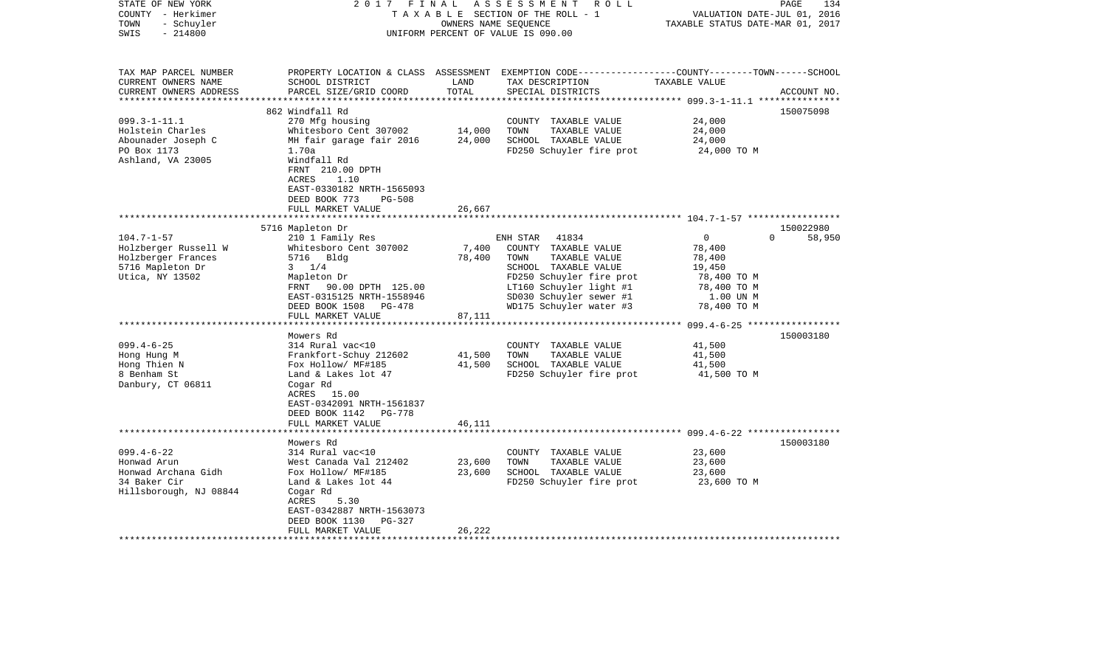| STATE OF NEW YORK<br>COUNTY - Herkimer<br>- Schuyler<br>TOWN<br>$-214800$<br>SWIS | 2017 FINAL                                                                                                                                    | OWNERS NAME SEQUENCE | ASSESSMENT ROLL<br>TAXABLE SECTION OF THE ROLL - 1<br>UNIFORM PERCENT OF VALUE IS 090.00                                               | VALUATION DATE-JUL 01, 2016<br>TAXABLE STATUS DATE-MAR 01, 2017 | 134<br>PAGE         |
|-----------------------------------------------------------------------------------|-----------------------------------------------------------------------------------------------------------------------------------------------|----------------------|----------------------------------------------------------------------------------------------------------------------------------------|-----------------------------------------------------------------|---------------------|
| TAX MAP PARCEL NUMBER<br>CURRENT OWNERS NAME<br>CURRENT OWNERS ADDRESS            | SCHOOL DISTRICT<br>PARCEL SIZE/GRID COORD                                                                                                     | LAND<br>TOTAL        | PROPERTY LOCATION & CLASS ASSESSMENT EXEMPTION CODE---------------COUNTY-------TOWN-----SCHOOL<br>TAX DESCRIPTION<br>SPECIAL DISTRICTS | TAXABLE VALUE                                                   | ACCOUNT NO.         |
|                                                                                   | 862 Windfall Rd                                                                                                                               |                      |                                                                                                                                        |                                                                 | 150075098           |
| $099.3 - 1 - 11.1$                                                                | 270 Mfg housing                                                                                                                               |                      | COUNTY TAXABLE VALUE                                                                                                                   | 24,000                                                          |                     |
| Holstein Charles                                                                  | Whitesboro Cent 307002                                                                                                                        | 14,000               | TOWN<br>TAXABLE VALUE                                                                                                                  | 24,000                                                          |                     |
| Abounader Joseph C                                                                | MH fair garage fair 2016 24,000                                                                                                               |                      | SCHOOL TAXABLE VALUE                                                                                                                   | 24,000                                                          |                     |
| PO Box 1173<br>Ashland, VA 23005                                                  | 1.70a<br>Windfall Rd<br>FRNT 210.00 DPTH<br>ACRES<br>1.10<br>EAST-0330182 NRTH-1565093<br>DEED BOOK 773<br><b>PG-508</b><br>FULL MARKET VALUE | 26,667               | FD250 Schuyler fire prot                                                                                                               | 24,000 TO M                                                     |                     |
|                                                                                   |                                                                                                                                               |                      |                                                                                                                                        |                                                                 |                     |
| $104.7 - 1 - 57$                                                                  | 5716 Mapleton Dr<br>210 1 Family Res                                                                                                          |                      | ENH STAR 41834                                                                                                                         | $\overline{0}$<br>$\Omega$                                      | 150022980<br>58,950 |
| Holzberger Russell W                                                              | Whitesboro Cent 307002                                                                                                                        | 7,400                | COUNTY TAXABLE VALUE                                                                                                                   | 78,400                                                          |                     |
| Holzberger Frances                                                                | 5716 Bldg                                                                                                                                     | 78,400               | TAXABLE VALUE<br>TOWN                                                                                                                  | 78,400                                                          |                     |
| 5716 Mapleton Dr                                                                  | $3 \t1/4$                                                                                                                                     |                      | SCHOOL TAXABLE VALUE                                                                                                                   | 19,450                                                          |                     |
| Utica, NY 13502                                                                   | Mapleton Dr                                                                                                                                   |                      | FD250 Schuyler fire prot                                                                                                               | 78,400 TO M                                                     |                     |
|                                                                                   | FRNT 90.00 DPTH 125.00                                                                                                                        |                      | LT160 Schuyler light #1                                                                                                                | 78,400 TO M                                                     |                     |
|                                                                                   | EAST-0315125 NRTH-1558946                                                                                                                     |                      | SD030 Schuyler sewer #1<br>WD175 Schuyler water #3                                                                                     | 1.00 UN M                                                       |                     |
|                                                                                   | DEED BOOK 1508 PG-478<br>FULL MARKET VALUE                                                                                                    | 87,111               |                                                                                                                                        | 78,400 TO M                                                     |                     |
|                                                                                   |                                                                                                                                               |                      |                                                                                                                                        |                                                                 |                     |
|                                                                                   | Mowers Rd                                                                                                                                     |                      |                                                                                                                                        |                                                                 | 150003180           |
| $099.4 - 6 - 25$                                                                  | 314 Rural vac<10                                                                                                                              |                      | COUNTY TAXABLE VALUE                                                                                                                   | 41,500                                                          |                     |
| Hong Hung M                                                                       | Frankfort-Schuy 212602                                                                                                                        | 41,500<br>41,500     | TOWN<br>TAXABLE VALUE                                                                                                                  | 41,500<br>41,500                                                |                     |
| Hong Thien N<br>8 Benham St                                                       | Fox Hollow/ MF#185<br>Land & Lakes lot 47                                                                                                     |                      | SCHOOL TAXABLE VALUE<br>FD250 Schuyler fire prot                                                                                       | 41,500 TO M                                                     |                     |
| Danbury, CT 06811                                                                 | Cogar Rd<br>ACRES 15.00<br>EAST-0342091 NRTH-1561837<br>DEED BOOK 1142 PG-778                                                                 |                      |                                                                                                                                        |                                                                 |                     |
|                                                                                   | FULL MARKET VALUE                                                                                                                             | 46,111               |                                                                                                                                        |                                                                 |                     |
|                                                                                   | Mowers Rd                                                                                                                                     |                      |                                                                                                                                        |                                                                 | 150003180           |
| $099.4 - 6 - 22$                                                                  | 314 Rural vac<10                                                                                                                              |                      | COUNTY TAXABLE VALUE                                                                                                                   | 23,600                                                          |                     |
| Honwad Arun                                                                       | West Canada Val 212402                                                                                                                        | 23,600               | TOWN<br>TAXABLE VALUE                                                                                                                  | 23,600                                                          |                     |
| Honwad Archana Gidh                                                               | Fox Hollow/ MF#185                                                                                                                            | 23,600               | SCHOOL TAXABLE VALUE                                                                                                                   | 23,600                                                          |                     |
| 34 Baker Cir<br>Hillsborough, NJ 08844                                            | Land & Lakes lot 44<br>Cogar Rd<br>ACRES<br>5.30                                                                                              |                      | FD250 Schuyler fire prot                                                                                                               | 23,600 TO M                                                     |                     |
|                                                                                   | EAST-0342887 NRTH-1563073                                                                                                                     |                      |                                                                                                                                        |                                                                 |                     |
|                                                                                   | DEED BOOK 1130<br>PG-327                                                                                                                      |                      |                                                                                                                                        |                                                                 |                     |
|                                                                                   | FULL MARKET VALUE                                                                                                                             | 26,222               |                                                                                                                                        |                                                                 |                     |
|                                                                                   |                                                                                                                                               |                      |                                                                                                                                        |                                                                 |                     |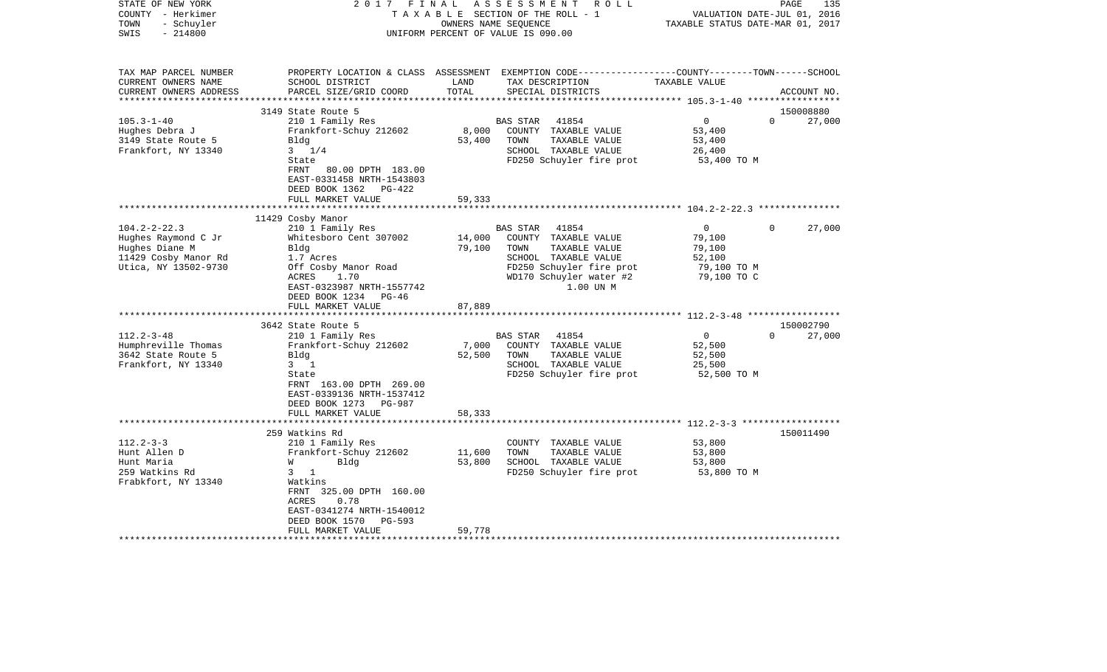| STATE OF NEW YORK<br>COUNTY - Herkimer<br>- Schuyler<br>TOWN<br>$-214800$<br>SWIS | 2017 FINAL                                                                                                     | OWNERS NAME SEQUENCE        | ASSESSMENT<br>R O L L<br>TAXABLE SECTION OF THE ROLL - 1<br>UNIFORM PERCENT OF VALUE IS 090.00                                         | VALUATION DATE-JUL 01, 2016<br>TAXABLE STATUS DATE-MAR 01, 2017 | 135<br>PAGE           |
|-----------------------------------------------------------------------------------|----------------------------------------------------------------------------------------------------------------|-----------------------------|----------------------------------------------------------------------------------------------------------------------------------------|-----------------------------------------------------------------|-----------------------|
| TAX MAP PARCEL NUMBER<br>CURRENT OWNERS NAME<br>CURRENT OWNERS ADDRESS            | SCHOOL DISTRICT<br>PARCEL SIZE/GRID COORD                                                                      | LAND<br>TOTAL               | PROPERTY LOCATION & CLASS ASSESSMENT EXEMPTION CODE---------------COUNTY-------TOWN-----SCHOOL<br>TAX DESCRIPTION<br>SPECIAL DISTRICTS | TAXABLE VALUE                                                   | ACCOUNT NO.           |
| ************************                                                          |                                                                                                                |                             |                                                                                                                                        |                                                                 |                       |
| $105.3 - 1 - 40$                                                                  | 3149 State Route 5                                                                                             |                             | 41854<br><b>BAS STAR</b>                                                                                                               | $\overline{0}$                                                  | 150008880<br>$\Omega$ |
| Hughes Debra J                                                                    | 210 1 Family Res<br>Frankfort-Schuy 212602                                                                     | 8,000                       | COUNTY TAXABLE VALUE                                                                                                                   | 53,400                                                          | 27,000                |
| 3149 State Route 5                                                                | Bldg                                                                                                           | 53,400                      | TOWN<br>TAXABLE VALUE                                                                                                                  | 53,400                                                          |                       |
| Frankfort, NY 13340                                                               | $3 \t1/4$                                                                                                      |                             | SCHOOL TAXABLE VALUE                                                                                                                   | 26,400                                                          |                       |
|                                                                                   | State                                                                                                          |                             | FD250 Schuyler fire prot                                                                                                               | 53,400 TO M                                                     |                       |
|                                                                                   | <b>FRNT</b><br>80.00 DPTH 183.00<br>EAST-0331458 NRTH-1543803<br>DEED BOOK 1362<br>PG-422<br>FULL MARKET VALUE | 59,333                      |                                                                                                                                        |                                                                 |                       |
|                                                                                   | *****************                                                                                              | * * * * * * * * * * * * * * |                                                                                                                                        |                                                                 |                       |
|                                                                                   | 11429 Cosby Manor                                                                                              |                             |                                                                                                                                        |                                                                 |                       |
| $104.2 - 2 - 22.3$                                                                | 210 1 Family Res                                                                                               |                             | BAS STAR<br>41854                                                                                                                      | $\Omega$                                                        | 27,000<br>$\Omega$    |
| Hughes Raymond C Jr                                                               | Whitesboro Cent 307002<br>Bldg                                                                                 | 14,000<br>79,100            | COUNTY TAXABLE VALUE<br>TOWN<br>TAXABLE VALUE                                                                                          | 79,100<br>79,100                                                |                       |
| Hughes Diane M<br>11429 Cosby Manor Rd                                            | 1.7 Acres                                                                                                      |                             | SCHOOL TAXABLE VALUE                                                                                                                   | 52,100                                                          |                       |
| Utica, NY 13502-9730                                                              | Off Cosby Manor Road                                                                                           |                             | FD250 Schuyler fire prot                                                                                                               | 79,100 TO M                                                     |                       |
|                                                                                   | ACRES<br>1.70                                                                                                  |                             | WD170 Schuyler water #2                                                                                                                | 79,100 TO C                                                     |                       |
|                                                                                   | EAST-0323987 NRTH-1557742                                                                                      |                             | 1.00 UN M                                                                                                                              |                                                                 |                       |
|                                                                                   | DEED BOOK 1234 PG-46                                                                                           |                             |                                                                                                                                        |                                                                 |                       |
|                                                                                   | FULL MARKET VALUE                                                                                              | 87,889                      |                                                                                                                                        |                                                                 |                       |
|                                                                                   | ************************                                                                                       |                             |                                                                                                                                        |                                                                 |                       |
|                                                                                   | 3642 State Route 5                                                                                             |                             |                                                                                                                                        |                                                                 | 150002790             |
| $112.2 - 3 - 48$                                                                  | 210 1 Family Res                                                                                               |                             | 41854<br><b>BAS STAR</b>                                                                                                               | $\overline{0}$                                                  | $\Omega$<br>27,000    |
| Humphreville Thomas<br>3642 State Route 5                                         | Frankfort-Schuy 212602<br>Bldg                                                                                 | 7,000<br>52,500             | COUNTY TAXABLE VALUE<br>TOWN<br>TAXABLE VALUE                                                                                          | 52,500<br>52,500                                                |                       |
| Frankfort, NY 13340                                                               | $3 \quad 1$                                                                                                    |                             | SCHOOL TAXABLE VALUE                                                                                                                   | 25,500                                                          |                       |
|                                                                                   | State                                                                                                          |                             | FD250 Schuyler fire prot                                                                                                               | 52,500 TO M                                                     |                       |
|                                                                                   | FRNT 163.00 DPTH 269.00                                                                                        |                             |                                                                                                                                        |                                                                 |                       |
|                                                                                   | EAST-0339136 NRTH-1537412                                                                                      |                             |                                                                                                                                        |                                                                 |                       |
|                                                                                   | DEED BOOK 1273<br>PG-987                                                                                       |                             |                                                                                                                                        |                                                                 |                       |
|                                                                                   | FULL MARKET VALUE                                                                                              | 58,333                      |                                                                                                                                        |                                                                 |                       |
|                                                                                   |                                                                                                                |                             |                                                                                                                                        |                                                                 |                       |
|                                                                                   | 259 Watkins Rd                                                                                                 |                             |                                                                                                                                        |                                                                 | 150011490             |
| $112.2 - 3 - 3$                                                                   | 210 1 Family Res                                                                                               |                             | COUNTY TAXABLE VALUE                                                                                                                   | 53,800                                                          |                       |
| Hunt Allen D                                                                      | Frankfort-Schuy 212602                                                                                         | 11,600                      | TOWN<br>TAXABLE VALUE                                                                                                                  | 53,800                                                          |                       |
| Hunt Maria<br>259 Watkins Rd                                                      | W<br>Bldg<br>$3 \t1$                                                                                           | 53,800                      | SCHOOL TAXABLE VALUE<br>FD250 Schuyler fire prot                                                                                       | 53,800<br>53,800 TO M                                           |                       |
| Frabkfort, NY 13340                                                               | Watkins                                                                                                        |                             |                                                                                                                                        |                                                                 |                       |
|                                                                                   | FRNT 325.00 DPTH 160.00                                                                                        |                             |                                                                                                                                        |                                                                 |                       |
|                                                                                   | 0.78<br>ACRES                                                                                                  |                             |                                                                                                                                        |                                                                 |                       |
|                                                                                   | EAST-0341274 NRTH-1540012                                                                                      |                             |                                                                                                                                        |                                                                 |                       |
|                                                                                   | DEED BOOK 1570<br>PG-593                                                                                       |                             |                                                                                                                                        |                                                                 |                       |
|                                                                                   | FULL MARKET VALUE                                                                                              | 59,778                      |                                                                                                                                        |                                                                 |                       |
|                                                                                   |                                                                                                                |                             |                                                                                                                                        |                                                                 |                       |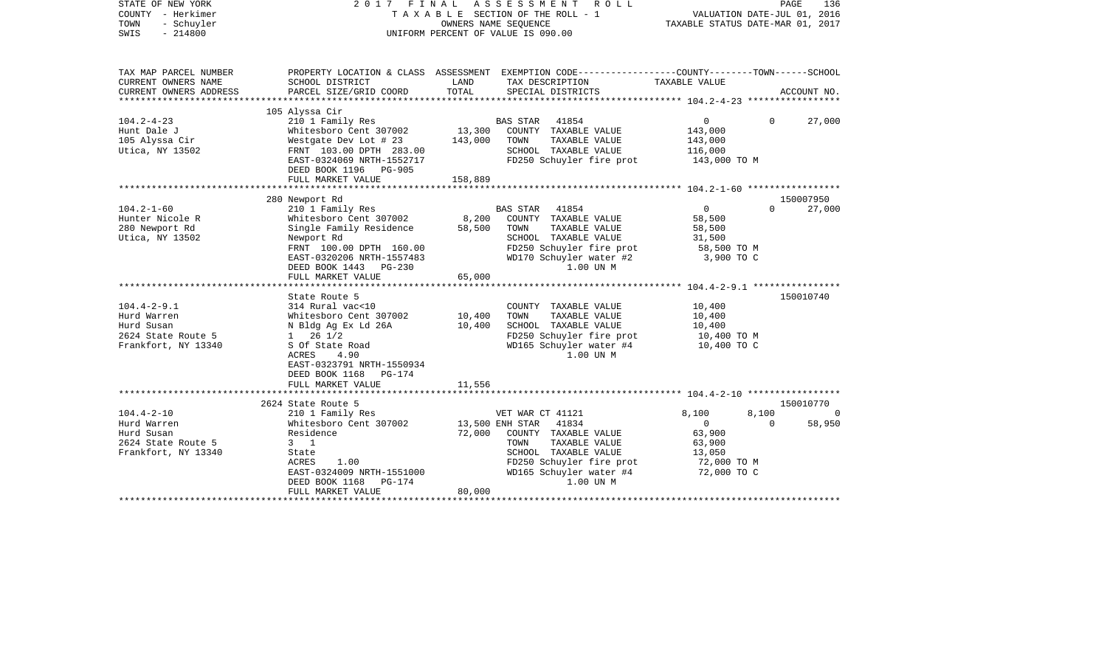| STATE OF NEW YORK<br>COUNTY - Herkimer<br>- Schuyler<br>TOWN<br>$-214800$<br>SWIS |                                                      | OWNERS NAME SEQUENCE | 2017 FINAL ASSESSMENT ROLL<br>TAXABLE SECTION OF THE ROLL - 1<br>UNIFORM PERCENT OF VALUE IS 090.00                | VALUATION DATE-JUL 01, 2016<br>TAXABLE STATUS DATE-MAR 01, 2017 |          | PAGE<br>136 |
|-----------------------------------------------------------------------------------|------------------------------------------------------|----------------------|--------------------------------------------------------------------------------------------------------------------|-----------------------------------------------------------------|----------|-------------|
| TAX MAP PARCEL NUMBER<br>CURRENT OWNERS NAME<br>CURRENT OWNERS ADDRESS            | SCHOOL DISTRICT                                      | LAND<br>TOTAL        | PROPERTY LOCATION & CLASS ASSESSMENT EXEMPTION CODE---------------COUNTY-------TOWN------SCHOOL<br>TAX DESCRIPTION | TAXABLE VALUE                                                   |          |             |
|                                                                                   | PARCEL SIZE/GRID COORD                               |                      | SPECIAL DISTRICTS                                                                                                  |                                                                 |          | ACCOUNT NO. |
|                                                                                   | 105 Alyssa Cir                                       |                      |                                                                                                                    |                                                                 |          |             |
| $104.2 - 4 - 23$                                                                  | 210 1 Family Res                                     |                      | BAS STAR 41854                                                                                                     | $\mathbf{0}$                                                    | $\Omega$ | 27,000      |
| Hunt Dale J                                                                       | Whitesboro Cent 307002                               | 13,300               | COUNTY TAXABLE VALUE                                                                                               | 143,000                                                         |          |             |
| 105 Alyssa Cir                                                                    | Westgate Dev Lot # 23                                | 143,000              | TAXABLE VALUE<br>TOWN                                                                                              | 143,000                                                         |          |             |
| Utica, NY 13502                                                                   | FRNT 103.00 DPTH 283.00<br>EAST-0324069 NRTH-1552717 |                      | SCHOOL TAXABLE VALUE<br>FD250 Schuyler fire prot                                                                   | 116,000<br>143,000 TO M                                         |          |             |
|                                                                                   | DEED BOOK 1196 PG-905                                |                      |                                                                                                                    |                                                                 |          |             |
|                                                                                   | FULL MARKET VALUE                                    | 158,889              |                                                                                                                    |                                                                 |          |             |
|                                                                                   |                                                      |                      |                                                                                                                    |                                                                 |          |             |
|                                                                                   | 280 Newport Rd                                       |                      |                                                                                                                    |                                                                 |          | 150007950   |
| $104.2 - 1 - 60$                                                                  | 210 1 Family Res                                     |                      | BAS STAR 41854                                                                                                     | $\circ$                                                         | $\Omega$ | 27,000      |
| Hunter Nicole R                                                                   | Whitesboro Cent 307002                               | 8,200                | COUNTY TAXABLE VALUE                                                                                               | 58,500                                                          |          |             |
| 280 Newport Rd                                                                    | Single Family Residence                              | 58,500               | TAXABLE VALUE<br>TOWN                                                                                              | 58,500                                                          |          |             |
| Utica, NY 13502                                                                   | Newport Rd                                           |                      | SCHOOL TAXABLE VALUE                                                                                               | 31,500                                                          |          |             |
|                                                                                   | FRNT 100.00 DPTH 160.00                              |                      | FD250 Schuyler fire prot                                                                                           | 58,500 TO M                                                     |          |             |
|                                                                                   | EAST-0320206 NRTH-1557483                            |                      | WD170 Schuyler water #2                                                                                            | 3,900 TO C                                                      |          |             |
|                                                                                   | DEED BOOK 1443 PG-230                                | 65,000               | 1.00 UN M                                                                                                          |                                                                 |          |             |
|                                                                                   | FULL MARKET VALUE                                    |                      |                                                                                                                    |                                                                 |          |             |
|                                                                                   | State Route 5                                        |                      |                                                                                                                    |                                                                 |          | 150010740   |
| $104.4 - 2 - 9.1$                                                                 | 314 Rural vac<10                                     |                      | COUNTY TAXABLE VALUE                                                                                               | 10,400                                                          |          |             |
| Hurd Warren                                                                       | Whitesboro Cent 307002                               | 10,400               | TOWN<br>TAXABLE VALUE                                                                                              | 10,400                                                          |          |             |
| Hurd Susan                                                                        | N Bldg Ag Ex Ld 26A                                  | 10,400               | SCHOOL TAXABLE VALUE                                                                                               | 10,400                                                          |          |             |
| 2624 State Route 5                                                                | $1 \t26 \t1/2$                                       |                      | FD250 Schuyler fire prot                                                                                           | 10,400 TO M                                                     |          |             |
| Frankfort, NY 13340                                                               | S Of State Road                                      |                      | WD165 Schuyler water #4                                                                                            | 10,400 TO C                                                     |          |             |
|                                                                                   | 4.90<br>ACRES                                        |                      | 1.00 UN M                                                                                                          |                                                                 |          |             |
|                                                                                   | EAST-0323791 NRTH-1550934                            |                      |                                                                                                                    |                                                                 |          |             |
|                                                                                   | DEED BOOK 1168 PG-174                                |                      |                                                                                                                    |                                                                 |          |             |
|                                                                                   | FULL MARKET VALUE                                    | 11,556               |                                                                                                                    |                                                                 |          |             |
|                                                                                   |                                                      |                      |                                                                                                                    |                                                                 |          | 150010770   |
| $104.4 - 2 - 10$                                                                  | 2624 State Route 5<br>210 1 Family Res               |                      | VET WAR CT 41121                                                                                                   | 8,100                                                           | 8,100    | $\Box$      |
| Hurd Warren                                                                       | Whitesboro Cent 307002                               |                      | 13,500 ENH STAR 41834                                                                                              | $\mathbf{0}$                                                    | $\Omega$ | 58,950      |
| Hurd Susan                                                                        | Residence                                            | 72,000               | COUNTY TAXABLE VALUE                                                                                               | 63,900                                                          |          |             |
| 2624 State Route 5                                                                | $3 \quad 1$                                          |                      | TAXABLE VALUE<br>TOWN                                                                                              | 63,900                                                          |          |             |
| Frankfort, NY 13340                                                               | State                                                |                      | SCHOOL TAXABLE VALUE                                                                                               | 13,050                                                          |          |             |
|                                                                                   | 1.00<br>ACRES                                        |                      | FD250 Schuyler fire prot                                                                                           | 72,000 TO M                                                     |          |             |
|                                                                                   | EAST-0324009 NRTH-1551000                            |                      | WD165 Schuyler water #4                                                                                            | 72,000 TO C                                                     |          |             |
|                                                                                   | DEED BOOK 1168<br>PG-174                             |                      | 1.00 UN M                                                                                                          |                                                                 |          |             |
|                                                                                   | FULL MARKET VALUE                                    | 80,000               |                                                                                                                    |                                                                 |          |             |
|                                                                                   |                                                      |                      |                                                                                                                    |                                                                 |          |             |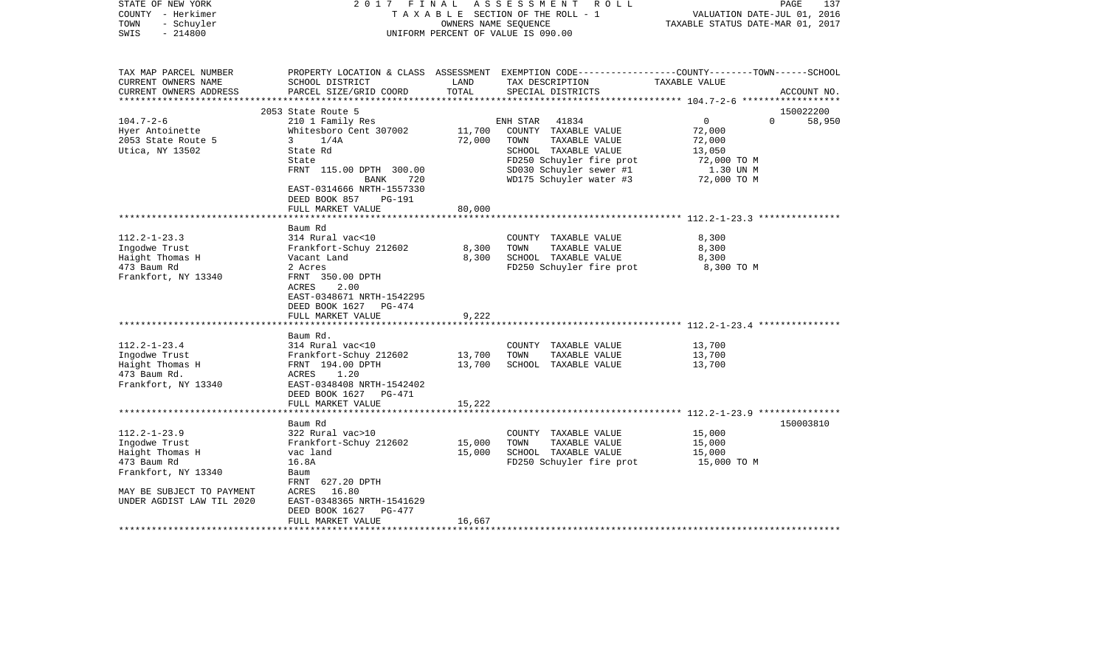| STATE OF NEW YORK<br>COUNTY - Herkimer<br>- Schuyler<br>TOWN<br>$-214800$<br>SWIS                                                                      |                                                                                                                                                                                                 |                         | 2017 FINAL ASSESSMENT ROLL<br>TAXABLE SECTION OF THE ROLL - 1<br>OWNERS NAME SEQUENCE<br>UNIFORM PERCENT OF VALUE IS 090.00                                                  | PAGE<br>137<br>VALUATION DATE-JUL 01, 2016<br>TAXABLE STATUS DATE-MAR 01, 2017                                                  |
|--------------------------------------------------------------------------------------------------------------------------------------------------------|-------------------------------------------------------------------------------------------------------------------------------------------------------------------------------------------------|-------------------------|------------------------------------------------------------------------------------------------------------------------------------------------------------------------------|---------------------------------------------------------------------------------------------------------------------------------|
| TAX MAP PARCEL NUMBER<br>CURRENT OWNERS NAME<br>CURRENT OWNERS ADDRESS<br>*********************                                                        | SCHOOL DISTRICT<br>PARCEL SIZE/GRID COORD                                                                                                                                                       | LAND<br>TOTAL           | TAX DESCRIPTION<br>SPECIAL DISTRICTS                                                                                                                                         | PROPERTY LOCATION & CLASS ASSESSMENT EXEMPTION CODE---------------COUNTY-------TOWN------SCHOOL<br>TAXABLE VALUE<br>ACCOUNT NO. |
|                                                                                                                                                        | 2053 State Route 5                                                                                                                                                                              |                         |                                                                                                                                                                              | 150022200                                                                                                                       |
| $104.7 - 2 - 6$<br>Hyer Antoinette<br>2053 State Route 5<br>Utica, NY 13502                                                                            | 210 1 Family Res<br>Whitesboro Cent 307002<br>3 $1/4A$<br>State Rd<br>State<br>FRNT 115.00 DPTH 300.00<br>BANK<br>720<br>EAST-0314666 NRTH-1557330<br>DEED BOOK 857<br>PG-191                   | 11,700<br>72,000        | ENH STAR<br>41834<br>COUNTY TAXABLE VALUE<br>TOWN<br>TAXABLE VALUE<br>SCHOOL TAXABLE VALUE<br>FD250 Schuyler fire prot<br>SD030 Schuyler sewer #1<br>WD175 Schuyler water #3 | $\overline{0}$<br>$\Omega$<br>58,950<br>72,000<br>72,000<br>13,050<br>72,000 TO M<br>1.30 UN M<br>72,000 TO M                   |
|                                                                                                                                                        | FULL MARKET VALUE                                                                                                                                                                               | 80,000                  |                                                                                                                                                                              |                                                                                                                                 |
|                                                                                                                                                        | ************************                                                                                                                                                                        |                         |                                                                                                                                                                              |                                                                                                                                 |
| $112.2 - 1 - 23.3$<br>Ingodwe Trust<br>Haight Thomas H<br>473 Baum Rd<br>Frankfort, NY 13340                                                           | Baum Rd<br>314 Rural vac<10<br>Frankfort-Schuy 212602<br>Vacant Land<br>2 Acres<br>FRNT 350.00 DPTH<br>ACRES<br>2.00<br>EAST-0348671 NRTH-1542295<br>DEED BOOK 1627 PG-474<br>FULL MARKET VALUE | 8,300<br>8,300<br>9,222 | COUNTY TAXABLE VALUE<br>TAXABLE VALUE<br>TOWN<br>SCHOOL TAXABLE VALUE<br>FD250 Schuyler fire prot                                                                            | 8,300<br>8,300<br>8,300<br>8,300 TO M                                                                                           |
|                                                                                                                                                        | Baum Rd.                                                                                                                                                                                        |                         |                                                                                                                                                                              |                                                                                                                                 |
| $112.2 - 1 - 23.4$<br>Ingodwe Trust<br>Haight Thomas H<br>473 Baum Rd.<br>Frankfort, NY 13340                                                          | 314 Rural vac<10<br>Frankfort-Schuy 212602<br>FRNT 194.00 DPTH<br>ACRES<br>1.20<br>EAST-0348408 NRTH-1542402<br>DEED BOOK 1627 PG-471                                                           | 13,700<br>13,700        | COUNTY TAXABLE VALUE<br>TOWN<br>TAXABLE VALUE<br>SCHOOL TAXABLE VALUE                                                                                                        | 13,700<br>13,700<br>13,700                                                                                                      |
|                                                                                                                                                        | FULL MARKET VALUE                                                                                                                                                                               | 15,222                  |                                                                                                                                                                              |                                                                                                                                 |
|                                                                                                                                                        |                                                                                                                                                                                                 |                         |                                                                                                                                                                              |                                                                                                                                 |
| $112.2 - 1 - 23.9$<br>Ingodwe Trust<br>Haight Thomas H<br>473 Baum Rd<br>Frankfort, NY 13340<br>MAY BE SUBJECT TO PAYMENT<br>UNDER AGDIST LAW TIL 2020 | Baum Rd<br>322 Rural vac>10<br>Frankfort-Schuy 212602<br>vac land<br>16.8A<br>Baum<br>FRNT 627.20 DPTH<br>ACRES 16.80<br>EAST-0348365 NRTH-1541629<br>DEED BOOK 1627<br>PG-477                  | 15,000<br>15,000        | COUNTY TAXABLE VALUE<br>TOWN<br>TAXABLE VALUE<br>SCHOOL TAXABLE VALUE<br>FD250 Schuyler fire prot                                                                            | 150003810<br>15,000<br>15,000<br>15,000<br>15,000 TO M                                                                          |
| ***********************                                                                                                                                | FULL MARKET VALUE<br>**************************                                                                                                                                                 | 16,667                  |                                                                                                                                                                              |                                                                                                                                 |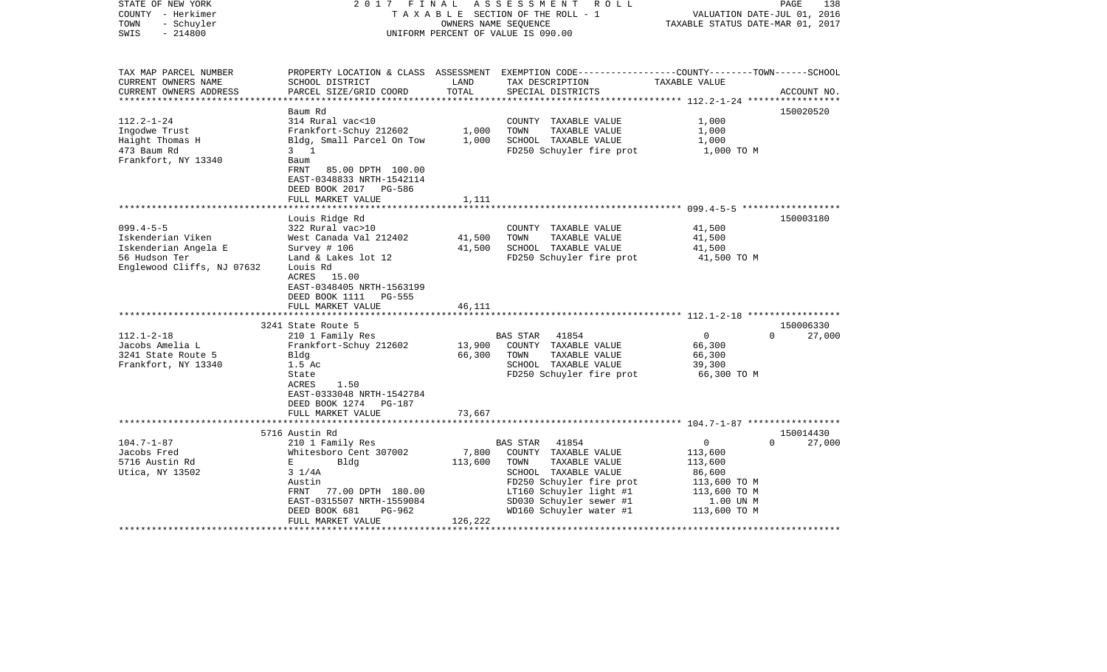| STATE OF NEW YORK<br>COUNTY - Herkimer<br>- Schuyler<br>TOWN<br>$-214800$<br>SWIS                           | 2017 FINAL                                                                                                                                                                                                                  | OWNERS NAME SEQUENCE        | ASSESSMENT<br>R O L L<br>TAXABLE SECTION OF THE ROLL - 1<br>UNIFORM PERCENT OF VALUE IS 090.00                                                                                                                 | VALUATION DATE-JUL 01, 2016<br>TAXABLE STATUS DATE-MAR 01, 2017                                | PAGE<br>138        |
|-------------------------------------------------------------------------------------------------------------|-----------------------------------------------------------------------------------------------------------------------------------------------------------------------------------------------------------------------------|-----------------------------|----------------------------------------------------------------------------------------------------------------------------------------------------------------------------------------------------------------|------------------------------------------------------------------------------------------------|--------------------|
| TAX MAP PARCEL NUMBER<br>CURRENT OWNERS NAME<br>CURRENT OWNERS ADDRESS                                      | SCHOOL DISTRICT<br>PARCEL SIZE/GRID COORD                                                                                                                                                                                   | LAND<br>TOTAL               | PROPERTY LOCATION & CLASS ASSESSMENT EXEMPTION CODE----------------COUNTY-------TOWN------SCHOOL<br>TAX DESCRIPTION<br>SPECIAL DISTRICTS                                                                       | TAXABLE VALUE                                                                                  | ACCOUNT NO.        |
| **********************                                                                                      |                                                                                                                                                                                                                             |                             |                                                                                                                                                                                                                |                                                                                                |                    |
| $112.2 - 1 - 24$<br>Ingodwe Trust<br>Haight Thomas H<br>473 Baum Rd<br>Frankfort, NY 13340                  | Baum Rd<br>314 Rural vac<10<br>Frankfort-Schuy 212602<br>Bldg, Small Parcel On Tow<br>$3 \quad 1$<br>Baum<br>FRNT<br>85.00 DPTH 100.00<br>EAST-0348833 NRTH-1542114<br>DEED BOOK 2017<br>PG-586                             | 1,000<br>1,000              | COUNTY TAXABLE VALUE<br>TOWN<br>TAXABLE VALUE<br>SCHOOL TAXABLE VALUE<br>FD250 Schuyler fire prot                                                                                                              | 1,000<br>1,000<br>1,000<br>1,000 TO M                                                          | 150020520          |
|                                                                                                             | FULL MARKET VALUE                                                                                                                                                                                                           | 1,111                       |                                                                                                                                                                                                                |                                                                                                |                    |
| $099.4 - 5 - 5$<br>Iskenderian Viken<br>Iskenderian Angela E<br>56 Hudson Ter<br>Englewood Cliffs, NJ 07632 | Louis Ridge Rd<br>322 Rural vac>10<br>West Canada Val 212402<br>Survey # 106<br>Land & Lakes lot 12<br>Louis Rd                                                                                                             | 41,500<br>41,500            | COUNTY TAXABLE VALUE<br>TAXABLE VALUE<br>TOWN<br>SCHOOL TAXABLE VALUE<br>FD250 Schuyler fire prot                                                                                                              | 41,500<br>41,500<br>41,500<br>41,500 TO M                                                      | 150003180          |
|                                                                                                             | ACRES 15.00<br>EAST-0348405 NRTH-1563199<br>DEED BOOK 1111<br>PG-555<br>FULL MARKET VALUE                                                                                                                                   | 46,111                      |                                                                                                                                                                                                                |                                                                                                |                    |
|                                                                                                             | 3241 State Route 5                                                                                                                                                                                                          |                             |                                                                                                                                                                                                                |                                                                                                | 150006330          |
| $112.1 - 2 - 18$<br>Jacobs Amelia L<br>3241 State Route 5<br>Frankfort, NY 13340                            | 210 1 Family Res<br>Frankfort-Schuy 212602<br>Bldg<br>1.5 Ac<br>State<br>1.50<br>ACRES<br>EAST-0333048 NRTH-1542784<br>DEED BOOK 1274 PG-187                                                                                | 13,900<br>66,300            | <b>BAS STAR</b><br>41854<br>COUNTY TAXABLE VALUE<br>TOWN<br>TAXABLE VALUE<br>SCHOOL TAXABLE VALUE<br>FD250 Schuyler fire prot                                                                                  | $\Omega$<br>66,300<br>66,300<br>39,300<br>66,300 TO M                                          | $\Omega$<br>27,000 |
|                                                                                                             | FULL MARKET VALUE<br>*************************                                                                                                                                                                              | 73,667                      |                                                                                                                                                                                                                |                                                                                                |                    |
|                                                                                                             | 5716 Austin Rd                                                                                                                                                                                                              |                             |                                                                                                                                                                                                                |                                                                                                | 150014430          |
| $104.7 - 1 - 87$<br>Jacobs Fred<br>5716 Austin Rd<br>Utica, NY 13502                                        | 210 1 Family Res<br>Whitesboro Cent 307002<br>Bldg<br>$\mathbf{E}$ and $\mathbf{E}$<br>$3 \frac{1}{4A}$<br>Austin<br>77.00 DPTH 180.00<br>FRNT<br>EAST-0315507 NRTH-1559084<br>DEED BOOK 681<br>PG-962<br>FULL MARKET VALUE | 7,800<br>113,600<br>126,222 | <b>BAS STAR</b><br>41854<br>COUNTY TAXABLE VALUE<br>TAXABLE VALUE<br>TOWN<br>SCHOOL TAXABLE VALUE<br>FD250 Schuyler fire prot<br>LT160 Schuyler light #1<br>SD030 Schuyler sewer #1<br>WD160 Schuyler water #1 | 0<br>113,600<br>113,600<br>86,600<br>113,600 TO M<br>113,600 TO M<br>1.00 UN M<br>113,600 TO M | $\Omega$<br>27,000 |
|                                                                                                             |                                                                                                                                                                                                                             |                             |                                                                                                                                                                                                                |                                                                                                |                    |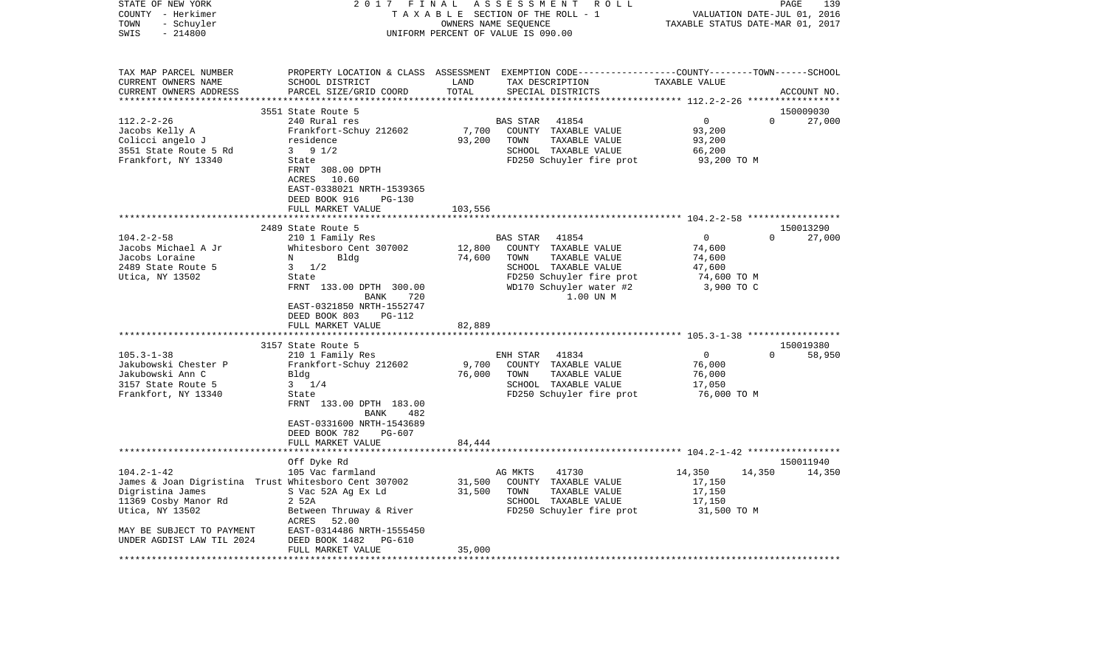| STATE OF NEW YORK<br>COUNTY - Herkimer<br>- Schuyler<br>TOWN<br>SWIS<br>$-214800$                                                                                                                                            | 2017<br>FINAL<br>TAXABLE SECTION OF THE ROLL - 1<br>UNIFORM PERCENT OF VALUE IS 090.00                                                                                                                                                                                                                                                                                                                                                                    | 139<br>PAGE<br>VALUATION DATE-JUL 01, 2016<br>TAXABLE STATUS DATE-MAR 01, 2017                                                                                                                                                                                                                                                                      |                                                                                                                                                                                                                |
|------------------------------------------------------------------------------------------------------------------------------------------------------------------------------------------------------------------------------|-----------------------------------------------------------------------------------------------------------------------------------------------------------------------------------------------------------------------------------------------------------------------------------------------------------------------------------------------------------------------------------------------------------------------------------------------------------|-----------------------------------------------------------------------------------------------------------------------------------------------------------------------------------------------------------------------------------------------------------------------------------------------------------------------------------------------------|----------------------------------------------------------------------------------------------------------------------------------------------------------------------------------------------------------------|
| TAX MAP PARCEL NUMBER<br>CURRENT OWNERS NAME<br>CURRENT OWNERS ADDRESS<br>************************                                                                                                                           | SCHOOL DISTRICT<br>PARCEL SIZE/GRID COORD                                                                                                                                                                                                                                                                                                                                                                                                                 | PROPERTY LOCATION & CLASS ASSESSMENT EXEMPTION CODE---------------COUNTY-------TOWN------SCHOOL<br>LAND<br>TAX DESCRIPTION<br>TOTAL<br>SPECIAL DISTRICTS                                                                                                                                                                                            | TAXABLE VALUE<br>ACCOUNT NO.                                                                                                                                                                                   |
| $112.2 - 2 - 26$<br>Jacobs Kelly A<br>Colicci angelo J<br>3551 State Route 5 Rd<br>Frankfort, NY 13340                                                                                                                       | 3551 State Route 5<br>240 Rural res<br>Frankfort-Schuy 212602<br>residence<br>$3 \t 9 \t 1/2$<br>State<br>FRNT 308.00 DPTH<br>ACRES 10.60<br>EAST-0338021 NRTH-1539365<br>DEED BOOK 916<br>PG-130                                                                                                                                                                                                                                                         | BAS STAR<br>41854<br>7,700<br>COUNTY TAXABLE VALUE<br>93,200<br>TOWN<br>TAXABLE VALUE<br>SCHOOL TAXABLE VALUE<br>FD250 Schuyler fire prot                                                                                                                                                                                                           | 150009030<br>$\mathbf 0$<br>$\Omega$<br>27,000<br>93,200<br>93,200<br>66,200<br>93,200 TO M                                                                                                                    |
|                                                                                                                                                                                                                              | FULL MARKET VALUE                                                                                                                                                                                                                                                                                                                                                                                                                                         | 103,556                                                                                                                                                                                                                                                                                                                                             |                                                                                                                                                                                                                |
| $104.2 - 2 - 58$<br>Jacobs Michael A Jr<br>Jacobs Loraine<br>2489 State Route 5<br>Utica, NY 13502<br>$105.3 - 1 - 38$<br>Jakubowski Chester P<br>Jakubowski Ann C<br>3157 State Route 5<br>Frankfort, NY 13340              | 2489 State Route 5<br>210 1 Family Res<br>Whitesboro Cent 307002<br>Bldg<br>N<br>$3 \frac{1}{2}$<br>State<br>FRNT 133.00 DPTH 300.00<br>720<br>BANK<br>EAST-0321850 NRTH-1552747<br>DEED BOOK 803<br>PG-112<br>FULL MARKET VALUE<br>3157 State Route 5<br>210 1 Family Res<br>Frankfort-Schuy 212602<br>Bldg<br>$3 \t1/4$<br>State<br>FRNT 133.00 DPTH 183.00<br>BANK<br>482<br>EAST-0331600 NRTH-1543689<br>DEED BOOK 782<br>PG-607<br>FULL MARKET VALUE | BAS STAR<br>41854<br>12,800<br>COUNTY TAXABLE VALUE<br>74,600<br>TOWN<br>TAXABLE VALUE<br>SCHOOL TAXABLE VALUE<br>FD250 Schuyler fire prot<br>WD170 Schuyler water #2<br>1.00 UN M<br>82,889<br>ENH STAR<br>41834<br>9,700<br>COUNTY TAXABLE VALUE<br>76,000<br>TAXABLE VALUE<br>TOWN<br>SCHOOL TAXABLE VALUE<br>FD250 Schuyler fire prot<br>84,444 | 150013290<br>$\overline{0}$<br>27,000<br>$\Omega$<br>74,600<br>74,600<br>47,600<br>74,600 TO M<br>3,900 TO C<br>150019380<br>$\overline{0}$<br>$\Omega$<br>58,950<br>76,000<br>76,000<br>17,050<br>76,000 TO M |
|                                                                                                                                                                                                                              |                                                                                                                                                                                                                                                                                                                                                                                                                                                           |                                                                                                                                                                                                                                                                                                                                                     |                                                                                                                                                                                                                |
| $104.2 - 1 - 42$<br>James & Joan Digristina Trust Whitesboro Cent 307002<br>Digristina James<br>11369 Cosby Manor Rd<br>Utica, NY 13502<br>MAY BE SUBJECT TO PAYMENT<br>UNDER AGDIST LAW TIL 2024<br>*********************** | Off Dyke Rd<br>105 Vac farmland<br>S Vac 52A Ag Ex Ld<br>2 52A<br>Between Thruway & River<br>ACRES<br>52.00<br>EAST-0314486 NRTH-1555450<br>DEED BOOK 1482<br>PG-610<br>FULL MARKET VALUE<br>*************************************                                                                                                                                                                                                                        | AG MKTS<br>41730<br>31,500<br>COUNTY TAXABLE VALUE<br>31,500<br>TOWN<br>TAXABLE VALUE<br>SCHOOL TAXABLE VALUE<br>FD250 Schuyler fire prot<br>35,000                                                                                                                                                                                                 | 150011940<br>14,350<br>14,350<br>14,350<br>17,150<br>17,150<br>17,150<br>31,500 TO M                                                                                                                           |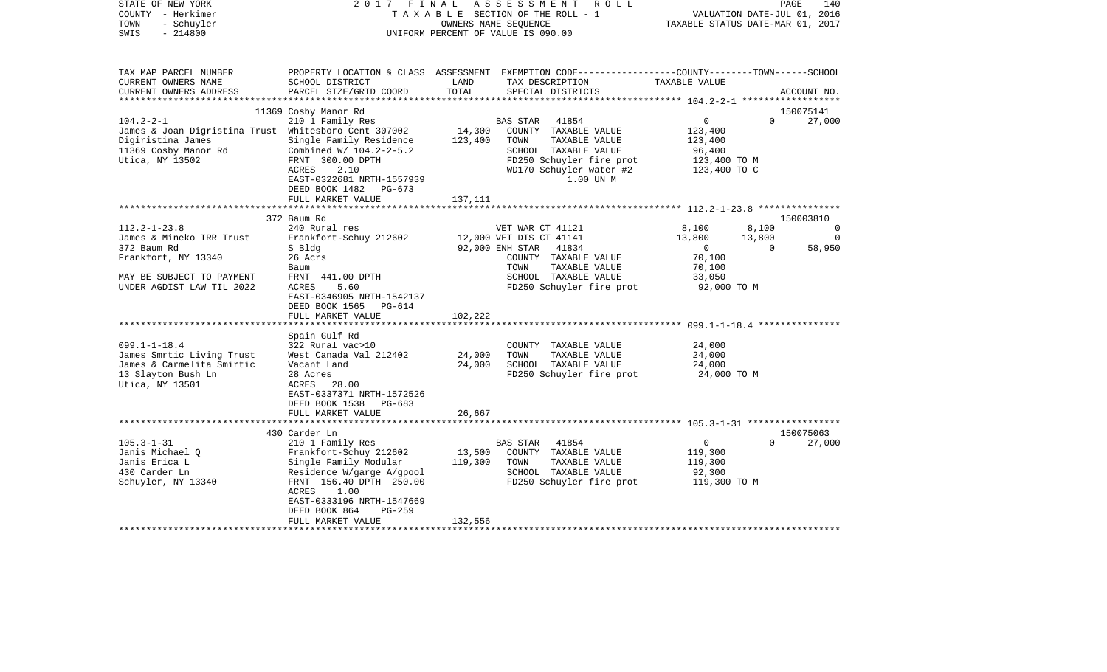| PROPERTY LOCATION & CLASS ASSESSMENT EXEMPTION CODE---------------COUNTY-------TOWN------SCHOOL<br>SCHOOL DISTRICT<br>LAND<br>TAX DESCRIPTION<br>TAXABLE VALUE<br>PARCEL SIZE/GRID COORD<br>TOTAL<br>SPECIAL DISTRICTS<br>ACCOUNT NO.<br>11369 Cosby Manor Rd<br>150075141<br>$104.2 - 2 - 1$<br>210 1 Family Res<br>0<br>$\Omega$<br>27,000<br>41854<br>BAS STAR<br>James & Joan Digristina Trust Whitesboro Cent 307002<br>14,300<br>COUNTY TAXABLE VALUE<br>123,400<br>Digiristina James<br>Single Family Residence<br>123,400<br>TOWN<br>TAXABLE VALUE<br>123,400<br>11369 Cosby Manor Rd<br>Combined W/ 104.2-2-5.2<br>SCHOOL TAXABLE VALUE<br>96,400<br>Utica, NY 13502<br>FRNT 300.00 DPTH<br>FD250 Schuyler fire prot<br>123,400 TO M<br>ACRES<br>2.10<br>WD170 Schuyler water #2<br>123,400 TO C<br>EAST-0322681 NRTH-1557939<br>1.00 UN M<br>DEED BOOK 1482<br>PG-673<br>FULL MARKET VALUE<br>137,111<br>150003810<br>372 Baum Rd<br>$112.2 - 1 - 23.8$<br>8,100<br>8,100<br>240 Rural res<br>VET WAR CT 41121<br>$\Omega$<br>Frankfort-Schuy 212602<br>13,800<br>13,800<br>James & Mineko IRR Trust<br>12,000 VET DIS CT 41141<br>0<br>372 Baum Rd<br>S Bldg<br>92,000 ENH STAR<br>41834<br>58,950<br>$\mathbf{0}$<br>$\Omega$<br>Frankfort, NY 13340<br>26 Acrs<br>70,100<br>COUNTY TAXABLE VALUE<br>TOWN<br>TAXABLE VALUE<br>70,100<br>Baum<br>FRNT 441.00 DPTH<br>SCHOOL TAXABLE VALUE<br>33,050<br>5.60<br>FD250 Schuyler fire prot<br>92,000 TO M<br>ACRES<br>EAST-0346905 NRTH-1542137<br>DEED BOOK 1565<br>PG-614<br>102,222<br>FULL MARKET VALUE<br>Spain Gulf Rd<br>$099.1 - 1 - 18.4$<br>24,000<br>322 Rural vac>10<br>COUNTY TAXABLE VALUE<br>24,000<br>24,000<br>James Smrtic Living Trust<br>West Canada Val 212402<br>TOWN<br>TAXABLE VALUE<br>James & Carmelita Smirtic<br>24,000<br>SCHOOL TAXABLE VALUE<br>24,000<br>Vacant Land<br>FD250 Schuyler fire prot<br>28 Acres<br>24,000 TO M<br>ACRES<br>28.00<br>EAST-0337371 NRTH-1572526<br>DEED BOOK 1538<br>PG-683<br>FULL MARKET VALUE<br>26,667<br>430 Carder Ln<br>150075063<br>0<br>$105.3 - 1 - 31$<br>210 1 Family Res<br>41854<br>$\Omega$<br>27,000<br>BAS STAR<br>Frankfort-Schuy 212602<br>13,500<br>119,300<br>Janis Michael O<br>COUNTY TAXABLE VALUE<br>Janis Erica L<br>Single Family Modular<br>119,300<br>TOWN<br>TAXABLE VALUE<br>119,300<br>Residence W/garge A/gpool<br>SCHOOL TAXABLE VALUE<br>92,300<br>FRNT 156.40 DPTH 250.00<br>FD250 Schuyler fire prot<br>119,300 TO M<br>ACRES<br>1.00<br>EAST-0333196 NRTH-1547669<br>DEED BOOK 864<br>$PG-259$<br>FULL MARKET VALUE<br>132,556<br>************************* | COUNTY<br>– Herkimer<br>TOWN<br>- Schuyler<br>SWIS<br>$-214800$ |  | T A X A B L E SECTION OF THE ROLL - 1<br>OWNERS NAME SEQUENCE<br>UNIFORM PERCENT OF VALUE IS 090.00 |  |  | VALUATION DATE-JUL 01, 2016<br>TAXABLE STATUS DATE-MAR 01, 2017 |  |  |
|----------------------------------------------------------------------------------------------------------------------------------------------------------------------------------------------------------------------------------------------------------------------------------------------------------------------------------------------------------------------------------------------------------------------------------------------------------------------------------------------------------------------------------------------------------------------------------------------------------------------------------------------------------------------------------------------------------------------------------------------------------------------------------------------------------------------------------------------------------------------------------------------------------------------------------------------------------------------------------------------------------------------------------------------------------------------------------------------------------------------------------------------------------------------------------------------------------------------------------------------------------------------------------------------------------------------------------------------------------------------------------------------------------------------------------------------------------------------------------------------------------------------------------------------------------------------------------------------------------------------------------------------------------------------------------------------------------------------------------------------------------------------------------------------------------------------------------------------------------------------------------------------------------------------------------------------------------------------------------------------------------------------------------------------------------------------------------------------------------------------------------------------------------------------------------------------------------------------------------------------------------------------------------------------------------------------------------------------------------------------------------------------------------------------------------------------------------------------------------------------------------------------------------------------------------------------------------------------------------------------|-----------------------------------------------------------------|--|-----------------------------------------------------------------------------------------------------|--|--|-----------------------------------------------------------------|--|--|
|                                                                                                                                                                                                                                                                                                                                                                                                                                                                                                                                                                                                                                                                                                                                                                                                                                                                                                                                                                                                                                                                                                                                                                                                                                                                                                                                                                                                                                                                                                                                                                                                                                                                                                                                                                                                                                                                                                                                                                                                                                                                                                                                                                                                                                                                                                                                                                                                                                                                                                                                                                                                                      | TAX MAP PARCEL NUMBER                                           |  |                                                                                                     |  |  |                                                                 |  |  |
|                                                                                                                                                                                                                                                                                                                                                                                                                                                                                                                                                                                                                                                                                                                                                                                                                                                                                                                                                                                                                                                                                                                                                                                                                                                                                                                                                                                                                                                                                                                                                                                                                                                                                                                                                                                                                                                                                                                                                                                                                                                                                                                                                                                                                                                                                                                                                                                                                                                                                                                                                                                                                      | CURRENT OWNERS NAME                                             |  |                                                                                                     |  |  |                                                                 |  |  |
|                                                                                                                                                                                                                                                                                                                                                                                                                                                                                                                                                                                                                                                                                                                                                                                                                                                                                                                                                                                                                                                                                                                                                                                                                                                                                                                                                                                                                                                                                                                                                                                                                                                                                                                                                                                                                                                                                                                                                                                                                                                                                                                                                                                                                                                                                                                                                                                                                                                                                                                                                                                                                      | CURRENT OWNERS ADDRESS                                          |  |                                                                                                     |  |  |                                                                 |  |  |
|                                                                                                                                                                                                                                                                                                                                                                                                                                                                                                                                                                                                                                                                                                                                                                                                                                                                                                                                                                                                                                                                                                                                                                                                                                                                                                                                                                                                                                                                                                                                                                                                                                                                                                                                                                                                                                                                                                                                                                                                                                                                                                                                                                                                                                                                                                                                                                                                                                                                                                                                                                                                                      |                                                                 |  |                                                                                                     |  |  |                                                                 |  |  |
|                                                                                                                                                                                                                                                                                                                                                                                                                                                                                                                                                                                                                                                                                                                                                                                                                                                                                                                                                                                                                                                                                                                                                                                                                                                                                                                                                                                                                                                                                                                                                                                                                                                                                                                                                                                                                                                                                                                                                                                                                                                                                                                                                                                                                                                                                                                                                                                                                                                                                                                                                                                                                      |                                                                 |  |                                                                                                     |  |  |                                                                 |  |  |
|                                                                                                                                                                                                                                                                                                                                                                                                                                                                                                                                                                                                                                                                                                                                                                                                                                                                                                                                                                                                                                                                                                                                                                                                                                                                                                                                                                                                                                                                                                                                                                                                                                                                                                                                                                                                                                                                                                                                                                                                                                                                                                                                                                                                                                                                                                                                                                                                                                                                                                                                                                                                                      |                                                                 |  |                                                                                                     |  |  |                                                                 |  |  |
|                                                                                                                                                                                                                                                                                                                                                                                                                                                                                                                                                                                                                                                                                                                                                                                                                                                                                                                                                                                                                                                                                                                                                                                                                                                                                                                                                                                                                                                                                                                                                                                                                                                                                                                                                                                                                                                                                                                                                                                                                                                                                                                                                                                                                                                                                                                                                                                                                                                                                                                                                                                                                      |                                                                 |  |                                                                                                     |  |  |                                                                 |  |  |
|                                                                                                                                                                                                                                                                                                                                                                                                                                                                                                                                                                                                                                                                                                                                                                                                                                                                                                                                                                                                                                                                                                                                                                                                                                                                                                                                                                                                                                                                                                                                                                                                                                                                                                                                                                                                                                                                                                                                                                                                                                                                                                                                                                                                                                                                                                                                                                                                                                                                                                                                                                                                                      |                                                                 |  |                                                                                                     |  |  |                                                                 |  |  |
|                                                                                                                                                                                                                                                                                                                                                                                                                                                                                                                                                                                                                                                                                                                                                                                                                                                                                                                                                                                                                                                                                                                                                                                                                                                                                                                                                                                                                                                                                                                                                                                                                                                                                                                                                                                                                                                                                                                                                                                                                                                                                                                                                                                                                                                                                                                                                                                                                                                                                                                                                                                                                      |                                                                 |  |                                                                                                     |  |  |                                                                 |  |  |
|                                                                                                                                                                                                                                                                                                                                                                                                                                                                                                                                                                                                                                                                                                                                                                                                                                                                                                                                                                                                                                                                                                                                                                                                                                                                                                                                                                                                                                                                                                                                                                                                                                                                                                                                                                                                                                                                                                                                                                                                                                                                                                                                                                                                                                                                                                                                                                                                                                                                                                                                                                                                                      |                                                                 |  |                                                                                                     |  |  |                                                                 |  |  |
|                                                                                                                                                                                                                                                                                                                                                                                                                                                                                                                                                                                                                                                                                                                                                                                                                                                                                                                                                                                                                                                                                                                                                                                                                                                                                                                                                                                                                                                                                                                                                                                                                                                                                                                                                                                                                                                                                                                                                                                                                                                                                                                                                                                                                                                                                                                                                                                                                                                                                                                                                                                                                      |                                                                 |  |                                                                                                     |  |  |                                                                 |  |  |
|                                                                                                                                                                                                                                                                                                                                                                                                                                                                                                                                                                                                                                                                                                                                                                                                                                                                                                                                                                                                                                                                                                                                                                                                                                                                                                                                                                                                                                                                                                                                                                                                                                                                                                                                                                                                                                                                                                                                                                                                                                                                                                                                                                                                                                                                                                                                                                                                                                                                                                                                                                                                                      |                                                                 |  |                                                                                                     |  |  |                                                                 |  |  |
|                                                                                                                                                                                                                                                                                                                                                                                                                                                                                                                                                                                                                                                                                                                                                                                                                                                                                                                                                                                                                                                                                                                                                                                                                                                                                                                                                                                                                                                                                                                                                                                                                                                                                                                                                                                                                                                                                                                                                                                                                                                                                                                                                                                                                                                                                                                                                                                                                                                                                                                                                                                                                      |                                                                 |  |                                                                                                     |  |  |                                                                 |  |  |
|                                                                                                                                                                                                                                                                                                                                                                                                                                                                                                                                                                                                                                                                                                                                                                                                                                                                                                                                                                                                                                                                                                                                                                                                                                                                                                                                                                                                                                                                                                                                                                                                                                                                                                                                                                                                                                                                                                                                                                                                                                                                                                                                                                                                                                                                                                                                                                                                                                                                                                                                                                                                                      |                                                                 |  |                                                                                                     |  |  |                                                                 |  |  |
|                                                                                                                                                                                                                                                                                                                                                                                                                                                                                                                                                                                                                                                                                                                                                                                                                                                                                                                                                                                                                                                                                                                                                                                                                                                                                                                                                                                                                                                                                                                                                                                                                                                                                                                                                                                                                                                                                                                                                                                                                                                                                                                                                                                                                                                                                                                                                                                                                                                                                                                                                                                                                      |                                                                 |  |                                                                                                     |  |  |                                                                 |  |  |
|                                                                                                                                                                                                                                                                                                                                                                                                                                                                                                                                                                                                                                                                                                                                                                                                                                                                                                                                                                                                                                                                                                                                                                                                                                                                                                                                                                                                                                                                                                                                                                                                                                                                                                                                                                                                                                                                                                                                                                                                                                                                                                                                                                                                                                                                                                                                                                                                                                                                                                                                                                                                                      |                                                                 |  |                                                                                                     |  |  |                                                                 |  |  |
|                                                                                                                                                                                                                                                                                                                                                                                                                                                                                                                                                                                                                                                                                                                                                                                                                                                                                                                                                                                                                                                                                                                                                                                                                                                                                                                                                                                                                                                                                                                                                                                                                                                                                                                                                                                                                                                                                                                                                                                                                                                                                                                                                                                                                                                                                                                                                                                                                                                                                                                                                                                                                      |                                                                 |  |                                                                                                     |  |  |                                                                 |  |  |
|                                                                                                                                                                                                                                                                                                                                                                                                                                                                                                                                                                                                                                                                                                                                                                                                                                                                                                                                                                                                                                                                                                                                                                                                                                                                                                                                                                                                                                                                                                                                                                                                                                                                                                                                                                                                                                                                                                                                                                                                                                                                                                                                                                                                                                                                                                                                                                                                                                                                                                                                                                                                                      |                                                                 |  |                                                                                                     |  |  |                                                                 |  |  |
|                                                                                                                                                                                                                                                                                                                                                                                                                                                                                                                                                                                                                                                                                                                                                                                                                                                                                                                                                                                                                                                                                                                                                                                                                                                                                                                                                                                                                                                                                                                                                                                                                                                                                                                                                                                                                                                                                                                                                                                                                                                                                                                                                                                                                                                                                                                                                                                                                                                                                                                                                                                                                      |                                                                 |  |                                                                                                     |  |  |                                                                 |  |  |
|                                                                                                                                                                                                                                                                                                                                                                                                                                                                                                                                                                                                                                                                                                                                                                                                                                                                                                                                                                                                                                                                                                                                                                                                                                                                                                                                                                                                                                                                                                                                                                                                                                                                                                                                                                                                                                                                                                                                                                                                                                                                                                                                                                                                                                                                                                                                                                                                                                                                                                                                                                                                                      | MAY BE SUBJECT TO PAYMENT                                       |  |                                                                                                     |  |  |                                                                 |  |  |
|                                                                                                                                                                                                                                                                                                                                                                                                                                                                                                                                                                                                                                                                                                                                                                                                                                                                                                                                                                                                                                                                                                                                                                                                                                                                                                                                                                                                                                                                                                                                                                                                                                                                                                                                                                                                                                                                                                                                                                                                                                                                                                                                                                                                                                                                                                                                                                                                                                                                                                                                                                                                                      | UNDER AGDIST LAW TIL 2022                                       |  |                                                                                                     |  |  |                                                                 |  |  |
|                                                                                                                                                                                                                                                                                                                                                                                                                                                                                                                                                                                                                                                                                                                                                                                                                                                                                                                                                                                                                                                                                                                                                                                                                                                                                                                                                                                                                                                                                                                                                                                                                                                                                                                                                                                                                                                                                                                                                                                                                                                                                                                                                                                                                                                                                                                                                                                                                                                                                                                                                                                                                      |                                                                 |  |                                                                                                     |  |  |                                                                 |  |  |
|                                                                                                                                                                                                                                                                                                                                                                                                                                                                                                                                                                                                                                                                                                                                                                                                                                                                                                                                                                                                                                                                                                                                                                                                                                                                                                                                                                                                                                                                                                                                                                                                                                                                                                                                                                                                                                                                                                                                                                                                                                                                                                                                                                                                                                                                                                                                                                                                                                                                                                                                                                                                                      |                                                                 |  |                                                                                                     |  |  |                                                                 |  |  |
|                                                                                                                                                                                                                                                                                                                                                                                                                                                                                                                                                                                                                                                                                                                                                                                                                                                                                                                                                                                                                                                                                                                                                                                                                                                                                                                                                                                                                                                                                                                                                                                                                                                                                                                                                                                                                                                                                                                                                                                                                                                                                                                                                                                                                                                                                                                                                                                                                                                                                                                                                                                                                      |                                                                 |  |                                                                                                     |  |  |                                                                 |  |  |
|                                                                                                                                                                                                                                                                                                                                                                                                                                                                                                                                                                                                                                                                                                                                                                                                                                                                                                                                                                                                                                                                                                                                                                                                                                                                                                                                                                                                                                                                                                                                                                                                                                                                                                                                                                                                                                                                                                                                                                                                                                                                                                                                                                                                                                                                                                                                                                                                                                                                                                                                                                                                                      |                                                                 |  |                                                                                                     |  |  |                                                                 |  |  |
|                                                                                                                                                                                                                                                                                                                                                                                                                                                                                                                                                                                                                                                                                                                                                                                                                                                                                                                                                                                                                                                                                                                                                                                                                                                                                                                                                                                                                                                                                                                                                                                                                                                                                                                                                                                                                                                                                                                                                                                                                                                                                                                                                                                                                                                                                                                                                                                                                                                                                                                                                                                                                      |                                                                 |  |                                                                                                     |  |  |                                                                 |  |  |
|                                                                                                                                                                                                                                                                                                                                                                                                                                                                                                                                                                                                                                                                                                                                                                                                                                                                                                                                                                                                                                                                                                                                                                                                                                                                                                                                                                                                                                                                                                                                                                                                                                                                                                                                                                                                                                                                                                                                                                                                                                                                                                                                                                                                                                                                                                                                                                                                                                                                                                                                                                                                                      |                                                                 |  |                                                                                                     |  |  |                                                                 |  |  |
|                                                                                                                                                                                                                                                                                                                                                                                                                                                                                                                                                                                                                                                                                                                                                                                                                                                                                                                                                                                                                                                                                                                                                                                                                                                                                                                                                                                                                                                                                                                                                                                                                                                                                                                                                                                                                                                                                                                                                                                                                                                                                                                                                                                                                                                                                                                                                                                                                                                                                                                                                                                                                      |                                                                 |  |                                                                                                     |  |  |                                                                 |  |  |
|                                                                                                                                                                                                                                                                                                                                                                                                                                                                                                                                                                                                                                                                                                                                                                                                                                                                                                                                                                                                                                                                                                                                                                                                                                                                                                                                                                                                                                                                                                                                                                                                                                                                                                                                                                                                                                                                                                                                                                                                                                                                                                                                                                                                                                                                                                                                                                                                                                                                                                                                                                                                                      | 13 Slayton Bush Ln                                              |  |                                                                                                     |  |  |                                                                 |  |  |
|                                                                                                                                                                                                                                                                                                                                                                                                                                                                                                                                                                                                                                                                                                                                                                                                                                                                                                                                                                                                                                                                                                                                                                                                                                                                                                                                                                                                                                                                                                                                                                                                                                                                                                                                                                                                                                                                                                                                                                                                                                                                                                                                                                                                                                                                                                                                                                                                                                                                                                                                                                                                                      | Utica, NY 13501                                                 |  |                                                                                                     |  |  |                                                                 |  |  |
|                                                                                                                                                                                                                                                                                                                                                                                                                                                                                                                                                                                                                                                                                                                                                                                                                                                                                                                                                                                                                                                                                                                                                                                                                                                                                                                                                                                                                                                                                                                                                                                                                                                                                                                                                                                                                                                                                                                                                                                                                                                                                                                                                                                                                                                                                                                                                                                                                                                                                                                                                                                                                      |                                                                 |  |                                                                                                     |  |  |                                                                 |  |  |
|                                                                                                                                                                                                                                                                                                                                                                                                                                                                                                                                                                                                                                                                                                                                                                                                                                                                                                                                                                                                                                                                                                                                                                                                                                                                                                                                                                                                                                                                                                                                                                                                                                                                                                                                                                                                                                                                                                                                                                                                                                                                                                                                                                                                                                                                                                                                                                                                                                                                                                                                                                                                                      |                                                                 |  |                                                                                                     |  |  |                                                                 |  |  |
|                                                                                                                                                                                                                                                                                                                                                                                                                                                                                                                                                                                                                                                                                                                                                                                                                                                                                                                                                                                                                                                                                                                                                                                                                                                                                                                                                                                                                                                                                                                                                                                                                                                                                                                                                                                                                                                                                                                                                                                                                                                                                                                                                                                                                                                                                                                                                                                                                                                                                                                                                                                                                      |                                                                 |  |                                                                                                     |  |  |                                                                 |  |  |
|                                                                                                                                                                                                                                                                                                                                                                                                                                                                                                                                                                                                                                                                                                                                                                                                                                                                                                                                                                                                                                                                                                                                                                                                                                                                                                                                                                                                                                                                                                                                                                                                                                                                                                                                                                                                                                                                                                                                                                                                                                                                                                                                                                                                                                                                                                                                                                                                                                                                                                                                                                                                                      |                                                                 |  |                                                                                                     |  |  |                                                                 |  |  |
|                                                                                                                                                                                                                                                                                                                                                                                                                                                                                                                                                                                                                                                                                                                                                                                                                                                                                                                                                                                                                                                                                                                                                                                                                                                                                                                                                                                                                                                                                                                                                                                                                                                                                                                                                                                                                                                                                                                                                                                                                                                                                                                                                                                                                                                                                                                                                                                                                                                                                                                                                                                                                      |                                                                 |  |                                                                                                     |  |  |                                                                 |  |  |
|                                                                                                                                                                                                                                                                                                                                                                                                                                                                                                                                                                                                                                                                                                                                                                                                                                                                                                                                                                                                                                                                                                                                                                                                                                                                                                                                                                                                                                                                                                                                                                                                                                                                                                                                                                                                                                                                                                                                                                                                                                                                                                                                                                                                                                                                                                                                                                                                                                                                                                                                                                                                                      |                                                                 |  |                                                                                                     |  |  |                                                                 |  |  |
|                                                                                                                                                                                                                                                                                                                                                                                                                                                                                                                                                                                                                                                                                                                                                                                                                                                                                                                                                                                                                                                                                                                                                                                                                                                                                                                                                                                                                                                                                                                                                                                                                                                                                                                                                                                                                                                                                                                                                                                                                                                                                                                                                                                                                                                                                                                                                                                                                                                                                                                                                                                                                      |                                                                 |  |                                                                                                     |  |  |                                                                 |  |  |
|                                                                                                                                                                                                                                                                                                                                                                                                                                                                                                                                                                                                                                                                                                                                                                                                                                                                                                                                                                                                                                                                                                                                                                                                                                                                                                                                                                                                                                                                                                                                                                                                                                                                                                                                                                                                                                                                                                                                                                                                                                                                                                                                                                                                                                                                                                                                                                                                                                                                                                                                                                                                                      | 430 Carder Ln                                                   |  |                                                                                                     |  |  |                                                                 |  |  |
|                                                                                                                                                                                                                                                                                                                                                                                                                                                                                                                                                                                                                                                                                                                                                                                                                                                                                                                                                                                                                                                                                                                                                                                                                                                                                                                                                                                                                                                                                                                                                                                                                                                                                                                                                                                                                                                                                                                                                                                                                                                                                                                                                                                                                                                                                                                                                                                                                                                                                                                                                                                                                      | Schuyler, NY 13340                                              |  |                                                                                                     |  |  |                                                                 |  |  |
|                                                                                                                                                                                                                                                                                                                                                                                                                                                                                                                                                                                                                                                                                                                                                                                                                                                                                                                                                                                                                                                                                                                                                                                                                                                                                                                                                                                                                                                                                                                                                                                                                                                                                                                                                                                                                                                                                                                                                                                                                                                                                                                                                                                                                                                                                                                                                                                                                                                                                                                                                                                                                      |                                                                 |  |                                                                                                     |  |  |                                                                 |  |  |
|                                                                                                                                                                                                                                                                                                                                                                                                                                                                                                                                                                                                                                                                                                                                                                                                                                                                                                                                                                                                                                                                                                                                                                                                                                                                                                                                                                                                                                                                                                                                                                                                                                                                                                                                                                                                                                                                                                                                                                                                                                                                                                                                                                                                                                                                                                                                                                                                                                                                                                                                                                                                                      |                                                                 |  |                                                                                                     |  |  |                                                                 |  |  |
|                                                                                                                                                                                                                                                                                                                                                                                                                                                                                                                                                                                                                                                                                                                                                                                                                                                                                                                                                                                                                                                                                                                                                                                                                                                                                                                                                                                                                                                                                                                                                                                                                                                                                                                                                                                                                                                                                                                                                                                                                                                                                                                                                                                                                                                                                                                                                                                                                                                                                                                                                                                                                      |                                                                 |  |                                                                                                     |  |  |                                                                 |  |  |
|                                                                                                                                                                                                                                                                                                                                                                                                                                                                                                                                                                                                                                                                                                                                                                                                                                                                                                                                                                                                                                                                                                                                                                                                                                                                                                                                                                                                                                                                                                                                                                                                                                                                                                                                                                                                                                                                                                                                                                                                                                                                                                                                                                                                                                                                                                                                                                                                                                                                                                                                                                                                                      |                                                                 |  |                                                                                                     |  |  |                                                                 |  |  |

PAGE 140

STATE OF NEW YORK 2 0 1 7 F I N A L A S S E S S M E N T R O L L PAGE 140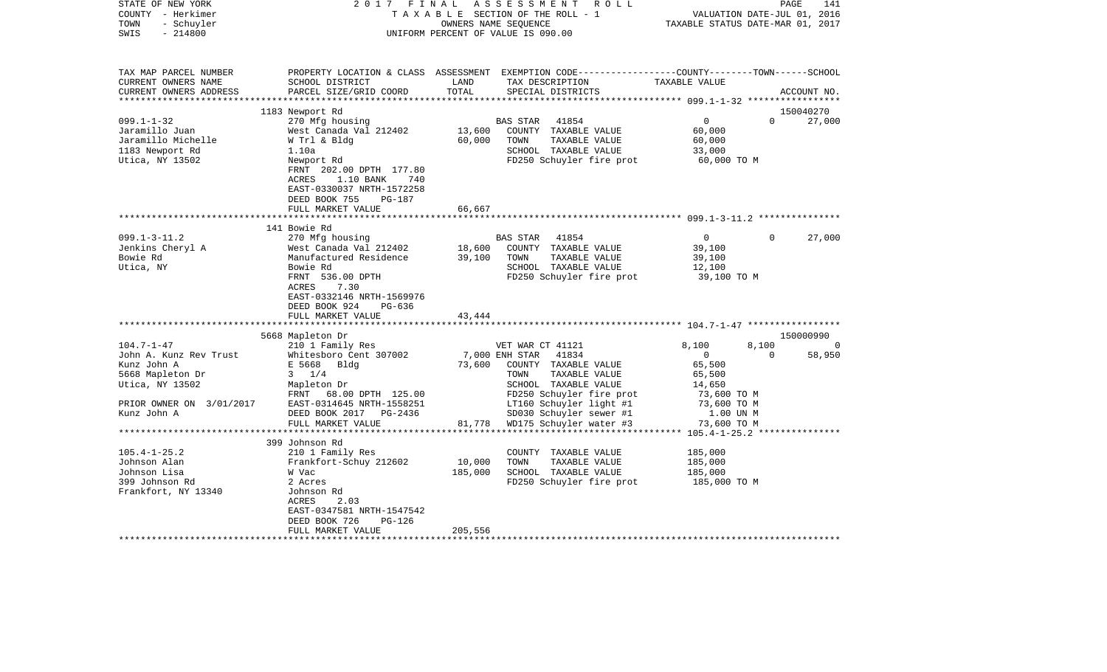| STATE OF NEW YORK<br>COUNTY - Herkimer<br>- Schuyler<br>TOWN<br>$-214800$<br>SWIS | 2017<br>FINAL                                          |               | ASSESSMENT ROLL<br>TAXABLE SECTION OF THE ROLL - 1<br>OWNERS NAME SEQUENCE<br>UNIFORM PERCENT OF VALUE IS 090.00                       | VALUATION DATE-JUL 01, 2016<br>TAXABLE STATUS DATE-MAR 01, 2017 | PAGE         | 141         |
|-----------------------------------------------------------------------------------|--------------------------------------------------------|---------------|----------------------------------------------------------------------------------------------------------------------------------------|-----------------------------------------------------------------|--------------|-------------|
| TAX MAP PARCEL NUMBER<br>CURRENT OWNERS NAME<br>CURRENT OWNERS ADDRESS            | SCHOOL DISTRICT<br>PARCEL SIZE/GRID COORD              | LAND<br>TOTAL | PROPERTY LOCATION & CLASS ASSESSMENT EXEMPTION CODE---------------COUNTY-------TOWN-----SCHOOL<br>TAX DESCRIPTION<br>SPECIAL DISTRICTS | TAXABLE VALUE                                                   |              | ACCOUNT NO. |
|                                                                                   | 1183 Newport Rd                                        |               |                                                                                                                                        |                                                                 |              | 150040270   |
| $099.1 - 1 - 32$                                                                  | 270 Mfg housing                                        |               | 41854<br>BAS STAR                                                                                                                      | $\overline{0}$                                                  | $\Omega$     | 27,000      |
| Jaramillo Juan                                                                    | West Canada Val 212402                                 | 13,600        | COUNTY TAXABLE VALUE                                                                                                                   | 60,000                                                          |              |             |
| Jaramillo Michelle                                                                | W Trl & Bldg                                           | 60,000        | TOWN<br>TAXABLE VALUE                                                                                                                  | 60,000                                                          |              |             |
| 1183 Newport Rd                                                                   | 1.10a                                                  |               | SCHOOL TAXABLE VALUE                                                                                                                   | 33,000                                                          |              |             |
| Utica, NY 13502                                                                   | Newport Rd                                             |               | FD250 Schuyler fire prot                                                                                                               | 60,000 TO M                                                     |              |             |
|                                                                                   | FRNT 202.00 DPTH 177.80<br>1.10 BANK<br>ACRES<br>740   |               |                                                                                                                                        |                                                                 |              |             |
|                                                                                   | EAST-0330037 NRTH-1572258                              |               |                                                                                                                                        |                                                                 |              |             |
|                                                                                   | DEED BOOK 755<br>PG-187                                |               |                                                                                                                                        |                                                                 |              |             |
|                                                                                   | FULL MARKET VALUE                                      | 66,667        |                                                                                                                                        |                                                                 |              |             |
|                                                                                   |                                                        |               |                                                                                                                                        |                                                                 |              |             |
|                                                                                   | 141 Bowie Rd                                           |               |                                                                                                                                        |                                                                 |              |             |
| $099.1 - 3 - 11.2$                                                                | 270 Mfg housing                                        |               | BAS STAR<br>41854                                                                                                                      | $\overline{0}$                                                  | $\mathbf{0}$ | 27,000      |
| Jenkins Cheryl A                                                                  | West Canada Val 212402                                 | 18,600        | COUNTY TAXABLE VALUE                                                                                                                   | 39,100                                                          |              |             |
| Bowie Rd                                                                          | Manufactured Residence                                 | 39,100        | TOWN<br>TAXABLE VALUE                                                                                                                  | 39,100                                                          |              |             |
| Utica, NY                                                                         | Bowie Rd<br>FRNT 536.00 DPTH                           |               | SCHOOL TAXABLE VALUE<br>FD250 Schuyler fire prot                                                                                       | 12,100                                                          |              |             |
|                                                                                   | 7.30<br>ACRES                                          |               |                                                                                                                                        | 39,100 TO M                                                     |              |             |
|                                                                                   | EAST-0332146 NRTH-1569976                              |               |                                                                                                                                        |                                                                 |              |             |
|                                                                                   | DEED BOOK 924<br>PG-636                                |               |                                                                                                                                        |                                                                 |              |             |
|                                                                                   | FULL MARKET VALUE                                      | 43,444        |                                                                                                                                        |                                                                 |              |             |
|                                                                                   |                                                        |               |                                                                                                                                        |                                                                 |              |             |
|                                                                                   | 5668 Mapleton Dr                                       |               |                                                                                                                                        |                                                                 |              | 150000990   |
| $104.7 - 1 - 47$                                                                  | 210 1 Family Res                                       |               | VET WAR CT 41121                                                                                                                       | 8,100                                                           | 8,100        | 0           |
| John A. Kunz Rev Trust                                                            | Whitesboro Cent 307002                                 |               | 7,000 ENH STAR<br>41834                                                                                                                | $\overline{0}$                                                  | $\Omega$     | 58,950      |
| Kunz John A                                                                       | E 5668<br>Bldg                                         | 73,600        | COUNTY TAXABLE VALUE                                                                                                                   | 65,500                                                          |              |             |
| 5668 Mapleton Dr                                                                  | $3 \frac{1}{4}$                                        |               | TOWN<br>TAXABLE VALUE                                                                                                                  | 65,500                                                          |              |             |
| Utica, NY 13502                                                                   | Mapleton Dr                                            |               | SCHOOL TAXABLE VALUE                                                                                                                   | 14,650                                                          |              |             |
| PRIOR OWNER ON 3/01/2017                                                          | FRNT<br>68.00 DPTH 125.00<br>EAST-0314645 NRTH-1558251 |               | FD250 Schuyler fire prot<br>LT160 Schuyler light #1                                                                                    | 73,600 TO M<br>73,600 TO M                                      |              |             |
| Kunz John A                                                                       | DEED BOOK 2017<br>PG-2436                              |               | SD030 Schuyler sewer #1                                                                                                                | 1.00 UN M                                                       |              |             |
|                                                                                   | FULL MARKET VALUE                                      | 81,778        | WD175 Schuyler water #3                                                                                                                | 73,600 TO M                                                     |              |             |
|                                                                                   |                                                        |               |                                                                                                                                        |                                                                 |              |             |
|                                                                                   | 399 Johnson Rd                                         |               |                                                                                                                                        |                                                                 |              |             |
| $105.4 - 1 - 25.2$                                                                | 210 1 Family Res                                       |               | COUNTY TAXABLE VALUE                                                                                                                   | 185,000                                                         |              |             |
| Johnson Alan                                                                      | Frankfort-Schuy 212602                                 | 10,000        | TOWN<br>TAXABLE VALUE                                                                                                                  | 185,000                                                         |              |             |
| Johnson Lisa                                                                      | W Vac                                                  | 185,000       | SCHOOL TAXABLE VALUE                                                                                                                   | 185,000                                                         |              |             |
| 399 Johnson Rd                                                                    | 2 Acres                                                |               | FD250 Schuyler fire prot                                                                                                               | 185,000 TO M                                                    |              |             |
| Frankfort, NY 13340                                                               | Johnson Rd                                             |               |                                                                                                                                        |                                                                 |              |             |
|                                                                                   | 2.03<br>ACRES                                          |               |                                                                                                                                        |                                                                 |              |             |
|                                                                                   | EAST-0347581 NRTH-1547542                              |               |                                                                                                                                        |                                                                 |              |             |
|                                                                                   | DEED BOOK 726<br>$PG-126$<br>FULL MARKET VALUE         | 205,556       |                                                                                                                                        |                                                                 |              |             |
|                                                                                   |                                                        |               |                                                                                                                                        |                                                                 |              |             |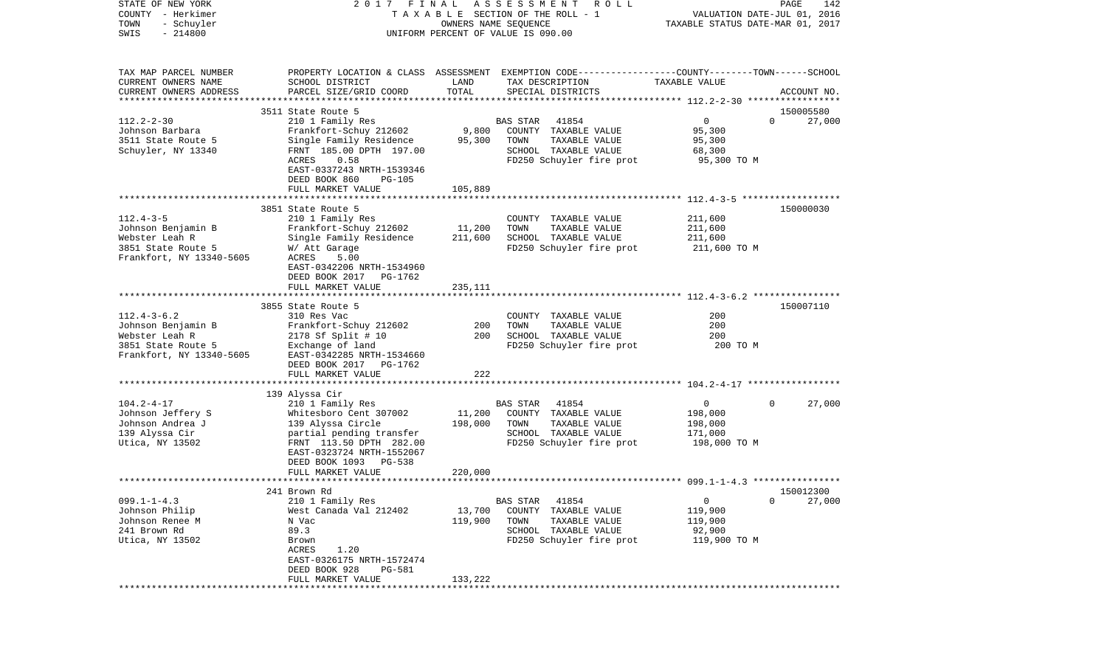| COUNTY<br>– Herkimer     |                                            |                                  | T A X A B L E SECTION OF THE ROLL - 1                                                            |                                                       | VALUATION DATE-JUL 01, 2016 |
|--------------------------|--------------------------------------------|----------------------------------|--------------------------------------------------------------------------------------------------|-------------------------------------------------------|-----------------------------|
| TOWN<br>- Schuyler       |                                            | TAXABLE STATUS DATE-MAR 01, 2017 |                                                                                                  |                                                       |                             |
| SWIS<br>$-214800$        |                                            |                                  | UNIFORM PERCENT OF VALUE IS 090.00                                                               |                                                       |                             |
|                          |                                            |                                  |                                                                                                  |                                                       |                             |
| TAX MAP PARCEL NUMBER    |                                            |                                  | PROPERTY LOCATION & CLASS ASSESSMENT EXEMPTION CODE----------------COUNTY-------TOWN------SCHOOL |                                                       |                             |
| CURRENT OWNERS NAME      | SCHOOL DISTRICT                            | LAND                             | TAX DESCRIPTION                                                                                  | TAXABLE VALUE                                         |                             |
| CURRENT OWNERS ADDRESS   | PARCEL SIZE/GRID COORD                     | TOTAL                            | SPECIAL DISTRICTS                                                                                |                                                       | ACCOUNT NO.                 |
|                          |                                            |                                  |                                                                                                  |                                                       |                             |
|                          | 3511 State Route 5                         |                                  |                                                                                                  |                                                       | 150005580                   |
| $112.2 - 2 - 30$         | 210 1 Family Res                           |                                  | 41854<br>BAS STAR                                                                                | $\mathbf 0$                                           | $\Omega$<br>27,000          |
| Johnson Barbara          | Frankfort-Schuy 212602                     | 9,800                            | COUNTY TAXABLE VALUE                                                                             | 95,300                                                |                             |
| 3511 State Route 5       | Single Family Residence                    | 95,300                           | TOWN<br>TAXABLE VALUE                                                                            | 95,300                                                |                             |
| Schuyler, NY 13340       | FRNT 185.00 DPTH 197.00                    |                                  | SCHOOL TAXABLE VALUE                                                                             | 68,300                                                |                             |
|                          | ACRES<br>0.58                              |                                  | FD250 Schuyler fire prot                                                                         | 95,300 TO M                                           |                             |
|                          | EAST-0337243 NRTH-1539346                  |                                  |                                                                                                  |                                                       |                             |
|                          | DEED BOOK 860<br>PG-105                    |                                  |                                                                                                  |                                                       |                             |
|                          | FULL MARKET VALUE                          | 105,889                          |                                                                                                  |                                                       |                             |
|                          |                                            |                                  |                                                                                                  |                                                       |                             |
|                          | 3851 State Route 5                         |                                  |                                                                                                  |                                                       | 150000030                   |
| $112.4 - 3 - 5$          | 210 1 Family Res                           |                                  | COUNTY TAXABLE VALUE                                                                             | 211,600                                               |                             |
| Johnson Benjamin B       | Frankfort-Schuy 212602                     | 11,200                           | TAXABLE VALUE<br>TOWN                                                                            | 211,600                                               |                             |
| Webster Leah R           | Single Family Residence                    | 211,600                          | SCHOOL TAXABLE VALUE                                                                             | 211,600                                               |                             |
| 3851 State Route 5       | W/ Att Garage                              |                                  | FD250 Schuyler fire prot                                                                         | 211,600 TO M                                          |                             |
| Frankfort, NY 13340-5605 | 5.00<br>ACRES                              |                                  |                                                                                                  |                                                       |                             |
|                          | EAST-0342206 NRTH-1534960                  |                                  |                                                                                                  |                                                       |                             |
|                          | DEED BOOK 2017<br>PG-1762                  |                                  |                                                                                                  |                                                       |                             |
|                          | FULL MARKET VALUE<br>********************* | 235,111<br>********              |                                                                                                  | ************************ 112.4-3-6.2 **************** |                             |
|                          | 3855 State Route 5                         |                                  |                                                                                                  |                                                       | 150007110                   |
| $112.4 - 3 - 6.2$        | 310 Res Vac                                |                                  | COUNTY TAXABLE VALUE                                                                             | 200                                                   |                             |
| Johnson Benjamin B       | Frankfort-Schuy 212602                     | 200                              | TOWN<br>TAXABLE VALUE                                                                            | 200                                                   |                             |
| Webster Leah R           | 2178 Sf Split # 10                         | 200                              | SCHOOL TAXABLE VALUE                                                                             | 200                                                   |                             |
| 3851 State Route 5       | Exchange of land                           |                                  | FD250 Schuyler fire prot                                                                         | 200 TO M                                              |                             |
| Frankfort, NY 13340-5605 | EAST-0342285 NRTH-1534660                  |                                  |                                                                                                  |                                                       |                             |
|                          | DEED BOOK 2017 PG-1762                     |                                  |                                                                                                  |                                                       |                             |
|                          | FULL MARKET VALUE                          | 222                              |                                                                                                  |                                                       |                             |
|                          |                                            |                                  |                                                                                                  |                                                       |                             |
|                          | 139 Alyssa Cir                             |                                  |                                                                                                  |                                                       |                             |
| $104.2 - 4 - 17$         | 210 1 Family Res                           |                                  | 41854<br>BAS STAR                                                                                | 0                                                     | 27,000<br>0                 |
| Johnson Jeffery S        | Whitesboro Cent 307002                     | 11,200                           | COUNTY TAXABLE VALUE                                                                             | 198,000                                               |                             |
| Johnson Andrea J         | 139 Alyssa Circle                          | 198,000                          | TOWN<br>TAXABLE VALUE                                                                            | 198,000                                               |                             |
| 139 Alyssa Cir           | partial pending transfer                   |                                  | SCHOOL TAXABLE VALUE                                                                             | 171,000                                               |                             |
| Utica, NY 13502          | FRNT 113.50 DPTH 282.00                    |                                  | FD250 Schuyler fire prot                                                                         | 198,000 TO M                                          |                             |
|                          | EAST-0323724 NRTH-1552067                  |                                  |                                                                                                  |                                                       |                             |
|                          | DEED BOOK 1093<br>PG-538                   |                                  |                                                                                                  |                                                       |                             |
|                          | FULL MARKET VALUE                          | 220,000                          |                                                                                                  |                                                       |                             |
|                          |                                            |                                  |                                                                                                  |                                                       |                             |
|                          | 241 Brown Rd                               |                                  |                                                                                                  |                                                       | 150012300                   |
| $099.1 - 1 - 4.3$        | 210 1 Family Res                           |                                  | 41854<br>BAS STAR                                                                                | 0                                                     | 0<br>27,000                 |
| Johnson Philip           | West Canada Val 212402                     | 13,700                           | COUNTY TAXABLE VALUE                                                                             | 119,900                                               |                             |
| Johnson Renee M          | N Vac                                      | 119,900                          | TOWN<br>TAXABLE VALUE                                                                            | 119,900                                               |                             |
| 241 Brown Rd             | 89.3                                       |                                  | SCHOOL TAXABLE VALUE                                                                             | 92,900                                                |                             |
| Utica, NY 13502          | Brown                                      |                                  | FD250 Schuyler fire prot                                                                         | 119,900 TO M                                          |                             |
|                          | 1.20<br>ACRES                              |                                  |                                                                                                  |                                                       |                             |
|                          | EAST-0326175 NRTH-1572474                  |                                  |                                                                                                  |                                                       |                             |
|                          | DEED BOOK 928<br>PG-581                    |                                  |                                                                                                  |                                                       |                             |
|                          | FULL MARKET VALUE                          | 133,222                          |                                                                                                  |                                                       |                             |
|                          |                                            |                                  |                                                                                                  |                                                       |                             |

PAGE 142

STATE OF NEW YORK 2 0 1 7 F I N A L A S S E S S M E N T R O L L PAGE 142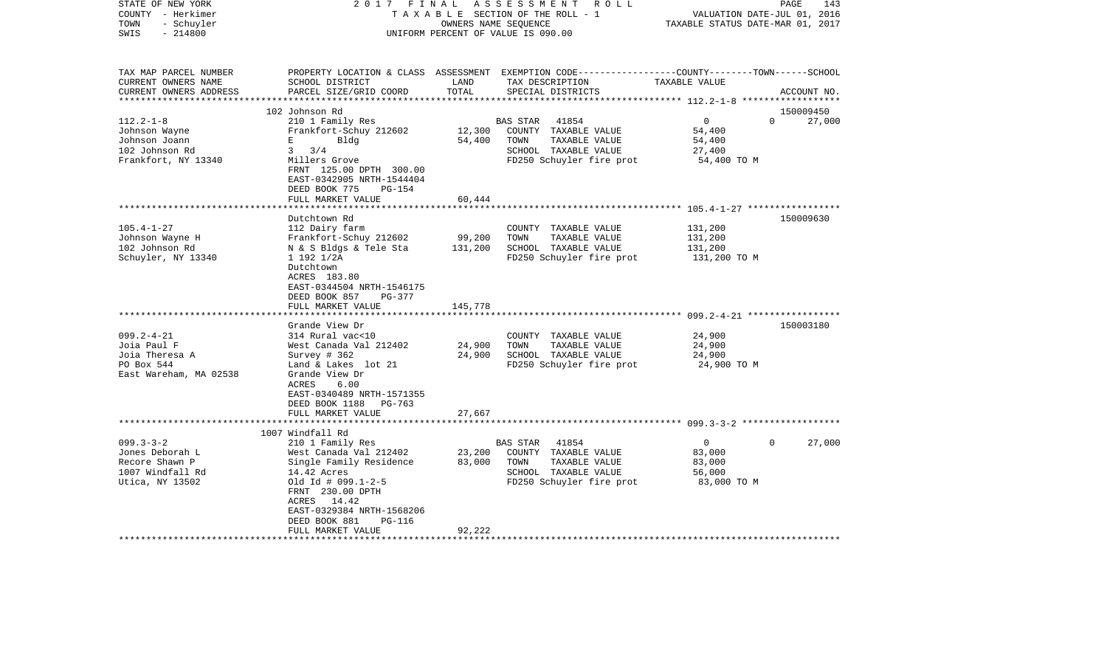| STATE OF NEW YORK<br>COUNTY - Herkimer<br>- Schuyler<br>TOWN<br>$-214800$<br>SWIS | 2017 FINAL                                             | OWNERS NAME SEQUENCE | ASSESSMENT ROLL<br>TAXABLE SECTION OF THE ROLL - 1<br>UNIFORM PERCENT OF VALUE IS 090.00                                                 | VALUATION DATE-JUL 01, 2016<br>TAXABLE STATUS DATE-MAR 01, 2017 | PAGE<br>143                     |
|-----------------------------------------------------------------------------------|--------------------------------------------------------|----------------------|------------------------------------------------------------------------------------------------------------------------------------------|-----------------------------------------------------------------|---------------------------------|
| TAX MAP PARCEL NUMBER<br>CURRENT OWNERS NAME<br>CURRENT OWNERS ADDRESS            | SCHOOL DISTRICT<br>PARCEL SIZE/GRID COORD              | LAND<br>TOTAL        | PROPERTY LOCATION & CLASS ASSESSMENT EXEMPTION CODE----------------COUNTY-------TOWN------SCHOOL<br>TAX DESCRIPTION<br>SPECIAL DISTRICTS | TAXABLE VALUE                                                   | ACCOUNT NO.                     |
|                                                                                   |                                                        |                      |                                                                                                                                          |                                                                 |                                 |
| $112.2 - 1 - 8$                                                                   | 102 Johnson Rd<br>210 1 Family Res                     |                      | 41854<br><b>BAS STAR</b>                                                                                                                 | $\overline{0}$                                                  | 150009450<br>27,000<br>$\Omega$ |
| Johnson Wayne                                                                     | Frankfort-Schuy 212602                                 | 12,300               | COUNTY TAXABLE VALUE                                                                                                                     | 54,400                                                          |                                 |
| Johnson Joann                                                                     | Bldg<br>Е                                              | 54,400               | TOWN<br>TAXABLE VALUE                                                                                                                    | 54,400                                                          |                                 |
| 102 Johnson Rd                                                                    | $3 \frac{3}{4}$                                        |                      | SCHOOL TAXABLE VALUE                                                                                                                     | 27,400                                                          |                                 |
| Frankfort, NY 13340                                                               | Millers Grove                                          |                      | FD250 Schuyler fire prot                                                                                                                 | 54,400 TO M                                                     |                                 |
|                                                                                   | FRNT 125.00 DPTH 300.00                                |                      |                                                                                                                                          |                                                                 |                                 |
|                                                                                   | EAST-0342905 NRTH-1544404                              |                      |                                                                                                                                          |                                                                 |                                 |
|                                                                                   | DEED BOOK 775<br>$PG-154$                              |                      |                                                                                                                                          |                                                                 |                                 |
|                                                                                   | FULL MARKET VALUE                                      | 60,444               |                                                                                                                                          |                                                                 |                                 |
|                                                                                   | *****************                                      |                      |                                                                                                                                          |                                                                 |                                 |
|                                                                                   | Dutchtown Rd                                           |                      |                                                                                                                                          |                                                                 | 150009630                       |
| $105.4 - 1 - 27$                                                                  | 112 Dairy farm                                         |                      | COUNTY TAXABLE VALUE                                                                                                                     | 131,200                                                         |                                 |
| Johnson Wayne H                                                                   | Frankfort-Schuy 212602                                 | 99,200               | TOWN<br>TAXABLE VALUE                                                                                                                    | 131,200                                                         |                                 |
| 102 Johnson Rd                                                                    | N & S Bldgs & Tele Sta                                 | 131,200              | SCHOOL TAXABLE VALUE                                                                                                                     | 131,200                                                         |                                 |
| Schuyler, NY 13340                                                                | 1 192 1/2A                                             |                      | FD250 Schuyler fire prot                                                                                                                 | 131,200 TO M                                                    |                                 |
|                                                                                   | Dutchtown<br>ACRES 183.80<br>EAST-0344504 NRTH-1546175 |                      |                                                                                                                                          |                                                                 |                                 |
|                                                                                   | DEED BOOK 857<br>PG-377                                |                      |                                                                                                                                          |                                                                 |                                 |
|                                                                                   | FULL MARKET VALUE<br>**********************            | 145,778              |                                                                                                                                          |                                                                 |                                 |
|                                                                                   | Grande View Dr                                         |                      |                                                                                                                                          |                                                                 | 150003180                       |
| $099.2 - 4 - 21$                                                                  | 314 Rural vac<10                                       |                      | COUNTY TAXABLE VALUE                                                                                                                     | 24,900                                                          |                                 |
| Joia Paul F                                                                       | West Canada Val 212402                                 | 24,900               | TAXABLE VALUE<br>TOWN                                                                                                                    | 24,900                                                          |                                 |
| Joia Theresa A                                                                    | Survey # 362                                           | 24,900               | SCHOOL TAXABLE VALUE                                                                                                                     | 24,900                                                          |                                 |
| PO Box 544                                                                        | Land & Lakes lot 21                                    |                      | FD250 Schuyler fire prot                                                                                                                 | 24,900 TO M                                                     |                                 |
| East Wareham, MA 02538                                                            | Grande View Dr                                         |                      |                                                                                                                                          |                                                                 |                                 |
|                                                                                   | ACRES<br>6.00                                          |                      |                                                                                                                                          |                                                                 |                                 |
|                                                                                   | EAST-0340489 NRTH-1571355                              |                      |                                                                                                                                          |                                                                 |                                 |
|                                                                                   | DEED BOOK 1188<br>PG-763                               |                      |                                                                                                                                          |                                                                 |                                 |
|                                                                                   | FULL MARKET VALUE                                      | 27,667               |                                                                                                                                          |                                                                 |                                 |
|                                                                                   |                                                        |                      |                                                                                                                                          |                                                                 |                                 |
|                                                                                   | 1007 Windfall Rd                                       |                      |                                                                                                                                          |                                                                 |                                 |
| $099.3 - 3 - 2$                                                                   | 210 1 Family Res                                       |                      | <b>BAS STAR</b><br>41854                                                                                                                 | $\overline{0}$                                                  | $\Omega$<br>27,000              |
| Jones Deborah L                                                                   | West Canada Val 212402                                 | 23,200               | COUNTY TAXABLE VALUE                                                                                                                     | 83,000                                                          |                                 |
| Recore Shawn P                                                                    | Single Family Residence                                | 83,000               | TOWN<br>TAXABLE VALUE                                                                                                                    | 83,000                                                          |                                 |
| 1007 Windfall Rd                                                                  | 14.42 Acres                                            |                      | SCHOOL TAXABLE VALUE                                                                                                                     | 56,000                                                          |                                 |
| Utica, NY 13502                                                                   | Old $Id$ # 099.1-2-5<br>FRNT 230.00 DPTH               |                      | FD250 Schuyler fire prot                                                                                                                 | 83,000 TO M                                                     |                                 |
|                                                                                   | ACRES 14.42                                            |                      |                                                                                                                                          |                                                                 |                                 |
|                                                                                   | EAST-0329384 NRTH-1568206                              |                      |                                                                                                                                          |                                                                 |                                 |
|                                                                                   | DEED BOOK 881<br>PG-116                                | 92,222               |                                                                                                                                          |                                                                 |                                 |
|                                                                                   | FULL MARKET VALUE                                      |                      |                                                                                                                                          |                                                                 |                                 |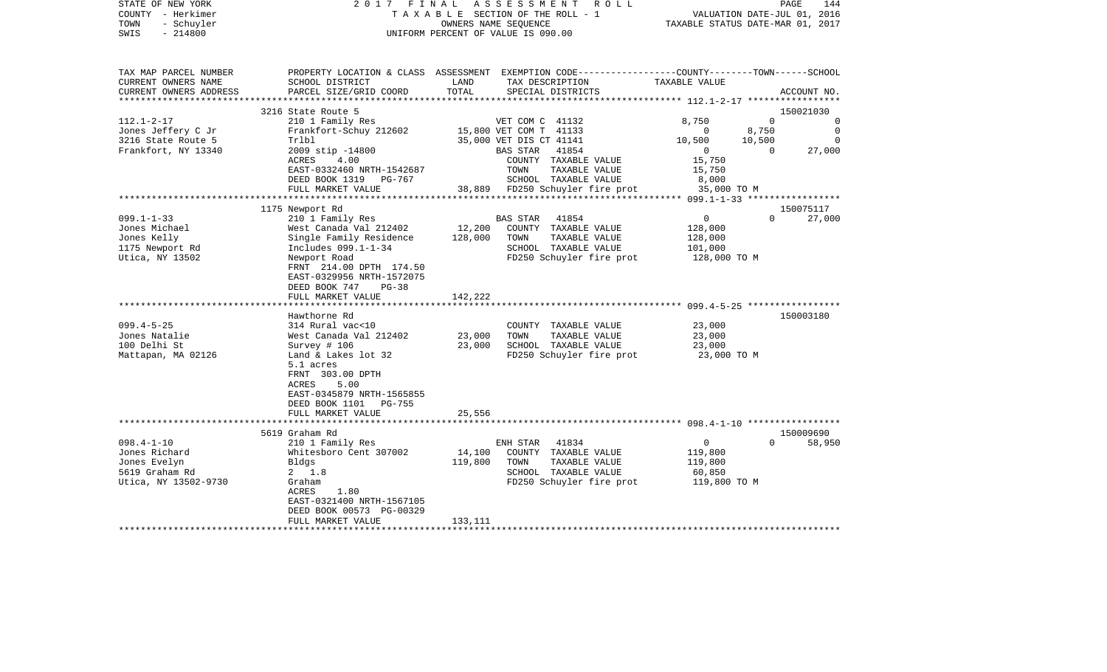| COUNTY<br>– Herkimer<br>TOWN<br>- Schuyler<br>SWIS<br>$-214800$ |                                            | T A X A B L E SECTION OF THE ROLL - 1<br>OWNERS NAME SEQUENCE<br>UNIFORM PERCENT OF VALUE IS 090.00 |                                                                                                 |                                      |             |             |
|-----------------------------------------------------------------|--------------------------------------------|-----------------------------------------------------------------------------------------------------|-------------------------------------------------------------------------------------------------|--------------------------------------|-------------|-------------|
|                                                                 |                                            |                                                                                                     |                                                                                                 |                                      |             |             |
| TAX MAP PARCEL NUMBER                                           |                                            |                                                                                                     | PROPERTY LOCATION & CLASS ASSESSMENT EXEMPTION CODE---------------COUNTY-------TOWN------SCHOOL |                                      |             |             |
| CURRENT OWNERS NAME                                             | SCHOOL DISTRICT                            | LAND                                                                                                | TAX DESCRIPTION                                                                                 | TAXABLE VALUE                        |             |             |
| CURRENT OWNERS ADDRESS                                          | PARCEL SIZE/GRID COORD                     | TOTAL                                                                                               | SPECIAL DISTRICTS                                                                               |                                      |             | ACCOUNT NO. |
| **********************                                          | ***************************                | **************                                                                                      | ************************************** 112.1-2-17 *****************                             |                                      |             |             |
|                                                                 | 3216 State Route 5                         |                                                                                                     |                                                                                                 |                                      |             | 150021030   |
| $112.1 - 2 - 17$                                                | 210 1 Family Res                           |                                                                                                     | VET COM C 41132                                                                                 | 8,750                                | $\mathbf 0$ | $\Omega$    |
| Jones Jeffery C Jr                                              | Frankfort-Schuy 212602                     |                                                                                                     | 15,800 VET COM T 41133                                                                          | 0                                    | 8,750       | $\mathbf 0$ |
| 3216 State Route 5                                              | Trlbl                                      |                                                                                                     | 35,000 VET DIS CT 41141                                                                         | 10,500                               | 10,500      | 0           |
| Frankfort, NY 13340                                             | 2009 stip -14800                           |                                                                                                     | 41854<br><b>BAS STAR</b>                                                                        | $\mathbf 0$                          | $\Omega$    | 27,000      |
|                                                                 | ACRES<br>4.00                              |                                                                                                     | COUNTY TAXABLE VALUE                                                                            | 15,750                               |             |             |
|                                                                 | EAST-0332460 NRTH-1542687                  |                                                                                                     | TOWN<br>TAXABLE VALUE                                                                           | 15,750                               |             |             |
|                                                                 | DEED BOOK 1319<br>PG-767                   |                                                                                                     | SCHOOL TAXABLE VALUE                                                                            | 8,000                                |             |             |
|                                                                 | FULL MARKET VALUE<br>*****************     |                                                                                                     | 38,889 FD250 Schuyler fire prot                                                                 | 35,000 TO M                          |             |             |
|                                                                 | 1175 Newport Rd                            |                                                                                                     |                                                                                                 |                                      |             | 150075117   |
| $099.1 - 1 - 33$                                                | 210 1 Family Res                           |                                                                                                     | 41854<br>BAS STAR                                                                               | 0                                    | $\Omega$    | 27,000      |
| Jones Michael                                                   | West Canada Val 212402                     | 12,200                                                                                              | COUNTY TAXABLE VALUE                                                                            | 128,000                              |             |             |
| Jones Kelly                                                     | Single Family Residence                    | 128,000                                                                                             | TOWN<br>TAXABLE VALUE                                                                           | 128,000                              |             |             |
| 1175 Newport Rd                                                 | Includes 099.1-1-34                        |                                                                                                     | SCHOOL TAXABLE VALUE                                                                            | 101,000                              |             |             |
| Utica, NY 13502                                                 | Newport Road                               |                                                                                                     | FD250 Schuyler fire prot                                                                        | 128,000 TO M                         |             |             |
|                                                                 | FRNT 214.00 DPTH 174.50                    |                                                                                                     |                                                                                                 |                                      |             |             |
|                                                                 | EAST-0329956 NRTH-1572075                  |                                                                                                     |                                                                                                 |                                      |             |             |
|                                                                 | DEED BOOK 747<br>$PG-38$                   |                                                                                                     |                                                                                                 |                                      |             |             |
|                                                                 | FULL MARKET VALUE                          | 142,222                                                                                             |                                                                                                 |                                      |             |             |
|                                                                 |                                            |                                                                                                     | .************************************599.4-5-25*************                                    |                                      |             |             |
|                                                                 | Hawthorne Rd                               |                                                                                                     |                                                                                                 |                                      |             | 150003180   |
| $099.4 - 5 - 25$                                                | 314 Rural vac<10                           |                                                                                                     | COUNTY TAXABLE VALUE                                                                            | 23,000                               |             |             |
| Jones Natalie                                                   | West Canada Val 212402                     | 23,000                                                                                              | TOWN<br>TAXABLE VALUE                                                                           | 23,000                               |             |             |
| 100 Delhi St                                                    | Survey $# 106$                             | 23,000                                                                                              | SCHOOL TAXABLE VALUE                                                                            | 23,000                               |             |             |
| Mattapan, MA 02126                                              | Land & Lakes lot 32                        |                                                                                                     | FD250 Schuyler fire prot                                                                        | 23,000 TO M                          |             |             |
|                                                                 | 5.1 acres                                  |                                                                                                     |                                                                                                 |                                      |             |             |
|                                                                 | FRNT 303.00 DPTH                           |                                                                                                     |                                                                                                 |                                      |             |             |
|                                                                 | ACRES<br>5.00                              |                                                                                                     |                                                                                                 |                                      |             |             |
|                                                                 | EAST-0345879 NRTH-1565855                  |                                                                                                     |                                                                                                 |                                      |             |             |
|                                                                 | DEED BOOK 1101<br>PG-755                   |                                                                                                     |                                                                                                 |                                      |             |             |
|                                                                 | FULL MARKET VALUE                          | 25,556                                                                                              |                                                                                                 |                                      |             |             |
|                                                                 |                                            |                                                                                                     |                                                                                                 | ************ 098.4-1-10 ************ |             |             |
|                                                                 | 5619 Graham Rd                             |                                                                                                     |                                                                                                 |                                      |             | 150009690   |
| $098.4 - 1 - 10$                                                | 210 1 Family Res                           |                                                                                                     | 41834<br>ENH STAR                                                                               | $\mathbf 0$                          | $\Omega$    | 58,950      |
| Jones Richard                                                   | Whitesboro Cent 307002                     | 14,100                                                                                              | COUNTY TAXABLE VALUE                                                                            | 119,800                              |             |             |
| Jones Evelyn                                                    | Bldgs                                      | 119,800                                                                                             | TAXABLE VALUE<br>TOWN                                                                           | 119,800                              |             |             |
| 5619 Graham Rd                                                  | $2 \t1.8$                                  |                                                                                                     | SCHOOL TAXABLE VALUE                                                                            | 60,850                               |             |             |
| Utica, NY 13502-9730                                            | Graham                                     |                                                                                                     | FD250 Schuyler fire prot                                                                        | 119,800 TO M                         |             |             |
|                                                                 | ACRES<br>1.80<br>EAST-0321400 NRTH-1567105 |                                                                                                     |                                                                                                 |                                      |             |             |
|                                                                 | DEED BOOK 00573 PG-00329                   |                                                                                                     |                                                                                                 |                                      |             |             |
|                                                                 | FULL MARKET VALUE                          | 133,111                                                                                             |                                                                                                 |                                      |             |             |
|                                                                 |                                            |                                                                                                     |                                                                                                 |                                      |             |             |

PAGE 144

STATE OF NEW YORK 2 0 1 7 F I N A L A S S E S S M E N T R O L L PAGE 144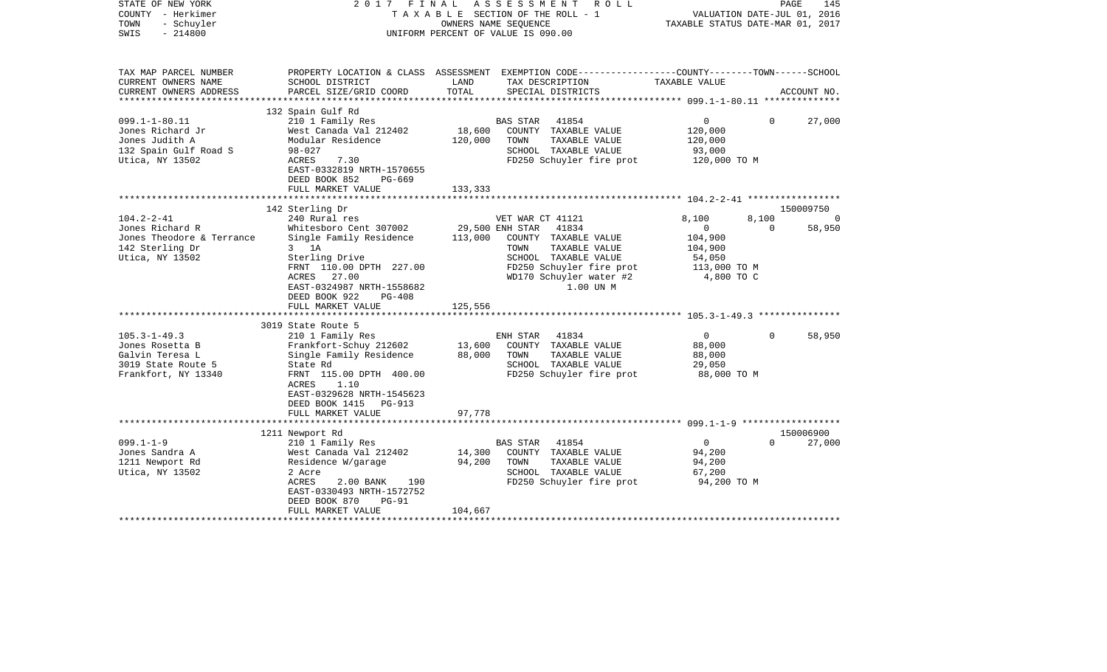| STATE OF NEW YORK<br>COUNTY - Herkimer<br>TOWN<br>- Schuyler<br>$-214800$<br>SWIS | 2017 FINAL<br>TAXABLE SECTION OF THE ROLL - 1<br>UNIFORM PERCENT OF VALUE IS 090.00             | PAGE<br>145<br>VALUATION DATE-JUL 01, 2016<br>TAXABLE STATUS DATE-MAR 01, 2017 |                                               |                       |                   |                    |
|-----------------------------------------------------------------------------------|-------------------------------------------------------------------------------------------------|--------------------------------------------------------------------------------|-----------------------------------------------|-----------------------|-------------------|--------------------|
| TAX MAP PARCEL NUMBER                                                             | PROPERTY LOCATION & CLASS ASSESSMENT EXEMPTION CODE---------------COUNTY-------TOWN------SCHOOL |                                                                                |                                               |                       |                   |                    |
| CURRENT OWNERS NAME<br>CURRENT OWNERS ADDRESS<br>***********************          | SCHOOL DISTRICT<br>PARCEL SIZE/GRID COORD                                                       | LAND<br>TOTAL                                                                  | TAX DESCRIPTION<br>SPECIAL DISTRICTS          | TAXABLE VALUE         |                   | ACCOUNT NO.        |
|                                                                                   | 132 Spain Gulf Rd                                                                               |                                                                                |                                               |                       |                   |                    |
| $099.1 - 1 - 80.11$                                                               | 210 1 Family Res                                                                                |                                                                                | BAS STAR<br>41854                             | $\mathbf{0}$          | $\Omega$          | 27,000             |
| Jones Richard Jr                                                                  | West Canada Val 212402                                                                          | 18,600                                                                         | COUNTY TAXABLE VALUE                          | 120,000               |                   |                    |
| Jones Judith A                                                                    | Modular Residence                                                                               | 120,000                                                                        | TOWN<br>TAXABLE VALUE                         | 120,000               |                   |                    |
| 132 Spain Gulf Road S                                                             | $98 - 027$                                                                                      |                                                                                | SCHOOL TAXABLE VALUE                          | 93,000                |                   |                    |
| Utica, NY 13502                                                                   | 7.30<br>ACRES<br>EAST-0332819 NRTH-1570655<br>DEED BOOK 852<br>$PG-669$                         |                                                                                | FD250 Schuyler fire prot                      | 120,000 TO M          |                   |                    |
|                                                                                   | FULL MARKET VALUE                                                                               | 133,333                                                                        |                                               |                       |                   |                    |
|                                                                                   |                                                                                                 |                                                                                |                                               |                       |                   |                    |
|                                                                                   | 142 Sterling Dr                                                                                 |                                                                                |                                               |                       |                   | 150009750          |
| $104.2 - 2 - 41$<br>Jones Richard R                                               | 240 Rural res<br>Whitesboro Cent 307002                                                         | 29,500 ENH STAR                                                                | VET WAR CT 41121<br>41834                     | 8,100<br>$\mathbf{0}$ | 8,100<br>$\Omega$ | $\Omega$<br>58,950 |
| Jones Theodore & Terrance                                                         | Single Family Residence                                                                         | 113,000                                                                        | COUNTY TAXABLE VALUE                          | 104,900               |                   |                    |
| 142 Sterling Dr                                                                   | $3$ 1A                                                                                          |                                                                                | TOWN<br>TAXABLE VALUE                         | 104,900               |                   |                    |
| Utica, NY 13502                                                                   | Sterling Drive                                                                                  |                                                                                | SCHOOL TAXABLE VALUE                          | 54,050                |                   |                    |
|                                                                                   | FRNT 110.00 DPTH 227.00                                                                         |                                                                                | FD250 Schuyler fire prot                      | 113,000 TO M          |                   |                    |
|                                                                                   | 27.00<br>ACRES                                                                                  |                                                                                | WD170 Schuyler water #2                       | 4,800 TO C            |                   |                    |
|                                                                                   | EAST-0324987 NRTH-1558682                                                                       |                                                                                | 1.00 UN M                                     |                       |                   |                    |
|                                                                                   | DEED BOOK 922<br>$PG-408$                                                                       |                                                                                |                                               |                       |                   |                    |
|                                                                                   | FULL MARKET VALUE                                                                               | 125,556                                                                        |                                               |                       |                   |                    |
|                                                                                   |                                                                                                 |                                                                                |                                               |                       |                   |                    |
| $105.3 - 1 - 49.3$                                                                | 3019 State Route 5                                                                              |                                                                                |                                               | $\overline{0}$        | $\Omega$          |                    |
| Jones Rosetta B                                                                   | 210 1 Family Res<br>Frankfort-Schuy 212602                                                      | 13,600                                                                         | ENH STAR<br>41834<br>COUNTY TAXABLE VALUE     | 88,000                |                   | 58,950             |
| Galvin Teresa L                                                                   | Single Family Residence                                                                         | 88,000                                                                         | TOWN<br>TAXABLE VALUE                         | 88,000                |                   |                    |
| 3019 State Route 5                                                                | State Rd                                                                                        |                                                                                | SCHOOL TAXABLE VALUE                          | 29,050                |                   |                    |
| Frankfort, NY 13340                                                               | FRNT 115.00 DPTH 400.00                                                                         |                                                                                | FD250 Schuyler fire prot                      | 88,000 TO M           |                   |                    |
|                                                                                   | ACRES<br>1.10                                                                                   |                                                                                |                                               |                       |                   |                    |
|                                                                                   | EAST-0329628 NRTH-1545623                                                                       |                                                                                |                                               |                       |                   |                    |
|                                                                                   | DEED BOOK 1415<br>$PG-913$                                                                      |                                                                                |                                               |                       |                   |                    |
|                                                                                   | FULL MARKET VALUE                                                                               | 97,778                                                                         |                                               |                       |                   |                    |
|                                                                                   |                                                                                                 |                                                                                |                                               |                       |                   |                    |
|                                                                                   | 1211 Newport Rd                                                                                 |                                                                                |                                               |                       |                   | 150006900          |
| $099.1 - 1 - 9$                                                                   | 210 1 Family Res                                                                                |                                                                                | <b>BAS STAR</b><br>41854                      | $\overline{0}$        | $\Omega$          | 27,000             |
| Jones Sandra A                                                                    | West Canada Val 212402                                                                          | 14,300                                                                         | COUNTY TAXABLE VALUE                          | 94,200                |                   |                    |
| 1211 Newport Rd                                                                   | Residence W/garage<br>2 Acre                                                                    | 94,200                                                                         | TAXABLE VALUE<br>TOWN<br>SCHOOL TAXABLE VALUE | 94,200<br>67,200      |                   |                    |
| Utica, NY 13502                                                                   | ACRES<br>2.00 BANK<br>190                                                                       |                                                                                | FD250 Schuyler fire prot                      | 94,200 TO M           |                   |                    |
|                                                                                   | EAST-0330493 NRTH-1572752                                                                       |                                                                                |                                               |                       |                   |                    |
|                                                                                   | DEED BOOK 870<br>$PG-91$                                                                        |                                                                                |                                               |                       |                   |                    |
|                                                                                   | FULL MARKET VALUE                                                                               | 104,667                                                                        |                                               |                       |                   |                    |
|                                                                                   |                                                                                                 |                                                                                |                                               |                       |                   |                    |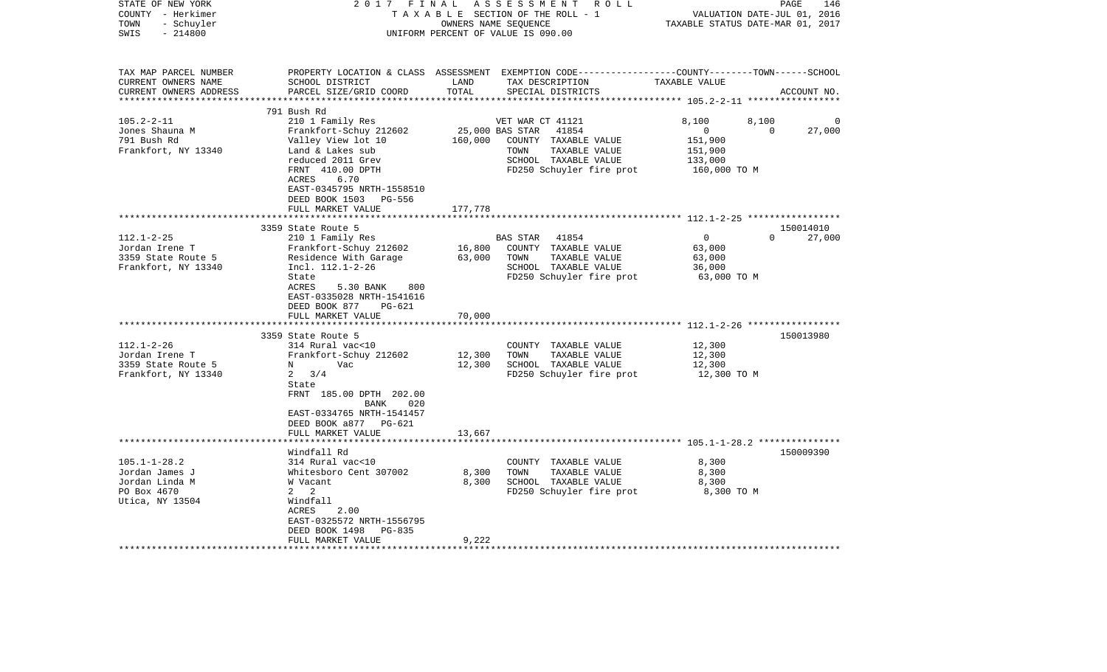| STATE OF NEW YORK<br>COUNTY - Herkimer<br>TOWN<br>- Schuyler<br>$-214800$<br>SWIS                  | 2017 FINAL                                                                                                      |               | ASSESSMENT<br>R O L L<br>TAXABLE SECTION OF THE ROLL - 1<br>OWNERS NAME SEQUENCE<br>UNIFORM PERCENT OF VALUE IS 090.00                   | VALUATION DATE-JUL 01, 2016<br>TAXABLE STATUS DATE-MAR 01, 2017 | PAGE<br>146           |
|----------------------------------------------------------------------------------------------------|-----------------------------------------------------------------------------------------------------------------|---------------|------------------------------------------------------------------------------------------------------------------------------------------|-----------------------------------------------------------------|-----------------------|
| TAX MAP PARCEL NUMBER<br>CURRENT OWNERS NAME<br>CURRENT OWNERS ADDRESS<br>************************ | SCHOOL DISTRICT<br>PARCEL SIZE/GRID COORD                                                                       | LAND<br>TOTAL | PROPERTY LOCATION & CLASS ASSESSMENT EXEMPTION CODE----------------COUNTY-------TOWN------SCHOOL<br>TAX DESCRIPTION<br>SPECIAL DISTRICTS | TAXABLE VALUE                                                   | ACCOUNT NO.           |
|                                                                                                    | 791 Bush Rd                                                                                                     |               |                                                                                                                                          |                                                                 |                       |
| $105.2 - 2 - 11$                                                                                   | 210 1 Family Res                                                                                                |               | VET WAR CT 41121                                                                                                                         | 8,100<br>8,100                                                  |                       |
| Jones Shauna M                                                                                     | Frankfort-Schuy 212602                                                                                          |               | 25,000 BAS STAR<br>41854                                                                                                                 | $\mathbf{0}$                                                    | 27,000<br>$\mathbf 0$ |
| 791 Bush Rd                                                                                        | Valley View lot 10                                                                                              | 160,000       | COUNTY TAXABLE VALUE                                                                                                                     | 151,900                                                         |                       |
| Frankfort, NY 13340                                                                                | Land & Lakes sub                                                                                                |               | TAXABLE VALUE<br>TOWN                                                                                                                    | 151,900                                                         |                       |
|                                                                                                    | reduced 2011 Grev                                                                                               |               | SCHOOL TAXABLE VALUE                                                                                                                     | 133,000                                                         |                       |
|                                                                                                    | FRNT 410.00 DPTH<br>ACRES<br>6.70<br>EAST-0345795 NRTH-1558510<br>DEED BOOK 1503 PG-556<br>FULL MARKET VALUE    | 177,778       | FD250 Schuyler fire prot                                                                                                                 | 160,000 TO M                                                    |                       |
|                                                                                                    | **********************************                                                                              |               |                                                                                                                                          |                                                                 |                       |
|                                                                                                    | 3359 State Route 5                                                                                              |               |                                                                                                                                          |                                                                 | 150014010             |
| $112.1 - 2 - 25$                                                                                   | 210 1 Family Res                                                                                                |               | 41854<br>BAS STAR                                                                                                                        | $\mathbf 0$                                                     | $\Omega$<br>27,000    |
| Jordan Irene T                                                                                     | Frankfort-Schuy 212602                                                                                          | 16,800        | COUNTY TAXABLE VALUE                                                                                                                     | 63,000                                                          |                       |
| 3359 State Route 5                                                                                 | Residence With Garage                                                                                           | 63,000        | TOWN<br>TAXABLE VALUE                                                                                                                    | 63,000                                                          |                       |
| Frankfort, NY 13340                                                                                | Incl. 112.1-2-26                                                                                                |               | SCHOOL TAXABLE VALUE                                                                                                                     | 36,000                                                          |                       |
|                                                                                                    | State<br>ACRES<br>5.30 BANK<br>800<br>EAST-0335028 NRTH-1541616<br>DEED BOOK 877<br>PG-621<br>FULL MARKET VALUE | 70,000        | FD250 Schuyler fire prot                                                                                                                 | 63,000 TO M                                                     |                       |
|                                                                                                    | ***************************                                                                                     |               |                                                                                                                                          |                                                                 |                       |
|                                                                                                    | 3359 State Route 5                                                                                              |               |                                                                                                                                          |                                                                 | 150013980             |
| $112.1 - 2 - 26$                                                                                   | 314 Rural vac<10                                                                                                |               | COUNTY TAXABLE VALUE                                                                                                                     | 12,300                                                          |                       |
| Jordan Irene T                                                                                     | Frankfort-Schuy 212602                                                                                          | 12,300        | TOWN<br>TAXABLE VALUE                                                                                                                    | 12,300                                                          |                       |
| 3359 State Route 5<br>Frankfort, NY 13340                                                          | N<br>Vac<br>$2 \frac{3}{4}$                                                                                     | 12,300        | SCHOOL TAXABLE VALUE<br>FD250 Schuyler fire prot                                                                                         | 12,300<br>12,300 TO M                                           |                       |
|                                                                                                    | State<br>FRNT 185.00 DPTH 202.00<br>BANK<br>020<br>EAST-0334765 NRTH-1541457<br>DEED BOOK a877 PG-621           |               |                                                                                                                                          |                                                                 |                       |
|                                                                                                    | FULL MARKET VALUE                                                                                               | 13,667        |                                                                                                                                          |                                                                 |                       |
|                                                                                                    |                                                                                                                 |               |                                                                                                                                          |                                                                 | 150009390             |
| $105.1 - 1 - 28.2$                                                                                 | Windfall Rd<br>314 Rural vac<10                                                                                 |               | COUNTY TAXABLE VALUE                                                                                                                     | 8,300                                                           |                       |
| Jordan James J                                                                                     | Whitesboro Cent 307002                                                                                          | 8,300         | TOWN<br>TAXABLE VALUE                                                                                                                    | 8,300                                                           |                       |
| Jordan Linda M                                                                                     | W Vacant                                                                                                        | 8,300         | SCHOOL TAXABLE VALUE                                                                                                                     | 8,300                                                           |                       |
| PO Box 4670                                                                                        | $2 \quad 2$                                                                                                     |               | FD250 Schuyler fire prot                                                                                                                 | 8,300 TO M                                                      |                       |
| Utica, NY 13504                                                                                    | Windfall<br>2.00<br>ACRES<br>EAST-0325572 NRTH-1556795<br>DEED BOOK 1498<br>PG-835                              |               |                                                                                                                                          |                                                                 |                       |
|                                                                                                    | FULL MARKET VALUE                                                                                               | 9,222         |                                                                                                                                          |                                                                 |                       |
|                                                                                                    |                                                                                                                 |               |                                                                                                                                          |                                                                 |                       |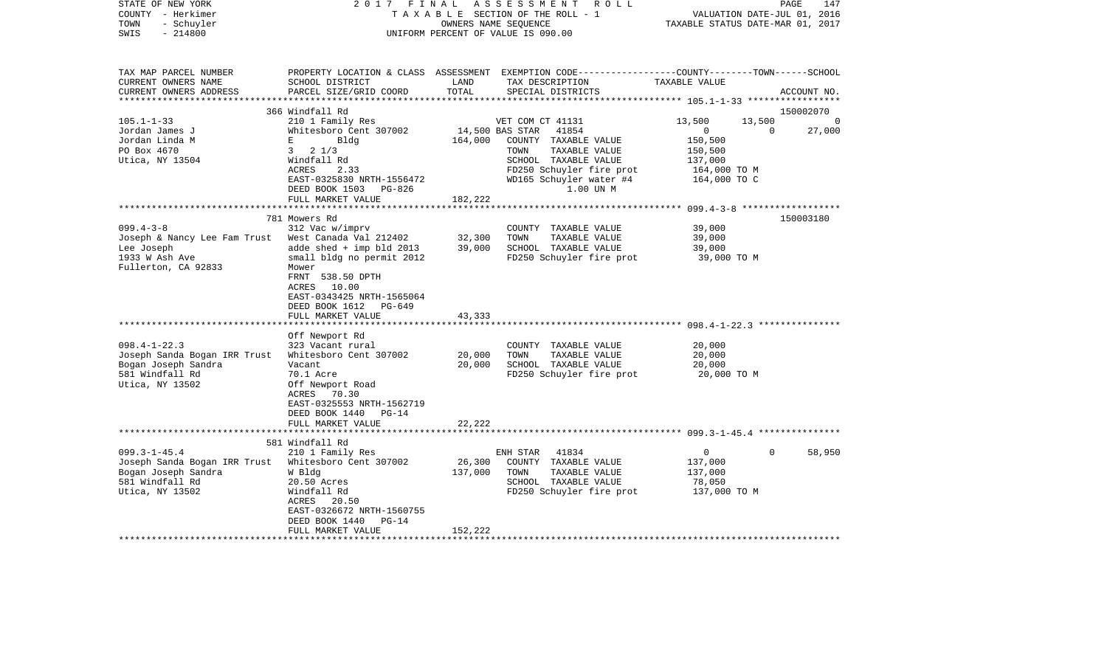| STATE OF NEW YORK<br>COUNTY - Herkimer<br>- Schuyler<br>TOWN<br>$-214800$<br>SWIS | 2017 FINAL<br>TAXABLE SECTION OF THE ROLL - 1<br>UNIFORM PERCENT OF VALUE IS 090.00 | A S S E S S M E N T A O L L<br>PAGE<br>147<br>VALUATION DATE-JUL 01, 2016<br>TAXABLE STATUS DATE-MAR 01, 2017 |                                                                                                                                         |                    |                          |
|-----------------------------------------------------------------------------------|-------------------------------------------------------------------------------------|---------------------------------------------------------------------------------------------------------------|-----------------------------------------------------------------------------------------------------------------------------------------|--------------------|--------------------------|
| TAX MAP PARCEL NUMBER<br>CURRENT OWNERS NAME<br>CURRENT OWNERS ADDRESS            | SCHOOL DISTRICT<br>PARCEL SIZE/GRID COORD                                           | LAND<br>TOTAL                                                                                                 | PROPERTY LOCATION & CLASS ASSESSMENT EXEMPTION CODE---------------COUNTY-------TOWN------SCHOOL<br>TAX DESCRIPTION<br>SPECIAL DISTRICTS | TAXABLE VALUE      | ACCOUNT NO.              |
|                                                                                   |                                                                                     |                                                                                                               |                                                                                                                                         |                    |                          |
|                                                                                   | 366 Windfall Rd                                                                     |                                                                                                               |                                                                                                                                         |                    | 150002070                |
| $105.1 - 1 - 33$                                                                  | 210 1 Family Res                                                                    |                                                                                                               | VET COM CT 41131                                                                                                                        | 13,500             | 13,500<br>$\Omega$       |
| Jordan James J<br>Jordan Linda M                                                  | Whitesboro Cent 307002<br>E                                                         |                                                                                                               | 14,500 BAS STAR 41854                                                                                                                   | $\overline{0}$     | $\Omega$<br>27,000       |
| PO Box 4670                                                                       | Bldg<br>$3 \t2 \t1/3$                                                               | 164,000                                                                                                       | COUNTY TAXABLE VALUE<br>TOWN<br>TAXABLE VALUE                                                                                           | 150,500<br>150,500 |                          |
| Utica, NY 13504                                                                   | Windfall Rd                                                                         |                                                                                                               | SCHOOL TAXABLE VALUE                                                                                                                    | 137,000            |                          |
|                                                                                   | ACRES<br>2.33                                                                       |                                                                                                               | FD250 Schuyler fire prot                                                                                                                | 164,000 TO M       |                          |
|                                                                                   | EAST-0325830 NRTH-1556472                                                           |                                                                                                               | WD165 Schuyler water #4                                                                                                                 | 164,000 TO C       |                          |
|                                                                                   | DEED BOOK 1503 PG-826                                                               |                                                                                                               | 1.00 UN M                                                                                                                               |                    |                          |
|                                                                                   | FULL MARKET VALUE                                                                   | 182,222                                                                                                       |                                                                                                                                         |                    |                          |
|                                                                                   |                                                                                     |                                                                                                               |                                                                                                                                         |                    |                          |
|                                                                                   | 781 Mowers Rd                                                                       |                                                                                                               |                                                                                                                                         |                    | 150003180                |
| $099.4 - 3 - 8$                                                                   | 312 Vac w/imprv                                                                     |                                                                                                               | COUNTY TAXABLE VALUE                                                                                                                    | 39,000             |                          |
| Joseph & Nancy Lee Fam Trust West Canada Val 212402<br>Lee Joseph                 | adde shed + imp bld 2013                                                            | 32,300<br>39,000                                                                                              | TOWN<br>TAXABLE VALUE<br>SCHOOL TAXABLE VALUE                                                                                           | 39,000<br>39,000   |                          |
| 1933 W Ash Ave                                                                    | small bldg no permit 2012                                                           |                                                                                                               | FD250 Schuyler fire prot                                                                                                                | 39,000 TO M        |                          |
| Fullerton, CA 92833                                                               | Mower                                                                               |                                                                                                               |                                                                                                                                         |                    |                          |
|                                                                                   | FRNT 538.50 DPTH                                                                    |                                                                                                               |                                                                                                                                         |                    |                          |
|                                                                                   | ACRES 10.00                                                                         |                                                                                                               |                                                                                                                                         |                    |                          |
|                                                                                   | EAST-0343425 NRTH-1565064                                                           |                                                                                                               |                                                                                                                                         |                    |                          |
|                                                                                   | DEED BOOK 1612 PG-649                                                               |                                                                                                               |                                                                                                                                         |                    |                          |
|                                                                                   | FULL MARKET VALUE                                                                   | 43,333                                                                                                        |                                                                                                                                         |                    |                          |
|                                                                                   |                                                                                     |                                                                                                               |                                                                                                                                         |                    |                          |
| $098.4 - 1 - 22.3$                                                                | Off Newport Rd<br>323 Vacant rural                                                  |                                                                                                               | COUNTY TAXABLE VALUE                                                                                                                    | 20,000             |                          |
| Joseph Sanda Bogan IRR Trust                                                      | Whitesboro Cent 307002                                                              | 20,000                                                                                                        | TAXABLE VALUE<br>TOWN                                                                                                                   | 20,000             |                          |
| Bogan Joseph Sandra                                                               | Vacant                                                                              | 20,000                                                                                                        | SCHOOL TAXABLE VALUE                                                                                                                    | 20,000             |                          |
| 581 Windfall Rd                                                                   | 70.1 Acre                                                                           |                                                                                                               | FD250 Schuyler fire prot                                                                                                                | 20,000 TO M        |                          |
| Utica, NY 13502                                                                   | Off Newport Road                                                                    |                                                                                                               |                                                                                                                                         |                    |                          |
|                                                                                   | ACRES 70.30                                                                         |                                                                                                               |                                                                                                                                         |                    |                          |
|                                                                                   | EAST-0325553 NRTH-1562719                                                           |                                                                                                               |                                                                                                                                         |                    |                          |
|                                                                                   | DEED BOOK 1440 PG-14                                                                |                                                                                                               |                                                                                                                                         |                    |                          |
|                                                                                   | FULL MARKET VALUE                                                                   | 22,222                                                                                                        |                                                                                                                                         |                    |                          |
|                                                                                   | 581 Windfall Rd                                                                     |                                                                                                               |                                                                                                                                         |                    |                          |
| $099.3 - 1 - 45.4$                                                                | 210 1 Family Res                                                                    |                                                                                                               | 41834<br>ENH STAR                                                                                                                       | $\overline{0}$     | 58,950<br>$\overline{0}$ |
| Joseph Sanda Bogan IRR Trust Whitesboro Cent 307002                               |                                                                                     | 26,300                                                                                                        | COUNTY TAXABLE VALUE                                                                                                                    | 137,000            |                          |
| Bogan Joseph Sandra                                                               | W Bldg                                                                              | 137,000                                                                                                       | TAXABLE VALUE<br>TOWN                                                                                                                   | 137,000            |                          |
| 581 Windfall Rd                                                                   | 20.50 Acres                                                                         |                                                                                                               | SCHOOL TAXABLE VALUE                                                                                                                    | 78,050             |                          |
| Utica, NY 13502                                                                   | Windfall Rd                                                                         |                                                                                                               | FD250 Schuyler fire prot                                                                                                                | 137,000 TO M       |                          |
|                                                                                   | ACRES 20.50                                                                         |                                                                                                               |                                                                                                                                         |                    |                          |
|                                                                                   | EAST-0326672 NRTH-1560755                                                           |                                                                                                               |                                                                                                                                         |                    |                          |
|                                                                                   | DEED BOOK 1440<br>$PG-14$                                                           |                                                                                                               |                                                                                                                                         |                    |                          |
|                                                                                   | FULL MARKET VALUE                                                                   | 152,222                                                                                                       |                                                                                                                                         |                    |                          |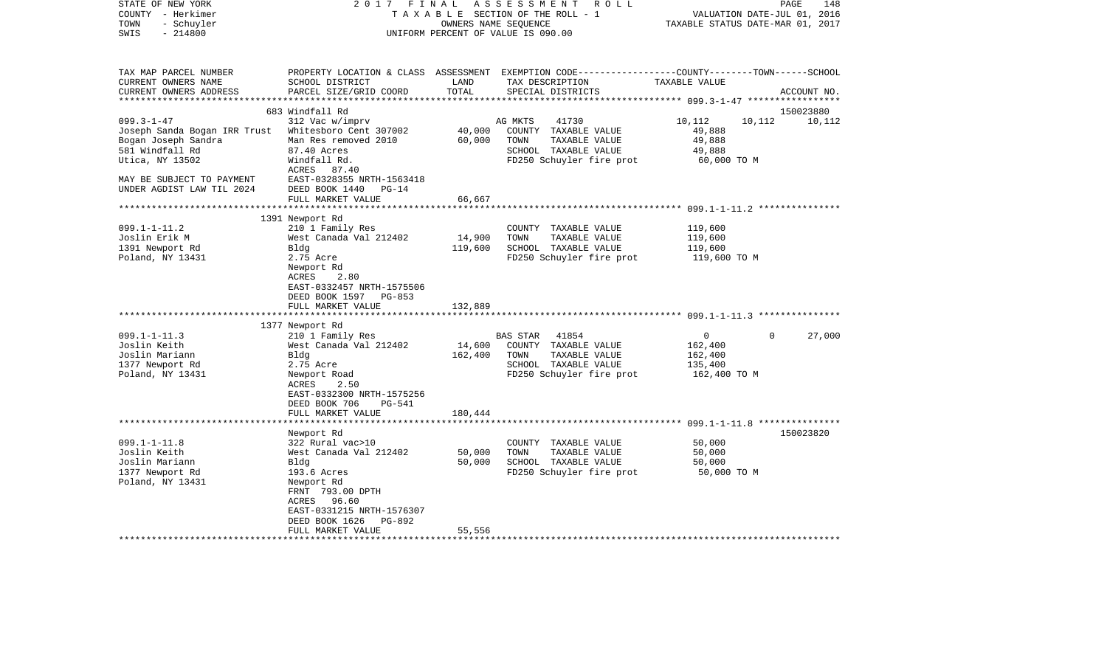| STATE OF NEW YORK<br>COUNTY - Herkimer<br>- Schuyler<br>TOWN<br>$-214800$<br>SWIS | 2017<br>F I N A L                                                                 | OWNERS NAME SEQUENCE | ASSESSMENT ROLL<br>TAXABLE SECTION OF THE ROLL - 1<br>UNIFORM PERCENT OF VALUE IS 090.00                                                 | VALUATION DATE-JUL 01, 2016<br>TAXABLE STATUS DATE-MAR 01, 2017 | PAGE<br>148 |
|-----------------------------------------------------------------------------------|-----------------------------------------------------------------------------------|----------------------|------------------------------------------------------------------------------------------------------------------------------------------|-----------------------------------------------------------------|-------------|
| TAX MAP PARCEL NUMBER<br>CURRENT OWNERS NAME<br>CURRENT OWNERS ADDRESS            | SCHOOL DISTRICT<br>PARCEL SIZE/GRID COORD                                         | LAND<br>TOTAL        | PROPERTY LOCATION & CLASS ASSESSMENT EXEMPTION CODE----------------COUNTY-------TOWN------SCHOOL<br>TAX DESCRIPTION<br>SPECIAL DISTRICTS | TAXABLE VALUE                                                   | ACCOUNT NO. |
|                                                                                   | 683 Windfall Rd                                                                   |                      |                                                                                                                                          |                                                                 | 150023880   |
| $099.3 - 1 - 47$                                                                  | 312 Vac w/imprv                                                                   |                      | 41730<br>AG MKTS                                                                                                                         | 10,112<br>10,112                                                | 10,112      |
| Joseph Sanda Bogan IRR Trust Whitesboro Cent 307002                               |                                                                                   |                      | 40,000 COUNTY TAXABLE VALUE                                                                                                              | 49,888                                                          |             |
| Bogan Joseph Sandra                                                               | Man Res removed 2010                                                              | 60,000               | TOWN<br>TAXABLE VALUE                                                                                                                    | 49,888                                                          |             |
| 581 Windfall Rd                                                                   | 87.40 Acres                                                                       |                      | SCHOOL TAXABLE VALUE                                                                                                                     | 49,888                                                          |             |
| Utica, NY 13502                                                                   | Windfall Rd.                                                                      |                      | FD250 Schuyler fire prot                                                                                                                 | 60,000 TO M                                                     |             |
|                                                                                   | ACRES 87.40                                                                       |                      |                                                                                                                                          |                                                                 |             |
| MAY BE SUBJECT TO PAYMENT                                                         | EAST-0328355 NRTH-1563418                                                         |                      |                                                                                                                                          |                                                                 |             |
| UNDER AGDIST LAW TIL 2024                                                         | DEED BOOK 1440<br>$PG-14$                                                         |                      |                                                                                                                                          |                                                                 |             |
|                                                                                   | FULL MARKET VALUE                                                                 | 66,667               |                                                                                                                                          |                                                                 |             |
|                                                                                   |                                                                                   |                      |                                                                                                                                          |                                                                 |             |
|                                                                                   | 1391 Newport Rd                                                                   |                      |                                                                                                                                          |                                                                 |             |
| $099.1 - 1 - 11.2$<br>Joslin Erik M                                               | 210 1 Family Res<br>West Canada Val 212402                                        | 14,900               | COUNTY TAXABLE VALUE<br>TOWN<br>TAXABLE VALUE                                                                                            | 119,600<br>119,600                                              |             |
| 1391 Newport Rd                                                                   | Bldg                                                                              | 119,600              | SCHOOL TAXABLE VALUE                                                                                                                     | 119,600                                                         |             |
| Poland, NY 13431                                                                  | 2.75 Acre                                                                         |                      | FD250 Schuyler fire prot                                                                                                                 | 119,600 TO M                                                    |             |
|                                                                                   | Newport Rd<br>ACRES<br>2.80<br>EAST-0332457 NRTH-1575506<br>DEED BOOK 1597 PG-853 |                      |                                                                                                                                          |                                                                 |             |
|                                                                                   | FULL MARKET VALUE                                                                 | 132,889              |                                                                                                                                          |                                                                 |             |
|                                                                                   |                                                                                   |                      |                                                                                                                                          |                                                                 |             |
|                                                                                   | 1377 Newport Rd                                                                   |                      |                                                                                                                                          |                                                                 | $\Omega$    |
| $099.1 - 1 - 11.3$<br>Joslin Keith                                                | 210 1 Family Res<br>West Canada Val 212402                                        | 14,600               | BAS STAR<br>41854<br>COUNTY TAXABLE VALUE                                                                                                | $\overline{0}$<br>162,400                                       | 27,000      |
| Joslin Mariann                                                                    | Bldg                                                                              | 162,400              | TAXABLE VALUE<br>TOWN                                                                                                                    | 162,400                                                         |             |
| 1377 Newport Rd                                                                   | 2.75 Acre                                                                         |                      | SCHOOL TAXABLE VALUE                                                                                                                     | 135,400                                                         |             |
| Poland, NY 13431                                                                  | Newport Road                                                                      |                      | FD250 Schuyler fire prot                                                                                                                 | 162,400 TO M                                                    |             |
|                                                                                   | ACRES<br>2.50                                                                     |                      |                                                                                                                                          |                                                                 |             |
|                                                                                   | EAST-0332300 NRTH-1575256                                                         |                      |                                                                                                                                          |                                                                 |             |
|                                                                                   | DEED BOOK 706<br>PG-541                                                           |                      |                                                                                                                                          |                                                                 |             |
|                                                                                   | FULL MARKET VALUE                                                                 | 180,444              |                                                                                                                                          |                                                                 |             |
|                                                                                   | Newport Rd                                                                        |                      |                                                                                                                                          |                                                                 | 150023820   |
| $099.1 - 1 - 11.8$                                                                | 322 Rural vac>10                                                                  |                      | COUNTY TAXABLE VALUE                                                                                                                     | 50,000                                                          |             |
| Joslin Keith                                                                      | West Canada Val 212402                                                            | 50,000               | TAXABLE VALUE<br>TOWN                                                                                                                    | 50,000                                                          |             |
| Joslin Mariann                                                                    | Bldg                                                                              | 50,000               | SCHOOL TAXABLE VALUE                                                                                                                     | 50,000                                                          |             |
| 1377 Newport Rd                                                                   | 193.6 Acres                                                                       |                      | FD250 Schuyler fire prot                                                                                                                 | 50,000 TO M                                                     |             |
| Poland, NY 13431                                                                  | Newport Rd                                                                        |                      |                                                                                                                                          |                                                                 |             |
|                                                                                   | FRNT 793.00 DPTH                                                                  |                      |                                                                                                                                          |                                                                 |             |
|                                                                                   | ACRES 96.60<br>EAST-0331215 NRTH-1576307                                          |                      |                                                                                                                                          |                                                                 |             |
|                                                                                   | DEED BOOK 1626<br>PG-892                                                          |                      |                                                                                                                                          |                                                                 |             |
|                                                                                   | FULL MARKET VALUE                                                                 | 55,556               |                                                                                                                                          |                                                                 |             |
| *******************                                                               |                                                                                   |                      |                                                                                                                                          |                                                                 |             |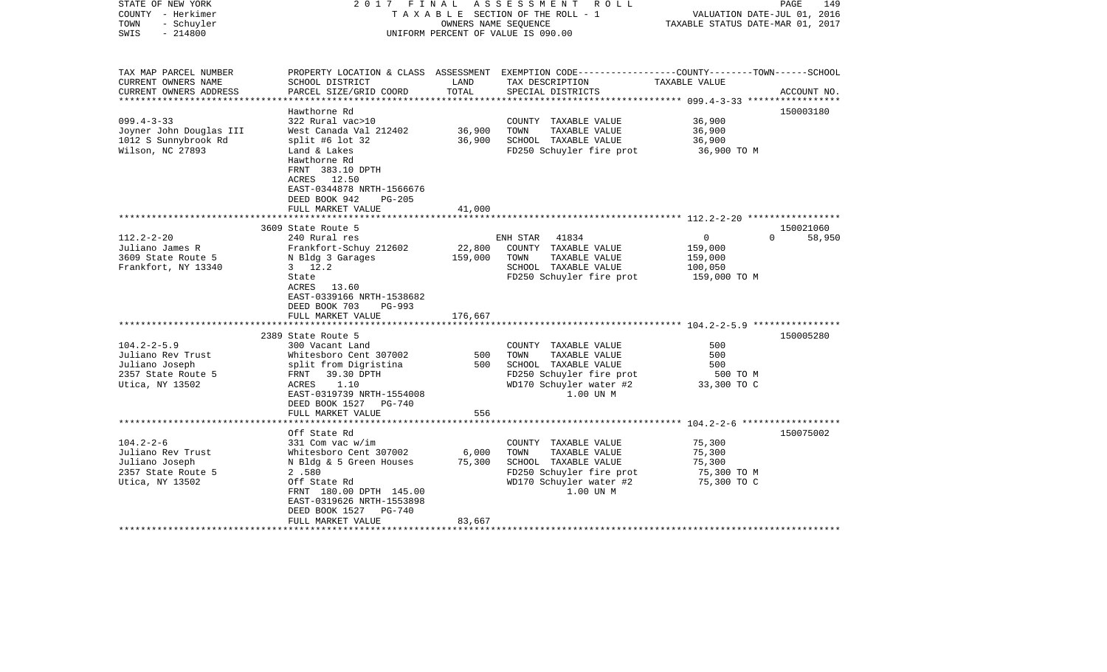| STATE OF NEW YORK<br>COUNTY - Herkimer<br>- Schuyler<br>TOWN<br>$-214800$<br>SWIS                 | 2017 FINAL                                                                                                                                                                                                           | OWNERS NAME SEOUENCE      | ASSESSMENT ROLL<br>TAXABLE SECTION OF THE ROLL - 1<br>UNIFORM PERCENT OF VALUE IS 090.00                                                  | VALUATION DATE-JUL 01, 2016<br>TAXABLE STATUS DATE-MAR 01, 2017 | PAGE<br>149        |
|---------------------------------------------------------------------------------------------------|----------------------------------------------------------------------------------------------------------------------------------------------------------------------------------------------------------------------|---------------------------|-------------------------------------------------------------------------------------------------------------------------------------------|-----------------------------------------------------------------|--------------------|
| TAX MAP PARCEL NUMBER<br>CURRENT OWNERS NAME<br>CURRENT OWNERS ADDRESS                            | SCHOOL DISTRICT<br>PARCEL SIZE/GRID COORD                                                                                                                                                                            | LAND<br>TOTAL             | PROPERTY LOCATION & CLASS ASSESSMENT EXEMPTION CODE----------------COUNTY-------TOWN------SCHOOL<br>TAX DESCRIPTION<br>SPECIAL DISTRICTS  | TAXABLE VALUE                                                   | ACCOUNT NO.        |
| ***********************                                                                           |                                                                                                                                                                                                                      |                           |                                                                                                                                           |                                                                 |                    |
| $099.4 - 3 - 33$<br>Joyner John Douglas III<br>1012 S Sunnybrook Rd<br>Wilson, NC 27893           | Hawthorne Rd<br>322 Rural vac>10<br>West Canada Val 212402<br>split #6 lot $32$<br>Land & Lakes<br>Hawthorne Rd<br>FRNT 383.10 DPTH<br>ACRES 12.50<br>EAST-0344878 NRTH-1566676                                      | 36,900<br>36,900          | COUNTY TAXABLE VALUE<br>TAXABLE VALUE<br>TOWN<br>SCHOOL TAXABLE VALUE<br>FD250 Schuyler fire prot                                         | 36,900<br>36,900<br>36,900<br>36,900 TO M                       | 150003180          |
|                                                                                                   | DEED BOOK 942<br>PG-205<br>FULL MARKET VALUE                                                                                                                                                                         | 41,000                    |                                                                                                                                           |                                                                 |                    |
|                                                                                                   | *************************                                                                                                                                                                                            | ***************           | ******************************* 112.2–2–20 *****************                                                                              |                                                                 |                    |
|                                                                                                   | 3609 State Route 5                                                                                                                                                                                                   |                           |                                                                                                                                           |                                                                 | 150021060          |
| $112.2 - 2 - 20$<br>Juliano James R<br>3609 State Route 5<br>Frankfort, NY 13340                  | 240 Rural res<br>Frankfort-Schuy 212602<br>N Bldg 3 Garages<br>$3 \t12.2$<br>State<br>ACRES 13.60<br>EAST-0339166 NRTH-1538682<br>DEED BOOK 703<br>PG-993                                                            | 22,800<br>159,000         | 41834<br>ENH STAR<br>COUNTY TAXABLE VALUE<br>TOWN<br>TAXABLE VALUE<br>SCHOOL TAXABLE VALUE<br>FD250 Schuyler fire prot                    | 0<br>159,000<br>159,000<br>100,050<br>159,000 TO M              | $\Omega$<br>58,950 |
|                                                                                                   | FULL MARKET VALUE                                                                                                                                                                                                    | 176,667                   |                                                                                                                                           |                                                                 |                    |
| $104.2 - 2 - 5.9$<br>Juliano Rev Trust<br>Juliano Joseph<br>2357 State Route 5<br>Utica, NY 13502 | *******************<br>2389 State Route 5<br>300 Vacant Land<br>Whitesboro Cent 307002<br>split from Digristina<br>FRNT 39.30 DPTH<br>ACRES<br>1.10<br>EAST-0319739 NRTH-1554008<br>DEED BOOK 1527 PG-740            | 500<br>500                | COUNTY TAXABLE VALUE<br>TOWN<br>TAXABLE VALUE<br>SCHOOL TAXABLE VALUE<br>FD250 Schuyler fire prot<br>WD170 Schuyler water #2<br>1.00 UN M | 500<br>500<br>500<br>500 TO M<br>33,300 TO C                    | 150005280          |
|                                                                                                   | FULL MARKET VALUE<br>*************************                                                                                                                                                                       | 556                       |                                                                                                                                           |                                                                 |                    |
|                                                                                                   |                                                                                                                                                                                                                      |                           |                                                                                                                                           |                                                                 | 150075002          |
| $104.2 - 2 - 6$<br>Juliano Rev Trust<br>Juliano Joseph<br>2357 State Route 5<br>Utica, NY 13502   | Off State Rd<br>331 Com vac w/im<br>Whitesboro Cent 307002<br>N Bldg & 5 Green Houses<br>2.580<br>Off State Rd<br>FRNT 180.00 DPTH 145.00<br>EAST-0319626 NRTH-1553898<br>DEED BOOK 1527 PG-740<br>FULL MARKET VALUE | 6,000<br>75,300<br>83,667 | COUNTY TAXABLE VALUE<br>TOWN<br>TAXABLE VALUE<br>SCHOOL TAXABLE VALUE<br>FD250 Schuyler fire prot<br>WD170 Schuyler water #2<br>1.00 UN M | 75,300<br>75,300<br>75,300<br>75,300 TO M<br>75,300 TO C        |                    |
|                                                                                                   |                                                                                                                                                                                                                      |                           |                                                                                                                                           |                                                                 |                    |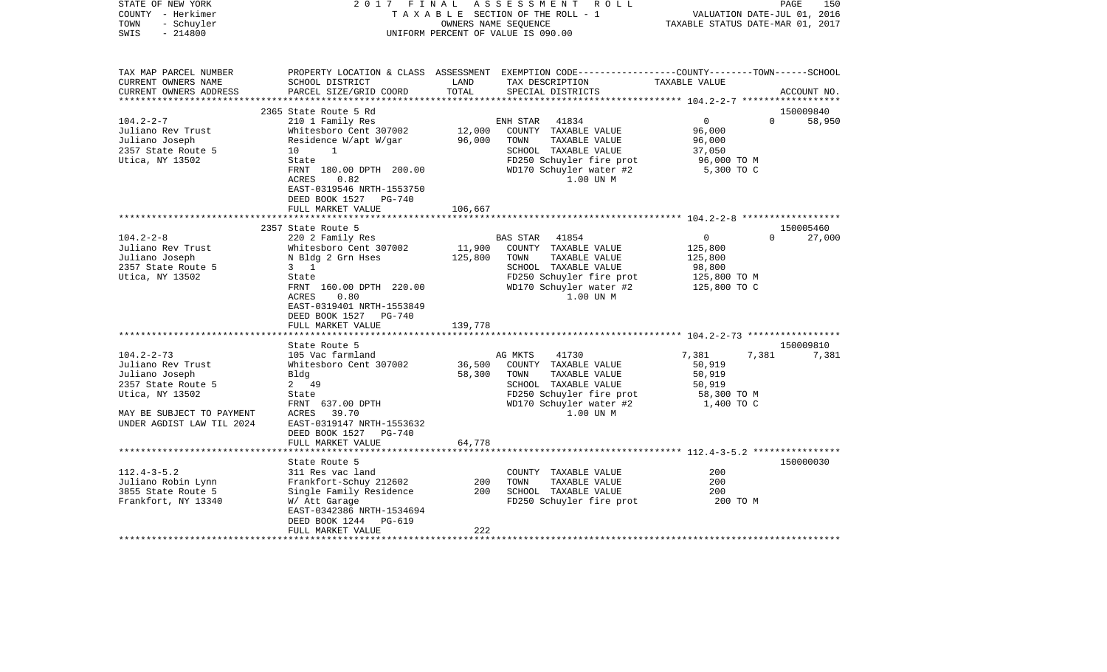| STATE OF NEW YORK<br>COUNTY - Herkimer<br>- Schuyler<br>TOWN<br>$-214800$<br>SWIS |                                                    | OWNERS NAME SEQUENCE | 2017 FINAL ASSESSMENT ROLL<br>TAXABLE SECTION OF THE ROLL - 1<br>UNIFORM PERCENT OF VALUE IS 090.00                                     | VALUATION DATE-JUL 01, 2016<br>TAXABLE STATUS DATE-MAR 01, 2017 | PAGE<br>150                     |
|-----------------------------------------------------------------------------------|----------------------------------------------------|----------------------|-----------------------------------------------------------------------------------------------------------------------------------------|-----------------------------------------------------------------|---------------------------------|
| TAX MAP PARCEL NUMBER<br>CURRENT OWNERS NAME<br>CURRENT OWNERS ADDRESS            | SCHOOL DISTRICT<br>PARCEL SIZE/GRID COORD          | LAND<br>TOTAL        | PROPERTY LOCATION & CLASS ASSESSMENT EXEMPTION CODE----------------COUNTY-------TOWN-----SCHOOL<br>TAX DESCRIPTION<br>SPECIAL DISTRICTS | TAXABLE VALUE                                                   | ACCOUNT NO.                     |
|                                                                                   |                                                    |                      |                                                                                                                                         |                                                                 |                                 |
| $104.2 - 2 - 7$                                                                   | 2365 State Route 5 Rd<br>210 1 Family Res          |                      | ENH STAR<br>41834                                                                                                                       | $\overline{0}$                                                  | 150009840<br>$\Omega$<br>58,950 |
| Juliano Rev Trust                                                                 | Whitesboro Cent 307002                             | 12,000               | COUNTY TAXABLE VALUE                                                                                                                    | 96,000                                                          |                                 |
| Juliano Joseph                                                                    | Residence W/apt W/gar                              | 96,000               | TOWN<br>TAXABLE VALUE                                                                                                                   | 96,000                                                          |                                 |
| 2357 State Route 5                                                                | 10<br>1                                            |                      | SCHOOL TAXABLE VALUE                                                                                                                    | 37,050                                                          |                                 |
| Utica, NY 13502                                                                   | State                                              |                      | FD250 Schuyler fire prot                                                                                                                | 96,000 TO M                                                     |                                 |
|                                                                                   | FRNT 180.00 DPTH 200.00                            |                      | WD170 Schuyler water #2                                                                                                                 | 5,300 TO C                                                      |                                 |
|                                                                                   | 0.82<br>ACRES                                      |                      | 1.00 UN M                                                                                                                               |                                                                 |                                 |
|                                                                                   | EAST-0319546 NRTH-1553750                          |                      |                                                                                                                                         |                                                                 |                                 |
|                                                                                   | DEED BOOK 1527 PG-740<br>FULL MARKET VALUE         | 106,667              |                                                                                                                                         |                                                                 |                                 |
|                                                                                   |                                                    |                      |                                                                                                                                         |                                                                 |                                 |
|                                                                                   | 2357 State Route 5                                 |                      |                                                                                                                                         |                                                                 | 150005460                       |
| $104.2 - 2 - 8$                                                                   | 220 2 Family Res                                   |                      | BAS STAR 41854                                                                                                                          | $\overline{0}$                                                  | $\Omega$<br>27,000              |
| Juliano Rev Trust                                                                 | Whitesboro Cent 307002                             | 11,900               | COUNTY TAXABLE VALUE                                                                                                                    | 125,800                                                         |                                 |
| Juliano Joseph                                                                    | N Bldg 2 Grn Hses                                  | 125,800              | TOWN<br>TAXABLE VALUE                                                                                                                   | 125,800                                                         |                                 |
| 2357 State Route 5                                                                | $3 \quad 1$                                        |                      | SCHOOL TAXABLE VALUE                                                                                                                    | 98,800                                                          |                                 |
| Utica, NY 13502                                                                   | State                                              |                      | FD250 Schuyler fire prot                                                                                                                | 125,800 TO M                                                    |                                 |
|                                                                                   | FRNT 160.00 DPTH 220.00                            |                      | WD170 Schuyler water #2                                                                                                                 | 125,800 TO C                                                    |                                 |
|                                                                                   | ACRES<br>0.80                                      |                      | 1.00 UN M                                                                                                                               |                                                                 |                                 |
|                                                                                   | EAST-0319401 NRTH-1553849<br>DEED BOOK 1527 PG-740 |                      |                                                                                                                                         |                                                                 |                                 |
|                                                                                   | FULL MARKET VALUE                                  | 139,778              |                                                                                                                                         |                                                                 |                                 |
|                                                                                   |                                                    |                      |                                                                                                                                         |                                                                 |                                 |
|                                                                                   | State Route 5                                      |                      |                                                                                                                                         |                                                                 | 150009810                       |
| $104.2 - 2 - 73$                                                                  | 105 Vac farmland                                   |                      | 41730<br>AG MKTS                                                                                                                        | 7,381<br>7,381                                                  | 7,381                           |
| Juliano Rev Trust                                                                 | Whitesboro Cent 307002                             | 36,500               | COUNTY TAXABLE VALUE                                                                                                                    | 50,919                                                          |                                 |
| Juliano Joseph                                                                    | Bldg                                               | 58,300               | TOWN<br>TAXABLE VALUE                                                                                                                   | 50,919                                                          |                                 |
| 2357 State Route 5                                                                | 2 49                                               |                      | SCHOOL TAXABLE VALUE                                                                                                                    | 50,919                                                          |                                 |
| Utica, NY 13502                                                                   | State                                              |                      | FD250 Schuyler fire prot                                                                                                                | 58,300 ТО М                                                     |                                 |
|                                                                                   | FRNT 637.00 DPTH                                   |                      | WD170 Schuyler water #2                                                                                                                 | 1,400 TO C                                                      |                                 |
| MAY BE SUBJECT TO PAYMENT<br>UNDER AGDIST LAW TIL 2024                            | 39.70<br>ACRES<br>EAST-0319147 NRTH-1553632        |                      | 1.00 UN M                                                                                                                               |                                                                 |                                 |
|                                                                                   | DEED BOOK 1527 PG-740                              |                      |                                                                                                                                         |                                                                 |                                 |
|                                                                                   | FULL MARKET VALUE                                  | 64,778               |                                                                                                                                         |                                                                 |                                 |
|                                                                                   |                                                    |                      |                                                                                                                                         |                                                                 |                                 |
|                                                                                   | State Route 5                                      |                      |                                                                                                                                         |                                                                 | 150000030                       |
| $112.4 - 3 - 5.2$                                                                 | 311 Res vac land                                   |                      | COUNTY TAXABLE VALUE                                                                                                                    | 200                                                             |                                 |
| Juliano Robin Lynn                                                                | Frankfort-Schuy 212602                             | 200                  | TOWN<br>TAXABLE VALUE                                                                                                                   | 200                                                             |                                 |
| 3855 State Route 5                                                                | Single Family Residence                            | 200                  | SCHOOL TAXABLE VALUE                                                                                                                    | 200                                                             |                                 |
| Frankfort, NY 13340                                                               | W/ Att Garage                                      |                      | FD250 Schuyler fire prot                                                                                                                | 200 TO M                                                        |                                 |
|                                                                                   | EAST-0342386 NRTH-1534694                          |                      |                                                                                                                                         |                                                                 |                                 |
|                                                                                   | DEED BOOK 1244 PG-619                              | 222                  |                                                                                                                                         |                                                                 |                                 |
| ********************                                                              | FULL MARKET VALUE                                  |                      |                                                                                                                                         |                                                                 |                                 |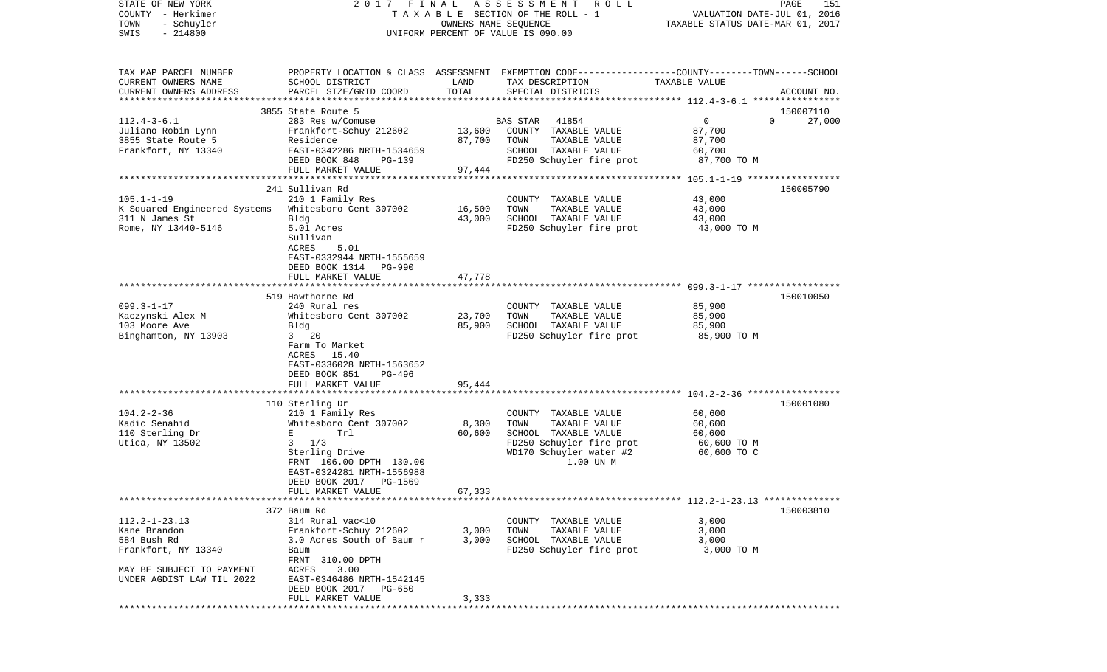| STATE OF NEW YORK<br>COUNTY - Herkimer<br>- Schuyler<br>TOWN<br>$-214800$<br>SWIS                                                   | 2017 FINAL                                                                                                                                                                           | OWNERS NAME SEQUENCE       | ASSESSMENT<br>R O L L<br>TAXABLE SECTION OF THE ROLL - 1<br>UNIFORM PERCENT OF VALUE IS 090.00                                         | VALUATION DATE-JUL 01, 2016<br>TAXABLE STATUS DATE-MAR 01, 2017 | PAGE<br>151        |
|-------------------------------------------------------------------------------------------------------------------------------------|--------------------------------------------------------------------------------------------------------------------------------------------------------------------------------------|----------------------------|----------------------------------------------------------------------------------------------------------------------------------------|-----------------------------------------------------------------|--------------------|
| TAX MAP PARCEL NUMBER<br>CURRENT OWNERS NAME<br>CURRENT OWNERS ADDRESS<br>**********************                                    | SCHOOL DISTRICT<br>PARCEL SIZE/GRID COORD                                                                                                                                            | LAND<br>TOTAL              | PROPERTY LOCATION & CLASS ASSESSMENT EXEMPTION CODE---------------COUNTY-------TOWN-----SCHOOL<br>TAX DESCRIPTION<br>SPECIAL DISTRICTS | TAXABLE VALUE                                                   | ACCOUNT NO.        |
|                                                                                                                                     | 3855 State Route 5                                                                                                                                                                   |                            |                                                                                                                                        |                                                                 | 150007110          |
| $112.4 - 3 - 6.1$<br>Juliano Robin Lynn<br>3855 State Route 5<br>Frankfort, NY 13340                                                | 283 Res w/Comuse<br>Frankfort-Schuy 212602<br>Residence<br>EAST-0342286 NRTH-1534659<br>DEED BOOK 848<br>PG-139<br>FULL MARKET VALUE                                                 | 13,600<br>87,700<br>97,444 | 41854<br><b>BAS STAR</b><br>COUNTY TAXABLE VALUE<br>TAXABLE VALUE<br>TOWN<br>SCHOOL TAXABLE VALUE<br>FD250 Schuyler fire prot          | $\mathbf 0$<br>87,700<br>87,700<br>60,700<br>87,700 TO M        | $\Omega$<br>27,000 |
|                                                                                                                                     | ***********************                                                                                                                                                              | ************               |                                                                                                                                        | ****************** 105.1-1-19 *****************                 |                    |
| $105.1 - 1 - 19$<br>K Squared Engineered Systems<br>311 N James St<br>Rome, NY 13440-5146                                           | 241 Sullivan Rd<br>210 1 Family Res<br>Whitesboro Cent 307002<br>Bldg<br>5.01 Acres<br>Sullivan<br>5.01<br>ACRES<br>EAST-0332944 NRTH-1555659<br>DEED BOOK 1314<br><b>PG-990</b>     | 16,500<br>43,000           | COUNTY TAXABLE VALUE<br>TOWN<br>TAXABLE VALUE<br>SCHOOL TAXABLE VALUE<br>FD250 Schuyler fire prot                                      | 43,000<br>43,000<br>43,000<br>43,000 TO M                       | 150005790          |
|                                                                                                                                     | FULL MARKET VALUE                                                                                                                                                                    | 47,778                     |                                                                                                                                        |                                                                 |                    |
|                                                                                                                                     |                                                                                                                                                                                      |                            |                                                                                                                                        |                                                                 |                    |
| $099.3 - 1 - 17$<br>Kaczynski Alex M<br>103 Moore Ave<br>Binghamton, NY 13903                                                       | 519 Hawthorne Rd<br>240 Rural res<br>Whitesboro Cent 307002<br>Bldg<br>$3\qquad 20$<br>Farm To Market<br>ACRES<br>15.40<br>EAST-0336028 NRTH-1563652<br>DEED BOOK 851<br>PG-496      | 23,700<br>85,900           | COUNTY TAXABLE VALUE<br>TOWN<br>TAXABLE VALUE<br>SCHOOL TAXABLE VALUE<br>FD250 Schuyler fire prot                                      | 85,900<br>85,900<br>85,900<br>85,900 TO M                       | 150010050          |
|                                                                                                                                     | FULL MARKET VALUE                                                                                                                                                                    | 95,444                     |                                                                                                                                        |                                                                 |                    |
| $104.2 - 2 - 36$                                                                                                                    | ************************<br>110 Sterling Dr<br>210 1 Family Res                                                                                                                      |                            | COUNTY TAXABLE VALUE                                                                                                                   | ****** 104.2-2-36 ******************<br>60,600                  | 150001080          |
| Kadic Senahid<br>110 Sterling Dr<br>Utica, NY 13502                                                                                 | Whitesboro Cent 307002<br>Е<br>Trl<br>1/3<br>3 <sup>7</sup><br>Sterling Drive<br>FRNT 106.00 DPTH 130.00<br>EAST-0324281 NRTH-1556988<br>DEED BOOK 2017 PG-1569<br>FULL MARKET VALUE | 8,300<br>60,600<br>67,333  | TOWN<br>TAXABLE VALUE<br>SCHOOL TAXABLE VALUE<br>FD250 Schuyler fire prot<br>WD170 Schuyler water #2<br>1.00 UN M                      | 60,600<br>60,600<br>60,600 TO M<br>60,600 TO C                  |                    |
|                                                                                                                                     |                                                                                                                                                                                      |                            |                                                                                                                                        |                                                                 |                    |
| $112.2 - 1 - 23.13$<br>Kane Brandon<br>584 Bush Rd<br>Frankfort, NY 13340<br>MAY BE SUBJECT TO PAYMENT<br>UNDER AGDIST LAW TIL 2022 | 372 Baum Rd<br>314 Rural vac<10<br>Frankfort-Schuy 212602<br>3.0 Acres South of Baum r<br>Baum<br>FRNT 310.00 DPTH<br>ACRES<br>3.00<br>EAST-0346486 NRTH-1542145                     | 3,000<br>3,000             | COUNTY TAXABLE VALUE<br>TOWN<br>TAXABLE VALUE<br>SCHOOL TAXABLE VALUE<br>FD250 Schuyler fire prot                                      | 3,000<br>3,000<br>3,000<br>3,000 TO M                           | 150003810          |
| **********                                                                                                                          | DEED BOOK 2017 PG-650<br>FULL MARKET VALUE                                                                                                                                           | 3,333                      |                                                                                                                                        |                                                                 |                    |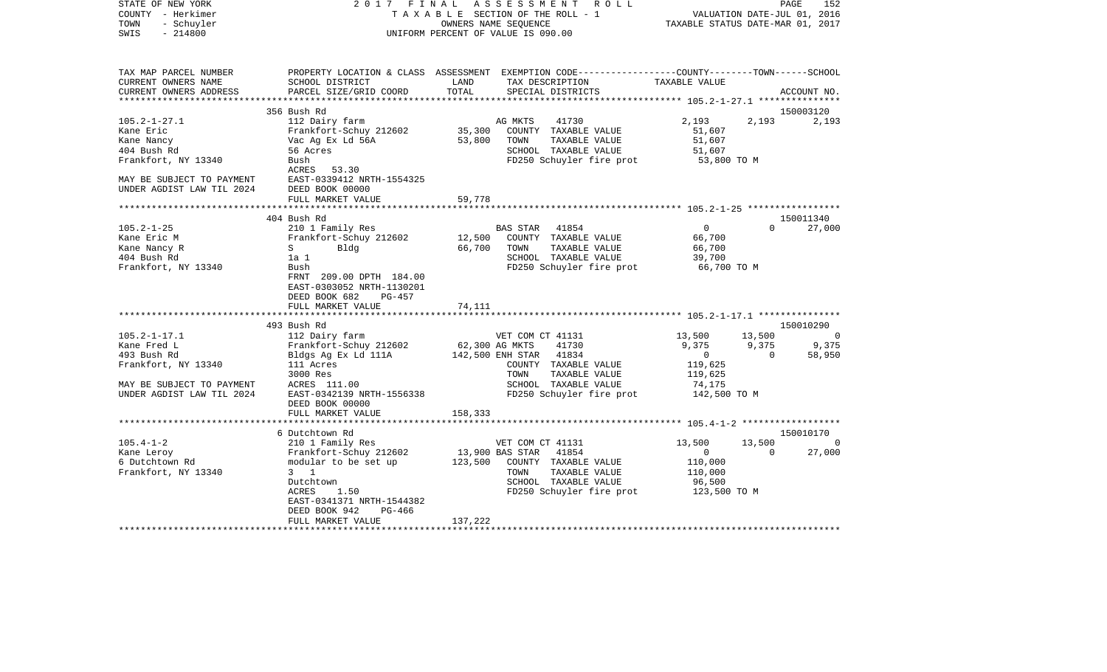| PROPERTY LOCATION & CLASS ASSESSMENT EXEMPTION CODE---------------COUNTY-------TOWN------SCHOOL<br>TAX MAP PARCEL NUMBER<br>TAX DESCRIPTION<br>CURRENT OWNERS NAME<br>SCHOOL DISTRICT<br>LAND<br>TAXABLE VALUE<br>TOTAL<br>CURRENT OWNERS ADDRESS<br>PARCEL SIZE/GRID COORD<br>SPECIAL DISTRICTS<br>ACCOUNT NO.<br>***********************<br>150003120<br>356 Bush Rd<br>$105.2 - 1 - 27.1$<br>112 Dairy farm<br>41730<br>2,193<br>2,193<br>AG MKTS<br>2,193<br>Frankfort-Schuy 212602<br>35,300<br>COUNTY TAXABLE VALUE<br>Kane Eric<br>51,607<br>Kane Nancy<br>Vac Ag Ex Ld 56A<br>53,800<br>TOWN<br>TAXABLE VALUE<br>51,607<br>SCHOOL TAXABLE VALUE<br>404 Bush Rd<br>56 Acres<br>51,607<br>Frankfort, NY 13340<br>FD250 Schuyler fire prot<br>Bush<br>53,800 TO M<br>ACRES 53.30<br>MAY BE SUBJECT TO PAYMENT<br>EAST-0339412 NRTH-1554325<br>DEED BOOK 00000<br>UNDER AGDIST LAW TIL 2024<br>FULL MARKET VALUE<br>59,778<br>*********<br>404 Bush Rd<br>150011340<br>$\overline{0}$<br>27,000<br>$105.2 - 1 - 25$<br>210 1 Family Res<br>BAS STAR 41854<br>$\Omega$<br>Frankfort-Schuy 212602<br>12,500<br>COUNTY TAXABLE VALUE<br>66,700<br>Kane Eric M<br>66,700<br>Kane Nancy R<br>$S \sim$<br>Bldg<br>TOWN<br>TAXABLE VALUE<br>66,700<br>404 Bush Rd<br>1a 1<br>SCHOOL TAXABLE VALUE<br>39,700<br>FD250 Schuyler fire prot<br>Frankfort, NY 13340<br>66,700 TO M<br>Bush<br>FRNT 209.00 DPTH 184.00<br>EAST-0303052 NRTH-1130201<br>DEED BOOK 682<br>$PG-457$<br>FULL MARKET VALUE<br>74,111<br>*******************************    105.2-1-17.1    ***************<br>493 Bush Rd<br>150010290<br>$105.2 - 1 - 17.1$<br>13,500<br>13,500<br>112 Dairy farm<br>VET COM CT 41131<br>$\Omega$<br>62,300 AG MKTS<br>41730<br>9,375<br>9,375<br>9,375<br>Kane Fred L<br>Frankfort-Schuy 212602<br>142,500 ENH STAR 41834<br>58,950<br>493 Bush Rd<br>Bldgs Ag Ex Ld 111A<br>$\overline{0}$<br>$\overline{0}$<br>Frankfort, NY 13340<br>111 Acres<br>COUNTY TAXABLE VALUE<br>119,625<br>TAXABLE VALUE<br>3000 Res<br>TOWN<br>119,625<br>SCHOOL TAXABLE VALUE<br>MAY BE SUBJECT TO PAYMENT<br>ACRES 111.00<br>74,175<br>UNDER AGDIST LAW TIL 2024<br>EAST-0342139 NRTH-1556338<br>FD250 Schuyler fire prot<br>142,500 TO M<br>DEED BOOK 00000<br>158,333<br>FULL MARKET VALUE<br>*************************<br>150010170<br>6 Dutchtown Rd<br>13,500<br>$105.4 - 1 - 2$<br>210 1 Family Res<br>VET COM CT 41131<br>13,500<br>- 0<br>13,900 BAS STAR 41854<br>27,000<br>Frankfort-Schuy 212602<br>$\overline{0}$<br>$\Omega$<br>Kane Leroy<br>6 Dutchtown Rd<br>123,500<br>modular to be set up<br>COUNTY TAXABLE VALUE<br>110,000<br>Frankfort, NY 13340<br>$3 \quad 1$<br>TOWN<br>TAXABLE VALUE<br>110,000<br>Dutchtown<br>SCHOOL TAXABLE VALUE<br>96,500<br>FD250 Schuyler fire prot<br>ACRES<br>1.50<br>123,500 TO M<br>EAST-0341371 NRTH-1544382<br>DEED BOOK 942<br>PG-466<br>137,222<br>FULL MARKET VALUE | STATE OF NEW YORK<br>COUNTY - Herkimer<br>TOWN<br>- Schuyler<br>$-214800$<br>SWIS | 2017 FINAL | ASSESSMENT<br>R O L L<br>TAXABLE SECTION OF THE ROLL - 1<br>OWNERS NAME SEQUENCE<br>UNIFORM PERCENT OF VALUE IS 090.00 | PAGE<br>152<br>VALUATION DATE-JUL 01, 2016<br>TAXABLE STATUS DATE-MAR 01, 2017 |
|-------------------------------------------------------------------------------------------------------------------------------------------------------------------------------------------------------------------------------------------------------------------------------------------------------------------------------------------------------------------------------------------------------------------------------------------------------------------------------------------------------------------------------------------------------------------------------------------------------------------------------------------------------------------------------------------------------------------------------------------------------------------------------------------------------------------------------------------------------------------------------------------------------------------------------------------------------------------------------------------------------------------------------------------------------------------------------------------------------------------------------------------------------------------------------------------------------------------------------------------------------------------------------------------------------------------------------------------------------------------------------------------------------------------------------------------------------------------------------------------------------------------------------------------------------------------------------------------------------------------------------------------------------------------------------------------------------------------------------------------------------------------------------------------------------------------------------------------------------------------------------------------------------------------------------------------------------------------------------------------------------------------------------------------------------------------------------------------------------------------------------------------------------------------------------------------------------------------------------------------------------------------------------------------------------------------------------------------------------------------------------------------------------------------------------------------------------------------------------------------------------------------------------------------------------------------------------------------------------------------------------------------------------------------------------------------------------------------------------------------------------------------------------------------------------------------------------------------------------------------------------------------------------------------|-----------------------------------------------------------------------------------|------------|------------------------------------------------------------------------------------------------------------------------|--------------------------------------------------------------------------------|
|                                                                                                                                                                                                                                                                                                                                                                                                                                                                                                                                                                                                                                                                                                                                                                                                                                                                                                                                                                                                                                                                                                                                                                                                                                                                                                                                                                                                                                                                                                                                                                                                                                                                                                                                                                                                                                                                                                                                                                                                                                                                                                                                                                                                                                                                                                                                                                                                                                                                                                                                                                                                                                                                                                                                                                                                                                                                                                                   |                                                                                   |            |                                                                                                                        |                                                                                |
|                                                                                                                                                                                                                                                                                                                                                                                                                                                                                                                                                                                                                                                                                                                                                                                                                                                                                                                                                                                                                                                                                                                                                                                                                                                                                                                                                                                                                                                                                                                                                                                                                                                                                                                                                                                                                                                                                                                                                                                                                                                                                                                                                                                                                                                                                                                                                                                                                                                                                                                                                                                                                                                                                                                                                                                                                                                                                                                   |                                                                                   |            |                                                                                                                        |                                                                                |
|                                                                                                                                                                                                                                                                                                                                                                                                                                                                                                                                                                                                                                                                                                                                                                                                                                                                                                                                                                                                                                                                                                                                                                                                                                                                                                                                                                                                                                                                                                                                                                                                                                                                                                                                                                                                                                                                                                                                                                                                                                                                                                                                                                                                                                                                                                                                                                                                                                                                                                                                                                                                                                                                                                                                                                                                                                                                                                                   |                                                                                   |            |                                                                                                                        |                                                                                |
|                                                                                                                                                                                                                                                                                                                                                                                                                                                                                                                                                                                                                                                                                                                                                                                                                                                                                                                                                                                                                                                                                                                                                                                                                                                                                                                                                                                                                                                                                                                                                                                                                                                                                                                                                                                                                                                                                                                                                                                                                                                                                                                                                                                                                                                                                                                                                                                                                                                                                                                                                                                                                                                                                                                                                                                                                                                                                                                   |                                                                                   |            |                                                                                                                        |                                                                                |
|                                                                                                                                                                                                                                                                                                                                                                                                                                                                                                                                                                                                                                                                                                                                                                                                                                                                                                                                                                                                                                                                                                                                                                                                                                                                                                                                                                                                                                                                                                                                                                                                                                                                                                                                                                                                                                                                                                                                                                                                                                                                                                                                                                                                                                                                                                                                                                                                                                                                                                                                                                                                                                                                                                                                                                                                                                                                                                                   |                                                                                   |            |                                                                                                                        |                                                                                |
|                                                                                                                                                                                                                                                                                                                                                                                                                                                                                                                                                                                                                                                                                                                                                                                                                                                                                                                                                                                                                                                                                                                                                                                                                                                                                                                                                                                                                                                                                                                                                                                                                                                                                                                                                                                                                                                                                                                                                                                                                                                                                                                                                                                                                                                                                                                                                                                                                                                                                                                                                                                                                                                                                                                                                                                                                                                                                                                   |                                                                                   |            |                                                                                                                        |                                                                                |
|                                                                                                                                                                                                                                                                                                                                                                                                                                                                                                                                                                                                                                                                                                                                                                                                                                                                                                                                                                                                                                                                                                                                                                                                                                                                                                                                                                                                                                                                                                                                                                                                                                                                                                                                                                                                                                                                                                                                                                                                                                                                                                                                                                                                                                                                                                                                                                                                                                                                                                                                                                                                                                                                                                                                                                                                                                                                                                                   |                                                                                   |            |                                                                                                                        |                                                                                |
|                                                                                                                                                                                                                                                                                                                                                                                                                                                                                                                                                                                                                                                                                                                                                                                                                                                                                                                                                                                                                                                                                                                                                                                                                                                                                                                                                                                                                                                                                                                                                                                                                                                                                                                                                                                                                                                                                                                                                                                                                                                                                                                                                                                                                                                                                                                                                                                                                                                                                                                                                                                                                                                                                                                                                                                                                                                                                                                   |                                                                                   |            |                                                                                                                        |                                                                                |
|                                                                                                                                                                                                                                                                                                                                                                                                                                                                                                                                                                                                                                                                                                                                                                                                                                                                                                                                                                                                                                                                                                                                                                                                                                                                                                                                                                                                                                                                                                                                                                                                                                                                                                                                                                                                                                                                                                                                                                                                                                                                                                                                                                                                                                                                                                                                                                                                                                                                                                                                                                                                                                                                                                                                                                                                                                                                                                                   |                                                                                   |            |                                                                                                                        |                                                                                |
|                                                                                                                                                                                                                                                                                                                                                                                                                                                                                                                                                                                                                                                                                                                                                                                                                                                                                                                                                                                                                                                                                                                                                                                                                                                                                                                                                                                                                                                                                                                                                                                                                                                                                                                                                                                                                                                                                                                                                                                                                                                                                                                                                                                                                                                                                                                                                                                                                                                                                                                                                                                                                                                                                                                                                                                                                                                                                                                   |                                                                                   |            |                                                                                                                        |                                                                                |
|                                                                                                                                                                                                                                                                                                                                                                                                                                                                                                                                                                                                                                                                                                                                                                                                                                                                                                                                                                                                                                                                                                                                                                                                                                                                                                                                                                                                                                                                                                                                                                                                                                                                                                                                                                                                                                                                                                                                                                                                                                                                                                                                                                                                                                                                                                                                                                                                                                                                                                                                                                                                                                                                                                                                                                                                                                                                                                                   |                                                                                   |            |                                                                                                                        |                                                                                |
|                                                                                                                                                                                                                                                                                                                                                                                                                                                                                                                                                                                                                                                                                                                                                                                                                                                                                                                                                                                                                                                                                                                                                                                                                                                                                                                                                                                                                                                                                                                                                                                                                                                                                                                                                                                                                                                                                                                                                                                                                                                                                                                                                                                                                                                                                                                                                                                                                                                                                                                                                                                                                                                                                                                                                                                                                                                                                                                   |                                                                                   |            |                                                                                                                        |                                                                                |
|                                                                                                                                                                                                                                                                                                                                                                                                                                                                                                                                                                                                                                                                                                                                                                                                                                                                                                                                                                                                                                                                                                                                                                                                                                                                                                                                                                                                                                                                                                                                                                                                                                                                                                                                                                                                                                                                                                                                                                                                                                                                                                                                                                                                                                                                                                                                                                                                                                                                                                                                                                                                                                                                                                                                                                                                                                                                                                                   |                                                                                   |            |                                                                                                                        |                                                                                |
|                                                                                                                                                                                                                                                                                                                                                                                                                                                                                                                                                                                                                                                                                                                                                                                                                                                                                                                                                                                                                                                                                                                                                                                                                                                                                                                                                                                                                                                                                                                                                                                                                                                                                                                                                                                                                                                                                                                                                                                                                                                                                                                                                                                                                                                                                                                                                                                                                                                                                                                                                                                                                                                                                                                                                                                                                                                                                                                   |                                                                                   |            |                                                                                                                        |                                                                                |
|                                                                                                                                                                                                                                                                                                                                                                                                                                                                                                                                                                                                                                                                                                                                                                                                                                                                                                                                                                                                                                                                                                                                                                                                                                                                                                                                                                                                                                                                                                                                                                                                                                                                                                                                                                                                                                                                                                                                                                                                                                                                                                                                                                                                                                                                                                                                                                                                                                                                                                                                                                                                                                                                                                                                                                                                                                                                                                                   |                                                                                   |            |                                                                                                                        |                                                                                |
|                                                                                                                                                                                                                                                                                                                                                                                                                                                                                                                                                                                                                                                                                                                                                                                                                                                                                                                                                                                                                                                                                                                                                                                                                                                                                                                                                                                                                                                                                                                                                                                                                                                                                                                                                                                                                                                                                                                                                                                                                                                                                                                                                                                                                                                                                                                                                                                                                                                                                                                                                                                                                                                                                                                                                                                                                                                                                                                   |                                                                                   |            |                                                                                                                        |                                                                                |
|                                                                                                                                                                                                                                                                                                                                                                                                                                                                                                                                                                                                                                                                                                                                                                                                                                                                                                                                                                                                                                                                                                                                                                                                                                                                                                                                                                                                                                                                                                                                                                                                                                                                                                                                                                                                                                                                                                                                                                                                                                                                                                                                                                                                                                                                                                                                                                                                                                                                                                                                                                                                                                                                                                                                                                                                                                                                                                                   |                                                                                   |            |                                                                                                                        |                                                                                |
|                                                                                                                                                                                                                                                                                                                                                                                                                                                                                                                                                                                                                                                                                                                                                                                                                                                                                                                                                                                                                                                                                                                                                                                                                                                                                                                                                                                                                                                                                                                                                                                                                                                                                                                                                                                                                                                                                                                                                                                                                                                                                                                                                                                                                                                                                                                                                                                                                                                                                                                                                                                                                                                                                                                                                                                                                                                                                                                   |                                                                                   |            |                                                                                                                        |                                                                                |
|                                                                                                                                                                                                                                                                                                                                                                                                                                                                                                                                                                                                                                                                                                                                                                                                                                                                                                                                                                                                                                                                                                                                                                                                                                                                                                                                                                                                                                                                                                                                                                                                                                                                                                                                                                                                                                                                                                                                                                                                                                                                                                                                                                                                                                                                                                                                                                                                                                                                                                                                                                                                                                                                                                                                                                                                                                                                                                                   |                                                                                   |            |                                                                                                                        |                                                                                |
|                                                                                                                                                                                                                                                                                                                                                                                                                                                                                                                                                                                                                                                                                                                                                                                                                                                                                                                                                                                                                                                                                                                                                                                                                                                                                                                                                                                                                                                                                                                                                                                                                                                                                                                                                                                                                                                                                                                                                                                                                                                                                                                                                                                                                                                                                                                                                                                                                                                                                                                                                                                                                                                                                                                                                                                                                                                                                                                   |                                                                                   |            |                                                                                                                        |                                                                                |
|                                                                                                                                                                                                                                                                                                                                                                                                                                                                                                                                                                                                                                                                                                                                                                                                                                                                                                                                                                                                                                                                                                                                                                                                                                                                                                                                                                                                                                                                                                                                                                                                                                                                                                                                                                                                                                                                                                                                                                                                                                                                                                                                                                                                                                                                                                                                                                                                                                                                                                                                                                                                                                                                                                                                                                                                                                                                                                                   |                                                                                   |            |                                                                                                                        |                                                                                |
|                                                                                                                                                                                                                                                                                                                                                                                                                                                                                                                                                                                                                                                                                                                                                                                                                                                                                                                                                                                                                                                                                                                                                                                                                                                                                                                                                                                                                                                                                                                                                                                                                                                                                                                                                                                                                                                                                                                                                                                                                                                                                                                                                                                                                                                                                                                                                                                                                                                                                                                                                                                                                                                                                                                                                                                                                                                                                                                   |                                                                                   |            |                                                                                                                        |                                                                                |
|                                                                                                                                                                                                                                                                                                                                                                                                                                                                                                                                                                                                                                                                                                                                                                                                                                                                                                                                                                                                                                                                                                                                                                                                                                                                                                                                                                                                                                                                                                                                                                                                                                                                                                                                                                                                                                                                                                                                                                                                                                                                                                                                                                                                                                                                                                                                                                                                                                                                                                                                                                                                                                                                                                                                                                                                                                                                                                                   |                                                                                   |            |                                                                                                                        |                                                                                |
|                                                                                                                                                                                                                                                                                                                                                                                                                                                                                                                                                                                                                                                                                                                                                                                                                                                                                                                                                                                                                                                                                                                                                                                                                                                                                                                                                                                                                                                                                                                                                                                                                                                                                                                                                                                                                                                                                                                                                                                                                                                                                                                                                                                                                                                                                                                                                                                                                                                                                                                                                                                                                                                                                                                                                                                                                                                                                                                   |                                                                                   |            |                                                                                                                        |                                                                                |
|                                                                                                                                                                                                                                                                                                                                                                                                                                                                                                                                                                                                                                                                                                                                                                                                                                                                                                                                                                                                                                                                                                                                                                                                                                                                                                                                                                                                                                                                                                                                                                                                                                                                                                                                                                                                                                                                                                                                                                                                                                                                                                                                                                                                                                                                                                                                                                                                                                                                                                                                                                                                                                                                                                                                                                                                                                                                                                                   |                                                                                   |            |                                                                                                                        |                                                                                |
|                                                                                                                                                                                                                                                                                                                                                                                                                                                                                                                                                                                                                                                                                                                                                                                                                                                                                                                                                                                                                                                                                                                                                                                                                                                                                                                                                                                                                                                                                                                                                                                                                                                                                                                                                                                                                                                                                                                                                                                                                                                                                                                                                                                                                                                                                                                                                                                                                                                                                                                                                                                                                                                                                                                                                                                                                                                                                                                   |                                                                                   |            |                                                                                                                        |                                                                                |
|                                                                                                                                                                                                                                                                                                                                                                                                                                                                                                                                                                                                                                                                                                                                                                                                                                                                                                                                                                                                                                                                                                                                                                                                                                                                                                                                                                                                                                                                                                                                                                                                                                                                                                                                                                                                                                                                                                                                                                                                                                                                                                                                                                                                                                                                                                                                                                                                                                                                                                                                                                                                                                                                                                                                                                                                                                                                                                                   |                                                                                   |            |                                                                                                                        |                                                                                |
|                                                                                                                                                                                                                                                                                                                                                                                                                                                                                                                                                                                                                                                                                                                                                                                                                                                                                                                                                                                                                                                                                                                                                                                                                                                                                                                                                                                                                                                                                                                                                                                                                                                                                                                                                                                                                                                                                                                                                                                                                                                                                                                                                                                                                                                                                                                                                                                                                                                                                                                                                                                                                                                                                                                                                                                                                                                                                                                   |                                                                                   |            |                                                                                                                        |                                                                                |
|                                                                                                                                                                                                                                                                                                                                                                                                                                                                                                                                                                                                                                                                                                                                                                                                                                                                                                                                                                                                                                                                                                                                                                                                                                                                                                                                                                                                                                                                                                                                                                                                                                                                                                                                                                                                                                                                                                                                                                                                                                                                                                                                                                                                                                                                                                                                                                                                                                                                                                                                                                                                                                                                                                                                                                                                                                                                                                                   |                                                                                   |            |                                                                                                                        |                                                                                |
|                                                                                                                                                                                                                                                                                                                                                                                                                                                                                                                                                                                                                                                                                                                                                                                                                                                                                                                                                                                                                                                                                                                                                                                                                                                                                                                                                                                                                                                                                                                                                                                                                                                                                                                                                                                                                                                                                                                                                                                                                                                                                                                                                                                                                                                                                                                                                                                                                                                                                                                                                                                                                                                                                                                                                                                                                                                                                                                   |                                                                                   |            |                                                                                                                        |                                                                                |
|                                                                                                                                                                                                                                                                                                                                                                                                                                                                                                                                                                                                                                                                                                                                                                                                                                                                                                                                                                                                                                                                                                                                                                                                                                                                                                                                                                                                                                                                                                                                                                                                                                                                                                                                                                                                                                                                                                                                                                                                                                                                                                                                                                                                                                                                                                                                                                                                                                                                                                                                                                                                                                                                                                                                                                                                                                                                                                                   |                                                                                   |            |                                                                                                                        |                                                                                |
|                                                                                                                                                                                                                                                                                                                                                                                                                                                                                                                                                                                                                                                                                                                                                                                                                                                                                                                                                                                                                                                                                                                                                                                                                                                                                                                                                                                                                                                                                                                                                                                                                                                                                                                                                                                                                                                                                                                                                                                                                                                                                                                                                                                                                                                                                                                                                                                                                                                                                                                                                                                                                                                                                                                                                                                                                                                                                                                   |                                                                                   |            |                                                                                                                        |                                                                                |
|                                                                                                                                                                                                                                                                                                                                                                                                                                                                                                                                                                                                                                                                                                                                                                                                                                                                                                                                                                                                                                                                                                                                                                                                                                                                                                                                                                                                                                                                                                                                                                                                                                                                                                                                                                                                                                                                                                                                                                                                                                                                                                                                                                                                                                                                                                                                                                                                                                                                                                                                                                                                                                                                                                                                                                                                                                                                                                                   |                                                                                   |            |                                                                                                                        |                                                                                |
|                                                                                                                                                                                                                                                                                                                                                                                                                                                                                                                                                                                                                                                                                                                                                                                                                                                                                                                                                                                                                                                                                                                                                                                                                                                                                                                                                                                                                                                                                                                                                                                                                                                                                                                                                                                                                                                                                                                                                                                                                                                                                                                                                                                                                                                                                                                                                                                                                                                                                                                                                                                                                                                                                                                                                                                                                                                                                                                   |                                                                                   |            |                                                                                                                        |                                                                                |
|                                                                                                                                                                                                                                                                                                                                                                                                                                                                                                                                                                                                                                                                                                                                                                                                                                                                                                                                                                                                                                                                                                                                                                                                                                                                                                                                                                                                                                                                                                                                                                                                                                                                                                                                                                                                                                                                                                                                                                                                                                                                                                                                                                                                                                                                                                                                                                                                                                                                                                                                                                                                                                                                                                                                                                                                                                                                                                                   |                                                                                   |            |                                                                                                                        |                                                                                |
|                                                                                                                                                                                                                                                                                                                                                                                                                                                                                                                                                                                                                                                                                                                                                                                                                                                                                                                                                                                                                                                                                                                                                                                                                                                                                                                                                                                                                                                                                                                                                                                                                                                                                                                                                                                                                                                                                                                                                                                                                                                                                                                                                                                                                                                                                                                                                                                                                                                                                                                                                                                                                                                                                                                                                                                                                                                                                                                   |                                                                                   |            |                                                                                                                        |                                                                                |
|                                                                                                                                                                                                                                                                                                                                                                                                                                                                                                                                                                                                                                                                                                                                                                                                                                                                                                                                                                                                                                                                                                                                                                                                                                                                                                                                                                                                                                                                                                                                                                                                                                                                                                                                                                                                                                                                                                                                                                                                                                                                                                                                                                                                                                                                                                                                                                                                                                                                                                                                                                                                                                                                                                                                                                                                                                                                                                                   |                                                                                   |            |                                                                                                                        |                                                                                |
|                                                                                                                                                                                                                                                                                                                                                                                                                                                                                                                                                                                                                                                                                                                                                                                                                                                                                                                                                                                                                                                                                                                                                                                                                                                                                                                                                                                                                                                                                                                                                                                                                                                                                                                                                                                                                                                                                                                                                                                                                                                                                                                                                                                                                                                                                                                                                                                                                                                                                                                                                                                                                                                                                                                                                                                                                                                                                                                   |                                                                                   |            |                                                                                                                        |                                                                                |
|                                                                                                                                                                                                                                                                                                                                                                                                                                                                                                                                                                                                                                                                                                                                                                                                                                                                                                                                                                                                                                                                                                                                                                                                                                                                                                                                                                                                                                                                                                                                                                                                                                                                                                                                                                                                                                                                                                                                                                                                                                                                                                                                                                                                                                                                                                                                                                                                                                                                                                                                                                                                                                                                                                                                                                                                                                                                                                                   |                                                                                   |            |                                                                                                                        |                                                                                |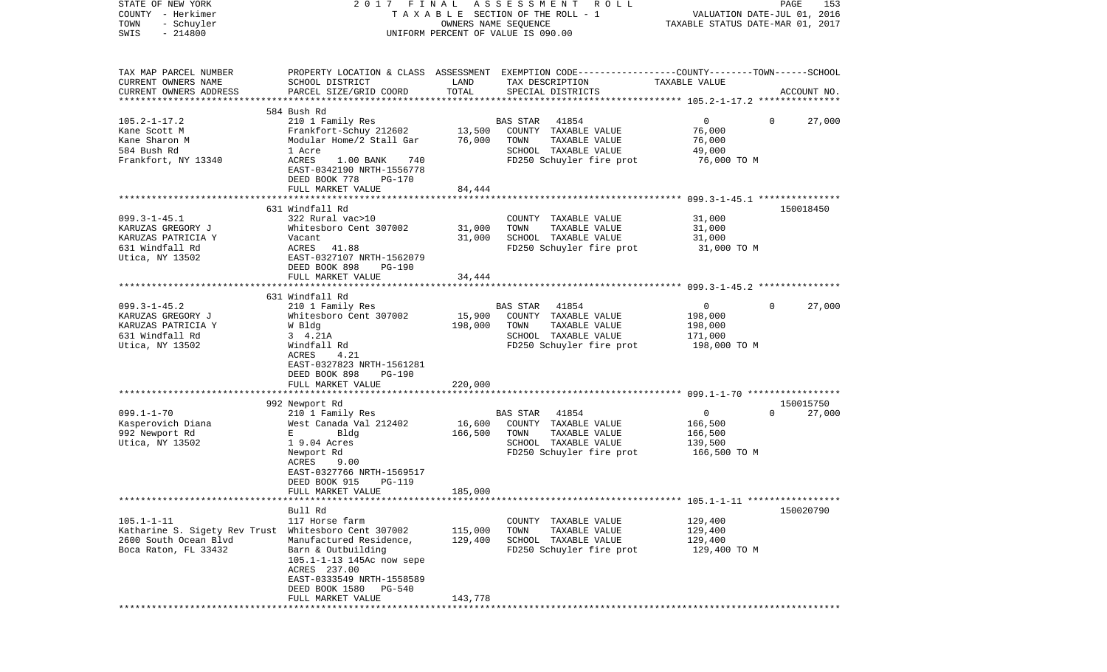| COUNTY<br>– Herkimer<br>TOWN<br>- Schuyler<br>$-214800$<br>SWIS |                                                                                   |         | TAXABLE SECTION OF THE ROLL - 1<br>OWNERS NAME SEQUENCE<br>UNIFORM PERCENT OF VALUE IS 090.00                      | VALUATION DATE-JUL 01, 2016<br>TAXABLE STATUS DATE-MAR 01, 2017 |                |             |
|-----------------------------------------------------------------|-----------------------------------------------------------------------------------|---------|--------------------------------------------------------------------------------------------------------------------|-----------------------------------------------------------------|----------------|-------------|
|                                                                 |                                                                                   |         |                                                                                                                    |                                                                 |                |             |
| TAX MAP PARCEL NUMBER<br>CURRENT OWNERS NAME                    | SCHOOL DISTRICT                                                                   | LAND    | PROPERTY LOCATION & CLASS ASSESSMENT EXEMPTION CODE---------------COUNTY-------TOWN------SCHOOL<br>TAX DESCRIPTION | TAXABLE VALUE                                                   |                |             |
| CURRENT OWNERS ADDRESS                                          | PARCEL SIZE/GRID COORD                                                            | TOTAL   | SPECIAL DISTRICTS                                                                                                  |                                                                 |                | ACCOUNT NO. |
| ********************                                            |                                                                                   |         |                                                                                                                    |                                                                 |                |             |
|                                                                 | 584 Bush Rd                                                                       |         |                                                                                                                    |                                                                 |                |             |
| $105.2 - 1 - 17.2$<br>Kane Scott M                              | 210 1 Family Res<br>Frankfort-Schuy 212602                                        | 13,500  | BAS STAR<br>41854<br>COUNTY TAXABLE VALUE                                                                          | $\overline{0}$<br>76,000                                        | $\overline{0}$ | 27,000      |
| Kane Sharon M                                                   | Modular Home/2 Stall Gar                                                          | 76,000  | TOWN<br>TAXABLE VALUE                                                                                              | 76,000                                                          |                |             |
| 584 Bush Rd                                                     | 1 Acre                                                                            |         | SCHOOL TAXABLE VALUE                                                                                               | 49,000                                                          |                |             |
| Frankfort, NY 13340                                             | ACRES<br>1.00 BANK<br>740<br>EAST-0342190 NRTH-1556778<br>DEED BOOK 778<br>PG-170 |         | FD250 Schuyler fire prot                                                                                           | 76,000 TO M                                                     |                |             |
|                                                                 | FULL MARKET VALUE<br>**********************                                       | 84,444  |                                                                                                                    |                                                                 |                |             |
|                                                                 | 631 Windfall Rd                                                                   |         |                                                                                                                    |                                                                 |                | 150018450   |
| $099.3 - 1 - 45.1$                                              | 322 Rural vac>10                                                                  |         | COUNTY TAXABLE VALUE                                                                                               | 31,000                                                          |                |             |
| KARUZAS GREGORY J                                               | Whitesboro Cent 307002                                                            | 31,000  | TAXABLE VALUE<br>TOWN                                                                                              | 31,000                                                          |                |             |
| KARUZAS PATRICIA Y                                              | Vacant                                                                            | 31,000  | SCHOOL TAXABLE VALUE                                                                                               | 31,000                                                          |                |             |
| 631 Windfall Rd                                                 | ACRES<br>41.88                                                                    |         | FD250 Schuyler fire prot                                                                                           | 31,000 TO M                                                     |                |             |
| Utica, NY 13502                                                 | EAST-0327107 NRTH-1562079                                                         |         |                                                                                                                    |                                                                 |                |             |
|                                                                 | DEED BOOK 898<br>PG-190                                                           |         |                                                                                                                    |                                                                 |                |             |
|                                                                 | FULL MARKET VALUE                                                                 | 34,444  |                                                                                                                    |                                                                 |                |             |
|                                                                 |                                                                                   |         |                                                                                                                    |                                                                 |                |             |
| $099.3 - 1 - 45.2$                                              | 631 Windfall Rd<br>210 1 Family Res                                               |         | BAS STAR<br>41854                                                                                                  | $\overline{0}$                                                  | $\Omega$       | 27,000      |
| KARUZAS GREGORY J                                               | Whitesboro Cent 307002                                                            | 15,900  | COUNTY TAXABLE VALUE                                                                                               | 198,000                                                         |                |             |
| KARUZAS PATRICIA Y                                              | W Bldg                                                                            | 198,000 | TAXABLE VALUE<br>TOWN                                                                                              | 198,000                                                         |                |             |
| 631 Windfall Rd                                                 | 3 4.21A                                                                           |         | SCHOOL TAXABLE VALUE                                                                                               | 171,000                                                         |                |             |
| Utica, NY 13502                                                 | Windfall Rd                                                                       |         | FD250 Schuyler fire prot                                                                                           | 198,000 TO M                                                    |                |             |
|                                                                 | ACRES<br>4.21                                                                     |         |                                                                                                                    |                                                                 |                |             |
|                                                                 | EAST-0327823 NRTH-1561281                                                         |         |                                                                                                                    |                                                                 |                |             |
|                                                                 | DEED BOOK 898<br>PG-190                                                           | 220,000 |                                                                                                                    |                                                                 |                |             |
|                                                                 | FULL MARKET VALUE                                                                 |         |                                                                                                                    |                                                                 |                |             |
|                                                                 | 992 Newport Rd                                                                    |         |                                                                                                                    |                                                                 |                | 150015750   |
| $099.1 - 1 - 70$                                                | 210 1 Family Res                                                                  |         | 41854<br><b>BAS STAR</b>                                                                                           | $\overline{0}$                                                  | $\Omega$       | 27,000      |
| Kasperovich Diana                                               | West Canada Val 212402                                                            | 16,600  | COUNTY TAXABLE VALUE                                                                                               | 166,500                                                         |                |             |
| 992 Newport Rd                                                  | E<br>Bldg                                                                         | 166,500 | TOWN<br>TAXABLE VALUE                                                                                              | 166,500                                                         |                |             |
| Utica, NY 13502                                                 | 1 9.04 Acres                                                                      |         | SCHOOL TAXABLE VALUE                                                                                               | 139,500                                                         |                |             |
|                                                                 | Newport Rd                                                                        |         | FD250 Schuyler fire prot                                                                                           | 166,500 то м                                                    |                |             |
|                                                                 | ACRES<br>9.00<br>EAST-0327766 NRTH-1569517                                        |         |                                                                                                                    |                                                                 |                |             |
|                                                                 | DEED BOOK 915<br><b>PG-119</b>                                                    |         |                                                                                                                    |                                                                 |                |             |
|                                                                 | FULL MARKET VALUE                                                                 | 185,000 |                                                                                                                    |                                                                 |                |             |
|                                                                 |                                                                                   |         |                                                                                                                    |                                                                 |                |             |
|                                                                 | Bull Rd                                                                           |         |                                                                                                                    |                                                                 |                | 150020790   |
| $105.1 - 1 - 11$                                                | 117 Horse farm                                                                    |         | COUNTY TAXABLE VALUE                                                                                               | 129,400                                                         |                |             |
| Katharine S. Sigety Rev Trust                                   | Whitesboro Cent 307002                                                            | 115,000 | TAXABLE VALUE<br>TOWN                                                                                              | 129,400                                                         |                |             |
| 2600 South Ocean Blvd                                           | Manufactured Residence,                                                           | 129,400 | SCHOOL TAXABLE VALUE                                                                                               | 129,400                                                         |                |             |
| Boca Raton, FL 33432                                            | Barn & Outbuilding                                                                |         | FD250 Schuyler fire prot                                                                                           | 129,400 TO M                                                    |                |             |
|                                                                 | 105.1-1-13 145Ac now sepe<br>ACRES 237.00                                         |         |                                                                                                                    |                                                                 |                |             |
|                                                                 | EAST-0333549 NRTH-1558589                                                         |         |                                                                                                                    |                                                                 |                |             |
|                                                                 | DEED BOOK 1580<br>PG-540                                                          |         |                                                                                                                    |                                                                 |                |             |
|                                                                 | FULL MARKET VALUE                                                                 | 143,778 |                                                                                                                    |                                                                 |                |             |
|                                                                 |                                                                                   |         |                                                                                                                    |                                                                 |                |             |

PAGE 153

STATE OF NEW YORK 2 0 1 7 F I N A L A S S E S S M E N T R O L L PAGE 153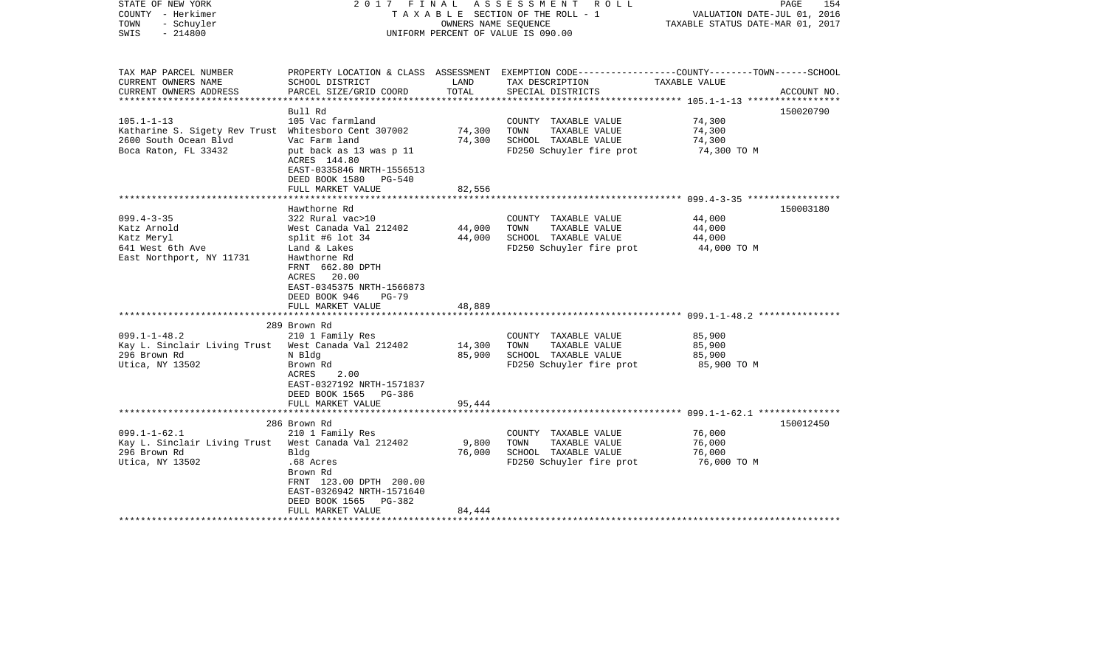| STATE OF NEW YORK<br>2017 FINAL<br>COUNTY - Herkimer<br>- Schuyler<br>TOWN<br>$-214800$<br>SWIS                           |                                                                                                                                                                                                                  |                            | ASSESSMENT<br>R O L L<br>TAXABLE SECTION OF THE ROLL - 1<br>VALUATION DATE-JUL 01, 2016<br>OWNERS NAME SEQUENCE<br>TAXABLE STATUS DATE-MAR 01, 2017<br>UNIFORM PERCENT OF VALUE IS 090.00 |                                                                                                  |             |  |
|---------------------------------------------------------------------------------------------------------------------------|------------------------------------------------------------------------------------------------------------------------------------------------------------------------------------------------------------------|----------------------------|-------------------------------------------------------------------------------------------------------------------------------------------------------------------------------------------|--------------------------------------------------------------------------------------------------|-------------|--|
| TAX MAP PARCEL NUMBER<br>CURRENT OWNERS NAME<br>CURRENT OWNERS ADDRESS                                                    | SCHOOL DISTRICT<br>PARCEL SIZE/GRID COORD                                                                                                                                                                        | LAND<br>TOTAL              | PROPERTY LOCATION & CLASS ASSESSMENT EXEMPTION CODE----------------COUNTY-------TOWN------SCHOOL<br>TAX DESCRIPTION<br>SPECIAL DISTRICTS                                                  | TAXABLE VALUE                                                                                    | ACCOUNT NO. |  |
| ***************                                                                                                           |                                                                                                                                                                                                                  | **************             |                                                                                                                                                                                           | ***************** 105.1-1-13 *****************                                                   |             |  |
|                                                                                                                           | Bull Rd                                                                                                                                                                                                          |                            |                                                                                                                                                                                           |                                                                                                  | 150020790   |  |
| $105.1 - 1 - 13$<br>Katharine S. Sigety Rev Trust Whitesboro Cent 307002<br>2600 South Ocean Blvd<br>Boca Raton, FL 33432 | 105 Vac farmland<br>Vac Farm land<br>put back as 13 was p 11<br>ACRES 144.80<br>EAST-0335846 NRTH-1556513                                                                                                        | 74,300<br>74,300           | COUNTY TAXABLE VALUE<br>TOWN<br>TAXABLE VALUE<br>SCHOOL TAXABLE VALUE<br>FD250 Schuyler fire prot                                                                                         | 74,300<br>74,300<br>74,300<br>74,300 TO M                                                        |             |  |
|                                                                                                                           | DEED BOOK 1580 PG-540                                                                                                                                                                                            |                            |                                                                                                                                                                                           |                                                                                                  |             |  |
|                                                                                                                           | FULL MARKET VALUE<br>******************                                                                                                                                                                          | 82,556                     |                                                                                                                                                                                           | ************************* 099.4-3-35 ******************                                          |             |  |
|                                                                                                                           | Hawthorne Rd                                                                                                                                                                                                     |                            |                                                                                                                                                                                           |                                                                                                  | 150003180   |  |
| $099.4 - 3 - 35$<br>Katz Arnold<br>Katz Meryl<br>641 West 6th Ave<br>East Northport, NY 11731                             | 322 Rural vac>10<br>West Canada Val 212402<br>split #6 lot $34$<br>Land & Lakes<br>Hawthorne Rd<br>FRNT 662.80 DPTH<br>ACRES 20.00<br>EAST-0345375 NRTH-1566873<br>DEED BOOK 946<br>$PG-79$<br>FULL MARKET VALUE | 44,000<br>44,000<br>48,889 | COUNTY TAXABLE VALUE<br>TOWN<br>TAXABLE VALUE<br>SCHOOL TAXABLE VALUE<br>FD250 Schuyler fire prot                                                                                         | 44,000<br>44,000<br>44,000<br>44,000 TO M<br>********************* 099.1-1-48.2 **************** |             |  |
|                                                                                                                           | 289 Brown Rd                                                                                                                                                                                                     |                            |                                                                                                                                                                                           |                                                                                                  |             |  |
| $099.1 - 1 - 48.2$<br>Kay L. Sinclair Living Trust<br>296 Brown Rd<br>Utica, NY 13502                                     | 210 1 Family Res<br>West Canada Val 212402<br>N Bldg<br>Brown Rd<br>2.00<br>ACRES<br>EAST-0327192 NRTH-1571837<br>DEED BOOK 1565 PG-386                                                                          | 14,300<br>85,900           | COUNTY TAXABLE VALUE<br>TOWN<br>TAXABLE VALUE<br>SCHOOL TAXABLE VALUE<br>FD250 Schuyler fire prot                                                                                         | 85,900<br>85,900<br>85,900<br>85,900 TO M                                                        |             |  |
|                                                                                                                           | FULL MARKET VALUE                                                                                                                                                                                                | 95,444                     |                                                                                                                                                                                           | ********************** 099.1-1-62.1 ****************                                             |             |  |
|                                                                                                                           | 286 Brown Rd                                                                                                                                                                                                     |                            |                                                                                                                                                                                           |                                                                                                  | 150012450   |  |
| $099.1 - 1 - 62.1$<br>Kay L. Sinclair Living Trust<br>296 Brown Rd<br>Utica, NY 13502                                     | 210 1 Family Res<br>West Canada Val 212402<br>Bldg<br>.68 Acres<br>Brown Rd<br>FRNT 123.00 DPTH 200.00<br>EAST-0326942 NRTH-1571640<br>DEED BOOK 1565<br>PG-382                                                  | 9,800<br>76,000            | COUNTY TAXABLE VALUE<br>TOWN<br>TAXABLE VALUE<br>SCHOOL TAXABLE VALUE<br>FD250 Schuyler fire prot                                                                                         | 76,000<br>76,000<br>76,000<br>76,000 TO M                                                        |             |  |
|                                                                                                                           | FULL MARKET VALUE                                                                                                                                                                                                | 84,444                     |                                                                                                                                                                                           |                                                                                                  |             |  |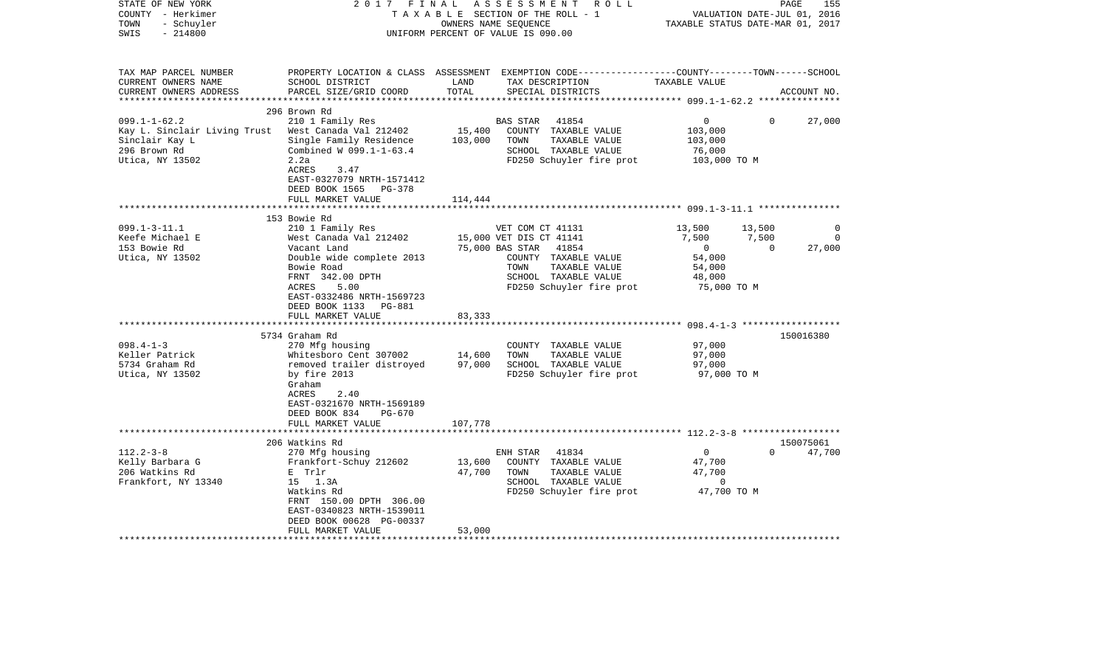|                                                                                                                                                                                                                    |                                            | R O L L                                                                                                                       |                                                                                                                                                                                               | PAGE                        | 155                                                                                                                                                                                                                            |
|--------------------------------------------------------------------------------------------------------------------------------------------------------------------------------------------------------------------|--------------------------------------------|-------------------------------------------------------------------------------------------------------------------------------|-----------------------------------------------------------------------------------------------------------------------------------------------------------------------------------------------|-----------------------------|--------------------------------------------------------------------------------------------------------------------------------------------------------------------------------------------------------------------------------|
| SCHOOL DISTRICT<br>PARCEL SIZE/GRID COORD                                                                                                                                                                          | LAND<br>TOTAL                              | TAX DESCRIPTION<br>SPECIAL DISTRICTS                                                                                          | TAXABLE VALUE                                                                                                                                                                                 |                             | ACCOUNT NO.                                                                                                                                                                                                                    |
| 296 Brown Rd<br>210 1 Family Res<br>Kay L. Sinclair Living Trust<br>West Canada Val 212402<br>Single Family Residence<br>Combined W 099.1-1-63.4<br>2.2a<br>ACRES<br>3.47<br>EAST-0327079 NRTH-1571412             | 15,400<br>103,000                          | 41854<br><b>BAS STAR</b><br>COUNTY TAXABLE VALUE<br>TOWN<br>TAXABLE VALUE<br>SCHOOL TAXABLE VALUE<br>FD250 Schuyler fire prot | $\overline{0}$<br>103,000<br>103,000<br>76,000                                                                                                                                                | $\Omega$                    | 27,000                                                                                                                                                                                                                         |
| FULL MARKET VALUE                                                                                                                                                                                                  | 114,444                                    |                                                                                                                               |                                                                                                                                                                                               |                             |                                                                                                                                                                                                                                |
| 153 Bowie Rd<br>210 1 Family Res<br>West Canada Val 212402<br>Vacant Land<br>Double wide complete 2013<br>Bowie Road<br>FRNT 342.00 DPTH<br>ACRES<br>5.00<br>EAST-0332486 NRTH-1569723<br>DEED BOOK 1133<br>PG-881 |                                            | 41854<br>COUNTY TAXABLE VALUE<br>TOWN<br>TAXABLE VALUE<br>SCHOOL TAXABLE VALUE<br>FD250 Schuyler fire prot                    | 13,500<br>7,500<br>$\overline{0}$<br>54,000<br>54,000<br>48,000                                                                                                                               | 13,500<br>7,500<br>$\Omega$ | $\mathbf 0$<br>27,000                                                                                                                                                                                                          |
| **********************                                                                                                                                                                                             |                                            |                                                                                                                               |                                                                                                                                                                                               |                             |                                                                                                                                                                                                                                |
| 5734 Graham Rd<br>270 Mfg housing<br>Whitesboro Cent 307002<br>removed trailer distroyed<br>by fire 2013<br>Graham<br>ACRES<br>2.40<br>EAST-0321670 NRTH-1569189<br>DEED BOOK 834<br>PG-670                        | 14,600<br>97,000                           | COUNTY TAXABLE VALUE<br>TOWN<br>TAXABLE VALUE<br>SCHOOL TAXABLE VALUE<br>FD250 Schuyler fire prot                             | 97,000<br>97,000<br>97,000                                                                                                                                                                    |                             | 150016380                                                                                                                                                                                                                      |
| FULL MARKET VALUE<br>***********************                                                                                                                                                                       | 107,778                                    |                                                                                                                               |                                                                                                                                                                                               |                             |                                                                                                                                                                                                                                |
| 206 Watkins Rd<br>270 Mfg housing<br>Frankfort-Schuy 212602<br>E Trlr<br>15 1.3A<br>Watkins Rd<br>FRNT 150.00 DPTH 306.00<br>EAST-0340823 NRTH-1539011<br>DEED BOOK 00628 PG-00337<br>FULL MARKET VALUE            | 13,600<br>47,700<br>53,000                 | ENH STAR<br>41834<br>COUNTY TAXABLE VALUE<br>TAXABLE VALUE<br>TOWN<br>SCHOOL TAXABLE VALUE                                    | $\mathbf 0$<br>47,700<br>47,700<br>$\mathbf 0$                                                                                                                                                | $\Omega$                    | 150075061<br>47,700                                                                                                                                                                                                            |
|                                                                                                                                                                                                                    | DEED BOOK 1565 PG-378<br>FULL MARKET VALUE | 2017 FINAL<br>83,333                                                                                                          | ASSESSMENT<br>TAXABLE SECTION OF THE ROLL - 1<br>OWNERS NAME SEQUENCE<br>UNIFORM PERCENT OF VALUE IS 090.00<br>VET COM CT 41131<br>15,000 VET DIS CT 41141<br>75,000 BAS STAR<br>************ | FD250 Schuyler fire prot    | VALUATION DATE-JUL 01, 2016<br>TAXABLE STATUS DATE-MAR 01, 2017<br>PROPERTY LOCATION & CLASS ASSESSMENT EXEMPTION CODE---------------COUNTY-------TOWN-----SCHOOL<br>103,000 TO M<br>75,000 TO M<br>97,000 TO M<br>47,700 TO M |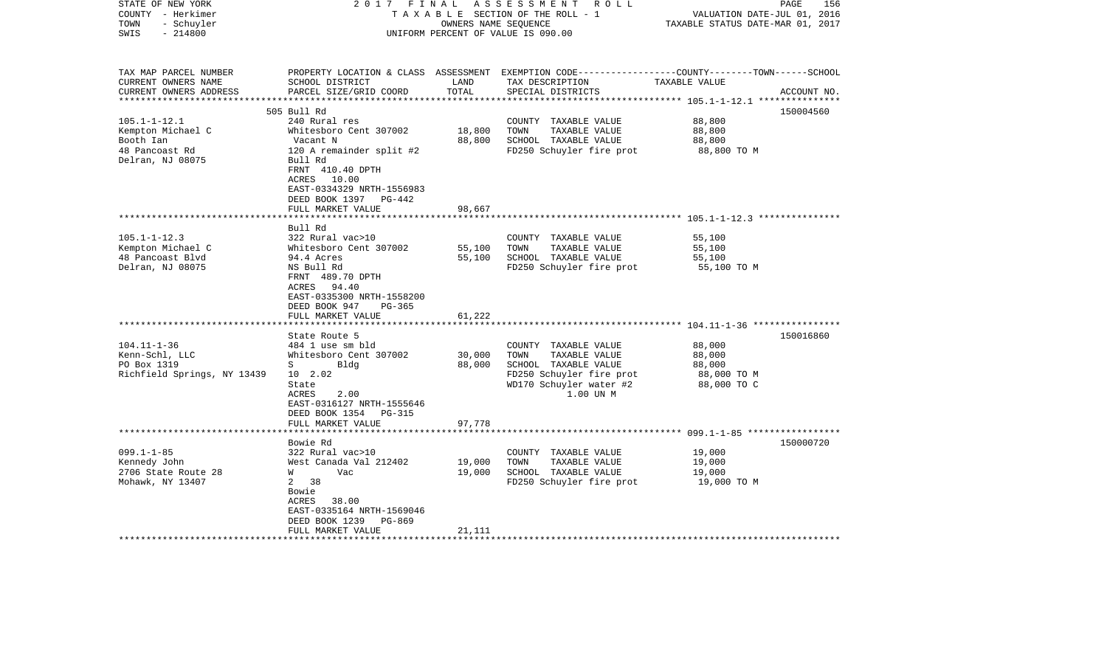| STATE OF NEW YORK<br>COUNTY - Herkimer<br>- Schuyler<br>TOWN<br>$-214800$<br>SWIS | 2017 FINAL                                                                                            | OWNERS NAME SEQUENCE                | ASSESSMENT ROLL<br>TAXABLE SECTION OF THE ROLL - 1<br>UNIFORM PERCENT OF VALUE IS 090.00                                                | VALUATION DATE-JUL 01, 2016<br>TAXABLE STATUS DATE-MAR 01, 2017 | PAGE<br>156 |
|-----------------------------------------------------------------------------------|-------------------------------------------------------------------------------------------------------|-------------------------------------|-----------------------------------------------------------------------------------------------------------------------------------------|-----------------------------------------------------------------|-------------|
| TAX MAP PARCEL NUMBER<br>CURRENT OWNERS NAME<br>CURRENT OWNERS ADDRESS            | SCHOOL DISTRICT<br>PARCEL SIZE/GRID COORD                                                             | LAND<br>TOTAL                       | PROPERTY LOCATION & CLASS ASSESSMENT EXEMPTION CODE---------------COUNTY-------TOWN------SCHOOL<br>TAX DESCRIPTION<br>SPECIAL DISTRICTS | TAXABLE VALUE                                                   | ACCOUNT NO. |
|                                                                                   | 505 Bull Rd                                                                                           |                                     |                                                                                                                                         |                                                                 | 150004560   |
| $105.1 - 1 - 12.1$                                                                | 240 Rural res                                                                                         |                                     | COUNTY TAXABLE VALUE                                                                                                                    | 88,800                                                          |             |
| Kempton Michael C                                                                 | Whitesboro Cent 307002                                                                                | 18,800                              | TOWN<br>TAXABLE VALUE                                                                                                                   | 88,800                                                          |             |
| Booth Ian                                                                         | Vacant N                                                                                              | 88,800                              | SCHOOL TAXABLE VALUE                                                                                                                    | 88,800                                                          |             |
| 48 Pancoast Rd<br>Delran, NJ 08075                                                | 120 A remainder split #2<br>Bull Rd<br>FRNT 410.40 DPTH<br>ACRES 10.00<br>EAST-0334329 NRTH-1556983   |                                     | FD250 Schuyler fire prot                                                                                                                | 88,800 TO M                                                     |             |
|                                                                                   | DEED BOOK 1397 PG-442                                                                                 |                                     |                                                                                                                                         |                                                                 |             |
|                                                                                   | FULL MARKET VALUE                                                                                     | 98,667                              |                                                                                                                                         |                                                                 |             |
|                                                                                   | **************************                                                                            |                                     |                                                                                                                                         |                                                                 |             |
| $105.1 - 1 - 12.3$                                                                | Bull Rd<br>322 Rural vac>10                                                                           |                                     |                                                                                                                                         | 55,100                                                          |             |
| Kempton Michael C                                                                 | Whitesboro Cent 307002                                                                                | 55,100                              | COUNTY TAXABLE VALUE<br>TOWN<br>TAXABLE VALUE                                                                                           | 55,100                                                          |             |
| 48 Pancoast Blvd                                                                  | 94.4 Acres                                                                                            | 55,100                              | SCHOOL TAXABLE VALUE                                                                                                                    | 55,100                                                          |             |
| Delran, NJ 08075                                                                  | NS Bull Rd<br>FRNT 489.70 DPTH<br>ACRES 94.40<br>EAST-0335300 NRTH-1558200<br>DEED BOOK 947<br>PG-365 |                                     | FD250 Schuyler fire prot                                                                                                                | 55,100 TO M                                                     |             |
|                                                                                   | FULL MARKET VALUE<br>* * * * * * * * * * * * * * *                                                    | 61,222<br>* * * * * * * * * * * * * |                                                                                                                                         |                                                                 |             |
|                                                                                   | State Route 5                                                                                         |                                     |                                                                                                                                         |                                                                 | 150016860   |
| $104.11 - 1 - 36$                                                                 | 484 1 use sm bld                                                                                      |                                     | COUNTY TAXABLE VALUE                                                                                                                    | 88,000                                                          |             |
| Kenn-Schl, LLC                                                                    | Whitesboro Cent 307002                                                                                | 30,000                              | TOWN<br>TAXABLE VALUE                                                                                                                   | 88,000                                                          |             |
| PO Box 1319                                                                       | $S \sim$<br>Bldg                                                                                      | 88,000                              | SCHOOL TAXABLE VALUE                                                                                                                    | 88,000                                                          |             |
| Richfield Springs, NY 13439                                                       | 10 2.02                                                                                               |                                     | FD250 Schuyler fire prot                                                                                                                | 88,000 TO M                                                     |             |
|                                                                                   | State<br>ACRES<br>2.00<br>EAST-0316127 NRTH-1555646<br>DEED BOOK 1354<br>PG-315                       |                                     | WD170 Schuyler water #2<br>1.00 UN M                                                                                                    | 88,000 TO C                                                     |             |
|                                                                                   | FULL MARKET VALUE                                                                                     | 97,778                              |                                                                                                                                         |                                                                 |             |
|                                                                                   | *********************                                                                                 | ***********                         |                                                                                                                                         |                                                                 |             |
| $099.1 - 1 - 85$                                                                  | Bowie Rd<br>322 Rural vac>10                                                                          |                                     | COUNTY TAXABLE VALUE                                                                                                                    | 19,000                                                          | 150000720   |
| Kennedy John                                                                      | West Canada Val 212402                                                                                | 19,000                              | TOWN<br>TAXABLE VALUE                                                                                                                   | 19,000                                                          |             |
| 2706 State Route 28                                                               | W<br>Vac                                                                                              | 19,000                              | SCHOOL TAXABLE VALUE                                                                                                                    | 19,000                                                          |             |
| Mohawk, NY 13407                                                                  | 38<br>$\mathbf{2}$<br>Bowie<br>ACRES<br>38.00<br>EAST-0335164 NRTH-1569046                            |                                     | FD250 Schuyler fire prot                                                                                                                | 19,000 TO M                                                     |             |
|                                                                                   | DEED BOOK 1239<br>PG-869                                                                              |                                     |                                                                                                                                         |                                                                 |             |
|                                                                                   | FULL MARKET VALUE                                                                                     | 21,111                              |                                                                                                                                         |                                                                 |             |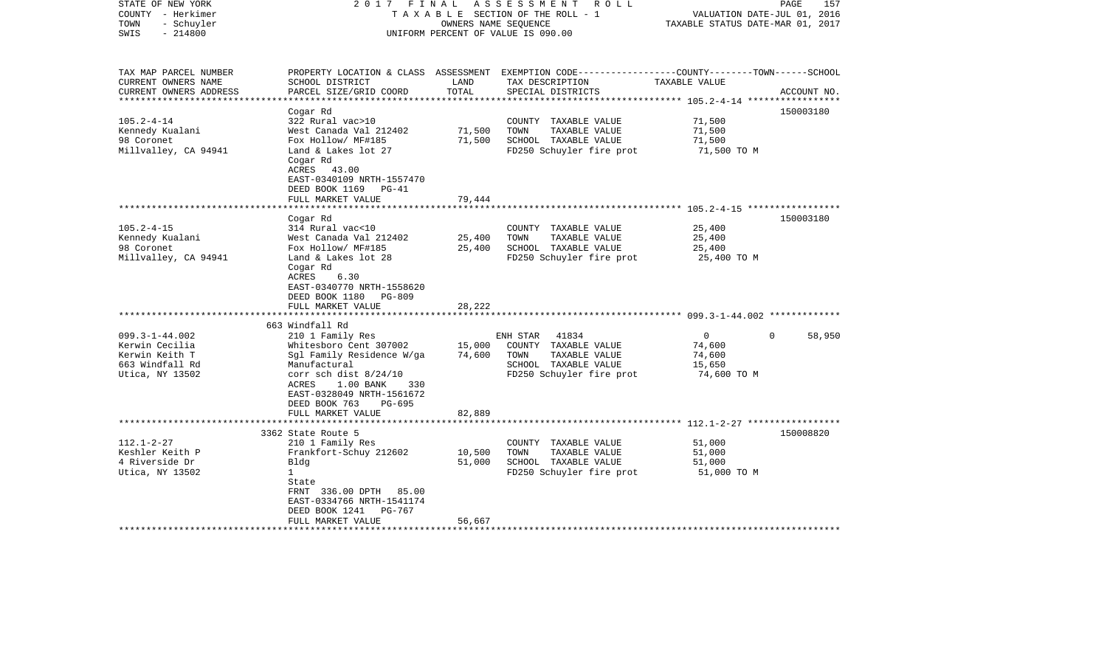| STATE OF NEW YORK<br>COUNTY - Herkimer<br>- Schuyler<br>TOWN<br>$-214800$<br>SWIS | FINAL<br>2017                                                                                                                 | OWNERS NAME SEOUENCE | ASSESSMENT<br>R O L L<br>TAXABLE SECTION OF THE ROLL - 1<br>UNIFORM PERCENT OF VALUE IS 090.00                      | VALUATION DATE-JUL 01, 2016<br>TAXABLE STATUS DATE-MAR 01, 2017 | PAGE<br>157        |
|-----------------------------------------------------------------------------------|-------------------------------------------------------------------------------------------------------------------------------|----------------------|---------------------------------------------------------------------------------------------------------------------|-----------------------------------------------------------------|--------------------|
| TAX MAP PARCEL NUMBER<br>CURRENT OWNERS NAME                                      | SCHOOL DISTRICT                                                                                                               | LAND                 | PROPERTY LOCATION & CLASS ASSESSMENT EXEMPTION CODE----------------COUNTY-------TOWN------SCHOOL<br>TAX DESCRIPTION | TAXABLE VALUE                                                   |                    |
| CURRENT OWNERS ADDRESS<br>********************                                    | PARCEL SIZE/GRID COORD                                                                                                        | TOTAL<br>**********  | SPECIAL DISTRICTS                                                                                                   |                                                                 | ACCOUNT NO.        |
|                                                                                   | Cogar Rd                                                                                                                      |                      |                                                                                                                     |                                                                 | 150003180          |
| $105.2 - 4 - 14$                                                                  | 322 Rural vac>10                                                                                                              |                      | COUNTY TAXABLE VALUE                                                                                                | 71,500                                                          |                    |
| Kennedy Kualani                                                                   | West Canada Val 212402                                                                                                        | 71,500               | TOWN<br>TAXABLE VALUE                                                                                               | 71,500                                                          |                    |
| 98 Coronet                                                                        | Fox Hollow/ MF#185                                                                                                            | 71,500               | SCHOOL TAXABLE VALUE                                                                                                | 71,500                                                          |                    |
| Millvalley, CA 94941                                                              | Land & Lakes lot 27<br>Cogar Rd<br>ACRES 43.00<br>EAST-0340109 NRTH-1557470<br>DEED BOOK 1169<br>$PG-41$<br>FULL MARKET VALUE | 79,444               | FD250 Schuyler fire prot                                                                                            | 71,500 TO M                                                     |                    |
|                                                                                   |                                                                                                                               |                      |                                                                                                                     | ************************************5.2-4-15******************  |                    |
|                                                                                   | Cogar Rd                                                                                                                      |                      |                                                                                                                     |                                                                 | 150003180          |
| $105.2 - 4 - 15$                                                                  | 314 Rural vac<10                                                                                                              |                      | COUNTY TAXABLE VALUE                                                                                                | 25,400                                                          |                    |
| Kennedy Kualani                                                                   | West Canada Val 212402                                                                                                        | 25,400               | TOWN<br>TAXABLE VALUE                                                                                               | 25,400                                                          |                    |
| 98 Coronet                                                                        | Fox Hollow/ MF#185                                                                                                            | 25,400               | SCHOOL TAXABLE VALUE                                                                                                | 25,400                                                          |                    |
| Millvalley, CA 94941                                                              | Land & Lakes lot 28<br>Cogar Rd<br>ACRES<br>6.30<br>EAST-0340770 NRTH-1558620<br>DEED BOOK 1180<br>PG-809                     |                      | FD250 Schuyler fire prot                                                                                            | 25,400 TO M                                                     |                    |
|                                                                                   | FULL MARKET VALUE                                                                                                             | 28,222               |                                                                                                                     |                                                                 |                    |
|                                                                                   | 663 Windfall Rd                                                                                                               |                      |                                                                                                                     |                                                                 |                    |
| $099.3 - 1 - 44.002$                                                              | 210 1 Family Res                                                                                                              |                      | ENH STAR<br>41834                                                                                                   | $\overline{0}$                                                  | 58,950<br>$\Omega$ |
| Kerwin Cecilia                                                                    | Whitesboro Cent 307002                                                                                                        | 15,000               | COUNTY TAXABLE VALUE                                                                                                | 74,600                                                          |                    |
| Kerwin Keith T                                                                    | Sgl Family Residence W/ga                                                                                                     | 74,600               | TOWN<br>TAXABLE VALUE                                                                                               | 74,600                                                          |                    |
| 663 Windfall Rd                                                                   | Manufactural                                                                                                                  |                      | SCHOOL TAXABLE VALUE                                                                                                | 15,650                                                          |                    |
| Utica, NY 13502                                                                   | corr sch dist $8/24/10$<br>ACRES<br>1.00 BANK<br>330<br>EAST-0328049 NRTH-1561672<br>DEED BOOK 763<br>PG-695                  |                      | FD250 Schuyler fire prot                                                                                            | 74,600 TO M                                                     |                    |
|                                                                                   | FULL MARKET VALUE<br>*********************                                                                                    | 82,889               |                                                                                                                     |                                                                 |                    |
|                                                                                   | 3362 State Route 5                                                                                                            |                      |                                                                                                                     | *********************** 112.1-2-27 ******************           | 150008820          |
| $112.1 - 2 - 27$                                                                  | 210 1 Family Res                                                                                                              |                      | COUNTY TAXABLE VALUE                                                                                                | 51,000                                                          |                    |
| Keshler Keith P                                                                   | Frankfort-Schuy 212602                                                                                                        | 10,500               | TOWN<br>TAXABLE VALUE                                                                                               | 51,000                                                          |                    |
| 4 Riverside Dr                                                                    | Bldg                                                                                                                          | 51,000               | SCHOOL TAXABLE VALUE                                                                                                | 51,000                                                          |                    |
| Utica, NY 13502                                                                   | $\mathbf{1}$                                                                                                                  |                      | FD250 Schuyler fire prot                                                                                            | 51,000 TO M                                                     |                    |
|                                                                                   | State<br>FRNT 336.00 DPTH<br>85.00<br>EAST-0334766 NRTH-1541174<br>DEED BOOK 1241<br>PG-767<br>FULL MARKET VALUE              | 56,667               |                                                                                                                     |                                                                 |                    |
|                                                                                   |                                                                                                                               |                      |                                                                                                                     |                                                                 |                    |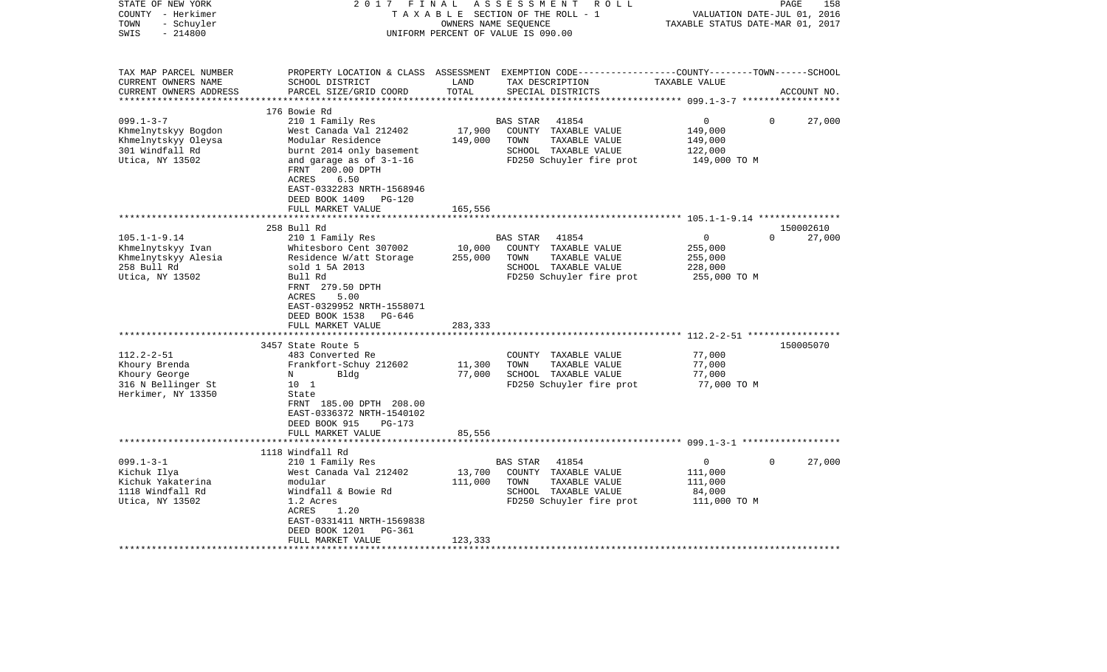| STATE OF NEW YORK<br>COUNTY - Herkimer<br>- Schuyler<br>TOWN<br>SWIS<br>$-214800$                   | 2017<br>FINAL                                                                                                                                                                                                      |                              | ASSESSMENT<br>R O L L<br>TAXABLE SECTION OF THE ROLL - 1<br>OWNERS NAME SEQUENCE<br>UNIFORM PERCENT OF VALUE IS 090.00                   | VALUATION DATE-JUL 01,<br>TAXABLE STATUS DATE-MAR 01, 2017 | 158<br>PAGE<br>2016 |
|-----------------------------------------------------------------------------------------------------|--------------------------------------------------------------------------------------------------------------------------------------------------------------------------------------------------------------------|------------------------------|------------------------------------------------------------------------------------------------------------------------------------------|------------------------------------------------------------|---------------------|
| TAX MAP PARCEL NUMBER<br>CURRENT OWNERS NAME<br>CURRENT OWNERS ADDRESS                              | SCHOOL DISTRICT<br>PARCEL SIZE/GRID COORD                                                                                                                                                                          | LAND<br>TOTAL                | PROPERTY LOCATION & CLASS ASSESSMENT EXEMPTION CODE----------------COUNTY-------TOWN------SCHOOL<br>TAX DESCRIPTION<br>SPECIAL DISTRICTS | TAXABLE VALUE                                              | ACCOUNT NO.         |
|                                                                                                     | 176 Bowie Rd                                                                                                                                                                                                       |                              |                                                                                                                                          |                                                            |                     |
| $099.1 - 3 - 7$<br>Khmelnytskyy Bogdon<br>Khmelnytskyy Oleysa<br>301 Windfall Rd<br>Utica, NY 13502 | 210 1 Family Res<br>West Canada Val 212402<br>Modular Residence<br>burnt 2014 only basement<br>and garage as of 3-1-16<br>FRNT 200.00 DPTH<br>ACRES<br>6.50<br>EAST-0332283 NRTH-1568946<br>DEED BOOK 1409 PG-120  | 17,900<br>149,000            | BAS STAR<br>41854<br>COUNTY TAXABLE VALUE<br>TOWN<br>TAXABLE VALUE<br>SCHOOL TAXABLE VALUE<br>FD250 Schuyler fire prot                   | 0<br>149,000<br>149,000<br>122,000<br>149,000 TO M         | $\Omega$<br>27,000  |
|                                                                                                     | FULL MARKET VALUE<br>**************************                                                                                                                                                                    | 165,556                      |                                                                                                                                          |                                                            |                     |
|                                                                                                     | 258 Bull Rd                                                                                                                                                                                                        |                              |                                                                                                                                          |                                                            | 150002610           |
| $105.1 - 1 - 9.14$<br>Khmelnytskyy Ivan<br>Khmelnytskyy Alesia<br>258 Bull Rd<br>Utica, NY 13502    | 210 1 Family Res<br>Whitesboro Cent 307002<br>Residence W/att Storage<br>sold 1 5A 2013<br>Bull Rd<br>FRNT 279.50 DPTH<br>5.00<br>ACRES<br>EAST-0329952 NRTH-1558071<br>DEED BOOK 1538 PG-646<br>FULL MARKET VALUE | 10,000<br>255,000<br>283,333 | BAS STAR<br>41854<br>COUNTY TAXABLE VALUE<br>TOWN<br>TAXABLE VALUE<br>SCHOOL TAXABLE VALUE<br>FD250 Schuyler fire prot                   | 0<br>255,000<br>255,000<br>228,000<br>255,000 TO M         | $\Omega$<br>27,000  |
|                                                                                                     | *******************************                                                                                                                                                                                    | **********                   |                                                                                                                                          |                                                            |                     |
| $112.2 - 2 - 51$<br>Khoury Brenda<br>Khoury George<br>316 N Bellinger St<br>Herkimer, NY 13350      | 3457 State Route 5<br>483 Converted Re<br>Frankfort-Schuy 212602<br>N<br>Bldg<br>10 1<br>State<br>FRNT 185.00 DPTH 208.00<br>EAST-0336372 NRTH-1540102<br>DEED BOOK 915<br>PG-173                                  | 11,300<br>77,000             | COUNTY TAXABLE VALUE<br>TOWN<br>TAXABLE VALUE<br>SCHOOL TAXABLE VALUE<br>FD250 Schuyler fire prot                                        | 77,000<br>77,000<br>77,000<br>77,000 TO M                  | 150005070           |
|                                                                                                     | FULL MARKET VALUE                                                                                                                                                                                                  | 85,556                       |                                                                                                                                          |                                                            |                     |
|                                                                                                     | **********************                                                                                                                                                                                             |                              |                                                                                                                                          |                                                            |                     |
| $099.1 - 3 - 1$<br>Kichuk Ilya<br>Kichuk Yakaterina<br>1118 Windfall Rd<br>Utica, NY 13502          | 1118 Windfall Rd<br>210 1 Family Res<br>West Canada Val 212402<br>modular<br>Windfall & Bowie Rd<br>1.2 Acres<br>ACRES<br>1.20<br>EAST-0331411 NRTH-1569838<br>DEED BOOK 1201<br>PG-361<br>FULL MARKET VALUE       | 13,700<br>111,000<br>123,333 | <b>BAS STAR</b><br>41854<br>COUNTY TAXABLE VALUE<br>TOWN<br>TAXABLE VALUE<br>SCHOOL TAXABLE VALUE<br>FD250 Schuyler fire prot            | 0<br>111,000<br>111,000<br>84,000<br>111,000 TO M          | 27,000<br>$\Omega$  |
|                                                                                                     |                                                                                                                                                                                                                    |                              |                                                                                                                                          |                                                            |                     |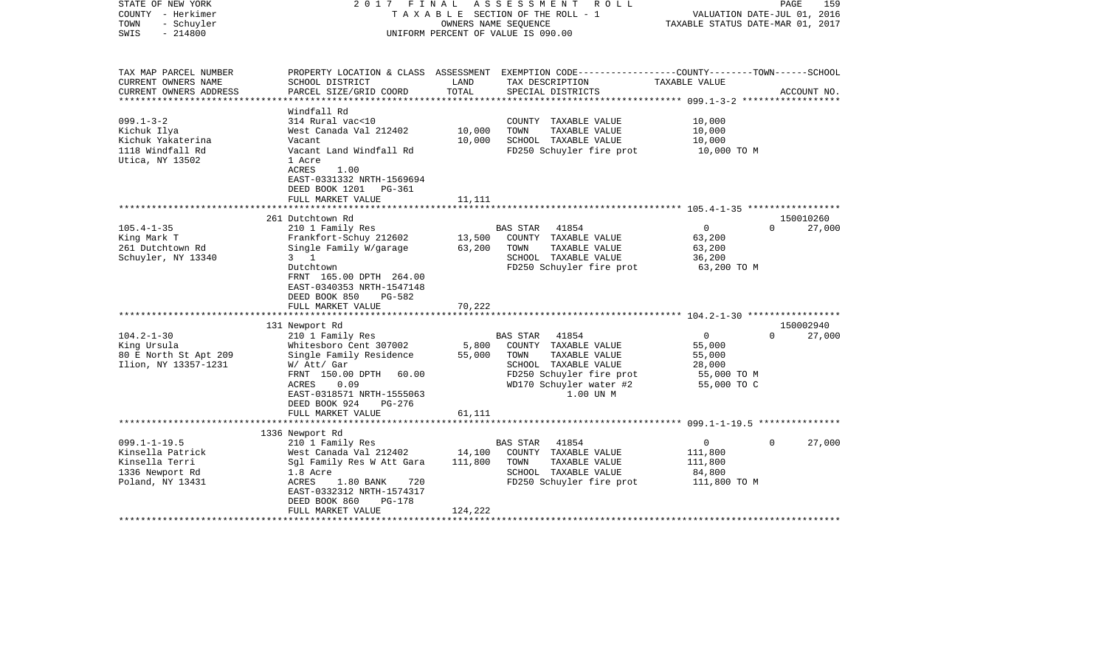| STATE OF NEW YORK<br>COUNTY - Herkimer<br>- Schuyler<br>TOWN<br>$-214800$<br>SWIS                               | FINAL<br>2017                                                                                                                                                                                                                     |                              | A S S E S S M E N T R O L L<br>TAXABLE SECTION OF THE ROLL - 1<br>OWNERS NAME SEOUENCE<br>UNIFORM PERCENT OF VALUE IS 090.00                                   | VALUATION DATE-JUL 01, 2016<br>TAXABLE STATUS DATE-MAR 01, 2017          | PAGE<br>159                     |
|-----------------------------------------------------------------------------------------------------------------|-----------------------------------------------------------------------------------------------------------------------------------------------------------------------------------------------------------------------------------|------------------------------|----------------------------------------------------------------------------------------------------------------------------------------------------------------|--------------------------------------------------------------------------|---------------------------------|
| TAX MAP PARCEL NUMBER<br>CURRENT OWNERS NAME<br>CURRENT OWNERS ADDRESS                                          | SCHOOL DISTRICT<br>PARCEL SIZE/GRID COORD                                                                                                                                                                                         | LAND<br>TOTAL                | PROPERTY LOCATION & CLASS ASSESSMENT EXEMPTION CODE---------------COUNTY-------TOWN------SCHOOL<br>TAX DESCRIPTION<br>SPECIAL DISTRICTS                        | TAXABLE VALUE                                                            | ACCOUNT NO.                     |
| *****************<br>$099.1 - 3 - 2$<br>Kichuk Ilya<br>Kichuk Yakaterina<br>1118 Windfall Rd<br>Utica, NY 13502 | Windfall Rd<br>314 Rural vac<10<br>West Canada Val 212402<br>Vacant<br>Vacant Land Windfall Rd<br>1 Acre<br>ACRES<br>1.00<br>EAST-0331332 NRTH-1569694<br>DEED BOOK 1201<br>PG-361<br>FULL MARKET VALUE                           | 10,000<br>10,000<br>11,111   | COUNTY TAXABLE VALUE<br>TAXABLE VALUE<br>TOWN<br>SCHOOL TAXABLE VALUE<br>FD250 Schuyler fire prot                                                              | 10,000<br>10,000<br>10,000<br>10,000 TO M                                |                                 |
|                                                                                                                 |                                                                                                                                                                                                                                   |                              |                                                                                                                                                                |                                                                          |                                 |
| $105.4 - 1 - 35$<br>King Mark T<br>261 Dutchtown Rd<br>Schuyler, NY 13340                                       | 261 Dutchtown Rd<br>210 1 Family Res<br>Frankfort-Schuy 212602<br>Single Family W/garage<br>$3 \quad 1$<br>Dutchtown<br>FRNT 165.00 DPTH 264.00<br>EAST-0340353 NRTH-1547148<br>DEED BOOK 850<br>PG-582<br>FULL MARKET VALUE      | 13,500<br>63,200<br>70,222   | 41854<br>BAS STAR<br>COUNTY TAXABLE VALUE<br>TAXABLE VALUE<br>TOWN<br>SCHOOL TAXABLE VALUE<br>FD250 Schuyler fire prot                                         | $\overline{0}$<br>63,200<br>63,200<br>36,200<br>63,200 TO M              | 150010260<br>27,000<br>$\Omega$ |
|                                                                                                                 |                                                                                                                                                                                                                                   |                              |                                                                                                                                                                |                                                                          |                                 |
| $104.2 - 1 - 30$<br>King Ursula<br>80 E North St Apt 209<br>Ilion, NY 13357-1231                                | 131 Newport Rd<br>210 1 Family Res<br>Whitesboro Cent 307002<br>Single Family Residence<br>W/ Att/ Gar<br>FRNT 150.00 DPTH<br>60.00<br>ACRES<br>0.09<br>EAST-0318571 NRTH-1555063<br>DEED BOOK 924<br>PG-276<br>FULL MARKET VALUE | 5,800<br>55,000              | 41854<br>BAS STAR<br>COUNTY TAXABLE VALUE<br>TOWN<br>TAXABLE VALUE<br>SCHOOL TAXABLE VALUE<br>FD250 Schuyler fire prot<br>WD170 Schuyler water #2<br>1.00 UN M | $\mathbf{0}$<br>55,000<br>55,000<br>28,000<br>55,000 TO M<br>55,000 TO C | 150002940<br>$\Omega$<br>27,000 |
|                                                                                                                 |                                                                                                                                                                                                                                   | 61,111                       |                                                                                                                                                                |                                                                          |                                 |
| $099.1 - 1 - 19.5$<br>Kinsella Patrick<br>Kinsella Terri<br>1336 Newport Rd<br>Poland, NY 13431                 | 1336 Newport Rd<br>210 1 Family Res<br>West Canada Val 212402<br>Sgl Family Res W Att Gara<br>1.8 Acre<br>ACRES<br>$1.80$ BANK<br>720<br>EAST-0332312 NRTH-1574317<br>DEED BOOK 860<br><b>PG-178</b><br>FULL MARKET VALUE         | 14,100<br>111,800<br>124,222 | BAS STAR<br>41854<br>COUNTY TAXABLE VALUE<br>TAXABLE VALUE<br>TOWN<br>SCHOOL TAXABLE VALUE<br>FD250 Schuyler fire prot                                         | $\mathbf{0}$<br>111,800<br>111,800<br>84,800<br>111,800 TO M             | 27,000<br>$\Omega$              |
|                                                                                                                 | **********************                                                                                                                                                                                                            |                              |                                                                                                                                                                |                                                                          |                                 |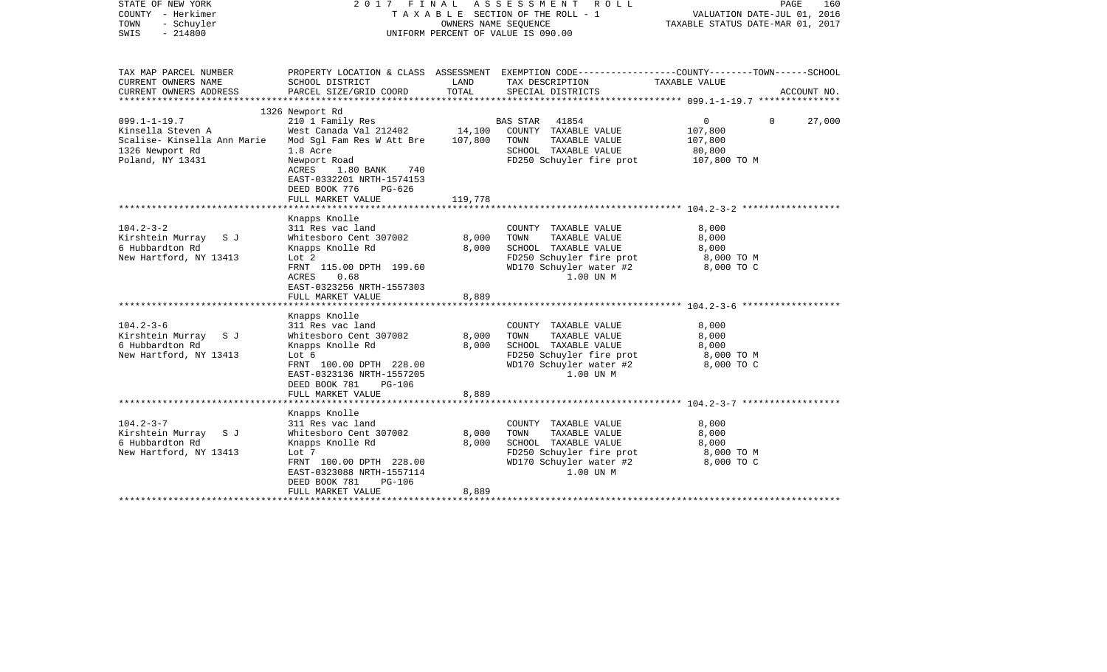| STATE OF NEW YORK<br>COUNTY - Herkimer<br>TOWN<br>- Schuyler<br>SWIS<br>$-214800$                             |                                                                                                                                                                                                                                      | OWNERS NAME SEQUENCE         | 2017 FINAL ASSESSMENT ROLL<br>T A X A B L E SECTION OF THE ROLL - 1<br>UNIFORM PERCENT OF VALUE IS 090.00                                 | PAGE<br>160<br>VALUATION DATE-JUL 01, 2016<br>TAXABLE STATUS DATE-MAR 01, 2017 |             |  |
|---------------------------------------------------------------------------------------------------------------|--------------------------------------------------------------------------------------------------------------------------------------------------------------------------------------------------------------------------------------|------------------------------|-------------------------------------------------------------------------------------------------------------------------------------------|--------------------------------------------------------------------------------|-------------|--|
| TAX MAP PARCEL NUMBER<br>CURRENT OWNERS NAME<br>CURRENT OWNERS ADDRESS<br>***********************             | SCHOOL DISTRICT<br>PARCEL SIZE/GRID COORD<br>*****************************                                                                                                                                                           | LAND<br>TOTAL                | PROPERTY LOCATION & CLASS ASSESSMENT EXEMPTION CODE----------------COUNTY-------TOWN------SCHOOL<br>TAX DESCRIPTION<br>SPECIAL DISTRICTS  | TAXABLE VALUE                                                                  | ACCOUNT NO. |  |
| $099.1 - 1 - 19.7$<br>Kinsella Steven A<br>Scalise- Kinsella Ann Marie<br>1326 Newport Rd<br>Poland, NY 13431 | 1326 Newport Rd<br>210 1 Family Res<br>West Canada Val 212402<br>Mod Sql Fam Res W Att Bre<br>1.8 Acre<br>Newport Road<br>ACRES<br>$1.80$ BANK<br>740<br>EAST-0332201 NRTH-1574153<br>DEED BOOK 776<br>$PG-626$<br>FULL MARKET VALUE | 14,100<br>107,800<br>119,778 | BAS STAR<br>41854<br>COUNTY TAXABLE VALUE<br>TOWN<br>TAXABLE VALUE<br>SCHOOL TAXABLE VALUE<br>FD250 Schuyler fire prot                    | $\mathbf 0$<br>$\Omega$<br>107,800<br>107,800<br>80,800<br>107,800 TO M        | 27,000      |  |
| $104.2 - 3 - 2$<br>Kirshtein Murray<br>S J<br>6 Hubbardton Rd<br>New Hartford, NY 13413                       | Knapps Knolle<br>311 Res vac land<br>Whitesboro Cent 307002<br>Knapps Knolle Rd<br>Lot 2<br>FRNT 115.00 DPTH 199.60<br>0.68<br>ACRES<br>EAST-0323256 NRTH-1557303<br>FULL MARKET VALUE                                               | 8,000<br>8,000<br>8,889      | COUNTY TAXABLE VALUE<br>TOWN<br>TAXABLE VALUE<br>SCHOOL TAXABLE VALUE<br>FD250 Schuyler fire prot<br>WD170 Schuyler water #2<br>1.00 UN M | 8,000<br>8,000<br>8,000<br>8,000 TO M<br>8,000 TO C                            |             |  |
| $104.2 - 3 - 6$<br>Kirshtein Murray<br>S J<br>6 Hubbardton Rd<br>New Hartford, NY 13413                       | Knapps Knolle<br>311 Res vac land<br>Whitesboro Cent 307002<br>Knapps Knolle Rd<br>Lot 6<br>FRNT 100.00 DPTH 228.00<br>EAST-0323136 NRTH-1557205<br>DEED BOOK 781<br><b>PG-106</b><br>FULL MARKET VALUE                              | 8,000<br>8,000<br>8,889      | COUNTY TAXABLE VALUE<br>TOWN<br>TAXABLE VALUE<br>SCHOOL TAXABLE VALUE<br>FD250 Schuyler fire prot<br>WD170 Schuyler water #2<br>1.00 UN M | 8,000<br>8,000<br>8,000<br>8,000 TO M<br>8,000 TO C                            |             |  |
| $104.2 - 3 - 7$<br>Kirshtein Murray<br>S J<br>6 Hubbardton Rd<br>New Hartford, NY 13413                       | Knapps Knolle<br>311 Res vac land<br>Whitesboro Cent 307002<br>Knapps Knolle Rd<br>Lot 7<br>FRNT 100.00 DPTH 228.00<br>EAST-0323088 NRTH-1557114<br>DEED BOOK 781<br><b>PG-106</b><br>FULL MARKET VALUE                              | 8,000<br>8,000<br>8,889      | COUNTY TAXABLE VALUE<br>TOWN<br>TAXABLE VALUE<br>SCHOOL TAXABLE VALUE<br>FD250 Schuyler fire prot<br>WD170 Schuyler water #2<br>1.00 UN M | 8,000<br>8,000<br>8,000<br>8,000 TO M<br>8,000 TO C                            |             |  |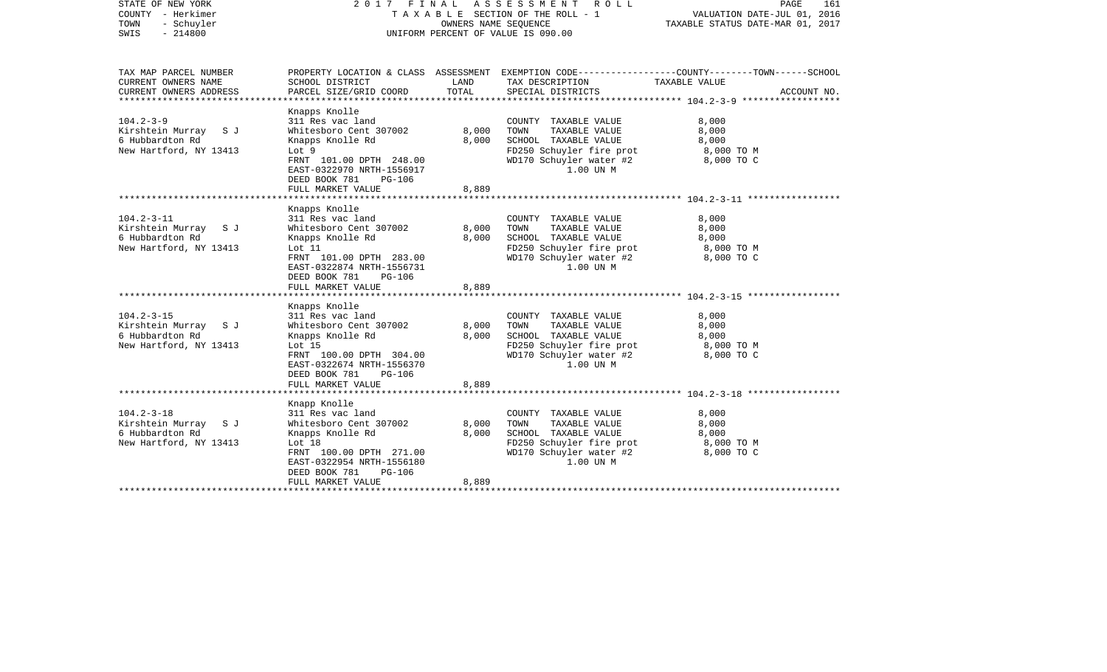| STATE OF NEW YORK<br>COUNTY - Herkimer<br>TOWN<br>- Schuyler<br>$-214800$<br>SWIS                 |                                                                                                                                                                                                                                      | OWNERS NAME SEQUENCE    | 2017 FINAL ASSESSMENT ROLL<br>TAXABLE SECTION OF THE ROLL - 1<br>UNIFORM PERCENT OF VALUE IS 090.00                                       | PAGE<br>161<br>VALUATION DATE-JUL 01, 2016<br>TAXABLE STATUS DATE-MAR 01, 2017                                                   |  |
|---------------------------------------------------------------------------------------------------|--------------------------------------------------------------------------------------------------------------------------------------------------------------------------------------------------------------------------------------|-------------------------|-------------------------------------------------------------------------------------------------------------------------------------------|----------------------------------------------------------------------------------------------------------------------------------|--|
| TAX MAP PARCEL NUMBER<br>CURRENT OWNERS NAME<br>CURRENT OWNERS ADDRESS<br>*********************** | SCHOOL DISTRICT<br>PARCEL SIZE/GRID COORD                                                                                                                                                                                            | LAND<br>TOTAL           | TAX DESCRIPTION<br>SPECIAL DISTRICTS                                                                                                      | PROPERTY LOCATION & CLASS ASSESSMENT EXEMPTION CODE----------------COUNTY-------TOWN------SCHOOL<br>TAXABLE VALUE<br>ACCOUNT NO. |  |
| $104.2 - 3 - 9$<br>Kirshtein Murray SJ<br>6 Hubbardton Rd<br>New Hartford, NY 13413               | Knapps Knolle<br>311 Res vac land<br>Whitesboro Cent 307002<br>Knapps Knolle Rd<br>Lot 9<br>FRNT 101.00 DPTH 248.00<br>EAST-0322970 NRTH-1556917<br>DEED BOOK 781<br><b>PG-106</b><br>FULL MARKET VALUE                              | 8,000<br>8,000<br>8,889 | COUNTY TAXABLE VALUE<br>TOWN<br>TAXABLE VALUE<br>SCHOOL TAXABLE VALUE<br>FD250 Schuyler fire prot<br>WD170 Schuyler water #2<br>1.00 UN M | 8,000<br>8,000<br>8,000<br>8,000 TO M<br>8,000 TO C                                                                              |  |
| $104.2 - 3 - 11$<br>Kirshtein Murray SJ<br>6 Hubbardton Rd<br>New Hartford, NY 13413              | Knapps Knolle<br>311 Res vac land<br>Whitesboro Cent 307002<br>Knapps Knolle Rd<br>Lot 11<br>FRNT 101.00 DPTH 283.00<br>EAST-0322874 NRTH-1556731<br>DEED BOOK 781<br>PG-106<br>FULL MARKET VALUE                                    | 8,000<br>8,000<br>8,889 | COUNTY TAXABLE VALUE<br>TOWN<br>TAXABLE VALUE<br>SCHOOL TAXABLE VALUE<br>FD250 Schuyler fire prot<br>WD170 Schuyler water #2<br>1.00 UN M | 8,000<br>8,000<br>8,000<br>8,000 TO M<br>8,000 TO C                                                                              |  |
| $104.2 - 3 - 15$<br>Kirshtein Murray SJ<br>6 Hubbardton Rd<br>New Hartford, NY 13413              | Knapps Knolle<br>311 Res vac land<br>Whitesboro Cent 307002<br>Knapps Knolle Rd<br>Lot 15<br>FRNT 100.00 DPTH 304.00<br>EAST-0322674 NRTH-1556370<br>DEED BOOK 781<br><b>PG-106</b><br>FULL MARKET VALUE<br>************************ | 8,000<br>8,000<br>8,889 | COUNTY TAXABLE VALUE<br>TAXABLE VALUE<br>TOWN<br>SCHOOL TAXABLE VALUE<br>FD250 Schuyler fire prot<br>WD170 Schuyler water #2<br>1.00 UN M | 8,000<br>8,000<br>8,000<br>8,000 TO M<br>8,000 TO C                                                                              |  |
| $104.2 - 3 - 18$<br>Kirshtein Murray SJ<br>6 Hubbardton Rd<br>New Hartford, NY 13413              | Knapp Knolle<br>311 Res vac land<br>Whitesboro Cent 307002<br>Knapps Knolle Rd<br>Lot $18$<br>FRNT 100.00 DPTH 271.00<br>EAST-0322954 NRTH-1556180<br>DEED BOOK 781<br>PG-106<br>FULL MARKET VALUE                                   | 8,000<br>8,000<br>8,889 | COUNTY TAXABLE VALUE<br>TOWN<br>TAXABLE VALUE<br>SCHOOL TAXABLE VALUE<br>FD250 Schuyler fire prot<br>WD170 Schuyler water #2<br>1.00 UN M | 8,000<br>8,000<br>8,000<br>8,000 TO M<br>8,000 TO C                                                                              |  |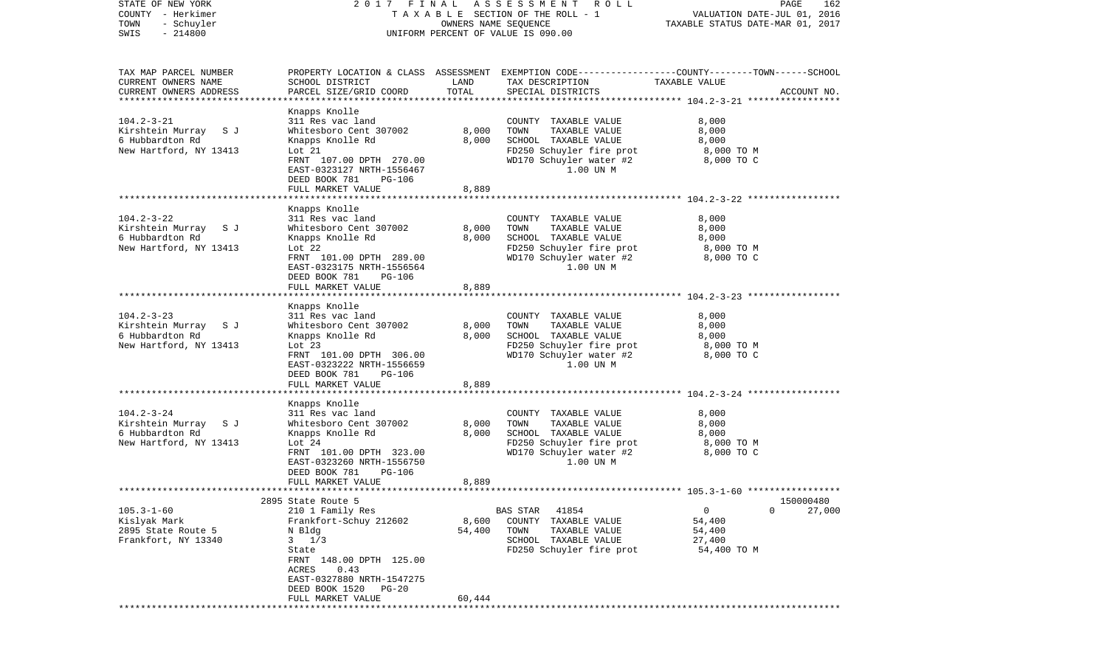| STATE OF NEW YORK<br>COUNTY - Herkimer<br>TOWN<br>- Schuyler<br>$-214800$<br>SWIS                 | 2017 FINAL                                                                                                                                                                                                                                        | OWNERS NAME SEQUENCE      | A S S E S S M E N T<br>ROLL<br>TAXABLE SECTION OF THE ROLL - 1<br>UNIFORM PERCENT OF VALUE IS 090.00                                      | VALUATION DATE-JUL 01, 2016<br>TAXABLE STATUS DATE-MAR 01, 2017 | PAGE<br>162         |
|---------------------------------------------------------------------------------------------------|---------------------------------------------------------------------------------------------------------------------------------------------------------------------------------------------------------------------------------------------------|---------------------------|-------------------------------------------------------------------------------------------------------------------------------------------|-----------------------------------------------------------------|---------------------|
| TAX MAP PARCEL NUMBER<br>CURRENT OWNERS NAME<br>CURRENT OWNERS ADDRESS<br>*********************** | SCHOOL DISTRICT<br>PARCEL SIZE/GRID COORD                                                                                                                                                                                                         | LAND<br>TOTAL             | PROPERTY LOCATION & CLASS ASSESSMENT EXEMPTION CODE----------------COUNTY-------TOWN------SCHOOL<br>TAX DESCRIPTION<br>SPECIAL DISTRICTS  | TAXABLE VALUE                                                   | ACCOUNT NO.         |
| $104.2 - 3 - 21$<br>Kirshtein Murray S J<br>6 Hubbardton Rd<br>New Hartford, NY 13413             | Knapps Knolle<br>311 Res vac land<br>Whitesboro Cent 307002<br>Knapps Knolle Rd<br>Lot 21<br>FRNT 107.00 DPTH 270.00<br>EAST-0323127 NRTH-1556467<br>DEED BOOK 781<br>PG-106<br>FULL MARKET VALUE                                                 | 8,000<br>8,000<br>8,889   | COUNTY TAXABLE VALUE<br>TOWN<br>TAXABLE VALUE<br>SCHOOL TAXABLE VALUE<br>FD250 Schuyler fire prot<br>WD170 Schuyler water #2<br>1.00 UN M | 8,000<br>8,000<br>8,000<br>8,000 TO M<br>8,000 TO C             |                     |
|                                                                                                   |                                                                                                                                                                                                                                                   |                           |                                                                                                                                           |                                                                 |                     |
| $104.2 - 3 - 22$<br>Kirshtein Murray S J<br>6 Hubbardton Rd<br>New Hartford, NY 13413             | Knapps Knolle<br>311 Res vac land<br>Whitesboro Cent 307002<br>Knapps Knolle Rd<br>Lot $22$<br>FRNT 101.00 DPTH 289.00<br>EAST-0323175 NRTH-1556564<br>DEED BOOK 781<br>PG-106<br>FULL MARKET VALUE                                               | 8,000<br>8,000<br>8,889   | COUNTY TAXABLE VALUE<br>TOWN<br>TAXABLE VALUE<br>SCHOOL TAXABLE VALUE<br>FD250 Schuyler fire prot<br>WD170 Schuyler water #2<br>1.00 UN M | 8,000<br>8,000<br>8,000<br>8,000 TO M<br>8,000 TO C             |                     |
|                                                                                                   |                                                                                                                                                                                                                                                   |                           |                                                                                                                                           |                                                                 |                     |
| $104.2 - 3 - 23$<br>Kirshtein Murray S J<br>6 Hubbardton Rd<br>New Hartford, NY 13413             | Knapps Knolle<br>311 Res vac land<br>Whitesboro Cent 307002<br>Knapps Knolle Rd<br>Lot $23$<br>FRNT 101.00 DPTH 306.00<br>EAST-0323222 NRTH-1556659<br>DEED BOOK 781<br><b>PG-106</b><br>FULL MARKET VALUE                                        | 8,000<br>8,000<br>8,889   | COUNTY TAXABLE VALUE<br>TAXABLE VALUE<br>TOWN<br>SCHOOL TAXABLE VALUE<br>FD250 Schuyler fire prot<br>WD170 Schuyler water #2<br>1.00 UN M | 8,000<br>8,000<br>8,000<br>8,000 TO M<br>8,000 TO C             |                     |
|                                                                                                   | ***************************                                                                                                                                                                                                                       |                           |                                                                                                                                           |                                                                 |                     |
| $104.2 - 3 - 24$<br>Kirshtein Murray SJ<br>6 Hubbardton Rd<br>New Hartford, NY 13413              | Knapps Knolle<br>311 Res vac land<br>Whitesboro Cent 307002<br>Knapps Knolle Rd<br>Lot $24$<br>FRNT 101.00 DPTH 323.00<br>EAST-0323260 NRTH-1556750<br>DEED BOOK 781<br>PG-106                                                                    | 8,000<br>8,000            | COUNTY TAXABLE VALUE<br>TOWN<br>TAXABLE VALUE<br>SCHOOL TAXABLE VALUE<br>FD250 Schuyler fire prot<br>WD170 Schuyler water #2<br>1.00 UN M | 8,000<br>8,000<br>8,000<br>8,000 TO M<br>8,000 TO C             |                     |
|                                                                                                   | FULL MARKET VALUE                                                                                                                                                                                                                                 | 8,889                     |                                                                                                                                           |                                                                 |                     |
| ************************                                                                          |                                                                                                                                                                                                                                                   |                           |                                                                                                                                           |                                                                 |                     |
| $105.3 - 1 - 60$<br>Kislyak Mark<br>2895 State Route 5<br>Frankfort, NY 13340                     | 2895 State Route 5<br>210 1 Family Res<br>Frankfort-Schuy 212602<br>N Bldg<br>3<br>1/3<br>State<br>FRNT 148.00 DPTH 125.00<br>0.43<br>ACRES<br>EAST-0327880 NRTH-1547275<br>DEED BOOK 1520<br>PG-20<br>FULL MARKET VALUE<br>********************* | 8,600<br>54,400<br>60,444 | <b>BAS STAR</b><br>41854<br>COUNTY<br>TAXABLE VALUE<br>TAXABLE VALUE<br>TOWN<br>SCHOOL TAXABLE VALUE<br>FD250 Schuyler fire prot          | 0<br>0<br>54,400<br>54,400<br>27,400<br>54,400 TO M             | 150000480<br>27,000 |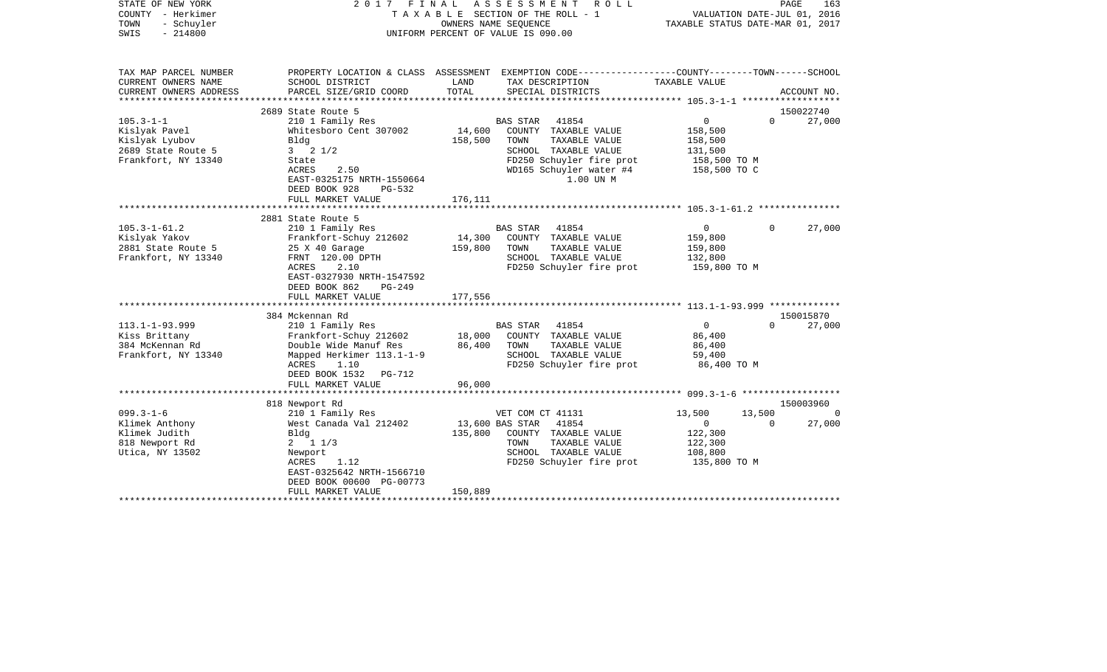| STATE OF NEW YORK<br>COUNTY - Herkimer<br>- Schuyler<br>TOWN<br>$-214800$<br>SWIS       | 2017 FINAL<br>ASSESSMENT<br>ROLL<br>T A X A B L E SECTION OF THE ROLL - 1<br>OWNERS NAME SEQUENCE<br>UNIFORM PERCENT OF VALUE IS 090.00                                           |                              |                                                                                                                                  |                            | PAGE<br>163<br>VALUATION DATE-JUL 01, 2016<br>TAXABLE STATUS DATE-MAR 01, 2017 |                    |             |
|-----------------------------------------------------------------------------------------|-----------------------------------------------------------------------------------------------------------------------------------------------------------------------------------|------------------------------|----------------------------------------------------------------------------------------------------------------------------------|----------------------------|--------------------------------------------------------------------------------|--------------------|-------------|
| TAX MAP PARCEL NUMBER<br>CURRENT OWNERS NAME<br>CURRENT OWNERS ADDRESS                  | PROPERTY LOCATION & CLASS ASSESSMENT EXEMPTION CODE---------------COUNTY-------TOWN-----SCHOOL<br>SCHOOL DISTRICT<br>PARCEL SIZE/GRID COORD                                       | LAND<br>TOTAL                | TAX DESCRIPTION<br>SPECIAL DISTRICTS                                                                                             |                            | TAXABLE VALUE                                                                  |                    | ACCOUNT NO. |
| ***********************                                                                 | 2689 State Route 5                                                                                                                                                                |                              |                                                                                                                                  |                            |                                                                                |                    | 150022740   |
| $105.3 - 1 - 1$                                                                         | 210 1 Family Res                                                                                                                                                                  |                              | <b>BAS STAR</b><br>41854                                                                                                         |                            | $\mathbf 0$                                                                    | $\Omega$           | 27,000      |
| Kislyak Pavel<br>Kislyak Lyubov<br>2689 State Route 5<br>Frankfort, NY 13340            | Whitesboro Cent 307002<br>Bldg<br>$3 \t2 \t1/2$<br>State<br>ACRES<br>2.50<br>EAST-0325175 NRTH-1550664<br>DEED BOOK 928<br>$PG-532$                                               | 14,600<br>158,500            | COUNTY TAXABLE VALUE<br>TOWN<br>SCHOOL TAXABLE VALUE<br>FD250 Schuyler fire prot<br>WD165 Schuyler water #4                      | TAXABLE VALUE<br>1.00 UN M | 158,500<br>158,500<br>131,500<br>158,500 TO M<br>158,500 TO C                  |                    |             |
|                                                                                         | FULL MARKET VALUE<br>************************                                                                                                                                     | 176,111                      |                                                                                                                                  |                            |                                                                                |                    |             |
|                                                                                         |                                                                                                                                                                                   |                              |                                                                                                                                  |                            |                                                                                |                    |             |
| $105.3 - 1 - 61.2$<br>Kislyak Yakov<br>2881 State Route 5<br>Frankfort, NY 13340        | 2881 State Route 5<br>210 1 Family Res<br>Frankfort-Schuy 212602<br>25 X 40 Garage<br>FRNT 120.00 DPTH<br>2.10<br>ACRES<br>EAST-0327930 NRTH-1547592<br>DEED BOOK 862<br>$PG-249$ | 14,300<br>159,800<br>177,556 | <b>BAS STAR</b><br>41854<br>COUNTY TAXABLE VALUE<br>TOWN<br>SCHOOL TAXABLE VALUE<br>FD250 Schuyler fire prot                     | TAXABLE VALUE              | $\mathbf{0}$<br>159,800<br>159,800<br>132,800<br>159,800 TO M                  | $\Omega$           | 27,000      |
|                                                                                         | FULL MARKET VALUE<br>************************                                                                                                                                     | *************                |                                                                                                                                  |                            |                                                                                |                    |             |
|                                                                                         | 384 Mckennan Rd                                                                                                                                                                   |                              |                                                                                                                                  |                            |                                                                                |                    | 150015870   |
| $113.1 - 1 - 93.999$<br>Kiss Brittany<br>384 McKennan Rd<br>Frankfort, NY 13340         | 210 1 Family Res<br>Frankfort-Schuy 212602<br>Double Wide Manuf Res<br>Mapped Herkimer 113.1-1-9<br>ACRES<br>1.10<br>DEED BOOK 1532 PG-712<br>FULL MARKET VALUE                   | 18,000<br>86,400<br>96,000   | <b>BAS STAR</b><br>41854<br>COUNTY TAXABLE VALUE<br>TOWN<br>SCHOOL TAXABLE VALUE<br>FD250 Schuyler fire prot                     | TAXABLE VALUE              | $\Omega$<br>86,400<br>86,400<br>59,400<br>86,400 TO M                          | $\Omega$           | 27,000      |
|                                                                                         | ***********************                                                                                                                                                           |                              |                                                                                                                                  |                            |                                                                                |                    |             |
|                                                                                         | 818 Newport Rd                                                                                                                                                                    |                              |                                                                                                                                  |                            |                                                                                |                    | 150003960   |
| $099.3 - 1 - 6$<br>Klimek Anthony<br>Klimek Judith<br>818 Newport Rd<br>Utica, NY 13502 | 210 1 Family Res<br>West Canada Val 212402<br>Bldg<br>$2 \t1 \t1/3$<br>Newport<br>ACRES<br>1.12<br>EAST-0325642 NRTH-1566710<br>DEED BOOK 00600 PG-00773<br>FULL MARKET VALUE     | 135,800<br>150,889           | VET COM CT 41131<br>41854<br>13,600 BAS STAR<br>COUNTY TAXABLE VALUE<br>TOWN<br>SCHOOL TAXABLE VALUE<br>FD250 Schuyler fire prot | TAXABLE VALUE              | 13,500<br>$\Omega$<br>122,300<br>122,300<br>108,800<br>135,800 TO M            | 13,500<br>$\Omega$ | 27,000      |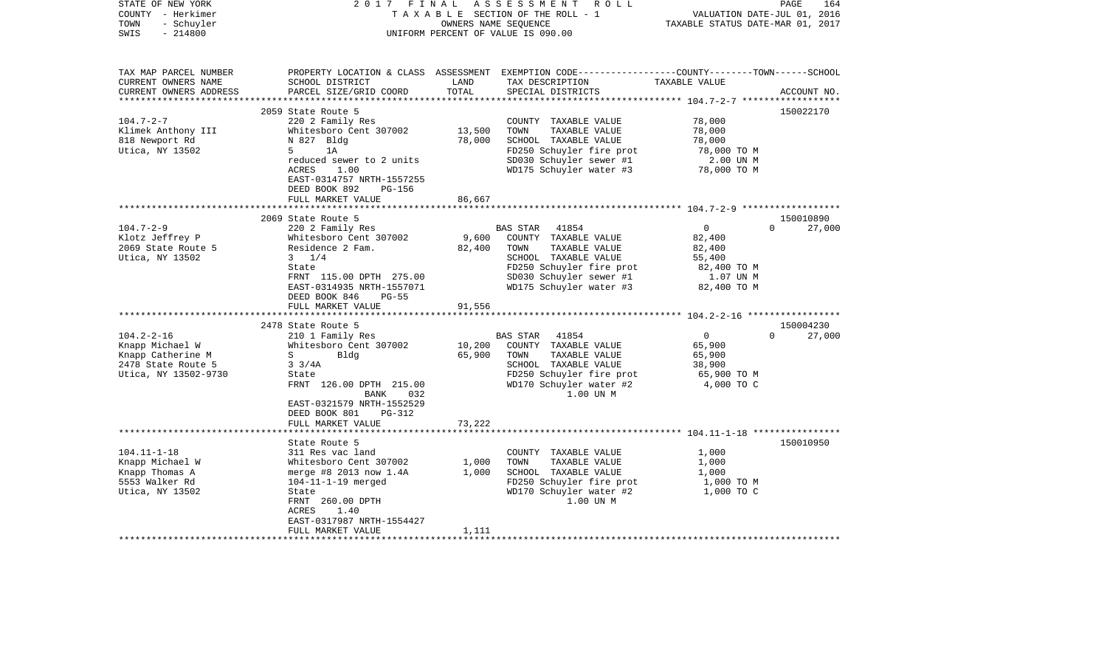| STATE OF NEW YORK<br>COUNTY - Herkimer<br>- Schuyler<br>TOWN<br>$-214800$<br>SWIS                                                                                                     | 2017<br>FINAL                                                                                                                                                                                                                                                                                                                                                                                                         | OWNERS NAME SEQUENCE                                                       | ASSESSMENT ROLL<br>TAXABLE SECTION OF THE ROLL - 1<br>UNIFORM PERCENT OF VALUE IS 090.00                                                                                                                                                                                                                                                              | VALUATION DATE-JUL 01, 2016<br>TAXABLE STATUS DATE-MAR 01, 2017                                                                                                 | 164<br>PAGE                                                        |
|---------------------------------------------------------------------------------------------------------------------------------------------------------------------------------------|-----------------------------------------------------------------------------------------------------------------------------------------------------------------------------------------------------------------------------------------------------------------------------------------------------------------------------------------------------------------------------------------------------------------------|----------------------------------------------------------------------------|-------------------------------------------------------------------------------------------------------------------------------------------------------------------------------------------------------------------------------------------------------------------------------------------------------------------------------------------------------|-----------------------------------------------------------------------------------------------------------------------------------------------------------------|--------------------------------------------------------------------|
| TAX MAP PARCEL NUMBER<br>CURRENT OWNERS NAME<br>CURRENT OWNERS ADDRESS                                                                                                                | SCHOOL DISTRICT<br>PARCEL SIZE/GRID COORD                                                                                                                                                                                                                                                                                                                                                                             | LAND<br>TOTAL                                                              | PROPERTY LOCATION & CLASS ASSESSMENT EXEMPTION CODE---------------COUNTY-------TOWN------SCHOOL<br>TAX DESCRIPTION<br>SPECIAL DISTRICTS                                                                                                                                                                                                               | TAXABLE VALUE                                                                                                                                                   | ACCOUNT NO.                                                        |
|                                                                                                                                                                                       |                                                                                                                                                                                                                                                                                                                                                                                                                       |                                                                            |                                                                                                                                                                                                                                                                                                                                                       |                                                                                                                                                                 |                                                                    |
|                                                                                                                                                                                       | 2059 State Route 5                                                                                                                                                                                                                                                                                                                                                                                                    |                                                                            |                                                                                                                                                                                                                                                                                                                                                       |                                                                                                                                                                 | 150022170                                                          |
| $104.7 - 2 - 7$<br>Klimek Anthony III<br>818 Newport Rd<br>Utica, NY 13502                                                                                                            | 220 2 Family Res<br>Whitesboro Cent 307002<br>N 827 Bldg<br>5 <sup>1</sup><br>1A<br>reduced sewer to 2 units<br><b>ACRES</b><br>1.00                                                                                                                                                                                                                                                                                  | 13,500<br>78,000                                                           | COUNTY TAXABLE VALUE<br>TOWN<br>TAXABLE VALUE<br>SCHOOL TAXABLE VALUE<br>FD250 Schuyler fire prot<br>SD030 Schuyler sewer #1<br>WD175 Schuyler water #3                                                                                                                                                                                               | 78,000<br>78,000<br>78,000<br>78,000 TO M<br>2.00 UN M<br>78,000 TO M                                                                                           |                                                                    |
|                                                                                                                                                                                       | EAST-0314757 NRTH-1557255<br>DEED BOOK 892<br>PG-156<br>FULL MARKET VALUE                                                                                                                                                                                                                                                                                                                                             | 86,667                                                                     |                                                                                                                                                                                                                                                                                                                                                       |                                                                                                                                                                 |                                                                    |
|                                                                                                                                                                                       |                                                                                                                                                                                                                                                                                                                                                                                                                       |                                                                            |                                                                                                                                                                                                                                                                                                                                                       |                                                                                                                                                                 |                                                                    |
| $104.7 - 2 - 9$<br>Klotz Jeffrey P<br>2069 State Route 5<br>Utica, NY 13502<br>$104.2 - 2 - 16$<br>Knapp Michael W<br>Knapp Catherine M<br>2478 State Route 5<br>Utica, NY 13502-9730 | 2069 State Route 5<br>220 2 Family Res<br>Whitesboro Cent 307002<br>Residence 2 Fam.<br>$3 \frac{1}{4}$<br>State<br>FRNT 115.00 DPTH 275.00<br>EAST-0314935 NRTH-1557071<br>DEED BOOK 846<br>$PG-55$<br>FULL MARKET VALUE<br>2478 State Route 5<br>210 1 Family Res<br>Whitesboro Cent 307002<br>S<br>Blda<br>$3 \frac{3}{4A}$<br>State<br>FRNT 126.00 DPTH 215.00<br><b>BANK</b><br>032<br>EAST-0321579 NRTH-1552529 | 9,600<br>82,400<br>91,556<br>* * * * * * * * * * * * *<br>10,200<br>65,900 | 41854<br>BAS STAR<br>COUNTY TAXABLE VALUE<br>TOWN<br>TAXABLE VALUE<br>SCHOOL TAXABLE VALUE<br>FD250 Schuyler fire prot<br>SD030 Schuyler sewer #1<br>WD175 Schuyler water #3<br><b>BAS STAR</b><br>41854<br>COUNTY TAXABLE VALUE<br>TOWN<br>TAXABLE VALUE<br>SCHOOL TAXABLE VALUE<br>FD250 Schuyler fire prot<br>WD170 Schuyler water #2<br>1.00 UN M | $\mathbf 0$<br>82,400<br>82,400<br>55,400<br>82,400 TO M<br>1.07 UN M<br>82,400 TO M<br>$\mathbf{0}$<br>65,900<br>65,900<br>38,900<br>65,900 TO M<br>4,000 TO C | 150010890<br>$\Omega$<br>27,000<br>150004230<br>$\Omega$<br>27,000 |
|                                                                                                                                                                                       | DEED BOOK 801<br>PG-312<br>FULL MARKET VALUE                                                                                                                                                                                                                                                                                                                                                                          | 73,222                                                                     |                                                                                                                                                                                                                                                                                                                                                       |                                                                                                                                                                 |                                                                    |
|                                                                                                                                                                                       | State Route 5                                                                                                                                                                                                                                                                                                                                                                                                         |                                                                            |                                                                                                                                                                                                                                                                                                                                                       |                                                                                                                                                                 | 150010950                                                          |
| $104.11 - 1 - 18$<br>Knapp Michael W<br>Knapp Thomas A<br>5553 Walker Rd<br>Utica, NY 13502                                                                                           | 311 Res vac land<br>Whitesboro Cent 307002<br>merge #8 2013 now 1.4A<br>$104 - 11 - 1 - 19$ merged<br>State<br>FRNT 260.00 DPTH<br>ACRES<br>1.40<br>EAST-0317987 NRTH-1554427                                                                                                                                                                                                                                         | 1,000<br>1,000                                                             | COUNTY TAXABLE VALUE<br>TOWN<br>TAXABLE VALUE<br>SCHOOL TAXABLE VALUE<br>FD250 Schuyler fire prot<br>WD170 Schuyler water #2<br>1.00 UN M                                                                                                                                                                                                             | 1,000<br>1,000<br>1,000<br>1,000 TO M<br>1,000 TO C                                                                                                             |                                                                    |
|                                                                                                                                                                                       | FULL MARKET VALUE                                                                                                                                                                                                                                                                                                                                                                                                     | 1,111                                                                      |                                                                                                                                                                                                                                                                                                                                                       |                                                                                                                                                                 |                                                                    |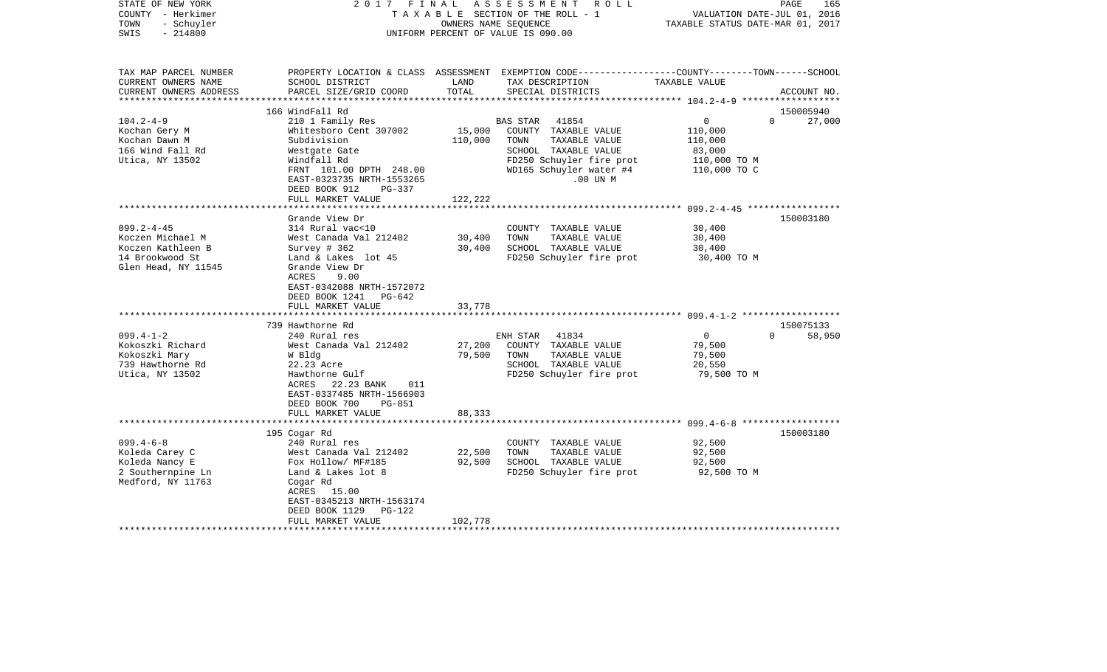| STATE OF NEW YORK<br>COUNTY - Herkimer<br>- Schuyler<br>TOWN<br>$-214800$<br>SWIS                   | FINAL<br>2017                                                                                                                                                                                     |                   | ASSESSMENT ROLL<br>TAXABLE SECTION OF THE ROLL - 1<br>OWNERS NAME SEQUENCE<br>UNIFORM PERCENT OF VALUE IS 090.00                                              | VALUATION DATE-JUL 01, 2016<br>TAXABLE STATUS DATE-MAR 01, 2017                            | PAGE<br>165         |
|-----------------------------------------------------------------------------------------------------|---------------------------------------------------------------------------------------------------------------------------------------------------------------------------------------------------|-------------------|---------------------------------------------------------------------------------------------------------------------------------------------------------------|--------------------------------------------------------------------------------------------|---------------------|
| TAX MAP PARCEL NUMBER<br>CURRENT OWNERS NAME<br>CURRENT OWNERS ADDRESS<br>*********************     | SCHOOL DISTRICT<br>PARCEL SIZE/GRID COORD                                                                                                                                                         | LAND<br>TOTAL     | PROPERTY LOCATION & CLASS ASSESSMENT EXEMPTION CODE---------------COUNTY-------TOWN------SCHOOL<br>TAX DESCRIPTION<br>SPECIAL DISTRICTS                       | TAXABLE VALUE                                                                              | ACCOUNT NO.         |
|                                                                                                     | 166 WindFall Rd                                                                                                                                                                                   |                   |                                                                                                                                                               |                                                                                            | 150005940           |
| $104.2 - 4 - 9$<br>Kochan Gery M<br>Kochan Dawn M<br>166 Wind Fall Rd<br>Utica, NY 13502            | 210 1 Family Res<br>Whitesboro Cent 307002<br>Subdivision<br>Westgate Gate<br>Windfall Rd<br>FRNT 101.00 DPTH 248.00<br>EAST-0323735 NRTH-1553265                                                 | 15,000<br>110,000 | BAS STAR<br>41854<br>COUNTY TAXABLE VALUE<br>TAXABLE VALUE<br>TOWN<br>SCHOOL TAXABLE VALUE<br>FD250 Schuyler fire prot<br>WD165 Schuyler water #4<br>.00 UN M | $\overline{0}$<br>$\Omega$<br>110,000<br>110,000<br>83,000<br>110,000 TO M<br>110,000 TO C | 27,000              |
|                                                                                                     | DEED BOOK 912<br>PG-337                                                                                                                                                                           |                   |                                                                                                                                                               |                                                                                            |                     |
|                                                                                                     | FULL MARKET VALUE                                                                                                                                                                                 | 122,222           |                                                                                                                                                               |                                                                                            |                     |
| $099.2 - 4 - 45$<br>Koczen Michael M<br>Koczen Kathleen B<br>14 Brookwood St<br>Glen Head, NY 11545 | Grande View Dr<br>314 Rural vac<10<br>West Canada Val 212402<br>Survey $# 362$<br>Land & Lakes lot 45<br>Grande View Dr<br>ACRES<br>9.00<br>EAST-0342088 NRTH-1572072<br>DEED BOOK 1241<br>PG-642 | 30,400<br>30,400  | COUNTY TAXABLE VALUE<br>TOWN<br>TAXABLE VALUE<br>SCHOOL TAXABLE VALUE<br>FD250 Schuyler fire prot                                                             | 30,400<br>30,400<br>30,400<br>30,400 TO M                                                  | 150003180           |
|                                                                                                     | FULL MARKET VALUE                                                                                                                                                                                 | 33,778            |                                                                                                                                                               |                                                                                            |                     |
| $099.4 - 1 - 2$<br>Kokoszki Richard<br>Kokoszki Mary<br>739 Hawthorne Rd<br>Utica, NY 13502         | 739 Hawthorne Rd<br>240 Rural res<br>West Canada Val 212402<br>W Bldg<br>22.23 Acre<br>Hawthorne Gulf<br>ACRES 22.23 BANK<br>011<br>EAST-0337485 NRTH-1566903<br>DEED BOOK 700<br>PG-851          | 27,200<br>79,500  | 41834<br>ENH STAR<br>COUNTY TAXABLE VALUE<br>TAXABLE VALUE<br>TOWN<br>SCHOOL TAXABLE VALUE<br>FD250 Schuyler fire prot                                        | $\overline{0}$<br>$\Omega$<br>79,500<br>79,500<br>20,550<br>79,500 TO M                    | 150075133<br>58,950 |
|                                                                                                     | FULL MARKET VALUE                                                                                                                                                                                 | 88,333            |                                                                                                                                                               |                                                                                            |                     |
|                                                                                                     |                                                                                                                                                                                                   |                   |                                                                                                                                                               |                                                                                            | 150003180           |
| $099.4 - 6 - 8$<br>Koleda Carey C<br>Koleda Nancy E<br>2 Southernpine Ln<br>Medford, NY 11763       | 195 Cogar Rd<br>240 Rural res<br>West Canada Val 212402<br>Fox Hollow/ MF#185<br>Land & Lakes lot 8<br>Cogar Rd<br>ACRES 15.00<br>EAST-0345213 NRTH-1563174<br>DEED BOOK 1129<br>PG-122           | 22,500<br>92,500  | COUNTY TAXABLE VALUE<br>TOWN<br>TAXABLE VALUE<br>SCHOOL TAXABLE VALUE<br>FD250 Schuyler fire prot                                                             | 92,500<br>92,500<br>92,500<br>92,500 TO M                                                  |                     |
|                                                                                                     | FULL MARKET VALUE                                                                                                                                                                                 | 102,778           |                                                                                                                                                               |                                                                                            |                     |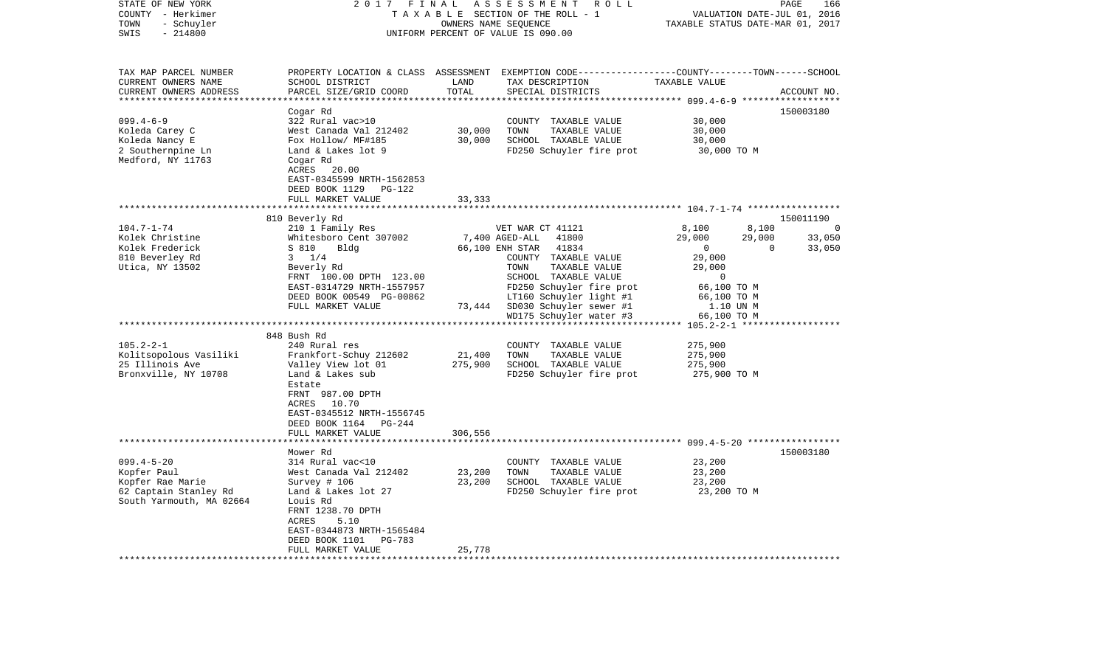| STATE OF NEW YORK<br>COUNTY - Herkimer<br>- Schuyler<br>TOWN<br>SWIS<br>$-214800$                                                                                                    | 2017<br>FINAL<br>TAXABLE SECTION OF THE ROLL - 1<br>UNIFORM PERCENT OF VALUE IS 090.00                                                                                                                                                                                                                                                                                                                                                        | PAGE<br>166<br>VALUATION DATE-JUL 01, 2016<br>TAXABLE STATUS DATE-MAR 01, 2017 |                                                                                                                                                                                                                                                                                                                                                                    |                                                                                                                                                                                                                        |                                                  |
|--------------------------------------------------------------------------------------------------------------------------------------------------------------------------------------|-----------------------------------------------------------------------------------------------------------------------------------------------------------------------------------------------------------------------------------------------------------------------------------------------------------------------------------------------------------------------------------------------------------------------------------------------|--------------------------------------------------------------------------------|--------------------------------------------------------------------------------------------------------------------------------------------------------------------------------------------------------------------------------------------------------------------------------------------------------------------------------------------------------------------|------------------------------------------------------------------------------------------------------------------------------------------------------------------------------------------------------------------------|--------------------------------------------------|
| TAX MAP PARCEL NUMBER<br>CURRENT OWNERS NAME<br>CURRENT OWNERS ADDRESS<br>**********************                                                                                     | SCHOOL DISTRICT<br>PARCEL SIZE/GRID COORD                                                                                                                                                                                                                                                                                                                                                                                                     | LAND<br>TOTAL                                                                  | PROPERTY LOCATION & CLASS ASSESSMENT EXEMPTION CODE----------------COUNTY-------TOWN------SCHOOL<br>TAX DESCRIPTION<br>SPECIAL DISTRICTS                                                                                                                                                                                                                           | TAXABLE VALUE                                                                                                                                                                                                          | ACCOUNT NO.                                      |
| $099.4 - 6 - 9$<br>Koleda Carey C<br>Koleda Nancy E<br>2 Southernpine Ln<br>Medford, NY 11763                                                                                        | Cogar Rd<br>322 Rural vac>10<br>West Canada Val 212402<br>Fox Hollow/ MF#185<br>Land & Lakes lot 9<br>Cogar Rd<br>ACRES<br>20.00<br>EAST-0345599 NRTH-1562853<br>DEED BOOK 1129 PG-122<br>FULL MARKET VALUE                                                                                                                                                                                                                                   | 30,000<br>30,000<br>33,333                                                     | COUNTY TAXABLE VALUE<br>TOWN<br>TAXABLE VALUE<br>SCHOOL TAXABLE VALUE<br>FD250 Schuyler fire prot                                                                                                                                                                                                                                                                  | 30,000<br>30,000<br>30,000<br>30,000 TO M                                                                                                                                                                              | 150003180                                        |
|                                                                                                                                                                                      |                                                                                                                                                                                                                                                                                                                                                                                                                                               |                                                                                |                                                                                                                                                                                                                                                                                                                                                                    |                                                                                                                                                                                                                        |                                                  |
| $104.7 - 1 - 74$<br>Kolek Christine<br>Kolek Frederick<br>810 Beverley Rd<br>Utica, NY 13502<br>$105.2 - 2 - 1$<br>Kolitsopolous Vasiliki<br>25 Illinois Ave<br>Bronxville, NY 10708 | 810 Beverly Rd<br>210 1 Family Res<br>Whitesboro Cent 307002<br>S 810<br>Bldg<br>$3 \t1/4$<br>Beverly Rd<br>FRNT 100.00 DPTH 123.00<br>EAST-0314729 NRTH-1557957<br>DEED BOOK 00549 PG-00862<br>FULL MARKET VALUE<br>848 Bush Rd<br>240 Rural res<br>Frankfort-Schuy 212602<br>Valley View lot 01<br>Land & Lakes sub<br>Estate<br>FRNT 987.00 DPTH<br>ACRES 10.70<br>EAST-0345512 NRTH-1556745<br>DEED BOOK 1164 PG-244<br>FULL MARKET VALUE | 73,444<br>21,400<br>275,900<br>306,556                                         | VET WAR CT 41121<br>7,400 AGED-ALL<br>41800<br>66,100 ENH STAR<br>41834<br>COUNTY TAXABLE VALUE<br>TOWN<br>TAXABLE VALUE<br>SCHOOL TAXABLE VALUE<br>FD250 Schuyler fire prot<br>LT160 Schuyler light #1<br>SD030 Schuyler sewer #1<br>WD175 Schuyler water #3<br>COUNTY TAXABLE VALUE<br>TOWN<br>TAXABLE VALUE<br>SCHOOL TAXABLE VALUE<br>FD250 Schuyler fire prot | 8,100<br>8,100<br>29,000<br>29,000<br>$\mathbf 0$<br>29,000<br>29,000<br>$\Omega$<br>66,100 TO M<br>66,100 TO M<br>1.10 UN M<br>66,100 TO M<br>$105.2 - 2 - 1$ ******<br>275,900<br>275,900<br>275,900<br>275,900 TO M | 150011190<br>- 0<br>33,050<br>$\Omega$<br>33,050 |
|                                                                                                                                                                                      |                                                                                                                                                                                                                                                                                                                                                                                                                                               |                                                                                |                                                                                                                                                                                                                                                                                                                                                                    |                                                                                                                                                                                                                        |                                                  |
| $099.4 - 5 - 20$<br>Kopfer Paul<br>Kopfer Rae Marie<br>62 Captain Stanley Rd<br>South Yarmouth, MA 02664                                                                             | Mower Rd<br>314 Rural vac<10<br>West Canada Val 212402<br>Survey # 106<br>Land & Lakes lot 27<br>Louis Rd<br>FRNT 1238.70 DPTH<br>5.10<br>ACRES<br>EAST-0344873 NRTH-1565484<br>DEED BOOK 1101<br>PG-783<br>FULL MARKET VALUE                                                                                                                                                                                                                 | 23,200<br>23,200<br>25,778                                                     | COUNTY TAXABLE VALUE<br>TOWN<br>TAXABLE VALUE<br>SCHOOL TAXABLE VALUE<br>FD250 Schuyler fire prot                                                                                                                                                                                                                                                                  | 23,200<br>23,200<br>23,200<br>23,200 TO M                                                                                                                                                                              | 150003180                                        |
|                                                                                                                                                                                      |                                                                                                                                                                                                                                                                                                                                                                                                                                               |                                                                                |                                                                                                                                                                                                                                                                                                                                                                    |                                                                                                                                                                                                                        |                                                  |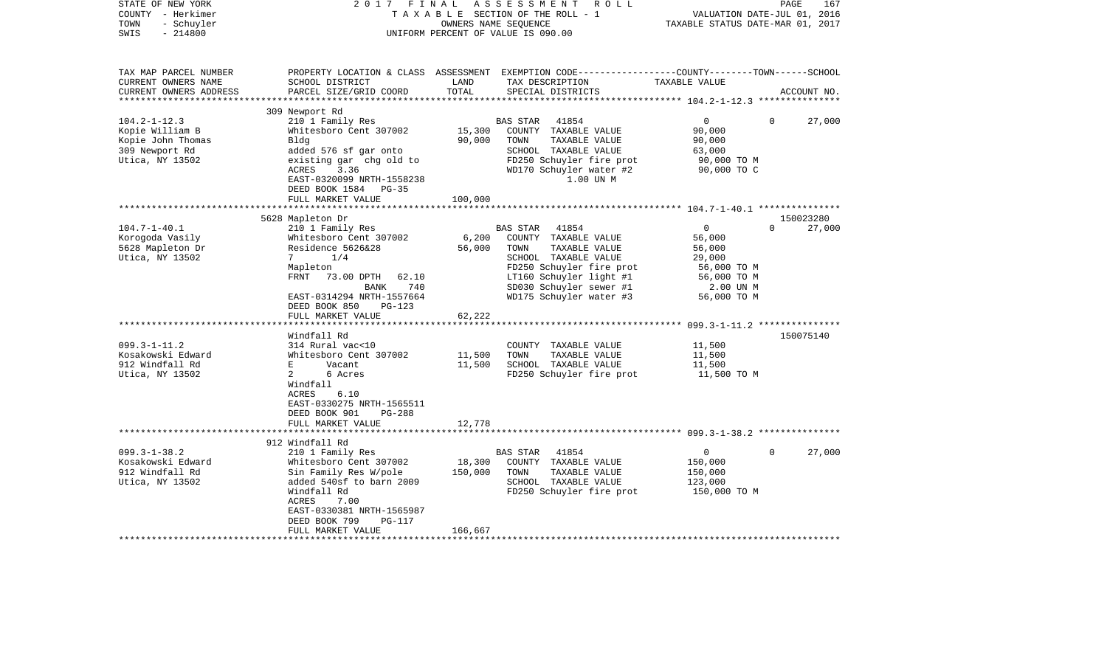| STATE OF NEW YORK<br>COUNTY - Herkimer<br>- Schuyler<br>TOWN<br>$-214800$<br>SWIS                 | 2017<br>FINAL                                     | OWNERS NAME SEQUENCE   | ASSESSMENT<br>R O L L<br>TAXABLE SECTION OF THE ROLL - 1<br>UNIFORM PERCENT OF VALUE IS 090.00                                           | TAXABLE STATUS DATE-MAR 01, 2017 | PAGE<br>167<br>VALUATION DATE-JUL 01, 2016 |
|---------------------------------------------------------------------------------------------------|---------------------------------------------------|------------------------|------------------------------------------------------------------------------------------------------------------------------------------|----------------------------------|--------------------------------------------|
| TAX MAP PARCEL NUMBER<br>CURRENT OWNERS NAME<br>CURRENT OWNERS ADDRESS<br>*********************** | SCHOOL DISTRICT<br>PARCEL SIZE/GRID COORD         | LAND<br>TOTAL          | PROPERTY LOCATION & CLASS ASSESSMENT EXEMPTION CODE----------------COUNTY-------TOWN------SCHOOL<br>TAX DESCRIPTION<br>SPECIAL DISTRICTS | TAXABLE VALUE                    | ACCOUNT NO.                                |
|                                                                                                   | 309 Newport Rd                                    |                        |                                                                                                                                          |                                  |                                            |
| $104.2 - 1 - 12.3$                                                                                | 210 1 Family Res                                  |                        | <b>BAS STAR</b><br>41854                                                                                                                 | $\overline{0}$                   | 27,000<br>$\Omega$                         |
| Kopie William B                                                                                   | Whitesboro Cent 307002                            | 15,300                 | COUNTY TAXABLE VALUE                                                                                                                     | 90,000                           |                                            |
| Kopie John Thomas                                                                                 | Blda                                              | 90,000                 | TOWN<br>TAXABLE VALUE                                                                                                                    | 90,000                           |                                            |
| 309 Newport Rd                                                                                    | added 576 sf gar onto                             |                        | SCHOOL TAXABLE VALUE                                                                                                                     | 63,000                           |                                            |
| Utica, NY 13502                                                                                   | existing gar chg old to<br>3.36                   |                        | FD250 Schuyler fire prot<br>WD170 Schuyler water #2                                                                                      | 90,000 TO M<br>90,000 TO C       |                                            |
|                                                                                                   | ACRES<br>EAST-0320099 NRTH-1558238                |                        | 1.00 UN M                                                                                                                                |                                  |                                            |
|                                                                                                   | DEED BOOK 1584<br>$PG-35$                         |                        |                                                                                                                                          |                                  |                                            |
|                                                                                                   | FULL MARKET VALUE                                 | 100,000                |                                                                                                                                          |                                  |                                            |
|                                                                                                   |                                                   | ********************** |                                                                                                                                          |                                  |                                            |
|                                                                                                   | 5628 Mapleton Dr                                  |                        |                                                                                                                                          |                                  | 150023280                                  |
| $104.7 - 1 - 40.1$                                                                                | 210 1 Family Res                                  |                        | 41854<br>BAS STAR                                                                                                                        | $\overline{0}$                   | $\Omega$<br>27,000                         |
| Korogoda Vasily                                                                                   | Whitesboro Cent 307002<br>Residence 5626&28       | 6,200<br>56,000        | COUNTY TAXABLE VALUE<br>TOWN<br>TAXABLE VALUE                                                                                            | 56,000                           |                                            |
| 5628 Mapleton Dr<br>Utica, NY 13502                                                               | 1/4<br>7                                          |                        | SCHOOL TAXABLE VALUE                                                                                                                     | 56,000<br>29,000                 |                                            |
|                                                                                                   | Mapleton                                          |                        | FD250 Schuyler fire prot                                                                                                                 | 56,000 TO M                      |                                            |
|                                                                                                   | FRNT<br>73.00 DPTH<br>62.10                       |                        | LT160 Schuyler light #1                                                                                                                  | 56,000 TO M                      |                                            |
|                                                                                                   | 740<br>BANK                                       |                        | SD030 Schuyler sewer #1                                                                                                                  | 2.00 UN M                        |                                            |
|                                                                                                   | EAST-0314294 NRTH-1557664                         |                        | WD175 Schuyler water #3                                                                                                                  | 56,000 TO M                      |                                            |
|                                                                                                   | DEED BOOK 850<br>$PG-123$                         |                        |                                                                                                                                          |                                  |                                            |
|                                                                                                   | FULL MARKET VALUE                                 | 62,222                 |                                                                                                                                          |                                  |                                            |
|                                                                                                   | Windfall Rd                                       |                        |                                                                                                                                          |                                  | 150075140                                  |
| $099.3 - 1 - 11.2$                                                                                | 314 Rural vac<10                                  |                        | COUNTY TAXABLE VALUE                                                                                                                     | 11,500                           |                                            |
| Kosakowski Edward                                                                                 | Whitesboro Cent 307002                            | 11,500                 | TOWN<br>TAXABLE VALUE                                                                                                                    | 11,500                           |                                            |
| 912 Windfall Rd                                                                                   | E<br>Vacant                                       | 11,500                 | SCHOOL TAXABLE VALUE                                                                                                                     | 11,500                           |                                            |
| Utica, NY 13502                                                                                   | 2<br>6 Acres                                      |                        | FD250 Schuyler fire prot                                                                                                                 | 11,500 TO M                      |                                            |
|                                                                                                   | Windfall                                          |                        |                                                                                                                                          |                                  |                                            |
|                                                                                                   | <b>ACRES</b><br>6.10<br>EAST-0330275 NRTH-1565511 |                        |                                                                                                                                          |                                  |                                            |
|                                                                                                   | DEED BOOK 901<br><b>PG-288</b>                    |                        |                                                                                                                                          |                                  |                                            |
|                                                                                                   | FULL MARKET VALUE                                 | 12,778                 |                                                                                                                                          |                                  |                                            |
|                                                                                                   | ***********************                           |                        |                                                                                                                                          |                                  |                                            |
|                                                                                                   | 912 Windfall Rd                                   |                        |                                                                                                                                          |                                  |                                            |
| $099.3 - 1 - 38.2$                                                                                | 210 1 Family Res                                  |                        | <b>BAS STAR</b><br>41854                                                                                                                 | $\overline{0}$                   | 27,000<br>$\Omega$                         |
| Kosakowski Edward                                                                                 | Whitesboro Cent 307002                            | 18,300                 | COUNTY TAXABLE VALUE                                                                                                                     | 150,000                          |                                            |
| 912 Windfall Rd<br>Utica, NY 13502                                                                | Sin Family Res W/pole<br>added 540sf to barn 2009 | 150,000                | TOWN<br>TAXABLE VALUE<br>SCHOOL TAXABLE VALUE                                                                                            | 150,000<br>123,000               |                                            |
|                                                                                                   | Windfall Rd                                       |                        | FD250 Schuyler fire prot                                                                                                                 | 150,000 TO M                     |                                            |
|                                                                                                   | 7.00<br>ACRES                                     |                        |                                                                                                                                          |                                  |                                            |
|                                                                                                   | EAST-0330381 NRTH-1565987                         |                        |                                                                                                                                          |                                  |                                            |
|                                                                                                   | DEED BOOK 799<br><b>PG-117</b>                    |                        |                                                                                                                                          |                                  |                                            |
|                                                                                                   | FULL MARKET VALUE                                 | 166,667                |                                                                                                                                          |                                  |                                            |
|                                                                                                   |                                                   |                        |                                                                                                                                          |                                  |                                            |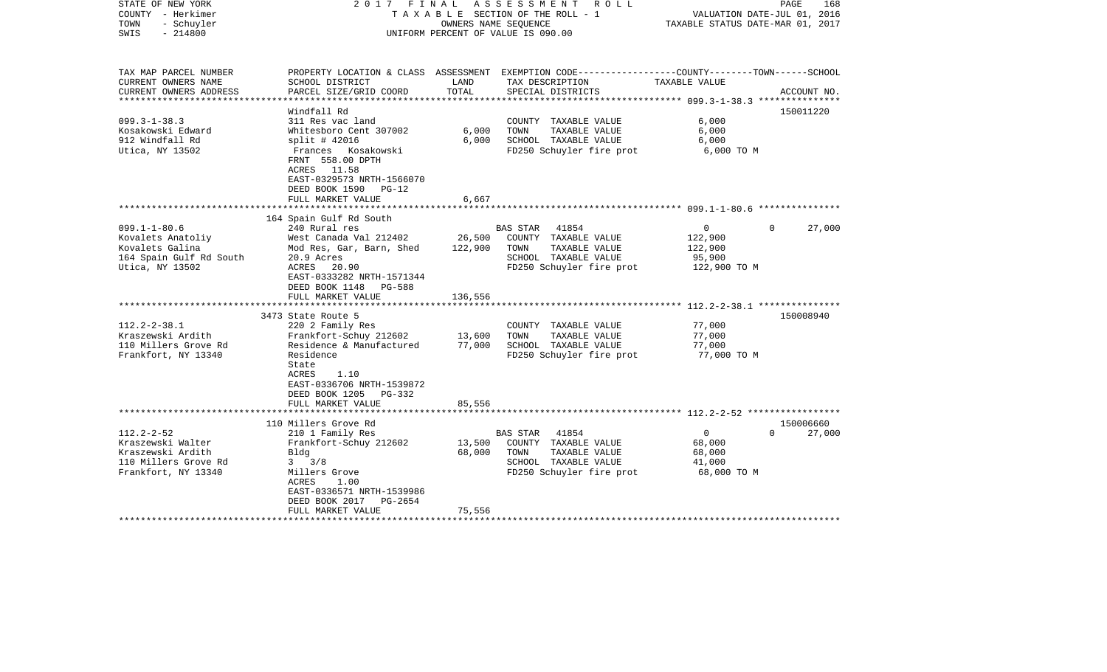| STATE OF NEW YORK<br>COUNTY - Herkimer<br>- Schuyler<br>TOWN<br>$-214800$<br>SWIS | 2017 FINAL                                                                                                                           |         | A S S E S S M E N T R O L L<br>TAXABLE SECTION OF THE ROLL - 1<br>OWNERS NAME SEOUENCE<br>UNIFORM PERCENT OF VALUE IS 090.00 | TAXABLE STATUS DATE-MAR 01, 2017 | PAGE<br>168<br>VALUATION DATE-JUL 01, 2016 |
|-----------------------------------------------------------------------------------|--------------------------------------------------------------------------------------------------------------------------------------|---------|------------------------------------------------------------------------------------------------------------------------------|----------------------------------|--------------------------------------------|
| TAX MAP PARCEL NUMBER                                                             |                                                                                                                                      |         | PROPERTY LOCATION & CLASS ASSESSMENT EXEMPTION CODE----------------COUNTY-------TOWN------SCHOOL                             |                                  |                                            |
| CURRENT OWNERS NAME                                                               | SCHOOL DISTRICT                                                                                                                      | LAND    | TAX DESCRIPTION                                                                                                              | TAXABLE VALUE                    |                                            |
| CURRENT OWNERS ADDRESS<br>*********************                                   | PARCEL SIZE/GRID COORD                                                                                                               | TOTAL   | SPECIAL DISTRICTS                                                                                                            |                                  | ACCOUNT NO.                                |
|                                                                                   | Windfall Rd                                                                                                                          |         |                                                                                                                              |                                  | 150011220                                  |
| $099.3 - 1 - 38.3$                                                                | 311 Res vac land                                                                                                                     |         | COUNTY TAXABLE VALUE                                                                                                         | 6,000                            |                                            |
| Kosakowski Edward                                                                 | Whitesboro Cent 307002                                                                                                               | 6,000   | TOWN<br>TAXABLE VALUE                                                                                                        | 6,000                            |                                            |
| 912 Windfall Rd                                                                   | $split$ # 42016                                                                                                                      | 6,000   | SCHOOL TAXABLE VALUE                                                                                                         | 6,000                            |                                            |
| Utica, NY 13502                                                                   | Frances Kosakowski<br>FRNT 558.00 DPTH<br>ACRES 11.58<br>EAST-0329573 NRTH-1566070<br>DEED BOOK 1590<br>$PG-12$<br>FULL MARKET VALUE | 6,667   | FD250 Schuyler fire prot                                                                                                     | 6,000 TO M                       |                                            |
|                                                                                   |                                                                                                                                      |         |                                                                                                                              |                                  |                                            |
|                                                                                   | 164 Spain Gulf Rd South                                                                                                              |         |                                                                                                                              |                                  |                                            |
| $099.1 - 1 - 80.6$                                                                | 240 Rural res                                                                                                                        |         | 41854<br><b>BAS STAR</b>                                                                                                     | $\overline{0}$                   | 27,000<br>$\Omega$                         |
| Kovalets Anatoliy                                                                 | West Canada Val 212402                                                                                                               | 26,500  | COUNTY TAXABLE VALUE                                                                                                         | 122,900                          |                                            |
| Kovalets Galina                                                                   | Mod Res, Gar, Barn, Shed                                                                                                             | 122,900 | TOWN<br>TAXABLE VALUE                                                                                                        | 122,900                          |                                            |
| 164 Spain Gulf Rd South<br>Utica, NY 13502                                        | 20.9 Acres<br>ACRES<br>20.90<br>EAST-0333282 NRTH-1571344<br>DEED BOOK 1148<br>PG-588                                                |         | SCHOOL TAXABLE VALUE<br>FD250 Schuyler fire prot                                                                             | 95,900<br>122,900 TO M           |                                            |
|                                                                                   | FULL MARKET VALUE<br>*******************************                                                                                 | 136,556 |                                                                                                                              |                                  |                                            |
|                                                                                   | 3473 State Route 5                                                                                                                   |         |                                                                                                                              |                                  | 150008940                                  |
| $112.2 - 2 - 38.1$                                                                | 220 2 Family Res                                                                                                                     |         | COUNTY TAXABLE VALUE                                                                                                         | 77,000                           |                                            |
| Kraszewski Ardith                                                                 | Frankfort-Schuy 212602                                                                                                               | 13,600  | TOWN<br>TAXABLE VALUE                                                                                                        | 77,000                           |                                            |
| 110 Millers Grove Rd                                                              | Residence & Manufactured                                                                                                             | 77,000  | SCHOOL TAXABLE VALUE                                                                                                         | 77,000                           |                                            |
| Frankfort, NY 13340                                                               | Residence<br>State<br>ACRES<br>1.10<br>EAST-0336706 NRTH-1539872<br>DEED BOOK 1205<br>PG-332<br>FULL MARKET VALUE                    | 85,556  | FD250 Schuyler fire prot                                                                                                     | 77,000 TO M                      |                                            |
|                                                                                   | ************************                                                                                                             |         |                                                                                                                              |                                  |                                            |
|                                                                                   | 110 Millers Grove Rd                                                                                                                 |         |                                                                                                                              |                                  | 150006660                                  |
| $112.2 - 2 - 52$                                                                  | 210 1 Family Res                                                                                                                     |         | BAS STAR<br>41854                                                                                                            | $\overline{0}$                   | $\Omega$<br>27,000                         |
| Kraszewski Walter<br>Kraszewski Ardith                                            | Frankfort-Schuy 212602                                                                                                               | 13,500  | COUNTY TAXABLE VALUE<br>TOWN                                                                                                 | 68,000                           |                                            |
| 110 Millers Grove Rd                                                              | Bldg<br>$3 \frac{3}{8}$                                                                                                              | 68,000  | TAXABLE VALUE<br>SCHOOL TAXABLE VALUE                                                                                        | 68,000<br>41,000                 |                                            |
| Frankfort, NY 13340                                                               | Millers Grove<br>ACRES<br>1.00<br>EAST-0336571 NRTH-1539986<br>DEED BOOK 2017<br>PG-2654                                             |         | FD250 Schuyler fire prot                                                                                                     | 68,000 TO M                      |                                            |
|                                                                                   | FULL MARKET VALUE                                                                                                                    | 75,556  |                                                                                                                              |                                  |                                            |
|                                                                                   |                                                                                                                                      |         |                                                                                                                              |                                  |                                            |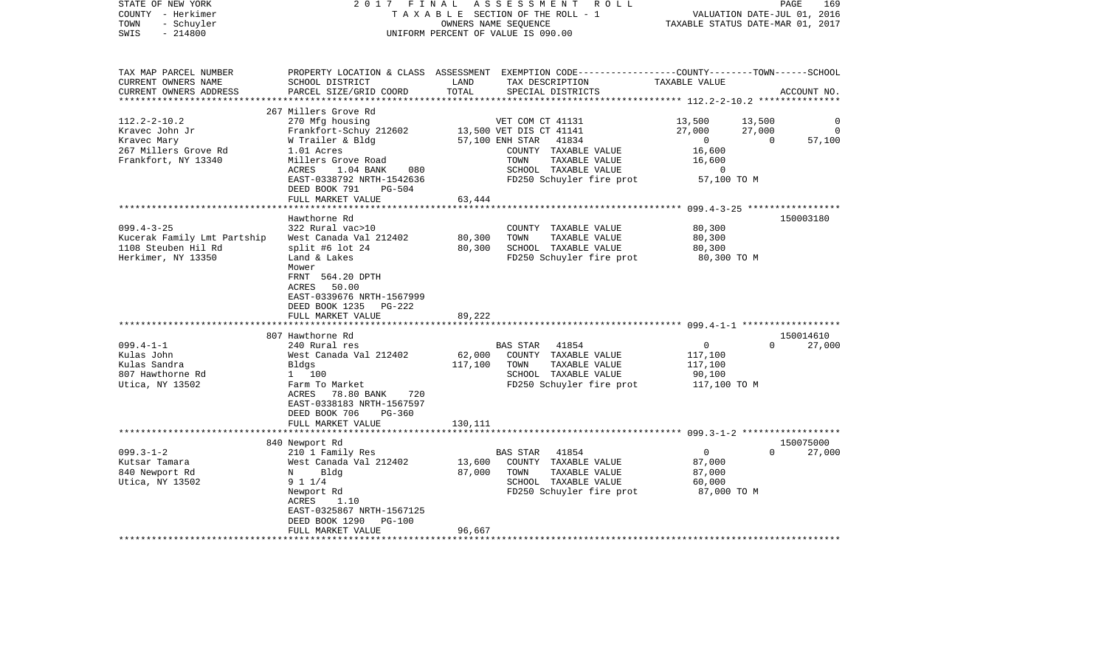| STATE OF NEW YORK<br>COUNTY - Herkimer<br>TOWN<br>- Schuyler<br>$-214800$<br>SWIS | 2017 FINAL                                | A S S E S S M E N T R O L L<br>TAXABLE SECTION OF THE ROLL - 1<br>OWNERS NAME SEQUENCE<br>UNIFORM PERCENT OF VALUE IS 090.00                            | PAGE<br>169<br>VALUATION DATE-JUL 01, 2016<br>TAXABLE STATUS DATE-MAR 01, 2017 |
|-----------------------------------------------------------------------------------|-------------------------------------------|---------------------------------------------------------------------------------------------------------------------------------------------------------|--------------------------------------------------------------------------------|
| TAX MAP PARCEL NUMBER<br>CURRENT OWNERS NAME<br>CURRENT OWNERS ADDRESS            | SCHOOL DISTRICT<br>PARCEL SIZE/GRID COORD | PROPERTY LOCATION & CLASS ASSESSMENT EXEMPTION CODE---------------COUNTY-------TOWN-----SCHOOL<br>TAX DESCRIPTION<br>LAND<br>TOTAL<br>SPECIAL DISTRICTS | TAXABLE VALUE<br>ACCOUNT NO.                                                   |
|                                                                                   |                                           |                                                                                                                                                         |                                                                                |
| $112.2 - 2 - 10.2$                                                                | 267 Millers Grove Rd<br>270 Mfg housing   | VET COM CT 41131                                                                                                                                        | 13,500<br>13,500<br>0                                                          |
| Kravec John Jr                                                                    |                                           | Frankfort-Schuy 212602 13,500 VET DIS CT 41141                                                                                                          | 27,000<br>27,000<br>$\mathbf 0$                                                |
| Kravec Mary                                                                       |                                           | W Trailer & Bldg 57,100 ENH STAR 41834                                                                                                                  | $27,000$<br>0<br>$\overline{0}$<br>57,100                                      |
| 267 Millers Grove Rd                                                              | 1.01 Acres                                | COUNTY TAXABLE VALUE                                                                                                                                    | 16,600                                                                         |
| Frankfort, NY 13340                                                               | Millers Grove Road                        | TOWN<br>TAXABLE VALUE                                                                                                                                   | 16,600                                                                         |
|                                                                                   | ACRES<br>1.04 BANK 080                    | SCHOOL TAXABLE VALUE                                                                                                                                    | 0                                                                              |
|                                                                                   | EAST-0338792 NRTH-1542636                 | FD250 Schuyler fire prot 57,100 TO M                                                                                                                    |                                                                                |
|                                                                                   | DEED BOOK 791<br>PG-504                   |                                                                                                                                                         |                                                                                |
|                                                                                   | FULL MARKET VALUE                         | 63,444                                                                                                                                                  |                                                                                |
|                                                                                   |                                           |                                                                                                                                                         |                                                                                |
| $099.4 - 3 - 25$                                                                  | Hawthorne Rd<br>322 Rural vac>10          | COUNTY TAXABLE VALUE                                                                                                                                    | 150003180<br>80,300                                                            |
| Kucerak Family Lmt Partship                                                       | West Canada Val 212402                    | 80,300<br>TOWN<br>TAXABLE VALUE                                                                                                                         | 80,300                                                                         |
| 1108 Steuben Hil Rd                                                               | split #6 lot 24                           | 80,300<br>SCHOOL TAXABLE VALUE                                                                                                                          | 80,300                                                                         |
| Herkimer, NY 13350                                                                | Land & Lakes                              | FD250 Schuyler fire prot                                                                                                                                | 80,300 TO M                                                                    |
|                                                                                   | Mower                                     |                                                                                                                                                         |                                                                                |
|                                                                                   | FRNT 564.20 DPTH                          |                                                                                                                                                         |                                                                                |
|                                                                                   | ACRES 50.00                               |                                                                                                                                                         |                                                                                |
|                                                                                   | EAST-0339676 NRTH-1567999                 |                                                                                                                                                         |                                                                                |
|                                                                                   | DEED BOOK 1235 PG-222                     |                                                                                                                                                         |                                                                                |
|                                                                                   | FULL MARKET VALUE                         | 89,222                                                                                                                                                  |                                                                                |
|                                                                                   | 807 Hawthorne Rd                          |                                                                                                                                                         | 150014610                                                                      |
| $099.4 - 1 - 1$                                                                   | 240 Rural res                             | BAS STAR 41854                                                                                                                                          | $\overline{0}$<br>$\Omega$<br>27,000                                           |
| Kulas John                                                                        | West Canada Val 212402                    | 62,000 COUNTY TAXABLE VALUE                                                                                                                             | 117,100                                                                        |
| Kulas Sandra                                                                      | Bldgs                                     | 117,100<br>TOWN<br>TAXABLE VALUE                                                                                                                        | 117,100                                                                        |
| 807 Hawthorne Rd                                                                  | 1 100                                     | SCHOOL TAXABLE VALUE                                                                                                                                    | 90,100                                                                         |
| Utica, NY 13502                                                                   | Farm To Market                            | FD250 Schuyler fire prot                                                                                                                                | 117,100 TO M                                                                   |
|                                                                                   | ACRES 78.80 BANK<br>720                   |                                                                                                                                                         |                                                                                |
|                                                                                   | EAST-0338183 NRTH-1567597                 |                                                                                                                                                         |                                                                                |
|                                                                                   | DEED BOOK 706<br>PG-360                   |                                                                                                                                                         |                                                                                |
|                                                                                   | FULL MARKET VALUE                         | 130,111                                                                                                                                                 |                                                                                |
|                                                                                   |                                           |                                                                                                                                                         | 150075000                                                                      |
| $099.3 - 1 - 2$                                                                   | 840 Newport Rd<br>210 1 Family Res        | BAS STAR 41854                                                                                                                                          | 27,000<br>$\overline{0}$<br>$\Omega$                                           |
| Kutsar Tamara                                                                     | West Canada Val 212402                    | 13,600<br>COUNTY TAXABLE VALUE                                                                                                                          | 87,000                                                                         |
| 840 Newport Rd                                                                    | N Bldg                                    | 87,000<br>TAXABLE VALUE<br>TOWN                                                                                                                         | 87,000                                                                         |
| Utica, NY 13502                                                                   | 9 1 1/4                                   | SCHOOL TAXABLE VALUE                                                                                                                                    | 60,000                                                                         |
|                                                                                   | Newport Rd                                | FD250 Schuyler fire prot                                                                                                                                | 87,000 TO M                                                                    |
|                                                                                   | 1.10<br>ACRES                             |                                                                                                                                                         |                                                                                |
|                                                                                   | EAST-0325867 NRTH-1567125                 |                                                                                                                                                         |                                                                                |
|                                                                                   | DEED BOOK 1290 PG-100                     |                                                                                                                                                         |                                                                                |
|                                                                                   | FULL MARKET VALUE                         | 96,667                                                                                                                                                  |                                                                                |
|                                                                                   |                                           |                                                                                                                                                         |                                                                                |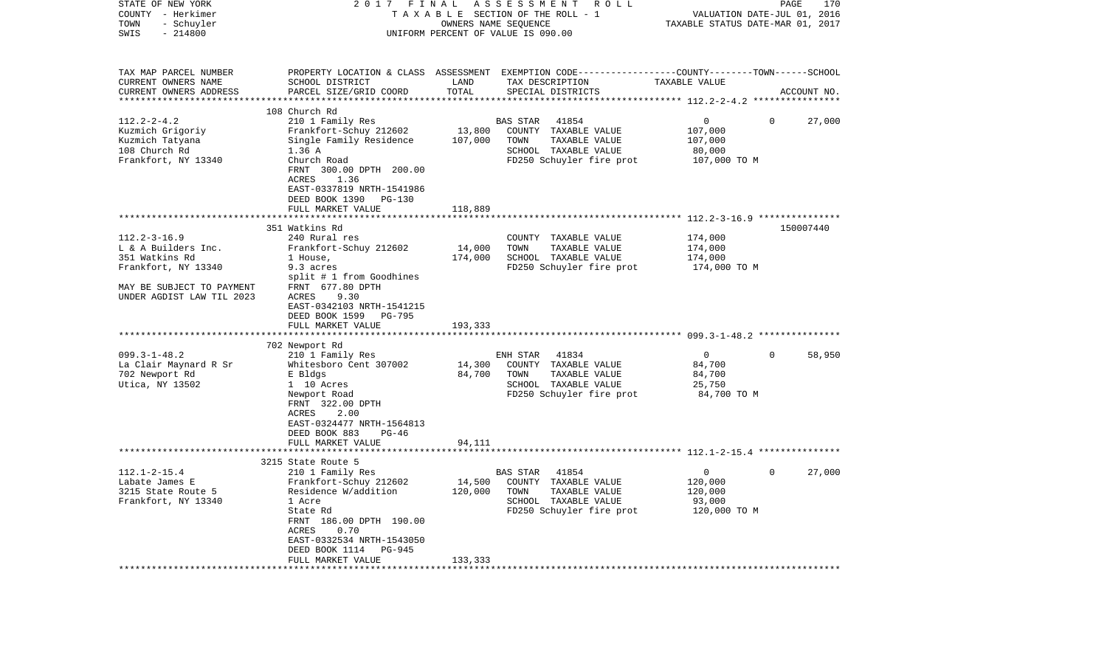| STATE OF NEW YORK<br>COUNTY - Herkimer<br>- Schuyler<br>TOWN<br>SWIS<br>$-214800$                                                                                                                                                | 2017                                                                                                                                                                                                                                                                                                                                                                                                                                  | FINAL                                            | ASSESSMENT<br>ROLL<br>TAXABLE SECTION OF THE ROLL - 1<br>OWNERS NAME SEQUENCE<br>UNIFORM PERCENT OF VALUE IS 090.00                                                                                                         | VALUATION DATE-JUL 01, 2016<br>TAXABLE STATUS DATE-MAR 01, 2017                                                       | PAGE<br>170         |
|----------------------------------------------------------------------------------------------------------------------------------------------------------------------------------------------------------------------------------|---------------------------------------------------------------------------------------------------------------------------------------------------------------------------------------------------------------------------------------------------------------------------------------------------------------------------------------------------------------------------------------------------------------------------------------|--------------------------------------------------|-----------------------------------------------------------------------------------------------------------------------------------------------------------------------------------------------------------------------------|-----------------------------------------------------------------------------------------------------------------------|---------------------|
| TAX MAP PARCEL NUMBER<br>CURRENT OWNERS NAME<br>CURRENT OWNERS ADDRESS                                                                                                                                                           | SCHOOL DISTRICT<br>PARCEL SIZE/GRID COORD                                                                                                                                                                                                                                                                                                                                                                                             | LAND<br>TOTAL<br>********                        | PROPERTY LOCATION & CLASS ASSESSMENT EXEMPTION CODE----------------COUNTY-------TOWN-----SCHOOL<br>TAX DESCRIPTION<br>SPECIAL DISTRICTS                                                                                     | TAXABLE VALUE<br>********** 112.2-2-4.2 *****************                                                             | ACCOUNT NO.         |
| $112.2 - 2 - 4.2$<br>Kuzmich Grigoriy<br>Kuzmich Tatyana<br>108 Church Rd<br>Frankfort, NY 13340                                                                                                                                 | 108 Church Rd<br>210 1 Family Res<br>Frankfort-Schuy 212602<br>Single Family Residence<br>1.36 A<br>Church Road<br>FRNT 300.00 DPTH 200.00<br>1.36<br>ACRES<br>EAST-0337819 NRTH-1541986<br>DEED BOOK 1390<br>PG-130<br>FULL MARKET VALUE                                                                                                                                                                                             | 13,800<br>107,000<br>118,889                     | BAS STAR<br>41854<br>COUNTY TAXABLE VALUE<br>TOWN<br>TAXABLE VALUE<br>SCHOOL TAXABLE VALUE<br>FD250 Schuyler fire prot                                                                                                      | 0<br>$\Omega$<br>107,000<br>107,000<br>80,000<br>107,000 TO M                                                         | 27,000              |
|                                                                                                                                                                                                                                  |                                                                                                                                                                                                                                                                                                                                                                                                                                       |                                                  |                                                                                                                                                                                                                             |                                                                                                                       |                     |
| $112.2 - 3 - 16.9$<br>L & A Builders Inc.<br>351 Watkins Rd<br>Frankfort, NY 13340<br>MAY BE SUBJECT TO PAYMENT<br>UNDER AGDIST LAW TIL 2023<br>$099.3 - 1 - 48.2$<br>La Clair Maynard R Sr<br>702 Newport Rd<br>Utica, NY 13502 | 351 Watkins Rd<br>240 Rural res<br>Frankfort-Schuy 212602<br>1 House,<br>9.3 acres<br>split # 1 from Goodhines<br>FRNT 677.80 DPTH<br>9.30<br>ACRES<br>EAST-0342103 NRTH-1541215<br>DEED BOOK 1599 PG-795<br>FULL MARKET VALUE<br>702 Newport Rd<br>210 1 Family Res<br>Whitesboro Cent 307002<br>E Bldgs<br>1 10 Acres<br>Newport Road<br>FRNT 322.00 DPTH<br>ACRES<br>2.00<br>EAST-0324477 NRTH-1564813<br>DEED BOOK 883<br>$PG-46$ | 14,000<br>174,000<br>193,333<br>14,300<br>84,700 | COUNTY TAXABLE VALUE<br>TOWN<br>TAXABLE VALUE<br>SCHOOL TAXABLE VALUE<br>FD250 Schuyler fire prot<br>41834<br>ENH STAR<br>COUNTY TAXABLE VALUE<br>TOWN<br>TAXABLE VALUE<br>SCHOOL TAXABLE VALUE<br>FD250 Schuyler fire prot | 174,000<br>174,000<br>174,000<br>174,000 TO M<br>$\mathbf 0$<br>$\Omega$<br>84,700<br>84,700<br>25,750<br>84,700 TO M | 150007440<br>58,950 |
|                                                                                                                                                                                                                                  | FULL MARKET VALUE<br>****************************                                                                                                                                                                                                                                                                                                                                                                                     | 94,111                                           |                                                                                                                                                                                                                             |                                                                                                                       |                     |
|                                                                                                                                                                                                                                  | 3215 State Route 5                                                                                                                                                                                                                                                                                                                                                                                                                    |                                                  |                                                                                                                                                                                                                             |                                                                                                                       |                     |
| $112.1 - 2 - 15.4$<br>Labate James E<br>3215 State Route 5<br>Frankfort, NY 13340                                                                                                                                                | 210 1 Family Res<br>Frankfort-Schuy 212602<br>Residence W/addition<br>1 Acre<br>State Rd<br>FRNT 186.00 DPTH 190.00<br>0.70<br>ACRES<br>EAST-0332534 NRTH-1543050<br>DEED BOOK 1114<br>PG-945<br>FULL MARKET VALUE                                                                                                                                                                                                                    | 14,500<br>120,000<br>133,333                     | BAS STAR<br>41854<br>COUNTY TAXABLE VALUE<br>TOWN<br>TAXABLE VALUE<br>SCHOOL TAXABLE VALUE<br>FD250 Schuyler fire prot                                                                                                      | 0<br>$\mathbf 0$<br>120,000<br>120,000<br>93,000<br>120,000 TO M                                                      | 27,000              |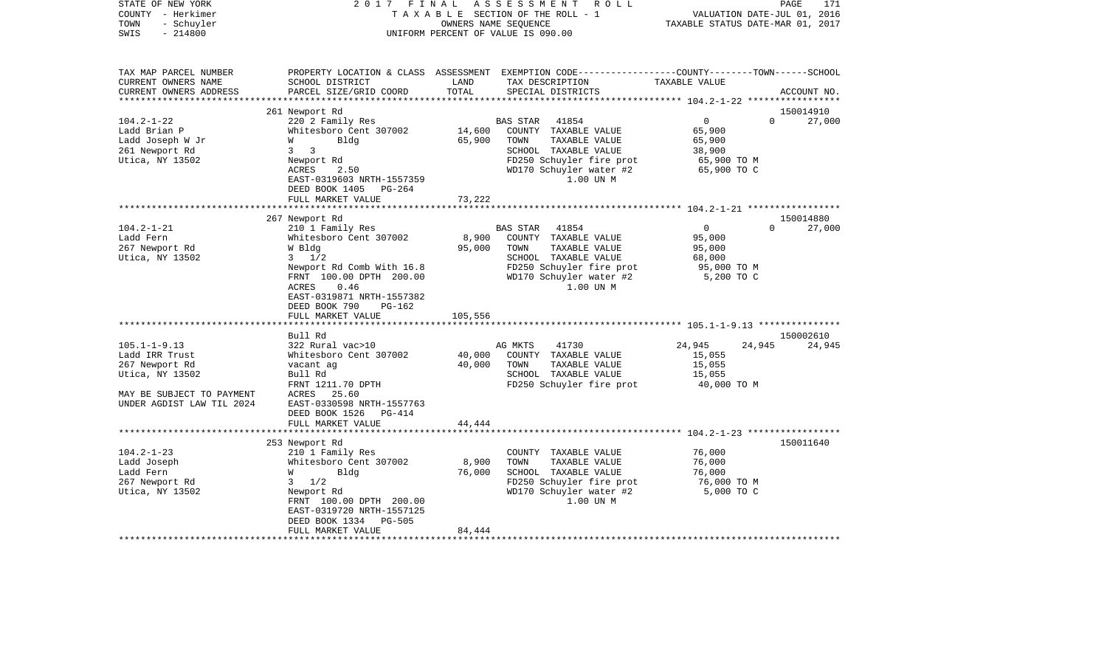| STATE OF NEW YORK<br>COUNTY - Herkimer<br>- Schuyler<br>TOWN<br>$-214800$<br>SWIS | 2017<br>FINAL                              | OWNERS NAME SEQUENCE | ASSESSMENT ROLL<br>TAXABLE SECTION OF THE ROLL - 1<br>UNIFORM PERCENT OF VALUE IS 090.00                                               | TAXABLE STATUS DATE-MAR 01, 2017 | PAGE<br>VALUATION DATE-JUL 01, 2016 | 171                 |
|-----------------------------------------------------------------------------------|--------------------------------------------|----------------------|----------------------------------------------------------------------------------------------------------------------------------------|----------------------------------|-------------------------------------|---------------------|
| TAX MAP PARCEL NUMBER<br>CURRENT OWNERS NAME<br>CURRENT OWNERS ADDRESS            | SCHOOL DISTRICT<br>PARCEL SIZE/GRID COORD  | LAND<br>TOTAL        | PROPERTY LOCATION & CLASS ASSESSMENT EXEMPTION CODE---------------COUNTY-------TOWN-----SCHOOL<br>TAX DESCRIPTION<br>SPECIAL DISTRICTS | TAXABLE VALUE                    |                                     | ACCOUNT NO.         |
|                                                                                   |                                            |                      |                                                                                                                                        |                                  |                                     |                     |
| $104.2 - 1 - 22$                                                                  | 261 Newport Rd<br>220 2 Family Res         |                      | 41854<br>BAS STAR                                                                                                                      | $\overline{0}$                   | $\Omega$                            | 150014910<br>27,000 |
| Ladd Brian P                                                                      | Whitesboro Cent 307002                     | 14,600               | COUNTY TAXABLE VALUE                                                                                                                   | 65,900                           |                                     |                     |
| Ladd Joseph W Jr                                                                  | Bldg<br>W                                  | 65,900               | TAXABLE VALUE<br>TOWN                                                                                                                  | 65,900                           |                                     |                     |
| 261 Newport Rd                                                                    | $3 \overline{3}$                           |                      | SCHOOL TAXABLE VALUE                                                                                                                   | 38,900                           |                                     |                     |
| Utica, NY 13502                                                                   | Newport Rd                                 |                      | FD250 Schuyler fire prot                                                                                                               | 65,900 TO M                      |                                     |                     |
|                                                                                   | ACRES<br>2.50                              |                      | WD170 Schuyler water #2                                                                                                                | 65,900 TO C                      |                                     |                     |
|                                                                                   | EAST-0319603 NRTH-1557359                  |                      | 1.00 UN M                                                                                                                              |                                  |                                     |                     |
|                                                                                   | DEED BOOK 1405<br>PG-264                   |                      |                                                                                                                                        |                                  |                                     |                     |
|                                                                                   | FULL MARKET VALUE                          | 73,222               |                                                                                                                                        |                                  |                                     |                     |
|                                                                                   | 267 Newport Rd                             |                      |                                                                                                                                        |                                  |                                     | 150014880           |
| $104.2 - 1 - 21$                                                                  | 210 1 Family Res                           |                      | BAS STAR<br>41854                                                                                                                      | $\Omega$                         | $\Omega$                            | 27,000              |
| Ladd Fern                                                                         | Whitesboro Cent 307002                     | 8,900                | COUNTY TAXABLE VALUE                                                                                                                   | 95,000                           |                                     |                     |
| 267 Newport Rd                                                                    | W Bldg                                     | 95,000               | TOWN<br>TAXABLE VALUE                                                                                                                  | 95,000                           |                                     |                     |
| Utica, NY 13502                                                                   | $3 \frac{1}{2}$                            |                      | SCHOOL TAXABLE VALUE                                                                                                                   | 68,000                           |                                     |                     |
|                                                                                   | Newport Rd Comb With 16.8                  |                      | FD250 Schuyler fire prot                                                                                                               | 95,000 TO M                      |                                     |                     |
|                                                                                   | FRNT 100.00 DPTH 200.00                    |                      | WD170 Schuyler water #2                                                                                                                | 5,200 TO C                       |                                     |                     |
|                                                                                   | 0.46<br>ACRES<br>EAST-0319871 NRTH-1557382 |                      | 1.00 UN M                                                                                                                              |                                  |                                     |                     |
|                                                                                   | DEED BOOK 790<br>$PG-162$                  |                      |                                                                                                                                        |                                  |                                     |                     |
|                                                                                   | FULL MARKET VALUE                          | 105,556              |                                                                                                                                        |                                  |                                     |                     |
|                                                                                   |                                            |                      |                                                                                                                                        |                                  |                                     |                     |
|                                                                                   | Bull Rd                                    |                      |                                                                                                                                        |                                  |                                     | 150002610           |
| $105.1 - 1 - 9.13$                                                                | 322 Rural vac>10                           |                      | 41730<br>AG MKTS                                                                                                                       | 24,945                           | 24,945                              | 24,945              |
| Ladd IRR Trust                                                                    | Whitesboro Cent 307002                     | 40,000               | COUNTY TAXABLE VALUE                                                                                                                   | 15,055                           |                                     |                     |
| 267 Newport Rd                                                                    | vacant ag                                  | 40,000               | TOWN<br>TAXABLE VALUE                                                                                                                  | 15,055                           |                                     |                     |
| Utica, NY 13502                                                                   | Bull Rd                                    |                      | SCHOOL TAXABLE VALUE                                                                                                                   | 15,055                           |                                     |                     |
| MAY BE SUBJECT TO PAYMENT                                                         | FRNT 1211.70 DPTH<br>ACRES 25.60           |                      | FD250 Schuyler fire prot                                                                                                               | 40,000 TO M                      |                                     |                     |
| UNDER AGDIST LAW TIL 2024                                                         | EAST-0330598 NRTH-1557763                  |                      |                                                                                                                                        |                                  |                                     |                     |
|                                                                                   | DEED BOOK 1526 PG-414                      |                      |                                                                                                                                        |                                  |                                     |                     |
|                                                                                   | FULL MARKET VALUE                          | 44,444               |                                                                                                                                        |                                  |                                     |                     |
|                                                                                   |                                            |                      |                                                                                                                                        |                                  |                                     |                     |
|                                                                                   | 253 Newport Rd                             |                      |                                                                                                                                        |                                  |                                     | 150011640           |
| $104.2 - 1 - 23$                                                                  | 210 1 Family Res                           |                      | COUNTY TAXABLE VALUE                                                                                                                   | 76,000                           |                                     |                     |
| Ladd Joseph                                                                       | Whitesboro Cent 307002                     | 8,900                | TOWN<br>TAXABLE VALUE                                                                                                                  | 76,000                           |                                     |                     |
| Ladd Fern                                                                         | W<br>Bldg                                  | 76,000               | SCHOOL TAXABLE VALUE                                                                                                                   | 76,000                           |                                     |                     |
| 267 Newport Rd                                                                    | $3 \frac{1}{2}$                            |                      | FD250 Schuyler fire prot                                                                                                               | 76,000 TO M                      |                                     |                     |
| Utica, NY 13502                                                                   | Newport Rd<br>FRNT 100.00 DPTH 200.00      |                      | WD170 Schuyler water #2<br>1.00 UN M                                                                                                   | 5,000 TO C                       |                                     |                     |
|                                                                                   | EAST-0319720 NRTH-1557125                  |                      |                                                                                                                                        |                                  |                                     |                     |
|                                                                                   | DEED BOOK 1334<br><b>PG-505</b>            |                      |                                                                                                                                        |                                  |                                     |                     |
|                                                                                   | FULL MARKET VALUE                          | 84,444               |                                                                                                                                        |                                  |                                     |                     |
|                                                                                   | ***********************                    |                      |                                                                                                                                        |                                  |                                     |                     |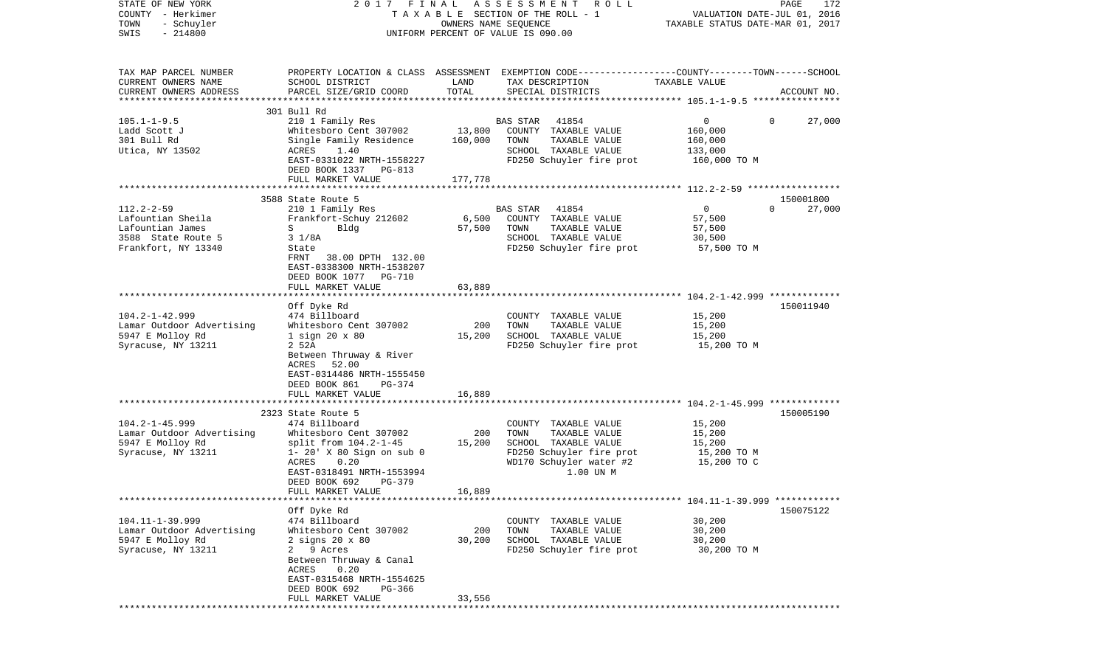| STATE OF NEW YORK<br>COUNTY - Herkimer |                                                     |          | 2017 FINAL ASSESSMENT ROLL<br>T A X A B L E SECTION OF THE ROLL - 1                             |                                  | PAGE<br>172<br>VALUATION DATE-JUL 01, 2016 |
|----------------------------------------|-----------------------------------------------------|----------|-------------------------------------------------------------------------------------------------|----------------------------------|--------------------------------------------|
| TOWN<br>- Schuyler                     |                                                     |          | OWNERS NAME SEQUENCE                                                                            | TAXABLE STATUS DATE-MAR 01, 2017 |                                            |
| $-214800$<br>SWIS                      |                                                     |          | UNIFORM PERCENT OF VALUE IS 090.00                                                              |                                  |                                            |
|                                        |                                                     |          |                                                                                                 |                                  |                                            |
| TAX MAP PARCEL NUMBER                  |                                                     |          | PROPERTY LOCATION & CLASS ASSESSMENT EXEMPTION CODE---------------COUNTY-------TOWN------SCHOOL |                                  |                                            |
| CURRENT OWNERS NAME                    | SCHOOL DISTRICT                                     | LAND     | TAX DESCRIPTION                                                                                 | TAXABLE VALUE                    |                                            |
| CURRENT OWNERS ADDRESS                 | PARCEL SIZE/GRID COORD                              | TOTAL    | SPECIAL DISTRICTS                                                                               |                                  | ACCOUNT NO.                                |
| *************************              |                                                     |          |                                                                                                 |                                  |                                            |
|                                        | 301 Bull Rd                                         |          |                                                                                                 |                                  |                                            |
| $105.1 - 1 - 9.5$                      | 210 1 Family Res                                    |          | 41854<br>BAS STAR                                                                               | 0                                | 27,000<br>$\Omega$                         |
| Ladd Scott J                           | Whitesboro Cent 307002                              | 13,800   | COUNTY TAXABLE VALUE                                                                            | 160,000                          |                                            |
| 301 Bull Rd                            | Single Family Residence                             | 160,000  | TAXABLE VALUE<br>TOWN                                                                           | 160,000                          |                                            |
| Utica, NY 13502                        | ACRES<br>1.40<br>EAST-0331022 NRTH-1558227          |          | SCHOOL TAXABLE VALUE<br>FD250 Schuyler fire prot                                                | 133,000<br>160,000 TO M          |                                            |
|                                        | DEED BOOK 1337 PG-813                               |          |                                                                                                 |                                  |                                            |
|                                        | FULL MARKET VALUE                                   | 177,778  |                                                                                                 |                                  |                                            |
|                                        |                                                     |          |                                                                                                 |                                  |                                            |
|                                        | 3588 State Route 5                                  |          |                                                                                                 |                                  | 150001800                                  |
| $112.2 - 2 - 59$                       | 210 1 Family Res                                    |          | BAS STAR<br>41854                                                                               | $\overline{0}$                   | $\Omega$<br>27,000                         |
| Lafountian Sheila                      | Frankfort-Schuy 212602                              | 6,500    | COUNTY TAXABLE VALUE                                                                            | 57,500                           |                                            |
| Lafountian James                       | $S \qquad \qquad$<br>Bldg                           | 57,500   | TOWN<br>TAXABLE VALUE                                                                           | 57,500                           |                                            |
| 3588 State Route 5                     | $3 \frac{1}{8}$                                     |          | SCHOOL TAXABLE VALUE                                                                            | 30,500                           |                                            |
| Frankfort, NY 13340                    | State                                               |          | FD250 Schuyler fire prot                                                                        | 57,500 TO M                      |                                            |
|                                        | FRNT 38.00 DPTH 132.00<br>EAST-0338300 NRTH-1538207 |          |                                                                                                 |                                  |                                            |
|                                        | DEED BOOK 1077 PG-710                               |          |                                                                                                 |                                  |                                            |
|                                        | FULL MARKET VALUE                                   | 63,889   |                                                                                                 |                                  |                                            |
|                                        |                                                     |          |                                                                                                 |                                  |                                            |
|                                        | Off Dyke Rd                                         |          |                                                                                                 |                                  | 150011940                                  |
| $104.2 - 1 - 42.999$                   | 474 Billboard                                       |          | COUNTY TAXABLE VALUE                                                                            | 15,200                           |                                            |
| Lamar Outdoor Advertising              | Whitesboro Cent 307002                              | 200      | TAXABLE VALUE<br>TOWN                                                                           | 15,200                           |                                            |
| 5947 E Molloy Rd                       | $1$ sign $20 \times 80$                             | 15,200   | SCHOOL TAXABLE VALUE                                                                            | 15,200                           |                                            |
| Syracuse, NY 13211                     | 2 52A                                               |          | FD250 Schuyler fire prot                                                                        | 15,200 TO M                      |                                            |
|                                        | Between Thruway & River                             |          |                                                                                                 |                                  |                                            |
|                                        | ACRES<br>52.00                                      |          |                                                                                                 |                                  |                                            |
|                                        | EAST-0314486 NRTH-1555450<br>PG-374                 |          |                                                                                                 |                                  |                                            |
|                                        | DEED BOOK 861<br>FULL MARKET VALUE                  | 16,889   |                                                                                                 |                                  |                                            |
|                                        | ********************                                | ******** |                                                                                                 |                                  |                                            |
|                                        | 2323 State Route 5                                  |          |                                                                                                 |                                  | 150005190                                  |
| $104.2 - 1 - 45.999$                   | 474 Billboard                                       |          | COUNTY TAXABLE VALUE                                                                            | 15,200                           |                                            |
| Lamar Outdoor Advertising              | Whitesboro Cent 307002                              | 200      | TOWN<br>TAXABLE VALUE                                                                           | 15,200                           |                                            |
| 5947 E Molloy Rd                       | split from 104.2-1-45                               | 15,200   | SCHOOL TAXABLE VALUE                                                                            | 15,200                           |                                            |
| Syracuse, NY 13211                     | $1 - 20'$ X 80 Sign on sub 0                        |          | FD250 Schuyler fire prot                                                                        | 15,200 TO M                      |                                            |
|                                        | ACRES<br>0.20                                       |          | WD170 Schuyler water #2                                                                         | 15,200 TO C                      |                                            |
|                                        | EAST-0318491 NRTH-1553994                           |          | 1.00 UN M                                                                                       |                                  |                                            |
|                                        | DEED BOOK 692<br>PG-379<br>FULL MARKET VALUE        | 16,889   |                                                                                                 |                                  |                                            |
|                                        |                                                     |          |                                                                                                 |                                  |                                            |
|                                        | Off Dyke Rd                                         |          |                                                                                                 |                                  | 150075122                                  |
| $104.11 - 1 - 39.999$                  | 474 Billboard                                       |          | COUNTY TAXABLE VALUE                                                                            | 30,200                           |                                            |
| Lamar Outdoor Advertising              | Whitesboro Cent 307002                              | 200      | TOWN<br>TAXABLE VALUE                                                                           | 30,200                           |                                            |
| 5947 E Molloy Rd                       | $2$ signs $20 \times 80$                            | 30,200   | SCHOOL TAXABLE VALUE                                                                            | 30,200                           |                                            |
| Syracuse, NY 13211                     | 2 9 Acres                                           |          | FD250 Schuyler fire prot                                                                        | 30,200 TO M                      |                                            |
|                                        | Between Thruway & Canal                             |          |                                                                                                 |                                  |                                            |
|                                        | 0.20<br>ACRES                                       |          |                                                                                                 |                                  |                                            |
|                                        | EAST-0315468 NRTH-1554625                           |          |                                                                                                 |                                  |                                            |
|                                        | DEED BOOK 692<br>PG-366<br>FULL MARKET VALUE        | 33,556   |                                                                                                 |                                  |                                            |
|                                        |                                                     |          |                                                                                                 |                                  |                                            |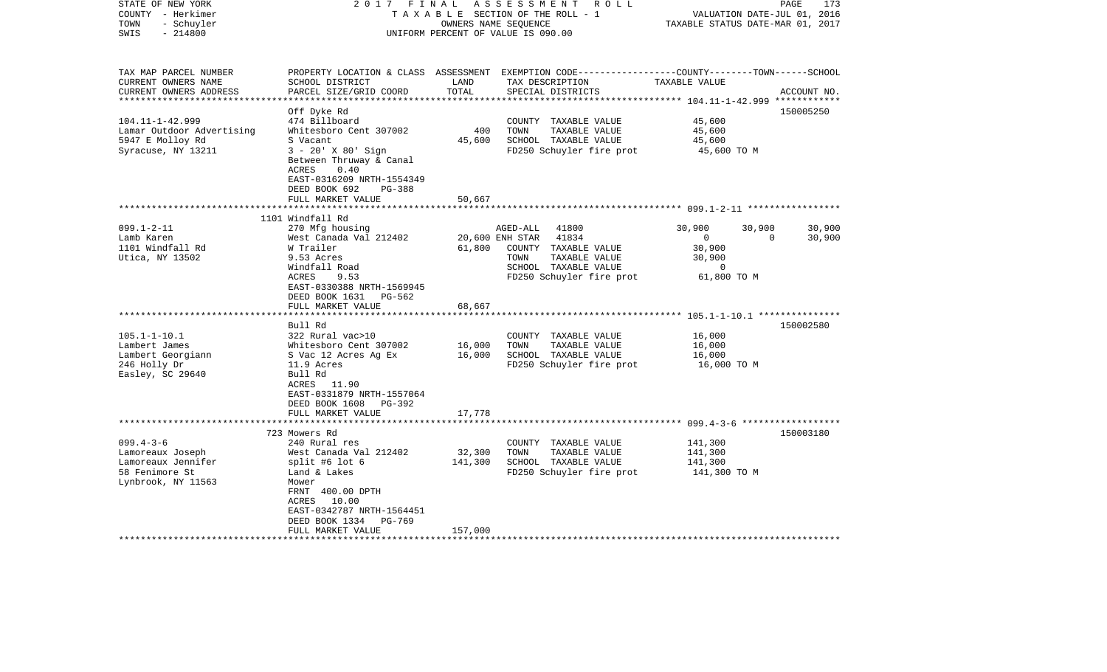| STATE OF NEW YORK<br>COUNTY - Herkimer<br>- Schuyler<br>TOWN<br>$-214800$<br>SWIS | 2017 FINAL                                                                                      | OWNERS NAME SEQUENCE | ASSESSMENT<br>R O L L<br>TAXABLE SECTION OF THE ROLL - 1<br>UNIFORM PERCENT OF VALUE IS 090.00                                           | VALUATION DATE-JUL 01, 2016<br>TAXABLE STATUS DATE-MAR 01, 2017 | PAGE<br>173 |
|-----------------------------------------------------------------------------------|-------------------------------------------------------------------------------------------------|----------------------|------------------------------------------------------------------------------------------------------------------------------------------|-----------------------------------------------------------------|-------------|
| TAX MAP PARCEL NUMBER<br>CURRENT OWNERS NAME<br>CURRENT OWNERS ADDRESS            | SCHOOL DISTRICT<br>PARCEL SIZE/GRID COORD                                                       | LAND<br>TOTAL        | PROPERTY LOCATION & CLASS ASSESSMENT EXEMPTION CODE----------------COUNTY-------TOWN------SCHOOL<br>TAX DESCRIPTION<br>SPECIAL DISTRICTS | TAXABLE VALUE                                                   | ACCOUNT NO. |
| ***********************                                                           |                                                                                                 |                      |                                                                                                                                          |                                                                 |             |
| $104.11 - 1 - 42.999$                                                             | Off Dyke Rd<br>474 Billboard                                                                    |                      | COUNTY TAXABLE VALUE                                                                                                                     | 45,600                                                          | 150005250   |
| Lamar Outdoor Advertising                                                         | Whitesboro Cent 307002                                                                          | 400                  | TOWN<br>TAXABLE VALUE                                                                                                                    | 45,600                                                          |             |
| 5947 E Molloy Rd                                                                  | S Vacant                                                                                        | 45,600               | SCHOOL TAXABLE VALUE                                                                                                                     | 45,600                                                          |             |
| Syracuse, NY 13211                                                                | $3 - 20'$ X $80'$ Sign<br>Between Thruway & Canal<br>ACRES<br>0.40<br>EAST-0316209 NRTH-1554349 |                      | FD250 Schuyler fire prot                                                                                                                 | 45,600 TO M                                                     |             |
|                                                                                   | DEED BOOK 692<br>PG-388                                                                         |                      |                                                                                                                                          |                                                                 |             |
|                                                                                   | FULL MARKET VALUE                                                                               | 50,667               |                                                                                                                                          |                                                                 |             |
|                                                                                   | 1101 Windfall Rd                                                                                |                      |                                                                                                                                          |                                                                 |             |
| $099.1 - 2 - 11$                                                                  | 270 Mfg housing                                                                                 |                      | AGED-ALL<br>41800                                                                                                                        | 30,900<br>30,900                                                | 30,900      |
| Lamb Karen                                                                        | West Canada Val 212402                                                                          |                      | 41834<br>20,600 ENH STAR                                                                                                                 | $\mathsf{O}$<br>$\mathbf 0$                                     | 30,900      |
| 1101 Windfall Rd                                                                  | W Trailer                                                                                       | 61,800               | COUNTY TAXABLE VALUE                                                                                                                     | 30,900                                                          |             |
| Utica, NY 13502                                                                   | 9.53 Acres                                                                                      |                      | TOWN<br>TAXABLE VALUE                                                                                                                    | 30,900                                                          |             |
|                                                                                   | Windfall Road                                                                                   |                      | SCHOOL TAXABLE VALUE                                                                                                                     | $\mathbf 0$                                                     |             |
|                                                                                   | ACRES<br>9.53                                                                                   |                      | FD250 Schuyler fire prot                                                                                                                 | 61,800 TO M                                                     |             |
|                                                                                   | EAST-0330388 NRTH-1569945                                                                       |                      |                                                                                                                                          |                                                                 |             |
|                                                                                   | DEED BOOK 1631 PG-562<br>FULL MARKET VALUE                                                      | 68,667               |                                                                                                                                          |                                                                 |             |
|                                                                                   | ******************                                                                              |                      |                                                                                                                                          |                                                                 |             |
|                                                                                   | Bull Rd                                                                                         |                      |                                                                                                                                          |                                                                 | 150002580   |
| $105.1 - 1 - 10.1$                                                                | 322 Rural vac>10                                                                                |                      | COUNTY TAXABLE VALUE                                                                                                                     | 16,000                                                          |             |
| Lambert James                                                                     | Whitesboro Cent 307002                                                                          | 16,000               | TOWN<br>TAXABLE VALUE                                                                                                                    | 16,000                                                          |             |
| Lambert Georgiann                                                                 | S Vac 12 Acres Ag Ex                                                                            | 16,000               | SCHOOL TAXABLE VALUE                                                                                                                     | 16,000                                                          |             |
| 246 Holly Dr                                                                      | 11.9 Acres                                                                                      |                      | FD250 Schuyler fire prot                                                                                                                 | 16,000 TO M                                                     |             |
| Easley, SC 29640                                                                  | Bull Rd                                                                                         |                      |                                                                                                                                          |                                                                 |             |
|                                                                                   | ACRES 11.90                                                                                     |                      |                                                                                                                                          |                                                                 |             |
|                                                                                   | EAST-0331879 NRTH-1557064                                                                       |                      |                                                                                                                                          |                                                                 |             |
|                                                                                   | DEED BOOK 1608<br>PG-392                                                                        |                      |                                                                                                                                          |                                                                 |             |
|                                                                                   | FULL MARKET VALUE                                                                               | 17,778               |                                                                                                                                          | ***********************************699.4-3-6 ****************   |             |
|                                                                                   | 723 Mowers Rd                                                                                   |                      |                                                                                                                                          |                                                                 | 150003180   |
| $099.4 - 3 - 6$                                                                   | 240 Rural res                                                                                   |                      | COUNTY TAXABLE VALUE                                                                                                                     | 141,300                                                         |             |
| Lamoreaux Joseph                                                                  | West Canada Val 212402                                                                          | 32,300               | TOWN<br>TAXABLE VALUE                                                                                                                    | 141,300                                                         |             |
| Lamoreaux Jennifer                                                                | split #6 lot $6$                                                                                | 141,300              | SCHOOL TAXABLE VALUE                                                                                                                     | 141,300                                                         |             |
| 58 Fenimore St                                                                    | Land & Lakes                                                                                    |                      | FD250 Schuyler fire prot                                                                                                                 | 141,300 TO M                                                    |             |
| Lynbrook, NY 11563                                                                | Mower                                                                                           |                      |                                                                                                                                          |                                                                 |             |
|                                                                                   | FRNT 400.00 DPTH                                                                                |                      |                                                                                                                                          |                                                                 |             |
|                                                                                   | ACRES 10.00                                                                                     |                      |                                                                                                                                          |                                                                 |             |
|                                                                                   | EAST-0342787 NRTH-1564451                                                                       |                      |                                                                                                                                          |                                                                 |             |
|                                                                                   | DEED BOOK 1334<br>PG-769<br>FULL MARKET VALUE                                                   | 157,000              |                                                                                                                                          |                                                                 |             |
|                                                                                   |                                                                                                 |                      |                                                                                                                                          |                                                                 |             |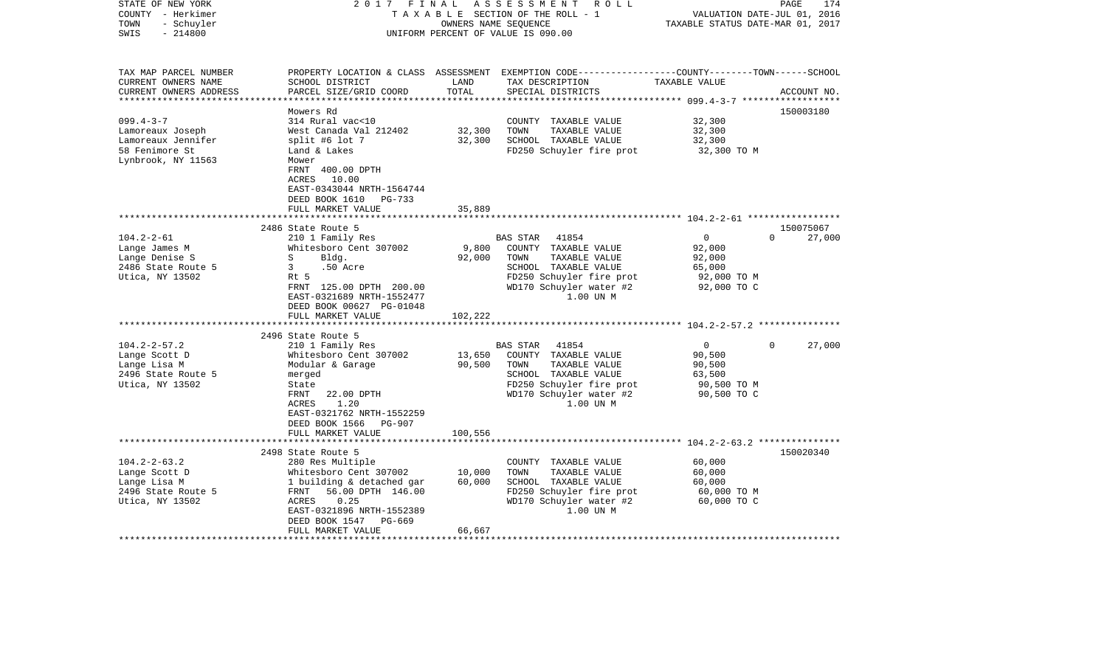| STATE OF NEW YORK<br>COUNTY - Herkimer<br>- Schuyler<br>TOWN<br>$-214800$<br>SWIS | 2017 FINAL                                                                                                          | OWNERS NAME SEQUENCE | ASSESSMENT ROLL<br>TAXABLE SECTION OF THE ROLL - 1<br>UNIFORM PERCENT OF VALUE IS 090.00                                               | VALUATION DATE-JUL 01, 2016<br>TAXABLE STATUS DATE-MAR 01, 2017 | PAGE<br>174        |
|-----------------------------------------------------------------------------------|---------------------------------------------------------------------------------------------------------------------|----------------------|----------------------------------------------------------------------------------------------------------------------------------------|-----------------------------------------------------------------|--------------------|
| TAX MAP PARCEL NUMBER<br>CURRENT OWNERS NAME<br>CURRENT OWNERS ADDRESS            | SCHOOL DISTRICT<br>PARCEL SIZE/GRID COORD                                                                           | LAND<br>TOTAL        | PROPERTY LOCATION & CLASS ASSESSMENT EXEMPTION CODE---------------COUNTY-------TOWN-----SCHOOL<br>TAX DESCRIPTION<br>SPECIAL DISTRICTS | TAXABLE VALUE                                                   | ACCOUNT NO.        |
|                                                                                   | Mowers Rd                                                                                                           |                      |                                                                                                                                        |                                                                 | 150003180          |
| $099.4 - 3 - 7$                                                                   | 314 Rural vac<10                                                                                                    |                      | COUNTY TAXABLE VALUE                                                                                                                   | 32,300                                                          |                    |
| Lamoreaux Joseph                                                                  | West Canada Val 212402                                                                                              | 32,300               | TOWN<br>TAXABLE VALUE                                                                                                                  | 32,300                                                          |                    |
| Lamoreaux Jennifer<br>58 Fenimore St                                              | split #6 lot 7<br>Land & Lakes                                                                                      | 32,300               | SCHOOL TAXABLE VALUE<br>FD250 Schuyler fire prot                                                                                       | 32,300<br>32,300 TO M                                           |                    |
| Lynbrook, NY 11563                                                                | Mower<br>FRNT 400.00 DPTH<br>ACRES 10.00<br>EAST-0343044 NRTH-1564744<br>DEED BOOK 1610 PG-733<br>FULL MARKET VALUE | 35,889               |                                                                                                                                        |                                                                 |                    |
|                                                                                   |                                                                                                                     |                      |                                                                                                                                        |                                                                 |                    |
|                                                                                   | 2486 State Route 5                                                                                                  |                      |                                                                                                                                        |                                                                 | 150075067          |
| $104.2 - 2 - 61$                                                                  | 210 1 Family Res                                                                                                    |                      | BAS STAR 41854                                                                                                                         | $\overline{0}$<br>92,000                                        | $\Omega$<br>27,000 |
| Lange James M<br>Lange Denise S                                                   | Whitesboro Cent 307002<br>Bldg.<br>S                                                                                | 9,800<br>92,000      | COUNTY TAXABLE VALUE<br>TOWN<br>TAXABLE VALUE                                                                                          | 92,000                                                          |                    |
| 2486 State Route 5                                                                | 3<br>.50 Acre                                                                                                       |                      | SCHOOL TAXABLE VALUE                                                                                                                   | 65,000                                                          |                    |
| Utica, NY 13502                                                                   | Rt 5                                                                                                                |                      | FD250 Schuyler fire prot                                                                                                               | 92,000 TO M                                                     |                    |
|                                                                                   | FRNT 125.00 DPTH 200.00<br>EAST-0321689 NRTH-1552477<br>DEED BOOK 00627 PG-01048<br>FULL MARKET VALUE               | 102,222              | WD170 Schuyler water #2<br>1.00 UN M                                                                                                   | 92,000 TO C                                                     |                    |
|                                                                                   |                                                                                                                     |                      |                                                                                                                                        |                                                                 |                    |
|                                                                                   | 2496 State Route 5                                                                                                  |                      |                                                                                                                                        |                                                                 |                    |
| $104.2 - 2 - 57.2$                                                                | 210 1 Family Res                                                                                                    |                      | BAS STAR<br>41854                                                                                                                      | $\overline{0}$                                                  | $\Omega$<br>27,000 |
| Lange Scott D                                                                     | Whitesboro Cent 307002                                                                                              | 13,650               | COUNTY TAXABLE VALUE                                                                                                                   | 90,500                                                          |                    |
| Lange Lisa M                                                                      | Modular & Garage                                                                                                    | 90,500               | TOWN<br>TAXABLE VALUE                                                                                                                  | 90,500                                                          |                    |
| 2496 State Route 5                                                                | merged                                                                                                              |                      | SCHOOL TAXABLE VALUE                                                                                                                   | 63,500                                                          |                    |
| Utica, NY 13502                                                                   | State<br>FRNT<br>22.00 DPTH                                                                                         |                      | FD250 Schuyler fire prot<br>WD170 Schuyler water #2                                                                                    | 90,500 TO M<br>90,500 TO C                                      |                    |
|                                                                                   | ACRES<br>1.20<br>EAST-0321762 NRTH-1552259<br>DEED BOOK 1566 PG-907                                                 |                      | 1.00 UN M                                                                                                                              |                                                                 |                    |
|                                                                                   | FULL MARKET VALUE<br>*****************************                                                                  | 100,556              |                                                                                                                                        |                                                                 |                    |
|                                                                                   | 2498 State Route 5                                                                                                  |                      |                                                                                                                                        |                                                                 | 150020340          |
| $104.2 - 2 - 63.2$                                                                | 280 Res Multiple                                                                                                    |                      | COUNTY TAXABLE VALUE                                                                                                                   | 60,000                                                          |                    |
| Lange Scott D                                                                     | Whitesboro Cent 307002                                                                                              | 10,000               | TAXABLE VALUE<br>TOWN                                                                                                                  | 60,000                                                          |                    |
| Lange Lisa M                                                                      | 1 building & detached gar                                                                                           | 60,000               | SCHOOL TAXABLE VALUE                                                                                                                   | 60,000                                                          |                    |
| 2496 State Route 5                                                                | FRNT<br>56.00 DPTH 146.00                                                                                           |                      | FD250 Schuyler fire prot                                                                                                               | 60,000 TO M                                                     |                    |
| Utica, NY 13502                                                                   | 0.25<br>ACRES                                                                                                       |                      | WD170 Schuyler water #2                                                                                                                | 60,000 TO C                                                     |                    |
|                                                                                   | EAST-0321896 NRTH-1552389                                                                                           |                      | 1.00 UN M                                                                                                                              |                                                                 |                    |
|                                                                                   | DEED BOOK 1547<br>PG-669<br>FULL MARKET VALUE                                                                       | 66,667               |                                                                                                                                        |                                                                 |                    |
| *********************                                                             |                                                                                                                     |                      |                                                                                                                                        |                                                                 |                    |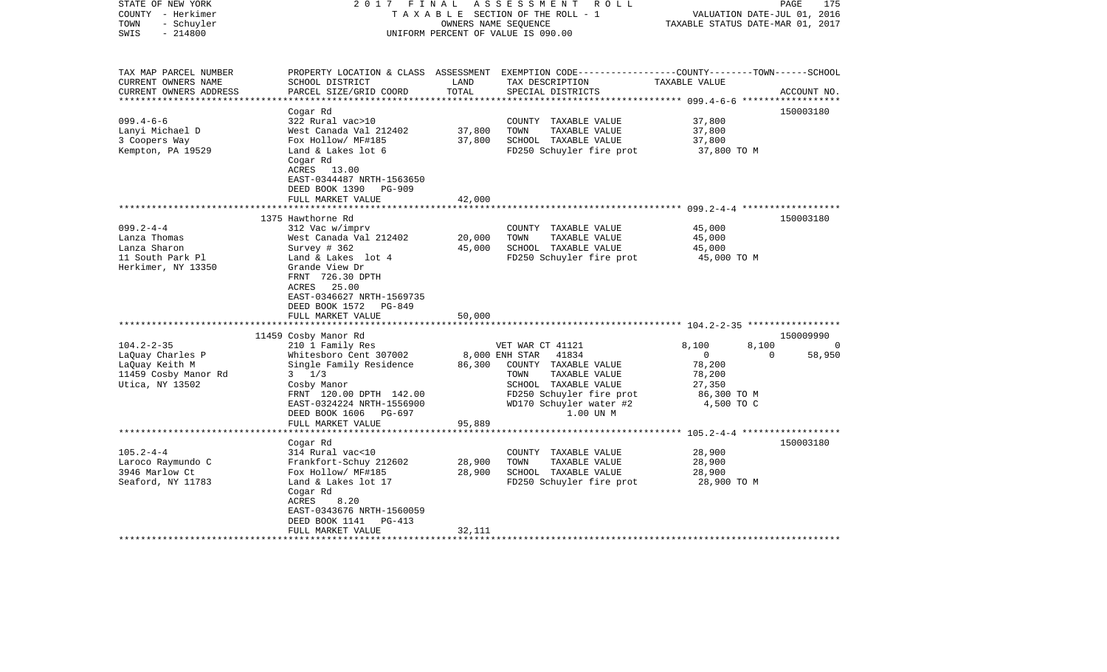| STATE OF NEW YORK<br>COUNTY - Herkimer<br>- Schuyler<br>TOWN<br>$-214800$<br>SWIS                                                                   | 2017 FINAL                                                                                                                                                                                                                                                                                                                            | OWNERS NAME SEQUENCE                                   | ASSESSMENT<br>R O L L<br>TAXABLE SECTION OF THE ROLL - 1<br>UNIFORM PERCENT OF VALUE IS 090.00                                                         | TAXABLE STATUS DATE-MAR 01, 2017                                               | 175<br>PAGE<br>VALUATION DATE-JUL 01, 2016                        |
|-----------------------------------------------------------------------------------------------------------------------------------------------------|---------------------------------------------------------------------------------------------------------------------------------------------------------------------------------------------------------------------------------------------------------------------------------------------------------------------------------------|--------------------------------------------------------|--------------------------------------------------------------------------------------------------------------------------------------------------------|--------------------------------------------------------------------------------|-------------------------------------------------------------------|
| TAX MAP PARCEL NUMBER<br>CURRENT OWNERS NAME<br>CURRENT OWNERS ADDRESS                                                                              | SCHOOL DISTRICT<br>PARCEL SIZE/GRID COORD                                                                                                                                                                                                                                                                                             | LAND<br>TOTAL                                          | PROPERTY LOCATION & CLASS ASSESSMENT EXEMPTION CODE----------------COUNTY-------TOWN------SCHOOL<br>TAX DESCRIPTION<br>SPECIAL DISTRICTS               | TAXABLE VALUE                                                                  | ACCOUNT NO.                                                       |
|                                                                                                                                                     | Cogar Rd                                                                                                                                                                                                                                                                                                                              |                                                        |                                                                                                                                                        |                                                                                | 150003180                                                         |
| $099.4 - 6 - 6$                                                                                                                                     | 322 Rural vac>10                                                                                                                                                                                                                                                                                                                      |                                                        | COUNTY TAXABLE VALUE                                                                                                                                   | 37,800                                                                         |                                                                   |
| Lanyi Michael D                                                                                                                                     | West Canada Val 212402                                                                                                                                                                                                                                                                                                                | 37,800                                                 | TOWN<br>TAXABLE VALUE                                                                                                                                  | 37,800                                                                         |                                                                   |
| 3 Coopers Way                                                                                                                                       | Fox Hollow/ MF#185                                                                                                                                                                                                                                                                                                                    | 37,800                                                 | SCHOOL TAXABLE VALUE                                                                                                                                   | 37,800                                                                         |                                                                   |
| Kempton, PA 19529                                                                                                                                   | Land & Lakes lot 6<br>Cogar Rd<br>ACRES 13.00<br>EAST-0344487 NRTH-1563650<br>DEED BOOK 1390<br>PG-909<br>FULL MARKET VALUE                                                                                                                                                                                                           | 42,000                                                 | FD250 Schuyler fire prot                                                                                                                               | 37,800 TO M                                                                    |                                                                   |
|                                                                                                                                                     | **********************                                                                                                                                                                                                                                                                                                                |                                                        |                                                                                                                                                        |                                                                                |                                                                   |
| $099.2 - 4 - 4$<br>Lanza Thomas<br>Lanza Sharon<br>11 South Park Pl<br>Herkimer, NY 13350<br>$104.2 - 2 - 35$<br>LaQuay Charles P<br>LaQuay Keith M | 1375 Hawthorne Rd<br>312 Vac w/imprv<br>West Canada Val 212402<br>Survey # 362<br>Land & Lakes lot 4<br>Grande View Dr<br>FRNT 726.30 DPTH<br>ACRES 25.00<br>EAST-0346627 NRTH-1569735<br>DEED BOOK 1572 PG-849<br>FULL MARKET VALUE<br>11459 Cosby Manor Rd<br>210 1 Family Res<br>Whitesboro Cent 307002<br>Single Family Residence | 20,000<br>45,000<br>50,000<br>8,000 ENH STAR<br>86,300 | COUNTY TAXABLE VALUE<br>TOWN<br>TAXABLE VALUE<br>SCHOOL TAXABLE VALUE<br>FD250 Schuyler fire prot<br>VET WAR CT 41121<br>41834<br>COUNTY TAXABLE VALUE | 45,000<br>45,000<br>45,000<br>45,000 TO M<br>8,100<br>$\overline{0}$<br>78,200 | 150003180<br>150009990<br>8,100<br>$\Omega$<br>$\Omega$<br>58,950 |
| 11459 Cosby Manor Rd<br>Utica, NY 13502                                                                                                             | $3 \frac{1}{3}$<br>Cosby Manor<br>FRNT 120.00 DPTH 142.00<br>EAST-0324224 NRTH-1556900<br>DEED BOOK 1606 PG-697<br>FULL MARKET VALUE<br>*********************                                                                                                                                                                         | 95,889                                                 | TAXABLE VALUE<br>TOWN<br>SCHOOL TAXABLE VALUE<br>FD250 Schuyler fire prot<br>WD170 Schuyler water #2<br>1.00 UN M                                      | 78,200<br>27,350<br>86,300 TO M<br>4,500 TO C                                  |                                                                   |
|                                                                                                                                                     | Cogar Rd                                                                                                                                                                                                                                                                                                                              |                                                        |                                                                                                                                                        |                                                                                | 150003180                                                         |
| $105.2 - 4 - 4$                                                                                                                                     | 314 Rural vac<10                                                                                                                                                                                                                                                                                                                      |                                                        | COUNTY TAXABLE VALUE                                                                                                                                   | 28,900                                                                         |                                                                   |
| Laroco Raymundo C                                                                                                                                   | Frankfort-Schuy 212602                                                                                                                                                                                                                                                                                                                | 28,900                                                 | TOWN<br>TAXABLE VALUE                                                                                                                                  | 28,900                                                                         |                                                                   |
| 3946 Marlow Ct<br>Seaford, NY 11783                                                                                                                 | Fox Hollow/ MF#185<br>Land & Lakes lot 17                                                                                                                                                                                                                                                                                             | 28,900                                                 | SCHOOL TAXABLE VALUE<br>FD250 Schuyler fire prot                                                                                                       | 28,900<br>28,900 TO M                                                          |                                                                   |
|                                                                                                                                                     | Cogar Rd<br>ACRES<br>8.20<br>EAST-0343676 NRTH-1560059<br>DEED BOOK 1141<br>$PG-413$<br>FULL MARKET VALUE                                                                                                                                                                                                                             | 32,111                                                 |                                                                                                                                                        |                                                                                |                                                                   |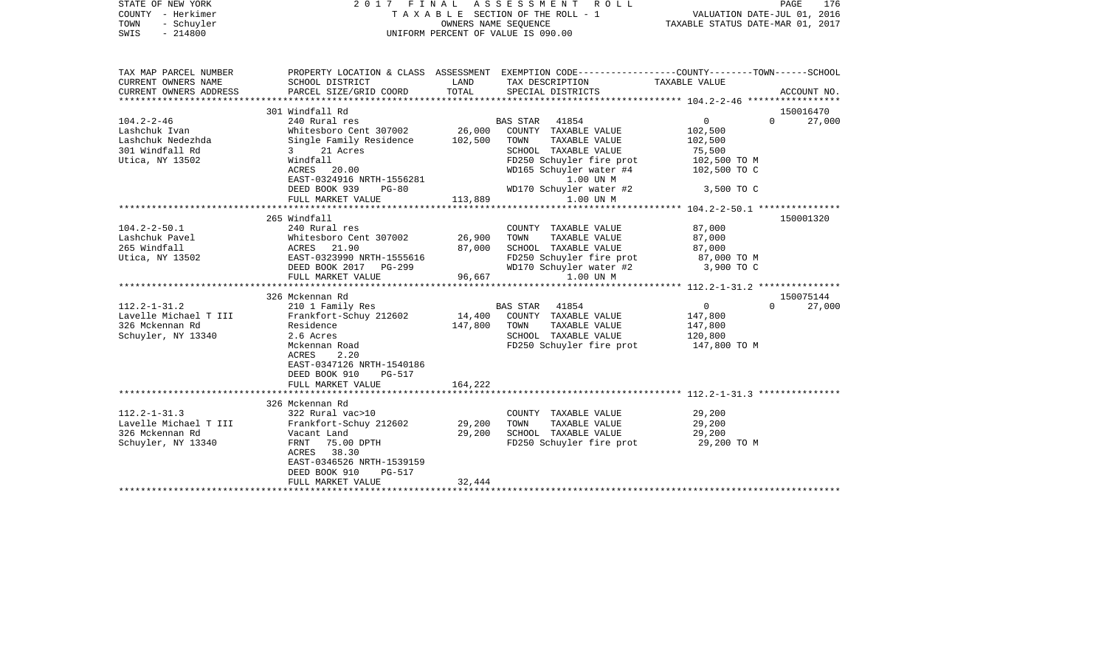| STATE OF NEW YORK<br>COUNTY - Herkimer<br>TOWN<br>- Schuyler<br>SWIS<br>$-214800$                                                                         | 2017<br>FINAL                                                                                                                                                                                                                                                                                                                                 | A S S E S S M E N T<br>R O L L<br>TAXABLE SECTION OF THE ROLL - 1<br>OWNERS NAME SEOUENCE<br>UNIFORM PERCENT OF VALUE IS 090.00                                                                                                                                                                                        | PAGE<br>176<br>VALUATION DATE-JUL 01, 2016<br>TAXABLE STATUS DATE-MAR 01, 2017                                                                                             |
|-----------------------------------------------------------------------------------------------------------------------------------------------------------|-----------------------------------------------------------------------------------------------------------------------------------------------------------------------------------------------------------------------------------------------------------------------------------------------------------------------------------------------|------------------------------------------------------------------------------------------------------------------------------------------------------------------------------------------------------------------------------------------------------------------------------------------------------------------------|----------------------------------------------------------------------------------------------------------------------------------------------------------------------------|
| TAX MAP PARCEL NUMBER<br>CURRENT OWNERS NAME<br>CURRENT OWNERS ADDRESS                                                                                    | SCHOOL DISTRICT<br>PARCEL SIZE/GRID COORD                                                                                                                                                                                                                                                                                                     | PROPERTY LOCATION & CLASS ASSESSMENT EXEMPTION CODE---------------COUNTY-------TOWN------SCHOOL<br>LAND<br>TAX DESCRIPTION<br>TOTAL<br>SPECIAL DISTRICTS                                                                                                                                                               | TAXABLE VALUE<br>ACCOUNT NO.                                                                                                                                               |
| ***********************                                                                                                                                   |                                                                                                                                                                                                                                                                                                                                               |                                                                                                                                                                                                                                                                                                                        |                                                                                                                                                                            |
| 104.2-2-46<br>Lashchuk Ivan<br>Lashchuk Nedezhda<br>301 Windfall Rd                                                                                       | 301 Windfall Rd<br>240 Rural res<br>Whitesboro Cent 307002<br>Single Family Residence<br>21 Acres<br>$3 \sim$                                                                                                                                                                                                                                 | BAS STAR<br>41854<br>26,000<br>COUNTY TAXABLE VALUE<br>102,500<br>TOWN<br>TAXABLE VALUE<br>SCHOOL TAXABLE VALUE                                                                                                                                                                                                        | 150016470<br>0<br>$\Omega$<br>27,000<br>102,500<br>102,500<br>75,500                                                                                                       |
| Utica, NY 13502                                                                                                                                           | Windfall<br>ACRES 20.00<br>EAST-0324916 NRTH-1556281<br>DEED BOOK 939<br>$PG-80$<br>FULL MARKET VALUE                                                                                                                                                                                                                                         | FD250 Schuyler fire prot<br>WD165 Schuyler water #4<br>1.00 UN M<br>WD170 Schuyler water #2<br>113,889<br>1.00 UN M                                                                                                                                                                                                    | 102,500 TO M<br>102,500 TO C<br>3,500 TO C                                                                                                                                 |
|                                                                                                                                                           |                                                                                                                                                                                                                                                                                                                                               |                                                                                                                                                                                                                                                                                                                        |                                                                                                                                                                            |
| $104.2 - 2 - 50.1$<br>Lashchuk Pavel<br>265 Windfall<br>Utica, NY 13502<br>112.2-1-31.2<br>Lavelle Michael T III<br>326 Mckennan Rd<br>Schuyler, NY 13340 | 265 Windfall<br>240 Rural res<br>Whitesboro Cent 307002<br>ACRES 21.90<br>EAST-0323990 NRTH-1555616<br>DEED BOOK 2017 PG-299<br>FULL MARKET VALUE<br>326 Mckennan Rd<br>210 1 Family Res<br>Frankfort-Schuy 212602<br>Residence<br>2.6 Acres<br>Mckennan Road<br>ACRES<br>2.20<br>EAST-0347126 NRTH-1540186<br>DEED BOOK 910<br><b>PG-517</b> | COUNTY TAXABLE VALUE<br>26,900<br>TOWN<br>TAXABLE VALUE<br>87,000<br>SCHOOL TAXABLE VALUE<br>FD250 Schuyler fire prot<br>WD170 Schuyler water #2<br>96,667<br>1.00 UN M<br>41854<br>BAS STAR<br>14,400<br>COUNTY TAXABLE VALUE<br>147,800<br>TAXABLE VALUE<br>TOWN<br>SCHOOL TAXABLE VALUE<br>FD250 Schuyler fire prot | 150001320<br>87,000<br>87,000<br>87,000<br>87,000 TO M<br>3,900 TO C<br>150075144<br>$\overline{0}$<br>$\Omega$<br>27,000<br>147,800<br>147,800<br>120,800<br>147,800 TO M |
|                                                                                                                                                           | FULL MARKET VALUE                                                                                                                                                                                                                                                                                                                             | 164,222                                                                                                                                                                                                                                                                                                                |                                                                                                                                                                            |
| 112.2-1-31.3<br>Lavelle Michael T III<br>326 Mckennan Rd<br>Schuyler, NY 13340                                                                            | 326 Mckennan Rd<br>322 Rural vac>10<br>Frankfort-Schuy 212602<br>Vacant Land<br>FRNT<br>75.00 DPTH<br>38.30<br>ACRES<br>EAST-0346526 NRTH-1539159<br>DEED BOOK 910<br>PG-517<br>FULL MARKET VALUE                                                                                                                                             | COUNTY TAXABLE VALUE<br>29,200<br>TOWN<br>TAXABLE VALUE<br>29,200<br>SCHOOL TAXABLE VALUE<br>FD250 Schuyler fire prot<br>32,444                                                                                                                                                                                        | 29,200<br>29,200<br>29,200<br>29,200 TO M                                                                                                                                  |
|                                                                                                                                                           |                                                                                                                                                                                                                                                                                                                                               |                                                                                                                                                                                                                                                                                                                        |                                                                                                                                                                            |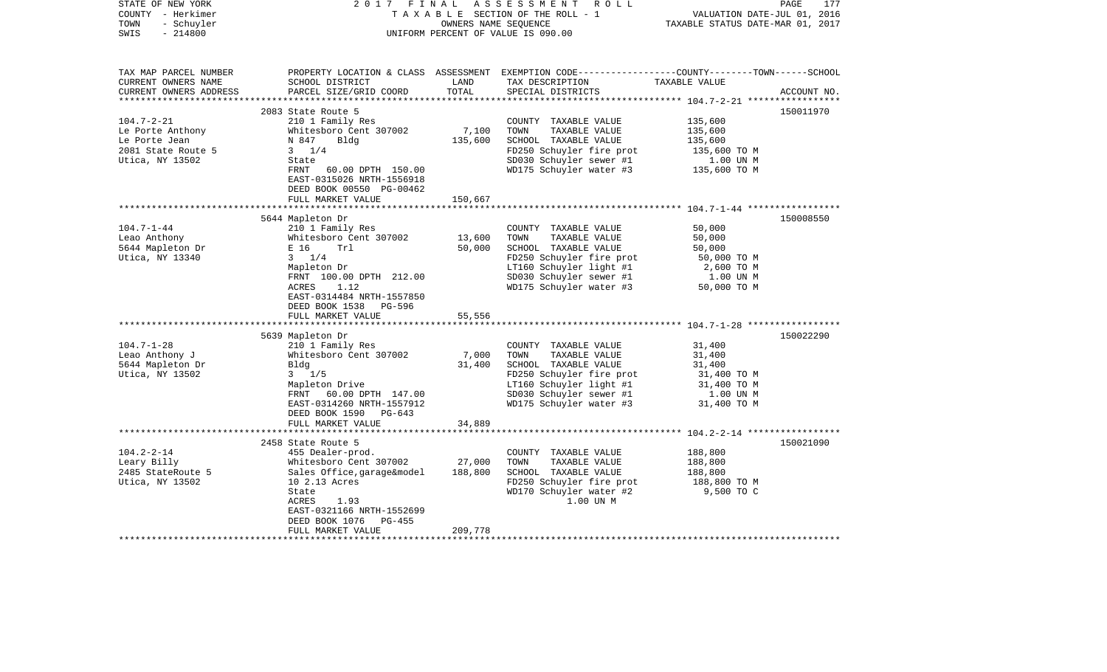| STATE OF NEW YORK<br>COUNTY - Herkimer<br>- Schuyler<br>TOWN<br>$-214800$<br>SWIS | 2017                                                                               | FINAL<br>OWNERS NAME SEQUENCE | A S S E S S M E N T R O L L<br>TAXABLE SECTION OF THE ROLL - 1<br>UNIFORM PERCENT OF VALUE IS 090.00                                                  | VALUATION DATE-JUL 01, 2016<br>TAXABLE STATUS DATE-MAR 01, 2017 | PAGE<br>177 |
|-----------------------------------------------------------------------------------|------------------------------------------------------------------------------------|-------------------------------|-------------------------------------------------------------------------------------------------------------------------------------------------------|-----------------------------------------------------------------|-------------|
| TAX MAP PARCEL NUMBER<br>CURRENT OWNERS NAME<br>CURRENT OWNERS ADDRESS            | SCHOOL DISTRICT<br>PARCEL SIZE/GRID COORD                                          | LAND<br>TOTAL                 | PROPERTY LOCATION & CLASS ASSESSMENT EXEMPTION CODE---------------COUNTY-------TOWN------SCHOOL<br>TAX DESCRIPTION TAXABLE VALUE<br>SPECIAL DISTRICTS |                                                                 | ACCOUNT NO. |
|                                                                                   |                                                                                    |                               |                                                                                                                                                       |                                                                 |             |
|                                                                                   | 2083 State Route 5                                                                 |                               |                                                                                                                                                       |                                                                 | 150011970   |
| $104.7 - 2 - 21$<br>Le Porte Anthony                                              | 210 1 Family Res<br>Whitesboro Cent 307002                                         | 7,100                         | COUNTY TAXABLE VALUE<br>TOWN<br>TAXABLE VALUE                                                                                                         | 135,600<br>135,600                                              |             |
| Le Porte Jean                                                                     | N 847<br>Bldg                                                                      | 135,600                       |                                                                                                                                                       |                                                                 |             |
| 2081 State Route 5                                                                | $3 \t1/4$                                                                          |                               |                                                                                                                                                       |                                                                 |             |
| Utica, NY 13502                                                                   | State                                                                              |                               |                                                                                                                                                       |                                                                 |             |
|                                                                                   | FRNT<br>60.00 DPTH 150.00<br>EAST-0315026 NRTH-1556918<br>DEED BOOK 00550 PG-00462 |                               | SCHOOL TAXABLE VALUE<br>FD250 Schuyler fire prot<br>SD030 Schuyler sewer #1 1.00 UN M<br>Annual Handler #3 135,600 TO M                               |                                                                 |             |
|                                                                                   | FULL MARKET VALUE                                                                  | 150,667                       |                                                                                                                                                       |                                                                 |             |
|                                                                                   |                                                                                    |                               |                                                                                                                                                       |                                                                 |             |
|                                                                                   | 5644 Mapleton Dr                                                                   |                               |                                                                                                                                                       |                                                                 | 150008550   |
| 104.7-1-44<br>Leao Anthony                                                        | 210 1 Family Res<br>Whitesboro Cent 307002                                         | 13,600                        | COUNTY TAXABLE VALUE<br>TOWN<br>TAXABLE VALUE                                                                                                         | 50,000<br>50,000                                                |             |
| 5644 Mapleton Dr                                                                  | E 16<br>Trl                                                                        | 50,000                        | SCHOOL TAXABLE VALUE                                                                                                                                  | 50,000                                                          |             |
| Utica, NY 13340                                                                   | $3 \t1/4$                                                                          |                               | FD250 Schuyler fire prot                                                                                                                              | 50,000 TO M                                                     |             |
|                                                                                   | Mapleton Dr                                                                        |                               |                                                                                                                                                       |                                                                 |             |
|                                                                                   | FRNT 100.00 DPTH 212.00                                                            |                               |                                                                                                                                                       |                                                                 |             |
|                                                                                   | ACRES<br>1.12<br>EAST-0314484 NRTH-1557850                                         |                               | EXECUTE LIGHT +1<br>SD030 Schuyler sewer +1 1 1.00 UN M<br>WD175 Schuyler water +3 50,000 TO M                                                        |                                                                 |             |
|                                                                                   | DEED BOOK 1538 PG-596                                                              |                               |                                                                                                                                                       |                                                                 |             |
|                                                                                   | FULL MARKET VALUE                                                                  | 55,556                        |                                                                                                                                                       |                                                                 |             |
|                                                                                   |                                                                                    |                               |                                                                                                                                                       |                                                                 |             |
|                                                                                   | 5639 Mapleton Dr                                                                   |                               |                                                                                                                                                       |                                                                 | 150022290   |
| $104.7 - 1 - 28$                                                                  | 210 1 Family Res                                                                   |                               | COUNTY TAXABLE VALUE                                                                                                                                  | 31,400                                                          |             |
| Leao Anthony J                                                                    | Whitesboro Cent 307002                                                             | 7,000                         | TAXABLE VALUE<br>TOWN                                                                                                                                 | 31,400                                                          |             |
| 5644 Mapleton Dr                                                                  | Bldg                                                                               | 31,400                        | SCHOOL TAXABLE VALUE                                                                                                                                  | 31,400                                                          |             |
| Utica, NY 13502                                                                   | $3 \frac{1}{5}$<br>Mapleton Drive                                                  |                               | FD250 Schuyler fire prot                                                                                                                              | 31,400 TO M<br>31,400 TO M                                      |             |
|                                                                                   | FRNT 60.00 DPTH 147.00                                                             |                               | LT160 Schuyler light #1<br>SD030 Schuyler sewer #1                                                                                                    | 1.00 UN M                                                       |             |
|                                                                                   | EAST-0314260 NRTH-1557912                                                          |                               | WD175 Schuyler water #3                                                                                                                               | 31,400 TO M                                                     |             |
|                                                                                   | DEED BOOK 1590 PG-643                                                              |                               |                                                                                                                                                       |                                                                 |             |
|                                                                                   | FULL MARKET VALUE                                                                  | 34,889                        |                                                                                                                                                       |                                                                 |             |
|                                                                                   |                                                                                    |                               |                                                                                                                                                       |                                                                 |             |
|                                                                                   | 2458 State Route 5                                                                 |                               |                                                                                                                                                       |                                                                 | 150021090   |
| $104.2 - 2 - 14$                                                                  | 455 Dealer-prod.                                                                   |                               | COUNTY TAXABLE VALUE                                                                                                                                  | 188,800                                                         |             |
| Leary Billy                                                                       | Whitesboro Cent 307002                                                             | 27,000                        | TOWN<br>TAXABLE VALUE                                                                                                                                 | 188,800                                                         |             |
| 2485 StateRoute 5                                                                 | Sales Office, garage&model                                                         | 188,800                       | SCHOOL TAXABLE VALUE                                                                                                                                  | 188,800                                                         |             |
| Utica, NY 13502                                                                   | 10 2.13 Acres<br>State                                                             |                               | FD250 Schuyler fire prot<br>WD170 Schuyler water #2                                                                                                   | 188,800 TO M<br>9,500 TO C                                      |             |
|                                                                                   | ACRES<br>1.93                                                                      |                               | 1.00 UN M                                                                                                                                             |                                                                 |             |
|                                                                                   | EAST-0321166 NRTH-1552699                                                          |                               |                                                                                                                                                       |                                                                 |             |
|                                                                                   | DEED BOOK 1076<br>PG-455                                                           |                               |                                                                                                                                                       |                                                                 |             |
|                                                                                   | FULL MARKET VALUE                                                                  | 209,778                       |                                                                                                                                                       |                                                                 |             |
|                                                                                   |                                                                                    |                               |                                                                                                                                                       |                                                                 |             |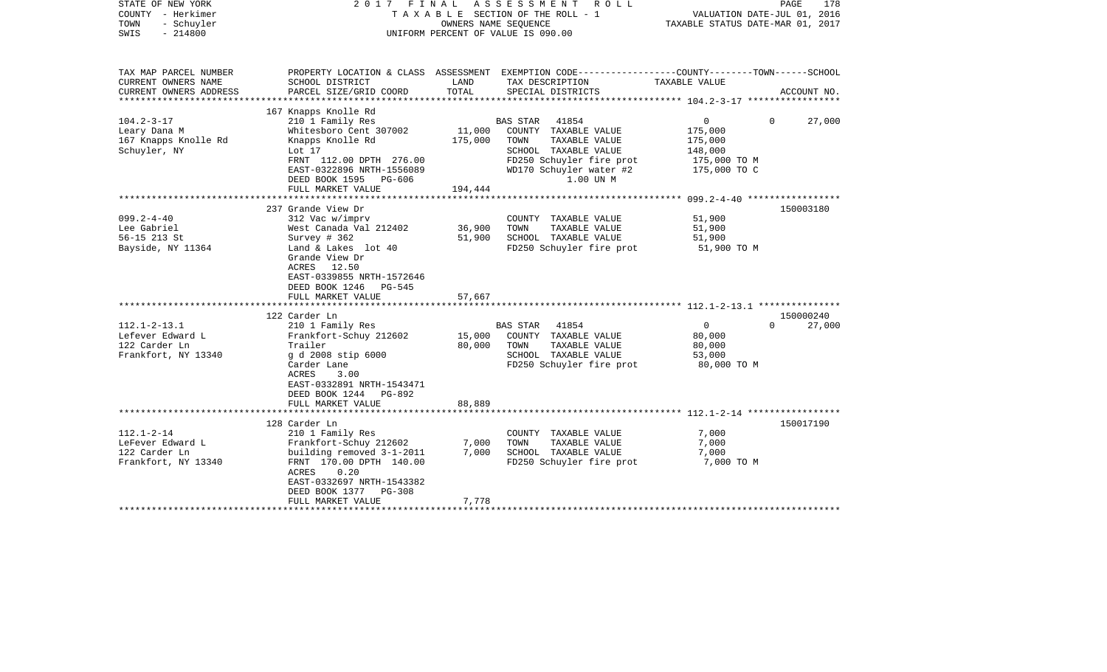| STATE OF NEW YORK<br>COUNTY - Herkimer<br>TOWN<br>- Schuyler<br>$-214800$<br>SWIS | 2017                                                                                                                                                                                                               | FINAL<br>OWNERS NAME SEQUENCE | ASSESSMENT<br>R O L L<br>T A X A B L E SECTION OF THE ROLL - 1<br>UNIFORM PERCENT OF VALUE IS 090.00                                                           | VALUATION DATE-JUL 01, 2016<br>TAXABLE STATUS DATE-MAR 01, 2017    | PAGE<br>178                     |
|-----------------------------------------------------------------------------------|--------------------------------------------------------------------------------------------------------------------------------------------------------------------------------------------------------------------|-------------------------------|----------------------------------------------------------------------------------------------------------------------------------------------------------------|--------------------------------------------------------------------|---------------------------------|
| TAX MAP PARCEL NUMBER<br>CURRENT OWNERS NAME                                      | SCHOOL DISTRICT                                                                                                                                                                                                    | LAND                          | PROPERTY LOCATION & CLASS ASSESSMENT EXEMPTION CODE---------------COUNTY-------TOWN------SCHOOL<br>TAX DESCRIPTION                                             | TAXABLE VALUE                                                      |                                 |
| CURRENT OWNERS ADDRESS<br>**********************                                  | PARCEL SIZE/GRID COORD                                                                                                                                                                                             | TOTAL                         | SPECIAL DISTRICTS                                                                                                                                              |                                                                    | ACCOUNT NO.                     |
| $104.2 - 3 - 17$<br>Leary Dana M<br>167 Knapps Knolle Rd<br>Schuyler, NY          | 167 Knapps Knolle Rd<br>210 1 Family Res<br>Whitesboro Cent 307002<br>Knapps Knolle Rd<br>Lot 17<br>FRNT 112.00 DPTH 276.00<br>EAST-0322896 NRTH-1556089<br>DEED BOOK 1595<br>PG-606                               | 11,000<br>175,000             | 41854<br>BAS STAR<br>COUNTY TAXABLE VALUE<br>TAXABLE VALUE<br>TOWN<br>SCHOOL TAXABLE VALUE<br>FD250 Schuyler fire prot<br>WD170 Schuyler water #2<br>1.00 UN M | 0<br>175,000<br>175,000<br>148,000<br>175,000 TO M<br>175,000 TO C | 27,000<br>$\Omega$              |
|                                                                                   | FULL MARKET VALUE                                                                                                                                                                                                  | 194,444                       |                                                                                                                                                                |                                                                    |                                 |
| $099.2 - 4 - 40$<br>Lee Gabriel<br>56-15 213 St<br>Bayside, NY 11364              | 237 Grande View Dr<br>312 Vac w/imprv<br>West Canada Val 212402<br>Survey $# 362$<br>Land & Lakes lot 40<br>Grande View Dr<br>ACRES 12.50<br>EAST-0339855 NRTH-1572646<br>DEED BOOK 1246<br>PG-545                 | 36,900<br>51,900              | COUNTY TAXABLE VALUE<br>TAXABLE VALUE<br>TOWN<br>SCHOOL TAXABLE VALUE<br>FD250 Schuyler fire prot                                                              | 51,900<br>51,900<br>51,900<br>51,900 TO M                          | 150003180                       |
|                                                                                   | FULL MARKET VALUE<br>**********************                                                                                                                                                                        | 57,667                        |                                                                                                                                                                |                                                                    |                                 |
| $112.1 - 2 - 13.1$<br>Lefever Edward L<br>122 Carder Ln<br>Frankfort, NY 13340    | 122 Carder Ln<br>210 1 Family Res<br>Frankfort-Schuy 212602<br>Trailer<br>g d 2008 stip 6000<br>Carder Lane<br>ACRES<br>3.00<br>EAST-0332891 NRTH-1543471<br>DEED BOOK 1244 PG-892                                 | 15,000<br>80,000              | 41854<br><b>BAS STAR</b><br>COUNTY TAXABLE VALUE<br>TOWN<br>TAXABLE VALUE<br>SCHOOL TAXABLE VALUE<br>FD250 Schuyler fire prot                                  | $\mathsf{O}$<br>80,000<br>80,000<br>53,000<br>80,000 TO M          | 150000240<br>27,000<br>$\Omega$ |
|                                                                                   | FULL MARKET VALUE                                                                                                                                                                                                  | 88,889                        |                                                                                                                                                                |                                                                    |                                 |
| $112.1 - 2 - 14$<br>LeFever Edward L<br>122 Carder Ln<br>Frankfort, NY 13340      | 128 Carder Ln<br>210 1 Family Res<br>Frankfort-Schuy 212602<br>building removed 3-1-2011<br>FRNT 170.00 DPTH 140.00<br>ACRES<br>0.20<br>EAST-0332697 NRTH-1543382<br>DEED BOOK 1377<br>PG-308<br>FULL MARKET VALUE | 7,000<br>7,000<br>7,778       | COUNTY TAXABLE VALUE<br>TOWN<br>TAXABLE VALUE<br>SCHOOL TAXABLE VALUE<br>FD250 Schuyler fire prot                                                              | 7,000<br>7,000<br>7,000<br>7,000 TO M                              | 150017190                       |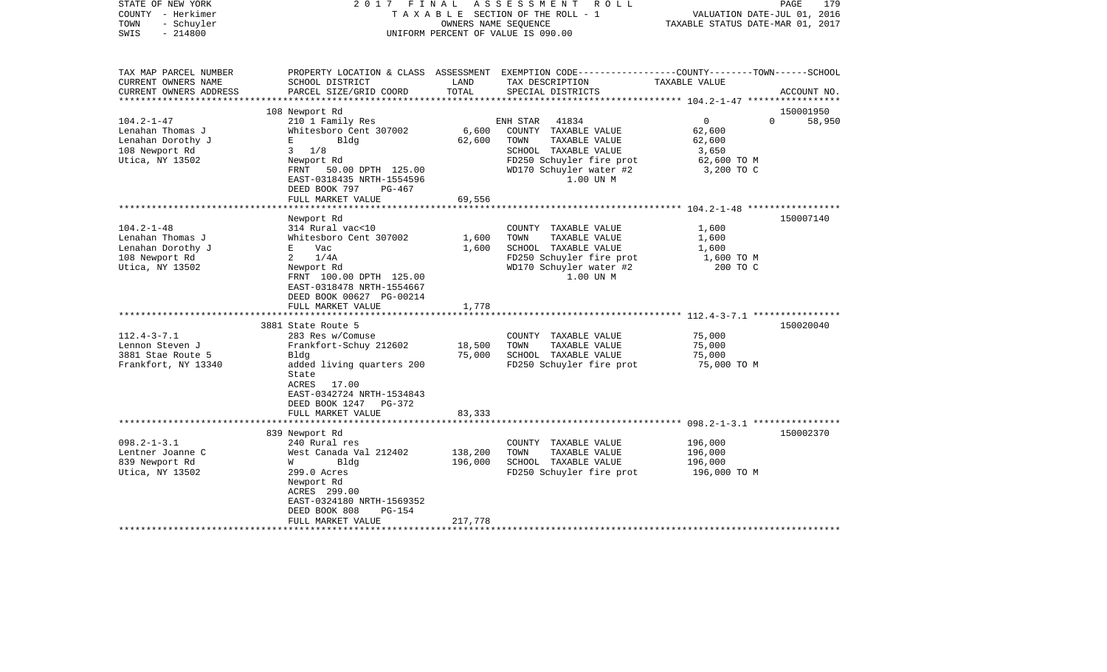| STATE OF NEW YORK<br>COUNTY - Herkimer<br>- Schuyler<br>TOWN<br>$-214800$<br>SWIS                | 2017 FINAL                                                         | OWNERS NAME SEQUENCE   | ASSESSMENT<br>R O L L<br>TAXABLE SECTION OF THE ROLL - 1<br>UNIFORM PERCENT OF VALUE IS 090.00                                         | VALUATION DATE-JUL 01, 2016<br>TAXABLE STATUS DATE-MAR 01, 2017 | PAGE<br>179 |
|--------------------------------------------------------------------------------------------------|--------------------------------------------------------------------|------------------------|----------------------------------------------------------------------------------------------------------------------------------------|-----------------------------------------------------------------|-------------|
| TAX MAP PARCEL NUMBER<br>CURRENT OWNERS NAME<br>CURRENT OWNERS ADDRESS<br>********************** | SCHOOL DISTRICT<br>PARCEL SIZE/GRID COORD                          | LAND<br>TOTAL          | PROPERTY LOCATION & CLASS ASSESSMENT EXEMPTION CODE---------------COUNTY-------TOWN-----SCHOOL<br>TAX DESCRIPTION<br>SPECIAL DISTRICTS | TAXABLE VALUE                                                   | ACCOUNT NO. |
|                                                                                                  | 108 Newport Rd                                                     |                        |                                                                                                                                        |                                                                 | 150001950   |
| $104.2 - 1 - 47$                                                                                 | 210 1 Family Res                                                   |                        | ENH STAR<br>41834                                                                                                                      | $\overline{0}$<br>$\Omega$                                      | 58,950      |
| Lenahan Thomas J                                                                                 | Whitesboro Cent 307002                                             | 6,600                  | COUNTY TAXABLE VALUE                                                                                                                   | 62,600                                                          |             |
| Lenahan Dorothy J                                                                                | Bldg<br>Е                                                          | 62,600                 | TOWN<br>TAXABLE VALUE                                                                                                                  | 62,600                                                          |             |
| 108 Newport Rd                                                                                   | $3 \t1/8$                                                          |                        | SCHOOL TAXABLE VALUE                                                                                                                   | 3,650                                                           |             |
| Utica, NY 13502                                                                                  | Newport Rd                                                         |                        | FD250 Schuyler fire prot                                                                                                               | 62,600 TO M                                                     |             |
|                                                                                                  | FRNT 50.00 DPTH 125.00                                             |                        | WD170 Schuyler water #2                                                                                                                | 3,200 TO C                                                      |             |
|                                                                                                  | EAST-0318435 NRTH-1554596                                          |                        | 1.00 UN M                                                                                                                              |                                                                 |             |
|                                                                                                  | DEED BOOK 797<br>PG-467                                            |                        |                                                                                                                                        |                                                                 |             |
|                                                                                                  | FULL MARKET VALUE                                                  | 69,556                 |                                                                                                                                        |                                                                 |             |
|                                                                                                  |                                                                    |                        |                                                                                                                                        | ********* 104.2-1-48 *************                              |             |
|                                                                                                  | Newport Rd                                                         |                        |                                                                                                                                        |                                                                 | 150007140   |
| $104.2 - 1 - 48$                                                                                 | 314 Rural vac<10                                                   |                        | COUNTY TAXABLE VALUE                                                                                                                   | 1,600                                                           |             |
| Lenahan Thomas J                                                                                 | Whitesboro Cent 307002                                             | 1,600                  | TAXABLE VALUE<br>TOWN                                                                                                                  | 1,600                                                           |             |
| Lenahan Dorothy J                                                                                | E Vac                                                              | 1,600                  | SCHOOL TAXABLE VALUE                                                                                                                   | 1,600                                                           |             |
| 108 Newport Rd                                                                                   | 2 $1/4A$                                                           |                        | FD250 Schuyler fire prot                                                                                                               | 1,600 TO M                                                      |             |
| Utica, NY 13502                                                                                  | Newport Rd<br>FRNT 100.00 DPTH 125.00<br>EAST-0318478 NRTH-1554667 |                        | WD170 Schuyler water #2<br>1.00 UN M                                                                                                   | 200 TO C                                                        |             |
|                                                                                                  | DEED BOOK 00627 PG-00214                                           |                        |                                                                                                                                        |                                                                 |             |
|                                                                                                  | FULL MARKET VALUE                                                  | 1,778                  |                                                                                                                                        | *********************** 112.4-3-7.1 *****************           |             |
|                                                                                                  |                                                                    |                        |                                                                                                                                        |                                                                 |             |
|                                                                                                  | 3881 State Route 5                                                 |                        |                                                                                                                                        |                                                                 | 150020040   |
| $112.4 - 3 - 7.1$<br>Lennon Steven J                                                             | 283 Res w/Comuse<br>Frankfort-Schuy 212602                         | 18,500                 | COUNTY TAXABLE VALUE<br>TOWN<br>TAXABLE VALUE                                                                                          | 75,000<br>75,000                                                |             |
| 3881 Stae Route 5                                                                                | Bldg                                                               | 75,000                 | SCHOOL TAXABLE VALUE                                                                                                                   | 75,000                                                          |             |
| Frankfort, NY 13340                                                                              | added living quarters 200                                          |                        | FD250 Schuyler fire prot                                                                                                               | 75,000 TO M                                                     |             |
|                                                                                                  | State<br>ACRES<br>17.00<br>EAST-0342724 NRTH-1534843               |                        |                                                                                                                                        |                                                                 |             |
|                                                                                                  | DEED BOOK 1247 PG-372                                              |                        |                                                                                                                                        |                                                                 |             |
|                                                                                                  | FULL MARKET VALUE<br>*************************                     | 83,333<br>************ |                                                                                                                                        |                                                                 |             |
|                                                                                                  |                                                                    |                        |                                                                                                                                        |                                                                 |             |
| $098.2 - 1 - 3.1$                                                                                | 839 Newport Rd                                                     |                        |                                                                                                                                        | 196,000                                                         | 150002370   |
| Lentner Joanne C                                                                                 | 240 Rural res<br>West Canada Val 212402                            | 138,200                | COUNTY TAXABLE VALUE<br>TOWN<br>TAXABLE VALUE                                                                                          | 196,000                                                         |             |
| 839 Newport Rd                                                                                   | <b>M</b><br>Bldg                                                   | 196,000                | SCHOOL TAXABLE VALUE                                                                                                                   | 196,000                                                         |             |
| Utica, NY 13502                                                                                  | 299.0 Acres                                                        |                        | FD250 Schuyler fire prot                                                                                                               | 196,000 ТО М                                                    |             |
|                                                                                                  | Newport Rd                                                         |                        |                                                                                                                                        |                                                                 |             |
|                                                                                                  | ACRES 299.00                                                       |                        |                                                                                                                                        |                                                                 |             |
|                                                                                                  | EAST-0324180 NRTH-1569352                                          |                        |                                                                                                                                        |                                                                 |             |
|                                                                                                  | DEED BOOK 808<br>PG-154                                            |                        |                                                                                                                                        |                                                                 |             |
|                                                                                                  | FULL MARKET VALUE                                                  | 217,778                |                                                                                                                                        |                                                                 |             |
|                                                                                                  |                                                                    |                        |                                                                                                                                        |                                                                 |             |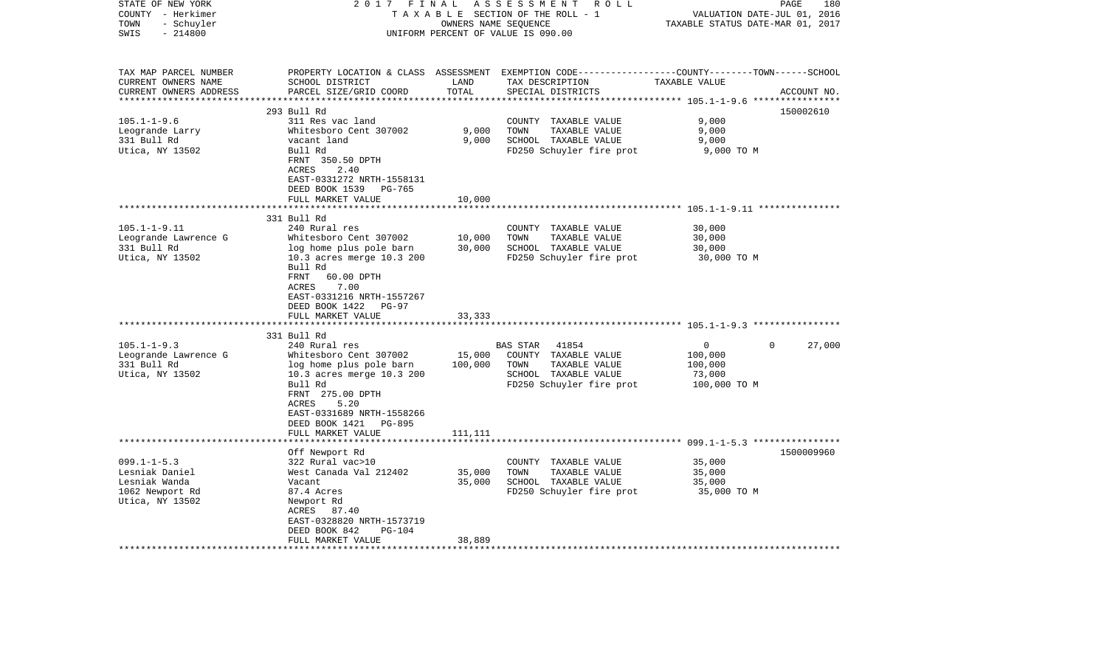| STATE OF NEW YORK<br>COUNTY - Herkimer<br>- Schuyler<br>TOWN<br>$-214800$<br>SWIS                  | 2 0 1 7<br>FINAL                                                                                                                                          |                   | ASSESSMENT<br>R O L L<br>TAXABLE SECTION OF THE ROLL - 1<br>OWNERS NAME SEQUENCE<br>UNIFORM PERCENT OF VALUE IS 090.00        | PAGE<br>180<br>2016<br>VALUATION DATE-JUL 01,<br>TAXABLE STATUS DATE-MAR 01, 2017                                               |
|----------------------------------------------------------------------------------------------------|-----------------------------------------------------------------------------------------------------------------------------------------------------------|-------------------|-------------------------------------------------------------------------------------------------------------------------------|---------------------------------------------------------------------------------------------------------------------------------|
| TAX MAP PARCEL NUMBER<br>CURRENT OWNERS NAME<br>CURRENT OWNERS ADDRESS<br>************************ | SCHOOL DISTRICT<br>PARCEL SIZE/GRID COORD                                                                                                                 | LAND<br>TOTAL     | TAX DESCRIPTION<br>SPECIAL DISTRICTS                                                                                          | PROPERTY LOCATION & CLASS ASSESSMENT EXEMPTION CODE---------------COUNTY-------TOWN------SCHOOL<br>TAXABLE VALUE<br>ACCOUNT NO. |
|                                                                                                    | 293 Bull Rd                                                                                                                                               |                   |                                                                                                                               | 150002610                                                                                                                       |
| $105.1 - 1 - 9.6$<br>Leogrande Larry<br>331 Bull Rd<br>Utica, NY 13502                             | 311 Res vac land<br>Whitesboro Cent 307002<br>vacant land<br>Bull Rd<br>FRNT 350.50 DPTH<br><b>ACRES</b><br>2.40                                          | 9,000<br>9,000    | COUNTY TAXABLE VALUE<br>TOWN<br>TAXABLE VALUE<br>SCHOOL TAXABLE VALUE<br>FD250 Schuyler fire prot                             | 9,000<br>9,000<br>9,000<br>9,000 TO M                                                                                           |
|                                                                                                    | EAST-0331272 NRTH-1558131<br>DEED BOOK 1539<br><b>PG-765</b><br>FULL MARKET VALUE<br>331 Bull Rd                                                          | 10,000            |                                                                                                                               | ************************ 105.1-1-9.11 ****************                                                                          |
| $105.1 - 1 - 9.11$                                                                                 | 240 Rural res                                                                                                                                             |                   | COUNTY TAXABLE VALUE                                                                                                          | 30,000                                                                                                                          |
| Leogrande Lawrence G<br>331 Bull Rd<br>Utica, NY 13502                                             | Whitesboro Cent 307002<br>log home plus pole barn<br>10.3 acres merge 10.3 200                                                                            | 10,000<br>30,000  | TOWN<br>TAXABLE VALUE<br>SCHOOL TAXABLE VALUE<br>FD250 Schuyler fire prot                                                     | 30,000<br>30,000<br>30,000 TO M                                                                                                 |
|                                                                                                    | Bull Rd<br>60.00 DPTH<br>FRNT<br><b>ACRES</b><br>7.00<br>EAST-0331216 NRTH-1557267<br>DEED BOOK 1422<br>PG-97<br>FULL MARKET VALUE                        | 33,333            |                                                                                                                               |                                                                                                                                 |
|                                                                                                    | 331 Bull Rd                                                                                                                                               |                   |                                                                                                                               |                                                                                                                                 |
| $105.1 - 1 - 9.3$<br>Leogrande Lawrence G<br>331 Bull Rd<br>Utica, NY 13502                        | 240 Rural res<br>Whitesboro Cent 307002<br>log home plus pole barn<br>10.3 acres merge 10.3 200<br>Bull Rd<br>FRNT 275.00 DPTH                            | 15,000<br>100,000 | <b>BAS STAR</b><br>41854<br>COUNTY TAXABLE VALUE<br>TOWN<br>TAXABLE VALUE<br>SCHOOL TAXABLE VALUE<br>FD250 Schuyler fire prot | 0<br>$\Omega$<br>27,000<br>100,000<br>100,000<br>73,000<br>100,000 TO M                                                         |
|                                                                                                    | 5.20<br>ACRES<br>EAST-0331689 NRTH-1558266<br>DEED BOOK 1421<br>PG-895<br>FULL MARKET VALUE<br>*******************                                        | 111,111           |                                                                                                                               |                                                                                                                                 |
|                                                                                                    | Off Newport Rd                                                                                                                                            |                   |                                                                                                                               | 1500009960                                                                                                                      |
| $099.1 - 1 - 5.3$<br>Lesniak Daniel<br>Lesniak Wanda<br>1062 Newport Rd<br>Utica, NY 13502         | 322 Rural vac>10<br>West Canada Val 212402<br>Vacant<br>87.4 Acres<br>Newport Rd<br>ACRES 87.40<br>EAST-0328820 NRTH-1573719<br>DEED BOOK 842<br>$PG-104$ | 35,000<br>35,000  | COUNTY TAXABLE VALUE<br>TOWN<br>TAXABLE VALUE<br>SCHOOL TAXABLE VALUE<br>FD250 Schuyler fire prot                             | 35,000<br>35,000<br>35,000<br>35,000 TO M                                                                                       |
|                                                                                                    | FULL MARKET VALUE<br>*****************                                                                                                                    | 38,889            |                                                                                                                               |                                                                                                                                 |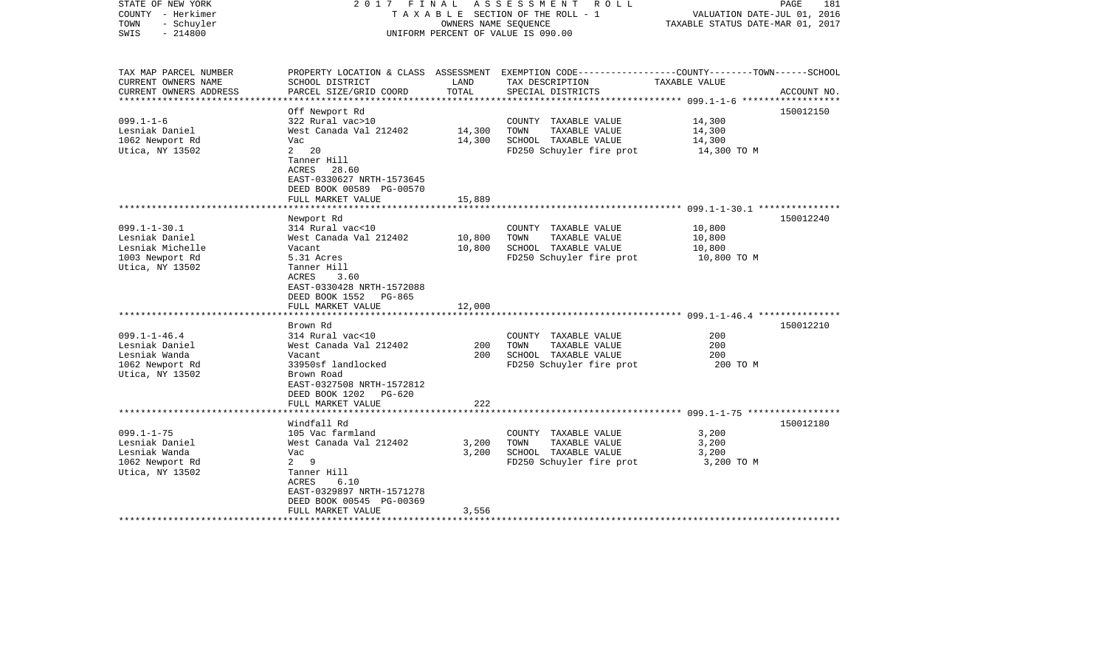| STATE OF NEW YORK<br>COUNTY - Herkimer<br>- Schuyler<br>TOWN<br>$-214800$<br>SWIS | 2017 FINAL                                                                                                  | OWNERS NAME SEOUENCE | ASSESSMENT ROLL<br>TAXABLE SECTION OF THE ROLL - 1<br>UNIFORM PERCENT OF VALUE IS 090.00 | VALUATION DATE-JUL 01, 2016<br>TAXABLE STATUS DATE-MAR 01, 2017 | PAGE<br>181 |
|-----------------------------------------------------------------------------------|-------------------------------------------------------------------------------------------------------------|----------------------|------------------------------------------------------------------------------------------|-----------------------------------------------------------------|-------------|
| TAX MAP PARCEL NUMBER<br>CURRENT OWNERS NAME                                      | PROPERTY LOCATION & CLASS ASSESSMENT<br>SCHOOL DISTRICT                                                     | LAND                 | EXEMPTION CODE-----------------COUNTY-------TOWN------SCHOOL<br>TAX DESCRIPTION          | TAXABLE VALUE                                                   |             |
| CURRENT OWNERS ADDRESS<br>***************                                         | PARCEL SIZE/GRID COORD<br>**************************************                                            | TOTAL                | SPECIAL DISTRICTS                                                                        |                                                                 | ACCOUNT NO. |
|                                                                                   | Off Newport Rd                                                                                              |                      |                                                                                          |                                                                 | 150012150   |
| $099.1 - 1 - 6$                                                                   | 322 Rural vac>10                                                                                            |                      | COUNTY TAXABLE VALUE                                                                     | 14,300                                                          |             |
| Lesniak Daniel                                                                    | West Canada Val 212402                                                                                      | 14,300               | TAXABLE VALUE<br>TOWN                                                                    | 14,300                                                          |             |
| 1062 Newport Rd                                                                   | Vac                                                                                                         | 14,300               | SCHOOL TAXABLE VALUE                                                                     | 14,300                                                          |             |
| Utica, NY 13502                                                                   | $2 \quad 20$                                                                                                |                      | FD250 Schuyler fire prot                                                                 | 14,300 TO M                                                     |             |
|                                                                                   | Tanner Hill<br>ACRES<br>28.60<br>EAST-0330627 NRTH-1573645<br>DEED BOOK 00589 PG-00570<br>FULL MARKET VALUE | 15,889               |                                                                                          |                                                                 |             |
|                                                                                   |                                                                                                             |                      |                                                                                          |                                                                 |             |
|                                                                                   | Newport Rd                                                                                                  |                      |                                                                                          |                                                                 | 150012240   |
| $099.1 - 1 - 30.1$                                                                | 314 Rural vac<10                                                                                            |                      | COUNTY TAXABLE VALUE                                                                     | 10,800                                                          |             |
| Lesniak Daniel                                                                    | West Canada Val 212402                                                                                      | 10,800               | TOWN<br>TAXABLE VALUE                                                                    | 10,800                                                          |             |
| Lesniak Michelle                                                                  | Vacant                                                                                                      | 10,800               | SCHOOL TAXABLE VALUE                                                                     | 10,800                                                          |             |
| 1003 Newport Rd                                                                   | 5.31 Acres                                                                                                  |                      | FD250 Schuyler fire prot                                                                 | 10,800 TO M                                                     |             |
| Utica, NY 13502                                                                   | Tanner Hill<br>ACRES<br>3.60<br>EAST-0330428 NRTH-1572088<br>DEED BOOK 1552<br>PG-865<br>FULL MARKET VALUE  | 12,000               |                                                                                          |                                                                 |             |
|                                                                                   |                                                                                                             |                      |                                                                                          |                                                                 |             |
|                                                                                   | Brown Rd                                                                                                    |                      |                                                                                          |                                                                 | 150012210   |
| $099.1 - 1 - 46.4$                                                                | 314 Rural vac<10                                                                                            |                      | COUNTY TAXABLE VALUE                                                                     | 200                                                             |             |
| Lesniak Daniel                                                                    | West Canada Val 212402                                                                                      | 200                  | TAXABLE VALUE<br>TOWN                                                                    | 200                                                             |             |
| Lesniak Wanda                                                                     | Vacant                                                                                                      | 200                  | SCHOOL TAXABLE VALUE                                                                     | 200                                                             |             |
| 1062 Newport Rd<br>Utica, NY 13502                                                | 33950sf landlocked<br>Brown Road<br>EAST-0327508 NRTH-1572812<br>DEED BOOK 1202 PG-620<br>FULL MARKET VALUE | 222                  | FD250 Schuyler fire prot                                                                 | 200 то м                                                        |             |
|                                                                                   |                                                                                                             |                      |                                                                                          |                                                                 |             |
|                                                                                   | Windfall Rd                                                                                                 |                      |                                                                                          |                                                                 | 150012180   |
| $099.1 - 1 - 75$                                                                  | 105 Vac farmland                                                                                            |                      | COUNTY TAXABLE VALUE                                                                     | 3,200                                                           |             |
| Lesniak Daniel                                                                    | West Canada Val 212402                                                                                      | 3,200                | TOWN<br>TAXABLE VALUE                                                                    | 3,200                                                           |             |
| Lesniak Wanda                                                                     | Vac                                                                                                         | 3,200                | SCHOOL TAXABLE VALUE                                                                     | 3,200                                                           |             |
| 1062 Newport Rd                                                                   | $2^9$                                                                                                       |                      | FD250 Schuyler fire prot                                                                 | 3,200 TO M                                                      |             |
| Utica, NY 13502                                                                   | Tanner Hill<br>6.10<br>ACRES<br>EAST-0329897 NRTH-1571278<br>DEED BOOK 00545 PG-00369                       |                      |                                                                                          |                                                                 |             |
|                                                                                   | FULL MARKET VALUE                                                                                           | 3,556                |                                                                                          |                                                                 |             |
|                                                                                   | * * * * * * * * * * * * * * * * * * *                                                                       |                      |                                                                                          |                                                                 |             |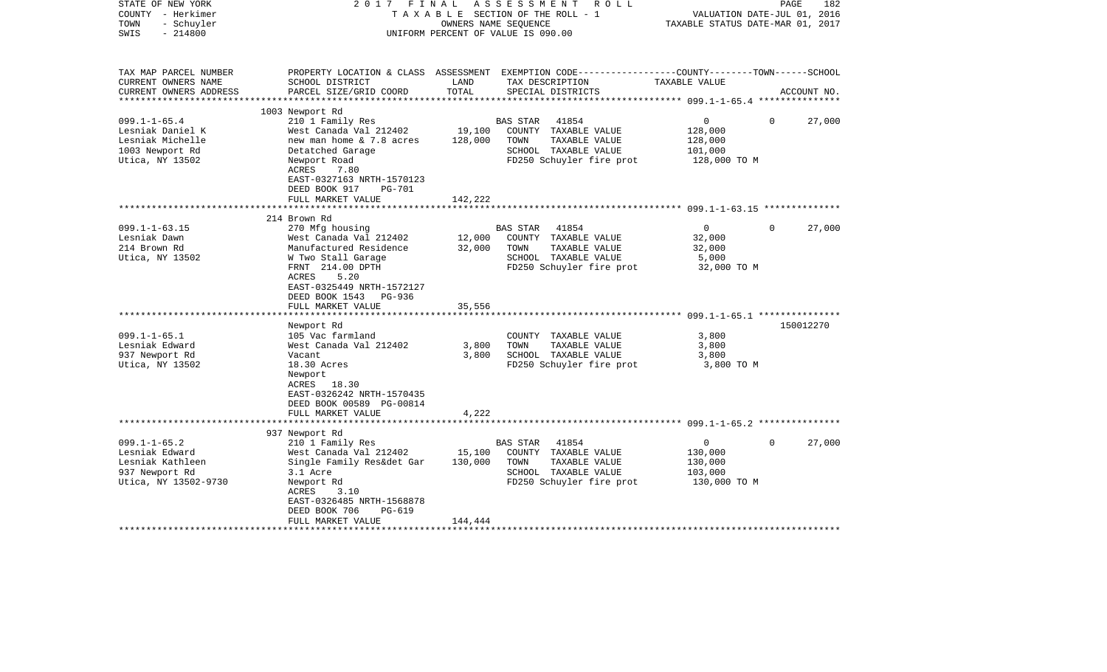| STATE OF NEW YORK<br>COUNTY - Herkimer<br>- Schuyler<br>TOWN<br>$-214800$<br>SWIS                                                                   | 2017<br>FINAL                                                                                                                                                                                                                                                                                                                                                                        | OWNERS NAME SEQUENCE                         | ASSESSMENT<br>ROLL<br>TAXABLE SECTION OF THE ROLL - 1<br>UNIFORM PERCENT OF VALUE IS 090.00                                                                                                                                 | VALUATION DATE-JUL 01, 2016<br>TAXABLE STATUS DATE-MAR 01, 2017                                                                                               | PAGE     | 182                 |
|-----------------------------------------------------------------------------------------------------------------------------------------------------|--------------------------------------------------------------------------------------------------------------------------------------------------------------------------------------------------------------------------------------------------------------------------------------------------------------------------------------------------------------------------------------|----------------------------------------------|-----------------------------------------------------------------------------------------------------------------------------------------------------------------------------------------------------------------------------|---------------------------------------------------------------------------------------------------------------------------------------------------------------|----------|---------------------|
| TAX MAP PARCEL NUMBER<br>CURRENT OWNERS NAME<br>CURRENT OWNERS ADDRESS<br>********************                                                      | SCHOOL DISTRICT<br>PARCEL SIZE/GRID COORD                                                                                                                                                                                                                                                                                                                                            | LAND<br>TOTAL                                | PROPERTY LOCATION & CLASS ASSESSMENT EXEMPTION CODE---------------COUNTY-------TOWN------SCHOOL<br>TAX DESCRIPTION<br>SPECIAL DISTRICTS                                                                                     | TAXABLE VALUE                                                                                                                                                 |          | ACCOUNT NO.         |
|                                                                                                                                                     | 1003 Newport Rd                                                                                                                                                                                                                                                                                                                                                                      |                                              |                                                                                                                                                                                                                             |                                                                                                                                                               |          |                     |
| $099.1 - 1 - 65.4$<br>Lesniak Daniel K<br>Lesniak Michelle<br>1003 Newport Rd<br>Utica, NY 13502                                                    | 210 1 Family Res<br>West Canada Val 212402<br>new man home & 7.8 acres<br>Detatched Garage<br>Newport Road<br>ACRES<br>7.80<br>EAST-0327163 NRTH-1570123<br>DEED BOOK 917<br>PG-701                                                                                                                                                                                                  | 19,100<br>128,000                            | 41854<br><b>BAS STAR</b><br>COUNTY TAXABLE VALUE<br>TOWN<br>TAXABLE VALUE<br>SCHOOL TAXABLE VALUE<br>FD250 Schuyler fire prot                                                                                               | $\overline{0}$<br>128,000<br>128,000<br>101,000<br>128,000 TO M                                                                                               | $\Omega$ | 27,000              |
|                                                                                                                                                     | FULL MARKET VALUE                                                                                                                                                                                                                                                                                                                                                                    | 142,222                                      |                                                                                                                                                                                                                             |                                                                                                                                                               |          |                     |
|                                                                                                                                                     |                                                                                                                                                                                                                                                                                                                                                                                      |                                              |                                                                                                                                                                                                                             | ********************** 099.1-1-63.15 **************                                                                                                           |          |                     |
|                                                                                                                                                     | 214 Brown Rd                                                                                                                                                                                                                                                                                                                                                                         |                                              |                                                                                                                                                                                                                             |                                                                                                                                                               |          |                     |
| $099.1 - 1 - 63.15$<br>Lesniak Dawn<br>214 Brown Rd<br>Utica, NY 13502<br>$099.1 - 1 - 65.1$<br>Lesniak Edward<br>937 Newport Rd<br>Utica, NY 13502 | 270 Mfg housing<br>West Canada Val 212402<br>Manufactured Residence<br>W Two Stall Garage<br>FRNT 214.00 DPTH<br>ACRES<br>5.20<br>EAST-0325449 NRTH-1572127<br>DEED BOOK 1543<br>PG-936<br>FULL MARKET VALUE<br>Newport Rd<br>105 Vac farmland<br>West Canada Val 212402<br>Vacant<br>18.30 Acres<br>Newport<br>ACRES 18.30<br>EAST-0326242 NRTH-1570435<br>DEED BOOK 00589 PG-00814 | 12,000<br>32,000<br>35,556<br>3,800<br>3,800 | 41854<br>BAS STAR<br>COUNTY TAXABLE VALUE<br>TOWN<br>TAXABLE VALUE<br>SCHOOL TAXABLE VALUE<br>FD250 Schuyler fire prot<br>COUNTY TAXABLE VALUE<br>TOWN<br>TAXABLE VALUE<br>SCHOOL TAXABLE VALUE<br>FD250 Schuyler fire prot | $\overline{0}$<br>32,000<br>32,000<br>5,000<br>32,000 TO M<br>************************ 099.1-1-65.1 ****************<br>3,800<br>3,800<br>3,800<br>3,800 TO M | $\Omega$ | 27,000<br>150012270 |
|                                                                                                                                                     | FULL MARKET VALUE                                                                                                                                                                                                                                                                                                                                                                    | 4,222                                        |                                                                                                                                                                                                                             |                                                                                                                                                               |          |                     |
|                                                                                                                                                     |                                                                                                                                                                                                                                                                                                                                                                                      |                                              |                                                                                                                                                                                                                             |                                                                                                                                                               |          |                     |
| $099.1 - 1 - 65.2$<br>Lesniak Edward<br>Lesniak Kathleen<br>937 Newport Rd<br>Utica, NY 13502-9730                                                  | 937 Newport Rd<br>210 1 Family Res<br>West Canada Val 212402<br>Single Family Res&det Gar<br>3.1 Acre<br>Newport Rd<br>ACRES<br>3.10<br>EAST-0326485 NRTH-1568878<br>DEED BOOK 706<br><b>PG-619</b><br>FULL MARKET VALUE                                                                                                                                                             | 15,100<br>130,000<br>144,444                 | 41854<br>BAS STAR<br>COUNTY TAXABLE VALUE<br>TOWN<br>TAXABLE VALUE<br>SCHOOL TAXABLE VALUE<br>FD250 Schuyler fire prot                                                                                                      | $\mathsf{O}$<br>130,000<br>130,000<br>103,000<br>130,000 TO M                                                                                                 | $\Omega$ | 27,000              |
|                                                                                                                                                     |                                                                                                                                                                                                                                                                                                                                                                                      |                                              |                                                                                                                                                                                                                             |                                                                                                                                                               |          |                     |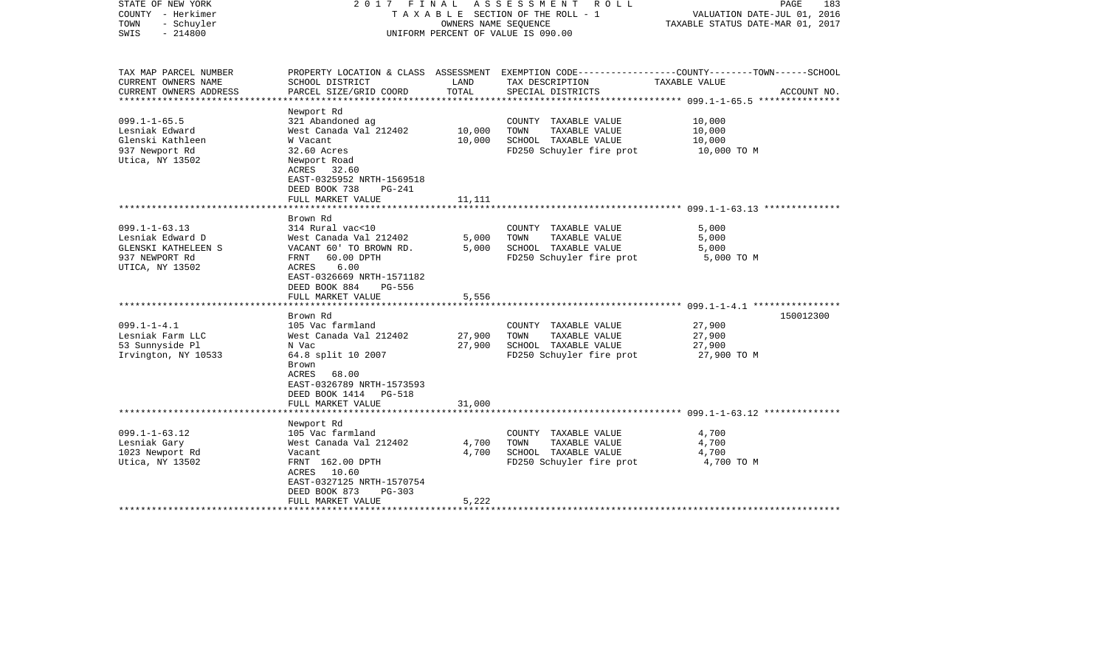| STATE OF NEW YORK<br>COUNTY - Herkimer<br>TOWN<br>- Schuyler<br>$-214800$<br>SWIS                   |                                                                                                                                                                                                       | OWNERS NAME SEQUENCE    | 2017 FINAL ASSESSMENT ROLL<br>T A X A B L E SECTION OF THE ROLL - 1<br>UNIFORM PERCENT OF VALUE IS 090.00 | PAGE<br>183<br>VALUATION DATE-JUL 01, 2016<br>TAXABLE STATUS DATE-MAR 01, 2017                                                  |  |
|-----------------------------------------------------------------------------------------------------|-------------------------------------------------------------------------------------------------------------------------------------------------------------------------------------------------------|-------------------------|-----------------------------------------------------------------------------------------------------------|---------------------------------------------------------------------------------------------------------------------------------|--|
| TAX MAP PARCEL NUMBER<br>CURRENT OWNERS NAME<br>CURRENT OWNERS ADDRESS                              | SCHOOL DISTRICT<br>PARCEL SIZE/GRID COORD                                                                                                                                                             | LAND<br>TOTAL           | TAX DESCRIPTION<br>SPECIAL DISTRICTS                                                                      | PROPERTY LOCATION & CLASS ASSESSMENT EXEMPTION CODE---------------COUNTY-------TOWN------SCHOOL<br>TAXABLE VALUE<br>ACCOUNT NO. |  |
| ***************                                                                                     |                                                                                                                                                                                                       |                         |                                                                                                           | ****************** 099.1-1-65.5 ****************                                                                                |  |
| $099.1 - 1 - 65.5$<br>Lesniak Edward<br>Glenski Kathleen<br>937 Newport Rd<br>Utica, NY 13502       | Newport Rd<br>321 Abandoned ag<br>West Canada Val 212402<br>W Vacant<br>32.60 Acres<br>Newport Road<br>ACRES 32.60<br>EAST-0325952 NRTH-1569518<br>DEED BOOK 738<br>PG-241                            | 10,000<br>10,000        | COUNTY TAXABLE VALUE<br>TAXABLE VALUE<br>TOWN<br>SCHOOL TAXABLE VALUE<br>FD250 Schuyler fire prot         | 10,000<br>10,000<br>10,000<br>10,000 TO M                                                                                       |  |
|                                                                                                     | FULL MARKET VALUE                                                                                                                                                                                     | 11,111                  |                                                                                                           |                                                                                                                                 |  |
| $099.1 - 1 - 63.13$<br>Lesniak Edward D<br>GLENSKI KATHELEEN S<br>937 NEWPORT Rd<br>UTICA, NY 13502 | Brown Rd<br>314 Rural vac<10<br>West Canada Val 212402<br>VACANT 60' TO BROWN RD.<br>FRNT<br>60.00 DPTH<br>6.00<br>ACRES<br>EAST-0326669 NRTH-1571182<br>DEED BOOK 884<br>PG-556<br>FULL MARKET VALUE | 5,000<br>5.000<br>5,556 | COUNTY TAXABLE VALUE<br>TOWN<br>TAXABLE VALUE<br>SCHOOL TAXABLE VALUE<br>FD250 Schuyler fire prot         | 5,000<br>5,000<br>5,000<br>5,000 TO M                                                                                           |  |
|                                                                                                     | *********************                                                                                                                                                                                 |                         |                                                                                                           |                                                                                                                                 |  |
| $099.1 - 1 - 4.1$<br>Lesniak Farm LLC<br>53 Sunnyside Pl<br>Irvington, NY 10533                     | Brown Rd<br>105 Vac farmland<br>West Canada Val 212402<br>N Vac<br>64.8 split 10 2007<br>Brown<br><b>ACRES</b><br>68.00<br>EAST-0326789 NRTH-1573593<br>DEED BOOK 1414 PG-518                         | 27,900<br>27,900        | COUNTY TAXABLE VALUE<br>TAXABLE VALUE<br>TOWN<br>SCHOOL TAXABLE VALUE<br>FD250 Schuyler fire prot         | 150012300<br>27,900<br>27,900<br>27,900<br>27,900 TO M                                                                          |  |
|                                                                                                     | FULL MARKET VALUE                                                                                                                                                                                     | 31,000                  |                                                                                                           |                                                                                                                                 |  |
| $099.1 - 1 - 63.12$<br>Lesniak Gary<br>1023 Newport Rd<br>Utica, NY 13502                           | Newport Rd<br>105 Vac farmland<br>West Canada Val 212402<br>Vacant<br>FRNT 162.00 DPTH<br>ACRES<br>10.60<br>EAST-0327125 NRTH-1570754<br>DEED BOOK 873<br>PG-303<br>FULL MARKET VALUE                 | 4,700<br>4,700<br>5,222 | COUNTY TAXABLE VALUE<br>TOWN<br>TAXABLE VALUE<br>SCHOOL TAXABLE VALUE<br>FD250 Schuyler fire prot         | 4,700<br>4,700<br>4,700<br>4,700 TO M                                                                                           |  |
|                                                                                                     | * * * * * * * * * * * * * * * * * * *                                                                                                                                                                 |                         |                                                                                                           |                                                                                                                                 |  |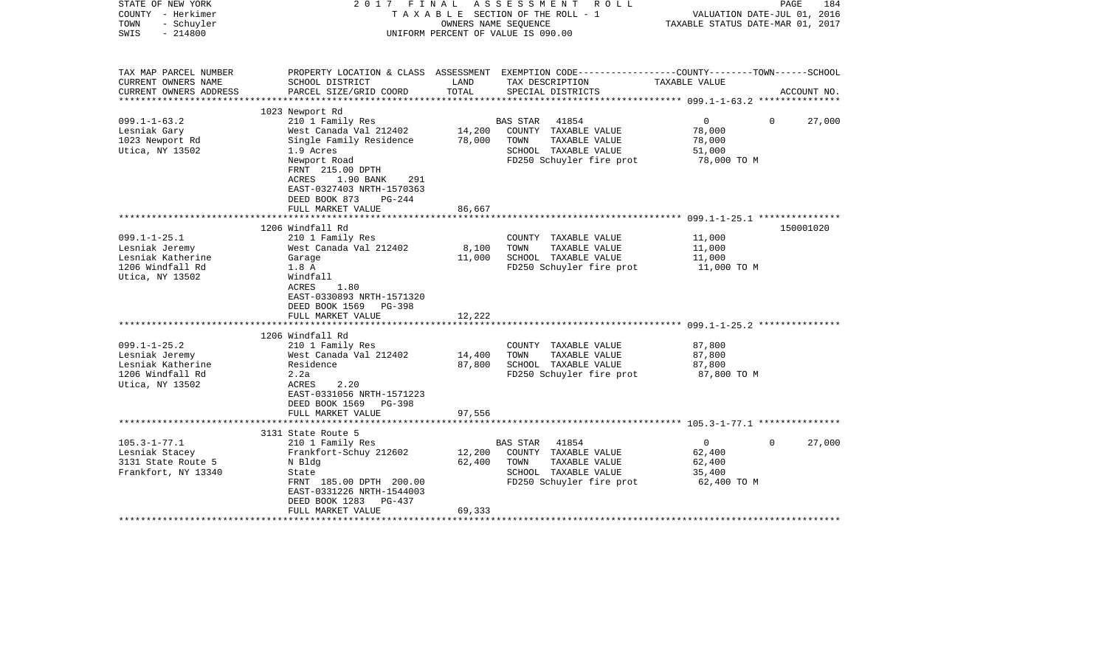| STATE OF NEW YORK<br>COUNTY - Herkimer<br>TOWN<br>- Schuyler<br>$-214800$<br>SWIS | FINAL<br>2017                                                                                                           |               | ASSESSMENT<br>R O L L<br>TAXABLE SECTION OF THE ROLL - 1<br>OWNERS NAME SEOUENCE<br>UNIFORM PERCENT OF VALUE IS 090.00 |                       | PAGE<br>184<br>VALUATION DATE-JUL 01, 2016<br>TAXABLE STATUS DATE-MAR 01, 2017 |
|-----------------------------------------------------------------------------------|-------------------------------------------------------------------------------------------------------------------------|---------------|------------------------------------------------------------------------------------------------------------------------|-----------------------|--------------------------------------------------------------------------------|
| TAX MAP PARCEL NUMBER                                                             |                                                                                                                         |               | PROPERTY LOCATION & CLASS ASSESSMENT EXEMPTION CODE---------------COUNTY-------TOWN------SCHOOL                        |                       |                                                                                |
| CURRENT OWNERS NAME<br>CURRENT OWNERS ADDRESS<br>**********************           | SCHOOL DISTRICT<br>PARCEL SIZE/GRID COORD                                                                               | LAND<br>TOTAL | TAX DESCRIPTION<br>SPECIAL DISTRICTS                                                                                   | TAXABLE VALUE         | ACCOUNT NO.                                                                    |
|                                                                                   | 1023 Newport Rd                                                                                                         |               |                                                                                                                        |                       |                                                                                |
| $099.1 - 1 - 63.2$                                                                | 210 1 Family Res                                                                                                        |               | BAS STAR<br>41854                                                                                                      | $\overline{0}$        | $\Omega$<br>27,000                                                             |
| Lesniak Gary                                                                      | West Canada Val 212402                                                                                                  | 14,200        | COUNTY TAXABLE VALUE                                                                                                   | 78,000                |                                                                                |
| 1023 Newport Rd                                                                   | Single Family Residence                                                                                                 | 78,000        | TOWN<br>TAXABLE VALUE                                                                                                  | 78,000                |                                                                                |
| Utica, NY 13502                                                                   | 1.9 Acres                                                                                                               |               | SCHOOL TAXABLE VALUE                                                                                                   | 51,000                |                                                                                |
|                                                                                   | Newport Road<br>FRNT 215.00 DPTH<br>ACRES<br>1.90 BANK<br>291<br>EAST-0327403 NRTH-1570363<br>DEED BOOK 873<br>$PG-244$ |               | FD250 Schuyler fire prot                                                                                               | 78,000 TO M           |                                                                                |
|                                                                                   | FULL MARKET VALUE                                                                                                       | 86,667        |                                                                                                                        |                       |                                                                                |
|                                                                                   | 1206 Windfall Rd                                                                                                        |               |                                                                                                                        |                       | 150001020                                                                      |
| $099.1 - 1 - 25.1$                                                                | 210 1 Family Res                                                                                                        |               | COUNTY TAXABLE VALUE                                                                                                   | 11,000                |                                                                                |
| Lesniak Jeremy                                                                    | West Canada Val 212402                                                                                                  | 8,100         | TOWN<br>TAXABLE VALUE                                                                                                  | 11,000                |                                                                                |
| Lesniak Katherine                                                                 | Garage                                                                                                                  | 11,000        | SCHOOL TAXABLE VALUE                                                                                                   | 11,000                |                                                                                |
| 1206 Windfall Rd<br>Utica, NY 13502                                               | 1.8 A<br>Windfall<br>ACRES<br>1.80<br>EAST-0330893 NRTH-1571320<br>DEED BOOK 1569<br>PG-398<br>FULL MARKET VALUE        | 12,222        | FD250 Schuyler fire prot                                                                                               | 11,000 TO M           |                                                                                |
|                                                                                   | ***********************                                                                                                 |               |                                                                                                                        |                       |                                                                                |
|                                                                                   | 1206 Windfall Rd                                                                                                        |               |                                                                                                                        |                       |                                                                                |
| $099.1 - 1 - 25.2$                                                                | 210 1 Family Res                                                                                                        |               | COUNTY TAXABLE VALUE                                                                                                   | 87,800                |                                                                                |
| Lesniak Jeremy                                                                    | West Canada Val 212402                                                                                                  | 14,400        | TAXABLE VALUE<br>TOWN                                                                                                  | 87,800                |                                                                                |
| Lesniak Katherine                                                                 | Residence                                                                                                               | 87,800        | SCHOOL TAXABLE VALUE                                                                                                   | 87,800                |                                                                                |
| 1206 Windfall Rd<br>Utica, NY 13502                                               | 2.2a<br>ACRES<br>2.20<br>EAST-0331056 NRTH-1571223<br>DEED BOOK 1569<br>PG-398                                          |               | FD250 Schuyler fire prot                                                                                               | 87,800 TO M           |                                                                                |
|                                                                                   | FULL MARKET VALUE                                                                                                       | 97,556        |                                                                                                                        |                       |                                                                                |
|                                                                                   | 3131 State Route 5                                                                                                      |               |                                                                                                                        |                       |                                                                                |
| $105.3 - 1 - 77.1$                                                                | 210 1 Family Res                                                                                                        |               | <b>BAS STAR</b><br>41854                                                                                               | $\overline{0}$        | 27,000<br>$\Omega$                                                             |
| Lesniak Stacey                                                                    | Frankfort-Schuy 212602                                                                                                  | 12,200        | COUNTY TAXABLE VALUE                                                                                                   | 62,400                |                                                                                |
| 3131 State Route 5                                                                | N Bldg                                                                                                                  | 62,400        | TOWN<br>TAXABLE VALUE                                                                                                  | 62,400                |                                                                                |
| Frankfort, NY 13340                                                               | State<br>FRNT 185.00 DPTH 200.00<br>EAST-0331226 NRTH-1544003<br>DEED BOOK 1283<br>PG-437                               |               | SCHOOL TAXABLE VALUE<br>FD250 Schuyler fire prot                                                                       | 35,400<br>62,400 TO M |                                                                                |
|                                                                                   | FULL MARKET VALUE                                                                                                       | 69,333        |                                                                                                                        |                       |                                                                                |
|                                                                                   |                                                                                                                         |               |                                                                                                                        |                       |                                                                                |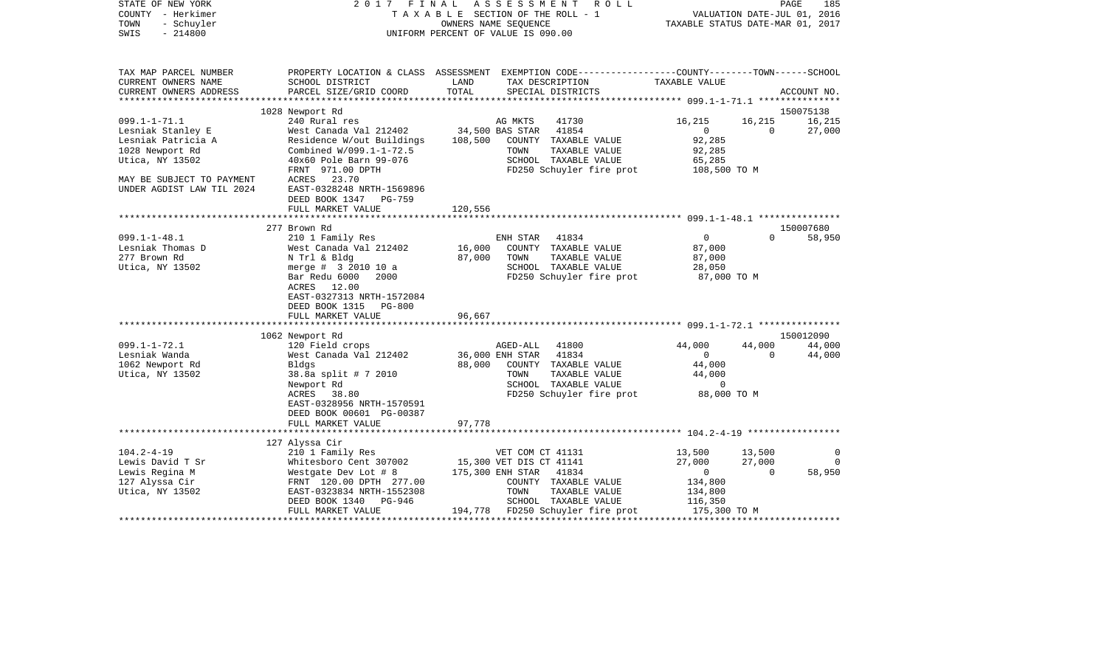| STATE OF NEW YORK<br>COUNTY - Herkimer<br>TOWN<br>- Schuyler<br>$-214800$<br>SWIS | 2017                                                                                       | FINAL         | A S S E S S M E N T<br>R O L L<br>TAXABLE SECTION OF THE ROLL - 1<br>OWNERS NAME SEQUENCE<br>UNIFORM PERCENT OF VALUE IS 090.00 | PAGE<br>185<br>VALUATION DATE-JUL 01, 2016<br>TAXABLE STATUS DATE-MAR 01, 2017 |                |             |
|-----------------------------------------------------------------------------------|--------------------------------------------------------------------------------------------|---------------|---------------------------------------------------------------------------------------------------------------------------------|--------------------------------------------------------------------------------|----------------|-------------|
| TAX MAP PARCEL NUMBER                                                             |                                                                                            |               | PROPERTY LOCATION & CLASS ASSESSMENT EXEMPTION CODE----------------COUNTY-------TOWN------SCHOOL                                |                                                                                |                |             |
| CURRENT OWNERS NAME<br>CURRENT OWNERS ADDRESS                                     | SCHOOL DISTRICT                                                                            | LAND<br>TOTAL | TAX DESCRIPTION<br>SPECIAL DISTRICTS                                                                                            | TAXABLE VALUE                                                                  |                | ACCOUNT NO. |
| *******************                                                               | PARCEL SIZE/GRID COORD                                                                     |               |                                                                                                                                 |                                                                                |                |             |
|                                                                                   | 1028 Newport Rd                                                                            |               |                                                                                                                                 |                                                                                |                | 150075138   |
| $099.1 - 1 - 71.1$                                                                | 240 Rural res                                                                              |               | AG MKTS<br>41730                                                                                                                | 16,215                                                                         | 16,215         | 16,215      |
| Lesniak Stanley E                                                                 | West Canada Val 212402                                                                     |               | 34,500 BAS STAR<br>41854                                                                                                        | $\overline{0}$                                                                 | $\overline{0}$ | 27,000      |
| Lesniak Patricia A                                                                | Residence W/out Buildings                                                                  | 108,500       | COUNTY TAXABLE VALUE                                                                                                            | 92,285                                                                         |                |             |
| 1028 Newport Rd                                                                   | Combined W/099.1-1-72.5                                                                    |               | TOWN<br>TAXABLE VALUE                                                                                                           | 92,285                                                                         |                |             |
| Utica, NY 13502                                                                   | 40x60 Pole Barn 99-076                                                                     |               | SCHOOL TAXABLE VALUE                                                                                                            | 65,285                                                                         |                |             |
|                                                                                   | FRNT 971.00 DPTH                                                                           |               | FD250 Schuyler fire prot 108,500 TO M                                                                                           |                                                                                |                |             |
| MAY BE SUBJECT TO PAYMENT<br>UNDER AGDIST LAW TIL 2024                            | ACRES 23.70<br>EAST-0328248 NRTH-1569896<br>DEED BOOK 1347<br>PG-759                       |               |                                                                                                                                 |                                                                                |                |             |
|                                                                                   | FULL MARKET VALUE                                                                          | 120,556       |                                                                                                                                 |                                                                                |                |             |
|                                                                                   |                                                                                            |               |                                                                                                                                 |                                                                                |                |             |
|                                                                                   | 277 Brown Rd                                                                               |               |                                                                                                                                 |                                                                                |                | 150007680   |
| $099.1 - 1 - 48.1$                                                                | 210 1 Family Res                                                                           |               | ENH STAR<br>41834                                                                                                               | $\overline{0}$                                                                 | $\Omega$       | 58,950      |
| Lesniak Thomas D                                                                  | West Canada Val 212402                                                                     | 16,000        | COUNTY TAXABLE VALUE                                                                                                            | 87,000                                                                         |                |             |
| 277 Brown Rd                                                                      | N Trl & Bldg                                                                               | 87,000        | TOWN<br>TAXABLE VALUE                                                                                                           | 87,000                                                                         |                |             |
| Utica, NY 13502                                                                   | merge # 3 2010 10 a                                                                        |               | SCHOOL TAXABLE VALUE                                                                                                            | 28,050                                                                         |                |             |
|                                                                                   | Bar Redu 6000<br>2000<br>ACRES 12.00<br>EAST-0327313 NRTH-1572084<br>DEED BOOK 1315 PG-800 |               | FD250 Schuyler fire prot                                                                                                        | 87,000 TO M                                                                    |                |             |
|                                                                                   | FULL MARKET VALUE                                                                          | 96,667        |                                                                                                                                 |                                                                                |                |             |
|                                                                                   |                                                                                            |               |                                                                                                                                 |                                                                                |                | 150012090   |
| $099.1 - 1 - 72.1$                                                                | 1062 Newport Rd<br>120 Field crops                                                         |               | 41800<br>AGED-ALL                                                                                                               | 44,000                                                                         | 44,000         | 44,000      |
| Lesniak Wanda                                                                     | West Canada Val 212402                                                                     |               | 36,000 ENH STAR<br>41834                                                                                                        | $\overline{0}$                                                                 | $\bigcap$      | 44,000      |
| 1062 Newport Rd                                                                   | Bldgs                                                                                      | 88,000        | COUNTY TAXABLE VALUE                                                                                                            | 44,000                                                                         |                |             |
| Utica, NY 13502                                                                   | 38.8a split # 7 2010                                                                       |               | TOWN<br>TAXABLE VALUE                                                                                                           | 44,000                                                                         |                |             |
|                                                                                   | Newport Rd                                                                                 |               | SCHOOL TAXABLE VALUE                                                                                                            | $\overline{0}$                                                                 |                |             |
|                                                                                   | ACRES 38.80                                                                                |               | FD250 Schuyler fire prot                                                                                                        | 88,000 TO M                                                                    |                |             |
|                                                                                   | EAST-0328956 NRTH-1570591<br>DEED BOOK 00601 PG-00387<br>FULL MARKET VALUE                 | 97,778        |                                                                                                                                 |                                                                                |                |             |
|                                                                                   |                                                                                            |               |                                                                                                                                 |                                                                                |                |             |
|                                                                                   | 127 Alyssa Cir                                                                             |               |                                                                                                                                 |                                                                                |                |             |
| $104.2 - 4 - 19$                                                                  | 210 1 Family Res                                                                           |               | VET COM CT 41131                                                                                                                | 13,500                                                                         | 13,500         | $\Omega$    |
| Lewis David T Sr                                                                  | Whitesboro Cent 307002                                                                     |               | 15,300 VET DIS CT 41141                                                                                                         | 27,000                                                                         | 27,000         | $\Omega$    |
| Lewis Regina M                                                                    | Westgate Dev Lot # 8                                                                       |               | 175,300 ENH STAR 41834                                                                                                          | $\overline{0}$                                                                 | $\mathbf{0}$   | 58,950      |
| 127 Alyssa Cir                                                                    | FRNT 120.00 DPTH 277.00                                                                    |               | COUNTY TAXABLE VALUE                                                                                                            | 134,800                                                                        |                |             |
| Utica, NY 13502                                                                   | EAST-0323834 NRTH-1552308                                                                  |               | TAXABLE VALUE<br>TOWN                                                                                                           | 134,800                                                                        |                |             |
|                                                                                   | DEED BOOK 1340<br>PG-946                                                                   |               | SCHOOL TAXABLE VALUE                                                                                                            | 116,350                                                                        |                |             |
|                                                                                   | FULL MARKET VALUE                                                                          |               | 194,778 FD250 Schuyler fire prot                                                                                                | 175,300 TO M                                                                   |                |             |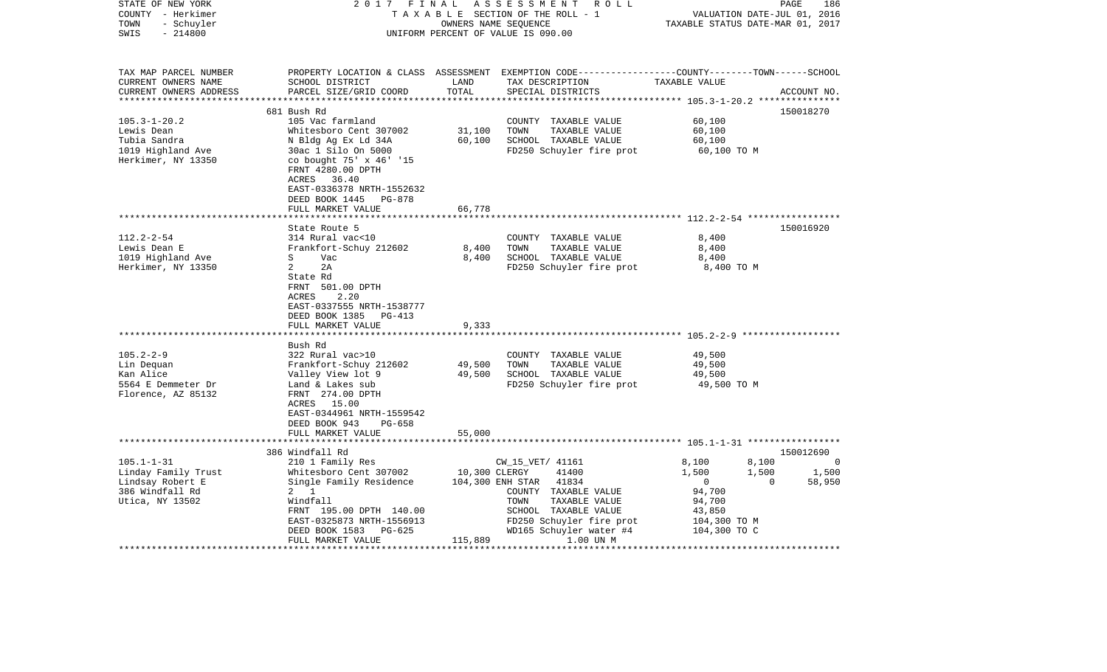| STATE OF NEW YORK<br>COUNTY - Herkimer<br>TOWN<br>- Schuyler<br>$-214800$<br>SWIS                                                                                     | 2017<br>FINAL<br>TAXABLE SECTION OF THE ROLL - 1<br>UNIFORM PERCENT OF VALUE IS 090.00                                                                                                                                                                                                                                                                                                                     | 186<br>R O L L<br>PAGE<br>VALUATION DATE-JUL 01, 2016<br>TAXABLE STATUS DATE-MAR 01, 2017 |                                                                                                                                                                                                        |                                                                                    |                                   |
|-----------------------------------------------------------------------------------------------------------------------------------------------------------------------|------------------------------------------------------------------------------------------------------------------------------------------------------------------------------------------------------------------------------------------------------------------------------------------------------------------------------------------------------------------------------------------------------------|-------------------------------------------------------------------------------------------|--------------------------------------------------------------------------------------------------------------------------------------------------------------------------------------------------------|------------------------------------------------------------------------------------|-----------------------------------|
| TAX MAP PARCEL NUMBER<br>CURRENT OWNERS NAME<br>CURRENT OWNERS ADDRESS<br>************************                                                                    | SCHOOL DISTRICT<br>PARCEL SIZE/GRID COORD                                                                                                                                                                                                                                                                                                                                                                  | LAND<br>TOTAL                                                                             | PROPERTY LOCATION & CLASS ASSESSMENT EXEMPTION CODE---------------COUNTY-------TOWN------SCHOOL<br>TAX DESCRIPTION<br>SPECIAL DISTRICTS                                                                | TAXABLE VALUE                                                                      | ACCOUNT NO.                       |
|                                                                                                                                                                       | 681 Bush Rd                                                                                                                                                                                                                                                                                                                                                                                                |                                                                                           |                                                                                                                                                                                                        |                                                                                    | 150018270                         |
| $105.3 - 1 - 20.2$<br>Lewis Dean<br>Tubia Sandra<br>1019 Highland Ave<br>Herkimer, NY 13350                                                                           | 105 Vac farmland<br>Whitesboro Cent 307002<br>N Bldg Ag Ex Ld 34A<br>30ac 1 Silo On 5000<br>co bought 75' x 46' '15<br>FRNT 4280.00 DPTH<br>ACRES<br>36.40<br>EAST-0336378 NRTH-1552632<br>DEED BOOK 1445 PG-878                                                                                                                                                                                           | 31,100<br>60,100                                                                          | COUNTY TAXABLE VALUE<br>TOWN<br>TAXABLE VALUE<br>SCHOOL TAXABLE VALUE<br>FD250 Schuyler fire prot                                                                                                      | 60,100<br>60,100<br>60,100<br>60,100 TO M                                          |                                   |
|                                                                                                                                                                       | FULL MARKET VALUE                                                                                                                                                                                                                                                                                                                                                                                          | 66,778                                                                                    |                                                                                                                                                                                                        |                                                                                    |                                   |
| $112.2 - 2 - 54$<br>Lewis Dean E<br>1019 Highland Ave<br>Herkimer, NY 13350<br>$105.2 - 2 - 9$<br>Lin Dequan<br>Kan Alice<br>5564 E Demmeter Dr<br>Florence, AZ 85132 | State Route 5<br>314 Rural vac<10<br>Frankfort-Schuy 212602<br>S<br>Vac<br>2<br>2A<br>State Rd<br>FRNT 501.00 DPTH<br>ACRES<br>2.20<br>EAST-0337555 NRTH-1538777<br>DEED BOOK 1385<br>PG-413<br>FULL MARKET VALUE<br>*******************<br>Bush Rd<br>322 Rural vac>10<br>Frankfort-Schuy 212602<br>Valley View lot 9<br>Land & Lakes sub<br>FRNT 274.00 DPTH<br>ACRES 15.00<br>EAST-0344961 NRTH-1559542 | 8,400<br>8,400<br>9,333<br>* * * * * * * * * * *<br>49,500<br>49,500                      | COUNTY TAXABLE VALUE<br>TOWN<br>TAXABLE VALUE<br>SCHOOL TAXABLE VALUE<br>FD250 Schuyler fire prot<br>COUNTY TAXABLE VALUE<br>TOWN<br>TAXABLE VALUE<br>SCHOOL TAXABLE VALUE<br>FD250 Schuyler fire prot | 8,400<br>8,400<br>8,400<br>8,400 TO M<br>49,500<br>49,500<br>49,500<br>49,500 TO M | 150016920                         |
| $105.1 - 1 - 31$<br>Linday Family Trust<br>Lindsay Robert E<br>386 Windfall Rd                                                                                        | DEED BOOK 943<br><b>PG-658</b><br>FULL MARKET VALUE<br>*********************<br>386 Windfall Rd<br>210 1 Family Res<br>Whitesboro Cent 307002<br>Single Family Residence<br>$2 \quad 1$                                                                                                                                                                                                                    | 55,000<br>10,300 CLERGY                                                                   | CW_15_VET/ 41161<br>41400<br>104,300 ENH STAR<br>41834<br>COUNTY TAXABLE VALUE                                                                                                                         | 8,100<br>8,100<br>1,500<br>1,500<br>0<br>$\mathbf 0$<br>94,700                     | 150012690<br>0<br>1,500<br>58,950 |
| Utica, NY 13502                                                                                                                                                       | Windfall<br>FRNT 195.00 DPTH 140.00<br>EAST-0325873 NRTH-1556913<br>DEED BOOK 1583<br>PG-625<br>FULL MARKET VALUE<br>*******************                                                                                                                                                                                                                                                                   | 115,889                                                                                   | TOWN<br>TAXABLE VALUE<br>SCHOOL TAXABLE VALUE<br>FD250 Schuyler fire prot<br>WD165 Schuyler water #4<br>1.00 UN M                                                                                      | 94,700<br>43,850<br>104,300 TO M<br>104,300 TO C                                   | ****************                  |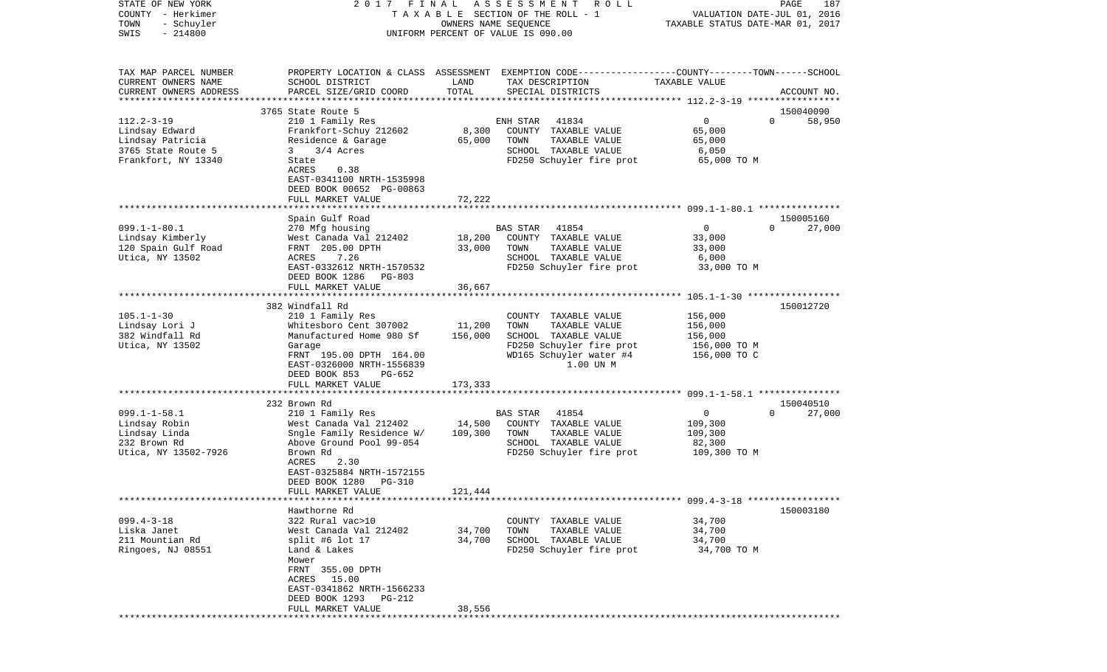| STATE OF NEW YORK<br>COUNTY - Herkimer<br>TOWN<br>- Schuyler<br>$-214800$<br>SWIS | 2017 FINAL                                             | OWNERS NAME SEQUENCE | A S S E S S M E N T<br>ROLL<br>TAXABLE SECTION OF THE ROLL - 1<br>UNIFORM PERCENT OF VALUE IS 090.00               | VALUATION DATE-JUL 01, 2016<br>TAXABLE STATUS DATE-MAR 01, 2017 | PAGE<br>187                     |
|-----------------------------------------------------------------------------------|--------------------------------------------------------|----------------------|--------------------------------------------------------------------------------------------------------------------|-----------------------------------------------------------------|---------------------------------|
|                                                                                   |                                                        |                      |                                                                                                                    |                                                                 |                                 |
| TAX MAP PARCEL NUMBER<br>CURRENT OWNERS NAME                                      | SCHOOL DISTRICT                                        | LAND                 | PROPERTY LOCATION & CLASS ASSESSMENT EXEMPTION CODE---------------COUNTY-------TOWN------SCHOOL<br>TAX DESCRIPTION | TAXABLE VALUE                                                   |                                 |
| CURRENT OWNERS ADDRESS<br>**********************                                  | PARCEL SIZE/GRID COORD<br>**************************** | TOTAL                | SPECIAL DISTRICTS                                                                                                  |                                                                 | ACCOUNT NO.                     |
|                                                                                   | 3765 State Route 5                                     |                      |                                                                                                                    |                                                                 | 150040090                       |
| $112.2 - 3 - 19$                                                                  | 210 1 Family Res                                       |                      | ENH STAR<br>41834                                                                                                  | 0                                                               | $\Omega$<br>58,950              |
| Lindsay Edward                                                                    | Frankfort-Schuy 212602                                 | 8,300                | COUNTY TAXABLE VALUE                                                                                               | 65,000                                                          |                                 |
| Lindsay Patricia                                                                  | Residence & Garage                                     | 65,000               | TOWN<br>TAXABLE VALUE                                                                                              | 65,000                                                          |                                 |
| 3765 State Route 5                                                                | 3/4 Acres<br>3                                         |                      | SCHOOL TAXABLE VALUE                                                                                               | 6,050                                                           |                                 |
| Frankfort, NY 13340                                                               | State                                                  |                      | FD250 Schuyler fire prot                                                                                           | 65,000 TO M                                                     |                                 |
|                                                                                   | ACRES<br>0.38                                          |                      |                                                                                                                    |                                                                 |                                 |
|                                                                                   | EAST-0341100 NRTH-1535998                              |                      |                                                                                                                    |                                                                 |                                 |
|                                                                                   | DEED BOOK 00652 PG-00863                               |                      |                                                                                                                    |                                                                 |                                 |
|                                                                                   | FULL MARKET VALUE                                      | 72,222               |                                                                                                                    |                                                                 |                                 |
|                                                                                   |                                                        |                      |                                                                                                                    |                                                                 |                                 |
|                                                                                   | Spain Gulf Road                                        |                      |                                                                                                                    |                                                                 | 150005160                       |
| $099.1 - 1 - 80.1$                                                                | 270 Mfg housing                                        |                      | BAS STAR<br>41854                                                                                                  | $\mathbf 0$                                                     | 27,000<br>$\Omega$              |
| Lindsay Kimberly                                                                  | West Canada Val 212402                                 | 18,200               | COUNTY TAXABLE VALUE                                                                                               | 33,000                                                          |                                 |
| 120 Spain Gulf Road                                                               | FRNT 205.00 DPTH                                       | 33,000               | TOWN<br>TAXABLE VALUE                                                                                              | 33,000                                                          |                                 |
| Utica, NY 13502                                                                   | ACRES<br>7.26                                          |                      | SCHOOL TAXABLE VALUE                                                                                               | 6,000                                                           |                                 |
|                                                                                   | EAST-0332612 NRTH-1570532<br>DEED BOOK 1286<br>PG-803  |                      | FD250 Schuyler fire prot                                                                                           | 33,000 TO M                                                     |                                 |
|                                                                                   | FULL MARKET VALUE                                      | 36,667               |                                                                                                                    |                                                                 |                                 |
|                                                                                   |                                                        |                      |                                                                                                                    |                                                                 |                                 |
|                                                                                   | 382 Windfall Rd                                        |                      |                                                                                                                    |                                                                 | 150012720                       |
| $105.1 - 1 - 30$                                                                  | 210 1 Family Res                                       |                      | COUNTY TAXABLE VALUE                                                                                               | 156,000                                                         |                                 |
| Lindsay Lori J                                                                    | Whitesboro Cent 307002                                 | 11,200               | TOWN<br>TAXABLE VALUE                                                                                              | 156,000                                                         |                                 |
| 382 Windfall Rd                                                                   | Manufactured Home 980 Sf                               | 156,000              | SCHOOL TAXABLE VALUE                                                                                               | 156,000                                                         |                                 |
| Utica, NY 13502                                                                   | Garage                                                 |                      | FD250 Schuyler fire prot                                                                                           | 156,000 то м                                                    |                                 |
|                                                                                   | FRNT 195.00 DPTH 164.00                                |                      | WD165 Schuyler water #4                                                                                            | 156,000 TO C                                                    |                                 |
|                                                                                   | EAST-0326000 NRTH-1556839                              |                      | 1.00 UN M                                                                                                          |                                                                 |                                 |
|                                                                                   | DEED BOOK 853<br>PG-652                                |                      |                                                                                                                    |                                                                 |                                 |
|                                                                                   | FULL MARKET VALUE<br>****************************      | 173,333              | *******************************                                                                                    |                                                                 |                                 |
|                                                                                   |                                                        |                      |                                                                                                                    | *********** 099.1-1-58.1 ******                                 |                                 |
| $099.1 - 1 - 58.1$                                                                | 232 Brown Rd<br>210 1 Family Res                       |                      | BAS STAR<br>41854                                                                                                  | 0                                                               | 150040510<br>$\Omega$<br>27,000 |
| Lindsay Robin                                                                     | West Canada Val 212402                                 | 14,500               | COUNTY TAXABLE VALUE                                                                                               | 109,300                                                         |                                 |
| Lindsay Linda                                                                     | Sngle Family Residence W/                              | 109,300              | TOWN<br>TAXABLE VALUE                                                                                              | 109,300                                                         |                                 |
| 232 Brown Rd                                                                      | Above Ground Pool 99-054                               |                      | SCHOOL TAXABLE VALUE                                                                                               | 82,300                                                          |                                 |
| Utica, NY 13502-7926                                                              | Brown Rd                                               |                      | FD250 Schuyler fire prot                                                                                           | 109,300 TO M                                                    |                                 |
|                                                                                   | 2.30<br>ACRES                                          |                      |                                                                                                                    |                                                                 |                                 |
|                                                                                   | EAST-0325884 NRTH-1572155                              |                      |                                                                                                                    |                                                                 |                                 |
|                                                                                   | DEED BOOK 1280<br><b>PG-310</b>                        |                      |                                                                                                                    |                                                                 |                                 |
|                                                                                   | FULL MARKET VALUE                                      | 121,444              |                                                                                                                    |                                                                 |                                 |
|                                                                                   |                                                        |                      |                                                                                                                    |                                                                 |                                 |
|                                                                                   | Hawthorne Rd                                           |                      |                                                                                                                    |                                                                 | 150003180                       |
| $099.4 - 3 - 18$                                                                  | 322 Rural vac>10                                       |                      | COUNTY TAXABLE VALUE                                                                                               | 34,700                                                          |                                 |
| Liska Janet                                                                       | West Canada Val 212402                                 | 34,700               | TOWN<br>TAXABLE VALUE                                                                                              | 34,700                                                          |                                 |
| 211 Mountian Rd                                                                   | split #6 lot 17                                        | 34,700               | SCHOOL TAXABLE VALUE                                                                                               | 34,700                                                          |                                 |
| Ringoes, NJ 08551                                                                 | Land & Lakes                                           |                      | FD250 Schuyler fire prot                                                                                           | 34,700 TO M                                                     |                                 |
|                                                                                   | Mower                                                  |                      |                                                                                                                    |                                                                 |                                 |
|                                                                                   | FRNT 355.00 DPTH                                       |                      |                                                                                                                    |                                                                 |                                 |
|                                                                                   | ACRES 15.00                                            |                      |                                                                                                                    |                                                                 |                                 |
|                                                                                   | EAST-0341862 NRTH-1566233                              |                      |                                                                                                                    |                                                                 |                                 |
|                                                                                   | DEED BOOK 1293 PG-212<br>FULL MARKET VALUE             | 38,556               |                                                                                                                    |                                                                 |                                 |
|                                                                                   |                                                        |                      |                                                                                                                    |                                                                 |                                 |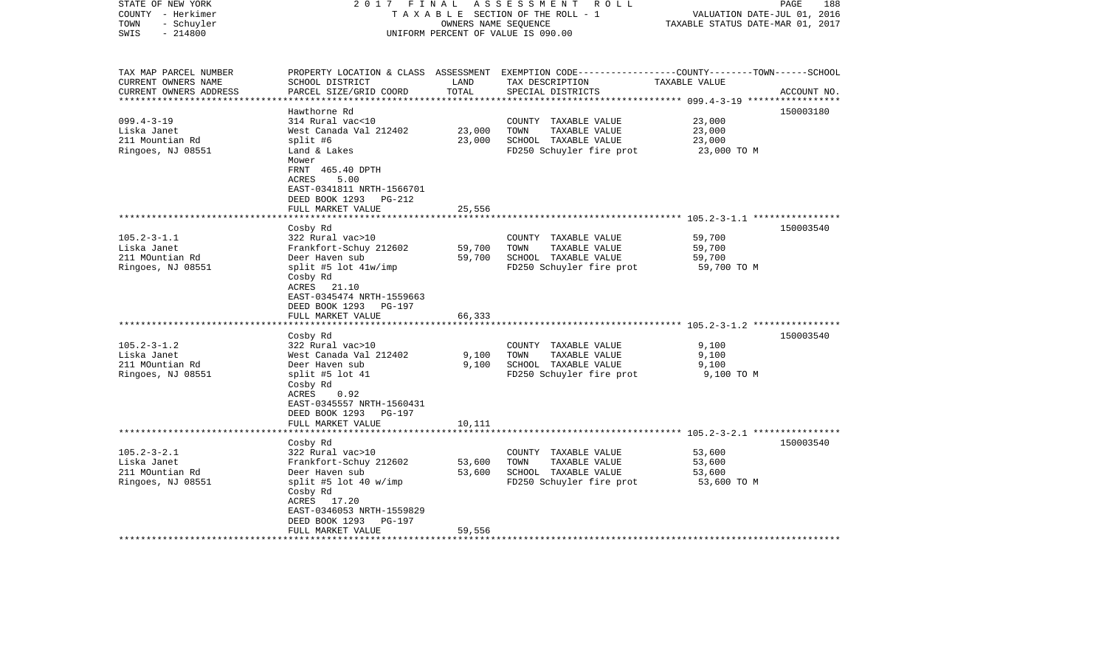| STATE OF NEW YORK<br>COUNTY - Herkimer<br>- Schuyler<br>TOWN<br>$-214800$<br>SWIS | 2017<br>FINAL                                                                                                                         | OWNERS NAME SEQUENCE | A S S E S S M E N T R O L L<br>TAXABLE SECTION OF THE ROLL - 1<br>UNIFORM PERCENT OF VALUE IS 090.00                                     | VALUATION DATE-JUL 01, 2016<br>TAXABLE STATUS DATE-MAR 01, 2017 | PAGE<br>188 |
|-----------------------------------------------------------------------------------|---------------------------------------------------------------------------------------------------------------------------------------|----------------------|------------------------------------------------------------------------------------------------------------------------------------------|-----------------------------------------------------------------|-------------|
| TAX MAP PARCEL NUMBER<br>CURRENT OWNERS NAME<br>CURRENT OWNERS ADDRESS            | SCHOOL DISTRICT<br>PARCEL SIZE/GRID COORD                                                                                             | LAND<br>TOTAL        | PROPERTY LOCATION & CLASS ASSESSMENT EXEMPTION CODE----------------COUNTY-------TOWN------SCHOOL<br>TAX DESCRIPTION<br>SPECIAL DISTRICTS | TAXABLE VALUE                                                   | ACCOUNT NO. |
|                                                                                   | Hawthorne Rd                                                                                                                          |                      |                                                                                                                                          |                                                                 |             |
| $099.4 - 3 - 19$                                                                  | 314 Rural vac<10                                                                                                                      |                      | COUNTY TAXABLE VALUE                                                                                                                     | 23,000                                                          | 150003180   |
| Liska Janet                                                                       | West Canada Val 212402                                                                                                                | 23,000               | TOWN<br>TAXABLE VALUE                                                                                                                    | 23,000                                                          |             |
| 211 Mountian Rd                                                                   | split #6                                                                                                                              | 23,000               | SCHOOL TAXABLE VALUE                                                                                                                     | 23,000                                                          |             |
| Ringoes, NJ 08551                                                                 | Land & Lakes<br>Mower<br>FRNT 465.40 DPTH<br>ACRES<br>5.00<br>EAST-0341811 NRTH-1566701<br>DEED BOOK 1293 PG-212<br>FULL MARKET VALUE | 25,556               | FD250 Schuyler fire prot                                                                                                                 | 23,000 TO M                                                     |             |
|                                                                                   |                                                                                                                                       |                      |                                                                                                                                          |                                                                 |             |
|                                                                                   | Cosby Rd                                                                                                                              |                      |                                                                                                                                          |                                                                 | 150003540   |
| $105.2 - 3 - 1.1$                                                                 | 322 Rural vac>10                                                                                                                      |                      | COUNTY TAXABLE VALUE                                                                                                                     | 59,700                                                          |             |
| Liska Janet                                                                       | Frankfort-Schuy 212602                                                                                                                | 59,700               | TOWN<br>TAXABLE VALUE                                                                                                                    | 59,700                                                          |             |
| 211 MOuntian Rd                                                                   | Deer Haven sub                                                                                                                        | 59,700               | SCHOOL TAXABLE VALUE                                                                                                                     | 59,700                                                          |             |
| Ringoes, NJ 08551                                                                 | split #5 lot 41w/imp<br>Cosby Rd<br>ACRES 21.10<br>EAST-0345474 NRTH-1559663<br>DEED BOOK 1293<br>PG-197<br>FULL MARKET VALUE         | 66,333               | FD250 Schuyler fire prot                                                                                                                 | 59,700 TO M                                                     |             |
|                                                                                   | *******************                                                                                                                   |                      |                                                                                                                                          |                                                                 |             |
|                                                                                   | Cosby Rd                                                                                                                              |                      |                                                                                                                                          |                                                                 | 150003540   |
| $105.2 - 3 - 1.2$<br>Liska Janet                                                  | 322 Rural vac>10<br>West Canada Val 212402                                                                                            | 9,100                | COUNTY TAXABLE VALUE<br>TAXABLE VALUE<br>TOWN                                                                                            | 9,100<br>9,100                                                  |             |
| 211 MOuntian Rd                                                                   | Deer Haven sub                                                                                                                        | 9,100                | SCHOOL TAXABLE VALUE                                                                                                                     | 9,100                                                           |             |
| Ringoes, NJ 08551                                                                 | split #5 lot 41<br>Cosby Rd<br>ACRES<br>0.92<br>EAST-0345557 NRTH-1560431<br>DEED BOOK 1293<br>PG-197                                 |                      | FD250 Schuyler fire prot                                                                                                                 | 9,100 TO M                                                      |             |
|                                                                                   | FULL MARKET VALUE                                                                                                                     | 10,111               |                                                                                                                                          |                                                                 |             |
|                                                                                   |                                                                                                                                       |                      |                                                                                                                                          |                                                                 |             |
|                                                                                   | Cosby Rd                                                                                                                              |                      |                                                                                                                                          |                                                                 | 150003540   |
| $105.2 - 3 - 2.1$<br>Liska Janet                                                  | 322 Rural vac>10<br>Frankfort-Schuy 212602                                                                                            | 53,600               | COUNTY TAXABLE VALUE<br>TOWN<br>TAXABLE VALUE                                                                                            | 53,600<br>53,600                                                |             |
| 211 MOuntian Rd                                                                   | Deer Haven sub                                                                                                                        | 53,600               | SCHOOL TAXABLE VALUE                                                                                                                     | 53,600                                                          |             |
| Ringoes, NJ 08551                                                                 | split #5 lot 40 $w/imp$<br>Cosby Rd<br>ACRES 17.20<br>EAST-0346053 NRTH-1559829<br>DEED BOOK 1293<br>PG-197                           |                      | FD250 Schuyler fire prot                                                                                                                 | 53,600 TO M                                                     |             |
|                                                                                   | FULL MARKET VALUE                                                                                                                     | 59,556               |                                                                                                                                          |                                                                 |             |
|                                                                                   |                                                                                                                                       |                      |                                                                                                                                          |                                                                 |             |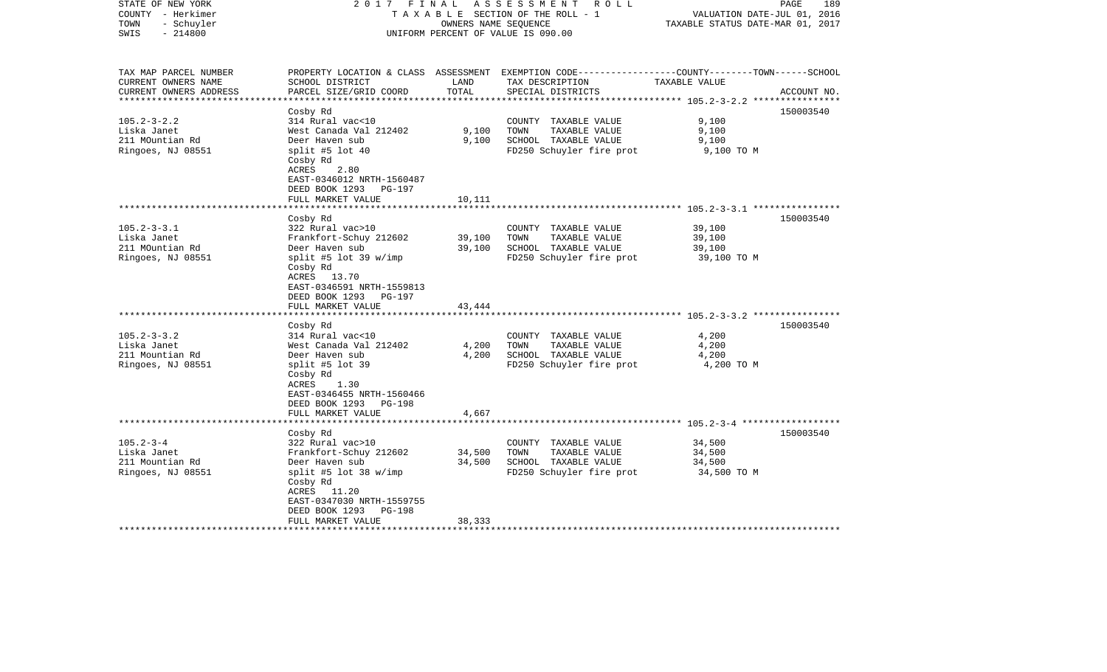| STATE OF NEW YORK<br>COUNTY - Herkimer<br>- Schuyler<br>TOWN<br>$-214800$<br>SWIS             | 2017 FINAL                                                                                                                                                                                              | OWNERS NAME SEQUENCE       | ASSESSMENT<br>R O L L<br>TAXABLE SECTION OF THE ROLL - 1<br>UNIFORM PERCENT OF VALUE IS 090.00                                           | VALUATION DATE-JUL 01, 2016<br>TAXABLE STATUS DATE-MAR 01, 2017 | PAGE<br>189 |
|-----------------------------------------------------------------------------------------------|---------------------------------------------------------------------------------------------------------------------------------------------------------------------------------------------------------|----------------------------|------------------------------------------------------------------------------------------------------------------------------------------|-----------------------------------------------------------------|-------------|
| TAX MAP PARCEL NUMBER<br>CURRENT OWNERS NAME<br>CURRENT OWNERS ADDRESS<br>******************* | SCHOOL DISTRICT<br>PARCEL SIZE/GRID COORD                                                                                                                                                               | LAND<br>TOTAL              | PROPERTY LOCATION & CLASS ASSESSMENT EXEMPTION CODE----------------COUNTY-------TOWN------SCHOOL<br>TAX DESCRIPTION<br>SPECIAL DISTRICTS | TAXABLE VALUE                                                   | ACCOUNT NO. |
| $105.2 - 3 - 2.2$<br>Liska Janet<br>211 MOuntian Rd<br>Ringoes, NJ 08551                      | Cosby Rd<br>314 Rural vac<10<br>West Canada Val 212402<br>Deer Haven sub<br>split #5 lot $40$<br>Cosby Rd<br>ACRES<br>2.80<br>EAST-0346012 NRTH-1560487<br>DEED BOOK 1293 PG-197<br>FULL MARKET VALUE   | 9,100<br>9,100<br>10,111   | COUNTY TAXABLE VALUE<br>TOWN<br>TAXABLE VALUE<br>SCHOOL TAXABLE VALUE<br>FD250 Schuyler fire prot                                        | 9,100<br>9,100<br>9,100<br>9,100 TO M                           | 150003540   |
|                                                                                               | *******************                                                                                                                                                                                     | ***********                |                                                                                                                                          |                                                                 |             |
| $105.2 - 3 - 3.1$<br>Liska Janet<br>211 MOuntian Rd<br>Ringoes, NJ 08551                      | Cosby Rd<br>322 Rural vac>10<br>Frankfort-Schuy 212602<br>Deer Haven sub<br>split #5 lot 39 w/imp<br>Cosby Rd<br>ACRES 13.70<br>EAST-0346591 NRTH-1559813<br>DEED BOOK 1293 PG-197<br>FULL MARKET VALUE | 39,100<br>39,100<br>43,444 | COUNTY TAXABLE VALUE<br>TAXABLE VALUE<br>TOWN<br>SCHOOL TAXABLE VALUE<br>FD250 Schuyler fire prot                                        | 39,100<br>39,100<br>39,100<br>39,100 TO M                       | 150003540   |
|                                                                                               |                                                                                                                                                                                                         |                            |                                                                                                                                          |                                                                 |             |
| $105.2 - 3 - 3.2$<br>Liska Janet<br>211 Mountian Rd<br>Ringoes, NJ 08551                      | Cosby Rd<br>314 Rural vac<10<br>West Canada Val 212402<br>Deer Haven sub<br>split #5 lot 39<br>Cosby Rd<br>ACRES<br>1.30<br>EAST-0346455 NRTH-1560466<br>DEED BOOK 1293 PG-198                          | 4,200<br>4,200             | COUNTY TAXABLE VALUE<br>TAXABLE VALUE<br>TOWN<br>SCHOOL TAXABLE VALUE<br>FD250 Schuyler fire prot                                        | 4,200<br>4,200<br>4,200<br>4,200 TO M                           | 150003540   |
|                                                                                               | FULL MARKET VALUE<br>**********************                                                                                                                                                             | 4,667                      |                                                                                                                                          |                                                                 |             |
|                                                                                               | Cosby Rd                                                                                                                                                                                                |                            |                                                                                                                                          |                                                                 | 150003540   |
| $105.2 - 3 - 4$<br>Liska Janet<br>211 Mountian Rd<br>Ringoes, NJ 08551                        | 322 Rural vac>10<br>Frankfort-Schuy 212602<br>Deer Haven sub<br>split #5 lot 38 w/imp<br>Cosby Rd<br>ACRES 11.20<br>EAST-0347030 NRTH-1559755<br>DEED BOOK 1293<br>PG-198                               | 34,500<br>34,500           | COUNTY TAXABLE VALUE<br>TOWN<br>TAXABLE VALUE<br>SCHOOL TAXABLE VALUE<br>FD250 Schuyler fire prot                                        | 34,500<br>34,500<br>34,500<br>34,500 TO M                       |             |
|                                                                                               | FULL MARKET VALUE                                                                                                                                                                                       | 38,333                     |                                                                                                                                          |                                                                 |             |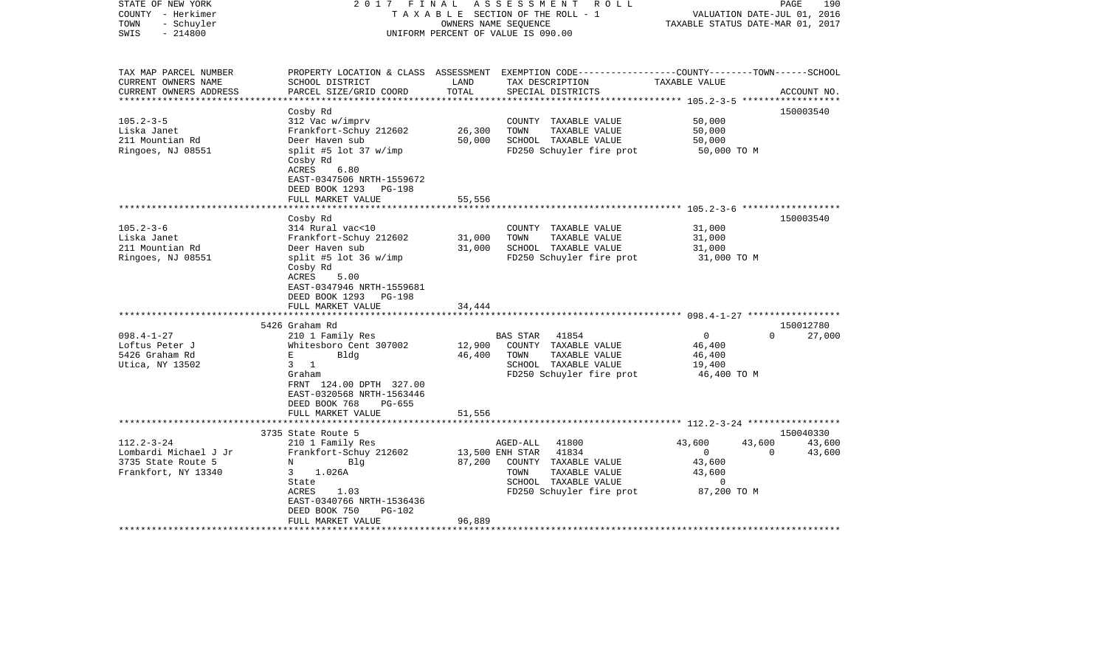| STATE OF NEW YORK<br>COUNTY - Herkimer<br>- Schuyler<br>TOWN<br>$-214800$<br>SWIS                                                                 | FINAL<br>2017                                                                                                                                                                                                                                                                                                                                    |                                                | ASSESSMENT<br>ROLL<br>TAXABLE SECTION OF THE ROLL - 1<br>OWNERS NAME SEOUENCE<br>UNIFORM PERCENT OF VALUE IS 090.00                                                                                                         | VALUATION DATE-JUL 01, 2016<br>TAXABLE STATUS DATE-MAR 01, 2017                                                                                            | 190<br>PAGE                                  |
|---------------------------------------------------------------------------------------------------------------------------------------------------|--------------------------------------------------------------------------------------------------------------------------------------------------------------------------------------------------------------------------------------------------------------------------------------------------------------------------------------------------|------------------------------------------------|-----------------------------------------------------------------------------------------------------------------------------------------------------------------------------------------------------------------------------|------------------------------------------------------------------------------------------------------------------------------------------------------------|----------------------------------------------|
| TAX MAP PARCEL NUMBER<br>CURRENT OWNERS NAME<br>CURRENT OWNERS ADDRESS                                                                            | SCHOOL DISTRICT<br>PARCEL SIZE/GRID COORD                                                                                                                                                                                                                                                                                                        | LAND<br>TOTAL                                  | PROPERTY LOCATION & CLASS ASSESSMENT EXEMPTION CODE----------------COUNTY-------TOWN------SCHOOL<br>TAX DESCRIPTION<br>SPECIAL DISTRICTS                                                                                    | TAXABLE VALUE                                                                                                                                              | ACCOUNT NO.                                  |
| ********************                                                                                                                              |                                                                                                                                                                                                                                                                                                                                                  | * * * * * * * * * * * * * *                    |                                                                                                                                                                                                                             |                                                                                                                                                            |                                              |
| $105.2 - 3 - 5$<br>Liska Janet<br>211 Mountian Rd<br>Ringoes, NJ 08551                                                                            | Cosby Rd<br>312 Vac w/imprv<br>Frankfort-Schuy 212602<br>Deer Haven sub<br>split #5 lot 37 w/imp<br>Cosby Rd<br>ACRES<br>6.80<br>EAST-0347506 NRTH-1559672<br>DEED BOOK 1293<br><b>PG-198</b>                                                                                                                                                    | 26,300<br>50,000                               | COUNTY TAXABLE VALUE<br>TOWN<br>TAXABLE VALUE<br>SCHOOL TAXABLE VALUE<br>FD250 Schuyler fire prot                                                                                                                           | 50,000<br>50,000<br>50,000<br>50,000 TO M                                                                                                                  | 150003540                                    |
|                                                                                                                                                   | FULL MARKET VALUE                                                                                                                                                                                                                                                                                                                                | 55,556                                         |                                                                                                                                                                                                                             |                                                                                                                                                            |                                              |
| $105.2 - 3 - 6$<br>Liska Janet<br>211 Mountian Rd<br>Ringoes, NJ 08551<br>$098.4 - 1 - 27$<br>Loftus Peter J<br>5426 Graham Rd<br>Utica, NY 13502 | Cosby Rd<br>314 Rural vac<10<br>Frankfort-Schuy 212602<br>Deer Haven sub<br>split #5 lot 36 w/imp<br>Cosby Rd<br>ACRES<br>5.00<br>EAST-0347946 NRTH-1559681<br>DEED BOOK 1293<br><b>PG-198</b><br>FULL MARKET VALUE<br>5426 Graham Rd<br>210 1 Family Res<br>Whitesboro Cent 307002<br>Е<br>Bldg<br>$3 \t1$<br>Graham<br>FRNT 124.00 DPTH 327.00 | 31,000<br>31,000<br>34,444<br>12,900<br>46,400 | COUNTY TAXABLE VALUE<br>TAXABLE VALUE<br>TOWN<br>SCHOOL TAXABLE VALUE<br>FD250 Schuyler fire prot<br>41854<br>BAS STAR<br>COUNTY TAXABLE VALUE<br>TOWN<br>TAXABLE VALUE<br>SCHOOL TAXABLE VALUE<br>FD250 Schuyler fire prot | ********************** 105.2-3-6 *******************<br>31,000<br>31,000<br>31,000<br>31,000 TO M<br>$\Omega$<br>46,400<br>46,400<br>19,400<br>46,400 TO M | 150003540<br>150012780<br>$\Omega$<br>27,000 |
|                                                                                                                                                   | EAST-0320568 NRTH-1563446<br>DEED BOOK 768<br>$PG-655$<br>FULL MARKET VALUE                                                                                                                                                                                                                                                                      | 51,556                                         |                                                                                                                                                                                                                             |                                                                                                                                                            |                                              |
|                                                                                                                                                   | 3735 State Route 5                                                                                                                                                                                                                                                                                                                               |                                                |                                                                                                                                                                                                                             |                                                                                                                                                            | 150040330                                    |
| $112.2 - 3 - 24$<br>Lombardi Michael J Jr<br>3735 State Route 5<br>Frankfort, NY 13340                                                            | 210 1 Family Res<br>Frankfort-Schuy 212602<br>Blq<br>N<br>1.026A<br>3<br>State<br>1.03<br>ACRES<br>EAST-0340766 NRTH-1536436<br>DEED BOOK 750<br>PG-102<br>FULL MARKET VALUE                                                                                                                                                                     | 87,200<br>96,889                               | AGED-ALL<br>41800<br>41834<br>13,500 ENH STAR<br>COUNTY TAXABLE VALUE<br>TOWN<br>TAXABLE VALUE<br>SCHOOL TAXABLE VALUE<br>FD250 Schuyler fire prot                                                                          | 43,600<br>43,600<br>$\overline{0}$<br>43,600<br>43,600<br>0<br>87,200 TO M                                                                                 | 43,600<br>$\mathbf 0$<br>43,600              |
|                                                                                                                                                   |                                                                                                                                                                                                                                                                                                                                                  |                                                |                                                                                                                                                                                                                             |                                                                                                                                                            |                                              |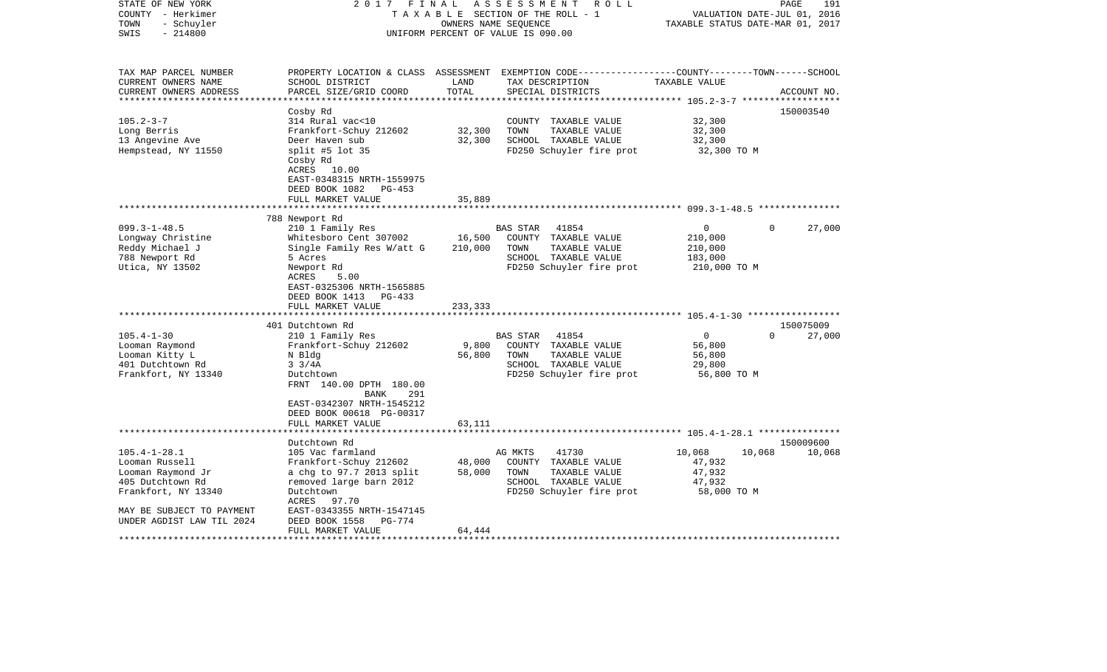| STATE OF NEW YORK<br>COUNTY - Herkimer<br>- Schuyler<br>TOWN<br>$-214800$<br>SWIS                                                                                                                  | 2017                                                                                                                                                                                                                                                                                                                                                             | FINAL<br>OWNERS NAME SEQUENCE                   | ASSESSMENT<br>R O L L<br>TAXABLE SECTION OF THE ROLL - 1<br>UNIFORM PERCENT OF VALUE IS 090.00                                                                                                                                                                 | TAXABLE STATUS DATE-MAR 01, 2017                                                                               | 191<br>PAGE<br>VALUATION DATE-JUL 01, 2016            |
|----------------------------------------------------------------------------------------------------------------------------------------------------------------------------------------------------|------------------------------------------------------------------------------------------------------------------------------------------------------------------------------------------------------------------------------------------------------------------------------------------------------------------------------------------------------------------|-------------------------------------------------|----------------------------------------------------------------------------------------------------------------------------------------------------------------------------------------------------------------------------------------------------------------|----------------------------------------------------------------------------------------------------------------|-------------------------------------------------------|
| TAX MAP PARCEL NUMBER<br>CURRENT OWNERS NAME<br>CURRENT OWNERS ADDRESS<br>**********************                                                                                                   | SCHOOL DISTRICT<br>PARCEL SIZE/GRID COORD                                                                                                                                                                                                                                                                                                                        | LAND<br>TOTAL                                   | PROPERTY LOCATION & CLASS ASSESSMENT EXEMPTION CODE---------------COUNTY-------TOWN------SCHOOL<br>TAX DESCRIPTION<br>SPECIAL DISTRICTS                                                                                                                        | TAXABLE VALUE                                                                                                  | ACCOUNT NO.                                           |
|                                                                                                                                                                                                    | Cosby Rd                                                                                                                                                                                                                                                                                                                                                         |                                                 |                                                                                                                                                                                                                                                                |                                                                                                                | 150003540                                             |
| $105.2 - 3 - 7$                                                                                                                                                                                    | 314 Rural vac<10                                                                                                                                                                                                                                                                                                                                                 |                                                 | COUNTY TAXABLE VALUE                                                                                                                                                                                                                                           | 32,300                                                                                                         |                                                       |
| Long Berris                                                                                                                                                                                        | Frankfort-Schuy 212602                                                                                                                                                                                                                                                                                                                                           | 32,300                                          | TOWN<br>TAXABLE VALUE                                                                                                                                                                                                                                          | 32,300                                                                                                         |                                                       |
| 13 Angevine Ave                                                                                                                                                                                    | Deer Haven sub                                                                                                                                                                                                                                                                                                                                                   | 32,300                                          | SCHOOL TAXABLE VALUE                                                                                                                                                                                                                                           | 32,300                                                                                                         |                                                       |
| Hempstead, NY 11550                                                                                                                                                                                | split #5 lot 35<br>Cosby Rd<br>ACRES 10.00<br>EAST-0348315 NRTH-1559975<br>DEED BOOK 1082<br>$PG-453$<br>FULL MARKET VALUE                                                                                                                                                                                                                                       | 35,889                                          | FD250 Schuyler fire prot                                                                                                                                                                                                                                       | 32,300 TO M                                                                                                    |                                                       |
|                                                                                                                                                                                                    |                                                                                                                                                                                                                                                                                                                                                                  |                                                 |                                                                                                                                                                                                                                                                |                                                                                                                |                                                       |
|                                                                                                                                                                                                    | 788 Newport Rd                                                                                                                                                                                                                                                                                                                                                   |                                                 |                                                                                                                                                                                                                                                                |                                                                                                                |                                                       |
| $099.3 - 1 - 48.5$<br>Longway Christine<br>Reddy Michael J<br>788 Newport Rd<br>Utica, NY 13502<br>$105.4 - 1 - 30$<br>Looman Raymond<br>Looman Kitty L<br>401 Dutchtown Rd<br>Frankfort, NY 13340 | 210 1 Family Res<br>Whitesboro Cent 307002<br>Single Family Res W/att G<br>5 Acres<br>Newport Rd<br>ACRES<br>5.00<br>EAST-0325306 NRTH-1565885<br>DEED BOOK 1413<br>PG-433<br>FULL MARKET VALUE<br>*********************<br>401 Dutchtown Rd<br>210 1 Family Res<br>Frankfort-Schuy 212602<br>N Bldg<br>$3 \frac{3}{4A}$<br>Dutchtown<br>FRNT 140.00 DPTH 180.00 | 16,500<br>210,000<br>233,333<br>9,800<br>56,800 | 41854<br><b>BAS STAR</b><br>COUNTY TAXABLE VALUE<br>TOWN<br>TAXABLE VALUE<br>SCHOOL TAXABLE VALUE<br>FD250 Schuyler fire prot<br><b>BAS STAR</b><br>41854<br>COUNTY TAXABLE VALUE<br>TAXABLE VALUE<br>TOWN<br>SCHOOL TAXABLE VALUE<br>FD250 Schuyler fire prot | 0<br>210,000<br>210,000<br>183,000<br>210,000 TO M<br>$\mathbf 0$<br>56,800<br>56,800<br>29,800<br>56,800 TO M | $\Omega$<br>27,000<br>150075009<br>$\Omega$<br>27,000 |
|                                                                                                                                                                                                    | 291<br>BANK<br>EAST-0342307 NRTH-1545212<br>DEED BOOK 00618 PG-00317<br>FULL MARKET VALUE                                                                                                                                                                                                                                                                        | 63,111                                          |                                                                                                                                                                                                                                                                | ******************** 105.4-1-28.1 ****************                                                             |                                                       |
| $105.4 - 1 - 28.1$                                                                                                                                                                                 | Dutchtown Rd<br>105 Vac farmland                                                                                                                                                                                                                                                                                                                                 |                                                 | AG MKTS<br>41730                                                                                                                                                                                                                                               | 10,068<br>10,068                                                                                               | 150009600<br>10,068                                   |
| Looman Russell                                                                                                                                                                                     | Frankfort-Schuy 212602                                                                                                                                                                                                                                                                                                                                           | 48,000                                          | COUNTY TAXABLE VALUE                                                                                                                                                                                                                                           | 47,932                                                                                                         |                                                       |
| Looman Raymond Jr                                                                                                                                                                                  | a chg to 97.7 2013 split                                                                                                                                                                                                                                                                                                                                         | 58,000                                          | TOWN<br>TAXABLE VALUE                                                                                                                                                                                                                                          | 47,932                                                                                                         |                                                       |
| 405 Dutchtown Rd                                                                                                                                                                                   | removed large barn 2012                                                                                                                                                                                                                                                                                                                                          |                                                 | SCHOOL TAXABLE VALUE                                                                                                                                                                                                                                           | 47,932                                                                                                         |                                                       |
| Frankfort, NY 13340                                                                                                                                                                                | Dutchtown<br>ACRES<br>97.70                                                                                                                                                                                                                                                                                                                                      |                                                 | FD250 Schuyler fire prot                                                                                                                                                                                                                                       | 58,000 TO M                                                                                                    |                                                       |
| MAY BE SUBJECT TO PAYMENT                                                                                                                                                                          | EAST-0343355 NRTH-1547145                                                                                                                                                                                                                                                                                                                                        |                                                 |                                                                                                                                                                                                                                                                |                                                                                                                |                                                       |
| UNDER AGDIST LAW TIL 2024                                                                                                                                                                          | DEED BOOK 1558<br>$PG-774$<br>FULL MARKET VALUE                                                                                                                                                                                                                                                                                                                  | 64,444                                          |                                                                                                                                                                                                                                                                |                                                                                                                |                                                       |
|                                                                                                                                                                                                    |                                                                                                                                                                                                                                                                                                                                                                  |                                                 |                                                                                                                                                                                                                                                                |                                                                                                                |                                                       |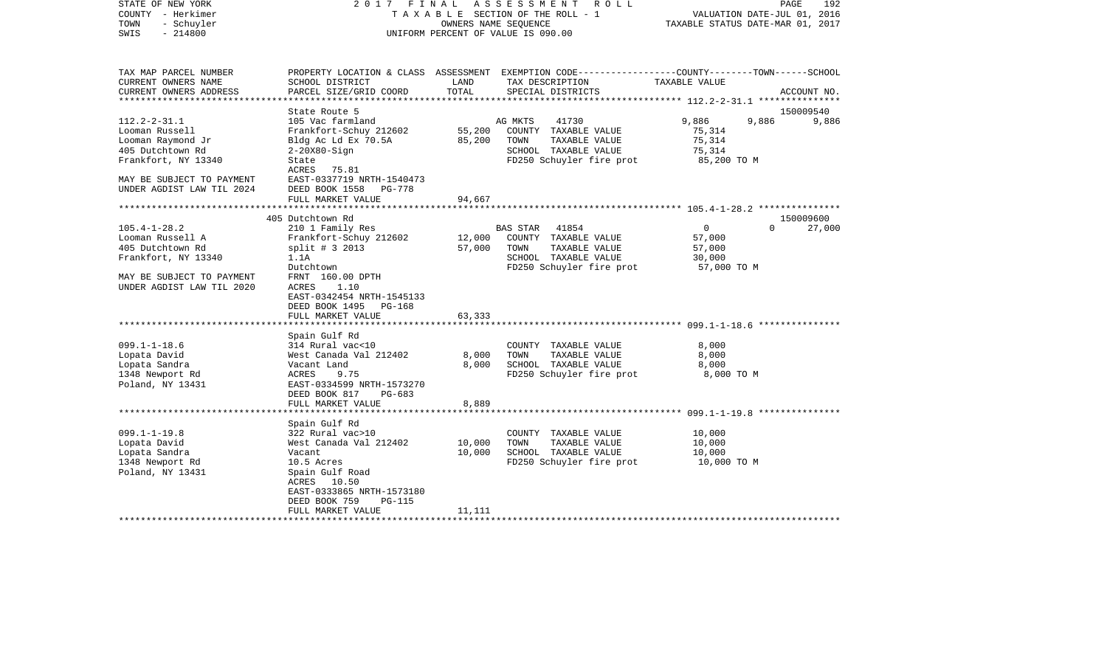| STATE OF NEW YORK<br>COUNTY - Herkimer<br>- Schuyler<br>TOWN<br>$-214800$<br>SWIS | 2017 FINAL ASSESSMENT ROLL<br>TAXABLE SECTION OF THE ROLL - 1<br>OWNERS NAME SEQUENCE<br>UNIFORM PERCENT OF VALUE IS 090.00 |                   |                                                                                                 | VALUATION DATE-JUL 01, 2016<br>TAXABLE STATUS DATE-MAR 01, 2017 | 192<br>PAGE |
|-----------------------------------------------------------------------------------|-----------------------------------------------------------------------------------------------------------------------------|-------------------|-------------------------------------------------------------------------------------------------|-----------------------------------------------------------------|-------------|
| TAX MAP PARCEL NUMBER                                                             |                                                                                                                             |                   | PROPERTY LOCATION & CLASS ASSESSMENT EXEMPTION CODE----------------COUNTY-------TOWN-----SCHOOL |                                                                 |             |
| CURRENT OWNERS NAME<br>CURRENT OWNERS ADDRESS                                     | SCHOOL DISTRICT<br>PARCEL SIZE/GRID COORD                                                                                   | LAND<br>TOTAL     | TAX DESCRIPTION<br>SPECIAL DISTRICTS                                                            | TAXABLE VALUE                                                   | ACCOUNT NO. |
| **********************                                                            |                                                                                                                             |                   |                                                                                                 | ******************** 112.2-2-31.1 ****************              |             |
|                                                                                   | State Route 5                                                                                                               |                   |                                                                                                 |                                                                 | 150009540   |
| $112.2 - 2 - 31.1$                                                                | 105 Vac farmland                                                                                                            |                   | AG MKTS<br>41730                                                                                | 9,886<br>9,886                                                  | 9,886       |
| Looman Russell                                                                    | Frankfort-Schuy 212602                                                                                                      | 55,200            | COUNTY TAXABLE VALUE                                                                            | 75,314                                                          |             |
| Looman Raymond Jr                                                                 | Bldg Ac Ld Ex 70.5A                                                                                                         | 85,200            | TOWN<br>TAXABLE VALUE                                                                           | 75,314                                                          |             |
| 405 Dutchtown Rd                                                                  | $2-20X80-Siqn$                                                                                                              |                   | SCHOOL TAXABLE VALUE                                                                            | 75,314                                                          |             |
| Frankfort, NY 13340                                                               | State                                                                                                                       |                   | FD250 Schuyler fire prot                                                                        | 85,200 TO M                                                     |             |
| MAY BE SUBJECT TO PAYMENT<br>UNDER AGDIST LAW TIL 2024                            | ACRES 75.81<br>EAST-0337719 NRTH-1540473<br>DEED BOOK 1558 PG-778                                                           |                   |                                                                                                 |                                                                 |             |
|                                                                                   | FULL MARKET VALUE                                                                                                           | 94,667            |                                                                                                 |                                                                 |             |
|                                                                                   |                                                                                                                             |                   |                                                                                                 |                                                                 | 150009600   |
| $105.4 - 1 - 28.2$                                                                | 405 Dutchtown Rd<br>210 1 Family Res                                                                                        |                   | BAS STAR 41854                                                                                  | $\overline{0}$<br>$\Omega$                                      | 27,000      |
| Looman Russell A                                                                  | Frankfort-Schuy 212602                                                                                                      | 12,000            | COUNTY TAXABLE VALUE                                                                            | 57,000                                                          |             |
| 405 Dutchtown Rd                                                                  | $split$ # 3 2013                                                                                                            | 57,000            | TAXABLE VALUE<br>TOWN                                                                           | 57,000                                                          |             |
| Frankfort, NY 13340                                                               | 1.1A                                                                                                                        |                   | SCHOOL TAXABLE VALUE                                                                            | 30,000                                                          |             |
|                                                                                   | Dutchtown                                                                                                                   |                   | FD250 Schuyler fire prot                                                                        | 57,000 TO M                                                     |             |
| MAY BE SUBJECT TO PAYMENT<br>UNDER AGDIST LAW TIL 2020                            | FRNT 160.00 DPTH<br>1.10<br>ACRES<br>EAST-0342454 NRTH-1545133<br>DEED BOOK 1495 PG-168                                     |                   |                                                                                                 |                                                                 |             |
|                                                                                   | FULL MARKET VALUE                                                                                                           | 63,333            |                                                                                                 |                                                                 |             |
|                                                                                   | Spain Gulf Rd                                                                                                               |                   |                                                                                                 |                                                                 |             |
| $099.1 - 1 - 18.6$                                                                | 314 Rural vac<10                                                                                                            |                   | COUNTY TAXABLE VALUE                                                                            | 8,000                                                           |             |
| Lopata David                                                                      | West Canada Val 212402                                                                                                      | 8,000             | TOWN<br>TAXABLE VALUE                                                                           | 8,000                                                           |             |
| Lopata Sandra                                                                     | Vacant Land                                                                                                                 | 8,000             | SCHOOL TAXABLE VALUE                                                                            | 8,000                                                           |             |
| 1348 Newport Rd<br>Poland, NY 13431                                               | ACRES<br>9.75<br>EAST-0334599 NRTH-1573270<br>DEED BOOK 817<br>PG-683                                                       |                   | FD250 Schuyler fire prot                                                                        | 8,000 TO M                                                      |             |
|                                                                                   | FULL MARKET VALUE                                                                                                           | 8,889             |                                                                                                 |                                                                 |             |
|                                                                                   |                                                                                                                             | * * * * * * * * * |                                                                                                 | ********************* 099.1-1-19.8 ***************              |             |
|                                                                                   | Spain Gulf Rd                                                                                                               |                   |                                                                                                 |                                                                 |             |
| $099.1 - 1 - 19.8$                                                                | 322 Rural vac>10                                                                                                            |                   | COUNTY TAXABLE VALUE                                                                            | 10,000                                                          |             |
| Lopata David                                                                      | West Canada Val 212402                                                                                                      | 10,000            | TOWN<br>TAXABLE VALUE                                                                           | 10,000                                                          |             |
| Lopata Sandra                                                                     | Vacant                                                                                                                      | 10,000            | SCHOOL TAXABLE VALUE                                                                            | 10,000                                                          |             |
| 1348 Newport Rd                                                                   | 10.5 Acres                                                                                                                  |                   | FD250 Schuyler fire prot                                                                        | 10,000 TO M                                                     |             |
| Poland, NY 13431                                                                  | Spain Gulf Road<br>ACRES 10.50                                                                                              |                   |                                                                                                 |                                                                 |             |
|                                                                                   | EAST-0333865 NRTH-1573180                                                                                                   |                   |                                                                                                 |                                                                 |             |
|                                                                                   | DEED BOOK 759<br><b>PG-115</b>                                                                                              |                   |                                                                                                 |                                                                 |             |
|                                                                                   | FULL MARKET VALUE                                                                                                           | 11,111            |                                                                                                 |                                                                 |             |
|                                                                                   |                                                                                                                             |                   |                                                                                                 |                                                                 |             |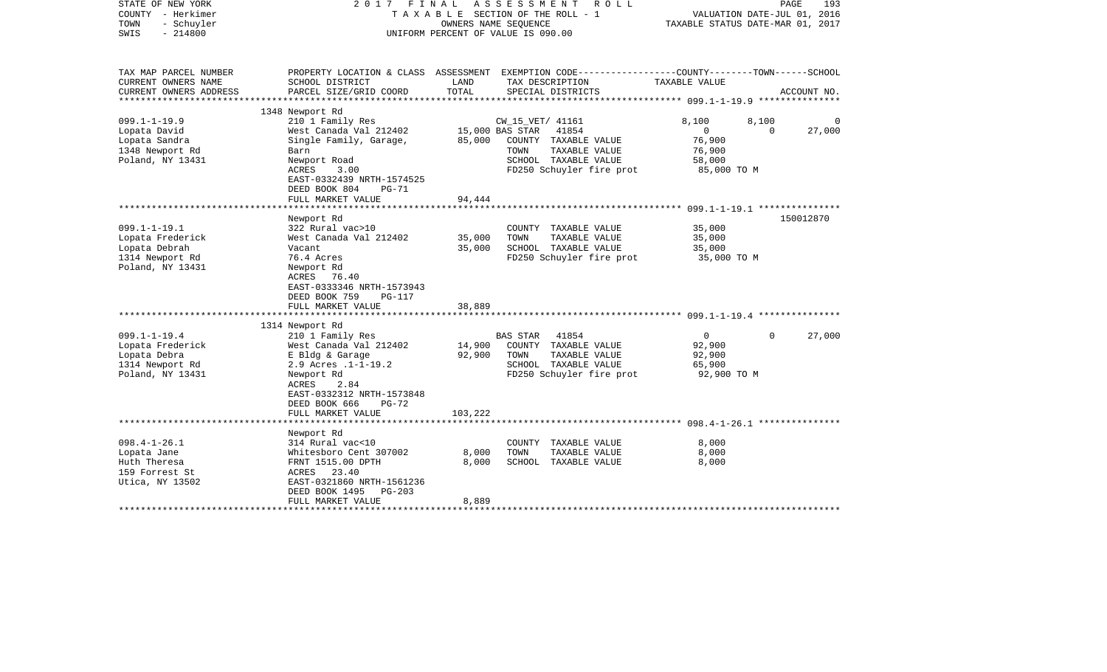| STATE OF NEW YORK<br>COUNTY - Herkimer<br>TOWN<br>- Schuyler<br>$-214800$<br>SWIS | 2017 FINAL                                                                                                          | A S S E S S M E N T<br>R O L L<br>T A X A B L E SECTION OF THE ROLL - 1<br>OWNERS NAME SEOUENCE<br>UNIFORM PERCENT OF VALUE IS 090.00 |                  |                                                  | TAXABLE STATUS DATE-MAR 01, 2017 | PAGE<br>VALUATION DATE-JUL 01, 2016 | 193         |
|-----------------------------------------------------------------------------------|---------------------------------------------------------------------------------------------------------------------|---------------------------------------------------------------------------------------------------------------------------------------|------------------|--------------------------------------------------|----------------------------------|-------------------------------------|-------------|
| TAX MAP PARCEL NUMBER<br>CURRENT OWNERS NAME                                      | PROPERTY LOCATION & CLASS ASSESSMENT EXEMPTION CODE----------------COUNTY-------TOWN------SCHOOL<br>SCHOOL DISTRICT | LAND                                                                                                                                  |                  | TAX DESCRIPTION                                  | TAXABLE VALUE                    |                                     |             |
| CURRENT OWNERS ADDRESS                                                            | PARCEL SIZE/GRID COORD                                                                                              | TOTAL                                                                                                                                 |                  | SPECIAL DISTRICTS                                |                                  |                                     | ACCOUNT NO. |
|                                                                                   | 1348 Newport Rd                                                                                                     |                                                                                                                                       |                  |                                                  |                                  |                                     |             |
| $099.1 - 1 - 19.9$                                                                | 210 1 Family Res                                                                                                    |                                                                                                                                       | CW_15_VET/ 41161 |                                                  | 8,100                            | 8,100                               |             |
| Lopata David                                                                      | West Canada Val 212402                                                                                              |                                                                                                                                       | 15,000 BAS STAR  | 41854                                            | $\mathbf{0}$                     | $\Omega$                            | 27,000      |
| Lopata Sandra                                                                     | Single Family, Garage,                                                                                              | 85,000                                                                                                                                |                  | COUNTY TAXABLE VALUE                             | 76,900                           |                                     |             |
| 1348 Newport Rd                                                                   | Barn                                                                                                                |                                                                                                                                       | TOWN             | TAXABLE VALUE                                    | 76,900                           |                                     |             |
| Poland, NY 13431                                                                  | Newport Road<br>ACRES                                                                                               |                                                                                                                                       |                  | SCHOOL TAXABLE VALUE                             | 58,000                           |                                     |             |
|                                                                                   | 3.00<br>EAST-0332439 NRTH-1574525                                                                                   |                                                                                                                                       |                  | FD250 Schuyler fire prot                         | 85,000 TO M                      |                                     |             |
|                                                                                   | DEED BOOK 804<br>$PG-71$                                                                                            |                                                                                                                                       |                  |                                                  |                                  |                                     |             |
|                                                                                   | FULL MARKET VALUE                                                                                                   | 94,444                                                                                                                                |                  |                                                  |                                  |                                     |             |
|                                                                                   |                                                                                                                     |                                                                                                                                       |                  |                                                  |                                  |                                     |             |
|                                                                                   | Newport Rd                                                                                                          |                                                                                                                                       |                  |                                                  |                                  |                                     | 150012870   |
| $099.1 - 1 - 19.1$                                                                | 322 Rural vac>10                                                                                                    |                                                                                                                                       |                  | COUNTY TAXABLE VALUE                             | 35,000                           |                                     |             |
| Lopata Frederick                                                                  | West Canada Val 212402                                                                                              | 35,000                                                                                                                                | TOWN             | TAXABLE VALUE                                    | 35,000                           |                                     |             |
| Lopata Debrah<br>1314 Newport Rd                                                  | Vacant<br>76.4 Acres                                                                                                | 35,000                                                                                                                                |                  | SCHOOL TAXABLE VALUE<br>FD250 Schuyler fire prot | 35,000<br>35,000 TO M            |                                     |             |
| Poland, NY 13431                                                                  | Newport Rd                                                                                                          |                                                                                                                                       |                  |                                                  |                                  |                                     |             |
|                                                                                   | ACRES 76.40                                                                                                         |                                                                                                                                       |                  |                                                  |                                  |                                     |             |
|                                                                                   | EAST-0333346 NRTH-1573943                                                                                           |                                                                                                                                       |                  |                                                  |                                  |                                     |             |
|                                                                                   | DEED BOOK 759<br>$PG-117$                                                                                           |                                                                                                                                       |                  |                                                  |                                  |                                     |             |
|                                                                                   | FULL MARKET VALUE                                                                                                   | 38,889                                                                                                                                |                  |                                                  |                                  |                                     |             |
|                                                                                   |                                                                                                                     |                                                                                                                                       |                  |                                                  |                                  |                                     |             |
|                                                                                   | 1314 Newport Rd                                                                                                     |                                                                                                                                       |                  |                                                  |                                  |                                     |             |
| $099.1 - 1 - 19.4$                                                                | 210 1 Family Res                                                                                                    | 14,900                                                                                                                                | BAS STAR 41854   | COUNTY TAXABLE VALUE                             | $\overline{0}$<br>92,900         | $\Omega$                            | 27,000      |
| Lopata Frederick<br>Lopata Debra                                                  | West Canada Val 212402<br>E Bldg & Garage                                                                           | 92,900                                                                                                                                | TOWN             | TAXABLE VALUE                                    | 92,900                           |                                     |             |
| 1314 Newport Rd                                                                   | 2.9 Acres .1-1-19.2                                                                                                 |                                                                                                                                       |                  | SCHOOL TAXABLE VALUE                             | 65,900                           |                                     |             |
| Poland, NY 13431                                                                  | Newport Rd                                                                                                          |                                                                                                                                       |                  | FD250 Schuyler fire prot                         | 92,900 TO M                      |                                     |             |
|                                                                                   | ACRES<br>2.84                                                                                                       |                                                                                                                                       |                  |                                                  |                                  |                                     |             |
|                                                                                   | EAST-0332312 NRTH-1573848                                                                                           |                                                                                                                                       |                  |                                                  |                                  |                                     |             |
|                                                                                   | DEED BOOK 666<br>$PG-72$                                                                                            |                                                                                                                                       |                  |                                                  |                                  |                                     |             |
|                                                                                   | FULL MARKET VALUE                                                                                                   | 103,222                                                                                                                               |                  |                                                  |                                  |                                     |             |
|                                                                                   | ********************                                                                                                |                                                                                                                                       |                  |                                                  |                                  |                                     |             |
|                                                                                   | Newport Rd                                                                                                          |                                                                                                                                       |                  |                                                  |                                  |                                     |             |
| $098.4 - 1 - 26.1$<br>Lopata Jane                                                 | 314 Rural vac<10<br>Whitesboro Cent 307002                                                                          | 8,000                                                                                                                                 | TOWN             | COUNTY TAXABLE VALUE<br>TAXABLE VALUE            | 8,000<br>8,000                   |                                     |             |
| Huth Theresa                                                                      | FRNT 1515.00 DPTH                                                                                                   | 8,000                                                                                                                                 |                  | SCHOOL TAXABLE VALUE                             | 8,000                            |                                     |             |
| 159 Forrest St                                                                    | ACRES 23.40                                                                                                         |                                                                                                                                       |                  |                                                  |                                  |                                     |             |
| Utica, NY 13502                                                                   | EAST-0321860 NRTH-1561236                                                                                           |                                                                                                                                       |                  |                                                  |                                  |                                     |             |
|                                                                                   | DEED BOOK 1495<br>$PG-203$                                                                                          |                                                                                                                                       |                  |                                                  |                                  |                                     |             |
|                                                                                   | FULL MARKET VALUE                                                                                                   | 8,889                                                                                                                                 |                  |                                                  |                                  |                                     |             |
|                                                                                   |                                                                                                                     |                                                                                                                                       |                  |                                                  |                                  |                                     |             |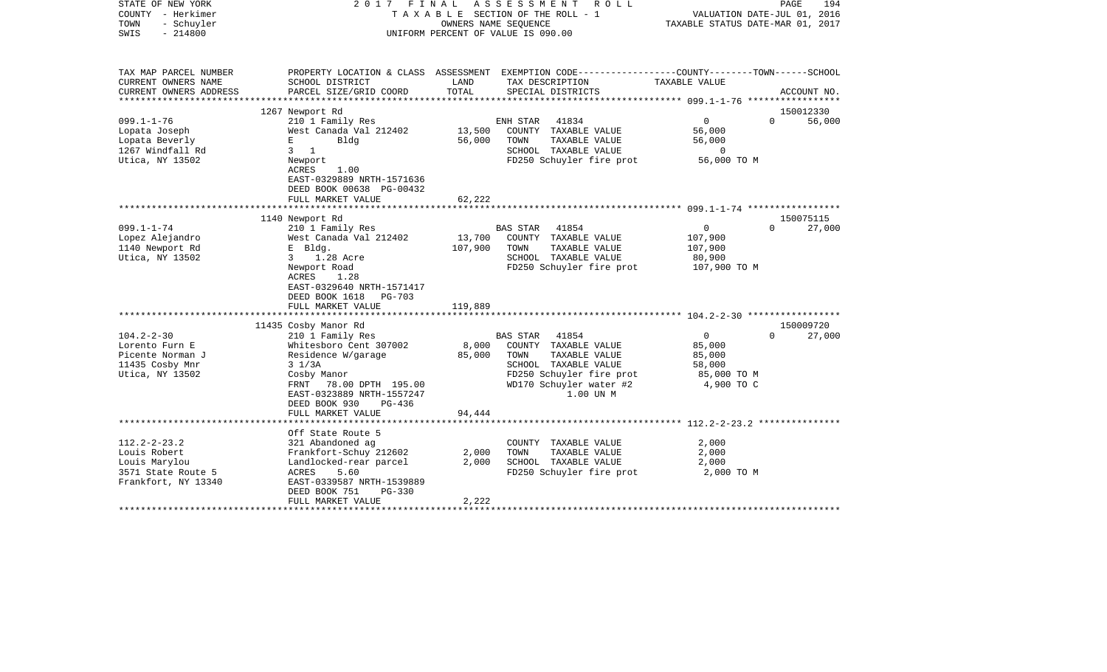| STATE OF NEW YORK<br>COUNTY - Herkimer<br>TOWN<br>- Schuyler<br>SWIS<br>$-214800$                | FINAL<br>ASSESSMENT<br>ROLL<br>2017<br>T A X A B L E SECTION OF THE ROLL - 1<br>OWNERS NAME SEQUENCE<br>UNIFORM PERCENT OF VALUE IS 090.00                                                                          |                              |                                                                                                                                                                       | TAXABLE STATUS DATE-MAR 01, 2017                                          | PAGE<br>194<br>VALUATION DATE-JUL 01, 2016 |
|--------------------------------------------------------------------------------------------------|---------------------------------------------------------------------------------------------------------------------------------------------------------------------------------------------------------------------|------------------------------|-----------------------------------------------------------------------------------------------------------------------------------------------------------------------|---------------------------------------------------------------------------|--------------------------------------------|
| TAX MAP PARCEL NUMBER<br>CURRENT OWNERS NAME<br>CURRENT OWNERS ADDRESS                           | SCHOOL DISTRICT<br>PARCEL SIZE/GRID COORD                                                                                                                                                                           | LAND<br>TOTAL                | PROPERTY LOCATION & CLASS ASSESSMENT EXEMPTION CODE---------------COUNTY-------TOWN------SCHOOL<br>TAX DESCRIPTION<br>SPECIAL DISTRICTS                               | TAXABLE VALUE                                                             | ACCOUNT NO.                                |
|                                                                                                  |                                                                                                                                                                                                                     |                              |                                                                                                                                                                       | **************** 099.1-1-76 ******************                            |                                            |
|                                                                                                  | 1267 Newport Rd                                                                                                                                                                                                     |                              |                                                                                                                                                                       |                                                                           | 150012330                                  |
| $099.1 - 1 - 76$<br>Lopata Joseph<br>Lopata Beverly<br>1267 Windfall Rd<br>Utica, NY 13502       | 210 1 Family Res<br>West Canada Val 212402<br>Bldg<br>E<br>$3 \quad 1$<br>Newport<br>ACRES<br>1.00<br>EAST-0329889 NRTH-1571636<br>DEED BOOK 00638 PG-00432                                                         | 13,500<br>56,000             | 41834<br>ENH STAR<br>COUNTY TAXABLE VALUE<br>TAXABLE VALUE<br>TOWN<br>SCHOOL TAXABLE VALUE<br>FD250 Schuyler fire prot                                                | $\overline{0}$<br>56,000<br>56,000<br>$\Omega$<br>56,000 TO M             | 56,000<br>$\Omega$                         |
|                                                                                                  | FULL MARKET VALUE                                                                                                                                                                                                   | 62,222                       |                                                                                                                                                                       |                                                                           |                                            |
|                                                                                                  |                                                                                                                                                                                                                     |                              |                                                                                                                                                                       |                                                                           | 150075115                                  |
| $099.1 - 1 - 74$<br>Lopez Alejandro<br>1140 Newport Rd<br>Utica, NY 13502                        | 1140 Newport Rd<br>210 1 Family Res<br>West Canada Val 212402<br>E Bldg.<br>$3^{\circ}$<br>1.28 Acre<br>Newport Road<br>1.28<br>ACRES<br>EAST-0329640 NRTH-1571417<br>DEED BOOK 1618<br>PG-703<br>FULL MARKET VALUE | 13,700<br>107,900<br>119,889 | 41854<br><b>BAS STAR</b><br>COUNTY TAXABLE VALUE<br>TOWN<br>TAXABLE VALUE<br>SCHOOL TAXABLE VALUE<br>FD250 Schuyler fire prot                                         | $\overline{0}$<br>107,900<br>107,900<br>80,900<br>107,900 TO M            | 27,000<br>$\Omega$                         |
|                                                                                                  | 11435 Cosby Manor Rd                                                                                                                                                                                                |                              |                                                                                                                                                                       |                                                                           | 150009720                                  |
| $104.2 - 2 - 30$<br>Lorento Furn E<br>Picente Norman J<br>11435 Cosby Mnr<br>Utica, NY 13502     | 210 1 Family Res<br>Whitesboro Cent 307002<br>Residence W/garage<br>$3 \frac{1}{3}$<br>Cosby Manor<br>FRNT 78.00 DPTH 195.00<br>EAST-0323889 NRTH-1557247<br>DEED BOOK 930<br>PG-436<br>FULL MARKET VALUE           | 8,000<br>85,000<br>94,444    | 41854<br><b>BAS STAR</b><br>COUNTY TAXABLE VALUE<br>TAXABLE VALUE<br>TOWN<br>SCHOOL TAXABLE VALUE<br>FD250 Schuyler fire prot<br>WD170 Schuyler water #2<br>1.00 UN M | $\overline{0}$<br>85,000<br>85,000<br>58,000<br>85,000 TO M<br>4,900 TO C | $\Omega$<br>27,000                         |
|                                                                                                  |                                                                                                                                                                                                                     |                              |                                                                                                                                                                       |                                                                           |                                            |
| $112.2 - 2 - 23.2$<br>Louis Robert<br>Louis Marylou<br>3571 State Route 5<br>Frankfort, NY 13340 | Off State Route 5<br>321 Abandoned ag<br>Frankfort-Schuy 212602<br>Landlocked-rear parcel<br>ACRES<br>5.60<br>EAST-0339587 NRTH-1539889<br>DEED BOOK 751<br><b>PG-330</b>                                           | 2,000<br>2,000               | COUNTY TAXABLE VALUE<br>TOWN<br>TAXABLE VALUE<br>SCHOOL TAXABLE VALUE<br>FD250 Schuyler fire prot                                                                     | 2,000<br>2,000<br>2,000<br>2,000 TO M                                     |                                            |
|                                                                                                  | FULL MARKET VALUE                                                                                                                                                                                                   | 2,222                        |                                                                                                                                                                       |                                                                           |                                            |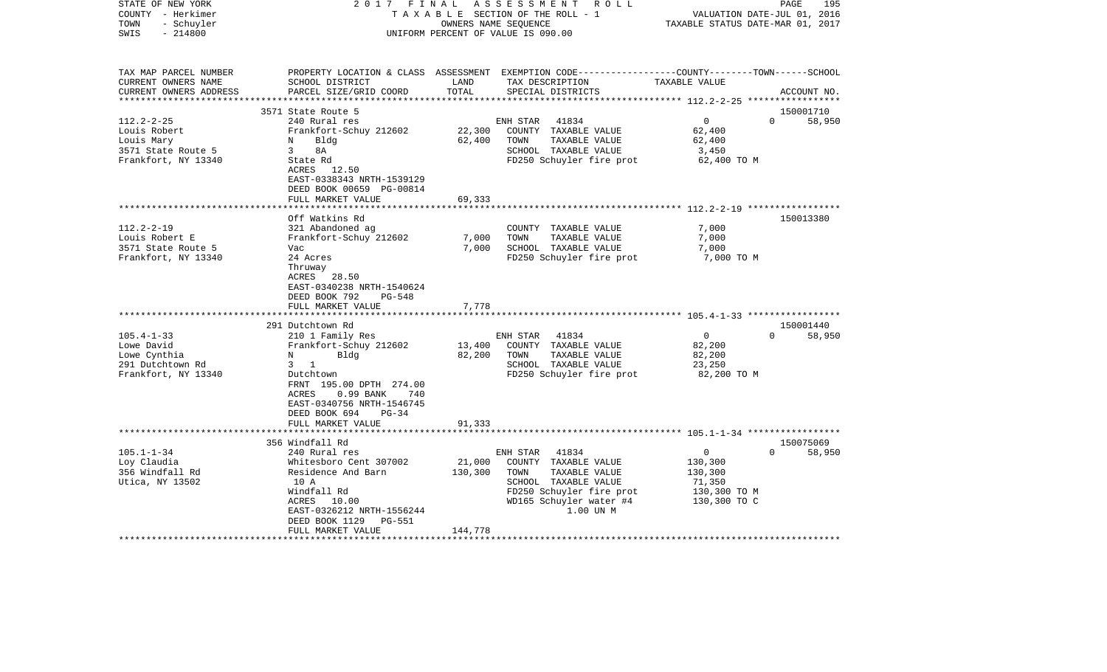| COUNTY<br>– Herkimer<br>TOWN<br>- Schuyler<br>$-214800$<br>SWIS                             |                                                                                                                                                                                                                                    | TAXABLE SECTION OF THE ROLL - 1<br>OWNERS NAME SEOUENCE<br>UNIFORM PERCENT OF VALUE IS 090.00 |                                                                                                                                                                |                                                                                          | VALUATION DATE-JUL 01, 2016<br>TAXABLE STATUS DATE-MAR 01, 2017 |  |  |
|---------------------------------------------------------------------------------------------|------------------------------------------------------------------------------------------------------------------------------------------------------------------------------------------------------------------------------------|-----------------------------------------------------------------------------------------------|----------------------------------------------------------------------------------------------------------------------------------------------------------------|------------------------------------------------------------------------------------------|-----------------------------------------------------------------|--|--|
| TAX MAP PARCEL NUMBER<br>CURRENT OWNERS NAME<br>CURRENT OWNERS ADDRESS                      | SCHOOL DISTRICT<br>PARCEL SIZE/GRID COORD                                                                                                                                                                                          | LAND<br>TOTAL                                                                                 | PROPERTY LOCATION & CLASS ASSESSMENT EXEMPTION CODE---------------COUNTY-------TOWN------SCHOOL<br>TAX DESCRIPTION<br>SPECIAL DISTRICTS                        | TAXABLE VALUE                                                                            | ACCOUNT NO.                                                     |  |  |
|                                                                                             | ***************************                                                                                                                                                                                                        | *************                                                                                 |                                                                                                                                                                | ************ 112.2-2-25 ******************                                               |                                                                 |  |  |
| $112.2 - 2 - 25$<br>Louis Robert<br>Louis Mary<br>3571 State Route 5<br>Frankfort, NY 13340 | 3571 State Route 5<br>240 Rural res<br>Frankfort-Schuy 212602<br>Bldg<br>Ν<br>3<br>8A<br>State Rd<br>ACRES 12.50<br>EAST-0338343 NRTH-1539129                                                                                      | 22,300<br>62,400                                                                              | 41834<br>ENH STAR<br>COUNTY TAXABLE VALUE<br>TOWN<br>TAXABLE VALUE<br>SCHOOL TAXABLE VALUE<br>FD250 Schuyler fire prot                                         | $\mathbf{0}$<br>62,400<br>62,400<br>3,450<br>62,400 TO M                                 | 150001710<br>$\Omega$<br>58,950                                 |  |  |
|                                                                                             | DEED BOOK 00659 PG-00814<br>FULL MARKET VALUE                                                                                                                                                                                      | 69,333                                                                                        |                                                                                                                                                                |                                                                                          |                                                                 |  |  |
| $112.2 - 2 - 19$                                                                            | Off Watkins Rd                                                                                                                                                                                                                     |                                                                                               | COUNTY TAXABLE VALUE                                                                                                                                           | 7,000                                                                                    | 150013380                                                       |  |  |
| Louis Robert E<br>3571 State Route 5<br>Frankfort, NY 13340                                 | 321 Abandoned ag<br>Frankfort-Schuy 212602<br>Vac<br>24 Acres<br>Thruway<br>ACRES<br>28.50<br>EAST-0340238 NRTH-1540624<br>DEED BOOK 792<br>PG-548<br>FULL MARKET VALUE                                                            | 7,000<br>7,000<br>7,778                                                                       | TOWN<br>TAXABLE VALUE<br>SCHOOL TAXABLE VALUE<br>FD250 Schuyler fire prot                                                                                      | 7,000<br>7,000<br>7,000 TO M                                                             |                                                                 |  |  |
|                                                                                             | ************************                                                                                                                                                                                                           |                                                                                               |                                                                                                                                                                |                                                                                          |                                                                 |  |  |
| $105.4 - 1 - 33$<br>Lowe David<br>Lowe Cynthia<br>291 Dutchtown Rd<br>Frankfort, NY 13340   | 291 Dutchtown Rd<br>210 1 Family Res<br>Frankfort-Schuy 212602<br>Bldg<br>N<br>$\overline{1}$<br>3<br>Dutchtown<br>FRNT 195.00 DPTH 274.00<br>ACRES<br>$0.99$ BANK<br>740<br>EAST-0340756 NRTH-1546745<br>DEED BOOK 694<br>$PG-34$ | 13,400<br>82,200                                                                              | 41834<br>ENH STAR<br>COUNTY TAXABLE VALUE<br>TOWN<br>TAXABLE VALUE<br>SCHOOL TAXABLE VALUE<br>FD250 Schuyler fire prot                                         | $\mathbf 0$<br>82,200<br>82,200<br>23,250<br>82,200 TO M                                 | 150001440<br>$\Omega$<br>58,950                                 |  |  |
|                                                                                             | FULL MARKET VALUE<br>************************                                                                                                                                                                                      | 91,333                                                                                        |                                                                                                                                                                |                                                                                          |                                                                 |  |  |
|                                                                                             | 356 Windfall Rd                                                                                                                                                                                                                    |                                                                                               |                                                                                                                                                                |                                                                                          | 150075069                                                       |  |  |
| $105.1 - 1 - 34$<br>Loy Claudia<br>356 Windfall Rd<br>Utica, NY 13502                       | 240 Rural res<br>Whitesboro Cent 307002<br>Residence And Barn<br>10 A<br>Windfall Rd<br>ACRES<br>10.00<br>EAST-0326212 NRTH-1556244<br>DEED BOOK 1129<br>PG-551<br>FULL MARKET VALUE                                               | 21,000<br>130,300<br>144,778                                                                  | ENH STAR<br>41834<br>COUNTY TAXABLE VALUE<br>TAXABLE VALUE<br>TOWN<br>SCHOOL TAXABLE VALUE<br>FD250 Schuyler fire prot<br>WD165 Schuyler water #4<br>1.00 UN M | $\mathbf{0}$<br>$\Omega$<br>130,300<br>130,300<br>71,350<br>130,300 TO M<br>130,300 TO C | 58,950                                                          |  |  |

PAGE 195

STATE OF NEW YORK 2 0 1 7 F I N A L A S S E S S M E N T R O L L PAGE 195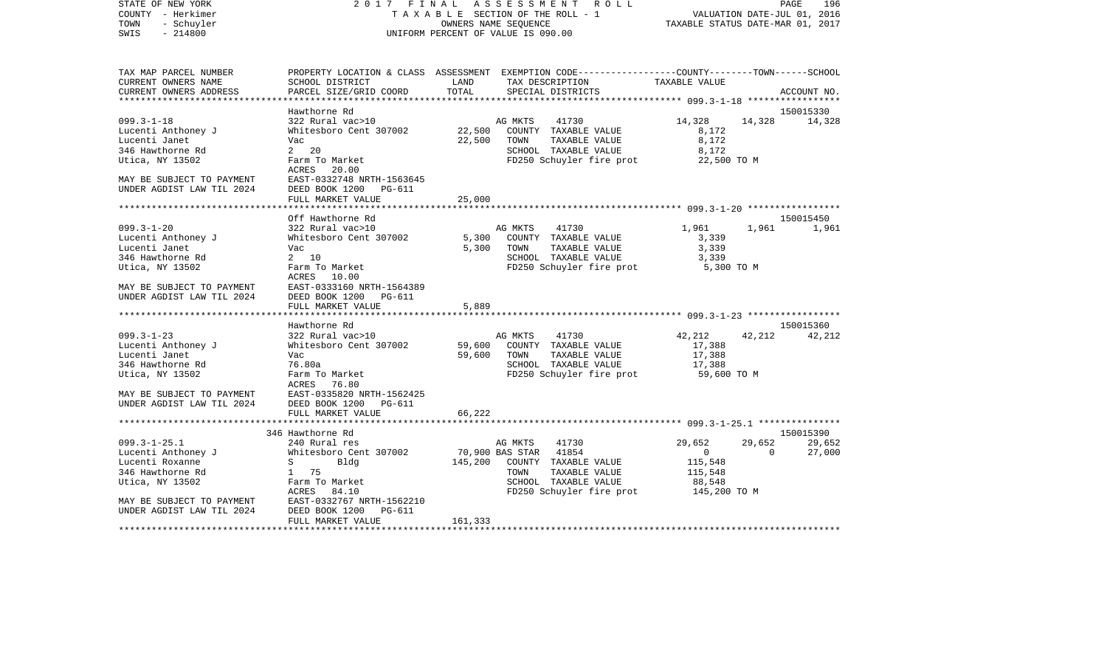| STATE OF NEW YORK         |                                                   |        | 2017 FINAL ASSESSMENT ROLL                                                                       |                                  |        | PAGE<br>196   |
|---------------------------|---------------------------------------------------|--------|--------------------------------------------------------------------------------------------------|----------------------------------|--------|---------------|
| COUNTY - Herkimer         |                                                   |        | TAXABLE SECTION OF THE ROLL - 1                                                                  | VALUATION DATE-JUL 01, 2016      |        |               |
| - Schuyler<br>TOWN        |                                                   |        | OWNERS NAME SEQUENCE                                                                             | TAXABLE STATUS DATE-MAR 01, 2017 |        |               |
| SWIS<br>$-214800$         |                                                   |        | UNIFORM PERCENT OF VALUE IS 090.00                                                               |                                  |        |               |
| TAX MAP PARCEL NUMBER     |                                                   |        | PROPERTY LOCATION & CLASS ASSESSMENT EXEMPTION CODE----------------COUNTY-------TOWN------SCHOOL |                                  |        |               |
| CURRENT OWNERS NAME       | SCHOOL DISTRICT                                   | LAND   | TAX DESCRIPTION                                                                                  | TAXABLE VALUE                    |        |               |
| CURRENT OWNERS ADDRESS    | PARCEL SIZE/GRID COORD                            | TOTAL  | SPECIAL DISTRICTS                                                                                |                                  |        | ACCOUNT NO.   |
|                           |                                                   |        |                                                                                                  |                                  |        |               |
|                           | Hawthorne Rd                                      |        |                                                                                                  |                                  |        | 150015330     |
| $099.3 - 1 - 18$          | 322 Rural vac>10                                  |        | 41730<br>AG MKTS                                                                                 | 14,328                           |        | 14,328 14,328 |
| Lucenti Anthoney J        | Whitesboro Cent 307002 22,500                     |        | COUNTY TAXABLE VALUE                                                                             | 8,172                            |        |               |
| Lucenti Janet             | Vac                                               | 22,500 | TOWN<br>TAXABLE VALUE                                                                            | 8,172                            |        |               |
| 346 Hawthorne Rd          | $2 \t20$                                          |        | SCHOOL TAXABLE VALUE                                                                             | 8,172                            |        |               |
| Utica, NY 13502           | Farm To Market                                    |        | FD250 Schuyler fire prot                                                                         | 22,500 TO M                      |        |               |
|                           | ACRES 20.00                                       |        |                                                                                                  |                                  |        |               |
| MAY BE SUBJECT TO PAYMENT | EAST-0332748 NRTH-1563645                         |        |                                                                                                  |                                  |        |               |
| UNDER AGDIST LAW TIL 2024 | DEED BOOK 1200<br>PG-611<br>FULL MARKET VALUE     | 25,000 |                                                                                                  |                                  |        |               |
|                           |                                                   |        |                                                                                                  |                                  |        |               |
|                           | Off Hawthorne Rd                                  |        |                                                                                                  |                                  |        | 150015450     |
| $099.3 - 1 - 20$          | 322 Rural vac>10                                  |        | AG MKTS 41730                                                                                    | 1,961 1,961                      |        | 1,961         |
| Lucenti Anthoney J        | Whitesboro Cent 307002 5,300 COUNTY TAXABLE VALUE |        |                                                                                                  | 3,339                            |        |               |
| Lucenti Janet             | Vac                                               |        | 5,300 TOWN<br>TAXABLE VALUE                                                                      | 3,339                            |        |               |
| 346 Hawthorne Rd          | 2 10                                              |        | SCHOOL TAXABLE VALUE                                                                             | 3,339                            |        |               |
| Utica, NY 13502           | Farm To Market                                    |        | FD250 Schuyler fire prot                                                                         | 5,300 TO M                       |        |               |
|                           | ACRES 10.00                                       |        |                                                                                                  |                                  |        |               |
| MAY BE SUBJECT TO PAYMENT | EAST-0333160 NRTH-1564389                         |        |                                                                                                  |                                  |        |               |
| UNDER AGDIST LAW TIL 2024 | DEED BOOK 1200 PG-611                             |        |                                                                                                  |                                  |        |               |
|                           | FULL MARKET VALUE                                 | 5,889  |                                                                                                  |                                  |        |               |
|                           | Hawthorne Rd                                      |        |                                                                                                  |                                  |        | 150015360     |
| $099.3 - 1 - 23$          | 322 Rural vac>10                                  |        | AG MKTS<br>41730                                                                                 | 42,212                           | 42,212 | 42,212        |
| Lucenti Anthoney J        | Whitesboro Cent 307002 59,600                     |        | COUNTY TAXABLE VALUE                                                                             | 17,388                           |        |               |
| Lucenti Janet             | Vac                                               | 59,600 | TOWN<br>TAXABLE VALUE                                                                            | 17,388                           |        |               |
| 346 Hawthorne Rd          | 76.80a                                            |        | SCHOOL TAXABLE VALUE                                                                             | 17,388                           |        |               |
| Utica, NY 13502           | Farm To Market                                    |        | FD250 Schuyler fire prot                                                                         | 59,600 TO M                      |        |               |
|                           | ACRES<br>76.80                                    |        |                                                                                                  |                                  |        |               |
| MAY BE SUBJECT TO PAYMENT | EAST-0335820 NRTH-1562425                         |        |                                                                                                  |                                  |        |               |

| UNDER AGDIST LAW TIL 2024 | DEED BOOK 1200<br>PG-611<br>FULL MARKET VALUE | 66,222                             |              |        |           |
|---------------------------|-----------------------------------------------|------------------------------------|--------------|--------|-----------|
|                           |                                               |                                    |              |        |           |
|                           | 346 Hawthorne Rd                              |                                    |              |        | 150015390 |
| $099.3 - 1 - 25.1$        | 240 Rural res                                 | 41730<br>AG MKTS                   | 29,652       | 29,652 | 29,652    |
| Lucenti Anthoney J        | Whitesboro Cent 307002                        | 41854<br>70,900 BAS STAR           |              |        | 27,000    |
| Lucenti Roxanne           | Bldg                                          | 145,200<br>TAXABLE VALUE<br>COUNTY | 115,548      |        |           |
| 346 Hawthorne Rd          | 75                                            | TOWN<br>TAXABLE VALUE              | 115,548      |        |           |
| Utica, NY 13502           | Farm To Market                                | SCHOOL<br>TAXABLE VALUE            | 88,548       |        |           |
|                           | ACRES 84.10                                   | FD250 Schuyler fire prot           | 145,200 TO M |        |           |
| MAY BE SUBJECT TO PAYMENT | EAST-0332767 NRTH-1562210                     |                                    |              |        |           |
| UNDER AGDIST LAW TIL 2024 | DEED BOOK 1200 PG-611                         |                                    |              |        |           |
|                           | FULL MARKET VALUE                             | 161,333                            |              |        |           |
|                           |                                               |                                    |              |        |           |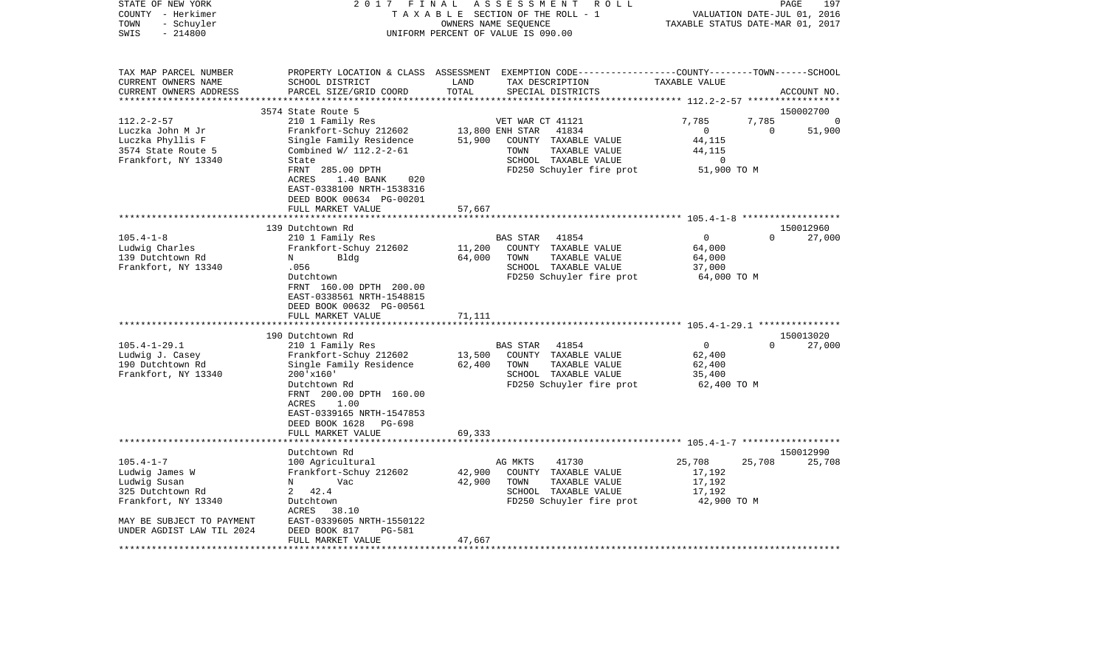| STATE OF NEW YORK<br>2017<br>FINAL<br>ASSESSMENT<br>R O L L<br>PAGE<br>COUNTY - Herkimer<br>TAXABLE SECTION OF THE ROLL - 1<br>VALUATION DATE-JUL 01, 2016<br>TOWN<br>- Schuyler<br>OWNERS NAME SEQUENCE<br>TAXABLE STATUS DATE-MAR 01, 2017<br>$-214800$<br>SWIS<br>UNIFORM PERCENT OF VALUE IS 090.00 |                                                                                                                                                                                                                                                                                                                                                                                                                                                                     |                                                                                                                                                                                                                                                                                                                            |                                                                                                                                                                                  | 197 |
|---------------------------------------------------------------------------------------------------------------------------------------------------------------------------------------------------------------------------------------------------------------------------------------------------------|---------------------------------------------------------------------------------------------------------------------------------------------------------------------------------------------------------------------------------------------------------------------------------------------------------------------------------------------------------------------------------------------------------------------------------------------------------------------|----------------------------------------------------------------------------------------------------------------------------------------------------------------------------------------------------------------------------------------------------------------------------------------------------------------------------|----------------------------------------------------------------------------------------------------------------------------------------------------------------------------------|-----|
| TAX MAP PARCEL NUMBER<br>CURRENT OWNERS NAME<br>CURRENT OWNERS ADDRESS<br>********************                                                                                                                                                                                                          | SCHOOL DISTRICT<br>PARCEL SIZE/GRID COORD                                                                                                                                                                                                                                                                                                                                                                                                                           | PROPERTY LOCATION & CLASS ASSESSMENT EXEMPTION CODE----------------COUNTY-------TOWN------SCHOOL<br>LAND<br>TAX DESCRIPTION<br>TOTAL<br>SPECIAL DISTRICTS                                                                                                                                                                  | TAXABLE VALUE<br>ACCOUNT NO.                                                                                                                                                     |     |
|                                                                                                                                                                                                                                                                                                         | 3574 State Route 5                                                                                                                                                                                                                                                                                                                                                                                                                                                  |                                                                                                                                                                                                                                                                                                                            | 150002700                                                                                                                                                                        |     |
| $112.2 - 2 - 57$<br>Luczka John M Jr<br>Luczka Phyllis F<br>3574 State Route 5<br>Frankfort, NY 13340                                                                                                                                                                                                   | 210 1 Family Res<br>Frankfort-Schuy 212602<br>Single Family Residence<br>Combined W/ 112.2-2-61<br>State                                                                                                                                                                                                                                                                                                                                                            | VET WAR CT 41121<br>13,800 ENH STAR<br>41834<br>51,900<br>COUNTY TAXABLE VALUE<br>TOWN<br>TAXABLE VALUE<br>SCHOOL TAXABLE VALUE                                                                                                                                                                                            | 7,785<br>7,785<br>$\mathbf 0$<br>51,900<br>$\Omega$<br>44,115<br>44,115<br>$\Omega$                                                                                              |     |
|                                                                                                                                                                                                                                                                                                         | <b>ACRES</b><br>1.40 BANK<br>020<br>EAST-0338100 NRTH-1538316<br>DEED BOOK 00634 PG-00201<br>FULL MARKET VALUE                                                                                                                                                                                                                                                                                                                                                      | 57,667                                                                                                                                                                                                                                                                                                                     |                                                                                                                                                                                  |     |
|                                                                                                                                                                                                                                                                                                         |                                                                                                                                                                                                                                                                                                                                                                                                                                                                     |                                                                                                                                                                                                                                                                                                                            |                                                                                                                                                                                  |     |
| $105.4 - 1 - 8$<br>Ludwig Charles<br>139 Dutchtown Rd<br>Frankfort, NY 13340<br>$105.4 - 1 - 29.1$<br>Ludwig J. Casey<br>190 Dutchtown Rd<br>Frankfort, NY 13340                                                                                                                                        | 139 Dutchtown Rd<br>210 1 Family Res<br>Frankfort-Schuy 212602<br>Bldg<br>N<br>.056<br>Dutchtown<br>FRNT 160.00 DPTH 200.00<br>EAST-0338561 NRTH-1548815<br>DEED BOOK 00632 PG-00561<br>FULL MARKET VALUE<br>190 Dutchtown Rd<br>210 1 Family Res<br>Frankfort-Schuy 212602<br>Single Family Residence<br>$200'$ x $160'$<br>Dutchtown Rd<br>FRNT 200.00 DPTH 160.00<br>ACRES<br>1.00<br>EAST-0339165 NRTH-1547853<br>DEED BOOK 1628<br>PG-698<br>FULL MARKET VALUE | <b>BAS STAR</b><br>41854<br>11,200<br>COUNTY TAXABLE VALUE<br>64,000<br>TAXABLE VALUE<br>TOWN<br>SCHOOL TAXABLE VALUE<br>FD250 Schuyler fire prot<br>71,111<br>41854<br><b>BAS STAR</b><br>13,500<br>COUNTY TAXABLE VALUE<br>62,400<br>TAXABLE VALUE<br>TOWN<br>SCHOOL TAXABLE VALUE<br>FD250 Schuyler fire prot<br>69,333 | 150012960<br>0<br>27,000<br>$\Omega$<br>64,000<br>64,000<br>37,000<br>64,000 TO M<br>150013020<br>$\mathbf 0$<br>27,000<br>$\Omega$<br>62,400<br>62,400<br>35,400<br>62,400 TO M |     |
|                                                                                                                                                                                                                                                                                                         | ********************                                                                                                                                                                                                                                                                                                                                                                                                                                                |                                                                                                                                                                                                                                                                                                                            |                                                                                                                                                                                  |     |
| $105.4 - 1 - 7$<br>Ludwig James W<br>Ludwig Susan<br>325 Dutchtown Rd<br>Frankfort, NY 13340<br>MAY BE SUBJECT TO PAYMENT<br>UNDER AGDIST LAW TIL 2024                                                                                                                                                  | Dutchtown Rd<br>100 Agricultural<br>Frankfort-Schuy 212602<br>N<br>Vac<br>42.4<br>2<br>Dutchtown<br>ACRES<br>38.10<br>EAST-0339605 NRTH-1550122<br>DEED BOOK 817<br><b>PG-581</b><br>FULL MARKET VALUE                                                                                                                                                                                                                                                              | 41730<br>AG MKTS<br>42,900<br>COUNTY TAXABLE VALUE<br>42,900<br>TOWN<br>TAXABLE VALUE<br>SCHOOL TAXABLE VALUE<br>FD250 Schuyler fire prot<br>47,667                                                                                                                                                                        | 150012990<br>25,708<br>25,708<br>25,708<br>17,192<br>17,192<br>17,192<br>42,900 TO M                                                                                             |     |
| **********************                                                                                                                                                                                                                                                                                  | FRNT 285.00 DPTH                                                                                                                                                                                                                                                                                                                                                                                                                                                    | FD250 Schuyler fire prot                                                                                                                                                                                                                                                                                                   | 51,900 TO M                                                                                                                                                                      |     |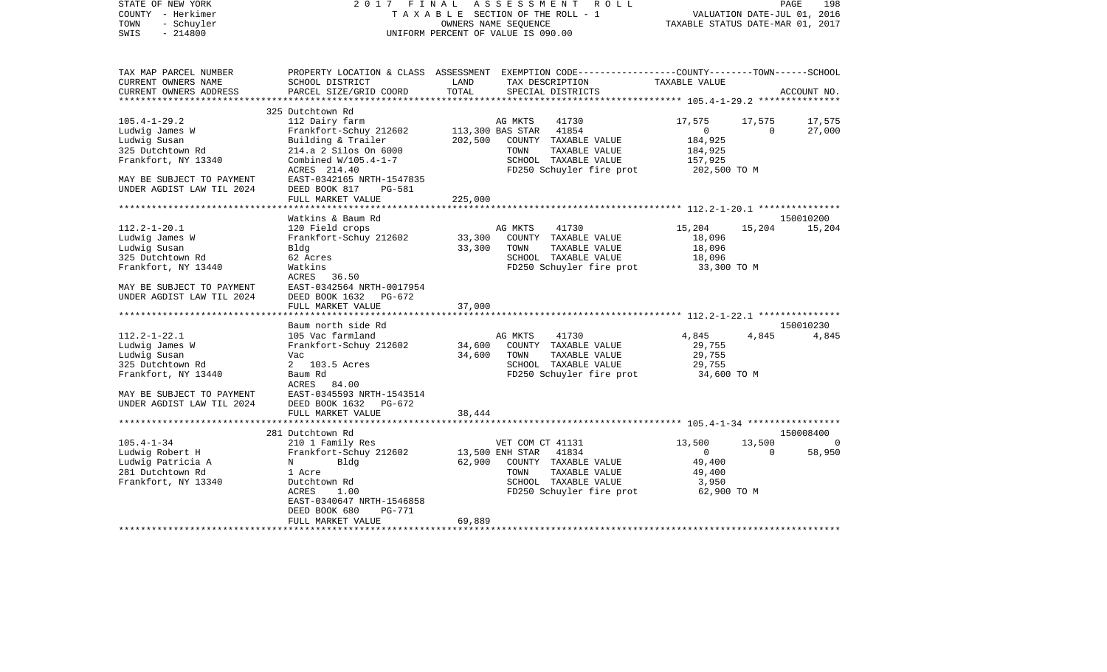| STATE OF NEW YORK<br>COUNTY - Herkimer<br>- Schuyler<br>TOWN<br>$-214800$<br>SWIS |                                            | 2017 FINAL ASSESSMENT<br>ROLL<br>T A X A B L E SECTION OF THE ROLL - 1<br>OWNERS NAME SEOUENCE<br>UNIFORM PERCENT OF VALUE IS 090.00 |                                                                                                  |                                               |             | PAGE<br>198<br>VALUATION DATE-JUL 01, 2016<br>TAXABLE STATUS DATE-MAR 01, 2017 |
|-----------------------------------------------------------------------------------|--------------------------------------------|--------------------------------------------------------------------------------------------------------------------------------------|--------------------------------------------------------------------------------------------------|-----------------------------------------------|-------------|--------------------------------------------------------------------------------|
|                                                                                   |                                            |                                                                                                                                      |                                                                                                  |                                               |             |                                                                                |
| TAX MAP PARCEL NUMBER                                                             |                                            | LAND                                                                                                                                 | PROPERTY LOCATION & CLASS ASSESSMENT EXEMPTION CODE----------------COUNTY-------TOWN------SCHOOL |                                               |             |                                                                                |
| CURRENT OWNERS NAME<br>CURRENT OWNERS ADDRESS                                     | SCHOOL DISTRICT<br>PARCEL SIZE/GRID COORD  | TOTAL                                                                                                                                | TAX DESCRIPTION<br>SPECIAL DISTRICTS                                                             | TAXABLE VALUE                                 |             | ACCOUNT NO.                                                                    |
|                                                                                   |                                            | ***************                                                                                                                      |                                                                                                  | **************** 105.4-1-29.2 *************** |             |                                                                                |
|                                                                                   | 325 Dutchtown Rd                           |                                                                                                                                      |                                                                                                  |                                               |             |                                                                                |
| $105.4 - 1 - 29.2$                                                                | 112 Dairy farm                             |                                                                                                                                      | AG MKTS<br>41730                                                                                 | 17,575                                        | 17,575      | 17,575                                                                         |
| Ludwig James W                                                                    | Frankfort-Schuy 212602                     |                                                                                                                                      | 41854<br>113,300 BAS STAR                                                                        | $\mathsf{O}$                                  | $\Omega$    | 27,000                                                                         |
| Ludwig Susan                                                                      | Building & Trailer                         | 202,500                                                                                                                              | COUNTY TAXABLE VALUE                                                                             | 184,925                                       |             |                                                                                |
| 325 Dutchtown Rd                                                                  | 214.a 2 Silos On 6000                      |                                                                                                                                      | TOWN<br>TAXABLE VALUE                                                                            | 184,925                                       |             |                                                                                |
| Frankfort, NY 13340                                                               | Combined $W/105.4-1-7$<br>ACRES 214.40     |                                                                                                                                      | SCHOOL TAXABLE VALUE                                                                             | 157,925                                       |             |                                                                                |
| MAY BE SUBJECT TO PAYMENT                                                         | EAST-0342165 NRTH-1547835                  |                                                                                                                                      | FD250 Schuyler fire prot                                                                         | 202,500 ТО М                                  |             |                                                                                |
| UNDER AGDIST LAW TIL 2024                                                         | DEED BOOK 817<br>PG-581                    |                                                                                                                                      |                                                                                                  |                                               |             |                                                                                |
|                                                                                   | FULL MARKET VALUE                          | 225,000                                                                                                                              |                                                                                                  |                                               |             |                                                                                |
|                                                                                   | ******************                         |                                                                                                                                      |                                                                                                  |                                               |             |                                                                                |
|                                                                                   | Watkins & Baum Rd                          |                                                                                                                                      |                                                                                                  |                                               |             | 150010200                                                                      |
| $112.2 - 1 - 20.1$                                                                | 120 Field crops                            |                                                                                                                                      | AG MKTS<br>41730                                                                                 | 15,204                                        | 15,204      | 15,204                                                                         |
| Ludwig James W                                                                    | Frankfort-Schuy 212602                     | 33,300                                                                                                                               | COUNTY TAXABLE VALUE                                                                             | 18,096                                        |             |                                                                                |
| Ludwig Susan                                                                      | Bldg                                       | 33,300                                                                                                                               | TAXABLE VALUE<br>TOWN                                                                            | 18,096                                        |             |                                                                                |
| 325 Dutchtown Rd                                                                  | 62 Acres                                   |                                                                                                                                      | SCHOOL TAXABLE VALUE                                                                             | 18,096                                        |             |                                                                                |
| Frankfort, NY 13440                                                               | Watkins                                    |                                                                                                                                      | FD250 Schuyler fire prot                                                                         | 33,300 TO M                                   |             |                                                                                |
|                                                                                   | ACRES 36.50                                |                                                                                                                                      |                                                                                                  |                                               |             |                                                                                |
| MAY BE SUBJECT TO PAYMENT                                                         | EAST-0342564 NRTH-0017954                  |                                                                                                                                      |                                                                                                  |                                               |             |                                                                                |
| UNDER AGDIST LAW TIL 2024                                                         | DEED BOOK 1632<br>PG-672                   |                                                                                                                                      |                                                                                                  |                                               |             |                                                                                |
|                                                                                   | FULL MARKET VALUE                          | 37,000                                                                                                                               | ******************************* 112.2-1-22.1 ***************                                     |                                               |             |                                                                                |
|                                                                                   | Baum north side Rd                         |                                                                                                                                      |                                                                                                  |                                               |             |                                                                                |
| $112.2 - 1 - 22.1$                                                                | 105 Vac farmland                           |                                                                                                                                      | AG MKTS<br>41730                                                                                 | 4,845                                         | 4,845       | 150010230<br>4,845                                                             |
| Ludwig James W                                                                    | Frankfort-Schuy 212602                     | 34,600                                                                                                                               | COUNTY TAXABLE VALUE                                                                             | 29,755                                        |             |                                                                                |
| Ludwig Susan                                                                      | Vac                                        | 34,600                                                                                                                               | TOWN<br>TAXABLE VALUE                                                                            | 29,755                                        |             |                                                                                |
| 325 Dutchtown Rd                                                                  | 2 103.5 Acres                              |                                                                                                                                      | SCHOOL TAXABLE VALUE                                                                             | 29,755                                        |             |                                                                                |
| Frankfort, NY 13440                                                               | Baum Rd                                    |                                                                                                                                      | FD250 Schuyler fire prot                                                                         | 34,600 TO M                                   |             |                                                                                |
|                                                                                   | ACRES<br>84.00                             |                                                                                                                                      |                                                                                                  |                                               |             |                                                                                |
| MAY BE SUBJECT TO PAYMENT                                                         | EAST-0345593 NRTH-1543514                  |                                                                                                                                      |                                                                                                  |                                               |             |                                                                                |
| UNDER AGDIST LAW TIL 2024                                                         | DEED BOOK 1632<br>PG-672                   |                                                                                                                                      |                                                                                                  |                                               |             |                                                                                |
|                                                                                   | FULL MARKET VALUE                          | 38,444                                                                                                                               |                                                                                                  |                                               |             |                                                                                |
|                                                                                   | ***********************                    |                                                                                                                                      |                                                                                                  |                                               |             |                                                                                |
|                                                                                   | 281 Dutchtown Rd                           |                                                                                                                                      |                                                                                                  |                                               |             | 150008400                                                                      |
| $105.4 - 1 - 34$                                                                  | 210 1 Family Res                           |                                                                                                                                      | VET COM CT 41131                                                                                 | 13,500                                        | 13,500      | 0                                                                              |
| Ludwig Robert H                                                                   | Frankfort-Schuy 212602                     |                                                                                                                                      | 13,500 ENH STAR<br>41834                                                                         | $\mathbf{0}$                                  | $\mathbf 0$ | 58,950                                                                         |
| Ludwig Patricia A                                                                 | Bldg<br>N                                  | 62,900                                                                                                                               | COUNTY TAXABLE VALUE                                                                             | 49,400                                        |             |                                                                                |
| 281 Dutchtown Rd                                                                  | 1 Acre                                     |                                                                                                                                      | TAXABLE VALUE<br>TOWN                                                                            | 49,400                                        |             |                                                                                |
| Frankfort, NY 13340                                                               | Dutchtown Rd                               |                                                                                                                                      | SCHOOL TAXABLE VALUE                                                                             | 3,950                                         |             |                                                                                |
|                                                                                   | ACRES<br>1.00<br>EAST-0340647 NRTH-1546858 |                                                                                                                                      | FD250 Schuyler fire prot                                                                         | 62,900 TO M                                   |             |                                                                                |
|                                                                                   | DEED BOOK 680<br>PG-771                    |                                                                                                                                      |                                                                                                  |                                               |             |                                                                                |
|                                                                                   | FULL MARKET VALUE                          | 69,889                                                                                                                               |                                                                                                  |                                               |             |                                                                                |
|                                                                                   |                                            |                                                                                                                                      |                                                                                                  |                                               |             |                                                                                |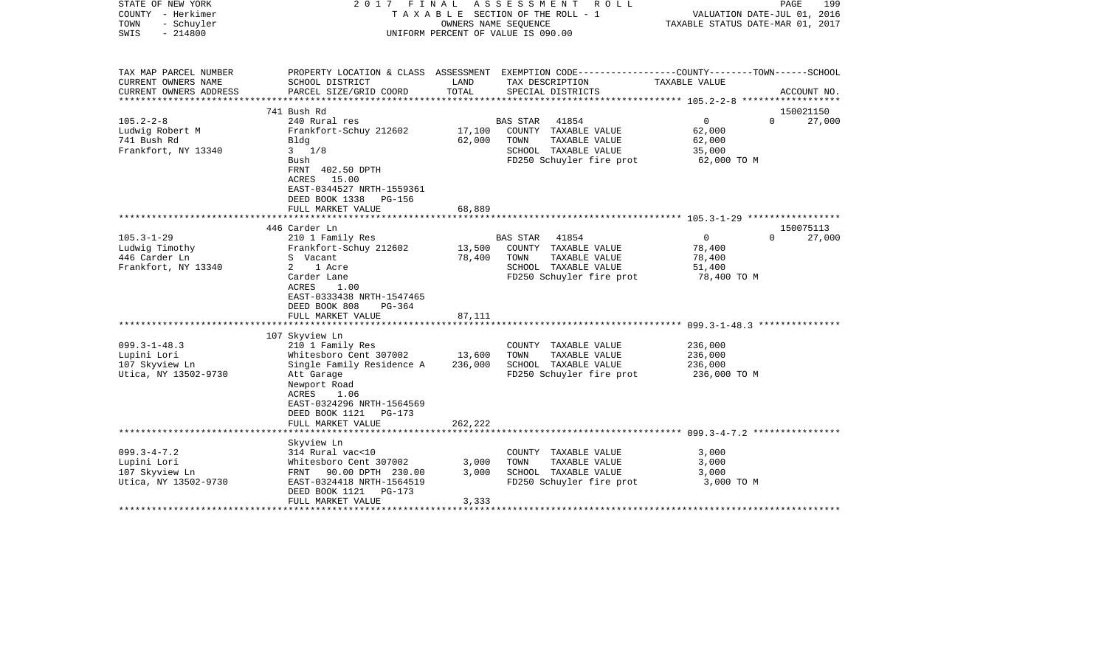| STATE OF NEW YORK<br>COUNTY - Herkimer<br>- Schuyler<br>TOWN<br>$-214800$<br>SWIS | 2017                                                                                                                                                                                                                           | FINAL<br>ASSESSMENT ROLL<br>TAXABLE SECTION OF THE ROLL - 1<br>OWNERS NAME SEQUENCE<br>UNIFORM PERCENT OF VALUE IS 090.00 |                                                                                                                        |                                                           | 199<br>PAGE<br>VALUATION DATE-JUL 01, 2016<br>TAXABLE STATUS DATE-MAR 01, 2017 |
|-----------------------------------------------------------------------------------|--------------------------------------------------------------------------------------------------------------------------------------------------------------------------------------------------------------------------------|---------------------------------------------------------------------------------------------------------------------------|------------------------------------------------------------------------------------------------------------------------|-----------------------------------------------------------|--------------------------------------------------------------------------------|
| TAX MAP PARCEL NUMBER<br>CURRENT OWNERS NAME                                      | SCHOOL DISTRICT                                                                                                                                                                                                                | LAND                                                                                                                      | PROPERTY LOCATION & CLASS ASSESSMENT EXEMPTION CODE----------------COUNTY-------TOWN------SCHOOL<br>TAX DESCRIPTION    | TAXABLE VALUE                                             |                                                                                |
| CURRENT OWNERS ADDRESS                                                            | PARCEL SIZE/GRID COORD                                                                                                                                                                                                         | TOTAL                                                                                                                     | SPECIAL DISTRICTS                                                                                                      |                                                           | ACCOUNT NO.                                                                    |
|                                                                                   | 741 Bush Rd                                                                                                                                                                                                                    |                                                                                                                           |                                                                                                                        |                                                           |                                                                                |
| $105.2 - 2 - 8$                                                                   | 240 Rural res                                                                                                                                                                                                                  |                                                                                                                           | 41854<br>BAS STAR                                                                                                      | $\mathbf 0$                                               | 150021150<br>27,000<br>$\Omega$                                                |
| Ludwig Robert M<br>741 Bush Rd<br>Frankfort, NY 13340                             | Frankfort-Schuy 212602<br>Bldg<br>$3 \frac{1}{8}$<br>Bush                                                                                                                                                                      | 17,100<br>62,000                                                                                                          | COUNTY TAXABLE VALUE<br>TAXABLE VALUE<br>TOWN<br>SCHOOL TAXABLE VALUE<br>FD250 Schuyler fire prot                      | 62,000<br>62,000<br>35,000<br>62,000 TO M                 |                                                                                |
|                                                                                   | FRNT 402.50 DPTH<br>ACRES 15.00<br>EAST-0344527 NRTH-1559361<br>DEED BOOK 1338 PG-156<br>FULL MARKET VALUE                                                                                                                     | 68,889                                                                                                                    |                                                                                                                        |                                                           |                                                                                |
|                                                                                   | 446 Carder Ln                                                                                                                                                                                                                  |                                                                                                                           |                                                                                                                        |                                                           | 150075113                                                                      |
| $105.3 - 1 - 29$<br>Ludwig Timothy<br>446 Carder Ln<br>Frankfort, NY 13340        | 210 1 Family Res<br>Frankfort-Schuy 212602<br>S Vacant<br>1 Acre<br>2<br>Carder Lane<br>ACRES<br>1.00<br>EAST-0333438 NRTH-1547465<br>DEED BOOK 808<br>$PG-364$                                                                | 13,500<br>78,400                                                                                                          | 41854<br>BAS STAR<br>COUNTY TAXABLE VALUE<br>TAXABLE VALUE<br>TOWN<br>SCHOOL TAXABLE VALUE<br>FD250 Schuyler fire prot | $\mathsf{O}$<br>78,400<br>78,400<br>51,400<br>78,400 TO M | 27,000<br>$\Omega$                                                             |
|                                                                                   | FULL MARKET VALUE                                                                                                                                                                                                              | 87,111                                                                                                                    |                                                                                                                        |                                                           |                                                                                |
| $099.3 - 1 - 48.3$<br>Lupini Lori<br>107 Skyview Ln<br>Utica, NY 13502-9730       | *************************<br>107 Skyview Ln<br>210 1 Family Res<br>Whitesboro Cent 307002<br>Single Family Residence A<br>Att Garage<br>Newport Road<br>ACRES<br>1.06<br>EAST-0324296 NRTH-1564569<br>DEED BOOK 1121<br>PG-173 | 13,600<br>236,000                                                                                                         | COUNTY TAXABLE VALUE<br>TAXABLE VALUE<br>TOWN<br>SCHOOL TAXABLE VALUE<br>FD250 Schuyler fire prot                      | 236,000<br>236,000<br>236,000<br>236,000 TO M             |                                                                                |
|                                                                                   | FULL MARKET VALUE                                                                                                                                                                                                              | 262,222                                                                                                                   |                                                                                                                        |                                                           |                                                                                |
| $099.3 - 4 - 7.2$<br>Lupini Lori<br>107 Skyview Ln<br>Utica, NY 13502-9730        | Skyview Ln<br>314 Rural vac<10<br>Whitesboro Cent 307002<br>90.00 DPTH 230.00<br>FRNT<br>EAST-0324418 NRTH-1564519<br>DEED BOOK 1121<br><b>PG-173</b><br>FULL MARKET VALUE                                                     | 3,000<br>3,000<br>3,333                                                                                                   | COUNTY TAXABLE VALUE<br>TAXABLE VALUE<br>TOWN<br>SCHOOL TAXABLE VALUE<br>FD250 Schuyler fire prot                      | 3,000<br>3,000<br>3,000<br>3,000 TO M                     |                                                                                |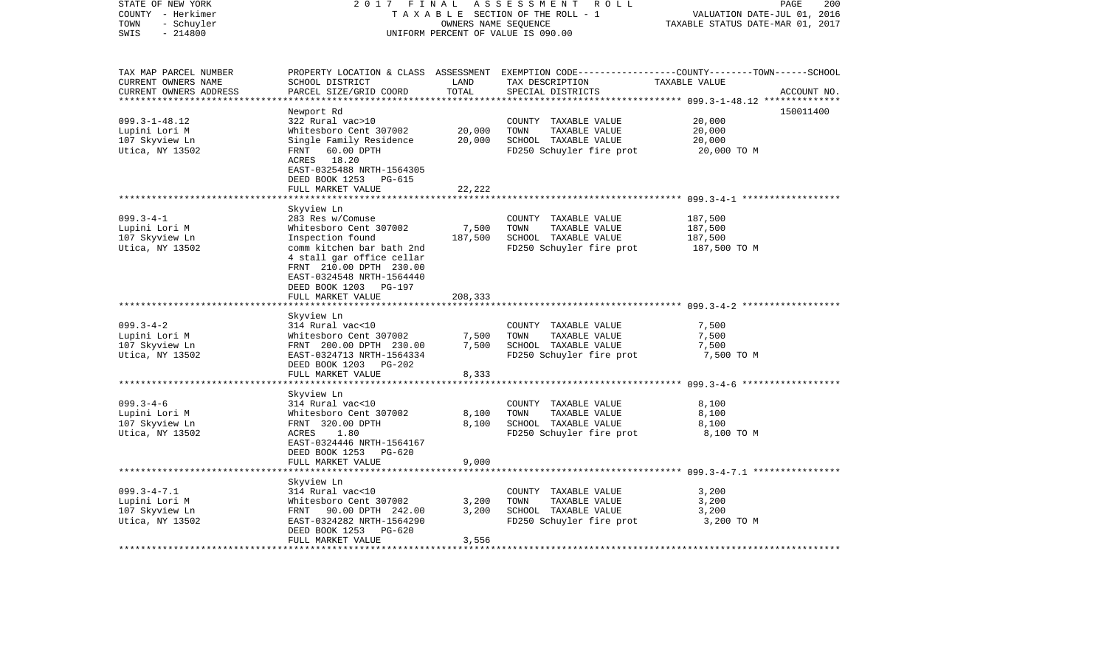| STATE OF NEW YORK<br>COUNTY - Herkimer<br>TOWN<br>- Schuyler           | 2017                                                 | FINAL<br>OWNERS NAME SEQUENCE | A S S E S S M E N T R O L L<br>TAXABLE SECTION OF THE ROLL - 1 | 200<br>PAGE<br>VALUATION DATE-JUL 01, 2016<br>TAXABLE STATUS DATE-MAR 01, 2017                                                  |  |
|------------------------------------------------------------------------|------------------------------------------------------|-------------------------------|----------------------------------------------------------------|---------------------------------------------------------------------------------------------------------------------------------|--|
| $-214800$<br>SWIS                                                      |                                                      |                               | UNIFORM PERCENT OF VALUE IS 090.00                             |                                                                                                                                 |  |
| TAX MAP PARCEL NUMBER<br>CURRENT OWNERS NAME<br>CURRENT OWNERS ADDRESS | SCHOOL DISTRICT<br>PARCEL SIZE/GRID COORD            | LAND<br>TOTAL                 | TAX DESCRIPTION<br>SPECIAL DISTRICTS                           | PROPERTY LOCATION & CLASS ASSESSMENT EXEMPTION CODE---------------COUNTY-------TOWN------SCHOOL<br>TAXABLE VALUE<br>ACCOUNT NO. |  |
|                                                                        |                                                      | * * * * * * * * * * * * * *   |                                                                |                                                                                                                                 |  |
| $099.3 - 1 - 48.12$                                                    | Newport Rd<br>322 Rural vac>10                       |                               | COUNTY TAXABLE VALUE                                           | 150011400<br>20,000                                                                                                             |  |
| Lupini Lori M                                                          | Whitesboro Cent 307002                               | 20,000                        | TOWN<br>TAXABLE VALUE                                          | 20,000                                                                                                                          |  |
| 107 Skyview Ln                                                         | Single Family Residence                              | 20,000                        | SCHOOL TAXABLE VALUE                                           | 20,000                                                                                                                          |  |
| Utica, NY 13502                                                        | 60.00 DPTH<br>FRNT                                   |                               | FD250 Schuyler fire prot                                       | 20,000 TO M                                                                                                                     |  |
|                                                                        | ACRES 18.20                                          |                               |                                                                |                                                                                                                                 |  |
|                                                                        | EAST-0325488 NRTH-1564305                            |                               |                                                                |                                                                                                                                 |  |
|                                                                        | DEED BOOK 1253<br>PG-615<br>FULL MARKET VALUE        | 22,222                        |                                                                |                                                                                                                                 |  |
|                                                                        | ******************                                   |                               |                                                                |                                                                                                                                 |  |
|                                                                        | Skyview Ln                                           |                               |                                                                |                                                                                                                                 |  |
| $099.3 - 4 - 1$                                                        | 283 Res w/Comuse                                     |                               | COUNTY TAXABLE VALUE                                           | 187,500                                                                                                                         |  |
| Lupini Lori M                                                          | Whitesboro Cent 307002                               | 7,500                         | TAXABLE VALUE<br>TOWN                                          | 187,500                                                                                                                         |  |
| 107 Skyview Ln                                                         | Inspection found                                     | 187,500                       | SCHOOL TAXABLE VALUE                                           | 187,500                                                                                                                         |  |
| Utica, NY 13502                                                        | comm kitchen bar bath 2nd                            |                               | FD250 Schuyler fire prot                                       | 187,500 TO M                                                                                                                    |  |
|                                                                        | 4 stall gar office cellar<br>FRNT 210.00 DPTH 230.00 |                               |                                                                |                                                                                                                                 |  |
|                                                                        | EAST-0324548 NRTH-1564440                            |                               |                                                                |                                                                                                                                 |  |
|                                                                        | DEED BOOK 1203 PG-197                                |                               |                                                                |                                                                                                                                 |  |
|                                                                        | FULL MARKET VALUE                                    | 208,333                       |                                                                |                                                                                                                                 |  |
|                                                                        |                                                      |                               |                                                                |                                                                                                                                 |  |
|                                                                        | Skyview Ln                                           |                               |                                                                |                                                                                                                                 |  |
| $099.3 - 4 - 2$                                                        | 314 Rural vac<10                                     |                               | COUNTY TAXABLE VALUE<br>TOWN                                   | 7,500                                                                                                                           |  |
| Lupini Lori M<br>107 Skyview Ln                                        | Whitesboro Cent 307002<br>FRNT 200.00 DPTH 230.00    | 7,500<br>7,500                | TAXABLE VALUE<br>SCHOOL TAXABLE VALUE                          | 7,500<br>7,500                                                                                                                  |  |
| Utica, NY 13502                                                        | EAST-0324713 NRTH-1564334                            |                               | FD250 Schuyler fire prot                                       | 7,500 TO M                                                                                                                      |  |
|                                                                        | DEED BOOK 1203<br>$PG-202$                           |                               |                                                                |                                                                                                                                 |  |
|                                                                        | FULL MARKET VALUE                                    | 8,333                         |                                                                |                                                                                                                                 |  |
|                                                                        |                                                      |                               |                                                                | *********************** 099.3-4-6 *******************                                                                           |  |
|                                                                        | Skyview Ln                                           |                               |                                                                |                                                                                                                                 |  |
| $099.3 - 4 - 6$                                                        | 314 Rural vac<10                                     |                               | COUNTY TAXABLE VALUE                                           | 8,100                                                                                                                           |  |
| Lupini Lori M<br>107 Skyview Ln                                        | Whitesboro Cent 307002<br>FRNT 320.00 DPTH           | 8,100<br>8,100                | TOWN<br>TAXABLE VALUE<br>SCHOOL TAXABLE VALUE                  | 8,100<br>8,100                                                                                                                  |  |
| Utica, NY 13502                                                        | ACRES<br>1.80                                        |                               | FD250 Schuyler fire prot                                       | 8,100 TO M                                                                                                                      |  |
|                                                                        | EAST-0324446 NRTH-1564167                            |                               |                                                                |                                                                                                                                 |  |
|                                                                        | DEED BOOK 1253<br>PG-620                             |                               |                                                                |                                                                                                                                 |  |
|                                                                        | FULL MARKET VALUE                                    | 9,000                         |                                                                |                                                                                                                                 |  |
|                                                                        |                                                      |                               |                                                                |                                                                                                                                 |  |
|                                                                        | Skyview Ln                                           |                               |                                                                |                                                                                                                                 |  |
| $099.3 - 4 - 7.1$<br>Lupini Lori M                                     | 314 Rural vac<10<br>Whitesboro Cent 307002           | 3,200                         | COUNTY TAXABLE VALUE<br>TAXABLE VALUE<br>TOWN                  | 3,200<br>3,200                                                                                                                  |  |
| 107 Skyview Ln                                                         | FRNT 90.00 DPTH 242.00                               | 3,200                         | SCHOOL TAXABLE VALUE                                           | 3,200                                                                                                                           |  |
| Utica, NY 13502                                                        | EAST-0324282 NRTH-1564290                            |                               | FD250 Schuyler fire prot                                       | 3,200 TO M                                                                                                                      |  |
|                                                                        | DEED BOOK 1253<br>PG-620                             |                               |                                                                |                                                                                                                                 |  |
|                                                                        | FULL MARKET VALUE                                    | 3,556                         |                                                                |                                                                                                                                 |  |
| *************************                                              | *************************                            | ************                  |                                                                |                                                                                                                                 |  |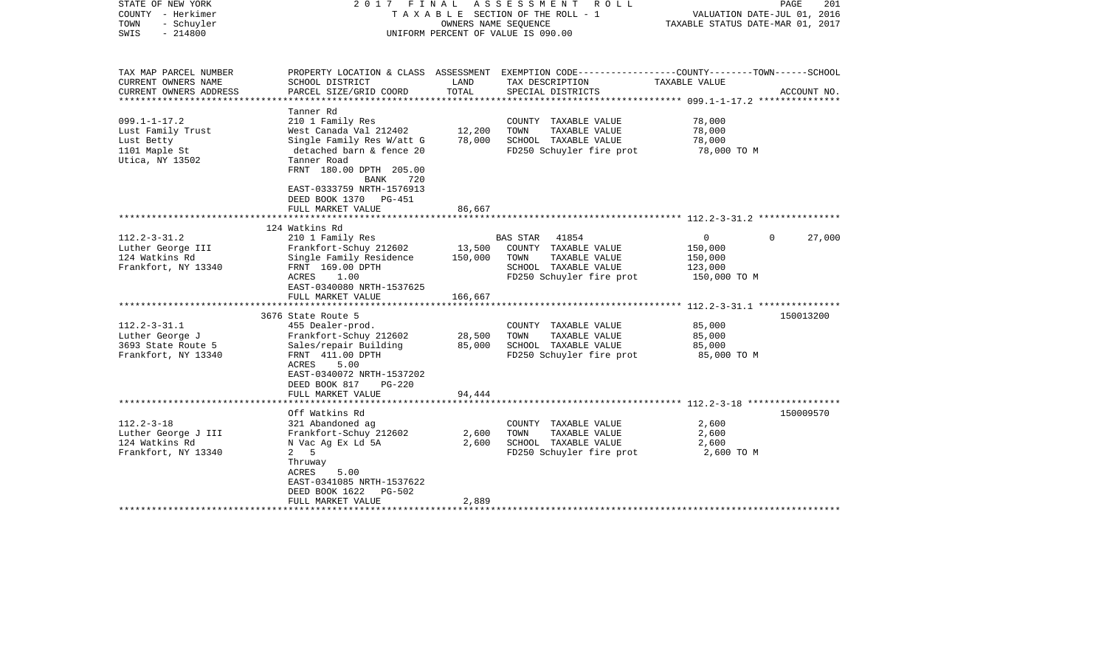| STATE OF NEW YORK<br>COUNTY - Herkimer<br>TOWN<br>- Schuyler<br>$-214800$<br>SWIS         | 2017 FINAL ASSESSMENT<br>R O L L<br>TAXABLE SECTION OF THE ROLL - 1<br>OWNERS NAME SEQUENCE<br>UNIFORM PERCENT OF VALUE IS 090.00                                                                             |                            |                                                                                                                   | VALUATION DATE-JUL 01, 2016<br>TAXABLE STATUS DATE-MAR 01, 2017 | PAGE<br>201        |
|-------------------------------------------------------------------------------------------|---------------------------------------------------------------------------------------------------------------------------------------------------------------------------------------------------------------|----------------------------|-------------------------------------------------------------------------------------------------------------------|-----------------------------------------------------------------|--------------------|
| TAX MAP PARCEL NUMBER<br>CURRENT OWNERS NAME                                              | SCHOOL DISTRICT                                                                                                                                                                                               | LAND                       | PROPERTY LOCATION & CLASS ASSESSMENT EXEMPTION CODE---------------COUNTY-------TOWN-----SCHOOL<br>TAX DESCRIPTION | TAXABLE VALUE                                                   |                    |
| CURRENT OWNERS ADDRESS<br>***********************                                         | PARCEL SIZE/GRID COORD                                                                                                                                                                                        | TOTAL                      | SPECIAL DISTRICTS                                                                                                 |                                                                 | ACCOUNT NO.        |
| $099.1 - 1 - 17.2$<br>Lust Family Trust<br>Lust Betty<br>1101 Maple St<br>Utica, NY 13502 | Tanner Rd<br>210 1 Family Res<br>West Canada Val 212402<br>Single Family Res W/att G<br>detached barn & fence 20<br>Tanner Road<br>FRNT 180.00 DPTH 205.00<br>BANK<br>720                                     | 12,200<br>78,000           | COUNTY TAXABLE VALUE<br>TOWN<br>TAXABLE VALUE<br>SCHOOL TAXABLE VALUE<br>FD250 Schuyler fire prot                 | 78,000<br>78,000<br>78,000<br>78,000 TO M                       |                    |
|                                                                                           | EAST-0333759 NRTH-1576913<br>DEED BOOK 1370 PG-451<br>FULL MARKET VALUE                                                                                                                                       | 86,667                     |                                                                                                                   |                                                                 |                    |
| $112.2 - 3 - 31.2$                                                                        | 124 Watkins Rd<br>210 1 Family Res                                                                                                                                                                            |                            | BAS STAR 41854                                                                                                    | $\overline{0}$                                                  | 27,000<br>$\Omega$ |
| Luther George III<br>124 Watkins Rd<br>Frankfort, NY 13340                                | Frankfort-Schuy 212602<br>Single Family Residence<br>FRNT 169.00 DPTH<br>ACRES 1.00<br>EAST-0340080 NRTH-1537625                                                                                              | 13,500<br>150,000          | COUNTY TAXABLE VALUE<br>TAXABLE VALUE<br>TOWN<br>SCHOOL TAXABLE VALUE<br>FD250 Schuyler fire prot                 | 150,000<br>150,000<br>123,000<br>150,000 TO M                   |                    |
|                                                                                           | FULL MARKET VALUE                                                                                                                                                                                             | 166,667                    |                                                                                                                   |                                                                 |                    |
| $112.2 - 3 - 31.1$<br>Luther George J<br>3693 State Route 5<br>Frankfort, NY 13340        | 3676 State Route 5<br>455 Dealer-prod.<br>Frankfort-Schuy 212602<br>Sales/repair Building<br>FRNT 411.00 DPTH<br>ACRES<br>5.00<br>EAST-0340072 NRTH-1537202<br>DEED BOOK 817<br>PG-220<br>FULL MARKET VALUE   | 28,500<br>85,000<br>94,444 | COUNTY TAXABLE VALUE<br>TOWN<br>TAXABLE VALUE<br>SCHOOL TAXABLE VALUE<br>FD250 Schuyler fire prot                 | 85,000<br>85,000<br>85,000<br>85,000 TO M                       | 150013200          |
|                                                                                           | ***********************                                                                                                                                                                                       |                            |                                                                                                                   |                                                                 |                    |
| $112.2 - 3 - 18$<br>Luther George J III<br>124 Watkins Rd<br>Frankfort, NY 13340          | Off Watkins Rd<br>321 Abandoned ag<br>Frankfort-Schuy 212602<br>N Vac Ag Ex Ld 5A<br>2 <sub>5</sub><br>Thruway<br>ACRES<br>5.00<br>EAST-0341085 NRTH-1537622<br>DEED BOOK 1622<br>PG-502<br>FULL MARKET VALUE | 2,600<br>2,600<br>2,889    | COUNTY TAXABLE VALUE<br>TAXABLE VALUE<br>TOWN<br>SCHOOL TAXABLE VALUE<br>FD250 Schuyler fire prot                 | 2,600<br>2,600<br>2,600<br>2,600 TO M                           | 150009570          |
|                                                                                           | **********************                                                                                                                                                                                        |                            |                                                                                                                   |                                                                 |                    |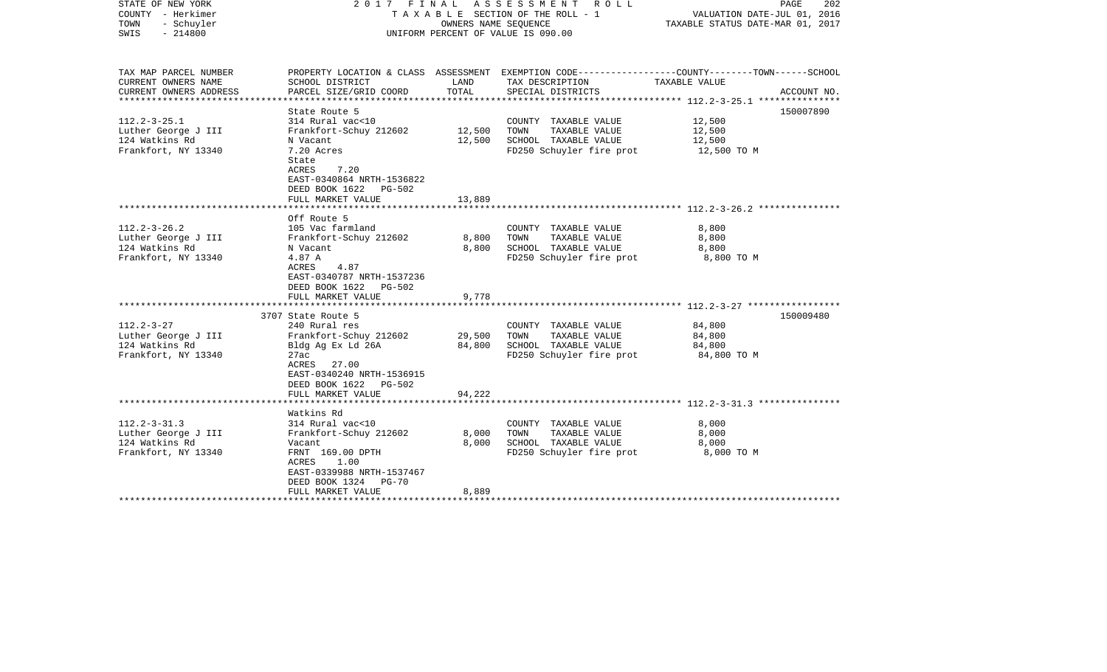| STATE OF NEW YORK<br>COUNTY - Herkimer<br>TOWN<br>- Schuyler<br>$-214800$<br>SWIS                | 2017 FINAL ASSESSMENT<br>ROLL ROLL<br>TAXABLE SECTION OF THE ROLL - 1<br>OWNERS NAME SEQUENCE<br>UNIFORM PERCENT OF VALUE IS 090.00                                              |                         |                                                                                                   |                                                                                                                                |  |  | PAGE<br>202<br>VALUATION DATE-JUL 01, 2016<br>TAXABLE STATUS DATE-MAR 01, 2017 |
|--------------------------------------------------------------------------------------------------|----------------------------------------------------------------------------------------------------------------------------------------------------------------------------------|-------------------------|---------------------------------------------------------------------------------------------------|--------------------------------------------------------------------------------------------------------------------------------|--|--|--------------------------------------------------------------------------------|
| TAX MAP PARCEL NUMBER<br>CURRENT OWNERS NAME<br>CURRENT OWNERS ADDRESS<br>********************** | SCHOOL DISTRICT<br>PARCEL SIZE/GRID COORD<br>*********************                                                                                                               | LAND<br>TOTAL           | TAX DESCRIPTION<br>SPECIAL DISTRICTS                                                              | PROPERTY LOCATION & CLASS ASSESSMENT EXEMPTION CODE---------------COUNTY-------TOWN-----SCHOOL<br>TAXABLE VALUE<br>ACCOUNT NO. |  |  |                                                                                |
| $112.2 - 3 - 25.1$<br>Luther George J III<br>124 Watkins Rd<br>Frankfort, NY 13340               | State Route 5<br>314 Rural vac<10<br>Frankfort-Schuy 212602<br>N Vacant<br>7.20 Acres<br>State<br>7.20<br>ACRES<br>EAST-0340864 NRTH-1536822<br>DEED BOOK 1622<br>PG-502         | 12,500<br>12,500        | COUNTY TAXABLE VALUE<br>TOWN<br>TAXABLE VALUE<br>SCHOOL TAXABLE VALUE<br>FD250 Schuyler fire prot | 150007890<br>12,500<br>12,500<br>12,500<br>12,500 TO M                                                                         |  |  |                                                                                |
|                                                                                                  | FULL MARKET VALUE                                                                                                                                                                | 13,889                  |                                                                                                   |                                                                                                                                |  |  |                                                                                |
| $112.2 - 3 - 26.2$<br>Luther George J III<br>124 Watkins Rd<br>Frankfort, NY 13340               | Off Route 5<br>105 Vac farmland<br>Frankfort-Schuy 212602<br>N Vacant<br>4.87 A<br>4.87<br>ACRES<br>EAST-0340787 NRTH-1537236<br>DEED BOOK 1622<br>$PG-502$<br>FULL MARKET VALUE | 8,800<br>8,800<br>9,778 | COUNTY TAXABLE VALUE<br>TOWN<br>TAXABLE VALUE<br>SCHOOL TAXABLE VALUE<br>FD250 Schuyler fire prot | 8,800<br>8,800<br>8,800<br>8,800 TO M                                                                                          |  |  |                                                                                |
|                                                                                                  | 3707 State Route 5                                                                                                                                                               |                         |                                                                                                   | 150009480                                                                                                                      |  |  |                                                                                |
| $112.2 - 3 - 27$<br>Luther George J III<br>124 Watkins Rd<br>Frankfort, NY 13340                 | 240 Rural res<br>Frankfort-Schuy 212602<br>Bldg Ag Ex Ld 26A<br>27ac<br>ACRES 27.00<br>EAST-0340240 NRTH-1536915<br>DEED BOOK 1622 PG-502                                        | 29,500<br>84,800        | COUNTY TAXABLE VALUE<br>TOWN<br>TAXABLE VALUE<br>SCHOOL TAXABLE VALUE<br>FD250 Schuyler fire prot | 84,800<br>84,800<br>84,800<br>84,800 TO M                                                                                      |  |  |                                                                                |
|                                                                                                  | FULL MARKET VALUE                                                                                                                                                                | 94,222                  |                                                                                                   |                                                                                                                                |  |  |                                                                                |
|                                                                                                  |                                                                                                                                                                                  |                         |                                                                                                   |                                                                                                                                |  |  |                                                                                |
| $112.2 - 3 - 31.3$<br>Luther George J III<br>124 Watkins Rd<br>Frankfort, NY 13340               | Watkins Rd<br>314 Rural vac<10<br>Frankfort-Schuy 212602<br>Vacant<br>FRNT 169.00 DPTH<br>1.00<br>ACRES<br>EAST-0339988 NRTH-1537467<br>DEED BOOK 1324<br><b>PG-70</b>           | 8,000<br>8,000          | COUNTY TAXABLE VALUE<br>TOWN<br>TAXABLE VALUE<br>SCHOOL TAXABLE VALUE<br>FD250 Schuyler fire prot | 8,000<br>8,000<br>8,000<br>8,000 TO M                                                                                          |  |  |                                                                                |
|                                                                                                  | FULL MARKET VALUE                                                                                                                                                                | 8,889                   |                                                                                                   |                                                                                                                                |  |  |                                                                                |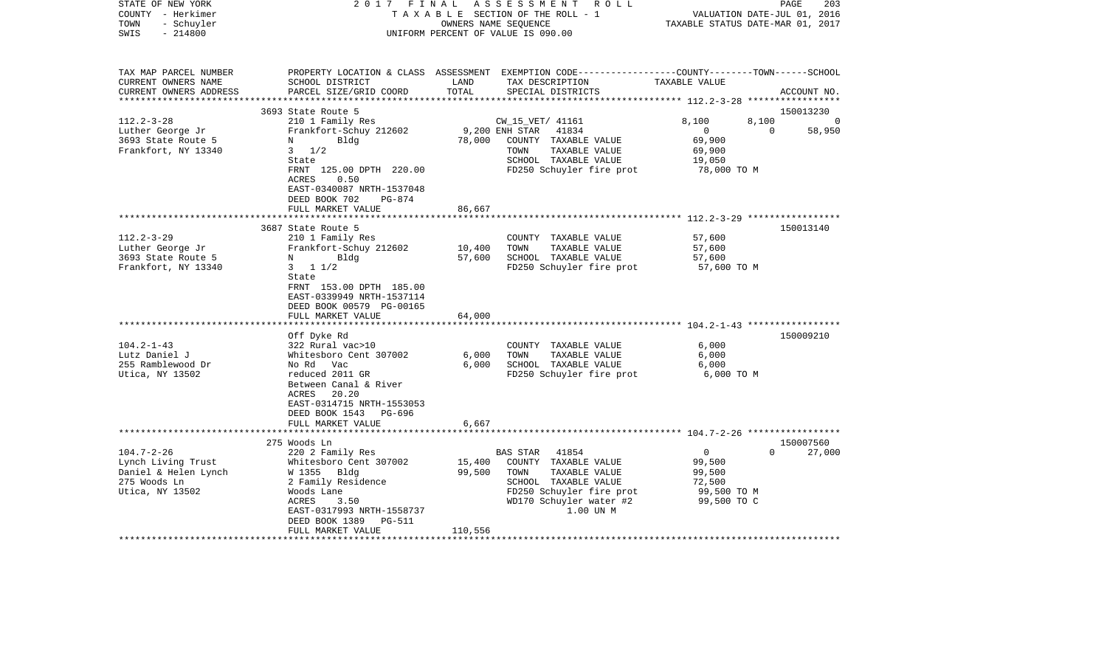| STATE OF NEW YORK<br>COUNTY - Herkimer<br>- Schuyler<br>TOWN<br>$-214800$<br>SWIS                 | 2017 FINAL                                                                                                          | OWNERS NAME SEQUENCE | ASSESSMENT<br>R O L L<br>TAXABLE SECTION OF THE ROLL - 1<br>UNIFORM PERCENT OF VALUE IS 090.00                                          | VALUATION DATE-JUL 01, 2016<br>TAXABLE STATUS DATE-MAR 01, 2017 | PAGE<br>203                     |
|---------------------------------------------------------------------------------------------------|---------------------------------------------------------------------------------------------------------------------|----------------------|-----------------------------------------------------------------------------------------------------------------------------------------|-----------------------------------------------------------------|---------------------------------|
| TAX MAP PARCEL NUMBER<br>CURRENT OWNERS NAME<br>CURRENT OWNERS ADDRESS<br>*********************** | SCHOOL DISTRICT<br>PARCEL SIZE/GRID COORD                                                                           | LAND<br>TOTAL        | PROPERTY LOCATION & CLASS ASSESSMENT EXEMPTION CODE---------------COUNTY-------TOWN------SCHOOL<br>TAX DESCRIPTION<br>SPECIAL DISTRICTS | TAXABLE VALUE                                                   | ACCOUNT NO.                     |
|                                                                                                   | 3693 State Route 5                                                                                                  |                      |                                                                                                                                         |                                                                 | 150013230                       |
| $112.2 - 3 - 28$                                                                                  | 210 1 Family Res                                                                                                    |                      | CW_15_VET/ 41161                                                                                                                        | 8,100<br>8,100                                                  | $\Omega$                        |
| Luther George Jr                                                                                  | Frankfort-Schuy 212602                                                                                              | 9,200 ENH STAR       | 41834                                                                                                                                   | $\mathbf 0$                                                     | 58,950<br>$\Omega$              |
| 3693 State Route 5                                                                                | Bldg<br>N                                                                                                           | 78,000               | COUNTY TAXABLE VALUE                                                                                                                    | 69,900                                                          |                                 |
| Frankfort, NY 13340                                                                               | $3 \frac{1}{2}$                                                                                                     |                      | TOWN<br>TAXABLE VALUE                                                                                                                   | 69,900                                                          |                                 |
|                                                                                                   | State                                                                                                               |                      | SCHOOL TAXABLE VALUE                                                                                                                    | 19,050                                                          |                                 |
|                                                                                                   | FRNT 125.00 DPTH 220.00<br>0.50<br>ACRES                                                                            |                      | FD250 Schuyler fire prot                                                                                                                | 78,000 TO M                                                     |                                 |
|                                                                                                   | EAST-0340087 NRTH-1537048                                                                                           |                      |                                                                                                                                         |                                                                 |                                 |
|                                                                                                   | DEED BOOK 702<br><b>PG-874</b>                                                                                      |                      |                                                                                                                                         |                                                                 |                                 |
|                                                                                                   | FULL MARKET VALUE                                                                                                   | 86,667               |                                                                                                                                         |                                                                 |                                 |
|                                                                                                   |                                                                                                                     |                      |                                                                                                                                         |                                                                 |                                 |
|                                                                                                   | 3687 State Route 5                                                                                                  |                      |                                                                                                                                         |                                                                 | 150013140                       |
| $112.2 - 3 - 29$                                                                                  | 210 1 Family Res                                                                                                    |                      | COUNTY TAXABLE VALUE                                                                                                                    | 57,600                                                          |                                 |
| Luther George Jr                                                                                  | Frankfort-Schuy 212602                                                                                              | 10,400               | TOWN<br>TAXABLE VALUE                                                                                                                   | 57,600                                                          |                                 |
| 3693 State Route 5<br>Frankfort, NY 13340                                                         | Bldg<br>N<br>$3 \t11/2$                                                                                             | 57,600               | SCHOOL TAXABLE VALUE<br>FD250 Schuyler fire prot                                                                                        | 57,600<br>57,600 TO M                                           |                                 |
|                                                                                                   | State<br>FRNT 153.00 DPTH 185.00<br>EAST-0339949 NRTH-1537114<br>DEED BOOK 00579 PG-00165                           |                      |                                                                                                                                         |                                                                 |                                 |
|                                                                                                   | FULL MARKET VALUE                                                                                                   | 64,000               |                                                                                                                                         |                                                                 |                                 |
|                                                                                                   | Off Dyke Rd                                                                                                         |                      |                                                                                                                                         |                                                                 | 150009210                       |
| $104.2 - 1 - 43$                                                                                  | 322 Rural vac>10                                                                                                    |                      | COUNTY TAXABLE VALUE                                                                                                                    | 6,000                                                           |                                 |
| Lutz Daniel J                                                                                     | Whitesboro Cent 307002                                                                                              | 6,000                | TOWN<br>TAXABLE VALUE                                                                                                                   | 6,000                                                           |                                 |
| 255 Ramblewood Dr                                                                                 | No Rd Vac                                                                                                           | 6,000                | SCHOOL TAXABLE VALUE                                                                                                                    | 6,000                                                           |                                 |
| Utica, NY 13502                                                                                   | reduced 2011 GR<br>Between Canal & River<br>20.20<br>ACRES<br>EAST-0314715 NRTH-1553053<br>DEED BOOK 1543<br>PG-696 |                      | FD250 Schuyler fire prot                                                                                                                | 6,000 TO M                                                      |                                 |
|                                                                                                   | FULL MARKET VALUE                                                                                                   | 6,667                |                                                                                                                                         |                                                                 |                                 |
|                                                                                                   |                                                                                                                     |                      |                                                                                                                                         |                                                                 |                                 |
| $104.7 - 2 - 26$                                                                                  | 275 Woods Ln                                                                                                        |                      | <b>BAS STAR</b><br>41854                                                                                                                | $\mathbf{0}$                                                    | 150007560<br>27,000<br>$\Omega$ |
| Lynch Living Trust                                                                                | 220 2 Family Res<br>Whitesboro Cent 307002                                                                          | 15,400               | COUNTY TAXABLE VALUE                                                                                                                    | 99,500                                                          |                                 |
| Daniel & Helen Lynch                                                                              | W 1355 Bldg                                                                                                         | 99,500               | TAXABLE VALUE<br>TOWN                                                                                                                   | 99,500                                                          |                                 |
| 275 Woods Ln                                                                                      | 2 Family Residence                                                                                                  |                      | SCHOOL TAXABLE VALUE                                                                                                                    | 72,500                                                          |                                 |
| Utica, NY 13502                                                                                   | Woods Lane                                                                                                          |                      | FD250 Schuyler fire prot                                                                                                                | 99,500 TO M                                                     |                                 |
|                                                                                                   | 3.50<br>ACRES                                                                                                       |                      | WD170 Schuyler water #2                                                                                                                 | 99,500 TO C                                                     |                                 |
|                                                                                                   | EAST-0317993 NRTH-1558737                                                                                           |                      | 1.00 UN M                                                                                                                               |                                                                 |                                 |
|                                                                                                   | DEED BOOK 1389<br>PG-511                                                                                            |                      |                                                                                                                                         |                                                                 |                                 |
|                                                                                                   | FULL MARKET VALUE                                                                                                   | 110,556              |                                                                                                                                         |                                                                 |                                 |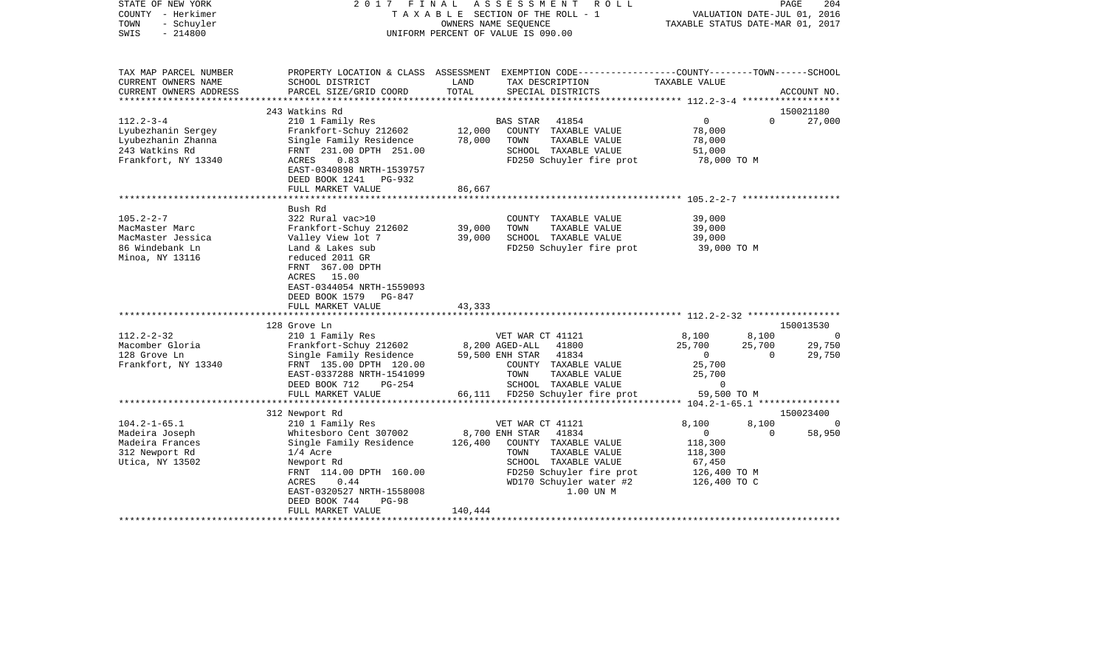| STATE OF NEW YORK<br>COUNTY - Herkimer<br>- Schuyler<br>TOWN<br>$-214800$<br>SWIS                    | 2017 FINAL                                                                                                                                                                         |                     | A S S E S S M E N T<br>R O L L<br>TAXABLE SECTION OF THE ROLL - 1<br>OWNERS NAME SEQUENCE<br>UNIFORM PERCENT OF VALUE IS 090.00                                      | VALUATION DATE-JUL 01, 2016<br>TAXABLE STATUS DATE-MAR 01, 2017         | PAGE           | 204         |
|------------------------------------------------------------------------------------------------------|------------------------------------------------------------------------------------------------------------------------------------------------------------------------------------|---------------------|----------------------------------------------------------------------------------------------------------------------------------------------------------------------|-------------------------------------------------------------------------|----------------|-------------|
| TAX MAP PARCEL NUMBER<br>CURRENT OWNERS NAME<br>CURRENT OWNERS ADDRESS                               | SCHOOL DISTRICT<br>PARCEL SIZE/GRID COORD                                                                                                                                          | LAND<br>TOTAL       | PROPERTY LOCATION & CLASS ASSESSMENT EXEMPTION CODE---------------COUNTY-------TOWN------SCHOOL<br>TAX DESCRIPTION<br>SPECIAL DISTRICTS                              | TAXABLE VALUE                                                           |                | ACCOUNT NO. |
| ***************                                                                                      |                                                                                                                                                                                    |                     |                                                                                                                                                                      | ********************* 112.2-3-4 *******************                     |                |             |
|                                                                                                      | 243 Watkins Rd                                                                                                                                                                     |                     |                                                                                                                                                                      |                                                                         |                | 150021180   |
| $112.2 - 3 - 4$<br>Lyubezhanin Sergey<br>Lyubezhanin Zhanna<br>243 Watkins Rd<br>Frankfort, NY 13340 | 210 1 Family Res<br>Frankfort-Schuy 212602<br>Single Family Residence<br>FRNT 231.00 DPTH 251.00<br>ACRES<br>0.83<br>EAST-0340898 NRTH-1539757<br>DEED BOOK 1241 PG-932            | 12,000<br>78,000    | BAS STAR<br>41854<br>COUNTY TAXABLE VALUE<br>TAXABLE VALUE<br>TOWN<br>SCHOOL TAXABLE VALUE<br>FD250 Schuyler fire prot                                               | $\overline{0}$<br>78,000<br>78,000<br>51,000<br>78,000 TO M             | $\Omega$       | 27,000      |
|                                                                                                      | FULL MARKET VALUE                                                                                                                                                                  | 86,667              |                                                                                                                                                                      |                                                                         |                |             |
|                                                                                                      |                                                                                                                                                                                    |                     |                                                                                                                                                                      |                                                                         |                |             |
|                                                                                                      | Bush Rd                                                                                                                                                                            |                     |                                                                                                                                                                      |                                                                         |                |             |
| $105.2 - 2 - 7$<br>MacMaster Marc<br>MacMaster Jessica<br>86 Windebank Ln<br>Minoa, NY 13116         | 322 Rural vac>10<br>Frankfort-Schuy 212602<br>Valley View lot 7<br>Land & Lakes sub<br>reduced 2011 GR<br>FRNT 367.00 DPTH<br>ACRES 15.00<br>EAST-0344054 NRTH-1559093             | 39,000<br>39,000    | COUNTY TAXABLE VALUE<br>TOWN<br>TAXABLE VALUE<br>SCHOOL TAXABLE VALUE<br>FD250 Schuyler fire prot                                                                    | 39,000<br>39,000<br>39,000<br>39,000 TO M                               |                |             |
|                                                                                                      | DEED BOOK 1579 PG-847                                                                                                                                                              |                     |                                                                                                                                                                      |                                                                         |                |             |
|                                                                                                      | FULL MARKET VALUE                                                                                                                                                                  | 43,333<br>********* | ***************************** 112.2-2-32 *****************                                                                                                           |                                                                         |                |             |
|                                                                                                      | 128 Grove Ln                                                                                                                                                                       |                     |                                                                                                                                                                      |                                                                         |                | 150013530   |
| $112.2 - 2 - 32$                                                                                     | 210 1 Family Res                                                                                                                                                                   |                     | VET WAR CT 41121                                                                                                                                                     | 8,100                                                                   | 8,100          | $\sim$ 0    |
| Macomber Gloria                                                                                      | Frankfort-Schuy 212602                                                                                                                                                             |                     | 8,200 AGED-ALL<br>41800                                                                                                                                              | 25,700                                                                  | 25,700         | 29,750      |
| 128 Grove Ln<br>Frankfort, NY 13340                                                                  | Single Family Residence<br>FRNT 135.00 DPTH 120.00<br>EAST-0337288 NRTH-1541099<br>DEED BOOK 712<br>$PG-254$<br>FULL MARKET VALUE                                                  |                     | 59,500 ENH STAR 41834<br>COUNTY TAXABLE VALUE<br>TOWN<br>TAXABLE VALUE<br>SCHOOL TAXABLE VALUE<br>66,111 FD250 Schuyler fire prot                                    | $\overline{0}$<br>25,700<br>25,700<br>$\mathbf{0}$<br>59,500 TO M       | $\overline{0}$ | 29,750      |
|                                                                                                      |                                                                                                                                                                                    |                     |                                                                                                                                                                      |                                                                         |                |             |
|                                                                                                      | 312 Newport Rd                                                                                                                                                                     |                     |                                                                                                                                                                      |                                                                         |                | 150023400   |
| $104.2 - 1 - 65.1$                                                                                   | 210 1 Family Res                                                                                                                                                                   |                     | VET WAR CT 41121                                                                                                                                                     | 8,100                                                                   | 8,100          |             |
| Madeira Joseph<br>Madeira Frances<br>312 Newport Rd<br>Utica, NY 13502                               | Whitesboro Cent 307002<br>Single Family Residence<br>$1/4$ Acre<br>Newport Rd<br>FRNT 114.00 DPTH 160.00<br>0.44<br>ACRES<br>EAST-0320527 NRTH-1558008<br>DEED BOOK 744<br>$PG-98$ | 126,400             | 8,700 ENH STAR<br>41834<br>COUNTY TAXABLE VALUE<br>TOWN<br>TAXABLE VALUE<br>SCHOOL TAXABLE VALUE<br>FD250 Schuyler fire prot<br>WD170 Schuyler water #2<br>1.00 UN M | $\circ$<br>118,300<br>118,300<br>67,450<br>126,400 TO M<br>126,400 TO C | $\Omega$       | 58,950      |
|                                                                                                      | FULL MARKET VALUE                                                                                                                                                                  | 140,444             |                                                                                                                                                                      |                                                                         |                |             |
|                                                                                                      |                                                                                                                                                                                    |                     |                                                                                                                                                                      |                                                                         |                |             |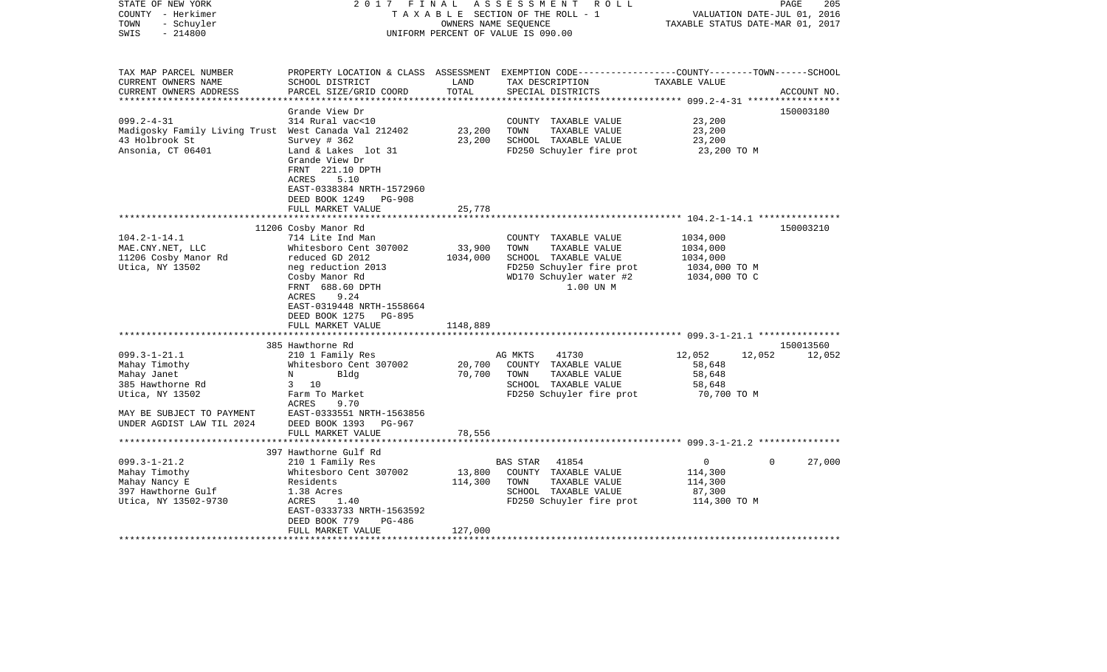| STATE OF NEW YORK<br>COUNTY - Herkimer<br>- Schuyler<br>TOWN<br>$-214800$<br>SWIS                                                                   | 2017 FINAL                                                                                                                                                                                                                                    | OWNERS NAME SEQUENCE           | ASSESSMENT<br>R O L L<br>TAXABLE SECTION OF THE ROLL - 1<br>UNIFORM PERCENT OF VALUE IS 090.00                                            | VALUATION DATE-JUL 01, 2016<br>TAXABLE STATUS DATE-MAR 01, 2017             | PAGE<br>205 |
|-----------------------------------------------------------------------------------------------------------------------------------------------------|-----------------------------------------------------------------------------------------------------------------------------------------------------------------------------------------------------------------------------------------------|--------------------------------|-------------------------------------------------------------------------------------------------------------------------------------------|-----------------------------------------------------------------------------|-------------|
| TAX MAP PARCEL NUMBER<br>CURRENT OWNERS NAME<br>CURRENT OWNERS ADDRESS                                                                              | SCHOOL DISTRICT<br>PARCEL SIZE/GRID COORD                                                                                                                                                                                                     | LAND<br>TOTAL                  | PROPERTY LOCATION & CLASS ASSESSMENT EXEMPTION CODE---------------COUNTY-------TOWN------SCHOOL<br>TAX DESCRIPTION<br>SPECIAL DISTRICTS   | TAXABLE VALUE                                                               | ACCOUNT NO. |
| $099.2 - 4 - 31$<br>Madigosky Family Living Trust West Canada Val 212402<br>43 Holbrook St<br>Ansonia, CT 06401                                     | Grande View Dr<br>314 Rural vac<10<br>Survey # 362<br>Land & Lakes lot 31<br>Grande View Dr<br>FRNT 221.10 DPTH<br>ACRES<br>5.10<br>EAST-0338384 NRTH-1572960                                                                                 | 23,200<br>23,200               | COUNTY TAXABLE VALUE<br>TOWN<br>TAXABLE VALUE<br>SCHOOL TAXABLE VALUE<br>FD250 Schuyler fire prot                                         | 23,200<br>23,200<br>23,200<br>23,200 TO M                                   | 150003180   |
|                                                                                                                                                     | DEED BOOK 1249<br>PG-908<br>FULL MARKET VALUE                                                                                                                                                                                                 | 25,778                         |                                                                                                                                           |                                                                             |             |
| $104.2 - 1 - 14.1$<br>MAE.CNY.NET, LLC<br>11206 Cosby Manor Rd<br>Utica, NY 13502                                                                   | 11206 Cosby Manor Rd<br>714 Lite Ind Man<br>Whitesboro Cent 307002<br>reduced GD 2012<br>neg reduction 2013<br>Cosby Manor Rd<br>FRNT 688.60 DPTH<br>ACRES<br>9.24<br>EAST-0319448 NRTH-1558664<br>DEED BOOK 1275 PG-895<br>FULL MARKET VALUE | 33,900<br>1034,000<br>1148,889 | COUNTY TAXABLE VALUE<br>TOWN<br>TAXABLE VALUE<br>SCHOOL TAXABLE VALUE<br>FD250 Schuyler fire prot<br>WD170 Schuyler water #2<br>1.00 UN M | 1034,000<br>1034,000<br>1034,000<br>1034,000 TO M<br>1034,000 TO C          | 150003210   |
|                                                                                                                                                     | 385 Hawthorne Rd                                                                                                                                                                                                                              |                                |                                                                                                                                           |                                                                             | 150013560   |
| $099.3 - 1 - 21.1$<br>Mahay Timothy<br>Mahay Janet<br>385 Hawthorne Rd<br>Utica, NY 13502<br>MAY BE SUBJECT TO PAYMENT<br>UNDER AGDIST LAW TIL 2024 | 210 1 Family Res<br>Whitesboro Cent 307002<br>Bldg<br>N<br>$3 \t10$<br>Farm To Market<br>ACRES<br>9.70<br>EAST-0333551 NRTH-1563856<br>DEED BOOK 1393 PG-967                                                                                  | 20,700<br>70,700               | AG MKTS<br>41730<br>COUNTY TAXABLE VALUE<br>TOWN<br>TAXABLE VALUE<br>SCHOOL TAXABLE VALUE<br>FD250 Schuyler fire prot                     | 12,052<br>12,052<br>58,648<br>58,648<br>58,648<br>70,700 TO M               | 12,052      |
|                                                                                                                                                     | FULL MARKET VALUE                                                                                                                                                                                                                             | 78,556                         |                                                                                                                                           |                                                                             |             |
|                                                                                                                                                     | 397 Hawthorne Gulf Rd                                                                                                                                                                                                                         |                                |                                                                                                                                           |                                                                             |             |
| $099.3 - 1 - 21.2$<br>Mahay Timothy<br>Mahay Nancy E<br>397 Hawthorne Gulf<br>Utica, NY 13502-9730                                                  | 210 1 Family Res<br>Whitesboro Cent 307002<br>Residents<br>1.38 Acres<br>ACRES<br>1.40<br>EAST-0333733 NRTH-1563592<br>DEED BOOK 779<br>PG-486<br>FULL MARKET VALUE                                                                           | 13,800<br>114,300<br>127,000   | BAS STAR<br>41854<br>COUNTY TAXABLE VALUE<br>TAXABLE VALUE<br>TOWN<br>SCHOOL TAXABLE VALUE<br>FD250 Schuyler fire prot                    | $\mathsf{O}$<br>$\mathbf 0$<br>114,300<br>114,300<br>87,300<br>114,300 TO M | 27,000      |
|                                                                                                                                                     |                                                                                                                                                                                                                                               |                                |                                                                                                                                           |                                                                             |             |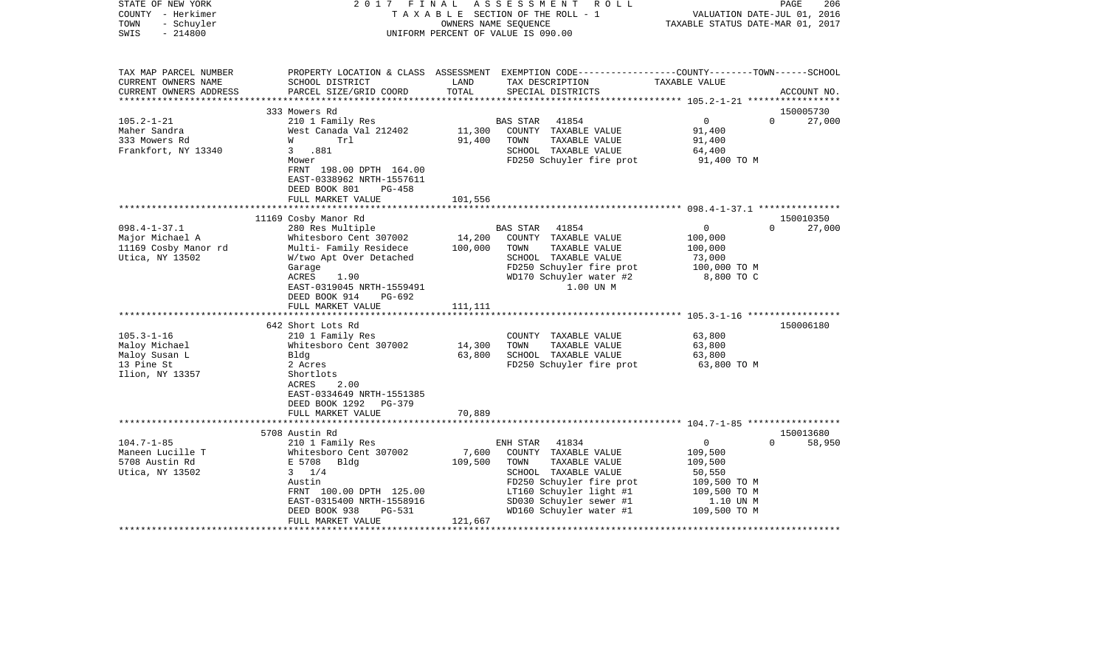| STATE OF NEW YORK<br>COUNTY - Herkimer<br>- Schuyler<br>TOWN<br>$-214800$<br>SWIS               | 2017                                                                                                                                                                                                    | FINAL                        | ASSESSMENT<br>R O L L<br>TAXABLE SECTION OF THE ROLL - 1<br>OWNERS NAME SEOUENCE<br>UNIFORM PERCENT OF VALUE IS 090.00                                                                                  | VALUATION DATE-JUL 01, 2016<br>TAXABLE STATUS DATE-MAR 01, 2017                                           | $\mathop{\mathtt{PAGE}}$<br>206 |
|-------------------------------------------------------------------------------------------------|---------------------------------------------------------------------------------------------------------------------------------------------------------------------------------------------------------|------------------------------|---------------------------------------------------------------------------------------------------------------------------------------------------------------------------------------------------------|-----------------------------------------------------------------------------------------------------------|---------------------------------|
| TAX MAP PARCEL NUMBER<br>CURRENT OWNERS NAME<br>CURRENT OWNERS ADDRESS<br>********************* | SCHOOL DISTRICT<br>PARCEL SIZE/GRID COORD                                                                                                                                                               | LAND<br>TOTAL                | PROPERTY LOCATION & CLASS ASSESSMENT EXEMPTION CODE---------------COUNTY-------TOWN------SCHOOL<br>TAX DESCRIPTION<br>SPECIAL DISTRICTS                                                                 | TAXABLE VALUE                                                                                             | ACCOUNT NO.                     |
|                                                                                                 |                                                                                                                                                                                                         |                              |                                                                                                                                                                                                         |                                                                                                           |                                 |
| $105.2 - 1 - 21$<br>Maher Sandra<br>333 Mowers Rd<br>Frankfort, NY 13340                        | 333 Mowers Rd<br>210 1 Family Res<br>West Canada Val 212402<br>W<br>Trl<br>3.881<br>Mower<br>FRNT 198.00 DPTH 164.00<br>EAST-0338962 NRTH-1557611                                                       | 11,300<br>91,400             | <b>BAS STAR</b><br>41854<br>COUNTY TAXABLE VALUE<br>TOWN<br>TAXABLE VALUE<br>SCHOOL TAXABLE VALUE<br>FD250 Schuyler fire prot                                                                           | $\overline{0}$<br>91,400<br>91,400<br>64,400<br>91,400 TO M                                               | 150005730<br>$\Omega$<br>27,000 |
|                                                                                                 | DEED BOOK 801<br>$PG-458$<br>FULL MARKET VALUE                                                                                                                                                          | 101,556                      |                                                                                                                                                                                                         |                                                                                                           |                                 |
|                                                                                                 |                                                                                                                                                                                                         |                              |                                                                                                                                                                                                         |                                                                                                           |                                 |
|                                                                                                 | 11169 Cosby Manor Rd                                                                                                                                                                                    |                              |                                                                                                                                                                                                         |                                                                                                           | 150010350                       |
| $098.4 - 1 - 37.1$<br>Major Michael A<br>11169 Cosby Manor rd<br>Utica, NY 13502                | 280 Res Multiple<br>Whitesboro Cent 307002<br>Multi- Family Residece<br>W/two Apt Over Detached<br>Garage<br>ACRES<br>1.90<br>EAST-0319045 NRTH-1559491<br>DEED BOOK 914<br>PG-692<br>FULL MARKET VALUE | 14,200<br>100,000<br>111,111 | BAS STAR<br>41854<br>COUNTY TAXABLE VALUE<br>TAXABLE VALUE<br>TOWN<br>SCHOOL TAXABLE VALUE<br>FD250 Schuyler fire prot<br>WD170 Schuyler water #2<br>1.00 UN M                                          | $\mathbf 0$<br>100,000<br>100,000<br>73,000<br>100,000 TO M<br>8,800 TO C                                 | 27,000<br>$\Omega$              |
|                                                                                                 |                                                                                                                                                                                                         |                              |                                                                                                                                                                                                         |                                                                                                           |                                 |
| $105.3 - 1 - 16$<br>Maloy Michael<br>Maloy Susan L<br>13 Pine St<br>Ilion, NY 13357             | 642 Short Lots Rd<br>210 1 Family Res<br>Whitesboro Cent 307002<br>Bldg<br>2 Acres<br>Shortlots<br>2.00<br>ACRES<br>EAST-0334649 NRTH-1551385<br>DEED BOOK 1292 PG-379                                  | 14,300<br>63,800             | COUNTY TAXABLE VALUE<br>TAXABLE VALUE<br>TOWN<br>SCHOOL TAXABLE VALUE<br>FD250 Schuyler fire prot                                                                                                       | 63,800<br>63,800<br>63,800<br>63,800 TO M                                                                 | 150006180                       |
|                                                                                                 | FULL MARKET VALUE                                                                                                                                                                                       | 70,889                       |                                                                                                                                                                                                         |                                                                                                           |                                 |
|                                                                                                 |                                                                                                                                                                                                         |                              |                                                                                                                                                                                                         |                                                                                                           |                                 |
| $104.7 - 1 - 85$<br>Maneen Lucille T<br>5708 Austin Rd<br>Utica, NY 13502                       | 5708 Austin Rd<br>210 1 Family Res<br>Whitesboro Cent 307002<br>E 5708<br>Bldg<br>$3 \t1/4$<br>Austin<br>FRNT 100.00 DPTH 125.00<br>EAST-0315400 NRTH-1558916<br>DEED BOOK 938<br>PG-531                | 7,600<br>109,500             | 41834<br>ENH STAR<br>COUNTY TAXABLE VALUE<br>TAXABLE VALUE<br>TOWN<br>SCHOOL TAXABLE VALUE<br>FD250 Schuyler fire prot<br>LT160 Schuyler light #1<br>SD030 Schuyler sewer #1<br>WD160 Schuyler water #1 | $\mathbf{0}$<br>109,500<br>109,500<br>50,550<br>109,500 TO M<br>109,500 TO M<br>1.10 UN M<br>109,500 TO M | 150013680<br>58,950<br>$\Omega$ |
|                                                                                                 | FULL MARKET VALUE                                                                                                                                                                                       | 121,667                      |                                                                                                                                                                                                         |                                                                                                           |                                 |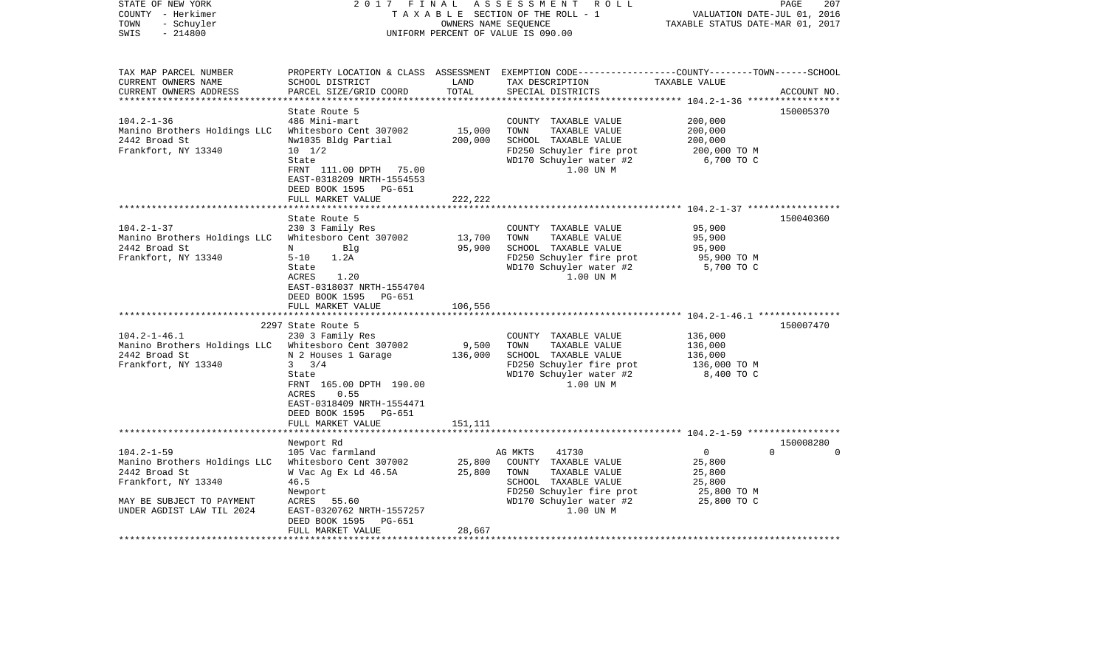| STATE OF NEW YORK<br>COUNTY - Herkimer<br>- Schuyler<br>TOWN<br>$-214800$<br>SWIS | 2017 FINAL                                                                                                 | OWNERS NAME SEQUENCE          | A S S E S S M E N T R O L L<br>TAXABLE SECTION OF THE ROLL - 1<br>UNIFORM PERCENT OF VALUE IS 090.00                                     | VALUATION DATE-JUL 01, 2016<br>TAXABLE STATUS DATE-MAR 01, 2017 | 207<br>PAGE                       |
|-----------------------------------------------------------------------------------|------------------------------------------------------------------------------------------------------------|-------------------------------|------------------------------------------------------------------------------------------------------------------------------------------|-----------------------------------------------------------------|-----------------------------------|
| TAX MAP PARCEL NUMBER<br>CURRENT OWNERS NAME<br>CURRENT OWNERS ADDRESS            | SCHOOL DISTRICT<br>PARCEL SIZE/GRID COORD                                                                  | LAND<br>TOTAL                 | PROPERTY LOCATION & CLASS ASSESSMENT EXEMPTION CODE----------------COUNTY-------TOWN------SCHOOL<br>TAX DESCRIPTION<br>SPECIAL DISTRICTS | TAXABLE VALUE                                                   | ACCOUNT NO.                       |
| ************************                                                          | State Route 5                                                                                              |                               |                                                                                                                                          |                                                                 | 150005370                         |
| $104.2 - 1 - 36$                                                                  | 486 Mini-mart                                                                                              |                               | COUNTY TAXABLE VALUE                                                                                                                     | 200,000                                                         |                                   |
| Manino Brothers Holdings LLC                                                      | Whitesboro Cent 307002                                                                                     | 15,000                        | TOWN<br>TAXABLE VALUE                                                                                                                    | 200,000                                                         |                                   |
| 2442 Broad St                                                                     | Nw1035 Bldg Partial                                                                                        | 200,000                       | SCHOOL TAXABLE VALUE                                                                                                                     | 200,000                                                         |                                   |
| Frankfort, NY 13340                                                               | $10 \t 1/2$                                                                                                |                               | FD250 Schuyler fire prot                                                                                                                 | 200,000 TO M                                                    |                                   |
|                                                                                   | State<br>FRNT 111.00 DPTH 75.00<br>EAST-0318209 NRTH-1554553<br>DEED BOOK 1595<br>PG-651                   |                               | WD170 Schuyler water #2<br>1.00 UN M                                                                                                     | 6,700 TO C                                                      |                                   |
|                                                                                   | FULL MARKET VALUE<br>******************                                                                    | 222,222                       |                                                                                                                                          |                                                                 |                                   |
|                                                                                   | State Route 5                                                                                              | * * * * * * * * * * * * * * * |                                                                                                                                          |                                                                 | 150040360                         |
| $104.2 - 1 - 37$                                                                  | 230 3 Family Res                                                                                           |                               | COUNTY TAXABLE VALUE                                                                                                                     | 95,900                                                          |                                   |
| Manino Brothers Holdings LLC                                                      | Whitesboro Cent 307002                                                                                     | 13,700                        | TAXABLE VALUE<br>TOWN                                                                                                                    | 95,900                                                          |                                   |
| 2442 Broad St                                                                     | N<br>Blq                                                                                                   | 95,900                        | SCHOOL TAXABLE VALUE                                                                                                                     | 95,900                                                          |                                   |
| Frankfort, NY 13340                                                               | $5 - 10$<br>1.2A                                                                                           |                               | FD250 Schuyler fire prot                                                                                                                 | 95,900 TO M                                                     |                                   |
|                                                                                   | State<br>1.20<br>ACRES<br>EAST-0318037 NRTH-1554704<br>DEED BOOK 1595 PG-651                               |                               | WD170 Schuyler water #2<br>1.00 UN M                                                                                                     | 5,700 TO C                                                      |                                   |
|                                                                                   | FULL MARKET VALUE<br>****************************                                                          | 106,556                       |                                                                                                                                          |                                                                 |                                   |
|                                                                                   | 2297 State Route 5                                                                                         |                               |                                                                                                                                          |                                                                 | 150007470                         |
| $104.2 - 1 - 46.1$                                                                | 230 3 Family Res                                                                                           |                               | COUNTY TAXABLE VALUE                                                                                                                     | 136,000                                                         |                                   |
| Manino Brothers Holdings LLC Whitesboro Cent 307002                               |                                                                                                            | 9,500                         | TOWN<br>TAXABLE VALUE                                                                                                                    | 136,000                                                         |                                   |
| 2442 Broad St                                                                     | N 2 Houses 1 Garage                                                                                        | 136,000                       | SCHOOL TAXABLE VALUE                                                                                                                     | 136,000                                                         |                                   |
| Frankfort, NY 13340                                                               | 3/4<br>$3^{\circ}$                                                                                         |                               | FD250 Schuyler fire prot                                                                                                                 | 136,000 TO M                                                    |                                   |
|                                                                                   | State<br>FRNT 165.00 DPTH 190.00<br>0.55<br>ACRES<br>EAST-0318409 NRTH-1554471<br>DEED BOOK 1595<br>PG-651 |                               | WD170 Schuyler water #2<br>1.00 UN M                                                                                                     | 8,400 TO C                                                      |                                   |
|                                                                                   | FULL MARKET VALUE                                                                                          | 151,111                       |                                                                                                                                          |                                                                 |                                   |
|                                                                                   |                                                                                                            |                               |                                                                                                                                          |                                                                 |                                   |
| $104.2 - 1 - 59$                                                                  | Newport Rd<br>105 Vac farmland                                                                             |                               | AG MKTS<br>41730                                                                                                                         | $\overline{0}$                                                  | 150008280<br>$\Omega$<br>$\Omega$ |
| Manino Brothers Holdings LLC                                                      | Whitesboro Cent 307002                                                                                     | 25,800                        | COUNTY TAXABLE VALUE                                                                                                                     | 25,800                                                          |                                   |
| 2442 Broad St                                                                     | W Vac Ag Ex Ld 46.5A                                                                                       | 25,800                        | TOWN<br>TAXABLE VALUE                                                                                                                    | 25,800                                                          |                                   |
| Frankfort, NY 13340                                                               | 46.5                                                                                                       |                               | SCHOOL TAXABLE VALUE                                                                                                                     | 25,800                                                          |                                   |
|                                                                                   | Newport                                                                                                    |                               | FD250 Schuyler fire prot                                                                                                                 | 25,800 TO M                                                     |                                   |
| MAY BE SUBJECT TO PAYMENT                                                         | ACRES 55.60                                                                                                |                               | WD170 Schuyler water #2                                                                                                                  | 25,800 TO C                                                     |                                   |
| UNDER AGDIST LAW TIL 2024                                                         | EAST-0320762 NRTH-1557257                                                                                  |                               | 1.00 UN M                                                                                                                                |                                                                 |                                   |
|                                                                                   | DEED BOOK 1595<br>PG-651                                                                                   |                               |                                                                                                                                          |                                                                 |                                   |
|                                                                                   | FULL MARKET VALUE                                                                                          | 28,667                        |                                                                                                                                          |                                                                 |                                   |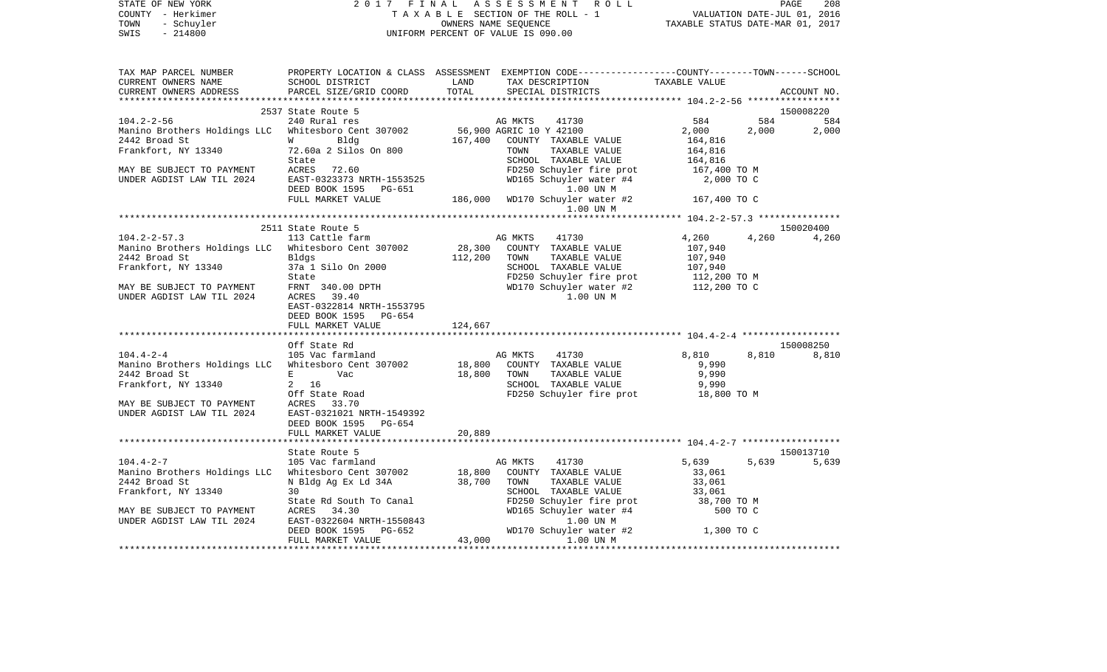| TAX MAP PARCEL NUMBER<br>PROPERTY LOCATION & CLASS ASSESSMENT EXEMPTION CODE---------------COUNTY-------TOWN------SCHOOL<br>TAX DESCRIPTION<br>SERCIAL DISTRICTS<br>LAND<br>CURRENT OWNERS NAME<br>SCHOOL DISTRICT<br>TOTAL<br>CURRENT OWNERS ADDRESS<br>PARCEL SIZE/GRID COORD<br>SPECIAL DISTRICTS<br>ACCOUNT NO.<br>2537 State Route 5<br>150008220<br>$104.2 - 2 - 56$<br>240 Rural res<br>584<br>584<br>AG MKTS<br>41730<br>584<br>56,900 AGRIC 10 Y 42100<br>Manino Brothers Holdings LLC<br>Whitesboro Cent 307002<br>2,000<br>2,000<br>2,000<br>2442 Broad St<br>Bldg<br>167,400 COUNTY TAXABLE VALUE<br>164,816<br>W<br>72.60a 2 Silos On 800<br>Frankfort, NY 13340<br>TOWN<br>TAXABLE VALUE<br>164,816<br>SCHOOL TAXABLE VALUE<br>State<br>164,816<br>ACRES 72.60<br>FD250 Schuyler fire prot<br>WD165 Schuyler water #4<br>MAY BE SUBJECT TO PAYMENT<br>167,400 TO M<br>UNDER AGDIST LAW TIL 2024<br>EAST-0323373 NRTH-1553525<br>2,000 TO C<br>1.00 UN M<br>DEED BOOK 1595 PG-651<br>186,000 WD170 Schuyler water #2<br>FULL MARKET VALUE<br>167,400 TO C<br>1.00 UN M<br>150020400<br>2511 State Route 5<br>$104.2 - 2 - 57.3$<br>113 Cattle farm<br>AG MKTS<br>41730<br>4,260<br>4,260<br>4,260<br>28,300<br>Manino Brothers Holdings LLC<br>Whitesboro Cent 307002<br>COUNTY TAXABLE VALUE<br>107,940<br>2442 Broad St<br>112,200<br>TOWN<br>TAXABLE VALUE<br>107,940<br>Bldgs<br>Frankfort, NY 13340<br>37a 1 Silo On 2000<br>SCHOOL TAXABLE VALUE<br>107,940<br>112,200 TO M<br>FD250 Schuyler fire prot<br>State<br>112,200 TO C<br>WD170 Schuyler water #2<br>MAY BE SUBJECT TO PAYMENT<br>FRNT 340.00 DPTH<br>UNDER AGDIST LAW TIL 2024<br>ACRES 39.40<br>1.00 UN M<br>EAST-0322814 NRTH-1553795<br>DEED BOOK 1595 PG-654<br>FULL MARKET VALUE<br>124,667<br>150008250<br>Off State Rd<br>$104.4 - 2 - 4$<br>105 Vac farmland<br>41730<br>8,810<br>8,810<br>AG MKTS<br>8,810<br>18,800<br>Manino Brothers Holdings LLC<br>Whitesboro Cent 307002<br>COUNTY TAXABLE VALUE<br>9,990<br>18,800<br>2442 Broad St<br>$E = 1$<br>Vac<br>TOWN<br>TAXABLE VALUE<br>9,990<br>SCHOOL TAXABLE VALUE<br>Frankfort, NY 13340<br>2 16<br>9,990<br>FD250 Schuyler fire prot 18,800 TO M<br>Off State Road<br>MAY BE SUBJECT TO PAYMENT<br>ACRES 33.70<br>UNDER AGDIST LAW TIL 2024<br>EAST-0321021 NRTH-1549392<br>DEED BOOK 1595 PG-654<br>20,889<br>FULL MARKET VALUE<br>150013710<br>State Route 5<br>$104.4 - 2 - 7$<br>105 Vac farmland<br>AG MKTS<br>41730<br>5,639<br>5,639<br>5,639<br>18,800<br>Manino Brothers Holdings LLC<br>Whitesboro Cent 307002<br>COUNTY TAXABLE VALUE<br>33,061<br>N Bldg Ag Ex Ld 34A 38,700<br>2442 Broad St<br>TOWN<br>TAXABLE VALUE<br>33,061<br>Frankfort, NY 13340<br>30<br>SCHOOL TAXABLE VALUE<br>33,061<br>38,700 TO M<br>FD250 Schuyler fire prot<br>WD165 Schuyler water #4<br>State Rd South To Canal<br>MAY BE SUBJECT TO PAYMENT<br>ACRES<br>34.30<br>500 TO C<br>1.00 UN M<br>UNDER AGDIST LAW TIL 2024<br>EAST-0322604 NRTH-1550843<br>1,300 TO C<br>WD170 Schuyler water #2<br>PG-652<br>DEED BOOK 1595<br>FULL MARKET VALUE<br>43,000<br>1.00 UN M | STATE OF NEW YORK<br>COUNTY - Herkimer<br>- Schuyler<br>TOWN<br>SWIS<br>$-214800$ | 2017 FINAL | A S S E S S M E N T R O L L<br>in de la provincia de la provincia del provincia del provincia del provincia del provincia del provincia del p<br>En 1930, en 1930, en 1930, en 1930, en 1930, en 1930, en 1930, en 1930, en 1930, en 1930, en 1930, en 1930, en<br>OWNERS NAME SEQUENCE<br>UNIFORM PERCENT OF VALUE IS 090.00 | TAXABLE STATUS DATE-MAR 01, 2017 | PAGE<br>208 |
|--------------------------------------------------------------------------------------------------------------------------------------------------------------------------------------------------------------------------------------------------------------------------------------------------------------------------------------------------------------------------------------------------------------------------------------------------------------------------------------------------------------------------------------------------------------------------------------------------------------------------------------------------------------------------------------------------------------------------------------------------------------------------------------------------------------------------------------------------------------------------------------------------------------------------------------------------------------------------------------------------------------------------------------------------------------------------------------------------------------------------------------------------------------------------------------------------------------------------------------------------------------------------------------------------------------------------------------------------------------------------------------------------------------------------------------------------------------------------------------------------------------------------------------------------------------------------------------------------------------------------------------------------------------------------------------------------------------------------------------------------------------------------------------------------------------------------------------------------------------------------------------------------------------------------------------------------------------------------------------------------------------------------------------------------------------------------------------------------------------------------------------------------------------------------------------------------------------------------------------------------------------------------------------------------------------------------------------------------------------------------------------------------------------------------------------------------------------------------------------------------------------------------------------------------------------------------------------------------------------------------------------------------------------------------------------------------------------------------------------------------------------------------------------------------------------------------------------------------------------------------------------------------------------------------------------------------------------------------------------------------------------------------------------------------------------------------------------------------------------|-----------------------------------------------------------------------------------|------------|-------------------------------------------------------------------------------------------------------------------------------------------------------------------------------------------------------------------------------------------------------------------------------------------------------------------------------|----------------------------------|-------------|
|                                                                                                                                                                                                                                                                                                                                                                                                                                                                                                                                                                                                                                                                                                                                                                                                                                                                                                                                                                                                                                                                                                                                                                                                                                                                                                                                                                                                                                                                                                                                                                                                                                                                                                                                                                                                                                                                                                                                                                                                                                                                                                                                                                                                                                                                                                                                                                                                                                                                                                                                                                                                                                                                                                                                                                                                                                                                                                                                                                                                                                                                                                              |                                                                                   |            |                                                                                                                                                                                                                                                                                                                               |                                  |             |
|                                                                                                                                                                                                                                                                                                                                                                                                                                                                                                                                                                                                                                                                                                                                                                                                                                                                                                                                                                                                                                                                                                                                                                                                                                                                                                                                                                                                                                                                                                                                                                                                                                                                                                                                                                                                                                                                                                                                                                                                                                                                                                                                                                                                                                                                                                                                                                                                                                                                                                                                                                                                                                                                                                                                                                                                                                                                                                                                                                                                                                                                                                              |                                                                                   |            |                                                                                                                                                                                                                                                                                                                               |                                  |             |
|                                                                                                                                                                                                                                                                                                                                                                                                                                                                                                                                                                                                                                                                                                                                                                                                                                                                                                                                                                                                                                                                                                                                                                                                                                                                                                                                                                                                                                                                                                                                                                                                                                                                                                                                                                                                                                                                                                                                                                                                                                                                                                                                                                                                                                                                                                                                                                                                                                                                                                                                                                                                                                                                                                                                                                                                                                                                                                                                                                                                                                                                                                              |                                                                                   |            |                                                                                                                                                                                                                                                                                                                               |                                  |             |
|                                                                                                                                                                                                                                                                                                                                                                                                                                                                                                                                                                                                                                                                                                                                                                                                                                                                                                                                                                                                                                                                                                                                                                                                                                                                                                                                                                                                                                                                                                                                                                                                                                                                                                                                                                                                                                                                                                                                                                                                                                                                                                                                                                                                                                                                                                                                                                                                                                                                                                                                                                                                                                                                                                                                                                                                                                                                                                                                                                                                                                                                                                              |                                                                                   |            |                                                                                                                                                                                                                                                                                                                               |                                  |             |
|                                                                                                                                                                                                                                                                                                                                                                                                                                                                                                                                                                                                                                                                                                                                                                                                                                                                                                                                                                                                                                                                                                                                                                                                                                                                                                                                                                                                                                                                                                                                                                                                                                                                                                                                                                                                                                                                                                                                                                                                                                                                                                                                                                                                                                                                                                                                                                                                                                                                                                                                                                                                                                                                                                                                                                                                                                                                                                                                                                                                                                                                                                              |                                                                                   |            |                                                                                                                                                                                                                                                                                                                               |                                  |             |
|                                                                                                                                                                                                                                                                                                                                                                                                                                                                                                                                                                                                                                                                                                                                                                                                                                                                                                                                                                                                                                                                                                                                                                                                                                                                                                                                                                                                                                                                                                                                                                                                                                                                                                                                                                                                                                                                                                                                                                                                                                                                                                                                                                                                                                                                                                                                                                                                                                                                                                                                                                                                                                                                                                                                                                                                                                                                                                                                                                                                                                                                                                              |                                                                                   |            |                                                                                                                                                                                                                                                                                                                               |                                  |             |
|                                                                                                                                                                                                                                                                                                                                                                                                                                                                                                                                                                                                                                                                                                                                                                                                                                                                                                                                                                                                                                                                                                                                                                                                                                                                                                                                                                                                                                                                                                                                                                                                                                                                                                                                                                                                                                                                                                                                                                                                                                                                                                                                                                                                                                                                                                                                                                                                                                                                                                                                                                                                                                                                                                                                                                                                                                                                                                                                                                                                                                                                                                              |                                                                                   |            |                                                                                                                                                                                                                                                                                                                               |                                  |             |
|                                                                                                                                                                                                                                                                                                                                                                                                                                                                                                                                                                                                                                                                                                                                                                                                                                                                                                                                                                                                                                                                                                                                                                                                                                                                                                                                                                                                                                                                                                                                                                                                                                                                                                                                                                                                                                                                                                                                                                                                                                                                                                                                                                                                                                                                                                                                                                                                                                                                                                                                                                                                                                                                                                                                                                                                                                                                                                                                                                                                                                                                                                              |                                                                                   |            |                                                                                                                                                                                                                                                                                                                               |                                  |             |
|                                                                                                                                                                                                                                                                                                                                                                                                                                                                                                                                                                                                                                                                                                                                                                                                                                                                                                                                                                                                                                                                                                                                                                                                                                                                                                                                                                                                                                                                                                                                                                                                                                                                                                                                                                                                                                                                                                                                                                                                                                                                                                                                                                                                                                                                                                                                                                                                                                                                                                                                                                                                                                                                                                                                                                                                                                                                                                                                                                                                                                                                                                              |                                                                                   |            |                                                                                                                                                                                                                                                                                                                               |                                  |             |
|                                                                                                                                                                                                                                                                                                                                                                                                                                                                                                                                                                                                                                                                                                                                                                                                                                                                                                                                                                                                                                                                                                                                                                                                                                                                                                                                                                                                                                                                                                                                                                                                                                                                                                                                                                                                                                                                                                                                                                                                                                                                                                                                                                                                                                                                                                                                                                                                                                                                                                                                                                                                                                                                                                                                                                                                                                                                                                                                                                                                                                                                                                              |                                                                                   |            |                                                                                                                                                                                                                                                                                                                               |                                  |             |
|                                                                                                                                                                                                                                                                                                                                                                                                                                                                                                                                                                                                                                                                                                                                                                                                                                                                                                                                                                                                                                                                                                                                                                                                                                                                                                                                                                                                                                                                                                                                                                                                                                                                                                                                                                                                                                                                                                                                                                                                                                                                                                                                                                                                                                                                                                                                                                                                                                                                                                                                                                                                                                                                                                                                                                                                                                                                                                                                                                                                                                                                                                              |                                                                                   |            |                                                                                                                                                                                                                                                                                                                               |                                  |             |
|                                                                                                                                                                                                                                                                                                                                                                                                                                                                                                                                                                                                                                                                                                                                                                                                                                                                                                                                                                                                                                                                                                                                                                                                                                                                                                                                                                                                                                                                                                                                                                                                                                                                                                                                                                                                                                                                                                                                                                                                                                                                                                                                                                                                                                                                                                                                                                                                                                                                                                                                                                                                                                                                                                                                                                                                                                                                                                                                                                                                                                                                                                              |                                                                                   |            |                                                                                                                                                                                                                                                                                                                               |                                  |             |
|                                                                                                                                                                                                                                                                                                                                                                                                                                                                                                                                                                                                                                                                                                                                                                                                                                                                                                                                                                                                                                                                                                                                                                                                                                                                                                                                                                                                                                                                                                                                                                                                                                                                                                                                                                                                                                                                                                                                                                                                                                                                                                                                                                                                                                                                                                                                                                                                                                                                                                                                                                                                                                                                                                                                                                                                                                                                                                                                                                                                                                                                                                              |                                                                                   |            |                                                                                                                                                                                                                                                                                                                               |                                  |             |
|                                                                                                                                                                                                                                                                                                                                                                                                                                                                                                                                                                                                                                                                                                                                                                                                                                                                                                                                                                                                                                                                                                                                                                                                                                                                                                                                                                                                                                                                                                                                                                                                                                                                                                                                                                                                                                                                                                                                                                                                                                                                                                                                                                                                                                                                                                                                                                                                                                                                                                                                                                                                                                                                                                                                                                                                                                                                                                                                                                                                                                                                                                              |                                                                                   |            |                                                                                                                                                                                                                                                                                                                               |                                  |             |
|                                                                                                                                                                                                                                                                                                                                                                                                                                                                                                                                                                                                                                                                                                                                                                                                                                                                                                                                                                                                                                                                                                                                                                                                                                                                                                                                                                                                                                                                                                                                                                                                                                                                                                                                                                                                                                                                                                                                                                                                                                                                                                                                                                                                                                                                                                                                                                                                                                                                                                                                                                                                                                                                                                                                                                                                                                                                                                                                                                                                                                                                                                              |                                                                                   |            |                                                                                                                                                                                                                                                                                                                               |                                  |             |
|                                                                                                                                                                                                                                                                                                                                                                                                                                                                                                                                                                                                                                                                                                                                                                                                                                                                                                                                                                                                                                                                                                                                                                                                                                                                                                                                                                                                                                                                                                                                                                                                                                                                                                                                                                                                                                                                                                                                                                                                                                                                                                                                                                                                                                                                                                                                                                                                                                                                                                                                                                                                                                                                                                                                                                                                                                                                                                                                                                                                                                                                                                              |                                                                                   |            |                                                                                                                                                                                                                                                                                                                               |                                  |             |
|                                                                                                                                                                                                                                                                                                                                                                                                                                                                                                                                                                                                                                                                                                                                                                                                                                                                                                                                                                                                                                                                                                                                                                                                                                                                                                                                                                                                                                                                                                                                                                                                                                                                                                                                                                                                                                                                                                                                                                                                                                                                                                                                                                                                                                                                                                                                                                                                                                                                                                                                                                                                                                                                                                                                                                                                                                                                                                                                                                                                                                                                                                              |                                                                                   |            |                                                                                                                                                                                                                                                                                                                               |                                  |             |
|                                                                                                                                                                                                                                                                                                                                                                                                                                                                                                                                                                                                                                                                                                                                                                                                                                                                                                                                                                                                                                                                                                                                                                                                                                                                                                                                                                                                                                                                                                                                                                                                                                                                                                                                                                                                                                                                                                                                                                                                                                                                                                                                                                                                                                                                                                                                                                                                                                                                                                                                                                                                                                                                                                                                                                                                                                                                                                                                                                                                                                                                                                              |                                                                                   |            |                                                                                                                                                                                                                                                                                                                               |                                  |             |
|                                                                                                                                                                                                                                                                                                                                                                                                                                                                                                                                                                                                                                                                                                                                                                                                                                                                                                                                                                                                                                                                                                                                                                                                                                                                                                                                                                                                                                                                                                                                                                                                                                                                                                                                                                                                                                                                                                                                                                                                                                                                                                                                                                                                                                                                                                                                                                                                                                                                                                                                                                                                                                                                                                                                                                                                                                                                                                                                                                                                                                                                                                              |                                                                                   |            |                                                                                                                                                                                                                                                                                                                               |                                  |             |
|                                                                                                                                                                                                                                                                                                                                                                                                                                                                                                                                                                                                                                                                                                                                                                                                                                                                                                                                                                                                                                                                                                                                                                                                                                                                                                                                                                                                                                                                                                                                                                                                                                                                                                                                                                                                                                                                                                                                                                                                                                                                                                                                                                                                                                                                                                                                                                                                                                                                                                                                                                                                                                                                                                                                                                                                                                                                                                                                                                                                                                                                                                              |                                                                                   |            |                                                                                                                                                                                                                                                                                                                               |                                  |             |
|                                                                                                                                                                                                                                                                                                                                                                                                                                                                                                                                                                                                                                                                                                                                                                                                                                                                                                                                                                                                                                                                                                                                                                                                                                                                                                                                                                                                                                                                                                                                                                                                                                                                                                                                                                                                                                                                                                                                                                                                                                                                                                                                                                                                                                                                                                                                                                                                                                                                                                                                                                                                                                                                                                                                                                                                                                                                                                                                                                                                                                                                                                              |                                                                                   |            |                                                                                                                                                                                                                                                                                                                               |                                  |             |
|                                                                                                                                                                                                                                                                                                                                                                                                                                                                                                                                                                                                                                                                                                                                                                                                                                                                                                                                                                                                                                                                                                                                                                                                                                                                                                                                                                                                                                                                                                                                                                                                                                                                                                                                                                                                                                                                                                                                                                                                                                                                                                                                                                                                                                                                                                                                                                                                                                                                                                                                                                                                                                                                                                                                                                                                                                                                                                                                                                                                                                                                                                              |                                                                                   |            |                                                                                                                                                                                                                                                                                                                               |                                  |             |
|                                                                                                                                                                                                                                                                                                                                                                                                                                                                                                                                                                                                                                                                                                                                                                                                                                                                                                                                                                                                                                                                                                                                                                                                                                                                                                                                                                                                                                                                                                                                                                                                                                                                                                                                                                                                                                                                                                                                                                                                                                                                                                                                                                                                                                                                                                                                                                                                                                                                                                                                                                                                                                                                                                                                                                                                                                                                                                                                                                                                                                                                                                              |                                                                                   |            |                                                                                                                                                                                                                                                                                                                               |                                  |             |
|                                                                                                                                                                                                                                                                                                                                                                                                                                                                                                                                                                                                                                                                                                                                                                                                                                                                                                                                                                                                                                                                                                                                                                                                                                                                                                                                                                                                                                                                                                                                                                                                                                                                                                                                                                                                                                                                                                                                                                                                                                                                                                                                                                                                                                                                                                                                                                                                                                                                                                                                                                                                                                                                                                                                                                                                                                                                                                                                                                                                                                                                                                              |                                                                                   |            |                                                                                                                                                                                                                                                                                                                               |                                  |             |
|                                                                                                                                                                                                                                                                                                                                                                                                                                                                                                                                                                                                                                                                                                                                                                                                                                                                                                                                                                                                                                                                                                                                                                                                                                                                                                                                                                                                                                                                                                                                                                                                                                                                                                                                                                                                                                                                                                                                                                                                                                                                                                                                                                                                                                                                                                                                                                                                                                                                                                                                                                                                                                                                                                                                                                                                                                                                                                                                                                                                                                                                                                              |                                                                                   |            |                                                                                                                                                                                                                                                                                                                               |                                  |             |
|                                                                                                                                                                                                                                                                                                                                                                                                                                                                                                                                                                                                                                                                                                                                                                                                                                                                                                                                                                                                                                                                                                                                                                                                                                                                                                                                                                                                                                                                                                                                                                                                                                                                                                                                                                                                                                                                                                                                                                                                                                                                                                                                                                                                                                                                                                                                                                                                                                                                                                                                                                                                                                                                                                                                                                                                                                                                                                                                                                                                                                                                                                              |                                                                                   |            |                                                                                                                                                                                                                                                                                                                               |                                  |             |
|                                                                                                                                                                                                                                                                                                                                                                                                                                                                                                                                                                                                                                                                                                                                                                                                                                                                                                                                                                                                                                                                                                                                                                                                                                                                                                                                                                                                                                                                                                                                                                                                                                                                                                                                                                                                                                                                                                                                                                                                                                                                                                                                                                                                                                                                                                                                                                                                                                                                                                                                                                                                                                                                                                                                                                                                                                                                                                                                                                                                                                                                                                              |                                                                                   |            |                                                                                                                                                                                                                                                                                                                               |                                  |             |
|                                                                                                                                                                                                                                                                                                                                                                                                                                                                                                                                                                                                                                                                                                                                                                                                                                                                                                                                                                                                                                                                                                                                                                                                                                                                                                                                                                                                                                                                                                                                                                                                                                                                                                                                                                                                                                                                                                                                                                                                                                                                                                                                                                                                                                                                                                                                                                                                                                                                                                                                                                                                                                                                                                                                                                                                                                                                                                                                                                                                                                                                                                              |                                                                                   |            |                                                                                                                                                                                                                                                                                                                               |                                  |             |
|                                                                                                                                                                                                                                                                                                                                                                                                                                                                                                                                                                                                                                                                                                                                                                                                                                                                                                                                                                                                                                                                                                                                                                                                                                                                                                                                                                                                                                                                                                                                                                                                                                                                                                                                                                                                                                                                                                                                                                                                                                                                                                                                                                                                                                                                                                                                                                                                                                                                                                                                                                                                                                                                                                                                                                                                                                                                                                                                                                                                                                                                                                              |                                                                                   |            |                                                                                                                                                                                                                                                                                                                               |                                  |             |
|                                                                                                                                                                                                                                                                                                                                                                                                                                                                                                                                                                                                                                                                                                                                                                                                                                                                                                                                                                                                                                                                                                                                                                                                                                                                                                                                                                                                                                                                                                                                                                                                                                                                                                                                                                                                                                                                                                                                                                                                                                                                                                                                                                                                                                                                                                                                                                                                                                                                                                                                                                                                                                                                                                                                                                                                                                                                                                                                                                                                                                                                                                              |                                                                                   |            |                                                                                                                                                                                                                                                                                                                               |                                  |             |
|                                                                                                                                                                                                                                                                                                                                                                                                                                                                                                                                                                                                                                                                                                                                                                                                                                                                                                                                                                                                                                                                                                                                                                                                                                                                                                                                                                                                                                                                                                                                                                                                                                                                                                                                                                                                                                                                                                                                                                                                                                                                                                                                                                                                                                                                                                                                                                                                                                                                                                                                                                                                                                                                                                                                                                                                                                                                                                                                                                                                                                                                                                              |                                                                                   |            |                                                                                                                                                                                                                                                                                                                               |                                  |             |
|                                                                                                                                                                                                                                                                                                                                                                                                                                                                                                                                                                                                                                                                                                                                                                                                                                                                                                                                                                                                                                                                                                                                                                                                                                                                                                                                                                                                                                                                                                                                                                                                                                                                                                                                                                                                                                                                                                                                                                                                                                                                                                                                                                                                                                                                                                                                                                                                                                                                                                                                                                                                                                                                                                                                                                                                                                                                                                                                                                                                                                                                                                              |                                                                                   |            |                                                                                                                                                                                                                                                                                                                               |                                  |             |
|                                                                                                                                                                                                                                                                                                                                                                                                                                                                                                                                                                                                                                                                                                                                                                                                                                                                                                                                                                                                                                                                                                                                                                                                                                                                                                                                                                                                                                                                                                                                                                                                                                                                                                                                                                                                                                                                                                                                                                                                                                                                                                                                                                                                                                                                                                                                                                                                                                                                                                                                                                                                                                                                                                                                                                                                                                                                                                                                                                                                                                                                                                              |                                                                                   |            |                                                                                                                                                                                                                                                                                                                               |                                  |             |
|                                                                                                                                                                                                                                                                                                                                                                                                                                                                                                                                                                                                                                                                                                                                                                                                                                                                                                                                                                                                                                                                                                                                                                                                                                                                                                                                                                                                                                                                                                                                                                                                                                                                                                                                                                                                                                                                                                                                                                                                                                                                                                                                                                                                                                                                                                                                                                                                                                                                                                                                                                                                                                                                                                                                                                                                                                                                                                                                                                                                                                                                                                              |                                                                                   |            |                                                                                                                                                                                                                                                                                                                               |                                  |             |
|                                                                                                                                                                                                                                                                                                                                                                                                                                                                                                                                                                                                                                                                                                                                                                                                                                                                                                                                                                                                                                                                                                                                                                                                                                                                                                                                                                                                                                                                                                                                                                                                                                                                                                                                                                                                                                                                                                                                                                                                                                                                                                                                                                                                                                                                                                                                                                                                                                                                                                                                                                                                                                                                                                                                                                                                                                                                                                                                                                                                                                                                                                              |                                                                                   |            |                                                                                                                                                                                                                                                                                                                               |                                  |             |
|                                                                                                                                                                                                                                                                                                                                                                                                                                                                                                                                                                                                                                                                                                                                                                                                                                                                                                                                                                                                                                                                                                                                                                                                                                                                                                                                                                                                                                                                                                                                                                                                                                                                                                                                                                                                                                                                                                                                                                                                                                                                                                                                                                                                                                                                                                                                                                                                                                                                                                                                                                                                                                                                                                                                                                                                                                                                                                                                                                                                                                                                                                              |                                                                                   |            |                                                                                                                                                                                                                                                                                                                               |                                  |             |
|                                                                                                                                                                                                                                                                                                                                                                                                                                                                                                                                                                                                                                                                                                                                                                                                                                                                                                                                                                                                                                                                                                                                                                                                                                                                                                                                                                                                                                                                                                                                                                                                                                                                                                                                                                                                                                                                                                                                                                                                                                                                                                                                                                                                                                                                                                                                                                                                                                                                                                                                                                                                                                                                                                                                                                                                                                                                                                                                                                                                                                                                                                              |                                                                                   |            |                                                                                                                                                                                                                                                                                                                               |                                  |             |
|                                                                                                                                                                                                                                                                                                                                                                                                                                                                                                                                                                                                                                                                                                                                                                                                                                                                                                                                                                                                                                                                                                                                                                                                                                                                                                                                                                                                                                                                                                                                                                                                                                                                                                                                                                                                                                                                                                                                                                                                                                                                                                                                                                                                                                                                                                                                                                                                                                                                                                                                                                                                                                                                                                                                                                                                                                                                                                                                                                                                                                                                                                              |                                                                                   |            |                                                                                                                                                                                                                                                                                                                               |                                  |             |
|                                                                                                                                                                                                                                                                                                                                                                                                                                                                                                                                                                                                                                                                                                                                                                                                                                                                                                                                                                                                                                                                                                                                                                                                                                                                                                                                                                                                                                                                                                                                                                                                                                                                                                                                                                                                                                                                                                                                                                                                                                                                                                                                                                                                                                                                                                                                                                                                                                                                                                                                                                                                                                                                                                                                                                                                                                                                                                                                                                                                                                                                                                              |                                                                                   |            |                                                                                                                                                                                                                                                                                                                               |                                  |             |
|                                                                                                                                                                                                                                                                                                                                                                                                                                                                                                                                                                                                                                                                                                                                                                                                                                                                                                                                                                                                                                                                                                                                                                                                                                                                                                                                                                                                                                                                                                                                                                                                                                                                                                                                                                                                                                                                                                                                                                                                                                                                                                                                                                                                                                                                                                                                                                                                                                                                                                                                                                                                                                                                                                                                                                                                                                                                                                                                                                                                                                                                                                              |                                                                                   |            |                                                                                                                                                                                                                                                                                                                               |                                  |             |
|                                                                                                                                                                                                                                                                                                                                                                                                                                                                                                                                                                                                                                                                                                                                                                                                                                                                                                                                                                                                                                                                                                                                                                                                                                                                                                                                                                                                                                                                                                                                                                                                                                                                                                                                                                                                                                                                                                                                                                                                                                                                                                                                                                                                                                                                                                                                                                                                                                                                                                                                                                                                                                                                                                                                                                                                                                                                                                                                                                                                                                                                                                              |                                                                                   |            |                                                                                                                                                                                                                                                                                                                               |                                  |             |
|                                                                                                                                                                                                                                                                                                                                                                                                                                                                                                                                                                                                                                                                                                                                                                                                                                                                                                                                                                                                                                                                                                                                                                                                                                                                                                                                                                                                                                                                                                                                                                                                                                                                                                                                                                                                                                                                                                                                                                                                                                                                                                                                                                                                                                                                                                                                                                                                                                                                                                                                                                                                                                                                                                                                                                                                                                                                                                                                                                                                                                                                                                              |                                                                                   |            |                                                                                                                                                                                                                                                                                                                               |                                  |             |
|                                                                                                                                                                                                                                                                                                                                                                                                                                                                                                                                                                                                                                                                                                                                                                                                                                                                                                                                                                                                                                                                                                                                                                                                                                                                                                                                                                                                                                                                                                                                                                                                                                                                                                                                                                                                                                                                                                                                                                                                                                                                                                                                                                                                                                                                                                                                                                                                                                                                                                                                                                                                                                                                                                                                                                                                                                                                                                                                                                                                                                                                                                              |                                                                                   |            |                                                                                                                                                                                                                                                                                                                               |                                  |             |
|                                                                                                                                                                                                                                                                                                                                                                                                                                                                                                                                                                                                                                                                                                                                                                                                                                                                                                                                                                                                                                                                                                                                                                                                                                                                                                                                                                                                                                                                                                                                                                                                                                                                                                                                                                                                                                                                                                                                                                                                                                                                                                                                                                                                                                                                                                                                                                                                                                                                                                                                                                                                                                                                                                                                                                                                                                                                                                                                                                                                                                                                                                              |                                                                                   |            |                                                                                                                                                                                                                                                                                                                               |                                  |             |
|                                                                                                                                                                                                                                                                                                                                                                                                                                                                                                                                                                                                                                                                                                                                                                                                                                                                                                                                                                                                                                                                                                                                                                                                                                                                                                                                                                                                                                                                                                                                                                                                                                                                                                                                                                                                                                                                                                                                                                                                                                                                                                                                                                                                                                                                                                                                                                                                                                                                                                                                                                                                                                                                                                                                                                                                                                                                                                                                                                                                                                                                                                              |                                                                                   |            |                                                                                                                                                                                                                                                                                                                               |                                  |             |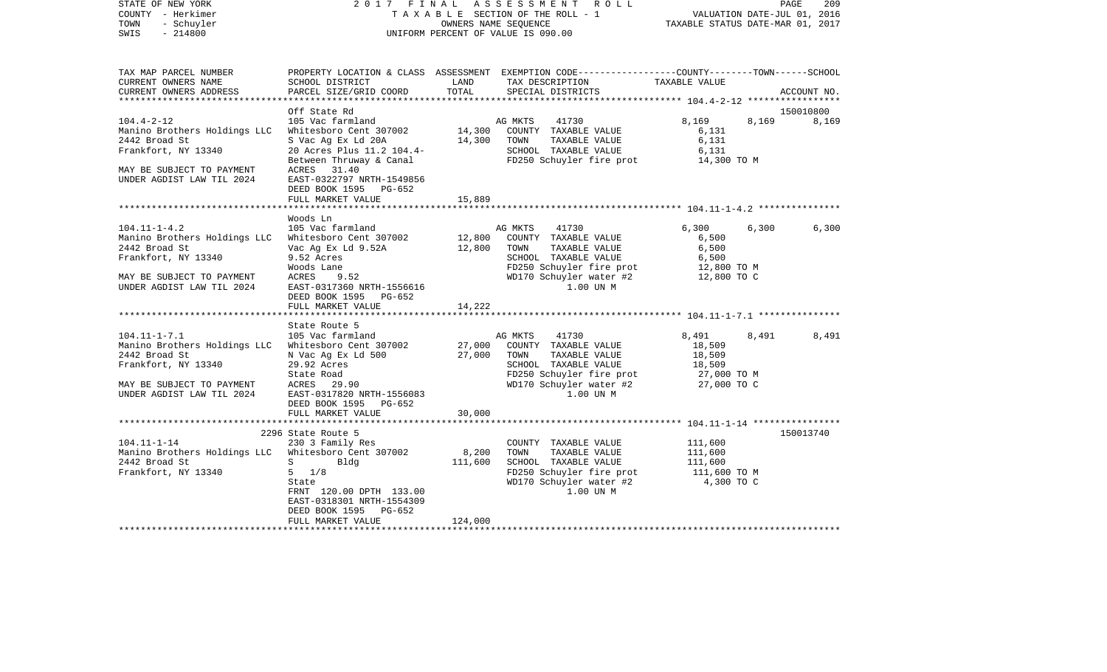| TAX MAP PARCEL NUMBER<br>PROPERTY LOCATION & CLASS ASSESSMENT EXEMPTION CODE---------------COUNTY-------TOWN-----SCHOOL<br>CURRENT OWNERS NAME<br>SCHOOL DISTRICT<br>LAND<br>TAX DESCRIPTION<br>TAXABLE VALUE<br>TOTAL<br>CURRENT OWNERS ADDRESS<br>PARCEL SIZE/GRID COORD<br>SPECIAL DISTRICTS<br>ACCOUNT NO.<br>**********************<br>150010800<br>Off State Rd<br>$104.4 - 2 - 12$<br>105 Vac farmland<br>AG MKTS<br>41730<br>8,169<br>8,169<br>8,169<br>14,300<br>Manino Brothers Holdings LLC<br>Whitesboro Cent 307002<br>COUNTY TAXABLE VALUE<br>6,131<br>14,300<br>2442 Broad St<br>S Vac Ag Ex Ld 20A<br>TOWN<br>TAXABLE VALUE<br>6,131<br>Frankfort, NY 13340<br>20 Acres Plus 11.2 104.4-<br>SCHOOL TAXABLE VALUE<br>6,131<br>14,300 TO M<br>FD250 Schuyler fire prot<br>Between Thruway & Canal<br>MAY BE SUBJECT TO PAYMENT<br>ACRES 31.40<br>UNDER AGDIST LAW TIL 2024<br>EAST-0322797 NRTH-1549856<br>DEED BOOK 1595 PG-652<br>FULL MARKET VALUE<br>15,889<br>Woods Ln<br>$104.11 - 1 - 4.2$<br>105 Vac farmland<br>6,300<br>6,300<br>AG MKTS<br>41730<br>6,300<br>Manino Brothers Holdings LLC<br>12,800<br>COUNTY TAXABLE VALUE<br>6,500<br>Whitesboro Cent 307002<br>2442 Broad St<br>12,800<br>TAXABLE VALUE<br>6,500<br>Vac Ag Ex Ld 9.52A<br>TOWN<br>Frankfort, NY 13340<br>9.52 Acres<br>SCHOOL TAXABLE VALUE<br>6,500<br>FD250 Schuyler fire prot<br>WD170 Schuyler water #2<br>Woods Lane<br>12,800 TO M<br>MAY BE SUBJECT TO PAYMENT<br>ACRES<br>9.52<br>12,800 TO C<br>1.00 UN M<br>UNDER AGDIST LAW TIL 2024<br>EAST-0317360 NRTH-1556616<br>DEED BOOK 1595 PG-652<br>FULL MARKET VALUE<br>14,222<br>*****************************<br>State Route 5<br>$104.11 - 1 - 7.1$<br>105 Vac farmland<br>AG MKTS<br>41730<br>8,491<br>8,491<br>8,491<br>Manino Brothers Holdings LLC<br>Whitesboro Cent 307002<br>27,000<br>COUNTY TAXABLE VALUE<br>18,509<br>2442 Broad St<br>N Vac Ag Ex Ld 500<br>27,000<br>TOWN<br>TAXABLE VALUE<br>18,509<br>Frankfort, NY 13340<br>29.92 Acres<br>SCHOOL TAXABLE VALUE<br>18,509<br>State Road<br>FD250 Schuyler fire prot<br>27,000 TO M<br>WD170 Schuyler water #2<br>27,000 TO C<br>MAY BE SUBJECT TO PAYMENT<br>ACRES 29.90<br>UNDER AGDIST LAW TIL 2024<br>EAST-0317820 NRTH-1556083<br>1.00 UN M<br>DEED BOOK 1595 PG-652<br>FULL MARKET VALUE<br>30,000<br>150013740<br>2296 State Route 5<br>230 3 Family Res<br>$104.11 - 1 - 14$<br>COUNTY TAXABLE VALUE<br>111,600<br>Manino Brothers Holdings LLC Whitesboro Cent 307002<br>8,200<br>TOWN<br>TAXABLE VALUE<br>111,600<br>SCHOOL TAXABLE VALUE<br>2442 Broad St<br>Bldg<br>111,600<br>111,600<br>$S \sim$<br>Frankfort, NY 13340<br>$5 \frac{1}{8}$<br>FD250 Schuyler fire prot<br>111,600 TO M<br>WD170 Schuyler water #2<br>4,300 TO C<br>State<br>1.00 UN M<br>FRNT 120.00 DPTH 133.00<br>EAST-0318301 NRTH-1554309<br>PG-652<br>DEED BOOK 1595<br>FULL MARKET VALUE<br>124,000 | STATE OF NEW YORK<br>COUNTY - Herkimer<br>TOWN<br>- Schuyler<br>$-214800$<br>SWIS |  | 2017 FINAL ASSESSMENT ROLL<br>TAXABLE SECTION OF THE ROLL - 1<br>OWNERS NAME SEQUENCE<br>UNIFORM PERCENT OF VALUE IS 090.00 | VALUATION DATE-JUL 01, 2016<br>TAXABLE STATUS DATE-MAR 01, 2017 | PAGE<br>209 |
|------------------------------------------------------------------------------------------------------------------------------------------------------------------------------------------------------------------------------------------------------------------------------------------------------------------------------------------------------------------------------------------------------------------------------------------------------------------------------------------------------------------------------------------------------------------------------------------------------------------------------------------------------------------------------------------------------------------------------------------------------------------------------------------------------------------------------------------------------------------------------------------------------------------------------------------------------------------------------------------------------------------------------------------------------------------------------------------------------------------------------------------------------------------------------------------------------------------------------------------------------------------------------------------------------------------------------------------------------------------------------------------------------------------------------------------------------------------------------------------------------------------------------------------------------------------------------------------------------------------------------------------------------------------------------------------------------------------------------------------------------------------------------------------------------------------------------------------------------------------------------------------------------------------------------------------------------------------------------------------------------------------------------------------------------------------------------------------------------------------------------------------------------------------------------------------------------------------------------------------------------------------------------------------------------------------------------------------------------------------------------------------------------------------------------------------------------------------------------------------------------------------------------------------------------------------------------------------------------------------------------------------------------------------------------------------------------------------------------------------------------------------------------------------------------------------------------------------------------------------------------------------------------------|-----------------------------------------------------------------------------------|--|-----------------------------------------------------------------------------------------------------------------------------|-----------------------------------------------------------------|-------------|
|                                                                                                                                                                                                                                                                                                                                                                                                                                                                                                                                                                                                                                                                                                                                                                                                                                                                                                                                                                                                                                                                                                                                                                                                                                                                                                                                                                                                                                                                                                                                                                                                                                                                                                                                                                                                                                                                                                                                                                                                                                                                                                                                                                                                                                                                                                                                                                                                                                                                                                                                                                                                                                                                                                                                                                                                                                                                                                            |                                                                                   |  |                                                                                                                             |                                                                 |             |
|                                                                                                                                                                                                                                                                                                                                                                                                                                                                                                                                                                                                                                                                                                                                                                                                                                                                                                                                                                                                                                                                                                                                                                                                                                                                                                                                                                                                                                                                                                                                                                                                                                                                                                                                                                                                                                                                                                                                                                                                                                                                                                                                                                                                                                                                                                                                                                                                                                                                                                                                                                                                                                                                                                                                                                                                                                                                                                            |                                                                                   |  |                                                                                                                             |                                                                 |             |
|                                                                                                                                                                                                                                                                                                                                                                                                                                                                                                                                                                                                                                                                                                                                                                                                                                                                                                                                                                                                                                                                                                                                                                                                                                                                                                                                                                                                                                                                                                                                                                                                                                                                                                                                                                                                                                                                                                                                                                                                                                                                                                                                                                                                                                                                                                                                                                                                                                                                                                                                                                                                                                                                                                                                                                                                                                                                                                            |                                                                                   |  |                                                                                                                             |                                                                 |             |
|                                                                                                                                                                                                                                                                                                                                                                                                                                                                                                                                                                                                                                                                                                                                                                                                                                                                                                                                                                                                                                                                                                                                                                                                                                                                                                                                                                                                                                                                                                                                                                                                                                                                                                                                                                                                                                                                                                                                                                                                                                                                                                                                                                                                                                                                                                                                                                                                                                                                                                                                                                                                                                                                                                                                                                                                                                                                                                            |                                                                                   |  |                                                                                                                             |                                                                 |             |
|                                                                                                                                                                                                                                                                                                                                                                                                                                                                                                                                                                                                                                                                                                                                                                                                                                                                                                                                                                                                                                                                                                                                                                                                                                                                                                                                                                                                                                                                                                                                                                                                                                                                                                                                                                                                                                                                                                                                                                                                                                                                                                                                                                                                                                                                                                                                                                                                                                                                                                                                                                                                                                                                                                                                                                                                                                                                                                            |                                                                                   |  |                                                                                                                             |                                                                 |             |
|                                                                                                                                                                                                                                                                                                                                                                                                                                                                                                                                                                                                                                                                                                                                                                                                                                                                                                                                                                                                                                                                                                                                                                                                                                                                                                                                                                                                                                                                                                                                                                                                                                                                                                                                                                                                                                                                                                                                                                                                                                                                                                                                                                                                                                                                                                                                                                                                                                                                                                                                                                                                                                                                                                                                                                                                                                                                                                            |                                                                                   |  |                                                                                                                             |                                                                 |             |
|                                                                                                                                                                                                                                                                                                                                                                                                                                                                                                                                                                                                                                                                                                                                                                                                                                                                                                                                                                                                                                                                                                                                                                                                                                                                                                                                                                                                                                                                                                                                                                                                                                                                                                                                                                                                                                                                                                                                                                                                                                                                                                                                                                                                                                                                                                                                                                                                                                                                                                                                                                                                                                                                                                                                                                                                                                                                                                            |                                                                                   |  |                                                                                                                             |                                                                 |             |
|                                                                                                                                                                                                                                                                                                                                                                                                                                                                                                                                                                                                                                                                                                                                                                                                                                                                                                                                                                                                                                                                                                                                                                                                                                                                                                                                                                                                                                                                                                                                                                                                                                                                                                                                                                                                                                                                                                                                                                                                                                                                                                                                                                                                                                                                                                                                                                                                                                                                                                                                                                                                                                                                                                                                                                                                                                                                                                            |                                                                                   |  |                                                                                                                             |                                                                 |             |
|                                                                                                                                                                                                                                                                                                                                                                                                                                                                                                                                                                                                                                                                                                                                                                                                                                                                                                                                                                                                                                                                                                                                                                                                                                                                                                                                                                                                                                                                                                                                                                                                                                                                                                                                                                                                                                                                                                                                                                                                                                                                                                                                                                                                                                                                                                                                                                                                                                                                                                                                                                                                                                                                                                                                                                                                                                                                                                            |                                                                                   |  |                                                                                                                             |                                                                 |             |
|                                                                                                                                                                                                                                                                                                                                                                                                                                                                                                                                                                                                                                                                                                                                                                                                                                                                                                                                                                                                                                                                                                                                                                                                                                                                                                                                                                                                                                                                                                                                                                                                                                                                                                                                                                                                                                                                                                                                                                                                                                                                                                                                                                                                                                                                                                                                                                                                                                                                                                                                                                                                                                                                                                                                                                                                                                                                                                            |                                                                                   |  |                                                                                                                             |                                                                 |             |
|                                                                                                                                                                                                                                                                                                                                                                                                                                                                                                                                                                                                                                                                                                                                                                                                                                                                                                                                                                                                                                                                                                                                                                                                                                                                                                                                                                                                                                                                                                                                                                                                                                                                                                                                                                                                                                                                                                                                                                                                                                                                                                                                                                                                                                                                                                                                                                                                                                                                                                                                                                                                                                                                                                                                                                                                                                                                                                            |                                                                                   |  |                                                                                                                             |                                                                 |             |
|                                                                                                                                                                                                                                                                                                                                                                                                                                                                                                                                                                                                                                                                                                                                                                                                                                                                                                                                                                                                                                                                                                                                                                                                                                                                                                                                                                                                                                                                                                                                                                                                                                                                                                                                                                                                                                                                                                                                                                                                                                                                                                                                                                                                                                                                                                                                                                                                                                                                                                                                                                                                                                                                                                                                                                                                                                                                                                            |                                                                                   |  |                                                                                                                             |                                                                 |             |
|                                                                                                                                                                                                                                                                                                                                                                                                                                                                                                                                                                                                                                                                                                                                                                                                                                                                                                                                                                                                                                                                                                                                                                                                                                                                                                                                                                                                                                                                                                                                                                                                                                                                                                                                                                                                                                                                                                                                                                                                                                                                                                                                                                                                                                                                                                                                                                                                                                                                                                                                                                                                                                                                                                                                                                                                                                                                                                            |                                                                                   |  |                                                                                                                             |                                                                 |             |
|                                                                                                                                                                                                                                                                                                                                                                                                                                                                                                                                                                                                                                                                                                                                                                                                                                                                                                                                                                                                                                                                                                                                                                                                                                                                                                                                                                                                                                                                                                                                                                                                                                                                                                                                                                                                                                                                                                                                                                                                                                                                                                                                                                                                                                                                                                                                                                                                                                                                                                                                                                                                                                                                                                                                                                                                                                                                                                            |                                                                                   |  |                                                                                                                             |                                                                 |             |
|                                                                                                                                                                                                                                                                                                                                                                                                                                                                                                                                                                                                                                                                                                                                                                                                                                                                                                                                                                                                                                                                                                                                                                                                                                                                                                                                                                                                                                                                                                                                                                                                                                                                                                                                                                                                                                                                                                                                                                                                                                                                                                                                                                                                                                                                                                                                                                                                                                                                                                                                                                                                                                                                                                                                                                                                                                                                                                            |                                                                                   |  |                                                                                                                             |                                                                 |             |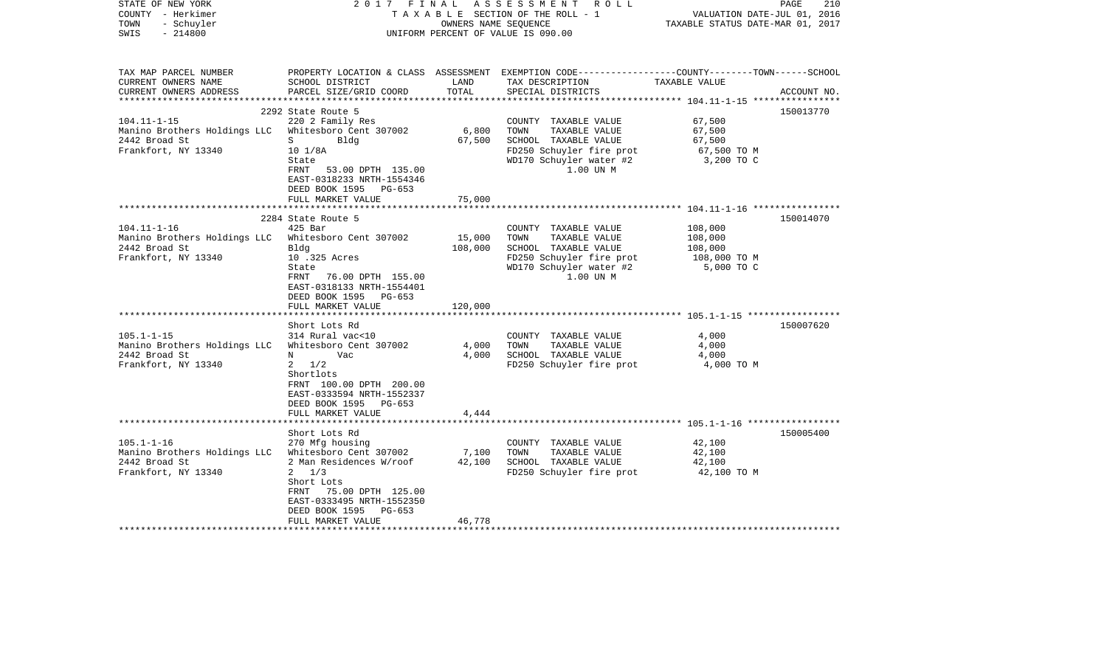| STATE OF NEW YORK<br>COUNTY - Herkimer<br>TOWN<br>- Schuyler<br>$-214800$<br>SWIS                                                                                                     | 2017<br>FINAL                                                                                                                                                                                                                                                                                                                                                                                          | OWNERS NAME SEOUENCE                           | ASSESSMENT ROLL<br>T A X A B L E SECTION OF THE ROLL - 1<br>UNIFORM PERCENT OF VALUE IS 090.00                                                                                                                                                 | VALUATION DATE-JUL 01, 2016<br>TAXABLE STATUS DATE-MAR 01, 2017                                      | PAGE<br>210            |
|---------------------------------------------------------------------------------------------------------------------------------------------------------------------------------------|--------------------------------------------------------------------------------------------------------------------------------------------------------------------------------------------------------------------------------------------------------------------------------------------------------------------------------------------------------------------------------------------------------|------------------------------------------------|------------------------------------------------------------------------------------------------------------------------------------------------------------------------------------------------------------------------------------------------|------------------------------------------------------------------------------------------------------|------------------------|
| TAX MAP PARCEL NUMBER<br>CURRENT OWNERS NAME<br>CURRENT OWNERS ADDRESS<br>**********************                                                                                      | SCHOOL DISTRICT<br>PARCEL SIZE/GRID COORD                                                                                                                                                                                                                                                                                                                                                              | LAND<br>TOTAL                                  | PROPERTY LOCATION & CLASS ASSESSMENT EXEMPTION CODE---------------COUNTY-------TOWN------SCHOOL<br>TAX DESCRIPTION<br>SPECIAL DISTRICTS                                                                                                        | TAXABLE VALUE                                                                                        | ACCOUNT NO.            |
|                                                                                                                                                                                       | 2292 State Route 5                                                                                                                                                                                                                                                                                                                                                                                     |                                                |                                                                                                                                                                                                                                                |                                                                                                      | 150013770              |
| $104.11 - 1 - 15$<br>Manino Brothers Holdings LLC<br>2442 Broad St<br>Frankfort, NY 13340                                                                                             | 220 2 Family Res<br>Whitesboro Cent 307002<br>S<br>Bldg<br>$10 \frac{1}{8}$ A<br>State<br>53.00 DPTH 135.00<br>FRNT<br>EAST-0318233 NRTH-1554346<br>DEED BOOK 1595<br>PG-653                                                                                                                                                                                                                           | 6,800<br>67,500                                | COUNTY TAXABLE VALUE<br>TOWN<br>TAXABLE VALUE<br>SCHOOL TAXABLE VALUE<br>FD250 Schuyler fire prot<br>WD170 Schuyler water #2<br>1.00 UN M                                                                                                      | 67,500<br>67,500<br>67,500<br>67,500 TO M<br>3,200 TO C                                              |                        |
|                                                                                                                                                                                       | FULL MARKET VALUE                                                                                                                                                                                                                                                                                                                                                                                      | 75,000                                         |                                                                                                                                                                                                                                                |                                                                                                      |                        |
|                                                                                                                                                                                       |                                                                                                                                                                                                                                                                                                                                                                                                        |                                                |                                                                                                                                                                                                                                                | ************************* 104.11-1-16 *****************                                              |                        |
| $104.11 - 1 - 16$<br>Manino Brothers Holdings LLC<br>2442 Broad St<br>Frankfort, NY 13340<br>$105.1 - 1 - 15$<br>Manino Brothers Holdings LLC<br>2442 Broad St<br>Frankfort, NY 13340 | 2284 State Route 5<br>$425$ Bar<br>Whitesboro Cent 307002<br>Bldg<br>10 .325 Acres<br>State<br>FRNT<br>76.00 DPTH 155.00<br>EAST-0318133 NRTH-1554401<br>DEED BOOK 1595 PG-653<br>FULL MARKET VALUE<br>Short Lots Rd<br>314 Rural vac<10<br>Whitesboro Cent 307002<br>Vac<br>N<br>1/2<br>$\mathbf{2}$<br>Shortlots<br>FRNT 100.00 DPTH 200.00<br>EAST-0333594 NRTH-1552337<br>DEED BOOK 1595<br>PG-653 | 15,000<br>108,000<br>120,000<br>4,000<br>4,000 | COUNTY TAXABLE VALUE<br>TAXABLE VALUE<br>TOWN<br>SCHOOL TAXABLE VALUE<br>FD250 Schuyler fire prot<br>WD170 Schuyler water #2<br>1.00 UN M<br>COUNTY TAXABLE VALUE<br>TAXABLE VALUE<br>TOWN<br>SCHOOL TAXABLE VALUE<br>FD250 Schuyler fire prot | 108,000<br>108,000<br>108,000<br>108,000 ТО М<br>5,000 TO C<br>4,000<br>4,000<br>4,000<br>4,000 TO M | 150014070<br>150007620 |
|                                                                                                                                                                                       | FULL MARKET VALUE<br>* * * * * * * * * * * * * * * * * * *                                                                                                                                                                                                                                                                                                                                             | 4,444<br>************                          |                                                                                                                                                                                                                                                |                                                                                                      |                        |
|                                                                                                                                                                                       | Short Lots Rd                                                                                                                                                                                                                                                                                                                                                                                          |                                                |                                                                                                                                                                                                                                                |                                                                                                      | 150005400              |
| $105.1 - 1 - 16$<br>Manino Brothers Holdings LLC<br>2442 Broad St<br>Frankfort, NY 13340                                                                                              | 270 Mfg housing<br>Whitesboro Cent 307002<br>2 Man Residences W/roof<br>$2 \frac{1}{3}$<br>Short Lots<br>75.00 DPTH 125.00<br>FRNT<br>EAST-0333495 NRTH-1552350<br>DEED BOOK 1595<br>PG-653                                                                                                                                                                                                            | 7,100<br>42,100                                | COUNTY TAXABLE VALUE<br>TOWN<br>TAXABLE VALUE<br>SCHOOL TAXABLE VALUE<br>FD250 Schuyler fire prot                                                                                                                                              | 42,100<br>42,100<br>42,100<br>42,100 TO M                                                            |                        |
|                                                                                                                                                                                       | FULL MARKET VALUE                                                                                                                                                                                                                                                                                                                                                                                      | 46,778                                         |                                                                                                                                                                                                                                                |                                                                                                      |                        |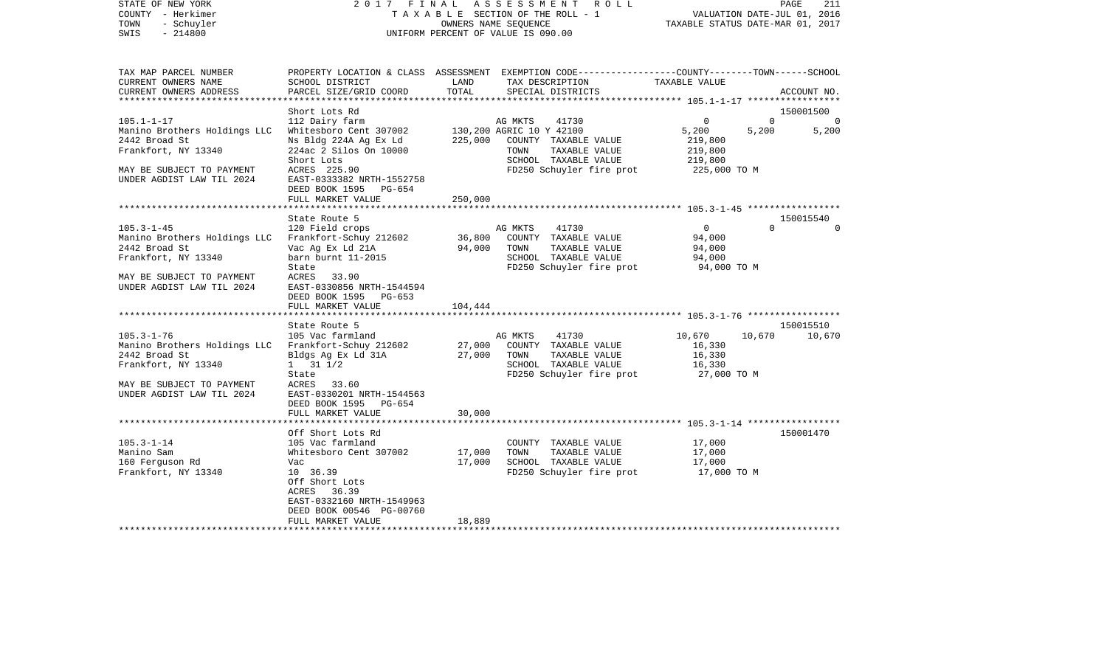| STATE OF NEW YORK  | 2017 FINAL ASSESSMENT ROLL         | PAGE                             |
|--------------------|------------------------------------|----------------------------------|
| COUNTY - Herkimer  | TAXABLE SECTION OF THE ROLL - 1    | VALUATION DATE-JUL 01, 2016      |
| TOWN<br>- Schuyler | OWNERS NAME SEOUENCE               | TAXABLE STATUS DATE-MAR 01, 2017 |
| SWIS<br>$-214800$  | UNIFORM PERCENT OF VALUE IS 090.00 |                                  |

| TAX MAP PARCEL NUMBER          |                           |         | PROPERTY LOCATION & CLASS ASSESSMENT EXEMPTION CODE---------------COUNTY-------TOWN-----SCHOOL |                            |                       |
|--------------------------------|---------------------------|---------|------------------------------------------------------------------------------------------------|----------------------------|-----------------------|
| CURRENT OWNERS NAME            | SCHOOL DISTRICT           | LAND    | TAX DESCRIPTION                                                                                | TAXABLE VALUE              |                       |
| CURRENT OWNERS ADDRESS         | PARCEL SIZE/GRID COORD    | TOTAL   | SPECIAL DISTRICTS                                                                              |                            | ACCOUNT NO.           |
| ********************           |                           |         |                                                                                                |                            |                       |
|                                | Short Lots Rd             |         |                                                                                                |                            | 150001500             |
| $105.1 - 1 - 17$               | 112 Dairy farm            |         | AG MKTS<br>41730                                                                               | $\mathbf 0$<br>$\mathbf 0$ | $\Omega$              |
| Manino Brothers Holdings LLC   | Whitesboro Cent 307002    |         | 130,200 AGRIC 10 Y 42100                                                                       | 5,200<br>5,200             | 5,200                 |
| 2442 Broad St                  | Ns Bldg 224A Ag Ex Ld     | 225,000 | COUNTY TAXABLE VALUE                                                                           | 219,800                    |                       |
| Frankfort, NY 13340            | 224ac 2 Silos On 10000    |         | TOWN<br>TAXABLE VALUE                                                                          | 219,800                    |                       |
|                                | Short Lots                |         | SCHOOL TAXABLE VALUE                                                                           | 219,800                    |                       |
| MAY BE SUBJECT TO PAYMENT      | ACRES 225.90              |         | FD250 Schuyler fire prot                                                                       | 225,000 TO M               |                       |
| UNDER AGDIST LAW TIL 2024      | EAST-0333382 NRTH-1552758 |         |                                                                                                |                            |                       |
|                                | DEED BOOK 1595 PG-654     |         |                                                                                                |                            |                       |
|                                | FULL MARKET VALUE         | 250,000 |                                                                                                |                            |                       |
| ****************************** |                           |         |                                                                                                |                            |                       |
|                                |                           |         |                                                                                                |                            |                       |
|                                | State Route 5             |         |                                                                                                | $\Omega$                   | 150015540<br>$\Omega$ |
| $105.3 - 1 - 45$               | 120 Field crops           |         | AG MKTS<br>41730                                                                               | $\mathbf{0}$               |                       |
| Manino Brothers Holdings LLC   | Frankfort-Schuy 212602    | 36,800  | COUNTY TAXABLE VALUE                                                                           | 94,000                     |                       |
| 2442 Broad St                  | Vac Ag Ex Ld 21A          | 94,000  | TOWN<br>TAXABLE VALUE                                                                          | 94,000                     |                       |
| Frankfort, NY 13340            | barn burnt 11-2015        |         | SCHOOL TAXABLE VALUE                                                                           | 94,000                     |                       |
|                                | State                     |         | FD250 Schuyler fire prot                                                                       | 94,000 TO M                |                       |
| MAY BE SUBJECT TO PAYMENT      | <b>ACRES</b><br>33.90     |         |                                                                                                |                            |                       |
| UNDER AGDIST LAW TIL 2024      | EAST-0330856 NRTH-1544594 |         |                                                                                                |                            |                       |
|                                | DEED BOOK 1595 PG-653     |         |                                                                                                |                            |                       |
|                                | FULL MARKET VALUE         | 104,444 |                                                                                                |                            |                       |
|                                |                           |         |                                                                                                |                            |                       |
|                                | State Route 5             |         |                                                                                                |                            | 150015510             |
| $105.3 - 1 - 76$               | 105 Vac farmland          |         | 41730<br>AG MKTS                                                                               | 10,670<br>10,670           | 10,670                |
| Manino Brothers Holdings LLC   | Frankfort-Schuy 212602    | 27,000  | COUNTY TAXABLE VALUE                                                                           | 16,330                     |                       |
| 2442 Broad St                  | Bldgs Ag Ex Ld 31A        | 27,000  | TOWN<br>TAXABLE VALUE                                                                          | 16,330                     |                       |
| Frankfort, NY 13340            | $1 \t 31 \t 1/2$          |         | SCHOOL TAXABLE VALUE                                                                           | 16,330                     |                       |
|                                | State                     |         | FD250 Schuyler fire prot                                                                       | 27,000 TO M                |                       |
| MAY BE SUBJECT TO PAYMENT      | ACRES 33.60               |         |                                                                                                |                            |                       |
| UNDER AGDIST LAW TIL 2024      | EAST-0330201 NRTH-1544563 |         |                                                                                                |                            |                       |
|                                | DEED BOOK 1595 PG-654     |         |                                                                                                |                            |                       |
|                                | FULL MARKET VALUE         | 30,000  |                                                                                                |                            |                       |
|                                |                           |         |                                                                                                |                            |                       |
|                                | Off Short Lots Rd         |         |                                                                                                |                            | 150001470             |
| $105.3 - 1 - 14$               | 105 Vac farmland          |         | COUNTY TAXABLE VALUE                                                                           | 17,000                     |                       |
| Manino Sam                     | Whitesboro Cent 307002    | 17,000  | TAXABLE VALUE<br>TOWN                                                                          | 17,000                     |                       |
| 160 Ferguson Rd                | Vac                       | 17,000  | SCHOOL TAXABLE VALUE                                                                           | 17,000                     |                       |
| Frankfort, NY 13340            | 10 36.39                  |         | FD250 Schuyler fire prot                                                                       | 17,000 TO M                |                       |
|                                | Off Short Lots            |         |                                                                                                |                            |                       |
|                                | ACRES 36.39               |         |                                                                                                |                            |                       |
|                                | EAST-0332160 NRTH-1549963 |         |                                                                                                |                            |                       |
|                                | DEED BOOK 00546 PG-00760  |         |                                                                                                |                            |                       |
|                                | FULL MARKET VALUE         | 18,889  |                                                                                                |                            |                       |
|                                |                           |         |                                                                                                |                            |                       |
|                                |                           |         |                                                                                                |                            |                       |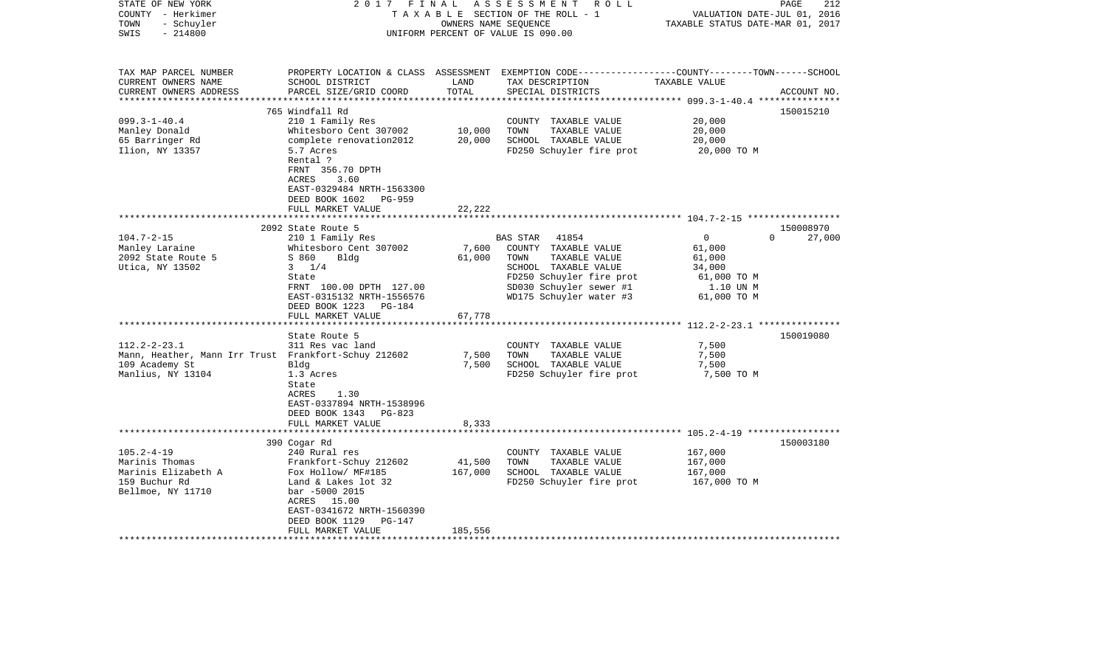| STATE OF NEW YORK<br>COUNTY - Herkimer<br>- Schuyler<br>TOWN<br>$-214800$<br>SWIS | 2017<br>FINAL                                                                                                                            | OWNERS NAME SEQUENCE | ASSESSMENT ROLL<br>TAXABLE SECTION OF THE ROLL - 1<br>UNIFORM PERCENT OF VALUE IS 090.00                                                 | VALUATION DATE-JUL 01, 2016<br>TAXABLE STATUS DATE-MAR 01, 2017 | PAGE<br>212 |
|-----------------------------------------------------------------------------------|------------------------------------------------------------------------------------------------------------------------------------------|----------------------|------------------------------------------------------------------------------------------------------------------------------------------|-----------------------------------------------------------------|-------------|
| TAX MAP PARCEL NUMBER<br>CURRENT OWNERS NAME<br>CURRENT OWNERS ADDRESS            | SCHOOL DISTRICT<br>PARCEL SIZE/GRID COORD                                                                                                | LAND<br>TOTAL        | PROPERTY LOCATION & CLASS ASSESSMENT EXEMPTION CODE----------------COUNTY-------TOWN------SCHOOL<br>TAX DESCRIPTION<br>SPECIAL DISTRICTS | TAXABLE VALUE                                                   | ACCOUNT NO. |
|                                                                                   |                                                                                                                                          |                      |                                                                                                                                          |                                                                 |             |
| $099.3 - 1 - 40.4$                                                                | 765 Windfall Rd<br>210 1 Family Res                                                                                                      |                      | COUNTY TAXABLE VALUE                                                                                                                     | 20,000                                                          | 150015210   |
| Manley Donald                                                                     | Whitesboro Cent 307002                                                                                                                   | 10,000               | TOWN<br>TAXABLE VALUE                                                                                                                    | 20,000                                                          |             |
| 65 Barringer Rd                                                                   | complete renovation2012                                                                                                                  | 20,000               | SCHOOL TAXABLE VALUE                                                                                                                     | 20,000                                                          |             |
| Ilion, NY 13357                                                                   | 5.7 Acres<br>Rental ?<br>FRNT 356.70 DPTH<br>ACRES<br>3.60<br>EAST-0329484 NRTH-1563300<br>DEED BOOK 1602<br>PG-959<br>FULL MARKET VALUE | 22,222               | FD250 Schuyler fire prot                                                                                                                 | 20,000 TO M                                                     |             |
|                                                                                   |                                                                                                                                          |                      |                                                                                                                                          |                                                                 |             |
|                                                                                   | 2092 State Route 5                                                                                                                       |                      |                                                                                                                                          | $\Omega$                                                        | 150008970   |
| $104.7 - 2 - 15$<br>Manley Laraine                                                | 210 1 Family Res<br>Whitesboro Cent 307002                                                                                               | 7,600                | 41854<br>BAS STAR<br>COUNTY TAXABLE VALUE                                                                                                | $\overline{0}$<br>61,000                                        | 27,000      |
| 2092 State Route 5                                                                | S 860<br>Bldg                                                                                                                            | 61,000               | TAXABLE VALUE<br>TOWN                                                                                                                    | 61,000                                                          |             |
| Utica, NY 13502                                                                   | $3 \t1/4$                                                                                                                                |                      | SCHOOL TAXABLE VALUE                                                                                                                     | 34,000                                                          |             |
|                                                                                   | State                                                                                                                                    |                      | FD250 Schuyler fire prot                                                                                                                 | 61,000 TO M                                                     |             |
|                                                                                   | FRNT 100.00 DPTH 127.00                                                                                                                  |                      | SD030 Schuyler sewer #1                                                                                                                  | 1.10 UN M                                                       |             |
|                                                                                   | EAST-0315132 NRTH-1556576<br>DEED BOOK 1223<br>PG-184                                                                                    |                      | WD175 Schuyler water #3                                                                                                                  | 61,000 TO M                                                     |             |
|                                                                                   | FULL MARKET VALUE<br>***************************                                                                                         | 67,778               |                                                                                                                                          |                                                                 |             |
|                                                                                   | State Route 5                                                                                                                            |                      |                                                                                                                                          |                                                                 | 150019080   |
| $112.2 - 2 - 23.1$                                                                | 311 Res vac land                                                                                                                         |                      | COUNTY TAXABLE VALUE                                                                                                                     | 7,500                                                           |             |
| Mann, Heather, Mann Irr Trust Frankfort-Schuy 212602                              |                                                                                                                                          | 7,500                | TOWN<br>TAXABLE VALUE                                                                                                                    | 7,500                                                           |             |
| 109 Academy St                                                                    | Bldg                                                                                                                                     | 7,500                | SCHOOL TAXABLE VALUE                                                                                                                     | 7,500                                                           |             |
| Manlius, NY 13104                                                                 | 1.3 Acres<br>State<br>ACRES<br>1.30<br>EAST-0337894 NRTH-1538996<br>DEED BOOK 1343 PG-823                                                |                      | FD250 Schuyler fire prot                                                                                                                 | 7,500 TO M                                                      |             |
|                                                                                   | FULL MARKET VALUE                                                                                                                        | 8,333                |                                                                                                                                          |                                                                 |             |
|                                                                                   |                                                                                                                                          |                      |                                                                                                                                          |                                                                 |             |
|                                                                                   | 390 Cogar Rd                                                                                                                             |                      |                                                                                                                                          |                                                                 | 150003180   |
| $105.2 - 4 - 19$                                                                  | 240 Rural res                                                                                                                            |                      | COUNTY TAXABLE VALUE                                                                                                                     | 167,000                                                         |             |
| Marinis Thomas<br>Marinis Elizabeth A                                             | Frankfort-Schuy 212602<br>Fox Hollow/ MF#185                                                                                             | 41,500<br>167,000    | TOWN<br>TAXABLE VALUE<br>SCHOOL TAXABLE VALUE                                                                                            | 167,000<br>167,000                                              |             |
| 159 Buchur Rd                                                                     | Land & Lakes lot 32                                                                                                                      |                      | FD250 Schuyler fire prot                                                                                                                 | 167,000 TO M                                                    |             |
| Bellmoe, NY 11710                                                                 | bar -5000 2015<br>ACRES 15.00                                                                                                            |                      |                                                                                                                                          |                                                                 |             |
|                                                                                   | EAST-0341672 NRTH-1560390                                                                                                                |                      |                                                                                                                                          |                                                                 |             |
|                                                                                   | DEED BOOK 1129<br>PG-147                                                                                                                 |                      |                                                                                                                                          |                                                                 |             |
|                                                                                   | FULL MARKET VALUE                                                                                                                        | 185,556              |                                                                                                                                          |                                                                 |             |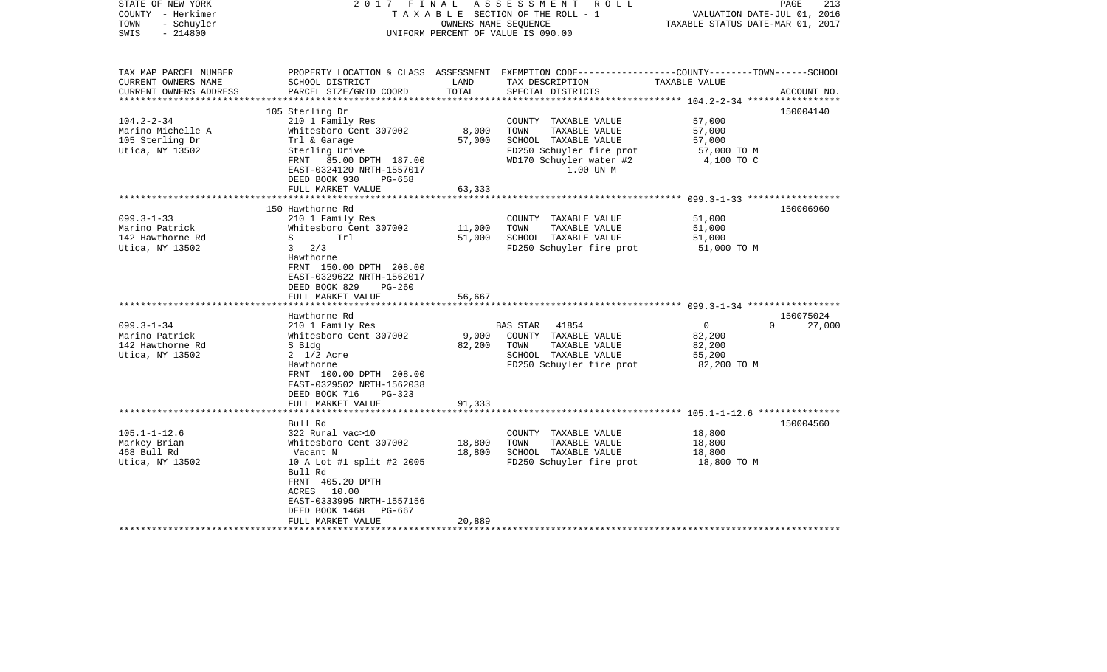| STATE OF NEW YORK<br>COUNTY - Herkimer<br>- Schuyler<br>TOWN<br>$-214800$<br>SWIS             | 2017 FINAL                                                                                                                                                                                                                           | OWNERS NAME SEQUENCE       | ASSESSMENT ROLL<br>TAXABLE SECTION OF THE ROLL - 1<br>UNIFORM PERCENT OF VALUE IS 090.00                                                  | VALUATION DATE-JUL 01, 2016<br>TAXABLE STATUS DATE-MAR 01, 2017  | PAGE<br>213         |
|-----------------------------------------------------------------------------------------------|--------------------------------------------------------------------------------------------------------------------------------------------------------------------------------------------------------------------------------------|----------------------------|-------------------------------------------------------------------------------------------------------------------------------------------|------------------------------------------------------------------|---------------------|
| TAX MAP PARCEL NUMBER<br>CURRENT OWNERS NAME<br>CURRENT OWNERS ADDRESS                        | SCHOOL DISTRICT<br>PARCEL SIZE/GRID COORD                                                                                                                                                                                            | LAND<br>TOTAL              | PROPERTY LOCATION & CLASS ASSESSMENT EXEMPTION CODE----------------COUNTY-------TOWN------SCHOOL<br>TAX DESCRIPTION<br>SPECIAL DISTRICTS  | TAXABLE VALUE                                                    | ACCOUNT NO.         |
| *********************                                                                         |                                                                                                                                                                                                                                      |                            |                                                                                                                                           |                                                                  |                     |
| $104.2 - 2 - 34$<br>Marino Michelle A<br>105 Sterling Dr<br>Utica, NY 13502                   | 105 Sterling Dr<br>210 1 Family Res<br>Whitesboro Cent 307002<br>Trl & Garage<br>Sterling Drive<br>FRNT 85.00 DPTH 187.00<br>EAST-0324120 NRTH-1557017<br>DEED BOOK 930<br>PG-658                                                    | 8,000<br>57,000            | COUNTY TAXABLE VALUE<br>TOWN<br>TAXABLE VALUE<br>SCHOOL TAXABLE VALUE<br>FD250 Schuyler fire prot<br>WD170 Schuyler water #2<br>1.00 UN M | 57,000<br>57,000<br>57,000<br>57,000 TO M<br>4,100 TO C          | 150004140           |
|                                                                                               | FULL MARKET VALUE                                                                                                                                                                                                                    | 63,333                     |                                                                                                                                           |                                                                  |                     |
|                                                                                               | 150 Hawthorne Rd                                                                                                                                                                                                                     |                            |                                                                                                                                           |                                                                  | 150006960           |
| $099.3 - 1 - 33$<br>Marino Patrick<br>142 Hawthorne Rd<br>Utica, NY 13502<br>$099.3 - 1 - 34$ | 210 1 Family Res<br>Whitesboro Cent 307002<br>S<br>Trl<br>$3 \frac{2}{3}$<br>Hawthorne<br>FRNT 150.00 DPTH 208.00<br>EAST-0329622 NRTH-1562017<br>DEED BOOK 829<br>$PG-260$<br>FULL MARKET VALUE<br>Hawthorne Rd<br>210 1 Family Res | 11,000<br>51,000<br>56,667 | COUNTY TAXABLE VALUE<br>TOWN<br>TAXABLE VALUE<br>SCHOOL TAXABLE VALUE<br>FD250 Schuyler fire prot<br>BAS STAR 41854                       | 51,000<br>51,000<br>51,000<br>51,000 TO M<br>$\circ$<br>$\Omega$ | 150075024<br>27,000 |
| Marino Patrick<br>142 Hawthorne Rd<br>Utica, NY 13502                                         | Whitesboro Cent 307002<br>S Bldg<br>$2 \frac{1}{2}$ Acre<br>Hawthorne<br>FRNT 100.00 DPTH 208.00<br>EAST-0329502 NRTH-1562038<br>DEED BOOK 716<br>PG-323<br>FULL MARKET VALUE                                                        | 9,000<br>82,200<br>91,333  | COUNTY TAXABLE VALUE<br>TOWN<br>TAXABLE VALUE<br>SCHOOL TAXABLE VALUE<br>FD250 Schuyler fire prot                                         | 82,200<br>82,200<br>55,200<br>82,200 TO M                        |                     |
|                                                                                               |                                                                                                                                                                                                                                      |                            |                                                                                                                                           |                                                                  |                     |
| $105.1 - 1 - 12.6$<br>Markey Brian<br>468 Bull Rd<br>Utica, NY 13502                          | Bull Rd<br>322 Rural vac>10<br>Whitesboro Cent 307002<br>Vacant N<br>10 A Lot #1 split #2 2005<br>Bull Rd<br>FRNT 405.20 DPTH<br>ACRES 10.00<br>EAST-0333995 NRTH-1557156<br>DEED BOOK 1468<br>PG-667<br>FULL MARKET VALUE           | 18,800<br>18,800<br>20,889 | COUNTY TAXABLE VALUE<br>TOWN<br>TAXABLE VALUE<br>SCHOOL TAXABLE VALUE<br>FD250 Schuyler fire prot                                         | 18,800<br>18,800<br>18,800<br>18,800 TO M                        | 150004560           |
|                                                                                               |                                                                                                                                                                                                                                      |                            |                                                                                                                                           |                                                                  |                     |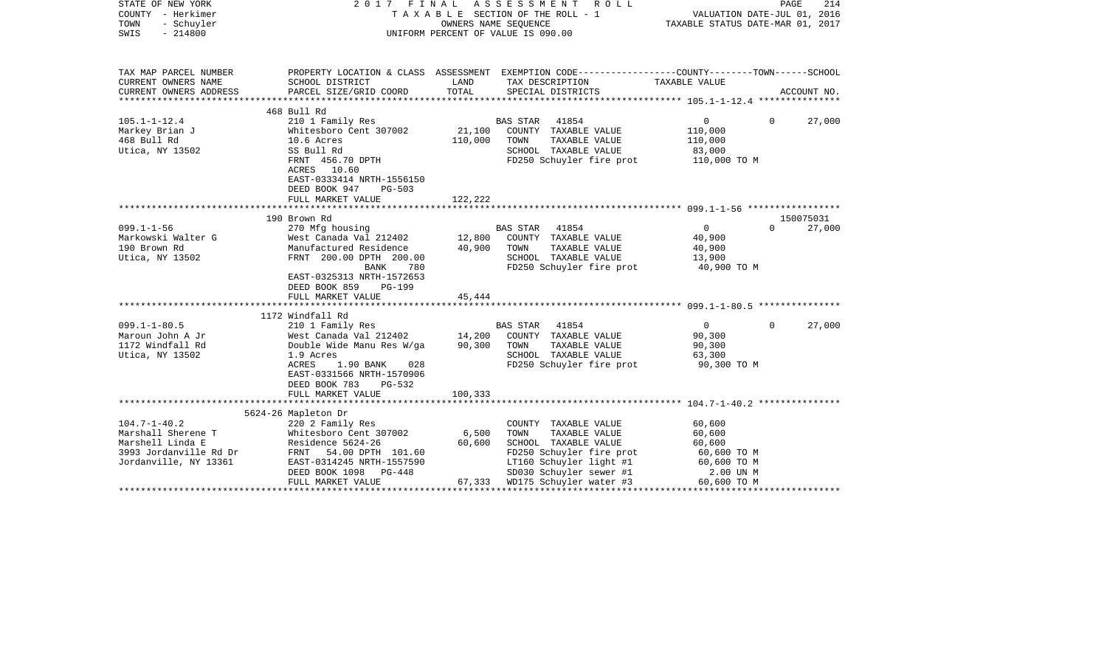| TAX MAP PARCEL NUMBER<br>PROPERTY LOCATION & CLASS ASSESSMENT EXEMPTION CODE----------------COUNTY-------TOWN------SCHOOL<br>CURRENT OWNERS NAME<br>SCHOOL DISTRICT<br>LAND<br>TAX DESCRIPTION<br>TAXABLE VALUE<br>CURRENT OWNERS ADDRESS<br>TOTAL<br>PARCEL SIZE/GRID COORD<br>SPECIAL DISTRICTS<br>ACCOUNT NO.<br>468 Bull Rd<br>210 1 Family Res<br>BAS STAR<br>41854<br>$\overline{0}$<br>$\mathbf{0}$<br>27,000<br>21,100<br>Whitesboro Cent 307002<br>COUNTY TAXABLE VALUE<br>110,000<br>468 Bull Rd<br>110,000<br>10.6 Acres<br>TOWN<br>TAXABLE VALUE<br>110,000<br>Utica, NY 13502<br>SCHOOL TAXABLE VALUE<br>SS Bull Rd<br>83,000<br>FD250 Schuyler fire prot<br>FRNT 456.70 DPTH<br>110,000 TO M<br>ACRES 10.60<br>EAST-0333414 NRTH-1556150<br>DEED BOOK 947<br>$PG-503$<br>122,222<br>FULL MARKET VALUE<br>*****************************<br>190 Brown Rd<br>150075031<br>270 Mfg housing<br>27,000<br>$099.1 - 1 - 56$<br>BAS STAR<br>41854<br>$\overline{0}$<br>$\Omega$<br>West Canada Val 212402<br>12,800<br>COUNTY TAXABLE VALUE<br>40,900<br>Manufactured Residence<br>40,900<br>TOWN<br>TAXABLE VALUE<br>40,900<br>FRNT 200.00 DPTH 200.00<br>SCHOOL TAXABLE VALUE<br>13,900<br>FD250 Schuyler fire prot<br><b>BANK</b><br>40,900 TO M<br>780<br>EAST-0325313 NRTH-1572653<br>DEED BOOK 859<br><b>PG-199</b><br>45,444<br>FULL MARKET VALUE<br>*************<br>***********************<br>1172 Windfall Rd<br>$099.1 - 1 - 80.5$<br>$\overline{0}$<br>210 1 Family Res<br>BAS STAR<br>41854<br>$\mathbf{0}$<br>27,000<br>14,200<br>West Canada Val 212402<br>COUNTY TAXABLE VALUE<br>90,300<br>Double Wide Manu Res W/ga<br>90,300<br>TOWN<br>TAXABLE VALUE<br>90,300<br>SCHOOL TAXABLE VALUE<br>1.9 Acres<br>63,300<br>FD250 Schuyler fire prot<br>ACRES<br>1.90 BANK<br>028<br>90,300 TO M<br>EAST-0331566 NRTH-1570906<br>DEED BOOK 783<br>PG-532<br>FULL MARKET VALUE<br>100,333<br>5624-26 Mapleton Dr<br>60,600<br>220 2 Family Res<br>COUNTY TAXABLE VALUE<br>Whitesboro Cent 307002<br>6,500<br>TAXABLE VALUE<br>60,600<br>TOWN<br>Residence 5624-26<br>60,600<br>SCHOOL TAXABLE VALUE<br>60,600<br>3993 Jordanville Rd Dr<br>FRNT<br>54.00 DPTH 101.60<br>FD250 Schuyler fire prot<br>60,600 TO M<br>LT160 Schuyler light #1<br>EAST-0314245 NRTH-1557590<br>60,600 TO M<br>SD030 Schuyler sewer #1<br>DEED BOOK 1098<br>2.00 UN M<br>PG-448<br>WD175 Schuyler water #3<br>FULL MARKET VALUE<br>67,333<br>60,600 TO M | STATE OF NEW YORK<br>COUNTY - Herkimer<br>TOWN<br>- Schuyler<br>SWIS<br>$-214800$     | FINAL<br>2017<br>T A X A B L E SECTION OF THE ROLL - 1<br>UNIFORM PERCENT OF VALUE IS 090.00 | PAGE<br>214<br>VALUATION DATE-JUL 01, 2016<br>TAXABLE STATUS DATE-MAR 01, 2017 |  |  |  |
|----------------------------------------------------------------------------------------------------------------------------------------------------------------------------------------------------------------------------------------------------------------------------------------------------------------------------------------------------------------------------------------------------------------------------------------------------------------------------------------------------------------------------------------------------------------------------------------------------------------------------------------------------------------------------------------------------------------------------------------------------------------------------------------------------------------------------------------------------------------------------------------------------------------------------------------------------------------------------------------------------------------------------------------------------------------------------------------------------------------------------------------------------------------------------------------------------------------------------------------------------------------------------------------------------------------------------------------------------------------------------------------------------------------------------------------------------------------------------------------------------------------------------------------------------------------------------------------------------------------------------------------------------------------------------------------------------------------------------------------------------------------------------------------------------------------------------------------------------------------------------------------------------------------------------------------------------------------------------------------------------------------------------------------------------------------------------------------------------------------------------------------------------------------------------------------------------------------------------------------------------------------------------------------------------------------------------------------------------------------------------------------------------------------------------------------------------|---------------------------------------------------------------------------------------|----------------------------------------------------------------------------------------------|--------------------------------------------------------------------------------|--|--|--|
|                                                                                                                                                                                                                                                                                                                                                                                                                                                                                                                                                                                                                                                                                                                                                                                                                                                                                                                                                                                                                                                                                                                                                                                                                                                                                                                                                                                                                                                                                                                                                                                                                                                                                                                                                                                                                                                                                                                                                                                                                                                                                                                                                                                                                                                                                                                                                                                                                                                    |                                                                                       |                                                                                              |                                                                                |  |  |  |
|                                                                                                                                                                                                                                                                                                                                                                                                                                                                                                                                                                                                                                                                                                                                                                                                                                                                                                                                                                                                                                                                                                                                                                                                                                                                                                                                                                                                                                                                                                                                                                                                                                                                                                                                                                                                                                                                                                                                                                                                                                                                                                                                                                                                                                                                                                                                                                                                                                                    |                                                                                       |                                                                                              |                                                                                |  |  |  |
|                                                                                                                                                                                                                                                                                                                                                                                                                                                                                                                                                                                                                                                                                                                                                                                                                                                                                                                                                                                                                                                                                                                                                                                                                                                                                                                                                                                                                                                                                                                                                                                                                                                                                                                                                                                                                                                                                                                                                                                                                                                                                                                                                                                                                                                                                                                                                                                                                                                    |                                                                                       |                                                                                              |                                                                                |  |  |  |
|                                                                                                                                                                                                                                                                                                                                                                                                                                                                                                                                                                                                                                                                                                                                                                                                                                                                                                                                                                                                                                                                                                                                                                                                                                                                                                                                                                                                                                                                                                                                                                                                                                                                                                                                                                                                                                                                                                                                                                                                                                                                                                                                                                                                                                                                                                                                                                                                                                                    | $105.1 - 1 - 12.4$<br>Markey Brian J                                                  |                                                                                              |                                                                                |  |  |  |
|                                                                                                                                                                                                                                                                                                                                                                                                                                                                                                                                                                                                                                                                                                                                                                                                                                                                                                                                                                                                                                                                                                                                                                                                                                                                                                                                                                                                                                                                                                                                                                                                                                                                                                                                                                                                                                                                                                                                                                                                                                                                                                                                                                                                                                                                                                                                                                                                                                                    |                                                                                       |                                                                                              |                                                                                |  |  |  |
|                                                                                                                                                                                                                                                                                                                                                                                                                                                                                                                                                                                                                                                                                                                                                                                                                                                                                                                                                                                                                                                                                                                                                                                                                                                                                                                                                                                                                                                                                                                                                                                                                                                                                                                                                                                                                                                                                                                                                                                                                                                                                                                                                                                                                                                                                                                                                                                                                                                    |                                                                                       |                                                                                              |                                                                                |  |  |  |
|                                                                                                                                                                                                                                                                                                                                                                                                                                                                                                                                                                                                                                                                                                                                                                                                                                                                                                                                                                                                                                                                                                                                                                                                                                                                                                                                                                                                                                                                                                                                                                                                                                                                                                                                                                                                                                                                                                                                                                                                                                                                                                                                                                                                                                                                                                                                                                                                                                                    |                                                                                       |                                                                                              |                                                                                |  |  |  |
|                                                                                                                                                                                                                                                                                                                                                                                                                                                                                                                                                                                                                                                                                                                                                                                                                                                                                                                                                                                                                                                                                                                                                                                                                                                                                                                                                                                                                                                                                                                                                                                                                                                                                                                                                                                                                                                                                                                                                                                                                                                                                                                                                                                                                                                                                                                                                                                                                                                    | Markowski Walter G<br>190 Brown Rd<br>Utica, NY 13502                                 |                                                                                              |                                                                                |  |  |  |
|                                                                                                                                                                                                                                                                                                                                                                                                                                                                                                                                                                                                                                                                                                                                                                                                                                                                                                                                                                                                                                                                                                                                                                                                                                                                                                                                                                                                                                                                                                                                                                                                                                                                                                                                                                                                                                                                                                                                                                                                                                                                                                                                                                                                                                                                                                                                                                                                                                                    |                                                                                       |                                                                                              |                                                                                |  |  |  |
|                                                                                                                                                                                                                                                                                                                                                                                                                                                                                                                                                                                                                                                                                                                                                                                                                                                                                                                                                                                                                                                                                                                                                                                                                                                                                                                                                                                                                                                                                                                                                                                                                                                                                                                                                                                                                                                                                                                                                                                                                                                                                                                                                                                                                                                                                                                                                                                                                                                    |                                                                                       |                                                                                              |                                                                                |  |  |  |
|                                                                                                                                                                                                                                                                                                                                                                                                                                                                                                                                                                                                                                                                                                                                                                                                                                                                                                                                                                                                                                                                                                                                                                                                                                                                                                                                                                                                                                                                                                                                                                                                                                                                                                                                                                                                                                                                                                                                                                                                                                                                                                                                                                                                                                                                                                                                                                                                                                                    | Maroun John A Jr<br>1172 Windfall Rd<br>Utica, NY 13502                               |                                                                                              |                                                                                |  |  |  |
|                                                                                                                                                                                                                                                                                                                                                                                                                                                                                                                                                                                                                                                                                                                                                                                                                                                                                                                                                                                                                                                                                                                                                                                                                                                                                                                                                                                                                                                                                                                                                                                                                                                                                                                                                                                                                                                                                                                                                                                                                                                                                                                                                                                                                                                                                                                                                                                                                                                    |                                                                                       |                                                                                              |                                                                                |  |  |  |
|                                                                                                                                                                                                                                                                                                                                                                                                                                                                                                                                                                                                                                                                                                                                                                                                                                                                                                                                                                                                                                                                                                                                                                                                                                                                                                                                                                                                                                                                                                                                                                                                                                                                                                                                                                                                                                                                                                                                                                                                                                                                                                                                                                                                                                                                                                                                                                                                                                                    |                                                                                       |                                                                                              |                                                                                |  |  |  |
|                                                                                                                                                                                                                                                                                                                                                                                                                                                                                                                                                                                                                                                                                                                                                                                                                                                                                                                                                                                                                                                                                                                                                                                                                                                                                                                                                                                                                                                                                                                                                                                                                                                                                                                                                                                                                                                                                                                                                                                                                                                                                                                                                                                                                                                                                                                                                                                                                                                    | $104.7 - 1 - 40.2$<br>Marshall Sherene T<br>Marshell Linda E<br>Jordanville, NY 13361 |                                                                                              |                                                                                |  |  |  |
|                                                                                                                                                                                                                                                                                                                                                                                                                                                                                                                                                                                                                                                                                                                                                                                                                                                                                                                                                                                                                                                                                                                                                                                                                                                                                                                                                                                                                                                                                                                                                                                                                                                                                                                                                                                                                                                                                                                                                                                                                                                                                                                                                                                                                                                                                                                                                                                                                                                    |                                                                                       |                                                                                              |                                                                                |  |  |  |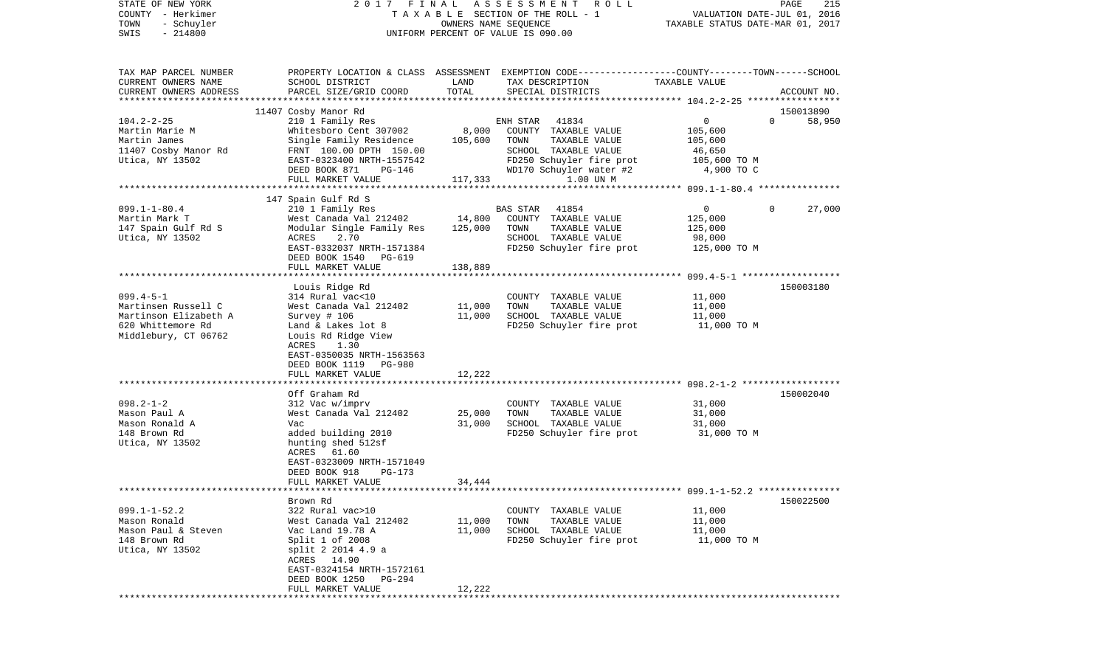| COUNTY<br>– Herkimer   | T A X A B L E SECTION OF THE ROLL - 1                |                                  |                                                                                                 | VALUATION DATE-JUL 01, 2016    |             |  |
|------------------------|------------------------------------------------------|----------------------------------|-------------------------------------------------------------------------------------------------|--------------------------------|-------------|--|
| TOWN<br>- Schuyler     |                                                      | TAXABLE STATUS DATE-MAR 01, 2017 |                                                                                                 |                                |             |  |
| SWIS<br>$-214800$      | UNIFORM PERCENT OF VALUE IS 090.00                   |                                  |                                                                                                 |                                |             |  |
|                        |                                                      |                                  |                                                                                                 |                                |             |  |
| TAX MAP PARCEL NUMBER  |                                                      |                                  | PROPERTY LOCATION & CLASS ASSESSMENT EXEMPTION CODE---------------COUNTY-------TOWN------SCHOOL |                                |             |  |
| CURRENT OWNERS NAME    | SCHOOL DISTRICT                                      | LAND                             | TAX DESCRIPTION                                                                                 | TAXABLE VALUE                  |             |  |
| CURRENT OWNERS ADDRESS | PARCEL SIZE/GRID COORD                               | TOTAL                            | SPECIAL DISTRICTS                                                                               |                                | ACCOUNT NO. |  |
|                        |                                                      |                                  |                                                                                                 |                                |             |  |
|                        | 11407 Cosby Manor Rd                                 |                                  |                                                                                                 |                                | 150013890   |  |
| $104.2 - 2 - 25$       | 210 1 Family Res                                     |                                  | 41834<br>ENH STAR                                                                               | $\overline{0}$<br>$\Omega$     | 58,950      |  |
| Martin Marie M         | Whitesboro Cent 307002                               | 8,000                            | COUNTY TAXABLE VALUE                                                                            | 105,600                        |             |  |
| Martin James           | Single Family Residence                              | 105,600                          | TAXABLE VALUE<br>TOWN                                                                           | 105,600                        |             |  |
| 11407 Cosby Manor Rd   | FRNT 100.00 DPTH 150.00<br>EAST-0323400 NRTH-1557542 |                                  | SCHOOL TAXABLE VALUE                                                                            | 46,650                         |             |  |
| Utica, NY 13502        | PG-146<br>DEED BOOK 871                              |                                  | FD250 Schuyler fire prot<br>WD170 Schuyler water #2                                             | 105,600 ТО М<br>4,900 TO C     |             |  |
|                        | FULL MARKET VALUE                                    | 117,333                          | 1.00 UN M                                                                                       |                                |             |  |
|                        |                                                      |                                  |                                                                                                 |                                |             |  |
|                        | 147 Spain Gulf Rd S                                  |                                  |                                                                                                 |                                |             |  |
| $099.1 - 1 - 80.4$     | 210 1 Family Res                                     |                                  | 41854<br>BAS STAR                                                                               | $\overline{0}$<br>$\mathbf{0}$ | 27,000      |  |
| Martin Mark T          | West Canada Val 212402                               | 14,800                           | COUNTY TAXABLE VALUE                                                                            | 125,000                        |             |  |
| 147 Spain Gulf Rd S    | Modular Single Family Res                            | 125,000                          | TOWN<br>TAXABLE VALUE                                                                           | 125,000                        |             |  |
| Utica, NY 13502        | 2.70<br>ACRES                                        |                                  | SCHOOL TAXABLE VALUE                                                                            | 98,000                         |             |  |
|                        | EAST-0332037 NRTH-1571384                            |                                  | FD250 Schuyler fire prot                                                                        | 125,000 TO M                   |             |  |
|                        | DEED BOOK 1540<br>PG-619                             |                                  |                                                                                                 |                                |             |  |
|                        | FULL MARKET VALUE                                    | 138,889                          |                                                                                                 |                                |             |  |
|                        |                                                      |                                  |                                                                                                 |                                |             |  |
|                        | Louis Ridge Rd                                       |                                  |                                                                                                 |                                | 150003180   |  |
| $099.4 - 5 - 1$        | 314 Rural vac<10                                     |                                  | COUNTY TAXABLE VALUE                                                                            | 11,000                         |             |  |
| Martinsen Russell C    | West Canada Val 212402                               | 11,000                           | TAXABLE VALUE<br>TOWN                                                                           | 11,000                         |             |  |
| Martinson Elizabeth A  | Survey # 106                                         | 11,000                           | SCHOOL TAXABLE VALUE                                                                            | 11,000                         |             |  |
| 620 Whittemore Rd      | Land & Lakes lot 8                                   |                                  | FD250 Schuyler fire prot                                                                        | 11,000 TO M                    |             |  |
| Middlebury, CT 06762   | Louis Rd Ridge View<br>ACRES<br>1.30                 |                                  |                                                                                                 |                                |             |  |
|                        | EAST-0350035 NRTH-1563563                            |                                  |                                                                                                 |                                |             |  |
|                        | DEED BOOK 1119<br>PG-980                             |                                  |                                                                                                 |                                |             |  |
|                        | FULL MARKET VALUE                                    | 12,222                           |                                                                                                 |                                |             |  |
|                        |                                                      |                                  |                                                                                                 |                                |             |  |
|                        | Off Graham Rd                                        |                                  |                                                                                                 |                                | 150002040   |  |
| $098.2 - 1 - 2$        | 312 Vac w/imprv                                      |                                  | COUNTY TAXABLE VALUE                                                                            | 31,000                         |             |  |
| Mason Paul A           | West Canada Val 212402                               | 25,000                           | TAXABLE VALUE<br>TOWN                                                                           | 31,000                         |             |  |
| Mason Ronald A         | Vac                                                  | 31,000                           | SCHOOL TAXABLE VALUE                                                                            | 31,000                         |             |  |
| 148 Brown Rd           | added building 2010                                  |                                  | FD250 Schuyler fire prot                                                                        | 31,000 TO M                    |             |  |
| Utica, NY 13502        | hunting shed 512sf                                   |                                  |                                                                                                 |                                |             |  |
|                        | 61.60<br>ACRES                                       |                                  |                                                                                                 |                                |             |  |
|                        | EAST-0323009 NRTH-1571049                            |                                  |                                                                                                 |                                |             |  |
|                        | DEED BOOK 918<br>PG-173                              |                                  |                                                                                                 |                                |             |  |
|                        | FULL MARKET VALUE                                    | 34,444                           |                                                                                                 |                                |             |  |
|                        | Brown Rd                                             |                                  |                                                                                                 |                                | 150022500   |  |
| $099.1 - 1 - 52.2$     | 322 Rural vac>10                                     |                                  | COUNTY TAXABLE VALUE                                                                            | 11,000                         |             |  |
| Mason Ronald           | West Canada Val 212402                               | 11,000                           | TOWN<br>TAXABLE VALUE                                                                           | 11,000                         |             |  |
| Mason Paul & Steven    | Vac Land 19.78 A                                     | 11,000                           | SCHOOL TAXABLE VALUE                                                                            | 11,000                         |             |  |
| 148 Brown Rd           | Split $1$ of 2008                                    |                                  | FD250 Schuyler fire prot                                                                        | 11,000 TO M                    |             |  |
| Utica, NY 13502        | split 2 2014 4.9 a                                   |                                  |                                                                                                 |                                |             |  |
|                        | ACRES 14.90                                          |                                  |                                                                                                 |                                |             |  |
|                        | EAST-0324154 NRTH-1572161                            |                                  |                                                                                                 |                                |             |  |
|                        | DEED BOOK 1250<br>PG-294                             |                                  |                                                                                                 |                                |             |  |
|                        | FULL MARKET VALUE                                    | 12,222                           |                                                                                                 |                                |             |  |
|                        |                                                      |                                  |                                                                                                 |                                |             |  |

PAGE 215

STATE OF NEW YORK 2 0 1 7 F I N A L A S S E S S M E N T R O L L PAGE 215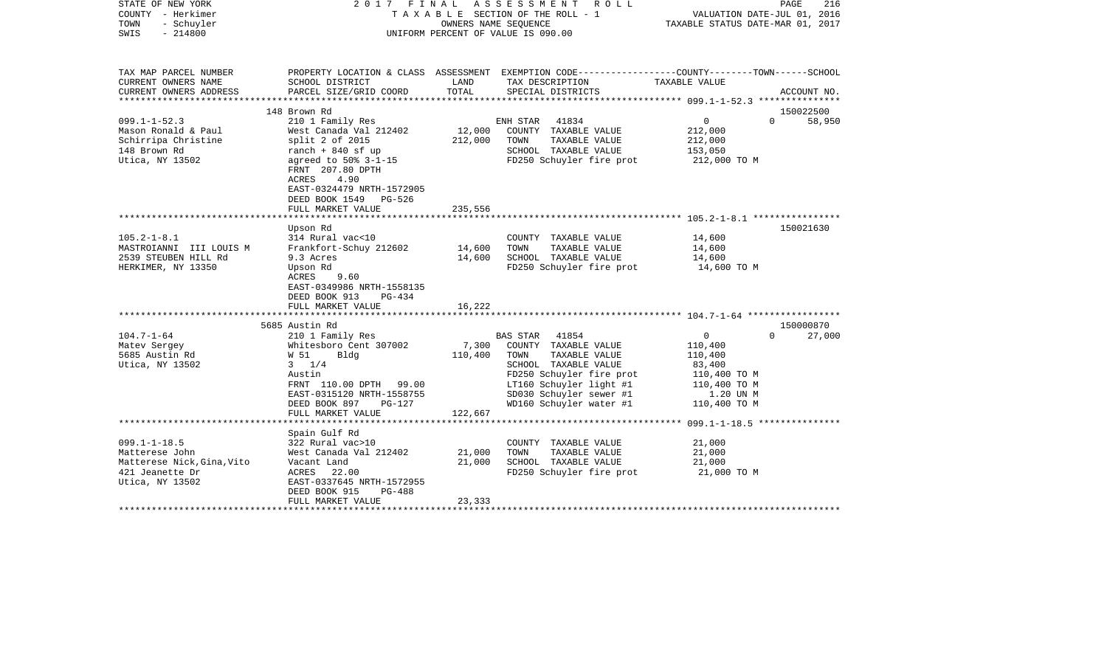| STATE OF NEW YORK<br>COUNTY - Herkimer<br>TOWN<br>- Schuyler<br>$-214800$<br>SWIS |                                                                                                          |                           | 2017 FINAL ASSESSMENT ROLL<br>T A X A B L E SECTION OF THE ROLL - 1<br>OWNERS NAME SEQUENCE<br>UNIFORM PERCENT OF VALUE IS 090.00 | VALUATION DATE-JUL 01, 2016<br>TAXABLE STATUS DATE-MAR 01, 2017 | PAGE<br>216        |
|-----------------------------------------------------------------------------------|----------------------------------------------------------------------------------------------------------|---------------------------|-----------------------------------------------------------------------------------------------------------------------------------|-----------------------------------------------------------------|--------------------|
| TAX MAP PARCEL NUMBER<br>CURRENT OWNERS NAME                                      | SCHOOL DISTRICT                                                                                          | LAND                      | PROPERTY LOCATION & CLASS ASSESSMENT EXEMPTION CODE----------------COUNTY-------TOWN------SCHOOL<br>TAX DESCRIPTION               | TAXABLE VALUE                                                   |                    |
| CURRENT OWNERS ADDRESS                                                            | PARCEL SIZE/GRID COORD                                                                                   | TOTAL                     | SPECIAL DISTRICTS                                                                                                                 |                                                                 | ACCOUNT NO.        |
|                                                                                   | 148 Brown Rd                                                                                             |                           |                                                                                                                                   |                                                                 | 150022500          |
| $099.1 - 1 - 52.3$                                                                | 210 1 Family Res                                                                                         |                           | 41834<br>ENH STAR                                                                                                                 | $\overline{0}$                                                  | 58,950<br>$\Omega$ |
| Mason Ronald & Paul                                                               | West Canada Val 212402                                                                                   | 12,000                    | COUNTY TAXABLE VALUE                                                                                                              | 212,000                                                         |                    |
| Schirripa Christine                                                               | $split$ 2 of 2015                                                                                        | 212,000                   | TOWN<br>TAXABLE VALUE                                                                                                             | 212,000                                                         |                    |
| 148 Brown Rd                                                                      | ranch $+$ 840 sf up                                                                                      |                           | SCHOOL TAXABLE VALUE                                                                                                              | 153,050                                                         |                    |
| Utica, NY 13502                                                                   | agreed to 50% 3-1-15<br>FRNT 207.80 DPTH<br>4.90<br>ACRES<br>EAST-0324479 NRTH-1572905                   |                           | FD250 Schuyler fire prot                                                                                                          | 212,000 TO M                                                    |                    |
|                                                                                   | DEED BOOK 1549 PG-526                                                                                    |                           |                                                                                                                                   |                                                                 |                    |
|                                                                                   | FULL MARKET VALUE<br>*******************                                                                 | 235,556<br>************** |                                                                                                                                   |                                                                 |                    |
|                                                                                   | Upson Rd                                                                                                 |                           |                                                                                                                                   |                                                                 | 150021630          |
| $105.2 - 1 - 8.1$                                                                 | 314 Rural vac<10                                                                                         |                           | COUNTY TAXABLE VALUE                                                                                                              | 14,600                                                          |                    |
| MASTROIANNI III LOUIS M                                                           | Frankfort-Schuy 212602                                                                                   | 14,600                    | TOWN<br>TAXABLE VALUE                                                                                                             | 14,600                                                          |                    |
| 2539 STEUBEN HILL Rd                                                              | 9.3 Acres                                                                                                | 14,600                    | SCHOOL TAXABLE VALUE                                                                                                              | 14,600                                                          |                    |
| HERKIMER, NY 13350                                                                | Upson Rd<br>ACRES<br>9.60<br>EAST-0349986 NRTH-1558135<br>DEED BOOK 913<br>$PG-434$<br>FULL MARKET VALUE | 16,222                    | FD250 Schuyler fire prot                                                                                                          | 14,600 TO M                                                     |                    |
|                                                                                   |                                                                                                          |                           |                                                                                                                                   |                                                                 |                    |
|                                                                                   | 5685 Austin Rd                                                                                           |                           |                                                                                                                                   |                                                                 | 150000870          |
| $104.7 - 1 - 64$                                                                  | 210 1 Family Res                                                                                         |                           | BAS STAR 41854                                                                                                                    | $\overline{0}$                                                  | 27,000<br>$\Omega$ |
| Matev Sergey                                                                      | Whitesboro Cent 307002                                                                                   | 7,300                     | COUNTY TAXABLE VALUE                                                                                                              | 110,400                                                         |                    |
| 5685 Austin Rd                                                                    | W 51<br>Bldg                                                                                             | 110,400                   | TAXABLE VALUE<br>TOWN                                                                                                             | 110,400                                                         |                    |
| Utica, NY 13502                                                                   | $3 \t1/4$<br>Austin                                                                                      |                           | SCHOOL TAXABLE VALUE<br>FD250 Schuyler fire prot                                                                                  | 83,400<br>110,400 TO M                                          |                    |
|                                                                                   | FRNT 110.00 DPTH 99.00                                                                                   |                           | LT160 Schuyler light #1                                                                                                           | 110,400 TO M                                                    |                    |
|                                                                                   | EAST-0315120 NRTH-1558755                                                                                |                           | SD030 Schuyler sewer #1                                                                                                           | 1.20 UN M                                                       |                    |
|                                                                                   | DEED BOOK 897<br>PG-127                                                                                  |                           | WD160 Schuyler water #1                                                                                                           | 110,400 TO M                                                    |                    |
|                                                                                   | FULL MARKET VALUE                                                                                        | 122,667                   |                                                                                                                                   |                                                                 |                    |
|                                                                                   | ************************                                                                                 |                           |                                                                                                                                   |                                                                 |                    |
|                                                                                   | Spain Gulf Rd                                                                                            |                           |                                                                                                                                   |                                                                 |                    |
| $099.1 - 1 - 18.5$                                                                | 322 Rural vac>10                                                                                         |                           | COUNTY TAXABLE VALUE                                                                                                              | 21,000                                                          |                    |
| Matterese John<br>Matterese Nick, Gina, Vito                                      | West Canada Val 212402<br>Vacant Land                                                                    | 21,000<br>21,000          | TOWN<br>TAXABLE VALUE<br>SCHOOL TAXABLE VALUE                                                                                     | 21,000<br>21,000                                                |                    |
| 421 Jeanette Dr                                                                   | ACRES<br>22.00                                                                                           |                           | FD250 Schuyler fire prot                                                                                                          | 21,000 TO M                                                     |                    |
| Utica, NY 13502                                                                   | EAST-0337645 NRTH-1572955                                                                                |                           |                                                                                                                                   |                                                                 |                    |
|                                                                                   | DEED BOOK 915<br>$PG-488$                                                                                |                           |                                                                                                                                   |                                                                 |                    |
|                                                                                   | FULL MARKET VALUE                                                                                        | 23,333                    |                                                                                                                                   |                                                                 |                    |
|                                                                                   |                                                                                                          |                           |                                                                                                                                   |                                                                 |                    |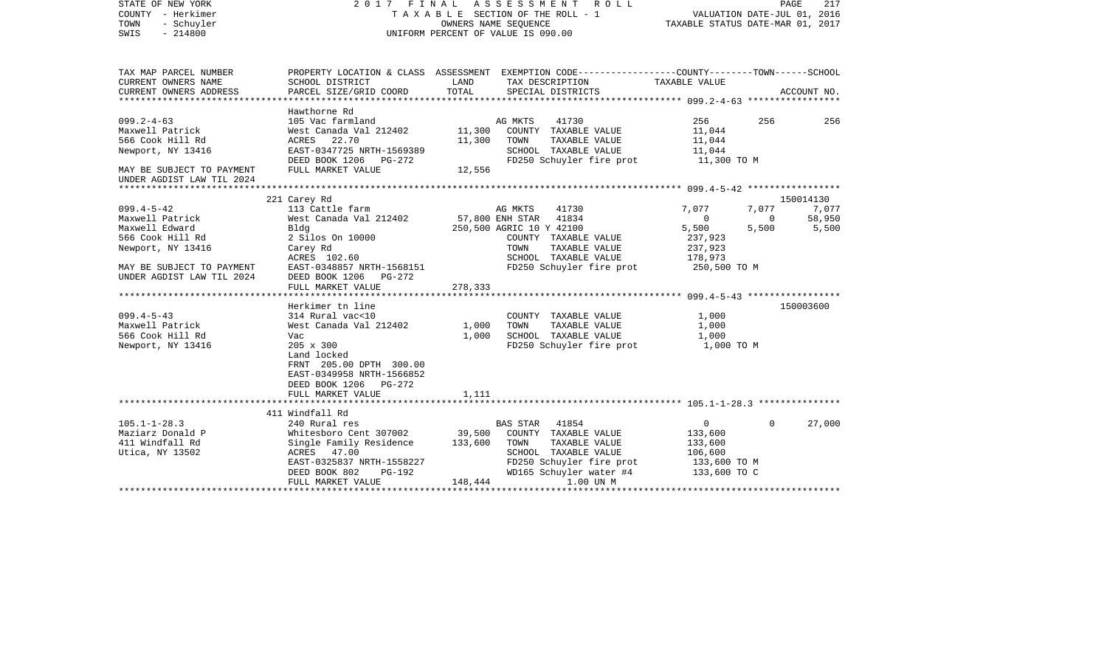| STATE OF NEW YORK<br>COUNTY - Herkimer<br>- Schuyler<br>TOWN<br>SWIS<br>$-214800$ | 2017 FINAL ASSESSMENT                                                                                             | OWNERS NAME SEQUENCE<br>UNIFORM PERCENT OF VALUE IS 090.00 |                | R O L L<br>TAXABLE SECTION OF THE ROLL - 1                                    | VALUATION DATE-JUL 01, 2016<br>TAXABLE STATUS DATE-MAR 01, 2017 |                          | PAGE<br>217        |
|-----------------------------------------------------------------------------------|-------------------------------------------------------------------------------------------------------------------|------------------------------------------------------------|----------------|-------------------------------------------------------------------------------|-----------------------------------------------------------------|--------------------------|--------------------|
| TAX MAP PARCEL NUMBER<br>CURRENT OWNERS NAME                                      | PROPERTY LOCATION & CLASS ASSESSMENT EXEMPTION CODE---------------COUNTY-------TOWN-----SCHOOL<br>SCHOOL DISTRICT | LAND                                                       |                | TAX DESCRIPTION                                                               | TAXABLE VALUE                                                   |                          |                    |
| CURRENT OWNERS ADDRESS                                                            | PARCEL SIZE/GRID COORD                                                                                            | TOTAL                                                      |                | SPECIAL DISTRICTS                                                             |                                                                 |                          | ACCOUNT NO.        |
|                                                                                   | Hawthorne Rd                                                                                                      |                                                            |                |                                                                               |                                                                 |                          |                    |
| $099.2 - 4 - 63$<br>Maxwell Patrick                                               | 105 Vac farmland<br>West Canada Val 212402                                                                        |                                                            | AG MKTS        | 41730<br>11,300 COUNTY TAXABLE VALUE                                          | 256<br>11,044                                                   | 256                      | 256                |
| 566 Cook Hill Rd                                                                  | ACRES 22.70                                                                                                       | 11,300                                                     | TOWN           | TAXABLE VALUE                                                                 | 11,044                                                          |                          |                    |
| Newport, NY 13416                                                                 | EAST-0347725 NRTH-1569389                                                                                         |                                                            |                | SCHOOL TAXABLE VALUE                                                          | 11,044                                                          |                          |                    |
|                                                                                   |                                                                                                                   |                                                            |                | FD250 Schuyler fire prot 11,300 TO M                                          |                                                                 |                          |                    |
| MAY BE SUBJECT TO PAYMENT<br>UNDER AGDIST LAW TIL 2024                            | FULL MARKET VALUE                                                                                                 | 12,556                                                     |                |                                                                               |                                                                 |                          |                    |
|                                                                                   |                                                                                                                   |                                                            |                |                                                                               |                                                                 |                          |                    |
| $099.4 - 5 - 42$                                                                  | 221 Carey Rd<br>113 Cattle farm                                                                                   |                                                            | AG MKTS        | 41730                                                                         | 7,077                                                           | 7,077                    | 150014130<br>7,077 |
| Maxwell Patrick                                                                   | West Canada Val 212402                                                                                            |                                                            |                | 57,800 ENH STAR 41834                                                         | $\overline{0}$                                                  | $\overline{\phantom{0}}$ | 58,950             |
| Maxwell Edward                                                                    | Bldg                                                                                                              |                                                            |                | 250,500 AGRIC 10 Y 42100                                                      | 5,500                                                           | 5,500                    | 5,500              |
| 566 Cook Hill Rd                                                                  | 2 Silos On 10000                                                                                                  |                                                            |                | COUNTY TAXABLE VALUE                                                          | 237,923                                                         |                          |                    |
| Newport, NY 13416                                                                 | Carey Rd                                                                                                          |                                                            | TOWN           | TAXABLE VALUE                                                                 | 237,923                                                         |                          |                    |
|                                                                                   | ACRES 102.60                                                                                                      |                                                            |                | SCHOOL TAXABLE VALUE                                                          | 178,973                                                         |                          |                    |
| MAY BE SUBJECT TO PAYMENT                                                         | EAST-0348857 NRTH-1568151                                                                                         |                                                            |                | FD250 Schuyler fire prot 250,500 TO M                                         |                                                                 |                          |                    |
| UNDER AGDIST LAW TIL 2024                                                         | DEED BOOK 1206 PG-272<br>FULL MARKET VALUE                                                                        | 278,333                                                    |                |                                                                               |                                                                 |                          |                    |
|                                                                                   |                                                                                                                   |                                                            |                |                                                                               |                                                                 |                          |                    |
| $099.4 - 5 - 43$                                                                  | Herkimer tn line<br>314 Rural vac<10                                                                              |                                                            |                | COUNTY TAXABLE VALUE                                                          | 1,000                                                           |                          | 150003600          |
| Maxwell Patrick                                                                   | West Canada Val 212402 1,000                                                                                      |                                                            | TOWN           | TAXABLE VALUE                                                                 | 1,000                                                           |                          |                    |
| 566 Cook Hill Rd                                                                  | Vac                                                                                                               | 1,000                                                      |                | SCHOOL TAXABLE VALUE                                                          | 1,000                                                           |                          |                    |
| Newport, NY 13416                                                                 | $205 \times 300$                                                                                                  |                                                            |                | FD250 Schuyler fire prot 1,000 TO M                                           |                                                                 |                          |                    |
|                                                                                   | Land locked                                                                                                       |                                                            |                |                                                                               |                                                                 |                          |                    |
|                                                                                   | FRNT 205.00 DPTH 300.00                                                                                           |                                                            |                |                                                                               |                                                                 |                          |                    |
|                                                                                   | EAST-0349958 NRTH-1566852                                                                                         |                                                            |                |                                                                               |                                                                 |                          |                    |
|                                                                                   | DEED BOOK 1206 PG-272                                                                                             |                                                            |                |                                                                               |                                                                 |                          |                    |
|                                                                                   | FULL MARKET VALUE                                                                                                 | 1,111                                                      |                |                                                                               |                                                                 |                          |                    |
|                                                                                   | 411 Windfall Rd                                                                                                   |                                                            |                |                                                                               |                                                                 |                          |                    |
| $105.1 - 1 - 28.3$                                                                | 240 Rural res                                                                                                     |                                                            | BAS STAR 41854 |                                                                               | $\overline{0}$                                                  | $\Omega$                 | 27,000             |
| Maziarz Donald P                                                                  | Whitesboro Cent 307002 39,500                                                                                     |                                                            |                | COUNTY TAXABLE VALUE                                                          | 133,600                                                         |                          |                    |
| 411 Windfall Rd                                                                   | Single Family Residence                                                                                           | 133,600                                                    | TOWN           | TAXABLE VALUE                                                                 | 133,600                                                         |                          |                    |
| Utica, NY 13502                                                                   | ACRES 47.00                                                                                                       |                                                            |                | SCHOOL TAXABLE VALUE                                                          | 106,600                                                         |                          |                    |
|                                                                                   | EAST-0325837 NRTH-1558227<br>DEED BOOK 802<br>PG-192                                                              |                                                            |                | FD250 Schuyler fire prot 133,600 TO M<br>WD165 Schuyler water #4 133,600 TO C |                                                                 |                          |                    |
|                                                                                   | FULL MARKET VALUE                                                                                                 | 148,444                                                    |                | 1.00 UN M                                                                     |                                                                 |                          |                    |
|                                                                                   |                                                                                                                   |                                                            |                |                                                                               |                                                                 |                          |                    |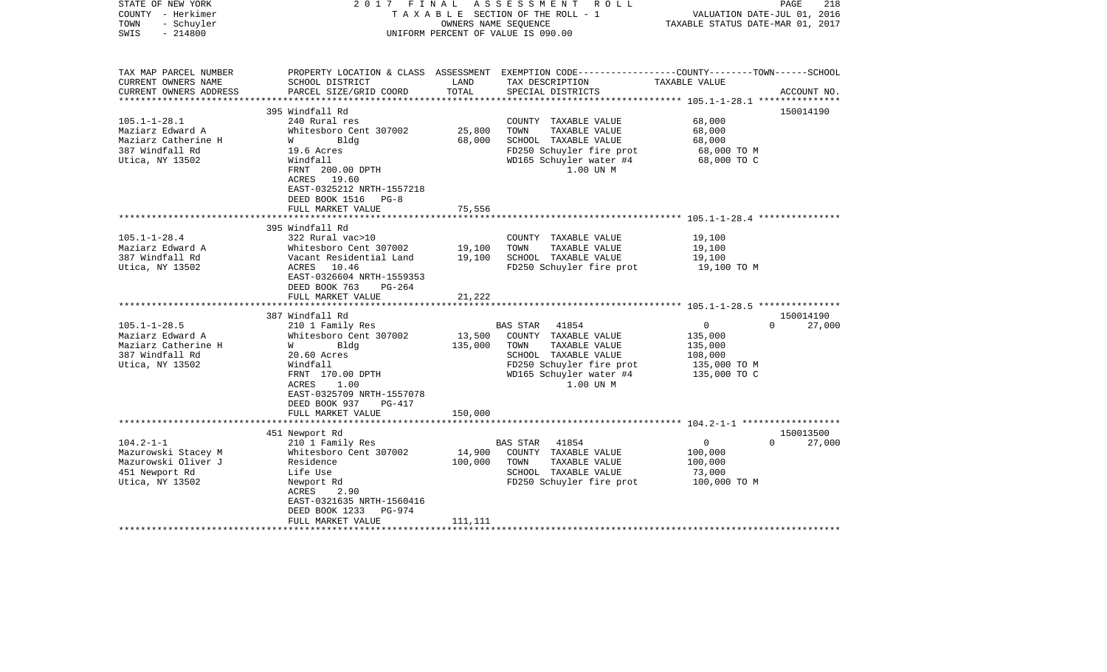| STATE OF NEW YORK<br>COUNTY - Herkimer<br>- Schuyler<br>TOWN<br>$-214800$<br>SWIS                   | 2017<br>FINAL                                                                                                                                                                                                      |                            | ASSESSMENT ROLL<br>T A X A B L E SECTION OF THE ROLL - 1<br>OWNERS NAME SEOUENCE<br>UNIFORM PERCENT OF VALUE IS 090.00                                         | VALUATION DATE-JUL 01, 2016<br>TAXABLE STATUS DATE-MAR 01, 2017                 | 218<br>PAGE                     |
|-----------------------------------------------------------------------------------------------------|--------------------------------------------------------------------------------------------------------------------------------------------------------------------------------------------------------------------|----------------------------|----------------------------------------------------------------------------------------------------------------------------------------------------------------|---------------------------------------------------------------------------------|---------------------------------|
| TAX MAP PARCEL NUMBER<br>CURRENT OWNERS NAME<br>CURRENT OWNERS ADDRESS<br>**********************    | SCHOOL DISTRICT<br>PARCEL SIZE/GRID COORD                                                                                                                                                                          | LAND<br>TOTAL              | PROPERTY LOCATION & CLASS ASSESSMENT EXEMPTION CODE----------------COUNTY-------TOWN------SCHOOL<br>TAX DESCRIPTION<br>SPECIAL DISTRICTS                       | TAXABLE VALUE                                                                   | ACCOUNT NO.                     |
| $105.1 - 1 - 28.1$<br>Maziarz Edward A<br>Maziarz Catherine H<br>387 Windfall Rd<br>Utica, NY 13502 | 395 Windfall Rd<br>240 Rural res<br>Whitesboro Cent 307002<br>Bldg<br>W<br>19.6 Acres<br>Windfall<br>FRNT 200.00 DPTH<br>ACRES 19.60<br>EAST-0325212 NRTH-1557218<br>DEED BOOK 1516<br>$PG-8$                      | 25,800<br>68,000           | COUNTY TAXABLE VALUE<br>TOWN<br>TAXABLE VALUE<br>SCHOOL TAXABLE VALUE<br>FD250 Schuyler fire prot<br>WD165 Schuyler water #4<br>1.00 UN M                      | 68,000<br>68,000<br>68,000<br>68,000 TO M<br>68,000 TO C                        | 150014190                       |
|                                                                                                     | FULL MARKET VALUE                                                                                                                                                                                                  | 75,556                     |                                                                                                                                                                |                                                                                 |                                 |
|                                                                                                     | **********************                                                                                                                                                                                             |                            |                                                                                                                                                                |                                                                                 |                                 |
| $105.1 - 1 - 28.4$<br>Maziarz Edward A<br>387 Windfall Rd<br>Utica, NY 13502                        | 395 Windfall Rd<br>322 Rural vac>10<br>Whitesboro Cent 307002<br>Vacant Residential Land<br>10.46<br>ACRES<br>EAST-0326604 NRTH-1559353<br>DEED BOOK 763<br>PG-264<br>FULL MARKET VALUE<br>*********************** | 19,100<br>19,100<br>21,222 | COUNTY TAXABLE VALUE<br>TOWN<br>TAXABLE VALUE<br>SCHOOL TAXABLE VALUE<br>FD250 Schuyler fire prot                                                              | 19,100<br>19,100<br>19,100<br>19,100 TO M                                       |                                 |
|                                                                                                     | 387 Windfall Rd                                                                                                                                                                                                    |                            |                                                                                                                                                                |                                                                                 | 150014190<br>$\Omega$           |
| $105.1 - 1 - 28.5$<br>Maziarz Edward A<br>Maziarz Catherine H<br>387 Windfall Rd<br>Utica, NY 13502 | 210 1 Family Res<br>Whitesboro Cent 307002<br><b>W</b><br>Bldg<br>20.60 Acres<br>Windfall<br>FRNT 170.00 DPTH<br>ACRES<br>1.00<br>EAST-0325709 NRTH-1557078<br>DEED BOOK 937<br><b>PG-417</b>                      | 13,500<br>135,000          | BAS STAR<br>41854<br>COUNTY TAXABLE VALUE<br>TAXABLE VALUE<br>TOWN<br>SCHOOL TAXABLE VALUE<br>FD250 Schuyler fire prot<br>WD165 Schuyler water #4<br>1.00 UN M | $\overline{0}$<br>135,000<br>135,000<br>108,000<br>135,000 TO M<br>135,000 TO C | 27,000                          |
|                                                                                                     | FULL MARKET VALUE<br>******************************                                                                                                                                                                | 150,000                    |                                                                                                                                                                |                                                                                 |                                 |
| $104.2 - 1 - 1$<br>Mazurowski Stacey M<br>Mazurowski Oliver J                                       | 451 Newport Rd<br>210 1 Family Res<br>Whitesboro Cent 307002<br>Residence                                                                                                                                          | 14,900<br>100,000          | <b>BAS STAR</b><br>41854<br>COUNTY TAXABLE VALUE<br>TOWN<br>TAXABLE VALUE                                                                                      | 0<br>100,000<br>100,000                                                         | 150013500<br>$\Omega$<br>27,000 |
| 451 Newport Rd<br>Utica, NY 13502                                                                   | Life Use<br>Newport Rd<br>ACRES<br>2.90<br>EAST-0321635 NRTH-1560416<br>DEED BOOK 1233<br>PG-974<br>FULL MARKET VALUE                                                                                              | 111,111                    | SCHOOL TAXABLE VALUE<br>FD250 Schuyler fire prot                                                                                                               | 73,000<br>100,000 TO M                                                          |                                 |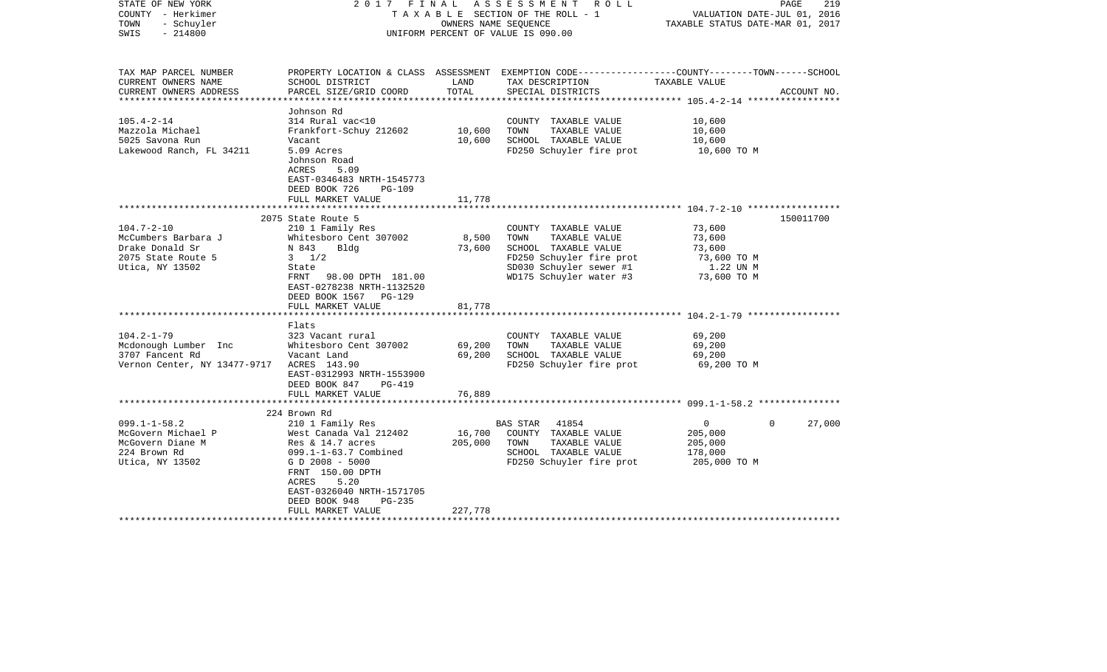| STATE OF NEW YORK<br>COUNTY - Herkimer<br>- Schuyler<br>TOWN<br>$-214800$<br>SWIS                   | 2017 FINAL                                                                                                                                                                                                                             | OWNERS NAME SEOUENCE         | ASSESSMENT ROLL<br>TAXABLE SECTION OF THE ROLL - 1<br>UNIFORM PERCENT OF VALUE IS 090.00                                                                | TAXABLE STATUS DATE-MAR 01, 2017                                      | 219<br>PAGE<br>VALUATION DATE-JUL 01, 2016 |
|-----------------------------------------------------------------------------------------------------|----------------------------------------------------------------------------------------------------------------------------------------------------------------------------------------------------------------------------------------|------------------------------|---------------------------------------------------------------------------------------------------------------------------------------------------------|-----------------------------------------------------------------------|--------------------------------------------|
| TAX MAP PARCEL NUMBER<br>CURRENT OWNERS NAME<br>CURRENT OWNERS ADDRESS<br>************************  | SCHOOL DISTRICT<br>PARCEL SIZE/GRID COORD                                                                                                                                                                                              | LAND<br>TOTAL                | PROPERTY LOCATION & CLASS ASSESSMENT EXEMPTION CODE----------------COUNTY-------TOWN------SCHOOL<br>TAX DESCRIPTION<br>SPECIAL DISTRICTS                | TAXABLE VALUE                                                         | ACCOUNT NO.                                |
| $105.4 - 2 - 14$<br>Mazzola Michael<br>5025 Savona Run<br>Lakewood Ranch, FL 34211                  | Johnson Rd<br>314 Rural vac<10<br>Frankfort-Schuy 212602<br>Vacant<br>5.09 Acres<br>Johnson Road<br>ACRES<br>5.09<br>EAST-0346483 NRTH-1545773<br>DEED BOOK 726<br>$PG-109$<br>FULL MARKET VALUE                                       | 10,600<br>10,600<br>11,778   | COUNTY TAXABLE VALUE<br>TOWN<br>TAXABLE VALUE<br>SCHOOL TAXABLE VALUE<br>FD250 Schuyler fire prot                                                       | 10,600<br>10,600<br>10,600<br>10,600 TO M                             |                                            |
|                                                                                                     |                                                                                                                                                                                                                                        |                              |                                                                                                                                                         |                                                                       |                                            |
| $104.7 - 2 - 10$<br>McCumbers Barbara J<br>Drake Donald Sr<br>2075 State Route 5<br>Utica, NY 13502 | 2075 State Route 5<br>210 1 Family Res<br>Whitesboro Cent 307002<br>N 843<br>Bldg<br>$3 \frac{1}{2}$<br>State<br>FRNT<br>98.00 DPTH 181.00<br>EAST-0278238 NRTH-1132520<br>DEED BOOK 1567 PG-129<br>FULL MARKET VALUE                  | 8,500<br>73,600<br>81,778    | COUNTY TAXABLE VALUE<br>TOWN<br>TAXABLE VALUE<br>SCHOOL TAXABLE VALUE<br>FD250 Schuyler fire prot<br>SD030 Schuyler sewer #1<br>WD175 Schuyler water #3 | 73,600<br>73,600<br>73,600<br>73,600 TO M<br>1.22 UN M<br>73,600 TO M | 150011700                                  |
|                                                                                                     |                                                                                                                                                                                                                                        |                              |                                                                                                                                                         |                                                                       |                                            |
| $104.2 - 1 - 79$<br>Mcdonough Lumber Inc<br>3707 Fancent Rd<br>Vernon Center, NY 13477-9717         | Flats<br>323 Vacant rural<br>Whitesboro Cent 307002<br>Vacant Land<br>ACRES 143.90<br>EAST-0312993 NRTH-1553900<br>DEED BOOK 847<br>PG-419                                                                                             | 69,200<br>69,200             | COUNTY TAXABLE VALUE<br>TOWN<br>TAXABLE VALUE<br>SCHOOL TAXABLE VALUE<br>FD250 Schuyler fire prot                                                       | 69,200<br>69,200<br>69,200<br>69,200 TO M                             |                                            |
|                                                                                                     | FULL MARKET VALUE                                                                                                                                                                                                                      | 76,889                       |                                                                                                                                                         |                                                                       |                                            |
|                                                                                                     | 224 Brown Rd                                                                                                                                                                                                                           |                              |                                                                                                                                                         |                                                                       |                                            |
| $099.1 - 1 - 58.2$<br>McGovern Michael P<br>McGovern Diane M<br>224 Brown Rd<br>Utica, NY 13502     | 210 1 Family Res<br>West Canada Val 212402<br>Res & $14.7$ acres<br>$099.1 - 1 - 63.7$ Combined<br>G D 2008 - 5000<br>FRNT 150.00 DPTH<br>ACRES<br>5.20<br>EAST-0326040 NRTH-1571705<br>DEED BOOK 948<br>$PG-235$<br>FULL MARKET VALUE | 16,700<br>205,000<br>227,778 | BAS STAR<br>41854<br>COUNTY TAXABLE VALUE<br>TOWN<br>TAXABLE VALUE<br>SCHOOL TAXABLE VALUE<br>FD250 Schuyler fire prot                                  | 0<br>205,000<br>205,000<br>178,000<br>205,000 TO M                    | 27,000<br>$\Omega$                         |
|                                                                                                     |                                                                                                                                                                                                                                        |                              | *****************************                                                                                                                           |                                                                       |                                            |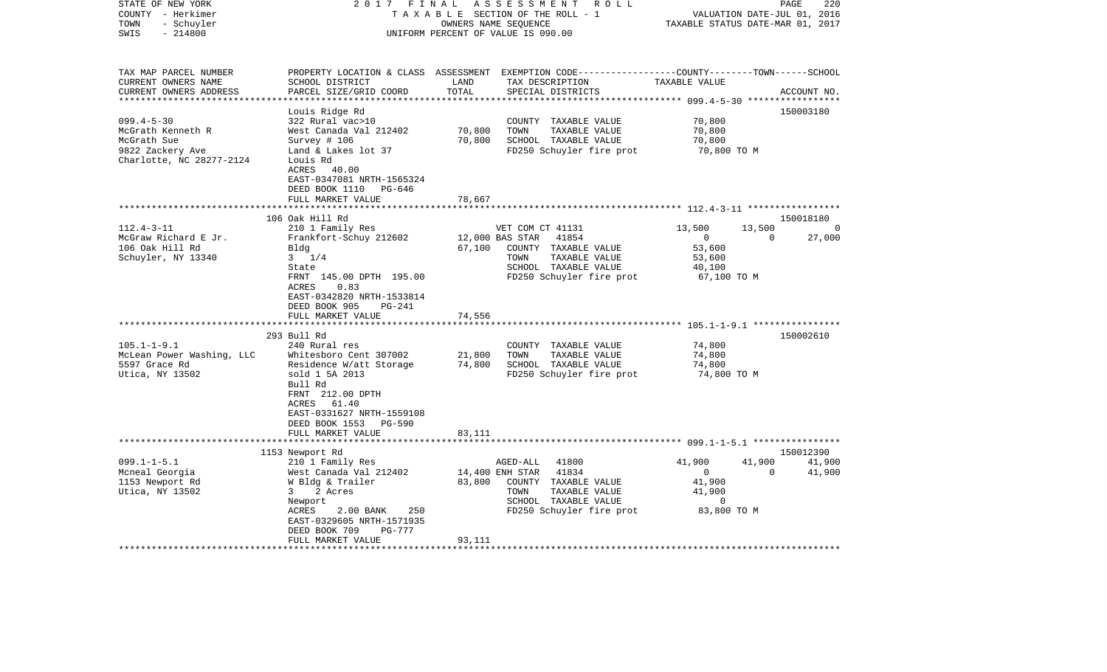| STATE OF NEW YORK         | 2017                           | FINAL  | ASSESSMENT<br>R O L L                                                                            |                                  | 220<br>PAGE        |
|---------------------------|--------------------------------|--------|--------------------------------------------------------------------------------------------------|----------------------------------|--------------------|
| COUNTY - Herkimer         |                                |        | TAXABLE SECTION OF THE ROLL - 1                                                                  | VALUATION DATE-JUL 01, 2016      |                    |
| TOWN<br>- Schuyler        |                                |        | OWNERS NAME SEQUENCE                                                                             | TAXABLE STATUS DATE-MAR 01, 2017 |                    |
| $-214800$<br>SWIS         |                                |        | UNIFORM PERCENT OF VALUE IS 090.00                                                               |                                  |                    |
|                           |                                |        |                                                                                                  |                                  |                    |
| TAX MAP PARCEL NUMBER     |                                |        | PROPERTY LOCATION & CLASS ASSESSMENT EXEMPTION CODE----------------COUNTY-------TOWN------SCHOOL |                                  |                    |
| CURRENT OWNERS NAME       | SCHOOL DISTRICT                | LAND   | TAX DESCRIPTION                                                                                  | TAXABLE VALUE                    |                    |
| CURRENT OWNERS ADDRESS    | PARCEL SIZE/GRID COORD         | TOTAL  | SPECIAL DISTRICTS                                                                                |                                  | ACCOUNT NO.        |
| ************************* |                                |        |                                                                                                  |                                  |                    |
|                           | Louis Ridge Rd                 |        |                                                                                                  |                                  | 150003180          |
| $099.4 - 5 - 30$          | 322 Rural vac>10               |        | COUNTY TAXABLE VALUE                                                                             | 70,800                           |                    |
| McGrath Kenneth R         | West Canada Val 212402         | 70,800 | TOWN<br>TAXABLE VALUE                                                                            | 70,800                           |                    |
| McGrath Sue               | Survey $# 106$                 | 70,800 | SCHOOL TAXABLE VALUE                                                                             | 70,800                           |                    |
| 9822 Zackery Ave          | Land & Lakes lot 37            |        | FD250 Schuyler fire prot                                                                         | 70,800 TO M                      |                    |
| Charlotte, NC 28277-2124  | Louis Rd                       |        |                                                                                                  |                                  |                    |
|                           | ACRES<br>40.00                 |        |                                                                                                  |                                  |                    |
|                           | EAST-0347081 NRTH-1565324      |        |                                                                                                  |                                  |                    |
|                           | DEED BOOK 1110<br>PG-646       |        |                                                                                                  |                                  |                    |
|                           | FULL MARKET VALUE              | 78,667 |                                                                                                  |                                  |                    |
|                           |                                |        |                                                                                                  |                                  |                    |
|                           | 106 Oak Hill Rd                |        |                                                                                                  |                                  | 150018180          |
| $112.4 - 3 - 11$          | 210 1 Family Res               |        | VET COM CT 41131                                                                                 | 13,500<br>13,500                 | 0                  |
| McGraw Richard E Jr.      | Frankfort-Schuy 212602         |        | 12,000 BAS STAR<br>41854                                                                         | $\Omega$                         | $\Omega$<br>27,000 |
| 106 Oak Hill Rd           | Bldg                           | 67,100 | COUNTY TAXABLE VALUE                                                                             | 53,600                           |                    |
| Schuyler, NY 13340        | $3 \t1/4$                      |        | TOWN<br>TAXABLE VALUE                                                                            | 53,600                           |                    |
|                           | State                          |        | SCHOOL TAXABLE VALUE                                                                             | 40,100                           |                    |
|                           | FRNT 145.00 DPTH 195.00        |        | FD250 Schuyler fire prot                                                                         | 67,100 TO M                      |                    |
|                           | ACRES<br>0.83                  |        |                                                                                                  |                                  |                    |
|                           | EAST-0342820 NRTH-1533814      |        |                                                                                                  |                                  |                    |
|                           | DEED BOOK 905<br><b>PG-241</b> |        |                                                                                                  |                                  |                    |
|                           | FULL MARKET VALUE              | 74,556 |                                                                                                  |                                  |                    |
|                           | *********************          |        |                                                                                                  |                                  |                    |
|                           | 293 Bull Rd                    |        |                                                                                                  |                                  | 150002610          |
| $105.1 - 1 - 9.1$         | 240 Rural res                  |        | COUNTY TAXABLE VALUE                                                                             | 74,800                           |                    |
| McLean Power Washing, LLC | Whitesboro Cent 307002         | 21,800 | TOWN<br>TAXABLE VALUE                                                                            | 74,800                           |                    |
| 5597 Grace Rd             | Residence W/att Storage        | 74,800 | SCHOOL TAXABLE VALUE                                                                             | 74,800                           |                    |
| Utica, NY 13502           | sold 1 5A 2013                 |        | FD250 Schuyler fire prot                                                                         | 74,800 TO M                      |                    |
|                           | Bull Rd                        |        |                                                                                                  |                                  |                    |
|                           | FRNT 212.00 DPTH               |        |                                                                                                  |                                  |                    |
|                           | 61.40<br>ACRES                 |        |                                                                                                  |                                  |                    |
|                           | EAST-0331627 NRTH-1559108      |        |                                                                                                  |                                  |                    |
|                           | DEED BOOK 1553<br>PG-590       |        |                                                                                                  |                                  |                    |
|                           | FULL MARKET VALUE              | 83,111 |                                                                                                  |                                  |                    |
|                           |                                |        |                                                                                                  |                                  |                    |
|                           | 1153 Newport Rd                |        |                                                                                                  |                                  | 150012390          |
| $099.1 - 1 - 5.1$         | 210 1 Family Res               |        | 41800<br>AGED-ALL                                                                                | 41,900<br>41,900                 | 41,900             |
| Mcneal Georgia            | West Canada Val 212402         |        | 14,400 ENH STAR<br>41834                                                                         | $\overline{0}$                   | 41,900<br>$\Omega$ |
| 1153 Newport Rd           | W Bldg & Trailer               | 83,800 | COUNTY TAXABLE VALUE                                                                             | 41,900                           |                    |
| Utica, NY 13502           | 2 Acres<br>3                   |        | TAXABLE VALUE<br>TOWN                                                                            | 41,900                           |                    |
|                           | Newport                        |        | SCHOOL TAXABLE VALUE                                                                             | 0                                |                    |
|                           | 250<br>ACRES<br>2.00 BANK      |        | FD250 Schuyler fire prot                                                                         | 83,800 TO M                      |                    |
|                           | EAST-0329605 NRTH-1571935      |        |                                                                                                  |                                  |                    |
|                           | DEED BOOK 709<br>PG-777        |        |                                                                                                  |                                  |                    |
|                           | FULL MARKET VALUE              | 93,111 |                                                                                                  |                                  |                    |
|                           | ******************             |        |                                                                                                  |                                  |                    |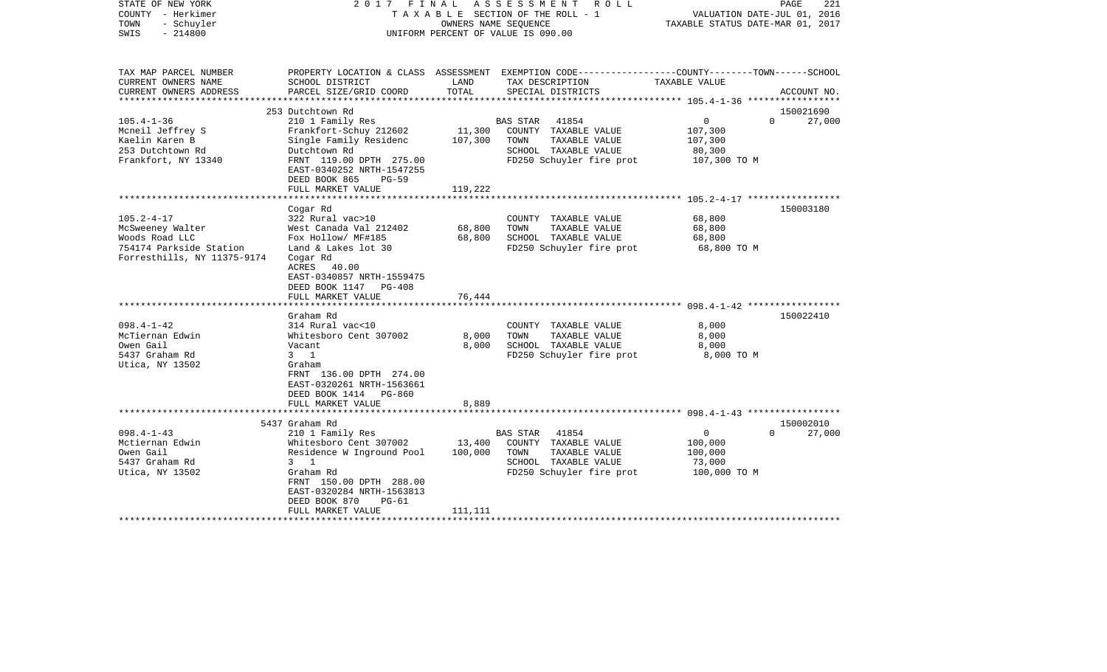| STATE OF NEW YORK<br>COUNTY - Herkimer<br>- Schuyler<br>TOWN<br>$-214800$<br>SWIS | 2017                                                                                                            | FINAL   | A S S E S S M E N T<br>R O L L<br>TAXABLE SECTION OF THE ROLL - 1<br>OWNERS NAME SEOUENCE<br>UNIFORM PERCENT OF VALUE IS 090.00 | VALUATION DATE-JUL 01, 2016<br>TAXABLE STATUS DATE-MAR 01, 2017 | PAGE<br>221        |
|-----------------------------------------------------------------------------------|-----------------------------------------------------------------------------------------------------------------|---------|---------------------------------------------------------------------------------------------------------------------------------|-----------------------------------------------------------------|--------------------|
| TAX MAP PARCEL NUMBER<br>CURRENT OWNERS NAME                                      | SCHOOL DISTRICT                                                                                                 | LAND    | PROPERTY LOCATION & CLASS ASSESSMENT EXEMPTION CODE---------------COUNTY-------TOWN------SCHOOL<br>TAX DESCRIPTION              | TAXABLE VALUE                                                   |                    |
| CURRENT OWNERS ADDRESS                                                            | PARCEL SIZE/GRID COORD                                                                                          | TOTAL   | SPECIAL DISTRICTS                                                                                                               |                                                                 | ACCOUNT NO.        |
|                                                                                   |                                                                                                                 |         |                                                                                                                                 | ******************** 105.4-1-36 ******************              |                    |
|                                                                                   | 253 Dutchtown Rd                                                                                                |         |                                                                                                                                 |                                                                 | 150021690          |
| $105.4 - 1 - 36$                                                                  | 210 1 Family Res                                                                                                |         | BAS STAR<br>41854                                                                                                               | $\overline{0}$                                                  | $\Omega$<br>27,000 |
| Moneil Jeffrey S                                                                  | Frankfort-Schuy 212602                                                                                          | 11,300  | COUNTY TAXABLE VALUE                                                                                                            | 107,300                                                         |                    |
| Kaelin Karen B                                                                    | Single Family Residenc                                                                                          | 107,300 | TOWN<br>TAXABLE VALUE                                                                                                           | 107,300                                                         |                    |
| 253 Dutchtown Rd                                                                  | Dutchtown Rd                                                                                                    |         | SCHOOL TAXABLE VALUE                                                                                                            | 80,300                                                          |                    |
| Frankfort, NY 13340                                                               | FRNT 119.00 DPTH 275.00<br>EAST-0340252 NRTH-1547255<br>DEED BOOK 865<br>$PG-59$                                |         | FD250 Schuyler fire prot                                                                                                        | 107,300 TO M                                                    |                    |
|                                                                                   | FULL MARKET VALUE                                                                                               | 119,222 |                                                                                                                                 |                                                                 |                    |
|                                                                                   | Cogar Rd                                                                                                        |         |                                                                                                                                 |                                                                 | 150003180          |
| $105.2 - 4 - 17$                                                                  | 322 Rural vac>10                                                                                                |         | COUNTY TAXABLE VALUE                                                                                                            | 68,800                                                          |                    |
| McSweeney Walter                                                                  | West Canada Val 212402                                                                                          | 68,800  | TOWN<br>TAXABLE VALUE                                                                                                           | 68,800                                                          |                    |
| Woods Road LLC                                                                    | Fox Hollow/ MF#185                                                                                              | 68,800  | SCHOOL TAXABLE VALUE                                                                                                            | 68,800                                                          |                    |
| 754174 Parkside Station                                                           | Land & Lakes lot 30                                                                                             |         | FD250 Schuyler fire prot                                                                                                        | 68,800 TO M                                                     |                    |
| Forresthills, NY 11375-9174                                                       | Cogar Rd<br>ACRES 40.00<br>EAST-0340857 NRTH-1559475<br>DEED BOOK 1147 PG-408                                   |         |                                                                                                                                 |                                                                 |                    |
|                                                                                   | FULL MARKET VALUE                                                                                               | 76,444  |                                                                                                                                 |                                                                 |                    |
|                                                                                   | ***********************                                                                                         |         |                                                                                                                                 |                                                                 |                    |
| $098.4 - 1 - 42$                                                                  | Graham Rd<br>314 Rural vac<10                                                                                   |         | COUNTY TAXABLE VALUE                                                                                                            | 8,000                                                           | 150022410          |
| McTiernan Edwin                                                                   | Whitesboro Cent 307002                                                                                          | 8,000   | TOWN<br>TAXABLE VALUE                                                                                                           | 8,000                                                           |                    |
| Owen Gail                                                                         | Vacant                                                                                                          | 8,000   | SCHOOL TAXABLE VALUE                                                                                                            | 8,000                                                           |                    |
| 5437 Graham Rd                                                                    | 3 1                                                                                                             |         | FD250 Schuyler fire prot                                                                                                        | 8,000 TO M                                                      |                    |
| Utica, NY 13502                                                                   | Graham<br>FRNT 136.00 DPTH 274.00<br>EAST-0320261 NRTH-1563661<br>DEED BOOK 1414<br>PG-860<br>FULL MARKET VALUE | 8,889   |                                                                                                                                 |                                                                 |                    |
|                                                                                   |                                                                                                                 |         |                                                                                                                                 |                                                                 |                    |
|                                                                                   | 5437 Graham Rd                                                                                                  |         |                                                                                                                                 |                                                                 | 150002010          |
| $098.4 - 1 - 43$                                                                  | 210 1 Family Res                                                                                                |         | 41854<br>BAS STAR                                                                                                               | $\mathbf{0}$                                                    | $\Omega$<br>27,000 |
| Mctiernan Edwin                                                                   | Whitesboro Cent 307002                                                                                          | 13,400  | COUNTY TAXABLE VALUE                                                                                                            | 100,000                                                         |                    |
| Owen Gail                                                                         | Residence W Inground Pool                                                                                       | 100,000 | TOWN<br>TAXABLE VALUE                                                                                                           | 100,000                                                         |                    |
| 5437 Graham Rd                                                                    | $3 \quad 1$                                                                                                     |         | SCHOOL TAXABLE VALUE                                                                                                            | 73,000                                                          |                    |
| Utica, NY 13502                                                                   | Graham Rd<br>FRNT 150.00 DPTH 288.00<br>EAST-0320284 NRTH-1563813<br>DEED BOOK 870<br>$PG-61$                   |         | FD250 Schuyler fire prot                                                                                                        | 100,000 TO M                                                    |                    |
|                                                                                   | FULL MARKET VALUE                                                                                               | 111,111 |                                                                                                                                 |                                                                 |                    |
|                                                                                   |                                                                                                                 |         |                                                                                                                                 |                                                                 |                    |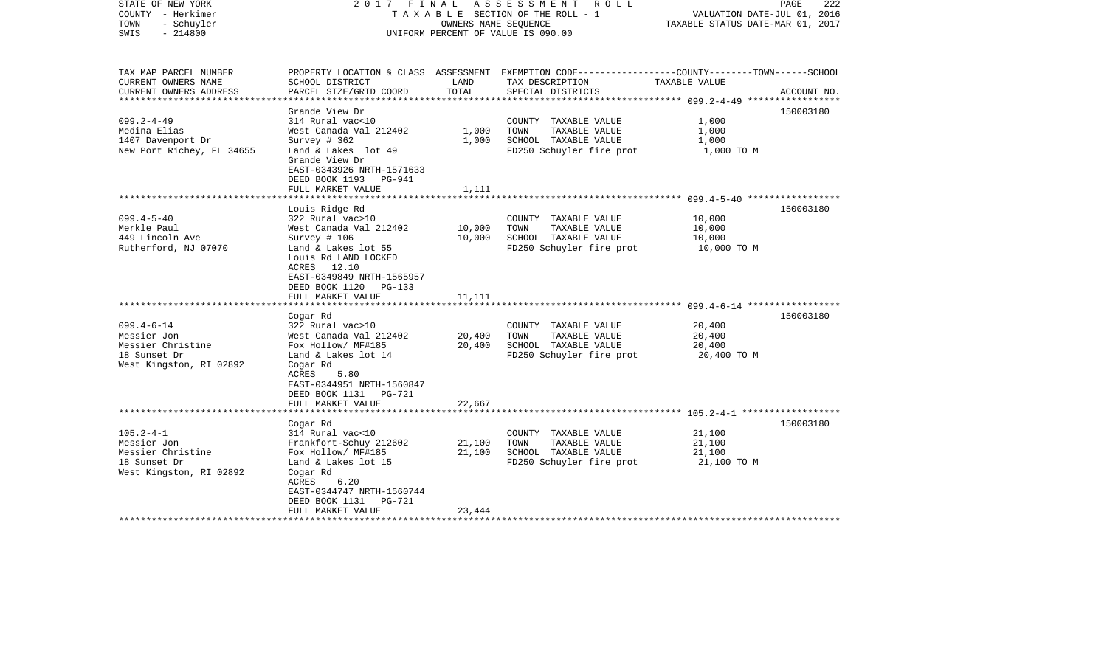| TAX MAP PARCEL NUMBER<br>PROPERTY LOCATION & CLASS ASSESSMENT EXEMPTION CODE----------------COUNTY-------TOWN------SCHOOL<br>CURRENT OWNERS NAME<br>SCHOOL DISTRICT<br>LAND<br>TAX DESCRIPTION<br>TAXABLE VALUE<br>TOTAL<br>CURRENT OWNERS ADDRESS<br>PARCEL SIZE/GRID COORD<br>SPECIAL DISTRICTS<br>ACCOUNT NO.<br>*****************<br>Grande View Dr<br>150003180<br>$099.2 - 4 - 49$<br>314 Rural vac<10<br>1,000<br>COUNTY TAXABLE VALUE<br>Medina Elias<br>West Canada Val 212402<br>1,000<br>TOWN<br>TAXABLE VALUE<br>1,000<br>1407 Davenport Dr<br>Survey # 362<br>1,000<br>SCHOOL TAXABLE VALUE<br>1,000<br>New Port Richey, FL 34655<br>Land & Lakes lot 49<br>FD250 Schuyler fire prot<br>1,000 TO M<br>Grande View Dr<br>EAST-0343926 NRTH-1571633<br>DEED BOOK 1193<br>PG-941<br>FULL MARKET VALUE<br>1,111<br>Louis Ridge Rd<br>150003180<br>$099.4 - 5 - 40$<br>322 Rural vac>10<br>10,000<br>COUNTY TAXABLE VALUE<br>Merkle Paul<br>West Canada Val 212402<br>10,000<br>TOWN<br>TAXABLE VALUE<br>10,000<br>449 Lincoln Ave<br>Survey # 106<br>10,000<br>SCHOOL TAXABLE VALUE<br>10,000<br>Rutherford, NJ 07070<br>Land & Lakes lot 55<br>FD250 Schuyler fire prot<br>10,000 TO M<br>Louis Rd LAND LOCKED<br>ACRES 12.10<br>EAST-0349849 NRTH-1565957<br>DEED BOOK 1120<br>PG-133<br>FULL MARKET VALUE<br>11,111<br>**********************<br>150003180<br>Cogar Rd<br>$099.4 - 6 - 14$<br>322 Rural vac>10<br>COUNTY TAXABLE VALUE<br>20,400<br>Messier Jon<br>West Canada Val 212402<br>20,400<br>TOWN<br>TAXABLE VALUE<br>20,400<br>SCHOOL TAXABLE VALUE<br>Messier Christine<br>Fox Hollow/ MF#185<br>20,400<br>20,400<br>18 Sunset Dr<br>FD250 Schuyler fire prot<br>Land & Lakes lot 14<br>20,400 TO M<br>West Kingston, RI 02892<br>Cogar Rd<br>ACRES<br>5.80<br>EAST-0344951 NRTH-1560847<br>DEED BOOK 1131    PG-721<br>FULL MARKET VALUE<br>22,667<br>******************<br>150003180<br>Cogar Rd<br>$105.2 - 4 - 1$<br>314 Rural vac<10<br>21,100<br>COUNTY TAXABLE VALUE<br>Messier Jon<br>Frankfort-Schuy 212602<br>21,100<br>TOWN<br>TAXABLE VALUE<br>21,100<br>Messier Christine<br>21,100<br>Fox Hollow/ MF#185<br>SCHOOL TAXABLE VALUE<br>21,100<br>18 Sunset Dr<br>Land & Lakes lot 15<br>FD250 Schuyler fire prot<br>21,100 TO M<br>West Kingston, RI 02892<br>Cogar Rd<br>ACRES<br>6.20<br>EAST-0344747 NRTH-1560744<br>DEED BOOK 1131<br>PG-721<br>FULL MARKET VALUE<br>23,444 | STATE OF NEW YORK<br>COUNTY - Herkimer<br>TOWN<br>- Schuyler<br>$-214800$<br>SWIS |  | 2017 FINAL ASSESSMENT ROLL<br>TAXABLE SECTION OF THE ROLL - 1<br>OWNERS NAME SEOUENCE<br>UNIFORM PERCENT OF VALUE IS 090.00 | VALUATION DATE-JUL 01, 2016<br>TAXABLE STATUS DATE-MAR 01, 2017 | PAGE<br>222 |
|--------------------------------------------------------------------------------------------------------------------------------------------------------------------------------------------------------------------------------------------------------------------------------------------------------------------------------------------------------------------------------------------------------------------------------------------------------------------------------------------------------------------------------------------------------------------------------------------------------------------------------------------------------------------------------------------------------------------------------------------------------------------------------------------------------------------------------------------------------------------------------------------------------------------------------------------------------------------------------------------------------------------------------------------------------------------------------------------------------------------------------------------------------------------------------------------------------------------------------------------------------------------------------------------------------------------------------------------------------------------------------------------------------------------------------------------------------------------------------------------------------------------------------------------------------------------------------------------------------------------------------------------------------------------------------------------------------------------------------------------------------------------------------------------------------------------------------------------------------------------------------------------------------------------------------------------------------------------------------------------------------------------------------------------------------------------------------------------------------------------------------------------------------------------------------------------------------------------------------------------------------------------------------------------------------------------------------------------------------------------------------------------------------------------|-----------------------------------------------------------------------------------|--|-----------------------------------------------------------------------------------------------------------------------------|-----------------------------------------------------------------|-------------|
|                                                                                                                                                                                                                                                                                                                                                                                                                                                                                                                                                                                                                                                                                                                                                                                                                                                                                                                                                                                                                                                                                                                                                                                                                                                                                                                                                                                                                                                                                                                                                                                                                                                                                                                                                                                                                                                                                                                                                                                                                                                                                                                                                                                                                                                                                                                                                                                                                    |                                                                                   |  |                                                                                                                             |                                                                 |             |
|                                                                                                                                                                                                                                                                                                                                                                                                                                                                                                                                                                                                                                                                                                                                                                                                                                                                                                                                                                                                                                                                                                                                                                                                                                                                                                                                                                                                                                                                                                                                                                                                                                                                                                                                                                                                                                                                                                                                                                                                                                                                                                                                                                                                                                                                                                                                                                                                                    |                                                                                   |  |                                                                                                                             |                                                                 |             |
|                                                                                                                                                                                                                                                                                                                                                                                                                                                                                                                                                                                                                                                                                                                                                                                                                                                                                                                                                                                                                                                                                                                                                                                                                                                                                                                                                                                                                                                                                                                                                                                                                                                                                                                                                                                                                                                                                                                                                                                                                                                                                                                                                                                                                                                                                                                                                                                                                    |                                                                                   |  |                                                                                                                             |                                                                 |             |
|                                                                                                                                                                                                                                                                                                                                                                                                                                                                                                                                                                                                                                                                                                                                                                                                                                                                                                                                                                                                                                                                                                                                                                                                                                                                                                                                                                                                                                                                                                                                                                                                                                                                                                                                                                                                                                                                                                                                                                                                                                                                                                                                                                                                                                                                                                                                                                                                                    |                                                                                   |  |                                                                                                                             |                                                                 |             |
|                                                                                                                                                                                                                                                                                                                                                                                                                                                                                                                                                                                                                                                                                                                                                                                                                                                                                                                                                                                                                                                                                                                                                                                                                                                                                                                                                                                                                                                                                                                                                                                                                                                                                                                                                                                                                                                                                                                                                                                                                                                                                                                                                                                                                                                                                                                                                                                                                    |                                                                                   |  |                                                                                                                             |                                                                 |             |
|                                                                                                                                                                                                                                                                                                                                                                                                                                                                                                                                                                                                                                                                                                                                                                                                                                                                                                                                                                                                                                                                                                                                                                                                                                                                                                                                                                                                                                                                                                                                                                                                                                                                                                                                                                                                                                                                                                                                                                                                                                                                                                                                                                                                                                                                                                                                                                                                                    |                                                                                   |  |                                                                                                                             |                                                                 |             |
|                                                                                                                                                                                                                                                                                                                                                                                                                                                                                                                                                                                                                                                                                                                                                                                                                                                                                                                                                                                                                                                                                                                                                                                                                                                                                                                                                                                                                                                                                                                                                                                                                                                                                                                                                                                                                                                                                                                                                                                                                                                                                                                                                                                                                                                                                                                                                                                                                    |                                                                                   |  |                                                                                                                             |                                                                 |             |
|                                                                                                                                                                                                                                                                                                                                                                                                                                                                                                                                                                                                                                                                                                                                                                                                                                                                                                                                                                                                                                                                                                                                                                                                                                                                                                                                                                                                                                                                                                                                                                                                                                                                                                                                                                                                                                                                                                                                                                                                                                                                                                                                                                                                                                                                                                                                                                                                                    |                                                                                   |  |                                                                                                                             |                                                                 |             |
|                                                                                                                                                                                                                                                                                                                                                                                                                                                                                                                                                                                                                                                                                                                                                                                                                                                                                                                                                                                                                                                                                                                                                                                                                                                                                                                                                                                                                                                                                                                                                                                                                                                                                                                                                                                                                                                                                                                                                                                                                                                                                                                                                                                                                                                                                                                                                                                                                    |                                                                                   |  |                                                                                                                             |                                                                 |             |
|                                                                                                                                                                                                                                                                                                                                                                                                                                                                                                                                                                                                                                                                                                                                                                                                                                                                                                                                                                                                                                                                                                                                                                                                                                                                                                                                                                                                                                                                                                                                                                                                                                                                                                                                                                                                                                                                                                                                                                                                                                                                                                                                                                                                                                                                                                                                                                                                                    |                                                                                   |  |                                                                                                                             |                                                                 |             |
|                                                                                                                                                                                                                                                                                                                                                                                                                                                                                                                                                                                                                                                                                                                                                                                                                                                                                                                                                                                                                                                                                                                                                                                                                                                                                                                                                                                                                                                                                                                                                                                                                                                                                                                                                                                                                                                                                                                                                                                                                                                                                                                                                                                                                                                                                                                                                                                                                    |                                                                                   |  |                                                                                                                             |                                                                 |             |
|                                                                                                                                                                                                                                                                                                                                                                                                                                                                                                                                                                                                                                                                                                                                                                                                                                                                                                                                                                                                                                                                                                                                                                                                                                                                                                                                                                                                                                                                                                                                                                                                                                                                                                                                                                                                                                                                                                                                                                                                                                                                                                                                                                                                                                                                                                                                                                                                                    |                                                                                   |  |                                                                                                                             |                                                                 |             |
|                                                                                                                                                                                                                                                                                                                                                                                                                                                                                                                                                                                                                                                                                                                                                                                                                                                                                                                                                                                                                                                                                                                                                                                                                                                                                                                                                                                                                                                                                                                                                                                                                                                                                                                                                                                                                                                                                                                                                                                                                                                                                                                                                                                                                                                                                                                                                                                                                    |                                                                                   |  |                                                                                                                             |                                                                 |             |
|                                                                                                                                                                                                                                                                                                                                                                                                                                                                                                                                                                                                                                                                                                                                                                                                                                                                                                                                                                                                                                                                                                                                                                                                                                                                                                                                                                                                                                                                                                                                                                                                                                                                                                                                                                                                                                                                                                                                                                                                                                                                                                                                                                                                                                                                                                                                                                                                                    |                                                                                   |  |                                                                                                                             |                                                                 |             |
|                                                                                                                                                                                                                                                                                                                                                                                                                                                                                                                                                                                                                                                                                                                                                                                                                                                                                                                                                                                                                                                                                                                                                                                                                                                                                                                                                                                                                                                                                                                                                                                                                                                                                                                                                                                                                                                                                                                                                                                                                                                                                                                                                                                                                                                                                                                                                                                                                    |                                                                                   |  |                                                                                                                             |                                                                 |             |
|                                                                                                                                                                                                                                                                                                                                                                                                                                                                                                                                                                                                                                                                                                                                                                                                                                                                                                                                                                                                                                                                                                                                                                                                                                                                                                                                                                                                                                                                                                                                                                                                                                                                                                                                                                                                                                                                                                                                                                                                                                                                                                                                                                                                                                                                                                                                                                                                                    |                                                                                   |  |                                                                                                                             |                                                                 |             |
|                                                                                                                                                                                                                                                                                                                                                                                                                                                                                                                                                                                                                                                                                                                                                                                                                                                                                                                                                                                                                                                                                                                                                                                                                                                                                                                                                                                                                                                                                                                                                                                                                                                                                                                                                                                                                                                                                                                                                                                                                                                                                                                                                                                                                                                                                                                                                                                                                    |                                                                                   |  |                                                                                                                             |                                                                 |             |
|                                                                                                                                                                                                                                                                                                                                                                                                                                                                                                                                                                                                                                                                                                                                                                                                                                                                                                                                                                                                                                                                                                                                                                                                                                                                                                                                                                                                                                                                                                                                                                                                                                                                                                                                                                                                                                                                                                                                                                                                                                                                                                                                                                                                                                                                                                                                                                                                                    |                                                                                   |  |                                                                                                                             |                                                                 |             |
|                                                                                                                                                                                                                                                                                                                                                                                                                                                                                                                                                                                                                                                                                                                                                                                                                                                                                                                                                                                                                                                                                                                                                                                                                                                                                                                                                                                                                                                                                                                                                                                                                                                                                                                                                                                                                                                                                                                                                                                                                                                                                                                                                                                                                                                                                                                                                                                                                    |                                                                                   |  |                                                                                                                             |                                                                 |             |
|                                                                                                                                                                                                                                                                                                                                                                                                                                                                                                                                                                                                                                                                                                                                                                                                                                                                                                                                                                                                                                                                                                                                                                                                                                                                                                                                                                                                                                                                                                                                                                                                                                                                                                                                                                                                                                                                                                                                                                                                                                                                                                                                                                                                                                                                                                                                                                                                                    |                                                                                   |  |                                                                                                                             |                                                                 |             |
|                                                                                                                                                                                                                                                                                                                                                                                                                                                                                                                                                                                                                                                                                                                                                                                                                                                                                                                                                                                                                                                                                                                                                                                                                                                                                                                                                                                                                                                                                                                                                                                                                                                                                                                                                                                                                                                                                                                                                                                                                                                                                                                                                                                                                                                                                                                                                                                                                    |                                                                                   |  |                                                                                                                             |                                                                 |             |
|                                                                                                                                                                                                                                                                                                                                                                                                                                                                                                                                                                                                                                                                                                                                                                                                                                                                                                                                                                                                                                                                                                                                                                                                                                                                                                                                                                                                                                                                                                                                                                                                                                                                                                                                                                                                                                                                                                                                                                                                                                                                                                                                                                                                                                                                                                                                                                                                                    |                                                                                   |  |                                                                                                                             |                                                                 |             |
|                                                                                                                                                                                                                                                                                                                                                                                                                                                                                                                                                                                                                                                                                                                                                                                                                                                                                                                                                                                                                                                                                                                                                                                                                                                                                                                                                                                                                                                                                                                                                                                                                                                                                                                                                                                                                                                                                                                                                                                                                                                                                                                                                                                                                                                                                                                                                                                                                    |                                                                                   |  |                                                                                                                             |                                                                 |             |
|                                                                                                                                                                                                                                                                                                                                                                                                                                                                                                                                                                                                                                                                                                                                                                                                                                                                                                                                                                                                                                                                                                                                                                                                                                                                                                                                                                                                                                                                                                                                                                                                                                                                                                                                                                                                                                                                                                                                                                                                                                                                                                                                                                                                                                                                                                                                                                                                                    |                                                                                   |  |                                                                                                                             |                                                                 |             |
|                                                                                                                                                                                                                                                                                                                                                                                                                                                                                                                                                                                                                                                                                                                                                                                                                                                                                                                                                                                                                                                                                                                                                                                                                                                                                                                                                                                                                                                                                                                                                                                                                                                                                                                                                                                                                                                                                                                                                                                                                                                                                                                                                                                                                                                                                                                                                                                                                    |                                                                                   |  |                                                                                                                             |                                                                 |             |
|                                                                                                                                                                                                                                                                                                                                                                                                                                                                                                                                                                                                                                                                                                                                                                                                                                                                                                                                                                                                                                                                                                                                                                                                                                                                                                                                                                                                                                                                                                                                                                                                                                                                                                                                                                                                                                                                                                                                                                                                                                                                                                                                                                                                                                                                                                                                                                                                                    |                                                                                   |  |                                                                                                                             |                                                                 |             |
|                                                                                                                                                                                                                                                                                                                                                                                                                                                                                                                                                                                                                                                                                                                                                                                                                                                                                                                                                                                                                                                                                                                                                                                                                                                                                                                                                                                                                                                                                                                                                                                                                                                                                                                                                                                                                                                                                                                                                                                                                                                                                                                                                                                                                                                                                                                                                                                                                    |                                                                                   |  |                                                                                                                             |                                                                 |             |
|                                                                                                                                                                                                                                                                                                                                                                                                                                                                                                                                                                                                                                                                                                                                                                                                                                                                                                                                                                                                                                                                                                                                                                                                                                                                                                                                                                                                                                                                                                                                                                                                                                                                                                                                                                                                                                                                                                                                                                                                                                                                                                                                                                                                                                                                                                                                                                                                                    |                                                                                   |  |                                                                                                                             |                                                                 |             |
|                                                                                                                                                                                                                                                                                                                                                                                                                                                                                                                                                                                                                                                                                                                                                                                                                                                                                                                                                                                                                                                                                                                                                                                                                                                                                                                                                                                                                                                                                                                                                                                                                                                                                                                                                                                                                                                                                                                                                                                                                                                                                                                                                                                                                                                                                                                                                                                                                    |                                                                                   |  |                                                                                                                             |                                                                 |             |
|                                                                                                                                                                                                                                                                                                                                                                                                                                                                                                                                                                                                                                                                                                                                                                                                                                                                                                                                                                                                                                                                                                                                                                                                                                                                                                                                                                                                                                                                                                                                                                                                                                                                                                                                                                                                                                                                                                                                                                                                                                                                                                                                                                                                                                                                                                                                                                                                                    |                                                                                   |  |                                                                                                                             |                                                                 |             |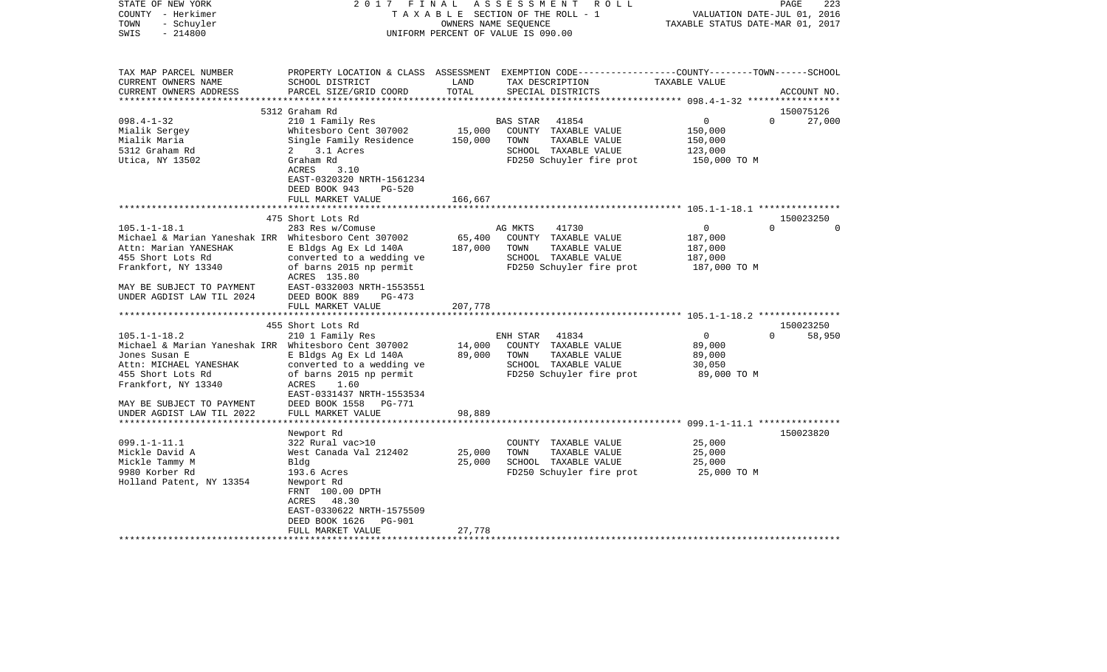| STATE OF NEW YORK<br>COUNTY - Herkimer<br>- Schuyler<br>TOWN<br>$-214800$<br>SWIS | 2017<br>FINAL                                        | OWNERS NAME SEQUENCE | ASSESSMENT<br>R O L L<br>T A X A B L E SECTION OF THE ROLL - 1<br>UNIFORM PERCENT OF VALUE IS 090.00                                    | TAXABLE STATUS DATE-MAR 01, 2017                  | PAGE<br>223<br>VALUATION DATE-JUL 01, 2016 |
|-----------------------------------------------------------------------------------|------------------------------------------------------|----------------------|-----------------------------------------------------------------------------------------------------------------------------------------|---------------------------------------------------|--------------------------------------------|
| TAX MAP PARCEL NUMBER<br>CURRENT OWNERS NAME<br>CURRENT OWNERS ADDRESS            | SCHOOL DISTRICT<br>PARCEL SIZE/GRID COORD            | LAND<br>TOTAL        | PROPERTY LOCATION & CLASS ASSESSMENT EXEMPTION CODE---------------COUNTY-------TOWN------SCHOOL<br>TAX DESCRIPTION<br>SPECIAL DISTRICTS | TAXABLE VALUE                                     | ACCOUNT NO.                                |
|                                                                                   | 5312 Graham Rd                                       |                      |                                                                                                                                         |                                                   | 150075126                                  |
| $098.4 - 1 - 32$                                                                  | 210 1 Family Res                                     |                      | 41854<br><b>BAS STAR</b>                                                                                                                | $\overline{0}$                                    | $\Omega$<br>27,000                         |
| Mialik Sergey                                                                     | Whitesboro Cent 307002                               | 15,000               | COUNTY TAXABLE VALUE                                                                                                                    | 150,000                                           |                                            |
| Mialik Maria                                                                      | Single Family Residence                              | 150,000              | TOWN<br>TAXABLE VALUE                                                                                                                   | 150,000                                           |                                            |
| 5312 Graham Rd                                                                    | 2 3.1 Acres                                          |                      | SCHOOL TAXABLE VALUE                                                                                                                    | 123,000                                           |                                            |
| Utica, NY 13502                                                                   | Graham Rd                                            |                      | FD250 Schuyler fire prot                                                                                                                | 150,000 TO M                                      |                                            |
|                                                                                   | ACRES<br>3.10                                        |                      |                                                                                                                                         |                                                   |                                            |
|                                                                                   | EAST-0320320 NRTH-1561234<br>DEED BOOK 943<br>PG-520 |                      |                                                                                                                                         |                                                   |                                            |
|                                                                                   | FULL MARKET VALUE                                    | 166,667              |                                                                                                                                         |                                                   |                                            |
|                                                                                   |                                                      |                      |                                                                                                                                         |                                                   |                                            |
|                                                                                   | 475 Short Lots Rd                                    |                      |                                                                                                                                         |                                                   | 150023250                                  |
| $105.1 - 1 - 18.1$                                                                | 283 Res w/Comuse                                     |                      | AG MKTS<br>41730                                                                                                                        | $\mathbf 0$                                       | $\Omega$<br>$\Omega$                       |
| Michael & Marian Yaneshak IRR Whitesboro Cent 307002                              |                                                      | 65,400               | COUNTY TAXABLE VALUE                                                                                                                    | 187,000                                           |                                            |
| Attn: Marian YANESHAK                                                             | E Bldgs Ag Ex Ld 140A                                | 187,000              | TOWN<br>TAXABLE VALUE                                                                                                                   | 187,000                                           |                                            |
| 455 Short Lots Rd<br>Frankfort, NY 13340                                          | converted to a wedding ve<br>of barns 2015 np permit |                      | SCHOOL TAXABLE VALUE<br>FD250 Schuyler fire prot                                                                                        | 187,000<br>187,000 TO M                           |                                            |
|                                                                                   | ACRES 135.80                                         |                      |                                                                                                                                         |                                                   |                                            |
| MAY BE SUBJECT TO PAYMENT                                                         | EAST-0332003 NRTH-1553551                            |                      |                                                                                                                                         |                                                   |                                            |
| UNDER AGDIST LAW TIL 2024                                                         | DEED BOOK 889<br>$PG-473$                            |                      |                                                                                                                                         |                                                   |                                            |
|                                                                                   | FULL MARKET VALUE                                    | 207,778              |                                                                                                                                         |                                                   |                                            |
| ***********************                                                           | *****************************                        |                      |                                                                                                                                         |                                                   |                                            |
|                                                                                   | 455 Short Lots Rd                                    |                      |                                                                                                                                         |                                                   | 150023250                                  |
| $105.1 - 1 - 18.2$<br>Michael & Marian Yaneshak IRR Whitesboro Cent 307002        | 210 1 Family Res                                     | 14,000               | ENH STAR<br>41834<br>COUNTY TAXABLE VALUE                                                                                               | $\mathbf 0$<br>89,000                             | 58,950<br>$\Omega$                         |
| Jones Susan E                                                                     | E Bldgs Ag Ex Ld 140A                                | 89,000               | TOWN<br>TAXABLE VALUE                                                                                                                   | 89,000                                            |                                            |
| Attn: MICHAEL YANESHAK                                                            | converted to a wedding ve                            |                      | SCHOOL TAXABLE VALUE                                                                                                                    | 30,050                                            |                                            |
| 455 Short Lots Rd                                                                 | of barns 2015 np permit                              |                      | FD250 Schuyler fire prot                                                                                                                | 89,000 TO M                                       |                                            |
| Frankfort, NY 13340                                                               | ACRES<br>1.60                                        |                      |                                                                                                                                         |                                                   |                                            |
|                                                                                   | EAST-0331437 NRTH-1553534                            |                      |                                                                                                                                         |                                                   |                                            |
| MAY BE SUBJECT TO PAYMENT                                                         | DEED BOOK 1558<br><b>PG-771</b>                      |                      |                                                                                                                                         |                                                   |                                            |
| UNDER AGDIST LAW TIL 2022<br>*********************                                | FULL MARKET VALUE                                    | 98,889               |                                                                                                                                         | ************************ 099.1-1-11.1 *********** |                                            |
|                                                                                   | Newport Rd                                           |                      |                                                                                                                                         |                                                   | 150023820                                  |
| $099.1 - 1 - 11.1$                                                                | 322 Rural vac>10                                     |                      | COUNTY TAXABLE VALUE                                                                                                                    | 25,000                                            |                                            |
| Mickle David A                                                                    | West Canada Val 212402                               | 25,000               | TOWN<br>TAXABLE VALUE                                                                                                                   | 25,000                                            |                                            |
| Mickle Tammy M                                                                    | Bldg                                                 | 25,000               | SCHOOL TAXABLE VALUE                                                                                                                    | 25,000                                            |                                            |
| 9980 Korber Rd                                                                    | 193.6 Acres                                          |                      | FD250 Schuyler fire prot                                                                                                                | 25,000 TO M                                       |                                            |
| Holland Patent, NY 13354                                                          | Newport Rd                                           |                      |                                                                                                                                         |                                                   |                                            |
|                                                                                   | FRNT 100.00 DPTH                                     |                      |                                                                                                                                         |                                                   |                                            |
|                                                                                   | ACRES<br>48.30<br>EAST-0330622 NRTH-1575509          |                      |                                                                                                                                         |                                                   |                                            |
|                                                                                   | DEED BOOK 1626<br>PG-901                             |                      |                                                                                                                                         |                                                   |                                            |
|                                                                                   | FULL MARKET VALUE                                    | 27,778               |                                                                                                                                         |                                                   |                                            |
|                                                                                   |                                                      |                      |                                                                                                                                         |                                                   |                                            |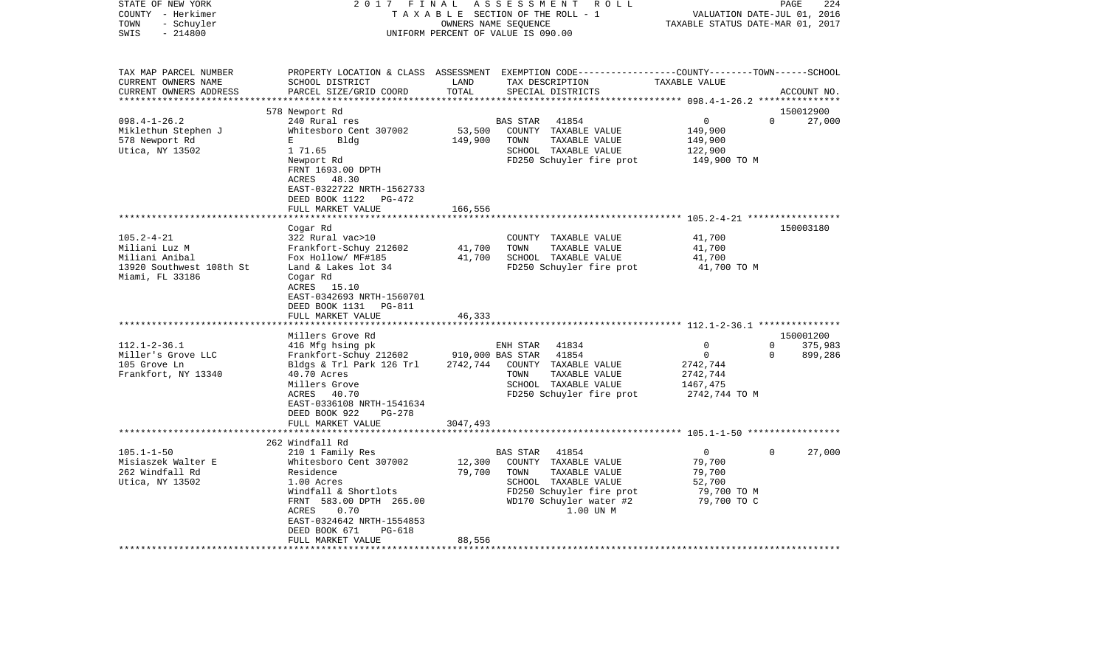| STATE OF NEW YORK<br>COUNTY - Herkimer<br>TOWN<br>- Schuyler<br>$-214800$<br>SWIS                                                                                                     | 2017                                                                                                                                                                                                                                                                                                                                                                                                                    | FINAL                                                      | ASSESSMENT<br>R O L L<br>TAXABLE SECTION OF THE ROLL - 1<br>OWNERS NAME SEQUENCE<br>UNIFORM PERCENT OF VALUE IS 090.00                                                                                                               | TAXABLE STATUS DATE-MAR 01, 2017                                                                                   | 224<br>PAGE<br>VALUATION DATE-JUL 01, 2016                              |
|---------------------------------------------------------------------------------------------------------------------------------------------------------------------------------------|-------------------------------------------------------------------------------------------------------------------------------------------------------------------------------------------------------------------------------------------------------------------------------------------------------------------------------------------------------------------------------------------------------------------------|------------------------------------------------------------|--------------------------------------------------------------------------------------------------------------------------------------------------------------------------------------------------------------------------------------|--------------------------------------------------------------------------------------------------------------------|-------------------------------------------------------------------------|
| TAX MAP PARCEL NUMBER<br>CURRENT OWNERS NAME<br>CURRENT OWNERS ADDRESS<br>********************                                                                                        | PROPERTY LOCATION & CLASS ASSESSMENT EXEMPTION CODE---------------COUNTY-------TOWN------SCHOOL<br>SCHOOL DISTRICT<br>PARCEL SIZE/GRID COORD                                                                                                                                                                                                                                                                            | LAND<br>TOTAL                                              | TAX DESCRIPTION<br>SPECIAL DISTRICTS                                                                                                                                                                                                 | TAXABLE VALUE                                                                                                      | ACCOUNT NO.                                                             |
|                                                                                                                                                                                       | 578 Newport Rd                                                                                                                                                                                                                                                                                                                                                                                                          |                                                            |                                                                                                                                                                                                                                      |                                                                                                                    | 150012900                                                               |
| $098.4 - 1 - 26.2$<br>Miklethun Stephen J<br>578 Newport Rd<br>Utica, NY 13502                                                                                                        | 240 Rural res<br>Whitesboro Cent 307002<br>Е<br>Bldg<br>1 71.65<br>Newport Rd<br>FRNT 1693.00 DPTH<br>48.30<br>ACRES<br>EAST-0322722 NRTH-1562733<br>DEED BOOK 1122<br>PG-472                                                                                                                                                                                                                                           | 53,500<br>149,900                                          | <b>BAS STAR</b><br>41854<br>COUNTY TAXABLE VALUE<br>TAXABLE VALUE<br>TOWN<br>SCHOOL TAXABLE VALUE<br>FD250 Schuyler fire prot                                                                                                        | $\mathbf 0$<br>149,900<br>149,900<br>122,900<br>149,900 TO M                                                       | $\mathbf 0$<br>27,000                                                   |
|                                                                                                                                                                                       | FULL MARKET VALUE                                                                                                                                                                                                                                                                                                                                                                                                       | 166,556                                                    |                                                                                                                                                                                                                                      |                                                                                                                    |                                                                         |
| $105.2 - 4 - 21$<br>Miliani Luz M<br>Miliani Anibal<br>13920 Southwest 108th St<br>Miami, FL 33186<br>$112.1 - 2 - 36.1$<br>Miller's Grove LLC<br>105 Grove Ln<br>Frankfort, NY 13340 | Cogar Rd<br>322 Rural vac>10<br>Frankfort-Schuy 212602<br>Fox Hollow/ MF#185<br>Land & Lakes lot 34<br>Cogar Rd<br>ACRES<br>15.10<br>EAST-0342693 NRTH-1560701<br>DEED BOOK 1131<br>PG-811<br>FULL MARKET VALUE<br>Millers Grove Rd<br>416 Mfg hsing pk<br>Frankfort-Schuy 212602<br>Bldgs & Trl Park 126 Trl<br>40.70 Acres<br>Millers Grove<br>40.70<br>ACRES<br>EAST-0336108 NRTH-1541634<br>DEED BOOK 922<br>PG-278 | 41,700<br>41,700<br>46,333<br>910,000 BAS STAR<br>2742,744 | COUNTY TAXABLE VALUE<br>TOWN<br>TAXABLE VALUE<br>SCHOOL TAXABLE VALUE<br>FD250 Schuyler fire prot<br>41834<br>ENH STAR<br>41854<br>COUNTY TAXABLE VALUE<br>TAXABLE VALUE<br>TOWN<br>SCHOOL TAXABLE VALUE<br>FD250 Schuyler fire prot | 41,700<br>41,700<br>41,700<br>41,700 TO M<br>0<br>$\mathbf 0$<br>2742,744<br>2742,744<br>1467,475<br>2742,744 TO M | 150003180<br>150001200<br>$\Omega$<br>375,983<br>$\mathbf 0$<br>899,286 |
|                                                                                                                                                                                       | FULL MARKET VALUE                                                                                                                                                                                                                                                                                                                                                                                                       | 3047,493                                                   |                                                                                                                                                                                                                                      |                                                                                                                    |                                                                         |
|                                                                                                                                                                                       |                                                                                                                                                                                                                                                                                                                                                                                                                         |                                                            |                                                                                                                                                                                                                                      |                                                                                                                    |                                                                         |
| $105.1 - 1 - 50$<br>Misiaszek Walter E<br>262 Windfall Rd<br>Utica, NY 13502                                                                                                          | 262 Windfall Rd<br>210 1 Family Res<br>Whitesboro Cent 307002<br>Residence<br>1.00 Acres<br>Windfall & Shortlots<br>FRNT 583.00 DPTH 265.00<br>ACRES<br>0.70<br>EAST-0324642 NRTH-1554853<br>DEED BOOK 671<br>PG-618<br>FULL MARKET VALUE                                                                                                                                                                               | 12,300<br>79,700<br>88,556                                 | 41854<br>BAS STAR<br>COUNTY TAXABLE VALUE<br>TOWN<br>TAXABLE VALUE<br>SCHOOL TAXABLE VALUE<br>FD250 Schuyler fire prot<br>WD170 Schuyler water #2<br>1.00 UN M                                                                       | 0<br>79,700<br>79,700<br>52,700<br>79,700 TO M<br>79,700 TO C                                                      | $\Omega$<br>27,000                                                      |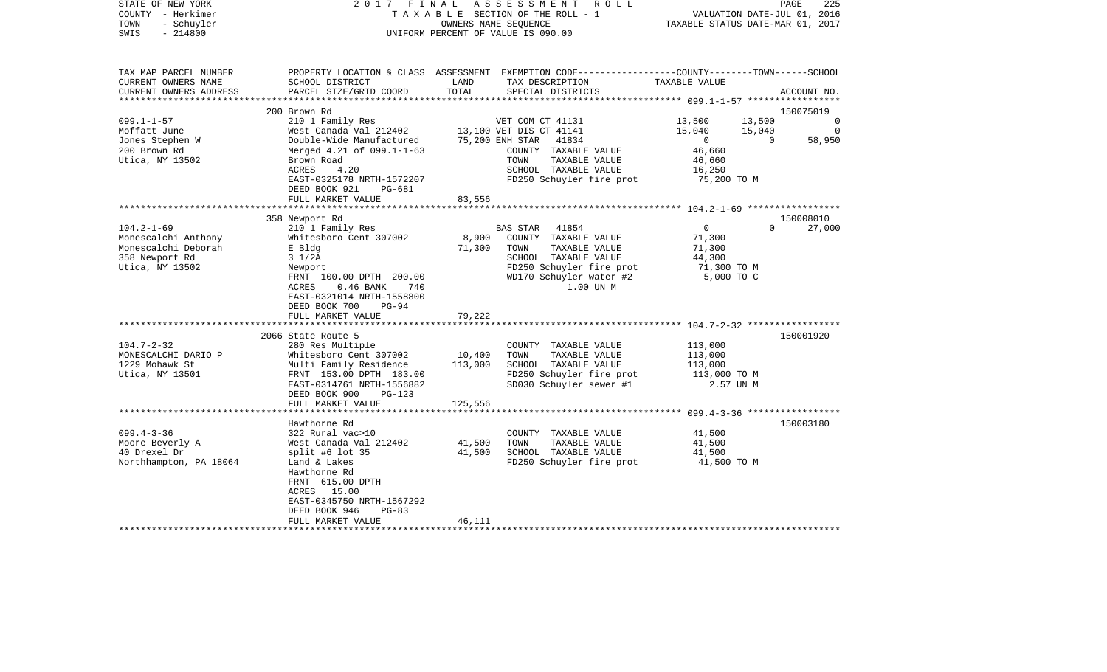| STATE OF NEW YORK<br>COUNTY - Herkimer<br>- Schuyler<br>TOWN<br>$-214800$<br>SWIS | 2017 FINAL                                                                                     |                  | A S S E S S M E N T<br>R O L L<br>TAXABLE SECTION OF THE ROLL - 1<br>OWNERS NAME SEQUENCE<br>UNIFORM PERCENT OF VALUE IS 090.00          |                           | PAGE<br>225<br>VALUATION DATE-JUL 01, 2016<br>TAXABLE STATUS DATE-MAR 01, 2017 |
|-----------------------------------------------------------------------------------|------------------------------------------------------------------------------------------------|------------------|------------------------------------------------------------------------------------------------------------------------------------------|---------------------------|--------------------------------------------------------------------------------|
| TAX MAP PARCEL NUMBER<br>CURRENT OWNERS NAME<br>CURRENT OWNERS ADDRESS            | SCHOOL DISTRICT<br>PARCEL SIZE/GRID COORD                                                      | LAND<br>TOTAL    | PROPERTY LOCATION & CLASS ASSESSMENT EXEMPTION CODE----------------COUNTY-------TOWN------SCHOOL<br>TAX DESCRIPTION<br>SPECIAL DISTRICTS | TAXABLE VALUE             | ACCOUNT NO.                                                                    |
| *********************                                                             |                                                                                                |                  |                                                                                                                                          |                           |                                                                                |
| $099.1 - 1 - 57$                                                                  | 200 Brown Rd<br>210 1 Family Res                                                               |                  | VET COM CT 41131                                                                                                                         | 13,500                    | 150075019<br>13,500<br>$\Omega$                                                |
| Moffatt June                                                                      | West Canada Val 212402                                                                         |                  | 13,100 VET DIS CT 41141                                                                                                                  | 15,040                    | 15,040<br>0                                                                    |
| Jones Stephen W                                                                   | Double-Wide Manufactured                                                                       |                  | 75,200 ENH STAR 41834                                                                                                                    | $\overline{0}$            | 58,950<br>$\overline{0}$                                                       |
| 200 Brown Rd                                                                      | Merged 4.21 of 099.1-1-63                                                                      |                  | COUNTY TAXABLE VALUE                                                                                                                     | 46,660                    |                                                                                |
| Utica, NY 13502                                                                   | Brown Road                                                                                     |                  | TAXABLE VALUE<br>TOWN                                                                                                                    | 46,660                    |                                                                                |
|                                                                                   | ACRES<br>4.20                                                                                  |                  | SCHOOL TAXABLE VALUE                                                                                                                     | 16,250                    |                                                                                |
|                                                                                   | EAST-0325178 NRTH-1572207                                                                      |                  | FD250 Schuyler fire prot                                                                                                                 | 75,200 TO M               |                                                                                |
|                                                                                   | DEED BOOK 921<br>PG-681<br>FULL MARKET VALUE                                                   | 83,556           |                                                                                                                                          |                           |                                                                                |
|                                                                                   |                                                                                                |                  |                                                                                                                                          |                           |                                                                                |
|                                                                                   | 358 Newport Rd                                                                                 |                  |                                                                                                                                          |                           | 150008010                                                                      |
| $104.2 - 1 - 69$                                                                  | 210 1 Family Res                                                                               |                  | BAS STAR<br>41854                                                                                                                        | $\overline{0}$            | $\Omega$<br>27,000                                                             |
| Monescalchi Anthony                                                               | Whitesboro Cent 307002                                                                         | 8,900            | COUNTY TAXABLE VALUE                                                                                                                     | 71,300                    |                                                                                |
| Monescalchi Deborah                                                               | E Bldg                                                                                         | 71,300           | TAXABLE VALUE<br>TOWN                                                                                                                    | 71,300                    |                                                                                |
| 358 Newport Rd                                                                    | $3 \frac{1}{2A}$                                                                               |                  | SCHOOL TAXABLE VALUE                                                                                                                     | 44,300                    |                                                                                |
| Utica, NY 13502                                                                   | Newport<br>FRNT 100.00 DPTH 200.00<br>ACRES<br>$0.46$ BANK<br>740<br>EAST-0321014 NRTH-1558800 |                  | FD250 Schuyler fire prot<br>WD170 Schuyler water #2<br>1.00 UN M                                                                         | 71,300 TO M<br>5,000 TO C |                                                                                |
|                                                                                   | DEED BOOK 700<br>$PG-94$<br>FULL MARKET VALUE                                                  | 79,222           |                                                                                                                                          |                           |                                                                                |
|                                                                                   |                                                                                                |                  |                                                                                                                                          |                           |                                                                                |
|                                                                                   | 2066 State Route 5                                                                             |                  |                                                                                                                                          |                           | 150001920                                                                      |
| $104.7 - 2 - 32$                                                                  | 280 Res Multiple                                                                               |                  | COUNTY TAXABLE VALUE                                                                                                                     | 113,000                   |                                                                                |
| MONESCALCHI DARIO P                                                               | Whitesboro Cent 307002                                                                         | 10,400           | TOWN<br>TAXABLE VALUE                                                                                                                    | 113,000                   |                                                                                |
| 1229 Mohawk St                                                                    | Multi Family Residence                                                                         | 113,000          | SCHOOL TAXABLE VALUE                                                                                                                     | 113,000                   |                                                                                |
| Utica, NY 13501                                                                   | FRNT 153.00 DPTH 183.00<br>EAST-0314761 NRTH-1556882                                           |                  | FD250 Schuyler fire prot<br>SD030 Schuyler sewer #1                                                                                      | 113,000 TO M<br>2.57 UN M |                                                                                |
|                                                                                   | DEED BOOK 900<br>PG-123                                                                        |                  |                                                                                                                                          |                           |                                                                                |
|                                                                                   | FULL MARKET VALUE                                                                              | 125,556          |                                                                                                                                          |                           |                                                                                |
|                                                                                   |                                                                                                |                  |                                                                                                                                          |                           |                                                                                |
|                                                                                   | Hawthorne Rd                                                                                   |                  |                                                                                                                                          |                           | 150003180                                                                      |
| $099.4 - 3 - 36$                                                                  | 322 Rural vac>10                                                                               |                  | COUNTY TAXABLE VALUE                                                                                                                     | 41,500                    |                                                                                |
| Moore Beverly A<br>40 Drexel Dr                                                   | West Canada Val 212402<br>split #6 lot $35$                                                    | 41,500<br>41,500 | TOWN<br>TAXABLE VALUE<br>SCHOOL TAXABLE VALUE                                                                                            | 41,500<br>41,500          |                                                                                |
| Northhampton, PA 18064                                                            | Land & Lakes                                                                                   |                  | FD250 Schuyler fire prot                                                                                                                 | 41,500 TO M               |                                                                                |
|                                                                                   | Hawthorne Rd                                                                                   |                  |                                                                                                                                          |                           |                                                                                |
|                                                                                   | FRNT 615.00 DPTH                                                                               |                  |                                                                                                                                          |                           |                                                                                |
|                                                                                   | ACRES 15.00                                                                                    |                  |                                                                                                                                          |                           |                                                                                |
|                                                                                   | EAST-0345750 NRTH-1567292                                                                      |                  |                                                                                                                                          |                           |                                                                                |
|                                                                                   | DEED BOOK 946<br>$PG-83$                                                                       |                  |                                                                                                                                          |                           |                                                                                |
|                                                                                   | FULL MARKET VALUE                                                                              | 46,111           |                                                                                                                                          |                           |                                                                                |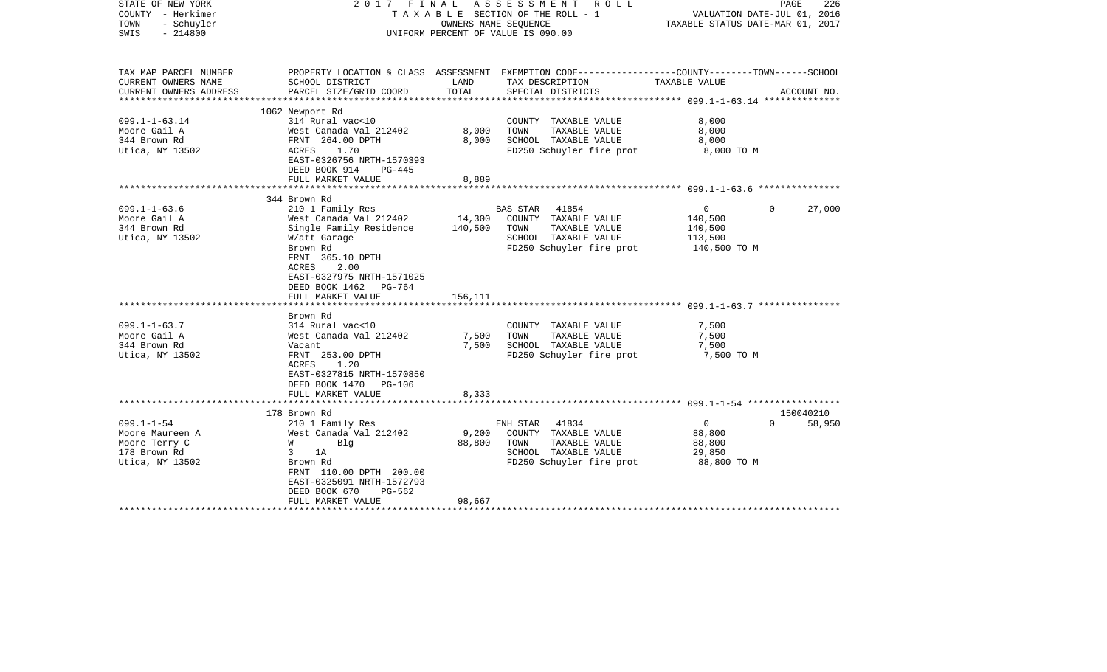| PROPERTY LOCATION & CLASS ASSESSMENT EXEMPTION CODE---------------COUNTY-------TOWN------SCHOOL<br>TAX MAP PARCEL NUMBER<br>CURRENT OWNERS NAME<br>SCHOOL DISTRICT<br>LAND<br>TAX DESCRIPTION<br>TAXABLE VALUE<br>TOTAL<br>CURRENT OWNERS ADDRESS<br>PARCEL SIZE/GRID COORD<br>SPECIAL DISTRICTS<br>ACCOUNT NO.<br>1062 Newport Rd<br>$099.1 - 1 - 63.14$<br>314 Rural vac<10<br>8,000<br>COUNTY TAXABLE VALUE<br>Moore Gail A<br>West Canada Val 212402<br>8,000<br>TOWN<br>TAXABLE VALUE<br>8,000<br>344 Brown Rd<br>FRNT 264.00 DPTH<br>8,000<br>SCHOOL TAXABLE VALUE<br>8,000<br>Utica, NY 13502<br>1.70<br>FD250 Schuyler fire prot<br>ACRES<br>8,000 TO M<br>EAST-0326756 NRTH-1570393<br>DEED BOOK 914<br>PG-445<br>8,889<br>FULL MARKET VALUE<br>344 Brown Rd<br>$099.1 - 1 - 63.6$<br>210 1 Family Res<br>BAS STAR<br>41854<br>$\overline{0}$<br>$\Omega$<br>27,000<br>14,300<br>COUNTY TAXABLE VALUE<br>Moore Gail A<br>West Canada Val 212402<br>140,500<br>140,500<br>TAXABLE VALUE<br>344 Brown Rd<br>Single Family Residence<br>TOWN<br>140,500<br>Utica, NY 13502<br>W/att Garage<br>SCHOOL TAXABLE VALUE<br>113,500<br>FD250 Schuyler fire prot<br>Brown Rd<br>140,500 TO M<br>FRNT 365.10 DPTH<br>ACRES<br>2.00<br>EAST-0327975 NRTH-1571025<br>DEED BOOK 1462 PG-764<br>156,111<br>FULL MARKET VALUE<br>Brown Rd<br>$099.1 - 1 - 63.7$<br>314 Rural vac<10<br>COUNTY TAXABLE VALUE<br>7,500<br>West Canada Val 212402<br>TAXABLE VALUE<br>Moore Gail A<br>7,500<br>TOWN<br>7,500<br>7,500<br>SCHOOL TAXABLE VALUE<br>344 Brown Rd<br>7,500<br>Vacant<br>Utica, NY 13502<br>FRNT 253.00 DPTH<br>FD250 Schuyler fire prot<br>7,500 TO M<br>ACRES<br>1.20<br>EAST-0327815 NRTH-1570850<br>DEED BOOK 1470<br>PG-106<br>FULL MARKET VALUE<br>8,333<br>150040210<br>178 Brown Rd<br>$099.1 - 1 - 54$<br>58,950<br>210 1 Family Res<br>ENH STAR<br>41834<br>$\mathbf 0$<br>$\Omega$<br>9,200<br>Moore Maureen A<br>West Canada Val 212402<br>COUNTY TAXABLE VALUE<br>88,800<br>Moore Terry C<br>88,800<br>TOWN<br>TAXABLE VALUE<br>W<br>Blq<br>88,800<br>SCHOOL TAXABLE VALUE<br>178 Brown Rd<br>3<br>1A<br>29,850<br>Utica, NY 13502<br>FD250 Schuyler fire prot<br>88,800 TO M<br>Brown Rd<br>FRNT 110.00 DPTH 200.00<br>EAST-0325091 NRTH-1572793<br>DEED BOOK 670<br>PG-562<br>98,667<br>FULL MARKET VALUE | STATE OF NEW YORK<br>COUNTY - Herkimer<br>- Schuyler<br>TOWN<br>$-214800$<br>SWIS | OWNERS NAME SEQUENCE | 2017 FINAL ASSESSMENT<br>R O L L<br>T A X A B L E SECTION OF THE ROLL - 1<br>UNIFORM PERCENT OF VALUE IS 090.00 | VALUATION DATE-JUL 01, 2016<br>TAXABLE STATUS DATE-MAR 01, 2017 | PAGE<br>226 |
|---------------------------------------------------------------------------------------------------------------------------------------------------------------------------------------------------------------------------------------------------------------------------------------------------------------------------------------------------------------------------------------------------------------------------------------------------------------------------------------------------------------------------------------------------------------------------------------------------------------------------------------------------------------------------------------------------------------------------------------------------------------------------------------------------------------------------------------------------------------------------------------------------------------------------------------------------------------------------------------------------------------------------------------------------------------------------------------------------------------------------------------------------------------------------------------------------------------------------------------------------------------------------------------------------------------------------------------------------------------------------------------------------------------------------------------------------------------------------------------------------------------------------------------------------------------------------------------------------------------------------------------------------------------------------------------------------------------------------------------------------------------------------------------------------------------------------------------------------------------------------------------------------------------------------------------------------------------------------------------------------------------------------------------------------------------------------------------------------------------------------------------------------------------------------------------------------------------------------------------------------------------------------------------------------------------------------|-----------------------------------------------------------------------------------|----------------------|-----------------------------------------------------------------------------------------------------------------|-----------------------------------------------------------------|-------------|
|                                                                                                                                                                                                                                                                                                                                                                                                                                                                                                                                                                                                                                                                                                                                                                                                                                                                                                                                                                                                                                                                                                                                                                                                                                                                                                                                                                                                                                                                                                                                                                                                                                                                                                                                                                                                                                                                                                                                                                                                                                                                                                                                                                                                                                                                                                                           |                                                                                   |                      |                                                                                                                 |                                                                 |             |
|                                                                                                                                                                                                                                                                                                                                                                                                                                                                                                                                                                                                                                                                                                                                                                                                                                                                                                                                                                                                                                                                                                                                                                                                                                                                                                                                                                                                                                                                                                                                                                                                                                                                                                                                                                                                                                                                                                                                                                                                                                                                                                                                                                                                                                                                                                                           |                                                                                   |                      |                                                                                                                 |                                                                 |             |
|                                                                                                                                                                                                                                                                                                                                                                                                                                                                                                                                                                                                                                                                                                                                                                                                                                                                                                                                                                                                                                                                                                                                                                                                                                                                                                                                                                                                                                                                                                                                                                                                                                                                                                                                                                                                                                                                                                                                                                                                                                                                                                                                                                                                                                                                                                                           |                                                                                   |                      |                                                                                                                 |                                                                 |             |
|                                                                                                                                                                                                                                                                                                                                                                                                                                                                                                                                                                                                                                                                                                                                                                                                                                                                                                                                                                                                                                                                                                                                                                                                                                                                                                                                                                                                                                                                                                                                                                                                                                                                                                                                                                                                                                                                                                                                                                                                                                                                                                                                                                                                                                                                                                                           |                                                                                   |                      |                                                                                                                 |                                                                 |             |
|                                                                                                                                                                                                                                                                                                                                                                                                                                                                                                                                                                                                                                                                                                                                                                                                                                                                                                                                                                                                                                                                                                                                                                                                                                                                                                                                                                                                                                                                                                                                                                                                                                                                                                                                                                                                                                                                                                                                                                                                                                                                                                                                                                                                                                                                                                                           |                                                                                   |                      |                                                                                                                 |                                                                 |             |
|                                                                                                                                                                                                                                                                                                                                                                                                                                                                                                                                                                                                                                                                                                                                                                                                                                                                                                                                                                                                                                                                                                                                                                                                                                                                                                                                                                                                                                                                                                                                                                                                                                                                                                                                                                                                                                                                                                                                                                                                                                                                                                                                                                                                                                                                                                                           |                                                                                   |                      |                                                                                                                 |                                                                 |             |
|                                                                                                                                                                                                                                                                                                                                                                                                                                                                                                                                                                                                                                                                                                                                                                                                                                                                                                                                                                                                                                                                                                                                                                                                                                                                                                                                                                                                                                                                                                                                                                                                                                                                                                                                                                                                                                                                                                                                                                                                                                                                                                                                                                                                                                                                                                                           |                                                                                   |                      |                                                                                                                 |                                                                 |             |
|                                                                                                                                                                                                                                                                                                                                                                                                                                                                                                                                                                                                                                                                                                                                                                                                                                                                                                                                                                                                                                                                                                                                                                                                                                                                                                                                                                                                                                                                                                                                                                                                                                                                                                                                                                                                                                                                                                                                                                                                                                                                                                                                                                                                                                                                                                                           |                                                                                   |                      |                                                                                                                 |                                                                 |             |
|                                                                                                                                                                                                                                                                                                                                                                                                                                                                                                                                                                                                                                                                                                                                                                                                                                                                                                                                                                                                                                                                                                                                                                                                                                                                                                                                                                                                                                                                                                                                                                                                                                                                                                                                                                                                                                                                                                                                                                                                                                                                                                                                                                                                                                                                                                                           |                                                                                   |                      |                                                                                                                 |                                                                 |             |
|                                                                                                                                                                                                                                                                                                                                                                                                                                                                                                                                                                                                                                                                                                                                                                                                                                                                                                                                                                                                                                                                                                                                                                                                                                                                                                                                                                                                                                                                                                                                                                                                                                                                                                                                                                                                                                                                                                                                                                                                                                                                                                                                                                                                                                                                                                                           |                                                                                   |                      |                                                                                                                 |                                                                 |             |
|                                                                                                                                                                                                                                                                                                                                                                                                                                                                                                                                                                                                                                                                                                                                                                                                                                                                                                                                                                                                                                                                                                                                                                                                                                                                                                                                                                                                                                                                                                                                                                                                                                                                                                                                                                                                                                                                                                                                                                                                                                                                                                                                                                                                                                                                                                                           |                                                                                   |                      |                                                                                                                 |                                                                 |             |
|                                                                                                                                                                                                                                                                                                                                                                                                                                                                                                                                                                                                                                                                                                                                                                                                                                                                                                                                                                                                                                                                                                                                                                                                                                                                                                                                                                                                                                                                                                                                                                                                                                                                                                                                                                                                                                                                                                                                                                                                                                                                                                                                                                                                                                                                                                                           |                                                                                   |                      |                                                                                                                 |                                                                 |             |
|                                                                                                                                                                                                                                                                                                                                                                                                                                                                                                                                                                                                                                                                                                                                                                                                                                                                                                                                                                                                                                                                                                                                                                                                                                                                                                                                                                                                                                                                                                                                                                                                                                                                                                                                                                                                                                                                                                                                                                                                                                                                                                                                                                                                                                                                                                                           |                                                                                   |                      |                                                                                                                 |                                                                 |             |
|                                                                                                                                                                                                                                                                                                                                                                                                                                                                                                                                                                                                                                                                                                                                                                                                                                                                                                                                                                                                                                                                                                                                                                                                                                                                                                                                                                                                                                                                                                                                                                                                                                                                                                                                                                                                                                                                                                                                                                                                                                                                                                                                                                                                                                                                                                                           |                                                                                   |                      |                                                                                                                 |                                                                 |             |
|                                                                                                                                                                                                                                                                                                                                                                                                                                                                                                                                                                                                                                                                                                                                                                                                                                                                                                                                                                                                                                                                                                                                                                                                                                                                                                                                                                                                                                                                                                                                                                                                                                                                                                                                                                                                                                                                                                                                                                                                                                                                                                                                                                                                                                                                                                                           |                                                                                   |                      |                                                                                                                 |                                                                 |             |
|                                                                                                                                                                                                                                                                                                                                                                                                                                                                                                                                                                                                                                                                                                                                                                                                                                                                                                                                                                                                                                                                                                                                                                                                                                                                                                                                                                                                                                                                                                                                                                                                                                                                                                                                                                                                                                                                                                                                                                                                                                                                                                                                                                                                                                                                                                                           |                                                                                   |                      |                                                                                                                 |                                                                 |             |
|                                                                                                                                                                                                                                                                                                                                                                                                                                                                                                                                                                                                                                                                                                                                                                                                                                                                                                                                                                                                                                                                                                                                                                                                                                                                                                                                                                                                                                                                                                                                                                                                                                                                                                                                                                                                                                                                                                                                                                                                                                                                                                                                                                                                                                                                                                                           |                                                                                   |                      |                                                                                                                 |                                                                 |             |
|                                                                                                                                                                                                                                                                                                                                                                                                                                                                                                                                                                                                                                                                                                                                                                                                                                                                                                                                                                                                                                                                                                                                                                                                                                                                                                                                                                                                                                                                                                                                                                                                                                                                                                                                                                                                                                                                                                                                                                                                                                                                                                                                                                                                                                                                                                                           |                                                                                   |                      |                                                                                                                 |                                                                 |             |
|                                                                                                                                                                                                                                                                                                                                                                                                                                                                                                                                                                                                                                                                                                                                                                                                                                                                                                                                                                                                                                                                                                                                                                                                                                                                                                                                                                                                                                                                                                                                                                                                                                                                                                                                                                                                                                                                                                                                                                                                                                                                                                                                                                                                                                                                                                                           |                                                                                   |                      |                                                                                                                 |                                                                 |             |
|                                                                                                                                                                                                                                                                                                                                                                                                                                                                                                                                                                                                                                                                                                                                                                                                                                                                                                                                                                                                                                                                                                                                                                                                                                                                                                                                                                                                                                                                                                                                                                                                                                                                                                                                                                                                                                                                                                                                                                                                                                                                                                                                                                                                                                                                                                                           |                                                                                   |                      |                                                                                                                 |                                                                 |             |
|                                                                                                                                                                                                                                                                                                                                                                                                                                                                                                                                                                                                                                                                                                                                                                                                                                                                                                                                                                                                                                                                                                                                                                                                                                                                                                                                                                                                                                                                                                                                                                                                                                                                                                                                                                                                                                                                                                                                                                                                                                                                                                                                                                                                                                                                                                                           |                                                                                   |                      |                                                                                                                 |                                                                 |             |
|                                                                                                                                                                                                                                                                                                                                                                                                                                                                                                                                                                                                                                                                                                                                                                                                                                                                                                                                                                                                                                                                                                                                                                                                                                                                                                                                                                                                                                                                                                                                                                                                                                                                                                                                                                                                                                                                                                                                                                                                                                                                                                                                                                                                                                                                                                                           |                                                                                   |                      |                                                                                                                 |                                                                 |             |
|                                                                                                                                                                                                                                                                                                                                                                                                                                                                                                                                                                                                                                                                                                                                                                                                                                                                                                                                                                                                                                                                                                                                                                                                                                                                                                                                                                                                                                                                                                                                                                                                                                                                                                                                                                                                                                                                                                                                                                                                                                                                                                                                                                                                                                                                                                                           |                                                                                   |                      |                                                                                                                 |                                                                 |             |
|                                                                                                                                                                                                                                                                                                                                                                                                                                                                                                                                                                                                                                                                                                                                                                                                                                                                                                                                                                                                                                                                                                                                                                                                                                                                                                                                                                                                                                                                                                                                                                                                                                                                                                                                                                                                                                                                                                                                                                                                                                                                                                                                                                                                                                                                                                                           |                                                                                   |                      |                                                                                                                 |                                                                 |             |
|                                                                                                                                                                                                                                                                                                                                                                                                                                                                                                                                                                                                                                                                                                                                                                                                                                                                                                                                                                                                                                                                                                                                                                                                                                                                                                                                                                                                                                                                                                                                                                                                                                                                                                                                                                                                                                                                                                                                                                                                                                                                                                                                                                                                                                                                                                                           |                                                                                   |                      |                                                                                                                 |                                                                 |             |
|                                                                                                                                                                                                                                                                                                                                                                                                                                                                                                                                                                                                                                                                                                                                                                                                                                                                                                                                                                                                                                                                                                                                                                                                                                                                                                                                                                                                                                                                                                                                                                                                                                                                                                                                                                                                                                                                                                                                                                                                                                                                                                                                                                                                                                                                                                                           |                                                                                   |                      |                                                                                                                 |                                                                 |             |
|                                                                                                                                                                                                                                                                                                                                                                                                                                                                                                                                                                                                                                                                                                                                                                                                                                                                                                                                                                                                                                                                                                                                                                                                                                                                                                                                                                                                                                                                                                                                                                                                                                                                                                                                                                                                                                                                                                                                                                                                                                                                                                                                                                                                                                                                                                                           |                                                                                   |                      |                                                                                                                 |                                                                 |             |
|                                                                                                                                                                                                                                                                                                                                                                                                                                                                                                                                                                                                                                                                                                                                                                                                                                                                                                                                                                                                                                                                                                                                                                                                                                                                                                                                                                                                                                                                                                                                                                                                                                                                                                                                                                                                                                                                                                                                                                                                                                                                                                                                                                                                                                                                                                                           |                                                                                   |                      |                                                                                                                 |                                                                 |             |
|                                                                                                                                                                                                                                                                                                                                                                                                                                                                                                                                                                                                                                                                                                                                                                                                                                                                                                                                                                                                                                                                                                                                                                                                                                                                                                                                                                                                                                                                                                                                                                                                                                                                                                                                                                                                                                                                                                                                                                                                                                                                                                                                                                                                                                                                                                                           |                                                                                   |                      |                                                                                                                 |                                                                 |             |
|                                                                                                                                                                                                                                                                                                                                                                                                                                                                                                                                                                                                                                                                                                                                                                                                                                                                                                                                                                                                                                                                                                                                                                                                                                                                                                                                                                                                                                                                                                                                                                                                                                                                                                                                                                                                                                                                                                                                                                                                                                                                                                                                                                                                                                                                                                                           |                                                                                   |                      |                                                                                                                 |                                                                 |             |
|                                                                                                                                                                                                                                                                                                                                                                                                                                                                                                                                                                                                                                                                                                                                                                                                                                                                                                                                                                                                                                                                                                                                                                                                                                                                                                                                                                                                                                                                                                                                                                                                                                                                                                                                                                                                                                                                                                                                                                                                                                                                                                                                                                                                                                                                                                                           |                                                                                   |                      |                                                                                                                 |                                                                 |             |
|                                                                                                                                                                                                                                                                                                                                                                                                                                                                                                                                                                                                                                                                                                                                                                                                                                                                                                                                                                                                                                                                                                                                                                                                                                                                                                                                                                                                                                                                                                                                                                                                                                                                                                                                                                                                                                                                                                                                                                                                                                                                                                                                                                                                                                                                                                                           |                                                                                   |                      |                                                                                                                 |                                                                 |             |
|                                                                                                                                                                                                                                                                                                                                                                                                                                                                                                                                                                                                                                                                                                                                                                                                                                                                                                                                                                                                                                                                                                                                                                                                                                                                                                                                                                                                                                                                                                                                                                                                                                                                                                                                                                                                                                                                                                                                                                                                                                                                                                                                                                                                                                                                                                                           |                                                                                   |                      |                                                                                                                 |                                                                 |             |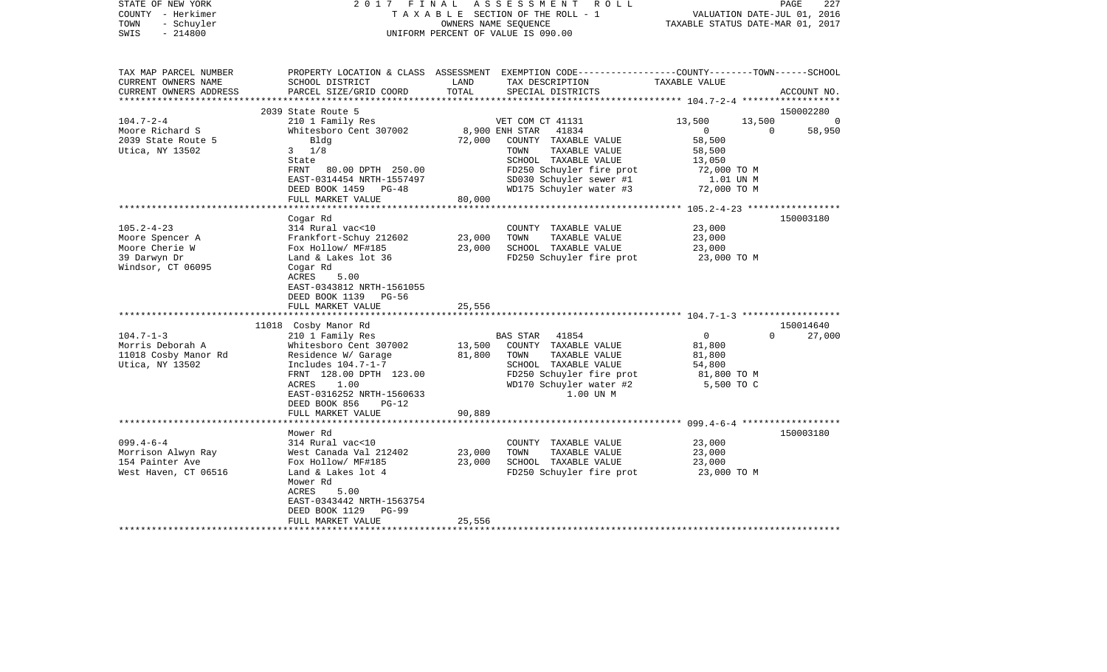| STATE OF NEW YORK<br>COUNTY - Herkimer<br>- Schuyler<br>TOWN<br>$-214800$<br>SWIS | 2017<br>FINAL                                                                                                                                                                                |                      | ASSESSMENT<br>ROLL<br>TAXABLE SECTION OF THE ROLL - 1<br>OWNERS NAME SEOUENCE<br>UNIFORM PERCENT OF VALUE IS 090.00                                         | VALUATION DATE-JUL 01, 2016<br>TAXABLE STATUS DATE-MAR 01, 2017                 | PAGE<br>227                 |
|-----------------------------------------------------------------------------------|----------------------------------------------------------------------------------------------------------------------------------------------------------------------------------------------|----------------------|-------------------------------------------------------------------------------------------------------------------------------------------------------------|---------------------------------------------------------------------------------|-----------------------------|
| TAX MAP PARCEL NUMBER<br>CURRENT OWNERS NAME<br>CURRENT OWNERS ADDRESS            | SCHOOL DISTRICT<br>PARCEL SIZE/GRID COORD                                                                                                                                                    | LAND<br>TOTAL        | PROPERTY LOCATION & CLASS ASSESSMENT EXEMPTION CODE---------------COUNTY-------TOWN------SCHOOL<br>TAX DESCRIPTION<br>SPECIAL DISTRICTS                     | TAXABLE VALUE                                                                   | ACCOUNT NO.                 |
| *********************                                                             |                                                                                                                                                                                              |                      |                                                                                                                                                             |                                                                                 |                             |
| $104.7 - 2 - 4$                                                                   | 2039 State Route 5<br>210 1 Family Res                                                                                                                                                       |                      | VET COM CT 41131                                                                                                                                            | 13,500<br>13,500                                                                | 150002280<br>$\overline{0}$ |
| Moore Richard S<br>2039 State Route 5                                             | Whitesboro Cent 307002<br>Bldg                                                                                                                                                               | 72,000               | 8,900 ENH STAR<br>41834<br>COUNTY TAXABLE VALUE                                                                                                             | $\overline{0}$<br>$\overline{0}$<br>58,500                                      | 58,950                      |
| Utica, NY 13502                                                                   | $3 \frac{1}{8}$<br>State<br>FRNT 80.00 DPTH 250.00                                                                                                                                           |                      | TAXABLE VALUE<br>TOWN<br>SCHOOL TAXABLE VALUE<br>FD250 Schuyler fire prot                                                                                   | 58,500<br>13,050<br>72,000 TO M                                                 |                             |
|                                                                                   | EAST-0314454 NRTH-1557497<br>DEED BOOK 1459<br>$PG-48$                                                                                                                                       |                      | SD030 Schuyler sewer #1<br>WD175 Schuyler water #3                                                                                                          | 1.01 UN M<br>72,000 TO M                                                        |                             |
|                                                                                   | FULL MARKET VALUE                                                                                                                                                                            | 80,000               |                                                                                                                                                             |                                                                                 |                             |
|                                                                                   | Cogar Rd                                                                                                                                                                                     |                      |                                                                                                                                                             | ******************** 105.2-4-23 ******************                              | 150003180                   |
| $105.2 - 4 - 23$                                                                  | 314 Rural vac<10                                                                                                                                                                             |                      | COUNTY TAXABLE VALUE                                                                                                                                        | 23,000                                                                          |                             |
| Moore Spencer A                                                                   | Frankfort-Schuy 212602                                                                                                                                                                       | 23,000               | TAXABLE VALUE<br>TOWN                                                                                                                                       | 23,000                                                                          |                             |
| Moore Cherie W                                                                    | Fox Hollow/ MF#185                                                                                                                                                                           | 23,000               | SCHOOL TAXABLE VALUE                                                                                                                                        | 23,000                                                                          |                             |
| 39 Darwyn Dr<br>Windsor, CT 06095                                                 | Land & Lakes lot 36<br>Cogar Rd<br>ACRES<br>5.00<br>EAST-0343812 NRTH-1561055<br>DEED BOOK 1139<br>$PG-56$                                                                                   |                      | FD250 Schuyler fire prot                                                                                                                                    | 23,000 TO M                                                                     |                             |
|                                                                                   | FULL MARKET VALUE                                                                                                                                                                            | 25,556               |                                                                                                                                                             |                                                                                 |                             |
|                                                                                   | 11018 Cosby Manor Rd                                                                                                                                                                         |                      |                                                                                                                                                             |                                                                                 | 150014640                   |
| $104.7 - 1 - 3$<br>Morris Deborah A<br>11018 Cosby Manor Rd<br>Utica, NY 13502    | 210 1 Family Res<br>Whitesboro Cent 307002<br>Residence W/ Garage<br>Includes 104.7-1-7<br>FRNT 128.00 DPTH 123.00<br>1.00<br>ACRES<br>EAST-0316252 NRTH-1560633<br>DEED BOOK 856<br>$PG-12$ | 13,500<br>81,800     | BAS STAR 41854<br>COUNTY TAXABLE VALUE<br>TOWN<br>TAXABLE VALUE<br>SCHOOL TAXABLE VALUE<br>FD250 Schuyler fire prot<br>WD170 Schuyler water #2<br>1.00 UN M | $\Omega$<br>$\Omega$<br>81,800<br>81,800<br>54,800<br>81,800 TO M<br>5,500 TO C | 27,000                      |
|                                                                                   | FULL MARKET VALUE<br>*********************                                                                                                                                                   | 90,889<br>********** |                                                                                                                                                             |                                                                                 |                             |
|                                                                                   | Mower Rd                                                                                                                                                                                     |                      |                                                                                                                                                             |                                                                                 | 150003180                   |
| $099.4 - 6 - 4$                                                                   | 314 Rural vac<10                                                                                                                                                                             |                      | COUNTY TAXABLE VALUE                                                                                                                                        | 23,000                                                                          |                             |
| Morrison Alwyn Ray                                                                | West Canada Val 212402                                                                                                                                                                       | 23,000               | TAXABLE VALUE<br>TOWN                                                                                                                                       | 23,000                                                                          |                             |
| 154 Painter Ave                                                                   | Fox Hollow/ MF#185                                                                                                                                                                           | 23,000               | SCHOOL TAXABLE VALUE                                                                                                                                        | 23,000                                                                          |                             |
| West Haven, CT 06516                                                              | Land & Lakes lot 4<br>Mower Rd<br>ACRES<br>5.00<br>EAST-0343442 NRTH-1563754<br>DEED BOOK 1129<br>PG-99                                                                                      |                      | FD250 Schuyler fire prot                                                                                                                                    | 23,000 TO M                                                                     |                             |
|                                                                                   | FULL MARKET VALUE                                                                                                                                                                            | 25,556               |                                                                                                                                                             |                                                                                 |                             |
|                                                                                   |                                                                                                                                                                                              |                      |                                                                                                                                                             |                                                                                 |                             |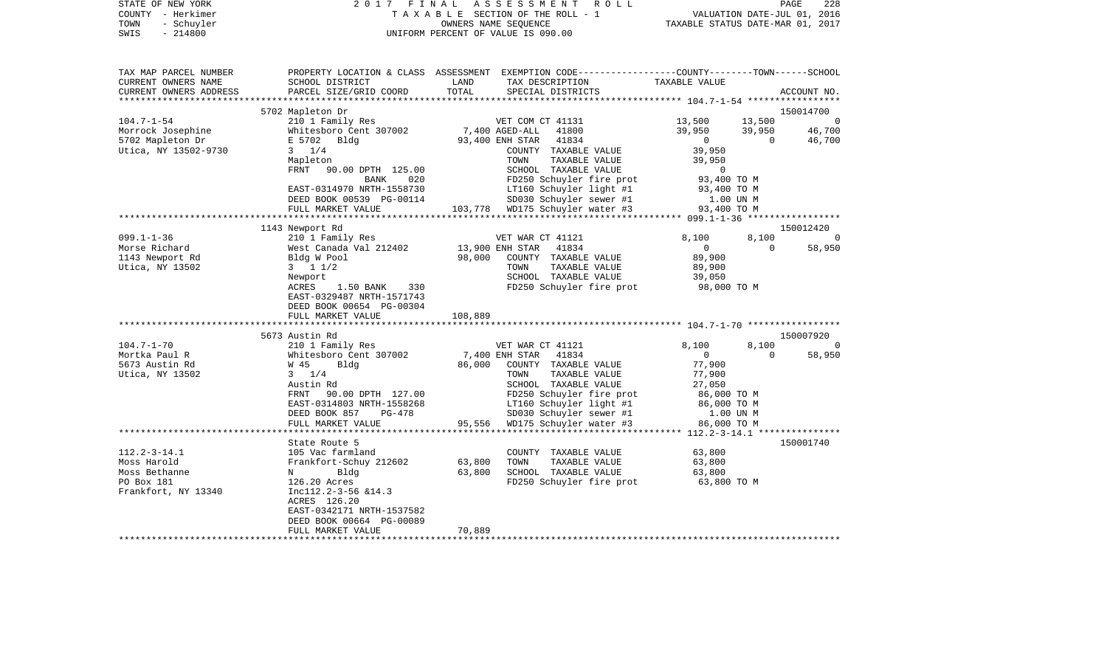| COUNTY<br>- Herkimer<br>TOWN<br>- Schuyler<br>SWIS<br>$-214800$                            |                                                                                                         |               | T A X A B L E SECTION OF THE ROLL - 1<br>OWNERS NAME SEQUENCE<br>UNIFORM PERCENT OF VALUE IS 090.00                                     | TAXABLE STATUS DATE-MAR 01, 2017 |             | VALUATION DATE-JUL 01, 2016 |
|--------------------------------------------------------------------------------------------|---------------------------------------------------------------------------------------------------------|---------------|-----------------------------------------------------------------------------------------------------------------------------------------|----------------------------------|-------------|-----------------------------|
| TAX MAP PARCEL NUMBER<br>CURRENT OWNERS NAME<br>CURRENT OWNERS ADDRESS<br>**************** | SCHOOL DISTRICT<br>PARCEL SIZE/GRID COORD                                                               | LAND<br>TOTAL | PROPERTY LOCATION & CLASS ASSESSMENT EXEMPTION CODE---------------COUNTY-------TOWN------SCHOOL<br>TAX DESCRIPTION<br>SPECIAL DISTRICTS | TAXABLE VALUE                    |             | ACCOUNT NO.                 |
|                                                                                            | 5702 Mapleton Dr                                                                                        |               |                                                                                                                                         |                                  |             | 150014700                   |
| $104.7 - 1 - 54$                                                                           | 210 1 Family Res                                                                                        |               | VET COM CT 41131                                                                                                                        | 13,500                           | 13,500      | $\Omega$                    |
| Morrock Josephine                                                                          | Whitesboro Cent 307002                                                                                  |               | 7,400 AGED-ALL<br>41800                                                                                                                 | 39,950                           | 39,950      | 46,700                      |
| 5702 Mapleton Dr                                                                           | E 5702 Bldg                                                                                             |               | 93,400 ENH STAR<br>41834                                                                                                                | 0                                | $\mathbf 0$ | 46,700                      |
| Utica, NY 13502-9730                                                                       | $3 \t1/4$                                                                                               |               | COUNTY TAXABLE VALUE                                                                                                                    | 39,950                           |             |                             |
|                                                                                            | Mapleton<br>FRNT<br>90.00 DPTH 125.00                                                                   |               | TOWN<br>TAXABLE VALUE<br>SCHOOL TAXABLE VALUE                                                                                           | 39,950<br>0                      |             |                             |
|                                                                                            | BANK<br>020                                                                                             |               | FD250 Schuyler fire prot                                                                                                                | 93,400 TO M                      |             |                             |
|                                                                                            | EAST-0314970 NRTH-1558730                                                                               |               | LT160 Schuyler light #1                                                                                                                 | 93,400 TO M                      |             |                             |
|                                                                                            | DEED BOOK 00539 PG-00114                                                                                |               | SD030 Schuyler sewer #1                                                                                                                 | 1.00 UN M                        |             |                             |
|                                                                                            | FULL MARKET VALUE                                                                                       | 103,778       | WD175 Schuyler water #3                                                                                                                 | 93,400 TO M                      |             |                             |
|                                                                                            | *********************                                                                                   |               |                                                                                                                                         |                                  |             |                             |
|                                                                                            | 1143 Newport Rd                                                                                         |               |                                                                                                                                         |                                  |             | 150012420                   |
| $099.1 - 1 - 36$                                                                           | 210 1 Family Res                                                                                        |               | VET WAR CT 41121                                                                                                                        | 8,100                            | 8,100       | 0                           |
| Morse Richard<br>1143 Newport Rd                                                           | West Canada Val 212402<br>Bldg W Pool                                                                   | 98,000        | 13,900 ENH STAR<br>41834<br>COUNTY TAXABLE VALUE                                                                                        | $\overline{0}$<br>89,900         | $\Omega$    | 58,950                      |
| Utica, NY 13502                                                                            | $3 \t1 \t1/2$                                                                                           |               | TAXABLE VALUE<br>TOWN                                                                                                                   | 89,900                           |             |                             |
|                                                                                            | Newport                                                                                                 |               | SCHOOL TAXABLE VALUE                                                                                                                    | 39,050                           |             |                             |
|                                                                                            | ACRES<br>1.50 BANK<br>330<br>EAST-0329487 NRTH-1571743<br>DEED BOOK 00654 PG-00304<br>FULL MARKET VALUE | 108,889       | FD250 Schuyler fire prot                                                                                                                | 98,000 TO M                      |             |                             |
|                                                                                            |                                                                                                         |               | ****************************** 104.7-1-70 *****************                                                                             |                                  |             |                             |
|                                                                                            | 5673 Austin Rd                                                                                          |               |                                                                                                                                         |                                  |             | 150007920                   |
| $104.7 - 1 - 70$                                                                           | 210 1 Family Res                                                                                        |               | VET WAR CT 41121                                                                                                                        | 8,100                            | 8,100       | $\Omega$                    |
| Mortka Paul R                                                                              | Whitesboro Cent 307002                                                                                  |               | 7,400 ENH STAR<br>41834                                                                                                                 | $\mathbf{0}$                     | $\Omega$    | 58,950                      |
| 5673 Austin Rd                                                                             | W 45<br>Bldg                                                                                            | 86,000        | COUNTY TAXABLE VALUE                                                                                                                    | 77,900                           |             |                             |
| Utica, NY 13502                                                                            | $3 \t1/4$                                                                                               |               | TOWN<br>TAXABLE VALUE                                                                                                                   | 77,900                           |             |                             |
|                                                                                            | Austin Rd                                                                                               |               | SCHOOL TAXABLE VALUE                                                                                                                    | 27,050                           |             |                             |
|                                                                                            | FRNT<br>90.00 DPTH 127.00<br>EAST-0314803 NRTH-1558268                                                  |               | FD250 Schuyler fire prot<br>LT160 Schuyler light #1                                                                                     | 86,000 TO M<br>86,000 TO M       |             |                             |
|                                                                                            | DEED BOOK 857<br>$PG-478$                                                                               |               | SD030 Schuyler sewer #1                                                                                                                 | 1.00 UN M                        |             |                             |
|                                                                                            | FULL MARKET VALUE                                                                                       | 95,556        | WD175 Schuyler water #3                                                                                                                 | 86,000 TO M                      |             |                             |
|                                                                                            | ***********************                                                                                 |               |                                                                                                                                         |                                  |             |                             |
|                                                                                            | State Route 5                                                                                           |               |                                                                                                                                         |                                  |             | 150001740                   |
| $112.2 - 3 - 14.1$                                                                         | 105 Vac farmland                                                                                        |               | COUNTY TAXABLE VALUE                                                                                                                    | 63,800                           |             |                             |
| Moss Harold                                                                                | Frankfort-Schuy 212602                                                                                  | 63,800        | TAXABLE VALUE<br>TOWN                                                                                                                   | 63,800                           |             |                             |
| Moss Bethanne                                                                              | Bldg<br>N                                                                                               | 63,800        | SCHOOL TAXABLE VALUE                                                                                                                    | 63,800                           |             |                             |
| PO Box 181                                                                                 | 126.20 Acres                                                                                            |               | FD250 Schuyler fire prot                                                                                                                | 63,800 TO M                      |             |                             |
| Frankfort, NY 13340                                                                        | Incl12.2-3-56 &14.3<br>ACRES 126.20                                                                     |               |                                                                                                                                         |                                  |             |                             |
|                                                                                            | EAST-0342171 NRTH-1537582                                                                               |               |                                                                                                                                         |                                  |             |                             |
|                                                                                            | DEED BOOK 00664 PG-00089                                                                                |               |                                                                                                                                         |                                  |             |                             |
|                                                                                            | FULL MARKET VALUE                                                                                       | 70,889        |                                                                                                                                         |                                  |             |                             |
|                                                                                            |                                                                                                         |               |                                                                                                                                         |                                  |             |                             |

STATE OF NEW YORK 2 0 1 7 F I N A L A S S E S S M E N T R O L L PAGE 228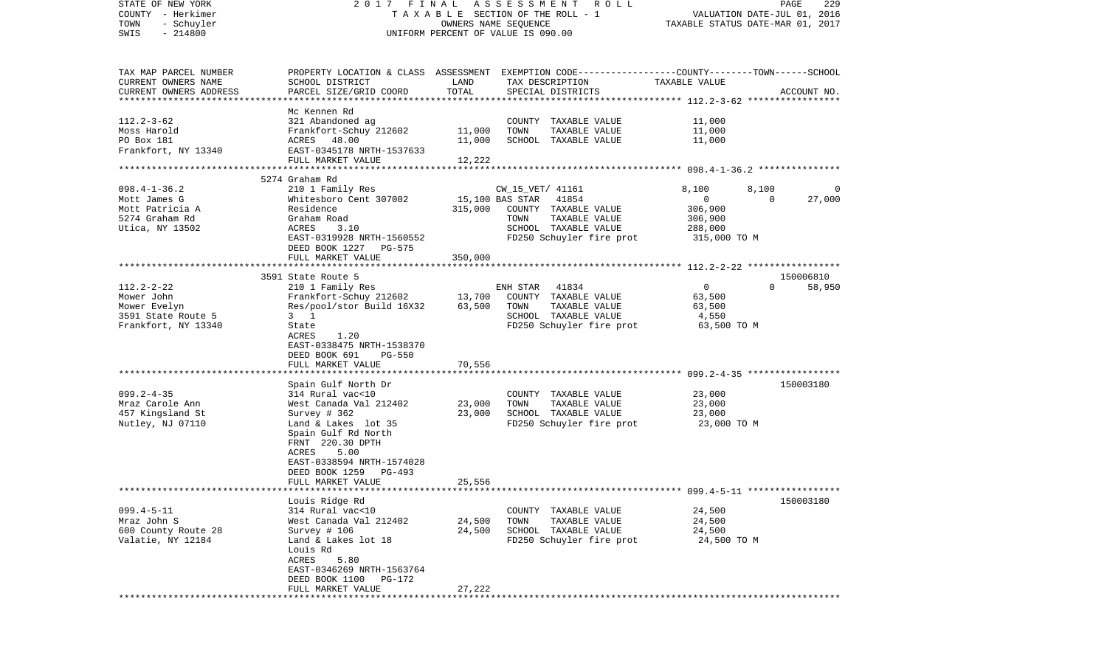| STATE OF NEW YORK<br>COUNTY - Herkimer<br>- Schuyler<br>TOWN<br>$-214800$<br>SWIS | 2017 FINAL                                                                                                          | OWNERS NAME SEQUENCE | ASSESSMENT<br>R O L L<br>T A X A B L E SECTION OF THE ROLL - 1<br>UNIFORM PERCENT OF VALUE IS 090.00 |                  | PAGE<br>229<br>VALUATION DATE-JUL 01, 2016<br>TAXABLE STATUS DATE-MAR 01, 2017 |
|-----------------------------------------------------------------------------------|---------------------------------------------------------------------------------------------------------------------|----------------------|------------------------------------------------------------------------------------------------------|------------------|--------------------------------------------------------------------------------|
|                                                                                   |                                                                                                                     |                      |                                                                                                      |                  |                                                                                |
| TAX MAP PARCEL NUMBER<br>CURRENT OWNERS NAME                                      | PROPERTY LOCATION & CLASS ASSESSMENT EXEMPTION CODE----------------COUNTY-------TOWN------SCHOOL<br>SCHOOL DISTRICT | LAND                 | TAX DESCRIPTION                                                                                      | TAXABLE VALUE    |                                                                                |
| CURRENT OWNERS ADDRESS<br>************************                                | PARCEL SIZE/GRID COORD                                                                                              | TOTAL                | SPECIAL DISTRICTS                                                                                    |                  | ACCOUNT NO.                                                                    |
|                                                                                   | Mc Kennen Rd                                                                                                        |                      |                                                                                                      |                  |                                                                                |
| $112.2 - 3 - 62$                                                                  | 321 Abandoned ag                                                                                                    |                      | COUNTY TAXABLE VALUE<br>TAXABLE VALUE                                                                | 11,000<br>11,000 |                                                                                |
| Moss Harold<br>PO Box 181                                                         | Frankfort-Schuy 212602                                                                                              | 11,000               | TOWN                                                                                                 |                  |                                                                                |
| Frankfort, NY 13340                                                               | ACRES 48.00<br>EAST-0345178 NRTH-1537633                                                                            | 11,000               | SCHOOL TAXABLE VALUE                                                                                 | 11,000           |                                                                                |
|                                                                                   | FULL MARKET VALUE                                                                                                   | 12,222               |                                                                                                      |                  |                                                                                |
|                                                                                   |                                                                                                                     |                      |                                                                                                      |                  |                                                                                |
|                                                                                   | 5274 Graham Rd                                                                                                      |                      |                                                                                                      |                  |                                                                                |
| $098.4 - 1 - 36.2$                                                                | 210 1 Family Res                                                                                                    |                      | CW_15_VET/ 41161                                                                                     | 8,100            | 8,100<br>0                                                                     |
| Mott James G                                                                      | Whitesboro Cent 307002                                                                                              | 15,100 BAS STAR      | 41854                                                                                                | 0                | 27,000<br>$\Omega$                                                             |
| Mott Patricia A                                                                   | Residence                                                                                                           | 315,000              | COUNTY TAXABLE VALUE                                                                                 | 306,900          |                                                                                |
| 5274 Graham Rd                                                                    | Graham Road                                                                                                         |                      | TOWN<br>TAXABLE VALUE                                                                                | 306,900          |                                                                                |
| Utica, NY 13502                                                                   | 3.10<br>ACRES                                                                                                       |                      | SCHOOL TAXABLE VALUE                                                                                 | 288,000          |                                                                                |
|                                                                                   | EAST-0319928 NRTH-1560552                                                                                           |                      | FD250 Schuyler fire prot                                                                             | 315,000 TO M     |                                                                                |
|                                                                                   | DEED BOOK 1227<br>PG-575                                                                                            |                      |                                                                                                      |                  |                                                                                |
|                                                                                   | FULL MARKET VALUE                                                                                                   | 350,000              |                                                                                                      |                  |                                                                                |
|                                                                                   |                                                                                                                     |                      |                                                                                                      |                  |                                                                                |
|                                                                                   | 3591 State Route 5                                                                                                  |                      |                                                                                                      |                  | 150006810                                                                      |
| $112.2 - 2 - 22$                                                                  | 210 1 Family Res                                                                                                    |                      | 41834<br>ENH STAR                                                                                    | 0                | $\Omega$<br>58,950                                                             |
| Mower John                                                                        | Frankfort-Schuy 212602                                                                                              | 13,700               | COUNTY TAXABLE VALUE                                                                                 | 63,500           |                                                                                |
| Mower Evelyn                                                                      | Res/pool/stor Build 16X32                                                                                           | 63,500               | TOWN<br>TAXABLE VALUE                                                                                | 63,500           |                                                                                |
| 3591 State Route 5                                                                | $3 \quad 1$                                                                                                         |                      | SCHOOL TAXABLE VALUE                                                                                 | 4,550            |                                                                                |
| Frankfort, NY 13340                                                               | State                                                                                                               |                      | FD250 Schuyler fire prot                                                                             | 63,500 TO M      |                                                                                |
|                                                                                   | ACRES<br>1.20                                                                                                       |                      |                                                                                                      |                  |                                                                                |
|                                                                                   | EAST-0338475 NRTH-1538370                                                                                           |                      |                                                                                                      |                  |                                                                                |
|                                                                                   | DEED BOOK 691<br><b>PG-550</b>                                                                                      |                      |                                                                                                      |                  |                                                                                |
|                                                                                   | FULL MARKET VALUE                                                                                                   | 70,556               |                                                                                                      |                  |                                                                                |
|                                                                                   | Spain Gulf North Dr                                                                                                 |                      |                                                                                                      |                  | 150003180                                                                      |
| $099.2 - 4 - 35$                                                                  | 314 Rural vac<10                                                                                                    |                      | COUNTY TAXABLE VALUE                                                                                 | 23,000           |                                                                                |
| Mraz Carole Ann                                                                   | West Canada Val 212402                                                                                              | 23,000               | TOWN<br>TAXABLE VALUE                                                                                | 23,000           |                                                                                |
| 457 Kingsland St                                                                  | Survey $# 362$                                                                                                      | 23,000               | SCHOOL TAXABLE VALUE                                                                                 | 23,000           |                                                                                |
| Nutley, NJ 07110                                                                  | Land & Lakes lot 35                                                                                                 |                      | FD250 Schuyler fire prot                                                                             | 23,000 TO M      |                                                                                |
|                                                                                   | Spain Gulf Rd North                                                                                                 |                      |                                                                                                      |                  |                                                                                |
|                                                                                   | FRNT 220.30 DPTH                                                                                                    |                      |                                                                                                      |                  |                                                                                |
|                                                                                   | 5.00<br>ACRES                                                                                                       |                      |                                                                                                      |                  |                                                                                |
|                                                                                   | EAST-0338594 NRTH-1574028                                                                                           |                      |                                                                                                      |                  |                                                                                |
|                                                                                   | DEED BOOK 1259<br>PG-493                                                                                            |                      |                                                                                                      |                  |                                                                                |
|                                                                                   | FULL MARKET VALUE                                                                                                   | 25,556               |                                                                                                      |                  |                                                                                |
| *******************                                                               |                                                                                                                     |                      |                                                                                                      |                  |                                                                                |
|                                                                                   | Louis Ridge Rd                                                                                                      |                      |                                                                                                      |                  | 150003180                                                                      |
| $099.4 - 5 - 11$                                                                  | 314 Rural vac<10                                                                                                    |                      | COUNTY TAXABLE VALUE                                                                                 | 24,500           |                                                                                |
| Mraz John S                                                                       | West Canada Val 212402                                                                                              | 24,500               | TOWN<br>TAXABLE VALUE                                                                                | 24,500           |                                                                                |
| 600 County Route 28                                                               | Survey # 106                                                                                                        | 24,500               | SCHOOL TAXABLE VALUE                                                                                 | 24,500           |                                                                                |
| Valatie, NY 12184                                                                 | Land & Lakes lot 18                                                                                                 |                      | FD250 Schuyler fire prot                                                                             | 24,500 TO M      |                                                                                |
|                                                                                   | Louis Rd                                                                                                            |                      |                                                                                                      |                  |                                                                                |
|                                                                                   | ACRES<br>5.80                                                                                                       |                      |                                                                                                      |                  |                                                                                |
|                                                                                   | EAST-0346269 NRTH-1563764                                                                                           |                      |                                                                                                      |                  |                                                                                |
|                                                                                   | DEED BOOK 1100<br>PG-172                                                                                            |                      |                                                                                                      |                  |                                                                                |
|                                                                                   | FULL MARKET VALUE                                                                                                   | 27,222               |                                                                                                      |                  |                                                                                |
|                                                                                   | * * * * * * * * * * * * * * * * * * *                                                                               |                      |                                                                                                      |                  |                                                                                |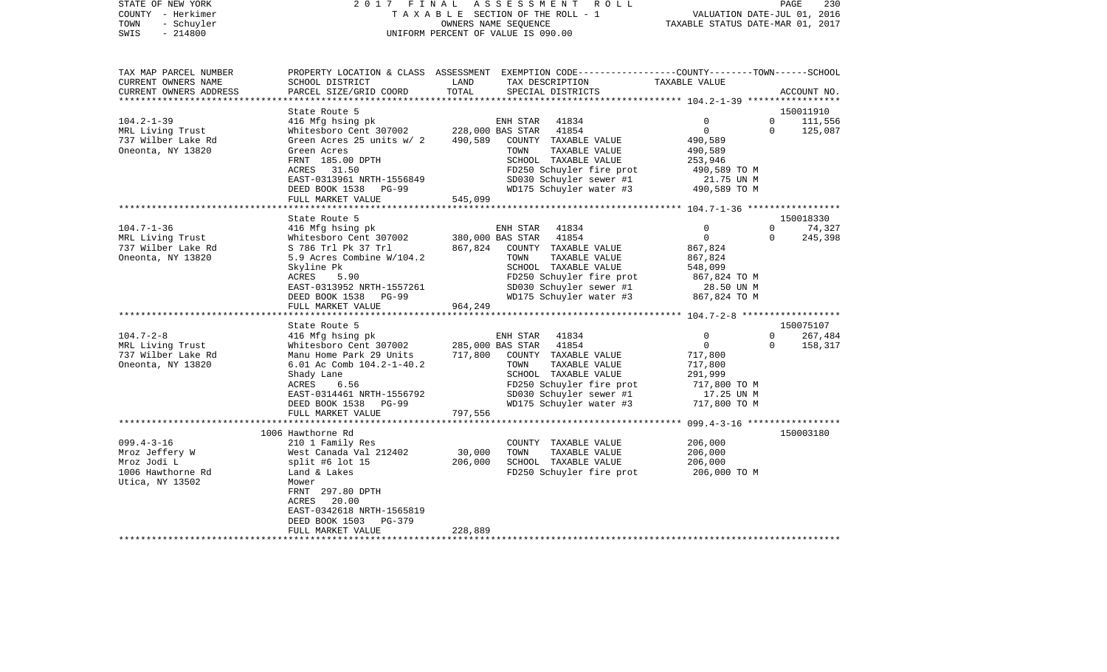| STATE OF NEW YORK      |                           |            | 2017 FINAL ASSESSMENT ROLL         |                                                              | PAGE                        | 230 |
|------------------------|---------------------------|------------|------------------------------------|--------------------------------------------------------------|-----------------------------|-----|
| – Herkimer<br>COUNTY   |                           |            | TAXABLE SECTION OF THE ROLL - 1    |                                                              | VALUATION DATE-JUL 01, 2016 |     |
| - Schuyler<br>TOWN     |                           |            | OWNERS NAME SEOUENCE               | TAXABLE STATUS DATE-MAR 01, 2017                             |                             |     |
| - 214800<br>SWIS       |                           |            | UNIFORM PERCENT OF VALUE IS 090.00 |                                                              |                             |     |
|                        |                           |            |                                    |                                                              |                             |     |
|                        |                           |            |                                    |                                                              |                             |     |
| TAX MAP PARCEL NUMBER  | PROPERTY LOCATION & CLASS | ASSESSMENT |                                    | EXEMPTION CODE-----------------COUNTY-------TOWN------SCHOOL |                             |     |
| CURRENT OWNERS NAME    | SCHOOL DISTRICT           | LAND       | TAX DESCRIPTION                    | TAXABLE VALUE                                                |                             |     |
| CURRENT OWNERS ADDRESS | PARCEL SIZE/GRID COORD    | TOTAL      | SPECIAL DISTRICTS                  |                                                              | ACCOUNT NO.                 |     |

|                    | State Route 5                                                                                                                        |         |                |                                                                                                                       |                |                | 150011910 |
|--------------------|--------------------------------------------------------------------------------------------------------------------------------------|---------|----------------|-----------------------------------------------------------------------------------------------------------------------|----------------|----------------|-----------|
| $104.2 - 1 - 39$   |                                                                                                                                      |         |                |                                                                                                                       | $\mathbf 0$    | $\overline{0}$ | 111,556   |
| MRL Living Trust   |                                                                                                                                      |         |                |                                                                                                                       | $\overline{0}$ | $\Omega$       | 125,087   |
| 737 Wilber Lake Rd | 416 Mfg hsing pk ENH STAR 41834<br>Whitesboro Cent 307002 228,000 BAS STAR 41854<br>Green Acres 25 units w/ 2 490,589 COUNTY TAXABLE |         |                | COUNTY TAXABLE VALUE                                                                                                  | 490,589        |                |           |
| Oneonta, NY 13820  | Green Acres                                                                                                                          |         | TOWN           | TAXABLE VALUE                                                                                                         | 490,589        |                |           |
|                    | FRNT 185.00 DPTH                                                                                                                     |         |                | SCHOOL TAXABLE VALUE                                                                                                  | 253,946        |                |           |
|                    | ACRES 31.50                                                                                                                          |         |                | FD250 Schuyler fire prot 490,589 TO M                                                                                 |                |                |           |
|                    |                                                                                                                                      |         |                |                                                                                                                       |                |                |           |
|                    | EAST-0313961 NRTH-1556849<br>DEED BOOK 1538 PG-99                                                                                    |         |                | SD030 Schuyler sewer #1 21.75 UN M<br>WD175 Schuyler water #3 490,589 TO M                                            |                |                |           |
|                    | FULL MARKET VALUE                                                                                                                    | 545,099 |                |                                                                                                                       |                |                |           |
|                    |                                                                                                                                      |         |                |                                                                                                                       |                |                |           |
|                    | State Route 5                                                                                                                        |         |                |                                                                                                                       |                |                | 150018330 |
| $104.7 - 1 - 36$   |                                                                                                                                      |         | ENH STAR 41834 |                                                                                                                       | $\mathbf 0$    | $\mathbf{0}$   | 74,327    |
| MRL Living Trust   | 416 Mfg hsing pk and ENH STAR 41834<br>Whitesboro Cent 307002 380,000 BAS STAR 41854                                                 |         |                |                                                                                                                       | $\overline{0}$ | $\Omega$       | 245,398   |
| 737 Wilber Lake Rd | S 786 Trl Pk 37 Trl                                                                                                                  |         |                | 867,824 COUNTY TAXABLE VALUE                                                                                          | 867,824        |                |           |
| Oneonta, NY 13820  | 5.9 Acres Combine W/104.2                                                                                                            |         | TOWN           | TAXABLE VALUE                                                                                                         | 867,824        |                |           |
|                    | Skyline Pk                                                                                                                           |         |                | SCHOOL TAXABLE VALUE                                                                                                  | 548,099        |                |           |
|                    | 5.90<br>ACRES                                                                                                                        |         |                | FD250 Schuyler fire prot $867,824$ TO M<br>SD030 Schuyler sewer #1 28.50 UN M<br>WD175 Schuyler water #3 867,824 TO M |                |                |           |
|                    | EAST-0313952 NRTH-1557261<br>DEED BOOK 1538 PG-99                                                                                    |         |                |                                                                                                                       |                |                |           |
|                    |                                                                                                                                      |         |                |                                                                                                                       |                |                |           |
|                    | 964,249<br>FULL MARKET VALUE                                                                                                         |         |                |                                                                                                                       |                |                |           |
|                    |                                                                                                                                      |         |                |                                                                                                                       |                |                |           |
|                    | State Route 5                                                                                                                        |         |                |                                                                                                                       |                |                | 150075107 |
| $104.7 - 2 - 8$    | 416 Mfg hsing pk ENH STAR 41834<br>Whitesboro Cent 307002 285,000 BAS STAR 41854                                                     |         | ENH STAR 41834 |                                                                                                                       | $\mathbf 0$    | $\overline{0}$ | 267,484   |
| MRL Living Trust   |                                                                                                                                      |         |                |                                                                                                                       | $\overline{0}$ | $\Omega$       | 158,317   |
| 737 Wilber Lake Rd | Manu Home Park 29 Units 717,800 COUNTY TAXABLE VALUE                                                                                 |         |                |                                                                                                                       | 717,800        |                |           |
| Oneonta, NY 13820  | 6.01 Ac Comb 104.2-1-40.2                                                                                                            |         | TOWN           | TAXABLE VALUE                                                                                                         | 717,800        |                |           |
|                    | Shady Lane                                                                                                                           |         |                | SCHOOL TAXABLE VALUE                                                                                                  | 291,999        |                |           |
|                    | ACRES<br>6.56                                                                                                                        |         |                |                                                                                                                       |                |                |           |
|                    | EAST-0314461 NRTH-1556792                                                                                                            |         |                |                                                                                                                       |                |                |           |
|                    | DEED BOOK 1538 PG-99                                                                                                                 |         |                | FD250 Schuyler fire prot 717,800 TO M<br>SD030 Schuyler sewer #1 17.25 UN M<br>WD175 Schuyler water #3 717,800 TO M   |                |                |           |
|                    | 797,556<br>FULL MARKET VALUE                                                                                                         |         |                |                                                                                                                       |                |                |           |
|                    |                                                                                                                                      |         |                |                                                                                                                       |                |                |           |
|                    | 1006 Hawthorne Rd                                                                                                                    |         |                |                                                                                                                       |                |                | 150003180 |
| $099.4 - 3 - 16$   | 210 1 Family Res                                                                                                                     |         |                | COUNTY TAXABLE VALUE                                                                                                  | 206,000        |                |           |
| Mroz Jeffery W     | West Canada Val 212402 30,000                                                                                                        |         | TOWN           | TAXABLE VALUE                                                                                                         | 206,000        |                |           |
| Mroz Jodi L        | split #6 lot 15                                                                                                                      | 206,000 |                | SCHOOL TAXABLE VALUE                                                                                                  | 206,000        |                |           |
| 1006 Hawthorne Rd  | Land & Lakes                                                                                                                         |         |                | FD250 Schuyler fire prot                                                                                              | 206,000 TO M   |                |           |
| Utica, NY 13502    | Mower                                                                                                                                |         |                |                                                                                                                       |                |                |           |
|                    | FRNT 297.80 DPTH                                                                                                                     |         |                |                                                                                                                       |                |                |           |
|                    | ACRES 20.00                                                                                                                          |         |                |                                                                                                                       |                |                |           |
|                    | EAST-0342618 NRTH-1565819                                                                                                            |         |                |                                                                                                                       |                |                |           |
|                    | DEED BOOK 1503 PG-379                                                                                                                |         |                |                                                                                                                       |                |                |           |
|                    | FULL MARKET VALUE                                                                                                                    | 228,889 |                |                                                                                                                       |                |                |           |
|                    |                                                                                                                                      |         |                |                                                                                                                       |                |                |           |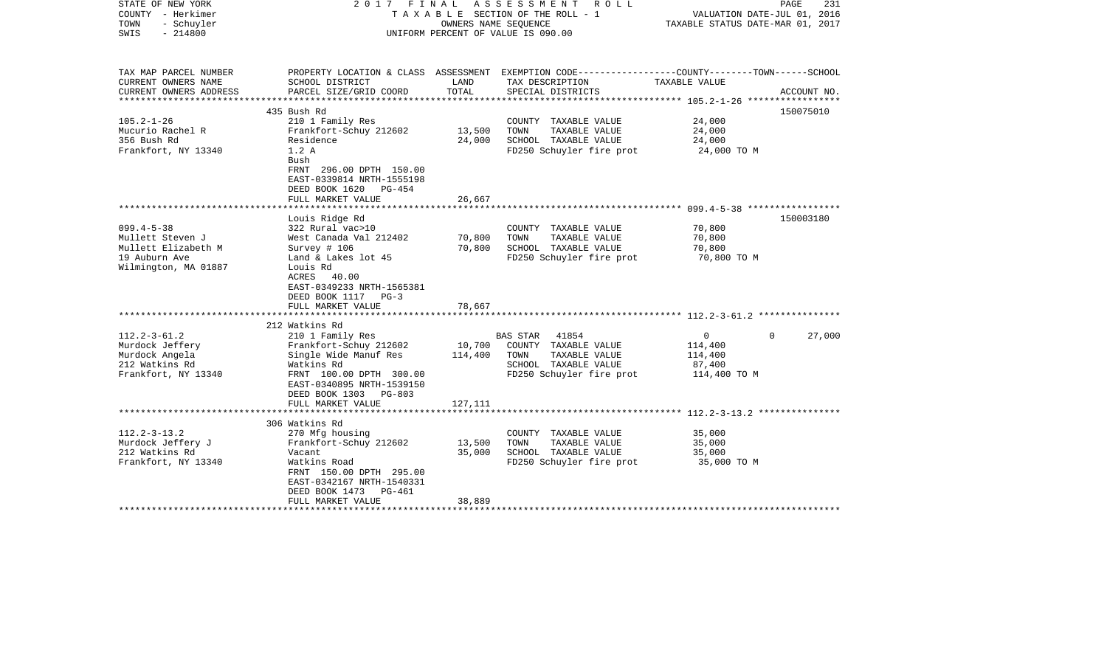| STATE OF NEW YORK<br>COUNTY - Herkimer<br>TOWN<br>- Schuyler<br>$-214800$<br>SWIS                    |                                                                                                                                                                                       |                            | 2017 FINAL ASSESSMENT ROLL<br>TAXABLE SECTION OF THE ROLL - 1<br>OWNERS NAME SEOUENCE<br>UNIFORM PERCENT OF VALUE IS 090.00 | VALUATION DATE-JUL 01, 2016<br>TAXABLE STATUS DATE-MAR 01, 2017            | PAGE<br>231 |
|------------------------------------------------------------------------------------------------------|---------------------------------------------------------------------------------------------------------------------------------------------------------------------------------------|----------------------------|-----------------------------------------------------------------------------------------------------------------------------|----------------------------------------------------------------------------|-------------|
| TAX MAP PARCEL NUMBER<br>CURRENT OWNERS NAME                                                         | SCHOOL DISTRICT                                                                                                                                                                       | LAND                       | PROPERTY LOCATION & CLASS ASSESSMENT EXEMPTION CODE---------------COUNTY-------TOWN------SCHOOL<br>TAX DESCRIPTION          | TAXABLE VALUE                                                              |             |
| CURRENT OWNERS ADDRESS                                                                               | PARCEL SIZE/GRID COORD                                                                                                                                                                | TOTAL                      | SPECIAL DISTRICTS                                                                                                           |                                                                            | ACCOUNT NO. |
|                                                                                                      |                                                                                                                                                                                       |                            |                                                                                                                             |                                                                            |             |
|                                                                                                      | 435 Bush Rd                                                                                                                                                                           |                            |                                                                                                                             |                                                                            | 150075010   |
| $105.2 - 1 - 26$<br>Mucurio Rachel R                                                                 | 210 1 Family Res<br>Frankfort-Schuy 212602                                                                                                                                            | 13,500                     | COUNTY TAXABLE VALUE<br>TAXABLE VALUE<br>TOWN                                                                               | 24,000<br>24,000                                                           |             |
| 356 Bush Rd                                                                                          | Residence                                                                                                                                                                             | 24,000                     | SCHOOL TAXABLE VALUE                                                                                                        | 24,000                                                                     |             |
| Frankfort, NY 13340                                                                                  | 1.2A                                                                                                                                                                                  |                            | FD250 Schuyler fire prot                                                                                                    | 24,000 TO M                                                                |             |
|                                                                                                      | Bush<br>FRNT 296.00 DPTH 150.00<br>EAST-0339814 NRTH-1555198<br>DEED BOOK 1620 PG-454<br>FULL MARKET VALUE                                                                            | 26,667                     |                                                                                                                             |                                                                            |             |
|                                                                                                      | Louis Ridge Rd                                                                                                                                                                        |                            |                                                                                                                             |                                                                            | 150003180   |
| $099.4 - 5 - 38$<br>Mullett Steven J<br>Mullett Elizabeth M<br>19 Auburn Ave<br>Wilmington, MA 01887 | 322 Rural vac>10<br>West Canada Val 212402<br>Survey # 106<br>Land & Lakes lot 45<br>Louis Rd<br>ACRES 40.00<br>EAST-0349233 NRTH-1565381<br>DEED BOOK 1117 PG-3<br>FULL MARKET VALUE | 70,800<br>70,800<br>78,667 | COUNTY TAXABLE VALUE<br>TOWN<br>TAXABLE VALUE<br>SCHOOL TAXABLE VALUE<br>FD250 Schuyler fire prot                           | 70,800<br>70,800<br>70,800<br>70,800 TO M                                  |             |
|                                                                                                      |                                                                                                                                                                                       |                            |                                                                                                                             |                                                                            |             |
|                                                                                                      | 212 Watkins Rd                                                                                                                                                                        |                            |                                                                                                                             |                                                                            |             |
| $112.2 - 3 - 61.2$<br>Murdock Jeffery<br>Murdock Angela<br>212 Watkins Rd<br>Frankfort, NY 13340     | 210 1 Family Res<br>Frankfort-Schuy 212602<br>Single Wide Manuf Res<br>Watkins Rd<br>FRNT 100.00 DPTH 300.00<br>EAST-0340895 NRTH-1539150<br>DEED BOOK 1303 PG-803                    | 10,700<br>114,400          | BAS STAR 41854<br>COUNTY TAXABLE VALUE<br>TOWN<br>TAXABLE VALUE<br>SCHOOL TAXABLE VALUE<br>FD250 Schuyler fire prot         | $\overline{0}$<br>$\Omega$<br>114,400<br>114,400<br>87,400<br>114,400 TO M | 27,000      |
|                                                                                                      | FULL MARKET VALUE                                                                                                                                                                     | 127,111                    |                                                                                                                             |                                                                            |             |
|                                                                                                      | 306 Watkins Rd                                                                                                                                                                        |                            |                                                                                                                             |                                                                            |             |
| $112.2 - 3 - 13.2$<br>Murdock Jeffery J<br>212 Watkins Rd<br>Frankfort, NY 13340                     | 270 Mfg housing<br>Frankfort-Schuy 212602<br>Vacant<br>Watkins Road<br>FRNT 150.00 DPTH 295.00<br>EAST-0342167 NRTH-1540331<br>DEED BOOK 1473 PG-461<br>FULL MARKET VALUE             | 13,500<br>35,000<br>38,889 | COUNTY TAXABLE VALUE<br>TOWN<br>TAXABLE VALUE<br>SCHOOL TAXABLE VALUE<br>FD250 Schuyler fire prot                           | 35,000<br>35,000<br>35,000<br>35,000 TO M                                  |             |
|                                                                                                      |                                                                                                                                                                                       |                            |                                                                                                                             |                                                                            |             |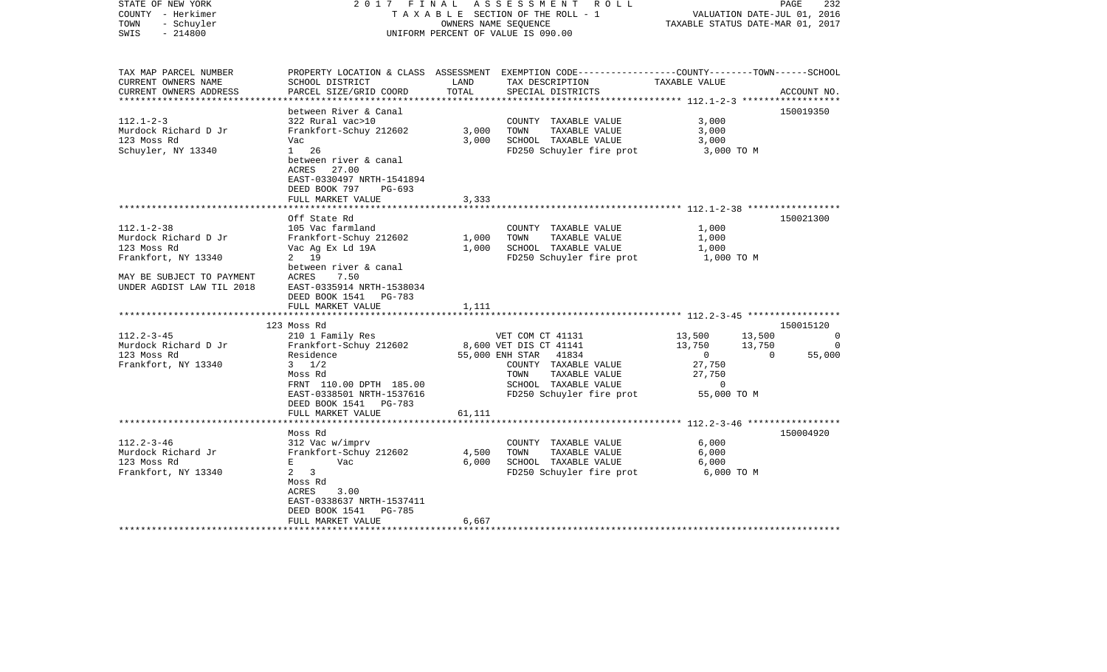| STATE OF NEW YORK<br>COUNTY - Herkimer<br>- Schuyler<br>TOWN<br>$-214800$<br>SWIS                                                        | 2017 FINAL                                                                                                                                                                |                | A S S E S S M E N T R O L L<br>T A X A B L E SECTION OF THE ROLL - 1<br>OWNERS NAME SEOUENCE<br>UNIFORM PERCENT OF VALUE IS 090.00                                       | TAXABLE STATUS DATE-MAR 01, 2017                                                                       | 232<br>PAGE<br>VALUATION DATE-JUL 01, 2016 |
|------------------------------------------------------------------------------------------------------------------------------------------|---------------------------------------------------------------------------------------------------------------------------------------------------------------------------|----------------|--------------------------------------------------------------------------------------------------------------------------------------------------------------------------|--------------------------------------------------------------------------------------------------------|--------------------------------------------|
| TAX MAP PARCEL NUMBER<br>CURRENT OWNERS NAME<br>CURRENT OWNERS ADDRESS                                                                   | SCHOOL DISTRICT<br>PARCEL SIZE/GRID COORD                                                                                                                                 | LAND<br>TOTAL  | PROPERTY LOCATION & CLASS ASSESSMENT EXEMPTION CODE----------------COUNTY-------TOWN------SCHOOL<br>TAX DESCRIPTION<br>SPECIAL DISTRICTS                                 | TAXABLE VALUE                                                                                          | ACCOUNT NO.                                |
| **********************                                                                                                                   | **************************************                                                                                                                                    |                |                                                                                                                                                                          |                                                                                                        |                                            |
| $112.1 - 2 - 3$<br>Murdock Richard D Jr<br>123 Moss Rd<br>Schuyler, NY 13340                                                             | between River & Canal<br>322 Rural vac>10<br>Frankfort-Schuy 212602<br>Vac<br>$1 \quad 26$<br>between river & canal<br>ACRES<br>27.00<br>EAST-0330497 NRTH-1541894        | 3,000<br>3,000 | COUNTY TAXABLE VALUE<br>TOWN<br>TAXABLE VALUE<br>SCHOOL TAXABLE VALUE<br>FD250 Schuyler fire prot                                                                        | 3,000<br>3,000<br>3,000<br>3,000 TO M                                                                  | 150019350                                  |
|                                                                                                                                          | DEED BOOK 797<br>$PG-693$<br>FULL MARKET VALUE                                                                                                                            | 3,333          |                                                                                                                                                                          |                                                                                                        |                                            |
|                                                                                                                                          | Off State Rd                                                                                                                                                              |                |                                                                                                                                                                          | ************************ 112.1-2-38 *****************                                                  | 150021300                                  |
| $112.1 - 2 - 38$<br>Murdock Richard D Jr<br>123 Moss Rd<br>Frankfort, NY 13340<br>MAY BE SUBJECT TO PAYMENT<br>UNDER AGDIST LAW TIL 2018 | 105 Vac farmland<br>Frankfort-Schuy 212602<br>Vac Ag Ex Ld 19A<br>2 19<br>between river & canal<br>7.50<br>ACRES<br>EAST-0335914 NRTH-1538034                             | 1,000<br>1,000 | COUNTY TAXABLE VALUE<br>TAXABLE VALUE<br>TOWN<br>SCHOOL TAXABLE VALUE<br>FD250 Schuyler fire prot                                                                        | 1,000<br>1,000<br>1,000<br>1,000 TO M                                                                  |                                            |
|                                                                                                                                          | DEED BOOK 1541<br><b>PG-783</b>                                                                                                                                           |                |                                                                                                                                                                          |                                                                                                        |                                            |
|                                                                                                                                          | FULL MARKET VALUE                                                                                                                                                         | 1,111          |                                                                                                                                                                          |                                                                                                        |                                            |
|                                                                                                                                          | 123 Moss Rd                                                                                                                                                               |                |                                                                                                                                                                          |                                                                                                        | 150015120                                  |
| $112.2 - 3 - 45$<br>Murdock Richard D Jr<br>123 Moss Rd<br>Frankfort, NY 13340                                                           | 210 1 Family Res<br>Frankfort-Schuy 212602<br>Residence<br>$3 \frac{1}{2}$<br>Moss Rd<br>FRNT 110.00 DPTH 185.00<br>EAST-0338501 NRTH-1537616<br>DEED BOOK 1541<br>PG-783 |                | VET COM CT 41131<br>8,600 VET DIS CT 41141<br>55,000 ENH STAR 41834<br>COUNTY TAXABLE VALUE<br>TAXABLE VALUE<br>TOWN<br>SCHOOL TAXABLE VALUE<br>FD250 Schuyler fire prot | 13,500<br>13,500<br>13,750<br>13,750<br>$\mathbf{0}$<br>27,750<br>27,750<br>$\mathbf 0$<br>55,000 TO M | $\Omega$<br>$\Omega$<br>55,000<br>$\Omega$ |
|                                                                                                                                          | FULL MARKET VALUE                                                                                                                                                         | 61,111         |                                                                                                                                                                          |                                                                                                        |                                            |
|                                                                                                                                          | Moss Rd                                                                                                                                                                   |                |                                                                                                                                                                          | *********************** 112.2-3-46 ******************                                                  | 150004920                                  |
| $112.2 - 3 - 46$<br>Murdock Richard Jr<br>123 Moss Rd<br>Frankfort, NY 13340                                                             | 312 Vac w/imprv<br>Frankfort-Schuy 212602<br>Е<br>Vac<br>$\overline{a}$<br>3<br>Moss Rd<br>ACRES<br>3.00<br>EAST-0338637 NRTH-1537411<br>DEED BOOK 1541<br>PG-785         | 4,500<br>6,000 | COUNTY TAXABLE VALUE<br>TOWN<br>TAXABLE VALUE<br>SCHOOL TAXABLE VALUE<br>FD250 Schuyler fire prot                                                                        | 6,000<br>6,000<br>6,000<br>6,000 TO M                                                                  |                                            |
|                                                                                                                                          | FULL MARKET VALUE                                                                                                                                                         | 6,667          |                                                                                                                                                                          |                                                                                                        |                                            |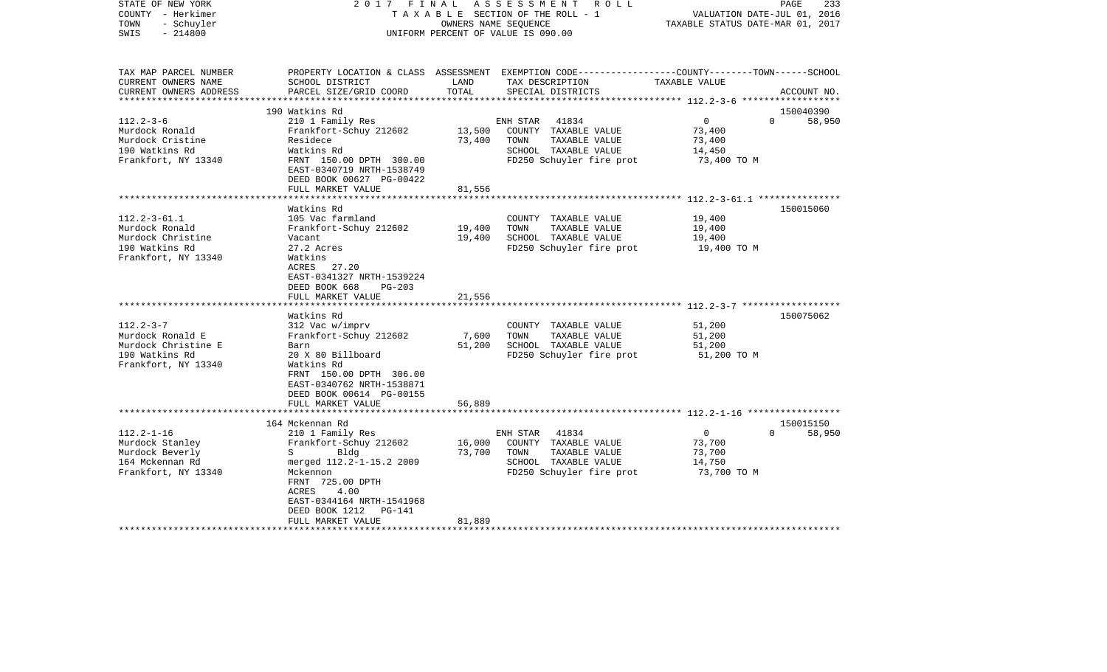| STATE OF NEW YORK<br>COUNTY - Herkimer<br>- Schuyler<br>TOWN<br>$-214800$<br>SWIS               | FINAL<br>2017                                                                                                                            | OWNERS NAME SEOUENCE | ASSESSMENT ROLL<br>TAXABLE SECTION OF THE ROLL - 1<br>UNIFORM PERCENT OF VALUE IS 090.00                                                | VALUATION DATE-JUL 01, 2016<br>TAXABLE STATUS DATE-MAR 01, 2017 | PAGE<br>233        |
|-------------------------------------------------------------------------------------------------|------------------------------------------------------------------------------------------------------------------------------------------|----------------------|-----------------------------------------------------------------------------------------------------------------------------------------|-----------------------------------------------------------------|--------------------|
| TAX MAP PARCEL NUMBER<br>CURRENT OWNERS NAME<br>CURRENT OWNERS ADDRESS<br>********************* | SCHOOL DISTRICT<br>PARCEL SIZE/GRID COORD                                                                                                | LAND<br>TOTAL        | PROPERTY LOCATION & CLASS ASSESSMENT EXEMPTION CODE---------------COUNTY-------TOWN------SCHOOL<br>TAX DESCRIPTION<br>SPECIAL DISTRICTS | TAXABLE VALUE                                                   | ACCOUNT NO.        |
|                                                                                                 | 190 Watkins Rd                                                                                                                           |                      |                                                                                                                                         |                                                                 | 150040390          |
| $112.2 - 3 - 6$                                                                                 | 210 1 Family Res                                                                                                                         |                      | ENH STAR<br>41834                                                                                                                       | $\overline{0}$                                                  | $\Omega$<br>58,950 |
| Murdock Ronald                                                                                  | Frankfort-Schuy 212602                                                                                                                   | 13,500               | COUNTY TAXABLE VALUE                                                                                                                    | 73,400                                                          |                    |
| Murdock Cristine                                                                                | Residece                                                                                                                                 | 73,400               | TAXABLE VALUE<br>TOWN                                                                                                                   | 73,400                                                          |                    |
| 190 Watkins Rd                                                                                  | Watkins Rd                                                                                                                               |                      | SCHOOL TAXABLE VALUE                                                                                                                    | 14,450                                                          |                    |
| Frankfort, NY 13340                                                                             | FRNT 150.00 DPTH 300.00<br>EAST-0340719 NRTH-1538749<br>DEED BOOK 00627 PG-00422                                                         |                      | FD250 Schuyler fire prot                                                                                                                | 73,400 TO M                                                     |                    |
|                                                                                                 | FULL MARKET VALUE                                                                                                                        | 81,556               |                                                                                                                                         |                                                                 |                    |
|                                                                                                 |                                                                                                                                          |                      |                                                                                                                                         |                                                                 |                    |
|                                                                                                 | Watkins Rd                                                                                                                               |                      |                                                                                                                                         |                                                                 | 150015060          |
| $112.2 - 3 - 61.1$                                                                              | 105 Vac farmland                                                                                                                         |                      | COUNTY TAXABLE VALUE                                                                                                                    | 19,400                                                          |                    |
| Murdock Ronald                                                                                  | Frankfort-Schuy 212602                                                                                                                   | 19,400               | TOWN<br>TAXABLE VALUE                                                                                                                   | 19,400                                                          |                    |
| Murdock Christine<br>190 Watkins Rd                                                             | Vacant<br>27.2 Acres                                                                                                                     | 19,400               | SCHOOL TAXABLE VALUE                                                                                                                    | 19,400<br>19,400 TO M                                           |                    |
| Frankfort, NY 13340                                                                             | Watkins<br>27.20<br>ACRES<br>EAST-0341327 NRTH-1539224<br>DEED BOOK 668<br>$PG-203$<br>FULL MARKET VALUE                                 | 21,556               | FD250 Schuyler fire prot                                                                                                                |                                                                 |                    |
|                                                                                                 | ********************                                                                                                                     |                      |                                                                                                                                         |                                                                 |                    |
|                                                                                                 | Watkins Rd                                                                                                                               |                      |                                                                                                                                         |                                                                 | 150075062          |
| $112.2 - 3 - 7$                                                                                 | 312 Vac w/imprv                                                                                                                          |                      | COUNTY TAXABLE VALUE                                                                                                                    | 51,200                                                          |                    |
| Murdock Ronald E                                                                                | Frankfort-Schuy 212602                                                                                                                   | 7,600                | TOWN<br>TAXABLE VALUE                                                                                                                   | 51,200                                                          |                    |
| Murdock Christine E                                                                             | Barn                                                                                                                                     | 51,200               | SCHOOL TAXABLE VALUE                                                                                                                    | 51,200                                                          |                    |
| 190 Watkins Rd<br>Frankfort, NY 13340                                                           | 20 X 80 Billboard<br>Watkins Rd<br>FRNT 150.00 DPTH 306.00<br>EAST-0340762 NRTH-1538871<br>DEED BOOK 00614 PG-00155<br>FULL MARKET VALUE | 56,889               | FD250 Schuyler fire prot                                                                                                                | 51,200 TO M                                                     |                    |
|                                                                                                 |                                                                                                                                          |                      |                                                                                                                                         |                                                                 |                    |
|                                                                                                 | 164 Mckennan Rd                                                                                                                          |                      |                                                                                                                                         |                                                                 | 150015150          |
| $112.2 - 1 - 16$                                                                                | 210 1 Family Res                                                                                                                         |                      | 41834<br>ENH STAR                                                                                                                       | $\overline{0}$                                                  | $\Omega$<br>58,950 |
| Murdock Stanley                                                                                 | Frankfort-Schuy 212602                                                                                                                   | 16,000               | COUNTY TAXABLE VALUE                                                                                                                    | 73,700                                                          |                    |
| Murdock Beverly                                                                                 | Bldg<br>$S \qquad \qquad$                                                                                                                | 73,700               | TOWN<br>TAXABLE VALUE                                                                                                                   | 73,700                                                          |                    |
| 164 Mckennan Rd                                                                                 | merged 112.2-1-15.2 2009<br>Mckennon                                                                                                     |                      | SCHOOL TAXABLE VALUE<br>FD250 Schuyler fire prot                                                                                        | 14,750<br>73,700 TO M                                           |                    |
| Frankfort, NY 13340                                                                             | FRNT 725.00 DPTH<br>ACRES<br>4.00<br>EAST-0344164 NRTH-1541968<br>DEED BOOK 1212<br>PG-141                                               |                      |                                                                                                                                         |                                                                 |                    |
|                                                                                                 | FULL MARKET VALUE                                                                                                                        | 81,889               |                                                                                                                                         |                                                                 |                    |
|                                                                                                 |                                                                                                                                          |                      |                                                                                                                                         |                                                                 |                    |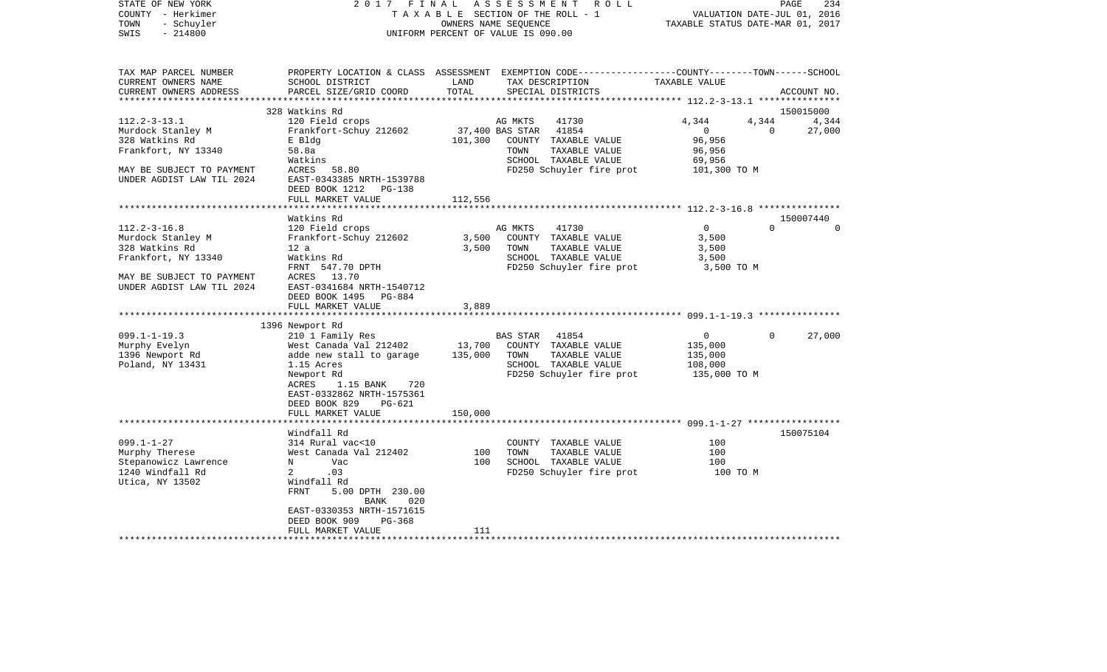| STATE OF NEW YORK<br>COUNTY - Herkimer<br>- Schuyler<br>TOWN<br>$-214800$<br>SWIS | 2017 FINAL                                                                                                                                   | OWNERS NAME SEQUENCE | A S S E S S M E N T R O L L<br>TAXABLE SECTION OF THE ROLL - 1<br>UNIFORM PERCENT OF VALUE IS 090.00 | VALUATION DATE-JUL 01, 2016<br>TAXABLE STATUS DATE-MAR 01, 2017 | PAGE<br>234              |
|-----------------------------------------------------------------------------------|----------------------------------------------------------------------------------------------------------------------------------------------|----------------------|------------------------------------------------------------------------------------------------------|-----------------------------------------------------------------|--------------------------|
| TAX MAP PARCEL NUMBER<br>CURRENT OWNERS NAME<br>CURRENT OWNERS ADDRESS            | PROPERTY LOCATION & CLASS ASSESSMENT EXEMPTION CODE---------------COUNTY-------TOWN------SCHOOL<br>SCHOOL DISTRICT<br>PARCEL SIZE/GRID COORD | LAND<br>TOTAL        | TAX DESCRIPTION<br>SPECIAL DISTRICTS                                                                 | TAXABLE VALUE                                                   | ACCOUNT NO.              |
|                                                                                   | 328 Watkins Rd                                                                                                                               |                      |                                                                                                      |                                                                 | 150015000                |
| $112.2 - 3 - 13.1$                                                                | 120 Field crops                                                                                                                              |                      | 41730<br>AG MKTS                                                                                     | 4,344                                                           | 4,344<br>4,344           |
| Murdock Stanley M                                                                 | Frankfort-Schuy 212602                                                                                                                       | 37,400 BAS STAR      | 41854                                                                                                | $\overline{0}$                                                  | $\overline{0}$<br>27,000 |
| 328 Watkins Rd                                                                    | E Bldg                                                                                                                                       | 101,300              | COUNTY TAXABLE VALUE                                                                                 | 96,956                                                          |                          |
| Frankfort, NY 13340                                                               | 58.8a                                                                                                                                        |                      | TOWN<br>TAXABLE VALUE                                                                                | 96,956                                                          |                          |
|                                                                                   | Watkins                                                                                                                                      |                      | SCHOOL TAXABLE VALUE                                                                                 | 69,956                                                          |                          |
| MAY BE SUBJECT TO PAYMENT                                                         | ACRES 58.80                                                                                                                                  |                      | FD250 Schuyler fire prot                                                                             | 101,300 TO M                                                    |                          |
| UNDER AGDIST LAW TIL 2024                                                         | EAST-0343385 NRTH-1539788                                                                                                                    |                      |                                                                                                      |                                                                 |                          |
|                                                                                   | DEED BOOK 1212<br>PG-138                                                                                                                     |                      |                                                                                                      |                                                                 |                          |
|                                                                                   | FULL MARKET VALUE                                                                                                                            | 112,556              |                                                                                                      |                                                                 |                          |
|                                                                                   |                                                                                                                                              |                      |                                                                                                      |                                                                 |                          |
| $112.2 - 3 - 16.8$                                                                | Watkins Rd<br>120 Field crops                                                                                                                |                      | AG MKTS<br>41730                                                                                     | $\Omega$                                                        | 150007440<br>$\Omega$    |
| Murdock Stanley M                                                                 | Frankfort-Schuy 212602                                                                                                                       |                      | 3,500 COUNTY TAXABLE VALUE                                                                           | 3,500                                                           |                          |
| 328 Watkins Rd                                                                    | 12 a                                                                                                                                         | 3,500                | TOWN<br>TAXABLE VALUE                                                                                | 3,500                                                           |                          |
| Frankfort, NY 13340                                                               | Watkins Rd                                                                                                                                   |                      | SCHOOL TAXABLE VALUE                                                                                 | 3,500                                                           |                          |
|                                                                                   | FRNT 547.70 DPTH                                                                                                                             |                      | FD250 Schuyler fire prot                                                                             | 3,500 TO M                                                      |                          |
| MAY BE SUBJECT TO PAYMENT<br>UNDER AGDIST LAW TIL 2024                            | ACRES 13.70<br>EAST-0341684 NRTH-1540712<br>DEED BOOK 1495 PG-884                                                                            |                      |                                                                                                      |                                                                 |                          |
|                                                                                   | FULL MARKET VALUE                                                                                                                            | 3,889                |                                                                                                      |                                                                 |                          |
|                                                                                   |                                                                                                                                              |                      |                                                                                                      |                                                                 |                          |
|                                                                                   | 1396 Newport Rd                                                                                                                              |                      |                                                                                                      |                                                                 |                          |
| $099.1 - 1 - 19.3$                                                                | 210 1 Family Res                                                                                                                             |                      | <b>BAS STAR</b><br>41854                                                                             | $\overline{0}$                                                  | 27,000<br>$\Omega$       |
| Murphy Evelyn                                                                     | West Canada Val 212402                                                                                                                       |                      | 13,700 COUNTY TAXABLE VALUE                                                                          | 135,000                                                         |                          |
| 1396 Newport Rd                                                                   | adde new stall to garage                                                                                                                     | 135,000              | TOWN<br>TAXABLE VALUE                                                                                | 135,000                                                         |                          |
| Poland, NY 13431                                                                  | 1.15 Acres<br>Newport Rd                                                                                                                     |                      | SCHOOL TAXABLE VALUE<br>FD250 Schuyler fire prot                                                     | 108,000<br>135,000 TO M                                         |                          |
|                                                                                   | ACRES<br>1.15 BANK<br>720                                                                                                                    |                      |                                                                                                      |                                                                 |                          |
|                                                                                   | EAST-0332862 NRTH-1575361                                                                                                                    |                      |                                                                                                      |                                                                 |                          |
|                                                                                   | DEED BOOK 829<br>PG-621                                                                                                                      |                      |                                                                                                      |                                                                 |                          |
|                                                                                   | FULL MARKET VALUE                                                                                                                            | 150,000              |                                                                                                      |                                                                 |                          |
|                                                                                   |                                                                                                                                              |                      |                                                                                                      |                                                                 |                          |
|                                                                                   | Windfall Rd                                                                                                                                  |                      |                                                                                                      |                                                                 | 150075104                |
| $099.1 - 1 - 27$                                                                  | 314 Rural vac<10                                                                                                                             |                      | COUNTY TAXABLE VALUE                                                                                 | 100                                                             |                          |
| Murphy Therese                                                                    | West Canada Val 212402                                                                                                                       | 100                  | TOWN<br>TAXABLE VALUE                                                                                | 100                                                             |                          |
| Stepanowicz Lawrence                                                              | Vac<br>N                                                                                                                                     | 100                  | SCHOOL TAXABLE VALUE                                                                                 | 100                                                             |                          |
| 1240 Windfall Rd<br>Utica, NY 13502                                               | 2<br>.03<br>Windfall Rd                                                                                                                      |                      | FD250 Schuyler fire prot                                                                             | 100 TO M                                                        |                          |
|                                                                                   | FRNT<br>5.00 DPTH 230.00<br>BANK<br>020                                                                                                      |                      |                                                                                                      |                                                                 |                          |
|                                                                                   | EAST-0330353 NRTH-1571615                                                                                                                    |                      |                                                                                                      |                                                                 |                          |
|                                                                                   | DEED BOOK 909<br>PG-368                                                                                                                      |                      |                                                                                                      |                                                                 |                          |
|                                                                                   | FULL MARKET VALUE                                                                                                                            | 111                  |                                                                                                      |                                                                 |                          |
|                                                                                   |                                                                                                                                              |                      |                                                                                                      |                                                                 |                          |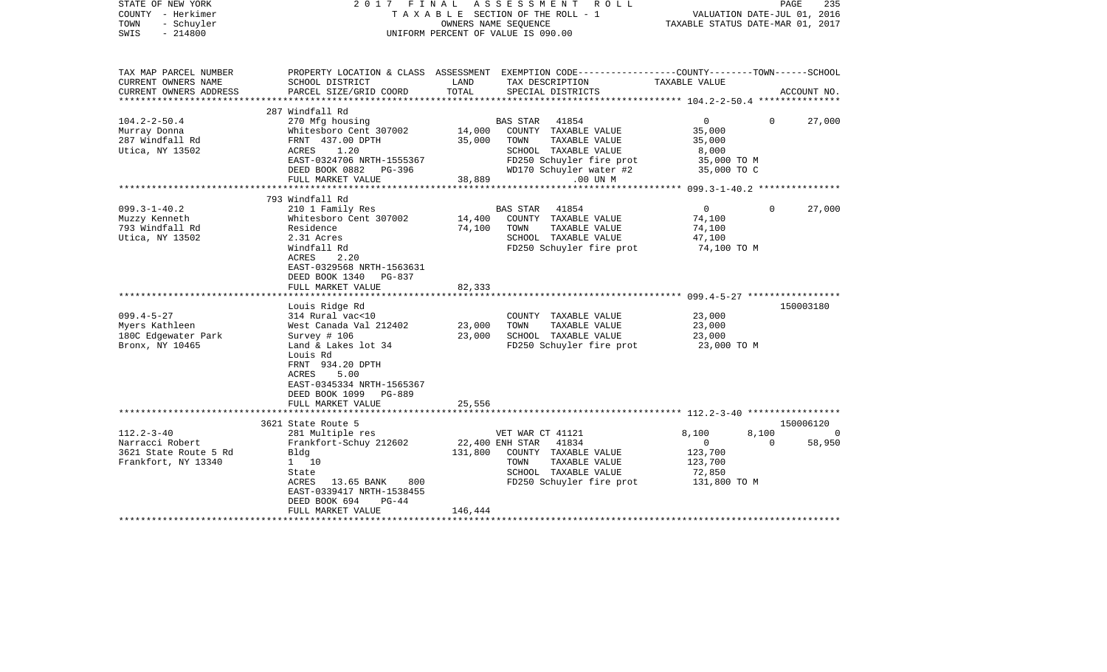| STATE OF NEW YORK<br>COUNTY - Herkimer<br>TOWN<br>- Schuyler<br>$-214800$<br>SWIS                          |                                                                                                                                                                                                                 |                    | 2017 FINAL ASSESSMENT ROLL<br>TAXABLE SECTION OF THE ROLL - 1<br>OWNERS NAME SEOUENCE<br>UNIFORM PERCENT OF VALUE IS 090.00                    | TAXABLE STATUS DATE-MAR 01, 2017                                             | PAGE<br>235<br>VALUATION DATE-JUL 01, 2016 |
|------------------------------------------------------------------------------------------------------------|-----------------------------------------------------------------------------------------------------------------------------------------------------------------------------------------------------------------|--------------------|------------------------------------------------------------------------------------------------------------------------------------------------|------------------------------------------------------------------------------|--------------------------------------------|
| TAX MAP PARCEL NUMBER<br>CURRENT OWNERS NAME<br>CURRENT OWNERS ADDRESS                                     | SCHOOL DISTRICT<br>PARCEL SIZE/GRID COORD                                                                                                                                                                       | LAND<br>TOTAL      | PROPERTY LOCATION & CLASS ASSESSMENT EXEMPTION CODE---------------COUNTY-------TOWN-----SCHOOL<br>TAX DESCRIPTION<br>SPECIAL DISTRICTS         | TAXABLE VALUE                                                                | ACCOUNT NO.                                |
|                                                                                                            |                                                                                                                                                                                                                 |                    |                                                                                                                                                |                                                                              |                                            |
| $104.2 - 2 - 50.4$<br>Murray Donna<br>287 Windfall Rd<br>Utica, NY 13502                                   | 287 Windfall Rd<br>270 Mfg housing<br>Whitesboro Cent 307002<br>FRNT 437.00 DPTH<br>1.20<br>ACRES<br>EAST-0324706 NRTH-1555367<br>DEED BOOK 0882 PG-396                                                         | 14,000<br>35,000   | BAS STAR 41854<br>COUNTY TAXABLE VALUE<br>TAXABLE VALUE<br>TOWN<br>SCHOOL TAXABLE VALUE<br>FD250 Schuyler fire prot<br>WD170 Schuyler water #2 | $0 \qquad \qquad$<br>35,000<br>35,000<br>8,000<br>35,000 TO M<br>35,000 TO C | 27,000<br>0                                |
|                                                                                                            | FULL MARKET VALUE                                                                                                                                                                                               | 38,889             | .00 UN M                                                                                                                                       |                                                                              |                                            |
|                                                                                                            |                                                                                                                                                                                                                 |                    |                                                                                                                                                |                                                                              |                                            |
| $099.3 - 1 - 40.2$<br>Muzzy Kenneth<br>793 Windfall Rd<br>Utica, NY 13502                                  | 793 Windfall Rd<br>210 1 Family Res<br>Whitesboro Cent 307002<br>Residence<br>2.31 Acres<br>Windfall Rd<br>ACRES<br>2.20<br>EAST-0329568 NRTH-1563631<br>DEED BOOK 1340 PG-837                                  | 14,400<br>74,100   | BAS STAR 41854<br>COUNTY TAXABLE VALUE<br>TOWN<br>TAXABLE VALUE<br>SCHOOL TAXABLE VALUE<br>FD250 Schuyler fire prot                            | $\overline{0}$<br>74,100<br>74,100<br>47,100<br>74,100 TO M                  | $\Omega$<br>27,000                         |
|                                                                                                            | FULL MARKET VALUE                                                                                                                                                                                               | 82,333             |                                                                                                                                                |                                                                              |                                            |
| $099.4 - 5 - 27$<br>Myers Kathleen<br>180C Edgewater Park<br>Bronx, NY 10465                               | Louis Ridge Rd<br>314 Rural vac<10<br>West Canada Val 212402<br>Survey # 106<br>Land & Lakes lot 34<br>Louis Rd<br>FRNT 934.20 DPTH<br>5.00<br>ACRES<br>EAST-0345334 NRTH-1565367<br>DEED BOOK 1099<br>PG-889   | 23,000<br>23,000   | COUNTY TAXABLE VALUE<br>TAXABLE VALUE<br>TOWN<br>SCHOOL TAXABLE VALUE<br>FD250 Schuyler fire prot                                              | 23,000<br>23,000<br>23,000<br>23,000 TO M                                    | 150003180                                  |
|                                                                                                            | FULL MARKET VALUE                                                                                                                                                                                               | 25,556             |                                                                                                                                                |                                                                              |                                            |
|                                                                                                            | 3621 State Route 5                                                                                                                                                                                              |                    |                                                                                                                                                |                                                                              | 150006120                                  |
| $112.2 - 3 - 40$<br>Narracci Robert<br>3621 State Route 5 Rd<br>Frankfort, NY 13340<br>******************* | 281 Multiple res<br>Frankfort-Schuy 212602<br>Bldg<br>1 10<br>State<br>800<br>ACRES<br>13.65 BANK<br>EAST-0339417 NRTH-1538455<br>DEED BOOK 694<br>$PG-44$<br>FULL MARKET VALUE<br>**************************** | 131,800<br>146,444 | VET WAR CT 41121<br>22,400 ENH STAR 41834<br>COUNTY TAXABLE VALUE<br>TOWN<br>TAXABLE VALUE<br>SCHOOL TAXABLE VALUE<br>FD250 Schuyler fire prot | 8,100<br>$\overline{0}$<br>123,700<br>123,700<br>72,850<br>131,800 TO M      | 8,100<br>$\Omega$<br>$\mathbf 0$<br>58,950 |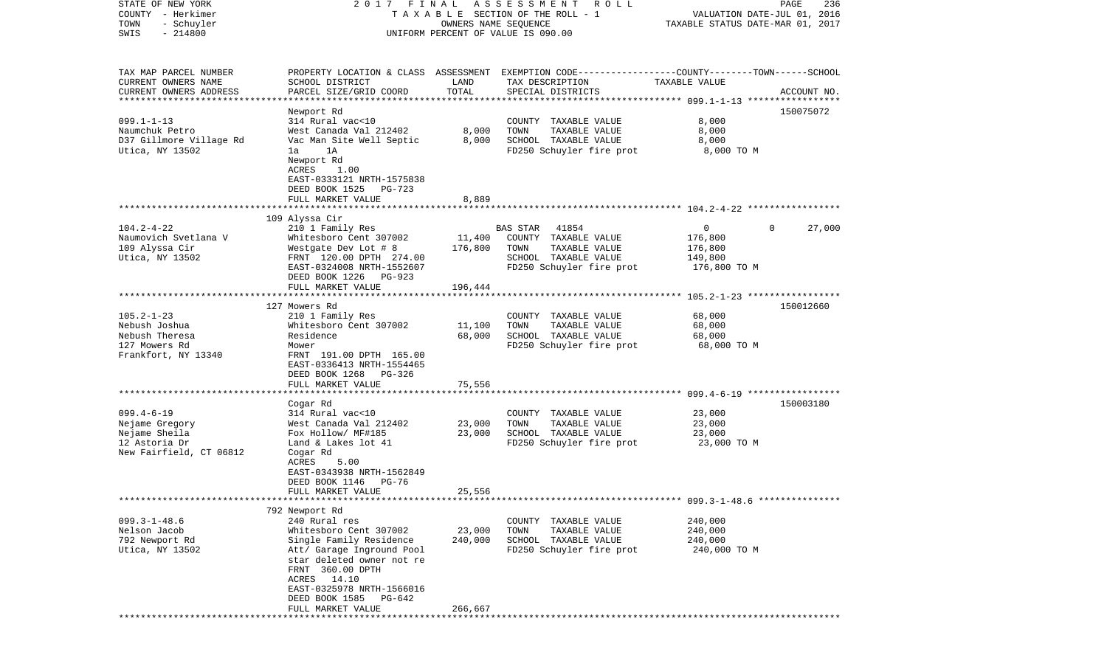| STATE OF NEW YORK<br>COUNTY - Herkimer<br>TOWN<br>- Schuyler<br>SWIS<br>$-214800$                 | 2017 FINAL                                                                                                                                                                                                               | OWNERS NAME SEQUENCE | ASSESSMENT<br>R O L L<br>TAXABLE SECTION OF THE ROLL - 1<br>UNIFORM PERCENT OF VALUE IS 090.00                                           | VALUATION DATE-JUL 01, 2016<br>TAXABLE STATUS DATE-MAR 01, 2017 | PAGE<br>236            |
|---------------------------------------------------------------------------------------------------|--------------------------------------------------------------------------------------------------------------------------------------------------------------------------------------------------------------------------|----------------------|------------------------------------------------------------------------------------------------------------------------------------------|-----------------------------------------------------------------|------------------------|
| TAX MAP PARCEL NUMBER<br>CURRENT OWNERS NAME<br>CURRENT OWNERS ADDRESS<br>*********************** | SCHOOL DISTRICT<br>PARCEL SIZE/GRID COORD                                                                                                                                                                                | LAND<br>TOTAL        | PROPERTY LOCATION & CLASS ASSESSMENT EXEMPTION CODE----------------COUNTY-------TOWN------SCHOOL<br>TAX DESCRIPTION<br>SPECIAL DISTRICTS | TAXABLE VALUE                                                   | ACCOUNT NO.            |
| $099.1 - 1 - 13$<br>Naumchuk Petro<br>D37 Gillmore Village Rd<br>Utica, NY 13502                  | Newport Rd<br>314 Rural vac<10<br>West Canada Val 212402<br>Vac Man Site Well Septic<br>1A<br>la<br>Newport Rd<br>ACRES<br>1.00<br>EAST-0333121 NRTH-1575838<br>DEED BOOK 1525<br>PG-723                                 | 8,000<br>8,000       | TAXABLE VALUE<br>COUNTY<br>TOWN<br>TAXABLE VALUE<br>SCHOOL TAXABLE VALUE<br>FD250 Schuyler fire prot                                     | 8,000<br>8,000<br>8,000<br>8,000 TO M                           | 150075072              |
|                                                                                                   | FULL MARKET VALUE                                                                                                                                                                                                        | 8,889                |                                                                                                                                          |                                                                 |                        |
| $104.2 - 4 - 22$<br>Naumovich Svetlana V<br>109 Alyssa Cir<br>Utica, NY 13502                     | 109 Alyssa Cir<br>210 1 Family Res<br>Whitesboro Cent 307002<br>Westgate Dev Lot # 8<br>FRNT 120.00 DPTH 274.00<br>EAST-0324008 NRTH-1552607<br>DEED BOOK 1226<br>PG-923                                                 | 11,400<br>176,800    | BAS STAR<br>41854<br>COUNTY TAXABLE VALUE<br>TAXABLE VALUE<br>TOWN<br>SCHOOL TAXABLE VALUE<br>FD250 Schuyler fire prot                   | $\mathbf 0$<br>176,800<br>176,800<br>149,800<br>176,800 TO M    | 27,000<br>$\mathbf{0}$ |
|                                                                                                   | FULL MARKET VALUE                                                                                                                                                                                                        | 196,444              |                                                                                                                                          |                                                                 |                        |
| $105.2 - 1 - 23$<br>Nebush Joshua<br>Nebush Theresa<br>127 Mowers Rd<br>Frankfort, NY 13340       | 127 Mowers Rd<br>210 1 Family Res<br>Whitesboro Cent 307002<br>Residence<br>Mower<br>FRNT 191.00 DPTH 165.00<br>EAST-0336413 NRTH-1554465<br>DEED BOOK 1268 PG-326                                                       | 11,100<br>68,000     | COUNTY TAXABLE VALUE<br>TAXABLE VALUE<br>TOWN<br>SCHOOL TAXABLE VALUE<br>FD250 Schuyler fire prot                                        | 68,000<br>68,000<br>68,000<br>68,000 TO M                       | 150012660              |
|                                                                                                   | FULL MARKET VALUE<br>********************                                                                                                                                                                                | 75,556               |                                                                                                                                          |                                                                 |                        |
| $099.4 - 6 - 19$<br>Nejame Gregory<br>Nejame Sheila<br>12 Astoria Dr<br>New Fairfield, CT 06812   | Cogar Rd<br>314 Rural vac<10<br>West Canada Val 212402<br>Fox Hollow/ MF#185<br>Land & Lakes lot 41<br>Cogar Rd<br>ACRES<br>5.00<br>EAST-0343938 NRTH-1562849                                                            | 23,000<br>23,000     | COUNTY TAXABLE VALUE<br>TOWN<br>TAXABLE VALUE<br>SCHOOL TAXABLE VALUE<br>FD250 Schuyler fire prot                                        | 23,000<br>23,000<br>23,000<br>23,000 TO M                       | 150003180              |
|                                                                                                   | DEED BOOK 1146<br>PG-76<br>FULL MARKET VALUE                                                                                                                                                                             | 25,556               |                                                                                                                                          |                                                                 |                        |
|                                                                                                   | 792 Newport Rd                                                                                                                                                                                                           |                      |                                                                                                                                          |                                                                 |                        |
| $099.3 - 1 - 48.6$<br>Nelson Jacob<br>792 Newport Rd<br>Utica, NY 13502                           | 240 Rural res<br>Whitesboro Cent 307002<br>Single Family Residence<br>Att/ Garage Inground Pool<br>star deleted owner not re<br>FRNT 360.00 DPTH<br>ACRES 14.10<br>EAST-0325978 NRTH-1566016<br>DEED BOOK 1585<br>PG-642 | 23,000<br>240,000    | COUNTY TAXABLE VALUE<br>TOWN<br>TAXABLE VALUE<br>SCHOOL TAXABLE VALUE<br>FD250 Schuyler fire prot                                        | 240,000<br>240,000<br>240,000<br>240,000 TO M                   |                        |
|                                                                                                   | FULL MARKET VALUE                                                                                                                                                                                                        | 266,667              |                                                                                                                                          |                                                                 |                        |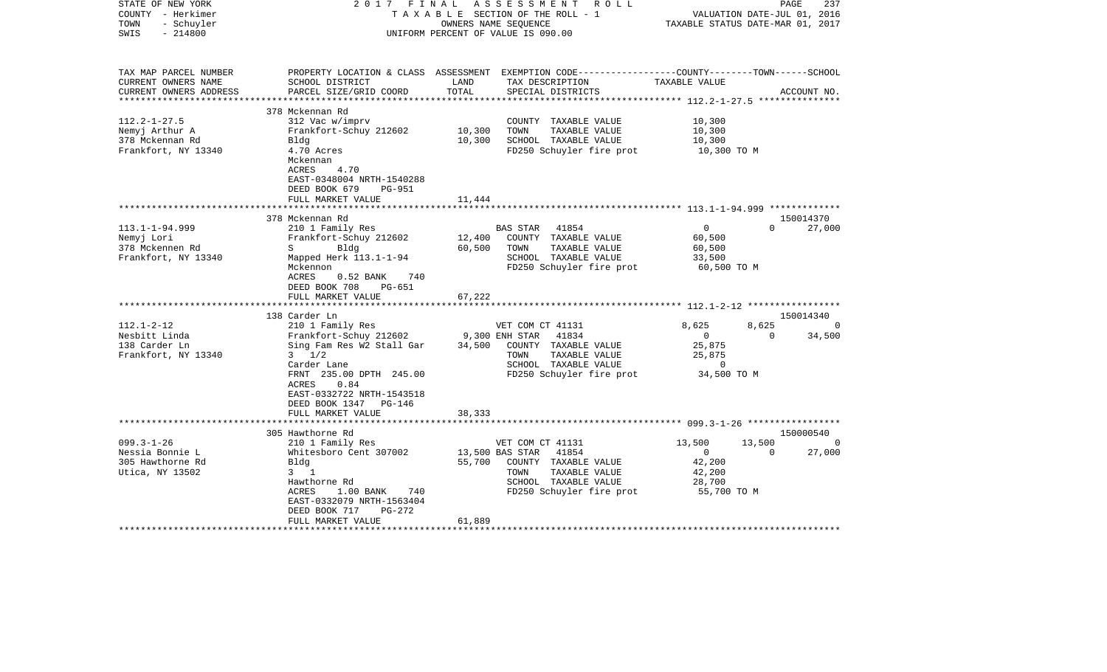| STATE OF NEW YORK<br>COUNTY - Herkimer<br>- Schuyler<br>TOWN<br>$-214800$<br>SWIS                | 2017 FINAL                                                                                                                                                                                                                   | OWNERS NAME SEQUENCE       | ASSESSMENT<br>R O L L<br>T A X A B L E SECTION OF THE ROLL - 1<br>UNIFORM PERCENT OF VALUE IS 090.00                                              | VALUATION DATE-JUL 01, 2016<br>TAXABLE STATUS DATE-MAR 01, 2017              | PAGE               | 237                                   |
|--------------------------------------------------------------------------------------------------|------------------------------------------------------------------------------------------------------------------------------------------------------------------------------------------------------------------------------|----------------------------|---------------------------------------------------------------------------------------------------------------------------------------------------|------------------------------------------------------------------------------|--------------------|---------------------------------------|
| TAX MAP PARCEL NUMBER<br>CURRENT OWNERS NAME<br>CURRENT OWNERS ADDRESS<br>********************** | SCHOOL DISTRICT<br>PARCEL SIZE/GRID COORD<br>****************************                                                                                                                                                    | LAND<br>TOTAL              | PROPERTY LOCATION & CLASS ASSESSMENT EXEMPTION CODE---------------COUNTY-------TOWN-----SCHOOL<br>TAX DESCRIPTION<br>SPECIAL DISTRICTS            | TAXABLE VALUE                                                                |                    | ACCOUNT NO.                           |
| $112.2 - 1 - 27.5$<br>Nemyj Arthur A<br>378 Mckennan Rd<br>Frankfort, NY 13340                   | 378 Mckennan Rd<br>312 Vac w/imprv<br>Frankfort-Schuy 212602<br>Bldg<br>4.70 Acres<br>Mckennan<br>4.70<br>ACRES<br>EAST-0348004 NRTH-1540288<br>DEED BOOK 679<br><b>PG-951</b><br>FULL MARKET VALUE                          | 10,300<br>10,300<br>11,444 | COUNTY TAXABLE VALUE<br>TOWN<br>TAXABLE VALUE<br>SCHOOL TAXABLE VALUE<br>FD250 Schuyler fire prot                                                 | 10,300<br>10,300<br>10,300<br>10,300 TO M                                    |                    |                                       |
|                                                                                                  | 378 Mckennan Rd                                                                                                                                                                                                              |                            |                                                                                                                                                   | *********************** 113.1-1-94.999 *************                         |                    | 150014370                             |
| $113.1 - 1 - 94.999$<br>Nemyj Lori<br>378 Mckennen Rd<br>Frankfort, NY 13340                     | 210 1 Family Res<br>Frankfort-Schuy 212602<br>S Bldg<br>Mapped Herk 113.1-1-94<br>Mckennon<br>740<br>ACRES<br>$0.52$ BANK<br>DEED BOOK 708<br>PG-651<br>FULL MARKET VALUE                                                    | 12,400<br>60,500<br>67,222 | 41854<br>BAS STAR<br>COUNTY TAXABLE VALUE<br>TOWN<br>TAXABLE VALUE<br>SCHOOL TAXABLE VALUE<br>FD250 Schuyler fire prot                            | $\mathbf 0$<br>60,500<br>60,500<br>33,500<br>60,500 TO M                     | $\Omega$           | 27,000                                |
|                                                                                                  | ***********************                                                                                                                                                                                                      |                            |                                                                                                                                                   |                                                                              |                    |                                       |
| $112.1 - 2 - 12$<br>Nesbitt Linda<br>138 Carder Ln<br>Frankfort, NY 13340                        | 138 Carder Ln<br>210 1 Family Res<br>Frankfort-Schuy 212602<br>Sing Fam Res W2 Stall Gar<br>$3 \frac{1}{2}$<br>Carder Lane<br>FRNT 235.00 DPTH 245.00<br>ACRES<br>0.84<br>EAST-0332722 NRTH-1543518<br>DEED BOOK 1347 PG-146 | 9,300 ENH STAR<br>34,500   | VET COM CT 41131<br>41834<br>COUNTY TAXABLE VALUE<br>TOWN<br>TAXABLE VALUE<br>SCHOOL TAXABLE VALUE<br>FD250 Schuyler fire prot                    | 8,625<br>$\overline{0}$<br>25,875<br>25,875<br>$\overline{0}$<br>34,500 TO M | 8,625<br>$\Omega$  | 150014340<br>$\overline{0}$<br>34,500 |
|                                                                                                  | FULL MARKET VALUE<br>**************************                                                                                                                                                                              | 38,333                     |                                                                                                                                                   |                                                                              |                    |                                       |
|                                                                                                  | 305 Hawthorne Rd                                                                                                                                                                                                             |                            |                                                                                                                                                   |                                                                              |                    | 150000540                             |
| $099.3 - 1 - 26$<br>Nessia Bonnie L<br>305 Hawthorne Rd<br>Utica, NY 13502                       | 210 1 Family Res<br>Whitesboro Cent 307002<br>Blda<br>$3 \quad 1$<br>Hawthorne Rd<br>1.00 BANK<br>ACRES<br>740<br>EAST-0332079 NRTH-1563404<br>DEED BOOK 717<br>PG-272<br>FULL MARKET VALUE                                  | 55,700<br>61,889           | VET COM CT 41131<br>13,500 BAS STAR<br>41854<br>COUNTY TAXABLE VALUE<br>TOWN<br>TAXABLE VALUE<br>SCHOOL TAXABLE VALUE<br>FD250 Schuyler fire prot | 13,500<br>$\circ$<br>42,200<br>42,200<br>28,700<br>55,700 TO M               | 13,500<br>$\Omega$ | $\Omega$<br>27,000                    |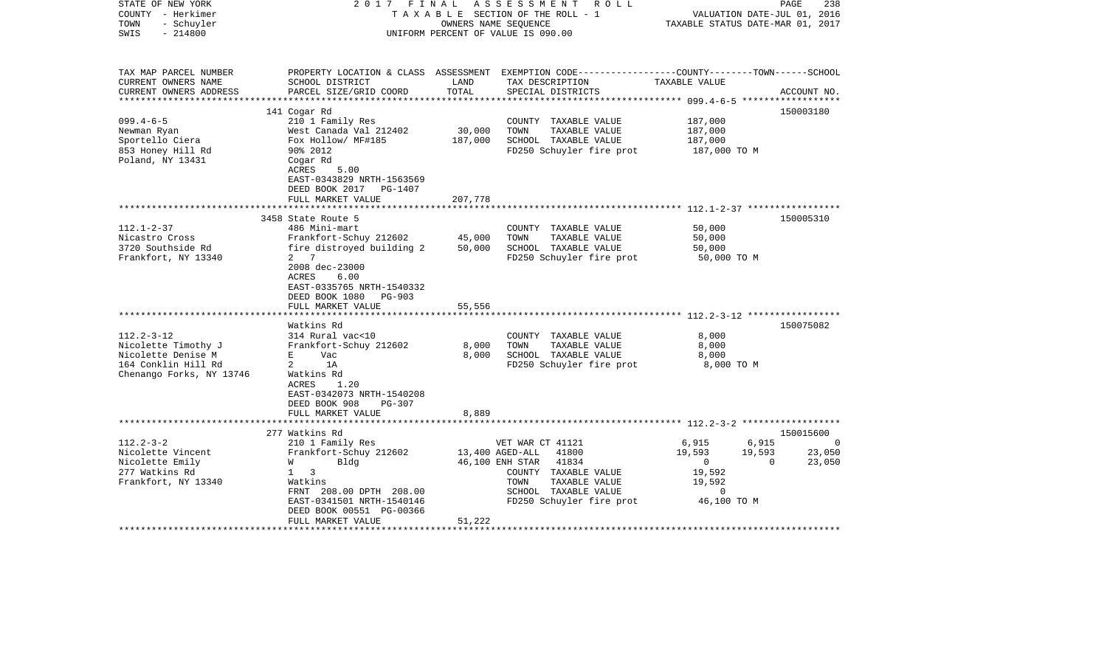| STATE OF NEW YORK<br>COUNTY - Herkimer<br>- Schuyler<br>TOWN<br>$-214800$<br>SWIS                                                                                                                  | 2017 FINAL                                                                                                                                                                                                                                                                                                                    | OWNERS NAME SEQUENCE                         | ASSESSMENT<br>R O L L<br>TAXABLE SECTION OF THE ROLL - 1<br>UNIFORM PERCENT OF VALUE IS 090.00                                                                                                                                                                        | VALUATION DATE-JUL 01, 2016<br>TAXABLE STATUS DATE-MAR 01, 2017                    | 238<br>PAGE                  |
|----------------------------------------------------------------------------------------------------------------------------------------------------------------------------------------------------|-------------------------------------------------------------------------------------------------------------------------------------------------------------------------------------------------------------------------------------------------------------------------------------------------------------------------------|----------------------------------------------|-----------------------------------------------------------------------------------------------------------------------------------------------------------------------------------------------------------------------------------------------------------------------|------------------------------------------------------------------------------------|------------------------------|
| TAX MAP PARCEL NUMBER<br>CURRENT OWNERS NAME<br>CURRENT OWNERS ADDRESS                                                                                                                             | SCHOOL DISTRICT<br>PARCEL SIZE/GRID COORD                                                                                                                                                                                                                                                                                     | LAND<br>TOTAL                                | PROPERTY LOCATION & CLASS ASSESSMENT EXEMPTION CODE----------------COUNTY-------TOWN------SCHOOL<br>TAX DESCRIPTION<br>SPECIAL DISTRICTS                                                                                                                              | TAXABLE VALUE                                                                      | ACCOUNT NO.                  |
| ********************                                                                                                                                                                               |                                                                                                                                                                                                                                                                                                                               |                                              |                                                                                                                                                                                                                                                                       |                                                                                    |                              |
| $099.4 - 6 - 5$<br>Newman Ryan<br>Sportello Ciera<br>853 Honey Hill Rd<br>Poland, NY 13431                                                                                                         | 141 Cogar Rd<br>210 1 Family Res<br>West Canada Val 212402<br>Fox Hollow/ MF#185<br>90% 2012<br>Cogar Rd<br>ACRES<br>5.00                                                                                                                                                                                                     | 30,000<br>187,000                            | COUNTY TAXABLE VALUE<br>TOWN<br>TAXABLE VALUE<br>SCHOOL TAXABLE VALUE<br>FD250 Schuyler fire prot                                                                                                                                                                     | 187,000<br>187,000<br>187,000<br>187,000 TO M                                      | 150003180                    |
|                                                                                                                                                                                                    | EAST-0343829 NRTH-1563569<br>DEED BOOK 2017 PG-1407<br>FULL MARKET VALUE                                                                                                                                                                                                                                                      | 207,778                                      |                                                                                                                                                                                                                                                                       |                                                                                    |                              |
|                                                                                                                                                                                                    | ****************************                                                                                                                                                                                                                                                                                                  |                                              |                                                                                                                                                                                                                                                                       |                                                                                    |                              |
| $112.1 - 2 - 37$<br>Nicastro Cross<br>3720 Southside Rd<br>Frankfort, NY 13340<br>$112.2 - 3 - 12$<br>Nicolette Timothy J<br>Nicolette Denise M<br>164 Conklin Hill Rd<br>Chenango Forks, NY 13746 | 3458 State Route 5<br>486 Mini-mart<br>Frankfort-Schuy 212602<br>fire distroyed building 2<br>2 7<br>2008 dec-23000<br>ACRES<br>6.00<br>EAST-0335765 NRTH-1540332<br>DEED BOOK 1080 PG-903<br>FULL MARKET VALUE<br>Watkins Rd<br>314 Rural vac<10<br>Frankfort-Schuy 212602<br>E<br>Vac<br>$\overline{a}$<br>1A<br>Watkins Rd | 45,000<br>50,000<br>55,556<br>8,000<br>8,000 | COUNTY TAXABLE VALUE<br>TAXABLE VALUE<br>TOWN<br>SCHOOL TAXABLE VALUE<br>FD250 Schuyler fire prot<br>****************************** 112.2-3-12 *****************<br>COUNTY TAXABLE VALUE<br>TOWN<br>TAXABLE VALUE<br>SCHOOL TAXABLE VALUE<br>FD250 Schuyler fire prot | 50,000<br>50,000<br>50,000<br>50,000 TO M<br>8,000<br>8,000<br>8,000<br>8,000 TO M | 150005310<br>150075082       |
| $112.2 - 3 - 2$                                                                                                                                                                                    | 1.20<br>ACRES<br>EAST-0342073 NRTH-1540208<br>DEED BOOK 908<br>$PG-307$<br>FULL MARKET VALUE<br>277 Watkins Rd<br>210 1 Family Res                                                                                                                                                                                            | 8,889                                        | VET WAR CT 41121                                                                                                                                                                                                                                                      | 6,915<br>6,915                                                                     | 150015600<br>- 0             |
| Nicolette Vincent<br>Nicolette Emily<br>277 Watkins Rd<br>Frankfort, NY 13340                                                                                                                      | Frankfort-Schuy 212602<br>W<br>Bldg<br>$1 \quad 3$<br>Watkins<br>FRNT 208.00 DPTH 208.00<br>EAST-0341501 NRTH-1540146<br>DEED BOOK 00551 PG-00366<br>FULL MARKET VALUE                                                                                                                                                        | 51,222                                       | 13,400 AGED-ALL<br>41800<br>46,100 ENH STAR<br>41834<br>COUNTY TAXABLE VALUE<br>TOWN<br>TAXABLE VALUE<br>SCHOOL TAXABLE VALUE<br>FD250 Schuyler fire prot                                                                                                             | 19,593<br>19,593<br>$\overline{0}$<br>19,592<br>19,592<br>$\Omega$<br>46,100 TO M  | 23,050<br>23,050<br>$\Omega$ |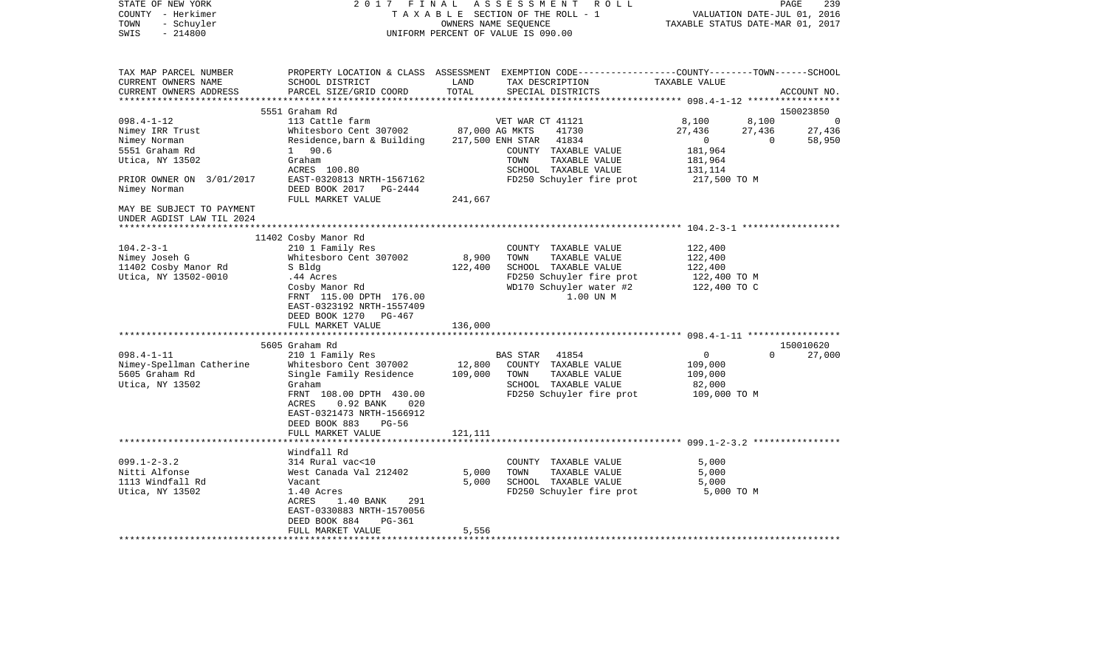| PROPERTY LOCATION & CLASS ASSESSMENT EXEMPTION CODE---------------COUNTY-------TOWN------SCHOOL<br>TAX MAP PARCEL NUMBER<br>TAX DESCRIPTION<br>CURRENT OWNERS NAME<br>SCHOOL DISTRICT<br>LAND<br>TAXABLE VALUE<br>TOTAL<br>CURRENT OWNERS ADDRESS<br>PARCEL SIZE/GRID COORD<br>SPECIAL DISTRICTS<br>ACCOUNT NO.<br>5551 Graham Rd<br>150023850<br>$098.4 - 1 - 12$<br>113 Cattle farm<br>VET WAR CT 41121<br>8,100<br>8,100<br>$\overline{0}$<br>87,000 AG MKTS<br>Nimey IRR Trust<br>Whitesboro Cent 307002<br>41730<br>27,436<br>27,436<br>27,436<br>217,500 ENH STAR 41834<br>$\overline{0}$<br>$\overline{0}$<br>Nimey Norman<br>Residence, barn & Building<br>58,950<br>181,964<br>5551 Graham Rd<br>1 90.6<br>COUNTY TAXABLE VALUE<br>Utica, NY 13502<br>Graham<br>TOWN<br>TAXABLE VALUE<br>181,964<br>ACRES 100.80<br>SCHOOL TAXABLE VALUE<br>131,114<br>PRIOR OWNER ON 3/01/2017<br>EAST-0320813 NRTH-1567162<br>FD250 Schuyler fire prot<br>217,500 TO M<br>DEED BOOK 2017 PG-2444<br>Nimey Norman<br>FULL MARKET VALUE<br>241,667<br>MAY BE SUBJECT TO PAYMENT<br>UNDER AGDIST LAW TIL 2024<br>11402 Cosby Manor Rd<br>$104.2 - 3 - 1$<br>210 1 Family Res<br>122,400<br>COUNTY TAXABLE VALUE<br>8,900<br>Whitesboro Cent 307002<br>TOWN<br>TAXABLE VALUE<br>122,400<br>Nimey Joseh G<br>122,400<br>SCHOOL TAXABLE VALUE<br>11402 Cosby Manor Rd<br>S Bldg<br>122,400<br>FD250 Schuyler fire prot<br>Utica, NY 13502-0010<br>.44 Acres<br>122,400 TO M<br>WD170 Schuyler water #2<br>122,400 TO C<br>Cosby Manor Rd<br>1.00 UN M<br>FRNT 115.00 DPTH 176.00<br>EAST-0323192 NRTH-1557409<br>DEED BOOK 1270 PG-467<br>FULL MARKET VALUE<br>136,000<br>5605 Graham Rd<br>150010620<br>$098.4 - 1 - 11$<br>BAS STAR 41854<br>27,000<br>210 1 Family Res<br>$\overline{0}$<br>$\Omega$<br>Nimey-Spellman Catherine<br>Whitesboro Cent 307002<br>12,800<br>COUNTY TAXABLE VALUE<br>109,000<br>5605 Graham Rd<br>Single Family Residence<br>109,000<br>TAXABLE VALUE<br>TOWN<br>109,000<br>Utica, NY 13502<br>Graham<br>SCHOOL TAXABLE VALUE<br>82,000<br>FD250 Schuyler fire prot 109,000 TO M<br>FRNT 108.00 DPTH 430.00<br>ACRES<br>$0.92$ BANK<br>020<br>EAST-0321473 NRTH-1566912<br>DEED BOOK 883<br>PG-56<br>FULL MARKET VALUE<br>121,111<br>Windfall Rd<br>$099.1 - 2 - 3.2$<br>314 Rural vac<10<br>COUNTY TAXABLE VALUE<br>5,000<br>Nitti Alfonse<br>West Canada Val 212402<br>5,000<br>TOWN<br>TAXABLE VALUE<br>5,000<br>SCHOOL TAXABLE VALUE<br>1113 Windfall Rd<br>Vacant<br>5,000<br>5,000<br>Utica, NY 13502<br>1.40 Acres<br>FD250 Schuyler fire prot<br>5,000 TO M<br>ACRES<br>1.40 BANK<br>291<br>EAST-0330883 NRTH-1570056<br>DEED BOOK 884<br>PG-361<br>FULL MARKET VALUE<br>5,556 | STATE OF NEW YORK<br>COUNTY - Herkimer<br>- Schuyler<br>TOWN<br>$-214800$<br>SWIS |  | 2017 FINAL ASSESSMENT ROLL<br>TAXABLE SECTION OF THE ROLL - 1<br>OWNERS NAME SEQUENCE<br>UNIFORM PERCENT OF VALUE IS 090.00 | VALUATION DATE-JUL 01, 2016<br>TAXABLE STATUS DATE-MAR 01, 2017 | PAGE<br>239 |
|-----------------------------------------------------------------------------------------------------------------------------------------------------------------------------------------------------------------------------------------------------------------------------------------------------------------------------------------------------------------------------------------------------------------------------------------------------------------------------------------------------------------------------------------------------------------------------------------------------------------------------------------------------------------------------------------------------------------------------------------------------------------------------------------------------------------------------------------------------------------------------------------------------------------------------------------------------------------------------------------------------------------------------------------------------------------------------------------------------------------------------------------------------------------------------------------------------------------------------------------------------------------------------------------------------------------------------------------------------------------------------------------------------------------------------------------------------------------------------------------------------------------------------------------------------------------------------------------------------------------------------------------------------------------------------------------------------------------------------------------------------------------------------------------------------------------------------------------------------------------------------------------------------------------------------------------------------------------------------------------------------------------------------------------------------------------------------------------------------------------------------------------------------------------------------------------------------------------------------------------------------------------------------------------------------------------------------------------------------------------------------------------------------------------------------------------------------------------------------------------------------------------------------------------------------------------------------------------------------------------------------------------------------------------------------------------------------------|-----------------------------------------------------------------------------------|--|-----------------------------------------------------------------------------------------------------------------------------|-----------------------------------------------------------------|-------------|
|                                                                                                                                                                                                                                                                                                                                                                                                                                                                                                                                                                                                                                                                                                                                                                                                                                                                                                                                                                                                                                                                                                                                                                                                                                                                                                                                                                                                                                                                                                                                                                                                                                                                                                                                                                                                                                                                                                                                                                                                                                                                                                                                                                                                                                                                                                                                                                                                                                                                                                                                                                                                                                                                                                           |                                                                                   |  |                                                                                                                             |                                                                 |             |
|                                                                                                                                                                                                                                                                                                                                                                                                                                                                                                                                                                                                                                                                                                                                                                                                                                                                                                                                                                                                                                                                                                                                                                                                                                                                                                                                                                                                                                                                                                                                                                                                                                                                                                                                                                                                                                                                                                                                                                                                                                                                                                                                                                                                                                                                                                                                                                                                                                                                                                                                                                                                                                                                                                           |                                                                                   |  |                                                                                                                             |                                                                 |             |
|                                                                                                                                                                                                                                                                                                                                                                                                                                                                                                                                                                                                                                                                                                                                                                                                                                                                                                                                                                                                                                                                                                                                                                                                                                                                                                                                                                                                                                                                                                                                                                                                                                                                                                                                                                                                                                                                                                                                                                                                                                                                                                                                                                                                                                                                                                                                                                                                                                                                                                                                                                                                                                                                                                           |                                                                                   |  |                                                                                                                             |                                                                 |             |
|                                                                                                                                                                                                                                                                                                                                                                                                                                                                                                                                                                                                                                                                                                                                                                                                                                                                                                                                                                                                                                                                                                                                                                                                                                                                                                                                                                                                                                                                                                                                                                                                                                                                                                                                                                                                                                                                                                                                                                                                                                                                                                                                                                                                                                                                                                                                                                                                                                                                                                                                                                                                                                                                                                           |                                                                                   |  |                                                                                                                             |                                                                 |             |
|                                                                                                                                                                                                                                                                                                                                                                                                                                                                                                                                                                                                                                                                                                                                                                                                                                                                                                                                                                                                                                                                                                                                                                                                                                                                                                                                                                                                                                                                                                                                                                                                                                                                                                                                                                                                                                                                                                                                                                                                                                                                                                                                                                                                                                                                                                                                                                                                                                                                                                                                                                                                                                                                                                           |                                                                                   |  |                                                                                                                             |                                                                 |             |
|                                                                                                                                                                                                                                                                                                                                                                                                                                                                                                                                                                                                                                                                                                                                                                                                                                                                                                                                                                                                                                                                                                                                                                                                                                                                                                                                                                                                                                                                                                                                                                                                                                                                                                                                                                                                                                                                                                                                                                                                                                                                                                                                                                                                                                                                                                                                                                                                                                                                                                                                                                                                                                                                                                           |                                                                                   |  |                                                                                                                             |                                                                 |             |
|                                                                                                                                                                                                                                                                                                                                                                                                                                                                                                                                                                                                                                                                                                                                                                                                                                                                                                                                                                                                                                                                                                                                                                                                                                                                                                                                                                                                                                                                                                                                                                                                                                                                                                                                                                                                                                                                                                                                                                                                                                                                                                                                                                                                                                                                                                                                                                                                                                                                                                                                                                                                                                                                                                           |                                                                                   |  |                                                                                                                             |                                                                 |             |
|                                                                                                                                                                                                                                                                                                                                                                                                                                                                                                                                                                                                                                                                                                                                                                                                                                                                                                                                                                                                                                                                                                                                                                                                                                                                                                                                                                                                                                                                                                                                                                                                                                                                                                                                                                                                                                                                                                                                                                                                                                                                                                                                                                                                                                                                                                                                                                                                                                                                                                                                                                                                                                                                                                           |                                                                                   |  |                                                                                                                             |                                                                 |             |
|                                                                                                                                                                                                                                                                                                                                                                                                                                                                                                                                                                                                                                                                                                                                                                                                                                                                                                                                                                                                                                                                                                                                                                                                                                                                                                                                                                                                                                                                                                                                                                                                                                                                                                                                                                                                                                                                                                                                                                                                                                                                                                                                                                                                                                                                                                                                                                                                                                                                                                                                                                                                                                                                                                           |                                                                                   |  |                                                                                                                             |                                                                 |             |
|                                                                                                                                                                                                                                                                                                                                                                                                                                                                                                                                                                                                                                                                                                                                                                                                                                                                                                                                                                                                                                                                                                                                                                                                                                                                                                                                                                                                                                                                                                                                                                                                                                                                                                                                                                                                                                                                                                                                                                                                                                                                                                                                                                                                                                                                                                                                                                                                                                                                                                                                                                                                                                                                                                           |                                                                                   |  |                                                                                                                             |                                                                 |             |
|                                                                                                                                                                                                                                                                                                                                                                                                                                                                                                                                                                                                                                                                                                                                                                                                                                                                                                                                                                                                                                                                                                                                                                                                                                                                                                                                                                                                                                                                                                                                                                                                                                                                                                                                                                                                                                                                                                                                                                                                                                                                                                                                                                                                                                                                                                                                                                                                                                                                                                                                                                                                                                                                                                           |                                                                                   |  |                                                                                                                             |                                                                 |             |
|                                                                                                                                                                                                                                                                                                                                                                                                                                                                                                                                                                                                                                                                                                                                                                                                                                                                                                                                                                                                                                                                                                                                                                                                                                                                                                                                                                                                                                                                                                                                                                                                                                                                                                                                                                                                                                                                                                                                                                                                                                                                                                                                                                                                                                                                                                                                                                                                                                                                                                                                                                                                                                                                                                           |                                                                                   |  |                                                                                                                             |                                                                 |             |
|                                                                                                                                                                                                                                                                                                                                                                                                                                                                                                                                                                                                                                                                                                                                                                                                                                                                                                                                                                                                                                                                                                                                                                                                                                                                                                                                                                                                                                                                                                                                                                                                                                                                                                                                                                                                                                                                                                                                                                                                                                                                                                                                                                                                                                                                                                                                                                                                                                                                                                                                                                                                                                                                                                           |                                                                                   |  |                                                                                                                             |                                                                 |             |
|                                                                                                                                                                                                                                                                                                                                                                                                                                                                                                                                                                                                                                                                                                                                                                                                                                                                                                                                                                                                                                                                                                                                                                                                                                                                                                                                                                                                                                                                                                                                                                                                                                                                                                                                                                                                                                                                                                                                                                                                                                                                                                                                                                                                                                                                                                                                                                                                                                                                                                                                                                                                                                                                                                           |                                                                                   |  |                                                                                                                             |                                                                 |             |
|                                                                                                                                                                                                                                                                                                                                                                                                                                                                                                                                                                                                                                                                                                                                                                                                                                                                                                                                                                                                                                                                                                                                                                                                                                                                                                                                                                                                                                                                                                                                                                                                                                                                                                                                                                                                                                                                                                                                                                                                                                                                                                                                                                                                                                                                                                                                                                                                                                                                                                                                                                                                                                                                                                           |                                                                                   |  |                                                                                                                             |                                                                 |             |
|                                                                                                                                                                                                                                                                                                                                                                                                                                                                                                                                                                                                                                                                                                                                                                                                                                                                                                                                                                                                                                                                                                                                                                                                                                                                                                                                                                                                                                                                                                                                                                                                                                                                                                                                                                                                                                                                                                                                                                                                                                                                                                                                                                                                                                                                                                                                                                                                                                                                                                                                                                                                                                                                                                           |                                                                                   |  |                                                                                                                             |                                                                 |             |
|                                                                                                                                                                                                                                                                                                                                                                                                                                                                                                                                                                                                                                                                                                                                                                                                                                                                                                                                                                                                                                                                                                                                                                                                                                                                                                                                                                                                                                                                                                                                                                                                                                                                                                                                                                                                                                                                                                                                                                                                                                                                                                                                                                                                                                                                                                                                                                                                                                                                                                                                                                                                                                                                                                           |                                                                                   |  |                                                                                                                             |                                                                 |             |
|                                                                                                                                                                                                                                                                                                                                                                                                                                                                                                                                                                                                                                                                                                                                                                                                                                                                                                                                                                                                                                                                                                                                                                                                                                                                                                                                                                                                                                                                                                                                                                                                                                                                                                                                                                                                                                                                                                                                                                                                                                                                                                                                                                                                                                                                                                                                                                                                                                                                                                                                                                                                                                                                                                           |                                                                                   |  |                                                                                                                             |                                                                 |             |
|                                                                                                                                                                                                                                                                                                                                                                                                                                                                                                                                                                                                                                                                                                                                                                                                                                                                                                                                                                                                                                                                                                                                                                                                                                                                                                                                                                                                                                                                                                                                                                                                                                                                                                                                                                                                                                                                                                                                                                                                                                                                                                                                                                                                                                                                                                                                                                                                                                                                                                                                                                                                                                                                                                           |                                                                                   |  |                                                                                                                             |                                                                 |             |
|                                                                                                                                                                                                                                                                                                                                                                                                                                                                                                                                                                                                                                                                                                                                                                                                                                                                                                                                                                                                                                                                                                                                                                                                                                                                                                                                                                                                                                                                                                                                                                                                                                                                                                                                                                                                                                                                                                                                                                                                                                                                                                                                                                                                                                                                                                                                                                                                                                                                                                                                                                                                                                                                                                           |                                                                                   |  |                                                                                                                             |                                                                 |             |
|                                                                                                                                                                                                                                                                                                                                                                                                                                                                                                                                                                                                                                                                                                                                                                                                                                                                                                                                                                                                                                                                                                                                                                                                                                                                                                                                                                                                                                                                                                                                                                                                                                                                                                                                                                                                                                                                                                                                                                                                                                                                                                                                                                                                                                                                                                                                                                                                                                                                                                                                                                                                                                                                                                           |                                                                                   |  |                                                                                                                             |                                                                 |             |
|                                                                                                                                                                                                                                                                                                                                                                                                                                                                                                                                                                                                                                                                                                                                                                                                                                                                                                                                                                                                                                                                                                                                                                                                                                                                                                                                                                                                                                                                                                                                                                                                                                                                                                                                                                                                                                                                                                                                                                                                                                                                                                                                                                                                                                                                                                                                                                                                                                                                                                                                                                                                                                                                                                           |                                                                                   |  |                                                                                                                             |                                                                 |             |
|                                                                                                                                                                                                                                                                                                                                                                                                                                                                                                                                                                                                                                                                                                                                                                                                                                                                                                                                                                                                                                                                                                                                                                                                                                                                                                                                                                                                                                                                                                                                                                                                                                                                                                                                                                                                                                                                                                                                                                                                                                                                                                                                                                                                                                                                                                                                                                                                                                                                                                                                                                                                                                                                                                           |                                                                                   |  |                                                                                                                             |                                                                 |             |
|                                                                                                                                                                                                                                                                                                                                                                                                                                                                                                                                                                                                                                                                                                                                                                                                                                                                                                                                                                                                                                                                                                                                                                                                                                                                                                                                                                                                                                                                                                                                                                                                                                                                                                                                                                                                                                                                                                                                                                                                                                                                                                                                                                                                                                                                                                                                                                                                                                                                                                                                                                                                                                                                                                           |                                                                                   |  |                                                                                                                             |                                                                 |             |
|                                                                                                                                                                                                                                                                                                                                                                                                                                                                                                                                                                                                                                                                                                                                                                                                                                                                                                                                                                                                                                                                                                                                                                                                                                                                                                                                                                                                                                                                                                                                                                                                                                                                                                                                                                                                                                                                                                                                                                                                                                                                                                                                                                                                                                                                                                                                                                                                                                                                                                                                                                                                                                                                                                           |                                                                                   |  |                                                                                                                             |                                                                 |             |
|                                                                                                                                                                                                                                                                                                                                                                                                                                                                                                                                                                                                                                                                                                                                                                                                                                                                                                                                                                                                                                                                                                                                                                                                                                                                                                                                                                                                                                                                                                                                                                                                                                                                                                                                                                                                                                                                                                                                                                                                                                                                                                                                                                                                                                                                                                                                                                                                                                                                                                                                                                                                                                                                                                           |                                                                                   |  |                                                                                                                             |                                                                 |             |
|                                                                                                                                                                                                                                                                                                                                                                                                                                                                                                                                                                                                                                                                                                                                                                                                                                                                                                                                                                                                                                                                                                                                                                                                                                                                                                                                                                                                                                                                                                                                                                                                                                                                                                                                                                                                                                                                                                                                                                                                                                                                                                                                                                                                                                                                                                                                                                                                                                                                                                                                                                                                                                                                                                           |                                                                                   |  |                                                                                                                             |                                                                 |             |
|                                                                                                                                                                                                                                                                                                                                                                                                                                                                                                                                                                                                                                                                                                                                                                                                                                                                                                                                                                                                                                                                                                                                                                                                                                                                                                                                                                                                                                                                                                                                                                                                                                                                                                                                                                                                                                                                                                                                                                                                                                                                                                                                                                                                                                                                                                                                                                                                                                                                                                                                                                                                                                                                                                           |                                                                                   |  |                                                                                                                             |                                                                 |             |
|                                                                                                                                                                                                                                                                                                                                                                                                                                                                                                                                                                                                                                                                                                                                                                                                                                                                                                                                                                                                                                                                                                                                                                                                                                                                                                                                                                                                                                                                                                                                                                                                                                                                                                                                                                                                                                                                                                                                                                                                                                                                                                                                                                                                                                                                                                                                                                                                                                                                                                                                                                                                                                                                                                           |                                                                                   |  |                                                                                                                             |                                                                 |             |
|                                                                                                                                                                                                                                                                                                                                                                                                                                                                                                                                                                                                                                                                                                                                                                                                                                                                                                                                                                                                                                                                                                                                                                                                                                                                                                                                                                                                                                                                                                                                                                                                                                                                                                                                                                                                                                                                                                                                                                                                                                                                                                                                                                                                                                                                                                                                                                                                                                                                                                                                                                                                                                                                                                           |                                                                                   |  |                                                                                                                             |                                                                 |             |
|                                                                                                                                                                                                                                                                                                                                                                                                                                                                                                                                                                                                                                                                                                                                                                                                                                                                                                                                                                                                                                                                                                                                                                                                                                                                                                                                                                                                                                                                                                                                                                                                                                                                                                                                                                                                                                                                                                                                                                                                                                                                                                                                                                                                                                                                                                                                                                                                                                                                                                                                                                                                                                                                                                           |                                                                                   |  |                                                                                                                             |                                                                 |             |
|                                                                                                                                                                                                                                                                                                                                                                                                                                                                                                                                                                                                                                                                                                                                                                                                                                                                                                                                                                                                                                                                                                                                                                                                                                                                                                                                                                                                                                                                                                                                                                                                                                                                                                                                                                                                                                                                                                                                                                                                                                                                                                                                                                                                                                                                                                                                                                                                                                                                                                                                                                                                                                                                                                           |                                                                                   |  |                                                                                                                             |                                                                 |             |
|                                                                                                                                                                                                                                                                                                                                                                                                                                                                                                                                                                                                                                                                                                                                                                                                                                                                                                                                                                                                                                                                                                                                                                                                                                                                                                                                                                                                                                                                                                                                                                                                                                                                                                                                                                                                                                                                                                                                                                                                                                                                                                                                                                                                                                                                                                                                                                                                                                                                                                                                                                                                                                                                                                           |                                                                                   |  |                                                                                                                             |                                                                 |             |
|                                                                                                                                                                                                                                                                                                                                                                                                                                                                                                                                                                                                                                                                                                                                                                                                                                                                                                                                                                                                                                                                                                                                                                                                                                                                                                                                                                                                                                                                                                                                                                                                                                                                                                                                                                                                                                                                                                                                                                                                                                                                                                                                                                                                                                                                                                                                                                                                                                                                                                                                                                                                                                                                                                           |                                                                                   |  |                                                                                                                             |                                                                 |             |
|                                                                                                                                                                                                                                                                                                                                                                                                                                                                                                                                                                                                                                                                                                                                                                                                                                                                                                                                                                                                                                                                                                                                                                                                                                                                                                                                                                                                                                                                                                                                                                                                                                                                                                                                                                                                                                                                                                                                                                                                                                                                                                                                                                                                                                                                                                                                                                                                                                                                                                                                                                                                                                                                                                           |                                                                                   |  |                                                                                                                             |                                                                 |             |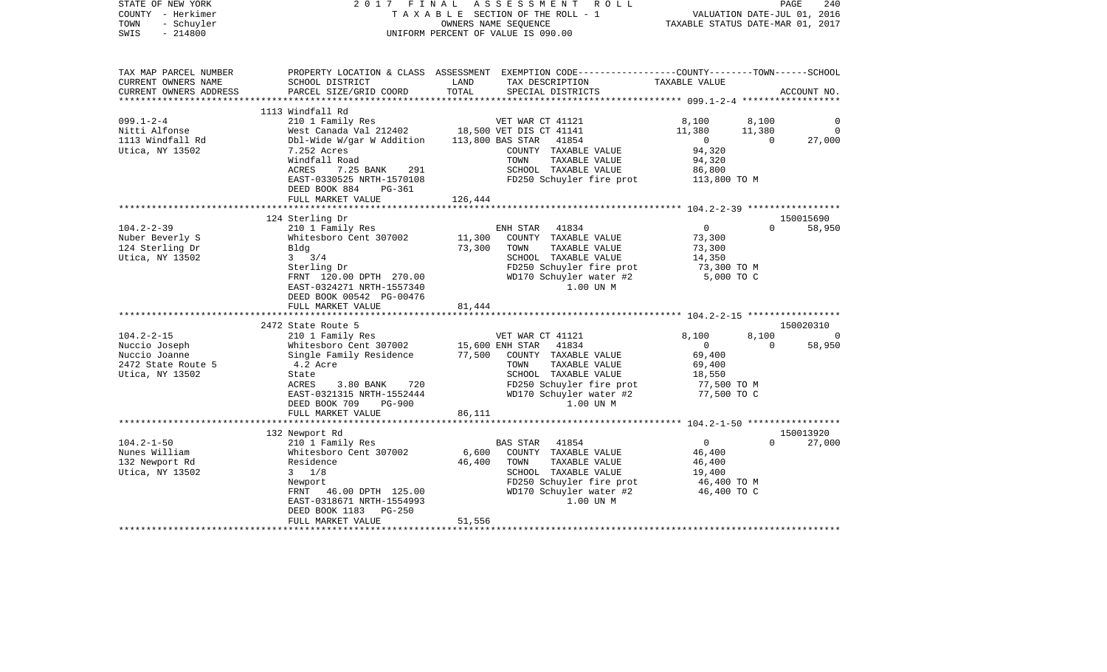| PROPERTY LOCATION & CLASS ASSESSMENT EXEMPTION CODE---------------COUNTY-------TOWN------SCHOOL<br>TAX MAP PARCEL NUMBER<br>TAX DESCRIPTION<br>CURRENT OWNERS NAME<br>SCHOOL DISTRICT<br>LAND<br>TAXABLE VALUE<br>TOTAL<br>CURRENT OWNERS ADDRESS<br>PARCEL SIZE/GRID COORD<br>SPECIAL DISTRICTS<br>ACCOUNT NO.<br>1113 Windfall Rd<br>$099.1 - 2 - 4$<br>210 1 Family Res<br>VET WAR CT 41121<br>8,100<br>8,100<br>$\Omega$<br>West Canada Val 212402 18,500 VET DIS CT 41141<br>Nitti Alfonse<br>11,380<br>11,380<br>$\circ$<br>27,000<br>1113 Windfall Rd<br>Dbl-Wide W/gar W Addition<br>113,800 BAS STAR 41854<br>$\overline{0}$<br>$\overline{0}$<br>94,320<br>Utica, NY 13502<br>7.252 Acres<br>COUNTY TAXABLE VALUE<br>TAXABLE VALUE<br>Windfall Road<br>TOWN<br>94,320<br>ACRES<br>SCHOOL TAXABLE VALUE<br>86,800<br>7.25 BANK<br>291<br>FD250 Schuyler fire prot 113,800 TO M<br>EAST-0330525 NRTH-1570108<br>DEED BOOK 884<br>PG-361<br>FULL MARKET VALUE<br>126,444<br>124 Sterling Dr<br>150015690<br>$104.2 - 2 - 39$<br>$\overline{0}$<br>$\Omega$<br>58,950<br>210 1 Family Res<br>ENH STAR 41834<br>Whitesboro Cent 307002<br>Nuber Beverly S<br>11,300<br>COUNTY TAXABLE VALUE<br>73,300<br>124 Sterling Dr<br>73,300<br>73,300<br>Blda<br>TOWN<br>TAXABLE VALUE<br>Utica, NY 13502<br>$3 \frac{3}{4}$<br>SCHOOL TAXABLE VALUE<br>14,350<br>FD250 Schuyler fire prot<br>Sterling Dr<br>73,300 TO M<br>WD170 Schuyler water #2<br>5,000 TO C<br>FRNT 120.00 DPTH 270.00<br>EAST-0324271 NRTH-1557340<br>1.00 UN M<br>DEED BOOK 00542 PG-00476<br>81,444<br>FULL MARKET VALUE<br>2472 State Route 5<br>150020310<br>$104.2 - 2 - 15$<br>8,100<br>8,100<br>210 1 Family Res<br>VET WAR CT 41121<br>$\Omega$<br>Whitesboro Cent 307002 15,600 ENH STAR<br>41834<br>$\overline{0}$<br>$\Omega$<br>58,950<br>Nuccio Joseph<br>Single Family Residence<br>77,500 COUNTY TAXABLE VALUE<br>69,400<br>Nuccio Joanne<br>2472 State Route 5<br>4.2 Acre<br>TOWN<br>TAXABLE VALUE<br>69,400<br>Utica, NY 13502<br>SCHOOL TAXABLE VALUE<br>18,550<br>State<br>FD250 Schuyler fire prot<br>ACRES<br>$3.80$ BANK<br>720<br>77,500 TO M<br>WD170 Schuyler water #2<br>EAST-0321315 NRTH-1552444<br>77,500 TO C<br>1.00 UN M<br><b>PG-900</b><br>DEED BOOK 709<br>FULL MARKET VALUE<br>86,111<br>150013920<br>132 Newport Rd<br>$104.2 - 1 - 50$<br>$\Omega$<br>210 1 Family Res<br><b>BAS STAR</b><br>41854<br>$\Omega$<br>27,000<br>COUNTY TAXABLE VALUE<br>Nunes William<br>Whitesboro Cent 307002<br>6,600<br>46,400<br>132 Newport Rd<br>Residence<br>46,400<br>TOWN<br>TAXABLE VALUE<br>46,400<br>SCHOOL TAXABLE VALUE<br>Utica, NY 13502<br>$3 \t1/8$<br>19,400<br>FD250 Schuyler fire prot<br>Newport<br>46,400 TO M<br>WD170 Schuyler water #2<br>FRNT 46.00 DPTH 125.00<br>46,400 TO C<br>1.00 UN M<br>EAST-0318671 NRTH-1554993<br>DEED BOOK 1183 PG-250<br>51,556<br>FULL MARKET VALUE | STATE OF NEW YORK<br>COUNTY - Herkimer<br>TOWN<br>- Schuyler<br>$-214800$<br>SWIS | 2017 FINAL | ASSESSMENT<br>R O L L<br>TAXABLE SECTION OF THE ROLL - 1<br>OWNERS NAME SEQUENCE<br>UNIFORM PERCENT OF VALUE IS 090.00 | VALUATION DATE-JUL 01, 2016<br>TAXABLE STATUS DATE-MAR 01, 2017 | PAGE<br>240 |
|----------------------------------------------------------------------------------------------------------------------------------------------------------------------------------------------------------------------------------------------------------------------------------------------------------------------------------------------------------------------------------------------------------------------------------------------------------------------------------------------------------------------------------------------------------------------------------------------------------------------------------------------------------------------------------------------------------------------------------------------------------------------------------------------------------------------------------------------------------------------------------------------------------------------------------------------------------------------------------------------------------------------------------------------------------------------------------------------------------------------------------------------------------------------------------------------------------------------------------------------------------------------------------------------------------------------------------------------------------------------------------------------------------------------------------------------------------------------------------------------------------------------------------------------------------------------------------------------------------------------------------------------------------------------------------------------------------------------------------------------------------------------------------------------------------------------------------------------------------------------------------------------------------------------------------------------------------------------------------------------------------------------------------------------------------------------------------------------------------------------------------------------------------------------------------------------------------------------------------------------------------------------------------------------------------------------------------------------------------------------------------------------------------------------------------------------------------------------------------------------------------------------------------------------------------------------------------------------------------------------------------------------------------------------------------------------------------------------------------------------------------------------------------------------------------------------------------------------------------------------------------------------------|-----------------------------------------------------------------------------------|------------|------------------------------------------------------------------------------------------------------------------------|-----------------------------------------------------------------|-------------|
|                                                                                                                                                                                                                                                                                                                                                                                                                                                                                                                                                                                                                                                                                                                                                                                                                                                                                                                                                                                                                                                                                                                                                                                                                                                                                                                                                                                                                                                                                                                                                                                                                                                                                                                                                                                                                                                                                                                                                                                                                                                                                                                                                                                                                                                                                                                                                                                                                                                                                                                                                                                                                                                                                                                                                                                                                                                                                                    |                                                                                   |            |                                                                                                                        |                                                                 |             |
|                                                                                                                                                                                                                                                                                                                                                                                                                                                                                                                                                                                                                                                                                                                                                                                                                                                                                                                                                                                                                                                                                                                                                                                                                                                                                                                                                                                                                                                                                                                                                                                                                                                                                                                                                                                                                                                                                                                                                                                                                                                                                                                                                                                                                                                                                                                                                                                                                                                                                                                                                                                                                                                                                                                                                                                                                                                                                                    |                                                                                   |            |                                                                                                                        |                                                                 |             |
|                                                                                                                                                                                                                                                                                                                                                                                                                                                                                                                                                                                                                                                                                                                                                                                                                                                                                                                                                                                                                                                                                                                                                                                                                                                                                                                                                                                                                                                                                                                                                                                                                                                                                                                                                                                                                                                                                                                                                                                                                                                                                                                                                                                                                                                                                                                                                                                                                                                                                                                                                                                                                                                                                                                                                                                                                                                                                                    |                                                                                   |            |                                                                                                                        |                                                                 |             |
|                                                                                                                                                                                                                                                                                                                                                                                                                                                                                                                                                                                                                                                                                                                                                                                                                                                                                                                                                                                                                                                                                                                                                                                                                                                                                                                                                                                                                                                                                                                                                                                                                                                                                                                                                                                                                                                                                                                                                                                                                                                                                                                                                                                                                                                                                                                                                                                                                                                                                                                                                                                                                                                                                                                                                                                                                                                                                                    |                                                                                   |            |                                                                                                                        |                                                                 |             |
|                                                                                                                                                                                                                                                                                                                                                                                                                                                                                                                                                                                                                                                                                                                                                                                                                                                                                                                                                                                                                                                                                                                                                                                                                                                                                                                                                                                                                                                                                                                                                                                                                                                                                                                                                                                                                                                                                                                                                                                                                                                                                                                                                                                                                                                                                                                                                                                                                                                                                                                                                                                                                                                                                                                                                                                                                                                                                                    |                                                                                   |            |                                                                                                                        |                                                                 |             |
|                                                                                                                                                                                                                                                                                                                                                                                                                                                                                                                                                                                                                                                                                                                                                                                                                                                                                                                                                                                                                                                                                                                                                                                                                                                                                                                                                                                                                                                                                                                                                                                                                                                                                                                                                                                                                                                                                                                                                                                                                                                                                                                                                                                                                                                                                                                                                                                                                                                                                                                                                                                                                                                                                                                                                                                                                                                                                                    |                                                                                   |            |                                                                                                                        |                                                                 |             |
|                                                                                                                                                                                                                                                                                                                                                                                                                                                                                                                                                                                                                                                                                                                                                                                                                                                                                                                                                                                                                                                                                                                                                                                                                                                                                                                                                                                                                                                                                                                                                                                                                                                                                                                                                                                                                                                                                                                                                                                                                                                                                                                                                                                                                                                                                                                                                                                                                                                                                                                                                                                                                                                                                                                                                                                                                                                                                                    |                                                                                   |            |                                                                                                                        |                                                                 |             |
|                                                                                                                                                                                                                                                                                                                                                                                                                                                                                                                                                                                                                                                                                                                                                                                                                                                                                                                                                                                                                                                                                                                                                                                                                                                                                                                                                                                                                                                                                                                                                                                                                                                                                                                                                                                                                                                                                                                                                                                                                                                                                                                                                                                                                                                                                                                                                                                                                                                                                                                                                                                                                                                                                                                                                                                                                                                                                                    |                                                                                   |            |                                                                                                                        |                                                                 |             |
|                                                                                                                                                                                                                                                                                                                                                                                                                                                                                                                                                                                                                                                                                                                                                                                                                                                                                                                                                                                                                                                                                                                                                                                                                                                                                                                                                                                                                                                                                                                                                                                                                                                                                                                                                                                                                                                                                                                                                                                                                                                                                                                                                                                                                                                                                                                                                                                                                                                                                                                                                                                                                                                                                                                                                                                                                                                                                                    |                                                                                   |            |                                                                                                                        |                                                                 |             |
|                                                                                                                                                                                                                                                                                                                                                                                                                                                                                                                                                                                                                                                                                                                                                                                                                                                                                                                                                                                                                                                                                                                                                                                                                                                                                                                                                                                                                                                                                                                                                                                                                                                                                                                                                                                                                                                                                                                                                                                                                                                                                                                                                                                                                                                                                                                                                                                                                                                                                                                                                                                                                                                                                                                                                                                                                                                                                                    |                                                                                   |            |                                                                                                                        |                                                                 |             |
|                                                                                                                                                                                                                                                                                                                                                                                                                                                                                                                                                                                                                                                                                                                                                                                                                                                                                                                                                                                                                                                                                                                                                                                                                                                                                                                                                                                                                                                                                                                                                                                                                                                                                                                                                                                                                                                                                                                                                                                                                                                                                                                                                                                                                                                                                                                                                                                                                                                                                                                                                                                                                                                                                                                                                                                                                                                                                                    |                                                                                   |            |                                                                                                                        |                                                                 |             |
|                                                                                                                                                                                                                                                                                                                                                                                                                                                                                                                                                                                                                                                                                                                                                                                                                                                                                                                                                                                                                                                                                                                                                                                                                                                                                                                                                                                                                                                                                                                                                                                                                                                                                                                                                                                                                                                                                                                                                                                                                                                                                                                                                                                                                                                                                                                                                                                                                                                                                                                                                                                                                                                                                                                                                                                                                                                                                                    |                                                                                   |            |                                                                                                                        |                                                                 |             |
|                                                                                                                                                                                                                                                                                                                                                                                                                                                                                                                                                                                                                                                                                                                                                                                                                                                                                                                                                                                                                                                                                                                                                                                                                                                                                                                                                                                                                                                                                                                                                                                                                                                                                                                                                                                                                                                                                                                                                                                                                                                                                                                                                                                                                                                                                                                                                                                                                                                                                                                                                                                                                                                                                                                                                                                                                                                                                                    |                                                                                   |            |                                                                                                                        |                                                                 |             |
|                                                                                                                                                                                                                                                                                                                                                                                                                                                                                                                                                                                                                                                                                                                                                                                                                                                                                                                                                                                                                                                                                                                                                                                                                                                                                                                                                                                                                                                                                                                                                                                                                                                                                                                                                                                                                                                                                                                                                                                                                                                                                                                                                                                                                                                                                                                                                                                                                                                                                                                                                                                                                                                                                                                                                                                                                                                                                                    |                                                                                   |            |                                                                                                                        |                                                                 |             |
|                                                                                                                                                                                                                                                                                                                                                                                                                                                                                                                                                                                                                                                                                                                                                                                                                                                                                                                                                                                                                                                                                                                                                                                                                                                                                                                                                                                                                                                                                                                                                                                                                                                                                                                                                                                                                                                                                                                                                                                                                                                                                                                                                                                                                                                                                                                                                                                                                                                                                                                                                                                                                                                                                                                                                                                                                                                                                                    |                                                                                   |            |                                                                                                                        |                                                                 |             |
|                                                                                                                                                                                                                                                                                                                                                                                                                                                                                                                                                                                                                                                                                                                                                                                                                                                                                                                                                                                                                                                                                                                                                                                                                                                                                                                                                                                                                                                                                                                                                                                                                                                                                                                                                                                                                                                                                                                                                                                                                                                                                                                                                                                                                                                                                                                                                                                                                                                                                                                                                                                                                                                                                                                                                                                                                                                                                                    |                                                                                   |            |                                                                                                                        |                                                                 |             |
|                                                                                                                                                                                                                                                                                                                                                                                                                                                                                                                                                                                                                                                                                                                                                                                                                                                                                                                                                                                                                                                                                                                                                                                                                                                                                                                                                                                                                                                                                                                                                                                                                                                                                                                                                                                                                                                                                                                                                                                                                                                                                                                                                                                                                                                                                                                                                                                                                                                                                                                                                                                                                                                                                                                                                                                                                                                                                                    |                                                                                   |            |                                                                                                                        |                                                                 |             |
|                                                                                                                                                                                                                                                                                                                                                                                                                                                                                                                                                                                                                                                                                                                                                                                                                                                                                                                                                                                                                                                                                                                                                                                                                                                                                                                                                                                                                                                                                                                                                                                                                                                                                                                                                                                                                                                                                                                                                                                                                                                                                                                                                                                                                                                                                                                                                                                                                                                                                                                                                                                                                                                                                                                                                                                                                                                                                                    |                                                                                   |            |                                                                                                                        |                                                                 |             |
|                                                                                                                                                                                                                                                                                                                                                                                                                                                                                                                                                                                                                                                                                                                                                                                                                                                                                                                                                                                                                                                                                                                                                                                                                                                                                                                                                                                                                                                                                                                                                                                                                                                                                                                                                                                                                                                                                                                                                                                                                                                                                                                                                                                                                                                                                                                                                                                                                                                                                                                                                                                                                                                                                                                                                                                                                                                                                                    |                                                                                   |            |                                                                                                                        |                                                                 |             |
|                                                                                                                                                                                                                                                                                                                                                                                                                                                                                                                                                                                                                                                                                                                                                                                                                                                                                                                                                                                                                                                                                                                                                                                                                                                                                                                                                                                                                                                                                                                                                                                                                                                                                                                                                                                                                                                                                                                                                                                                                                                                                                                                                                                                                                                                                                                                                                                                                                                                                                                                                                                                                                                                                                                                                                                                                                                                                                    |                                                                                   |            |                                                                                                                        |                                                                 |             |
|                                                                                                                                                                                                                                                                                                                                                                                                                                                                                                                                                                                                                                                                                                                                                                                                                                                                                                                                                                                                                                                                                                                                                                                                                                                                                                                                                                                                                                                                                                                                                                                                                                                                                                                                                                                                                                                                                                                                                                                                                                                                                                                                                                                                                                                                                                                                                                                                                                                                                                                                                                                                                                                                                                                                                                                                                                                                                                    |                                                                                   |            |                                                                                                                        |                                                                 |             |
|                                                                                                                                                                                                                                                                                                                                                                                                                                                                                                                                                                                                                                                                                                                                                                                                                                                                                                                                                                                                                                                                                                                                                                                                                                                                                                                                                                                                                                                                                                                                                                                                                                                                                                                                                                                                                                                                                                                                                                                                                                                                                                                                                                                                                                                                                                                                                                                                                                                                                                                                                                                                                                                                                                                                                                                                                                                                                                    |                                                                                   |            |                                                                                                                        |                                                                 |             |
|                                                                                                                                                                                                                                                                                                                                                                                                                                                                                                                                                                                                                                                                                                                                                                                                                                                                                                                                                                                                                                                                                                                                                                                                                                                                                                                                                                                                                                                                                                                                                                                                                                                                                                                                                                                                                                                                                                                                                                                                                                                                                                                                                                                                                                                                                                                                                                                                                                                                                                                                                                                                                                                                                                                                                                                                                                                                                                    |                                                                                   |            |                                                                                                                        |                                                                 |             |
|                                                                                                                                                                                                                                                                                                                                                                                                                                                                                                                                                                                                                                                                                                                                                                                                                                                                                                                                                                                                                                                                                                                                                                                                                                                                                                                                                                                                                                                                                                                                                                                                                                                                                                                                                                                                                                                                                                                                                                                                                                                                                                                                                                                                                                                                                                                                                                                                                                                                                                                                                                                                                                                                                                                                                                                                                                                                                                    |                                                                                   |            |                                                                                                                        |                                                                 |             |
|                                                                                                                                                                                                                                                                                                                                                                                                                                                                                                                                                                                                                                                                                                                                                                                                                                                                                                                                                                                                                                                                                                                                                                                                                                                                                                                                                                                                                                                                                                                                                                                                                                                                                                                                                                                                                                                                                                                                                                                                                                                                                                                                                                                                                                                                                                                                                                                                                                                                                                                                                                                                                                                                                                                                                                                                                                                                                                    |                                                                                   |            |                                                                                                                        |                                                                 |             |
|                                                                                                                                                                                                                                                                                                                                                                                                                                                                                                                                                                                                                                                                                                                                                                                                                                                                                                                                                                                                                                                                                                                                                                                                                                                                                                                                                                                                                                                                                                                                                                                                                                                                                                                                                                                                                                                                                                                                                                                                                                                                                                                                                                                                                                                                                                                                                                                                                                                                                                                                                                                                                                                                                                                                                                                                                                                                                                    |                                                                                   |            |                                                                                                                        |                                                                 |             |
|                                                                                                                                                                                                                                                                                                                                                                                                                                                                                                                                                                                                                                                                                                                                                                                                                                                                                                                                                                                                                                                                                                                                                                                                                                                                                                                                                                                                                                                                                                                                                                                                                                                                                                                                                                                                                                                                                                                                                                                                                                                                                                                                                                                                                                                                                                                                                                                                                                                                                                                                                                                                                                                                                                                                                                                                                                                                                                    |                                                                                   |            |                                                                                                                        |                                                                 |             |
|                                                                                                                                                                                                                                                                                                                                                                                                                                                                                                                                                                                                                                                                                                                                                                                                                                                                                                                                                                                                                                                                                                                                                                                                                                                                                                                                                                                                                                                                                                                                                                                                                                                                                                                                                                                                                                                                                                                                                                                                                                                                                                                                                                                                                                                                                                                                                                                                                                                                                                                                                                                                                                                                                                                                                                                                                                                                                                    |                                                                                   |            |                                                                                                                        |                                                                 |             |
|                                                                                                                                                                                                                                                                                                                                                                                                                                                                                                                                                                                                                                                                                                                                                                                                                                                                                                                                                                                                                                                                                                                                                                                                                                                                                                                                                                                                                                                                                                                                                                                                                                                                                                                                                                                                                                                                                                                                                                                                                                                                                                                                                                                                                                                                                                                                                                                                                                                                                                                                                                                                                                                                                                                                                                                                                                                                                                    |                                                                                   |            |                                                                                                                        |                                                                 |             |
|                                                                                                                                                                                                                                                                                                                                                                                                                                                                                                                                                                                                                                                                                                                                                                                                                                                                                                                                                                                                                                                                                                                                                                                                                                                                                                                                                                                                                                                                                                                                                                                                                                                                                                                                                                                                                                                                                                                                                                                                                                                                                                                                                                                                                                                                                                                                                                                                                                                                                                                                                                                                                                                                                                                                                                                                                                                                                                    |                                                                                   |            |                                                                                                                        |                                                                 |             |
|                                                                                                                                                                                                                                                                                                                                                                                                                                                                                                                                                                                                                                                                                                                                                                                                                                                                                                                                                                                                                                                                                                                                                                                                                                                                                                                                                                                                                                                                                                                                                                                                                                                                                                                                                                                                                                                                                                                                                                                                                                                                                                                                                                                                                                                                                                                                                                                                                                                                                                                                                                                                                                                                                                                                                                                                                                                                                                    |                                                                                   |            |                                                                                                                        |                                                                 |             |
|                                                                                                                                                                                                                                                                                                                                                                                                                                                                                                                                                                                                                                                                                                                                                                                                                                                                                                                                                                                                                                                                                                                                                                                                                                                                                                                                                                                                                                                                                                                                                                                                                                                                                                                                                                                                                                                                                                                                                                                                                                                                                                                                                                                                                                                                                                                                                                                                                                                                                                                                                                                                                                                                                                                                                                                                                                                                                                    |                                                                                   |            |                                                                                                                        |                                                                 |             |
|                                                                                                                                                                                                                                                                                                                                                                                                                                                                                                                                                                                                                                                                                                                                                                                                                                                                                                                                                                                                                                                                                                                                                                                                                                                                                                                                                                                                                                                                                                                                                                                                                                                                                                                                                                                                                                                                                                                                                                                                                                                                                                                                                                                                                                                                                                                                                                                                                                                                                                                                                                                                                                                                                                                                                                                                                                                                                                    |                                                                                   |            |                                                                                                                        |                                                                 |             |
|                                                                                                                                                                                                                                                                                                                                                                                                                                                                                                                                                                                                                                                                                                                                                                                                                                                                                                                                                                                                                                                                                                                                                                                                                                                                                                                                                                                                                                                                                                                                                                                                                                                                                                                                                                                                                                                                                                                                                                                                                                                                                                                                                                                                                                                                                                                                                                                                                                                                                                                                                                                                                                                                                                                                                                                                                                                                                                    |                                                                                   |            |                                                                                                                        |                                                                 |             |
|                                                                                                                                                                                                                                                                                                                                                                                                                                                                                                                                                                                                                                                                                                                                                                                                                                                                                                                                                                                                                                                                                                                                                                                                                                                                                                                                                                                                                                                                                                                                                                                                                                                                                                                                                                                                                                                                                                                                                                                                                                                                                                                                                                                                                                                                                                                                                                                                                                                                                                                                                                                                                                                                                                                                                                                                                                                                                                    |                                                                                   |            |                                                                                                                        |                                                                 |             |
|                                                                                                                                                                                                                                                                                                                                                                                                                                                                                                                                                                                                                                                                                                                                                                                                                                                                                                                                                                                                                                                                                                                                                                                                                                                                                                                                                                                                                                                                                                                                                                                                                                                                                                                                                                                                                                                                                                                                                                                                                                                                                                                                                                                                                                                                                                                                                                                                                                                                                                                                                                                                                                                                                                                                                                                                                                                                                                    |                                                                                   |            |                                                                                                                        |                                                                 |             |
|                                                                                                                                                                                                                                                                                                                                                                                                                                                                                                                                                                                                                                                                                                                                                                                                                                                                                                                                                                                                                                                                                                                                                                                                                                                                                                                                                                                                                                                                                                                                                                                                                                                                                                                                                                                                                                                                                                                                                                                                                                                                                                                                                                                                                                                                                                                                                                                                                                                                                                                                                                                                                                                                                                                                                                                                                                                                                                    |                                                                                   |            |                                                                                                                        |                                                                 |             |
|                                                                                                                                                                                                                                                                                                                                                                                                                                                                                                                                                                                                                                                                                                                                                                                                                                                                                                                                                                                                                                                                                                                                                                                                                                                                                                                                                                                                                                                                                                                                                                                                                                                                                                                                                                                                                                                                                                                                                                                                                                                                                                                                                                                                                                                                                                                                                                                                                                                                                                                                                                                                                                                                                                                                                                                                                                                                                                    |                                                                                   |            |                                                                                                                        |                                                                 |             |
|                                                                                                                                                                                                                                                                                                                                                                                                                                                                                                                                                                                                                                                                                                                                                                                                                                                                                                                                                                                                                                                                                                                                                                                                                                                                                                                                                                                                                                                                                                                                                                                                                                                                                                                                                                                                                                                                                                                                                                                                                                                                                                                                                                                                                                                                                                                                                                                                                                                                                                                                                                                                                                                                                                                                                                                                                                                                                                    |                                                                                   |            |                                                                                                                        |                                                                 |             |
|                                                                                                                                                                                                                                                                                                                                                                                                                                                                                                                                                                                                                                                                                                                                                                                                                                                                                                                                                                                                                                                                                                                                                                                                                                                                                                                                                                                                                                                                                                                                                                                                                                                                                                                                                                                                                                                                                                                                                                                                                                                                                                                                                                                                                                                                                                                                                                                                                                                                                                                                                                                                                                                                                                                                                                                                                                                                                                    |                                                                                   |            |                                                                                                                        |                                                                 |             |
|                                                                                                                                                                                                                                                                                                                                                                                                                                                                                                                                                                                                                                                                                                                                                                                                                                                                                                                                                                                                                                                                                                                                                                                                                                                                                                                                                                                                                                                                                                                                                                                                                                                                                                                                                                                                                                                                                                                                                                                                                                                                                                                                                                                                                                                                                                                                                                                                                                                                                                                                                                                                                                                                                                                                                                                                                                                                                                    |                                                                                   |            |                                                                                                                        |                                                                 |             |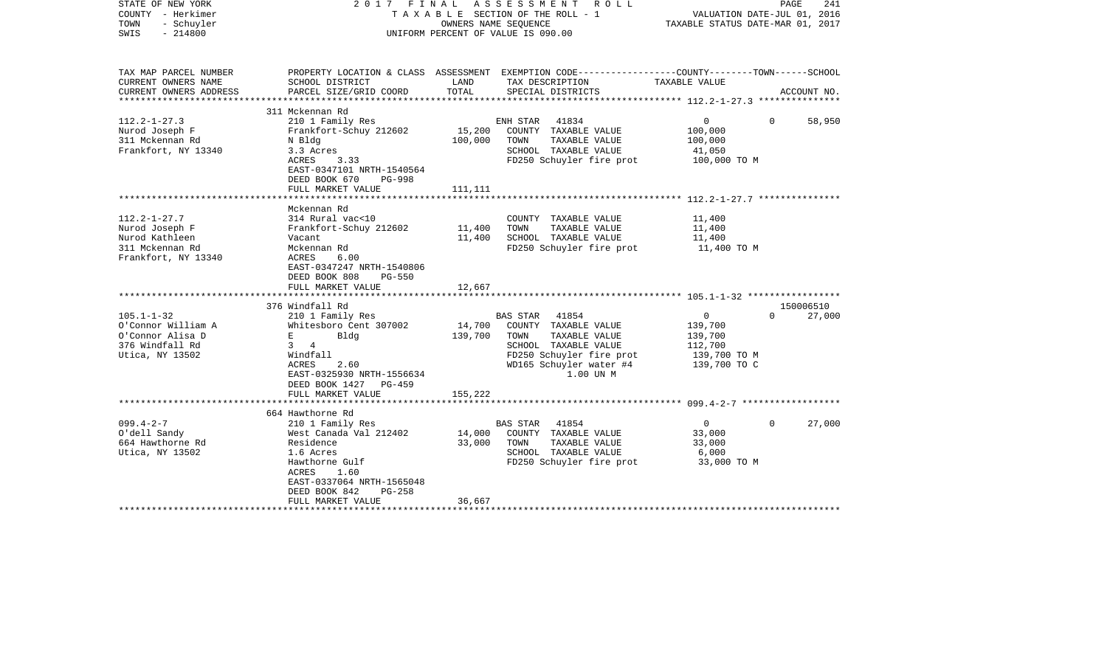| STATE OF NEW YORK<br>COUNTY - Herkimer<br>TOWN<br>- Schuyler<br>$-214800$<br>SWIS                |                                                                                                                                                                                              | OWNERS NAME SEQUENCE         | 2017 FINAL ASSESSMENT ROLL<br>T A X A B L E SECTION OF THE ROLL - 1<br>UNIFORM PERCENT OF VALUE IS 090.00                                                   | VALUATION DATE-JUL 01, 2016<br>TAXABLE STATUS DATE-MAR 01, 2017               | PAGE<br>241        |
|--------------------------------------------------------------------------------------------------|----------------------------------------------------------------------------------------------------------------------------------------------------------------------------------------------|------------------------------|-------------------------------------------------------------------------------------------------------------------------------------------------------------|-------------------------------------------------------------------------------|--------------------|
| TAX MAP PARCEL NUMBER<br>CURRENT OWNERS NAME                                                     | SCHOOL DISTRICT                                                                                                                                                                              | LAND                         | PROPERTY LOCATION & CLASS ASSESSMENT EXEMPTION CODE---------------COUNTY-------TOWN------SCHOOL<br>TAX DESCRIPTION                                          | TAXABLE VALUE                                                                 |                    |
| CURRENT OWNERS ADDRESS                                                                           | PARCEL SIZE/GRID COORD                                                                                                                                                                       | TOTAL                        | SPECIAL DISTRICTS                                                                                                                                           |                                                                               | ACCOUNT NO.        |
|                                                                                                  | 311 Mckennan Rd                                                                                                                                                                              |                              |                                                                                                                                                             |                                                                               |                    |
| $112.2 - 1 - 27.3$<br>Nurod Joseph F<br>311 Mckennan Rd<br>Frankfort, NY 13340                   | 210 1 Family Res<br>Frankfort-Schuy 212602<br>N Bldg<br>3.3 Acres<br>ACRES<br>3.33<br>EAST-0347101 NRTH-1540564<br>DEED BOOK 670<br><b>PG-998</b>                                            | 15,200<br>100,000            | ENH STAR<br>41834<br>COUNTY TAXABLE VALUE<br>TOWN<br>TAXABLE VALUE<br>SCHOOL TAXABLE VALUE<br>FD250 Schuyler fire prot                                      | $\overline{0}$<br>100,000<br>100,000<br>41,050<br>100,000 TO M                | $\Omega$<br>58,950 |
|                                                                                                  | FULL MARKET VALUE                                                                                                                                                                            | 111,111                      |                                                                                                                                                             |                                                                               |                    |
|                                                                                                  |                                                                                                                                                                                              |                              |                                                                                                                                                             |                                                                               |                    |
| $112.2 - 1 - 27.7$<br>Nurod Joseph F<br>Nurod Kathleen<br>311 Mckennan Rd<br>Frankfort, NY 13340 | Mckennan Rd<br>314 Rural vac<10<br>Frankfort-Schuy 212602<br>Vacant<br>Mckennan Rd<br>ACRES<br>6.00<br>EAST-0347247 NRTH-1540806<br>DEED BOOK 808<br>$PG-550$<br>FULL MARKET VALUE           | 11,400<br>11,400<br>12,667   | COUNTY TAXABLE VALUE<br>TAXABLE VALUE<br>TOWN<br>SCHOOL TAXABLE VALUE<br>FD250 Schuyler fire prot                                                           | 11,400<br>11,400<br>11,400<br>11,400 TO M                                     |                    |
|                                                                                                  |                                                                                                                                                                                              |                              |                                                                                                                                                             |                                                                               |                    |
|                                                                                                  | 376 Windfall Rd                                                                                                                                                                              |                              |                                                                                                                                                             |                                                                               | 150006510          |
| $105.1 - 1 - 32$<br>O'Connor William A<br>O'Connor Alisa D<br>376 Windfall Rd<br>Utica, NY 13502 | 210 1 Family Res<br>Whitesboro Cent 307002<br>E and the state<br>Bldg<br>$3 \quad 4$<br>Windfall<br>ACRES<br>2.60<br>EAST-0325930 NRTH-1556634<br>DEED BOOK 1427 PG-459<br>FULL MARKET VALUE | 14,700<br>139,700<br>155,222 | BAS STAR 41854<br>COUNTY TAXABLE VALUE<br>TAXABLE VALUE<br>TOWN<br>SCHOOL TAXABLE VALUE<br>FD250 Schuyler fire prot<br>WD165 Schuyler water #4<br>1.00 UN M | $\mathsf{O}$<br>139,700<br>139,700<br>112,700<br>139,700 TO M<br>139,700 TO C | $\Omega$<br>27,000 |
|                                                                                                  |                                                                                                                                                                                              |                              |                                                                                                                                                             |                                                                               |                    |
| $099.4 - 2 - 7$<br>O'dell Sandy<br>664 Hawthorne Rd<br>Utica, NY 13502                           | 664 Hawthorne Rd<br>210 1 Family Res<br>West Canada Val 212402<br>Residence<br>1.6 Acres<br>Hawthorne Gulf<br>ACRES<br>1.60<br>EAST-0337064 NRTH-1565048                                     | 14,000<br>33,000             | <b>BAS STAR</b><br>41854<br>COUNTY TAXABLE VALUE<br>TOWN<br>TAXABLE VALUE<br>SCHOOL TAXABLE VALUE<br>FD250 Schuyler fire prot                               | 0<br>33,000<br>33,000<br>6,000<br>33,000 TO M                                 | 27,000<br>$\Omega$ |
|                                                                                                  | DEED BOOK 842<br>$PG-258$<br>FULL MARKET VALUE                                                                                                                                               | 36,667                       |                                                                                                                                                             |                                                                               |                    |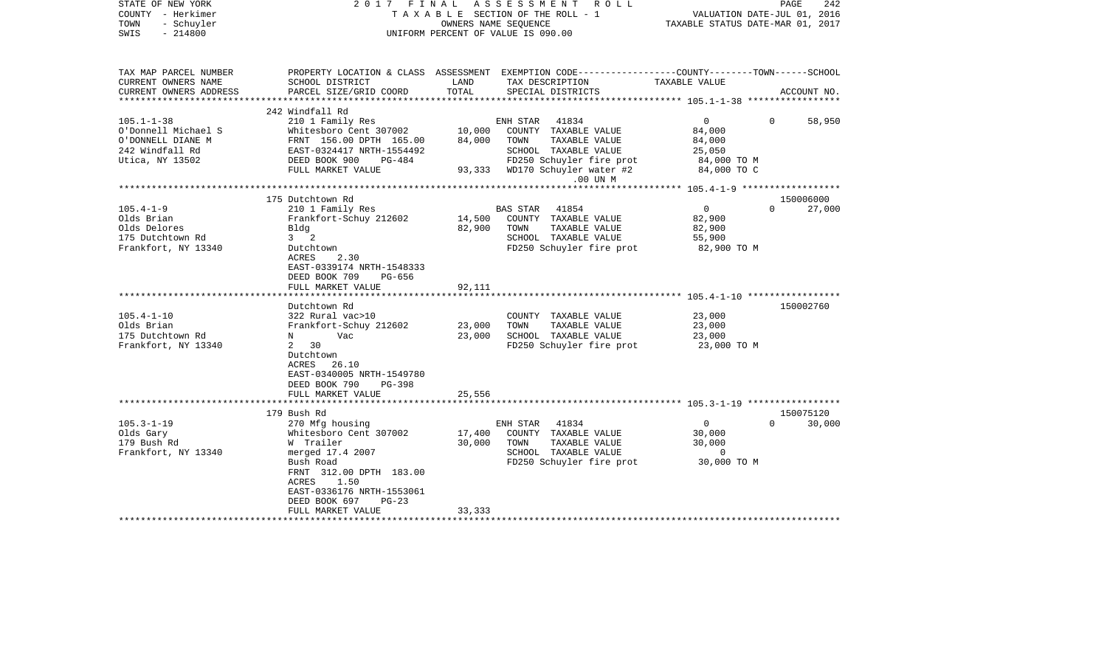| STATE OF NEW YORK<br>COUNTY - Herkimer<br>- Schuyler<br>TOWN<br>$-214800$<br>SWIS | 2017 FINAL                                                                          |        | ASSESSMENT<br>R O L L<br>TAXABLE SECTION OF THE ROLL - 1<br>OWNERS NAME SEOUENCE<br>UNIFORM PERCENT OF VALUE IS 090.00 | VALUATION DATE-JUL 01, 2016<br>TAXABLE STATUS DATE-MAR 01, 2017 | PAGE<br>242        |
|-----------------------------------------------------------------------------------|-------------------------------------------------------------------------------------|--------|------------------------------------------------------------------------------------------------------------------------|-----------------------------------------------------------------|--------------------|
| TAX MAP PARCEL NUMBER<br>CURRENT OWNERS NAME                                      | SCHOOL DISTRICT                                                                     | LAND   | PROPERTY LOCATION & CLASS ASSESSMENT EXEMPTION CODE---------------COUNTY-------TOWN-----SCHOOL<br>TAX DESCRIPTION      | TAXABLE VALUE                                                   |                    |
| CURRENT OWNERS ADDRESS<br>**********************                                  | PARCEL SIZE/GRID COORD                                                              | TOTAL  | SPECIAL DISTRICTS                                                                                                      |                                                                 | ACCOUNT NO.        |
|                                                                                   | 242 Windfall Rd                                                                     |        |                                                                                                                        |                                                                 |                    |
| $105.1 - 1 - 38$                                                                  | 210 1 Family Res                                                                    |        | ENH STAR<br>41834                                                                                                      | $\overline{0}$                                                  | 0<br>58,950        |
| O'Donnell Michael S                                                               | Whitesboro Cent 307002                                                              | 10,000 | COUNTY TAXABLE VALUE                                                                                                   | 84,000                                                          |                    |
| O'DONNELL DIANE M                                                                 | FRNT 156.00 DPTH 165.00                                                             | 84,000 | TAXABLE VALUE<br>TOWN                                                                                                  | 84,000                                                          |                    |
| 242 Windfall Rd                                                                   | EAST-0324417 NRTH-1554492                                                           |        | SCHOOL TAXABLE VALUE                                                                                                   | 25,050                                                          |                    |
| Utica, NY 13502                                                                   | DEED BOOK 900<br>PG-484                                                             |        | FD250 Schuyler fire prot                                                                                               | 84,000 TO M                                                     |                    |
|                                                                                   | FULL MARKET VALUE                                                                   |        | 93,333 WD170 Schuyler water #2                                                                                         | 84,000 TO C                                                     |                    |
|                                                                                   |                                                                                     |        | .00 UN M                                                                                                               |                                                                 |                    |
|                                                                                   |                                                                                     |        |                                                                                                                        |                                                                 |                    |
|                                                                                   | 175 Dutchtown Rd                                                                    |        |                                                                                                                        |                                                                 | 150006000          |
| $105.4 - 1 - 9$                                                                   | 210 1 Family Res                                                                    |        | BAS STAR 41854                                                                                                         | $\overline{0}$                                                  | $\Omega$<br>27,000 |
| Olds Brian                                                                        | Frankfort-Schuy 212602                                                              | 14,500 | COUNTY TAXABLE VALUE                                                                                                   | 82,900                                                          |                    |
| Olds Delores                                                                      | Bldg                                                                                | 82,900 | TOWN<br>TAXABLE VALUE                                                                                                  | 82,900                                                          |                    |
| 175 Dutchtown Rd                                                                  | $3 \quad 2$                                                                         |        | SCHOOL TAXABLE VALUE                                                                                                   | 55,900                                                          |                    |
| Frankfort, NY 13340                                                               | Dutchtown                                                                           |        | FD250 Schuyler fire prot                                                                                               | 82,900 TO M                                                     |                    |
|                                                                                   | 2.30<br>ACRES<br>EAST-0339174 NRTH-1548333<br>DEED BOOK 709<br>PG-656               |        |                                                                                                                        |                                                                 |                    |
|                                                                                   | FULL MARKET VALUE                                                                   | 92,111 |                                                                                                                        |                                                                 |                    |
|                                                                                   |                                                                                     |        |                                                                                                                        |                                                                 |                    |
| $105.4 - 1 - 10$                                                                  | Dutchtown Rd                                                                        |        |                                                                                                                        | 23,000                                                          | 150002760          |
| Olds Brian                                                                        | 322 Rural vac>10                                                                    |        | COUNTY TAXABLE VALUE                                                                                                   |                                                                 |                    |
|                                                                                   | Frankfort-Schuy 212602                                                              | 23,000 | TOWN<br>TAXABLE VALUE                                                                                                  | 23,000                                                          |                    |
| 175 Dutchtown Rd                                                                  | N<br>Vac<br>$\mathbf{2}$<br>30                                                      | 23,000 | SCHOOL TAXABLE VALUE                                                                                                   | 23,000                                                          |                    |
| Frankfort, NY 13340                                                               | Dutchtown<br>ACRES<br>26.10<br>EAST-0340005 NRTH-1549780<br>DEED BOOK 790<br>PG-398 |        | FD250 Schuyler fire prot                                                                                               | 23,000 TO M                                                     |                    |
|                                                                                   | FULL MARKET VALUE                                                                   | 25,556 |                                                                                                                        |                                                                 |                    |
|                                                                                   | *************************                                                           |        |                                                                                                                        |                                                                 |                    |
|                                                                                   | 179 Bush Rd                                                                         |        |                                                                                                                        |                                                                 | 150075120          |
| $105.3 - 1 - 19$                                                                  | 270 Mfg housing                                                                     |        | 41834<br>ENH STAR                                                                                                      | $\overline{0}$                                                  | $\Omega$<br>30,000 |
| Olds Gary                                                                         | Whitesboro Cent 307002                                                              | 17,400 | COUNTY TAXABLE VALUE                                                                                                   | 30,000                                                          |                    |
| 179 Bush Rd                                                                       | W Trailer                                                                           | 30,000 | TAXABLE VALUE<br>TOWN                                                                                                  | 30,000                                                          |                    |
| Frankfort, NY 13340                                                               | merged 17.4 2007                                                                    |        | SCHOOL TAXABLE VALUE                                                                                                   | 0                                                               |                    |
|                                                                                   | Bush Road                                                                           |        | FD250 Schuyler fire prot                                                                                               | 30,000 TO M                                                     |                    |
|                                                                                   | FRNT 312.00 DPTH 183.00                                                             |        |                                                                                                                        |                                                                 |                    |
|                                                                                   | 1.50<br>ACRES                                                                       |        |                                                                                                                        |                                                                 |                    |
|                                                                                   | EAST-0336176 NRTH-1553061                                                           |        |                                                                                                                        |                                                                 |                    |
|                                                                                   | DEED BOOK 697<br>$PG-23$                                                            |        |                                                                                                                        |                                                                 |                    |
|                                                                                   | FULL MARKET VALUE                                                                   | 33,333 |                                                                                                                        |                                                                 |                    |
|                                                                                   |                                                                                     |        |                                                                                                                        |                                                                 |                    |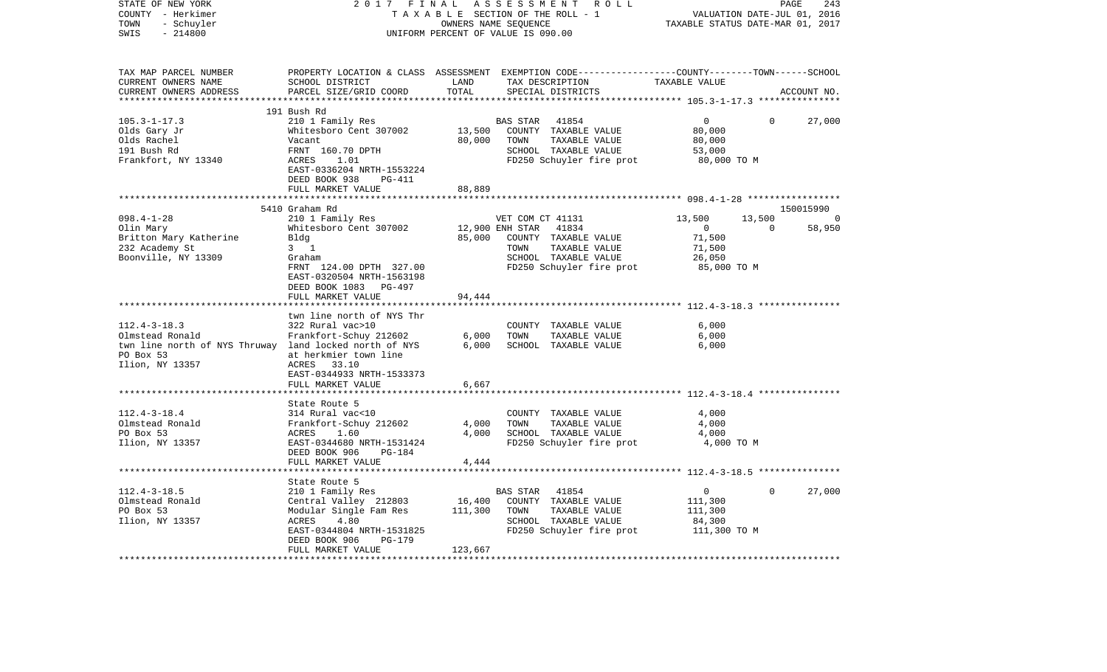| STATE OF NEW YORK<br>COUNTY - Herkimer<br>TOWN<br>- Schuyler                                                                    | 2017 FINAL                                                                                                                                                       | TAXABLE SECTION OF THE ROLL - 1<br>OWNERS NAME SEQUENCE |                                                   | ASSESSMENT ROLL                                                                                    | TAXABLE STATUS DATE-MAR 01, 2017                                      | PAGE<br>VALUATION DATE-JUL 01, 2016 | 243           |
|---------------------------------------------------------------------------------------------------------------------------------|------------------------------------------------------------------------------------------------------------------------------------------------------------------|---------------------------------------------------------|---------------------------------------------------|----------------------------------------------------------------------------------------------------|-----------------------------------------------------------------------|-------------------------------------|---------------|
| SWIS<br>$-214800$                                                                                                               |                                                                                                                                                                  | UNIFORM PERCENT OF VALUE IS 090.00                      |                                                   |                                                                                                    |                                                                       |                                     |               |
| TAX MAP PARCEL NUMBER<br>CURRENT OWNERS NAME<br>CURRENT OWNERS ADDRESS                                                          | PROPERTY LOCATION & CLASS ASSESSMENT EXEMPTION CODE---------------COUNTY-------TOWN------SCHOOL<br>SCHOOL DISTRICT<br>PARCEL SIZE/GRID COORD                     | LAND<br>TOTAL                                           |                                                   | TAX DESCRIPTION<br>SPECIAL DISTRICTS                                                               | TAXABLE VALUE                                                         |                                     | ACCOUNT NO.   |
| ***********************                                                                                                         |                                                                                                                                                                  |                                                         |                                                   |                                                                                                    |                                                                       |                                     |               |
| $105.3 - 1 - 17.3$<br>Olds Gary Jr<br>Olds Rachel<br>191 Bush Rd<br>Frankfort, NY 13340                                         | 191 Bush Rd<br>210 1 Family Res<br>Whitesboro Cent 307002<br>Vacant<br>FRNT 160.70 DPTH<br>ACRES<br>1.01<br>EAST-0336204 NRTH-1553224<br>DEED BOOK 938<br>PG-411 | 13,500<br>80,000                                        | BAS STAR<br>TOWN                                  | 41854<br>COUNTY TAXABLE VALUE<br>TAXABLE VALUE<br>SCHOOL TAXABLE VALUE<br>FD250 Schuyler fire prot | $\overline{0}$<br>80,000<br>80,000<br>53,000<br>80,000 TO M           | $\Omega$                            | 27,000        |
|                                                                                                                                 | FULL MARKET VALUE                                                                                                                                                | 88,889<br>********                                      |                                                   |                                                                                                    |                                                                       |                                     |               |
|                                                                                                                                 | 5410 Graham Rd                                                                                                                                                   |                                                         |                                                   |                                                                                                    |                                                                       |                                     | 150015990     |
| $098.4 - 1 - 28$<br>Olin Mary<br>Britton Mary Katherine<br>232 Academy St<br>Boonville, NY 13309                                | 210 1 Family Res<br>Whitesboro Cent 307002<br>Bldg<br>$3 \quad 1$<br>Graham<br>FRNT 124.00 DPTH 327.00<br>EAST-0320504 NRTH-1563198                              | 85,000                                                  | VET COM CT 41131<br>12,900 ENH STAR 41834<br>TOWN | COUNTY TAXABLE VALUE<br>TAXABLE VALUE<br>SCHOOL TAXABLE VALUE<br>FD250 Schuyler fire prot          | 13,500<br>$\overline{0}$<br>71,500<br>71,500<br>26,050<br>85,000 TO M | 13,500<br>$\Omega$                  | - 0<br>58,950 |
|                                                                                                                                 | DEED BOOK 1083 PG-497<br>FULL MARKET VALUE                                                                                                                       | 94,444                                                  |                                                   |                                                                                                    |                                                                       |                                     |               |
|                                                                                                                                 |                                                                                                                                                                  |                                                         |                                                   |                                                                                                    |                                                                       |                                     |               |
| $112.4 - 3 - 18.3$<br>Olmstead Ronald<br>twn line north of NYS Thruway land locked north of NYS<br>PO Box 53<br>Ilion, NY 13357 | twn line north of NYS Thr<br>322 Rural vac>10<br>Frankfort-Schuy 212602<br>at herkmier town line<br>ACRES 33.10<br>EAST-0344933 NRTH-1533373                     | 6,000<br>6,000                                          | TOWN                                              | COUNTY TAXABLE VALUE<br>TAXABLE VALUE<br>SCHOOL TAXABLE VALUE                                      | 6.000<br>6,000<br>6,000                                               |                                     |               |
|                                                                                                                                 | FULL MARKET VALUE                                                                                                                                                | 6,667                                                   |                                                   |                                                                                                    |                                                                       |                                     |               |
| $112.4 - 3 - 18.4$<br>Olmstead Ronald<br>PO Box 53<br>Ilion, NY 13357                                                           | State Route 5<br>314 Rural vac<10<br>Frankfort-Schuy 212602<br>ACRES<br>1.60<br>EAST-0344680 NRTH-1531424<br>DEED BOOK 906<br>PG-184<br>FULL MARKET VALUE        | 4,000<br>4,000<br>4,444                                 | TOWN                                              | COUNTY TAXABLE VALUE<br>TAXABLE VALUE<br>SCHOOL TAXABLE VALUE<br>FD250 Schuyler fire prot          | 4,000<br>4,000<br>4,000<br>4,000 TO M                                 |                                     |               |
|                                                                                                                                 |                                                                                                                                                                  |                                                         |                                                   |                                                                                                    |                                                                       |                                     |               |
| $112.4 - 3 - 18.5$<br>Olmstead Ronald<br>PO Box 53<br>Ilion, NY 13357                                                           | State Route 5<br>210 1 Family Res<br>Central Valley 212803<br>Modular Single Fam Res<br>4.80<br>ACRES<br>EAST-0344804 NRTH-1531825<br>DEED BOOK 906<br>PG-179    | 16,400<br>111,300                                       | BAS STAR<br>TOWN                                  | 41854<br>COUNTY TAXABLE VALUE<br>TAXABLE VALUE<br>SCHOOL TAXABLE VALUE<br>FD250 Schuyler fire prot | $\overline{0}$<br>111,300<br>111,300<br>84,300<br>111,300 TO M        | $\Omega$                            | 27,000        |
|                                                                                                                                 | FULL MARKET VALUE                                                                                                                                                | 123,667                                                 |                                                   |                                                                                                    |                                                                       |                                     |               |
|                                                                                                                                 |                                                                                                                                                                  |                                                         |                                                   |                                                                                                    |                                                                       |                                     |               |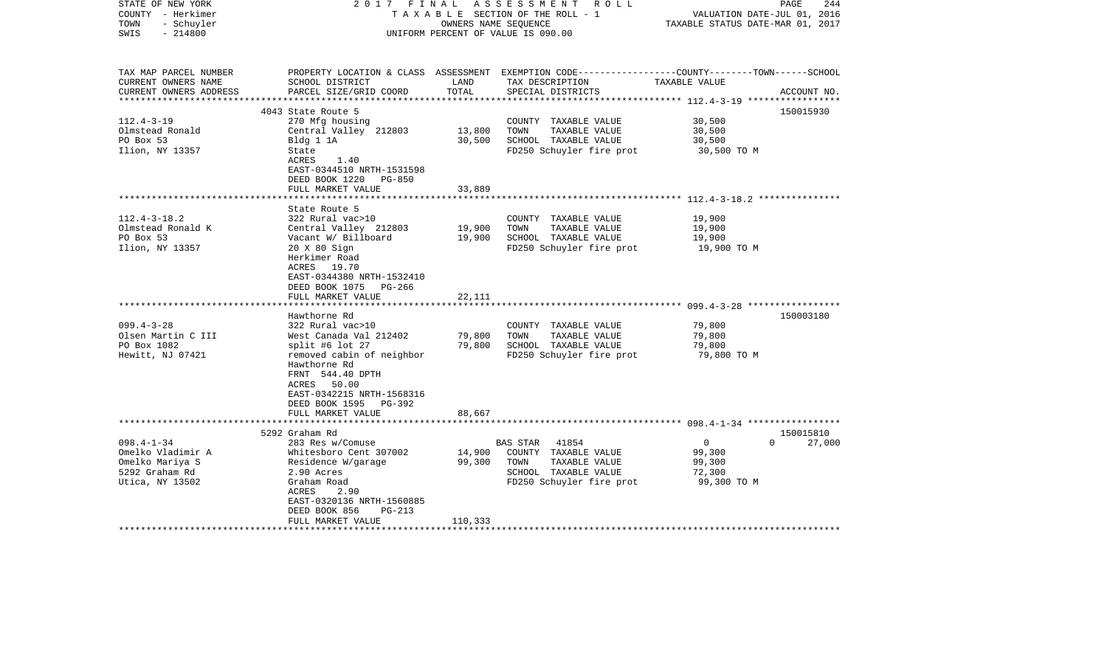| STATE OF NEW YORK<br>COUNTY - Herkimer<br>- Schuyler<br>TOWN<br>$-214800$<br>SWIS             | 2017 FINAL                                                                                                                                                                                                                               | OWNERS NAME SEQUENCE        | ASSESSMENT ROLL<br>TAXABLE SECTION OF THE ROLL - 1<br>UNIFORM PERCENT OF VALUE IS 090.00                            | 244<br>PAGE<br>VALUATION DATE-JUL 01, 2016<br>TAXABLE STATUS DATE-MAR 01, 2017                                                  |
|-----------------------------------------------------------------------------------------------|------------------------------------------------------------------------------------------------------------------------------------------------------------------------------------------------------------------------------------------|-----------------------------|---------------------------------------------------------------------------------------------------------------------|---------------------------------------------------------------------------------------------------------------------------------|
| TAX MAP PARCEL NUMBER<br>CURRENT OWNERS NAME<br>CURRENT OWNERS ADDRESS                        | SCHOOL DISTRICT<br>PARCEL SIZE/GRID COORD                                                                                                                                                                                                | LAND<br>TOTAL               | TAX DESCRIPTION<br>SPECIAL DISTRICTS                                                                                | PROPERTY LOCATION & CLASS ASSESSMENT EXEMPTION CODE---------------COUNTY-------TOWN------SCHOOL<br>TAXABLE VALUE<br>ACCOUNT NO. |
| $112.4 - 3 - 19$<br>Olmstead Ronald<br>PO Box 53<br>Ilion, NY 13357                           | 4043 State Route 5<br>270 Mfg housing<br>Central Valley 212803<br>Bldg 1 1A<br>State<br>ACRES<br>1.40<br>EAST-0344510 NRTH-1531598<br>DEED BOOK 1220 PG-850<br>FULL MARKET VALUE                                                         | 13,800<br>30,500<br>33,889  | COUNTY TAXABLE VALUE<br>TOWN<br>TAXABLE VALUE<br>SCHOOL TAXABLE VALUE<br>FD250 Schuyler fire prot                   | 150015930<br>30,500<br>30,500<br>30,500<br>30,500 TO M                                                                          |
| $112.4 - 3 - 18.2$<br>Olmstead Ronald K<br>PO Box 53<br>Ilion, NY 13357                       | State Route 5<br>322 Rural vac>10<br>Central Valley 212803<br>Vacant W/ Billboard<br>20 X 80 Sign<br>Herkimer Road<br>ACRES 19.70<br>EAST-0344380 NRTH-1532410<br>DEED BOOK 1075 PG-266<br>FULL MARKET VALUE                             | 19,900<br>19,900<br>22,111  | COUNTY TAXABLE VALUE<br>TOWN<br>TAXABLE VALUE<br>SCHOOL TAXABLE VALUE<br>FD250 Schuyler fire prot                   | 19,900<br>19,900<br>19,900<br>19,900 TO M                                                                                       |
| $099.4 - 3 - 28$<br>Olsen Martin C III<br>PO Box 1082<br>Hewitt, NJ 07421                     | Hawthorne Rd<br>322 Rural vac>10<br>West Canada Val 212402<br>split #6 lot 27<br>removed cabin of neighbor<br>Hawthorne Rd<br>FRNT 544.40 DPTH<br>ACRES 50.00<br>EAST-0342215 NRTH-1568316<br>DEED BOOK 1595 PG-392<br>FULL MARKET VALUE | 79,800<br>79,800<br>88,667  | COUNTY TAXABLE VALUE<br>TAXABLE VALUE<br>TOWN<br>SCHOOL TAXABLE VALUE<br>FD250 Schuyler fire prot                   | 150003180<br>79,800<br>79,800<br>79,800<br>79,800 TO M                                                                          |
|                                                                                               |                                                                                                                                                                                                                                          |                             |                                                                                                                     |                                                                                                                                 |
| $098.4 - 1 - 34$<br>Omelko Vladimir A<br>Omelko Mariya S<br>5292 Graham Rd<br>Utica, NY 13502 | 5292 Graham Rd<br>283 Res w/Comuse<br>Whitesboro Cent 307002<br>Residence W/garage<br>2.90 Acres<br>Graham Road<br>2.90<br>ACRES<br>EAST-0320136 NRTH-1560885<br>DEED BOOK 856<br>$PG-213$<br>FULL MARKET VALUE                          | 14,900<br>99,300<br>110,333 | BAS STAR 41854<br>COUNTY TAXABLE VALUE<br>TAXABLE VALUE<br>TOWN<br>SCHOOL TAXABLE VALUE<br>FD250 Schuyler fire prot | 150015810<br>$\overline{0}$<br>27,000<br>$\Omega$<br>99,300<br>99,300<br>72,300<br>99,300 TO M                                  |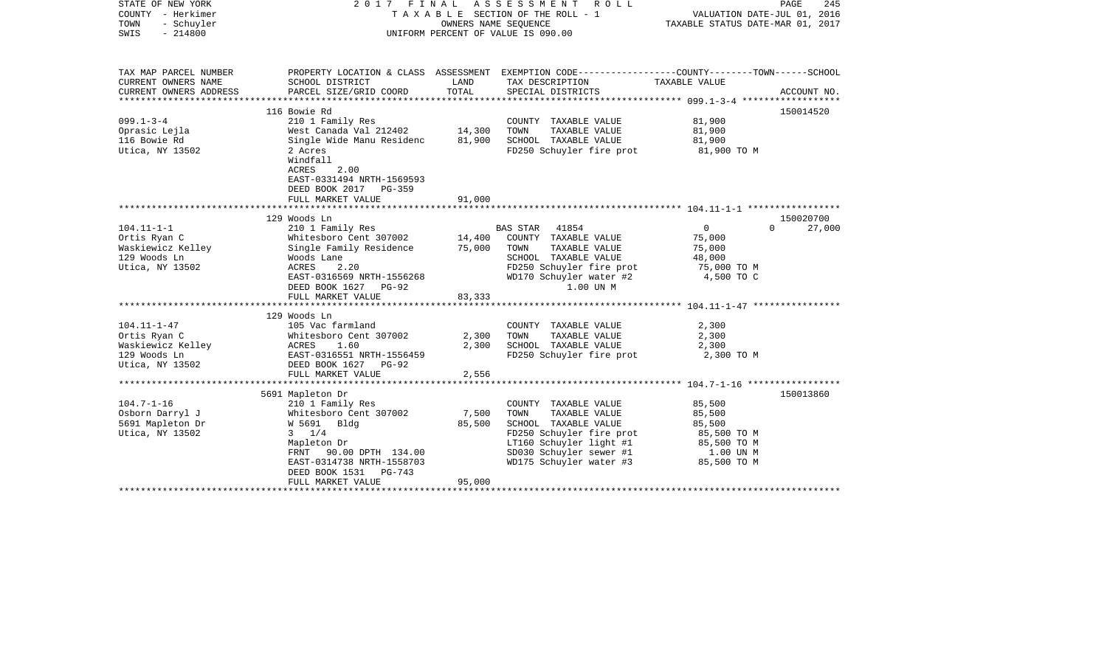| STATE OF NEW YORK<br>COUNTY - Herkimer<br>- Schuyler<br>TOWN<br>$-214800$<br>SWIS                  | FINAL<br>2017                                                                                                                                                                                 |                            | A S S E S S M E N T<br>R O L L<br>TAXABLE SECTION OF THE ROLL - 1<br>OWNERS NAME SEQUENCE<br>UNIFORM PERCENT OF VALUE IS 090.00                                                    | VALUATION DATE-JUL 01, 2016<br>TAXABLE STATUS DATE-MAR 01, 2017                       | PAGE<br>245 |
|----------------------------------------------------------------------------------------------------|-----------------------------------------------------------------------------------------------------------------------------------------------------------------------------------------------|----------------------------|------------------------------------------------------------------------------------------------------------------------------------------------------------------------------------|---------------------------------------------------------------------------------------|-------------|
| TAX MAP PARCEL NUMBER<br>CURRENT OWNERS NAME<br>CURRENT OWNERS ADDRESS<br>************************ | SCHOOL DISTRICT<br>PARCEL SIZE/GRID COORD                                                                                                                                                     | LAND<br>TOTAL              | PROPERTY LOCATION & CLASS ASSESSMENT EXEMPTION CODE---------------COUNTY-------TOWN-----SCHOOL<br>TAX DESCRIPTION<br>SPECIAL DISTRICTS                                             | TAXABLE VALUE                                                                         | ACCOUNT NO. |
|                                                                                                    | 116 Bowie Rd                                                                                                                                                                                  |                            |                                                                                                                                                                                    |                                                                                       | 150014520   |
| $099.1 - 3 - 4$<br>Oprasic Lejla<br>116 Bowie Rd<br>Utica, NY 13502                                | 210 1 Family Res<br>West Canada Val 212402<br>Single Wide Manu Residenc 81,900<br>2 Acres<br>Windfall<br>ACRES<br>2.00<br>EAST-0331494 NRTH-1569593<br>DEED BOOK 2017 PG-359                  | 14,300                     | COUNTY TAXABLE VALUE<br>TOWN<br>TAXABLE VALUE<br>SCHOOL TAXABLE VALUE<br>FD250 Schuyler fire prot                                                                                  | 81,900<br>81,900<br>81,900<br>81,900 TO M                                             |             |
|                                                                                                    | FULL MARKET VALUE                                                                                                                                                                             | 91,000                     |                                                                                                                                                                                    |                                                                                       |             |
|                                                                                                    |                                                                                                                                                                                               |                            |                                                                                                                                                                                    |                                                                                       |             |
|                                                                                                    | 129 Woods Ln                                                                                                                                                                                  |                            |                                                                                                                                                                                    |                                                                                       | 150020700   |
| $104.11 - 1 - 1$<br>Ortis Ryan C<br>Waskiewicz Kelley<br>129 Woods Ln<br>Utica, NY 13502           | 210 1 Family Res<br>Whitesboro Cent 307002<br>Single Family Residence<br>Woods Lane<br>2.20<br>ACRES<br>EAST-0316569 NRTH-1556268<br>DEED BOOK 1627 PG-92<br>FULL MARKET VALUE                | 14,400<br>75,000<br>83,333 | 41854<br>BAS STAR<br>COUNTY TAXABLE VALUE<br>TAXABLE VALUE<br>TOWN<br>SCHOOL TAXABLE VALUE<br>FD250 Schuyler fire prot<br>WD170 Schuyler water #2<br>1.00 UN M                     | $\overline{0}$<br>$\Omega$<br>75,000<br>75,000<br>48,000<br>75,000 TO M<br>4,500 TO C | 27,000      |
|                                                                                                    |                                                                                                                                                                                               |                            |                                                                                                                                                                                    |                                                                                       |             |
| $104.11 - 1 - 47$<br>Ortis Ryan C<br>Waskiewicz Kelley<br>129 Woods Ln<br>Utica, NY 13502          | 129 Woods Ln<br>105 Vac farmland<br>Whitesboro Cent 307002<br>ACRES<br>1.60<br>EAST-0316551 NRTH-1556459<br>DEED BOOK 1627 PG-92<br>FULL MARKET VALUE                                         | 2,300<br>2,300<br>2,556    | COUNTY TAXABLE VALUE<br>TAXABLE VALUE<br>TOWN<br>SCHOOL TAXABLE VALUE<br>FD250 Schuyler fire prot                                                                                  | 2,300<br>2,300<br>2,300<br>2,300 TO M                                                 |             |
|                                                                                                    | 5691 Mapleton Dr                                                                                                                                                                              |                            |                                                                                                                                                                                    |                                                                                       | 150013860   |
| $104.7 - 1 - 16$<br>Osborn Darryl J<br>5691 Mapleton Dr<br>Utica, NY 13502                         | 210 1 Family Res<br>Whitesboro Cent 307002<br>W 5691 Bldg<br>$3 \t1/4$<br>Mapleton Dr<br>FRNT 90.00 DPTH 134.00<br>EAST-0314738 NRTH-1558703<br>DEED BOOK 1531<br>PG-743<br>FULL MARKET VALUE | 7,500<br>85,500<br>95,000  | COUNTY TAXABLE VALUE<br>TOWN<br>TAXABLE VALUE<br>SCHOOL TAXABLE VALUE<br>FD250 Schuyler fire prot<br>LT160 Schuyler light #1<br>SD030 Schuyler sewer #1<br>WD175 Schuyler water #3 | 85,500<br>85,500<br>85,500<br>85,500 TO M<br>85,500 TO M<br>1.00 UN M<br>85,500 TO M  |             |
|                                                                                                    |                                                                                                                                                                                               |                            |                                                                                                                                                                                    |                                                                                       |             |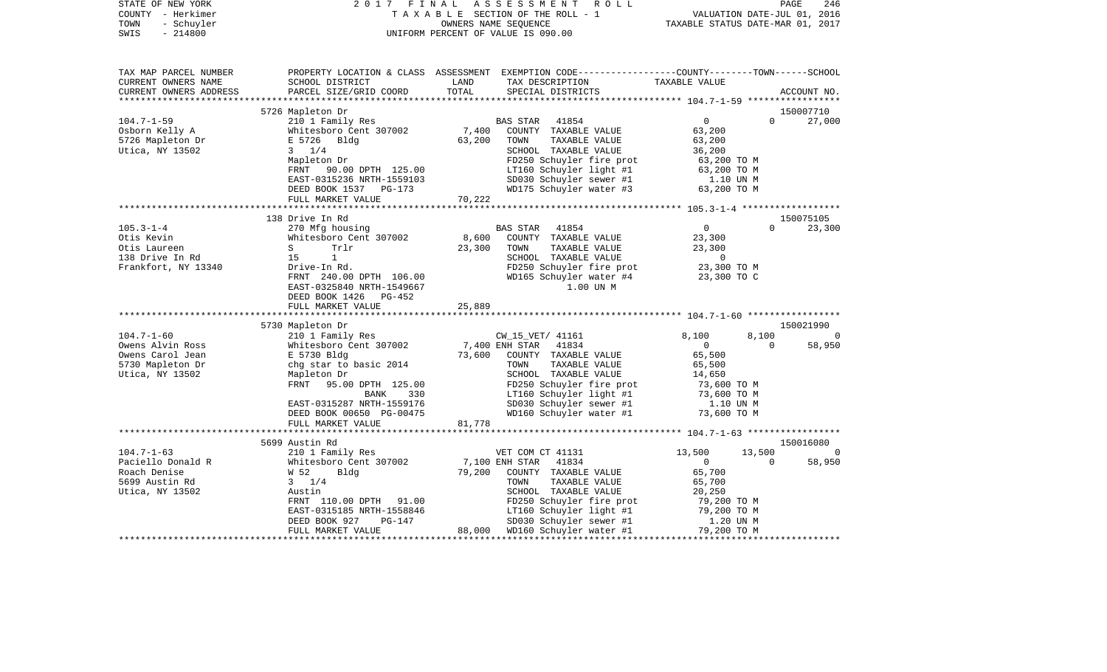| STATE OF NEW YORK<br>COUNTY - Herkimer<br>- Schuyler<br>TOWN<br>$-214800$<br>SWIS | 2017 FINAL                                                                        |             | FINAL ASSESSMENT ROLL<br>TAXABLE SECTION OF THE ROLL - 1 VALUATION DATE-JUL 01, 2016<br>OWNERS NAME SEQUENCE<br>TAXABLE STATUS DATE-MAR 01, 2017<br>UNIFORM PERCENT OF VALUE IS 090.00 |                |                          |             |
|-----------------------------------------------------------------------------------|-----------------------------------------------------------------------------------|-------------|----------------------------------------------------------------------------------------------------------------------------------------------------------------------------------------|----------------|--------------------------|-------------|
| TAX MAP PARCEL NUMBER<br>CURRENT OWNERS NAME                                      | SCHOOL DISTRICT                                                                   | LAND        | PROPERTY LOCATION & CLASS ASSESSMENT EXEMPTION CODE---------------COUNTY-------TOWN-----SCHOOL<br>TAX DESCRIPTION TAXABLE VALUE                                                        |                |                          |             |
| CURRENT OWNERS ADDRESS                                                            | PARCEL SIZE/GRID COORD                                                            | TOTAL       | SPECIAL DISTRICTS                                                                                                                                                                      |                |                          | ACCOUNT NO. |
|                                                                                   | 5726 Mapleton Dr                                                                  |             |                                                                                                                                                                                        |                |                          | 150007710   |
|                                                                                   | 210 1 Family Res                                                                  |             | BAS STAR 41854                                                                                                                                                                         | $\overline{0}$ | $\Omega$                 | 27,000      |
| 104.7-1-59<br>Osborn Kelly A<br>5726 Mapleton Dr                                  | Whitesboro Cent 307002                                                            |             | 7,400 COUNTY TAXABLE VALUE                                                                                                                                                             | 63,200         |                          |             |
|                                                                                   | E 5726 Bldg                                                                       | 63,200      | TAXABLE VALUE<br>TOWN                                                                                                                                                                  | 63,200         |                          |             |
| Utica, NY 13502                                                                   | $3 \t1/4$                                                                         |             | SCHOOL TAXABLE VALUE                                                                                                                                                                   | 36,200         |                          |             |
|                                                                                   | Mapleton Dr                                                                       |             |                                                                                                                                                                                        |                |                          |             |
|                                                                                   | FRNT 90.00 DPTH 125.00                                                            |             | FD250 Schuyler fire prot 63,200 TO M<br>LT160 Schuyler light #1 63,200 TO M                                                                                                            |                |                          |             |
|                                                                                   | EAST-0315236 NRTH-1559103                                                         |             | SD030 Schuyler sewer #1                                                                                                                                                                | 1.10 UN M      |                          |             |
|                                                                                   | DEED BOOK 1537 PG-173                                                             |             | WD175 Schuyler water $#3$ 63,200 TO M                                                                                                                                                  |                |                          |             |
|                                                                                   | FULL MARKET VALUE                                                                 | 70,222      |                                                                                                                                                                                        |                |                          |             |
|                                                                                   |                                                                                   |             |                                                                                                                                                                                        |                |                          |             |
|                                                                                   | 138 Drive In Rd                                                                   |             |                                                                                                                                                                                        |                |                          | 150075105   |
| $105.3 - 1 - 4$                                                                   | 270 Mfg housing                                                                   |             | BAS STAR 41854                                                                                                                                                                         | $\overline{0}$ | $\Omega$                 | 23,300      |
| Otis Kevin                                                                        | Whitesboro Cent 307002                                                            |             | 8,600 COUNTY TAXABLE VALUE                                                                                                                                                             | 23,300         |                          |             |
| Otis Laureen                                                                      | Trlr                                                                              | 23,300 TOWN | TAXABLE VALUE                                                                                                                                                                          | 23,300         |                          |             |
| 138 Drive In Rd                                                                   | Whice<br>S<br>15<br>Driv<br>$\mathbf{1}$                                          |             | SCHOOL TAXABLE VALUE                                                                                                                                                                   | $\sim$ 0       |                          |             |
| Frankfort, NY 13340                                                               | Drive-In Rd.                                                                      |             | FD250 Schuyler fire prot 23,300 TO M<br>WD165 Schuyler water #4 23,300 TO C                                                                                                            |                |                          |             |
|                                                                                   | FRNT 240.00 DPTH 106.00<br>EAST-0325840 NRTH-1549667                              |             | 1.00 UN M                                                                                                                                                                              |                |                          |             |
|                                                                                   | DEED BOOK 1426 PG-452                                                             | 25,889      |                                                                                                                                                                                        |                |                          |             |
|                                                                                   | FULL MARKET VALUE                                                                 |             |                                                                                                                                                                                        |                |                          |             |
|                                                                                   | 5730 Mapleton Dr                                                                  |             |                                                                                                                                                                                        |                |                          | 150021990   |
| $104.7 - 1 - 60$                                                                  |                                                                                   |             | CW_15_VET/ 41161                                                                                                                                                                       | 8,100          | 8,100                    |             |
| Owens Alvin Ross                                                                  | 210 1 Family Res<br>210 1 Family Res<br>210 1 Family Res<br>27,400 ENE STAR 41834 |             |                                                                                                                                                                                        | $\overline{0}$ | $\overline{\phantom{0}}$ | 58,950      |
| Owens Carol Jean                                                                  |                                                                                   |             | 73,600 COUNTY TAXABLE VALUE                                                                                                                                                            | 65,500         |                          |             |
| 5730 Mapleton Dr                                                                  | E 5730 Bldg<br>chg star to basic 2014                                             |             | TOWN<br>TAXABLE VALUE                                                                                                                                                                  | 65,500         |                          |             |
| Utica, NY 13502                                                                   | Mapleton Dr                                                                       |             | SCHOOL TAXABLE VALUE                                                                                                                                                                   | 14,650         |                          |             |
|                                                                                   | FRNT 95.00 DPTH 125.00                                                            |             |                                                                                                                                                                                        |                |                          |             |
|                                                                                   | BANK<br>330                                                                       |             |                                                                                                                                                                                        |                |                          |             |
|                                                                                   | EAST-0315287 NRTH-1559176                                                         |             |                                                                                                                                                                                        |                |                          |             |
|                                                                                   | DEED BOOK 00650 PG-00475                                                          |             | FD250 Schuyler fire prot<br>LT160 Schuyler light #1 73,600 TO M<br>SD030 Schuyler sewer #1 1.10 UN M<br>WD160 Schuyler water #1 73,600 TO M                                            |                |                          |             |
|                                                                                   | FULL MARKET VALUE                                                                 | 81,778      |                                                                                                                                                                                        |                |                          |             |
|                                                                                   |                                                                                   |             |                                                                                                                                                                                        |                |                          |             |
|                                                                                   | 5699 Austin Rd                                                                    |             |                                                                                                                                                                                        |                |                          | 150016080   |
| $104.7 - 1 - 63$                                                                  | 210 1 Family Res                                                                  |             | VET COM CT 41131                                                                                                                                                                       | 13,500         | 13,500                   |             |
| Paciello Donald R<br>Poach Denise                                                 | Whitesboro Cent 307002                                                            |             | 7,100 ENH STAR<br>41834                                                                                                                                                                | $\overline{0}$ | $\overline{0}$           | 58,950      |
|                                                                                   | W 52<br>Bldg                                                                      |             | 79,200 COUNTY TAXABLE VALUE                                                                                                                                                            | 65,700         |                          |             |
| 5699 Austin Rd                                                                    | $3 \frac{1}{4}$                                                                   |             | TOWN<br>TAXABLE VALUE                                                                                                                                                                  | 65,700         |                          |             |
| Utica, NY 13502                                                                   | Austin                                                                            |             | SCHOOL TAXABLE VALUE                                                                                                                                                                   | 20,250         |                          |             |
|                                                                                   | FRNT 110.00 DPTH 91.00                                                            |             |                                                                                                                                                                                        | $79,200$ TO M  |                          |             |
|                                                                                   | EAST-0315185 NRTH-1558846                                                         |             |                                                                                                                                                                                        | 79,200 TO M    |                          |             |
|                                                                                   | PG-147<br>DEED BOOK 927                                                           |             | FD250 Schuyler fire prot<br>LT160 Schuyler light #1<br>SD030 Schuyler sewer #1                                                                                                         | 1.20 UN M      |                          |             |
|                                                                                   | FULL MARKET VALUE                                                                 |             | $88,000$ WD160 Schuyler water #1                                                                                                                                                       | 79,200 TO M    |                          |             |
|                                                                                   |                                                                                   |             |                                                                                                                                                                                        |                |                          |             |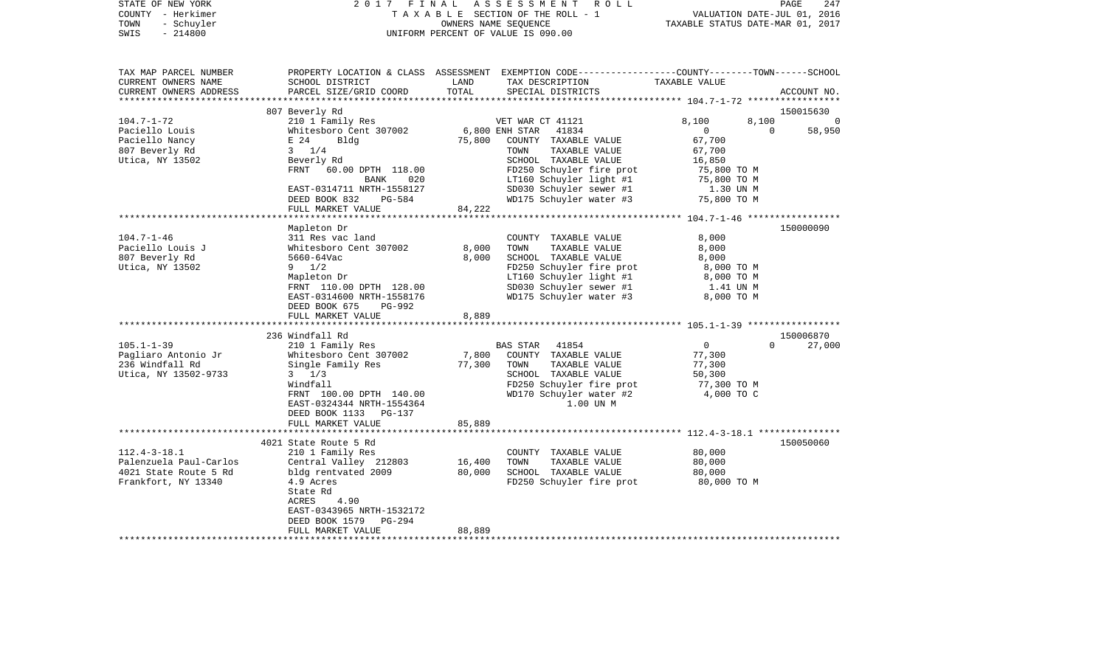| STATE OF NEW YORK<br>COUNTY - Herkimer<br>- Schuyler<br>TOWN<br>$-214800$<br>SWIS |                                           | OWNERS NAME SEQUENCE | 2017 FINAL ASSESSMENT ROLL<br>TAXABLE SECTION OF THE ROLL - 1<br>UNIFORM PERCENT OF VALUE IS 090.00                                     | VALUATION DATE-JUL 01, 2016<br>TAXABLE STATUS DATE-MAR 01, 2017 | PAGE               | 247                      |
|-----------------------------------------------------------------------------------|-------------------------------------------|----------------------|-----------------------------------------------------------------------------------------------------------------------------------------|-----------------------------------------------------------------|--------------------|--------------------------|
| TAX MAP PARCEL NUMBER<br>CURRENT OWNERS NAME<br>CURRENT OWNERS ADDRESS            | SCHOOL DISTRICT<br>PARCEL SIZE/GRID COORD | LAND<br>TOTAL        | PROPERTY LOCATION & CLASS ASSESSMENT EXEMPTION CODE---------------COUNTY-------TOWN------SCHOOL<br>TAX DESCRIPTION<br>SPECIAL DISTRICTS | TAXABLE VALUE                                                   | ACCOUNT NO.        |                          |
|                                                                                   |                                           |                      |                                                                                                                                         |                                                                 |                    |                          |
| $104.7 - 1 - 72$                                                                  | 807 Beverly Rd<br>210 1 Family Res        |                      | VET WAR CT 41121                                                                                                                        | 8,100                                                           | 150015630<br>8,100 | $\overline{\phantom{0}}$ |
| Paciello Louis                                                                    | Whitesboro Cent 307002                    |                      | 6,800 ENH STAR 41834                                                                                                                    | $\overline{0}$                                                  | $\bigcirc$         | 58,950                   |
| Paciello Nancy                                                                    | E 24<br>Bldg                              |                      | 75,800 COUNTY TAXABLE VALUE                                                                                                             | 67,700                                                          |                    |                          |
| 807 Beverly Rd                                                                    | $3 \frac{1}{4}$                           |                      | TOWN<br>TAXABLE VALUE                                                                                                                   | 67,700                                                          |                    |                          |
| Utica, NY 13502                                                                   | Beverly Rd                                |                      | SCHOOL TAXABLE VALUE                                                                                                                    | 16,850                                                          |                    |                          |
|                                                                                   | FRNT 60.00 DPTH 118.00                    |                      | FD250 Schuyler fire prot                                                                                                                | 75,800 TO M                                                     |                    |                          |
|                                                                                   | BANK 020                                  |                      | LT160 Schuyler light #1<br>SD030 Schuyler sewer #1<br>WD175 Schuyler water #3                                                           | 75,800 TO M                                                     |                    |                          |
|                                                                                   | EAST-0314711 NRTH-1558127                 |                      |                                                                                                                                         | 1.30 UN M                                                       |                    |                          |
|                                                                                   | DEED BOOK 832<br>PG-584                   |                      |                                                                                                                                         | 75,800 TO M                                                     |                    |                          |
|                                                                                   | FULL MARKET VALUE                         | 84,222               |                                                                                                                                         |                                                                 |                    |                          |
|                                                                                   |                                           |                      |                                                                                                                                         |                                                                 |                    |                          |
|                                                                                   | Mapleton Dr                               |                      |                                                                                                                                         |                                                                 | 150000090          |                          |
| $104.7 - 1 - 46$                                                                  | 311 Res vac land                          |                      | COUNTY TAXABLE VALUE                                                                                                                    | 8,000                                                           |                    |                          |
| Paciello Louis J<br>807 Beverly Rd                                                | Whitesboro Cent 307002<br>5660-64Vac      | 8,000<br>8,000       | TOWN<br>TAXABLE VALUE<br>SCHOOL TAXABLE VALUE                                                                                           | 8,000<br>8,000                                                  |                    |                          |
| Utica, NY 13502                                                                   | $9 \t1/2$                                 |                      | FD250 Schuyler fire prot                                                                                                                | 8,000 TO M                                                      |                    |                          |
|                                                                                   | Mapleton Dr                               |                      | LT160 Schuyler light #1                                                                                                                 | 8,000 TO M                                                      |                    |                          |
|                                                                                   | FRNT 110.00 DPTH 128.00                   |                      | SD030 Schuyler sewer #1                                                                                                                 | 1.41 UN M                                                       |                    |                          |
|                                                                                   | EAST-0314600 NRTH-1558176                 |                      | WD175 Schuyler water #3                                                                                                                 | 8,000 TO M                                                      |                    |                          |
|                                                                                   | DEED BOOK 675<br>PG-992                   |                      |                                                                                                                                         |                                                                 |                    |                          |
|                                                                                   | FULL MARKET VALUE                         | 8,889                |                                                                                                                                         |                                                                 |                    |                          |
|                                                                                   |                                           |                      |                                                                                                                                         |                                                                 |                    |                          |
|                                                                                   | 236 Windfall Rd                           |                      |                                                                                                                                         |                                                                 | 150006870          |                          |
| $105.1 - 1 - 39$                                                                  | 210 1 Family Res                          |                      | BAS STAR 41854                                                                                                                          | $\overline{0}$                                                  | $\Omega$           | 27,000                   |
| Pagliaro Antonio Jr                                                               | Whitesboro Cent 307002                    | 7,800                | COUNTY TAXABLE VALUE                                                                                                                    | 77,300                                                          |                    |                          |
| 236 Windfall Rd<br>Utica, NY 13502-9733                                           | Single Family Res<br>$3 \frac{1}{3}$      | 77,300               | TOWN<br>TAXABLE VALUE<br>SCHOOL TAXABLE VALUE                                                                                           | 77,300<br>50,300                                                |                    |                          |
|                                                                                   | Windfall                                  |                      | FD250 Schuyler fire prot                                                                                                                | 77,300 TO M                                                     |                    |                          |
|                                                                                   | FRNT 100.00 DPTH 140.00                   |                      | WD170 Schuyler water #2                                                                                                                 | 4,000 TO C                                                      |                    |                          |
|                                                                                   | EAST-0324344 NRTH-1554364                 |                      | 1.00 UN M                                                                                                                               |                                                                 |                    |                          |
|                                                                                   | DEED BOOK 1133 PG-137                     |                      |                                                                                                                                         |                                                                 |                    |                          |
|                                                                                   | FULL MARKET VALUE                         | 85,889               |                                                                                                                                         |                                                                 |                    |                          |
|                                                                                   |                                           |                      |                                                                                                                                         |                                                                 |                    |                          |
|                                                                                   | 4021 State Route 5 Rd                     |                      |                                                                                                                                         |                                                                 | 150050060          |                          |
| $112.4 - 3 - 18.1$                                                                | 210 1 Family Res                          |                      | COUNTY TAXABLE VALUE                                                                                                                    | 80,000                                                          |                    |                          |
| Palenzuela Paul-Carlos                                                            | Central Valley 212803                     | 16,400               | TOWN<br>TAXABLE VALUE                                                                                                                   | 80,000                                                          |                    |                          |
| 4021 State Route 5 Rd                                                             | bldg rentvated 2009 80,000                |                      | SCHOOL TAXABLE VALUE                                                                                                                    | 80,000                                                          |                    |                          |
| Frankfort, NY 13340                                                               | 4.9 Acres                                 |                      | FD250 Schuyler fire prot                                                                                                                | 80,000 TO M                                                     |                    |                          |
|                                                                                   | State Rd<br>ACRES<br>4.90                 |                      |                                                                                                                                         |                                                                 |                    |                          |
|                                                                                   | EAST-0343965 NRTH-1532172                 |                      |                                                                                                                                         |                                                                 |                    |                          |
|                                                                                   | DEED BOOK 1579<br>PG-294                  |                      |                                                                                                                                         |                                                                 |                    |                          |
|                                                                                   | FULL MARKET VALUE                         | 88,889               |                                                                                                                                         |                                                                 |                    |                          |
|                                                                                   |                                           |                      |                                                                                                                                         |                                                                 |                    |                          |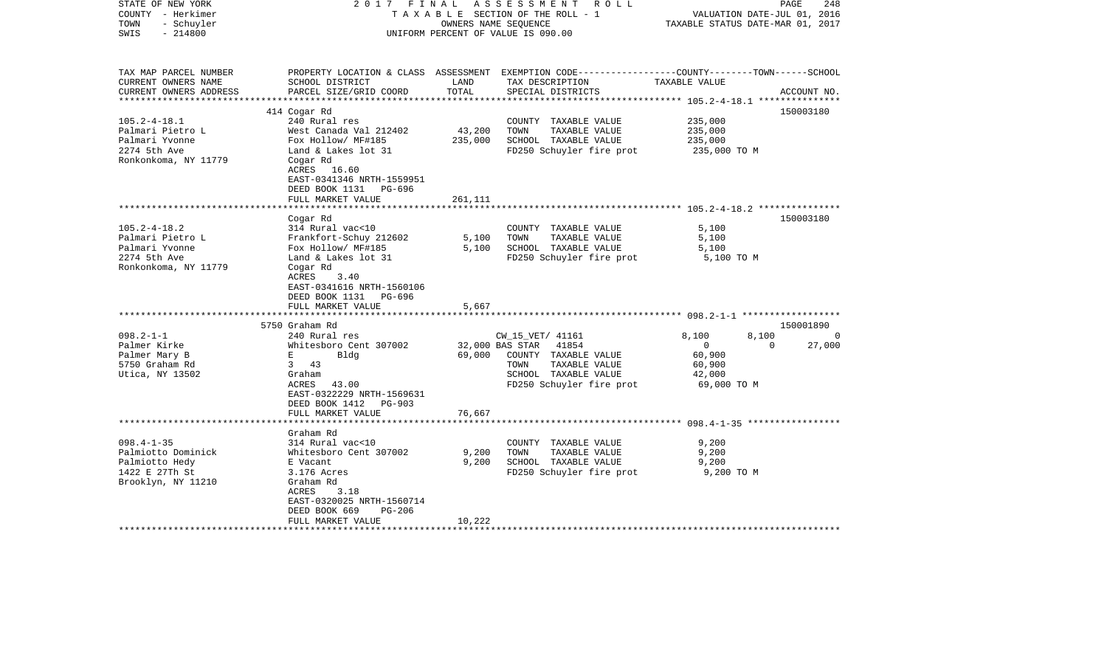| STATE OF NEW YORK<br>COUNTY - Herkimer<br>- Schuyler<br>TOWN<br>$-214800$<br>SWIS | FINAL<br>2017                      | OWNERS NAME SEOUENCE   | ASSESSMENT ROLL<br>TAXABLE SECTION OF THE ROLL - 1<br>UNIFORM PERCENT OF VALUE IS 090.00         | VALUATION DATE-JUL 01, 2016<br>TAXABLE STATUS DATE-MAR 01, 2017 | PAGE<br>248 |
|-----------------------------------------------------------------------------------|------------------------------------|------------------------|--------------------------------------------------------------------------------------------------|-----------------------------------------------------------------|-------------|
|                                                                                   |                                    |                        |                                                                                                  |                                                                 |             |
| TAX MAP PARCEL NUMBER                                                             |                                    |                        | PROPERTY LOCATION & CLASS ASSESSMENT EXEMPTION CODE----------------COUNTY-------TOWN------SCHOOL |                                                                 |             |
| CURRENT OWNERS NAME                                                               | SCHOOL DISTRICT                    | LAND                   | TAX DESCRIPTION                                                                                  | TAXABLE VALUE                                                   |             |
| CURRENT OWNERS ADDRESS                                                            | PARCEL SIZE/GRID COORD             | TOTAL<br>************* | SPECIAL DISTRICTS                                                                                | ***************************** 105.2-4-18.1 ***************      | ACCOUNT NO. |
|                                                                                   | 414 Cogar Rd                       |                        |                                                                                                  |                                                                 | 150003180   |
| $105.2 - 4 - 18.1$                                                                | 240 Rural res                      |                        | COUNTY TAXABLE VALUE                                                                             | 235,000                                                         |             |
| Palmari Pietro L                                                                  | West Canada Val 212402             | 43,200                 | TOWN<br>TAXABLE VALUE                                                                            | 235,000                                                         |             |
| Palmari Yvonne                                                                    | Fox Hollow/ MF#185                 | 235,000                | SCHOOL TAXABLE VALUE                                                                             | 235,000                                                         |             |
| 2274 5th Ave                                                                      | Land & Lakes lot 31                |                        | FD250 Schuyler fire prot                                                                         | 235,000 TO M                                                    |             |
| Ronkonkoma, NY 11779                                                              | Cogar Rd<br>ACRES 16.60            |                        |                                                                                                  |                                                                 |             |
|                                                                                   | EAST-0341346 NRTH-1559951          |                        |                                                                                                  |                                                                 |             |
|                                                                                   | DEED BOOK 1131<br>PG-696           |                        |                                                                                                  |                                                                 |             |
|                                                                                   | FULL MARKET VALUE                  | 261,111                |                                                                                                  |                                                                 |             |
|                                                                                   | **********************<br>Cogar Rd |                        |                                                                                                  |                                                                 | 150003180   |
| $105.2 - 4 - 18.2$                                                                | 314 Rural vac<10                   |                        | COUNTY TAXABLE VALUE                                                                             | 5,100                                                           |             |
| Palmari Pietro L                                                                  | Frankfort-Schuy 212602             | 5,100                  | TAXABLE VALUE<br>TOWN                                                                            | 5,100                                                           |             |
| Palmari Yvonne                                                                    | Fox Hollow/ MF#185                 | 5,100                  | SCHOOL TAXABLE VALUE                                                                             | 5,100                                                           |             |
| 2274 5th Ave                                                                      | Land & Lakes lot 31                |                        | FD250 Schuyler fire prot                                                                         | 5,100 TO M                                                      |             |
| Ronkonkoma, NY 11779                                                              | Cogar Rd                           |                        |                                                                                                  |                                                                 |             |
|                                                                                   | ACRES<br>3.40                      |                        |                                                                                                  |                                                                 |             |
|                                                                                   | EAST-0341616 NRTH-1560106          |                        |                                                                                                  |                                                                 |             |
|                                                                                   | DEED BOOK 1131<br>PG-696           |                        |                                                                                                  |                                                                 |             |
|                                                                                   | FULL MARKET VALUE                  | 5,667                  |                                                                                                  |                                                                 |             |
|                                                                                   | 5750 Graham Rd                     |                        |                                                                                                  |                                                                 | 150001890   |
| $098.2 - 1 - 1$                                                                   | 240 Rural res                      |                        | CW 15 VET/ 41161                                                                                 | 8,100<br>8,100                                                  | $\Omega$    |
| Palmer Kirke                                                                      | Whitesboro Cent 307002             |                        | 32,000 BAS STAR<br>41854                                                                         | $\overline{0}$<br>$\Omega$                                      | 27,000      |
| Palmer Mary B                                                                     | Bldg<br>Е                          | 69,000                 | COUNTY TAXABLE VALUE                                                                             | 60,900                                                          |             |
| 5750 Graham Rd                                                                    | $\overline{3}$<br>43               |                        | TAXABLE VALUE<br>TOWN                                                                            | 60,900                                                          |             |
| Utica, NY 13502                                                                   | Graham                             |                        | SCHOOL TAXABLE VALUE                                                                             | 42,000                                                          |             |
|                                                                                   | ACRES<br>43.00                     |                        | FD250 Schuyler fire prot                                                                         | 69,000 TO M                                                     |             |
|                                                                                   | EAST-0322229 NRTH-1569631          |                        |                                                                                                  |                                                                 |             |
|                                                                                   | DEED BOOK 1412<br><b>PG-903</b>    |                        |                                                                                                  |                                                                 |             |
|                                                                                   | FULL MARKET VALUE                  | 76,667                 |                                                                                                  |                                                                 |             |
|                                                                                   | ***********************            |                        |                                                                                                  |                                                                 |             |
|                                                                                   | Graham Rd                          |                        |                                                                                                  |                                                                 |             |
| $098.4 - 1 - 35$                                                                  | 314 Rural vac<10                   |                        | COUNTY TAXABLE VALUE                                                                             | 9,200                                                           |             |
| Palmiotto Dominick                                                                | Whitesboro Cent 307002             | 9,200                  | TOWN<br>TAXABLE VALUE                                                                            | 9,200                                                           |             |
| Palmiotto Hedy                                                                    | E Vacant                           | 9,200                  | SCHOOL TAXABLE VALUE                                                                             | 9,200                                                           |             |
| 1422 E 27Th St                                                                    | 3.176 Acres                        |                        | FD250 Schuyler fire prot                                                                         | 9,200 TO M                                                      |             |
| Brooklyn, NY 11210                                                                | Graham Rd                          |                        |                                                                                                  |                                                                 |             |
|                                                                                   | ACRES<br>3.18                      |                        |                                                                                                  |                                                                 |             |
|                                                                                   | EAST-0320025 NRTH-1560714          |                        |                                                                                                  |                                                                 |             |
|                                                                                   | DEED BOOK 669<br>$PG-206$          |                        |                                                                                                  |                                                                 |             |
| **********************                                                            | FULL MARKET VALUE                  | 10,222                 |                                                                                                  |                                                                 |             |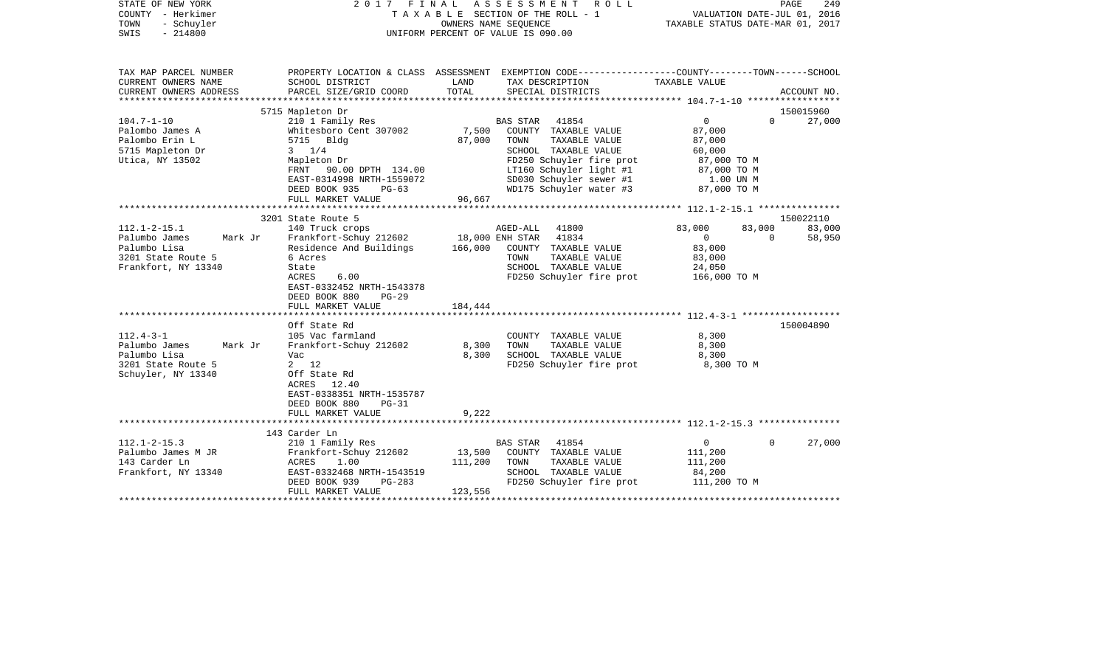| STATE OF NEW YORK<br>COUNTY - Herkimer<br>TOWN<br>- Schuyler<br>$-214800$<br>SWIS |                                                                        |                 | 2017 FINAL ASSESSMENT<br>R O L L<br>T A X A B L E SECTION OF THE ROLL - 1<br>OWNERS NAME SEQUENCE<br>UNIFORM PERCENT OF VALUE IS 090.00 | VALUATION DATE-JUL 01, 2016<br>TAXABLE STATUS DATE-MAR 01, 2017 | PAGE     | 249         |
|-----------------------------------------------------------------------------------|------------------------------------------------------------------------|-----------------|-----------------------------------------------------------------------------------------------------------------------------------------|-----------------------------------------------------------------|----------|-------------|
| TAX MAP PARCEL NUMBER<br>CURRENT OWNERS NAME                                      | SCHOOL DISTRICT                                                        | LAND            | PROPERTY LOCATION & CLASS ASSESSMENT EXEMPTION CODE---------------COUNTY-------TOWN------SCHOOL<br>TAX DESCRIPTION                      | TAXABLE VALUE                                                   |          |             |
| CURRENT OWNERS ADDRESS                                                            | PARCEL SIZE/GRID COORD                                                 | TOTAL           | SPECIAL DISTRICTS                                                                                                                       |                                                                 |          | ACCOUNT NO. |
|                                                                                   | 5715 Mapleton Dr                                                       |                 |                                                                                                                                         |                                                                 |          | 150015960   |
| $104.7 - 1 - 10$                                                                  | 210 1 Family Res                                                       |                 | BAS STAR<br>41854                                                                                                                       | $\overline{0}$                                                  | $\Omega$ | 27,000      |
| Palombo James A                                                                   | Whitesboro Cent 307002                                                 | 7,500           | COUNTY TAXABLE VALUE                                                                                                                    | 87,000                                                          |          |             |
| Palombo Erin L                                                                    | 5715 Bldg                                                              | 87,000          | TOWN<br>TAXABLE VALUE                                                                                                                   | 87,000                                                          |          |             |
| 5715 Mapleton Dr                                                                  | $3 \frac{1}{4}$                                                        |                 | SCHOOL TAXABLE VALUE                                                                                                                    | 60,000                                                          |          |             |
| Utica, NY 13502                                                                   | Mapleton Dr                                                            |                 | FD250 Schuyler fire prot                                                                                                                | 87,000 TO M                                                     |          |             |
|                                                                                   | FRNT 90.00 DPTH 134.00                                                 |                 | LT160 Schuyler light #1                                                                                                                 | 87,000 TO M                                                     |          |             |
|                                                                                   | EAST-0314998 NRTH-1559072                                              |                 | SD030 Schuyler sewer #1                                                                                                                 | 1.00 UN M                                                       |          |             |
|                                                                                   | DEED BOOK 935<br>$PG-63$                                               |                 | WD175 Schuyler water #3                                                                                                                 | 87,000 TO M                                                     |          |             |
|                                                                                   | FULL MARKET VALUE                                                      | 96,667          |                                                                                                                                         |                                                                 |          |             |
|                                                                                   |                                                                        |                 |                                                                                                                                         |                                                                 |          |             |
|                                                                                   | 3201 State Route 5                                                     |                 |                                                                                                                                         |                                                                 |          | 150022110   |
| $112.1 - 2 - 15.1$                                                                | 140 Truck crops                                                        |                 | 41800<br>AGED-ALL                                                                                                                       | 83,000                                                          | 83,000   | 83,000      |
| Palumbo James<br>Mark Jr                                                          | Frankfort-Schuy 212602                                                 | 18,000 ENH STAR | 41834                                                                                                                                   | $\mathbf{0}$                                                    | $\Omega$ | 58,950      |
| Palumbo Lisa                                                                      | Residence And Buildings                                                | 166,000         | COUNTY TAXABLE VALUE                                                                                                                    | 83,000                                                          |          |             |
| 3201 State Route 5                                                                | 6 Acres                                                                |                 | TOWN<br>TAXABLE VALUE                                                                                                                   | 83,000                                                          |          |             |
| Frankfort, NY 13340                                                               | State                                                                  |                 | SCHOOL TAXABLE VALUE                                                                                                                    | 24,050                                                          |          |             |
|                                                                                   | ACRES<br>6.00<br>EAST-0332452 NRTH-1543378<br>DEED BOOK 880<br>$PG-29$ |                 | FD250 Schuyler fire prot                                                                                                                | 166,000 TO M                                                    |          |             |
|                                                                                   | FULL MARKET VALUE                                                      | 184,444         |                                                                                                                                         |                                                                 |          |             |
|                                                                                   |                                                                        |                 |                                                                                                                                         |                                                                 |          |             |
|                                                                                   | Off State Rd                                                           |                 |                                                                                                                                         |                                                                 |          | 150004890   |
| $112.4 - 3 - 1$                                                                   | 105 Vac farmland                                                       |                 | COUNTY TAXABLE VALUE                                                                                                                    | 8,300                                                           |          |             |
| Palumbo James<br>Mark Jr                                                          | Frankfort-Schuy 212602                                                 | 8,300           | TAXABLE VALUE<br>TOWN                                                                                                                   | 8,300                                                           |          |             |
| Palumbo Lisa                                                                      | Vac                                                                    | 8,300           | SCHOOL TAXABLE VALUE                                                                                                                    | 8,300                                                           |          |             |
| 3201 State Route 5                                                                | $2 \t12$                                                               |                 | FD250 Schuyler fire prot                                                                                                                | 8,300 TO M                                                      |          |             |
| Schuyler, NY 13340                                                                | Off State Rd                                                           |                 |                                                                                                                                         |                                                                 |          |             |
|                                                                                   | ACRES 12.40                                                            |                 |                                                                                                                                         |                                                                 |          |             |
|                                                                                   | EAST-0338351 NRTH-1535787                                              |                 |                                                                                                                                         |                                                                 |          |             |
|                                                                                   | DEED BOOK 880<br>$PG-31$                                               |                 |                                                                                                                                         |                                                                 |          |             |
|                                                                                   | FULL MARKET VALUE                                                      | 9,222           |                                                                                                                                         |                                                                 |          |             |
|                                                                                   |                                                                        |                 |                                                                                                                                         |                                                                 |          |             |
|                                                                                   | 143 Carder Ln                                                          |                 |                                                                                                                                         |                                                                 |          |             |
| $112.1 - 2 - 15.3$                                                                | 210 1 Family Res                                                       |                 | <b>BAS STAR</b><br>41854                                                                                                                | $\circ$                                                         | $\Omega$ | 27,000      |
| Palumbo James M JR                                                                | Frankfort-Schuy 212602                                                 | 13,500          | COUNTY TAXABLE VALUE                                                                                                                    | 111,200                                                         |          |             |
| 143 Carder Ln                                                                     | ACRES<br>1.00                                                          | 111,200         | TAXABLE VALUE<br>TOWN                                                                                                                   | 111,200                                                         |          |             |
| Frankfort, NY 13340                                                               | EAST-0332468 NRTH-1543519                                              |                 | SCHOOL TAXABLE VALUE                                                                                                                    | 84,200                                                          |          |             |
|                                                                                   | DEED BOOK 939<br>PG-283                                                |                 | FD250 Schuyler fire prot                                                                                                                | 111,200 TO M                                                    |          |             |
|                                                                                   | FULL MARKET VALUE                                                      | 123,556         |                                                                                                                                         |                                                                 |          |             |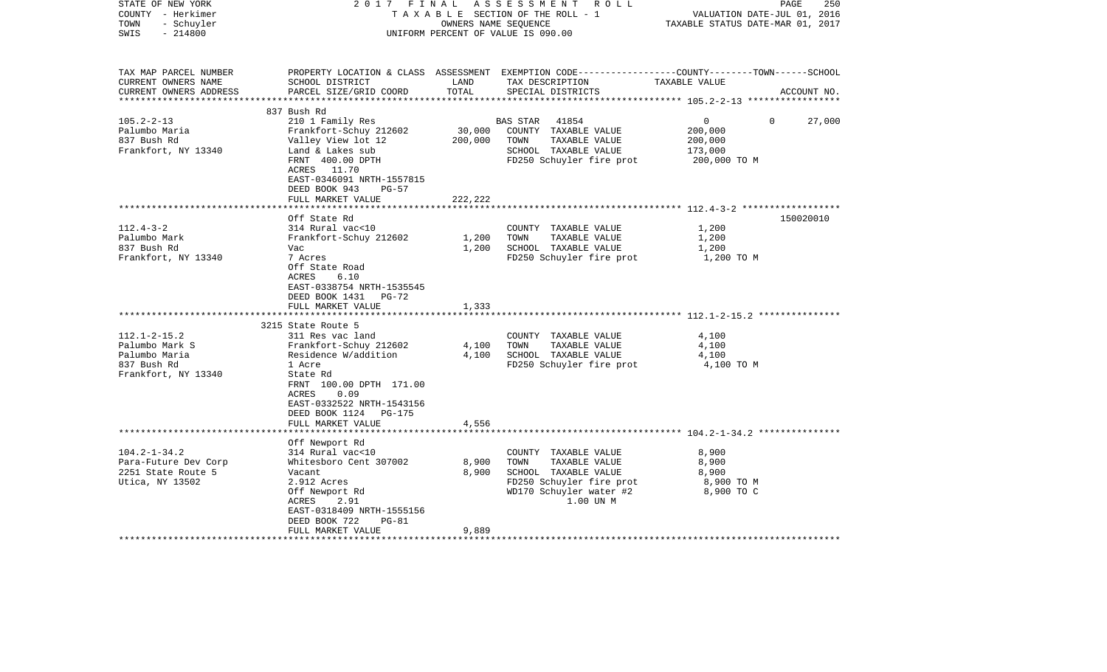| STATE OF NEW YORK<br>COUNTY - Herkimer<br>- Schuyler<br>TOWN<br>$-214800$<br>SWIS |                                                                                                            | OWNERS NAME SEQUENCE        | 2017 FINAL ASSESSMENT ROLL<br>TAXABLE SECTION OF THE ROLL - 1<br>UNIFORM PERCENT OF VALUE IS 090.00                                      | PAGE<br>VALUATION DATE-JUL 01, 2016<br>TAXABLE STATUS DATE-MAR 01, 2017 | 250         |
|-----------------------------------------------------------------------------------|------------------------------------------------------------------------------------------------------------|-----------------------------|------------------------------------------------------------------------------------------------------------------------------------------|-------------------------------------------------------------------------|-------------|
| TAX MAP PARCEL NUMBER<br>CURRENT OWNERS NAME<br>CURRENT OWNERS ADDRESS            | SCHOOL DISTRICT<br>PARCEL SIZE/GRID COORD                                                                  | LAND<br>TOTAL               | PROPERTY LOCATION & CLASS ASSESSMENT EXEMPTION CODE----------------COUNTY-------TOWN------SCHOOL<br>TAX DESCRIPTION<br>SPECIAL DISTRICTS | TAXABLE VALUE                                                           | ACCOUNT NO. |
|                                                                                   | 837 Bush Rd                                                                                                |                             |                                                                                                                                          |                                                                         |             |
| $105.2 - 2 - 13$                                                                  | 210 1 Family Res                                                                                           |                             | BAS STAR 41854                                                                                                                           | $\overline{0}$<br>$\Omega$                                              | 27,000      |
| Palumbo Maria                                                                     | Frankfort-Schuy 212602                                                                                     |                             | 30,000 COUNTY TAXABLE VALUE                                                                                                              | 200,000                                                                 |             |
| 837 Bush Rd                                                                       | Valley View lot 12                                                                                         | 200,000                     | TOWN<br>TAXABLE VALUE                                                                                                                    | 200,000                                                                 |             |
| Frankfort, NY 13340                                                               | Land & Lakes sub                                                                                           |                             | SCHOOL TAXABLE VALUE                                                                                                                     | 173,000                                                                 |             |
|                                                                                   | FRNT 400.00 DPTH                                                                                           |                             | FD250 Schuyler fire prot                                                                                                                 | 200,000 TO M                                                            |             |
|                                                                                   | ACRES 11.70                                                                                                |                             |                                                                                                                                          |                                                                         |             |
|                                                                                   | EAST-0346091 NRTH-1557815                                                                                  |                             |                                                                                                                                          |                                                                         |             |
|                                                                                   | DEED BOOK 943<br>$PG-57$                                                                                   |                             |                                                                                                                                          |                                                                         |             |
|                                                                                   | FULL MARKET VALUE<br>******************                                                                    | 222,222<br>**************** |                                                                                                                                          |                                                                         |             |
|                                                                                   | Off State Rd                                                                                               |                             |                                                                                                                                          |                                                                         | 150020010   |
| $112.4 - 3 - 2$                                                                   | 314 Rural vac<10                                                                                           |                             | COUNTY TAXABLE VALUE                                                                                                                     | 1,200                                                                   |             |
| Palumbo Mark                                                                      | Frankfort-Schuy 212602                                                                                     | 1,200                       | TOWN<br>TAXABLE VALUE                                                                                                                    | 1,200                                                                   |             |
| 837 Bush Rd                                                                       | Vac                                                                                                        | 1,200                       | SCHOOL TAXABLE VALUE                                                                                                                     | 1,200                                                                   |             |
| Frankfort, NY 13340                                                               | 7 Acres                                                                                                    |                             | FD250 Schuyler fire prot                                                                                                                 | 1,200 TO M                                                              |             |
|                                                                                   | Off State Road<br>ACRES<br>6.10<br>EAST-0338754 NRTH-1535545<br>DEED BOOK 1431 PG-72                       |                             |                                                                                                                                          |                                                                         |             |
|                                                                                   | FULL MARKET VALUE                                                                                          | 1,333                       |                                                                                                                                          |                                                                         |             |
|                                                                                   |                                                                                                            |                             |                                                                                                                                          |                                                                         |             |
| $112.1 - 2 - 15.2$                                                                | 3215 State Route 5<br>311 Res vac land                                                                     |                             | COUNTY TAXABLE VALUE                                                                                                                     | 4,100                                                                   |             |
| Palumbo Mark S                                                                    | Frankfort-Schuy 212602                                                                                     | 4,100                       | TOWN<br>TAXABLE VALUE                                                                                                                    | 4,100                                                                   |             |
| Palumbo Maria                                                                     | Residence W/addition                                                                                       | 4,100                       | SCHOOL TAXABLE VALUE                                                                                                                     | 4,100                                                                   |             |
| 837 Bush Rd                                                                       | 1 Acre                                                                                                     |                             | FD250 Schuyler fire prot                                                                                                                 | 4,100 TO M                                                              |             |
| Frankfort, NY 13340                                                               | State Rd<br>FRNT 100.00 DPTH 171.00<br>0.09<br>ACRES<br>EAST-0332522 NRTH-1543156<br>DEED BOOK 1124 PG-175 |                             |                                                                                                                                          |                                                                         |             |
|                                                                                   | FULL MARKET VALUE                                                                                          | 4,556                       |                                                                                                                                          |                                                                         |             |
|                                                                                   | ************************                                                                                   |                             |                                                                                                                                          |                                                                         |             |
|                                                                                   | Off Newport Rd                                                                                             |                             |                                                                                                                                          |                                                                         |             |
| $104.2 - 1 - 34.2$                                                                | 314 Rural vac<10                                                                                           |                             | COUNTY TAXABLE VALUE                                                                                                                     | 8,900                                                                   |             |
| Para-Future Dev Corp                                                              | Whitesboro Cent 307002                                                                                     | 8,900                       | TOWN<br>TAXABLE VALUE                                                                                                                    | 8,900                                                                   |             |
| 2251 State Route 5                                                                | Vacant                                                                                                     | 8,900                       | SCHOOL TAXABLE VALUE                                                                                                                     | 8,900                                                                   |             |
| Utica, NY 13502                                                                   | 2.912 Acres<br>Off Newport Rd<br>2.91<br>ACRES<br>EAST-0318409 NRTH-1555156                                |                             | FD250 Schuyler fire prot<br>WD170 Schuyler water #2<br>1.00 UN M                                                                         | 8,900 TO M<br>8,900 TO C                                                |             |
|                                                                                   | DEED BOOK 722<br>$PG-81$                                                                                   |                             |                                                                                                                                          |                                                                         |             |
|                                                                                   | FULL MARKET VALUE                                                                                          | 9,889                       |                                                                                                                                          |                                                                         |             |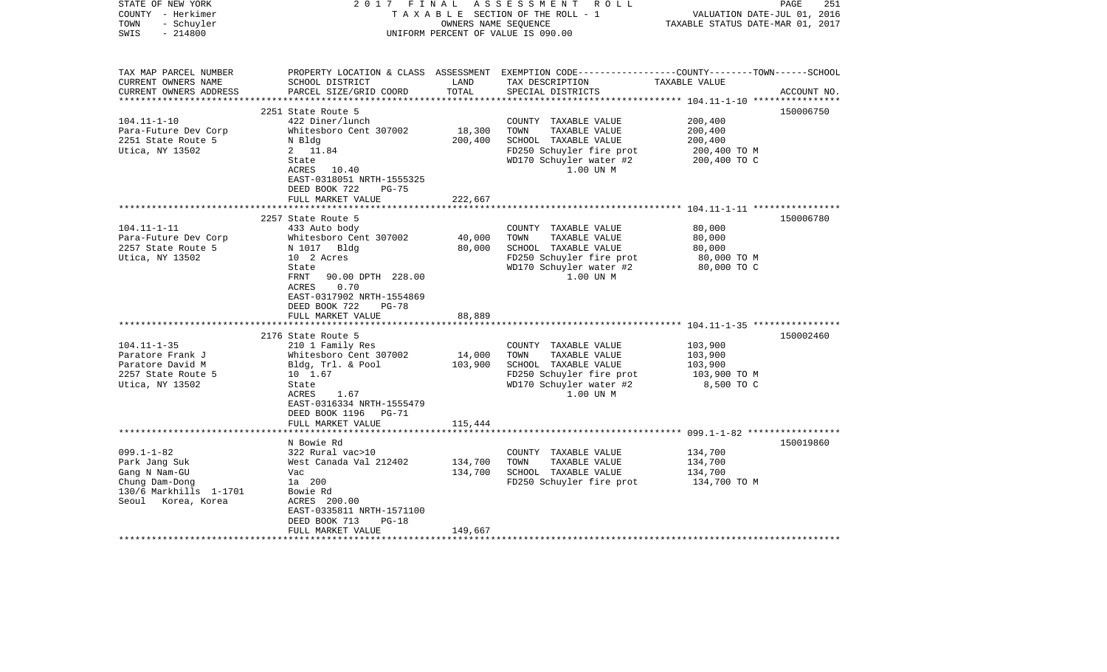| STATE OF NEW YORK<br>COUNTY - Herkimer<br>- Schuyler<br>TOWN<br>$-214800$<br>SWIS | 2017 FINAL                                 | OWNERS NAME SEQUENCE | A S S E S S M E N T R O L L<br>TAXABLE SECTION OF THE ROLL - 1<br>UNIFORM PERCENT OF VALUE IS 090.00                                    | VALUATION DATE-JUL 01, 2016<br>TAXABLE STATUS DATE-MAR 01, 2017 | PAGE<br>251 |
|-----------------------------------------------------------------------------------|--------------------------------------------|----------------------|-----------------------------------------------------------------------------------------------------------------------------------------|-----------------------------------------------------------------|-------------|
| TAX MAP PARCEL NUMBER<br>CURRENT OWNERS NAME<br>CURRENT OWNERS ADDRESS            | SCHOOL DISTRICT<br>PARCEL SIZE/GRID COORD  | LAND<br>TOTAL        | PROPERTY LOCATION & CLASS ASSESSMENT EXEMPTION CODE---------------COUNTY-------TOWN------SCHOOL<br>TAX DESCRIPTION<br>SPECIAL DISTRICTS | TAXABLE VALUE                                                   | ACCOUNT NO. |
|                                                                                   |                                            |                      |                                                                                                                                         |                                                                 |             |
| $104.11 - 1 - 10$                                                                 | 2251 State Route 5<br>422 Diner/lunch      |                      | COUNTY TAXABLE VALUE                                                                                                                    | 200,400                                                         | 150006750   |
| Para-Future Dev Corp                                                              | Whitesboro Cent 307002                     | 18,300               | TOWN<br>TAXABLE VALUE                                                                                                                   | 200,400                                                         |             |
| 2251 State Route 5                                                                | N Bldg                                     | 200,400              | SCHOOL TAXABLE VALUE                                                                                                                    | 200,400                                                         |             |
| Utica, NY 13502                                                                   | 2 11.84                                    |                      | FD250 Schuyler fire prot                                                                                                                | 200,400 TO M                                                    |             |
|                                                                                   | State                                      |                      | WD170 Schuyler water #2                                                                                                                 | 200,400 TO C                                                    |             |
|                                                                                   | ACRES 10.40                                |                      | 1.00 UN M                                                                                                                               |                                                                 |             |
|                                                                                   | EAST-0318051 NRTH-1555325                  |                      |                                                                                                                                         |                                                                 |             |
|                                                                                   | DEED BOOK 722<br>$PG-75$                   |                      |                                                                                                                                         |                                                                 |             |
|                                                                                   | FULL MARKET VALUE                          | 222,667              |                                                                                                                                         |                                                                 |             |
|                                                                                   | 2257 State Route 5                         |                      |                                                                                                                                         |                                                                 | 150006780   |
| $104.11 - 1 - 11$                                                                 | 433 Auto body                              |                      | COUNTY TAXABLE VALUE                                                                                                                    | 80,000                                                          |             |
| Para-Future Dev Corp                                                              | Whitesboro Cent 307002                     | 40,000               | TAXABLE VALUE<br>TOWN                                                                                                                   | 80,000                                                          |             |
| 2257 State Route 5                                                                | N 1017 Bldg                                | 80,000               | SCHOOL TAXABLE VALUE                                                                                                                    | 80,000                                                          |             |
| Utica, NY 13502                                                                   | 10 2 Acres                                 |                      | FD250 Schuyler fire prot                                                                                                                | 80,000 TO M                                                     |             |
|                                                                                   | State                                      |                      | WD170 Schuyler water #2                                                                                                                 | 80,000 TO C                                                     |             |
|                                                                                   | 90.00 DPTH 228.00<br>FRNT                  |                      | 1.00 UN M                                                                                                                               |                                                                 |             |
|                                                                                   | ACRES<br>0.70<br>EAST-0317902 NRTH-1554869 |                      |                                                                                                                                         |                                                                 |             |
|                                                                                   | DEED BOOK 722<br>$PG-78$                   |                      |                                                                                                                                         |                                                                 |             |
|                                                                                   | FULL MARKET VALUE                          | 88,889               |                                                                                                                                         |                                                                 |             |
| *******************************                                                   |                                            |                      |                                                                                                                                         |                                                                 |             |
|                                                                                   | 2176 State Route 5                         |                      |                                                                                                                                         |                                                                 | 150002460   |
| $104.11 - 1 - 35$                                                                 | 210 1 Family Res                           |                      | COUNTY TAXABLE VALUE                                                                                                                    | 103,900                                                         |             |
| Paratore Frank J                                                                  | Whitesboro Cent 307002                     | 14,000               | TOWN<br>TAXABLE VALUE                                                                                                                   | 103,900                                                         |             |
| Paratore David M                                                                  | Bldg, Trl. & Pool                          | 103,900              | SCHOOL TAXABLE VALUE                                                                                                                    | 103,900                                                         |             |
| 2257 State Route 5                                                                | 10 1.67                                    |                      | FD250 Schuyler fire prot                                                                                                                | 103,900 TO M                                                    |             |
| Utica, NY 13502                                                                   | State                                      |                      | WD170 Schuyler water #2<br>1.00 UN M                                                                                                    | 8,500 TO C                                                      |             |
|                                                                                   | ACRES<br>1.67<br>EAST-0316334 NRTH-1555479 |                      |                                                                                                                                         |                                                                 |             |
|                                                                                   | DEED BOOK 1196 PG-71                       |                      |                                                                                                                                         |                                                                 |             |
|                                                                                   | FULL MARKET VALUE                          | 115,444              |                                                                                                                                         |                                                                 |             |
|                                                                                   |                                            |                      |                                                                                                                                         |                                                                 |             |
|                                                                                   | N Bowie Rd                                 |                      |                                                                                                                                         |                                                                 | 150019860   |
| $099.1 - 1 - 82$                                                                  | 322 Rural vac>10                           |                      | COUNTY TAXABLE VALUE                                                                                                                    | 134,700                                                         |             |
| Park Jang Suk                                                                     | West Canada Val 212402                     | 134,700              | TOWN<br>TAXABLE VALUE                                                                                                                   | 134,700                                                         |             |
| Gang N Nam-GU                                                                     | Vac                                        | 134,700              | SCHOOL TAXABLE VALUE                                                                                                                    | 134,700                                                         |             |
| Chung Dam-Dong                                                                    | 1a 200                                     |                      | FD250 Schuyler fire prot                                                                                                                | 134,700 TO M                                                    |             |
| 130/6 Markhills 1-1701<br>Seoul Korea, Korea                                      | Bowie Rd<br>ACRES 200.00                   |                      |                                                                                                                                         |                                                                 |             |
|                                                                                   | EAST-0335811 NRTH-1571100                  |                      |                                                                                                                                         |                                                                 |             |
|                                                                                   | DEED BOOK 713<br>$PG-18$                   |                      |                                                                                                                                         |                                                                 |             |
|                                                                                   | FULL MARKET VALUE                          | 149,667              |                                                                                                                                         |                                                                 |             |
|                                                                                   | ************************                   |                      |                                                                                                                                         |                                                                 |             |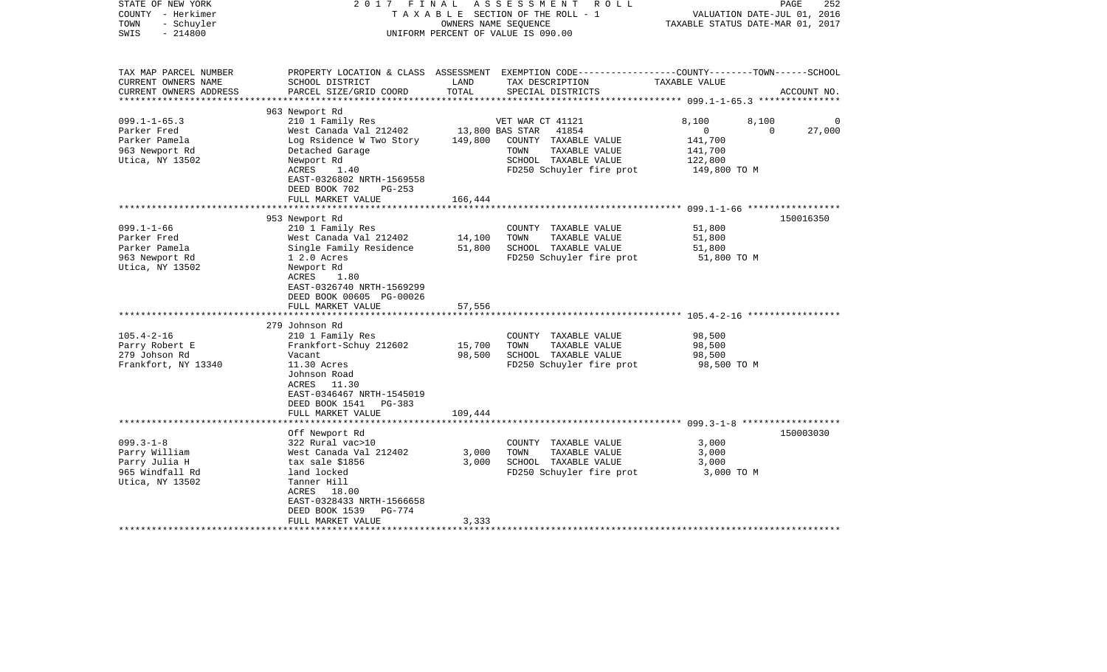| STATE OF NEW YORK<br>COUNTY - Herkimer<br>- Schuyler<br>TOWN<br>$-214800$<br>SWIS | 2017 FINAL                                     | OWNERS NAME SEOUENCE | ASSESSMENT<br>R O L L<br>TAXABLE SECTION OF THE ROLL - 1<br>UNIFORM PERCENT OF VALUE IS 090.00                      | VALUATION DATE-JUL 01, 2016<br>TAXABLE STATUS DATE-MAR 01, 2017 | PAGE<br>252 |
|-----------------------------------------------------------------------------------|------------------------------------------------|----------------------|---------------------------------------------------------------------------------------------------------------------|-----------------------------------------------------------------|-------------|
| TAX MAP PARCEL NUMBER<br>CURRENT OWNERS NAME                                      | SCHOOL DISTRICT                                | LAND                 | PROPERTY LOCATION & CLASS ASSESSMENT EXEMPTION CODE----------------COUNTY-------TOWN------SCHOOL<br>TAX DESCRIPTION | TAXABLE VALUE                                                   |             |
| CURRENT OWNERS ADDRESS<br>*******************                                     | PARCEL SIZE/GRID COORD                         | TOTAL                | SPECIAL DISTRICTS                                                                                                   |                                                                 | ACCOUNT NO. |
|                                                                                   | 963 Newport Rd                                 |                      |                                                                                                                     |                                                                 |             |
| $099.1 - 1 - 65.3$                                                                | 210 1 Family Res                               |                      | VET WAR CT 41121                                                                                                    | 8,100<br>8,100                                                  | 0           |
| Parker Fred                                                                       | West Canada Val 212402                         | 13,800 BAS STAR      | 41854                                                                                                               | $\overline{0}$<br>0                                             | 27,000      |
| Parker Pamela                                                                     | Log Rsidence W Two Story                       | 149,800              | COUNTY TAXABLE VALUE                                                                                                | 141,700                                                         |             |
| 963 Newport Rd                                                                    | Detached Garage                                |                      | TOWN<br>TAXABLE VALUE                                                                                               | 141,700                                                         |             |
| Utica, NY 13502                                                                   | Newport Rd                                     |                      | SCHOOL TAXABLE VALUE                                                                                                | 122,800                                                         |             |
|                                                                                   | ACRES<br>1.40                                  |                      | FD250 Schuyler fire prot                                                                                            | 149,800 TO M                                                    |             |
|                                                                                   | EAST-0326802 NRTH-1569558                      |                      |                                                                                                                     |                                                                 |             |
|                                                                                   | DEED BOOK 702<br>$PG-253$<br>FULL MARKET VALUE | 166,444              |                                                                                                                     |                                                                 |             |
|                                                                                   |                                                |                      |                                                                                                                     | ********** 099.1-1-66 ******************                        |             |
|                                                                                   | 953 Newport Rd                                 |                      |                                                                                                                     |                                                                 | 150016350   |
| $099.1 - 1 - 66$                                                                  | 210 1 Family Res                               |                      | COUNTY TAXABLE VALUE                                                                                                | 51,800                                                          |             |
| Parker Fred                                                                       | West Canada Val 212402                         | 14,100               | TAXABLE VALUE<br>TOWN                                                                                               | 51,800                                                          |             |
| Parker Pamela                                                                     | Single Family Residence                        | 51,800               | SCHOOL TAXABLE VALUE                                                                                                | 51,800                                                          |             |
| 963 Newport Rd                                                                    | 1 2.0 Acres                                    |                      | FD250 Schuyler fire prot                                                                                            | 51,800 TO M                                                     |             |
| Utica, NY 13502                                                                   | Newport Rd                                     |                      |                                                                                                                     |                                                                 |             |
|                                                                                   | ACRES<br>1.80<br>EAST-0326740 NRTH-1569299     |                      |                                                                                                                     |                                                                 |             |
|                                                                                   | DEED BOOK 00605 PG-00026                       |                      |                                                                                                                     |                                                                 |             |
|                                                                                   | FULL MARKET VALUE                              | 57,556               |                                                                                                                     |                                                                 |             |
|                                                                                   |                                                |                      |                                                                                                                     |                                                                 |             |
|                                                                                   | 279 Johnson Rd                                 |                      |                                                                                                                     |                                                                 |             |
| $105.4 - 2 - 16$                                                                  | 210 1 Family Res                               |                      | COUNTY TAXABLE VALUE                                                                                                | 98,500                                                          |             |
| Parry Robert E                                                                    | Frankfort-Schuy 212602                         | 15,700               | TAXABLE VALUE<br>TOWN                                                                                               | 98,500                                                          |             |
| 279 Johson Rd                                                                     | Vacant                                         | 98,500               | SCHOOL TAXABLE VALUE                                                                                                | 98,500                                                          |             |
| Frankfort, NY 13340                                                               | 11.30 Acres                                    |                      | FD250 Schuyler fire prot                                                                                            | 98,500 TO M                                                     |             |
|                                                                                   | Johnson Road<br>ACRES 11.30                    |                      |                                                                                                                     |                                                                 |             |
|                                                                                   | EAST-0346467 NRTH-1545019                      |                      |                                                                                                                     |                                                                 |             |
|                                                                                   | DEED BOOK 1541<br>PG-383                       |                      |                                                                                                                     |                                                                 |             |
|                                                                                   | FULL MARKET VALUE                              | 109,444              |                                                                                                                     |                                                                 |             |
|                                                                                   |                                                |                      |                                                                                                                     |                                                                 |             |
|                                                                                   | Off Newport Rd                                 |                      |                                                                                                                     |                                                                 | 150003030   |
| $099.3 - 1 - 8$                                                                   | 322 Rural vac>10                               |                      | COUNTY TAXABLE VALUE                                                                                                | 3,000                                                           |             |
| Parry William                                                                     | West Canada Val 212402                         | 3,000                | TAXABLE VALUE<br>TOWN                                                                                               | 3,000                                                           |             |
| Parry Julia H                                                                     | tax sale \$1856                                | 3,000                | SCHOOL TAXABLE VALUE                                                                                                | 3,000                                                           |             |
| 965 Windfall Rd                                                                   | land locked                                    |                      | FD250 Schuyler fire prot                                                                                            | 3,000 TO M                                                      |             |
| Utica, NY 13502                                                                   | Tanner Hill<br>ACRES 18.00                     |                      |                                                                                                                     |                                                                 |             |
|                                                                                   | EAST-0328433 NRTH-1566658                      |                      |                                                                                                                     |                                                                 |             |
|                                                                                   | DEED BOOK 1539<br>PG-774                       |                      |                                                                                                                     |                                                                 |             |
|                                                                                   | FULL MARKET VALUE                              | 3,333                |                                                                                                                     |                                                                 |             |
|                                                                                   |                                                |                      |                                                                                                                     |                                                                 |             |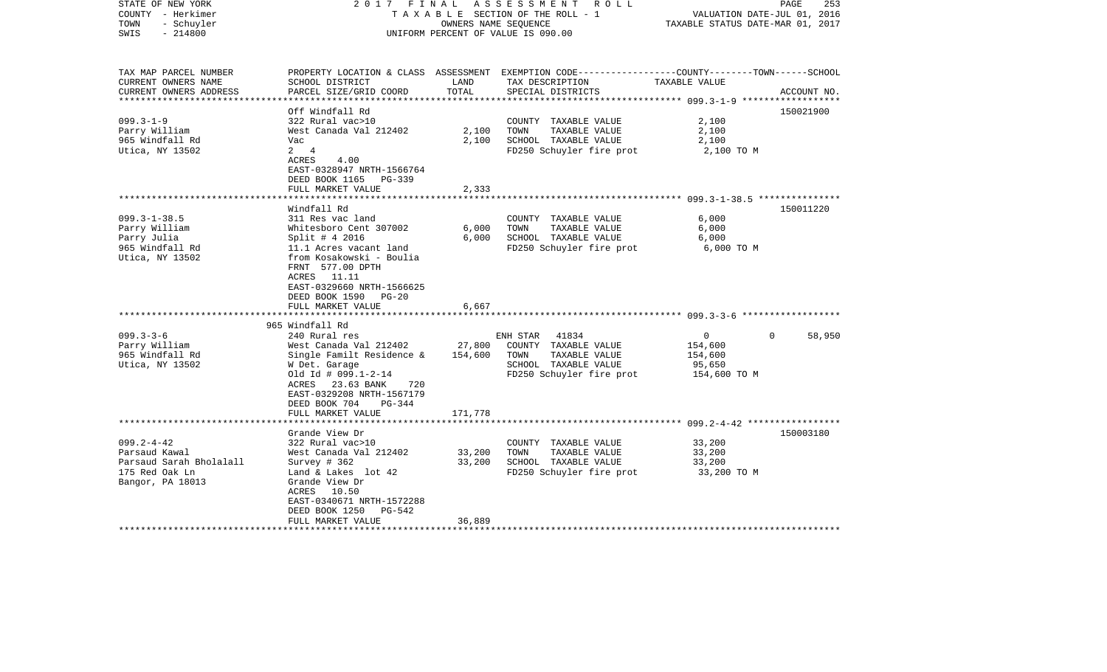| STATE OF NEW YORK<br>COUNTY - Herkimer<br>- Schuyler<br>TOWN<br>$-214800$<br>SWIS                  | 2017 FINAL                                                                                                                                                                                                                                                          | OWNERS NAME SEQUENCE    | ASSESSMENT ROLL<br>TAXABLE SECTION OF THE ROLL - 1<br>UNIFORM PERCENT OF VALUE IS 090.00                                                                                | VALUATION DATE-JUL 01, 2016<br>TAXABLE STATUS DATE-MAR 01, 2017            | PAGE<br>253 |
|----------------------------------------------------------------------------------------------------|---------------------------------------------------------------------------------------------------------------------------------------------------------------------------------------------------------------------------------------------------------------------|-------------------------|-------------------------------------------------------------------------------------------------------------------------------------------------------------------------|----------------------------------------------------------------------------|-------------|
| TAX MAP PARCEL NUMBER<br>CURRENT OWNERS NAME<br>CURRENT OWNERS ADDRESS                             | SCHOOL DISTRICT<br>PARCEL SIZE/GRID COORD                                                                                                                                                                                                                           | LAND<br>TOTAL           | PROPERTY LOCATION & CLASS ASSESSMENT EXEMPTION CODE---------------COUNTY-------TOWN------SCHOOL<br>TAX DESCRIPTION<br>SPECIAL DISTRICTS                                 | TAXABLE VALUE                                                              | ACCOUNT NO. |
| $099.3 - 1 - 9$<br>Parry William<br>965 Windfall Rd<br>Utica, NY 13502                             | Off Windfall Rd<br>322 Rural vac>10<br>West Canada Val 212402<br>Vac<br>$2 \quad 4$<br>ACRES<br>4.00<br>EAST-0328947 NRTH-1566764<br>DEED BOOK 1165 PG-339<br>FULL MARKET VALUE                                                                                     | 2,100<br>2,100<br>2,333 | COUNTY TAXABLE VALUE<br>TOWN<br>TAXABLE VALUE<br>SCHOOL TAXABLE VALUE<br>FD250 Schuyler fire prot                                                                       | 2,100<br>2,100<br>2,100<br>2,100 TO M                                      | 150021900   |
|                                                                                                    |                                                                                                                                                                                                                                                                     |                         |                                                                                                                                                                         |                                                                            |             |
| $099.3 - 1 - 38.5$<br>Parry William<br>Parry Julia<br>965 Windfall Rd<br>Utica, NY 13502           | Windfall Rd<br>311 Res vac land<br>Whitesboro Cent 307002<br>Split # 4 2016<br>11.1 Acres vacant land<br>from Kosakowski - Boulia<br>FRNT 577.00 DPTH<br>ACRES 11.11<br>EAST-0329660 NRTH-1566625<br>DEED BOOK 1590<br>$PG-20$<br>FULL MARKET VALUE<br>************ | 6,000<br>6,000<br>6,667 | COUNTY TAXABLE VALUE<br>TOWN<br>TAXABLE VALUE<br>SCHOOL TAXABLE VALUE<br>FD250 Schuyler fire prot<br>*************************************609.3-3-6 ******************* | 6,000<br>6,000<br>6,000<br>6,000 TO M                                      | 150011220   |
| $099.3 - 3 - 6$<br>Parry William<br>965 Windfall Rd<br>Utica, NY 13502                             | 965 Windfall Rd<br>240 Rural res<br>West Canada Val 212402<br>Single Familt Residence &<br>W Det. Garage<br>Old Id # 099.1-2-14<br>ACRES 23.63 BANK<br>720<br>EAST-0329208 NRTH-1567179<br>DEED BOOK 704<br>PG-344                                                  | 27,800<br>154,600       | 41834<br>ENH STAR<br>COUNTY TAXABLE VALUE<br>TAXABLE VALUE<br>TOWN<br>SCHOOL TAXABLE VALUE<br>FD250 Schuyler fire prot                                                  | $\overline{0}$<br>$\Omega$<br>154,600<br>154,600<br>95,650<br>154,600 TO M | 58,950      |
|                                                                                                    | FULL MARKET VALUE                                                                                                                                                                                                                                                   | 171,778                 |                                                                                                                                                                         |                                                                            |             |
|                                                                                                    | Grande View Dr                                                                                                                                                                                                                                                      |                         |                                                                                                                                                                         |                                                                            | 150003180   |
| $099.2 - 4 - 42$<br>Parsaud Kawal<br>Parsaud Sarah Bholalall<br>175 Red Oak Ln<br>Bangor, PA 18013 | 322 Rural vac>10<br>West Canada Val 212402<br>Survey $#362$<br>Land & Lakes lot 42<br>Grande View Dr<br>ACRES 10.50<br>EAST-0340671 NRTH-1572288<br>DEED BOOK 1250<br>PG-542                                                                                        | 33,200<br>33,200        | COUNTY TAXABLE VALUE<br>TOWN<br>TAXABLE VALUE<br>SCHOOL TAXABLE VALUE<br>FD250 Schuyler fire prot                                                                       | 33,200<br>33,200<br>33,200<br>33,200 TO M                                  |             |
|                                                                                                    | FULL MARKET VALUE                                                                                                                                                                                                                                                   | 36,889                  |                                                                                                                                                                         |                                                                            |             |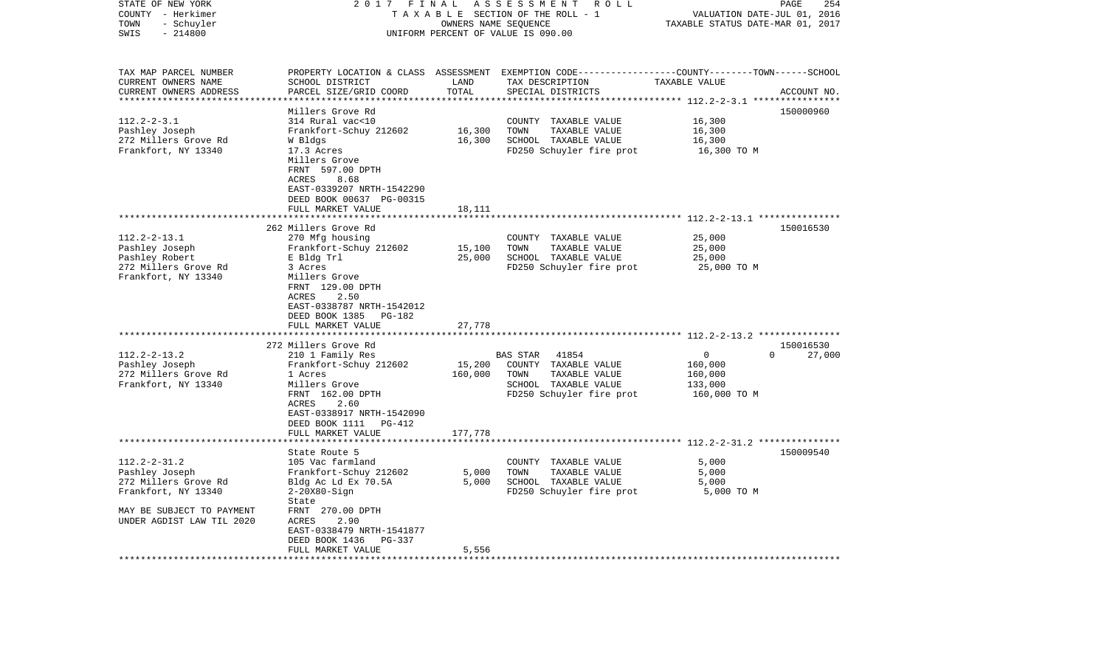| STATE OF NEW YORK<br>COUNTY - Herkimer<br>- Schuyler<br>TOWN<br>$-214800$<br>SWIS                                                             | 2017 FINAL                                                                                                                                                                                                                     |                                               | ASSESSMENT<br>ROLL<br>TAXABLE SECTION OF THE ROLL - 1<br>OWNERS NAME SEQUENCE<br>UNIFORM PERCENT OF VALUE IS 090.00    | VALUATION DATE-JUL 01, 2016<br>TAXABLE STATUS DATE-MAR 01, 2017 | PAGE<br>254                     |
|-----------------------------------------------------------------------------------------------------------------------------------------------|--------------------------------------------------------------------------------------------------------------------------------------------------------------------------------------------------------------------------------|-----------------------------------------------|------------------------------------------------------------------------------------------------------------------------|-----------------------------------------------------------------|---------------------------------|
| TAX MAP PARCEL NUMBER<br>CURRENT OWNERS NAME<br>CURRENT OWNERS ADDRESS<br>**********************                                              | PROPERTY LOCATION & CLASS<br>SCHOOL DISTRICT<br>PARCEL SIZE/GRID COORD<br>********************                                                                                                                                 | ASSESSMENT<br>LAND<br>TOTAL<br>************** | EXEMPTION CODE-----------------COUNTY-------TOWN------SCHOOL<br>TAX DESCRIPTION<br>SPECIAL DISTRICTS                   | TAXABLE VALUE                                                   | ACCOUNT NO.                     |
| $112.2 - 2 - 3.1$<br>Pashley Joseph<br>272 Millers Grove Rd<br>Frankfort, NY 13340                                                            | Millers Grove Rd<br>314 Rural vac<10<br>Frankfort-Schuy 212602<br>W Bldgs<br>17.3 Acres<br>Millers Grove<br>FRNT 597.00 DPTH<br>ACRES<br>8.68<br>EAST-0339207 NRTH-1542290<br>DEED BOOK 00637 PG-00315<br>FULL MARKET VALUE    | 16,300<br>16,300<br>18,111                    | COUNTY TAXABLE VALUE<br>TOWN<br>TAXABLE VALUE<br>SCHOOL TAXABLE VALUE<br>FD250 Schuyler fire prot                      | 16,300<br>16,300<br>16,300<br>16,300 TO M                       | 150000960                       |
|                                                                                                                                               | *************************                                                                                                                                                                                                      |                                               |                                                                                                                        |                                                                 |                                 |
| $112.2 - 2 - 13.1$<br>Pashley Joseph<br>Pashley Robert<br>272 Millers Grove Rd<br>Frankfort, NY 13340                                         | 262 Millers Grove Rd<br>270 Mfg housing<br>Frankfort-Schuy 212602<br>E Bldg Trl<br>3 Acres<br>Millers Grove<br>FRNT 129.00 DPTH<br>2.50<br>ACRES<br>EAST-0338787 NRTH-1542012<br>DEED BOOK 1385<br>PG-182<br>FULL MARKET VALUE | 15,100<br>25,000<br>27,778                    | COUNTY TAXABLE VALUE<br>TOWN<br>TAXABLE VALUE<br>SCHOOL TAXABLE VALUE<br>FD250 Schuyler fire prot                      | 25,000<br>25,000<br>25,000<br>25,000 TO M                       | 150016530                       |
|                                                                                                                                               |                                                                                                                                                                                                                                |                                               |                                                                                                                        |                                                                 |                                 |
| $112.2 - 2 - 13.2$<br>Pashley Joseph<br>272 Millers Grove Rd<br>Frankfort, NY 13340                                                           | 272 Millers Grove Rd<br>210 1 Family Res<br>Frankfort-Schuy 212602<br>1 Acres<br>Millers Grove<br>FRNT 162.00 DPTH<br>2.60<br>ACRES<br>EAST-0338917 NRTH-1542090<br>DEED BOOK 1111 PG-412<br>FULL MARKET VALUE                 | 15,200<br>160,000<br>177,778                  | 41854<br>BAS STAR<br>COUNTY TAXABLE VALUE<br>TOWN<br>TAXABLE VALUE<br>SCHOOL TAXABLE VALUE<br>FD250 Schuyler fire prot | $\Omega$<br>160,000<br>160,000<br>133,000<br>160,000 TO M       | 150016530<br>$\Omega$<br>27,000 |
|                                                                                                                                               |                                                                                                                                                                                                                                | *********                                     | ***************************** 112.2-2-31.2 ***************                                                             |                                                                 |                                 |
| $112.2 - 2 - 31.2$<br>Pashley Joseph<br>272 Millers Grove Rd<br>Frankfort, NY 13340<br>MAY BE SUBJECT TO PAYMENT<br>UNDER AGDIST LAW TIL 2020 | State Route 5<br>105 Vac farmland<br>Frankfort-Schuy 212602<br>Bldg Ac Ld Ex 70.5A<br>$2-20X80-Siqn$<br>State<br>FRNT 270.00 DPTH<br>ACRES<br>2.90<br>EAST-0338479 NRTH-1541877                                                | 5,000<br>5,000                                | COUNTY TAXABLE VALUE<br>TOWN<br>TAXABLE VALUE<br>SCHOOL TAXABLE VALUE<br>FD250 Schuyler fire prot                      | 5,000<br>5,000<br>5,000<br>5,000 TO M                           | 150009540                       |
|                                                                                                                                               | DEED BOOK 1436<br><b>PG-337</b><br>FULL MARKET VALUE                                                                                                                                                                           | 5,556                                         |                                                                                                                        |                                                                 |                                 |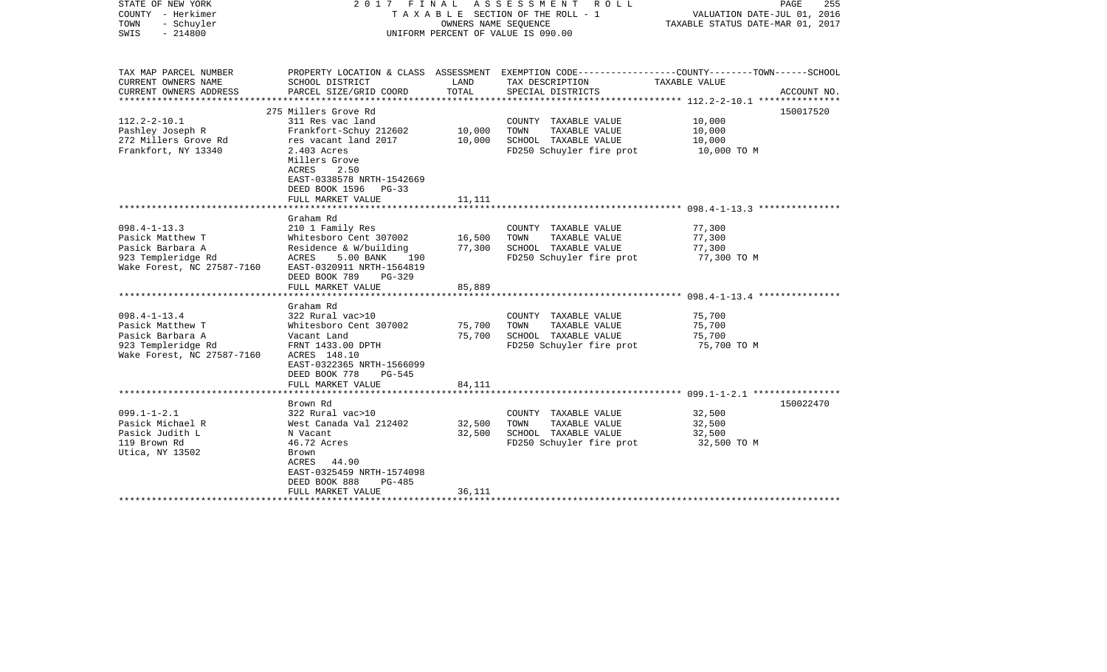| STATE OF NEW YORK<br>COUNTY - Herkimer<br>- Schuyler<br>TOWN<br>$-214800$<br>SWIS                              | 2017 FINAL ASSESSMENT ROLL<br>T A X A B L E SECTION OF THE ROLL - 1<br>UNIFORM PERCENT OF VALUE IS 090.00                                                                                                | PAGE<br>255<br>VALUATION DATE-JUL 01, 2016<br>TAXABLE STATUS DATE-MAR 01, 2017 |                                                                                                                    |                                           |             |
|----------------------------------------------------------------------------------------------------------------|----------------------------------------------------------------------------------------------------------------------------------------------------------------------------------------------------------|--------------------------------------------------------------------------------|--------------------------------------------------------------------------------------------------------------------|-------------------------------------------|-------------|
| TAX MAP PARCEL NUMBER<br>CURRENT OWNERS NAME                                                                   | SCHOOL DISTRICT                                                                                                                                                                                          | LAND                                                                           | PROPERTY LOCATION & CLASS ASSESSMENT EXEMPTION CODE---------------COUNTY-------TOWN------SCHOOL<br>TAX DESCRIPTION | TAXABLE VALUE                             |             |
| CURRENT OWNERS ADDRESS<br>***********************                                                              | PARCEL SIZE/GRID COORD                                                                                                                                                                                   | TOTAL                                                                          | SPECIAL DISTRICTS                                                                                                  |                                           | ACCOUNT NO. |
|                                                                                                                | 275 Millers Grove Rd                                                                                                                                                                                     |                                                                                |                                                                                                                    |                                           | 150017520   |
| $112.2 - 2 - 10.1$                                                                                             | 311 Res vac land                                                                                                                                                                                         |                                                                                | COUNTY TAXABLE VALUE                                                                                               | 10,000                                    |             |
| Pashley Joseph R                                                                                               | Frankfort-Schuy 212602                                                                                                                                                                                   | 10,000                                                                         | TAXABLE VALUE<br>TOWN                                                                                              | 10,000                                    |             |
| 272 Millers Grove Rd                                                                                           | res vacant land 2017                                                                                                                                                                                     | 10,000                                                                         | SCHOOL TAXABLE VALUE                                                                                               | 10,000                                    |             |
| Frankfort, NY 13340                                                                                            | 2.403 Acres<br>Millers Grove<br>ACRES<br>2.50<br>EAST-0338578 NRTH-1542669<br>DEED BOOK 1596<br>$PG-33$<br>FULL MARKET VALUE                                                                             | 11,111                                                                         | FD250 Schuyler fire prot                                                                                           | 10,000 TO M                               |             |
|                                                                                                                |                                                                                                                                                                                                          |                                                                                |                                                                                                                    |                                           |             |
| $098.4 - 1 - 13.3$<br>Pasick Matthew T<br>Pasick Barbara A<br>923 Templeridge Rd<br>Wake Forest, NC 27587-7160 | Graham Rd<br>210 1 Family Res<br>Whitesboro Cent 307002<br>Residence & W/building<br>ACRES<br>5.00 BANK<br>190<br>EAST-0320911 NRTH-1564819<br>DEED BOOK 789<br>PG-329<br>FULL MARKET VALUE<br>Graham Rd | 16,500<br>77,300<br>85,889                                                     | COUNTY TAXABLE VALUE<br>TOWN<br>TAXABLE VALUE<br>SCHOOL TAXABLE VALUE<br>FD250 Schuyler fire prot                  | 77,300<br>77,300<br>77,300<br>77,300 TO M |             |
| $098.4 - 1 - 13.4$                                                                                             | 322 Rural vac>10                                                                                                                                                                                         |                                                                                | COUNTY TAXABLE VALUE                                                                                               | 75,700                                    |             |
| Pasick Matthew T<br>Pasick Barbara A                                                                           | Whitesboro Cent 307002                                                                                                                                                                                   | 75,700                                                                         | TAXABLE VALUE<br>TOWN<br>SCHOOL TAXABLE VALUE                                                                      | 75,700                                    |             |
| 923 Templeridge Rd<br>Wake Forest, NC 27587-7160                                                               | Vacant Land<br>FRNT 1433.00 DPTH<br>ACRES 148.10<br>EAST-0322365 NRTH-1566099<br>DEED BOOK 778<br><b>PG-545</b><br>FULL MARKET VALUE                                                                     | 75,700<br>84,111                                                               | FD250 Schuyler fire prot                                                                                           | 75,700<br>75,700 TO M                     |             |
|                                                                                                                |                                                                                                                                                                                                          |                                                                                |                                                                                                                    |                                           |             |
| $099.1 - 1 - 2.1$<br>Pasick Michael R<br>Pasick Judith L<br>119 Brown Rd<br>Utica, NY 13502                    | Brown Rd<br>322 Rural vac>10<br>West Canada Val 212402<br>N Vacant<br>46.72 Acres<br>Brown<br>ACRES<br>44.90<br>EAST-0325459 NRTH-1574098<br>DEED BOOK 888<br>PG-485                                     | 32,500<br>32,500                                                               | COUNTY TAXABLE VALUE<br>TAXABLE VALUE<br>TOWN<br>SCHOOL TAXABLE VALUE<br>FD250 Schuyler fire prot                  | 32,500<br>32,500<br>32,500<br>32,500 TO M | 150022470   |
|                                                                                                                | FULL MARKET VALUE                                                                                                                                                                                        | 36,111                                                                         |                                                                                                                    |                                           |             |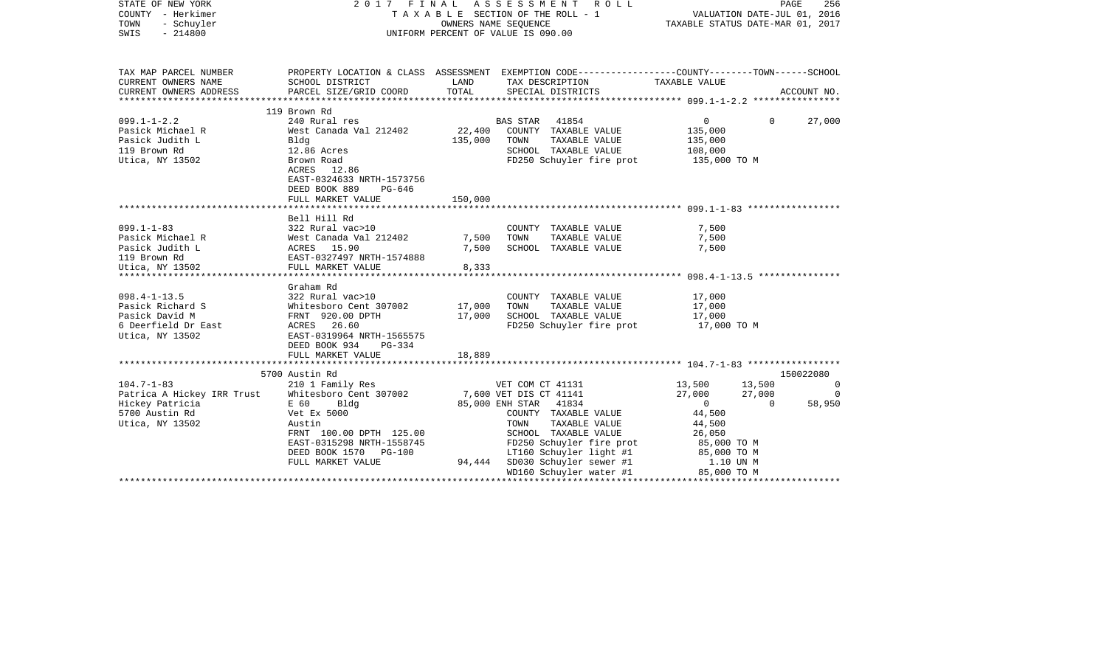| STATE OF NEW YORK<br>COUNTY - Herkimer<br>TOWN<br>- Schuyler<br>SWIS<br>$-214800$ | 2017 FINAL ASSESSMENT ROLL<br>T A X A B L E SECTION OF THE ROLL - 1<br>OWNERS NAME SEQUENCE<br>OWNERS NAME SEQUENCE<br>UNIFORM PERCENT OF VALUE IS 090.00 |                |      | PAGE<br>VALUATION DATE-JUL 01, 2016<br>TAXABLE STATUS DATE-MAR 01, 2017                                                                                                                                         |                                                             | 256      |             |
|-----------------------------------------------------------------------------------|-----------------------------------------------------------------------------------------------------------------------------------------------------------|----------------|------|-----------------------------------------------------------------------------------------------------------------------------------------------------------------------------------------------------------------|-------------------------------------------------------------|----------|-------------|
| TAX MAP PARCEL NUMBER                                                             | PROPERTY LOCATION & CLASS ASSESSMENT EXEMPTION CODE----------------COUNTY-------TOWN-----SCHOOL                                                           |                |      |                                                                                                                                                                                                                 |                                                             |          |             |
| CURRENT OWNERS NAME<br>CURRENT OWNERS ADDRESS                                     | SCHOOL DISTRICT<br>PARCEL SIZE/GRID COORD                                                                                                                 | LAND<br>TOTAL  |      | TAX DESCRIPTION<br>SPECIAL DISTRICTS                                                                                                                                                                            | TAXABLE VALUE                                               |          | ACCOUNT NO. |
|                                                                                   | 119 Brown Rd                                                                                                                                              |                |      |                                                                                                                                                                                                                 |                                                             |          |             |
| $099.1 - 1 - 2.2$<br>Pasick Michael R<br>Pasick Judith L                          | 240 Rural res<br>West Canada Val 212402<br>Blda                                                                                                           | 135,000        | TOWN | BAS STAR 41854<br>22,400 COUNTY TAXABLE VALUE<br>TAXABLE VALUE                                                                                                                                                  | $\overline{0}$<br>135,000<br>135,000                        | $\Omega$ | 27,000      |
| 119 Brown Rd<br>Utica, NY 13502                                                   | 12.86 Acres<br>Brown Road<br>ACRES 12.86<br>EAST-0324633 NRTH-1573756<br>DEED BOOK 889<br>PG-646                                                          |                |      | SCHOOL TAXABLE VALUE<br>FD250 Schuyler fire prot                                                                                                                                                                | 108,000<br>135,000 TO M                                     |          |             |
|                                                                                   | FULL MARKET VALUE                                                                                                                                         | 150,000        |      |                                                                                                                                                                                                                 |                                                             |          |             |
|                                                                                   | Bell Hill Rd                                                                                                                                              |                |      |                                                                                                                                                                                                                 |                                                             |          |             |
| $099.1 - 1 - 83$                                                                  | 322 Rural vac>10                                                                                                                                          |                |      | COUNTY TAXABLE VALUE                                                                                                                                                                                            | 7,500                                                       |          |             |
| Pasick Michael R<br>Pasick Judith L<br>119 Brown Rd                               | 322 Kurai vuota:<br>West Canada Val 212402<br>ACRES 15.90<br>EAST-0327497 NRTH-1574888                                                                    | 7,500<br>7,500 | TOWN | TAXABLE VALUE<br>SCHOOL TAXABLE VALUE                                                                                                                                                                           | 7,500<br>7,500                                              |          |             |
| Utica, NY 13502                                                                   | FULL MARKET VALUE                                                                                                                                         | 8,333          |      |                                                                                                                                                                                                                 |                                                             |          |             |
|                                                                                   | Graham Rd                                                                                                                                                 |                |      |                                                                                                                                                                                                                 |                                                             |          |             |
| $098.4 - 1 - 13.5$                                                                |                                                                                                                                                           |                |      | COUNTY TAXABLE VALUE                                                                                                                                                                                            | 17,000                                                      |          |             |
| Pasick Richard S                                                                  | 322 Rural vac>10<br>Whitesboro Cent 307002<br>FRNT 920.00 DPTH                                                                                            | 17,000         | TOWN | TAXABLE VALUE                                                                                                                                                                                                   | 17,000                                                      |          |             |
| Pasick David M                                                                    |                                                                                                                                                           | 17,000         |      | SCHOOL TAXABLE VALUE                                                                                                                                                                                            | 17,000                                                      |          |             |
| 6 Deerfield Dr East<br>Utica, NY 13502                                            | ACRES 26.60<br>EAST-0319964 NRTH-1565575<br>DEED BOOK 934<br>PG-334                                                                                       |                |      | FD250 Schuyler fire prot 17,000 TO M                                                                                                                                                                            |                                                             |          |             |
|                                                                                   | FULL MARKET VALUE                                                                                                                                         | 18,889         |      |                                                                                                                                                                                                                 |                                                             |          |             |
|                                                                                   | 5700 Austin Rd                                                                                                                                            |                |      |                                                                                                                                                                                                                 |                                                             |          | 150022080   |
| $104.7 - 1 - 83$                                                                  | 210 1 Family Res                                                                                                                                          |                |      | VET COM CT 41131                                                                                                                                                                                                | 13,500                                                      | 13,500   | $\mathbf 0$ |
| Patrica A Hickey IRR Trust Whitesboro Cent 307002                                 |                                                                                                                                                           |                |      |                                                                                                                                                                                                                 | 27,000                                                      | 27,000   | $\mathbf 0$ |
| Hickey Patricia<br>5700 Austin Rd<br>Utica, NY 13502                              | E 60<br>Bldg<br>Vet Ex 5000<br>Austin<br>FRNT 100.00 DPTH 125.00<br>EAST-0315298 NRTH-1558745<br>DEED BOOK 1570 PG-100                                    |                | TOWN | 7,600 VET DIS CT 41141<br>COUNTY TAXABLE VALUE<br>TAXABLE VALUE<br>SCHOOL TAXABLE VALUE<br>FD250 Schuyler fire prot $85,000$ TO M<br>LT160 Schuyler light #1 $85,000$ TO M<br>SD030 Schuyler sewer #1 1.10 UN M | $\overline{0}$<br>44,500<br>44,500<br>26,050<br>85,000 TO M | $\Omega$ | 58,950      |
|                                                                                   | FULL MARKET VALUE                                                                                                                                         |                |      | 94,444 SD030 Schuyler sewer #1<br>WD160 Schuyler water #1                                                                                                                                                       | 85,000 TO M                                                 |          |             |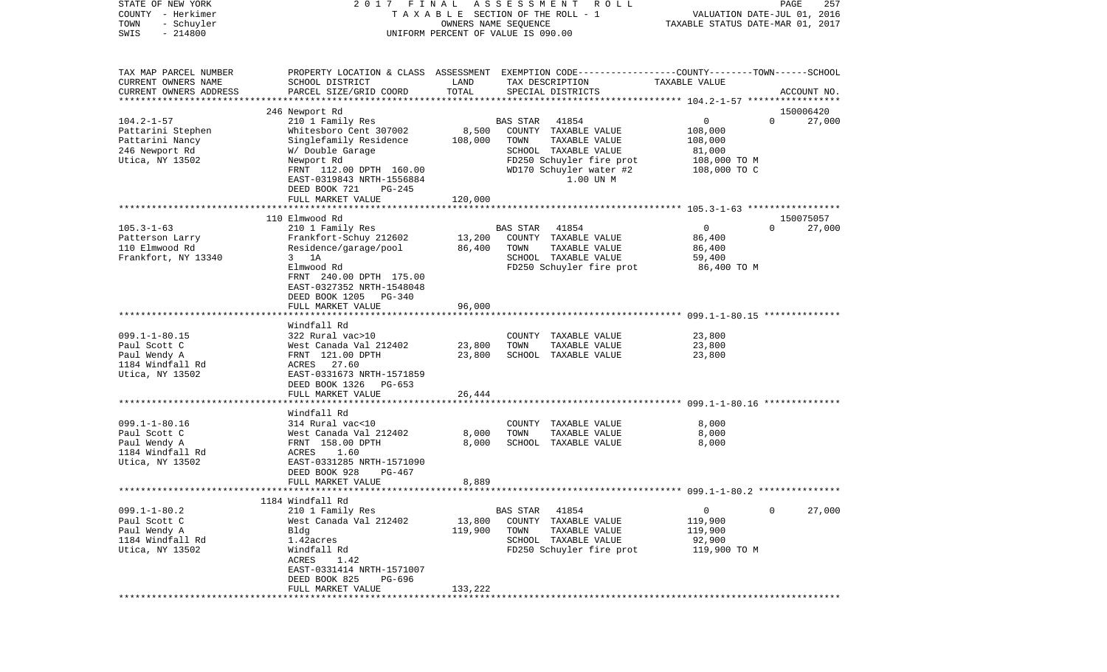| COUNTY                                  | - Herkimer             |                                                                                                 |                      | T A X A B L E SECTION OF THE ROLL - 1 |               | VALUATION DATE-JUL 01, 2016     |
|-----------------------------------------|------------------------|-------------------------------------------------------------------------------------------------|----------------------|---------------------------------------|---------------|---------------------------------|
| TOWN<br>- Schuyler<br>SWIS<br>$-214800$ |                        |                                                                                                 | OWNERS NAME SEQUENCE |                                       |               |                                 |
|                                         |                        | UNIFORM PERCENT OF VALUE IS 090.00                                                              |                      |                                       |               |                                 |
|                                         |                        |                                                                                                 |                      |                                       |               |                                 |
|                                         | TAX MAP PARCEL NUMBER  | PROPERTY LOCATION & CLASS ASSESSMENT EXEMPTION CODE---------------COUNTY-------TOWN------SCHOOL |                      |                                       |               |                                 |
|                                         | CURRENT OWNERS NAME    | SCHOOL DISTRICT                                                                                 | LAND                 | TAX DESCRIPTION                       | TAXABLE VALUE |                                 |
|                                         | CURRENT OWNERS ADDRESS | PARCEL SIZE/GRID COORD                                                                          | TOTAL                | SPECIAL DISTRICTS                     |               | ACCOUNT NO.                     |
|                                         |                        |                                                                                                 |                      |                                       |               |                                 |
|                                         |                        | 246 Newport Rd                                                                                  |                      |                                       |               | 150006420                       |
| $104.2 - 1 - 57$                        |                        | 210 1 Family Res                                                                                |                      | <b>BAS STAR</b><br>41854              | $\mathbf{0}$  | $\Omega$<br>27,000              |
|                                         | Pattarini Stephen      | Whitesboro Cent 307002                                                                          | 8,500                | COUNTY<br>TAXABLE VALUE               | 108,000       |                                 |
|                                         | Pattarini Nancy        | Singlefamily Residence                                                                          | 108,000              | TOWN<br>TAXABLE VALUE                 | 108,000       |                                 |
| 246 Newport Rd                          |                        | W/ Double Garage                                                                                |                      | SCHOOL TAXABLE VALUE                  | 81,000        |                                 |
|                                         | Utica, NY 13502        | Newport Rd                                                                                      |                      | FD250 Schuyler fire prot              | 108,000 TO M  |                                 |
|                                         |                        | FRNT 112.00 DPTH 160.00                                                                         |                      | WD170 Schuyler water #2               | 108,000 TO C  |                                 |
|                                         |                        | EAST-0319843 NRTH-1556884                                                                       |                      | 1.00 UN M                             |               |                                 |
|                                         |                        | DEED BOOK 721<br>PG-245                                                                         |                      |                                       |               |                                 |
|                                         |                        | FULL MARKET VALUE                                                                               | 120,000              |                                       |               |                                 |
|                                         |                        |                                                                                                 |                      |                                       |               |                                 |
| $105.3 - 1 - 63$                        |                        | 110 Elmwood Rd                                                                                  |                      | 41854<br><b>BAS STAR</b>              | $\mathbf{0}$  | 150075057<br>27,000<br>$\Omega$ |
|                                         | Patterson Larry        | 210 1 Family Res                                                                                | 13,200               | COUNTY TAXABLE VALUE                  | 86,400        |                                 |
| 110 Elmwood Rd                          |                        | Frankfort-Schuy 212602<br>Residence/garage/pool                                                 | 86,400               | TAXABLE VALUE<br>TOWN                 | 86,400        |                                 |
|                                         | Frankfort, NY 13340    | $3 \t1A$                                                                                        |                      | SCHOOL TAXABLE VALUE                  | 59,400        |                                 |
|                                         |                        | Elmwood Rd                                                                                      |                      | FD250 Schuyler fire prot              | 86,400 TO M   |                                 |
|                                         |                        | FRNT 240.00 DPTH 175.00                                                                         |                      |                                       |               |                                 |
|                                         |                        | EAST-0327352 NRTH-1548048                                                                       |                      |                                       |               |                                 |
|                                         |                        | DEED BOOK 1205<br>PG-340                                                                        |                      |                                       |               |                                 |
|                                         |                        | FULL MARKET VALUE                                                                               | 96,000               |                                       |               |                                 |
|                                         |                        |                                                                                                 |                      |                                       |               |                                 |
|                                         |                        | Windfall Rd                                                                                     |                      |                                       |               |                                 |
| $099.1 - 1 - 80.15$                     |                        | 322 Rural vac>10                                                                                |                      | COUNTY<br>TAXABLE VALUE               | 23,800        |                                 |
| Paul Scott C                            |                        | West Canada Val 212402                                                                          | 23,800               | TOWN<br>TAXABLE VALUE                 | 23,800        |                                 |
| Paul Wendy A                            |                        | FRNT 121.00 DPTH                                                                                | 23,800               | SCHOOL TAXABLE VALUE                  | 23,800        |                                 |
|                                         | 1184 Windfall Rd       | ACRES<br>27.60                                                                                  |                      |                                       |               |                                 |
|                                         | Utica, NY 13502        | EAST-0331673 NRTH-1571859                                                                       |                      |                                       |               |                                 |
|                                         |                        | DEED BOOK 1326<br>PG-653                                                                        |                      |                                       |               |                                 |
|                                         |                        | FULL MARKET VALUE                                                                               | 26,444               |                                       |               |                                 |
|                                         |                        | ******************                                                                              |                      |                                       |               |                                 |
|                                         |                        | Windfall Rd                                                                                     |                      |                                       |               |                                 |
| $099.1 - 1 - 80.16$                     |                        | 314 Rural vac<10                                                                                |                      | COUNTY<br>TAXABLE VALUE               | 8,000         |                                 |
| Paul Scott C                            |                        | West Canada Val 212402                                                                          | 8,000                | TOWN<br>TAXABLE VALUE                 | 8,000         |                                 |
| Paul Wendy A                            |                        | FRNT 158.00 DPTH                                                                                | 8,000                | SCHOOL TAXABLE VALUE                  | 8,000         |                                 |
|                                         | 1184 Windfall Rd       | ACRES<br>1.60                                                                                   |                      |                                       |               |                                 |
| Utica, NY 13502                         |                        | EAST-0331285 NRTH-1571090                                                                       |                      |                                       |               |                                 |
|                                         |                        | DEED BOOK 928<br>PG-467                                                                         |                      |                                       |               |                                 |
|                                         |                        | FULL MARKET VALUE                                                                               | 8,889                |                                       |               |                                 |
|                                         |                        |                                                                                                 |                      |                                       |               |                                 |
|                                         |                        | 1184 Windfall Rd                                                                                |                      |                                       |               |                                 |
| $099.1 - 1 - 80.2$                      |                        | 210 1 Family Res                                                                                |                      | 41854<br>BAS STAR                     | $\mathsf{O}$  | 0<br>27,000                     |
| Paul Scott C                            |                        | West Canada Val 212402                                                                          | 13,800               | COUNTY<br>TAXABLE VALUE               | 119,900       |                                 |
| Paul Wendy A                            |                        | Bldg                                                                                            | 119,900              | TAXABLE VALUE<br>TOWN                 | 119,900       |                                 |
|                                         | 1184 Windfall Rd       | 1.42acres                                                                                       |                      | SCHOOL TAXABLE VALUE                  | 92,900        |                                 |
| Utica, NY 13502                         |                        | Windfall Rd                                                                                     |                      | FD250 Schuyler fire prot              | 119,900 TO M  |                                 |
|                                         |                        | ACRES<br>1.42                                                                                   |                      |                                       |               |                                 |
|                                         |                        | EAST-0331414 NRTH-1571007                                                                       |                      |                                       |               |                                 |
|                                         |                        | DEED BOOK 825<br>PG-696                                                                         |                      |                                       |               |                                 |
|                                         |                        | FULL MARKET VALUE                                                                               | 133,222              |                                       |               |                                 |

PAGE 257

STATE OF NEW YORK 2 0 1 7 F I N A L A S S E S S M E N T R O L L PAGE 257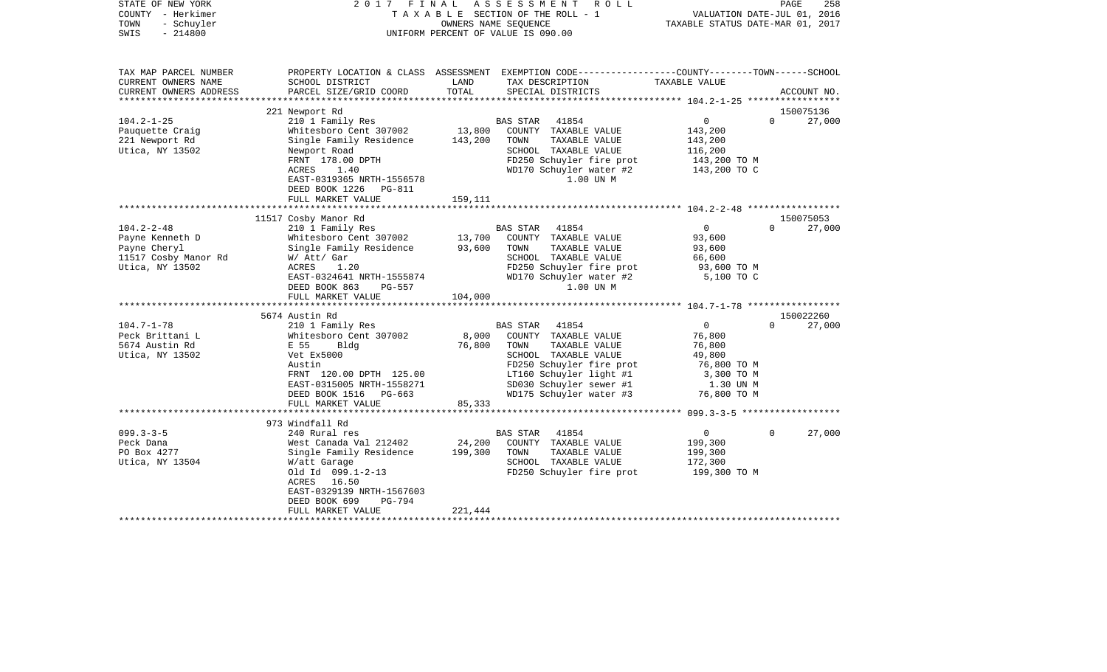| STATE OF NEW YORK<br>COUNTY - Herkimer<br>- Schuyler<br>TOWN<br>$-214800$<br>SWIS                                                                                          | 2017 FINAL                                                                                                                                                                                                                                                                                                                                                                                          |                                                | ASSESSMENT<br>R O L L<br>T A X A B L E SECTION OF THE ROLL - 1<br>OWNERS NAME SEOUENCE<br>UNIFORM PERCENT OF VALUE IS 090.00                                                                                                                                                                                                                                        | VALUATION DATE-JUL 01, 2016<br>TAXABLE STATUS DATE-MAR 01, 2017                                                                                                             | PAGE<br>258                                                        |
|----------------------------------------------------------------------------------------------------------------------------------------------------------------------------|-----------------------------------------------------------------------------------------------------------------------------------------------------------------------------------------------------------------------------------------------------------------------------------------------------------------------------------------------------------------------------------------------------|------------------------------------------------|---------------------------------------------------------------------------------------------------------------------------------------------------------------------------------------------------------------------------------------------------------------------------------------------------------------------------------------------------------------------|-----------------------------------------------------------------------------------------------------------------------------------------------------------------------------|--------------------------------------------------------------------|
| TAX MAP PARCEL NUMBER<br>CURRENT OWNERS NAME<br>CURRENT OWNERS ADDRESS                                                                                                     | SCHOOL DISTRICT<br>PARCEL SIZE/GRID COORD                                                                                                                                                                                                                                                                                                                                                           | LAND<br>TOTAL                                  | PROPERTY LOCATION & CLASS ASSESSMENT EXEMPTION CODE---------------COUNTY-------TOWN------SCHOOL<br>TAX DESCRIPTION<br>SPECIAL DISTRICTS                                                                                                                                                                                                                             | TAXABLE VALUE                                                                                                                                                               | ACCOUNT NO.                                                        |
| ************************                                                                                                                                                   |                                                                                                                                                                                                                                                                                                                                                                                                     |                                                |                                                                                                                                                                                                                                                                                                                                                                     |                                                                                                                                                                             |                                                                    |
|                                                                                                                                                                            | 221 Newport Rd                                                                                                                                                                                                                                                                                                                                                                                      |                                                |                                                                                                                                                                                                                                                                                                                                                                     |                                                                                                                                                                             | 150075136                                                          |
| $104.2 - 1 - 25$<br>Pauquette Craig<br>221 Newport Rd<br>Utica, NY 13502                                                                                                   | 210 1 Family Res<br>Whitesboro Cent 307002<br>Single Family Residence<br>Newport Road<br>FRNT 178.00 DPTH<br>ACRES<br>1.40<br>EAST-0319365 NRTH-1556578<br>DEED BOOK 1226<br>PG-811                                                                                                                                                                                                                 | 13,800<br>143,200                              | 41854<br>BAS STAR<br>COUNTY TAXABLE VALUE<br>TOWN<br>TAXABLE VALUE<br>SCHOOL TAXABLE VALUE<br>FD250 Schuyler fire prot<br>WD170 Schuyler water #2<br>1.00 UN M                                                                                                                                                                                                      | 0<br>143,200<br>143,200<br>116,200<br>143,200 TO M<br>143,200 TO C                                                                                                          | $\Omega$<br>27,000                                                 |
|                                                                                                                                                                            | FULL MARKET VALUE                                                                                                                                                                                                                                                                                                                                                                                   | 159,111                                        |                                                                                                                                                                                                                                                                                                                                                                     |                                                                                                                                                                             |                                                                    |
|                                                                                                                                                                            |                                                                                                                                                                                                                                                                                                                                                                                                     |                                                |                                                                                                                                                                                                                                                                                                                                                                     |                                                                                                                                                                             |                                                                    |
| $104.2 - 2 - 48$<br>Payne Kenneth D<br>Payne Cheryl<br>11517 Cosby Manor Rd<br>Utica, NY 13502<br>$104.7 - 1 - 78$<br>Peck Brittani L<br>5674 Austin Rd<br>Utica, NY 13502 | 11517 Cosby Manor Rd<br>210 1 Family Res<br>Whitesboro Cent 307002<br>Single Family Residence<br>W/ Att/ Gar<br>ACRES<br>1.20<br>EAST-0324641 NRTH-1555874<br>DEED BOOK 863<br>PG-557<br>FULL MARKET VALUE<br>5674 Austin Rd<br>210 1 Family Res<br>Whitesboro Cent 307002<br>E 55<br>Bldg<br>Vet Ex5000<br>Austin<br>FRNT 120.00 DPTH 125.00<br>EAST-0315005 NRTH-1558271<br>DEED BOOK 1516 PG-663 | 13,700<br>93,600<br>104,000<br>8,000<br>76,800 | BAS STAR 41854<br>COUNTY TAXABLE VALUE<br>TAXABLE VALUE<br>TOWN<br>SCHOOL TAXABLE VALUE<br>FD250 Schuyler fire prot<br>WD170 Schuyler water #2<br>1.00 UN M<br>BAS STAR 41854<br>COUNTY TAXABLE VALUE<br>TAXABLE VALUE<br>TOWN<br>SCHOOL TAXABLE VALUE<br>FD250 Schuyler fire prot<br>LT160 Schuyler light #1<br>SD030 Schuyler sewer #1<br>WD175 Schuyler water #3 | $\overline{0}$<br>93,600<br>93,600<br>66,600<br>93,600 TO M<br>5,100 TO C<br>$\circ$<br>76,800<br>76,800<br>49,800<br>76,800 ТО М<br>3,300 TO M<br>1.30 UN M<br>76,800 TO M | 150075053<br>27,000<br>$\Omega$<br>150022260<br>27,000<br>$\Omega$ |
|                                                                                                                                                                            | FULL MARKET VALUE                                                                                                                                                                                                                                                                                                                                                                                   | 85,333                                         |                                                                                                                                                                                                                                                                                                                                                                     |                                                                                                                                                                             |                                                                    |
|                                                                                                                                                                            | 973 Windfall Rd                                                                                                                                                                                                                                                                                                                                                                                     |                                                |                                                                                                                                                                                                                                                                                                                                                                     |                                                                                                                                                                             |                                                                    |
| $099.3 - 3 - 5$<br>Peck Dana<br>PO Box 4277<br>Utica, NY 13504                                                                                                             | 240 Rural res<br>West Canada Val 212402<br>Single Family Residence<br>W/att Garage<br>old Id 099.1-2-13<br>ACRES 16.50<br>EAST-0329139 NRTH-1567603<br>DEED BOOK 699<br>PG-794<br>FULL MARKET VALUE                                                                                                                                                                                                 | 24,200<br>199,300<br>221,444                   | BAS STAR<br>41854<br>COUNTY TAXABLE VALUE<br>TOWN<br>TAXABLE VALUE<br>SCHOOL TAXABLE VALUE<br>FD250 Schuyler fire prot                                                                                                                                                                                                                                              | $\overline{0}$<br>199,300<br>199,300<br>172,300<br>199,300 TO M                                                                                                             | $\Omega$<br>27,000                                                 |
|                                                                                                                                                                            |                                                                                                                                                                                                                                                                                                                                                                                                     |                                                |                                                                                                                                                                                                                                                                                                                                                                     |                                                                                                                                                                             |                                                                    |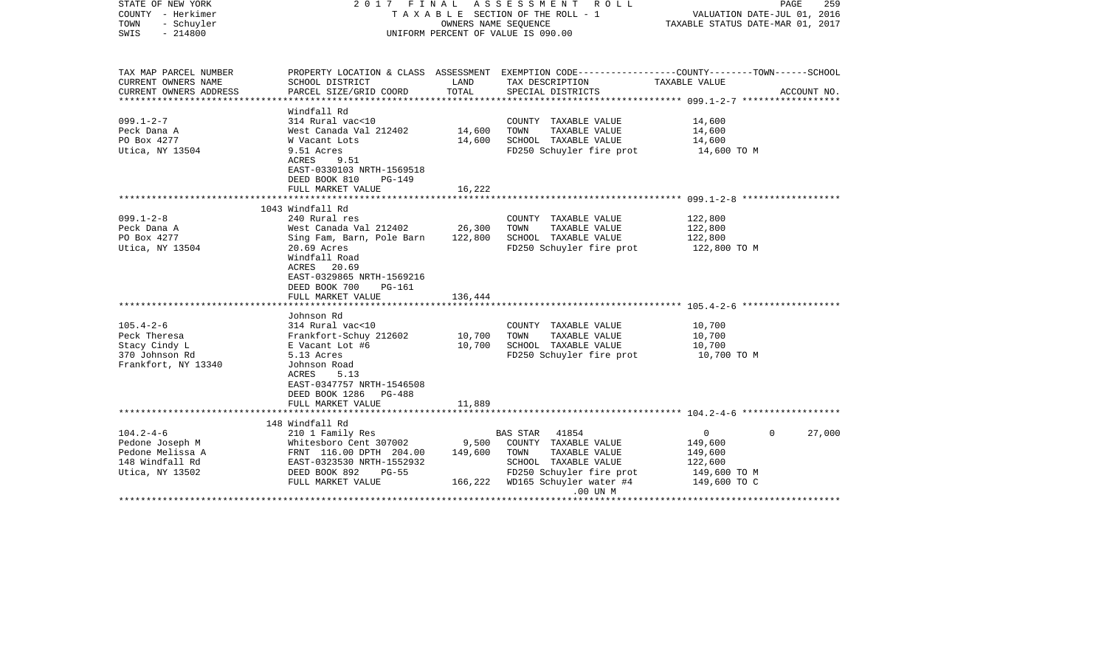| STATE OF NEW YORK<br>COUNTY - Herkimer<br>- Schuyler<br>TOWN<br>$-214800$<br>SWIS | 2017 FINAL<br>T A X A B L E SECTION OF THE ROLL - 1<br>UNIFORM PERCENT OF VALUE IS 090.00 | PAGE<br>259<br>VALUATION DATE-JUL 01, 2016<br>TAXABLE STATUS DATE-MAR 01, 2017 |                                                                                                                     |                  |                    |
|-----------------------------------------------------------------------------------|-------------------------------------------------------------------------------------------|--------------------------------------------------------------------------------|---------------------------------------------------------------------------------------------------------------------|------------------|--------------------|
| TAX MAP PARCEL NUMBER<br>CURRENT OWNERS NAME                                      | SCHOOL DISTRICT                                                                           | LAND                                                                           | PROPERTY LOCATION & CLASS ASSESSMENT EXEMPTION CODE----------------COUNTY-------TOWN------SCHOOL<br>TAX DESCRIPTION | TAXABLE VALUE    |                    |
| CURRENT OWNERS ADDRESS                                                            | PARCEL SIZE/GRID COORD                                                                    | TOTAL                                                                          | SPECIAL DISTRICTS                                                                                                   |                  | ACCOUNT NO.        |
| **********************                                                            | ********************                                                                      |                                                                                |                                                                                                                     |                  |                    |
| $099.1 - 2 - 7$                                                                   | Windfall Rd<br>314 Rural vac<10                                                           |                                                                                |                                                                                                                     |                  |                    |
| Peck Dana A                                                                       | West Canada Val 212402                                                                    | 14,600                                                                         | COUNTY TAXABLE VALUE<br>TAXABLE VALUE<br>TOWN                                                                       | 14,600<br>14,600 |                    |
| PO Box 4277                                                                       | W Vacant Lots                                                                             | 14,600                                                                         | SCHOOL TAXABLE VALUE                                                                                                | 14,600           |                    |
| Utica, NY 13504                                                                   | 9.51 Acres                                                                                |                                                                                | FD250 Schuyler fire prot                                                                                            | 14,600 TO M      |                    |
|                                                                                   | ACRES<br>9.51                                                                             |                                                                                |                                                                                                                     |                  |                    |
|                                                                                   | EAST-0330103 NRTH-1569518                                                                 |                                                                                |                                                                                                                     |                  |                    |
|                                                                                   | DEED BOOK 810<br>$PG-149$                                                                 |                                                                                |                                                                                                                     |                  |                    |
|                                                                                   | FULL MARKET VALUE                                                                         | 16,222                                                                         |                                                                                                                     |                  |                    |
|                                                                                   | ****************************                                                              |                                                                                |                                                                                                                     |                  |                    |
|                                                                                   | 1043 Windfall Rd                                                                          |                                                                                |                                                                                                                     |                  |                    |
| $099.1 - 2 - 8$                                                                   | 240 Rural res                                                                             |                                                                                | COUNTY TAXABLE VALUE                                                                                                | 122,800          |                    |
| Peck Dana A                                                                       | West Canada Val 212402                                                                    | 26,300                                                                         | TOWN<br>TAXABLE VALUE                                                                                               | 122,800          |                    |
| PO Box 4277                                                                       | Sing Fam, Barn, Pole Barn                                                                 | 122,800                                                                        | SCHOOL TAXABLE VALUE                                                                                                | 122,800          |                    |
| Utica, NY 13504                                                                   | 20.69 Acres<br>Windfall Road<br>ACRES<br>20.69<br>EAST-0329865 NRTH-1569216               |                                                                                | FD250 Schuyler fire prot                                                                                            | 122,800 TO M     |                    |
|                                                                                   | DEED BOOK 700<br><b>PG-161</b>                                                            |                                                                                |                                                                                                                     |                  |                    |
|                                                                                   | FULL MARKET VALUE                                                                         | 136,444                                                                        |                                                                                                                     |                  |                    |
|                                                                                   | **************************                                                                |                                                                                |                                                                                                                     |                  |                    |
|                                                                                   | Johnson Rd                                                                                |                                                                                |                                                                                                                     |                  |                    |
| $105.4 - 2 - 6$                                                                   | 314 Rural vac<10                                                                          |                                                                                | COUNTY TAXABLE VALUE                                                                                                | 10,700           |                    |
| Peck Theresa                                                                      | Frankfort-Schuy 212602                                                                    | 10,700                                                                         | TOWN<br>TAXABLE VALUE                                                                                               | 10,700           |                    |
| Stacy Cindy L                                                                     | E Vacant Lot #6                                                                           | 10,700                                                                         | SCHOOL TAXABLE VALUE                                                                                                | 10,700           |                    |
| 370 Johnson Rd                                                                    | 5.13 Acres                                                                                |                                                                                | FD250 Schuyler fire prot                                                                                            | 10,700 TO M      |                    |
| Frankfort, NY 13340                                                               | Johnson Road                                                                              |                                                                                |                                                                                                                     |                  |                    |
|                                                                                   | ACRES<br>5.13                                                                             |                                                                                |                                                                                                                     |                  |                    |
|                                                                                   | EAST-0347757 NRTH-1546508                                                                 |                                                                                |                                                                                                                     |                  |                    |
|                                                                                   | DEED BOOK 1286<br>$PG-488$                                                                |                                                                                |                                                                                                                     |                  |                    |
|                                                                                   | FULL MARKET VALUE                                                                         | 11,889                                                                         |                                                                                                                     |                  |                    |
|                                                                                   | 148 Windfall Rd                                                                           |                                                                                |                                                                                                                     |                  |                    |
| $104.2 - 4 - 6$                                                                   | 210 1 Family Res                                                                          |                                                                                | 41854<br><b>BAS STAR</b>                                                                                            | 0                | 27,000<br>$\Omega$ |
| Pedone Joseph M                                                                   | Whitesboro Cent 307002                                                                    | 9,500                                                                          | COUNTY TAXABLE VALUE                                                                                                | 149,600          |                    |
| Pedone Melissa A                                                                  | FRNT 116.00 DPTH 204.00                                                                   | 149,600                                                                        | TAXABLE VALUE<br>TOWN                                                                                               | 149,600          |                    |
| 148 Windfall Rd                                                                   | EAST-0323530 NRTH-1552932                                                                 |                                                                                | SCHOOL TAXABLE VALUE                                                                                                | 122,600          |                    |
| Utica, NY 13502                                                                   | DEED BOOK 892<br>$PG-55$                                                                  |                                                                                | FD250 Schuyler fire prot                                                                                            | 149,600 TO M     |                    |
|                                                                                   | FULL MARKET VALUE                                                                         | 166,222                                                                        | WD165 Schuyler water #4<br>.00 UN M                                                                                 | 149,600 TO C     |                    |
|                                                                                   |                                                                                           |                                                                                |                                                                                                                     |                  |                    |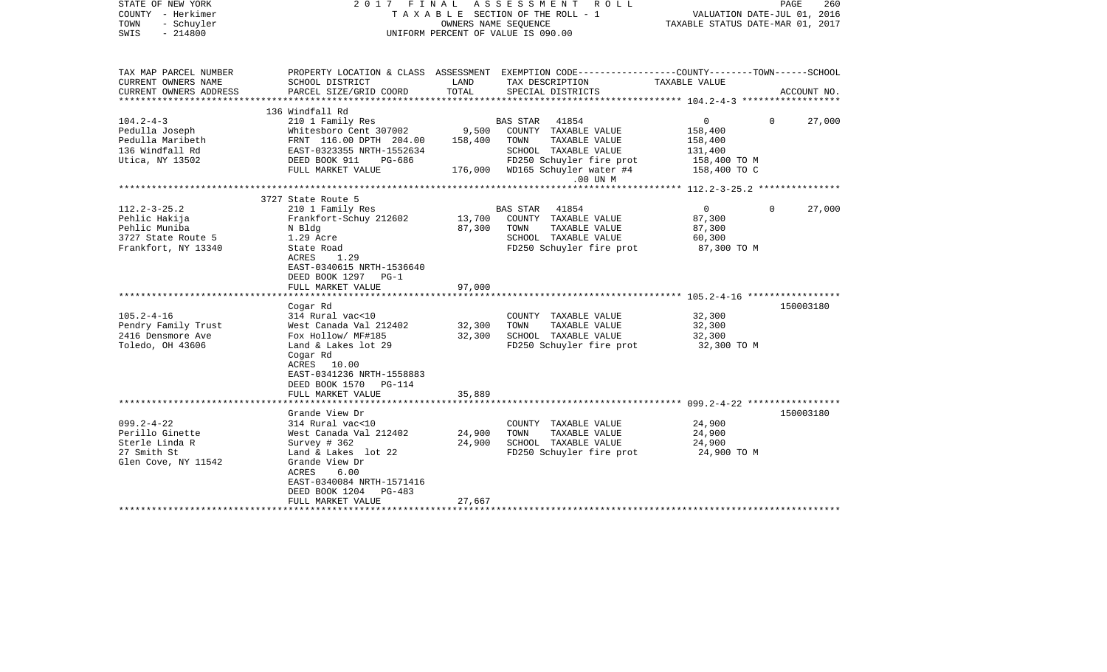| STATE OF NEW YORK<br>COUNTY - Herkimer<br>TOWN<br>- Schuyler<br>$-214800$<br>SWIS                 | 2017 FINAL ASSESSMENT<br>ROLL<br>TAXABLE SECTION OF THE ROLL - 1<br>OWNERS NAME SEOUENCE<br>UNIFORM PERCENT OF VALUE IS 090.00                                                                                         |                             |                                                                                                                                                            | VALUATION DATE-JUL 01, 2016<br>TAXABLE STATUS DATE-MAR 01, 2017                 | PAGE<br>260        |
|---------------------------------------------------------------------------------------------------|------------------------------------------------------------------------------------------------------------------------------------------------------------------------------------------------------------------------|-----------------------------|------------------------------------------------------------------------------------------------------------------------------------------------------------|---------------------------------------------------------------------------------|--------------------|
| TAX MAP PARCEL NUMBER<br>CURRENT OWNERS NAME                                                      | SCHOOL DISTRICT                                                                                                                                                                                                        | LAND                        | PROPERTY LOCATION & CLASS ASSESSMENT EXEMPTION CODE---------------COUNTY-------TOWN------SCHOOL<br>TAX DESCRIPTION                                         | TAXABLE VALUE                                                                   |                    |
| CURRENT OWNERS ADDRESS                                                                            | PARCEL SIZE/GRID COORD                                                                                                                                                                                                 | TOTAL                       | SPECIAL DISTRICTS                                                                                                                                          |                                                                                 | ACCOUNT NO.        |
|                                                                                                   | 136 Windfall Rd                                                                                                                                                                                                        |                             |                                                                                                                                                            |                                                                                 |                    |
| $104.2 - 4 - 3$<br>Pedulla Joseph<br>Pedulla Maribeth<br>136 Windfall Rd<br>Utica, NY 13502       | 210 1 Family Res<br>Whitesboro Cent 307002<br>FRNT 116.00 DPTH 204.00<br>EAST-0323355 NRTH-1552634<br>DEED BOOK 911<br>PG-686<br>FULL MARKET VALUE                                                                     | 9,500<br>158,400<br>176,000 | BAS STAR 41854<br>COUNTY TAXABLE VALUE<br>TOWN<br>TAXABLE VALUE<br>SCHOOL TAXABLE VALUE<br>FD250 Schuyler fire prot<br>WD165 Schuyler water #4<br>.00 UN M | $\overline{0}$<br>158,400<br>158,400<br>131,400<br>158,400 TO M<br>158,400 TO C | 27,000<br>$\Omega$ |
|                                                                                                   |                                                                                                                                                                                                                        |                             |                                                                                                                                                            |                                                                                 |                    |
| $112.2 - 3 - 25.2$<br>Pehlic Hakija<br>Pehlic Muniba<br>3727 State Route 5<br>Frankfort, NY 13340 | 3727 State Route 5<br>210 1 Family Res<br>Frankfort-Schuy 212602<br>N Bldg<br>1.29 Acre<br>State Road<br>1.29<br>ACRES                                                                                                 | 13,700<br>87,300            | <b>BAS STAR</b><br>41854<br>COUNTY TAXABLE VALUE<br>TOWN<br>TAXABLE VALUE<br>SCHOOL TAXABLE VALUE<br>FD250 Schuyler fire prot                              | $\overline{0}$<br>87,300<br>87,300<br>60,300<br>87,300 TO M                     | 27,000<br>0        |
|                                                                                                   | EAST-0340615 NRTH-1536640<br>DEED BOOK 1297 PG-1<br>FULL MARKET VALUE                                                                                                                                                  | 97,000                      |                                                                                                                                                            |                                                                                 |                    |
| $105.2 - 4 - 16$<br>Pendry Family Trust<br>2416 Densmore Ave<br>Toledo, OH 43606                  | Cogar Rd<br>314 Rural vac<10<br>West Canada Val 212402<br>Fox Hollow/ MF#185<br>Land & Lakes lot 29<br>Cogar Rd<br>ACRES 10.00<br>EAST-0341236 NRTH-1558883<br>DEED BOOK 1570 PG-114                                   | 32,300<br>32,300            | COUNTY TAXABLE VALUE<br>TOWN<br>TAXABLE VALUE<br>SCHOOL TAXABLE VALUE<br>FD250 Schuyler fire prot                                                          | 32,300<br>32,300<br>32,300<br>32,300 TO M                                       | 150003180          |
|                                                                                                   | FULL MARKET VALUE<br>*************************                                                                                                                                                                         | 35,889                      |                                                                                                                                                            |                                                                                 |                    |
| $099.2 - 4 - 22$<br>Perillo Ginette<br>Sterle Linda R<br>27 Smith St<br>Glen Cove, NY 11542       | Grande View Dr<br>314 Rural vac<10<br>West Canada Val 212402<br>Survey # 362<br>Land & Lakes lot 22<br>Grande View Dr<br>ACRES<br>6.00<br>EAST-0340084 NRTH-1571416<br>DEED BOOK 1204<br>$PG-483$<br>FULL MARKET VALUE | 24,900<br>24,900<br>27,667  | COUNTY TAXABLE VALUE<br>TAXABLE VALUE<br>TOWN<br>SCHOOL TAXABLE VALUE<br>FD250 Schuyler fire prot                                                          | 24,900<br>24,900<br>24,900<br>24,900 TO M                                       | 150003180          |
|                                                                                                   |                                                                                                                                                                                                                        |                             |                                                                                                                                                            |                                                                                 |                    |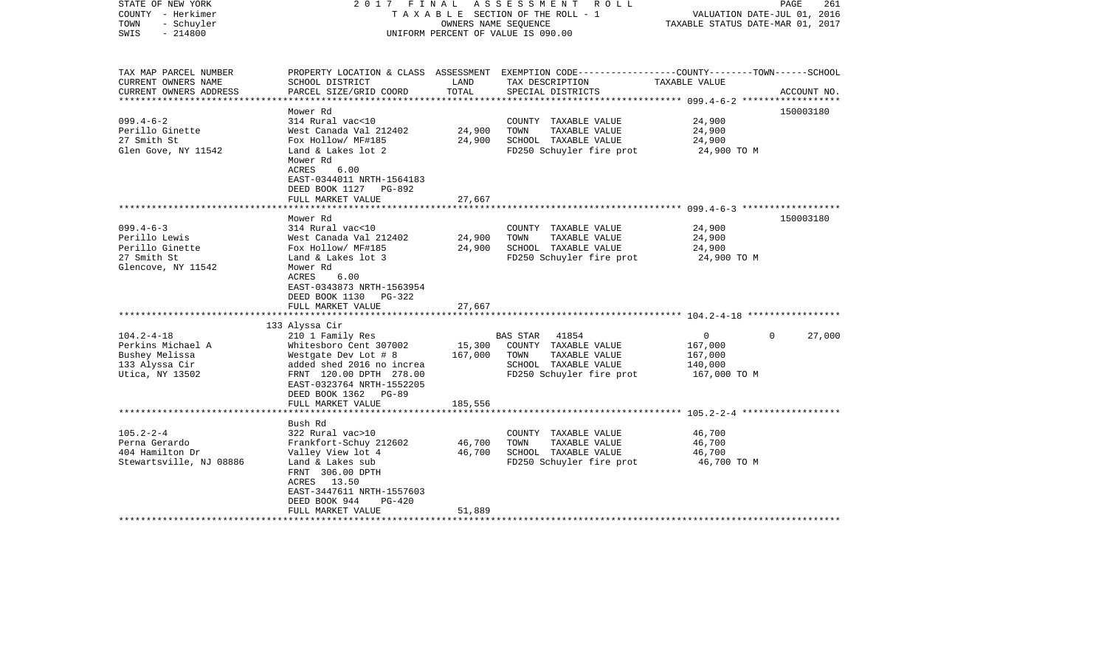| STATE OF NEW YORK<br>COUNTY - Herkimer<br>TOWN<br>- Schuyler<br>$-214800$<br>SWIS | 2017 FINAL                                                                                                                 |         | A S S E S S M E N T R O L L<br>TAXABLE SECTION OF THE ROLL - 1<br>OWNERS NAME SEOUENCE<br>UNIFORM PERCENT OF VALUE IS 090.00 | VALUATION DATE-JUL 01, 2016<br>TAXABLE STATUS DATE-MAR 01, 2017 | PAGE<br>261        |
|-----------------------------------------------------------------------------------|----------------------------------------------------------------------------------------------------------------------------|---------|------------------------------------------------------------------------------------------------------------------------------|-----------------------------------------------------------------|--------------------|
| TAX MAP PARCEL NUMBER<br>CURRENT OWNERS NAME                                      | SCHOOL DISTRICT                                                                                                            | LAND    | PROPERTY LOCATION & CLASS ASSESSMENT EXEMPTION CODE----------------COUNTY-------TOWN------SCHOOL<br>TAX DESCRIPTION          | TAXABLE VALUE                                                   |                    |
| CURRENT OWNERS ADDRESS                                                            | PARCEL SIZE/GRID COORD                                                                                                     | TOTAL   | SPECIAL DISTRICTS                                                                                                            |                                                                 | ACCOUNT NO.        |
| ***********************                                                           |                                                                                                                            |         |                                                                                                                              |                                                                 |                    |
| $099.4 - 6 - 2$                                                                   | Mower Rd<br>314 Rural vac<10                                                                                               |         | COUNTY TAXABLE VALUE                                                                                                         | 24,900                                                          | 150003180          |
| Perillo Ginette                                                                   | West Canada Val 212402                                                                                                     | 24,900  | TOWN<br>TAXABLE VALUE                                                                                                        | 24,900                                                          |                    |
| 27 Smith St                                                                       | Fox Hollow/ MF#185                                                                                                         | 24,900  | SCHOOL TAXABLE VALUE                                                                                                         | 24,900                                                          |                    |
| Glen Gove, NY 11542                                                               | Land & Lakes lot 2                                                                                                         |         | FD250 Schuyler fire prot                                                                                                     | 24,900 TO M                                                     |                    |
|                                                                                   | Mower Rd<br>ACRES<br>6.00<br>EAST-0344011 NRTH-1564183<br>DEED BOOK 1127 PG-892<br>FULL MARKET VALUE                       | 27,667  |                                                                                                                              |                                                                 |                    |
|                                                                                   |                                                                                                                            |         |                                                                                                                              |                                                                 |                    |
|                                                                                   | Mower Rd                                                                                                                   |         |                                                                                                                              |                                                                 | 150003180          |
| $099.4 - 6 - 3$                                                                   | 314 Rural vac<10                                                                                                           |         | COUNTY TAXABLE VALUE                                                                                                         | 24,900                                                          |                    |
| Perillo Lewis                                                                     | West Canada Val 212402                                                                                                     | 24,900  | TOWN<br>TAXABLE VALUE                                                                                                        | 24,900                                                          |                    |
| Perillo Ginette                                                                   | Fox Hollow/ MF#185                                                                                                         | 24,900  | SCHOOL TAXABLE VALUE                                                                                                         | 24,900                                                          |                    |
| 27 Smith St<br>Glencove, NY 11542                                                 | Land & Lakes lot 3<br>Mower Rd<br>ACRES<br>6.00<br>EAST-0343873 NRTH-1563954<br>DEED BOOK 1130 PG-322<br>FULL MARKET VALUE | 27,667  | FD250 Schuyler fire prot                                                                                                     | 24,900 TO M                                                     |                    |
|                                                                                   |                                                                                                                            |         |                                                                                                                              |                                                                 |                    |
|                                                                                   | 133 Alyssa Cir                                                                                                             |         |                                                                                                                              |                                                                 |                    |
| $104.2 - 4 - 18$                                                                  | 210 1 Family Res                                                                                                           |         | BAS STAR 41854                                                                                                               | $\overline{0}$                                                  | $\Omega$<br>27,000 |
| Perkins Michael A                                                                 | Whitesboro Cent 307002                                                                                                     | 15,300  | COUNTY TAXABLE VALUE                                                                                                         | 167,000                                                         |                    |
| Bushey Melissa                                                                    | Westgate Dev Lot # 8                                                                                                       | 167,000 | TOWN<br>TAXABLE VALUE                                                                                                        | 167,000                                                         |                    |
| 133 Alyssa Cir                                                                    | added shed 2016 no increa                                                                                                  |         | SCHOOL TAXABLE VALUE                                                                                                         | 140,000                                                         |                    |
| Utica, NY 13502                                                                   | FRNT 120.00 DPTH 278.00<br>EAST-0323764 NRTH-1552205<br>DEED BOOK 1362 PG-89                                               |         | FD250 Schuyler fire prot                                                                                                     | 167,000 TO M                                                    |                    |
| *************************                                                         | FULL MARKET VALUE<br>*************************                                                                             | 185,556 |                                                                                                                              |                                                                 |                    |
|                                                                                   | Bush Rd                                                                                                                    |         |                                                                                                                              |                                                                 |                    |
| $105.2 - 2 - 4$                                                                   | 322 Rural vac>10                                                                                                           |         | COUNTY TAXABLE VALUE                                                                                                         | 46,700                                                          |                    |
| Perna Gerardo                                                                     | Frankfort-Schuy 212602                                                                                                     | 46,700  | TOWN<br>TAXABLE VALUE                                                                                                        | 46,700                                                          |                    |
| 404 Hamilton Dr                                                                   | Valley View lot 4                                                                                                          | 46,700  | SCHOOL TAXABLE VALUE                                                                                                         | 46,700                                                          |                    |
| Stewartsville, NJ 08886                                                           | Land & Lakes sub<br>FRNT 306.00 DPTH<br>ACRES 13.50<br>EAST-3447611 NRTH-1557603<br>DEED BOOK 944<br><b>PG-420</b>         |         | FD250 Schuyler fire prot                                                                                                     | 46,700 TO M                                                     |                    |
|                                                                                   | FULL MARKET VALUE                                                                                                          | 51,889  |                                                                                                                              |                                                                 |                    |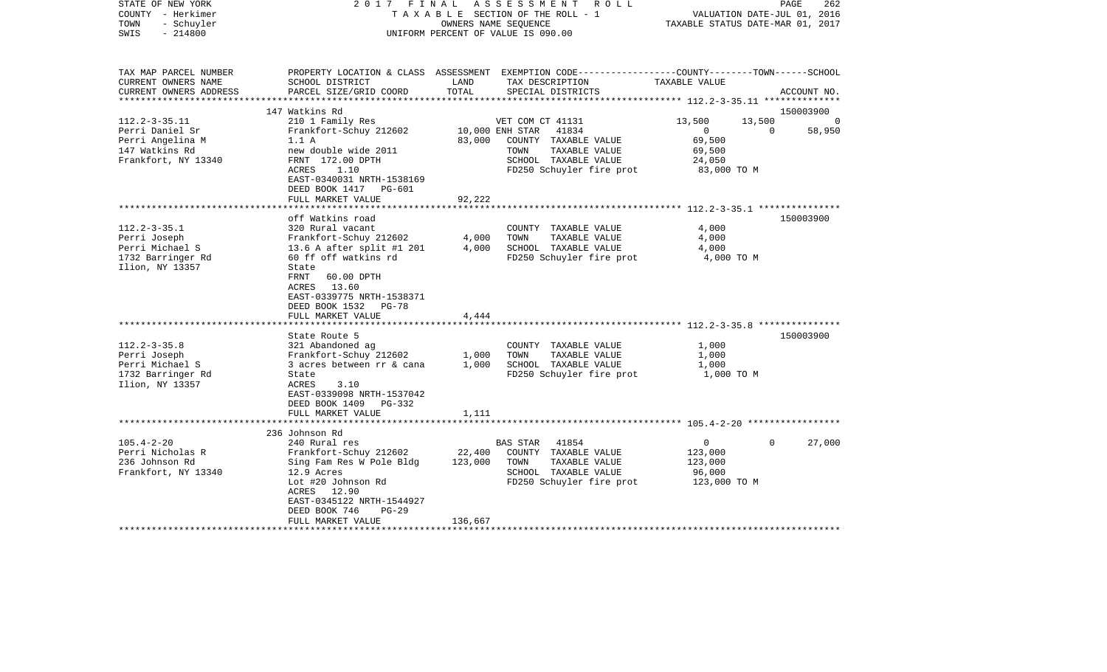| STATE OF NEW YORK<br>COUNTY - Herkimer<br>- Schuyler<br>TOWN<br>$-214800$<br>SWIS | 2017 FINAL                                 |               | ASSESSMENT<br>R O L L<br>TAXABLE SECTION OF THE ROLL - 1<br>OWNERS NAME SEOUENCE<br>UNIFORM PERCENT OF VALUE IS 090.00                  | VALUATION DATE-JUL 01, 2016<br>TAXABLE STATUS DATE-MAR 01, 2017 | PAGE<br>262           |
|-----------------------------------------------------------------------------------|--------------------------------------------|---------------|-----------------------------------------------------------------------------------------------------------------------------------------|-----------------------------------------------------------------|-----------------------|
| TAX MAP PARCEL NUMBER<br>CURRENT OWNERS NAME<br>CURRENT OWNERS ADDRESS            | SCHOOL DISTRICT<br>PARCEL SIZE/GRID COORD  | LAND<br>TOTAL | PROPERTY LOCATION & CLASS ASSESSMENT EXEMPTION CODE---------------COUNTY-------TOWN------SCHOOL<br>TAX DESCRIPTION<br>SPECIAL DISTRICTS | TAXABLE VALUE                                                   | ACCOUNT NO.           |
| ********************                                                              |                                            |               |                                                                                                                                         |                                                                 |                       |
|                                                                                   | 147 Watkins Rd                             |               |                                                                                                                                         |                                                                 | 150003900<br>$\Omega$ |
| $112.2 - 3 - 35.11$<br>Perri Daniel Sr                                            | 210 1 Family Res<br>Frankfort-Schuy 212602 |               | VET COM CT 41131<br>10,000 ENH STAR<br>41834                                                                                            | 13,500<br>13,500<br>$\overline{0}$                              | 58,950<br>0           |
| Perri Angelina M                                                                  | 1.1 A                                      | 83,000        | COUNTY TAXABLE VALUE                                                                                                                    | 69,500                                                          |                       |
| 147 Watkins Rd                                                                    | new double wide 2011                       |               | TAXABLE VALUE<br>TOWN                                                                                                                   | 69,500                                                          |                       |
| Frankfort, NY 13340                                                               | FRNT 172.00 DPTH                           |               | SCHOOL TAXABLE VALUE                                                                                                                    | 24,050                                                          |                       |
|                                                                                   | ACRES<br>1.10                              |               | FD250 Schuyler fire prot                                                                                                                | 83,000 TO M                                                     |                       |
|                                                                                   | EAST-0340031 NRTH-1538169                  |               |                                                                                                                                         |                                                                 |                       |
|                                                                                   | DEED BOOK 1417 PG-601                      |               |                                                                                                                                         |                                                                 |                       |
|                                                                                   | FULL MARKET VALUE                          | 92,222        |                                                                                                                                         |                                                                 |                       |
|                                                                                   |                                            | *******       |                                                                                                                                         | ************************ 112.2-3-35.1 ****************          |                       |
|                                                                                   | off Watkins road                           |               |                                                                                                                                         |                                                                 | 150003900             |
| $112.2 - 3 - 35.1$                                                                | 320 Rural vacant                           |               | COUNTY TAXABLE VALUE                                                                                                                    | 4,000                                                           |                       |
| Perri Joseph                                                                      | Frankfort-Schuy 212602                     | 4,000         | TOWN<br>TAXABLE VALUE                                                                                                                   | 4,000                                                           |                       |
| Perri Michael S                                                                   | 13.6 A after split #1 201                  | 4,000         | SCHOOL TAXABLE VALUE                                                                                                                    | 4,000                                                           |                       |
| 1732 Barringer Rd                                                                 | 60 ff off watkins rd                       |               | FD250 Schuyler fire prot                                                                                                                | 4,000 TO M                                                      |                       |
| Ilion, NY 13357                                                                   | State<br>FRNT<br>60.00 DPTH                |               |                                                                                                                                         |                                                                 |                       |
|                                                                                   | ACRES 13.60                                |               |                                                                                                                                         |                                                                 |                       |
|                                                                                   | EAST-0339775 NRTH-1538371                  |               |                                                                                                                                         |                                                                 |                       |
|                                                                                   | DEED BOOK 1532 PG-78                       |               |                                                                                                                                         |                                                                 |                       |
|                                                                                   | FULL MARKET VALUE                          | 4,444         |                                                                                                                                         |                                                                 |                       |
|                                                                                   |                                            |               |                                                                                                                                         |                                                                 |                       |
|                                                                                   | State Route 5                              |               |                                                                                                                                         |                                                                 | 150003900             |
| $112.2 - 3 - 35.8$                                                                | 321 Abandoned ag                           |               | COUNTY TAXABLE VALUE                                                                                                                    | 1,000                                                           |                       |
| Perri Joseph                                                                      | Frankfort-Schuy 212602                     | 1,000         | TOWN<br>TAXABLE VALUE                                                                                                                   | 1,000                                                           |                       |
| Perri Michael S                                                                   | 3 acres between rr & cana                  | 1,000         | SCHOOL TAXABLE VALUE                                                                                                                    | 1,000                                                           |                       |
| 1732 Barringer Rd                                                                 | State                                      |               | FD250 Schuyler fire prot                                                                                                                | 1,000 TO M                                                      |                       |
| Ilion, NY 13357                                                                   | ACRES<br>3.10                              |               |                                                                                                                                         |                                                                 |                       |
|                                                                                   | EAST-0339098 NRTH-1537042                  |               |                                                                                                                                         |                                                                 |                       |
|                                                                                   | DEED BOOK 1409 PG-332                      |               |                                                                                                                                         |                                                                 |                       |
|                                                                                   | FULL MARKET VALUE                          | 1,111         |                                                                                                                                         |                                                                 |                       |
|                                                                                   | 236 Johnson Rd                             |               |                                                                                                                                         |                                                                 |                       |
| $105.4 - 2 - 20$                                                                  | 240 Rural res                              |               | <b>BAS STAR</b><br>41854                                                                                                                | $\overline{0}$                                                  | 0<br>27,000           |
| Perri Nicholas R                                                                  | Frankfort-Schuy 212602                     | 22,400        | COUNTY TAXABLE VALUE                                                                                                                    | 123,000                                                         |                       |
| 236 Johnson Rd                                                                    | Sing Fam Res W Pole Bldg                   | 123,000       | TAXABLE VALUE<br>TOWN                                                                                                                   | 123,000                                                         |                       |
| Frankfort, NY 13340                                                               | 12.9 Acres                                 |               | SCHOOL TAXABLE VALUE                                                                                                                    | 96,000                                                          |                       |
|                                                                                   | Lot #20 Johnson Rd                         |               | FD250 Schuyler fire prot                                                                                                                | 123,000 TO M                                                    |                       |
|                                                                                   | ACRES 12.90                                |               |                                                                                                                                         |                                                                 |                       |
|                                                                                   | EAST-0345122 NRTH-1544927                  |               |                                                                                                                                         |                                                                 |                       |
|                                                                                   | DEED BOOK 746<br>$PG-29$                   |               |                                                                                                                                         |                                                                 |                       |
|                                                                                   | FULL MARKET VALUE                          | 136,667       |                                                                                                                                         |                                                                 |                       |
|                                                                                   |                                            |               |                                                                                                                                         |                                                                 |                       |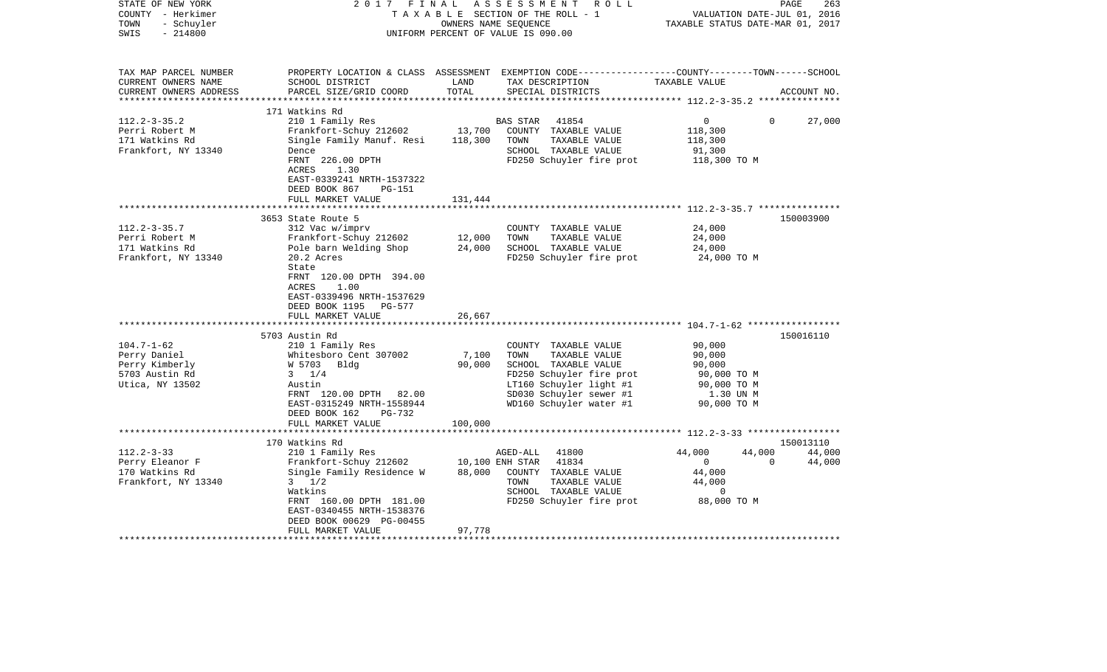| STATE OF NEW YORK<br>COUNTY - Herkimer<br>- Schuyler<br>TOWN<br>$-214800$<br>SWIS | 2017 FINAL                                          | OWNERS NAME SEQUENCE | ASSESSMENT<br>R O L L<br>TAXABLE SECTION OF THE ROLL - 1<br>UNIFORM PERCENT OF VALUE IS 090.00                                           | VALUATION DATE-JUL 01, 2016<br>TAXABLE STATUS DATE-MAR 01, 2017 | PAGE<br>263 |
|-----------------------------------------------------------------------------------|-----------------------------------------------------|----------------------|------------------------------------------------------------------------------------------------------------------------------------------|-----------------------------------------------------------------|-------------|
| TAX MAP PARCEL NUMBER<br>CURRENT OWNERS NAME<br>CURRENT OWNERS ADDRESS            | SCHOOL DISTRICT<br>PARCEL SIZE/GRID COORD           | LAND<br>TOTAL        | PROPERTY LOCATION & CLASS ASSESSMENT EXEMPTION CODE----------------COUNTY-------TOWN------SCHOOL<br>TAX DESCRIPTION<br>SPECIAL DISTRICTS | TAXABLE VALUE                                                   | ACCOUNT NO. |
|                                                                                   | 171 Watkins Rd                                      |                      |                                                                                                                                          |                                                                 |             |
| $112.2 - 3 - 35.2$                                                                | 210 1 Family Res                                    |                      | 41854<br>BAS STAR                                                                                                                        | $\mathbf{0}$<br>$\Omega$                                        | 27,000      |
| Perri Robert M                                                                    | Frankfort-Schuy 212602                              |                      | 13,700 COUNTY TAXABLE VALUE                                                                                                              | 118,300                                                         |             |
| 171 Watkins Rd                                                                    | Single Family Manuf. Resi                           | 118,300              | TOWN<br>TAXABLE VALUE                                                                                                                    | 118,300                                                         |             |
| Frankfort, NY 13340                                                               | Dence                                               |                      | SCHOOL TAXABLE VALUE                                                                                                                     | 91,300                                                          |             |
|                                                                                   | FRNT 226.00 DPTH                                    |                      | FD250 Schuyler fire prot                                                                                                                 | 118,300 TO M                                                    |             |
|                                                                                   | <b>ACRES</b><br>1.30                                |                      |                                                                                                                                          |                                                                 |             |
|                                                                                   | EAST-0339241 NRTH-1537322<br>PG-151                 |                      |                                                                                                                                          |                                                                 |             |
|                                                                                   | DEED BOOK 867<br>FULL MARKET VALUE                  | 131,444              |                                                                                                                                          |                                                                 |             |
|                                                                                   | ***********************                             | ***************      |                                                                                                                                          |                                                                 |             |
|                                                                                   | 3653 State Route 5                                  |                      |                                                                                                                                          |                                                                 | 150003900   |
| $112.2 - 3 - 35.7$                                                                | 312 Vac w/imprv                                     |                      | COUNTY TAXABLE VALUE                                                                                                                     | 24,000                                                          |             |
| Perri Robert M                                                                    | Frankfort-Schuy 212602                              | 12,000               | TOWN<br>TAXABLE VALUE                                                                                                                    | 24,000                                                          |             |
| 171 Watkins Rd                                                                    | Pole barn Welding Shop                              | 24,000               | SCHOOL TAXABLE VALUE                                                                                                                     | 24,000                                                          |             |
| Frankfort, NY 13340                                                               | 20.2 Acres                                          |                      | FD250 Schuyler fire prot                                                                                                                 | 24,000 TO M                                                     |             |
|                                                                                   | State<br>FRNT 120.00 DPTH 394.00<br>1.00<br>ACRES   |                      |                                                                                                                                          |                                                                 |             |
|                                                                                   | EAST-0339496 NRTH-1537629                           |                      |                                                                                                                                          |                                                                 |             |
|                                                                                   | DEED BOOK 1195 PG-577                               |                      |                                                                                                                                          |                                                                 |             |
|                                                                                   | FULL MARKET VALUE                                   | 26,667               |                                                                                                                                          |                                                                 |             |
|                                                                                   |                                                     |                      |                                                                                                                                          |                                                                 |             |
| $104.7 - 1 - 62$                                                                  | 5703 Austin Rd<br>210 1 Family Res                  |                      | COUNTY TAXABLE VALUE                                                                                                                     | 90,000                                                          | 150016110   |
| Perry Daniel                                                                      | Whitesboro Cent 307002                              | 7,100                | TAXABLE VALUE<br>TOWN                                                                                                                    | 90,000                                                          |             |
| Perry Kimberly                                                                    | W 5703 Bldg                                         | 90,000               | SCHOOL TAXABLE VALUE                                                                                                                     | 90,000                                                          |             |
| 5703 Austin Rd                                                                    | $3 \t1/4$                                           |                      | FD250 Schuyler fire prot                                                                                                                 | 90,000 TO M                                                     |             |
| Utica, NY 13502                                                                   | Austin                                              |                      | LT160 Schuyler light #1                                                                                                                  | 90,000 TO M                                                     |             |
|                                                                                   | FRNT 120.00 DPTH 82.00                              |                      | SD030 Schuyler sewer #1                                                                                                                  | 1.30 UN M                                                       |             |
|                                                                                   | EAST-0315249 NRTH-1558944                           |                      | WD160 Schuyler water #1                                                                                                                  | 90,000 TO M                                                     |             |
|                                                                                   | DEED BOOK 162<br>PG-732                             |                      |                                                                                                                                          |                                                                 |             |
|                                                                                   | FULL MARKET VALUE                                   | 100,000              |                                                                                                                                          |                                                                 |             |
|                                                                                   |                                                     |                      |                                                                                                                                          |                                                                 |             |
|                                                                                   | 170 Watkins Rd                                      |                      |                                                                                                                                          |                                                                 | 150013110   |
| $112.2 - 3 - 33$                                                                  | 210 1 Family Res                                    |                      | 41800<br>AGED-ALL                                                                                                                        | 44,000<br>44,000                                                | 44,000      |
| Perry Eleanor F<br>170 Watkins Rd                                                 | Frankfort-Schuy 212602<br>Single Family Residence W | 88,000               | 10,100 ENH STAR<br>41834<br>COUNTY TAXABLE VALUE                                                                                         | $\Omega$<br>$\mathbf{0}$<br>44,000                              | 44,000      |
| Frankfort, NY 13340                                                               | $3 \frac{1}{2}$                                     |                      | TAXABLE VALUE<br>TOWN                                                                                                                    | 44,000                                                          |             |
|                                                                                   | Watkins                                             |                      | SCHOOL TAXABLE VALUE                                                                                                                     | $\mathbf 0$                                                     |             |
|                                                                                   | FRNT 160.00 DPTH 181.00                             |                      | FD250 Schuyler fire prot                                                                                                                 | 88,000 TO M                                                     |             |
|                                                                                   | EAST-0340455 NRTH-1538376                           |                      |                                                                                                                                          |                                                                 |             |
|                                                                                   | DEED BOOK 00629 PG-00455                            |                      |                                                                                                                                          |                                                                 |             |
|                                                                                   | FULL MARKET VALUE                                   | 97,778               |                                                                                                                                          |                                                                 |             |
|                                                                                   |                                                     |                      |                                                                                                                                          |                                                                 |             |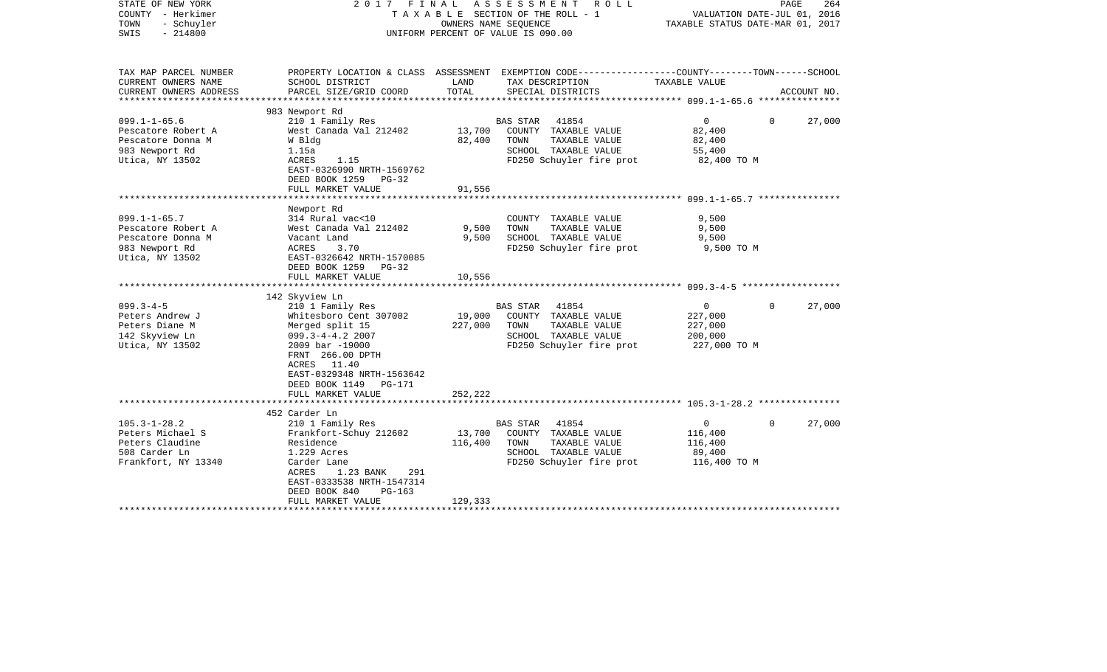| STATE OF NEW YORK<br>COUNTY - Herkimer<br>TOWN<br>- Schuyler<br>$-214800$<br>SWIS                                                                                                               | FINAL<br>2017                                                                                                                                                                                                                                                                                                                            | OWNERS NAME SEQUENCE                          | A S S E S S M E N T R O L L<br>TAXABLE SECTION OF THE ROLL - 1<br>UNIFORM PERCENT OF VALUE IS 090.00                                                                                                                        | PAGE<br>264<br>VALUATION DATE-JUL 01, 2016<br>TAXABLE STATUS DATE-MAR 01, 2017                         |                       |  |
|-------------------------------------------------------------------------------------------------------------------------------------------------------------------------------------------------|------------------------------------------------------------------------------------------------------------------------------------------------------------------------------------------------------------------------------------------------------------------------------------------------------------------------------------------|-----------------------------------------------|-----------------------------------------------------------------------------------------------------------------------------------------------------------------------------------------------------------------------------|--------------------------------------------------------------------------------------------------------|-----------------------|--|
| TAX MAP PARCEL NUMBER<br>CURRENT OWNERS NAME                                                                                                                                                    | SCHOOL DISTRICT                                                                                                                                                                                                                                                                                                                          | LAND                                          | PROPERTY LOCATION & CLASS ASSESSMENT EXEMPTION CODE---------------COUNTY-------TOWN-----SCHOOL<br>TAX DESCRIPTION                                                                                                           | TAXABLE VALUE                                                                                          |                       |  |
| CURRENT OWNERS ADDRESS<br>*****************                                                                                                                                                     | PARCEL SIZE/GRID COORD                                                                                                                                                                                                                                                                                                                   | TOTAL                                         | SPECIAL DISTRICTS                                                                                                                                                                                                           |                                                                                                        | ACCOUNT NO.           |  |
|                                                                                                                                                                                                 | 983 Newport Rd                                                                                                                                                                                                                                                                                                                           |                                               |                                                                                                                                                                                                                             |                                                                                                        |                       |  |
| $099.1 - 1 - 65.6$<br>Pescatore Robert A<br>Pescatore Donna M<br>983 Newport Rd<br>Utica, NY 13502                                                                                              | 210 1 Family Res<br>West Canada Val 212402<br>W Bldg<br>1.15a<br>ACRES<br>1.15<br>EAST-0326990 NRTH-1569762<br>DEED BOOK 1259<br>PG-32                                                                                                                                                                                                   | 13,700<br>82,400                              | 41854<br>BAS STAR<br>COUNTY TAXABLE VALUE<br>TOWN<br>TAXABLE VALUE<br>SCHOOL TAXABLE VALUE<br>FD250 Schuyler fire prot                                                                                                      | $\mathbf{0}$<br>82,400<br>82,400<br>55,400<br>82,400 TO M                                              | 0<br>27,000           |  |
|                                                                                                                                                                                                 | FULL MARKET VALUE                                                                                                                                                                                                                                                                                                                        | 91,556                                        |                                                                                                                                                                                                                             |                                                                                                        |                       |  |
| $099.1 - 1 - 65.7$<br>Pescatore Robert A<br>Pescatore Donna M<br>983 Newport Rd<br>Utica, NY 13502<br>$099.3 - 4 - 5$<br>Peters Andrew J<br>Peters Diane M<br>142 Skyview Ln<br>Utica, NY 13502 | Newport Rd<br>314 Rural vac<10<br>West Canada Val 212402<br>Vacant Land<br>ACRES<br>3.70<br>EAST-0326642 NRTH-1570085<br>DEED BOOK 1259 PG-32<br>FULL MARKET VALUE<br>142 Skyview Ln<br>210 1 Family Res<br>Whitesboro Cent 307002<br>Merged split 15<br>$099.3 - 4 - 4.2$ 2007<br>2009 bar -19000<br>FRNT 266.00 DPTH<br>ACRES<br>11.40 | 9,500<br>9,500<br>10,556<br>19,000<br>227,000 | COUNTY TAXABLE VALUE<br>TOWN<br>TAXABLE VALUE<br>SCHOOL TAXABLE VALUE<br>FD250 Schuyler fire prot<br>41854<br>BAS STAR<br>COUNTY TAXABLE VALUE<br>TAXABLE VALUE<br>TOWN<br>SCHOOL TAXABLE VALUE<br>FD250 Schuyler fire prot | 9,500<br>9,500<br>9,500<br>9,500 TO M<br>$\mathbf{0}$<br>227,000<br>227,000<br>200,000<br>227,000 TO M | 27,000<br>$\Omega$    |  |
|                                                                                                                                                                                                 | EAST-0329348 NRTH-1563642<br>DEED BOOK 1149<br>PG-171<br>FULL MARKET VALUE<br>******************************                                                                                                                                                                                                                             | 252,222                                       |                                                                                                                                                                                                                             |                                                                                                        |                       |  |
|                                                                                                                                                                                                 | 452 Carder Ln                                                                                                                                                                                                                                                                                                                            |                                               |                                                                                                                                                                                                                             |                                                                                                        |                       |  |
| $105.3 - 1 - 28.2$<br>Peters Michael S<br>Peters Claudine<br>508 Carder Ln<br>Frankfort, NY 13340                                                                                               | 210 1 Family Res<br>Frankfort-Schuy 212602<br>Residence<br>1.229 Acres<br>Carder Lane<br>ACRES<br>1.23 BANK<br>291<br>EAST-0333538 NRTH-1547314<br>DEED BOOK 840<br>$PG-163$<br>FULL MARKET VALUE                                                                                                                                        | 13,700<br>116,400<br>129,333                  | 41854<br>BAS STAR<br>COUNTY TAXABLE VALUE<br>TOWN<br>TAXABLE VALUE<br>SCHOOL TAXABLE VALUE<br>FD250 Schuyler fire prot                                                                                                      | $\overline{0}$<br>116,400<br>116,400<br>89,400<br>116,400 TO M                                         | $\mathbf 0$<br>27,000 |  |
|                                                                                                                                                                                                 | ******************************                                                                                                                                                                                                                                                                                                           |                                               |                                                                                                                                                                                                                             |                                                                                                        |                       |  |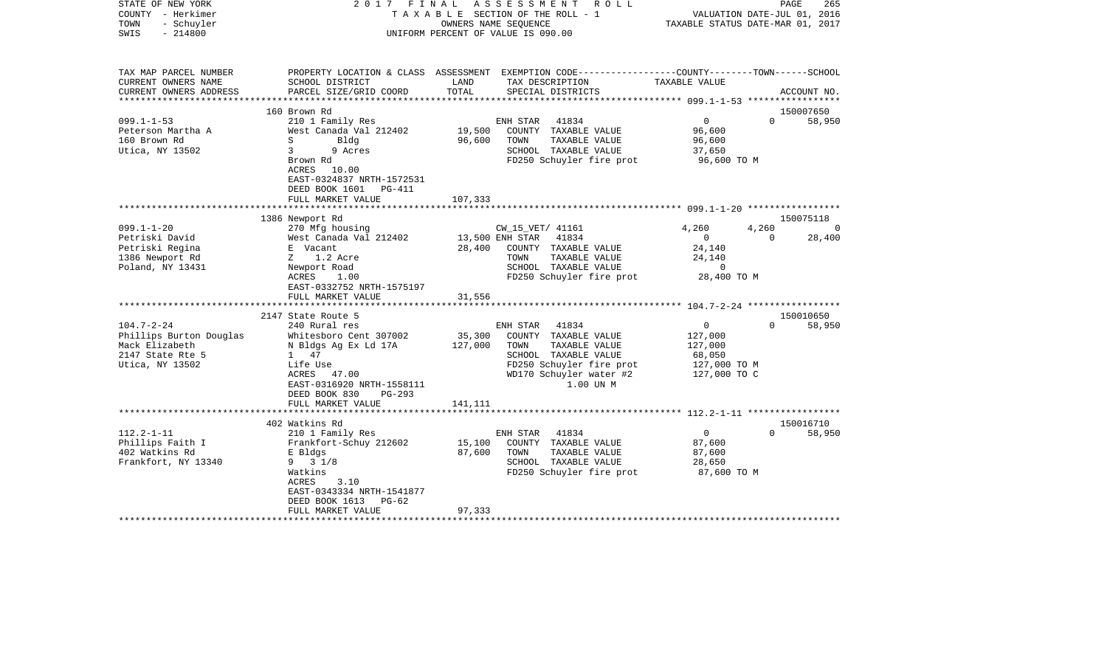| STATE OF NEW YORK<br>COUNTY - Herkimer<br>TOWN<br>- Schuyler<br>$-214800$<br>SWIS | FINAL<br>2017                                                                                                                                                                                     |                              | A S S E S S M E N T R O L L<br>TAXABLE SECTION OF THE ROLL - 1<br>OWNERS NAME SEOUENCE<br>UNIFORM PERCENT OF VALUE IS 090.00                          |                                                              | PAGE<br>265<br>VALUATION DATE-JUL 01, 2016<br>TAXABLE STATUS DATE-MAR 01, 2017 |
|-----------------------------------------------------------------------------------|---------------------------------------------------------------------------------------------------------------------------------------------------------------------------------------------------|------------------------------|-------------------------------------------------------------------------------------------------------------------------------------------------------|--------------------------------------------------------------|--------------------------------------------------------------------------------|
| TAX MAP PARCEL NUMBER<br>CURRENT OWNERS NAME<br>CURRENT OWNERS ADDRESS            | SCHOOL DISTRICT<br>PARCEL SIZE/GRID COORD                                                                                                                                                         | LAND<br>TOTAL                | PROPERTY LOCATION & CLASS ASSESSMENT EXEMPTION CODE----------------COUNTY-------TOWN------SCHOOL<br>TAX DESCRIPTION<br>SPECIAL DISTRICTS              | TAXABLE VALUE                                                | ACCOUNT NO.                                                                    |
| **********************                                                            |                                                                                                                                                                                                   |                              |                                                                                                                                                       |                                                              |                                                                                |
|                                                                                   | 160 Brown Rd                                                                                                                                                                                      |                              |                                                                                                                                                       |                                                              | 150007650                                                                      |
| $099.1 - 1 - 53$<br>Peterson Martha A<br>160 Brown Rd<br>Utica, NY 13502          | 210 1 Family Res<br>West Canada Val 212402<br>S<br>Bldg<br>$\mathbf{3}$<br>9 Acres<br>Brown Rd<br>ACRES<br>10.00<br>EAST-0324837 NRTH-1572531<br>DEED BOOK 1601<br>PG-411                         | 19,500<br>96,600             | ENH STAR<br>41834<br>COUNTY TAXABLE VALUE<br>TOWN<br>TAXABLE VALUE<br>SCHOOL TAXABLE VALUE<br>FD250 Schuyler fire prot                                | $\Omega$<br>96,600<br>96,600<br>37,650<br>96,600 TO M        | $\Omega$<br>58,950                                                             |
|                                                                                   | FULL MARKET VALUE                                                                                                                                                                                 | 107,333                      |                                                                                                                                                       |                                                              |                                                                                |
|                                                                                   | 1386 Newport Rd                                                                                                                                                                                   |                              |                                                                                                                                                       |                                                              | 150075118                                                                      |
| $099.1 - 1 - 20$                                                                  | 270 Mfg housing                                                                                                                                                                                   |                              | CW_15_VET/ 41161                                                                                                                                      | 4,260                                                        | 4,260<br>- 0                                                                   |
| Petriski David                                                                    | West Canada Val 212402                                                                                                                                                                            |                              | 13,500 ENH STAR<br>41834                                                                                                                              | $\Omega$                                                     | $\Omega$<br>28,400                                                             |
| Petriski Regina                                                                   | E Vacant                                                                                                                                                                                          | 28,400                       | COUNTY TAXABLE VALUE                                                                                                                                  | 24,140                                                       |                                                                                |
| 1386 Newport Rd                                                                   | Z 1.2 Acre                                                                                                                                                                                        |                              | TOWN<br>TAXABLE VALUE                                                                                                                                 | 24,140<br>$\mathbf 0$                                        |                                                                                |
| Poland, NY 13431                                                                  | Newport Road<br>ACRES<br>1.00<br>EAST-0332752 NRTH-1575197                                                                                                                                        |                              | SCHOOL TAXABLE VALUE<br>FD250 Schuyler fire prot                                                                                                      | 28,400 TO M                                                  |                                                                                |
|                                                                                   | FULL MARKET VALUE                                                                                                                                                                                 | 31,556                       |                                                                                                                                                       |                                                              |                                                                                |
|                                                                                   |                                                                                                                                                                                                   |                              |                                                                                                                                                       |                                                              |                                                                                |
| $104.7 - 2 - 24$                                                                  | 2147 State Route 5<br>240 Rural res                                                                                                                                                               |                              | 41834                                                                                                                                                 | $\mathbf{0}$                                                 | 150010650<br>$\Omega$<br>58,950                                                |
| Phillips Burton Douglas<br>Mack Elizabeth<br>2147 State Rte 5<br>Utica, NY 13502  | Whitesboro Cent 307002<br>N Bldgs Ag Ex Ld 17A<br>1 47<br>Life Use<br>ACRES<br>47.00<br>EAST-0316920 NRTH-1558111<br>DEED BOOK 830<br>PG-293<br>FULL MARKET VALUE                                 | 35,300<br>127,000<br>141,111 | ENH STAR<br>COUNTY TAXABLE VALUE<br>TAXABLE VALUE<br>TOWN<br>SCHOOL TAXABLE VALUE<br>FD250 Schuyler fire prot<br>WD170 Schuyler water #2<br>1.00 UN M | 127,000<br>127,000<br>68,050<br>127,000 TO M<br>127,000 TO C |                                                                                |
|                                                                                   | ******************************                                                                                                                                                                    |                              |                                                                                                                                                       |                                                              |                                                                                |
| $112.2 - 1 - 11$<br>Phillips Faith I<br>402 Watkins Rd<br>Frankfort, NY 13340     | 402 Watkins Rd<br>210 1 Family Res<br>Frankfort-Schuy 212602<br>E Bldgs<br>$9 \t3 \t1/8$<br>Watkins<br>3.10<br>ACRES<br>EAST-0343334 NRTH-1541877<br>DEED BOOK 1613<br>PG-62<br>FULL MARKET VALUE | 15,100<br>87,600<br>97,333   | ENH STAR<br>41834<br>COUNTY TAXABLE VALUE<br>TAXABLE VALUE<br>TOWN<br>SCHOOL TAXABLE VALUE<br>FD250 Schuyler fire prot                                | $\overline{0}$<br>87,600<br>87,600<br>28,650<br>87,600 TO M  | 150016710<br>$\Omega$<br>58,950                                                |
|                                                                                   |                                                                                                                                                                                                   |                              |                                                                                                                                                       |                                                              |                                                                                |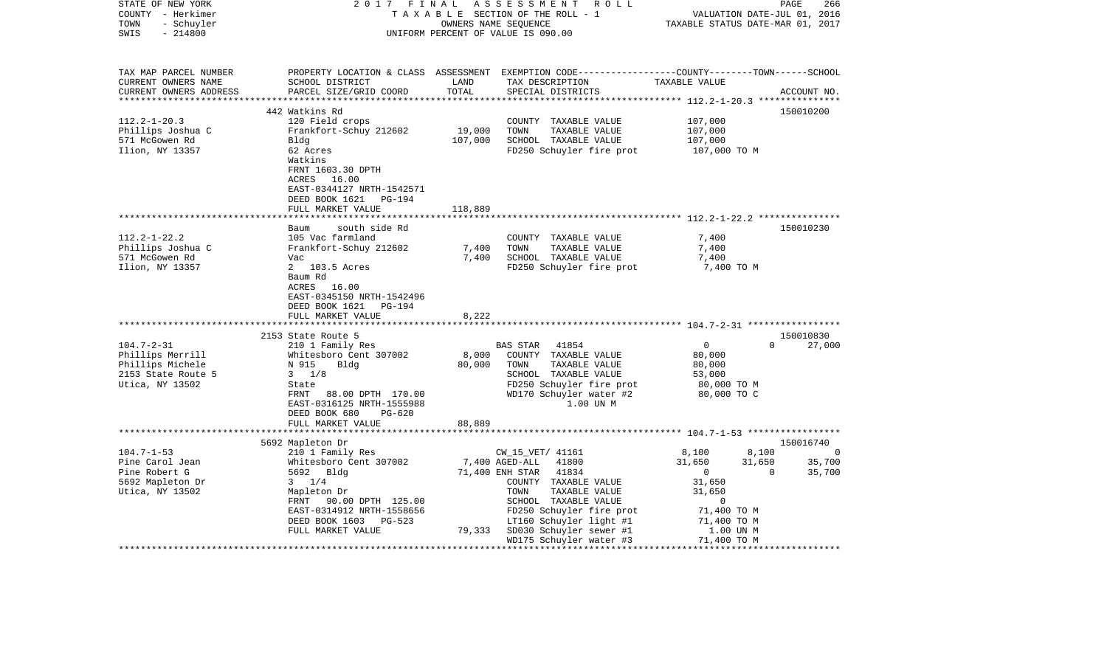| STATE OF NEW YORK<br>COUNTY - Herkimer<br>TOWN<br>- Schuyler<br>SWIS<br>$-214800$ | 2017                                                | FINAL             | ASSESSMENT ROLL<br>TAXABLE SECTION OF THE ROLL - 1<br>OWNERS NAME SEQUENCE<br>UNIFORM PERCENT OF VALUE IS 090.00    | VALUATION DATE-JUL 01, 2016<br>TAXABLE STATUS DATE-MAR 01, 2017 | 266<br>PAGE        |
|-----------------------------------------------------------------------------------|-----------------------------------------------------|-------------------|---------------------------------------------------------------------------------------------------------------------|-----------------------------------------------------------------|--------------------|
|                                                                                   |                                                     |                   |                                                                                                                     |                                                                 |                    |
| TAX MAP PARCEL NUMBER<br>CURRENT OWNERS NAME                                      | SCHOOL DISTRICT                                     | LAND              | PROPERTY LOCATION & CLASS ASSESSMENT EXEMPTION CODE----------------COUNTY-------TOWN------SCHOOL<br>TAX DESCRIPTION | TAXABLE VALUE                                                   |                    |
| CURRENT OWNERS ADDRESS                                                            | PARCEL SIZE/GRID COORD                              | TOTAL             | SPECIAL DISTRICTS                                                                                                   |                                                                 | ACCOUNT NO.        |
|                                                                                   |                                                     |                   |                                                                                                                     |                                                                 |                    |
|                                                                                   | 442 Watkins Rd                                      |                   |                                                                                                                     |                                                                 | 150010200          |
| $112.2 - 1 - 20.3$                                                                | 120 Field crops                                     |                   | COUNTY TAXABLE VALUE<br>TOWN                                                                                        | 107,000                                                         |                    |
| Phillips Joshua C<br>571 McGowen Rd                                               | Frankfort-Schuy 212602<br>Bldg                      | 19,000<br>107,000 | TAXABLE VALUE<br>SCHOOL TAXABLE VALUE                                                                               | 107,000<br>107,000                                              |                    |
| Ilion, NY 13357                                                                   | 62 Acres                                            |                   | FD250 Schuyler fire prot                                                                                            | 107,000 TO M                                                    |                    |
|                                                                                   | Watkins                                             |                   |                                                                                                                     |                                                                 |                    |
|                                                                                   | FRNT 1603.30 DPTH                                   |                   |                                                                                                                     |                                                                 |                    |
|                                                                                   | ACRES 16.00                                         |                   |                                                                                                                     |                                                                 |                    |
|                                                                                   | EAST-0344127 NRTH-1542571                           |                   |                                                                                                                     |                                                                 |                    |
|                                                                                   | DEED BOOK 1621<br>PG-194                            |                   |                                                                                                                     |                                                                 |                    |
|                                                                                   | FULL MARKET VALUE<br>***********************        | 118,889           |                                                                                                                     |                                                                 |                    |
|                                                                                   | south side Rd<br>Baum                               |                   |                                                                                                                     |                                                                 | 150010230          |
| $112.2 - 1 - 22.2$                                                                | 105 Vac farmland                                    |                   | COUNTY TAXABLE VALUE                                                                                                | 7,400                                                           |                    |
| Phillips Joshua C                                                                 | Frankfort-Schuy 212602                              | 7,400             | TAXABLE VALUE<br>TOWN                                                                                               | 7,400                                                           |                    |
| 571 McGowen Rd                                                                    | Vac                                                 | 7,400             | SCHOOL TAXABLE VALUE                                                                                                | 7,400                                                           |                    |
| Ilion, NY 13357                                                                   | 2 103.5 Acres                                       |                   | FD250 Schuyler fire prot                                                                                            | 7,400 TO M                                                      |                    |
|                                                                                   | Baum Rd<br>ACRES<br>16.00                           |                   |                                                                                                                     |                                                                 |                    |
|                                                                                   | EAST-0345150 NRTH-1542496                           |                   |                                                                                                                     |                                                                 |                    |
|                                                                                   | DEED BOOK 1621<br>PG-194                            |                   |                                                                                                                     |                                                                 |                    |
|                                                                                   | FULL MARKET VALUE                                   | 8,222             |                                                                                                                     |                                                                 |                    |
|                                                                                   | ****************************                        |                   |                                                                                                                     |                                                                 |                    |
|                                                                                   | 2153 State Route 5                                  |                   |                                                                                                                     |                                                                 | 150010830          |
| $104.7 - 2 - 31$                                                                  | 210 1 Family Res<br>Whitesboro Cent 307002          | 8,000             | 41854<br>BAS STAR<br>COUNTY TAXABLE VALUE                                                                           | $\overline{0}$<br>80,000                                        | $\Omega$<br>27,000 |
| Phillips Merrill<br>Phillips Michele                                              | N 915<br>Bldg                                       | 80,000            | TAXABLE VALUE<br>TOWN                                                                                               | 80,000                                                          |                    |
| 2153 State Route 5                                                                | $3 \t1/8$                                           |                   | SCHOOL TAXABLE VALUE                                                                                                | 53,000                                                          |                    |
| Utica, NY 13502                                                                   | State                                               |                   | FD250 Schuyler fire prot                                                                                            | 80,000 TO M                                                     |                    |
|                                                                                   | FRNT<br>88.00 DPTH 170.00                           |                   | WD170 Schuyler water #2                                                                                             | 80,000 TO C                                                     |                    |
|                                                                                   | EAST-0316125 NRTH-1555988                           |                   | 1.00 UN M                                                                                                           |                                                                 |                    |
|                                                                                   | DEED BOOK 680<br>PG-620                             |                   |                                                                                                                     |                                                                 |                    |
|                                                                                   | FULL MARKET VALUE                                   | 88,889            |                                                                                                                     |                                                                 |                    |
|                                                                                   | 5692 Mapleton Dr                                    |                   |                                                                                                                     |                                                                 | 150016740          |
| $104.7 - 1 - 53$                                                                  | 210 1 Family Res                                    |                   | CW_15_VET/ 41161                                                                                                    | 8,100<br>8,100                                                  | $\Omega$           |
| Pine Carol Jean                                                                   | Whitesboro Cent 307002                              |                   | 7,400 AGED-ALL<br>41800                                                                                             | 31,650<br>31,650                                                | 35,700             |
| Pine Robert G                                                                     | 5692 Bldg                                           |                   | 71,400 ENH STAR<br>41834                                                                                            | $\overline{0}$                                                  | 35,700<br>$\Omega$ |
| 5692 Mapleton Dr                                                                  | $3 \t1/4$                                           |                   | COUNTY TAXABLE VALUE                                                                                                | 31,650                                                          |                    |
| Utica, NY 13502                                                                   | Mapleton Dr                                         |                   | TAXABLE VALUE<br>TOWN                                                                                               | 31,650                                                          |                    |
|                                                                                   | FRNT 90.00 DPTH 125.00<br>EAST-0314912 NRTH-1558656 |                   | SCHOOL TAXABLE VALUE<br>FD250 Schuyler fire prot                                                                    | 0<br>71,400 TO M                                                |                    |
|                                                                                   | DEED BOOK 1603 PG-523                               |                   | LT160 Schuyler light #1                                                                                             | 71,400 TO M                                                     |                    |
|                                                                                   | FULL MARKET VALUE                                   | 79,333            | SD030 Schuyler sewer #1                                                                                             | 1.00 UN M                                                       |                    |
|                                                                                   |                                                     |                   | WD175 Schuyler water #3                                                                                             | 71,400 TO M                                                     |                    |
|                                                                                   |                                                     |                   | *************************                                                                                           | ************                                                    |                    |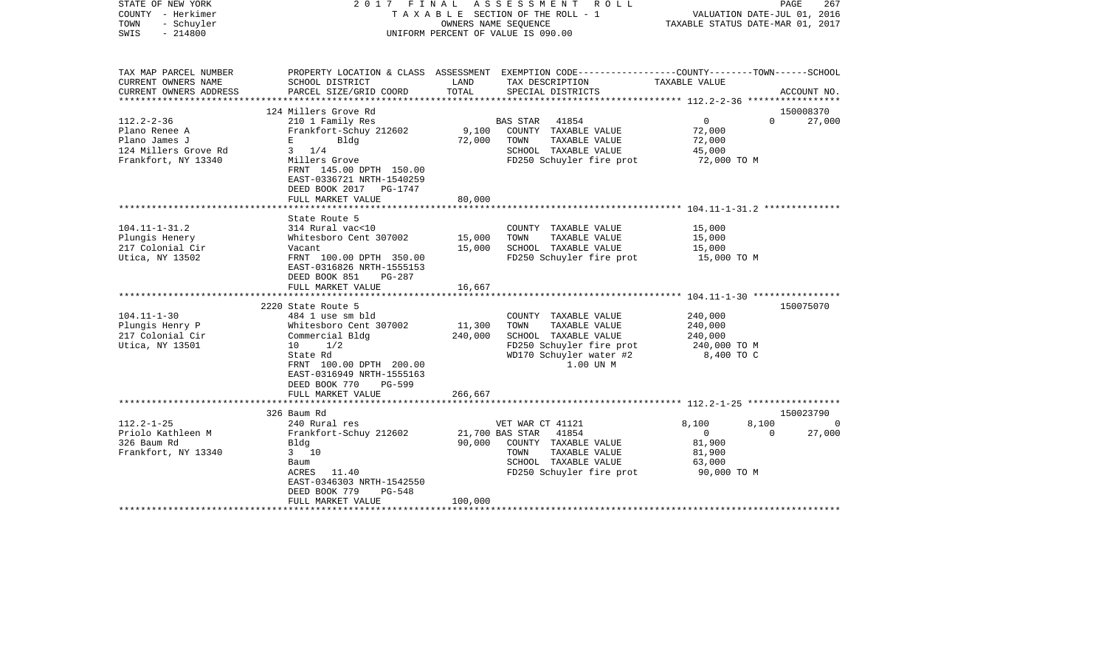| STATE OF NEW YORK<br>COUNTY - Herkimer<br>TOWN<br>- Schuyler<br>$-214800$<br>SWIS                 |                                                                                                                                                                                                                             |                                      | 2017 FINAL ASSESSMENT ROLL<br>TAXABLE SECTION OF THE ROLL - 1<br>OWNERS NAME SEQUENCE<br>UNIFORM PERCENT OF VALUE IS 090.00               | VALUATION DATE-JUL 01, 2016<br>TAXABLE STATUS DATE-MAR 01, 2017               | PAGE<br>267                                 |
|---------------------------------------------------------------------------------------------------|-----------------------------------------------------------------------------------------------------------------------------------------------------------------------------------------------------------------------------|--------------------------------------|-------------------------------------------------------------------------------------------------------------------------------------------|-------------------------------------------------------------------------------|---------------------------------------------|
| TAX MAP PARCEL NUMBER<br>CURRENT OWNERS NAME<br>CURRENT OWNERS ADDRESS                            | SCHOOL DISTRICT<br>PARCEL SIZE/GRID COORD                                                                                                                                                                                   | LAND<br>TOTAL                        | PROPERTY LOCATION & CLASS ASSESSMENT EXEMPTION CODE---------------COUNTY-------TOWN------SCHOOL<br>TAX DESCRIPTION<br>SPECIAL DISTRICTS   | TAXABLE VALUE                                                                 | ACCOUNT NO.                                 |
|                                                                                                   |                                                                                                                                                                                                                             |                                      |                                                                                                                                           |                                                                               |                                             |
| $112.2 - 2 - 36$<br>Plano Renee A<br>Plano James J<br>124 Millers Grove Rd<br>Frankfort, NY 13340 | 124 Millers Grove Rd<br>210 1 Family Res<br>Frankfort-Schuy 212602<br>$\mathbf{E}$ and $\mathbf{E}$ and $\mathbf{E}$<br>Bldg<br>$3 \frac{1}{4}$<br>Millers Grove<br>FRNT 145.00 DPTH 150.00<br>EAST-0336721 NRTH-1540259    | 9,100<br>72,000                      | BAS STAR 41854<br>COUNTY TAXABLE VALUE<br>TAXABLE VALUE<br>TOWN<br>SCHOOL TAXABLE VALUE<br>FD250 Schuyler fire prot                       | $\overline{0}$<br>72,000<br>72,000<br>45,000<br>72,000 TO M                   | 150008370<br>$\Omega$<br>27,000             |
|                                                                                                   | DEED BOOK 2017 PG-1747<br>FULL MARKET VALUE                                                                                                                                                                                 | 80,000                               |                                                                                                                                           |                                                                               |                                             |
| $104.11 - 1 - 31.2$<br>Plungis Henery<br>217 Colonial Cir<br>Utica, NY 13502                      | State Route 5<br>314 Rural vac<10<br>Whitesboro Cent 307002<br>Vacant<br>FRNT 100.00 DPTH 350.00<br>EAST-0316826 NRTH-1555153<br>DEED BOOK 851<br>PG-287                                                                    | 15,000<br>15,000                     | COUNTY TAXABLE VALUE<br>TOWN<br>TAXABLE VALUE<br>SCHOOL TAXABLE VALUE<br>FD250 Schuyler fire prot                                         | 15,000<br>15,000<br>15,000<br>15,000 TO M                                     |                                             |
|                                                                                                   | FULL MARKET VALUE                                                                                                                                                                                                           | 16,667                               |                                                                                                                                           |                                                                               |                                             |
|                                                                                                   |                                                                                                                                                                                                                             |                                      |                                                                                                                                           |                                                                               |                                             |
| $104.11 - 1 - 30$<br>Plungis Henry P<br>217 Colonial Cir<br>Utica, NY 13501                       | 2220 State Route 5<br>484 1 use sm bld<br>Whitesboro Cent 307002<br>Commercial Bldg<br>1/2<br>10<br>State Rd<br>FRNT 100.00 DPTH 200.00<br>EAST-0316949 NRTH-1555163<br>DEED BOOK 770<br><b>PG-599</b><br>FULL MARKET VALUE | 11,300<br>240,000<br>266,667         | COUNTY TAXABLE VALUE<br>TAXABLE VALUE<br>TOWN<br>SCHOOL TAXABLE VALUE<br>FD250 Schuyler fire prot<br>WD170 Schuyler water #2<br>1.00 UN M | 240,000<br>240,000<br>240,000<br>240,000 TO M<br>8,400 TO C                   | 150075070                                   |
|                                                                                                   |                                                                                                                                                                                                                             |                                      |                                                                                                                                           |                                                                               |                                             |
| $112.2 - 1 - 25$<br>Priolo Kathleen M<br>326 Baum Rd<br>Frankfort, NY 13340                       | 326 Baum Rd<br>240 Rural res<br>Frankfort-Schuy 212602<br>Bldg<br>$3 \t10$<br>Baum<br>ACRES 11.40<br>EAST-0346303 NRTH-1542550<br>PG-548<br>DEED BOOK 779<br>FULL MARKET VALUE                                              | 21,700 BAS STAR<br>90,000<br>100,000 | VET WAR CT 41121<br>41854<br>COUNTY TAXABLE VALUE<br>TAXABLE VALUE<br>TOWN<br>SCHOOL TAXABLE VALUE<br>FD250 Schuyler fire prot            | 8,100<br>8,100<br>$\overline{0}$<br>81,900<br>81,900<br>63,000<br>90,000 TO M | 150023790<br>$\Omega$<br>27,000<br>$\Omega$ |
|                                                                                                   |                                                                                                                                                                                                                             |                                      |                                                                                                                                           |                                                                               |                                             |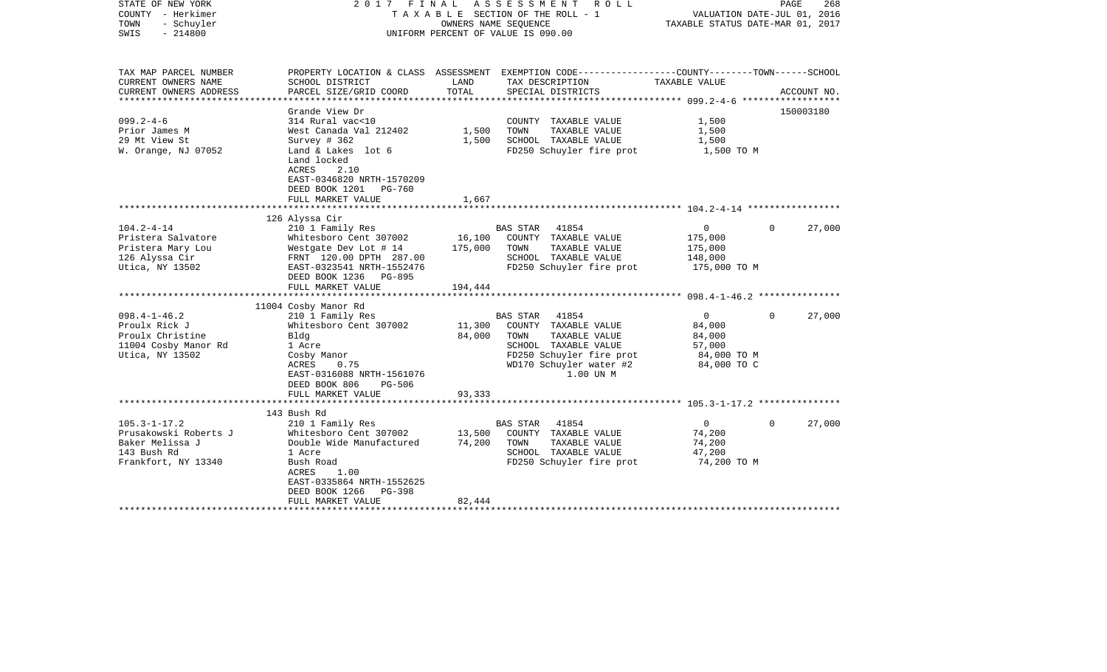| STATE OF NEW YORK<br>COUNTY - Herkimer<br>TOWN<br>- Schuyler<br>SWIS<br>$-214800$                    | 2017 FINAL                                                                                                                                                                                                  |                              | A S S E S S M E N T R O L L<br>TAXABLE SECTION OF THE ROLL - 1<br>OWNERS NAME SEOUENCE<br>UNIFORM PERCENT OF VALUE IS 090.00                                   | PAGE<br>VALUATION DATE-JUL 01, 2016<br>TAXABLE STATUS DATE-MAR 01, 2017 |          | 268         |  |
|------------------------------------------------------------------------------------------------------|-------------------------------------------------------------------------------------------------------------------------------------------------------------------------------------------------------------|------------------------------|----------------------------------------------------------------------------------------------------------------------------------------------------------------|-------------------------------------------------------------------------|----------|-------------|--|
| TAX MAP PARCEL NUMBER<br>CURRENT OWNERS NAME<br>CURRENT OWNERS ADDRESS                               | SCHOOL DISTRICT<br>PARCEL SIZE/GRID COORD                                                                                                                                                                   | LAND<br>TOTAL                | PROPERTY LOCATION & CLASS ASSESSMENT EXEMPTION CODE---------------COUNTY-------TOWN------SCHOOL<br>TAX DESCRIPTION<br>SPECIAL DISTRICTS                        | TAXABLE VALUE                                                           |          | ACCOUNT NO. |  |
|                                                                                                      |                                                                                                                                                                                                             |                              |                                                                                                                                                                |                                                                         |          |             |  |
| $099.2 - 4 - 6$<br>Prior James M<br>29 Mt View St<br>W. Orange, NJ 07052                             | Grande View Dr<br>314 Rural vac<10<br>West Canada Val 212402<br>Survey $#362$<br>Land & Lakes lot 6<br>Land locked<br>ACRES<br>2.10<br>EAST-0346820 NRTH-1570209                                            | 1,500<br>1,500               | COUNTY TAXABLE VALUE<br>TOWN<br>TAXABLE VALUE<br>SCHOOL TAXABLE VALUE<br>FD250 Schuyler fire prot                                                              | 1,500<br>1,500<br>1,500<br>1,500 TO M                                   |          | 150003180   |  |
|                                                                                                      | DEED BOOK 1201<br>PG-760<br>FULL MARKET VALUE<br>**********************                                                                                                                                     | 1,667                        |                                                                                                                                                                |                                                                         |          |             |  |
|                                                                                                      | 126 Alyssa Cir                                                                                                                                                                                              |                              |                                                                                                                                                                |                                                                         |          |             |  |
| $104.2 - 4 - 14$<br>Pristera Salvatore<br>Pristera Mary Lou<br>126 Alyssa Cir<br>Utica, NY 13502     | 210 1 Family Res<br>Whitesboro Cent 307002<br>Westgate Dev Lot # 14<br>FRNT 120.00 DPTH 287.00<br>EAST-0323541 NRTH-1552476<br>DEED BOOK 1236 PG-895<br>FULL MARKET VALUE                                   | 16,100<br>175,000<br>194,444 | BAS STAR 41854<br>COUNTY TAXABLE VALUE<br>TAXABLE VALUE<br>TOWN<br>SCHOOL TAXABLE VALUE<br>FD250 Schuyler fire prot                                            | $\mathbf{0}$<br>175,000<br>175,000<br>148,000<br>175,000 TO M           | $\Omega$ | 27,000      |  |
|                                                                                                      |                                                                                                                                                                                                             |                              |                                                                                                                                                                |                                                                         |          |             |  |
| $098.4 - 1 - 46.2$<br>Proulx Rick J<br>Proulx Christine<br>11004 Cosby Manor Rd<br>Utica, NY 13502   | 11004 Cosby Manor Rd<br>210 1 Family Res<br>Whitesboro Cent 307002<br>Blda<br>1 Acre<br>Cosby Manor<br>ACRES<br>0.75<br>EAST-0316088 NRTH-1561076<br>DEED BOOK 806<br>PG-506<br>FULL MARKET VALUE           | 11,300<br>84,000<br>93,333   | BAS STAR<br>41854<br>COUNTY TAXABLE VALUE<br>TOWN<br>TAXABLE VALUE<br>SCHOOL TAXABLE VALUE<br>FD250 Schuyler fire prot<br>WD170 Schuyler water #2<br>1.00 UN M | $\mathbf 0$<br>84,000<br>84,000<br>57,000<br>84,000 TO M<br>84,000 TO C | $\Omega$ | 27,000      |  |
|                                                                                                      |                                                                                                                                                                                                             |                              |                                                                                                                                                                |                                                                         |          |             |  |
| $105.3 - 1 - 17.2$<br>Prusakowski Roberts J<br>Baker Melissa J<br>143 Bush Rd<br>Frankfort, NY 13340 | 143 Bush Rd<br>210 1 Family Res<br>Whitesboro Cent 307002<br>Double Wide Manufactured<br>1 Acre<br>Bush Road<br>1.00<br>ACRES<br>EAST-0335864 NRTH-1552625<br>DEED BOOK 1266<br>PG-398<br>FULL MARKET VALUE | 13,500<br>74,200<br>82,444   | <b>BAS STAR</b><br>41854<br>COUNTY TAXABLE VALUE<br>TOWN<br>TAXABLE VALUE<br>SCHOOL TAXABLE VALUE<br>FD250 Schuyler fire prot                                  | $\mathbf 0$<br>74,200<br>74,200<br>47,200<br>74,200 TO M                | $\Omega$ | 27,000      |  |
|                                                                                                      |                                                                                                                                                                                                             |                              |                                                                                                                                                                |                                                                         |          |             |  |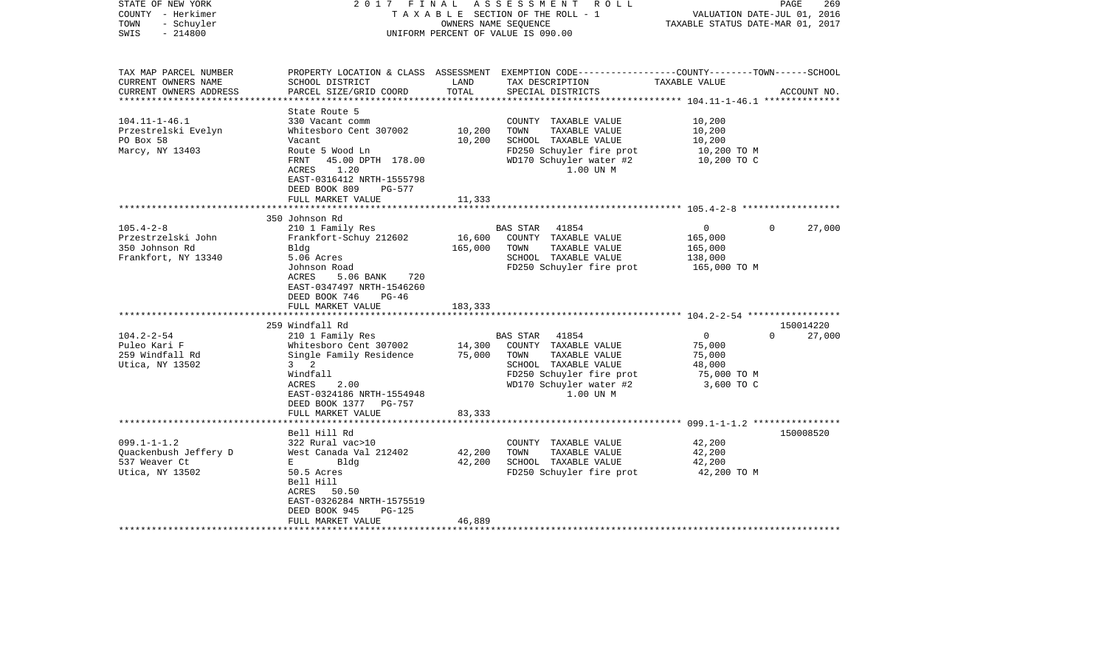| STATE OF NEW YORK                       | 2017                                          | FINAL             | A S S E S S M E N T<br>R O L L                                                                   |                                  | 269<br>PAGE                 |
|-----------------------------------------|-----------------------------------------------|-------------------|--------------------------------------------------------------------------------------------------|----------------------------------|-----------------------------|
| COUNTY - Herkimer                       |                                               |                   | TAXABLE SECTION OF THE ROLL - 1                                                                  |                                  | VALUATION DATE-JUL 01, 2016 |
| TOWN<br>- Schuyler<br>SWIS<br>$-214800$ |                                               |                   | OWNERS NAME SEQUENCE<br>UNIFORM PERCENT OF VALUE IS 090.00                                       | TAXABLE STATUS DATE-MAR 01, 2017 |                             |
|                                         |                                               |                   |                                                                                                  |                                  |                             |
| TAX MAP PARCEL NUMBER                   |                                               |                   | PROPERTY LOCATION & CLASS ASSESSMENT EXEMPTION CODE----------------COUNTY-------TOWN------SCHOOL |                                  |                             |
| CURRENT OWNERS NAME                     | SCHOOL DISTRICT                               | LAND              | TAX DESCRIPTION                                                                                  | TAXABLE VALUE                    |                             |
| CURRENT OWNERS ADDRESS                  | PARCEL SIZE/GRID COORD                        | TOTAL             | SPECIAL DISTRICTS                                                                                |                                  | ACCOUNT NO.                 |
| ***********************                 |                                               |                   |                                                                                                  |                                  |                             |
|                                         | State Route 5                                 |                   |                                                                                                  |                                  |                             |
| $104.11 - 1 - 46.1$                     | 330 Vacant comm                               |                   | COUNTY TAXABLE VALUE                                                                             | 10,200                           |                             |
| Przestrelski Evelyn                     | Whitesboro Cent 307002                        | 10,200            | TOWN<br>TAXABLE VALUE                                                                            | 10,200                           |                             |
| PO Box 58<br>Marcy, NY 13403            | Vacant<br>Route 5 Wood Ln                     | 10,200            | SCHOOL TAXABLE VALUE<br>FD250 Schuyler fire prot                                                 | 10,200<br>10,200 TO M            |                             |
|                                         | FRNT<br>45.00 DPTH 178.00                     |                   | WD170 Schuyler water #2                                                                          | 10,200 TO C                      |                             |
|                                         | 1.20<br>ACRES                                 |                   | 1.00 UN M                                                                                        |                                  |                             |
|                                         | EAST-0316412 NRTH-1555798                     |                   |                                                                                                  |                                  |                             |
|                                         | DEED BOOK 809<br>PG-577                       |                   |                                                                                                  |                                  |                             |
|                                         | FULL MARKET VALUE                             | 11,333            |                                                                                                  |                                  |                             |
|                                         |                                               | * * * * * * * * * | **************************** 105.4-2-8 ******************                                        |                                  |                             |
|                                         | 350 Johnson Rd                                |                   |                                                                                                  |                                  |                             |
| $105.4 - 2 - 8$                         | 210 1 Family Res                              |                   | BAS STAR<br>41854                                                                                | 0                                | $\Omega$<br>27,000          |
| Przestrzelski John                      | Frankfort-Schuy 212602                        | 16,600            | COUNTY TAXABLE VALUE                                                                             | 165,000                          |                             |
| 350 Johnson Rd                          | Bldg                                          | 165,000           | TOWN<br>TAXABLE VALUE                                                                            | 165,000                          |                             |
| Frankfort, NY 13340                     | 5.06 Acres                                    |                   | SCHOOL TAXABLE VALUE                                                                             | 138,000                          |                             |
|                                         | Johnson Road                                  |                   | FD250 Schuyler fire prot                                                                         | 165,000 TO M                     |                             |
|                                         | ACRES<br>5.06 BANK<br>720                     |                   |                                                                                                  |                                  |                             |
|                                         | EAST-0347497 NRTH-1546260                     |                   |                                                                                                  |                                  |                             |
|                                         | DEED BOOK 746<br>$PG-46$<br>FULL MARKET VALUE | 183,333           |                                                                                                  |                                  |                             |
|                                         |                                               |                   |                                                                                                  |                                  |                             |
|                                         | 259 Windfall Rd                               |                   |                                                                                                  |                                  | 150014220                   |
| $104.2 - 2 - 54$                        | 210 1 Family Res                              |                   | BAS STAR<br>41854                                                                                | $\circ$                          | 27,000<br>$\Omega$          |
| Puleo Kari F                            | Whitesboro Cent 307002                        | 14,300            | COUNTY TAXABLE VALUE                                                                             | 75,000                           |                             |
| 259 Windfall Rd                         | Single Family Residence                       | 75,000            | TOWN<br>TAXABLE VALUE                                                                            | 75,000                           |                             |
| Utica, NY 13502                         | $3 \quad 2$                                   |                   | SCHOOL TAXABLE VALUE                                                                             | 48,000                           |                             |
|                                         | Windfall                                      |                   | FD250 Schuyler fire prot                                                                         | 75,000 TO M                      |                             |
|                                         | 2.00<br>ACRES                                 |                   | WD170 Schuyler water #2                                                                          | 3,600 TO C                       |                             |
|                                         | EAST-0324186 NRTH-1554948                     |                   | 1.00 UN M                                                                                        |                                  |                             |
|                                         | DEED BOOK 1377 PG-757                         |                   |                                                                                                  |                                  |                             |
|                                         | FULL MARKET VALUE                             | 83,333            |                                                                                                  |                                  |                             |
|                                         | ******************                            |                   |                                                                                                  |                                  |                             |
|                                         | Bell Hill Rd                                  |                   |                                                                                                  |                                  | 150008520                   |
| $099.1 - 1 - 1.2$                       | 322 Rural vac>10                              |                   | COUNTY TAXABLE VALUE                                                                             | 42,200                           |                             |
| Quackenbush Jeffery D<br>537 Weaver Ct  | West Canada Val 212402                        | 42,200<br>42,200  | TOWN<br>TAXABLE VALUE<br>SCHOOL TAXABLE VALUE                                                    | 42,200<br>42,200                 |                             |
| Utica, NY 13502                         | Bldg<br>Е<br>50.5 Acres                       |                   | FD250 Schuyler fire prot                                                                         | 42,200 TO M                      |                             |
|                                         | Bell Hill                                     |                   |                                                                                                  |                                  |                             |
|                                         | ACRES<br>50.50                                |                   |                                                                                                  |                                  |                             |
|                                         | EAST-0326284 NRTH-1575519                     |                   |                                                                                                  |                                  |                             |
|                                         | DEED BOOK 945<br>$PG-125$                     |                   |                                                                                                  |                                  |                             |
|                                         | FULL MARKET VALUE                             | 46,889            |                                                                                                  |                                  |                             |
| ***********************                 |                                               |                   |                                                                                                  |                                  |                             |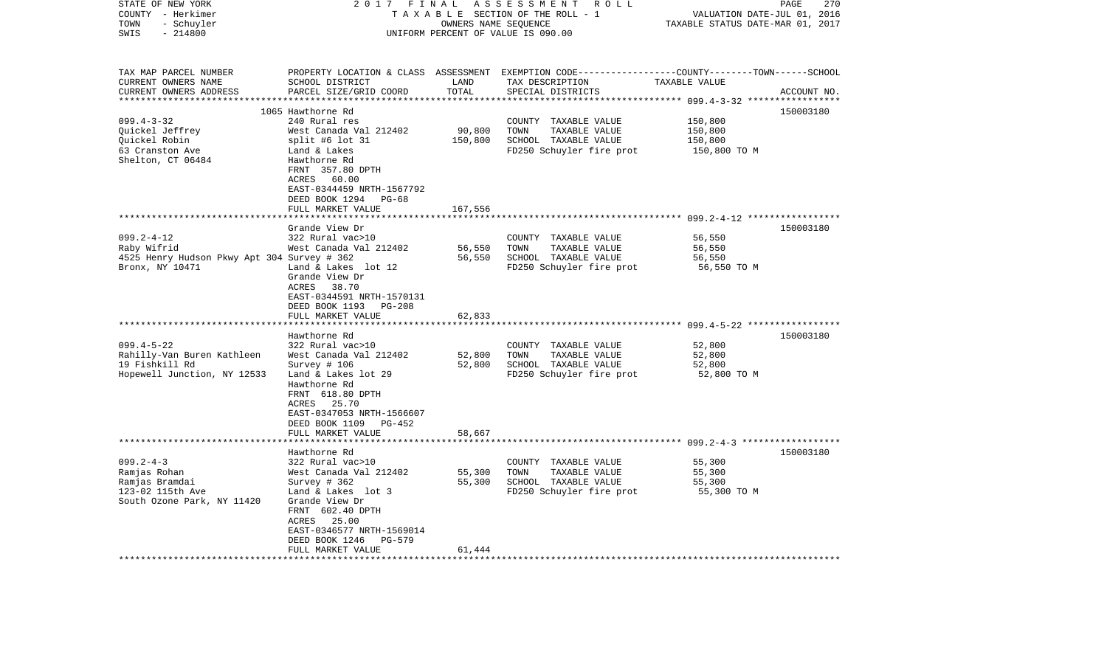| STATE OF NEW YORK<br>COUNTY - Herkimer<br>TOWN<br>- Schuyler<br>SWIS<br>$-214800$                   | 2017<br>FINAL                                                                                                                                                                                                                         | OWNERS NAME SEQUENCE         | ASSESSMENT ROLL<br>TAXABLE SECTION OF THE ROLL - 1<br>UNIFORM PERCENT OF VALUE IS 090.00                                                | VALUATION DATE-JUL 01, 2016<br>TAXABLE STATUS DATE-MAR 01, 2017 | 270<br>PAGE |
|-----------------------------------------------------------------------------------------------------|---------------------------------------------------------------------------------------------------------------------------------------------------------------------------------------------------------------------------------------|------------------------------|-----------------------------------------------------------------------------------------------------------------------------------------|-----------------------------------------------------------------|-------------|
| TAX MAP PARCEL NUMBER<br>CURRENT OWNERS NAME<br>CURRENT OWNERS ADDRESS<br>***********************   | SCHOOL DISTRICT<br>PARCEL SIZE/GRID COORD                                                                                                                                                                                             | LAND<br>TOTAL                | PROPERTY LOCATION & CLASS ASSESSMENT EXEMPTION CODE---------------COUNTY-------TOWN------SCHOOL<br>TAX DESCRIPTION<br>SPECIAL DISTRICTS | TAXABLE VALUE                                                   | ACCOUNT NO. |
| $099.4 - 3 - 32$<br>Quickel Jeffrey<br>Quickel Robin<br>63 Cranston Ave<br>Shelton, CT 06484        | 1065 Hawthorne Rd<br>240 Rural res<br>West Canada Val 212402<br>split #6 lot 31<br>Land & Lakes<br>Hawthorne Rd<br>FRNT 357.80 DPTH<br>ACRES<br>60.00<br>EAST-0344459 NRTH-1567792<br>DEED BOOK 1294<br>PG-68<br>FULL MARKET VALUE    | 90,800<br>150,800<br>167,556 | COUNTY TAXABLE VALUE<br>TOWN<br>TAXABLE VALUE<br>SCHOOL TAXABLE VALUE<br>FD250 Schuyler fire prot                                       | 150,800<br>150,800<br>150,800<br>150,800 TO M                   | 150003180   |
| $099.2 - 4 - 12$<br>Raby Wifrid<br>4525 Henry Hudson Pkwy Apt 304 Survey # 362<br>Bronx, NY 10471   | Grande View Dr<br>322 Rural vac>10<br>West Canada Val 212402<br>Land & Lakes lot 12<br>Grande View Dr<br>ACRES<br>38.70<br>EAST-0344591 NRTH-1570131                                                                                  | 56,550<br>56,550             | COUNTY TAXABLE VALUE<br>TOWN<br>TAXABLE VALUE<br>SCHOOL TAXABLE VALUE<br>FD250 Schuyler fire prot                                       | 56,550<br>56,550<br>56,550<br>56,550 TO M                       | 150003180   |
|                                                                                                     | DEED BOOK 1193<br>PG-208<br>FULL MARKET VALUE                                                                                                                                                                                         | 62,833<br>********           |                                                                                                                                         | ******************************* 099.4-5-22 ******************   |             |
| $099.4 - 5 - 22$<br>Rahilly-Van Buren Kathleen<br>19 Fishkill Rd<br>Hopewell Junction, NY 12533     | Hawthorne Rd<br>322 Rural vac>10<br>West Canada Val 212402<br>Survey # 106<br>Land & Lakes lot 29<br>Hawthorne Rd<br>FRNT 618.80 DPTH<br>25.70<br>ACRES<br>EAST-0347053 NRTH-1566607<br>DEED BOOK 1109<br>PG-452<br>FULL MARKET VALUE | 52,800<br>52,800<br>58,667   | COUNTY TAXABLE VALUE<br>TOWN<br>TAXABLE VALUE<br>SCHOOL TAXABLE VALUE<br>FD250 Schuyler fire prot                                       | 52,800<br>52,800<br>52,800<br>52,800 TO M                       | 150003180   |
|                                                                                                     |                                                                                                                                                                                                                                       |                              |                                                                                                                                         |                                                                 |             |
| $099.2 - 4 - 3$<br>Ramjas Rohan<br>Ramjas Bramdai<br>123-02 115th Ave<br>South Ozone Park, NY 11420 | Hawthorne Rd<br>322 Rural vac>10<br>West Canada Val 212402<br>Survey # 362<br>Land & Lakes lot 3<br>Grande View Dr<br>FRNT 602.40 DPTH<br>25.00<br>ACRES<br>EAST-0346577 NRTH-1569014<br>DEED BOOK 1246<br>PG-579                     | 55,300<br>55,300             | COUNTY TAXABLE VALUE<br>TOWN<br>TAXABLE VALUE<br>SCHOOL TAXABLE VALUE<br>FD250 Schuyler fire prot                                       | 55,300<br>55,300<br>55,300<br>55,300 TO M                       | 150003180   |
| *******************                                                                                 | FULL MARKET VALUE<br>* * * * * * * * * * * * * * * * * *                                                                                                                                                                              | 61,444                       |                                                                                                                                         |                                                                 |             |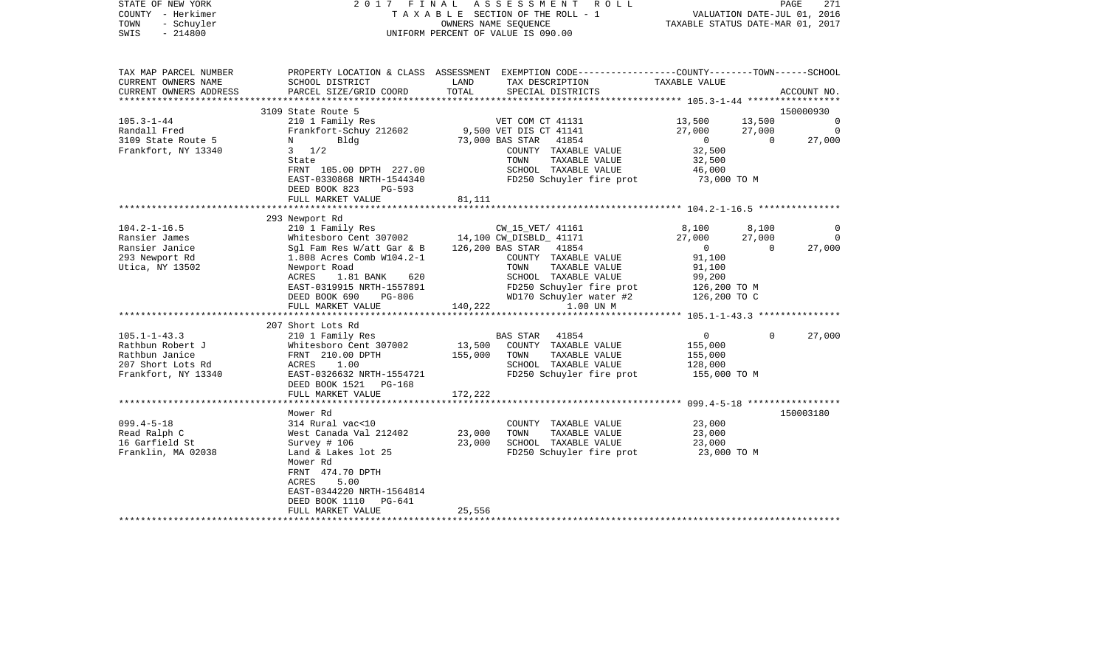| STATE OF NEW YORK<br>COUNTY - Herkimer<br>TOWN<br>- Schuyler<br>$-214800$<br>SWIS | 2017 FINAL                                             |               | ASSESSMENT<br>R O L L<br>TAXABLE SECTION OF THE ROLL - 1<br>OWNERS NAME SEOUENCE<br>UNIFORM PERCENT OF VALUE IS 090.00                  | TAXABLE STATUS DATE-MAR 01, 2017 | VALUATION DATE-JUL 01, 2016        | PAGE<br>271    |
|-----------------------------------------------------------------------------------|--------------------------------------------------------|---------------|-----------------------------------------------------------------------------------------------------------------------------------------|----------------------------------|------------------------------------|----------------|
| TAX MAP PARCEL NUMBER<br>CURRENT OWNERS NAME<br>CURRENT OWNERS ADDRESS            | SCHOOL DISTRICT<br>PARCEL SIZE/GRID COORD              | LAND<br>TOTAL | PROPERTY LOCATION & CLASS ASSESSMENT EXEMPTION CODE---------------COUNTY-------TOWN------SCHOOL<br>TAX DESCRIPTION<br>SPECIAL DISTRICTS | TAXABLE VALUE                    |                                    | ACCOUNT NO.    |
| ****************                                                                  |                                                        |               |                                                                                                                                         |                                  |                                    |                |
| $105.3 - 1 - 44$                                                                  | 3109 State Route 5<br>210 1 Family Res                 |               | VET COM CT 41131                                                                                                                        | 13,500                           | 13,500                             | 150000930<br>0 |
| Randall Fred                                                                      | Frankfort-Schuy 212602                                 |               | 9,500 VET DIS CT 41141                                                                                                                  | 27,000                           | 27,000                             | $\Omega$       |
| 3109 State Route 5                                                                | Bldg<br>N                                              |               | 73,000 BAS STAR<br>41854                                                                                                                | $\overline{0}$                   | $\overline{0}$                     | 27,000         |
| Frankfort, NY 13340                                                               | $3 \frac{1}{2}$                                        |               | COUNTY TAXABLE VALUE                                                                                                                    | 32,500                           |                                    |                |
|                                                                                   | State                                                  |               | TOWN<br>TAXABLE VALUE                                                                                                                   | 32,500                           |                                    |                |
|                                                                                   | FRNT 105.00 DPTH 227.00                                |               | SCHOOL TAXABLE VALUE                                                                                                                    | 46,000                           |                                    |                |
|                                                                                   | EAST-0330868 NRTH-1544340<br>DEED BOOK 823<br>$PG-593$ |               | FD250 Schuyler fire prot                                                                                                                | 73,000 TO M                      |                                    |                |
|                                                                                   | FULL MARKET VALUE                                      | 81,111        |                                                                                                                                         |                                  |                                    |                |
|                                                                                   |                                                        |               |                                                                                                                                         |                                  |                                    |                |
| $104.2 - 1 - 16.5$                                                                | 293 Newport Rd                                         |               |                                                                                                                                         |                                  |                                    |                |
| Ransier James                                                                     | 210 1 Family Res<br>Whitesboro Cent 307002             |               | CW_15_VET/ 41161<br>14,100 CW DISBLD 41171                                                                                              | 8,100<br>27,000                  | 8,100<br>27,000                    | 0<br>$\Omega$  |
| Ransier Janice                                                                    | Sgl Fam Res W/att Gar & B                              |               | 126,200 BAS STAR<br>41854                                                                                                               | $\Omega$                         | $\Omega$                           | 27,000         |
| 293 Newport Rd                                                                    | 1.808 Acres Comb W104.2-1                              |               | COUNTY TAXABLE VALUE                                                                                                                    | 91,100                           |                                    |                |
| Utica, NY 13502                                                                   | Newport Road                                           |               | TOWN<br>TAXABLE VALUE                                                                                                                   | 91,100                           |                                    |                |
|                                                                                   | ACRES<br>1.81 BANK<br>620                              |               | SCHOOL TAXABLE VALUE                                                                                                                    | 99,200                           |                                    |                |
|                                                                                   | EAST-0319915 NRTH-1557891                              |               | FD250 Schuyler fire prot                                                                                                                | 126,200 TO M                     |                                    |                |
|                                                                                   | DEED BOOK 690<br>PG-806                                |               | WD170 Schuyler water #2                                                                                                                 | 126,200 TO C                     |                                    |                |
|                                                                                   | FULL MARKET VALUE                                      | 140,222       | 1.00 UN M                                                                                                                               |                                  |                                    |                |
|                                                                                   |                                                        |               |                                                                                                                                         |                                  |                                    |                |
|                                                                                   | 207 Short Lots Rd                                      |               |                                                                                                                                         |                                  |                                    |                |
| $105.1 - 1 - 43.3$<br>Rathbun Robert J                                            | 210 1 Family Res<br>Whitesboro Cent 307002             | 13,500        | BAS STAR<br>41854<br>COUNTY TAXABLE VALUE                                                                                               | 0<br>155,000                     | $\Omega$                           | 27,000         |
| Rathbun Janice                                                                    | FRNT 210.00 DPTH                                       | 155,000       | TOWN<br>TAXABLE VALUE                                                                                                                   | 155,000                          |                                    |                |
| 207 Short Lots Rd                                                                 | ACRES<br>1.00                                          |               | SCHOOL TAXABLE VALUE                                                                                                                    | 128,000                          |                                    |                |
| Frankfort, NY 13340                                                               | EAST-0326632 NRTH-1554721                              |               | FD250 Schuyler fire prot                                                                                                                | 155,000 TO M                     |                                    |                |
|                                                                                   | DEED BOOK 1521 PG-168                                  |               |                                                                                                                                         |                                  |                                    |                |
|                                                                                   | FULL MARKET VALUE                                      | 172,222       |                                                                                                                                         |                                  |                                    |                |
|                                                                                   | ******************                                     |               |                                                                                                                                         |                                  | $099.4 - 5 - 18$ ***************** |                |
|                                                                                   | Mower Rd                                               |               |                                                                                                                                         |                                  |                                    | 150003180      |
| $099.4 - 5 - 18$                                                                  | 314 Rural vac<10                                       |               | COUNTY TAXABLE VALUE                                                                                                                    | 23,000                           |                                    |                |
| Read Ralph C                                                                      | West Canada Val 212402                                 | 23,000        | TOWN<br>TAXABLE VALUE                                                                                                                   | 23,000                           |                                    |                |
| 16 Garfield St                                                                    | Survey # 106                                           | 23,000        | SCHOOL TAXABLE VALUE                                                                                                                    | 23,000                           |                                    |                |
| Franklin, MA 02038                                                                | Land & Lakes lot 25<br>Mower Rd                        |               | FD250 Schuyler fire prot                                                                                                                | 23,000 TO M                      |                                    |                |
|                                                                                   | FRNT 474.70 DPTH                                       |               |                                                                                                                                         |                                  |                                    |                |
|                                                                                   | 5.00<br>ACRES                                          |               |                                                                                                                                         |                                  |                                    |                |
|                                                                                   | EAST-0344220 NRTH-1564814                              |               |                                                                                                                                         |                                  |                                    |                |
|                                                                                   | DEED BOOK 1110<br>PG-641                               |               |                                                                                                                                         |                                  |                                    |                |
|                                                                                   | FULL MARKET VALUE                                      | 25,556        |                                                                                                                                         |                                  |                                    |                |
|                                                                                   |                                                        |               | **********************                                                                                                                  |                                  |                                    |                |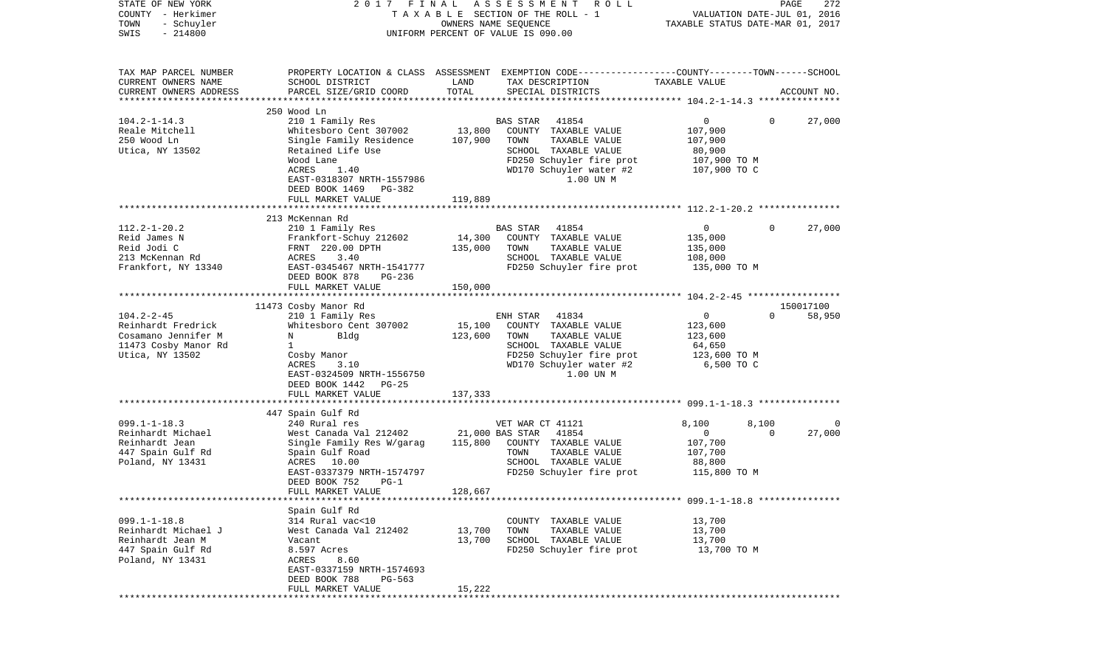| STATE OF NEW YORK<br>COUNTY - Herkimer<br>TOWN<br>- Schuyler<br>$-214800$<br>SWIS | 2017 FINAL                                 | OWNERS NAME SEQUENCE | A S S E S S M E N T<br>R O L L<br>TAXABLE SECTION OF THE ROLL - 1<br>UNIFORM PERCENT OF VALUE IS 090.00                                 | VALUATION DATE-JUL 01, 2016<br>TAXABLE STATUS DATE-MAR 01, 2017 | PAGE     | 272         |
|-----------------------------------------------------------------------------------|--------------------------------------------|----------------------|-----------------------------------------------------------------------------------------------------------------------------------------|-----------------------------------------------------------------|----------|-------------|
| TAX MAP PARCEL NUMBER<br>CURRENT OWNERS NAME<br>CURRENT OWNERS ADDRESS            | SCHOOL DISTRICT<br>PARCEL SIZE/GRID COORD  | LAND<br>TOTAL        | PROPERTY LOCATION & CLASS ASSESSMENT EXEMPTION CODE---------------COUNTY-------TOWN------SCHOOL<br>TAX DESCRIPTION<br>SPECIAL DISTRICTS | TAXABLE VALUE                                                   |          | ACCOUNT NO. |
| *************************                                                         |                                            |                      |                                                                                                                                         |                                                                 |          |             |
|                                                                                   | 250 Wood Ln                                |                      |                                                                                                                                         |                                                                 |          |             |
| $104.2 - 1 - 14.3$<br>Reale Mitchell                                              | 210 1 Family Res<br>Whitesboro Cent 307002 | 13,800               | 41854<br><b>BAS STAR</b><br>COUNTY TAXABLE VALUE                                                                                        | 0<br>107,900                                                    | $\Omega$ | 27,000      |
| 250 Wood Ln                                                                       | Single Family Residence                    | 107,900              | TOWN<br>TAXABLE VALUE                                                                                                                   | 107,900                                                         |          |             |
| Utica, NY 13502                                                                   | Retained Life Use                          |                      | SCHOOL TAXABLE VALUE                                                                                                                    | 80,900                                                          |          |             |
|                                                                                   | Wood Lane                                  |                      | FD250 Schuyler fire prot                                                                                                                | 107,900 TO M                                                    |          |             |
|                                                                                   | ACRES<br>1.40                              |                      | WD170 Schuyler water #2                                                                                                                 | 107,900 TO C                                                    |          |             |
|                                                                                   | EAST-0318307 NRTH-1557986                  |                      | 1.00 UN M                                                                                                                               |                                                                 |          |             |
|                                                                                   | DEED BOOK 1469<br>PG-382                   |                      |                                                                                                                                         |                                                                 |          |             |
|                                                                                   | FULL MARKET VALUE                          | 119,889              |                                                                                                                                         |                                                                 |          |             |
|                                                                                   |                                            |                      |                                                                                                                                         |                                                                 |          |             |
| $112.2 - 1 - 20.2$                                                                | 213 McKennan Rd                            |                      | 41854<br>BAS STAR                                                                                                                       | $\overline{0}$                                                  | $\Omega$ | 27,000      |
| Reid James N                                                                      | 210 1 Family Res<br>Frankfort-Schuy 212602 | 14,300               | COUNTY TAXABLE VALUE                                                                                                                    | 135,000                                                         |          |             |
| Reid Jodi C                                                                       | FRNT 220.00 DPTH                           | 135,000              | TAXABLE VALUE<br>TOWN                                                                                                                   | 135,000                                                         |          |             |
| 213 McKennan Rd                                                                   | ACRES<br>3.40                              |                      | SCHOOL TAXABLE VALUE                                                                                                                    | 108,000                                                         |          |             |
| Frankfort, NY 13340                                                               | EAST-0345467 NRTH-1541777                  |                      | FD250 Schuyler fire prot                                                                                                                | 135,000 TO M                                                    |          |             |
|                                                                                   | DEED BOOK 878<br>$PG-236$                  |                      |                                                                                                                                         |                                                                 |          |             |
|                                                                                   | FULL MARKET VALUE                          | 150,000              |                                                                                                                                         |                                                                 |          |             |
|                                                                                   |                                            |                      |                                                                                                                                         |                                                                 |          |             |
|                                                                                   | 11473 Cosby Manor Rd                       |                      |                                                                                                                                         |                                                                 |          | 150017100   |
| $104.2 - 2 - 45$                                                                  | 210 1 Family Res                           |                      | 41834<br>ENH STAR                                                                                                                       | 0                                                               | $\Omega$ | 58,950      |
| Reinhardt Fredrick<br>Cosamano Jennifer M                                         | Whitesboro Cent 307002<br>Bldg<br>N        | 15,100<br>123,600    | COUNTY TAXABLE VALUE<br>TAXABLE VALUE<br>TOWN                                                                                           | 123,600<br>123,600                                              |          |             |
| 11473 Cosby Manor Rd                                                              | $\mathbf{1}$                               |                      | SCHOOL TAXABLE VALUE                                                                                                                    | 64,650                                                          |          |             |
| Utica, NY 13502                                                                   | Cosby Manor                                |                      | FD250 Schuyler fire prot                                                                                                                | 123,600 TO M                                                    |          |             |
|                                                                                   | ACRES<br>3.10                              |                      | WD170 Schuyler water #2                                                                                                                 | 6,500 TO C                                                      |          |             |
|                                                                                   | EAST-0324509 NRTH-1556750                  |                      | 1.00 UN M                                                                                                                               |                                                                 |          |             |
|                                                                                   | DEED BOOK 1442<br>PG-25                    |                      |                                                                                                                                         |                                                                 |          |             |
|                                                                                   | FULL MARKET VALUE                          | 137,333              |                                                                                                                                         |                                                                 |          |             |
|                                                                                   | **********************                     | *********            |                                                                                                                                         |                                                                 |          |             |
| $099.1 - 1 - 18.3$                                                                | 447 Spain Gulf Rd                          |                      |                                                                                                                                         | 8,100                                                           | 8,100    | 0           |
| Reinhardt Michael                                                                 | 240 Rural res<br>West Canada Val 212402    |                      | VET WAR CT 41121<br>21,000 BAS STAR<br>41854                                                                                            | $\mathbf 0$                                                     | $\Omega$ | 27,000      |
| Reinhardt Jean                                                                    | Single Family Res W/garag                  | 115,800              | COUNTY TAXABLE VALUE                                                                                                                    | 107,700                                                         |          |             |
| 447 Spain Gulf Rd                                                                 | Spain Gulf Road                            |                      | TAXABLE VALUE<br>TOWN                                                                                                                   | 107,700                                                         |          |             |
| Poland, NY 13431                                                                  | ACRES 10.00                                |                      | SCHOOL TAXABLE VALUE                                                                                                                    | 88,800                                                          |          |             |
|                                                                                   | EAST-0337379 NRTH-1574797                  |                      | FD250 Schuyler fire prot                                                                                                                | 115,800 TO M                                                    |          |             |
|                                                                                   | DEED BOOK 752<br>$PG-1$                    |                      |                                                                                                                                         |                                                                 |          |             |
|                                                                                   | FULL MARKET VALUE                          | 128,667              |                                                                                                                                         |                                                                 |          |             |
|                                                                                   |                                            |                      |                                                                                                                                         |                                                                 |          |             |
| $099.1 - 1 - 18.8$                                                                | Spain Gulf Rd<br>314 Rural vac<10          |                      | COUNTY TAXABLE VALUE                                                                                                                    | 13,700                                                          |          |             |
| Reinhardt Michael J                                                               | West Canada Val 212402                     | 13,700               | TAXABLE VALUE<br>TOWN                                                                                                                   | 13,700                                                          |          |             |
| Reinhardt Jean M                                                                  | Vacant                                     | 13,700               | SCHOOL TAXABLE VALUE                                                                                                                    | 13,700                                                          |          |             |
| 447 Spain Gulf Rd                                                                 | 8.597 Acres                                |                      | FD250 Schuyler fire prot                                                                                                                | 13,700 TO M                                                     |          |             |
| Poland, NY 13431                                                                  | ACRES<br>8.60                              |                      |                                                                                                                                         |                                                                 |          |             |
|                                                                                   | EAST-0337159 NRTH-1574693                  |                      |                                                                                                                                         |                                                                 |          |             |
|                                                                                   | DEED BOOK 788<br>PG-563                    |                      |                                                                                                                                         |                                                                 |          |             |
|                                                                                   | FULL MARKET VALUE                          | 15,222               |                                                                                                                                         |                                                                 |          |             |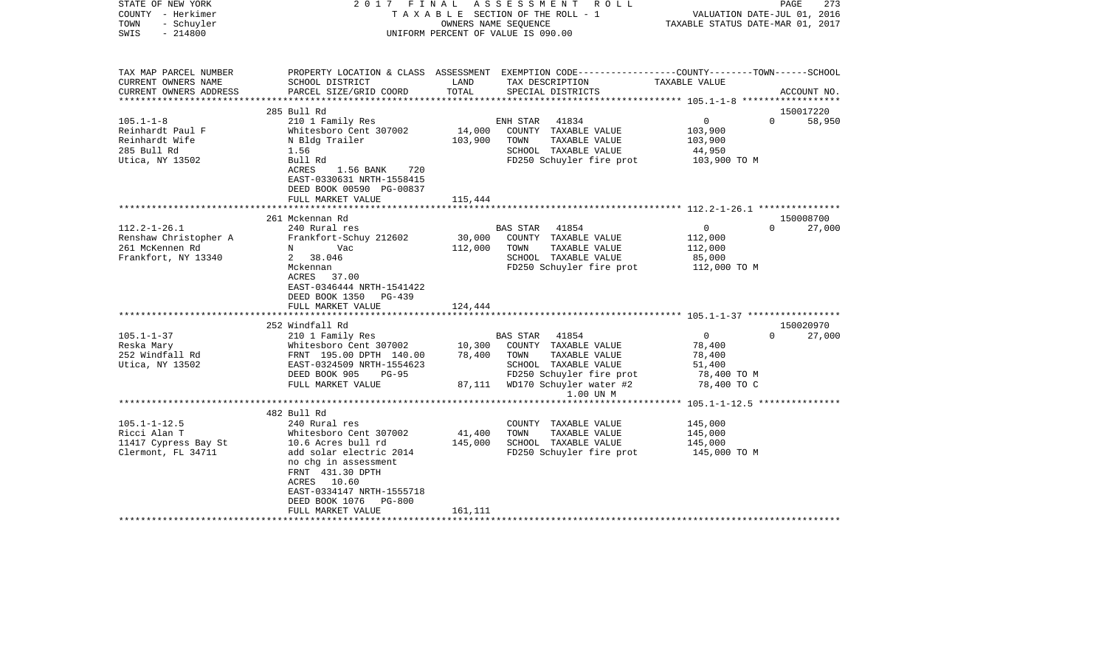| STATE OF NEW YORK<br>COUNTY - Herkimer<br>- Schuyler<br>TOWN<br>$-214800$<br>SWIS | 2017 FINAL                                                                                                      |         | ASSESSMENT ROLL<br>TAXABLE SECTION OF THE ROLL - 1<br>OWNERS NAME SEOUENCE<br>UNIFORM PERCENT OF VALUE IS 090.00  | VALUATION DATE-JUL 01, 2016<br>TAXABLE STATUS DATE-MAR 01, 2017 | PAGE<br>273 |
|-----------------------------------------------------------------------------------|-----------------------------------------------------------------------------------------------------------------|---------|-------------------------------------------------------------------------------------------------------------------|-----------------------------------------------------------------|-------------|
| TAX MAP PARCEL NUMBER<br>CURRENT OWNERS NAME                                      | SCHOOL DISTRICT                                                                                                 | LAND    | PROPERTY LOCATION & CLASS ASSESSMENT EXEMPTION CODE---------------COUNTY-------TOWN-----SCHOOL<br>TAX DESCRIPTION | TAXABLE VALUE                                                   |             |
| CURRENT OWNERS ADDRESS                                                            | PARCEL SIZE/GRID COORD                                                                                          | TOTAL   | SPECIAL DISTRICTS                                                                                                 |                                                                 | ACCOUNT NO. |
| **********************                                                            |                                                                                                                 |         |                                                                                                                   |                                                                 |             |
|                                                                                   | 285 Bull Rd                                                                                                     |         |                                                                                                                   |                                                                 | 150017220   |
| $105.1 - 1 - 8$                                                                   | 210 1 Family Res                                                                                                |         | ENH STAR 41834                                                                                                    | $\overline{0}$<br>$\Omega$                                      | 58,950      |
| Reinhardt Paul F                                                                  | Whitesboro Cent 307002                                                                                          | 14,000  | COUNTY TAXABLE VALUE                                                                                              | 103,900                                                         |             |
| Reinhardt Wife                                                                    | N Bldg Trailer                                                                                                  | 103,900 | TOWN<br>TAXABLE VALUE                                                                                             | 103,900                                                         |             |
| 285 Bull Rd                                                                       | 1.56                                                                                                            |         | SCHOOL TAXABLE VALUE                                                                                              | 44,950                                                          |             |
| Utica, NY 13502                                                                   | Bull Rd<br>ACRES<br>1.56 BANK 720<br>EAST-0330631 NRTH-1558415<br>DEED BOOK 00590 PG-00837<br>FULL MARKET VALUE | 115,444 | FD250 Schuyler fire prot                                                                                          | 103,900 TO M                                                    |             |
|                                                                                   |                                                                                                                 |         |                                                                                                                   |                                                                 |             |
|                                                                                   | 261 Mckennan Rd                                                                                                 |         |                                                                                                                   |                                                                 | 150008700   |
| $112.2 - 1 - 26.1$                                                                | 240 Rural res                                                                                                   |         | BAS STAR 41854                                                                                                    | $\overline{0}$<br>$\Omega$                                      | 27,000      |
| Renshaw Christopher A                                                             | Frankfort-Schuy 212602                                                                                          |         | 30,000 COUNTY TAXABLE VALUE                                                                                       | 112,000                                                         |             |
| 261 McKennen Rd                                                                   | Vac<br>$N$ and $N$                                                                                              | 112,000 | TAXABLE VALUE<br>TOWN                                                                                             | 112,000                                                         |             |
| Frankfort, NY 13340                                                               | 2 38.046                                                                                                        |         | SCHOOL TAXABLE VALUE                                                                                              | 85,000                                                          |             |
|                                                                                   | Mckennan<br>ACRES 37.00<br>EAST-0346444 NRTH-1541422<br>DEED BOOK 1350<br>PG-439<br>FULL MARKET VALUE           | 124,444 | FD250 Schuyler fire prot 112,000 TO M                                                                             |                                                                 |             |
|                                                                                   |                                                                                                                 |         |                                                                                                                   |                                                                 |             |
|                                                                                   | 252 Windfall Rd                                                                                                 |         |                                                                                                                   |                                                                 | 150020970   |
| $105.1 - 1 - 37$                                                                  | 210 1 Family Res                                                                                                |         | BAS STAR 41854                                                                                                    | $\overline{0}$<br>$\Omega$                                      | 27,000      |
| Reska Mary                                                                        | Whitesboro Cent 307002                                                                                          | 10,300  | COUNTY TAXABLE VALUE                                                                                              | 78,400                                                          |             |
| 252 Windfall Rd                                                                   | FRNT 195.00 DPTH 140.00                                                                                         | 78,400  | TOWN<br>TAXABLE VALUE                                                                                             | 78,400                                                          |             |
| Utica, NY 13502                                                                   | EAST-0324509 NRTH-1554623                                                                                       |         | SCHOOL TAXABLE VALUE                                                                                              | 51,400                                                          |             |
|                                                                                   | DEED BOOK 905<br>$PG-95$                                                                                        |         | FD250 Schuyler fire prot                                                                                          | 78,400 TO M                                                     |             |
|                                                                                   | FULL MARKET VALUE                                                                                               |         | 87,111 WD170 Schuyler water #2                                                                                    | 78,400 TO C                                                     |             |
|                                                                                   |                                                                                                                 |         | 1.00 UN M                                                                                                         |                                                                 |             |
|                                                                                   |                                                                                                                 |         |                                                                                                                   | **************** 105.1-1-12.5 ****************                  |             |
|                                                                                   | 482 Bull Rd                                                                                                     |         |                                                                                                                   |                                                                 |             |
| $105.1 - 1 - 12.5$                                                                | 240 Rural res                                                                                                   |         | COUNTY TAXABLE VALUE                                                                                              | 145,000                                                         |             |
| Ricci Alan T                                                                      | Whitesboro Cent 307002                                                                                          | 41,400  | TOWN<br>TAXABLE VALUE                                                                                             | 145,000                                                         |             |
| 11417 Cypress Bay St                                                              | 10.6 Acres bull rd                                                                                              | 145,000 | SCHOOL TAXABLE VALUE                                                                                              | 145,000                                                         |             |
| Clermont, FL 34711                                                                | add solar electric 2014<br>no chq in assessment<br>FRNT 431.30 DPTH                                             |         | FD250 Schuyler fire prot                                                                                          | 145,000 TO M                                                    |             |
|                                                                                   | ACRES 10.60                                                                                                     |         |                                                                                                                   |                                                                 |             |
|                                                                                   | EAST-0334147 NRTH-1555718                                                                                       |         |                                                                                                                   |                                                                 |             |
|                                                                                   | DEED BOOK 1076<br>PG-800                                                                                        |         |                                                                                                                   |                                                                 |             |
|                                                                                   | FULL MARKET VALUE                                                                                               | 161,111 |                                                                                                                   |                                                                 |             |
|                                                                                   |                                                                                                                 |         |                                                                                                                   |                                                                 |             |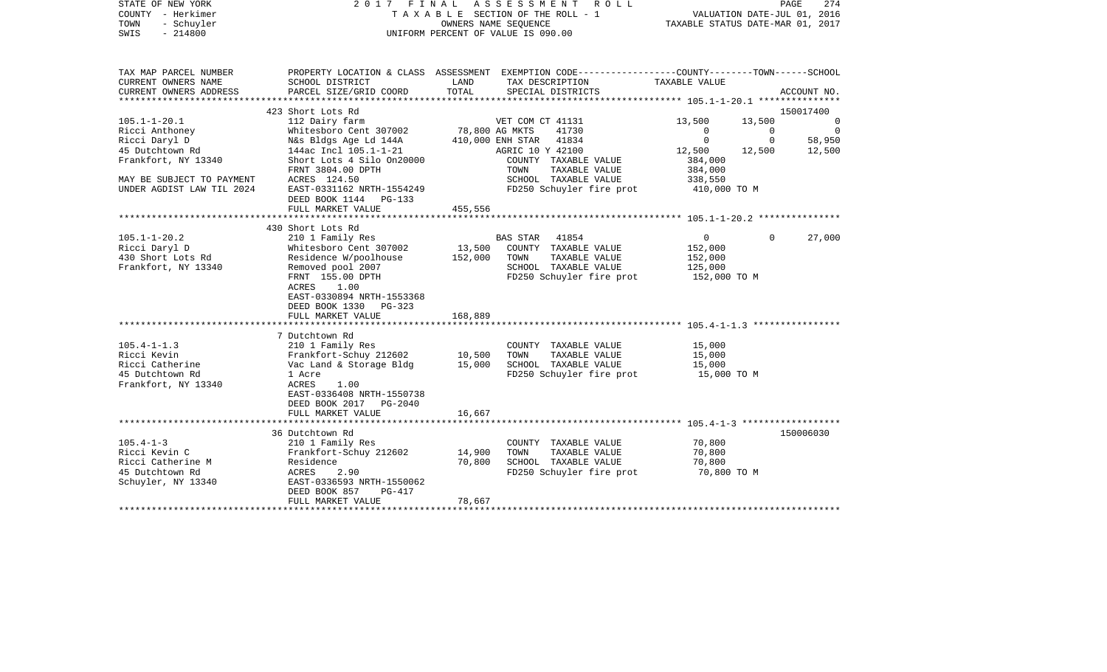| STATE OF NEW YORK<br>COUNTY - Herkimer<br>TOWN<br>- Schuyler<br>SWIS<br>$-214800$ | 2017 FINAL ASSESSMENT<br>R O L L<br>T A X A B L E SECTION OF THE ROLL - 1<br>OWNERS NAME SEQUENCE<br>UNIFORM PERCENT OF VALUE IS 090.00 |                   |                                                                                                                     | PAGE<br>274<br>VALUATION DATE-JUL 01, 2016<br>TAXABLE STATUS DATE-MAR 01, 2017 |                |                |
|-----------------------------------------------------------------------------------|-----------------------------------------------------------------------------------------------------------------------------------------|-------------------|---------------------------------------------------------------------------------------------------------------------|--------------------------------------------------------------------------------|----------------|----------------|
| TAX MAP PARCEL NUMBER<br>CURRENT OWNERS NAME                                      | SCHOOL DISTRICT                                                                                                                         | LAND              | PROPERTY LOCATION & CLASS ASSESSMENT EXEMPTION CODE----------------COUNTY-------TOWN------SCHOOL<br>TAX DESCRIPTION | TAXABLE VALUE                                                                  |                |                |
| CURRENT OWNERS ADDRESS                                                            | PARCEL SIZE/GRID COORD                                                                                                                  | TOTAL             | SPECIAL DISTRICTS                                                                                                   |                                                                                |                | ACCOUNT NO.    |
|                                                                                   | 423 Short Lots Rd                                                                                                                       |                   |                                                                                                                     |                                                                                |                | 150017400      |
| $105.1 - 1 - 20.1$                                                                | 112 Dairy farm                                                                                                                          |                   | VET COM CT 41131                                                                                                    | 13,500                                                                         | 13,500         | $\overline{0}$ |
| Ricci Anthoney                                                                    | Whitesboro Cent 307002                                                                                                                  | 78,800 AG MKTS    | 41730                                                                                                               | $\mathbf{0}$                                                                   | $\overline{0}$ | $\overline{0}$ |
| Ricci Daryl D                                                                     | N&s Bldgs Age Ld 144A                                                                                                                   |                   | 410,000 ENH STAR 41834                                                                                              | $\mathbf{0}$                                                                   | $\mathbf 0$    | 58,950         |
| 45 Dutchtown Rd                                                                   | 144ac Incl 105.1-1-21                                                                                                                   |                   | AGRIC 10 Y 42100                                                                                                    | 12,500                                                                         | 12,500         | 12,500         |
| Frankfort, NY 13340                                                               | Short Lots 4 Silo 0n20000                                                                                                               |                   | COUNTY TAXABLE VALUE                                                                                                | 384,000                                                                        |                |                |
| MAY BE SUBJECT TO PAYMENT                                                         | FRNT 3804.00 DPTH<br>ACRES 124.50                                                                                                       |                   | TAXABLE VALUE<br>TOWN<br>SCHOOL TAXABLE VALUE                                                                       | 384,000<br>338,550                                                             |                |                |
| UNDER AGDIST LAW TIL 2024                                                         | EAST-0331162 NRTH-1554249                                                                                                               |                   | FD250 Schuyler fire prot                                                                                            | 410,000 TO M                                                                   |                |                |
|                                                                                   | DEED BOOK 1144 PG-133                                                                                                                   |                   |                                                                                                                     |                                                                                |                |                |
|                                                                                   | FULL MARKET VALUE                                                                                                                       | 455,556           |                                                                                                                     |                                                                                |                |                |
|                                                                                   |                                                                                                                                         |                   |                                                                                                                     |                                                                                |                |                |
|                                                                                   | 430 Short Lots Rd                                                                                                                       |                   |                                                                                                                     |                                                                                |                |                |
| $105.1 - 1 - 20.2$                                                                | 210 1 Family Res                                                                                                                        |                   | BAS STAR 41854                                                                                                      | $\overline{0}$                                                                 | $\Omega$       | 27,000         |
| Ricci Daryl D<br>430 Short Lots Rd                                                | Whitesboro Cent 307002<br>Residence W/poolhouse                                                                                         | 13,500<br>152,000 | COUNTY TAXABLE VALUE<br>TAXABLE VALUE<br>TOWN                                                                       | 152,000                                                                        |                |                |
| Frankfort, NY 13340                                                               | Removed pool 2007                                                                                                                       |                   | SCHOOL TAXABLE VALUE                                                                                                | 152,000<br>125,000                                                             |                |                |
|                                                                                   | FRNT 155.00 DPTH                                                                                                                        |                   | FD250 Schuyler fire prot                                                                                            | 152,000 TO M                                                                   |                |                |
|                                                                                   | ACRES<br>1.00                                                                                                                           |                   |                                                                                                                     |                                                                                |                |                |
|                                                                                   | EAST-0330894 NRTH-1553368                                                                                                               |                   |                                                                                                                     |                                                                                |                |                |
|                                                                                   | DEED BOOK 1330 PG-323                                                                                                                   |                   |                                                                                                                     |                                                                                |                |                |
|                                                                                   | FULL MARKET VALUE                                                                                                                       | 168,889           |                                                                                                                     |                                                                                |                |                |
|                                                                                   |                                                                                                                                         |                   |                                                                                                                     |                                                                                |                |                |
| $105.4 - 1 - 1.3$                                                                 | 7 Dutchtown Rd<br>210 1 Family Res                                                                                                      |                   | COUNTY TAXABLE VALUE                                                                                                | 15,000                                                                         |                |                |
| Ricci Kevin                                                                       | Frankfort-Schuy 212602                                                                                                                  | 10,500            | TOWN<br>TAXABLE VALUE                                                                                               | 15,000                                                                         |                |                |
| Ricci Catherine                                                                   | Vac Land & Storage Bldg                                                                                                                 | 15,000            | SCHOOL TAXABLE VALUE                                                                                                | 15,000                                                                         |                |                |
| 45 Dutchtown Rd                                                                   | 1 Acre                                                                                                                                  |                   | FD250 Schuyler fire prot                                                                                            | 15,000 TO M                                                                    |                |                |
| Frankfort, NY 13340                                                               | ACRES<br>1.00                                                                                                                           |                   |                                                                                                                     |                                                                                |                |                |
|                                                                                   | EAST-0336408 NRTH-1550738                                                                                                               |                   |                                                                                                                     |                                                                                |                |                |
|                                                                                   | DEED BOOK 2017 PG-2040                                                                                                                  |                   |                                                                                                                     |                                                                                |                |                |
|                                                                                   | FULL MARKET VALUE                                                                                                                       | 16,667            |                                                                                                                     |                                                                                |                |                |
|                                                                                   |                                                                                                                                         |                   |                                                                                                                     |                                                                                |                |                |
| $105.4 - 1 - 3$                                                                   | 36 Dutchtown Rd<br>210 1 Family Res                                                                                                     |                   | COUNTY TAXABLE VALUE                                                                                                | 70,800                                                                         |                | 150006030      |
| Ricci Kevin C                                                                     | Frankfort-Schuy 212602                                                                                                                  | 14,900            | TOWN<br>TAXABLE VALUE                                                                                               | 70,800                                                                         |                |                |
| Ricci Catherine M                                                                 | Residence                                                                                                                               | 70,800            | SCHOOL TAXABLE VALUE                                                                                                | 70,800                                                                         |                |                |
| 45 Dutchtown Rd                                                                   | 2.90<br>ACRES                                                                                                                           |                   | FD250 Schuyler fire prot                                                                                            | 70,800 TO M                                                                    |                |                |
| Schuyler, NY 13340                                                                | EAST-0336593 NRTH-1550062                                                                                                               |                   |                                                                                                                     |                                                                                |                |                |
|                                                                                   | DEED BOOK 857<br>PG-417                                                                                                                 |                   |                                                                                                                     |                                                                                |                |                |
|                                                                                   | FULL MARKET VALUE                                                                                                                       | 78,667            |                                                                                                                     |                                                                                |                |                |
|                                                                                   |                                                                                                                                         |                   |                                                                                                                     |                                                                                |                |                |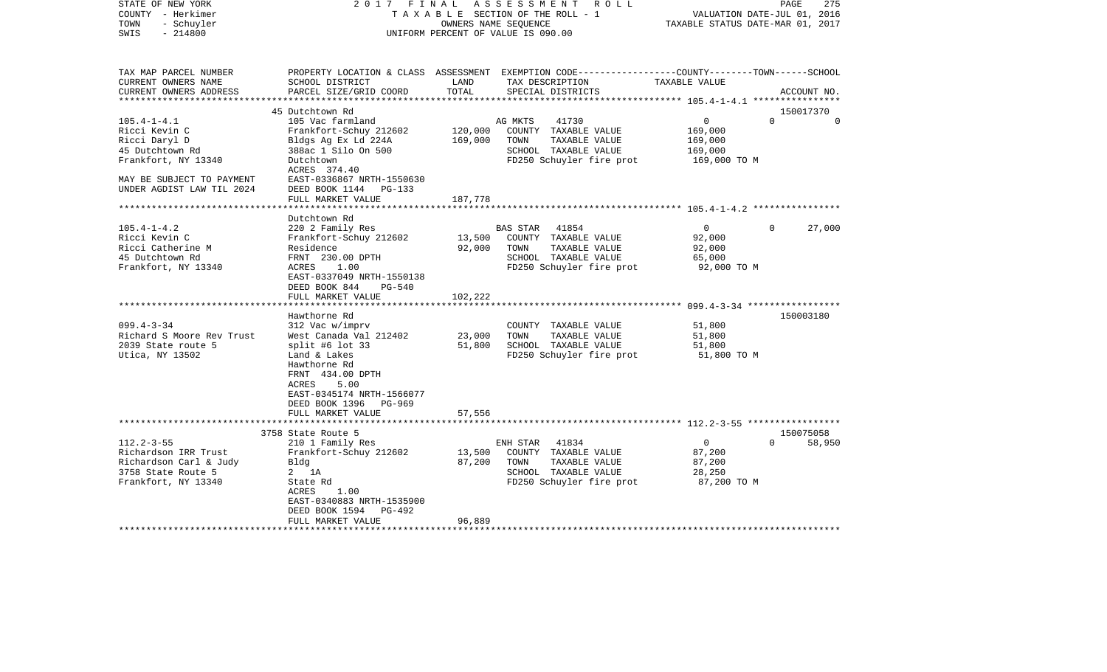| STATE OF NEW YORK<br>COUNTY - Herkimer<br>- Schuyler<br>TOWN<br>$-214800$<br>SWIS              | FINAL<br>2017                                                                                                                                       | OWNERS NAME SEOUENCE        | ASSESSMENT<br>R O L L<br>T A X A B L E SECTION OF THE ROLL - 1<br>UNIFORM PERCENT OF VALUE IS 090.00                                     | TAXABLE STATUS DATE-MAR 01, 2017                        | PAGE<br>275<br>VALUATION DATE-JUL 01, 2016 |
|------------------------------------------------------------------------------------------------|-----------------------------------------------------------------------------------------------------------------------------------------------------|-----------------------------|------------------------------------------------------------------------------------------------------------------------------------------|---------------------------------------------------------|--------------------------------------------|
| TAX MAP PARCEL NUMBER<br>CURRENT OWNERS NAME<br>CURRENT OWNERS ADDRESS<br>******************** | SCHOOL DISTRICT<br>PARCEL SIZE/GRID COORD<br>***************************                                                                            | LAND<br>TOTAL               | PROPERTY LOCATION & CLASS ASSESSMENT EXEMPTION CODE----------------COUNTY-------TOWN------SCHOOL<br>TAX DESCRIPTION<br>SPECIAL DISTRICTS | TAXABLE VALUE                                           | ACCOUNT NO.                                |
|                                                                                                | 45 Dutchtown Rd                                                                                                                                     |                             |                                                                                                                                          |                                                         | 150017370                                  |
| $105.4 - 1 - 4.1$<br>Ricci Kevin C                                                             | 105 Vac farmland<br>Frankfort-Schuy 212602                                                                                                          | 120,000                     | AG MKTS<br>41730<br>COUNTY TAXABLE VALUE<br>TAXABLE VALUE                                                                                | $\mathsf{O}$<br>169,000                                 | $\Omega$<br>$\Omega$                       |
| Ricci Daryl D<br>45 Dutchtown Rd<br>Frankfort, NY 13340                                        | Bldgs Ag Ex Ld 224A<br>388ac 1 Silo On 500<br>Dutchtown<br>ACRES 374.40                                                                             | 169,000                     | TOWN<br>SCHOOL TAXABLE VALUE<br>FD250 Schuyler fire prot                                                                                 | 169,000<br>169,000<br>169,000 TO M                      |                                            |
| MAY BE SUBJECT TO PAYMENT<br>UNDER AGDIST LAW TIL 2024                                         | EAST-0336867 NRTH-1550630<br>DEED BOOK 1144<br>$PG-133$<br>FULL MARKET VALUE                                                                        | 187,778                     |                                                                                                                                          |                                                         |                                            |
|                                                                                                |                                                                                                                                                     |                             |                                                                                                                                          | ************************** 105.4-1-4.2 **************** |                                            |
| $105.4 - 1 - 4.2$                                                                              | Dutchtown Rd<br>220 2 Family Res                                                                                                                    |                             | <b>BAS STAR</b><br>41854                                                                                                                 | $\overline{0}$                                          | $\Omega$<br>27,000                         |
| Ricci Kevin C<br>Ricci Catherine M<br>45 Dutchtown Rd<br>Frankfort, NY 13340                   | Frankfort-Schuy 212602<br>Residence<br>FRNT 230.00 DPTH<br>1.00<br>ACRES                                                                            | 13,500<br>92,000            | COUNTY TAXABLE VALUE<br>TOWN<br>TAXABLE VALUE<br>SCHOOL TAXABLE VALUE<br>FD250 Schuyler fire prot                                        | 92,000<br>92,000<br>65,000<br>92,000 TO M               |                                            |
|                                                                                                | EAST-0337049 NRTH-1550138<br>DEED BOOK 844<br>PG-540<br>FULL MARKET VALUE                                                                           | 102,222                     |                                                                                                                                          |                                                         |                                            |
|                                                                                                | ******************                                                                                                                                  | * * * * * * * * * * * * * * |                                                                                                                                          |                                                         |                                            |
| $099.4 - 3 - 34$<br>Richard S Moore Rev Trust<br>2039 State route 5<br>Utica, NY 13502         | Hawthorne Rd<br>312 Vac w/imprv<br>West Canada Val 212402<br>split #6 lot $33$<br>Land & Lakes<br>Hawthorne Rd<br>FRNT 434.00 DPTH<br>ACRES<br>5.00 | 23,000<br>51,800            | COUNTY TAXABLE VALUE<br>TAXABLE VALUE<br>TOWN<br>SCHOOL TAXABLE VALUE<br>FD250 Schuyler fire prot                                        | 51,800<br>51,800<br>51,800<br>51,800 TO M               | 150003180                                  |
|                                                                                                | EAST-0345174 NRTH-1566077<br>DEED BOOK 1396<br>PG-969<br>FULL MARKET VALUE                                                                          | 57,556                      |                                                                                                                                          |                                                         |                                            |
|                                                                                                | **********************                                                                                                                              |                             |                                                                                                                                          |                                                         |                                            |
| $112.2 - 3 - 55$                                                                               | 3758 State Route 5<br>210 1 Family Res                                                                                                              |                             | ENH STAR<br>41834                                                                                                                        | $\mathbf 0$                                             | 150075058<br>58,950<br>$\Omega$            |
| Richardson IRR Trust<br>Richardson Carl & Judy<br>3758 State Route 5<br>Frankfort, NY 13340    | Frankfort-Schuy 212602<br>Bldg<br>$2 \t1A$<br>State Rd                                                                                              | 13,500<br>87,200            | COUNTY TAXABLE VALUE<br>TAXABLE VALUE<br>TOWN<br>SCHOOL TAXABLE VALUE<br>FD250 Schuyler fire prot                                        | 87,200<br>87,200<br>28,250<br>87,200 TO M               |                                            |
|                                                                                                | 1.00<br>ACRES<br>EAST-0340883 NRTH-1535900<br>DEED BOOK 1594<br>PG-492                                                                              |                             |                                                                                                                                          |                                                         |                                            |
|                                                                                                | FULL MARKET VALUE                                                                                                                                   | 96,889                      |                                                                                                                                          |                                                         |                                            |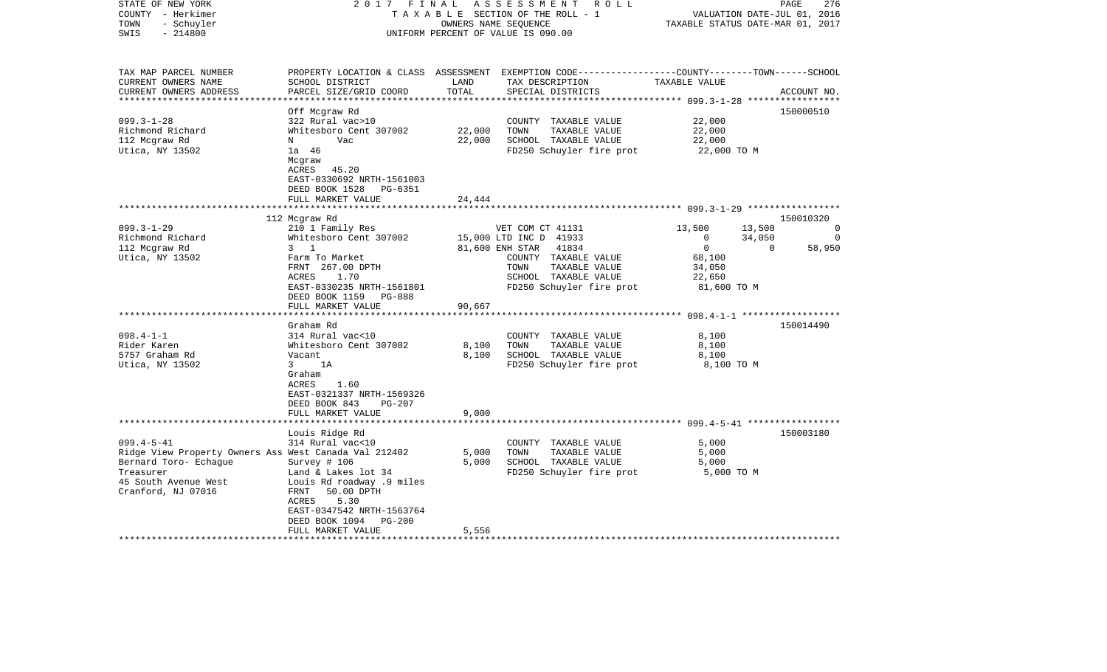| STATE OF NEW YORK<br>COUNTY - Herkimer<br>- Schuyler<br>TOWN<br>SWIS<br>$-214800$           | 2017<br>FINAL                                                                                                                                    | OWNERS NAME SEQUENCE | ASSESSMENT<br>R O L L<br>TAXABLE SECTION OF THE ROLL - 1<br>UNIFORM PERCENT OF VALUE IS 090.00                                           | TAXABLE STATUS DATE-MAR 01, 2017          | PAGE<br>276<br>VALUATION DATE-JUL 01, 2016 |
|---------------------------------------------------------------------------------------------|--------------------------------------------------------------------------------------------------------------------------------------------------|----------------------|------------------------------------------------------------------------------------------------------------------------------------------|-------------------------------------------|--------------------------------------------|
| TAX MAP PARCEL NUMBER<br>CURRENT OWNERS NAME<br>CURRENT OWNERS ADDRESS                      | SCHOOL DISTRICT<br>PARCEL SIZE/GRID COORD                                                                                                        | LAND<br>TOTAL        | PROPERTY LOCATION & CLASS ASSESSMENT EXEMPTION CODE----------------COUNTY-------TOWN------SCHOOL<br>TAX DESCRIPTION<br>SPECIAL DISTRICTS | TAXABLE VALUE                             | ACCOUNT NO.                                |
| ************************                                                                    | Off Mcgraw Rd                                                                                                                                    |                      |                                                                                                                                          |                                           | 150000510                                  |
| $099.3 - 1 - 28$                                                                            | 322 Rural vac>10                                                                                                                                 |                      | COUNTY TAXABLE VALUE                                                                                                                     | 22,000                                    |                                            |
| Richmond Richard                                                                            | Whitesboro Cent 307002                                                                                                                           | 22,000               | TOWN<br>TAXABLE VALUE                                                                                                                    | 22,000                                    |                                            |
| 112 Mcgraw Rd                                                                               | Vac<br>N                                                                                                                                         | 22,000               | SCHOOL TAXABLE VALUE                                                                                                                     | 22,000                                    |                                            |
| Utica, NY 13502                                                                             | 1a 46<br>Mcgraw<br>ACRES<br>45.20<br>EAST-0330692 NRTH-1561003<br>DEED BOOK 1528<br>PG-6351<br>FULL MARKET VALUE                                 | 24,444               | FD250 Schuyler fire prot                                                                                                                 | 22,000 TO M                               |                                            |
|                                                                                             |                                                                                                                                                  |                      |                                                                                                                                          |                                           |                                            |
|                                                                                             | 112 Mcgraw Rd                                                                                                                                    |                      |                                                                                                                                          |                                           | 150010320                                  |
| $099.3 - 1 - 29$                                                                            | 210 1 Family Res                                                                                                                                 |                      | VET COM CT 41131                                                                                                                         | 13,500<br>13,500                          | $\Omega$                                   |
| Richmond Richard                                                                            | Whitesboro Cent 307002                                                                                                                           |                      | 15,000 LTD INC D 41933                                                                                                                   | 34,050<br>$\mathbf{0}$                    | $\Omega$                                   |
| 112 Mcgraw Rd                                                                               | $3 \quad 1$                                                                                                                                      |                      | 81,600 ENH STAR<br>41834                                                                                                                 | $\mathbf 0$                               | $\mathbf 0$<br>58,950                      |
| Utica, NY 13502                                                                             | Farm To Market<br>FRNT 267.00 DPTH<br>ACRES<br>1.70<br>EAST-0330235 NRTH-1561801<br>DEED BOOK 1159<br>PG-888                                     |                      | COUNTY TAXABLE VALUE<br>TAXABLE VALUE<br>TOWN<br>SCHOOL TAXABLE VALUE<br>FD250 Schuyler fire prot                                        | 68,100<br>34,050<br>22,650<br>81,600 TO M |                                            |
|                                                                                             | FULL MARKET VALUE                                                                                                                                | 90,667               |                                                                                                                                          |                                           |                                            |
|                                                                                             |                                                                                                                                                  |                      |                                                                                                                                          |                                           |                                            |
|                                                                                             | Graham Rd                                                                                                                                        |                      |                                                                                                                                          |                                           | 150014490                                  |
| $098.4 - 1 - 1$                                                                             | 314 Rural vac<10                                                                                                                                 |                      | COUNTY TAXABLE VALUE                                                                                                                     | 8,100                                     |                                            |
| Rider Karen                                                                                 | Whitesboro Cent 307002                                                                                                                           | 8,100                | TOWN<br>TAXABLE VALUE                                                                                                                    | 8,100                                     |                                            |
| 5757 Graham Rd                                                                              | Vacant                                                                                                                                           | 8,100                | SCHOOL TAXABLE VALUE                                                                                                                     | 8,100                                     |                                            |
| Utica, NY 13502                                                                             | $\overline{3}$<br>1A<br>Graham<br>ACRES<br>1.60<br>EAST-0321337 NRTH-1569326<br>DEED BOOK 843<br>PG-207<br>FULL MARKET VALUE                     | 9,000                | FD250 Schuyler fire prot                                                                                                                 | 8,100 TO M                                |                                            |
|                                                                                             |                                                                                                                                                  |                      |                                                                                                                                          |                                           |                                            |
|                                                                                             | Louis Ridge Rd                                                                                                                                   |                      |                                                                                                                                          |                                           | 150003180                                  |
| $099.4 - 5 - 41$                                                                            | 314 Rural vac<10                                                                                                                                 |                      | COUNTY TAXABLE VALUE                                                                                                                     | 5,000                                     |                                            |
| Ridge View Property Owners Ass West Canada Val 212402<br>Bernard Toro- Echaque<br>Treasurer | Survey # 106<br>Land & Lakes lot 34                                                                                                              | 5,000<br>5,000       | TOWN<br>TAXABLE VALUE<br>SCHOOL TAXABLE VALUE<br>FD250 Schuyler fire prot                                                                | 5,000<br>5,000<br>5,000 TO M              |                                            |
| 45 South Avenue West<br>Cranford, NJ 07016                                                  | Louis Rd roadway .9 miles<br>FRNT<br>50.00 DPTH<br>ACRES<br>5.30<br>EAST-0347542 NRTH-1563764<br>DEED BOOK 1094<br>$PG-200$<br>FULL MARKET VALUE | 5,556                |                                                                                                                                          |                                           |                                            |
|                                                                                             | *********************                                                                                                                            |                      |                                                                                                                                          |                                           |                                            |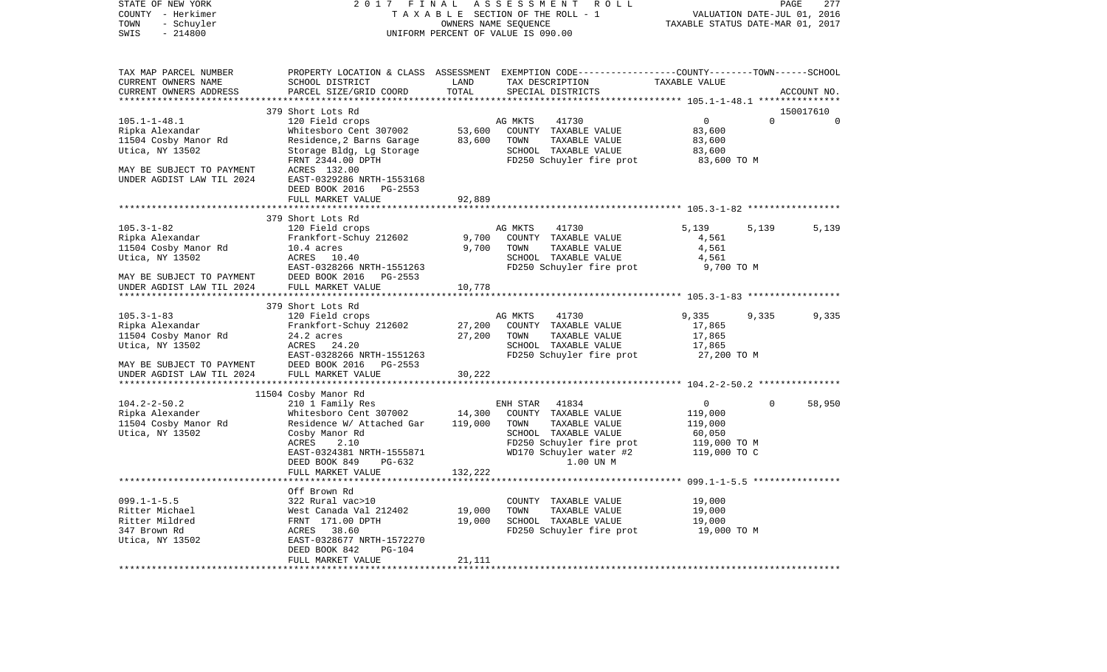| STATE OF NEW YORK                       | 2017                                                  | FINAL              | ASSESSMENT<br>R O L L                                                                            |                                  |                             | PAGE<br>277 |
|-----------------------------------------|-------------------------------------------------------|--------------------|--------------------------------------------------------------------------------------------------|----------------------------------|-----------------------------|-------------|
| COUNTY - Herkimer                       |                                                       |                    | TAXABLE SECTION OF THE ROLL - 1                                                                  |                                  | VALUATION DATE-JUL 01, 2016 |             |
| TOWN<br>- Schuyler<br>SWIS<br>$-214800$ |                                                       |                    | OWNERS NAME SEQUENCE<br>UNIFORM PERCENT OF VALUE IS 090.00                                       | TAXABLE STATUS DATE-MAR 01, 2017 |                             |             |
|                                         |                                                       |                    |                                                                                                  |                                  |                             |             |
| TAX MAP PARCEL NUMBER                   |                                                       |                    | PROPERTY LOCATION & CLASS ASSESSMENT EXEMPTION CODE----------------COUNTY-------TOWN------SCHOOL |                                  |                             |             |
| CURRENT OWNERS NAME                     | SCHOOL DISTRICT                                       | LAND               | TAX DESCRIPTION                                                                                  | TAXABLE VALUE                    |                             |             |
| CURRENT OWNERS ADDRESS                  | PARCEL SIZE/GRID COORD                                | TOTAL              | SPECIAL DISTRICTS                                                                                |                                  |                             | ACCOUNT NO. |
| **********************                  |                                                       |                    |                                                                                                  |                                  |                             |             |
|                                         | 379 Short Lots Rd                                     |                    |                                                                                                  |                                  |                             | 150017610   |
| $105.1 - 1 - 48.1$                      | 120 Field crops                                       |                    | AG MKTS<br>41730                                                                                 | $\circ$<br>83,600                | $\Omega$                    | $\Omega$    |
| Ripka Alexandar                         | Whitesboro Cent 307002                                | 53,600<br>83,600   | COUNTY TAXABLE VALUE<br>TOWN<br>TAXABLE VALUE                                                    | 83,600                           |                             |             |
| 11504 Cosby Manor Rd<br>Utica, NY 13502 | Residence, 2 Barns Garage<br>Storage Bldg, Lg Storage |                    | SCHOOL TAXABLE VALUE                                                                             | 83,600                           |                             |             |
|                                         | FRNT 2344.00 DPTH                                     |                    | FD250 Schuyler fire prot                                                                         | 83,600 TO M                      |                             |             |
| MAY BE SUBJECT TO PAYMENT               | ACRES 132.00                                          |                    |                                                                                                  |                                  |                             |             |
| UNDER AGDIST LAW TIL 2024               | EAST-0329286 NRTH-1553168                             |                    |                                                                                                  |                                  |                             |             |
|                                         | DEED BOOK 2016 PG-2553                                |                    |                                                                                                  |                                  |                             |             |
|                                         | FULL MARKET VALUE                                     | 92,889             |                                                                                                  |                                  |                             |             |
|                                         |                                                       |                    |                                                                                                  |                                  |                             |             |
|                                         | 379 Short Lots Rd                                     |                    |                                                                                                  |                                  |                             |             |
| $105.3 - 1 - 82$                        | 120 Field crops                                       |                    | AG MKTS<br>41730                                                                                 | 5,139                            | 5,139                       | 5,139       |
| Ripka Alexandar                         | Frankfort-Schuy 212602                                | 9,700              | COUNTY TAXABLE VALUE                                                                             | 4,561                            |                             |             |
| 11504 Cosby Manor Rd                    | 10.4 acres                                            | 9,700              | TAXABLE VALUE<br>TOWN                                                                            | 4,561                            |                             |             |
| Utica, NY 13502                         | ACRES 10.40                                           |                    | SCHOOL TAXABLE VALUE                                                                             | 4,561                            |                             |             |
|                                         | EAST-0328266 NRTH-1551263                             |                    | FD250 Schuyler fire prot                                                                         | 9,700 TO M                       |                             |             |
| MAY BE SUBJECT TO PAYMENT               | DEED BOOK 2016 PG-2553                                |                    |                                                                                                  |                                  |                             |             |
| UNDER AGDIST LAW TIL 2024               | FULL MARKET VALUE                                     | 10,778             |                                                                                                  |                                  |                             |             |
|                                         |                                                       |                    |                                                                                                  |                                  |                             |             |
| $105.3 - 1 - 83$                        | 379 Short Lots Rd<br>120 Field crops                  |                    | AG MKTS<br>41730                                                                                 | 9,335                            | 9,335                       | 9,335       |
| Ripka Alexandar                         | Frankfort-Schuy 212602                                | 27,200             | COUNTY TAXABLE VALUE                                                                             | 17,865                           |                             |             |
| 11504 Cosby Manor Rd                    | 24.2 acres                                            | 27,200             | TOWN<br>TAXABLE VALUE                                                                            | 17,865                           |                             |             |
| Utica, NY 13502                         | ACRES 24.20                                           |                    | SCHOOL TAXABLE VALUE                                                                             | 17,865                           |                             |             |
|                                         | EAST-0328266 NRTH-1551263                             |                    | FD250 Schuyler fire prot                                                                         | 27,200 TO M                      |                             |             |
| MAY BE SUBJECT TO PAYMENT               | DEED BOOK 2016 PG-2553                                |                    |                                                                                                  |                                  |                             |             |
| UNDER AGDIST LAW TIL 2024               | FULL MARKET VALUE                                     | 30,222             |                                                                                                  |                                  |                             |             |
|                                         |                                                       |                    |                                                                                                  |                                  |                             |             |
|                                         | 11504 Cosby Manor Rd                                  |                    |                                                                                                  |                                  |                             |             |
| $104.2 - 2 - 50.2$                      | 210 1 Family Res                                      |                    | 41834<br>ENH STAR                                                                                | $\overline{0}$                   | $\Omega$                    | 58,950      |
| Ripka Alexander                         | Whitesboro Cent 307002                                | 14,300             | COUNTY TAXABLE VALUE                                                                             | 119,000                          |                             |             |
| 11504 Cosby Manor Rd                    | Residence W/ Attached Gar                             | 119,000            | TOWN<br>TAXABLE VALUE                                                                            | 119,000                          |                             |             |
| Utica, NY 13502                         | Cosby Manor Rd                                        |                    | SCHOOL TAXABLE VALUE                                                                             | 60,050                           |                             |             |
|                                         | ACRES<br>2.10                                         |                    | FD250 Schuyler fire prot                                                                         | 119,000 TO M                     |                             |             |
|                                         | EAST-0324381 NRTH-1555871<br>PG-632                   |                    | WD170 Schuyler water #2<br>1.00 UN M                                                             | 119,000 TO C                     |                             |             |
|                                         | DEED BOOK 849<br>FULL MARKET VALUE                    | 132,222            |                                                                                                  |                                  |                             |             |
|                                         | ********************                                  | ****************** |                                                                                                  |                                  |                             |             |
|                                         | Off Brown Rd                                          |                    |                                                                                                  |                                  |                             |             |
| $099.1 - 1 - 5.5$                       | 322 Rural vac>10                                      |                    | COUNTY TAXABLE VALUE                                                                             | 19,000                           |                             |             |
| Ritter Michael                          | West Canada Val 212402                                | 19,000             | TOWN<br>TAXABLE VALUE                                                                            | 19,000                           |                             |             |
| Ritter Mildred                          | FRNT 171.00 DPTH                                      | 19,000             | SCHOOL TAXABLE VALUE                                                                             | 19,000                           |                             |             |
| 347 Brown Rd                            | 38.60<br>ACRES                                        |                    | FD250 Schuyler fire prot                                                                         | 19,000 TO M                      |                             |             |
| Utica, NY 13502                         | EAST-0328677 NRTH-1572270                             |                    |                                                                                                  |                                  |                             |             |
|                                         | DEED BOOK 842<br><b>PG-104</b>                        |                    |                                                                                                  |                                  |                             |             |
|                                         | FULL MARKET VALUE                                     | 21,111             |                                                                                                  |                                  |                             |             |
|                                         |                                                       |                    |                                                                                                  |                                  |                             |             |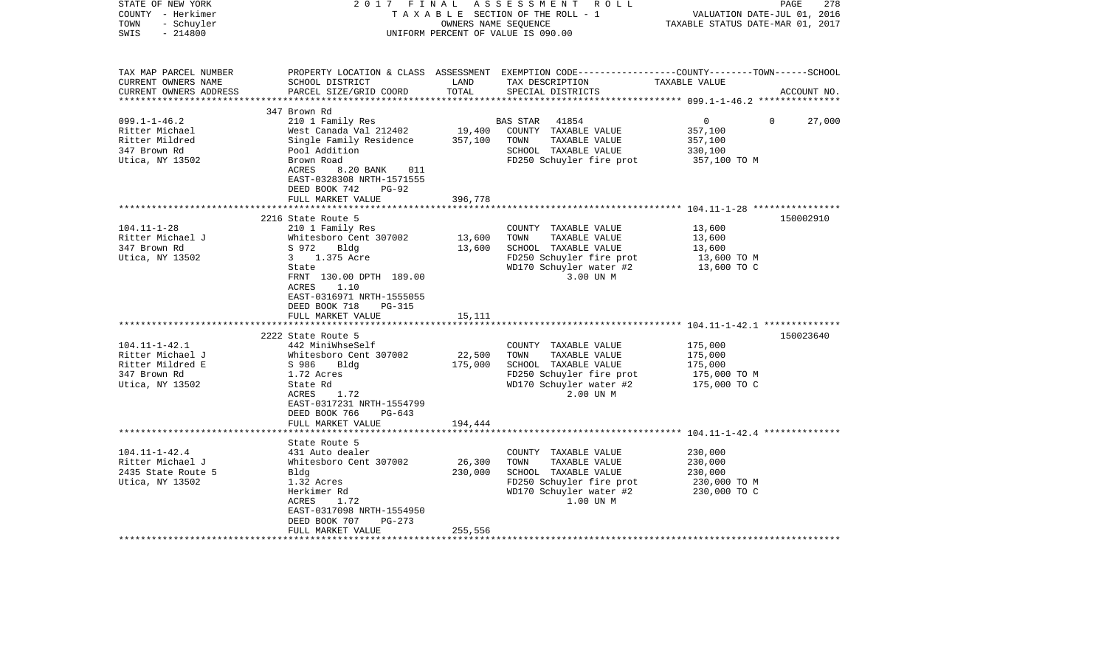| STATE OF NEW YORK<br>COUNTY - Herkimer<br>- Schuyler<br>TOWN<br>$-214800$<br>SWIS |                                                      | OWNERS NAME SEQUENCE | 2017 FINAL ASSESSMENT ROLL<br>TAXABLE SECTION OF THE ROLL - 1<br>UNIFORM PERCENT OF VALUE IS 090.00 | PAGE<br>278<br>VALUATION DATE-JUL 01, 2016<br>TAXABLE STATUS DATE-MAR 01, 2017                                  |
|-----------------------------------------------------------------------------------|------------------------------------------------------|----------------------|-----------------------------------------------------------------------------------------------------|-----------------------------------------------------------------------------------------------------------------|
| TAX MAP PARCEL NUMBER<br>CURRENT OWNERS NAME<br>CURRENT OWNERS ADDRESS            | SCHOOL DISTRICT<br>PARCEL SIZE/GRID COORD            | LAND<br>TOTAL        | TAX DESCRIPTION TAXABLE VALUE<br>SPECIAL DISTRICTS                                                  | PROPERTY LOCATION & CLASS ASSESSMENT EXEMPTION CODE----------------COUNTY-------TOWN------SCHOOL<br>ACCOUNT NO. |
|                                                                                   | 347 Brown Rd                                         |                      |                                                                                                     |                                                                                                                 |
| $099.1 - 1 - 46.2$                                                                | 210 1 Family Res                                     |                      | BAS STAR 41854                                                                                      | $\overline{0}$<br>27,000<br>$\Omega$                                                                            |
| Ritter Michael                                                                    | West Canada Val 212402                               |                      | 19,400 COUNTY TAXABLE VALUE                                                                         | 357,100                                                                                                         |
| Ritter Mildred                                                                    | Single Family Residence 357,100                      |                      | TOWN<br>TAXABLE VALUE                                                                               | 357,100                                                                                                         |
| 347 Brown Rd                                                                      | Pool Addition                                        |                      | SCHOOL TAXABLE VALUE                                                                                | 330,100                                                                                                         |
| Utica, NY 13502                                                                   | Brown Road<br>ACRES<br>8.20 BANK<br>011              |                      | FD250 Schuyler fire prot                                                                            | 357,100 TO M                                                                                                    |
|                                                                                   | EAST-0328308 NRTH-1571555                            |                      |                                                                                                     |                                                                                                                 |
|                                                                                   | DEED BOOK 742<br>$PG-92$                             |                      |                                                                                                     |                                                                                                                 |
|                                                                                   | FULL MARKET VALUE                                    | 396,778              |                                                                                                     |                                                                                                                 |
|                                                                                   |                                                      |                      |                                                                                                     |                                                                                                                 |
|                                                                                   | 2216 State Route 5                                   |                      |                                                                                                     | 150002910                                                                                                       |
| $104.11 - 1 - 28$                                                                 | 210 1 Family Res                                     |                      | COUNTY TAXABLE VALUE                                                                                | 13,600                                                                                                          |
| Ritter Michael J                                                                  | Whitesboro Cent 307002                               | 13,600               | TOWN<br>TAXABLE VALUE                                                                               | 13,600                                                                                                          |
| 347 Brown Rd                                                                      | S 972 Bldg                                           | 13,600               | SCHOOL TAXABLE VALUE                                                                                | 13,600                                                                                                          |
| Utica, NY 13502                                                                   | 3 1.375 Acre                                         |                      | FD250 Schuyler fire prot                                                                            | 13,600 TO M                                                                                                     |
|                                                                                   | State                                                |                      | WD170 Schuyler water #2                                                                             | 13,600 TO C                                                                                                     |
|                                                                                   | FRNT 130.00 DPTH 189.00<br>1.10<br>ACRES             |                      | 3.00 UN M                                                                                           |                                                                                                                 |
|                                                                                   | EAST-0316971 NRTH-1555055                            |                      |                                                                                                     |                                                                                                                 |
|                                                                                   | DEED BOOK 718<br>PG-315                              |                      |                                                                                                     |                                                                                                                 |
|                                                                                   | FULL MARKET VALUE                                    | 15,111               |                                                                                                     |                                                                                                                 |
|                                                                                   |                                                      |                      |                                                                                                     |                                                                                                                 |
|                                                                                   | 2222 State Route 5                                   |                      |                                                                                                     | 150023640                                                                                                       |
| $104.11 - 1 - 42.1$                                                               | 442 MiniWhseSelf                                     |                      | COUNTY TAXABLE VALUE                                                                                | 175,000                                                                                                         |
| Ritter Michael J                                                                  | Whitesboro Cent 307002                               | 22,500               | TOWN<br>TAXABLE VALUE                                                                               | 175,000                                                                                                         |
| Ritter Mildred E                                                                  | S 986<br>Bldg                                        | 175,000              | SCHOOL TAXABLE VALUE                                                                                | 175,000                                                                                                         |
| 347 Brown Rd                                                                      | 1.72 Acres                                           |                      | FD250 Schuyler fire prot                                                                            | 175,000 TO M                                                                                                    |
| Utica, NY 13502                                                                   | State Rd                                             |                      | WD170 Schuyler water #2<br>2.00 UN M                                                                | 175,000 TO C                                                                                                    |
|                                                                                   | ACRES<br>1.72<br>EAST-0317231 NRTH-1554799           |                      |                                                                                                     |                                                                                                                 |
|                                                                                   | DEED BOOK 766<br>PG-643                              |                      |                                                                                                     |                                                                                                                 |
|                                                                                   | FULL MARKET VALUE                                    | 194,444              |                                                                                                     |                                                                                                                 |
|                                                                                   |                                                      |                      |                                                                                                     |                                                                                                                 |
|                                                                                   | State Route 5                                        |                      |                                                                                                     |                                                                                                                 |
| $104.11 - 1 - 42.4$                                                               | 431 Auto dealer                                      |                      | COUNTY TAXABLE VALUE                                                                                | 230,000                                                                                                         |
| Ritter Michael J                                                                  | Whitesboro Cent 307002                               | 26,300               | TOWN<br>TAXABLE VALUE                                                                               | 230,000                                                                                                         |
| 2435 State Route 5                                                                | Bldg                                                 | 230,000              | SCHOOL TAXABLE VALUE                                                                                | 230,000                                                                                                         |
| Utica, NY 13502                                                                   | 1.32 Acres                                           |                      | FD250 Schuyler fire prot                                                                            | 230,000 TO M                                                                                                    |
|                                                                                   | Herkimer Rd                                          |                      | WD170 Schuyler water #2                                                                             | 230,000 TO C                                                                                                    |
|                                                                                   | 1.72<br>ACRES                                        |                      | 1.00 UN M                                                                                           |                                                                                                                 |
|                                                                                   | EAST-0317098 NRTH-1554950<br>DEED BOOK 707<br>PG-273 |                      |                                                                                                     |                                                                                                                 |
|                                                                                   | FULL MARKET VALUE                                    | 255,556              |                                                                                                     |                                                                                                                 |
| ********************                                                              |                                                      |                      |                                                                                                     |                                                                                                                 |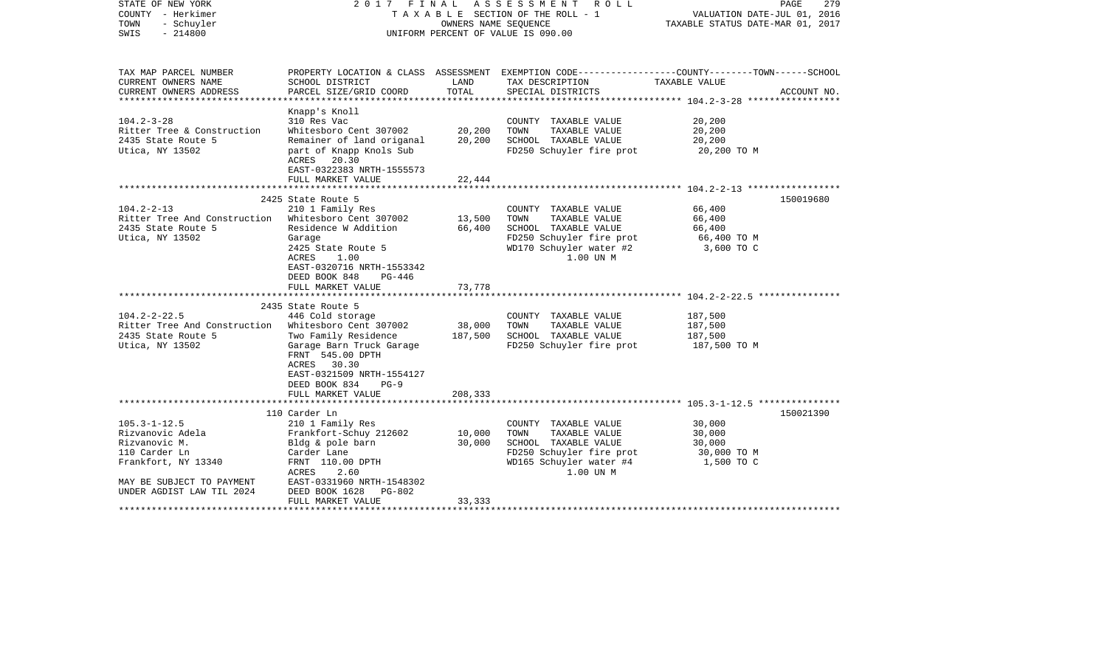| STATE OF NEW YORK<br>COUNTY - Herkimer<br>TOWN<br>- Schuyler<br>$-214800$<br>SWIS                      |                                                                                                                                                                  | OWNERS NAME SEQUENCE | 2017 FINAL ASSESSMENT ROLL<br>TAXABLE SECTION OF THE ROLL - 1<br>UNIFORM PERCENT OF VALUE IS 090.00               | PAGE<br>279<br>VALUATION DATE-JUL 01, 2016<br>TAXABLE STATUS DATE-MAR 01, 2017                                    |
|--------------------------------------------------------------------------------------------------------|------------------------------------------------------------------------------------------------------------------------------------------------------------------|----------------------|-------------------------------------------------------------------------------------------------------------------|-------------------------------------------------------------------------------------------------------------------|
| TAX MAP PARCEL NUMBER<br>CURRENT OWNERS NAME                                                           | SCHOOL DISTRICT                                                                                                                                                  | LAND                 | TAX DESCRIPTION                                                                                                   | PROPERTY LOCATION & CLASS ASSESSMENT EXEMPTION CODE----------------COUNTY-------TOWN------SCHOOL<br>TAXABLE VALUE |
| CURRENT OWNERS ADDRESS                                                                                 | PARCEL SIZE/GRID COORD                                                                                                                                           | TOTAL                | SPECIAL DISTRICTS                                                                                                 | ACCOUNT NO.                                                                                                       |
|                                                                                                        | Knapp's Knoll                                                                                                                                                    |                      |                                                                                                                   |                                                                                                                   |
| $104.2 - 3 - 28$<br>Ritter Tree & Construction<br>2435 State Route 5                                   | 310 Res Vac<br>Whitesboro Cent 307002<br>Remainer of land origanal                                                                                               | 20,200<br>20,200     | COUNTY TAXABLE VALUE<br>TOWN<br>TAXABLE VALUE<br>SCHOOL TAXABLE VALUE                                             | 20,200<br>20,200<br>20,200                                                                                        |
| Utica, NY 13502                                                                                        | part of Knapp Knols Sub<br>ACRES 20.30<br>EAST-0322383 NRTH-1555573                                                                                              |                      | FD250 Schuyler fire prot                                                                                          | 20,200 TO M                                                                                                       |
|                                                                                                        | FULL MARKET VALUE                                                                                                                                                | 22,444               |                                                                                                                   |                                                                                                                   |
|                                                                                                        |                                                                                                                                                                  |                      |                                                                                                                   |                                                                                                                   |
| $104.2 - 2 - 13$                                                                                       | 2425 State Route 5<br>210 1 Family Res                                                                                                                           |                      | COUNTY TAXABLE VALUE                                                                                              | 150019680<br>66,400                                                                                               |
| Ritter Tree And Construction Whitesboro Cent 307002                                                    |                                                                                                                                                                  | 13,500               | TOWN TAXABLE VALUE                                                                                                | 66,400                                                                                                            |
| 2435 State Route 5                                                                                     | Residence W Addition 66,400                                                                                                                                      |                      | SCHOOL TAXABLE VALUE                                                                                              | 66,400                                                                                                            |
| Utica, NY 13502                                                                                        | Garage<br>2425 State Route 5<br>1.00<br>ACRES<br>EAST-0320716 NRTH-1553342<br>DEED BOOK 848<br>PG-446                                                            |                      | FD250 Schuyler fire prot<br>WD170 Schuyler water #2<br>1.00 UN M                                                  | 66,400 TO M<br>3,600 TO C                                                                                         |
|                                                                                                        | FULL MARKET VALUE                                                                                                                                                | 73,778               |                                                                                                                   |                                                                                                                   |
|                                                                                                        | 2435 State Route 5                                                                                                                                               |                      |                                                                                                                   |                                                                                                                   |
| $104.2 - 2 - 22.5$                                                                                     | 446 Cold storage                                                                                                                                                 |                      | COUNTY TAXABLE VALUE                                                                                              | 187,500                                                                                                           |
| Ritter Tree And Construction Whitesboro Cent 307002                                                    |                                                                                                                                                                  | 38,000               | TOWN<br>TAXABLE VALUE                                                                                             | 187,500                                                                                                           |
| 2435 State Route 5<br>Utica, NY 13502                                                                  | Two Family Residence<br>Garage Barn Truck Garage<br>FRNT 545.00 DPTH<br>ACRES 30.30<br>EAST-0321509 NRTH-1554127<br>DEED BOOK 834<br>$PG-9$<br>FULL MARKET VALUE | 187,500<br>208,333   | SCHOOL TAXABLE VALUE<br>FD250 Schuyler fire prot 187,500 TO M                                                     | 187,500                                                                                                           |
|                                                                                                        |                                                                                                                                                                  |                      |                                                                                                                   |                                                                                                                   |
| $105.3 - 1 - 12.5$                                                                                     | 110 Carder Ln<br>210 1 Family Res                                                                                                                                |                      | COUNTY TAXABLE VALUE                                                                                              | 150021390<br>30,000                                                                                               |
| Rizvanovic Adela<br>Rizvanovic M.<br>110 Carder Ln<br>Frankfort, NY 13340<br>MAY BE SUBJECT TO PAYMENT | Frankfort-Schuy 212602<br>Bldg & pole barn<br>Carder Lane<br>FRNT 110.00 DPTH<br>ACRES<br>2.60<br>EAST-0331960 NRTH-1548302                                      | 10,000<br>30,000     | TAXABLE VALUE<br>TOWN<br>SCHOOL TAXABLE VALUE<br>FD250 Schuyler fire prot<br>WD165 Schuyler water #4<br>1.00 UN M | 30,000<br>30,000<br>30,000 TO M<br>1,500 TO C                                                                     |
| UNDER AGDIST LAW TIL 2024                                                                              | $PG-802$<br>DEED BOOK 1628<br>FULL MARKET VALUE                                                                                                                  | 33,333               |                                                                                                                   |                                                                                                                   |
|                                                                                                        |                                                                                                                                                                  |                      |                                                                                                                   |                                                                                                                   |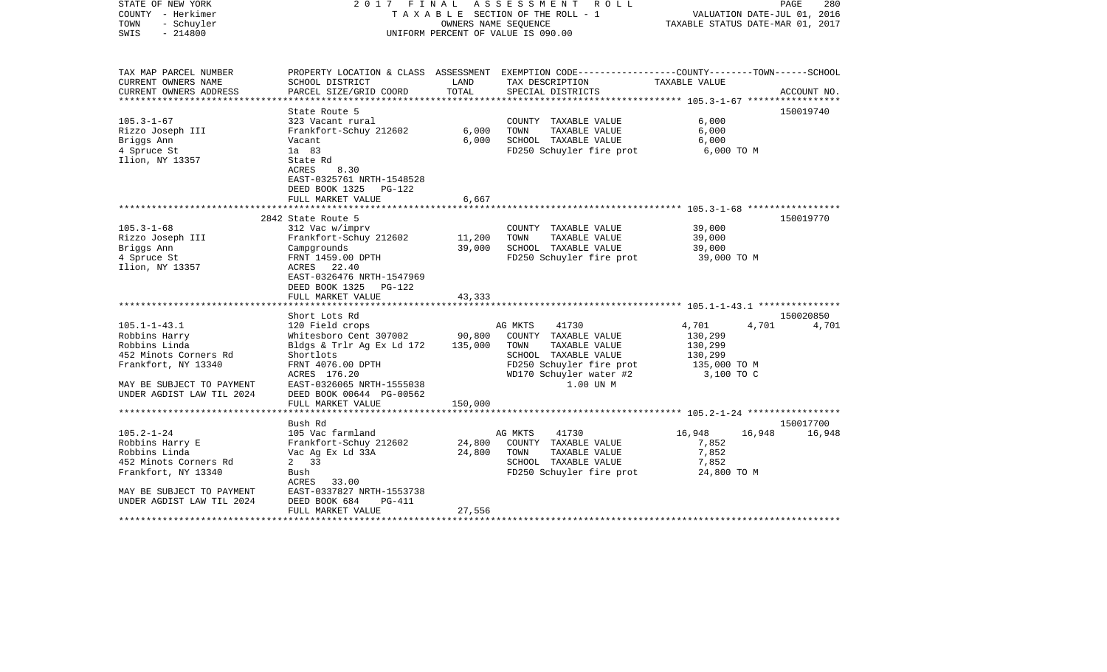| STATE OF NEW YORK<br>COUNTY - Herkimer<br>TOWN<br>- Schuyler<br>$-214800$<br>SWIS |                                            |         | 2017 FINAL ASSESSMENT ROLL<br>TAXABLE SECTION OF THE ROLL - 1<br>OWNERS NAME SEOUENCE<br>UNIFORM PERCENT OF VALUE IS 090.00 |                | PAGE<br>280<br>VALUATION DATE-JUL 01, 2016<br>TAXABLE STATUS DATE-MAR 01, 2017 |
|-----------------------------------------------------------------------------------|--------------------------------------------|---------|-----------------------------------------------------------------------------------------------------------------------------|----------------|--------------------------------------------------------------------------------|
| TAX MAP PARCEL NUMBER<br>CURRENT OWNERS NAME                                      | SCHOOL DISTRICT                            | LAND    | PROPERTY LOCATION & CLASS ASSESSMENT EXEMPTION CODE---------------COUNTY-------TOWN------SCHOOL<br>TAX DESCRIPTION          | TAXABLE VALUE  |                                                                                |
| CURRENT OWNERS ADDRESS                                                            | PARCEL SIZE/GRID COORD                     | TOTAL   | SPECIAL DISTRICTS                                                                                                           |                | ACCOUNT NO.                                                                    |
|                                                                                   |                                            |         |                                                                                                                             |                |                                                                                |
|                                                                                   | State Route 5                              |         |                                                                                                                             |                | 150019740                                                                      |
| $105.3 - 1 - 67$                                                                  | 323 Vacant rural<br>Frankfort-Schuy 212602 | 6,000   | COUNTY TAXABLE VALUE<br>TOWN                                                                                                | 6,000          |                                                                                |
| Rizzo Joseph III<br>Briggs Ann                                                    | Vacant                                     | 6,000   | TAXABLE VALUE<br>SCHOOL TAXABLE VALUE                                                                                       | 6,000<br>6,000 |                                                                                |
| 4 Spruce St                                                                       | 1a 83                                      |         | FD250 Schuyler fire prot                                                                                                    | 6,000 TO M     |                                                                                |
| Ilion, NY 13357                                                                   | State Rd                                   |         |                                                                                                                             |                |                                                                                |
|                                                                                   | ACRES<br>8.30                              |         |                                                                                                                             |                |                                                                                |
|                                                                                   | EAST-0325761 NRTH-1548528                  |         |                                                                                                                             |                |                                                                                |
|                                                                                   | DEED BOOK 1325 PG-122                      |         |                                                                                                                             |                |                                                                                |
|                                                                                   | FULL MARKET VALUE                          | 6,667   |                                                                                                                             |                |                                                                                |
|                                                                                   | *****************************              |         |                                                                                                                             |                |                                                                                |
|                                                                                   | 2842 State Route 5                         |         |                                                                                                                             |                | 150019770                                                                      |
| $105.3 - 1 - 68$                                                                  | 312 Vac w/imprv                            |         | COUNTY TAXABLE VALUE                                                                                                        | 39,000         |                                                                                |
| Rizzo Joseph III                                                                  | Frankfort-Schuy 212602                     | 11,200  | TOWN<br>TAXABLE VALUE                                                                                                       | 39,000         |                                                                                |
| Briggs Ann                                                                        | Campgrounds                                | 39,000  | SCHOOL TAXABLE VALUE                                                                                                        | 39,000         |                                                                                |
| 4 Spruce St                                                                       | FRNT 1459.00 DPTH                          |         | FD250 Schuyler fire prot                                                                                                    | 39,000 TO M    |                                                                                |
| Ilion, NY 13357                                                                   | ACRES 22.40                                |         |                                                                                                                             |                |                                                                                |
|                                                                                   | EAST-0326476 NRTH-1547969                  |         |                                                                                                                             |                |                                                                                |
|                                                                                   | DEED BOOK 1325 PG-122                      |         |                                                                                                                             |                |                                                                                |
|                                                                                   | FULL MARKET VALUE                          | 43,333  |                                                                                                                             |                |                                                                                |
|                                                                                   |                                            |         |                                                                                                                             |                | 150020850                                                                      |
| $105.1 - 1 - 43.1$                                                                | Short Lots Rd<br>120 Field crops           |         | 41730<br>AG MKTS                                                                                                            | 4,701          | 4,701<br>4,701                                                                 |
| Robbins Harry                                                                     | Whitesboro Cent 307002 90,800              |         | COUNTY TAXABLE VALUE                                                                                                        | 130,299        |                                                                                |
| Robbins Linda                                                                     | Bldgs & Trlr Ag Ex Ld 172                  | 135,000 | TOWN<br>TAXABLE VALUE                                                                                                       | 130,299        |                                                                                |
| 452 Minots Corners Rd                                                             | Shortlots                                  |         | SCHOOL TAXABLE VALUE                                                                                                        | 130,299        |                                                                                |
| Frankfort, NY 13340                                                               | FRNT 4076.00 DPTH                          |         |                                                                                                                             | 135,000 TO M   |                                                                                |
|                                                                                   | ACRES 176.20                               |         | $FD250$ Schuyler fire prot<br>WD170 Schuyler water #2                                                                       | 3,100 TO C     |                                                                                |
| MAY BE SUBJECT TO PAYMENT                                                         | EAST-0326065 NRTH-1555038                  |         | 1.00 UN M                                                                                                                   |                |                                                                                |
| UNDER AGDIST LAW TIL 2024                                                         | DEED BOOK 00644 PG-00562                   |         |                                                                                                                             |                |                                                                                |
|                                                                                   | FULL MARKET VALUE                          | 150,000 |                                                                                                                             |                |                                                                                |
|                                                                                   |                                            |         |                                                                                                                             |                |                                                                                |
|                                                                                   | Bush Rd                                    |         |                                                                                                                             |                | 150017700                                                                      |
| $105.2 - 1 - 24$                                                                  | 105 Vac farmland                           |         | AG MKTS<br>41730                                                                                                            | 16,948         | 16,948 16,948                                                                  |
| Robbins Harry E                                                                   | Frankfort-Schuy 212602                     | 24,800  | COUNTY TAXABLE VALUE                                                                                                        | 7,852          |                                                                                |
| Robbins Linda                                                                     | Vac Ag Ex Ld 33A                           | 24,800  | TOWN<br>TAXABLE VALUE                                                                                                       | 7,852          |                                                                                |
| 452 Minots Corners Rd                                                             | 2 33                                       |         | SCHOOL TAXABLE VALUE                                                                                                        | 7,852          |                                                                                |
| Frankfort, NY 13340                                                               | Bush                                       |         | FD250 Schuyler fire prot                                                                                                    | 24,800 TO M    |                                                                                |
|                                                                                   | ACRES 33.00                                |         |                                                                                                                             |                |                                                                                |
| MAY BE SUBJECT TO PAYMENT                                                         | EAST-0337827 NRTH-1553738                  |         |                                                                                                                             |                |                                                                                |
| UNDER AGDIST LAW TIL 2024                                                         | DEED BOOK 684<br>PG-411                    |         |                                                                                                                             |                |                                                                                |
| *******************                                                               | FULL MARKET VALUE                          | 27,556  |                                                                                                                             |                |                                                                                |
|                                                                                   |                                            |         |                                                                                                                             |                |                                                                                |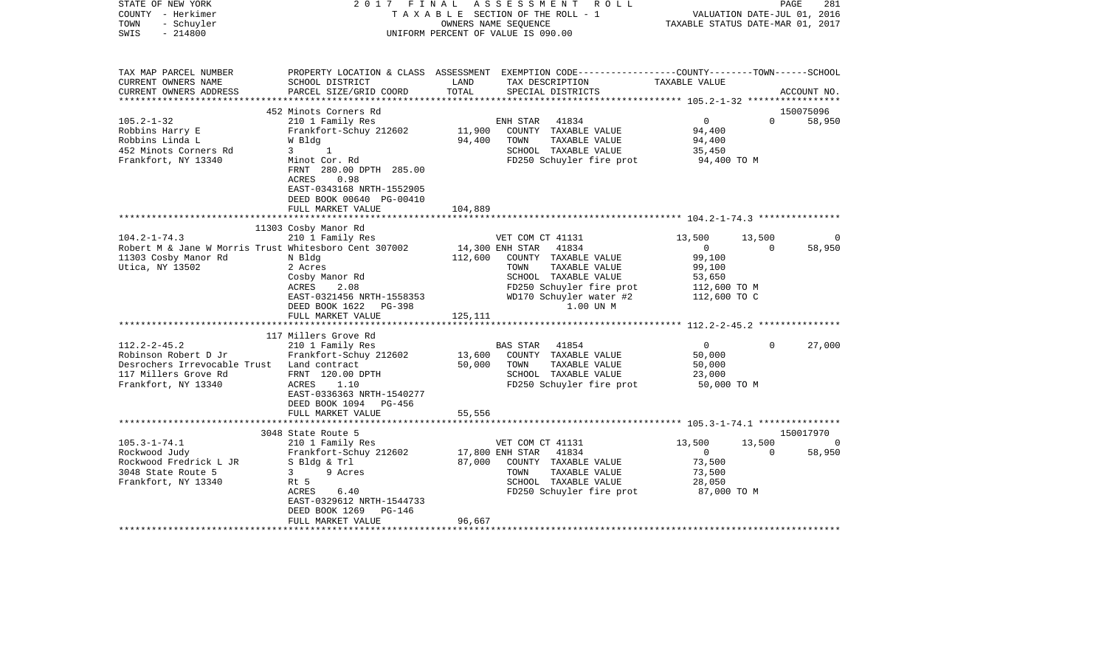| STATE OF NEW YORK<br>COUNTY - Herkimer<br>- Schuyler<br>TOWN<br>$-214800$<br>SWIS                                                       | 2017 FINAL                                                                                                                                                                                                                           |                            | ASSESSMENT<br>R O L L<br>TAXABLE SECTION OF THE ROLL - 1<br>OWNERS NAME SEQUENCE<br>UNIFORM PERCENT OF VALUE IS 090.00                                                                    | TAXABLE STATUS DATE-MAR 01, 2017                                                       | PAGE<br>VALUATION DATE-JUL 01, 2016 | 281                             |
|-----------------------------------------------------------------------------------------------------------------------------------------|--------------------------------------------------------------------------------------------------------------------------------------------------------------------------------------------------------------------------------------|----------------------------|-------------------------------------------------------------------------------------------------------------------------------------------------------------------------------------------|----------------------------------------------------------------------------------------|-------------------------------------|---------------------------------|
| TAX MAP PARCEL NUMBER<br>CURRENT OWNERS NAME<br>CURRENT OWNERS ADDRESS                                                                  | SCHOOL DISTRICT<br>PARCEL SIZE/GRID COORD                                                                                                                                                                                            | LAND<br>TOTAL              | PROPERTY LOCATION & CLASS ASSESSMENT EXEMPTION CODE---------------COUNTY-------TOWN------SCHOOL<br>TAX DESCRIPTION<br>SPECIAL DISTRICTS                                                   | TAXABLE VALUE                                                                          |                                     | ACCOUNT NO.                     |
| $105.2 - 1 - 32$<br>Robbins Harry E<br>Robbins Linda L<br>452 Minots Corners Rd<br>Frankfort, NY 13340                                  | 452 Minots Corners Rd<br>210 1 Family Res<br>Frankfort-Schuy 212602<br>W Bldg<br>$3^{\circ}$<br>$\overline{1}$<br>Minot Cor. Rd<br>FRNT 280.00 DPTH 285.00<br>0.98<br>ACRES<br>EAST-0343168 NRTH-1552905<br>DEED BOOK 00640 PG-00410 | 11,900<br>94,400           | ENH STAR<br>41834<br>COUNTY TAXABLE VALUE<br>TAXABLE VALUE<br>TOWN<br>SCHOOL TAXABLE VALUE<br>FD250 Schuyler fire prot                                                                    | $\overline{0}$<br>94,400<br>94,400<br>35,450<br>94,400 TO M                            | $\Omega$                            | 150075096<br>58,950             |
|                                                                                                                                         | FULL MARKET VALUE                                                                                                                                                                                                                    | 104,889                    |                                                                                                                                                                                           |                                                                                        |                                     |                                 |
|                                                                                                                                         | 11303 Cosby Manor Rd                                                                                                                                                                                                                 |                            |                                                                                                                                                                                           |                                                                                        |                                     |                                 |
| $104.2 - 1 - 74.3$<br>Robert M & Jane W Morris Trust Whitesboro Cent 307002<br>11303 Cosby Manor Rd<br>Utica, NY 13502                  | 210 1 Family Res<br>N Bldg<br>2 Acres<br>Cosby Manor Rd<br>ACRES<br>2.08<br>EAST-0321456 NRTH-1558353<br>DEED BOOK 1622<br>PG-398<br>FULL MARKET VALUE                                                                               | 112,600<br>125,111         | VET COM CT 41131<br>14,300 ENH STAR<br>41834<br>COUNTY TAXABLE VALUE<br>TAXABLE VALUE<br>TOWN<br>SCHOOL TAXABLE VALUE<br>FD250 Schuyler fire prot<br>WD170 Schuyler water #2<br>1.00 UN M | 13,500<br>$\overline{0}$<br>99,100<br>99,100<br>53,650<br>112,600 TO M<br>112,600 TO C | 13,500<br>$\Omega$                  | 0<br>58,950                     |
| $112.2 - 2 - 45.2$<br>Robinson Robert D Jr<br>Desrochers Irrevocable Trust Land contract<br>117 Millers Grove Rd<br>Frankfort, NY 13340 | 117 Millers Grove Rd<br>210 1 Family Res<br>Frankfort-Schuy 212602<br>FRNT 120.00 DPTH<br>1.10<br>ACRES<br>EAST-0336363 NRTH-1540277<br>DEED BOOK 1094 PG-456                                                                        | 13,600<br>50,000<br>55,556 | 41854<br>BAS STAR<br>COUNTY TAXABLE VALUE<br>TOWN<br>TAXABLE VALUE<br>SCHOOL TAXABLE VALUE<br>FD250 Schuyler fire prot                                                                    | $\Omega$<br>50,000<br>50,000<br>23,000<br>50,000 TO M                                  | $\Omega$                            | 27,000                          |
|                                                                                                                                         | FULL MARKET VALUE                                                                                                                                                                                                                    |                            |                                                                                                                                                                                           |                                                                                        |                                     |                                 |
| $105.3 - 1 - 74.1$<br>Rockwood Judy<br>Rockwood Fredrick L JR<br>3048 State Route 5<br>Frankfort, NY 13340                              | 3048 State Route 5<br>210 1 Family Res<br>Frankfort-Schuy 212602<br>S Bldg & Trl<br>$3^{\circ}$<br>9 Acres<br>Rt 5<br>6.40<br>ACRES<br>EAST-0329612 NRTH-1544733<br>DEED BOOK 1269<br>$PG-146$                                       | 87,000                     | VET COM CT 41131<br>17,800 ENH STAR<br>41834<br>COUNTY TAXABLE VALUE<br>TOWN<br>TAXABLE VALUE<br>SCHOOL TAXABLE VALUE<br>FD250 Schuyler fire prot                                         | 13,500<br>$\overline{0}$<br>73,500<br>73,500<br>28,050<br>87,000 TO M                  | 13,500<br>$\Omega$                  | 150017970<br>$\Omega$<br>58,950 |
|                                                                                                                                         | FULL MARKET VALUE                                                                                                                                                                                                                    | 96,667                     |                                                                                                                                                                                           |                                                                                        |                                     |                                 |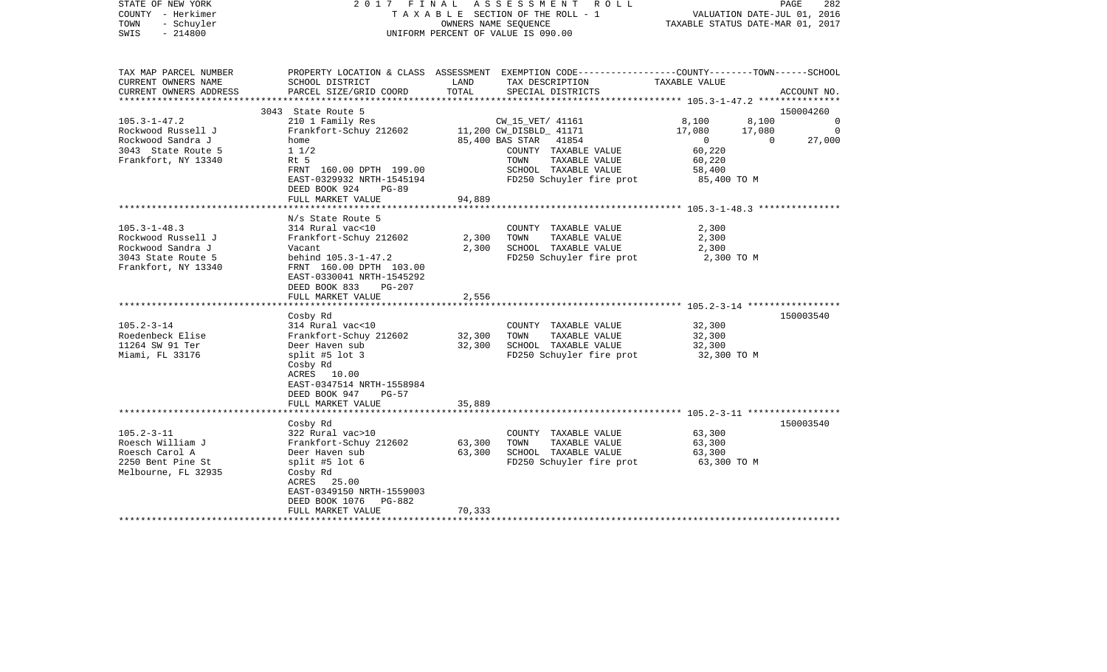| STATE OF NEW YORK<br>COUNTY - Herkimer<br>TOWN<br>- Schuyler<br>$-214800$<br>SWIS |                                                                                                                           | OWNERS NAME SEQUENCE | 2017 FINAL ASSESSMENT ROLL<br>TAXABLE SECTION OF THE ROLL - 1<br>UNIFORM PERCENT OF VALUE IS 090.00                 |                          | PAGE<br>282<br>VALUATION DATE-JUL 01, 2016<br>TAXABLE STATUS DATE-MAR 01, 2017 |
|-----------------------------------------------------------------------------------|---------------------------------------------------------------------------------------------------------------------------|----------------------|---------------------------------------------------------------------------------------------------------------------|--------------------------|--------------------------------------------------------------------------------|
| TAX MAP PARCEL NUMBER<br>CURRENT OWNERS NAME                                      | SCHOOL DISTRICT                                                                                                           | LAND                 | PROPERTY LOCATION & CLASS ASSESSMENT EXEMPTION CODE----------------COUNTY-------TOWN------SCHOOL<br>TAX DESCRIPTION | TAXABLE VALUE            |                                                                                |
| CURRENT OWNERS ADDRESS                                                            | PARCEL SIZE/GRID COORD                                                                                                    | TOTAL                | SPECIAL DISTRICTS                                                                                                   |                          | ACCOUNT NO.                                                                    |
| ***********************                                                           |                                                                                                                           |                      |                                                                                                                     |                          |                                                                                |
|                                                                                   | 3043 State Route 5                                                                                                        |                      |                                                                                                                     |                          | 150004260                                                                      |
| $105.3 - 1 - 47.2$                                                                | 210 1 Family Res                                                                                                          |                      | CW_15_VET/ 41161                                                                                                    | 8,100                    | 8,100<br>$\Omega$<br>$\Omega$                                                  |
| Rockwood Russell J<br>Rockwood Sandra J                                           | Frankfort-Schuy 212602<br>home                                                                                            |                      | 11,200 CW_DISBLD_ 41171<br>85,400 BAS STAR 41854                                                                    | 17,080<br>$\overline{0}$ | 17,080<br>$\mathbf{0}$<br>27,000                                               |
| 3043 State Route 5                                                                | $1 \; 1/2$                                                                                                                |                      | COUNTY TAXABLE VALUE                                                                                                | 60,220                   |                                                                                |
| Frankfort, NY 13340                                                               | Rt 5                                                                                                                      |                      | TOWN<br>TAXABLE VALUE                                                                                               | 60,220                   |                                                                                |
|                                                                                   | FRNT 160.00 DPTH 199.00                                                                                                   |                      | SCHOOL TAXABLE VALUE                                                                                                | 58,400                   |                                                                                |
|                                                                                   | EAST-0329932 NRTH-1545194<br>DEED BOOK 924<br>$PG-89$                                                                     |                      | FD250 Schuyler fire prot                                                                                            | 85,400 TO M              |                                                                                |
|                                                                                   | FULL MARKET VALUE                                                                                                         | 94,889               |                                                                                                                     |                          |                                                                                |
|                                                                                   |                                                                                                                           |                      |                                                                                                                     |                          |                                                                                |
|                                                                                   | N/s State Route 5                                                                                                         |                      |                                                                                                                     |                          |                                                                                |
| $105.3 - 1 - 48.3$                                                                | 314 Rural vac<10                                                                                                          |                      | COUNTY TAXABLE VALUE                                                                                                | 2,300                    |                                                                                |
| Rockwood Russell J                                                                | Frankfort-Schuy 212602                                                                                                    | 2,300                | TAXABLE VALUE<br>TOWN                                                                                               | 2,300                    |                                                                                |
| Rockwood Sandra J<br>3043 State Route 5                                           | Vacant                                                                                                                    | 2,300                | SCHOOL TAXABLE VALUE                                                                                                | 2,300                    |                                                                                |
| Frankfort, NY 13340                                                               | behind 105.3-1-47.2<br>FRNT 160.00 DPTH 103.00<br>EAST-0330041 NRTH-1545292<br>DEED BOOK 833<br>$PG-207$                  |                      | FD250 Schuyler fire prot                                                                                            | 2,300 TO M               |                                                                                |
|                                                                                   | FULL MARKET VALUE                                                                                                         | 2,556                |                                                                                                                     |                          |                                                                                |
|                                                                                   |                                                                                                                           |                      |                                                                                                                     |                          |                                                                                |
|                                                                                   | Cosby Rd                                                                                                                  |                      |                                                                                                                     |                          | 150003540                                                                      |
| $105.2 - 3 - 14$                                                                  | 314 Rural vac<10                                                                                                          |                      | COUNTY TAXABLE VALUE                                                                                                | 32,300                   |                                                                                |
| Roedenbeck Elise                                                                  | Frankfort-Schuy 212602                                                                                                    | 32,300               | TOWN<br>TAXABLE VALUE                                                                                               | 32,300                   |                                                                                |
| 11264 SW 91 Ter                                                                   | Deer Haven sub                                                                                                            | 32,300               | SCHOOL TAXABLE VALUE                                                                                                | 32,300                   |                                                                                |
| Miami, FL 33176                                                                   | split #5 lot $3$<br>Cosby Rd<br>ACRES 10.00<br>EAST-0347514 NRTH-1558984<br>DEED BOOK 947<br>$PG-57$<br>FULL MARKET VALUE | 35,889               | FD250 Schuyler fire prot                                                                                            | 32,300 TO M              |                                                                                |
|                                                                                   |                                                                                                                           | ********             | ************************** 105.2-3-11 ******************                                                            |                          |                                                                                |
|                                                                                   | Cosby Rd                                                                                                                  |                      |                                                                                                                     |                          | 150003540                                                                      |
| $105.2 - 3 - 11$                                                                  | 322 Rural vac>10                                                                                                          |                      | COUNTY TAXABLE VALUE                                                                                                | 63,300                   |                                                                                |
| Roesch William J                                                                  | Frankfort-Schuy 212602                                                                                                    | 63,300               | TOWN<br>TAXABLE VALUE                                                                                               | 63,300                   |                                                                                |
| Roesch Carol A                                                                    | Deer Haven sub                                                                                                            | 63,300               | SCHOOL TAXABLE VALUE                                                                                                | 63,300                   |                                                                                |
| 2250 Bent Pine St                                                                 | split #5 lot $6$                                                                                                          |                      | FD250 Schuyler fire prot                                                                                            | 63,300 TO M              |                                                                                |
| Melbourne, FL 32935                                                               | Cosby Rd<br>ACRES 25.00<br>EAST-0349150 NRTH-1559003                                                                      |                      |                                                                                                                     |                          |                                                                                |
|                                                                                   | DEED BOOK 1076 PG-882                                                                                                     |                      |                                                                                                                     |                          |                                                                                |
|                                                                                   | FULL MARKET VALUE                                                                                                         | 70,333               |                                                                                                                     |                          |                                                                                |
|                                                                                   |                                                                                                                           |                      |                                                                                                                     |                          |                                                                                |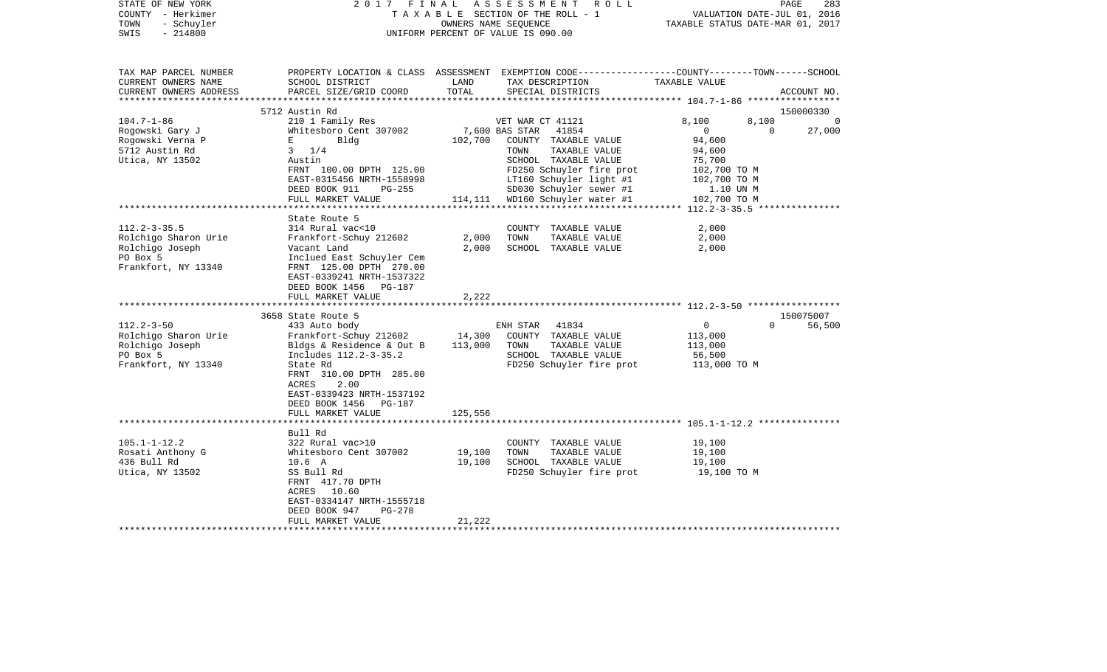| STATE OF NEW YORK<br>COUNTY - Herkimer<br>- Schuyler<br>TOWN<br>$-214800$<br>SWIS                | 2017 FINAL                                                                                                                                                                                                                        |                                | A S S E S S M E N T R O L L<br>TAXABLE SECTION OF THE ROLL - 1<br>OWNERS NAME SEOUENCE<br>UNIFORM PERCENT OF VALUE IS 090.00                                                | VALUATION DATE-JUL 01, 2016<br>TAXABLE STATUS DATE-MAR 01, 2017                                                | PAGE<br>283         |
|--------------------------------------------------------------------------------------------------|-----------------------------------------------------------------------------------------------------------------------------------------------------------------------------------------------------------------------------------|--------------------------------|-----------------------------------------------------------------------------------------------------------------------------------------------------------------------------|----------------------------------------------------------------------------------------------------------------|---------------------|
| TAX MAP PARCEL NUMBER<br>CURRENT OWNERS NAME<br>CURRENT OWNERS ADDRESS<br>*********************  | SCHOOL DISTRICT<br>PARCEL SIZE/GRID COORD                                                                                                                                                                                         | LAND<br>TOTAL                  | PROPERTY LOCATION & CLASS ASSESSMENT EXEMPTION CODE----------------COUNTY-------TOWN------SCHOOL<br>TAX DESCRIPTION<br>SPECIAL DISTRICTS                                    | TAXABLE VALUE                                                                                                  | ACCOUNT NO.         |
|                                                                                                  | 5712 Austin Rd                                                                                                                                                                                                                    |                                |                                                                                                                                                                             |                                                                                                                | 150000330           |
| $104.7 - 1 - 86$<br>Rogowski Gary J<br>Rogowski Verna P<br>5712 Austin Rd<br>Utica, NY 13502     | 210 1 Family Res<br>Whitesboro Cent 307002<br>$\mathbf{E}$ and $\mathbf{E}$<br>Bldg<br>$3 \frac{1}{4}$<br>Austin<br>FRNT 100.00 DPTH 125.00<br>EAST-0315456 NRTH-1558998                                                          | 102,700                        | VET WAR CT 41121<br>7,600 BAS STAR<br>41854<br>COUNTY TAXABLE VALUE<br>TAXABLE VALUE<br>TOWN<br>SCHOOL TAXABLE VALUE<br>FD250 Schuyler fire prot<br>LT160 Schuyler light #1 | 8,100<br>8,100<br>$\overline{0}$<br>$\mathbf{0}$<br>94,600<br>94,600<br>75,700<br>102,700 TO M<br>102,700 TO M | $\Omega$<br>27,000  |
|                                                                                                  | DEED BOOK 911<br>PG-255<br>FULL MARKET VALUE                                                                                                                                                                                      |                                | SD030 Schuyler sewer #1<br>WD160 Schuyler water #1                                                                                                                          | 1.10 UN M                                                                                                      |                     |
|                                                                                                  |                                                                                                                                                                                                                                   | 114,111<br>* * * * * * * * * * | ********************************* 112.2-3-35.5 **************                                                                                                               | 102,700 TO M                                                                                                   |                     |
| $112.2 - 3 - 35.5$<br>Rolchigo Sharon Urie<br>Rolchigo Joseph<br>PO Box 5<br>Frankfort, NY 13340 | State Route 5<br>314 Rural vac<10<br>Frankfort-Schuy 212602<br>Vacant Land<br>Inclued East Schuyler Cem<br>FRNT 125.00 DPTH 270.00<br>EAST-0339241 NRTH-1537322<br>DEED BOOK 1456 PG-187<br>FULL MARKET VALUE                     | 2,000<br>2,000<br>2,222        | COUNTY TAXABLE VALUE<br>TOWN<br>TAXABLE VALUE<br>SCHOOL TAXABLE VALUE                                                                                                       | 2,000<br>2,000<br>2,000                                                                                        |                     |
|                                                                                                  | *************************                                                                                                                                                                                                         |                                |                                                                                                                                                                             |                                                                                                                |                     |
| $112.2 - 3 - 50$<br>Rolchigo Sharon Urie<br>Rolchigo Joseph<br>PO Box 5<br>Frankfort, NY 13340   | 3658 State Route 5<br>433 Auto body<br>Frankfort-Schuy 212602<br>Bldgs & Residence & Out B<br>Includes 112.2-3-35.2<br>State Rd<br>FRNT 310.00 DPTH 285.00<br>ACRES<br>2.00<br>EAST-0339423 NRTH-1537192<br>DEED BOOK 1456 PG-187 | 14,300<br>113,000              | ENH STAR 41834<br>COUNTY TAXABLE VALUE<br>TOWN<br>TAXABLE VALUE<br>SCHOOL TAXABLE VALUE<br>FD250 Schuyler fire prot                                                         | $\Omega$<br>$\overline{0}$<br>113,000<br>113,000<br>56,500<br>113,000 TO M                                     | 150075007<br>56,500 |
|                                                                                                  | FULL MARKET VALUE<br>***********************                                                                                                                                                                                      | 125,556<br>*************       |                                                                                                                                                                             |                                                                                                                |                     |
|                                                                                                  | Bull Rd                                                                                                                                                                                                                           |                                |                                                                                                                                                                             |                                                                                                                |                     |
| $105.1 - 1 - 12.2$<br>Rosati Anthony G<br>436 Bull Rd<br>Utica, NY 13502                         | 322 Rural vac>10<br>Whitesboro Cent 307002<br>$10.6\quad A$<br>SS Bull Rd<br>FRNT 417.70 DPTH<br>ACRES 10.60<br>EAST-0334147 NRTH-1555718<br>DEED BOOK 947<br>PG-278                                                              | 19,100<br>19,100               | COUNTY TAXABLE VALUE<br>TOWN<br>TAXABLE VALUE<br>SCHOOL TAXABLE VALUE<br>FD250 Schuyler fire prot                                                                           | 19,100<br>19,100<br>19,100<br>19,100 TO M                                                                      |                     |
|                                                                                                  | FULL MARKET VALUE                                                                                                                                                                                                                 | 21,222                         |                                                                                                                                                                             |                                                                                                                |                     |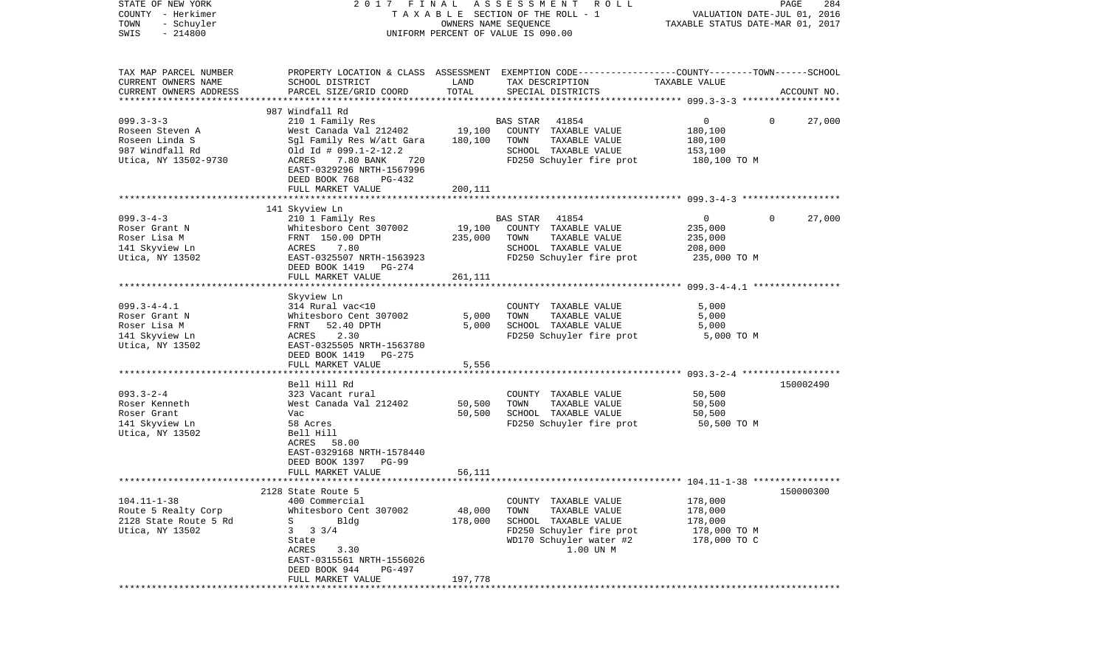| STATE OF NEW YORK<br>COUNTY - Herkimer | 2017 FINAL                                           |                      | A S S E S S M E N T<br>R O L L                                                                  |                                  | PAGE<br>284                 |
|----------------------------------------|------------------------------------------------------|----------------------|-------------------------------------------------------------------------------------------------|----------------------------------|-----------------------------|
|                                        |                                                      |                      | TAXABLE SECTION OF THE ROLL - 1                                                                 |                                  | VALUATION DATE-JUL 01, 2016 |
| TOWN<br>- Schuyler                     |                                                      | OWNERS NAME SEQUENCE |                                                                                                 | TAXABLE STATUS DATE-MAR 01, 2017 |                             |
| $-214800$<br>SWIS                      |                                                      |                      | UNIFORM PERCENT OF VALUE IS 090.00                                                              |                                  |                             |
| TAX MAP PARCEL NUMBER                  |                                                      |                      | PROPERTY LOCATION & CLASS ASSESSMENT EXEMPTION CODE---------------COUNTY-------TOWN------SCHOOL |                                  |                             |
| CURRENT OWNERS NAME                    | SCHOOL DISTRICT                                      | LAND                 | TAX DESCRIPTION                                                                                 | TAXABLE VALUE                    |                             |
| CURRENT OWNERS ADDRESS                 | PARCEL SIZE/GRID COORD                               | TOTAL                | SPECIAL DISTRICTS                                                                               |                                  | ACCOUNT NO.                 |
| *************************              |                                                      |                      |                                                                                                 |                                  |                             |
|                                        | 987 Windfall Rd                                      |                      |                                                                                                 |                                  |                             |
| $099.3 - 3 - 3$                        | 210 1 Family Res                                     |                      | 41854<br><b>BAS STAR</b>                                                                        | 0                                | 27,000<br>$\mathbf{0}$      |
| Roseen Steven A                        | West Canada Val 212402                               | 19,100               | COUNTY TAXABLE VALUE                                                                            | 180,100                          |                             |
| Roseen Linda S                         | Sgl Family Res W/att Gara                            | 180,100              | TOWN<br>TAXABLE VALUE                                                                           | 180,100                          |                             |
| 987 Windfall Rd                        | $old Id # 099.1-2-12.2$                              |                      | SCHOOL TAXABLE VALUE                                                                            | 153,100                          |                             |
| Utica, NY 13502-9730                   | ACRES<br>7.80 BANK<br>720                            |                      | FD250 Schuyler fire prot                                                                        | 180,100 TO M                     |                             |
|                                        | EAST-0329296 NRTH-1567996<br>DEED BOOK 768<br>PG-432 |                      |                                                                                                 |                                  |                             |
|                                        | FULL MARKET VALUE                                    | 200,111              |                                                                                                 |                                  |                             |
|                                        |                                                      |                      |                                                                                                 |                                  |                             |
|                                        | 141 Skyview Ln                                       |                      |                                                                                                 |                                  |                             |
| $099.3 - 4 - 3$                        | 210 1 Family Res                                     |                      | <b>BAS STAR</b><br>41854                                                                        | $\overline{0}$                   | 27,000<br>$\Omega$          |
| Roser Grant N                          | Whitesboro Cent 307002                               | 19,100               | COUNTY TAXABLE VALUE                                                                            | 235,000                          |                             |
| Roser Lisa M                           | FRNT 150.00 DPTH                                     | 235,000              | TOWN<br>TAXABLE VALUE                                                                           | 235,000                          |                             |
| 141 Skyview Ln                         | 7.80<br>ACRES                                        |                      | SCHOOL TAXABLE VALUE                                                                            | 208,000                          |                             |
| Utica, NY 13502                        | EAST-0325507 NRTH-1563923                            |                      | FD250 Schuyler fire prot                                                                        | 235,000 TO M                     |                             |
|                                        | DEED BOOK 1419 PG-274                                |                      |                                                                                                 |                                  |                             |
|                                        | FULL MARKET VALUE                                    | 261,111              |                                                                                                 |                                  |                             |
|                                        |                                                      |                      |                                                                                                 |                                  |                             |
|                                        | Skyview Ln                                           |                      |                                                                                                 |                                  |                             |
| $099.3 - 4 - 4.1$                      | 314 Rural vac<10                                     |                      | COUNTY TAXABLE VALUE                                                                            | 5,000                            |                             |
| Roser Grant N                          | Whitesboro Cent 307002                               | 5,000                | TOWN<br>TAXABLE VALUE                                                                           | 5,000                            |                             |
| Roser Lisa M                           | 52.40 DPTH<br>FRNT                                   | 5,000                | SCHOOL TAXABLE VALUE                                                                            | 5,000                            |                             |
| 141 Skyview Ln                         | 2.30<br>ACRES                                        |                      | FD250 Schuyler fire prot                                                                        | 5,000 TO M                       |                             |
| Utica, NY 13502                        | EAST-0325505 NRTH-1563780                            |                      |                                                                                                 |                                  |                             |
|                                        | DEED BOOK 1419<br>PG-275                             |                      |                                                                                                 |                                  |                             |
|                                        | FULL MARKET VALUE                                    | 5,556                |                                                                                                 |                                  |                             |
|                                        |                                                      |                      |                                                                                                 |                                  |                             |
|                                        | Bell Hill Rd                                         |                      |                                                                                                 |                                  | 150002490                   |
| $093.3 - 2 - 4$                        | 323 Vacant rural                                     |                      | COUNTY TAXABLE VALUE                                                                            | 50,500                           |                             |
| Roser Kenneth                          | West Canada Val 212402                               | 50,500               | TAXABLE VALUE<br>TOWN                                                                           | 50,500                           |                             |
| Roser Grant                            | Vac                                                  | 50,500               | SCHOOL TAXABLE VALUE                                                                            | 50,500                           |                             |
| 141 Skyview Ln                         | 58 Acres                                             |                      | FD250 Schuyler fire prot                                                                        | 50,500 TO M                      |                             |
| Utica, NY 13502                        | Bell Hill                                            |                      |                                                                                                 |                                  |                             |
|                                        | ACRES 58.00                                          |                      |                                                                                                 |                                  |                             |
|                                        | EAST-0329168 NRTH-1578440                            |                      |                                                                                                 |                                  |                             |
|                                        | DEED BOOK 1397<br>PG-99                              |                      |                                                                                                 |                                  |                             |
|                                        | FULL MARKET VALUE                                    | 56,111               |                                                                                                 |                                  |                             |
|                                        |                                                      |                      |                                                                                                 |                                  |                             |
| $104.11 - 1 - 38$                      | 2128 State Route 5<br>400 Commercial                 |                      | COUNTY TAXABLE VALUE                                                                            | 178,000                          | 150000300                   |
| Route 5 Realty Corp                    | Whitesboro Cent 307002                               | 48,000               | TAXABLE VALUE<br>TOWN                                                                           | 178,000                          |                             |
| 2128 State Route 5 Rd                  | Bldg<br>S                                            | 178,000              | SCHOOL TAXABLE VALUE                                                                            | 178,000                          |                             |
|                                        | $3 \frac{3}{4}$<br>3                                 |                      | FD250 Schuyler fire prot                                                                        |                                  |                             |
| Utica, NY 13502                        |                                                      |                      |                                                                                                 | 178,000 TO M                     |                             |
|                                        | State                                                |                      | WD170 Schuyler water #2                                                                         | 178,000 TO C                     |                             |
|                                        | ACRES<br>3.30                                        |                      | 1.00 UN M                                                                                       |                                  |                             |
|                                        | EAST-0315561 NRTH-1556026                            |                      |                                                                                                 |                                  |                             |
|                                        | DEED BOOK 944<br>PG-497                              |                      |                                                                                                 |                                  |                             |
| ***********                            | FULL MARKET VALUE                                    | 197,778              |                                                                                                 |                                  |                             |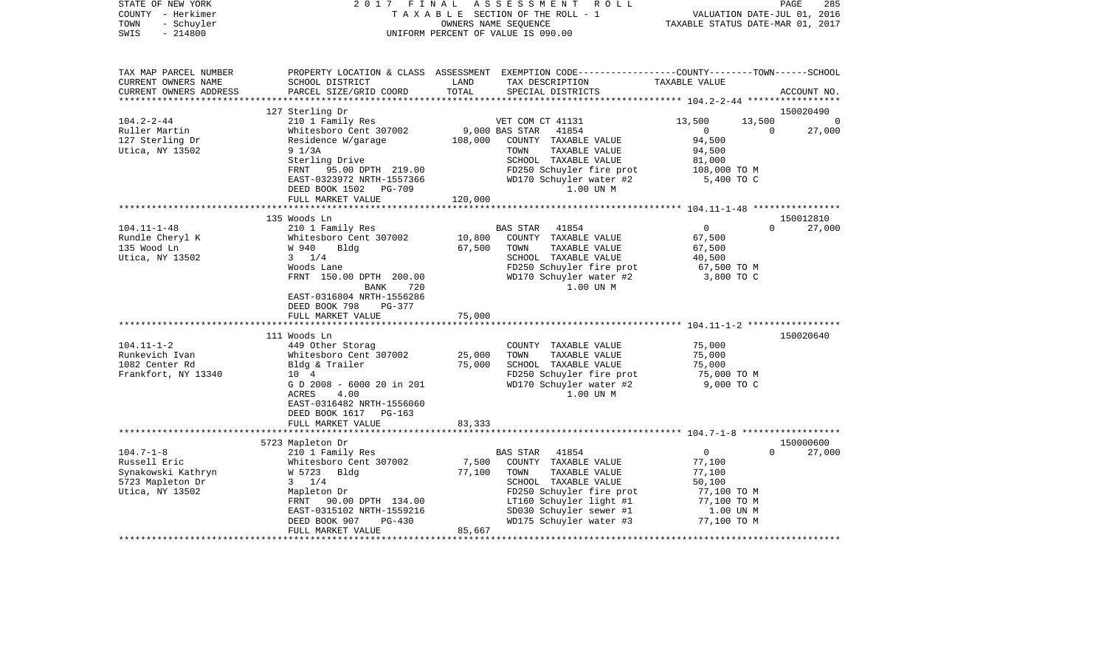| STATE OF NEW YORK<br>COUNTY - Herkimer<br>- Schuyler<br>TOWN<br>$-214800$<br>SWIS                                                                     | 2017 FINAL                                                                                                                                                                                                                                                                                                                                                                                              |                                      | A S S E S S M E N T R O L L<br>TAXABLE SECTION OF THE ROLL - 1<br>OWNERS NAME SEQUENCE<br>UNIFORM PERCENT OF VALUE IS 090.00                                                                                                                                                                                | VALUATION DATE-JUL 01, 2016<br>TAXABLE STATUS DATE-MAR 01, 2017                                                                      | PAGE                               | 285    |
|-------------------------------------------------------------------------------------------------------------------------------------------------------|---------------------------------------------------------------------------------------------------------------------------------------------------------------------------------------------------------------------------------------------------------------------------------------------------------------------------------------------------------------------------------------------------------|--------------------------------------|-------------------------------------------------------------------------------------------------------------------------------------------------------------------------------------------------------------------------------------------------------------------------------------------------------------|--------------------------------------------------------------------------------------------------------------------------------------|------------------------------------|--------|
| TAX MAP PARCEL NUMBER<br>CURRENT OWNERS NAME<br>CURRENT OWNERS ADDRESS                                                                                | SCHOOL DISTRICT<br>PARCEL SIZE/GRID COORD                                                                                                                                                                                                                                                                                                                                                               | LAND<br>LAND<br>TOTAL                | PROPERTY LOCATION & CLASS ASSESSMENT EXEMPTION CODE---------------COUNTY-------TOWN------SCHOOL<br>TAX DESCRIPTION<br>SPECIAL DISTRICTS                                                                                                                                                                     | TAXABLE VALUE                                                                                                                        | ACCOUNT NO.                        |        |
|                                                                                                                                                       | 127 Sterling Dr                                                                                                                                                                                                                                                                                                                                                                                         |                                      |                                                                                                                                                                                                                                                                                                             |                                                                                                                                      | 150020490                          |        |
| $104.2 - 2 - 44$                                                                                                                                      | 210 1 Family Res                                                                                                                                                                                                                                                                                                                                                                                        |                                      | VET COM CT 41131                                                                                                                                                                                                                                                                                            | 13,500                                                                                                                               | 13,500 0                           |        |
| Ruller Martin                                                                                                                                         | Whitesboro Cent 307002                                                                                                                                                                                                                                                                                                                                                                                  |                                      | 9,000 BAS STAR 41854                                                                                                                                                                                                                                                                                        | $\overline{0}$                                                                                                                       | $\overline{0}$                     | 27,000 |
| 127 Sterling Dr<br>Utica, NY 13502                                                                                                                    | Residence W/garage 108,000 COUNTY TAXABLE VALUE<br>$9 \frac{1}{3A}$<br>Sterling Drive<br>FRNT 95.00 DPTH 219.00<br>EAST-0323972 NRTH-1557366                                                                                                                                                                                                                                                            |                                      | TOWN<br>TAXABLE VALUE<br>SCHOOL TAXABLE VALUE<br>FD250 Schuyler fire prot 108,000 TO M<br>FD250 Schuyler fire prot<br>WD170 Schuyler water #2                                                                                                                                                               | 94,500<br>94,500<br>81,000<br>5,400 TO C                                                                                             |                                    |        |
|                                                                                                                                                       | DEED BOOK 1502 PG-709                                                                                                                                                                                                                                                                                                                                                                                   |                                      | 1.00 UN M                                                                                                                                                                                                                                                                                                   |                                                                                                                                      |                                    |        |
|                                                                                                                                                       | FULL MARKET VALUE                                                                                                                                                                                                                                                                                                                                                                                       | 120,000                              |                                                                                                                                                                                                                                                                                                             |                                                                                                                                      |                                    |        |
|                                                                                                                                                       |                                                                                                                                                                                                                                                                                                                                                                                                         |                                      |                                                                                                                                                                                                                                                                                                             |                                                                                                                                      |                                    |        |
| $104.11 - 1 - 48$<br>Rundle Cheryl K<br>135 Wood Ln<br>Utica, NY 13502<br>$104.11 - 1 - 2$<br>Runkevich Ivan<br>1082 Center Rd<br>Frankfort, NY 13340 | 135 Woods Ln<br>210 1 Family Res<br>Whitesboro Cent 307002<br>W 940<br>Bldg<br>$3 \t1/4$<br>Woods Lane<br>FRNT 150.00 DPTH 200.00<br>BANK<br>720<br>EAST-0316804 NRTH-1556286<br>DEED BOOK 798<br>PG-377<br>FULL MARKET VALUE<br>111 Woods Ln<br>449 Other Storag<br>Whitesboro Cent 307002<br>Bldg & Trailer 75,000<br>10 4<br>G D 2008 - 6000 20 in 201<br>ACRES<br>4.00<br>EAST-0316482 NRTH-1556060 | 10,800<br>67,500<br>75,000<br>25,000 | 41854<br>BAS STAR<br>COUNTY TAXABLE VALUE<br>TOWN<br>TAXABLE VALUE<br>SCHOOL TAXABLE VALUE<br>FD250 Schuyler fire prot<br>WD170 Schuyler water #2<br>1.00 UN M<br>COUNTY TAXABLE VALUE<br>TOWN<br>TAXABLE VALUE<br>SCHOOL TAXABLE VALUE<br>FD250 Schuyler fire prot<br>WD170 Schuyler water #2<br>1.00 UN M | $\overline{0}$<br>67,500<br>67,500<br>40,500<br>67,500 TO M<br>3,800 TO C<br>75,000<br>75,000<br>75,000<br>75,000 TO M<br>9,000 TO C | 150012810<br>$\Omega$<br>150020640 | 27,000 |
|                                                                                                                                                       | DEED BOOK 1617 PG-163<br>FULL MARKET VALUE                                                                                                                                                                                                                                                                                                                                                              | 83,333                               |                                                                                                                                                                                                                                                                                                             |                                                                                                                                      |                                    |        |
|                                                                                                                                                       | 5723 Mapleton Dr                                                                                                                                                                                                                                                                                                                                                                                        |                                      |                                                                                                                                                                                                                                                                                                             |                                                                                                                                      | 150000600                          |        |
| $104.7 - 1 - 8$<br>Russell Eric<br>nusse<br>Synakowski Kathryn<br>5723 Mapleton Dr<br>Utica, NY 13502                                                 | 210 1 Family Res<br>Whitesboro Cent 307002<br>W 5723 Bldg<br>$3 \t1/4$<br>Mapleton Dr<br>FRNT 90.00 DPTH 134.00<br>EAST-0315102 NRTH-1559216<br>DEED BOOK 907<br>PG-430<br>FULL MARKET VALUE                                                                                                                                                                                                            | 7,500<br>77,100<br>85,667            | BAS STAR<br>41854<br>COUNTY TAXABLE VALUE<br>TAXABLE VALUE<br>TOWN<br>SCHOOL TAXABLE VALUE<br>SCHOOD Inoner<br>FD250 Schuyler fire prot<br>LT160 Schuyler light #1<br>sn030 Schuyler sewer #1<br>WD175 Schuyler water #3                                                                                    | $\overline{0}$<br>77,100<br>77,100<br>50,100<br>77,100 TO M<br>77,100 TO M<br>1.00 UN M<br>77,100 TO M                               | $\Omega$                           | 27,000 |
|                                                                                                                                                       |                                                                                                                                                                                                                                                                                                                                                                                                         |                                      |                                                                                                                                                                                                                                                                                                             |                                                                                                                                      |                                    |        |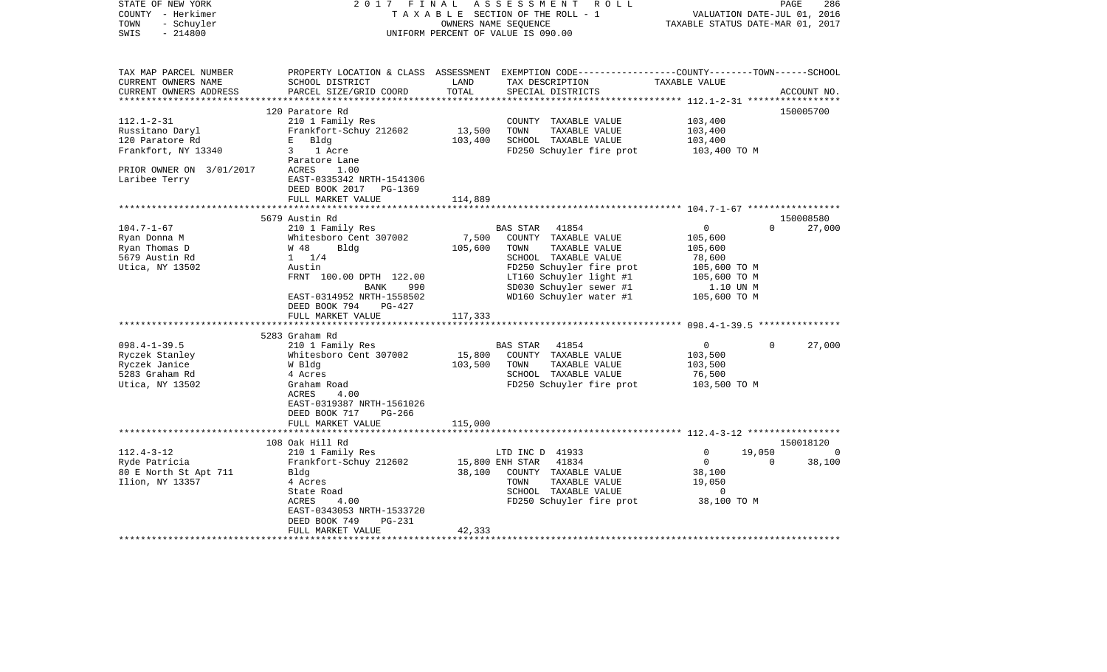| STATE OF NEW YORK<br>COUNTY - Herkimer<br>- Schuyler<br>TOWN<br>$-214800$<br>SWIS | 2017 FINAL                                | OWNERS NAME SEQUENCE      | ASSESSMENT ROLL<br>TAXABLE SECTION OF THE ROLL - 1<br>UNIFORM PERCENT OF VALUE IS 090.00                                                | VALUATION DATE-JUL 01, 2016<br>TAXABLE STATUS DATE-MAR 01, 2017 | PAGE<br>286                     |
|-----------------------------------------------------------------------------------|-------------------------------------------|---------------------------|-----------------------------------------------------------------------------------------------------------------------------------------|-----------------------------------------------------------------|---------------------------------|
| TAX MAP PARCEL NUMBER<br>CURRENT OWNERS NAME<br>CURRENT OWNERS ADDRESS            | SCHOOL DISTRICT<br>PARCEL SIZE/GRID COORD | LAND<br>TOTAL             | PROPERTY LOCATION & CLASS ASSESSMENT EXEMPTION CODE---------------COUNTY-------TOWN------SCHOOL<br>TAX DESCRIPTION<br>SPECIAL DISTRICTS | TAXABLE VALUE                                                   | ACCOUNT NO.                     |
|                                                                                   |                                           |                           |                                                                                                                                         |                                                                 |                                 |
|                                                                                   | 120 Paratore Rd                           |                           |                                                                                                                                         |                                                                 | 150005700                       |
| $112.1 - 2 - 31$                                                                  | 210 1 Family Res                          |                           | COUNTY TAXABLE VALUE                                                                                                                    | 103,400                                                         |                                 |
| Russitano Daryl                                                                   | Frankfort-Schuy 212602                    | 13,500                    | TOWN<br>TAXABLE VALUE                                                                                                                   | 103,400                                                         |                                 |
| 120 Paratore Rd                                                                   | $E =$<br>Bldg                             | 103,400                   | SCHOOL TAXABLE VALUE                                                                                                                    | 103,400                                                         |                                 |
| Frankfort, NY 13340                                                               | 3 1 Acre                                  |                           | FD250 Schuyler fire prot                                                                                                                | 103,400 TO M                                                    |                                 |
|                                                                                   | Paratore Lane                             |                           |                                                                                                                                         |                                                                 |                                 |
| PRIOR OWNER ON 3/01/2017                                                          | ACRES<br>1.00                             |                           |                                                                                                                                         |                                                                 |                                 |
| Laribee Terry                                                                     | EAST-0335342 NRTH-1541306                 |                           |                                                                                                                                         |                                                                 |                                 |
|                                                                                   | DEED BOOK 2017<br>PG-1369                 |                           |                                                                                                                                         |                                                                 |                                 |
|                                                                                   | FULL MARKET VALUE                         | 114,889                   |                                                                                                                                         |                                                                 |                                 |
|                                                                                   |                                           |                           |                                                                                                                                         |                                                                 |                                 |
| $104.7 - 1 - 67$                                                                  | 5679 Austin Rd<br>210 1 Family Res        |                           | BAS STAR 41854                                                                                                                          | $\overline{0}$                                                  | 150008580<br>$\Omega$<br>27,000 |
| Ryan Donna M                                                                      | Whitesboro Cent 307002                    | 7,500                     | COUNTY TAXABLE VALUE                                                                                                                    | 105,600                                                         |                                 |
| Ryan Thomas D                                                                     | W 48<br>Blda                              | 105,600                   | TOWN<br>TAXABLE VALUE                                                                                                                   | 105,600                                                         |                                 |
| 5679 Austin Rd                                                                    | $1 \t1/4$                                 |                           | SCHOOL TAXABLE VALUE                                                                                                                    | 78,600                                                          |                                 |
| Utica, NY 13502                                                                   | Austin                                    |                           | FD250 Schuyler fire prot                                                                                                                | 105,600 TO M                                                    |                                 |
|                                                                                   | FRNT 100.00 DPTH 122.00                   |                           | LT160 Schuyler light #1                                                                                                                 |                                                                 |                                 |
|                                                                                   | 990<br>BANK                               |                           | SD030 Schuyler sewer #1                                                                                                                 | 105,600 TO M<br>1.10 UN M                                       |                                 |
|                                                                                   | EAST-0314952 NRTH-1558502                 |                           | WD160 Schuyler water #1                                                                                                                 | 105,600 TO M                                                    |                                 |
|                                                                                   | DEED BOOK 794<br>PG-427                   |                           |                                                                                                                                         |                                                                 |                                 |
|                                                                                   | FULL MARKET VALUE                         | 117,333                   |                                                                                                                                         |                                                                 |                                 |
|                                                                                   |                                           |                           |                                                                                                                                         |                                                                 |                                 |
|                                                                                   | 5283 Graham Rd                            |                           |                                                                                                                                         |                                                                 |                                 |
| $098.4 - 1 - 39.5$                                                                | 210 1 Family Res                          |                           | BAS STAR<br>41854                                                                                                                       | 0                                                               | $\Omega$<br>27,000              |
| Ryczek Stanley                                                                    | Whitesboro Cent 307002                    | 15,800                    | COUNTY TAXABLE VALUE                                                                                                                    | 103,500                                                         |                                 |
| Ryczek Janice                                                                     | W Bldg                                    | 103,500                   | TOWN<br>TAXABLE VALUE                                                                                                                   | 103,500                                                         |                                 |
| 5283 Graham Rd                                                                    | 4 Acres                                   |                           | SCHOOL TAXABLE VALUE                                                                                                                    | 76,500                                                          |                                 |
| Utica, NY 13502                                                                   | Graham Road                               |                           | FD250 Schuyler fire prot                                                                                                                | 103,500 TO M                                                    |                                 |
|                                                                                   | ACRES<br>4.00                             |                           |                                                                                                                                         |                                                                 |                                 |
|                                                                                   | EAST-0319387 NRTH-1561026                 |                           |                                                                                                                                         |                                                                 |                                 |
|                                                                                   | DEED BOOK 717<br>PG-266                   |                           |                                                                                                                                         |                                                                 |                                 |
|                                                                                   | FULL MARKET VALUE                         | 115,000                   |                                                                                                                                         |                                                                 |                                 |
|                                                                                   |                                           |                           |                                                                                                                                         |                                                                 |                                 |
|                                                                                   | 108 Oak Hill Rd                           |                           |                                                                                                                                         |                                                                 | 150018120                       |
| $112.4 - 3 - 12$                                                                  | 210 1 Family Res                          |                           | LTD INC D 41933                                                                                                                         | 19,050<br>0<br>$\overline{0}$                                   | $\Omega$                        |
| Ryde Patricia                                                                     | Frankfort-Schuy 212602                    | 15,800 ENH STAR<br>38,100 | 41834                                                                                                                                   |                                                                 | $\overline{0}$<br>38,100        |
| 80 E North St Apt 711<br>Ilion, NY 13357                                          | Bldg                                      |                           | COUNTY TAXABLE VALUE<br>TAXABLE VALUE<br>TOWN                                                                                           | 38,100<br>19,050                                                |                                 |
|                                                                                   | 4 Acres<br>State Road                     |                           | SCHOOL TAXABLE VALUE                                                                                                                    | $\sim$ 0                                                        |                                 |
|                                                                                   | ACRES<br>4.00                             |                           | FD250 Schuyler fire prot                                                                                                                | 38,100 TO M                                                     |                                 |
|                                                                                   | EAST-0343053 NRTH-1533720                 |                           |                                                                                                                                         |                                                                 |                                 |
|                                                                                   | DEED BOOK 749<br>PG-231                   |                           |                                                                                                                                         |                                                                 |                                 |
|                                                                                   | FULL MARKET VALUE                         | 42,333                    |                                                                                                                                         |                                                                 |                                 |
|                                                                                   |                                           |                           |                                                                                                                                         |                                                                 |                                 |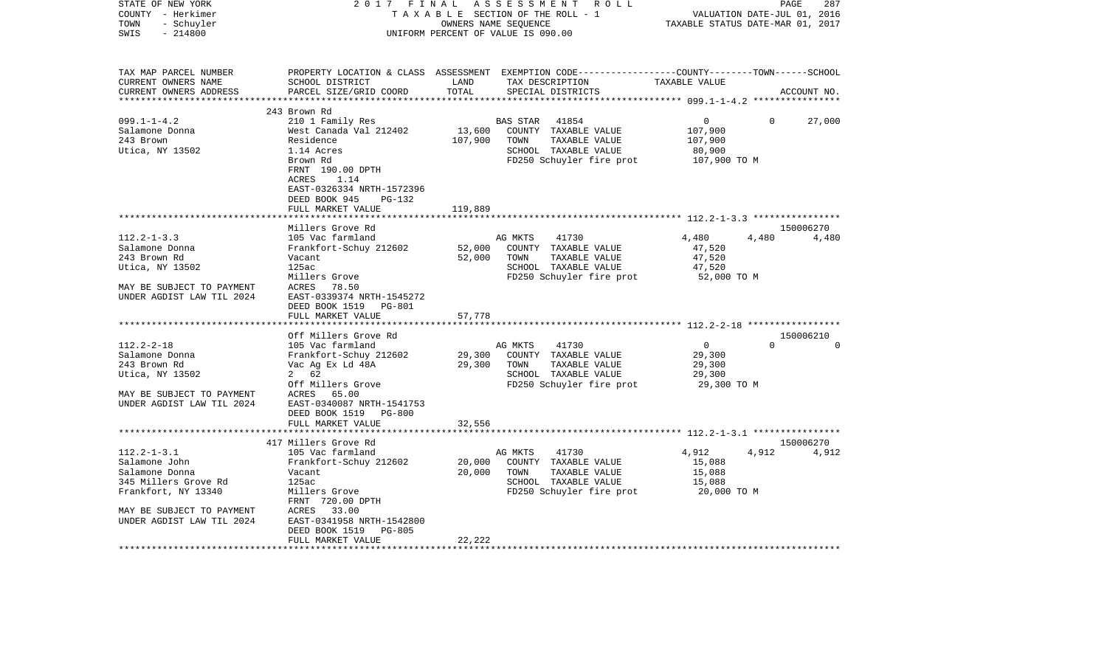| UNIFORM PERCENT OF VALUE IS 090.00<br>TAX MAP PARCEL NUMBER<br>PROPERTY LOCATION & CLASS ASSESSMENT EXEMPTION CODE----------------COUNTY-------TOWN------SCHOOL<br>CURRENT OWNERS NAME<br>SCHOOL DISTRICT<br>LAND<br>TAX DESCRIPTION<br>TAXABLE VALUE<br>TOTAL<br>PARCEL SIZE/GRID COORD<br>CURRENT OWNERS ADDRESS<br>SPECIAL DISTRICTS<br>ACCOUNT NO.<br>**************************<br>243 Brown Rd<br>$099.1 - 1 - 4.2$<br>210 1 Family Res<br>0<br>27,000<br><b>BAS STAR</b><br>41854<br>0<br>Salamone Donna<br>West Canada Val 212402<br>13,600<br>COUNTY TAXABLE VALUE<br>107,900<br>243 Brown<br>Residence<br>107,900<br>TOWN<br>TAXABLE VALUE<br>107,900<br>Utica, NY 13502<br>SCHOOL TAXABLE VALUE<br>1.14 Acres<br>80,900<br>FD250 Schuyler fire prot<br>Brown Rd<br>107,900 TO M<br>FRNT 190.00 DPTH<br>ACRES<br>1.14<br>EAST-0326334 NRTH-1572396<br>DEED BOOK 945<br>PG-132<br>FULL MARKET VALUE<br>119,889<br>******************<br>150006270<br>Millers Grove Rd<br>$112.2 - 1 - 3.3$<br>105 Vac farmland<br>4,480<br>4,480<br>AG MKTS<br>41730<br>4,480<br>Frankfort-Schuy 212602<br>52,000<br>COUNTY TAXABLE VALUE<br>Salamone Donna<br>47,520<br>52,000<br>243 Brown Rd<br>Vacant<br>TOWN<br>TAXABLE VALUE<br>47,520<br>125ac<br>SCHOOL TAXABLE VALUE<br>Utica, NY 13502<br>47,520<br>Millers Grove<br>FD250 Schuyler fire prot<br>52,000 TO M<br>MAY BE SUBJECT TO PAYMENT<br>78.50<br>ACRES<br>UNDER AGDIST LAW TIL 2024<br>EAST-0339374 NRTH-1545272<br>DEED BOOK 1519<br>PG-801<br>FULL MARKET VALUE<br>57,778<br>******************<br>Off Millers Grove Rd<br>150006210<br>$\cap$<br>$112.2 - 2 - 18$<br>41730<br>$\Omega$<br>105 Vac farmland<br>AG MKTS<br>$\overline{0}$<br>COUNTY TAXABLE VALUE<br>Salamone Donna<br>Frankfort-Schuy 212602<br>29,300<br>29,300<br>243 Brown Rd<br>Vac Ag Ex Ld 48A<br>29,300<br>TOWN<br>TAXABLE VALUE<br>29,300<br>2 62<br>Utica, NY 13502<br>SCHOOL TAXABLE VALUE<br>29,300<br>Off Millers Grove<br>FD250 Schuyler fire prot<br>29,300 TO M<br>MAY BE SUBJECT TO PAYMENT<br>ACRES<br>65.00<br>UNDER AGDIST LAW TIL 2024<br>EAST-0340087 NRTH-1541753<br>DEED BOOK 1519<br>PG-800<br>FULL MARKET VALUE<br>32,556<br>417 Millers Grove Rd<br>150006270<br>$112.2 - 1 - 3.1$<br>105 Vac farmland<br>AG MKTS<br>41730<br>4,912<br>4,912<br>4,912<br>Salamone John<br>Frankfort-Schuy 212602<br>20,000<br>COUNTY TAXABLE VALUE<br>15,088<br>20,000<br>Salamone Donna<br>Vacant<br>TOWN<br>TAXABLE VALUE<br>15,088<br>345 Millers Grove Rd<br>125ac<br>SCHOOL TAXABLE VALUE<br>15,088<br>Frankfort, NY 13340<br>FD250 Schuyler fire prot<br>Millers Grove<br>20,000 TO M<br>FRNT 720.00 DPTH<br>MAY BE SUBJECT TO PAYMENT<br>ACRES<br>33.00<br>UNDER AGDIST LAW TIL 2024<br>EAST-0341958 NRTH-1542800<br>DEED BOOK 1519<br><b>PG-805</b><br>22,222<br>FULL MARKET VALUE | STATE OF NEW YORK<br>COUNTY - Herkimer<br>TOWN<br>- Schuyler | 2017 | FINAL | ASSESSMENT ROLL<br>TAXABLE SECTION OF THE ROLL - 1<br>OWNERS NAME SEQUENCE | TAXABLE STATUS DATE-MAR 01, 2017 | PAGE<br>VALUATION DATE-JUL 01, 2016 | 287 |
|--------------------------------------------------------------------------------------------------------------------------------------------------------------------------------------------------------------------------------------------------------------------------------------------------------------------------------------------------------------------------------------------------------------------------------------------------------------------------------------------------------------------------------------------------------------------------------------------------------------------------------------------------------------------------------------------------------------------------------------------------------------------------------------------------------------------------------------------------------------------------------------------------------------------------------------------------------------------------------------------------------------------------------------------------------------------------------------------------------------------------------------------------------------------------------------------------------------------------------------------------------------------------------------------------------------------------------------------------------------------------------------------------------------------------------------------------------------------------------------------------------------------------------------------------------------------------------------------------------------------------------------------------------------------------------------------------------------------------------------------------------------------------------------------------------------------------------------------------------------------------------------------------------------------------------------------------------------------------------------------------------------------------------------------------------------------------------------------------------------------------------------------------------------------------------------------------------------------------------------------------------------------------------------------------------------------------------------------------------------------------------------------------------------------------------------------------------------------------------------------------------------------------------------------------------------------------------------------------------------------------------------------------------------------------------------------------------------------------------------------------------------------------------------------------------------------------------|--------------------------------------------------------------|------|-------|----------------------------------------------------------------------------|----------------------------------|-------------------------------------|-----|
|                                                                                                                                                                                                                                                                                                                                                                                                                                                                                                                                                                                                                                                                                                                                                                                                                                                                                                                                                                                                                                                                                                                                                                                                                                                                                                                                                                                                                                                                                                                                                                                                                                                                                                                                                                                                                                                                                                                                                                                                                                                                                                                                                                                                                                                                                                                                                                                                                                                                                                                                                                                                                                                                                                                                                                                                                                | $-214800$<br>SWIS                                            |      |       |                                                                            |                                  |                                     |     |
|                                                                                                                                                                                                                                                                                                                                                                                                                                                                                                                                                                                                                                                                                                                                                                                                                                                                                                                                                                                                                                                                                                                                                                                                                                                                                                                                                                                                                                                                                                                                                                                                                                                                                                                                                                                                                                                                                                                                                                                                                                                                                                                                                                                                                                                                                                                                                                                                                                                                                                                                                                                                                                                                                                                                                                                                                                |                                                              |      |       |                                                                            |                                  |                                     |     |
|                                                                                                                                                                                                                                                                                                                                                                                                                                                                                                                                                                                                                                                                                                                                                                                                                                                                                                                                                                                                                                                                                                                                                                                                                                                                                                                                                                                                                                                                                                                                                                                                                                                                                                                                                                                                                                                                                                                                                                                                                                                                                                                                                                                                                                                                                                                                                                                                                                                                                                                                                                                                                                                                                                                                                                                                                                |                                                              |      |       |                                                                            |                                  |                                     |     |
|                                                                                                                                                                                                                                                                                                                                                                                                                                                                                                                                                                                                                                                                                                                                                                                                                                                                                                                                                                                                                                                                                                                                                                                                                                                                                                                                                                                                                                                                                                                                                                                                                                                                                                                                                                                                                                                                                                                                                                                                                                                                                                                                                                                                                                                                                                                                                                                                                                                                                                                                                                                                                                                                                                                                                                                                                                |                                                              |      |       |                                                                            |                                  |                                     |     |
|                                                                                                                                                                                                                                                                                                                                                                                                                                                                                                                                                                                                                                                                                                                                                                                                                                                                                                                                                                                                                                                                                                                                                                                                                                                                                                                                                                                                                                                                                                                                                                                                                                                                                                                                                                                                                                                                                                                                                                                                                                                                                                                                                                                                                                                                                                                                                                                                                                                                                                                                                                                                                                                                                                                                                                                                                                |                                                              |      |       |                                                                            |                                  |                                     |     |
|                                                                                                                                                                                                                                                                                                                                                                                                                                                                                                                                                                                                                                                                                                                                                                                                                                                                                                                                                                                                                                                                                                                                                                                                                                                                                                                                                                                                                                                                                                                                                                                                                                                                                                                                                                                                                                                                                                                                                                                                                                                                                                                                                                                                                                                                                                                                                                                                                                                                                                                                                                                                                                                                                                                                                                                                                                |                                                              |      |       |                                                                            |                                  |                                     |     |
|                                                                                                                                                                                                                                                                                                                                                                                                                                                                                                                                                                                                                                                                                                                                                                                                                                                                                                                                                                                                                                                                                                                                                                                                                                                                                                                                                                                                                                                                                                                                                                                                                                                                                                                                                                                                                                                                                                                                                                                                                                                                                                                                                                                                                                                                                                                                                                                                                                                                                                                                                                                                                                                                                                                                                                                                                                |                                                              |      |       |                                                                            |                                  |                                     |     |
|                                                                                                                                                                                                                                                                                                                                                                                                                                                                                                                                                                                                                                                                                                                                                                                                                                                                                                                                                                                                                                                                                                                                                                                                                                                                                                                                                                                                                                                                                                                                                                                                                                                                                                                                                                                                                                                                                                                                                                                                                                                                                                                                                                                                                                                                                                                                                                                                                                                                                                                                                                                                                                                                                                                                                                                                                                |                                                              |      |       |                                                                            |                                  |                                     |     |
|                                                                                                                                                                                                                                                                                                                                                                                                                                                                                                                                                                                                                                                                                                                                                                                                                                                                                                                                                                                                                                                                                                                                                                                                                                                                                                                                                                                                                                                                                                                                                                                                                                                                                                                                                                                                                                                                                                                                                                                                                                                                                                                                                                                                                                                                                                                                                                                                                                                                                                                                                                                                                                                                                                                                                                                                                                |                                                              |      |       |                                                                            |                                  |                                     |     |
|                                                                                                                                                                                                                                                                                                                                                                                                                                                                                                                                                                                                                                                                                                                                                                                                                                                                                                                                                                                                                                                                                                                                                                                                                                                                                                                                                                                                                                                                                                                                                                                                                                                                                                                                                                                                                                                                                                                                                                                                                                                                                                                                                                                                                                                                                                                                                                                                                                                                                                                                                                                                                                                                                                                                                                                                                                |                                                              |      |       |                                                                            |                                  |                                     |     |
|                                                                                                                                                                                                                                                                                                                                                                                                                                                                                                                                                                                                                                                                                                                                                                                                                                                                                                                                                                                                                                                                                                                                                                                                                                                                                                                                                                                                                                                                                                                                                                                                                                                                                                                                                                                                                                                                                                                                                                                                                                                                                                                                                                                                                                                                                                                                                                                                                                                                                                                                                                                                                                                                                                                                                                                                                                |                                                              |      |       |                                                                            |                                  |                                     |     |
|                                                                                                                                                                                                                                                                                                                                                                                                                                                                                                                                                                                                                                                                                                                                                                                                                                                                                                                                                                                                                                                                                                                                                                                                                                                                                                                                                                                                                                                                                                                                                                                                                                                                                                                                                                                                                                                                                                                                                                                                                                                                                                                                                                                                                                                                                                                                                                                                                                                                                                                                                                                                                                                                                                                                                                                                                                |                                                              |      |       |                                                                            |                                  |                                     |     |
|                                                                                                                                                                                                                                                                                                                                                                                                                                                                                                                                                                                                                                                                                                                                                                                                                                                                                                                                                                                                                                                                                                                                                                                                                                                                                                                                                                                                                                                                                                                                                                                                                                                                                                                                                                                                                                                                                                                                                                                                                                                                                                                                                                                                                                                                                                                                                                                                                                                                                                                                                                                                                                                                                                                                                                                                                                |                                                              |      |       |                                                                            |                                  |                                     |     |
|                                                                                                                                                                                                                                                                                                                                                                                                                                                                                                                                                                                                                                                                                                                                                                                                                                                                                                                                                                                                                                                                                                                                                                                                                                                                                                                                                                                                                                                                                                                                                                                                                                                                                                                                                                                                                                                                                                                                                                                                                                                                                                                                                                                                                                                                                                                                                                                                                                                                                                                                                                                                                                                                                                                                                                                                                                |                                                              |      |       |                                                                            |                                  |                                     |     |
|                                                                                                                                                                                                                                                                                                                                                                                                                                                                                                                                                                                                                                                                                                                                                                                                                                                                                                                                                                                                                                                                                                                                                                                                                                                                                                                                                                                                                                                                                                                                                                                                                                                                                                                                                                                                                                                                                                                                                                                                                                                                                                                                                                                                                                                                                                                                                                                                                                                                                                                                                                                                                                                                                                                                                                                                                                |                                                              |      |       |                                                                            |                                  |                                     |     |
|                                                                                                                                                                                                                                                                                                                                                                                                                                                                                                                                                                                                                                                                                                                                                                                                                                                                                                                                                                                                                                                                                                                                                                                                                                                                                                                                                                                                                                                                                                                                                                                                                                                                                                                                                                                                                                                                                                                                                                                                                                                                                                                                                                                                                                                                                                                                                                                                                                                                                                                                                                                                                                                                                                                                                                                                                                |                                                              |      |       |                                                                            |                                  |                                     |     |
|                                                                                                                                                                                                                                                                                                                                                                                                                                                                                                                                                                                                                                                                                                                                                                                                                                                                                                                                                                                                                                                                                                                                                                                                                                                                                                                                                                                                                                                                                                                                                                                                                                                                                                                                                                                                                                                                                                                                                                                                                                                                                                                                                                                                                                                                                                                                                                                                                                                                                                                                                                                                                                                                                                                                                                                                                                |                                                              |      |       |                                                                            |                                  |                                     |     |
|                                                                                                                                                                                                                                                                                                                                                                                                                                                                                                                                                                                                                                                                                                                                                                                                                                                                                                                                                                                                                                                                                                                                                                                                                                                                                                                                                                                                                                                                                                                                                                                                                                                                                                                                                                                                                                                                                                                                                                                                                                                                                                                                                                                                                                                                                                                                                                                                                                                                                                                                                                                                                                                                                                                                                                                                                                |                                                              |      |       |                                                                            |                                  |                                     |     |
|                                                                                                                                                                                                                                                                                                                                                                                                                                                                                                                                                                                                                                                                                                                                                                                                                                                                                                                                                                                                                                                                                                                                                                                                                                                                                                                                                                                                                                                                                                                                                                                                                                                                                                                                                                                                                                                                                                                                                                                                                                                                                                                                                                                                                                                                                                                                                                                                                                                                                                                                                                                                                                                                                                                                                                                                                                |                                                              |      |       |                                                                            |                                  |                                     |     |
|                                                                                                                                                                                                                                                                                                                                                                                                                                                                                                                                                                                                                                                                                                                                                                                                                                                                                                                                                                                                                                                                                                                                                                                                                                                                                                                                                                                                                                                                                                                                                                                                                                                                                                                                                                                                                                                                                                                                                                                                                                                                                                                                                                                                                                                                                                                                                                                                                                                                                                                                                                                                                                                                                                                                                                                                                                |                                                              |      |       |                                                                            |                                  |                                     |     |
|                                                                                                                                                                                                                                                                                                                                                                                                                                                                                                                                                                                                                                                                                                                                                                                                                                                                                                                                                                                                                                                                                                                                                                                                                                                                                                                                                                                                                                                                                                                                                                                                                                                                                                                                                                                                                                                                                                                                                                                                                                                                                                                                                                                                                                                                                                                                                                                                                                                                                                                                                                                                                                                                                                                                                                                                                                |                                                              |      |       |                                                                            |                                  |                                     |     |
|                                                                                                                                                                                                                                                                                                                                                                                                                                                                                                                                                                                                                                                                                                                                                                                                                                                                                                                                                                                                                                                                                                                                                                                                                                                                                                                                                                                                                                                                                                                                                                                                                                                                                                                                                                                                                                                                                                                                                                                                                                                                                                                                                                                                                                                                                                                                                                                                                                                                                                                                                                                                                                                                                                                                                                                                                                |                                                              |      |       |                                                                            |                                  |                                     |     |
|                                                                                                                                                                                                                                                                                                                                                                                                                                                                                                                                                                                                                                                                                                                                                                                                                                                                                                                                                                                                                                                                                                                                                                                                                                                                                                                                                                                                                                                                                                                                                                                                                                                                                                                                                                                                                                                                                                                                                                                                                                                                                                                                                                                                                                                                                                                                                                                                                                                                                                                                                                                                                                                                                                                                                                                                                                |                                                              |      |       |                                                                            |                                  |                                     |     |
|                                                                                                                                                                                                                                                                                                                                                                                                                                                                                                                                                                                                                                                                                                                                                                                                                                                                                                                                                                                                                                                                                                                                                                                                                                                                                                                                                                                                                                                                                                                                                                                                                                                                                                                                                                                                                                                                                                                                                                                                                                                                                                                                                                                                                                                                                                                                                                                                                                                                                                                                                                                                                                                                                                                                                                                                                                |                                                              |      |       |                                                                            |                                  |                                     |     |
|                                                                                                                                                                                                                                                                                                                                                                                                                                                                                                                                                                                                                                                                                                                                                                                                                                                                                                                                                                                                                                                                                                                                                                                                                                                                                                                                                                                                                                                                                                                                                                                                                                                                                                                                                                                                                                                                                                                                                                                                                                                                                                                                                                                                                                                                                                                                                                                                                                                                                                                                                                                                                                                                                                                                                                                                                                |                                                              |      |       |                                                                            |                                  |                                     |     |
|                                                                                                                                                                                                                                                                                                                                                                                                                                                                                                                                                                                                                                                                                                                                                                                                                                                                                                                                                                                                                                                                                                                                                                                                                                                                                                                                                                                                                                                                                                                                                                                                                                                                                                                                                                                                                                                                                                                                                                                                                                                                                                                                                                                                                                                                                                                                                                                                                                                                                                                                                                                                                                                                                                                                                                                                                                |                                                              |      |       |                                                                            |                                  |                                     |     |
|                                                                                                                                                                                                                                                                                                                                                                                                                                                                                                                                                                                                                                                                                                                                                                                                                                                                                                                                                                                                                                                                                                                                                                                                                                                                                                                                                                                                                                                                                                                                                                                                                                                                                                                                                                                                                                                                                                                                                                                                                                                                                                                                                                                                                                                                                                                                                                                                                                                                                                                                                                                                                                                                                                                                                                                                                                |                                                              |      |       |                                                                            |                                  |                                     |     |
|                                                                                                                                                                                                                                                                                                                                                                                                                                                                                                                                                                                                                                                                                                                                                                                                                                                                                                                                                                                                                                                                                                                                                                                                                                                                                                                                                                                                                                                                                                                                                                                                                                                                                                                                                                                                                                                                                                                                                                                                                                                                                                                                                                                                                                                                                                                                                                                                                                                                                                                                                                                                                                                                                                                                                                                                                                |                                                              |      |       |                                                                            |                                  |                                     |     |
|                                                                                                                                                                                                                                                                                                                                                                                                                                                                                                                                                                                                                                                                                                                                                                                                                                                                                                                                                                                                                                                                                                                                                                                                                                                                                                                                                                                                                                                                                                                                                                                                                                                                                                                                                                                                                                                                                                                                                                                                                                                                                                                                                                                                                                                                                                                                                                                                                                                                                                                                                                                                                                                                                                                                                                                                                                |                                                              |      |       |                                                                            |                                  |                                     |     |
|                                                                                                                                                                                                                                                                                                                                                                                                                                                                                                                                                                                                                                                                                                                                                                                                                                                                                                                                                                                                                                                                                                                                                                                                                                                                                                                                                                                                                                                                                                                                                                                                                                                                                                                                                                                                                                                                                                                                                                                                                                                                                                                                                                                                                                                                                                                                                                                                                                                                                                                                                                                                                                                                                                                                                                                                                                |                                                              |      |       |                                                                            |                                  |                                     |     |
|                                                                                                                                                                                                                                                                                                                                                                                                                                                                                                                                                                                                                                                                                                                                                                                                                                                                                                                                                                                                                                                                                                                                                                                                                                                                                                                                                                                                                                                                                                                                                                                                                                                                                                                                                                                                                                                                                                                                                                                                                                                                                                                                                                                                                                                                                                                                                                                                                                                                                                                                                                                                                                                                                                                                                                                                                                |                                                              |      |       |                                                                            |                                  |                                     |     |
|                                                                                                                                                                                                                                                                                                                                                                                                                                                                                                                                                                                                                                                                                                                                                                                                                                                                                                                                                                                                                                                                                                                                                                                                                                                                                                                                                                                                                                                                                                                                                                                                                                                                                                                                                                                                                                                                                                                                                                                                                                                                                                                                                                                                                                                                                                                                                                                                                                                                                                                                                                                                                                                                                                                                                                                                                                |                                                              |      |       |                                                                            |                                  |                                     |     |
|                                                                                                                                                                                                                                                                                                                                                                                                                                                                                                                                                                                                                                                                                                                                                                                                                                                                                                                                                                                                                                                                                                                                                                                                                                                                                                                                                                                                                                                                                                                                                                                                                                                                                                                                                                                                                                                                                                                                                                                                                                                                                                                                                                                                                                                                                                                                                                                                                                                                                                                                                                                                                                                                                                                                                                                                                                |                                                              |      |       |                                                                            |                                  |                                     |     |
|                                                                                                                                                                                                                                                                                                                                                                                                                                                                                                                                                                                                                                                                                                                                                                                                                                                                                                                                                                                                                                                                                                                                                                                                                                                                                                                                                                                                                                                                                                                                                                                                                                                                                                                                                                                                                                                                                                                                                                                                                                                                                                                                                                                                                                                                                                                                                                                                                                                                                                                                                                                                                                                                                                                                                                                                                                |                                                              |      |       |                                                                            |                                  |                                     |     |
|                                                                                                                                                                                                                                                                                                                                                                                                                                                                                                                                                                                                                                                                                                                                                                                                                                                                                                                                                                                                                                                                                                                                                                                                                                                                                                                                                                                                                                                                                                                                                                                                                                                                                                                                                                                                                                                                                                                                                                                                                                                                                                                                                                                                                                                                                                                                                                                                                                                                                                                                                                                                                                                                                                                                                                                                                                |                                                              |      |       |                                                                            |                                  |                                     |     |
|                                                                                                                                                                                                                                                                                                                                                                                                                                                                                                                                                                                                                                                                                                                                                                                                                                                                                                                                                                                                                                                                                                                                                                                                                                                                                                                                                                                                                                                                                                                                                                                                                                                                                                                                                                                                                                                                                                                                                                                                                                                                                                                                                                                                                                                                                                                                                                                                                                                                                                                                                                                                                                                                                                                                                                                                                                |                                                              |      |       |                                                                            |                                  |                                     |     |
|                                                                                                                                                                                                                                                                                                                                                                                                                                                                                                                                                                                                                                                                                                                                                                                                                                                                                                                                                                                                                                                                                                                                                                                                                                                                                                                                                                                                                                                                                                                                                                                                                                                                                                                                                                                                                                                                                                                                                                                                                                                                                                                                                                                                                                                                                                                                                                                                                                                                                                                                                                                                                                                                                                                                                                                                                                |                                                              |      |       |                                                                            |                                  |                                     |     |
|                                                                                                                                                                                                                                                                                                                                                                                                                                                                                                                                                                                                                                                                                                                                                                                                                                                                                                                                                                                                                                                                                                                                                                                                                                                                                                                                                                                                                                                                                                                                                                                                                                                                                                                                                                                                                                                                                                                                                                                                                                                                                                                                                                                                                                                                                                                                                                                                                                                                                                                                                                                                                                                                                                                                                                                                                                |                                                              |      |       |                                                                            |                                  |                                     |     |
|                                                                                                                                                                                                                                                                                                                                                                                                                                                                                                                                                                                                                                                                                                                                                                                                                                                                                                                                                                                                                                                                                                                                                                                                                                                                                                                                                                                                                                                                                                                                                                                                                                                                                                                                                                                                                                                                                                                                                                                                                                                                                                                                                                                                                                                                                                                                                                                                                                                                                                                                                                                                                                                                                                                                                                                                                                |                                                              |      |       |                                                                            |                                  |                                     |     |
|                                                                                                                                                                                                                                                                                                                                                                                                                                                                                                                                                                                                                                                                                                                                                                                                                                                                                                                                                                                                                                                                                                                                                                                                                                                                                                                                                                                                                                                                                                                                                                                                                                                                                                                                                                                                                                                                                                                                                                                                                                                                                                                                                                                                                                                                                                                                                                                                                                                                                                                                                                                                                                                                                                                                                                                                                                |                                                              |      |       |                                                                            |                                  |                                     |     |
|                                                                                                                                                                                                                                                                                                                                                                                                                                                                                                                                                                                                                                                                                                                                                                                                                                                                                                                                                                                                                                                                                                                                                                                                                                                                                                                                                                                                                                                                                                                                                                                                                                                                                                                                                                                                                                                                                                                                                                                                                                                                                                                                                                                                                                                                                                                                                                                                                                                                                                                                                                                                                                                                                                                                                                                                                                |                                                              |      |       |                                                                            |                                  |                                     |     |
|                                                                                                                                                                                                                                                                                                                                                                                                                                                                                                                                                                                                                                                                                                                                                                                                                                                                                                                                                                                                                                                                                                                                                                                                                                                                                                                                                                                                                                                                                                                                                                                                                                                                                                                                                                                                                                                                                                                                                                                                                                                                                                                                                                                                                                                                                                                                                                                                                                                                                                                                                                                                                                                                                                                                                                                                                                |                                                              |      |       |                                                                            |                                  |                                     |     |
|                                                                                                                                                                                                                                                                                                                                                                                                                                                                                                                                                                                                                                                                                                                                                                                                                                                                                                                                                                                                                                                                                                                                                                                                                                                                                                                                                                                                                                                                                                                                                                                                                                                                                                                                                                                                                                                                                                                                                                                                                                                                                                                                                                                                                                                                                                                                                                                                                                                                                                                                                                                                                                                                                                                                                                                                                                |                                                              |      |       |                                                                            |                                  |                                     |     |
|                                                                                                                                                                                                                                                                                                                                                                                                                                                                                                                                                                                                                                                                                                                                                                                                                                                                                                                                                                                                                                                                                                                                                                                                                                                                                                                                                                                                                                                                                                                                                                                                                                                                                                                                                                                                                                                                                                                                                                                                                                                                                                                                                                                                                                                                                                                                                                                                                                                                                                                                                                                                                                                                                                                                                                                                                                |                                                              |      |       |                                                                            |                                  |                                     |     |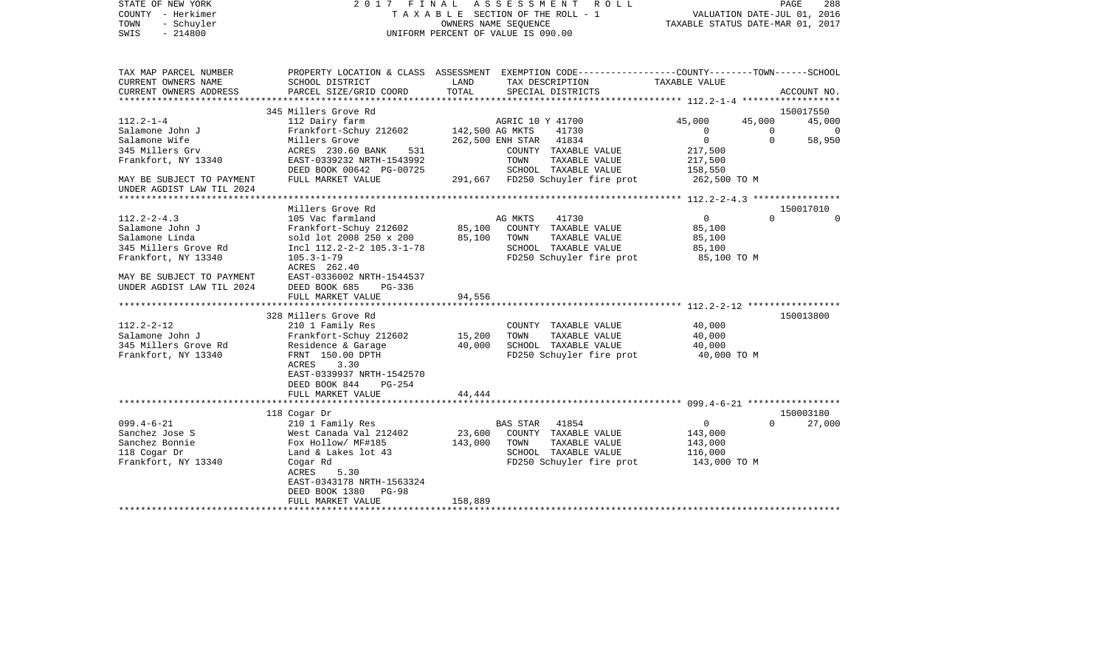| STATE OF NEW YORK<br>COUNTY - Herkimer<br>TOWN<br>- Schuyler<br>$-214800$<br>SWIS |                                                       |                 | 2017 FINAL ASSESSMENT<br>R O L L<br>TAXABLE SECTION OF THE ROLL - 1<br>OWNERS NAME SEQUENCE<br>UNIFORM PERCENT OF VALUE IS 090.00 | TAXABLE STATUS DATE-MAR 01, 2017 | PAGE<br>VALUATION DATE-JUL 01, 2016 | 288         |
|-----------------------------------------------------------------------------------|-------------------------------------------------------|-----------------|-----------------------------------------------------------------------------------------------------------------------------------|----------------------------------|-------------------------------------|-------------|
| TAX MAP PARCEL NUMBER<br>CURRENT OWNERS NAME                                      | SCHOOL DISTRICT                                       | LAND            | PROPERTY LOCATION & CLASS ASSESSMENT EXEMPTION CODE---------------COUNTY-------TOWN------SCHOOL<br>TAX DESCRIPTION                | TAXABLE VALUE                    |                                     |             |
| CURRENT OWNERS ADDRESS                                                            | PARCEL SIZE/GRID COORD                                | TOTAL           | SPECIAL DISTRICTS                                                                                                                 |                                  |                                     | ACCOUNT NO. |
|                                                                                   |                                                       |                 |                                                                                                                                   |                                  |                                     |             |
|                                                                                   | 345 Millers Grove Rd                                  |                 |                                                                                                                                   |                                  |                                     | 150017550   |
| $112.2 - 1 - 4$                                                                   | 112 Dairy farm                                        |                 | AGRIC 10 Y 41700                                                                                                                  | 45,000                           | 45,000                              | 45,000      |
| Salamone John J                                                                   | Frankfort-Schuy 212602                                | 142,500 AG MKTS | 41730                                                                                                                             | 0                                | $\mathbf 0$                         | $\Omega$    |
| Salamone Wife                                                                     | Millers Grove                                         |                 | 41834<br>262,500 ENH STAR                                                                                                         | $\mathbf{0}$                     | $\Omega$                            | 58,950      |
| 345 Millers Grv                                                                   | ACRES 230.60 BANK<br>531<br>EAST-0339232 NRTH-1543992 |                 | COUNTY TAXABLE VALUE<br>TOWN<br>TAXABLE VALUE                                                                                     | 217,500                          |                                     |             |
| Frankfort, NY 13340                                                               | DEED BOOK 00642 PG-00725                              |                 | SCHOOL TAXABLE VALUE                                                                                                              | 217,500<br>158,550               |                                     |             |
| MAY BE SUBJECT TO PAYMENT                                                         | FULL MARKET VALUE                                     |                 | 291,667 FD250 Schuyler fire prot                                                                                                  | 262,500 TO M                     |                                     |             |
| UNDER AGDIST LAW TIL 2024                                                         |                                                       |                 |                                                                                                                                   |                                  |                                     |             |
|                                                                                   | Millers Grove Rd                                      |                 |                                                                                                                                   |                                  |                                     | 150017010   |
| $112.2 - 2 - 4.3$                                                                 | 105 Vac farmland                                      |                 | 41730<br>AG MKTS                                                                                                                  | $\overline{0}$                   | $\Omega$                            |             |
| Salamone John J                                                                   | Frankfort-Schuy 212602                                | 85,100          | COUNTY TAXABLE VALUE                                                                                                              | 85,100                           |                                     |             |
| Salamone Linda                                                                    | sold lot 2008 250 x 200                               | 85,100          | TOWN<br>TAXABLE VALUE                                                                                                             | 85,100                           |                                     |             |
| 345 Millers Grove Rd                                                              | Incl 112.2-2-2 105.3-1-78                             |                 | SCHOOL TAXABLE VALUE                                                                                                              | 85,100                           |                                     |             |
| Frankfort, NY 13340                                                               | $105.3 - 1 - 79$                                      |                 | FD250 Schuyler fire prot                                                                                                          | 85,100 TO M                      |                                     |             |
|                                                                                   | ACRES 262.40                                          |                 |                                                                                                                                   |                                  |                                     |             |
| MAY BE SUBJECT TO PAYMENT                                                         | EAST-0336002 NRTH-1544537                             |                 |                                                                                                                                   |                                  |                                     |             |
| UNDER AGDIST LAW TIL 2024                                                         | DEED BOOK 685<br>$PG-336$                             |                 |                                                                                                                                   |                                  |                                     |             |
|                                                                                   | FULL MARKET VALUE                                     | 94,556          |                                                                                                                                   |                                  |                                     |             |
|                                                                                   | 328 Millers Grove Rd                                  |                 |                                                                                                                                   |                                  |                                     | 150013800   |
| $112.2 - 2 - 12$                                                                  | 210 1 Family Res                                      |                 | COUNTY TAXABLE VALUE                                                                                                              | 40,000                           |                                     |             |
| Salamone John J                                                                   | Frankfort-Schuy 212602                                | 15,200          | TOWN<br>TAXABLE VALUE                                                                                                             | 40,000                           |                                     |             |
| 345 Millers Grove Rd                                                              | Residence & Garage                                    | 40,000          | SCHOOL TAXABLE VALUE                                                                                                              | 40,000                           |                                     |             |
| Frankfort, NY 13340                                                               | FRNT 150.00 DPTH                                      |                 | FD250 Schuyler fire prot                                                                                                          | 40,000 TO M                      |                                     |             |
|                                                                                   | ACRES<br>3.30                                         |                 |                                                                                                                                   |                                  |                                     |             |
|                                                                                   | EAST-0339937 NRTH-1542570                             |                 |                                                                                                                                   |                                  |                                     |             |
|                                                                                   | DEED BOOK 844<br>$PG-254$                             |                 |                                                                                                                                   |                                  |                                     |             |
|                                                                                   | FULL MARKET VALUE                                     | 44,444          |                                                                                                                                   |                                  |                                     |             |
|                                                                                   | 118 Cogar Dr                                          |                 |                                                                                                                                   |                                  |                                     | 150003180   |
| $099.4 - 6 - 21$                                                                  | 210 1 Family Res                                      |                 | BAS STAR<br>41854                                                                                                                 | $\mathbf 0$                      | $\Omega$                            | 27,000      |
| Sanchez Jose S                                                                    | West Canada Val 212402                                | 23,600          | COUNTY TAXABLE VALUE                                                                                                              | 143,000                          |                                     |             |
| Sanchez Bonnie                                                                    | Fox Hollow/ MF#185                                    | 143,000         | TOWN<br>TAXABLE VALUE                                                                                                             | 143,000                          |                                     |             |
| 118 Cogar Dr                                                                      | Land & Lakes lot 43                                   |                 | SCHOOL TAXABLE VALUE                                                                                                              | 116,000                          |                                     |             |
| Frankfort, NY 13340                                                               | Cogar Rd                                              |                 | FD250 Schuyler fire prot                                                                                                          | 143,000 TO M                     |                                     |             |
|                                                                                   | ACRES<br>5.30                                         |                 |                                                                                                                                   |                                  |                                     |             |
|                                                                                   | EAST-0343178 NRTH-1563324                             |                 |                                                                                                                                   |                                  |                                     |             |
|                                                                                   | DEED BOOK 1380<br>$PG-98$                             |                 |                                                                                                                                   |                                  |                                     |             |
|                                                                                   | FULL MARKET VALUE                                     | 158,889         |                                                                                                                                   |                                  |                                     |             |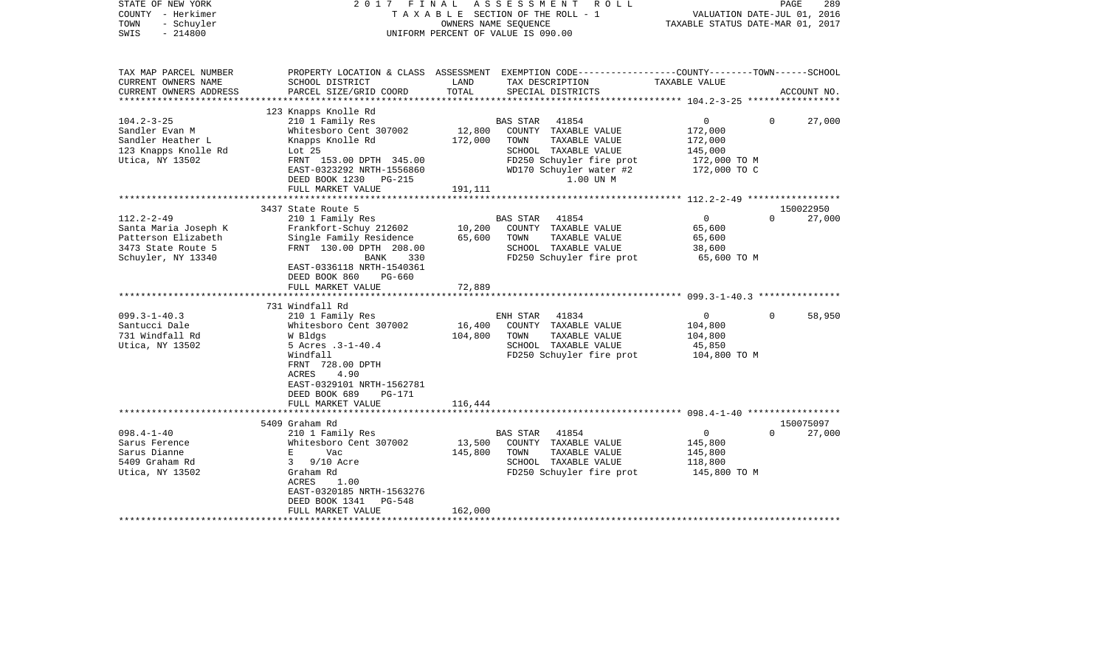| STATE OF NEW YORK<br>COUNTY - Herkimer<br>TOWN<br>- Schuyler<br>$-214800$<br>SWIS                           |                                                                                                                                                                                                                                    |                              | 2017 FINAL ASSESSMENT ROLL<br>TAXABLE SECTION OF THE ROLL - 1<br>OWNERS NAME SEOUENCE<br>UNIFORM PERCENT OF VALUE IS 090.00                                 | VALUATION DATE-JUL 01, 2016<br>TAXABLE STATUS DATE-MAR 01, 2017                    | PAGE<br>289                     |
|-------------------------------------------------------------------------------------------------------------|------------------------------------------------------------------------------------------------------------------------------------------------------------------------------------------------------------------------------------|------------------------------|-------------------------------------------------------------------------------------------------------------------------------------------------------------|------------------------------------------------------------------------------------|---------------------------------|
| TAX MAP PARCEL NUMBER<br>CURRENT OWNERS NAME<br>CURRENT OWNERS ADDRESS                                      | SCHOOL DISTRICT<br>PARCEL SIZE/GRID COORD                                                                                                                                                                                          | LAND<br>TOTAL                | PROPERTY LOCATION & CLASS ASSESSMENT EXEMPTION CODE----------------COUNTY-------TOWN------SCHOOL<br>TAX DESCRIPTION<br>SPECIAL DISTRICTS                    | TAXABLE VALUE                                                                      | ACCOUNT NO.                     |
|                                                                                                             |                                                                                                                                                                                                                                    |                              |                                                                                                                                                             |                                                                                    |                                 |
| $104.2 - 3 - 25$<br>Sandler Evan M<br>Sandler Heather L<br>123 Knapps Knolle Rd<br>Utica, NY 13502          | 123 Knapps Knolle Rd<br>210 1 Family Res<br>Whitesboro Cent 307002<br>Knapps Knolle Rd<br>Lot $25$<br>FRNT 153.00 DPTH 345.00<br>EAST-0323292 NRTH-1556860<br>DEED BOOK 1230 PG-215                                                | 12,800<br>172,000            | BAS STAR 41854<br>COUNTY TAXABLE VALUE<br>TOWN<br>TAXABLE VALUE<br>SCHOOL TAXABLE VALUE<br>FD250 Schuyler fire prot<br>WD170 Schuyler water #2<br>1.00 UN M | $0 \qquad \qquad$<br>172,000<br>172,000<br>145,000<br>172,000 TO M<br>172,000 TO C | $\Omega$<br>27,000              |
|                                                                                                             | FULL MARKET VALUE                                                                                                                                                                                                                  | 191,111                      |                                                                                                                                                             |                                                                                    |                                 |
| $112.2 - 2 - 49$<br>Santa Maria Joseph K<br>Patterson Elizabeth<br>3473 State Route 5<br>Schuyler, NY 13340 | 3437 State Route 5<br>210 1 Family Res<br>Frankfort-Schuy 212602<br>Single Family Residence<br>FRNT 130.00 DPTH 208.00<br>BANK<br>330<br>EAST-0336118 NRTH-1540361<br>DEED BOOK 860<br>PG-660<br>FULL MARKET VALUE                 | 10,200<br>65,600<br>72,889   | BAS STAR 41854<br>COUNTY TAXABLE VALUE<br>TOWN<br>TAXABLE VALUE<br>SCHOOL TAXABLE VALUE<br>FD250 Schuyler fire prot                                         | $\overline{0}$<br>65,600<br>65,600<br>38,600<br>65,600 TO M                        | 150022950<br>$\Omega$<br>27,000 |
|                                                                                                             | *************************                                                                                                                                                                                                          | ******************           |                                                                                                                                                             |                                                                                    |                                 |
| $099.3 - 1 - 40.3$<br>Santucci Dale<br>731 Windfall Rd<br>Utica, NY 13502                                   | 731 Windfall Rd<br>210 1 Family Res<br>Whitesboro Cent 307002<br>W Bldgs<br>5 Acres .3-1-40.4<br>Windfall<br>FRNT 728.00 DPTH<br>ACRES<br>4.90<br>EAST-0329101 NRTH-1562781<br>DEED BOOK 689<br><b>PG-171</b><br>FULL MARKET VALUE | 16,400<br>104,800<br>116,444 | ENH STAR 41834<br>COUNTY TAXABLE VALUE<br>TOWN<br>TAXABLE VALUE<br>SCHOOL TAXABLE VALUE<br>FD250 Schuyler fire prot                                         | $\overline{0}$<br>104,800<br>104,800<br>45,850<br>104,800 TO M                     | $\Omega$<br>58,950              |
|                                                                                                             |                                                                                                                                                                                                                                    |                              |                                                                                                                                                             |                                                                                    |                                 |
|                                                                                                             | 5409 Graham Rd                                                                                                                                                                                                                     |                              |                                                                                                                                                             |                                                                                    | 150075097                       |
| $098.4 - 1 - 40$<br>Sarus Ference<br>Sarus Dianne<br>5409 Graham Rd<br>Utica, NY 13502                      | 210 1 Family Res<br>Whitesboro Cent 307002<br>$E = 1$<br>Vac<br>3 9/10 Acre<br>Graham Rd<br>ACRES<br>1.00<br>EAST-0320185 NRTH-1563276<br>DEED BOOK 1341<br>PG-548<br>FULL MARKET VALUE                                            | 13,500<br>145,800<br>162,000 | BAS STAR 41854<br>COUNTY TAXABLE VALUE<br>TOWN<br>TAXABLE VALUE<br>SCHOOL TAXABLE VALUE<br>FD250 Schuyler fire prot                                         | $\overline{0}$<br>145,800<br>145,800<br>118,800<br>145,800 TO M                    | $\Omega$<br>27,000              |
|                                                                                                             |                                                                                                                                                                                                                                    |                              |                                                                                                                                                             |                                                                                    |                                 |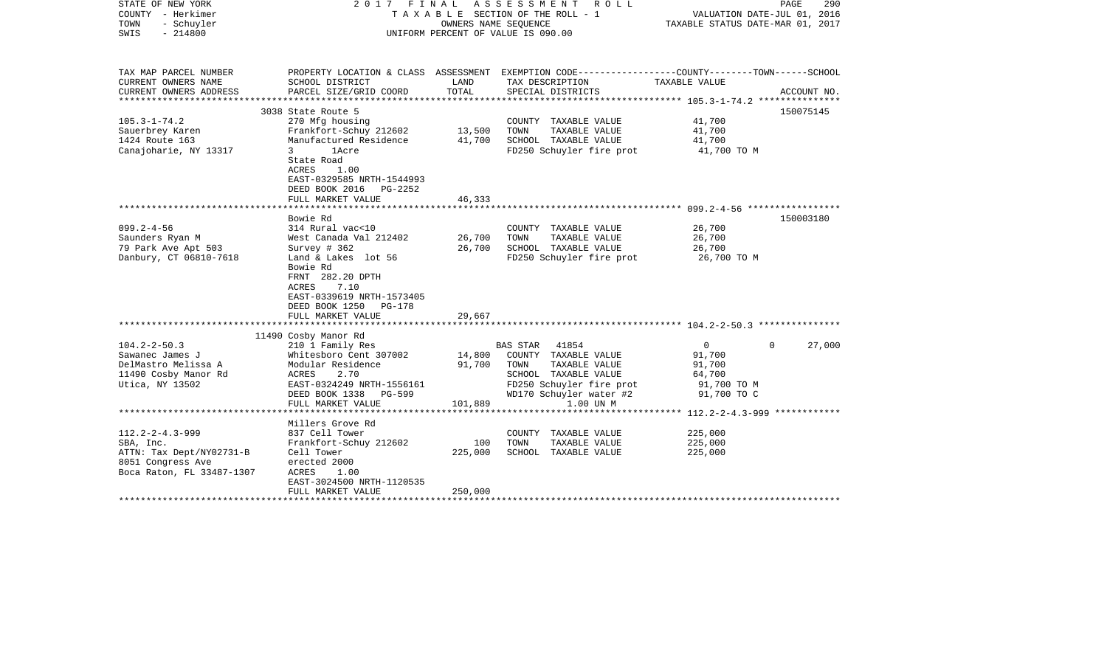| STATE OF NEW YORK<br>COUNTY - Herkimer<br>TOWN<br>- Schuyler<br>$-214800$<br>SWIS                                  |                                                                                                                                                                                                         | OWNERS NAME SEQUENCE | 2017 FINAL ASSESSMENT<br>R O L L<br>TAXABLE SECTION OF THE ROLL - 1<br>UNIFORM PERCENT OF VALUE IS 090.00                                | VALUATION DATE-JUL 01, 2016<br>TAXABLE STATUS DATE-MAR 01, 2017 | PAGE<br>290 |
|--------------------------------------------------------------------------------------------------------------------|---------------------------------------------------------------------------------------------------------------------------------------------------------------------------------------------------------|----------------------|------------------------------------------------------------------------------------------------------------------------------------------|-----------------------------------------------------------------|-------------|
| TAX MAP PARCEL NUMBER<br>CURRENT OWNERS NAME<br>CURRENT OWNERS ADDRESS                                             | SCHOOL DISTRICT<br>PARCEL SIZE/GRID COORD                                                                                                                                                               | LAND<br>TOTAL        | PROPERTY LOCATION & CLASS ASSESSMENT EXEMPTION CODE----------------COUNTY-------TOWN------SCHOOL<br>TAX DESCRIPTION<br>SPECIAL DISTRICTS | TAXABLE VALUE                                                   | ACCOUNT NO. |
| **********************                                                                                             | *****************************                                                                                                                                                                           |                      |                                                                                                                                          |                                                                 |             |
|                                                                                                                    | 3038 State Route 5                                                                                                                                                                                      |                      |                                                                                                                                          |                                                                 | 150075145   |
| $105.3 - 1 - 74.2$<br>Sauerbrey Karen<br>1424 Route 163<br>Canajoharie, NY 13317                                   | 270 Mfg housing<br>Frankfort-Schuy 212602<br>Manufactured Residence<br>3<br><b>1Acre</b><br>State Road<br>ACRES<br>1.00<br>EAST-0329585 NRTH-1544993<br>DEED BOOK 2016<br>PG-2252                       | 13,500<br>41,700     | COUNTY TAXABLE VALUE<br>TOWN<br>TAXABLE VALUE<br>SCHOOL TAXABLE VALUE<br>FD250 Schuyler fire prot                                        | 41,700<br>41,700<br>41,700<br>41,700 TO M                       |             |
|                                                                                                                    | FULL MARKET VALUE                                                                                                                                                                                       | 46,333               |                                                                                                                                          |                                                                 |             |
|                                                                                                                    |                                                                                                                                                                                                         |                      |                                                                                                                                          |                                                                 |             |
| $099.2 - 4 - 56$<br>Saunders Ryan M<br>79 Park Ave Apt 503<br>Danbury, CT 06810-7618                               | Bowie Rd<br>314 Rural vac<10<br>West Canada Val 212402<br>Survey # 362<br>Land & Lakes lot 56<br>Bowie Rd<br>FRNT 282.20 DPTH<br>7.10<br>ACRES<br>EAST-0339619 NRTH-1573405<br>DEED BOOK 1250<br>PG-178 | 26,700<br>26,700     | COUNTY TAXABLE VALUE<br>TOWN<br>TAXABLE VALUE<br>SCHOOL TAXABLE VALUE<br>FD250 Schuyler fire prot                                        | 26,700<br>26,700<br>26,700<br>26,700 TO M                       | 150003180   |
|                                                                                                                    | FULL MARKET VALUE<br>******************                                                                                                                                                                 | 29,667               | ******************************* 104.2-2-50.3 ***************                                                                             |                                                                 |             |
| $104.2 - 2 - 50.3$<br>Sawanec James J                                                                              | 11490 Cosby Manor Rd<br>210 1 Family Res<br>Whitesboro Cent 307002                                                                                                                                      | 14,800<br>91,700     | <b>BAS STAR</b><br>41854<br>COUNTY TAXABLE VALUE<br>TOWN                                                                                 | $\overline{0}$<br>$\Omega$<br>91,700                            | 27,000      |
| DelMastro Melissa A<br>11490 Cosby Manor Rd<br>Utica, NY 13502                                                     | Modular Residence<br>2.70<br>ACRES<br>EAST-0324249 NRTH-1556161<br>DEED BOOK 1338<br><b>PG-599</b><br>FULL MARKET VALUE                                                                                 | 101,889              | TAXABLE VALUE<br>SCHOOL TAXABLE VALUE<br>FD250 Schuyler fire prot<br>WD170 Schuyler water #2<br>1.00 UN M                                | 91,700<br>64,700<br>91,700 TO M<br>91,700 TO C                  |             |
|                                                                                                                    | *****************                                                                                                                                                                                       |                      |                                                                                                                                          | **** $112.2 - 2 - 4.3 - 999$ ************                       |             |
| $112.2 - 2 - 4.3 - 999$<br>SBA, Inc.<br>ATTN: Tax Dept/NY02731-B<br>8051 Congress Ave<br>Boca Raton, FL 33487-1307 | Millers Grove Rd<br>837 Cell Tower<br>Frankfort-Schuy 212602<br>Cell Tower<br>erected 2000<br>1.00<br>ACRES<br>EAST-3024500 NRTH-1120535                                                                | 100<br>225,000       | COUNTY TAXABLE VALUE<br>TOWN<br>TAXABLE VALUE<br>SCHOOL TAXABLE VALUE                                                                    | 225,000<br>225,000<br>225,000                                   |             |
|                                                                                                                    | FULL MARKET VALUE                                                                                                                                                                                       | 250,000              | ****************************                                                                                                             |                                                                 |             |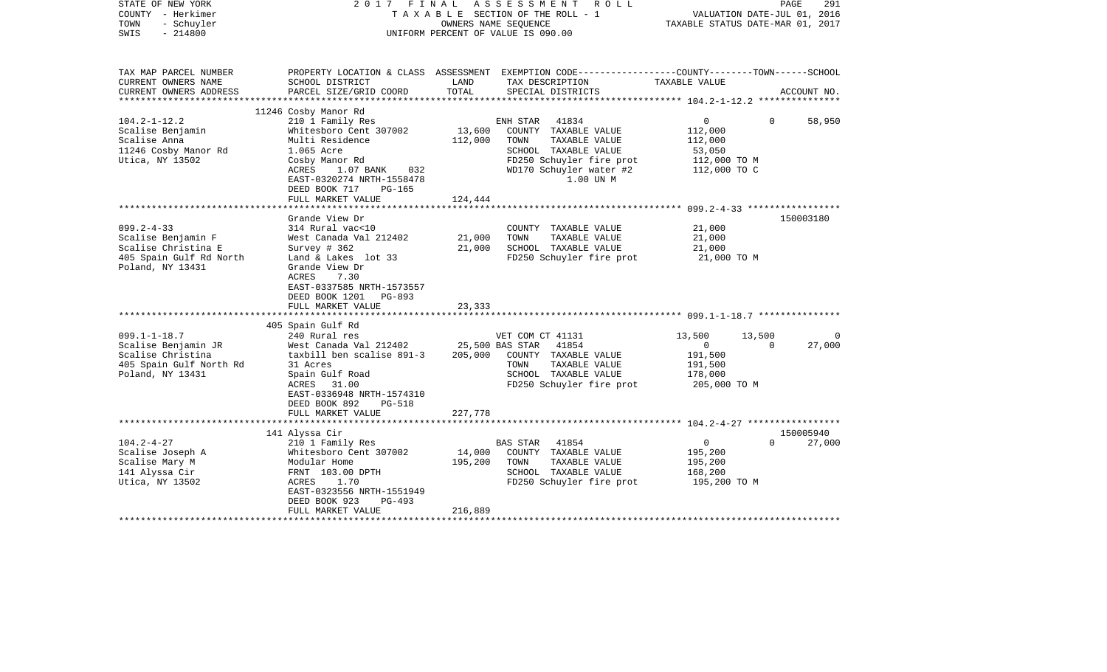| STATE OF NEW YORK<br>COUNTY - Herkimer<br>TOWN<br>- Schuyler<br>$-214800$<br>SWIS |                                              |                       | 2017 FINAL ASSESSMENT ROLL<br>TAXABLE SECTION OF THE ROLL - 1<br>OWNERS NAME SEQUENCE<br>UNIFORM PERCENT OF VALUE IS 090.00 | TAXABLE STATUS DATE-MAR 01, 2017 | PAGE<br>VALUATION DATE-JUL 01, 2016 | 291         |
|-----------------------------------------------------------------------------------|----------------------------------------------|-----------------------|-----------------------------------------------------------------------------------------------------------------------------|----------------------------------|-------------------------------------|-------------|
| TAX MAP PARCEL NUMBER                                                             |                                              |                       | PROPERTY LOCATION & CLASS ASSESSMENT EXEMPTION CODE----------------COUNTY-------TOWN-----SCHOOL                             |                                  |                                     |             |
| CURRENT OWNERS NAME                                                               | SCHOOL DISTRICT                              | LAND                  | TAX DESCRIPTION                                                                                                             | TAXABLE VALUE                    |                                     |             |
| CURRENT OWNERS ADDRESS<br>***********************                                 | PARCEL SIZE/GRID COORD                       | TOTAL                 | SPECIAL DISTRICTS                                                                                                           |                                  |                                     | ACCOUNT NO. |
|                                                                                   | 11246 Cosby Manor Rd                         |                       |                                                                                                                             |                                  |                                     |             |
| $104.2 - 1 - 12.2$                                                                | 210 1 Family Res                             |                       | 41834<br>ENH STAR                                                                                                           | $\overline{0}$                   | $\Omega$                            | 58,950      |
| Scalise Benjamin                                                                  | Whitesboro Cent 307002                       | 13,600                | COUNTY TAXABLE VALUE                                                                                                        | 112,000                          |                                     |             |
| Scalise Anna                                                                      | Multi Residence                              | 112,000               | TOWN<br>TAXABLE VALUE                                                                                                       | 112,000                          |                                     |             |
| 11246 Cosby Manor Rd                                                              | 1.065 Acre                                   |                       | SCHOOL TAXABLE VALUE                                                                                                        | 53,050                           |                                     |             |
| Utica, NY 13502                                                                   | Cosby Manor Rd                               |                       | FD250 Schuyler fire prot                                                                                                    | 112,000 TO M                     |                                     |             |
|                                                                                   | ACRES<br>1.07 BANK<br>032                    |                       | WD170 Schuyler water #2                                                                                                     | 112,000 TO C                     |                                     |             |
|                                                                                   | EAST-0320274 NRTH-1558478                    |                       | 1.00 UN M                                                                                                                   |                                  |                                     |             |
|                                                                                   | DEED BOOK 717<br>PG-165<br>FULL MARKET VALUE | 124,444               |                                                                                                                             |                                  |                                     |             |
|                                                                                   | *********************                        | ********************* | ************************ 099.2-4-33 *****************                                                                       |                                  |                                     |             |
|                                                                                   | Grande View Dr                               |                       |                                                                                                                             |                                  |                                     | 150003180   |
| $099.2 - 4 - 33$                                                                  | 314 Rural vac<10                             |                       | COUNTY TAXABLE VALUE                                                                                                        | 21,000                           |                                     |             |
| Scalise Benjamin F                                                                | West Canada Val 212402                       | 21,000                | TOWN<br>TAXABLE VALUE                                                                                                       | 21,000                           |                                     |             |
| Scalise Christina E                                                               | Survey # 362                                 | 21,000                | SCHOOL TAXABLE VALUE                                                                                                        | 21,000                           |                                     |             |
| 405 Spain Gulf Rd North                                                           | Land & Lakes lot 33                          |                       | FD250 Schuyler fire prot                                                                                                    | 21,000 TO M                      |                                     |             |
| Poland, NY 13431                                                                  | Grande View Dr                               |                       |                                                                                                                             |                                  |                                     |             |
|                                                                                   | 7.30<br>ACRES<br>EAST-0337585 NRTH-1573557   |                       |                                                                                                                             |                                  |                                     |             |
|                                                                                   | DEED BOOK 1201<br>PG-893                     |                       |                                                                                                                             |                                  |                                     |             |
|                                                                                   | FULL MARKET VALUE                            | 23,333                |                                                                                                                             |                                  |                                     |             |
|                                                                                   | *************************                    |                       |                                                                                                                             |                                  |                                     |             |
|                                                                                   | 405 Spain Gulf Rd                            |                       |                                                                                                                             |                                  |                                     |             |
| $099.1 - 1 - 18.7$                                                                | 240 Rural res                                |                       | VET COM CT 41131                                                                                                            | 13,500                           | 13,500                              | $\Omega$    |
| Scalise Benjamin JR                                                               | West Canada Val 212402                       |                       | 25,500 BAS STAR<br>41854                                                                                                    | $\mathbf 0$                      | $\Omega$                            | 27,000      |
| Scalise Christina                                                                 | taxbill ben scalise 891-3                    | 205,000               | COUNTY TAXABLE VALUE                                                                                                        | 191,500                          |                                     |             |
| 405 Spain Gulf North Rd<br>Poland, NY 13431                                       | 31 Acres<br>Spain Gulf Road                  |                       | TAXABLE VALUE<br>TOWN<br>SCHOOL TAXABLE VALUE                                                                               | 191,500<br>178,000               |                                     |             |
|                                                                                   | ACRES 31.00                                  |                       | FD250 Schuyler fire prot                                                                                                    | 205,000 TO M                     |                                     |             |
|                                                                                   | EAST-0336948 NRTH-1574310                    |                       |                                                                                                                             |                                  |                                     |             |
|                                                                                   | DEED BOOK 892<br><b>PG-518</b>               |                       |                                                                                                                             |                                  |                                     |             |
|                                                                                   | FULL MARKET VALUE                            | 227,778               |                                                                                                                             |                                  |                                     |             |
|                                                                                   |                                              |                       |                                                                                                                             |                                  |                                     |             |
|                                                                                   | 141 Alyssa Cir                               |                       |                                                                                                                             |                                  |                                     | 150005940   |
| $104.2 - 4 - 27$                                                                  | 210 1 Family Res                             |                       | 41854<br>BAS STAR<br>COUNTY TAXABLE VALUE                                                                                   | $\overline{0}$                   | $\Omega$                            | 27,000      |
| Scalise Joseph A<br>Scalise Mary M                                                | Whitesboro Cent 307002<br>Modular Home       | 14,000<br>195,200     | TAXABLE VALUE<br>TOWN                                                                                                       | 195,200<br>195,200               |                                     |             |
| 141 Alyssa Cir                                                                    | FRNT 103.00 DPTH                             |                       | SCHOOL TAXABLE VALUE                                                                                                        | 168,200                          |                                     |             |
| Utica, NY 13502                                                                   | ACRES<br>1.70                                |                       | FD250 Schuyler fire prot                                                                                                    | 195,200 TO M                     |                                     |             |
|                                                                                   | EAST-0323556 NRTH-1551949                    |                       |                                                                                                                             |                                  |                                     |             |
|                                                                                   | DEED BOOK 923<br>$PG-493$                    |                       |                                                                                                                             |                                  |                                     |             |
|                                                                                   | FULL MARKET VALUE                            | 216,889               |                                                                                                                             |                                  |                                     |             |
|                                                                                   |                                              |                       |                                                                                                                             |                                  |                                     |             |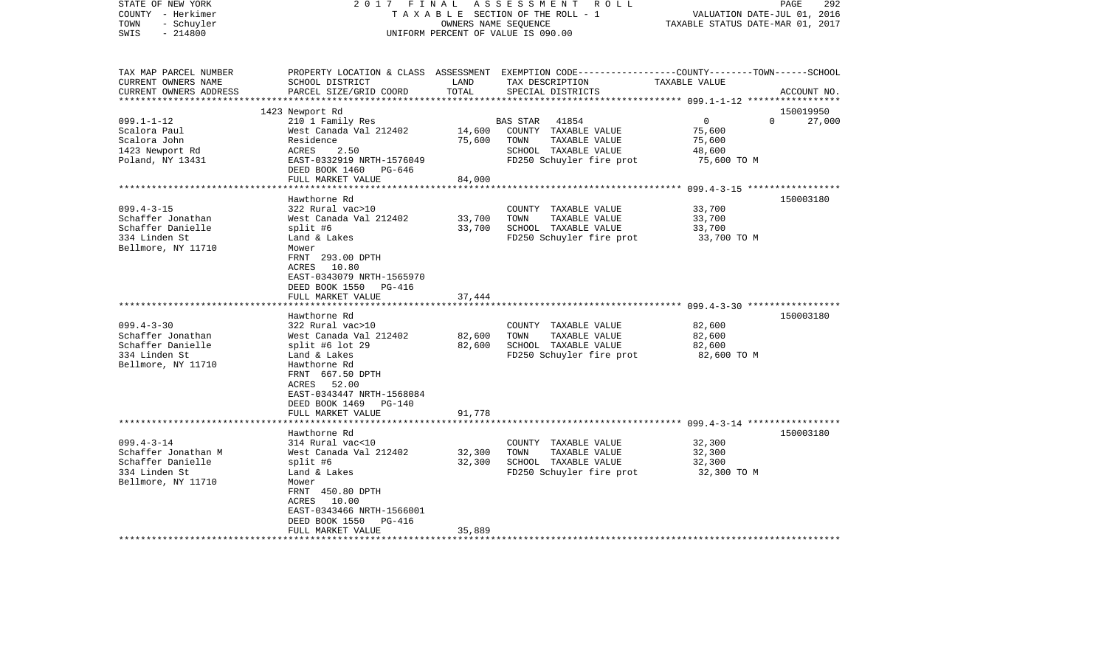| STATE OF NEW YORK<br>COUNTY - Herkimer<br>- Schuyler<br>TOWN<br>$-214800$<br>SWIS | 2017 FINAL                                | OWNERS NAME SEQUENCE | ASSESSMENT<br>ROLL<br>TAXABLE SECTION OF THE ROLL - 1<br>UNIFORM PERCENT OF VALUE IS 090.00                                              | VALUATION DATE-JUL 01, 2016<br>TAXABLE STATUS DATE-MAR 01, 2017 | PAGE<br>292        |
|-----------------------------------------------------------------------------------|-------------------------------------------|----------------------|------------------------------------------------------------------------------------------------------------------------------------------|-----------------------------------------------------------------|--------------------|
| TAX MAP PARCEL NUMBER<br>CURRENT OWNERS NAME<br>CURRENT OWNERS ADDRESS            | SCHOOL DISTRICT<br>PARCEL SIZE/GRID COORD | LAND<br>TOTAL        | PROPERTY LOCATION & CLASS ASSESSMENT EXEMPTION CODE----------------COUNTY-------TOWN------SCHOOL<br>TAX DESCRIPTION<br>SPECIAL DISTRICTS | TAXABLE VALUE                                                   | ACCOUNT NO.        |
|                                                                                   | 1423 Newport Rd                           |                      |                                                                                                                                          |                                                                 | 150019950          |
| $099.1 - 1 - 12$                                                                  | 210 1 Family Res                          |                      | 41854<br><b>BAS STAR</b>                                                                                                                 | $\overline{0}$                                                  | $\Omega$<br>27,000 |
| Scalora Paul                                                                      | West Canada Val 212402                    | 14,600               | COUNTY TAXABLE VALUE                                                                                                                     | 75,600                                                          |                    |
| Scalora John                                                                      | Residence                                 | 75,600               | TOWN<br>TAXABLE VALUE                                                                                                                    | 75,600                                                          |                    |
| 1423 Newport Rd                                                                   | ACRES<br>2.50                             |                      | SCHOOL TAXABLE VALUE                                                                                                                     | 48,600                                                          |                    |
| Poland, NY 13431                                                                  | EAST-0332919 NRTH-1576049                 |                      | FD250 Schuyler fire prot                                                                                                                 | 75,600 TO M                                                     |                    |
|                                                                                   | DEED BOOK 1460 PG-646                     |                      |                                                                                                                                          |                                                                 |                    |
|                                                                                   | FULL MARKET VALUE                         | 84,000               |                                                                                                                                          |                                                                 |                    |
|                                                                                   |                                           |                      |                                                                                                                                          |                                                                 |                    |
|                                                                                   | Hawthorne Rd                              |                      |                                                                                                                                          |                                                                 | 150003180          |
| $099.4 - 3 - 15$                                                                  | 322 Rural vac>10                          |                      | COUNTY TAXABLE VALUE                                                                                                                     | 33,700                                                          |                    |
| Schaffer Jonathan                                                                 | West Canada Val 212402                    | 33,700               | TOWN<br>TAXABLE VALUE                                                                                                                    | 33,700                                                          |                    |
| Schaffer Danielle<br>334 Linden St                                                | split #6                                  | 33,700               | SCHOOL TAXABLE VALUE<br>FD250 Schuyler fire prot                                                                                         | 33,700                                                          |                    |
| Bellmore, NY 11710                                                                | Land & Lakes<br>Mower                     |                      |                                                                                                                                          | 33,700 TO M                                                     |                    |
|                                                                                   | FRNT 293.00 DPTH                          |                      |                                                                                                                                          |                                                                 |                    |
|                                                                                   | ACRES 10.80                               |                      |                                                                                                                                          |                                                                 |                    |
|                                                                                   | EAST-0343079 NRTH-1565970                 |                      |                                                                                                                                          |                                                                 |                    |
|                                                                                   | DEED BOOK 1550 PG-416                     |                      |                                                                                                                                          |                                                                 |                    |
|                                                                                   | FULL MARKET VALUE                         | 37,444               |                                                                                                                                          |                                                                 |                    |
|                                                                                   | *******************                       |                      |                                                                                                                                          |                                                                 |                    |
|                                                                                   | Hawthorne Rd                              |                      |                                                                                                                                          |                                                                 | 150003180          |
| $099.4 - 3 - 30$                                                                  | 322 Rural vac>10                          |                      | COUNTY TAXABLE VALUE                                                                                                                     | 82,600                                                          |                    |
| Schaffer Jonathan<br>Schaffer Danielle                                            | West Canada Val 212402                    | 82,600               | TOWN<br>TAXABLE VALUE                                                                                                                    | 82,600                                                          |                    |
| 334 Linden St                                                                     | split #6 lot $29$<br>Land & Lakes         | 82,600               | SCHOOL TAXABLE VALUE<br>FD250 Schuyler fire prot                                                                                         | 82,600<br>82,600 TO M                                           |                    |
| Bellmore, NY 11710                                                                | Hawthorne Rd                              |                      |                                                                                                                                          |                                                                 |                    |
|                                                                                   | FRNT 667.50 DPTH                          |                      |                                                                                                                                          |                                                                 |                    |
|                                                                                   | ACRES 52.00                               |                      |                                                                                                                                          |                                                                 |                    |
|                                                                                   | EAST-0343447 NRTH-1568084                 |                      |                                                                                                                                          |                                                                 |                    |
|                                                                                   | DEED BOOK 1469 PG-140                     |                      |                                                                                                                                          |                                                                 |                    |
|                                                                                   | FULL MARKET VALUE                         | 91,778               |                                                                                                                                          |                                                                 |                    |
|                                                                                   |                                           |                      |                                                                                                                                          |                                                                 |                    |
|                                                                                   | Hawthorne Rd                              |                      |                                                                                                                                          |                                                                 | 150003180          |
| $099.4 - 3 - 14$                                                                  | 314 Rural vac<10                          |                      | COUNTY TAXABLE VALUE                                                                                                                     | 32,300                                                          |                    |
| Schaffer Jonathan M                                                               | West Canada Val 212402                    | 32,300               | TOWN<br>TAXABLE VALUE                                                                                                                    | 32,300                                                          |                    |
| Schaffer Danielle                                                                 | split #6                                  | 32,300               | SCHOOL TAXABLE VALUE                                                                                                                     | 32,300                                                          |                    |
| 334 Linden St<br>Bellmore, NY 11710                                               | Land & Lakes<br>Mower                     |                      | FD250 Schuyler fire prot                                                                                                                 | 32,300 TO M                                                     |                    |
|                                                                                   | FRNT 450.80 DPTH                          |                      |                                                                                                                                          |                                                                 |                    |
|                                                                                   | ACRES 10.00                               |                      |                                                                                                                                          |                                                                 |                    |
|                                                                                   | EAST-0343466 NRTH-1566001                 |                      |                                                                                                                                          |                                                                 |                    |
|                                                                                   | DEED BOOK 1550 PG-416                     |                      |                                                                                                                                          |                                                                 |                    |
|                                                                                   | FULL MARKET VALUE                         | 35,889               |                                                                                                                                          |                                                                 |                    |
|                                                                                   |                                           |                      |                                                                                                                                          |                                                                 |                    |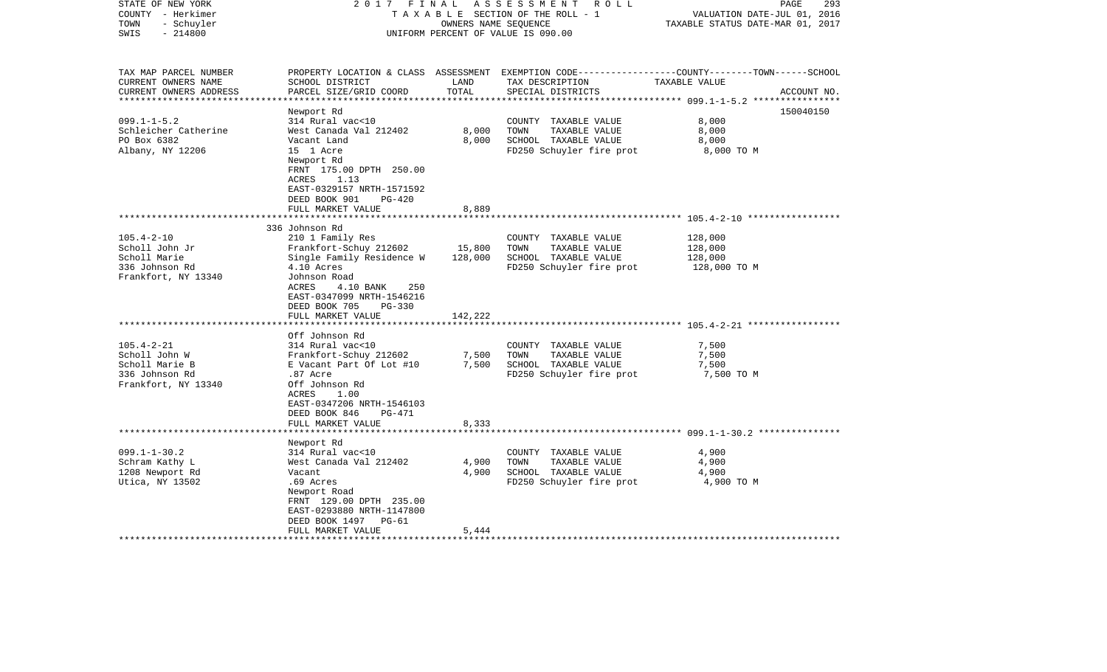| STATE OF NEW YORK<br>COUNTY - Herkimer<br>- Schuyler<br>TOWN<br>$-214800$<br>SWIS | 2017 FINAL                                                                                                                                         | OWNERS NAME SEQUENCE | ASSESSMENT ROLL<br>TAXABLE SECTION OF THE ROLL - 1<br>UNIFORM PERCENT OF VALUE IS 090.00 | PAGE<br>293<br>VALUATION DATE-JUL 01, 2016<br>TAXABLE STATUS DATE-MAR 01, 2017                                                  |
|-----------------------------------------------------------------------------------|----------------------------------------------------------------------------------------------------------------------------------------------------|----------------------|------------------------------------------------------------------------------------------|---------------------------------------------------------------------------------------------------------------------------------|
| TAX MAP PARCEL NUMBER<br>CURRENT OWNERS NAME<br>CURRENT OWNERS ADDRESS            | SCHOOL DISTRICT<br>PARCEL SIZE/GRID COORD                                                                                                          | LAND<br>TOTAL        | TAX DESCRIPTION<br>SPECIAL DISTRICTS                                                     | PROPERTY LOCATION & CLASS ASSESSMENT EXEMPTION CODE---------------COUNTY-------TOWN------SCHOOL<br>TAXABLE VALUE<br>ACCOUNT NO. |
|                                                                                   | Newport Rd                                                                                                                                         |                      |                                                                                          | 150040150                                                                                                                       |
| $099.1 - 1 - 5.2$                                                                 | 314 Rural vac<10                                                                                                                                   |                      | COUNTY TAXABLE VALUE                                                                     | 8,000                                                                                                                           |
| Schleicher Catherine                                                              | West Canada Val 212402                                                                                                                             | 8,000                | TOWN<br>TAXABLE VALUE                                                                    | 8,000                                                                                                                           |
| PO Box 6382                                                                       | Vacant Land                                                                                                                                        | 8,000                | SCHOOL TAXABLE VALUE                                                                     | 8,000                                                                                                                           |
| Albany, NY 12206                                                                  | 15 1 Acre<br>Newport Rd<br>FRNT 175.00 DPTH 250.00<br>1.13<br>ACRES<br>EAST-0329157 NRTH-1571592<br>DEED BOOK 901<br>$PG-420$<br>FULL MARKET VALUE | 8,889                | FD250 Schuyler fire prot                                                                 | 8,000 TO M                                                                                                                      |
|                                                                                   |                                                                                                                                                    |                      |                                                                                          |                                                                                                                                 |
|                                                                                   | 336 Johnson Rd                                                                                                                                     |                      |                                                                                          |                                                                                                                                 |
| $105.4 - 2 - 10$<br>Scholl John Jr                                                | 210 1 Family Res                                                                                                                                   | 15,800               | COUNTY TAXABLE VALUE<br>TOWN<br>TAXABLE VALUE                                            | 128,000<br>128,000                                                                                                              |
| Scholl Marie                                                                      | Frankfort-Schuy 212602<br>Single Family Residence W                                                                                                | 128,000              | SCHOOL TAXABLE VALUE                                                                     | 128,000                                                                                                                         |
| 336 Johnson Rd<br>Frankfort, NY 13340                                             | 4.10 Acres<br>Johnson Road<br>ACRES<br>4.10 BANK<br>250<br>EAST-0347099 NRTH-1546216<br>DEED BOOK 705<br>PG-330                                    |                      | FD250 Schuyler fire prot                                                                 | 128,000 TO M                                                                                                                    |
|                                                                                   | FULL MARKET VALUE                                                                                                                                  | 142,222              |                                                                                          |                                                                                                                                 |
|                                                                                   |                                                                                                                                                    |                      |                                                                                          |                                                                                                                                 |
| $105.4 - 2 - 21$                                                                  | Off Johnson Rd<br>314 Rural vac<10                                                                                                                 |                      | COUNTY TAXABLE VALUE                                                                     | 7,500                                                                                                                           |
| Scholl John W                                                                     | Frankfort-Schuy 212602                                                                                                                             | 7,500                | TOWN<br>TAXABLE VALUE                                                                    | 7,500                                                                                                                           |
| Scholl Marie B                                                                    | E Vacant Part Of Lot #10                                                                                                                           | 7,500                | SCHOOL TAXABLE VALUE                                                                     | 7,500                                                                                                                           |
| 336 Johnson Rd<br>Frankfort, NY 13340                                             | .87 Acre<br>Off Johnson Rd<br>ACRES<br>1.00<br>EAST-0347206 NRTH-1546103<br>DEED BOOK 846<br>PG-471                                                |                      | FD250 Schuyler fire prot                                                                 | 7,500 TO M                                                                                                                      |
|                                                                                   | FULL MARKET VALUE                                                                                                                                  | 8,333                |                                                                                          |                                                                                                                                 |
|                                                                                   |                                                                                                                                                    |                      |                                                                                          |                                                                                                                                 |
|                                                                                   | Newport Rd                                                                                                                                         |                      |                                                                                          |                                                                                                                                 |
| $099.1 - 1 - 30.2$                                                                | 314 Rural vac<10                                                                                                                                   |                      | COUNTY TAXABLE VALUE                                                                     | 4,900                                                                                                                           |
| Schram Kathy L                                                                    | West Canada Val 212402<br>Vacant                                                                                                                   | 4,900<br>4,900       | TOWN<br>TAXABLE VALUE                                                                    | 4,900                                                                                                                           |
| 1208 Newport Rd                                                                   |                                                                                                                                                    |                      | SCHOOL TAXABLE VALUE                                                                     | 4,900                                                                                                                           |
| Utica, NY 13502                                                                   | .69 Acres<br>Newport Road<br>FRNT 129.00 DPTH 235.00<br>EAST-0293880 NRTH-1147800<br>DEED BOOK 1497<br>PG-61<br>FULL MARKET VALUE                  | 5,444                | FD250 Schuyler fire prot                                                                 | 4,900 TO M                                                                                                                      |
|                                                                                   |                                                                                                                                                    |                      |                                                                                          |                                                                                                                                 |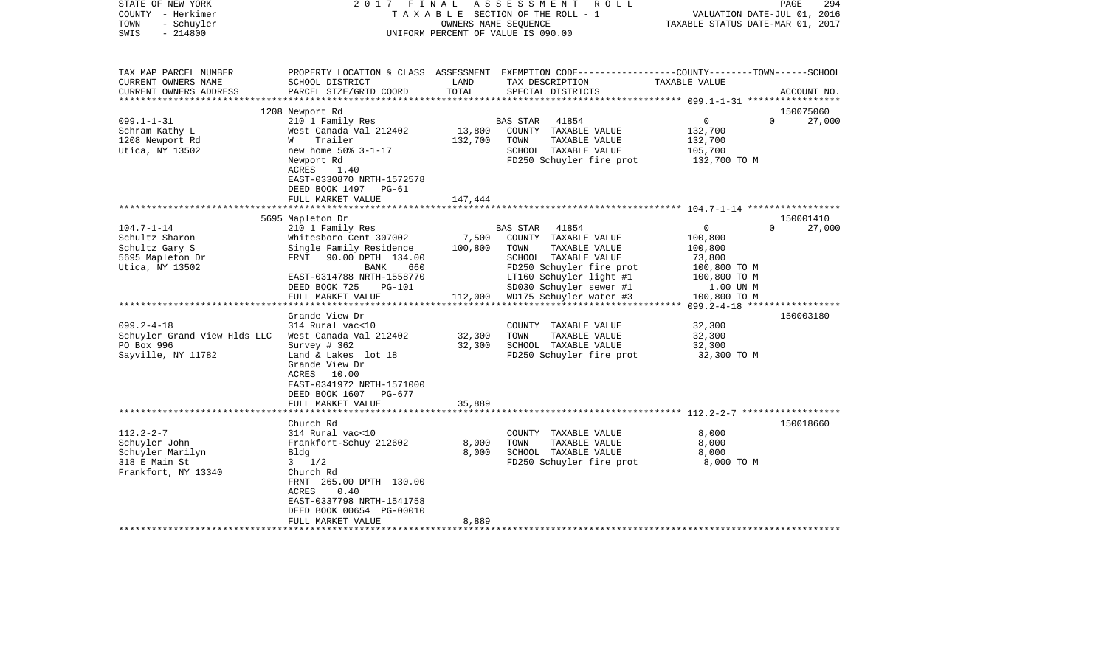| STATE OF NEW YORK<br>COUNTY - Herkimer<br>- Schuyler<br>TOWN<br>$-214800$<br>SWIS | 2017 FINAL                                                                       |                   | ASSESSMENT<br>R O L L<br>TAXABLE SECTION OF THE ROLL - 1<br>OWNERS NAME SEQUENCE<br>UNIFORM PERCENT OF VALUE IS 090.00                  | VALUATION DATE-JUL 01, 2016<br>TAXABLE STATUS DATE-MAR 01, 2017 | $\mathop{\mathtt{PAGE}}$<br>294 |
|-----------------------------------------------------------------------------------|----------------------------------------------------------------------------------|-------------------|-----------------------------------------------------------------------------------------------------------------------------------------|-----------------------------------------------------------------|---------------------------------|
| TAX MAP PARCEL NUMBER<br>CURRENT OWNERS NAME<br>CURRENT OWNERS ADDRESS            | SCHOOL DISTRICT<br>PARCEL SIZE/GRID COORD                                        | LAND<br>TOTAL     | PROPERTY LOCATION & CLASS ASSESSMENT EXEMPTION CODE---------------COUNTY-------TOWN------SCHOOL<br>TAX DESCRIPTION<br>SPECIAL DISTRICTS | TAXABLE VALUE                                                   | ACCOUNT NO.                     |
| *********************                                                             |                                                                                  |                   |                                                                                                                                         |                                                                 |                                 |
| $099.1 - 1 - 31$                                                                  | 1208 Newport Rd<br>210 1 Family Res                                              |                   | <b>BAS STAR</b><br>41854                                                                                                                | $\overline{0}$<br>$\Omega$                                      | 150075060<br>27,000             |
| Schram Kathy L<br>1208 Newport Rd                                                 | West Canada Val 212402<br>Trailer<br>W                                           | 13,800<br>132,700 | COUNTY TAXABLE VALUE<br>TOWN<br>TAXABLE VALUE                                                                                           | 132,700<br>132,700                                              |                                 |
| Utica, NY 13502                                                                   | new home 50% 3-1-17                                                              |                   | SCHOOL TAXABLE VALUE                                                                                                                    | 105,700                                                         |                                 |
|                                                                                   | Newport Rd<br>ACRES<br>1.40<br>EAST-0330870 NRTH-1572578<br>DEED BOOK 1497 PG-61 |                   | FD250 Schuyler fire prot                                                                                                                | 132,700 TO M                                                    |                                 |
|                                                                                   | FULL MARKET VALUE                                                                | 147,444           |                                                                                                                                         |                                                                 |                                 |
|                                                                                   | ***********************************                                              |                   |                                                                                                                                         |                                                                 |                                 |
| $104.7 - 1 - 14$                                                                  | 5695 Mapleton Dr<br>210 1 Family Res                                             |                   | <b>BAS STAR</b><br>41854                                                                                                                | $\mathbf 0$<br>$\Omega$                                         | 150001410<br>27,000             |
| Schultz Sharon                                                                    | Whitesboro Cent 307002                                                           | 7,500             | COUNTY TAXABLE VALUE                                                                                                                    | 100,800                                                         |                                 |
| Schultz Gary S                                                                    | Single Family Residence                                                          | 100,800           | TAXABLE VALUE<br>TOWN                                                                                                                   | 100,800                                                         |                                 |
| 5695 Mapleton Dr                                                                  | FRNT 90.00 DPTH 134.00                                                           |                   | SCHOOL TAXABLE VALUE                                                                                                                    | 73,800                                                          |                                 |
| Utica, NY 13502                                                                   | BANK<br>660                                                                      |                   | FD250 Schuyler fire prot                                                                                                                | 100,800 TO M                                                    |                                 |
|                                                                                   | EAST-0314788 NRTH-1558770                                                        |                   | LT160 Schuyler light #1                                                                                                                 | 100,800 TO M                                                    |                                 |
|                                                                                   | DEED BOOK 725<br>PG-101                                                          |                   | SD030 Schuyler sewer #1                                                                                                                 | 1.00 UN M                                                       |                                 |
|                                                                                   | FULL MARKET VALUE                                                                |                   | 112,000 WD175 Schuyler water #3                                                                                                         | 100,800 TO M                                                    |                                 |
|                                                                                   | Grande View Dr                                                                   |                   |                                                                                                                                         |                                                                 | 150003180                       |
| $099.2 - 4 - 18$                                                                  | 314 Rural vac<10                                                                 |                   | COUNTY TAXABLE VALUE                                                                                                                    | 32,300                                                          |                                 |
| Schuyler Grand View Hlds LLC                                                      | West Canada Val 212402                                                           | 32,300            | TOWN<br>TAXABLE VALUE                                                                                                                   | 32,300                                                          |                                 |
| PO Box 996                                                                        | Survey $# 362$                                                                   | 32,300            | SCHOOL TAXABLE VALUE                                                                                                                    | 32,300                                                          |                                 |
| Sayville, NY 11782                                                                | Land & Lakes lot 18                                                              |                   | FD250 Schuyler fire prot                                                                                                                | 32,300 TO M                                                     |                                 |
|                                                                                   | Grande View Dr                                                                   |                   |                                                                                                                                         |                                                                 |                                 |
|                                                                                   | ACRES<br>10.00                                                                   |                   |                                                                                                                                         |                                                                 |                                 |
|                                                                                   | EAST-0341972 NRTH-1571000                                                        |                   |                                                                                                                                         |                                                                 |                                 |
|                                                                                   | DEED BOOK 1607 PG-677                                                            |                   |                                                                                                                                         |                                                                 |                                 |
|                                                                                   | FULL MARKET VALUE                                                                | 35,889            |                                                                                                                                         |                                                                 |                                 |
|                                                                                   | Church Rd                                                                        |                   |                                                                                                                                         |                                                                 | 150018660                       |
| $112.2 - 2 - 7$                                                                   | 314 Rural vac<10                                                                 |                   | COUNTY TAXABLE VALUE                                                                                                                    | 8,000                                                           |                                 |
| Schuyler John                                                                     | Frankfort-Schuy 212602                                                           | 8,000             | TOWN<br>TAXABLE VALUE                                                                                                                   | 8,000                                                           |                                 |
| Schuyler Marilyn                                                                  | Bldg                                                                             | 8,000             | SCHOOL TAXABLE VALUE                                                                                                                    | 8,000                                                           |                                 |
| 318 E Main St                                                                     | $3 \frac{1}{2}$                                                                  |                   | FD250 Schuyler fire prot                                                                                                                | 8,000 TO M                                                      |                                 |
| Frankfort, NY 13340                                                               | Church Rd                                                                        |                   |                                                                                                                                         |                                                                 |                                 |
|                                                                                   | FRNT 265.00 DPTH 130.00                                                          |                   |                                                                                                                                         |                                                                 |                                 |
|                                                                                   | ACRES<br>0.40                                                                    |                   |                                                                                                                                         |                                                                 |                                 |
|                                                                                   | EAST-0337798 NRTH-1541758<br>DEED BOOK 00654 PG-00010                            |                   |                                                                                                                                         |                                                                 |                                 |
|                                                                                   | FULL MARKET VALUE                                                                | 8,889             |                                                                                                                                         |                                                                 |                                 |
|                                                                                   |                                                                                  |                   |                                                                                                                                         |                                                                 |                                 |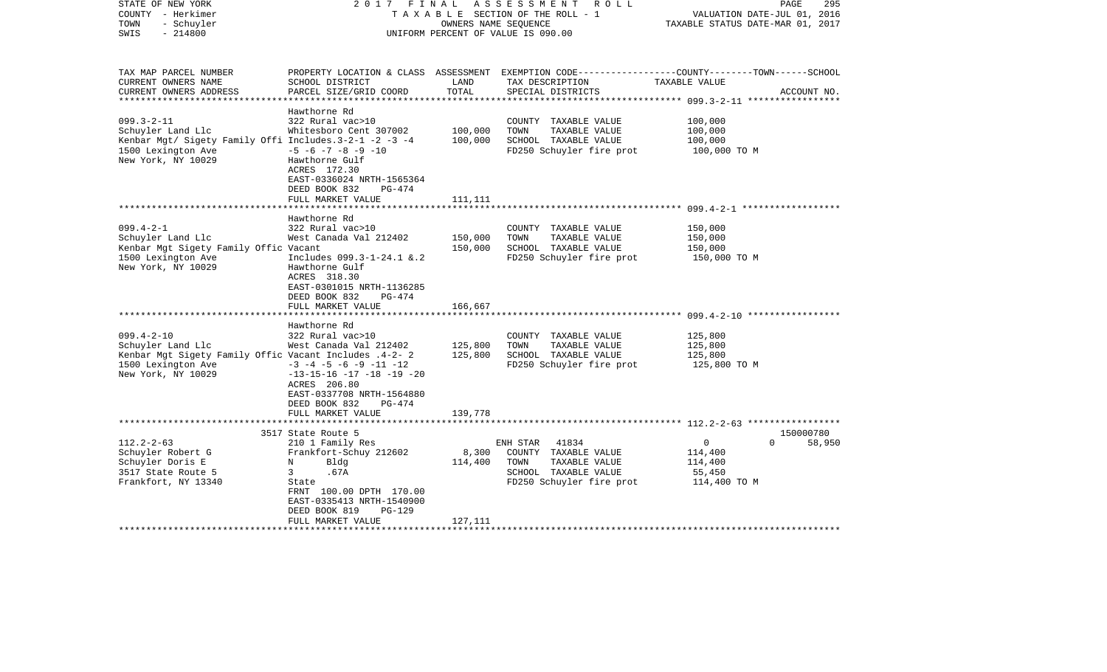| STATE OF NEW YORK<br>COUNTY - Herkimer<br>- Schuyler<br>TOWN<br>$-214800$<br>SWIS                                                                                                                                                                                        | 2017 FINAL                                                                                                                                                                                                                                                                                                                                                                                                                                                  | OWNERS NAME SEQUENCE                                | ASSESSMENT ROLL<br>TAXABLE SECTION OF THE ROLL - 1<br>UNIFORM PERCENT OF VALUE IS 090.00                                                                                                               | 295<br>PAGE<br>VALUATION DATE-JUL 01, 2016<br>TAXABLE STATUS DATE-MAR 01, 2017                                                   |
|--------------------------------------------------------------------------------------------------------------------------------------------------------------------------------------------------------------------------------------------------------------------------|-------------------------------------------------------------------------------------------------------------------------------------------------------------------------------------------------------------------------------------------------------------------------------------------------------------------------------------------------------------------------------------------------------------------------------------------------------------|-----------------------------------------------------|--------------------------------------------------------------------------------------------------------------------------------------------------------------------------------------------------------|----------------------------------------------------------------------------------------------------------------------------------|
| TAX MAP PARCEL NUMBER<br>CURRENT OWNERS NAME<br>CURRENT OWNERS ADDRESS<br>**********************                                                                                                                                                                         | SCHOOL DISTRICT<br>PARCEL SIZE/GRID COORD                                                                                                                                                                                                                                                                                                                                                                                                                   | LAND<br>TOTAL                                       | TAX DESCRIPTION<br>SPECIAL DISTRICTS                                                                                                                                                                   | PROPERTY LOCATION & CLASS ASSESSMENT EXEMPTION CODE----------------COUNTY-------TOWN------SCHOOL<br>TAXABLE VALUE<br>ACCOUNT NO. |
| $099.3 - 2 - 11$<br>Schuyler Land Llc<br>Kenbar Mgt/ Sigety Family Offi Includes.3-2-1 -2 -3 -4<br>1500 Lexington Ave<br>New York, NY 10029                                                                                                                              | Hawthorne Rd<br>322 Rural vac>10<br>Whitesboro Cent 307002<br>$-5$ $-6$ $-7$ $-8$ $-9$ $-10$<br>Hawthorne Gulf<br>ACRES 172.30<br>EAST-0336024 NRTH-1565364<br>DEED BOOK 832<br>$PG-474$                                                                                                                                                                                                                                                                    | 100,000<br>100,000                                  | COUNTY TAXABLE VALUE<br>TOWN<br>TAXABLE VALUE<br>SCHOOL TAXABLE VALUE<br>FD250 Schuyler fire prot                                                                                                      | 100,000<br>100,000<br>100,000<br>100,000 TO M                                                                                    |
|                                                                                                                                                                                                                                                                          | FULL MARKET VALUE                                                                                                                                                                                                                                                                                                                                                                                                                                           | 111,111                                             |                                                                                                                                                                                                        |                                                                                                                                  |
| $099.4 - 2 - 1$<br>Schuyler Land Llc<br>Kenbar Mgt Sigety Family Offic Vacant<br>1500 Lexington Ave<br>New York, NY 10029<br>$099.4 - 2 - 10$<br>Schuyler Land Llc<br>Kenbar Mgt Sigety Family Offic Vacant Includes .4-2- 2<br>1500 Lexington Ave<br>New York, NY 10029 | Hawthorne Rd<br>322 Rural vac>10<br>West Canada Val 212402<br>Includes 099.3-1-24.1 &.2<br>Hawthorne Gulf<br>ACRES 318.30<br>EAST-0301015 NRTH-1136285<br>DEED BOOK 832<br>PG-474<br>FULL MARKET VALUE<br>****************************<br>Hawthorne Rd<br>322 Rural vac>10<br>West Canada Val 212402<br>$-3$ $-4$ $-5$ $-6$ $-9$ $-11$ $-12$<br>$-13-15-16$ $-17$ $-18$ $-19$ $-20$<br>ACRES 206.80<br>EAST-0337708 NRTH-1564880<br>DEED BOOK 832<br>PG-474 | 150,000<br>150,000<br>166,667<br>125,800<br>125,800 | COUNTY TAXABLE VALUE<br>TAXABLE VALUE<br>TOWN<br>SCHOOL TAXABLE VALUE<br>FD250 Schuyler fire prot<br>COUNTY TAXABLE VALUE<br>TOWN<br>TAXABLE VALUE<br>SCHOOL TAXABLE VALUE<br>FD250 Schuyler fire prot | 150,000<br>150,000<br>150,000<br>150,000 TO M<br>125,800<br>125,800<br>125,800<br>125,800 TO M                                   |
|                                                                                                                                                                                                                                                                          | FULL MARKET VALUE<br>*************************                                                                                                                                                                                                                                                                                                                                                                                                              | 139,778                                             |                                                                                                                                                                                                        |                                                                                                                                  |
| $112.2 - 2 - 63$<br>Schuyler Robert G<br>Schuyler Doris E<br>3517 State Route 5<br>Frankfort, NY 13340                                                                                                                                                                   | 3517 State Route 5<br>210 1 Family Res<br>Frankfort-Schuy 212602<br>N<br>Bldg<br>3<br>.67A<br>State<br>FRNT 100.00 DPTH 170.00<br>EAST-0335413 NRTH-1540900<br>DEED BOOK 819<br><b>PG-129</b><br>FULL MARKET VALUE                                                                                                                                                                                                                                          | 8,300<br>114,400<br>127,111                         | 41834<br>ENH STAR<br>COUNTY TAXABLE VALUE<br>TAXABLE VALUE<br>TOWN<br>SCHOOL TAXABLE VALUE<br>FD250 Schuyler fire prot                                                                                 | 150000780<br>0<br>$\Omega$<br>58,950<br>114,400<br>114,400<br>55,450<br>114,400 TO M                                             |
|                                                                                                                                                                                                                                                                          |                                                                                                                                                                                                                                                                                                                                                                                                                                                             |                                                     |                                                                                                                                                                                                        |                                                                                                                                  |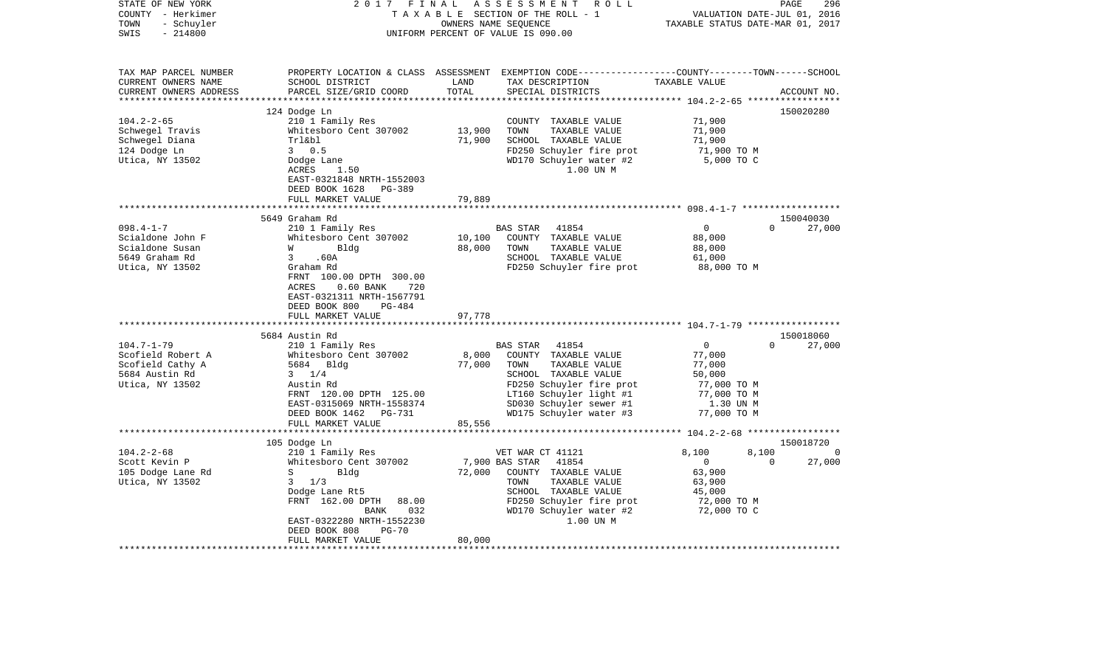| STATE OF NEW YORK      | 2017<br>FINAL                              |        | A S S E S S M E N T<br>R O L L                                                                  |                  | 296<br>PAGE                      |
|------------------------|--------------------------------------------|--------|-------------------------------------------------------------------------------------------------|------------------|----------------------------------|
| COUNTY - Herkimer      |                                            |        | TAXABLE SECTION OF THE ROLL - 1                                                                 |                  | VALUATION DATE-JUL 01,<br>2016   |
| TOWN<br>- Schuyler     |                                            |        | OWNERS NAME SEQUENCE                                                                            |                  | TAXABLE STATUS DATE-MAR 01, 2017 |
| $-214800$<br>SWIS      |                                            |        | UNIFORM PERCENT OF VALUE IS 090.00                                                              |                  |                                  |
|                        |                                            |        |                                                                                                 |                  |                                  |
|                        |                                            |        |                                                                                                 |                  |                                  |
| TAX MAP PARCEL NUMBER  |                                            |        | PROPERTY LOCATION & CLASS ASSESSMENT EXEMPTION CODE---------------COUNTY-------TOWN------SCHOOL |                  |                                  |
| CURRENT OWNERS NAME    | SCHOOL DISTRICT                            | LAND   | TAX DESCRIPTION                                                                                 | TAXABLE VALUE    |                                  |
| CURRENT OWNERS ADDRESS | PARCEL SIZE/GRID COORD                     | TOTAL  | SPECIAL DISTRICTS                                                                               |                  | ACCOUNT NO.                      |
|                        |                                            |        |                                                                                                 |                  |                                  |
| $104.2 - 2 - 65$       | 124 Dodge Ln                               |        |                                                                                                 |                  | 150020280                        |
| Schwegel Travis        | 210 1 Family Res<br>Whitesboro Cent 307002 | 13,900 | COUNTY TAXABLE VALUE<br>TOWN<br>TAXABLE VALUE                                                   | 71,900<br>71,900 |                                  |
| Schwegel Diana         | Trl&bl                                     | 71,900 | SCHOOL TAXABLE VALUE                                                                            | 71,900           |                                  |
| 124 Dodge Ln           | 30.5                                       |        | FD250 Schuyler fire prot                                                                        | 71,900 TO M      |                                  |
| Utica, NY 13502        | Dodge Lane                                 |        | WD170 Schuyler water #2                                                                         | 5,000 TO C       |                                  |
|                        | ACRES<br>1.50                              |        | 1.00 UN M                                                                                       |                  |                                  |
|                        | EAST-0321848 NRTH-1552003                  |        |                                                                                                 |                  |                                  |
|                        | DEED BOOK 1628<br>PG-389                   |        |                                                                                                 |                  |                                  |
|                        | FULL MARKET VALUE                          | 79,889 |                                                                                                 |                  |                                  |
|                        |                                            |        |                                                                                                 |                  |                                  |
|                        | 5649 Graham Rd                             |        |                                                                                                 |                  | 150040030                        |
| $098.4 - 1 - 7$        | 210 1 Family Res                           |        | BAS STAR<br>41854                                                                               | $\overline{0}$   | $\Omega$<br>27,000               |
| Scialdone John F       | Whitesboro Cent 307002                     | 10,100 | COUNTY TAXABLE VALUE                                                                            | 88,000           |                                  |
| Scialdone Susan        | Bldg<br>W                                  | 88,000 | TOWN<br>TAXABLE VALUE                                                                           | 88,000           |                                  |
| 5649 Graham Rd         | 3<br>.60A                                  |        | SCHOOL TAXABLE VALUE                                                                            | 61,000           |                                  |
| Utica, NY 13502        | Graham Rd                                  |        | FD250 Schuyler fire prot                                                                        | 88,000 TO M      |                                  |
|                        | FRNT 100.00 DPTH 300.00                    |        |                                                                                                 |                  |                                  |
|                        | $0.60$ BANK<br>ACRES<br>720                |        |                                                                                                 |                  |                                  |
|                        | EAST-0321311 NRTH-1567791                  |        |                                                                                                 |                  |                                  |
|                        | DEED BOOK 800<br>PG-484                    |        |                                                                                                 |                  |                                  |
|                        | FULL MARKET VALUE                          | 97,778 |                                                                                                 |                  |                                  |
|                        | *************************                  |        |                                                                                                 |                  |                                  |
|                        | 5684 Austin Rd                             |        |                                                                                                 |                  | 150018060                        |
| $104.7 - 1 - 79$       | 210 1 Family Res                           |        | 41854<br>BAS STAR                                                                               | $\mathbf 0$      | 27,000<br>$\Omega$               |
| Scofield Robert A      | Whitesboro Cent 307002                     | 8,000  | COUNTY TAXABLE VALUE                                                                            | 77,000           |                                  |
| Scofield Cathy A       | 5684 Bldg                                  | 77,000 | TOWN<br>TAXABLE VALUE                                                                           | 77,000           |                                  |
| 5684 Austin Rd         | $3 \frac{1}{4}$                            |        | SCHOOL TAXABLE VALUE                                                                            | 50,000           |                                  |
| Utica, NY 13502        | Austin Rd                                  |        | FD250 Schuyler fire prot                                                                        | 77,000 TO M      |                                  |
|                        | FRNT 120.00 DPTH 125.00                    |        | LT160 Schuyler light #1                                                                         | 77,000 TO M      |                                  |
|                        | EAST-0315069 NRTH-1558374                  |        | SD030 Schuyler sewer #1                                                                         | 1.30 UN M        |                                  |
|                        | DEED BOOK 1462 PG-731<br>FULL MARKET VALUE |        | WD175 Schuyler water #3                                                                         | 77,000 TO M      |                                  |
|                        |                                            | 85,556 |                                                                                                 |                  |                                  |
|                        | 105 Dodge Ln                               |        |                                                                                                 |                  | 150018720                        |
| $104.2 - 2 - 68$       | 210 1 Family Res                           |        | VET WAR CT 41121                                                                                | 8,100            | 8,100<br>$\Omega$                |
| Scott Kevin P          | Whitesboro Cent 307002                     |        | 7,900 BAS STAR<br>41854                                                                         | $\mathbf 0$      | 27,000<br>$\Omega$               |
| 105 Dodge Lane Rd      | S<br>Bldg                                  | 72,000 | COUNTY TAXABLE VALUE                                                                            | 63,900           |                                  |
| Utica, NY 13502        | 3<br>1/3                                   |        | TAXABLE VALUE<br>TOWN                                                                           | 63,900           |                                  |
|                        | Dodge Lane Rt5                             |        | SCHOOL TAXABLE VALUE                                                                            | 45,000           |                                  |
|                        | FRNT 162.00 DPTH<br>88.00                  |        | FD250 Schuyler fire prot                                                                        | 72,000 TO M      |                                  |
|                        | 032<br>BANK                                |        | WD170 Schuyler water #2                                                                         | 72,000 TO C      |                                  |
|                        | EAST-0322280 NRTH-1552230                  |        | 1.00 UN M                                                                                       |                  |                                  |
|                        | DEED BOOK 808<br>$PG-70$                   |        |                                                                                                 |                  |                                  |
|                        | FULL MARKET VALUE                          | 80,000 |                                                                                                 |                  |                                  |
|                        |                                            |        |                                                                                                 |                  |                                  |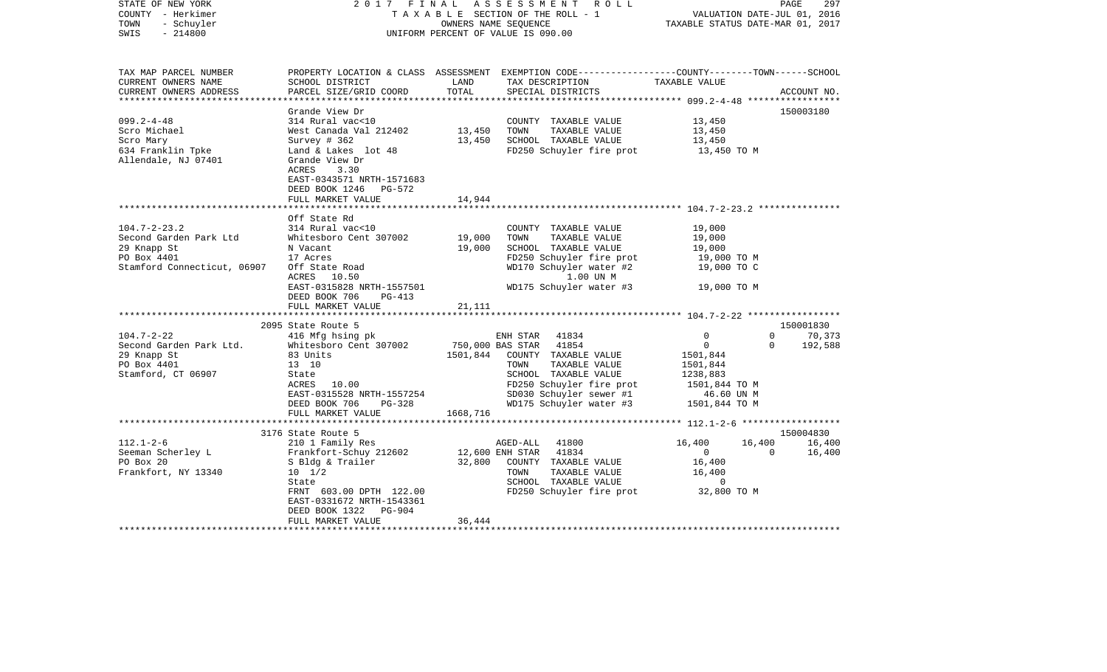| STATE OF NEW YORK<br>COUNTY - Herkimer<br>TOWN<br>- Schuyler<br>SWIS<br>$-214800$                                                                                                                            | 2017                                                                                                                                                                                                                                                                                                                                                                              | FINAL                                                      | A S S E S S M E N T<br>R O L L<br>TAXABLE SECTION OF THE ROLL - 1<br>OWNERS NAME SEQUENCE<br>UNIFORM PERCENT OF VALUE IS 090.00                                                                                                                                                                                                                               | VALUATION DATE-JUL 01, 2016<br>TAXABLE STATUS DATE-MAR 01, 2017                                                                                                                                                 | 297<br>PAGE                    |
|--------------------------------------------------------------------------------------------------------------------------------------------------------------------------------------------------------------|-----------------------------------------------------------------------------------------------------------------------------------------------------------------------------------------------------------------------------------------------------------------------------------------------------------------------------------------------------------------------------------|------------------------------------------------------------|---------------------------------------------------------------------------------------------------------------------------------------------------------------------------------------------------------------------------------------------------------------------------------------------------------------------------------------------------------------|-----------------------------------------------------------------------------------------------------------------------------------------------------------------------------------------------------------------|--------------------------------|
| TAX MAP PARCEL NUMBER<br>CURRENT OWNERS NAME<br>CURRENT OWNERS ADDRESS                                                                                                                                       | SCHOOL DISTRICT<br>PARCEL SIZE/GRID COORD                                                                                                                                                                                                                                                                                                                                         | LAND<br>TOTAL                                              | PROPERTY LOCATION & CLASS ASSESSMENT EXEMPTION CODE---------------COUNTY-------TOWN------SCHOOL<br>TAX DESCRIPTION<br>SPECIAL DISTRICTS                                                                                                                                                                                                                       | TAXABLE VALUE                                                                                                                                                                                                   | ACCOUNT NO.                    |
| $099.2 - 4 - 48$<br>Scro Michael<br>Scro Mary<br>634 Franklin Tpke<br>Allendale, NJ 07401                                                                                                                    | Grande View Dr<br>314 Rural vac<10<br>West Canada Val 212402<br>Survey # 362<br>Land & Lakes lot 48<br>Grande View Dr<br>ACRES<br>3.30<br>EAST-0343571 NRTH-1571683<br>DEED BOOK 1246<br>PG-572                                                                                                                                                                                   | 13,450<br>13,450                                           | COUNTY TAXABLE VALUE<br>TOWN<br>TAXABLE VALUE<br>SCHOOL TAXABLE VALUE<br>FD250 Schuyler fire prot                                                                                                                                                                                                                                                             | 13,450<br>13,450<br>13,450<br>13,450 TO M                                                                                                                                                                       | 150003180                      |
|                                                                                                                                                                                                              | FULL MARKET VALUE                                                                                                                                                                                                                                                                                                                                                                 | 14,944                                                     |                                                                                                                                                                                                                                                                                                                                                               |                                                                                                                                                                                                                 |                                |
| $104.7 - 2 - 23.2$<br>Second Garden Park Ltd<br>29 Knapp St<br>PO Box 4401<br>Stamford Connecticut, 06907<br>$104.7 - 2 - 22$<br>Second Garden Park Ltd.<br>29 Knapp St<br>PO Box 4401<br>Stamford, CT 06907 | Off State Rd<br>314 Rural vac<10<br>Whitesboro Cent 307002<br>N Vacant<br>17 Acres<br>Off State Road<br>ACRES<br>10.50<br>EAST-0315828 NRTH-1557501<br>DEED BOOK 706<br>$PG-413$<br>FULL MARKET VALUE<br>2095 State Route 5<br>416 Mfg hsing pk<br>Whitesboro Cent 307002<br>83 Units<br>13 10<br>State<br>10.00<br>ACRES<br>EAST-0315528 NRTH-1557254<br>DEED BOOK 706<br>PG-328 | 19,000<br>19,000<br>21,111<br>750,000 BAS STAR<br>1501,844 | COUNTY TAXABLE VALUE<br>TAXABLE VALUE<br>TOWN<br>SCHOOL TAXABLE VALUE<br>FD250 Schuyler fire prot<br>WD170 Schuyler water #2<br>1.00 UN M<br>WD175 Schuyler water #3<br>ENH STAR<br>41834<br>41854<br>COUNTY TAXABLE VALUE<br>TOWN<br>TAXABLE VALUE<br>SCHOOL TAXABLE VALUE<br>FD250 Schuyler fire prot<br>SD030 Schuyler sewer #1<br>WD175 Schuyler water #3 | 19,000<br>19,000<br>19,000<br>19,000 TO M<br>19,000 TO C<br>19,000 TO M<br>$\mathbf{0}$<br>$\Omega$<br>$\Omega$<br>$\Omega$<br>1501,844<br>1501,844<br>1238,883<br>1501,844 TO M<br>46.60 UN M<br>1501,844 TO M | 150001830<br>70,373<br>192,588 |
|                                                                                                                                                                                                              | FULL MARKET VALUE<br>**************************                                                                                                                                                                                                                                                                                                                                   | 1668,716                                                   |                                                                                                                                                                                                                                                                                                                                                               |                                                                                                                                                                                                                 |                                |
| $112.1 - 2 - 6$<br>Seeman Scherley L<br>PO Box 20<br>Frankfort, NY 13340                                                                                                                                     | 3176 State Route 5<br>210 1 Family Res<br>Frankfort-Schuy 212602<br>S Bldg & Trailer<br>$10 \t 1/2$<br>State<br>FRNT 603.00 DPTH 122.00<br>EAST-0331672 NRTH-1543361<br>DEED BOOK 1322<br>PG-904                                                                                                                                                                                  | 32,800                                                     | AGED-ALL<br>41800<br>12,600 ENH STAR<br>41834<br>COUNTY TAXABLE VALUE<br>TAXABLE VALUE<br>TOWN<br>SCHOOL TAXABLE VALUE<br>FD250 Schuyler fire prot                                                                                                                                                                                                            | 16,400<br>16,400<br>$\overline{0}$<br>$\Omega$<br>16,400<br>16,400<br>$\overline{\phantom{0}}$<br>32,800 TO M                                                                                                   | 150004830<br>16,400<br>16,400  |
|                                                                                                                                                                                                              | FULL MARKET VALUE                                                                                                                                                                                                                                                                                                                                                                 | 36,444                                                     |                                                                                                                                                                                                                                                                                                                                                               |                                                                                                                                                                                                                 |                                |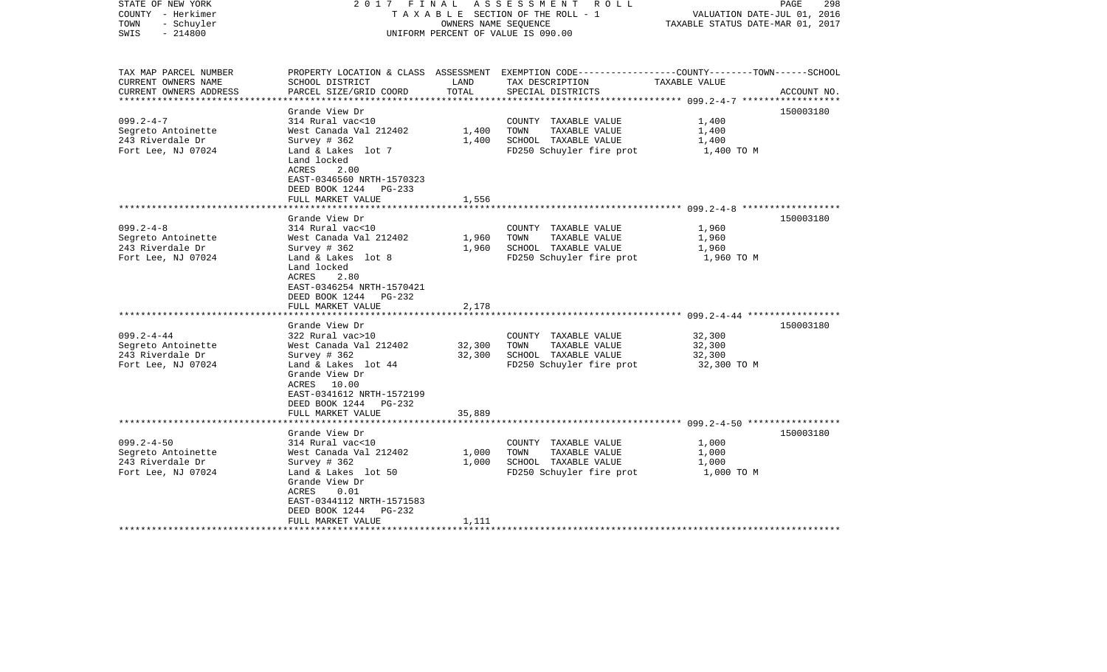| STATE OF NEW YORK<br>COUNTY - Herkimer<br>- Schuyler<br>TOWN<br>$-214800$<br>SWIS                                                                                   | 2017 FINAL                                                                                                                                                                                                                                                                                                                                                                                                    | OWNERS NAME SEQUENCE                        | ASSESSMENT ROLL<br>TAXABLE SECTION OF THE ROLL - 1<br>UNIFORM PERCENT OF VALUE IS 090.00                                                                                                               | VALUATION DATE-JUL 01, 2016<br>TAXABLE STATUS DATE-MAR 01, 2017                    | PAGE<br>298            |
|---------------------------------------------------------------------------------------------------------------------------------------------------------------------|---------------------------------------------------------------------------------------------------------------------------------------------------------------------------------------------------------------------------------------------------------------------------------------------------------------------------------------------------------------------------------------------------------------|---------------------------------------------|--------------------------------------------------------------------------------------------------------------------------------------------------------------------------------------------------------|------------------------------------------------------------------------------------|------------------------|
| TAX MAP PARCEL NUMBER<br>CURRENT OWNERS NAME<br>CURRENT OWNERS ADDRESS                                                                                              | SCHOOL DISTRICT<br>PARCEL SIZE/GRID COORD                                                                                                                                                                                                                                                                                                                                                                     | LAND<br>TOTAL                               | PROPERTY LOCATION & CLASS ASSESSMENT EXEMPTION CODE---------------COUNTY-------TOWN------SCHOOL<br>TAX DESCRIPTION<br>SPECIAL DISTRICTS                                                                | TAXABLE VALUE                                                                      | ACCOUNT NO.            |
| **********************                                                                                                                                              |                                                                                                                                                                                                                                                                                                                                                                                                               |                                             |                                                                                                                                                                                                        |                                                                                    |                        |
| $099.2 - 4 - 7$<br>Segreto Antoinette<br>243 Riverdale Dr<br>Fort Lee, NJ 07024                                                                                     | Grande View Dr<br>314 Rural vac<10<br>West Canada Val 212402<br>Survey $#362$<br>Land & Lakes lot 7<br>Land locked<br>ACRES<br>2.00<br>EAST-0346560 NRTH-1570323                                                                                                                                                                                                                                              | 1,400<br>1,400                              | COUNTY TAXABLE VALUE<br>TOWN<br>TAXABLE VALUE<br>SCHOOL TAXABLE VALUE<br>FD250 Schuyler fire prot                                                                                                      | 1,400<br>1,400<br>1,400<br>1,400 TO M                                              | 150003180              |
|                                                                                                                                                                     | DEED BOOK 1244 PG-233                                                                                                                                                                                                                                                                                                                                                                                         |                                             |                                                                                                                                                                                                        |                                                                                    |                        |
|                                                                                                                                                                     | FULL MARKET VALUE                                                                                                                                                                                                                                                                                                                                                                                             | 1,556                                       |                                                                                                                                                                                                        |                                                                                    |                        |
| $099.2 - 4 - 8$<br>Segreto Antoinette<br>243 Riverdale Dr<br>Fort Lee, NJ 07024<br>$099.2 - 4 - 44$<br>Segreto Antoinette<br>243 Riverdale Dr<br>Fort Lee, NJ 07024 | Grande View Dr<br>314 Rural vac<10<br>West Canada Val 212402<br>Survey $#362$<br>Land & Lakes lot 8<br>Land locked<br>ACRES<br>2.80<br>EAST-0346254 NRTH-1570421<br>DEED BOOK 1244 PG-232<br>FULL MARKET VALUE<br>Grande View Dr<br>322 Rural vac>10<br>West Canada Val 212402<br>Survey $#362$<br>Land & Lakes lot 44<br>Grande View Dr<br>ACRES 10.00<br>EAST-0341612 NRTH-1572199<br>DEED BOOK 1244 PG-232 | 1,960<br>1,960<br>2,178<br>32,300<br>32,300 | COUNTY TAXABLE VALUE<br>TAXABLE VALUE<br>TOWN<br>SCHOOL TAXABLE VALUE<br>FD250 Schuyler fire prot<br>COUNTY TAXABLE VALUE<br>TOWN<br>TAXABLE VALUE<br>SCHOOL TAXABLE VALUE<br>FD250 Schuyler fire prot | 1,960<br>1,960<br>1,960<br>1,960 TO M<br>32,300<br>32,300<br>32,300<br>32,300 TO M | 150003180<br>150003180 |
|                                                                                                                                                                     | FULL MARKET VALUE<br>****************************                                                                                                                                                                                                                                                                                                                                                             | 35,889                                      |                                                                                                                                                                                                        |                                                                                    |                        |
| $099.2 - 4 - 50$<br>Segreto Antoinette<br>243 Riverdale Dr<br>Fort Lee, NJ 07024                                                                                    | Grande View Dr<br>314 Rural vac<10<br>West Canada Val 212402<br>Survey # 362<br>Land & Lakes lot 50<br>Grande View Dr<br>ACRES<br>0.01<br>EAST-0344112 NRTH-1571583<br>DEED BOOK 1244 PG-232<br>FULL MARKET VALUE                                                                                                                                                                                             | 1,000<br>1,000<br>1,111                     | COUNTY TAXABLE VALUE<br>TOWN<br>TAXABLE VALUE<br>SCHOOL TAXABLE VALUE<br>FD250 Schuyler fire prot                                                                                                      | 1,000<br>1,000<br>1,000<br>1,000 TO M                                              | 150003180              |
|                                                                                                                                                                     |                                                                                                                                                                                                                                                                                                                                                                                                               |                                             |                                                                                                                                                                                                        |                                                                                    |                        |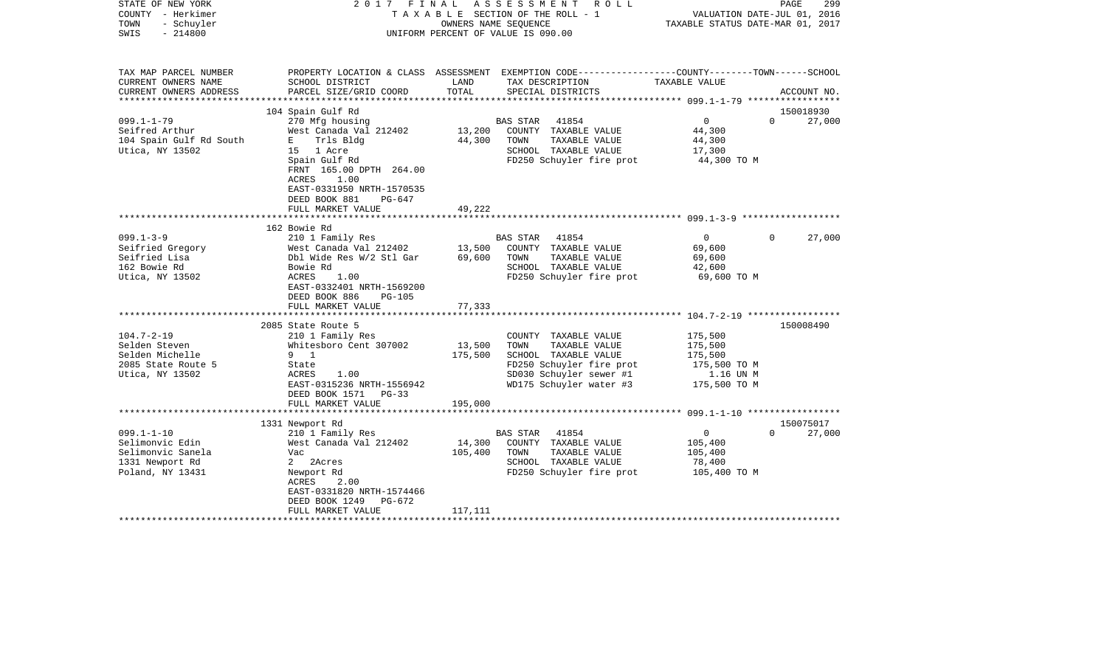| STATE OF NEW YORK<br>COUNTY - Herkimer<br>- Schuyler<br>TOWN<br>$-214800$<br>SWIS               | 2017 FINAL                                                                                                                                                                           |                              | A S S E S S M E N T R O L L<br>TAXABLE SECTION OF THE ROLL - 1<br>OWNERS NAME SEQUENCE<br>UNIFORM PERCENT OF VALUE IS 090.00                            | VALUATION DATE-JUL 01, 2016<br>TAXABLE STATUS DATE-MAR 01, 2017            | PAGE<br>299                     |
|-------------------------------------------------------------------------------------------------|--------------------------------------------------------------------------------------------------------------------------------------------------------------------------------------|------------------------------|---------------------------------------------------------------------------------------------------------------------------------------------------------|----------------------------------------------------------------------------|---------------------------------|
| TAX MAP PARCEL NUMBER<br>CURRENT OWNERS NAME<br>CURRENT OWNERS ADDRESS                          | SCHOOL DISTRICT<br>PARCEL SIZE/GRID COORD                                                                                                                                            | LAND<br>TOTAL                | PROPERTY LOCATION & CLASS ASSESSMENT EXEMPTION CODE---------------COUNTY-------TOWN------SCHOOL<br>TAX DESCRIPTION<br>SPECIAL DISTRICTS                 | TAXABLE VALUE                                                              | ACCOUNT NO.                     |
|                                                                                                 |                                                                                                                                                                                      |                              |                                                                                                                                                         |                                                                            |                                 |
| $099.1 - 1 - 79$<br>Seifred Arthur<br>104 Spain Gulf Rd South<br>Utica, NY 13502                | 104 Spain Gulf Rd<br>270 Mfg housing<br>West Canada Val 212402<br>E Trls Bldg<br>15 1 Acre<br>Spain Gulf Rd<br>FRNT 165.00 DPTH 264.00<br>ACRES<br>1.00<br>EAST-0331950 NRTH-1570535 | 13,200<br>44,300             | 41854<br>BAS STAR<br>COUNTY TAXABLE VALUE<br>TAXABLE VALUE<br>TOWN<br>SCHOOL TAXABLE VALUE<br>FD250 Schuyler fire prot                                  | $\overline{0}$<br>44,300<br>44,300<br>17,300<br>44,300 TO M                | 150018930<br>$\Omega$<br>27,000 |
|                                                                                                 | DEED BOOK 881<br>$PG-647$<br>FULL MARKET VALUE                                                                                                                                       | 49,222                       |                                                                                                                                                         |                                                                            |                                 |
|                                                                                                 |                                                                                                                                                                                      |                              |                                                                                                                                                         |                                                                            |                                 |
|                                                                                                 | 162 Bowie Rd                                                                                                                                                                         |                              |                                                                                                                                                         |                                                                            |                                 |
| $099.1 - 3 - 9$<br>Seifried Gregory<br>Seifried Lisa<br>162 Bowie Rd<br>Utica, NY 13502         | 210 1 Family Res<br>West Canada Val 212402<br>Dbl Wide Res W/2 Stl Gar<br>Bowie Rd<br>ACRES<br>1.00<br>EAST-0332401 NRTH-1569200<br>DEED BOOK 886<br><b>PG-105</b>                   | 13,500<br>69,600             | BAS STAR<br>41854<br>COUNTY TAXABLE VALUE<br>TOWN<br>TAXABLE VALUE<br>SCHOOL TAXABLE VALUE<br>FD250 Schuyler fire prot                                  | $\overline{0}$<br>69,600<br>69,600<br>42,600<br>69,600 TO M                | $\Omega$<br>27,000              |
|                                                                                                 | FULL MARKET VALUE<br>*****************************                                                                                                                                   | 77,333                       |                                                                                                                                                         |                                                                            |                                 |
| $104.7 - 2 - 19$<br>Selden Steven<br>Selden Michelle<br>2085 State Route 5<br>Utica, NY 13502   | 2085 State Route 5<br>210 1 Family Res<br>Whitesboro Cent 307002<br>9 1<br>State<br>ACRES<br>1.00<br>EAST-0315236 NRTH-1556942<br>DEED BOOK 1571<br>$PG-33$<br>FULL MARKET VALUE     | 13,500<br>175,500<br>195,000 | COUNTY TAXABLE VALUE<br>TOWN<br>TAXABLE VALUE<br>SCHOOL TAXABLE VALUE<br>FD250 Schuyler fire prot<br>SD030 Schuyler sewer #1<br>WD175 Schuyler water #3 | 175,500<br>175,500<br>175,500<br>175,500 TO M<br>1.16 UN M<br>175,500 TO M | 150008490                       |
|                                                                                                 |                                                                                                                                                                                      |                              |                                                                                                                                                         |                                                                            |                                 |
| $099.1 - 1 - 10$<br>Selimonvic Edin<br>Selimonvic Sanela<br>1331 Newport Rd<br>Poland, NY 13431 | 1331 Newport Rd<br>210 1 Family Res<br>West Canada Val 212402<br>Vac<br>2 2Acres<br>Newport Rd<br>ACRES<br>2.00<br>EAST-0331820 NRTH-1574466<br>DEED BOOK 1249<br>PG-672             | 14,300<br>105,400            | 41854<br>BAS STAR<br>COUNTY TAXABLE VALUE<br>TOWN<br>TAXABLE VALUE<br>SCHOOL TAXABLE VALUE<br>FD250 Schuyler fire prot                                  | $\overline{0}$<br>105,400<br>105,400<br>78,400<br>105,400 TO M             | 150075017<br>$\Omega$<br>27,000 |
|                                                                                                 | FULL MARKET VALUE                                                                                                                                                                    | 117,111                      |                                                                                                                                                         |                                                                            |                                 |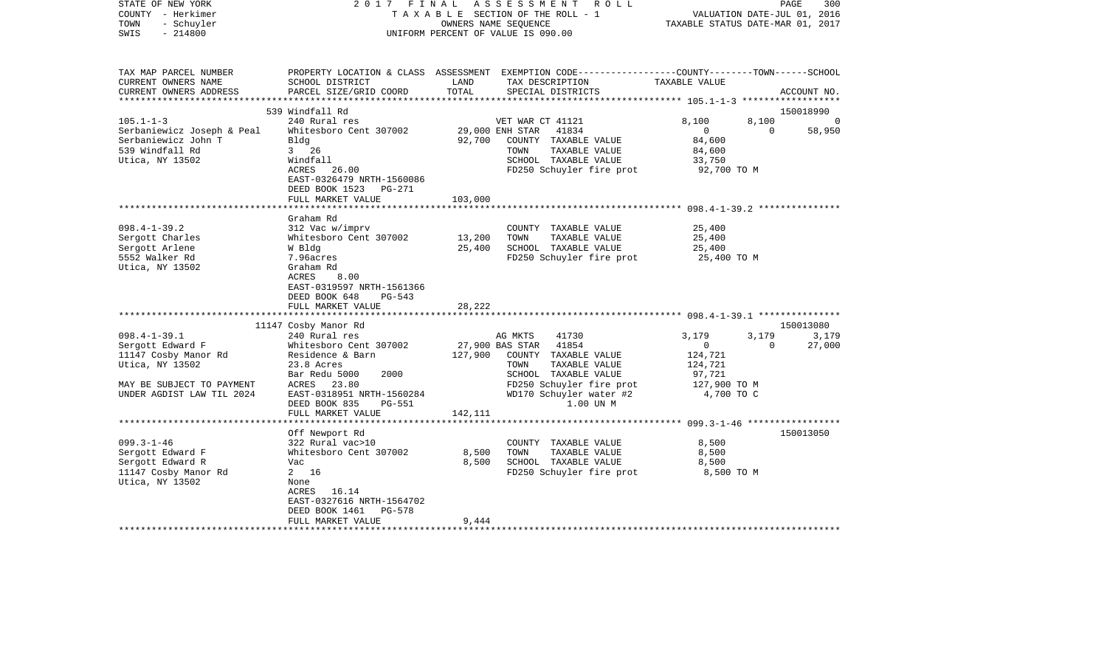| STATE OF NEW YORK<br>COUNTY - Herkimer<br>- Schuyler<br>TOWN<br>$-214800$<br>SWIS | 2017<br>FINAL                              |               | ASSESSMENT<br>R O L L<br>TAXABLE SECTION OF THE ROLL - 1<br>OWNERS NAME SEOUENCE<br>UNIFORM PERCENT OF VALUE IS 090.00                  | VALUATION DATE-JUL 01, 2016<br>TAXABLE STATUS DATE-MAR 01, 2017 | PAGE<br>300           |
|-----------------------------------------------------------------------------------|--------------------------------------------|---------------|-----------------------------------------------------------------------------------------------------------------------------------------|-----------------------------------------------------------------|-----------------------|
| TAX MAP PARCEL NUMBER<br>CURRENT OWNERS NAME<br>CURRENT OWNERS ADDRESS            | SCHOOL DISTRICT<br>PARCEL SIZE/GRID COORD  | LAND<br>TOTAL | PROPERTY LOCATION & CLASS ASSESSMENT EXEMPTION CODE---------------COUNTY-------TOWN------SCHOOL<br>TAX DESCRIPTION<br>SPECIAL DISTRICTS | TAXABLE VALUE                                                   | ACCOUNT NO.           |
| **********************                                                            |                                            |               |                                                                                                                                         |                                                                 |                       |
|                                                                                   | 539 Windfall Rd                            |               |                                                                                                                                         |                                                                 | 150018990<br>$\Omega$ |
| $105.1 - 1 - 3$<br>Serbaniewicz Joseph & Peal                                     | 240 Rural res<br>Whitesboro Cent 307002    |               | VET WAR CT 41121<br>29,000 ENH STAR<br>41834                                                                                            | 8,100<br>8,100<br>$\overline{0}$<br>$\mathbf 0$                 | 58,950                |
| Serbaniewicz John T                                                               | Bldg                                       | 92,700        | COUNTY TAXABLE VALUE                                                                                                                    | 84,600                                                          |                       |
| 539 Windfall Rd                                                                   | $3 \t 26$                                  |               | TAXABLE VALUE<br>TOWN                                                                                                                   | 84,600                                                          |                       |
| Utica, NY 13502                                                                   | Windfall                                   |               | SCHOOL TAXABLE VALUE                                                                                                                    | 33,750                                                          |                       |
|                                                                                   | ACRES<br>26.00                             |               | FD250 Schuyler fire prot                                                                                                                | 92,700 TO M                                                     |                       |
|                                                                                   | EAST-0326479 NRTH-1560086                  |               |                                                                                                                                         |                                                                 |                       |
|                                                                                   | DEED BOOK 1523<br>PG-271                   |               |                                                                                                                                         |                                                                 |                       |
|                                                                                   | FULL MARKET VALUE                          | 103,000       |                                                                                                                                         |                                                                 |                       |
|                                                                                   |                                            |               |                                                                                                                                         | ******************** 098.4-1-39.2 ***************               |                       |
|                                                                                   | Graham Rd                                  |               |                                                                                                                                         |                                                                 |                       |
| $098.4 - 1 - 39.2$                                                                | 312 Vac w/imprv                            |               | COUNTY TAXABLE VALUE                                                                                                                    | 25,400                                                          |                       |
| Sergott Charles                                                                   | Whitesboro Cent 307002                     | 13,200        | TAXABLE VALUE<br>TOWN                                                                                                                   | 25,400                                                          |                       |
| Sergott Arlene                                                                    | W Bldg                                     | 25,400        | SCHOOL TAXABLE VALUE                                                                                                                    | 25,400                                                          |                       |
| 5552 Walker Rd                                                                    | 7.96acres                                  |               | FD250 Schuyler fire prot                                                                                                                | 25,400 TO M                                                     |                       |
| Utica, NY 13502                                                                   | Graham Rd<br>8.00                          |               |                                                                                                                                         |                                                                 |                       |
|                                                                                   | ACRES<br>EAST-0319597 NRTH-1561366         |               |                                                                                                                                         |                                                                 |                       |
|                                                                                   | DEED BOOK 648<br>PG-543                    |               |                                                                                                                                         |                                                                 |                       |
|                                                                                   | FULL MARKET VALUE                          | 28,222        |                                                                                                                                         |                                                                 |                       |
|                                                                                   |                                            |               |                                                                                                                                         |                                                                 |                       |
|                                                                                   | 11147 Cosby Manor Rd                       |               |                                                                                                                                         |                                                                 | 150013080             |
| $098.4 - 1 - 39.1$                                                                | 240 Rural res                              |               | AG MKTS<br>41730                                                                                                                        | 3,179<br>3,179                                                  | 3,179                 |
| Sergott Edward F                                                                  | Whitesboro Cent 307002                     |               | 41854<br>27,900 BAS STAR                                                                                                                | $\overline{0}$<br>$\Omega$                                      | 27,000                |
| 11147 Cosby Manor Rd                                                              | Residence & Barn                           | 127,900       | COUNTY TAXABLE VALUE                                                                                                                    | 124,721                                                         |                       |
| Utica, NY 13502                                                                   | 23.8 Acres                                 |               | TAXABLE VALUE<br>TOWN                                                                                                                   | 124,721                                                         |                       |
|                                                                                   | 2000<br>Bar Redu 5000                      |               | SCHOOL TAXABLE VALUE                                                                                                                    | 97,721                                                          |                       |
| MAY BE SUBJECT TO PAYMENT                                                         | ACRES 23.80                                |               | FD250 Schuyler fire prot                                                                                                                | 127,900 TO M                                                    |                       |
| UNDER AGDIST LAW TIL 2024                                                         | EAST-0318951 NRTH-1560284                  |               | WD170 Schuyler water #2                                                                                                                 | 4,700 TO C                                                      |                       |
|                                                                                   | DEED BOOK 835<br>PG-551                    |               | 1.00 UN M                                                                                                                               |                                                                 |                       |
|                                                                                   | FULL MARKET VALUE<br>********************* | 142,111       |                                                                                                                                         |                                                                 |                       |
|                                                                                   |                                            |               |                                                                                                                                         |                                                                 |                       |
| $099.3 - 1 - 46$                                                                  | Off Newport Rd                             |               |                                                                                                                                         |                                                                 | 150013050             |
| Sergott Edward F                                                                  | 322 Rural vac>10<br>Whitesboro Cent 307002 | 8,500         | COUNTY TAXABLE VALUE<br>TAXABLE VALUE<br>TOWN                                                                                           | 8,500<br>8,500                                                  |                       |
| Sergott Edward R                                                                  | Vac                                        | 8,500         | SCHOOL TAXABLE VALUE                                                                                                                    | 8,500                                                           |                       |
| 11147 Cosby Manor Rd                                                              | 2 16                                       |               | FD250 Schuyler fire prot                                                                                                                | 8,500 TO M                                                      |                       |
| Utica, NY 13502                                                                   | None                                       |               |                                                                                                                                         |                                                                 |                       |
|                                                                                   | ACRES 16.14                                |               |                                                                                                                                         |                                                                 |                       |
|                                                                                   | EAST-0327616 NRTH-1564702                  |               |                                                                                                                                         |                                                                 |                       |
|                                                                                   | DEED BOOK 1461<br>PG-578                   |               |                                                                                                                                         |                                                                 |                       |
|                                                                                   | FULL MARKET VALUE                          | 9,444         |                                                                                                                                         |                                                                 |                       |
|                                                                                   |                                            |               |                                                                                                                                         |                                                                 |                       |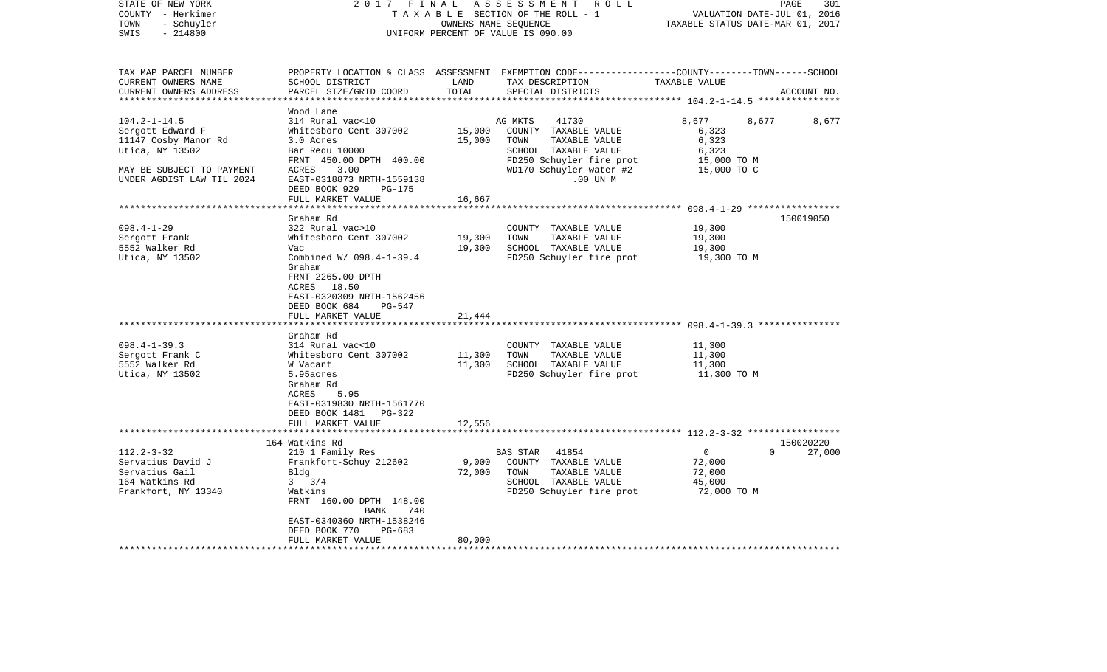| STATE OF NEW YORK<br>COUNTY - Herkimer<br>- Schuyler<br>TOWN<br>SWIS<br>$-214800$                                                                    | 2017 FINAL                                                                                                                                                                                                                                                                                                                                                                                    |                                                | A S S E S S M E N T R O L L<br>TAXABLE SECTION OF THE ROLL - 1<br>OWNERS NAME SEQUENCE<br>UNIFORM PERCENT OF VALUE IS 090.00                                                                           | VALUATION DATE-JUL 01, 2016<br>TAXABLE STATUS DATE-MAR 01, 2017                        | PAGE<br>301        |
|------------------------------------------------------------------------------------------------------------------------------------------------------|-----------------------------------------------------------------------------------------------------------------------------------------------------------------------------------------------------------------------------------------------------------------------------------------------------------------------------------------------------------------------------------------------|------------------------------------------------|--------------------------------------------------------------------------------------------------------------------------------------------------------------------------------------------------------|----------------------------------------------------------------------------------------|--------------------|
| TAX MAP PARCEL NUMBER<br>CURRENT OWNERS NAME<br>CURRENT OWNERS ADDRESS                                                                               | SCHOOL DISTRICT<br>PARCEL SIZE/GRID COORD                                                                                                                                                                                                                                                                                                                                                     | LAND<br>TOTAL                                  | PROPERTY LOCATION & CLASS ASSESSMENT EXEMPTION CODE----------------COUNTY-------TOWN------SCHOOL<br>TAX DESCRIPTION<br>SPECIAL DISTRICTS                                                               | TAXABLE VALUE                                                                          | ACCOUNT NO.        |
| $104.2 - 1 - 14.5$<br>Sergott Edward F<br>11147 Cosby Manor Rd<br>Utica, NY 13502<br>MAY BE SUBJECT TO PAYMENT<br>UNDER AGDIST LAW TIL 2024          | Wood Lane<br>314 Rural vac<10<br>Whitesboro Cent 307002<br>3.0 Acres<br>Bar Redu 10000<br>FRNT 450.00 DPTH 400.00<br>ACRES<br>3.00<br>EAST-0318873 NRTH-1559138<br>DEED BOOK 929<br>$PG-175$<br>FULL MARKET VALUE                                                                                                                                                                             | 15,000<br>15,000<br>16,667                     | AG MKTS<br>41730<br>COUNTY TAXABLE VALUE<br>TOWN<br>TAXABLE VALUE<br>SCHOOL TAXABLE VALUE<br>FD250 Schuyler fire prot<br>WD170 Schuyler water #2<br>.00 UN M                                           | 8,677<br>6,323<br>6,323<br>6,323<br>15,000 TO M<br>15,000 TO C                         | 8,677<br>8,677     |
|                                                                                                                                                      |                                                                                                                                                                                                                                                                                                                                                                                               |                                                |                                                                                                                                                                                                        |                                                                                        |                    |
| $098.4 - 1 - 29$<br>Sergott Frank<br>5552 Walker Rd<br>Utica, NY 13502<br>$098.4 - 1 - 39.3$<br>Sergott Frank C<br>5552 Walker Rd<br>Utica, NY 13502 | Graham Rd<br>322 Rural vac>10<br>Whitesboro Cent 307002<br>Vac<br>Combined W/ 098.4-1-39.4<br>Graham<br>FRNT 2265.00 DPTH<br>ACRES 18.50<br>EAST-0320309 NRTH-1562456<br>DEED BOOK 684<br>PG-547<br>FULL MARKET VALUE<br>Graham Rd<br>314 Rural vac<10<br>Whitesboro Cent 307002<br>W Vacant<br>5.95acres<br>Graham Rd<br>ACRES<br>5.95<br>EAST-0319830 NRTH-1561770<br>DEED BOOK 1481 PG-322 | 19,300<br>19,300<br>21,444<br>11,300<br>11,300 | COUNTY TAXABLE VALUE<br>TOWN<br>TAXABLE VALUE<br>SCHOOL TAXABLE VALUE<br>FD250 Schuyler fire prot<br>COUNTY TAXABLE VALUE<br>TOWN<br>TAXABLE VALUE<br>SCHOOL TAXABLE VALUE<br>FD250 Schuyler fire prot | 19,300<br>19,300<br>19,300<br>19,300 TO M<br>11,300<br>11,300<br>11,300<br>11,300 TO M | 150019050          |
|                                                                                                                                                      | FULL MARKET VALUE                                                                                                                                                                                                                                                                                                                                                                             | 12,556                                         |                                                                                                                                                                                                        |                                                                                        |                    |
|                                                                                                                                                      | 164 Watkins Rd                                                                                                                                                                                                                                                                                                                                                                                |                                                |                                                                                                                                                                                                        |                                                                                        | 150020220          |
| $112.2 - 3 - 32$<br>Servatius David J<br>Servatius Gail<br>164 Watkins Rd<br>Frankfort, NY 13340                                                     | 210 1 Family Res<br>Frankfort-Schuy 212602<br>Bldg<br>$3 \frac{3}{4}$<br>Watkins<br>FRNT 160.00 DPTH 148.00<br>BANK<br>740<br>EAST-0340360 NRTH-1538246<br>DEED BOOK 770<br>PG-683<br>FULL MARKET VALUE                                                                                                                                                                                       | 9,000<br>72,000<br>80,000                      | BAS STAR<br>41854<br>COUNTY TAXABLE VALUE<br>TOWN<br>TAXABLE VALUE<br>SCHOOL TAXABLE VALUE<br>FD250 Schuyler fire prot                                                                                 | $\overline{0}$<br>72,000<br>72,000<br>45,000<br>72,000 TO M                            | $\Omega$<br>27,000 |
|                                                                                                                                                      |                                                                                                                                                                                                                                                                                                                                                                                               |                                                |                                                                                                                                                                                                        |                                                                                        |                    |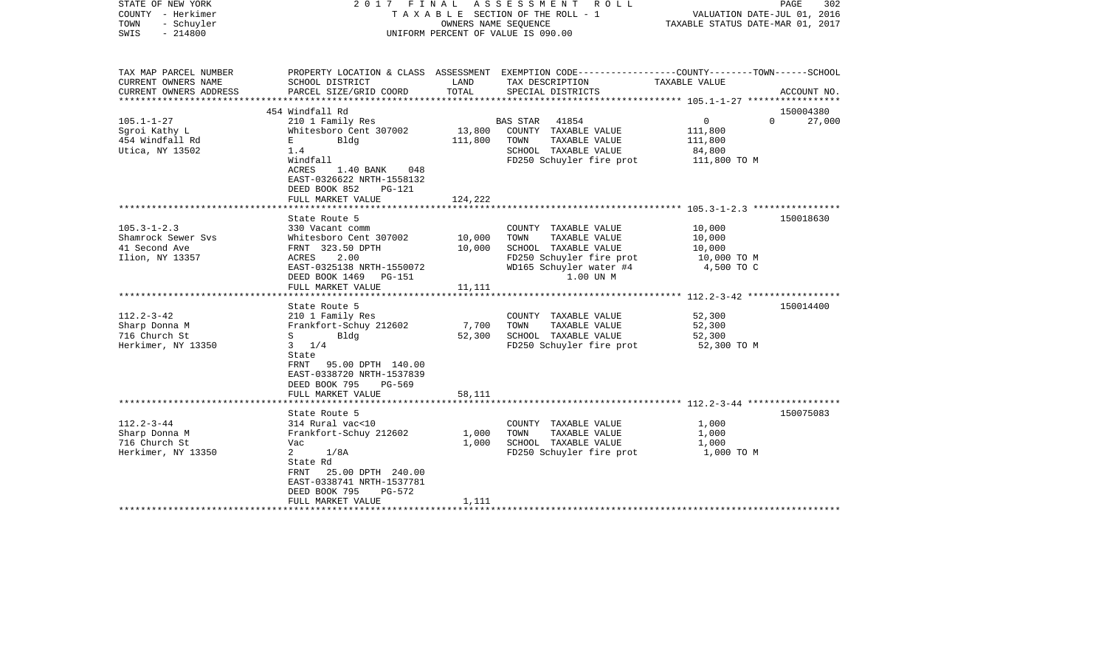| STATE OF NEW YORK<br>COUNTY - Herkimer<br>TOWN<br>- Schuyler<br>$-214800$<br>SWIS                                                                       |                                                                                                                                                                                                                                                                                                                                                  | OWNERS NAME SEQUENCE                          | 2017 FINAL ASSESSMENT ROLL<br>TAXABLE SECTION OF THE ROLL - 1<br>UNIFORM PERCENT OF VALUE IS 090.00                                                                                                                                            | VALUATION DATE-JUL 01, 2016<br>TAXABLE STATUS DATE-MAR 01, 2017                                      | PAGE<br>302            |
|---------------------------------------------------------------------------------------------------------------------------------------------------------|--------------------------------------------------------------------------------------------------------------------------------------------------------------------------------------------------------------------------------------------------------------------------------------------------------------------------------------------------|-----------------------------------------------|------------------------------------------------------------------------------------------------------------------------------------------------------------------------------------------------------------------------------------------------|------------------------------------------------------------------------------------------------------|------------------------|
| TAX MAP PARCEL NUMBER<br>CURRENT OWNERS NAME<br>CURRENT OWNERS ADDRESS                                                                                  | SCHOOL DISTRICT                                                                                                                                                                                                                                                                                                                                  | LAND<br>TOTAL                                 | PROPERTY LOCATION & CLASS ASSESSMENT EXEMPTION CODE---------------COUNTY-------TOWN------SCHOOL<br>TAX DESCRIPTION                                                                                                                             | TAXABLE VALUE                                                                                        |                        |
|                                                                                                                                                         | PARCEL SIZE/GRID COORD                                                                                                                                                                                                                                                                                                                           |                                               | SPECIAL DISTRICTS                                                                                                                                                                                                                              |                                                                                                      | ACCOUNT NO.            |
|                                                                                                                                                         | 454 Windfall Rd                                                                                                                                                                                                                                                                                                                                  |                                               |                                                                                                                                                                                                                                                |                                                                                                      | 150004380              |
| $105.1 - 1 - 27$<br>Sgroi Kathy L<br>454 Windfall Rd<br>Utica, NY 13502                                                                                 | 210 1 Family Res<br>Whitesboro Cent 307002<br>Bldg<br>E<br>1.4<br>Windfall<br>ACRES<br>1.40 BANK<br>048<br>EAST-0326622 NRTH-1558132<br>DEED BOOK 852<br>PG-121                                                                                                                                                                                  | 13,800<br>111,800                             | 41854<br>BAS STAR<br>COUNTY TAXABLE VALUE<br>TOWN<br>TAXABLE VALUE<br>SCHOOL TAXABLE VALUE<br>FD250 Schuyler fire prot                                                                                                                         | $\overline{0}$<br>$\Omega$<br>111,800<br>111,800<br>84,800<br>111,800 TO M                           | 27,000                 |
|                                                                                                                                                         | FULL MARKET VALUE                                                                                                                                                                                                                                                                                                                                | 124,222                                       |                                                                                                                                                                                                                                                |                                                                                                      |                        |
| $105.3 - 1 - 2.3$<br>Shamrock Sewer Svs<br>41 Second Ave<br>Ilion, NY 13357<br>$112.2 - 3 - 42$<br>Sharp Donna M<br>716 Church St<br>Herkimer, NY 13350 | State Route 5<br>330 Vacant comm<br>Whitesboro Cent 307002<br>FRNT 323.50 DPTH<br>2.00<br>ACRES<br>EAST-0325138 NRTH-1550072<br>DEED BOOK 1469<br>PG-151<br>FULL MARKET VALUE<br>State Route 5<br>210 1 Family Res<br>Frankfort-Schuy 212602<br>$S$ and $S$<br>Blda<br>$3 \t1/4$<br>State<br>FRNT 95.00 DPTH 140.00<br>EAST-0338720 NRTH-1537839 | 10,000<br>10,000<br>11,111<br>7,700<br>52,300 | COUNTY TAXABLE VALUE<br>TAXABLE VALUE<br>TOWN<br>SCHOOL TAXABLE VALUE<br>FD250 Schuyler fire prot<br>WD165 Schuyler water #4<br>1.00 UN M<br>COUNTY TAXABLE VALUE<br>TAXABLE VALUE<br>TOWN<br>SCHOOL TAXABLE VALUE<br>FD250 Schuyler fire prot | 10,000<br>10,000<br>10,000<br>10,000 TO M<br>4,500 TO C<br>52,300<br>52,300<br>52,300<br>52,300 TO M | 150018630<br>150014400 |
|                                                                                                                                                         | DEED BOOK 795<br>PG-569<br>FULL MARKET VALUE                                                                                                                                                                                                                                                                                                     | 58,111                                        |                                                                                                                                                                                                                                                |                                                                                                      |                        |
|                                                                                                                                                         | State Route 5                                                                                                                                                                                                                                                                                                                                    |                                               |                                                                                                                                                                                                                                                |                                                                                                      | 150075083              |
| $112.2 - 3 - 44$<br>Sharp Donna M<br>716 Church St<br>Herkimer, NY 13350                                                                                | 314 Rural vac<10<br>Frankfort-Schuy 212602<br>Vac<br>$\overline{a}$<br>1/8A<br>State Rd<br>25.00 DPTH 240.00<br>FRNT<br>EAST-0338741 NRTH-1537781<br>DEED BOOK 795<br>$PG-572$                                                                                                                                                                   | 1,000<br>1,000                                | COUNTY TAXABLE VALUE<br>TOWN<br>TAXABLE VALUE<br>SCHOOL TAXABLE VALUE<br>FD250 Schuyler fire prot                                                                                                                                              | 1,000<br>1,000<br>1,000<br>1,000 TO M                                                                |                        |
|                                                                                                                                                         | FULL MARKET VALUE                                                                                                                                                                                                                                                                                                                                | 1,111                                         |                                                                                                                                                                                                                                                |                                                                                                      |                        |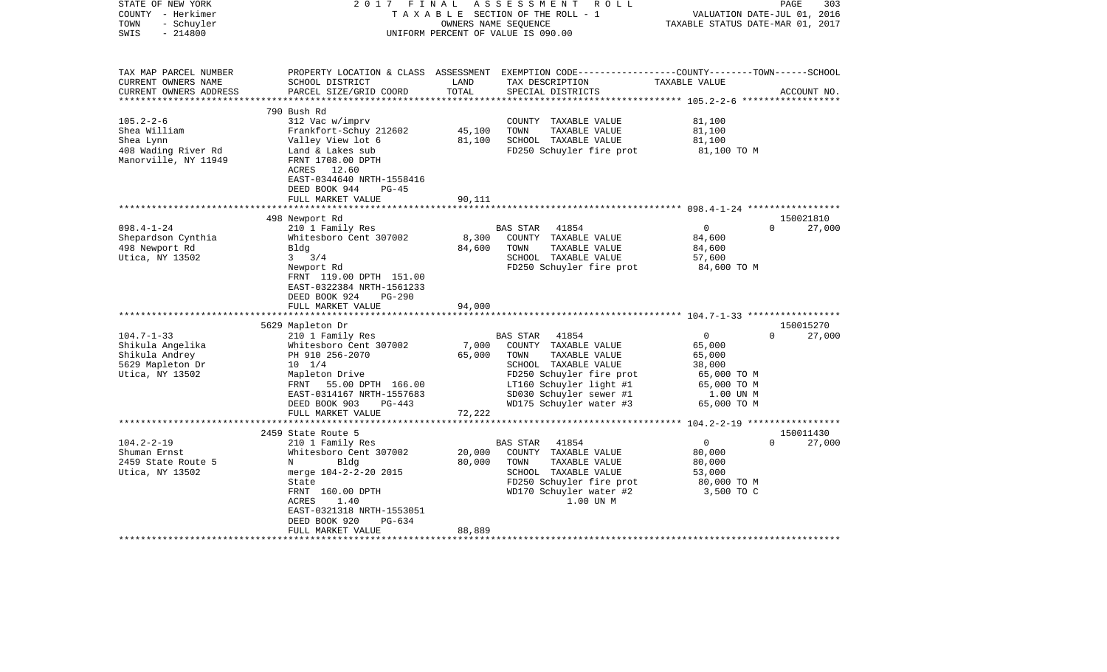| STATE OF NEW YORK<br>COUNTY - Herkimer<br>- Schuyler<br>TOWN<br>$-214800$<br>SWIS | 2017<br>FINAL                                                                                        | OWNERS NAME SEQUENCE | ASSESSMENT ROLL<br>TAXABLE SECTION OF THE ROLL - 1<br>UNIFORM PERCENT OF VALUE IS 090.00                                                | TAXABLE STATUS DATE-MAR 01, 2017 | 303<br>PAGE<br>VALUATION DATE-JUL 01, 2016 |
|-----------------------------------------------------------------------------------|------------------------------------------------------------------------------------------------------|----------------------|-----------------------------------------------------------------------------------------------------------------------------------------|----------------------------------|--------------------------------------------|
| TAX MAP PARCEL NUMBER<br>CURRENT OWNERS NAME<br>CURRENT OWNERS ADDRESS            | SCHOOL DISTRICT<br>PARCEL SIZE/GRID COORD                                                            | LAND<br>TOTAL        | PROPERTY LOCATION & CLASS ASSESSMENT EXEMPTION CODE---------------COUNTY-------TOWN------SCHOOL<br>TAX DESCRIPTION<br>SPECIAL DISTRICTS | TAXABLE VALUE                    | ACCOUNT NO.                                |
|                                                                                   |                                                                                                      |                      |                                                                                                                                         |                                  |                                            |
| $105.2 - 2 - 6$                                                                   | 790 Bush Rd<br>312 Vac w/imprv                                                                       |                      | COUNTY TAXABLE VALUE                                                                                                                    | 81,100                           |                                            |
| Shea William                                                                      | Frankfort-Schuy 212602                                                                               | 45,100               | TOWN<br>TAXABLE VALUE                                                                                                                   | 81,100                           |                                            |
| Shea Lynn                                                                         | Valley View lot 6                                                                                    | 81,100               | SCHOOL TAXABLE VALUE                                                                                                                    | 81,100                           |                                            |
| 408 Wading River Rd<br>Manorville, NY 11949                                       | Land & Lakes sub<br>FRNT 1708.00 DPTH<br>ACRES 12.60<br>EAST-0344640 NRTH-1558416                    |                      | FD250 Schuyler fire prot                                                                                                                | 81,100 TO M                      |                                            |
|                                                                                   | DEED BOOK 944<br>$PG-45$                                                                             |                      |                                                                                                                                         |                                  |                                            |
|                                                                                   | FULL MARKET VALUE                                                                                    | 90,111               |                                                                                                                                         |                                  |                                            |
|                                                                                   |                                                                                                      |                      |                                                                                                                                         |                                  |                                            |
| $098.4 - 1 - 24$                                                                  | 498 Newport Rd<br>210 1 Family Res                                                                   |                      | 41854<br>BAS STAR                                                                                                                       | $\overline{0}$                   | 150021810<br>$\Omega$<br>27,000            |
| Shepardson Cynthia                                                                | Whitesboro Cent 307002                                                                               | 8,300                | COUNTY TAXABLE VALUE                                                                                                                    | 84,600                           |                                            |
| 498 Newport Rd                                                                    | Bldg                                                                                                 | 84,600               | TOWN<br>TAXABLE VALUE                                                                                                                   | 84,600                           |                                            |
| Utica, NY 13502                                                                   | $3 \frac{3}{4}$                                                                                      |                      | SCHOOL TAXABLE VALUE                                                                                                                    | 57,600                           |                                            |
|                                                                                   | Newport Rd<br>FRNT 119.00 DPTH 151.00<br>EAST-0322384 NRTH-1561233<br>DEED BOOK 924<br><b>PG-290</b> |                      | FD250 Schuyler fire prot                                                                                                                | 84,600 TO M                      |                                            |
|                                                                                   | FULL MARKET VALUE                                                                                    | 94,000               |                                                                                                                                         |                                  |                                            |
|                                                                                   | 5629 Mapleton Dr                                                                                     |                      |                                                                                                                                         |                                  | 150015270                                  |
| $104.7 - 1 - 33$                                                                  | 210 1 Family Res                                                                                     |                      | BAS STAR<br>41854                                                                                                                       | $\mathbf{0}$                     | $\Omega$<br>27,000                         |
| Shikula Angelika                                                                  | Whitesboro Cent 307002                                                                               | 7,000                | COUNTY TAXABLE VALUE                                                                                                                    | 65,000                           |                                            |
| Shikula Andrey                                                                    | PH 910 256-2070                                                                                      | 65,000               | TOWN<br>TAXABLE VALUE                                                                                                                   | 65,000                           |                                            |
| 5629 Mapleton Dr                                                                  | $10 \t 1/4$                                                                                          |                      | SCHOOL TAXABLE VALUE                                                                                                                    | 38,000                           |                                            |
| Utica, NY 13502                                                                   | Mapleton Drive                                                                                       |                      | FD250 Schuyler fire prot                                                                                                                | 65,000 TO M                      |                                            |
|                                                                                   | FRNT 55.00 DPTH 166.00                                                                               |                      | LT160 Schuyler light #1                                                                                                                 | 65,000 TO M                      |                                            |
|                                                                                   | EAST-0314167 NRTH-1557683<br>$PG-443$<br>DEED BOOK 903                                               |                      | SD030 Schuyler sewer #1<br>WD175 Schuyler water #3                                                                                      | 1.00 UN M<br>65,000 TO M         |                                            |
|                                                                                   | FULL MARKET VALUE                                                                                    | 72,222               |                                                                                                                                         |                                  |                                            |
|                                                                                   |                                                                                                      |                      |                                                                                                                                         |                                  |                                            |
|                                                                                   | 2459 State Route 5                                                                                   |                      |                                                                                                                                         |                                  | 150011430                                  |
| $104.2 - 2 - 19$                                                                  | 210 1 Family Res                                                                                     |                      | BAS STAR<br>41854                                                                                                                       | $\overline{0}$                   | $\Omega$<br>27,000                         |
| Shuman Ernst                                                                      | Whitesboro Cent 307002                                                                               | 20,000               | COUNTY TAXABLE VALUE                                                                                                                    | 80,000                           |                                            |
| 2459 State Route 5                                                                | Bldg<br>N                                                                                            | 80,000               | TOWN<br>TAXABLE VALUE                                                                                                                   | 80,000                           |                                            |
| Utica, NY 13502                                                                   | merge 104-2-2-20 2015                                                                                |                      | SCHOOL TAXABLE VALUE                                                                                                                    | 53,000                           |                                            |
|                                                                                   | State<br>FRNT 160.00 DPTH                                                                            |                      | FD250 Schuyler fire prot                                                                                                                | 80,000 TO M                      |                                            |
|                                                                                   | 1.40<br>ACRES                                                                                        |                      | WD170 Schuyler water #2<br>1.00 UN M                                                                                                    | 3,500 TO C                       |                                            |
|                                                                                   | EAST-0321318 NRTH-1553051                                                                            |                      |                                                                                                                                         |                                  |                                            |
|                                                                                   | DEED BOOK 920<br>PG-634                                                                              |                      |                                                                                                                                         |                                  |                                            |
|                                                                                   | FULL MARKET VALUE                                                                                    | 88,889               |                                                                                                                                         |                                  |                                            |
|                                                                                   |                                                                                                      |                      |                                                                                                                                         |                                  |                                            |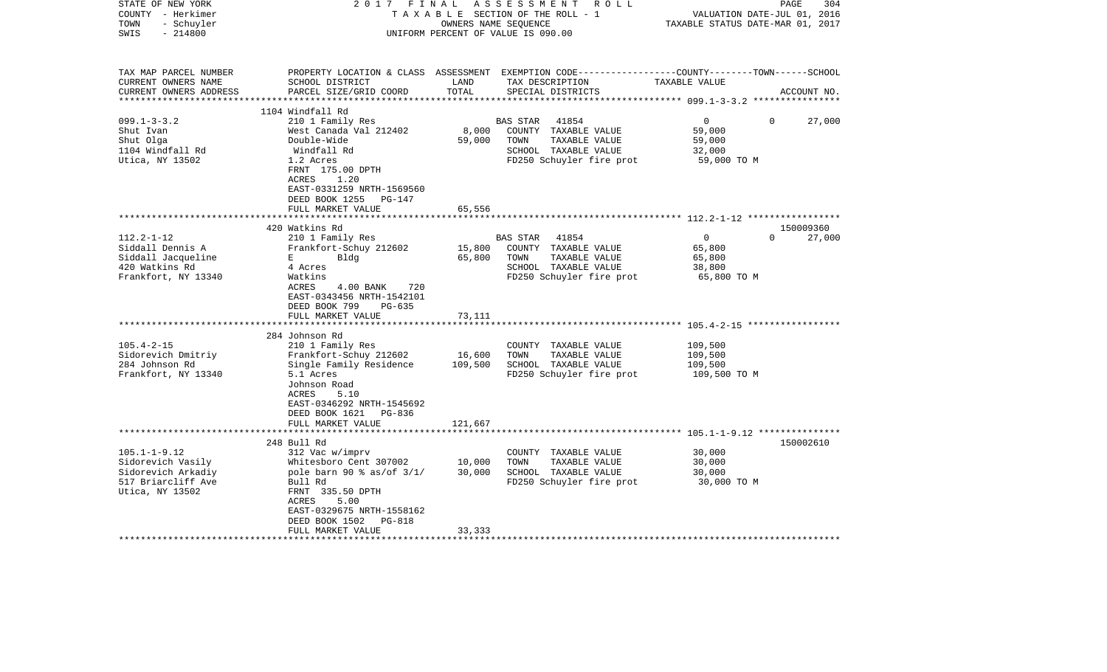| STATE OF NEW YORK<br>COUNTY - Herkimer<br>- Schuyler<br>TOWN<br>$-214800$<br>SWIS | 2017<br>FINAL                                                                                                                      | OWNERS NAME SEQUENCE | ASSESSMENT ROLL<br>TAXABLE SECTION OF THE ROLL - 1<br>UNIFORM PERCENT OF VALUE IS 090.00                                                | VALUATION DATE-JUL 01, 2016<br>TAXABLE STATUS DATE-MAR 01, 2017 | PAGE<br>304         |
|-----------------------------------------------------------------------------------|------------------------------------------------------------------------------------------------------------------------------------|----------------------|-----------------------------------------------------------------------------------------------------------------------------------------|-----------------------------------------------------------------|---------------------|
| TAX MAP PARCEL NUMBER<br>CURRENT OWNERS NAME<br>CURRENT OWNERS ADDRESS            | SCHOOL DISTRICT<br>PARCEL SIZE/GRID COORD                                                                                          | LAND<br>TOTAL        | PROPERTY LOCATION & CLASS ASSESSMENT EXEMPTION CODE---------------COUNTY-------TOWN------SCHOOL<br>TAX DESCRIPTION<br>SPECIAL DISTRICTS | TAXABLE VALUE                                                   | ACCOUNT NO.         |
| ***********************                                                           | 1104 Windfall Rd                                                                                                                   |                      |                                                                                                                                         |                                                                 |                     |
| $099.1 - 3 - 3.2$                                                                 | 210 1 Family Res                                                                                                                   |                      | <b>BAS STAR</b><br>41854                                                                                                                | $\mathbf 0$<br>$\Omega$                                         | 27,000              |
| Shut Ivan                                                                         | West Canada Val 212402                                                                                                             | 8,000                | COUNTY TAXABLE VALUE                                                                                                                    | 59,000                                                          |                     |
| Shut Olga                                                                         | Double-Wide                                                                                                                        | 59,000               | TAXABLE VALUE<br>TOWN                                                                                                                   | 59,000                                                          |                     |
| 1104 Windfall Rd                                                                  | Windfall Rd                                                                                                                        |                      | SCHOOL TAXABLE VALUE                                                                                                                    | 32,000                                                          |                     |
| Utica, NY 13502                                                                   | 1.2 Acres<br>FRNT 175.00 DPTH<br>ACRES<br>1.20<br>EAST-0331259 NRTH-1569560<br>DEED BOOK 1255<br>PG-147                            |                      | FD250 Schuyler fire prot                                                                                                                | 59,000 TO M                                                     |                     |
|                                                                                   | FULL MARKET VALUE                                                                                                                  | 65,556               |                                                                                                                                         |                                                                 |                     |
|                                                                                   |                                                                                                                                    |                      |                                                                                                                                         |                                                                 |                     |
| $112.2 - 1 - 12$                                                                  | 420 Watkins Rd<br>210 1 Family Res                                                                                                 |                      | BAS STAR<br>41854                                                                                                                       | $\overline{0}$<br>$\Omega$                                      | 150009360<br>27,000 |
| Siddall Dennis A                                                                  | Frankfort-Schuy 212602                                                                                                             | 15,800               | COUNTY TAXABLE VALUE                                                                                                                    | 65,800                                                          |                     |
| Siddall Jacqueline                                                                | E<br>Bldg                                                                                                                          | 65,800               | TAXABLE VALUE<br>TOWN                                                                                                                   | 65,800                                                          |                     |
| 420 Watkins Rd                                                                    | 4 Acres                                                                                                                            |                      | SCHOOL TAXABLE VALUE                                                                                                                    | 38,800                                                          |                     |
| Frankfort, NY 13340                                                               | Watkins                                                                                                                            |                      | FD250 Schuyler fire prot                                                                                                                | 65,800 TO M                                                     |                     |
|                                                                                   | ACRES<br>4.00 BANK<br>720<br>EAST-0343456 NRTH-1542101<br>DEED BOOK 799<br>$PG-635$<br>FULL MARKET VALUE<br>********************** | 73,111               |                                                                                                                                         |                                                                 |                     |
|                                                                                   |                                                                                                                                    |                      |                                                                                                                                         |                                                                 |                     |
| $105.4 - 2 - 15$                                                                  | 284 Johnson Rd<br>210 1 Family Res                                                                                                 |                      | COUNTY TAXABLE VALUE                                                                                                                    | 109,500                                                         |                     |
| Sidorevich Dmitriy                                                                | Frankfort-Schuy 212602                                                                                                             | 16,600               | TOWN<br>TAXABLE VALUE                                                                                                                   | 109,500                                                         |                     |
| 284 Johnson Rd                                                                    | Single Family Residence                                                                                                            | 109,500              | SCHOOL TAXABLE VALUE                                                                                                                    | 109,500                                                         |                     |
| Frankfort, NY 13340                                                               | 5.1 Acres<br>Johnson Road<br>ACRES<br>5.10<br>EAST-0346292 NRTH-1545692<br>DEED BOOK 1621 PG-836                                   |                      | FD250 Schuyler fire prot                                                                                                                | 109,500 TO M                                                    |                     |
|                                                                                   | FULL MARKET VALUE<br>******************************                                                                                | 121,667              |                                                                                                                                         |                                                                 |                     |
|                                                                                   | 248 Bull Rd                                                                                                                        |                      |                                                                                                                                         |                                                                 | 150002610           |
| $105.1 - 1 - 9.12$                                                                | 312 Vac w/imprv                                                                                                                    |                      | COUNTY TAXABLE VALUE                                                                                                                    | 30,000                                                          |                     |
| Sidorevich Vasily                                                                 | Whitesboro Cent 307002                                                                                                             | 10,000               | TOWN<br>TAXABLE VALUE                                                                                                                   | 30,000                                                          |                     |
| Sidorevich Arkadiy                                                                | pole barn 90 % as/of 3/1/                                                                                                          | 30,000               | SCHOOL TAXABLE VALUE                                                                                                                    | 30,000                                                          |                     |
| 517 Briarcliff Ave                                                                | Bull Rd                                                                                                                            |                      | FD250 Schuyler fire prot                                                                                                                | 30,000 TO M                                                     |                     |
| Utica, NY 13502                                                                   | FRNT 335.50 DPTH<br>ACRES<br>5.00<br>EAST-0329675 NRTH-1558162<br>DEED BOOK 1502<br>PG-818                                         |                      |                                                                                                                                         |                                                                 |                     |
|                                                                                   | FULL MARKET VALUE                                                                                                                  | 33,333               |                                                                                                                                         |                                                                 |                     |
|                                                                                   |                                                                                                                                    |                      |                                                                                                                                         |                                                                 |                     |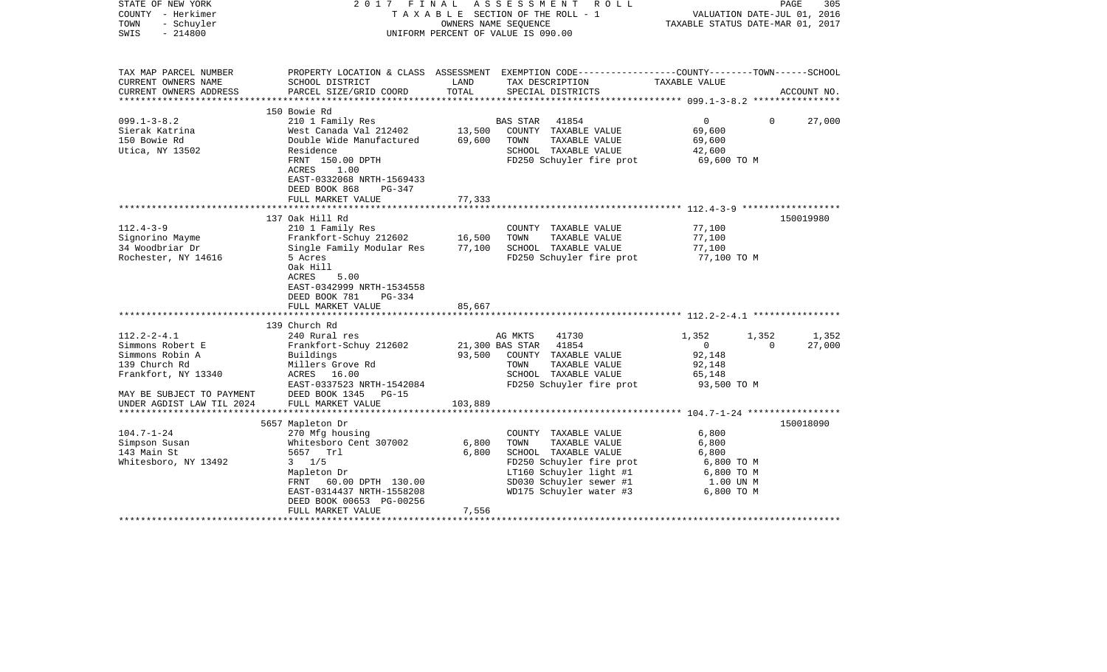| STATE OF NEW YORK<br>COUNTY - Herkimer<br>- Schuyler<br>TOWN<br>$-214800$<br>SWIS | 2017 FINAL                                                                                               |         | A S S E S S M E N T R O L L<br>TAXABLE SECTION OF THE ROLL - 1<br>OWNERS NAME SEQUENCE<br>UNIFORM PERCENT OF VALUE IS 090.00 | VALUATION DATE-JUL 01, 2016<br>TAXABLE STATUS DATE-MAR 01, 2017 | PAGE<br>305 |
|-----------------------------------------------------------------------------------|----------------------------------------------------------------------------------------------------------|---------|------------------------------------------------------------------------------------------------------------------------------|-----------------------------------------------------------------|-------------|
| TAX MAP PARCEL NUMBER<br>CURRENT OWNERS NAME                                      | PROPERTY LOCATION & CLASS ASSESSMENT<br>SCHOOL DISTRICT                                                  | LAND    | EXEMPTION CODE-----------------COUNTY-------TOWN------SCHOOL<br>TAX DESCRIPTION                                              | TAXABLE VALUE                                                   |             |
| CURRENT OWNERS ADDRESS                                                            | PARCEL SIZE/GRID COORD                                                                                   | TOTAL   | SPECIAL DISTRICTS                                                                                                            |                                                                 | ACCOUNT NO. |
| *********************                                                             |                                                                                                          |         |                                                                                                                              | ****************** 099.1-3-8.2 *****************                |             |
|                                                                                   | 150 Bowie Rd                                                                                             |         |                                                                                                                              |                                                                 |             |
| $099.1 - 3 - 8.2$                                                                 | 210 1 Family Res                                                                                         |         | <b>BAS STAR</b><br>41854                                                                                                     | $\overline{0}$<br>$\mathbf 0$                                   | 27,000      |
| Sierak Katrina                                                                    | West Canada Val 212402                                                                                   | 13,500  | COUNTY TAXABLE VALUE                                                                                                         | 69,600                                                          |             |
| 150 Bowie Rd                                                                      | Double Wide Manufactured                                                                                 | 69,600  | TOWN<br>TAXABLE VALUE                                                                                                        | 69,600                                                          |             |
| Utica, NY 13502                                                                   | Residence                                                                                                |         | SCHOOL TAXABLE VALUE                                                                                                         | 42,600                                                          |             |
|                                                                                   | FRNT 150.00 DPTH<br>ACRES<br>1.00<br>EAST-0332068 NRTH-1569433<br>DEED BOOK 868<br>$PG-347$              |         | FD250 Schuyler fire prot                                                                                                     | 69,600 TO M                                                     |             |
|                                                                                   | FULL MARKET VALUE                                                                                        | 77,333  |                                                                                                                              |                                                                 |             |
|                                                                                   | 137 Oak Hill Rd                                                                                          |         |                                                                                                                              |                                                                 | 150019980   |
| $112.4 - 3 - 9$                                                                   | 210 1 Family Res                                                                                         |         | COUNTY TAXABLE VALUE                                                                                                         | 77,100                                                          |             |
| Signorino Mayme                                                                   | Frankfort-Schuy 212602                                                                                   | 16,500  | TOWN<br>TAXABLE VALUE                                                                                                        | 77,100                                                          |             |
| 34 Woodbriar Dr                                                                   | Single Family Modular Res                                                                                | 77,100  | SCHOOL TAXABLE VALUE                                                                                                         | 77,100                                                          |             |
| Rochester, NY 14616                                                               | 5 Acres                                                                                                  |         | FD250 Schuyler fire prot                                                                                                     | 77,100 TO M                                                     |             |
|                                                                                   | Oak Hill<br>5.00<br>ACRES<br>EAST-0342999 NRTH-1534558<br>DEED BOOK 781<br>$PG-334$<br>FULL MARKET VALUE | 85,667  |                                                                                                                              |                                                                 |             |
|                                                                                   |                                                                                                          |         |                                                                                                                              |                                                                 |             |
|                                                                                   | 139 Church Rd                                                                                            |         |                                                                                                                              |                                                                 |             |
| $112.2 - 2 - 4.1$                                                                 | 240 Rural res                                                                                            |         | AG MKTS<br>41730                                                                                                             | 1,352<br>1,352                                                  | 1,352       |
| Simmons Robert E                                                                  | Frankfort-Schuy 212602                                                                                   |         | 41854<br>21,300 BAS STAR                                                                                                     | $\Omega$<br>$\overline{0}$                                      | 27,000      |
| Simmons Robin A                                                                   | Buildings                                                                                                | 93,500  | COUNTY TAXABLE VALUE                                                                                                         | 92,148                                                          |             |
| 139 Church Rd                                                                     | Millers Grove Rd                                                                                         |         | TOWN<br>TAXABLE VALUE                                                                                                        | 92,148                                                          |             |
| Frankfort, NY 13340                                                               | ACRES 16.00                                                                                              |         | SCHOOL TAXABLE VALUE                                                                                                         | 65,148                                                          |             |
|                                                                                   | EAST-0337523 NRTH-1542084                                                                                |         | FD250 Schuyler fire prot                                                                                                     | 93,500 TO M                                                     |             |
| MAY BE SUBJECT TO PAYMENT                                                         | DEED BOOK 1345 PG-15                                                                                     |         |                                                                                                                              |                                                                 |             |
| UNDER AGDIST LAW TIL 2024                                                         | FULL MARKET VALUE                                                                                        | 103,889 |                                                                                                                              |                                                                 |             |
|                                                                                   |                                                                                                          |         |                                                                                                                              |                                                                 |             |
|                                                                                   | 5657 Mapleton Dr                                                                                         |         |                                                                                                                              |                                                                 | 150018090   |
| $104.7 - 1 - 24$                                                                  | 270 Mfg housing                                                                                          |         | COUNTY TAXABLE VALUE                                                                                                         | 6,800                                                           |             |
| Simpson Susan                                                                     | Whitesboro Cent 307002                                                                                   | 6,800   | TAXABLE VALUE<br>TOWN                                                                                                        | 6,800                                                           |             |
| 143 Main St                                                                       | 5657 Trl                                                                                                 | 6,800   | SCHOOL TAXABLE VALUE                                                                                                         | 6,800                                                           |             |
| Whitesboro, NY 13492                                                              | $3 \frac{1}{5}$                                                                                          |         | FD250 Schuyler fire prot                                                                                                     | 6,800 TO M                                                      |             |
|                                                                                   | Mapleton Dr                                                                                              |         | LT160 Schuyler light #1                                                                                                      | 6,800 TO M                                                      |             |
|                                                                                   | FRNT 60.00 DPTH 130.00                                                                                   |         | SD030 Schuyler sewer #1                                                                                                      | 1.00 UN M                                                       |             |
|                                                                                   | EAST-0314437 NRTH-1558208                                                                                |         | WD175 Schuyler water #3                                                                                                      | 6,800 TO M                                                      |             |
|                                                                                   | DEED BOOK 00653 PG-00256                                                                                 |         |                                                                                                                              |                                                                 |             |
|                                                                                   | FULL MARKET VALUE                                                                                        | 7,556   |                                                                                                                              |                                                                 |             |
|                                                                                   |                                                                                                          |         |                                                                                                                              |                                                                 |             |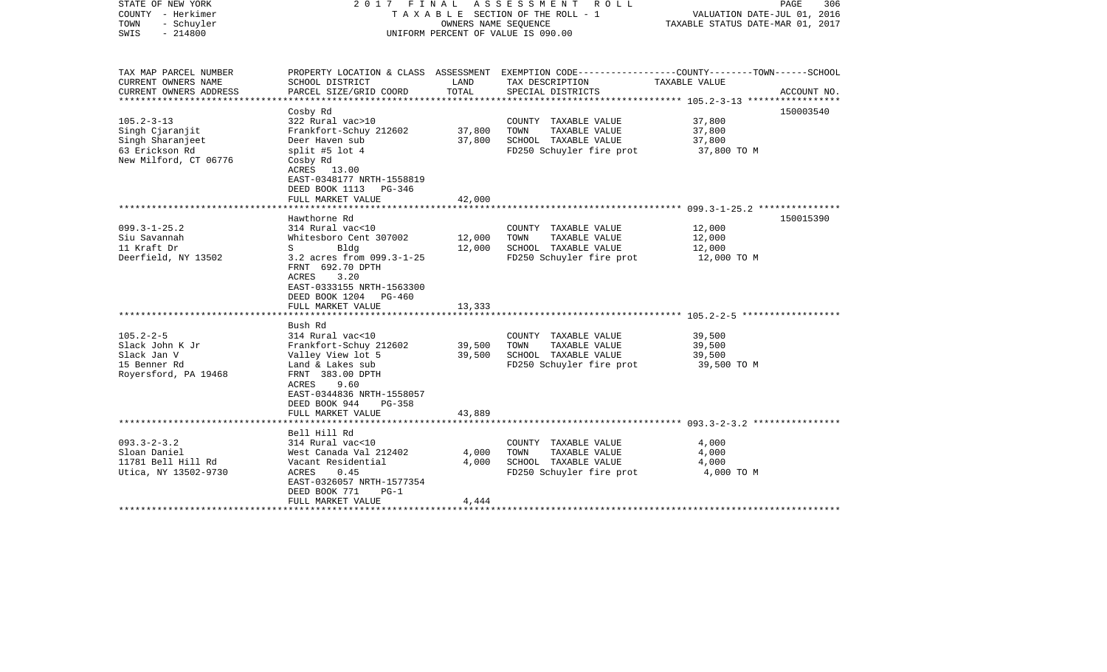| STATE OF NEW YORK<br>COUNTY - Herkimer<br>TOWN<br>- Schuyler<br>$-214800$<br>SWIS                  |                                                                                                                                                                                                      | OWNERS NAME SEQUENCE       | 2017 FINAL ASSESSMENT ROLL<br>TAXABLE SECTION OF THE ROLL - 1<br>UNIFORM PERCENT OF VALUE IS 090.00 | PAGE<br>306<br>VALUATION DATE-JUL 01, 2016<br>TAXABLE STATUS DATE-MAR 01, 2017                                  |
|----------------------------------------------------------------------------------------------------|------------------------------------------------------------------------------------------------------------------------------------------------------------------------------------------------------|----------------------------|-----------------------------------------------------------------------------------------------------|-----------------------------------------------------------------------------------------------------------------|
| TAX MAP PARCEL NUMBER<br>CURRENT OWNERS NAME                                                       | SCHOOL DISTRICT                                                                                                                                                                                      | LAND                       | TAX DESCRIPTION                                                                                     | PROPERTY LOCATION & CLASS ASSESSMENT EXEMPTION CODE---------------COUNTY-------TOWN-----SCHOOL<br>TAXABLE VALUE |
| CURRENT OWNERS ADDRESS<br>************************                                                 | PARCEL SIZE/GRID COORD                                                                                                                                                                               | TOTAL                      | SPECIAL DISTRICTS                                                                                   | ACCOUNT NO.                                                                                                     |
|                                                                                                    | Cosby Rd                                                                                                                                                                                             |                            |                                                                                                     | 150003540                                                                                                       |
| $105.2 - 3 - 13$<br>Singh Cjaranjit<br>Singh Sharanjeet<br>63 Erickson Rd<br>New Milford, CT 06776 | 322 Rural vac>10<br>Frankfort-Schuy 212602<br>Deer Haven sub<br>split #5 lot $4$<br>Cosby Rd<br>ACRES 13.00                                                                                          | 37,800<br>37,800           | COUNTY TAXABLE VALUE<br>TOWN<br>TAXABLE VALUE<br>SCHOOL TAXABLE VALUE<br>FD250 Schuyler fire prot   | 37,800<br>37,800<br>37,800<br>37,800 TO M                                                                       |
|                                                                                                    | EAST-0348177 NRTH-1558819<br>DEED BOOK 1113 PG-346<br>FULL MARKET VALUE                                                                                                                              | 42,000                     |                                                                                                     |                                                                                                                 |
|                                                                                                    | Hawthorne Rd                                                                                                                                                                                         |                            |                                                                                                     | 150015390                                                                                                       |
| $099.3 - 1 - 25.2$<br>Siu Savannah<br>11 Kraft Dr<br>Deerfield, NY 13502                           | 314 Rural vac<10<br>Whitesboro Cent 307002<br>$S \sim$<br>Bldg<br>3.2 acres from 099.3-1-25<br>FRNT 692.70 DPTH<br>3.20<br>ACRES<br>EAST-0333155 NRTH-1563300<br>DEED BOOK 1204 PG-460               | 12,000<br>12,000           | COUNTY TAXABLE VALUE<br>TOWN<br>TAXABLE VALUE<br>SCHOOL TAXABLE VALUE<br>FD250 Schuyler fire prot   | 12,000<br>12,000<br>12,000<br>12,000 TO M                                                                       |
|                                                                                                    | FULL MARKET VALUE                                                                                                                                                                                    | 13,333                     |                                                                                                     |                                                                                                                 |
|                                                                                                    | Bush Rd                                                                                                                                                                                              |                            |                                                                                                     |                                                                                                                 |
| $105.2 - 2 - 5$<br>Slack John K Jr<br>Slack Jan V<br>15 Benner Rd<br>Royersford, PA 19468          | 314 Rural vac<10<br>Frankfort-Schuy 212602<br>Valley View lot 5<br>Land & Lakes sub<br>FRNT 383.00 DPTH<br>ACRES 9.60<br>EAST-0344836 NRTH-1558057<br>DEED BOOK 944<br>$PG-358$<br>FULL MARKET VALUE | 39,500<br>39,500<br>43,889 | COUNTY TAXABLE VALUE<br>TOWN<br>TAXABLE VALUE<br>SCHOOL TAXABLE VALUE<br>FD250 Schuyler fire prot   | 39,500<br>39,500<br>39,500<br>39,500 TO M                                                                       |
|                                                                                                    |                                                                                                                                                                                                      |                            |                                                                                                     |                                                                                                                 |
| $093.3 - 2 - 3.2$<br>Sloan Daniel<br>11781 Bell Hill Rd<br>Utica, NY 13502-9730                    | Bell Hill Rd<br>314 Rural vac<10<br>West Canada Val 212402<br>Vacant Residential<br>ACRES<br>0.45<br>EAST-0326057 NRTH-1577354<br>$PG-1$<br>DEED BOOK 771<br>FULL MARKET VALUE                       | 4,000<br>4,000<br>4,444    | COUNTY TAXABLE VALUE<br>TOWN TAXABLE VALUE<br>SCHOOL TAXABLE VALUE<br>FD250 Schuyler fire prot      | 4,000<br>4,000<br>4,000<br>4,000 TO M                                                                           |
|                                                                                                    |                                                                                                                                                                                                      |                            |                                                                                                     |                                                                                                                 |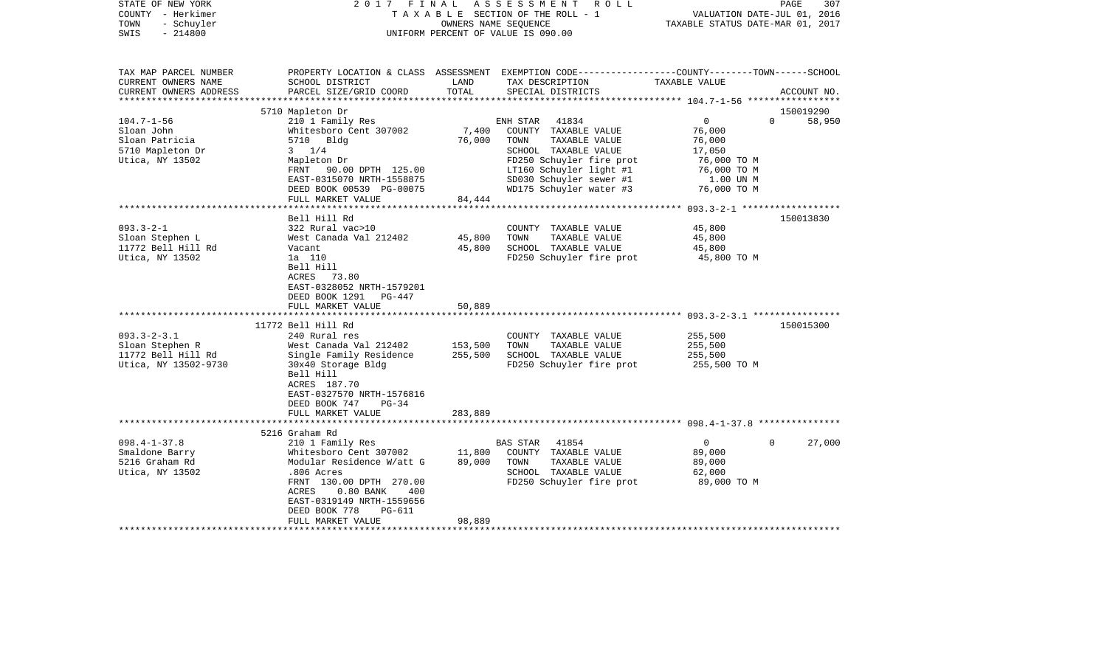| STATE OF NEW YORK<br>COUNTY - Herkimer<br>- Schuyler<br>TOWN<br>$-214800$<br>SWIS                                                                                 | 2017<br>FINAL                                                                                                                                                                                                                                                                                                                                                                                                         | OWNERS NAME SEQUENCE                                                     | ASSESSMENT<br>R O L L<br>TAXABLE SECTION OF THE ROLL - 1<br>UNIFORM PERCENT OF VALUE IS 090.00                                                                                                         | VALUATION DATE-JUL 01, 2016<br>TAXABLE STATUS DATE-MAR 01, 2017                            | PAGE<br>307            |
|-------------------------------------------------------------------------------------------------------------------------------------------------------------------|-----------------------------------------------------------------------------------------------------------------------------------------------------------------------------------------------------------------------------------------------------------------------------------------------------------------------------------------------------------------------------------------------------------------------|--------------------------------------------------------------------------|--------------------------------------------------------------------------------------------------------------------------------------------------------------------------------------------------------|--------------------------------------------------------------------------------------------|------------------------|
| TAX MAP PARCEL NUMBER<br>CURRENT OWNERS NAME<br>CURRENT OWNERS ADDRESS<br>**********************                                                                  | SCHOOL DISTRICT<br>PARCEL SIZE/GRID COORD                                                                                                                                                                                                                                                                                                                                                                             | LAND<br>TOTAL                                                            | PROPERTY LOCATION & CLASS ASSESSMENT EXEMPTION CODE---------------COUNTY-------TOWN-----SCHOOL<br>TAX DESCRIPTION<br>SPECIAL DISTRICTS                                                                 | TAXABLE VALUE                                                                              | ACCOUNT NO.            |
|                                                                                                                                                                   | 5710 Mapleton Dr                                                                                                                                                                                                                                                                                                                                                                                                      |                                                                          |                                                                                                                                                                                                        |                                                                                            | 150019290              |
| $104.7 - 1 - 56$<br>Sloan John<br>Sloan Patricia<br>5710 Mapleton Dr<br>Utica, NY 13502                                                                           | 210 1 Family Res<br>Whitesboro Cent 307002<br>5710 Bldg<br>$3 \frac{1}{4}$<br>Mapleton Dr                                                                                                                                                                                                                                                                                                                             | 7,400<br>76,000                                                          | 41834<br>ENH STAR<br>COUNTY TAXABLE VALUE<br>TOWN<br>TAXABLE VALUE<br>SCHOOL TAXABLE VALUE<br>FD250 Schuyler fire prot                                                                                 | $\overline{0}$<br>76,000<br>76,000<br>17,050<br>76,000 TO M                                | 58,950<br>$\Omega$     |
|                                                                                                                                                                   | FRNT 90.00 DPTH 125.00<br>EAST-0315070 NRTH-1558875<br>DEED BOOK 00539 PG-00075<br>FULL MARKET VALUE                                                                                                                                                                                                                                                                                                                  | 84,444                                                                   | LT160 Schuyler light #1<br>SD030 Schuyler sewer #1<br>WD175 Schuyler water #3                                                                                                                          | 76,000 TO M<br>1.00 UN M<br>76,000 TO M                                                    |                        |
|                                                                                                                                                                   |                                                                                                                                                                                                                                                                                                                                                                                                                       |                                                                          |                                                                                                                                                                                                        | ************ 093.3-2-1 ***************                                                     |                        |
| $093.3 - 2 - 1$<br>Sloan Stephen L<br>11772 Bell Hill Rd<br>Utica, NY 13502<br>$093.3 - 2 - 3.1$<br>Sloan Stephen R<br>11772 Bell Hill Rd<br>Utica, NY 13502-9730 | Bell Hill Rd<br>322 Rural vac>10<br>West Canada Val 212402<br>Vacant<br>1a 110<br>Bell Hill<br>ACRES 73.80<br>EAST-0328052 NRTH-1579201<br>DEED BOOK 1291<br>PG-447<br>FULL MARKET VALUE<br>11772 Bell Hill Rd<br>240 Rural res<br>West Canada Val 212402<br>Single Family Residence<br>30x40 Storage Bldg<br>Bell Hill<br>ACRES 187.70<br>EAST-0327570 NRTH-1576816<br>DEED BOOK 747<br>$PG-34$<br>FULL MARKET VALUE | 45,800<br>45,800<br>50,889<br>*********<br>153,500<br>255,500<br>283,889 | COUNTY TAXABLE VALUE<br>TOWN<br>TAXABLE VALUE<br>SCHOOL TAXABLE VALUE<br>FD250 Schuyler fire prot<br>COUNTY TAXABLE VALUE<br>TAXABLE VALUE<br>TOWN<br>SCHOOL TAXABLE VALUE<br>FD250 Schuyler fire prot | 45,800<br>45,800<br>45,800<br>45,800 TO M<br>255,500<br>255,500<br>255,500<br>255,500 TO M | 150013830<br>150015300 |
|                                                                                                                                                                   |                                                                                                                                                                                                                                                                                                                                                                                                                       |                                                                          |                                                                                                                                                                                                        |                                                                                            |                        |
| $098.4 - 1 - 37.8$<br>Smaldone Barry<br>5216 Graham Rd<br>Utica, NY 13502                                                                                         | 5216 Graham Rd<br>210 1 Family Res<br>Whitesboro Cent 307002<br>Modular Residence W/att G<br>.806 Acres<br>FRNT 130.00 DPTH 270.00<br><b>ACRES</b><br>$0.80$ BANK<br>400<br>EAST-0319149 NRTH-1559656<br>DEED BOOK 778<br>PG-611                                                                                                                                                                                      | 11,800<br>89,000                                                         | 41854<br>BAS STAR<br>COUNTY TAXABLE VALUE<br>TOWN<br>TAXABLE VALUE<br>SCHOOL TAXABLE VALUE<br>FD250 Schuyler fire prot                                                                                 | $\overline{0}$<br>89,000<br>89,000<br>62,000<br>89,000 TO M                                | 27,000<br>$\Omega$     |
|                                                                                                                                                                   | FULL MARKET VALUE                                                                                                                                                                                                                                                                                                                                                                                                     | 98,889                                                                   |                                                                                                                                                                                                        |                                                                                            |                        |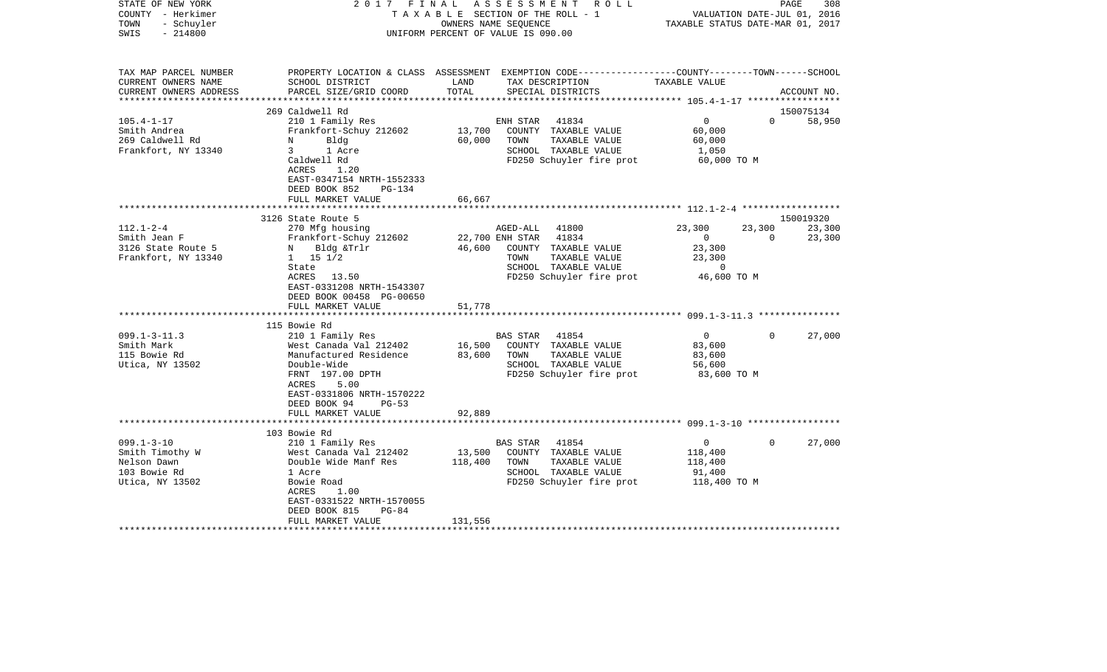| STATE OF NEW YORK<br>COUNTY - Herkimer<br>- Schuyler<br>TOWN<br>$-214800$<br>SWIS               | FINAL<br>2017                                                                                                                                                                    |                   | ASSESSMENT ROLL<br>TAXABLE SECTION OF THE ROLL - 1<br>OWNERS NAME SEQUENCE<br>UNIFORM PERCENT OF VALUE IS 090.00                  |                                           | VALUATION DATE-JUL 01, 2016<br>TAXABLE STATUS DATE-MAR 01, 2017               | PAGE               | 308              |
|-------------------------------------------------------------------------------------------------|----------------------------------------------------------------------------------------------------------------------------------------------------------------------------------|-------------------|-----------------------------------------------------------------------------------------------------------------------------------|-------------------------------------------|-------------------------------------------------------------------------------|--------------------|------------------|
| TAX MAP PARCEL NUMBER<br>CURRENT OWNERS NAME<br>CURRENT OWNERS ADDRESS<br>********************* | PROPERTY LOCATION & CLASS ASSESSMENT EXEMPTION CODE---------------COUNTY-------TOWN------SCHOOL<br>SCHOOL DISTRICT<br>PARCEL SIZE/GRID COORD                                     | LAND<br>TOTAL     | TAX DESCRIPTION<br>SPECIAL DISTRICTS                                                                                              |                                           | TAXABLE VALUE                                                                 |                    | ACCOUNT NO.      |
|                                                                                                 | 269 Caldwell Rd                                                                                                                                                                  |                   |                                                                                                                                   |                                           |                                                                               |                    | 150075134        |
| $105.4 - 1 - 17$<br>Smith Andrea<br>269 Caldwell Rd<br>Frankfort, NY 13340                      | 210 1 Family Res<br>Frankfort-Schuy 212602<br>Bldg<br>N<br>$\mathbf{3}$<br>1 Acre<br>Caldwell Rd<br>ACRES<br>1.20                                                                | 13,700<br>60,000  | 41834<br>ENH STAR<br>COUNTY TAXABLE VALUE<br>TOWN<br>SCHOOL TAXABLE VALUE<br>FD250 Schuyler fire prot                             | TAXABLE VALUE                             | $\overline{0}$<br>60,000<br>60,000<br>1,050<br>60,000 TO M                    | $\Omega$           | 58,950           |
|                                                                                                 | EAST-0347154 NRTH-1552333<br>DEED BOOK 852<br>PG-134<br>FULL MARKET VALUE                                                                                                        | 66,667            |                                                                                                                                   |                                           |                                                                               |                    |                  |
|                                                                                                 |                                                                                                                                                                                  | *******           |                                                                                                                                   |                                           | ************************** 112.1-2-4 *******************                      |                    |                  |
|                                                                                                 | 3126 State Route 5                                                                                                                                                               |                   |                                                                                                                                   |                                           |                                                                               |                    | 150019320        |
| $112.1 - 2 - 4$<br>Smith Jean F<br>3126 State Route 5<br>Frankfort, NY 13340                    | 270 Mfg housing<br>Frankfort-Schuy 212602<br>N Bldg &Trlr<br>$1 \t 15 \t 1/2$<br>State<br>ACRES 13.50<br>EAST-0331208 NRTH-1543307                                               | 46,600            | 41800<br>AGED-ALL<br>22,700 ENH STAR<br>41834<br>COUNTY TAXABLE VALUE<br>TOWN<br>SCHOOL TAXABLE VALUE<br>FD250 Schuyler fire prot | TAXABLE VALUE                             | 23,300<br>$\overline{0}$<br>23,300<br>23,300<br>$\overline{0}$<br>46,600 TO M | 23,300<br>$\Omega$ | 23,300<br>23,300 |
|                                                                                                 | DEED BOOK 00458 PG-00650<br>FULL MARKET VALUE                                                                                                                                    |                   |                                                                                                                                   |                                           |                                                                               |                    |                  |
|                                                                                                 |                                                                                                                                                                                  | 51,778            |                                                                                                                                   |                                           |                                                                               |                    |                  |
|                                                                                                 | 115 Bowie Rd                                                                                                                                                                     |                   |                                                                                                                                   |                                           |                                                                               |                    |                  |
| $099.1 - 3 - 11.3$<br>Smith Mark<br>115 Bowie Rd<br>Utica, NY 13502                             | 210 1 Family Res<br>West Canada Val 212402<br>Manufactured Residence<br>Double-Wide<br>FRNT 197.00 DPTH<br>ACRES<br>5.00<br>EAST-0331806 NRTH-1570222<br>DEED BOOK 94<br>$PG-53$ | 16,500<br>83,600  | 41854<br><b>BAS STAR</b><br>COUNTY TAXABLE VALUE<br>TOWN<br>SCHOOL TAXABLE VALUE<br>FD250 Schuyler fire prot                      | TAXABLE VALUE                             | $\overline{0}$<br>83,600<br>83,600<br>56,600<br>83,600 TO M                   | $\Omega$           | 27,000           |
|                                                                                                 | FULL MARKET VALUE<br>************************                                                                                                                                    | 92,889            |                                                                                                                                   |                                           |                                                                               |                    |                  |
|                                                                                                 | 103 Bowie Rd                                                                                                                                                                     |                   |                                                                                                                                   |                                           |                                                                               |                    |                  |
| $099.1 - 3 - 10$<br>Smith Timothy W<br>Nelson Dawn<br>103 Bowie Rd<br>Utica, NY 13502           | 210 1 Family Res<br>West Canada Val 212402<br>Double Wide Manf Res<br>1 Acre<br>Bowie Road<br>1.00<br>ACRES<br>EAST-0331522 NRTH-1570055<br>DEED BOOK 815<br>$PG-84$             | 13,500<br>118,400 | BAS STAR<br>41854<br>COUNTY TAXABLE VALUE<br>TOWN<br>SCHOOL TAXABLE VALUE                                                         | TAXABLE VALUE<br>FD250 Schuyler fire prot | $\mathbf{0}$<br>118,400<br>118,400<br>91,400<br>118,400 TO M                  | $\Omega$           | 27,000           |
|                                                                                                 | FULL MARKET VALUE                                                                                                                                                                | 131,556           |                                                                                                                                   |                                           |                                                                               |                    |                  |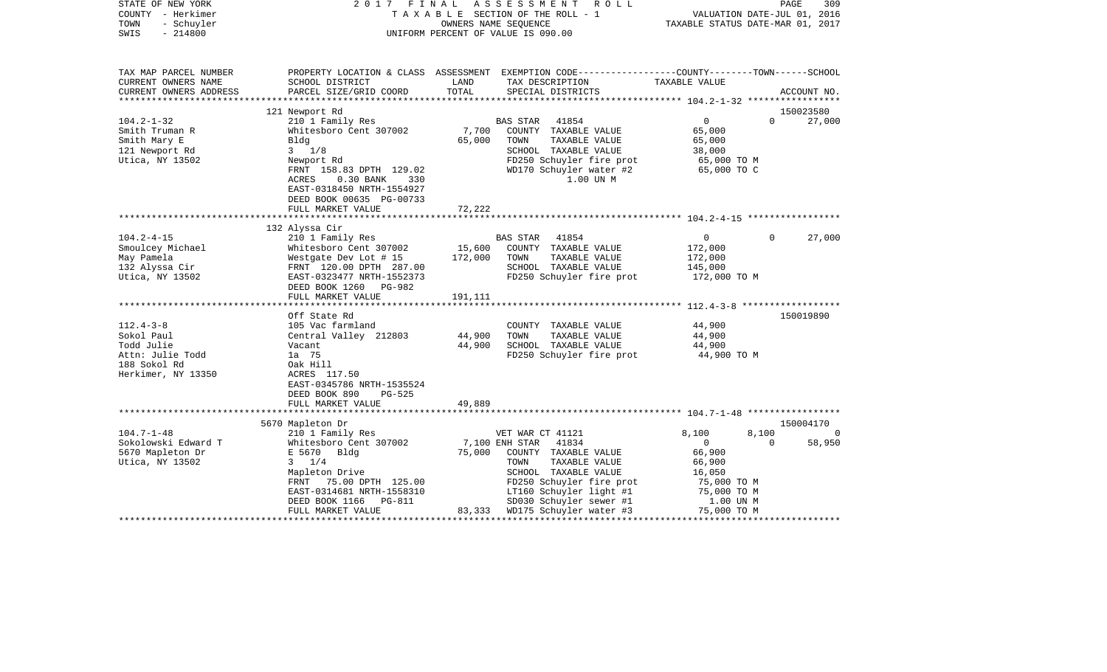| STATE OF NEW YORK<br>COUNTY - Herkimer<br>- Schuyler<br>TOWN<br>$-214800$<br>SWIS | 2017 FINAL                                                                           |         | ASSESSMENT<br>R O L L<br>TAXABLE SECTION OF THE ROLL - 1<br>OWNERS NAME SEQUENCE<br>UNIFORM PERCENT OF VALUE IS 090.00 | VALUATION DATE-JUL 01, 2016<br>TAXABLE STATUS DATE-MAR 01, 2017 | PAGE<br>309        |
|-----------------------------------------------------------------------------------|--------------------------------------------------------------------------------------|---------|------------------------------------------------------------------------------------------------------------------------|-----------------------------------------------------------------|--------------------|
| TAX MAP PARCEL NUMBER                                                             |                                                                                      |         | PROPERTY LOCATION & CLASS ASSESSMENT EXEMPTION CODE---------------COUNTY-------TOWN-----SCHOOL                         |                                                                 |                    |
| CURRENT OWNERS NAME                                                               | SCHOOL DISTRICT                                                                      | LAND    | TAX DESCRIPTION                                                                                                        | TAXABLE VALUE                                                   |                    |
| CURRENT OWNERS ADDRESS<br>***********************                                 | PARCEL SIZE/GRID COORD                                                               | TOTAL   | SPECIAL DISTRICTS                                                                                                      |                                                                 | ACCOUNT NO.        |
|                                                                                   | 121 Newport Rd                                                                       |         |                                                                                                                        |                                                                 | 150023580          |
| $104.2 - 1 - 32$                                                                  | 210 1 Family Res                                                                     |         | <b>BAS STAR</b><br>41854                                                                                               | $\Omega$                                                        | 27,000<br>$\Omega$ |
| Smith Truman R                                                                    | Whitesboro Cent 307002                                                               | 7,700   | COUNTY TAXABLE VALUE                                                                                                   | 65,000                                                          |                    |
| Smith Mary E                                                                      | Bldg                                                                                 | 65,000  | TOWN<br>TAXABLE VALUE                                                                                                  | 65,000                                                          |                    |
| 121 Newport Rd                                                                    | $3 \frac{1}{8}$                                                                      |         | SCHOOL TAXABLE VALUE                                                                                                   | 38,000                                                          |                    |
| Utica, NY 13502                                                                   | Newport Rd                                                                           |         | FD250 Schuyler fire prot                                                                                               | 65,000 TO M                                                     |                    |
|                                                                                   | FRNT 158.83 DPTH 129.02                                                              |         | WD170 Schuyler water #2                                                                                                | 65,000 TO C                                                     |                    |
|                                                                                   | $0.30$ BANK<br>ACRES<br>330<br>EAST-0318450 NRTH-1554927<br>DEED BOOK 00635 PG-00733 |         | 1.00 UN M                                                                                                              |                                                                 |                    |
|                                                                                   | FULL MARKET VALUE                                                                    | 72,222  |                                                                                                                        |                                                                 |                    |
|                                                                                   | 132 Alyssa Cir                                                                       |         |                                                                                                                        |                                                                 |                    |
| $104.2 - 4 - 15$                                                                  | 210 1 Family Res                                                                     |         | BAS STAR<br>41854                                                                                                      | $\overline{0}$                                                  | 27,000<br>$\Omega$ |
| Smoulcey Michael                                                                  | Whitesboro Cent 307002                                                               | 15,600  | COUNTY TAXABLE VALUE                                                                                                   | 172,000                                                         |                    |
| May Pamela                                                                        | Westgate Dev Lot # 15                                                                | 172,000 | TOWN<br>TAXABLE VALUE                                                                                                  | 172,000                                                         |                    |
| 132 Alyssa Cir                                                                    | FRNT 120.00 DPTH 287.00                                                              |         | SCHOOL TAXABLE VALUE                                                                                                   | 145,000                                                         |                    |
| Utica, NY 13502                                                                   | EAST-0323477 NRTH-1552373                                                            |         | FD250 Schuyler fire prot                                                                                               | 172,000 TO M                                                    |                    |
|                                                                                   | DEED BOOK 1260 PG-982                                                                |         |                                                                                                                        |                                                                 |                    |
|                                                                                   | FULL MARKET VALUE                                                                    | 191,111 |                                                                                                                        |                                                                 |                    |
|                                                                                   |                                                                                      |         |                                                                                                                        |                                                                 |                    |
|                                                                                   | Off State Rd                                                                         |         |                                                                                                                        |                                                                 | 150019890          |
| $112.4 - 3 - 8$                                                                   | 105 Vac farmland                                                                     |         | COUNTY TAXABLE VALUE                                                                                                   | 44,900                                                          |                    |
| Sokol Paul                                                                        | Central Valley 212803                                                                | 44,900  | TOWN<br>TAXABLE VALUE                                                                                                  | 44,900                                                          |                    |
| Todd Julie                                                                        | Vacant                                                                               | 44,900  | SCHOOL TAXABLE VALUE                                                                                                   | 44,900                                                          |                    |
| Attn: Julie Todd                                                                  | 1a 75                                                                                |         | FD250 Schuyler fire prot                                                                                               | 44,900 TO M                                                     |                    |
| 188 Sokol Rd                                                                      | Oak Hill<br>ACRES 117.50                                                             |         |                                                                                                                        |                                                                 |                    |
| Herkimer, NY 13350                                                                | EAST-0345786 NRTH-1535524                                                            |         |                                                                                                                        |                                                                 |                    |
|                                                                                   | DEED BOOK 890<br>$PG-525$                                                            |         |                                                                                                                        |                                                                 |                    |
|                                                                                   | FULL MARKET VALUE                                                                    | 49,889  |                                                                                                                        |                                                                 |                    |
|                                                                                   |                                                                                      |         |                                                                                                                        |                                                                 |                    |
|                                                                                   | 5670 Mapleton Dr                                                                     |         |                                                                                                                        |                                                                 | 150004170          |
| $104.7 - 1 - 48$                                                                  | 210 1 Family Res                                                                     |         | VET WAR CT 41121                                                                                                       | 8,100<br>8,100                                                  | 0                  |
| Sokolowski Edward T                                                               | Whitesboro Cent 307002                                                               |         | 41834<br>7,100 ENH STAR                                                                                                | $\mathbf{0}$                                                    | 58,950<br>$\Omega$ |
| 5670 Mapleton Dr                                                                  | E 5670<br>Bldg                                                                       | 75,000  | COUNTY TAXABLE VALUE                                                                                                   | 66,900                                                          |                    |
| Utica, NY 13502                                                                   | $3 \t1/4$                                                                            |         | TAXABLE VALUE<br>TOWN                                                                                                  | 66,900                                                          |                    |
|                                                                                   | Mapleton Drive                                                                       |         | SCHOOL TAXABLE VALUE                                                                                                   | 16,050                                                          |                    |
|                                                                                   | FRNT<br>75.00 DPTH 125.00                                                            |         | FD250 Schuyler fire prot                                                                                               | 75,000 TO M                                                     |                    |
|                                                                                   | EAST-0314681 NRTH-1558310                                                            |         | LT160 Schuyler light #1                                                                                                | 75,000 TO M                                                     |                    |
|                                                                                   | DEED BOOK 1166<br>PG-811                                                             |         | SD030 Schuyler sewer #1                                                                                                | 1.00 UN M                                                       |                    |
| ************************                                                          | FULL MARKET VALUE                                                                    |         | 83,333 WD175 Schuyler water #3                                                                                         | 75,000 TO M                                                     | ***********        |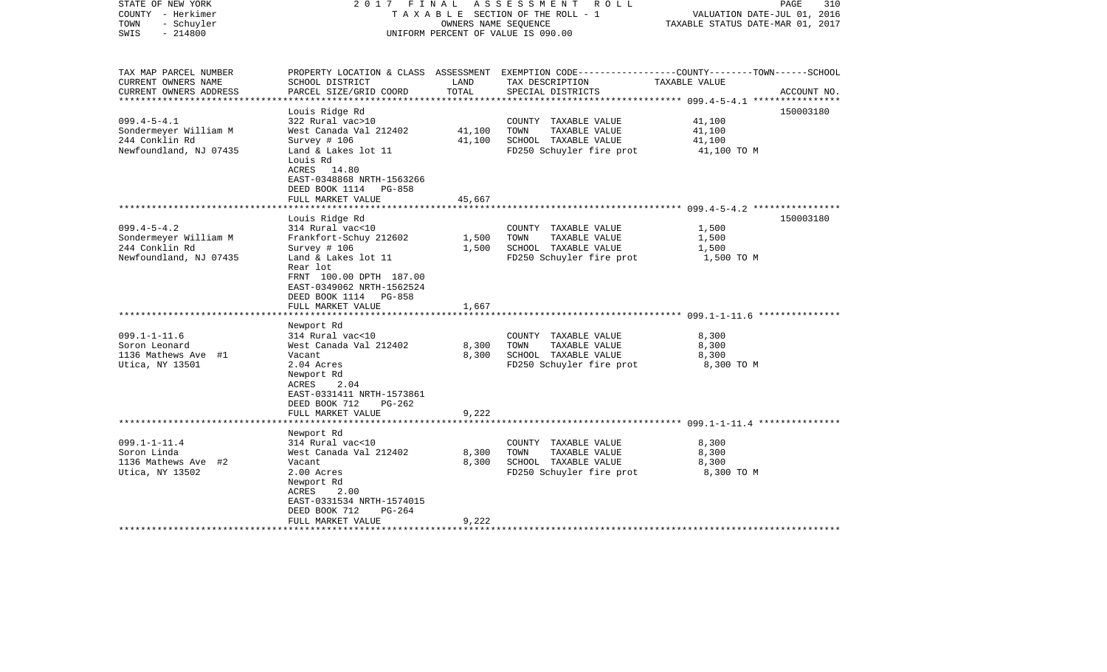| STATE OF NEW YORK<br>COUNTY - Herkimer<br>- Schuyler<br>TOWN<br>$-214800$<br>SWIS              | 2017 FINAL                                                                                                                                                                                                            | OWNERS NAME SEQUENCE        | ASSESSMENT<br>R O L L<br>TAXABLE SECTION OF THE ROLL - 1<br>UNIFORM PERCENT OF VALUE IS 090.00                                           | VALUATION DATE-JUL 01, 2016<br>TAXABLE STATUS DATE-MAR 01, 2017 | PAGE<br>310 |
|------------------------------------------------------------------------------------------------|-----------------------------------------------------------------------------------------------------------------------------------------------------------------------------------------------------------------------|-----------------------------|------------------------------------------------------------------------------------------------------------------------------------------|-----------------------------------------------------------------|-------------|
| TAX MAP PARCEL NUMBER<br>CURRENT OWNERS NAME<br>CURRENT OWNERS ADDRESS<br>******************** | SCHOOL DISTRICT<br>PARCEL SIZE/GRID COORD                                                                                                                                                                             | LAND<br>TOTAL<br>********** | PROPERTY LOCATION & CLASS ASSESSMENT EXEMPTION CODE----------------COUNTY-------TOWN------SCHOOL<br>TAX DESCRIPTION<br>SPECIAL DISTRICTS | TAXABLE VALUE                                                   | ACCOUNT NO. |
| $099.4 - 5 - 4.1$<br>Sondermeyer William M<br>244 Conklin Rd<br>Newfoundland, NJ 07435         | Louis Ridge Rd<br>322 Rural vac>10<br>West Canada Val 212402<br>Survey $# 106$<br>Land & Lakes lot 11<br>Louis Rd<br>ACRES 14.80<br>EAST-0348868 NRTH-1563266<br>DEED BOOK 1114 PG-858<br>FULL MARKET VALUE           | 41,100<br>41,100<br>45,667  | COUNTY TAXABLE VALUE<br>TOWN<br>TAXABLE VALUE<br>SCHOOL TAXABLE VALUE<br>FD250 Schuyler fire prot                                        | 41,100<br>41,100<br>41,100<br>41,100 TO M                       | 150003180   |
|                                                                                                |                                                                                                                                                                                                                       |                             |                                                                                                                                          |                                                                 |             |
| $099.4 - 5 - 4.2$<br>Sondermeyer William M<br>244 Conklin Rd<br>Newfoundland, NJ 07435         | Louis Ridge Rd<br>314 Rural vac<10<br>Frankfort-Schuy 212602<br>Survey # 106<br>Land & Lakes lot 11<br>Rear lot<br>FRNT 100.00 DPTH 187.00<br>EAST-0349062 NRTH-1562524<br>DEED BOOK 1114 PG-858<br>FULL MARKET VALUE | 1,500<br>1,500<br>1,667     | COUNTY TAXABLE VALUE<br>TOWN<br>TAXABLE VALUE<br>SCHOOL TAXABLE VALUE<br>FD250 Schuyler fire prot                                        | 1,500<br>1,500<br>1,500<br>1,500 TO M                           | 150003180   |
|                                                                                                | *******************                                                                                                                                                                                                   |                             |                                                                                                                                          |                                                                 |             |
| $099.1 - 1 - 11.6$<br>Soron Leonard<br>1136 Mathews Ave #1<br>Utica, NY 13501                  | Newport Rd<br>314 Rural vac<10<br>West Canada Val 212402<br>Vacant<br>2.04 Acres<br>Newport Rd<br>2.04<br>ACRES<br>EAST-0331411 NRTH-1573861<br>DEED BOOK 712<br>$PG-262$                                             | 8,300<br>8,300              | COUNTY TAXABLE VALUE<br>TOWN<br>TAXABLE VALUE<br>SCHOOL TAXABLE VALUE<br>FD250 Schuyler fire prot                                        | 8,300<br>8,300<br>8,300<br>8,300 TO M                           |             |
|                                                                                                | FULL MARKET VALUE<br>**********                                                                                                                                                                                       | 9,222                       |                                                                                                                                          |                                                                 |             |
| $099.1 - 1 - 11.4$<br>Soron Linda<br>1136 Mathews Ave #2<br>Utica, NY 13502                    | Newport Rd<br>314 Rural vac<10<br>West Canada Val 212402<br>Vacant<br>2.00 Acres<br>Newport Rd<br>2.00<br>ACRES<br>EAST-0331534 NRTH-1574015<br>DEED BOOK 712<br>$PG-264$                                             | 8,300<br>8,300              | COUNTY TAXABLE VALUE<br>TOWN<br>TAXABLE VALUE<br>SCHOOL TAXABLE VALUE<br>FD250 Schuyler fire prot                                        | 8,300<br>8,300<br>8,300<br>8,300 TO M                           |             |
|                                                                                                | FULL MARKET VALUE                                                                                                                                                                                                     | 9,222                       |                                                                                                                                          |                                                                 |             |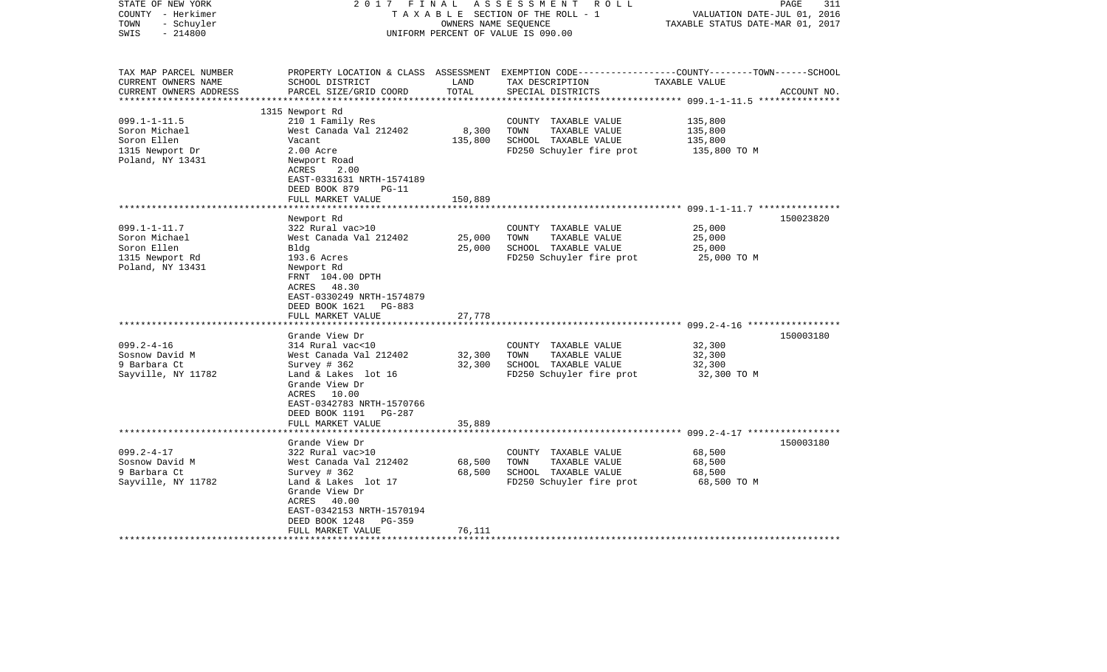| STATE OF NEW YORK<br>COUNTY - Herkimer<br>- Schuyler<br>TOWN<br>$-214800$<br>SWIS | 2017 FINAL                                                                                                      | OWNERS NAME SEQUENCE | ASSESSMENT<br>R O L L<br>TAXABLE SECTION OF THE ROLL - 1<br>UNIFORM PERCENT OF VALUE IS 090.00 | PAGE<br>VALUATION DATE-JUL 01, 2016<br>TAXABLE STATUS DATE-MAR 01, 2017                                                         | 311 |
|-----------------------------------------------------------------------------------|-----------------------------------------------------------------------------------------------------------------|----------------------|------------------------------------------------------------------------------------------------|---------------------------------------------------------------------------------------------------------------------------------|-----|
| TAX MAP PARCEL NUMBER<br>CURRENT OWNERS NAME<br>CURRENT OWNERS ADDRESS            | SCHOOL DISTRICT<br>PARCEL SIZE/GRID COORD                                                                       | LAND<br>TOTAL        | TAX DESCRIPTION<br>SPECIAL DISTRICTS                                                           | PROPERTY LOCATION & CLASS ASSESSMENT EXEMPTION CODE---------------COUNTY-------TOWN------SCHOOL<br>TAXABLE VALUE<br>ACCOUNT NO. |     |
|                                                                                   | 1315 Newport Rd                                                                                                 |                      |                                                                                                |                                                                                                                                 |     |
| $099.1 - 1 - 11.5$                                                                | 210 1 Family Res                                                                                                |                      | COUNTY TAXABLE VALUE                                                                           | 135,800                                                                                                                         |     |
| Soron Michael                                                                     | West Canada Val 212402                                                                                          | 8,300                | TOWN<br>TAXABLE VALUE                                                                          | 135,800                                                                                                                         |     |
| Soron Ellen                                                                       | Vacant                                                                                                          | 135,800              | SCHOOL TAXABLE VALUE                                                                           | 135,800                                                                                                                         |     |
| 1315 Newport Dr                                                                   | 2.00 Acre                                                                                                       |                      | FD250 Schuyler fire prot                                                                       | 135,800 TO M                                                                                                                    |     |
| Poland, NY 13431                                                                  | Newport Road                                                                                                    |                      |                                                                                                |                                                                                                                                 |     |
|                                                                                   | ACRES<br>2.00                                                                                                   |                      |                                                                                                |                                                                                                                                 |     |
|                                                                                   | EAST-0331631 NRTH-1574189                                                                                       |                      |                                                                                                |                                                                                                                                 |     |
|                                                                                   | DEED BOOK 879<br>$PG-11$                                                                                        |                      |                                                                                                |                                                                                                                                 |     |
|                                                                                   | FULL MARKET VALUE                                                                                               | 150,889              |                                                                                                |                                                                                                                                 |     |
|                                                                                   | Newport Rd                                                                                                      |                      |                                                                                                | 150023820                                                                                                                       |     |
| $099.1 - 1 - 11.7$                                                                | 322 Rural vac>10                                                                                                |                      | COUNTY TAXABLE VALUE                                                                           | 25,000                                                                                                                          |     |
| Soron Michael                                                                     | West Canada Val 212402                                                                                          | 25,000               | TOWN<br>TAXABLE VALUE                                                                          | 25,000                                                                                                                          |     |
| Soron Ellen                                                                       | Bldg                                                                                                            | 25,000               | SCHOOL TAXABLE VALUE                                                                           | 25,000                                                                                                                          |     |
| 1315 Newport Rd                                                                   | 193.6 Acres                                                                                                     |                      | FD250 Schuyler fire prot                                                                       | 25,000 TO M                                                                                                                     |     |
| Poland, NY 13431                                                                  | Newport Rd<br>FRNT 104.00 DPTH<br>ACRES 48.30<br>EAST-0330249 NRTH-1574879                                      |                      |                                                                                                |                                                                                                                                 |     |
|                                                                                   | DEED BOOK 1621<br>PG-883                                                                                        |                      |                                                                                                |                                                                                                                                 |     |
|                                                                                   | FULL MARKET VALUE                                                                                               | 27,778               |                                                                                                |                                                                                                                                 |     |
|                                                                                   | *******************                                                                                             |                      |                                                                                                |                                                                                                                                 |     |
|                                                                                   | Grande View Dr                                                                                                  |                      |                                                                                                | 150003180                                                                                                                       |     |
| $099.2 - 4 - 16$                                                                  | 314 Rural vac<10                                                                                                |                      | COUNTY TAXABLE VALUE                                                                           | 32,300                                                                                                                          |     |
| Sosnow David M                                                                    | West Canada Val 212402                                                                                          | 32,300               | TOWN<br>TAXABLE VALUE                                                                          | 32,300                                                                                                                          |     |
| 9 Barbara Ct<br>Sayville, NY 11782                                                | Survey # 362<br>Land & Lakes lot 16                                                                             | 32,300               | SCHOOL TAXABLE VALUE<br>FD250 Schuyler fire prot                                               | 32,300<br>32,300 TO M                                                                                                           |     |
|                                                                                   | Grande View Dr<br>ACRES 10.00<br>EAST-0342783 NRTH-1570766<br>DEED BOOK 1191 PG-287                             |                      |                                                                                                |                                                                                                                                 |     |
|                                                                                   | FULL MARKET VALUE                                                                                               | 35,889               |                                                                                                |                                                                                                                                 |     |
|                                                                                   |                                                                                                                 |                      |                                                                                                |                                                                                                                                 |     |
|                                                                                   | Grande View Dr                                                                                                  |                      |                                                                                                | 150003180                                                                                                                       |     |
| $099.2 - 4 - 17$                                                                  | 322 Rural vac>10                                                                                                |                      | COUNTY TAXABLE VALUE                                                                           | 68,500                                                                                                                          |     |
| Sosnow David M                                                                    | West Canada Val 212402                                                                                          | 68,500               | TOWN<br>TAXABLE VALUE                                                                          | 68,500                                                                                                                          |     |
| 9 Barbara Ct                                                                      | Survey # 362                                                                                                    | 68,500               | SCHOOL TAXABLE VALUE                                                                           | 68,500                                                                                                                          |     |
| Sayville, NY 11782                                                                | Land & Lakes lot 17<br>Grande View Dr<br>ACRES 40.00<br>EAST-0342153 NRTH-1570194<br>DEED BOOK 1248<br>$PG-359$ |                      | FD250 Schuyler fire prot                                                                       | 68,500 TO M                                                                                                                     |     |
|                                                                                   | FULL MARKET VALUE                                                                                               | 76,111               |                                                                                                |                                                                                                                                 |     |
|                                                                                   |                                                                                                                 |                      |                                                                                                |                                                                                                                                 |     |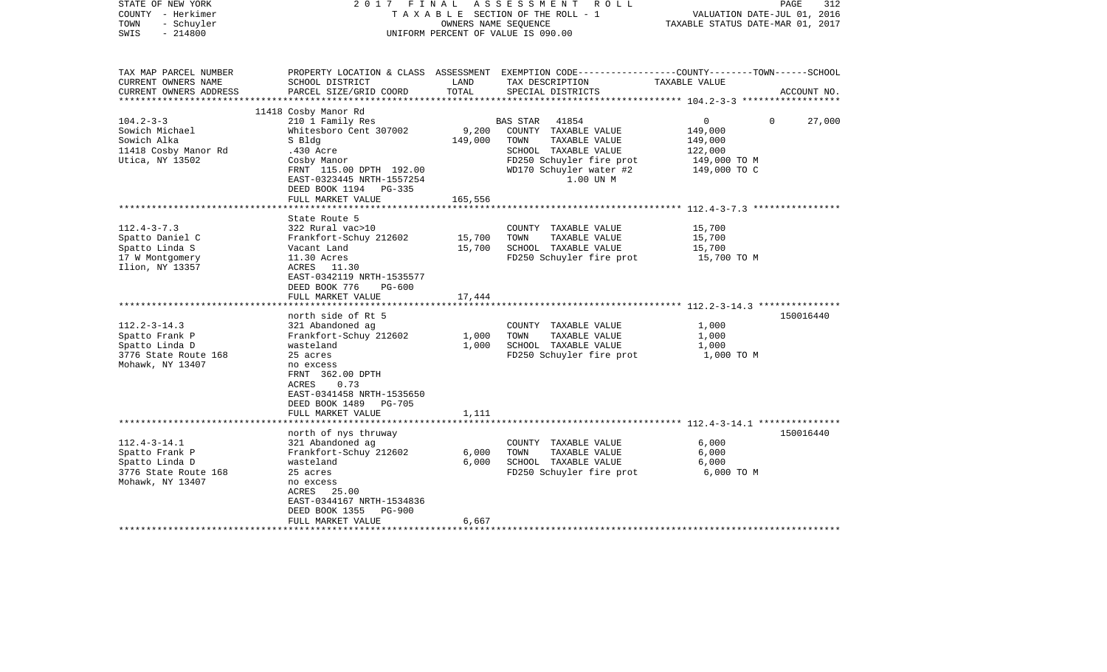| STATE OF NEW YORK<br>COUNTY - Herkimer<br>- Schuyler<br>TOWN<br>$-214800$<br>SWIS                                                                                                                  |                                                                                                                                                                                                                                                                                                 |                                              | 2017 FINAL ASSESSMENT ROLL<br>TAXABLE SECTION OF THE ROLL - 1<br>OWNERS NAME SEOUENCE<br>UNIFORM PERCENT OF VALUE IS 090.00                                                                            | PAGE<br>VALUATION DATE-JUL 01, 2016<br>TAXABLE STATUS DATE-MAR 01, 2017                                                         | 312 |
|----------------------------------------------------------------------------------------------------------------------------------------------------------------------------------------------------|-------------------------------------------------------------------------------------------------------------------------------------------------------------------------------------------------------------------------------------------------------------------------------------------------|----------------------------------------------|--------------------------------------------------------------------------------------------------------------------------------------------------------------------------------------------------------|---------------------------------------------------------------------------------------------------------------------------------|-----|
| TAX MAP PARCEL NUMBER<br>CURRENT OWNERS NAME<br>CURRENT OWNERS ADDRESS<br>***********************                                                                                                  | SCHOOL DISTRICT<br>PARCEL SIZE/GRID COORD                                                                                                                                                                                                                                                       | LAND<br>TOTAL                                | TAX DESCRIPTION<br>SPECIAL DISTRICTS                                                                                                                                                                   | PROPERTY LOCATION & CLASS ASSESSMENT EXEMPTION CODE---------------COUNTY-------TOWN------SCHOOL<br>TAXABLE VALUE<br>ACCOUNT NO. |     |
|                                                                                                                                                                                                    | 11418 Cosby Manor Rd                                                                                                                                                                                                                                                                            |                                              |                                                                                                                                                                                                        |                                                                                                                                 |     |
| $104.2 - 3 - 3$<br>Sowich Michael<br>Sowich Alka<br>11418 Cosby Manor Rd<br>Utica, NY 13502                                                                                                        | 210 1 Family Res<br>Whitesboro Cent 307002<br>S Bldg<br>.430 Acre<br>Cosby Manor<br>FRNT 115.00 DPTH 192.00<br>EAST-0323445 NRTH-1557254<br>DEED BOOK 1194<br>PG-335                                                                                                                            | 9,200<br>149,000                             | 41854<br><b>BAS STAR</b><br>COUNTY TAXABLE VALUE<br>TOWN<br>TAXABLE VALUE<br>SCHOOL TAXABLE VALUE<br>FD250 Schuyler fire prot<br>WD170 Schuyler water #2<br>1.00 UN M                                  | $\overline{0}$<br>$\Omega$<br>27,000<br>149,000<br>149,000<br>122,000<br>149,000 TO M<br>149,000 TO C                           |     |
|                                                                                                                                                                                                    | FULL MARKET VALUE                                                                                                                                                                                                                                                                               | 165,556                                      |                                                                                                                                                                                                        | *************** 112.4-3-7.3 *****************                                                                                   |     |
| $112.4 - 3 - 7.3$<br>Spatto Daniel C<br>Spatto Linda S<br>17 W Montgomery<br>Ilion, NY 13357<br>$112.2 - 3 - 14.3$<br>Spatto Frank P<br>Spatto Linda D<br>3776 State Route 168<br>Mohawk, NY 13407 | State Route 5<br>322 Rural vac>10<br>Frankfort-Schuy 212602<br>Vacant Land<br>11.30 Acres<br>ACRES 11.30<br>EAST-0342119 NRTH-1535577<br>DEED BOOK 776<br>PG-600<br>FULL MARKET VALUE<br>north side of Rt 5<br>321 Abandoned ag<br>Frankfort-Schuy 212602<br>wasteland<br>25 acres<br>no excess | 15,700<br>15,700<br>17,444<br>1,000<br>1,000 | COUNTY TAXABLE VALUE<br>TOWN<br>TAXABLE VALUE<br>SCHOOL TAXABLE VALUE<br>FD250 Schuyler fire prot<br>COUNTY TAXABLE VALUE<br>TOWN<br>TAXABLE VALUE<br>SCHOOL TAXABLE VALUE<br>FD250 Schuyler fire prot | 15,700<br>15,700<br>15,700<br>15,700 TO M<br>150016440<br>1,000<br>1,000<br>1,000<br>1,000 TO M                                 |     |
| $112.4 - 3 - 14.1$                                                                                                                                                                                 | FRNT 362.00 DPTH<br>0.73<br>ACRES<br>EAST-0341458 NRTH-1535650<br>DEED BOOK 1489 PG-705<br>FULL MARKET VALUE<br>north of nys thruway<br>321 Abandoned ag                                                                                                                                        | 1,111                                        | COUNTY TAXABLE VALUE                                                                                                                                                                                   | 150016440<br>6,000                                                                                                              |     |
| Spatto Frank P<br>Spatto Linda D<br>3776 State Route 168<br>Mohawk, NY 13407                                                                                                                       | Frankfort-Schuy 212602<br>wasteland<br>25 acres<br>no excess<br>ACRES 25.00<br>EAST-0344167 NRTH-1534836<br>DEED BOOK 1355<br>PG-900<br>FULL MARKET VALUE                                                                                                                                       | 6,000<br>6,000<br>6,667                      | TAXABLE VALUE<br>TOWN<br>SCHOOL TAXABLE VALUE<br>FD250 Schuyler fire prot                                                                                                                              | 6,000<br>6,000<br>6,000 TO M                                                                                                    |     |
|                                                                                                                                                                                                    |                                                                                                                                                                                                                                                                                                 |                                              |                                                                                                                                                                                                        |                                                                                                                                 |     |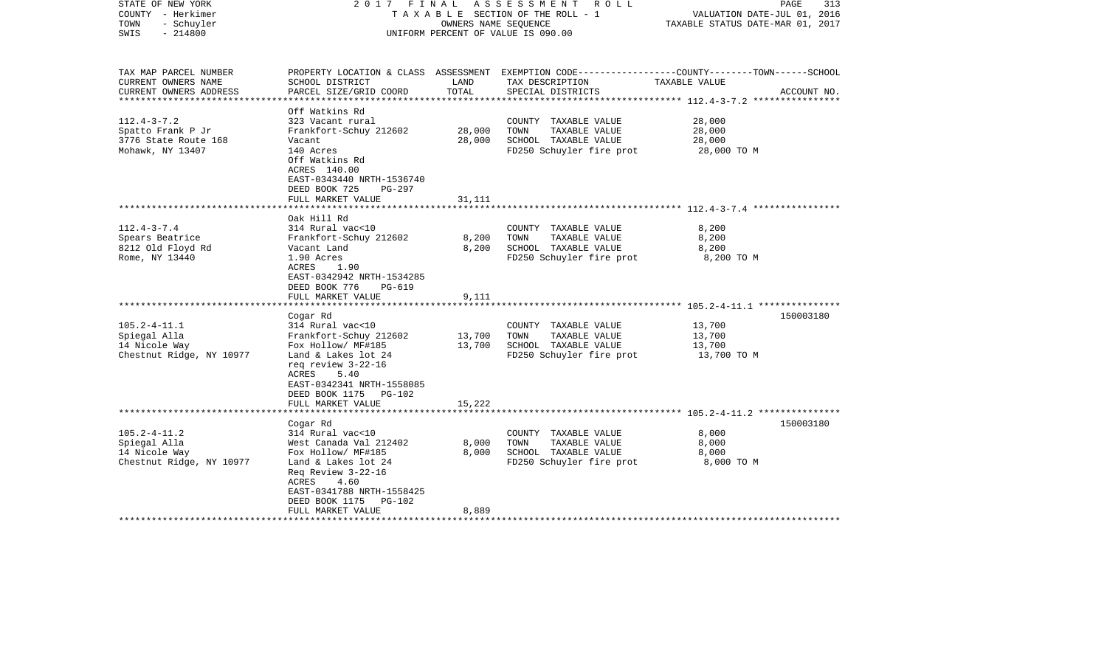| STATE OF NEW YORK<br>COUNTY - Herkimer<br>- Schuyler<br>TOWN<br>$-214800$<br>SWIS                           |                                                                                                                                                                                                                          | OWNERS NAME SEQUENCE    | 2017 FINAL ASSESSMENT ROLL<br>TAXABLE SECTION OF THE ROLL - 1<br>UNIFORM PERCENT OF VALUE IS 090.00 | PAGE<br>313<br>VALUATION DATE-JUL 01, 2016<br>TAXABLE STATUS DATE-MAR 01, 2017                                                   |  |
|-------------------------------------------------------------------------------------------------------------|--------------------------------------------------------------------------------------------------------------------------------------------------------------------------------------------------------------------------|-------------------------|-----------------------------------------------------------------------------------------------------|----------------------------------------------------------------------------------------------------------------------------------|--|
| TAX MAP PARCEL NUMBER<br>CURRENT OWNERS NAME<br>CURRENT OWNERS ADDRESS                                      | SCHOOL DISTRICT<br>PARCEL SIZE/GRID COORD                                                                                                                                                                                | LAND<br>TOTAL           | TAX DESCRIPTION<br>SPECIAL DISTRICTS                                                                | PROPERTY LOCATION & CLASS ASSESSMENT EXEMPTION CODE----------------COUNTY-------TOWN------SCHOOL<br>TAXABLE VALUE<br>ACCOUNT NO. |  |
| *********************<br>$112.4 - 3 - 7.2$<br>Spatto Frank P Jr<br>3776 State Route 168<br>Mohawk, NY 13407 | Off Watkins Rd<br>323 Vacant rural<br>Frankfort-Schuy 212602<br>Vacant<br>140 Acres<br>Off Watkins Rd<br>ACRES 140.00<br>EAST-0343440 NRTH-1536740<br>DEED BOOK 725<br>PG-297                                            | 28,000<br>28,000        | COUNTY TAXABLE VALUE<br>TOWN<br>TAXABLE VALUE<br>SCHOOL TAXABLE VALUE<br>FD250 Schuyler fire prot   | *************************** 112.4-3-7.2 ****************<br>28,000<br>28,000<br>28,000<br>28,000 TO M                            |  |
|                                                                                                             | FULL MARKET VALUE                                                                                                                                                                                                        | 31,111                  |                                                                                                     |                                                                                                                                  |  |
| $112.4 - 3 - 7.4$<br>Spears Beatrice<br>8212 Old Floyd Rd                                                   | Oak Hill Rd<br>314 Rural vac<10<br>Frankfort-Schuy 212602<br>Vacant Land                                                                                                                                                 | 8,200<br>8,200          | COUNTY TAXABLE VALUE<br>TOWN<br>TAXABLE VALUE<br>SCHOOL TAXABLE VALUE                               | 8,200<br>8,200<br>8,200                                                                                                          |  |
| Rome, NY 13440                                                                                              | 1.90 Acres<br>ACRES<br>1.90<br>EAST-0342942 NRTH-1534285<br>DEED BOOK 776<br>PG-619<br>FULL MARKET VALUE                                                                                                                 | 9,111                   | FD250 Schuyler fire prot                                                                            | 8,200 TO M                                                                                                                       |  |
|                                                                                                             | ************************                                                                                                                                                                                                 |                         |                                                                                                     |                                                                                                                                  |  |
| $105.2 - 4 - 11.1$<br>Spiegal Alla<br>14 Nicole Way<br>Chestnut Ridge, NY 10977                             | Cogar Rd<br>314 Rural vac<10<br>Frankfort-Schuy 212602<br>Fox Hollow/ MF#185<br>Land & Lakes lot 24<br>req review 3-22-16<br>ACRES<br>5.40                                                                               | 13,700<br>13,700        | COUNTY TAXABLE VALUE<br>TOWN<br>TAXABLE VALUE<br>SCHOOL TAXABLE VALUE<br>FD250 Schuyler fire prot   | 150003180<br>13,700<br>13,700<br>13,700<br>13,700 TO M                                                                           |  |
|                                                                                                             | EAST-0342341 NRTH-1558085<br>DEED BOOK 1175 PG-102<br>FULL MARKET VALUE                                                                                                                                                  | 15,222                  |                                                                                                     |                                                                                                                                  |  |
| $105.2 - 4 - 11.2$<br>Spiegal Alla<br>14 Nicole Way<br>Chestnut Ridge, NY 10977                             | Cogar Rd<br>314 Rural vac<10<br>West Canada Val 212402<br>Fox Hollow/ MF#185<br>Land & Lakes lot 24<br>Req Review 3-22-16<br>ACRES<br>4.60<br>EAST-0341788 NRTH-1558425<br>DEED BOOK 1175<br>PG-102<br>FULL MARKET VALUE | 8,000<br>8,000<br>8,889 | COUNTY TAXABLE VALUE<br>TOWN<br>TAXABLE VALUE<br>SCHOOL TAXABLE VALUE<br>FD250 Schuyler fire prot   | 150003180<br>8,000<br>8,000<br>8,000<br>8,000 TO M                                                                               |  |
|                                                                                                             |                                                                                                                                                                                                                          |                         |                                                                                                     |                                                                                                                                  |  |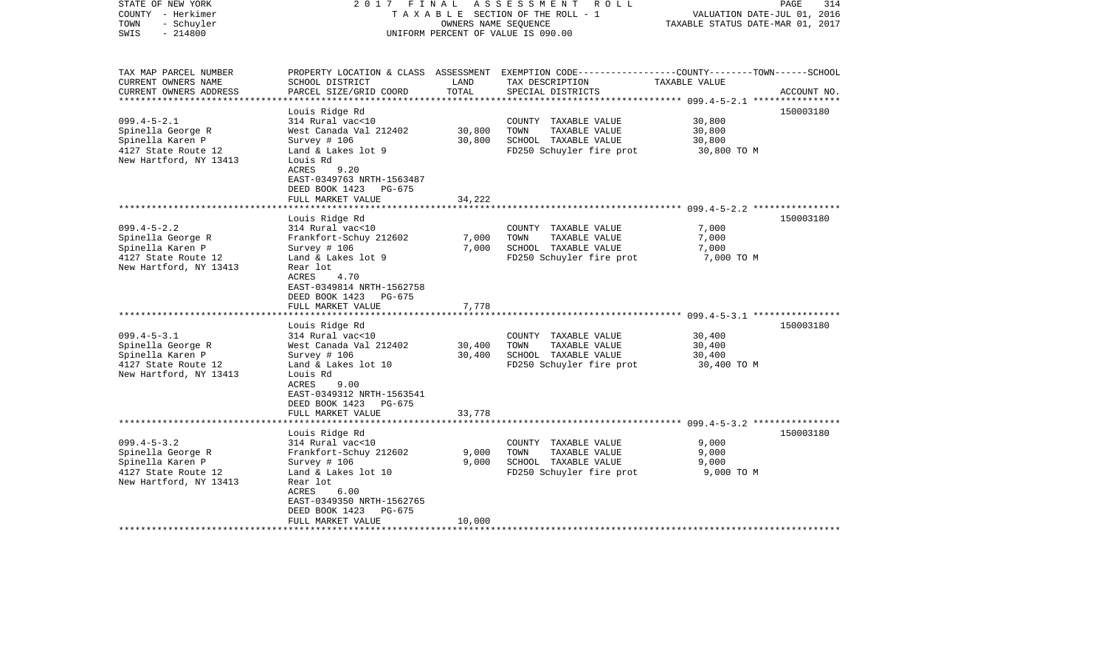| STATE OF NEW YORK<br>COUNTY - Herkimer<br>- Schuyler<br>TOWN<br>$-214800$<br>SWIS                           | 2017 FINAL                                                                                                                                                                                                                      | OWNERS NAME SEOUENCE             | ASSESSMENT<br>R O L L<br>TAXABLE SECTION OF THE ROLL - 1<br>UNIFORM PERCENT OF VALUE IS 090.00                                           | VALUATION DATE-JUL 01, 2016<br>TAXABLE STATUS DATE-MAR 01, 2017 | 314<br>PAGE            |
|-------------------------------------------------------------------------------------------------------------|---------------------------------------------------------------------------------------------------------------------------------------------------------------------------------------------------------------------------------|----------------------------------|------------------------------------------------------------------------------------------------------------------------------------------|-----------------------------------------------------------------|------------------------|
| TAX MAP PARCEL NUMBER<br>CURRENT OWNERS NAME<br>CURRENT OWNERS ADDRESS<br>*********************             | SCHOOL DISTRICT<br>PARCEL SIZE/GRID COORD<br>***********************                                                                                                                                                            | LAND<br>TOTAL<br>*************** | PROPERTY LOCATION & CLASS ASSESSMENT EXEMPTION CODE----------------COUNTY-------TOWN------SCHOOL<br>TAX DESCRIPTION<br>SPECIAL DISTRICTS | TAXABLE VALUE                                                   | ACCOUNT NO.            |
| $099.4 - 5 - 2.1$<br>Spinella George R<br>Spinella Karen P<br>4127 State Route 12<br>New Hartford, NY 13413 | Louis Ridge Rd<br>314 Rural vac<10<br>West Canada Val 212402<br>Survey # 106<br>Land & Lakes lot 9<br>Louis Rd<br>ACRES<br>9.20<br>EAST-0349763 NRTH-1563487<br>DEED BOOK 1423<br>PG-675                                        | 30,800<br>30,800                 | COUNTY TAXABLE VALUE<br>TOWN<br>TAXABLE VALUE<br>SCHOOL TAXABLE VALUE<br>FD250 Schuyler fire prot                                        | 30,800<br>30,800<br>30,800<br>30,800 TO M                       | 150003180              |
|                                                                                                             | FULL MARKET VALUE                                                                                                                                                                                                               | 34,222                           |                                                                                                                                          | ********************* 099.4-5-2.2 ****************              |                        |
| $099.4 - 5 - 2.2$<br>Spinella George R<br>Spinella Karen P<br>4127 State Route 12<br>New Hartford, NY 13413 | Louis Ridge Rd<br>314 Rural vac<10<br>Frankfort-Schuy 212602<br>Survey # 106<br>Land & Lakes lot 9<br>Rear lot<br>ACRES<br>4.70<br>EAST-0349814 NRTH-1562758<br>DEED BOOK 1423<br>PG-675<br>FULL MARKET VALUE<br>Louis Ridge Rd | 7,000<br>7,000<br>7,778          | COUNTY TAXABLE VALUE<br>TAXABLE VALUE<br>TOWN<br>SCHOOL TAXABLE VALUE<br>FD250 Schuyler fire prot                                        | 7,000<br>7,000<br>7,000<br>7,000 TO M                           | 150003180<br>150003180 |
| $099.4 - 5 - 3.1$<br>Spinella George R<br>Spinella Karen P<br>4127 State Route 12<br>New Hartford, NY 13413 | 314 Rural vac<10<br>West Canada Val 212402<br>Survey $# 106$<br>Land & Lakes lot 10<br>Louis Rd<br>9.00<br>ACRES<br>EAST-0349312 NRTH-1563541<br>DEED BOOK 1423<br>PG-675<br>FULL MARKET VALUE                                  | 30,400<br>30,400<br>33,778       | COUNTY TAXABLE VALUE<br>TOWN<br>TAXABLE VALUE<br>SCHOOL TAXABLE VALUE<br>FD250 Schuyler fire prot                                        | 30,400<br>30,400<br>30,400<br>30,400 TO M                       |                        |
|                                                                                                             | *******************                                                                                                                                                                                                             |                                  |                                                                                                                                          |                                                                 |                        |
| $099.4 - 5 - 3.2$<br>Spinella George R<br>Spinella Karen P<br>4127 State Route 12<br>New Hartford, NY 13413 | Louis Ridge Rd<br>314 Rural vac<10<br>Frankfort-Schuy 212602<br>Survey # 106<br>Land & Lakes lot 10<br>Rear lot<br>ACRES<br>6.00<br>EAST-0349350 NRTH-1562765<br>DEED BOOK 1423<br>PG-675<br>FULL MARKET VALUE                  | 9,000<br>9,000<br>10,000         | COUNTY TAXABLE VALUE<br>TOWN<br>TAXABLE VALUE<br>SCHOOL TAXABLE VALUE<br>FD250 Schuyler fire prot                                        | 9,000<br>9,000<br>9,000<br>9,000 TO M                           | 150003180              |
|                                                                                                             |                                                                                                                                                                                                                                 |                                  |                                                                                                                                          |                                                                 |                        |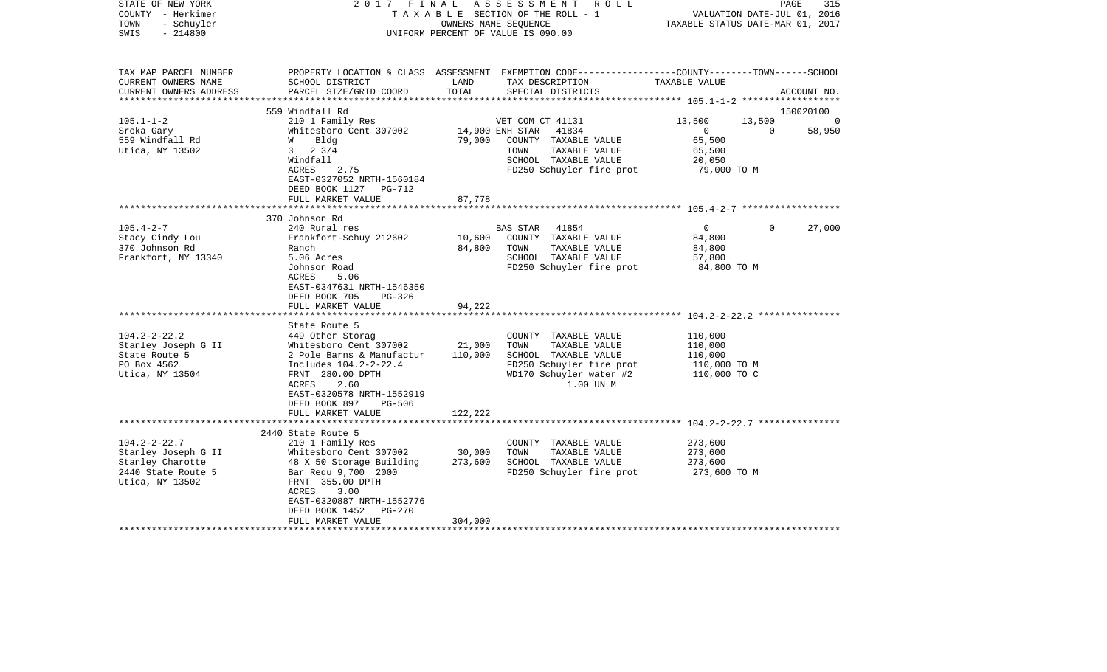| STATE OF NEW YORK<br>COUNTY - Herkimer<br>- Schuyler<br>TOWN<br>$-214800$<br>SWIS                | 2017 FINAL                                      | OWNERS NAME SEQUENCE | ASSESSMENT<br>R O L L<br>TAXABLE SECTION OF THE ROLL - 1<br>UNIFORM PERCENT OF VALUE IS 090.00                                           | TAXABLE STATUS DATE-MAR 01, 2017                    | PAGE<br>VALUATION DATE-JUL 01, 2016 | 315         |
|--------------------------------------------------------------------------------------------------|-------------------------------------------------|----------------------|------------------------------------------------------------------------------------------------------------------------------------------|-----------------------------------------------------|-------------------------------------|-------------|
| TAX MAP PARCEL NUMBER<br>CURRENT OWNERS NAME<br>CURRENT OWNERS ADDRESS<br>********************** | SCHOOL DISTRICT<br>PARCEL SIZE/GRID COORD       | LAND<br>TOTAL        | PROPERTY LOCATION & CLASS ASSESSMENT EXEMPTION CODE----------------COUNTY-------TOWN------SCHOOL<br>TAX DESCRIPTION<br>SPECIAL DISTRICTS | TAXABLE VALUE                                       |                                     | ACCOUNT NO. |
|                                                                                                  | 559 Windfall Rd                                 |                      |                                                                                                                                          |                                                     |                                     | 150020100   |
| $105.1 - 1 - 2$                                                                                  | 210 1 Family Res                                |                      | VET COM CT 41131                                                                                                                         | 13,500                                              | 13,500                              | - 0         |
| Sroka Gary                                                                                       | Whitesboro Cent 307002                          | 14,900 ENH STAR      | 41834                                                                                                                                    | $\overline{0}$                                      | $\overline{0}$                      | 58,950      |
| 559 Windfall Rd                                                                                  | Bldg<br>W                                       | 79,000               | COUNTY TAXABLE VALUE                                                                                                                     | 65,500                                              |                                     |             |
| Utica, NY 13502                                                                                  | $3 \t 2 \t 3/4$                                 |                      | TAXABLE VALUE<br>TOWN                                                                                                                    | 65,500                                              |                                     |             |
|                                                                                                  | Windfall                                        |                      | SCHOOL TAXABLE VALUE                                                                                                                     | 20,050                                              |                                     |             |
|                                                                                                  | ACRES<br>2.75                                   |                      | FD250 Schuyler fire prot                                                                                                                 | 79,000 TO M                                         |                                     |             |
|                                                                                                  | EAST-0327052 NRTH-1560184                       |                      |                                                                                                                                          |                                                     |                                     |             |
|                                                                                                  | DEED BOOK 1127 PG-712                           |                      |                                                                                                                                          |                                                     |                                     |             |
|                                                                                                  | FULL MARKET VALUE                               | 87,778               |                                                                                                                                          |                                                     |                                     |             |
|                                                                                                  |                                                 | *******              |                                                                                                                                          | ********************** 105.4-2-7 ****************** |                                     |             |
|                                                                                                  | 370 Johnson Rd                                  |                      |                                                                                                                                          |                                                     |                                     |             |
| $105.4 - 2 - 7$                                                                                  | 240 Rural res                                   |                      | 41854<br>BAS STAR                                                                                                                        | $\overline{0}$                                      | $\mathbf 0$                         | 27,000      |
| Stacy Cindy Lou                                                                                  | Frankfort-Schuy 212602                          | 10,600               | COUNTY TAXABLE VALUE                                                                                                                     | 84,800                                              |                                     |             |
| 370 Johnson Rd                                                                                   | Ranch                                           | 84,800               | TOWN<br>TAXABLE VALUE                                                                                                                    | 84,800                                              |                                     |             |
| Frankfort, NY 13340                                                                              | 5.06 Acres<br>Johnson Road                      |                      | SCHOOL TAXABLE VALUE<br>FD250 Schuyler fire prot                                                                                         | 57,800<br>84,800 TO M                               |                                     |             |
|                                                                                                  | 5.06<br>ACRES                                   |                      |                                                                                                                                          |                                                     |                                     |             |
|                                                                                                  | EAST-0347631 NRTH-1546350                       |                      |                                                                                                                                          |                                                     |                                     |             |
|                                                                                                  | DEED BOOK 705<br>$PG-326$                       |                      |                                                                                                                                          |                                                     |                                     |             |
|                                                                                                  | FULL MARKET VALUE                               | 94,222               |                                                                                                                                          |                                                     |                                     |             |
|                                                                                                  |                                                 |                      | *************************** 104.2-2-22.2 ***************                                                                                 |                                                     |                                     |             |
|                                                                                                  | State Route 5                                   |                      |                                                                                                                                          |                                                     |                                     |             |
| $104.2 - 2 - 22.2$                                                                               | 449 Other Storag                                |                      | COUNTY TAXABLE VALUE                                                                                                                     | 110,000                                             |                                     |             |
| Stanley Joseph G II                                                                              | Whitesboro Cent 307002                          | 21,000               | TOWN<br>TAXABLE VALUE                                                                                                                    | 110,000                                             |                                     |             |
| State Route 5                                                                                    | 2 Pole Barns & Manufactur                       | 110,000              | SCHOOL TAXABLE VALUE                                                                                                                     | 110,000                                             |                                     |             |
| PO Box 4562                                                                                      | Includes 104.2-2-22.4                           |                      | FD250 Schuyler fire prot                                                                                                                 | 110,000 TO M                                        |                                     |             |
| Utica, NY 13504                                                                                  | FRNT 280.00 DPTH                                |                      | WD170 Schuyler water #2                                                                                                                  | 110,000 TO C                                        |                                     |             |
|                                                                                                  | ACRES<br>2.60                                   |                      | 1.00 UN M                                                                                                                                |                                                     |                                     |             |
|                                                                                                  | EAST-0320578 NRTH-1552919                       |                      |                                                                                                                                          |                                                     |                                     |             |
|                                                                                                  | DEED BOOK 897<br><b>PG-506</b>                  |                      |                                                                                                                                          |                                                     |                                     |             |
|                                                                                                  | FULL MARKET VALUE                               | 122,222              |                                                                                                                                          |                                                     |                                     |             |
|                                                                                                  | *************************                       | *************        |                                                                                                                                          |                                                     |                                     |             |
|                                                                                                  | 2440 State Route 5                              |                      |                                                                                                                                          |                                                     |                                     |             |
| $104.2 - 2 - 22.7$                                                                               | 210 1 Family Res                                |                      | COUNTY TAXABLE VALUE                                                                                                                     | 273,600                                             |                                     |             |
| Stanley Joseph G II<br>Stanley Charotte                                                          | Whitesboro Cent 307002                          | 30,000<br>273,600    | TOWN<br>TAXABLE VALUE<br>SCHOOL TAXABLE VALUE                                                                                            | 273,600<br>273,600                                  |                                     |             |
| 2440 State Route 5                                                                               | 48 X 50 Storage Building<br>Bar Redu 9,700 2000 |                      | FD250 Schuyler fire prot                                                                                                                 | 273,600 TO M                                        |                                     |             |
| Utica, NY 13502                                                                                  | FRNT 355.00 DPTH                                |                      |                                                                                                                                          |                                                     |                                     |             |
|                                                                                                  | ACRES<br>3.00                                   |                      |                                                                                                                                          |                                                     |                                     |             |
|                                                                                                  | EAST-0320887 NRTH-1552776                       |                      |                                                                                                                                          |                                                     |                                     |             |
|                                                                                                  | DEED BOOK 1452<br>PG-270                        |                      |                                                                                                                                          |                                                     |                                     |             |
|                                                                                                  | FULL MARKET VALUE                               | 304,000              |                                                                                                                                          |                                                     |                                     |             |
|                                                                                                  |                                                 |                      |                                                                                                                                          |                                                     |                                     |             |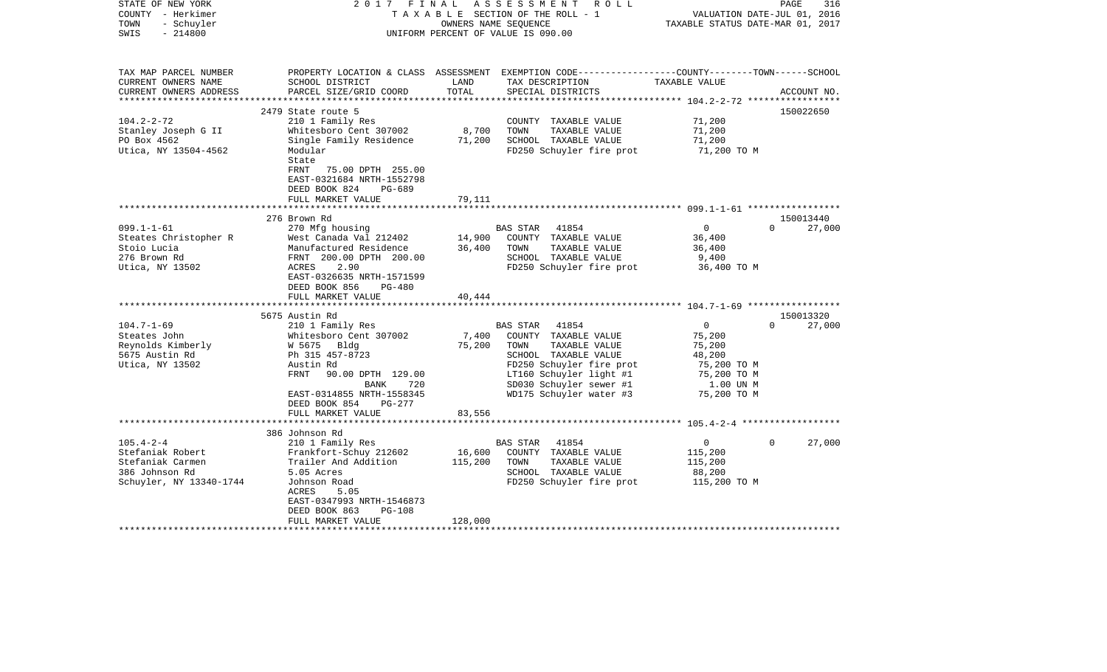| STATE OF NEW YORK<br>COUNTY - Herkimer<br>- Schuyler<br>TOWN<br>$-214800$<br>SWIS                                                                                                         | 2017<br>FINAL                                                                                                                                                                                                                                                                                                                                                                                                                        | OWNERS NAME SEQUENCE                          | ASSESSMENT ROLL<br>TAXABLE SECTION OF THE ROLL - 1<br>UNIFORM PERCENT OF VALUE IS 090.00                                                                                                                                                                                                                                          | TAXABLE STATUS DATE-MAR 01, 2017                                                                                                                               | PAGE<br>316<br>VALUATION DATE-JUL 01, 2016                         |
|-------------------------------------------------------------------------------------------------------------------------------------------------------------------------------------------|--------------------------------------------------------------------------------------------------------------------------------------------------------------------------------------------------------------------------------------------------------------------------------------------------------------------------------------------------------------------------------------------------------------------------------------|-----------------------------------------------|-----------------------------------------------------------------------------------------------------------------------------------------------------------------------------------------------------------------------------------------------------------------------------------------------------------------------------------|----------------------------------------------------------------------------------------------------------------------------------------------------------------|--------------------------------------------------------------------|
| TAX MAP PARCEL NUMBER<br>CURRENT OWNERS NAME<br>CURRENT OWNERS ADDRESS                                                                                                                    | SCHOOL DISTRICT<br>PARCEL SIZE/GRID COORD                                                                                                                                                                                                                                                                                                                                                                                            | LAND<br>TOTAL                                 | PROPERTY LOCATION & CLASS ASSESSMENT EXEMPTION CODE---------------COUNTY-------TOWN------SCHOOL<br>TAX DESCRIPTION<br>SPECIAL DISTRICTS                                                                                                                                                                                           | TAXABLE VALUE                                                                                                                                                  | ACCOUNT NO.                                                        |
| *************************                                                                                                                                                                 |                                                                                                                                                                                                                                                                                                                                                                                                                                      |                                               |                                                                                                                                                                                                                                                                                                                                   |                                                                                                                                                                |                                                                    |
|                                                                                                                                                                                           | 2479 State route 5                                                                                                                                                                                                                                                                                                                                                                                                                   |                                               |                                                                                                                                                                                                                                                                                                                                   |                                                                                                                                                                | 150022650                                                          |
| $104.2 - 2 - 72$<br>Stanley Joseph G II<br>PO Box 4562<br>Utica, NY 13504-4562                                                                                                            | 210 1 Family Res<br>Whitesboro Cent 307002<br>Single Family Residence<br>Modular<br>State<br>FRNT<br>75.00 DPTH 255.00                                                                                                                                                                                                                                                                                                               | 8,700<br>71,200                               | COUNTY TAXABLE VALUE<br>TAXABLE VALUE<br>TOWN<br>SCHOOL TAXABLE VALUE<br>FD250 Schuyler fire prot                                                                                                                                                                                                                                 | 71,200<br>71,200<br>71,200<br>71,200 TO M                                                                                                                      |                                                                    |
|                                                                                                                                                                                           | EAST-0321684 NRTH-1552798<br>DEED BOOK 824<br>PG-689<br>FULL MARKET VALUE                                                                                                                                                                                                                                                                                                                                                            | 79,111<br>******                              |                                                                                                                                                                                                                                                                                                                                   |                                                                                                                                                                |                                                                    |
|                                                                                                                                                                                           |                                                                                                                                                                                                                                                                                                                                                                                                                                      |                                               |                                                                                                                                                                                                                                                                                                                                   |                                                                                                                                                                |                                                                    |
| $099.1 - 1 - 61$<br>Steates Christopher R<br>Stoio Lucia<br>276 Brown Rd<br>Utica, NY 13502<br>$104.7 - 1 - 69$<br>Steates John<br>Reynolds Kimberly<br>5675 Austin Rd<br>Utica, NY 13502 | 276 Brown Rd<br>270 Mfg housing<br>West Canada Val 212402<br>Manufactured Residence<br>FRNT 200.00 DPTH 200.00<br>2.90<br>ACRES<br>EAST-0326635 NRTH-1571599<br>DEED BOOK 856<br>$PG-480$<br>FULL MARKET VALUE<br>**************************<br>5675 Austin Rd<br>210 1 Family Res<br>Whitesboro Cent 307002<br>W 5675 Bldg<br>Ph 315 457-8723<br>Austin Rd<br>90.00 DPTH 129.00<br>FRNT<br>BANK<br>720<br>EAST-0314855 NRTH-1558345 | 14,900<br>36,400<br>40,444<br>7,400<br>75,200 | 41854<br>BAS STAR<br>COUNTY TAXABLE VALUE<br>TOWN<br>TAXABLE VALUE<br>SCHOOL TAXABLE VALUE<br>FD250 Schuyler fire prot<br>41854<br>BAS STAR<br>COUNTY TAXABLE VALUE<br>TOWN<br>TAXABLE VALUE<br>SCHOOL TAXABLE VALUE<br>FD250 Schuyler fire prot<br>LT160 Schuyler light #1<br>SD030 Schuyler sewer #1<br>WD175 Schuyler water #3 | $\mathbf 0$<br>36,400<br>36,400<br>9,400<br>36,400 TO M<br>$\mathbf 0$<br>75,200<br>75,200<br>48,200<br>75,200 TO M<br>75,200 TO M<br>1.00 UN M<br>75,200 TO M | 150013440<br>$\Omega$<br>27,000<br>150013320<br>27,000<br>$\Omega$ |
|                                                                                                                                                                                           | DEED BOOK 854<br><b>PG-277</b>                                                                                                                                                                                                                                                                                                                                                                                                       |                                               |                                                                                                                                                                                                                                                                                                                                   |                                                                                                                                                                |                                                                    |
|                                                                                                                                                                                           | FULL MARKET VALUE                                                                                                                                                                                                                                                                                                                                                                                                                    | 83,556                                        |                                                                                                                                                                                                                                                                                                                                   |                                                                                                                                                                |                                                                    |
|                                                                                                                                                                                           | 386 Johnson Rd                                                                                                                                                                                                                                                                                                                                                                                                                       |                                               |                                                                                                                                                                                                                                                                                                                                   |                                                                                                                                                                |                                                                    |
| $105.4 - 2 - 4$<br>Stefaniak Robert<br>Stefaniak Carmen<br>386 Johnson Rd<br>Schuyler, NY 13340-1744                                                                                      | 210 1 Family Res<br>Frankfort-Schuy 212602<br>Trailer And Addition<br>5.05 Acres<br>Johnson Road<br>5.05<br>ACRES<br>EAST-0347993 NRTH-1546873<br>DEED BOOK 863<br><b>PG-108</b><br>FULL MARKET VALUE                                                                                                                                                                                                                                | 16,600<br>115,200<br>128,000                  | 41854<br>BAS STAR<br>COUNTY TAXABLE VALUE<br>TOWN<br>TAXABLE VALUE<br>SCHOOL TAXABLE VALUE<br>FD250 Schuyler fire prot                                                                                                                                                                                                            | $\Omega$<br>115,200<br>115,200<br>88,200<br>115,200 TO M                                                                                                       | 27,000<br>$\Omega$                                                 |
|                                                                                                                                                                                           | *********************                                                                                                                                                                                                                                                                                                                                                                                                                |                                               |                                                                                                                                                                                                                                                                                                                                   |                                                                                                                                                                |                                                                    |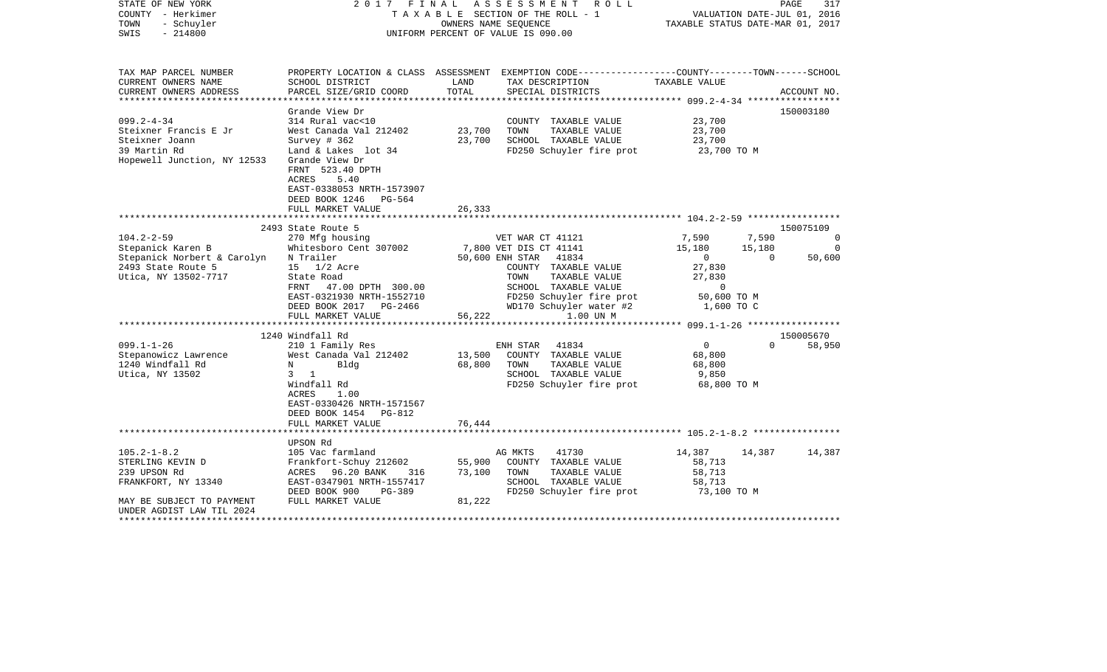| STATE OF NEW YORK<br>COUNTY - Herkimer<br>- Schuyler<br>TOWN<br>$-214800$<br>SWIS |                                                                                                              |        | 2017 FINAL ASSESSMENT ROLL<br>TAXABLE SECTION OF THE ROLL - 1<br>OWNERS NAME SEOUENCE<br>UNIFORM PERCENT OF VALUE IS 090.00 | VALUATION DATE-JUL 01, 2016<br>TAXABLE STATUS DATE-MAR 01, 2017 |          | PAGE<br>317 |
|-----------------------------------------------------------------------------------|--------------------------------------------------------------------------------------------------------------|--------|-----------------------------------------------------------------------------------------------------------------------------|-----------------------------------------------------------------|----------|-------------|
| TAX MAP PARCEL NUMBER                                                             |                                                                                                              |        | PROPERTY LOCATION & CLASS ASSESSMENT EXEMPTION CODE----------------COUNTY-------TOWN-----SCHOOL                             |                                                                 |          |             |
| CURRENT OWNERS NAME                                                               | SCHOOL DISTRICT                                                                                              | LAND   | TAX DESCRIPTION                                                                                                             | TAXABLE VALUE                                                   |          |             |
| CURRENT OWNERS ADDRESS                                                            | PARCEL SIZE/GRID COORD                                                                                       | TOTAL  | SPECIAL DISTRICTS                                                                                                           |                                                                 |          | ACCOUNT NO. |
|                                                                                   | Grande View Dr                                                                                               |        |                                                                                                                             |                                                                 |          | 150003180   |
| $099.2 - 4 - 34$                                                                  | 314 Rural vac<10                                                                                             |        | COUNTY TAXABLE VALUE                                                                                                        | 23,700                                                          |          |             |
| Steixner Francis E Jr                                                             | West Canada Val 212402                                                                                       | 23,700 | TOWN<br>TAXABLE VALUE                                                                                                       | 23,700                                                          |          |             |
| Steixner Joann                                                                    | Survey # 362                                                                                                 | 23,700 | SCHOOL TAXABLE VALUE                                                                                                        | 23,700                                                          |          |             |
| 39 Martin Rd                                                                      | Land & Lakes lot 34                                                                                          |        | FD250 Schuyler fire prot                                                                                                    | 23,700 TO M                                                     |          |             |
| Hopewell Junction, NY 12533                                                       | Grande View Dr<br>FRNT 523.40 DPTH<br>5.40<br>ACRES<br>EAST-0338053 NRTH-1573907<br>DEED BOOK 1246<br>PG-564 |        |                                                                                                                             |                                                                 |          |             |
|                                                                                   | FULL MARKET VALUE                                                                                            | 26,333 |                                                                                                                             |                                                                 |          |             |
|                                                                                   | 2493 State Route 5                                                                                           |        |                                                                                                                             |                                                                 |          | 150075109   |
| $104.2 - 2 - 59$                                                                  | 270 Mfg housing                                                                                              |        | VET WAR CT 41121                                                                                                            | 7,590                                                           | 7,590    | $\Omega$    |
| Stepanick Karen B                                                                 | Whitesboro Cent 307002                                                                                       |        | 7,800 VET DIS CT 41141                                                                                                      | 15,180                                                          | 15,180   | 0           |
| Stepanick Norbert & Carolyn                                                       | N Trailer                                                                                                    |        | 50,600 ENH STAR 41834                                                                                                       | $\overline{0}$                                                  | $\Omega$ | 50,600      |
| 2493 State Route 5                                                                | 15 1/2 Acre                                                                                                  |        | COUNTY TAXABLE VALUE                                                                                                        | 27,830                                                          |          |             |
| Utica, NY 13502-7717                                                              | State Road                                                                                                   |        | TOWN<br>TAXABLE VALUE                                                                                                       | 27,830                                                          |          |             |
|                                                                                   | FRNT 47.00 DPTH 300.00                                                                                       |        | SCHOOL TAXABLE VALUE                                                                                                        | $\sim$ 0                                                        |          |             |
|                                                                                   | EAST-0321930 NRTH-1552710                                                                                    |        | FD250 Schuyler fire prot                                                                                                    | 50,600 TO M                                                     |          |             |
|                                                                                   | DEED BOOK 2017 PG-2466                                                                                       |        | WD170 Schuyler water #2                                                                                                     | 1,600 TO C                                                      |          |             |
|                                                                                   | FULL MARKET VALUE                                                                                            | 56,222 | 1.00 UN M                                                                                                                   |                                                                 |          |             |
|                                                                                   | 1240 Windfall Rd                                                                                             |        |                                                                                                                             |                                                                 |          | 150005670   |
| $099.1 - 1 - 26$                                                                  | 210 1 Family Res                                                                                             |        | 41834<br>ENH STAR                                                                                                           | $\overline{0}$                                                  | $\Omega$ | 58,950      |
| Stepanowicz Lawrence                                                              | West Canada Val 212402                                                                                       | 13,500 | COUNTY TAXABLE VALUE                                                                                                        | 68,800                                                          |          |             |
| 1240 Windfall Rd                                                                  | N<br>Blda                                                                                                    | 68,800 | TOWN<br>TAXABLE VALUE                                                                                                       | 68,800                                                          |          |             |
| Utica, NY 13502                                                                   | 3 1                                                                                                          |        | SCHOOL TAXABLE VALUE                                                                                                        | 9,850                                                           |          |             |
|                                                                                   | Windfall Rd                                                                                                  |        | FD250 Schuyler fire prot 68,800 TO M                                                                                        |                                                                 |          |             |
|                                                                                   | ACRES<br>1.00                                                                                                |        |                                                                                                                             |                                                                 |          |             |
|                                                                                   | EAST-0330426 NRTH-1571567                                                                                    |        |                                                                                                                             |                                                                 |          |             |
|                                                                                   | DEED BOOK 1454 PG-812                                                                                        |        |                                                                                                                             |                                                                 |          |             |
|                                                                                   | FULL MARKET VALUE                                                                                            | 76,444 |                                                                                                                             |                                                                 |          |             |
|                                                                                   |                                                                                                              |        |                                                                                                                             |                                                                 |          |             |
|                                                                                   | UPSON Rd                                                                                                     |        |                                                                                                                             |                                                                 |          |             |
| $105.2 - 1 - 8.2$<br>STERLING KEVIN D                                             | 105 Vac farmland<br>Frankfort-Schuy 212602                                                                   | 55,900 | 41730<br>AG MKTS<br>COUNTY TAXABLE VALUE                                                                                    | 14,387<br>58,713                                                | 14,387   | 14,387      |
| 239 UPSON Rd                                                                      | ACRES 96.20 BANK<br>316                                                                                      | 73,100 | TOWN<br>TAXABLE VALUE                                                                                                       | 58,713                                                          |          |             |
| FRANKFORT, NY 13340                                                               | EAST-0347901 NRTH-1557417                                                                                    |        | SCHOOL TAXABLE VALUE                                                                                                        | 58,713                                                          |          |             |
|                                                                                   | DEED BOOK 900<br>PG-389                                                                                      |        | FD250 Schuyler fire prot                                                                                                    | 73,100 TO M                                                     |          |             |
| MAY BE SUBJECT TO PAYMENT<br>UNDER AGDIST LAW TIL 2024                            | FULL MARKET VALUE                                                                                            | 81,222 |                                                                                                                             |                                                                 |          |             |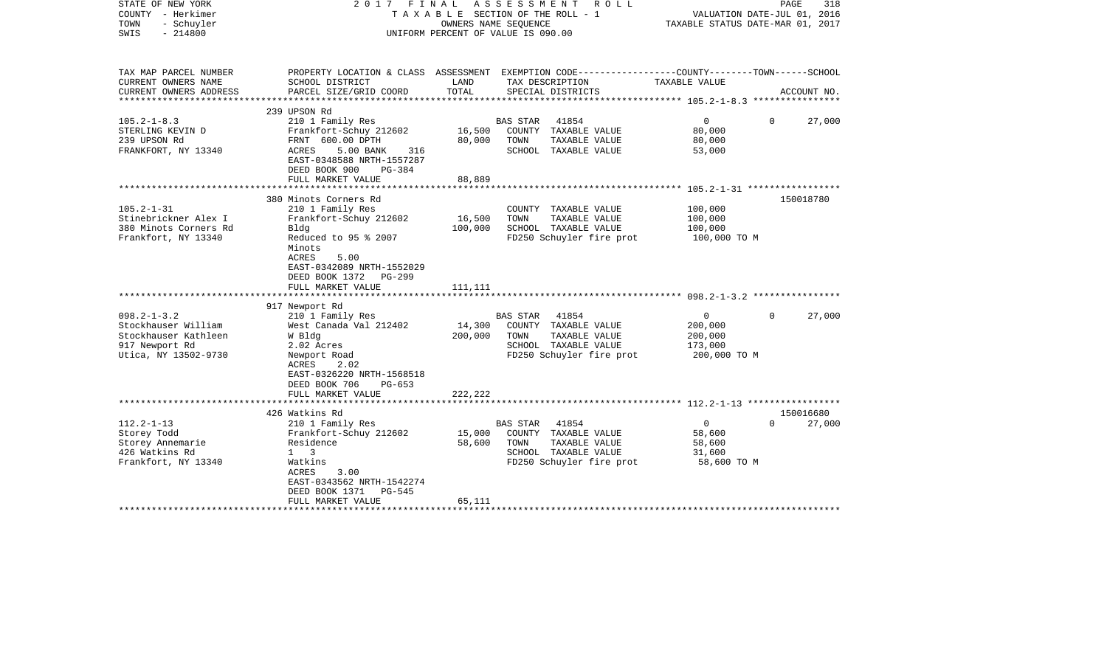| STATE OF NEW YORK<br>COUNTY - Herkimer<br>TOWN<br>- Schuyler<br>$-214800$<br>SWIS                          | 2017 FINAL                                                                                                                                                                                         |                              | A S S E S S M E N T<br>R O L L<br>TAXABLE SECTION OF THE ROLL - 1<br>OWNERS NAME SEQUENCE<br>UNIFORM PERCENT OF VALUE IS 090.00 | TAXABLE STATUS DATE-MAR 01, 2017                                | PAGE<br>318<br>VALUATION DATE-JUL 01, 2016 |
|------------------------------------------------------------------------------------------------------------|----------------------------------------------------------------------------------------------------------------------------------------------------------------------------------------------------|------------------------------|---------------------------------------------------------------------------------------------------------------------------------|-----------------------------------------------------------------|--------------------------------------------|
| TAX MAP PARCEL NUMBER<br>CURRENT OWNERS NAME                                                               | SCHOOL DISTRICT                                                                                                                                                                                    | LAND                         | PROPERTY LOCATION & CLASS ASSESSMENT EXEMPTION CODE---------------COUNTY-------TOWN-----SCHOOL<br>TAX DESCRIPTION               | TAXABLE VALUE                                                   |                                            |
| CURRENT OWNERS ADDRESS                                                                                     | PARCEL SIZE/GRID COORD                                                                                                                                                                             | TOTAL                        | SPECIAL DISTRICTS                                                                                                               |                                                                 | ACCOUNT NO.                                |
|                                                                                                            | 239 UPSON Rd                                                                                                                                                                                       |                              |                                                                                                                                 |                                                                 |                                            |
| $105.2 - 1 - 8.3$<br>STERLING KEVIN D<br>239 UPSON Rd<br>FRANKFORT, NY 13340                               | 210 1 Family Res<br>Frankfort-Schuy 212602<br>FRNT 600.00 DPTH<br>ACRES<br>5.00 BANK<br>316<br>EAST-0348588 NRTH-1557287<br>DEED BOOK 900<br>PG-384                                                | 16,500<br>80,000             | 41854<br>BAS STAR<br>COUNTY TAXABLE VALUE<br>TOWN<br>TAXABLE VALUE<br>SCHOOL TAXABLE VALUE                                      | $\overline{0}$<br>80,000<br>80,000<br>53,000                    | 27,000<br>0                                |
|                                                                                                            | FULL MARKET VALUE                                                                                                                                                                                  | 88,889                       |                                                                                                                                 |                                                                 |                                            |
| $105.2 - 1 - 31$<br>Stinebrickner Alex I<br>380 Minots Corners Rd<br>Frankfort, NY 13340                   | 380 Minots Corners Rd<br>210 1 Family Res<br>Frankfort-Schuy 212602<br>Bldg<br>Reduced to 95 % 2007                                                                                                | 16,500<br>100,000            | COUNTY TAXABLE VALUE<br>TOWN<br>TAXABLE VALUE<br>SCHOOL TAXABLE VALUE<br>FD250 Schuyler fire prot                               | 100,000<br>100,000<br>100,000<br>100,000 TO M                   | 150018780                                  |
|                                                                                                            | Minots<br><b>ACRES</b><br>5.00<br>EAST-0342089 NRTH-1552029<br>DEED BOOK 1372<br>$PG-299$<br>FULL MARKET VALUE                                                                                     | 111,111                      |                                                                                                                                 |                                                                 |                                            |
|                                                                                                            | 917 Newport Rd                                                                                                                                                                                     |                              |                                                                                                                                 |                                                                 |                                            |
| $098.2 - 1 - 3.2$<br>Stockhauser William<br>Stockhauser Kathleen<br>917 Newport Rd<br>Utica, NY 13502-9730 | 210 1 Family Res<br>West Canada Val 212402<br>W Bldg<br>2.02 Acres<br>Newport Road<br>2.02<br>ACRES<br>EAST-0326220 NRTH-1568518<br>DEED BOOK 706<br>$PG-653$<br>FULL MARKET VALUE                 | 14,300<br>200,000<br>222,222 | 41854<br>BAS STAR<br>COUNTY TAXABLE VALUE<br>TAXABLE VALUE<br>TOWN<br>SCHOOL TAXABLE VALUE<br>FD250 Schuyler fire prot          | $\overline{0}$<br>200,000<br>200,000<br>173,000<br>200,000 TO M | $\Omega$<br>27,000                         |
|                                                                                                            |                                                                                                                                                                                                    |                              |                                                                                                                                 |                                                                 |                                            |
| $112.2 - 1 - 13$<br>Storey Todd<br>Storey Annemarie<br>426 Watkins Rd<br>Frankfort, NY 13340               | 426 Watkins Rd<br>210 1 Family Res<br>Frankfort-Schuy 212602<br>Residence<br>$1 \quad 3$<br>Watkins<br>ACRES<br>3.00<br>EAST-0343562 NRTH-1542274<br>DEED BOOK 1371<br>PG-545<br>FULL MARKET VALUE | 15,000<br>58,600<br>65,111   | BAS STAR 41854<br>COUNTY TAXABLE VALUE<br>TOWN<br>TAXABLE VALUE<br>SCHOOL TAXABLE VALUE<br>FD250 Schuyler fire prot             | $\circ$<br>58,600<br>58,600<br>31,600<br>58,600 TO M            | 150016680<br>$\Omega$<br>27,000            |
|                                                                                                            |                                                                                                                                                                                                    |                              |                                                                                                                                 |                                                                 |                                            |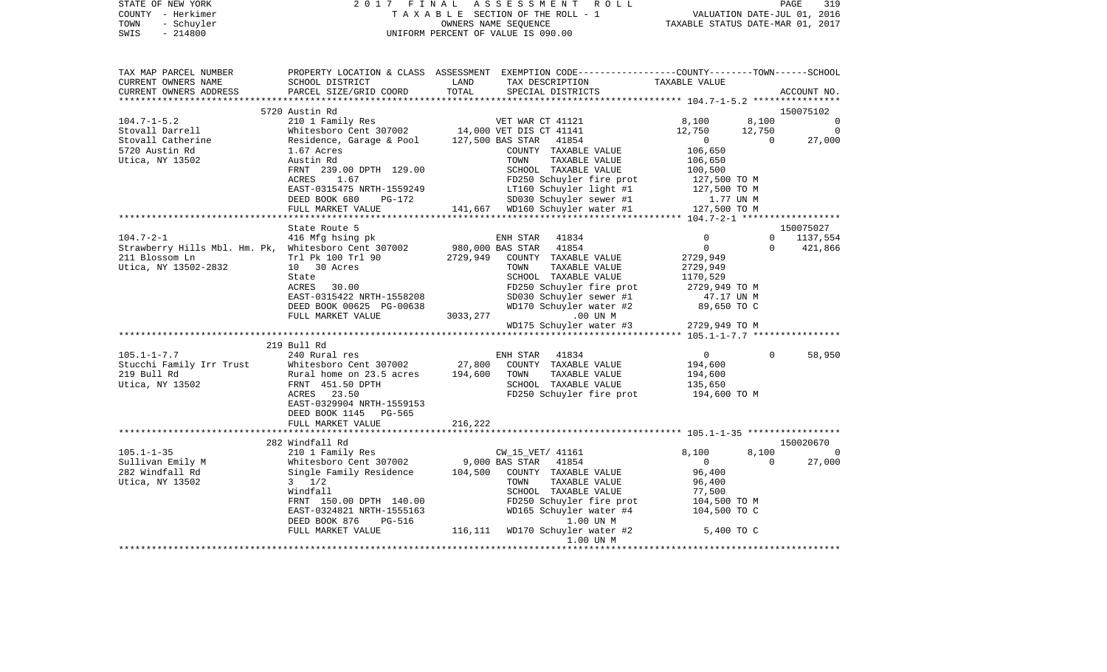| COUNTY - Herkimer<br>TOWN<br>- Schuyler<br>SWIS<br>$-214800$                                                                       |                                                                                                                                                                                                                                                                        |               | TAXABLE SECTION OF THE ROLL - 1<br>OWNERS NAME SEQUENCE<br>UNIFORM PERCENT OF VALUE IS 090.00                                                | VALUATION DATE-JUL 01, 2016<br>TAXABLE STATUS DATE-MAR 01, 2017                       |                          |                             |
|------------------------------------------------------------------------------------------------------------------------------------|------------------------------------------------------------------------------------------------------------------------------------------------------------------------------------------------------------------------------------------------------------------------|---------------|----------------------------------------------------------------------------------------------------------------------------------------------|---------------------------------------------------------------------------------------|--------------------------|-----------------------------|
| TAX MAP PARCEL NUMBER<br>CURRENT OWNERS NAME<br>CURRENT OWNERS ADDRESS                                                             | PROPERTY LOCATION & CLASS ASSESSMENT EXEMPTION CODE----------------COUNTY-------TOWN-----SCHOOL<br>SCHOOL DISTRICT<br>PARCEL SIZE/GRID COORD                                                                                                                           | LAND<br>TOTAL | TAX DESCRIPTION<br>SPECIAL DISTRICTS                                                                                                         | TAXABLE VALUE                                                                         |                          | ACCOUNT NO.                 |
|                                                                                                                                    | 5720 Austin Rd                                                                                                                                                                                                                                                         |               |                                                                                                                                              |                                                                                       |                          | 150075102                   |
| $104.7 - 1 - 5.2$                                                                                                                  |                                                                                                                                                                                                                                                                        |               |                                                                                                                                              | 8,100                                                                                 | 8,100                    | $\overline{0}$              |
| Stovall Darrell                                                                                                                    |                                                                                                                                                                                                                                                                        |               |                                                                                                                                              | 12,750                                                                                | 12,750                   | $\overline{0}$              |
| Stovall Catherine<br>5720 Austin Rd<br>Utica, NY 13502                                                                             | 210 1 Family Res<br>WET WAR CT 41121<br>Whitesboro Cent 307002 14,000 VET DIS CT 41141<br>Residence, Garage & Pool 127,500 BAS STAR 41854<br>1.67 Acres<br>Austin Rd<br>FRAMEL COUNTY TAXABLE VA<br>FRNT 239.00 DPTH 129.00                                            |               | COUNTY TAXABLE VALUE<br>TAXABLE VALUE<br>SCHOOL TAXABLE VALUE                                                                                | $\overline{0}$<br>106,650<br>106,650<br>100,500                                       | $\overline{0}$           | 27,000                      |
|                                                                                                                                    | ACRES 1.67                                                                                                                                                                                                                                                             |               | FD250 Schuyler fire prot                                                                                                                     | 127,500 TO M                                                                          |                          |                             |
|                                                                                                                                    | EAST-0315475 NRTH-1559249<br>DEED BOOK 680<br>PG-172<br>FULL MARKET VALUE                                                                                                                                                                                              |               | reaso Schuyler fire prot<br>LT160 Schuyler light #1<br>SD030 Schuvler sewer #1<br>141,667 WD160 Schuyler water #1 127,500 TO M               | 127,500 TO M<br>1.77 UN M                                                             |                          |                             |
|                                                                                                                                    |                                                                                                                                                                                                                                                                        |               |                                                                                                                                              |                                                                                       |                          |                             |
|                                                                                                                                    | State Route 5                                                                                                                                                                                                                                                          |               |                                                                                                                                              |                                                                                       |                          | 150075027                   |
| 104.7-2-1<br>Strawberry Hills Mbl. Hm. Pk, Whitesboro Cent 307002 980,000 BAS STAR 41854<br>211 Blossom Ln<br>Utica, NY 13502-2832 | 416 Mfg hsing pk<br>Trl Pk 100 Trl 90<br>10 30 Acres<br>State<br>ACRES 30.00                                                                                                                                                                                           |               | ENH STAR 41834<br>2729,949 COUNTY TAXABLE VALUE<br>TAXABLE VALUE<br>TOWN<br>SCHOOL TAXABLE VALUE<br>FD250 Schuyler fire prot                 | 0<br>$\overline{0}$<br>2729,949<br>2729,949<br>1170,529<br>2729,949 ТО М              | $\mathbf{0}$<br>$\Omega$ | 1137,554<br>421,866         |
|                                                                                                                                    | EAST-0315422 NRTH-1558208<br>DEED BOOK 00625 PG-00638<br>FULL MARKET VALUE                                                                                                                                                                                             |               | SD030 Schuyler sewer #1<br>WD170 Schuyler water #2<br>3033, 277<br>.00 UN M<br>WD175 Schuyler water #3                                       | 47.17 UN M<br>89,650 TO C<br>2729,949 TO M                                            |                          |                             |
|                                                                                                                                    |                                                                                                                                                                                                                                                                        |               |                                                                                                                                              |                                                                                       |                          |                             |
|                                                                                                                                    | 219 Bull Rd                                                                                                                                                                                                                                                            |               |                                                                                                                                              |                                                                                       |                          |                             |
| 105.1-1-7.7                                                                                                                        | 240 Rural res<br>ACRES 23.50<br>EAST-0329904 NRTH-1559153<br>DEED BOOK 1145 PG-565<br>FULL MARKET VALUE                                                                                                                                                                | 216,222       | ENH STAR 41834<br>27,800 COUNTY TAXABLE VALUE<br>TAXABLE VALUE<br>TOWN<br>SCHOOL TAXABLE VALUE<br>FD250 Schuyler fire prot                   | $\overline{0}$<br>194,600<br>194,600<br>135,650<br>194,600 TO M                       | $\mathbf{0}$             | 58,950                      |
|                                                                                                                                    |                                                                                                                                                                                                                                                                        |               |                                                                                                                                              |                                                                                       |                          |                             |
| $105.1 - 1 - 35$                                                                                                                   | 282 Windfall Rd                                                                                                                                                                                                                                                        |               |                                                                                                                                              |                                                                                       |                          | 150020670<br>$\overline{0}$ |
| Sullivan Emily M<br>282 Windfall Rd<br>Utica, NY 13502                                                                             | 210 1 Family Res<br>210 1 Family Res<br>Whitesboro Cent 307002 9,000 BAS STAR 41854<br>Single Family Residence 104,500 COUNTY TAXABLE VALUE<br>3 1/2 TOWN TAXABLE VALUE<br>Windfall<br>FRNT 150.00 DPTH 140.00<br>EAST-0324821 NRTH-1555163<br>DEED BOOK 876<br>PG-516 |               | CW_15_VET/ 41161<br>104,500 COUNTY TAXABLE VALUE<br>SCHOOL TAXABLE VALUE<br>FD250 Schuyler fire prot<br>WD165 Schuyler water #4<br>1.00 UN M | 8,100<br>$\overline{0}$<br>96,400<br>96,400<br>77,500<br>104,500 TO M<br>104,500 TO C | 8,100<br>$\Omega$        | 27,000                      |
|                                                                                                                                    | FULL MARKET VALUE                                                                                                                                                                                                                                                      |               | 116,111 WD170 Schuyler water #2<br>1.00 UN M                                                                                                 | 5,400 TO C                                                                            |                          |                             |

PAGE 319

STATE OF NEW YORK 2 0 1 7 F I N A L A S S E S S M E N T R O L L PAGE 319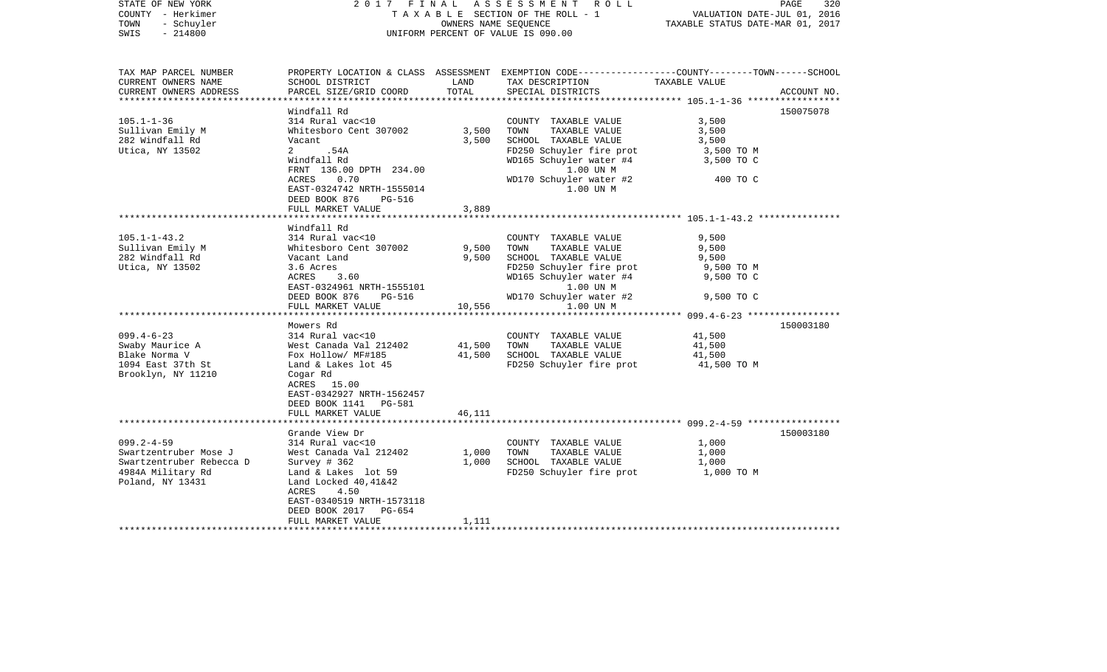| STATE OF NEW YORK<br>COUNTY - Herkimer<br>- Schuyler<br>TOWN<br>$-214800$<br>SWIS                                                                                               | 2017 FINAL                                                                                                                                                                                                                                                                                                                                          | OWNERS NAME SEOUENCE                                          | ASSESSMENT ROLL<br>TAXABLE SECTION OF THE ROLL - 1<br>UNIFORM PERCENT OF VALUE IS 090.00                                                                                                                                                                                               | VALUATION DATE-JUL 01, 2016<br>TAXABLE STATUS DATE-MAR 01, 2017                                                | PAGE<br>320 |
|---------------------------------------------------------------------------------------------------------------------------------------------------------------------------------|-----------------------------------------------------------------------------------------------------------------------------------------------------------------------------------------------------------------------------------------------------------------------------------------------------------------------------------------------------|---------------------------------------------------------------|----------------------------------------------------------------------------------------------------------------------------------------------------------------------------------------------------------------------------------------------------------------------------------------|----------------------------------------------------------------------------------------------------------------|-------------|
| TAX MAP PARCEL NUMBER<br>CURRENT OWNERS NAME<br>CURRENT OWNERS ADDRESS                                                                                                          | SCHOOL DISTRICT<br>PARCEL SIZE/GRID COORD                                                                                                                                                                                                                                                                                                           | LAND<br>TOTAL                                                 | PROPERTY LOCATION & CLASS ASSESSMENT EXEMPTION CODE----------------COUNTY-------TOWN------SCHOOL<br>TAX DESCRIPTION<br>SPECIAL DISTRICTS                                                                                                                                               | TAXABLE VALUE                                                                                                  | ACCOUNT NO. |
|                                                                                                                                                                                 |                                                                                                                                                                                                                                                                                                                                                     |                                                               |                                                                                                                                                                                                                                                                                        |                                                                                                                |             |
| $105.1 - 1 - 36$<br>Sullivan Emily M<br>282 Windfall Rd<br>Utica, NY 13502                                                                                                      | Windfall Rd<br>314 Rural vac<10<br>Whitesboro Cent 307002<br>Vacant<br>2 .54A<br>Windfall Rd<br>FRNT 136.00 DPTH 234.00<br>ACRES<br>0.70<br>EAST-0324742 NRTH-1555014                                                                                                                                                                               | 3,500<br>3,500                                                | COUNTY TAXABLE VALUE<br>TOWN<br>TAXABLE VALUE<br>SCHOOL TAXABLE VALUE<br>FD250 Schuyler fire prot<br>WD165 Schuyler water #4<br>1.00 UN M<br>WD170 Schuyler water #2<br>1.00 UN M                                                                                                      | 3,500<br>3,500<br>3,500<br>3,500 TO M<br>3,500 TO C<br>400 TO C                                                | 150075078   |
|                                                                                                                                                                                 | DEED BOOK 876<br>PG-516                                                                                                                                                                                                                                                                                                                             |                                                               |                                                                                                                                                                                                                                                                                        |                                                                                                                |             |
|                                                                                                                                                                                 | FULL MARKET VALUE                                                                                                                                                                                                                                                                                                                                   | 3,889                                                         |                                                                                                                                                                                                                                                                                        |                                                                                                                |             |
|                                                                                                                                                                                 |                                                                                                                                                                                                                                                                                                                                                     |                                                               |                                                                                                                                                                                                                                                                                        |                                                                                                                |             |
| $105.1 - 1 - 43.2$<br>Sullivan Emily M<br>282 Windfall Rd<br>Utica, NY 13502<br>$099.4 - 6 - 23$<br>Swaby Maurice A<br>Blake Norma V<br>1094 East 37th St<br>Brooklyn, NY 11210 | Windfall Rd<br>314 Rural vac<10<br>Whitesboro Cent 307002<br>Vacant Land<br>3.6 Acres<br>ACRES<br>3.60<br>EAST-0324961 NRTH-1555101<br>DEED BOOK 876<br>PG-516<br>FULL MARKET VALUE<br>*************************<br>Mowers Rd<br>314 Rural vac<10<br>West Canada Val 212402<br>Fox Hollow/ MF#185<br>Land & Lakes lot 45<br>Cogar Rd<br>ACRES 15.00 | 9,500<br>9,500<br>10,556<br>*************<br>41,500<br>41,500 | COUNTY TAXABLE VALUE<br>TOWN<br>TAXABLE VALUE<br>SCHOOL TAXABLE VALUE<br>FD250 Schuyler fire prot<br>WD165 Schuyler water #4<br>1.00 UN M<br>WD170 Schuyler water #2<br>1.00 UN M<br>COUNTY TAXABLE VALUE<br>TOWN<br>TAXABLE VALUE<br>SCHOOL TAXABLE VALUE<br>FD250 Schuyler fire prot | 9,500<br>9,500<br>9,500<br>9,500 TO M<br>9,500 TO C<br>9,500 TO C<br>41,500<br>41,500<br>41,500<br>41,500 TO M | 150003180   |
|                                                                                                                                                                                 | EAST-0342927 NRTH-1562457<br>DEED BOOK 1141 PG-581<br>FULL MARKET VALUE                                                                                                                                                                                                                                                                             | 46,111                                                        |                                                                                                                                                                                                                                                                                        |                                                                                                                |             |
|                                                                                                                                                                                 | *********************                                                                                                                                                                                                                                                                                                                               |                                                               |                                                                                                                                                                                                                                                                                        |                                                                                                                |             |
| $099.2 - 4 - 59$<br>Swartzentruber Mose J<br>Swartzentruber Rebecca D<br>4984A Military Rd<br>Poland, NY 13431                                                                  | Grande View Dr<br>314 Rural vac<10<br>West Canada Val 212402<br>Survey $#362$<br>Land & Lakes lot 59<br>Land Locked $40,41\&42$<br>ACRES<br>4.50<br>EAST-0340519 NRTH-1573118<br>DEED BOOK 2017<br>PG-654                                                                                                                                           | 1,000<br>1,000                                                | COUNTY TAXABLE VALUE<br>TAXABLE VALUE<br>TOWN<br>SCHOOL TAXABLE VALUE<br>FD250 Schuyler fire prot                                                                                                                                                                                      | 1,000<br>1,000<br>1,000<br>1,000 TO M                                                                          | 150003180   |
|                                                                                                                                                                                 | FULL MARKET VALUE                                                                                                                                                                                                                                                                                                                                   | 1,111                                                         |                                                                                                                                                                                                                                                                                        |                                                                                                                |             |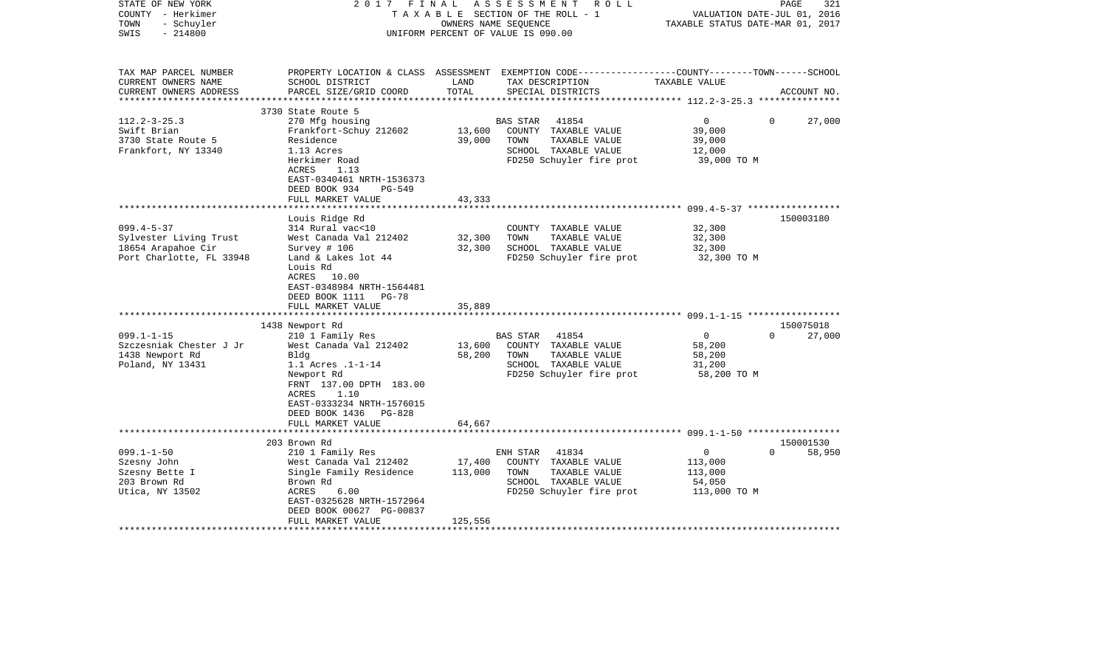| STATE OF NEW YORK<br>COUNTY - Herkimer<br>- Schuyler<br>TOWN<br>$-214800$<br>SWIS                                                                                                  | 2017                                                                                                                                                                                                                                                                                                                                                                                             |                                                                     | FINAL ASSESSMENT ROLL<br>TAXABLE SECTION OF THE ROLL - 1<br>OWNERS NAME SEQUENCE<br>UNIFORM PERCENT OF VALUE IS 090.00                                                                                                   | VALUATION DATE-JUL 01, 2016<br>TAXABLE STATUS DATE-MAR 01, 2017                                                      | PAGE<br>321         |
|------------------------------------------------------------------------------------------------------------------------------------------------------------------------------------|--------------------------------------------------------------------------------------------------------------------------------------------------------------------------------------------------------------------------------------------------------------------------------------------------------------------------------------------------------------------------------------------------|---------------------------------------------------------------------|--------------------------------------------------------------------------------------------------------------------------------------------------------------------------------------------------------------------------|----------------------------------------------------------------------------------------------------------------------|---------------------|
| TAX MAP PARCEL NUMBER<br>CURRENT OWNERS NAME<br>CURRENT OWNERS ADDRESS<br>**********************                                                                                   | SCHOOL DISTRICT<br>PARCEL SIZE/GRID COORD                                                                                                                                                                                                                                                                                                                                                        | LAND<br>TOTAL                                                       | PROPERTY LOCATION & CLASS ASSESSMENT EXEMPTION CODE----------------COUNTY-------TOWN------SCHOOL<br>TAX DESCRIPTION<br>SPECIAL DISTRICTS                                                                                 | TAXABLE VALUE                                                                                                        | ACCOUNT NO.         |
|                                                                                                                                                                                    | 3730 State Route 5                                                                                                                                                                                                                                                                                                                                                                               |                                                                     |                                                                                                                                                                                                                          |                                                                                                                      |                     |
| $112.2 - 3 - 25.3$<br>Swift Brian<br>3730 State Route 5<br>Frankfort, NY 13340                                                                                                     | 270 Mfg housing<br>Frankfort-Schuy 212602<br>Residence<br>1.13 Acres<br>Herkimer Road<br>ACRES<br>1.13<br>EAST-0340461 NRTH-1536373<br>DEED BOOK 934<br>PG-549                                                                                                                                                                                                                                   | 13,600<br>39,000                                                    | <b>BAS STAR</b><br>41854<br>COUNTY TAXABLE VALUE<br>TOWN<br>TAXABLE VALUE<br>SCHOOL TAXABLE VALUE<br>FD250 Schuyler fire prot                                                                                            | $\overline{0}$<br>$\Omega$<br>39,000<br>39,000<br>12,000<br>39,000 TO M                                              | 27,000              |
|                                                                                                                                                                                    | FULL MARKET VALUE                                                                                                                                                                                                                                                                                                                                                                                | 43,333                                                              |                                                                                                                                                                                                                          |                                                                                                                      |                     |
|                                                                                                                                                                                    | Louis Ridge Rd                                                                                                                                                                                                                                                                                                                                                                                   | ********                                                            |                                                                                                                                                                                                                          |                                                                                                                      | 150003180           |
| $099.4 - 5 - 37$<br>Sylvester Living Trust<br>18654 Arapahoe Cir<br>Port Charlotte, FL 33948<br>$099.1 - 1 - 15$<br>Szczesniak Chester J Jr<br>1438 Newport Rd<br>Poland, NY 13431 | 314 Rural vac<10<br>West Canada Val 212402<br>Survey # 106<br>Land & Lakes lot 44<br>Louis Rd<br>ACRES 10.00<br>EAST-0348984 NRTH-1564481<br>DEED BOOK 1111<br>$PG-78$<br>FULL MARKET VALUE<br>************<br>1438 Newport Rd<br>210 1 Family Res<br>West Canada Val 212402<br>Bldg<br>1.1 Acres .1-1-14<br>Newport Rd<br>FRNT 137.00 DPTH 183.00<br>1.10<br>ACRES<br>EAST-0333234 NRTH-1576015 | 32,300<br>32,300<br>35,889<br>* * * * * * * * *<br>13,600<br>58,200 | COUNTY TAXABLE VALUE<br>TOWN<br>TAXABLE VALUE<br>SCHOOL TAXABLE VALUE<br>FD250 Schuyler fire prot<br>BAS STAR 41854<br>COUNTY TAXABLE VALUE<br>TAXABLE VALUE<br>TOWN<br>SCHOOL TAXABLE VALUE<br>FD250 Schuyler fire prot | 32,300<br>32,300<br>32,300<br>32,300 TO M<br>$\overline{0}$<br>$\Omega$<br>58,200<br>58,200<br>31,200<br>58,200 TO M | 150075018<br>27,000 |
|                                                                                                                                                                                    | DEED BOOK 1436<br>PG-828<br>FULL MARKET VALUE<br>************************                                                                                                                                                                                                                                                                                                                        | 64,667                                                              |                                                                                                                                                                                                                          |                                                                                                                      |                     |
|                                                                                                                                                                                    | 203 Brown Rd                                                                                                                                                                                                                                                                                                                                                                                     |                                                                     |                                                                                                                                                                                                                          |                                                                                                                      | 150001530           |
| $099.1 - 1 - 50$<br>Szesny John<br>Szesny Bette I<br>203 Brown Rd<br>Utica, NY 13502                                                                                               | 210 1 Family Res<br>West Canada Val 212402<br>Single Family Residence<br>Brown Rd<br>ACRES<br>6.00<br>EAST-0325628 NRTH-1572964<br>DEED BOOK 00627 PG-00837                                                                                                                                                                                                                                      | 17,400<br>113,000                                                   | ENH STAR 41834<br>COUNTY TAXABLE VALUE<br>TOWN<br>TAXABLE VALUE<br>SCHOOL TAXABLE VALUE<br>FD250 Schuyler fire prot                                                                                                      | $\overline{0}$<br>$\Omega$<br>113,000<br>113,000<br>54,050<br>113,000 TO M                                           | 58,950              |
|                                                                                                                                                                                    | FULL MARKET VALUE                                                                                                                                                                                                                                                                                                                                                                                | 125,556                                                             |                                                                                                                                                                                                                          |                                                                                                                      |                     |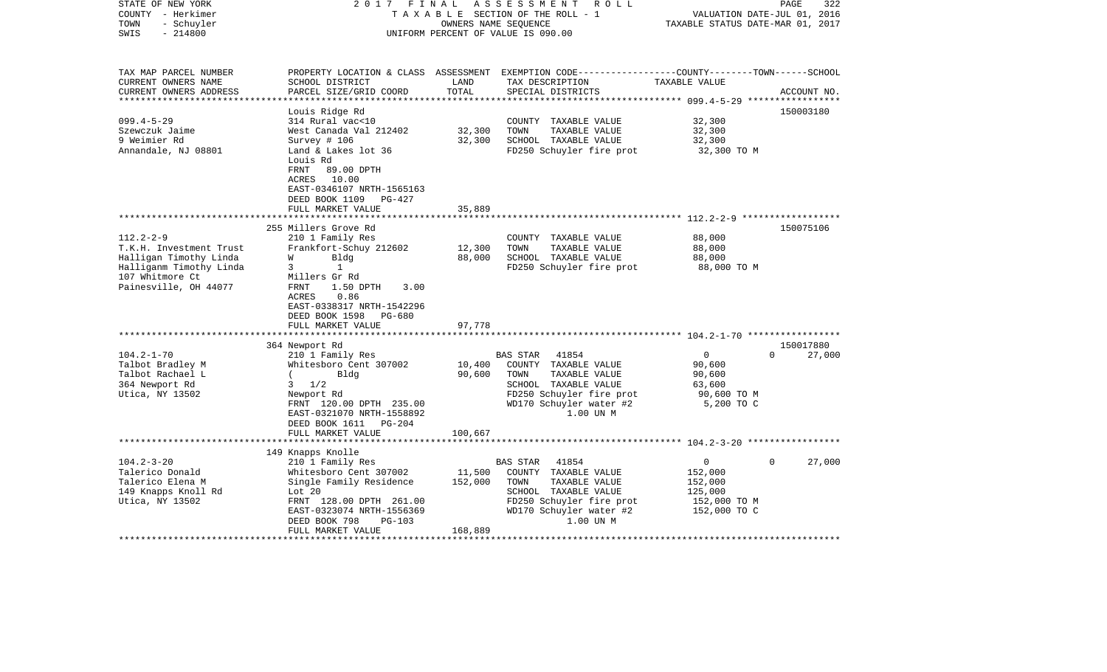| STATE OF NEW YORK<br>COUNTY - Herkimer<br>- Schuyler<br>TOWN<br>SWIS<br>$-214800$ | 2017 FINAL                                                                                                                                          | OWNERS NAME SEQUENCE | ASSESSMENT ROLL<br>TAXABLE SECTION OF THE ROLL - 1<br>UNIFORM PERCENT OF VALUE IS 090.00                                                | VALUATION DATE-JUL 01, 2016<br>TAXABLE STATUS DATE-MAR 01, 2017 | 322<br>PAGE        |
|-----------------------------------------------------------------------------------|-----------------------------------------------------------------------------------------------------------------------------------------------------|----------------------|-----------------------------------------------------------------------------------------------------------------------------------------|-----------------------------------------------------------------|--------------------|
| TAX MAP PARCEL NUMBER<br>CURRENT OWNERS NAME<br>CURRENT OWNERS ADDRESS            | SCHOOL DISTRICT<br>PARCEL SIZE/GRID COORD                                                                                                           | LAND<br>TOTAL        | PROPERTY LOCATION & CLASS ASSESSMENT EXEMPTION CODE---------------COUNTY-------TOWN------SCHOOL<br>TAX DESCRIPTION<br>SPECIAL DISTRICTS | TAXABLE VALUE                                                   | ACCOUNT NO.        |
|                                                                                   | Louis Ridge Rd                                                                                                                                      |                      |                                                                                                                                         |                                                                 | 150003180          |
| $099.4 - 5 - 29$                                                                  | 314 Rural vac<10                                                                                                                                    |                      | COUNTY TAXABLE VALUE                                                                                                                    | 32,300                                                          |                    |
| Szewczuk Jaime                                                                    | West Canada Val 212402                                                                                                                              | 32,300               | TOWN<br>TAXABLE VALUE                                                                                                                   | 32,300                                                          |                    |
| 9 Weimier Rd                                                                      | Survey # 106                                                                                                                                        | 32,300               | SCHOOL TAXABLE VALUE                                                                                                                    | 32,300                                                          |                    |
| Annandale, NJ 08801                                                               | Land & Lakes lot 36<br>Louis Rd<br>FRNT<br>89.00 DPTH<br>ACRES 10.00<br>EAST-0346107 NRTH-1565163<br>DEED BOOK 1109 PG-427<br>FULL MARKET VALUE     | 35,889               | FD250 Schuyler fire prot                                                                                                                | 32,300 TO M                                                     |                    |
|                                                                                   |                                                                                                                                                     |                      |                                                                                                                                         |                                                                 |                    |
|                                                                                   | 255 Millers Grove Rd                                                                                                                                |                      |                                                                                                                                         |                                                                 | 150075106          |
| $112.2 - 2 - 9$                                                                   | 210 1 Family Res                                                                                                                                    |                      | COUNTY TAXABLE VALUE                                                                                                                    | 88,000                                                          |                    |
| T.K.H. Investment Trust<br>Halligan Timothy Linda                                 | Frankfort-Schuy 212602<br>Bldg<br>W                                                                                                                 | 12,300<br>88,000     | TOWN<br>TAXABLE VALUE<br>SCHOOL TAXABLE VALUE                                                                                           | 88,000<br>88,000                                                |                    |
| Halliganm Timothy Linda<br>107 Whitmore Ct<br>Painesville, OH 44077               | 1<br>3<br>Millers Gr Rd<br>FRNT<br>1.50 DPTH<br>3.00<br>ACRES<br>0.86<br>EAST-0338317 NRTH-1542296<br>DEED BOOK 1598<br>PG-680<br>FULL MARKET VALUE | 97,778               | FD250 Schuyler fire prot                                                                                                                | 88,000 TO M                                                     |                    |
|                                                                                   |                                                                                                                                                     |                      |                                                                                                                                         |                                                                 |                    |
|                                                                                   | 364 Newport Rd                                                                                                                                      |                      |                                                                                                                                         |                                                                 | 150017880          |
| $104.2 - 1 - 70$                                                                  | 210 1 Family Res                                                                                                                                    |                      | 41854<br>BAS STAR                                                                                                                       | $\overline{0}$                                                  | $\Omega$<br>27,000 |
| Talbot Bradley M                                                                  | Whitesboro Cent 307002                                                                                                                              | 10,400               | COUNTY TAXABLE VALUE                                                                                                                    | 90,600                                                          |                    |
| Talbot Rachael L<br>364 Newport Rd                                                | $\sqrt{2}$<br>Bldg<br>$3 \frac{1}{2}$                                                                                                               | 90,600               | TAXABLE VALUE<br>TOWN<br>SCHOOL TAXABLE VALUE                                                                                           | 90,600<br>63,600                                                |                    |
| Utica, NY 13502                                                                   | Newport Rd                                                                                                                                          |                      | FD250 Schuyler fire prot                                                                                                                | 90,600 TO M                                                     |                    |
|                                                                                   | FRNT 120.00 DPTH 235.00<br>EAST-0321070 NRTH-1558892<br>DEED BOOK 1611 PG-204                                                                       |                      | WD170 Schuyler water #2<br>1.00 UN M                                                                                                    | 5,200 TO C                                                      |                    |
|                                                                                   | FULL MARKET VALUE                                                                                                                                   | 100,667              |                                                                                                                                         |                                                                 |                    |
|                                                                                   | 149 Knapps Knolle                                                                                                                                   |                      |                                                                                                                                         |                                                                 |                    |
| $104.2 - 3 - 20$                                                                  | 210 1 Family Res                                                                                                                                    |                      | BAS STAR<br>41854                                                                                                                       | $\overline{0}$                                                  | 27,000<br>$\Omega$ |
| Talerico Donald                                                                   | Whitesboro Cent 307002                                                                                                                              | 11,500               | COUNTY TAXABLE VALUE                                                                                                                    | 152,000                                                         |                    |
| Talerico Elena M                                                                  | Single Family Residence                                                                                                                             | 152,000              | TOWN<br>TAXABLE VALUE                                                                                                                   | 152,000                                                         |                    |
| 149 Knapps Knoll Rd                                                               | Lot 20                                                                                                                                              |                      | SCHOOL TAXABLE VALUE                                                                                                                    | 125,000                                                         |                    |
| Utica, NY 13502                                                                   | FRNT 128.00 DPTH 261.00                                                                                                                             |                      | FD250 Schuyler fire prot                                                                                                                | 152,000 TO M                                                    |                    |
|                                                                                   | EAST-0323074 NRTH-1556369                                                                                                                           |                      | WD170 Schuyler water #2                                                                                                                 | 152,000 TO C                                                    |                    |
|                                                                                   | DEED BOOK 798<br>$PG-103$                                                                                                                           |                      | 1.00 UN M                                                                                                                               |                                                                 |                    |
|                                                                                   | FULL MARKET VALUE                                                                                                                                   | 168,889              |                                                                                                                                         |                                                                 |                    |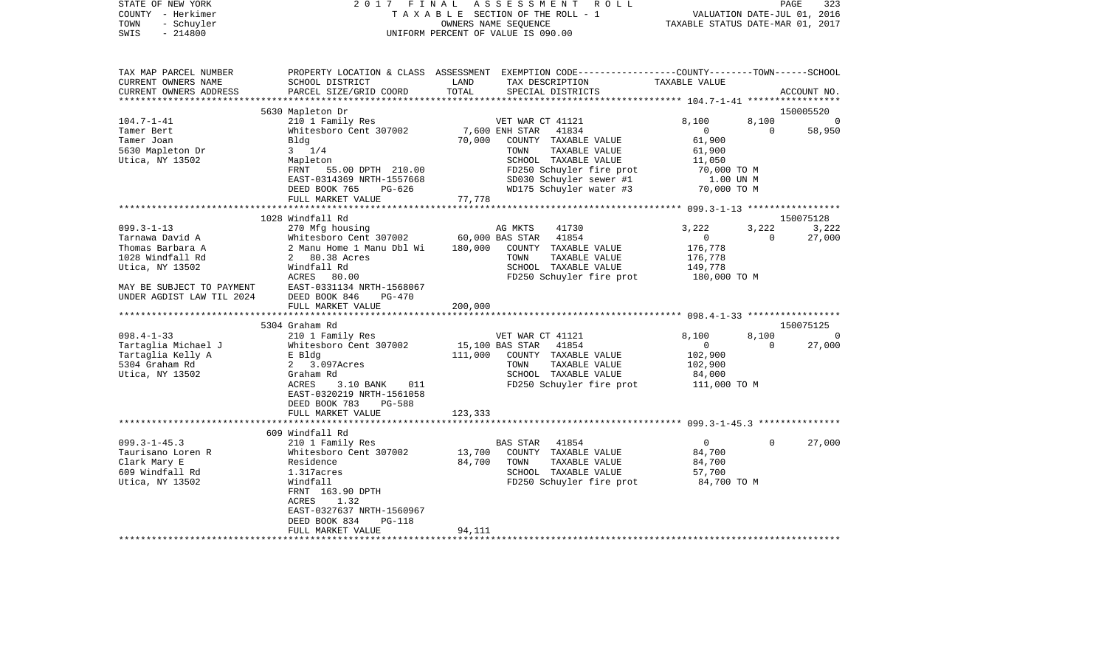| STATE OF NEW YORK<br>COUNTY - Herkimer  |                                                                                                  |               | 2017 FINAL ASSESSMENT ROLL<br>TAXABLE SECTION OF THE ROLL - 1 | VALUATION DATE-JUL 01, 2016      |          | PAGE<br>323 |
|-----------------------------------------|--------------------------------------------------------------------------------------------------|---------------|---------------------------------------------------------------|----------------------------------|----------|-------------|
| TOWN<br>- Schuyler<br>$-214800$<br>SWIS |                                                                                                  |               | OWNERS NAME SEQUENCE<br>UNIFORM PERCENT OF VALUE IS 090.00    | TAXABLE STATUS DATE-MAR 01, 2017 |          |             |
| TAX MAP PARCEL NUMBER                   | PROPERTY LOCATION & CLASS ASSESSMENT EXEMPTION CODE----------------COUNTY-------TOWN------SCHOOL |               |                                                               |                                  |          |             |
| CURRENT OWNERS NAME                     | SCHOOL DISTRICT                                                                                  | LAND<br>TOTAL | TAX DESCRIPTION                                               | TAXABLE VALUE                    |          |             |
| CURRENT OWNERS ADDRESS                  | PARCEL SIZE/GRID COORD                                                                           |               | SPECIAL DISTRICTS                                             |                                  |          | ACCOUNT NO. |
|                                         | 5630 Mapleton Dr                                                                                 |               |                                                               |                                  |          | 150005520   |
| $104.7 - 1 - 41$                        | 210 1 Family Res                                                                                 |               | VET WAR CT 41121                                              | 8,100                            | 8,100    | - 0         |
| Tamer Bert                              | Whitesboro Cent 307002                                                                           |               | 7,600 ENH STAR<br>41834                                       | $\overline{0}$                   | $\Omega$ | 58,950      |
| Tamer Joan                              | Bldg                                                                                             | 70,000        | COUNTY TAXABLE VALUE                                          | 61,900                           |          |             |
| 5630 Mapleton Dr                        | $3 \t1/4$                                                                                        |               | TOWN<br>TAXABLE VALUE                                         | 61,900                           |          |             |
| Utica, NY 13502                         | Mapleton                                                                                         |               | SCHOOL TAXABLE VALUE                                          | 11,050                           |          |             |
|                                         | FRNT 55.00 DPTH 210.00                                                                           |               | FD250 Schuyler fire prot                                      | 70,000 TO M                      |          |             |
|                                         | EAST-0314369 NRTH-1557668<br>DEED BOOK 765<br>PG-626                                             |               | SD030 Schuyler sewer #1<br>WD175 Schuyler water #3            | 1.00 UN M<br>70,000 TO M         |          |             |
|                                         | FULL MARKET VALUE                                                                                | 77,778        |                                                               |                                  |          |             |
|                                         | ********************************                                                                 |               |                                                               |                                  |          |             |
|                                         | 1028 Windfall Rd                                                                                 |               |                                                               |                                  |          | 150075128   |
| 099.3-1-13                              | 270 Mfg housing                                                                                  |               | AG MKTS<br>41730                                              | 3,222                            | 3,222    | 3,222       |
| Tarnawa David A                         | Whitesboro Cent 307002                                                                           |               | 60,000 BAS STAR<br>41854                                      | $\overline{0}$                   | $\Omega$ | 27,000      |
| Thomas Barbara A                        | 2 Manu Home 1 Manu Dbl Wi                                                                        | 180,000       | COUNTY TAXABLE VALUE                                          | 176,778                          |          |             |
| 1028 Windfall Rd                        | 2 80.38 Acres                                                                                    |               | TAXABLE VALUE<br>TOWN                                         | 176,778                          |          |             |
| Utica, NY 13502                         | Windfall Rd<br>ACRES 80.00                                                                       |               | SCHOOL TAXABLE VALUE                                          | 149,778                          |          |             |
| MAY BE SUBJECT TO PAYMENT               | EAST-0331134 NRTH-1568067                                                                        |               | FD250 Schuyler fire prot                                      | 180,000 TO M                     |          |             |
| UNDER AGDIST LAW TIL 2024               | DEED BOOK 846<br>PG-470                                                                          |               |                                                               |                                  |          |             |
|                                         | FULL MARKET VALUE                                                                                | 200,000       |                                                               |                                  |          |             |
|                                         |                                                                                                  |               |                                                               |                                  |          |             |
|                                         | 5304 Graham Rd                                                                                   |               |                                                               |                                  |          | 150075125   |
| $098.4 - 1 - 33$                        | 210 1 Family Res                                                                                 |               | VET WAR CT 41121                                              | 8,100                            | 8,100    | - 0         |
| Tartaglia Michael J                     | Whitesboro Cent 307002                                                                           |               | 15,100 BAS STAR<br>41854                                      | $\Omega$                         | $\Omega$ | 27,000      |
| Tartaglia Kelly A                       | E Bldg                                                                                           | 111,000       | COUNTY TAXABLE VALUE                                          | 102,900                          |          |             |
| 5304 Graham Rd<br>Utica, NY 13502       | 2 3.097Acres<br>Graham Rd                                                                        |               | TAXABLE VALUE<br>TOWN<br>SCHOOL TAXABLE VALUE                 | 102,900<br>84,000                |          |             |
|                                         | ACRES<br>3.10 BANK<br>011                                                                        |               | FD250 Schuyler fire prot                                      | 111,000 TO M                     |          |             |
|                                         | EAST-0320219 NRTH-1561058                                                                        |               |                                                               |                                  |          |             |
|                                         | DEED BOOK 783<br>PG-588                                                                          |               |                                                               |                                  |          |             |
|                                         | FULL MARKET VALUE                                                                                | 123,333       |                                                               |                                  |          |             |
|                                         |                                                                                                  |               |                                                               |                                  |          |             |
|                                         | 609 Windfall Rd                                                                                  |               |                                                               |                                  |          |             |
| $099.3 - 1 - 45.3$                      | 210 1 Family Res                                                                                 |               | BAS STAR<br>41854                                             | $\overline{0}$                   | 0        | 27,000      |
| Taurisano Loren R                       | Whitesboro Cent 307002                                                                           | 13,700        | COUNTY TAXABLE VALUE                                          | 84,700                           |          |             |
| Clark Mary E<br>609 Windfall Rd         | Residence<br>1.317acres                                                                          | 84,700        | TOWN<br>TAXABLE VALUE<br>SCHOOL TAXABLE VALUE                 | 84,700<br>57,700                 |          |             |
| Utica, NY 13502                         | Windfall                                                                                         |               | FD250 Schuyler fire prot                                      | 84,700 TO M                      |          |             |
|                                         | FRNT 163.90 DPTH                                                                                 |               |                                                               |                                  |          |             |
|                                         | 1.32<br>ACRES                                                                                    |               |                                                               |                                  |          |             |
|                                         | EAST-0327637 NRTH-1560967                                                                        |               |                                                               |                                  |          |             |
|                                         | DEED BOOK 834<br>PG-118                                                                          |               |                                                               |                                  |          |             |
|                                         | FULL MARKET VALUE                                                                                | 94,111        |                                                               |                                  |          |             |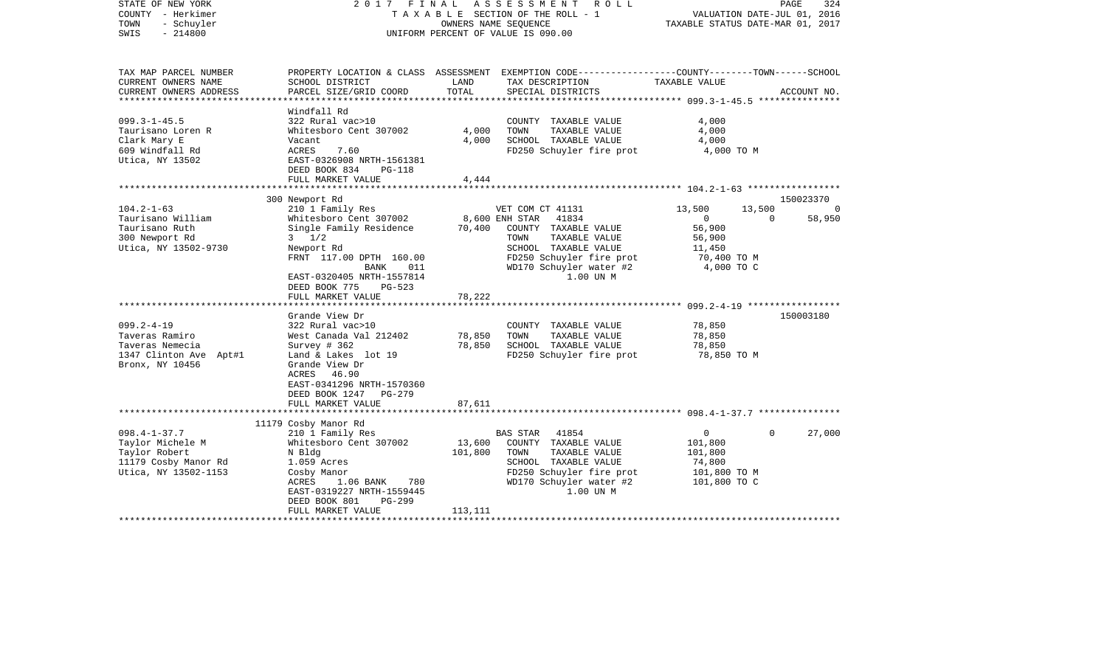| STATE OF NEW YORK<br>COUNTY - Herkimer<br>- Schuyler<br>TOWN<br>$-214800$<br>SWIS | 2017 FINAL                                 |                | ASSESSMENT<br>R O L L<br>TAXABLE SECTION OF THE ROLL - 1<br>OWNERS NAME SEOUENCE<br>UNIFORM PERCENT OF VALUE IS 090.00 | VALUATION DATE-JUL 01, 2016<br>TAXABLE STATUS DATE-MAR 01, 2017 | PAGE<br>324        |
|-----------------------------------------------------------------------------------|--------------------------------------------|----------------|------------------------------------------------------------------------------------------------------------------------|-----------------------------------------------------------------|--------------------|
| TAX MAP PARCEL NUMBER<br>CURRENT OWNERS NAME                                      | SCHOOL DISTRICT                            | LAND           | PROPERTY LOCATION & CLASS ASSESSMENT EXEMPTION CODE----------------COUNTY-------TOWN-----SCHOOL<br>TAX DESCRIPTION     | TAXABLE VALUE                                                   |                    |
| CURRENT OWNERS ADDRESS                                                            | PARCEL SIZE/GRID COORD                     | TOTAL          | SPECIAL DISTRICTS                                                                                                      |                                                                 | ACCOUNT NO.        |
| ***********************                                                           |                                            |                |                                                                                                                        |                                                                 |                    |
|                                                                                   | Windfall Rd                                |                |                                                                                                                        |                                                                 |                    |
| $099.3 - 1 - 45.5$                                                                | 322 Rural vac>10<br>Whitesboro Cent 307002 |                | COUNTY TAXABLE VALUE                                                                                                   | 4,000                                                           |                    |
| Taurisano Loren R                                                                 |                                            | 4,000<br>4,000 | TOWN<br>TAXABLE VALUE<br>SCHOOL TAXABLE VALUE                                                                          | 4,000                                                           |                    |
| Clark Mary E<br>609 Windfall Rd                                                   | Vacant<br>ACRES<br>7.60                    |                | FD250 Schuyler fire prot                                                                                               | 4,000<br>4,000 TO M                                             |                    |
| Utica, NY 13502                                                                   | EAST-0326908 NRTH-1561381                  |                |                                                                                                                        |                                                                 |                    |
|                                                                                   | DEED BOOK 834<br><b>PG-118</b>             |                |                                                                                                                        |                                                                 |                    |
|                                                                                   | FULL MARKET VALUE                          | 4,444          |                                                                                                                        |                                                                 |                    |
|                                                                                   |                                            |                |                                                                                                                        |                                                                 |                    |
|                                                                                   | 300 Newport Rd                             |                |                                                                                                                        |                                                                 | 150023370          |
| $104.2 - 1 - 63$                                                                  | 210 1 Family Res                           |                | VET COM CT 41131                                                                                                       | 13,500<br>13,500                                                | $\Omega$           |
| Taurisano William                                                                 | Whitesboro Cent 307002                     |                | 8,600 ENH STAR<br>41834                                                                                                | $\circ$                                                         | 58,950<br>$\Omega$ |
| Taurisano Ruth                                                                    | Single Family Residence                    | 70,400         | COUNTY TAXABLE VALUE                                                                                                   | 56,900                                                          |                    |
| 300 Newport Rd                                                                    | $3 \frac{1}{2}$                            |                | TAXABLE VALUE<br>TOWN                                                                                                  | 56,900                                                          |                    |
| Utica, NY 13502-9730                                                              | Newport Rd                                 |                | SCHOOL TAXABLE VALUE                                                                                                   | 11,450                                                          |                    |
|                                                                                   | FRNT 117.00 DPTH 160.00                    |                | FD250 Schuyler fire prot                                                                                               | 70,400 TO M                                                     |                    |
|                                                                                   | <b>BANK</b><br>011                         |                | WD170 Schuyler water #2                                                                                                | 4,000 TO C                                                      |                    |
|                                                                                   | EAST-0320405 NRTH-1557814                  |                | 1.00 UN M                                                                                                              |                                                                 |                    |
|                                                                                   | DEED BOOK 775<br>$PG-523$                  | 78,222         |                                                                                                                        |                                                                 |                    |
|                                                                                   | FULL MARKET VALUE                          |                |                                                                                                                        |                                                                 |                    |
|                                                                                   | Grande View Dr                             |                |                                                                                                                        |                                                                 | 150003180          |
| $099.2 - 4 - 19$                                                                  | 322 Rural vac>10                           |                | COUNTY TAXABLE VALUE                                                                                                   | 78,850                                                          |                    |
| Taveras Ramiro                                                                    | West Canada Val 212402                     | 78,850         | TOWN<br>TAXABLE VALUE                                                                                                  | 78,850                                                          |                    |
| Taveras Nemecia                                                                   | Survey $# 362$                             | 78,850         | SCHOOL TAXABLE VALUE                                                                                                   | 78,850                                                          |                    |
| 1347 Clinton Ave Apt#1                                                            | Land & Lakes lot 19                        |                | FD250 Schuyler fire prot                                                                                               | 78,850 TO M                                                     |                    |
| Bronx, NY 10456                                                                   | Grande View Dr                             |                |                                                                                                                        |                                                                 |                    |
|                                                                                   | ACRES 46.90                                |                |                                                                                                                        |                                                                 |                    |
|                                                                                   | EAST-0341296 NRTH-1570360                  |                |                                                                                                                        |                                                                 |                    |
|                                                                                   | DEED BOOK 1247<br><b>PG-279</b>            |                |                                                                                                                        |                                                                 |                    |
|                                                                                   | FULL MARKET VALUE                          | 87,611         |                                                                                                                        |                                                                 |                    |
|                                                                                   |                                            | ********       |                                                                                                                        | ***************************** 098.4-1-37.7 ***************      |                    |
|                                                                                   | 11179 Cosby Manor Rd                       |                |                                                                                                                        |                                                                 |                    |
| $098.4 - 1 - 37.7$                                                                | 210 1 Family Res                           |                | 41854<br>BAS STAR                                                                                                      | $\overline{0}$                                                  | 27,000<br>$\Omega$ |
| Taylor Michele M                                                                  | Whitesboro Cent 307002                     | 13,600         | COUNTY TAXABLE VALUE                                                                                                   | 101,800                                                         |                    |
| Taylor Robert                                                                     | N Bldg                                     | 101,800        | TAXABLE VALUE<br>TOWN<br>SCHOOL TAXABLE VALUE                                                                          | 101,800<br>74,800                                               |                    |
| 11179 Cosby Manor Rd<br>Utica, NY 13502-1153                                      | 1.059 Acres<br>Cosby Manor                 |                | FD250 Schuyler fire prot                                                                                               | 101,800 TO M                                                    |                    |
|                                                                                   | ACRES<br>1.06 BANK<br>780                  |                | WD170 Schuyler water #2                                                                                                | 101,800 TO C                                                    |                    |
|                                                                                   | EAST-0319227 NRTH-1559445                  |                | 1.00 UN M                                                                                                              |                                                                 |                    |
|                                                                                   | DEED BOOK 801<br>$PG-299$                  |                |                                                                                                                        |                                                                 |                    |
|                                                                                   | FULL MARKET VALUE                          | 113,111        |                                                                                                                        |                                                                 |                    |
|                                                                                   |                                            |                |                                                                                                                        |                                                                 |                    |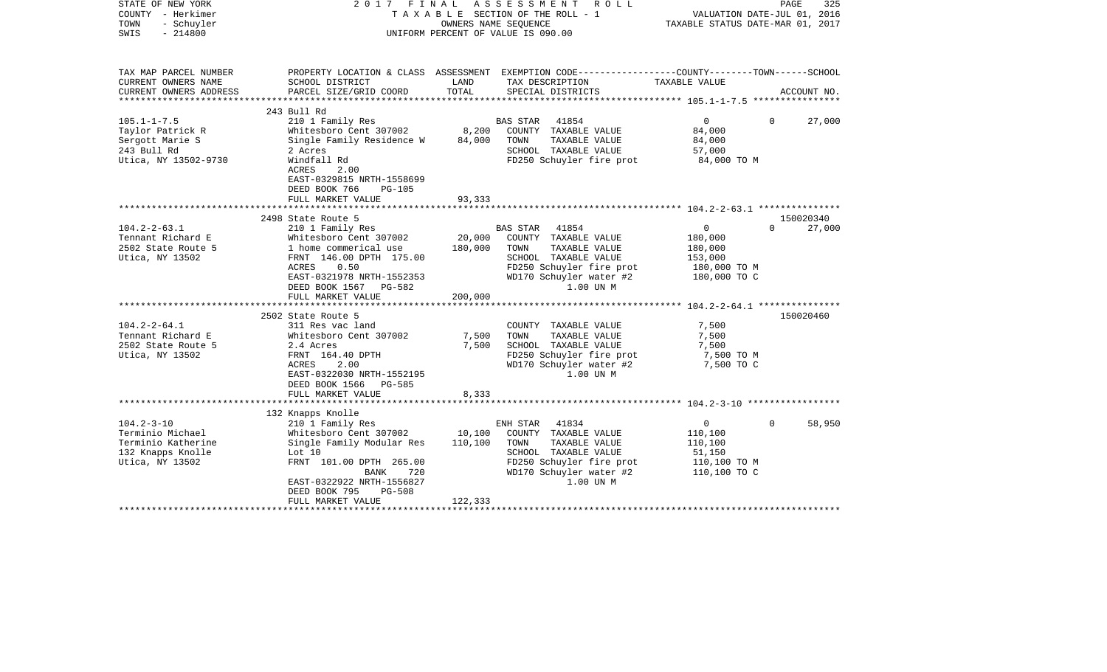| STATE OF NEW YORK<br>COUNTY - Herkimer<br>TOWN<br>- Schuyler<br>SWIS<br>$-214800$                  | 2017 FINAL                                                                                                                                                                                                                                                        | A S S E S S M E N T<br>T A X A B L E SECTION OF THE ROLL - 1<br>OWNERS NAME SEOUENCE<br>UNIFORM PERCENT OF VALUE IS 090.00 | R O L L                                                                                                                                    | TAXABLE STATUS DATE-MAR 01, 2017                                                | 325<br>PAGE<br>VALUATION DATE-JUL 01, 2016 |
|----------------------------------------------------------------------------------------------------|-------------------------------------------------------------------------------------------------------------------------------------------------------------------------------------------------------------------------------------------------------------------|----------------------------------------------------------------------------------------------------------------------------|--------------------------------------------------------------------------------------------------------------------------------------------|---------------------------------------------------------------------------------|--------------------------------------------|
| TAX MAP PARCEL NUMBER<br>CURRENT OWNERS NAME<br>CURRENT OWNERS ADDRESS                             | PROPERTY LOCATION & CLASS ASSESSMENT EXEMPTION CODE----------------COUNTY-------TOWN------SCHOOL<br>SCHOOL DISTRICT<br>PARCEL SIZE/GRID COORD                                                                                                                     | LAND<br>TOTAL                                                                                                              | TAX DESCRIPTION<br>SPECIAL DISTRICTS                                                                                                       | TAXABLE VALUE                                                                   | ACCOUNT NO.                                |
|                                                                                                    |                                                                                                                                                                                                                                                                   |                                                                                                                            |                                                                                                                                            |                                                                                 |                                            |
| $105.1 - 1 - 7.5$<br>Taylor Patrick R<br>Sergott Marie S<br>243 Bull Rd<br>Utica, NY 13502-9730    | 243 Bull Rd<br>210 1 Family Res<br>Whitesboro Cent 307002<br>Single Family Residence W<br>2 Acres<br>Windfall Rd<br>2.00<br>ACRES<br>EAST-0329815 NRTH-1558699<br>DEED BOOK 766<br>$PG-105$                                                                       | <b>BAS STAR</b><br>8,200<br>TOWN<br>84,000                                                                                 | 41854<br>COUNTY TAXABLE VALUE<br>TAXABLE VALUE<br>SCHOOL TAXABLE VALUE<br>FD250 Schuyler fire prot                                         | $\mathbf 0$<br>84,000<br>84,000<br>57,000<br>84,000 TO M                        | $\Omega$<br>27,000                         |
|                                                                                                    | FULL MARKET VALUE                                                                                                                                                                                                                                                 | 93,333                                                                                                                     |                                                                                                                                            |                                                                                 |                                            |
|                                                                                                    |                                                                                                                                                                                                                                                                   |                                                                                                                            |                                                                                                                                            |                                                                                 |                                            |
| $104.2 - 2 - 63.1$<br>Tennant Richard E<br>2502 State Route 5<br>Utica, NY 13502                   | 2498 State Route 5<br>210 1 Family Res<br>Whitesboro Cent 307002<br>1 home commerical use<br>FRNT 146.00 DPTH 175.00<br>0.50<br>ACRES<br>EAST-0321978 NRTH-1552353<br>DEED BOOK 1567<br>PG-582<br>FULL MARKET VALUE                                               | <b>BAS STAR</b><br>20,000<br>180,000<br>TOWN<br>200,000                                                                    | 41854<br>COUNTY TAXABLE VALUE<br>TAXABLE VALUE<br>SCHOOL TAXABLE VALUE<br>FD250 Schuyler fire prot<br>WD170 Schuyler water #2<br>1.00 UN M | $\overline{0}$<br>180,000<br>180,000<br>153,000<br>180,000 TO M<br>180,000 TO C | 150020340<br>$\Omega$<br>27,000            |
|                                                                                                    |                                                                                                                                                                                                                                                                   |                                                                                                                            |                                                                                                                                            |                                                                                 |                                            |
| $104.2 - 2 - 64.1$<br>Tennant Richard E<br>2502 State Route 5<br>Utica, NY 13502                   | 2502 State Route 5<br>311 Res vac land<br>Whitesboro Cent 307002<br>2.4 Acres<br>FRNT 164.40 DPTH<br><b>ACRES</b><br>2.00<br>EAST-0322030 NRTH-1552195<br>DEED BOOK 1566 PG-585<br>FULL MARKET VALUE                                                              | 7,500<br>TOWN<br>7,500<br>8,333                                                                                            | COUNTY TAXABLE VALUE<br>TAXABLE VALUE<br>SCHOOL TAXABLE VALUE<br>FD250 Schuyler fire prot<br>WD170 Schuyler water #2<br>1.00 UN M          | 7,500<br>7,500<br>7,500<br>7,500 TO M<br>7,500 TO C                             | 150020460                                  |
|                                                                                                    |                                                                                                                                                                                                                                                                   |                                                                                                                            |                                                                                                                                            |                                                                                 |                                            |
| $104.2 - 3 - 10$<br>Terminio Michael<br>Terminio Katherine<br>132 Knapps Knolle<br>Utica, NY 13502 | 132 Knapps Knolle<br>210 1 Family Res<br>Whitesboro Cent 307002<br>Single Family Modular Res<br>Lot 10<br>FRNT 101.00 DPTH 265.00<br>720<br>BANK<br>EAST-0322922 NRTH-1556827<br>DEED BOOK 795<br><b>PG-508</b><br>FULL MARKET VALUE<br>************************* | ENH STAR<br>10,100<br>TOWN<br>110,100<br>122,333                                                                           | 41834<br>COUNTY TAXABLE VALUE<br>TAXABLE VALUE<br>SCHOOL TAXABLE VALUE<br>FD250 Schuyler fire prot<br>WD170 Schuyler water #2<br>1.00 UN M | 0<br>110,100<br>110,100<br>51,150<br>110,100 TO M<br>110,100 TO C               | $\Omega$<br>58,950                         |
|                                                                                                    |                                                                                                                                                                                                                                                                   |                                                                                                                            |                                                                                                                                            |                                                                                 |                                            |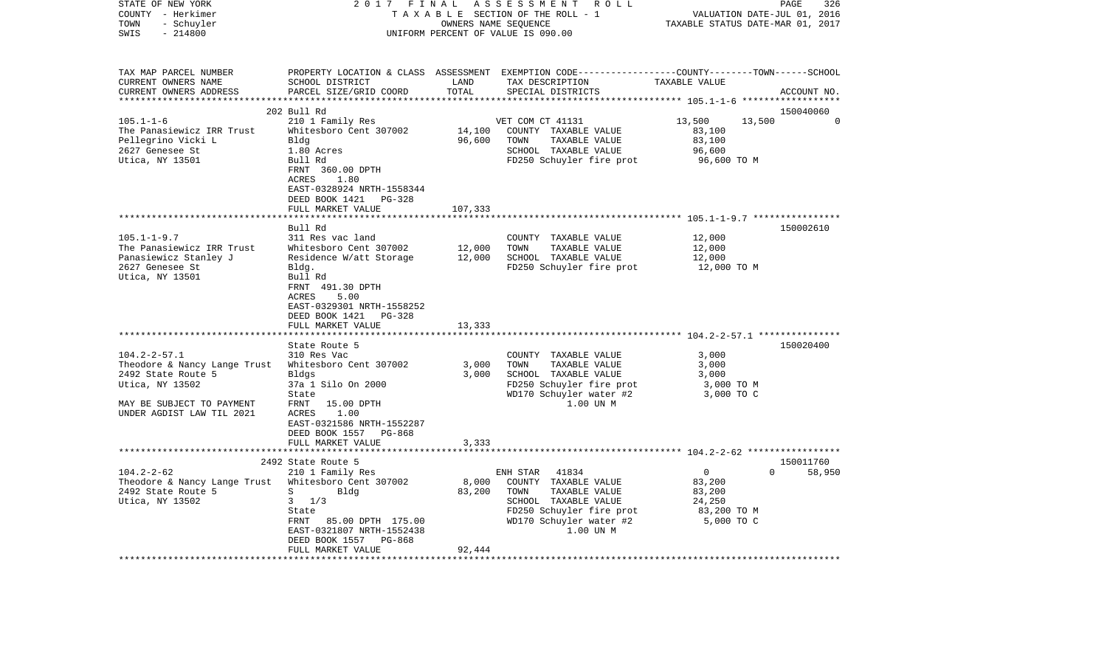| STATE OF NEW YORK<br>COUNTY - Herkimer<br>TOWN<br>- Schuyler<br>SWIS<br>$-214800$                                                                                                                                                                                      | 2017 FINAL                                                                                                                                                                                                                                                                                                                                                                                                          |                                              | ASSESSMENT<br>R O L L<br>TAXABLE SECTION OF THE ROLL - 1<br>OWNERS NAME SEQUENCE<br>UNIFORM PERCENT OF VALUE IS 090.00                                                                                                                         | PAGE<br>326<br>VALUATION DATE-JUL 01, 2016<br>TAXABLE STATUS DATE-MAR 01, 2017                   |                                   |  |  |
|------------------------------------------------------------------------------------------------------------------------------------------------------------------------------------------------------------------------------------------------------------------------|---------------------------------------------------------------------------------------------------------------------------------------------------------------------------------------------------------------------------------------------------------------------------------------------------------------------------------------------------------------------------------------------------------------------|----------------------------------------------|------------------------------------------------------------------------------------------------------------------------------------------------------------------------------------------------------------------------------------------------|--------------------------------------------------------------------------------------------------|-----------------------------------|--|--|
| TAX MAP PARCEL NUMBER<br>CURRENT OWNERS NAME<br>CURRENT OWNERS ADDRESS<br>***********************                                                                                                                                                                      | SCHOOL DISTRICT<br>PARCEL SIZE/GRID COORD                                                                                                                                                                                                                                                                                                                                                                           | LAND<br>TOTAL                                | PROPERTY LOCATION & CLASS ASSESSMENT EXEMPTION CODE---------------COUNTY-------TOWN------SCHOOL<br>TAX DESCRIPTION<br>SPECIAL DISTRICTS                                                                                                        | TAXABLE VALUE                                                                                    | ACCOUNT NO.<br>****************** |  |  |
|                                                                                                                                                                                                                                                                        | 202 Bull Rd                                                                                                                                                                                                                                                                                                                                                                                                         |                                              |                                                                                                                                                                                                                                                |                                                                                                  | 150040060                         |  |  |
| $105.1 - 1 - 6$<br>The Panasiewicz IRR Trust<br>Pellegrino Vicki L<br>2627 Genesee St<br>Utica, NY 13501                                                                                                                                                               | 210 1 Family Res<br>Whitesboro Cent 307002<br>Bldg<br>1.80 Acres<br>Bull Rd<br>FRNT 360.00 DPTH<br>ACRES<br>1.80<br>EAST-0328924 NRTH-1558344<br>DEED BOOK 1421 PG-328                                                                                                                                                                                                                                              | 14,100<br>96,600                             | VET COM CT 41131<br>COUNTY TAXABLE VALUE<br>TOWN<br>TAXABLE VALUE<br>SCHOOL TAXABLE VALUE<br>FD250 Schuyler fire prot                                                                                                                          | 13,500<br>83,100<br>83,100<br>96,600<br>96,600 TO M                                              | 13,500<br>$\Omega$                |  |  |
| **************************                                                                                                                                                                                                                                             | FULL MARKET VALUE<br>*********************                                                                                                                                                                                                                                                                                                                                                                          | 107,333                                      |                                                                                                                                                                                                                                                |                                                                                                  |                                   |  |  |
| $105.1 - 1 - 9.7$<br>The Panasiewicz IRR Trust<br>Panasiewicz Stanley J<br>2627 Genesee St<br>Utica, NY 13501<br>$104.2 - 2 - 57.1$<br>Theodore & Nancy Lange Trust<br>2492 State Route 5<br>Utica, NY 13502<br>MAY BE SUBJECT TO PAYMENT<br>UNDER AGDIST LAW TIL 2021 | Bull Rd<br>311 Res vac land<br>Whitesboro Cent 307002<br>Residence W/att Storage<br>Bldg.<br>Bull Rd<br>FRNT 491.30 DPTH<br>5.00<br>ACRES<br>EAST-0329301 NRTH-1558252<br>DEED BOOK 1421 PG-328<br>FULL MARKET VALUE<br>State Route 5<br>310 Res Vac<br>Whitesboro Cent 307002<br>Bldgs<br>37a 1 Silo On 2000<br>State<br>15.00 DPTH<br>FRNT<br>ACRES<br>1.00<br>EAST-0321586 NRTH-1552287<br>DEED BOOK 1557 PG-868 | 12,000<br>12,000<br>13,333<br>3,000<br>3,000 | COUNTY TAXABLE VALUE<br>TAXABLE VALUE<br>TOWN<br>SCHOOL TAXABLE VALUE<br>FD250 Schuyler fire prot<br>COUNTY TAXABLE VALUE<br>TOWN<br>TAXABLE VALUE<br>SCHOOL TAXABLE VALUE<br>FD250 Schuyler fire prot<br>WD170 Schuyler water #2<br>1.00 UN M | 12,000<br>12,000<br>12,000<br>12,000 TO M<br>3,000<br>3,000<br>3,000<br>3,000 TO M<br>3,000 TO C | 150002610<br>150020400            |  |  |
|                                                                                                                                                                                                                                                                        | FULL MARKET VALUE                                                                                                                                                                                                                                                                                                                                                                                                   | 3,333                                        |                                                                                                                                                                                                                                                |                                                                                                  |                                   |  |  |
|                                                                                                                                                                                                                                                                        |                                                                                                                                                                                                                                                                                                                                                                                                                     |                                              |                                                                                                                                                                                                                                                |                                                                                                  |                                   |  |  |
| $104.2 - 2 - 62$<br>Theodore & Nancy Lange Trust<br>2492 State Route 5<br>Utica, NY 13502                                                                                                                                                                              | 2492 State Route 5<br>210 1 Family Res<br>Whitesboro Cent 307002<br>S<br>Bldg<br>$3 \frac{1}{3}$<br>State<br>85.00 DPTH 175.00<br>FRNT<br>EAST-0321807 NRTH-1552438<br>DEED BOOK 1557<br>PG-868<br>FULL MARKET VALUE                                                                                                                                                                                                | 8,000<br>83,200<br>92,444                    | ENH STAR<br>41834<br>COUNTY TAXABLE VALUE<br>TAXABLE VALUE<br>TOWN<br>SCHOOL TAXABLE VALUE<br>FD250 Schuyler fire prot<br>WD170 Schuyler water #2<br>1.00 UN M                                                                                 | $\Omega$<br>83,200<br>83,200<br>24,250<br>83,200 TO M<br>5,000 TO C                              | 150011760<br>$\Omega$<br>58,950   |  |  |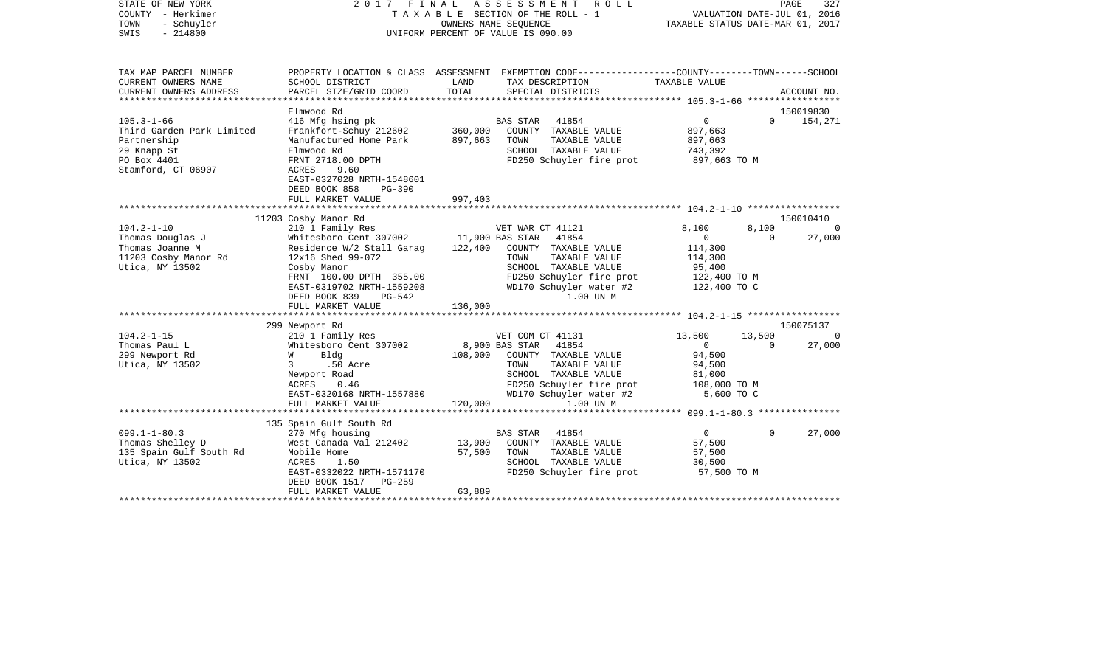| STATE OF NEW YORK<br>COUNTY - Herkimer<br>TOWN<br>- Schuyler<br>$-214800$<br>SWIS                                | 2017                                                                                                                                                                                 | FINAL<br>OWNERS NAME SEQUENCE | ASSESSMENT<br>ROLL<br>TAXABLE SECTION OF THE ROLL - 1<br>UNIFORM PERCENT OF VALUE IS 090.00                                                                          | TAXABLE STATUS DATE-MAR 01, 2017                                            | PAGE<br>VALUATION DATE-JUL 01, 2016 | 327                   |
|------------------------------------------------------------------------------------------------------------------|--------------------------------------------------------------------------------------------------------------------------------------------------------------------------------------|-------------------------------|----------------------------------------------------------------------------------------------------------------------------------------------------------------------|-----------------------------------------------------------------------------|-------------------------------------|-----------------------|
| TAX MAP PARCEL NUMBER<br>CURRENT OWNERS NAME<br>CURRENT OWNERS ADDRESS                                           | SCHOOL DISTRICT<br>PARCEL SIZE/GRID COORD                                                                                                                                            | LAND<br>TOTAL                 | PROPERTY LOCATION & CLASS ASSESSMENT EXEMPTION CODE---------------COUNTY-------TOWN-----SCHOOL<br>TAX DESCRIPTION<br>SPECIAL DISTRICTS                               | TAXABLE VALUE                                                               |                                     | ACCOUNT NO.           |
| **********************                                                                                           |                                                                                                                                                                                      |                               |                                                                                                                                                                      |                                                                             |                                     |                       |
|                                                                                                                  | Elmwood Rd                                                                                                                                                                           |                               |                                                                                                                                                                      |                                                                             |                                     | 150019830             |
| $105.3 - 1 - 66$<br>Third Garden Park Limited<br>Partnership<br>29 Knapp St<br>PO Box 4401<br>Stamford, CT 06907 | 416 Mfg hsing pk<br>Frankfort-Schuy 212602<br>Manufactured Home Park<br>Elmwood Rd<br>FRNT 2718.00 DPTH<br>ACRES<br>9.60<br>EAST-0327028 NRTH-1548601<br>DEED BOOK 858               | 360,000<br>897,663            | 41854<br>BAS STAR<br>COUNTY TAXABLE VALUE<br>TOWN<br>TAXABLE VALUE<br>SCHOOL TAXABLE VALUE<br>FD250 Schuyler fire prot                                               | 0<br>897,663<br>897,663<br>743,392<br>897,663 TO M                          | $\Omega$                            | 154,271               |
|                                                                                                                  | PG-390<br>FULL MARKET VALUE                                                                                                                                                          | 997,403                       |                                                                                                                                                                      |                                                                             |                                     |                       |
|                                                                                                                  |                                                                                                                                                                                      |                               |                                                                                                                                                                      |                                                                             |                                     |                       |
| $104.2 - 1 - 10$                                                                                                 | 11203 Cosby Manor Rd<br>210 1 Family Res                                                                                                                                             |                               | VET WAR CT 41121                                                                                                                                                     | 8,100                                                                       | 8,100                               | 150010410<br>$\Omega$ |
| Thomas Douglas J<br>Thomas Joanne M<br>11203 Cosby Manor Rd<br>Utica, NY 13502                                   | Whitesboro Cent 307002<br>Residence W/2 Stall Garag<br>12x16 Shed 99-072<br>Cosby Manor<br>FRNT 100.00 DPTH 355.00<br>EAST-0319702 NRTH-1559208<br>DEED BOOK 839<br>PG-542           | 11,900 BAS STAR<br>122,400    | 41854<br>COUNTY TAXABLE VALUE<br>TOWN<br>TAXABLE VALUE<br>SCHOOL TAXABLE VALUE<br>FD250 Schuyler fire prot<br>WD170 Schuyler water #2<br>1.00 UN M                   | $\mathbf 0$<br>114,300<br>114,300<br>95,400<br>122,400 TO M<br>122,400 TO C | $\Omega$                            | 27,000                |
|                                                                                                                  | FULL MARKET VALUE                                                                                                                                                                    | 136,000                       |                                                                                                                                                                      |                                                                             |                                     |                       |
|                                                                                                                  | 299 Newport Rd                                                                                                                                                                       |                               |                                                                                                                                                                      |                                                                             |                                     | 150075137             |
| $104.2 - 1 - 15$                                                                                                 | 210 1 Family Res                                                                                                                                                                     |                               | VET COM CT 41131                                                                                                                                                     | 13,500                                                                      | 13,500                              | 0                     |
| Thomas Paul L<br>299 Newport Rd<br>Utica, NY 13502                                                               | Whitesboro Cent 307002<br>Bldg<br>W<br>.50 Acre<br>3<br>Newport Road<br>ACRES<br>0.46<br>EAST-0320168 NRTH-1557880<br>FULL MARKET VALUE                                              | 108,000<br>120,000            | 8,900 BAS STAR<br>41854<br>COUNTY TAXABLE VALUE<br>TAXABLE VALUE<br>TOWN<br>SCHOOL TAXABLE VALUE<br>FD250 Schuyler fire prot<br>WD170 Schuyler water #2<br>1.00 UN M | $\mathbf{0}$<br>94,500<br>94,500<br>81,000<br>108,000 TO M<br>5,600 TO C    | $\Omega$                            | 27,000                |
|                                                                                                                  | *******************                                                                                                                                                                  | ***********                   |                                                                                                                                                                      | ********************** 099.1-1-80.3 ***************                         |                                     |                       |
| $099.1 - 1 - 80.3$<br>Thomas Shelley D<br>135 Spain Gulf South Rd<br>Utica, NY 13502                             | 135 Spain Gulf South Rd<br>270 Mfg housing<br>West Canada Val 212402<br>Mobile Home<br>ACRES<br>1.50<br>EAST-0332022 NRTH-1571170<br>DEED BOOK 1517<br>$PG-259$<br>FULL MARKET VALUE | 13,900<br>57,500<br>63,889    | <b>BAS STAR</b><br>41854<br>COUNTY TAXABLE VALUE<br>TOWN<br>TAXABLE VALUE<br>SCHOOL TAXABLE VALUE<br>FD250 Schuyler fire prot                                        | $\overline{0}$<br>57,500<br>57,500<br>30,500<br>57,500 TO M                 | $\Omega$                            | 27,000                |
|                                                                                                                  |                                                                                                                                                                                      |                               |                                                                                                                                                                      |                                                                             |                                     |                       |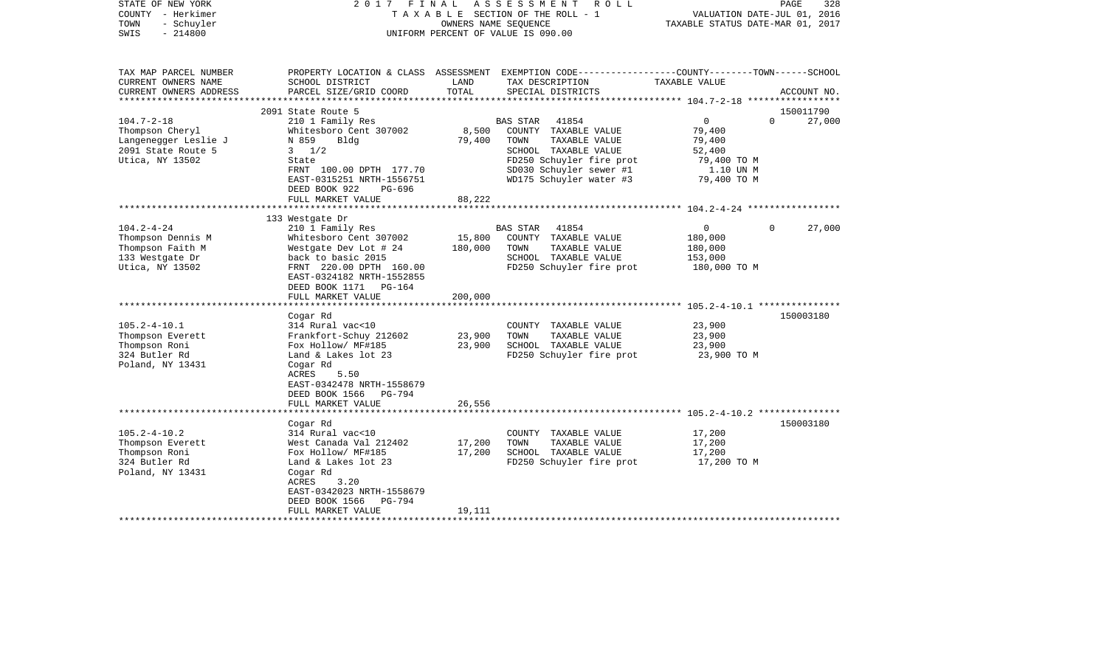| STATE OF NEW YORK<br>COUNTY - Herkimer<br>TOWN<br>- Schuyler<br>$-214800$<br>SWIS                    | FINAL<br>2017                                                                                                                                                                                                         |                              | ASSESSMENT<br>R O L L<br>TAXABLE SECTION OF THE ROLL - 1<br>OWNERS NAME SEOUENCE<br>UNIFORM PERCENT OF VALUE IS 090.00                                                       | VALUATION DATE-JUL 01, 2016<br>TAXABLE STATUS DATE-MAR 01, 2017                         | PAGE<br>328        |
|------------------------------------------------------------------------------------------------------|-----------------------------------------------------------------------------------------------------------------------------------------------------------------------------------------------------------------------|------------------------------|------------------------------------------------------------------------------------------------------------------------------------------------------------------------------|-----------------------------------------------------------------------------------------|--------------------|
| TAX MAP PARCEL NUMBER<br>CURRENT OWNERS NAME<br>CURRENT OWNERS ADDRESS<br>**********************     | SCHOOL DISTRICT<br>PARCEL SIZE/GRID COORD                                                                                                                                                                             | LAND<br>TOTAL                | PROPERTY LOCATION & CLASS ASSESSMENT EXEMPTION CODE----------------COUNTY-------TOWN------SCHOOL<br>TAX DESCRIPTION<br>SPECIAL DISTRICTS                                     | TAXABLE VALUE                                                                           | ACCOUNT NO.        |
|                                                                                                      | 2091 State Route 5                                                                                                                                                                                                    |                              |                                                                                                                                                                              |                                                                                         | 150011790          |
| $104.7 - 2 - 18$<br>Thompson Cheryl<br>Langenegger Leslie J<br>2091 State Route 5<br>Utica, NY 13502 | 210 1 Family Res<br>Whitesboro Cent 307002<br>N 859<br>Bldg<br>$3 \frac{1}{2}$<br>State<br>FRNT 100.00 DPTH 177.70<br>EAST-0315251 NRTH-1556751<br>DEED BOOK 922<br>$PG-696$<br>FULL MARKET VALUE                     | 8,500<br>79,400<br>88,222    | BAS STAR<br>41854<br>COUNTY TAXABLE VALUE<br>TOWN<br>TAXABLE VALUE<br>SCHOOL TAXABLE VALUE<br>FD250 Schuyler fire prot<br>SD030 Schuyler sewer #1<br>WD175 Schuyler water #3 | $\overline{0}$<br>79,400<br>79,400<br>52,400<br>79,400 TO M<br>1.10 UN M<br>79,400 TO M | $\Omega$<br>27,000 |
|                                                                                                      |                                                                                                                                                                                                                       |                              |                                                                                                                                                                              |                                                                                         |                    |
| $104.2 - 4 - 24$<br>Thompson Dennis M<br>Thompson Faith M<br>133 Westgate Dr<br>Utica, NY 13502      | 133 Westgate Dr<br>210 1 Family Res<br>Whitesboro Cent 307002<br>Westgate Dev Lot # 24<br>back to basic 2015<br>FRNT 220.00 DPTH 160.00<br>EAST-0324182 NRTH-1552855<br>DEED BOOK 1171 PG-164<br>FULL MARKET VALUE    | 15,800<br>180,000<br>200,000 | 41854<br><b>BAS STAR</b><br>COUNTY TAXABLE VALUE<br>TOWN<br>TAXABLE VALUE<br>SCHOOL TAXABLE VALUE<br>FD250 Schuyler fire prot                                                | 0<br>180,000<br>180,000<br>153,000<br>180,000 TO M                                      | 27,000<br>$\Omega$ |
|                                                                                                      | **************************                                                                                                                                                                                            |                              |                                                                                                                                                                              |                                                                                         |                    |
| $105.2 - 4 - 10.1$<br>Thompson Everett<br>Thompson Roni<br>324 Butler Rd<br>Poland, NY 13431         | Cogar Rd<br>314 Rural vac<10<br>Frankfort-Schuy 212602<br>Fox Hollow/ MF#185<br>Land & Lakes lot 23<br>Cogar Rd<br>ACRES<br>5.50<br>EAST-0342478 NRTH-1558679<br>DEED BOOK 1566<br>PG-794<br>FULL MARKET VALUE        | 23,900<br>23,900<br>26,556   | COUNTY TAXABLE VALUE<br>TOWN<br>TAXABLE VALUE<br>SCHOOL TAXABLE VALUE<br>FD250 Schuyler fire prot                                                                            | 23,900<br>23,900<br>23,900<br>23,900 TO M                                               | 150003180          |
|                                                                                                      | ********************                                                                                                                                                                                                  |                              |                                                                                                                                                                              |                                                                                         |                    |
| $105.2 - 4 - 10.2$<br>Thompson Everett<br>Thompson Roni<br>324 Butler Rd<br>Poland, NY 13431         | Cogar Rd<br>314 Rural vac<10<br>West Canada Val 212402<br>Fox Hollow/ MF#185<br>Land & Lakes lot 23<br>Cogar Rd<br>ACRES<br>3.20<br>EAST-0342023 NRTH-1558679<br>DEED BOOK 1566<br><b>PG-794</b><br>FULL MARKET VALUE | 17,200<br>17,200<br>19,111   | COUNTY TAXABLE VALUE<br>TAXABLE VALUE<br>TOWN<br>SCHOOL TAXABLE VALUE<br>FD250 Schuyler fire prot                                                                            | 17,200<br>17,200<br>17,200<br>17,200 TO M                                               | 150003180          |
|                                                                                                      |                                                                                                                                                                                                                       |                              |                                                                                                                                                                              |                                                                                         |                    |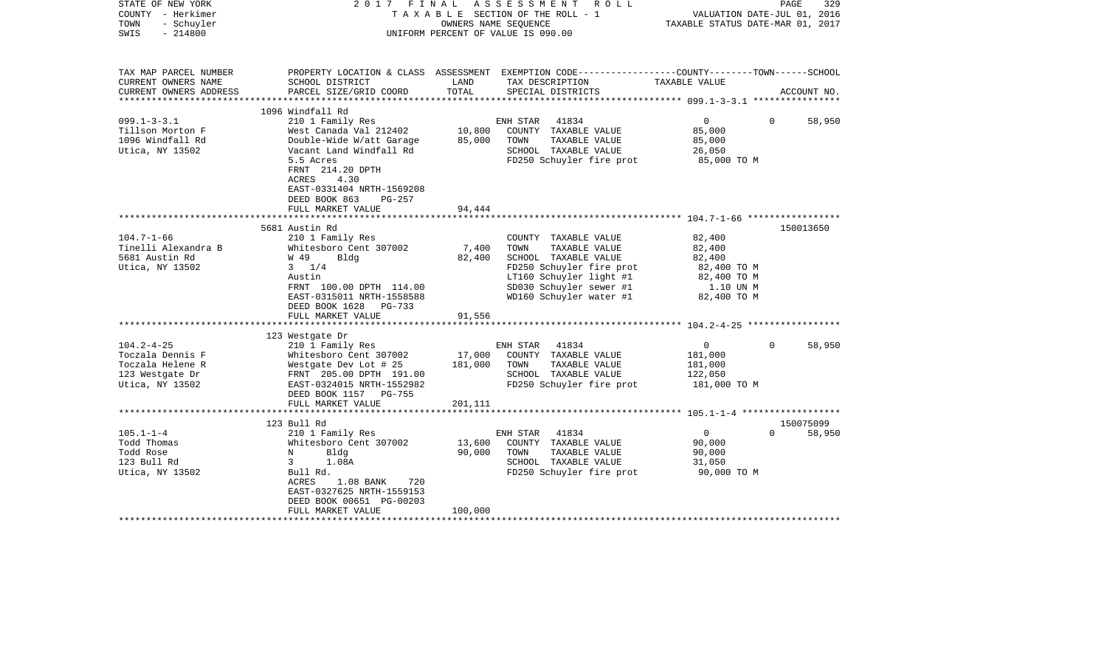| PROPERTY LOCATION & CLASS ASSESSMENT EXEMPTION CODE---------------COUNTY-------TOWN------SCHOOL<br>TAX MAP PARCEL NUMBER<br>LAND<br>TAXABLE VALUE<br>CURRENT OWNERS NAME<br>SCHOOL DISTRICT<br>TAX DESCRIPTION<br>TOTAL<br>CURRENT OWNERS ADDRESS<br>PARCEL SIZE/GRID COORD<br>SPECIAL DISTRICTS<br>ACCOUNT NO.<br>1096 Windfall Rd<br>$099.1 - 3 - 3.1$<br>$\overline{0}$<br>210 1 Family Res<br>ENH STAR 41834<br>$\Omega$<br>58,950<br>10,800<br>COUNTY TAXABLE VALUE<br>Tillson Morton F<br>West Canada Val 212402<br>85,000<br>1096 Windfall Rd<br>Double-Wide W/att Garage 85,000<br>TOWN<br>TAXABLE VALUE<br>85,000<br>SCHOOL TAXABLE VALUE<br>Utica, NY 13502<br>Vacant Land Windfall Rd<br>26,050<br>5.5 Acres<br>FD250 Schuyler fire prot<br>85,000 TO M<br>FRNT 214.20 DPTH<br>4.30<br>ACRES<br>EAST-0331404 NRTH-1569208<br>DEED BOOK 863<br>PG-257<br>FULL MARKET VALUE<br>94,444<br>150013650<br>5681 Austin Rd<br>$104.7 - 1 - 66$<br>210 1 Family Res<br>82,400<br>COUNTY TAXABLE VALUE<br>Tinelli Alexandra B<br>Whitesboro Cent 307002<br>7,400<br>TOWN<br>TAXABLE VALUE<br>82,400<br>5681 Austin Rd<br>W 49<br>82,400<br>SCHOOL TAXABLE VALUE<br>82,400<br>Bldg<br>Utica, NY 13502<br>FD250 Schuyler fire prot<br>$3 \t1/4$<br>82,400 TO M<br>LT160 Schuyler light #1<br>82,400 TO M<br>Austin<br>SD030 Schuyler sewer #1<br>1.10 UN M<br>FRNT 100.00 DPTH 114.00<br>WD160 Schuyler water #1 82,400 TO M<br>EAST-0315011 NRTH-1558588<br>DEED BOOK 1628 PG-733<br>FULL MARKET VALUE<br>91,556<br>123 Westgate Dr<br>$104.2 - 4 - 25$<br>$\overline{0}$<br>58,950<br>210 1 Family Res<br>ENH STAR 41834<br>$\Omega$<br>Toczala Dennis F<br>Whitesboro Cent 307002<br>17,000<br>COUNTY TAXABLE VALUE<br>181,000<br>TOWN<br>Toczala Helene R<br>181,000<br>TAXABLE VALUE<br>Westgate Dev Lot # 25<br>181,000<br>SCHOOL TAXABLE VALUE<br>123 Westgate Dr<br>FRNT 205.00 DPTH 191.00<br>122,050<br>FD250 Schuyler fire prot<br>Utica, NY 13502<br>EAST-0324015 NRTH-1552982<br>181,000 TO M<br>DEED BOOK 1157 PG-755<br>FULL MARKET VALUE<br>201,111<br>150075099<br>123 Bull Rd<br>$105.1 - 1 - 4$<br>$\Omega$<br>210 1 Family Res<br>ENH STAR 41834<br>$\overline{0}$<br>58,950<br>Todd Thomas<br>Whitesboro Cent 307002<br>13,600<br>COUNTY TAXABLE VALUE<br>90,000<br>90,000<br>Todd Rose<br>$\mathbb N$<br>Bldg<br>TOWN<br>TAXABLE VALUE<br>90,000<br>SCHOOL TAXABLE VALUE<br>123 Bull Rd<br>$3 \sim$<br>1.08A<br>31,050<br>Bull Rd.<br>FD250 Schuyler fire prot 90,000 TO M<br>Utica, NY 13502<br>ACRES<br>1.08 BANK 720<br>EAST-0327625 NRTH-1559153<br>DEED BOOK 00651 PG-00203<br>100,000<br>FULL MARKET VALUE | STATE OF NEW YORK<br>COUNTY - Herkimer<br>TOWN<br>- Schuyler<br>$-214800$<br>SWIS | 2017 FINAL | A S S E S S M E N T R O L L<br>TAXABLE SECTION OF THE ROLL - 1<br>OWNERS NAME SEOUENCE<br>UNIFORM PERCENT OF VALUE IS 090.00 | VALUATION DATE-JUL 01, 2016<br>TAXABLE STATUS DATE-MAR 01, 2017 | PAGE<br>329 |
|---------------------------------------------------------------------------------------------------------------------------------------------------------------------------------------------------------------------------------------------------------------------------------------------------------------------------------------------------------------------------------------------------------------------------------------------------------------------------------------------------------------------------------------------------------------------------------------------------------------------------------------------------------------------------------------------------------------------------------------------------------------------------------------------------------------------------------------------------------------------------------------------------------------------------------------------------------------------------------------------------------------------------------------------------------------------------------------------------------------------------------------------------------------------------------------------------------------------------------------------------------------------------------------------------------------------------------------------------------------------------------------------------------------------------------------------------------------------------------------------------------------------------------------------------------------------------------------------------------------------------------------------------------------------------------------------------------------------------------------------------------------------------------------------------------------------------------------------------------------------------------------------------------------------------------------------------------------------------------------------------------------------------------------------------------------------------------------------------------------------------------------------------------------------------------------------------------------------------------------------------------------------------------------------------------------------------------------------------------------------------------------------------------------------------------------------------------------------------------------------------------------------------------------------------------------------------------------------------------------------------------------|-----------------------------------------------------------------------------------|------------|------------------------------------------------------------------------------------------------------------------------------|-----------------------------------------------------------------|-------------|
|                                                                                                                                                                                                                                                                                                                                                                                                                                                                                                                                                                                                                                                                                                                                                                                                                                                                                                                                                                                                                                                                                                                                                                                                                                                                                                                                                                                                                                                                                                                                                                                                                                                                                                                                                                                                                                                                                                                                                                                                                                                                                                                                                                                                                                                                                                                                                                                                                                                                                                                                                                                                                                       |                                                                                   |            |                                                                                                                              |                                                                 |             |
|                                                                                                                                                                                                                                                                                                                                                                                                                                                                                                                                                                                                                                                                                                                                                                                                                                                                                                                                                                                                                                                                                                                                                                                                                                                                                                                                                                                                                                                                                                                                                                                                                                                                                                                                                                                                                                                                                                                                                                                                                                                                                                                                                                                                                                                                                                                                                                                                                                                                                                                                                                                                                                       |                                                                                   |            |                                                                                                                              |                                                                 |             |
|                                                                                                                                                                                                                                                                                                                                                                                                                                                                                                                                                                                                                                                                                                                                                                                                                                                                                                                                                                                                                                                                                                                                                                                                                                                                                                                                                                                                                                                                                                                                                                                                                                                                                                                                                                                                                                                                                                                                                                                                                                                                                                                                                                                                                                                                                                                                                                                                                                                                                                                                                                                                                                       |                                                                                   |            |                                                                                                                              |                                                                 |             |
|                                                                                                                                                                                                                                                                                                                                                                                                                                                                                                                                                                                                                                                                                                                                                                                                                                                                                                                                                                                                                                                                                                                                                                                                                                                                                                                                                                                                                                                                                                                                                                                                                                                                                                                                                                                                                                                                                                                                                                                                                                                                                                                                                                                                                                                                                                                                                                                                                                                                                                                                                                                                                                       |                                                                                   |            |                                                                                                                              |                                                                 |             |
|                                                                                                                                                                                                                                                                                                                                                                                                                                                                                                                                                                                                                                                                                                                                                                                                                                                                                                                                                                                                                                                                                                                                                                                                                                                                                                                                                                                                                                                                                                                                                                                                                                                                                                                                                                                                                                                                                                                                                                                                                                                                                                                                                                                                                                                                                                                                                                                                                                                                                                                                                                                                                                       |                                                                                   |            |                                                                                                                              |                                                                 |             |
|                                                                                                                                                                                                                                                                                                                                                                                                                                                                                                                                                                                                                                                                                                                                                                                                                                                                                                                                                                                                                                                                                                                                                                                                                                                                                                                                                                                                                                                                                                                                                                                                                                                                                                                                                                                                                                                                                                                                                                                                                                                                                                                                                                                                                                                                                                                                                                                                                                                                                                                                                                                                                                       |                                                                                   |            |                                                                                                                              |                                                                 |             |
|                                                                                                                                                                                                                                                                                                                                                                                                                                                                                                                                                                                                                                                                                                                                                                                                                                                                                                                                                                                                                                                                                                                                                                                                                                                                                                                                                                                                                                                                                                                                                                                                                                                                                                                                                                                                                                                                                                                                                                                                                                                                                                                                                                                                                                                                                                                                                                                                                                                                                                                                                                                                                                       |                                                                                   |            |                                                                                                                              |                                                                 |             |
|                                                                                                                                                                                                                                                                                                                                                                                                                                                                                                                                                                                                                                                                                                                                                                                                                                                                                                                                                                                                                                                                                                                                                                                                                                                                                                                                                                                                                                                                                                                                                                                                                                                                                                                                                                                                                                                                                                                                                                                                                                                                                                                                                                                                                                                                                                                                                                                                                                                                                                                                                                                                                                       |                                                                                   |            |                                                                                                                              |                                                                 |             |
|                                                                                                                                                                                                                                                                                                                                                                                                                                                                                                                                                                                                                                                                                                                                                                                                                                                                                                                                                                                                                                                                                                                                                                                                                                                                                                                                                                                                                                                                                                                                                                                                                                                                                                                                                                                                                                                                                                                                                                                                                                                                                                                                                                                                                                                                                                                                                                                                                                                                                                                                                                                                                                       |                                                                                   |            |                                                                                                                              |                                                                 |             |
|                                                                                                                                                                                                                                                                                                                                                                                                                                                                                                                                                                                                                                                                                                                                                                                                                                                                                                                                                                                                                                                                                                                                                                                                                                                                                                                                                                                                                                                                                                                                                                                                                                                                                                                                                                                                                                                                                                                                                                                                                                                                                                                                                                                                                                                                                                                                                                                                                                                                                                                                                                                                                                       |                                                                                   |            |                                                                                                                              |                                                                 |             |
|                                                                                                                                                                                                                                                                                                                                                                                                                                                                                                                                                                                                                                                                                                                                                                                                                                                                                                                                                                                                                                                                                                                                                                                                                                                                                                                                                                                                                                                                                                                                                                                                                                                                                                                                                                                                                                                                                                                                                                                                                                                                                                                                                                                                                                                                                                                                                                                                                                                                                                                                                                                                                                       |                                                                                   |            |                                                                                                                              |                                                                 |             |
|                                                                                                                                                                                                                                                                                                                                                                                                                                                                                                                                                                                                                                                                                                                                                                                                                                                                                                                                                                                                                                                                                                                                                                                                                                                                                                                                                                                                                                                                                                                                                                                                                                                                                                                                                                                                                                                                                                                                                                                                                                                                                                                                                                                                                                                                                                                                                                                                                                                                                                                                                                                                                                       |                                                                                   |            |                                                                                                                              |                                                                 |             |
|                                                                                                                                                                                                                                                                                                                                                                                                                                                                                                                                                                                                                                                                                                                                                                                                                                                                                                                                                                                                                                                                                                                                                                                                                                                                                                                                                                                                                                                                                                                                                                                                                                                                                                                                                                                                                                                                                                                                                                                                                                                                                                                                                                                                                                                                                                                                                                                                                                                                                                                                                                                                                                       |                                                                                   |            |                                                                                                                              |                                                                 |             |
|                                                                                                                                                                                                                                                                                                                                                                                                                                                                                                                                                                                                                                                                                                                                                                                                                                                                                                                                                                                                                                                                                                                                                                                                                                                                                                                                                                                                                                                                                                                                                                                                                                                                                                                                                                                                                                                                                                                                                                                                                                                                                                                                                                                                                                                                                                                                                                                                                                                                                                                                                                                                                                       |                                                                                   |            |                                                                                                                              |                                                                 |             |
|                                                                                                                                                                                                                                                                                                                                                                                                                                                                                                                                                                                                                                                                                                                                                                                                                                                                                                                                                                                                                                                                                                                                                                                                                                                                                                                                                                                                                                                                                                                                                                                                                                                                                                                                                                                                                                                                                                                                                                                                                                                                                                                                                                                                                                                                                                                                                                                                                                                                                                                                                                                                                                       |                                                                                   |            |                                                                                                                              |                                                                 |             |
|                                                                                                                                                                                                                                                                                                                                                                                                                                                                                                                                                                                                                                                                                                                                                                                                                                                                                                                                                                                                                                                                                                                                                                                                                                                                                                                                                                                                                                                                                                                                                                                                                                                                                                                                                                                                                                                                                                                                                                                                                                                                                                                                                                                                                                                                                                                                                                                                                                                                                                                                                                                                                                       |                                                                                   |            |                                                                                                                              |                                                                 |             |
|                                                                                                                                                                                                                                                                                                                                                                                                                                                                                                                                                                                                                                                                                                                                                                                                                                                                                                                                                                                                                                                                                                                                                                                                                                                                                                                                                                                                                                                                                                                                                                                                                                                                                                                                                                                                                                                                                                                                                                                                                                                                                                                                                                                                                                                                                                                                                                                                                                                                                                                                                                                                                                       |                                                                                   |            |                                                                                                                              |                                                                 |             |
|                                                                                                                                                                                                                                                                                                                                                                                                                                                                                                                                                                                                                                                                                                                                                                                                                                                                                                                                                                                                                                                                                                                                                                                                                                                                                                                                                                                                                                                                                                                                                                                                                                                                                                                                                                                                                                                                                                                                                                                                                                                                                                                                                                                                                                                                                                                                                                                                                                                                                                                                                                                                                                       |                                                                                   |            |                                                                                                                              |                                                                 |             |
|                                                                                                                                                                                                                                                                                                                                                                                                                                                                                                                                                                                                                                                                                                                                                                                                                                                                                                                                                                                                                                                                                                                                                                                                                                                                                                                                                                                                                                                                                                                                                                                                                                                                                                                                                                                                                                                                                                                                                                                                                                                                                                                                                                                                                                                                                                                                                                                                                                                                                                                                                                                                                                       |                                                                                   |            |                                                                                                                              |                                                                 |             |
|                                                                                                                                                                                                                                                                                                                                                                                                                                                                                                                                                                                                                                                                                                                                                                                                                                                                                                                                                                                                                                                                                                                                                                                                                                                                                                                                                                                                                                                                                                                                                                                                                                                                                                                                                                                                                                                                                                                                                                                                                                                                                                                                                                                                                                                                                                                                                                                                                                                                                                                                                                                                                                       |                                                                                   |            |                                                                                                                              |                                                                 |             |
|                                                                                                                                                                                                                                                                                                                                                                                                                                                                                                                                                                                                                                                                                                                                                                                                                                                                                                                                                                                                                                                                                                                                                                                                                                                                                                                                                                                                                                                                                                                                                                                                                                                                                                                                                                                                                                                                                                                                                                                                                                                                                                                                                                                                                                                                                                                                                                                                                                                                                                                                                                                                                                       |                                                                                   |            |                                                                                                                              |                                                                 |             |
|                                                                                                                                                                                                                                                                                                                                                                                                                                                                                                                                                                                                                                                                                                                                                                                                                                                                                                                                                                                                                                                                                                                                                                                                                                                                                                                                                                                                                                                                                                                                                                                                                                                                                                                                                                                                                                                                                                                                                                                                                                                                                                                                                                                                                                                                                                                                                                                                                                                                                                                                                                                                                                       |                                                                                   |            |                                                                                                                              |                                                                 |             |
|                                                                                                                                                                                                                                                                                                                                                                                                                                                                                                                                                                                                                                                                                                                                                                                                                                                                                                                                                                                                                                                                                                                                                                                                                                                                                                                                                                                                                                                                                                                                                                                                                                                                                                                                                                                                                                                                                                                                                                                                                                                                                                                                                                                                                                                                                                                                                                                                                                                                                                                                                                                                                                       |                                                                                   |            |                                                                                                                              |                                                                 |             |
|                                                                                                                                                                                                                                                                                                                                                                                                                                                                                                                                                                                                                                                                                                                                                                                                                                                                                                                                                                                                                                                                                                                                                                                                                                                                                                                                                                                                                                                                                                                                                                                                                                                                                                                                                                                                                                                                                                                                                                                                                                                                                                                                                                                                                                                                                                                                                                                                                                                                                                                                                                                                                                       |                                                                                   |            |                                                                                                                              |                                                                 |             |
|                                                                                                                                                                                                                                                                                                                                                                                                                                                                                                                                                                                                                                                                                                                                                                                                                                                                                                                                                                                                                                                                                                                                                                                                                                                                                                                                                                                                                                                                                                                                                                                                                                                                                                                                                                                                                                                                                                                                                                                                                                                                                                                                                                                                                                                                                                                                                                                                                                                                                                                                                                                                                                       |                                                                                   |            |                                                                                                                              |                                                                 |             |
|                                                                                                                                                                                                                                                                                                                                                                                                                                                                                                                                                                                                                                                                                                                                                                                                                                                                                                                                                                                                                                                                                                                                                                                                                                                                                                                                                                                                                                                                                                                                                                                                                                                                                                                                                                                                                                                                                                                                                                                                                                                                                                                                                                                                                                                                                                                                                                                                                                                                                                                                                                                                                                       |                                                                                   |            |                                                                                                                              |                                                                 |             |
|                                                                                                                                                                                                                                                                                                                                                                                                                                                                                                                                                                                                                                                                                                                                                                                                                                                                                                                                                                                                                                                                                                                                                                                                                                                                                                                                                                                                                                                                                                                                                                                                                                                                                                                                                                                                                                                                                                                                                                                                                                                                                                                                                                                                                                                                                                                                                                                                                                                                                                                                                                                                                                       |                                                                                   |            |                                                                                                                              |                                                                 |             |
|                                                                                                                                                                                                                                                                                                                                                                                                                                                                                                                                                                                                                                                                                                                                                                                                                                                                                                                                                                                                                                                                                                                                                                                                                                                                                                                                                                                                                                                                                                                                                                                                                                                                                                                                                                                                                                                                                                                                                                                                                                                                                                                                                                                                                                                                                                                                                                                                                                                                                                                                                                                                                                       |                                                                                   |            |                                                                                                                              |                                                                 |             |
|                                                                                                                                                                                                                                                                                                                                                                                                                                                                                                                                                                                                                                                                                                                                                                                                                                                                                                                                                                                                                                                                                                                                                                                                                                                                                                                                                                                                                                                                                                                                                                                                                                                                                                                                                                                                                                                                                                                                                                                                                                                                                                                                                                                                                                                                                                                                                                                                                                                                                                                                                                                                                                       |                                                                                   |            |                                                                                                                              |                                                                 |             |
|                                                                                                                                                                                                                                                                                                                                                                                                                                                                                                                                                                                                                                                                                                                                                                                                                                                                                                                                                                                                                                                                                                                                                                                                                                                                                                                                                                                                                                                                                                                                                                                                                                                                                                                                                                                                                                                                                                                                                                                                                                                                                                                                                                                                                                                                                                                                                                                                                                                                                                                                                                                                                                       |                                                                                   |            |                                                                                                                              |                                                                 |             |
|                                                                                                                                                                                                                                                                                                                                                                                                                                                                                                                                                                                                                                                                                                                                                                                                                                                                                                                                                                                                                                                                                                                                                                                                                                                                                                                                                                                                                                                                                                                                                                                                                                                                                                                                                                                                                                                                                                                                                                                                                                                                                                                                                                                                                                                                                                                                                                                                                                                                                                                                                                                                                                       |                                                                                   |            |                                                                                                                              |                                                                 |             |
|                                                                                                                                                                                                                                                                                                                                                                                                                                                                                                                                                                                                                                                                                                                                                                                                                                                                                                                                                                                                                                                                                                                                                                                                                                                                                                                                                                                                                                                                                                                                                                                                                                                                                                                                                                                                                                                                                                                                                                                                                                                                                                                                                                                                                                                                                                                                                                                                                                                                                                                                                                                                                                       |                                                                                   |            |                                                                                                                              |                                                                 |             |
|                                                                                                                                                                                                                                                                                                                                                                                                                                                                                                                                                                                                                                                                                                                                                                                                                                                                                                                                                                                                                                                                                                                                                                                                                                                                                                                                                                                                                                                                                                                                                                                                                                                                                                                                                                                                                                                                                                                                                                                                                                                                                                                                                                                                                                                                                                                                                                                                                                                                                                                                                                                                                                       |                                                                                   |            |                                                                                                                              |                                                                 |             |
|                                                                                                                                                                                                                                                                                                                                                                                                                                                                                                                                                                                                                                                                                                                                                                                                                                                                                                                                                                                                                                                                                                                                                                                                                                                                                                                                                                                                                                                                                                                                                                                                                                                                                                                                                                                                                                                                                                                                                                                                                                                                                                                                                                                                                                                                                                                                                                                                                                                                                                                                                                                                                                       |                                                                                   |            |                                                                                                                              |                                                                 |             |
|                                                                                                                                                                                                                                                                                                                                                                                                                                                                                                                                                                                                                                                                                                                                                                                                                                                                                                                                                                                                                                                                                                                                                                                                                                                                                                                                                                                                                                                                                                                                                                                                                                                                                                                                                                                                                                                                                                                                                                                                                                                                                                                                                                                                                                                                                                                                                                                                                                                                                                                                                                                                                                       |                                                                                   |            |                                                                                                                              |                                                                 |             |
|                                                                                                                                                                                                                                                                                                                                                                                                                                                                                                                                                                                                                                                                                                                                                                                                                                                                                                                                                                                                                                                                                                                                                                                                                                                                                                                                                                                                                                                                                                                                                                                                                                                                                                                                                                                                                                                                                                                                                                                                                                                                                                                                                                                                                                                                                                                                                                                                                                                                                                                                                                                                                                       |                                                                                   |            |                                                                                                                              |                                                                 |             |
|                                                                                                                                                                                                                                                                                                                                                                                                                                                                                                                                                                                                                                                                                                                                                                                                                                                                                                                                                                                                                                                                                                                                                                                                                                                                                                                                                                                                                                                                                                                                                                                                                                                                                                                                                                                                                                                                                                                                                                                                                                                                                                                                                                                                                                                                                                                                                                                                                                                                                                                                                                                                                                       |                                                                                   |            |                                                                                                                              |                                                                 |             |
|                                                                                                                                                                                                                                                                                                                                                                                                                                                                                                                                                                                                                                                                                                                                                                                                                                                                                                                                                                                                                                                                                                                                                                                                                                                                                                                                                                                                                                                                                                                                                                                                                                                                                                                                                                                                                                                                                                                                                                                                                                                                                                                                                                                                                                                                                                                                                                                                                                                                                                                                                                                                                                       |                                                                                   |            |                                                                                                                              |                                                                 |             |
|                                                                                                                                                                                                                                                                                                                                                                                                                                                                                                                                                                                                                                                                                                                                                                                                                                                                                                                                                                                                                                                                                                                                                                                                                                                                                                                                                                                                                                                                                                                                                                                                                                                                                                                                                                                                                                                                                                                                                                                                                                                                                                                                                                                                                                                                                                                                                                                                                                                                                                                                                                                                                                       |                                                                                   |            |                                                                                                                              |                                                                 |             |
|                                                                                                                                                                                                                                                                                                                                                                                                                                                                                                                                                                                                                                                                                                                                                                                                                                                                                                                                                                                                                                                                                                                                                                                                                                                                                                                                                                                                                                                                                                                                                                                                                                                                                                                                                                                                                                                                                                                                                                                                                                                                                                                                                                                                                                                                                                                                                                                                                                                                                                                                                                                                                                       |                                                                                   |            |                                                                                                                              |                                                                 |             |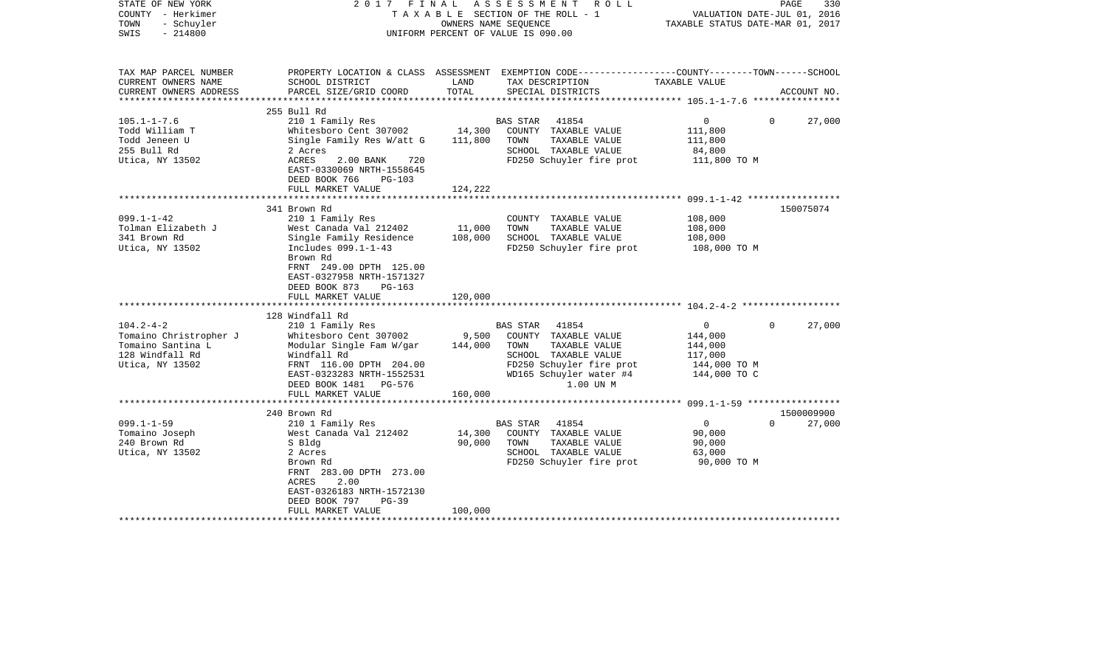| STATE OF NEW YORK<br>COUNTY - Herkimer<br>TOWN<br>- Schuyler<br>$-214800$<br>SWIS                    | FINAL<br>2017                                                                                                                                                                    |                  | ASSESSMENT<br>R O L L<br>TAXABLE SECTION OF THE ROLL - 1<br>OWNERS NAME SEQUENCE<br>UNIFORM PERCENT OF VALUE IS 090.00                                         | TAXABLE STATUS DATE-MAR 01, 2017                                                | PAGE<br>330<br>VALUATION DATE-JUL 01, 2016 |
|------------------------------------------------------------------------------------------------------|----------------------------------------------------------------------------------------------------------------------------------------------------------------------------------|------------------|----------------------------------------------------------------------------------------------------------------------------------------------------------------|---------------------------------------------------------------------------------|--------------------------------------------|
| TAX MAP PARCEL NUMBER                                                                                |                                                                                                                                                                                  |                  | PROPERTY LOCATION & CLASS ASSESSMENT EXEMPTION CODE----------------COUNTY-------TOWN------SCHOOL                                                               |                                                                                 |                                            |
| CURRENT OWNERS NAME<br>CURRENT OWNERS ADDRESS                                                        | SCHOOL DISTRICT<br>PARCEL SIZE/GRID COORD                                                                                                                                        | LAND<br>TOTAL    | TAX DESCRIPTION<br>SPECIAL DISTRICTS                                                                                                                           | TAXABLE VALUE                                                                   | ACCOUNT NO.                                |
| **********************                                                                               |                                                                                                                                                                                  |                  |                                                                                                                                                                |                                                                                 |                                            |
| $105.1 - 1 - 7.6$                                                                                    | 255 Bull Rd<br>210 1 Family Res                                                                                                                                                  |                  | <b>BAS STAR</b><br>41854                                                                                                                                       | $\overline{0}$                                                                  | $\Omega$<br>27,000                         |
| Todd William T                                                                                       | Whitesboro Cent 307002                                                                                                                                                           | 14,300           | COUNTY TAXABLE VALUE                                                                                                                                           | 111,800                                                                         |                                            |
| Todd Jeneen U                                                                                        | Single Family Res W/att G                                                                                                                                                        | 111,800          | TAXABLE VALUE<br>TOWN                                                                                                                                          | 111,800                                                                         |                                            |
| 255 Bull Rd                                                                                          | 2 Acres                                                                                                                                                                          |                  | SCHOOL TAXABLE VALUE                                                                                                                                           | 84,800                                                                          |                                            |
| Utica, NY 13502                                                                                      | ACRES<br>2.00 BANK<br>720<br>EAST-0330069 NRTH-1558645<br>DEED BOOK 766<br><b>PG-103</b>                                                                                         |                  | FD250 Schuyler fire prot                                                                                                                                       | 111,800 TO M                                                                    |                                            |
|                                                                                                      | FULL MARKET VALUE<br>*********************                                                                                                                                       | 124,222          |                                                                                                                                                                |                                                                                 |                                            |
|                                                                                                      |                                                                                                                                                                                  |                  |                                                                                                                                                                |                                                                                 |                                            |
| $099.1 - 1 - 42$                                                                                     | 341 Brown Rd<br>210 1 Family Res                                                                                                                                                 |                  | COUNTY TAXABLE VALUE                                                                                                                                           | 108,000                                                                         | 150075074                                  |
| Tolman Elizabeth J                                                                                   | West Canada Val 212402                                                                                                                                                           | 11,000           | TAXABLE VALUE<br>TOWN                                                                                                                                          | 108,000                                                                         |                                            |
| 341 Brown Rd                                                                                         | Single Family Residence                                                                                                                                                          | 108,000          | SCHOOL TAXABLE VALUE                                                                                                                                           | 108,000                                                                         |                                            |
| Utica, NY 13502                                                                                      | Includes 099.1-1-43<br>Brown Rd<br>FRNT 249.00 DPTH 125.00<br>EAST-0327958 NRTH-1571327<br>DEED BOOK 873<br>$PG-163$                                                             |                  | FD250 Schuyler fire prot                                                                                                                                       | 108,000 TO M                                                                    |                                            |
|                                                                                                      | FULL MARKET VALUE                                                                                                                                                                | 120,000          |                                                                                                                                                                |                                                                                 |                                            |
|                                                                                                      |                                                                                                                                                                                  |                  |                                                                                                                                                                |                                                                                 |                                            |
|                                                                                                      | 128 Windfall Rd                                                                                                                                                                  |                  |                                                                                                                                                                |                                                                                 |                                            |
| $104.2 - 4 - 2$<br>Tomaino Christropher J<br>Tomaino Santina L<br>128 Windfall Rd<br>Utica, NY 13502 | 210 1 Family Res<br>Whitesboro Cent 307002<br>Modular Single Fam W/gar<br>Windfall Rd<br>FRNT 116.00 DPTH 204.00<br>EAST-0323283 NRTH-1552531<br>DEED BOOK 1481 PG-576           | 9,500<br>144,000 | 41854<br>BAS STAR<br>COUNTY TAXABLE VALUE<br>TOWN<br>TAXABLE VALUE<br>SCHOOL TAXABLE VALUE<br>FD250 Schuyler fire prot<br>WD165 Schuyler water #4<br>1.00 UN M | $\overline{0}$<br>144,000<br>144,000<br>117,000<br>144,000 TO M<br>144,000 TO C | 27,000<br>$\Omega$                         |
|                                                                                                      | FULL MARKET VALUE                                                                                                                                                                | 160,000          |                                                                                                                                                                |                                                                                 |                                            |
|                                                                                                      | *************************                                                                                                                                                        |                  |                                                                                                                                                                |                                                                                 |                                            |
|                                                                                                      | 240 Brown Rd                                                                                                                                                                     |                  |                                                                                                                                                                |                                                                                 | 1500009900                                 |
| $099.1 - 1 - 59$<br>Tomaino Joseph<br>240 Brown Rd<br>Utica, NY 13502                                | 210 1 Family Res<br>West Canada Val 212402<br>S Bldg<br>2 Acres<br>Brown Rd<br>FRNT 283.00 DPTH 273.00<br>2.00<br>ACRES<br>EAST-0326183 NRTH-1572130<br>DEED BOOK 797<br>$PG-39$ | 14,300<br>90,000 | <b>BAS STAR</b><br>41854<br>COUNTY TAXABLE VALUE<br>TOWN<br>TAXABLE VALUE<br>SCHOOL TAXABLE VALUE<br>FD250 Schuyler fire prot                                  | $\overline{0}$<br>90,000<br>90,000<br>63,000<br>90,000 TO M                     | 27,000<br>$\Omega$                         |
|                                                                                                      | FULL MARKET VALUE                                                                                                                                                                | 100,000          | ******************************                                                                                                                                 |                                                                                 |                                            |
|                                                                                                      |                                                                                                                                                                                  |                  |                                                                                                                                                                |                                                                                 |                                            |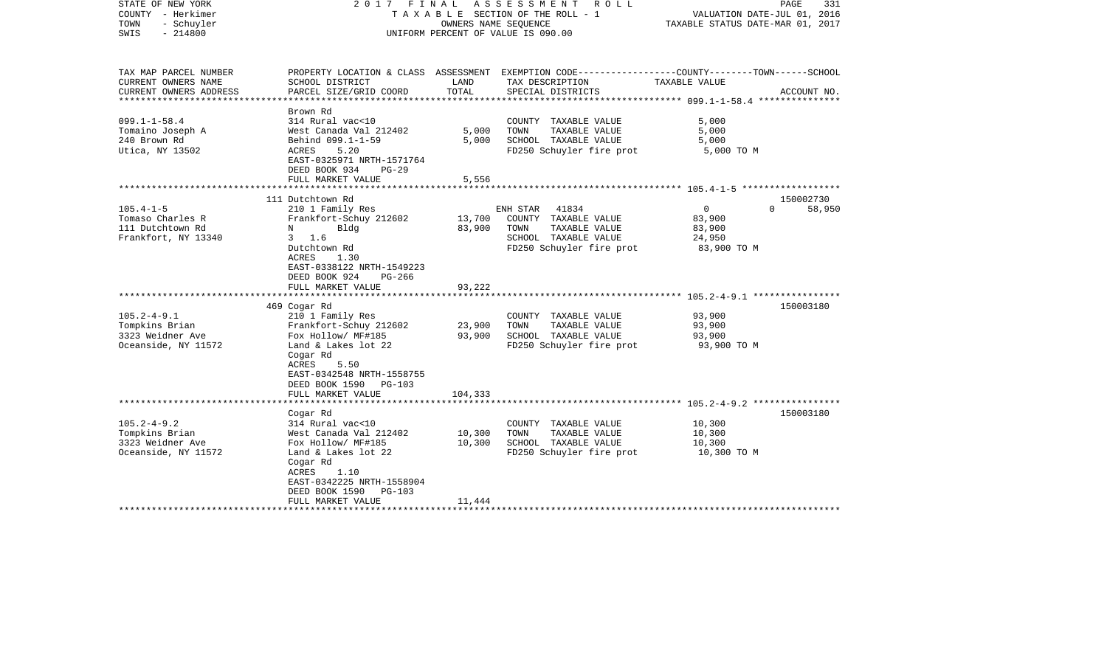| STATE OF NEW YORK<br>COUNTY - Herkimer<br>TOWN<br>- Schuyler<br>$-214800$<br>SWIS                                                                                |                                                                                                                                                                                                                                                                                                                                                                                                             | OWNERS NAME SEQUENCE                                        | 2017 FINAL ASSESSMENT<br>ROLL ROLL<br>T A X A B L E SECTION OF THE ROLL - 1<br>UNIFORM PERCENT OF VALUE IS 090.00                                                                                                           | VALUATION DATE-JUL 01, 2016<br>TAXABLE STATUS DATE-MAR 01, 2017                                                   | PAGE<br>331         |
|------------------------------------------------------------------------------------------------------------------------------------------------------------------|-------------------------------------------------------------------------------------------------------------------------------------------------------------------------------------------------------------------------------------------------------------------------------------------------------------------------------------------------------------------------------------------------------------|-------------------------------------------------------------|-----------------------------------------------------------------------------------------------------------------------------------------------------------------------------------------------------------------------------|-------------------------------------------------------------------------------------------------------------------|---------------------|
| TAX MAP PARCEL NUMBER<br>CURRENT OWNERS NAME                                                                                                                     | SCHOOL DISTRICT                                                                                                                                                                                                                                                                                                                                                                                             | LAND                                                        | PROPERTY LOCATION & CLASS ASSESSMENT EXEMPTION CODE---------------COUNTY-------TOWN------SCHOOL<br>TAX DESCRIPTION                                                                                                          | TAXABLE VALUE                                                                                                     |                     |
| CURRENT OWNERS ADDRESS<br>*****************                                                                                                                      | PARCEL SIZE/GRID COORD                                                                                                                                                                                                                                                                                                                                                                                      | TOTAL<br>**************                                     | SPECIAL DISTRICTS                                                                                                                                                                                                           |                                                                                                                   | ACCOUNT NO.         |
|                                                                                                                                                                  | Brown Rd                                                                                                                                                                                                                                                                                                                                                                                                    |                                                             |                                                                                                                                                                                                                             | ***************** 099.1-1-58.4 ****************                                                                   |                     |
| $099.1 - 1 - 58.4$<br>Tomaino Joseph A<br>240 Brown Rd<br>Utica, NY 13502                                                                                        | 314 Rural vac<10<br>West Canada Val 212402<br>Behind 099.1-1-59<br>ACRES<br>5.20<br>EAST-0325971 NRTH-1571764<br>DEED BOOK 934<br>$PG-29$                                                                                                                                                                                                                                                                   | 5,000<br>5,000                                              | COUNTY TAXABLE VALUE<br>TAXABLE VALUE<br>TOWN<br>SCHOOL TAXABLE VALUE<br>FD250 Schuyler fire prot                                                                                                                           | 5,000<br>5,000<br>5,000<br>5,000 TO M                                                                             |                     |
|                                                                                                                                                                  | FULL MARKET VALUE                                                                                                                                                                                                                                                                                                                                                                                           | 5,556                                                       |                                                                                                                                                                                                                             |                                                                                                                   |                     |
|                                                                                                                                                                  |                                                                                                                                                                                                                                                                                                                                                                                                             |                                                             |                                                                                                                                                                                                                             |                                                                                                                   |                     |
|                                                                                                                                                                  | 111 Dutchtown Rd                                                                                                                                                                                                                                                                                                                                                                                            |                                                             |                                                                                                                                                                                                                             |                                                                                                                   | 150002730           |
| $105.4 - 1 - 5$<br>Tomaso Charles R<br>111 Dutchtown Rd<br>Frankfort, NY 13340<br>$105.2 - 4 - 9.1$<br>Tompkins Brian<br>3323 Weidner Ave<br>Oceanside, NY 11572 | 210 1 Family Res<br>Frankfort-Schuy 212602<br>Bldg<br>N<br>3, 1.6<br>Dutchtown Rd<br>ACRES<br>1.30<br>EAST-0338122 NRTH-1549223<br>DEED BOOK 924<br>PG-266<br>FULL MARKET VALUE<br>*******************<br>469 Cogar Rd<br>210 1 Family Res<br>Frankfort-Schuy 212602<br>Fox Hollow/ MF#185<br>Land & Lakes lot 22<br>Cogar Rd<br><b>ACRES</b><br>5.50<br>EAST-0342548 NRTH-1558755<br>DEED BOOK 1590 PG-103 | 13,700<br>83,900<br>93,222<br>*********<br>23,900<br>93,900 | ENH STAR<br>41834<br>COUNTY TAXABLE VALUE<br>TOWN<br>TAXABLE VALUE<br>SCHOOL TAXABLE VALUE<br>FD250 Schuyler fire prot<br>COUNTY TAXABLE VALUE<br>TOWN<br>TAXABLE VALUE<br>SCHOOL TAXABLE VALUE<br>FD250 Schuyler fire prot | $\mathbf 0$<br>$\Omega$<br>83,900<br>83,900<br>24,950<br>83,900 TO M<br>93,900<br>93,900<br>93,900<br>93,900 TO M | 58,950<br>150003180 |
|                                                                                                                                                                  | FULL MARKET VALUE                                                                                                                                                                                                                                                                                                                                                                                           | 104,333                                                     |                                                                                                                                                                                                                             |                                                                                                                   |                     |
|                                                                                                                                                                  |                                                                                                                                                                                                                                                                                                                                                                                                             |                                                             |                                                                                                                                                                                                                             |                                                                                                                   |                     |
| $105.2 - 4 - 9.2$<br>Tompkins Brian<br>3323 Weidner Ave<br>Oceanside, NY 11572                                                                                   | Cogar Rd<br>314 Rural vac<10<br>West Canada Val 212402<br>Fox Hollow/ MF#185<br>Land & Lakes lot 22<br>Cogar Rd<br>ACRES<br>1.10<br>EAST-0342225 NRTH-1558904<br>DEED BOOK 1590<br>PG-103<br>FULL MARKET VALUE                                                                                                                                                                                              | 10,300<br>10,300<br>11,444                                  | COUNTY TAXABLE VALUE<br>TOWN<br>TAXABLE VALUE<br>SCHOOL TAXABLE VALUE<br>FD250 Schuyler fire prot                                                                                                                           | 10,300<br>10,300<br>10,300<br>10,300 TO M                                                                         | 150003180           |
|                                                                                                                                                                  |                                                                                                                                                                                                                                                                                                                                                                                                             |                                                             | **********************                                                                                                                                                                                                      |                                                                                                                   |                     |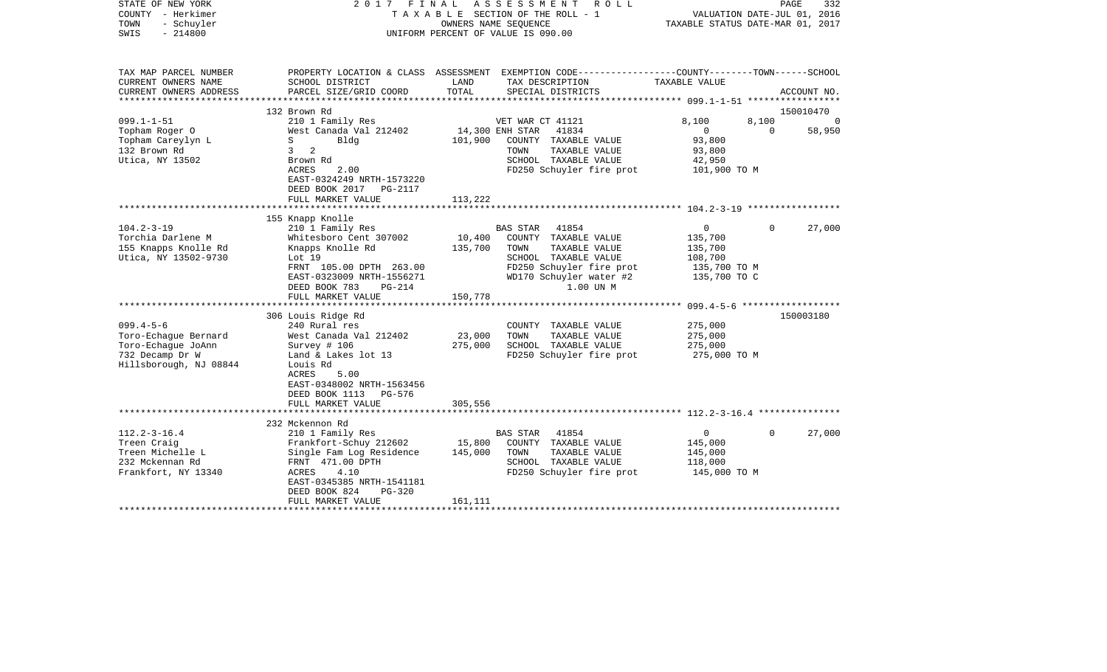| STATE OF NEW YORK<br>COUNTY - Herkimer<br>TOWN<br>- Schuyler<br>SWIS<br>$-214800$                          | 2017                                                                                                                                                                                       |                              | FINAL ASSESSMENT ROLL<br>TAXABLE SECTION OF THE ROLL - 1<br>OWNERS NAME SEOUENCE<br>UNIFORM PERCENT OF VALUE IS 090.00                                         | VALUATION DATE-JUL 01, 2016<br>TAXABLE STATUS DATE-MAR 01, 2017                 | PAGE              | 332           |
|------------------------------------------------------------------------------------------------------------|--------------------------------------------------------------------------------------------------------------------------------------------------------------------------------------------|------------------------------|----------------------------------------------------------------------------------------------------------------------------------------------------------------|---------------------------------------------------------------------------------|-------------------|---------------|
| TAX MAP PARCEL NUMBER<br>CURRENT OWNERS NAME<br>CURRENT OWNERS ADDRESS                                     | SCHOOL DISTRICT<br>PARCEL SIZE/GRID COORD                                                                                                                                                  | LAND<br>TOTAL                | PROPERTY LOCATION & CLASS ASSESSMENT EXEMPTION CODE---------------COUNTY-------TOWN------SCHOOL<br>TAX DESCRIPTION<br>SPECIAL DISTRICTS                        | TAXABLE VALUE                                                                   |                   | ACCOUNT NO.   |
|                                                                                                            | 132 Brown Rd                                                                                                                                                                               |                              |                                                                                                                                                                |                                                                                 |                   | 150010470     |
| $099.1 - 1 - 51$<br>Topham Roger O<br>Topham Careylyn L<br>132 Brown Rd<br>Utica, NY 13502                 | 210 1 Family Res<br>West Canada Val 212402<br>S<br>Blda<br>2<br>$\mathbf{3}$<br>Brown Rd<br>2.00<br>ACRES<br>EAST-0324249 NRTH-1573220                                                     | 101,900                      | VET WAR CT 41121<br>14,300 ENH STAR<br>41834<br>COUNTY TAXABLE VALUE<br>TOWN<br>TAXABLE VALUE<br>SCHOOL TAXABLE VALUE<br>FD250 Schuyler fire prot              | 8,100<br>$\mathbf{0}$<br>93,800<br>93,800<br>42,950<br>101,900 TO M             | 8,100<br>$\Omega$ | - 0<br>58,950 |
|                                                                                                            | DEED BOOK 2017<br>PG-2117<br>FULL MARKET VALUE                                                                                                                                             | 113,222                      |                                                                                                                                                                |                                                                                 |                   |               |
|                                                                                                            | 155 Knapp Knolle                                                                                                                                                                           |                              |                                                                                                                                                                |                                                                                 |                   |               |
| $104.2 - 3 - 19$<br>Torchia Darlene M<br>155 Knapps Knolle Rd<br>Utica, NY 13502-9730                      | 210 1 Family Res<br>Whitesboro Cent 307002<br>Knapps Knolle Rd<br>Lot 19<br>FRNT 105.00 DPTH 263.00<br>EAST-0323009 NRTH-1556271<br>DEED BOOK 783<br>$PG-214$                              | 10,400<br>135,700            | BAS STAR<br>41854<br>COUNTY TAXABLE VALUE<br>TAXABLE VALUE<br>TOWN<br>SCHOOL TAXABLE VALUE<br>FD250 Schuyler fire prot<br>WD170 Schuyler water #2<br>1.00 UN M | $\overline{0}$<br>135,700<br>135,700<br>108,700<br>135,700 TO M<br>135,700 TO C | $\Omega$          | 27,000        |
|                                                                                                            | FULL MARKET VALUE                                                                                                                                                                          | 150,778                      |                                                                                                                                                                |                                                                                 |                   |               |
| $099.4 - 5 - 6$<br>Toro-Echaque Bernard<br>Toro-Echaque JoAnn<br>732 Decamp Dr W<br>Hillsborough, NJ 08844 | 306 Louis Ridge Rd<br>240 Rural res<br>West Canada Val 212402<br>Survey # 106<br>Land & Lakes lot 13<br>Louis Rd<br>ACRES<br>5.00<br>EAST-0348002 NRTH-1563456<br>DEED BOOK 1113 PG-576    | 23,000<br>275,000            | COUNTY TAXABLE VALUE<br>TAXABLE VALUE<br>TOWN<br>SCHOOL TAXABLE VALUE<br>FD250 Schuyler fire prot                                                              | 275,000<br>275,000<br>275,000<br>275,000 TO M                                   |                   | 150003180     |
|                                                                                                            | FULL MARKET VALUE                                                                                                                                                                          | 305,556                      |                                                                                                                                                                |                                                                                 |                   |               |
|                                                                                                            | 232 Mckennon Rd                                                                                                                                                                            |                              |                                                                                                                                                                |                                                                                 |                   |               |
| $112.2 - 3 - 16.4$<br>Treen Craig<br>Treen Michelle L<br>232 Mckennan Rd<br>Frankfort, NY 13340            | 210 1 Family Res<br>Frankfort-Schuy 212602<br>Single Fam Log Residence<br>FRNT 471.00 DPTH<br>4.10<br>ACRES<br>EAST-0345385 NRTH-1541181<br>DEED BOOK 824<br>$PG-320$<br>FULL MARKET VALUE | 15,800<br>145,000<br>161,111 | BAS STAR<br>41854<br>COUNTY TAXABLE VALUE<br>TOWN<br>TAXABLE VALUE<br>SCHOOL TAXABLE VALUE<br>FD250 Schuyler fire prot                                         | $\overline{0}$<br>145,000<br>145,000<br>118,000<br>145,000 TO M                 | $\Omega$          | 27,000        |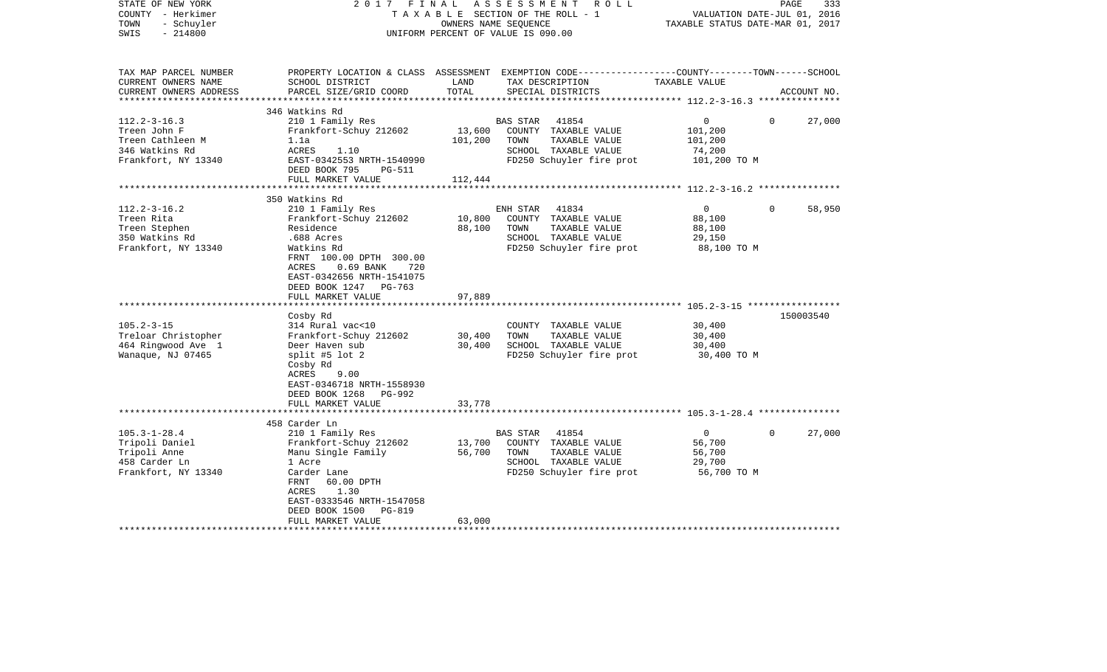| STATE OF NEW YORK<br>COUNTY - Herkimer<br>- Schuyler<br>TOWN<br>$-214800$<br>SWIS               |                                                                                                                                                                                                      | TAXABLE SECTION OF THE ROLL - 1<br>OWNERS NAME SEQUENCE<br>UNIFORM PERCENT OF VALUE IS 090.00 |                         | 2017 FINAL ASSESSMENT ROLL                                                                         | VALUATION DATE-JUL 01, 2016<br>TAXABLE STATUS DATE-MAR 01, 2017 | PAGE     | 333         |
|-------------------------------------------------------------------------------------------------|------------------------------------------------------------------------------------------------------------------------------------------------------------------------------------------------------|-----------------------------------------------------------------------------------------------|-------------------------|----------------------------------------------------------------------------------------------------|-----------------------------------------------------------------|----------|-------------|
| TAX MAP PARCEL NUMBER<br>CURRENT OWNERS NAME<br>CURRENT OWNERS ADDRESS<br>********************* | PROPERTY LOCATION & CLASS ASSESSMENT EXEMPTION CODE----------------COUNTY-------TOWN------SCHOOL<br>SCHOOL DISTRICT<br>PARCEL SIZE/GRID COORD                                                        | LAND<br>TOTAL                                                                                 |                         | TAX DESCRIPTION<br>SPECIAL DISTRICTS                                                               | TAXABLE VALUE                                                   |          | ACCOUNT NO. |
|                                                                                                 | 346 Watkins Rd                                                                                                                                                                                       |                                                                                               |                         |                                                                                                    |                                                                 |          |             |
| $112.2 - 3 - 16.3$<br>Treen John F<br>Treen Cathleen M<br>346 Watkins Rd<br>Frankfort, NY 13340 | 210 1 Family Res<br>Frankfort-Schuy 212602<br>1.1a<br>ACRES<br>1.10<br>EAST-0342553 NRTH-1540990<br>DEED BOOK 795<br>PG-511                                                                          | 13,600<br>101,200                                                                             | BAS STAR<br>TOWN        | 41854<br>COUNTY TAXABLE VALUE<br>TAXABLE VALUE<br>SCHOOL TAXABLE VALUE<br>FD250 Schuyler fire prot | $\overline{0}$<br>101,200<br>101,200<br>74,200<br>101,200 TO M  | $\Omega$ | 27,000      |
|                                                                                                 | FULL MARKET VALUE                                                                                                                                                                                    | 112,444                                                                                       |                         |                                                                                                    |                                                                 |          |             |
| $112.2 - 3 - 16.2$<br>Treen Rita                                                                | 350 Watkins Rd<br>210 1 Family Res<br>Frankfort-Schuy 212602                                                                                                                                         | 10,800                                                                                        | ENH STAR                | 41834<br>COUNTY TAXABLE VALUE                                                                      | $\overline{0}$<br>88,100                                        | $\Omega$ | 58,950      |
| Treen Stephen<br>350 Watkins Rd<br>Frankfort, NY 13340                                          | Residence<br>.688 Acres<br>Watkins Rd<br>FRNT 100.00 DPTH 300.00<br>$0.69$ BANK<br>720<br>ACRES<br>EAST-0342656 NRTH-1541075<br>DEED BOOK 1247 PG-763<br>FULL MARKET VALUE                           | 88,100<br>97,889                                                                              | TOWN                    | TAXABLE VALUE<br>SCHOOL TAXABLE VALUE<br>FD250 Schuyler fire prot                                  | 88,100<br>29,150<br>88,100 TO M                                 |          |             |
|                                                                                                 |                                                                                                                                                                                                      |                                                                                               |                         |                                                                                                    |                                                                 |          |             |
| $105.2 - 3 - 15$<br>Treloar Christopher<br>464 Ringwood Ave 1<br>Wanaque, NJ 07465              | Cosby Rd<br>314 Rural vac<10<br>Frankfort-Schuy 212602<br>Deer Haven sub<br>split #5 lot $2$<br>Cosby Rd<br>ACRES<br>9.00<br>EAST-0346718 NRTH-1558930<br>DEED BOOK 1268 PG-992<br>FULL MARKET VALUE | 30,400<br>30,400<br>33,778                                                                    | TOWN                    | COUNTY TAXABLE VALUE<br>TAXABLE VALUE<br>SCHOOL TAXABLE VALUE<br>FD250 Schuyler fire prot          | 30,400<br>30,400<br>30,400<br>30,400 TO M                       |          | 150003540   |
|                                                                                                 |                                                                                                                                                                                                      |                                                                                               |                         |                                                                                                    |                                                                 |          |             |
|                                                                                                 | 458 Carder Ln                                                                                                                                                                                        |                                                                                               |                         |                                                                                                    |                                                                 |          |             |
| $105.3 - 1 - 28.4$<br>Tripoli Daniel<br>Tripoli Anne<br>458 Carder Ln<br>Frankfort, NY 13340    | 210 1 Family Res<br>Frankfort-Schuy 212602<br>Manu Single Family<br>1 Acre<br>Carder Lane<br>FRNT<br>60.00 DPTH<br>ACRES<br>1.30<br>EAST-0333546 NRTH-1547058<br>DEED BOOK 1500<br>PG-819            | 13,700<br>56,700                                                                              | <b>BAS STAR</b><br>TOWN | 41854<br>COUNTY TAXABLE VALUE<br>TAXABLE VALUE<br>SCHOOL TAXABLE VALUE<br>FD250 Schuyler fire prot | $\overline{0}$<br>56,700<br>56,700<br>29,700<br>56,700 TO M     | $\Omega$ | 27,000      |
|                                                                                                 | FULL MARKET VALUE                                                                                                                                                                                    | 63,000                                                                                        |                         |                                                                                                    |                                                                 |          |             |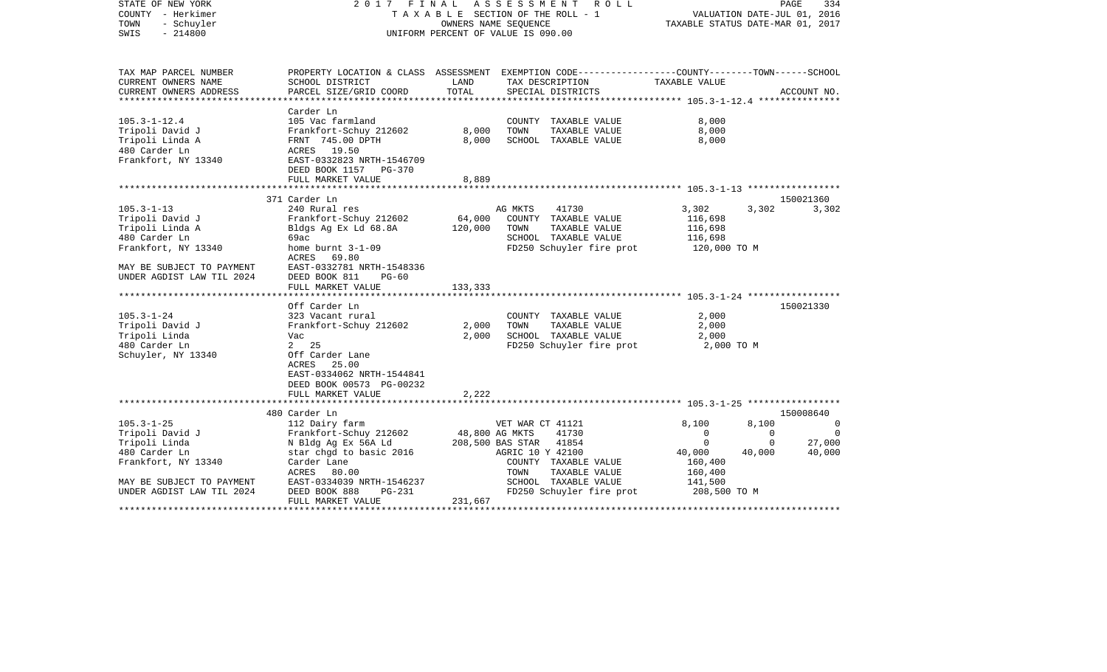| STATE OF NEW YORK<br>COUNTY - Herkimer<br>- Schuyler<br>TOWN<br>$-214800$<br>SWIS | 2017 FINAL ASSESSMENT                                                                                              | TAXABLE SECTION OF THE ROLL - 1<br>OWNERS NAME SEQUENCE<br>UNIFORM PERCENT OF VALUE IS 090.00 |                  | R O L L                  | TAXABLE STATUS DATE-MAR 01, 2017 |             | PAGE<br>334<br>VALUATION DATE-JUL 01, 2016 |
|-----------------------------------------------------------------------------------|--------------------------------------------------------------------------------------------------------------------|-----------------------------------------------------------------------------------------------|------------------|--------------------------|----------------------------------|-------------|--------------------------------------------|
| TAX MAP PARCEL NUMBER<br>CURRENT OWNERS NAME                                      | PROPERTY LOCATION & CLASS ASSESSMENT EXEMPTION CODE---------------COUNTY-------TOWN------SCHOOL<br>SCHOOL DISTRICT | LAND                                                                                          |                  | TAX DESCRIPTION          | TAXABLE VALUE                    |             |                                            |
| CURRENT OWNERS ADDRESS                                                            | PARCEL SIZE/GRID COORD                                                                                             | TOTAL                                                                                         |                  | SPECIAL DISTRICTS        |                                  |             | ACCOUNT NO.                                |
| **********************                                                            |                                                                                                                    |                                                                                               |                  |                          |                                  |             |                                            |
|                                                                                   | Carder Ln                                                                                                          |                                                                                               |                  |                          |                                  |             |                                            |
| $105.3 - 1 - 12.4$                                                                | 105 Vac farmland                                                                                                   |                                                                                               |                  | COUNTY TAXABLE VALUE     | 8,000                            |             |                                            |
| Tripoli David J                                                                   | Frankfort-Schuy 212602                                                                                             | 8,000                                                                                         | TOWN             | TAXABLE VALUE            | 8,000                            |             |                                            |
| Tripoli Linda A                                                                   | FRNT 745.00 DPTH                                                                                                   | 8,000                                                                                         |                  | SCHOOL TAXABLE VALUE     | 8,000                            |             |                                            |
| 480 Carder Ln                                                                     | ACRES 19.50                                                                                                        |                                                                                               |                  |                          |                                  |             |                                            |
| Frankfort, NY 13340                                                               | EAST-0332823 NRTH-1546709                                                                                          |                                                                                               |                  |                          |                                  |             |                                            |
|                                                                                   | DEED BOOK 1157 PG-370                                                                                              |                                                                                               |                  |                          |                                  |             |                                            |
|                                                                                   | FULL MARKET VALUE                                                                                                  | 8,889                                                                                         |                  |                          |                                  |             |                                            |
|                                                                                   |                                                                                                                    |                                                                                               |                  |                          |                                  |             | 150021360                                  |
| $105.3 - 1 - 13$                                                                  | 371 Carder Ln<br>240 Rural res                                                                                     |                                                                                               | AG MKTS          | 41730                    | 3,302                            | 3,302       |                                            |
| Tripoli David J                                                                   | Frankfort-Schuy 212602                                                                                             | 64,000                                                                                        |                  | COUNTY TAXABLE VALUE     | 116,698                          |             | 3,302                                      |
| Tripoli Linda A                                                                   | Bldgs Ag Ex Ld 68.8A                                                                                               | 120,000                                                                                       | TOWN             | TAXABLE VALUE            | 116,698                          |             |                                            |
| 480 Carder Ln                                                                     | 69ac                                                                                                               |                                                                                               |                  | SCHOOL TAXABLE VALUE     | 116,698                          |             |                                            |
| Frankfort, NY 13340                                                               | home burnt 3-1-09                                                                                                  |                                                                                               |                  | FD250 Schuyler fire prot | 120,000 TO M                     |             |                                            |
|                                                                                   | ACRES 69.80                                                                                                        |                                                                                               |                  |                          |                                  |             |                                            |
| MAY BE SUBJECT TO PAYMENT                                                         | EAST-0332781 NRTH-1548336                                                                                          |                                                                                               |                  |                          |                                  |             |                                            |
| UNDER AGDIST LAW TIL 2024                                                         | DEED BOOK 811<br>$PG-60$                                                                                           |                                                                                               |                  |                          |                                  |             |                                            |
|                                                                                   | FULL MARKET VALUE                                                                                                  | 133,333                                                                                       |                  |                          |                                  |             |                                            |
|                                                                                   |                                                                                                                    |                                                                                               |                  |                          |                                  |             |                                            |
|                                                                                   | Off Carder Ln                                                                                                      |                                                                                               |                  |                          |                                  |             | 150021330                                  |
| $105.3 - 1 - 24$                                                                  | 323 Vacant rural                                                                                                   |                                                                                               |                  | COUNTY TAXABLE VALUE     | 2,000                            |             |                                            |
| Tripoli David J                                                                   | Frankfort-Schuy 212602                                                                                             | 2,000                                                                                         | TOWN             | TAXABLE VALUE            | 2,000                            |             |                                            |
| Tripoli Linda                                                                     | Vac                                                                                                                | 2,000                                                                                         |                  | SCHOOL TAXABLE VALUE     | 2,000                            |             |                                            |
| 480 Carder Ln                                                                     | 2 25                                                                                                               |                                                                                               |                  | FD250 Schuyler fire prot | 2,000 TO M                       |             |                                            |
| Schuyler, NY 13340                                                                | Off Carder Lane                                                                                                    |                                                                                               |                  |                          |                                  |             |                                            |
|                                                                                   | 25.00<br>ACRES                                                                                                     |                                                                                               |                  |                          |                                  |             |                                            |
|                                                                                   | EAST-0334062 NRTH-1544841                                                                                          |                                                                                               |                  |                          |                                  |             |                                            |
|                                                                                   | DEED BOOK 00573 PG-00232                                                                                           |                                                                                               |                  |                          |                                  |             |                                            |
|                                                                                   | FULL MARKET VALUE                                                                                                  | 2,222                                                                                         |                  |                          |                                  |             |                                            |
|                                                                                   | 480 Carder Ln                                                                                                      |                                                                                               |                  |                          |                                  |             | 150008640                                  |
| $105.3 - 1 - 25$                                                                  | 112 Dairy farm                                                                                                     |                                                                                               | VET WAR CT 41121 |                          | 8,100                            | 8,100       | $\Omega$                                   |
| Tripoli David J                                                                   | Frankfort-Schuy 212602                                                                                             | 48,800 AG MKTS                                                                                |                  | 41730                    | $\Omega$                         | $\Omega$    | $\Omega$                                   |
| Tripoli Linda                                                                     | N Bldg Ag Ex 56A Ld                                                                                                |                                                                                               | 208,500 BAS STAR | 41854                    | $\mathbf 0$                      | $\mathbf 0$ | 27,000                                     |
| 480 Carder Ln                                                                     | star chgd to basic 2016                                                                                            |                                                                                               | AGRIC 10 Y 42100 |                          | 40,000                           | 40,000      | 40,000                                     |
| Frankfort, NY 13340                                                               | Carder Lane                                                                                                        |                                                                                               |                  | COUNTY TAXABLE VALUE     | 160,400                          |             |                                            |
|                                                                                   | ACRES<br>80.00                                                                                                     |                                                                                               | TOWN             | TAXABLE VALUE            | 160,400                          |             |                                            |
| MAY BE SUBJECT TO PAYMENT                                                         | EAST-0334039 NRTH-1546237                                                                                          |                                                                                               |                  | SCHOOL TAXABLE VALUE     | 141,500                          |             |                                            |
| UNDER AGDIST LAW TIL 2024                                                         | DEED BOOK 888<br>PG-231                                                                                            |                                                                                               |                  | FD250 Schuyler fire prot | 208,500 TO M                     |             |                                            |
|                                                                                   | FULL MARKET VALUE                                                                                                  | 231,667                                                                                       |                  |                          |                                  |             |                                            |
| ******************                                                                |                                                                                                                    |                                                                                               |                  |                          |                                  |             |                                            |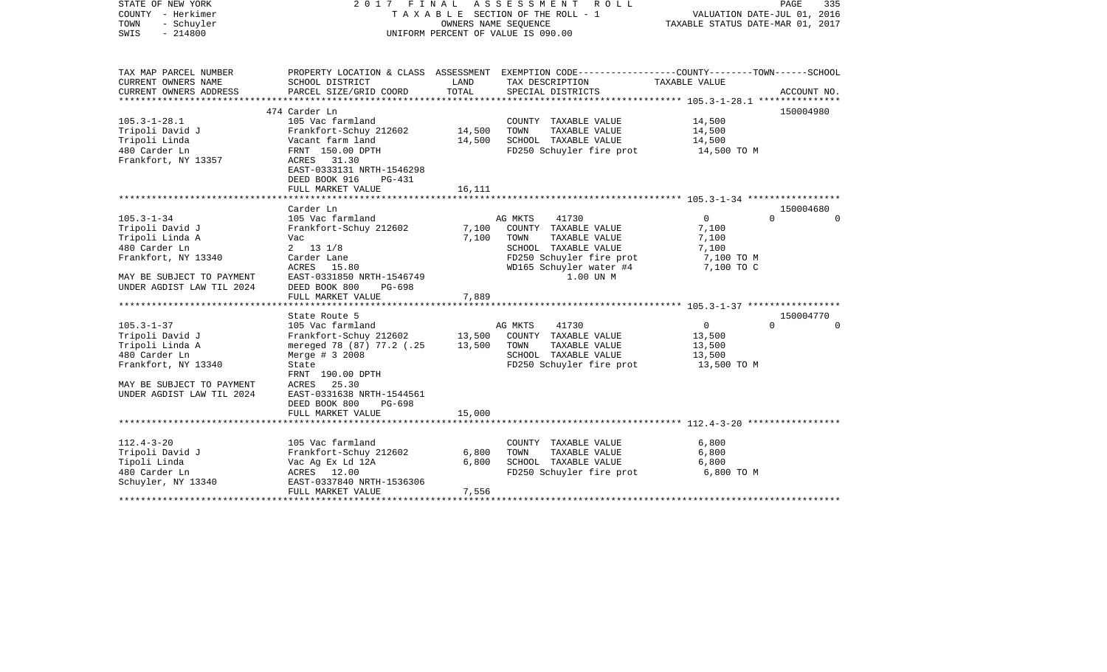| STATE OF NEW YORK<br>COUNTY - Herkimer<br>- Schuyler<br>TOWN<br>$-214800$<br>SWIS | 2017                           | FINAL  | A S S E S S M E N T<br>ROLL<br>TAXABLE SECTION OF THE ROLL - 1<br>OWNERS NAME SEQUENCE<br>UNIFORM PERCENT OF VALUE IS 090.00 | TAXABLE STATUS DATE-MAR 01, 2017 | 335<br>PAGE<br>VALUATION DATE-JUL 01, 2016 |
|-----------------------------------------------------------------------------------|--------------------------------|--------|------------------------------------------------------------------------------------------------------------------------------|----------------------------------|--------------------------------------------|
|                                                                                   |                                |        |                                                                                                                              |                                  |                                            |
| TAX MAP PARCEL NUMBER<br>CURRENT OWNERS NAME                                      | SCHOOL DISTRICT                | LAND   | PROPERTY LOCATION & CLASS ASSESSMENT EXEMPTION CODE---------------COUNTY-------TOWN-----SCHOOL<br>TAX DESCRIPTION            | TAXABLE VALUE                    |                                            |
| CURRENT OWNERS ADDRESS                                                            | PARCEL SIZE/GRID COORD         | TOTAL  | SPECIAL DISTRICTS                                                                                                            |                                  | ACCOUNT NO.                                |
|                                                                                   | 474 Carder Ln                  |        |                                                                                                                              |                                  | 150004980                                  |
| $105.3 - 1 - 28.1$                                                                | 105 Vac farmland               |        | COUNTY TAXABLE VALUE                                                                                                         | 14,500                           |                                            |
| Tripoli David J                                                                   | Frankfort-Schuy 212602         | 14,500 | TOWN<br>TAXABLE VALUE                                                                                                        | 14,500                           |                                            |
| Tripoli Linda                                                                     | Vacant farm land               | 14,500 | SCHOOL TAXABLE VALUE                                                                                                         | 14,500                           |                                            |
| 480 Carder Ln                                                                     | FRNT 150.00 DPTH               |        | FD250 Schuyler fire prot                                                                                                     | 14,500 TO M                      |                                            |
| Frankfort, NY 13357                                                               | 31.30<br>ACRES                 |        |                                                                                                                              |                                  |                                            |
|                                                                                   | EAST-0333131 NRTH-1546298      |        |                                                                                                                              |                                  |                                            |
|                                                                                   | DEED BOOK 916<br><b>PG-431</b> |        |                                                                                                                              |                                  |                                            |
|                                                                                   | FULL MARKET VALUE              | 16,111 |                                                                                                                              |                                  |                                            |
|                                                                                   | Carder Ln                      |        |                                                                                                                              |                                  | 150004680                                  |
| $105.3 - 1 - 34$                                                                  | 105 Vac farmland               |        | 41730<br>AG MKTS                                                                                                             | $\circ$                          | $\Omega$<br>$\Omega$                       |
| Tripoli David J                                                                   | Frankfort-Schuy 212602         | 7,100  | COUNTY TAXABLE VALUE                                                                                                         | 7,100                            |                                            |
| Tripoli Linda A                                                                   | Vac                            | 7,100  | TOWN<br>TAXABLE VALUE                                                                                                        | 7,100                            |                                            |
| 480 Carder Ln                                                                     | $2 \t13 \t1/8$                 |        | SCHOOL TAXABLE VALUE                                                                                                         | 7,100                            |                                            |
| Frankfort, NY 13340                                                               | Carder Lane                    |        | FD250 Schuyler fire prot                                                                                                     | 7,100 TO M                       |                                            |
|                                                                                   | ACRES 15.80                    |        | WD165 Schuyler water #4                                                                                                      | 7,100 TO C                       |                                            |
| MAY BE SUBJECT TO PAYMENT                                                         | EAST-0331850 NRTH-1546749      |        | 1.00 UN M                                                                                                                    |                                  |                                            |
| UNDER AGDIST LAW TIL 2024                                                         | DEED BOOK 800<br>$PG-698$      |        |                                                                                                                              |                                  |                                            |
|                                                                                   | FULL MARKET VALUE              | 7,889  |                                                                                                                              |                                  |                                            |
|                                                                                   | State Route 5                  |        |                                                                                                                              |                                  | 150004770                                  |
| $105.3 - 1 - 37$                                                                  | 105 Vac farmland               |        | AG MKTS<br>41730                                                                                                             | 0                                | $\Omega$<br>$\Omega$                       |
| Tripoli David J                                                                   | Frankfort-Schuy 212602         | 13,500 | COUNTY TAXABLE VALUE                                                                                                         | 13,500                           |                                            |
| Tripoli Linda A                                                                   | mereged 78 (87) 77.2 (.25      | 13,500 | TOWN<br>TAXABLE VALUE                                                                                                        | 13,500                           |                                            |
| 480 Carder Ln                                                                     | Merge # 3 2008                 |        | SCHOOL TAXABLE VALUE                                                                                                         | 13,500                           |                                            |
| Frankfort, NY 13340                                                               | State                          |        | FD250 Schuyler fire prot                                                                                                     | 13,500 TO M                      |                                            |
|                                                                                   | FRNT 190.00 DPTH               |        |                                                                                                                              |                                  |                                            |
| MAY BE SUBJECT TO PAYMENT                                                         | 25.30<br>ACRES                 |        |                                                                                                                              |                                  |                                            |
| UNDER AGDIST LAW TIL 2024                                                         | EAST-0331638 NRTH-1544561      |        |                                                                                                                              |                                  |                                            |
|                                                                                   | DEED BOOK 800<br>PG-698        |        |                                                                                                                              |                                  |                                            |
|                                                                                   | FULL MARKET VALUE              | 15,000 |                                                                                                                              |                                  |                                            |
|                                                                                   |                                |        |                                                                                                                              |                                  |                                            |
| $112.4 - 3 - 20$                                                                  | 105 Vac farmland               |        | COUNTY TAXABLE VALUE                                                                                                         | 6,800                            |                                            |
| Tripoli David J                                                                   | Frankfort-Schuy 212602         | 6,800  | TAXABLE VALUE<br>TOWN                                                                                                        | 6,800                            |                                            |
| Tipoli Linda                                                                      | Vac Ag Ex Ld 12A               | 6,800  | SCHOOL TAXABLE VALUE                                                                                                         | 6,800                            |                                            |
| 480 Carder Ln                                                                     | ACRES 12.00                    |        | FD250 Schuyler fire prot                                                                                                     | 6,800 TO M                       |                                            |
| Schuyler, NY 13340                                                                | EAST-0337840 NRTH-1536306      |        |                                                                                                                              |                                  |                                            |
|                                                                                   | FULL MARKET VALUE              | 7,556  |                                                                                                                              |                                  |                                            |
|                                                                                   |                                |        |                                                                                                                              |                                  |                                            |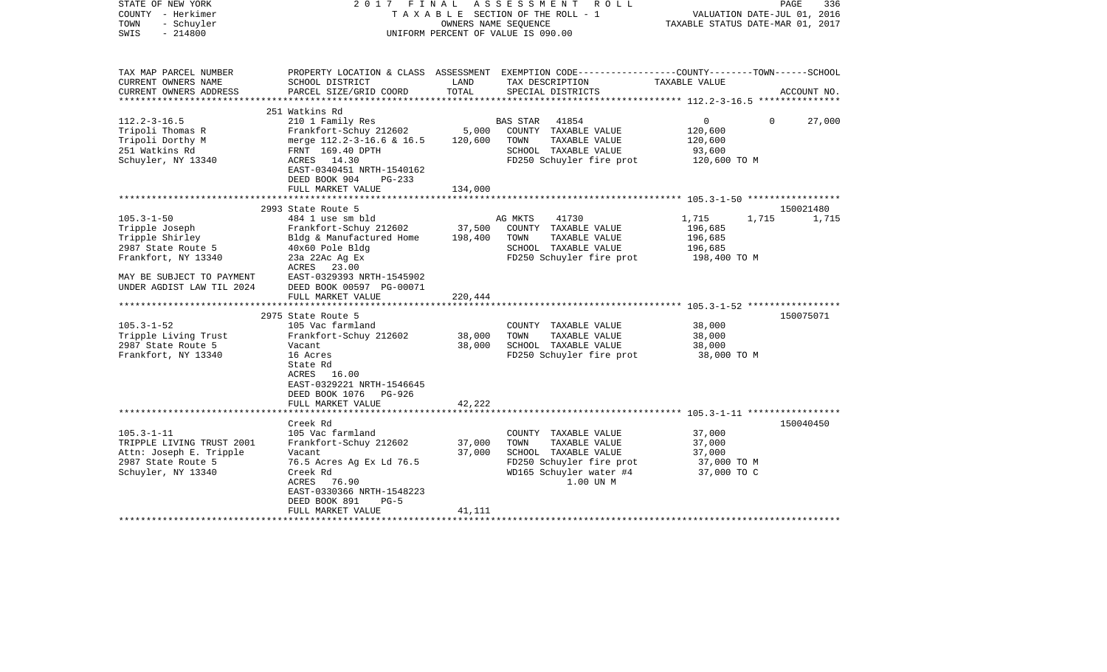| STATE OF NEW YORK<br>COUNTY - Herkimer<br>TOWN<br>- Schuyler<br>$-214800$<br>SWIS |                                                        |                                     | 2017 FINAL ASSESSMENT ROLL<br>TAXABLE SECTION OF THE ROLL - 1<br>OWNERS NAME SEOUENCE<br>UNIFORM PERCENT OF VALUE IS 090.00 | VALUATION DATE-JUL 01, 2016<br>TAXABLE STATUS DATE-MAR 01, 2017 | PAGE<br>336 |
|-----------------------------------------------------------------------------------|--------------------------------------------------------|-------------------------------------|-----------------------------------------------------------------------------------------------------------------------------|-----------------------------------------------------------------|-------------|
| TAX MAP PARCEL NUMBER                                                             |                                                        |                                     | PROPERTY LOCATION & CLASS ASSESSMENT EXEMPTION CODE---------------COUNTY-------TOWN------SCHOOL                             |                                                                 |             |
| CURRENT OWNERS NAME<br>CURRENT OWNERS ADDRESS                                     | SCHOOL DISTRICT<br>PARCEL SIZE/GRID COORD              | LAND<br>TOTAL                       | TAX DESCRIPTION<br>SPECIAL DISTRICTS                                                                                        | TAXABLE VALUE                                                   | ACCOUNT NO. |
| **********************                                                            |                                                        |                                     |                                                                                                                             |                                                                 |             |
|                                                                                   | 251 Watkins Rd                                         |                                     |                                                                                                                             |                                                                 |             |
| $112.2 - 3 - 16.5$                                                                | 210 1 Family Res                                       |                                     | <b>BAS STAR</b><br>41854                                                                                                    | $\overline{0}$<br>$\Omega$                                      | 27,000      |
| Tripoli Thomas R                                                                  | Frankfort-Schuy 212602                                 | 5,000                               | COUNTY TAXABLE VALUE                                                                                                        | 120,600                                                         |             |
| Tripoli Dorthy M                                                                  | merge 112.2-3-16.6 & 16.5                              | 120,600                             | TOWN<br>TAXABLE VALUE                                                                                                       | 120,600                                                         |             |
| 251 Watkins Rd                                                                    | FRNT 169.40 DPTH<br>ACRES 14.30                        |                                     | SCHOOL TAXABLE VALUE                                                                                                        | 93,600                                                          |             |
| Schuyler, NY 13340                                                                | EAST-0340451 NRTH-1540162<br>DEED BOOK 904<br>$PG-233$ |                                     | FD250 Schuyler fire prot                                                                                                    | 120,600 TO M                                                    |             |
|                                                                                   | FULL MARKET VALUE                                      | 134,000                             |                                                                                                                             |                                                                 |             |
|                                                                                   | 2993 State Route 5                                     |                                     |                                                                                                                             |                                                                 | 150021480   |
| $105.3 - 1 - 50$                                                                  | 484 1 use sm bld                                       |                                     | 41730<br>AG MKTS                                                                                                            | 1,715<br>1,715                                                  | 1,715       |
| Tripple Joseph                                                                    | Frankfort-Schuy 212602                                 | 37,500                              | COUNTY TAXABLE VALUE                                                                                                        | 196,685                                                         |             |
| Tripple Shirley                                                                   | Bldg & Manufactured Home                               | 198,400                             | TOWN<br>TAXABLE VALUE                                                                                                       | 196,685                                                         |             |
| 2987 State Route 5                                                                | 40x60 Pole Bldg                                        |                                     | SCHOOL TAXABLE VALUE                                                                                                        | 196,685                                                         |             |
| Frankfort, NY 13340                                                               | 23a 22Ac Ag Ex                                         |                                     | FD250 Schuyler fire prot                                                                                                    | 198,400 TO M                                                    |             |
|                                                                                   | ACRES 23.00                                            |                                     |                                                                                                                             |                                                                 |             |
| MAY BE SUBJECT TO PAYMENT                                                         | EAST-0329393 NRTH-1545902                              |                                     |                                                                                                                             |                                                                 |             |
| UNDER AGDIST LAW TIL 2024                                                         | DEED BOOK 00597 PG-00071                               |                                     |                                                                                                                             |                                                                 |             |
|                                                                                   | FULL MARKET VALUE                                      | 220,444                             |                                                                                                                             |                                                                 |             |
|                                                                                   |                                                        |                                     |                                                                                                                             |                                                                 |             |
|                                                                                   | 2975 State Route 5                                     |                                     |                                                                                                                             |                                                                 | 150075071   |
| $105.3 - 1 - 52$                                                                  | 105 Vac farmland                                       |                                     | COUNTY TAXABLE VALUE                                                                                                        | 38,000                                                          |             |
| Tripple Living Trust                                                              | Frankfort-Schuy 212602                                 | 38,000                              | TOWN<br>TAXABLE VALUE                                                                                                       | 38,000                                                          |             |
| 2987 State Route 5                                                                | Vacant                                                 | 38,000                              | SCHOOL TAXABLE VALUE                                                                                                        | 38,000                                                          |             |
| Frankfort, NY 13340                                                               | 16 Acres                                               |                                     | FD250 Schuyler fire prot                                                                                                    | 38,000 TO M                                                     |             |
|                                                                                   | State Rd                                               |                                     |                                                                                                                             |                                                                 |             |
|                                                                                   | ACRES 16.00                                            |                                     |                                                                                                                             |                                                                 |             |
|                                                                                   | EAST-0329221 NRTH-1546645                              |                                     |                                                                                                                             |                                                                 |             |
|                                                                                   | DEED BOOK 1076<br>PG-926                               |                                     |                                                                                                                             |                                                                 |             |
|                                                                                   | FULL MARKET VALUE<br>**********************            | 42,222<br>* * * * * * * * * * * * * |                                                                                                                             |                                                                 |             |
|                                                                                   | Creek Rd                                               |                                     |                                                                                                                             |                                                                 | 150040450   |
| $105.3 - 1 - 11$                                                                  | 105 Vac farmland                                       |                                     | COUNTY TAXABLE VALUE                                                                                                        | 37,000                                                          |             |
| TRIPPLE LIVING TRUST 2001                                                         | Frankfort-Schuy 212602                                 | 37,000                              | TOWN<br>TAXABLE VALUE                                                                                                       | 37,000                                                          |             |
| Attn: Joseph E. Tripple                                                           | Vacant                                                 | 37,000                              | SCHOOL TAXABLE VALUE                                                                                                        | 37,000                                                          |             |
| 2987 State Route 5                                                                | 76.5 Acres Ag Ex Ld 76.5                               |                                     | FD250 Schuyler fire prot                                                                                                    | 37,000 TO M                                                     |             |
| Schuyler, NY 13340                                                                | Creek Rd                                               |                                     | WD165 Schuyler water #4                                                                                                     | 37,000 TO C                                                     |             |
|                                                                                   | ACRES<br>76.90                                         |                                     | 1.00 UN M                                                                                                                   |                                                                 |             |
|                                                                                   | EAST-0330366 NRTH-1548223                              |                                     |                                                                                                                             |                                                                 |             |
|                                                                                   | DEED BOOK 891<br>$PG-5$                                |                                     |                                                                                                                             |                                                                 |             |
|                                                                                   | FULL MARKET VALUE                                      | 41,111                              |                                                                                                                             |                                                                 |             |
|                                                                                   |                                                        |                                     |                                                                                                                             |                                                                 |             |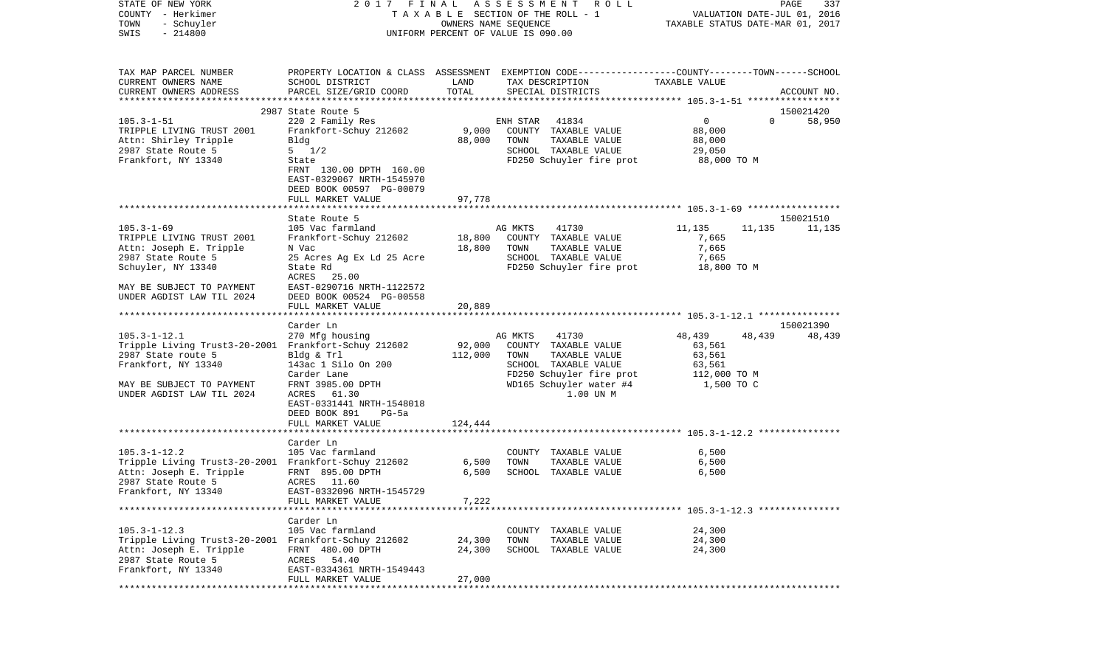| STATE OF NEW YORK<br>COUNTY - Herkimer<br>TOWN<br>- Schuyler<br>$-214800$<br>SWIS | 2017 FINAL                                                                                                         | T A X A B L E SECTION OF THE ROLL - 1<br>OWNERS NAME SEQUENCE<br>UNIFORM PERCENT OF VALUE IS 090.00 | ASSESSMENT | R O L L                               | TAXABLE STATUS DATE-MAR 01, 2017 |          | PAGE<br>337<br>VALUATION DATE-JUL 01, 2016 |
|-----------------------------------------------------------------------------------|--------------------------------------------------------------------------------------------------------------------|-----------------------------------------------------------------------------------------------------|------------|---------------------------------------|----------------------------------|----------|--------------------------------------------|
|                                                                                   |                                                                                                                    |                                                                                                     |            |                                       |                                  |          |                                            |
| TAX MAP PARCEL NUMBER<br>CURRENT OWNERS NAME                                      | PROPERTY LOCATION & CLASS ASSESSMENT EXEMPTION CODE---------------COUNTY-------TOWN------SCHOOL<br>SCHOOL DISTRICT | LAND                                                                                                |            | TAX DESCRIPTION                       | TAXABLE VALUE                    |          |                                            |
| CURRENT OWNERS ADDRESS                                                            | PARCEL SIZE/GRID COORD                                                                                             | TOTAL                                                                                               |            | SPECIAL DISTRICTS                     |                                  |          | ACCOUNT NO.                                |
| **********************                                                            |                                                                                                                    |                                                                                                     |            |                                       |                                  |          |                                            |
| $105.3 - 1 - 51$                                                                  | 2987 State Route 5<br>220 2 Family Res                                                                             |                                                                                                     | ENH STAR   | 41834                                 | $\mathbf{0}$                     | $\Omega$ | 150021420<br>58,950                        |
| TRIPPLE LIVING TRUST 2001                                                         | Frankfort-Schuy 212602                                                                                             | 9,000                                                                                               |            | COUNTY TAXABLE VALUE                  | 88,000                           |          |                                            |
| Attn: Shirley Tripple                                                             | Bldg                                                                                                               | 88,000                                                                                              | TOWN       | TAXABLE VALUE                         | 88,000                           |          |                                            |
| 2987 State Route 5                                                                | $5 \frac{1}{2}$                                                                                                    |                                                                                                     |            | SCHOOL TAXABLE VALUE                  | 29,050                           |          |                                            |
| Frankfort, NY 13340                                                               | State                                                                                                              |                                                                                                     |            | FD250 Schuyler fire prot              | 88,000 TO M                      |          |                                            |
|                                                                                   | FRNT 130.00 DPTH 160.00<br>EAST-0329067 NRTH-1545970<br>DEED BOOK 00597 PG-00079                                   |                                                                                                     |            |                                       |                                  |          |                                            |
|                                                                                   | FULL MARKET VALUE                                                                                                  | 97,778                                                                                              |            |                                       |                                  |          |                                            |
|                                                                                   |                                                                                                                    |                                                                                                     |            |                                       |                                  |          |                                            |
|                                                                                   | State Route 5                                                                                                      |                                                                                                     |            |                                       |                                  |          | 150021510                                  |
| $105.3 - 1 - 69$<br>TRIPPLE LIVING TRUST 2001                                     | 105 Vac farmland<br>Frankfort-Schuy 212602                                                                         | 18,800                                                                                              | AG MKTS    | 41730<br>COUNTY TAXABLE VALUE         | 11,135<br>7,665                  | 11,135   | 11,135                                     |
| Attn: Joseph E. Tripple                                                           | N Vac                                                                                                              | 18,800                                                                                              | TOWN       | TAXABLE VALUE                         | 7,665                            |          |                                            |
| 2987 State Route 5                                                                | 25 Acres Ag Ex Ld 25 Acre                                                                                          |                                                                                                     |            | SCHOOL TAXABLE VALUE                  | 7,665                            |          |                                            |
| Schuyler, NY 13340                                                                | State Rd                                                                                                           |                                                                                                     |            | FD250 Schuyler fire prot              | 18,800 TO M                      |          |                                            |
|                                                                                   | ACRES<br>25.00                                                                                                     |                                                                                                     |            |                                       |                                  |          |                                            |
| MAY BE SUBJECT TO PAYMENT                                                         | EAST-0290716 NRTH-1122572                                                                                          |                                                                                                     |            |                                       |                                  |          |                                            |
| UNDER AGDIST LAW TIL 2024                                                         | DEED BOOK 00524 PG-00558<br>FULL MARKET VALUE                                                                      | 20,889                                                                                              |            |                                       |                                  |          |                                            |
|                                                                                   |                                                                                                                    |                                                                                                     |            |                                       |                                  |          |                                            |
|                                                                                   | Carder Ln                                                                                                          |                                                                                                     |            |                                       |                                  |          | 150021390                                  |
| $105.3 - 1 - 12.1$                                                                | 270 Mfg housing                                                                                                    |                                                                                                     | AG MKTS    | 41730                                 | 48,439                           | 48,439   | 48,439                                     |
| Tripple Living Trust3-20-2001                                                     | Frankfort-Schuy 212602                                                                                             | 92,000                                                                                              |            | COUNTY TAXABLE VALUE                  | 63,561                           |          |                                            |
| 2987 State route 5<br>Frankfort, NY 13340                                         | Bldg & Trl<br>143ac 1 Silo On 200                                                                                  | 112,000                                                                                             | TOWN       | TAXABLE VALUE<br>SCHOOL TAXABLE VALUE | 63,561                           |          |                                            |
|                                                                                   | Carder Lane                                                                                                        |                                                                                                     |            | FD250 Schuyler fire prot              | 63,561<br>112,000 TO M           |          |                                            |
| MAY BE SUBJECT TO PAYMENT                                                         | FRNT 3985.00 DPTH                                                                                                  |                                                                                                     |            | WD165 Schuyler water #4               | 1,500 TO C                       |          |                                            |
| UNDER AGDIST LAW TIL 2024                                                         | ACRES 61.30                                                                                                        |                                                                                                     |            | 1.00 UN M                             |                                  |          |                                            |
|                                                                                   | EAST-0331441 NRTH-1548018                                                                                          |                                                                                                     |            |                                       |                                  |          |                                            |
|                                                                                   | DEED BOOK 891<br>PG-5a                                                                                             |                                                                                                     |            |                                       |                                  |          |                                            |
|                                                                                   | FULL MARKET VALUE<br>************************                                                                      | 124,444                                                                                             |            |                                       |                                  |          |                                            |
|                                                                                   | Carder Ln                                                                                                          |                                                                                                     |            |                                       |                                  |          |                                            |
| $105.3 - 1 - 12.2$                                                                | 105 Vac farmland                                                                                                   |                                                                                                     |            | COUNTY TAXABLE VALUE                  | 6,500                            |          |                                            |
| Tripple Living Trust3-20-2001 Frankfort-Schuy 212602                              |                                                                                                                    | 6,500                                                                                               | TOWN       | TAXABLE VALUE                         | 6,500                            |          |                                            |
| Attn: Joseph E. Tripple                                                           | FRNT 895.00 DPTH                                                                                                   | 6,500                                                                                               |            | SCHOOL TAXABLE VALUE                  | 6,500                            |          |                                            |
| 2987 State Route 5                                                                | ACRES 11.60                                                                                                        |                                                                                                     |            |                                       |                                  |          |                                            |
| Frankfort, NY 13340                                                               | EAST-0332096 NRTH-1545729<br>FULL MARKET VALUE                                                                     | 7,222                                                                                               |            |                                       |                                  |          |                                            |
|                                                                                   |                                                                                                                    |                                                                                                     |            |                                       |                                  |          |                                            |
|                                                                                   | Carder Ln                                                                                                          |                                                                                                     |            |                                       |                                  |          |                                            |
| $105.3 - 1 - 12.3$                                                                | 105 Vac farmland                                                                                                   |                                                                                                     |            | COUNTY TAXABLE VALUE                  | 24,300                           |          |                                            |
| Tripple Living Trust3-20-2001 Frankfort-Schuy 212602                              |                                                                                                                    | 24,300                                                                                              | TOWN       | TAXABLE VALUE                         | 24,300                           |          |                                            |
| Attn: Joseph E. Tripple<br>2987 State Route 5                                     | FRNT 480.00 DPTH<br>ACRES 54.40                                                                                    | 24,300                                                                                              |            | SCHOOL TAXABLE VALUE                  | 24,300                           |          |                                            |
| Frankfort, NY 13340                                                               | EAST-0334361 NRTH-1549443                                                                                          |                                                                                                     |            |                                       |                                  |          |                                            |
|                                                                                   | FULL MARKET VALUE                                                                                                  | 27,000                                                                                              |            |                                       |                                  |          |                                            |
|                                                                                   | ***********************                                                                                            |                                                                                                     |            |                                       |                                  |          |                                            |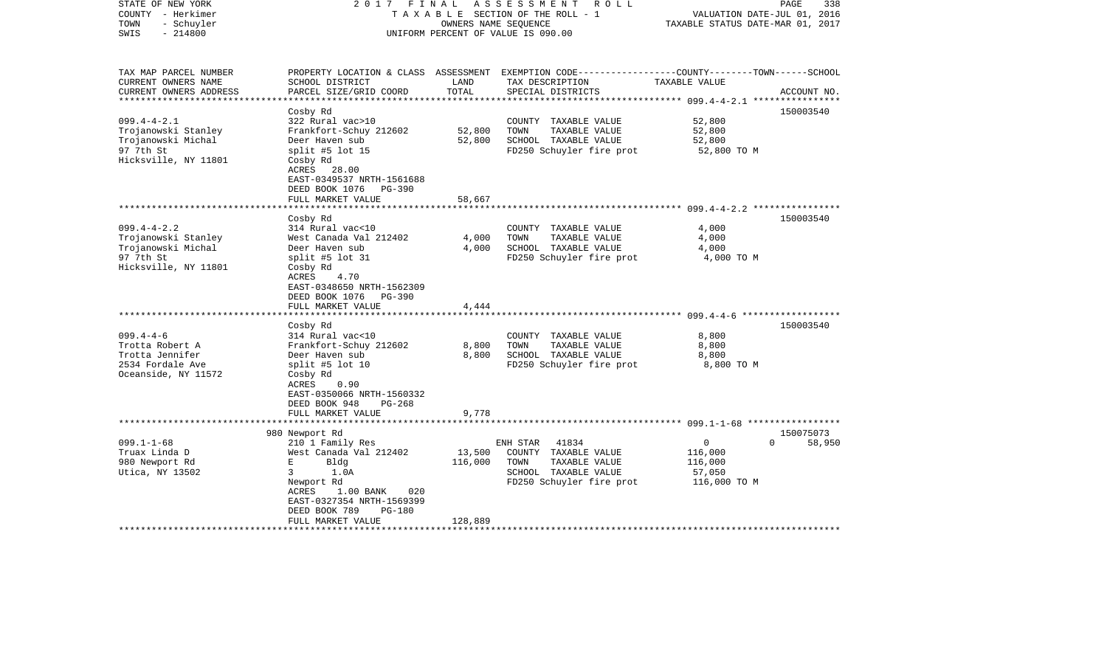| STATE OF NEW YORK<br>COUNTY - Herkimer<br>- Schuyler<br>TOWN<br>$-214800$<br>SWIS                                                                                                                       | 2017 FINAL                                                                                                                                                                                                                                                                                                                                                                                     | OWNERS NAME SEQUENCE                      | ASSESSMENT<br>R O L L<br>TAXABLE SECTION OF THE ROLL - 1<br>UNIFORM PERCENT OF VALUE IS 090.00                                                                                                         | VALUATION DATE-JUL 01, 2016<br>TAXABLE STATUS DATE-MAR 01, 2017                                                                          | PAGE<br>338            |
|---------------------------------------------------------------------------------------------------------------------------------------------------------------------------------------------------------|------------------------------------------------------------------------------------------------------------------------------------------------------------------------------------------------------------------------------------------------------------------------------------------------------------------------------------------------------------------------------------------------|-------------------------------------------|--------------------------------------------------------------------------------------------------------------------------------------------------------------------------------------------------------|------------------------------------------------------------------------------------------------------------------------------------------|------------------------|
| TAX MAP PARCEL NUMBER<br>CURRENT OWNERS NAME<br>CURRENT OWNERS ADDRESS<br>*********************                                                                                                         | SCHOOL DISTRICT<br>PARCEL SIZE/GRID COORD<br>***********************                                                                                                                                                                                                                                                                                                                           | LAND<br>TOTAL<br>***************          | PROPERTY LOCATION & CLASS ASSESSMENT EXEMPTION CODE---------------COUNTY-------TOWN-----SCHOOL<br>TAX DESCRIPTION<br>SPECIAL DISTRICTS                                                                 | TAXABLE VALUE                                                                                                                            | ACCOUNT NO.            |
| $099.4 - 4 - 2.1$<br>Trojanowski Stanley<br>Trojanowski Michal<br>97 7th St<br>Hicksville, NY 11801                                                                                                     | Cosby Rd<br>322 Rural vac>10<br>Frankfort-Schuy 212602<br>Deer Haven sub<br>split #5 lot 15<br>Cosby Rd<br>ACRES 28.00<br>EAST-0349537 NRTH-1561688<br>DEED BOOK 1076 PG-390<br>FULL MARKET VALUE                                                                                                                                                                                              | 52,800<br>52,800<br>58,667                | COUNTY TAXABLE VALUE<br>TOWN<br>TAXABLE VALUE<br>SCHOOL TAXABLE VALUE<br>FD250 Schuyler fire prot                                                                                                      | 52,800<br>52,800<br>52,800<br>52,800 TO M                                                                                                | 150003540              |
|                                                                                                                                                                                                         |                                                                                                                                                                                                                                                                                                                                                                                                |                                           |                                                                                                                                                                                                        | ******************** 099.4-4-2.2 ****************                                                                                        |                        |
| $099.4 - 4 - 2.2$<br>Trojanowski Stanley<br>Trojanowski Michal<br>97 7th St<br>Hicksville, NY 11801<br>$099.4 - 4 - 6$<br>Trotta Robert A<br>Trotta Jennifer<br>2534 Fordale Ave<br>Oceanside, NY 11572 | Cosby Rd<br>314 Rural vac<10<br>West Canada Val 212402<br>Deer Haven sub<br>split #5 lot $31$<br>Cosby Rd<br>ACRES<br>4.70<br>EAST-0348650 NRTH-1562309<br>DEED BOOK 1076<br>PG-390<br>FULL MARKET VALUE<br>Cosby Rd<br>314 Rural vac<10<br>Frankfort-Schuy 212602<br>Deer Haven sub<br>split #5 lot 10<br>Cosby Rd<br>ACRES<br>0.90<br>EAST-0350066 NRTH-1560332<br>DEED BOOK 948<br>$PG-268$ | 4,000<br>4,000<br>4,444<br>8,800<br>8,800 | COUNTY TAXABLE VALUE<br>TAXABLE VALUE<br>TOWN<br>SCHOOL TAXABLE VALUE<br>FD250 Schuyler fire prot<br>COUNTY TAXABLE VALUE<br>TAXABLE VALUE<br>TOWN<br>SCHOOL TAXABLE VALUE<br>FD250 Schuyler fire prot | 4,000<br>4,000<br>4,000<br>4,000 TO M<br>************************ 099.4-4-6 *******************<br>8,800<br>8,800<br>8,800<br>8,800 TO M | 150003540<br>150003540 |
|                                                                                                                                                                                                         | FULL MARKET VALUE<br>************************                                                                                                                                                                                                                                                                                                                                                  | 9,778                                     |                                                                                                                                                                                                        |                                                                                                                                          |                        |
| $099.1 - 1 - 68$<br>Truax Linda D<br>980 Newport Rd<br>Utica, NY 13502                                                                                                                                  | 980 Newport Rd<br>210 1 Family Res<br>West Canada Val 212402<br>E.<br>Bldg<br>3<br>1.0A<br>Newport Rd<br>1.00 BANK<br>020<br>ACRES<br>EAST-0327354 NRTH-1569399                                                                                                                                                                                                                                | 13,500<br>116,000                         | ENH STAR<br>41834<br>COUNTY TAXABLE VALUE<br>TAXABLE VALUE<br>TOWN<br>SCHOOL TAXABLE VALUE<br>FD250 Schuyler fire prot                                                                                 | $\Omega$<br>$\Omega$<br>116,000<br>116,000<br>57,050<br>116,000 TO M                                                                     | 150075073<br>58,950    |
|                                                                                                                                                                                                         | DEED BOOK 789<br>PG-180<br>FULL MARKET VALUE                                                                                                                                                                                                                                                                                                                                                   | 128,889                                   |                                                                                                                                                                                                        |                                                                                                                                          |                        |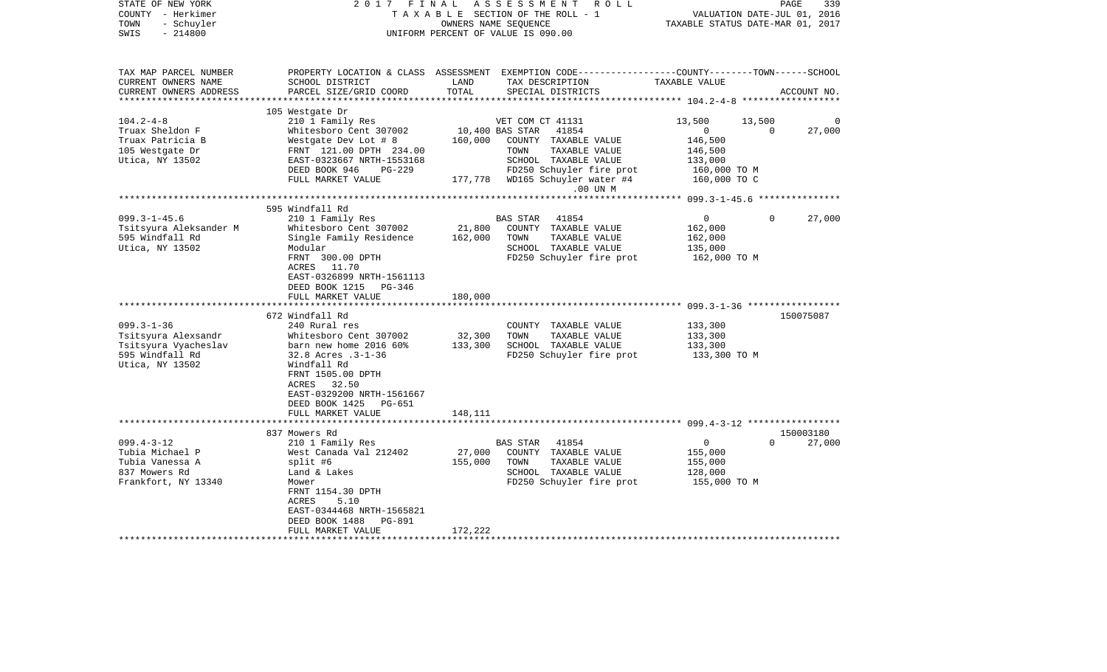| STATE OF NEW YORK<br>COUNTY - Herkimer<br>- Schuyler<br>TOWN<br>$-214800$<br>SWIS              | 2017<br>FINAL                                                                                                                                 | TAXABLE SECTION OF THE ROLL - 1<br>UNIFORM PERCENT OF VALUE IS 090.00 | A S S E S S M E N T<br>OWNERS NAME SEQUENCE | ROLL ROLL                                                                                          | TAXABLE STATUS DATE-MAR 01, 2017                                | PAGE<br>VALUATION DATE-JUL 01, 2016 | 339         |
|------------------------------------------------------------------------------------------------|-----------------------------------------------------------------------------------------------------------------------------------------------|-----------------------------------------------------------------------|---------------------------------------------|----------------------------------------------------------------------------------------------------|-----------------------------------------------------------------|-------------------------------------|-------------|
| TAX MAP PARCEL NUMBER<br>CURRENT OWNERS NAME<br>CURRENT OWNERS ADDRESS                         | PROPERTY LOCATION & CLASS ASSESSMENT EXEMPTION CODE----------------COUNTY-------TOWN------SCHOOL<br>SCHOOL DISTRICT<br>PARCEL SIZE/GRID COORD | LAND<br>TOTAL                                                         |                                             | TAX DESCRIPTION<br>SPECIAL DISTRICTS                                                               | TAXABLE VALUE                                                   |                                     | ACCOUNT NO. |
|                                                                                                |                                                                                                                                               |                                                                       |                                             |                                                                                                    |                                                                 |                                     |             |
| $104.2 - 4 - 8$<br>Truax Sheldon F<br>Truax Patricia B<br>105 Westgate Dr                      | 105 Westgate Dr<br>210 1 Family Res<br>Whitesboro Cent 307002<br>Westgate Dev Lot # 8<br>FRNT 121.00 DPTH 234.00                              | 160,000                                                               | VET COM CT 41131<br>10,400 BAS STAR<br>TOWN | 41854<br>COUNTY TAXABLE VALUE<br>TAXABLE VALUE                                                     | 13,500<br>$\mathbf{0}$<br>146,500<br>146,500                    | 13,500<br>$\Omega$                  | 27,000      |
| Utica, NY 13502                                                                                | EAST-0323667 NRTH-1553168<br>DEED BOOK 946<br>PG-229<br>FULL MARKET VALUE                                                                     |                                                                       |                                             | SCHOOL TAXABLE VALUE<br>FD250 Schuyler fire prot<br>177,778 WD165 Schuyler water #4<br>.00 UN M    | 133,000<br>160,000 TO M<br>160,000 TO C                         |                                     |             |
|                                                                                                |                                                                                                                                               |                                                                       |                                             |                                                                                                    | ******************** 099.3-1-45.6 ****************              |                                     |             |
| $099.3 - 1 - 45.6$<br>Tsitsyura Aleksander M<br>595 Windfall Rd                                | 595 Windfall Rd<br>210 1 Family Res<br>Whitesboro Cent 307002<br>Single Family Residence                                                      | 21,800<br>162,000                                                     | <b>BAS STAR</b><br>TOWN                     | 41854<br>COUNTY TAXABLE VALUE<br>TAXABLE VALUE                                                     | $\mathsf{O}$<br>162,000<br>162,000                              | $\mathbf 0$                         | 27,000      |
| Utica, NY 13502                                                                                | Modular<br>FRNT 300.00 DPTH<br>ACRES 11.70<br>EAST-0326899 NRTH-1561113<br>DEED BOOK 1215 PG-346<br>FULL MARKET VALUE                         | 180,000                                                               |                                             | SCHOOL TAXABLE VALUE<br>FD250 Schuyler fire prot                                                   | 135,000<br>162,000 то м                                         |                                     |             |
|                                                                                                |                                                                                                                                               |                                                                       |                                             |                                                                                                    |                                                                 |                                     |             |
|                                                                                                | 672 Windfall Rd                                                                                                                               |                                                                       |                                             |                                                                                                    |                                                                 |                                     | 150075087   |
| $099.3 - 1 - 36$                                                                               | 240 Rural res                                                                                                                                 |                                                                       |                                             | COUNTY TAXABLE VALUE                                                                               | 133,300                                                         |                                     |             |
| Tsitsyura Alexsandr                                                                            | Whitesboro Cent 307002                                                                                                                        | 32,300                                                                | TOWN                                        | TAXABLE VALUE                                                                                      | 133,300                                                         |                                     |             |
| Tsitsyura Vyacheslav<br>595 Windfall Rd<br>Utica, NY 13502                                     | barn new home 2016 60%<br>32.8 Acres .3-1-36<br>Windfall Rd<br>FRNT 1505.00 DPTH<br>ACRES 32.50<br>EAST-0329200 NRTH-1561667                  | 133,300                                                               |                                             | SCHOOL TAXABLE VALUE<br>FD250 Schuyler fire prot                                                   | 133,300<br>133,300 TO M                                         |                                     |             |
|                                                                                                | DEED BOOK 1425<br><b>PG-651</b>                                                                                                               |                                                                       |                                             |                                                                                                    |                                                                 |                                     |             |
|                                                                                                | FULL MARKET VALUE                                                                                                                             | 148,111                                                               |                                             |                                                                                                    |                                                                 |                                     |             |
|                                                                                                | 837 Mowers Rd                                                                                                                                 |                                                                       |                                             |                                                                                                    |                                                                 |                                     | 150003180   |
| $099.4 - 3 - 12$<br>Tubia Michael P<br>Tubia Vanessa A<br>837 Mowers Rd<br>Frankfort, NY 13340 | 210 1 Family Res<br>West Canada Val 212402<br>split #6<br>Land & Lakes<br>Mower                                                               | 27,000<br>155,000                                                     | BAS STAR<br>TOWN                            | 41854<br>COUNTY TAXABLE VALUE<br>TAXABLE VALUE<br>SCHOOL TAXABLE VALUE<br>FD250 Schuyler fire prot | $\overline{0}$<br>155,000<br>155,000<br>128,000<br>155,000 TO M | $\Omega$                            | 27,000      |
|                                                                                                | FRNT 1154.30 DPTH<br>ACRES<br>5.10<br>EAST-0344468 NRTH-1565821<br>DEED BOOK 1488<br>PG-891<br>FULL MARKET VALUE                              | 172,222                                                               |                                             |                                                                                                    |                                                                 |                                     |             |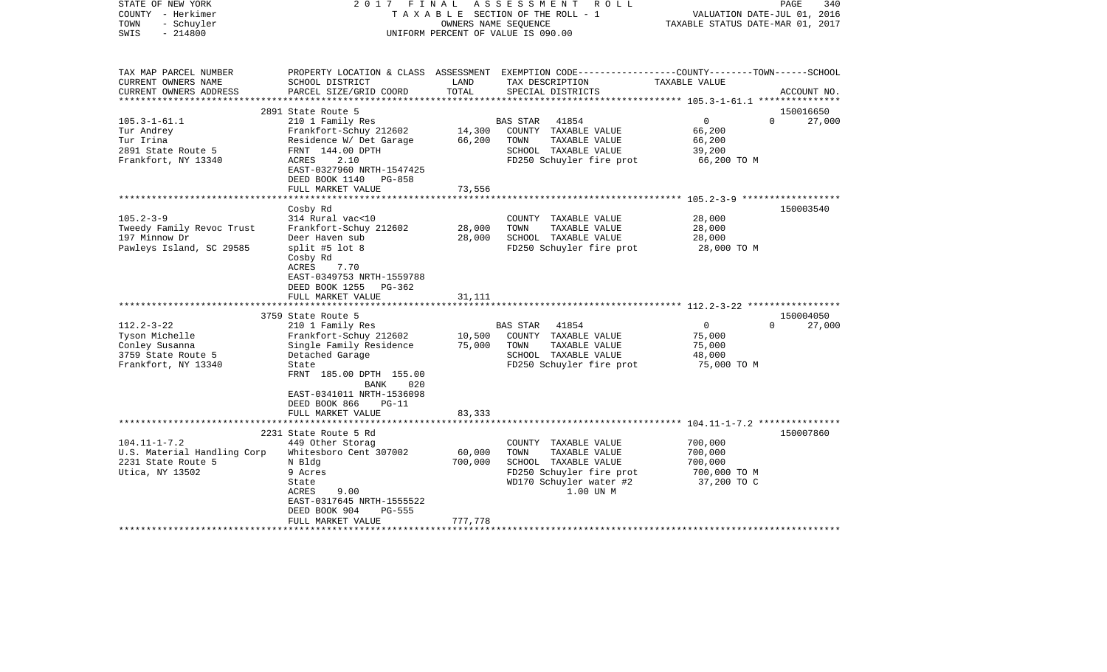| STATE OF NEW YORK<br>COUNTY - Herkimer<br>- Schuyler<br>TOWN<br>$-214800$<br>SWIS | 2017<br>FINAL                                                                                           |                         | ASSESSMENT<br>R O L L<br>TAXABLE SECTION OF THE ROLL - 1<br>OWNERS NAME SEOUENCE<br>UNIFORM PERCENT OF VALUE IS 090.00 | VALUATION DATE-JUL 01, 2016<br>TAXABLE STATUS DATE-MAR 01, 2017 | PAGE<br>340 |
|-----------------------------------------------------------------------------------|---------------------------------------------------------------------------------------------------------|-------------------------|------------------------------------------------------------------------------------------------------------------------|-----------------------------------------------------------------|-------------|
| TAX MAP PARCEL NUMBER<br>CURRENT OWNERS NAME                                      | SCHOOL DISTRICT                                                                                         | LAND                    | PROPERTY LOCATION & CLASS ASSESSMENT EXEMPTION CODE---------------COUNTY-------TOWN------SCHOOL<br>TAX DESCRIPTION     | TAXABLE VALUE                                                   |             |
| CURRENT OWNERS ADDRESS                                                            | PARCEL SIZE/GRID COORD                                                                                  | TOTAL<br>************** | SPECIAL DISTRICTS                                                                                                      | ******************** 105.3-1-61.1 ****************              | ACCOUNT NO. |
|                                                                                   | 2891 State Route 5                                                                                      |                         |                                                                                                                        |                                                                 | 150016650   |
| $105.3 - 1 - 61.1$                                                                | 210 1 Family Res                                                                                        |                         | <b>BAS STAR</b><br>41854                                                                                               | $\circ$<br>$\Omega$                                             | 27,000      |
| Tur Andrey                                                                        | Frankfort-Schuy 212602                                                                                  | 14,300                  | COUNTY TAXABLE VALUE                                                                                                   | 66,200                                                          |             |
| Tur Irina                                                                         | Residence W/ Det Garage                                                                                 | 66,200                  | TOWN<br>TAXABLE VALUE                                                                                                  | 66,200                                                          |             |
| 2891 State Route 5                                                                | FRNT 144.00 DPTH                                                                                        |                         | SCHOOL TAXABLE VALUE                                                                                                   | 39,200                                                          |             |
| Frankfort, NY 13340                                                               | 2.10<br>ACRES<br>EAST-0327960 NRTH-1547425<br>DEED BOOK 1140 PG-858                                     |                         | FD250 Schuyler fire prot                                                                                               | 66,200 TO M                                                     |             |
|                                                                                   | FULL MARKET VALUE                                                                                       | 73,556                  |                                                                                                                        |                                                                 |             |
|                                                                                   | *************************                                                                               | **************          |                                                                                                                        |                                                                 |             |
|                                                                                   | Cosby Rd                                                                                                |                         |                                                                                                                        |                                                                 | 150003540   |
| $105.2 - 3 - 9$<br>Tweedy Family Revoc Trust                                      | 314 Rural vac<10<br>Frankfort-Schuy 212602                                                              | 28,000                  | COUNTY TAXABLE VALUE<br>TOWN<br>TAXABLE VALUE                                                                          | 28,000<br>28,000                                                |             |
| 197 Minnow Dr                                                                     | Deer Haven sub                                                                                          | 28,000                  | SCHOOL TAXABLE VALUE                                                                                                   | 28,000                                                          |             |
| Pawleys Island, SC 29585                                                          | split #5 lot 8                                                                                          |                         | FD250 Schuyler fire prot                                                                                               | 28,000 TO M                                                     |             |
|                                                                                   | Cosby Rd<br>ACRES<br>7.70<br>EAST-0349753 NRTH-1559788<br>DEED BOOK 1255<br>PG-362<br>FULL MARKET VALUE | 31,111                  |                                                                                                                        |                                                                 |             |
|                                                                                   |                                                                                                         |                         |                                                                                                                        |                                                                 |             |
|                                                                                   | 3759 State Route 5                                                                                      |                         |                                                                                                                        |                                                                 | 150004050   |
| $112.2 - 3 - 22$                                                                  | 210 1 Family Res                                                                                        |                         | <b>BAS STAR</b><br>41854                                                                                               | 0<br>$\Omega$                                                   | 27,000      |
| Tyson Michelle                                                                    | Frankfort-Schuy 212602                                                                                  | 10,500                  | COUNTY TAXABLE VALUE                                                                                                   | 75,000                                                          |             |
| Conley Susanna                                                                    | Single Family Residence                                                                                 | 75,000                  | TAXABLE VALUE<br>TOWN<br>SCHOOL TAXABLE VALUE                                                                          | 75,000                                                          |             |
| 3759 State Route 5<br>Frankfort, NY 13340                                         | Detached Garage<br>State                                                                                |                         | FD250 Schuyler fire prot                                                                                               | 48,000<br>75,000 TO M                                           |             |
|                                                                                   | FRNT 185.00 DPTH 155.00<br>BANK<br>020<br>EAST-0341011 NRTH-1536098<br>DEED BOOK 866<br>$PG-11$         |                         |                                                                                                                        |                                                                 |             |
|                                                                                   | FULL MARKET VALUE                                                                                       | 83,333                  |                                                                                                                        |                                                                 |             |
|                                                                                   | *********************************                                                                       |                         |                                                                                                                        |                                                                 |             |
| $104.11 - 1 - 7.2$                                                                | 2231 State Route 5 Rd<br>449 Other Storag                                                               |                         | COUNTY TAXABLE VALUE                                                                                                   | 700,000                                                         | 150007860   |
| U.S. Material Handling Corp                                                       | Whitesboro Cent 307002                                                                                  | 60,000                  | TOWN<br>TAXABLE VALUE                                                                                                  | 700,000                                                         |             |
| 2231 State Route 5                                                                | N Bldg                                                                                                  | 700,000                 | SCHOOL TAXABLE VALUE                                                                                                   | 700,000                                                         |             |
| Utica, NY 13502                                                                   | 9 Acres                                                                                                 |                         | FD250 Schuyler fire prot                                                                                               | 700,000 TO M                                                    |             |
|                                                                                   | State                                                                                                   |                         | WD170 Schuyler water #2                                                                                                | 37,200 TO C                                                     |             |
|                                                                                   | ACRES<br>9.00                                                                                           |                         | 1.00 UN M                                                                                                              |                                                                 |             |
|                                                                                   | EAST-0317645 NRTH-1555522                                                                               |                         |                                                                                                                        |                                                                 |             |
|                                                                                   | DEED BOOK 904<br><b>PG-555</b>                                                                          |                         |                                                                                                                        |                                                                 |             |
|                                                                                   | FULL MARKET VALUE                                                                                       | 777,778                 |                                                                                                                        |                                                                 |             |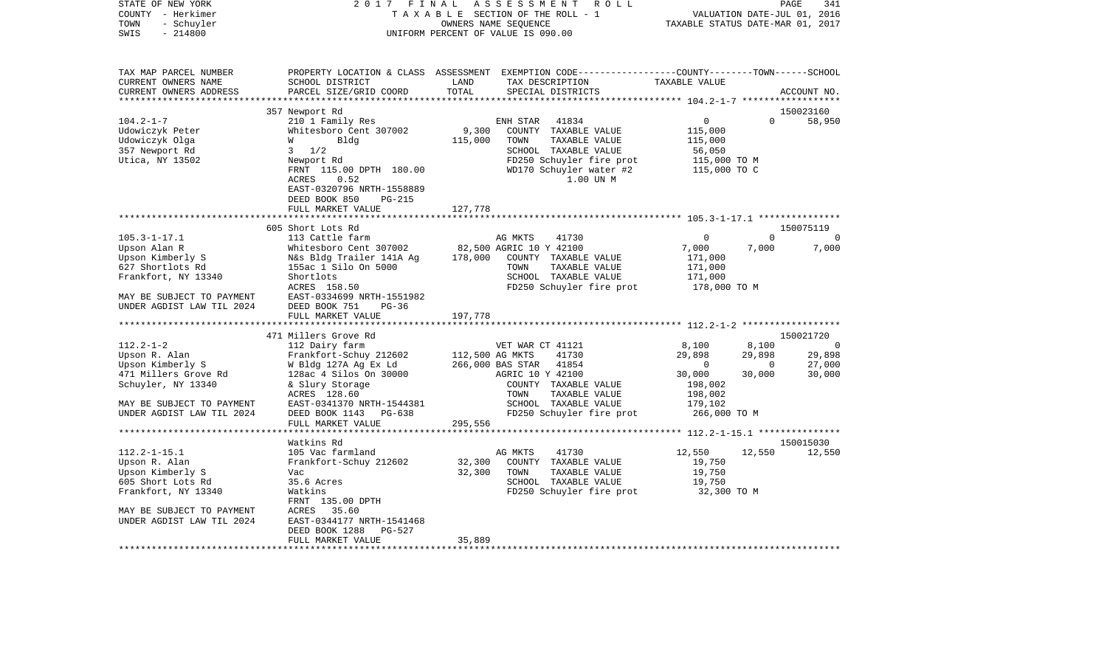| STATE OF NEW YORK<br>COUNTY - Herkimer<br>- Schuyler<br>TOWN<br>$-214800$<br>SWIS                   | 2017<br>FINAL                                                                                                                                                     |                  | ASSESSMENT<br>R O L L<br>TAXABLE SECTION OF THE ROLL - 1<br>OWNERS NAME SEQUENCE<br>UNIFORM PERCENT OF VALUE IS 090.00                                         | TAXABLE STATUS DATE-MAR 01, 2017                                  | VALUATION DATE-JUL 01, 2016 | PAGE<br>341    |
|-----------------------------------------------------------------------------------------------------|-------------------------------------------------------------------------------------------------------------------------------------------------------------------|------------------|----------------------------------------------------------------------------------------------------------------------------------------------------------------|-------------------------------------------------------------------|-----------------------------|----------------|
| TAX MAP PARCEL NUMBER<br>CURRENT OWNERS NAME<br>CURRENT OWNERS ADDRESS<br>************************* | SCHOOL DISTRICT<br>PARCEL SIZE/GRID COORD                                                                                                                         | LAND<br>TOTAL    | PROPERTY LOCATION & CLASS ASSESSMENT EXEMPTION CODE---------------COUNTY-------TOWN------SCHOOL<br>TAX DESCRIPTION<br>SPECIAL DISTRICTS                        | TAXABLE VALUE                                                     |                             | ACCOUNT NO.    |
|                                                                                                     | 357 Newport Rd                                                                                                                                                    |                  |                                                                                                                                                                |                                                                   |                             | 150023160      |
| $104.2 - 1 - 7$<br>Udowiczyk Peter<br>Udowiczyk Olga<br>357 Newport Rd<br>Utica, NY 13502           | 210 1 Family Res<br>Whitesboro Cent 307002<br>W<br>Bldg<br>$3 \frac{1}{2}$<br>Newport Rd<br>FRNT 115.00 DPTH 180.00<br>ACRES<br>0.52<br>EAST-0320796 NRTH-1558889 | 9,300<br>115,000 | ENH STAR<br>41834<br>COUNTY TAXABLE VALUE<br>TOWN<br>TAXABLE VALUE<br>SCHOOL TAXABLE VALUE<br>FD250 Schuyler fire prot<br>WD170 Schuyler water #2<br>1.00 UN M | 0<br>115,000<br>115,000<br>56,050<br>115,000 TO M<br>115,000 TO C | $\Omega$                    | 58,950         |
|                                                                                                     | DEED BOOK 850<br><b>PG-215</b><br>FULL MARKET VALUE                                                                                                               | 127,778          |                                                                                                                                                                |                                                                   |                             |                |
|                                                                                                     |                                                                                                                                                                   |                  |                                                                                                                                                                |                                                                   |                             |                |
|                                                                                                     | 605 Short Lots Rd                                                                                                                                                 |                  |                                                                                                                                                                |                                                                   |                             | 150075119      |
| $105.3 - 1 - 17.1$                                                                                  | 113 Cattle farm                                                                                                                                                   |                  | AG MKTS<br>41730                                                                                                                                               | 0                                                                 | $\mathbf 0$                 | 0              |
| Upson Alan R                                                                                        | Whitesboro Cent 307002                                                                                                                                            |                  | 82,500 AGRIC 10 Y 42100                                                                                                                                        | 7,000                                                             | 7,000                       | 7,000          |
| Upson Kimberly S                                                                                    | N&s Bldg Trailer 141A Ag                                                                                                                                          | 178,000          | COUNTY TAXABLE VALUE                                                                                                                                           | 171,000                                                           |                             |                |
| 627 Shortlots Rd                                                                                    | 155ac 1 Silo On 5000                                                                                                                                              |                  | TOWN<br>TAXABLE VALUE                                                                                                                                          | 171,000                                                           |                             |                |
| Frankfort, NY 13340                                                                                 | Shortlots<br>ACRES 158.50                                                                                                                                         |                  | SCHOOL TAXABLE VALUE<br>FD250 Schuyler fire prot                                                                                                               | 171,000<br>178,000 TO M                                           |                             |                |
| MAY BE SUBJECT TO PAYMENT<br>UNDER AGDIST LAW TIL 2024                                              | EAST-0334699 NRTH-1551982<br>DEED BOOK 751<br>$PG-36$<br>FULL MARKET VALUE                                                                                        | 197,778          |                                                                                                                                                                |                                                                   |                             |                |
|                                                                                                     |                                                                                                                                                                   |                  |                                                                                                                                                                |                                                                   |                             |                |
|                                                                                                     | 471 Millers Grove Rd                                                                                                                                              |                  |                                                                                                                                                                |                                                                   |                             | 150021720      |
| $112.2 - 1 - 2$                                                                                     | 112 Dairy farm                                                                                                                                                    |                  | VET WAR CT 41121                                                                                                                                               | 8,100                                                             | 8,100                       | $\overline{0}$ |
| Upson R. Alan                                                                                       | Frankfort-Schuy 212602                                                                                                                                            | 112,500 AG MKTS  | 41730                                                                                                                                                          | 29,898                                                            | 29,898                      | 29,898         |
| Upson Kimberly S                                                                                    | W Bldg 127A Ag Ex Ld                                                                                                                                              |                  | 266,000 BAS STAR<br>41854                                                                                                                                      | $\bigcirc$                                                        | $\Omega$                    | 27,000         |
| 471 Millers Grove Rd<br>Schuyler, NY 13340                                                          | 128ac 4 Silos On 30000<br>& Slury Storage                                                                                                                         |                  | AGRIC 10 Y 42100<br>COUNTY TAXABLE VALUE                                                                                                                       | 30,000<br>198,002                                                 | 30,000                      | 30,000         |
|                                                                                                     | ACRES 128.60                                                                                                                                                      |                  | TAXABLE VALUE<br>TOWN                                                                                                                                          | 198,002                                                           |                             |                |
| MAY BE SUBJECT TO PAYMENT                                                                           | EAST-0341370 NRTH-1544381                                                                                                                                         |                  | SCHOOL TAXABLE VALUE                                                                                                                                           | 179,102                                                           |                             |                |
| UNDER AGDIST LAW TIL 2024                                                                           | DEED BOOK 1143<br>PG-638                                                                                                                                          |                  | FD250 Schuyler fire prot                                                                                                                                       | 266,000 ТО М                                                      |                             |                |
|                                                                                                     | FULL MARKET VALUE                                                                                                                                                 | 295,556          |                                                                                                                                                                |                                                                   |                             |                |
|                                                                                                     | ***********************                                                                                                                                           |                  | *************************                                                                                                                                      | ******************** 112.2-1-15.1 ****************                |                             |                |
|                                                                                                     | Watkins Rd                                                                                                                                                        |                  |                                                                                                                                                                |                                                                   |                             | 150015030      |
| $112.2 - 1 - 15.1$                                                                                  | 105 Vac farmland                                                                                                                                                  |                  | AG MKTS<br>41730                                                                                                                                               | 12,550                                                            | 12,550                      | 12,550         |
| Upson R. Alan<br>Upson Kimberly S                                                                   | Frankfort-Schuy 212602<br>Vac                                                                                                                                     | 32,300<br>32,300 | COUNTY TAXABLE VALUE<br>TOWN<br>TAXABLE VALUE                                                                                                                  | 19,750<br>19,750                                                  |                             |                |
| 605 Short Lots Rd                                                                                   | 35.6 Acres                                                                                                                                                        |                  | SCHOOL TAXABLE VALUE                                                                                                                                           | 19,750                                                            |                             |                |
| Frankfort, NY 13340                                                                                 | Watkins                                                                                                                                                           |                  | FD250 Schuyler fire prot                                                                                                                                       | 32,300 TO M                                                       |                             |                |
|                                                                                                     | FRNT 135.00 DPTH                                                                                                                                                  |                  |                                                                                                                                                                |                                                                   |                             |                |
| MAY BE SUBJECT TO PAYMENT                                                                           | ACRES 35.60                                                                                                                                                       |                  |                                                                                                                                                                |                                                                   |                             |                |
| UNDER AGDIST LAW TIL 2024                                                                           | EAST-0344177 NRTH-1541468                                                                                                                                         |                  |                                                                                                                                                                |                                                                   |                             |                |
|                                                                                                     | DEED BOOK 1288<br>PG-527                                                                                                                                          |                  |                                                                                                                                                                |                                                                   |                             |                |
|                                                                                                     | FULL MARKET VALUE                                                                                                                                                 | 35,889           |                                                                                                                                                                |                                                                   |                             |                |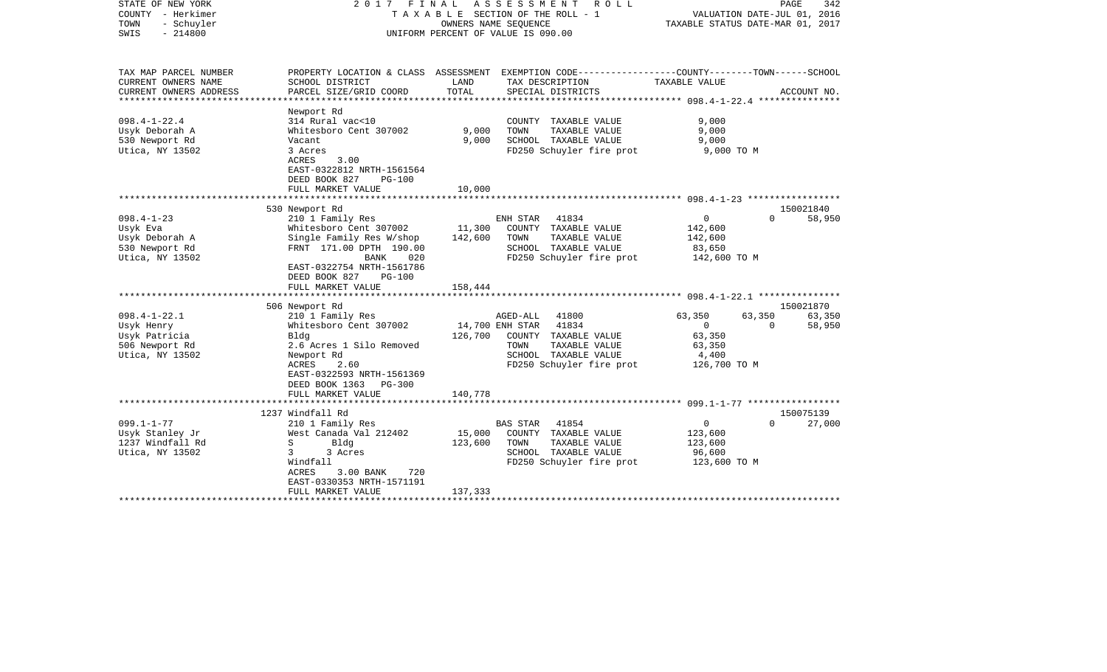| STATE OF NEW YORK<br>COUNTY - Herkimer<br>TOWN<br>- Schuyler<br>$-214800$<br>SWIS | 2017 FINAL                                                  |              | A S S E S S M E N T<br><b>ROLL</b><br>T A X A B L E SECTION OF THE ROLL - 1<br>OWNERS NAME SEQUENCE<br>UNIFORM PERCENT OF VALUE IS 090.00 | TAXABLE STATUS DATE-MAR 01, 2017 | PAGE<br>342<br>VALUATION DATE-JUL 01, 2016 |
|-----------------------------------------------------------------------------------|-------------------------------------------------------------|--------------|-------------------------------------------------------------------------------------------------------------------------------------------|----------------------------------|--------------------------------------------|
| TAX MAP PARCEL NUMBER<br>CURRENT OWNERS NAME                                      | SCHOOL DISTRICT                                             | LAND         | PROPERTY LOCATION & CLASS ASSESSMENT EXEMPTION CODE---------------COUNTY-------TOWN------SCHOOL<br>TAX DESCRIPTION                        | TAXABLE VALUE                    |                                            |
| CURRENT OWNERS ADDRESS<br>******************                                      | PARCEL SIZE/GRID COORD<br>*******************               | TOTAL        | SPECIAL DISTRICTS                                                                                                                         |                                  | ACCOUNT NO.                                |
|                                                                                   | Newport Rd                                                  |              |                                                                                                                                           |                                  |                                            |
| $098.4 - 1 - 22.4$                                                                | 314 Rural vac<10                                            |              | COUNTY TAXABLE VALUE                                                                                                                      | 9,000                            |                                            |
| Usyk Deborah A                                                                    | Whitesboro Cent 307002                                      | 9,000        | TOWN<br>TAXABLE VALUE                                                                                                                     | 9,000                            |                                            |
| 530 Newport Rd                                                                    | Vacant                                                      | 9,000        | SCHOOL TAXABLE VALUE                                                                                                                      | 9,000                            |                                            |
| Utica, NY 13502                                                                   | 3 Acres<br>ACRES<br>3.00                                    |              | FD250 Schuyler fire prot                                                                                                                  | 9,000 TO M                       |                                            |
|                                                                                   | EAST-0322812 NRTH-1561564                                   |              |                                                                                                                                           |                                  |                                            |
|                                                                                   | DEED BOOK 827<br><b>PG-100</b>                              |              |                                                                                                                                           |                                  |                                            |
|                                                                                   | FULL MARKET VALUE                                           | 10,000       |                                                                                                                                           |                                  |                                            |
|                                                                                   |                                                             | ************ |                                                                                                                                           |                                  |                                            |
|                                                                                   | 530 Newport Rd                                              |              |                                                                                                                                           |                                  | 150021840                                  |
| $098.4 - 1 - 23$                                                                  | 210 1 Family Res                                            |              | ENH STAR<br>41834                                                                                                                         | 0                                | 58,950<br>$\Omega$                         |
| Usyk Eva                                                                          | Whitesboro Cent 307002                                      | 11,300       | COUNTY TAXABLE VALUE                                                                                                                      | 142,600                          |                                            |
| Usyk Deborah A                                                                    | Single Family Res W/shop                                    | 142,600      | TAXABLE VALUE<br>TOWN                                                                                                                     | 142,600                          |                                            |
| 530 Newport Rd                                                                    | FRNT 171.00 DPTH 190.00                                     |              | SCHOOL TAXABLE VALUE                                                                                                                      | 83,650                           |                                            |
| Utica, NY 13502                                                                   | BANK<br>020                                                 |              | FD250 Schuyler fire prot                                                                                                                  | 142,600 TO M                     |                                            |
|                                                                                   | EAST-0322754 NRTH-1561786<br>DEED BOOK 827<br><b>PG-100</b> |              |                                                                                                                                           |                                  |                                            |
|                                                                                   | FULL MARKET VALUE                                           | 158,444      |                                                                                                                                           |                                  |                                            |
|                                                                                   | ********************                                        |              |                                                                                                                                           |                                  |                                            |
|                                                                                   | 506 Newport Rd                                              |              |                                                                                                                                           |                                  | 150021870                                  |
| $098.4 - 1 - 22.1$                                                                | 210 1 Family Res                                            |              | AGED-ALL<br>41800                                                                                                                         | 63,350<br>63,350                 | 63,350                                     |
| Usyk Henry                                                                        | Whitesboro Cent 307002                                      |              | 41834<br>14,700 ENH STAR                                                                                                                  | $\Omega$                         | $\Omega$<br>58,950                         |
| Usyk Patricia                                                                     | Bldg                                                        | 126,700      | COUNTY TAXABLE VALUE                                                                                                                      | 63,350                           |                                            |
| 506 Newport Rd                                                                    | 2.6 Acres 1 Silo Removed                                    |              | TAXABLE VALUE<br>TOWN                                                                                                                     | 63,350                           |                                            |
| Utica, NY 13502                                                                   | Newport Rd                                                  |              | SCHOOL TAXABLE VALUE                                                                                                                      | 4,400                            |                                            |
|                                                                                   | ACRES<br>2.60                                               |              | FD250 Schuyler fire prot                                                                                                                  | 126,700 TO M                     |                                            |
|                                                                                   | EAST-0322593 NRTH-1561369                                   |              |                                                                                                                                           |                                  |                                            |
|                                                                                   | DEED BOOK 1363<br>$PG-300$                                  |              |                                                                                                                                           |                                  |                                            |
|                                                                                   | FULL MARKET VALUE                                           | 140,778      |                                                                                                                                           |                                  |                                            |
|                                                                                   | *********************                                       |              |                                                                                                                                           |                                  |                                            |
| $099.1 - 1 - 77$                                                                  | 1237 Windfall Rd                                            |              | 41854                                                                                                                                     | $\overline{0}$                   | 150075139<br>$\Omega$                      |
|                                                                                   | 210 1 Family Res<br>West Canada Val 212402                  | 15,000       | <b>BAS STAR</b><br>COUNTY TAXABLE VALUE                                                                                                   | 123,600                          | 27,000                                     |
| Usyk Stanley Jr<br>1237 Windfall Rd                                               | S<br>Bldg                                                   | 123,600      | TOWN<br>TAXABLE VALUE                                                                                                                     | 123,600                          |                                            |
| Utica, NY 13502                                                                   | 3<br>3 Acres                                                |              | SCHOOL TAXABLE VALUE                                                                                                                      | 96,600                           |                                            |
|                                                                                   | Windfall                                                    |              | FD250 Schuyler fire prot                                                                                                                  | 123,600 TO M                     |                                            |
|                                                                                   | <b>ACRES</b><br>3.00 BANK<br>720                            |              |                                                                                                                                           |                                  |                                            |
|                                                                                   | EAST-0330353 NRTH-1571191                                   |              |                                                                                                                                           |                                  |                                            |
|                                                                                   | FULL MARKET VALUE                                           | 137,333      |                                                                                                                                           |                                  |                                            |
|                                                                                   | *********************                                       |              |                                                                                                                                           |                                  |                                            |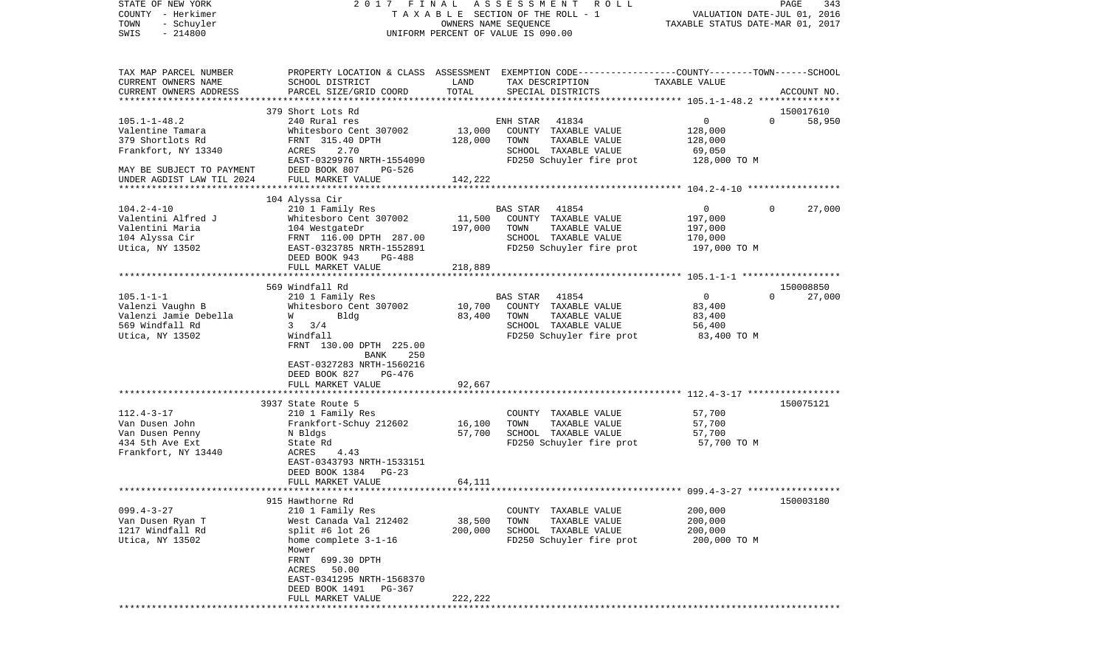| STATE OF NEW YORK<br>COUNTY - Herkimer<br>TOWN<br>- Schuyler<br>$-214800$<br>SWIS                                     | 2017 FINAL                                                                                                                                                                                                        |                              | A S S E S S M E N T R O L L<br>T A X A B L E SECTION OF THE ROLL - 1<br>OWNERS NAME SEQUENCE<br>UNIFORM PERCENT OF VALUE IS 090.00      | VALUATION DATE-JUL 01, 2016<br>TAXABLE STATUS DATE-MAR 01, 2017 | PAGE<br>343                     |
|-----------------------------------------------------------------------------------------------------------------------|-------------------------------------------------------------------------------------------------------------------------------------------------------------------------------------------------------------------|------------------------------|-----------------------------------------------------------------------------------------------------------------------------------------|-----------------------------------------------------------------|---------------------------------|
| TAX MAP PARCEL NUMBER<br>CURRENT OWNERS NAME<br>CURRENT OWNERS ADDRESS                                                | SCHOOL DISTRICT<br>PARCEL SIZE/GRID COORD                                                                                                                                                                         | LAND<br>TOTAL                | PROPERTY LOCATION & CLASS ASSESSMENT EXEMPTION CODE---------------COUNTY-------TOWN------SCHOOL<br>TAX DESCRIPTION<br>SPECIAL DISTRICTS | TAXABLE VALUE                                                   | ACCOUNT NO.                     |
| $105.1 - 1 - 48.2$                                                                                                    | 379 Short Lots Rd<br>240 Rural res                                                                                                                                                                                |                              | 41834<br>ENH STAR                                                                                                                       | 0                                                               | 150017610<br>$\Omega$<br>58,950 |
| Valentine Tamara<br>379 Shortlots Rd<br>Frankfort, NY 13340<br>MAY BE SUBJECT TO PAYMENT<br>UNDER AGDIST LAW TIL 2024 | Whitesboro Cent 307002<br>FRNT 315.40 DPTH<br>2.70<br>ACRES<br>EAST-0329976 NRTH-1554090<br>DEED BOOK 807<br>PG-526<br>FULL MARKET VALUE                                                                          | 13,000<br>128,000<br>142,222 | COUNTY TAXABLE VALUE<br>TOWN<br>TAXABLE VALUE<br>SCHOOL TAXABLE VALUE<br>FD250 Schuyler fire prot 128,000 TO M                          | 128,000<br>128,000<br>69,050                                    |                                 |
|                                                                                                                       | 104 Alyssa Cir                                                                                                                                                                                                    |                              |                                                                                                                                         |                                                                 |                                 |
| $104.2 - 4 - 10$<br>Valentini Alfred J<br>Valentini Maria<br>104 Alyssa Cir<br>Utica, NY 13502                        | 210 1 Family Res<br>Whitesboro Cent 307002<br>104 WestgateDr<br>FRNT 116.00 DPTH 287.00<br>EAST-0323785 NRTH-1552891<br>DEED BOOK 943<br>PG-488                                                                   | 11,500<br>197,000            | 41854<br>BAS STAR<br>COUNTY TAXABLE VALUE<br>TOWN<br>TAXABLE VALUE<br>SCHOOL TAXABLE VALUE<br>FD250 Schuyler fire prot                  | $\mathbf{0}$<br>197,000<br>197,000<br>170,000<br>197,000 TO M   | $\Omega$<br>27,000              |
|                                                                                                                       | FULL MARKET VALUE                                                                                                                                                                                                 | 218,889                      |                                                                                                                                         |                                                                 |                                 |
|                                                                                                                       | 569 Windfall Rd                                                                                                                                                                                                   |                              |                                                                                                                                         |                                                                 | 150008850                       |
| $105.1 - 1 - 1$<br>Valenzi Vaughn B<br>Valenzi Jamie Debella<br>569 Windfall Rd<br>Utica, NY 13502                    | 210 1 Family Res<br>Whitesboro Cent 307002<br>Bldg<br>W <sub>y</sub><br>3/4<br>$\mathbf{3}$<br>Windfall<br>FRNT 130.00 DPTH 225.00<br>BANK<br>250<br>EAST-0327283 NRTH-1560216<br>DEED BOOK 827<br>PG-476         | 10,700<br>83,400             | BAS STAR<br>41854<br>COUNTY TAXABLE VALUE<br>TOWN<br>TAXABLE VALUE<br>SCHOOL TAXABLE VALUE<br>FD250 Schuyler fire prot                  | $\overline{0}$<br>83,400<br>83,400<br>56,400<br>83,400 TO M     | 27,000<br>$\Omega$              |
|                                                                                                                       | FULL MARKET VALUE<br>*****************************                                                                                                                                                                | 92,667                       |                                                                                                                                         |                                                                 |                                 |
| $112.4 - 3 - 17$<br>Van Dusen John<br>Van Dusen Penny<br>434 5th Ave Ext<br>Frankfort, NY 13440                       | 3937 State Route 5<br>210 1 Family Res<br>Frankfort-Schuy 212602<br>N Bldgs<br>State Rd<br>4.43<br>ACRES<br>EAST-0343793 NRTH-1533151<br>DEED BOOK 1384<br>$PG-23$                                                | 16,100<br>57,700             | COUNTY TAXABLE VALUE<br>TOWN<br>TAXABLE VALUE<br>SCHOOL TAXABLE VALUE<br>FD250 Schuyler fire prot 57,700 TO M                           | 57,700<br>57,700<br>57,700                                      | 150075121                       |
|                                                                                                                       | FULL MARKET VALUE                                                                                                                                                                                                 | 64,111                       |                                                                                                                                         |                                                                 |                                 |
| $099.4 - 3 - 27$<br>Van Dusen Ryan T<br>1217 Windfall Rd<br>Utica, NY 13502                                           | 915 Hawthorne Rd<br>210 1 Family Res<br>West Canada Val 212402<br>split #6 lot 26<br>home complete 3-1-16<br>Mower<br>FRNT 699.30 DPTH<br>50.00<br>ACRES<br>EAST-0341295 NRTH-1568370<br>DEED BOOK 1491<br>PG-367 | 38,500<br>200,000            | COUNTY<br>TAXABLE VALUE<br>TOWN<br>TAXABLE VALUE<br>SCHOOL TAXABLE VALUE<br>FD250 Schuyler fire prot                                    | 200,000<br>200,000<br>200,000<br>200,000 TO M                   | 150003180                       |
|                                                                                                                       | FULL MARKET VALUE<br>*********************                                                                                                                                                                        | 222,222                      |                                                                                                                                         |                                                                 |                                 |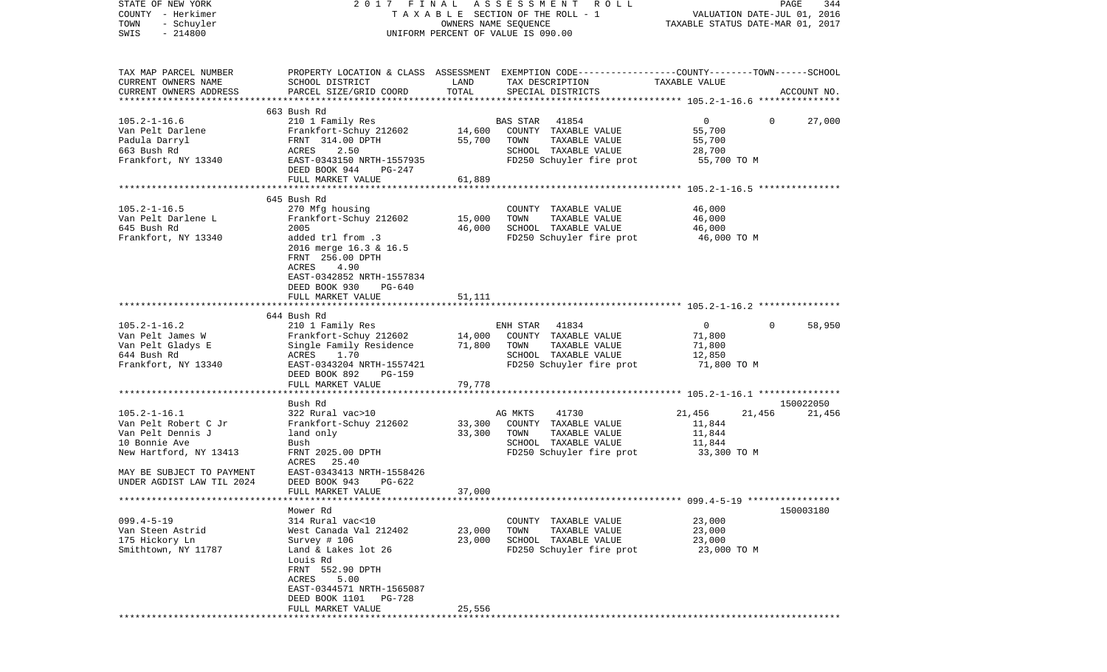| STATE OF NEW YORK<br>COUNTY - Herkimer<br>TOWN<br>- Schuyler<br>$-214800$<br>SWIS                                                                                    | 2017 FINAL                                                                                                                                                                                                                   |                            | A S S E S S M E N T<br>R O L L<br>TAXABLE SECTION OF THE ROLL - 1<br>OWNERS NAME SEQUENCE<br>UNIFORM PERCENT OF VALUE IS 090.00         | VALUATION DATE-JUL 01, 2016<br>TAXABLE STATUS DATE-MAR 01, 2017             | PAGE<br>344         |
|----------------------------------------------------------------------------------------------------------------------------------------------------------------------|------------------------------------------------------------------------------------------------------------------------------------------------------------------------------------------------------------------------------|----------------------------|-----------------------------------------------------------------------------------------------------------------------------------------|-----------------------------------------------------------------------------|---------------------|
| TAX MAP PARCEL NUMBER<br>CURRENT OWNERS NAME<br>CURRENT OWNERS ADDRESS<br>**************************                                                                 | SCHOOL DISTRICT<br>PARCEL SIZE/GRID COORD                                                                                                                                                                                    | LAND<br>TOTAL              | PROPERTY LOCATION & CLASS ASSESSMENT EXEMPTION CODE---------------COUNTY-------TOWN------SCHOOL<br>TAX DESCRIPTION<br>SPECIAL DISTRICTS | TAXABLE VALUE                                                               | ACCOUNT NO.         |
| $105.2 - 1 - 16.6$<br>Van Pelt Darlene<br>Padula Darryl<br>663 Bush Rd<br>Frankfort, NY 13340                                                                        | 663 Bush Rd<br>210 1 Family Res<br>Frankfort-Schuy 212602<br>FRNT 314.00 DPTH<br>ACRES<br>2.50<br>EAST-0343150 NRTH-1557935<br>DEED BOOK 944<br>PG-247<br>FULL MARKET VALUE                                                  | 14,600<br>55,700<br>61,889 | 41854<br>BAS STAR<br>COUNTY TAXABLE VALUE<br>TOWN<br>TAXABLE VALUE<br>SCHOOL TAXABLE VALUE<br>FD250 Schuyler fire prot                  | $\overline{0}$<br>$\mathbf{0}$<br>55,700<br>55,700<br>28,700<br>55,700 TO M | 27,000              |
|                                                                                                                                                                      |                                                                                                                                                                                                                              |                            |                                                                                                                                         |                                                                             |                     |
| $105.2 - 1 - 16.5$<br>Van Pelt Darlene L<br>645 Bush Rd<br>Frankfort, NY 13340                                                                                       | 645 Bush Rd<br>270 Mfg housing<br>Frankfort-Schuy 212602<br>2005<br>added trl from .3<br>2016 merge 16.3 & 16.5<br>FRNT 256.00 DPTH<br>ACRES<br>4.90<br>EAST-0342852 NRTH-1557834<br>DEED BOOK 930<br>PG-640                 | 15,000<br>46,000           | COUNTY TAXABLE VALUE<br>TOWN<br>TAXABLE VALUE<br>SCHOOL TAXABLE VALUE<br>FD250 Schuyler fire prot                                       | 46,000<br>46,000<br>46,000<br>46,000 TO M                                   |                     |
|                                                                                                                                                                      | FULL MARKET VALUE                                                                                                                                                                                                            | 51,111                     |                                                                                                                                         |                                                                             |                     |
|                                                                                                                                                                      |                                                                                                                                                                                                                              |                            |                                                                                                                                         |                                                                             |                     |
|                                                                                                                                                                      | 644 Bush Rd                                                                                                                                                                                                                  |                            |                                                                                                                                         |                                                                             |                     |
| $105.2 - 1 - 16.2$<br>Van Pelt James W<br>Van Pelt Gladys E<br>644 Bush Rd<br>Frankfort, NY 13340                                                                    | 210 1 Family Res<br>Frankfort-Schuy 212602<br>Single Family Residence<br>ACRES<br>1.70<br>EAST-0343204 NRTH-1557421<br>DEED BOOK 892<br>PG-159                                                                               | 14,000<br>71,800           | 41834<br>ENH STAR<br>COUNTY TAXABLE VALUE<br>TOWN<br>TAXABLE VALUE<br>SCHOOL TAXABLE VALUE<br>FD250 Schuyler fire prot                  | $\overline{0}$<br>71,800<br>71,800<br>12,850<br>71,800 TO M                 | $\Omega$<br>58,950  |
|                                                                                                                                                                      | FULL MARKET VALUE<br>*************************                                                                                                                                                                               | 79,778                     |                                                                                                                                         |                                                                             |                     |
| $105.2 - 1 - 16.1$<br>Van Pelt Robert C Jr<br>Van Pelt Dennis J<br>10 Bonnie Ave<br>New Hartford, NY 13413<br>MAY BE SUBJECT TO PAYMENT<br>UNDER AGDIST LAW TIL 2024 | Bush Rd<br>322 Rural vac>10<br>Frankfort-Schuy 212602<br>land only<br>Bush<br>FRNT 2025.00 DPTH<br>ACRES 25.40<br>EAST-0343413 NRTH-1558426<br>DEED BOOK 943<br>$PG-622$                                                     | 33,300<br>33,300           | AG MKTS<br>41730<br>COUNTY TAXABLE VALUE<br>TOWN<br>TAXABLE VALUE<br>SCHOOL TAXABLE VALUE<br>FD250 Schuyler fire prot                   | 21,456<br>21,456<br>11,844<br>11,844<br>11,844<br>33,300 TO M               | 150022050<br>21,456 |
|                                                                                                                                                                      |                                                                                                                                                                                                                              | 37,000                     |                                                                                                                                         |                                                                             |                     |
|                                                                                                                                                                      | FULL MARKET VALUE                                                                                                                                                                                                            |                            |                                                                                                                                         |                                                                             |                     |
| $099.4 - 5 - 19$<br>Van Steen Astrid<br>175 Hickory Ln<br>Smithtown, NY 11787                                                                                        | Mower Rd<br>314 Rural vac<10<br>West Canada Val 212402<br>Survey # 106<br>Land & Lakes lot 26<br>Louis Rd<br>FRNT 552.90 DPTH<br>5.00<br>ACRES<br>EAST-0344571 NRTH-1565087<br>DEED BOOK 1101<br>PG-728<br>FULL MARKET VALUE | 23,000<br>23,000<br>25,556 | COUNTY TAXABLE VALUE<br>TAXABLE VALUE<br>TOWN<br>SCHOOL TAXABLE VALUE<br>FD250 Schuyler fire prot                                       | 23,000<br>23,000<br>23,000<br>23,000 TO M                                   | 150003180           |
|                                                                                                                                                                      |                                                                                                                                                                                                                              |                            |                                                                                                                                         |                                                                             |                     |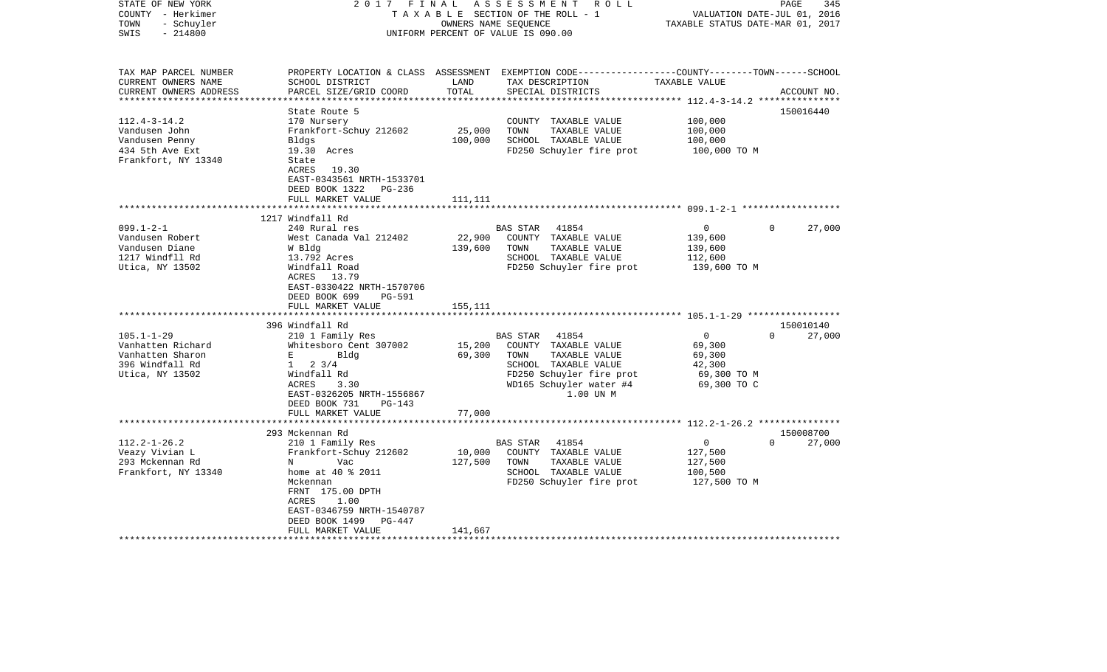| STATE OF NEW YORK<br>COUNTY - Herkimer<br>- Schuyler<br>TOWN<br>$-214800$<br>SWIS | 2017 FINAL                                     | OWNERS NAME SEQUENCE       | ASSESSMENT<br>R O L L<br>TAXABLE SECTION OF THE ROLL - 1<br>UNIFORM PERCENT OF VALUE IS 090.00                                          | TAXABLE STATUS DATE-MAR 01, 2017 | 345<br>PAGE<br>VALUATION DATE-JUL 01, 2016 |
|-----------------------------------------------------------------------------------|------------------------------------------------|----------------------------|-----------------------------------------------------------------------------------------------------------------------------------------|----------------------------------|--------------------------------------------|
| TAX MAP PARCEL NUMBER<br>CURRENT OWNERS NAME<br>CURRENT OWNERS ADDRESS            | SCHOOL DISTRICT<br>PARCEL SIZE/GRID COORD      | LAND<br>TOTAL              | PROPERTY LOCATION & CLASS ASSESSMENT EXEMPTION CODE---------------COUNTY-------TOWN------SCHOOL<br>TAX DESCRIPTION<br>SPECIAL DISTRICTS | TAXABLE VALUE                    | ACCOUNT NO.                                |
| ************************                                                          |                                                |                            |                                                                                                                                         |                                  |                                            |
| $112.4 - 3 - 14.2$                                                                | State Route 5<br>170 Nursery                   |                            | COUNTY TAXABLE VALUE                                                                                                                    | 100,000                          | 150016440                                  |
| Vandusen John                                                                     | Frankfort-Schuy 212602                         | 25,000                     | TAXABLE VALUE<br>TOWN                                                                                                                   | 100,000                          |                                            |
| Vandusen Penny                                                                    | Bldgs                                          | 100,000                    | SCHOOL TAXABLE VALUE                                                                                                                    | 100,000                          |                                            |
| 434 5th Ave Ext                                                                   | 19.30 Acres                                    |                            | FD250 Schuyler fire prot                                                                                                                | 100,000 TO M                     |                                            |
| Frankfort, NY 13340                                                               | State                                          |                            |                                                                                                                                         |                                  |                                            |
|                                                                                   | ACRES 19.30                                    |                            |                                                                                                                                         |                                  |                                            |
|                                                                                   | EAST-0343561 NRTH-1533701                      |                            |                                                                                                                                         |                                  |                                            |
|                                                                                   | DEED BOOK 1322<br>PG-236                       |                            |                                                                                                                                         |                                  |                                            |
|                                                                                   | FULL MARKET VALUE                              | 111,111<br>*************** |                                                                                                                                         |                                  |                                            |
|                                                                                   | 1217 Windfall Rd                               |                            |                                                                                                                                         |                                  |                                            |
| $099.1 - 2 - 1$                                                                   | 240 Rural res                                  |                            | 41854<br>BAS STAR                                                                                                                       | $\circ$                          | $\Omega$<br>27,000                         |
| Vandusen Robert                                                                   | West Canada Val 212402                         | 22,900                     | COUNTY TAXABLE VALUE                                                                                                                    | 139,600                          |                                            |
| Vandusen Diane                                                                    | W Bldg                                         | 139,600                    | TOWN<br>TAXABLE VALUE                                                                                                                   | 139,600                          |                                            |
| 1217 Windfll Rd                                                                   | 13.792 Acres                                   |                            | SCHOOL TAXABLE VALUE                                                                                                                    | 112,600                          |                                            |
| Utica, NY 13502                                                                   | Windfall Road                                  |                            | FD250 Schuyler fire prot                                                                                                                | 139,600 TO M                     |                                            |
|                                                                                   | ACRES 13.79                                    |                            |                                                                                                                                         |                                  |                                            |
|                                                                                   | EAST-0330422 NRTH-1570706                      |                            |                                                                                                                                         |                                  |                                            |
|                                                                                   | DEED BOOK 699<br><b>PG-591</b>                 |                            |                                                                                                                                         |                                  |                                            |
|                                                                                   | FULL MARKET VALUE                              | 155,111                    |                                                                                                                                         |                                  |                                            |
|                                                                                   | 396 Windfall Rd                                |                            |                                                                                                                                         |                                  | 150010140                                  |
| $105.1 - 1 - 29$                                                                  | 210 1 Family Res                               |                            | 41854<br><b>BAS STAR</b>                                                                                                                | $\circ$                          | $\Omega$<br>27,000                         |
| Vanhatten Richard                                                                 | Whitesboro Cent 307002                         | 15,200                     | COUNTY TAXABLE VALUE                                                                                                                    | 69,300                           |                                            |
| Vanhatten Sharon                                                                  | $E = 1$<br>Bldg                                | 69,300                     | TOWN<br>TAXABLE VALUE                                                                                                                   | 69,300                           |                                            |
| 396 Windfall Rd                                                                   | $1 \t2 \t3/4$                                  |                            | SCHOOL TAXABLE VALUE                                                                                                                    | 42,300                           |                                            |
| Utica, NY 13502                                                                   | Windfall Rd                                    |                            | FD250 Schuyler fire prot                                                                                                                | 69,300 TO M                      |                                            |
|                                                                                   | ACRES<br>3.30                                  |                            | WD165 Schuyler water #4                                                                                                                 | 69,300 TO C                      |                                            |
|                                                                                   | EAST-0326205 NRTH-1556867                      |                            | 1.00 UN M                                                                                                                               |                                  |                                            |
|                                                                                   | DEED BOOK 731<br>$PG-143$<br>FULL MARKET VALUE | 77,000                     |                                                                                                                                         |                                  |                                            |
|                                                                                   |                                                |                            |                                                                                                                                         |                                  |                                            |
|                                                                                   | 293 Mckennan Rd                                |                            |                                                                                                                                         |                                  | 150008700                                  |
| $112.2 - 1 - 26.2$                                                                | 210 1 Family Res                               |                            | BAS STAR<br>41854                                                                                                                       | $\overline{0}$                   | $\Omega$<br>27,000                         |
| Veazy Vivian L                                                                    | Frankfort-Schuy 212602                         | 10,000                     | COUNTY TAXABLE VALUE                                                                                                                    | 127,500                          |                                            |
| 293 Mckennan Rd                                                                   | Vac<br>N                                       | 127,500                    | TOWN<br>TAXABLE VALUE                                                                                                                   | 127,500                          |                                            |
| Frankfort, NY 13340                                                               | home at 40 % 2011                              |                            | SCHOOL TAXABLE VALUE                                                                                                                    | 100,500                          |                                            |
|                                                                                   | Mckennan                                       |                            | FD250 Schuyler fire prot                                                                                                                | 127,500 TO M                     |                                            |
|                                                                                   | FRNT 175.00 DPTH                               |                            |                                                                                                                                         |                                  |                                            |
|                                                                                   | ACRES<br>1.00<br>EAST-0346759 NRTH-1540787     |                            |                                                                                                                                         |                                  |                                            |
|                                                                                   | DEED BOOK 1499<br>PG-447                       |                            |                                                                                                                                         |                                  |                                            |
|                                                                                   | FULL MARKET VALUE                              | 141,667                    |                                                                                                                                         |                                  |                                            |
|                                                                                   |                                                |                            |                                                                                                                                         |                                  |                                            |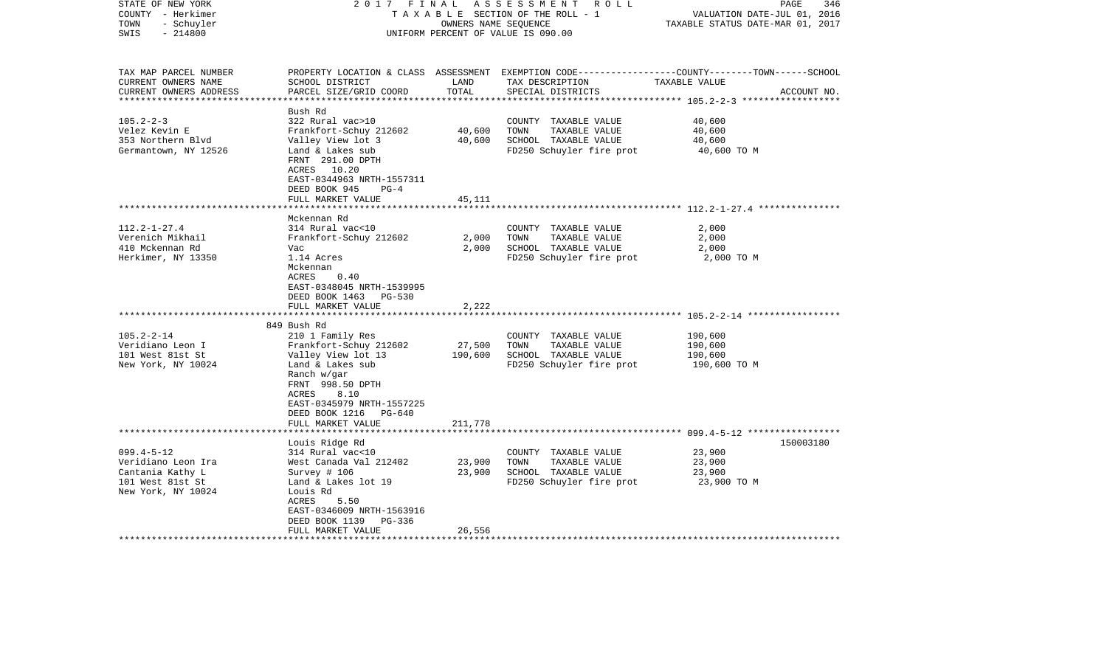| STATE OF NEW YORK<br>COUNTY - Herkimer<br>- Schuyler<br>TOWN<br>SWIS<br>$-214800$                  | 2017 FINAL                                                                                                                    | OWNERS NAME SEQUENCE | A S S E S S M E N T R O L L<br>TAXABLE SECTION OF THE ROLL - 1<br>UNIFORM PERCENT OF VALUE IS 090.00 | PAGE<br>346<br>VALUATION DATE-JUL 01, 2016<br>TAXABLE STATUS DATE-MAR 01, 2017                                                  |
|----------------------------------------------------------------------------------------------------|-------------------------------------------------------------------------------------------------------------------------------|----------------------|------------------------------------------------------------------------------------------------------|---------------------------------------------------------------------------------------------------------------------------------|
| TAX MAP PARCEL NUMBER<br>CURRENT OWNERS NAME<br>CURRENT OWNERS ADDRESS<br>************************ | SCHOOL DISTRICT<br>PARCEL SIZE/GRID COORD                                                                                     | LAND<br>TOTAL        | TAX DESCRIPTION<br>SPECIAL DISTRICTS                                                                 | PROPERTY LOCATION & CLASS ASSESSMENT EXEMPTION CODE---------------COUNTY-------TOWN------SCHOOL<br>TAXABLE VALUE<br>ACCOUNT NO. |
|                                                                                                    | Bush Rd                                                                                                                       |                      |                                                                                                      |                                                                                                                                 |
| $105.2 - 2 - 3$                                                                                    | 322 Rural vac>10                                                                                                              |                      | COUNTY TAXABLE VALUE                                                                                 | 40,600                                                                                                                          |
| Velez Kevin E<br>353 Northern Blvd                                                                 | Frankfort-Schuy 212602<br>Valley View lot 3                                                                                   | 40,600<br>40,600     | TOWN<br>TAXABLE VALUE<br>SCHOOL TAXABLE VALUE                                                        | 40,600<br>40,600                                                                                                                |
| Germantown, NY 12526                                                                               | Land & Lakes sub<br>FRNT 291.00 DPTH<br>ACRES 10.20<br>EAST-0344963 NRTH-1557311<br>DEED BOOK 945<br>$PG-4$                   |                      | FD250 Schuyler fire prot                                                                             | 40,600 TO M                                                                                                                     |
|                                                                                                    | FULL MARKET VALUE                                                                                                             | 45,111               |                                                                                                      |                                                                                                                                 |
|                                                                                                    | Mckennan Rd                                                                                                                   |                      |                                                                                                      |                                                                                                                                 |
| $112.2 - 1 - 27.4$                                                                                 | 314 Rural vac<10                                                                                                              |                      | COUNTY TAXABLE VALUE                                                                                 | 2,000                                                                                                                           |
| Verenich Mikhail                                                                                   | Frankfort-Schuy 212602                                                                                                        | 2,000                | TOWN<br>TAXABLE VALUE                                                                                | 2,000                                                                                                                           |
| 410 Mckennan Rd                                                                                    | Vac                                                                                                                           | 2,000                | SCHOOL TAXABLE VALUE                                                                                 | 2,000                                                                                                                           |
| Herkimer, NY 13350                                                                                 | 1.14 Acres<br>Mckennan<br>ACRES<br>0.40<br>EAST-0348045 NRTH-1539995<br>DEED BOOK 1463 PG-530                                 |                      | FD250 Schuyler fire prot                                                                             | 2,000 TO M                                                                                                                      |
|                                                                                                    | FULL MARKET VALUE<br>*********************                                                                                    | 2,222                |                                                                                                      | ***************************** 105.2-2-14 *****************                                                                      |
|                                                                                                    | 849 Bush Rd                                                                                                                   |                      |                                                                                                      |                                                                                                                                 |
| $105.2 - 2 - 14$                                                                                   | 210 1 Family Res                                                                                                              |                      | COUNTY TAXABLE VALUE                                                                                 | 190,600                                                                                                                         |
| Veridiano Leon I                                                                                   | Frankfort-Schuy 212602                                                                                                        | 27,500               | TOWN<br>TAXABLE VALUE                                                                                | 190,600                                                                                                                         |
| 101 West 81st St                                                                                   | Valley View lot 13                                                                                                            | 190,600              | SCHOOL TAXABLE VALUE                                                                                 | 190,600                                                                                                                         |
| New York, NY 10024                                                                                 | Land & Lakes sub<br>Ranch w/gar<br>FRNT 998.50 DPTH<br>8.10<br>ACRES<br>EAST-0345979 NRTH-1557225<br>DEED BOOK 1216<br>PG-640 |                      | FD250 Schuyler fire prot                                                                             | 190,600 TO M                                                                                                                    |
|                                                                                                    | FULL MARKET VALUE<br>**************************                                                                               | 211,778              |                                                                                                      |                                                                                                                                 |
|                                                                                                    | Louis Ridge Rd                                                                                                                |                      |                                                                                                      | 150003180                                                                                                                       |
| $099.4 - 5 - 12$                                                                                   | 314 Rural vac<10                                                                                                              |                      | COUNTY TAXABLE VALUE                                                                                 | 23,900                                                                                                                          |
| Veridiano Leon Ira                                                                                 | West Canada Val 212402                                                                                                        | 23,900               | TOWN<br>TAXABLE VALUE                                                                                | 23,900                                                                                                                          |
| Cantania Kathy L                                                                                   | Survey $# 106$                                                                                                                | 23,900               | SCHOOL TAXABLE VALUE                                                                                 | 23,900                                                                                                                          |
| 101 West 81st St<br>New York, NY 10024                                                             | Land & Lakes lot 19<br>Louis Rd<br>5.50<br>ACRES                                                                              |                      | FD250 Schuyler fire prot                                                                             | 23,900 TO M                                                                                                                     |
|                                                                                                    | EAST-0346009 NRTH-1563916                                                                                                     |                      |                                                                                                      |                                                                                                                                 |
|                                                                                                    | DEED BOOK 1139<br>PG-336<br>FULL MARKET VALUE                                                                                 | 26,556               |                                                                                                      |                                                                                                                                 |
|                                                                                                    |                                                                                                                               |                      |                                                                                                      |                                                                                                                                 |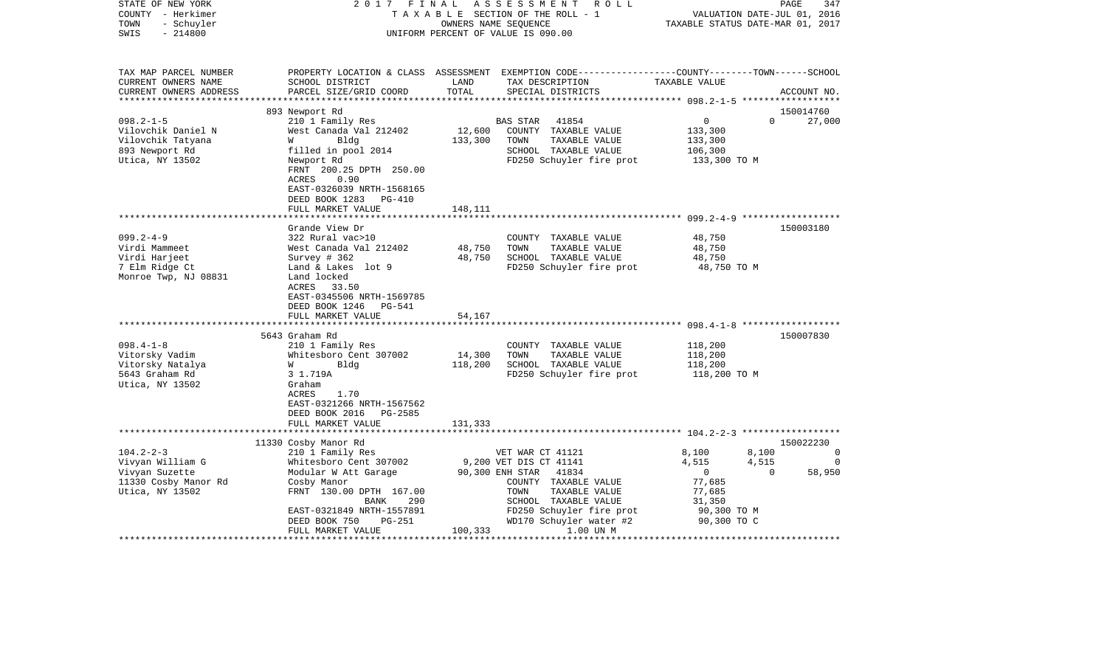| STATE OF NEW YORK<br>COUNTY - Herkimer<br>- Schuyler<br>TOWN<br>$-214800$<br>SWIS |                                                                                                | OWNERS NAME SEQUENCE | 2017 FINAL ASSESSMENT ROLL<br>TAXABLE SECTION OF THE ROLL - 1<br>UNIFORM PERCENT OF VALUE IS 090.00                                                    | VALUATION DATE-JUL 01, 2016<br>TAXABLE STATUS DATE-MAR 01, 2017 | 347<br>PAGE              |
|-----------------------------------------------------------------------------------|------------------------------------------------------------------------------------------------|----------------------|--------------------------------------------------------------------------------------------------------------------------------------------------------|-----------------------------------------------------------------|--------------------------|
| TAX MAP PARCEL NUMBER<br>CURRENT OWNERS NAME<br>CURRENT OWNERS ADDRESS            | SCHOOL DISTRICT<br>PARCEL SIZE/GRID COORD                                                      | LAND<br>TOTAL        | PROPERTY LOCATION & CLASS ASSESSMENT EXEMPTION CODE----------------COUNTY-------TOWN------SCHOOL<br>TAX DESCRIPTION TAXABLE VALUE<br>SPECIAL DISTRICTS |                                                                 | ACCOUNT NO.              |
|                                                                                   |                                                                                                |                      |                                                                                                                                                        |                                                                 |                          |
|                                                                                   | 893 Newport Rd                                                                                 |                      |                                                                                                                                                        |                                                                 | 150014760<br>$\Omega$    |
| $098.2 - 1 - 5$<br>Vilovchik Daniel N                                             | 210 1 Family Res<br>West Canada Val 212402                                                     |                      | BAS STAR<br>41854<br>12,600 COUNTY TAXABLE VALUE                                                                                                       | $\overline{0}$<br>133,300                                       | 27,000                   |
| Vilovchik Tatyana                                                                 | Bldg<br><b>W</b>                                                                               | 133,300              | TOWN<br>TAXABLE VALUE                                                                                                                                  | 133,300                                                         |                          |
| 893 Newport Rd                                                                    | filled in pool 2014                                                                            |                      | SCHOOL TAXABLE VALUE                                                                                                                                   | 106,300                                                         |                          |
| Utica, NY 13502                                                                   | Newport Rd                                                                                     |                      | FD250 Schuyler fire prot 133,300 TO M                                                                                                                  |                                                                 |                          |
|                                                                                   | FRNT 200.25 DPTH 250.00<br>0.90<br>ACRES<br>EAST-0326039 NRTH-1568165<br>DEED BOOK 1283 PG-410 |                      |                                                                                                                                                        |                                                                 |                          |
|                                                                                   | FULL MARKET VALUE                                                                              | 148,111              |                                                                                                                                                        |                                                                 |                          |
|                                                                                   |                                                                                                |                      |                                                                                                                                                        |                                                                 |                          |
| $099.2 - 4 - 9$                                                                   | Grande View Dr<br>322 Rural vac>10                                                             |                      | COUNTY TAXABLE VALUE                                                                                                                                   | 48,750                                                          | 150003180                |
| Virdi Mammeet                                                                     | West Canada Val 212402                                                                         | 48,750               | TOWN<br>TAXABLE VALUE                                                                                                                                  | 48,750                                                          |                          |
| Virdi Harjeet                                                                     | Survey # 362                                                                                   | 48,750               | SCHOOL TAXABLE VALUE                                                                                                                                   | 48,750                                                          |                          |
| 7 Elm Ridge Ct                                                                    | Land & Lakes lot 9                                                                             |                      | FD250 Schuyler fire prot                                                                                                                               | 48,750 TO M                                                     |                          |
| Monroe Twp, NJ 08831                                                              | Land locked<br>ACRES 33.50<br>EAST-0345506 NRTH-1569785<br>DEED BOOK 1246 PG-541               |                      |                                                                                                                                                        |                                                                 |                          |
|                                                                                   | FULL MARKET VALUE                                                                              | 54,167               |                                                                                                                                                        |                                                                 |                          |
|                                                                                   |                                                                                                |                      |                                                                                                                                                        |                                                                 |                          |
|                                                                                   | 5643 Graham Rd                                                                                 |                      |                                                                                                                                                        |                                                                 | 150007830                |
| $098.4 - 1 - 8$                                                                   | 210 1 Family Res                                                                               |                      | COUNTY TAXABLE VALUE                                                                                                                                   | 118,200                                                         |                          |
| Vitorsky Vadim                                                                    | Whitesboro Cent 307002                                                                         | 14,300               | TOWN<br>TAXABLE VALUE                                                                                                                                  | 118,200                                                         |                          |
| Vitorsky Natalya<br>5643 Graham Rd                                                | Bldg<br><b>W</b><br>3 1.719A                                                                   | 118,200              | SCHOOL TAXABLE VALUE<br>FD250 Schuyler fire prot                                                                                                       | 118,200<br>118,200 TO M                                         |                          |
| Utica, NY 13502                                                                   | Graham<br>ACRES<br>1.70<br>EAST-0321266 NRTH-1567562<br>DEED BOOK 2016 PG-2585                 |                      |                                                                                                                                                        |                                                                 |                          |
|                                                                                   | FULL MARKET VALUE                                                                              | 131,333              |                                                                                                                                                        |                                                                 |                          |
|                                                                                   |                                                                                                |                      |                                                                                                                                                        |                                                                 |                          |
|                                                                                   | 11330 Cosby Manor Rd                                                                           |                      |                                                                                                                                                        |                                                                 | 150022230                |
| $104.2 - 2 - 3$                                                                   | 210 1 Family Res                                                                               |                      | VET WAR CT 41121                                                                                                                                       | 8,100<br>4,515                                                  | 8,100<br>$\overline{0}$  |
| Vivyan William G<br>Vivyan Suzette                                                | Whitesboro Cent 307002<br>Modular W Att Garage 90,300 ENH STAR 41834                           |                      | 9,200 VET DIS CT 41141                                                                                                                                 | 4,515<br>$\overline{0}$<br>$\overline{0}$                       | $\overline{0}$<br>58,950 |
| 11330 Cosby Manor Rd                                                              | Cosby Manor                                                                                    |                      | COUNTY TAXABLE VALUE                                                                                                                                   | 77,685                                                          |                          |
| Utica, NY 13502                                                                   | FRNT 130.00 DPTH 167.00                                                                        |                      | TAXABLE VALUE<br>TOWN                                                                                                                                  | 77,685                                                          |                          |
|                                                                                   | BANK<br>290                                                                                    |                      | SCHOOL TAXABLE VALUE                                                                                                                                   | 31,350                                                          |                          |
|                                                                                   | EAST-0321849 NRTH-1557891                                                                      |                      | FD250 Schuyler fire prot                                                                                                                               | 90,300 TO M                                                     |                          |
|                                                                                   | DEED BOOK 750<br>PG-251<br>FULL MARKET VALUE                                                   | 100,333              | WD170 Schuyler water #2<br>1.00 UN M                                                                                                                   | 90,300 TO C                                                     |                          |
|                                                                                   |                                                                                                |                      |                                                                                                                                                        |                                                                 |                          |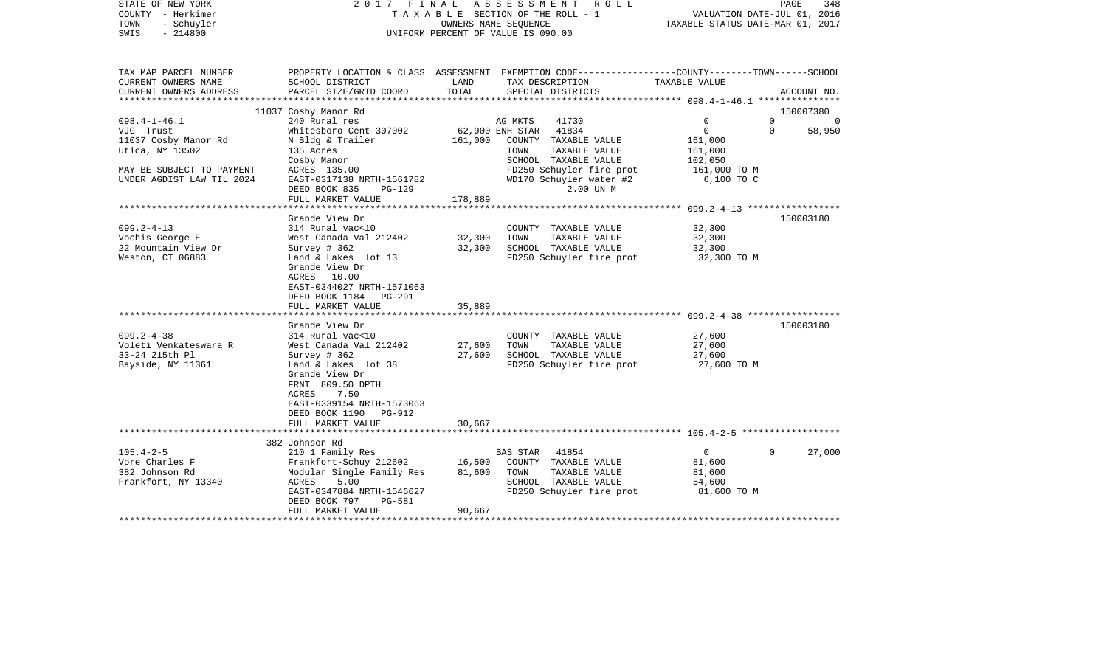| STATE OF NEW YORK<br>COUNTY - Herkimer<br>TOWN<br>- Schuyler<br>$-214800$<br>SWIS |                                                                                                                                  |         | 2017 FINAL ASSESSMENT ROLL<br>TAXABLE SECTION OF THE ROLL - 1<br>OWNERS NAME SEQUENCE<br>UNIFORM PERCENT OF VALUE IS 090.00 | TAXABLE STATUS DATE-MAR 01, 2017 | PAGE<br>348<br>VALUATION DATE-JUL 01, 2016 |
|-----------------------------------------------------------------------------------|----------------------------------------------------------------------------------------------------------------------------------|---------|-----------------------------------------------------------------------------------------------------------------------------|----------------------------------|--------------------------------------------|
| TAX MAP PARCEL NUMBER                                                             |                                                                                                                                  |         | PROPERTY LOCATION & CLASS ASSESSMENT EXEMPTION CODE---------------COUNTY-------TOWN------SCHOOL                             |                                  |                                            |
| CURRENT OWNERS NAME                                                               | SCHOOL DISTRICT                                                                                                                  | LAND    | TAX DESCRIPTION                                                                                                             | TAXABLE VALUE                    |                                            |
| CURRENT OWNERS ADDRESS                                                            | PARCEL SIZE/GRID COORD                                                                                                           | TOTAL   | SPECIAL DISTRICTS                                                                                                           |                                  | ACCOUNT NO.                                |
|                                                                                   | 11037 Cosby Manor Rd                                                                                                             |         |                                                                                                                             |                                  | 150007380                                  |
| $098.4 - 1 - 46.1$                                                                | 240 Rural res                                                                                                                    |         | AG MKTS<br>41730                                                                                                            | $\Omega$                         | $\Omega$<br>$\Omega$                       |
| VJG Trust                                                                         | Whitesboro Cent 307002                                                                                                           |         | 62,900 ENH STAR 41834                                                                                                       | $\mathbf 0$                      | $\mathbf 0$<br>58,950                      |
| 11037 Cosby Manor Rd                                                              | N Bldg & Trailer                                                                                                                 | 161,000 | COUNTY TAXABLE VALUE                                                                                                        | 161,000                          |                                            |
| Utica, NY 13502                                                                   | 135 Acres                                                                                                                        |         | TOWN<br>TAXABLE VALUE                                                                                                       | 161,000                          |                                            |
|                                                                                   | Cosby Manor                                                                                                                      |         | SCHOOL TAXABLE VALUE                                                                                                        | 102,050                          |                                            |
| MAY BE SUBJECT TO PAYMENT<br>UNDER AGDIST LAW TIL 2024                            | ACRES 135.00<br>EAST-0317138 NRTH-1561782                                                                                        |         | FD250 Schuyler fire prot<br>WD170 Schuyler water #2                                                                         | 161,000 TO M<br>6,100 TO C       |                                            |
|                                                                                   | DEED BOOK 835<br>PG-129                                                                                                          |         | 2.00 UN M                                                                                                                   |                                  |                                            |
|                                                                                   | FULL MARKET VALUE                                                                                                                | 178,889 |                                                                                                                             |                                  |                                            |
|                                                                                   |                                                                                                                                  |         |                                                                                                                             |                                  |                                            |
|                                                                                   | Grande View Dr                                                                                                                   |         |                                                                                                                             |                                  | 150003180                                  |
| $099.2 - 4 - 13$                                                                  | 314 Rural vac<10                                                                                                                 |         | COUNTY TAXABLE VALUE                                                                                                        | 32,300                           |                                            |
| Vochis George E                                                                   | West Canada Val 212402                                                                                                           | 32,300  | TOWN<br>TAXABLE VALUE                                                                                                       | 32,300                           |                                            |
| 22 Mountain View Dr                                                               | Survey # 362                                                                                                                     | 32,300  | SCHOOL TAXABLE VALUE                                                                                                        | 32,300                           |                                            |
| Weston, CT 06883                                                                  | Land & Lakes lot 13<br>Grande View Dr<br>ACRES 10.00<br>EAST-0344027 NRTH-1571063<br>DEED BOOK 1184<br>PG-291                    |         | FD250 Schuyler fire prot                                                                                                    | 32,300 TO M                      |                                            |
|                                                                                   | FULL MARKET VALUE                                                                                                                | 35,889  |                                                                                                                             |                                  |                                            |
|                                                                                   | Grande View Dr                                                                                                                   |         |                                                                                                                             |                                  | 150003180                                  |
| $099.2 - 4 - 38$                                                                  | 314 Rural vac<10                                                                                                                 |         | COUNTY TAXABLE VALUE                                                                                                        | 27,600                           |                                            |
| Voleti Venkateswara R                                                             | West Canada Val 212402                                                                                                           | 27,600  | TAXABLE VALUE<br>TOWN                                                                                                       | 27,600                           |                                            |
| 33-24 215th Pl                                                                    | Survey # 362                                                                                                                     | 27,600  | SCHOOL TAXABLE VALUE                                                                                                        | 27,600                           |                                            |
| Bayside, NY 11361                                                                 | Land & Lakes lot 38<br>Grande View Dr<br>FRNT 809.50 DPTH<br>ACRES<br>7.50<br>EAST-0339154 NRTH-1573063<br>DEED BOOK 1190 PG-912 |         | FD250 Schuyler fire prot                                                                                                    | 27,600 TO M                      |                                            |
|                                                                                   | FULL MARKET VALUE                                                                                                                | 30,667  |                                                                                                                             |                                  |                                            |
|                                                                                   | 382 Johnson Rd                                                                                                                   |         |                                                                                                                             |                                  |                                            |
| $105.4 - 2 - 5$                                                                   | 210 1 Family Res                                                                                                                 |         | BAS STAR 41854                                                                                                              | $\overline{0}$                   | $\Omega$<br>27,000                         |
| Vore Charles F                                                                    | Frankfort-Schuy 212602                                                                                                           | 16,500  | COUNTY TAXABLE VALUE                                                                                                        | 81,600                           |                                            |
| 382 Johnson Rd                                                                    | Modular Single Family Res                                                                                                        | 81,600  | TOWN<br>TAXABLE VALUE                                                                                                       | 81,600                           |                                            |
| Frankfort, NY 13340                                                               | ACRES<br>5.00                                                                                                                    |         | SCHOOL TAXABLE VALUE                                                                                                        | 54,600                           |                                            |
|                                                                                   | EAST-0347884 NRTH-1546627<br>PG-581<br>DEED BOOK 797                                                                             |         | FD250 Schuyler fire prot                                                                                                    | 81,600 TO M                      |                                            |
|                                                                                   | FULL MARKET VALUE                                                                                                                | 90,667  |                                                                                                                             |                                  |                                            |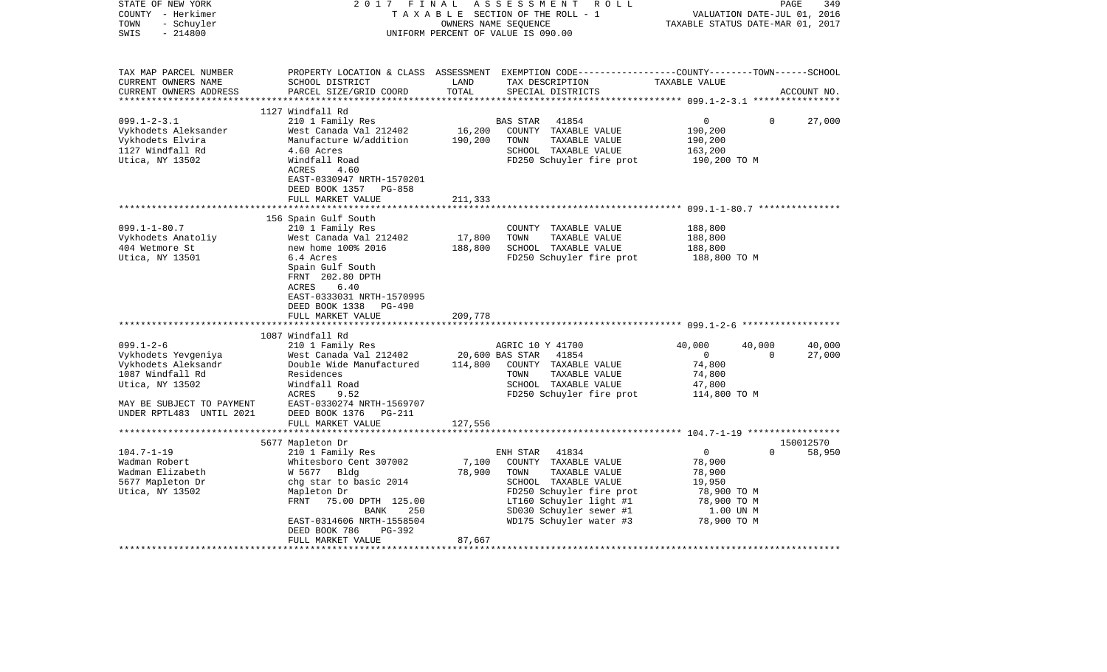| STATE OF NEW YORK<br>COUNTY - Herkimer<br>TOWN<br>- Schuyler<br>$-214800$<br>SWIS                    | 2017 FINAL                                                                                                                                           |                            | ASSESSMENT<br>ROLL<br>TAXABLE SECTION OF THE ROLL - 1<br>OWNERS NAME SEQUENCE<br>UNIFORM PERCENT OF VALUE IS 090.00                                                                | VALUATION DATE-JUL 01, 2016<br>TAXABLE STATUS DATE-MAR 01, 2017                      | 349<br>PAGE |
|------------------------------------------------------------------------------------------------------|------------------------------------------------------------------------------------------------------------------------------------------------------|----------------------------|------------------------------------------------------------------------------------------------------------------------------------------------------------------------------------|--------------------------------------------------------------------------------------|-------------|
| TAX MAP PARCEL NUMBER<br>CURRENT OWNERS NAME<br>CURRENT OWNERS ADDRESS<br>************************   | SCHOOL DISTRICT<br>PARCEL SIZE/GRID COORD                                                                                                            | LAND<br>TOTAL              | PROPERTY LOCATION & CLASS ASSESSMENT EXEMPTION CODE--------------COUNTY-------TOWN------SCHOOL<br>TAX DESCRIPTION<br>SPECIAL DISTRICTS                                             | TAXABLE VALUE                                                                        | ACCOUNT NO. |
|                                                                                                      | 1127 Windfall Rd                                                                                                                                     |                            |                                                                                                                                                                                    |                                                                                      |             |
| $099.1 - 2 - 3.1$<br>Vykhodets Aleksander<br>Vykhodets Elvira<br>1127 Windfall Rd<br>Utica, NY 13502 | 210 1 Family Res<br>West Canada Val 212402<br>Manufacture W/addition<br>4.60 Acres<br>Windfall Road<br>ACRES<br>4.60                                 | 16,200<br>190,200          | <b>BAS STAR</b><br>41854<br>COUNTY TAXABLE VALUE<br>TOWN<br>TAXABLE VALUE<br>SCHOOL TAXABLE VALUE<br>FD250 Schuyler fire prot                                                      | $\mathbf{0}$<br>$\Omega$<br>190,200<br>190,200<br>163,200<br>190,200 TO M            | 27,000      |
|                                                                                                      | EAST-0330947 NRTH-1570201<br>DEED BOOK 1357 PG-858<br>FULL MARKET VALUE                                                                              | 211,333                    |                                                                                                                                                                                    |                                                                                      |             |
| $099.1 - 1 - 80.7$                                                                                   | 156 Spain Gulf South<br>210 1 Family Res                                                                                                             |                            | COUNTY TAXABLE VALUE                                                                                                                                                               | 188,800                                                                              |             |
| Vykhodets Anatoliy                                                                                   | West Canada Val 212402                                                                                                                               | 17,800                     | TOWN<br>TAXABLE VALUE                                                                                                                                                              | 188,800                                                                              |             |
| 404 Wetmore St                                                                                       | new home 100% 2016                                                                                                                                   | 188,800                    | SCHOOL TAXABLE VALUE                                                                                                                                                               | 188,800                                                                              |             |
| Utica, NY 13501                                                                                      | 6.4 Acres<br>Spain Gulf South<br>FRNT 202.80 DPTH<br>ACRES<br>6.40<br>EAST-0333031 NRTH-1570995<br>DEED BOOK 1338 PG-490                             |                            | FD250 Schuyler fire prot                                                                                                                                                           | 188,800 TO M                                                                         |             |
|                                                                                                      | FULL MARKET VALUE                                                                                                                                    | 209,778                    |                                                                                                                                                                                    |                                                                                      |             |
|                                                                                                      |                                                                                                                                                      |                            |                                                                                                                                                                                    |                                                                                      |             |
| $099.1 - 2 - 6$                                                                                      | 1087 Windfall Rd<br>210 1 Family Res                                                                                                                 |                            | AGRIC 10 Y 41700                                                                                                                                                                   | 40,000<br>40,000                                                                     | 40,000      |
| Vykhodets Yevgeniya<br>Vykhodets Aleksandr<br>1087 Windfall Rd<br>Utica, NY 13502                    | West Canada Val 212402<br>Double Wide Manufactured<br>Residences<br>Windfall Road<br>ACRES<br>9.52                                                   | 20,600 BAS STAR<br>114,800 | 41854<br>COUNTY TAXABLE VALUE<br>TOWN<br>TAXABLE VALUE<br>SCHOOL TAXABLE VALUE<br>FD250 Schuyler fire prot                                                                         | $\overline{0}$<br>$\Omega$<br>74,800<br>74,800<br>47,800<br>114,800 TO M             | 27,000      |
| MAY BE SUBJECT TO PAYMENT<br>UNDER RPTL483 UNTIL 2021                                                | EAST-0330274 NRTH-1569707<br>DEED BOOK 1376 PG-211                                                                                                   | 127,556                    |                                                                                                                                                                                    |                                                                                      |             |
|                                                                                                      | FULL MARKET VALUE                                                                                                                                    |                            |                                                                                                                                                                                    |                                                                                      |             |
|                                                                                                      | 5677 Mapleton Dr                                                                                                                                     |                            |                                                                                                                                                                                    |                                                                                      | 150012570   |
| $104.7 - 1 - 19$                                                                                     | 210 1 Family Res                                                                                                                                     |                            | ENH STAR<br>41834                                                                                                                                                                  | $\overline{0}$<br>$\Omega$                                                           | 58,950      |
| Wadman Robert<br>Wadman Elizabeth<br>5677 Mapleton Dr<br>Utica, NY 13502                             | Whitesboro Cent 307002<br>W 5677 Bldg<br>chg star to basic 2014<br>Mapleton Dr<br>FRNT 75.00 DPTH 125.00<br>250<br>BANK<br>EAST-0314606 NRTH-1558504 | 7,100<br>78,900            | COUNTY TAXABLE VALUE<br>TOWN<br>TAXABLE VALUE<br>SCHOOL TAXABLE VALUE<br>FD250 Schuyler fire prot<br>LT160 Schuyler light #1<br>SD030 Schuyler sewer #1<br>WD175 Schuyler water #3 | 78,900<br>78,900<br>19,950<br>78,900 TO M<br>78,900 TO M<br>1.00 UN M<br>78,900 TO M |             |
|                                                                                                      | DEED BOOK 786<br>PG-392                                                                                                                              |                            |                                                                                                                                                                                    |                                                                                      |             |
|                                                                                                      | FULL MARKET VALUE                                                                                                                                    | 87,667                     |                                                                                                                                                                                    |                                                                                      |             |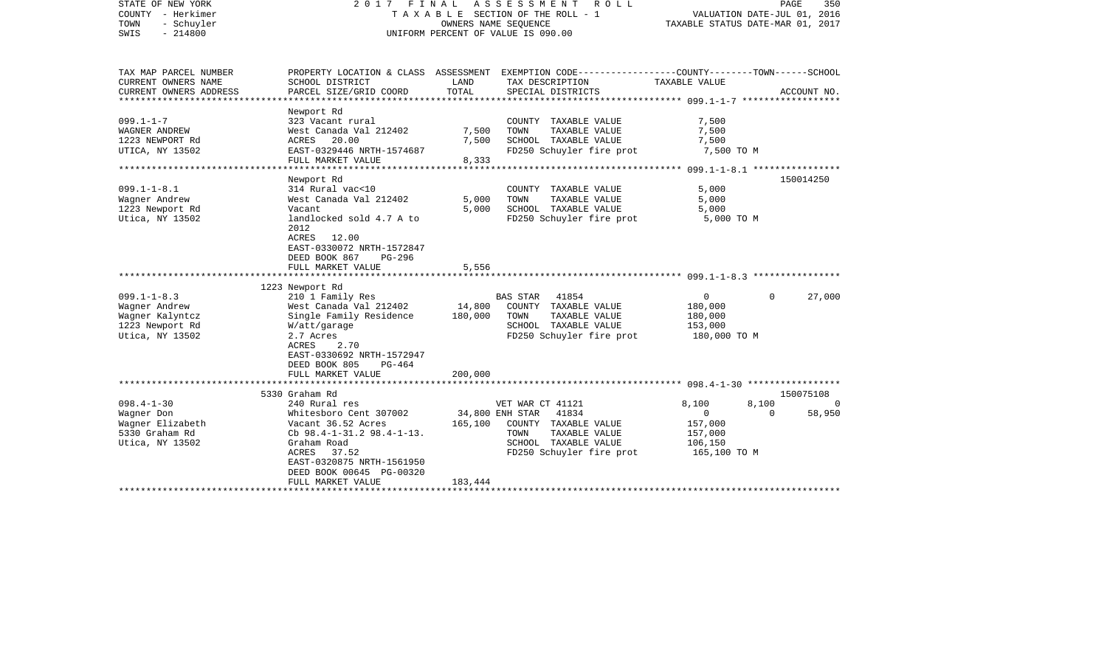| STATE OF NEW YORK<br>COUNTY - Herkimer<br>- Schuyler<br>TOWN<br>$-214800$<br>SWIS | 2017 FINAL                                                                                                        | TAXABLE SECTION OF THE ROLL - 1<br>OWNERS NAME SEQUENCE<br>UNIFORM PERCENT OF VALUE IS 090.00 | ASSESSMENT       | <b>ROLL</b>                           | VALUATION DATE-JUL 01, 2016<br>TAXABLE STATUS DATE-MAR 01, 2017 | PAGE     | 350         |
|-----------------------------------------------------------------------------------|-------------------------------------------------------------------------------------------------------------------|-----------------------------------------------------------------------------------------------|------------------|---------------------------------------|-----------------------------------------------------------------|----------|-------------|
| TAX MAP PARCEL NUMBER<br>CURRENT OWNERS NAME                                      | PROPERTY LOCATION & CLASS ASSESSMENT EXEMPTION CODE---------------COUNTY-------TOWN-----SCHOOL<br>SCHOOL DISTRICT | LAND                                                                                          |                  | TAX DESCRIPTION                       | TAXABLE VALUE                                                   |          |             |
| CURRENT OWNERS ADDRESS<br>*******************                                     | PARCEL SIZE/GRID COORD                                                                                            | TOTAL<br>**********                                                                           |                  | SPECIAL DISTRICTS                     |                                                                 |          | ACCOUNT NO. |
|                                                                                   | Newport Rd                                                                                                        |                                                                                               |                  |                                       |                                                                 |          |             |
| $099.1 - 1 - 7$                                                                   | 323 Vacant rural                                                                                                  |                                                                                               |                  | COUNTY TAXABLE VALUE                  | 7,500                                                           |          |             |
| WAGNER ANDREW                                                                     | West Canada Val 212402                                                                                            | 7,500                                                                                         | TOWN             | TAXABLE VALUE                         | 7,500                                                           |          |             |
| 1223 NEWPORT Rd                                                                   | 20.00<br>ACRES                                                                                                    | 7,500                                                                                         |                  | SCHOOL TAXABLE VALUE                  | 7,500                                                           |          |             |
| UTICA, NY 13502                                                                   | EAST-0329446 NRTH-1574687                                                                                         |                                                                                               |                  | FD250 Schuyler fire prot              | 7,500 TO M                                                      |          |             |
|                                                                                   | FULL MARKET VALUE<br>************************                                                                     | 8,333                                                                                         |                  |                                       |                                                                 |          |             |
|                                                                                   | Newport Rd                                                                                                        |                                                                                               |                  |                                       |                                                                 |          | 150014250   |
| $099.1 - 1 - 8.1$                                                                 | 314 Rural vac<10                                                                                                  |                                                                                               |                  | COUNTY TAXABLE VALUE                  | 5,000                                                           |          |             |
| Wagner Andrew                                                                     | West Canada Val 212402                                                                                            | 5,000                                                                                         | TOWN             | TAXABLE VALUE                         | 5,000                                                           |          |             |
| 1223 Newport Rd                                                                   | Vacant                                                                                                            | 5,000                                                                                         |                  | SCHOOL TAXABLE VALUE                  | 5,000                                                           |          |             |
| Utica, NY 13502                                                                   | landlocked sold 4.7 A to<br>2012<br>ACRES<br>12.00                                                                |                                                                                               |                  | FD250 Schuyler fire prot              | 5,000 TO M                                                      |          |             |
|                                                                                   | EAST-0330072 NRTH-1572847                                                                                         |                                                                                               |                  |                                       |                                                                 |          |             |
|                                                                                   | DEED BOOK 867<br>PG-296<br>FULL MARKET VALUE                                                                      | 5,556                                                                                         |                  |                                       |                                                                 |          |             |
|                                                                                   |                                                                                                                   |                                                                                               |                  |                                       |                                                                 |          |             |
|                                                                                   | 1223 Newport Rd                                                                                                   |                                                                                               |                  |                                       |                                                                 |          |             |
| $099.1 - 1 - 8.3$                                                                 | 210 1 Family Res                                                                                                  |                                                                                               | BAS STAR         | 41854                                 | $\mathsf{O}$                                                    | $\Omega$ | 27,000      |
| Wagner Andrew                                                                     | West Canada Val 212402                                                                                            | 14,800                                                                                        |                  | COUNTY TAXABLE VALUE                  | 180,000                                                         |          |             |
| Wagner Kalyntcz                                                                   | Single Family Residence                                                                                           | 180,000                                                                                       | TOWN             | TAXABLE VALUE                         | 180,000                                                         |          |             |
| 1223 Newport Rd                                                                   | W/att/garage                                                                                                      |                                                                                               |                  | SCHOOL TAXABLE VALUE                  | 153,000                                                         |          |             |
| Utica, NY 13502                                                                   | 2.7 Acres<br>2.70<br>ACRES<br>EAST-0330692 NRTH-1572947                                                           |                                                                                               |                  | FD250 Schuyler fire prot              | 180,000 TO M                                                    |          |             |
|                                                                                   | DEED BOOK 805<br>PG-464                                                                                           |                                                                                               |                  |                                       |                                                                 |          |             |
|                                                                                   | FULL MARKET VALUE                                                                                                 | 200,000                                                                                       |                  |                                       |                                                                 |          |             |
|                                                                                   |                                                                                                                   |                                                                                               |                  |                                       |                                                                 |          |             |
|                                                                                   | 5330 Graham Rd                                                                                                    |                                                                                               |                  |                                       |                                                                 |          | 150075108   |
| $098.4 - 1 - 30$                                                                  | 240 Rural res                                                                                                     |                                                                                               | VET WAR CT 41121 |                                       | 8,100                                                           | 8,100    | $\Omega$    |
| Wagner Don                                                                        | Whitesboro Cent 307002                                                                                            |                                                                                               | 34,800 ENH STAR  | 41834                                 | 0                                                               | $\Omega$ | 58,950      |
| Wagner Elizabeth                                                                  | Vacant 36.52 Acres                                                                                                | 165,100                                                                                       | TOWN             | COUNTY TAXABLE VALUE<br>TAXABLE VALUE | 157,000                                                         |          |             |
| 5330 Graham Rd                                                                    | Cb $98.4 - 1 - 31.2$ $98.4 - 1 - 13$ .<br>Graham Road                                                             |                                                                                               |                  | SCHOOL TAXABLE VALUE                  | 157,000<br>106,150                                              |          |             |
| Utica, NY 13502                                                                   | ACRES<br>37.52                                                                                                    |                                                                                               |                  | FD250 Schuyler fire prot              | 165,100 TO M                                                    |          |             |
|                                                                                   | EAST-0320875 NRTH-1561950                                                                                         |                                                                                               |                  |                                       |                                                                 |          |             |
|                                                                                   | DEED BOOK 00645 PG-00320                                                                                          |                                                                                               |                  |                                       |                                                                 |          |             |
|                                                                                   | FULL MARKET VALUE                                                                                                 | 183,444                                                                                       |                  |                                       |                                                                 |          |             |
|                                                                                   |                                                                                                                   |                                                                                               |                  |                                       |                                                                 |          |             |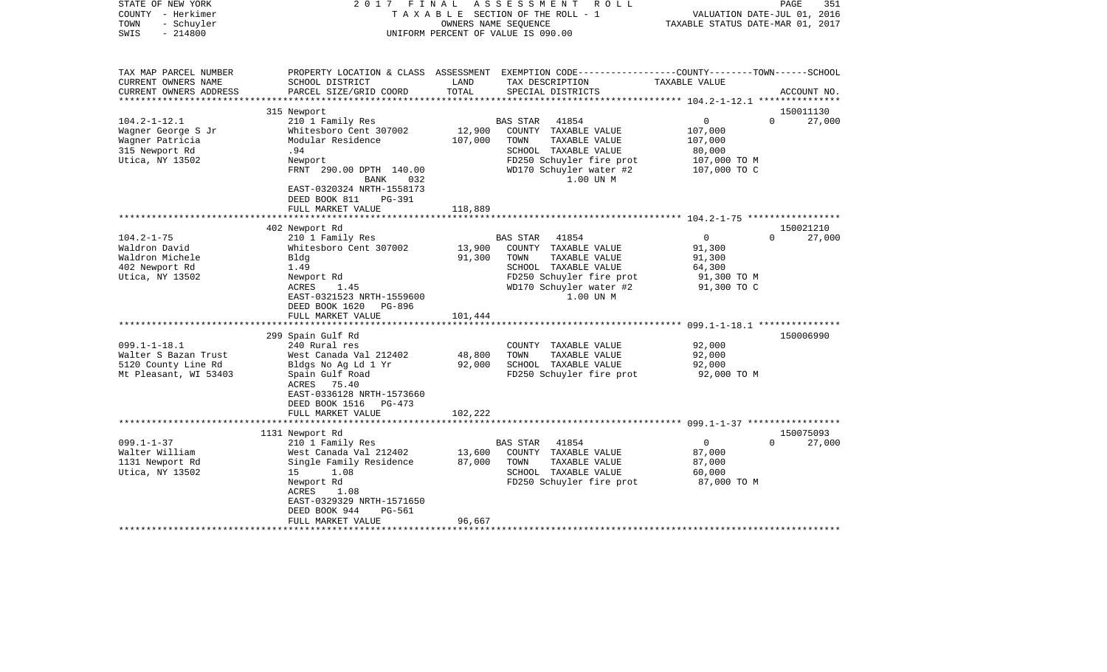| STATE OF NEW YORK<br>COUNTY - Herkimer<br>- Schuyler<br>TOWN<br>$-214800$<br>SWIS | 2017<br>FINAL                                         |                      | ASSESSMENT<br>R O L L<br>TAXABLE SECTION OF THE ROLL - 1<br>OWNERS NAME SEOUENCE<br>UNIFORM PERCENT OF VALUE IS 090.00                   | TAXABLE STATUS DATE-MAR 01, 2017   | 351<br>PAGE<br>VALUATION DATE-JUL 01, 2016 |
|-----------------------------------------------------------------------------------|-------------------------------------------------------|----------------------|------------------------------------------------------------------------------------------------------------------------------------------|------------------------------------|--------------------------------------------|
| TAX MAP PARCEL NUMBER<br>CURRENT OWNERS NAME<br>CURRENT OWNERS ADDRESS            | SCHOOL DISTRICT<br>PARCEL SIZE/GRID COORD             | LAND<br>TOTAL        | PROPERTY LOCATION & CLASS ASSESSMENT EXEMPTION CODE----------------COUNTY-------TOWN------SCHOOL<br>TAX DESCRIPTION<br>SPECIAL DISTRICTS | TAXABLE VALUE                      | ACCOUNT NO.                                |
| **********************                                                            |                                                       |                      |                                                                                                                                          |                                    |                                            |
|                                                                                   | 315 Newport                                           |                      |                                                                                                                                          |                                    | 150011130                                  |
| $104.2 - 1 - 12.1$                                                                | 210 1 Family Res<br>Whitesboro Cent 307002            | 12,900               | 41854<br><b>BAS STAR</b>                                                                                                                 | $\mathbf{0}$                       | $\Omega$<br>27,000                         |
| Wagner George S Jr                                                                |                                                       |                      | COUNTY TAXABLE VALUE                                                                                                                     | 107,000                            |                                            |
| Wagner Patricia<br>315 Newport Rd                                                 | Modular Residence<br>.94                              | 107,000              | TOWN<br>TAXABLE VALUE<br>SCHOOL TAXABLE VALUE                                                                                            | 107,000<br>80,000                  |                                            |
| Utica, NY 13502                                                                   | Newport                                               |                      | FD250 Schuyler fire prot                                                                                                                 | 107,000 TO M                       |                                            |
|                                                                                   | FRNT 290.00 DPTH 140.00                               |                      | WD170 Schuyler water #2                                                                                                                  | 107,000 TO C                       |                                            |
|                                                                                   | BANK<br>032                                           |                      | 1.00 UN M                                                                                                                                |                                    |                                            |
|                                                                                   | EAST-0320324 NRTH-1558173<br>DEED BOOK 811<br>PG-391  |                      |                                                                                                                                          |                                    |                                            |
|                                                                                   | FULL MARKET VALUE                                     | 118,889              |                                                                                                                                          |                                    |                                            |
|                                                                                   |                                                       |                      |                                                                                                                                          |                                    |                                            |
|                                                                                   | 402 Newport Rd                                        |                      |                                                                                                                                          |                                    | 150021210                                  |
| $104.2 - 1 - 75$                                                                  | 210 1 Family Res                                      |                      | <b>BAS STAR</b><br>41854                                                                                                                 | $\mathbf 0$                        | $\Omega$<br>27,000                         |
| Waldron David                                                                     | Whitesboro Cent 307002                                | 13,900               | COUNTY TAXABLE VALUE                                                                                                                     | 91,300                             |                                            |
| Waldron Michele                                                                   | Bldg                                                  | 91,300               | TOWN<br>TAXABLE VALUE                                                                                                                    | 91,300                             |                                            |
| 402 Newport Rd                                                                    | 1.49                                                  |                      | SCHOOL TAXABLE VALUE                                                                                                                     | 64,300                             |                                            |
| Utica, NY 13502                                                                   | Newport Rd                                            |                      | FD250 Schuyler fire prot                                                                                                                 | 91,300 TO M                        |                                            |
|                                                                                   | ACRES<br>1.45                                         |                      | WD170 Schuyler water #2                                                                                                                  | 91,300 TO C                        |                                            |
|                                                                                   | EAST-0321523 NRTH-1559600<br>DEED BOOK 1620<br>PG-896 |                      | 1.00 UN M                                                                                                                                |                                    |                                            |
|                                                                                   | FULL MARKET VALUE                                     | 101,444              |                                                                                                                                          |                                    |                                            |
|                                                                                   |                                                       | ******************** |                                                                                                                                          | $099.1 - 1 - 18.1$ *************** |                                            |
|                                                                                   | 299 Spain Gulf Rd                                     |                      |                                                                                                                                          |                                    | 150006990                                  |
| $099.1 - 1 - 18.1$                                                                | 240 Rural res                                         |                      | COUNTY TAXABLE VALUE                                                                                                                     | 92,000                             |                                            |
| Walter S Bazan Trust                                                              | West Canada Val 212402                                | 48,800               | TOWN<br>TAXABLE VALUE                                                                                                                    | 92,000                             |                                            |
| 5120 County Line Rd                                                               | Bldgs No Ag Ld 1 Yr                                   | 92,000               | SCHOOL TAXABLE VALUE                                                                                                                     | 92,000                             |                                            |
| Mt Pleasant, WI 53403                                                             | Spain Gulf Road                                       |                      | FD250 Schuyler fire prot                                                                                                                 | 92,000 TO M                        |                                            |
|                                                                                   | ACRES 75.40                                           |                      |                                                                                                                                          |                                    |                                            |
|                                                                                   | EAST-0336128 NRTH-1573660                             |                      |                                                                                                                                          |                                    |                                            |
|                                                                                   | DEED BOOK 1516<br>PG-473                              |                      |                                                                                                                                          |                                    |                                            |
|                                                                                   | FULL MARKET VALUE                                     | 102,222              |                                                                                                                                          |                                    |                                            |
|                                                                                   |                                                       | ***********          |                                                                                                                                          |                                    |                                            |
|                                                                                   | 1131 Newport Rd                                       |                      |                                                                                                                                          |                                    | 150075093                                  |
| $099.1 - 1 - 37$                                                                  | 210 1 Family Res                                      |                      | BAS STAR<br>41854                                                                                                                        | 0                                  | $\Omega$<br>27,000                         |
| Walter William                                                                    | West Canada Val 212402                                | 13,600               | COUNTY TAXABLE VALUE                                                                                                                     | 87,000                             |                                            |
| 1131 Newport Rd                                                                   | Single Family Residence                               | 87,000               | TOWN<br>TAXABLE VALUE                                                                                                                    | 87,000                             |                                            |
| Utica, NY 13502                                                                   | 1.08<br>15                                            |                      | SCHOOL TAXABLE VALUE                                                                                                                     | 60,000                             |                                            |
|                                                                                   | Newport Rd                                            |                      | FD250 Schuyler fire prot                                                                                                                 | 87,000 TO M                        |                                            |
|                                                                                   | 1.08<br>ACRES                                         |                      |                                                                                                                                          |                                    |                                            |
|                                                                                   | EAST-0329329 NRTH-1571650<br>DEED BOOK 944            |                      |                                                                                                                                          |                                    |                                            |
|                                                                                   | PG-561<br>FULL MARKET VALUE                           | 96,667               |                                                                                                                                          |                                    |                                            |
|                                                                                   |                                                       |                      |                                                                                                                                          |                                    |                                            |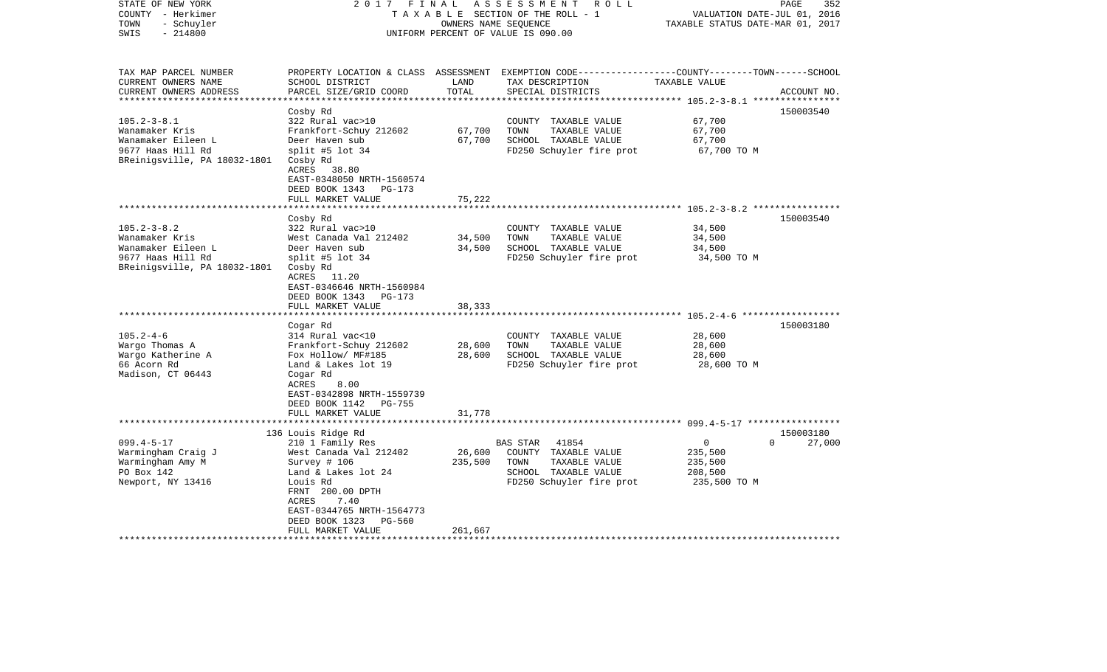| STATE OF NEW YORK<br>COUNTY - Herkimer<br>- Schuyler<br>TOWN<br>$-214800$<br>SWIS | 2017<br>FINAL                                                                 | OWNERS NAME SEQUENCE | ASSESSMENT ROLL<br>TAXABLE SECTION OF THE ROLL - 1<br>UNIFORM PERCENT OF VALUE IS 090.00                                                | VALUATION DATE-JUL 01, 2016<br>TAXABLE STATUS DATE-MAR 01, 2017 | 352<br>PAGE           |
|-----------------------------------------------------------------------------------|-------------------------------------------------------------------------------|----------------------|-----------------------------------------------------------------------------------------------------------------------------------------|-----------------------------------------------------------------|-----------------------|
| TAX MAP PARCEL NUMBER<br>CURRENT OWNERS NAME<br>CURRENT OWNERS ADDRESS            | SCHOOL DISTRICT<br>PARCEL SIZE/GRID COORD                                     | LAND<br>TOTAL        | PROPERTY LOCATION & CLASS ASSESSMENT EXEMPTION CODE---------------COUNTY-------TOWN------SCHOOL<br>TAX DESCRIPTION<br>SPECIAL DISTRICTS | TAXABLE VALUE                                                   | ACCOUNT NO.           |
|                                                                                   |                                                                               |                      |                                                                                                                                         |                                                                 |                       |
| $105.2 - 3 - 8.1$                                                                 | Cosby Rd<br>322 Rural vac>10                                                  |                      | COUNTY TAXABLE VALUE                                                                                                                    | 67,700                                                          | 150003540             |
| Wanamaker Kris                                                                    | Frankfort-Schuy 212602                                                        | 67,700               | TOWN<br>TAXABLE VALUE                                                                                                                   | 67,700                                                          |                       |
| Wanamaker Eileen L                                                                | Deer Haven sub                                                                | 67,700               | SCHOOL TAXABLE VALUE                                                                                                                    | 67,700                                                          |                       |
| 9677 Haas Hill Rd<br>BReinigsville, PA 18032-1801                                 | split #5 lot $34$<br>Cosby Rd<br>ACRES 38.80                                  |                      | FD250 Schuyler fire prot                                                                                                                | 67,700 TO M                                                     |                       |
|                                                                                   | EAST-0348050 NRTH-1560574                                                     |                      |                                                                                                                                         |                                                                 |                       |
|                                                                                   | DEED BOOK 1343<br>PG-173                                                      |                      |                                                                                                                                         |                                                                 |                       |
|                                                                                   | FULL MARKET VALUE<br>***********************                                  | 75,222               |                                                                                                                                         |                                                                 |                       |
|                                                                                   | Cosby Rd                                                                      |                      |                                                                                                                                         |                                                                 | 150003540             |
| $105.2 - 3 - 8.2$                                                                 | 322 Rural vac>10                                                              |                      | COUNTY TAXABLE VALUE                                                                                                                    | 34,500                                                          |                       |
| Wanamaker Kris                                                                    | West Canada Val 212402                                                        | 34,500               | TOWN<br>TAXABLE VALUE                                                                                                                   | 34,500                                                          |                       |
| Wanamaker Eileen L                                                                | Deer Haven sub                                                                | 34,500               | SCHOOL TAXABLE VALUE                                                                                                                    | 34,500                                                          |                       |
| 9677 Haas Hill Rd                                                                 | split #5 lot $34$                                                             |                      | FD250 Schuyler fire prot                                                                                                                | 34,500 TO M                                                     |                       |
| BReinigsville, PA 18032-1801                                                      | Cosby Rd<br>ACRES 11.20<br>EAST-0346646 NRTH-1560984<br>DEED BOOK 1343 PG-173 |                      |                                                                                                                                         |                                                                 |                       |
|                                                                                   | FULL MARKET VALUE                                                             | 38,333               |                                                                                                                                         |                                                                 |                       |
|                                                                                   | ********************                                                          |                      |                                                                                                                                         |                                                                 |                       |
|                                                                                   | Cogar Rd                                                                      |                      |                                                                                                                                         |                                                                 | 150003180             |
| $105.2 - 4 - 6$                                                                   | 314 Rural vac<10                                                              |                      | COUNTY TAXABLE VALUE                                                                                                                    | 28,600                                                          |                       |
| Wargo Thomas A                                                                    | Frankfort-Schuy 212602                                                        | 28,600               | TOWN<br>TAXABLE VALUE                                                                                                                   | 28,600                                                          |                       |
| Wargo Katherine A                                                                 | Fox Hollow/ MF#185                                                            | 28,600               | SCHOOL TAXABLE VALUE                                                                                                                    | 28,600                                                          |                       |
| 66 Acorn Rd<br>Madison, CT 06443                                                  | Land & Lakes lot 19<br>Cogar Rd<br>ACRES<br>8.00                              |                      | FD250 Schuyler fire prot                                                                                                                | 28,600 TO M                                                     |                       |
|                                                                                   | EAST-0342898 NRTH-1559739                                                     |                      |                                                                                                                                         |                                                                 |                       |
|                                                                                   | DEED BOOK 1142<br><b>PG-755</b>                                               |                      |                                                                                                                                         |                                                                 |                       |
|                                                                                   | FULL MARKET VALUE                                                             | 31,778               |                                                                                                                                         |                                                                 |                       |
|                                                                                   |                                                                               |                      |                                                                                                                                         |                                                                 |                       |
| $099.4 - 5 - 17$                                                                  | 136 Louis Ridge Rd                                                            |                      | BAS STAR<br>41854                                                                                                                       | $\overline{0}$                                                  | 150003180<br>$\Omega$ |
| Warmingham Craig J                                                                | 210 1 Family Res<br>West Canada Val 212402                                    | 26,600               | COUNTY TAXABLE VALUE                                                                                                                    | 235,500                                                         | 27,000                |
| Warmingham Amy M                                                                  | Survey # 106                                                                  | 235,500              | TOWN<br>TAXABLE VALUE                                                                                                                   | 235,500                                                         |                       |
| PO Box 142                                                                        | Land & Lakes lot 24                                                           |                      | SCHOOL TAXABLE VALUE                                                                                                                    | 208,500                                                         |                       |
| Newport, NY 13416                                                                 | Louis Rd                                                                      |                      | FD250 Schuyler fire prot                                                                                                                | 235,500 TO M                                                    |                       |
|                                                                                   | FRNT 200.00 DPTH<br>ACRES<br>7.40                                             |                      |                                                                                                                                         |                                                                 |                       |
|                                                                                   | EAST-0344765 NRTH-1564773                                                     |                      |                                                                                                                                         |                                                                 |                       |
|                                                                                   | DEED BOOK 1323<br>PG-560                                                      |                      |                                                                                                                                         |                                                                 |                       |
|                                                                                   | FULL MARKET VALUE                                                             | 261,667              |                                                                                                                                         |                                                                 |                       |
|                                                                                   |                                                                               |                      |                                                                                                                                         |                                                                 |                       |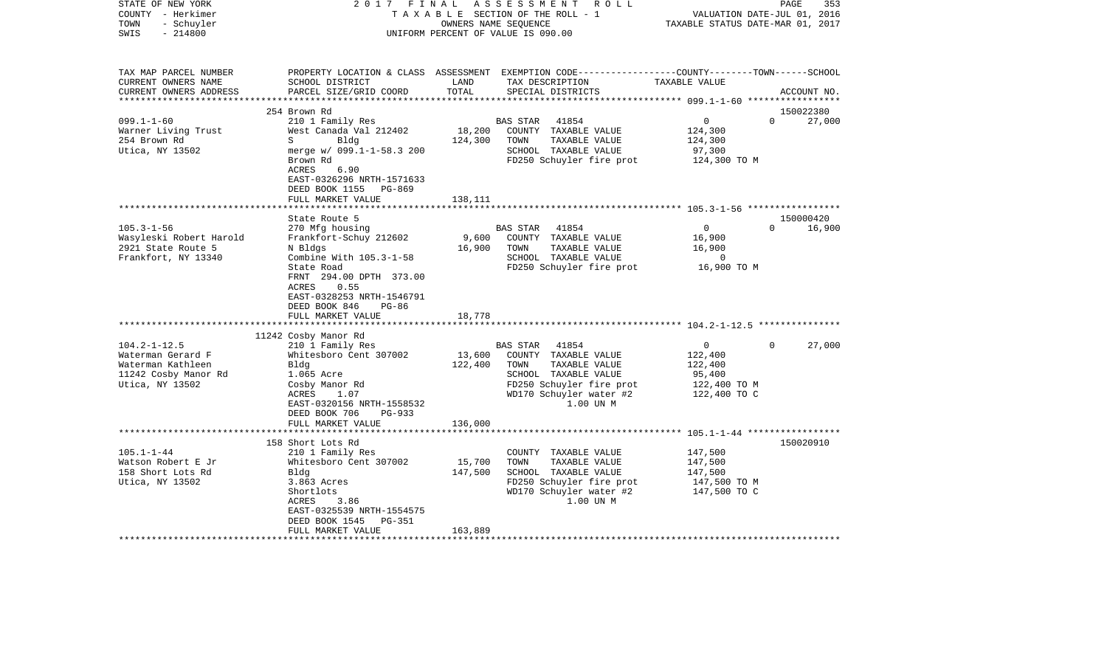| COUNTY<br>– Herkimer<br>TOWN<br>- Schuyler<br>SWIS<br>$-214800$<br>UNIFORM PERCENT OF VALUE IS 090.00                                |                                                                                                                                                                                                                                                                                                            |                                                | T A X A B L E SECTION OF THE ROLL - 1<br>OWNERS NAME SEOUENCE                                                                                                                  | VALUATION DATE-JUL 01, 2016<br>TAXABLE STATUS DATE-MAR 01, 2017              |                                 |  |
|--------------------------------------------------------------------------------------------------------------------------------------|------------------------------------------------------------------------------------------------------------------------------------------------------------------------------------------------------------------------------------------------------------------------------------------------------------|------------------------------------------------|--------------------------------------------------------------------------------------------------------------------------------------------------------------------------------|------------------------------------------------------------------------------|---------------------------------|--|
| TAX MAP PARCEL NUMBER<br>CURRENT OWNERS NAME<br>CURRENT OWNERS ADDRESS                                                               | SCHOOL DISTRICT<br>PARCEL SIZE/GRID COORD<br>****************************                                                                                                                                                                                                                                  | LAND<br>TOTAL                                  | PROPERTY LOCATION & CLASS ASSESSMENT EXEMPTION CODE---------------COUNTY-------TOWN------SCHOOL<br>TAX DESCRIPTION<br>SPECIAL DISTRICTS<br>************************            | TAXABLE VALUE<br>************** 099.1-1-60 ******************                | ACCOUNT NO.                     |  |
|                                                                                                                                      | 254 Brown Rd                                                                                                                                                                                                                                                                                               |                                                |                                                                                                                                                                                |                                                                              | 150022380                       |  |
| $099.1 - 1 - 60$<br>Warner Living Trust<br>254 Brown Rd<br>Utica, NY 13502                                                           | 210 1 Family Res<br>West Canada Val 212402<br>S<br>Bldg<br>merge w/ 099.1-1-58.3 200<br>Brown Rd<br>ACRES<br>6.90<br>EAST-0326296 NRTH-1571633                                                                                                                                                             | 18,200<br>124,300                              | <b>BAS STAR</b><br>41854<br>COUNTY TAXABLE VALUE<br>TOWN<br>TAXABLE VALUE<br>SCHOOL TAXABLE VALUE<br>FD250 Schuyler fire prot                                                  | 0<br>124,300<br>124,300<br>97,300<br>124,300 TO M                            | $\Omega$<br>27,000              |  |
|                                                                                                                                      | DEED BOOK 1155<br>PG-869<br>FULL MARKET VALUE                                                                                                                                                                                                                                                              | 138,111                                        |                                                                                                                                                                                |                                                                              |                                 |  |
|                                                                                                                                      |                                                                                                                                                                                                                                                                                                            |                                                |                                                                                                                                                                                |                                                                              |                                 |  |
| $105.3 - 1 - 56$                                                                                                                     | State Route 5                                                                                                                                                                                                                                                                                              |                                                | BAS STAR<br>41854                                                                                                                                                              | $\mathbf 0$                                                                  | 150000420<br>16,900<br>$\Omega$ |  |
| Wasyleski Robert Harold<br>2921 State Route 5<br>Frankfort, NY 13340<br>$104.2 - 1 - 12.5$<br>Waterman Gerard F<br>Waterman Kathleen | 270 Mfg housing<br>Frankfort-Schuy 212602<br>N Bldgs<br>Combine With 105.3-1-58<br>State Road<br>FRNT 294.00 DPTH 373.00<br>ACRES<br>0.55<br>EAST-0328253 NRTH-1546791<br>DEED BOOK 846<br><b>PG-86</b><br>FULL MARKET VALUE<br>11242 Cosby Manor Rd<br>210 1 Family Res<br>Whitesboro Cent 307002<br>Bldg | 9,600<br>16,900<br>18,778<br>13,600<br>122,400 | COUNTY TAXABLE VALUE<br>TAXABLE VALUE<br>TOWN<br>SCHOOL TAXABLE VALUE<br>FD250 Schuyler fire prot<br><b>BAS STAR</b><br>41854<br>COUNTY TAXABLE VALUE<br>TAXABLE VALUE<br>TOWN | 16,900<br>16,900<br>$\overline{0}$<br>16,900 TO M<br>0<br>122,400<br>122,400 | $\Omega$<br>27,000              |  |
| 11242 Cosby Manor Rd<br>Utica, NY 13502                                                                                              | 1.065 Acre<br>Cosby Manor Rd<br>ACRES<br>1.07<br>EAST-0320156 NRTH-1558532<br>DEED BOOK 706<br>$PG-933$<br>FULL MARKET VALUE                                                                                                                                                                               | 136,000                                        | SCHOOL TAXABLE VALUE<br>FD250 Schuyler fire prot<br>WD170 Schuyler water #2<br>1.00 UN M                                                                                       | 95,400<br>122,400 TO M<br>122,400 TO C                                       |                                 |  |
|                                                                                                                                      |                                                                                                                                                                                                                                                                                                            |                                                |                                                                                                                                                                                |                                                                              |                                 |  |
| $105.1 - 1 - 44$<br>Watson Robert E Jr<br>158 Short Lots Rd<br>Utica, NY 13502                                                       | 158 Short Lots Rd<br>210 1 Family Res<br>Whitesboro Cent 307002<br>Bldg<br>3.863 Acres<br>Shortlots<br>ACRES<br>3.86<br>EAST-0325539 NRTH-1554575<br>DEED BOOK 1545<br>PG-351<br>FULL MARKET VALUE                                                                                                         | 15,700<br>147,500<br>163,889                   | COUNTY TAXABLE VALUE<br>TOWN<br>TAXABLE VALUE<br>SCHOOL TAXABLE VALUE<br>FD250 Schuyler fire prot<br>WD170 Schuyler water #2<br>1.00 UN M                                      | 147,500<br>147,500<br>147,500<br>147,500 TO M<br>147,500 TO C                | 150020910                       |  |
| *********************                                                                                                                | *************************                                                                                                                                                                                                                                                                                  | ******************                             |                                                                                                                                                                                |                                                                              |                                 |  |

PAGE 353

STATE OF NEW YORK 2 0 1 7 F I N A L A S S E S S M E N T R O L L PAGE 353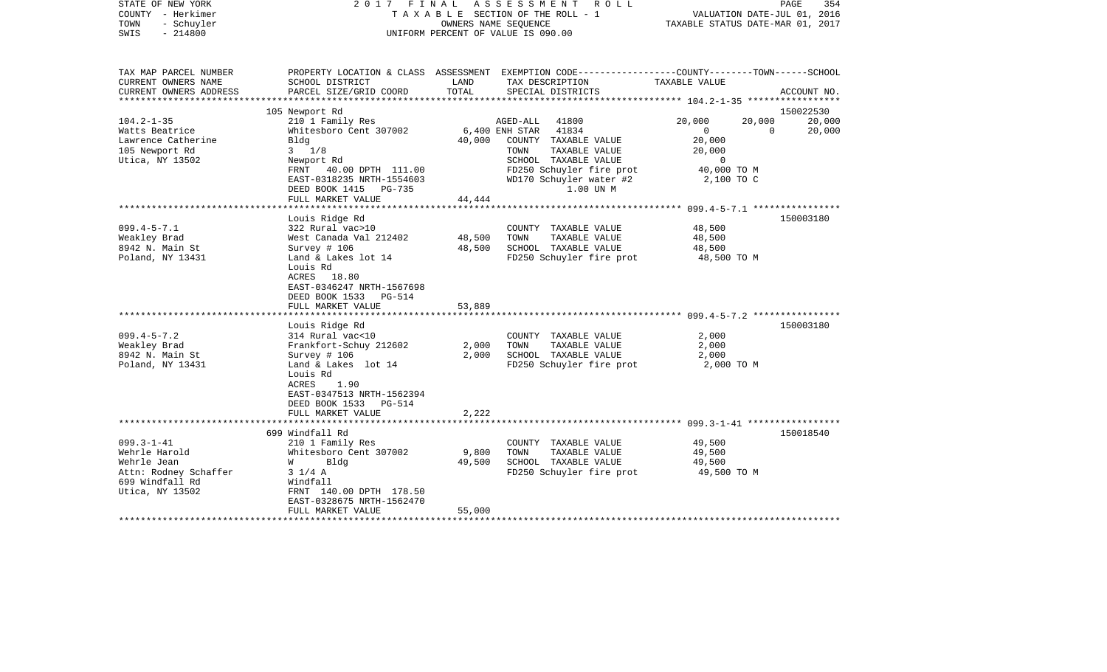| STATE OF NEW YORK<br>COUNTY - Herkimer<br>- Schuyler<br>TOWN<br>$-214800$<br>SWIS | 2017 FINAL ASSESSMENT ROLL                                                                                                  |                      | TAXABLE SECTION OF THE ROLL - 1<br>OWNERS NAME SEOUENCE<br>UNIFORM PERCENT OF VALUE IS 090.00 |                                                  | VALUATION DATE-JUL 01, 2016<br>TAXABLE STATUS DATE-MAR 01, 2017 |                | PAGE<br>354 |
|-----------------------------------------------------------------------------------|-----------------------------------------------------------------------------------------------------------------------------|----------------------|-----------------------------------------------------------------------------------------------|--------------------------------------------------|-----------------------------------------------------------------|----------------|-------------|
| TAX MAP PARCEL NUMBER                                                             | PROPERTY LOCATION & CLASS ASSESSMENT EXEMPTION CODE---------------COUNTY-------TOWN-----SCHOOL                              |                      |                                                                                               |                                                  |                                                                 |                |             |
| CURRENT OWNERS NAME<br>CURRENT OWNERS ADDRESS                                     | SCHOOL DISTRICT<br>PARCEL SIZE/GRID COORD                                                                                   | LAND<br>TOTAL        | TAX DESCRIPTION<br>SPECIAL DISTRICTS                                                          |                                                  | TAXABLE VALUE                                                   |                | ACCOUNT NO. |
| **********************                                                            |                                                                                                                             |                      |                                                                                               |                                                  |                                                                 |                |             |
|                                                                                   | 105 Newport Rd                                                                                                              |                      |                                                                                               |                                                  |                                                                 |                | 150022530   |
| $104.2 - 1 - 35$                                                                  | 210 1 Family Res                                                                                                            |                      | AGED-ALL                                                                                      | 41800                                            | 20,000                                                          | 20,000         | 20,000      |
| Watts Beatrice                                                                    | Whitesboro Cent 307002                                                                                                      |                      | 6,400 ENH STAR 41834                                                                          |                                                  | $\overline{0}$                                                  | $\overline{0}$ | 20,000      |
| Lawrence Catherine                                                                | Bldg                                                                                                                        | 40,000               |                                                                                               | COUNTY TAXABLE VALUE                             | 20,000                                                          |                |             |
| 105 Newport Rd                                                                    | $3 \frac{1}{8}$                                                                                                             |                      | TOWN                                                                                          | TAXABLE VALUE<br>SCHOOL TAXABLE VALUE            | 20,000<br>$\mathbf{0}$                                          |                |             |
| Utica, NY 13502                                                                   | Newport Rd<br>FRNT 40.00 DPTH 111.00                                                                                        |                      |                                                                                               | FD250 Schuyler fire prot                         | 40,000 TO M                                                     |                |             |
|                                                                                   | EAST-0318235 NRTH-1554603                                                                                                   |                      |                                                                                               | WD170 Schuyler water #2                          | 2,100 TO C                                                      |                |             |
|                                                                                   | DEED BOOK 1415 PG-735                                                                                                       |                      |                                                                                               | 1.00 UN M                                        |                                                                 |                |             |
|                                                                                   | FULL MARKET VALUE                                                                                                           | 44,444               |                                                                                               |                                                  |                                                                 |                |             |
|                                                                                   |                                                                                                                             |                      |                                                                                               |                                                  |                                                                 |                |             |
|                                                                                   | Louis Ridge Rd                                                                                                              |                      |                                                                                               |                                                  |                                                                 |                | 150003180   |
| $099.4 - 5 - 7.1$                                                                 | 322 Rural vac>10                                                                                                            |                      |                                                                                               | COUNTY TAXABLE VALUE                             | 48,500                                                          |                |             |
| Weakley Brad                                                                      | West Canada Val 212402                                                                                                      | 48,500               | TOWN                                                                                          | TAXABLE VALUE                                    | 48,500                                                          |                |             |
| 8942 N. Main St<br>Poland, NY 13431                                               | Survey $# 106$<br>Land & Lakes lot 14                                                                                       | 48,500               |                                                                                               | SCHOOL TAXABLE VALUE<br>FD250 Schuyler fire prot | 48,500<br>48,500 TO M                                           |                |             |
|                                                                                   | Louis Rd<br>ACRES 18.80<br>EAST-0346247 NRTH-1567698<br>DEED BOOK 1533<br>PG-514                                            |                      |                                                                                               |                                                  |                                                                 |                |             |
|                                                                                   | FULL MARKET VALUE                                                                                                           | 53,889               |                                                                                               |                                                  |                                                                 |                |             |
|                                                                                   | Louis Ridge Rd                                                                                                              |                      |                                                                                               |                                                  |                                                                 |                | 150003180   |
| $099.4 - 5 - 7.2$                                                                 | 314 Rural vac<10                                                                                                            |                      |                                                                                               | COUNTY TAXABLE VALUE                             | 2,000                                                           |                |             |
| Weakley Brad                                                                      | Frankfort-Schuy 212602                                                                                                      | 2,000                | TOWN                                                                                          | TAXABLE VALUE                                    | 2,000                                                           |                |             |
| 8942 N. Main St                                                                   | Survey $# 106$                                                                                                              | 2,000                |                                                                                               | SCHOOL TAXABLE VALUE                             | 2,000                                                           |                |             |
| Poland, NY 13431                                                                  | Land & Lakes lot 14<br>Louis Rd<br>ACRES<br>1.90<br>EAST-0347513 NRTH-1562394<br>DEED BOOK 1533 PG-514<br>FULL MARKET VALUE | 2,222                |                                                                                               | FD250 Schuyler fire prot                         | 2,000 TO M                                                      |                |             |
|                                                                                   |                                                                                                                             | ******************** |                                                                                               |                                                  |                                                                 |                |             |
|                                                                                   | 699 Windfall Rd                                                                                                             |                      |                                                                                               |                                                  |                                                                 |                | 150018540   |
| $099.3 - 1 - 41$                                                                  | 210 1 Family Res                                                                                                            |                      |                                                                                               | COUNTY TAXABLE VALUE                             | 49,500                                                          |                |             |
| Wehrle Harold                                                                     | Whitesboro Cent 307002                                                                                                      | 9,800                | TOWN                                                                                          | TAXABLE VALUE                                    | 49,500                                                          |                |             |
| Wehrle Jean                                                                       | Blda<br><b>W</b>                                                                                                            | 49,500               |                                                                                               | SCHOOL TAXABLE VALUE                             | 49,500                                                          |                |             |
| Attn: Rodney Schaffer                                                             | $3 \frac{1}{4} A$                                                                                                           |                      |                                                                                               | FD250 Schuyler fire prot                         | 49,500 TO M                                                     |                |             |
| 699 Windfall Rd<br>Utica, NY 13502                                                | Windfall<br>FRNT 140.00 DPTH 178.50                                                                                         |                      |                                                                                               |                                                  |                                                                 |                |             |
|                                                                                   | EAST-0328675 NRTH-1562470                                                                                                   |                      |                                                                                               |                                                  |                                                                 |                |             |
|                                                                                   | FULL MARKET VALUE                                                                                                           | 55,000               |                                                                                               |                                                  |                                                                 |                |             |
|                                                                                   |                                                                                                                             |                      |                                                                                               |                                                  |                                                                 |                |             |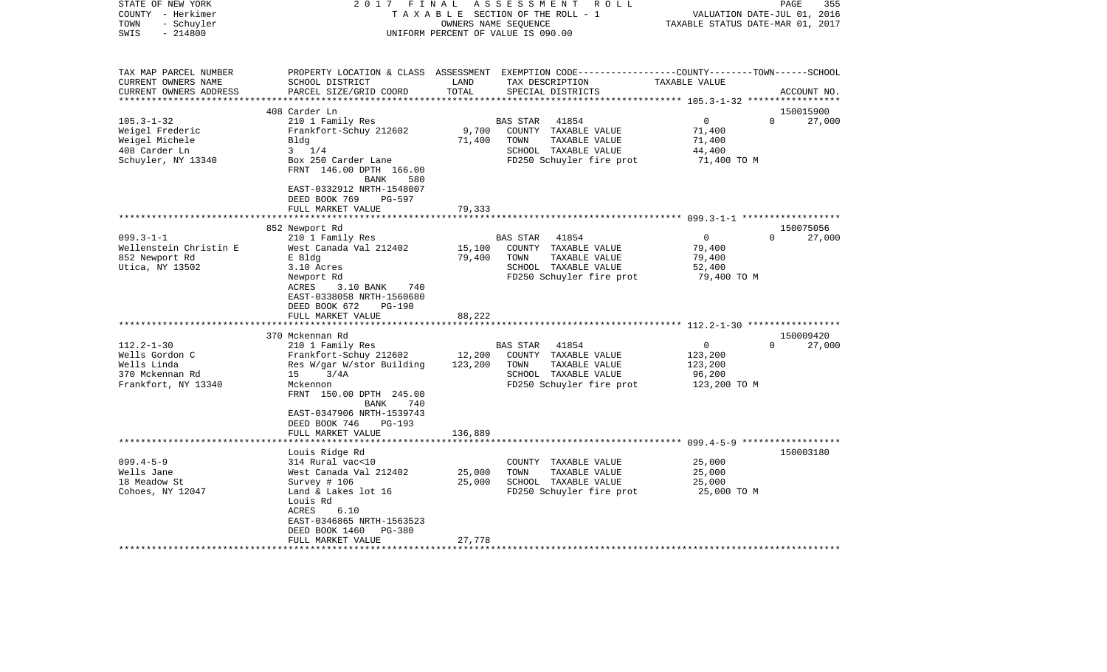| STATE OF NEW YORK<br>COUNTY - Herkimer       | 2017<br>FINAL                                                                     |                      | ASSESSMENT<br>R O L L<br>TAXABLE SECTION OF THE ROLL - 1                                                           |                                  | 355<br>PAGE<br>VALUATION DATE-JUL 01, 2016 |
|----------------------------------------------|-----------------------------------------------------------------------------------|----------------------|--------------------------------------------------------------------------------------------------------------------|----------------------------------|--------------------------------------------|
| TOWN<br>- Schuyler<br>$-214800$<br>SWIS      |                                                                                   | OWNERS NAME SEQUENCE | UNIFORM PERCENT OF VALUE IS 090.00                                                                                 | TAXABLE STATUS DATE-MAR 01, 2017 |                                            |
| TAX MAP PARCEL NUMBER<br>CURRENT OWNERS NAME | SCHOOL DISTRICT                                                                   | LAND                 | PROPERTY LOCATION & CLASS ASSESSMENT EXEMPTION CODE---------------COUNTY-------TOWN------SCHOOL<br>TAX DESCRIPTION | TAXABLE VALUE                    |                                            |
| CURRENT OWNERS ADDRESS                       | PARCEL SIZE/GRID COORD                                                            | TOTAL                | SPECIAL DISTRICTS                                                                                                  |                                  | ACCOUNT NO.                                |
|                                              | 408 Carder Ln                                                                     |                      |                                                                                                                    |                                  | 150015900                                  |
| $105.3 - 1 - 32$                             | 210 1 Family Res                                                                  |                      | BAS STAR<br>41854                                                                                                  | 0                                | $\Omega$<br>27,000                         |
| Weigel Frederic                              | Frankfort-Schuy 212602                                                            | 9,700                | COUNTY TAXABLE VALUE                                                                                               | 71,400                           |                                            |
| Weigel Michele                               | Bldg                                                                              | 71,400               | TOWN<br>TAXABLE VALUE                                                                                              | 71,400                           |                                            |
| 408 Carder Ln                                | $3 \t1/4$                                                                         |                      | SCHOOL TAXABLE VALUE                                                                                               | 44,400                           |                                            |
| Schuyler, NY 13340                           | Box 250 Carder Lane                                                               |                      | FD250 Schuyler fire prot                                                                                           | 71,400 TO M                      |                                            |
|                                              | FRNT 146.00 DPTH 166.00<br><b>BANK</b><br>580                                     |                      |                                                                                                                    |                                  |                                            |
|                                              | EAST-0332912 NRTH-1548007                                                         |                      |                                                                                                                    |                                  |                                            |
|                                              | DEED BOOK 769<br>PG-597                                                           |                      |                                                                                                                    |                                  |                                            |
|                                              | FULL MARKET VALUE                                                                 | 79,333               |                                                                                                                    |                                  |                                            |
|                                              |                                                                                   |                      |                                                                                                                    |                                  |                                            |
| $099.3 - 1 - 1$                              | 852 Newport Rd                                                                    |                      |                                                                                                                    | $\mathbf{0}$                     | 150075056<br>27,000<br>$\Omega$            |
| Wellenstein Christin E                       | 210 1 Family Res<br>West Canada Val 212402                                        | 15,100               | <b>BAS STAR</b><br>41854<br>COUNTY TAXABLE VALUE                                                                   | 79,400                           |                                            |
| 852 Newport Rd                               | E Bldg                                                                            | 79,400               | TOWN<br>TAXABLE VALUE                                                                                              | 79,400                           |                                            |
| Utica, NY 13502                              | 3.10 Acres                                                                        |                      | SCHOOL TAXABLE VALUE                                                                                               | 52,400                           |                                            |
|                                              | Newport Rd                                                                        |                      | FD250 Schuyler fire prot                                                                                           | 79,400 TO M                      |                                            |
|                                              | ACRES<br>3.10 BANK<br>740<br>EAST-0338058 NRTH-1560680<br>DEED BOOK 672<br>PG-190 |                      |                                                                                                                    |                                  |                                            |
|                                              | FULL MARKET VALUE                                                                 | 88,222               |                                                                                                                    |                                  |                                            |
|                                              |                                                                                   |                      |                                                                                                                    |                                  |                                            |
|                                              | 370 Mckennan Rd                                                                   |                      |                                                                                                                    |                                  | 150009420                                  |
| $112.2 - 1 - 30$                             | 210 1 Family Res                                                                  |                      | 41854<br>BAS STAR                                                                                                  | $\mathbf{0}$                     | 27,000<br>$\Omega$                         |
| Wells Gordon C                               | Frankfort-Schuy 212602                                                            | 12,200               | COUNTY TAXABLE VALUE                                                                                               | 123,200                          |                                            |
| Wells Linda                                  | Res W/gar W/stor Building                                                         | 123,200              | TOWN<br>TAXABLE VALUE                                                                                              | 123,200                          |                                            |
| 370 Mckennan Rd                              | 3/4A<br>15                                                                        |                      | SCHOOL TAXABLE VALUE                                                                                               | 96,200                           |                                            |
| Frankfort, NY 13340                          | Mckennon                                                                          |                      | FD250 Schuyler fire prot                                                                                           | 123,200 TO M                     |                                            |
|                                              | FRNT 150.00 DPTH 245.00<br>740<br>BANK                                            |                      |                                                                                                                    |                                  |                                            |
|                                              | EAST-0347906 NRTH-1539743<br>DEED BOOK 746<br>$PG-193$                            |                      |                                                                                                                    |                                  |                                            |
|                                              | FULL MARKET VALUE                                                                 | 136,889              |                                                                                                                    |                                  |                                            |
|                                              |                                                                                   |                      |                                                                                                                    |                                  |                                            |
|                                              | Louis Ridge Rd                                                                    |                      |                                                                                                                    |                                  | 150003180                                  |
| $099.4 - 5 - 9$<br>Wells Jane                | 314 Rural vac<10                                                                  | 25,000               | COUNTY TAXABLE VALUE<br>TOWN<br>TAXABLE VALUE                                                                      | 25,000                           |                                            |
| 18 Meadow St                                 | West Canada Val 212402<br>Survey $# 106$                                          | 25,000               | SCHOOL TAXABLE VALUE                                                                                               | 25,000<br>25,000                 |                                            |
| Cohoes, NY 12047                             | Land & Lakes lot 16                                                               |                      | FD250 Schuyler fire prot                                                                                           | 25,000 TO M                      |                                            |
|                                              | Louis Rd<br>6.10<br>ACRES                                                         |                      |                                                                                                                    |                                  |                                            |
|                                              | EAST-0346865 NRTH-1563523                                                         |                      |                                                                                                                    |                                  |                                            |
|                                              | DEED BOOK 1460<br><b>PG-380</b>                                                   |                      |                                                                                                                    |                                  |                                            |
|                                              | FULL MARKET VALUE                                                                 | 27,778               |                                                                                                                    |                                  |                                            |
|                                              |                                                                                   |                      |                                                                                                                    |                                  |                                            |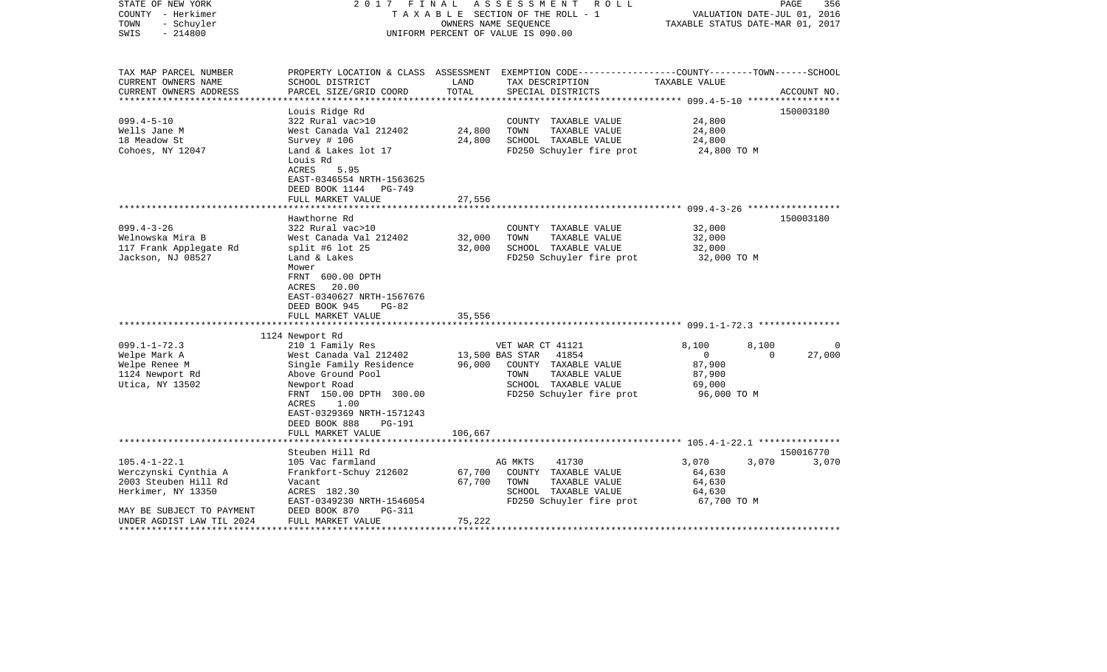| STATE OF NEW YORK<br>COUNTY - Herkimer<br>- Schuyler<br>TOWN<br>$-214800$<br>SWIS                                     | 2017 FINAL                                                                                                                                                                                                                          | OWNERS NAME SEQUENCE                 | ASSESSMENT<br>R O L L<br>TAXABLE SECTION OF THE ROLL - 1<br>UNIFORM PERCENT OF VALUE IS 090.00                                 | TAXABLE STATUS DATE-MAR 01, 2017                                  | $\mathop{\mathtt{PAGE}}$<br>356<br>VALUATION DATE-JUL 01, 2016 |
|-----------------------------------------------------------------------------------------------------------------------|-------------------------------------------------------------------------------------------------------------------------------------------------------------------------------------------------------------------------------------|--------------------------------------|--------------------------------------------------------------------------------------------------------------------------------|-------------------------------------------------------------------|----------------------------------------------------------------|
| TAX MAP PARCEL NUMBER<br>CURRENT OWNERS NAME                                                                          | SCHOOL DISTRICT                                                                                                                                                                                                                     | LAND                                 | PROPERTY LOCATION & CLASS ASSESSMENT EXEMPTION CODE---------------COUNTY-------TOWN-----SCHOOL<br>TAX DESCRIPTION              | TAXABLE VALUE                                                     |                                                                |
| CURRENT OWNERS ADDRESS<br>********************                                                                        | PARCEL SIZE/GRID COORD                                                                                                                                                                                                              | TOTAL<br>***************             | SPECIAL DISTRICTS                                                                                                              |                                                                   | ACCOUNT NO.                                                    |
| $099.4 - 5 - 10$<br>Wells Jane M<br>18 Meadow St<br>Cohoes, NY 12047                                                  | Louis Ridge Rd<br>322 Rural vac>10<br>West Canada Val 212402<br>Survey # 106<br>Land & Lakes lot 17<br>Louis Rd<br>ACRES<br>5.95<br>EAST-0346554 NRTH-1563625                                                                       | 24,800<br>24,800                     | COUNTY TAXABLE VALUE<br>TAXABLE VALUE<br>TOWN<br>SCHOOL TAXABLE VALUE<br>FD250 Schuyler fire prot                              | 24,800<br>24,800<br>24,800<br>24,800 TO M                         | 150003180                                                      |
|                                                                                                                       | DEED BOOK 1144 PG-749                                                                                                                                                                                                               |                                      |                                                                                                                                |                                                                   |                                                                |
|                                                                                                                       | FULL MARKET VALUE                                                                                                                                                                                                                   | 27,556                               |                                                                                                                                |                                                                   |                                                                |
|                                                                                                                       | Hawthorne Rd                                                                                                                                                                                                                        |                                      |                                                                                                                                |                                                                   | 150003180                                                      |
| $099.4 - 3 - 26$                                                                                                      | 322 Rural vac>10                                                                                                                                                                                                                    |                                      | COUNTY TAXABLE VALUE                                                                                                           | 32,000                                                            |                                                                |
| Welnowska Mira B                                                                                                      | West Canada Val 212402                                                                                                                                                                                                              | 32,000                               | TAXABLE VALUE<br>TOWN                                                                                                          | 32,000                                                            |                                                                |
| 117 Frank Applegate Rd<br>Jackson, NJ 08527                                                                           | split #6 lot $25$<br>Land & Lakes<br>Mower<br>FRNT 600.00 DPTH<br>ACRES<br>20.00<br>EAST-0340627 NRTH-1567676<br>DEED BOOK 945<br>$PG-82$                                                                                           | 32,000                               | SCHOOL TAXABLE VALUE<br>FD250 Schuyler fire prot                                                                               | 32,000<br>32,000 TO M                                             |                                                                |
|                                                                                                                       | FULL MARKET VALUE                                                                                                                                                                                                                   | 35,556                               |                                                                                                                                |                                                                   |                                                                |
|                                                                                                                       | 1124 Newport Rd                                                                                                                                                                                                                     |                                      |                                                                                                                                |                                                                   |                                                                |
| $099.1 - 1 - 72.3$<br>Welpe Mark A<br>Welpe Renee M<br>1124 Newport Rd<br>Utica, NY 13502                             | 210 1 Family Res<br>West Canada Val 212402<br>Single Family Residence<br>Above Ground Pool<br>Newport Road<br>FRNT 150.00 DPTH 300.00<br>ACRES<br>1.00<br>EAST-0329369 NRTH-1571243<br>DEED BOOK 888<br>PG-191<br>FULL MARKET VALUE | 13,500 BAS STAR<br>96,000<br>106,667 | VET WAR CT 41121<br>41854<br>COUNTY TAXABLE VALUE<br>TAXABLE VALUE<br>TOWN<br>SCHOOL TAXABLE VALUE<br>FD250 Schuyler fire prot | 8,100<br>$\mathbf 0$<br>87,900<br>87,900<br>69,000<br>96,000 TO M | 8,100<br>$\Omega$<br>27,000<br>$\Omega$                        |
|                                                                                                                       |                                                                                                                                                                                                                                     |                                      |                                                                                                                                |                                                                   |                                                                |
| $105.4 - 1 - 22.1$<br>Werczynski Cynthia A<br>2003 Steuben Hill Rd<br>Herkimer, NY 13350<br>MAY BE SUBJECT TO PAYMENT | Steuben Hill Rd<br>105 Vac farmland<br>Frankfort-Schuy 212602<br>Vacant<br>ACRES 182.30<br>EAST-0349230 NRTH-1546054<br>PG-311<br>DEED BOOK 870                                                                                     | 67,700<br>67,700                     | 41730<br>AG MKTS<br>COUNTY TAXABLE VALUE<br>TOWN<br>TAXABLE VALUE<br>SCHOOL TAXABLE VALUE<br>FD250 Schuyler fire prot          | 3,070<br>64,630<br>64,630<br>64,630<br>67,700 TO M                | 150016770<br>3,070<br>3,070                                    |
| UNDER AGDIST LAW TIL 2024                                                                                             | FULL MARKET VALUE                                                                                                                                                                                                                   | 75,222                               |                                                                                                                                |                                                                   |                                                                |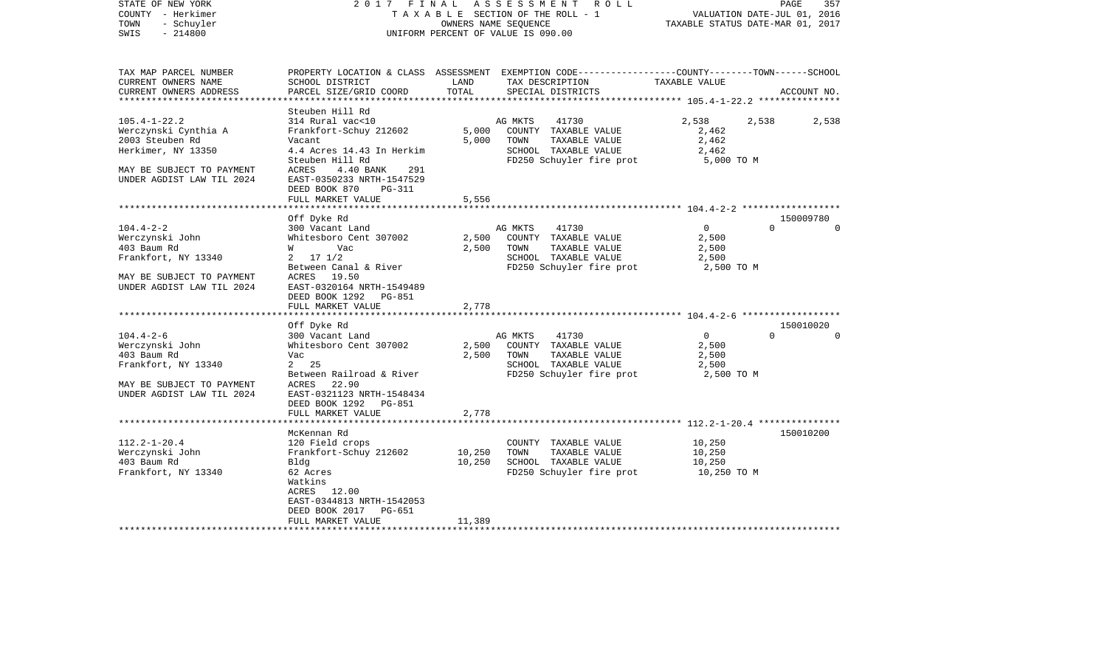| STATE OF NEW YORK<br>COUNTY - Herkimer<br>- Schuyler<br>TOWN<br>$-214800$<br>SWIS | 2017 FINAL                                         |        | ASSESSMENT ROLL<br>TAXABLE SECTION OF THE ROLL - 1<br>OWNERS NAME SEQUENCE<br>UNIFORM PERCENT OF VALUE IS 090.00    | VALUATION DATE-JUL 01, 2016<br>TAXABLE STATUS DATE-MAR 01, 2017 | PAGE<br>357                       |
|-----------------------------------------------------------------------------------|----------------------------------------------------|--------|---------------------------------------------------------------------------------------------------------------------|-----------------------------------------------------------------|-----------------------------------|
| TAX MAP PARCEL NUMBER<br>CURRENT OWNERS NAME                                      | SCHOOL DISTRICT                                    | LAND   | PROPERTY LOCATION & CLASS ASSESSMENT EXEMPTION CODE----------------COUNTY-------TOWN------SCHOOL<br>TAX DESCRIPTION | TAXABLE VALUE                                                   |                                   |
| CURRENT OWNERS ADDRESS<br>***********************                                 | PARCEL SIZE/GRID COORD                             | TOTAL  | SPECIAL DISTRICTS                                                                                                   |                                                                 | ACCOUNT NO.                       |
|                                                                                   | Steuben Hill Rd                                    |        |                                                                                                                     |                                                                 |                                   |
| $105.4 - 1 - 22.2$                                                                | 314 Rural vac<10                                   |        | AG MKTS<br>41730                                                                                                    | 2,538                                                           | 2,538<br>2,538                    |
| Werczynski Cynthia A                                                              | Frankfort-Schuy 212602                             | 5,000  | COUNTY TAXABLE VALUE                                                                                                | 2,462                                                           |                                   |
| 2003 Steuben Rd                                                                   | Vacant                                             | 5,000  | TOWN<br>TAXABLE VALUE                                                                                               | 2,462                                                           |                                   |
| Herkimer, NY 13350                                                                | 4.4 Acres 14.43 In Herkim                          |        | SCHOOL TAXABLE VALUE                                                                                                | 2,462                                                           |                                   |
| MAY BE SUBJECT TO PAYMENT                                                         | Steuben Hill Rd<br>ACRES<br>4.40 BANK<br>291       |        | FD250 Schuyler fire prot                                                                                            | 5,000 TO M                                                      |                                   |
| UNDER AGDIST LAW TIL 2024                                                         | EAST-0350233 NRTH-1547529                          |        |                                                                                                                     |                                                                 |                                   |
|                                                                                   | DEED BOOK 870<br>PG-311                            |        |                                                                                                                     |                                                                 |                                   |
|                                                                                   | FULL MARKET VALUE                                  | 5,556  |                                                                                                                     |                                                                 |                                   |
|                                                                                   | ****************************                       |        |                                                                                                                     |                                                                 |                                   |
| $104.4 - 2 - 2$                                                                   | Off Dyke Rd<br>300 Vacant Land                     |        | 41730<br>AG MKTS                                                                                                    | 0                                                               | 150009780<br>$\Omega$<br>$\Omega$ |
| Werczynski John                                                                   | Whitesboro Cent 307002                             | 2,500  | COUNTY TAXABLE VALUE                                                                                                | 2,500                                                           |                                   |
| 403 Baum Rd                                                                       | W Vac                                              | 2,500  | TOWN<br>TAXABLE VALUE                                                                                               | 2,500                                                           |                                   |
| Frankfort, NY 13340                                                               | $2 \t17 \t1/2$                                     |        | SCHOOL TAXABLE VALUE                                                                                                | 2,500                                                           |                                   |
|                                                                                   | Between Canal & River                              |        | FD250 Schuyler fire prot                                                                                            | 2,500 TO M                                                      |                                   |
| MAY BE SUBJECT TO PAYMENT                                                         | ACRES 19.50                                        |        |                                                                                                                     |                                                                 |                                   |
| UNDER AGDIST LAW TIL 2024                                                         | EAST-0320164 NRTH-1549489                          |        |                                                                                                                     |                                                                 |                                   |
|                                                                                   | DEED BOOK 1292 PG-851                              |        |                                                                                                                     |                                                                 |                                   |
| ******************************                                                    | FULL MARKET VALUE                                  | 2,778  |                                                                                                                     |                                                                 |                                   |
|                                                                                   | Off Dyke Rd                                        |        |                                                                                                                     |                                                                 | 150010020                         |
| $104.4 - 2 - 6$                                                                   | 300 Vacant Land                                    |        | AG MKTS<br>41730                                                                                                    | $\Omega$                                                        | $\Omega$<br>$\Omega$              |
| Werczynski John                                                                   | Whitesboro Cent 307002                             | 2,500  | COUNTY TAXABLE VALUE                                                                                                | 2,500                                                           |                                   |
| 403 Baum Rd                                                                       | Vac                                                | 2,500  | TAXABLE VALUE<br>TOWN                                                                                               | 2,500                                                           |                                   |
| Frankfort, NY 13340                                                               | 2 25                                               |        | SCHOOL TAXABLE VALUE                                                                                                | 2,500                                                           |                                   |
|                                                                                   | Between Railroad & River                           |        | FD250 Schuyler fire prot                                                                                            | 2,500 TO M                                                      |                                   |
| MAY BE SUBJECT TO PAYMENT                                                         | ACRES 22.90                                        |        |                                                                                                                     |                                                                 |                                   |
| UNDER AGDIST LAW TIL 2024                                                         | EAST-0321123 NRTH-1548434<br>DEED BOOK 1292 PG-851 |        |                                                                                                                     |                                                                 |                                   |
|                                                                                   | FULL MARKET VALUE                                  | 2,778  |                                                                                                                     |                                                                 |                                   |
|                                                                                   |                                                    |        |                                                                                                                     |                                                                 |                                   |
|                                                                                   | McKennan Rd                                        |        |                                                                                                                     |                                                                 | 150010200                         |
| $112.2 - 1 - 20.4$                                                                | 120 Field crops                                    |        | COUNTY TAXABLE VALUE                                                                                                | 10,250                                                          |                                   |
| Werczynski John                                                                   | Frankfort-Schuy 212602                             | 10,250 | TAXABLE VALUE<br>TOWN                                                                                               | 10,250                                                          |                                   |
| 403 Baum Rd                                                                       | Bldg                                               | 10,250 | SCHOOL TAXABLE VALUE                                                                                                | 10,250                                                          |                                   |
| Frankfort, NY 13340                                                               | 62 Acres<br>Watkins                                |        | FD250 Schuyler fire prot                                                                                            | 10,250 TO M                                                     |                                   |
|                                                                                   | ACRES 12.00                                        |        |                                                                                                                     |                                                                 |                                   |
|                                                                                   | EAST-0344813 NRTH-1542053                          |        |                                                                                                                     |                                                                 |                                   |
|                                                                                   | DEED BOOK 2017 PG-651                              |        |                                                                                                                     |                                                                 |                                   |
|                                                                                   | FULL MARKET VALUE                                  | 11,389 |                                                                                                                     |                                                                 |                                   |
|                                                                                   |                                                    |        |                                                                                                                     |                                                                 |                                   |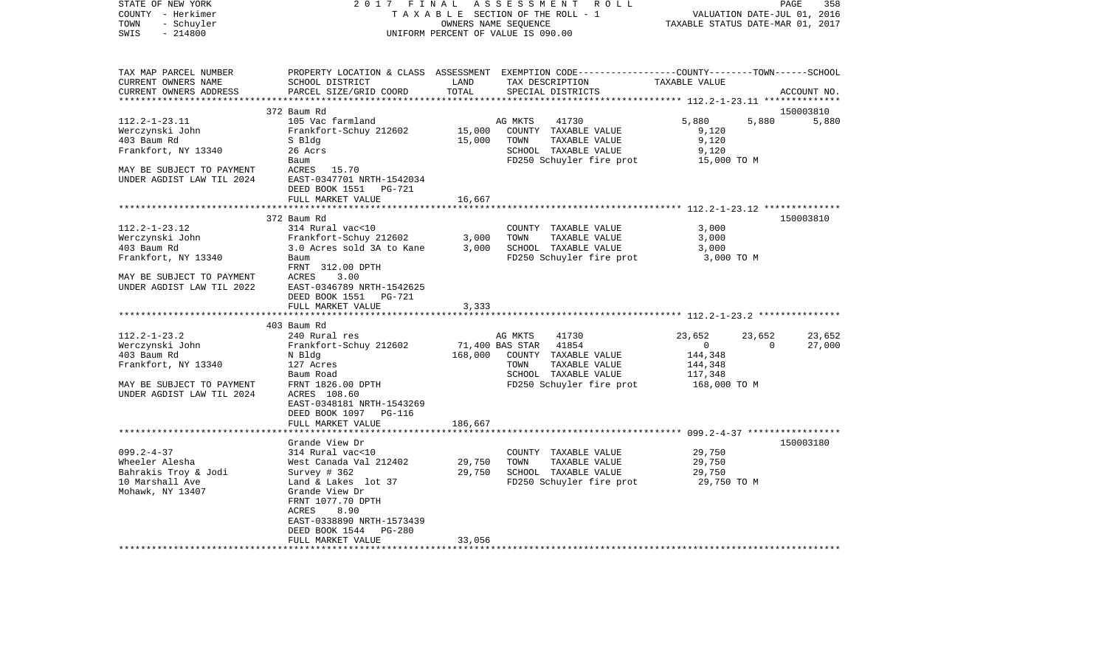| STATE OF NEW YORK<br>COUNTY - Herkimer<br>TOWN<br>- Schuyler<br>$-214800$<br>SWIS | 2017 FINAL                                                                                                           |                  | ASSESSMENT ROLL<br>TAXABLE SECTION OF THE ROLL - 1<br>OWNERS NAME SEQUENCE<br>UNIFORM PERCENT OF VALUE IS 090.00                       | VALUATION DATE-JUL 01, 2016<br>TAXABLE STATUS DATE-MAR 01, 2017 | PAGE<br>358 |
|-----------------------------------------------------------------------------------|----------------------------------------------------------------------------------------------------------------------|------------------|----------------------------------------------------------------------------------------------------------------------------------------|-----------------------------------------------------------------|-------------|
| TAX MAP PARCEL NUMBER<br>CURRENT OWNERS NAME<br>CURRENT OWNERS ADDRESS            | SCHOOL DISTRICT<br>PARCEL SIZE/GRID COORD                                                                            | LAND<br>TOTAL    | PROPERTY LOCATION & CLASS ASSESSMENT EXEMPTION CODE--------------COUNTY-------TOWN------SCHOOL<br>TAX DESCRIPTION<br>SPECIAL DISTRICTS | TAXABLE VALUE                                                   | ACCOUNT NO. |
|                                                                                   | 372 Baum Rd                                                                                                          |                  |                                                                                                                                        |                                                                 | 150003810   |
| $112.2 - 1 - 23.11$<br>Werczynski John<br>403 Baum Rd<br>Frankfort, NY 13340      | 105 Vac farmland<br>Frankfort-Schuy 212602<br>S Bldg<br>26 Acrs<br>Baum                                              | 15,000<br>15,000 | 41730<br>AG MKTS<br>COUNTY TAXABLE VALUE<br>TOWN<br>TAXABLE VALUE<br>SCHOOL TAXABLE VALUE<br>FD250 Schuyler fire prot                  | 5,880<br>5,880<br>9,120<br>9,120<br>9,120<br>15,000 TO M        | 5,880       |
| MAY BE SUBJECT TO PAYMENT<br>UNDER AGDIST LAW TIL 2024                            | ACRES 15.70<br>EAST-0347701 NRTH-1542034<br>DEED BOOK 1551<br>PG-721<br>FULL MARKET VALUE                            | 16,667           |                                                                                                                                        |                                                                 |             |
|                                                                                   |                                                                                                                      |                  |                                                                                                                                        | ************************ 112.2-1-23.12 ***************          |             |
|                                                                                   | 372 Baum Rd                                                                                                          |                  |                                                                                                                                        |                                                                 | 150003810   |
| $112.2 - 1 - 23.12$<br>Werczynski John                                            | 314 Rural vac<10<br>Frankfort-Schuy 212602                                                                           | 3,000            | COUNTY TAXABLE VALUE<br>TOWN<br>TAXABLE VALUE                                                                                          | 3,000<br>3,000                                                  |             |
| 403 Baum Rd                                                                       | 3.0 Acres sold 3A to Kane                                                                                            | 3,000            | SCHOOL TAXABLE VALUE                                                                                                                   | 3,000                                                           |             |
| Frankfort, NY 13340                                                               | Baum                                                                                                                 |                  | FD250 Schuyler fire prot                                                                                                               | 3,000 TO M                                                      |             |
|                                                                                   | FRNT 312.00 DPTH                                                                                                     |                  |                                                                                                                                        |                                                                 |             |
| MAY BE SUBJECT TO PAYMENT<br>UNDER AGDIST LAW TIL 2022                            | ACRES<br>3.00<br>EAST-0346789 NRTH-1542625<br>DEED BOOK 1551<br>PG-721                                               |                  |                                                                                                                                        |                                                                 |             |
|                                                                                   | FULL MARKET VALUE<br>*******************                                                                             | 3,333            |                                                                                                                                        |                                                                 |             |
|                                                                                   | 403 Baum Rd                                                                                                          |                  |                                                                                                                                        |                                                                 |             |
| $112.2 - 1 - 23.2$                                                                | 240 Rural res                                                                                                        |                  | AG MKTS<br>41730                                                                                                                       | 23,652<br>23,652                                                | 23,652      |
| Werczynski John                                                                   | Frankfort-Schuy 212602                                                                                               |                  | 71,400 BAS STAR<br>41854                                                                                                               | $\overline{0}$<br>$\mathbf{0}$                                  | 27,000      |
| 403 Baum Rd                                                                       | N Bldg                                                                                                               | 168,000          | COUNTY TAXABLE VALUE                                                                                                                   | 144,348                                                         |             |
| Frankfort, NY 13340                                                               | 127 Acres                                                                                                            |                  | TOWN<br>TAXABLE VALUE                                                                                                                  | 144,348                                                         |             |
|                                                                                   | Baum Road                                                                                                            |                  | SCHOOL TAXABLE VALUE                                                                                                                   | 117,348                                                         |             |
| MAY BE SUBJECT TO PAYMENT<br>UNDER AGDIST LAW TIL 2024                            | FRNT 1826.00 DPTH<br>ACRES 108.60<br>EAST-0348181 NRTH-1543269<br>DEED BOOK 1097 PG-116<br>FULL MARKET VALUE         | 186,667          | FD250 Schuyler fire prot                                                                                                               | 168,000 TO M                                                    |             |
|                                                                                   |                                                                                                                      |                  |                                                                                                                                        |                                                                 |             |
|                                                                                   | Grande View Dr                                                                                                       |                  |                                                                                                                                        |                                                                 | 150003180   |
| $099.2 - 4 - 37$                                                                  | 314 Rural vac<10                                                                                                     |                  | COUNTY TAXABLE VALUE                                                                                                                   | 29,750                                                          |             |
| Wheeler Alesha                                                                    | West Canada Val 212402                                                                                               | 29,750           | TOWN<br>TAXABLE VALUE                                                                                                                  | 29,750                                                          |             |
| Bahrakis Troy & Jodi<br>10 Marshall Ave                                           | Survey # 362<br>Land & Lakes lot 37                                                                                  | 29,750           | SCHOOL TAXABLE VALUE                                                                                                                   | 29,750<br>29,750 TO M                                           |             |
| Mohawk, NY 13407                                                                  | Grande View Dr<br>FRNT 1077.70 DPTH<br>8.90<br>ACRES<br>EAST-0338890 NRTH-1573439<br>DEED BOOK 1544<br><b>PG-280</b> |                  | FD250 Schuyler fire prot                                                                                                               |                                                                 |             |
|                                                                                   | FULL MARKET VALUE                                                                                                    | 33,056           |                                                                                                                                        |                                                                 |             |
| *******************                                                               |                                                                                                                      |                  |                                                                                                                                        |                                                                 |             |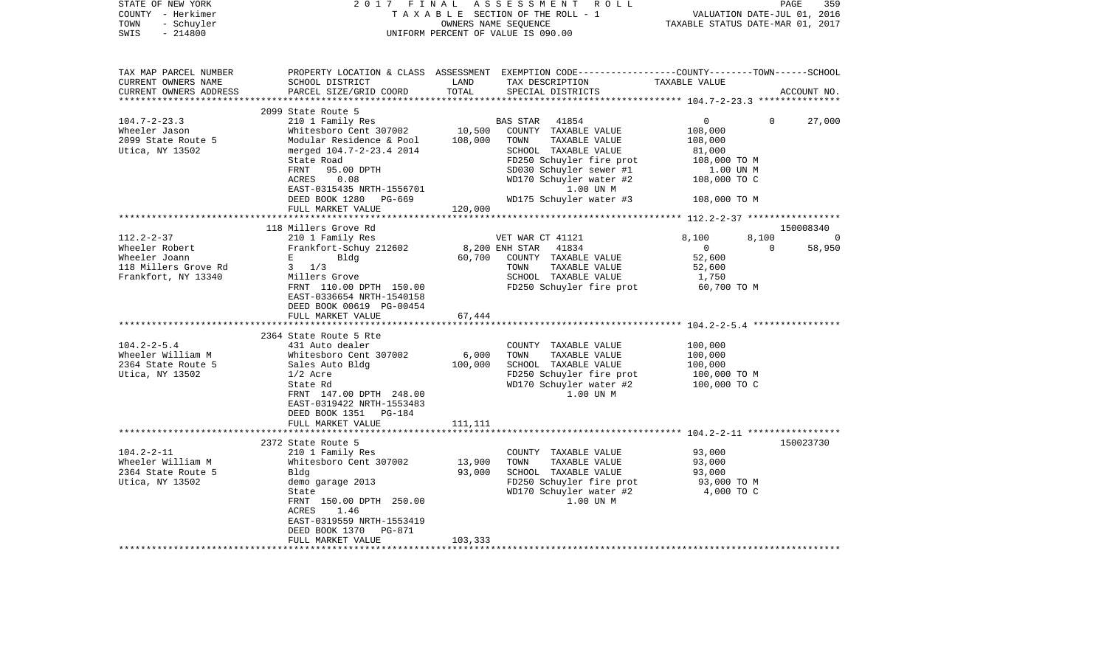| STATE OF NEW YORK<br>COUNTY - Herkimer<br>TOWN<br>- Schuyler<br>$-214800$<br>SWIS                                                                                                     | 2017                                                                                                                                                                                                                                                                                                                                                                                                                               | FINAL                                | ASSESSMENT ROLL<br>TAXABLE SECTION OF THE ROLL - 1<br>OWNERS NAME SEQUENCE<br>UNIFORM PERCENT OF VALUE IS 090.00                                                                                                                                                                              | VALUATION DATE-JUL 01, 2016<br>TAXABLE STATUS DATE-MAR 01, 2017                                                                      | PAGE              | 359                             |
|---------------------------------------------------------------------------------------------------------------------------------------------------------------------------------------|------------------------------------------------------------------------------------------------------------------------------------------------------------------------------------------------------------------------------------------------------------------------------------------------------------------------------------------------------------------------------------------------------------------------------------|--------------------------------------|-----------------------------------------------------------------------------------------------------------------------------------------------------------------------------------------------------------------------------------------------------------------------------------------------|--------------------------------------------------------------------------------------------------------------------------------------|-------------------|---------------------------------|
| TAX MAP PARCEL NUMBER<br>CURRENT OWNERS NAME<br>CURRENT OWNERS ADDRESS<br>*************************                                                                                   | SCHOOL DISTRICT<br>PARCEL SIZE/GRID COORD                                                                                                                                                                                                                                                                                                                                                                                          | LAND<br>TOTAL                        | PROPERTY LOCATION & CLASS ASSESSMENT EXEMPTION CODE----------------COUNTY-------TOWN------SCHOOL<br>TAX DESCRIPTION<br>SPECIAL DISTRICTS                                                                                                                                                      | TAXABLE VALUE                                                                                                                        |                   | ACCOUNT NO.                     |
| $104.7 - 2 - 23.3$<br>Wheeler Jason<br>2099 State Route 5<br>Utica, NY 13502                                                                                                          | 2099 State Route 5<br>210 1 Family Res<br>Whitesboro Cent 307002<br>Modular Residence & Pool<br>merged 104.7-2-23.4 2014<br>State Road<br>FRNT<br>95.00 DPTH<br>0.08<br>ACRES<br>EAST-0315435 NRTH-1556701<br>DEED BOOK 1280<br>PG-669<br>FULL MARKET VALUE                                                                                                                                                                        | 10,500<br>108,000<br>120,000         | <b>BAS STAR</b><br>41854<br>COUNTY TAXABLE VALUE<br>TOWN<br>TAXABLE VALUE<br>SCHOOL TAXABLE VALUE<br>FD250 Schuyler fire prot<br>SD030 Schuyler sewer #1<br>WD170 Schuyler water #2<br>1.00 UN M<br>WD175 Schuyler water #3                                                                   | $\mathbf 0$<br>108,000<br>108,000<br>81,000<br>108,000 TO M<br>1.00 UN M<br>108,000 TO C<br>108,000 TO M                             | $\Omega$          | 27,000                          |
|                                                                                                                                                                                       | ******************************                                                                                                                                                                                                                                                                                                                                                                                                     |                                      |                                                                                                                                                                                                                                                                                               |                                                                                                                                      |                   |                                 |
| $112.2 - 2 - 37$<br>Wheeler Robert<br>Wheeler Joann<br>118 Millers Grove Rd<br>Frankfort, NY 13340<br>$104.2 - 2 - 5.4$<br>Wheeler William M<br>2364 State Route 5<br>Utica, NY 13502 | 118 Millers Grove Rd<br>210 1 Family Res<br>Frankfort-Schuy 212602<br>Е<br>Bldg<br>$3 \frac{1}{3}$<br>Millers Grove<br>FRNT 110.00 DPTH 150.00<br>EAST-0336654 NRTH-1540158<br>DEED BOOK 00619 PG-00454<br>FULL MARKET VALUE<br>**********************<br>2364 State Route 5 Rte<br>431 Auto dealer<br>Whitesboro Cent 307002<br>Sales Auto Bldg<br>$1/2$ Acre<br>State Rd<br>FRNT 147.00 DPTH 248.00<br>EAST-0319422 NRTH-1553483 | 60,700<br>67,444<br>6,000<br>100,000 | VET WAR CT 41121<br>8,200 ENH STAR<br>41834<br>COUNTY TAXABLE VALUE<br>TOWN<br>TAXABLE VALUE<br>SCHOOL TAXABLE VALUE<br>FD250 Schuyler fire prot<br>COUNTY TAXABLE VALUE<br>TOWN<br>TAXABLE VALUE<br>SCHOOL TAXABLE VALUE<br>FD250 Schuyler fire prot<br>WD170 Schuyler water #2<br>1.00 UN M | 8,100<br>$\overline{0}$<br>52,600<br>52,600<br>1,750<br>60,700 TO M<br>100,000<br>100,000<br>100,000<br>100,000 TO M<br>100,000 TO C | 8,100<br>$\Omega$ | 150008340<br>$\Omega$<br>58,950 |
| $104.2 - 2 - 11$<br>Wheeler William M<br>2364 State Route 5<br>Utica, NY 13502                                                                                                        | DEED BOOK 1351 PG-184<br>FULL MARKET VALUE<br>2372 State Route 5<br>210 1 Family Res<br>Whitesboro Cent 307002<br>Bldg<br>demo garage 2013<br>State<br>FRNT 150.00 DPTH 250.00                                                                                                                                                                                                                                                     | 111,111<br>13,900<br>93,000          | COUNTY TAXABLE VALUE<br>TOWN<br>TAXABLE VALUE<br>SCHOOL TAXABLE VALUE<br>FD250 Schuyler fire prot<br>WD170 Schuyler water #2<br>1.00 UN M                                                                                                                                                     | 93,000<br>93,000<br>93,000<br>93,000 TO M<br>4,000 TO C                                                                              |                   | 150023730                       |
|                                                                                                                                                                                       | ACRES<br>1.46<br>EAST-0319559 NRTH-1553419<br>DEED BOOK 1370<br>PG-871<br>FULL MARKET VALUE                                                                                                                                                                                                                                                                                                                                        | 103,333                              |                                                                                                                                                                                                                                                                                               |                                                                                                                                      |                   |                                 |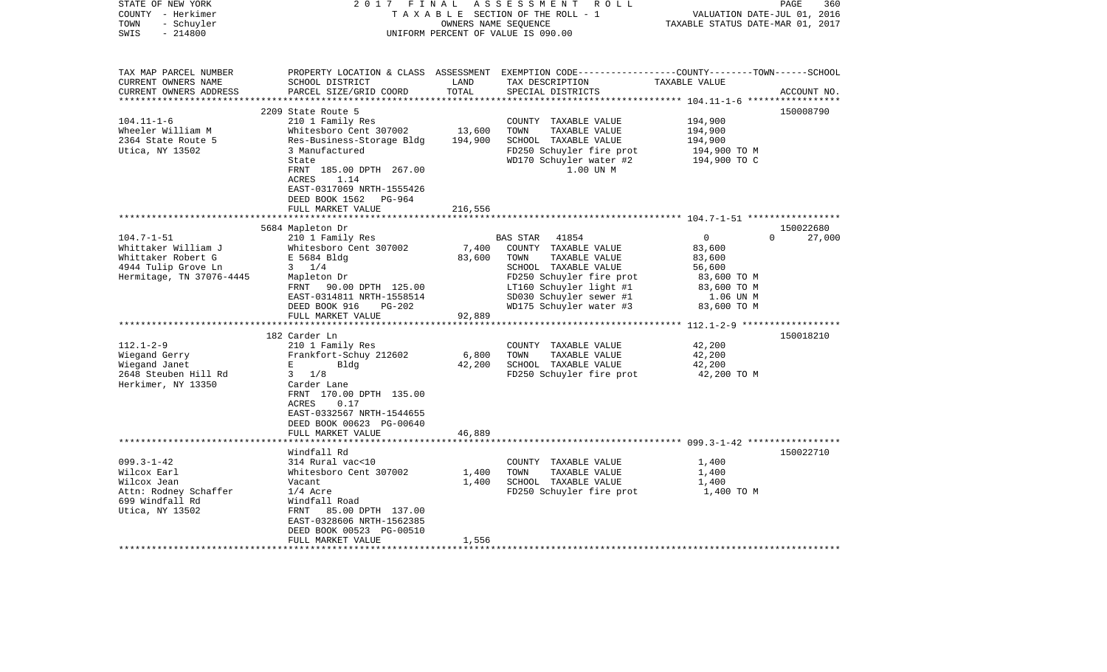| STATE OF NEW YORK<br>COUNTY - Herkimer<br>- Schuyler<br>TOWN<br>$-214800$<br>SWIS                                                                                                                                   | 2017 FINAL                                                                                                                                                                                                                                                                                                                                                                                                                                      |                                                        | ASSESSMENT<br>R O L L<br>TAXABLE SECTION OF THE ROLL - 1<br>OWNERS NAME SEQUENCE<br>UNIFORM PERCENT OF VALUE IS 090.00                                                                                                                                                                                       | VALUATION DATE-JUL 01, 2016<br>TAXABLE STATUS DATE-MAR 01, 2017                                                                                  | PAGE<br>360                     |
|---------------------------------------------------------------------------------------------------------------------------------------------------------------------------------------------------------------------|-------------------------------------------------------------------------------------------------------------------------------------------------------------------------------------------------------------------------------------------------------------------------------------------------------------------------------------------------------------------------------------------------------------------------------------------------|--------------------------------------------------------|--------------------------------------------------------------------------------------------------------------------------------------------------------------------------------------------------------------------------------------------------------------------------------------------------------------|--------------------------------------------------------------------------------------------------------------------------------------------------|---------------------------------|
| TAX MAP PARCEL NUMBER<br>CURRENT OWNERS NAME<br>CURRENT OWNERS ADDRESS<br>***********************                                                                                                                   | SCHOOL DISTRICT<br>PARCEL SIZE/GRID COORD                                                                                                                                                                                                                                                                                                                                                                                                       | LAND<br>TOTAL                                          | PROPERTY LOCATION & CLASS ASSESSMENT EXEMPTION CODE----------------COUNTY-------TOWN------SCHOOL<br>TAX DESCRIPTION<br>SPECIAL DISTRICTS                                                                                                                                                                     | TAXABLE VALUE                                                                                                                                    | ACCOUNT NO.                     |
|                                                                                                                                                                                                                     | 2209 State Route 5                                                                                                                                                                                                                                                                                                                                                                                                                              |                                                        |                                                                                                                                                                                                                                                                                                              |                                                                                                                                                  | 150008790                       |
| $104.11 - 1 - 6$<br>Wheeler William M<br>2364 State Route 5<br>Utica, NY 13502                                                                                                                                      | 210 1 Family Res<br>Whitesboro Cent 307002<br>Res-Business-Storage Bldg<br>3 Manufactured<br>State<br>FRNT 185.00 DPTH 267.00<br>ACRES<br>1.14<br>EAST-0317069 NRTH-1555426<br>DEED BOOK 1562 PG-964                                                                                                                                                                                                                                            | 13,600<br>194,900                                      | COUNTY TAXABLE VALUE<br>TOWN<br>TAXABLE VALUE<br>SCHOOL TAXABLE VALUE<br>FD250 Schuyler fire prot<br>WD170 Schuyler water #2<br>1.00 UN M                                                                                                                                                                    | 194,900<br>194,900<br>194,900<br>194,900 TO M<br>194,900 TO C                                                                                    |                                 |
|                                                                                                                                                                                                                     | FULL MARKET VALUE                                                                                                                                                                                                                                                                                                                                                                                                                               | 216,556                                                |                                                                                                                                                                                                                                                                                                              |                                                                                                                                                  |                                 |
|                                                                                                                                                                                                                     |                                                                                                                                                                                                                                                                                                                                                                                                                                                 |                                                        |                                                                                                                                                                                                                                                                                                              |                                                                                                                                                  |                                 |
|                                                                                                                                                                                                                     | 5684 Mapleton Dr                                                                                                                                                                                                                                                                                                                                                                                                                                |                                                        |                                                                                                                                                                                                                                                                                                              |                                                                                                                                                  | 150022680                       |
| $104.7 - 1 - 51$<br>Whittaker William J<br>Whittaker Robert G<br>4944 Tulip Grove Ln<br>Hermitage, TN 37076-4445<br>$112.1 - 2 - 9$<br>Wiegand Gerry<br>Wiegand Janet<br>2648 Steuben Hill Rd<br>Herkimer, NY 13350 | 210 1 Family Res<br>Whitesboro Cent 307002<br>E 5684 Bldg<br>$3 \frac{1}{4}$<br>Mapleton Dr<br>90.00 DPTH 125.00<br>FRNT<br>EAST-0314811 NRTH-1558514<br>DEED BOOK 916<br>$PG-202$<br>FULL MARKET VALUE<br>182 Carder Ln<br>210 1 Family Res<br>Frankfort-Schuy 212602<br>E<br>Bldg<br>$3 \frac{1}{8}$<br>Carder Lane<br>FRNT 170.00 DPTH 135.00<br>0.17<br>ACRES<br>EAST-0332567 NRTH-1544655<br>DEED BOOK 00623 PG-00640<br>FULL MARKET VALUE | 7,400<br>83,600<br>92,889<br>6,800<br>42,200<br>46,889 | BAS STAR<br>41854<br>COUNTY TAXABLE VALUE<br>TOWN<br>TAXABLE VALUE<br>SCHOOL TAXABLE VALUE<br>FD250 Schuyler fire prot<br>LT160 Schuyler light #1<br>SD030 Schuyler sewer #1<br>WD175 Schuyler water #3<br>COUNTY TAXABLE VALUE<br>TOWN<br>TAXABLE VALUE<br>SCHOOL TAXABLE VALUE<br>FD250 Schuyler fire prot | $\mathbf 0$<br>83,600<br>83,600<br>56,600<br>83,600 TO M<br>83,600 TO M<br>1.06 UN M<br>83,600 TO M<br>42,200<br>42,200<br>42,200<br>42,200 TO M | $\Omega$<br>27,000<br>150018210 |
|                                                                                                                                                                                                                     |                                                                                                                                                                                                                                                                                                                                                                                                                                                 |                                                        |                                                                                                                                                                                                                                                                                                              |                                                                                                                                                  |                                 |
| $099.3 - 1 - 42$<br>Wilcox Earl<br>Wilcox Jean<br>Attn: Rodney Schaffer<br>699 Windfall Rd<br>Utica, NY 13502                                                                                                       | Windfall Rd<br>314 Rural vac<10<br>Whitesboro Cent 307002<br>Vacant<br>$1/4$ Acre<br>Windfall Road<br>85.00 DPTH 137.00<br>FRNT<br>EAST-0328606 NRTH-1562385<br>DEED BOOK 00523 PG-00510<br>FULL MARKET VALUE                                                                                                                                                                                                                                   | 1,400<br>1,400<br>1,556                                | COUNTY TAXABLE VALUE<br>TAXABLE VALUE<br>TOWN<br>SCHOOL TAXABLE VALUE<br>FD250 Schuyler fire prot                                                                                                                                                                                                            | 1,400<br>1,400<br>1,400<br>1,400 TO M                                                                                                            | 150022710                       |
|                                                                                                                                                                                                                     | ******************                                                                                                                                                                                                                                                                                                                                                                                                                              |                                                        |                                                                                                                                                                                                                                                                                                              |                                                                                                                                                  |                                 |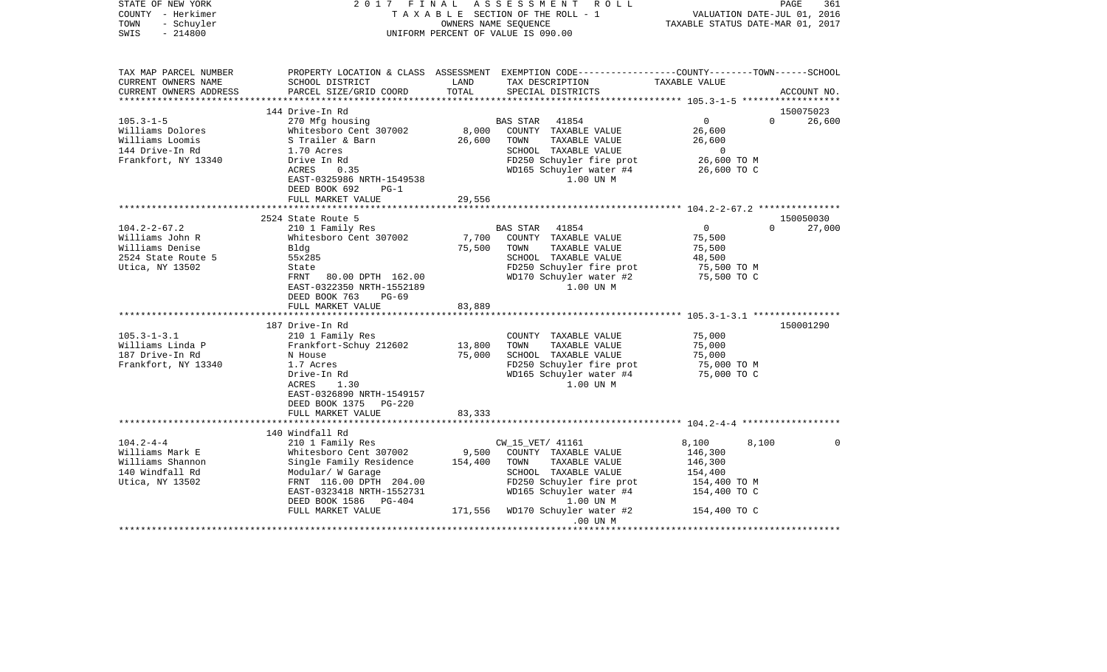| STATE OF NEW YORK<br>COUNTY - Herkimer<br>TOWN<br>- Schuyler<br>$-214800$<br>SWIS                                                                                                    | 2017 FINAL                                                                                                                                                                                                                                                                                                                                                                                                    |                                                         | ASSESSMENT<br>R O L L<br>TAXABLE SECTION OF THE ROLL - 1<br>OWNERS NAME SEOUENCE<br>UNIFORM PERCENT OF VALUE IS 090.00                                                                                                                                                                                      | PAGE<br>VALUATION DATE-JUL 01, 2016<br>TAXABLE STATUS DATE-MAR 01, 2017                                                                                              | 361                              |
|--------------------------------------------------------------------------------------------------------------------------------------------------------------------------------------|---------------------------------------------------------------------------------------------------------------------------------------------------------------------------------------------------------------------------------------------------------------------------------------------------------------------------------------------------------------------------------------------------------------|---------------------------------------------------------|-------------------------------------------------------------------------------------------------------------------------------------------------------------------------------------------------------------------------------------------------------------------------------------------------------------|----------------------------------------------------------------------------------------------------------------------------------------------------------------------|----------------------------------|
| TAX MAP PARCEL NUMBER<br>CURRENT OWNERS NAME<br>CURRENT OWNERS ADDRESS                                                                                                               | SCHOOL DISTRICT<br>PARCEL SIZE/GRID COORD                                                                                                                                                                                                                                                                                                                                                                     | LAND<br>TOTAL<br>**************                         | TAX DESCRIPTION<br>SPECIAL DISTRICTS                                                                                                                                                                                                                                                                        | PROPERTY LOCATION & CLASS ASSESSMENT EXEMPTION CODE---------------COUNTY-------TOWN------SCHOOL<br>TAXABLE VALUE<br>****************** 105.3-1-5 ******************* | ACCOUNT NO.                      |
|                                                                                                                                                                                      | 144 Drive-In Rd                                                                                                                                                                                                                                                                                                                                                                                               |                                                         |                                                                                                                                                                                                                                                                                                             |                                                                                                                                                                      | 150075023                        |
| $105.3 - 1 - 5$<br>Williams Dolores<br>Williams Loomis<br>144 Drive-In Rd<br>Frankfort, NY 13340                                                                                     | 270 Mfg housing<br>Whitesboro Cent 307002<br>S Trailer & Barn<br>1.70 Acres<br>Drive In Rd<br>ACRES<br>0.35<br>EAST-0325986 NRTH-1549538<br>DEED BOOK 692<br>$PG-1$                                                                                                                                                                                                                                           | 8,000<br>26,600                                         | <b>BAS STAR</b><br>41854<br>COUNTY TAXABLE VALUE<br>TAXABLE VALUE<br>TOWN<br>SCHOOL TAXABLE VALUE<br>FD250 Schuyler fire prot<br>WD165 Schuyler water #4<br>1.00 UN M                                                                                                                                       | $\overline{0}$<br>$\Omega$<br>26,600<br>26,600<br>$\Omega$<br>26,600 TO M<br>26,600 TO C                                                                             | 26,600                           |
|                                                                                                                                                                                      | FULL MARKET VALUE                                                                                                                                                                                                                                                                                                                                                                                             | 29,556                                                  |                                                                                                                                                                                                                                                                                                             |                                                                                                                                                                      |                                  |
|                                                                                                                                                                                      |                                                                                                                                                                                                                                                                                                                                                                                                               |                                                         |                                                                                                                                                                                                                                                                                                             |                                                                                                                                                                      |                                  |
| $104.2 - 2 - 67.2$<br>Williams John R<br>Williams Denise<br>2524 State Route 5<br>Utica, NY 13502<br>$105.3 - 1 - 3.1$<br>Williams Linda P<br>187 Drive-In Rd<br>Frankfort, NY 13340 | 2524 State Route 5<br>210 1 Family Res<br>Whitesboro Cent 307002<br>Bldg<br>55x285<br>State<br>80.00 DPTH 162.00<br>FRNT<br>EAST-0322350 NRTH-1552189<br>DEED BOOK 763<br>$PG-69$<br>FULL MARKET VALUE<br>187 Drive-In Rd<br>210 1 Family Res<br>Frankfort-Schuy 212602<br>N House<br>1.7 Acres<br>Drive-In Rd<br>1.30<br>ACRES<br>EAST-0326890 NRTH-1549157<br>DEED BOOK 1375<br>PG-220<br>FULL MARKET VALUE | 7,700<br>75,500<br>83,889<br>13,800<br>75,000<br>83,333 | 41854<br>BAS STAR<br>COUNTY TAXABLE VALUE<br>TAXABLE VALUE<br>TOWN<br>SCHOOL TAXABLE VALUE<br>FD250 Schuyler fire prot<br>WD170 Schuyler water #2<br>1.00 UN M<br>COUNTY TAXABLE VALUE<br>TOWN<br>TAXABLE VALUE<br>SCHOOL TAXABLE VALUE<br>FD250 Schuyler fire prot<br>WD165 Schuyler water #4<br>1.00 UN M | $\overline{0}$<br>$\Omega$<br>75,500<br>75,500<br>48,500<br>75,500 TO M<br>75,500 TO C<br>75,000<br>75,000<br>75,000<br>75,000 TO M<br>75,000 TO C                   | 150050030<br>27,000<br>150001290 |
|                                                                                                                                                                                      |                                                                                                                                                                                                                                                                                                                                                                                                               |                                                         |                                                                                                                                                                                                                                                                                                             |                                                                                                                                                                      |                                  |
| $104.2 - 4 - 4$<br>Williams Mark E<br>Williams Shannon<br>140 Windfall Rd<br>Utica, NY 13502                                                                                         | 140 Windfall Rd<br>210 1 Family Res<br>Whitesboro Cent 307002<br>Single Family Residence<br>Modular/ W Garage<br>FRNT 116.00 DPTH 204.00<br>EAST-0323418 NRTH-1552731<br>DEED BOOK 1586<br>PG-404<br>FULL MARKET VALUE                                                                                                                                                                                        | 9,500<br>154,400<br>171,556                             | CW_15_VET/ 41161<br>COUNTY TAXABLE VALUE<br>TOWN<br>TAXABLE VALUE<br>SCHOOL TAXABLE VALUE<br>FD250 Schuyler fire prot<br>WD165 Schuyler water #4<br>1.00 UN M<br>WD170 Schuyler water #2                                                                                                                    | 8,100<br>8,100<br>146,300<br>146,300<br>154,400<br>154,400 TO M<br>154,400 TO C<br>154,400 TO C                                                                      | $\Omega$                         |
|                                                                                                                                                                                      | ****************************                                                                                                                                                                                                                                                                                                                                                                                  |                                                         | $.00$ UN $M$<br>* * * * * * * * * * * * * * *                                                                                                                                                                                                                                                               |                                                                                                                                                                      |                                  |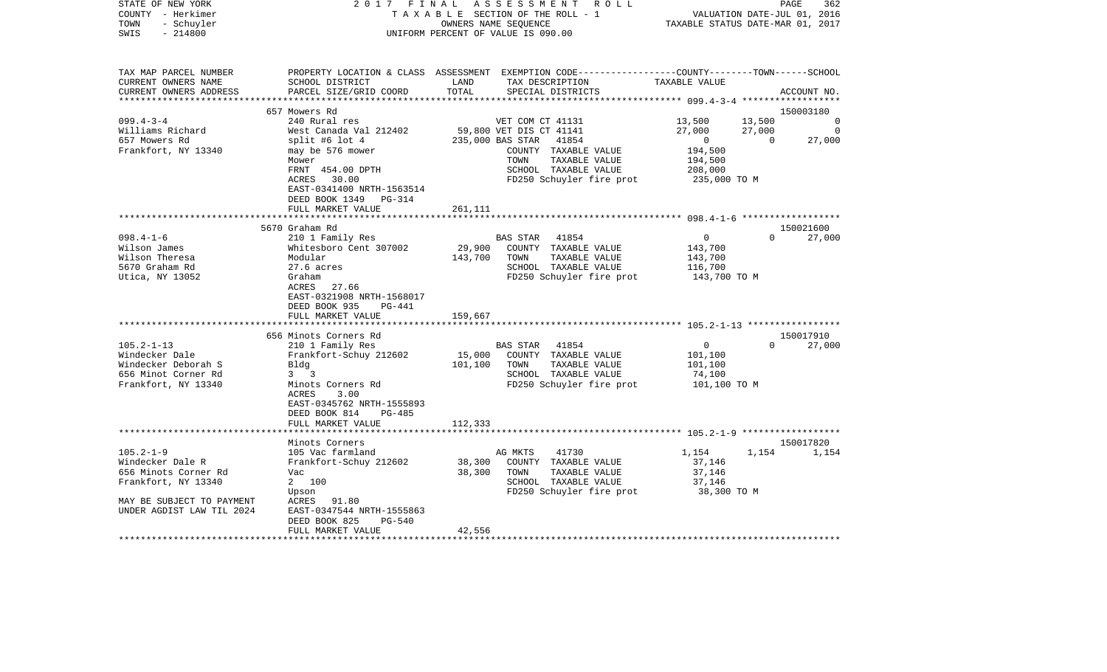| STATE OF NEW YORK<br>COUNTY - Herkimer<br>- Schuyler<br>TOWN<br>$-214800$<br>SWIS | 2017 FINAL                                             | ASSESSMENT ROLL<br>TAXABLE SECTION OF THE ROLL - 1<br>OWNERS NAME SEQUENCE<br>UNIFORM PERCENT OF VALUE IS 090.00                                          | PAGE<br>362<br>VALUATION DATE-JUL 01, 2016<br>TAXABLE STATUS DATE-MAR 01, 2017 |
|-----------------------------------------------------------------------------------|--------------------------------------------------------|-----------------------------------------------------------------------------------------------------------------------------------------------------------|--------------------------------------------------------------------------------|
| TAX MAP PARCEL NUMBER<br>CURRENT OWNERS NAME<br>CURRENT OWNERS ADDRESS            | SCHOOL DISTRICT<br>PARCEL SIZE/GRID COORD              | PROPERTY LOCATION & CLASS ASSESSMENT EXEMPTION CODE----------------COUNTY-------TOWN------SCHOOL<br>LAND<br>TAX DESCRIPTION<br>TOTAL<br>SPECIAL DISTRICTS | TAXABLE VALUE<br>ACCOUNT NO.                                                   |
|                                                                                   | 657 Mowers Rd                                          |                                                                                                                                                           | 150003180                                                                      |
| $099.4 - 3 - 4$                                                                   | 240 Rural res                                          | VET COM CT 41131                                                                                                                                          | 13,500<br>13,500<br>$\overline{0}$                                             |
| Williams Richard                                                                  | West Canada Val 212402                                 | 59,800 VET DIS CT 41141                                                                                                                                   | 27,000<br>27,000<br>0                                                          |
| 657 Mowers Rd                                                                     | split #6 lot $4$                                       | 235,000 BAS STAR<br>41854                                                                                                                                 | $\overline{0}$<br>$\Omega$<br>27,000                                           |
| Frankfort, NY 13340                                                               | may be 576 mower                                       | COUNTY TAXABLE VALUE                                                                                                                                      | 194,500                                                                        |
|                                                                                   | Mower                                                  | TAXABLE VALUE<br>TOWN                                                                                                                                     | 194,500                                                                        |
|                                                                                   | FRNT 454.00 DPTH                                       | SCHOOL TAXABLE VALUE                                                                                                                                      | 208,000                                                                        |
|                                                                                   | ACRES 30.00                                            | FD250 Schuyler fire prot                                                                                                                                  | 235,000 TO M                                                                   |
|                                                                                   | EAST-0341400 NRTH-1563514                              |                                                                                                                                                           |                                                                                |
|                                                                                   | DEED BOOK 1349 PG-314                                  |                                                                                                                                                           |                                                                                |
|                                                                                   | FULL MARKET VALUE                                      | 261,111                                                                                                                                                   |                                                                                |
|                                                                                   |                                                        |                                                                                                                                                           |                                                                                |
| $098.4 - 1 - 6$                                                                   | 5670 Graham Rd<br>210 1 Family Res                     | BAS STAR 41854                                                                                                                                            | 150021600<br>$\mathbf 0$<br>$\Omega$<br>27,000                                 |
| Wilson James                                                                      | Whitesboro Cent 307002                                 | 29,900<br>COUNTY TAXABLE VALUE                                                                                                                            | 143,700                                                                        |
| Wilson Theresa                                                                    | Modular                                                | 143,700<br>TAXABLE VALUE<br>TOWN                                                                                                                          | 143,700                                                                        |
| 5670 Graham Rd                                                                    | $27.6$ acres                                           | SCHOOL TAXABLE VALUE                                                                                                                                      | 116,700                                                                        |
| Utica, NY 13052                                                                   | Graham                                                 | FD250 Schuyler fire prot                                                                                                                                  | 143,700 TO M                                                                   |
|                                                                                   | 27.66<br>ACRES                                         |                                                                                                                                                           |                                                                                |
|                                                                                   | EAST-0321908 NRTH-1568017                              |                                                                                                                                                           |                                                                                |
|                                                                                   | DEED BOOK 935<br>PG-441                                |                                                                                                                                                           |                                                                                |
|                                                                                   | FULL MARKET VALUE                                      | 159,667                                                                                                                                                   |                                                                                |
|                                                                                   |                                                        |                                                                                                                                                           |                                                                                |
|                                                                                   | 656 Minots Corners Rd                                  |                                                                                                                                                           | 150017910                                                                      |
| $105.2 - 1 - 13$                                                                  | 210 1 Family Res                                       | 41854<br>BAS STAR                                                                                                                                         | 0<br>$\Omega$<br>27,000                                                        |
| Windecker Dale                                                                    | Frankfort-Schuy 212602                                 | 15,000<br>COUNTY TAXABLE VALUE                                                                                                                            | 101,100                                                                        |
| Windecker Deborah S                                                               | Bldg                                                   | 101,100<br>TOWN<br>TAXABLE VALUE                                                                                                                          | 101,100                                                                        |
| 656 Minot Corner Rd<br>Frankfort, NY 13340                                        | $3 \quad 3$<br>Minots Corners Rd                       | SCHOOL TAXABLE VALUE<br>FD250 Schuyler fire prot                                                                                                          | 74,100                                                                         |
|                                                                                   | 3.00<br>ACRES                                          |                                                                                                                                                           | 101,100 TO M                                                                   |
|                                                                                   | EAST-0345762 NRTH-1555893                              |                                                                                                                                                           |                                                                                |
|                                                                                   | DEED BOOK 814<br><b>PG-485</b>                         |                                                                                                                                                           |                                                                                |
|                                                                                   | FULL MARKET VALUE                                      | 112,333                                                                                                                                                   |                                                                                |
|                                                                                   | ********************                                   |                                                                                                                                                           |                                                                                |
|                                                                                   | Minots Corners                                         |                                                                                                                                                           | 150017820                                                                      |
| $105.2 - 1 - 9$                                                                   | 105 Vac farmland                                       | 41730<br>AG MKTS                                                                                                                                          | 1,154<br>1,154<br>1,154                                                        |
| Windecker Dale R                                                                  | Frankfort-Schuy 212602                                 | 38,300<br>COUNTY TAXABLE VALUE                                                                                                                            | 37,146                                                                         |
| 656 Minots Corner Rd                                                              | Vac                                                    | 38,300<br>TOWN<br>TAXABLE VALUE                                                                                                                           | 37,146                                                                         |
| Frankfort, NY 13340                                                               | 2 100                                                  | SCHOOL TAXABLE VALUE                                                                                                                                      | 37,146                                                                         |
|                                                                                   | Upson                                                  | FD250 Schuyler fire prot                                                                                                                                  | 38,300 TO M                                                                    |
| MAY BE SUBJECT TO PAYMENT                                                         | ACRES 91.80                                            |                                                                                                                                                           |                                                                                |
| UNDER AGDIST LAW TIL 2024                                                         | EAST-0347544 NRTH-1555863<br>DEED BOOK 825<br>$PG-540$ |                                                                                                                                                           |                                                                                |
|                                                                                   | FULL MARKET VALUE                                      | 42,556                                                                                                                                                    |                                                                                |
|                                                                                   |                                                        |                                                                                                                                                           |                                                                                |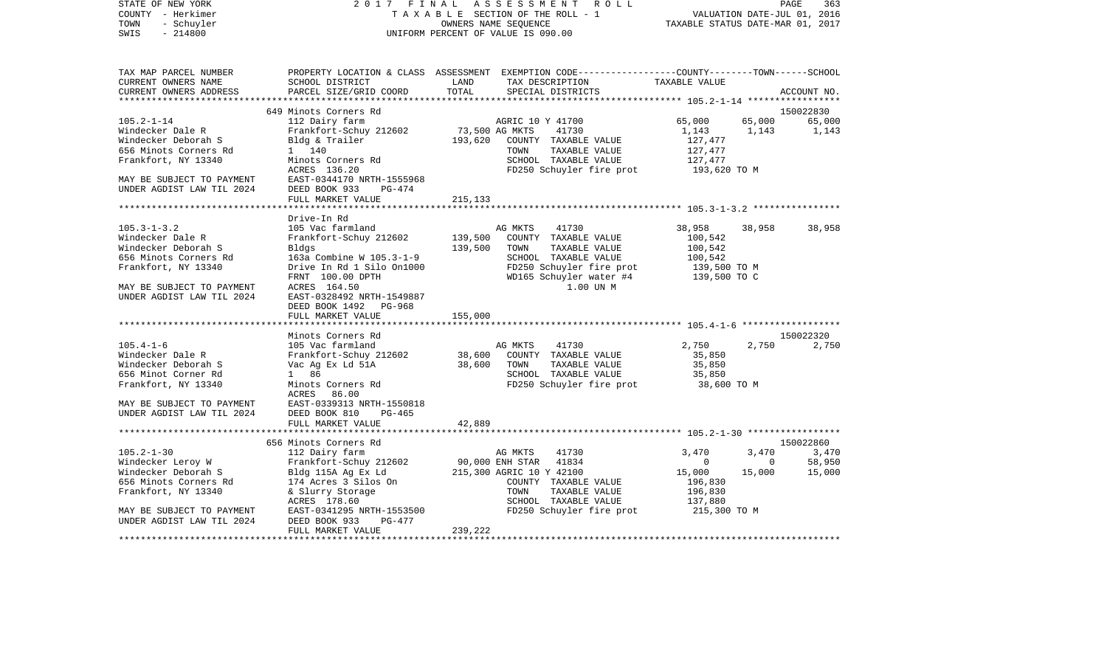| COUNTY<br>- Herkimer      |                           |                | T A X A B L E SECTION OF THE ROLL - 1                                                          |                                  |        | VALUATION DATE-JUL 01, 2016 |
|---------------------------|---------------------------|----------------|------------------------------------------------------------------------------------------------|----------------------------------|--------|-----------------------------|
| - Schuyler<br>TOWN        |                           |                | OWNERS NAME SEQUENCE                                                                           | TAXABLE STATUS DATE-MAR 01, 2017 |        |                             |
| SWIS<br>$-214800$         |                           |                | UNIFORM PERCENT OF VALUE IS 090.00                                                             |                                  |        |                             |
|                           |                           |                |                                                                                                |                                  |        |                             |
| TAX MAP PARCEL NUMBER     |                           |                | PROPERTY LOCATION & CLASS ASSESSMENT EXEMPTION CODE---------------COUNTY-------TOWN-----SCHOOL |                                  |        |                             |
| CURRENT OWNERS NAME       | SCHOOL DISTRICT           | LAND           | TAX DESCRIPTION                                                                                | TAXABLE VALUE                    |        |                             |
| CURRENT OWNERS ADDRESS    | PARCEL SIZE/GRID COORD    | TOTAL          | SPECIAL DISTRICTS                                                                              |                                  |        | ACCOUNT NO.                 |
|                           |                           |                |                                                                                                |                                  |        |                             |
|                           | 649 Minots Corners Rd     |                |                                                                                                |                                  |        | 150022830                   |
| $105.2 - 1 - 14$          | 112 Dairy farm            |                | AGRIC 10 Y 41700                                                                               | 65,000                           | 65,000 | 65,000                      |
| Windecker Dale R          | Frankfort-Schuy 212602    | 73,500 AG MKTS | 41730                                                                                          | 1,143                            | 1,143  | 1,143                       |
| Windecker Deborah S       | Bldg & Trailer            | 193,620        | COUNTY TAXABLE VALUE                                                                           | 127,477                          |        |                             |
| 656 Minots Corners Rd     | 1 140                     |                | TOWN<br>TAXABLE VALUE                                                                          | 127,477                          |        |                             |
| Frankfort, NY 13340       | Minots Corners Rd         |                | SCHOOL TAXABLE VALUE                                                                           | 127,477                          |        |                             |
|                           | ACRES 136.20              |                | FD250 Schuyler fire prot                                                                       | 193,620 TO M                     |        |                             |
| MAY BE SUBJECT TO PAYMENT | EAST-0344170 NRTH-1555968 |                |                                                                                                |                                  |        |                             |
| UNDER AGDIST LAW TIL 2024 | DEED BOOK 933<br>PG-474   |                |                                                                                                |                                  |        |                             |
|                           | FULL MARKET VALUE         | 215, 133       |                                                                                                |                                  |        |                             |
|                           |                           |                |                                                                                                |                                  |        |                             |
|                           | Drive-In Rd               |                |                                                                                                |                                  |        |                             |
| $105.3 - 1 - 3.2$         | 105 Vac farmland          |                | 41730<br>AG MKTS                                                                               | 38,958                           | 38,958 | 38,958                      |
| Windecker Dale R          | Frankfort-Schuy 212602    | 139,500        | COUNTY TAXABLE VALUE                                                                           | 100,542                          |        |                             |
| Windecker Deborah S       | Bldgs                     | 139,500        | TOWN<br>TAXABLE VALUE                                                                          | 100,542                          |        |                             |
| 656 Minots Corners Rd     | 163a Combine W 105.3-1-9  |                | SCHOOL TAXABLE VALUE                                                                           | 100,542                          |        |                             |
| Frankfort, NY 13340       | Drive In Rd 1 Silo On1000 |                | FD250 Schuyler fire prot                                                                       | 139,500 TO M                     |        |                             |
|                           | FRNT 100.00 DPTH          |                | WD165 Schuyler water #4                                                                        | 139,500 TO C                     |        |                             |
| MAY BE SUBJECT TO PAYMENT | ACRES 164.50              |                | 1.00 UN M                                                                                      |                                  |        |                             |
| UNDER AGDIST LAW TIL 2024 | EAST-0328492 NRTH-1549887 |                |                                                                                                |                                  |        |                             |
|                           | DEED BOOK 1492<br>PG-968  |                |                                                                                                |                                  |        |                             |
|                           | FULL MARKET VALUE         | 155,000        |                                                                                                |                                  |        |                             |
|                           |                           |                |                                                                                                |                                  |        |                             |
|                           | Minots Corners Rd         |                |                                                                                                |                                  |        | 150022320                   |
| $105.4 - 1 - 6$           | 105 Vac farmland          |                | AG MKTS<br>41730                                                                               | 2,750                            | 2,750  | 2,750                       |
| Windecker Dale R          | Frankfort-Schuy 212602    | 38,600         | COUNTY TAXABLE VALUE                                                                           | 35,850                           |        |                             |
| Windecker Deborah S       | Vac Ag Ex Ld 51A          | 38,600         | TOWN<br>TAXABLE VALUE                                                                          | 35,850                           |        |                             |
| 656 Minot Corner Rd       | 1 86                      |                | SCHOOL TAXABLE VALUE                                                                           | 35,850                           |        |                             |
| Frankfort, NY 13340       | Minots Corners Rd         |                | FD250 Schuyler fire prot                                                                       | 38,600 TO M                      |        |                             |
|                           | ACRES<br>86.00            |                |                                                                                                |                                  |        |                             |
| MAY BE SUBJECT TO PAYMENT | EAST-0339313 NRTH-1550818 |                |                                                                                                |                                  |        |                             |
| UNDER AGDIST LAW TIL 2024 | DEED BOOK 810<br>$PG-465$ |                |                                                                                                |                                  |        |                             |
|                           | FULL MARKET VALUE         | 42,889         |                                                                                                |                                  |        |                             |
|                           |                           |                |                                                                                                |                                  |        |                             |
|                           | 656 Minots Corners Rd     |                |                                                                                                |                                  |        | 150022860                   |
| $105.2 - 1 - 30$          | 112 Dairy farm            |                | 41730<br>AG MKTS                                                                               | 3,470                            | 3,470  | 3,470                       |
| Windecker Leroy W         | Frankfort-Schuy 212602    |                | 90,000 ENH STAR<br>41834                                                                       | $\mathbf{0}$                     | 0      | 58,950                      |
| Windecker Deborah S       | Bldg 115A Ag Ex Ld        |                | 215,300 AGRIC 10 Y 42100                                                                       | 15,000                           | 15,000 | 15,000                      |
| 656 Minots Corners Rd     | 174 Acres 3 Silos On      |                | COUNTY TAXABLE VALUE                                                                           | 196,830                          |        |                             |
| Frankfort, NY 13340       | & Slurry Storage          |                | TOWN<br>TAXABLE VALUE                                                                          | 196,830                          |        |                             |
|                           | ACRES 178.60              |                | SCHOOL TAXABLE VALUE                                                                           | 137,880                          |        |                             |
| MAY BE SUBJECT TO PAYMENT | EAST-0341295 NRTH-1553500 |                | FD250 Schuyler fire prot                                                                       | 215,300 TO M                     |        |                             |
| UNDER AGDIST LAW TIL 2024 | DEED BOOK 933<br>PG-477   |                |                                                                                                |                                  |        |                             |
| ********************      | FULL MARKET VALUE         | 239,222        |                                                                                                |                                  |        |                             |
|                           |                           |                |                                                                                                |                                  |        |                             |

STATE OF NEW YORK 2 0 1 7 F I N A L A S S E S S M E N T R O L L PAGE 363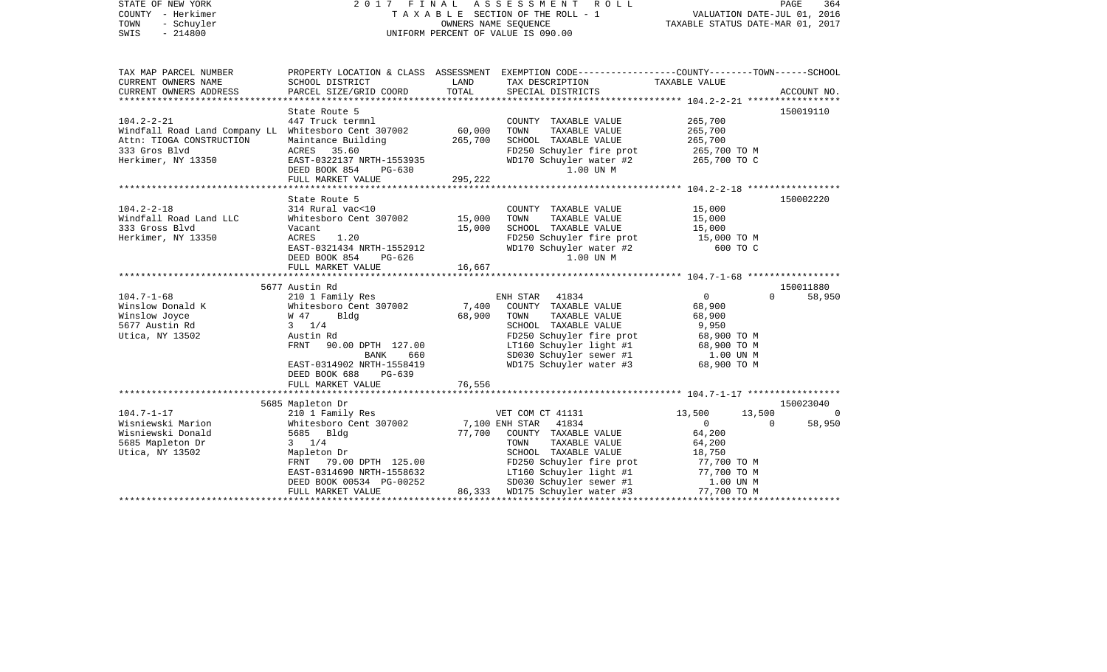| STATE OF NEW YORK<br>COUNTY - Herkimer<br>TOWN<br>- Schuyler<br>$-214800$<br>SWIS                                                                             |                                                                                                                                                                                                                                                 | OWNERS NAME SEQUENCE                          | 2017 FINAL ASSESSMENT<br>ROLL<br>TAXABLE SECTION OF THE ROLL - 1<br>UNIFORM PERCENT OF VALUE IS 090.00                                                                                                                                | VALUATION DATE-JUL 01, 2016<br>TAXABLE STATUS DATE-MAR 01, 2017                                                                        | PAGE<br>364              |
|---------------------------------------------------------------------------------------------------------------------------------------------------------------|-------------------------------------------------------------------------------------------------------------------------------------------------------------------------------------------------------------------------------------------------|-----------------------------------------------|---------------------------------------------------------------------------------------------------------------------------------------------------------------------------------------------------------------------------------------|----------------------------------------------------------------------------------------------------------------------------------------|--------------------------|
| TAX MAP PARCEL NUMBER<br>CURRENT OWNERS NAME<br>CURRENT OWNERS ADDRESS                                                                                        | SCHOOL DISTRICT<br>PARCEL SIZE/GRID COORD                                                                                                                                                                                                       | LAND<br>TOTAL                                 | PROPERTY LOCATION & CLASS ASSESSMENT EXEMPTION CODE---------------COUNTY-------TOWN-----SCHOOL<br>TAX DESCRIPTION<br>SPECIAL DISTRICTS                                                                                                | TAXABLE VALUE                                                                                                                          | ACCOUNT NO.              |
| $104.2 - 2 - 21$<br>Windfall Road Land Company LL Whitesboro Cent 307002<br>Attn: TIOGA CONSTRUCTION<br>333 Gros Blvd<br>Herkimer, NY 13350                   | State Route 5<br>447 Truck termnl<br>Maintance Building<br>ACRES<br>35.60<br>EAST-0322137 NRTH-1553935<br>DEED BOOK 854<br>PG-630<br>FULL MARKET VALUE                                                                                          | 60,000<br>265,700<br>295,222                  | COUNTY TAXABLE VALUE<br>TOWN<br>TAXABLE VALUE<br>SCHOOL TAXABLE VALUE<br>FD250 Schuyler fire prot<br>WD170 Schuyler water #2<br>1.00 UN M                                                                                             | 265,700<br>265,700<br>265,700<br>265,700 TO M<br>265,700 TO C                                                                          | 150019110                |
|                                                                                                                                                               | State Route 5                                                                                                                                                                                                                                   |                                               |                                                                                                                                                                                                                                       |                                                                                                                                        | 150002220                |
| $104.2 - 2 - 18$<br>Windfall Road Land LLC<br>333 Gross Blvd<br>Herkimer, NY 13350<br>$104.7 - 1 - 68$<br>Winslow Donald K<br>Winslow Joyce<br>5677 Austin Rd | 314 Rural vac<10<br>Whitesboro Cent 307002<br>Vacant<br>ACRES<br>1.20<br>EAST-0321434 NRTH-1552912<br>DEED BOOK 854<br>PG-626<br>FULL MARKET VALUE<br>5677 Austin Rd<br>210 1 Family Res<br>Whitesboro Cent 307002<br>W 47<br>Bldg<br>$3 \t1/4$ | 15,000<br>15,000<br>16,667<br>7,400<br>68,900 | COUNTY TAXABLE VALUE<br>TAXABLE VALUE<br>TOWN<br>SCHOOL TAXABLE VALUE<br>FD250 Schuyler fire prot<br>WD170 Schuyler water #2<br>1.00 UN M<br>ENH STAR 41834<br>COUNTY TAXABLE VALUE<br>TOWN<br>TAXABLE VALUE<br>SCHOOL TAXABLE VALUE  | 15,000<br>15,000<br>15,000<br>15,000 TO M<br>600 TO C<br>$\overline{0}$<br>$\Omega$<br>68,900<br>68,900<br>9,950                       | 150011880<br>58,950      |
| Utica, NY 13502                                                                                                                                               | Austin Rd<br>FRNT 90.00 DPTH 127.00<br>BANK<br>660<br>EAST-0314902 NRTH-1558419<br>DEED BOOK 688 PG-639<br>FULL MARKET VALUE                                                                                                                    | 76,556                                        | FD250 Schuyler fire prot<br>LT160 Schuyler light #1<br>SD030 Schuyler sewer #1<br>WD175 Schuyler water #3                                                                                                                             | 68,900 TO M<br>68,900 TO M<br>1.00 UN M<br>68,900 TO M                                                                                 |                          |
|                                                                                                                                                               | 5685 Mapleton Dr                                                                                                                                                                                                                                |                                               |                                                                                                                                                                                                                                       |                                                                                                                                        | 150023040                |
| $104.7 - 1 - 17$<br>Wisniewski Marion<br>Wisniewski Donald<br>5685 Mapleton Dr<br>Utica, NY 13502                                                             | 210 1 Family Res<br>Whitesboro Cent 307002<br>5685 Bldg<br>$3 \t1/4$<br>Mapleton Dr<br>FRNT 79.00 DPTH 125.00<br>EAST-0314690 NRTH-1558632<br>DEED BOOK 00534 PG-00252<br>FULL MARKET VALUE                                                     | 77,700                                        | VET COM CT 41131<br>7,100 ENH STAR 41834<br>COUNTY TAXABLE VALUE<br>TOWN<br>TAXABLE VALUE<br>SCHOOL TAXABLE VALUE<br>FD250 Schuyler fire prot<br>LT160 Schuyler light #1<br>SD030 Schuyler sewer #1<br>86,333 WD175 Schuyler water #3 | 13,500<br>13,500<br>$\Omega$<br>$\overline{0}$<br>64,200<br>64,200<br>18,750<br>77,700 TO M<br>77,700 TO M<br>1.00 UN M<br>77,700 TO M | $\overline{0}$<br>58,950 |
|                                                                                                                                                               |                                                                                                                                                                                                                                                 |                                               |                                                                                                                                                                                                                                       |                                                                                                                                        |                          |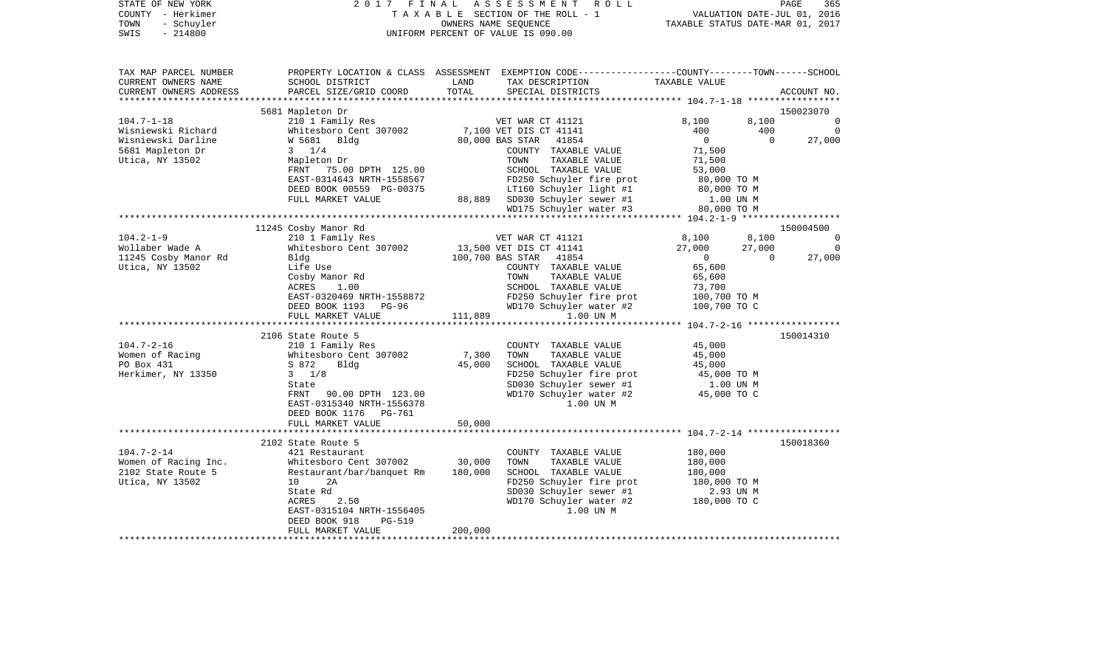| STATE OF NEW YORK<br>COUNTY - Herkimer<br>TOWN<br>- Schuyler<br>$-214800$<br>SWIS |                                                                   | 2017 FINAL ASSESSMENT ROLL PAGE 365<br>TAXABLE SECTION OF THE ROLL - 1 VALUATION DATE-JUL 01, 2016<br>OWNERS NAME SEQUENCE TAXABLE STATUS DATE-MAR 01, 2017<br>UNIFORM PERCENT OF VALUE IS 090.00                                                |                       |             |  |
|-----------------------------------------------------------------------------------|-------------------------------------------------------------------|--------------------------------------------------------------------------------------------------------------------------------------------------------------------------------------------------------------------------------------------------|-----------------------|-------------|--|
| TAX MAP PARCEL NUMBER<br>CURRENT OWNERS NAME<br>CURRENT OWNERS ADDRESS            |                                                                   | PROPERTY LOCATION & CLASS ASSESSMENT EXEMPTION CODE-----------------COUNTY-------TOWN------SCHOOL                                                                                                                                                |                       | ACCOUNT NO. |  |
|                                                                                   |                                                                   |                                                                                                                                                                                                                                                  |                       | 150023070   |  |
|                                                                                   |                                                                   |                                                                                                                                                                                                                                                  |                       |             |  |
|                                                                                   |                                                                   |                                                                                                                                                                                                                                                  |                       |             |  |
|                                                                                   |                                                                   |                                                                                                                                                                                                                                                  |                       |             |  |
|                                                                                   |                                                                   |                                                                                                                                                                                                                                                  |                       |             |  |
|                                                                                   |                                                                   |                                                                                                                                                                                                                                                  |                       |             |  |
|                                                                                   |                                                                   |                                                                                                                                                                                                                                                  |                       |             |  |
|                                                                                   |                                                                   |                                                                                                                                                                                                                                                  |                       |             |  |
|                                                                                   |                                                                   |                                                                                                                                                                                                                                                  |                       |             |  |
|                                                                                   |                                                                   |                                                                                                                                                                                                                                                  |                       |             |  |
|                                                                                   |                                                                   |                                                                                                                                                                                                                                                  |                       |             |  |
|                                                                                   |                                                                   |                                                                                                                                                                                                                                                  |                       | 150004500   |  |
|                                                                                   | 11245 Cosby Manor Rd                                              |                                                                                                                                                                                                                                                  |                       |             |  |
|                                                                                   |                                                                   |                                                                                                                                                                                                                                                  |                       |             |  |
|                                                                                   |                                                                   |                                                                                                                                                                                                                                                  |                       |             |  |
|                                                                                   |                                                                   |                                                                                                                                                                                                                                                  |                       |             |  |
|                                                                                   |                                                                   |                                                                                                                                                                                                                                                  |                       |             |  |
|                                                                                   |                                                                   |                                                                                                                                                                                                                                                  |                       |             |  |
|                                                                                   |                                                                   |                                                                                                                                                                                                                                                  |                       |             |  |
|                                                                                   |                                                                   |                                                                                                                                                                                                                                                  |                       |             |  |
|                                                                                   |                                                                   |                                                                                                                                                                                                                                                  |                       |             |  |
|                                                                                   | 2106 State Route 5                                                |                                                                                                                                                                                                                                                  |                       | 150014310   |  |
| $104.7 - 2 - 16$                                                                  |                                                                   | COUNTY TAXABLE VALUE<br>7,300 TOWN TAXABLE VALUE                                                                                                                                                                                                 | 45,000                |             |  |
| Women of Racing                                                                   | 210 1 Family Res<br>Whitesboro Cent 307002<br>S 872 Bldg<br>3 1/8 | 45,000 SCHOOL TAXABLE VALUE                                                                                                                                                                                                                      | 45,000                |             |  |
| PO Box 431<br>Herkimer, NY 13350                                                  |                                                                   |                                                                                                                                                                                                                                                  | 45,000<br>45,000 TO M |             |  |
|                                                                                   | State                                                             | FD250 Schuyler fire prot<br>SD030 Schuyler sewer #1 1.00 UN M<br>WD170 Schuyler water #2 45,000 TO C                                                                                                                                             |                       |             |  |
|                                                                                   | FRNT 90.00 DPTH 123.00                                            |                                                                                                                                                                                                                                                  |                       |             |  |
|                                                                                   | EAST-0315340 NRTH-1556378                                         | 1.00 UN M                                                                                                                                                                                                                                        |                       |             |  |
|                                                                                   | DEED BOOK 1176 PG-761                                             |                                                                                                                                                                                                                                                  |                       |             |  |
|                                                                                   | FULL MARKET VALUE 50,000                                          |                                                                                                                                                                                                                                                  |                       |             |  |
|                                                                                   |                                                                   |                                                                                                                                                                                                                                                  |                       |             |  |
|                                                                                   | 2102 State Route 5                                                |                                                                                                                                                                                                                                                  |                       | 150018360   |  |
|                                                                                   |                                                                   |                                                                                                                                                                                                                                                  |                       |             |  |
|                                                                                   |                                                                   |                                                                                                                                                                                                                                                  |                       |             |  |
|                                                                                   |                                                                   |                                                                                                                                                                                                                                                  |                       |             |  |
|                                                                                   |                                                                   |                                                                                                                                                                                                                                                  |                       |             |  |
|                                                                                   |                                                                   | 2102 State Route 5<br>Women of Racing Inc.<br>2102 State Route 5<br>2102 State Route 5<br>2102 State Route 5<br>2102 State Route 5<br>2.93 UN MOLOGIC TAXABLE VALUE<br>2.93 UN MOLOGIC TAXABLE VALUE<br>2.93 UN MOLOGIC TAXABLE VALUE<br>2.93 UN |                       |             |  |
|                                                                                   |                                                                   |                                                                                                                                                                                                                                                  |                       |             |  |
|                                                                                   | EAST-0315104 NRTH-1556405                                         | 1.00 UN M                                                                                                                                                                                                                                        |                       |             |  |
|                                                                                   | DEED BOOK 918<br>PG-519                                           | 200,000                                                                                                                                                                                                                                          |                       |             |  |
|                                                                                   | FULL MARKET VALUE                                                 |                                                                                                                                                                                                                                                  |                       |             |  |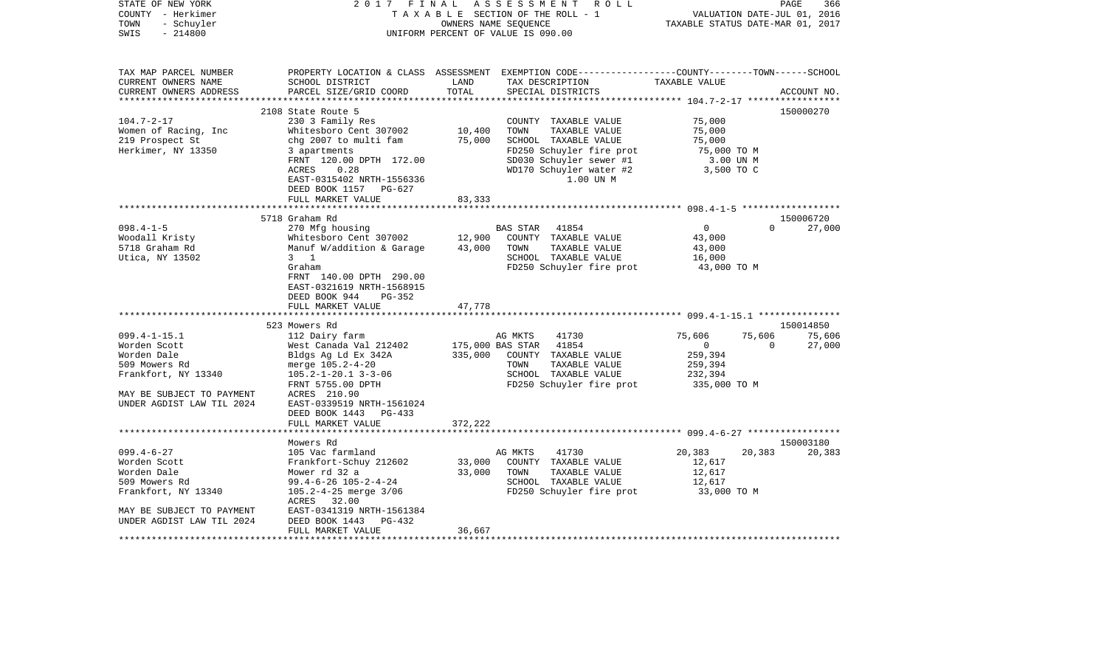| STATE OF NEW YORK<br>COUNTY - Herkimer<br>- Schuyler<br>TOWN<br>$-214800$<br>SWIS | 2017 FINAL                                                                                | OWNERS NAME SEQUENCE | ASSESSMENT<br>R O L L<br>TAXABLE SECTION OF THE ROLL - 1<br>UNIFORM PERCENT OF VALUE IS 090.00                                          | VALUATION DATE-JUL 01, 2016<br>TAXABLE STATUS DATE-MAR 01, 2017 | PAGE<br>366        |
|-----------------------------------------------------------------------------------|-------------------------------------------------------------------------------------------|----------------------|-----------------------------------------------------------------------------------------------------------------------------------------|-----------------------------------------------------------------|--------------------|
| TAX MAP PARCEL NUMBER<br>CURRENT OWNERS NAME<br>CURRENT OWNERS ADDRESS            | SCHOOL DISTRICT<br>PARCEL SIZE/GRID COORD                                                 | LAND<br>TOTAL        | PROPERTY LOCATION & CLASS ASSESSMENT EXEMPTION CODE---------------COUNTY-------TOWN------SCHOOL<br>TAX DESCRIPTION<br>SPECIAL DISTRICTS | TAXABLE VALUE                                                   | ACCOUNT NO.        |
|                                                                                   |                                                                                           |                      |                                                                                                                                         |                                                                 |                    |
|                                                                                   | 2108 State Route 5                                                                        |                      |                                                                                                                                         |                                                                 | 150000270          |
| $104.7 - 2 - 17$                                                                  | 230 3 Family Res                                                                          |                      | COUNTY TAXABLE VALUE                                                                                                                    | 75,000                                                          |                    |
| Women of Racing, Inc<br>219 Prospect St                                           | Whitesboro Cent 307002<br>chg 2007 to multi fam                                           | 10,400<br>75,000     | TAXABLE VALUE<br>TOWN<br>SCHOOL TAXABLE VALUE                                                                                           | 75,000<br>75,000                                                |                    |
| Herkimer, NY 13350                                                                | 3 apartments                                                                              |                      | FD250 Schuyler fire prot                                                                                                                | 75,000 TO M                                                     |                    |
|                                                                                   | FRNT 120.00 DPTH 172.00                                                                   |                      | SD030 Schuyler sewer #1                                                                                                                 | 3.00 UN M                                                       |                    |
|                                                                                   | 0.28<br>ACRES                                                                             |                      | WD170 Schuyler water #2                                                                                                                 | 3,500 TO C                                                      |                    |
|                                                                                   | EAST-0315402 NRTH-1556336                                                                 |                      | 1.00 UN M                                                                                                                               |                                                                 |                    |
|                                                                                   | DEED BOOK 1157 PG-627                                                                     |                      |                                                                                                                                         |                                                                 |                    |
|                                                                                   | FULL MARKET VALUE                                                                         | 83,333               |                                                                                                                                         |                                                                 |                    |
|                                                                                   | 5718 Graham Rd                                                                            |                      |                                                                                                                                         |                                                                 | 150006720          |
| $098.4 - 1 - 5$                                                                   | 270 Mfg housing                                                                           |                      | <b>BAS STAR</b><br>41854                                                                                                                | $\overline{0}$                                                  | $\Omega$<br>27,000 |
| Woodall Kristy                                                                    | Whitesboro Cent 307002                                                                    | 12,900               | COUNTY TAXABLE VALUE                                                                                                                    | 43,000                                                          |                    |
| 5718 Graham Rd                                                                    | Manuf W/addition & Garage                                                                 | 43,000               | TOWN<br>TAXABLE VALUE                                                                                                                   | 43,000                                                          |                    |
| Utica, NY 13502                                                                   | $3 \quad 1$                                                                               |                      | SCHOOL TAXABLE VALUE                                                                                                                    | 16,000                                                          |                    |
|                                                                                   | Graham<br>FRNT 140.00 DPTH 290.00<br>EAST-0321619 NRTH-1568915<br>DEED BOOK 944<br>PG-352 |                      | FD250 Schuyler fire prot                                                                                                                | 43,000 TO M                                                     |                    |
|                                                                                   | FULL MARKET VALUE<br>**************************                                           | 47,778               |                                                                                                                                         |                                                                 |                    |
|                                                                                   | 523 Mowers Rd                                                                             |                      |                                                                                                                                         |                                                                 | 150014850          |
| $099.4 - 1 - 15.1$                                                                | 112 Dairy farm                                                                            |                      | AG MKTS<br>41730                                                                                                                        | 75,606<br>75,606                                                | 75,606             |
| Worden Scott                                                                      | West Canada Val 212402                                                                    | 175,000 BAS STAR     | 41854                                                                                                                                   | $\overline{0}$                                                  | 27,000<br>$\Omega$ |
| Worden Dale                                                                       | Bldgs Ag Ld Ex 342A                                                                       | 335,000              | COUNTY TAXABLE VALUE                                                                                                                    | 259,394                                                         |                    |
| 509 Mowers Rd                                                                     | merge 105.2-4-20                                                                          |                      | TOWN<br>TAXABLE VALUE                                                                                                                   | 259,394                                                         |                    |
| Frankfort, NY 13340                                                               | $105.2 - 1 - 20.1$ 3-3-06                                                                 |                      | SCHOOL TAXABLE VALUE                                                                                                                    | 232,394                                                         |                    |
| MAY BE SUBJECT TO PAYMENT                                                         | FRNT 5755.00 DPTH<br>ACRES 210.90                                                         |                      | FD250 Schuyler fire prot                                                                                                                | 335,000 TO M                                                    |                    |
| UNDER AGDIST LAW TIL 2024                                                         | EAST-0339519 NRTH-1561024<br>DEED BOOK 1443 PG-433<br>FULL MARKET VALUE                   | 372,222              |                                                                                                                                         |                                                                 |                    |
|                                                                                   |                                                                                           |                      |                                                                                                                                         |                                                                 |                    |
|                                                                                   | Mowers Rd                                                                                 |                      |                                                                                                                                         |                                                                 | 150003180          |
| $099.4 - 6 - 27$                                                                  | 105 Vac farmland                                                                          |                      | AG MKTS<br>41730                                                                                                                        | 20,383<br>20,383                                                | 20,383             |
| Worden Scott                                                                      | Frankfort-Schuy 212602                                                                    | 33,000               | COUNTY TAXABLE VALUE                                                                                                                    | 12,617                                                          |                    |
| Worden Dale                                                                       | Mower rd 32 a                                                                             | 33,000               | TAXABLE VALUE<br>TOWN                                                                                                                   | 12,617                                                          |                    |
| 509 Mowers Rd                                                                     | 99.4-6-26 105-2-4-24                                                                      |                      | SCHOOL TAXABLE VALUE                                                                                                                    | 12,617                                                          |                    |
| Frankfort, NY 13340                                                               | 105.2-4-25 merge 3/06<br>ACRES 32.00                                                      |                      | FD250 Schuyler fire prot                                                                                                                | 33,000 TO M                                                     |                    |
| MAY BE SUBJECT TO PAYMENT                                                         | EAST-0341319 NRTH-1561384                                                                 |                      |                                                                                                                                         |                                                                 |                    |
| UNDER AGDIST LAW TIL 2024                                                         | DEED BOOK 1443<br>PG-432<br>FULL MARKET VALUE                                             | 36,667               |                                                                                                                                         |                                                                 |                    |
|                                                                                   |                                                                                           |                      |                                                                                                                                         |                                                                 |                    |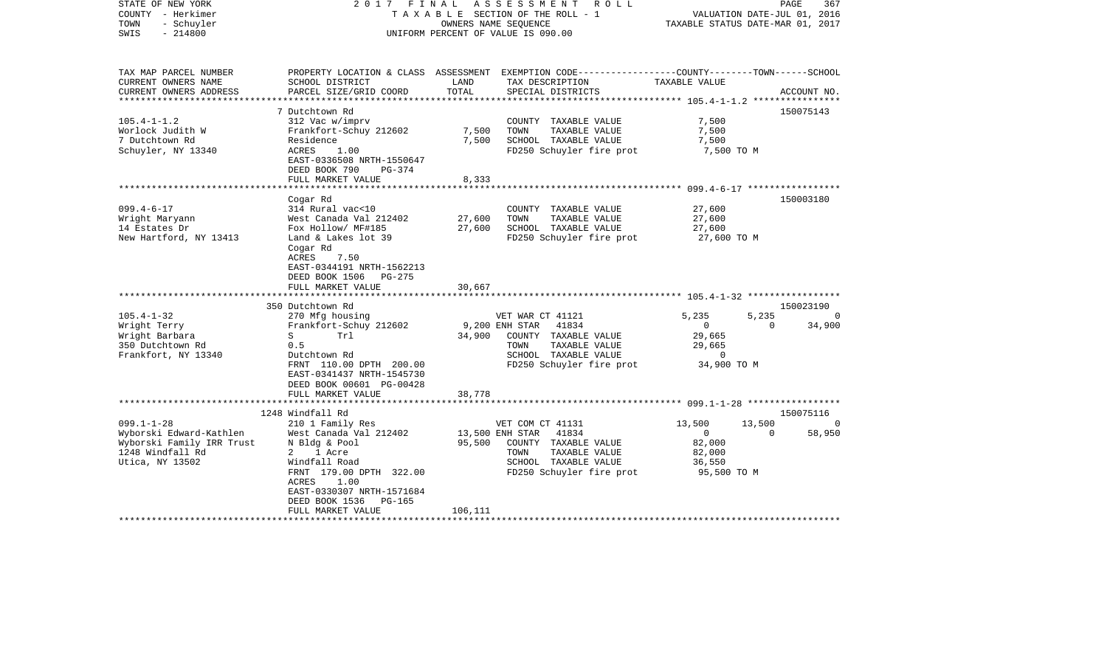| STATE OF NEW YORK<br>COUNTY - Herkimer<br>TOWN<br>- Schuyler<br>$-214800$<br>SWIS |                                           |               | 2017 FINAL ASSESSMENT ROLL<br>TAXABLE SECTION OF THE ROLL - 1<br>OWNERS NAME SEOUENCE<br>UNIFORM PERCENT OF VALUE IS 090.00 | TAXABLE STATUS DATE-MAR 01, 2017 | PAGE<br>VALUATION DATE-JUL 01, 2016 | 367         |
|-----------------------------------------------------------------------------------|-------------------------------------------|---------------|-----------------------------------------------------------------------------------------------------------------------------|----------------------------------|-------------------------------------|-------------|
| TAX MAP PARCEL NUMBER                                                             |                                           |               | PROPERTY LOCATION & CLASS ASSESSMENT EXEMPTION CODE----------------COUNTY-------TOWN------SCHOOL                            |                                  |                                     |             |
| CURRENT OWNERS NAME<br>CURRENT OWNERS ADDRESS                                     | SCHOOL DISTRICT<br>PARCEL SIZE/GRID COORD | LAND<br>TOTAL | TAX DESCRIPTION<br>SPECIAL DISTRICTS                                                                                        | TAXABLE VALUE                    |                                     | ACCOUNT NO. |
| ***********************                                                           |                                           |               |                                                                                                                             |                                  |                                     |             |
| $105.4 - 1 - 1.2$                                                                 | 7 Dutchtown Rd<br>312 Vac w/imprv         |               | COUNTY TAXABLE VALUE                                                                                                        | 7,500                            |                                     | 150075143   |
| Worlock Judith W                                                                  | Frankfort-Schuy 212602                    | 7,500         | TOWN<br>TAXABLE VALUE                                                                                                       | 7,500                            |                                     |             |
| 7 Dutchtown Rd                                                                    | Residence                                 | 7,500         | SCHOOL TAXABLE VALUE                                                                                                        | 7,500                            |                                     |             |
| Schuyler, NY 13340                                                                | 1.00<br>ACRES                             |               | FD250 Schuyler fire prot                                                                                                    | 7,500 TO M                       |                                     |             |
|                                                                                   | EAST-0336508 NRTH-1550647                 |               |                                                                                                                             |                                  |                                     |             |
|                                                                                   | DEED BOOK 790<br>PG-374                   |               |                                                                                                                             |                                  |                                     |             |
|                                                                                   | FULL MARKET VALUE                         | 8,333         |                                                                                                                             |                                  |                                     |             |
|                                                                                   |                                           |               |                                                                                                                             |                                  |                                     |             |
|                                                                                   | Cogar Rd                                  |               |                                                                                                                             |                                  |                                     | 150003180   |
| $099.4 - 6 - 17$                                                                  | 314 Rural vac<10                          |               | COUNTY TAXABLE VALUE                                                                                                        | 27,600                           |                                     |             |
| Wright Maryann                                                                    | West Canada Val 212402                    | 27,600        | TOWN<br>TAXABLE VALUE                                                                                                       | 27,600                           |                                     |             |
| 14 Estates Dr                                                                     | Fox Hollow/ MF#185                        | 27,600        | SCHOOL TAXABLE VALUE                                                                                                        | 27,600                           |                                     |             |
| New Hartford, NY 13413                                                            | Land & Lakes lot 39                       |               | FD250 Schuyler fire prot                                                                                                    | 27,600 TO M                      |                                     |             |
|                                                                                   | Cogar Rd                                  |               |                                                                                                                             |                                  |                                     |             |
|                                                                                   | ACRES<br>7.50                             |               |                                                                                                                             |                                  |                                     |             |
|                                                                                   | EAST-0344191 NRTH-1562213                 |               |                                                                                                                             |                                  |                                     |             |
|                                                                                   | DEED BOOK 1506<br>PG-275                  |               |                                                                                                                             |                                  |                                     |             |
|                                                                                   | FULL MARKET VALUE                         | 30,667        |                                                                                                                             |                                  |                                     |             |
|                                                                                   | 350 Dutchtown Rd                          |               |                                                                                                                             |                                  |                                     | 150023190   |
| $105.4 - 1 - 32$                                                                  | 270 Mfg housing                           |               | VET WAR CT 41121                                                                                                            | 5,235                            | 5,235                               | $\Omega$    |
| Wright Terry                                                                      | Frankfort-Schuy 212602                    |               | 9,200 ENH STAR<br>41834                                                                                                     | $\overline{0}$                   | $\Omega$                            | 34,900      |
| Wright Barbara                                                                    | S<br>Trl                                  | 34,900        | COUNTY TAXABLE VALUE                                                                                                        | 29,665                           |                                     |             |
| 350 Dutchtown Rd                                                                  | 0.5                                       |               | TOWN<br>TAXABLE VALUE                                                                                                       | 29,665                           |                                     |             |
| Frankfort, NY 13340                                                               | Dutchtown Rd                              |               | SCHOOL TAXABLE VALUE                                                                                                        | 0                                |                                     |             |
|                                                                                   | FRNT 110.00 DPTH 200.00                   |               | FD250 Schuyler fire prot                                                                                                    | 34,900 TO M                      |                                     |             |
|                                                                                   | EAST-0341437 NRTH-1545730                 |               |                                                                                                                             |                                  |                                     |             |
|                                                                                   | DEED BOOK 00601 PG-00428                  |               |                                                                                                                             |                                  |                                     |             |
|                                                                                   | FULL MARKET VALUE                         | 38,778        |                                                                                                                             |                                  |                                     |             |
|                                                                                   |                                           |               |                                                                                                                             |                                  |                                     |             |
|                                                                                   | 1248 Windfall Rd                          |               |                                                                                                                             |                                  |                                     | 150075116   |
| $099.1 - 1 - 28$                                                                  | 210 1 Family Res                          |               | VET COM CT 41131                                                                                                            | 13,500                           | 13,500                              |             |
| Wyborski Edward-Kathlen                                                           | West Canada Val 212402                    |               | 13,500 ENH STAR 41834                                                                                                       | $\overline{0}$                   | $\Omega$                            | 58,950      |
| Wyborski Family IRR Trust                                                         | N Bldg & Pool                             | 95,500        | COUNTY TAXABLE VALUE                                                                                                        | 82,000                           |                                     |             |
| 1248 Windfall Rd                                                                  | 2 1 Acre                                  |               | TOWN<br>TAXABLE VALUE                                                                                                       | 82,000                           |                                     |             |
| Utica, NY 13502                                                                   | Windfall Road                             |               | SCHOOL TAXABLE VALUE                                                                                                        | 36,550                           |                                     |             |
|                                                                                   | FRNT 179.00 DPTH 322.00<br>ACRES<br>1.00  |               | FD250 Schuyler fire prot                                                                                                    | 95,500 TO M                      |                                     |             |
|                                                                                   | EAST-0330307 NRTH-1571684                 |               |                                                                                                                             |                                  |                                     |             |
|                                                                                   | DEED BOOK 1536<br>PG-165                  |               |                                                                                                                             |                                  |                                     |             |
|                                                                                   | FULL MARKET VALUE                         | 106,111       |                                                                                                                             |                                  |                                     |             |
|                                                                                   |                                           |               |                                                                                                                             |                                  |                                     |             |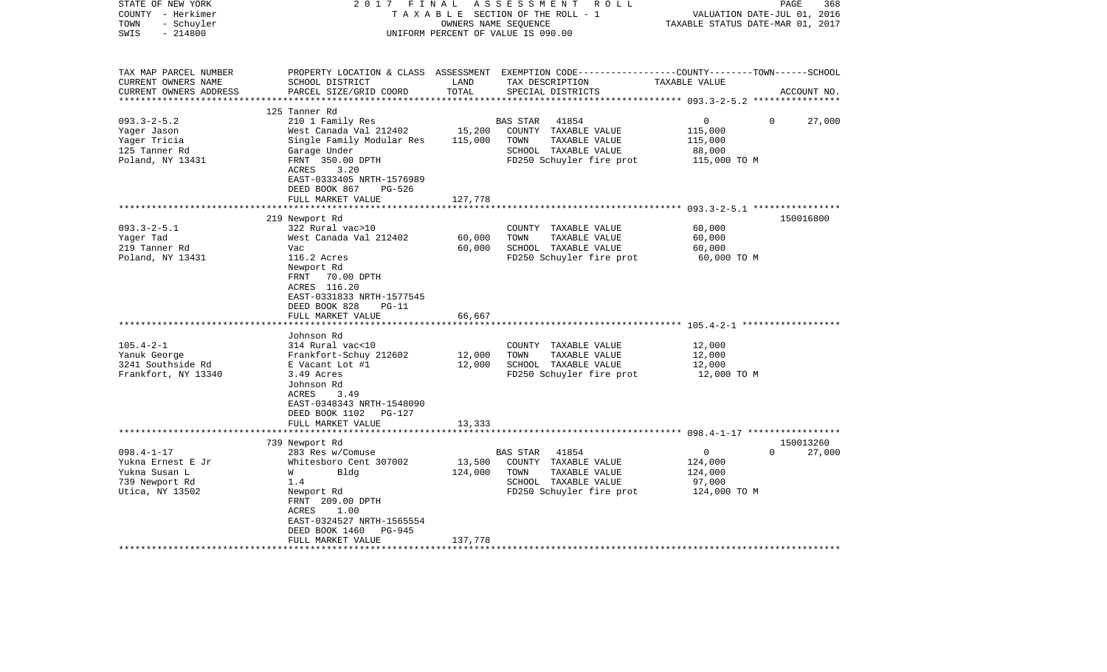| STATE OF NEW YORK<br>COUNTY - Herkimer<br>TOWN<br>- Schuyler<br>$-214800$<br>SWIS | 2017 FINAL                                 | OWNERS NAME SEQUENCE | ASSESSMENT<br>R O L L<br>TAXABLE SECTION OF THE ROLL - 1<br>UNIFORM PERCENT OF VALUE IS 090.00  | VALUATION DATE-JUL 01, 2016<br>TAXABLE STATUS DATE-MAR 01, 2017 | PAGE<br>368        |
|-----------------------------------------------------------------------------------|--------------------------------------------|----------------------|-------------------------------------------------------------------------------------------------|-----------------------------------------------------------------|--------------------|
|                                                                                   |                                            |                      |                                                                                                 |                                                                 |                    |
| TAX MAP PARCEL NUMBER                                                             |                                            |                      | PROPERTY LOCATION & CLASS ASSESSMENT EXEMPTION CODE---------------COUNTY-------TOWN------SCHOOL |                                                                 |                    |
| CURRENT OWNERS NAME                                                               | SCHOOL DISTRICT                            | LAND                 | TAX DESCRIPTION                                                                                 | TAXABLE VALUE                                                   |                    |
| CURRENT OWNERS ADDRESS                                                            | PARCEL SIZE/GRID COORD                     | TOTAL                | SPECIAL DISTRICTS                                                                               |                                                                 | ACCOUNT NO.        |
|                                                                                   |                                            |                      |                                                                                                 |                                                                 |                    |
|                                                                                   | 125 Tanner Rd                              |                      |                                                                                                 |                                                                 |                    |
| $093.3 - 2 - 5.2$                                                                 | 210 1 Family Res                           |                      | BAS STAR<br>41854                                                                               | $\mathbf 0$                                                     | $\Omega$<br>27,000 |
| Yager Jason                                                                       | West Canada Val 212402                     | 15,200               | COUNTY TAXABLE VALUE                                                                            | 115,000                                                         |                    |
| Yager Tricia                                                                      | Single Family Modular Res                  | 115,000              | TOWN<br>TAXABLE VALUE                                                                           | 115,000                                                         |                    |
| 125 Tanner Rd                                                                     | Garage Under                               |                      | SCHOOL TAXABLE VALUE                                                                            | 88,000                                                          |                    |
| Poland, NY 13431                                                                  | FRNT 350.00 DPTH<br>ACRES<br>3.20          |                      | FD250 Schuyler fire prot                                                                        | 115,000 TO M                                                    |                    |
|                                                                                   | EAST-0333405 NRTH-1576989                  |                      |                                                                                                 |                                                                 |                    |
|                                                                                   | DEED BOOK 867<br>PG-526                    |                      |                                                                                                 |                                                                 |                    |
|                                                                                   | FULL MARKET VALUE                          | 127,778              |                                                                                                 |                                                                 |                    |
|                                                                                   | ***********************                    | ***************      |                                                                                                 |                                                                 |                    |
|                                                                                   | 219 Newport Rd                             |                      |                                                                                                 |                                                                 | 150016800          |
| $093.3 - 2 - 5.1$                                                                 | 322 Rural vac>10                           |                      | COUNTY TAXABLE VALUE                                                                            | 60,000                                                          |                    |
| Yager Tad                                                                         | West Canada Val 212402                     | 60,000               | TOWN<br>TAXABLE VALUE                                                                           | 60,000                                                          |                    |
| 219 Tanner Rd                                                                     | Vac                                        | 60,000               | SCHOOL TAXABLE VALUE                                                                            | 60,000                                                          |                    |
| Poland, NY 13431                                                                  | 116.2 Acres                                |                      | FD250 Schuyler fire prot                                                                        | 60,000 TO M                                                     |                    |
|                                                                                   | Newport Rd                                 |                      |                                                                                                 |                                                                 |                    |
|                                                                                   | FRNT<br>70.00 DPTH                         |                      |                                                                                                 |                                                                 |                    |
|                                                                                   | ACRES 116.20                               |                      |                                                                                                 |                                                                 |                    |
|                                                                                   | EAST-0331833 NRTH-1577545                  |                      |                                                                                                 |                                                                 |                    |
|                                                                                   | DEED BOOK 828<br>$PG-11$                   |                      |                                                                                                 |                                                                 |                    |
|                                                                                   | FULL MARKET VALUE<br>********************  | 66,667               |                                                                                                 |                                                                 |                    |
|                                                                                   |                                            |                      |                                                                                                 |                                                                 |                    |
| $105.4 - 2 - 1$                                                                   | Johnson Rd<br>314 Rural vac<10             |                      | COUNTY TAXABLE VALUE                                                                            | 12,000                                                          |                    |
| Yanuk George                                                                      | Frankfort-Schuy 212602                     | 12,000               | TOWN<br>TAXABLE VALUE                                                                           | 12,000                                                          |                    |
| 3241 Southside Rd                                                                 | E Vacant Lot #1                            | 12,000               | SCHOOL TAXABLE VALUE                                                                            | 12,000                                                          |                    |
| Frankfort, NY 13340                                                               | 3.49 Acres                                 |                      | FD250 Schuyler fire prot                                                                        | 12,000 TO M                                                     |                    |
|                                                                                   | Johnson Rd                                 |                      |                                                                                                 |                                                                 |                    |
|                                                                                   | <b>ACRES</b><br>3.49                       |                      |                                                                                                 |                                                                 |                    |
|                                                                                   | EAST-0348343 NRTH-1548090                  |                      |                                                                                                 |                                                                 |                    |
|                                                                                   | DEED BOOK 1102 PG-127                      |                      |                                                                                                 |                                                                 |                    |
|                                                                                   | FULL MARKET VALUE                          | 13,333               |                                                                                                 |                                                                 |                    |
|                                                                                   |                                            |                      |                                                                                                 |                                                                 |                    |
|                                                                                   | 739 Newport Rd                             |                      |                                                                                                 |                                                                 | 150013260          |
| $098.4 - 1 - 17$                                                                  | 283 Res w/Comuse                           |                      | <b>BAS STAR</b><br>41854                                                                        | $\circ$                                                         | $\Omega$<br>27,000 |
| Yukna Ernest E Jr                                                                 | Whitesboro Cent 307002                     | 13,500               | COUNTY TAXABLE VALUE                                                                            | 124,000                                                         |                    |
| Yukna Susan L                                                                     | Bldg<br>W                                  | 124,000              | TOWN<br>TAXABLE VALUE                                                                           | 124,000                                                         |                    |
| 739 Newport Rd                                                                    | 1.4                                        |                      | SCHOOL TAXABLE VALUE                                                                            | 97,000                                                          |                    |
| Utica, NY 13502                                                                   | Newport Rd                                 |                      | FD250 Schuyler fire prot                                                                        | 124,000 TO M                                                    |                    |
|                                                                                   | FRNT 209.00 DPTH                           |                      |                                                                                                 |                                                                 |                    |
|                                                                                   | ACRES<br>1.00<br>EAST-0324527 NRTH-1565554 |                      |                                                                                                 |                                                                 |                    |
|                                                                                   | DEED BOOK 1460<br>PG-945                   |                      |                                                                                                 |                                                                 |                    |
|                                                                                   | FULL MARKET VALUE                          | 137,778              |                                                                                                 |                                                                 |                    |
|                                                                                   |                                            |                      |                                                                                                 |                                                                 |                    |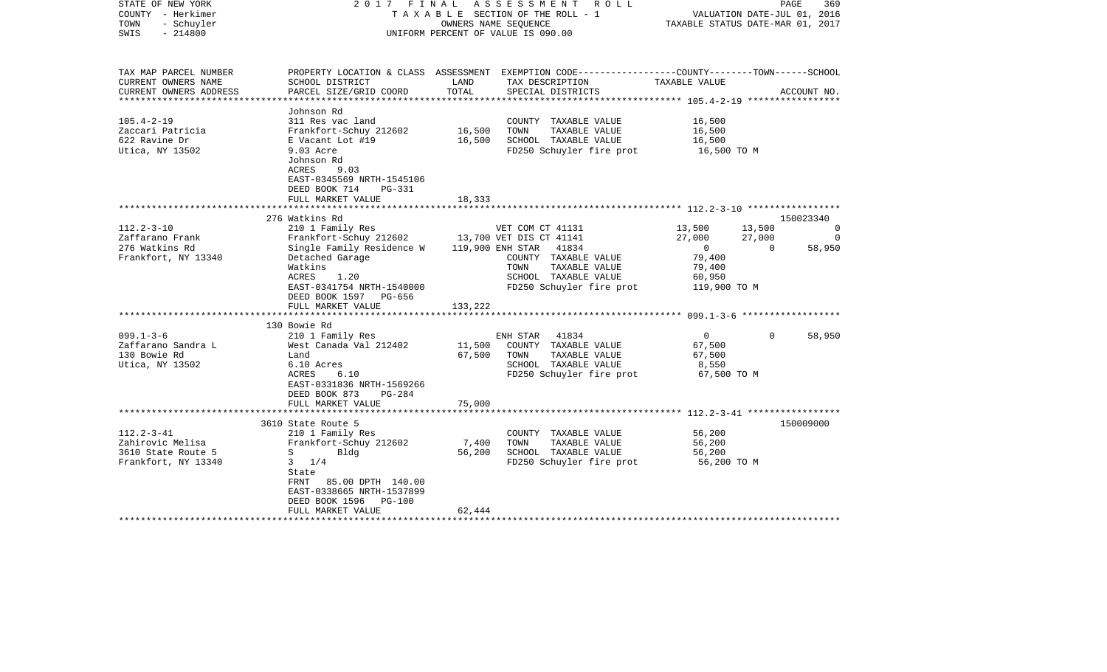| TAX MAP PARCEL NUMBER<br>PROPERTY LOCATION & CLASS ASSESSMENT<br>EXEMPTION CODE-----------------COUNTY-------TOWN------SCHOOL<br>CURRENT OWNERS NAME<br>LAND<br>TAX DESCRIPTION<br>TAXABLE VALUE<br>SCHOOL DISTRICT<br>TOTAL<br>CURRENT OWNERS ADDRESS<br>PARCEL SIZE/GRID COORD<br>SPECIAL DISTRICTS<br>ACCOUNT NO.<br>************************ 105.4-2-19 ******************<br>*****************<br>Johnson Rd<br>$105.4 - 2 - 19$<br>311 Res vac land<br>COUNTY TAXABLE VALUE<br>16,500<br>16,500<br>Zaccari Patricia<br>Frankfort-Schuy 212602<br>TOWN<br>TAXABLE VALUE<br>16,500<br>622 Ravine Dr<br>E Vacant Lot #19<br>16,500<br>SCHOOL TAXABLE VALUE<br>16,500<br>Utica, NY 13502<br>FD250 Schuyler fire prot<br>9.03 Acre<br>16,500 TO M<br>Johnson Rd<br>ACRES<br>9.03<br>EAST-0345569 NRTH-1545106<br>DEED BOOK 714<br><b>PG-331</b><br>FULL MARKET VALUE<br>18,333<br>276 Watkins Rd<br>150023340<br>$112.2 - 3 - 10$<br>210 1 Family Res<br>VET COM CT 41131<br>13,500<br>13,500<br>0<br>Zaffarano Frank<br>Frankfort-Schuy 212602<br>13,700 VET DIS CT 41141<br>27,000<br>27,000<br>$\Omega$<br>276 Watkins Rd<br>Single Family Residence W<br>119,900 ENH STAR<br>41834<br>$\overline{0}$<br>$\Omega$<br>58,950<br>Frankfort, NY 13340<br>79,400<br>Detached Garage<br>COUNTY TAXABLE VALUE<br>Watkins<br>TAXABLE VALUE<br>79,400<br>TOWN<br>ACRES<br>1.20<br>SCHOOL TAXABLE VALUE<br>60,950<br>FD250 Schuyler fire prot<br>EAST-0341754 NRTH-1540000<br>119,900 TO M<br>DEED BOOK 1597<br>PG-656<br>FULL MARKET VALUE<br>133,222<br>130 Bowie Rd<br>$099.1 - 3 - 6$<br>$\overline{0}$<br>58,950<br>210 1 Family Res<br>ENH STAR<br>41834<br>$\Omega$<br>Zaffarano Sandra L<br>West Canada Val 212402<br>11,500<br>COUNTY TAXABLE VALUE<br>67,500<br>67,500<br>130 Bowie Rd<br>TOWN<br>TAXABLE VALUE<br>67,500<br>Land<br>SCHOOL TAXABLE VALUE<br>Utica, NY 13502<br>6.10 Acres<br>8,550<br>FD250 Schuyler fire prot<br>67,500 TO M<br>ACRES<br>6.10<br>EAST-0331836 NRTH-1569266<br>DEED BOOK 873<br>$PG-284$<br>FULL MARKET VALUE<br>75,000<br>150009000<br>3610 State Route 5<br>$112.2 - 3 - 41$<br>210 1 Family Res<br>56,200<br>COUNTY TAXABLE VALUE<br>7,400<br>Zahirovic Melisa<br>Frankfort-Schuy 212602<br>TOWN<br>TAXABLE VALUE<br>56,200<br>3610 State Route 5<br>56,200<br>SCHOOL TAXABLE VALUE<br>56,200<br>S<br>Bldg<br>Frankfort, NY 13340<br>$3 \frac{1}{4}$<br>FD250 Schuyler fire prot<br>56,200 TO M<br>State<br>FRNT<br>85.00 DPTH 140.00<br>EAST-0338665 NRTH-1537899<br>DEED BOOK 1596<br>PG-100<br>FULL MARKET VALUE<br>62,444 | STATE OF NEW YORK<br>COUNTY - Herkimer<br>TOWN<br>- Schuyler<br>$-214800$<br>SWIS | 2017 | FINAL | A S S E S S M E N T R O L L<br>TAXABLE SECTION OF THE ROLL - 1<br>OWNERS NAME SEOUENCE<br>UNIFORM PERCENT OF VALUE IS 090.00 | VALUATION DATE-JUL 01, 2016<br>TAXABLE STATUS DATE-MAR 01, 2017 | PAGE<br>369 |
|------------------------------------------------------------------------------------------------------------------------------------------------------------------------------------------------------------------------------------------------------------------------------------------------------------------------------------------------------------------------------------------------------------------------------------------------------------------------------------------------------------------------------------------------------------------------------------------------------------------------------------------------------------------------------------------------------------------------------------------------------------------------------------------------------------------------------------------------------------------------------------------------------------------------------------------------------------------------------------------------------------------------------------------------------------------------------------------------------------------------------------------------------------------------------------------------------------------------------------------------------------------------------------------------------------------------------------------------------------------------------------------------------------------------------------------------------------------------------------------------------------------------------------------------------------------------------------------------------------------------------------------------------------------------------------------------------------------------------------------------------------------------------------------------------------------------------------------------------------------------------------------------------------------------------------------------------------------------------------------------------------------------------------------------------------------------------------------------------------------------------------------------------------------------------------------------------------------------------------------------------------------------------------------------------------------------------------------------------------------------------------------------------------------------------------------------------------------------------------------------------------------------------------------------------------------------|-----------------------------------------------------------------------------------|------|-------|------------------------------------------------------------------------------------------------------------------------------|-----------------------------------------------------------------|-------------|
|                                                                                                                                                                                                                                                                                                                                                                                                                                                                                                                                                                                                                                                                                                                                                                                                                                                                                                                                                                                                                                                                                                                                                                                                                                                                                                                                                                                                                                                                                                                                                                                                                                                                                                                                                                                                                                                                                                                                                                                                                                                                                                                                                                                                                                                                                                                                                                                                                                                                                                                                                                        |                                                                                   |      |       |                                                                                                                              |                                                                 |             |
|                                                                                                                                                                                                                                                                                                                                                                                                                                                                                                                                                                                                                                                                                                                                                                                                                                                                                                                                                                                                                                                                                                                                                                                                                                                                                                                                                                                                                                                                                                                                                                                                                                                                                                                                                                                                                                                                                                                                                                                                                                                                                                                                                                                                                                                                                                                                                                                                                                                                                                                                                                        |                                                                                   |      |       |                                                                                                                              |                                                                 |             |
|                                                                                                                                                                                                                                                                                                                                                                                                                                                                                                                                                                                                                                                                                                                                                                                                                                                                                                                                                                                                                                                                                                                                                                                                                                                                                                                                                                                                                                                                                                                                                                                                                                                                                                                                                                                                                                                                                                                                                                                                                                                                                                                                                                                                                                                                                                                                                                                                                                                                                                                                                                        |                                                                                   |      |       |                                                                                                                              |                                                                 |             |
|                                                                                                                                                                                                                                                                                                                                                                                                                                                                                                                                                                                                                                                                                                                                                                                                                                                                                                                                                                                                                                                                                                                                                                                                                                                                                                                                                                                                                                                                                                                                                                                                                                                                                                                                                                                                                                                                                                                                                                                                                                                                                                                                                                                                                                                                                                                                                                                                                                                                                                                                                                        |                                                                                   |      |       |                                                                                                                              |                                                                 |             |
|                                                                                                                                                                                                                                                                                                                                                                                                                                                                                                                                                                                                                                                                                                                                                                                                                                                                                                                                                                                                                                                                                                                                                                                                                                                                                                                                                                                                                                                                                                                                                                                                                                                                                                                                                                                                                                                                                                                                                                                                                                                                                                                                                                                                                                                                                                                                                                                                                                                                                                                                                                        |                                                                                   |      |       |                                                                                                                              |                                                                 |             |
|                                                                                                                                                                                                                                                                                                                                                                                                                                                                                                                                                                                                                                                                                                                                                                                                                                                                                                                                                                                                                                                                                                                                                                                                                                                                                                                                                                                                                                                                                                                                                                                                                                                                                                                                                                                                                                                                                                                                                                                                                                                                                                                                                                                                                                                                                                                                                                                                                                                                                                                                                                        |                                                                                   |      |       |                                                                                                                              |                                                                 |             |
|                                                                                                                                                                                                                                                                                                                                                                                                                                                                                                                                                                                                                                                                                                                                                                                                                                                                                                                                                                                                                                                                                                                                                                                                                                                                                                                                                                                                                                                                                                                                                                                                                                                                                                                                                                                                                                                                                                                                                                                                                                                                                                                                                                                                                                                                                                                                                                                                                                                                                                                                                                        |                                                                                   |      |       |                                                                                                                              |                                                                 |             |
|                                                                                                                                                                                                                                                                                                                                                                                                                                                                                                                                                                                                                                                                                                                                                                                                                                                                                                                                                                                                                                                                                                                                                                                                                                                                                                                                                                                                                                                                                                                                                                                                                                                                                                                                                                                                                                                                                                                                                                                                                                                                                                                                                                                                                                                                                                                                                                                                                                                                                                                                                                        |                                                                                   |      |       |                                                                                                                              |                                                                 |             |
|                                                                                                                                                                                                                                                                                                                                                                                                                                                                                                                                                                                                                                                                                                                                                                                                                                                                                                                                                                                                                                                                                                                                                                                                                                                                                                                                                                                                                                                                                                                                                                                                                                                                                                                                                                                                                                                                                                                                                                                                                                                                                                                                                                                                                                                                                                                                                                                                                                                                                                                                                                        |                                                                                   |      |       |                                                                                                                              |                                                                 |             |
|                                                                                                                                                                                                                                                                                                                                                                                                                                                                                                                                                                                                                                                                                                                                                                                                                                                                                                                                                                                                                                                                                                                                                                                                                                                                                                                                                                                                                                                                                                                                                                                                                                                                                                                                                                                                                                                                                                                                                                                                                                                                                                                                                                                                                                                                                                                                                                                                                                                                                                                                                                        |                                                                                   |      |       |                                                                                                                              |                                                                 |             |
|                                                                                                                                                                                                                                                                                                                                                                                                                                                                                                                                                                                                                                                                                                                                                                                                                                                                                                                                                                                                                                                                                                                                                                                                                                                                                                                                                                                                                                                                                                                                                                                                                                                                                                                                                                                                                                                                                                                                                                                                                                                                                                                                                                                                                                                                                                                                                                                                                                                                                                                                                                        |                                                                                   |      |       |                                                                                                                              |                                                                 |             |
|                                                                                                                                                                                                                                                                                                                                                                                                                                                                                                                                                                                                                                                                                                                                                                                                                                                                                                                                                                                                                                                                                                                                                                                                                                                                                                                                                                                                                                                                                                                                                                                                                                                                                                                                                                                                                                                                                                                                                                                                                                                                                                                                                                                                                                                                                                                                                                                                                                                                                                                                                                        |                                                                                   |      |       |                                                                                                                              |                                                                 |             |
|                                                                                                                                                                                                                                                                                                                                                                                                                                                                                                                                                                                                                                                                                                                                                                                                                                                                                                                                                                                                                                                                                                                                                                                                                                                                                                                                                                                                                                                                                                                                                                                                                                                                                                                                                                                                                                                                                                                                                                                                                                                                                                                                                                                                                                                                                                                                                                                                                                                                                                                                                                        |                                                                                   |      |       |                                                                                                                              |                                                                 |             |
|                                                                                                                                                                                                                                                                                                                                                                                                                                                                                                                                                                                                                                                                                                                                                                                                                                                                                                                                                                                                                                                                                                                                                                                                                                                                                                                                                                                                                                                                                                                                                                                                                                                                                                                                                                                                                                                                                                                                                                                                                                                                                                                                                                                                                                                                                                                                                                                                                                                                                                                                                                        |                                                                                   |      |       |                                                                                                                              |                                                                 |             |
|                                                                                                                                                                                                                                                                                                                                                                                                                                                                                                                                                                                                                                                                                                                                                                                                                                                                                                                                                                                                                                                                                                                                                                                                                                                                                                                                                                                                                                                                                                                                                                                                                                                                                                                                                                                                                                                                                                                                                                                                                                                                                                                                                                                                                                                                                                                                                                                                                                                                                                                                                                        |                                                                                   |      |       |                                                                                                                              |                                                                 |             |
|                                                                                                                                                                                                                                                                                                                                                                                                                                                                                                                                                                                                                                                                                                                                                                                                                                                                                                                                                                                                                                                                                                                                                                                                                                                                                                                                                                                                                                                                                                                                                                                                                                                                                                                                                                                                                                                                                                                                                                                                                                                                                                                                                                                                                                                                                                                                                                                                                                                                                                                                                                        |                                                                                   |      |       |                                                                                                                              |                                                                 |             |
|                                                                                                                                                                                                                                                                                                                                                                                                                                                                                                                                                                                                                                                                                                                                                                                                                                                                                                                                                                                                                                                                                                                                                                                                                                                                                                                                                                                                                                                                                                                                                                                                                                                                                                                                                                                                                                                                                                                                                                                                                                                                                                                                                                                                                                                                                                                                                                                                                                                                                                                                                                        |                                                                                   |      |       |                                                                                                                              |                                                                 |             |
|                                                                                                                                                                                                                                                                                                                                                                                                                                                                                                                                                                                                                                                                                                                                                                                                                                                                                                                                                                                                                                                                                                                                                                                                                                                                                                                                                                                                                                                                                                                                                                                                                                                                                                                                                                                                                                                                                                                                                                                                                                                                                                                                                                                                                                                                                                                                                                                                                                                                                                                                                                        |                                                                                   |      |       |                                                                                                                              |                                                                 |             |
|                                                                                                                                                                                                                                                                                                                                                                                                                                                                                                                                                                                                                                                                                                                                                                                                                                                                                                                                                                                                                                                                                                                                                                                                                                                                                                                                                                                                                                                                                                                                                                                                                                                                                                                                                                                                                                                                                                                                                                                                                                                                                                                                                                                                                                                                                                                                                                                                                                                                                                                                                                        |                                                                                   |      |       |                                                                                                                              |                                                                 |             |
|                                                                                                                                                                                                                                                                                                                                                                                                                                                                                                                                                                                                                                                                                                                                                                                                                                                                                                                                                                                                                                                                                                                                                                                                                                                                                                                                                                                                                                                                                                                                                                                                                                                                                                                                                                                                                                                                                                                                                                                                                                                                                                                                                                                                                                                                                                                                                                                                                                                                                                                                                                        |                                                                                   |      |       |                                                                                                                              |                                                                 |             |
|                                                                                                                                                                                                                                                                                                                                                                                                                                                                                                                                                                                                                                                                                                                                                                                                                                                                                                                                                                                                                                                                                                                                                                                                                                                                                                                                                                                                                                                                                                                                                                                                                                                                                                                                                                                                                                                                                                                                                                                                                                                                                                                                                                                                                                                                                                                                                                                                                                                                                                                                                                        |                                                                                   |      |       |                                                                                                                              |                                                                 |             |
|                                                                                                                                                                                                                                                                                                                                                                                                                                                                                                                                                                                                                                                                                                                                                                                                                                                                                                                                                                                                                                                                                                                                                                                                                                                                                                                                                                                                                                                                                                                                                                                                                                                                                                                                                                                                                                                                                                                                                                                                                                                                                                                                                                                                                                                                                                                                                                                                                                                                                                                                                                        |                                                                                   |      |       |                                                                                                                              |                                                                 |             |
|                                                                                                                                                                                                                                                                                                                                                                                                                                                                                                                                                                                                                                                                                                                                                                                                                                                                                                                                                                                                                                                                                                                                                                                                                                                                                                                                                                                                                                                                                                                                                                                                                                                                                                                                                                                                                                                                                                                                                                                                                                                                                                                                                                                                                                                                                                                                                                                                                                                                                                                                                                        |                                                                                   |      |       |                                                                                                                              |                                                                 |             |
|                                                                                                                                                                                                                                                                                                                                                                                                                                                                                                                                                                                                                                                                                                                                                                                                                                                                                                                                                                                                                                                                                                                                                                                                                                                                                                                                                                                                                                                                                                                                                                                                                                                                                                                                                                                                                                                                                                                                                                                                                                                                                                                                                                                                                                                                                                                                                                                                                                                                                                                                                                        |                                                                                   |      |       |                                                                                                                              |                                                                 |             |
|                                                                                                                                                                                                                                                                                                                                                                                                                                                                                                                                                                                                                                                                                                                                                                                                                                                                                                                                                                                                                                                                                                                                                                                                                                                                                                                                                                                                                                                                                                                                                                                                                                                                                                                                                                                                                                                                                                                                                                                                                                                                                                                                                                                                                                                                                                                                                                                                                                                                                                                                                                        |                                                                                   |      |       |                                                                                                                              |                                                                 |             |
|                                                                                                                                                                                                                                                                                                                                                                                                                                                                                                                                                                                                                                                                                                                                                                                                                                                                                                                                                                                                                                                                                                                                                                                                                                                                                                                                                                                                                                                                                                                                                                                                                                                                                                                                                                                                                                                                                                                                                                                                                                                                                                                                                                                                                                                                                                                                                                                                                                                                                                                                                                        |                                                                                   |      |       |                                                                                                                              |                                                                 |             |
|                                                                                                                                                                                                                                                                                                                                                                                                                                                                                                                                                                                                                                                                                                                                                                                                                                                                                                                                                                                                                                                                                                                                                                                                                                                                                                                                                                                                                                                                                                                                                                                                                                                                                                                                                                                                                                                                                                                                                                                                                                                                                                                                                                                                                                                                                                                                                                                                                                                                                                                                                                        |                                                                                   |      |       |                                                                                                                              |                                                                 |             |
|                                                                                                                                                                                                                                                                                                                                                                                                                                                                                                                                                                                                                                                                                                                                                                                                                                                                                                                                                                                                                                                                                                                                                                                                                                                                                                                                                                                                                                                                                                                                                                                                                                                                                                                                                                                                                                                                                                                                                                                                                                                                                                                                                                                                                                                                                                                                                                                                                                                                                                                                                                        |                                                                                   |      |       |                                                                                                                              |                                                                 |             |
|                                                                                                                                                                                                                                                                                                                                                                                                                                                                                                                                                                                                                                                                                                                                                                                                                                                                                                                                                                                                                                                                                                                                                                                                                                                                                                                                                                                                                                                                                                                                                                                                                                                                                                                                                                                                                                                                                                                                                                                                                                                                                                                                                                                                                                                                                                                                                                                                                                                                                                                                                                        |                                                                                   |      |       |                                                                                                                              |                                                                 |             |
|                                                                                                                                                                                                                                                                                                                                                                                                                                                                                                                                                                                                                                                                                                                                                                                                                                                                                                                                                                                                                                                                                                                                                                                                                                                                                                                                                                                                                                                                                                                                                                                                                                                                                                                                                                                                                                                                                                                                                                                                                                                                                                                                                                                                                                                                                                                                                                                                                                                                                                                                                                        |                                                                                   |      |       |                                                                                                                              |                                                                 |             |
|                                                                                                                                                                                                                                                                                                                                                                                                                                                                                                                                                                                                                                                                                                                                                                                                                                                                                                                                                                                                                                                                                                                                                                                                                                                                                                                                                                                                                                                                                                                                                                                                                                                                                                                                                                                                                                                                                                                                                                                                                                                                                                                                                                                                                                                                                                                                                                                                                                                                                                                                                                        |                                                                                   |      |       |                                                                                                                              |                                                                 |             |
|                                                                                                                                                                                                                                                                                                                                                                                                                                                                                                                                                                                                                                                                                                                                                                                                                                                                                                                                                                                                                                                                                                                                                                                                                                                                                                                                                                                                                                                                                                                                                                                                                                                                                                                                                                                                                                                                                                                                                                                                                                                                                                                                                                                                                                                                                                                                                                                                                                                                                                                                                                        |                                                                                   |      |       |                                                                                                                              |                                                                 |             |
|                                                                                                                                                                                                                                                                                                                                                                                                                                                                                                                                                                                                                                                                                                                                                                                                                                                                                                                                                                                                                                                                                                                                                                                                                                                                                                                                                                                                                                                                                                                                                                                                                                                                                                                                                                                                                                                                                                                                                                                                                                                                                                                                                                                                                                                                                                                                                                                                                                                                                                                                                                        |                                                                                   |      |       |                                                                                                                              |                                                                 |             |
|                                                                                                                                                                                                                                                                                                                                                                                                                                                                                                                                                                                                                                                                                                                                                                                                                                                                                                                                                                                                                                                                                                                                                                                                                                                                                                                                                                                                                                                                                                                                                                                                                                                                                                                                                                                                                                                                                                                                                                                                                                                                                                                                                                                                                                                                                                                                                                                                                                                                                                                                                                        |                                                                                   |      |       |                                                                                                                              |                                                                 |             |
|                                                                                                                                                                                                                                                                                                                                                                                                                                                                                                                                                                                                                                                                                                                                                                                                                                                                                                                                                                                                                                                                                                                                                                                                                                                                                                                                                                                                                                                                                                                                                                                                                                                                                                                                                                                                                                                                                                                                                                                                                                                                                                                                                                                                                                                                                                                                                                                                                                                                                                                                                                        |                                                                                   |      |       |                                                                                                                              |                                                                 |             |
|                                                                                                                                                                                                                                                                                                                                                                                                                                                                                                                                                                                                                                                                                                                                                                                                                                                                                                                                                                                                                                                                                                                                                                                                                                                                                                                                                                                                                                                                                                                                                                                                                                                                                                                                                                                                                                                                                                                                                                                                                                                                                                                                                                                                                                                                                                                                                                                                                                                                                                                                                                        |                                                                                   |      |       |                                                                                                                              |                                                                 |             |
|                                                                                                                                                                                                                                                                                                                                                                                                                                                                                                                                                                                                                                                                                                                                                                                                                                                                                                                                                                                                                                                                                                                                                                                                                                                                                                                                                                                                                                                                                                                                                                                                                                                                                                                                                                                                                                                                                                                                                                                                                                                                                                                                                                                                                                                                                                                                                                                                                                                                                                                                                                        |                                                                                   |      |       |                                                                                                                              |                                                                 |             |
|                                                                                                                                                                                                                                                                                                                                                                                                                                                                                                                                                                                                                                                                                                                                                                                                                                                                                                                                                                                                                                                                                                                                                                                                                                                                                                                                                                                                                                                                                                                                                                                                                                                                                                                                                                                                                                                                                                                                                                                                                                                                                                                                                                                                                                                                                                                                                                                                                                                                                                                                                                        |                                                                                   |      |       |                                                                                                                              |                                                                 |             |
|                                                                                                                                                                                                                                                                                                                                                                                                                                                                                                                                                                                                                                                                                                                                                                                                                                                                                                                                                                                                                                                                                                                                                                                                                                                                                                                                                                                                                                                                                                                                                                                                                                                                                                                                                                                                                                                                                                                                                                                                                                                                                                                                                                                                                                                                                                                                                                                                                                                                                                                                                                        |                                                                                   |      |       |                                                                                                                              |                                                                 |             |
|                                                                                                                                                                                                                                                                                                                                                                                                                                                                                                                                                                                                                                                                                                                                                                                                                                                                                                                                                                                                                                                                                                                                                                                                                                                                                                                                                                                                                                                                                                                                                                                                                                                                                                                                                                                                                                                                                                                                                                                                                                                                                                                                                                                                                                                                                                                                                                                                                                                                                                                                                                        |                                                                                   |      |       |                                                                                                                              |                                                                 |             |
|                                                                                                                                                                                                                                                                                                                                                                                                                                                                                                                                                                                                                                                                                                                                                                                                                                                                                                                                                                                                                                                                                                                                                                                                                                                                                                                                                                                                                                                                                                                                                                                                                                                                                                                                                                                                                                                                                                                                                                                                                                                                                                                                                                                                                                                                                                                                                                                                                                                                                                                                                                        |                                                                                   |      |       |                                                                                                                              |                                                                 |             |
|                                                                                                                                                                                                                                                                                                                                                                                                                                                                                                                                                                                                                                                                                                                                                                                                                                                                                                                                                                                                                                                                                                                                                                                                                                                                                                                                                                                                                                                                                                                                                                                                                                                                                                                                                                                                                                                                                                                                                                                                                                                                                                                                                                                                                                                                                                                                                                                                                                                                                                                                                                        |                                                                                   |      |       |                                                                                                                              |                                                                 |             |
|                                                                                                                                                                                                                                                                                                                                                                                                                                                                                                                                                                                                                                                                                                                                                                                                                                                                                                                                                                                                                                                                                                                                                                                                                                                                                                                                                                                                                                                                                                                                                                                                                                                                                                                                                                                                                                                                                                                                                                                                                                                                                                                                                                                                                                                                                                                                                                                                                                                                                                                                                                        |                                                                                   |      |       |                                                                                                                              |                                                                 |             |
|                                                                                                                                                                                                                                                                                                                                                                                                                                                                                                                                                                                                                                                                                                                                                                                                                                                                                                                                                                                                                                                                                                                                                                                                                                                                                                                                                                                                                                                                                                                                                                                                                                                                                                                                                                                                                                                                                                                                                                                                                                                                                                                                                                                                                                                                                                                                                                                                                                                                                                                                                                        |                                                                                   |      |       |                                                                                                                              |                                                                 |             |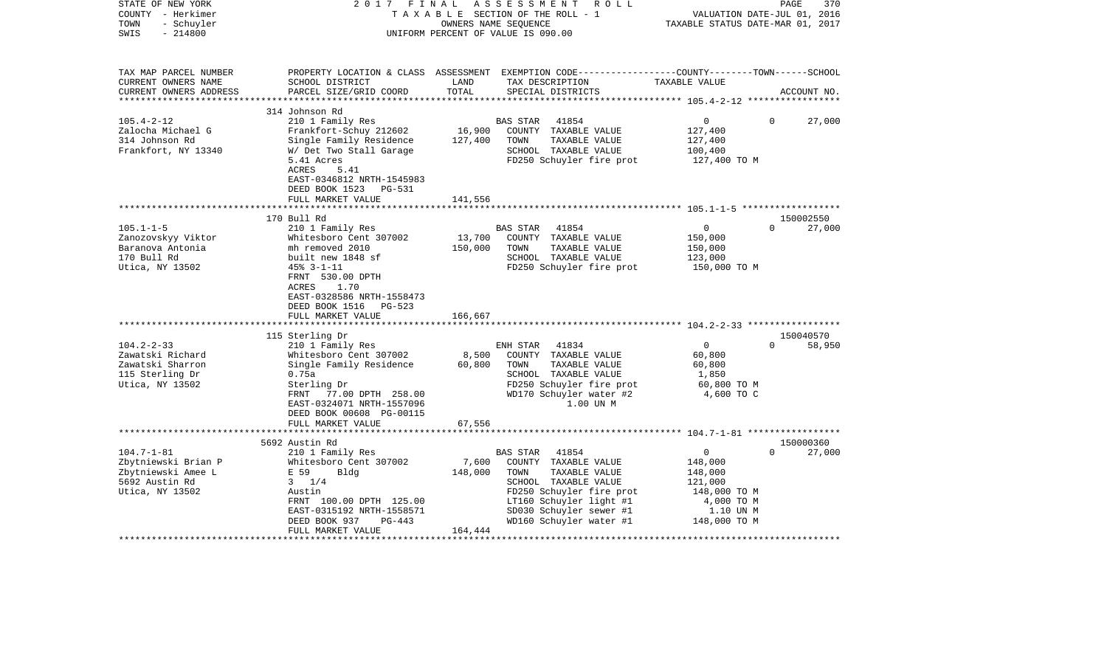| STATE OF NEW YORK<br>COUNTY - Herkimer<br>- Schuyler<br>TOWN<br>$-214800$<br>SWIS              | 2017<br>FINAL                                                                                                                                                                                                               | OWNERS NAME SEQUENCE         | ASSESSMENT ROLL<br>TAXABLE SECTION OF THE ROLL - 1<br>UNIFORM PERCENT OF VALUE IS 090.00                                                                       | TAXABLE STATUS DATE-MAR 01, 2017                                              | PAGE<br>370<br>VALUATION DATE-JUL 01, 2016 |
|------------------------------------------------------------------------------------------------|-----------------------------------------------------------------------------------------------------------------------------------------------------------------------------------------------------------------------------|------------------------------|----------------------------------------------------------------------------------------------------------------------------------------------------------------|-------------------------------------------------------------------------------|--------------------------------------------|
| TAX MAP PARCEL NUMBER<br>CURRENT OWNERS NAME<br>CURRENT OWNERS ADDRESS                         | SCHOOL DISTRICT<br>PARCEL SIZE/GRID COORD                                                                                                                                                                                   | LAND<br>TOTAL                | PROPERTY LOCATION & CLASS ASSESSMENT EXEMPTION CODE---------------COUNTY-------TOWN------SCHOOL<br>TAX DESCRIPTION<br>SPECIAL DISTRICTS                        | TAXABLE VALUE                                                                 | ACCOUNT NO.                                |
|                                                                                                |                                                                                                                                                                                                                             |                              |                                                                                                                                                                |                                                                               |                                            |
| $105.4 - 2 - 12$<br>Zalocha Michael G<br>314 Johnson Rd<br>Frankfort, NY 13340                 | 314 Johnson Rd<br>210 1 Family Res<br>Frankfort-Schuy 212602<br>Single Family Residence<br>W/ Det Two Stall Garage<br>5.41 Acres<br>ACRES<br>5.41<br>EAST-0346812 NRTH-1545983                                              | 16,900<br>127,400            | 41854<br><b>BAS STAR</b><br>COUNTY TAXABLE VALUE<br>TOWN<br>TAXABLE VALUE<br>SCHOOL TAXABLE VALUE<br>FD250 Schuyler fire prot                                  | 0<br>127,400<br>127,400<br>100,400<br>127,400 TO M                            | $\mathbf{0}$<br>27,000                     |
|                                                                                                | DEED BOOK 1523 PG-531                                                                                                                                                                                                       |                              |                                                                                                                                                                |                                                                               |                                            |
|                                                                                                | FULL MARKET VALUE                                                                                                                                                                                                           | 141,556                      |                                                                                                                                                                |                                                                               |                                            |
|                                                                                                | 170 Bull Rd                                                                                                                                                                                                                 |                              |                                                                                                                                                                |                                                                               | 150002550                                  |
| $105.1 - 1 - 5$<br>Zanozovskyy Viktor<br>Baranova Antonia<br>170 Bull Rd<br>Utica, NY 13502    | 210 1 Family Res<br>Whitesboro Cent 307002<br>mh removed 2010<br>built new 1848 sf<br>$45% - 3 - 1 - 11$<br>FRNT 530.00 DPTH<br>ACRES<br>1.70<br>EAST-0328586 NRTH-1558473<br>DEED BOOK 1516 PG-523<br>FULL MARKET VALUE    | 13,700<br>150,000<br>166,667 | <b>BAS STAR</b><br>41854<br>COUNTY TAXABLE VALUE<br>TOWN<br>TAXABLE VALUE<br>SCHOOL TAXABLE VALUE<br>FD250 Schuyler fire prot                                  | $\overline{0}$<br>150,000<br>150,000<br>123,000<br>150,000 TO M               | $\Omega$<br>27,000                         |
|                                                                                                |                                                                                                                                                                                                                             |                              |                                                                                                                                                                |                                                                               |                                            |
| $104.2 - 2 - 33$<br>Zawatski Richard<br>Zawatski Sharron<br>115 Sterling Dr<br>Utica, NY 13502 | 115 Sterling Dr<br>210 1 Family Res<br>Whitesboro Cent 307002<br>Single Family Residence<br>0.75a<br>Sterling Dr<br>FRNT<br>77.00 DPTH 258.00<br>EAST-0324071 NRTH-1557096<br>DEED BOOK 00608 PG-00115<br>FULL MARKET VALUE | 8,500<br>60,800<br>67,556    | 41834<br>ENH STAR<br>COUNTY TAXABLE VALUE<br>TOWN<br>TAXABLE VALUE<br>SCHOOL TAXABLE VALUE<br>FD250 Schuyler fire prot<br>WD170 Schuyler water #2<br>1.00 UN M | $\overline{0}$<br>60,800<br>60,800<br>1,850<br>60,800 TO M<br>4,600 TO C      | 150040570<br>$\Omega$<br>58,950            |
|                                                                                                |                                                                                                                                                                                                                             |                              |                                                                                                                                                                |                                                                               |                                            |
| $104.7 - 1 - 81$<br>Zbytniewski Brian P                                                        | 5692 Austin Rd<br>210 1 Family Res<br>Whitesboro Cent 307002                                                                                                                                                                | 7,600                        | 41854<br>BAS STAR<br>COUNTY TAXABLE VALUE                                                                                                                      | 0<br>148,000                                                                  | 150000360<br>$\Omega$<br>27,000            |
| Zbytniewski Amee L<br>5692 Austin Rd<br>Utica, NY 13502                                        | E 59<br>Bldg<br>$3 \frac{1}{4}$<br>Austin<br>FRNT 100.00 DPTH 125.00<br>EAST-0315192 NRTH-1558571<br>DEED BOOK 937<br>PG-443<br>FULL MARKET VALUE                                                                           | 148,000<br>164,444           | TOWN<br>TAXABLE VALUE<br>SCHOOL TAXABLE VALUE<br>FD250 Schuyler fire prot<br>LT160 Schuyler light #1<br>SD030 Schuyler sewer #1<br>WD160 Schuyler water #1     | 148,000<br>121,000<br>148,000 TO M<br>4,000 TO M<br>1.10 UN M<br>148,000 TO M |                                            |
|                                                                                                |                                                                                                                                                                                                                             |                              |                                                                                                                                                                |                                                                               |                                            |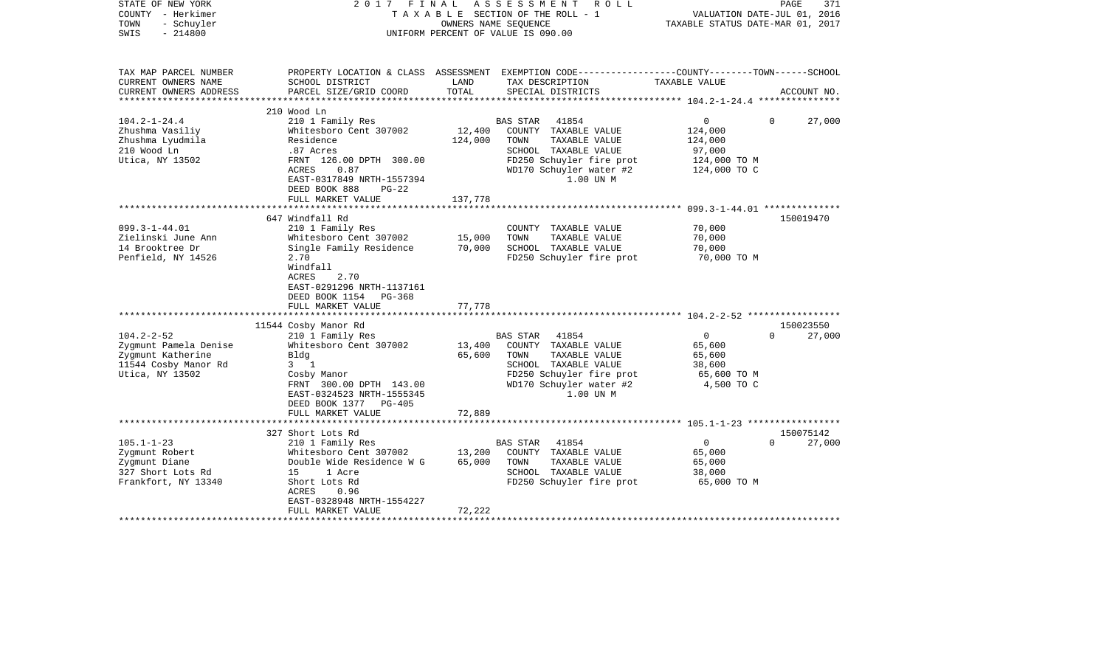| STATE OF NEW YORK<br>COUNTY - Herkimer<br>TOWN<br>- Schuyler<br>$-214800$<br>SWIS                         | 2017<br>FINAL                                                                                                                                                                                               | OWNERS NAME SEOUENCE         | A S S E S S M E N T<br>R O L L<br>TAXABLE SECTION OF THE ROLL - 1<br>UNIFORM PERCENT OF VALUE IS 090.00                                                               | TAXABLE STATUS DATE-MAR 01, 2017                                               | PAGE<br>371<br>VALUATION DATE-JUL 01, 2016 |
|-----------------------------------------------------------------------------------------------------------|-------------------------------------------------------------------------------------------------------------------------------------------------------------------------------------------------------------|------------------------------|-----------------------------------------------------------------------------------------------------------------------------------------------------------------------|--------------------------------------------------------------------------------|--------------------------------------------|
| TAX MAP PARCEL NUMBER<br>CURRENT OWNERS NAME<br>CURRENT OWNERS ADDRESS<br>**********************          | SCHOOL DISTRICT<br>PARCEL SIZE/GRID COORD                                                                                                                                                                   | LAND<br>TOTAL                | PROPERTY LOCATION & CLASS ASSESSMENT EXEMPTION CODE---------------COUNTY-------TOWN------SCHOOL<br>TAX DESCRIPTION<br>SPECIAL DISTRICTS                               | TAXABLE VALUE                                                                  | ACCOUNT NO.                                |
|                                                                                                           | 210 Wood Ln                                                                                                                                                                                                 |                              |                                                                                                                                                                       |                                                                                |                                            |
| $104.2 - 1 - 24.4$<br>Zhushma Vasiliy<br>Zhushma Lyudmila<br>210 Wood Ln<br>Utica, NY 13502               | 210 1 Family Res<br>Whitesboro Cent 307002<br>Residence<br>.87 Acres<br>FRNT 126.00 DPTH 300.00<br>ACRES<br>0.87<br>EAST-0317849 NRTH-1557394<br>DEED BOOK 888<br>$PG-22$<br>FULL MARKET VALUE              | 12,400<br>124,000<br>137,778 | <b>BAS STAR</b><br>41854<br>COUNTY TAXABLE VALUE<br>TOWN<br>TAXABLE VALUE<br>SCHOOL TAXABLE VALUE<br>FD250 Schuyler fire prot<br>WD170 Schuyler water #2<br>1.00 UN M | $\overline{0}$<br>124,000<br>124,000<br>97,000<br>124,000 TO M<br>124,000 TO C | $\Omega$<br>27,000                         |
|                                                                                                           |                                                                                                                                                                                                             |                              |                                                                                                                                                                       | ****************** 099.3-1-44.01 ***************                               |                                            |
| $099.3 - 1 - 44.01$<br>Zielinski June Ann<br>14 Brooktree Dr<br>Penfield, NY 14526                        | 647 Windfall Rd<br>210 1 Family Res<br>Whitesboro Cent 307002<br>Single Family Residence<br>2.70<br>Windfall<br>2.70<br>ACRES<br>EAST-0291296 NRTH-1137161<br>DEED BOOK 1154<br>PG-368<br>FULL MARKET VALUE | 15,000<br>70,000<br>77,778   | COUNTY TAXABLE VALUE<br>TOWN<br>TAXABLE VALUE<br>SCHOOL TAXABLE VALUE<br>FD250 Schuyler fire prot                                                                     | 70,000<br>70,000<br>70,000<br>70,000 TO M                                      | 150019470                                  |
|                                                                                                           | 11544 Cosby Manor Rd                                                                                                                                                                                        |                              |                                                                                                                                                                       |                                                                                | 150023550                                  |
| $104.2 - 2 - 52$<br>Zygmunt Pamela Denise<br>Zygmunt Katherine<br>11544 Cosby Manor Rd<br>Utica, NY 13502 | 210 1 Family Res<br>Whitesboro Cent 307002<br>Bldg<br>$3 \quad 1$<br>Cosby Manor<br>FRNT 300.00 DPTH 143.00<br>EAST-0324523 NRTH-1555345<br>DEED BOOK 1377 PG-405                                           | 13,400<br>65,600             | <b>BAS STAR</b><br>41854<br>COUNTY TAXABLE VALUE<br>TOWN<br>TAXABLE VALUE<br>SCHOOL TAXABLE VALUE<br>FD250 Schuyler fire prot<br>WD170 Schuyler water #2<br>1.00 UN M | $\overline{0}$<br>65,600<br>65,600<br>38,600<br>65,600 TO M<br>4,500 TO C      | $\Omega$<br>27,000                         |
|                                                                                                           | FULL MARKET VALUE                                                                                                                                                                                           | 72,889                       |                                                                                                                                                                       |                                                                                |                                            |
| $105.1 - 1 - 23$<br>Zygmunt Robert<br>Zygmunt Diane<br>327 Short Lots Rd<br>Frankfort, NY 13340           | 327 Short Lots Rd<br>210 1 Family Res<br>Whitesboro Cent 307002<br>Double Wide Residence W G<br>15<br>1 Acre<br>Short Lots Rd<br>ACRES<br>0.96<br>EAST-0328948 NRTH-1554227<br>FULL MARKET VALUE            | 13,200<br>65,000<br>72,222   | <b>BAS STAR</b><br>41854<br>COUNTY TAXABLE VALUE<br>TOWN<br>TAXABLE VALUE<br>SCHOOL TAXABLE VALUE<br>FD250 Schuyler fire prot                                         | $\overline{0}$<br>65,000<br>65,000<br>38,000<br>65,000 TO M                    | 150075142<br>$\Omega$<br>27,000            |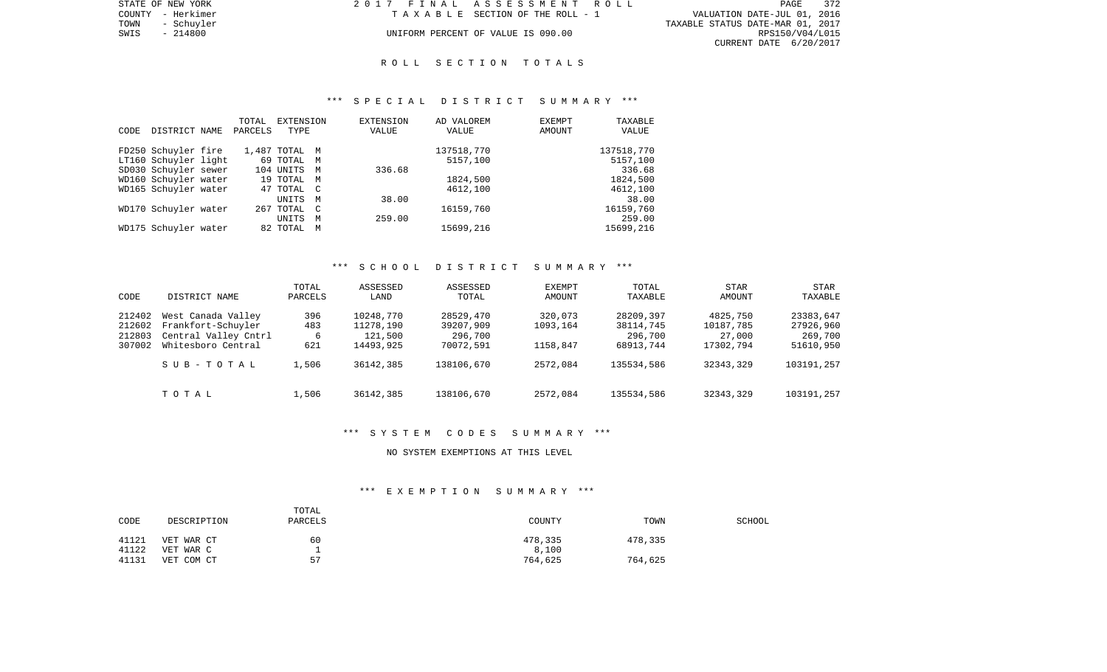|      | STATE OF NEW YORK | 2017 FINAL ASSESSMENT ROLL |                                    |                                  | PAGE            | 372 |
|------|-------------------|----------------------------|------------------------------------|----------------------------------|-----------------|-----|
|      | COUNTY - Herkimer |                            | TAXABLE SECTION OF THE ROLL - 1    | VALUATION DATE-JUL 01, 2016      |                 |     |
| TOWN | - Schuyler        |                            |                                    | TAXABLE STATUS DATE-MAR 01, 2017 |                 |     |
| SWIS | - 214800          |                            | UNIFORM PERCENT OF VALUE IS 090.00 |                                  | RPS150/V04/L015 |     |
|      |                   |                            |                                    | CURRENT DATE 6/20/2017           |                 |     |

# R O L L S E C T I O N T O T A L S

# \*\*\* S P E C I A L D I S T R I C T S U M M A R Y \*\*\*

|                       | TOTAL   | EXTENSION     |              | <b>EXTENSION</b> | AD VALOREM | <b>EXEMPT</b> | TAXABLE    |
|-----------------------|---------|---------------|--------------|------------------|------------|---------------|------------|
| DISTRICT NAME<br>CODE | PARCELS | TYPE          |              | VALUE            | VALUE      | AMOUNT        | VALUE      |
|                       |         |               |              |                  |            |               |            |
| FD250 Schuyler fire   |         | 1,487 TOTAL M |              |                  | 137518,770 |               | 137518,770 |
| LT160 Schuyler light  |         | 69 TOTAL M    |              |                  | 5157,100   |               | 5157,100   |
| SD030 Schuyler sewer  |         | 104 UNITS     | M            | 336.68           |            |               | 336.68     |
| WD160 Schuyler water  |         | 19 TOTAL M    |              |                  | 1824,500   |               | 1824,500   |
| WD165 Schuyler water  |         | 47 TOTAL C    |              |                  | 4612,100   |               | 4612,100   |
|                       |         | UNITS         | M            | 38.00            |            |               | 38.00      |
| WD170 Schuyler water  |         | 267 TOTAL     | $\mathbb{C}$ |                  | 16159,760  |               | 16159,760  |
|                       |         | <b>UNITS</b>  | M            | 259.00           |            |               | 259.00     |
| WD175 Schuyler water  |         | 82 TOTAL      | M            |                  | 15699,216  |               | 15699,216  |

# \*\*\* S C H O O L D I S T R I C T S U M M A R Y \*\*\*

| CODE                                 | DISTRICT NAME                                                                          | TOTAL<br>PARCELS       | ASSESSED<br>LAND                               | ASSESSED<br>TOTAL                              | <b>EXEMPT</b><br>AMOUNT         | TOTAL<br>TAXABLE                               | <b>STAR</b><br>AMOUNT                        | <b>STAR</b><br>TAXABLE                         |
|--------------------------------------|----------------------------------------------------------------------------------------|------------------------|------------------------------------------------|------------------------------------------------|---------------------------------|------------------------------------------------|----------------------------------------------|------------------------------------------------|
| 212402<br>212602<br>212803<br>307002 | West Canada Valley<br>Frankfort-Schuyler<br>Central Valley Cntrl<br>Whitesboro Central | 396<br>483<br>6<br>621 | 10248,770<br>11278,190<br>121,500<br>14493,925 | 28529,470<br>39207,909<br>296,700<br>70072,591 | 320,073<br>1093,164<br>1158,847 | 28209,397<br>38114,745<br>296,700<br>68913,744 | 4825,750<br>10187,785<br>27,000<br>17302,794 | 23383,647<br>27926,960<br>269,700<br>51610,950 |
|                                      | SUB-TOTAL                                                                              | 1,506                  | 36142,385                                      | 138106,670                                     | 2572,084                        | 135534,586                                     | 32343,329                                    | 103191,257                                     |
|                                      | TOTAL                                                                                  | 1,506                  | 36142,385                                      | 138106,670                                     | 2572,084                        | 135534,586                                     | 32343,329                                    | 103191,257                                     |

### \*\*\* S Y S T E M C O D E S S U M M A R Y \*\*\*

# NO SYSTEM EXEMPTIONS AT THIS LEVEL

# \*\*\* E X E M P T I O N S U M M A R Y \*\*\*

| CODE  | DESCRIPTION | TOTAL<br>PARCELS | COUNTY  | TOWN    | <b>SCHOOL</b> |
|-------|-------------|------------------|---------|---------|---------------|
| 41121 | VET WAR CT  | 60               | 478,335 | 478,335 |               |
| 41122 | VET WAR C   |                  | 8,100   |         |               |
| 41131 | VET COM CT  | 57               | 764,625 | 764,625 |               |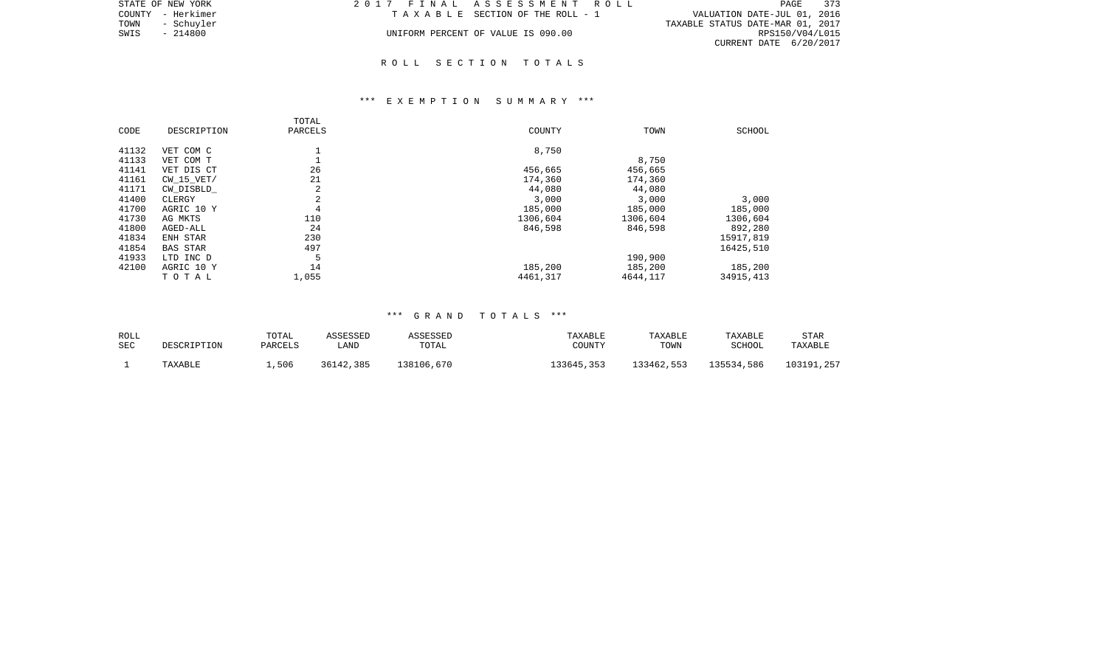| STATE OF NEW YORK  | 2017 FINAL ASSESSMENT ROLL         | 373<br>PAGE                      |
|--------------------|------------------------------------|----------------------------------|
| COUNTY - Herkimer  | TAXABLE SECTION OF THE ROLL - 1    | VALUATION DATE-JUL 01, 2016      |
| TOWN<br>- Schuvler |                                    | TAXABLE STATUS DATE-MAR 01, 2017 |
| SWIS<br>- 214800   | UNIFORM PERCENT OF VALUE IS 090.00 | RPS150/V04/L015                  |
|                    |                                    | CURRENT DATE 6/20/2017           |

# \*\*\* E X E M P T I O N S U M M A R Y \*\*\*

| CODE  | DESCRIPTION     | TOTAL<br>PARCELS | COUNTY   | TOWN     | SCHOOL    |
|-------|-----------------|------------------|----------|----------|-----------|
| 41132 | VET COM C       |                  | 8,750    |          |           |
| 41133 | VET COM T       |                  |          | 8,750    |           |
| 41141 | VET DIS CT      | 26               | 456,665  | 456,665  |           |
| 41161 | $CW$ 15 $VET/$  | 21               | 174,360  | 174,360  |           |
| 41171 | CW DISBLD       | 2                | 44,080   | 44,080   |           |
| 41400 | CLERGY          | 2                | 3,000    | 3,000    | 3,000     |
| 41700 | AGRIC 10 Y      | 4                | 185,000  | 185,000  | 185,000   |
| 41730 | AG MKTS         | 110              | 1306,604 | 1306,604 | 1306,604  |
| 41800 | AGED-ALL        | 24               | 846,598  | 846,598  | 892,280   |
| 41834 | ENH STAR        | 230              |          |          | 15917,819 |
| 41854 | <b>BAS STAR</b> | 497              |          |          | 16425,510 |
| 41933 | LTD INC D       | 5                |          | 190,900  |           |
| 42100 | AGRIC 10 Y      | 14               | 185,200  | 185,200  | 185,200   |
|       | TOTAL           | 1,055            | 4461,317 | 4644,117 | 34915,413 |

| ROLL       | DESCRIPTION | TOTAL   | ASSESSED  | ASSESSED   | TAXABLE    | TAXABLE    | TAXABLE    | <b>STAR</b> |
|------------|-------------|---------|-----------|------------|------------|------------|------------|-------------|
| <b>SEC</b> |             | PARCELS | LAND      | TOTAL      | COUNTY     | TOWN       | SCHOOL     | TAXABLE     |
|            | TAXABLE     | .506    | 36142,385 | 138106,670 | 133645,353 | 133462,553 | 135534,586 | 103191,257  |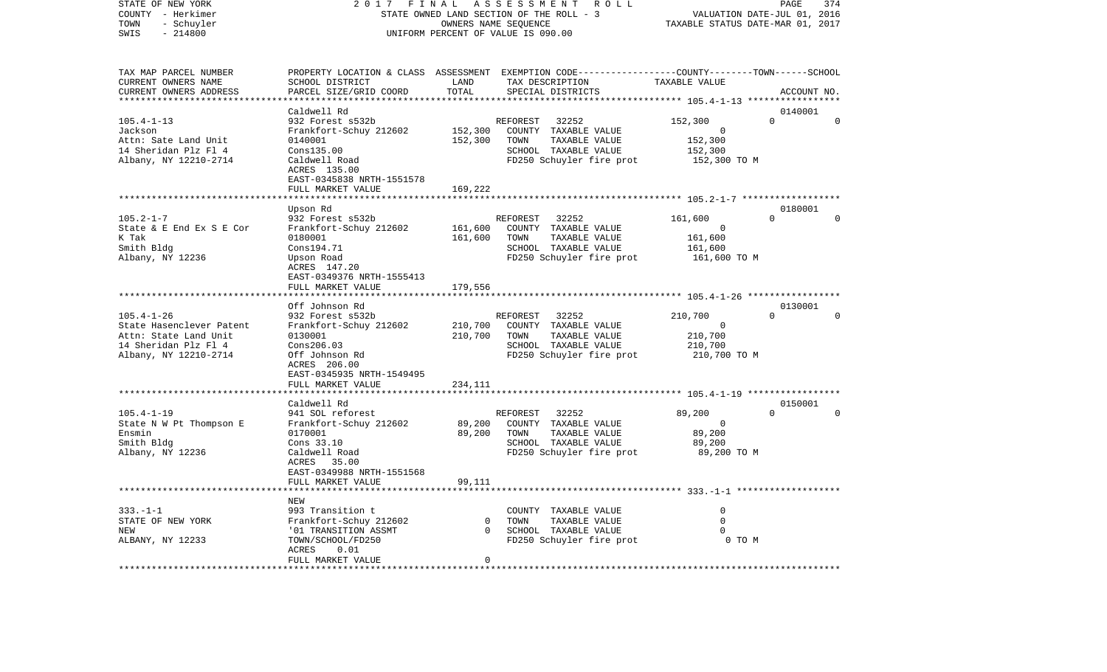| COUNTY<br>- Herkimer     |                                                                                                 |                      | STATE OWNED LAND SECTION OF THE ROLL - 3                       | VALUATION DATE-JUL 01, 2016           |                     |             |  |
|--------------------------|-------------------------------------------------------------------------------------------------|----------------------|----------------------------------------------------------------|---------------------------------------|---------------------|-------------|--|
| TOWN<br>- Schuyler       |                                                                                                 | OWNERS NAME SEQUENCE |                                                                | TAXABLE STATUS DATE-MAR 01, 2017      |                     |             |  |
| SWIS<br>$-214800$        | UNIFORM PERCENT OF VALUE IS 090.00                                                              |                      |                                                                |                                       |                     |             |  |
|                          |                                                                                                 |                      |                                                                |                                       |                     |             |  |
|                          |                                                                                                 |                      |                                                                |                                       |                     |             |  |
| TAX MAP PARCEL NUMBER    | PROPERTY LOCATION & CLASS ASSESSMENT EXEMPTION CODE---------------COUNTY-------TOWN------SCHOOL |                      |                                                                |                                       |                     |             |  |
| CURRENT OWNERS NAME      | SCHOOL DISTRICT                                                                                 | LAND                 | TAX DESCRIPTION                                                | TAXABLE VALUE                         |                     |             |  |
| CURRENT OWNERS ADDRESS   | PARCEL SIZE/GRID COORD                                                                          | TOTAL                | SPECIAL DISTRICTS                                              |                                       |                     | ACCOUNT NO. |  |
| ***********************  |                                                                                                 |                      |                                                                |                                       |                     |             |  |
|                          | Caldwell Rd                                                                                     |                      |                                                                |                                       | 0140001             |             |  |
| $105.4 - 1 - 13$         | 932 Forest s532b                                                                                |                      | 32252<br>REFOREST                                              | 152,300                               | $\Omega$            | $\Omega$    |  |
| Jackson                  | Frankfort-Schuy 212602                                                                          | 152,300              | COUNTY TAXABLE VALUE                                           | 0                                     |                     |             |  |
| Attn: Sate Land Unit     | 0140001                                                                                         | 152,300              | TAXABLE VALUE<br>TOWN                                          | 152,300                               |                     |             |  |
| 14 Sheridan Plz Fl 4     | Cons135.00                                                                                      |                      | SCHOOL TAXABLE VALUE                                           | 152,300                               |                     |             |  |
| Albany, NY 12210-2714    | Caldwell Road                                                                                   |                      | FD250 Schuyler fire prot                                       | 152,300 TO M                          |                     |             |  |
|                          |                                                                                                 |                      |                                                                |                                       |                     |             |  |
|                          | ACRES 135.00                                                                                    |                      |                                                                |                                       |                     |             |  |
|                          | EAST-0345838 NRTH-1551578                                                                       |                      |                                                                |                                       |                     |             |  |
|                          | FULL MARKET VALUE                                                                               | 169,222              |                                                                |                                       |                     |             |  |
|                          |                                                                                                 |                      |                                                                |                                       |                     |             |  |
|                          | Upson Rd                                                                                        |                      |                                                                |                                       | 0180001<br>$\Omega$ |             |  |
| $105.2 - 1 - 7$          | 932 Forest s532b                                                                                |                      | 32252<br>REFOREST                                              | 161,600                               |                     | $\Omega$    |  |
| State & E End Ex S E Cor | Frankfort-Schuy 212602                                                                          | 161,600              | COUNTY TAXABLE VALUE                                           | $\Omega$                              |                     |             |  |
| K Tak                    | 0180001                                                                                         | 161,600              | TAXABLE VALUE<br>TOWN                                          | 161,600                               |                     |             |  |
| Smith Bldg               | Cons194.71                                                                                      |                      | SCHOOL TAXABLE VALUE                                           | 161,600                               |                     |             |  |
| Albany, NY 12236         | Upson Road                                                                                      |                      | FD250 Schuyler fire prot                                       | 161,600 TO M                          |                     |             |  |
|                          | ACRES 147.20                                                                                    |                      |                                                                |                                       |                     |             |  |
|                          | EAST-0349376 NRTH-1555413                                                                       |                      |                                                                |                                       |                     |             |  |
|                          | FULL MARKET VALUE                                                                               | 179,556              |                                                                |                                       |                     |             |  |
|                          |                                                                                                 |                      |                                                                |                                       |                     |             |  |
|                          | Off Johnson Rd                                                                                  |                      |                                                                |                                       | 0130001             |             |  |
| $105.4 - 1 - 26$         | 932 Forest s532b                                                                                |                      | 32252<br>REFOREST                                              | 210,700                               | $\Omega$            | $\Omega$    |  |
| State Hasenclever Patent | Frankfort-Schuy 212602                                                                          | 210,700              | COUNTY TAXABLE VALUE                                           | $\Omega$                              |                     |             |  |
| Attn: State Land Unit    | 0130001                                                                                         | 210,700              | TAXABLE VALUE<br>TOWN                                          | 210,700                               |                     |             |  |
| 14 Sheridan Plz Fl 4     | Cons206.03                                                                                      |                      | SCHOOL TAXABLE VALUE                                           | 210,700                               |                     |             |  |
| Albany, NY 12210-2714    | Off Johnson Rd                                                                                  |                      | FD250 Schuyler fire prot                                       | 210,700 TO M                          |                     |             |  |
|                          | ACRES 206.00                                                                                    |                      |                                                                |                                       |                     |             |  |
|                          | EAST-0345935 NRTH-1549495                                                                       |                      |                                                                |                                       |                     |             |  |
|                          | FULL MARKET VALUE                                                                               | 234,111              |                                                                |                                       |                     |             |  |
|                          |                                                                                                 |                      |                                                                | ********* 105.4-1-19 **************** |                     |             |  |
|                          | Caldwell Rd                                                                                     |                      |                                                                |                                       | 0150001             |             |  |
| $105.4 - 1 - 19$         | 941 SOL reforest                                                                                |                      | 32252<br>REFOREST                                              | 89,200                                | $\Omega$            | $\Omega$    |  |
| State N W Pt Thompson E  | Frankfort-Schuy 212602                                                                          | 89,200               | COUNTY TAXABLE VALUE                                           | $\Omega$                              |                     |             |  |
| Ensmin                   | 0170001                                                                                         | 89,200               | TOWN<br>TAXABLE VALUE                                          | 89,200                                |                     |             |  |
| Smith Bldg               | Cons 33.10                                                                                      |                      | SCHOOL TAXABLE VALUE                                           | 89,200                                |                     |             |  |
| Albany, NY 12236         | Caldwell Road                                                                                   |                      | FD250 Schuyler fire prot                                       | 89,200 TO M                           |                     |             |  |
|                          | ACRES<br>35.00                                                                                  |                      |                                                                |                                       |                     |             |  |
|                          | EAST-0349988 NRTH-1551568                                                                       |                      |                                                                |                                       |                     |             |  |
|                          |                                                                                                 |                      |                                                                |                                       |                     |             |  |
|                          | FULL MARKET VALUE                                                                               | 99,111               |                                                                |                                       |                     |             |  |
|                          |                                                                                                 |                      | ********************************* 333.-1-1 ******************* |                                       |                     |             |  |
|                          | NEW                                                                                             |                      |                                                                |                                       |                     |             |  |
| $333. - 1 - 1$           | 993 Transition t                                                                                |                      | COUNTY TAXABLE VALUE                                           | $\Omega$                              |                     |             |  |
| STATE OF NEW YORK        | Frankfort-Schuy 212602                                                                          | $\circ$              | TOWN<br>TAXABLE VALUE                                          | $\Omega$                              |                     |             |  |
| NEW                      | '01 TRANSITION ASSMT                                                                            | $\Omega$             | SCHOOL TAXABLE VALUE                                           | $\Omega$                              |                     |             |  |
| ALBANY, NY 12233         | TOWN/SCHOOL/FD250                                                                               |                      | FD250 Schuyler fire prot                                       | 0 TO M                                |                     |             |  |
|                          | ACRES<br>0.01                                                                                   |                      |                                                                |                                       |                     |             |  |
|                          | FULL MARKET VALUE                                                                               | $\Omega$             |                                                                |                                       |                     |             |  |
|                          | ********************                                                                            |                      |                                                                |                                       |                     |             |  |

STATE OF NEW YORK 2 0 1 7 F I N A L A S S E S S M E N T R O L L PAGE 374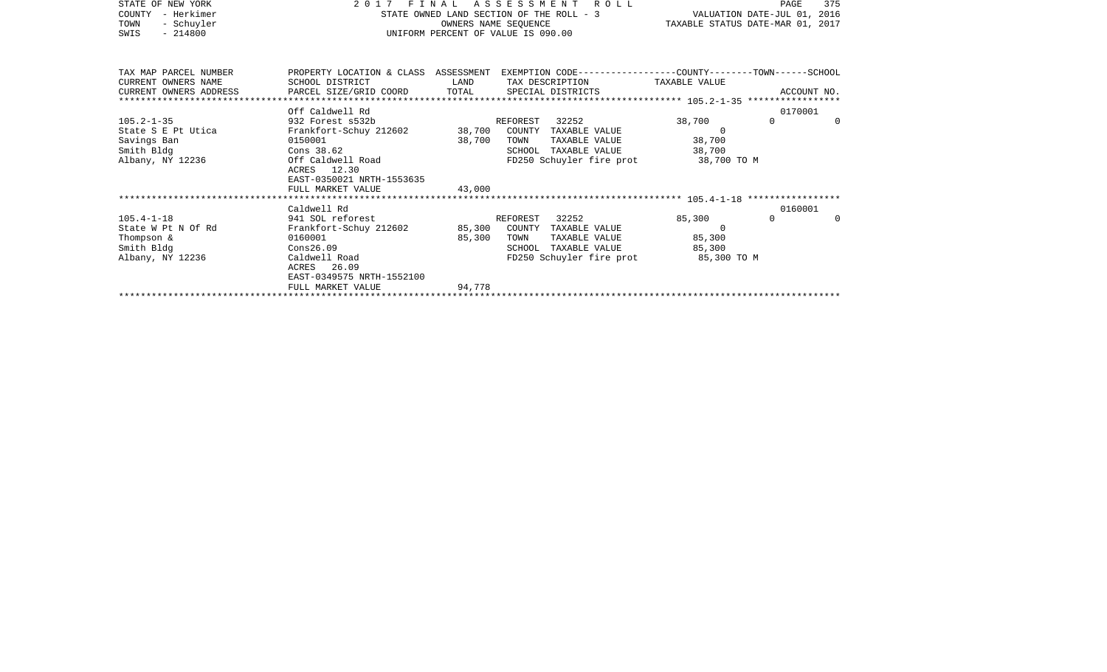| STATE OF NEW YORK      | FINAL<br>2017                                  |        | 375<br>PAGE                                                                                     |                                  |                             |          |
|------------------------|------------------------------------------------|--------|-------------------------------------------------------------------------------------------------|----------------------------------|-----------------------------|----------|
| - Herkimer<br>COUNTY   |                                                |        | STATE OWNED LAND SECTION OF THE ROLL - 3                                                        |                                  | VALUATION DATE-JUL 01, 2016 |          |
| - Schuyler<br>TOWN     |                                                |        | OWNERS NAME SEOUENCE                                                                            | TAXABLE STATUS DATE-MAR 01, 2017 |                             |          |
| $-214800$<br>SWIS      |                                                |        | UNIFORM PERCENT OF VALUE IS 090.00                                                              |                                  |                             |          |
|                        |                                                |        |                                                                                                 |                                  |                             |          |
|                        |                                                |        |                                                                                                 |                                  |                             |          |
| TAX MAP PARCEL NUMBER  |                                                |        | PROPERTY LOCATION & CLASS ASSESSMENT EXEMPTION CODE---------------COUNTY-------TOWN------SCHOOL |                                  |                             |          |
| CURRENT OWNERS NAME    | SCHOOL DISTRICT                                | LAND   | TAX DESCRIPTION                                                                                 | TAXABLE VALUE                    |                             |          |
| CURRENT OWNERS ADDRESS | PARCEL SIZE/GRID COORD                         | TOTAL  | SPECIAL DISTRICTS                                                                               |                                  | ACCOUNT NO.                 |          |
|                        |                                                |        |                                                                                                 |                                  |                             |          |
|                        | Off Caldwell Rd                                |        |                                                                                                 |                                  | 0170001                     |          |
| $105.2 - 1 - 35$       | 932 Forest s532b                               |        | 32252<br>REFOREST                                                                               | 38,700                           | $\Omega$                    | $\Omega$ |
| State S E Pt Utica     | Frankfort-Schuy 212602 38,700                  |        | COUNTY TAXABLE VALUE                                                                            | $\Omega$                         |                             |          |
| Savings Ban            | 0150001                                        | 38,700 | TOWN<br>TAXABLE VALUE                                                                           | 38,700                           |                             |          |
| Smith Bldg             | Cons 38.62<br>Off Caldwell Road                |        | TAXABLE VALUE<br>SCHOOL                                                                         | 38,700                           |                             |          |
| Albany, NY 12236       |                                                |        | FD250 Schuyler fire prot                                                                        | 38,700 TO M                      |                             |          |
|                        | ACRES 12.30                                    |        |                                                                                                 |                                  |                             |          |
|                        | EAST-0350021 NRTH-1553635<br>FULL MARKET VALUE | 43,000 |                                                                                                 |                                  |                             |          |
|                        |                                                |        |                                                                                                 |                                  |                             |          |
|                        | Caldwell Rd                                    |        |                                                                                                 |                                  | 0160001                     |          |
| $105.4 - 1 - 18$       | 941 SOL reforest                               |        | 32252<br>REFOREST                                                                               | 85,300                           | $\Omega$                    | $\Omega$ |
| State W Pt N Of Rd     | Frankfort-Schuy 212602                         | 85,300 | COUNTY TAXABLE VALUE                                                                            | $\Omega$                         |                             |          |
| Thompson &             | 0160001                                        | 85,300 | TAXABLE VALUE<br>TOWN                                                                           | 85,300                           |                             |          |
| Smith Bldg             | Cons26.09                                      |        | SCHOOL<br>TAXABLE VALUE                                                                         | 85,300                           |                             |          |
| Albany, NY 12236       | Caldwell Road                                  |        | FD250 Schuyler fire prot                                                                        | 85,300 TO M                      |                             |          |
|                        | ACRES 26.09                                    |        |                                                                                                 |                                  |                             |          |

\*\*\*\*\*\*\*\*\*\*\*\*\*\*\*\*\*\*\*\*\*\*\*\*\*\*\*\*\*\*\*\*\*\*\*\*\*\*\*\*\*\*\*\*\*\*\*\*\*\*\*\*\*\*\*\*\*\*\*\*\*\*\*\*\*\*\*\*\*\*\*\*\*\*\*\*\*\*\*\*\*\*\*\*\*\*\*\*\*\*\*\*\*\*\*\*\*\*\*\*\*\*\*\*\*\*\*\*\*\*\*\*\*\*\*\*\*\*\*\*\*\*\*\*\*\*\*\*\*\*\*\*

EAST-0349575 NRTH-1552100

FULL MARKET VALUE 94,778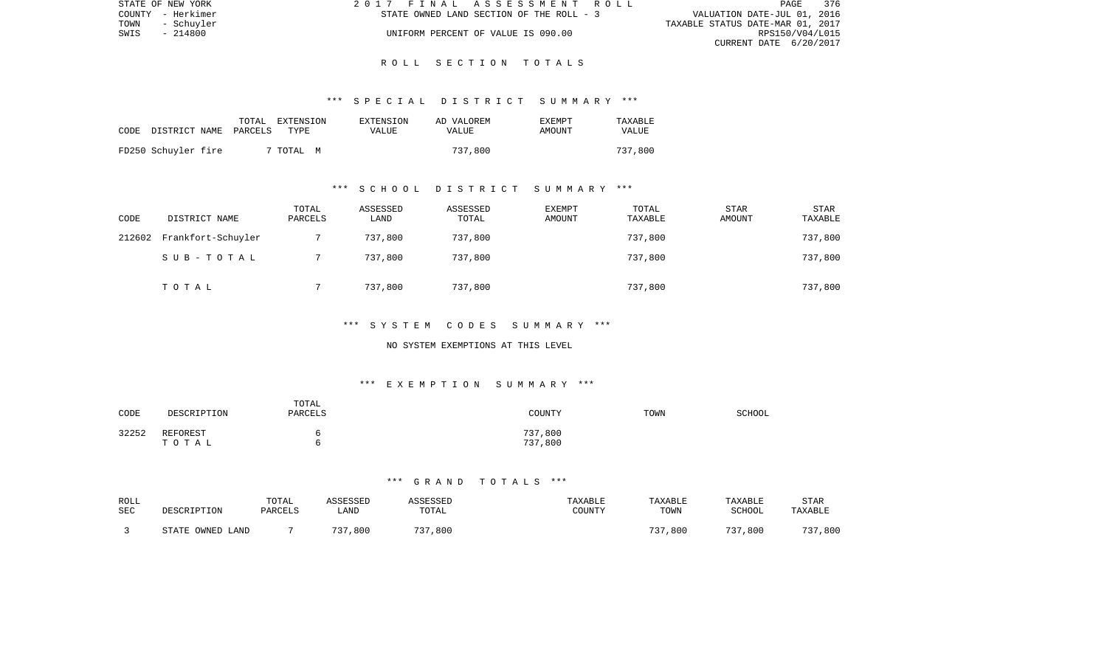| STATE OF NEW YORK  | 2017 FINAL ASSESSMENT ROLL               | 376<br>PAGE                      |
|--------------------|------------------------------------------|----------------------------------|
| COUNTY - Herkimer  | STATE OWNED LAND SECTION OF THE ROLL - 3 | VALUATION DATE-JUL 01, 2016      |
| TOWN<br>- Schuvler |                                          | TAXABLE STATUS DATE-MAR 01, 2017 |
| SWIS<br>- 214800   | UNIFORM PERCENT OF VALUE IS 090.00       | RPS150/V04/L015                  |
|                    |                                          | CURRENT DATE 6/20/2017           |

### \*\*\* S P E C I A L D I S T R I C T S U M M A R Y \*\*\*

| CODE | DISTRICT NAME PARCELS |  | TOTAL EXTENSION<br>TYPE | EXTENSION<br>VALUE | AD VALOREM<br><b>VALUE</b> | <b>EXEMPT</b><br>AMOUNT | TAXABLE<br>VALUE |
|------|-----------------------|--|-------------------------|--------------------|----------------------------|-------------------------|------------------|
|      | FD250 Schuyler fire   |  | 7 TOTAL<br>M            |                    | 737,800                    |                         | 737,800          |

# \*\*\* S C H O O L D I S T R I C T S U M M A R Y \*\*\*

| CODE   | DISTRICT NAME      | TOTAL<br>PARCELS | ASSESSED<br>LAND | ASSESSED<br>TOTAL | EXEMPT<br>AMOUNT | TOTAL<br>TAXABLE | <b>STAR</b><br>AMOUNT | STAR<br>TAXABLE |
|--------|--------------------|------------------|------------------|-------------------|------------------|------------------|-----------------------|-----------------|
| 212602 | Frankfort-Schuyler |                  | 737,800          | 737,800           |                  | 737,800          |                       | 737,800         |
|        | SUB-TOTAL          |                  | 737,800          | 737,800           |                  | 737,800          |                       | 737,800         |
|        | TOTAL              |                  | 737,800          | 737,800           |                  | 737,800          |                       | 737,800         |

### \*\*\* S Y S T E M C O D E S S U M M A R Y \*\*\*

### NO SYSTEM EXEMPTIONS AT THIS LEVEL

# \*\*\* E X E M P T I O N S U M M A R Y \*\*\*

| CODE  | DESCRIPTION       | TOTAL<br>PARCELS | COUNTY             | TOWN | SCHOOL |
|-------|-------------------|------------------|--------------------|------|--------|
| 32252 | REFOREST<br>TOTAL | n<br>n           | 737,800<br>737,800 |      |        |

| ROLL<br>SEC | DESCRIPTION           | TOTAL<br>PARCELS | ASSESSED<br>LAND | ASSESSED<br>TOTAL | <b>TAXABLE</b><br>COUNTY | TAXABLE<br>TOWN | TAXABLE<br><b>SCHOOL</b> | STAR<br>TAXABLE |
|-------------|-----------------------|------------------|------------------|-------------------|--------------------------|-----------------|--------------------------|-----------------|
|             | . OWNED LAND<br>STATE |                  | 737,800          | 737,800           |                          | 737,800         | 737,800                  | 737,800         |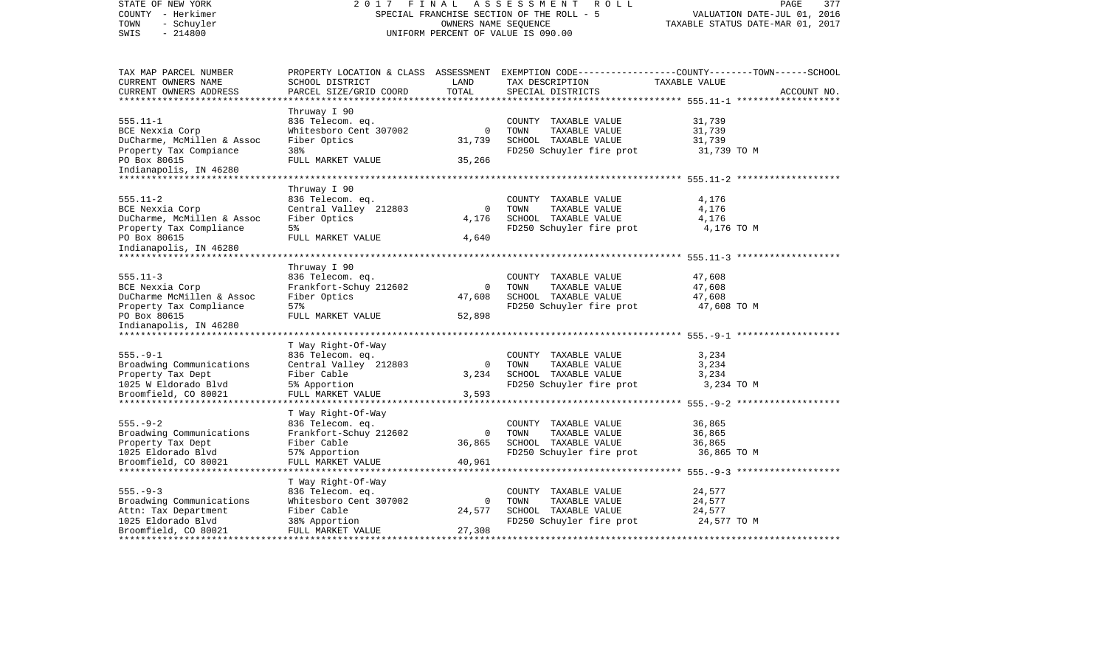| STATE OF NEW YORK<br>COUNTY - Herkimer<br>- Schuyler<br>TOWN<br>$-214800$<br>SWIS                                                                                   | FINAL<br>2017<br>SPECIAL FRANCHISE SECTION OF THE ROLL - 5<br>UNIFORM PERCENT OF VALUE IS 090.00                      | PAGE<br>377<br>VALUATION DATE-JUL 01, 2016<br>TAXABLE STATUS DATE-MAR 01, 2017 |                                                                                                   |                                                                                                                                 |
|---------------------------------------------------------------------------------------------------------------------------------------------------------------------|-----------------------------------------------------------------------------------------------------------------------|--------------------------------------------------------------------------------|---------------------------------------------------------------------------------------------------|---------------------------------------------------------------------------------------------------------------------------------|
| TAX MAP PARCEL NUMBER<br>CURRENT OWNERS NAME<br>CURRENT OWNERS ADDRESS<br>************************                                                                  | SCHOOL DISTRICT<br>PARCEL SIZE/GRID COORD                                                                             | LAND<br>TOTAL                                                                  | TAX DESCRIPTION<br>SPECIAL DISTRICTS                                                              | PROPERTY LOCATION & CLASS ASSESSMENT EXEMPTION CODE---------------COUNTY-------TOWN------SCHOOL<br>TAXABLE VALUE<br>ACCOUNT NO. |
| $555.11 - 1$<br>BCE Nexxia Corp<br>DuCharme, McMillen & Assoc<br>Property Tax Compiance<br>PO Box 80615<br>Indianapolis, IN 46280                                   | Thruway I 90<br>836 Telecom. eq.<br>Whitesboro Cent 307002<br>Fiber Optics<br>38%<br>FULL MARKET VALUE                | $\Omega$<br>31,739<br>35,266                                                   | COUNTY TAXABLE VALUE<br>TOWN<br>TAXABLE VALUE<br>SCHOOL TAXABLE VALUE<br>FD250 Schuyler fire prot | 31,739<br>31,739<br>31,739<br>31,739 TO M                                                                                       |
| $555.11 - 2$<br>BCE Nexxia Corp<br>DuCharme, McMillen & Assoc<br>Property Tax Compliance<br>PO Box 80615<br>Indianapolis, IN 46280<br>***************************** | Thruway I 90<br>836 Telecom. eq.<br>Central Valley 212803<br>Fiber Optics<br>5%<br>FULL MARKET VALUE                  | $\mathbf 0$<br>4,176<br>4,640                                                  | COUNTY TAXABLE VALUE<br>TOWN<br>TAXABLE VALUE<br>SCHOOL TAXABLE VALUE<br>FD250 Schuyler fire prot | 4,176<br>4,176<br>4,176<br>4,176 TO M                                                                                           |
| $555.11 - 3$<br>BCE Nexxia Corp<br>DuCharme McMillen & Assoc<br>Property Tax Compliance<br>PO Box 80615<br>Indianapolis, IN 46280<br>*************************      | Thruway I 90<br>836 Telecom. eq.<br>Frankfort-Schuy 212602<br>Fiber Optics<br>57%<br>FULL MARKET VALUE                | $\Omega$<br>47,608<br>52,898                                                   | COUNTY TAXABLE VALUE<br>TOWN<br>TAXABLE VALUE<br>SCHOOL TAXABLE VALUE<br>FD250 Schuyler fire prot | 47,608<br>47,608<br>47,608<br>47,608 TO M                                                                                       |
| $555. - 9 - 1$<br>Broadwing Communications<br>Property Tax Dept<br>1025 W Eldorado Blvd<br>Broomfield, CO 80021                                                     | T Way Right-Of-Way<br>836 Telecom. eq.<br>Central Valley 212803<br>Fiber Cable<br>5% Apportion<br>FULL MARKET VALUE   | $\Omega$<br>3,234<br>3,593                                                     | COUNTY TAXABLE VALUE<br>TOWN<br>TAXABLE VALUE<br>SCHOOL TAXABLE VALUE<br>FD250 Schuyler fire prot | 3,234<br>3,234<br>3,234<br>3,234 TO M                                                                                           |
| $555. - 9 - 2$<br>Broadwing Communications<br>Property Tax Dept<br>1025 Eldorado Blvd<br>Broomfield, CO 80021                                                       | T Way Right-Of-Way<br>836 Telecom. eq.<br>Frankfort-Schuy 212602<br>Fiber Cable<br>57% Apportion<br>FULL MARKET VALUE | $\mathbf 0$<br>36,865<br>40,961                                                | COUNTY TAXABLE VALUE<br>TOWN<br>TAXABLE VALUE<br>SCHOOL TAXABLE VALUE<br>FD250 Schuyler fire prot | 36,865<br>36,865<br>36,865<br>36,865 TO M<br>******************** 555.-9-3 *******************                                  |
| $555. - 9 - 3$<br>Broadwing Communications<br>Attn: Tax Department<br>1025 Eldorado Blvd<br>Broomfield, CO 80021                                                    | T Way Right-Of-Way<br>836 Telecom. eq.<br>Whitesboro Cent 307002<br>Fiber Cable<br>38% Apportion<br>FULL MARKET VALUE | $\Omega$<br>24,577<br>27,308                                                   | COUNTY TAXABLE VALUE<br>TOWN<br>TAXABLE VALUE<br>SCHOOL TAXABLE VALUE<br>FD250 Schuyler fire prot | 24,577<br>24,577<br>24,577<br>24,577 TO M                                                                                       |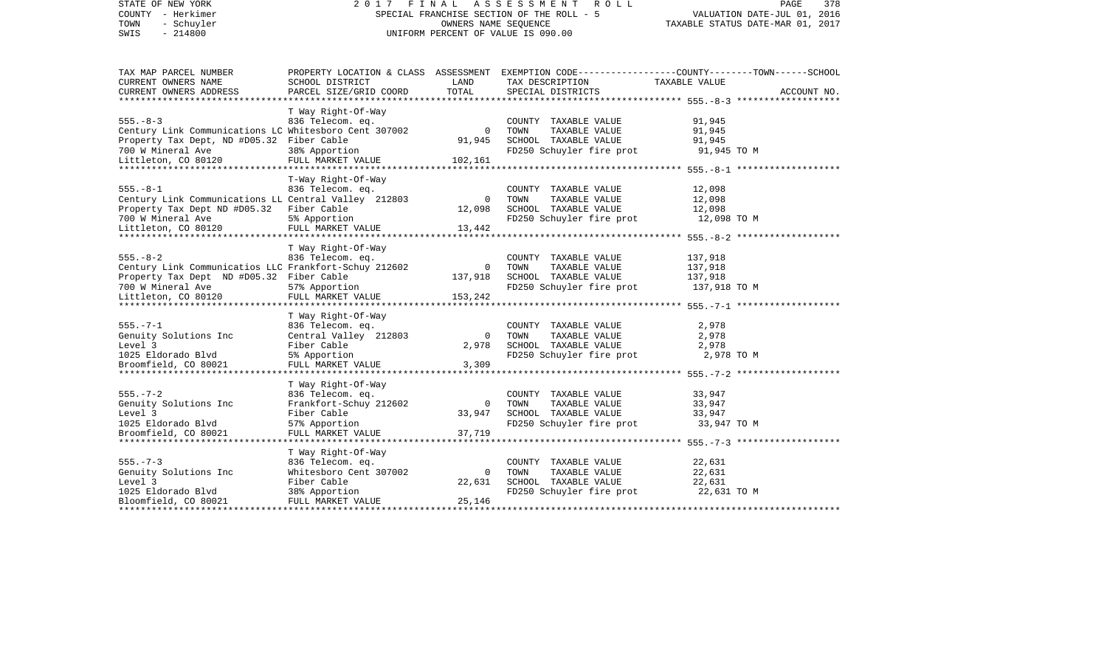| STATE OF NEW YORK<br>COUNTY - Herkimer<br>TOWN<br>- Schuyler<br>$-214800$<br>SWIS | FINAL<br>2017<br>SPECIAL FRANCHISE SECTION OF THE ROLL - 5<br>UNIFORM PERCENT OF VALUE IS 090.00 | PAGE<br>378<br>VALUATION DATE-JUL 01, 2016<br>TAXABLE STATUS DATE-MAR 01, 2017 |                                                  |                                                                                                                  |
|-----------------------------------------------------------------------------------|--------------------------------------------------------------------------------------------------|--------------------------------------------------------------------------------|--------------------------------------------------|------------------------------------------------------------------------------------------------------------------|
| TAX MAP PARCEL NUMBER<br>CURRENT OWNERS NAME                                      | SCHOOL DISTRICT                                                                                  | LAND                                                                           | TAX DESCRIPTION                                  | PROPERTY LOCATION & CLASS ASSESSMENT EXEMPTION CODE---------------COUNTY-------TOWN------SCHOOL<br>TAXABLE VALUE |
| CURRENT OWNERS ADDRESS                                                            | PARCEL SIZE/GRID COORD                                                                           | TOTAL                                                                          | SPECIAL DISTRICTS                                | ACCOUNT NO.                                                                                                      |
| *****************                                                                 | T Way Right-Of-Way                                                                               |                                                                                |                                                  |                                                                                                                  |
| $555. - 8 - 3$                                                                    | 836 Telecom. eq.                                                                                 |                                                                                | COUNTY TAXABLE VALUE                             | 91,945                                                                                                           |
| Century Link Communications LC Whitesboro Cent 307002                             |                                                                                                  | $\mathbf 0$                                                                    | TOWN<br>TAXABLE VALUE                            | 91,945                                                                                                           |
| Property Tax Dept, ND #D05.32 Fiber Cable                                         |                                                                                                  | 91,945                                                                         | SCHOOL TAXABLE VALUE                             | 91,945                                                                                                           |
| 700 W Mineral Ave                                                                 | 38% Apportion                                                                                    |                                                                                | FD250 Schuyler fire prot                         | 91,945 TO M                                                                                                      |
| Littleton, CO 80120                                                               | FULL MARKET VALUE                                                                                | 102,161                                                                        |                                                  |                                                                                                                  |
|                                                                                   |                                                                                                  | *******************                                                            |                                                  | ************ 555.-8-1 ********************                                                                       |
|                                                                                   | T-Way Right-Of-Way                                                                               |                                                                                |                                                  |                                                                                                                  |
| $555. - 8 - 1$<br>Century Link Communications LL Central Valley 212803            | 836 Telecom. eq.                                                                                 | $\mathbf 0$                                                                    | COUNTY TAXABLE VALUE<br>TOWN<br>TAXABLE VALUE    | 12,098<br>12,098                                                                                                 |
| Property Tax Dept ND #D05.32                                                      | Fiber Cable                                                                                      | 12,098                                                                         | SCHOOL TAXABLE VALUE                             | 12,098                                                                                                           |
| 700 W Mineral Ave                                                                 | 5% Apportion                                                                                     |                                                                                | FD250 Schuyler fire prot                         | 12,098 TO M                                                                                                      |
| Littleton, CO 80120                                                               | FULL MARKET VALUE                                                                                | 13,442                                                                         |                                                  |                                                                                                                  |
|                                                                                   |                                                                                                  |                                                                                |                                                  | ************ 555.-8-2 ********************                                                                       |
|                                                                                   | T Way Right-Of-Way                                                                               |                                                                                |                                                  |                                                                                                                  |
| $555. - 8 - 2$                                                                    | 836 Telecom. eq.                                                                                 |                                                                                | COUNTY TAXABLE VALUE                             | 137,918                                                                                                          |
| Century Link Communicatios LLC Frankfort-Schuy 212602                             |                                                                                                  | $\Omega$                                                                       | TAXABLE VALUE<br>TOWN                            | 137,918                                                                                                          |
| Property Tax Dept ND #D05.32 Fiber Cable<br>700 W Mineral Ave                     | 57% Apportion                                                                                    | 137,918                                                                        | SCHOOL TAXABLE VALUE<br>FD250 Schuyler fire prot | 137,918<br>137,918 TO M                                                                                          |
| Littleton, CO 80120                                                               | FULL MARKET VALUE                                                                                | 153,242                                                                        |                                                  |                                                                                                                  |
|                                                                                   |                                                                                                  |                                                                                |                                                  |                                                                                                                  |
|                                                                                   | T Way Right-Of-Way                                                                               |                                                                                |                                                  |                                                                                                                  |
| $555. - 7 - 1$                                                                    | 836 Telecom. eq.                                                                                 |                                                                                | COUNTY TAXABLE VALUE                             | 2,978                                                                                                            |
| Genuity Solutions Inc                                                             | Central Valley 212803                                                                            | $\mathbf 0$                                                                    | TOWN<br>TAXABLE VALUE                            | 2,978                                                                                                            |
| Level 3                                                                           | Fiber Cable                                                                                      | 2,978                                                                          | SCHOOL TAXABLE VALUE                             | 2,978                                                                                                            |
| 1025 Eldorado Blvd                                                                | 5% Apportion                                                                                     |                                                                                | FD250 Schuyler fire prot                         | 2,978 TO M                                                                                                       |
| Broomfield, CO 80021                                                              | FULL MARKET VALUE                                                                                | 3,309                                                                          |                                                  |                                                                                                                  |
|                                                                                   | T Way Right-Of-Way                                                                               |                                                                                |                                                  |                                                                                                                  |
| $555. - 7 - 2$                                                                    | 836 Telecom. eq.                                                                                 |                                                                                | COUNTY TAXABLE VALUE                             | 33,947                                                                                                           |
| Genuity Solutions Inc                                                             | Frankfort-Schuy 212602                                                                           | $\mathbf 0$                                                                    | TOWN<br>TAXABLE VALUE                            | 33,947                                                                                                           |
| Level 3                                                                           | Fiber Cable                                                                                      | 33,947                                                                         | SCHOOL TAXABLE VALUE                             | 33,947                                                                                                           |
| 1025 Eldorado Blvd                                                                | 57% Apportion                                                                                    |                                                                                | FD250 Schuyler fire prot                         | 33,947 TO M                                                                                                      |
| Broomfield, CO 80021                                                              | FULL MARKET VALUE                                                                                | 37,719                                                                         |                                                  |                                                                                                                  |
|                                                                                   |                                                                                                  |                                                                                |                                                  |                                                                                                                  |
|                                                                                   | T Way Right-Of-Way                                                                               |                                                                                |                                                  |                                                                                                                  |
| $555. - 7 - 3$<br>Genuity Solutions Inc                                           | 836 Telecom. eq.<br>Whitesboro Cent 307002                                                       | $\mathbf 0$                                                                    | COUNTY TAXABLE VALUE<br>TOWN<br>TAXABLE VALUE    | 22,631<br>22,631                                                                                                 |
| Level 3                                                                           | Fiber Cable                                                                                      | 22,631                                                                         | SCHOOL TAXABLE VALUE                             | 22,631                                                                                                           |
| 1025 Eldorado Blvd                                                                | 38% Apportion                                                                                    |                                                                                | FD250 Schuyler fire prot                         | 22,631 TO M                                                                                                      |
| Bloomfield, CO 80021                                                              | FULL MARKET VALUE                                                                                | 25,146                                                                         |                                                  |                                                                                                                  |
|                                                                                   |                                                                                                  |                                                                                |                                                  | ********************************                                                                                 |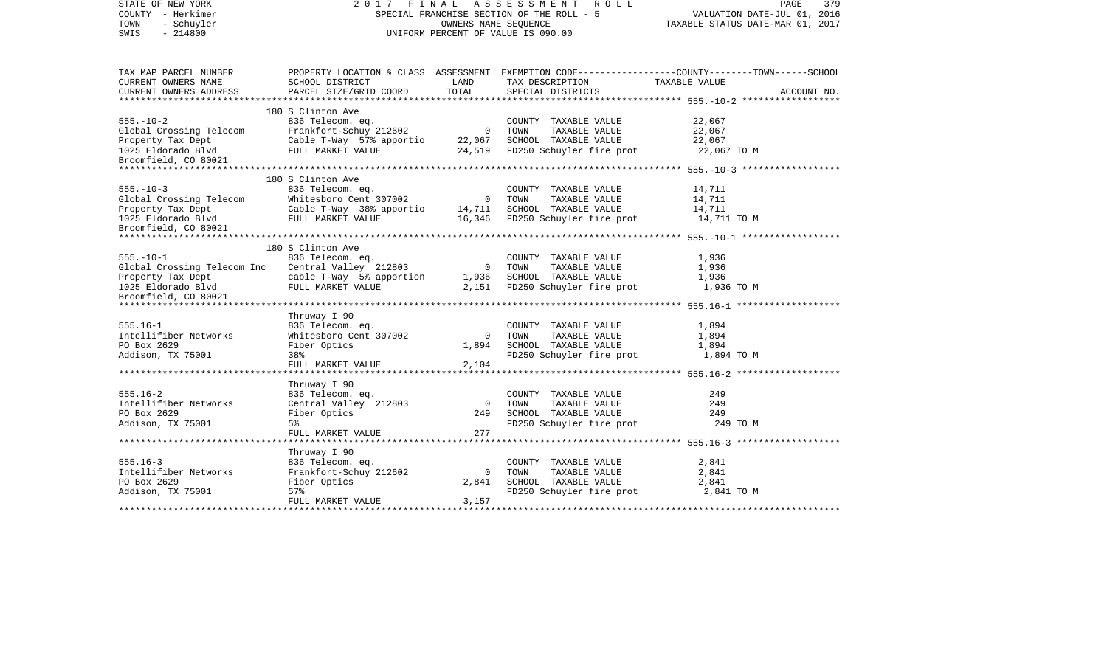| STATE OF NEW YORK<br>COUNTY - Herkimer<br>TOWN<br>- Schuyler<br>SWIS<br>$-214800$ |                                                              |                | 2017 FINAL ASSESSMENT ROLL<br>SPECIAL FRANCHISE SECTION OF THE ROLL - 5<br>OWNERS NAME SEQUENCE<br>UNIFORM PERCENT OF VALUE IS 090.00                                                         | PAGE<br>379<br>VALUATION DATE-JUL 01, 2016<br>TAXABLE STATUS DATE-MAR 01, 2017                                    |  |  |
|-----------------------------------------------------------------------------------|--------------------------------------------------------------|----------------|-----------------------------------------------------------------------------------------------------------------------------------------------------------------------------------------------|-------------------------------------------------------------------------------------------------------------------|--|--|
| TAX MAP PARCEL NUMBER<br>CURRENT OWNERS NAME                                      | SCHOOL DISTRICT                                              | LAND           | TAX DESCRIPTION                                                                                                                                                                               | PROPERTY LOCATION & CLASS ASSESSMENT EXEMPTION CODE----------------COUNTY-------TOWN------SCHOOL<br>TAXABLE VALUE |  |  |
| CURRENT OWNERS ADDRESS                                                            | PARCEL SIZE/GRID COORD                                       | TOTAL          | SPECIAL DISTRICTS                                                                                                                                                                             | ACCOUNT NO.                                                                                                       |  |  |
|                                                                                   |                                                              |                |                                                                                                                                                                                               |                                                                                                                   |  |  |
|                                                                                   | 180 S Clinton Ave                                            |                |                                                                                                                                                                                               |                                                                                                                   |  |  |
| $555. - 10 - 2$                                                                   | 836 Telecom. eq.                                             |                | COUNTY TAXABLE VALUE                                                                                                                                                                          | 22,067                                                                                                            |  |  |
|                                                                                   |                                                              |                |                                                                                                                                                                                               | 22,067                                                                                                            |  |  |
| Global Crossing Telecom<br>Property Tax Dept<br>1025 Eldorado Blvd                |                                                              |                | FULL MARKET VALUE 24,519 FD250 Schuyler fire prot                                                                                                                                             | 22,067<br>22,067 TO M                                                                                             |  |  |
| 1025 Eldorado Blvd<br>Broomfield, CO 80021                                        |                                                              |                |                                                                                                                                                                                               |                                                                                                                   |  |  |
|                                                                                   |                                                              |                |                                                                                                                                                                                               |                                                                                                                   |  |  |
|                                                                                   | 180 S Clinton Ave                                            |                |                                                                                                                                                                                               |                                                                                                                   |  |  |
| $555. - 10 - 3$                                                                   | 836 Telecom. eq. 636 COUNTY<br>Whitesboro Cent 307002 0 TOWN |                | COUNTY TAXABLE VALUE                                                                                                                                                                          | 14,711                                                                                                            |  |  |
|                                                                                   |                                                              |                | TAXABLE VALUE                                                                                                                                                                                 | 14,711                                                                                                            |  |  |
| Global Crossing Telecom<br>Property Tax Dept<br>1025 Eldorado Blvd                |                                                              |                | Cable T-Way 38% apportio 14,711 SCHOOL TAXABLE VALUE                                                                                                                                          | 14,711                                                                                                            |  |  |
| 1025 Eldorado Blvd<br>Broomfield, CO 80021                                        |                                                              |                | FULL MARKET VALUE 16,346 FD250 Schuyler fire prot                                                                                                                                             | 14,711 TO M                                                                                                       |  |  |
|                                                                                   |                                                              |                |                                                                                                                                                                                               |                                                                                                                   |  |  |
|                                                                                   | 180 S Clinton Ave                                            |                |                                                                                                                                                                                               |                                                                                                                   |  |  |
| $555. - 10 - 1$                                                                   |                                                              |                | S CITINON AVE<br>836 Telecom. eq.<br>Central Valley 212803 0 TOWN TAXABLE VALUE<br>cable T-Way 5% apportion 1,936 SCHOOL TAXABLE VALUE<br>cable T-Way 5% apportion 1,936 SCHOOL TAXABLE VALUE | 1,936                                                                                                             |  |  |
| Global Crossing Telecom Inc                                                       |                                                              |                |                                                                                                                                                                                               | 1,936                                                                                                             |  |  |
|                                                                                   |                                                              |                |                                                                                                                                                                                               | 1,936                                                                                                             |  |  |
| Property Tax Dept<br>1025 Eldorado Blvd<br>Broomfield, CO 80021                   | FULL MARKET VALUE                                            |                | 2,151 FD250 Schuyler fire prot                                                                                                                                                                | 1,936 TO M                                                                                                        |  |  |
|                                                                                   |                                                              |                |                                                                                                                                                                                               |                                                                                                                   |  |  |
|                                                                                   |                                                              |                |                                                                                                                                                                                               |                                                                                                                   |  |  |
| $555.16 - 1$                                                                      | Thruway I 90                                                 |                | COUNTY TAXABLE VALUE                                                                                                                                                                          | 1,894                                                                                                             |  |  |
| Intellifiber Networks                                                             | 836 Telecom. eq.<br>Whitesboro Cent 307002                   |                | 0 TOWN<br>TAXABLE VALUE                                                                                                                                                                       | 1,894                                                                                                             |  |  |
| PO Box 2629                                                                       | Fiber Optics                                                 |                | 1,894 SCHOOL TAXABLE VALUE                                                                                                                                                                    | 1,894                                                                                                             |  |  |
| Addison, TX 75001                                                                 | 38%                                                          |                | FD250 Schuyler fire prot                                                                                                                                                                      | 1,894 TO M                                                                                                        |  |  |
|                                                                                   | FULL MARKET VALUE                                            | 2,104          |                                                                                                                                                                                               |                                                                                                                   |  |  |
|                                                                                   |                                                              |                |                                                                                                                                                                                               |                                                                                                                   |  |  |
|                                                                                   | Thruway I 90                                                 |                |                                                                                                                                                                                               |                                                                                                                   |  |  |
| $555.16 - 2$                                                                      | 836 Telecom. eq.<br>Central Valley 212803                    |                | COUNTY TAXABLE VALUE                                                                                                                                                                          | 249                                                                                                               |  |  |
| Intellifiber Networks                                                             |                                                              | $\overline{0}$ | TAXABLE VALUE<br>TOWN                                                                                                                                                                         | 249                                                                                                               |  |  |
| PO Box 2629<br>Addison, TX 75001                                                  | Fiber Optics<br>5 <sup>8</sup>                               | 249            | SCHOOL TAXABLE VALUE<br>FD250 Schuyler fire prot                                                                                                                                              | 249<br>249 TO M                                                                                                   |  |  |
|                                                                                   | FULL MARKET VALUE                                            | 277            |                                                                                                                                                                                               |                                                                                                                   |  |  |
|                                                                                   |                                                              |                |                                                                                                                                                                                               |                                                                                                                   |  |  |
|                                                                                   | Thruway I 90                                                 |                |                                                                                                                                                                                               |                                                                                                                   |  |  |
| $555.16 - 3$                                                                      | 836 Telecom. eq.                                             |                | COUNTY TAXABLE VALUE                                                                                                                                                                          | 2,841                                                                                                             |  |  |
| Intellifiber Networks                                                             | Frankfort-Schuy 212602                                       | $\overline{0}$ | TOWN<br>TAXABLE VALUE                                                                                                                                                                         | 2,841                                                                                                             |  |  |
| PO Box 2629                                                                       | Fiber Optics                                                 | 2,841          | SCHOOL TAXABLE VALUE<br>FD250 Schuyler fire prot                                                                                                                                              | 2,841                                                                                                             |  |  |
| Addison, TX 75001                                                                 | 57%                                                          |                |                                                                                                                                                                                               | 2,841 TO M                                                                                                        |  |  |
|                                                                                   | FULL MARKET VALUE                                            | 3,157          |                                                                                                                                                                                               |                                                                                                                   |  |  |
|                                                                                   |                                                              |                |                                                                                                                                                                                               |                                                                                                                   |  |  |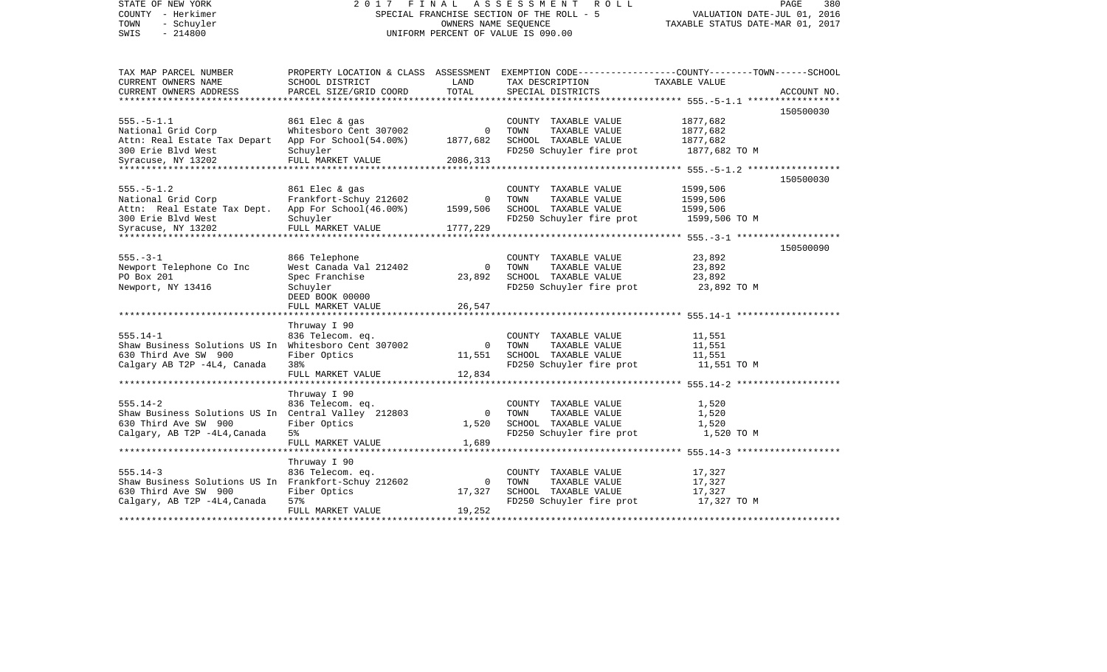| STATE OF NEW YORK<br>COUNTY - Herkimer<br>- Schuyler<br>TOWN | 2017                                                        | FINAL          | A S S E S S M E N T<br>R O L L<br>SPECIAL FRANCHISE SECTION OF THE ROLL - 5<br>OWNERS NAME SEQUENCE | PAGE<br>380<br>VALUATION DATE-JUL 01, 2016<br>TAXABLE STATUS DATE-MAR 01, 2017 |             |  |
|--------------------------------------------------------------|-------------------------------------------------------------|----------------|-----------------------------------------------------------------------------------------------------|--------------------------------------------------------------------------------|-------------|--|
| SWIS<br>$-214800$                                            |                                                             |                | UNIFORM PERCENT OF VALUE IS 090.00                                                                  |                                                                                |             |  |
| TAX MAP PARCEL NUMBER                                        |                                                             |                | PROPERTY LOCATION & CLASS ASSESSMENT EXEMPTION CODE---------------COUNTY-------TOWN-----SCHOOL      |                                                                                |             |  |
| CURRENT OWNERS NAME                                          | SCHOOL DISTRICT                                             | LAND           | TAX DESCRIPTION TAXABLE VALUE                                                                       |                                                                                |             |  |
| CURRENT OWNERS ADDRESS                                       | PARCEL SIZE/GRID COORD                                      | TOTAL          | SPECIAL DISTRICTS                                                                                   |                                                                                | ACCOUNT NO. |  |
|                                                              |                                                             |                |                                                                                                     |                                                                                | 150500030   |  |
| $555. - 5 - 1.1$                                             | 861 Elec & gas                                              |                | COUNTY TAXABLE VALUE                                                                                | 1877,682                                                                       |             |  |
| National Grid Corp                                           | Whitesboro Cent 307002                                      | $\mathbf{0}$   | TAXABLE VALUE<br>TOWN                                                                               | 1877,682                                                                       |             |  |
| Attn: Real Estate Tax Depart App For School(54.00%)          |                                                             | 1877,682       | SCHOOL TAXABLE VALUE                                                                                | 1877,682                                                                       |             |  |
| 300 Erie Blvd West                                           | Schuyler                                                    |                | FD250 Schuyler fire prot 1877,682 TO M                                                              |                                                                                |             |  |
| Syracuse, NY 13202                                           | FULL MARKET VALUE                                           | 2086,313       |                                                                                                     |                                                                                |             |  |
|                                                              |                                                             |                |                                                                                                     |                                                                                | 150500030   |  |
| $555. - 5 - 1.2$                                             | 861 Elec & gas                                              |                | COUNTY TAXABLE VALUE                                                                                | 1599,506                                                                       |             |  |
| National Grid Corp                                           | Frankfort-Schuy 212602                                      | $\overline{0}$ | TOWN<br>TAXABLE VALUE                                                                               | 1599,506                                                                       |             |  |
| Attn: Real Estate Tax Dept. App For School(46.00%) 1599,506  |                                                             |                | SCHOOL TAXABLE VALUE                                                                                | 1599,506                                                                       |             |  |
| 300 Erie Blvd West                                           | Schuyler                                                    |                | FD250 Schuyler fire prot 1599,506 TO M                                                              |                                                                                |             |  |
| Syracuse, NY 13202                                           | FULL MARKET VALUE                                           | 1777,229       |                                                                                                     |                                                                                |             |  |
|                                                              |                                                             |                |                                                                                                     |                                                                                |             |  |
|                                                              |                                                             |                |                                                                                                     |                                                                                | 150500090   |  |
| $555. - 3 - 1$                                               | 866 Telephone                                               |                | COUNTY TAXABLE VALUE                                                                                | 23,892                                                                         |             |  |
| Newport Telephone Co Inc                                     | West Canada Val 212402                                      | $\overline{0}$ | TAXABLE VALUE<br>TOWN                                                                               | 23,892                                                                         |             |  |
| PO Box 201                                                   | Spec Franchise                                              | 23,892         | SCHOOL TAXABLE VALUE                                                                                | 23,892                                                                         |             |  |
| Newport, NY 13416                                            | Schuyler                                                    |                | FD250 Schuyler fire prot                                                                            | 23,892 TO M                                                                    |             |  |
|                                                              | DEED BOOK 00000<br>FULL MARKET VALUE                        | 26,547         |                                                                                                     |                                                                                |             |  |
|                                                              |                                                             |                |                                                                                                     |                                                                                |             |  |
|                                                              | Thruway I 90                                                |                |                                                                                                     |                                                                                |             |  |
| $555.14 - 1$                                                 | 836 Telecom. eq.                                            |                | COUNTY TAXABLE VALUE                                                                                | 11,551                                                                         |             |  |
| Shaw Business Solutions US In Whitesboro Cent 307002         |                                                             | $\overline{0}$ | TAXABLE VALUE<br>TOWN                                                                               | 11,551                                                                         |             |  |
| 630 Third Ave SW 900                                         | Fiber Optics                                                | 11,551         | SCHOOL TAXABLE VALUE                                                                                | 11,551                                                                         |             |  |
| Calgary AB T2P -4L4, Canada                                  | 38%                                                         |                | FD250 Schuyler fire prot                                                                            | 11,551 TO M                                                                    |             |  |
|                                                              | FULL MARKET VALUE                                           | 12,834         |                                                                                                     |                                                                                |             |  |
|                                                              | Thruway I 90                                                |                |                                                                                                     |                                                                                |             |  |
| $555.14 - 2$                                                 | 836 Telecom. eq.                                            |                | COUNTY TAXABLE VALUE                                                                                | 1,520                                                                          |             |  |
| Shaw Business Solutions US In Central Valley 212803          |                                                             | $\overline{0}$ | TAXABLE VALUE<br>TOWN                                                                               | 1,520                                                                          |             |  |
| 630 Third Ave SW 900                                         | Fiber Optics                                                | 1,520          | SCHOOL TAXABLE VALUE                                                                                | 1,520                                                                          |             |  |
| Calgary, AB T2P -4L4, Canada                                 | 5%                                                          |                | FD250 Schuyler fire prot                                                                            | 1,520 TO M                                                                     |             |  |
|                                                              | FULL MARKET VALUE                                           | 1,689          |                                                                                                     |                                                                                |             |  |
|                                                              |                                                             |                |                                                                                                     |                                                                                |             |  |
|                                                              | Thruway I 90                                                |                |                                                                                                     |                                                                                |             |  |
| $555.14 - 3$                                                 | 836 Telecom. eq.                                            |                | COUNTY TAXABLE VALUE                                                                                | 17,327                                                                         |             |  |
| Shaw Business Solutions US In Frankfort-Schuy 212602         |                                                             | $\overline{0}$ | TOWN<br>TAXABLE VALUE                                                                               | 17,327                                                                         |             |  |
| 630 Third Ave SW 900                                         | Fiber Optics                                                | 17,327         | SCHOOL TAXABLE VALUE                                                                                | 17,327                                                                         |             |  |
| Calgary, AB T2P -4L4, Canada                                 | 57%                                                         | 19,252         | FD250 Schuyler fire prot                                                                            | 17,327 TO M                                                                    |             |  |
|                                                              | FULL MARKET VALUE<br>************************************** |                |                                                                                                     |                                                                                |             |  |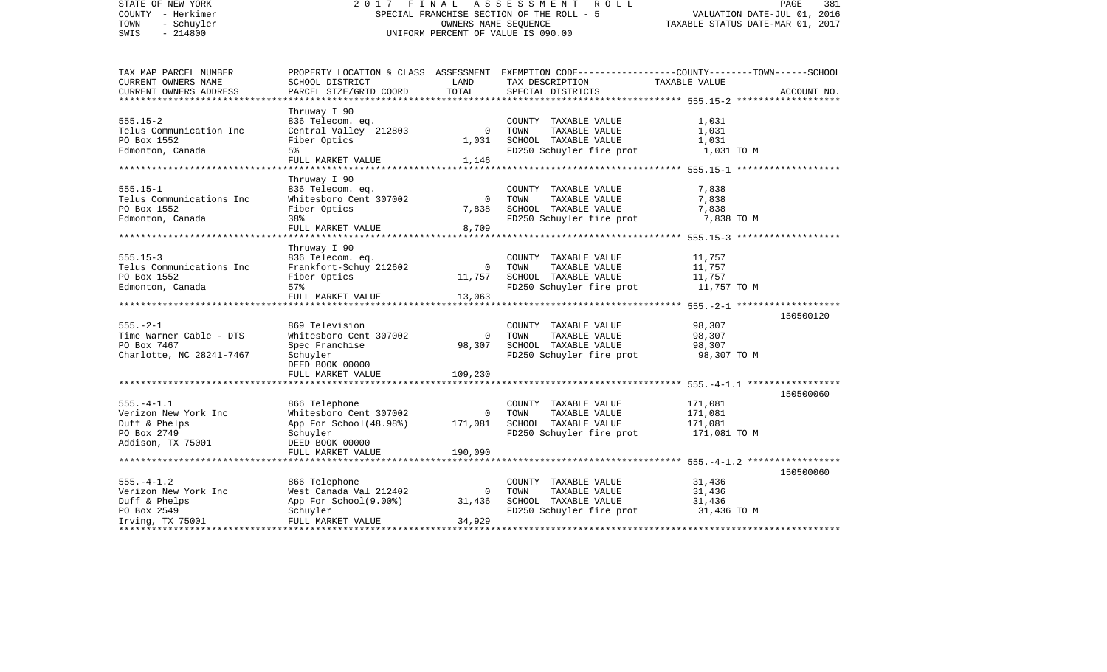| STATE OF NEW YORK          | 2017                                      | FINAL                       | A S S E S S M E N T<br>R O L L                                                                  |                                                     | PAGE<br>381 |  |
|----------------------------|-------------------------------------------|-----------------------------|-------------------------------------------------------------------------------------------------|-----------------------------------------------------|-------------|--|
| COUNTY - Herkimer          | SPECIAL FRANCHISE SECTION OF THE ROLL - 5 | VALUATION DATE-JUL 01, 2016 |                                                                                                 |                                                     |             |  |
| TOWN<br>- Schuyler         |                                           |                             | OWNERS NAME SEQUENCE                                                                            | TAXABLE STATUS DATE-MAR 01, 2017                    |             |  |
| SWIS<br>$-214800$          |                                           |                             | UNIFORM PERCENT OF VALUE IS 090.00                                                              |                                                     |             |  |
|                            |                                           |                             |                                                                                                 |                                                     |             |  |
| TAX MAP PARCEL NUMBER      |                                           |                             | PROPERTY LOCATION & CLASS ASSESSMENT EXEMPTION CODE---------------COUNTY-------TOWN------SCHOOL |                                                     |             |  |
| CURRENT OWNERS NAME        | SCHOOL DISTRICT                           | LAND                        | TAX DESCRIPTION                                                                                 | TAXABLE VALUE                                       |             |  |
| CURRENT OWNERS ADDRESS     | PARCEL SIZE/GRID COORD                    | TOTAL                       | SPECIAL DISTRICTS                                                                               |                                                     | ACCOUNT NO. |  |
| ************************** |                                           |                             |                                                                                                 |                                                     |             |  |
|                            | Thruway I 90                              |                             |                                                                                                 |                                                     |             |  |
| $555.15 - 2$               | 836 Telecom. eq.                          |                             | COUNTY TAXABLE VALUE                                                                            | 1,031                                               |             |  |
| Telus Communication Inc    | Central Valley 212803                     | $\Omega$                    | TOWN<br>TAXABLE VALUE                                                                           | 1,031                                               |             |  |
| PO Box 1552                | Fiber Optics                              | 1,031                       | SCHOOL TAXABLE VALUE                                                                            | 1,031                                               |             |  |
| Edmonton, Canada           | 5%                                        |                             | FD250 Schuyler fire prot                                                                        | 1,031 TO M                                          |             |  |
|                            | FULL MARKET VALUE                         | 1,146                       |                                                                                                 |                                                     |             |  |
|                            |                                           |                             |                                                                                                 |                                                     |             |  |
|                            | Thruway I 90                              |                             |                                                                                                 |                                                     |             |  |
| $555.15 - 1$               | 836 Telecom. eq.                          |                             | COUNTY TAXABLE VALUE                                                                            | 7,838                                               |             |  |
| Telus Communications Inc   | Whitesboro Cent 307002                    | $\mathbf 0$                 | TOWN<br>TAXABLE VALUE                                                                           | 7,838                                               |             |  |
| PO Box 1552                | Fiber Optics                              | 7,838                       | SCHOOL TAXABLE VALUE                                                                            | 7,838                                               |             |  |
|                            | 38%                                       |                             |                                                                                                 |                                                     |             |  |
| Edmonton, Canada           | FULL MARKET VALUE                         | 8,709                       | FD250 Schuyler fire prot                                                                        | 7,838 TO M                                          |             |  |
|                            |                                           |                             |                                                                                                 |                                                     |             |  |
|                            |                                           |                             |                                                                                                 | ********************* 555.15-3 ******************** |             |  |
|                            | Thruway I 90                              |                             |                                                                                                 |                                                     |             |  |
| $555.15 - 3$               | 836 Telecom. eq.                          |                             | COUNTY TAXABLE VALUE                                                                            | 11,757                                              |             |  |
| Telus Communications Inc   | Frankfort-Schuy 212602                    | $\Omega$                    | TOWN<br>TAXABLE VALUE                                                                           | 11,757                                              |             |  |
| PO Box 1552                | Fiber Optics                              | 11,757                      | SCHOOL TAXABLE VALUE                                                                            | 11,757                                              |             |  |
| Edmonton, Canada           | 57%                                       |                             | FD250 Schuyler fire prot                                                                        | 11,757 TO M                                         |             |  |
|                            | FULL MARKET VALUE                         | 13,063                      |                                                                                                 |                                                     |             |  |
|                            |                                           |                             |                                                                                                 |                                                     |             |  |
|                            |                                           |                             |                                                                                                 |                                                     | 150500120   |  |
| $555. - 2 - 1$             | 869 Television                            |                             | COUNTY TAXABLE VALUE                                                                            | 98,307                                              |             |  |
| Time Warner Cable - DTS    | Whitesboro Cent 307002                    | $\mathbf 0$                 | TOWN<br>TAXABLE VALUE                                                                           | 98,307                                              |             |  |
| PO Box 7467                | Spec Franchise                            | 98,307                      | SCHOOL TAXABLE VALUE                                                                            | 98,307                                              |             |  |
| Charlotte, NC 28241-7467   | Schuyler                                  |                             | FD250 Schuyler fire prot                                                                        | 98,307 TO M                                         |             |  |
|                            | DEED BOOK 00000                           |                             |                                                                                                 |                                                     |             |  |
|                            | FULL MARKET VALUE                         | 109,230                     |                                                                                                 |                                                     |             |  |
|                            |                                           |                             |                                                                                                 |                                                     |             |  |
|                            |                                           |                             |                                                                                                 |                                                     | 150500060   |  |
| $555. - 4 - 1.1$           | 866 Telephone                             |                             | COUNTY TAXABLE VALUE                                                                            | 171,081                                             |             |  |
| Verizon New York Inc       | Whitesboro Cent 307002                    | $\mathbf 0$                 | TOWN<br>TAXABLE VALUE                                                                           | 171,081                                             |             |  |
| Duff & Phelps              | App For School(48.98%)                    | 171,081                     | SCHOOL TAXABLE VALUE                                                                            | 171,081                                             |             |  |
|                            |                                           |                             |                                                                                                 |                                                     |             |  |
| PO Box 2749                | Schuyler                                  |                             | FD250 Schuyler fire prot                                                                        | 171,081 TO M                                        |             |  |
| Addison, TX 75001          | DEED BOOK 00000                           |                             |                                                                                                 |                                                     |             |  |
|                            | FULL MARKET VALUE                         | 190,090                     |                                                                                                 |                                                     |             |  |
|                            |                                           |                             |                                                                                                 |                                                     |             |  |
|                            |                                           |                             |                                                                                                 |                                                     | 150500060   |  |
| $555. - 4 - 1.2$           | 866 Telephone                             |                             | COUNTY TAXABLE VALUE                                                                            | 31,436                                              |             |  |
| Verizon New York Inc       | West Canada Val 212402                    | $\circ$                     | TAXABLE VALUE<br>TOWN                                                                           | 31,436                                              |             |  |
| Duff & Phelps              | App For School(9.00%)                     | 31,436                      | SCHOOL TAXABLE VALUE                                                                            | 31,436                                              |             |  |
| PO Box 2549                | Schuyler                                  |                             | FD250 Schuyler fire prot                                                                        | 31,436 TO M                                         |             |  |
| Irving, TX 75001           | FULL MARKET VALUE                         | 34,929                      |                                                                                                 |                                                     |             |  |
|                            |                                           |                             |                                                                                                 | **************************                          |             |  |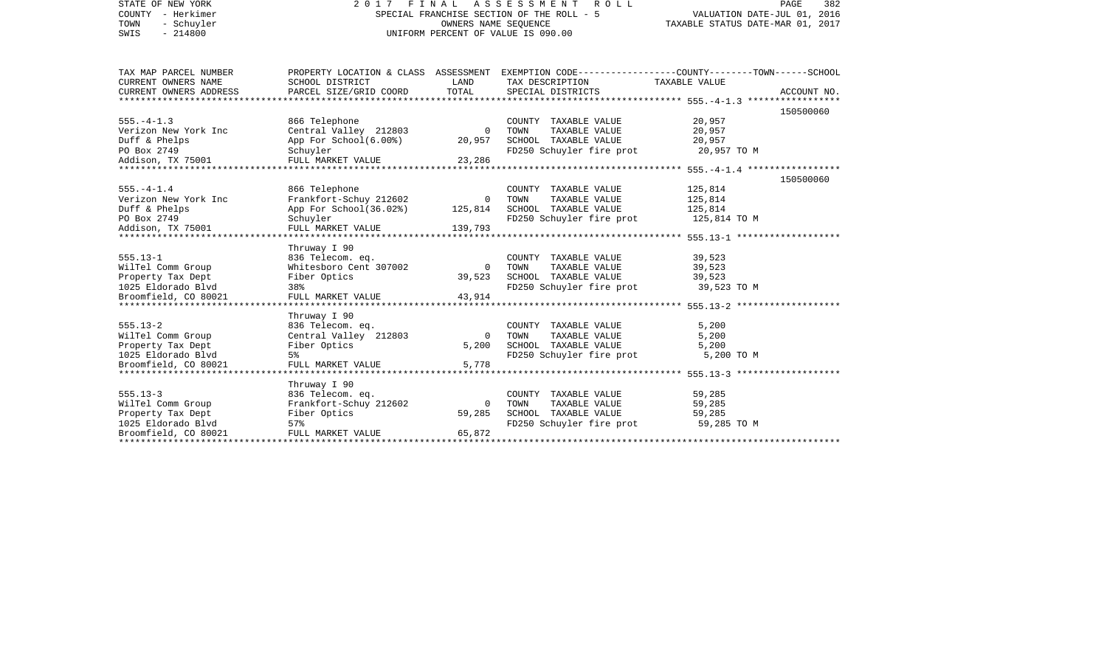| STATE OF NEW YORK<br>COUNTY - Herkimer<br>TOWN<br>- Schuyler<br>$-214800$<br>SWIS                    |                                                                                                                  | OWNERS NAME SEQUENCE           | 2017 FINAL ASSESSMENT<br>ROLL<br>SPECIAL FRANCHISE SECTION OF THE ROLL - 5<br>UNIFORM PERCENT OF VALUE IS 090.00 | PAGE<br>382<br>VALUATION DATE-JUL 01, 2016<br>TAXABLE STATUS DATE-MAR 01, 2017                                                              |  |  |
|------------------------------------------------------------------------------------------------------|------------------------------------------------------------------------------------------------------------------|--------------------------------|------------------------------------------------------------------------------------------------------------------|---------------------------------------------------------------------------------------------------------------------------------------------|--|--|
| TAX MAP PARCEL NUMBER<br>CURRENT OWNERS NAME<br>CURRENT OWNERS ADDRESS                               | SCHOOL DISTRICT<br>PARCEL SIZE/GRID COORD                                                                        | LAND<br>TOTAL                  | TAX DESCRIPTION<br>SPECIAL DISTRICTS                                                                             | PROPERTY LOCATION & CLASS ASSESSMENT EXEMPTION CODE---------------COUNTY-------TOWN-----SCHOOL<br>TAXABLE VALUE<br>ACCOUNT NO.<br>150500060 |  |  |
| $555. - 4 - 1.3$<br>Verizon New York Inc<br>Duff & Phelps<br>PO Box 2749<br>Addison, TX 75001        | 866 Telephone<br>Central Valley 212803<br>App For School(6.00%)<br>Schuyler<br>FULL MARKET VALUE                 | $\circ$<br>20,957<br>23,286    | COUNTY TAXABLE VALUE<br>TOWN<br>TAXABLE VALUE<br>SCHOOL TAXABLE VALUE<br>FD250 Schuyler fire prot 20,957 TO M    | 20,957<br>20,957<br>20,957                                                                                                                  |  |  |
| $555. - 4 - 1.4$<br>Verizon New York Inc<br>Duff & Phelps<br>PO Box 2749<br>Addison, TX 75001        | 866 Telephone<br>Frankfort-Schuy 212602<br>App For School(36.02%)<br>Schuyler<br>FULL MARKET VALUE               | $\Omega$<br>125,814<br>139,793 | COUNTY TAXABLE VALUE<br>TAXABLE VALUE<br>TOWN<br>SCHOOL TAXABLE VALUE<br>FD250 Schuyler fire prot                | 150500060<br>125,814<br>125,814<br>125,814<br>125,814 TO M                                                                                  |  |  |
| $555.13 - 1$<br>WilTel Comm Group<br>Property Tax Dept<br>1025 Eldorado Blvd<br>Broomfield, CO 80021 | Thruway I 90<br>836 Telecom. eq.<br>Whitesboro Cent 307002<br>Fiber Optics<br>38%<br>FULL MARKET VALUE           | $\Omega$<br>39,523<br>43,914   | COUNTY TAXABLE VALUE<br>TAXABLE VALUE<br>TOWN<br>SCHOOL TAXABLE VALUE<br>FD250 Schuyler fire prot                | 39,523<br>39,523<br>39,523<br>39,523 TO M                                                                                                   |  |  |
| $555.13 - 2$<br>WilTel Comm Group<br>Property Tax Dept<br>1025 Eldorado Blvd<br>Broomfield, CO 80021 | Thruway I 90<br>836 Telecom. eq.<br>Central Valley 212803<br>Fiber Optics<br>5 <sup>°</sup><br>FULL MARKET VALUE | $\Omega$<br>5,200<br>5,778     | COUNTY TAXABLE VALUE<br>TOWN<br>TAXABLE VALUE<br>SCHOOL TAXABLE VALUE<br>FD250 Schuyler fire prot                | 5,200<br>5,200<br>5,200<br>5,200 TO M                                                                                                       |  |  |
| $555.13 - 3$<br>WilTel Comm Group<br>Property Tax Dept<br>1025 Eldorado Blvd<br>Broomfield, CO 80021 | Thruway I 90<br>836 Telecom. eq.<br>Frankfort-Schuy 212602<br>Fiber Optics<br>57%<br>FULL MARKET VALUE           | $\Omega$<br>59,285<br>65,872   | COUNTY TAXABLE VALUE<br>TOWN<br>TAXABLE VALUE<br>SCHOOL TAXABLE VALUE<br>FD250 Schuyler fire prot                | 59,285<br>59,285<br>59,285<br>59,285 TO M                                                                                                   |  |  |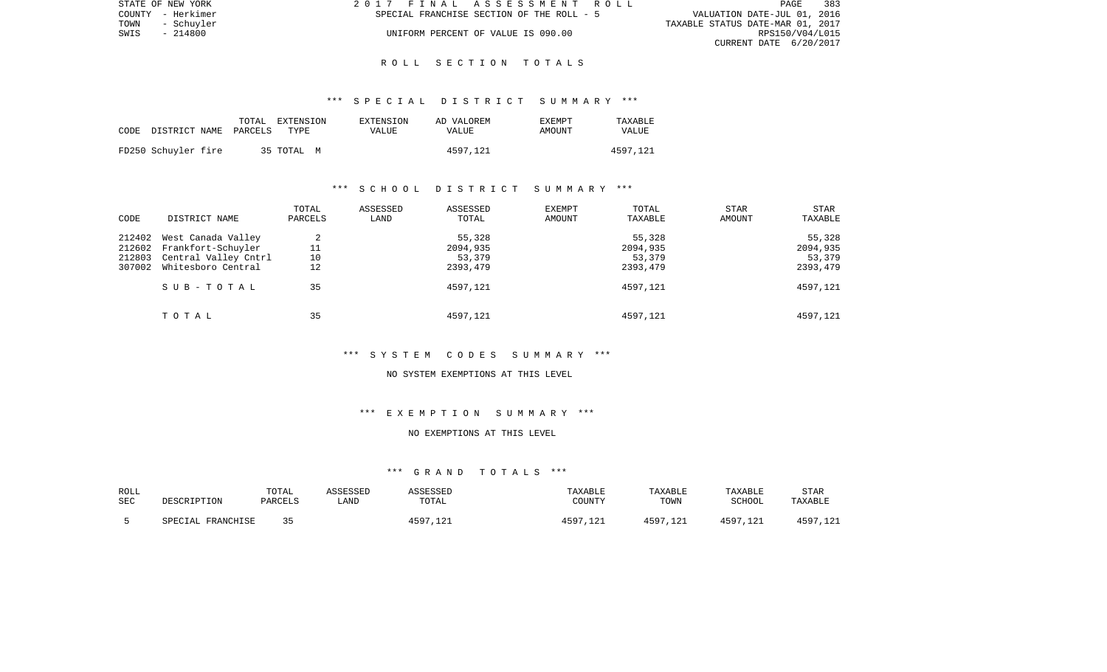| STATE OF NEW YORK  | 2017 FINAL ASSESSMENT ROLL                | 383<br><b>PAGE</b>               |
|--------------------|-------------------------------------------|----------------------------------|
| COUNTY - Herkimer  | SPECIAL FRANCHISE SECTION OF THE ROLL - 5 | VALUATION DATE-JUL 01, 2016      |
| TOWN<br>- Schuvler |                                           | TAXABLE STATUS DATE-MAR 01, 2017 |
| - 214800<br>SWIS   | UNIFORM PERCENT OF VALUE IS 090.00        | RPS150/V04/L015                  |
|                    |                                           | CURRENT DATE 6/20/2017           |

### \*\*\* S P E C I A L D I S T R I C T S U M M A R Y \*\*\*

| CODE DISTRICT NAME PARCELS |  | TOTAL EXTENSION<br>TYPE | EXTENSION<br>VALUE | AD VALOREM<br><b>VALUE</b> | <b>EXEMPT</b><br>AMOUNT | TAXABLE<br>VALUE |
|----------------------------|--|-------------------------|--------------------|----------------------------|-------------------------|------------------|
| FD250 Schuyler fire        |  | 35 TOTAL M              |                    | 4597.121                   |                         | 4597.121         |

# \*\*\* S C H O O L D I S T R I C T S U M M A R Y \*\*\*

| CODE                                 | DISTRICT NAME                                                                          | TOTAL<br>PARCELS    | ASSESSED<br>LAND | ASSESSED<br>TOTAL                        | EXEMPT<br>AMOUNT | TOTAL<br>TAXABLE                         | STAR<br>AMOUNT | STAR<br>TAXABLE                          |
|--------------------------------------|----------------------------------------------------------------------------------------|---------------------|------------------|------------------------------------------|------------------|------------------------------------------|----------------|------------------------------------------|
| 212402<br>212602<br>212803<br>307002 | West Canada Valley<br>Frankfort-Schuyler<br>Central Valley Cntrl<br>Whitesboro Central | 2<br>11<br>10<br>12 |                  | 55,328<br>2094,935<br>53,379<br>2393,479 |                  | 55,328<br>2094,935<br>53,379<br>2393,479 |                | 55,328<br>2094,935<br>53,379<br>2393,479 |
|                                      | SUB-TOTAL                                                                              | 35                  |                  | 4597,121                                 |                  | 4597.121                                 |                | 4597,121                                 |
|                                      | TOTAL                                                                                  | 35                  |                  | 4597,121                                 |                  | 4597,121                                 |                | 4597,121                                 |

\*\*\* S Y S T E M C O D E S S U M M A R Y \*\*\*

#### NO SYSTEM EXEMPTIONS AT THIS LEVEL

# \*\*\* E X E M P T I O N S U M M A R Y \*\*\*

### NO EXEMPTIONS AT THIS LEVEL

| ROLL<br><b>SEC</b> | DESCRIPTION       | TOTAL<br>PARCELS | ASSESSED<br>LAND | <i><b>\SSESSED</b></i><br>TOTAL | TAXABLE<br>COUNTY     | TAXABLE<br>TOWN    | TAXABLE<br>SCHOOL | <b>STAR</b><br>TAXABLE |
|--------------------|-------------------|------------------|------------------|---------------------------------|-----------------------|--------------------|-------------------|------------------------|
|                    | SPECIAL FRANCHISE | つに               |                  | 4597<br>,121                    | 1597<br>$\sim$ $\sim$ | 4597.121<br>ᆞᅩ 스 ㅗ | 4597.             | 4597,121               |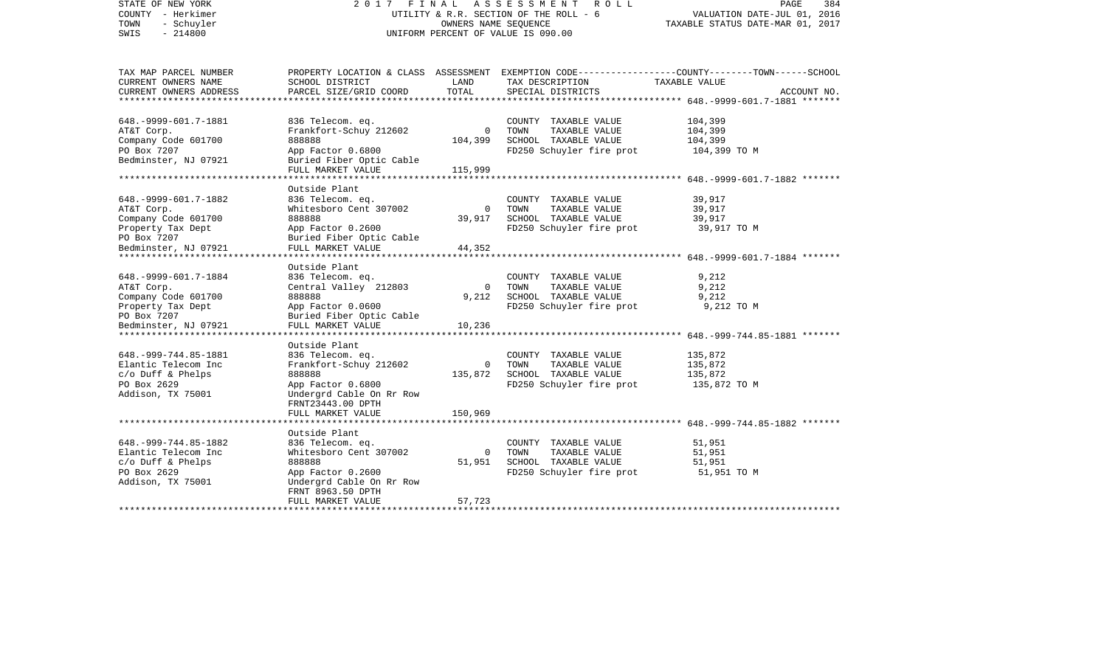| STATE OF NEW YORK<br>COUNTY - Herkimer<br>TOWN<br>- Schuyler<br>$-214800$<br>SWIS                                                                      |                                                                                                                                                                     | OWNERS NAME SEQUENCE               | 2017 FINAL ASSESSMENT<br>R O L L<br>UTILITY & R.R. SECTION OF THE ROLL - 6<br>UNIFORM PERCENT OF VALUE IS 090.00 | PAGE<br>384<br>VALUATION DATE-JUL 01, 2016<br>TAXABLE STATUS DATE-MAR 01, 2017                                                  |  |
|--------------------------------------------------------------------------------------------------------------------------------------------------------|---------------------------------------------------------------------------------------------------------------------------------------------------------------------|------------------------------------|------------------------------------------------------------------------------------------------------------------|---------------------------------------------------------------------------------------------------------------------------------|--|
| TAX MAP PARCEL NUMBER<br>CURRENT OWNERS NAME<br>CURRENT OWNERS ADDRESS<br>********************                                                         | SCHOOL DISTRICT<br>PARCEL SIZE/GRID COORD                                                                                                                           | LAND<br>TOTAL                      | TAX DESCRIPTION<br>SPECIAL DISTRICTS                                                                             | PROPERTY LOCATION & CLASS ASSESSMENT EXEMPTION CODE---------------COUNTY-------TOWN------SCHOOL<br>TAXABLE VALUE<br>ACCOUNT NO. |  |
| 648. - 9999 - 601. 7 - 1881<br>AT&T Corp.<br>Company Code 601700<br>PO Box 7207<br>Bedminster, NJ 07921                                                | 836 Telecom. eq.<br>Frankfort-Schuy 212602<br>888888<br>App Factor 0.6800<br>Buried Fiber Optic Cable<br>FULL MARKET VALUE                                          | $\mathbf{0}$<br>104,399<br>115,999 | COUNTY TAXABLE VALUE<br>TAXABLE VALUE<br>TOWN<br>SCHOOL TAXABLE VALUE<br>FD250 Schuyler fire prot                | 104,399<br>104,399<br>104,399<br>104,399 TO M                                                                                   |  |
| ********************                                                                                                                                   |                                                                                                                                                                     |                                    |                                                                                                                  |                                                                                                                                 |  |
| 648. - 9999 - 601. 7 - 1882<br>AT&T Corp.<br>Company Code 601700<br>Property Tax Dept<br>PO Box 7207<br>Bedminster, NJ 07921<br>********************** | Outside Plant<br>836 Telecom. eq.<br>Whitesboro Cent 307002<br>888888<br>App Factor 0.2600<br>Buried Fiber Optic Cable<br>FULL MARKET VALUE<br>******************** | 0<br>39,917<br>44,352              | COUNTY TAXABLE VALUE<br>TOWN<br>TAXABLE VALUE<br>SCHOOL TAXABLE VALUE<br>FD250 Schuyler fire prot                | 39,917<br>39,917<br>39,917<br>39,917 TO M                                                                                       |  |
| 648. - 9999 - 601. 7 - 1884<br>AT&T Corp.<br>Company Code 601700<br>Property Tax Dept<br>PO Box 7207<br>Bedminster, NJ 07921                           | Outside Plant<br>836 Telecom. eq.<br>Central Valley 212803<br>888888<br>App Factor 0.0600<br>Buried Fiber Optic Cable<br>FULL MARKET VALUE                          | $\Omega$<br>9,212<br>10,236        | COUNTY TAXABLE VALUE<br>TOWN<br>TAXABLE VALUE<br>SCHOOL TAXABLE VALUE<br>FD250 Schuyler fire prot                | 9,212<br>9,212<br>9,212<br>9,212 TO M                                                                                           |  |
| ***************                                                                                                                                        | ***************                                                                                                                                                     |                                    |                                                                                                                  |                                                                                                                                 |  |
| 648. - 999 - 744. 85 - 1881<br>Elantic Telecom Inc<br>$c/O$ Duff & Phelps<br>PO Box 2629<br>Addison, TX 75001                                          | Outside Plant<br>836 Telecom. eq.<br>Frankfort-Schuy 212602<br>888888<br>App Factor 0.6800<br>Undergrd Cable On Rr Row<br>FRNT23443.00 DPTH<br>FULL MARKET VALUE    | $\mathbf{0}$<br>135,872<br>150,969 | COUNTY TAXABLE VALUE<br>TOWN<br>TAXABLE VALUE<br>SCHOOL TAXABLE VALUE<br>FD250 Schuyler fire prot                | 135,872<br>135,872<br>135,872<br>135,872 TO M                                                                                   |  |
|                                                                                                                                                        | ********************                                                                                                                                                |                                    |                                                                                                                  |                                                                                                                                 |  |
| 648. - 999 - 744. 85 - 1882<br>Elantic Telecom Inc<br>$c/o$ Duff & Phelps<br>PO Box 2629<br>Addison, TX 75001                                          | Outside Plant<br>836 Telecom. eq.<br>Whitesboro Cent 307002<br>888888<br>App Factor 0.2600<br>Undergrd Cable On Rr Row<br>FRNT 8963.50 DPTH<br>FULL MARKET VALUE    | $\Omega$<br>51,951<br>57,723       | COUNTY TAXABLE VALUE<br>TOWN<br>TAXABLE VALUE<br>SCHOOL TAXABLE VALUE<br>FD250 Schuyler fire prot                | 51,951<br>51,951<br>51,951<br>51,951 TO M                                                                                       |  |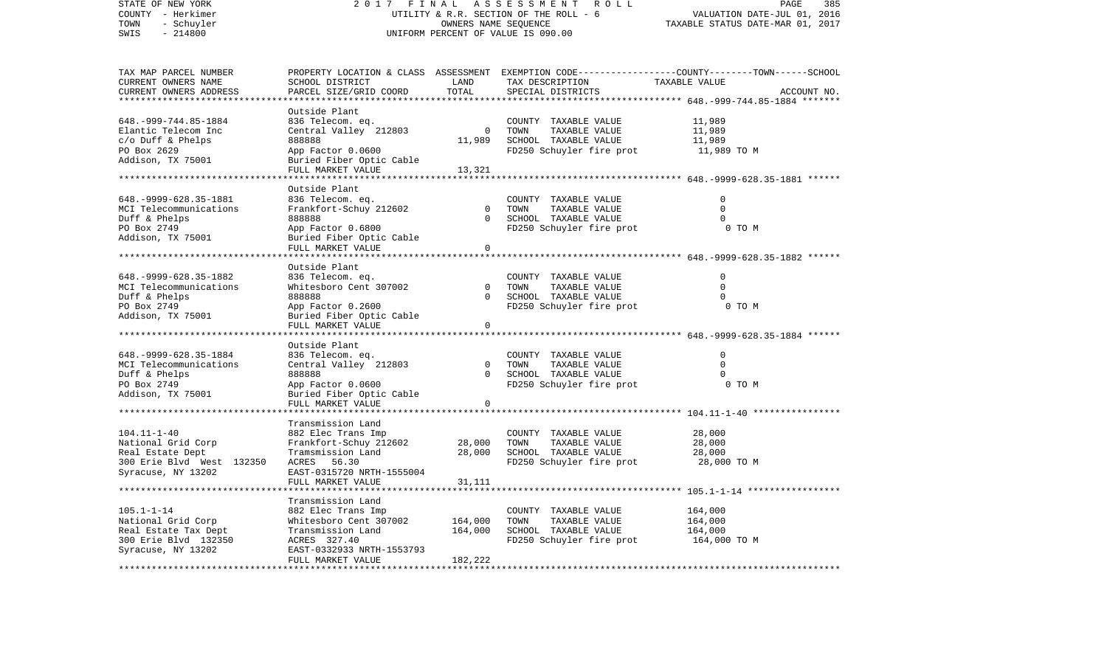| STATE OF NEW YORK<br>COUNTY - Herkimer     | 2 0 1 7                                       | FINAL                | ASSESSMENT<br>ROLL<br>UTILITY & R.R. SECTION OF THE ROLL - 6 | 385<br>PAGE<br>VALUATION DATE-JUL 01, 2016                                                       |
|--------------------------------------------|-----------------------------------------------|----------------------|--------------------------------------------------------------|--------------------------------------------------------------------------------------------------|
| TOWN<br>- Schuyler                         |                                               | OWNERS NAME SEQUENCE |                                                              | TAXABLE STATUS DATE-MAR 01, 2017                                                                 |
| $-214800$<br>SWIS                          | UNIFORM PERCENT OF VALUE IS 090.00            |                      |                                                              |                                                                                                  |
|                                            |                                               |                      |                                                              |                                                                                                  |
| TAX MAP PARCEL NUMBER                      |                                               |                      |                                                              | PROPERTY LOCATION & CLASS ASSESSMENT EXEMPTION CODE----------------COUNTY-------TOWN------SCHOOL |
| CURRENT OWNERS NAME                        | SCHOOL DISTRICT                               | LAND                 | TAX DESCRIPTION                                              | TAXABLE VALUE                                                                                    |
| CURRENT OWNERS ADDRESS                     | PARCEL SIZE/GRID COORD                        | TOTAL<br>*******     | SPECIAL DISTRICTS                                            | ACCOUNT NO.<br>********* 648.-999-744.85-1884 *******                                            |
|                                            | Outside Plant                                 |                      |                                                              |                                                                                                  |
| 648. - 999 - 744. 85 - 1884                | 836 Telecom. eq.                              |                      | COUNTY TAXABLE VALUE                                         | 11,989                                                                                           |
| Elantic Telecom Inc                        | Central Valley 212803                         | $\mathbf 0$          | TOWN<br>TAXABLE VALUE                                        | 11,989                                                                                           |
| $c/O$ Duff & Phelps                        | 888888                                        | 11,989               | SCHOOL TAXABLE VALUE                                         | 11,989                                                                                           |
| PO Box 2629                                | App Factor 0.0600                             |                      | FD250 Schuyler fire prot                                     | 11,989 TO M                                                                                      |
| Addison, TX 75001                          | Buried Fiber Optic Cable                      |                      |                                                              |                                                                                                  |
|                                            | FULL MARKET VALUE                             | 13,321               |                                                              |                                                                                                  |
|                                            |                                               |                      |                                                              | ********************** 648.-9999-628.35-1881 ******                                              |
|                                            | Outside Plant                                 |                      |                                                              |                                                                                                  |
| 648. - 9999 - 628. 35 - 1881               | 836 Telecom. eq.                              |                      | COUNTY TAXABLE VALUE                                         | 0                                                                                                |
| MCI Telecommunications                     | Frankfort-Schuy 212602                        | $\mathbf 0$          | TOWN<br>TAXABLE VALUE                                        | $\mathbf 0$                                                                                      |
| Duff & Phelps                              | 888888                                        | $\Omega$             | SCHOOL TAXABLE VALUE                                         | $\Omega$                                                                                         |
| PO Box 2749                                | App Factor 0.6800                             |                      | FD250 Schuyler fire prot                                     | 0 TO M                                                                                           |
| Addison, TX 75001                          | Buried Fiber Optic Cable                      | $\Omega$             |                                                              |                                                                                                  |
| *****************************              | FULL MARKET VALUE                             |                      |                                                              |                                                                                                  |
|                                            | Outside Plant                                 |                      |                                                              |                                                                                                  |
| 648. - 9999 - 628. 35 - 1882               | 836 Telecom. eq.                              |                      | COUNTY TAXABLE VALUE                                         | $\mathbf 0$                                                                                      |
| MCI Telecommunications                     | Whitesboro Cent 307002                        | $\Omega$             | TOWN<br>TAXABLE VALUE                                        | $\Omega$                                                                                         |
| Duff & Phelps                              | 888888                                        | $\Omega$             | SCHOOL TAXABLE VALUE                                         | $\Omega$                                                                                         |
| PO Box 2749                                | App Factor 0.2600                             |                      | FD250 Schuyler fire prot                                     | 0 TO M                                                                                           |
| Addison, TX 75001                          | Buried Fiber Optic Cable                      |                      |                                                              |                                                                                                  |
|                                            | FULL MARKET VALUE                             | $\mathbf 0$          |                                                              |                                                                                                  |
|                                            |                                               |                      |                                                              |                                                                                                  |
|                                            | Outside Plant                                 |                      |                                                              |                                                                                                  |
| 648. - 9999 - 628. 35 - 1884               | 836 Telecom. eq.                              |                      | COUNTY TAXABLE VALUE                                         | $\mathbf 0$                                                                                      |
| MCI Telecommunications                     | Central Valley 212803                         | $\Omega$             | TOWN<br>TAXABLE VALUE                                        | $\Omega$                                                                                         |
| Duff & Phelps                              | 888888                                        | $\Omega$             | SCHOOL TAXABLE VALUE                                         | 0                                                                                                |
| PO Box 2749                                | App Factor 0.0600                             |                      | FD250 Schuyler fire prot                                     | 0 TO M                                                                                           |
| Addison, TX 75001                          | Buried Fiber Optic Cable<br>FULL MARKET VALUE | $\mathbf 0$          |                                                              |                                                                                                  |
|                                            | ***********************                       |                      |                                                              |                                                                                                  |
|                                            | Transmission Land                             |                      |                                                              |                                                                                                  |
| $104.11 - 1 - 40$                          | 882 Elec Trans Imp                            |                      | COUNTY TAXABLE VALUE                                         | 28,000                                                                                           |
| National Grid Corp                         | Frankfort-Schuy 212602                        | 28,000               | TOWN<br>TAXABLE VALUE                                        | 28,000                                                                                           |
| Real Estate Dept                           | Tramsmission Land                             | 28,000               | SCHOOL TAXABLE VALUE                                         | 28,000                                                                                           |
| 300 Erie Blvd West 132350                  | ACRES<br>56.30                                |                      | FD250 Schuyler fire prot                                     | 28,000 TO M                                                                                      |
| Syracuse, NY 13202                         | EAST-0315720 NRTH-1555004                     |                      |                                                              |                                                                                                  |
|                                            | FULL MARKET VALUE                             | 31,111               |                                                              |                                                                                                  |
|                                            |                                               |                      |                                                              | ********** 105.1-1-14 ***                                                                        |
|                                            | Transmission Land                             |                      |                                                              |                                                                                                  |
| $105.1 - 1 - 14$                           | 882 Elec Trans Imp                            |                      | COUNTY TAXABLE VALUE                                         | 164,000                                                                                          |
| National Grid Corp<br>Real Estate Tax Dept | Whitesboro Cent 307002<br>Transmission Land   | 164,000<br>164,000   | TOWN<br>TAXABLE VALUE                                        | 164,000<br>164,000                                                                               |
| 300 Erie Blvd 132350                       | ACRES 327.40                                  |                      | SCHOOL TAXABLE VALUE<br>FD250 Schuyler fire prot             | 164,000 TO M                                                                                     |
| Syracuse, NY 13202                         | EAST-0332933 NRTH-1553793                     |                      |                                                              |                                                                                                  |
|                                            | FULL MARKET VALUE                             | 182,222              |                                                              |                                                                                                  |
|                                            |                                               |                      |                                                              |                                                                                                  |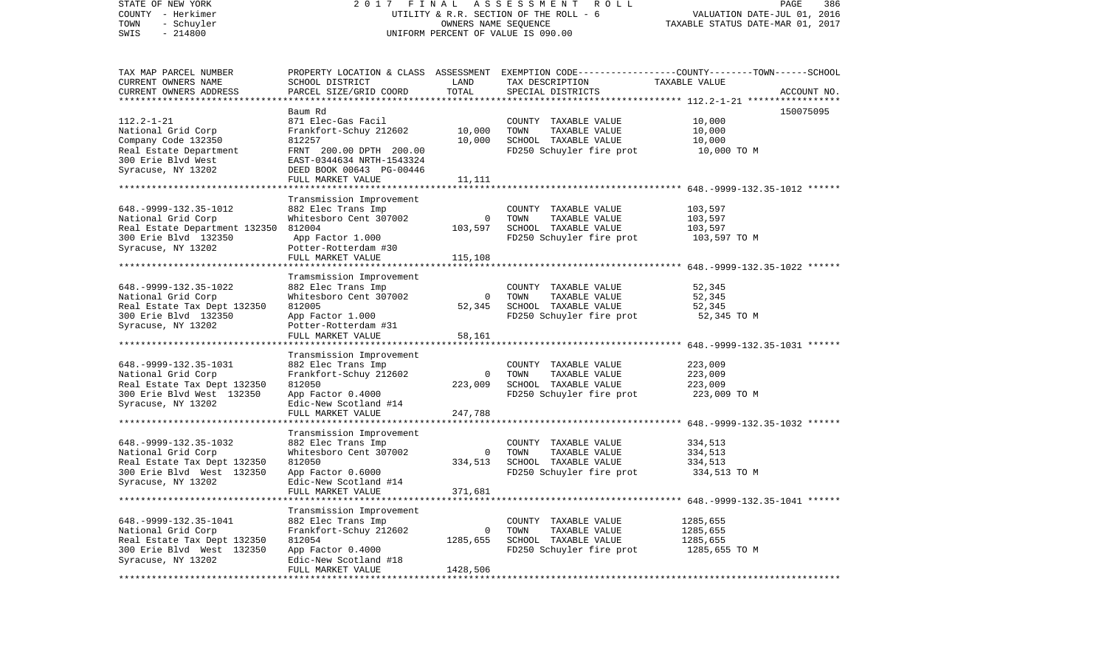| STATE OF NEW YORK<br>COUNTY - Herkimer<br>TOWN<br>- Schuyler<br>$-214800$<br>SWIS | 2017 FINAL ASSESSMENT ROLL<br>UTILITY & R.R. SECTION OF THE ROLL - 6<br>UNIFORM PERCENT OF VALUE IS 090.00 | PAGE<br>386<br>VALUATION DATE-JUL 01, 2016<br>TAXABLE STATUS DATE-MAR 01, 2017 |                                                                                                  |               |             |
|-----------------------------------------------------------------------------------|------------------------------------------------------------------------------------------------------------|--------------------------------------------------------------------------------|--------------------------------------------------------------------------------------------------|---------------|-------------|
| TAX MAP PARCEL NUMBER                                                             |                                                                                                            |                                                                                | PROPERTY LOCATION & CLASS ASSESSMENT EXEMPTION CODE----------------COUNTY-------TOWN------SCHOOL |               |             |
| CURRENT OWNERS NAME                                                               | SCHOOL DISTRICT                                                                                            | LAND                                                                           | TAX DESCRIPTION                                                                                  | TAXABLE VALUE |             |
| CURRENT OWNERS ADDRESS<br>************************                                | PARCEL SIZE/GRID COORD                                                                                     | TOTAL                                                                          | SPECIAL DISTRICTS                                                                                |               | ACCOUNT NO. |
|                                                                                   | Baum Rd                                                                                                    |                                                                                |                                                                                                  |               | 150075095   |
| $112.2 - 1 - 21$                                                                  | 871 Elec-Gas Facil                                                                                         |                                                                                | COUNTY TAXABLE VALUE                                                                             | 10,000        |             |
| National Grid Corp                                                                | Frankfort-Schuy 212602                                                                                     | 10,000                                                                         | TOWN<br>TAXABLE VALUE                                                                            | 10,000        |             |
| Company Code 132350                                                               | 812257                                                                                                     | 10,000                                                                         | SCHOOL TAXABLE VALUE                                                                             | 10,000        |             |
| Real Estate Department                                                            | FRNT 200.00 DPTH 200.00                                                                                    |                                                                                | FD250 Schuyler fire prot                                                                         | 10,000 TO M   |             |
| 300 Erie Blvd West                                                                | EAST-0344634 NRTH-1543324                                                                                  |                                                                                |                                                                                                  |               |             |
| Syracuse, NY 13202                                                                | DEED BOOK 00643 PG-00446                                                                                   |                                                                                |                                                                                                  |               |             |
|                                                                                   | FULL MARKET VALUE                                                                                          | 11,111                                                                         |                                                                                                  |               |             |
|                                                                                   |                                                                                                            |                                                                                |                                                                                                  |               |             |
|                                                                                   | Transmission Improvement                                                                                   |                                                                                |                                                                                                  |               |             |
| 648. - 9999 - 132. 35 - 1012                                                      | 882 Elec Trans Imp                                                                                         |                                                                                | COUNTY TAXABLE VALUE                                                                             | 103,597       |             |
| National Grid Corp                                                                | Whitesboro Cent 307002                                                                                     | $\mathbf{0}$                                                                   | TAXABLE VALUE<br>TOWN                                                                            | 103,597       |             |
| Real Estate Department 132350                                                     | 812004                                                                                                     | 103,597                                                                        | SCHOOL TAXABLE VALUE                                                                             | 103,597       |             |
| 300 Erie Blvd 132350                                                              | App Factor 1.000                                                                                           |                                                                                | FD250 Schuyler fire prot                                                                         | 103,597 TO M  |             |
| Syracuse, NY 13202                                                                | Potter-Rotterdam #30                                                                                       |                                                                                |                                                                                                  |               |             |
|                                                                                   | FULL MARKET VALUE                                                                                          | 115,108                                                                        |                                                                                                  |               |             |
|                                                                                   |                                                                                                            |                                                                                |                                                                                                  |               |             |
| 648. - 9999 - 132. 35 - 1022                                                      | Tramsmission Improvement<br>882 Elec Trans Imp                                                             |                                                                                | COUNTY TAXABLE VALUE                                                                             | 52,345        |             |
| National Grid Corp                                                                | Whitesboro Cent 307002                                                                                     | $\mathbf{0}$                                                                   | TAXABLE VALUE<br>TOWN                                                                            | 52,345        |             |
| Real Estate Tax Dept 132350                                                       | 812005                                                                                                     | 52,345                                                                         | SCHOOL TAXABLE VALUE                                                                             | 52,345        |             |
| 300 Erie Blvd 132350                                                              | App Factor 1.000                                                                                           |                                                                                | FD250 Schuyler fire prot                                                                         | 52,345 TO M   |             |
| Syracuse, NY 13202                                                                | Potter-Rotterdam #31                                                                                       |                                                                                |                                                                                                  |               |             |
|                                                                                   | FULL MARKET VALUE                                                                                          | 58,161                                                                         |                                                                                                  |               |             |
|                                                                                   |                                                                                                            |                                                                                |                                                                                                  |               |             |
|                                                                                   | Transmission Improvement                                                                                   |                                                                                |                                                                                                  |               |             |
| 648. - 9999 - 132. 35 - 1031                                                      | 882 Elec Trans Imp                                                                                         |                                                                                | COUNTY TAXABLE VALUE                                                                             | 223,009       |             |
| National Grid Corp                                                                | Frankfort-Schuy 212602                                                                                     | $\overline{0}$                                                                 | TOWN<br>TAXABLE VALUE                                                                            | 223,009       |             |
| Real Estate Tax Dept 132350                                                       | 812050                                                                                                     | 223,009                                                                        | SCHOOL TAXABLE VALUE                                                                             | 223,009       |             |
| 300 Erie Blvd West 132350                                                         | App Factor 0.4000                                                                                          |                                                                                | FD250 Schuyler fire prot                                                                         | 223,009 TO M  |             |
| Syracuse, NY 13202                                                                | Edic-New Scotland #14                                                                                      |                                                                                |                                                                                                  |               |             |
| ***************************                                                       | FULL MARKET VALUE                                                                                          | 247,788                                                                        |                                                                                                  |               |             |
|                                                                                   |                                                                                                            |                                                                                |                                                                                                  |               |             |
| 648. - 9999 - 132. 35 - 1032                                                      | Transmission Improvement<br>882 Elec Trans Imp                                                             |                                                                                | COUNTY TAXABLE VALUE                                                                             | 334,513       |             |
| National Grid Corp                                                                | Whitesboro Cent 307002                                                                                     | $\overline{0}$                                                                 | TAXABLE VALUE<br>TOWN                                                                            | 334,513       |             |
| Real Estate Tax Dept 132350                                                       | 812050                                                                                                     | 334,513                                                                        | SCHOOL TAXABLE VALUE                                                                             | 334,513       |             |
| 300 Erie Blvd West 132350                                                         | App Factor 0.6000                                                                                          |                                                                                | FD250 Schuyler fire prot                                                                         | 334,513 TO M  |             |
| Syracuse, NY 13202                                                                | Edic-New Scotland #14                                                                                      |                                                                                |                                                                                                  |               |             |
|                                                                                   | FULL MARKET VALUE                                                                                          | 371,681                                                                        |                                                                                                  |               |             |
|                                                                                   |                                                                                                            |                                                                                |                                                                                                  |               |             |
|                                                                                   | Transmission Improvement                                                                                   |                                                                                |                                                                                                  |               |             |
| 648. - 9999 - 132. 35 - 1041                                                      | 882 Elec Trans Imp                                                                                         |                                                                                | COUNTY TAXABLE VALUE                                                                             | 1285,655      |             |
| National Grid Corp                                                                | Frankfort-Schuy 212602                                                                                     | $\circ$                                                                        | TAXABLE VALUE<br>TOWN                                                                            | 1285,655      |             |
| Real Estate Tax Dept 132350                                                       | 812054                                                                                                     | 1285,655                                                                       | SCHOOL TAXABLE VALUE                                                                             | 1285,655      |             |
| 300 Erie Blvd West 132350                                                         | App Factor 0.4000                                                                                          |                                                                                | FD250 Schuyler fire prot                                                                         | 1285,655 TO M |             |
| Syracuse, NY 13202                                                                | Edic-New Scotland #18                                                                                      |                                                                                |                                                                                                  |               |             |
|                                                                                   | FULL MARKET VALUE                                                                                          | 1428,506                                                                       |                                                                                                  |               |             |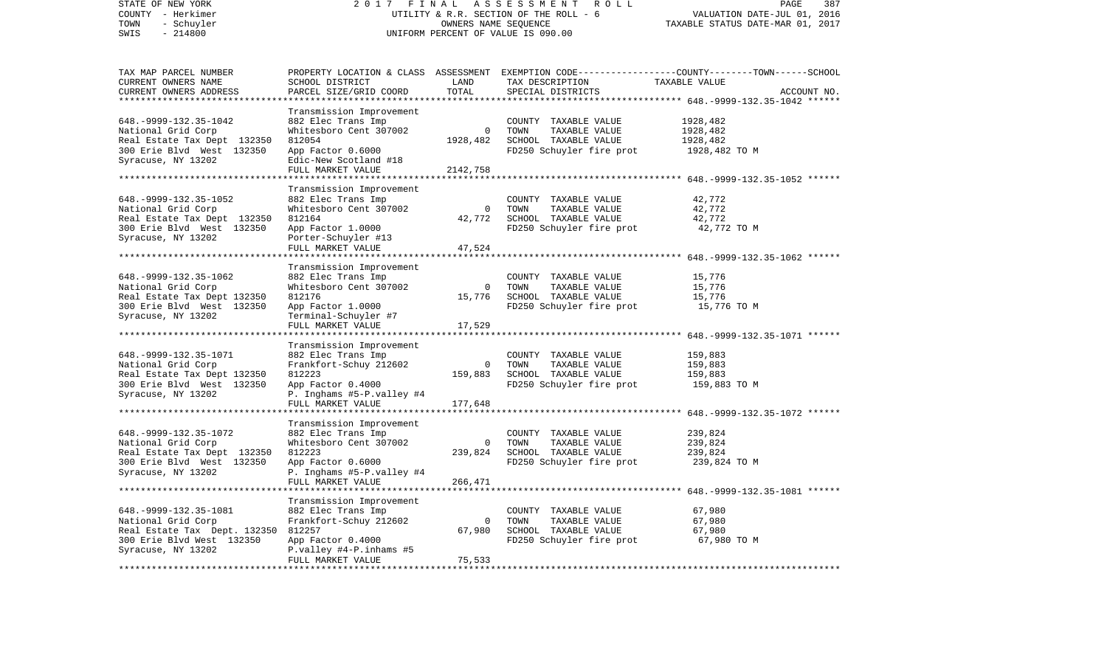| STATE OF NEW YORK<br>COUNTY - Herkimer<br>TOWN<br>- Schuyler<br>SWIS<br>$-214800$                                                                            | 2017<br>FINAL<br>UTILITY & R.R. SECTION OF THE ROLL - 6<br>UNIFORM PERCENT OF VALUE IS 090.00                                                                                      | PAGE<br>387<br>VALUATION DATE-JUL 01, 2016<br>TAXABLE STATUS DATE-MAR 01, 2017 |                                                                                                   |                                                                                                                                  |
|--------------------------------------------------------------------------------------------------------------------------------------------------------------|------------------------------------------------------------------------------------------------------------------------------------------------------------------------------------|--------------------------------------------------------------------------------|---------------------------------------------------------------------------------------------------|----------------------------------------------------------------------------------------------------------------------------------|
| TAX MAP PARCEL NUMBER<br>CURRENT OWNERS NAME<br>CURRENT OWNERS ADDRESS<br>**********************                                                             | SCHOOL DISTRICT<br>PARCEL SIZE/GRID COORD<br>***********************                                                                                                               | LAND<br>TOTAL                                                                  | TAX DESCRIPTION<br>SPECIAL DISTRICTS                                                              | PROPERTY LOCATION & CLASS ASSESSMENT EXEMPTION CODE----------------COUNTY-------TOWN------SCHOOL<br>TAXABLE VALUE<br>ACCOUNT NO. |
| 648. - 9999 - 132. 35 - 1042<br>National Grid Corp<br>Real Estate Tax Dept 132350<br>300 Erie Blvd West 132350<br>Syracuse, NY 13202                         | Transmission Improvement<br>882 Elec Trans Imp<br>Whitesboro Cent 307002<br>812054<br>App Factor 0.6000<br>Edic-New Scotland #18<br>FULL MARKET VALUE                              | $\overline{0}$<br>1928,482<br>2142,758                                         | COUNTY TAXABLE VALUE<br>TOWN<br>TAXABLE VALUE<br>SCHOOL TAXABLE VALUE<br>FD250 Schuyler fire prot | 1928,482<br>1928,482<br>1928,482<br>1928,482 TO M                                                                                |
| 648. - 9999 - 132. 35 - 1052<br>National Grid Corp<br>Real Estate Tax Dept 132350<br>300 Erie Blvd West 132350<br>Syracuse, NY 13202<br>*******************  | Transmission Improvement<br>882 Elec Trans Imp<br>Whitesboro Cent 307002<br>812164<br>App Factor 1.0000<br>Porter-Schuyler #13<br>FULL MARKET VALUE<br>*************************** | $\overline{0}$<br>42,772<br>47,524                                             | COUNTY TAXABLE VALUE<br>TOWN<br>TAXABLE VALUE<br>SCHOOL TAXABLE VALUE<br>FD250 Schuyler fire prot | 42,772<br>42,772<br>42,772<br>42,772 TO M                                                                                        |
| 648. - 9999 - 132. 35 - 1062<br>National Grid Corp<br>Real Estate Tax Dept 132350<br>300 Erie Blvd West 132350<br>Syracuse, NY 13202                         | Transmission Improvement<br>882 Elec Trans Imp<br>Whitesboro Cent 307002<br>812176<br>App Factor 1.0000<br>Terminal-Schuyler #7<br>FULL MARKET VALUE                               | $\mathbf{0}$<br>15,776<br>17,529                                               | COUNTY TAXABLE VALUE<br>TOWN<br>TAXABLE VALUE<br>SCHOOL TAXABLE VALUE<br>FD250 Schuyler fire prot | 15,776<br>15,776<br>15,776<br>15,776 TO M                                                                                        |
| 648. - 9999 - 132. 35 - 1071<br>National Grid Corp<br>Real Estate Tax Dept 132350<br>300 Erie Blvd West 132350<br>Syracuse, NY 13202                         | Transmission Improvement<br>882 Elec Trans Imp<br>Frankfort-Schuy 212602<br>812223<br>App Factor 0.4000<br>P. Inghams #5-P.valley #4<br>FULL MARKET VALUE                          | $\Omega$<br>159,883<br>177,648                                                 | COUNTY TAXABLE VALUE<br>TOWN<br>TAXABLE VALUE<br>SCHOOL TAXABLE VALUE<br>FD250 Schuyler fire prot | **************** 648.-9999-132.35-1071 ******<br>159,883<br>159,883<br>159,883<br>159,883 TO M                                   |
| ********************<br>648. - 9999 - 132. 35 - 1072<br>National Grid Corp<br>Real Estate Tax Dept 132350<br>300 Erie Blvd West 132350<br>Syracuse, NY 13202 | ********************<br>Transmission Improvement<br>882 Elec Trans Imp<br>Whitesboro Cent 307002<br>812223<br>App Factor 0.6000<br>P. Inghams #5-P.valley #4<br>FULL MARKET VALUE  | $\overline{0}$<br>239,824<br>266,471                                           | COUNTY TAXABLE VALUE<br>TOWN<br>TAXABLE VALUE<br>SCHOOL TAXABLE VALUE<br>FD250 Schuyler fire prot | 239,824<br>239,824<br>239,824<br>239,824 TO M                                                                                    |
| 648. - 9999 - 132. 35 - 1081<br>National Grid Corp<br>Real Estate Tax Dept. 132350<br>300 Erie Blvd West 132350<br>Syracuse, NY 13202                        | Transmission Improvement<br>882 Elec Trans Imp<br>Frankfort-Schuy 212602<br>812257<br>App Factor 0.4000<br>P.valley #4-P.inhams #5<br>FULL MARKET VALUE                            | $\Omega$<br>67,980<br>75,533                                                   | COUNTY TAXABLE VALUE<br>TOWN<br>TAXABLE VALUE<br>SCHOOL TAXABLE VALUE<br>FD250 Schuyler fire prot | 67,980<br>67,980<br>67,980<br>67,980 TO M                                                                                        |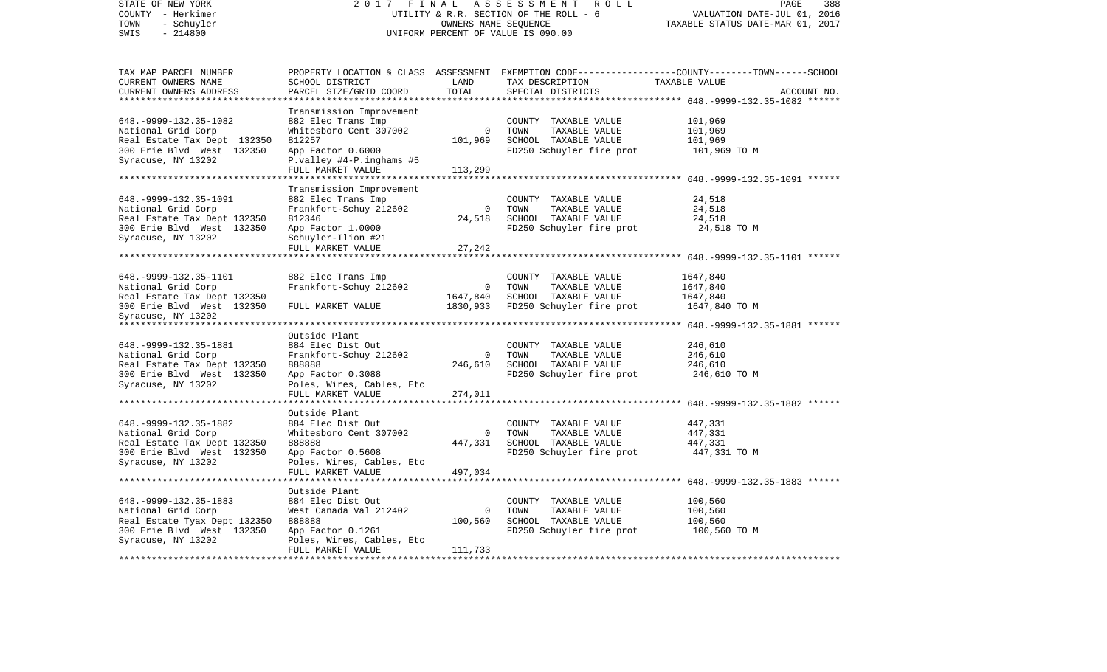| STATE OF NEW YORK<br>COUNTY - Herkimer<br>- Schuyler<br>TOWN | 2017 FINAL                                     | OWNERS NAME SEQUENCE     | ASSESSMENT<br>ROLL<br>UTILITY & R.R. SECTION OF THE ROLL - 6 | PAGE<br>388<br>VALUATION DATE-JUL 01, 2016<br>TAXABLE STATUS DATE-MAR 01, 2017     |
|--------------------------------------------------------------|------------------------------------------------|--------------------------|--------------------------------------------------------------|------------------------------------------------------------------------------------|
| $-214800$<br>SWIS                                            | UNIFORM PERCENT OF VALUE IS 090.00             |                          |                                                              |                                                                                    |
| TAX MAP PARCEL NUMBER                                        | PROPERTY LOCATION & CLASS                      |                          |                                                              | ASSESSMENT EXEMPTION CODE-----------------COUNTY-------TOWN------SCHOOL            |
| CURRENT OWNERS NAME                                          | SCHOOL DISTRICT                                | LAND                     | TAX DESCRIPTION                                              | TAXABLE VALUE                                                                      |
| CURRENT OWNERS ADDRESS<br>**********************             | PARCEL SIZE/GRID COORD                         | TOTAL                    | SPECIAL DISTRICTS                                            | ACCOUNT NO.                                                                        |
|                                                              |                                                |                          |                                                              |                                                                                    |
| 648. - 9999 - 132. 35 - 1082                                 | Transmission Improvement<br>882 Elec Trans Imp |                          | COUNTY TAXABLE VALUE                                         | 101,969                                                                            |
| National Grid Corp                                           | Whitesboro Cent 307002                         | $\mathbf 0$              | TAXABLE VALUE<br>TOWN                                        | 101,969                                                                            |
| Real Estate Tax Dept 132350                                  | 812257                                         | 101,969                  | SCHOOL TAXABLE VALUE                                         | 101,969                                                                            |
| 300 Erie Blvd West 132350                                    | App Factor 0.6000                              |                          | FD250 Schuyler fire prot                                     | 101,969 TO M                                                                       |
| Syracuse, NY 13202                                           | P.valley #4-P.inghams #5                       |                          |                                                              |                                                                                    |
|                                                              | FULL MARKET VALUE                              | 113,299                  |                                                              |                                                                                    |
| *********************                                        |                                                |                          |                                                              |                                                                                    |
|                                                              | Transmission Improvement                       |                          |                                                              |                                                                                    |
| 648. - 9999 - 132. 35 - 1091                                 | 882 Elec Trans Imp                             |                          | COUNTY TAXABLE VALUE                                         | 24,518                                                                             |
| National Grid Corp                                           | Frankfort-Schuy 212602                         | $\overline{\phantom{0}}$ | TOWN<br>TAXABLE VALUE                                        | 24,518                                                                             |
| Real Estate Tax Dept 132350                                  | 812346                                         | 24,518                   | SCHOOL TAXABLE VALUE                                         | 24,518                                                                             |
| 300 Erie Blvd West 132350                                    | App Factor 1.0000                              |                          | FD250 Schuyler fire prot                                     | 24,518 TO M                                                                        |
| Syracuse, NY 13202                                           | Schuyler-Ilion #21                             |                          |                                                              |                                                                                    |
|                                                              | FULL MARKET VALUE                              | 27,242                   |                                                              |                                                                                    |
|                                                              |                                                |                          |                                                              | ******************** 648.-9999-132.35-1101 ******                                  |
|                                                              |                                                |                          |                                                              |                                                                                    |
| 648. - 9999 - 132. 35 - 1101                                 | 882 Elec Trans Imp                             |                          | COUNTY TAXABLE VALUE                                         | 1647,840                                                                           |
| National Grid Corp                                           | Frankfort-Schuy 212602                         | $\mathbf 0$              | TOWN<br>TAXABLE VALUE                                        | 1647,840                                                                           |
| Real Estate Tax Dept 132350                                  |                                                | 1647,840<br>1830,933     | SCHOOL TAXABLE VALUE                                         | 1647,840                                                                           |
| 300 Erie Blvd West 132350<br>Syracuse, NY 13202              | FULL MARKET VALUE                              |                          | FD250 Schuyler fire prot                                     | 1647,840 TO M                                                                      |
| ****************************                                 |                                                |                          |                                                              |                                                                                    |
|                                                              | Outside Plant                                  |                          |                                                              |                                                                                    |
| 648. - 9999 - 132. 35 - 1881                                 | 884 Elec Dist Out                              |                          | COUNTY TAXABLE VALUE                                         | 246,610                                                                            |
| National Grid Corp                                           | Frankfort-Schuy 212602                         | $\mathbf 0$              | TOWN<br>TAXABLE VALUE                                        | 246,610                                                                            |
| Real Estate Tax Dept 132350                                  | 888888                                         | 246,610                  | SCHOOL TAXABLE VALUE                                         | 246,610                                                                            |
| 300 Erie Blvd West 132350                                    | App Factor 0.3088                              |                          | FD250 Schuyler fire prot                                     | 246,610 TO M                                                                       |
| Syracuse, NY 13202                                           | Poles, Wires, Cables, Etc                      |                          |                                                              |                                                                                    |
|                                                              | FULL MARKET VALUE                              | 274,011                  |                                                              |                                                                                    |
|                                                              |                                                |                          |                                                              | *******************************    648.-9999-132.35-1882                     ***** |
|                                                              | Outside Plant                                  |                          |                                                              |                                                                                    |
| 648. - 9999 - 132. 35 - 1882                                 | 884 Elec Dist Out                              |                          | COUNTY TAXABLE VALUE                                         | 447,331                                                                            |
| National Grid Corp                                           | Whitesboro Cent 307002                         | $\overline{0}$           | TOWN<br>TAXABLE VALUE                                        | 447,331                                                                            |
| Real Estate Tax Dept 132350                                  | 888888                                         | 447,331                  | SCHOOL TAXABLE VALUE                                         | 447,331                                                                            |
| 300 Erie Blvd West 132350                                    | App Factor 0.5608                              |                          | FD250 Schuyler fire prot                                     | 447,331 TO M                                                                       |
| Syracuse, NY 13202                                           | Poles, Wires, Cables, Etc                      |                          |                                                              |                                                                                    |
|                                                              | FULL MARKET VALUE<br>******************        | 497,034                  |                                                              | ********************* 648.-9999-132.35-1883 ******                                 |
|                                                              | Outside Plant                                  |                          |                                                              |                                                                                    |
| 648. - 9999 - 132. 35 - 1883                                 | 884 Elec Dist Out                              |                          | COUNTY TAXABLE VALUE                                         | 100,560                                                                            |
| National Grid Corp                                           | West Canada Val 212402                         | $\mathbf{0}$             | TOWN<br>TAXABLE VALUE                                        | 100,560                                                                            |
| Real Estate Tyax Dept 132350                                 | 888888                                         | 100,560                  | SCHOOL TAXABLE VALUE                                         | 100,560                                                                            |
| 300 Erie Blvd West 132350                                    | App Factor 0.1261                              |                          | FD250 Schuyler fire prot                                     | 100,560 TO M                                                                       |
| Syracuse, NY 13202                                           | Poles, Wires, Cables, Etc                      |                          |                                                              |                                                                                    |
|                                                              | FULL MARKET VALUE                              | 111,733                  |                                                              |                                                                                    |
|                                                              |                                                |                          |                                                              |                                                                                    |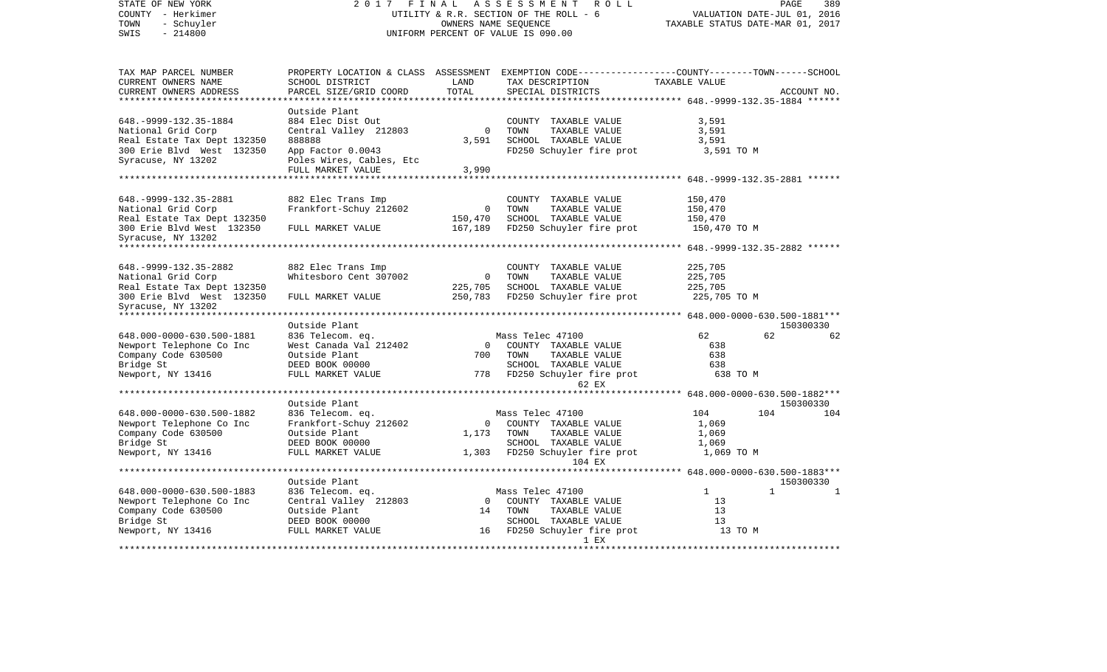| STATE OF NEW YORK<br>COUNTY - Herkimer<br>- Schuyler<br>TOWN<br>$-214800$<br>SWIS | 2 0 1 7<br>FINAL<br>ASSESSMENT<br>ROLL<br>UTILITY & R.R. SECTION OF THE ROLL - 6<br>OWNERS NAME SEQUENCE<br>UNIFORM PERCENT OF VALUE IS 090.00 |                         |                                                                                     |               | PAGE<br>VALUATION DATE-JUL 01, 2016<br>TAXABLE STATUS DATE-MAR 01, 2017 | 389 |
|-----------------------------------------------------------------------------------|------------------------------------------------------------------------------------------------------------------------------------------------|-------------------------|-------------------------------------------------------------------------------------|---------------|-------------------------------------------------------------------------|-----|
| TAX MAP PARCEL NUMBER<br>CURRENT OWNERS NAME                                      | PROPERTY LOCATION & CLASS ASSESSMENT<br>SCHOOL DISTRICT                                                                                        | LAND<br>TOTAL           | EXEMPTION CODE-----------------COUNTY-------TOWN------SCHOOL<br>TAX DESCRIPTION     | TAXABLE VALUE |                                                                         |     |
| CURRENT OWNERS ADDRESS<br>**********************                                  | PARCEL SIZE/GRID COORD<br>********************                                                                                                 | ********************    | SPECIAL DISTRICTS<br>********************************* 648.-9999-132.35-1884 ****** |               | ACCOUNT NO.                                                             |     |
|                                                                                   | Outside Plant                                                                                                                                  |                         |                                                                                     |               |                                                                         |     |
| 648. - 9999 - 132. 35 - 1884                                                      | 884 Elec Dist Out                                                                                                                              |                         | COUNTY TAXABLE VALUE                                                                | 3,591         |                                                                         |     |
| National Grid Corp                                                                | Central Valley 212803                                                                                                                          | $\overline{0}$          | TOWN<br>TAXABLE VALUE                                                               | 3,591         |                                                                         |     |
| Real Estate Tax Dept 132350                                                       | 888888                                                                                                                                         | 3,591                   | SCHOOL TAXABLE VALUE                                                                | 3,591         |                                                                         |     |
| 300 Erie Blvd West 132350<br>Syracuse, NY 13202                                   | App Factor 0.0043<br>Poles Wires, Cables, Etc                                                                                                  |                         | FD250 Schuyler fire prot                                                            | 3,591 TO M    |                                                                         |     |
|                                                                                   | FULL MARKET VALUE                                                                                                                              | 3,990                   |                                                                                     |               |                                                                         |     |
|                                                                                   |                                                                                                                                                |                         |                                                                                     |               |                                                                         |     |
|                                                                                   |                                                                                                                                                |                         |                                                                                     |               |                                                                         |     |
| 648. - 9999 - 132. 35 - 2881                                                      | 882 Elec Trans Imp                                                                                                                             |                         | COUNTY TAXABLE VALUE                                                                | 150,470       |                                                                         |     |
| National Grid Corp                                                                | Frankfort-Schuy 212602                                                                                                                         | 0                       | TOWN<br>TAXABLE VALUE                                                               | 150,470       |                                                                         |     |
| Real Estate Tax Dept 132350                                                       |                                                                                                                                                | 150,470                 | SCHOOL TAXABLE VALUE                                                                | 150,470       |                                                                         |     |
| 300 Erie Blvd West 132350                                                         | FULL MARKET VALUE                                                                                                                              | 167,189                 | FD250 Schuyler fire prot                                                            | 150,470 TO M  |                                                                         |     |
| Syracuse, NY 13202<br>******************************                              |                                                                                                                                                |                         |                                                                                     |               |                                                                         |     |
|                                                                                   |                                                                                                                                                |                         |                                                                                     |               |                                                                         |     |
| 648. - 9999 - 132. 35 - 2882                                                      | 882 Elec Trans Imp                                                                                                                             |                         | COUNTY TAXABLE VALUE                                                                | 225,705       |                                                                         |     |
| National Grid Corp                                                                | Whitesboro Cent 307002                                                                                                                         | $\overline{0}$          | TOWN<br>TAXABLE VALUE                                                               | 225,705       |                                                                         |     |
| Real Estate Tax Dept 132350                                                       |                                                                                                                                                | 225,705                 | SCHOOL TAXABLE VALUE                                                                | 225,705       |                                                                         |     |
| 300 Erie Blvd West 132350                                                         | FULL MARKET VALUE                                                                                                                              | 250,783                 | FD250 Schuyler fire prot                                                            | 225,705 TO M  |                                                                         |     |
| Syracuse, NY 13202                                                                |                                                                                                                                                |                         |                                                                                     |               |                                                                         |     |
| *************************                                                         |                                                                                                                                                |                         |                                                                                     |               |                                                                         |     |
|                                                                                   | Outside Plant                                                                                                                                  |                         |                                                                                     |               | 150300330                                                               |     |
| 648.000-0000-630.500-1881                                                         | 836 Telecom. eq.                                                                                                                               |                         | Mass Telec 47100                                                                    | 62            | 62                                                                      | 62  |
| Newport Telephone Co Inc                                                          | West Canada Val 212402                                                                                                                         | $\mathbf 0$<br>700      | COUNTY TAXABLE VALUE                                                                | 638<br>638    |                                                                         |     |
| Company Code 630500<br>Bridge St                                                  | Outside Plant<br>DEED BOOK 00000                                                                                                               |                         | TOWN<br>TAXABLE VALUE<br>SCHOOL TAXABLE VALUE                                       | 638           |                                                                         |     |
| Newport, NY 13416                                                                 | FULL MARKET VALUE                                                                                                                              | 778                     | FD250 Schuyler fire prot                                                            | 638 TO M      |                                                                         |     |
|                                                                                   |                                                                                                                                                |                         | 62 EX                                                                               |               |                                                                         |     |
|                                                                                   |                                                                                                                                                |                         | *************************    648.000-0000-630.500-1882***                           |               |                                                                         |     |
|                                                                                   | Outside Plant                                                                                                                                  |                         |                                                                                     |               | 150300330                                                               |     |
| 648.000-0000-630.500-1882                                                         | 836 Telecom. eq.                                                                                                                               |                         | Mass Telec 47100                                                                    | 104           | 104                                                                     | 104 |
| Newport Telephone Co Inc                                                          | Frankfort-Schuy 212602                                                                                                                         | $\mathbf{0}$            | COUNTY TAXABLE VALUE                                                                | 1,069         |                                                                         |     |
| Company Code 630500                                                               | Outside Plant                                                                                                                                  | 1,173                   | TOWN<br>TAXABLE VALUE                                                               | 1,069         |                                                                         |     |
| Bridge St                                                                         | DEED BOOK 00000                                                                                                                                |                         | SCHOOL TAXABLE VALUE                                                                | 1,069         |                                                                         |     |
| Newport, NY 13416                                                                 | FULL MARKET VALUE                                                                                                                              | 1,303                   | FD250 Schuyler fire prot<br>104 EX                                                  | 1,069 TO M    |                                                                         |     |
| ******************************                                                    |                                                                                                                                                |                         |                                                                                     |               |                                                                         |     |
|                                                                                   | Outside Plant                                                                                                                                  |                         |                                                                                     |               | 150300330                                                               |     |
| 648.000-0000-630.500-1883                                                         | 836 Telecom. eq.                                                                                                                               |                         | Mass Telec 47100                                                                    | 1             | $\mathbf{1}$                                                            | 1   |
| Newport Telephone Co Inc                                                          | Central Valley 212803                                                                                                                          | $\overline{0}$          | COUNTY TAXABLE VALUE                                                                | 13            |                                                                         |     |
| Company Code 630500                                                               | Outside Plant                                                                                                                                  | 14                      | TOWN<br>TAXABLE VALUE                                                               | 13            |                                                                         |     |
| Bridge St                                                                         | DEED BOOK 00000                                                                                                                                |                         | SCHOOL TAXABLE VALUE                                                                | 13            |                                                                         |     |
| Newport, NY 13416                                                                 | FULL MARKET VALUE                                                                                                                              | 16                      | FD250 Schuyler fire prot                                                            | 13 TO M       |                                                                         |     |
|                                                                                   |                                                                                                                                                | *********************** | 1 EX<br>***********                                                                 |               |                                                                         |     |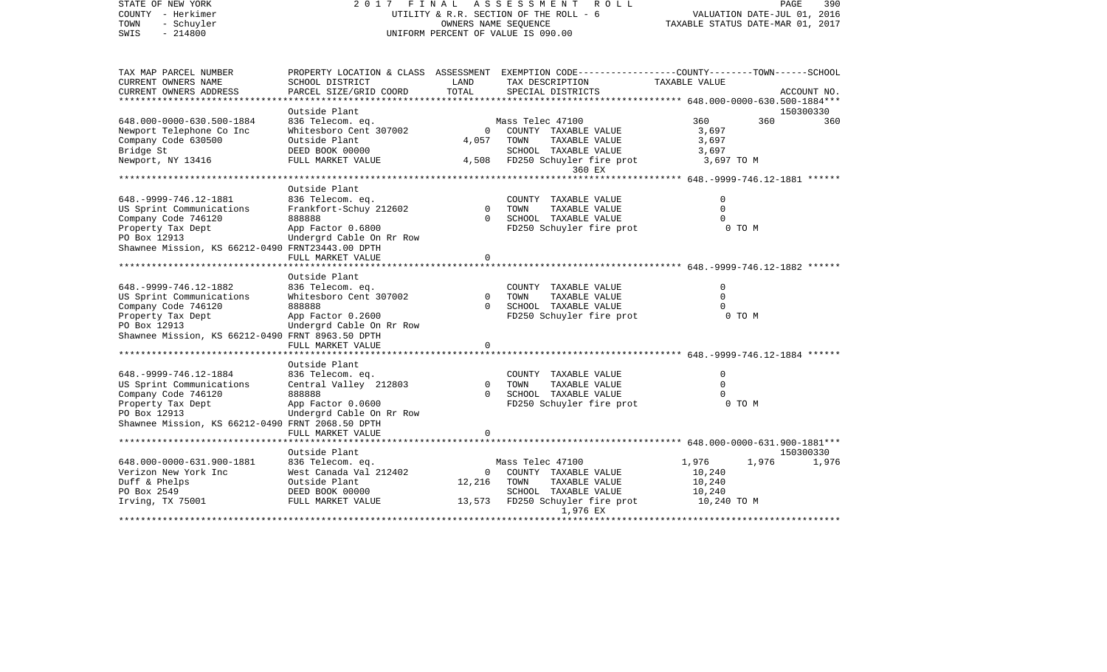| STATE OF NEW YORK<br>COUNTY - Herkimer<br>TOWN<br>- Schuyler<br>$-214800$<br>SWIS | FINAL<br>2017                                 |                | A S S E S S M E N T<br>ROLL<br>UTILITY & R.R. SECTION OF THE ROLL - 6<br>OWNERS NAME SEQUENCE<br>UNIFORM PERCENT OF VALUE IS 090.00 |                                               | PAGE<br>390<br>VALUATION DATE-JUL 01, 2016<br>TAXABLE STATUS DATE-MAR 01, 2017 |
|-----------------------------------------------------------------------------------|-----------------------------------------------|----------------|-------------------------------------------------------------------------------------------------------------------------------------|-----------------------------------------------|--------------------------------------------------------------------------------|
| TAX MAP PARCEL NUMBER                                                             |                                               |                | PROPERTY LOCATION & CLASS ASSESSMENT EXEMPTION CODE----------------COUNTY-------TOWN-----SCHOOL                                     |                                               |                                                                                |
| CURRENT OWNERS NAME                                                               | SCHOOL DISTRICT                               | LAND<br>TOTAL  | TAX DESCRIPTION                                                                                                                     | TAXABLE VALUE                                 |                                                                                |
| CURRENT OWNERS ADDRESS<br>*************                                           | PARCEL SIZE/GRID COORD                        |                | SPECIAL DISTRICTS                                                                                                                   | ************ 648.000-0000-630.500-1884***     | ACCOUNT NO.                                                                    |
|                                                                                   | Outside Plant                                 |                |                                                                                                                                     |                                               | 150300330                                                                      |
| 648.000-0000-630.500-1884                                                         | 836 Telecom. eq.                              |                | Mass Telec 47100                                                                                                                    | 360                                           | 360<br>360                                                                     |
| Newport Telephone Co Inc                                                          | Whitesboro Cent 307002                        | $\mathbf 0$    | COUNTY TAXABLE VALUE                                                                                                                | 3,697                                         |                                                                                |
| Company Code 630500                                                               | Outside Plant                                 | 4,057          | TOWN<br>TAXABLE VALUE                                                                                                               | 3,697                                         |                                                                                |
| Bridge St                                                                         | DEED BOOK 00000                               |                | SCHOOL TAXABLE VALUE                                                                                                                | 3,697                                         |                                                                                |
| Newport, NY 13416                                                                 | FULL MARKET VALUE                             | 4,508          | FD250 Schuyler fire prot                                                                                                            | 3,697 TO M                                    |                                                                                |
|                                                                                   |                                               |                | 360 EX                                                                                                                              |                                               |                                                                                |
|                                                                                   | Outside Plant                                 |                |                                                                                                                                     | **************** 648.-9999-746.12-1881 ****** |                                                                                |
| 648. - 9999 - 746. 12 - 1881                                                      | 836 Telecom. eq.                              |                | COUNTY TAXABLE VALUE                                                                                                                | $\Omega$                                      |                                                                                |
| US Sprint Communications                                                          | Frankfort-Schuy 212602                        | $\mathbf 0$    | TOWN<br>TAXABLE VALUE                                                                                                               | $\Omega$                                      |                                                                                |
| Company Code 746120                                                               | 888888                                        | $\Omega$       | SCHOOL TAXABLE VALUE                                                                                                                | $\Omega$                                      |                                                                                |
| Property Tax Dept                                                                 | App Factor 0.6800                             |                | FD250 Schuyler fire prot                                                                                                            | 0 TO M                                        |                                                                                |
| PO Box 12913                                                                      | Undergrd Cable On Rr Row                      |                |                                                                                                                                     |                                               |                                                                                |
| Shawnee Mission, KS 66212-0490 FRNT23443.00 DPTH                                  |                                               |                |                                                                                                                                     |                                               |                                                                                |
|                                                                                   | FULL MARKET VALUE                             | $\Omega$       |                                                                                                                                     |                                               |                                                                                |
|                                                                                   |                                               |                |                                                                                                                                     |                                               |                                                                                |
|                                                                                   | Outside Plant                                 |                |                                                                                                                                     |                                               |                                                                                |
| 648. - 9999 - 746. 12 - 1882                                                      | 836 Telecom. eq.<br>Whitesboro Cent 307002    | $\Omega$       | COUNTY TAXABLE VALUE<br>TOWN<br>TAXABLE VALUE                                                                                       | 0<br>$\Omega$                                 |                                                                                |
| US Sprint Communications<br>Company Code 746120                                   | 888888                                        | $\Omega$       | SCHOOL TAXABLE VALUE                                                                                                                | $\Omega$                                      |                                                                                |
| Property Tax Dept                                                                 | App Factor 0.2600                             |                | FD250 Schuyler fire prot                                                                                                            | 0 TO M                                        |                                                                                |
| PO Box 12913                                                                      | Undergrd Cable On Rr Row                      |                |                                                                                                                                     |                                               |                                                                                |
| Shawnee Mission, KS 66212-0490 FRNT 8963.50 DPTH                                  |                                               |                |                                                                                                                                     |                                               |                                                                                |
|                                                                                   | FULL MARKET VALUE                             | $\mathbf 0$    |                                                                                                                                     |                                               |                                                                                |
|                                                                                   |                                               |                |                                                                                                                                     |                                               |                                                                                |
|                                                                                   | Outside Plant                                 |                |                                                                                                                                     |                                               |                                                                                |
| 648. - 9999 - 746. 12 - 1884                                                      | 836 Telecom. eq.                              |                | COUNTY TAXABLE VALUE                                                                                                                | $\mathbf 0$                                   |                                                                                |
| US Sprint Communications                                                          | Central Valley 212803                         | $\Omega$       | TOWN<br>TAXABLE VALUE                                                                                                               | $\Omega$                                      |                                                                                |
| Company Code 746120                                                               | 888888                                        | $\Omega$       | SCHOOL TAXABLE VALUE<br>FD250 Schuyler fire prot                                                                                    | $\Omega$<br>0 TO M                            |                                                                                |
| Property Tax Dept<br>PO Box 12913                                                 | App Factor 0.0600<br>Undergrd Cable On Rr Row |                |                                                                                                                                     |                                               |                                                                                |
| Shawnee Mission, KS 66212-0490 FRNT 2068.50 DPTH                                  |                                               |                |                                                                                                                                     |                                               |                                                                                |
|                                                                                   | FULL MARKET VALUE                             | 0              |                                                                                                                                     |                                               |                                                                                |
|                                                                                   |                                               |                |                                                                                                                                     |                                               |                                                                                |
|                                                                                   | Outside Plant                                 |                |                                                                                                                                     |                                               | 150300330                                                                      |
| 648.000-0000-631.900-1881                                                         | 836 Telecom. eq.                              |                | Mass Telec 47100                                                                                                                    | 1,976                                         | 1,976<br>1,976                                                                 |
| Verizon New York Inc                                                              | West Canada Val 212402                        | $\overline{0}$ | COUNTY TAXABLE VALUE                                                                                                                | 10,240                                        |                                                                                |
| Duff & Phelps                                                                     | Outside Plant                                 | 12,216         | TOWN<br>TAXABLE VALUE                                                                                                               | 10,240                                        |                                                                                |
| PO Box 2549                                                                       | DEED BOOK 00000                               |                | SCHOOL TAXABLE VALUE                                                                                                                | 10,240                                        |                                                                                |
| Irving, TX 75001                                                                  | FULL MARKET VALUE                             |                | 13,573 FD250 Schuyler fire prot                                                                                                     | 10,240 TO M                                   |                                                                                |
|                                                                                   |                                               |                | 1,976 EX<br>.                                                                                                                       |                                               |                                                                                |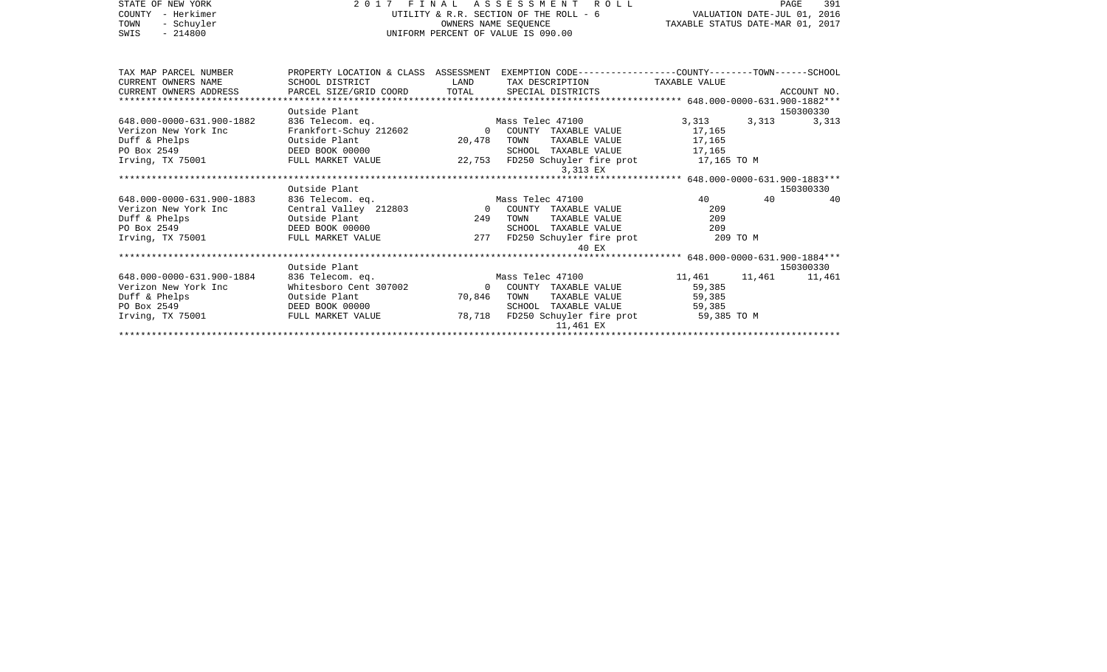| 2017 FINAL ASSESSMENT ROLL<br>UTILITY & R.R. SECTION OF THE ROLL - 6<br>OWNERS NAME SEOUENCE<br>UNIFORM PERCENT OF VALUE IS 090.00 |                                                                                                                                                                                                                                                    |                                                                                                                                |                                                                                                                                                |                                                                                                                                                   | 391<br>PAGE                                                                                                                                                                                                                                            |
|------------------------------------------------------------------------------------------------------------------------------------|----------------------------------------------------------------------------------------------------------------------------------------------------------------------------------------------------------------------------------------------------|--------------------------------------------------------------------------------------------------------------------------------|------------------------------------------------------------------------------------------------------------------------------------------------|---------------------------------------------------------------------------------------------------------------------------------------------------|--------------------------------------------------------------------------------------------------------------------------------------------------------------------------------------------------------------------------------------------------------|
|                                                                                                                                    | LAND                                                                                                                                                                                                                                               |                                                                                                                                |                                                                                                                                                |                                                                                                                                                   |                                                                                                                                                                                                                                                        |
| Outside Plant                                                                                                                      |                                                                                                                                                                                                                                                    |                                                                                                                                |                                                                                                                                                |                                                                                                                                                   | 150300330                                                                                                                                                                                                                                              |
|                                                                                                                                    |                                                                                                                                                                                                                                                    | TOWN<br>TAXABLE VALUE<br>SCHOOL<br>3,313 EX                                                                                    | 17,165<br>17,165                                                                                                                               | 3,313                                                                                                                                             | 3,313                                                                                                                                                                                                                                                  |
|                                                                                                                                    |                                                                                                                                                                                                                                                    |                                                                                                                                |                                                                                                                                                |                                                                                                                                                   | 150300330                                                                                                                                                                                                                                              |
| 836 Telecom. eq.                                                                                                                   |                                                                                                                                                                                                                                                    | COUNTY TAXABLE VALUE<br>TAXABLE VALUE<br>TOWN<br>TAXABLE VALUE<br>SCHOOL<br>40 EX                                              | 40<br>209<br>209<br>209                                                                                                                        | 40                                                                                                                                                | 40                                                                                                                                                                                                                                                     |
|                                                                                                                                    |                                                                                                                                                                                                                                                    |                                                                                                                                |                                                                                                                                                |                                                                                                                                                   | 150300330                                                                                                                                                                                                                                              |
|                                                                                                                                    |                                                                                                                                                                                                                                                    | TOWN<br>SCHOOL<br>TAXABLE VALUE<br>11,461 EX                                                                                   | 11,461<br>59,385<br>59,385<br>59,385                                                                                                           |                                                                                                                                                   | 11,461                                                                                                                                                                                                                                                 |
|                                                                                                                                    | SCHOOL DISTRICT<br>CURRENT OWNERS ADDRESS<br>Outside Plant<br>DEED BOOK 00000<br>Irving, TX 75001 FULL MARKET VALUE<br>Outside Plant<br>Outside Plant<br>DEED BOOK 00000<br>Outside Plant<br>Outside Plant<br>DEED BOOK 00000<br>FULL MARKET VALUE | 836 Telecom. eq.<br>Frankfort-Schuy 212602<br>Irving, TX 75001 FULL MARKET VALUE<br>836 Telecom. eq.<br>Whitesboro Cent 307002 | Mass Telec 47100<br>0 COUNTY TAXABLE VALUE<br>20,478<br>Mass Telec 47100<br>249<br>277<br>Mass Telec 47100<br>0 COUNTY TAXABLE VALUE<br>70,846 | TAX DESCRIPTION TAXABLE VALUE<br>3,313<br>TAXABLE VALUE<br>17,165<br>FD250 Schuyler fire prot<br>TAXABLE VALUE<br>78,718 FD250 Schuyler fire prot | VALUATION DATE-JUL 01, 2016<br>TAXABLE STATUS DATE-MAR 01, 2017<br>PROPERTY LOCATION & CLASS ASSESSMENT EXEMPTION CODE---------------COUNTY-------TOWN------SCHOOL<br>22,753 FD250 Schuyler fire prot 17,165 TO M<br>209 TO M<br>11,461<br>59,385 TO M |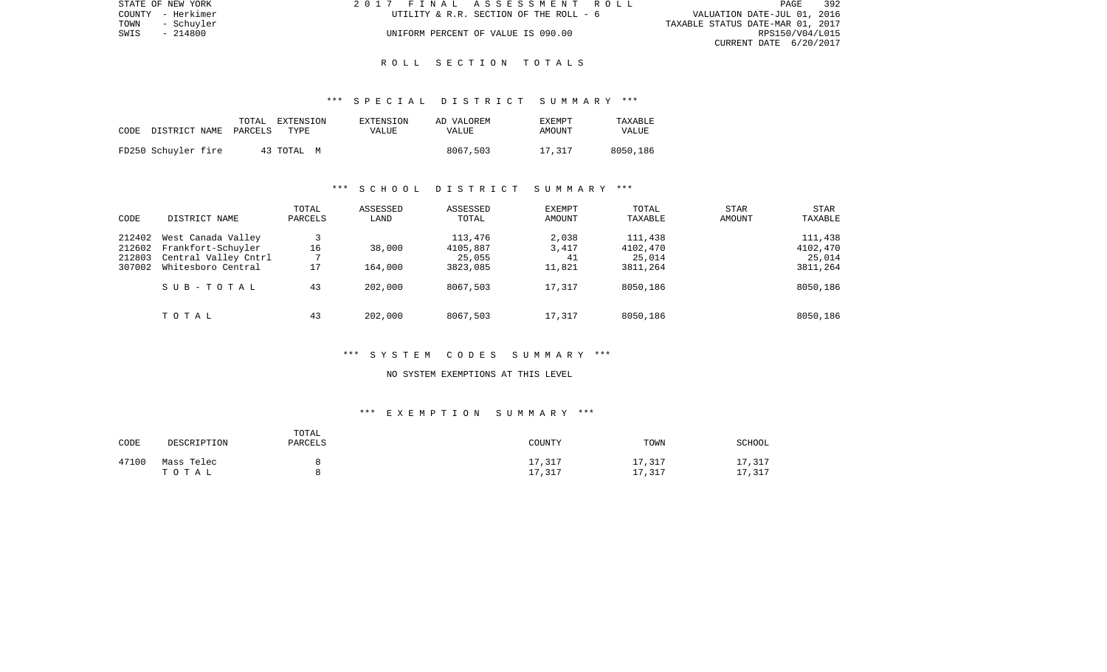| STATE OF NEW YORK  | 2017 FINAL ASSESSMENT ROLL             | PAGE                        | 392 |
|--------------------|----------------------------------------|-----------------------------|-----|
| COUNTY - Herkimer  | UTILITY & R.R. SECTION OF THE ROLL - 6 | VALUATION DATE-JUL 01, 2016 |     |
| TOWN<br>- Schuvler | TAXABLE STATUS DATE-MAR 01, 2017       |                             |     |
| SWIS<br>- 214800   | UNIFORM PERCENT OF VALUE IS 090.00     | RPS150/V04/L015             |     |
|                    |                                        | CURRENT DATE 6/20/2017      |     |

### \*\*\* S P E C I A L D I S T R I C T S U M M A R Y \*\*\*

| CODE | DISTRICT NAME       | TOTAL<br>PARCELS | EXTENSION<br>TYPE | EXTENSION<br>VALUE | AD VALOREM<br>VALUE | <b>EXEMPT</b><br>AMOUNT | TAXABLE<br>VALUE |
|------|---------------------|------------------|-------------------|--------------------|---------------------|-------------------------|------------------|
|      | FD250 Schuyler fire |                  | 43 TOTAL M        |                    | 8067,503            | 17,317                  | 8050,186         |

# \*\*\* S C H O O L D I S T R I C T S U M M A R Y \*\*\*

| CODE                                 | DISTRICT NAME                                                                          | TOTAL<br>PARCELS | ASSESSED<br>LAND   | ASSESSED<br>TOTAL                         | EXEMPT<br>AMOUNT               | TOTAL<br>TAXABLE                          | STAR<br>AMOUNT | STAR<br>TAXABLE                           |
|--------------------------------------|----------------------------------------------------------------------------------------|------------------|--------------------|-------------------------------------------|--------------------------------|-------------------------------------------|----------------|-------------------------------------------|
| 212402<br>212602<br>212803<br>307002 | West Canada Valley<br>Frankfort-Schuyler<br>Central Valley Cntrl<br>Whitesboro Central | 16<br>17         | 38,000<br>164,000  | 113,476<br>4105,887<br>25,055<br>3823,085 | 2,038<br>3,417<br>41<br>11,821 | 111,438<br>4102,470<br>25,014<br>3811,264 |                | 111,438<br>4102,470<br>25,014<br>3811,264 |
|                                      | SUB-TOTAL<br>TOTAL                                                                     | 43<br>43         | 202,000<br>202,000 | 8067,503<br>8067,503                      | 17,317<br>17,317               | 8050,186<br>8050,186                      |                | 8050,186<br>8050,186                      |

# \*\*\* S Y S T E M C O D E S S U M M A R Y \*\*\*

#### NO SYSTEM EXEMPTIONS AT THIS LEVEL

# \*\*\* E X E M P T I O N S U M M A R Y \*\*\*

| CODE  | DESCRIPTION         | TOTAL<br><b>PARCELS</b> | COUNTY      | TOWN            | SCHOOL      |
|-------|---------------------|-------------------------|-------------|-----------------|-------------|
| 47100 | Mass Telec<br>тотаь |                         | 17,317<br>, | .7,317<br>, 317 | 17,317<br>, |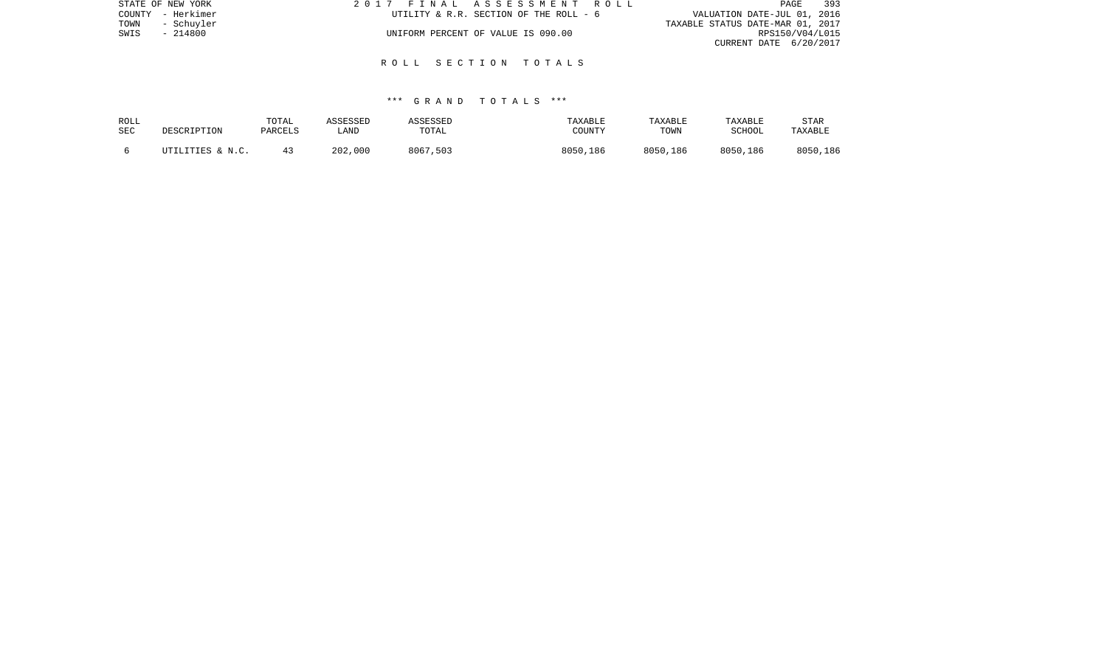| STATE OF NEW YORK  | 2017 FINAL ASSESSMENT ROLL             | 393<br>PAGE                      |
|--------------------|----------------------------------------|----------------------------------|
| COUNTY - Herkimer  | UTILITY & R.R. SECTION OF THE ROLL - 6 | VALUATION DATE-JUL 01, 2016      |
| TOWN<br>- Schuvler |                                        | TAXABLE STATUS DATE-MAR 01, 2017 |
| SWIS<br>- 214800   | UNIFORM PERCENT OF VALUE IS 090.00     | RPS150/V04/L015                  |
|                    |                                        | CURRENT DATE 6/20/2017           |
|                    |                                        |                                  |

| ROLL | DESCRIPTION      | TOTAL   | ASSESSED | ASSESSED | TAXABLE  | TAXABLE  | TAXABLE  | STAR     |
|------|------------------|---------|----------|----------|----------|----------|----------|----------|
| SEC  |                  | PARCELS | LAND     | TOTAL    | COUNTY   | TOWN     | SCHOOL   | TAXABLE  |
|      | UTILITIES & N.C. |         | 202,000  | 8067,503 | 8050,186 | 8050,186 | 8050,186 | 8050,186 |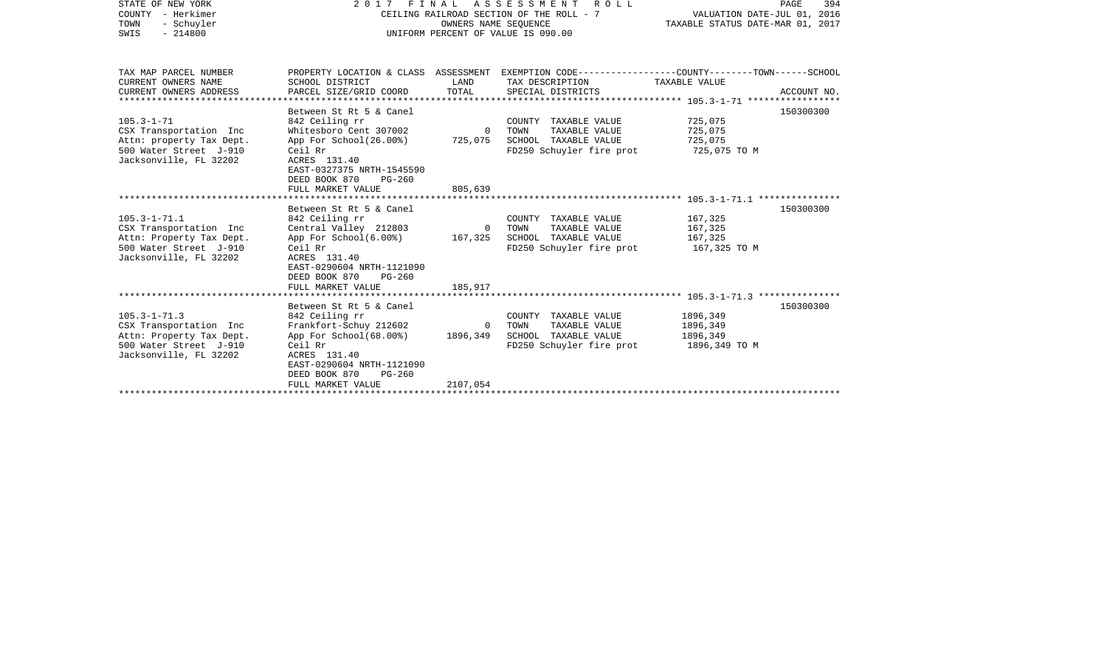| STATE OF NEW YORK<br>COUNTY - Herkimer<br>TOWN<br>- Schuyler<br>SWIS<br>$-214800$                                            |                                                                                                                                                                                                         | OWNERS NAME SEOUENCE                 | 2017 FINAL ASSESSMENT<br>ROLL<br>CEILING RAILROAD SECTION OF THE ROLL - 7<br>UNIFORM PERCENT OF VALUE IS 090.00                         | PAGE<br>394<br>VALUATION DATE-JUL 01, 2016<br>TAXABLE STATUS DATE-MAR 01, 2017 |             |  |
|------------------------------------------------------------------------------------------------------------------------------|---------------------------------------------------------------------------------------------------------------------------------------------------------------------------------------------------------|--------------------------------------|-----------------------------------------------------------------------------------------------------------------------------------------|--------------------------------------------------------------------------------|-------------|--|
| TAX MAP PARCEL NUMBER<br>CURRENT OWNERS NAME<br>CURRENT OWNERS ADDRESS                                                       | SCHOOL DISTRICT<br>PARCEL SIZE/GRID COORD                                                                                                                                                               | LAND<br>TOTAL                        | PROPERTY LOCATION & CLASS ASSESSMENT EXEMPTION CODE---------------COUNTY-------TOWN------SCHOOL<br>TAX DESCRIPTION<br>SPECIAL DISTRICTS | TAXABLE VALUE                                                                  | ACCOUNT NO. |  |
| $105.3 - 1 - 71$<br>CSX Transportation Inc<br>Attn: property Tax Dept.<br>500 Water Street J-910<br>Jacksonville, FL 32202   | Between St Rt 5 & Canel<br>842 Ceiling rr<br>Whitesboro Cent 307002<br>App For School(26.00%)<br>Ceil Rr<br>ACRES 131.40<br>EAST-0327375 NRTH-1545590<br>DEED BOOK 870<br>$PG-260$<br>FULL MARKET VALUE | $\Omega$<br>725,075<br>805,639       | COUNTY TAXABLE VALUE<br>TOWN<br>TAXABLE VALUE<br>SCHOOL TAXABLE VALUE<br>FD250 Schuyler fire prot                                       | 725,075<br>725,075<br>725,075<br>725,075 TO M                                  | 150300300   |  |
| $105.3 - 1 - 71.1$<br>CSX Transportation Inc<br>Attn: Property Tax Dept.<br>500 Water Street J-910<br>Jacksonville, FL 32202 | Between St Rt 5 & Canel<br>842 Ceiling rr<br>Central Valley 212803<br>App For $School(6.008)$<br>Ceil Rr<br>ACRES 131.40<br>EAST-0290604 NRTH-1121090<br>DEED BOOK 870<br>$PG-260$<br>FULL MARKET VALUE | $\overline{0}$<br>167,325<br>185,917 | COUNTY TAXABLE VALUE<br>TAXABLE VALUE<br>TOWN<br>SCHOOL TAXABLE VALUE<br>FD250 Schuyler fire prot                                       | 167,325<br>167,325<br>167,325<br>167,325 TO M                                  | 150300300   |  |
| $105.3 - 1 - 71.3$<br>CSX Transportation Inc<br>Attn: Property Tax Dept.<br>500 Water Street J-910<br>Jacksonville, FL 32202 | Between St Rt 5 & Canel<br>842 Ceiling rr<br>Frankfort-Schuy 212602<br>App For School(68.00%)<br>Ceil Rr<br>ACRES 131.40<br>EAST-0290604 NRTH-1121090<br>DEED BOOK 870<br>$PG-260$<br>FULL MARKET VALUE | $\Omega$<br>1896,349<br>2107,054     | COUNTY TAXABLE VALUE<br>TOWN<br>TAXABLE VALUE<br>SCHOOL TAXABLE VALUE<br>FD250 Schuyler fire prot                                       | 1896,349<br>1896,349<br>1896,349<br>1896,349 TO M                              | 150300300   |  |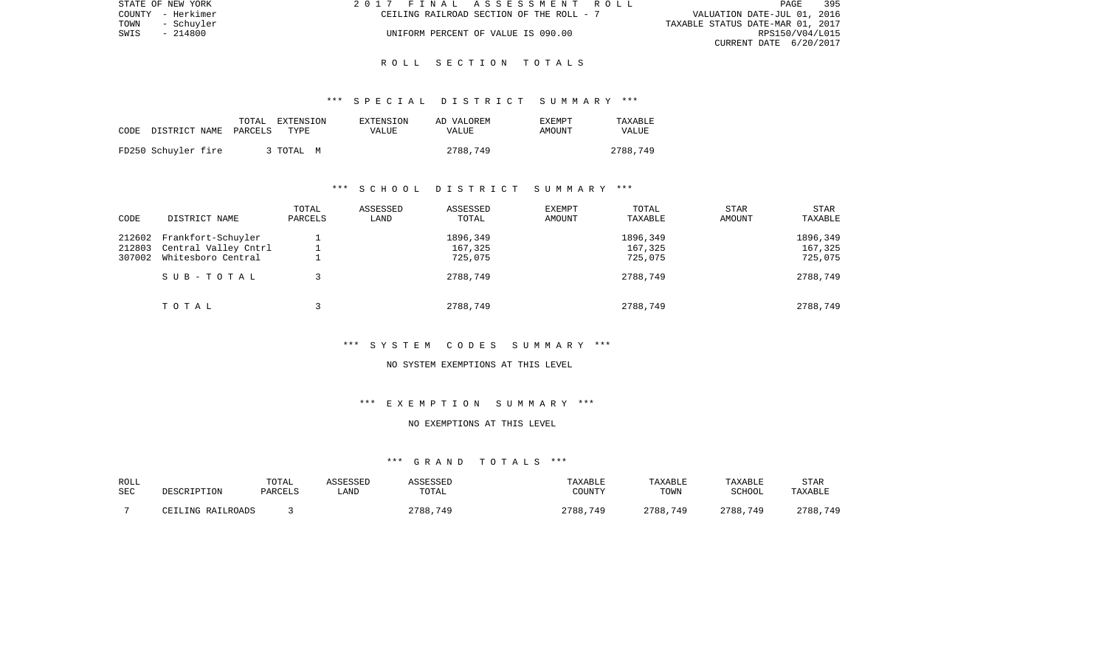| STATE OF NEW YORK |            | 2017 FINAL ASSESSMENT ROLL |                                          |                                  | PAGE | 395 |
|-------------------|------------|----------------------------|------------------------------------------|----------------------------------|------|-----|
| COUNTY - Herkimer |            |                            | CEILING RAILROAD SECTION OF THE ROLL - 7 | VALUATION DATE-JUL 01, 2016      |      |     |
| TOWN              | - Schuvler |                            |                                          | TAXABLE STATUS DATE-MAR 01, 2017 |      |     |
| SWIS              | - 214800   |                            | UNIFORM PERCENT OF VALUE IS 090.00       | RPS150/V04/L015                  |      |     |
|                   |            |                            |                                          | CURRENT DATE 6/20/2017           |      |     |

### \*\*\* S P E C I A L D I S T R I C T S U M M A R Y \*\*\*

| CODE | DISTRICT NAME       | TOTAL<br>PARCELS | EXTENSION<br>TYPE | EXTENSION<br>VALUE | AD VALOREM<br><b>VALUE</b> | <b>EXEMPT</b><br>AMOUNT | TAXABLE<br><b>VALUE</b> |
|------|---------------------|------------------|-------------------|--------------------|----------------------------|-------------------------|-------------------------|
|      | FD250 Schuyler fire |                  | 3 TOTAL<br>M      |                    | 2788,749                   |                         | 2788,749                |

# \*\*\* S C H O O L D I S T R I C T S U M M A R Y \*\*\*

| CODE   | DISTRICT NAME        | TOTAL<br>PARCELS | ASSESSED<br>LAND | ASSESSED<br>TOTAL | <b>EXEMPT</b><br>AMOUNT | TOTAL<br>TAXABLE | <b>STAR</b><br>AMOUNT | <b>STAR</b><br>TAXABLE |
|--------|----------------------|------------------|------------------|-------------------|-------------------------|------------------|-----------------------|------------------------|
| 212602 | Frankfort-Schuyler   |                  |                  | 1896,349          |                         | 1896,349         |                       | 1896,349               |
| 212803 | Central Valley Cntrl |                  |                  | 167,325           |                         | 167,325          |                       | 167,325                |
| 307002 | Whitesboro Central   |                  |                  | 725,075           |                         | 725,075          |                       | 725,075                |
|        | SUB-TOTAL            |                  |                  | 2788,749          |                         | 2788,749         |                       | 2788,749               |
|        | TOTAL                |                  |                  | 2788,749          |                         | 2788,749         |                       | 2788,749               |

\*\*\* S Y S T E M C O D E S S U M M A R Y \*\*\*

NO SYSTEM EXEMPTIONS AT THIS LEVEL

\*\*\* E X E M P T I O N S U M M A R Y \*\*\*

## NO EXEMPTIONS AT THIS LEVEL

| ROLL |                   | TOTAL   | <b>ASSESSED</b> | ASSESSED | TAXABLE       | TAXABLE  | TAXABLE  | <b>STAR</b> |
|------|-------------------|---------|-----------------|----------|---------------|----------|----------|-------------|
| SEC  | DESCRIPTION       | PARCELS | LAND            | TOTAL    | <b>COUNTY</b> | TOWN     | SCHOOL   | TAXABLE     |
|      | CEILING RAILROADS |         |                 | 2788,749 | 2788<br>.749  | 2788,749 | 2788,749 | 2788,749    |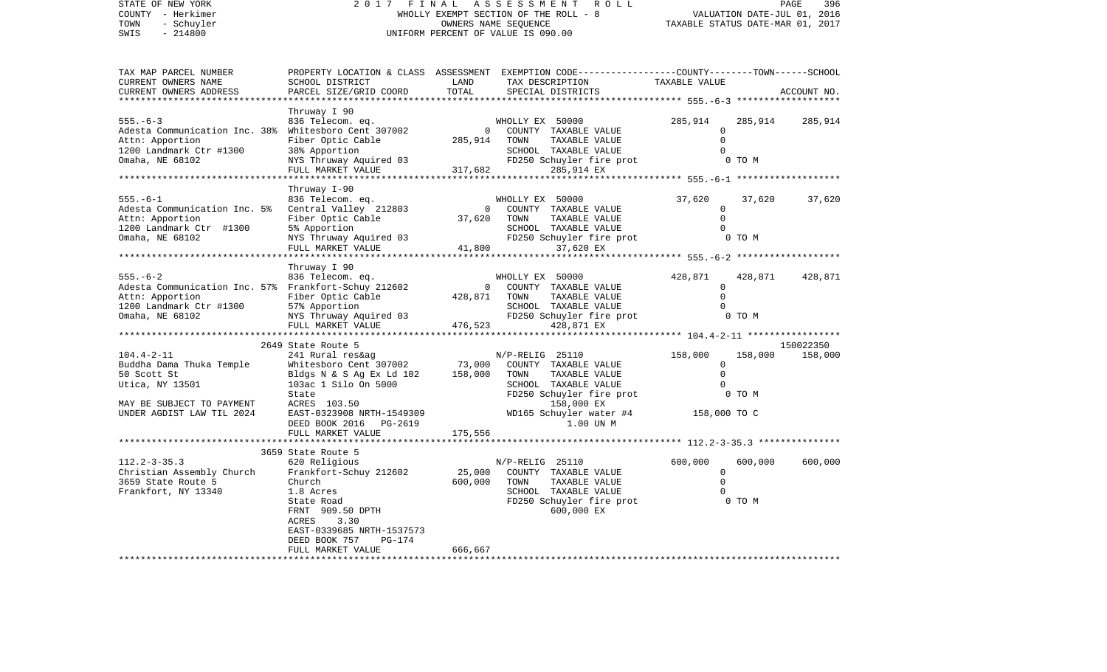STATE OF NEW YORK 2017 FINAL ASSESSMENT ROLL COUNTY - Herkimer (2000) WHOLLY EXEMPT SECTION OF THE ROLL - 8<br>
TOWN - Schuyler (2014) OWNERS NAME SEQUENCE<br>
SWIS - 214800 TOWN - Schuyler OWNERS NAME SEQUENCE TAXABLE STATUS DATE-MAR 01, 2017 SWIS - 214800 UNIFORM PERCENT OF VALUE IS 090.00

| TAX MAP PARCEL NUMBER          |                                                                                                                                      |              | PROPERTY LOCATION & CLASS ASSESSMENT EXEMPTION CODE---------------COUNTY-------TOWN-----SCHOOL                                        |                    |         |             |
|--------------------------------|--------------------------------------------------------------------------------------------------------------------------------------|--------------|---------------------------------------------------------------------------------------------------------------------------------------|--------------------|---------|-------------|
| CURRENT OWNERS NAME            | SCHOOL DISTRICT                                                                                                                      | LAND         | TAX DESCRIPTION                                                                                                                       | TAXABLE VALUE      |         |             |
| CURRENT OWNERS ADDRESS         | PARCEL SIZE/GRID COORD                                                                                                               | TOTAL        | SPECIAL DISTRICTS                                                                                                                     |                    |         | ACCOUNT NO. |
| ****************************** |                                                                                                                                      |              |                                                                                                                                       |                    |         |             |
|                                | Thruway I 90                                                                                                                         |              |                                                                                                                                       |                    |         |             |
|                                |                                                                                                                                      |              | WHOLLY EX 50000                                                                                                                       | 285,914            | 285,914 | 285,914     |
|                                | 555.-6-3 836 Telecom. eq.<br>Adesta Communication Inc. 38% Whitesboro Cent 307002                                                    |              | 0 COUNTY TAXABLE VALUE                                                                                                                | $\Omega$           |         |             |
| Attn: Apportion                |                                                                                                                                      | 285,914 TOWN | TAXABLE VALUE                                                                                                                         | $\Omega$           |         |             |
| 1200 Landmark Ctr #1300        | Fiber Optic Cable<br>38% Apportion<br>38% Apportion                                                                                  |              | SCHOOL TAXABLE VALUE                                                                                                                  |                    |         |             |
| Omaha, NE 68102                |                                                                                                                                      |              |                                                                                                                                       |                    | 0 TO M  |             |
|                                |                                                                                                                                      |              |                                                                                                                                       |                    |         |             |
|                                |                                                                                                                                      |              |                                                                                                                                       |                    |         |             |
|                                | Thruway I-90                                                                                                                         |              |                                                                                                                                       |                    |         |             |
| $555. - 6 - 1$                 |                                                                                                                                      |              |                                                                                                                                       | 37,620             | 37,620  | 37,620      |
| Adesta Communication Inc. 5%   |                                                                                                                                      |              | Example 212803<br>Central Valley 212803<br>Fiber Optic Cable 37,620 TOWN TAXABLE VALUE<br>Fiber Optic Cable 37,620 TOWN TAXABLE VALUE | $\mathbf{0}$       |         |             |
| Attn: Apportion                |                                                                                                                                      |              |                                                                                                                                       |                    |         |             |
| 1200 Landmark Ctr #1300        |                                                                                                                                      |              |                                                                                                                                       |                    |         |             |
| Omaha, NE 68102                |                                                                                                                                      |              |                                                                                                                                       |                    |         |             |
|                                |                                                                                                                                      |              |                                                                                                                                       |                    |         |             |
|                                |                                                                                                                                      |              |                                                                                                                                       |                    |         |             |
|                                | Thruway I 90                                                                                                                         |              |                                                                                                                                       |                    |         |             |
| $555. - 6 - 2$                 | 836 Telecom. eq.                                                                                                                     |              | WHOLLY EX 50000                                                                                                                       | 428,871            | 428,871 | 428,871     |
|                                | 836 Telecom. eq.<br>Adesta Communication Inc. 57% Frankfort-Schuy 212602                                                             |              | 0 COUNTY TAXABLE VALUE<br>428,871 TOWN TAXABLE VALUE<br>428,871 TOWN TAXABLE VALUE                                                    | $\Omega$           |         |             |
| Attn: Apportion                | Fiber Optic Cable                                                                                                                    |              |                                                                                                                                       | $\Omega$           |         |             |
| $1200$ Landmark Ctr #1300      |                                                                                                                                      |              |                                                                                                                                       |                    |         |             |
| Omaha, NE 68102                |                                                                                                                                      |              |                                                                                                                                       |                    |         |             |
|                                |                                                                                                                                      |              |                                                                                                                                       |                    |         |             |
|                                |                                                                                                                                      |              |                                                                                                                                       |                    |         |             |
|                                | 2649 State Route 5                                                                                                                   |              |                                                                                                                                       |                    |         | 150022350   |
| $104.4 - 2 - 11$               |                                                                                                                                      |              |                                                                                                                                       | 158,000            | 158,000 | 158,000     |
| Buddha Dama Thuka Temple       |                                                                                                                                      |              |                                                                                                                                       | $\circ$            |         |             |
| 50 Scott St                    | 241 Rural res&ag<br>Whitesboro Cent 307002 (25110 73,000 COUNTY TAXABLE VALUE<br>Bldgs N & S Ag Ex Ld 102 158,000 TOWN TAXABLE VALUE |              |                                                                                                                                       | $\Omega$           |         |             |
| Utica, NY 13501                | 103ac 1 Silo On 5000                                                                                                                 |              | SCHOOL TAXABLE VALUE                                                                                                                  | $\Omega$           |         |             |
|                                | State                                                                                                                                |              | FD250 Schuyler fire prot 0 TO M                                                                                                       |                    |         |             |
| MAY BE SUBJECT TO PAYMENT      |                                                                                                                                      |              |                                                                                                                                       |                    |         |             |
| UNDER AGDIST LAW TIL 2024      |                                                                                                                                      |              | ACRES 103.50 158,000 EX<br>EAST-0323908 NRTH-1549309 WD165 Schuyler water #4 158,000 TO C                                             |                    |         |             |
|                                |                                                                                                                                      |              | 1.00 UN M                                                                                                                             |                    |         |             |
|                                | DEED BOOK 2016    PG-2619                                                                                                            | 175,556      |                                                                                                                                       |                    |         |             |
|                                | FULL MARKET VALUE                                                                                                                    |              |                                                                                                                                       |                    |         |             |
|                                |                                                                                                                                      |              |                                                                                                                                       |                    |         |             |
|                                | 3659 State Route 5                                                                                                                   |              |                                                                                                                                       |                    |         |             |
| $112.2 - 3 - 35.3$             | 620 Religious                                                                                                                        |              | N/P-RELIG 25110                                                                                                                       | 600,000<br>$\circ$ | 600,000 | 600,000     |
| Christian Assembly Church      | Frankfort-Schuy 212602                                                                                                               | 25,000       | COUNTY TAXABLE VALUE                                                                                                                  | $\Omega$           |         |             |
| 3659 State Route 5             | Church                                                                                                                               | 600,000      | TOWN<br>TAXABLE VALUE                                                                                                                 |                    |         |             |
| Frankfort, NY 13340            | 1.8 Acres                                                                                                                            |              | SCHOOL TAXABLE VALUE                                                                                                                  | $\Omega$           |         |             |
|                                | State Road                                                                                                                           |              | FD250 Schuyler fire prot                                                                                                              | 0 TO M             |         |             |
|                                | FRNT 909.50 DPTH                                                                                                                     |              | 600,000 EX                                                                                                                            |                    |         |             |
|                                | ACRES<br>3.30                                                                                                                        |              |                                                                                                                                       |                    |         |             |
|                                | EAST-0339685 NRTH-1537573                                                                                                            |              |                                                                                                                                       |                    |         |             |
|                                | DEED BOOK 757<br>PG-174                                                                                                              |              |                                                                                                                                       |                    |         |             |
|                                | FULL MARKET VALUE                                                                                                                    | 666,667      |                                                                                                                                       |                    |         |             |
|                                |                                                                                                                                      |              |                                                                                                                                       |                    |         |             |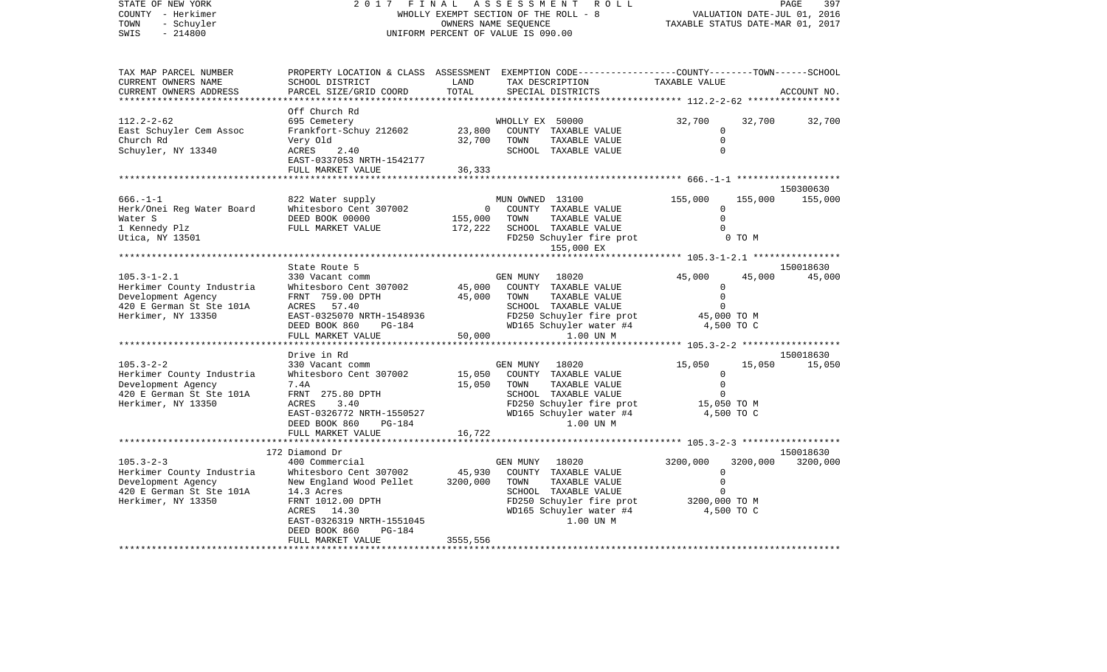| STATE OF NEW YORK<br>COUNTY - Herkimer<br>TOWN<br>- Schuyler<br>SWIS<br>$-214800$                                      | 2 0 1 7<br>FINAL<br>WHOLLY EXEMPT SECTION OF THE ROLL - 8<br>UNIFORM PERCENT OF VALUE IS 090.00                                                                                                                      | PAGE<br>397<br>VALUATION DATE-JUL 01, 2016<br>TAXABLE STATUS DATE-MAR 01, 2017 |                                                                                                                                                                |                                                                        |                               |
|------------------------------------------------------------------------------------------------------------------------|----------------------------------------------------------------------------------------------------------------------------------------------------------------------------------------------------------------------|--------------------------------------------------------------------------------|----------------------------------------------------------------------------------------------------------------------------------------------------------------|------------------------------------------------------------------------|-------------------------------|
| TAX MAP PARCEL NUMBER<br>CURRENT OWNERS NAME<br>CURRENT OWNERS ADDRESS                                                 | SCHOOL DISTRICT<br>PARCEL SIZE/GRID COORD                                                                                                                                                                            | LAND<br>TOTAL                                                                  | PROPERTY LOCATION & CLASS ASSESSMENT EXEMPTION CODE----------------COUNTY-------TOWN------SCHOOL<br>TAX DESCRIPTION<br>SPECIAL DISTRICTS                       | TAXABLE VALUE                                                          | ACCOUNT NO.                   |
|                                                                                                                        | Off Church Rd                                                                                                                                                                                                        |                                                                                |                                                                                                                                                                |                                                                        |                               |
| $112.2 - 2 - 62$<br>East Schuyler Cem Assoc<br>Church Rd<br>Schuyler, NY 13340                                         | 695 Cemetery<br>Frankfort-Schuy 212602<br>Very Old<br>ACRES<br>2.40<br>EAST-0337053 NRTH-1542177                                                                                                                     | 23,800<br>32,700                                                               | WHOLLY EX 50000<br>COUNTY TAXABLE VALUE<br>TOWN<br>TAXABLE VALUE<br>SCHOOL TAXABLE VALUE                                                                       | 32,700<br>$\Omega$<br>$\mathbf 0$<br>$\Omega$                          | 32,700<br>32,700              |
|                                                                                                                        | FULL MARKET VALUE                                                                                                                                                                                                    | 36,333                                                                         |                                                                                                                                                                |                                                                        |                               |
|                                                                                                                        |                                                                                                                                                                                                                      |                                                                                |                                                                                                                                                                |                                                                        | 150300630                     |
| $666. - 1 - 1$<br>Herk/Onei Reg Water Board<br>Water S<br>1 Kennedy Plz<br>Utica, NY 13501                             | 822 Water supply<br>Whitesboro Cent 307002<br>DEED BOOK 00000<br>FULL MARKET VALUE                                                                                                                                   | 0<br>155,000<br>172,222                                                        | MUN OWNED 13100<br>COUNTY TAXABLE VALUE<br>TOWN<br>TAXABLE VALUE<br>SCHOOL TAXABLE VALUE<br>FD250 Schuyler fire prot<br>155,000 EX                             | 155,000<br>0<br>$\Omega$<br>$\Omega$<br>0 TO M                         | 155,000<br>155,000            |
|                                                                                                                        |                                                                                                                                                                                                                      |                                                                                |                                                                                                                                                                | ************************* 105.3-1-2.1 *****************                |                               |
| $105.3 - 1 - 2.1$<br>Herkimer County Industria<br>Development Agency<br>420 E German St Ste 101A<br>Herkimer, NY 13350 | State Route 5<br>330 Vacant comm<br>Whitesboro Cent 307002<br>FRNT 759.00 DPTH<br>ACRES 57.40<br>EAST-0325070 NRTH-1548936<br>PG-184<br>DEED BOOK 860                                                                | 45,000<br>45,000                                                               | GEN MUNY<br>18020<br>COUNTY TAXABLE VALUE<br>TOWN<br>TAXABLE VALUE<br>SCHOOL TAXABLE VALUE<br>FD250 Schuyler fire prot<br>WD165 Schuyler water #4              | 45,000<br>0<br>$\mathbf 0$<br>0<br>45,000 TO M<br>4,500 TO C           | 150018630<br>45,000<br>45,000 |
|                                                                                                                        | FULL MARKET VALUE                                                                                                                                                                                                    | 50,000                                                                         | 1.00 UN M                                                                                                                                                      | ******** 105.3-2-2 *******************                                 |                               |
|                                                                                                                        | Drive in Rd                                                                                                                                                                                                          |                                                                                |                                                                                                                                                                |                                                                        | 150018630                     |
| $105.3 - 2 - 2$<br>Herkimer County Industria<br>Development Agency<br>420 E German St Ste 101A<br>Herkimer, NY 13350   | 330 Vacant comm<br>Whitesboro Cent 307002<br>7.4A<br>FRNT 275.80 DPTH<br>ACRES<br>3.40<br>EAST-0326772 NRTH-1550527<br>DEED BOOK 860<br>PG-184                                                                       | 15,050<br>15,050                                                               | GEN MUNY<br>18020<br>COUNTY TAXABLE VALUE<br>TOWN<br>TAXABLE VALUE<br>SCHOOL TAXABLE VALUE<br>FD250 Schuyler fire prot<br>WD165 Schuyler water #4<br>1.00 UN M | 15,050<br>0<br>$\mathbf 0$<br>$\mathbf 0$<br>15,050 TO M<br>4,500 TO C | 15,050<br>15,050              |
|                                                                                                                        | FULL MARKET VALUE<br>*******************                                                                                                                                                                             | 16,722                                                                         |                                                                                                                                                                |                                                                        |                               |
| $105.3 - 2 - 3$<br>Herkimer County Industria<br>Development Agency<br>420 E German St Ste 101A<br>Herkimer, NY 13350   | 172 Diamond Dr<br>400 Commercial<br>Whitesboro Cent 307002<br>New England Wood Pellet<br>14.3 Acres<br>FRNT 1012.00 DPTH<br>ACRES 14.30<br>EAST-0326319 NRTH-1551045<br>DEED BOOK 860<br>PG-184<br>FULL MARKET VALUE | 45,930<br>3200,000<br>3555,556                                                 | GEN MUNY<br>18020<br>COUNTY TAXABLE VALUE<br>TOWN<br>TAXABLE VALUE<br>SCHOOL TAXABLE VALUE<br>FD250 Schuyler fire prot<br>WD165 Schuyler water #4<br>1.00 UN M | 3200,000<br>3200,000<br>0<br>0<br>0<br>3200,000 TO M<br>4,500 TO C     | 150018630<br>3200,000         |
|                                                                                                                        |                                                                                                                                                                                                                      |                                                                                |                                                                                                                                                                |                                                                        |                               |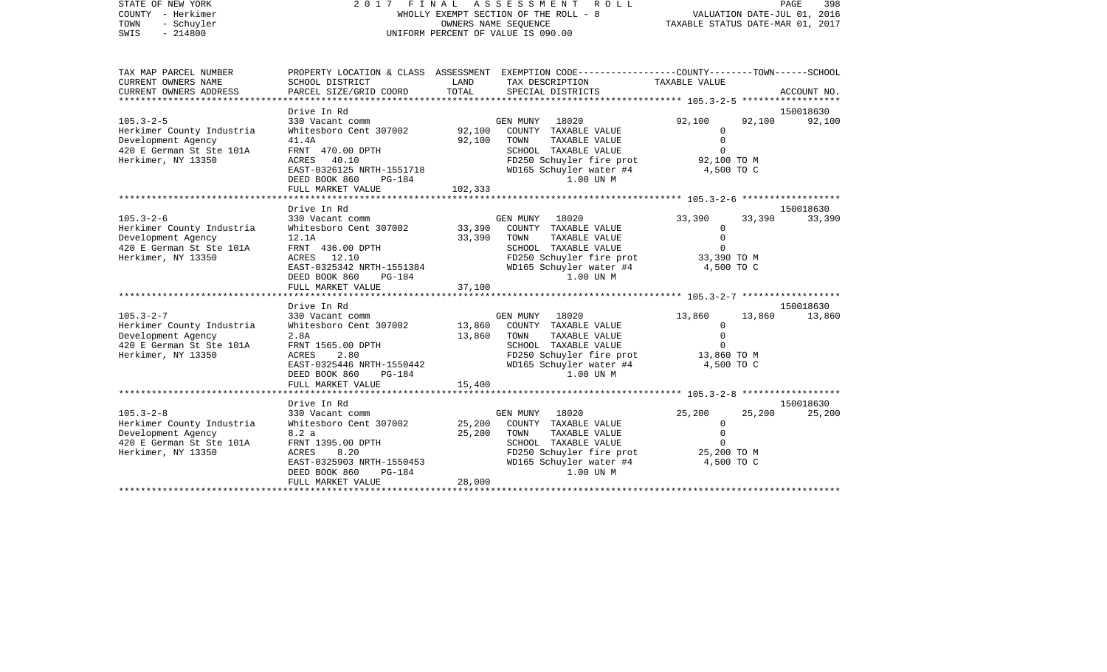STATE OF NEW YORK 2 0 1 7 F I N A L A S S E S S M E N T R O L L PAGE 398COUNTY - Herkimer WHOLLY EXEMPT SECTION OF THE ROLL - 8 VALUATION DATE-JUL 01, 2016 TOWN - Schuyler COWNERS NAME SEQUENCE TAXABLE STATUS DATE-MAR 01, 2017 SWIS - 214800 UNIFORM PERCENT OF VALUE IS 090.00TAX MAP PARCEL NUMBER PROPERTY LOCATION & CLASS ASSESSMENT EXEMPTION CODE------------------COUNTY--------TOWN------SCHOOL CURRENT OWNERS NAME SCHOOL DISTRICT LAND TAX DESCRIPTION TAXABLE VALUECURRENT OWNERS ADDRESS PARCEL SIZE/GRID COORD TOTAL SPECIAL DISTRICTS ACCOUNT NO. \*\*\*\*\*\*\*\*\*\*\*\*\*\*\*\*\*\*\*\*\*\*\*\*\*\*\*\*\*\*\*\*\*\*\*\*\*\*\*\*\*\*\*\*\*\*\*\*\*\*\*\*\*\*\*\*\*\*\*\*\*\*\*\*\*\*\*\*\*\*\*\*\*\*\*\*\*\*\*\*\*\*\*\*\*\*\*\*\*\*\*\*\*\*\*\*\*\*\*\*\*\*\* 105.3-2-5 \*\*\*\*\*\*\*\*\*\*\*\*\*\*\*\*\*\*Drive In Rd 150018630 105.3-2-5 330 Vacant comm GEN MUNY 18020 92,100 92,100 92,100 Herkimer County Industria Whitesboro Cent 307002 92,100 COUNTY TAXABLE VALUE 0 Development Agency 41.4A 92,100 TOWN TAXABLE VALUE 0 420 E German St Ste 101A FRNT 470.00 DPTH SCHOOL TAXABLE VALUE O Herkimer, NY 13350 ACRES 40.10 FD250 Schuyler fire prot 92,100 TO M EAST-0326125 NRTH-1551718 WD165 Schuyler water #4 4,500 TO C DEED BOOK 860 PG-184 1.00 UN MFULL MARKET VALUE 102,333 \*\*\*\*\*\*\*\*\*\*\*\*\*\*\*\*\*\*\*\*\*\*\*\*\*\*\*\*\*\*\*\*\*\*\*\*\*\*\*\*\*\*\*\*\*\*\*\*\*\*\*\*\*\*\*\*\*\*\*\*\*\*\*\*\*\*\*\*\*\*\*\*\*\*\*\*\*\*\*\*\*\*\*\*\*\*\*\*\*\*\*\*\*\*\*\*\*\*\*\*\*\*\* 105.3-2-6 \*\*\*\*\*\*\*\*\*\*\*\*\*\*\*\*\*\* Drive In Rd 150018630105.3-2-6 330 Vacant comm GEN MUNY 18020 33,390 33,390 33,390 Herkimer County Industria Whitesboro Cent 307002 33,390 COUNTY TAXABLE VALUE 0 Development Agency 12.1A 33,390 TOWN TAXABLE VALUE 0 420 E German St Ste 101A FRNT 436.00 DPTH SCHOOL TAXABLE VALUE 0 Herkimer, NY 13350 ACRES 12.10 FD250 Schuyler fire prot 33,390 TO M EAST-0325342 NRTH-1551384 WD165 Schuyler water #4 4,500 TO C DEED BOOK 860 PG-184 1.00 UN M FULL MARKET VALUE 37,100 \*\*\*\*\*\*\*\*\*\*\*\*\*\*\*\*\*\*\*\*\*\*\*\*\*\*\*\*\*\*\*\*\*\*\*\*\*\*\*\*\*\*\*\*\*\*\*\*\*\*\*\*\*\*\*\*\*\*\*\*\*\*\*\*\*\*\*\*\*\*\*\*\*\*\*\*\*\*\*\*\*\*\*\*\*\*\*\*\*\*\*\*\*\*\*\*\*\*\*\*\*\*\* 105.3-2-7 \*\*\*\*\*\*\*\*\*\*\*\*\*\*\*\*\*\* Drive In Rd 150018630105.3-2-7 330 Vacant comm GEN MUNY 18020 13,860 13,860 13,860 Herkimer County Industria Whitesboro Cent 307002 13,860 COUNTY TAXABLE VALUE 0 Development Agency 2.8A 13,860 TOWN TAXABLE VALUE 0 0 0 13,860 TOWN TAXABLE VALUE 0 0 1 420 E German St Ste 101A FRNT 1565.00 DPTH SCHOOL TAXABLE VALUE 0 Herkimer, NY 13350 ACRES 2.80 FD250 Schuyler fire prot 13,860 TO M EAST-0325446 NRTH-1550442 WD165 Schuyler water #4 4,500 TO C DEED BOOK 860 PG-184 1.00 UN MFULL MARKET VALUE 15,400 \*\*\*\*\*\*\*\*\*\*\*\*\*\*\*\*\*\*\*\*\*\*\*\*\*\*\*\*\*\*\*\*\*\*\*\*\*\*\*\*\*\*\*\*\*\*\*\*\*\*\*\*\*\*\*\*\*\*\*\*\*\*\*\*\*\*\*\*\*\*\*\*\*\*\*\*\*\*\*\*\*\*\*\*\*\*\*\*\*\*\*\*\*\*\*\*\*\*\*\*\*\*\* 105.3-2-8 \*\*\*\*\*\*\*\*\*\*\*\*\*\*\*\*\*\* Drive In Rd 150018630105.3-2-8 330 Vacant comm GEN MUNY 18020 25,200 25,200 25,200 Herkimer County Industria Whitesboro Cent 307002 25,200 COUNTY TAXABLE VALUE 0 Development Agency 25,200 TOWN TAXABLE VALUE 0 420 E German St Ste 101A FRNT 1395.00 DPTH SCHOOL TAXABLE VALUE O Herkimer, NY 13350 ACRES 8.20 FD250 Schuyler fire prot 25,200 TO M EAST-0325903 NRTH-1550453 DEED BOOK 860 PG-184 1.00 UN M FULL MARKET VALUE 28,000 \*\*\*\*\*\*\*\*\*\*\*\*\*\*\*\*\*\*\*\*\*\*\*\*\*\*\*\*\*\*\*\*\*\*\*\*\*\*\*\*\*\*\*\*\*\*\*\*\*\*\*\*\*\*\*\*\*\*\*\*\*\*\*\*\*\*\*\*\*\*\*\*\*\*\*\*\*\*\*\*\*\*\*\*\*\*\*\*\*\*\*\*\*\*\*\*\*\*\*\*\*\*\*\*\*\*\*\*\*\*\*\*\*\*\*\*\*\*\*\*\*\*\*\*\*\*\*\*\*\*\*\*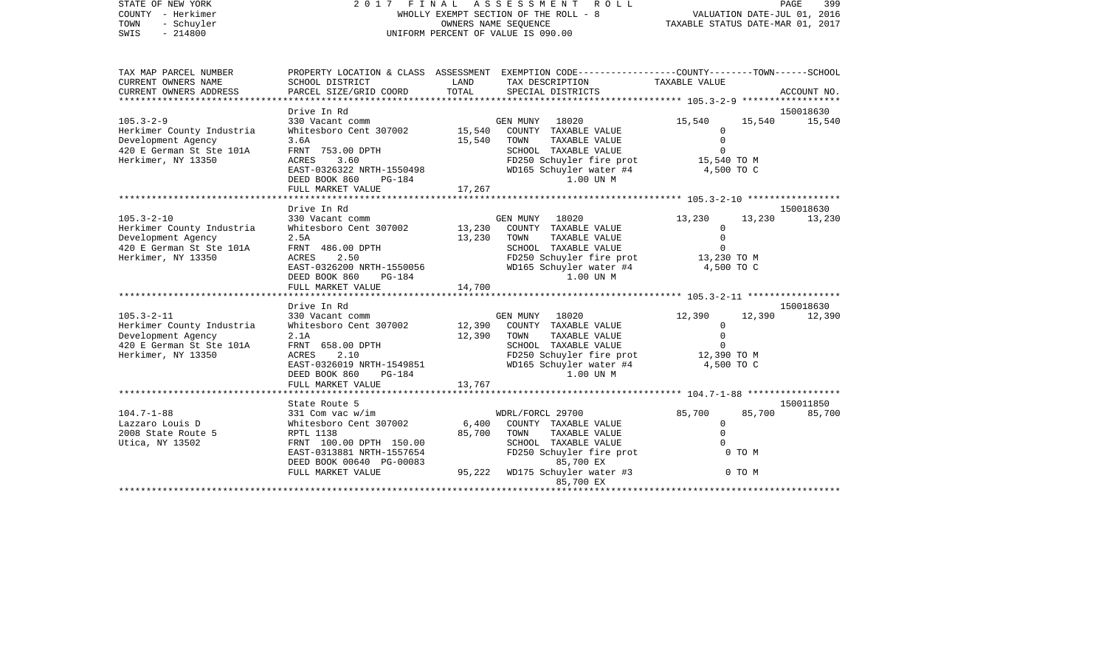STATE OF NEW YORK 2 0 1 7 F I N A L A S S E S S M E N T R O L L PAGE 399COUNTY - Herkimer WHOLLY EXEMPT SECTION OF THE ROLL - 8 VALUATION DATE-JUL 01, 2016 TOWN - Schuyler COWNERS NAME SEQUENCE TAXABLE STATUS DATE-MAR 01, 2017 SWIS - 214800 UNIFORM PERCENT OF VALUE IS 090.00TAX MAP PARCEL NUMBER PROPERTY LOCATION & CLASS ASSESSMENT EXEMPTION CODE------------------COUNTY--------TOWN------SCHOOL CURRENT OWNERS NAME SCHOOL DISTRICT LAND TAX DESCRIPTION TAXABLE VALUECURRENT OWNERS ADDRESS PARCEL SIZE/GRID COORD TOTAL SPECIAL DISTRICTS ACCOUNT NO. \*\*\*\*\*\*\*\*\*\*\*\*\*\*\*\*\*\*\*\*\*\*\*\*\*\*\*\*\*\*\*\*\*\*\*\*\*\*\*\*\*\*\*\*\*\*\*\*\*\*\*\*\*\*\*\*\*\*\*\*\*\*\*\*\*\*\*\*\*\*\*\*\*\*\*\*\*\*\*\*\*\*\*\*\*\*\*\*\*\*\*\*\*\*\*\*\*\*\*\*\*\*\* 105.3-2-9 \*\*\*\*\*\*\*\*\*\*\*\*\*\*\*\*\*\* Drive In Rd 150018630105.3-2-9 330 Vacant comm GEN MUNY 18020 15,540 15,540 15,540 Herkimer County Industria Whitesboro Cent 307002 15,540 COUNTY TAXABLE VALUE 0 Development Agency 3.6A 15,540 TOWN TAXABLE VALUE 0 420 E German St. Ste 101A FRNT 753.00 DPTH SCHOOL TAXABLE VALUE 30 Herkimer, NY 13350 ACRES 3.60 FD250 Schuyler fire prot 15,540 TO M EAST-0326322 NRTH-1550498 WD165 Schuyler water #4 4,500 TO C DEED BOOK 860 PG-184 1.00 UN MFULL MARKET VALUE 17,267 \*\*\*\*\*\*\*\*\*\*\*\*\*\*\*\*\*\*\*\*\*\*\*\*\*\*\*\*\*\*\*\*\*\*\*\*\*\*\*\*\*\*\*\*\*\*\*\*\*\*\*\*\*\*\*\*\*\*\*\*\*\*\*\*\*\*\*\*\*\*\*\*\*\*\*\*\*\*\*\*\*\*\*\*\*\*\*\*\*\*\*\*\*\*\*\*\*\*\*\*\*\*\* 105.3-2-10 \*\*\*\*\*\*\*\*\*\*\*\*\*\*\*\*\* Drive In Rd 150018630105.3-2-10 330 Vacant comm GEN MUNY 18020 13,230 13,230 13,230 Herkimer County Industria Whitesboro Cent 307002 13,230 COUNTY TAXABLE VALUE 0 Development Agency 2.5A 13,230 TOWN TAXABLE VALUE 0 420 E German St Ste 101A FRNT 486.00 DPTH SCHOOL TAXABLE VALUE 0 Herkimer, NY 13350 ACRES 2.50 FD250 Schuyler fire prot 13,230 TO M EAST-0326200 NRTH-1550056 WD165 Schuyler water #4 4,500 TO C DEED BOOK 860 PG-184 1.00 UN MFULL MARKET VALUE 14,700 \*\*\*\*\*\*\*\*\*\*\*\*\*\*\*\*\*\*\*\*\*\*\*\*\*\*\*\*\*\*\*\*\*\*\*\*\*\*\*\*\*\*\*\*\*\*\*\*\*\*\*\*\*\*\*\*\*\*\*\*\*\*\*\*\*\*\*\*\*\*\*\*\*\*\*\*\*\*\*\*\*\*\*\*\*\*\*\*\*\*\*\*\*\*\*\*\*\*\*\*\*\*\* 105.3-2-11 \*\*\*\*\*\*\*\*\*\*\*\*\*\*\*\*\* Drive In Rd 150018630105.3-2-11 330 Vacant comm GEN MUNY 18020 12,390 12,390 12,390 Herkimer County Industria Whitesboro Cent 307002 12,390 COUNTY TAXABLE VALUE 0 Development Agency 2.1A 12,390 TOWN TAXABLE VALUE 0<br>420 E German St Ste 101A FRNT 658.00 DPTH SCHOOL TAXABLE VALUE 0 420 E German St Ste 101A FRNT 658.00 DPTH SCHOOL TAXABLE VALUE 0 Herkimer, NY 13350 ACRES 2.10 FD250 Schuyler fire prot 12,390 TO M EAST-0326019 NRTH-1549851 WD165 Schuyler water #4 4,500 TO C DEED BOOK 860 PG-184 1.00 UN MFULL MARKET VALUE 13,767 \*\*\*\*\*\*\*\*\*\*\*\*\*\*\*\*\*\*\*\*\*\*\*\*\*\*\*\*\*\*\*\*\*\*\*\*\*\*\*\*\*\*\*\*\*\*\*\*\*\*\*\*\*\*\*\*\*\*\*\*\*\*\*\*\*\*\*\*\*\*\*\*\*\*\*\*\*\*\*\*\*\*\*\*\*\*\*\*\*\*\*\*\*\*\*\*\*\*\*\*\*\*\* 104.7-1-88 \*\*\*\*\*\*\*\*\*\*\*\*\*\*\*\*\* State Route 5 150011850104.7-1-88 331 Com vac w/im WDRL/FORCL 29700 85,700 85,700 85,700 Lazzaro Louis D Whitesboro Cent 307002 6,400 COUNTY TAXABLE VALUE 0 2008 State Route 5 **RPTL 1138** 85,700 TOWN TAXABLE VALUE 0 Utica, NY 13502 FRNT 100.00 DPTH 150.00 SCHOOL TAXABLE VALUE 0 EAST-0313881 NRTH-1557654 FD250 Schuyler fire prot 6 0 TO M<br>DEED BOOK 00640 PG-00083 85,700 EX DEED BOOK 00640 PG-00083 FULL MARKET VALUE  $95,222$  WD175 Schuyler water #3 0 TO M

85,700 EX \*\*\*\*\*\*\*\*\*\*\*\*\*\*\*\*\*\*\*\*\*\*\*\*\*\*\*\*\*\*\*\*\*\*\*\*\*\*\*\*\*\*\*\*\*\*\*\*\*\*\*\*\*\*\*\*\*\*\*\*\*\*\*\*\*\*\*\*\*\*\*\*\*\*\*\*\*\*\*\*\*\*\*\*\*\*\*\*\*\*\*\*\*\*\*\*\*\*\*\*\*\*\*\*\*\*\*\*\*\*\*\*\*\*\*\*\*\*\*\*\*\*\*\*\*\*\*\*\*\*\*\*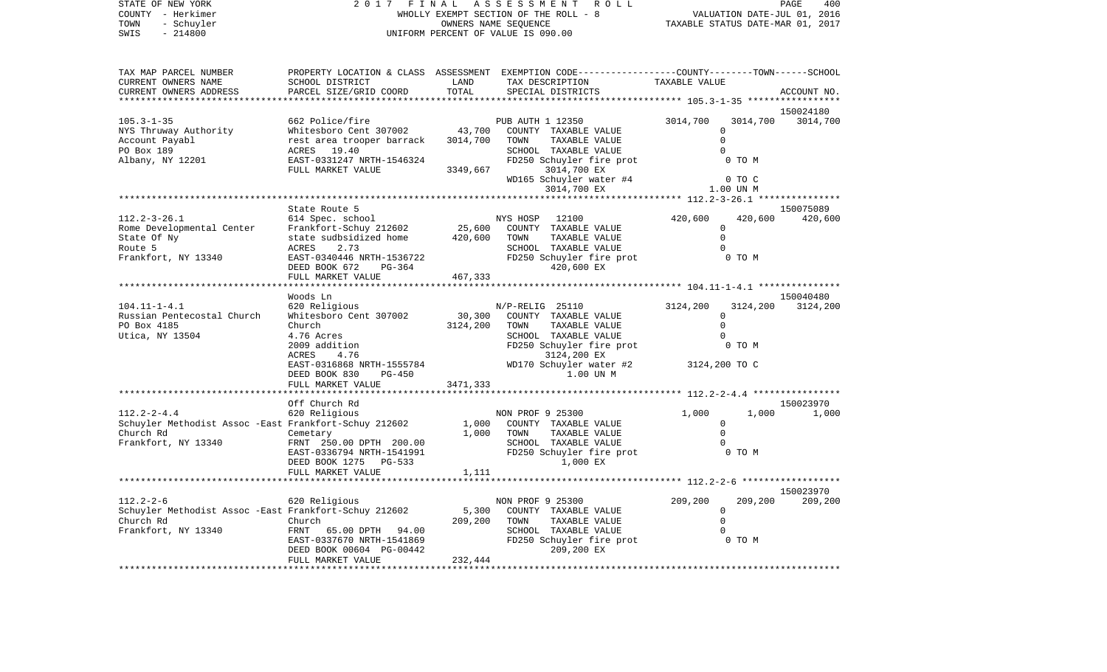COUNTY - Herkimer WHOLLY EXEMPT SECTION OF THE ROLL - 8 VALUATION DATE-JUL 01, 2016 TOWN - Schuyler COWNERS NAME SEQUENCE TAXABLE STATUS DATE-MAR 01, 2017 SWIS - 214800 UNIFORM PERCENT OF VALUE IS 090.00TAX MAP PARCEL NUMBER PROPERTY LOCATION & CLASS ASSESSMENT EXEMPTION CODE------------------COUNTY--------TOWN------SCHOOL CURRENT OWNERS NAME SCHOOL DISTRICT LAND TAX DESCRIPTION TAXABLE VALUECURRENT OWNERS ADDRESS PARCEL SIZE/GRID COORD TOTAL SPECIAL DISTRICTS ACCOUNT NO. \*\*\*\*\*\*\*\*\*\*\*\*\*\*\*\*\*\*\*\*\*\*\*\*\*\*\*\*\*\*\*\*\*\*\*\*\*\*\*\*\*\*\*\*\*\*\*\*\*\*\*\*\*\*\*\*\*\*\*\*\*\*\*\*\*\*\*\*\*\*\*\*\*\*\*\*\*\*\*\*\*\*\*\*\*\*\*\*\*\*\*\*\*\*\*\*\*\*\*\*\*\*\* 105.3-1-35 \*\*\*\*\*\*\*\*\*\*\*\*\*\*\*\*\* 150024180105.3-1-35 662 Police/fire PUB AUTH 1 12350 3014,700 3014,700 3014,700 NYS Thruway Authority Whitesboro Cent 307002 43,700 COUNTY TAXABLE VALUE 0 Account Payabl **Rest** area trooper barrack 3014,700 TOWN TAXABLE VALUE **0** PO Box 189 ACRES 19.40 CONSTRUCT SCHOOL TAXABLE VALUE 0 Albany, NY 12201 EAST-0331247 NRTH-1546324 FD250 Schuyler fire prot 0 TO M FULL MARKET VALUE 3349,667 3014,700 EX WD165 Schuyler water #4 0 TO C 3014,700 EX 1.00 UN M \*\*\*\*\*\*\*\*\*\*\*\*\*\*\*\*\*\*\*\*\*\*\*\*\*\*\*\*\*\*\*\*\*\*\*\*\*\*\*\*\*\*\*\*\*\*\*\*\*\*\*\*\*\*\*\*\*\*\*\*\*\*\*\*\*\*\*\*\*\*\*\*\*\*\*\*\*\*\*\*\*\*\*\*\*\*\*\*\*\*\*\*\*\*\*\*\*\*\*\*\*\*\* 112.2-3-26.1 \*\*\*\*\*\*\*\*\*\*\*\*\*\*\* State Route 5 150075089112.2-3-26.1 614 Spec. school NYS HOSP 12100 420,600 420,600 420,600 Rome Developmental Center Frankfort-Schuy 212602 25,600 COUNTY TAXABLE VALUE 0 State Of Ny  $\begin{array}{ccccccc} \text{State}\end{array}$  state sudbsidized home  $\begin{array}{ccccccc} 420,600 & \text{TOWN} & \text{TAXABLE}\end{array}$  TAXABLE VALUE 0 Route 5 ACRES 2.73 SCHOOL TAXABLE VALUE 0Frankfort, NY 13340 **EAST-0340446 NRTH-1536722** FD250 Schuyler fire prot 6 TO M DEED BOOK 672 PG-364 420,600 EX FULL MARKET VALUE 467, 333 \*\*\*\*\*\*\*\*\*\*\*\*\*\*\*\*\*\*\*\*\*\*\*\*\*\*\*\*\*\*\*\*\*\*\*\*\*\*\*\*\*\*\*\*\*\*\*\*\*\*\*\*\*\*\*\*\*\*\*\*\*\*\*\*\*\*\*\*\*\*\*\*\*\*\*\*\*\*\*\*\*\*\*\*\*\*\*\*\*\*\*\*\*\*\*\*\*\*\*\*\*\*\* 104.11-1-4.1 \*\*\*\*\*\*\*\*\*\*\*\*\*\*\* Woods Ln 150040480150040480 104.11-1-4.1 620 Religious N/P-RELIG 25110 3124,200 3124,200 3124,200 Russian Pentecostal Church Whitesboro Cent 307002 30,300 COUNTY TAXABLE VALUE 0 PO Box 4185 Church Church 3124,200 TOWN TAXABLE VALUE 0 Utica, NY 13504 4.76 Acres SCHOOL TAXABLE VALUE 0 2009 addition FD250 Schuyler fire prot 0 TO M ACRES 4.76 3124,200 EX EAST-0316868 NRTH-1555784 WD170 Schuyler water #2 3124,200 TO C DEED BOOK 830 PG-450 1.00 UN MFULL MARKET VALUE 3471,333 \*\*\*\*\*\*\*\*\*\*\*\*\*\*\*\*\*\*\*\*\*\*\*\*\*\*\*\*\*\*\*\*\*\*\*\*\*\*\*\*\*\*\*\*\*\*\*\*\*\*\*\*\*\*\*\*\*\*\*\*\*\*\*\*\*\*\*\*\*\*\*\*\*\*\*\*\*\*\*\*\*\*\*\*\*\*\*\*\*\*\*\*\*\*\*\*\*\*\*\*\*\*\* 112.2-2-4.4 \*\*\*\*\*\*\*\*\*\*\*\*\*\*\*\* Off Church Rd 150023970112.2-2-4.4 620 Religious NON PROF 9 25300 1,000 1,000 1,000 Schuyler Methodist Assoc -East Frankfort-Schuy 212602 1,000 COUNTY TAXABLE VALUE 0 Church Rd Cemetary 1,000 TOWN TAXABLE VALUE 0 Frankfort, NY 13340 FRNT 250.00 DPTH 200.00 SCHOOL TAXABLE VALUE 0 EAST-0336794 NRTH-1541991 FD250 Schuyler fire prot 0 TO M<br>DEED BOOK 1275 PG-533 1.000 EX DEED BOOK 1275 PG-533 FULL MARKET VALUE 1,111 \*\*\*\*\*\*\*\*\*\*\*\*\*\*\*\*\*\*\*\*\*\*\*\*\*\*\*\*\*\*\*\*\*\*\*\*\*\*\*\*\*\*\*\*\*\*\*\*\*\*\*\*\*\*\*\*\*\*\*\*\*\*\*\*\*\*\*\*\*\*\*\*\*\*\*\*\*\*\*\*\*\*\*\*\*\*\*\*\*\*\*\*\*\*\*\*\*\*\*\*\*\*\* 112.2-2-6 \*\*\*\*\*\*\*\*\*\*\*\*\*\*\*\*\*\* 150023970112.2-2-6 620 Religious NON PROF 9 25300 209,200 209,200 209,200 Schuyler Methodist Assoc -East Frankfort-Schuy 212602 5,300 COUNTY TAXABLE VALUE 0 Church Rd Church 209,200 TOWN TAXABLE VALUE 0 Frankfort, NY 13340 FRNT 65.00 DPTH 94.00 SCHOOL TAXABLE VALUE 0 EAST-0337670 NRTH-1541869 FD250 Schuyler fire prot 0 TO M DEED BOOK 00604 PG-00442 209,200 EX FULL MARKET VALUE 232,444 \*\*\*\*\*\*\*\*\*\*\*\*\*\*\*\*\*\*\*\*\*\*\*\*\*\*\*\*\*\*\*\*\*\*\*\*\*\*\*\*\*\*\*\*\*\*\*\*\*\*\*\*\*\*\*\*\*\*\*\*\*\*\*\*\*\*\*\*\*\*\*\*\*\*\*\*\*\*\*\*\*\*\*\*\*\*\*\*\*\*\*\*\*\*\*\*\*\*\*\*\*\*\*\*\*\*\*\*\*\*\*\*\*\*\*\*\*\*\*\*\*\*\*\*\*\*\*\*\*\*\*\*

STATE OF NEW YORK 2 0 1 7 F I N A L A S S E S S M E N T R O L L PAGE 400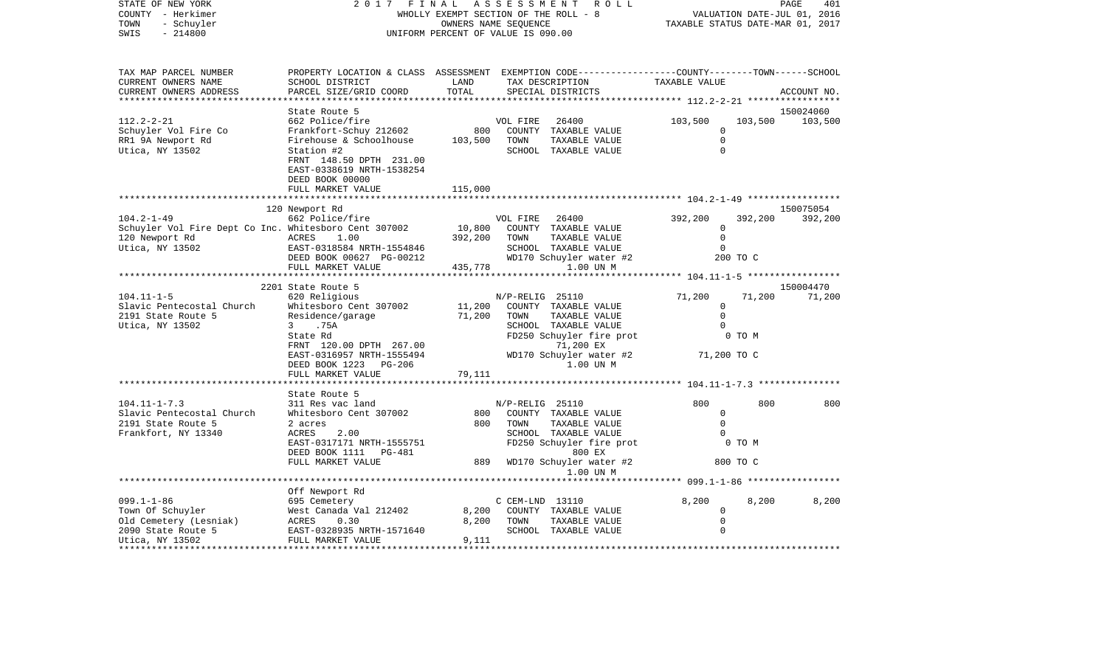| STATE OF NEW YORK<br>COUNTY - Herkimer<br>TOWN<br>- Schuyler<br>SWIS<br>$-214800$                              | 2017<br>FINAL<br>WHOLLY EXEMPT SECTION OF THE ROLL - 8<br>UNIFORM PERCENT OF VALUE IS 090.00                                                                  | PAGE<br>401<br>VALUATION DATE-JUL 01, 2016<br>TAXABLE STATUS DATE-MAR 01, 2017 |                  |                                                                        |                                                |          |             |
|----------------------------------------------------------------------------------------------------------------|---------------------------------------------------------------------------------------------------------------------------------------------------------------|--------------------------------------------------------------------------------|------------------|------------------------------------------------------------------------|------------------------------------------------|----------|-------------|
| TAX MAP PARCEL NUMBER<br>CURRENT OWNERS NAME<br>CURRENT OWNERS ADDRESS                                         | PROPERTY LOCATION & CLASS ASSESSMENT EXEMPTION CODE---------------COUNTY-------TOWN------SCHOOL<br>SCHOOL DISTRICT<br>PARCEL SIZE/GRID COORD                  | LAND<br>TOTAL                                                                  |                  | TAX DESCRIPTION<br>SPECIAL DISTRICTS                                   | TAXABLE VALUE                                  |          | ACCOUNT NO. |
|                                                                                                                | State Route 5                                                                                                                                                 |                                                                                |                  |                                                                        |                                                |          | 150024060   |
| $112.2 - 2 - 21$<br>Schuyler Vol Fire Co<br>RR1 9A Newport Rd<br>Utica, NY 13502                               | 662 Police/fire<br>Frankfort-Schuy 212602<br>Firehouse & Schoolhouse<br>Station #2<br>FRNT 148.50 DPTH 231.00<br>EAST-0338619 NRTH-1538254<br>DEED BOOK 00000 | 800<br>103,500                                                                 | VOL FIRE<br>TOWN | 26400<br>COUNTY TAXABLE VALUE<br>TAXABLE VALUE<br>SCHOOL TAXABLE VALUE | 103,500<br>0<br>$\Omega$<br>$\Omega$           | 103,500  | 103,500     |
|                                                                                                                | FULL MARKET VALUE                                                                                                                                             | 115,000                                                                        |                  |                                                                        |                                                |          |             |
|                                                                                                                | 120 Newport Rd                                                                                                                                                |                                                                                |                  |                                                                        |                                                |          | 150075054   |
| $104.2 - 1 - 49$<br>Schuyler Vol Fire Dept Co Inc. Whitesboro Cent 307002<br>120 Newport Rd<br>Utica, NY 13502 | 662 Police/fire<br>ACRES<br>1.00<br>EAST-0318584 NRTH-1554846                                                                                                 | 10,800<br>392,200                                                              | VOL FIRE<br>TOWN | 26400<br>COUNTY TAXABLE VALUE<br>TAXABLE VALUE<br>SCHOOL TAXABLE VALUE | 392,200<br>$\Omega$<br>$\mathbf 0$<br>$\Omega$ | 392,200  | 392,200     |
|                                                                                                                | DEED BOOK 00627 PG-00212                                                                                                                                      |                                                                                |                  | WD170 Schuyler water #2                                                |                                                | 200 TO C |             |
|                                                                                                                | FULL MARKET VALUE                                                                                                                                             | 435,778                                                                        |                  | 1.00 UN M                                                              |                                                |          |             |
|                                                                                                                | 2201 State Route 5                                                                                                                                            |                                                                                |                  |                                                                        |                                                |          | 150004470   |
| $104.11 - 1 - 5$                                                                                               | 620 Religious                                                                                                                                                 |                                                                                | N/P-RELIG 25110  |                                                                        | 71,200                                         | 71,200   | 71,200      |
| Slavic Pentecostal Church                                                                                      | Whitesboro Cent 307002                                                                                                                                        | 11,200                                                                         |                  | COUNTY TAXABLE VALUE                                                   | $\circ$                                        |          |             |
| 2191 State Route 5                                                                                             | Residence/garage                                                                                                                                              | 71,200                                                                         | TOWN             | TAXABLE VALUE                                                          | $\Omega$                                       |          |             |
| Utica, NY 13502                                                                                                | $\mathbf{3}$<br>.75A                                                                                                                                          |                                                                                |                  | SCHOOL TAXABLE VALUE                                                   |                                                |          |             |
|                                                                                                                | State Rd                                                                                                                                                      |                                                                                |                  | FD250 Schuyler fire prot                                               |                                                | 0 TO M   |             |
|                                                                                                                | FRNT 120.00 DPTH 267.00                                                                                                                                       |                                                                                |                  | 71,200 EX                                                              |                                                |          |             |
|                                                                                                                | EAST-0316957 NRTH-1555494                                                                                                                                     |                                                                                |                  | WD170 Schuyler water #2                                                | 71,200 TO C                                    |          |             |
|                                                                                                                | DEED BOOK 1223<br>PG-206                                                                                                                                      |                                                                                |                  | 1.00 UN M                                                              |                                                |          |             |
|                                                                                                                | FULL MARKET VALUE                                                                                                                                             | 79,111                                                                         |                  |                                                                        |                                                |          |             |
|                                                                                                                |                                                                                                                                                               |                                                                                |                  | ************************* 104.11-1-7.3 ****                            |                                                |          |             |
| $104.11 - 1 - 7.3$                                                                                             | State Route 5<br>311 Res vac land                                                                                                                             |                                                                                | N/P-RELIG 25110  |                                                                        | 800                                            | 800      | 800         |
| Slavic Pentecostal Church                                                                                      | Whitesboro Cent 307002                                                                                                                                        | 800                                                                            |                  | COUNTY TAXABLE VALUE                                                   | 0                                              |          |             |
| 2191 State Route 5                                                                                             | 2 acres                                                                                                                                                       | 800                                                                            | TOWN             | TAXABLE VALUE                                                          | $\Omega$                                       |          |             |
| Frankfort, NY 13340                                                                                            | ACRES<br>2.00                                                                                                                                                 |                                                                                |                  | SCHOOL TAXABLE VALUE                                                   | $\Omega$                                       |          |             |
|                                                                                                                | EAST-0317171 NRTH-1555751<br>DEED BOOK 1111 PG-481                                                                                                            |                                                                                |                  | FD250 Schuyler fire prot<br>800 EX                                     |                                                | 0 TO M   |             |
|                                                                                                                | FULL MARKET VALUE                                                                                                                                             | 889                                                                            |                  | WD170 Schuyler water #2<br>1.00 UN M                                   |                                                | 800 TO C |             |
|                                                                                                                |                                                                                                                                                               |                                                                                |                  |                                                                        |                                                |          |             |
|                                                                                                                | Off Newport Rd                                                                                                                                                |                                                                                |                  |                                                                        |                                                |          |             |
| $099.1 - 1 - 86$                                                                                               | 695 Cemetery                                                                                                                                                  |                                                                                | C CEM-LND 13110  |                                                                        | 8,200                                          | 8,200    | 8,200       |
| Town Of Schuyler                                                                                               | West Canada Val 212402                                                                                                                                        | 8,200                                                                          |                  | COUNTY TAXABLE VALUE                                                   | $\mathbf 0$                                    |          |             |
| Old Cemetery (Lesniak)                                                                                         | ACRES<br>0.30                                                                                                                                                 | 8,200                                                                          | TOWN             | TAXABLE VALUE                                                          | $\mathbf 0$                                    |          |             |
| 2090 State Route 5                                                                                             | EAST-0328935 NRTH-1571640                                                                                                                                     |                                                                                |                  | SCHOOL TAXABLE VALUE                                                   | $\Omega$                                       |          |             |
| Utica, NY 13502                                                                                                | FULL MARKET VALUE                                                                                                                                             | 9,111<br>*****************                                                     |                  |                                                                        |                                                |          |             |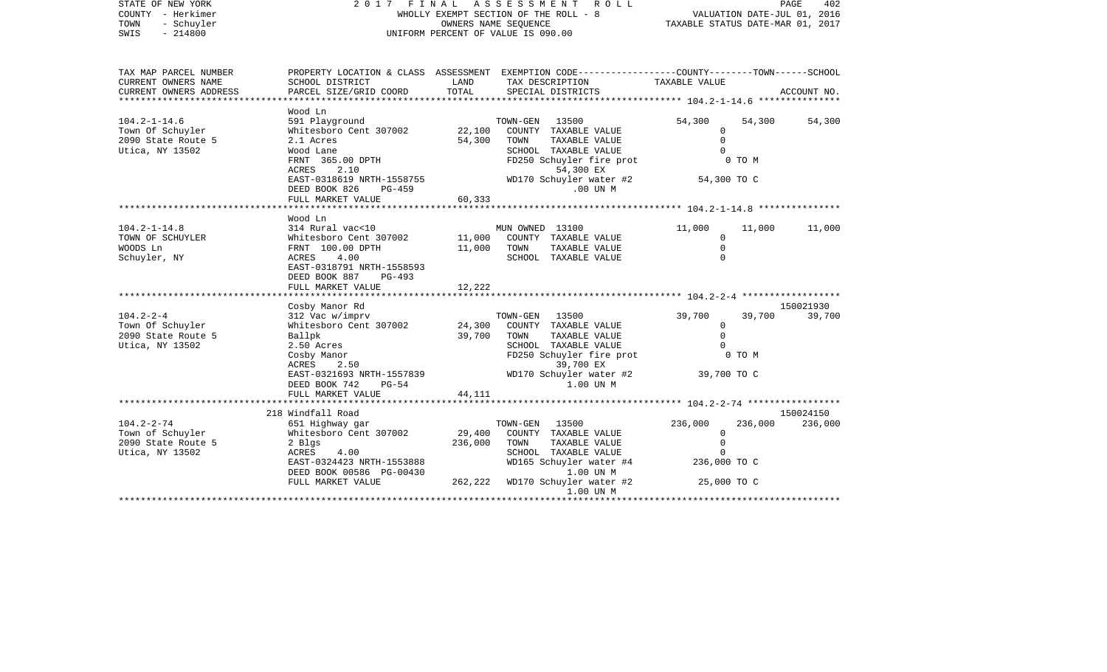| STATE OF NEW YORK<br>COUNTY - Herkimer<br>- Schuyler<br>TOWN<br>$-214800$<br>SWIS | 2 0 1 7<br>FINAL<br>WHOLLY EXEMPT SECTION OF THE ROLL - 8<br>UNIFORM PERCENT OF VALUE IS 090.00 | 402<br>PAGE<br>VALUATION DATE-JUL 01, 2016<br>TAXABLE STATUS DATE-MAR 01, 2017 |                                                                                                                     |                                          |         |             |
|-----------------------------------------------------------------------------------|-------------------------------------------------------------------------------------------------|--------------------------------------------------------------------------------|---------------------------------------------------------------------------------------------------------------------|------------------------------------------|---------|-------------|
| TAX MAP PARCEL NUMBER<br>CURRENT OWNERS NAME                                      | SCHOOL DISTRICT                                                                                 | LAND                                                                           | PROPERTY LOCATION & CLASS ASSESSMENT EXEMPTION CODE----------------COUNTY-------TOWN------SCHOOL<br>TAX DESCRIPTION | TAXABLE VALUE                            |         |             |
| CURRENT OWNERS ADDRESS<br>**********************                                  | PARCEL SIZE/GRID COORD<br>*******************                                                   | TOTAL                                                                          | SPECIAL DISTRICTS                                                                                                   |                                          |         | ACCOUNT NO. |
|                                                                                   | Wood Ln                                                                                         |                                                                                |                                                                                                                     |                                          |         |             |
| $104.2 - 1 - 14.6$                                                                | 591 Playground                                                                                  |                                                                                | TOWN-GEN<br>13500                                                                                                   | 54,300                                   | 54,300  | 54,300      |
| Town Of Schuyler                                                                  | Whitesboro Cent 307002                                                                          | 22,100                                                                         | COUNTY TAXABLE VALUE                                                                                                | 0                                        |         |             |
| 2090 State Route 5                                                                | 2.1 Acres                                                                                       | 54,300                                                                         | TAXABLE VALUE<br>TOWN                                                                                               | $\Omega$<br>$\Omega$                     |         |             |
| Utica, NY 13502                                                                   | Wood Lane<br>FRNT 365.00 DPTH                                                                   |                                                                                | SCHOOL TAXABLE VALUE<br>FD250 Schuyler fire prot                                                                    |                                          | 0 TO M  |             |
|                                                                                   | ACRES<br>2.10                                                                                   |                                                                                | 54,300 EX                                                                                                           |                                          |         |             |
|                                                                                   | EAST-0318619 NRTH-1558755                                                                       |                                                                                | WD170 Schuyler water #2                                                                                             | 54,300 TO C                              |         |             |
|                                                                                   | DEED BOOK 826<br>PG-459                                                                         |                                                                                | .00 UN M                                                                                                            |                                          |         |             |
|                                                                                   | FULL MARKET VALUE                                                                               | 60,333                                                                         |                                                                                                                     |                                          |         |             |
|                                                                                   | ******************                                                                              | ************                                                                   |                                                                                                                     | ************** 104.2-1-14.8 ************ |         |             |
|                                                                                   | Wood Ln                                                                                         |                                                                                |                                                                                                                     |                                          |         |             |
| $104.2 - 1 - 14.8$                                                                | 314 Rural vac<10                                                                                |                                                                                | MUN OWNED 13100                                                                                                     | 11,000                                   | 11,000  | 11,000      |
| TOWN OF SCHUYLER                                                                  | Whitesboro Cent 307002                                                                          | 11,000                                                                         | COUNTY TAXABLE VALUE                                                                                                | $\mathbf 0$                              |         |             |
| WOODS Ln                                                                          | FRNT 100.00 DPTH                                                                                | 11,000                                                                         | TAXABLE VALUE<br>TOWN                                                                                               | $\Omega$                                 |         |             |
| Schuyler, NY                                                                      | ACRES<br>4.00                                                                                   |                                                                                | SCHOOL TAXABLE VALUE                                                                                                | $\Omega$                                 |         |             |
|                                                                                   | EAST-0318791 NRTH-1558593                                                                       |                                                                                |                                                                                                                     |                                          |         |             |
|                                                                                   | DEED BOOK 887<br>PG-493                                                                         |                                                                                |                                                                                                                     |                                          |         |             |
|                                                                                   | FULL MARKET VALUE                                                                               | 12,222                                                                         |                                                                                                                     |                                          |         |             |
|                                                                                   | Cosby Manor Rd                                                                                  |                                                                                |                                                                                                                     |                                          |         | 150021930   |
| $104.2 - 2 - 4$                                                                   | 312 Vac w/imprv                                                                                 |                                                                                | TOWN-GEN<br>13500                                                                                                   | 39,700                                   | 39,700  | 39,700      |
| Town Of Schuyler                                                                  | Whitesboro Cent 307002                                                                          | 24,300                                                                         | COUNTY TAXABLE VALUE                                                                                                | $\mathbf 0$                              |         |             |
| 2090 State Route 5                                                                | Ballpk                                                                                          | 39,700                                                                         | TAXABLE VALUE<br>TOWN                                                                                               | $\Omega$                                 |         |             |
| Utica, NY 13502                                                                   | 2.50 Acres                                                                                      |                                                                                | SCHOOL TAXABLE VALUE                                                                                                | $\Omega$                                 |         |             |
|                                                                                   | Cosby Manor                                                                                     |                                                                                | FD250 Schuyler fire prot                                                                                            |                                          | 0 TO M  |             |
|                                                                                   | <b>ACRES</b><br>2.50                                                                            |                                                                                | 39,700 EX                                                                                                           |                                          |         |             |
|                                                                                   | EAST-0321693 NRTH-1557839                                                                       |                                                                                | WD170 Schuyler water #2                                                                                             | 39,700 TO C                              |         |             |
|                                                                                   | DEED BOOK 742<br>$PG-54$                                                                        |                                                                                | 1.00 UN M                                                                                                           |                                          |         |             |
|                                                                                   | FULL MARKET VALUE                                                                               | 44,111                                                                         |                                                                                                                     |                                          |         |             |
|                                                                                   | *********************                                                                           |                                                                                |                                                                                                                     |                                          |         |             |
|                                                                                   | 218 Windfall Road                                                                               |                                                                                |                                                                                                                     |                                          |         | 150024150   |
| $104.2 - 2 - 74$                                                                  | 651 Highway gar                                                                                 |                                                                                | TOWN-GEN<br>13500                                                                                                   | 236,000                                  | 236,000 | 236,000     |
| Town of Schuyler                                                                  | Whitesboro Cent 307002                                                                          | 29,400                                                                         | COUNTY TAXABLE VALUE                                                                                                | $\mathbf 0$                              |         |             |
| 2090 State Route 5                                                                | 2 Blgs                                                                                          | 236,000                                                                        | TAXABLE VALUE<br>TOWN                                                                                               | $\mathbf 0$                              |         |             |
| Utica, NY 13502                                                                   | ACRES<br>4.00                                                                                   |                                                                                | SCHOOL TAXABLE VALUE                                                                                                |                                          |         |             |
|                                                                                   | EAST-0324423 NRTH-1553888                                                                       |                                                                                | WD165 Schuyler water #4                                                                                             | 236,000 TO C                             |         |             |
|                                                                                   | DEED BOOK 00586 PG-00430                                                                        |                                                                                | 1.00 UN M                                                                                                           |                                          |         |             |
|                                                                                   | FULL MARKET VALUE                                                                               | 262,222                                                                        | WD170 Schuyler water #2                                                                                             | 25,000 TO C                              |         |             |
|                                                                                   |                                                                                                 |                                                                                | 1.00 UN M                                                                                                           |                                          |         |             |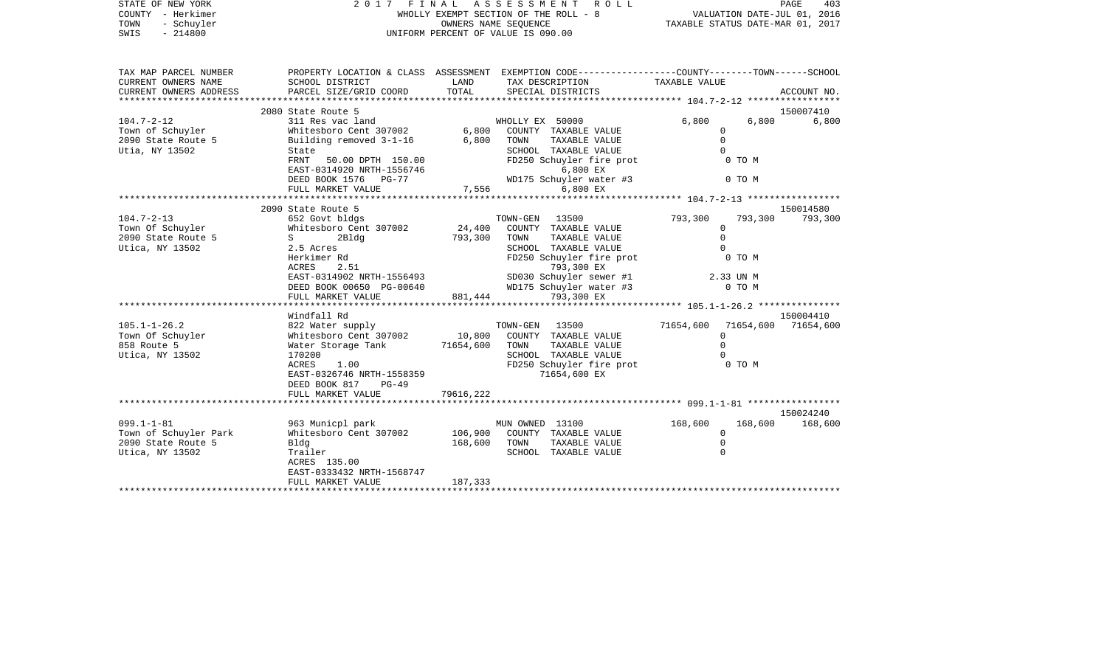| STATE OF NEW YORK<br>COUNTY - Herkimer<br>- Schuyler<br>TOWN<br>$-214800$<br>SWIS | FINAL ASSESSMENT<br>2017<br>UNIFORM PERCENT OF VALUE IS 090.00                                                                               | F I N A L A S S E S S M E N T R O L L<br>WHOLLY EXEMPT SECTION OF THE ROLL - 8 VALUATION DATE-JUL 01, 2016<br>OWNERS NAME SEQUENCE TAXABLE STATUS DATE-MAR 01, 2017 | PAGE<br>403                                                                                                                                     |                      |                             |
|-----------------------------------------------------------------------------------|----------------------------------------------------------------------------------------------------------------------------------------------|---------------------------------------------------------------------------------------------------------------------------------------------------------------------|-------------------------------------------------------------------------------------------------------------------------------------------------|----------------------|-----------------------------|
|                                                                                   |                                                                                                                                              |                                                                                                                                                                     |                                                                                                                                                 |                      |                             |
| TAX MAP PARCEL NUMBER<br>CURRENT OWNERS NAME<br>CURRENT OWNERS ADDRESS            | PROPERTY LOCATION & CLASS ASSESSMENT EXEMPTION CODE----------------COUNTY-------TOWN-----SCHOOL<br>SCHOOL DISTRICT<br>PARCEL SIZE/GRID COORD | LAND<br>TOTAL                                                                                                                                                       | TAX DESCRIPTION<br>SPECIAL DISTRICTS                                                                                                            | TAXABLE VALUE        | ACCOUNT NO.                 |
|                                                                                   | 2080 State Route 5                                                                                                                           |                                                                                                                                                                     |                                                                                                                                                 |                      |                             |
| $104.7 - 2 - 12$                                                                  |                                                                                                                                              |                                                                                                                                                                     | WHOLLY EX 50000                                                                                                                                 | 6,800                | 150007410<br>6,800<br>6,800 |
| Town of Schuyler                                                                  | 311 Res vac land<br>WHOLLY EX 50000<br>Whitesboro Cent 307002 6,800 COUNTY TAXABLE VALUE                                                     |                                                                                                                                                                     |                                                                                                                                                 | $\mathbf 0$          |                             |
| 2090 State Route 5                                                                | Building removed 3-1-16 6,800 TOWN                                                                                                           |                                                                                                                                                                     | TAXABLE VALUE                                                                                                                                   | $\Omega$             |                             |
| Utia, NY 13502                                                                    | State                                                                                                                                        |                                                                                                                                                                     | SCHOOL TAXABLE VALUE                                                                                                                            | $\Omega$             |                             |
|                                                                                   | FRNT 50.00 DPTH 150.00                                                                                                                       |                                                                                                                                                                     | FD250 Schuyler fire prot 0 TO M                                                                                                                 |                      |                             |
|                                                                                   | EAST-0314920 NRTH-1556746                                                                                                                    |                                                                                                                                                                     | 6,800 EX                                                                                                                                        |                      |                             |
|                                                                                   | DEED BOOK 1576 PG-77                                                                                                                         |                                                                                                                                                                     | WD175 Schuyler water #3                                                                                                                         | 0 TO M               |                             |
|                                                                                   | FULL MARKET VALUE                                                                                                                            | $WD175$ Sch<br>7,556                                                                                                                                                | 6,800 EX                                                                                                                                        |                      |                             |
|                                                                                   |                                                                                                                                              |                                                                                                                                                                     |                                                                                                                                                 |                      |                             |
|                                                                                   | 2090 State Route 5                                                                                                                           |                                                                                                                                                                     |                                                                                                                                                 |                      | 150014580                   |
| $104.7 - 2 - 13$                                                                  | 652 Govt bldgs<br>Whitesboro Cent 307002 24,400 COUNTY TAXABLE VALUE                                                                         |                                                                                                                                                                     | TOWN-GEN 13500                                                                                                                                  | 793,300<br>793,300   | 793,300                     |
| Town Of Schuyler                                                                  |                                                                                                                                              |                                                                                                                                                                     |                                                                                                                                                 | $\Omega$<br>$\Omega$ |                             |
| $2090$ State Route 5<br>Utica, NY 13502                                           | $S \sim$<br>2Bldg<br>2.5 Acres                                                                                                               | 793,300 TOWN                                                                                                                                                        | TAXABLE VALUE<br>SCHOOL TAXABLE VALUE                                                                                                           | $\Omega$             |                             |
|                                                                                   | Herkimer Rd                                                                                                                                  |                                                                                                                                                                     | FD250 Schuyler fire prot                                                                                                                        | 0 TO M               |                             |
|                                                                                   |                                                                                                                                              |                                                                                                                                                                     |                                                                                                                                                 |                      |                             |
|                                                                                   |                                                                                                                                              |                                                                                                                                                                     | ACRES 2.51 793,300 EX<br>EAST-0314902 NRTH-1556493 SD030 Schuyler sewer #1 2.33 UN M<br>DEED BOOK 00650 PG-00640 WD175 Schuyler water #3 0 TO M |                      |                             |
|                                                                                   |                                                                                                                                              |                                                                                                                                                                     |                                                                                                                                                 |                      |                             |
|                                                                                   | FULL MARKET VALUE                                                                                                                            |                                                                                                                                                                     | 881, 444<br>793,300 EX                                                                                                                          |                      |                             |
|                                                                                   |                                                                                                                                              |                                                                                                                                                                     |                                                                                                                                                 |                      |                             |
|                                                                                   | Windfall Rd                                                                                                                                  |                                                                                                                                                                     |                                                                                                                                                 |                      | 150004410                   |
| $105.1 - 1 - 26.2$                                                                | 822 Water supply                                                                                                                             |                                                                                                                                                                     | TOWN-GEN 13500                                                                                                                                  | 71654,600            | 71654,600 71654,600         |
| Town Of Schuyler                                                                  | Whitesboro Cent 307002 10,800                                                                                                                |                                                                                                                                                                     | COUNTY TAXABLE VALUE                                                                                                                            | $\Omega$             |                             |
| 858 Route 5                                                                       | Water Storage Tank 71654,600 TOWN                                                                                                            |                                                                                                                                                                     | TAXABLE VALUE                                                                                                                                   | $\Omega$             |                             |
| Utica, NY 13502                                                                   | 170200<br>ACRES<br>1.00                                                                                                                      |                                                                                                                                                                     |                                                                                                                                                 |                      |                             |
|                                                                                   | EAST-0326746 NRTH-1558359                                                                                                                    |                                                                                                                                                                     | SCHOOL TAXABLE VALUE<br>FD250 Schuyler fire prot 60 TO M<br>71654,600 EX                                                                        |                      |                             |
|                                                                                   | DEED BOOK 817<br>$PG-49$                                                                                                                     |                                                                                                                                                                     |                                                                                                                                                 |                      |                             |
|                                                                                   | FULL MARKET VALUE                                                                                                                            | 79616,222                                                                                                                                                           |                                                                                                                                                 |                      |                             |
|                                                                                   | *********************                                                                                                                        |                                                                                                                                                                     |                                                                                                                                                 |                      |                             |
|                                                                                   |                                                                                                                                              |                                                                                                                                                                     |                                                                                                                                                 |                      | 150024240                   |
| $099.1 - 1 - 81$                                                                  | 963 Municpl park                                                                                                                             |                                                                                                                                                                     | MUN OWNED 13100                                                                                                                                 | 168,600              | 168,600 168,600             |
| Town of Schuyler Park                                                             | Whitesboro Cent 307002                                                                                                                       | 106,900                                                                                                                                                             | COUNTY TAXABLE VALUE                                                                                                                            | $\Omega$             |                             |
| 2090 State Route 5                                                                | Bldg                                                                                                                                         | 168,600 TOWN                                                                                                                                                        | TAXABLE VALUE                                                                                                                                   | $\mathbf 0$          |                             |
| Utica, NY 13502                                                                   | Trailer                                                                                                                                      |                                                                                                                                                                     | SCHOOL TAXABLE VALUE                                                                                                                            | $\Omega$             |                             |
|                                                                                   | ACRES 135.00                                                                                                                                 |                                                                                                                                                                     |                                                                                                                                                 |                      |                             |
|                                                                                   | EAST-0333432 NRTH-1568747                                                                                                                    |                                                                                                                                                                     |                                                                                                                                                 |                      |                             |
|                                                                                   | FULL MARKET VALUE                                                                                                                            | 187,333                                                                                                                                                             |                                                                                                                                                 |                      |                             |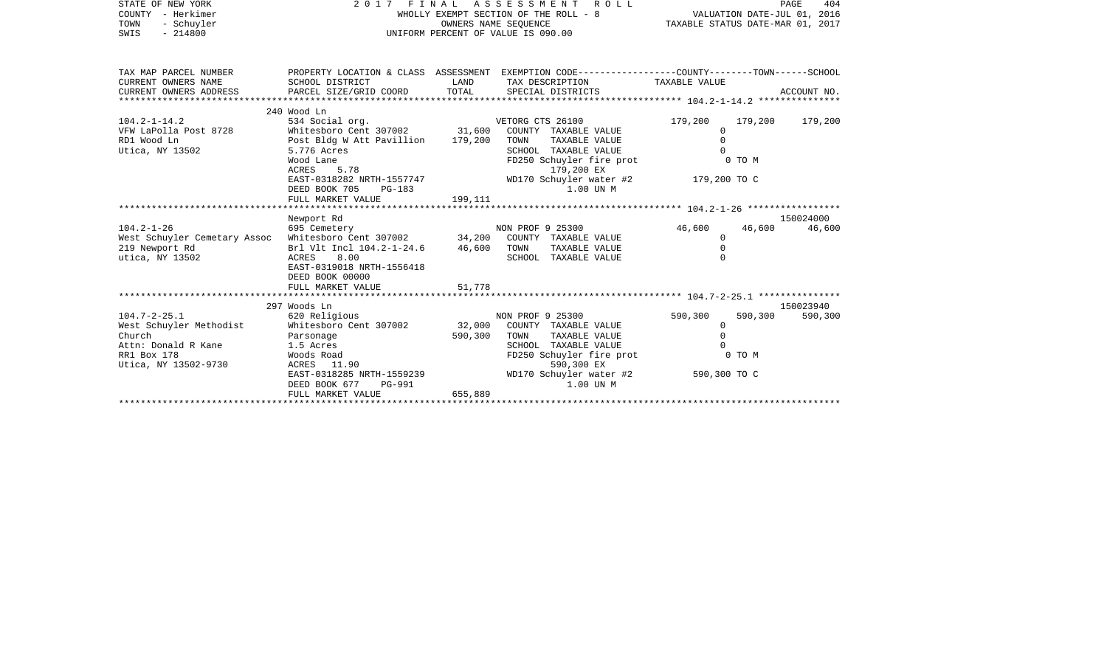| - Herkimer<br>COUNTY<br>TOWN<br>- Schuyler<br>SWIS<br>$-214800$                                                                                                                                      |                                                                                                                                                                                                                                                                       |                             | WHOLLY EXEMPT SECTION OF THE ROLL - 8<br>OWNERS NAME SEQUENCE<br>UNIFORM PERCENT OF VALUE IS 090.00                                                                                                                                                                                                                    | VALUATION DATE-JUL 01, 2016<br>TAXABLE STATUS DATE-MAR 01, 2017                           |                   |                                        |
|------------------------------------------------------------------------------------------------------------------------------------------------------------------------------------------------------|-----------------------------------------------------------------------------------------------------------------------------------------------------------------------------------------------------------------------------------------------------------------------|-----------------------------|------------------------------------------------------------------------------------------------------------------------------------------------------------------------------------------------------------------------------------------------------------------------------------------------------------------------|-------------------------------------------------------------------------------------------|-------------------|----------------------------------------|
| TAX MAP PARCEL NUMBER                                                                                                                                                                                |                                                                                                                                                                                                                                                                       |                             | PROPERTY LOCATION & CLASS ASSESSMENT EXEMPTION CODE---------------COUNTY-------TOWN------SCHOOL                                                                                                                                                                                                                        |                                                                                           |                   |                                        |
| CURRENT OWNERS NAME                                                                                                                                                                                  | SCHOOL DISTRICT                                                                                                                                                                                                                                                       | LAND                        | TAX DESCRIPTION TAXABLE VALUE                                                                                                                                                                                                                                                                                          |                                                                                           |                   |                                        |
| CURRENT OWNERS ADDRESS                                                                                                                                                                               |                                                                                                                                                                                                                                                                       |                             |                                                                                                                                                                                                                                                                                                                        |                                                                                           |                   |                                        |
|                                                                                                                                                                                                      | 240 Wood Ln                                                                                                                                                                                                                                                           |                             |                                                                                                                                                                                                                                                                                                                        |                                                                                           |                   |                                        |
| $104.2 - 1 - 14.2$<br>VFW LaPolla Post 8728<br>RD1 Wood Ln<br>Utica, NY 13502<br>$104.2 - 1 - 26$<br>West Schuyler Cemetary Assoc Whitesboro Cent 307002 34,200<br>219 Newport Rd<br>utica, NY 13502 | 534 Social org.<br>Whitesboro Cent 307002 31,600<br>Post Bldg W Att Pavillion 179,200<br>5.776 Acres<br>Wood Lane<br>5.78<br>ACRES<br>DEED BOOK 705<br>PG-183<br>FULL MARKET VALUE<br>Newport Rd<br>695 Cemetery<br>Brl Vlt Incl 104.2-1-24.6 46,600<br>ACRES<br>8.00 | 199,111                     | VETORG CTS 26100<br>COUNTY TAXABLE VALUE<br>TOWN<br>TAXABLE VALUE<br>SCHOOL TAXABLE VALUE<br>FD250 Schuyler fire prot 0 TO M<br>179,200 EX<br>EAST-0318282 NRTH-1557747 WD170 Schuyler water #2 179,200 TO C<br>1.00 UN M<br>NON PROF 9 25300<br>COUNTY TAXABLE VALUE<br>TOWN<br>TAXABLE VALUE<br>SCHOOL TAXABLE VALUE | 179,200<br>$\Omega$<br>$\Omega$<br>$\cap$<br>46,600<br>$\circ$<br>$\mathbf 0$<br>$\Omega$ | 46,600            | 179,200 179,200<br>150024000<br>46,600 |
| $104.7 - 2 - 25.1$<br>West Schuyler Methodist<br>Church<br>Attn: Donald R Kane<br>RR1 Box 178<br>Utica, NY 13502-9730                                                                                | EAST-0319018 NRTH-1556418<br>DEED BOOK 00000<br>FULL MARKET VALUE<br>297 Woods Ln<br>620 Religious<br>Whitesboro Cent 307002<br>Parsonage<br>1.5 Acres<br>Woods Road                                                                                                  | 51,778<br>32,000<br>590,300 | NON PROF 9 25300<br>COUNTY TAXABLE VALUE<br>TOWN<br>TAXABLE VALUE<br>SCHOOL TAXABLE VALUE<br>FD250 Schuyler fire prot<br>590,300 EX                                                                                                                                                                                    | 590,300<br>0<br>$\Omega$                                                                  | 590,300<br>0 TO M | 150023940<br>590,300                   |
|                                                                                                                                                                                                      | ACRES 11.90<br>EAST-0318285 NRTH-1559239<br>DEED BOOK 677<br>PG-991<br>FULL MARKET VALUE                                                                                                                                                                              | 655,889                     | WD170 Schuyler water #2<br>1.00 UN M                                                                                                                                                                                                                                                                                   | 590,300 TO C                                                                              |                   |                                        |

PAGE 404

STATE OF NEW YORK 2 0 1 7 F I N A L A S S E S S M E N T R O L L PAGE 404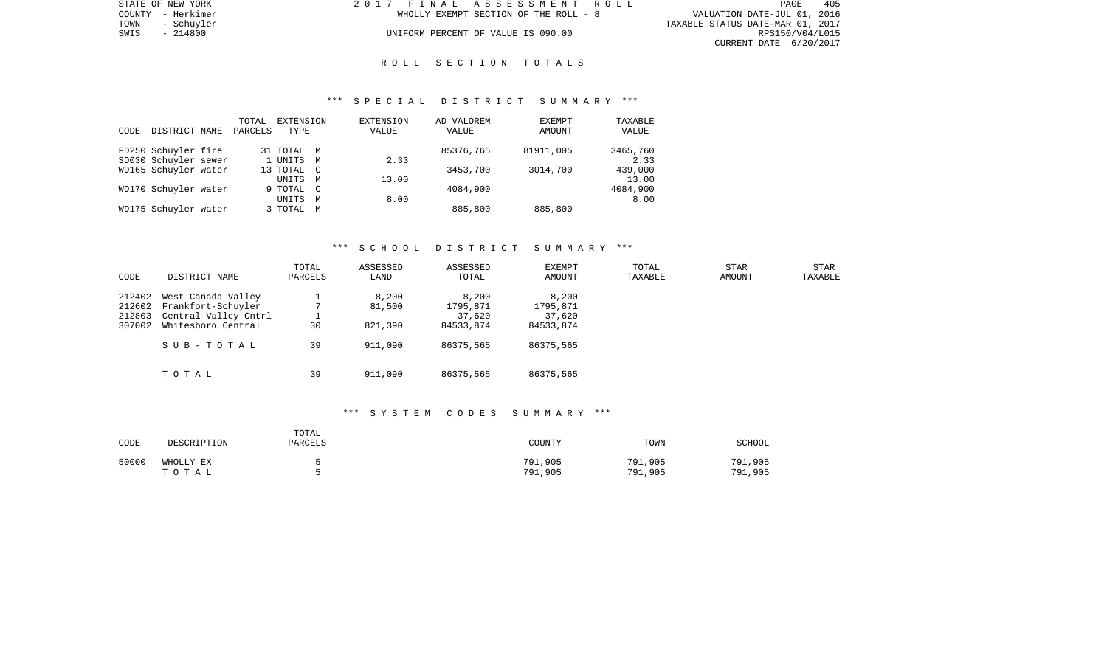|      | STATE OF NEW YORK | 2017 FINAL ASSESSMENT ROLL |                                       |                                  | PAGE            | 405 |
|------|-------------------|----------------------------|---------------------------------------|----------------------------------|-----------------|-----|
|      | COUNTY - Herkimer |                            | WHOLLY EXEMPT SECTION OF THE ROLL - 8 | VALUATION DATE-JUL 01, 2016      |                 |     |
| TOWN | - Schuvler        |                            |                                       | TAXABLE STATUS DATE-MAR 01, 2017 |                 |     |
| SWIS | - 214800          |                            | UNIFORM PERCENT OF VALUE IS 090.00    |                                  | RPS150/V04/L015 |     |
|      |                   |                            |                                       | CURRENT DATE 6/20/2017           |                 |     |

#### R O L L S E C T I O N T O T A L S

#### \*\*\* S P E C I A L D I S T R I C T S U M M A R Y \*\*\*

|      |                      | TOTAL   | EXTENSION  |                | EXTENSION | AD VALOREM | EXEMPT    | TAXABLE  |
|------|----------------------|---------|------------|----------------|-----------|------------|-----------|----------|
| CODE | DISTRICT NAME        | PARCELS | TYPE       |                | VALUE     | VALUE      | AMOUNT    | VALUE    |
|      |                      |         |            |                |           | 85376,765  | 81911,005 | 3465,760 |
|      | FD250 Schuyler fire  |         | 31 TOTAL M |                |           |            |           |          |
|      | SD030 Schuyler sewer |         | 1 UNITS    | M              | 2.33      |            |           | 2.33     |
|      | WD165 Schuyler water |         | 13 TOTAL C |                |           | 3453,700   | 3014,700  | 439,000  |
|      |                      |         | UNITS      | M              | 13.00     |            |           | 13.00    |
|      | WD170 Schuyler water |         | 9 TOTAL    | $\overline{C}$ |           | 4084,900   |           | 4084,900 |
|      |                      |         | UNITS      | M              | 8.00      |            |           | 8.00     |
|      | WD175 Schuyler water |         | 3 TOTAL    | M              |           | 885,800    | 885,800   |          |

#### \*\*\* S C H O O L D I S T R I C T S U M M A R Y \*\*\*

| CODE                                 | DISTRICT NAME                                                                                       | TOTAL<br>PARCELS | ASSESSED<br>LAND                      | ASSESSED<br>TOTAL                                     | <b>EXEMPT</b><br><b>AMOUNT</b>                        | TOTAL<br>TAXABLE | STAR<br>AMOUNT | STAR<br>TAXABLE |
|--------------------------------------|-----------------------------------------------------------------------------------------------------|------------------|---------------------------------------|-------------------------------------------------------|-------------------------------------------------------|------------------|----------------|-----------------|
| 212402<br>212602<br>212803<br>307002 | West Canada Valley<br>Frankfort-Schuyler<br>Central Valley Cntrl<br>Whitesboro Central<br>SUB-TOTAL | 30<br>39         | 8,200<br>81,500<br>821,390<br>911,090 | 8,200<br>1795,871<br>37,620<br>84533,874<br>86375,565 | 8,200<br>1795,871<br>37,620<br>84533,874<br>86375,565 |                  |                |                 |
|                                      | TOTAL                                                                                               | 39               | 911,090                               | 86375,565                                             | 86375,565                                             |                  |                |                 |

# \*\*\* S Y S T E M C O D E S S U M M A R Y \*\*\*

| CODE  | DESCRIPTION        | TOTAL<br><b>PARCELS</b> | COUNTY             | TOWN               | SCHOOL             |
|-------|--------------------|-------------------------|--------------------|--------------------|--------------------|
| 50000 | WHOLLY EX<br>тотаь |                         | 791,905<br>791,905 | 791,905<br>791,905 | 791,905<br>791,905 |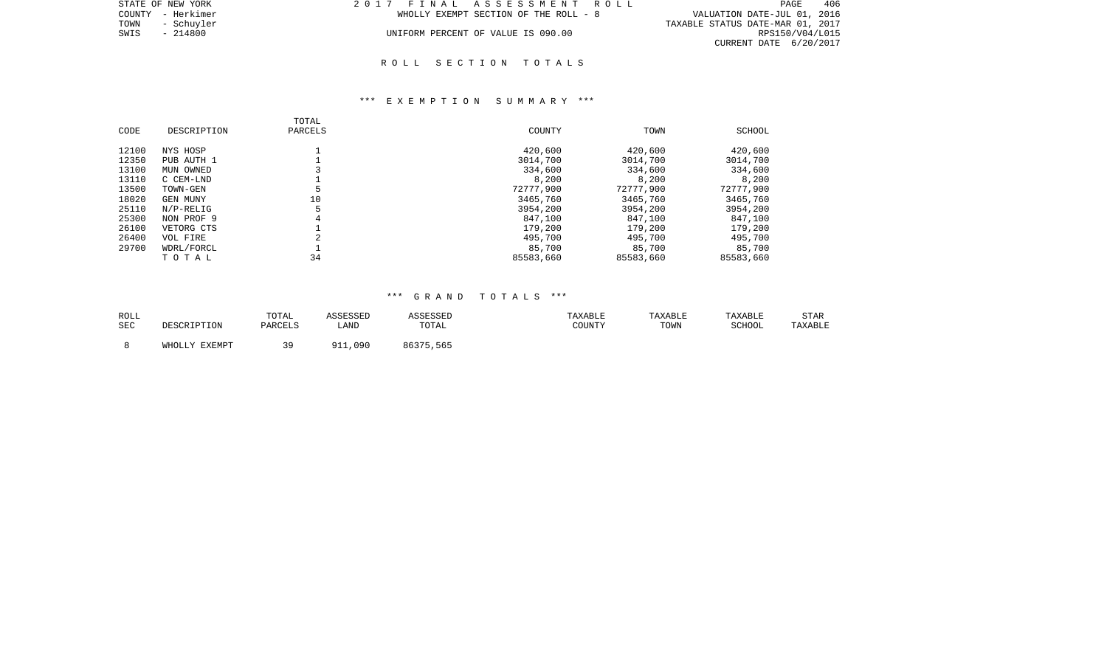| STATE OF NEW YORK  | 2017 FINAL ASSESSMENT ROLL            | 406<br>PAGE                      |
|--------------------|---------------------------------------|----------------------------------|
| COUNTY - Herkimer  | WHOLLY EXEMPT SECTION OF THE ROLL - 8 | VALUATION DATE-JUL 01, 2016      |
| TOWN<br>- Schuvler |                                       | TAXABLE STATUS DATE-MAR 01, 2017 |
| SWIS<br>- 214800   | UNIFORM PERCENT OF VALUE IS 090.00    | RPS150/V04/L015                  |
|                    |                                       | CURRENT DATE 6/20/2017           |
|                    |                                       |                                  |

#### R O L L S E C T I O N T O T A L S

#### \*\*\* E X E M P T I O N S U M M A R Y \*\*\*

| CODE  | DESCRIPTION     | TOTAL<br>PARCELS | COUNTY    | TOWN      | SCHOOL    |
|-------|-----------------|------------------|-----------|-----------|-----------|
| 12100 | NYS HOSP        |                  | 420,600   | 420,600   | 420,600   |
| 12350 | PUB AUTH 1      |                  | 3014,700  | 3014,700  | 3014,700  |
| 13100 | MUN OWNED       |                  | 334,600   | 334,600   | 334,600   |
| 13110 | C CEM-LND       |                  | 8,200     | 8,200     | 8,200     |
| 13500 | TOWN-GEN        |                  | 72777,900 | 72777,900 | 72777,900 |
| 18020 | <b>GEN MUNY</b> | 10               | 3465,760  | 3465,760  | 3465,760  |
| 25110 | $N/P-RELLIG$    |                  | 3954,200  | 3954,200  | 3954,200  |
| 25300 | NON PROF 9      | 4                | 847,100   | 847,100   | 847,100   |
| 26100 | VETORG CTS      |                  | 179,200   | 179,200   | 179,200   |
| 26400 | VOL FIRE        |                  | 495,700   | 495,700   | 495,700   |
| 29700 | WDRL/FORCL      |                  | 85,700    | 85,700    | 85,700    |
|       | TOTAL           | 34               | 85583,660 | 85583,660 | 85583,660 |

## \*\*\* G R A N D T O T A L S \*\*\*

| ROLL |               | TOTAL   | ASSESSED | <b>ASSESSED</b> | TAXABLE | TAXABLE | TAXABLE | STAR    |
|------|---------------|---------|----------|-----------------|---------|---------|---------|---------|
| SEC  | DESCRIPTION   | PARCELS | LAND     | TOTAL           | COUNTY  | TOWN    | SCHOOL  | TAXABLE |
|      | WHOLLY EXEMPT | 39      | 911,090  | 86375,565       |         |         |         |         |
|      |               |         |          |                 |         |         |         |         |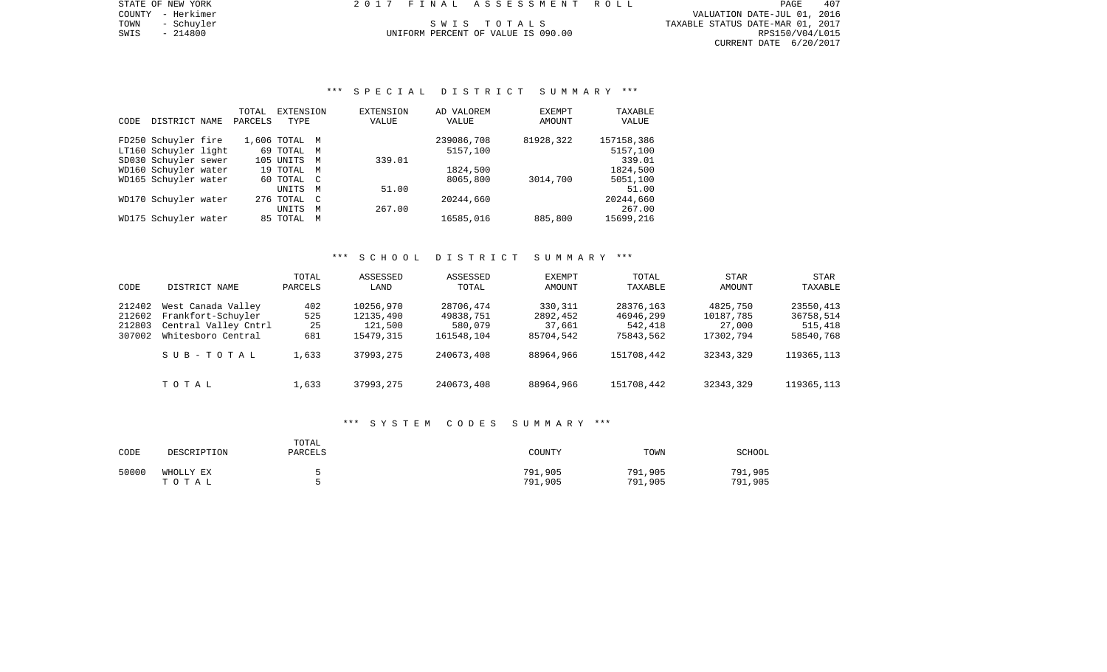PAGE 407 COUNTY - Herkimer VALUATION DATE-JUL 01, 2016 TOWN - Schuyler Summary S W I S T O T A L S T S T S TAXABLE STATUS DATE-MAR 01, 2017 SWIS - 214800 UNIFORM PERCENT OF VALUE IS 090.00 POWER TOWN - 2017<br>SWIS - 214800 214800 UNIFORM PERCENT OF VALUE IS 090.00 RESISO/V04/L015 CURRENT DATE 6/20/2017

# \*\*\* S P E C I A L D I S T R I C T S U M M A R Y \*\*\*

|      |                      | TOTAL   | EXTENSION     |              | <b>EXTENSION</b> | AD VALOREM | <b>EXEMPT</b> | TAXABLE    |
|------|----------------------|---------|---------------|--------------|------------------|------------|---------------|------------|
| CODE | DISTRICT NAME        | PARCELS | TYPE          |              | VALUE            | VALUE      | <b>AMOUNT</b> | VALUE      |
|      |                      |         |               |              |                  |            |               |            |
|      | FD250 Schuyler fire  |         | 1,606 TOTAL M |              |                  | 239086,708 | 81928,322     | 157158,386 |
|      | LT160 Schuyler light |         | 69 TOTAL M    |              |                  | 5157,100   |               | 5157,100   |
|      | SD030 Schuyler sewer |         | 105 UNITS     | M            | 339.01           |            |               | 339.01     |
|      | WD160 Schuyler water |         | 19 TOTAL M    |              |                  | 1824,500   |               | 1824,500   |
|      | WD165 Schuyler water |         | 60 TOTAL C    |              |                  | 8065,800   | 3014,700      | 5051,100   |
|      |                      |         | UNITS         | M            | 51.00            |            |               | 51.00      |
|      | WD170 Schuyler water |         | 276 TOTAL     | $\mathbb{C}$ |                  | 20244,660  |               | 20244,660  |
|      |                      |         | <b>UNITS</b>  | M            | 267.00           |            |               | 267.00     |
|      | WD175 Schuyler water |         | 85 TOTAL      | M            |                  | 16585,016  | 885,800       | 15699,216  |
|      |                      |         |               |              |                  |            |               |            |

## \*\*\* S C H O O L D I S T R I C T S U M M A R Y \*\*\*

| CODE                                 | DISTRICT NAME                                                                          | TOTAL<br>PARCELS        | ASSESSED<br>LAND                               | ASSESSED<br>TOTAL                               | <b>EXEMPT</b><br>AMOUNT                    | TOTAL<br>TAXABLE                               | STAR<br>AMOUNT                               | STAR<br>TAXABLE                                |
|--------------------------------------|----------------------------------------------------------------------------------------|-------------------------|------------------------------------------------|-------------------------------------------------|--------------------------------------------|------------------------------------------------|----------------------------------------------|------------------------------------------------|
| 212402<br>212602<br>212803<br>307002 | West Canada Valley<br>Frankfort-Schuyler<br>Central Valley Cntrl<br>Whitesboro Central | 402<br>525<br>25<br>681 | 10256,970<br>12135,490<br>121,500<br>15479,315 | 28706,474<br>49838,751<br>580,079<br>161548,104 | 330,311<br>2892,452<br>37,661<br>85704,542 | 28376,163<br>46946,299<br>542,418<br>75843,562 | 4825,750<br>10187,785<br>27,000<br>17302,794 | 23550,413<br>36758,514<br>515,418<br>58540,768 |
|                                      | SUB-TOTAL                                                                              | 1,633                   | 37993,275                                      | 240673,408                                      | 88964,966                                  | 151708,442                                     | 32343,329                                    | 119365, 113                                    |
|                                      | тотаь                                                                                  | 1,633                   | 37993,275                                      | 240673,408                                      | 88964,966                                  | 151708,442                                     | 32343,329                                    | 119365, 113                                    |

#### \*\*\* S Y S T E M C O D E S S U M M A R Y \*\*\*

| CODE  | DESCRIPTION        | TOTAL<br>PARCELS | COUNTY             | TOWN               | SCHOOL             |
|-------|--------------------|------------------|--------------------|--------------------|--------------------|
| 50000 | WHOLLY EX<br>TOTAL |                  | 791,905<br>791,905 | 791,905<br>791,905 | 791,905<br>791,905 |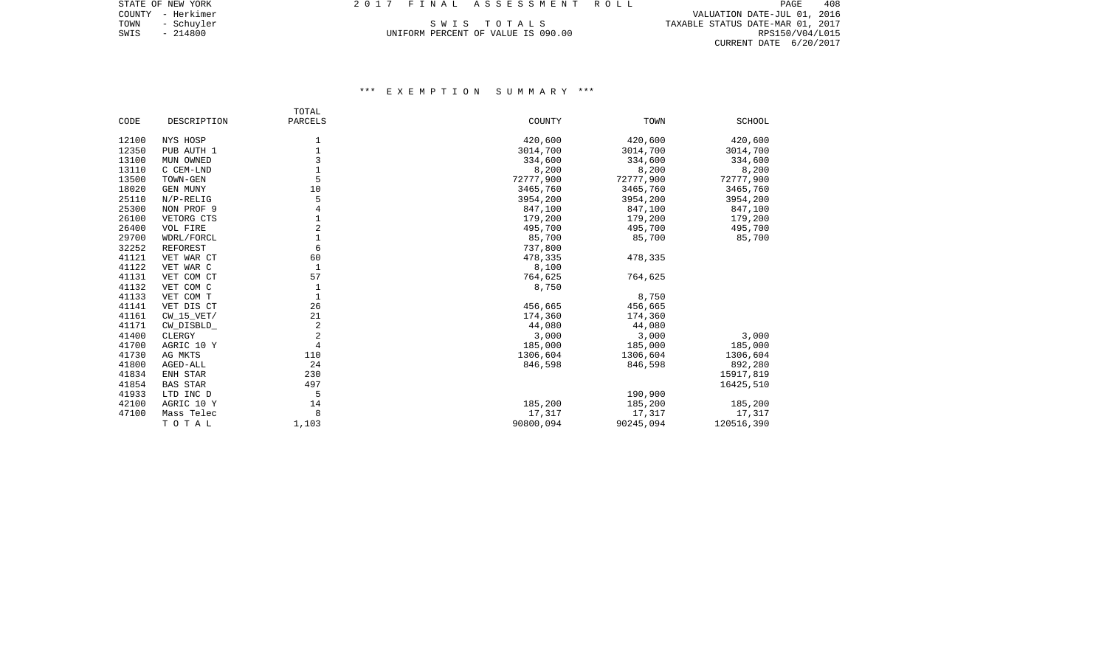COUNTY - Herkimer VALUATION DATE-JUL 01, 2016 TOWN - Schuyler Summary S W I S T O T A L S T S T S TAXABLE STATUS DATE-MAR 01, 2017 SWIS - 214800 UNIFORM PERCENT OF VALUE IS 090.00 POWER TOWN - 2017<br>SWIS - 214800 214800 UNIFORM PERCENT OF VALUE IS 090.00 RESISO/V04/L015 CURRENT DATE 6/20/2017

# \*\*\* E X E M P T I O N S U M M A R Y \*\*\*

|       |                 | TOTAL          |           |           |               |
|-------|-----------------|----------------|-----------|-----------|---------------|
| CODE  | DESCRIPTION     | PARCELS        | COUNTY    | TOWN      | <b>SCHOOL</b> |
| 12100 | NYS HOSP        | 1              | 420,600   | 420,600   | 420,600       |
| 12350 | PUB AUTH 1      |                | 3014,700  | 3014,700  | 3014,700      |
| 13100 | MUN OWNED       | 3              | 334,600   | 334,600   | 334,600       |
| 13110 | C CEM-LND       |                | 8,200     | 8,200     | 8,200         |
| 13500 | TOWN-GEN        | 5              | 72777,900 | 72777,900 | 72777,900     |
| 18020 | GEN MUNY        | 10             | 3465,760  | 3465,760  | 3465,760      |
| 25110 | $N/P-RELIG$     | 5              | 3954,200  | 3954,200  | 3954,200      |
| 25300 | NON PROF 9      | 4              | 847,100   | 847,100   | 847,100       |
| 26100 | VETORG CTS      |                | 179,200   | 179,200   | 179,200       |
| 26400 | VOL FIRE        | $\overline{c}$ | 495,700   | 495,700   | 495,700       |
| 29700 | WDRL/FORCL      | $\mathbf{1}$   | 85,700    | 85,700    | 85,700        |
| 32252 | <b>REFOREST</b> | 6              | 737,800   |           |               |
| 41121 | VET WAR CT      | 60             | 478,335   | 478,335   |               |
| 41122 | VET WAR C       | $\mathbf{1}$   | 8,100     |           |               |
| 41131 | VET COM CT      | 57             | 764,625   | 764,625   |               |
| 41132 | VET COM C       | 1              | 8,750     |           |               |
| 41133 | VET COM T       | $\mathbf{1}$   |           | 8,750     |               |
| 41141 | VET DIS CT      | 26             | 456,665   | 456,665   |               |
| 41161 | $CW_15_VET/$    | 21             | 174,360   | 174,360   |               |
| 41171 | CW_DISBLD_      | $\overline{2}$ | 44,080    | 44,080    |               |
| 41400 | CLERGY          | $\overline{2}$ | 3,000     | 3,000     | 3,000         |
| 41700 | AGRIC 10 Y      | $\overline{4}$ | 185,000   | 185,000   | 185,000       |
| 41730 | AG MKTS         | 110            | 1306,604  | 1306,604  | 1306,604      |
| 41800 | AGED-ALL        | 24             | 846,598   | 846,598   | 892,280       |
| 41834 | ENH STAR        | 230            |           |           | 15917,819     |
| 41854 | <b>BAS STAR</b> | 497            |           |           | 16425,510     |
| 41933 | LTD INC D       | 5              |           | 190,900   |               |
| 42100 | AGRIC 10 Y      | 14             | 185,200   | 185,200   | 185,200       |
| 47100 | Mass Telec      | 8              | 17,317    | 17,317    | 17,317        |
|       | TOTAL           | 1,103          | 90800,094 | 90245,094 | 120516,390    |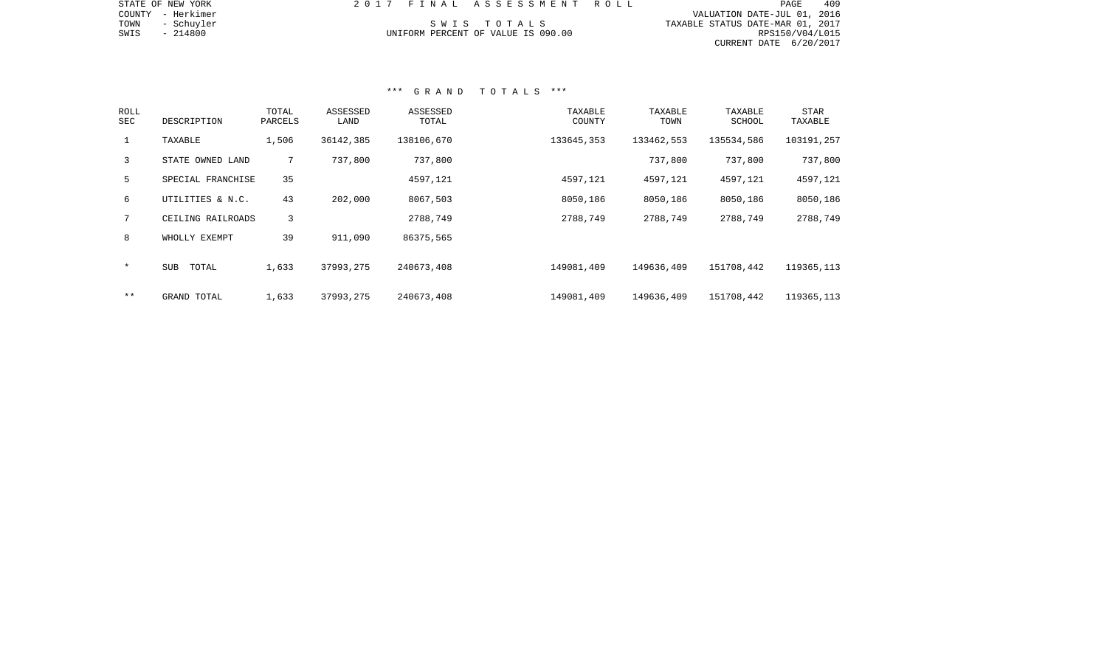| STATE OF NEW YORK  | 2017 FINAL ASSESSMENT ROLL         | 409<br>PAGE                      |
|--------------------|------------------------------------|----------------------------------|
| COUNTY - Herkimer  |                                    | VALUATION DATE-JUL 01, 2016      |
| TOWN<br>- Schuyler | SWIS TOTALS                        | TAXABLE STATUS DATE-MAR 01, 2017 |
| SWIS<br>- 214800   | UNIFORM PERCENT OF VALUE IS 090.00 | RPS150/V04/L015                  |
|                    |                                    | CURRENT DATE 6/20/2017           |
|                    |                                    |                                  |
|                    |                                    |                                  |

## \*\*\* G R A N D T O T A L S \*\*\*

| <b>ROLL</b><br>SEC | DESCRIPTION         | TOTAL<br>PARCELS | ASSESSED<br>LAND | ASSESSED<br>TOTAL | TAXABLE<br>COUNTY | TAXABLE<br>TOWN | TAXABLE<br>SCHOOL | <b>STAR</b><br>TAXABLE |
|--------------------|---------------------|------------------|------------------|-------------------|-------------------|-----------------|-------------------|------------------------|
| $\mathbf{1}$       | TAXABLE             | 1,506            | 36142,385        | 138106,670        | 133645,353        | 133462,553      | 135534,586        | 103191,257             |
| 3                  | STATE OWNED LAND    | $7^{\circ}$      | 737,800          | 737,800           |                   | 737,800         | 737,800           | 737,800                |
| 5                  | SPECIAL FRANCHISE   | 35               |                  | 4597,121          | 4597,121          | 4597,121        | 4597,121          | 4597,121               |
| 6                  | UTILITIES & N.C.    | 43               | 202,000          | 8067,503          | 8050,186          | 8050,186        | 8050,186          | 8050,186               |
|                    | CEILING RAILROADS   | 3                |                  | 2788,749          | 2788,749          | 2788,749        | 2788,749          | 2788,749               |
| 8                  | WHOLLY EXEMPT       | 39               | 911,090          | 86375,565         |                   |                 |                   |                        |
| $\star$            | <b>SUB</b><br>TOTAL | 1,633            | 37993,275        | 240673,408        | 149081,409        | 149636,409      | 151708,442        | 119365, 113            |
| $* *$              | GRAND TOTAL         | 1,633            | 37993,275        | 240673,408        | 149081,409        | 149636,409      | 151708,442        | 119365, 113            |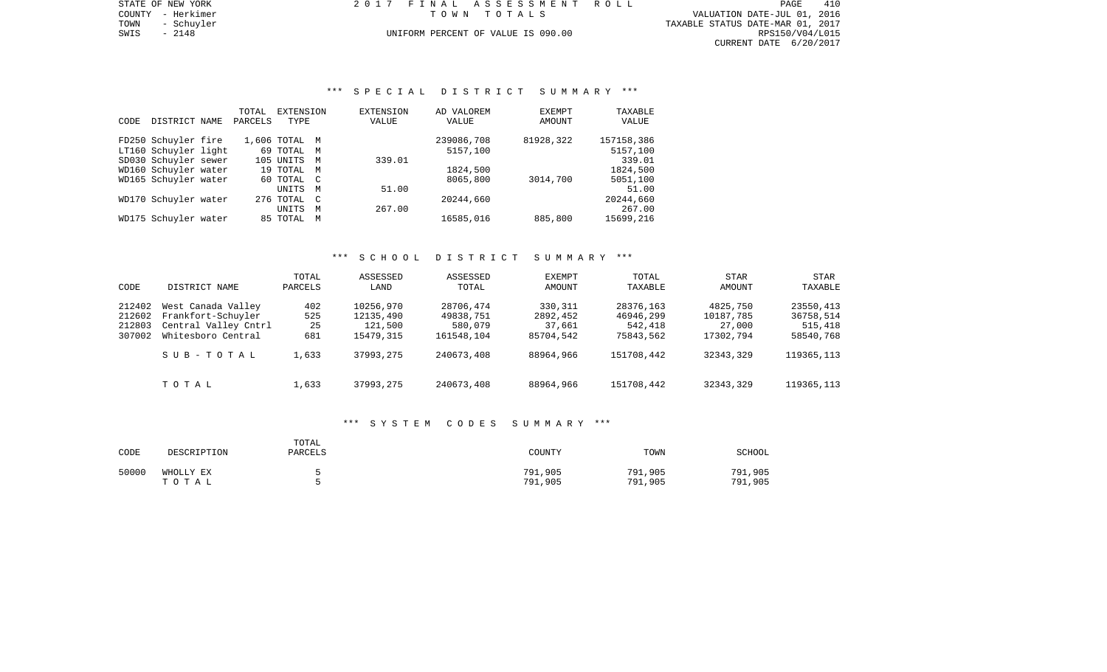TOWN - Schuyler TAXABLE STATUS DATE-MAR 01, 2017 SWIS - 2148<br>
SWIS - 2148 - 2148<br>
SWIS - 2148 - 2148<br>
UNIFORM PERCENT OF VALUE IS 090.00 TAXABLE STATUS DATE-MAR 01, 2017 CURRENT DATE 6/20/2017

STATE OF NEW YORK 2017 FINAL ASSESSMENT ROLL COUNTY - Herkimer T O W N T O T A L S VALUATION DATE-JUL 01, 2016

# \*\*\* S P E C I A L D I S T R I C T S U M M A R Y \*\*\*

|      |                      | TOTAL   | EXTENSION     |             | <b>EXTENSION</b> | AD VALOREM | <b>EXEMPT</b> | TAXABLE    |
|------|----------------------|---------|---------------|-------------|------------------|------------|---------------|------------|
| CODE | DISTRICT NAME        | PARCELS | TYPE          |             | VALUE            | VALUE      | AMOUNT        | VALUE      |
|      |                      |         |               |             |                  |            |               |            |
|      | FD250 Schuyler fire  |         | 1,606 TOTAL M |             |                  | 239086,708 | 81928,322     | 157158,386 |
|      | LT160 Schuyler light |         | 69 TOTAL M    |             |                  | 5157,100   |               | 5157,100   |
|      | SD030 Schuyler sewer |         | 105 UNITS     | M           | 339.01           |            |               | 339.01     |
|      | WD160 Schuyler water |         | 19 TOTAL M    |             |                  | 1824,500   |               | 1824,500   |
|      | WD165 Schuyler water |         | 60 TOTAL C    |             |                  | 8065,800   | 3014,700      | 5051,100   |
|      |                      |         | UNITS         | M           | 51.00            |            |               | 51.00      |
|      | WD170 Schuyler water |         | 276 TOTAL     | $\mathbb C$ |                  | 20244,660  |               | 20244,660  |
|      |                      |         | <b>UNITS</b>  | M           | 267.00           |            |               | 267.00     |
|      | WD175 Schuyler water |         | 85 TOTAL      | M           |                  | 16585,016  | 885,800       | 15699,216  |
|      |                      |         |               |             |                  |            |               |            |

## \*\*\* S C H O O L D I S T R I C T S U M M A R Y \*\*\*

| CODE                                 | DISTRICT NAME                                                                          | TOTAL<br>PARCELS        | ASSESSED<br>LAND                               | ASSESSED<br>TOTAL                               | <b>EXEMPT</b><br>AMOUNT                    | TOTAL<br>TAXABLE                               | STAR<br>AMOUNT                               | STAR<br>TAXABLE                                |
|--------------------------------------|----------------------------------------------------------------------------------------|-------------------------|------------------------------------------------|-------------------------------------------------|--------------------------------------------|------------------------------------------------|----------------------------------------------|------------------------------------------------|
| 212402<br>212602<br>212803<br>307002 | West Canada Valley<br>Frankfort-Schuyler<br>Central Valley Cntrl<br>Whitesboro Central | 402<br>525<br>25<br>681 | 10256,970<br>12135,490<br>121,500<br>15479,315 | 28706,474<br>49838,751<br>580,079<br>161548,104 | 330,311<br>2892,452<br>37,661<br>85704,542 | 28376,163<br>46946,299<br>542,418<br>75843,562 | 4825,750<br>10187,785<br>27,000<br>17302,794 | 23550,413<br>36758,514<br>515,418<br>58540,768 |
|                                      | SUB-TOTAL                                                                              | 1,633                   | 37993,275                                      | 240673,408                                      | 88964,966                                  | 151708,442                                     | 32343,329                                    | 119365, 113                                    |
|                                      | TOTAL                                                                                  | 1,633                   | 37993,275                                      | 240673,408                                      | 88964,966                                  | 151708,442                                     | 32343,329                                    | 119365, 113                                    |

#### \*\*\* S Y S T E M C O D E S S U M M A R Y \*\*\*

| CODE  | DESCRIPTION        | TOTAL<br>PARCELS | COUNTY             | TOWN               | SCHOOL             |
|-------|--------------------|------------------|--------------------|--------------------|--------------------|
| 50000 | WHOLLY EX<br>тотаь |                  | 791,905<br>791,905 | 791,905<br>791,905 | 791,905<br>791,905 |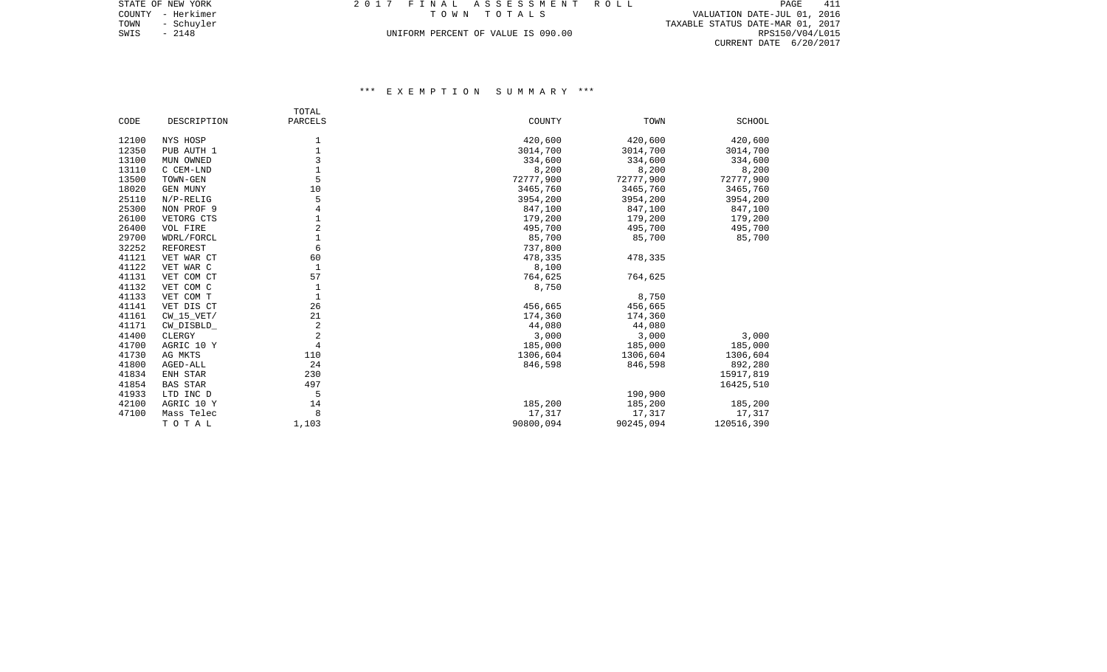TOWN - Schuyler TAXABLE STATUS DATE-MAR 01, 2017 SWIS - 2148<br>
SWIS - 2148 - 2148<br>
SWIS - 2148 - 2148<br>
UNIFORM PERCENT OF VALUE IS 090.00 TAXABLE STATUS DATE-MAR 01, 2017 CURRENT DATE 6/20/2017

# \*\*\* E X E M P T I O N S U M M A R Y \*\*\*

|                |                 | TOTAL          |           |           |               |
|----------------|-----------------|----------------|-----------|-----------|---------------|
| CODE           | DESCRIPTION     | PARCELS        | COUNTY    | TOWN      | <b>SCHOOL</b> |
|                |                 |                |           | 420,600   |               |
| 12100          | NYS HOSP        | 1              | 420,600   |           | 420,600       |
| 12350<br>13100 | PUB AUTH 1      | 3              | 3014,700  | 3014,700  | 3014,700      |
|                | MUN OWNED       | $\mathbf{1}$   | 334,600   | 334,600   | 334,600       |
| 13110          | C CEM-LND       | 5              | 8,200     | 8,200     | 8,200         |
| 13500          | TOWN-GEN        |                | 72777,900 | 72777,900 | 72777,900     |
| 18020          | GEN MUNY        | 10             | 3465,760  | 3465,760  | 3465,760      |
| 25110          | $N/P-RELIG$     | 5              | 3954,200  | 3954,200  | 3954,200      |
| 25300          | NON PROF 9      | 4              | 847,100   | 847,100   | 847,100       |
| 26100          | VETORG CTS      | $\mathbf{1}$   | 179,200   | 179,200   | 179,200       |
| 26400          | VOL FIRE        | $\overline{a}$ | 495,700   | 495,700   | 495,700       |
| 29700          | WDRL/FORCL      | $\mathbf 1$    | 85,700    | 85,700    | 85,700        |
| 32252          | <b>REFOREST</b> | 6              | 737,800   |           |               |
| 41121          | VET WAR CT      | 60             | 478,335   | 478,335   |               |
| 41122          | VET WAR C       | $\mathbf{1}$   | 8,100     |           |               |
| 41131          | VET COM CT      | 57             | 764,625   | 764,625   |               |
| 41132          | VET COM C       | $\mathbf{1}$   | 8,750     |           |               |
| 41133          | VET COM T       | $1\,$          |           | 8,750     |               |
| 41141          | VET DIS CT      | 26             | 456,665   | 456,665   |               |
| 41161          | $CW_15_VET/$    | 21             | 174,360   | 174,360   |               |
| 41171          | CW_DISBLD_      | $\overline{2}$ | 44,080    | 44,080    |               |
| 41400          | CLERGY          | $\overline{2}$ | 3,000     | 3,000     | 3,000         |
| 41700          | AGRIC 10 Y      | $\overline{4}$ | 185,000   | 185,000   | 185,000       |
| 41730          | AG MKTS         | 110            | 1306,604  | 1306,604  | 1306,604      |
| 41800          | AGED-ALL        | 24             | 846,598   | 846,598   | 892,280       |
| 41834          | ENH STAR        | 230            |           |           | 15917,819     |
| 41854          | <b>BAS STAR</b> | 497            |           |           | 16425,510     |
| 41933          | LTD INC D       | 5              |           | 190,900   |               |
| 42100          | AGRIC 10 Y      | 14             | 185,200   | 185,200   | 185,200       |
| 47100          | Mass Telec      | 8              | 17,317    | 17,317    | 17,317        |
|                | TOTAL           | 1,103          | 90800,094 | 90245,094 | 120516,390    |
|                |                 |                |           |           |               |